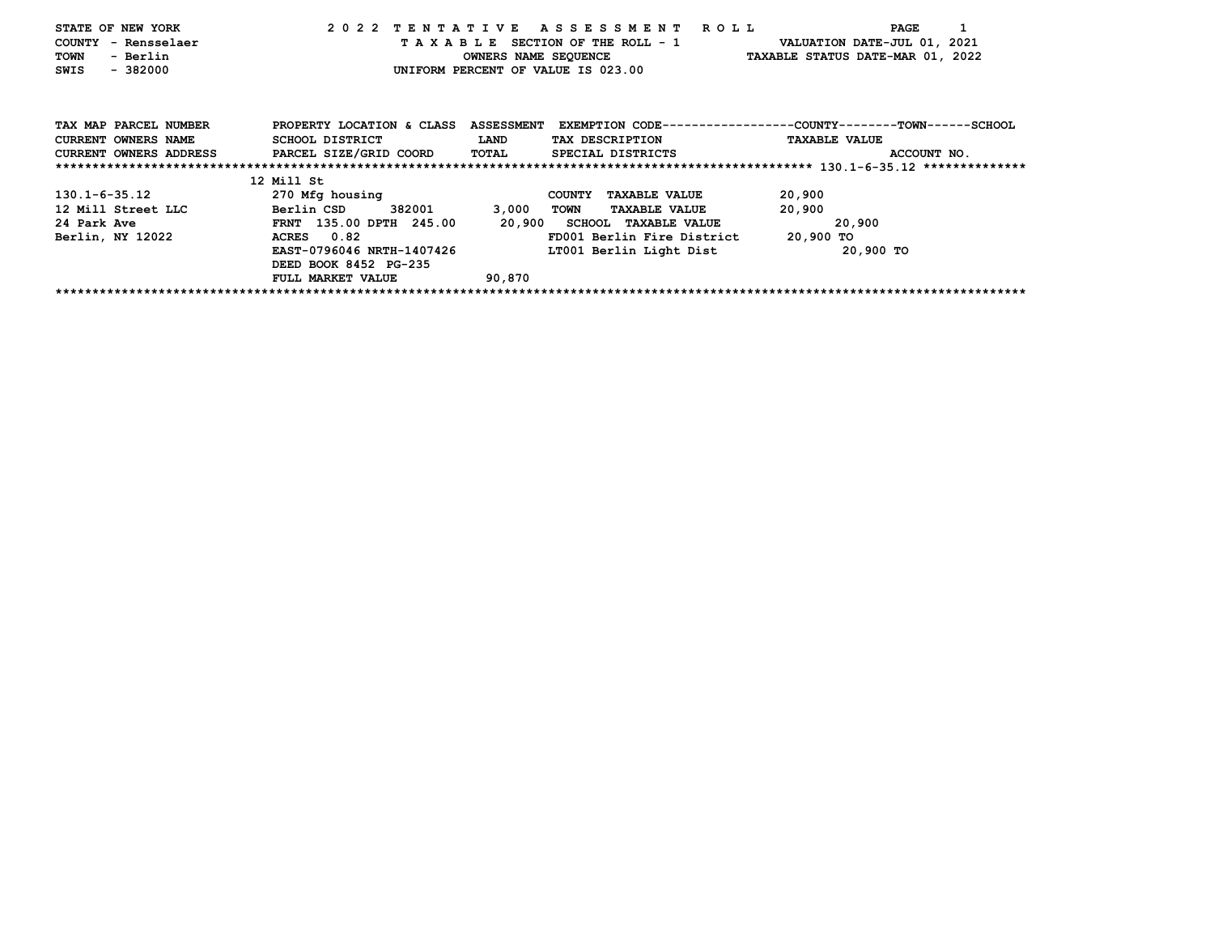| STATE OF NEW YORK          |                                            |             | 2022 TENTATIVE ASSESSMENT ROLL                                    |                      | PAGE                                                                   |
|----------------------------|--------------------------------------------|-------------|-------------------------------------------------------------------|----------------------|------------------------------------------------------------------------|
| COUNTY - Rensselaer        |                                            |             | T A X A B L E SECTION OF THE ROLL - 1 VALUATION DATE-JUL 01, 2021 |                      |                                                                        |
| TOWN<br>- Berlin           |                                            |             | OWNERS NAME SEQUENCE TAXABLE STATUS DATE-MAR 01, 2022             |                      |                                                                        |
| $-382000$<br>SWIS          |                                            |             | UNIFORM PERCENT OF VALUE IS 023.00                                |                      |                                                                        |
|                            |                                            |             |                                                                   |                      |                                                                        |
| TAX MAP PARCEL NUMBER      | PROPERTY LOCATION & CLASS                  |             |                                                                   |                      | ASSESSMENT EXEMPTION CODE----------------COUNTY-------TOWN------SCHOOL |
| <b>CURRENT OWNERS NAME</b> | SCHOOL DISTRICT                            | <b>LAND</b> | TAX DESCRIPTION                                                   | <b>TAXABLE VALUE</b> |                                                                        |
| CURRENT OWNERS ADDRESS     | PARCEL SIZE/GRID COORD                     | TOTAL       | SPECIAL DISTRICTS                                                 |                      | ACCOUNT NO.                                                            |
|                            |                                            |             |                                                                   |                      |                                                                        |
|                            | 12 Mill St                                 |             |                                                                   |                      |                                                                        |
| 130.1-6-35.12              | 270 Mfg housing                            |             | COUNTY TAXABLE VALUE                                              | 20,900               |                                                                        |
| 12 Mill Street LLC         | 382001 200<br><b>Example 19 Berlin CSD</b> | 3,000       | <b>TAXABLE VALUE</b><br>TOWN                                      | 20,900               |                                                                        |
| 24 Park Ave                | FRNT 135.00 DPTH 245.00                    |             | 20,900 SCHOOL TAXABLE VALUE                                       |                      | 20,900                                                                 |
| Berlin, NY 12022           | ACRES 0.82                                 |             | FD001 Berlin Fire District 20,900 TO                              |                      |                                                                        |
|                            | EAST-0796046 NRTH-1407426                  |             | LT001 Berlin Light Dist                                           |                      | 20,900 TO                                                              |
|                            | DEED BOOK 8452 PG-235                      |             |                                                                   |                      |                                                                        |
|                            | FULL MARKET VALUE                          | 90,870      |                                                                   |                      |                                                                        |
|                            |                                            |             |                                                                   |                      |                                                                        |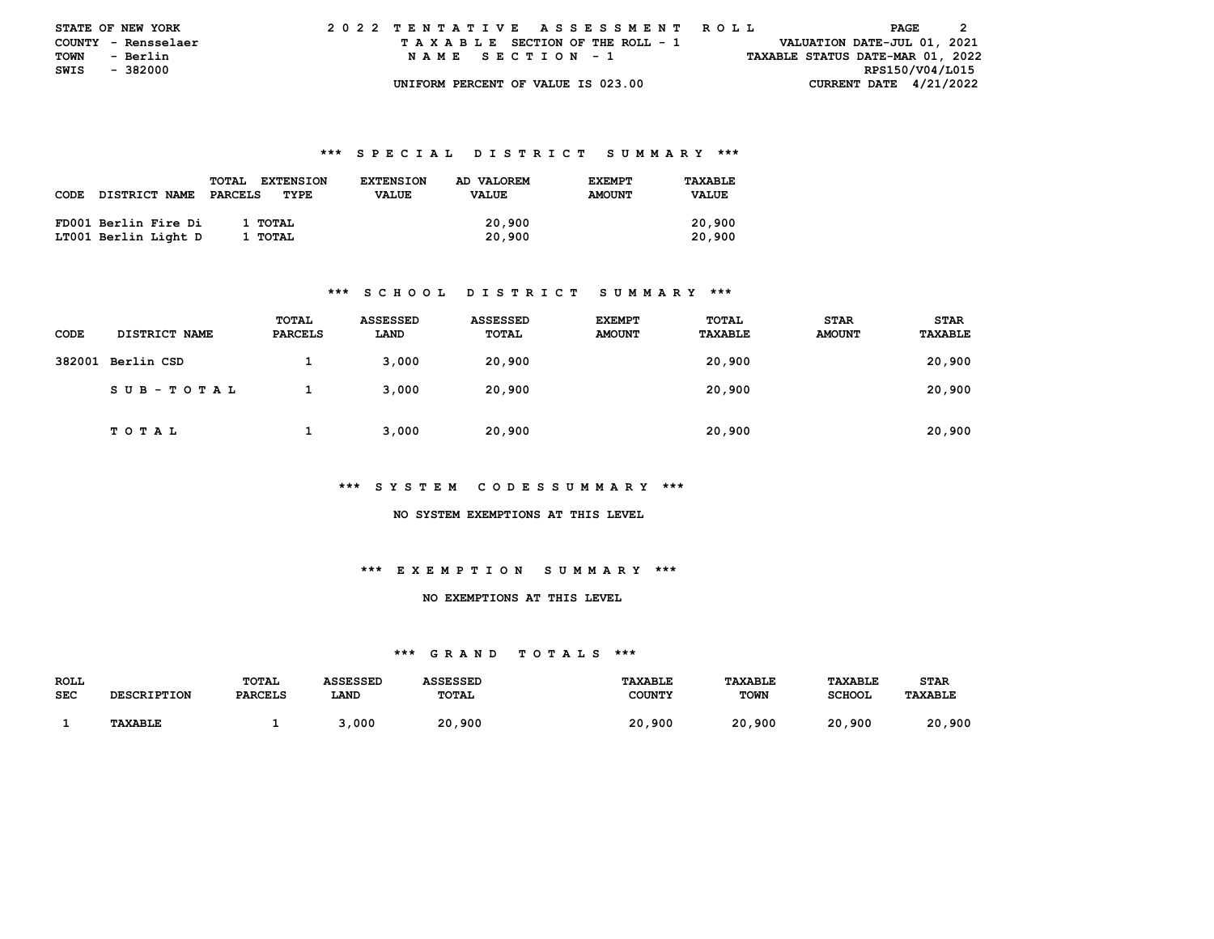|               | <b>STATE OF NEW YORK</b> | 2022 TENTATIVE ASSESSMENT ROLL |  |  |  |  |                                    |  |  |  |  |  |  |  |  |  |                                  | PAGE |  |  |
|---------------|--------------------------|--------------------------------|--|--|--|--|------------------------------------|--|--|--|--|--|--|--|--|--|----------------------------------|------|--|--|
|               | COUNTY - Rensselaer      |                                |  |  |  |  | TAXABLE SECTION OF THE ROLL - 1    |  |  |  |  |  |  |  |  |  | VALUATION DATE-JUL 01, 2021      |      |  |  |
| <b>TOWN</b>   | - Berlin                 |                                |  |  |  |  | NAME SECTION - 1                   |  |  |  |  |  |  |  |  |  | TAXABLE STATUS DATE-MAR 01, 2022 |      |  |  |
| SWIS - 382000 |                          |                                |  |  |  |  |                                    |  |  |  |  |  |  |  |  |  | RPS150/V04/L015                  |      |  |  |
|               |                          |                                |  |  |  |  | UNIFORM PERCENT OF VALUE IS 023.00 |  |  |  |  |  |  |  |  |  | CURRENT DATE $4/21/2022$         |      |  |  |

|      |                      | <b>TOTAL</b><br><b>EXTENSION</b> | <b>EXTENSION</b> | AD VALOREM   | <b>EXEMPT</b> | TAXABLE      |
|------|----------------------|----------------------------------|------------------|--------------|---------------|--------------|
| CODE | <b>DISTRICT NAME</b> | PARCELS<br>TYPE                  | <b>VALUE</b>     | <b>VALUE</b> | <b>AMOUNT</b> | <b>VALUE</b> |
|      |                      |                                  |                  |              |               |              |
|      | FD001 Berlin Fire Di | 1 TOTAL                          |                  | 20,900       |               | 20,900       |
|      | LT001 Berlin Light D | 1 TOTAL                          |                  | 20,900       |               | 20,900       |

### **\*\*\* S C H O O L D I S T R I C T S U M M A R Y \*\*\***

| CODE | <b>DISTRICT NAME</b> | TOTAL<br><b>PARCELS</b> | <b>ASSESSED</b><br>LAND | <b>ASSESSED</b><br>TOTAL | <b>EXEMPT</b><br><b>AMOUNT</b> | TOTAL<br>TAXABLE | <b>STAR</b><br><b>AMOUNT</b> | <b>STAR</b><br>TAXABLE |
|------|----------------------|-------------------------|-------------------------|--------------------------|--------------------------------|------------------|------------------------------|------------------------|
|      | 382001 Berlin CSD    |                         | 3,000                   | 20,900                   |                                | 20,900           |                              | 20,900                 |
|      | SUB-TOTAL            |                         | 3.000                   | 20,900                   |                                | 20,900           |                              | 20,900                 |
|      | TOTAL                |                         | 3.000                   | 20,900                   |                                | 20,900           |                              | 20,900                 |

#### **\*\*\* S Y S T E M C O D E S S U M M A R Y \*\*\***

#### **NO SYSTEM EXEMPTIONS AT THIS LEVEL**

## **\*\*\* E X E M P T I O N S U M M A R Y \*\*\***

### **NO EXEMPTIONS AT THIS LEVEL**

| ROLL       |                    | <b>TOTAL</b>   | <b>ASSESSED</b> | ASSESSED     | <b>TAXABLE</b> | TAXABLE     | TAXABLE       | <b>STAR</b>    |
|------------|--------------------|----------------|-----------------|--------------|----------------|-------------|---------------|----------------|
| <b>SEC</b> | <b>DESCRIPTION</b> | <b>PARCELS</b> | LAND            | <b>TOTAL</b> | COUNTY         | <b>TOWN</b> | <b>SCHOOL</b> | <b>TAXABLE</b> |
|            |                    |                |                 |              |                |             |               |                |
|            | <b>TAXABLE</b>     |                | 000, د          | 20,900       | 20,900         | 20,900      | 20,900        | 20,900         |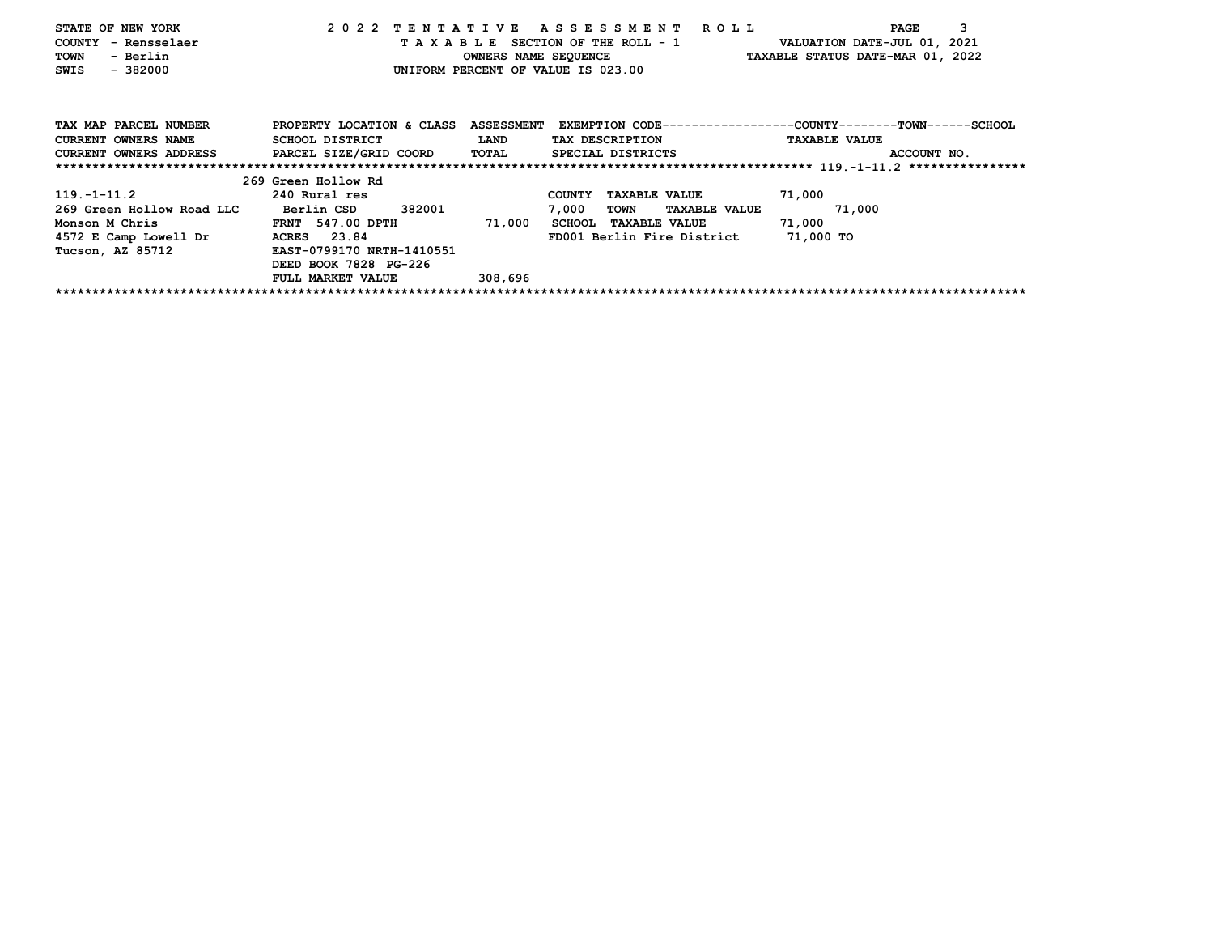| STATE OF NEW YORK                                                                     |                          |         | 2022 TENTATIVE ASSESSMENT ROLL       | 3<br>PAGE                                                                                       |
|---------------------------------------------------------------------------------------|--------------------------|---------|--------------------------------------|-------------------------------------------------------------------------------------------------|
| COUNTY - Rensselaer                                                                   |                          |         |                                      | T A X A B L E SECTION OF THE ROLL - 1 VALUATION DATE-JUL 01, 2021                               |
| TOWN<br>- Berlin                                                                      |                          |         |                                      | OWNERS NAME SEQUENCE TAXABLE STATUS DATE-MAR 01, 2022                                           |
| $-382000$<br>SWIS                                                                     |                          |         | UNIFORM PERCENT OF VALUE IS 023.00   |                                                                                                 |
|                                                                                       |                          |         |                                      |                                                                                                 |
| TAX MAP PARCEL NUMBER                                                                 |                          |         |                                      | PROPERTY LOCATION & CLASS ASSESSMENT EXEMPTION CODE---------------COUNTY-------TOWN------SCHOOL |
| CURRENT OWNERS NAME SCHOOL DISTRICT                                                   |                          | LAND    | TAX DESCRIPTION                      | <b>TAXABLE VALUE</b>                                                                            |
| CURRENT OWNERS ADDRESS PARCEL SIZE/GRID COORD TOTAL SPECIAL DISTRICTS                 |                          |         |                                      | ACCOUNT NO.                                                                                     |
|                                                                                       |                          |         |                                      |                                                                                                 |
|                                                                                       | 269 Green Hollow Rd      |         |                                      |                                                                                                 |
| $119.-1-11.2$ 240 Rural res                                                           |                          |         | COUNTY TAXABLE VALUE                 | 71,000                                                                                          |
| 269 Green Hollow Road LLC                                                             | Berlin CSD 382001        |         | TOWN TAXABLE VALUE 71,000<br>7,000   |                                                                                                 |
| Monson M Chris                 FRNT 547.00 DPTH           71,000 SCHOOL TAXABLE VALUE |                          |         |                                      | 71,000                                                                                          |
| 4572 E Camp Lowell Dr ACRES 23.84                                                     |                          |         | FD001 Berlin Fire District 71,000 TO |                                                                                                 |
| Tucson, AZ 85712 EAST-0799170 NRTH-1410551                                            |                          |         |                                      |                                                                                                 |
|                                                                                       | DEED BOOK 7828 PG-226    |         |                                      |                                                                                                 |
|                                                                                       | <b>FULL MARKET VALUE</b> | 308,696 |                                      |                                                                                                 |
|                                                                                       |                          |         |                                      |                                                                                                 |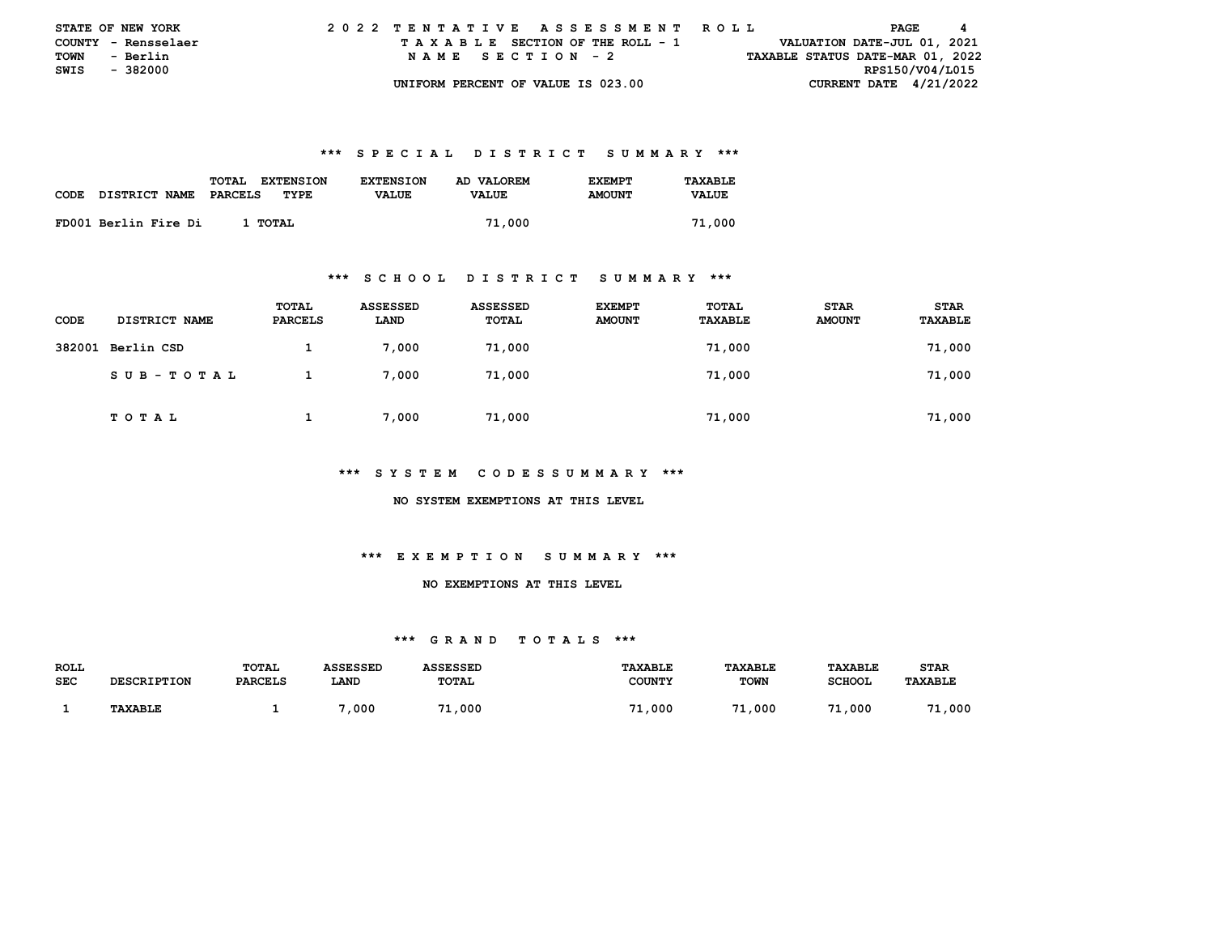| <b>STATE OF NEW YORK</b> |                     |  |  |  |  |                                    |  |  |  |  | 2022 TENTATIVE ASSESSMENT ROLL |  |  |  |                                  | PAGE |  | 4 |
|--------------------------|---------------------|--|--|--|--|------------------------------------|--|--|--|--|--------------------------------|--|--|--|----------------------------------|------|--|---|
|                          | COUNTY - Rensselaer |  |  |  |  | TAXABLE SECTION OF THE ROLL - 1    |  |  |  |  |                                |  |  |  | VALUATION DATE-JUL 01, 2021      |      |  |   |
| <b>TOWN</b>              | - Berlin            |  |  |  |  | NAME SECTION - 2                   |  |  |  |  |                                |  |  |  | TAXABLE STATUS DATE-MAR 01, 2022 |      |  |   |
| SWIS - 382000            |                     |  |  |  |  |                                    |  |  |  |  |                                |  |  |  | RPS150/V04/L015                  |      |  |   |
|                          |                     |  |  |  |  | UNIFORM PERCENT OF VALUE IS 023.00 |  |  |  |  |                                |  |  |  | CURRENT DATE $4/21/2022$         |      |  |   |

|      |                      | TOTAL<br><b>EXTENSION</b> | <b>EXTENSION</b> | AD VALOREM   | <b>F.XFMPT</b> | TAXABLE      |
|------|----------------------|---------------------------|------------------|--------------|----------------|--------------|
| CODE | DISTRICT NAME        | PARCELS<br>TYPE           | <b>VALUE</b>     | <b>VALUE</b> | <b>AMOUNT</b>  | <b>VALUE</b> |
|      | FD001 Berlin Fire Di | 1 TOTAL                   |                  | 71,000       |                | 71,000       |
|      |                      |                           |                  |              |                |              |

#### **\*\*\* S C H O O L D I S T R I C T S U M M A R Y \*\*\***

| CODE   | DISTRICT NAME   | TOTAL<br>PARCELS | ASSESSED<br>LAND | <b>ASSESSED</b><br>TOTAL | <b>EXEMPT</b><br><b>AMOUNT</b> | TOTAL<br>TAXABLE | <b>STAR</b><br><b>AMOUNT</b> | <b>STAR</b><br>TAXABLE |
|--------|-----------------|------------------|------------------|--------------------------|--------------------------------|------------------|------------------------------|------------------------|
| 382001 | Berlin CSD      |                  | 7,000            | 71,000                   |                                | 71,000           |                              | 71,000                 |
|        | $SUB - TO T AL$ |                  | 7,000            | 71,000                   |                                | 71,000           |                              | 71,000                 |
|        | TOTAL           |                  | 7,000            | 71,000                   |                                | 71,000           |                              | 71,000                 |

## **\*\*\* S Y S T E M C O D E S S U M M A R Y \*\*\***

 **NO SYSTEM EXEMPTIONS AT THIS LEVEL** 

# **\*\*\* E X E M P T I O N S U M M A R Y \*\*\***

## **NO EXEMPTIONS AT THIS LEVEL**

| <b>ROLL</b> |                    | <b>TOTAL</b>   | <b>ASSESSED</b> | <b>ASSESSED</b> | <b>TAXABLE</b> | <b>TAXABLE</b> | <b>TAXABLE</b> | <b>STAR</b>    |
|-------------|--------------------|----------------|-----------------|-----------------|----------------|----------------|----------------|----------------|
| <b>SEC</b>  | <b>DESCRIPTION</b> | <b>PARCELS</b> | LAND            | <b>TOTAL</b>    | <b>COUNTY</b>  | <b>TOWN</b>    | <b>SCHOOL</b>  | <b>TAXABLE</b> |
|             |                    |                |                 |                 |                |                |                |                |
|             | <b>TAXABLE</b>     |                | ,000            | 7.<br>/1,000    | 000,⊥.<br>- 71 | 71<br>,000     | .1.000<br>71   | .1,000<br>71   |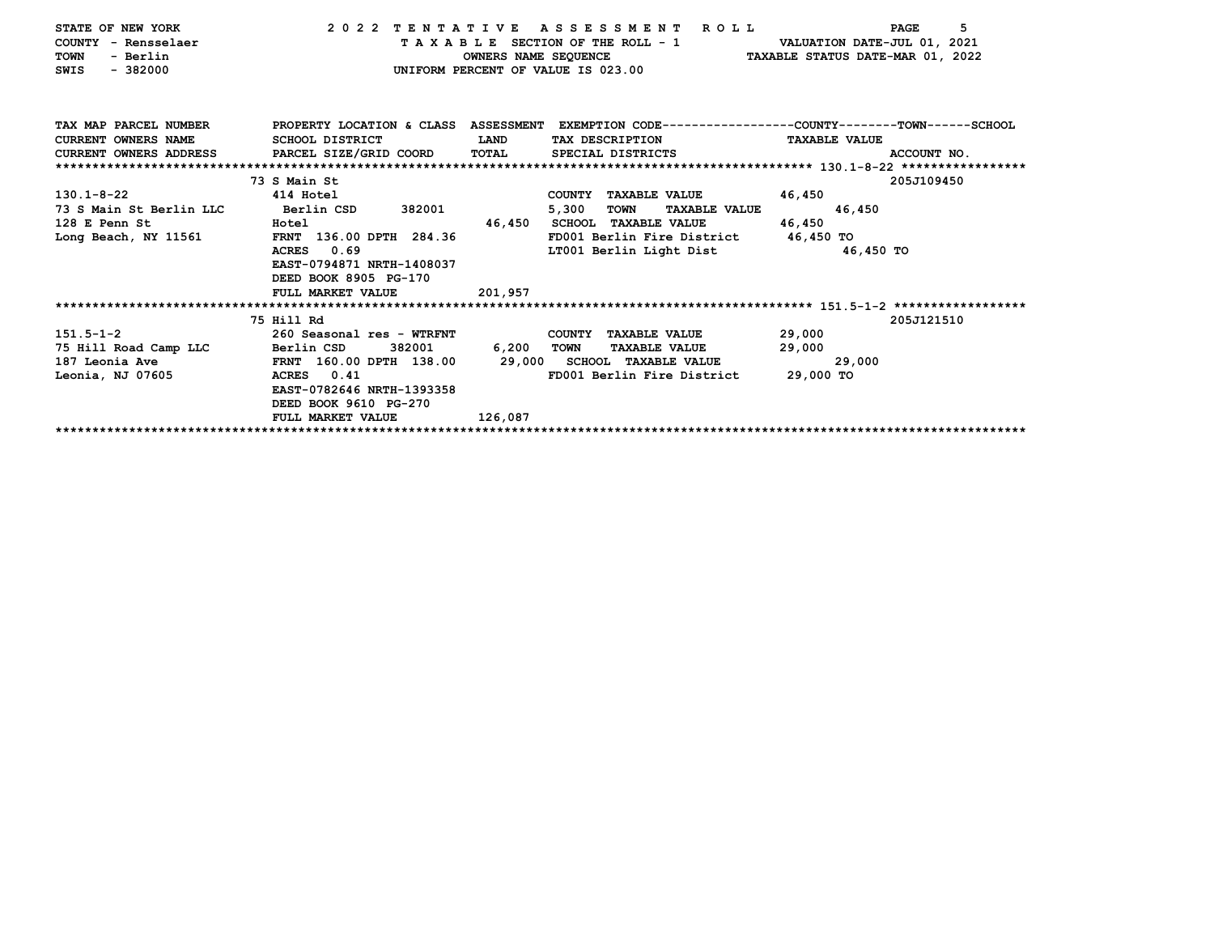| STATE OF NEW YORK                       | 2022 TENTATIVE                                                                     |            | A S S E S S M E N T R O L L                                       | 5<br>PAGE                                                                                        |
|-----------------------------------------|------------------------------------------------------------------------------------|------------|-------------------------------------------------------------------|--------------------------------------------------------------------------------------------------|
| COUNTY - Rensselaer                     |                                                                                    |            | T A X A B L E SECTION OF THE ROLL - 1 VALUATION DATE-JUL 01, 2021 |                                                                                                  |
| - Berlin<br>TOWN                        |                                                                                    |            |                                                                   | OWNERS NAME SEQUENCE TAXABLE STATUS DATE-MAR 01, 2022                                            |
| $-382000$<br>SWIS                       |                                                                                    |            | UNIFORM PERCENT OF VALUE IS 023.00                                |                                                                                                  |
|                                         |                                                                                    |            |                                                                   |                                                                                                  |
|                                         |                                                                                    |            |                                                                   |                                                                                                  |
|                                         |                                                                                    |            |                                                                   |                                                                                                  |
| TAX MAP PARCEL NUMBER                   |                                                                                    |            |                                                                   | PROPERTY LOCATION & CLASS ASSESSMENT EXEMPTION CODE----------------COUNTY-------TOWN------SCHOOL |
| <b>CURRENT OWNERS NAME</b>              | SCHOOL DISTRICT                                                                    | LAND       | TAX DESCRIPTION                                                   | <b>TAXABLE VALUE</b>                                                                             |
|                                         | CURRENT OWNERS ADDRESS PARCEL SIZE/GRID COORD TOTAL SPECIAL DISTRICTS              |            |                                                                   | ACCOUNT NO.                                                                                      |
|                                         |                                                                                    |            |                                                                   |                                                                                                  |
|                                         | 73 S Main St                                                                       |            |                                                                   | 205J109450                                                                                       |
| $130.1 - 8 - 22$                        | 414 Hotel                                                                          |            | COUNTY TAXABLE VALUE                                              | 46,450                                                                                           |
| 73 S Main St Berlin LLC                 | Berlin CSD 382001                                                                  |            | <b>TOWN</b><br>5,300<br><b>TAXABLE VALUE</b>                      | 46,450                                                                                           |
| 128 E Penn St<br><b>Example 2</b> Hotel |                                                                                    |            | 46,450 SCHOOL TAXABLE VALUE                                       | 46,450                                                                                           |
| Long Beach, NY 11561                    | FRNT 136.00 DPTH 284.36                                                            |            | FD001 Berlin Fire District 46,450 TO                              |                                                                                                  |
|                                         | ACRES 0.69                                                                         |            | LT001 Berlin Light Dist                                           | 46,450 TO                                                                                        |
|                                         | EAST-0794871 NRTH-1408037                                                          |            |                                                                   |                                                                                                  |
|                                         | DEED BOOK 8905 PG-170                                                              |            |                                                                   |                                                                                                  |
|                                         | FULL MARKET VALUE                                                                  | 201,957    |                                                                   |                                                                                                  |
|                                         |                                                                                    |            |                                                                   |                                                                                                  |
|                                         | 75 Hill Rd                                                                         |            |                                                                   | 205J121510                                                                                       |
| $151.5 - 1 - 2$                         | 260 Seasonal res - WTRFNT                                                          |            | COUNTY TAXABLE VALUE                                              | 29,000                                                                                           |
| 75 Hill Road Camp LLC Berlin CSD        | 382001                                                                             | 6,200 TOWN | <b>TAXABLE VALUE</b>                                              | 29,000                                                                                           |
|                                         | 187 Leonia Ave             FRNT 160.00 DPTH 138.00     29,000 SCHOOL TAXABLE VALUE |            |                                                                   | 29,000                                                                                           |
| Leonia, NJ 07605                        | ACRES 0.41                                                                         |            | FD001 Berlin Fire District                                        | 29,000 TO                                                                                        |
|                                         | EAST-0782646 NRTH-1393358                                                          |            |                                                                   |                                                                                                  |
|                                         | DEED BOOK 9610 PG-270                                                              |            |                                                                   |                                                                                                  |
|                                         | FULL MARKET VALUE                                                                  | 126,087    |                                                                   |                                                                                                  |
|                                         |                                                                                    |            |                                                                   |                                                                                                  |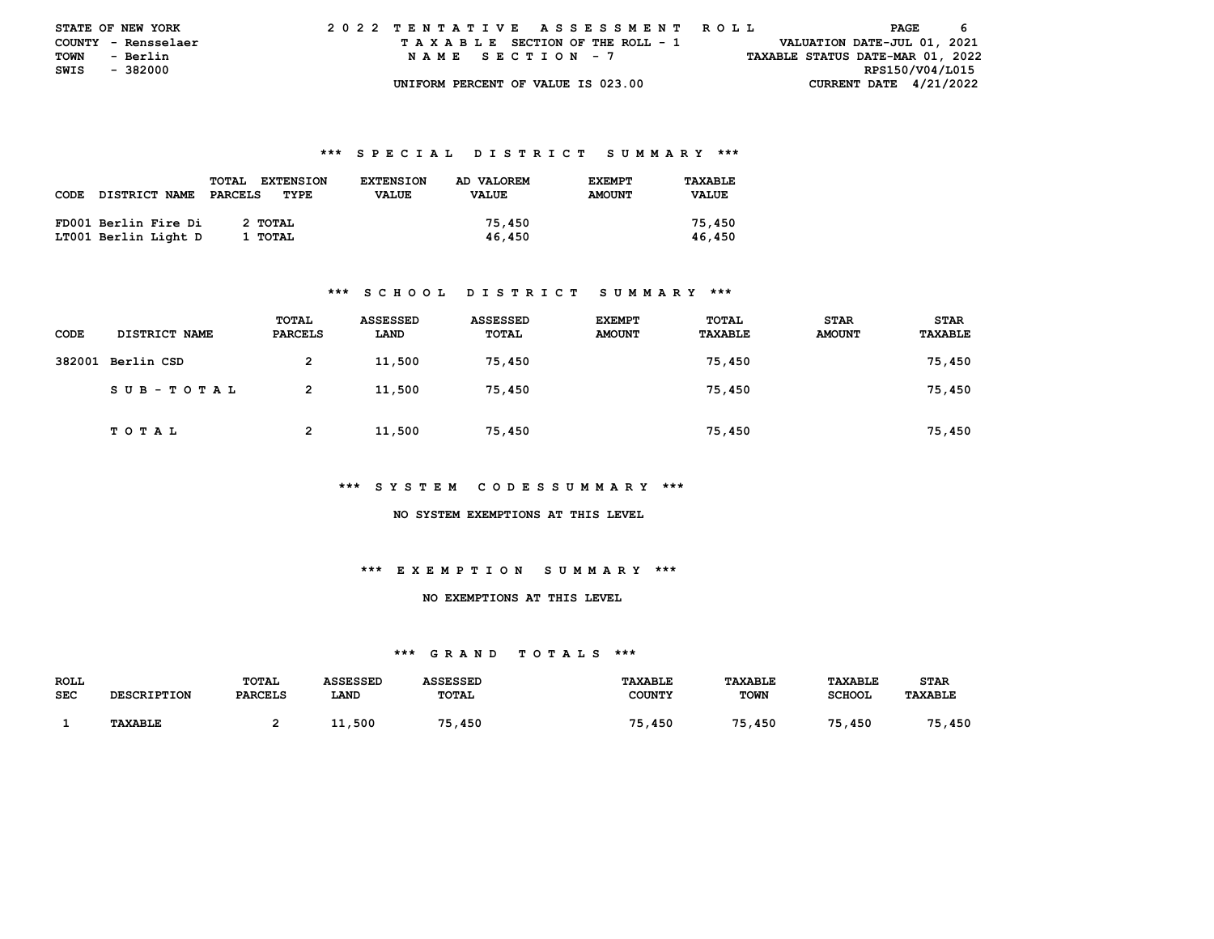|               | <b>STATE OF NEW YORK</b> |  |  |  |  |                                    |  |  |  |  | 2022 TENTATIVE ASSESSMENT ROLL |  |  |  |                                  | PAGE |  |  |
|---------------|--------------------------|--|--|--|--|------------------------------------|--|--|--|--|--------------------------------|--|--|--|----------------------------------|------|--|--|
|               | COUNTY - Rensselaer      |  |  |  |  | TAXABLE SECTION OF THE ROLL - 1    |  |  |  |  |                                |  |  |  | VALUATION DATE-JUL 01, 2021      |      |  |  |
| <b>TOWN</b>   | - Berlin                 |  |  |  |  | NAME SECTION - 7                   |  |  |  |  |                                |  |  |  | TAXABLE STATUS DATE-MAR 01, 2022 |      |  |  |
| SWIS - 382000 |                          |  |  |  |  |                                    |  |  |  |  |                                |  |  |  | RPS150/V04/L015                  |      |  |  |
|               |                          |  |  |  |  | UNIFORM PERCENT OF VALUE IS 023.00 |  |  |  |  |                                |  |  |  | CURRENT DATE $4/21/2022$         |      |  |  |

|             |                      | <b>TOTAL</b><br><b>EXTENSION</b> | <b>EXTENSION</b> | AD VALOREM   | <b>EXEMPT</b> | TAXABLE      |
|-------------|----------------------|----------------------------------|------------------|--------------|---------------|--------------|
| <b>CODE</b> | <b>DISTRICT NAME</b> | PARCELS<br>TYPE                  | <b>VALUE</b>     | <b>VALUE</b> | <b>AMOUNT</b> | <b>VALUE</b> |
|             |                      |                                  |                  |              |               |              |
|             | FD001 Berlin Fire Di | 2 TOTAL                          |                  | 75,450       |               | 75,450       |
|             | LT001 Berlin Light D | 1 TOTAL                          |                  | 46,450       |               | 46,450       |

### **\*\*\* S C H O O L D I S T R I C T S U M M A R Y \*\*\***

| <b>CODE</b> | DISTRICT NAME     | TOTAL<br><b>PARCELS</b> | <b>ASSESSED</b><br>LAND | <b>ASSESSED</b><br>TOTAL | <b>EXEMPT</b><br><b>AMOUNT</b> | TOTAL<br><b>TAXABLE</b> | <b>STAR</b><br><b>AMOUNT</b> | <b>STAR</b><br>TAXABLE |
|-------------|-------------------|-------------------------|-------------------------|--------------------------|--------------------------------|-------------------------|------------------------------|------------------------|
|             | 382001 Berlin CSD | 2                       | 11,500                  | 75,450                   |                                | 75,450                  |                              | 75,450                 |
|             | SUB-TOTAL         | $\overline{2}$          | 11,500                  | 75,450                   |                                | 75,450                  |                              | 75,450                 |
|             | T O T A L         | $\mathbf{2}$            | 11,500                  | 75,450                   |                                | 75,450                  |                              | 75,450                 |

#### **\*\*\* S Y S T E M C O D E S S U M M A R Y \*\*\***

#### **NO SYSTEM EXEMPTIONS AT THIS LEVEL**

## **\*\*\* E X E M P T I O N S U M M A R Y \*\*\***

### **NO EXEMPTIONS AT THIS LEVEL**

| <b>ROLL</b> |                    | <b>TOTAL</b>   | ASSESSED | ASSESSED     | <b>TAXABLE</b> | TAXABLE     | TAXABLE       | STAR           |
|-------------|--------------------|----------------|----------|--------------|----------------|-------------|---------------|----------------|
| <b>SEC</b>  | <b>DESCRIPTION</b> | <b>PARCELS</b> | LAND     | <b>TOTAL</b> | COUNTY         | <b>TOWN</b> | <b>SCHOOL</b> | <b>TAXABLE</b> |
|             |                    |                |          |              |                |             |               |                |
|             | <b>TAXABLE</b>     |                | 11,500   | ,450         | 75<br>450      | 75<br>450   | 75.<br>, 450  | 75<br>450      |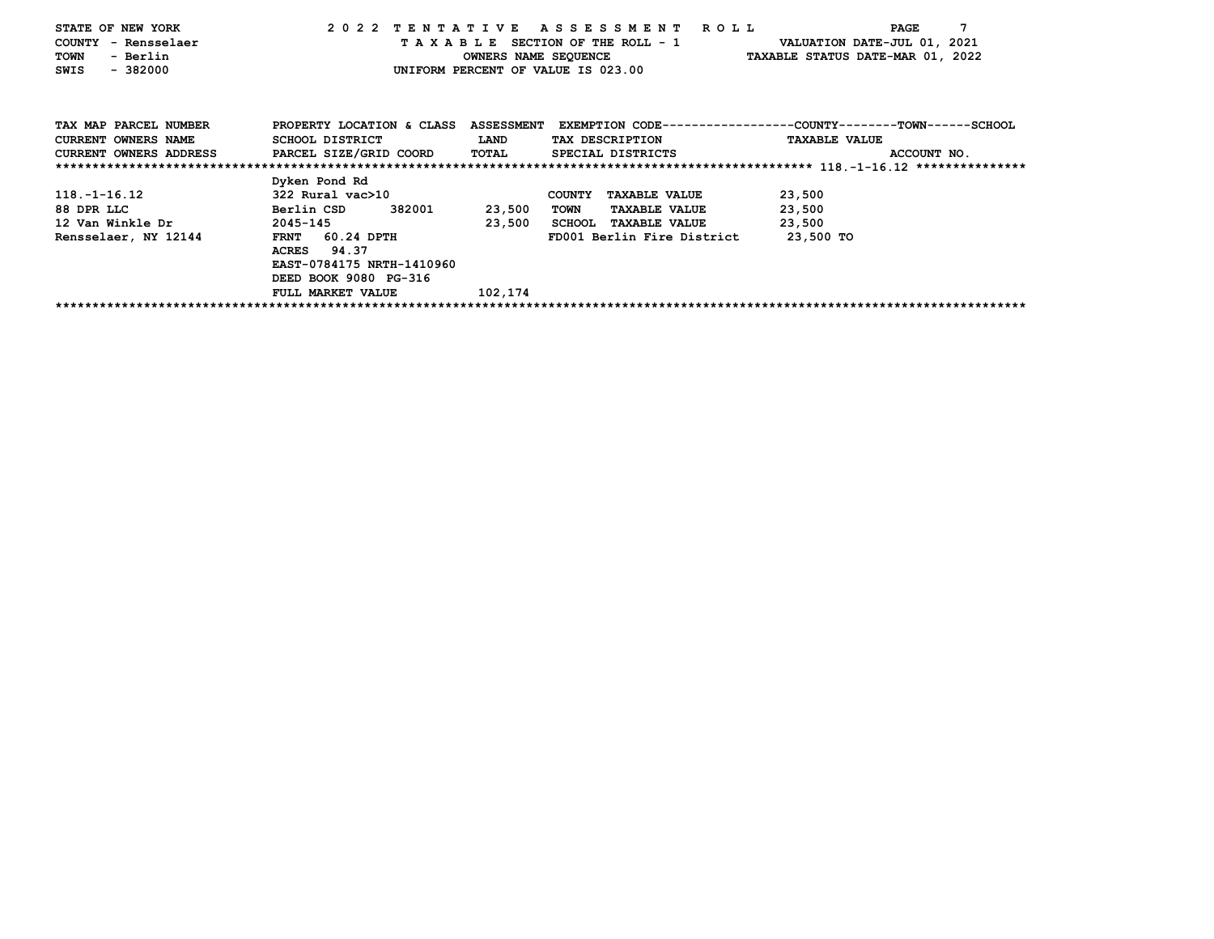| STATE OF NEW YORK                             |                           |              | 2022 TENTATIVE ASSESSMENT ROLL        | PAGE                                                                   |
|-----------------------------------------------|---------------------------|--------------|---------------------------------------|------------------------------------------------------------------------|
| COUNTY - Rensselaer                           |                           |              | TAXABLE SECTION OF THE ROLL - 1       | VALUATION DATE-JUL 01, 2021                                            |
| - Berlin<br>TOWN                              |                           |              | OWNERS NAME SEQUENCE                  | TAXABLE STATUS DATE-MAR 01, 2022                                       |
| $-382000$<br>SWIS                             |                           |              | UNIFORM PERCENT OF VALUE IS 023.00    |                                                                        |
|                                               |                           |              |                                       |                                                                        |
| TAX MAP PARCEL NUMBER                         | PROPERTY LOCATION & CLASS |              |                                       | ASSESSMENT EXEMPTION CODE----------------COUNTY-------TOWN------SCHOOL |
| <b>CURRENT OWNERS NAME</b>                    | SCHOOL DISTRICT           | <b>LAND</b>  | TAX DESCRIPTION                       | <b>TAXABLE VALUE</b>                                                   |
| CURRENT OWNERS ADDRESS PARCEL SIZE/GRID COORD |                           | <b>TOTAL</b> | SPECIAL DISTRICTS                     | ACCOUNT NO.                                                            |
|                                               |                           |              |                                       |                                                                        |
|                                               | Dyken Pond Rd             |              |                                       |                                                                        |
| $118. - 1 - 16.12$                            | 322 Rural vac>10          |              | <b>COUNTY</b><br><b>TAXABLE VALUE</b> | 23,500                                                                 |
| 88 DPR LLC                                    | 382001<br>Berlin CSD      | 23,500       | <b>TAXABLE VALUE</b><br><b>TOWN</b>   | 23,500                                                                 |
| 12 Van Winkle Dr                              | 2045-145                  | 23,500       | SCHOOL TAXABLE VALUE                  | 23,500                                                                 |
| Rensselaer, NY 12144                          | FRNT 60.24 DPTH           |              | FD001 Berlin Fire District            | 23,500 TO                                                              |
|                                               | 94.37<br>ACRES            |              |                                       |                                                                        |
|                                               | EAST-0784175 NRTH-1410960 |              |                                       |                                                                        |
|                                               | DEED BOOK 9080 PG-316     |              |                                       |                                                                        |
|                                               | FULL MARKET VALUE         | 102,174      |                                       |                                                                        |
|                                               |                           |              |                                       |                                                                        |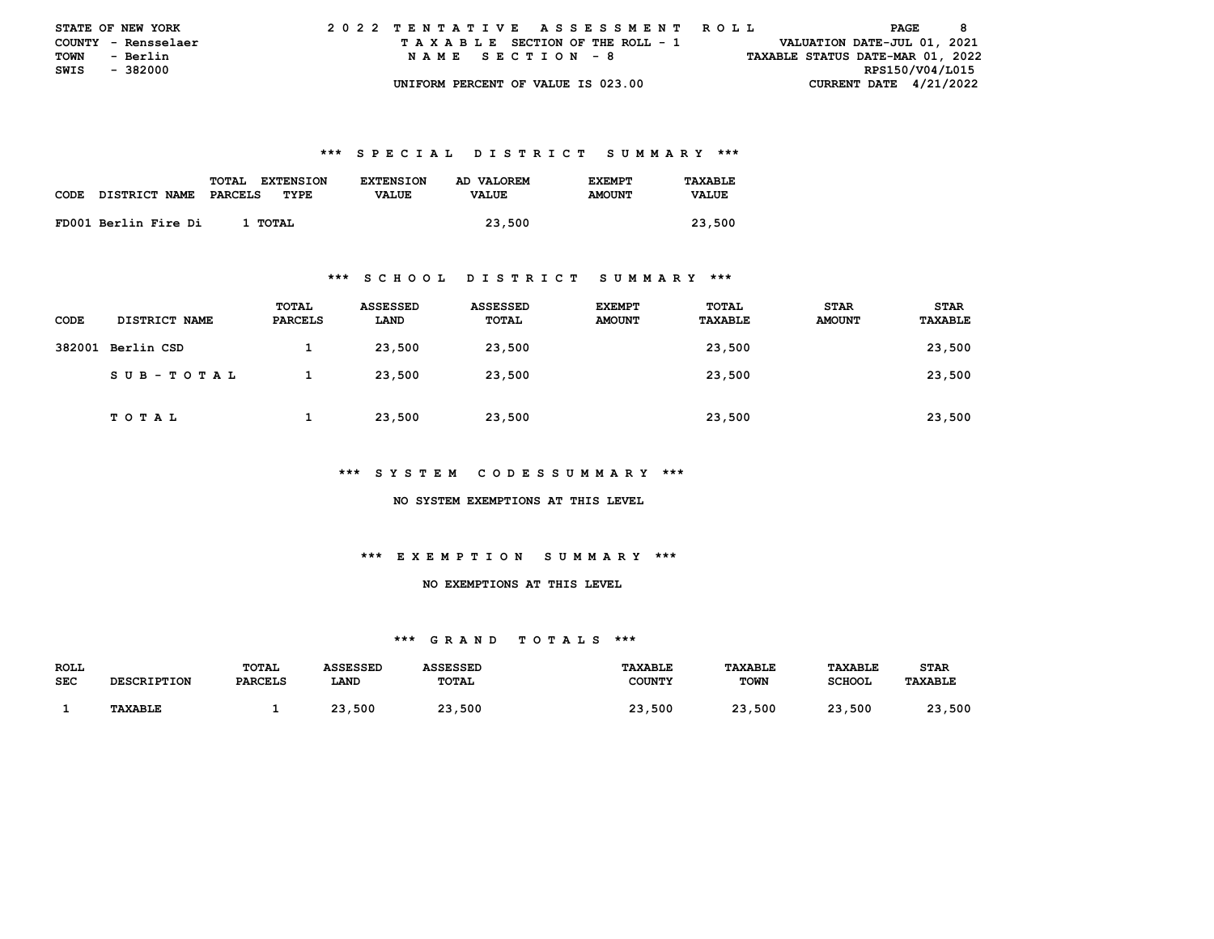| <b>STATE OF NEW YORK</b> |                     |  |  |  |  |  |                                    |  |  |  |  | 2022 TENTATIVE ASSESSMENT ROLL |  |  |  |                                  |                 | PAGE | - 8 |  |
|--------------------------|---------------------|--|--|--|--|--|------------------------------------|--|--|--|--|--------------------------------|--|--|--|----------------------------------|-----------------|------|-----|--|
|                          | COUNTY - Rensselaer |  |  |  |  |  | TAXABLE SECTION OF THE ROLL - 1    |  |  |  |  |                                |  |  |  | VALUATION DATE-JUL 01, 2021      |                 |      |     |  |
| <b>TOWN</b>              | - Berlin            |  |  |  |  |  | NAME SECTION - 8                   |  |  |  |  |                                |  |  |  | TAXABLE STATUS DATE-MAR 01, 2022 |                 |      |     |  |
| SWIS - 382000            |                     |  |  |  |  |  |                                    |  |  |  |  |                                |  |  |  |                                  | RPS150/V04/L015 |      |     |  |
|                          |                     |  |  |  |  |  | UNIFORM PERCENT OF VALUE IS 023.00 |  |  |  |  |                                |  |  |  | CURRENT DATE $4/21/2022$         |                 |      |     |  |

|      |                      | <b>TOTAL</b><br><b>EXTENSION</b> | <b>EXTENSION</b> | AD VALOREM   | <b>F.XFMPT</b> | TAXABLE      |
|------|----------------------|----------------------------------|------------------|--------------|----------------|--------------|
| CODE | DISTRICT NAME        | PARCELS<br>TYPE                  | <b>VALUE</b>     | <b>VALUE</b> | <b>AMOUNT</b>  | <b>VALUE</b> |
|      |                      |                                  |                  |              |                |              |
|      | FD001 Berlin Fire Di | 1 TOTAL                          |                  | 23,500       |                | 23,500       |

#### **\*\*\* S C H O O L D I S T R I C T S U M M A R Y \*\*\***

| CODE   | DISTRICT NAME | TOTAL<br>PARCELS | ASSESSED<br>LAND | ASSESSED<br>TOTAL | <b>EXEMPT</b><br><b>AMOUNT</b> | TOTAL<br>TAXABLE | <b>STAR</b><br><b>AMOUNT</b> | <b>STAR</b><br>TAXABLE |
|--------|---------------|------------------|------------------|-------------------|--------------------------------|------------------|------------------------------|------------------------|
| 382001 | Berlin CSD    |                  | 23,500           | 23,500            |                                | 23,500           |                              | 23,500                 |
|        | SUB-TOTAL     |                  | 23,500           | 23,500            |                                | 23,500           |                              | 23,500                 |
|        | TOTAL         |                  | 23,500           | 23,500            |                                | 23,500           |                              | 23,500                 |

## **\*\*\* S Y S T E M C O D E S S U M M A R Y \*\*\***

 **NO SYSTEM EXEMPTIONS AT THIS LEVEL** 

# **\*\*\* E X E M P T I O N S U M M A R Y \*\*\***

## **NO EXEMPTIONS AT THIS LEVEL**

| ROLL       |                    | <b>TOTAL</b>   | ASSESSED | ASSESSED     | TAXABLE       | TAXABLE     | TAXABLE       | <b>STAR</b>    |
|------------|--------------------|----------------|----------|--------------|---------------|-------------|---------------|----------------|
| <b>SEC</b> | <b>DESCRIPTION</b> | <b>PARCELS</b> | LAND     | TOTAL        | <b>COUNTY</b> | <b>TOWN</b> | <b>SCHOOL</b> | <b>TAXABLE</b> |
|            |                    |                |          |              |               |             |               |                |
|            | <b>TAXABLE</b>     |                | 23,500   | 23,500<br>າາ | 23,500        | ,500<br>23. | 23,500        | າາ<br>23,500   |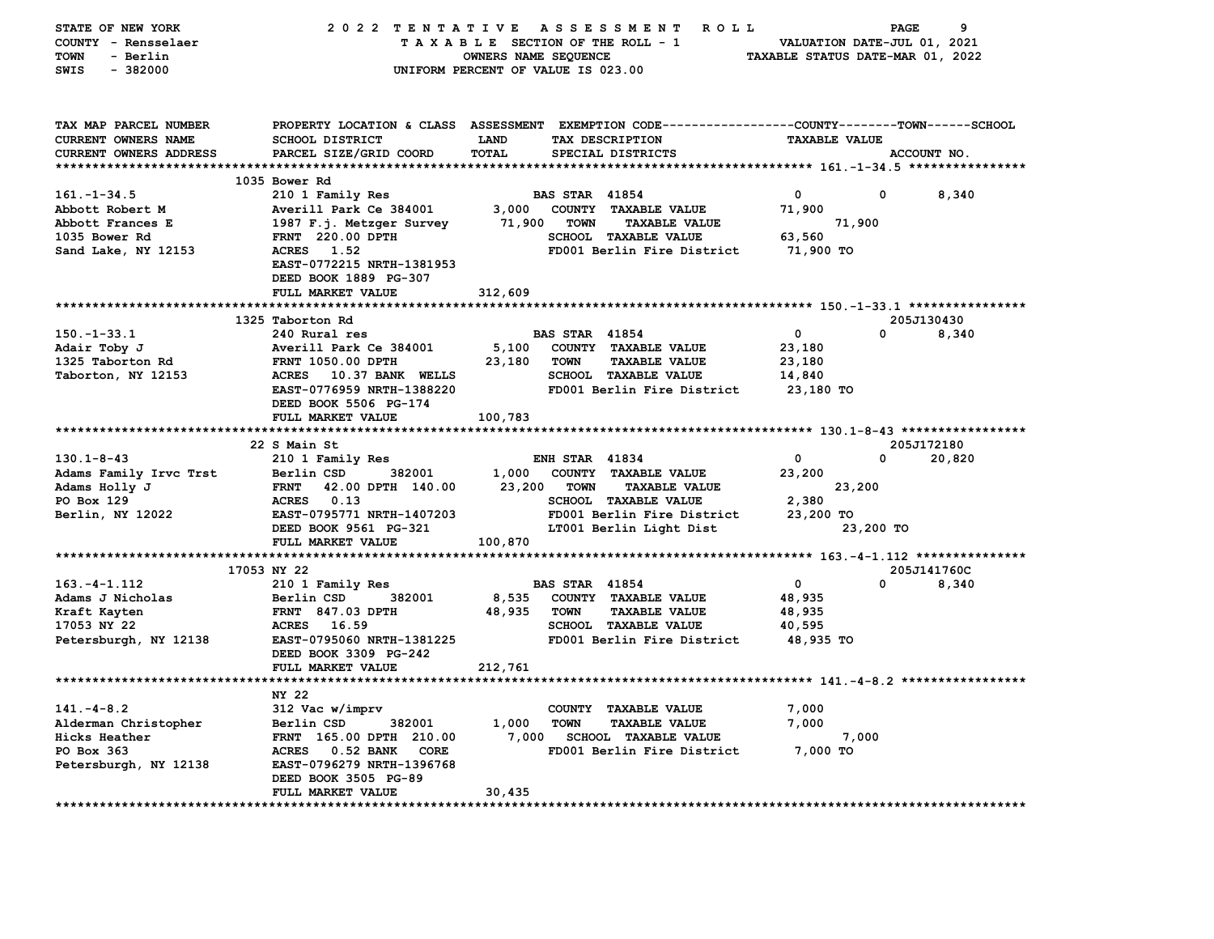| STATE OF NEW YORK                    |                                                                                                |                      | 2022 TENTATIVE ASSESSMENT ROLL                                     |                                  | PAGE                    | 9      |
|--------------------------------------|------------------------------------------------------------------------------------------------|----------------------|--------------------------------------------------------------------|----------------------------------|-------------------------|--------|
| COUNTY - Rensselaer                  |                                                                                                |                      | TAXABLE SECTION OF THE ROLL - 1                                    | VALUATION DATE-JUL 01, 2021      |                         |        |
| <b>TOWN</b><br>- Berlin              |                                                                                                | OWNERS NAME SEQUENCE |                                                                    | TAXABLE STATUS DATE-MAR 01, 2022 |                         |        |
| SWIS<br>$-382000$                    |                                                                                                |                      | UNIFORM PERCENT OF VALUE IS 023.00                                 |                                  |                         |        |
|                                      |                                                                                                |                      |                                                                    |                                  |                         |        |
|                                      |                                                                                                |                      |                                                                    |                                  |                         |        |
|                                      |                                                                                                |                      |                                                                    |                                  |                         |        |
| TAX MAP PARCEL NUMBER                | PROPERTY LOCATION & CLASS ASSESSMENT EXEMPTION CODE---------------COUNTY-------TOWN-----SCHOOL |                      |                                                                    |                                  |                         |        |
| CURRENT OWNERS NAME                  | <b>SCHOOL DISTRICT</b>                                                                         | <b>LAND</b>          | TAX DESCRIPTION                                                    | <b>TAXABLE VALUE</b>             |                         |        |
| CURRENT OWNERS ADDRESS               | PARCEL SIZE/GRID COORD                                                                         | <b>TOTAL</b>         | SPECIAL DISTRICTS                                                  |                                  | ACCOUNT NO.             |        |
|                                      | 1035 Bower Rd                                                                                  |                      |                                                                    |                                  |                         |        |
| $161. - 1 - 34.5$                    | 210 1 Family Res                                                                               |                      | <b>BAS STAR 41854</b>                                              | $\mathbf 0$                      | 0                       | 8,340  |
| Abbott Robert M                      |                                                                                                | 3,000                | COUNTY TAXABLE VALUE                                               | 71,900                           |                         |        |
|                                      | Averill Park Ce 384001                                                                         |                      |                                                                    |                                  |                         |        |
| Abbott Frances E                     | 1987 F.j. Metzger Survey                                                                       | 71,900               | <b>TOWN</b><br><b>TAXABLE VALUE</b><br><b>SCHOOL TAXABLE VALUE</b> | 71,900                           |                         |        |
| 1035 Bower Rd                        | FRNT 220.00 DPTH<br>ACRES 1.52                                                                 |                      | FD001 Berlin Fire District                                         | 63,560<br>71,900 TO              |                         |        |
| Sand Lake, NY 12153                  | EAST-0772215 NRTH-1381953                                                                      |                      |                                                                    |                                  |                         |        |
|                                      | DEED BOOK 1889 PG-307                                                                          |                      |                                                                    |                                  |                         |        |
|                                      | FULL MARKET VALUE                                                                              | 312,609              |                                                                    |                                  |                         |        |
|                                      |                                                                                                |                      |                                                                    |                                  |                         |        |
|                                      | 1325 Taborton Rd                                                                               |                      |                                                                    |                                  | 205J130430              |        |
| $150. - 1 - 33.1$                    | 240 Rural res                                                                                  |                      | <b>BAS STAR 41854</b>                                              | $\mathbf 0$                      | $\Omega$                | 8,340  |
| Adair Toby J                         | Averill Park Ce 384001                                                                         | 5,100                | COUNTY TAXABLE VALUE                                               | 23,180                           |                         |        |
| 1325 Taborton Rd                     | <b>FRNT 1050.00 DPTH</b>                                                                       | 23,180               | TOWN<br><b>TAXABLE VALUE</b>                                       | 23,180                           |                         |        |
| Taborton, NY 12153                   | ACRES 10.37 BANK WELLS                                                                         |                      | <b>SCHOOL TAXABLE VALUE</b>                                        | 14,840                           |                         |        |
|                                      | EAST-0776959 NRTH-1388220                                                                      |                      | FD001 Berlin Fire District                                         | 23,180 TO                        |                         |        |
|                                      | DEED BOOK 5506 PG-174                                                                          |                      |                                                                    |                                  |                         |        |
|                                      | FULL MARKET VALUE                                                                              | 100,783              |                                                                    |                                  |                         |        |
|                                      |                                                                                                |                      |                                                                    |                                  |                         |        |
|                                      | 22 S Main St                                                                                   |                      |                                                                    |                                  | 205J172180              |        |
| $130.1 - 8 - 43$                     | 210 1 Family Res                                                                               |                      | <b>ENH STAR 41834</b>                                              | $\mathbf{0}$                     | 0                       | 20,820 |
|                                      |                                                                                                |                      |                                                                    |                                  |                         |        |
|                                      |                                                                                                |                      |                                                                    |                                  |                         |        |
| Adams Family Irvc Trst               | 382001<br>Berlin CSD                                                                           | 1,000                | COUNTY TAXABLE VALUE                                               | 23,200                           |                         |        |
| Adams Holly J                        | FRNT 42.00 DPTH 140.00                                                                         | 23,200               | <b>TOWN</b><br><b>TAXABLE VALUE</b>                                | 23,200                           |                         |        |
| PO Box 129                           | ACRES 0.13                                                                                     |                      | SCHOOL TAXABLE VALUE                                               | 2,380                            |                         |        |
| Berlin, NY 12022                     | EAST-0795771 NRTH-1407203                                                                      |                      | FD001 Berlin Fire District                                         | 23,200 TO                        |                         |        |
|                                      | DEED BOOK 9561 PG-321                                                                          |                      | LT001 Berlin Light Dist                                            |                                  | 23,200 TO               |        |
|                                      | FULL MARKET VALUE                                                                              | 100,870              |                                                                    |                                  |                         |        |
|                                      |                                                                                                |                      |                                                                    |                                  |                         |        |
| $163. -4 - 1.112$                    | 17053 NY 22                                                                                    |                      |                                                                    | $\mathbf 0$                      | 205J141760C<br>$\Omega$ |        |
|                                      | 210 1 Family Res<br>Berlin CSD<br>382001                                                       |                      | <b>BAS STAR 41854</b>                                              |                                  |                         | 8,340  |
| Adams J Nicholas                     |                                                                                                | 8,535                | COUNTY TAXABLE VALUE<br><b>TOWN</b><br><b>TAXABLE VALUE</b>        | 48,935                           |                         |        |
| Kraft Kayten                         | <b>FRNT 847.03 DPTH</b><br>ACRES 16.59                                                         | 48,935               | <b>SCHOOL TAXABLE VALUE</b>                                        | 48,935                           |                         |        |
| 17053 NY 22<br>Petersburgh, NY 12138 | EAST-0795060 NRTH-1381225                                                                      |                      |                                                                    | 40,595<br>48,935 TO              |                         |        |
|                                      | DEED BOOK 3309 PG-242                                                                          |                      | FD001 Berlin Fire District                                         |                                  |                         |        |
|                                      | FULL MARKET VALUE                                                                              |                      |                                                                    |                                  |                         |        |
| ***************************          |                                                                                                | 212,761              |                                                                    |                                  |                         |        |
|                                      | NY 22                                                                                          |                      |                                                                    |                                  |                         |        |
| $141. - 4 - 8.2$                     | 312 Vac w/imprv                                                                                |                      | COUNTY TAXABLE VALUE                                               | 7,000                            |                         |        |
| Alderman Christopher                 | 382001<br>Berlin CSD                                                                           | 1,000                | TOWN<br><b>TAXABLE VALUE</b>                                       | 7,000                            |                         |        |
| Hicks Heather                        | FRNT 165.00 DPTH 210.00                                                                        |                      | 7,000 SCHOOL TAXABLE VALUE                                         | 7,000                            |                         |        |
| PO Box 363                           | ACRES 0.52 BANK<br><b>CORE</b>                                                                 |                      | FD001 Berlin Fire District                                         | 7,000 TO                         |                         |        |
| Petersburgh, NY 12138                | EAST-0796279 NRTH-1396768                                                                      |                      |                                                                    |                                  |                         |        |
|                                      | DEED BOOK 3505 PG-89                                                                           |                      |                                                                    |                                  |                         |        |
|                                      | <b>FULL MARKET VALUE</b>                                                                       | 30,435               |                                                                    |                                  |                         |        |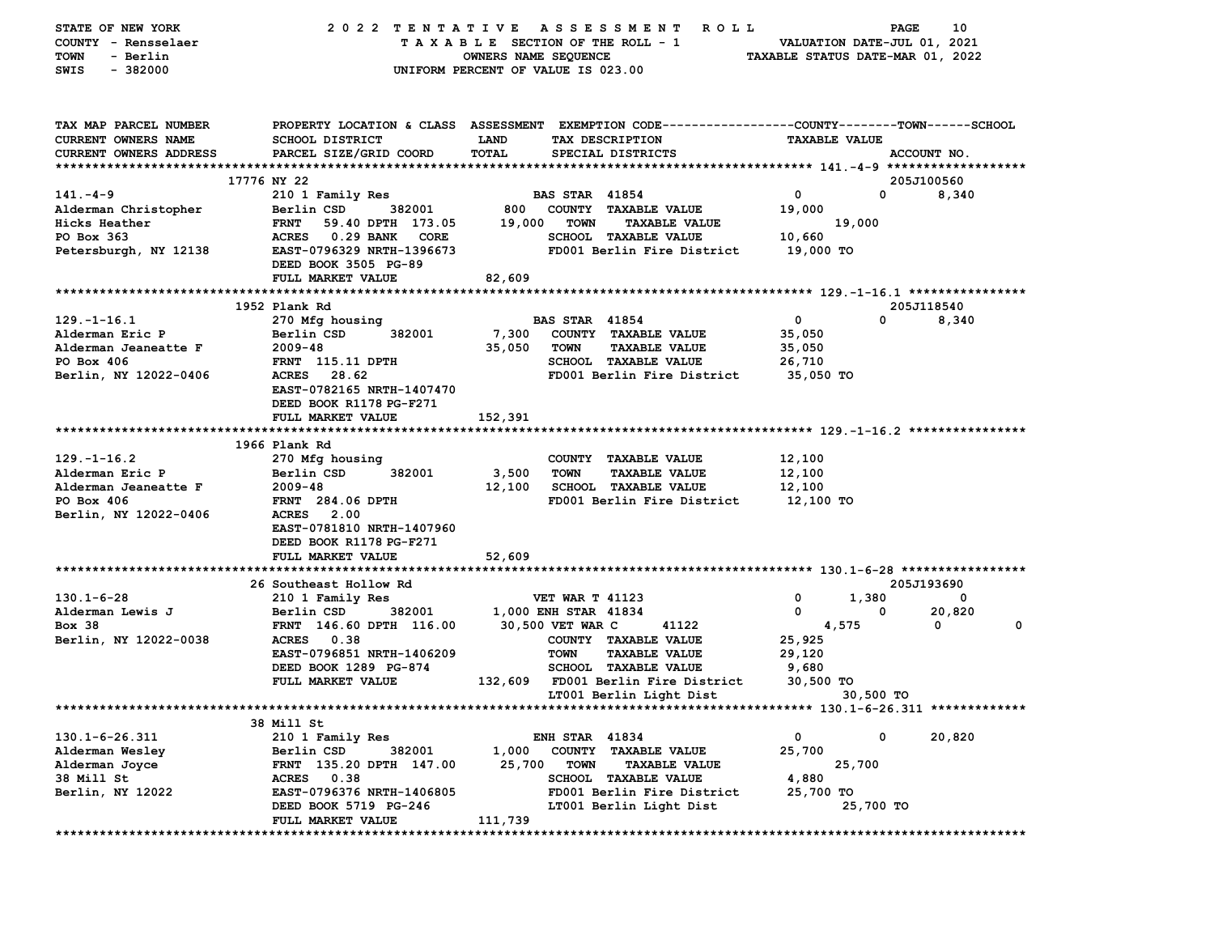| STATE OF NEW YORK             | 2022 TENTATIVE                                     | A S S E S S M E N T<br><b>ROLL</b>                                                             | 10<br>PAGE                       |
|-------------------------------|----------------------------------------------------|------------------------------------------------------------------------------------------------|----------------------------------|
| COUNTY - Rensselaer           |                                                    | TAXABLE SECTION OF THE ROLL - 1                                                                | VALUATION DATE-JUL 01, 2021      |
| TOWN<br>- Berlin              |                                                    | OWNERS NAME SEQUENCE                                                                           | TAXABLE STATUS DATE-MAR 01, 2022 |
| SWIS<br>$-382000$             |                                                    | UNIFORM PERCENT OF VALUE IS 023.00                                                             |                                  |
|                               |                                                    |                                                                                                |                                  |
| TAX MAP PARCEL NUMBER         |                                                    | PROPERTY LOCATION & CLASS ASSESSMENT EXEMPTION CODE--------------COUNTY-------TOWN------SCHOOL |                                  |
| <b>CURRENT OWNERS NAME</b>    | <b>SCHOOL DISTRICT</b>                             | <b>LAND</b><br>TAX DESCRIPTION                                                                 | <b>TAXABLE VALUE</b>             |
| <b>CURRENT OWNERS ADDRESS</b> | PARCEL SIZE/GRID COORD                             | TOTAL<br>SPECIAL DISTRICTS                                                                     | ACCOUNT NO.                      |
|                               |                                                    |                                                                                                |                                  |
|                               | 17776 NY 22                                        |                                                                                                | 205J100560                       |
| 141. – 4–9                    | 210 1 Family Res                                   | <b>BAS STAR 41854</b>                                                                          | $\mathbf 0$<br>0<br>8,340        |
| Alderman Christopher          | Berlin CSD<br>382001                               | 800 COUNTY TAXABLE VALUE                                                                       | 19,000                           |
| Hicks Heather                 | <b>FRNT</b><br>59.40 DPTH 173.05                   | 19,000<br><b>TOWN</b><br><b>TAXABLE VALUE</b>                                                  | 19,000                           |
| PO Box 363                    | ACRES 0.29 BANK<br>CORE                            | SCHOOL TAXABLE VALUE                                                                           | 10,660                           |
| Petersburgh, NY 12138         | EAST-0796329 NRTH-1396673                          | FD001 Berlin Fire District                                                                     | 19,000 TO                        |
|                               | DEED BOOK 3505 PG-89                               |                                                                                                |                                  |
|                               | FULL MARKET VALUE                                  | 82,609                                                                                         |                                  |
|                               | 1952 Plank Rd                                      |                                                                                                | 205J118540                       |
| $129. - 1 - 16.1$             |                                                    | <b>BAS STAR 41854</b>                                                                          | 0<br>0<br>8,340                  |
| Alderman Eric P               | 270 Mfg housing<br>Berlin CSD<br>382001            | 7,300<br>COUNTY TAXABLE VALUE                                                                  | 35,050                           |
| Alderman Jeaneatte F          | $2009 - 48$                                        | 35,050<br><b>TOWN</b><br><b>TAXABLE VALUE</b>                                                  | 35,050                           |
| PO Box 406                    | FRNT 115.11 DPTH                                   | <b>SCHOOL TAXABLE VALUE</b>                                                                    | 26,710                           |
| Berlin, NY 12022-0406         | <b>ACRES</b><br>28.62                              | FD001 Berlin Fire District                                                                     | 35,050 TO                        |
|                               | EAST-0782165 NRTH-1407470                          |                                                                                                |                                  |
|                               | DEED BOOK R1178 PG-F271                            |                                                                                                |                                  |
|                               | FULL MARKET VALUE                                  | 152,391                                                                                        |                                  |
|                               |                                                    |                                                                                                |                                  |
|                               | 1966 Plank Rd                                      |                                                                                                |                                  |
| $129. - 1 - 16.2$             | 270 Mfg housing                                    | COUNTY TAXABLE VALUE                                                                           | 12,100                           |
| Alderman Eric P               | Berlin CSD<br>382001                               | 3,500<br>TOWN<br><b>TAXABLE VALUE</b>                                                          | 12,100                           |
| Alderman Jeaneatte F          | $2009 - 48$                                        | 12,100<br><b>SCHOOL TAXABLE VALUE</b>                                                          | 12,100                           |
| PO Box 406                    | <b>FRNT</b> 284.06 DPTH                            | FD001 Berlin Fire District                                                                     | 12,100 TO                        |
| Berlin, NY 12022-0406         | ACRES 2.00                                         |                                                                                                |                                  |
|                               | EAST-0781810 NRTH-1407960                          |                                                                                                |                                  |
|                               | DEED BOOK R1178 PG-F271                            |                                                                                                |                                  |
|                               | FULL MARKET VALUE                                  | 52,609                                                                                         |                                  |
|                               |                                                    |                                                                                                |                                  |
|                               | 26 Southeast Hollow Rd                             |                                                                                                | 205J193690                       |
| $130.1 - 6 - 28$              | 210 1 Family Res                                   | <b>VET WAR T 41123</b>                                                                         | 1,380<br>0<br>0                  |
| Alderman Lewis J              | Berlin CSD<br>382001                               | 1,000 ENH STAR 41834                                                                           | 20,820<br>0<br>0<br>$\mathbf 0$  |
| <b>Box 38</b>                 | FRNT 146.60 DPTH 116.00<br>ACRES 0.38              | 30,500 VET WAR C<br>41122                                                                      | 4,575<br>0                       |
| Berlin, NY 12022-0038         |                                                    | COUNTY TAXABLE VALUE                                                                           | 25,925                           |
|                               | EAST-0796851 NRTH-1406209<br>DEED BOOK 1289 PG-874 | <b>TOWN</b><br><b>TAXABLE VALUE</b><br><b>SCHOOL TAXABLE VALUE</b>                             | 29,120                           |
|                               | FULL MARKET VALUE                                  | 132,609 FD001 Berlin Fire District                                                             | 9,680<br>30,500 TO               |
|                               |                                                    | LT001 Berlin Light Dist                                                                        | 30,500 TO                        |
|                               |                                                    |                                                                                                |                                  |
|                               | 38 Mill St                                         |                                                                                                |                                  |
| $130.1 - 6 - 26.311$          | 210 1 Family Res                                   | <b>ENH STAR 41834</b>                                                                          | 0<br>0<br>20,820                 |
| Alderman Wesley               | 382001<br>Berlin CSD                               | 1,000<br><b>COUNTY</b><br><b>TAXABLE VALUE</b>                                                 | 25,700                           |
| Alderman Joyce                | FRNT 135.20 DPTH 147.00                            | 25,700<br><b>TOWN</b><br><b>TAXABLE VALUE</b>                                                  | 25,700                           |
| 38 Mill St                    | 0.38<br><b>ACRES</b>                               | <b>SCHOOL TAXABLE VALUE</b>                                                                    | 4,880                            |
| Berlin, NY 12022              | EAST-0796376 NRTH-1406805                          | FD001 Berlin Fire District                                                                     | 25,700 то                        |
|                               | DEED BOOK 5719 PG-246                              | LT001 Berlin Light Dist                                                                        | 25,700 TO                        |
|                               | FULL MARKET VALUE                                  | 111,739                                                                                        |                                  |
|                               |                                                    |                                                                                                |                                  |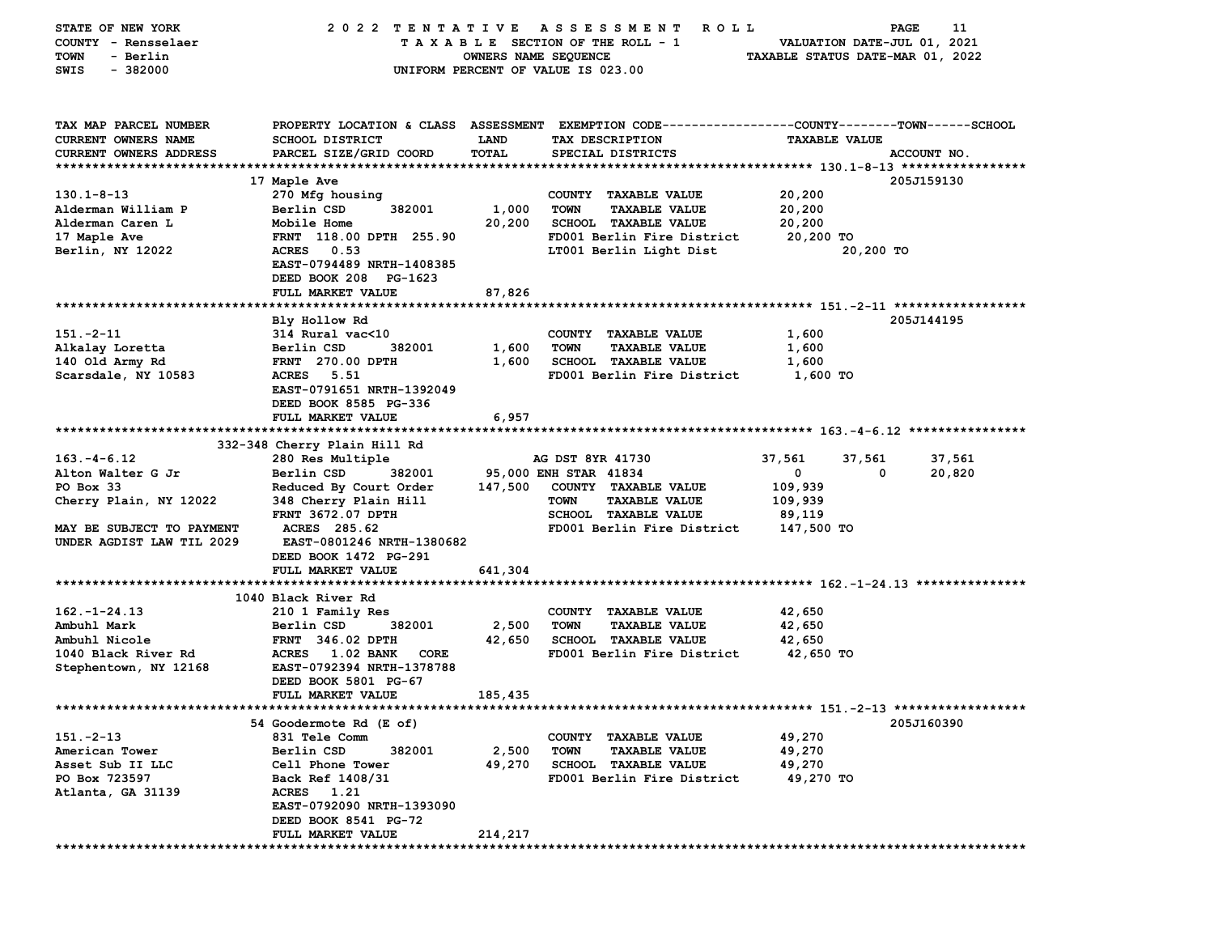| STATE OF NEW YORK          | 2022 TENTATIVE                           |                      | A S S E S S M E N T<br>R O L L                                                                  |                                  | 11<br><b>PAGE</b> |
|----------------------------|------------------------------------------|----------------------|-------------------------------------------------------------------------------------------------|----------------------------------|-------------------|
| COUNTY - Rensselaer        |                                          |                      | TAXABLE SECTION OF THE ROLL - 1                                                                 | VALUATION DATE-JUL 01, 2021      |                   |
| <b>TOWN</b><br>- Berlin    |                                          | OWNERS NAME SEQUENCE |                                                                                                 | TAXABLE STATUS DATE-MAR 01, 2022 |                   |
| $-382000$<br>SWIS          |                                          |                      | UNIFORM PERCENT OF VALUE IS 023.00                                                              |                                  |                   |
|                            |                                          |                      |                                                                                                 |                                  |                   |
|                            |                                          |                      |                                                                                                 |                                  |                   |
| TAX MAP PARCEL NUMBER      |                                          |                      | PROPERTY LOCATION & CLASS ASSESSMENT EXEMPTION CODE---------------COUNTY-------TOWN------SCHOOL |                                  |                   |
| <b>CURRENT OWNERS NAME</b> | <b>SCHOOL DISTRICT</b>                   | LAND                 |                                                                                                 | <b>TAXABLE VALUE</b>             |                   |
|                            |                                          | TOTAL                | TAX DESCRIPTION                                                                                 |                                  | ACCOUNT NO.       |
| CURRENT OWNERS ADDRESS     | PARCEL SIZE/GRID COORD                   |                      | SPECIAL DISTRICTS                                                                               |                                  |                   |
|                            |                                          |                      |                                                                                                 |                                  |                   |
|                            | 17 Maple Ave                             |                      |                                                                                                 |                                  | 205J159130        |
| $130.1 - 8 - 13$           | 270 Mfg housing                          |                      | COUNTY TAXABLE VALUE                                                                            | 20,200                           |                   |
| Alderman William P         | Berlin CSD<br>382001                     | 1,000                | <b>TOWN</b><br><b>TAXABLE VALUE</b>                                                             | 20,200                           |                   |
| Alderman Caren L           | Mobile Home                              | 20,200               | SCHOOL TAXABLE VALUE                                                                            | 20,200                           |                   |
| 17 Maple Ave               | FRNT 118.00 DPTH 255.90                  |                      | FD001 Berlin Fire District                                                                      | 20,200 TO                        |                   |
| Berlin, NY 12022           | <b>ACRES</b><br>0.53                     |                      | LT001 Berlin Light Dist                                                                         | 20,200 TO                        |                   |
|                            | EAST-0794489 NRTH-1408385                |                      |                                                                                                 |                                  |                   |
|                            | DEED BOOK 208 PG-1623                    |                      |                                                                                                 |                                  |                   |
|                            | FULL MARKET VALUE                        | 87,826               |                                                                                                 |                                  |                   |
|                            |                                          |                      |                                                                                                 |                                  |                   |
|                            | Bly Hollow Rd                            |                      |                                                                                                 |                                  | 205J144195        |
| $151 - 2 - 11$             | 314 Rural vac<10                         |                      | COUNTY TAXABLE VALUE                                                                            | 1,600                            |                   |
| Alkalay Loretta            | Berlin CSD<br>382001                     | 1,600                | <b>TOWN</b><br><b>TAXABLE VALUE</b>                                                             | 1,600                            |                   |
| 140 Old Army Rd            | FRNT 270.00 DPTH                         | 1,600                | SCHOOL TAXABLE VALUE                                                                            | 1,600                            |                   |
| Scarsdale, NY 10583        | <b>ACRES</b><br>5.51                     |                      | FD001 Berlin Fire District                                                                      | 1,600 TO                         |                   |
|                            | EAST-0791651 NRTH-1392049                |                      |                                                                                                 |                                  |                   |
|                            | DEED BOOK 8585 PG-336                    |                      |                                                                                                 |                                  |                   |
|                            | FULL MARKET VALUE                        | 6,957                |                                                                                                 |                                  |                   |
|                            |                                          |                      |                                                                                                 |                                  |                   |
|                            | 332-348 Cherry Plain Hill Rd             |                      |                                                                                                 |                                  |                   |
| $163. - 4 - 6.12$          | 280 Res Multiple                         |                      | AG DST 8YR 41730                                                                                | 37,561<br>37,561                 | 37,561            |
| Alton Walter G Jr          | Berlin CSD<br>382001                     |                      | 95,000 ENH STAR 41834                                                                           | $\mathbf 0$                      | 20,820<br>0       |
| PO Box 33                  | Reduced By Court Order                   | 147,500              | COUNTY TAXABLE VALUE                                                                            | 109,939                          |                   |
| Cherry Plain, NY 12022     | 348 Cherry Plain Hill                    |                      | TOWN<br><b>TAXABLE VALUE</b>                                                                    | 109,939                          |                   |
|                            | <b>FRNT 3672.07 DPTH</b>                 |                      | SCHOOL TAXABLE VALUE                                                                            | 89,119                           |                   |
| MAY BE SUBJECT TO PAYMENT  | ACRES 285.62                             |                      | FD001 Berlin Fire District                                                                      | 147,500 TO                       |                   |
| UNDER AGDIST LAW TIL 2029  | EAST-0801246 NRTH-1380682                |                      |                                                                                                 |                                  |                   |
|                            | DEED BOOK 1472 PG-291                    |                      |                                                                                                 |                                  |                   |
|                            | FULL MARKET VALUE                        | 641,304              |                                                                                                 |                                  |                   |
|                            |                                          |                      |                                                                                                 |                                  |                   |
|                            | 1040 Black River Rd                      |                      |                                                                                                 |                                  |                   |
| $162. - 1 - 24.13$         | 210 1 Family Res                         |                      | COUNTY TAXABLE VALUE                                                                            | 42,650                           |                   |
| Ambuhl Mark                | 382001<br>Berlin CSD                     | 2,500                | <b>TOWN</b><br><b>TAXABLE VALUE</b>                                                             | 42,650                           |                   |
| Ambuhl Nicole              | <b>FRNT 346.02 DPTH</b>                  | 42,650               | <b>SCHOOL TAXABLE VALUE</b>                                                                     | 42,650                           |                   |
| 1040 Black River Rd        | <b>1.02 BANK</b><br><b>ACRES</b><br>CORE |                      | FD001 Berlin Fire District                                                                      | 42,650 TO                        |                   |
| Stephentown, NY 12168      | EAST-0792394 NRTH-1378788                |                      |                                                                                                 |                                  |                   |
|                            | DEED BOOK 5801 PG-67                     |                      |                                                                                                 |                                  |                   |
|                            | FULL MARKET VALUE                        | 185,435              |                                                                                                 |                                  |                   |
| ************************** |                                          |                      | *********************************** 151.-2-13 ******************                                |                                  |                   |
|                            | 54 Goodermote Rd (E of)                  |                      |                                                                                                 |                                  | 205J160390        |
| $151. -2 - 13$             | 831 Tele Comm                            |                      | COUNTY TAXABLE VALUE                                                                            | 49,270                           |                   |
| American Tower             | Berlin CSD<br>382001                     | 2,500                | TOWN<br><b>TAXABLE VALUE</b>                                                                    | 49,270                           |                   |
| Asset Sub II LLC           | Cell Phone Tower                         | 49,270               | <b>SCHOOL</b><br><b>TAXABLE VALUE</b>                                                           | 49,270                           |                   |
| PO Box 723597              | Back Ref 1408/31                         |                      | FD001 Berlin Fire District                                                                      | 49,270 TO                        |                   |
|                            |                                          |                      |                                                                                                 |                                  |                   |
| Atlanta, GA 31139          | ACRES 1.21                               |                      |                                                                                                 |                                  |                   |
|                            | EAST-0792090 NRTH-1393090                |                      |                                                                                                 |                                  |                   |
|                            | DEED BOOK 8541 PG-72                     |                      |                                                                                                 |                                  |                   |
|                            | <b>FULL MARKET VALUE</b>                 | 214,217              |                                                                                                 |                                  |                   |
|                            |                                          |                      |                                                                                                 |                                  |                   |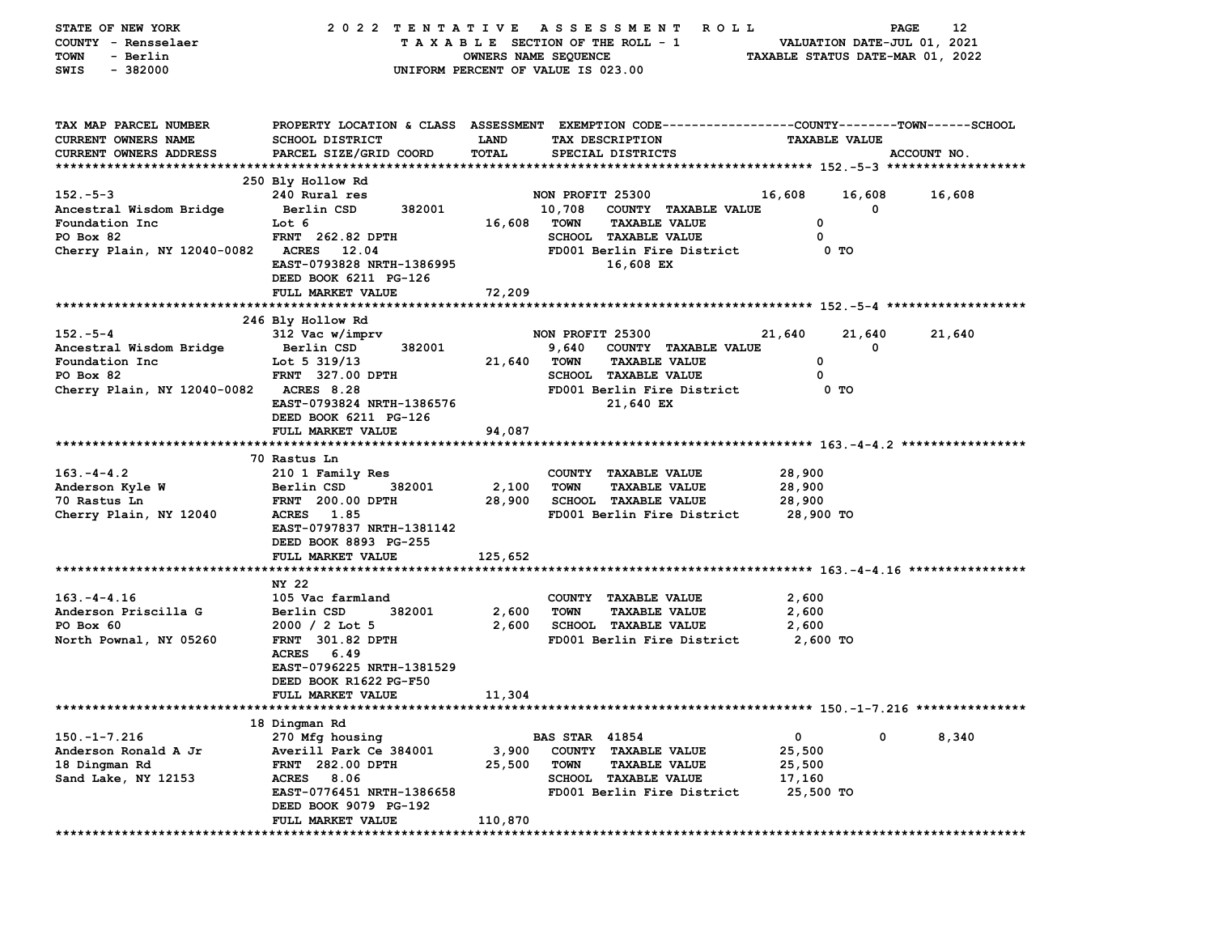| STATE OF NEW YORK                       | 2022 TENTATIVE                                    |                      | A S S E S S M E N T<br>R O L L                                                                 |                                  | PAGE                        | 12     |
|-----------------------------------------|---------------------------------------------------|----------------------|------------------------------------------------------------------------------------------------|----------------------------------|-----------------------------|--------|
| COUNTY - Rensselaer                     |                                                   |                      | TAXABLE SECTION OF THE ROLL - 1                                                                |                                  | VALUATION DATE-JUL 01, 2021 |        |
| - Berlin<br>TOWN                        |                                                   | OWNERS NAME SEQUENCE |                                                                                                | TAXABLE STATUS DATE-MAR 01, 2022 |                             |        |
| SWIS<br>$-382000$                       |                                                   |                      | UNIFORM PERCENT OF VALUE IS 023.00                                                             |                                  |                             |        |
|                                         |                                                   |                      |                                                                                                |                                  |                             |        |
|                                         |                                                   |                      |                                                                                                |                                  |                             |        |
| TAX MAP PARCEL NUMBER                   |                                                   |                      | PROPERTY LOCATION & CLASS ASSESSMENT EXEMPTION CODE---------------COUNTY-------TOWN-----SCHOOL |                                  |                             |        |
| CURRENT OWNERS NAME                     | <b>SCHOOL DISTRICT</b>                            | <b>LAND</b>          | TAX DESCRIPTION                                                                                | <b>TAXABLE VALUE</b>             |                             |        |
| <b>CURRENT OWNERS ADDRESS</b>           | PARCEL SIZE/GRID COORD                            | TOTAL                | SPECIAL DISTRICTS                                                                              |                                  | ACCOUNT NO.                 |        |
|                                         |                                                   |                      |                                                                                                |                                  |                             |        |
|                                         | 250 Bly Hollow Rd                                 |                      |                                                                                                |                                  |                             |        |
| $152 - 5 - 3$                           | 240 Rural res                                     |                      | NON PROFIT 25300                                                                               | 16,608                           | 16,608                      | 16,608 |
| Ancestral Wisdom Bridge                 | 382001<br>Berlin CSD                              |                      | 10,708 COUNTY TAXABLE VALUE                                                                    |                                  | 0                           |        |
| Foundation Inc                          | Lot 6                                             | 16,608               | TOWN<br><b>TAXABLE VALUE</b>                                                                   | 0                                |                             |        |
| PO Box 82                               | <b>FRNT</b> 262.82 DPTH                           |                      | SCHOOL TAXABLE VALUE                                                                           | 0                                |                             |        |
| Cherry Plain, NY 12040-0082 ACRES 12.04 |                                                   |                      | FD001 Berlin Fire District                                                                     | 0 TO                             |                             |        |
|                                         | EAST-0793828 NRTH-1386995                         |                      | 16,608 EX                                                                                      |                                  |                             |        |
|                                         | DEED BOOK 6211 PG-126                             |                      |                                                                                                |                                  |                             |        |
|                                         | FULL MARKET VALUE                                 | 72,209               |                                                                                                |                                  |                             |        |
|                                         |                                                   |                      |                                                                                                |                                  |                             |        |
|                                         | 246 Bly Hollow Rd                                 |                      |                                                                                                |                                  |                             |        |
| $152 - 5 - 4$                           | 312 Vac w/imprv                                   |                      | NON PROFIT 25300                                                                               | 21,640                           | 21,640                      | 21,640 |
| Ancestral Wisdom Bridge                 | Berlin CSD<br>382001                              |                      | 9,640<br><b>COUNTY TAXABLE VALUE</b>                                                           |                                  | 0                           |        |
| Foundation Inc                          | Lot 5 $319/13$                                    | 21,640               | TOWN<br><b>TAXABLE VALUE</b>                                                                   | 0                                |                             |        |
| PO Box 82                               | <b>FRNT 327.00 DPTH</b>                           |                      | SCHOOL TAXABLE VALUE                                                                           | 0                                |                             |        |
| Cherry Plain, NY 12040-0082 ACRES 8.28  |                                                   |                      | FD001 Berlin Fire District                                                                     | 0 TO                             |                             |        |
|                                         | EAST-0793824 NRTH-1386576                         |                      | 21,640 EX                                                                                      |                                  |                             |        |
|                                         | DEED BOOK 6211 PG-126                             |                      |                                                                                                |                                  |                             |        |
|                                         | FULL MARKET VALUE                                 | 94,087               |                                                                                                |                                  |                             |        |
|                                         |                                                   |                      |                                                                                                |                                  |                             |        |
|                                         | 70 Rastus Ln                                      |                      |                                                                                                |                                  |                             |        |
| $163. -4 - 4.2$                         | 210 1 Family Res                                  |                      | COUNTY TAXABLE VALUE                                                                           | 28,900                           |                             |        |
| Anderson Kyle W                         | Berlin CSD<br>382001                              | 2,100                | <b>TOWN</b><br><b>TAXABLE VALUE</b>                                                            | 28,900                           |                             |        |
| 70 Rastus Ln                            | <b>FRNT</b> 200.00 DPTH                           | 28,900               | SCHOOL TAXABLE VALUE                                                                           | 28,900                           |                             |        |
| Cherry Plain, NY 12040                  | ACRES 1.85                                        |                      | FD001 Berlin Fire District                                                                     | 28,900 TO                        |                             |        |
|                                         | EAST-0797837 NRTH-1381142                         |                      |                                                                                                |                                  |                             |        |
|                                         | DEED BOOK 8893 PG-255                             |                      |                                                                                                |                                  |                             |        |
|                                         | FULL MARKET VALUE                                 | 125,652              |                                                                                                |                                  |                             |        |
|                                         |                                                   |                      |                                                                                                |                                  |                             |        |
|                                         | NY 22                                             |                      |                                                                                                |                                  |                             |        |
| $163. -4 - 4.16$                        | 105 Vac farmland                                  |                      | COUNTY TAXABLE VALUE                                                                           | 2,600                            |                             |        |
| Anderson Priscilla G                    | 382001<br>Berlin CSD                              | 2,600                | <b>TOWN</b><br><b>TAXABLE VALUE</b>                                                            | 2,600                            |                             |        |
| PO Box 60                               | $2000 / 2$ Lot 5                                  | 2,600                | <b>SCHOOL TAXABLE VALUE</b>                                                                    | 2,600                            |                             |        |
| North Pownal, NY 05260                  | <b>FRNT 301.82 DPTH</b>                           |                      | FD001 Berlin Fire District                                                                     | <b>2,600 TO</b>                  |                             |        |
|                                         | ACRES 6.49                                        |                      |                                                                                                |                                  |                             |        |
|                                         | EAST-0796225 NRTH-1381529                         |                      |                                                                                                |                                  |                             |        |
|                                         | DEED BOOK R1622 PG-F50                            |                      |                                                                                                |                                  |                             |        |
|                                         | <b>FULL MARKET VALUE</b>                          | 11,304               |                                                                                                |                                  |                             |        |
|                                         |                                                   |                      |                                                                                                |                                  |                             |        |
|                                         | 18 Dingman Rd                                     |                      |                                                                                                |                                  |                             |        |
| $150. - 1 - 7.216$                      | 270 Mfg housing                                   |                      | <b>BAS STAR 41854</b>                                                                          | 0                                | 0                           | 8,340  |
| Anderson Ronald A Jr                    | Averill Park Ce 384001<br>282.00 DPTH             | 3,900                | <b>COUNTY</b><br><b>TAXABLE VALUE</b>                                                          | 25,500                           |                             |        |
| 18 Dingman Rd                           | <b>FRNT</b>                                       | 25,500               | <b>TOWN</b><br><b>TAXABLE VALUE</b><br><b>TAXABLE VALUE</b>                                    | 25,500                           |                             |        |
| Sand Lake, NY 12153                     | <b>ACRES</b><br>8.06<br>EAST-0776451 NRTH-1386658 |                      | <b>SCHOOL</b><br>FD001 Berlin Fire District                                                    | 17,160<br>25,500 TO              |                             |        |
|                                         | DEED BOOK 9079 PG-192                             |                      |                                                                                                |                                  |                             |        |
|                                         | FULL MARKET VALUE                                 | 110,870              |                                                                                                |                                  |                             |        |
| **********                              | *******************                               |                      |                                                                                                |                                  |                             |        |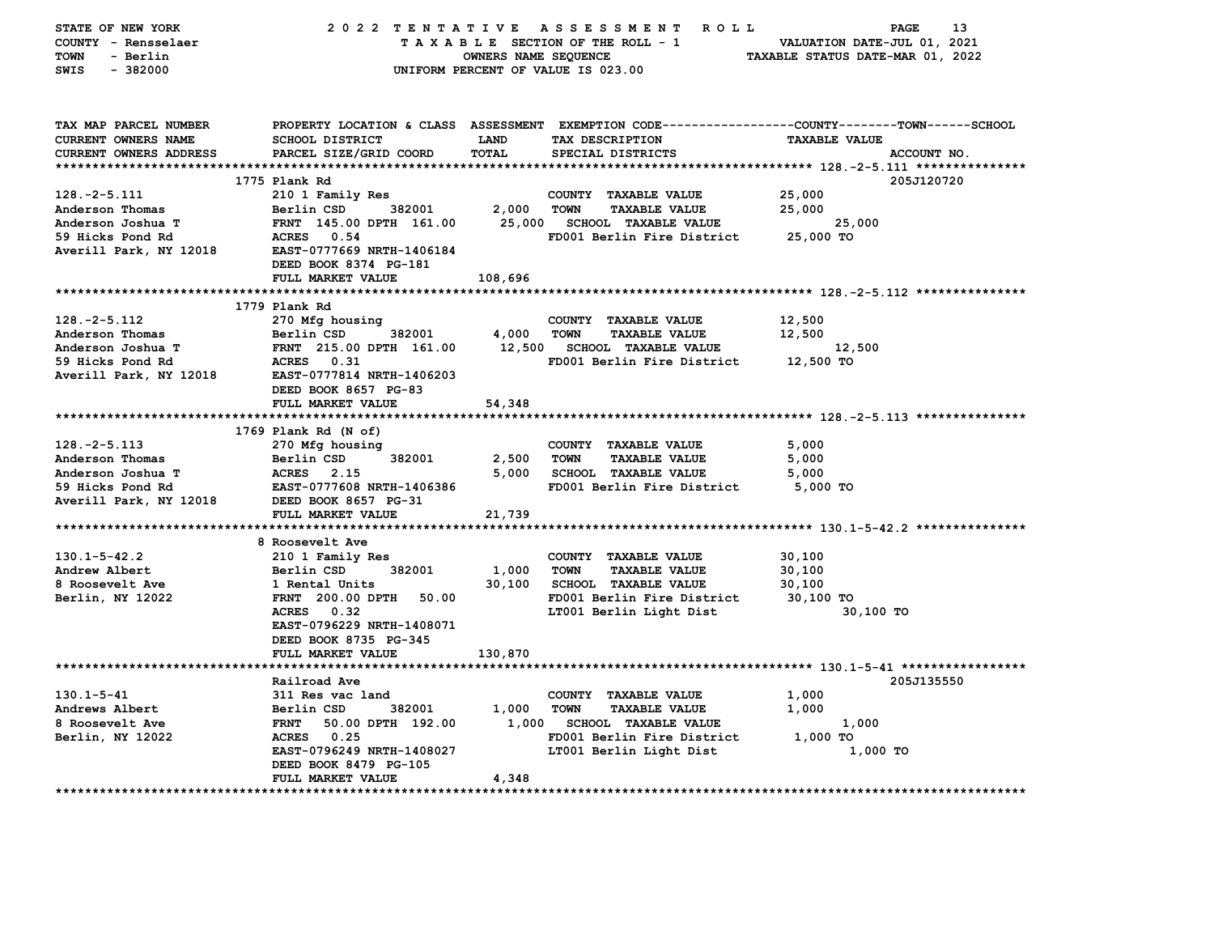| STATE OF NEW YORK<br>COUNTY - Rensselaer<br><b>TOWN</b><br>- Berlin |                                        | OWNERS NAME SEQUENCE | 2022 TENTATIVE ASSESSMENT ROLL<br>TAXABLE SECTION OF THE ROLL - 1 | 13<br>PAGE<br>VALUATION DATE-JUL 01, 2021<br>TAXABLE STATUS DATE-MAR 01, 2022                                           |
|---------------------------------------------------------------------|----------------------------------------|----------------------|-------------------------------------------------------------------|-------------------------------------------------------------------------------------------------------------------------|
| $-382000$<br>SWIS                                                   |                                        |                      | UNIFORM PERCENT OF VALUE IS 023.00                                |                                                                                                                         |
| TAX MAP PARCEL NUMBER<br><b>CURRENT OWNERS NAME</b>                 | <b>SCHOOL DISTRICT</b>                 | <b>LAND</b>          | TAX DESCRIPTION                                                   | PROPERTY LOCATION & CLASS ASSESSMENT EXEMPTION CODE---------------COUNTY-------TOWN------SCHOOL<br><b>TAXABLE VALUE</b> |
| CURRENT OWNERS ADDRESS                                              | PARCEL SIZE/GRID COORD                 | TOTAL                | SPECIAL DISTRICTS                                                 | ACCOUNT NO.                                                                                                             |
|                                                                     | 1775 Plank Rd                          |                      |                                                                   | 205J120720                                                                                                              |
| $128. -2 - 5.111$                                                   | 210 1 Family Res                       |                      | COUNTY TAXABLE VALUE                                              | 25,000                                                                                                                  |
| Anderson Thomas                                                     | 382001<br>Berlin CSD                   | 2,000                | TOWN<br><b>TAXABLE VALUE</b>                                      | 25,000                                                                                                                  |
| Anderson Joshua T                                                   | FRNT 145.00 DPTH 161.00                |                      | 25,000 SCHOOL TAXABLE VALUE                                       | 25,000                                                                                                                  |
| 59 Hicks Pond Rd                                                    | ACRES 0.54                             |                      | FD001 Berlin Fire District                                        | 25,000 TO                                                                                                               |
| Averill Park, NY 12018                                              | EAST-0777669 NRTH-1406184              |                      |                                                                   |                                                                                                                         |
|                                                                     | DEED BOOK 8374 PG-181                  |                      |                                                                   |                                                                                                                         |
|                                                                     | FULL MARKET VALUE                      | 108,696              |                                                                   |                                                                                                                         |
|                                                                     |                                        |                      |                                                                   |                                                                                                                         |
| $128. -2 - 5.112$                                                   | 1779 Plank Rd<br>270 Mfg housing       |                      | COUNTY TAXABLE VALUE                                              | 12,500                                                                                                                  |
| Anderson Thomas                                                     | 382001<br>Berlin CSD                   | 4,000                | <b>TOWN</b><br><b>TAXABLE VALUE</b>                               | 12,500                                                                                                                  |
| Anderson Joshua T                                                   | FRNT 215.00 DPTH 161.00                |                      | 12,500 SCHOOL TAXABLE VALUE                                       | 12,500                                                                                                                  |
| 59 Hicks Pond Rd                                                    | ACRES 0.31                             |                      | FD001 Berlin Fire District                                        | 12,500 TO                                                                                                               |
| Averill Park, NY 12018                                              | EAST-0777814 NRTH-1406203              |                      |                                                                   |                                                                                                                         |
|                                                                     | DEED BOOK 8657 PG-83                   |                      |                                                                   |                                                                                                                         |
|                                                                     | FULL MARKET VALUE                      | 54,348               |                                                                   |                                                                                                                         |
|                                                                     |                                        |                      |                                                                   |                                                                                                                         |
|                                                                     | 1769 Plank Rd (N of)                   |                      |                                                                   |                                                                                                                         |
| $128. -2 - 5.113$                                                   | 270 Mfg housing                        |                      | COUNTY TAXABLE VALUE                                              | 5,000                                                                                                                   |
| Anderson Thomas                                                     | 382001<br>Berlin CSD                   | 2,500                | <b>TOWN</b><br><b>TAXABLE VALUE</b>                               | 5,000                                                                                                                   |
| Anderson Joshua T                                                   | <b>ACRES</b> 2.15                      | 5,000                | SCHOOL TAXABLE VALUE                                              | 5,000                                                                                                                   |
| 59 Hicks Pond Rd                                                    | EAST-0777608 NRTH-1406386              |                      | FD001 Berlin Fire District                                        | 5,000 TO                                                                                                                |
| Averill Park, NY 12018                                              | DEED BOOK 8657 PG-31                   |                      |                                                                   |                                                                                                                         |
|                                                                     | FULL MARKET VALUE                      | 21,739               |                                                                   |                                                                                                                         |
|                                                                     |                                        |                      |                                                                   |                                                                                                                         |
|                                                                     | 8 Roosevelt Ave                        |                      |                                                                   |                                                                                                                         |
| $130.1 - 5 - 42.2$                                                  | 210 1 Family Res                       |                      | COUNTY TAXABLE VALUE<br><b>TAXABLE VALUE</b>                      | 30,100                                                                                                                  |
| Andrew Albert<br>8 Roosevelt Ave                                    | Berlin CSD<br>382001<br>1 Rental Units | 1,000                | TOWN<br>30,100 SCHOOL TAXABLE VALUE                               | 30,100<br>30,100                                                                                                        |
| Berlin, NY 12022                                                    | <b>FRNT</b> 200.00 DPTH<br>50.00       |                      | FD001 Berlin Fire District                                        | 30,100 TO                                                                                                               |
|                                                                     | ACRES 0.32                             |                      | LT001 Berlin Light Dist                                           | 30,100 TO                                                                                                               |
|                                                                     | EAST-0796229 NRTH-1408071              |                      |                                                                   |                                                                                                                         |
|                                                                     | DEED BOOK 8735 PG-345                  |                      |                                                                   |                                                                                                                         |
|                                                                     | FULL MARKET VALUE                      | 130,870              |                                                                   |                                                                                                                         |
|                                                                     |                                        |                      |                                                                   |                                                                                                                         |
|                                                                     | Railroad Ave                           |                      |                                                                   | 205J135550                                                                                                              |
| 130.1-5-41                                                          | 311 Res vac land                       |                      | COUNTY TAXABLE VALUE                                              | 1,000                                                                                                                   |
| Andrews Albert                                                      | 382001<br>Berlin CSD                   | 1,000                | <b>TOWN</b><br><b>TAXABLE VALUE</b>                               | 1,000                                                                                                                   |
| 8 Roosevelt Ave                                                     | FRNT 50.00 DPTH 192.00                 |                      | 1,000 SCHOOL TAXABLE VALUE                                        | 1,000                                                                                                                   |
| Berlin, NY 12022                                                    | <b>ACRES</b> 0.25                      |                      | FD001 Berlin Fire District                                        | 1,000 TO                                                                                                                |
|                                                                     | EAST-0796249 NRTH-1408027              |                      | LT001 Berlin Light Dist                                           | 1,000 TO                                                                                                                |
|                                                                     | DEED BOOK 8479 PG-105                  |                      |                                                                   |                                                                                                                         |
|                                                                     | FULL MARKET VALUE                      | 4,348                |                                                                   |                                                                                                                         |
|                                                                     |                                        |                      |                                                                   |                                                                                                                         |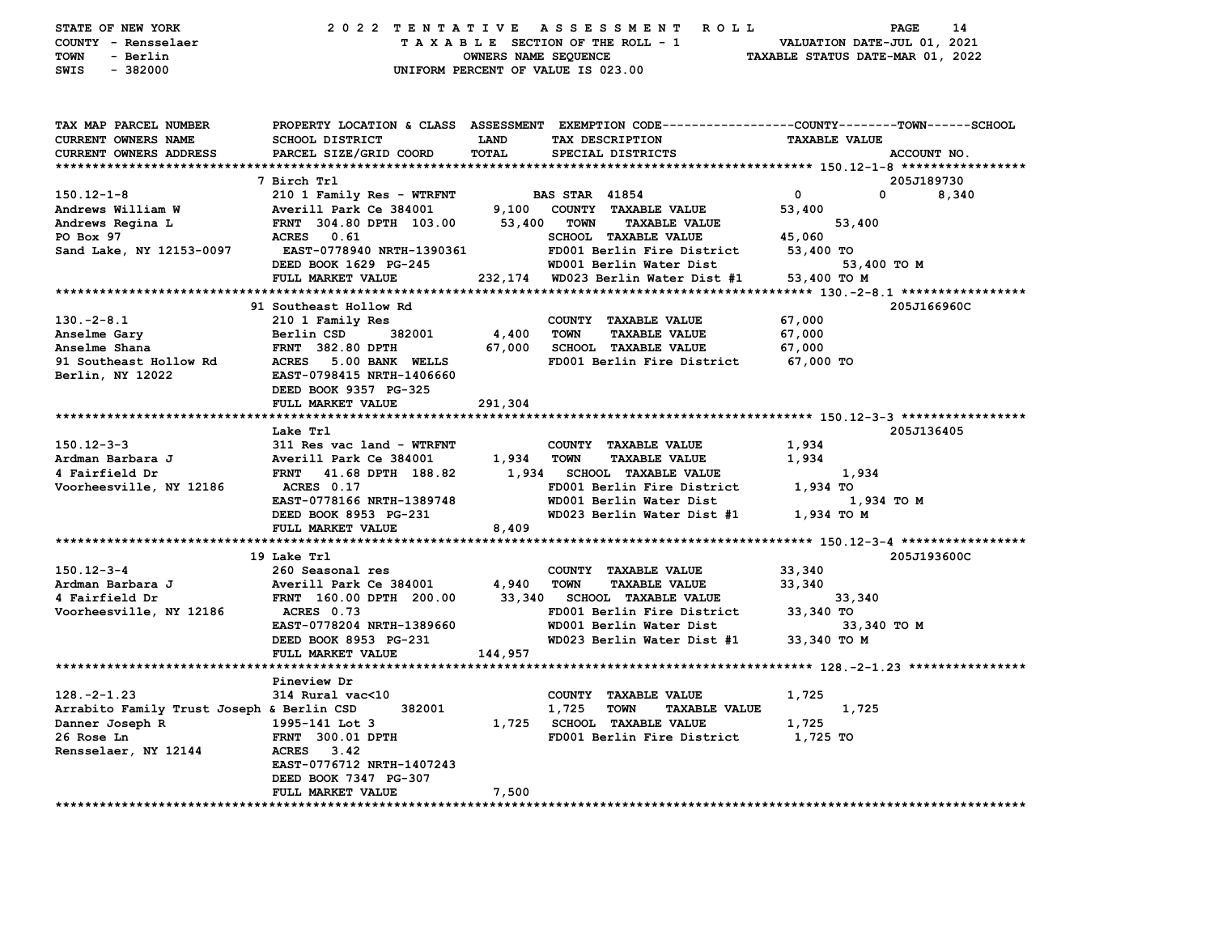| STATE OF NEW YORK<br>COUNTY - Rensselaer<br><b>TOWN</b><br>- Berlin<br>$-382000$<br>SWIS |                                           | OWNERS NAME SEQUENCE        | 2022 TENTATIVE ASSESSMENT ROLL<br>TAXABLE SECTION OF THE ROLL - 1<br>UNIFORM PERCENT OF VALUE IS 023.00                                 | VALUATION DATE-JUL 01, 2021<br>TAXABLE STATUS DATE-MAR 01, 2022 | PAGE<br>14  |
|------------------------------------------------------------------------------------------|-------------------------------------------|-----------------------------|-----------------------------------------------------------------------------------------------------------------------------------------|-----------------------------------------------------------------|-------------|
| TAX MAP PARCEL NUMBER<br>CURRENT OWNERS NAME<br>CURRENT OWNERS ADDRESS                   | SCHOOL DISTRICT<br>PARCEL SIZE/GRID COORD | <b>LAND</b><br><b>TOTAL</b> | PROPERTY LOCATION & CLASS ASSESSMENT EXEMPTION CODE---------------COUNTY-------TOWN------SCHOOL<br>TAX DESCRIPTION<br>SPECIAL DISTRICTS | <b>TAXABLE VALUE</b>                                            | ACCOUNT NO. |
|                                                                                          | 7 Birch Trl                               |                             |                                                                                                                                         |                                                                 | 205J189730  |
| $150.12 - 1 - 8$                                                                         | 210 1 Family Res - WTRFNT                 |                             | <b>BAS STAR 41854</b>                                                                                                                   | $\mathbf 0$                                                     | 0<br>8,340  |
| Andrews William W                                                                        | Averill Park Ce 384001                    |                             | 9,100 COUNTY TAXABLE VALUE                                                                                                              | 53,400                                                          |             |
| Andrews Regina L                                                                         | FRNT 304.80 DPTH 103.00                   | 53,400                      | <b>TOWN</b><br><b>TAXABLE VALUE</b>                                                                                                     | 53,400                                                          |             |
| PO Box 97                                                                                | ACRES 0.61                                |                             | SCHOOL TAXABLE VALUE                                                                                                                    | 45,060                                                          |             |
| Sand Lake, NY 12153-0097                                                                 | <b>EAST-0778940 NRTH-1390361</b>          |                             | FD001 Berlin Fire District                                                                                                              | 53,400 TO                                                       |             |
|                                                                                          | DEED BOOK 1629 PG-245                     |                             | WD001 Berlin Water Dist                                                                                                                 |                                                                 | 53,400 TO M |
|                                                                                          | FULL MARKET VALUE                         | 232,174                     | WD023 Berlin Water Dist #1                                                                                                              | 53,400 TO M                                                     |             |
|                                                                                          |                                           |                             |                                                                                                                                         |                                                                 |             |
|                                                                                          | 91 Southeast Hollow Rd                    |                             |                                                                                                                                         |                                                                 | 205J166960C |
| $130. -2 - 8.1$                                                                          | 210 1 Family Res                          |                             | COUNTY TAXABLE VALUE                                                                                                                    | 67,000                                                          |             |
| Anselme Gary                                                                             | Berlin CSD<br>382001                      | 4,400                       | <b>TOWN</b><br><b>TAXABLE VALUE</b>                                                                                                     | 67,000                                                          |             |
| Anselme Shana                                                                            | <b>FRNT 382.80 DPTH</b>                   | 67,000                      | <b>SCHOOL TAXABLE VALUE</b>                                                                                                             | 67,000                                                          |             |
| 91 Southeast Hollow Rd                                                                   | ACRES 5.00 BANK WELLS                     |                             | FD001 Berlin Fire District                                                                                                              | 67,000 TO                                                       |             |
| Berlin, NY 12022                                                                         | EAST-0798415 NRTH-1406660                 |                             |                                                                                                                                         |                                                                 |             |
|                                                                                          | DEED BOOK 9357 PG-325                     |                             |                                                                                                                                         |                                                                 |             |
|                                                                                          | FULL MARKET VALUE                         | 291,304                     |                                                                                                                                         |                                                                 |             |
|                                                                                          |                                           |                             |                                                                                                                                         |                                                                 |             |
|                                                                                          | Lake Trl                                  |                             |                                                                                                                                         |                                                                 | 205J136405  |
| $150.12 - 3 - 3$                                                                         | 311 Res vac land - WTRFNT                 |                             | COUNTY TAXABLE VALUE                                                                                                                    | 1,934                                                           |             |
| Ardman Barbara J                                                                         | Averill Park Ce 384001                    | 1,934                       | <b>TOWN</b><br><b>TAXABLE VALUE</b>                                                                                                     | 1,934                                                           |             |
| 4 Fairfield Dr                                                                           | FRNT 41.68 DPTH 188.82                    | 1,934                       | <b>SCHOOL TAXABLE VALUE</b>                                                                                                             | 1,934                                                           |             |
| Voorheesville, NY 12186                                                                  | ACRES 0.17                                |                             | FD001 Berlin Fire District                                                                                                              | 1,934 TO                                                        |             |
|                                                                                          | EAST-0778166 NRTH-1389748                 |                             | WD001 Berlin Water Dist                                                                                                                 |                                                                 | 1,934 TO M  |
|                                                                                          | DEED BOOK 8953 PG-231                     |                             | WD023 Berlin Water Dist #1                                                                                                              | 1,934 TO M                                                      |             |
|                                                                                          | FULL MARKET VALUE                         | 8,409                       |                                                                                                                                         |                                                                 |             |
|                                                                                          |                                           |                             |                                                                                                                                         |                                                                 |             |
|                                                                                          | 19 Lake Trl                               |                             |                                                                                                                                         |                                                                 | 205J193600C |
| 150.12-3-4                                                                               | 260 Seasonal res                          |                             | COUNTY TAXABLE VALUE                                                                                                                    | 33,340                                                          |             |
| Ardman Barbara J                                                                         | Averill Park Ce 384001                    | 4,940                       | <b>TAXABLE VALUE</b><br><b>TOWN</b>                                                                                                     | 33,340                                                          |             |
| 4 Fairfield Dr                                                                           | FRNT 160.00 DPTH 200.00<br>ACRES 0.73     | 33,340                      | <b>SCHOOL TAXABLE VALUE</b><br>FD001 Berlin Fire District                                                                               | 33,340<br>33,340 TO                                             |             |
| Voorheesville, NY 12186                                                                  | EAST-0778204 NRTH-1389660                 |                             | WD001 Berlin Water Dist                                                                                                                 |                                                                 | 33,340 TO M |
|                                                                                          | DEED BOOK 8953 PG-231                     |                             | WD023 Berlin Water Dist #1                                                                                                              | 33,340 TO M                                                     |             |
|                                                                                          | FULL MARKET VALUE                         | 144,957                     |                                                                                                                                         |                                                                 |             |
|                                                                                          |                                           |                             |                                                                                                                                         |                                                                 |             |
|                                                                                          | Pineview Dr                               |                             |                                                                                                                                         |                                                                 |             |
| $128. -2 - 1.23$                                                                         | 314 Rural vac<10                          |                             | COUNTY TAXABLE VALUE                                                                                                                    | 1,725                                                           |             |
| Arrabito Family Trust Joseph & Berlin CSD                                                | 382001                                    |                             | 1,725<br><b>TOWN</b><br><b>TAXABLE VALUE</b>                                                                                            | 1,725                                                           |             |
| Danner Joseph R                                                                          | 1995-141 Lot 3                            |                             | 1,725 SCHOOL TAXABLE VALUE                                                                                                              | 1,725                                                           |             |
| 26 Rose Ln                                                                               | <b>FRNT 300.01 DPTH</b>                   |                             | FD001 Berlin Fire District                                                                                                              | 1,725 TO                                                        |             |
| Rensselaer, NY 12144                                                                     | ACRES 3.42                                |                             |                                                                                                                                         |                                                                 |             |
|                                                                                          | EAST-0776712 NRTH-1407243                 |                             |                                                                                                                                         |                                                                 |             |
|                                                                                          | DEED BOOK 7347 PG-307                     |                             |                                                                                                                                         |                                                                 |             |
|                                                                                          | FULL MARKET VALUE                         | 7,500                       |                                                                                                                                         |                                                                 |             |
| ******************************                                                           |                                           |                             |                                                                                                                                         |                                                                 |             |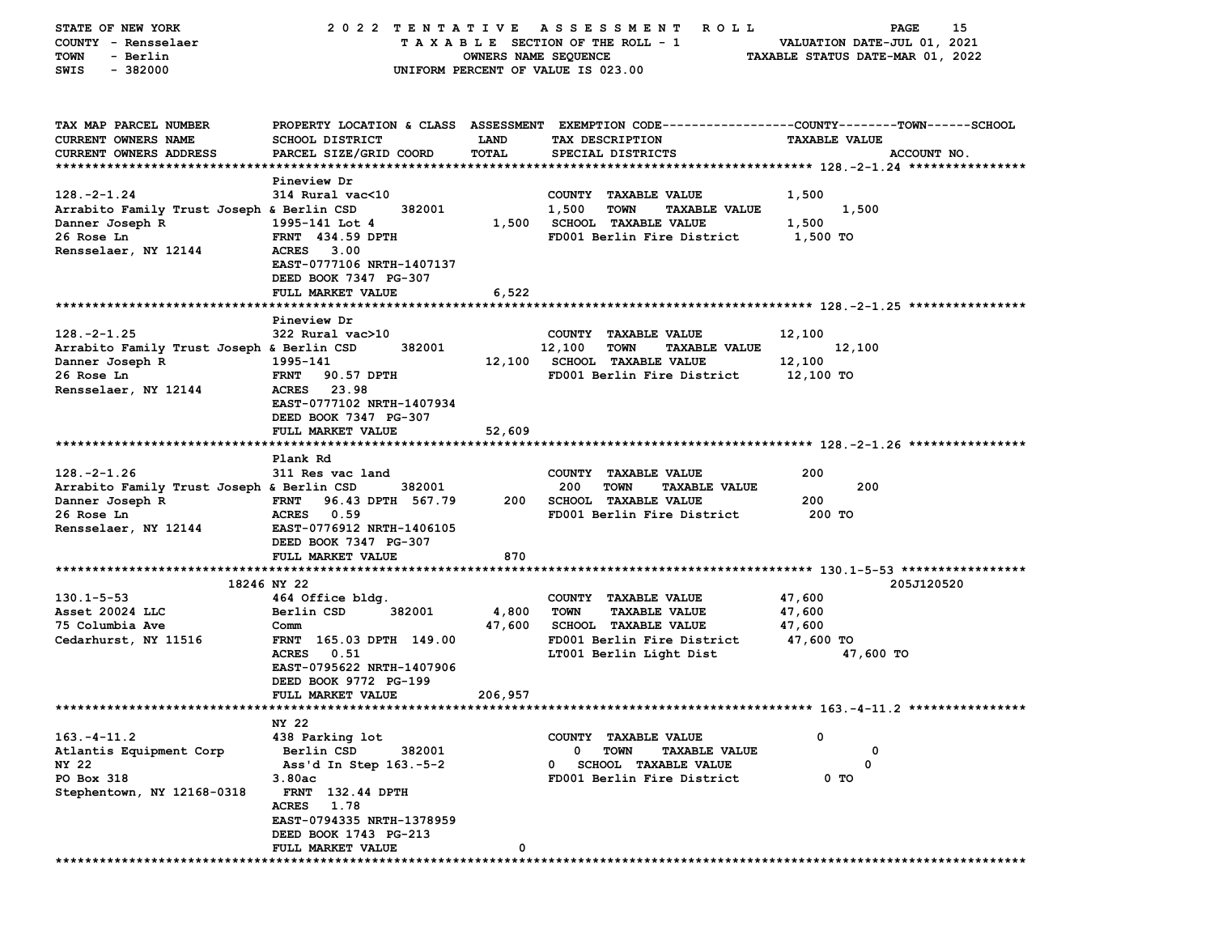| STATE OF NEW YORK                         | 2022 TENTATIVE                   |                      | A S S E S S M E N T<br><b>ROLL</b>            | 15<br><b>PAGE</b>                                                                               |
|-------------------------------------------|----------------------------------|----------------------|-----------------------------------------------|-------------------------------------------------------------------------------------------------|
| COUNTY - Rensselaer                       |                                  |                      | TAXABLE SECTION OF THE ROLL - 1               | VALUATION DATE-JUL 01, 2021                                                                     |
| TOWN<br>- Berlin                          |                                  | OWNERS NAME SEQUENCE |                                               | TAXABLE STATUS DATE-MAR 01, 2022                                                                |
| $-382000$<br>SWIS                         |                                  |                      | UNIFORM PERCENT OF VALUE IS 023.00            |                                                                                                 |
|                                           |                                  |                      |                                               |                                                                                                 |
|                                           |                                  |                      |                                               |                                                                                                 |
| TAX MAP PARCEL NUMBER                     |                                  |                      |                                               | PROPERTY LOCATION & CLASS ASSESSMENT EXEMPTION CODE---------------COUNTY-------TOWN------SCHOOL |
| <b>CURRENT OWNERS NAME</b>                | SCHOOL DISTRICT                  | LAND                 | TAX DESCRIPTION                               | <b>TAXABLE VALUE</b>                                                                            |
| CURRENT OWNERS ADDRESS                    | PARCEL SIZE/GRID COORD           | TOTAL                | SPECIAL DISTRICTS                             | ACCOUNT NO.                                                                                     |
|                                           |                                  |                      |                                               |                                                                                                 |
|                                           | Pineview Dr                      |                      |                                               |                                                                                                 |
| $128. - 2 - 1.24$                         | 314 Rural vac<10                 |                      | COUNTY TAXABLE VALUE                          | 1,500                                                                                           |
| Arrabito Family Trust Joseph & Berlin CSD | 382001                           |                      | 1,500<br><b>TOWN</b><br><b>TAXABLE VALUE</b>  | 1,500                                                                                           |
| Danner Joseph R                           | 1995-141 Lot 4                   | 1,500                | <b>SCHOOL TAXABLE VALUE</b>                   | 1,500                                                                                           |
| 26 Rose Ln                                | <b>FRNT</b> 434.59 DPTH          |                      | FD001 Berlin Fire District                    | 1,500 TO                                                                                        |
| Rensselaer, NY 12144                      | <b>ACRES</b><br>3.00             |                      |                                               |                                                                                                 |
|                                           | EAST-0777106 NRTH-1407137        |                      |                                               |                                                                                                 |
|                                           | DEED BOOK 7347 PG-307            |                      |                                               |                                                                                                 |
|                                           | FULL MARKET VALUE                | 6,522                |                                               |                                                                                                 |
|                                           |                                  |                      |                                               |                                                                                                 |
|                                           | Pineview Dr                      |                      |                                               |                                                                                                 |
| $128. -2 - 1.25$                          | 322 Rural vac>10                 |                      | COUNTY TAXABLE VALUE                          | 12,100                                                                                          |
| Arrabito Family Trust Joseph & Berlin CSD | 382001                           |                      | 12,100<br><b>TOWN</b><br><b>TAXABLE VALUE</b> | 12,100                                                                                          |
| Danner Joseph R                           | 1995-141                         | 12,100               | <b>SCHOOL TAXABLE VALUE</b>                   | 12,100                                                                                          |
| 26 Rose Ln                                | <b>FRNT</b><br>90.57 DPTH        |                      | FD001 Berlin Fire District                    | 12,100 TO                                                                                       |
| Rensselaer, NY 12144                      | <b>ACRES</b><br>23.98            |                      |                                               |                                                                                                 |
|                                           | EAST-0777102 NRTH-1407934        |                      |                                               |                                                                                                 |
|                                           | DEED BOOK 7347 PG-307            |                      |                                               |                                                                                                 |
|                                           | FULL MARKET VALUE                | 52,609               |                                               |                                                                                                 |
|                                           |                                  |                      |                                               |                                                                                                 |
|                                           | Plank Rd                         |                      |                                               |                                                                                                 |
| $128. -2 - 1.26$                          | 311 Res vac land                 |                      | COUNTY TAXABLE VALUE                          | 200                                                                                             |
| Arrabito Family Trust Joseph & Berlin CSD | 382001                           |                      | 200<br><b>TOWN</b><br><b>TAXABLE VALUE</b>    | 200                                                                                             |
| Danner Joseph R                           | 96.43 DPTH 567.79<br><b>FRNT</b> | 200                  | <b>SCHOOL TAXABLE VALUE</b>                   | 200                                                                                             |
| 26 Rose Ln                                | <b>ACRES</b><br>0.59             |                      | FD001 Berlin Fire District                    | 200 TO                                                                                          |
| Rensselaer, NY 12144                      | EAST-0776912 NRTH-1406105        |                      |                                               |                                                                                                 |
|                                           | DEED BOOK 7347 PG-307            |                      |                                               |                                                                                                 |
|                                           | FULL MARKET VALUE                | 870                  |                                               |                                                                                                 |
|                                           | 18246 NY 22                      |                      |                                               | 205J120520                                                                                      |
| $130.1 - 5 - 53$                          | 464 Office bldg.                 |                      | COUNTY TAXABLE VALUE                          | 47,600                                                                                          |
| Asset 20024 LLC                           | Berlin CSD<br>382001             | 4,800                | <b>TOWN</b><br><b>TAXABLE VALUE</b>           | 47,600                                                                                          |
| 75 Columbia Ave                           | Comm                             | 47,600               | <b>SCHOOL TAXABLE VALUE</b>                   | 47,600                                                                                          |
|                                           | FRNT 165.03 DPTH 149.00          |                      | FD001 Berlin Fire District                    | 47,600 TO                                                                                       |
| Cedarhurst, NY 11516                      |                                  |                      |                                               |                                                                                                 |
|                                           | <b>ACRES</b><br>0.51             |                      | LT001 Berlin Light Dist                       | 47,600 TO                                                                                       |
|                                           | EAST-0795622 NRTH-1407906        |                      |                                               |                                                                                                 |
|                                           | DEED BOOK 9772 PG-199            |                      |                                               |                                                                                                 |
| ***************************               | FULL MARKET VALUE                | 206,957              |                                               |                                                                                                 |
|                                           | NY 22                            |                      |                                               |                                                                                                 |
| $163. - 4 - 11.2$                         | 438 Parking lot                  |                      | COUNTY TAXABLE VALUE                          | 0                                                                                               |
| Atlantis Equipment Corp                   | Berlin CSD<br>382001             |                      | 0<br>TOWN<br><b>TAXABLE VALUE</b>             | 0                                                                                               |
| NY 22                                     | Ass'd In Step 163.-5-2           |                      | <b>SCHOOL TAXABLE VALUE</b><br>0              | 0                                                                                               |
| PO Box 318                                | 3.80ac                           |                      | FD001 Berlin Fire District                    | 0 TO                                                                                            |
| Stephentown, NY 12168-0318                | <b>FRNT</b> 132.44 DPTH          |                      |                                               |                                                                                                 |
|                                           | <b>ACRES</b><br>1.78             |                      |                                               |                                                                                                 |
|                                           | EAST-0794335 NRTH-1378959        |                      |                                               |                                                                                                 |
|                                           | DEED BOOK 1743 PG-213            |                      |                                               |                                                                                                 |
|                                           | FULL MARKET VALUE                | 0                    |                                               |                                                                                                 |
|                                           |                                  |                      |                                               |                                                                                                 |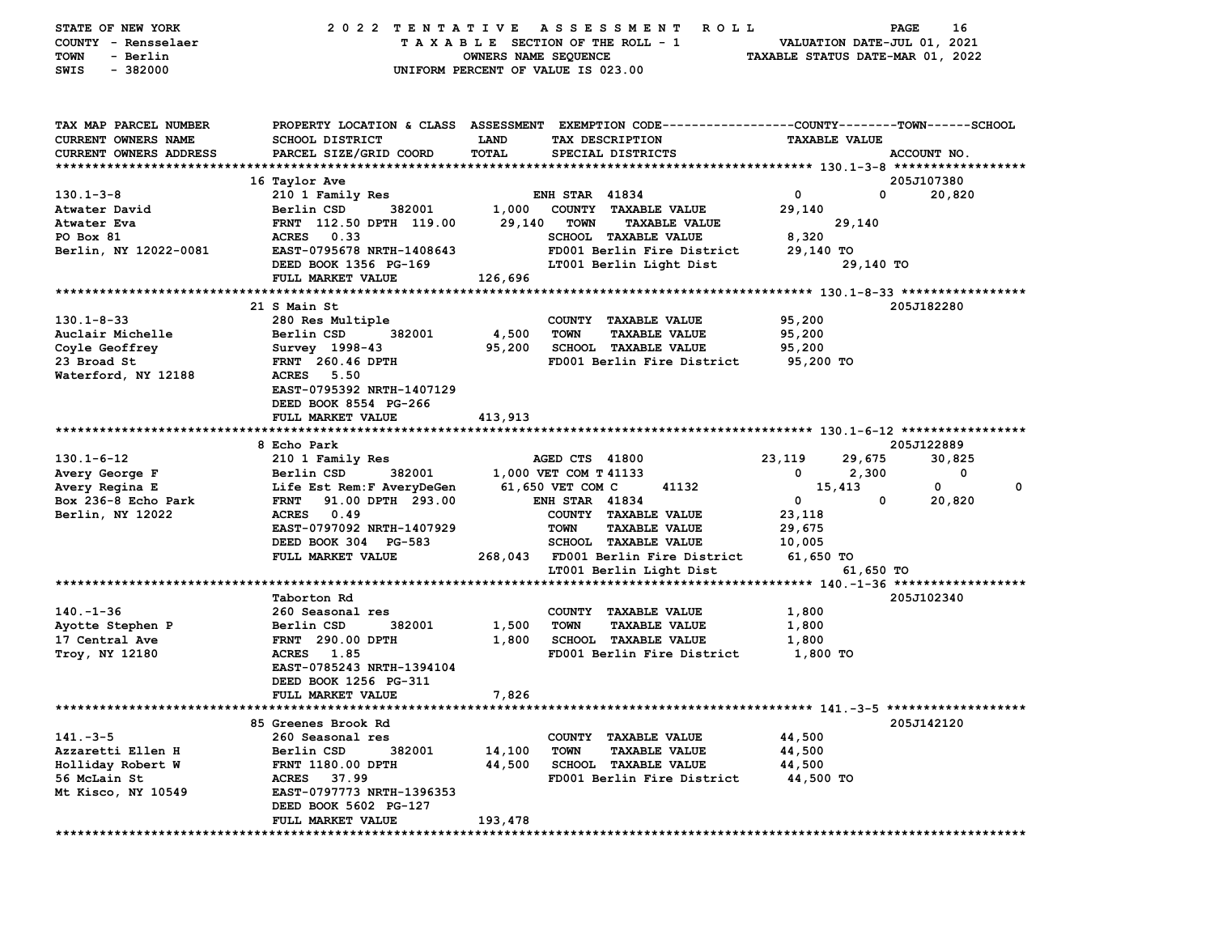| STATE OF NEW YORK<br>COUNTY - Rensselaer<br>- Berlin<br>TOWN<br>$-382000$<br>SWIS    | 2022 TENTATIVE ASSESSMENT                        | OWNERS NAME SEQUENCE        | <b>ROLL</b><br>TAXABLE SECTION OF THE ROLL - 1<br>UNIFORM PERCENT OF VALUE IS 023.00                                                   | TAXABLE STATUS DATE-MAR 01, 2022 | PAGE<br>VALUATION DATE-JUL 01, 2021 | 16     |
|--------------------------------------------------------------------------------------|--------------------------------------------------|-----------------------------|----------------------------------------------------------------------------------------------------------------------------------------|----------------------------------|-------------------------------------|--------|
| TAX MAP PARCEL NUMBER<br><b>CURRENT OWNERS NAME</b><br><b>CURRENT OWNERS ADDRESS</b> | <b>SCHOOL DISTRICT</b><br>PARCEL SIZE/GRID COORD | <b>LAND</b><br><b>TOTAL</b> | PROPERTY LOCATION & CLASS ASSESSMENT EXEMPTION CODE---------------COUNTY-------TOWN-----SCHOOL<br>TAX DESCRIPTION<br>SPECIAL DISTRICTS | <b>TAXABLE VALUE</b>             | ACCOUNT NO.                         |        |
|                                                                                      |                                                  |                             |                                                                                                                                        |                                  |                                     |        |
|                                                                                      | 16 Taylor Ave                                    |                             |                                                                                                                                        |                                  | 205J107380<br>$\mathbf 0$           |        |
| $130.1 - 3 - 8$<br>Atwater David                                                     | 210 1 Family Res<br>Berlin CSD<br>382001         | 1,000                       | <b>ENH STAR 41834</b><br>COUNTY TAXABLE VALUE                                                                                          | 0<br>29,140                      |                                     | 20,820 |
| Atwater Eva                                                                          | FRNT 112.50 DPTH 119.00                          | 29,140                      | <b>TOWN</b><br><b>TAXABLE VALUE</b>                                                                                                    |                                  | 29,140                              |        |
| PO Box 81                                                                            | <b>ACRES</b><br>0.33                             |                             | <b>SCHOOL TAXABLE VALUE</b>                                                                                                            | 8,320                            |                                     |        |
| Berlin, NY 12022-0081                                                                | EAST-0795678 NRTH-1408643                        |                             | FD001 Berlin Fire District                                                                                                             | 29,140 TO                        |                                     |        |
|                                                                                      | DEED BOOK 1356 PG-169                            |                             | LT001 Berlin Light Dist                                                                                                                |                                  | 29,140 TO                           |        |
|                                                                                      | FULL MARKET VALUE                                | 126,696                     |                                                                                                                                        |                                  |                                     |        |
|                                                                                      |                                                  |                             |                                                                                                                                        |                                  |                                     |        |
|                                                                                      | 21 S Main St                                     |                             |                                                                                                                                        |                                  | 205J182280                          |        |
| $130.1 - 8 - 33$                                                                     | 280 Res Multiple                                 |                             | COUNTY TAXABLE VALUE                                                                                                                   | 95,200                           |                                     |        |
| Auclair Michelle                                                                     | Berlin CSD<br>382001                             | 4,500                       | <b>TOWN</b><br><b>TAXABLE VALUE</b>                                                                                                    | 95,200                           |                                     |        |
| Coyle Geoffrey                                                                       | Survey 1998-43                                   | 95,200                      | SCHOOL TAXABLE VALUE                                                                                                                   | 95,200                           |                                     |        |
| 23 Broad St<br>Waterford, NY 12188                                                   | <b>FRNT</b> 260.46 DPTH<br><b>ACRES</b><br>5.50  |                             | FD001 Berlin Fire District                                                                                                             | 95,200 TO                        |                                     |        |
|                                                                                      | EAST-0795392 NRTH-1407129                        |                             |                                                                                                                                        |                                  |                                     |        |
|                                                                                      | DEED BOOK 8554 PG-266                            |                             |                                                                                                                                        |                                  |                                     |        |
|                                                                                      | FULL MARKET VALUE                                | 413,913                     |                                                                                                                                        |                                  |                                     |        |
|                                                                                      |                                                  |                             |                                                                                                                                        |                                  |                                     |        |
|                                                                                      | 8 Echo Park                                      |                             |                                                                                                                                        |                                  | 205J122889                          |        |
| $130.1 - 6 - 12$                                                                     | 210 1 Family Res                                 |                             | AGED CTS 41800                                                                                                                         | 23,119                           | 29,675                              | 30.825 |
| Avery George F                                                                       | Berlin CSD<br>382001                             |                             | 1,000 VET COM T 41133                                                                                                                  | 0                                | 2,300                               | 0      |
| Avery Regina E                                                                       | Life Est Rem: F AveryDeGen                       |                             | 61,650 VET COM C<br>41132                                                                                                              | 15,413                           | 0                                   | 0      |
| Box 236-8 Echo Park                                                                  | 91.00 DPTH 293.00<br><b>FRNT</b>                 |                             | <b>ENH STAR 41834</b>                                                                                                                  | $\mathbf 0$                      | 0                                   | 20,820 |
| Berlin, NY 12022                                                                     | 0.49<br><b>ACRES</b>                             |                             | COUNTY TAXABLE VALUE                                                                                                                   | 23,118                           |                                     |        |
|                                                                                      | EAST-0797092 NRTH-1407929                        |                             | <b>TAXABLE VALUE</b><br>TOWN                                                                                                           | 29,675                           |                                     |        |
|                                                                                      | DEED BOOK 304 PG-583                             |                             | <b>SCHOOL TAXABLE VALUE</b>                                                                                                            | 10,005                           |                                     |        |
|                                                                                      | FULL MARKET VALUE                                | 268,043                     | FD001 Berlin Fire District                                                                                                             | 61,650 TO                        |                                     |        |
|                                                                                      |                                                  |                             | LT001 Berlin Light Dist                                                                                                                |                                  | 61,650 TO                           |        |
|                                                                                      | Taborton Rd                                      |                             |                                                                                                                                        |                                  | 205J102340                          |        |
| $140. - 1 - 36$                                                                      | 260 Seasonal res                                 |                             | COUNTY TAXABLE VALUE                                                                                                                   | 1,800                            |                                     |        |
| Ayotte Stephen P                                                                     | Berlin CSD<br>382001                             | 1,500                       | <b>TOWN</b><br><b>TAXABLE VALUE</b>                                                                                                    | 1,800                            |                                     |        |
| 17 Central Ave                                                                       | <b>FRNT</b> 290.00 DPTH                          | 1,800                       | <b>SCHOOL TAXABLE VALUE</b>                                                                                                            | 1,800                            |                                     |        |
| <b>Troy, NY 12180</b>                                                                | <b>ACRES</b><br>1.85                             |                             | FD001 Berlin Fire District                                                                                                             | 1,800 TO                         |                                     |        |
|                                                                                      | EAST-0785243 NRTH-1394104                        |                             |                                                                                                                                        |                                  |                                     |        |
|                                                                                      | DEED BOOK 1256 PG-311                            |                             |                                                                                                                                        |                                  |                                     |        |
|                                                                                      | FULL MARKET VALUE                                | 7,826                       |                                                                                                                                        |                                  |                                     |        |
|                                                                                      |                                                  |                             |                                                                                                                                        |                                  |                                     |        |
|                                                                                      | 85 Greenes Brook Rd                              |                             |                                                                                                                                        |                                  | 205J142120                          |        |
| $141 - 3 - 5$                                                                        | 260 Seasonal res                                 |                             | COUNTY TAXABLE VALUE                                                                                                                   | 44,500                           |                                     |        |
| Azzaretti Ellen H                                                                    | 382001<br>Berlin CSD                             | 14,100                      | <b>TOWN</b><br><b>TAXABLE VALUE</b><br><b>SCHOOL TAXABLE VALUE</b>                                                                     | 44,500                           |                                     |        |
| Holliday Robert W<br>56 McLain St                                                    | FRNT 1180.00 DPTH<br>37.99<br><b>ACRES</b>       | 44,500                      | FD001 Berlin Fire District                                                                                                             | 44,500<br>44,500 TO              |                                     |        |
| Mt Kisco, NY 10549                                                                   | EAST-0797773 NRTH-1396353                        |                             |                                                                                                                                        |                                  |                                     |        |
|                                                                                      | DEED BOOK 5602 PG-127                            |                             |                                                                                                                                        |                                  |                                     |        |
|                                                                                      | FULL MARKET VALUE                                | 193,478                     |                                                                                                                                        |                                  |                                     |        |
|                                                                                      |                                                  |                             |                                                                                                                                        |                                  |                                     |        |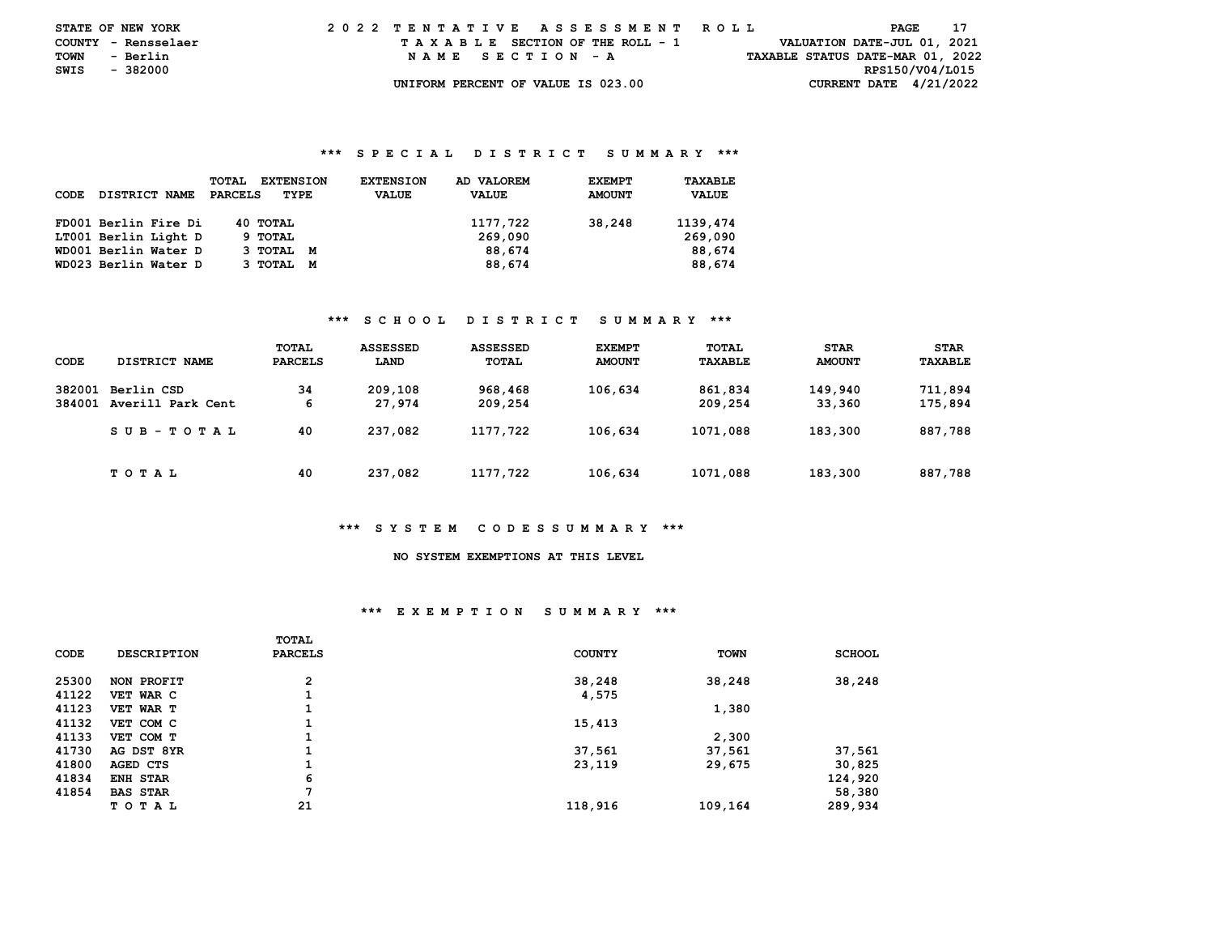| <b>STATE OF NEW YORK</b> |          |          | 2022 TENTATIVE ASSESSMENT ROLL |  |  |  |                                    |  |  |  |  |  |  |  |  |                                  | PAGE | -17 |  |
|--------------------------|----------|----------|--------------------------------|--|--|--|------------------------------------|--|--|--|--|--|--|--|--|----------------------------------|------|-----|--|
| COUNTY - Rensselaer      |          |          |                                |  |  |  | TAXABLE SECTION OF THE ROLL - 1    |  |  |  |  |  |  |  |  | VALUATION DATE-JUL 01, 2021      |      |     |  |
| TOWN                     |          | - Berlin |                                |  |  |  | NAME SECTION - A                   |  |  |  |  |  |  |  |  | TAXABLE STATUS DATE-MAR 01, 2022 |      |     |  |
| SWIS                     | - 382000 |          |                                |  |  |  |                                    |  |  |  |  |  |  |  |  | RPS150/V04/L015                  |      |     |  |
|                          |          |          |                                |  |  |  | UNIFORM PERCENT OF VALUE IS 023.00 |  |  |  |  |  |  |  |  | CURRENT DATE $4/21/2022$         |      |     |  |

| CODE | <b>DISTRICT NAME</b> | <b>TOTAL</b><br><b>EXTENSION</b><br><b>PARCELS</b><br>TYPE | <b>EXTENSION</b><br><b>VALUE</b> | AD VALOREM<br><b>VALUE</b> | <b>EXEMPT</b><br><b>AMOUNT</b> | TAXABLE<br><b>VALUE</b> |
|------|----------------------|------------------------------------------------------------|----------------------------------|----------------------------|--------------------------------|-------------------------|
|      | FD001 Berlin Fire Di | 40 TOTAL                                                   |                                  | 1177,722                   | 38,248                         | 1139,474                |
|      | LT001 Berlin Light D | 9 TOTAL                                                    |                                  | 269,090                    |                                | 269,090                 |
|      | WD001 Berlin Water D | 3 тотац м                                                  |                                  | 88,674                     |                                | 88,674                  |
|      | WD023 Berlin Water D | 3 TOTAL M                                                  |                                  | 88,674                     |                                | 88,674                  |

## **\*\*\* S C H O O L D I S T R I C T S U M M A R Y \*\*\***

| CODE             | DISTRICT NAME                   | TOTAL<br><b>PARCELS</b> | <b>ASSESSED</b><br>LAND | <b>ASSESSED</b><br><b>TOTAL</b> | <b>EXEMPT</b><br><b>AMOUNT</b> | TOTAL<br>TAXABLE   | <b>STAR</b><br><b>AMOUNT</b> | <b>STAR</b><br>TAXABLE |
|------------------|---------------------------------|-------------------------|-------------------------|---------------------------------|--------------------------------|--------------------|------------------------------|------------------------|
| 382001<br>384001 | Berlin CSD<br>Averill Park Cent | 34<br>6                 | 209,108<br>27,974       | 968,468<br>209,254              | 106,634                        | 861,834<br>209,254 | 149,940<br>33,360            | 711,894<br>175,894     |
|                  | $SUB - TO T AL$                 | 40                      | 237,082                 | 1177,722                        | 106,634                        | 1071,088           | 183,300                      | 887,788                |
|                  | T O T A L                       | 40                      | 237,082                 | 1177,722                        | 106,634                        | 1071,088           | 183,300                      | 887,788                |

#### **\*\*\* S Y S T E M C O D E S S U M M A R Y \*\*\***

## **NO SYSTEM EXEMPTIONS AT THIS LEVEL**

## **\*\*\* E X E M P T I O N S U M M A R Y \*\*\***

|             |                    | <b>TOTAL</b>   |               |             |               |
|-------------|--------------------|----------------|---------------|-------------|---------------|
| <b>CODE</b> | <b>DESCRIPTION</b> | <b>PARCELS</b> | <b>COUNTY</b> | <b>TOWN</b> | <b>SCHOOL</b> |
| 25300       | NON PROFIT         | $\overline{2}$ | 38,248        | 38,248      | 38,248        |
| 41122       | VET WAR C          |                | 4,575         |             |               |
| 41123       | VET WAR T          |                |               | 1,380       |               |
| 41132       | VET COM C          |                | 15,413        |             |               |
| 41133       | VET COM T          |                |               | 2,300       |               |
| 41730       | AG DST 8YR         | Τ.             | 37,561        | 37,561      | 37,561        |
| 41800       | AGED CTS           |                | 23,119        | 29,675      | 30,825        |
| 41834       | ENH STAR           | 6              |               |             | 124,920       |
| 41854       | <b>BAS STAR</b>    | .,             |               |             | 58,380        |
|             | TOTAL              | 21             | 118,916       | 109,164     | 289,934       |
|             |                    |                |               |             |               |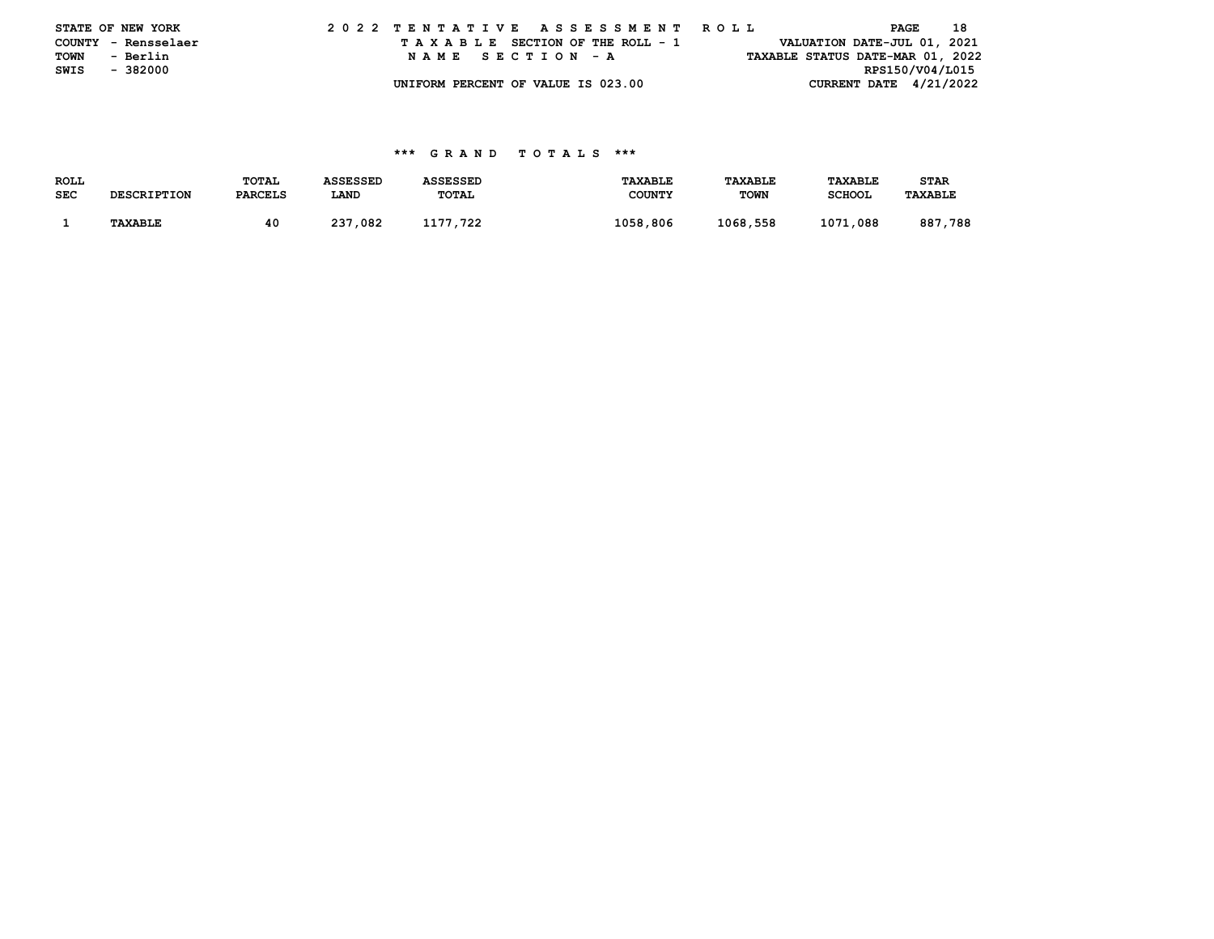|      | STATE OF NEW YORK   |  |  |  |  |  | 2022 TENTATIVE ASSESSMENT ROLL     |  |  |  |  |  |  |  | PAGE |                             | 18                               |
|------|---------------------|--|--|--|--|--|------------------------------------|--|--|--|--|--|--|--|------|-----------------------------|----------------------------------|
|      | COUNTY - Rensselaer |  |  |  |  |  | TAXABLE SECTION OF THE ROLL - 1    |  |  |  |  |  |  |  |      | VALUATION DATE-JUL 01, 2021 |                                  |
|      | TOWN - Berlin       |  |  |  |  |  | NAME SECTION - A                   |  |  |  |  |  |  |  |      |                             | TAXABLE STATUS DATE-MAR 01, 2022 |
| SWIS | - 382000            |  |  |  |  |  |                                    |  |  |  |  |  |  |  |      | RPS150/V04/L015             |                                  |
|      |                     |  |  |  |  |  | UNIFORM PERCENT OF VALUE IS 023.00 |  |  |  |  |  |  |  |      |                             | CURRENT DATE $4/21/2022$         |

| ROLL       |                    | <b>TOTAL</b>   | <b>ASSESSED</b> | <b>ASSESSED</b> | <b>TAXABLE</b> | <b>TAXABLE</b> | <b>TAXABLE</b> | <b>STAR</b>    |
|------------|--------------------|----------------|-----------------|-----------------|----------------|----------------|----------------|----------------|
| <b>SEC</b> | <b>DESCRIPTION</b> | <b>PARCELS</b> | LAND            | TOTAL           | <b>COUNTY</b>  | <b>TOWN</b>    | <b>SCHOOL</b>  | <b>TAXABLE</b> |
|            |                    |                |                 |                 |                |                |                |                |
|            | <b>TAXABLE</b>     | 40             | 237,082         | 1177.722        | 1058,806       | 1068,558       | 1071,088       | 887.<br>,788   |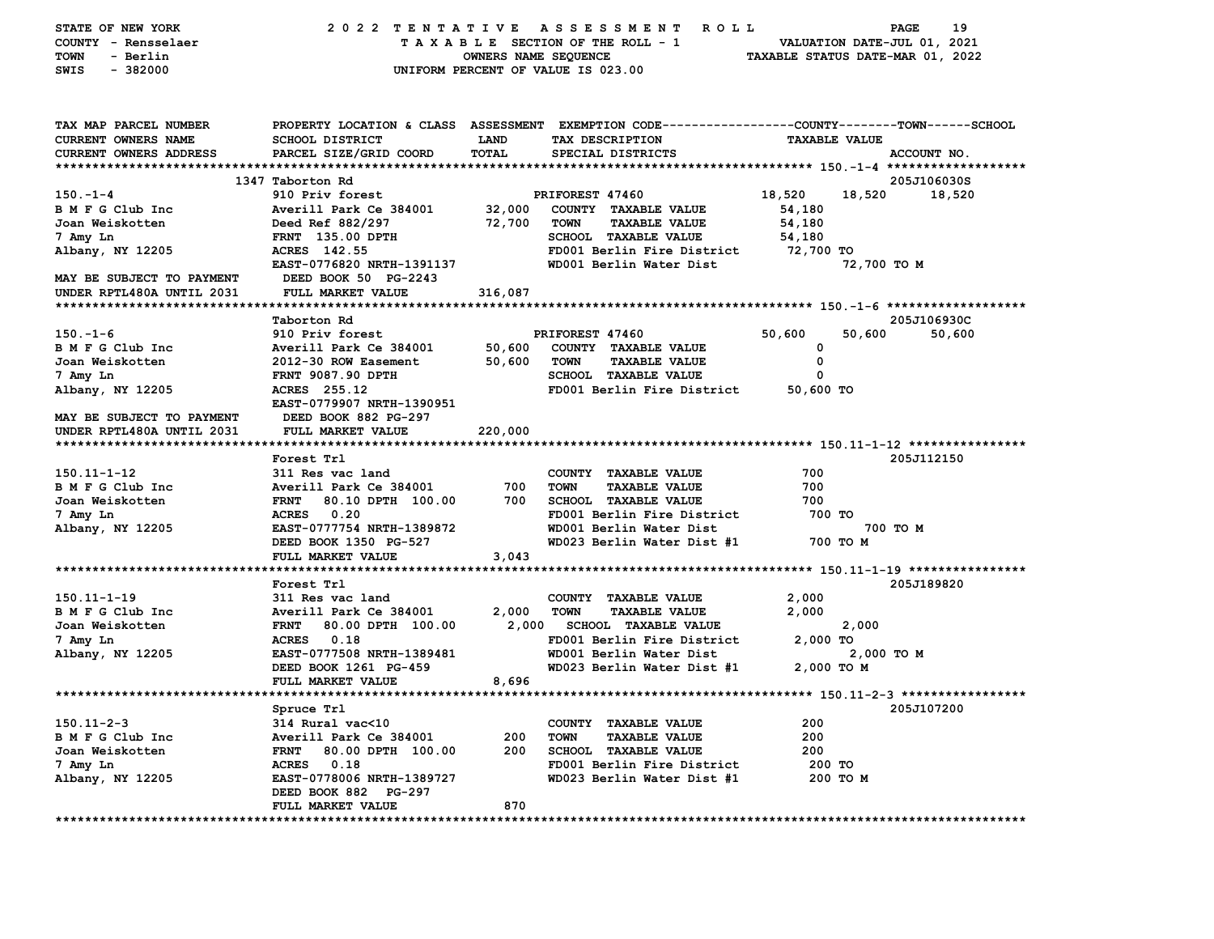| STATE OF NEW YORK          | 2022 TENTATIVE                   |                      | A S S E S S M E N T<br><b>ROLL</b>                                                              |                      | 19<br>PAGE                       |
|----------------------------|----------------------------------|----------------------|-------------------------------------------------------------------------------------------------|----------------------|----------------------------------|
| COUNTY - Rensselaer        |                                  |                      | TAXABLE SECTION OF THE ROLL - 1                                                                 |                      | VALUATION DATE-JUL 01, 2021      |
| <b>TOWN</b><br>- Berlin    |                                  | OWNERS NAME SEQUENCE |                                                                                                 |                      | TAXABLE STATUS DATE-MAR 01, 2022 |
| $-382000$<br>SWIS          |                                  |                      | UNIFORM PERCENT OF VALUE IS 023.00                                                              |                      |                                  |
|                            |                                  |                      |                                                                                                 |                      |                                  |
|                            |                                  |                      |                                                                                                 |                      |                                  |
| TAX MAP PARCEL NUMBER      |                                  |                      | PROPERTY LOCATION & CLASS ASSESSMENT EXEMPTION CODE---------------COUNTY-------TOWN------SCHOOL |                      |                                  |
| <b>CURRENT OWNERS NAME</b> | <b>SCHOOL DISTRICT</b>           | LAND                 | TAX DESCRIPTION                                                                                 | <b>TAXABLE VALUE</b> |                                  |
| CURRENT OWNERS ADDRESS     | PARCEL SIZE/GRID COORD           | TOTAL                | SPECIAL DISTRICTS                                                                               |                      | ACCOUNT NO.                      |
|                            |                                  |                      |                                                                                                 |                      |                                  |
|                            | 1347 Taborton Rd                 |                      |                                                                                                 |                      | 205J106030S                      |
| $150 - 1 - 4$              | 910 Priv forest                  |                      | PRIFOREST 47460                                                                                 | 18,520               | 18,520<br>18,520                 |
| B M F G Club Inc           | Averill Park Ce 384001           | 32,000               | COUNTY TAXABLE VALUE                                                                            | 54,180               |                                  |
| Joan Weiskotten            | Deed Ref 882/297                 | 72,700               | <b>TOWN</b><br><b>TAXABLE VALUE</b>                                                             | 54,180               |                                  |
| 7 Amy Ln                   | FRNT 135.00 DPTH                 |                      | <b>SCHOOL TAXABLE VALUE</b>                                                                     | 54,180               |                                  |
| Albany, NY 12205           | ACRES 142.55                     |                      | FD001 Berlin Fire District                                                                      | 72,700 TO            |                                  |
|                            | EAST-0776820 NRTH-1391137        |                      | WD001 Berlin Water Dist                                                                         |                      | 72,700 TO M                      |
| MAY BE SUBJECT TO PAYMENT  | DEED BOOK 50 PG-2243             |                      |                                                                                                 |                      |                                  |
| UNDER RPTL480A UNTIL 2031  | FULL MARKET VALUE                | 316,087              |                                                                                                 |                      |                                  |
|                            |                                  |                      |                                                                                                 |                      |                                  |
|                            | Taborton Rd                      |                      |                                                                                                 |                      | 205J106930C                      |
| $150. - 1 - 6$             | 910 Priv forest                  |                      | PRIFOREST 47460                                                                                 | 50,600               | 50,600<br>50,600                 |
| B M F G Club Inc           | Averill Park Ce 384001           | 50,600               | COUNTY TAXABLE VALUE                                                                            | 0                    |                                  |
| Joan Weiskotten            | 2012-30 ROW Easement             | 50,600               | <b>TOWN</b><br><b>TAXABLE VALUE</b>                                                             | 0                    |                                  |
| 7 Amy Ln                   | <b>FRNT 9087.90 DPTH</b>         |                      | <b>SCHOOL TAXABLE VALUE</b>                                                                     | 0                    |                                  |
| Albany, NY 12205           | ACRES 255.12                     |                      | FD001 Berlin Fire District                                                                      | 50,600 TO            |                                  |
|                            | EAST-0779907 NRTH-1390951        |                      |                                                                                                 |                      |                                  |
| MAY BE SUBJECT TO PAYMENT  | DEED BOOK 882 PG-297             |                      |                                                                                                 |                      |                                  |
| UNDER RPTL480A UNTIL 2031  | <b>FULL MARKET VALUE</b>         | 220,000              |                                                                                                 |                      |                                  |
|                            |                                  |                      |                                                                                                 |                      |                                  |
|                            | Forest Trl                       |                      |                                                                                                 |                      | 205J112150                       |
| $150.11 - 1 - 12$          | 311 Res vac land                 |                      | COUNTY TAXABLE VALUE                                                                            | 700                  |                                  |
| B M F G Club Inc           | Averill Park Ce 384001           | 700                  | <b>TOWN</b><br><b>TAXABLE VALUE</b>                                                             | 700                  |                                  |
| Joan Weiskotten            | <b>FRNT</b><br>80.10 DPTH 100.00 | 700                  | <b>SCHOOL TAXABLE VALUE</b>                                                                     | 700                  |                                  |
| 7 Amy Ln                   | 0.20<br><b>ACRES</b>             |                      | FD001 Berlin Fire District                                                                      | 700 TO               |                                  |
| Albany, NY 12205           | EAST-0777754 NRTH-1389872        |                      | WD001 Berlin Water Dist                                                                         |                      | 700 TO M                         |
|                            | DEED BOOK 1350 PG-527            |                      | WD023 Berlin Water Dist #1                                                                      | 700 TO M             |                                  |
|                            | FULL MARKET VALUE                | 3,043                |                                                                                                 |                      |                                  |
|                            |                                  |                      |                                                                                                 |                      |                                  |
|                            | Forest Trl                       |                      |                                                                                                 |                      | 205J189820                       |
| $150.11 - 1 - 19$          | 311 Res vac land                 |                      | <b>COUNTY</b><br><b>TAXABLE VALUE</b>                                                           | 2,000                |                                  |
| B M F G Club Inc           | Averill Park Ce 384001           | 2,000                | <b>TAXABLE VALUE</b><br>TOWN                                                                    | 2,000                |                                  |
| Joan Weiskotten            | <b>FRNT</b><br>80.00 DPTH 100.00 | 2,000                | <b>SCHOOL TAXABLE VALUE</b>                                                                     |                      | 2,000                            |
| 7 Amy Ln                   | 0.18<br><b>ACRES</b>             |                      | FD001 Berlin Fire District                                                                      | 2,000 TO             |                                  |
| Albany, NY 12205           | EAST-0777508 NRTH-1389481        |                      | WD001 Berlin Water Dist                                                                         |                      | 2,000 TO M                       |
|                            | DEED BOOK 1261 PG-459            |                      | WD023 Berlin Water Dist #1                                                                      | 2,000 TO M           |                                  |
|                            | FULL MARKET VALUE                | 8,696                |                                                                                                 |                      |                                  |
|                            |                                  |                      |                                                                                                 |                      |                                  |
|                            | Spruce Trl                       |                      |                                                                                                 |                      | 205J107200                       |
| $150.11 - 2 - 3$           | 314 Rural vac<10                 |                      | COUNTY TAXABLE VALUE                                                                            | 200                  |                                  |
| B M F G Club Inc           | Averill Park Ce 384001           | 200                  | <b>TAXABLE VALUE</b><br>TOWN                                                                    | 200                  |                                  |
| Joan Weiskotten            | <b>FRNT</b><br>80.00 DPTH 100.00 | 200                  | SCHOOL TAXABLE VALUE                                                                            | 200                  |                                  |
| 7 Amy Ln                   | 0.18<br><b>ACRES</b>             |                      | FD001 Berlin Fire District                                                                      | 200 TO               |                                  |
| Albany, NY 12205           | EAST-0778006 NRTH-1389727        |                      | WD023 Berlin Water Dist #1                                                                      | 200 TO M             |                                  |
|                            | DEED BOOK 882 PG-297             |                      |                                                                                                 |                      |                                  |
|                            | FULL MARKET VALUE                | 870                  |                                                                                                 |                      |                                  |
|                            |                                  |                      |                                                                                                 |                      |                                  |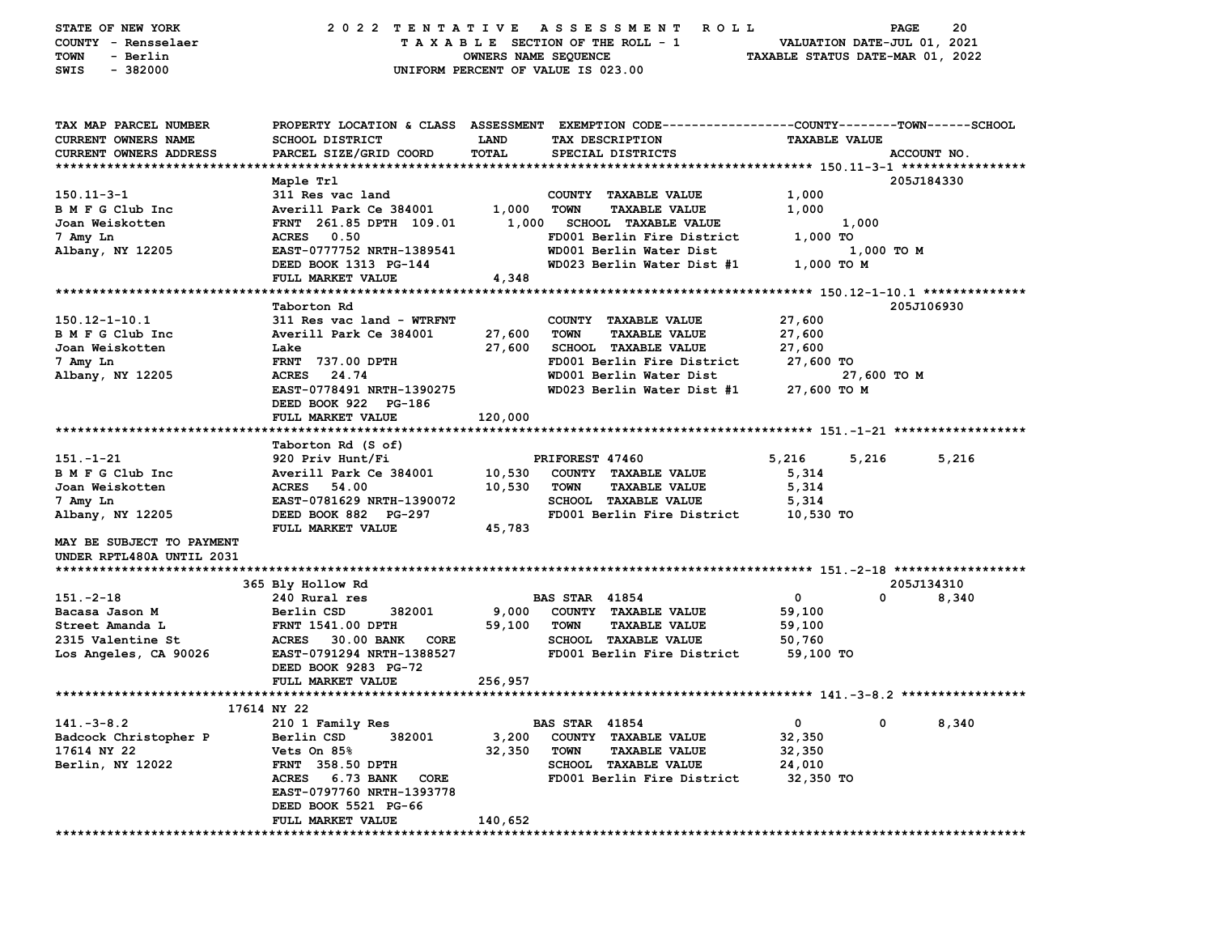|                                           |                                                                                                                                                                                                                                                                                                                                                                                                                                                                                                                                                                    |                                                                                                                        |                                                                                                                                                                                                                                                                                                                                                                                                                                                                                                                                                                                                      | PAGE                                                                                                                                                                                                                                                                                                                                                                       | 20                                                                                                                                                                                                                                                                                        |
|-------------------------------------------|--------------------------------------------------------------------------------------------------------------------------------------------------------------------------------------------------------------------------------------------------------------------------------------------------------------------------------------------------------------------------------------------------------------------------------------------------------------------------------------------------------------------------------------------------------------------|------------------------------------------------------------------------------------------------------------------------|------------------------------------------------------------------------------------------------------------------------------------------------------------------------------------------------------------------------------------------------------------------------------------------------------------------------------------------------------------------------------------------------------------------------------------------------------------------------------------------------------------------------------------------------------------------------------------------------------|----------------------------------------------------------------------------------------------------------------------------------------------------------------------------------------------------------------------------------------------------------------------------------------------------------------------------------------------------------------------------|-------------------------------------------------------------------------------------------------------------------------------------------------------------------------------------------------------------------------------------------------------------------------------------------|
|                                           |                                                                                                                                                                                                                                                                                                                                                                                                                                                                                                                                                                    |                                                                                                                        |                                                                                                                                                                                                                                                                                                                                                                                                                                                                                                                                                                                                      |                                                                                                                                                                                                                                                                                                                                                                            |                                                                                                                                                                                                                                                                                           |
|                                           |                                                                                                                                                                                                                                                                                                                                                                                                                                                                                                                                                                    |                                                                                                                        |                                                                                                                                                                                                                                                                                                                                                                                                                                                                                                                                                                                                      |                                                                                                                                                                                                                                                                                                                                                                            |                                                                                                                                                                                                                                                                                           |
|                                           |                                                                                                                                                                                                                                                                                                                                                                                                                                                                                                                                                                    |                                                                                                                        |                                                                                                                                                                                                                                                                                                                                                                                                                                                                                                                                                                                                      |                                                                                                                                                                                                                                                                                                                                                                            |                                                                                                                                                                                                                                                                                           |
|                                           |                                                                                                                                                                                                                                                                                                                                                                                                                                                                                                                                                                    |                                                                                                                        |                                                                                                                                                                                                                                                                                                                                                                                                                                                                                                                                                                                                      |                                                                                                                                                                                                                                                                                                                                                                            |                                                                                                                                                                                                                                                                                           |
|                                           |                                                                                                                                                                                                                                                                                                                                                                                                                                                                                                                                                                    |                                                                                                                        |                                                                                                                                                                                                                                                                                                                                                                                                                                                                                                                                                                                                      |                                                                                                                                                                                                                                                                                                                                                                            |                                                                                                                                                                                                                                                                                           |
|                                           |                                                                                                                                                                                                                                                                                                                                                                                                                                                                                                                                                                    |                                                                                                                        |                                                                                                                                                                                                                                                                                                                                                                                                                                                                                                                                                                                                      |                                                                                                                                                                                                                                                                                                                                                                            |                                                                                                                                                                                                                                                                                           |
|                                           |                                                                                                                                                                                                                                                                                                                                                                                                                                                                                                                                                                    |                                                                                                                        |                                                                                                                                                                                                                                                                                                                                                                                                                                                                                                                                                                                                      |                                                                                                                                                                                                                                                                                                                                                                            |                                                                                                                                                                                                                                                                                           |
|                                           |                                                                                                                                                                                                                                                                                                                                                                                                                                                                                                                                                                    |                                                                                                                        |                                                                                                                                                                                                                                                                                                                                                                                                                                                                                                                                                                                                      |                                                                                                                                                                                                                                                                                                                                                                            |                                                                                                                                                                                                                                                                                           |
|                                           |                                                                                                                                                                                                                                                                                                                                                                                                                                                                                                                                                                    |                                                                                                                        |                                                                                                                                                                                                                                                                                                                                                                                                                                                                                                                                                                                                      |                                                                                                                                                                                                                                                                                                                                                                            |                                                                                                                                                                                                                                                                                           |
| Maple Trl                                 |                                                                                                                                                                                                                                                                                                                                                                                                                                                                                                                                                                    |                                                                                                                        |                                                                                                                                                                                                                                                                                                                                                                                                                                                                                                                                                                                                      | 205J184330                                                                                                                                                                                                                                                                                                                                                                 |                                                                                                                                                                                                                                                                                           |
| 311 Res vac land                          |                                                                                                                                                                                                                                                                                                                                                                                                                                                                                                                                                                    | COUNTY TAXABLE VALUE                                                                                                   | 1,000                                                                                                                                                                                                                                                                                                                                                                                                                                                                                                                                                                                                |                                                                                                                                                                                                                                                                                                                                                                            |                                                                                                                                                                                                                                                                                           |
| Averill Park Ce 384001                    | 1,000                                                                                                                                                                                                                                                                                                                                                                                                                                                                                                                                                              | <b>TOWN</b><br><b>TAXABLE VALUE</b>                                                                                    | 1,000                                                                                                                                                                                                                                                                                                                                                                                                                                                                                                                                                                                                |                                                                                                                                                                                                                                                                                                                                                                            |                                                                                                                                                                                                                                                                                           |
| FRNT 261.85 DPTH 109.01                   |                                                                                                                                                                                                                                                                                                                                                                                                                                                                                                                                                                    | <b>SCHOOL TAXABLE VALUE</b>                                                                                            |                                                                                                                                                                                                                                                                                                                                                                                                                                                                                                                                                                                                      |                                                                                                                                                                                                                                                                                                                                                                            |                                                                                                                                                                                                                                                                                           |
| 0.50<br><b>ACRES</b>                      |                                                                                                                                                                                                                                                                                                                                                                                                                                                                                                                                                                    |                                                                                                                        | $1,000$ TO                                                                                                                                                                                                                                                                                                                                                                                                                                                                                                                                                                                           |                                                                                                                                                                                                                                                                                                                                                                            |                                                                                                                                                                                                                                                                                           |
| EAST-0777752 NRTH-1389541                 |                                                                                                                                                                                                                                                                                                                                                                                                                                                                                                                                                                    |                                                                                                                        |                                                                                                                                                                                                                                                                                                                                                                                                                                                                                                                                                                                                      |                                                                                                                                                                                                                                                                                                                                                                            |                                                                                                                                                                                                                                                                                           |
| DEED BOOK 1313 PG-144                     |                                                                                                                                                                                                                                                                                                                                                                                                                                                                                                                                                                    |                                                                                                                        |                                                                                                                                                                                                                                                                                                                                                                                                                                                                                                                                                                                                      |                                                                                                                                                                                                                                                                                                                                                                            |                                                                                                                                                                                                                                                                                           |
| FULL MARKET VALUE                         | 4,348                                                                                                                                                                                                                                                                                                                                                                                                                                                                                                                                                              |                                                                                                                        |                                                                                                                                                                                                                                                                                                                                                                                                                                                                                                                                                                                                      |                                                                                                                                                                                                                                                                                                                                                                            |                                                                                                                                                                                                                                                                                           |
|                                           |                                                                                                                                                                                                                                                                                                                                                                                                                                                                                                                                                                    |                                                                                                                        |                                                                                                                                                                                                                                                                                                                                                                                                                                                                                                                                                                                                      |                                                                                                                                                                                                                                                                                                                                                                            |                                                                                                                                                                                                                                                                                           |
| Taborton Rd                               |                                                                                                                                                                                                                                                                                                                                                                                                                                                                                                                                                                    |                                                                                                                        |                                                                                                                                                                                                                                                                                                                                                                                                                                                                                                                                                                                                      | 205J106930                                                                                                                                                                                                                                                                                                                                                                 |                                                                                                                                                                                                                                                                                           |
| 311 Res vac land - WTRFNT                 |                                                                                                                                                                                                                                                                                                                                                                                                                                                                                                                                                                    |                                                                                                                        | 27,600                                                                                                                                                                                                                                                                                                                                                                                                                                                                                                                                                                                               |                                                                                                                                                                                                                                                                                                                                                                            |                                                                                                                                                                                                                                                                                           |
|                                           |                                                                                                                                                                                                                                                                                                                                                                                                                                                                                                                                                                    |                                                                                                                        |                                                                                                                                                                                                                                                                                                                                                                                                                                                                                                                                                                                                      |                                                                                                                                                                                                                                                                                                                                                                            |                                                                                                                                                                                                                                                                                           |
|                                           |                                                                                                                                                                                                                                                                                                                                                                                                                                                                                                                                                                    |                                                                                                                        |                                                                                                                                                                                                                                                                                                                                                                                                                                                                                                                                                                                                      |                                                                                                                                                                                                                                                                                                                                                                            |                                                                                                                                                                                                                                                                                           |
|                                           |                                                                                                                                                                                                                                                                                                                                                                                                                                                                                                                                                                    |                                                                                                                        |                                                                                                                                                                                                                                                                                                                                                                                                                                                                                                                                                                                                      |                                                                                                                                                                                                                                                                                                                                                                            |                                                                                                                                                                                                                                                                                           |
|                                           |                                                                                                                                                                                                                                                                                                                                                                                                                                                                                                                                                                    |                                                                                                                        |                                                                                                                                                                                                                                                                                                                                                                                                                                                                                                                                                                                                      |                                                                                                                                                                                                                                                                                                                                                                            |                                                                                                                                                                                                                                                                                           |
|                                           |                                                                                                                                                                                                                                                                                                                                                                                                                                                                                                                                                                    |                                                                                                                        |                                                                                                                                                                                                                                                                                                                                                                                                                                                                                                                                                                                                      |                                                                                                                                                                                                                                                                                                                                                                            |                                                                                                                                                                                                                                                                                           |
|                                           |                                                                                                                                                                                                                                                                                                                                                                                                                                                                                                                                                                    |                                                                                                                        |                                                                                                                                                                                                                                                                                                                                                                                                                                                                                                                                                                                                      |                                                                                                                                                                                                                                                                                                                                                                            |                                                                                                                                                                                                                                                                                           |
|                                           |                                                                                                                                                                                                                                                                                                                                                                                                                                                                                                                                                                    |                                                                                                                        |                                                                                                                                                                                                                                                                                                                                                                                                                                                                                                                                                                                                      |                                                                                                                                                                                                                                                                                                                                                                            |                                                                                                                                                                                                                                                                                           |
|                                           |                                                                                                                                                                                                                                                                                                                                                                                                                                                                                                                                                                    |                                                                                                                        |                                                                                                                                                                                                                                                                                                                                                                                                                                                                                                                                                                                                      |                                                                                                                                                                                                                                                                                                                                                                            |                                                                                                                                                                                                                                                                                           |
|                                           |                                                                                                                                                                                                                                                                                                                                                                                                                                                                                                                                                                    |                                                                                                                        |                                                                                                                                                                                                                                                                                                                                                                                                                                                                                                                                                                                                      |                                                                                                                                                                                                                                                                                                                                                                            | 5,216                                                                                                                                                                                                                                                                                     |
|                                           |                                                                                                                                                                                                                                                                                                                                                                                                                                                                                                                                                                    |                                                                                                                        |                                                                                                                                                                                                                                                                                                                                                                                                                                                                                                                                                                                                      |                                                                                                                                                                                                                                                                                                                                                                            |                                                                                                                                                                                                                                                                                           |
|                                           |                                                                                                                                                                                                                                                                                                                                                                                                                                                                                                                                                                    |                                                                                                                        |                                                                                                                                                                                                                                                                                                                                                                                                                                                                                                                                                                                                      |                                                                                                                                                                                                                                                                                                                                                                            |                                                                                                                                                                                                                                                                                           |
|                                           |                                                                                                                                                                                                                                                                                                                                                                                                                                                                                                                                                                    |                                                                                                                        |                                                                                                                                                                                                                                                                                                                                                                                                                                                                                                                                                                                                      |                                                                                                                                                                                                                                                                                                                                                                            |                                                                                                                                                                                                                                                                                           |
|                                           |                                                                                                                                                                                                                                                                                                                                                                                                                                                                                                                                                                    |                                                                                                                        |                                                                                                                                                                                                                                                                                                                                                                                                                                                                                                                                                                                                      |                                                                                                                                                                                                                                                                                                                                                                            |                                                                                                                                                                                                                                                                                           |
|                                           |                                                                                                                                                                                                                                                                                                                                                                                                                                                                                                                                                                    |                                                                                                                        |                                                                                                                                                                                                                                                                                                                                                                                                                                                                                                                                                                                                      |                                                                                                                                                                                                                                                                                                                                                                            |                                                                                                                                                                                                                                                                                           |
|                                           |                                                                                                                                                                                                                                                                                                                                                                                                                                                                                                                                                                    |                                                                                                                        |                                                                                                                                                                                                                                                                                                                                                                                                                                                                                                                                                                                                      |                                                                                                                                                                                                                                                                                                                                                                            |                                                                                                                                                                                                                                                                                           |
|                                           |                                                                                                                                                                                                                                                                                                                                                                                                                                                                                                                                                                    |                                                                                                                        |                                                                                                                                                                                                                                                                                                                                                                                                                                                                                                                                                                                                      |                                                                                                                                                                                                                                                                                                                                                                            |                                                                                                                                                                                                                                                                                           |
|                                           |                                                                                                                                                                                                                                                                                                                                                                                                                                                                                                                                                                    |                                                                                                                        |                                                                                                                                                                                                                                                                                                                                                                                                                                                                                                                                                                                                      |                                                                                                                                                                                                                                                                                                                                                                            |                                                                                                                                                                                                                                                                                           |
|                                           |                                                                                                                                                                                                                                                                                                                                                                                                                                                                                                                                                                    |                                                                                                                        |                                                                                                                                                                                                                                                                                                                                                                                                                                                                                                                                                                                                      | 205J134310                                                                                                                                                                                                                                                                                                                                                                 |                                                                                                                                                                                                                                                                                           |
| 240 Rural res                             |                                                                                                                                                                                                                                                                                                                                                                                                                                                                                                                                                                    |                                                                                                                        | 0                                                                                                                                                                                                                                                                                                                                                                                                                                                                                                                                                                                                    | $\mathbf{0}$                                                                                                                                                                                                                                                                                                                                                               | 8,340                                                                                                                                                                                                                                                                                     |
| 382001<br>Berlin CSD                      | 9,000                                                                                                                                                                                                                                                                                                                                                                                                                                                                                                                                                              | COUNTY TAXABLE VALUE                                                                                                   | 59,100                                                                                                                                                                                                                                                                                                                                                                                                                                                                                                                                                                                               |                                                                                                                                                                                                                                                                                                                                                                            |                                                                                                                                                                                                                                                                                           |
| <b>FRNT 1541.00 DPTH</b>                  | 59,100                                                                                                                                                                                                                                                                                                                                                                                                                                                                                                                                                             | <b>TOWN</b><br><b>TAXABLE VALUE</b>                                                                                    | 59,100                                                                                                                                                                                                                                                                                                                                                                                                                                                                                                                                                                                               |                                                                                                                                                                                                                                                                                                                                                                            |                                                                                                                                                                                                                                                                                           |
| ACRES 30.00 BANK<br><b>CORE</b>           |                                                                                                                                                                                                                                                                                                                                                                                                                                                                                                                                                                    |                                                                                                                        | 50,760                                                                                                                                                                                                                                                                                                                                                                                                                                                                                                                                                                                               |                                                                                                                                                                                                                                                                                                                                                                            |                                                                                                                                                                                                                                                                                           |
| EAST-0791294 NRTH-1388527                 |                                                                                                                                                                                                                                                                                                                                                                                                                                                                                                                                                                    |                                                                                                                        | 59,100 TO                                                                                                                                                                                                                                                                                                                                                                                                                                                                                                                                                                                            |                                                                                                                                                                                                                                                                                                                                                                            |                                                                                                                                                                                                                                                                                           |
| DEED BOOK 9283 PG-72                      |                                                                                                                                                                                                                                                                                                                                                                                                                                                                                                                                                                    |                                                                                                                        |                                                                                                                                                                                                                                                                                                                                                                                                                                                                                                                                                                                                      |                                                                                                                                                                                                                                                                                                                                                                            |                                                                                                                                                                                                                                                                                           |
| FULL MARKET VALUE                         | 256,957                                                                                                                                                                                                                                                                                                                                                                                                                                                                                                                                                            |                                                                                                                        |                                                                                                                                                                                                                                                                                                                                                                                                                                                                                                                                                                                                      |                                                                                                                                                                                                                                                                                                                                                                            |                                                                                                                                                                                                                                                                                           |
|                                           |                                                                                                                                                                                                                                                                                                                                                                                                                                                                                                                                                                    |                                                                                                                        |                                                                                                                                                                                                                                                                                                                                                                                                                                                                                                                                                                                                      |                                                                                                                                                                                                                                                                                                                                                                            |                                                                                                                                                                                                                                                                                           |
|                                           |                                                                                                                                                                                                                                                                                                                                                                                                                                                                                                                                                                    |                                                                                                                        |                                                                                                                                                                                                                                                                                                                                                                                                                                                                                                                                                                                                      |                                                                                                                                                                                                                                                                                                                                                                            |                                                                                                                                                                                                                                                                                           |
|                                           |                                                                                                                                                                                                                                                                                                                                                                                                                                                                                                                                                                    |                                                                                                                        |                                                                                                                                                                                                                                                                                                                                                                                                                                                                                                                                                                                                      |                                                                                                                                                                                                                                                                                                                                                                            | 8,340                                                                                                                                                                                                                                                                                     |
|                                           |                                                                                                                                                                                                                                                                                                                                                                                                                                                                                                                                                                    |                                                                                                                        |                                                                                                                                                                                                                                                                                                                                                                                                                                                                                                                                                                                                      |                                                                                                                                                                                                                                                                                                                                                                            |                                                                                                                                                                                                                                                                                           |
|                                           |                                                                                                                                                                                                                                                                                                                                                                                                                                                                                                                                                                    |                                                                                                                        |                                                                                                                                                                                                                                                                                                                                                                                                                                                                                                                                                                                                      |                                                                                                                                                                                                                                                                                                                                                                            |                                                                                                                                                                                                                                                                                           |
|                                           |                                                                                                                                                                                                                                                                                                                                                                                                                                                                                                                                                                    |                                                                                                                        |                                                                                                                                                                                                                                                                                                                                                                                                                                                                                                                                                                                                      |                                                                                                                                                                                                                                                                                                                                                                            |                                                                                                                                                                                                                                                                                           |
|                                           |                                                                                                                                                                                                                                                                                                                                                                                                                                                                                                                                                                    |                                                                                                                        |                                                                                                                                                                                                                                                                                                                                                                                                                                                                                                                                                                                                      |                                                                                                                                                                                                                                                                                                                                                                            |                                                                                                                                                                                                                                                                                           |
|                                           |                                                                                                                                                                                                                                                                                                                                                                                                                                                                                                                                                                    |                                                                                                                        |                                                                                                                                                                                                                                                                                                                                                                                                                                                                                                                                                                                                      |                                                                                                                                                                                                                                                                                                                                                                            |                                                                                                                                                                                                                                                                                           |
|                                           |                                                                                                                                                                                                                                                                                                                                                                                                                                                                                                                                                                    |                                                                                                                        |                                                                                                                                                                                                                                                                                                                                                                                                                                                                                                                                                                                                      |                                                                                                                                                                                                                                                                                                                                                                            |                                                                                                                                                                                                                                                                                           |
| DEED BOOK 5521 PG-66<br>FULL MARKET VALUE | 140,652                                                                                                                                                                                                                                                                                                                                                                                                                                                                                                                                                            |                                                                                                                        |                                                                                                                                                                                                                                                                                                                                                                                                                                                                                                                                                                                                      |                                                                                                                                                                                                                                                                                                                                                                            |                                                                                                                                                                                                                                                                                           |
|                                           | <b>SCHOOL DISTRICT</b><br>PARCEL SIZE/GRID COORD<br>Averill Park Ce 384001<br>Lake<br><b>FRNT 737.00 DPTH</b><br>24.74<br><b>ACRES</b><br>EAST-0778491 NRTH-1390275<br>DEED BOOK 922 PG-186<br>FULL MARKET VALUE<br>Taborton Rd (S of)<br>920 Priv Hunt/Fi<br>Averill Park Ce 384001<br><b>ACRES</b><br>54.00<br>EAST-0781629 NRTH-1390072<br>DEED BOOK 882 PG-297<br>FULL MARKET VALUE<br>365 Bly Hollow Rd<br>17614 NY 22<br>210 1 Family Res<br>Berlin CSD<br>382001<br>Vets On 85%<br>FRNT 358.50 DPTH<br>ACRES 6.73 BANK<br>CORE<br>EAST-0797760 NRTH-1393778 | 2022 TENTATIVE<br><b>LAND</b><br>TOTAL<br>27,600<br>27,600<br>120,000<br>10,530<br>10,530<br>45,783<br>3,200<br>32,350 | A S S E S S M E N T<br>TAXABLE SECTION OF THE ROLL - 1<br>OWNERS NAME SEQUENCE<br>UNIFORM PERCENT OF VALUE IS 023.00<br>TAX DESCRIPTION<br>SPECIAL DISTRICTS<br>1,000<br>WD001 Berlin Water Dist<br>COUNTY TAXABLE VALUE<br><b>TOWN</b><br><b>TAXABLE VALUE</b><br>SCHOOL TAXABLE VALUE<br>WD001 Berlin Water Dist<br>PRIFOREST 47460<br>COUNTY TAXABLE VALUE<br><b>TOWN</b><br><b>TAXABLE VALUE</b><br>SCHOOL TAXABLE VALUE<br><b>BAS STAR 41854</b><br><b>SCHOOL TAXABLE VALUE</b><br><b>BAS STAR 41854</b><br>COUNTY TAXABLE VALUE<br><b>TOWN</b><br><b>TAXABLE VALUE</b><br>SCHOOL TAXABLE VALUE | <b>ROLL</b><br>FD001 Berlin Fire District<br>WD023 Berlin Water Dist #1<br>27,600<br>27,600<br>FD001 Berlin Fire District<br>27,600 TO<br>WD023 Berlin Water Dist #1<br>5,216<br>5,314<br>5,314<br>5,314<br>FD001 Berlin Fire District<br>10,530 TO<br>FD001 Berlin Fire District<br>$\mathbf{0}$<br>32,350<br>32,350<br>24,010<br>FD001 Berlin Fire District<br>32,350 TO | VALUATION DATE-JUL 01, 2021<br>TAXABLE STATUS DATE-MAR 01, 2022<br>PROPERTY LOCATION & CLASS ASSESSMENT EXEMPTION CODE---------------COUNTY-------TOWN-----SCHOOL<br><b>TAXABLE VALUE</b><br>ACCOUNT NO.<br>1,000<br>1,000 TO M<br>1,000 TO M<br>27,600 TO M<br>27,600 то м<br>5,216<br>0 |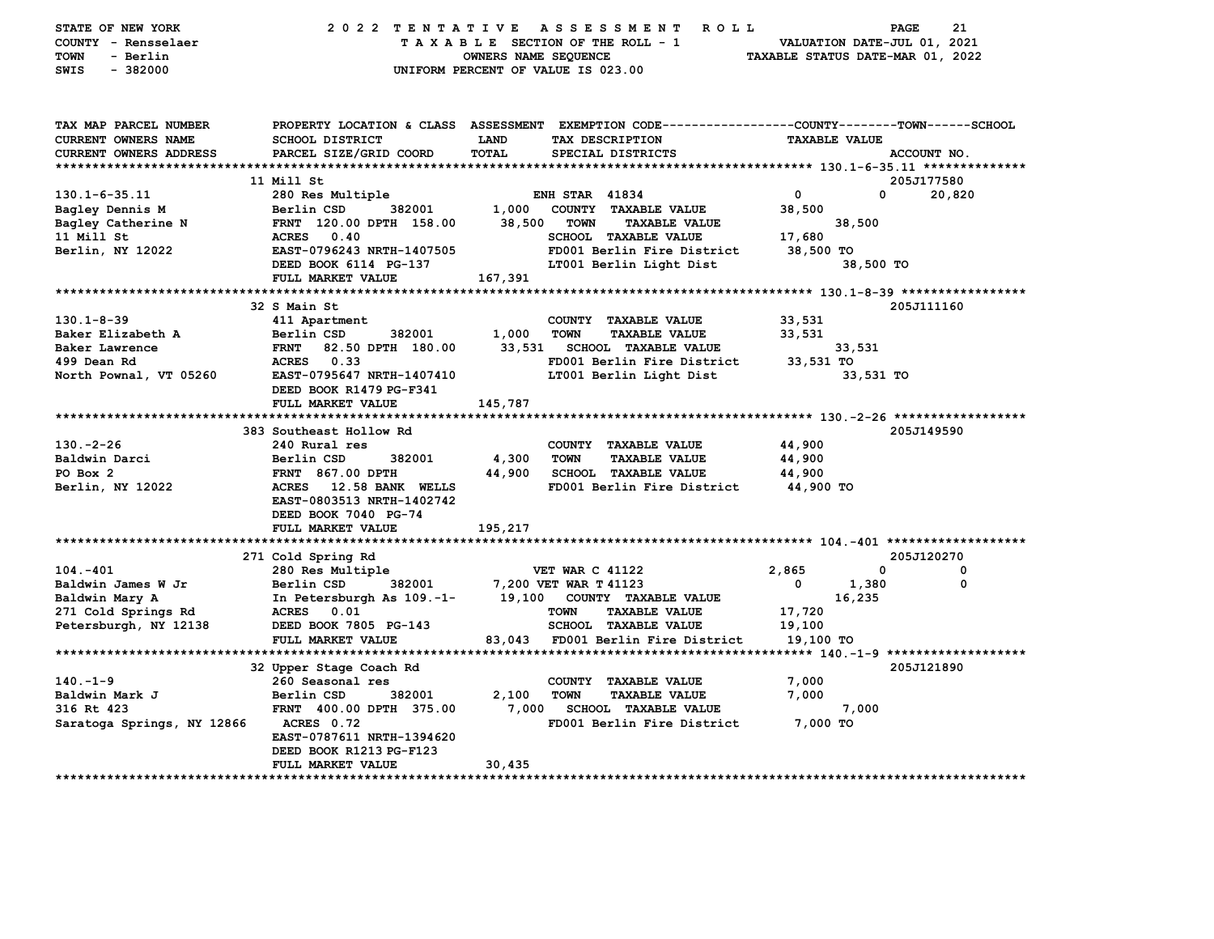| STATE OF NEW YORK<br>COUNTY - Rensselaer<br>- Berlin<br>TOWN<br>$-382000$<br>SWIS |                                                                             | OWNERS NAME SEQUENCE | 2022 TENTATIVE ASSESSMENT ROLL<br>TAXABLE SECTION OF THE ROLL - 1<br>UNIFORM PERCENT OF VALUE IS 023.00 | TAXABLE STATUS DATE-MAR 01, 2022 | PAGE<br>VALUATION DATE-JUL 01, 2021 | 21          |
|-----------------------------------------------------------------------------------|-----------------------------------------------------------------------------|----------------------|---------------------------------------------------------------------------------------------------------|----------------------------------|-------------------------------------|-------------|
| TAX MAP PARCEL NUMBER                                                             |                                                                             |                      | PROPERTY LOCATION & CLASS ASSESSMENT EXEMPTION CODE---------------COUNTY-------TOWN------SCHOOL         |                                  |                                     |             |
| CURRENT OWNERS NAME                                                               | <b>SCHOOL DISTRICT</b>                                                      | <b>LAND</b>          | TAX DESCRIPTION                                                                                         | <b>TAXABLE VALUE</b>             |                                     |             |
| CURRENT OWNERS ADDRESS                                                            | PARCEL SIZE/GRID COORD                                                      | <b>TOTAL</b>         | SPECIAL DISTRICTS                                                                                       |                                  | ACCOUNT NO.                         |             |
|                                                                                   |                                                                             |                      |                                                                                                         |                                  |                                     |             |
|                                                                                   | 11 Mill St                                                                  |                      |                                                                                                         |                                  | 205J177580                          |             |
| $130.1 - 6 - 35.11$                                                               | 280 Res Multiple                                                            |                      | <b>ENH STAR 41834</b>                                                                                   | $\mathbf 0$                      | $\mathbf 0$                         | 20,820      |
| Bagley Dennis M                                                                   | Berlin CSD<br>382001                                                        |                      | 1,000 COUNTY TAXABLE VALUE                                                                              | 38,500                           |                                     |             |
| Bagley Catherine N                                                                | FRNT 120.00 DPTH 158.00                                                     | 38,500               | <b>TOWN</b><br><b>TAXABLE VALUE</b>                                                                     |                                  | 38,500                              |             |
| 11 Mill St<br>Berlin, NY 12022                                                    | ACRES 0.40<br>EAST-0796243 NRTH-1407505                                     |                      | SCHOOL TAXABLE VALUE<br>FD001 Berlin Fire District                                                      | 17,680<br>38,500 TO              |                                     |             |
|                                                                                   | DEED BOOK 6114 PG-137                                                       |                      | LT001 Berlin Light Dist                                                                                 |                                  | 38,500 TO                           |             |
|                                                                                   | FULL MARKET VALUE                                                           | 167,391              |                                                                                                         |                                  |                                     |             |
|                                                                                   |                                                                             |                      |                                                                                                         |                                  |                                     |             |
|                                                                                   | 32 S Main St                                                                |                      |                                                                                                         |                                  | 205J111160                          |             |
| $130.1 - 8 - 39$                                                                  | 411 Apartment                                                               |                      | COUNTY TAXABLE VALUE                                                                                    | 33,531                           |                                     |             |
| Baker Elizabeth A                                                                 | Berlin CSD<br>382001                                                        | 1,000                | <b>TOWN</b><br><b>TAXABLE VALUE</b>                                                                     | 33,531                           |                                     |             |
| Baker Lawrence                                                                    | FRNT 82.50 DPTH 180.00                                                      | 33,531               | <b>SCHOOL TAXABLE VALUE</b>                                                                             |                                  | 33,531                              |             |
| 499 Dean Rd                                                                       | ACRES 0.33                                                                  |                      | FD001 Berlin Fire District                                                                              | 33,531 TO                        |                                     |             |
| North Pownal, VT 05260                                                            | EAST-0795647 NRTH-1407410                                                   |                      | LT001 Berlin Light Dist                                                                                 |                                  | 33,531 TO                           |             |
|                                                                                   | DEED BOOK R1479 PG-F341                                                     |                      |                                                                                                         |                                  |                                     |             |
|                                                                                   | FULL MARKET VALUE                                                           | 145,787              |                                                                                                         |                                  |                                     |             |
|                                                                                   |                                                                             |                      |                                                                                                         |                                  |                                     |             |
|                                                                                   | 383 Southeast Hollow Rd                                                     |                      |                                                                                                         |                                  | 205J149590                          |             |
| $130. -2 - 26$                                                                    | 240 Rural res                                                               |                      | COUNTY TAXABLE VALUE                                                                                    | 44,900                           |                                     |             |
| Baldwin Darci                                                                     | Berlin CSD<br>382001                                                        | 4,300                | <b>TOWN</b><br><b>TAXABLE VALUE</b>                                                                     | 44,900                           |                                     |             |
| PO Box 2                                                                          | <b>FRNT 867.00 DPTH</b>                                                     | 44,900               | <b>SCHOOL TAXABLE VALUE</b>                                                                             | 44,900                           |                                     |             |
| Berlin, NY 12022                                                                  | ACRES 12.58 BANK WELLS<br>EAST-0803513 NRTH-1402742<br>DEED BOOK 7040 PG-74 |                      | FD001 Berlin Fire District                                                                              | 44,900 TO                        |                                     |             |
|                                                                                   | FULL MARKET VALUE                                                           | 195,217              |                                                                                                         |                                  |                                     |             |
|                                                                                   |                                                                             |                      |                                                                                                         |                                  |                                     |             |
|                                                                                   | 271 Cold Spring Rd                                                          |                      |                                                                                                         |                                  | 205J120270                          |             |
| $104.-401$                                                                        | 280 Res Multiple                                                            |                      | <b>VET WAR C 41122</b>                                                                                  | 2,865                            | 0                                   | 0           |
| Baldwin James W Jr                                                                | Berlin CSD<br>382001                                                        |                      | 7,200 VET WAR T 41123                                                                                   | 0                                | 1,380                               | $\mathbf 0$ |
| Baldwin Mary A                                                                    | In Petersburgh As 109.-1-                                                   |                      | 19,100 COUNTY TAXABLE VALUE                                                                             |                                  | 16,235                              |             |
| 271 Cold Springs Rd                                                               | ACRES 0.01                                                                  |                      | <b>TOWN</b><br><b>TAXABLE VALUE</b>                                                                     | 17,720                           |                                     |             |
| Petersburgh, NY 12138                                                             | DEED BOOK 7805 PG-143                                                       |                      | SCHOOL TAXABLE VALUE                                                                                    | 19,100                           |                                     |             |
|                                                                                   | FULL MARKET VALUE                                                           |                      | 83,043 FD001 Berlin Fire District                                                                       | 19,100 TO                        |                                     |             |
|                                                                                   | 32 Upper Stage Coach Rd                                                     |                      |                                                                                                         |                                  | 205J121890                          |             |
| $140. - 1 - 9$                                                                    | 260 Seasonal res                                                            |                      | COUNTY TAXABLE VALUE                                                                                    | 7,000                            |                                     |             |
| Baldwin Mark J                                                                    | 382001<br>Berlin CSD                                                        | 2,100                | <b>TOWN</b><br><b>TAXABLE VALUE</b>                                                                     | 7,000                            |                                     |             |
| 316 Rt 423                                                                        | FRNT 400.00 DPTH 375.00                                                     |                      | 7,000 SCHOOL TAXABLE VALUE                                                                              |                                  | 7,000                               |             |
| Saratoga Springs, NY 12866 ACRES 0.72                                             |                                                                             |                      | FD001 Berlin Fire District                                                                              | 7,000 TO                         |                                     |             |
|                                                                                   | EAST-0787611 NRTH-1394620                                                   |                      |                                                                                                         |                                  |                                     |             |
|                                                                                   | DEED BOOK R1213 PG-F123                                                     |                      |                                                                                                         |                                  |                                     |             |
|                                                                                   | <b>FULL MARKET VALUE</b>                                                    | 30,435               |                                                                                                         |                                  |                                     |             |
| **************************                                                        |                                                                             |                      |                                                                                                         |                                  |                                     |             |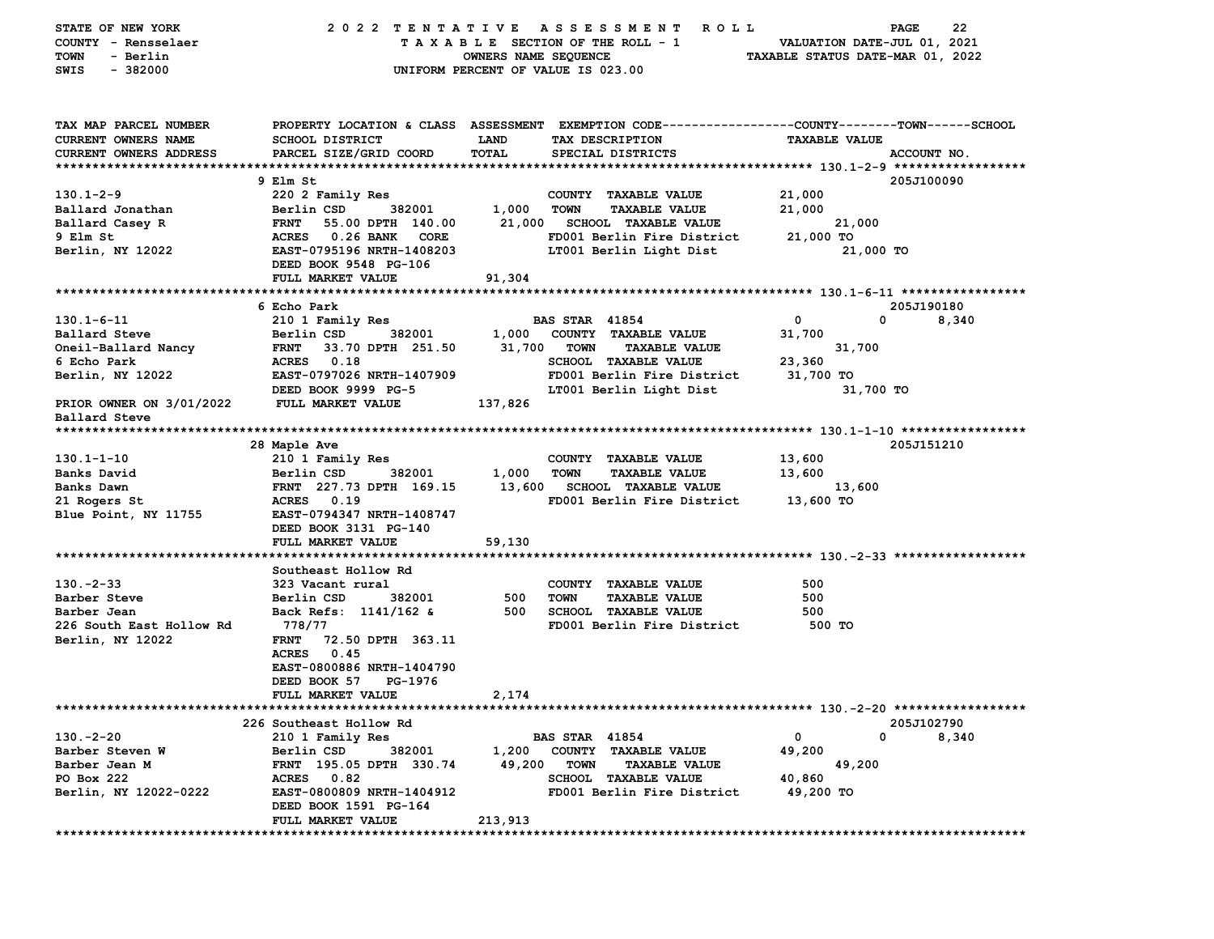| STATE OF NEW YORK<br>COUNTY - Rensselaer<br>- Berlin<br>TOWN<br>SWIS<br>$-382000$    |                                                    | 2022 TENTATIVE ASSESSMENT<br>R O L L<br>TAXABLE SECTION OF THE ROLL - 1<br>OWNERS NAME SEQUENCE<br>UNIFORM PERCENT OF VALUE IS 023.00                   | 22<br>PAGE<br>VALUATION DATE-JUL 01, 2021<br>TAXABLE STATUS DATE-MAR 01, 2022 |
|--------------------------------------------------------------------------------------|----------------------------------------------------|---------------------------------------------------------------------------------------------------------------------------------------------------------|-------------------------------------------------------------------------------|
| TAX MAP PARCEL NUMBER<br><b>CURRENT OWNERS NAME</b><br><b>CURRENT OWNERS ADDRESS</b> | <b>SCHOOL DISTRICT</b><br>PARCEL SIZE/GRID COORD   | PROPERTY LOCATION & CLASS ASSESSMENT EXEMPTION CODE---------------COUNTY-------TOWN-----SCHOOL<br>LAND<br>TAX DESCRIPTION<br>TOTAL<br>SPECIAL DISTRICTS | <b>TAXABLE VALUE</b><br>ACCOUNT NO.                                           |
|                                                                                      | 9 Elm St                                           |                                                                                                                                                         | 205J100090                                                                    |
| $130.1 - 2 - 9$                                                                      | 220 2 Family Res                                   | COUNTY TAXABLE VALUE                                                                                                                                    | 21,000                                                                        |
| Ballard Jonathan                                                                     | Berlin CSD<br>382001                               | 1,000<br><b>TOWN</b><br><b>TAXABLE VALUE</b>                                                                                                            | 21,000                                                                        |
| Ballard Casey R                                                                      | <b>FRNT</b><br>55.00 DPTH 140.00                   | 21,000<br><b>SCHOOL TAXABLE VALUE</b>                                                                                                                   | 21,000                                                                        |
| 9 Elm St                                                                             | <b>ACRES</b><br>0.26 BANK<br><b>CORE</b>           | FD001 Berlin Fire District                                                                                                                              | 21,000 TO                                                                     |
| Berlin, NY 12022                                                                     | EAST-0795196 NRTH-1408203<br>DEED BOOK 9548 PG-106 | LT001 Berlin Light Dist                                                                                                                                 | 21,000 TO                                                                     |
|                                                                                      | FULL MARKET VALUE                                  | 91,304                                                                                                                                                  |                                                                               |
|                                                                                      | 6 Echo Park                                        |                                                                                                                                                         | 205J190180                                                                    |
| $130.1 - 6 - 11$                                                                     | 210 1 Family Res                                   | <b>BAS STAR 41854</b>                                                                                                                                   | $\mathbf{o}$<br>0<br>8,340                                                    |
| Ballard Steve                                                                        | Berlin CSD<br>382001                               | 1,000<br>COUNTY TAXABLE VALUE                                                                                                                           | 31,700                                                                        |
| Oneil-Ballard Nancy                                                                  | 33.70 DPTH 251.50<br><b>FRNT</b>                   | 31,700<br><b>TOWN</b><br><b>TAXABLE VALUE</b>                                                                                                           | 31,700                                                                        |
| 6 Echo Park                                                                          | 0.18<br><b>ACRES</b>                               | SCHOOL TAXABLE VALUE                                                                                                                                    | 23,360                                                                        |
| Berlin, NY 12022                                                                     | EAST-0797026 NRTH-1407909                          | FD001 Berlin Fire District                                                                                                                              | 31,700 TO                                                                     |
|                                                                                      | DEED BOOK 9999 PG-5                                | LT001 Berlin Light Dist                                                                                                                                 | 31,700 TO                                                                     |
| PRIOR OWNER ON 3/01/2022<br>Ballard Steve                                            | FULL MARKET VALUE                                  | 137,826                                                                                                                                                 |                                                                               |
|                                                                                      |                                                    |                                                                                                                                                         | 205J151210                                                                    |
| $130.1 - 1 - 10$                                                                     | 28 Maple Ave<br>210 1 Family Res                   | COUNTY TAXABLE VALUE                                                                                                                                    | 13,600                                                                        |
| Banks David                                                                          | Berlin CSD<br>382001                               | 1,000<br><b>TOWN</b><br><b>TAXABLE VALUE</b>                                                                                                            | 13,600                                                                        |
| Banks Dawn                                                                           | FRNT 227.73 DPTH 169.15                            | 13,600<br><b>SCHOOL TAXABLE VALUE</b>                                                                                                                   | 13,600                                                                        |
| 21 Rogers St                                                                         | <b>ACRES</b><br>0.19                               | FD001 Berlin Fire District                                                                                                                              | 13,600 TO                                                                     |
| Blue Point, NY 11755                                                                 | EAST-0794347 NRTH-1408747                          |                                                                                                                                                         |                                                                               |
|                                                                                      | DEED BOOK 3131 PG-140                              |                                                                                                                                                         |                                                                               |
|                                                                                      | FULL MARKET VALUE                                  | 59,130                                                                                                                                                  |                                                                               |
|                                                                                      |                                                    |                                                                                                                                                         |                                                                               |
|                                                                                      | Southeast Hollow Rd                                |                                                                                                                                                         |                                                                               |
| $130. -2 - 33$<br>Barber Steve                                                       | 323 Vacant rural<br>Berlin CSD<br>382001           | COUNTY TAXABLE VALUE<br>500<br><b>TOWN</b><br><b>TAXABLE VALUE</b>                                                                                      | 500<br>500                                                                    |
| Barber Jean                                                                          | Back Refs: 1141/162 &                              | 500<br><b>SCHOOL TAXABLE VALUE</b>                                                                                                                      | 500                                                                           |
| 226 South East Hollow Rd                                                             | 778/77                                             | FD001 Berlin Fire District                                                                                                                              | 500 TO                                                                        |
| Berlin, NY 12022                                                                     | <b>FRNT</b><br>72.50 DPTH 363.11                   |                                                                                                                                                         |                                                                               |
|                                                                                      | <b>ACRES</b><br>0.45                               |                                                                                                                                                         |                                                                               |
|                                                                                      | EAST-0800886 NRTH-1404790                          |                                                                                                                                                         |                                                                               |
|                                                                                      | DEED BOOK 57<br>PG-1976                            |                                                                                                                                                         |                                                                               |
|                                                                                      | FULL MARKET VALUE                                  | 2,174                                                                                                                                                   |                                                                               |
|                                                                                      | 226 Southeast Hollow Rd                            |                                                                                                                                                         | 205J102790                                                                    |
| $130. -2 - 20$                                                                       | 210 1 Family Res                                   | <b>BAS STAR 41854</b>                                                                                                                                   | $\mathbf{o}$<br>0<br>8,340                                                    |
| Barber Steven W                                                                      | Berlin CSD<br>382001                               | 1,200<br>COUNTY TAXABLE VALUE                                                                                                                           | 49,200                                                                        |
| Barber Jean M                                                                        | FRNT 195.05 DPTH 330.74                            | 49,200<br><b>TOWN</b><br><b>TAXABLE VALUE</b>                                                                                                           | 49,200                                                                        |
| PO Box 222                                                                           | ACRES 0.82                                         | SCHOOL TAXABLE VALUE                                                                                                                                    | 40,860                                                                        |
| Berlin, NY 12022-0222                                                                | EAST-0800809 NRTH-1404912                          | FD001 Berlin Fire District                                                                                                                              | 49,200 TO                                                                     |
|                                                                                      | DEED BOOK 1591 PG-164                              |                                                                                                                                                         |                                                                               |
|                                                                                      | FULL MARKET VALUE                                  | 213,913                                                                                                                                                 |                                                                               |
|                                                                                      |                                                    |                                                                                                                                                         |                                                                               |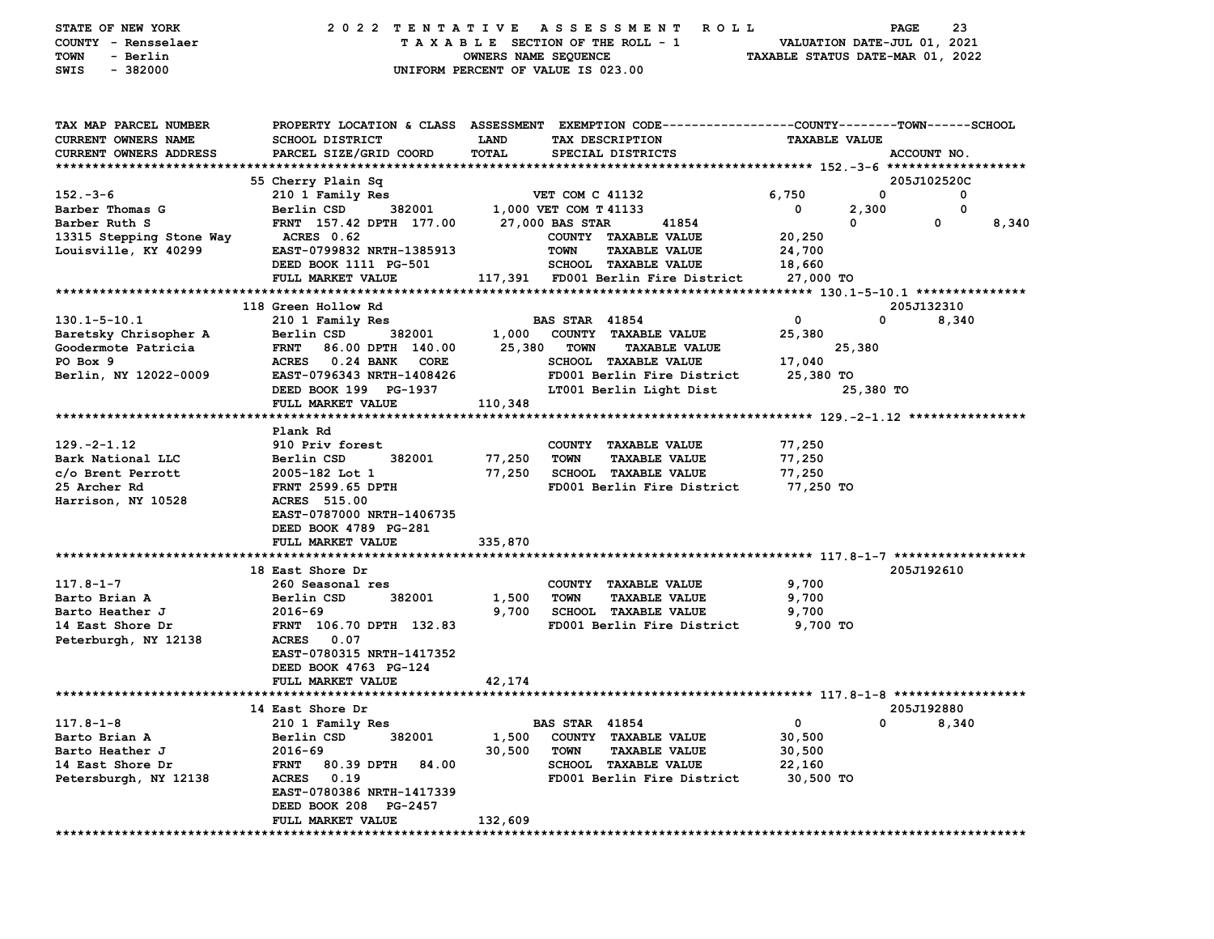| STATE OF NEW YORK<br>COUNTY - Rensselaer<br>- Berlin<br>TOWN<br>$-382000$<br>SWIS | 2022 TENTATIVE<br>A S S E S S M E N T<br><b>ROLL</b><br>TAXABLE SECTION OF THE ROLL - 1<br>OWNERS NAME SEQUENCE<br>UNIFORM PERCENT OF VALUE IS 023.00 |                  |                        |                                                     | 23<br>PAGE<br>VALUATION DATE-JUL 01, 2021<br>TAXABLE STATUS DATE-MAR 01, 2022 |           |             |       |
|-----------------------------------------------------------------------------------|-------------------------------------------------------------------------------------------------------------------------------------------------------|------------------|------------------------|-----------------------------------------------------|-------------------------------------------------------------------------------|-----------|-------------|-------|
|                                                                                   |                                                                                                                                                       |                  |                        |                                                     |                                                                               |           |             |       |
| TAX MAP PARCEL NUMBER<br>CURRENT OWNERS NAME                                      | PROPERTY LOCATION & CLASS ASSESSMENT EXEMPTION CODE---------------COUNTY-------TOWN------SCHOOL<br><b>SCHOOL DISTRICT</b>                             | LAND             |                        |                                                     | <b>TAXABLE VALUE</b>                                                          |           |             |       |
|                                                                                   | PARCEL SIZE/GRID COORD                                                                                                                                | TOTAL            |                        | TAX DESCRIPTION<br>SPECIAL DISTRICTS                |                                                                               |           | ACCOUNT NO. |       |
| CURRENT OWNERS ADDRESS                                                            |                                                                                                                                                       |                  |                        |                                                     |                                                                               |           |             |       |
|                                                                                   | 55 Cherry Plain Sq                                                                                                                                    |                  |                        |                                                     |                                                                               |           | 205J102520C |       |
| $152 - 3 - 6$                                                                     | 210 1 Family Res                                                                                                                                      |                  | <b>VET COM C 41132</b> |                                                     | 6,750                                                                         | 0         | 0           |       |
| Barber Thomas G                                                                   | Berlin CSD<br>382001                                                                                                                                  |                  | 1,000 VET COM T 41133  |                                                     | 0                                                                             | 2,300     | $\mathbf 0$ |       |
| Barber Ruth S<br>13315 Stepping Stone Way                                         | FRNT 157.42 DPTH 177.00<br>ACRES 0.62                                                                                                                 |                  | 27,000 BAS STAR        | 41854<br>COUNTY TAXABLE VALUE                       | 20,250                                                                        | 0         | 0           | 8,340 |
| Louisville, KY 40299                                                              | EAST-0799832 NRTH-1385913                                                                                                                             |                  | <b>TOWN</b>            | <b>TAXABLE VALUE</b>                                | 24,700                                                                        |           |             |       |
|                                                                                   | DEED BOOK 1111 PG-501                                                                                                                                 |                  |                        | SCHOOL TAXABLE VALUE                                | 18,660                                                                        |           |             |       |
|                                                                                   | FULL MARKET VALUE                                                                                                                                     |                  |                        | 117,391 FD001 Berlin Fire District                  | 27,000 TO                                                                     |           |             |       |
|                                                                                   |                                                                                                                                                       |                  |                        |                                                     |                                                                               |           |             |       |
|                                                                                   | 118 Green Hollow Rd                                                                                                                                   |                  |                        |                                                     |                                                                               |           | 205J132310  |       |
| $130.1 - 5 - 10.1$                                                                | 210 1 Family Res                                                                                                                                      |                  | <b>BAS STAR 41854</b>  |                                                     | 0                                                                             | 0         | 8,340       |       |
| Baretsky Chrisopher A                                                             | Berlin CSD<br>382001                                                                                                                                  | 1,000            |                        | COUNTY TAXABLE VALUE                                | 25,380                                                                        |           |             |       |
| Goodermote Patricia                                                               | <b>FRNT</b><br>86.00 DPTH 140.00                                                                                                                      | 25,380           | <b>TOWN</b>            | <b>TAXABLE VALUE</b>                                |                                                                               | 25,380    |             |       |
| PO Box 9                                                                          | <b>ACRES</b><br>0.24 BANK<br>CORE                                                                                                                     |                  |                        | <b>SCHOOL TAXABLE VALUE</b>                         | 17,040                                                                        |           |             |       |
| Berlin, NY 12022-0009                                                             | EAST-0796343 NRTH-1408426                                                                                                                             |                  |                        | FD001 Berlin Fire District                          | 25,380 TO                                                                     |           |             |       |
|                                                                                   | DEED BOOK 199 PG-1937                                                                                                                                 |                  |                        | LT001 Berlin Light Dist                             |                                                                               | 25,380 TO |             |       |
|                                                                                   | FULL MARKET VALUE                                                                                                                                     | 110,348          |                        |                                                     |                                                                               |           |             |       |
|                                                                                   |                                                                                                                                                       |                  |                        |                                                     |                                                                               |           |             |       |
|                                                                                   | Plank Rd                                                                                                                                              |                  |                        |                                                     |                                                                               |           |             |       |
| $129. -2 - 1.12$                                                                  | 910 Priv forest                                                                                                                                       |                  |                        | COUNTY TAXABLE VALUE                                | 77,250                                                                        |           |             |       |
| Bark National LLC<br>c/o Brent Perrott                                            | Berlin CSD<br>382001<br>2005-182 Lot 1                                                                                                                | 77,250<br>77,250 | <b>TOWN</b>            | <b>TAXABLE VALUE</b><br><b>SCHOOL TAXABLE VALUE</b> | 77,250                                                                        |           |             |       |
| 25 Archer Rd                                                                      | FRNT 2599.65 DPTH                                                                                                                                     |                  |                        | FD001 Berlin Fire District                          | 77,250<br>77,250 TO                                                           |           |             |       |
| Harrison, NY 10528                                                                | ACRES 515.00                                                                                                                                          |                  |                        |                                                     |                                                                               |           |             |       |
|                                                                                   | EAST-0787000 NRTH-1406735                                                                                                                             |                  |                        |                                                     |                                                                               |           |             |       |
|                                                                                   | DEED BOOK 4789 PG-281                                                                                                                                 |                  |                        |                                                     |                                                                               |           |             |       |
|                                                                                   | FULL MARKET VALUE                                                                                                                                     | 335,870          |                        |                                                     |                                                                               |           |             |       |
|                                                                                   |                                                                                                                                                       |                  |                        |                                                     |                                                                               |           |             |       |
|                                                                                   | 18 East Shore Dr                                                                                                                                      |                  |                        |                                                     |                                                                               |           | 205J192610  |       |
| $117.8 - 1 - 7$                                                                   | 260 Seasonal res                                                                                                                                      |                  |                        | COUNTY TAXABLE VALUE                                | 9,700                                                                         |           |             |       |
| Barto Brian A                                                                     | Berlin CSD<br>382001                                                                                                                                  | 1,500            | <b>TOWN</b>            | <b>TAXABLE VALUE</b>                                | 9,700                                                                         |           |             |       |
| Barto Heather J                                                                   | 2016-69                                                                                                                                               | 9,700            |                        | <b>SCHOOL TAXABLE VALUE</b>                         | 9,700                                                                         |           |             |       |
| 14 East Shore Dr                                                                  | FRNT 106.70 DPTH 132.83                                                                                                                               |                  |                        | FD001 Berlin Fire District                          | 9,700 TO                                                                      |           |             |       |
| Peterburgh, NY 12138                                                              | <b>ACRES</b><br>0.07                                                                                                                                  |                  |                        |                                                     |                                                                               |           |             |       |
|                                                                                   | EAST-0780315 NRTH-1417352                                                                                                                             |                  |                        |                                                     |                                                                               |           |             |       |
|                                                                                   | DEED BOOK 4763 PG-124                                                                                                                                 |                  |                        |                                                     |                                                                               |           |             |       |
|                                                                                   | FULL MARKET VALUE                                                                                                                                     | 42,174           |                        |                                                     |                                                                               |           |             |       |
|                                                                                   |                                                                                                                                                       |                  |                        |                                                     |                                                                               |           | 205J192880  |       |
| $117.8 - 1 - 8$                                                                   | 14 East Shore Dr<br>210 1 Family Res                                                                                                                  |                  | <b>BAS STAR 41854</b>  |                                                     | 0                                                                             | 0         | 8,340       |       |
| Barto Brian A                                                                     | Berlin CSD<br>382001                                                                                                                                  | 1,500            |                        | COUNTY TAXABLE VALUE                                | 30,500                                                                        |           |             |       |
| Barto Heather J                                                                   | 2016-69                                                                                                                                               | 30,500           | <b>TOWN</b>            | <b>TAXABLE VALUE</b>                                | 30,500                                                                        |           |             |       |
| 14 East Shore Dr                                                                  | <b>FRNT</b><br>80.39 DPTH<br>84.00                                                                                                                    |                  |                        | <b>SCHOOL TAXABLE VALUE</b>                         | 22,160                                                                        |           |             |       |
| Petersburgh, NY 12138                                                             | 0.19<br><b>ACRES</b>                                                                                                                                  |                  |                        | FD001 Berlin Fire District                          | 30,500 TO                                                                     |           |             |       |
|                                                                                   | EAST-0780386 NRTH-1417339                                                                                                                             |                  |                        |                                                     |                                                                               |           |             |       |
|                                                                                   | DEED BOOK 208 PG-2457                                                                                                                                 |                  |                        |                                                     |                                                                               |           |             |       |
|                                                                                   | FULL MARKET VALUE                                                                                                                                     | 132,609          |                        |                                                     |                                                                               |           |             |       |
|                                                                                   |                                                                                                                                                       |                  |                        |                                                     |                                                                               |           |             |       |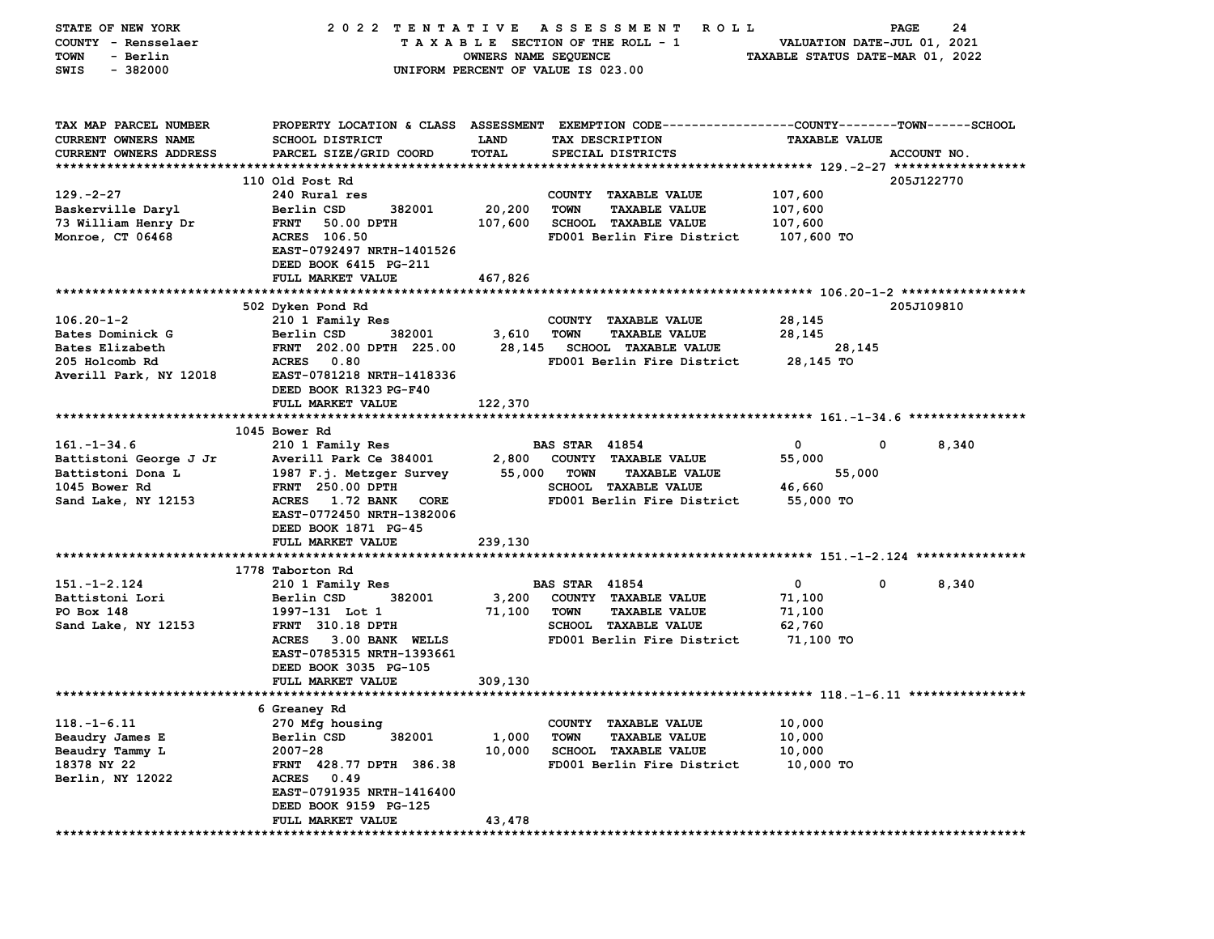| STATE OF NEW YORK      | 2022 TENTATIVE                             |                      | A S S E S S M E N T R O L L                                                                    |                                  | 24<br><b>PAGE</b>    |
|------------------------|--------------------------------------------|----------------------|------------------------------------------------------------------------------------------------|----------------------------------|----------------------|
| COUNTY - Rensselaer    |                                            |                      | TAXABLE SECTION OF THE ROLL - 1                                                                | VALUATION DATE-JUL 01, 2021      |                      |
| - Berlin<br>TOWN       |                                            | OWNERS NAME SEQUENCE |                                                                                                | TAXABLE STATUS DATE-MAR 01, 2022 |                      |
| $-382000$<br>SWIS      |                                            |                      | UNIFORM PERCENT OF VALUE IS 023.00                                                             |                                  |                      |
|                        |                                            |                      |                                                                                                |                                  |                      |
|                        |                                            |                      |                                                                                                |                                  |                      |
| TAX MAP PARCEL NUMBER  |                                            |                      | PROPERTY LOCATION & CLASS ASSESSMENT EXEMPTION CODE---------------COUNTY-------TOWN-----SCHOOL |                                  |                      |
| CURRENT OWNERS NAME    | <b>SCHOOL DISTRICT</b>                     | <b>LAND</b>          | TAX DESCRIPTION                                                                                | <b>TAXABLE VALUE</b>             |                      |
| CURRENT OWNERS ADDRESS | PARCEL SIZE/GRID COORD                     | TOTAL                | SPECIAL DISTRICTS                                                                              |                                  | ACCOUNT NO.          |
|                        |                                            |                      |                                                                                                |                                  |                      |
|                        | 110 Old Post Rd                            |                      |                                                                                                |                                  | 205J122770           |
| $129. -2 - 27$         | 240 Rural res                              |                      | COUNTY TAXABLE VALUE                                                                           | 107,600                          |                      |
|                        |                                            |                      | <b>TAXABLE VALUE</b>                                                                           |                                  |                      |
| Baskerville Daryl      | Berlin CSD<br>382001                       | 20,200               | TOWN                                                                                           | 107,600                          |                      |
| 73 William Henry Dr    | <b>FRNT</b><br>50.00 DPTH                  | 107,600              | <b>SCHOOL TAXABLE VALUE</b>                                                                    | 107,600                          |                      |
| Monroe, CT 06468       | ACRES 106.50                               |                      | FD001 Berlin Fire District 107,600 TO                                                          |                                  |                      |
|                        | EAST-0792497 NRTH-1401526                  |                      |                                                                                                |                                  |                      |
|                        | DEED BOOK 6415 PG-211                      |                      |                                                                                                |                                  |                      |
|                        | FULL MARKET VALUE                          | 467,826              |                                                                                                |                                  |                      |
|                        |                                            |                      |                                                                                                |                                  |                      |
|                        | 502 Dyken Pond Rd                          |                      |                                                                                                |                                  | 205J109810           |
| $106.20 - 1 - 2$       | 210 1 Family Res                           |                      | COUNTY TAXABLE VALUE                                                                           | 28,145                           |                      |
| Bates Dominick G       | Berlin CSD<br>382001                       | 3,610                | TOWN<br><b>TAXABLE VALUE</b>                                                                   | 28,145                           |                      |
| Bates Elizabeth        | FRNT 202.00 DPTH 225.00                    |                      | 28,145 SCHOOL TAXABLE VALUE                                                                    | 28,145                           |                      |
| 205 Holcomb Rd         | ACRES 0.80                                 |                      | FD001 Berlin Fire District                                                                     | 28,145 TO                        |                      |
| Averill Park, NY 12018 | EAST-0781218 NRTH-1418336                  |                      |                                                                                                |                                  |                      |
|                        | DEED BOOK R1323 PG-F40                     |                      |                                                                                                |                                  |                      |
|                        | FULL MARKET VALUE                          | 122,370              |                                                                                                |                                  |                      |
|                        |                                            |                      |                                                                                                |                                  |                      |
|                        | 1045 Bower Rd                              |                      |                                                                                                |                                  |                      |
| $161. - 1 - 34.6$      | 210 1 Family Res                           |                      | <b>BAS STAR 41854</b>                                                                          | 0                                | $\mathbf 0$<br>8,340 |
| Battistoni George J Jr | Averill Park Ce 384001                     | 2,800                | COUNTY TAXABLE VALUE                                                                           | 55,000                           |                      |
| Battistoni Dona L      | 1987 F.j. Metzger Survey                   |                      | 55,000 TOWN<br><b>TAXABLE VALUE</b>                                                            | 55,000                           |                      |
| 1045 Bower Rd          | <b>FRNT 250.00 DPTH</b>                    |                      | <b>SCHOOL TAXABLE VALUE</b>                                                                    | 46,660                           |                      |
| Sand Lake, NY 12153    | ACRES 1.72 BANK CORE                       |                      | FD001 Berlin Fire District                                                                     | 55,000 TO                        |                      |
|                        | EAST-0772450 NRTH-1382006                  |                      |                                                                                                |                                  |                      |
|                        |                                            |                      |                                                                                                |                                  |                      |
|                        | DEED BOOK 1871 PG-45                       |                      |                                                                                                |                                  |                      |
|                        | FULL MARKET VALUE                          | 239,130              |                                                                                                |                                  |                      |
|                        |                                            |                      |                                                                                                |                                  |                      |
|                        |                                            |                      |                                                                                                |                                  |                      |
|                        | 1778 Taborton Rd                           |                      |                                                                                                |                                  |                      |
| $151. - 1 - 2.124$     | 210 1 Family Res                           |                      | <b>BAS STAR 41854</b>                                                                          | $\mathbf{0}$                     | $\mathbf 0$<br>8,340 |
| Battistoni Lori        | Berlin CSD<br>382001                       | 3,200                | COUNTY TAXABLE VALUE                                                                           | 71,100                           |                      |
| PO Box 148             | 1997-131 Lot 1                             | 71,100               | TOWN<br><b>TAXABLE VALUE</b>                                                                   | 71,100                           |                      |
| Sand Lake, NY 12153    | <b>FRNT</b> 310.18 DPTH                    |                      | SCHOOL TAXABLE VALUE                                                                           | 62,760                           |                      |
|                        | ACRES 3.00 BANK WELLS                      |                      | FD001 Berlin Fire District                                                                     | 71,100 TO                        |                      |
|                        | EAST-0785315 NRTH-1393661                  |                      |                                                                                                |                                  |                      |
|                        | DEED BOOK 3035 PG-105                      |                      |                                                                                                |                                  |                      |
|                        | <b>FULL MARKET VALUE</b>                   | 309,130              |                                                                                                |                                  |                      |
|                        |                                            |                      |                                                                                                |                                  |                      |
|                        | 6 Greaney Rd                               |                      |                                                                                                |                                  |                      |
| $118. - 1 - 6.11$      | 270 Mfg housing                            |                      | COUNTY TAXABLE VALUE                                                                           | 10,000                           |                      |
| Beaudry James E        | Berlin CSD<br>382001                       | 1,000                | <b>TOWN</b><br><b>TAXABLE VALUE</b>                                                            | 10,000                           |                      |
| Beaudry Tammy L        | $2007 - 28$                                | 10,000               | <b>SCHOOL TAXABLE VALUE</b>                                                                    | 10,000                           |                      |
| 18378 NY 22            | FRNT 428.77 DPTH 386.38                    |                      | FD001 Berlin Fire District                                                                     | 10,000 TO                        |                      |
|                        | <b>ACRES</b><br>0.49                       |                      |                                                                                                |                                  |                      |
| Berlin, NY 12022       | EAST-0791935 NRTH-1416400                  |                      |                                                                                                |                                  |                      |
|                        |                                            |                      |                                                                                                |                                  |                      |
|                        | DEED BOOK 9159 PG-125<br>FULL MARKET VALUE | 43,478               |                                                                                                |                                  |                      |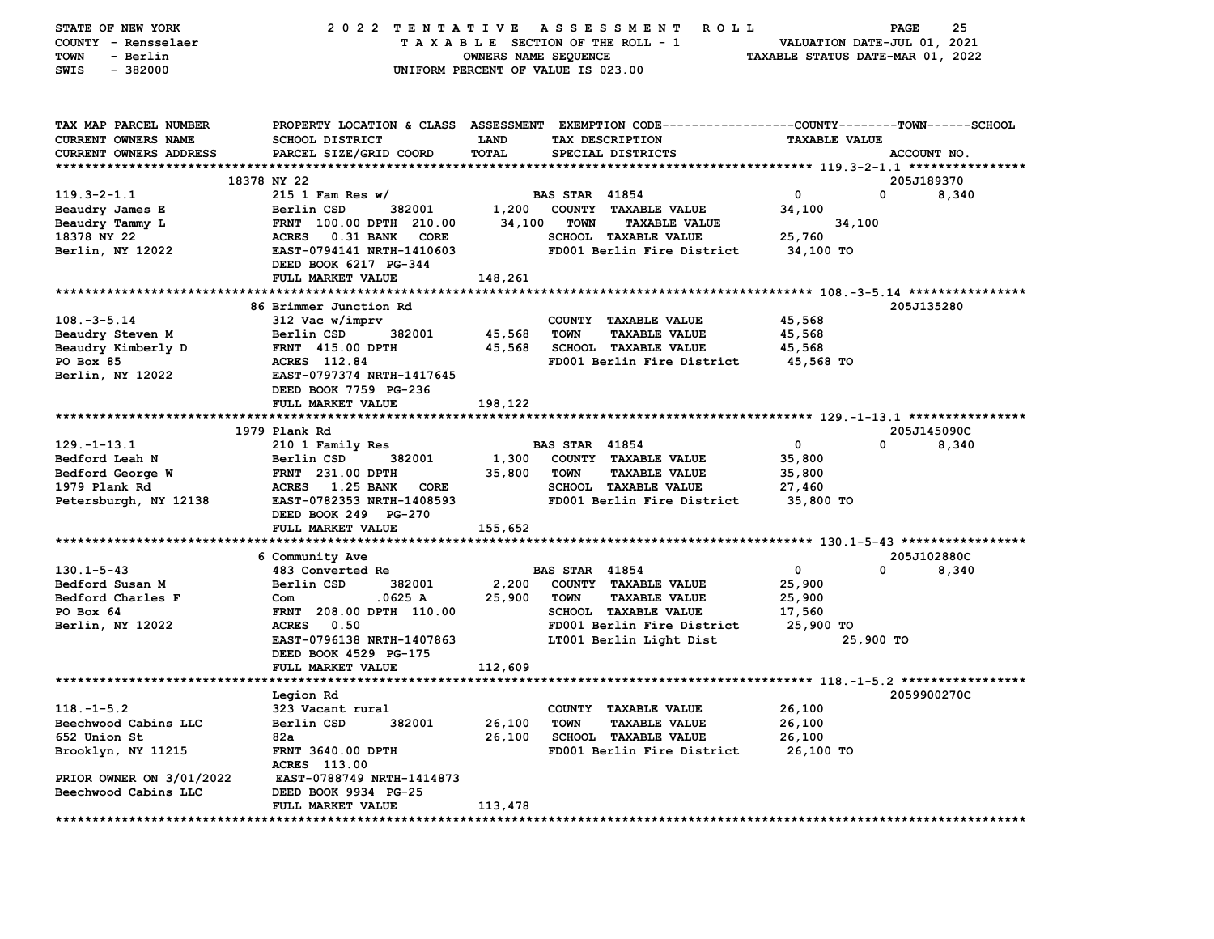| STATE OF NEW YORK<br>COUNTY - Rensselaer<br>- Berlin<br>TOWN<br>$-382000$<br>SWIS | 2022 TENTATIVE                                               | OWNERS NAME SEQUENCE | <b>ASSESSMENT</b><br><b>ROLL</b><br>TAXABLE SECTION OF THE ROLL - 1<br>UNIFORM PERCENT OF VALUE IS 023.00                               | TAXABLE STATUS DATE-MAR 01, 2022 | 25<br>PAGE<br>VALUATION DATE-JUL 01, 2021 |
|-----------------------------------------------------------------------------------|--------------------------------------------------------------|----------------------|-----------------------------------------------------------------------------------------------------------------------------------------|----------------------------------|-------------------------------------------|
| TAX MAP PARCEL NUMBER<br><b>CURRENT OWNERS NAME</b><br>CURRENT OWNERS ADDRESS     | SCHOOL DISTRICT<br>PARCEL SIZE/GRID COORD                    | LAND<br>TOTAL        | PROPERTY LOCATION & CLASS ASSESSMENT EXEMPTION CODE---------------COUNTY-------TOWN------SCHOOL<br>TAX DESCRIPTION<br>SPECIAL DISTRICTS | <b>TAXABLE VALUE</b>             | ACCOUNT NO.                               |
|                                                                                   | 18378 NY 22                                                  |                      |                                                                                                                                         |                                  | 205J189370                                |
| $119.3 - 2 - 1.1$                                                                 | $215$ 1 Fam Res w/                                           |                      | <b>BAS STAR 41854</b>                                                                                                                   | 0                                | 0<br>8,340                                |
| Beaudry James E                                                                   | Berlin CSD<br>382001                                         | 1,200                | COUNTY TAXABLE VALUE                                                                                                                    | 34,100                           |                                           |
| Beaudry Tammy L<br>18378 NY 22                                                    | FRNT 100.00 DPTH 210.00<br><b>ACRES</b><br>0.31 BANK<br>CORE | 34,100               | <b>TOWN</b><br><b>TAXABLE VALUE</b><br><b>SCHOOL TAXABLE VALUE</b>                                                                      | 34,100<br>25,760                 |                                           |
| Berlin, NY 12022                                                                  | EAST-0794141 NRTH-1410603                                    |                      | FD001 Berlin Fire District                                                                                                              | 34,100 TO                        |                                           |
|                                                                                   | DEED BOOK 6217 PG-344                                        |                      |                                                                                                                                         |                                  |                                           |
|                                                                                   | FULL MARKET VALUE                                            | 148,261              |                                                                                                                                         |                                  |                                           |
|                                                                                   |                                                              |                      |                                                                                                                                         |                                  |                                           |
| $108. - 3 - 5.14$                                                                 | 86 Brimmer Junction Rd<br>312 Vac w/imprv                    |                      |                                                                                                                                         |                                  | 205J135280                                |
| Beaudry Steven M                                                                  | 382001<br>Berlin CSD                                         | 45,568               | COUNTY TAXABLE VALUE<br><b>TOWN</b><br><b>TAXABLE VALUE</b>                                                                             | 45,568<br>45,568                 |                                           |
| Beaudry Kimberly D                                                                | <b>FRNT 415.00 DPTH</b>                                      | 45,568               | <b>SCHOOL TAXABLE VALUE</b>                                                                                                             | 45,568                           |                                           |
| PO Box 85                                                                         | ACRES 112.84                                                 |                      | FD001 Berlin Fire District                                                                                                              | 45,568 TO                        |                                           |
| Berlin, NY 12022                                                                  | EAST-0797374 NRTH-1417645                                    |                      |                                                                                                                                         |                                  |                                           |
|                                                                                   | DEED BOOK 7759 PG-236                                        |                      |                                                                                                                                         |                                  |                                           |
|                                                                                   | FULL MARKET VALUE                                            | 198,122              |                                                                                                                                         |                                  |                                           |
|                                                                                   |                                                              |                      |                                                                                                                                         |                                  |                                           |
| $129. - 1 - 13.1$                                                                 | 1979 Plank Rd                                                |                      | <b>BAS STAR 41854</b>                                                                                                                   | 0                                | 205J145090C<br>0<br>8,340                 |
| Bedford Leah N                                                                    | 210 1 Family Res<br>Berlin CSD<br>382001                     | 1,300                | COUNTY TAXABLE VALUE                                                                                                                    | 35,800                           |                                           |
| Bedford George W                                                                  | <b>FRNT</b> 231.00 DPTH                                      | 35,800               | <b>TOWN</b><br><b>TAXABLE VALUE</b>                                                                                                     | 35,800                           |                                           |
| 1979 Plank Rd                                                                     | <b>ACRES</b><br><b>1.25 BANK</b><br><b>CORE</b>              |                      | SCHOOL TAXABLE VALUE                                                                                                                    | 27,460                           |                                           |
| Petersburgh, NY 12138                                                             | EAST-0782353 NRTH-1408593<br>DEED BOOK 249 PG-270            |                      | FD001 Berlin Fire District                                                                                                              | 35,800 TO                        |                                           |
|                                                                                   | FULL MARKET VALUE                                            | 155,652              |                                                                                                                                         |                                  |                                           |
|                                                                                   |                                                              |                      |                                                                                                                                         |                                  |                                           |
|                                                                                   | 6 Community Ave                                              |                      |                                                                                                                                         |                                  | 205J102880C                               |
| $130.1 - 5 - 43$                                                                  | 483 Converted Re                                             |                      | <b>BAS STAR 41854</b>                                                                                                                   | 0                                | 0<br>8,340                                |
| Bedford Susan M<br>Bedford Charles F                                              | 382001<br>Berlin CSD<br>.0625 A<br>Com                       | 2,200<br>25,900      | COUNTY TAXABLE VALUE<br><b>TAXABLE VALUE</b><br><b>TOWN</b>                                                                             | 25,900<br>25,900                 |                                           |
| PO Box 64                                                                         | FRNT 208.00 DPTH 110.00                                      |                      | SCHOOL TAXABLE VALUE                                                                                                                    | 17,560                           |                                           |
| Berlin, NY 12022                                                                  | <b>ACRES</b><br>0.50                                         |                      | FD001 Berlin Fire District                                                                                                              | 25,900 TO                        |                                           |
|                                                                                   | EAST-0796138 NRTH-1407863                                    |                      | LT001 Berlin Light Dist                                                                                                                 | 25,900 TO                        |                                           |
|                                                                                   | DEED BOOK 4529 PG-175                                        |                      |                                                                                                                                         |                                  |                                           |
|                                                                                   | FULL MARKET VALUE                                            | 112,609              |                                                                                                                                         |                                  |                                           |
|                                                                                   |                                                              |                      |                                                                                                                                         |                                  |                                           |
|                                                                                   | Legion Rd                                                    |                      |                                                                                                                                         |                                  | 2059900270C                               |
| $118. - 1 - 5.2$<br>Beechwood Cabins LLC                                          | 323 Vacant rural<br>Berlin CSD<br>382001                     | 26,100               | COUNTY TAXABLE VALUE<br><b>TAXABLE VALUE</b><br>TOWN                                                                                    | 26,100<br>26,100                 |                                           |
| 652 Union St                                                                      | 82a                                                          | 26,100               | <b>SCHOOL TAXABLE VALUE</b>                                                                                                             | 26,100                           |                                           |
| Brooklyn, NY 11215                                                                | FRNT 3640.00 DPTH                                            |                      | FD001 Berlin Fire District                                                                                                              | 26,100 TO                        |                                           |
|                                                                                   | ACRES 113.00                                                 |                      |                                                                                                                                         |                                  |                                           |
| PRIOR OWNER ON 3/01/2022                                                          | EAST-0788749 NRTH-1414873                                    |                      |                                                                                                                                         |                                  |                                           |
| Beechwood Cabins LLC                                                              | DEED BOOK 9934 PG-25                                         |                      |                                                                                                                                         |                                  |                                           |
|                                                                                   | FULL MARKET VALUE                                            | 113,478              |                                                                                                                                         |                                  |                                           |
|                                                                                   |                                                              |                      |                                                                                                                                         |                                  |                                           |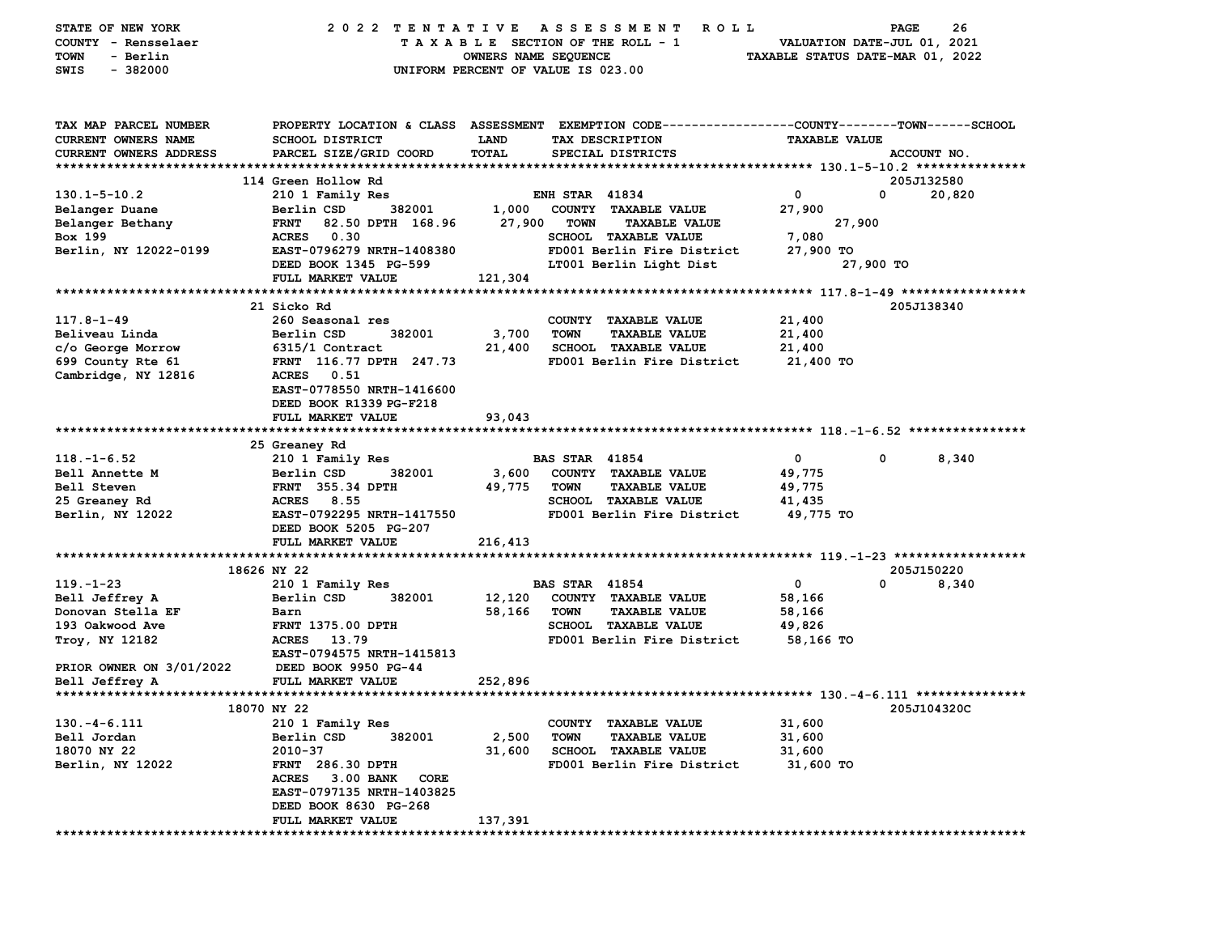| STATE OF NEW YORK<br>COUNTY - Rensselaer<br>- Berlin<br>TOWN<br>$-382000$<br>SWIS    | 2022 TENTATIVE                                       | OWNERS NAME SEQUENCE | A S S E S S M E N T<br><b>ROLL</b><br>TAXABLE SECTION OF THE ROLL - 1<br>UNIFORM PERCENT OF VALUE IS 023.00                             | TAXABLE STATUS DATE-MAR 01, 2022 | 26<br>PAGE<br>VALUATION DATE-JUL 01, 2021 |
|--------------------------------------------------------------------------------------|------------------------------------------------------|----------------------|-----------------------------------------------------------------------------------------------------------------------------------------|----------------------------------|-------------------------------------------|
| TAX MAP PARCEL NUMBER<br><b>CURRENT OWNERS NAME</b><br><b>CURRENT OWNERS ADDRESS</b> | <b>SCHOOL DISTRICT</b><br>PARCEL SIZE/GRID COORD     | LAND<br>TOTAL        | PROPERTY LOCATION & CLASS ASSESSMENT EXEMPTION CODE---------------COUNTY-------TOWN------SCHOOL<br>TAX DESCRIPTION<br>SPECIAL DISTRICTS | <b>TAXABLE VALUE</b>             | ACCOUNT NO.                               |
|                                                                                      | 114 Green Hollow Rd                                  |                      |                                                                                                                                         |                                  | 205J132580                                |
| $130.1 - 5 - 10.2$                                                                   | 210 1 Family Res                                     |                      | <b>ENH STAR 41834</b>                                                                                                                   | $\mathbf{o}$                     | 0<br>20,820                               |
| Belanger Duane                                                                       | Berlin CSD<br>382001                                 | 1,000                | COUNTY TAXABLE VALUE                                                                                                                    | 27,900                           |                                           |
| Belanger Bethany                                                                     | <b>FRNT</b><br>82.50 DPTH 168.96                     | 27,900               | <b>TOWN</b><br><b>TAXABLE VALUE</b>                                                                                                     | 27,900                           |                                           |
| Box 199                                                                              | 0.30<br><b>ACRES</b>                                 |                      | <b>SCHOOL TAXABLE VALUE</b>                                                                                                             | 7,080                            |                                           |
| Berlin, NY 12022-0199                                                                | EAST-0796279 NRTH-1408380                            |                      | FD001 Berlin Fire District                                                                                                              | 27,900 TO                        |                                           |
|                                                                                      | DEED BOOK 1345 PG-599                                |                      | LT001 Berlin Light Dist                                                                                                                 |                                  | 27,900 TO                                 |
|                                                                                      | FULL MARKET VALUE                                    | 121,304              |                                                                                                                                         |                                  |                                           |
|                                                                                      |                                                      |                      |                                                                                                                                         |                                  |                                           |
|                                                                                      | 21 Sicko Rd                                          |                      |                                                                                                                                         |                                  | 205J138340                                |
| $117.8 - 1 - 49$<br>Beliveau Linda                                                   | 260 Seasonal res<br>382001                           |                      | COUNTY TAXABLE VALUE<br><b>TOWN</b>                                                                                                     | 21,400                           |                                           |
| c/o George Morrow                                                                    | Berlin CSD<br>6315/1 Contract                        | 3,700<br>21,400      | <b>TAXABLE VALUE</b><br><b>SCHOOL TAXABLE VALUE</b>                                                                                     | 21,400<br>21,400                 |                                           |
| 699 County Rte 61                                                                    | FRNT 116.77 DPTH 247.73                              |                      | FD001 Berlin Fire District                                                                                                              | 21,400 TO                        |                                           |
| Cambridge, NY 12816                                                                  | 0.51<br><b>ACRES</b>                                 |                      |                                                                                                                                         |                                  |                                           |
|                                                                                      | EAST-0778550 NRTH-1416600<br>DEED BOOK R1339 PG-F218 |                      |                                                                                                                                         |                                  |                                           |
|                                                                                      | FULL MARKET VALUE                                    | 93,043               |                                                                                                                                         |                                  |                                           |
|                                                                                      |                                                      |                      |                                                                                                                                         |                                  |                                           |
|                                                                                      | 25 Greaney Rd                                        |                      |                                                                                                                                         |                                  |                                           |
| $118. - 1 - 6.52$                                                                    | 210 1 Family Res                                     |                      | <b>BAS STAR 41854</b>                                                                                                                   | $\mathbf 0$                      | 0<br>8,340                                |
| Bell Annette M                                                                       | Berlin CSD<br>382001                                 | 3,600                | COUNTY TAXABLE VALUE                                                                                                                    | 49,775                           |                                           |
| Bell Steven                                                                          | <b>FRNT</b> 355.34 DPTH                              | 49,775               | <b>TOWN</b><br><b>TAXABLE VALUE</b>                                                                                                     | 49,775                           |                                           |
| 25 Greaney Rd                                                                        | <b>ACRES</b><br>8.55                                 |                      | SCHOOL TAXABLE VALUE                                                                                                                    | 41,435                           |                                           |
| Berlin, NY 12022                                                                     | EAST-0792295 NRTH-1417550                            |                      | FD001 Berlin Fire District                                                                                                              | 49,775 TO                        |                                           |
|                                                                                      | DEED BOOK 5205 PG-207                                |                      |                                                                                                                                         |                                  |                                           |
|                                                                                      | FULL MARKET VALUE                                    | 216,413              |                                                                                                                                         |                                  |                                           |
|                                                                                      | 18626 NY 22                                          |                      |                                                                                                                                         |                                  | 205J150220                                |
| $119. - 1 - 23$                                                                      | 210 1 Family Res                                     |                      | <b>BAS STAR 41854</b>                                                                                                                   | 0                                | 0<br>8,340                                |
| Bell Jeffrey A                                                                       | Berlin CSD<br>382001                                 | 12,120               | COUNTY TAXABLE VALUE                                                                                                                    | 58,166                           |                                           |
| Donovan Stella EF                                                                    | Barn                                                 | 58,166               | <b>TOWN</b><br><b>TAXABLE VALUE</b>                                                                                                     | 58,166                           |                                           |
| 193 Oakwood Ave                                                                      | <b>FRNT 1375.00 DPTH</b>                             |                      | <b>SCHOOL TAXABLE VALUE</b>                                                                                                             | 49,826                           |                                           |
| Troy, NY 12182                                                                       | <b>ACRES</b><br>13.79                                |                      | FD001 Berlin Fire District                                                                                                              | 58,166 TO                        |                                           |
|                                                                                      | EAST-0794575 NRTH-1415813                            |                      |                                                                                                                                         |                                  |                                           |
| PRIOR OWNER ON 3/01/2022                                                             | DEED BOOK 9950 PG-44                                 |                      |                                                                                                                                         |                                  |                                           |
| Bell Jeffrey A                                                                       | FULL MARKET VALUE                                    | 252,896              |                                                                                                                                         |                                  |                                           |
|                                                                                      |                                                      |                      |                                                                                                                                         |                                  |                                           |
|                                                                                      | 18070 NY 22                                          |                      |                                                                                                                                         |                                  | 205J104320C                               |
| $130.-4-6.111$<br>Bell Jordan                                                        | 210 1 Family Res<br>Berlin CSD<br>382001             | 2,500                | COUNTY TAXABLE VALUE<br><b>TOWN</b><br><b>TAXABLE VALUE</b>                                                                             | 31,600<br>31,600                 |                                           |
| 18070 NY 22                                                                          | $2010 - 37$                                          | 31,600               | <b>SCHOOL TAXABLE VALUE</b>                                                                                                             | 31,600                           |                                           |
| Berlin, NY 12022                                                                     | <b>FRNT</b> 286.30 DPTH                              |                      | FD001 Berlin Fire District                                                                                                              | 31,600 TO                        |                                           |
|                                                                                      | <b>ACRES</b><br><b>3.00 BANK</b><br>CORE             |                      |                                                                                                                                         |                                  |                                           |
|                                                                                      | EAST-0797135 NRTH-1403825                            |                      |                                                                                                                                         |                                  |                                           |
|                                                                                      | DEED BOOK 8630 PG-268                                |                      |                                                                                                                                         |                                  |                                           |
|                                                                                      | FULL MARKET VALUE                                    | 137,391              |                                                                                                                                         |                                  |                                           |
|                                                                                      |                                                      |                      |                                                                                                                                         |                                  |                                           |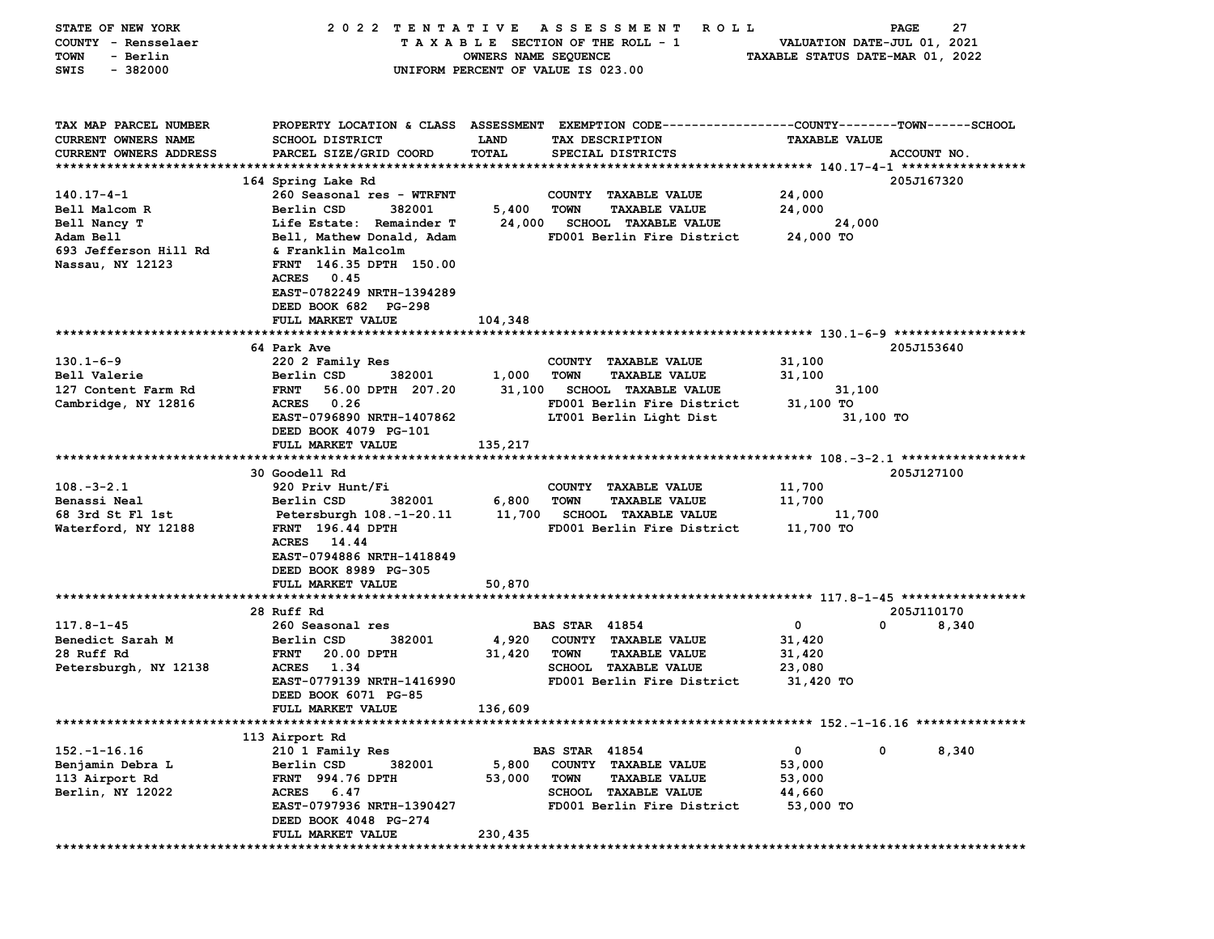| STATE OF NEW YORK             | 2022 TENTATIVE                                     |                      | A S S E S S M E N T<br>R O L L                                                                  |                                  | 27<br>PAGE  |
|-------------------------------|----------------------------------------------------|----------------------|-------------------------------------------------------------------------------------------------|----------------------------------|-------------|
| COUNTY - Rensselaer           |                                                    |                      | TAXABLE SECTION OF THE ROLL - 1                                                                 | VALUATION DATE-JUL 01, 2021      |             |
| - Berlin<br>TOWN              |                                                    | OWNERS NAME SEQUENCE |                                                                                                 | TAXABLE STATUS DATE-MAR 01, 2022 |             |
| $-382000$<br>SWIS             |                                                    |                      | UNIFORM PERCENT OF VALUE IS 023.00                                                              |                                  |             |
|                               |                                                    |                      |                                                                                                 |                                  |             |
|                               |                                                    |                      |                                                                                                 |                                  |             |
| TAX MAP PARCEL NUMBER         |                                                    |                      | PROPERTY LOCATION & CLASS ASSESSMENT EXEMPTION CODE---------------COUNTY-------TOWN------SCHOOL |                                  |             |
| CURRENT OWNERS NAME           | <b>SCHOOL DISTRICT</b>                             | LAND                 | TAX DESCRIPTION                                                                                 | <b>TAXABLE VALUE</b>             |             |
| <b>CURRENT OWNERS ADDRESS</b> | PARCEL SIZE/GRID COORD                             | TOTAL                | SPECIAL DISTRICTS                                                                               |                                  | ACCOUNT NO. |
|                               |                                                    |                      |                                                                                                 |                                  | 205J167320  |
| $140.17 - 4 - 1$              | 164 Spring Lake Rd<br>260 Seasonal res - WTRFNT    |                      | COUNTY TAXABLE VALUE                                                                            | 24,000                           |             |
| Bell Malcom R                 | Berlin CSD<br>382001                               | 5,400                | <b>TOWN</b><br><b>TAXABLE VALUE</b>                                                             | 24,000                           |             |
| Bell Nancy T                  | Life Estate: Remainder T                           | 24,000               | <b>SCHOOL TAXABLE VALUE</b>                                                                     | 24,000                           |             |
| Adam Bell                     | Bell, Mathew Donald, Adam                          |                      | FD001 Berlin Fire District                                                                      | 24,000 TO                        |             |
| 693 Jefferson Hill Rd         | & Franklin Malcolm                                 |                      |                                                                                                 |                                  |             |
| Nassau, NY 12123              | FRNT 146.35 DPTH 150.00                            |                      |                                                                                                 |                                  |             |
|                               | <b>ACRES</b><br>0.45                               |                      |                                                                                                 |                                  |             |
|                               | EAST-0782249 NRTH-1394289                          |                      |                                                                                                 |                                  |             |
|                               | DEED BOOK 682 PG-298                               |                      |                                                                                                 |                                  |             |
|                               | FULL MARKET VALUE                                  | 104,348              |                                                                                                 |                                  |             |
|                               | 64 Park Ave                                        |                      |                                                                                                 |                                  | 205J153640  |
| $130.1 - 6 - 9$               | 220 2 Family Res                                   |                      | COUNTY TAXABLE VALUE                                                                            | 31,100                           |             |
| Bell Valerie                  | 382001<br>Berlin CSD                               | 1,000                | <b>TOWN</b><br><b>TAXABLE VALUE</b>                                                             | 31,100                           |             |
| 127 Content Farm Rd           | 56.00 DPTH 207.20<br><b>FRNT</b>                   | 31,100               | <b>SCHOOL TAXABLE VALUE</b>                                                                     | 31,100                           |             |
| Cambridge, NY 12816           | 0.26<br><b>ACRES</b>                               |                      | FD001 Berlin Fire District                                                                      | 31,100 TO                        |             |
|                               | EAST-0796890 NRTH-1407862                          |                      | LT001 Berlin Light Dist                                                                         | 31,100 TO                        |             |
|                               | DEED BOOK 4079 PG-101                              |                      |                                                                                                 |                                  |             |
|                               | FULL MARKET VALUE                                  | 135,217              |                                                                                                 |                                  |             |
|                               |                                                    |                      |                                                                                                 |                                  |             |
|                               | <b>30 Goodell Rd</b>                               |                      |                                                                                                 |                                  | 205J127100  |
| $108. - 3 - 2.1$              | 920 Priv Hunt/Fi                                   |                      | COUNTY TAXABLE VALUE                                                                            | 11,700                           |             |
| Benassi Neal                  | Berlin CSD<br>382001                               | 6,800                | <b>TOWN</b><br><b>TAXABLE VALUE</b>                                                             | 11,700                           |             |
| 68 3rd St Fl 1st              | Petersburgh 108.-1-20.11                           |                      | 11,700 SCHOOL TAXABLE VALUE                                                                     | 11,700                           |             |
| Waterford, NY 12188           | FRNT 196.44 DPTH                                   |                      | FD001 Berlin Fire District                                                                      | 11,700 TO                        |             |
|                               | <b>ACRES</b><br>14.44                              |                      |                                                                                                 |                                  |             |
|                               | EAST-0794886 NRTH-1418849                          |                      |                                                                                                 |                                  |             |
|                               | DEED BOOK 8989 PG-305                              |                      |                                                                                                 |                                  |             |
|                               | FULL MARKET VALUE                                  | 50,870               |                                                                                                 |                                  |             |
|                               |                                                    |                      |                                                                                                 |                                  |             |
|                               | 28 Ruff Rd                                         |                      |                                                                                                 |                                  | 205J110170  |
| $117.8 - 1 - 45$              | 260 Seasonal res                                   |                      | <b>BAS STAR 41854</b>                                                                           | 0<br>0                           | 8,340       |
| Benedict Sarah M              | Berlin CSD<br>382001                               | 4,920                | COUNTY TAXABLE VALUE                                                                            | 31,420                           |             |
| 28 Ruff Rd                    | 20.00 DPTH<br><b>FRNT</b>                          | 31,420               | <b>TOWN</b><br><b>TAXABLE VALUE</b>                                                             | 31,420                           |             |
| Petersburgh, NY 12138         | ACRES<br>1.34                                      |                      | <b>SCHOOL TAXABLE VALUE</b>                                                                     | 23,080                           |             |
|                               | EAST-0779139 NRTH-1416990                          |                      | FD001 Berlin Fire District                                                                      | 31,420 TO                        |             |
|                               | DEED BOOK 6071 PG-85                               |                      |                                                                                                 |                                  |             |
|                               | FULL MARKET VALUE                                  | 136,609              |                                                                                                 |                                  |             |
|                               |                                                    |                      |                                                                                                 |                                  |             |
|                               | 113 Airport Rd                                     |                      |                                                                                                 |                                  |             |
| $152. - 1 - 16.16$            | 210 1 Family Res                                   |                      | <b>BAS STAR 41854</b>                                                                           | 0<br>0                           | 8,340       |
| Benjamin Debra L              | Berlin CSD<br>382001                               | 5,800                | COUNTY TAXABLE VALUE                                                                            | 53,000                           |             |
| 113 Airport Rd                | <b>FRNT</b> 994.76 DPTH                            | 53,000               | <b>TOWN</b><br><b>TAXABLE VALUE</b>                                                             | 53,000                           |             |
| Berlin, NY 12022              | <b>ACRES</b><br>6.47                               |                      | <b>SCHOOL TAXABLE VALUE</b><br>FD001 Berlin Fire District                                       | 44,660<br>53,000 TO              |             |
|                               | EAST-0797936 NRTH-1390427<br>DEED BOOK 4048 PG-274 |                      |                                                                                                 |                                  |             |
|                               | FULL MARKET VALUE                                  | 230,435              |                                                                                                 |                                  |             |
|                               |                                                    |                      |                                                                                                 |                                  |             |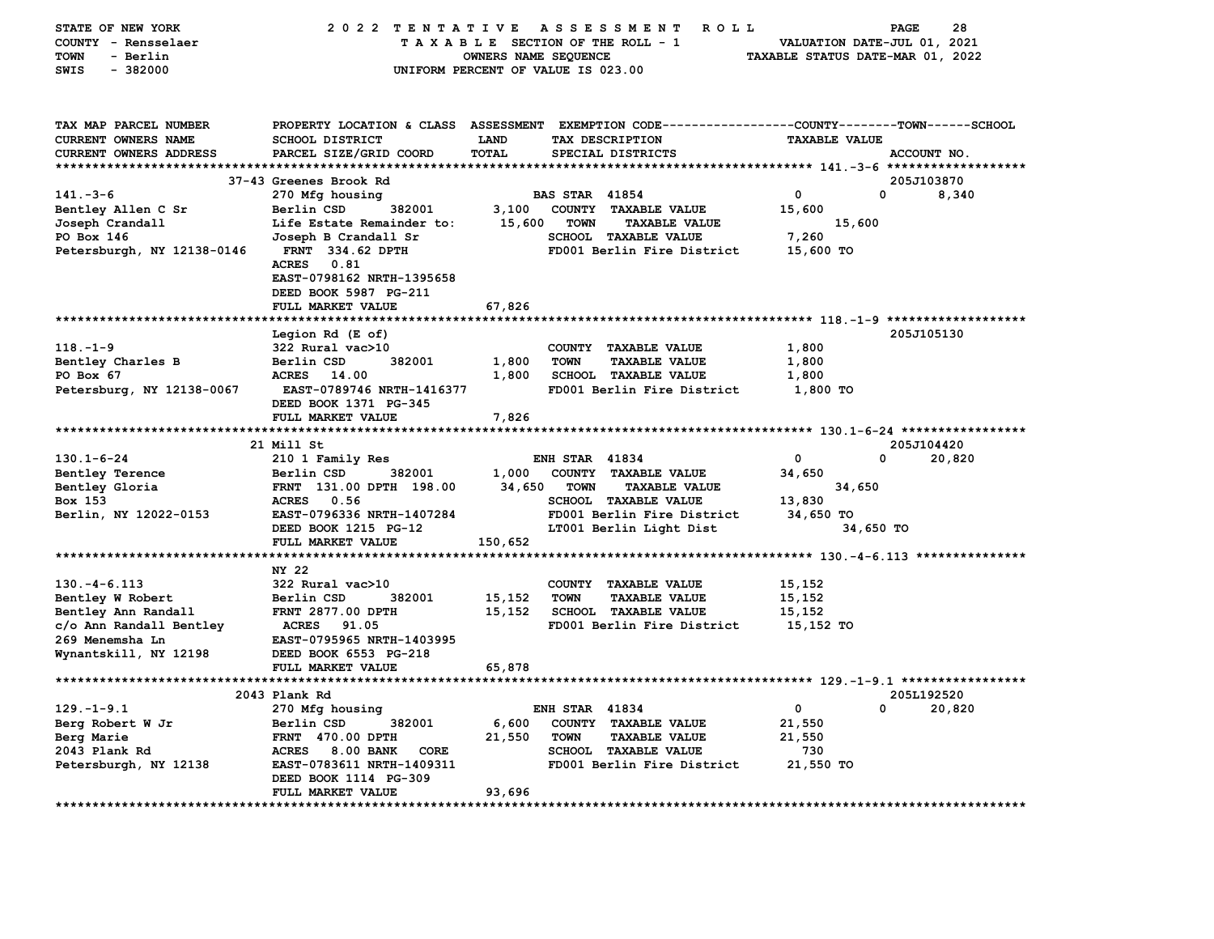| STATE OF NEW YORK<br>COUNTY - Rensselaer<br><b>TOWN</b><br>- Berlin<br><b>SWIS</b><br>$-382000$ | 2022 TENTATIVE                                  | OWNERS NAME SEQUENCE | A S S E S S M E N T<br><b>ROLL</b><br>TAXABLE SECTION OF THE ROLL - 1<br>UNIFORM PERCENT OF VALUE IS 023.00        | VALUATION DATE-JUL 01, 2021<br>TAXABLE STATUS DATE-MAR 01, 2022 | PAGE<br>28  |
|-------------------------------------------------------------------------------------------------|-------------------------------------------------|----------------------|--------------------------------------------------------------------------------------------------------------------|-----------------------------------------------------------------|-------------|
| TAX MAP PARCEL NUMBER<br>CURRENT OWNERS NAME                                                    | SCHOOL DISTRICT                                 | LAND                 | PROPERTY LOCATION & CLASS ASSESSMENT EXEMPTION CODE---------------COUNTY-------TOWN------SCHOOL<br>TAX DESCRIPTION | <b>TAXABLE VALUE</b>                                            |             |
| <b>CURRENT OWNERS ADDRESS</b>                                                                   | PARCEL SIZE/GRID COORD                          | TOTAL                | SPECIAL DISTRICTS                                                                                                  |                                                                 | ACCOUNT NO. |
|                                                                                                 |                                                 |                      |                                                                                                                    |                                                                 |             |
|                                                                                                 | 37-43 Greenes Brook Rd                          |                      |                                                                                                                    |                                                                 | 205J103870  |
| $141. -3 - 6$                                                                                   | 270 Mfg housing                                 |                      | <b>BAS STAR 41854</b>                                                                                              | 0                                                               | 0<br>8,340  |
| Bentley Allen C Sr                                                                              | Berlin CSD<br>382001                            | 3,100                | COUNTY TAXABLE VALUE                                                                                               | 15,600                                                          |             |
| Joseph Crandall                                                                                 | Life Estate Remainder to:                       | 15,600               | <b>TOWN</b><br><b>TAXABLE VALUE</b>                                                                                | 15,600                                                          |             |
| PO Box 146                                                                                      | Joseph B Crandall Sr                            |                      | SCHOOL TAXABLE VALUE                                                                                               | 7,260                                                           |             |
| Petersburgh, NY 12138-0146                                                                      | <b>FRNT 334.62 DPTH</b><br><b>ACRES</b><br>0.81 |                      | FD001 Berlin Fire District                                                                                         | 15,600 TO                                                       |             |
|                                                                                                 | EAST-0798162 NRTH-1395658                       |                      |                                                                                                                    |                                                                 |             |
|                                                                                                 | DEED BOOK 5987 PG-211                           |                      |                                                                                                                    |                                                                 |             |
|                                                                                                 | FULL MARKET VALUE                               | 67,826               |                                                                                                                    |                                                                 |             |
| ****************************                                                                    |                                                 |                      |                                                                                                                    |                                                                 |             |
|                                                                                                 | Legion Rd (E of)                                |                      |                                                                                                                    |                                                                 | 205J105130  |
| $118. - 1 - 9$                                                                                  | 322 Rural vac>10                                |                      | COUNTY TAXABLE VALUE                                                                                               | 1,800                                                           |             |
| Bentley Charles B                                                                               | 382001<br>Berlin CSD                            | 1,800                | <b>TOWN</b><br><b>TAXABLE VALUE</b>                                                                                | 1,800                                                           |             |
| PO Box 67                                                                                       | <b>ACRES</b><br>14.00                           | 1,800                | <b>SCHOOL TAXABLE VALUE</b>                                                                                        | 1,800                                                           |             |
| Petersburg, NY 12138-0067                                                                       | EAST-0789746 NRTH-1416377                       |                      | FD001 Berlin Fire District                                                                                         | 1,800 TO                                                        |             |
|                                                                                                 | DEED BOOK 1371 PG-345                           |                      |                                                                                                                    |                                                                 |             |
|                                                                                                 | FULL MARKET VALUE                               | 7,826                |                                                                                                                    |                                                                 |             |
|                                                                                                 | 21 Mill St                                      |                      |                                                                                                                    |                                                                 | 205J104420  |
| $130.1 - 6 - 24$                                                                                | 210 1 Family Res                                |                      | <b>ENH STAR 41834</b>                                                                                              | 0                                                               | 0<br>20,820 |
| Bentley Terence                                                                                 | 382001<br>Berlin CSD                            | 1,000                | COUNTY TAXABLE VALUE                                                                                               | 34,650                                                          |             |
| Bentley Gloria                                                                                  | FRNT 131.00 DPTH 198.00                         | 34,650               | <b>TOWN</b><br><b>TAXABLE VALUE</b>                                                                                | 34,650                                                          |             |
| Box 153                                                                                         | ACRES 0.56                                      |                      | <b>SCHOOL TAXABLE VALUE</b>                                                                                        | 13,830                                                          |             |
| Berlin, NY 12022-0153                                                                           | EAST-0796336 NRTH-1407284                       |                      | FD001 Berlin Fire District                                                                                         | 34,650 TO                                                       |             |
|                                                                                                 | DEED BOOK 1215 PG-12                            |                      | LT001 Berlin Light Dist                                                                                            | 34,650 TO                                                       |             |
|                                                                                                 | FULL MARKET VALUE                               | 150,652              |                                                                                                                    |                                                                 |             |
|                                                                                                 |                                                 |                      |                                                                                                                    |                                                                 |             |
|                                                                                                 | NY 22                                           |                      |                                                                                                                    |                                                                 |             |
| $130. -4 - 6.113$                                                                               | 322 Rural vac>10                                |                      | COUNTY TAXABLE VALUE                                                                                               | 15,152                                                          |             |
| Bentley W Robert                                                                                | Berlin CSD<br>382001                            | 15,152               | <b>TOWN</b><br><b>TAXABLE VALUE</b>                                                                                | 15,152                                                          |             |
| Bentley Ann Randall                                                                             | FRNT 2877.00 DPTH                               | 15,152               | SCHOOL TAXABLE VALUE                                                                                               | 15,152                                                          |             |
| c/o Ann Randall Bentley                                                                         | ACRES 91.05                                     |                      | FD001 Berlin Fire District                                                                                         | 15,152 TO                                                       |             |
| 269 Menemsha Ln                                                                                 | EAST-0795965 NRTH-1403995                       |                      |                                                                                                                    |                                                                 |             |
| Wynantskill, NY 12198                                                                           | DEED BOOK 6553 PG-218                           |                      |                                                                                                                    |                                                                 |             |
|                                                                                                 | FULL MARKET VALUE                               | 65,878               |                                                                                                                    |                                                                 |             |
|                                                                                                 | 2043 Plank Rd                                   |                      |                                                                                                                    |                                                                 | 205L192520  |
| $129. - 1 - 9.1$                                                                                | 270 Mfg housing                                 |                      | <b>ENH STAR 41834</b>                                                                                              | $\mathbf 0$                                                     | 0<br>20,820 |
| Berg Robert W Jr                                                                                | Berlin CSD<br>382001                            | 6,600                | COUNTY TAXABLE VALUE                                                                                               | 21,550                                                          |             |
| Berg Marie                                                                                      | <b>FRNT 470.00 DPTH</b>                         | 21,550               | <b>TOWN</b><br><b>TAXABLE VALUE</b>                                                                                | 21,550                                                          |             |
| 2043 Plank Rd                                                                                   | ACRES 8.00 BANK<br>CORE                         |                      | <b>SCHOOL TAXABLE VALUE</b>                                                                                        | 730                                                             |             |
| Petersburgh, NY 12138                                                                           | EAST-0783611 NRTH-1409311                       |                      | FD001 Berlin Fire District                                                                                         | 21,550 TO                                                       |             |
|                                                                                                 | DEED BOOK 1114 PG-309                           |                      |                                                                                                                    |                                                                 |             |
|                                                                                                 | FULL MARKET VALUE                               | 93,696               |                                                                                                                    |                                                                 |             |
| *****************************                                                                   |                                                 |                      |                                                                                                                    |                                                                 |             |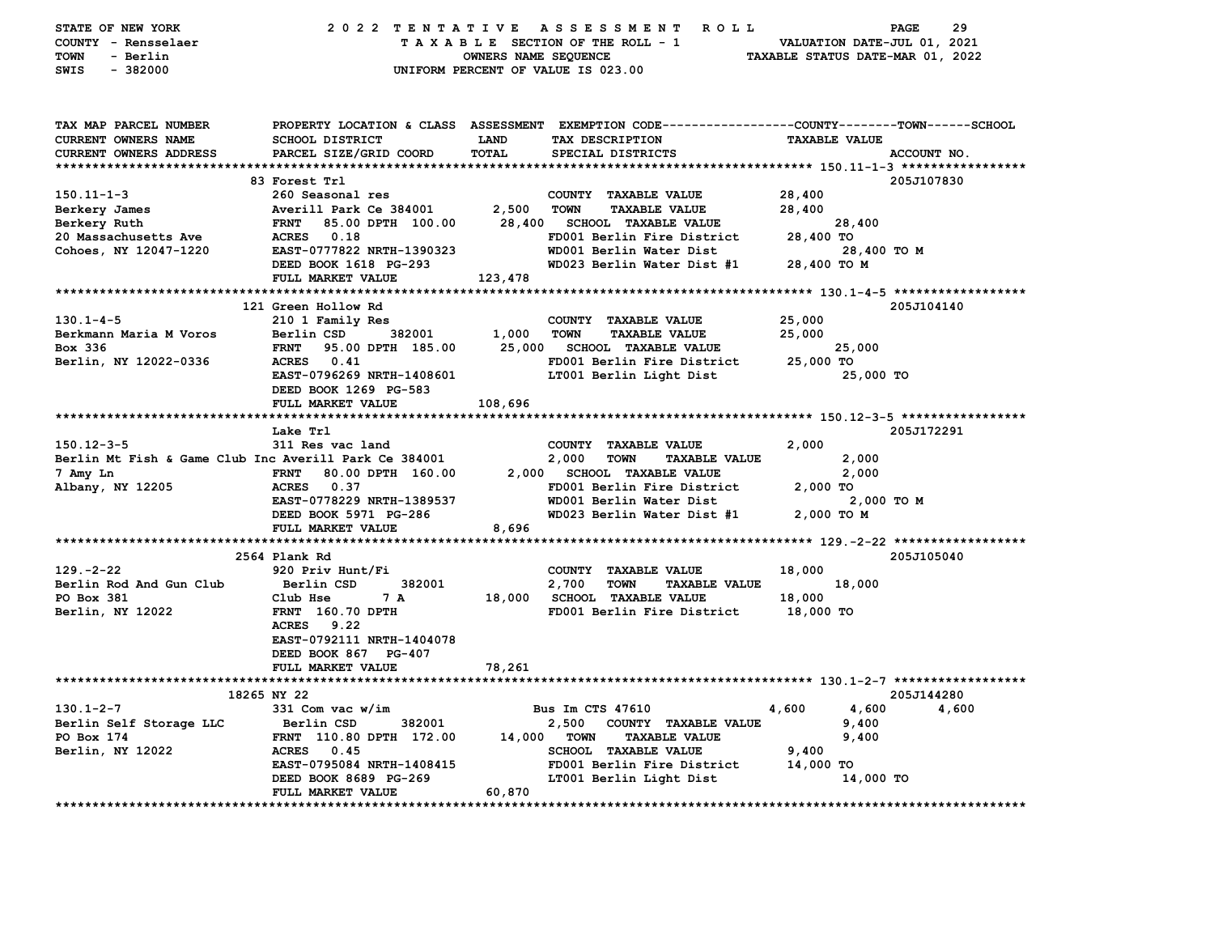| STATE OF NEW YORK<br>COUNTY - Rensselaer<br>TOWN<br>- Berlin<br>$-382000$<br>SWIS | 2022 TENTATIVE                            | OWNERS NAME SEQUENCE | ASSESSMENT ROLL<br>TAXABLE SECTION OF THE ROLL - 1<br>UNIFORM PERCENT OF VALUE IS 023.00                                                 | VALUATION DATE-JUL 01, 2021<br>TAXABLE STATUS DATE-MAR 01, 2022 | 29<br><b>PAGE</b>             |
|-----------------------------------------------------------------------------------|-------------------------------------------|----------------------|------------------------------------------------------------------------------------------------------------------------------------------|-----------------------------------------------------------------|-------------------------------|
| TAX MAP PARCEL NUMBER<br><b>CURRENT OWNERS NAME</b><br>CURRENT OWNERS ADDRESS     | SCHOOL DISTRICT<br>PARCEL SIZE/GRID COORD | LAND<br><b>TOTAL</b> | PROPERTY LOCATION & CLASS ASSESSMENT EXEMPTION CODE----------------COUNTY-------TOWN------SCHOOL<br>TAX DESCRIPTION<br>SPECIAL DISTRICTS | <b>TAXABLE VALUE</b>                                            | ACCOUNT NO.                   |
|                                                                                   |                                           |                      |                                                                                                                                          |                                                                 |                               |
|                                                                                   | 83 Forest Trl                             |                      |                                                                                                                                          |                                                                 | 205J107830                    |
| 150.11-1-3                                                                        | 260 Seasonal res                          |                      | COUNTY TAXABLE VALUE                                                                                                                     | 28,400                                                          |                               |
| Berkery James                                                                     | Averill Park Ce 384001                    | 2,500                | TOWN<br><b>TAXABLE VALUE</b>                                                                                                             | 28,400                                                          |                               |
| Berkery Ruth                                                                      | 85.00 DPTH 100.00<br><b>FRNT</b>          |                      | 28,400 SCHOOL TAXABLE VALUE                                                                                                              | 28,400                                                          |                               |
| 20 Massachusetts Ave                                                              | ACRES 0.18                                |                      | FD001 Berlin Fire District                                                                                                               | 28,400 TO                                                       |                               |
| Cohoes, NY 12047-1220                                                             | EAST-0777822 NRTH-1390323                 |                      | WD001 Berlin Water Dist                                                                                                                  | 28,400 TO M                                                     |                               |
|                                                                                   | DEED BOOK 1618 PG-293                     |                      | WD023 Berlin Water Dist #1                                                                                                               | 28,400 TO M                                                     |                               |
|                                                                                   | FULL MARKET VALUE                         | 123,478              |                                                                                                                                          |                                                                 |                               |
|                                                                                   |                                           |                      |                                                                                                                                          |                                                                 |                               |
|                                                                                   | 121 Green Hollow Rd                       |                      |                                                                                                                                          |                                                                 | 205J104140                    |
| $130.1 - 4 - 5$                                                                   | 210 1 Family Res                          |                      | COUNTY TAXABLE VALUE                                                                                                                     | 25,000                                                          |                               |
| Berkmann Maria M Voros<br>Box 336                                                 | 382001<br>Berlin CSD<br><b>FRNT</b>       | 1,000 TOWN           | <b>TAXABLE VALUE</b><br>25,000 SCHOOL TAXABLE VALUE                                                                                      | 25,000<br>25,000                                                |                               |
|                                                                                   | 95.00 DPTH 185.00<br>ACRES 0.41           |                      | FD001 Berlin Fire District                                                                                                               | 25,000 TO                                                       |                               |
| Berlin, NY 12022-0336                                                             | EAST-0796269 NRTH-1408601                 |                      | LT001 Berlin Light Dist                                                                                                                  | 25,000 TO                                                       |                               |
|                                                                                   | DEED BOOK 1269 PG-583                     |                      |                                                                                                                                          |                                                                 |                               |
|                                                                                   | FULL MARKET VALUE                         | 108,696              |                                                                                                                                          |                                                                 |                               |
|                                                                                   |                                           |                      |                                                                                                                                          |                                                                 |                               |
|                                                                                   | Lake Trl                                  |                      |                                                                                                                                          |                                                                 | 205J172291                    |
| $150.12 - 3 - 5$                                                                  | 311 Res vac land                          |                      | COUNTY TAXABLE VALUE                                                                                                                     | 2,000                                                           |                               |
| Berlin Mt Fish & Game Club Inc Averill Park Ce 384001                             |                                           |                      | 2,000<br><b>TOWN</b><br><b>TAXABLE VALUE</b>                                                                                             | 2,000                                                           |                               |
| 7 Amy Ln                                                                          | <b>FRNT</b><br>80.00 DPTH 160.00          |                      | 2,000 SCHOOL TAXABLE VALUE                                                                                                               | 2,000                                                           |                               |
| Albany, NY 12205                                                                  | ACRES 0.37                                |                      | FD001 Berlin Fire District                                                                                                               | 2,000 TO                                                        |                               |
|                                                                                   | EAST-0778229 NRTH-1389537                 |                      | WD001 Berlin Water Dist                                                                                                                  | 2,000 TO M                                                      |                               |
|                                                                                   | DEED BOOK 5971 PG-286                     |                      | WD023 Berlin Water Dist #1                                                                                                               | 2,000 TO M                                                      |                               |
|                                                                                   | FULL MARKET VALUE                         | 8,696                |                                                                                                                                          |                                                                 |                               |
|                                                                                   |                                           |                      |                                                                                                                                          |                                                                 |                               |
|                                                                                   | 2564 Plank Rd                             |                      |                                                                                                                                          |                                                                 | 205J105040                    |
| $129. -2 - 22$                                                                    | 920 Priv Hunt/Fi                          |                      | COUNTY TAXABLE VALUE                                                                                                                     | 18,000                                                          |                               |
| Berlin Rod And Gun Club                                                           | Berlin CSD<br>382001                      |                      | 2,700<br><b>TOWN</b><br><b>TAXABLE VALUE</b>                                                                                             | 18,000                                                          |                               |
| PO Box 381                                                                        | 7 A<br>Club Hse                           |                      | 18,000 SCHOOL TAXABLE VALUE                                                                                                              | 18,000                                                          |                               |
| Berlin, NY 12022                                                                  | <b>FRNT</b> 160.70 DPTH                   |                      | FD001 Berlin Fire District                                                                                                               | 18,000 TO                                                       |                               |
|                                                                                   | ACRES 9.22                                |                      |                                                                                                                                          |                                                                 |                               |
|                                                                                   | EAST-0792111 NRTH-1404078                 |                      |                                                                                                                                          |                                                                 |                               |
|                                                                                   | DEED BOOK 867 PG-407                      |                      |                                                                                                                                          |                                                                 |                               |
|                                                                                   | FULL MARKET VALUE                         | 78,261               |                                                                                                                                          |                                                                 |                               |
|                                                                                   |                                           |                      |                                                                                                                                          |                                                                 |                               |
|                                                                                   | 18265 NY 22                               |                      |                                                                                                                                          |                                                                 | 205J144280                    |
| $130.1 - 2 - 7$                                                                   | 331 Com vac w/im                          |                      | Bus Im CTS 47610                                                                                                                         | 4,600<br>4,600                                                  | 4,600                         |
| Berlin Self Storage LLC                                                           | 382001<br>Berlin CSD                      |                      | 2,500 COUNTY TAXABLE VALUE                                                                                                               | 9,400                                                           |                               |
| PO Box 174                                                                        | FRNT 110.80 DPTH 172.00                   |                      | 14,000 TOWN<br><b>TAXABLE VALUE</b>                                                                                                      | 9,400                                                           |                               |
| Berlin, NY 12022                                                                  | ACRES 0.45                                |                      | <b>SCHOOL TAXABLE VALUE</b>                                                                                                              | 9,400                                                           |                               |
|                                                                                   | EAST-0795084 NRTH-1408415                 |                      | FD001 Berlin Fire District                                                                                                               | 14,000 TO                                                       |                               |
|                                                                                   | DEED BOOK 8689 PG-269                     |                      | LT001 Berlin Light Dist                                                                                                                  | 14,000 TO                                                       |                               |
|                                                                                   | FULL MARKET VALUE                         | 60,870               |                                                                                                                                          |                                                                 | ***************************** |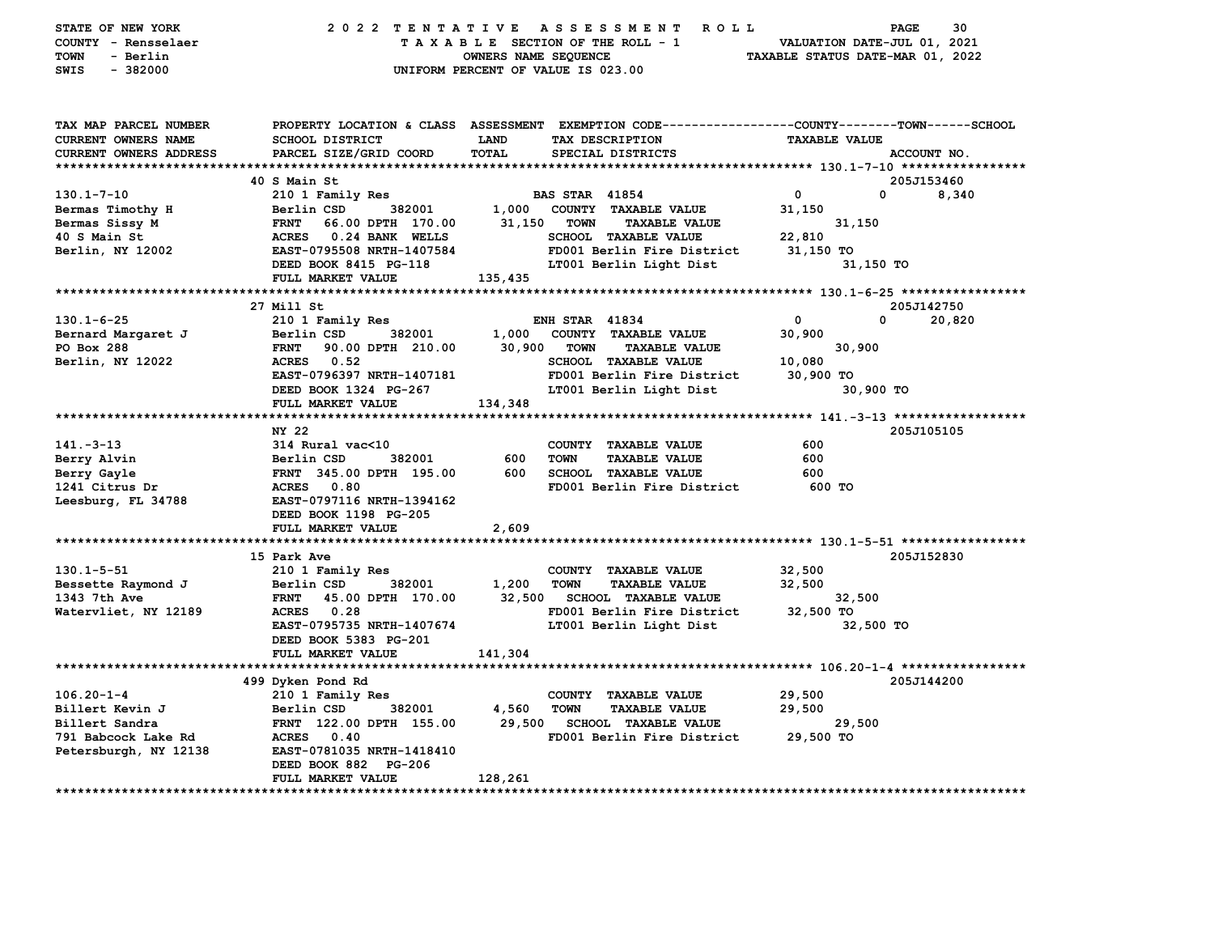| STATE OF NEW YORK<br>COUNTY - Rensselaer<br>- Berlin<br>TOWN<br>$-382000$<br>SWIS                     |                                                        | 2022 TENTATIVE ASSESSMENT ROLL<br>TAXABLE SECTION OF THE ROLL - 1<br>OWNERS NAME SEQUENCE<br>UNIFORM PERCENT OF VALUE IS 023.00                                        | PAGE<br>30<br>VALUATION DATE-JUL 01, 2021<br>TAXABLE STATUS DATE-MAR 01, 2022 |
|-------------------------------------------------------------------------------------------------------|--------------------------------------------------------|------------------------------------------------------------------------------------------------------------------------------------------------------------------------|-------------------------------------------------------------------------------|
| TAX MAP PARCEL NUMBER<br><b>CURRENT OWNERS NAME</b><br>CURRENT OWNERS ADDRESS<br>******************** | <b>SCHOOL DISTRICT</b><br>PARCEL SIZE/GRID COORD       | PROPERTY LOCATION & CLASS ASSESSMENT EXEMPTION CODE---------------COUNTY-------TOWN------SCHOOL<br><b>LAND</b><br>TAX DESCRIPTION<br><b>TOTAL</b><br>SPECIAL DISTRICTS | <b>TAXABLE VALUE</b><br>ACCOUNT NO.                                           |
|                                                                                                       | 40 S Main St                                           |                                                                                                                                                                        | 205J153460                                                                    |
| $130.1 - 7 - 10$                                                                                      | 210 1 Family Res                                       | <b>BAS STAR 41854</b>                                                                                                                                                  | $\overline{0}$<br>$\mathbf{0}$<br>8,340                                       |
| Bermas Timothy H                                                                                      | Berlin CSD 382001                                      | 1,000 COUNTY TAXABLE VALUE                                                                                                                                             | 31,150                                                                        |
| Bermas Sissy M                                                                                        |                                                        | 31,150 TOWN<br><b>TAXABLE VALUE</b>                                                                                                                                    | 31,150                                                                        |
| 40 S Main St                                                                                          | FRNT    66.00 DPTH  170.00<br>ACRES   0.24 BANK  WELLS | SCHOOL TAXABLE VALUE                                                                                                                                                   | 22,810                                                                        |
| Berlin, NY 12002                                                                                      | EAST-0795508 NRTH-1407584                              | FD001 Berlin Fire District                                                                                                                                             | 31,150 TO                                                                     |
|                                                                                                       | DEED BOOK 8415 PG-118                                  | LT001 Berlin Light Dist                                                                                                                                                | 31,150 TO                                                                     |
|                                                                                                       | FULL MARKET VALUE                                      | 135,435                                                                                                                                                                |                                                                               |
|                                                                                                       |                                                        |                                                                                                                                                                        |                                                                               |
|                                                                                                       | 27 Mill St                                             |                                                                                                                                                                        | 205J142750                                                                    |
| $130.1 - 6 - 25$                                                                                      | 210 1 Family Res                                       | <b>ENH STAR 41834</b>                                                                                                                                                  | $\Omega$<br>0<br>20,820                                                       |
| Bernard Margaret J                                                                                    | 382001<br>Berlin CSD                                   | 1,000 COUNTY TAXABLE VALUE                                                                                                                                             | 30,900                                                                        |
| PO Box 288                                                                                            | <b>FRNT</b> 90.00 DPTH 210.00                          | 30,900 TOWN<br><b>TAXABLE VALUE</b>                                                                                                                                    | 30,900                                                                        |
| Berlin, NY 12022                                                                                      | ACRES 0.52                                             | SCHOOL TAXABLE VALUE                                                                                                                                                   | 10,080                                                                        |
|                                                                                                       | EAST-0796397 NRTH-1407181                              | FD001 Berlin Fire District 30,900 TO                                                                                                                                   |                                                                               |
|                                                                                                       | DEED BOOK 1324 PG-267                                  | LT001 Berlin Light Dist                                                                                                                                                | 30,900 TO                                                                     |
|                                                                                                       | FULL MARKET VALUE                                      | 134,348                                                                                                                                                                |                                                                               |
|                                                                                                       | NY 22                                                  |                                                                                                                                                                        | 205J105105                                                                    |
| $141. -3 - 13$                                                                                        | 314 Rural vac<10                                       | COUNTY TAXABLE VALUE                                                                                                                                                   | 600                                                                           |
| Berry Alvin                                                                                           | Berlin CSD<br>382001                                   | 600<br><b>TOWN</b><br><b>TAXABLE VALUE</b>                                                                                                                             | 600                                                                           |
| Berry Gayle                                                                                           | FRNT 345.00 DPTH 195.00                                | 600<br>SCHOOL TAXABLE VALUE                                                                                                                                            | 600                                                                           |
| 1241 Citrus Dr                                                                                        | ACRES 0.80                                             | FD001 Berlin Fire District                                                                                                                                             | 600 TO                                                                        |
| Leesburg, FL 34788                                                                                    | <b>EAST-0797116 NRTH-1394162</b>                       |                                                                                                                                                                        |                                                                               |
|                                                                                                       | DEED BOOK 1198 PG-205                                  |                                                                                                                                                                        |                                                                               |
|                                                                                                       | FULL MARKET VALUE                                      | 2,609                                                                                                                                                                  |                                                                               |
|                                                                                                       |                                                        |                                                                                                                                                                        |                                                                               |
|                                                                                                       | 15 Park Ave                                            |                                                                                                                                                                        | 205J152830                                                                    |
| $130.1 - 5 - 51$                                                                                      | 210 1 Family Res                                       | COUNTY TAXABLE VALUE                                                                                                                                                   | 32,500                                                                        |
| Bessette Raymond J                                                                                    | 382001<br>Berlin CSD                                   | 1,200<br><b>TOWN</b><br><b>TAXABLE VALUE</b>                                                                                                                           | 32,500                                                                        |
| 1343 7th Ave                                                                                          | FRNT 45.00 DPTH 170.00                                 | 32,500 SCHOOL TAXABLE VALUE                                                                                                                                            | 32,500                                                                        |
| Watervliet, NY 12189                                                                                  | ACRES 0.28                                             | FD001 Berlin Fire District                                                                                                                                             | 32,500 TO                                                                     |
|                                                                                                       | EAST-0795735 NRTH-1407674                              | LT001 Berlin Light Dist                                                                                                                                                | 32,500 TO                                                                     |
|                                                                                                       | DEED BOOK 5383 PG-201                                  |                                                                                                                                                                        |                                                                               |
|                                                                                                       | FULL MARKET VALUE                                      | 141,304                                                                                                                                                                |                                                                               |
|                                                                                                       |                                                        |                                                                                                                                                                        |                                                                               |
| $106.20 - 1 - 4$                                                                                      | 499 Dyken Pond Rd                                      | COUNTY TAXABLE VALUE                                                                                                                                                   | 205J144200<br>29,500                                                          |
|                                                                                                       | 210 1 Family Res<br>Berlin CSD<br>382001               | 4,560<br>TOWN<br><b>TAXABLE VALUE</b>                                                                                                                                  | 29,500                                                                        |
| Billert Kevin J<br>Billert Sandra<br>Billert Sandra                                                   | FRNT 122.00 DPTH 155.00                                | 29,500 SCHOOL TAXABLE VALUE                                                                                                                                            | 29,500                                                                        |
| 791 Babcock Lake Rd                                                                                   | ACRES 0.40                                             | FD001 Berlin Fire District 29,500 TO                                                                                                                                   |                                                                               |
| Petersburgh, NY 12138                                                                                 | EAST-0781035 NRTH-1418410                              |                                                                                                                                                                        |                                                                               |
|                                                                                                       | DEED BOOK 882 PG-206                                   |                                                                                                                                                                        |                                                                               |
|                                                                                                       | FULL MARKET VALUE                                      | 128,261                                                                                                                                                                |                                                                               |
|                                                                                                       |                                                        |                                                                                                                                                                        |                                                                               |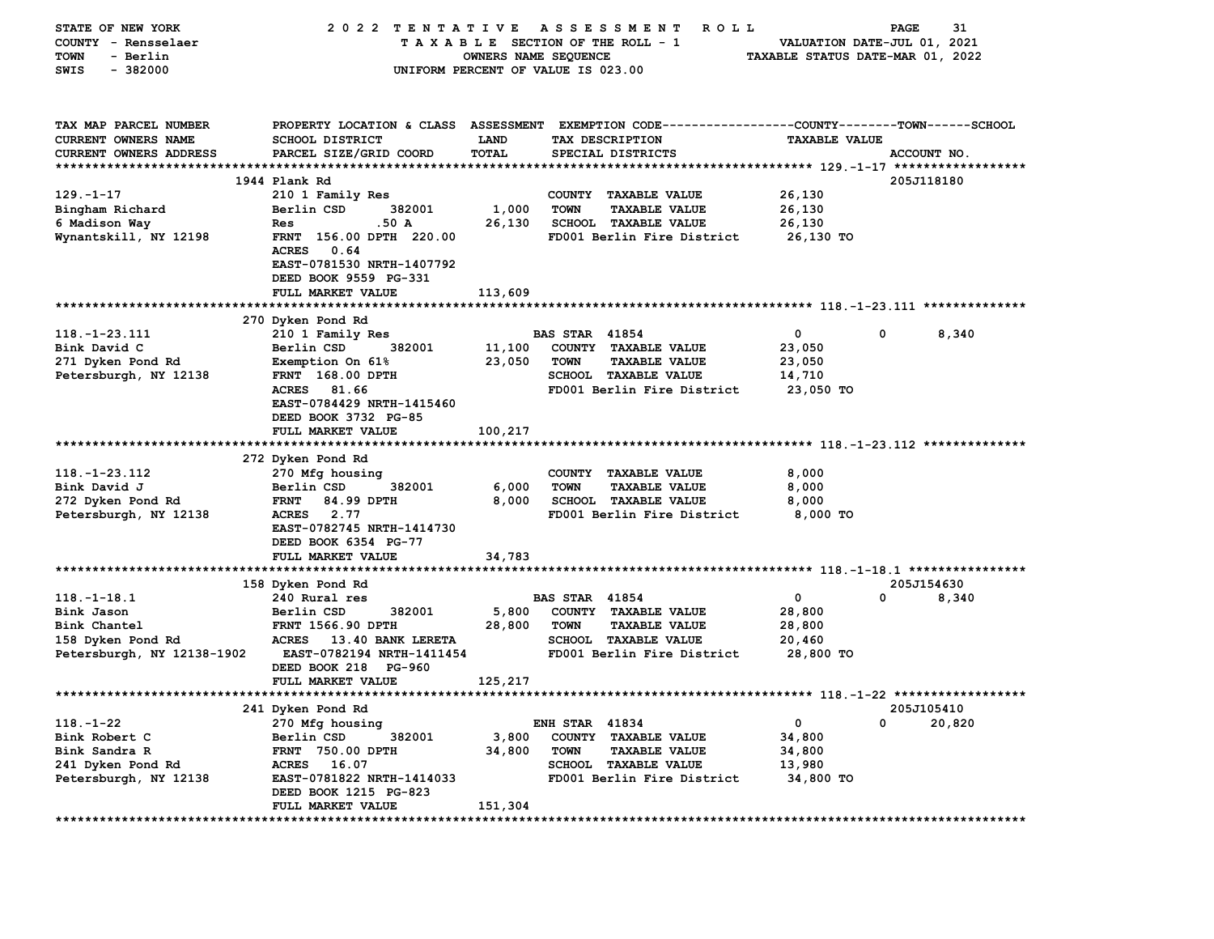| STATE OF NEW YORK                                        | 2022 TENTATIVE                                          |                                    |                       | A S S E S S M E N T<br><b>ROLL</b>                                                      |                                  | PAGE        | 31     |
|----------------------------------------------------------|---------------------------------------------------------|------------------------------------|-----------------------|-----------------------------------------------------------------------------------------|----------------------------------|-------------|--------|
| COUNTY - Rensselaer                                      |                                                         | TAXABLE SECTION OF THE ROLL - 1    |                       |                                                                                         | VALUATION DATE-JUL 01, 2021      |             |        |
| - Berlin<br><b>TOWN</b>                                  |                                                         | OWNERS NAME SEQUENCE               |                       |                                                                                         | TAXABLE STATUS DATE-MAR 01, 2022 |             |        |
| SWIS<br>$-382000$                                        |                                                         | UNIFORM PERCENT OF VALUE IS 023.00 |                       |                                                                                         |                                  |             |        |
|                                                          |                                                         |                                    |                       |                                                                                         |                                  |             |        |
|                                                          |                                                         |                                    |                       |                                                                                         |                                  |             |        |
| TAX MAP PARCEL NUMBER                                    | PROPERTY LOCATION & CLASS ASSESSMENT                    |                                    |                       | EXEMPTION CODE----------------COUNTY-------TOWN-----SCHOOL                              |                                  |             |        |
| <b>CURRENT OWNERS NAME</b>                               | <b>SCHOOL DISTRICT</b>                                  | LAND                               |                       | TAX DESCRIPTION                                                                         | <b>TAXABLE VALUE</b>             |             |        |
|                                                          |                                                         |                                    |                       |                                                                                         |                                  |             |        |
| <b>CURRENT OWNERS ADDRESS</b><br>*********************** | PARCEL SIZE/GRID COORD<br>***************************** | TOTAL<br>***********               |                       | SPECIAL DISTRICTS<br>************************************* 129.-1-17 ****************** |                                  | ACCOUNT NO. |        |
|                                                          | 1944 Plank Rd                                           |                                    |                       |                                                                                         |                                  | 205J118180  |        |
| $129. - 1 - 17$                                          | 210 1 Family Res                                        |                                    | <b>COUNTY</b>         | <b>TAXABLE VALUE</b>                                                                    | 26,130                           |             |        |
|                                                          | Berlin CSD<br>382001                                    | 1,000                              | <b>TOWN</b>           | <b>TAXABLE VALUE</b>                                                                    | 26,130                           |             |        |
| Bingham Richard                                          |                                                         |                                    |                       |                                                                                         |                                  |             |        |
| 6 Madison Way                                            | .50 A<br>Res                                            | 26,130                             |                       | <b>SCHOOL TAXABLE VALUE</b>                                                             | 26,130                           |             |        |
| Wynantskill, NY 12198                                    | FRNT 156.00 DPTH 220.00                                 |                                    |                       | FD001 Berlin Fire District                                                              | 26,130 TO                        |             |        |
|                                                          | <b>ACRES</b><br>0.64<br>EAST-0781530 NRTH-1407792       |                                    |                       |                                                                                         |                                  |             |        |
|                                                          | DEED BOOK 9559 PG-331                                   |                                    |                       |                                                                                         |                                  |             |        |
|                                                          | FULL MARKET VALUE                                       | 113,609                            |                       |                                                                                         |                                  |             |        |
|                                                          |                                                         |                                    |                       |                                                                                         |                                  |             |        |
|                                                          |                                                         |                                    |                       |                                                                                         |                                  |             |        |
| $118. - 1 - 23.111$                                      | 270 Dyken Pond Rd<br>210 1 Family Res                   |                                    | <b>BAS STAR 41854</b> |                                                                                         | 0                                | 0           | 8,340  |
|                                                          | 382001                                                  | 11,100                             |                       |                                                                                         | 23,050                           |             |        |
| Bink David C                                             | Berlin CSD                                              | 23,050                             | <b>TOWN</b>           | COUNTY TAXABLE VALUE<br><b>TAXABLE VALUE</b>                                            | 23,050                           |             |        |
| 271 Dyken Pond Rd                                        | Exemption On 61%<br>FRNT 168.00 DPTH                    |                                    |                       | SCHOOL TAXABLE VALUE                                                                    | 14,710                           |             |        |
| Petersburgh, NY 12138                                    | <b>ACRES</b><br>81.66                                   |                                    |                       | FD001 Berlin Fire District                                                              | 23,050 TO                        |             |        |
|                                                          | EAST-0784429 NRTH-1415460                               |                                    |                       |                                                                                         |                                  |             |        |
|                                                          |                                                         |                                    |                       |                                                                                         |                                  |             |        |
|                                                          | DEED BOOK 3732 PG-85<br>FULL MARKET VALUE               |                                    |                       |                                                                                         |                                  |             |        |
| *************************                                | ********************                                    | 100,217                            |                       |                                                                                         |                                  |             |        |
|                                                          | 272 Dyken Pond Rd                                       |                                    |                       |                                                                                         |                                  |             |        |
| $118. - 1 - 23.112$                                      | 270 Mfg housing                                         |                                    |                       | COUNTY TAXABLE VALUE                                                                    | 8,000                            |             |        |
| Bink David J                                             | Berlin CSD<br>382001                                    | 6,000                              | <b>TOWN</b>           | <b>TAXABLE VALUE</b>                                                                    | 8,000                            |             |        |
| 272 Dyken Pond Rd                                        | <b>FRNT</b><br>84.99 DPTH                               | 8,000                              |                       | <b>SCHOOL TAXABLE VALUE</b>                                                             | 8,000                            |             |        |
| Petersburgh, NY 12138                                    | <b>ACRES</b><br>2.77                                    |                                    |                       | FD001 Berlin Fire District                                                              | $8,000$ TO                       |             |        |
|                                                          | EAST-0782745 NRTH-1414730                               |                                    |                       |                                                                                         |                                  |             |        |
|                                                          | DEED BOOK 6354 PG-77                                    |                                    |                       |                                                                                         |                                  |             |        |
|                                                          | FULL MARKET VALUE                                       | 34,783                             |                       |                                                                                         |                                  |             |        |
|                                                          |                                                         |                                    |                       |                                                                                         |                                  |             |        |
|                                                          | 158 Dyken Pond Rd                                       |                                    |                       |                                                                                         |                                  | 205J154630  |        |
| $118.-1-18.1$                                            | 240 Rural res                                           |                                    | <b>BAS STAR 41854</b> |                                                                                         | $\mathbf 0$                      | 0           | 8,340  |
| Bink Jason                                               | Berlin CSD<br>382001                                    | 5,800                              |                       | COUNTY TAXABLE VALUE                                                                    | 28,800                           |             |        |
| Bink Chantel                                             | <b>FRNT 1566.90 DPTH</b>                                | 28,800                             | <b>TOWN</b>           | <b>TAXABLE VALUE</b>                                                                    | 28,800                           |             |        |
| 158 Dyken Pond Rd                                        | <b>ACRES</b><br><b>13.40 BANK LERETA</b>                |                                    |                       | <b>SCHOOL TAXABLE VALUE</b>                                                             | 20,460                           |             |        |
| Petersburgh, NY 12138-1902                               | EAST-0782194 NRTH-1411454                               |                                    |                       | FD001 Berlin Fire District                                                              | 28,800 TO                        |             |        |
|                                                          | DEED BOOK 218 PG-960                                    |                                    |                       |                                                                                         |                                  |             |        |
|                                                          | FULL MARKET VALUE                                       | 125,217                            |                       |                                                                                         |                                  |             |        |
|                                                          |                                                         |                                    |                       |                                                                                         |                                  |             |        |
|                                                          | 241 Dyken Pond Rd                                       |                                    |                       |                                                                                         |                                  | 205J105410  |        |
| 118.-1-22                                                | 270 Mfg housing                                         |                                    | <b>ENH STAR 41834</b> |                                                                                         | 0                                | 0           | 20,820 |
| Bink Robert C                                            | Berlin CSD<br>382001                                    | 3,800                              |                       | COUNTY TAXABLE VALUE                                                                    | 34,800                           |             |        |
| Bink Sandra R                                            | FRNT 750.00 DPTH                                        | 34,800                             | <b>TOWN</b>           | <b>TAXABLE VALUE</b>                                                                    | 34,800                           |             |        |
| 241 Dyken Pond Rd                                        | ACRES 16.07                                             |                                    |                       | <b>SCHOOL TAXABLE VALUE</b>                                                             | 13,980                           |             |        |
| Petersburgh, NY 12138                                    | EAST-0781822 NRTH-1414033                               |                                    |                       | FD001 Berlin Fire District                                                              | 34,800 TO                        |             |        |
|                                                          | DEED BOOK 1215 PG-823                                   |                                    |                       |                                                                                         |                                  |             |        |
|                                                          | FULL MARKET VALUE                                       | 151,304                            |                       |                                                                                         |                                  |             |        |
|                                                          |                                                         |                                    |                       |                                                                                         |                                  |             |        |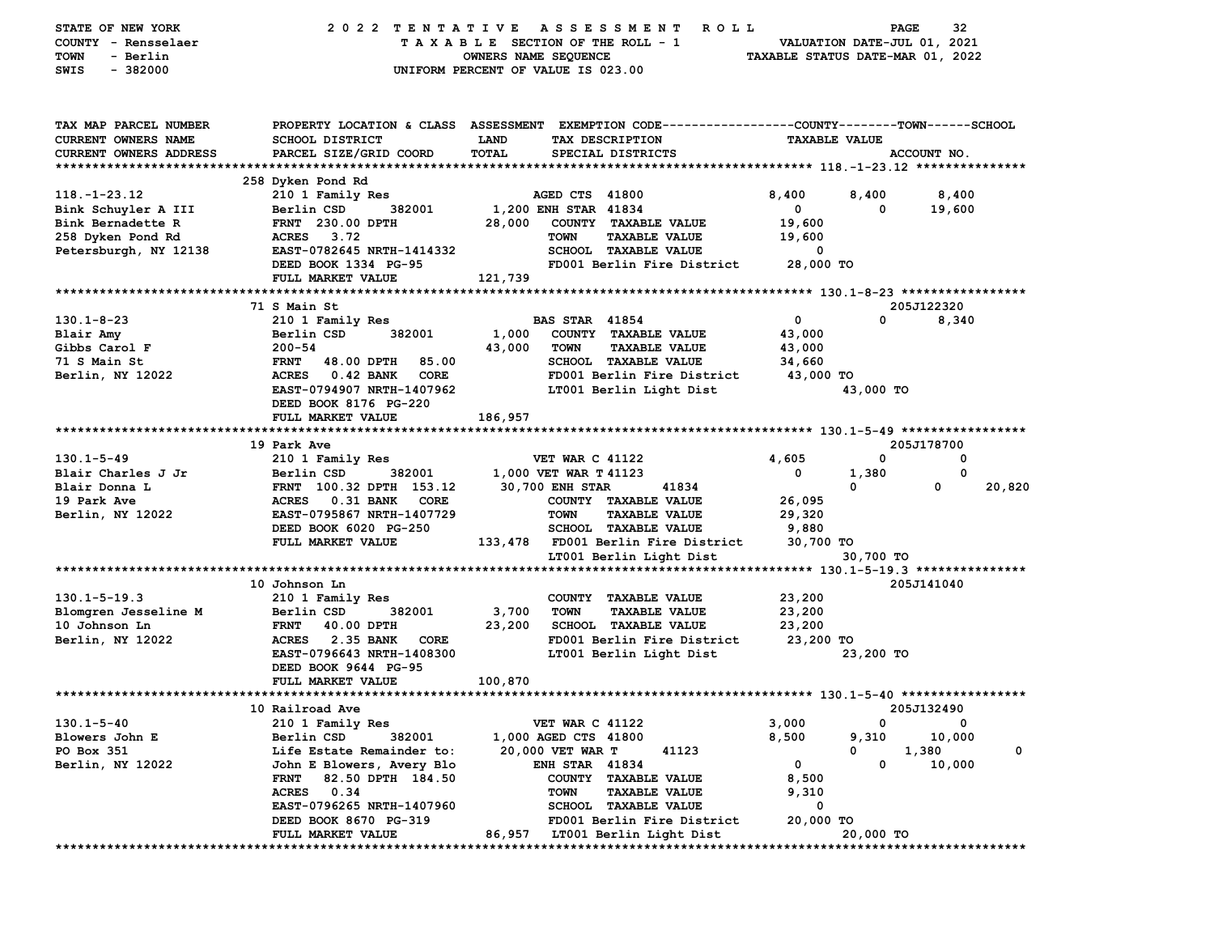| STATE OF NEW YORK<br>COUNTY - Rensselaer<br>- Berlin<br>TOWN<br>$-382000$<br>SWIS | 2022 TENTATIVE<br>ASSESSMENT<br><b>ROLL</b><br>TAXABLE SECTION OF THE ROLL - 1<br>OWNERS NAME SEQUENCE<br>UNIFORM PERCENT OF VALUE IS 023.00 |                                |                                                     |                      |           | 32<br>PAGE<br>VALUATION DATE-JUL 01, 2021<br>TAXABLE STATUS DATE-MAR 01, 2022 |        |
|-----------------------------------------------------------------------------------|----------------------------------------------------------------------------------------------------------------------------------------------|--------------------------------|-----------------------------------------------------|----------------------|-----------|-------------------------------------------------------------------------------|--------|
| TAX MAP PARCEL NUMBER                                                             | PROPERTY LOCATION & CLASS ASSESSMENT EXEMPTION CODE---------------COUNTY-------TOWN-----SCHOOL                                               |                                |                                                     |                      |           |                                                                               |        |
| CURRENT OWNERS NAME                                                               | <b>SCHOOL DISTRICT</b>                                                                                                                       | LAND                           | TAX DESCRIPTION                                     | <b>TAXABLE VALUE</b> |           |                                                                               |        |
| <b>CURRENT OWNERS ADDRESS</b>                                                     | PARCEL SIZE/GRID COORD                                                                                                                       | TOTAL                          | SPECIAL DISTRICTS                                   |                      |           | ACCOUNT NO.                                                                   |        |
|                                                                                   | 258 Dyken Pond Rd                                                                                                                            |                                |                                                     |                      |           |                                                                               |        |
| $118. - 1 - 23.12$                                                                | 210 1 Family Res                                                                                                                             |                                | AGED CTS 41800                                      | 8,400                | 8,400     | 8,400                                                                         |        |
| Bink Schuyler A III                                                               | Berlin CSD<br>382001                                                                                                                         | 1,200 ENH STAR 41834           |                                                     | $^{\circ}$           | 0         | 19,600                                                                        |        |
| Bink Bernadette R                                                                 | <b>FRNT</b> 230.00 DPTH                                                                                                                      | 28,000                         | COUNTY TAXABLE VALUE                                | 19,600               |           |                                                                               |        |
| 258 Dyken Pond Rd                                                                 | ACRES 3.72                                                                                                                                   | <b>TOWN</b>                    | <b>TAXABLE VALUE</b>                                | 19,600               |           |                                                                               |        |
| Petersburgh, NY 12138                                                             | EAST-0782645 NRTH-1414332                                                                                                                    |                                | SCHOOL TAXABLE VALUE                                | 0                    |           |                                                                               |        |
|                                                                                   | DEED BOOK 1334 PG-95<br>FULL MARKET VALUE                                                                                                    | 121,739                        | FD001 Berlin Fire District                          | 28,000 TO            |           |                                                                               |        |
|                                                                                   |                                                                                                                                              |                                |                                                     |                      |           |                                                                               |        |
|                                                                                   | 71 S Main St                                                                                                                                 |                                |                                                     |                      |           | 205J122320                                                                    |        |
| $130.1 - 8 - 23$                                                                  | 210 1 Family Res                                                                                                                             |                                | <b>BAS STAR 41854</b>                               | $\mathbf 0$          | 0         | 8,340                                                                         |        |
| Blair Amy                                                                         | 382001<br>Berlin CSD                                                                                                                         | 1,000                          | COUNTY TAXABLE VALUE                                | 43,000               |           |                                                                               |        |
| Gibbs Carol F                                                                     | $200 - 54$                                                                                                                                   | 43,000<br><b>TOWN</b>          | <b>TAXABLE VALUE</b>                                | 43,000               |           |                                                                               |        |
| 71 S Main St                                                                      | 85.00<br><b>FRNT</b><br>48.00 DPTH                                                                                                           |                                | SCHOOL TAXABLE VALUE                                | 34,660               |           |                                                                               |        |
| Berlin, NY 12022                                                                  | <b>ACRES</b><br>0.42 BANK<br>CORE                                                                                                            |                                | FD001 Berlin Fire District                          | 43,000 TO            |           |                                                                               |        |
|                                                                                   | EAST-0794907 NRTH-1407962<br>DEED BOOK 8176 PG-220                                                                                           |                                | LT001 Berlin Light Dist                             | 43,000 TO            |           |                                                                               |        |
|                                                                                   | FULL MARKET VALUE                                                                                                                            | 186,957                        |                                                     |                      |           |                                                                               |        |
|                                                                                   |                                                                                                                                              |                                |                                                     |                      |           |                                                                               |        |
|                                                                                   | 19 Park Ave                                                                                                                                  |                                |                                                     |                      |           | 205J178700                                                                    |        |
| $130.1 - 5 - 49$                                                                  | 210 1 Family Res                                                                                                                             |                                | <b>VET WAR C 41122</b>                              | 4,605                | 0         | 0                                                                             |        |
| Blair Charles J Jr                                                                | Berlin CSD<br>382001                                                                                                                         | 1,000 VET WAR T 41123          |                                                     | 0                    | 1,380     | 0                                                                             |        |
| Blair Donna L                                                                     | FRNT 100.32 DPTH 153.12                                                                                                                      | 30,700 ENH STAR                | 41834                                               |                      | 0         | 0                                                                             | 20,820 |
| 19 Park Ave<br>Berlin, NY 12022                                                   | <b>ACRES</b><br>0.31 BANK<br>CORE<br>EAST-0795867 NRTH-1407729                                                                               | <b>TOWN</b>                    | COUNTY TAXABLE VALUE<br><b>TAXABLE VALUE</b>        | 26,095<br>29,320     |           |                                                                               |        |
|                                                                                   | DEED BOOK 6020 PG-250                                                                                                                        |                                | SCHOOL TAXABLE VALUE                                | 9,880                |           |                                                                               |        |
|                                                                                   | FULL MARKET VALUE                                                                                                                            |                                | 133,478 FD001 Berlin Fire District                  | 30,700 TO            |           |                                                                               |        |
|                                                                                   |                                                                                                                                              |                                | LT001 Berlin Light Dist                             |                      | 30,700 TO |                                                                               |        |
|                                                                                   |                                                                                                                                              |                                |                                                     |                      |           |                                                                               |        |
|                                                                                   | 10 Johnson Ln                                                                                                                                |                                |                                                     |                      |           | 205J141040                                                                    |        |
| $130.1 - 5 - 19.3$                                                                | 210 1 Family Res                                                                                                                             |                                | COUNTY TAXABLE VALUE                                | 23,200               |           |                                                                               |        |
| Blomgren Jesseline M<br>10 Johnson Ln                                             | Berlin CSD<br>382001<br><b>FRNT</b><br>40.00 DPTH                                                                                            | 3,700<br><b>TOWN</b><br>23,200 | <b>TAXABLE VALUE</b><br><b>SCHOOL TAXABLE VALUE</b> | 23,200<br>23,200     |           |                                                                               |        |
| Berlin, NY 12022                                                                  | <b>ACRES</b><br>2.35 BANK<br>CORE                                                                                                            |                                | FD001 Berlin Fire District                          | 23,200 TO            |           |                                                                               |        |
|                                                                                   | EAST-0796643 NRTH-1408300                                                                                                                    |                                | LT001 Berlin Light Dist                             |                      | 23,200 TO |                                                                               |        |
|                                                                                   | DEED BOOK 9644 PG-95                                                                                                                         |                                |                                                     |                      |           |                                                                               |        |
|                                                                                   | FULL MARKET VALUE                                                                                                                            | 100,870                        |                                                     |                      |           |                                                                               |        |
|                                                                                   |                                                                                                                                              |                                |                                                     |                      |           |                                                                               |        |
| $130.1 - 5 - 40$                                                                  | 10 Railroad Ave<br>210 1 Family Res                                                                                                          |                                | <b>VET WAR C 41122</b>                              | 3,000                | 0         | 205J132490<br>0                                                               |        |
| Blowers John E                                                                    | Berlin CSD<br>382001                                                                                                                         | 1,000 AGED CTS 41800           |                                                     | 8,500                | 9,310     | 10,000                                                                        |        |
| PO Box 351                                                                        | Life Estate Remainder to:                                                                                                                    | 20,000 VET WAR T               | 41123                                               |                      | 0         | 1,380                                                                         | 0      |
| Berlin, NY 12022                                                                  | John E Blowers, Avery Blo                                                                                                                    |                                | <b>ENH STAR 41834</b>                               | 0                    | 0         | 10,000                                                                        |        |
|                                                                                   | 82.50 DPTH 184.50<br>FRNT                                                                                                                    |                                | COUNTY TAXABLE VALUE                                | 8,500                |           |                                                                               |        |
|                                                                                   | <b>ACRES</b><br>0.34                                                                                                                         | <b>TOWN</b>                    | <b>TAXABLE VALUE</b>                                | 9,310                |           |                                                                               |        |
|                                                                                   | EAST-0796265 NRTH-1407960                                                                                                                    |                                | SCHOOL TAXABLE VALUE                                | 0                    |           |                                                                               |        |
|                                                                                   | DEED BOOK 8670 PG-319                                                                                                                        |                                | FD001 Berlin Fire District                          | 20,000 TO            |           |                                                                               |        |
|                                                                                   | FULL MARKET VALUE                                                                                                                            | 86,957                         | LT001 Berlin Light Dist                             |                      | 20,000 TO |                                                                               |        |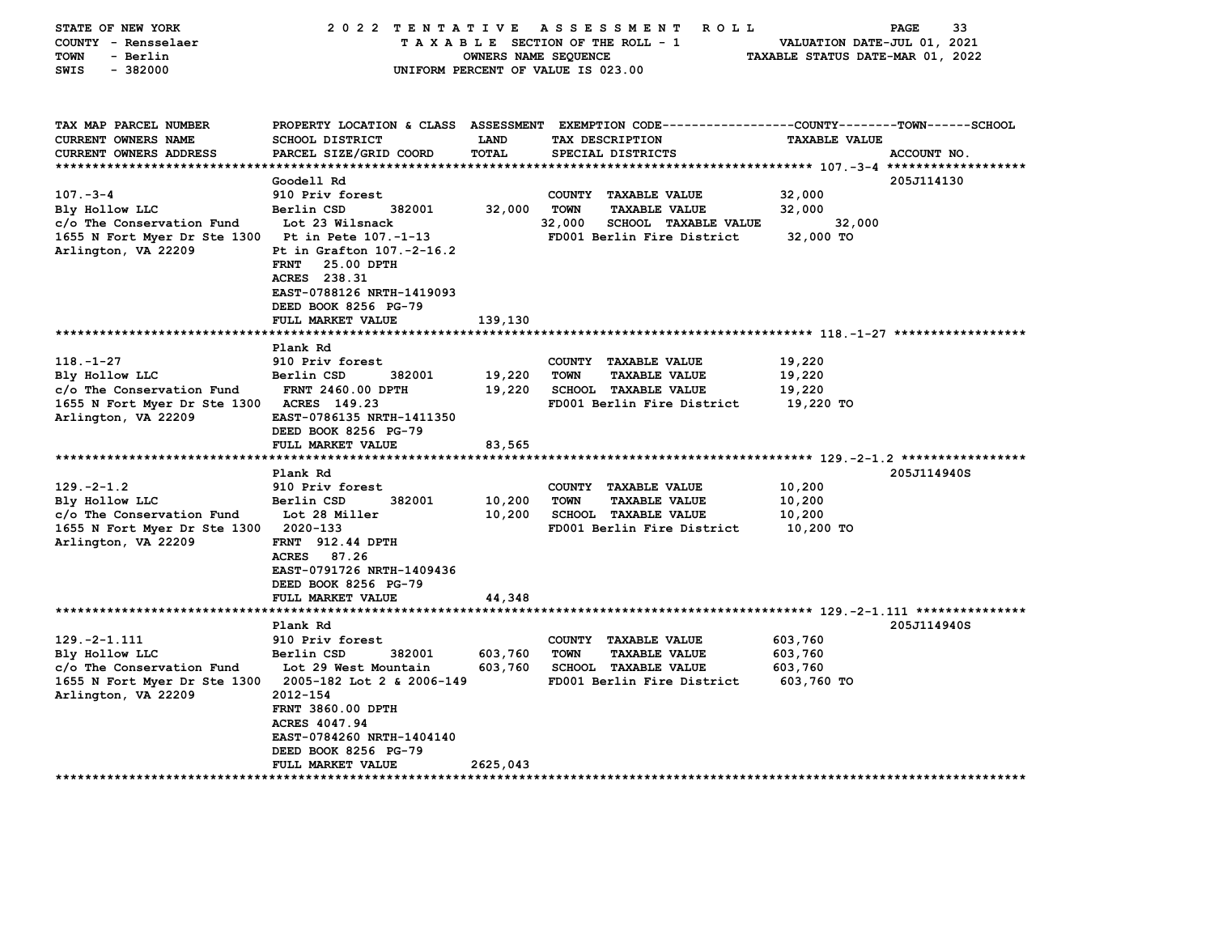| STATE OF NEW YORK<br>COUNTY - Rensselaer<br><b>TOWN</b><br>- Berlin<br>SWIS<br>$-382000$                                                          | 2022 TENTATIVE ASSESSMENT                                                                                                                                                                                                    | OWNERS NAME SEQUENCE       | <b>ROLL</b><br>TAXABLE SECTION OF THE ROLL - 1<br>UNIFORM PERCENT OF VALUE IS 023.00                                               | PAGE<br>33<br>VALUATION DATE-JUL 01, 2021<br>TAXABLE STATUS DATE-MAR 01, 2022                       |
|---------------------------------------------------------------------------------------------------------------------------------------------------|------------------------------------------------------------------------------------------------------------------------------------------------------------------------------------------------------------------------------|----------------------------|------------------------------------------------------------------------------------------------------------------------------------|-----------------------------------------------------------------------------------------------------|
| TAX MAP PARCEL NUMBER<br><b>CURRENT OWNERS NAME</b><br><b>CURRENT OWNERS ADDRESS</b>                                                              | PROPERTY LOCATION & CLASS ASSESSMENT<br>SCHOOL DISTRICT<br>PARCEL SIZE/GRID COORD                                                                                                                                            | LAND<br><b>TOTAL</b>       | TAX DESCRIPTION<br>SPECIAL DISTRICTS                                                                                               | EXEMPTION CODE-----------------COUNTY-------TOWN------SCHOOL<br><b>TAXABLE VALUE</b><br>ACCOUNT NO. |
| $107 - 3 - 4$<br>Bly Hollow LLC<br>c/o The Conservation Fund<br>1655 N Fort Myer Dr Ste 1300 Pt in Pete 107.-1-13<br>Arlington, VA 22209          | Goodell Rd<br>910 Priv forest<br>Berlin CSD<br>382001<br>Lot 23 Wilsnack<br>Pt in Grafton 107.-2-16.2<br><b>FRNT</b><br>25.00 DPTH<br>ACRES 238.31<br>EAST-0788126 NRTH-1419093<br>DEED BOOK 8256 PG-79<br>FULL MARKET VALUE | 32,000<br>139,130          | COUNTY TAXABLE VALUE<br><b>TOWN</b><br><b>TAXABLE VALUE</b><br>32,000<br><b>SCHOOL TAXABLE VALUE</b><br>FD001 Berlin Fire District | 205J114130<br>32,000<br>32,000<br>32,000<br>32,000 TO                                               |
|                                                                                                                                                   |                                                                                                                                                                                                                              |                            |                                                                                                                                    |                                                                                                     |
| $118. - 1 - 27$<br>Bly Hollow LLC<br>c/o The Conservation Fund<br>1655 N Fort Myer Dr Ste 1300 ACRES 149.23<br>Arlington, VA 22209                | Plank Rd<br>910 Priv forest<br>Berlin CSD<br>382001<br><b>FRNT 2460.00 DPTH</b><br>EAST-0786135 NRTH-1411350<br>DEED BOOK 8256 PG-79<br>FULL MARKET VALUE                                                                    | 19,220<br>19,220<br>83,565 | COUNTY TAXABLE VALUE<br><b>TOWN</b><br><b>TAXABLE VALUE</b><br><b>SCHOOL TAXABLE VALUE</b><br>FD001 Berlin Fire District           | 19,220<br>19,220<br>19,220<br>19,220 TO                                                             |
|                                                                                                                                                   | Plank Rd                                                                                                                                                                                                                     |                            |                                                                                                                                    | 205J114940S                                                                                         |
| $129. -2 - 1.2$<br>Bly Hollow LLC<br>c/o The Conservation Fund<br>1655 N Fort Myer Dr Ste 1300 2020-133<br>Arlington, VA 22209                    | 910 Priv forest<br>Berlin CSD<br>382001<br>Lot 28 Miller<br>FRNT 912.44 DPTH<br><b>ACRES</b><br>87.26<br>EAST-0791726 NRTH-1409436<br>DEED BOOK 8256 PG-79<br>FULL MARKET VALUE                                              | 10,200<br>10,200<br>44,348 | COUNTY TAXABLE VALUE<br><b>TOWN</b><br><b>TAXABLE VALUE</b><br><b>SCHOOL TAXABLE VALUE</b><br>FD001 Berlin Fire District           | 10,200<br>10,200<br>10,200<br>10,200 TO                                                             |
|                                                                                                                                                   |                                                                                                                                                                                                                              |                            |                                                                                                                                    |                                                                                                     |
| $129. -2 - 1.111$<br>Bly Hollow LLC<br>c/o The Conservation Fund<br>1655 N Fort Myer Dr Ste 1300 2005-182 Lot 2 & 2006-149<br>Arlington, VA 22209 | Plank Rd<br>910 Priv forest<br>Berlin CSD<br>382001<br>Lot 29 West Mountain<br>2012-154<br><b>FRNT 3860.00 DPTH</b><br><b>ACRES 4047.94</b><br>EAST-0784260 NRTH-1404140<br>DEED BOOK 8256 PG-79                             | 603,760<br>603,760         | COUNTY TAXABLE VALUE<br><b>TOWN</b><br><b>TAXABLE VALUE</b><br><b>SCHOOL TAXABLE VALUE</b><br>FD001 Berlin Fire District           | 205J114940S<br>603,760<br>603,760<br>603,760<br>603,760 TO                                          |
| *******************                                                                                                                               | FULL MARKET VALUE<br>***************                                                                                                                                                                                         | 2625,043                   |                                                                                                                                    |                                                                                                     |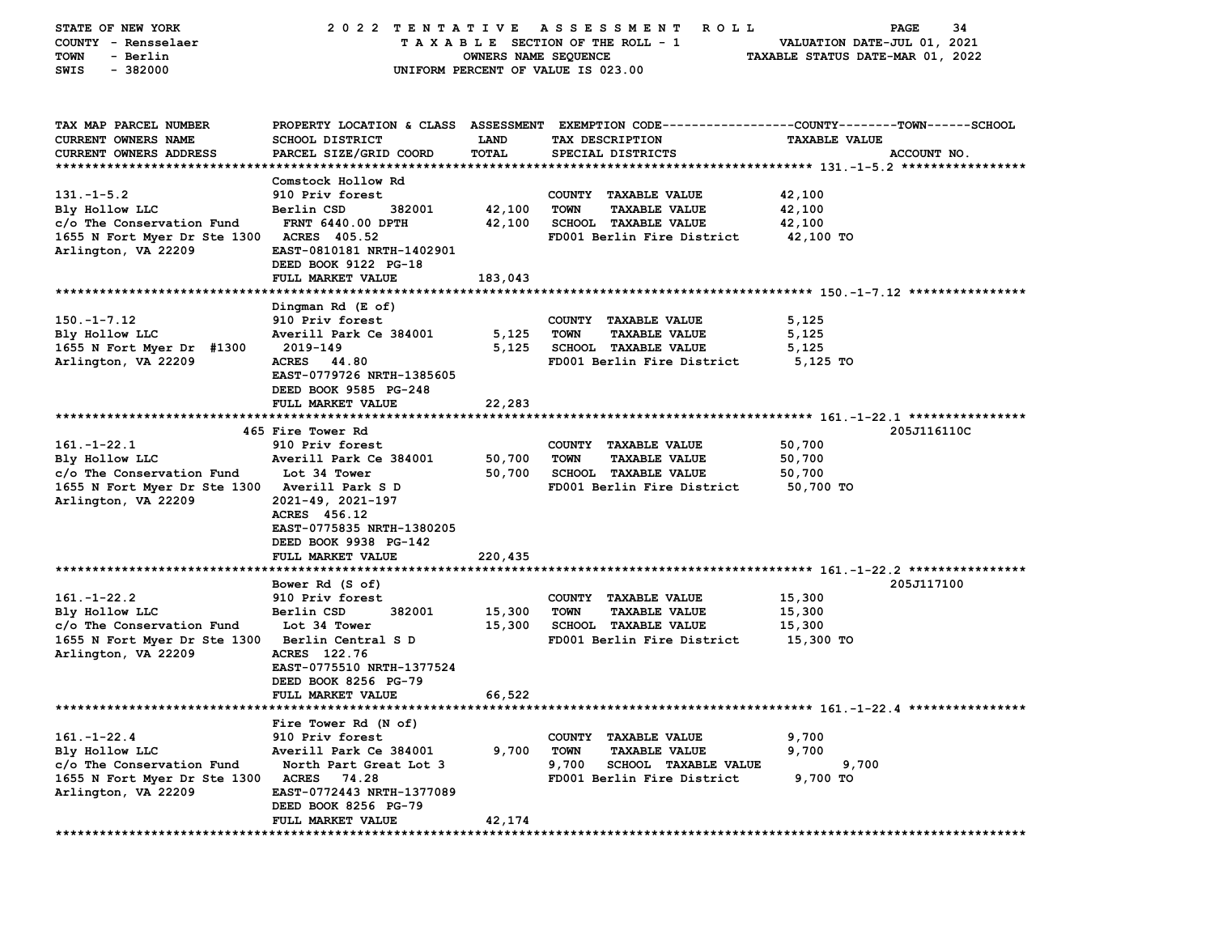| STATE OF NEW YORK                               | 2022 TENTATIVE ASSESSMENT                                      |             | <b>ROLL</b>                         | 34<br>PAGE                                                                                     |  |
|-------------------------------------------------|----------------------------------------------------------------|-------------|-------------------------------------|------------------------------------------------------------------------------------------------|--|
| COUNTY - Rensselaer                             | TAXABLE SECTION OF THE ROLL - 1<br>VALUATION DATE-JUL 01, 2021 |             |                                     |                                                                                                |  |
| - Berlin<br>TOWN                                | OWNERS NAME SEQUENCE<br>TAXABLE STATUS DATE-MAR 01, 2022       |             |                                     |                                                                                                |  |
| SWIS<br>$-382000$                               | UNIFORM PERCENT OF VALUE IS 023.00                             |             |                                     |                                                                                                |  |
|                                                 |                                                                |             |                                     |                                                                                                |  |
|                                                 |                                                                |             |                                     |                                                                                                |  |
|                                                 |                                                                |             |                                     |                                                                                                |  |
| TAX MAP PARCEL NUMBER                           |                                                                |             |                                     | PROPERTY LOCATION & CLASS ASSESSMENT EXEMPTION CODE---------------COUNTY-------TOWN-----SCHOOL |  |
| CURRENT OWNERS NAME                             | <b>SCHOOL DISTRICT</b>                                         | <b>LAND</b> | TAX DESCRIPTION                     | <b>TAXABLE VALUE</b>                                                                           |  |
| <b>CURRENT OWNERS ADDRESS</b>                   | PARCEL SIZE/GRID COORD                                         | TOTAL       | SPECIAL DISTRICTS                   | ACCOUNT NO.                                                                                    |  |
|                                                 |                                                                |             |                                     |                                                                                                |  |
|                                                 | Comstock Hollow Rd                                             |             |                                     |                                                                                                |  |
| $131. -1 - 5.2$                                 | 910 Priv forest                                                |             | COUNTY TAXABLE VALUE                | 42,100                                                                                         |  |
| Bly Hollow LLC                                  | 382001<br>Berlin CSD                                           | 42,100      | <b>TOWN</b><br><b>TAXABLE VALUE</b> | 42,100                                                                                         |  |
| c/o The Conservation Fund                       | <b>FRNT 6440.00 DPTH</b>                                       | 42,100      | <b>SCHOOL TAXABLE VALUE</b>         | 42,100                                                                                         |  |
| 1655 N Fort Myer Dr Ste 1300 ACRES 405.52       |                                                                |             | FD001 Berlin Fire District          | 42,100 TO                                                                                      |  |
| Arlington, VA 22209                             | EAST-0810181 NRTH-1402901                                      |             |                                     |                                                                                                |  |
|                                                 | DEED BOOK 9122 PG-18                                           |             |                                     |                                                                                                |  |
|                                                 | FULL MARKET VALUE                                              | 183,043     |                                     |                                                                                                |  |
|                                                 |                                                                |             |                                     |                                                                                                |  |
|                                                 |                                                                |             |                                     |                                                                                                |  |
|                                                 | Dingman Rd (E of)                                              |             |                                     |                                                                                                |  |
| $150. - 1 - 7.12$                               | 910 Priv forest                                                |             | COUNTY TAXABLE VALUE                | 5,125                                                                                          |  |
| Bly Hollow LLC                                  | Averill Park Ce 384001                                         | 5,125       | TOWN<br><b>TAXABLE VALUE</b>        | 5,125                                                                                          |  |
| 1655 N Fort Myer Dr #1300                       | 2019-149                                                       | 5,125       | <b>SCHOOL TAXABLE VALUE</b>         | 5,125                                                                                          |  |
| Arlington, VA 22209                             | ACRES 44.80                                                    |             | FD001 Berlin Fire District          | 5,125 TO                                                                                       |  |
|                                                 | EAST-0779726 NRTH-1385605                                      |             |                                     |                                                                                                |  |
|                                                 | DEED BOOK 9585 PG-248                                          |             |                                     |                                                                                                |  |
|                                                 | FULL MARKET VALUE                                              | 22,283      |                                     |                                                                                                |  |
|                                                 |                                                                |             |                                     |                                                                                                |  |
|                                                 | 465 Fire Tower Rd                                              |             |                                     | 205J116110C                                                                                    |  |
| $161. - 1 - 22.1$                               | 910 Priv forest                                                |             | COUNTY TAXABLE VALUE                | 50,700                                                                                         |  |
| Bly Hollow LLC                                  | Averill Park Ce 384001                                         | 50,700      | <b>TOWN</b><br><b>TAXABLE VALUE</b> | 50,700                                                                                         |  |
|                                                 | Lot 34 Tower                                                   | 50,700      | SCHOOL TAXABLE VALUE                | 50,700                                                                                         |  |
| c/o The Conservation Fund                       |                                                                |             |                                     |                                                                                                |  |
| 1655 N Fort Myer Dr Ste 1300 Averill Park S D   |                                                                |             | FD001 Berlin Fire District          | 50,700 TO                                                                                      |  |
| Arlington, VA 22209                             | 2021-49, 2021-197                                              |             |                                     |                                                                                                |  |
|                                                 | ACRES 456.12                                                   |             |                                     |                                                                                                |  |
|                                                 | EAST-0775835 NRTH-1380205                                      |             |                                     |                                                                                                |  |
|                                                 | DEED BOOK 9938 PG-142                                          |             |                                     |                                                                                                |  |
|                                                 | FULL MARKET VALUE                                              | 220,435     |                                     |                                                                                                |  |
|                                                 |                                                                |             |                                     |                                                                                                |  |
|                                                 | Bower Rd (S of)                                                |             |                                     | 205J117100                                                                                     |  |
| $161. - 1 - 22.2$                               | 910 Priv forest                                                |             | COUNTY TAXABLE VALUE                | 15,300                                                                                         |  |
| Bly Hollow LLC                                  | Berlin CSD<br>382001                                           | 15,300      | <b>TOWN</b><br><b>TAXABLE VALUE</b> | 15,300                                                                                         |  |
| c/o The Conservation Fund                       | Lot 34 Tower                                                   | 15,300      | <b>SCHOOL TAXABLE VALUE</b>         | 15,300                                                                                         |  |
|                                                 |                                                                |             | FD001 Berlin Fire District          |                                                                                                |  |
| 1655 N Fort Myer Dr Ste 1300 Berlin Central S D |                                                                |             |                                     | 15,300 TO                                                                                      |  |
| Arlington, VA 22209                             | ACRES 122.76                                                   |             |                                     |                                                                                                |  |
|                                                 | EAST-0775510 NRTH-1377524                                      |             |                                     |                                                                                                |  |
|                                                 | DEED BOOK 8256 PG-79                                           |             |                                     |                                                                                                |  |
|                                                 | <b>FULL MARKET VALUE</b>                                       | 66,522      |                                     |                                                                                                |  |
|                                                 |                                                                |             |                                     |                                                                                                |  |
|                                                 | Fire Tower Rd (N of)                                           |             |                                     |                                                                                                |  |
| $161. - 1 - 22.4$                               | 910 Priv forest                                                |             | <b>TAXABLE VALUE</b><br>COUNTY      | 9,700                                                                                          |  |
| Bly Hollow LLC                                  | Averill Park Ce 384001                                         | 9,700       | <b>TOWN</b><br><b>TAXABLE VALUE</b> | 9,700                                                                                          |  |
| c/o The Conservation Fund                       | North Part Great Lot 3                                         |             | 9,700<br>SCHOOL TAXABLE VALUE       | 9,700                                                                                          |  |
| 1655 N Fort Myer Dr Ste 1300                    | <b>ACRES</b><br>74.28                                          |             | FD001 Berlin Fire District          | 9,700 TO                                                                                       |  |
| Arlington, VA 22209                             | EAST-0772443 NRTH-1377089                                      |             |                                     |                                                                                                |  |
|                                                 |                                                                |             |                                     |                                                                                                |  |
|                                                 | DEED BOOK 8256 PG-79                                           |             |                                     |                                                                                                |  |
|                                                 | FULL MARKET VALUE                                              | 42,174      |                                     |                                                                                                |  |
| ************                                    |                                                                |             |                                     |                                                                                                |  |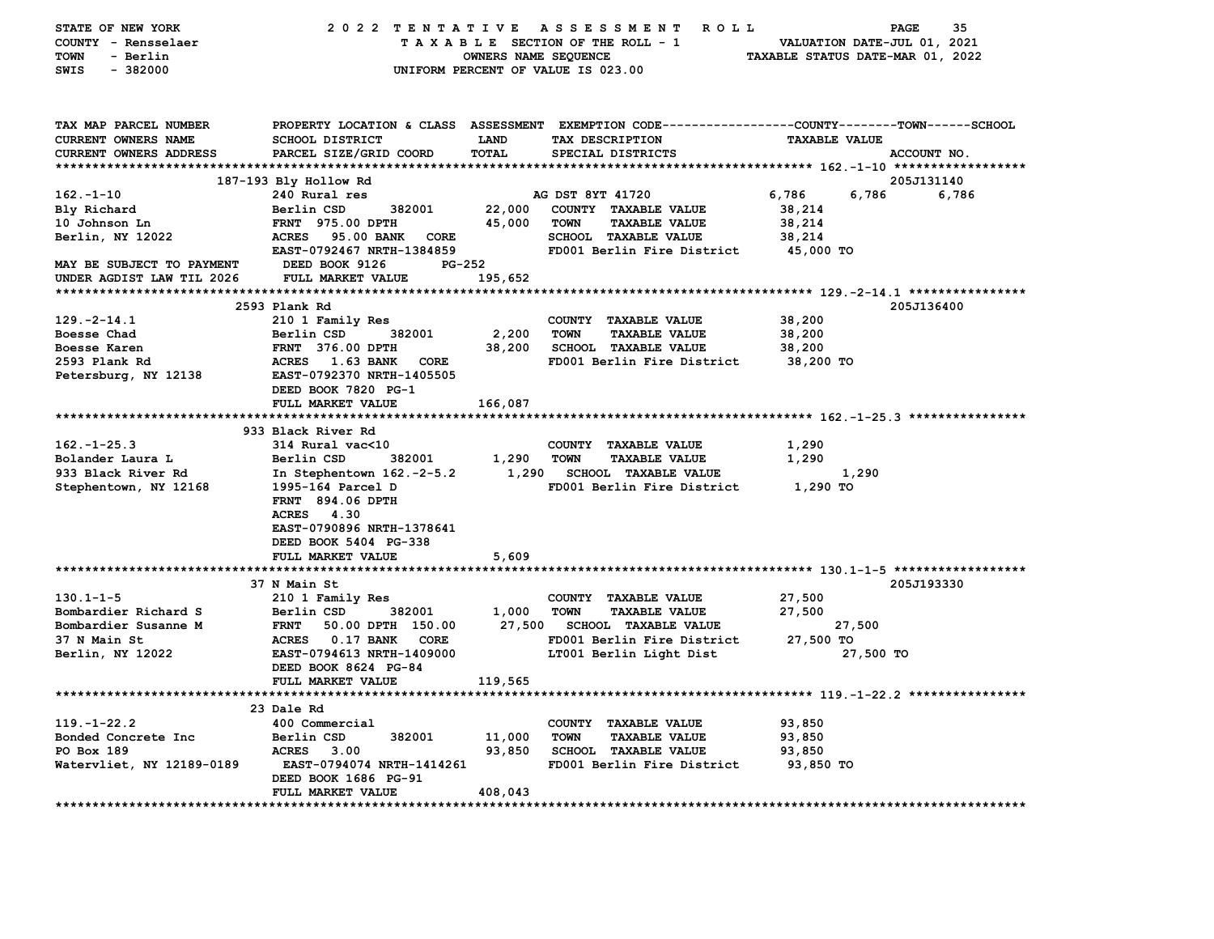| STATE OF NEW YORK             | 2022 TENTATIVE                                           |                      | <b>ROLL</b><br>A S S E S S M E N T                                                             |                                  | 35<br><b>PAGE</b> |
|-------------------------------|----------------------------------------------------------|----------------------|------------------------------------------------------------------------------------------------|----------------------------------|-------------------|
| COUNTY - Rensselaer           |                                                          |                      | TAXABLE SECTION OF THE ROLL - 1                                                                | VALUATION DATE-JUL 01, 2021      |                   |
| <b>TOWN</b><br>- Berlin       |                                                          | OWNERS NAME SEQUENCE |                                                                                                | TAXABLE STATUS DATE-MAR 01, 2022 |                   |
| $-382000$<br>SWIS             |                                                          |                      | UNIFORM PERCENT OF VALUE IS 023.00                                                             |                                  |                   |
|                               |                                                          |                      |                                                                                                |                                  |                   |
| TAX MAP PARCEL NUMBER         |                                                          |                      | PROPERTY LOCATION & CLASS ASSESSMENT EXEMPTION CODE---------------COUNTY-------TOWN-----SCHOOL |                                  |                   |
| CURRENT OWNERS NAME           | <b>SCHOOL DISTRICT</b>                                   | <b>LAND</b>          | TAX DESCRIPTION                                                                                | <b>TAXABLE VALUE</b>             |                   |
| <b>CURRENT OWNERS ADDRESS</b> | PARCEL SIZE/GRID COORD                                   | TOTAL                | SPECIAL DISTRICTS                                                                              |                                  | ACCOUNT NO.       |
|                               |                                                          |                      |                                                                                                |                                  |                   |
|                               | 187-193 Bly Hollow Rd                                    |                      |                                                                                                |                                  | 205J131140        |
| $162 - 1 - 10$                | 240 Rural res                                            |                      | AG DST 8YT 41720                                                                               | 6,786<br>6,786                   | 6,786             |
| Bly Richard                   | Berlin CSD<br>382001                                     | 22,000               | COUNTY TAXABLE VALUE                                                                           | 38,214                           |                   |
| 10 Johnson Ln                 | FRNT 975.00 DPTH                                         | 45,000               | <b>TOWN</b><br><b>TAXABLE VALUE</b>                                                            | 38,214                           |                   |
| Berlin, NY 12022              | ACRES<br>95.00 BANK<br>CORE                              |                      | SCHOOL TAXABLE VALUE                                                                           | 38,214                           |                   |
|                               | EAST-0792467 NRTH-1384859                                |                      | FD001 Berlin Fire District                                                                     | 45,000 TO                        |                   |
| MAY BE SUBJECT TO PAYMENT     | DEED BOOK 9126<br>PG-252                                 |                      |                                                                                                |                                  |                   |
| UNDER AGDIST LAW TIL 2026     | FULL MARKET VALUE                                        | 195,652              |                                                                                                |                                  |                   |
|                               |                                                          |                      |                                                                                                |                                  |                   |
|                               | 2593 Plank Rd                                            |                      |                                                                                                |                                  | 205J136400        |
| $129. -2 - 14.1$              | 210 1 Family Res                                         |                      | COUNTY TAXABLE VALUE                                                                           | 38,200                           |                   |
| Boesse Chad                   | Berlin CSD<br>382001                                     | 2,200                | <b>TAXABLE VALUE</b><br><b>TOWN</b>                                                            | 38,200                           |                   |
| Boesse Karen                  | <b>FRNT 376.00 DPTH</b>                                  | 38,200               | <b>SCHOOL TAXABLE VALUE</b>                                                                    | 38,200                           |                   |
| 2593 Plank Rd                 | ACRES 1.63 BANK<br>CORE<br>EAST-0792370 NRTH-1405505     |                      | FD001 Berlin Fire District                                                                     | 38,200 TO                        |                   |
| Petersburg, NY 12138          | DEED BOOK 7820 PG-1                                      |                      |                                                                                                |                                  |                   |
|                               | FULL MARKET VALUE                                        |                      |                                                                                                |                                  |                   |
|                               |                                                          | 166,087              |                                                                                                |                                  |                   |
|                               | 933 Black River Rd                                       |                      |                                                                                                |                                  |                   |
| $162. - 1 - 25.3$             | 314 Rural vac<10                                         |                      | COUNTY TAXABLE VALUE                                                                           | 1,290                            |                   |
| Bolander Laura L              | Berlin CSD<br>382001                                     | 1,290                | <b>TOWN</b><br><b>TAXABLE VALUE</b>                                                            | 1,290                            |                   |
| 933 Black River Rd            | In Stephentown 162.-2-5.2                                | 1,290                | <b>SCHOOL TAXABLE VALUE</b>                                                                    | 1,290                            |                   |
| Stephentown, NY 12168         | 1995-164 Parcel D                                        |                      | FD001 Berlin Fire District                                                                     | 1,290 TO                         |                   |
|                               | FRNT 894.06 DPTH                                         |                      |                                                                                                |                                  |                   |
|                               | <b>ACRES</b><br>4.30                                     |                      |                                                                                                |                                  |                   |
|                               | EAST-0790896 NRTH-1378641                                |                      |                                                                                                |                                  |                   |
|                               | DEED BOOK 5404 PG-338                                    |                      |                                                                                                |                                  |                   |
|                               | FULL MARKET VALUE                                        | 5,609                |                                                                                                |                                  |                   |
|                               |                                                          |                      |                                                                                                |                                  |                   |
|                               | 37 N Main St                                             |                      |                                                                                                |                                  | 205J193330        |
| $130.1 - 1 - 5$               | 210 1 Family Res                                         |                      | COUNTY TAXABLE VALUE                                                                           | 27,500                           |                   |
| Bombardier Richard S          | 382001<br>Berlin CSD                                     | 1,000                | TOWN<br><b>TAXABLE VALUE</b>                                                                   | 27,500                           |                   |
| Bombardier Susanne M          | 50.00 DPTH 150.00<br><b>FRNT</b>                         | 27,500               | <b>SCHOOL TAXABLE VALUE</b>                                                                    | 27,500                           |                   |
| 37 N Main St                  | ACRES 0.17 BANK<br><b>CORE</b>                           |                      | FD001 Berlin Fire District                                                                     | 27,500 TO                        |                   |
| Berlin, NY 12022              | EAST-0794613 NRTH-1409000                                |                      | LT001 Berlin Light Dist                                                                        | 27,500 TO                        |                   |
|                               | DEED BOOK 8624 PG-84                                     |                      |                                                                                                |                                  |                   |
|                               | FULL MARKET VALUE                                        | 119,565              |                                                                                                |                                  |                   |
|                               | *****************************                            |                      |                                                                                                |                                  |                   |
|                               | 23 Dale Rd                                               |                      |                                                                                                |                                  |                   |
| $119. - 1 - 22.2$             | 400 Commercial                                           |                      | COUNTY TAXABLE VALUE                                                                           | 93,850                           |                   |
| Bonded Concrete Inc           | 382001<br>Berlin CSD                                     | 11,000               | <b>TOWN</b><br><b>TAXABLE VALUE</b>                                                            | 93,850                           |                   |
| PO Box 189                    | <b>ACRES</b><br>3.00                                     | 93,850               | <b>SCHOOL TAXABLE VALUE</b>                                                                    | 93,850                           |                   |
| Watervliet, NY 12189-0189     | <b>EAST-0794074 NRTH-1414261</b><br>DEED BOOK 1686 PG-91 |                      | FD001 Berlin Fire District                                                                     | 93,850 TO                        |                   |
|                               | FULL MARKET VALUE                                        | 408,043              |                                                                                                |                                  |                   |
| *************************     |                                                          |                      |                                                                                                |                                  |                   |
|                               |                                                          |                      |                                                                                                |                                  |                   |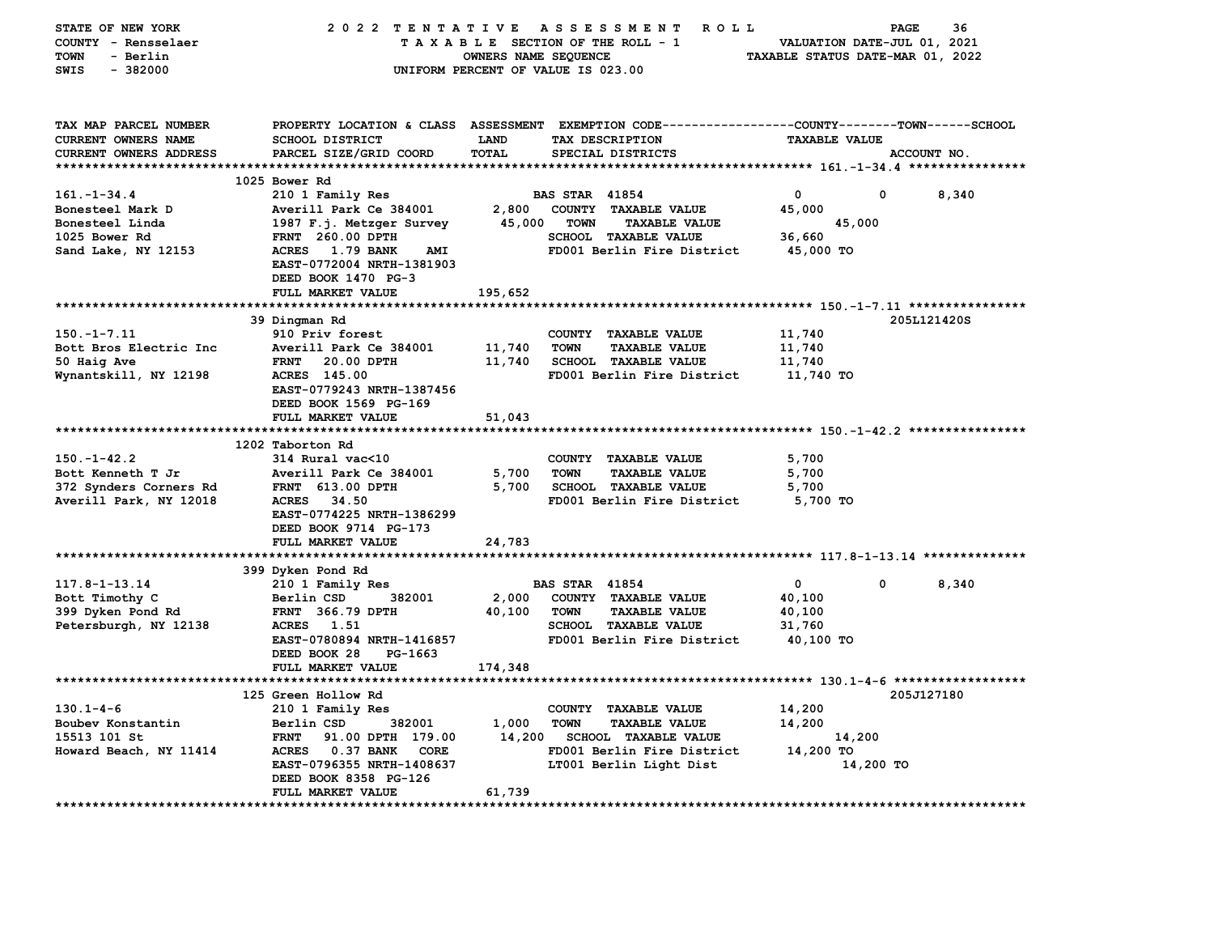| STATE OF NEW YORK             | 2022 TENTATIVE                                                  |                                    | <b>ROLL</b><br>A S S E S S M E N T                           |                      | 36<br>PAGE  |  |
|-------------------------------|-----------------------------------------------------------------|------------------------------------|--------------------------------------------------------------|----------------------|-------------|--|
| COUNTY - Rensselaer           | TAXABLE SECTION OF THE ROLL - 1<br>VALUATION DATE-JUL 01, 2021  |                                    |                                                              |                      |             |  |
| TOWN<br>- Berlin              | TAXABLE STATUS DATE-MAR 01, 2022<br><b>OWNERS NAME SEQUENCE</b> |                                    |                                                              |                      |             |  |
| $-382000$<br>SWIS             |                                                                 | UNIFORM PERCENT OF VALUE IS 023.00 |                                                              |                      |             |  |
|                               |                                                                 |                                    |                                                              |                      |             |  |
|                               |                                                                 |                                    |                                                              |                      |             |  |
|                               |                                                                 |                                    |                                                              |                      |             |  |
| TAX MAP PARCEL NUMBER         | PROPERTY LOCATION & CLASS ASSESSMENT                            |                                    | EXEMPTION CODE-----------------COUNTY-------TOWN------SCHOOL |                      |             |  |
| CURRENT OWNERS NAME           | SCHOOL DISTRICT                                                 | <b>LAND</b>                        | TAX DESCRIPTION                                              | <b>TAXABLE VALUE</b> |             |  |
| <b>CURRENT OWNERS ADDRESS</b> | PARCEL SIZE/GRID COORD                                          | <b>TOTAL</b>                       | SPECIAL DISTRICTS                                            |                      | ACCOUNT NO. |  |
|                               |                                                                 |                                    |                                                              |                      |             |  |
|                               | 1025 Bower Rd                                                   |                                    |                                                              |                      |             |  |
| $161. - 1 - 34.4$             | 210 1 Family Res                                                |                                    | <b>BAS STAR 41854</b>                                        | $\mathbf 0$<br>0     | 8,340       |  |
| Bonesteel Mark D              | Averill Park Ce 384001                                          | 2,800                              | COUNTY TAXABLE VALUE                                         | 45,000               |             |  |
| Bonesteel Linda               | 1987 F.j. Metzger Survey                                        | 45,000                             | <b>TOWN</b><br><b>TAXABLE VALUE</b>                          | 45,000               |             |  |
| 1025 Bower Rd                 | FRNT 260.00 DPTH                                                |                                    | <b>SCHOOL TAXABLE VALUE</b>                                  | 36,660               |             |  |
| Sand Lake, NY 12153           | ACRES 1.79 BANK<br>AMI                                          |                                    | FD001 Berlin Fire District                                   | 45,000 TO            |             |  |
|                               | EAST-0772004 NRTH-1381903                                       |                                    |                                                              |                      |             |  |
|                               | DEED BOOK 1470 PG-3                                             |                                    |                                                              |                      |             |  |
|                               | FULL MARKET VALUE                                               | 195,652                            |                                                              |                      |             |  |
|                               |                                                                 |                                    |                                                              |                      |             |  |
|                               | 39 Dingman Rd                                                   |                                    |                                                              |                      | 205L121420S |  |
| $150. - 1 - 7.11$             | 910 Priv forest                                                 |                                    | COUNTY TAXABLE VALUE                                         | 11,740               |             |  |
| Bott Bros Electric Inc        | Averill Park Ce 384001                                          | 11,740                             | <b>TOWN</b><br><b>TAXABLE VALUE</b>                          | 11,740               |             |  |
| 50 Haig Ave                   | <b>FRNT</b><br>20.00 DPTH                                       | 11,740                             | <b>SCHOOL TAXABLE VALUE</b>                                  | 11,740               |             |  |
| Wynantskill, NY 12198         | <b>ACRES</b> 145.00                                             |                                    | FD001 Berlin Fire District                                   | 11,740 TO            |             |  |
|                               | EAST-0779243 NRTH-1387456                                       |                                    |                                                              |                      |             |  |
|                               | DEED BOOK 1569 PG-169                                           |                                    |                                                              |                      |             |  |
|                               | FULL MARKET VALUE                                               | 51,043                             |                                                              |                      |             |  |
|                               |                                                                 |                                    |                                                              |                      |             |  |
|                               | 1202 Taborton Rd                                                |                                    |                                                              |                      |             |  |
| $150. - 1 - 42.2$             | 314 Rural vac<10                                                |                                    | COUNTY TAXABLE VALUE                                         | 5,700                |             |  |
| Bott Kenneth T Jr             | Averill Park Ce 384001                                          | 5,700                              | <b>TOWN</b><br><b>TAXABLE VALUE</b>                          | 5,700                |             |  |
| 372 Synders Corners Rd        | <b>FRNT 613.00 DPTH</b>                                         | 5,700                              | SCHOOL TAXABLE VALUE                                         | 5,700                |             |  |
| Averill Park, NY 12018        | <b>ACRES</b><br>34.50                                           |                                    | FD001 Berlin Fire District                                   | 5,700 TO             |             |  |
|                               | EAST-0774225 NRTH-1386299                                       |                                    |                                                              |                      |             |  |
|                               | DEED BOOK 9714 PG-173                                           |                                    |                                                              |                      |             |  |
|                               | FULL MARKET VALUE                                               |                                    |                                                              |                      |             |  |
|                               |                                                                 | 24,783                             |                                                              |                      |             |  |
|                               |                                                                 |                                    |                                                              |                      |             |  |
|                               | 399 Dyken Pond Rd                                               |                                    |                                                              |                      |             |  |
| $117.8 - 1 - 13.14$           | 210 1 Family Res                                                |                                    | <b>BAS STAR 41854</b>                                        | $\mathbf{o}$<br>0    | 8,340       |  |
| Bott Timothy C                | Berlin CSD<br>382001                                            | 2,000                              | COUNTY TAXABLE VALUE                                         | 40,100               |             |  |
| 399 Dyken Pond Rd             | FRNT 366.79 DPTH                                                | 40,100                             | <b>TOWN</b><br><b>TAXABLE VALUE</b>                          | 40,100               |             |  |
| Petersburgh, NY 12138         | 1.51<br><b>ACRES</b>                                            |                                    | SCHOOL TAXABLE VALUE                                         | 31,760               |             |  |
|                               | EAST-0780894 NRTH-1416857                                       |                                    | FD001 Berlin Fire District                                   | 40,100 TO            |             |  |
|                               | DEED BOOK 28<br>PG-1663                                         |                                    |                                                              |                      |             |  |
|                               | FULL MARKET VALUE                                               | 174,348                            |                                                              |                      |             |  |
|                               |                                                                 |                                    |                                                              |                      |             |  |
|                               | 125 Green Hollow Rd                                             |                                    |                                                              |                      | 205J127180  |  |
| $130.1 - 4 - 6$               | 210 1 Family Res                                                |                                    | COUNTY TAXABLE VALUE                                         | 14,200               |             |  |
| Boubev Konstantin             | 382001<br>Berlin CSD                                            | 1,000                              | <b>TOWN</b><br><b>TAXABLE VALUE</b>                          | 14,200               |             |  |
| 15513 101 St                  | 91.00 DPTH 179.00<br><b>FRNT</b>                                | 14,200                             | <b>SCHOOL TAXABLE VALUE</b>                                  | 14,200               |             |  |
| Howard Beach, NY 11414        | ACRES 0.37 BANK<br><b>CORE</b>                                  |                                    | FD001 Berlin Fire District                                   | 14,200 TO            |             |  |
|                               | EAST-0796355 NRTH-1408637                                       |                                    | LT001 Berlin Light Dist                                      | 14,200 TO            |             |  |
|                               | DEED BOOK 8358 PG-126                                           |                                    |                                                              |                      |             |  |
|                               | FULL MARKET VALUE                                               | 61,739                             |                                                              |                      |             |  |
|                               |                                                                 |                                    |                                                              |                      |             |  |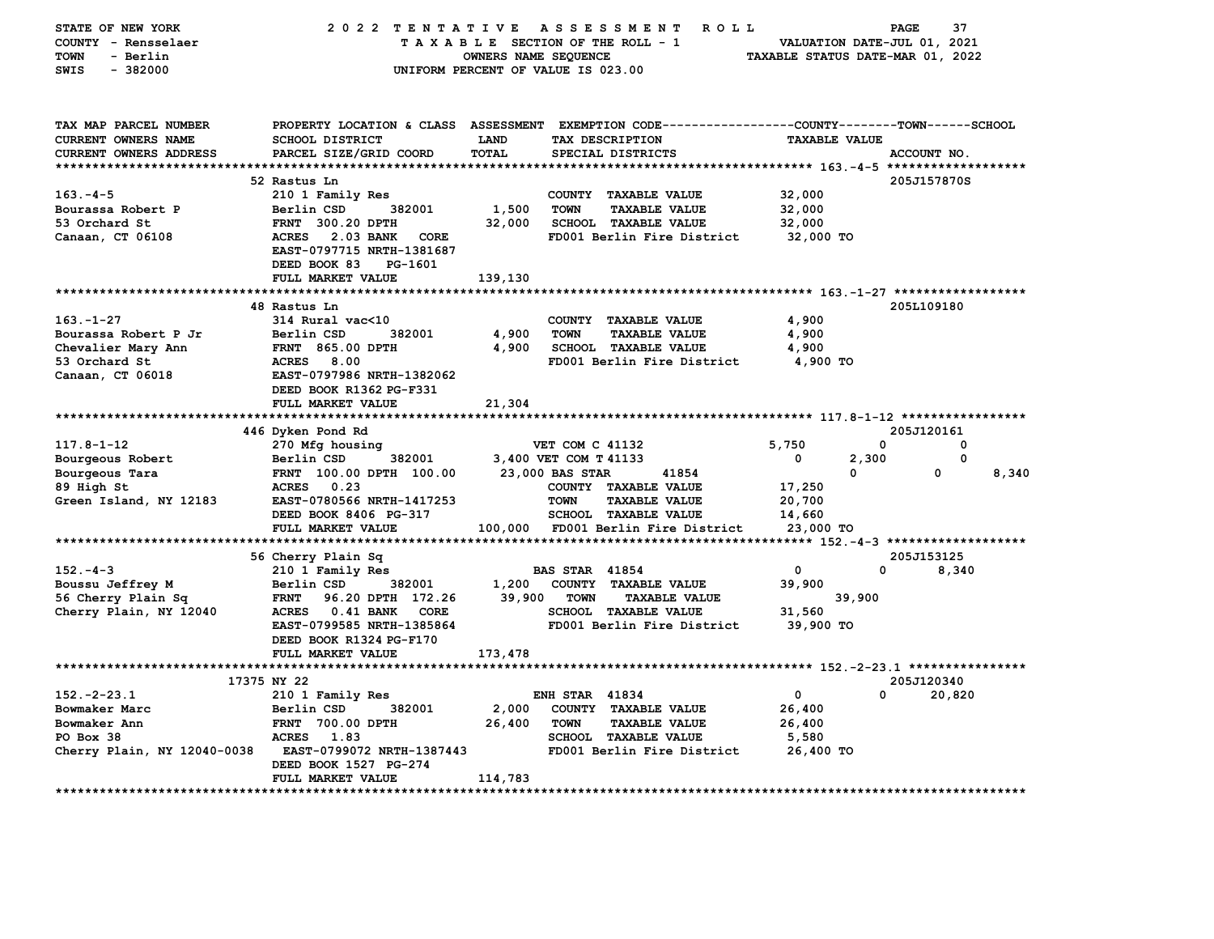| STATE OF NEW YORK           | 2022 TENTATIVE                                                                                   |                      | A S S E S S M E N T<br><b>ROLL</b>  |                                  | 37<br>PAGE  |
|-----------------------------|--------------------------------------------------------------------------------------------------|----------------------|-------------------------------------|----------------------------------|-------------|
| COUNTY - Rensselaer         |                                                                                                  |                      | TAXABLE SECTION OF THE ROLL - 1     | VALUATION DATE-JUL 01, 2021      |             |
| <b>TOWN</b><br>- Berlin     |                                                                                                  | OWNERS NAME SEQUENCE |                                     | TAXABLE STATUS DATE-MAR 01, 2022 |             |
| $-382000$<br><b>SWIS</b>    |                                                                                                  |                      | UNIFORM PERCENT OF VALUE IS 023.00  |                                  |             |
|                             |                                                                                                  |                      |                                     |                                  |             |
|                             |                                                                                                  |                      |                                     |                                  |             |
| TAX MAP PARCEL NUMBER       | PROPERTY LOCATION & CLASS ASSESSMENT EXEMPTION CODE----------------COUNTY-------TOWN------SCHOOL |                      |                                     |                                  |             |
| <b>CURRENT OWNERS NAME</b>  | <b>SCHOOL DISTRICT</b>                                                                           | LAND                 | TAX DESCRIPTION                     | <b>TAXABLE VALUE</b>             |             |
| CURRENT OWNERS ADDRESS      | PARCEL SIZE/GRID COORD                                                                           | <b>TOTAL</b>         | SPECIAL DISTRICTS                   |                                  | ACCOUNT NO. |
|                             |                                                                                                  |                      |                                     |                                  |             |
|                             | 52 Rastus Ln                                                                                     |                      |                                     |                                  | 205J157870S |
| $163 - 4 - 5$               | 210 1 Family Res                                                                                 |                      | COUNTY TAXABLE VALUE                | 32,000                           |             |
| Bourassa Robert P           | 382001<br>Berlin CSD                                                                             | 1,500                | <b>TOWN</b><br><b>TAXABLE VALUE</b> | 32,000                           |             |
| 53 Orchard St               | <b>FRNT 300.20 DPTH</b>                                                                          | 32,000               | <b>SCHOOL TAXABLE VALUE</b>         | 32,000                           |             |
| Canaan, CT 06108            | <b>ACRES</b><br>2.03 BANK<br>CORE                                                                |                      | FD001 Berlin Fire District          | 32,000 TO                        |             |
|                             | EAST-0797715 NRTH-1381687                                                                        |                      |                                     |                                  |             |
|                             | DEED BOOK 83<br>PG-1601                                                                          |                      |                                     |                                  |             |
|                             | FULL MARKET VALUE                                                                                | 139,130              |                                     |                                  |             |
|                             |                                                                                                  |                      |                                     |                                  |             |
|                             | 48 Rastus Ln                                                                                     |                      |                                     |                                  | 205L109180  |
| $163. - 1 - 27$             | 314 Rural vac<10                                                                                 |                      | COUNTY TAXABLE VALUE                | 4,900                            |             |
| Bourassa Robert P Jr        | 382001<br>Berlin CSD                                                                             | 4,900                | <b>TOWN</b><br><b>TAXABLE VALUE</b> | 4,900                            |             |
| Chevalier Mary Ann          | <b>FRNT 865.00 DPTH</b>                                                                          | 4,900                | <b>SCHOOL TAXABLE VALUE</b>         | 4,900                            |             |
| 53 Orchard St               | <b>ACRES</b><br>8.00                                                                             |                      | FD001 Berlin Fire District          | 4,900 TO                         |             |
| Canaan, CT 06018            | EAST-0797986 NRTH-1382062                                                                        |                      |                                     |                                  |             |
|                             | DEED BOOK R1362 PG-F331                                                                          |                      |                                     |                                  |             |
|                             | FULL MARKET VALUE                                                                                | 21,304               |                                     |                                  |             |
|                             | 446 Dyken Pond Rd                                                                                |                      |                                     |                                  | 205J120161  |
| $117.8 - 1 - 12$            | 270 Mfg housing                                                                                  |                      | VET COM C 41132                     | 5,750                            | 0<br>0      |
| Bourgeous Robert            | 382001<br>Berlin CSD                                                                             |                      | 3,400 VET COM T 41133               | 2,300<br>0                       | 0           |
| Bourgeous Tara              | FRNT 100.00 DPTH 100.00                                                                          |                      | 23,000 BAS STAR<br>41854            | 0                                | 8,340<br>0  |
| 89 High St                  | 0.23<br><b>ACRES</b>                                                                             |                      | COUNTY TAXABLE VALUE                | 17,250                           |             |
| Green Island, NY 12183      | EAST-0780566 NRTH-1417253                                                                        |                      | <b>TOWN</b><br><b>TAXABLE VALUE</b> | 20,700                           |             |
|                             | DEED BOOK 8406 PG-317                                                                            |                      | SCHOOL TAXABLE VALUE                | 14,660                           |             |
|                             | FULL MARKET VALUE                                                                                |                      | 100,000 FD001 Berlin Fire District  | 23,000 TO                        |             |
|                             |                                                                                                  |                      |                                     |                                  |             |
|                             | 56 Cherry Plain Sq                                                                               |                      |                                     |                                  | 205J153125  |
| $152 - 4 - 3$               | 210 1 Family Res                                                                                 |                      | <b>BAS STAR 41854</b>               | $\mathbf{o}$                     | 0<br>8,340  |
| Boussu Jeffrey M            | 382001<br>Berlin CSD                                                                             | 1,200                | COUNTY TAXABLE VALUE                | 39,900                           |             |
| 56 Cherry Plain Sq          | 96.20 DPTH 172.26<br><b>FRNT</b>                                                                 | 39,900               | <b>TOWN</b><br><b>TAXABLE VALUE</b> | 39,900                           |             |
| Cherry Plain, NY 12040      | $0.41$ BANK<br>ACRES<br><b>CORE</b>                                                              |                      | <b>SCHOOL TAXABLE VALUE</b>         | 31,560                           |             |
|                             | EAST-0799585 NRTH-1385864                                                                        |                      | FD001 Berlin Fire District          | 39,900 TO                        |             |
|                             | DEED BOOK R1324 PG-F170                                                                          |                      |                                     |                                  |             |
|                             | FULL MARKET VALUE                                                                                | 173,478              |                                     |                                  |             |
|                             |                                                                                                  |                      |                                     |                                  |             |
|                             | 17375 NY 22                                                                                      |                      |                                     |                                  | 205J120340  |
| $152 - 2 - 23.1$            | 210 1 Family Res                                                                                 |                      | <b>ENH STAR 41834</b>               | 0                                | 20,820<br>0 |
| Bowmaker Marc               | 382001<br>Berlin CSD                                                                             | 2,000                | COUNTY TAXABLE VALUE                | 26,400                           |             |
| Bowmaker Ann                | FRNT 700.00 DPTH                                                                                 | 26,400               | <b>TOWN</b><br><b>TAXABLE VALUE</b> | 26,400                           |             |
| PO Box 38                   | <b>ACRES</b><br>1.83                                                                             |                      | SCHOOL TAXABLE VALUE                | 5,580                            |             |
| Cherry Plain, NY 12040-0038 | EAST-0799072 NRTH-1387443                                                                        |                      | FD001 Berlin Fire District          | 26,400 TO                        |             |
|                             | DEED BOOK 1527 PG-274<br>FULL MARKET VALUE                                                       | 114,783              |                                     |                                  |             |
|                             |                                                                                                  |                      |                                     |                                  |             |
|                             |                                                                                                  |                      |                                     |                                  |             |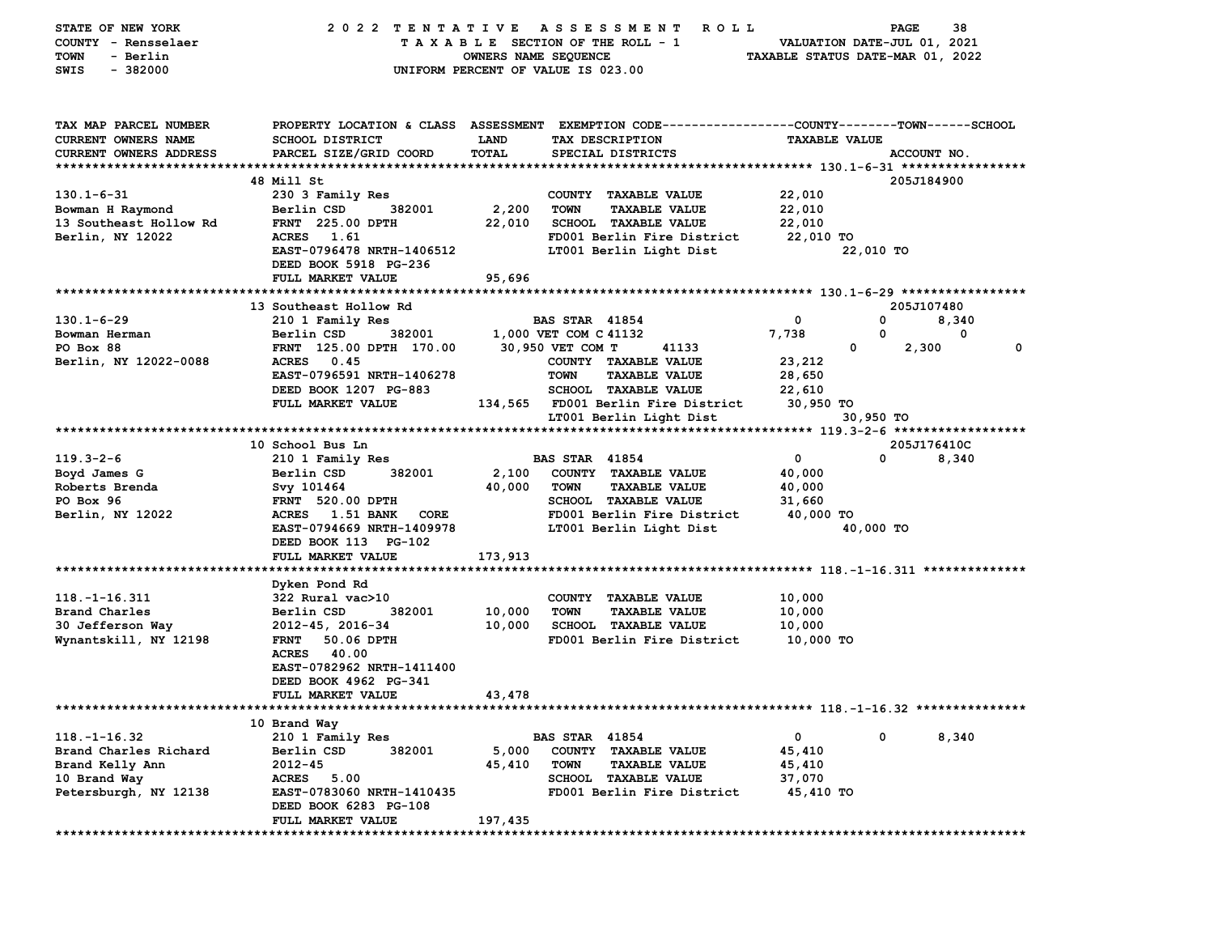| TAX MAP PARCEL NUMBER<br>PROPERTY LOCATION & CLASS ASSESSMENT EXEMPTION CODE---------------COUNTY-------TOWN-----SCHOOL<br>SCHOOL DISTRICT<br>CURRENT OWNERS NAME<br><b>LAND</b><br>TAX DESCRIPTION<br><b>TAXABLE VALUE</b><br>PARCEL SIZE/GRID COORD<br><b>TOTAL</b><br>CURRENT OWNERS ADDRESS<br>SPECIAL DISTRICTS<br>ACCOUNT NO.<br>48 Mill St<br>205J184900<br>$130.1 - 6 - 31$<br>22,010<br>230 3 Family Res<br>COUNTY TAXABLE VALUE<br>Berlin CSD<br>382001<br>2,200<br><b>TOWN</b><br><b>TAXABLE VALUE</b><br>22,010<br>Bowman H Raymond<br><b>SCHOOL TAXABLE VALUE</b><br>13 Southeast Hollow Rd<br><b>FRNT</b> 225.00 DPTH<br>22,010<br>22,010<br>Berlin, NY 12022<br>ACRES 1.61<br>FD001 Berlin Fire District<br>22,010 TO<br>EAST-0796478 NRTH-1406512<br>LT001 Berlin Light Dist<br>22,010 TO<br>DEED BOOK 5918 PG-236<br>FULL MARKET VALUE<br>95,696<br>13 Southeast Hollow Rd<br>205J107480<br>$130.1 - 6 - 29$<br>210 1 Family Res<br><b>BAS STAR 41854</b><br>0<br>0<br>8,340<br>Bowman Herman<br>Berlin CSD<br>382001<br>1,000 VET COM C 41132<br>7,738<br>0<br>0<br>PO Box 88<br>FRNT 125.00 DPTH 170.00<br>30,950 VET COM T<br>41133<br>0<br>2,300<br>0<br>23,212<br>Berlin, NY 12022-0088<br>ACRES 0.45<br>COUNTY TAXABLE VALUE<br>EAST-0796591 NRTH-1406278<br><b>TOWN</b><br><b>TAXABLE VALUE</b><br>28,650<br>DEED BOOK 1207 PG-883<br><b>SCHOOL TAXABLE VALUE</b><br>22,610<br>FULL MARKET VALUE<br>30,950 TO<br>134,565 FD001 Berlin Fire District<br>LT001 Berlin Light Dist<br>30,950 TO<br>10 School Bus Ln<br>205J176410C<br>$119.3 - 2 - 6$<br>0<br>$\mathbf 0$<br>210 1 Family Res<br><b>BAS STAR 41854</b><br>8,340<br>Boyd James G<br>Berlin CSD<br>382001<br>2,100<br>COUNTY TAXABLE VALUE<br>40,000<br>Roberts Brenda<br>40,000<br>Svy 101464<br><b>TOWN</b><br><b>TAXABLE VALUE</b><br>40,000<br>PO Box 96<br><b>FRNT 520.00 DPTH</b><br>SCHOOL TAXABLE VALUE<br>31,660<br>Berlin, NY 12022<br>ACRES 1.51 BANK<br>FD001 Berlin Fire District<br>40,000 TO<br>CORE<br>LT001 Berlin Light Dist<br>EAST-0794669 NRTH-1409978<br>40,000 TO<br>DEED BOOK 113 PG-102<br>173,913<br>FULL MARKET VALUE<br>Dyken Pond Rd<br>$118. - 1 - 16.311$<br>322 Rural vac>10<br>COUNTY TAXABLE VALUE<br>10,000<br>Brand Charles<br>10,000<br>Berlin CSD<br>382001<br><b>TOWN</b><br><b>TAXABLE VALUE</b><br>10,000<br>30 Jefferson Way<br>10,000<br>SCHOOL TAXABLE VALUE<br>2012-45, 2016-34<br>10,000<br>Wynantskill, NY 12198<br>50.06 DPTH<br>FD001 Berlin Fire District<br>10,000 TO<br><b>FRNT</b><br>ACRES<br>40.00<br>EAST-0782962 NRTH-1411400<br>DEED BOOK 4962 PG-341<br>FULL MARKET VALUE<br>43,478<br>10 Brand Way<br>0<br>210 1 Family Res<br><b>BAS STAR 41854</b><br>0<br>8,340<br>382001<br>45,410<br>Brand Charles Richard<br>Berlin CSD<br>5,000<br>COUNTY TAXABLE VALUE<br>2012-45<br>45,410<br><b>TOWN</b><br><b>TAXABLE VALUE</b><br>45,410<br>ACRES 5.00<br>SCHOOL TAXABLE VALUE<br>10 Brand Way<br>37,070<br>FD001 Berlin Fire District<br>Petersburgh, NY 12138<br>EAST-0783060 NRTH-1410435<br>45,410 TO<br>DEED BOOK 6283 PG-108<br>197,435<br>FULL MARKET VALUE | STATE OF NEW YORK<br>COUNTY - Rensselaer<br>- Berlin<br>TOWN<br>$-382000$<br>SWIS | 2022 TENTATIVE | OWNERS NAME SEQUENCE | A S S E S S M E N T<br>R O L L<br>TAXABLE SECTION OF THE ROLL - 1<br>UNIFORM PERCENT OF VALUE IS 023.00 | TAXABLE STATUS DATE-MAR 01, 2022 | PAGE<br>VALUATION DATE-JUL 01, 2021 | 38 |
|--------------------------------------------------------------------------------------------------------------------------------------------------------------------------------------------------------------------------------------------------------------------------------------------------------------------------------------------------------------------------------------------------------------------------------------------------------------------------------------------------------------------------------------------------------------------------------------------------------------------------------------------------------------------------------------------------------------------------------------------------------------------------------------------------------------------------------------------------------------------------------------------------------------------------------------------------------------------------------------------------------------------------------------------------------------------------------------------------------------------------------------------------------------------------------------------------------------------------------------------------------------------------------------------------------------------------------------------------------------------------------------------------------------------------------------------------------------------------------------------------------------------------------------------------------------------------------------------------------------------------------------------------------------------------------------------------------------------------------------------------------------------------------------------------------------------------------------------------------------------------------------------------------------------------------------------------------------------------------------------------------------------------------------------------------------------------------------------------------------------------------------------------------------------------------------------------------------------------------------------------------------------------------------------------------------------------------------------------------------------------------------------------------------------------------------------------------------------------------------------------------------------------------------------------------------------------------------------------------------------------------------------------------------------------------------------------------------------------------------------------------------------------------------------------------------------------------------------------------------------------------------------------------------------------------------------------------------------------------------------------------------------------------------------------------------------------------------------------------------|-----------------------------------------------------------------------------------|----------------|----------------------|---------------------------------------------------------------------------------------------------------|----------------------------------|-------------------------------------|----|
|                                                                                                                                                                                                                                                                                                                                                                                                                                                                                                                                                                                                                                                                                                                                                                                                                                                                                                                                                                                                                                                                                                                                                                                                                                                                                                                                                                                                                                                                                                                                                                                                                                                                                                                                                                                                                                                                                                                                                                                                                                                                                                                                                                                                                                                                                                                                                                                                                                                                                                                                                                                                                                                                                                                                                                                                                                                                                                                                                                                                                                                                                                              |                                                                                   |                |                      |                                                                                                         |                                  |                                     |    |
|                                                                                                                                                                                                                                                                                                                                                                                                                                                                                                                                                                                                                                                                                                                                                                                                                                                                                                                                                                                                                                                                                                                                                                                                                                                                                                                                                                                                                                                                                                                                                                                                                                                                                                                                                                                                                                                                                                                                                                                                                                                                                                                                                                                                                                                                                                                                                                                                                                                                                                                                                                                                                                                                                                                                                                                                                                                                                                                                                                                                                                                                                                              |                                                                                   |                |                      |                                                                                                         |                                  |                                     |    |
|                                                                                                                                                                                                                                                                                                                                                                                                                                                                                                                                                                                                                                                                                                                                                                                                                                                                                                                                                                                                                                                                                                                                                                                                                                                                                                                                                                                                                                                                                                                                                                                                                                                                                                                                                                                                                                                                                                                                                                                                                                                                                                                                                                                                                                                                                                                                                                                                                                                                                                                                                                                                                                                                                                                                                                                                                                                                                                                                                                                                                                                                                                              |                                                                                   |                |                      |                                                                                                         |                                  |                                     |    |
|                                                                                                                                                                                                                                                                                                                                                                                                                                                                                                                                                                                                                                                                                                                                                                                                                                                                                                                                                                                                                                                                                                                                                                                                                                                                                                                                                                                                                                                                                                                                                                                                                                                                                                                                                                                                                                                                                                                                                                                                                                                                                                                                                                                                                                                                                                                                                                                                                                                                                                                                                                                                                                                                                                                                                                                                                                                                                                                                                                                                                                                                                                              |                                                                                   |                |                      |                                                                                                         |                                  |                                     |    |
|                                                                                                                                                                                                                                                                                                                                                                                                                                                                                                                                                                                                                                                                                                                                                                                                                                                                                                                                                                                                                                                                                                                                                                                                                                                                                                                                                                                                                                                                                                                                                                                                                                                                                                                                                                                                                                                                                                                                                                                                                                                                                                                                                                                                                                                                                                                                                                                                                                                                                                                                                                                                                                                                                                                                                                                                                                                                                                                                                                                                                                                                                                              |                                                                                   |                |                      |                                                                                                         |                                  |                                     |    |
|                                                                                                                                                                                                                                                                                                                                                                                                                                                                                                                                                                                                                                                                                                                                                                                                                                                                                                                                                                                                                                                                                                                                                                                                                                                                                                                                                                                                                                                                                                                                                                                                                                                                                                                                                                                                                                                                                                                                                                                                                                                                                                                                                                                                                                                                                                                                                                                                                                                                                                                                                                                                                                                                                                                                                                                                                                                                                                                                                                                                                                                                                                              |                                                                                   |                |                      |                                                                                                         |                                  |                                     |    |
|                                                                                                                                                                                                                                                                                                                                                                                                                                                                                                                                                                                                                                                                                                                                                                                                                                                                                                                                                                                                                                                                                                                                                                                                                                                                                                                                                                                                                                                                                                                                                                                                                                                                                                                                                                                                                                                                                                                                                                                                                                                                                                                                                                                                                                                                                                                                                                                                                                                                                                                                                                                                                                                                                                                                                                                                                                                                                                                                                                                                                                                                                                              |                                                                                   |                |                      |                                                                                                         |                                  |                                     |    |
|                                                                                                                                                                                                                                                                                                                                                                                                                                                                                                                                                                                                                                                                                                                                                                                                                                                                                                                                                                                                                                                                                                                                                                                                                                                                                                                                                                                                                                                                                                                                                                                                                                                                                                                                                                                                                                                                                                                                                                                                                                                                                                                                                                                                                                                                                                                                                                                                                                                                                                                                                                                                                                                                                                                                                                                                                                                                                                                                                                                                                                                                                                              |                                                                                   |                |                      |                                                                                                         |                                  |                                     |    |
|                                                                                                                                                                                                                                                                                                                                                                                                                                                                                                                                                                                                                                                                                                                                                                                                                                                                                                                                                                                                                                                                                                                                                                                                                                                                                                                                                                                                                                                                                                                                                                                                                                                                                                                                                                                                                                                                                                                                                                                                                                                                                                                                                                                                                                                                                                                                                                                                                                                                                                                                                                                                                                                                                                                                                                                                                                                                                                                                                                                                                                                                                                              |                                                                                   |                |                      |                                                                                                         |                                  |                                     |    |
|                                                                                                                                                                                                                                                                                                                                                                                                                                                                                                                                                                                                                                                                                                                                                                                                                                                                                                                                                                                                                                                                                                                                                                                                                                                                                                                                                                                                                                                                                                                                                                                                                                                                                                                                                                                                                                                                                                                                                                                                                                                                                                                                                                                                                                                                                                                                                                                                                                                                                                                                                                                                                                                                                                                                                                                                                                                                                                                                                                                                                                                                                                              |                                                                                   |                |                      |                                                                                                         |                                  |                                     |    |
|                                                                                                                                                                                                                                                                                                                                                                                                                                                                                                                                                                                                                                                                                                                                                                                                                                                                                                                                                                                                                                                                                                                                                                                                                                                                                                                                                                                                                                                                                                                                                                                                                                                                                                                                                                                                                                                                                                                                                                                                                                                                                                                                                                                                                                                                                                                                                                                                                                                                                                                                                                                                                                                                                                                                                                                                                                                                                                                                                                                                                                                                                                              |                                                                                   |                |                      |                                                                                                         |                                  |                                     |    |
|                                                                                                                                                                                                                                                                                                                                                                                                                                                                                                                                                                                                                                                                                                                                                                                                                                                                                                                                                                                                                                                                                                                                                                                                                                                                                                                                                                                                                                                                                                                                                                                                                                                                                                                                                                                                                                                                                                                                                                                                                                                                                                                                                                                                                                                                                                                                                                                                                                                                                                                                                                                                                                                                                                                                                                                                                                                                                                                                                                                                                                                                                                              |                                                                                   |                |                      |                                                                                                         |                                  |                                     |    |
|                                                                                                                                                                                                                                                                                                                                                                                                                                                                                                                                                                                                                                                                                                                                                                                                                                                                                                                                                                                                                                                                                                                                                                                                                                                                                                                                                                                                                                                                                                                                                                                                                                                                                                                                                                                                                                                                                                                                                                                                                                                                                                                                                                                                                                                                                                                                                                                                                                                                                                                                                                                                                                                                                                                                                                                                                                                                                                                                                                                                                                                                                                              |                                                                                   |                |                      |                                                                                                         |                                  |                                     |    |
|                                                                                                                                                                                                                                                                                                                                                                                                                                                                                                                                                                                                                                                                                                                                                                                                                                                                                                                                                                                                                                                                                                                                                                                                                                                                                                                                                                                                                                                                                                                                                                                                                                                                                                                                                                                                                                                                                                                                                                                                                                                                                                                                                                                                                                                                                                                                                                                                                                                                                                                                                                                                                                                                                                                                                                                                                                                                                                                                                                                                                                                                                                              |                                                                                   |                |                      |                                                                                                         |                                  |                                     |    |
|                                                                                                                                                                                                                                                                                                                                                                                                                                                                                                                                                                                                                                                                                                                                                                                                                                                                                                                                                                                                                                                                                                                                                                                                                                                                                                                                                                                                                                                                                                                                                                                                                                                                                                                                                                                                                                                                                                                                                                                                                                                                                                                                                                                                                                                                                                                                                                                                                                                                                                                                                                                                                                                                                                                                                                                                                                                                                                                                                                                                                                                                                                              |                                                                                   |                |                      |                                                                                                         |                                  |                                     |    |
|                                                                                                                                                                                                                                                                                                                                                                                                                                                                                                                                                                                                                                                                                                                                                                                                                                                                                                                                                                                                                                                                                                                                                                                                                                                                                                                                                                                                                                                                                                                                                                                                                                                                                                                                                                                                                                                                                                                                                                                                                                                                                                                                                                                                                                                                                                                                                                                                                                                                                                                                                                                                                                                                                                                                                                                                                                                                                                                                                                                                                                                                                                              |                                                                                   |                |                      |                                                                                                         |                                  |                                     |    |
|                                                                                                                                                                                                                                                                                                                                                                                                                                                                                                                                                                                                                                                                                                                                                                                                                                                                                                                                                                                                                                                                                                                                                                                                                                                                                                                                                                                                                                                                                                                                                                                                                                                                                                                                                                                                                                                                                                                                                                                                                                                                                                                                                                                                                                                                                                                                                                                                                                                                                                                                                                                                                                                                                                                                                                                                                                                                                                                                                                                                                                                                                                              |                                                                                   |                |                      |                                                                                                         |                                  |                                     |    |
|                                                                                                                                                                                                                                                                                                                                                                                                                                                                                                                                                                                                                                                                                                                                                                                                                                                                                                                                                                                                                                                                                                                                                                                                                                                                                                                                                                                                                                                                                                                                                                                                                                                                                                                                                                                                                                                                                                                                                                                                                                                                                                                                                                                                                                                                                                                                                                                                                                                                                                                                                                                                                                                                                                                                                                                                                                                                                                                                                                                                                                                                                                              |                                                                                   |                |                      |                                                                                                         |                                  |                                     |    |
|                                                                                                                                                                                                                                                                                                                                                                                                                                                                                                                                                                                                                                                                                                                                                                                                                                                                                                                                                                                                                                                                                                                                                                                                                                                                                                                                                                                                                                                                                                                                                                                                                                                                                                                                                                                                                                                                                                                                                                                                                                                                                                                                                                                                                                                                                                                                                                                                                                                                                                                                                                                                                                                                                                                                                                                                                                                                                                                                                                                                                                                                                                              |                                                                                   |                |                      |                                                                                                         |                                  |                                     |    |
|                                                                                                                                                                                                                                                                                                                                                                                                                                                                                                                                                                                                                                                                                                                                                                                                                                                                                                                                                                                                                                                                                                                                                                                                                                                                                                                                                                                                                                                                                                                                                                                                                                                                                                                                                                                                                                                                                                                                                                                                                                                                                                                                                                                                                                                                                                                                                                                                                                                                                                                                                                                                                                                                                                                                                                                                                                                                                                                                                                                                                                                                                                              |                                                                                   |                |                      |                                                                                                         |                                  |                                     |    |
|                                                                                                                                                                                                                                                                                                                                                                                                                                                                                                                                                                                                                                                                                                                                                                                                                                                                                                                                                                                                                                                                                                                                                                                                                                                                                                                                                                                                                                                                                                                                                                                                                                                                                                                                                                                                                                                                                                                                                                                                                                                                                                                                                                                                                                                                                                                                                                                                                                                                                                                                                                                                                                                                                                                                                                                                                                                                                                                                                                                                                                                                                                              |                                                                                   |                |                      |                                                                                                         |                                  |                                     |    |
|                                                                                                                                                                                                                                                                                                                                                                                                                                                                                                                                                                                                                                                                                                                                                                                                                                                                                                                                                                                                                                                                                                                                                                                                                                                                                                                                                                                                                                                                                                                                                                                                                                                                                                                                                                                                                                                                                                                                                                                                                                                                                                                                                                                                                                                                                                                                                                                                                                                                                                                                                                                                                                                                                                                                                                                                                                                                                                                                                                                                                                                                                                              |                                                                                   |                |                      |                                                                                                         |                                  |                                     |    |
|                                                                                                                                                                                                                                                                                                                                                                                                                                                                                                                                                                                                                                                                                                                                                                                                                                                                                                                                                                                                                                                                                                                                                                                                                                                                                                                                                                                                                                                                                                                                                                                                                                                                                                                                                                                                                                                                                                                                                                                                                                                                                                                                                                                                                                                                                                                                                                                                                                                                                                                                                                                                                                                                                                                                                                                                                                                                                                                                                                                                                                                                                                              |                                                                                   |                |                      |                                                                                                         |                                  |                                     |    |
|                                                                                                                                                                                                                                                                                                                                                                                                                                                                                                                                                                                                                                                                                                                                                                                                                                                                                                                                                                                                                                                                                                                                                                                                                                                                                                                                                                                                                                                                                                                                                                                                                                                                                                                                                                                                                                                                                                                                                                                                                                                                                                                                                                                                                                                                                                                                                                                                                                                                                                                                                                                                                                                                                                                                                                                                                                                                                                                                                                                                                                                                                                              |                                                                                   |                |                      |                                                                                                         |                                  |                                     |    |
|                                                                                                                                                                                                                                                                                                                                                                                                                                                                                                                                                                                                                                                                                                                                                                                                                                                                                                                                                                                                                                                                                                                                                                                                                                                                                                                                                                                                                                                                                                                                                                                                                                                                                                                                                                                                                                                                                                                                                                                                                                                                                                                                                                                                                                                                                                                                                                                                                                                                                                                                                                                                                                                                                                                                                                                                                                                                                                                                                                                                                                                                                                              |                                                                                   |                |                      |                                                                                                         |                                  |                                     |    |
|                                                                                                                                                                                                                                                                                                                                                                                                                                                                                                                                                                                                                                                                                                                                                                                                                                                                                                                                                                                                                                                                                                                                                                                                                                                                                                                                                                                                                                                                                                                                                                                                                                                                                                                                                                                                                                                                                                                                                                                                                                                                                                                                                                                                                                                                                                                                                                                                                                                                                                                                                                                                                                                                                                                                                                                                                                                                                                                                                                                                                                                                                                              |                                                                                   |                |                      |                                                                                                         |                                  |                                     |    |
|                                                                                                                                                                                                                                                                                                                                                                                                                                                                                                                                                                                                                                                                                                                                                                                                                                                                                                                                                                                                                                                                                                                                                                                                                                                                                                                                                                                                                                                                                                                                                                                                                                                                                                                                                                                                                                                                                                                                                                                                                                                                                                                                                                                                                                                                                                                                                                                                                                                                                                                                                                                                                                                                                                                                                                                                                                                                                                                                                                                                                                                                                                              |                                                                                   |                |                      |                                                                                                         |                                  |                                     |    |
|                                                                                                                                                                                                                                                                                                                                                                                                                                                                                                                                                                                                                                                                                                                                                                                                                                                                                                                                                                                                                                                                                                                                                                                                                                                                                                                                                                                                                                                                                                                                                                                                                                                                                                                                                                                                                                                                                                                                                                                                                                                                                                                                                                                                                                                                                                                                                                                                                                                                                                                                                                                                                                                                                                                                                                                                                                                                                                                                                                                                                                                                                                              |                                                                                   |                |                      |                                                                                                         |                                  |                                     |    |
|                                                                                                                                                                                                                                                                                                                                                                                                                                                                                                                                                                                                                                                                                                                                                                                                                                                                                                                                                                                                                                                                                                                                                                                                                                                                                                                                                                                                                                                                                                                                                                                                                                                                                                                                                                                                                                                                                                                                                                                                                                                                                                                                                                                                                                                                                                                                                                                                                                                                                                                                                                                                                                                                                                                                                                                                                                                                                                                                                                                                                                                                                                              |                                                                                   |                |                      |                                                                                                         |                                  |                                     |    |
|                                                                                                                                                                                                                                                                                                                                                                                                                                                                                                                                                                                                                                                                                                                                                                                                                                                                                                                                                                                                                                                                                                                                                                                                                                                                                                                                                                                                                                                                                                                                                                                                                                                                                                                                                                                                                                                                                                                                                                                                                                                                                                                                                                                                                                                                                                                                                                                                                                                                                                                                                                                                                                                                                                                                                                                                                                                                                                                                                                                                                                                                                                              |                                                                                   |                |                      |                                                                                                         |                                  |                                     |    |
|                                                                                                                                                                                                                                                                                                                                                                                                                                                                                                                                                                                                                                                                                                                                                                                                                                                                                                                                                                                                                                                                                                                                                                                                                                                                                                                                                                                                                                                                                                                                                                                                                                                                                                                                                                                                                                                                                                                                                                                                                                                                                                                                                                                                                                                                                                                                                                                                                                                                                                                                                                                                                                                                                                                                                                                                                                                                                                                                                                                                                                                                                                              |                                                                                   |                |                      |                                                                                                         |                                  |                                     |    |
|                                                                                                                                                                                                                                                                                                                                                                                                                                                                                                                                                                                                                                                                                                                                                                                                                                                                                                                                                                                                                                                                                                                                                                                                                                                                                                                                                                                                                                                                                                                                                                                                                                                                                                                                                                                                                                                                                                                                                                                                                                                                                                                                                                                                                                                                                                                                                                                                                                                                                                                                                                                                                                                                                                                                                                                                                                                                                                                                                                                                                                                                                                              |                                                                                   |                |                      |                                                                                                         |                                  |                                     |    |
|                                                                                                                                                                                                                                                                                                                                                                                                                                                                                                                                                                                                                                                                                                                                                                                                                                                                                                                                                                                                                                                                                                                                                                                                                                                                                                                                                                                                                                                                                                                                                                                                                                                                                                                                                                                                                                                                                                                                                                                                                                                                                                                                                                                                                                                                                                                                                                                                                                                                                                                                                                                                                                                                                                                                                                                                                                                                                                                                                                                                                                                                                                              |                                                                                   |                |                      |                                                                                                         |                                  |                                     |    |
|                                                                                                                                                                                                                                                                                                                                                                                                                                                                                                                                                                                                                                                                                                                                                                                                                                                                                                                                                                                                                                                                                                                                                                                                                                                                                                                                                                                                                                                                                                                                                                                                                                                                                                                                                                                                                                                                                                                                                                                                                                                                                                                                                                                                                                                                                                                                                                                                                                                                                                                                                                                                                                                                                                                                                                                                                                                                                                                                                                                                                                                                                                              |                                                                                   |                |                      |                                                                                                         |                                  |                                     |    |
|                                                                                                                                                                                                                                                                                                                                                                                                                                                                                                                                                                                                                                                                                                                                                                                                                                                                                                                                                                                                                                                                                                                                                                                                                                                                                                                                                                                                                                                                                                                                                                                                                                                                                                                                                                                                                                                                                                                                                                                                                                                                                                                                                                                                                                                                                                                                                                                                                                                                                                                                                                                                                                                                                                                                                                                                                                                                                                                                                                                                                                                                                                              |                                                                                   |                |                      |                                                                                                         |                                  |                                     |    |
|                                                                                                                                                                                                                                                                                                                                                                                                                                                                                                                                                                                                                                                                                                                                                                                                                                                                                                                                                                                                                                                                                                                                                                                                                                                                                                                                                                                                                                                                                                                                                                                                                                                                                                                                                                                                                                                                                                                                                                                                                                                                                                                                                                                                                                                                                                                                                                                                                                                                                                                                                                                                                                                                                                                                                                                                                                                                                                                                                                                                                                                                                                              |                                                                                   |                |                      |                                                                                                         |                                  |                                     |    |
|                                                                                                                                                                                                                                                                                                                                                                                                                                                                                                                                                                                                                                                                                                                                                                                                                                                                                                                                                                                                                                                                                                                                                                                                                                                                                                                                                                                                                                                                                                                                                                                                                                                                                                                                                                                                                                                                                                                                                                                                                                                                                                                                                                                                                                                                                                                                                                                                                                                                                                                                                                                                                                                                                                                                                                                                                                                                                                                                                                                                                                                                                                              |                                                                                   |                |                      |                                                                                                         |                                  |                                     |    |
|                                                                                                                                                                                                                                                                                                                                                                                                                                                                                                                                                                                                                                                                                                                                                                                                                                                                                                                                                                                                                                                                                                                                                                                                                                                                                                                                                                                                                                                                                                                                                                                                                                                                                                                                                                                                                                                                                                                                                                                                                                                                                                                                                                                                                                                                                                                                                                                                                                                                                                                                                                                                                                                                                                                                                                                                                                                                                                                                                                                                                                                                                                              | $118. - 1 - 16.32$                                                                |                |                      |                                                                                                         |                                  |                                     |    |
|                                                                                                                                                                                                                                                                                                                                                                                                                                                                                                                                                                                                                                                                                                                                                                                                                                                                                                                                                                                                                                                                                                                                                                                                                                                                                                                                                                                                                                                                                                                                                                                                                                                                                                                                                                                                                                                                                                                                                                                                                                                                                                                                                                                                                                                                                                                                                                                                                                                                                                                                                                                                                                                                                                                                                                                                                                                                                                                                                                                                                                                                                                              |                                                                                   |                |                      |                                                                                                         |                                  |                                     |    |
|                                                                                                                                                                                                                                                                                                                                                                                                                                                                                                                                                                                                                                                                                                                                                                                                                                                                                                                                                                                                                                                                                                                                                                                                                                                                                                                                                                                                                                                                                                                                                                                                                                                                                                                                                                                                                                                                                                                                                                                                                                                                                                                                                                                                                                                                                                                                                                                                                                                                                                                                                                                                                                                                                                                                                                                                                                                                                                                                                                                                                                                                                                              | Brand Kelly Ann                                                                   |                |                      |                                                                                                         |                                  |                                     |    |
|                                                                                                                                                                                                                                                                                                                                                                                                                                                                                                                                                                                                                                                                                                                                                                                                                                                                                                                                                                                                                                                                                                                                                                                                                                                                                                                                                                                                                                                                                                                                                                                                                                                                                                                                                                                                                                                                                                                                                                                                                                                                                                                                                                                                                                                                                                                                                                                                                                                                                                                                                                                                                                                                                                                                                                                                                                                                                                                                                                                                                                                                                                              |                                                                                   |                |                      |                                                                                                         |                                  |                                     |    |
|                                                                                                                                                                                                                                                                                                                                                                                                                                                                                                                                                                                                                                                                                                                                                                                                                                                                                                                                                                                                                                                                                                                                                                                                                                                                                                                                                                                                                                                                                                                                                                                                                                                                                                                                                                                                                                                                                                                                                                                                                                                                                                                                                                                                                                                                                                                                                                                                                                                                                                                                                                                                                                                                                                                                                                                                                                                                                                                                                                                                                                                                                                              |                                                                                   |                |                      |                                                                                                         |                                  |                                     |    |
|                                                                                                                                                                                                                                                                                                                                                                                                                                                                                                                                                                                                                                                                                                                                                                                                                                                                                                                                                                                                                                                                                                                                                                                                                                                                                                                                                                                                                                                                                                                                                                                                                                                                                                                                                                                                                                                                                                                                                                                                                                                                                                                                                                                                                                                                                                                                                                                                                                                                                                                                                                                                                                                                                                                                                                                                                                                                                                                                                                                                                                                                                                              |                                                                                   |                |                      |                                                                                                         |                                  |                                     |    |
|                                                                                                                                                                                                                                                                                                                                                                                                                                                                                                                                                                                                                                                                                                                                                                                                                                                                                                                                                                                                                                                                                                                                                                                                                                                                                                                                                                                                                                                                                                                                                                                                                                                                                                                                                                                                                                                                                                                                                                                                                                                                                                                                                                                                                                                                                                                                                                                                                                                                                                                                                                                                                                                                                                                                                                                                                                                                                                                                                                                                                                                                                                              |                                                                                   |                |                      |                                                                                                         |                                  |                                     |    |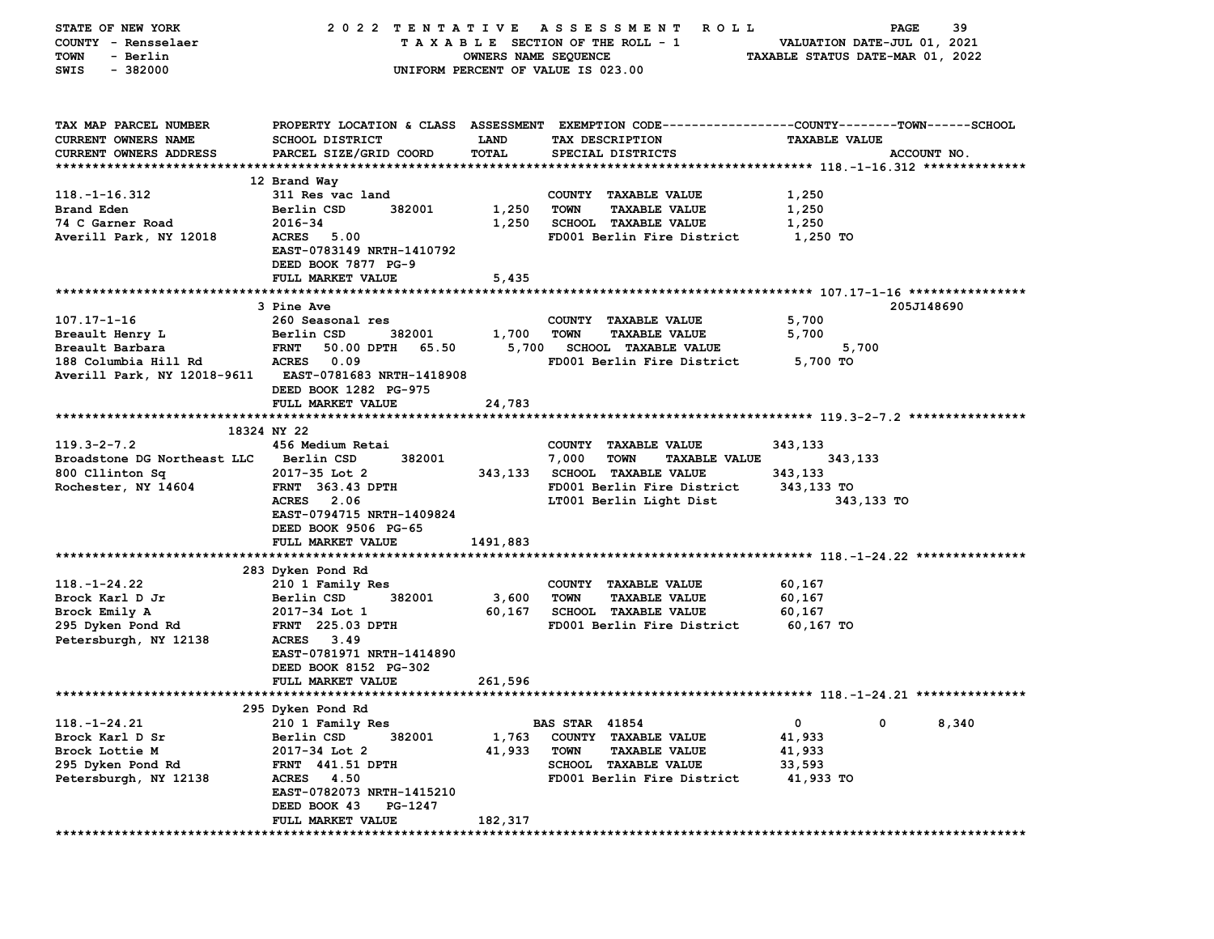| STATE OF NEW YORK             | 2022 TENTATIVE ASSESSMENT          |                      | R O L L                                                                                         | PAGE                             | 39    |
|-------------------------------|------------------------------------|----------------------|-------------------------------------------------------------------------------------------------|----------------------------------|-------|
| COUNTY - Rensselaer           |                                    |                      | TAXABLE SECTION OF THE ROLL - 1                                                                 | VALUATION DATE-JUL 01, 2021      |       |
| - Berlin<br><b>TOWN</b>       |                                    | OWNERS NAME SEQUENCE |                                                                                                 | TAXABLE STATUS DATE-MAR 01, 2022 |       |
| $-382000$<br>SWIS             |                                    |                      | UNIFORM PERCENT OF VALUE IS 023.00                                                              |                                  |       |
|                               |                                    |                      |                                                                                                 |                                  |       |
| TAX MAP PARCEL NUMBER         |                                    |                      | PROPERTY LOCATION & CLASS ASSESSMENT EXEMPTION CODE---------------COUNTY-------TOWN------SCHOOL |                                  |       |
| CURRENT OWNERS NAME           | SCHOOL DISTRICT                    | <b>LAND</b>          | TAX DESCRIPTION                                                                                 | <b>TAXABLE VALUE</b>             |       |
| <b>CURRENT OWNERS ADDRESS</b> | PARCEL SIZE/GRID COORD             | TOTAL                | SPECIAL DISTRICTS                                                                               | ACCOUNT NO.                      |       |
|                               |                                    |                      |                                                                                                 |                                  |       |
|                               | 12 Brand Way                       |                      |                                                                                                 |                                  |       |
| $118. - 1 - 16.312$           | 311 Res vac land                   |                      | COUNTY TAXABLE VALUE                                                                            | 1,250                            |       |
| Brand Eden                    | Berlin CSD<br>382001               | 1,250                | <b>TOWN</b><br><b>TAXABLE VALUE</b>                                                             | 1,250                            |       |
| 74 C Garner Road              | 2016-34                            | 1,250                | <b>SCHOOL TAXABLE VALUE</b>                                                                     | 1,250                            |       |
| Averill Park, NY 12018        | ACRES 5.00                         |                      | FD001 Berlin Fire District                                                                      | 1,250 TO                         |       |
|                               | EAST-0783149 NRTH-1410792          |                      |                                                                                                 |                                  |       |
|                               | DEED BOOK 7877 PG-9                |                      |                                                                                                 |                                  |       |
|                               | FULL MARKET VALUE                  | 5,435                |                                                                                                 |                                  |       |
|                               |                                    |                      |                                                                                                 |                                  |       |
|                               | 3 Pine Ave                         |                      |                                                                                                 | 205J148690                       |       |
| $107.17 - 1 - 16$             | 260 Seasonal res                   |                      | COUNTY TAXABLE VALUE                                                                            | 5,700                            |       |
| Breault Henry L               | Berlin CSD<br>382001               | 1,700                | <b>TOWN</b><br><b>TAXABLE VALUE</b>                                                             | 5,700                            |       |
| Breault Barbara               | <b>FRNT</b><br>50.00 DPTH<br>65.50 | 5,700                | <b>SCHOOL TAXABLE VALUE</b>                                                                     | 5,700                            |       |
| 188 Columbia Hill Rd          | 0.09<br><b>ACRES</b>               |                      | FD001 Berlin Fire District                                                                      | 5,700 TO                         |       |
| Averill Park, NY 12018-9611   | EAST-0781683 NRTH-1418908          |                      |                                                                                                 |                                  |       |
|                               | DEED BOOK 1282 PG-975              |                      |                                                                                                 |                                  |       |
|                               | FULL MARKET VALUE                  | 24,783               |                                                                                                 |                                  |       |
|                               | 18324 NY 22                        |                      |                                                                                                 |                                  |       |
| $119.3 - 2 - 7.2$             | 456 Medium Retai                   |                      | COUNTY TAXABLE VALUE                                                                            | 343,133                          |       |
| Broadstone DG Northeast LLC   | Berlin CSD<br>382001               |                      | 7,000<br><b>TOWN</b><br><b>TAXABLE VALUE</b>                                                    | 343,133                          |       |
| 800 Cllinton Sq               | 2017-35 Lot 2                      | 343,133              | <b>SCHOOL TAXABLE VALUE</b>                                                                     | 343,133                          |       |
| Rochester, NY 14604           | <b>FRNT 363.43 DPTH</b>            |                      | FD001 Berlin Fire District                                                                      | 343,133 TO                       |       |
|                               | ACRES 2.06                         |                      | LT001 Berlin Light Dist                                                                         | 343,133 TO                       |       |
|                               | EAST-0794715 NRTH-1409824          |                      |                                                                                                 |                                  |       |
|                               | DEED BOOK 9506 PG-65               |                      |                                                                                                 |                                  |       |
|                               | FULL MARKET VALUE                  | 1491,883             |                                                                                                 |                                  |       |
|                               |                                    |                      |                                                                                                 |                                  |       |
|                               | 283 Dyken Pond Rd                  |                      |                                                                                                 |                                  |       |
| $118. - 1 - 24.22$            | 210 1 Family Res                   |                      | COUNTY TAXABLE VALUE                                                                            | 60,167                           |       |
| Brock Karl D Jr               | Berlin CSD<br>382001               | 3,600                | <b>TOWN</b><br><b>TAXABLE VALUE</b>                                                             | 60,167                           |       |
| Brock Emily A                 | 2017-34 Lot 1                      | 60,167               | SCHOOL TAXABLE VALUE                                                                            | 60,167                           |       |
| 295 Dyken Pond Rd             | <b>FRNT</b> 225.03 DPTH            |                      | FD001 Berlin Fire District                                                                      | 60,167 TO                        |       |
| Petersburgh, NY 12138         | ACRES 3.49                         |                      |                                                                                                 |                                  |       |
|                               | EAST-0781971 NRTH-1414890          |                      |                                                                                                 |                                  |       |
|                               | DEED BOOK 8152 PG-302              |                      |                                                                                                 |                                  |       |
|                               | FULL MARKET VALUE                  | 261,596              |                                                                                                 |                                  |       |
|                               |                                    |                      |                                                                                                 |                                  |       |
|                               | 295 Dyken Pond Rd                  |                      |                                                                                                 |                                  |       |
| $118. - 1 - 24.21$            | 210 1 Family Res                   |                      | <b>BAS STAR 41854</b>                                                                           | 0<br>0                           | 8,340 |
| Brock Karl D Sr               | Berlin CSD<br>382001               | 1,763                | COUNTY TAXABLE VALUE                                                                            | 41,933                           |       |
| Brock Lottie M                | 2017-34 Lot 2                      | 41,933               | <b>TOWN</b><br><b>TAXABLE VALUE</b>                                                             | 41,933                           |       |
| 295 Dyken Pond Rd             | FRNT 441.51 DPTH                   |                      | <b>SCHOOL TAXABLE VALUE</b>                                                                     | 33,593                           |       |
| Petersburgh, NY 12138         | ACRES 4.50                         |                      | FD001 Berlin Fire District                                                                      | 41,933 TO                        |       |
|                               | EAST-0782073 NRTH-1415210          |                      |                                                                                                 |                                  |       |
|                               | DEED BOOK 43<br>PG-1247            |                      |                                                                                                 |                                  |       |
|                               | FULL MARKET VALUE                  | 182,317              |                                                                                                 |                                  |       |
|                               |                                    |                      |                                                                                                 |                                  |       |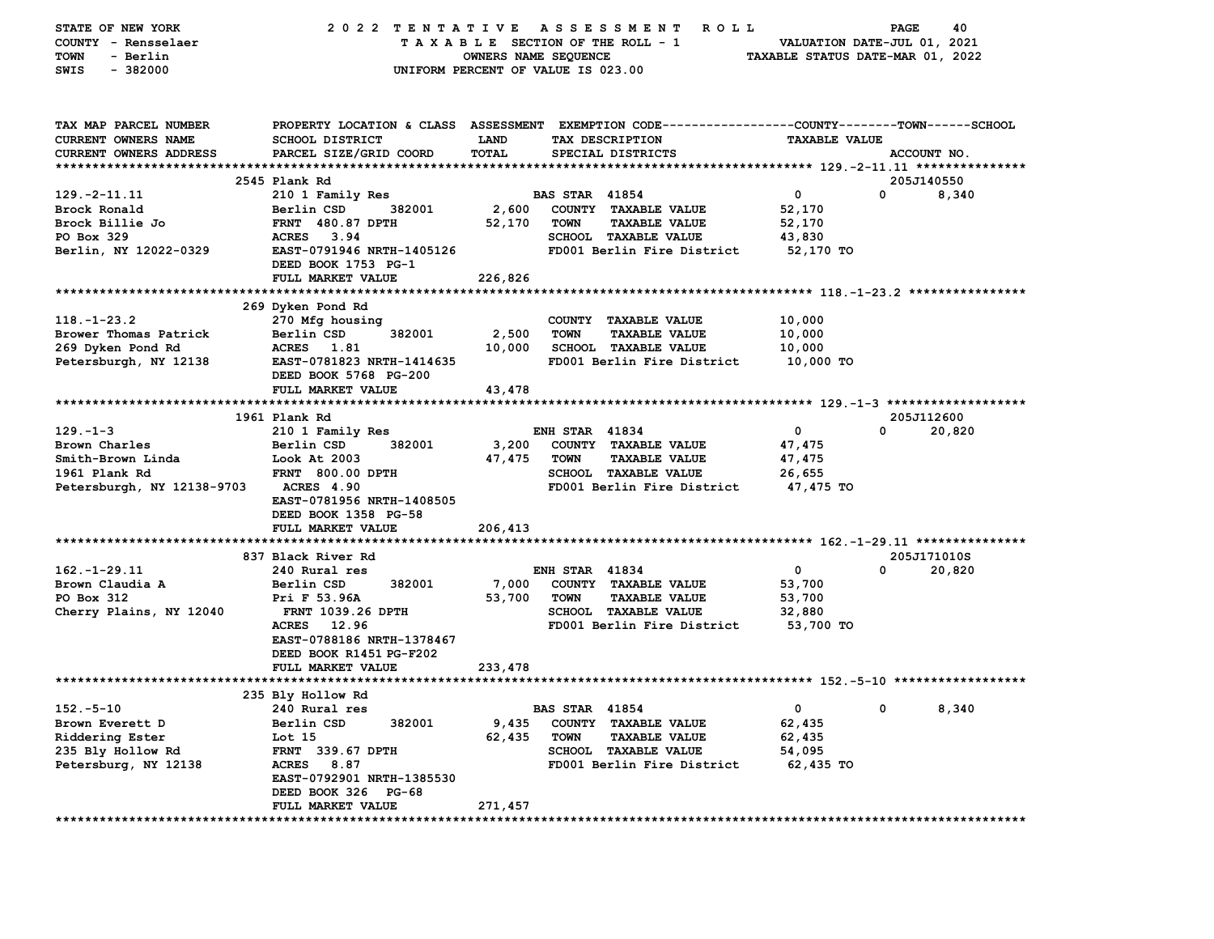| STATE OF NEW YORK<br>COUNTY - Rensselaer<br>- Berlin<br>TOWN | 2022 TENTATIVE                                                                                  | OWNERS NAME SEQUENCE | A S S E S S M E N T<br>TAXABLE SECTION OF THE ROLL - 1    | <b>ROLL</b><br>TAXABLE STATUS DATE-MAR 01, 2022 | 40<br>PAGE<br>VALUATION DATE-JUL 01, 2021 |
|--------------------------------------------------------------|-------------------------------------------------------------------------------------------------|----------------------|-----------------------------------------------------------|-------------------------------------------------|-------------------------------------------|
| $-382000$<br>SWIS                                            |                                                                                                 |                      | UNIFORM PERCENT OF VALUE IS 023.00                        |                                                 |                                           |
|                                                              |                                                                                                 |                      |                                                           |                                                 |                                           |
| TAX MAP PARCEL NUMBER                                        | PROPERTY LOCATION & CLASS ASSESSMENT EXEMPTION CODE---------------COUNTY-------TOWN------SCHOOL |                      |                                                           |                                                 |                                           |
| CURRENT OWNERS NAME                                          | <b>SCHOOL DISTRICT</b>                                                                          | LAND<br><b>TOTAL</b> | TAX DESCRIPTION                                           | <b>TAXABLE VALUE</b>                            |                                           |
| <b>CURRENT OWNERS ADDRESS</b>                                | PARCEL SIZE/GRID COORD                                                                          |                      | SPECIAL DISTRICTS                                         |                                                 | ACCOUNT NO.                               |
|                                                              | 2545 Plank Rd                                                                                   |                      |                                                           |                                                 | 205J140550                                |
| $129. -2 - 11.11$                                            | 210 1 Family Res                                                                                |                      | <b>BAS STAR 41854</b>                                     | $\mathbf 0$                                     | 0<br>8,340                                |
| Brock Ronald                                                 | Berlin CSD<br>382001                                                                            | 2,600                | COUNTY TAXABLE VALUE                                      | 52,170                                          |                                           |
| Brock Billie Jo                                              | <b>FRNT 480.87 DPTH</b>                                                                         | 52,170               | <b>TOWN</b><br><b>TAXABLE VALUE</b>                       | 52,170                                          |                                           |
| PO Box 329                                                   | <b>ACRES</b><br>3.94                                                                            |                      | SCHOOL TAXABLE VALUE                                      | 43,830                                          |                                           |
| Berlin, NY 12022-0329                                        | EAST-0791946 NRTH-1405126<br>DEED BOOK 1753 PG-1                                                |                      | FD001 Berlin Fire District                                | 52,170 TO                                       |                                           |
|                                                              | FULL MARKET VALUE                                                                               | 226,826              |                                                           |                                                 |                                           |
|                                                              |                                                                                                 |                      |                                                           |                                                 |                                           |
|                                                              | 269 Dyken Pond Rd                                                                               |                      |                                                           |                                                 |                                           |
| $118. - 1 - 23.2$                                            | 270 Mfg housing                                                                                 |                      | COUNTY TAXABLE VALUE                                      | 10,000                                          |                                           |
| Brower Thomas Patrick                                        | Berlin CSD<br>382001                                                                            | 2,500                | <b>TOWN</b><br><b>TAXABLE VALUE</b>                       | 10,000                                          |                                           |
| 269 Dyken Pond Rd<br>Petersburgh, NY 12138                   | ACRES 1.81<br>EAST-0781823 NRTH-1414635                                                         | 10,000               | <b>SCHOOL TAXABLE VALUE</b><br>FD001 Berlin Fire District | 10,000<br>10,000 TO                             |                                           |
|                                                              | DEED BOOK 5768 PG-200                                                                           |                      |                                                           |                                                 |                                           |
|                                                              | FULL MARKET VALUE                                                                               | 43,478               |                                                           |                                                 |                                           |
|                                                              |                                                                                                 |                      |                                                           |                                                 |                                           |
|                                                              | 1961 Plank Rd                                                                                   |                      |                                                           |                                                 | 205J112600                                |
| $129. - 1 - 3$                                               | 210 1 Family Res                                                                                |                      | <b>ENH STAR 41834</b>                                     | 0                                               | 0<br>20,820                               |
| Brown Charles                                                | 382001<br>Berlin CSD                                                                            | 3,200                | COUNTY TAXABLE VALUE                                      | 47,475                                          |                                           |
| Smith-Brown Linda                                            | Look At 2003                                                                                    | 47,475               | <b>TOWN</b><br><b>TAXABLE VALUE</b>                       | 47,475                                          |                                           |
| 1961 Plank Rd                                                | <b>FRNT 800.00 DPTH</b>                                                                         |                      | SCHOOL TAXABLE VALUE                                      | 26,655                                          |                                           |
| Petersburgh, NY 12138-9703                                   | <b>ACRES 4.90</b><br>EAST-0781956 NRTH-1408505                                                  |                      | FD001 Berlin Fire District                                | 47,475 TO                                       |                                           |
|                                                              | DEED BOOK 1358 PG-58                                                                            |                      |                                                           |                                                 |                                           |
|                                                              | FULL MARKET VALUE                                                                               | 206,413              |                                                           |                                                 |                                           |
|                                                              |                                                                                                 |                      |                                                           |                                                 |                                           |
|                                                              | 837 Black River Rd                                                                              |                      |                                                           |                                                 | 205J171010S                               |
| $162. - 1 - 29.11$                                           | 240 Rural res                                                                                   |                      | <b>ENH STAR 41834</b>                                     | 0                                               | 0<br>20,820                               |
| Brown Claudia A                                              | Berlin CSD<br>382001                                                                            | 7,000                | COUNTY TAXABLE VALUE                                      | 53,700                                          |                                           |
| PO Box 312                                                   | Pri F 53.96A                                                                                    | 53,700               | <b>TOWN</b><br><b>TAXABLE VALUE</b>                       | 53,700                                          |                                           |
| Cherry Plains, NY 12040                                      | <b>FRNT 1039.26 DPTH</b>                                                                        |                      | SCHOOL TAXABLE VALUE                                      | 32,880                                          |                                           |
|                                                              | <b>ACRES</b><br>12.96<br>EAST-0788186 NRTH-1378467                                              |                      | FD001 Berlin Fire District                                | 53,700 TO                                       |                                           |
|                                                              | DEED BOOK R1451 PG-F202                                                                         |                      |                                                           |                                                 |                                           |
|                                                              | FULL MARKET VALUE                                                                               | 233,478              |                                                           |                                                 |                                           |
|                                                              |                                                                                                 |                      |                                                           |                                                 |                                           |
|                                                              | 235 Bly Hollow Rd                                                                               |                      |                                                           |                                                 |                                           |
| $152.-5-10$                                                  | 240 Rural res                                                                                   |                      | <b>BAS STAR 41854</b>                                     | $\mathbf{0}$                                    | 8,340<br>ົດ ລ                             |
| Brown Everett D                                              | Berlin CSD<br>382001                                                                            | 9,435                | COUNTY TAXABLE VALUE                                      | 62,435                                          |                                           |
| Riddering Ester                                              | Lot 15                                                                                          | 62,435               | <b>TOWN</b><br><b>TAXABLE VALUE</b>                       | 62,435                                          |                                           |
| 235 Bly Hollow Rd                                            | <b>FRNT</b> 339.67 DPTH                                                                         |                      | <b>SCHOOL TAXABLE VALUE</b>                               | 54,095                                          |                                           |
| Petersburg, NY 12138                                         | ACRES 8.87                                                                                      |                      | FD001 Berlin Fire District                                | 62,435 TO                                       |                                           |
|                                                              | EAST-0792901 NRTH-1385530                                                                       |                      |                                                           |                                                 |                                           |
|                                                              | DEED BOOK 326 PG-68<br>FULL MARKET VALUE                                                        | 271,457              |                                                           |                                                 |                                           |
|                                                              |                                                                                                 |                      |                                                           |                                                 |                                           |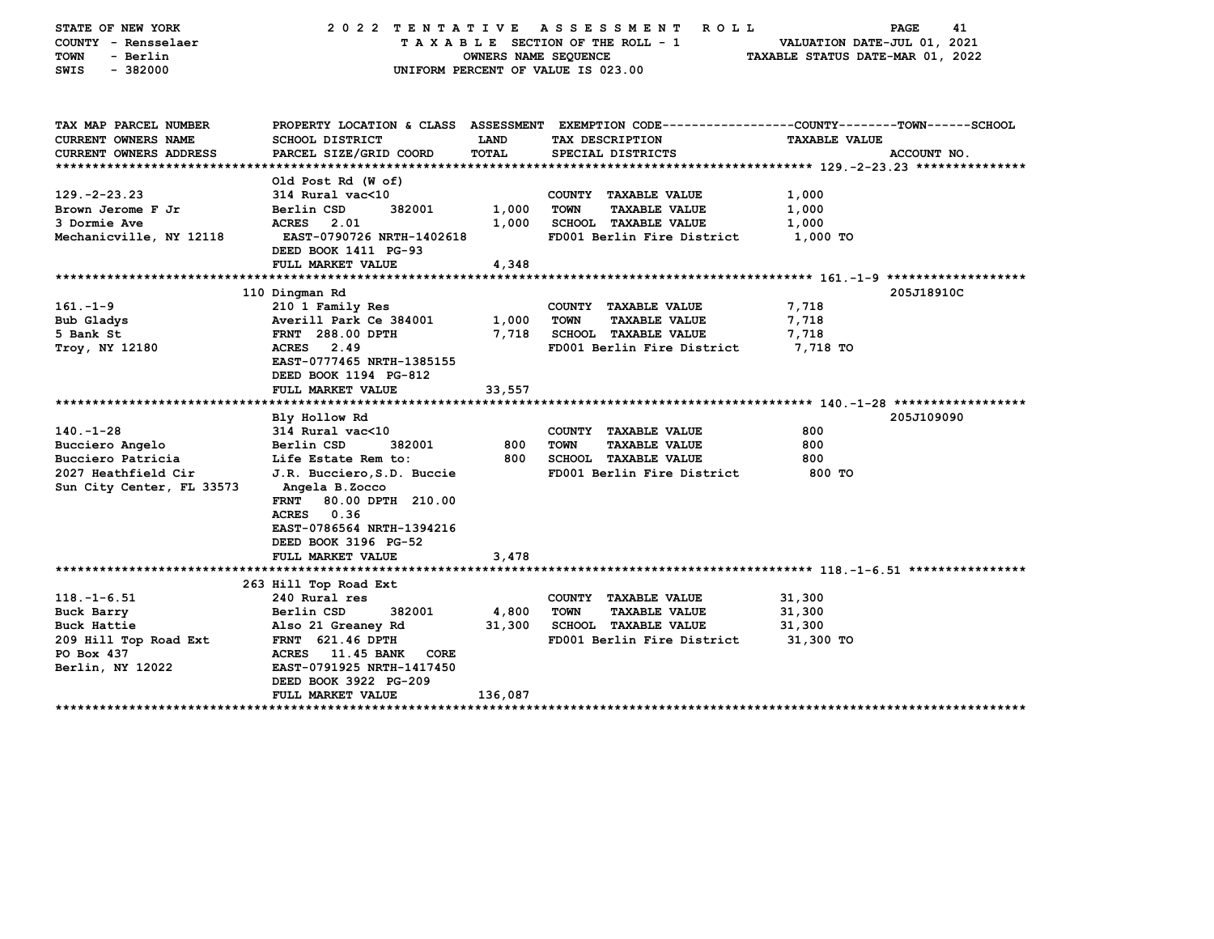| COUNTY - Rensselaer<br>TAXABLE SECTION OF THE ROLL - 1<br>VALUATION DATE-JUL 01, 2021<br><b>TOWN</b><br>- Berlin<br>OWNERS NAME SEQUENCE<br>TAXABLE STATUS DATE-MAR 01, 2022<br>$-382000$<br>UNIFORM PERCENT OF VALUE IS 023.00<br>SWIS<br>TAX MAP PARCEL NUMBER<br>PROPERTY LOCATION & CLASS ASSESSMENT EXEMPTION CODE---------------COUNTY-------TOWN-----SCHOOL<br>CURRENT OWNERS NAME<br>SCHOOL DISTRICT<br>LAND<br>TAX DESCRIPTION<br><b>TAXABLE VALUE</b><br>CURRENT OWNERS ADDRESS<br>PARCEL SIZE/GRID COORD<br>TOTAL<br>SPECIAL DISTRICTS<br>ACCOUNT NO.<br>Old Post Rd (W of)<br>$129. -2 - 23.23$<br>314 Rural vac<10<br>COUNTY TAXABLE VALUE<br>1,000<br>Brown Jerome F Jr<br>Berlin CSD<br>382001<br>1,000<br><b>TOWN</b><br><b>TAXABLE VALUE</b><br>1,000<br>3 Dormie Ave<br><b>ACRES</b> 2.01<br>1,000<br>SCHOOL TAXABLE VALUE<br>1,000<br><b>EAST-0790726 NRTH-1402618</b><br>FD001 Berlin Fire District<br>Mechanicville, NY 12118<br>1,000 TO<br>DEED BOOK 1411 PG-93<br>4,348<br>FULL MARKET VALUE<br>110 Dingman Rd<br>205J18910C<br>$161. - 1 - 9$<br>7,718<br>210 1 Family Res<br>COUNTY TAXABLE VALUE<br>Bub Gladys<br>1,000<br><b>TAXABLE VALUE</b><br>7,718<br>Averill Park Ce 384001<br><b>TOWN</b><br>7,718<br>SCHOOL TAXABLE VALUE<br>7,718<br>5 Bank St<br><b>FRNT</b> 288.00 DPTH<br>ACRES 2.49<br>FD001 Berlin Fire District<br>7,718 TO<br>Troy, NY 12180<br>EAST-0777465 NRTH-1385155<br>DEED BOOK 1194 PG-812<br>FULL MARKET VALUE<br>33,557<br>205J109090<br>Bly Hollow Rd<br>$140. -1 - 28$<br>314 Rural vac<10<br>800<br>COUNTY TAXABLE VALUE<br>382001<br>800<br><b>TOWN</b><br>800<br>Bucciero Angelo<br>Berlin CSD<br><b>TAXABLE VALUE</b><br>800<br>SCHOOL TAXABLE VALUE<br>800<br>Bucciero Patricia<br>Life Estate Rem to:<br>2027 Heathfield Cir<br>FD001 Berlin Fire District<br>J.R. Bucciero, S.D. Buccie<br>800 TO<br>Sun City Center, FL 33573<br>Angela B.Zocco<br>80.00 DPTH 210.00<br><b>FRNT</b><br>ACRES 0.36<br>EAST-0786564 NRTH-1394216<br>DEED BOOK 3196 PG-52<br>FULL MARKET VALUE<br>3,478<br>263 Hill Top Road Ext<br>$118. - 1 - 6.51$<br>240 Rural res<br>COUNTY TAXABLE VALUE<br>31,300<br>382001<br>31,300<br>Buck Barry<br>Berlin CSD<br>4,800<br>TOWN<br><b>TAXABLE VALUE</b><br>SCHOOL TAXABLE VALUE<br>31,300<br>Buck Hattie<br>Also 21 Greaney Rd<br>31,300<br>FD001 Berlin Fire District<br>209 Hill Top Road Ext<br><b>FRNT</b> 621.46 DPTH<br>31,300 TO<br>PO Box 437<br>ACRES 11.45 BANK<br><b>CORE</b><br>Berlin, NY 12022<br>EAST-0791925 NRTH-1417450<br>DEED BOOK 3922 PG-209<br>136,087<br><b>FULL MARKET VALUE</b> | STATE OF NEW YORK | 2022 TENTATIVE | A S S E S S M E N T<br>R O L L | 41<br><b>PAGE</b> |
|--------------------------------------------------------------------------------------------------------------------------------------------------------------------------------------------------------------------------------------------------------------------------------------------------------------------------------------------------------------------------------------------------------------------------------------------------------------------------------------------------------------------------------------------------------------------------------------------------------------------------------------------------------------------------------------------------------------------------------------------------------------------------------------------------------------------------------------------------------------------------------------------------------------------------------------------------------------------------------------------------------------------------------------------------------------------------------------------------------------------------------------------------------------------------------------------------------------------------------------------------------------------------------------------------------------------------------------------------------------------------------------------------------------------------------------------------------------------------------------------------------------------------------------------------------------------------------------------------------------------------------------------------------------------------------------------------------------------------------------------------------------------------------------------------------------------------------------------------------------------------------------------------------------------------------------------------------------------------------------------------------------------------------------------------------------------------------------------------------------------------------------------------------------------------------------------------------------------------------------------------------------------------------------------------------------------------------------------------------------------------------------------------------------------------------------------------------------------------------------------------------------------------------------------------------------------------------------------------|-------------------|----------------|--------------------------------|-------------------|
|                                                                                                                                                                                                                                                                                                                                                                                                                                                                                                                                                                                                                                                                                                                                                                                                                                                                                                                                                                                                                                                                                                                                                                                                                                                                                                                                                                                                                                                                                                                                                                                                                                                                                                                                                                                                                                                                                                                                                                                                                                                                                                                                                                                                                                                                                                                                                                                                                                                                                                                                                                                                  |                   |                |                                |                   |
|                                                                                                                                                                                                                                                                                                                                                                                                                                                                                                                                                                                                                                                                                                                                                                                                                                                                                                                                                                                                                                                                                                                                                                                                                                                                                                                                                                                                                                                                                                                                                                                                                                                                                                                                                                                                                                                                                                                                                                                                                                                                                                                                                                                                                                                                                                                                                                                                                                                                                                                                                                                                  |                   |                |                                |                   |
|                                                                                                                                                                                                                                                                                                                                                                                                                                                                                                                                                                                                                                                                                                                                                                                                                                                                                                                                                                                                                                                                                                                                                                                                                                                                                                                                                                                                                                                                                                                                                                                                                                                                                                                                                                                                                                                                                                                                                                                                                                                                                                                                                                                                                                                                                                                                                                                                                                                                                                                                                                                                  |                   |                |                                |                   |
|                                                                                                                                                                                                                                                                                                                                                                                                                                                                                                                                                                                                                                                                                                                                                                                                                                                                                                                                                                                                                                                                                                                                                                                                                                                                                                                                                                                                                                                                                                                                                                                                                                                                                                                                                                                                                                                                                                                                                                                                                                                                                                                                                                                                                                                                                                                                                                                                                                                                                                                                                                                                  |                   |                |                                |                   |
|                                                                                                                                                                                                                                                                                                                                                                                                                                                                                                                                                                                                                                                                                                                                                                                                                                                                                                                                                                                                                                                                                                                                                                                                                                                                                                                                                                                                                                                                                                                                                                                                                                                                                                                                                                                                                                                                                                                                                                                                                                                                                                                                                                                                                                                                                                                                                                                                                                                                                                                                                                                                  |                   |                |                                |                   |
|                                                                                                                                                                                                                                                                                                                                                                                                                                                                                                                                                                                                                                                                                                                                                                                                                                                                                                                                                                                                                                                                                                                                                                                                                                                                                                                                                                                                                                                                                                                                                                                                                                                                                                                                                                                                                                                                                                                                                                                                                                                                                                                                                                                                                                                                                                                                                                                                                                                                                                                                                                                                  |                   |                |                                |                   |
|                                                                                                                                                                                                                                                                                                                                                                                                                                                                                                                                                                                                                                                                                                                                                                                                                                                                                                                                                                                                                                                                                                                                                                                                                                                                                                                                                                                                                                                                                                                                                                                                                                                                                                                                                                                                                                                                                                                                                                                                                                                                                                                                                                                                                                                                                                                                                                                                                                                                                                                                                                                                  |                   |                |                                |                   |
|                                                                                                                                                                                                                                                                                                                                                                                                                                                                                                                                                                                                                                                                                                                                                                                                                                                                                                                                                                                                                                                                                                                                                                                                                                                                                                                                                                                                                                                                                                                                                                                                                                                                                                                                                                                                                                                                                                                                                                                                                                                                                                                                                                                                                                                                                                                                                                                                                                                                                                                                                                                                  |                   |                |                                |                   |
|                                                                                                                                                                                                                                                                                                                                                                                                                                                                                                                                                                                                                                                                                                                                                                                                                                                                                                                                                                                                                                                                                                                                                                                                                                                                                                                                                                                                                                                                                                                                                                                                                                                                                                                                                                                                                                                                                                                                                                                                                                                                                                                                                                                                                                                                                                                                                                                                                                                                                                                                                                                                  |                   |                |                                |                   |
|                                                                                                                                                                                                                                                                                                                                                                                                                                                                                                                                                                                                                                                                                                                                                                                                                                                                                                                                                                                                                                                                                                                                                                                                                                                                                                                                                                                                                                                                                                                                                                                                                                                                                                                                                                                                                                                                                                                                                                                                                                                                                                                                                                                                                                                                                                                                                                                                                                                                                                                                                                                                  |                   |                |                                |                   |
|                                                                                                                                                                                                                                                                                                                                                                                                                                                                                                                                                                                                                                                                                                                                                                                                                                                                                                                                                                                                                                                                                                                                                                                                                                                                                                                                                                                                                                                                                                                                                                                                                                                                                                                                                                                                                                                                                                                                                                                                                                                                                                                                                                                                                                                                                                                                                                                                                                                                                                                                                                                                  |                   |                |                                |                   |
|                                                                                                                                                                                                                                                                                                                                                                                                                                                                                                                                                                                                                                                                                                                                                                                                                                                                                                                                                                                                                                                                                                                                                                                                                                                                                                                                                                                                                                                                                                                                                                                                                                                                                                                                                                                                                                                                                                                                                                                                                                                                                                                                                                                                                                                                                                                                                                                                                                                                                                                                                                                                  |                   |                |                                |                   |
|                                                                                                                                                                                                                                                                                                                                                                                                                                                                                                                                                                                                                                                                                                                                                                                                                                                                                                                                                                                                                                                                                                                                                                                                                                                                                                                                                                                                                                                                                                                                                                                                                                                                                                                                                                                                                                                                                                                                                                                                                                                                                                                                                                                                                                                                                                                                                                                                                                                                                                                                                                                                  |                   |                |                                |                   |
|                                                                                                                                                                                                                                                                                                                                                                                                                                                                                                                                                                                                                                                                                                                                                                                                                                                                                                                                                                                                                                                                                                                                                                                                                                                                                                                                                                                                                                                                                                                                                                                                                                                                                                                                                                                                                                                                                                                                                                                                                                                                                                                                                                                                                                                                                                                                                                                                                                                                                                                                                                                                  |                   |                |                                |                   |
|                                                                                                                                                                                                                                                                                                                                                                                                                                                                                                                                                                                                                                                                                                                                                                                                                                                                                                                                                                                                                                                                                                                                                                                                                                                                                                                                                                                                                                                                                                                                                                                                                                                                                                                                                                                                                                                                                                                                                                                                                                                                                                                                                                                                                                                                                                                                                                                                                                                                                                                                                                                                  |                   |                |                                |                   |
|                                                                                                                                                                                                                                                                                                                                                                                                                                                                                                                                                                                                                                                                                                                                                                                                                                                                                                                                                                                                                                                                                                                                                                                                                                                                                                                                                                                                                                                                                                                                                                                                                                                                                                                                                                                                                                                                                                                                                                                                                                                                                                                                                                                                                                                                                                                                                                                                                                                                                                                                                                                                  |                   |                |                                |                   |
|                                                                                                                                                                                                                                                                                                                                                                                                                                                                                                                                                                                                                                                                                                                                                                                                                                                                                                                                                                                                                                                                                                                                                                                                                                                                                                                                                                                                                                                                                                                                                                                                                                                                                                                                                                                                                                                                                                                                                                                                                                                                                                                                                                                                                                                                                                                                                                                                                                                                                                                                                                                                  |                   |                |                                |                   |
|                                                                                                                                                                                                                                                                                                                                                                                                                                                                                                                                                                                                                                                                                                                                                                                                                                                                                                                                                                                                                                                                                                                                                                                                                                                                                                                                                                                                                                                                                                                                                                                                                                                                                                                                                                                                                                                                                                                                                                                                                                                                                                                                                                                                                                                                                                                                                                                                                                                                                                                                                                                                  |                   |                |                                |                   |
|                                                                                                                                                                                                                                                                                                                                                                                                                                                                                                                                                                                                                                                                                                                                                                                                                                                                                                                                                                                                                                                                                                                                                                                                                                                                                                                                                                                                                                                                                                                                                                                                                                                                                                                                                                                                                                                                                                                                                                                                                                                                                                                                                                                                                                                                                                                                                                                                                                                                                                                                                                                                  |                   |                |                                |                   |
|                                                                                                                                                                                                                                                                                                                                                                                                                                                                                                                                                                                                                                                                                                                                                                                                                                                                                                                                                                                                                                                                                                                                                                                                                                                                                                                                                                                                                                                                                                                                                                                                                                                                                                                                                                                                                                                                                                                                                                                                                                                                                                                                                                                                                                                                                                                                                                                                                                                                                                                                                                                                  |                   |                |                                |                   |
|                                                                                                                                                                                                                                                                                                                                                                                                                                                                                                                                                                                                                                                                                                                                                                                                                                                                                                                                                                                                                                                                                                                                                                                                                                                                                                                                                                                                                                                                                                                                                                                                                                                                                                                                                                                                                                                                                                                                                                                                                                                                                                                                                                                                                                                                                                                                                                                                                                                                                                                                                                                                  |                   |                |                                |                   |
|                                                                                                                                                                                                                                                                                                                                                                                                                                                                                                                                                                                                                                                                                                                                                                                                                                                                                                                                                                                                                                                                                                                                                                                                                                                                                                                                                                                                                                                                                                                                                                                                                                                                                                                                                                                                                                                                                                                                                                                                                                                                                                                                                                                                                                                                                                                                                                                                                                                                                                                                                                                                  |                   |                |                                |                   |
|                                                                                                                                                                                                                                                                                                                                                                                                                                                                                                                                                                                                                                                                                                                                                                                                                                                                                                                                                                                                                                                                                                                                                                                                                                                                                                                                                                                                                                                                                                                                                                                                                                                                                                                                                                                                                                                                                                                                                                                                                                                                                                                                                                                                                                                                                                                                                                                                                                                                                                                                                                                                  |                   |                |                                |                   |
|                                                                                                                                                                                                                                                                                                                                                                                                                                                                                                                                                                                                                                                                                                                                                                                                                                                                                                                                                                                                                                                                                                                                                                                                                                                                                                                                                                                                                                                                                                                                                                                                                                                                                                                                                                                                                                                                                                                                                                                                                                                                                                                                                                                                                                                                                                                                                                                                                                                                                                                                                                                                  |                   |                |                                |                   |
|                                                                                                                                                                                                                                                                                                                                                                                                                                                                                                                                                                                                                                                                                                                                                                                                                                                                                                                                                                                                                                                                                                                                                                                                                                                                                                                                                                                                                                                                                                                                                                                                                                                                                                                                                                                                                                                                                                                                                                                                                                                                                                                                                                                                                                                                                                                                                                                                                                                                                                                                                                                                  |                   |                |                                |                   |
|                                                                                                                                                                                                                                                                                                                                                                                                                                                                                                                                                                                                                                                                                                                                                                                                                                                                                                                                                                                                                                                                                                                                                                                                                                                                                                                                                                                                                                                                                                                                                                                                                                                                                                                                                                                                                                                                                                                                                                                                                                                                                                                                                                                                                                                                                                                                                                                                                                                                                                                                                                                                  |                   |                |                                |                   |
|                                                                                                                                                                                                                                                                                                                                                                                                                                                                                                                                                                                                                                                                                                                                                                                                                                                                                                                                                                                                                                                                                                                                                                                                                                                                                                                                                                                                                                                                                                                                                                                                                                                                                                                                                                                                                                                                                                                                                                                                                                                                                                                                                                                                                                                                                                                                                                                                                                                                                                                                                                                                  |                   |                |                                |                   |
|                                                                                                                                                                                                                                                                                                                                                                                                                                                                                                                                                                                                                                                                                                                                                                                                                                                                                                                                                                                                                                                                                                                                                                                                                                                                                                                                                                                                                                                                                                                                                                                                                                                                                                                                                                                                                                                                                                                                                                                                                                                                                                                                                                                                                                                                                                                                                                                                                                                                                                                                                                                                  |                   |                |                                |                   |
|                                                                                                                                                                                                                                                                                                                                                                                                                                                                                                                                                                                                                                                                                                                                                                                                                                                                                                                                                                                                                                                                                                                                                                                                                                                                                                                                                                                                                                                                                                                                                                                                                                                                                                                                                                                                                                                                                                                                                                                                                                                                                                                                                                                                                                                                                                                                                                                                                                                                                                                                                                                                  |                   |                |                                |                   |
|                                                                                                                                                                                                                                                                                                                                                                                                                                                                                                                                                                                                                                                                                                                                                                                                                                                                                                                                                                                                                                                                                                                                                                                                                                                                                                                                                                                                                                                                                                                                                                                                                                                                                                                                                                                                                                                                                                                                                                                                                                                                                                                                                                                                                                                                                                                                                                                                                                                                                                                                                                                                  |                   |                |                                |                   |
|                                                                                                                                                                                                                                                                                                                                                                                                                                                                                                                                                                                                                                                                                                                                                                                                                                                                                                                                                                                                                                                                                                                                                                                                                                                                                                                                                                                                                                                                                                                                                                                                                                                                                                                                                                                                                                                                                                                                                                                                                                                                                                                                                                                                                                                                                                                                                                                                                                                                                                                                                                                                  |                   |                |                                |                   |
|                                                                                                                                                                                                                                                                                                                                                                                                                                                                                                                                                                                                                                                                                                                                                                                                                                                                                                                                                                                                                                                                                                                                                                                                                                                                                                                                                                                                                                                                                                                                                                                                                                                                                                                                                                                                                                                                                                                                                                                                                                                                                                                                                                                                                                                                                                                                                                                                                                                                                                                                                                                                  |                   |                |                                |                   |
|                                                                                                                                                                                                                                                                                                                                                                                                                                                                                                                                                                                                                                                                                                                                                                                                                                                                                                                                                                                                                                                                                                                                                                                                                                                                                                                                                                                                                                                                                                                                                                                                                                                                                                                                                                                                                                                                                                                                                                                                                                                                                                                                                                                                                                                                                                                                                                                                                                                                                                                                                                                                  |                   |                |                                |                   |
|                                                                                                                                                                                                                                                                                                                                                                                                                                                                                                                                                                                                                                                                                                                                                                                                                                                                                                                                                                                                                                                                                                                                                                                                                                                                                                                                                                                                                                                                                                                                                                                                                                                                                                                                                                                                                                                                                                                                                                                                                                                                                                                                                                                                                                                                                                                                                                                                                                                                                                                                                                                                  |                   |                |                                |                   |
|                                                                                                                                                                                                                                                                                                                                                                                                                                                                                                                                                                                                                                                                                                                                                                                                                                                                                                                                                                                                                                                                                                                                                                                                                                                                                                                                                                                                                                                                                                                                                                                                                                                                                                                                                                                                                                                                                                                                                                                                                                                                                                                                                                                                                                                                                                                                                                                                                                                                                                                                                                                                  |                   |                |                                |                   |
|                                                                                                                                                                                                                                                                                                                                                                                                                                                                                                                                                                                                                                                                                                                                                                                                                                                                                                                                                                                                                                                                                                                                                                                                                                                                                                                                                                                                                                                                                                                                                                                                                                                                                                                                                                                                                                                                                                                                                                                                                                                                                                                                                                                                                                                                                                                                                                                                                                                                                                                                                                                                  |                   |                |                                |                   |
|                                                                                                                                                                                                                                                                                                                                                                                                                                                                                                                                                                                                                                                                                                                                                                                                                                                                                                                                                                                                                                                                                                                                                                                                                                                                                                                                                                                                                                                                                                                                                                                                                                                                                                                                                                                                                                                                                                                                                                                                                                                                                                                                                                                                                                                                                                                                                                                                                                                                                                                                                                                                  |                   |                |                                |                   |
|                                                                                                                                                                                                                                                                                                                                                                                                                                                                                                                                                                                                                                                                                                                                                                                                                                                                                                                                                                                                                                                                                                                                                                                                                                                                                                                                                                                                                                                                                                                                                                                                                                                                                                                                                                                                                                                                                                                                                                                                                                                                                                                                                                                                                                                                                                                                                                                                                                                                                                                                                                                                  |                   |                |                                |                   |
|                                                                                                                                                                                                                                                                                                                                                                                                                                                                                                                                                                                                                                                                                                                                                                                                                                                                                                                                                                                                                                                                                                                                                                                                                                                                                                                                                                                                                                                                                                                                                                                                                                                                                                                                                                                                                                                                                                                                                                                                                                                                                                                                                                                                                                                                                                                                                                                                                                                                                                                                                                                                  |                   |                |                                |                   |
|                                                                                                                                                                                                                                                                                                                                                                                                                                                                                                                                                                                                                                                                                                                                                                                                                                                                                                                                                                                                                                                                                                                                                                                                                                                                                                                                                                                                                                                                                                                                                                                                                                                                                                                                                                                                                                                                                                                                                                                                                                                                                                                                                                                                                                                                                                                                                                                                                                                                                                                                                                                                  |                   |                |                                |                   |
|                                                                                                                                                                                                                                                                                                                                                                                                                                                                                                                                                                                                                                                                                                                                                                                                                                                                                                                                                                                                                                                                                                                                                                                                                                                                                                                                                                                                                                                                                                                                                                                                                                                                                                                                                                                                                                                                                                                                                                                                                                                                                                                                                                                                                                                                                                                                                                                                                                                                                                                                                                                                  |                   |                |                                |                   |
|                                                                                                                                                                                                                                                                                                                                                                                                                                                                                                                                                                                                                                                                                                                                                                                                                                                                                                                                                                                                                                                                                                                                                                                                                                                                                                                                                                                                                                                                                                                                                                                                                                                                                                                                                                                                                                                                                                                                                                                                                                                                                                                                                                                                                                                                                                                                                                                                                                                                                                                                                                                                  |                   |                |                                |                   |
|                                                                                                                                                                                                                                                                                                                                                                                                                                                                                                                                                                                                                                                                                                                                                                                                                                                                                                                                                                                                                                                                                                                                                                                                                                                                                                                                                                                                                                                                                                                                                                                                                                                                                                                                                                                                                                                                                                                                                                                                                                                                                                                                                                                                                                                                                                                                                                                                                                                                                                                                                                                                  |                   |                |                                |                   |
|                                                                                                                                                                                                                                                                                                                                                                                                                                                                                                                                                                                                                                                                                                                                                                                                                                                                                                                                                                                                                                                                                                                                                                                                                                                                                                                                                                                                                                                                                                                                                                                                                                                                                                                                                                                                                                                                                                                                                                                                                                                                                                                                                                                                                                                                                                                                                                                                                                                                                                                                                                                                  |                   |                |                                |                   |
|                                                                                                                                                                                                                                                                                                                                                                                                                                                                                                                                                                                                                                                                                                                                                                                                                                                                                                                                                                                                                                                                                                                                                                                                                                                                                                                                                                                                                                                                                                                                                                                                                                                                                                                                                                                                                                                                                                                                                                                                                                                                                                                                                                                                                                                                                                                                                                                                                                                                                                                                                                                                  |                   |                |                                |                   |
|                                                                                                                                                                                                                                                                                                                                                                                                                                                                                                                                                                                                                                                                                                                                                                                                                                                                                                                                                                                                                                                                                                                                                                                                                                                                                                                                                                                                                                                                                                                                                                                                                                                                                                                                                                                                                                                                                                                                                                                                                                                                                                                                                                                                                                                                                                                                                                                                                                                                                                                                                                                                  |                   |                |                                |                   |
|                                                                                                                                                                                                                                                                                                                                                                                                                                                                                                                                                                                                                                                                                                                                                                                                                                                                                                                                                                                                                                                                                                                                                                                                                                                                                                                                                                                                                                                                                                                                                                                                                                                                                                                                                                                                                                                                                                                                                                                                                                                                                                                                                                                                                                                                                                                                                                                                                                                                                                                                                                                                  |                   |                |                                |                   |
|                                                                                                                                                                                                                                                                                                                                                                                                                                                                                                                                                                                                                                                                                                                                                                                                                                                                                                                                                                                                                                                                                                                                                                                                                                                                                                                                                                                                                                                                                                                                                                                                                                                                                                                                                                                                                                                                                                                                                                                                                                                                                                                                                                                                                                                                                                                                                                                                                                                                                                                                                                                                  |                   |                |                                |                   |
|                                                                                                                                                                                                                                                                                                                                                                                                                                                                                                                                                                                                                                                                                                                                                                                                                                                                                                                                                                                                                                                                                                                                                                                                                                                                                                                                                                                                                                                                                                                                                                                                                                                                                                                                                                                                                                                                                                                                                                                                                                                                                                                                                                                                                                                                                                                                                                                                                                                                                                                                                                                                  |                   |                |                                |                   |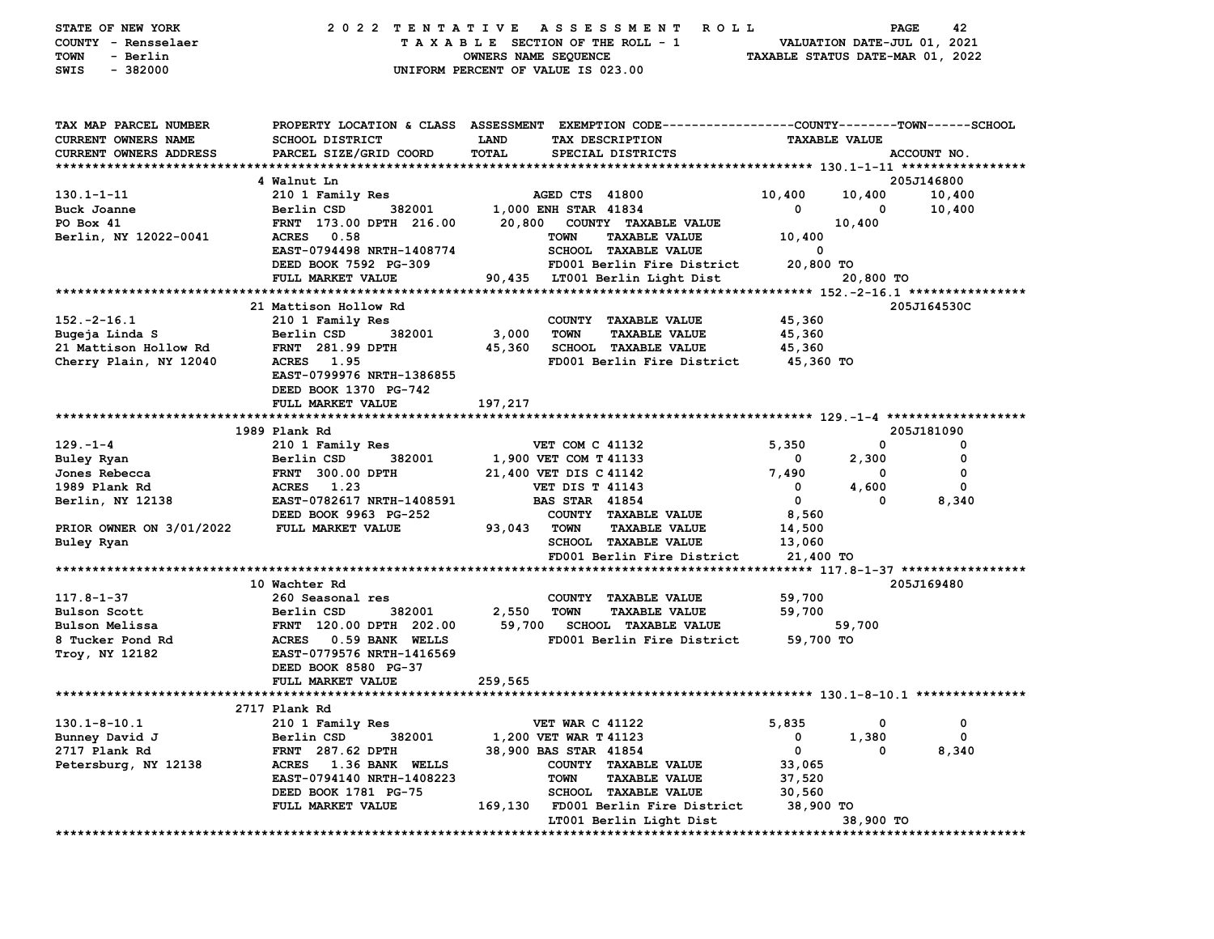| STATE OF NEW YORK<br>COUNTY - Rensselaer<br>- Berlin<br>TOWN<br>$-382000$<br>SWIS |                                          | 2022 TENTATIVE ASSESSMENT<br><b>ROLL</b><br>TAXABLE SECTION OF THE ROLL - 1<br>OWNERS NAME SEQUENCE<br>UNIFORM PERCENT OF VALUE IS 023.00 | VALUATION DATE-JUL 01, 2021<br>TAXABLE STATUS DATE-MAR 01, 2022 | PAGE<br>42  |
|-----------------------------------------------------------------------------------|------------------------------------------|-------------------------------------------------------------------------------------------------------------------------------------------|-----------------------------------------------------------------|-------------|
| TAX MAP PARCEL NUMBER<br>CURRENT OWNERS NAME                                      | SCHOOL DISTRICT                          | PROPERTY LOCATION & CLASS ASSESSMENT EXEMPTION CODE---------------COUNTY-------TOWN-----SCHOOL<br>LAND<br>TAX DESCRIPTION                 | <b>TAXABLE VALUE</b>                                            |             |
| <b>CURRENT OWNERS ADDRESS</b>                                                     | PARCEL SIZE/GRID COORD                   | TOTAL<br>SPECIAL DISTRICTS                                                                                                                |                                                                 | ACCOUNT NO. |
|                                                                                   |                                          |                                                                                                                                           |                                                                 |             |
|                                                                                   | 4 Walnut Ln                              |                                                                                                                                           |                                                                 | 205J146800  |
| $130.1 - 1 - 11$                                                                  | 210 1 Family Res                         | AGED CTS 41800                                                                                                                            | 10,400<br>10,400                                                | 10,400      |
| Buck Joanne                                                                       | 382001<br>Berlin CSD                     | 1,000 ENH STAR 41834                                                                                                                      | 0<br>0                                                          | 10,400      |
| PO Box 41                                                                         | FRNT 173.00 DPTH 216.00                  | COUNTY TAXABLE VALUE<br>20,800                                                                                                            | 10,400                                                          |             |
| Berlin, NY 12022-0041                                                             | ACRES 0.58                               | <b>TOWN</b><br><b>TAXABLE VALUE</b>                                                                                                       | 10,400                                                          |             |
|                                                                                   | EAST-0794498 NRTH-1408774                | SCHOOL TAXABLE VALUE                                                                                                                      | 0                                                               |             |
|                                                                                   | DEED BOOK 7592 PG-309                    | FD001 Berlin Fire District                                                                                                                | 20,800 TO                                                       |             |
|                                                                                   | FULL MARKET VALUE                        | 90,435 LT001 Berlin Light Dist                                                                                                            | 20,800 TO                                                       |             |
|                                                                                   | 21 Mattison Hollow Rd                    |                                                                                                                                           |                                                                 | 205J164530C |
| $152. -2 - 16.1$                                                                  | 210 1 Family Res                         | COUNTY TAXABLE VALUE                                                                                                                      | 45,360                                                          |             |
| Bugeja Linda S                                                                    | 382001<br>Berlin CSD                     | 3,000<br><b>TOWN</b><br><b>TAXABLE VALUE</b>                                                                                              | 45,360                                                          |             |
| 21 Mattison Hollow Rd                                                             | <b>FRNT</b> 281.99 DPTH                  | 45,360<br><b>SCHOOL TAXABLE VALUE</b>                                                                                                     | 45,360                                                          |             |
| Cherry Plain, NY 12040                                                            | ACRES 1.95                               | FD001 Berlin Fire District                                                                                                                | 45,360 TO                                                       |             |
|                                                                                   | EAST-0799976 NRTH-1386855                |                                                                                                                                           |                                                                 |             |
|                                                                                   | DEED BOOK 1370 PG-742                    |                                                                                                                                           |                                                                 |             |
|                                                                                   | FULL MARKET VALUE                        | 197,217                                                                                                                                   |                                                                 |             |
|                                                                                   |                                          |                                                                                                                                           |                                                                 |             |
|                                                                                   | 1989 Plank Rd                            |                                                                                                                                           |                                                                 | 205J181090  |
| $129. - 1 - 4$                                                                    | 210 1 Family Res                         | <b>VET COM C 41132</b>                                                                                                                    | 5,350<br>0                                                      | 0           |
| Buley Ryan                                                                        | 382001<br>Berlin CSD                     | 1,900 VET COM T 41133                                                                                                                     | 2,300<br>0                                                      | 0           |
| Jones Rebecca                                                                     | <b>FRNT 300.00 DPTH</b>                  | 21,400 VET DIS C 41142                                                                                                                    | 7,490<br>0                                                      | 0           |
| 1989 Plank Rd                                                                     | <b>ACRES</b><br>1.23                     | <b>VET DIS T 41143</b>                                                                                                                    | 0<br>4,600                                                      | $\mathbf 0$ |
| Berlin, NY 12138                                                                  | EAST-0782617 NRTH-1408591                | <b>BAS STAR 41854</b>                                                                                                                     | $\mathbf{o}$<br>0                                               | 8,340       |
|                                                                                   | DEED BOOK 9963 PG-252                    | COUNTY TAXABLE VALUE                                                                                                                      | 8,560                                                           |             |
| PRIOR OWNER ON 3/01/2022                                                          | <b>FULL MARKET VALUE</b>                 | 93,043<br><b>TOWN</b><br><b>TAXABLE VALUE</b>                                                                                             | 14,500                                                          |             |
| Buley Ryan                                                                        |                                          | <b>SCHOOL TAXABLE VALUE</b>                                                                                                               | 13,060                                                          |             |
|                                                                                   |                                          | FD001 Berlin Fire District                                                                                                                | 21,400 TO                                                       |             |
|                                                                                   |                                          |                                                                                                                                           |                                                                 |             |
|                                                                                   | 10 Wachter Rd                            |                                                                                                                                           |                                                                 | 205J169480  |
| $117.8 - 1 - 37$                                                                  | 260 Seasonal res<br>Berlin CSD<br>382001 | COUNTY TAXABLE VALUE<br><b>TAXABLE VALUE</b>                                                                                              | 59,700                                                          |             |
| <b>Bulson Scott</b><br>Bulson Melissa                                             | FRNT 120.00 DPTH 202.00                  | 2,550<br><b>TOWN</b><br>59,700<br><b>SCHOOL TAXABLE VALUE</b>                                                                             | 59,700<br>59,700                                                |             |
| 8 Tucker Pond Rd                                                                  | ACRES 0.59 BANK WELLS                    | FD001 Berlin Fire District                                                                                                                | 59,700 TO                                                       |             |
| Troy, NY 12182                                                                    | EAST-0779576 NRTH-1416569                |                                                                                                                                           |                                                                 |             |
|                                                                                   | DEED BOOK 8580 PG-37                     |                                                                                                                                           |                                                                 |             |
|                                                                                   | FULL MARKET VALUE                        | 259,565                                                                                                                                   |                                                                 |             |
|                                                                                   |                                          |                                                                                                                                           |                                                                 |             |
|                                                                                   | 2717 Plank Rd                            |                                                                                                                                           |                                                                 |             |
| $130.1 - 8 - 10.1$                                                                | 210 1 Family Res                         | <b>VET WAR C 41122</b>                                                                                                                    | 5,835<br>0                                                      | 0           |
| Bunney David J                                                                    | Berlin CSD<br>382001                     | 1,200 VET WAR T 41123                                                                                                                     | 1,380<br>0                                                      | 0           |
| 2717 Plank Rd                                                                     | 287.62 DPTH<br><b>FRNT</b>               | 38,900 BAS STAR 41854                                                                                                                     | 0<br>0                                                          | 8,340       |
| Petersburg, NY 12138                                                              | 1.36 BANK WELLS<br><b>ACRES</b>          | <b>COUNTY</b><br><b>TAXABLE VALUE</b>                                                                                                     | 33,065                                                          |             |
|                                                                                   | EAST-0794140 NRTH-1408223                | <b>TOWN</b><br><b>TAXABLE VALUE</b>                                                                                                       | 37,520                                                          |             |
|                                                                                   | DEED BOOK 1781 PG-75                     | SCHOOL TAXABLE VALUE                                                                                                                      | 30,560                                                          |             |
|                                                                                   | FULL MARKET VALUE                        | 169,130<br>FD001 Berlin Fire District                                                                                                     | 38,900 TO                                                       |             |
|                                                                                   |                                          | LT001 Berlin Light Dist                                                                                                                   | 38,900 TO                                                       |             |
|                                                                                   |                                          |                                                                                                                                           |                                                                 |             |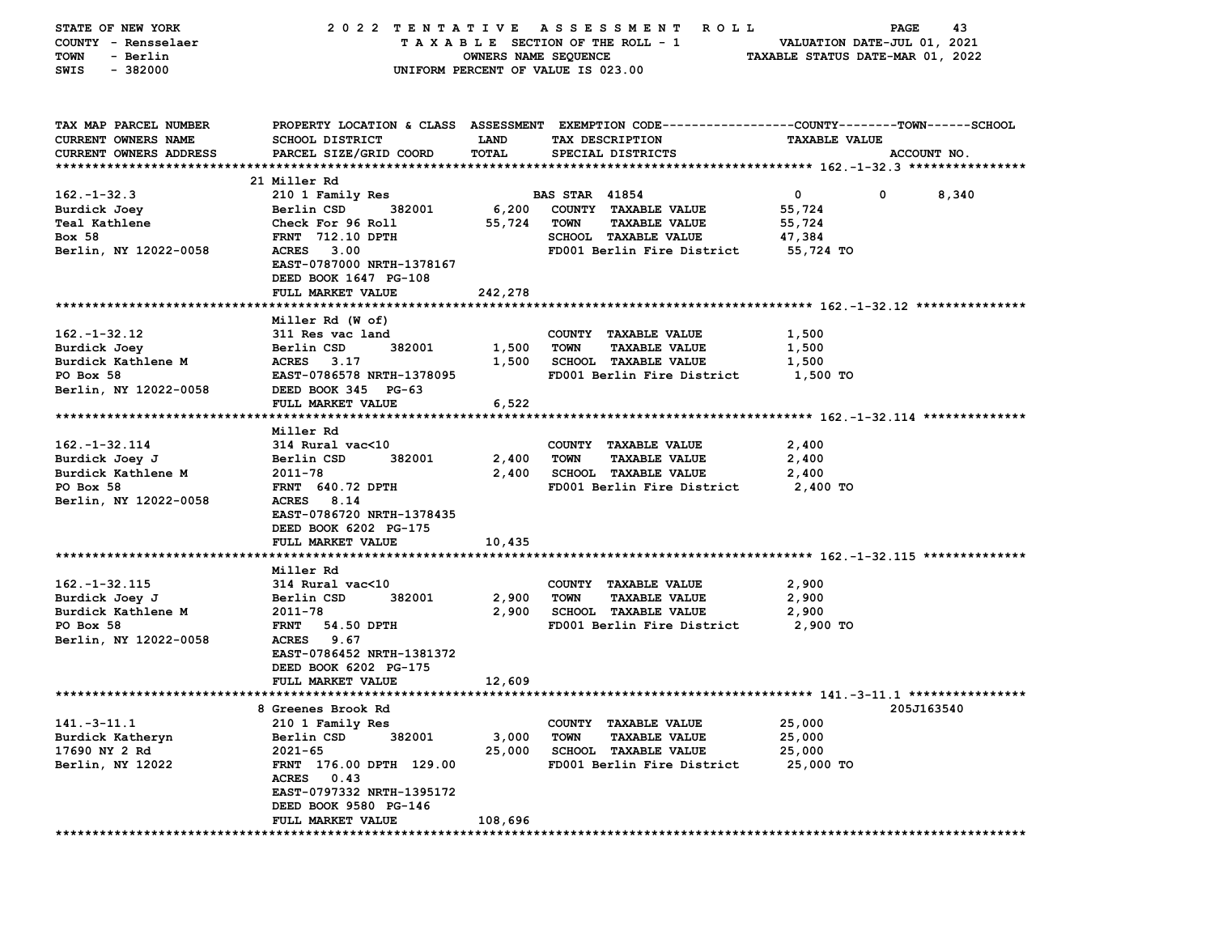| STATE OF NEW YORK                    | 2022 TENTATIVE                        |                      | A S S E S S M E N T<br>R O L L                                                                  |                                  | 43<br>PAGE                  |
|--------------------------------------|---------------------------------------|----------------------|-------------------------------------------------------------------------------------------------|----------------------------------|-----------------------------|
| COUNTY - Rensselaer                  |                                       |                      | TAXABLE SECTION OF THE ROLL - 1                                                                 |                                  | VALUATION DATE-JUL 01, 2021 |
| - Berlin<br><b>TOWN</b>              |                                       | OWNERS NAME SEQUENCE |                                                                                                 | TAXABLE STATUS DATE-MAR 01, 2022 |                             |
| SWIS<br>$-382000$                    |                                       |                      | UNIFORM PERCENT OF VALUE IS 023.00                                                              |                                  |                             |
|                                      |                                       |                      |                                                                                                 |                                  |                             |
| TAX MAP PARCEL NUMBER                |                                       |                      | PROPERTY LOCATION & CLASS ASSESSMENT EXEMPTION CODE---------------COUNTY-------TOWN------SCHOOL |                                  |                             |
| CURRENT OWNERS NAME                  | <b>SCHOOL DISTRICT</b>                | <b>LAND</b>          | TAX DESCRIPTION                                                                                 | <b>TAXABLE VALUE</b>             |                             |
| CURRENT OWNERS ADDRESS               | PARCEL SIZE/GRID COORD                | <b>TOTAL</b>         | SPECIAL DISTRICTS                                                                               |                                  | ACCOUNT NO.                 |
|                                      |                                       |                      |                                                                                                 |                                  |                             |
|                                      | 21 Miller Rd                          |                      |                                                                                                 |                                  |                             |
| $162. - 1 - 32.3$                    | 210 1 Family Res                      |                      | <b>BAS STAR 41854</b>                                                                           | 0                                | 0<br>8,340                  |
| Burdick Joey<br><b>Teal Kathlene</b> | 382001<br>Berlin CSD                  | 6,200                | COUNTY TAXABLE VALUE<br><b>TOWN</b><br><b>TAXABLE VALUE</b>                                     | 55,724                           |                             |
| <b>Box 58</b>                        | Check For 96 Roll<br>FRNT 712.10 DPTH | 55,724               | <b>SCHOOL TAXABLE VALUE</b>                                                                     | 55,724<br>47,384                 |                             |
| Berlin, NY 12022-0058                | 3.00<br><b>ACRES</b>                  |                      | FD001 Berlin Fire District                                                                      | 55,724 TO                        |                             |
|                                      | EAST-0787000 NRTH-1378167             |                      |                                                                                                 |                                  |                             |
|                                      | DEED BOOK 1647 PG-108                 |                      |                                                                                                 |                                  |                             |
|                                      | FULL MARKET VALUE                     | 242,278              |                                                                                                 |                                  |                             |
|                                      |                                       |                      |                                                                                                 |                                  |                             |
|                                      | Miller Rd (W of)                      |                      |                                                                                                 |                                  |                             |
| $162 - 1 - 32.12$                    | 311 Res vac land                      |                      | COUNTY TAXABLE VALUE                                                                            | 1,500                            |                             |
| Burdick Joey                         | Berlin CSD<br>382001                  | 1,500                | <b>TOWN</b><br><b>TAXABLE VALUE</b>                                                             | 1,500                            |                             |
| Burdick Kathlene M                   | <b>ACRES</b><br>3.17                  | 1,500                | <b>SCHOOL TAXABLE VALUE</b>                                                                     | 1,500                            |                             |
| PO Box 58                            | EAST-0786578 NRTH-1378095             |                      | FD001 Berlin Fire District                                                                      | 1,500 TO                         |                             |
| Berlin, NY 12022-0058                | DEED BOOK 345 PG-63                   |                      |                                                                                                 |                                  |                             |
|                                      | FULL MARKET VALUE                     | 6,522                |                                                                                                 |                                  |                             |
|                                      |                                       |                      |                                                                                                 |                                  |                             |
|                                      | Miller Rd                             |                      |                                                                                                 |                                  |                             |
| $162. - 1 - 32.114$                  | 314 Rural vac<10                      |                      | COUNTY TAXABLE VALUE                                                                            | 2,400                            |                             |
| Burdick Joey J<br>Burdick Kathlene M | Berlin CSD<br>382001<br>2011-78       | 2,400<br>2,400       | <b>TOWN</b><br><b>TAXABLE VALUE</b><br><b>SCHOOL TAXABLE VALUE</b>                              | 2,400<br>2,400                   |                             |
| PO Box 58                            | <b>FRNT 640.72 DPTH</b>               |                      | FD001 Berlin Fire District                                                                      | 2,400 TO                         |                             |
| Berlin, NY 12022-0058                | <b>ACRES</b><br>8.14                  |                      |                                                                                                 |                                  |                             |
|                                      | EAST-0786720 NRTH-1378435             |                      |                                                                                                 |                                  |                             |
|                                      | DEED BOOK 6202 PG-175                 |                      |                                                                                                 |                                  |                             |
|                                      | FULL MARKET VALUE                     | 10,435               |                                                                                                 |                                  |                             |
|                                      |                                       |                      |                                                                                                 |                                  |                             |
|                                      | Miller Rd                             |                      |                                                                                                 |                                  |                             |
| 162. -1-32. 115                      | 314 Rural vac<10                      |                      | COUNTY TAXABLE VALUE                                                                            | 2,900                            |                             |
| Burdick Joey J                       | 382001<br>Berlin CSD                  | 2,900                | <b>TOWN</b><br><b>TAXABLE VALUE</b>                                                             | 2,900                            |                             |
| Burdick Kathlene M                   | 2011-78                               | 2,900                | <b>SCHOOL TAXABLE VALUE</b>                                                                     | 2,900                            |                             |
| PO Box 58                            | <b>FRNT</b><br>54.50 DPTH             |                      | FD001 Berlin Fire District                                                                      | 2,900 TO                         |                             |
| Berlin, NY 12022-0058                | <b>ACRES</b><br>9.67                  |                      |                                                                                                 |                                  |                             |
|                                      | EAST-0786452 NRTH-1381372             |                      |                                                                                                 |                                  |                             |
|                                      | DEED BOOK 6202 PG-175                 |                      |                                                                                                 |                                  |                             |
|                                      | FULL MARKET VALUE                     | 12,609               |                                                                                                 |                                  |                             |
|                                      | 8 Greenes Brook Rd                    |                      |                                                                                                 |                                  | 205J163540                  |
| $141. - 3 - 11.1$                    | 210 1 Family Res                      |                      | COUNTY TAXABLE VALUE                                                                            | 25,000                           |                             |
| Burdick Katheryn                     | Berlin CSD<br>382001                  | 3,000                | <b>TOWN</b><br><b>TAXABLE VALUE</b>                                                             | 25,000                           |                             |
| 17690 NY 2 Rd                        | $2021 - 65$                           | 25,000               | <b>SCHOOL TAXABLE VALUE</b>                                                                     | 25,000                           |                             |
| Berlin, NY 12022                     | FRNT 176.00 DPTH 129.00               |                      | FD001 Berlin Fire District                                                                      | 25,000 TO                        |                             |
|                                      | ACRES 0.43                            |                      |                                                                                                 |                                  |                             |
|                                      | EAST-0797332 NRTH-1395172             |                      |                                                                                                 |                                  |                             |
|                                      | DEED BOOK 9580 PG-146                 |                      |                                                                                                 |                                  |                             |
|                                      | FULL MARKET VALUE                     | 108,696              |                                                                                                 |                                  |                             |
|                                      |                                       |                      |                                                                                                 |                                  |                             |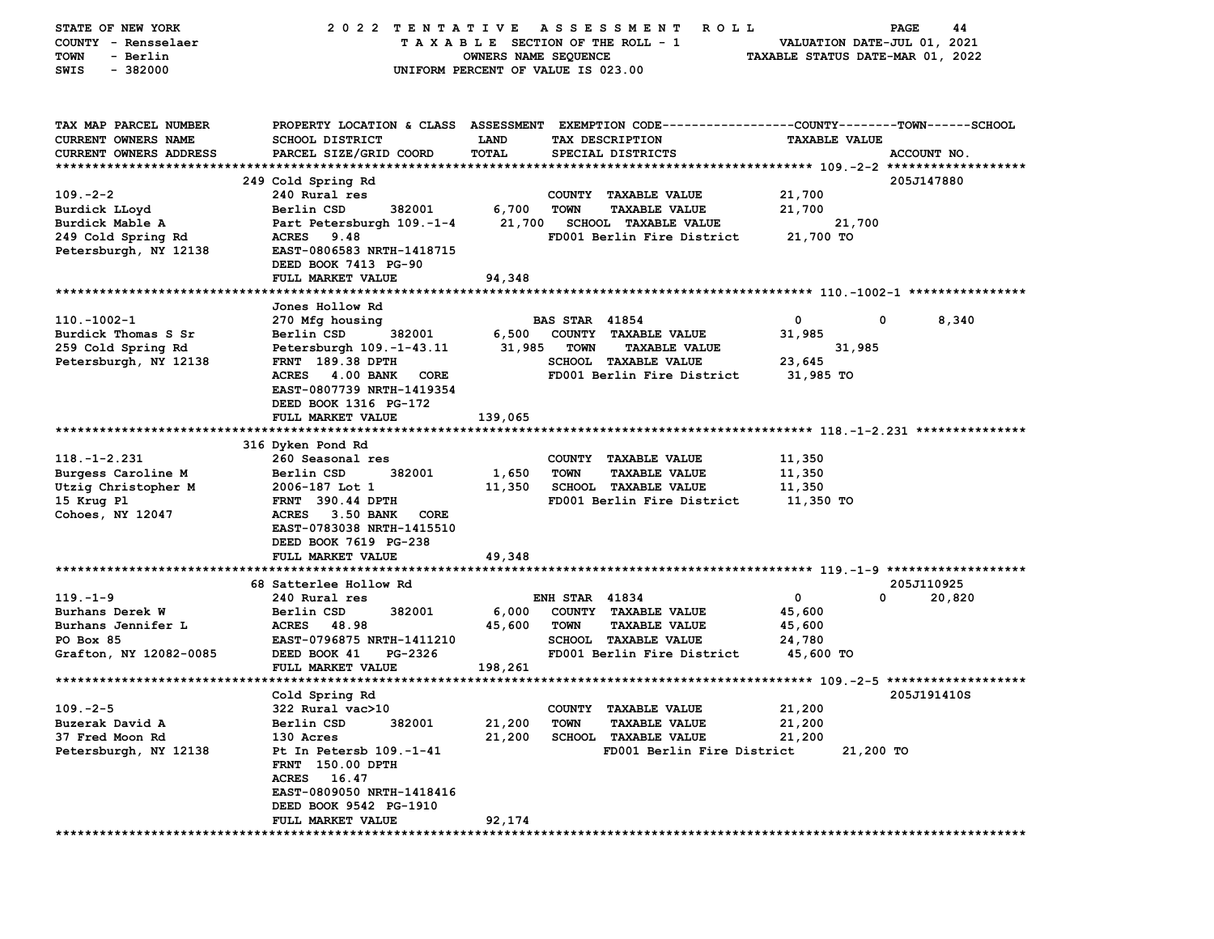| STATE OF NEW YORK<br>COUNTY - Rensselaer<br>- Berlin<br>TOWN<br>$-382000$<br>SWIS    | 2022 TENTATIVE                                                                                                                                      | OWNERS NAME SEQUENCE | A S S E S S M E N T<br><b>ROLL</b><br>TAXABLE SECTION OF THE ROLL - 1<br>UNIFORM PERCENT OF VALUE IS 023.00 | VALUATION DATE-JUL 01, 2021<br>TAXABLE STATUS DATE-MAR 01, 2022 | 44<br>PAGE  |
|--------------------------------------------------------------------------------------|-----------------------------------------------------------------------------------------------------------------------------------------------------|----------------------|-------------------------------------------------------------------------------------------------------------|-----------------------------------------------------------------|-------------|
| TAX MAP PARCEL NUMBER<br><b>CURRENT OWNERS NAME</b><br><b>CURRENT OWNERS ADDRESS</b> | PROPERTY LOCATION & CLASS ASSESSMENT EXEMPTION CODE---------------COUNTY-------TOWN------SCHOOL<br><b>SCHOOL DISTRICT</b><br>PARCEL SIZE/GRID COORD | LAND<br>TOTAL        | TAX DESCRIPTION<br>SPECIAL DISTRICTS                                                                        | <b>TAXABLE VALUE</b>                                            | ACCOUNT NO. |
|                                                                                      | 249 Cold Spring Rd                                                                                                                                  |                      |                                                                                                             |                                                                 | 205J147880  |
| $109. -2 - 2$                                                                        | 240 Rural res                                                                                                                                       |                      | COUNTY TAXABLE VALUE                                                                                        | 21,700                                                          |             |
| Burdick LLoyd                                                                        | 382001<br>Berlin CSD                                                                                                                                | 6,700                | <b>TOWN</b><br><b>TAXABLE VALUE</b>                                                                         | 21,700                                                          |             |
| Burdick Mable A                                                                      | Part Petersburgh 109.-1-4                                                                                                                           | 21,700               | <b>SCHOOL TAXABLE VALUE</b>                                                                                 | 21,700                                                          |             |
| 249 Cold Spring Rd                                                                   | 9.48<br><b>ACRES</b>                                                                                                                                |                      | FD001 Berlin Fire District                                                                                  | 21,700 TO                                                       |             |
| Petersburgh, NY 12138                                                                | EAST-0806583 NRTH-1418715<br>DEED BOOK 7413 PG-90                                                                                                   |                      |                                                                                                             |                                                                 |             |
|                                                                                      | FULL MARKET VALUE                                                                                                                                   | 94,348               |                                                                                                             |                                                                 |             |
|                                                                                      |                                                                                                                                                     |                      |                                                                                                             |                                                                 |             |
|                                                                                      | Jones Hollow Rd                                                                                                                                     |                      |                                                                                                             |                                                                 |             |
| $110.-1002-1$                                                                        | 270 Mfg housing                                                                                                                                     |                      | <b>BAS STAR 41854</b>                                                                                       | 0<br>0                                                          | 8,340       |
| Burdick Thomas S Sr                                                                  | Berlin CSD<br>382001                                                                                                                                | 6,500                | COUNTY TAXABLE VALUE                                                                                        | 31,985                                                          |             |
| 259 Cold Spring Rd                                                                   | Petersburgh 109.-1-43.11                                                                                                                            | 31,985               | <b>TOWN</b><br><b>TAXABLE VALUE</b>                                                                         | 31,985                                                          |             |
| Petersburgh, NY 12138                                                                | FRNT 189.38 DPTH<br>4.00 BANK                                                                                                                       |                      | <b>SCHOOL TAXABLE VALUE</b>                                                                                 | 23,645                                                          |             |
|                                                                                      | <b>ACRES</b><br>CORE<br>EAST-0807739 NRTH-1419354                                                                                                   |                      | FD001 Berlin Fire District                                                                                  | 31,985 TO                                                       |             |
|                                                                                      | DEED BOOK 1316 PG-172                                                                                                                               |                      |                                                                                                             |                                                                 |             |
|                                                                                      | FULL MARKET VALUE                                                                                                                                   | 139,065              |                                                                                                             |                                                                 |             |
|                                                                                      |                                                                                                                                                     |                      |                                                                                                             |                                                                 |             |
|                                                                                      | 316 Dyken Pond Rd                                                                                                                                   |                      |                                                                                                             |                                                                 |             |
| $118. - 1 - 2.231$                                                                   | 260 Seasonal res                                                                                                                                    |                      | COUNTY TAXABLE VALUE                                                                                        | 11,350                                                          |             |
| Burgess Caroline M                                                                   | Berlin CSD<br>382001                                                                                                                                | 1,650                | <b>TOWN</b><br><b>TAXABLE VALUE</b>                                                                         | 11,350                                                          |             |
| Utzig Christopher M                                                                  | 2006-187 Lot 1                                                                                                                                      | 11,350               | <b>SCHOOL TAXABLE VALUE</b>                                                                                 | 11,350                                                          |             |
| 15 Krug Pl                                                                           | FRNT 390.44 DPTH                                                                                                                                    |                      | FD001 Berlin Fire District                                                                                  | 11,350 TO                                                       |             |
| Cohoes, NY 12047                                                                     | ACRES 3.50 BANK<br>CORE<br>EAST-0783038 NRTH-1415510<br>DEED BOOK 7619 PG-238                                                                       |                      |                                                                                                             |                                                                 |             |
|                                                                                      | FULL MARKET VALUE                                                                                                                                   | 49,348               |                                                                                                             |                                                                 |             |
|                                                                                      |                                                                                                                                                     |                      |                                                                                                             |                                                                 |             |
|                                                                                      | 68 Satterlee Hollow Rd                                                                                                                              |                      |                                                                                                             |                                                                 | 205J110925  |
| $119. - 1 - 9$                                                                       | 240 Rural res                                                                                                                                       |                      | <b>ENH STAR 41834</b>                                                                                       | $\mathbf{o}$<br>0                                               | 20,820      |
| Burhans Derek W                                                                      | Berlin CSD<br>382001                                                                                                                                | 6,000                | COUNTY TAXABLE VALUE                                                                                        | 45,600                                                          |             |
| Burhans Jennifer L                                                                   | <b>ACRES</b><br>48.98                                                                                                                               | 45,600               | <b>TOWN</b><br><b>TAXABLE VALUE</b>                                                                         | 45,600                                                          |             |
| PO Box 85                                                                            | EAST-0796875 NRTH-1411210                                                                                                                           |                      | SCHOOL TAXABLE VALUE                                                                                        | 24,780                                                          |             |
| Grafton, NY 12082-0085                                                               | DEED BOOK 41<br>PG-2326                                                                                                                             |                      | FD001 Berlin Fire District                                                                                  | 45,600 TO                                                       |             |
|                                                                                      | FULL MARKET VALUE                                                                                                                                   | 198,261              |                                                                                                             |                                                                 |             |
|                                                                                      |                                                                                                                                                     |                      |                                                                                                             |                                                                 |             |
| $109. -2 - 5$                                                                        | Cold Spring Rd                                                                                                                                      |                      |                                                                                                             | 21,200                                                          | 205J191410S |
| Buzerak David A                                                                      | 322 Rural vac>10<br>382001<br>Berlin CSD                                                                                                            | 21,200               | COUNTY TAXABLE VALUE<br><b>TOWN</b><br><b>TAXABLE VALUE</b>                                                 | 21,200                                                          |             |
| 37 Fred Moon Rd                                                                      | 130 Acres                                                                                                                                           | 21,200               | <b>SCHOOL TAXABLE VALUE</b>                                                                                 | 21,200                                                          |             |
| Petersburgh, NY 12138                                                                | Pt In Petersb 109.-1-41                                                                                                                             |                      | FD001 Berlin Fire District                                                                                  | 21,200 TO                                                       |             |
|                                                                                      | FRNT 150.00 DPTH                                                                                                                                    |                      |                                                                                                             |                                                                 |             |
|                                                                                      | ACRES 16.47                                                                                                                                         |                      |                                                                                                             |                                                                 |             |
|                                                                                      | EAST-0809050 NRTH-1418416                                                                                                                           |                      |                                                                                                             |                                                                 |             |
|                                                                                      | DEED BOOK 9542 PG-1910                                                                                                                              |                      |                                                                                                             |                                                                 |             |
|                                                                                      | FULL MARKET VALUE                                                                                                                                   | 92,174               |                                                                                                             |                                                                 |             |
|                                                                                      |                                                                                                                                                     |                      |                                                                                                             |                                                                 |             |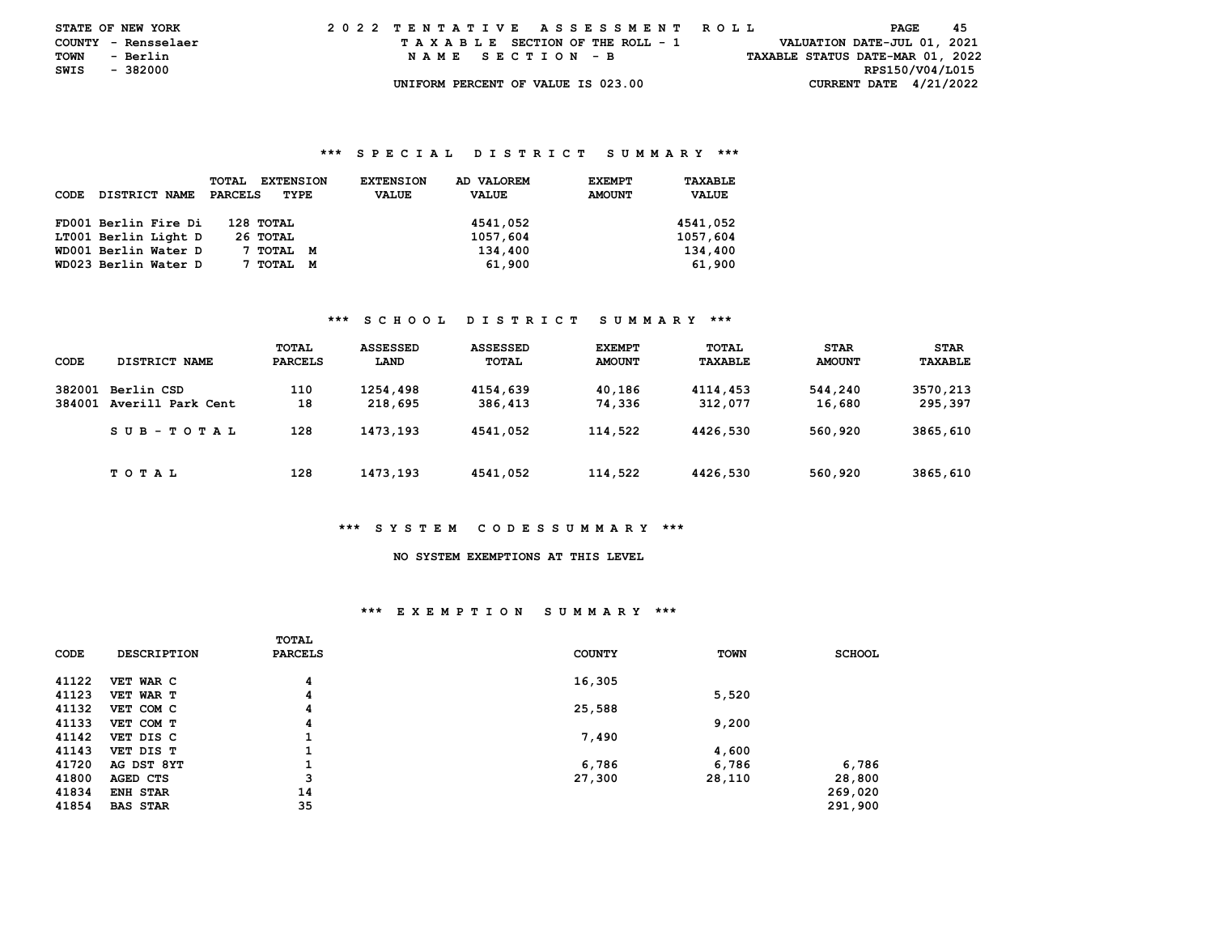|               | <b>STATE OF NEW YORK</b> |  | 2022 TENTATIVE ASSESSMENT ROLL |  |  |  |                                    |  |  |  |  |  |  |  |  |  |                                  | PAGE | -45 |  |
|---------------|--------------------------|--|--------------------------------|--|--|--|------------------------------------|--|--|--|--|--|--|--|--|--|----------------------------------|------|-----|--|
|               | COUNTY - Rensselaer      |  |                                |  |  |  | TAXABLE SECTION OF THE ROLL - 1    |  |  |  |  |  |  |  |  |  | VALUATION DATE-JUL 01, 2021      |      |     |  |
| <b>TOWN</b>   | - Berlin                 |  |                                |  |  |  | NAME SECTION - B                   |  |  |  |  |  |  |  |  |  | TAXABLE STATUS DATE-MAR 01, 2022 |      |     |  |
| SWIS - 382000 |                          |  |                                |  |  |  |                                    |  |  |  |  |  |  |  |  |  | RPS150/V04/L015                  |      |     |  |
|               |                          |  |                                |  |  |  | UNIFORM PERCENT OF VALUE IS 023.00 |  |  |  |  |  |  |  |  |  | CURRENT DATE $4/21/2022$         |      |     |  |

#### **\*\*\* S P E C I A L D I S T R I C T S U M M A R Y \*\*\***

| CODE | DISTRICT NAME        | <b>EXTENSION</b><br>TOTAL<br><b>PARCELS</b><br>TYPE | AD VALOREM<br><b>EXTENSION</b><br><b>VALUE</b><br><b>VALUE</b> | <b>EXEMPT</b><br><b>AMOUNT</b> | TAXABLE<br><b>VALUE</b> |
|------|----------------------|-----------------------------------------------------|----------------------------------------------------------------|--------------------------------|-------------------------|
|      | FD001 Berlin Fire Di | 128 TOTAL                                           | 4541,052                                                       |                                | 4541,052                |
|      | LT001 Berlin Light D | 26 ТОТАL                                            | 1057,604                                                       |                                | 1057,604                |
|      | WD001 Berlin Water D | 7 тотаг<br>M                                        | 134,400                                                        |                                | 134,400                 |
|      | WD023 Berlin Water D | TOTAL<br>M                                          | 61,900                                                         |                                | 61,900                  |

#### **\*\*\* S C H O O L D I S T R I C T S U M M A R Y \*\*\***

| CODE             | DISTRICT NAME                   | TOTAL<br><b>PARCELS</b> | <b>ASSESSED</b><br>LAND | <b>ASSESSED</b><br>TOTAL | <b>EXEMPT</b><br><b>AMOUNT</b> | TOTAL<br>TAXABLE    | <b>STAR</b><br><b>AMOUNT</b> | <b>STAR</b><br>TAXABLE |
|------------------|---------------------------------|-------------------------|-------------------------|--------------------------|--------------------------------|---------------------|------------------------------|------------------------|
| 382001<br>384001 | Berlin CSD<br>Averill Park Cent | 110<br>18               | 1254,498<br>218,695     | 4154,639<br>386,413      | 40,186<br>74,336               | 4114,453<br>312,077 | 544,240<br>16,680            | 3570,213<br>295,397    |
|                  | $SUB - TO T AL$                 | 128                     | 1473,193                | 4541,052                 | 114,522                        | 4426,530            | 560,920                      | 3865,610               |
|                  | T O T A L                       | 128                     | 1473,193                | 4541,052                 | 114,522                        | 4426,530            | 560,920                      | 3865,610               |

#### **\*\*\* S Y S T E M C O D E S S U M M A R Y \*\*\***

# **NO SYSTEM EXEMPTIONS AT THIS LEVEL**

#### **\*\*\* E X E M P T I O N S U M M A R Y \*\*\***

|       |                    | TOTAL          |               |             |               |
|-------|--------------------|----------------|---------------|-------------|---------------|
| CODE  | <b>DESCRIPTION</b> | <b>PARCELS</b> | <b>COUNTY</b> | <b>TOWN</b> | <b>SCHOOL</b> |
|       |                    |                |               |             |               |
| 41122 | VET WAR C          | 4              | 16,305        |             |               |
| 41123 | VET WAR T          | 4              |               | 5,520       |               |
| 41132 | VET COM C          | 4              | 25,588        |             |               |
| 41133 | VET COM T          | 4              |               | 9,200       |               |
| 41142 | VET DIS C          | 1              | 7,490         |             |               |
| 41143 | VET DIS T          | 1              |               | 4,600       |               |
| 41720 | AG DST 8YT         | 1              | 6,786         | 6,786       | 6,786         |
| 41800 | AGED CTS           | 3              | 27,300        | 28,110      | 28,800        |
| 41834 | ENH STAR           | 14             |               |             | 269,020       |
| 41854 | <b>BAS STAR</b>    | 35             |               |             | 291,900       |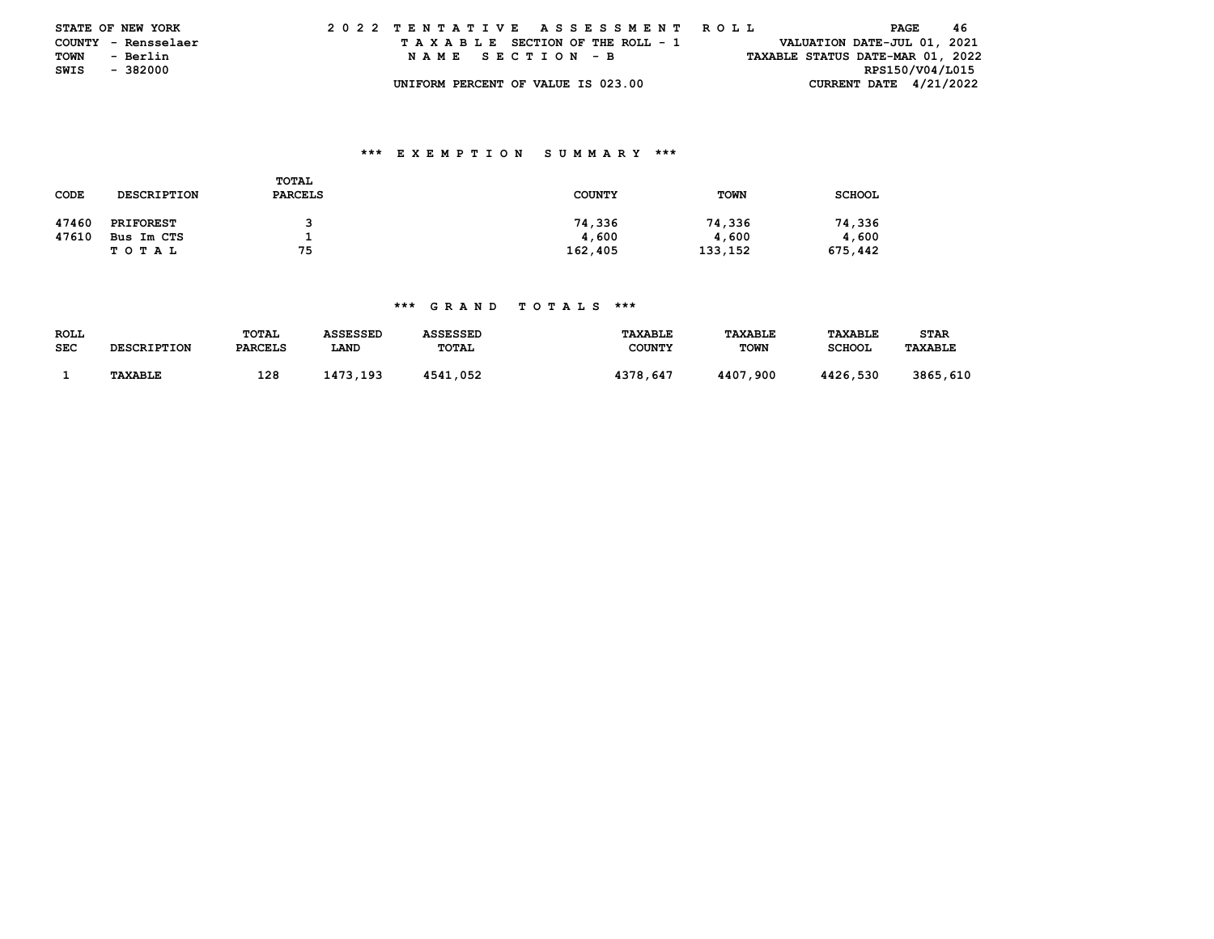|               | <b>STATE OF NEW YORK</b> | 2022 TENTATIVE ASSESSMENT ROLL |  |  |  |  |                                    |  |  |  |  |  |  |  |  |  |                                  | PAGE | -46 |  |
|---------------|--------------------------|--------------------------------|--|--|--|--|------------------------------------|--|--|--|--|--|--|--|--|--|----------------------------------|------|-----|--|
|               | COUNTY - Rensselaer      |                                |  |  |  |  | TAXABLE SECTION OF THE ROLL - 1    |  |  |  |  |  |  |  |  |  | VALUATION DATE-JUL 01, 2021      |      |     |  |
| <b>TOWN</b>   | - Berlin                 |                                |  |  |  |  | NAME SECTION - B                   |  |  |  |  |  |  |  |  |  | TAXABLE STATUS DATE-MAR 01, 2022 |      |     |  |
| SWIS - 382000 |                          |                                |  |  |  |  |                                    |  |  |  |  |  |  |  |  |  | RPS150/V04/L015                  |      |     |  |
|               |                          |                                |  |  |  |  | UNIFORM PERCENT OF VALUE IS 023.00 |  |  |  |  |  |  |  |  |  | CURRENT DATE $4/21/2022$         |      |     |  |

### **\*\*\* E X E M P T I O N S U M M A R Y \*\*\***

| CODE  | <b>DESCRIPTION</b> | TOTAL<br><b>PARCELS</b> | <b>COUNTY</b> | <b>TOWN</b> | <b>SCHOOL</b> |
|-------|--------------------|-------------------------|---------------|-------------|---------------|
| 47460 | <b>PRIFOREST</b>   |                         | 74,336        | 74,336      | 74,336        |
| 47610 | Bus Im CTS         |                         | 4,600         | 4,600       | 4,600         |
|       | T O T A L          | 75                      | 162,405       | 133,152     | 675,442       |

## **\*\*\* G R A N D T O T A L S \*\*\***

| <b>ROLL</b> |                    | TOTAL          | <b>ASSESSED</b> | <b>ASSESSED</b> | <b>TAXABLE</b> | <b>TAXABLE</b> | TAXABLE       | <b>STAR</b>    |
|-------------|--------------------|----------------|-----------------|-----------------|----------------|----------------|---------------|----------------|
| <b>SEC</b>  | <b>DESCRIPTION</b> | <b>PARCELS</b> | LAND            | TOTAL           | <b>COUNTY</b>  | <b>TOWN</b>    | <b>SCHOOL</b> | <b>TAXABLE</b> |
|             |                    |                |                 |                 |                |                |               |                |
|             | <b>TAXABLE</b>     | 128            | 1473.193        | 4541,052        | 4378,647       | 4407,900       | 4426,530      | 3865,610       |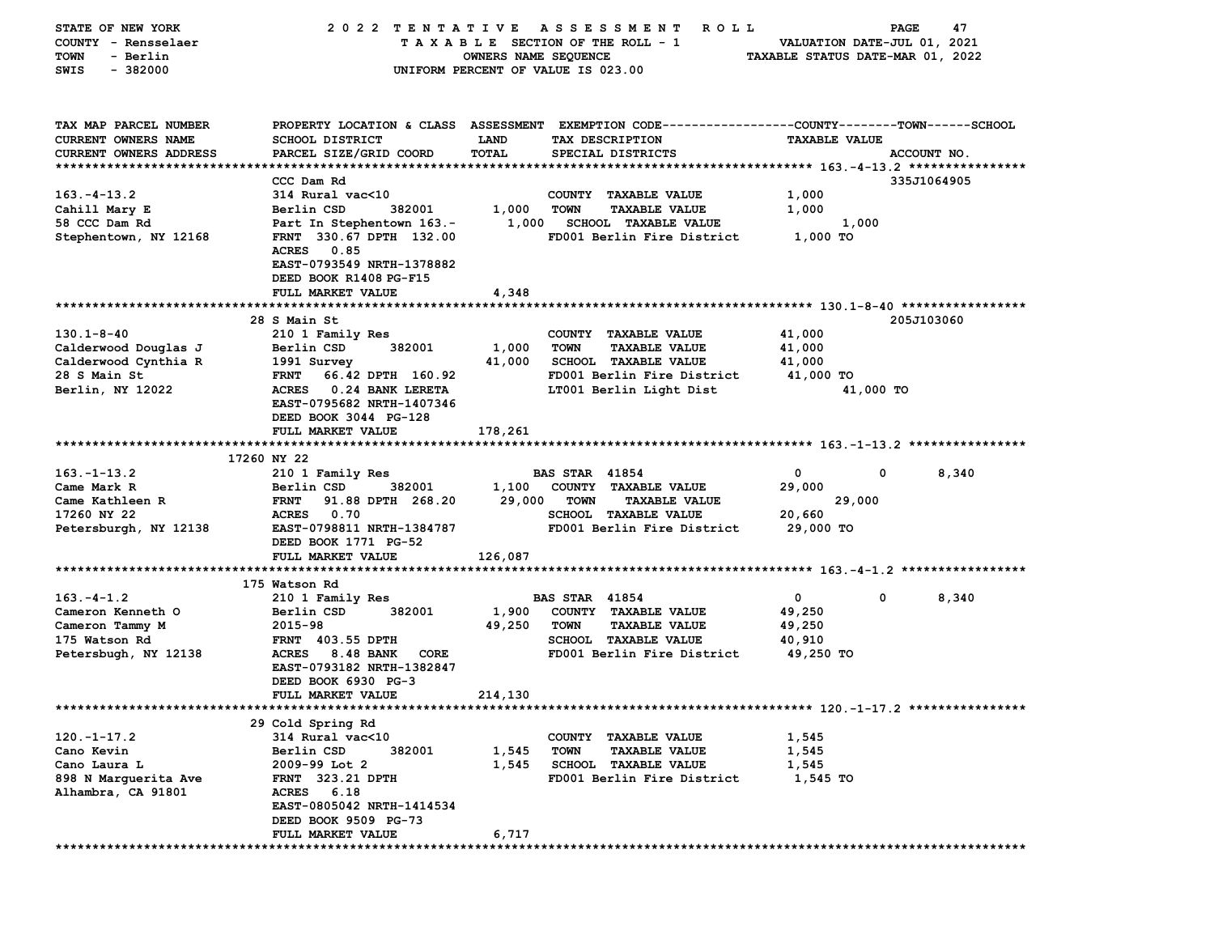| STATE OF NEW YORK<br>COUNTY - Rensselaer<br>- Berlin<br>TOWN<br>$-382000$<br>SWIS                    | 2022 TENTATIVE                                                                                                                                                                                                   | OWNERS NAME SEQUENCE        | A S S E S S M E N T<br>ROLL<br>TAXABLE SECTION OF THE ROLL - 1<br>UNIFORM PERCENT OF VALUE IS 023.00                                                | VALUATION DATE-JUL 01, 2021<br>TAXABLE STATUS DATE-MAR 01, 2022 | PAGE<br>47           |
|------------------------------------------------------------------------------------------------------|------------------------------------------------------------------------------------------------------------------------------------------------------------------------------------------------------------------|-----------------------------|-----------------------------------------------------------------------------------------------------------------------------------------------------|-----------------------------------------------------------------|----------------------|
| TAX MAP PARCEL NUMBER<br><b>CURRENT OWNERS NAME</b><br>CURRENT OWNERS ADDRESS                        | SCHOOL DISTRICT<br>PARCEL SIZE/GRID COORD                                                                                                                                                                        | <b>LAND</b><br><b>TOTAL</b> | PROPERTY LOCATION & CLASS ASSESSMENT EXEMPTION CODE---------------COUNTY-------TOWN-----SCHOOL<br>TAX DESCRIPTION<br>SPECIAL DISTRICTS              | <b>TAXABLE VALUE</b>                                            | ACCOUNT NO.          |
| $163. - 4 - 13.2$<br>Cahill Mary E<br>58 CCC Dam Rd<br>Stephentown, NY 12168                         | CCC Dam Rd<br>314 Rural vac<10<br>382001<br>Berlin CSD<br>Part In Stephentown 163.-<br>FRNT 330.67 DPTH 132.00<br><b>ACRES</b><br>0.85<br>EAST-0793549 NRTH-1378882<br>DEED BOOK R1408 PG-F15                    | 1,000<br>1,000              | COUNTY TAXABLE VALUE<br><b>TOWN</b><br><b>TAXABLE VALUE</b><br><b>SCHOOL TAXABLE VALUE</b><br>FD001 Berlin Fire District                            | 1,000<br>1,000<br>1,000<br>1,000 TO                             | 335J1064905          |
| $130.1 - 8 - 40$<br>Calderwood Douglas J<br>Calderwood Cynthia R<br>28 S Main St<br>Berlin, NY 12022 | FULL MARKET VALUE<br>28 S Main St<br>210 1 Family Res<br>Berlin CSD<br>382001<br>1991 Survey<br>66.42 DPTH 160.92<br><b>FRNT</b><br>ACRES 0.24 BANK LERETA<br>EAST-0795682 NRTH-1407346<br>DEED BOOK 3044 PG-128 | 4,348<br>1,000<br>41,000    | COUNTY TAXABLE VALUE<br><b>TOWN</b><br><b>TAXABLE VALUE</b><br><b>SCHOOL TAXABLE VALUE</b><br>FD001 Berlin Fire District<br>LT001 Berlin Light Dist | 41,000<br>41,000<br>41,000<br>41,000 TO<br>41,000 TO            | 205J103060           |
|                                                                                                      | FULL MARKET VALUE                                                                                                                                                                                                | 178,261                     |                                                                                                                                                     |                                                                 |                      |
| $163. - 1 - 13.2$<br>Came Mark R<br>Came Kathleen R<br>17260 NY 22<br>Petersburgh, NY 12138          | 17260 NY 22<br>210 1 Family Res<br>Berlin CSD<br>382001<br>91.88 DPTH 268.20<br><b>FRNT</b><br><b>ACRES</b><br>0.70<br>EAST-0798811 NRTH-1384787<br>DEED BOOK 1771 PG-52                                         | 1,100<br>29,000             | <b>BAS STAR 41854</b><br>COUNTY TAXABLE VALUE<br><b>TOWN</b><br><b>TAXABLE VALUE</b><br>SCHOOL TAXABLE VALUE<br>FD001 Berlin Fire District          | $\mathbf 0$<br>0<br>29,000<br>29,000<br>20,660<br>29,000 TO     | 8,340                |
|                                                                                                      | FULL MARKET VALUE                                                                                                                                                                                                | 126,087                     |                                                                                                                                                     |                                                                 |                      |
| $163. - 4 - 1.2$<br>Cameron Kenneth O<br>Cameron Tammy M<br>175 Watson Rd<br>Petersbugh, NY 12138    | 175 Watson Rd<br>210 1 Family Res<br>382001<br>Berlin CSD<br>2015-98<br><b>FRNT</b> 403.55 DPTH<br><b>ACRES</b><br>8.48 BANK<br>CORE<br>EAST-0793182 NRTH-1382847<br>DEED BOOK 6930 PG-3<br>FULL MARKET VALUE    | 1,900<br>49,250<br>214,130  | <b>BAS STAR 41854</b><br>COUNTY TAXABLE VALUE<br><b>TOWN</b><br><b>TAXABLE VALUE</b><br>SCHOOL TAXABLE VALUE<br>FD001 Berlin Fire District          | $\mathbf 0$<br>49,250<br>49,250<br>40,910<br>49,250 TO          | $\mathbf 0$<br>8,340 |
|                                                                                                      |                                                                                                                                                                                                                  |                             |                                                                                                                                                     |                                                                 |                      |
| $120. -1 - 17.2$<br>Cano Kevin<br>Cano Laura L<br>898 N Marquerita Ave<br>Alhambra, CA 91801         | 29 Cold Spring Rd<br>314 Rural vac<10<br>Berlin CSD<br>382001<br>2009-99 Lot 2<br><b>FRNT 323.21 DPTH</b><br><b>ACRES</b><br>6.18<br>EAST-0805042 NRTH-1414534<br>DEED BOOK 9509 PG-73                           | 1,545<br>1,545              | COUNTY TAXABLE VALUE<br><b>TOWN</b><br><b>TAXABLE VALUE</b><br><b>SCHOOL TAXABLE VALUE</b><br>FD001 Berlin Fire District                            | 1,545<br>1,545<br>1,545<br>1,545 TO                             |                      |
|                                                                                                      | FULL MARKET VALUE                                                                                                                                                                                                | 6,717                       |                                                                                                                                                     |                                                                 |                      |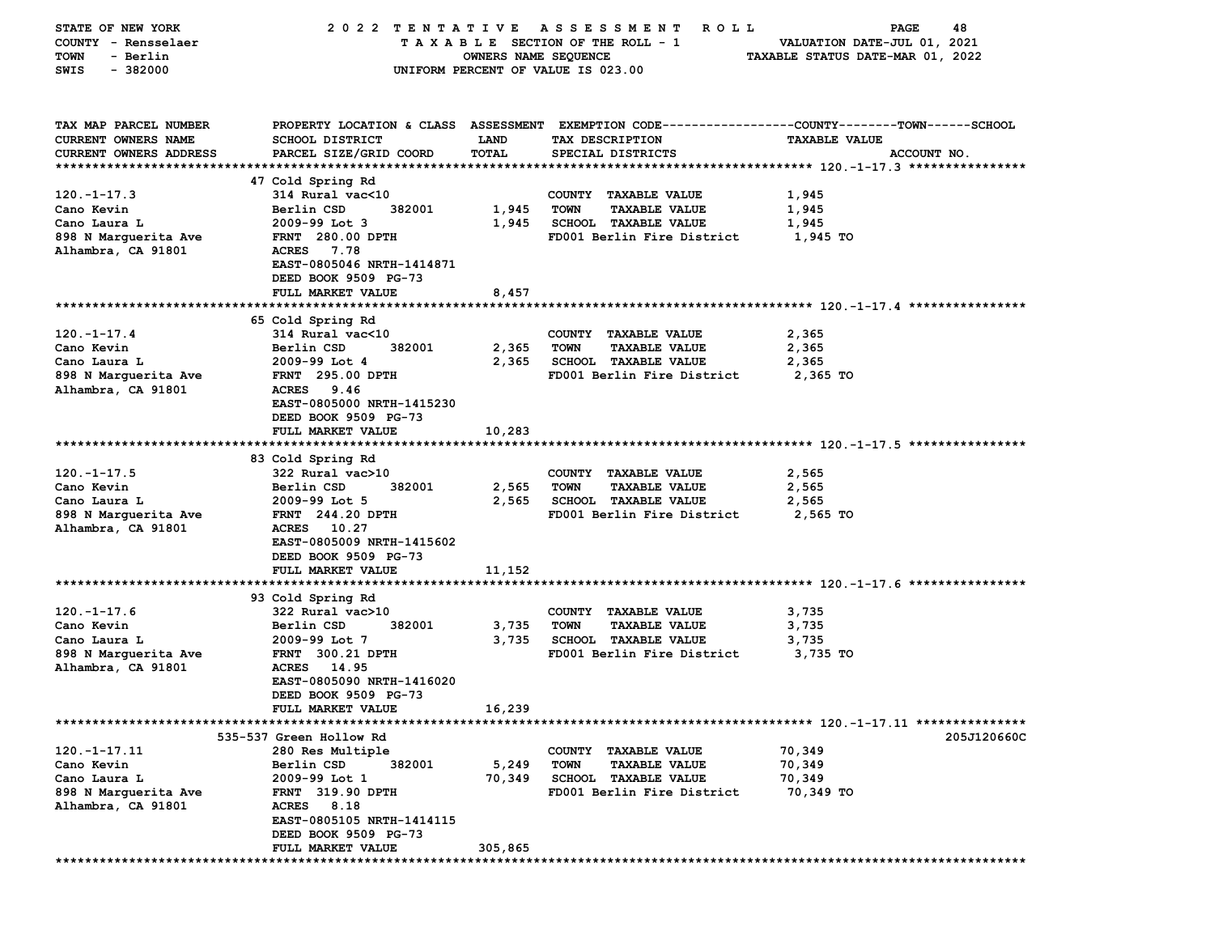| STATE OF NEW YORK             |                                                   |                      | 2022 TENTATIVE ASSESSMENT<br><b>ROLL</b>                    | PAGE<br>48                                                                                     |
|-------------------------------|---------------------------------------------------|----------------------|-------------------------------------------------------------|------------------------------------------------------------------------------------------------|
| COUNTY - Rensselaer           |                                                   |                      | TAXABLE SECTION OF THE ROLL - 1                             | VALUATION DATE-JUL 01, 2021                                                                    |
| <b>TOWN</b><br>- Berlin       |                                                   | OWNERS NAME SEQUENCE |                                                             | TAXABLE STATUS DATE-MAR 01, 2022                                                               |
| SWIS<br>$-382000$             |                                                   |                      | UNIFORM PERCENT OF VALUE IS 023.00                          |                                                                                                |
|                               |                                                   |                      |                                                             |                                                                                                |
|                               |                                                   |                      |                                                             |                                                                                                |
| TAX MAP PARCEL NUMBER         |                                                   |                      |                                                             | PROPERTY LOCATION & CLASS ASSESSMENT EXEMPTION CODE---------------COUNTY-------TOWN-----SCHOOL |
| CURRENT OWNERS NAME           | <b>SCHOOL DISTRICT</b>                            | <b>LAND</b>          | TAX DESCRIPTION                                             | <b>TAXABLE VALUE</b>                                                                           |
| <b>CURRENT OWNERS ADDRESS</b> | PARCEL SIZE/GRID COORD                            | <b>TOTAL</b>         | SPECIAL DISTRICTS                                           | ACCOUNT NO.                                                                                    |
|                               |                                                   |                      |                                                             |                                                                                                |
|                               | 47 Cold Spring Rd                                 |                      |                                                             |                                                                                                |
| $120. - 1 - 17.3$             | 314 Rural vac<10                                  |                      | COUNTY TAXABLE VALUE                                        | 1,945                                                                                          |
| Cano Kevin                    | 382001<br>Berlin CSD                              | 1,945                | <b>TOWN</b><br><b>TAXABLE VALUE</b>                         | 1,945                                                                                          |
| Cano Laura L                  | $2009-99$ Lot 3                                   | 1,945                | <b>SCHOOL TAXABLE VALUE</b>                                 | 1,945                                                                                          |
| 898 N Marquerita Ave          | FRNT 280.00 DPTH                                  |                      | FD001 Berlin Fire District                                  | 1,945 TO                                                                                       |
| Alhambra, CA 91801            | <b>ACRES</b><br>7.78<br>EAST-0805046 NRTH-1414871 |                      |                                                             |                                                                                                |
|                               | DEED BOOK 9509 PG-73                              |                      |                                                             |                                                                                                |
|                               | FULL MARKET VALUE                                 | 8,457                |                                                             |                                                                                                |
|                               |                                                   |                      |                                                             |                                                                                                |
|                               | 65 Cold Spring Rd                                 |                      |                                                             |                                                                                                |
| $120. - 1 - 17.4$             | 314 Rural vac<10                                  |                      | COUNTY TAXABLE VALUE                                        | 2,365                                                                                          |
| Cano Kevin                    | Berlin CSD<br>382001                              | 2,365                | <b>TOWN</b><br><b>TAXABLE VALUE</b>                         | 2,365                                                                                          |
| Cano Laura L                  | 2009-99 Lot 4                                     | 2,365                | SCHOOL TAXABLE VALUE                                        | 2,365                                                                                          |
| 898 N Marguerita Ave          | <b>FRNT</b> 295.00 DPTH                           |                      | FD001 Berlin Fire District                                  | 2,365 TO                                                                                       |
| Alhambra, CA 91801            | ACRES 9.46                                        |                      |                                                             |                                                                                                |
|                               | EAST-0805000 NRTH-1415230                         |                      |                                                             |                                                                                                |
|                               | DEED BOOK 9509 PG-73                              |                      |                                                             |                                                                                                |
|                               | FULL MARKET VALUE                                 | 10,283               |                                                             |                                                                                                |
|                               |                                                   |                      |                                                             |                                                                                                |
|                               | 83 Cold Spring Rd                                 |                      |                                                             |                                                                                                |
| $120. - 1 - 17.5$             | 322 Rural vac>10                                  |                      | COUNTY TAXABLE VALUE                                        | 2,565                                                                                          |
| Cano Kevin                    | Berlin CSD<br>382001                              | 2,565                | <b>TOWN</b><br><b>TAXABLE VALUE</b>                         | 2,565                                                                                          |
| Cano Laura L                  | $2009-99$ Lot 5                                   | 2,565                | SCHOOL TAXABLE VALUE                                        | 2,565                                                                                          |
| 898 N Marguerita Ave          | <b>FRNT</b> 244.20 DPTH                           |                      | FD001 Berlin Fire District                                  | 2,565 TO                                                                                       |
| Alhambra, CA 91801            | ACRES 10.27                                       |                      |                                                             |                                                                                                |
|                               | EAST-0805009 NRTH-1415602                         |                      |                                                             |                                                                                                |
|                               | DEED BOOK 9509 PG-73                              |                      |                                                             |                                                                                                |
|                               | <b>FULL MARKET VALUE</b>                          | 11,152               |                                                             |                                                                                                |
|                               |                                                   |                      |                                                             |                                                                                                |
|                               | 93 Cold Spring Rd                                 |                      |                                                             |                                                                                                |
| $120. - 1 - 17.6$             | 322 Rural vac>10<br>382001                        |                      | COUNTY TAXABLE VALUE<br><b>TOWN</b><br><b>TAXABLE VALUE</b> | 3,735                                                                                          |
| Cano Kevin<br>Cano Laura L    | Berlin CSD<br>2009-99 Lot 7                       | 3,735<br>3,735       | SCHOOL TAXABLE VALUE                                        | 3,735<br>3,735                                                                                 |
| 898 N Marquerita Ave          | <b>FRNT 300.21 DPTH</b>                           |                      | FD001 Berlin Fire District                                  | 3,735 TO                                                                                       |
| Alhambra, CA 91801            | <b>ACRES</b><br>14.95                             |                      |                                                             |                                                                                                |
|                               | EAST-0805090 NRTH-1416020                         |                      |                                                             |                                                                                                |
|                               | DEED BOOK 9509 PG-73                              |                      |                                                             |                                                                                                |
|                               | <b>FULL MARKET VALUE</b>                          | 16,239               |                                                             |                                                                                                |
|                               |                                                   |                      |                                                             |                                                                                                |
|                               | 535-537 Green Hollow Rd                           |                      |                                                             | 205J120660C                                                                                    |
| $120. -1 - 17.11$             | 280 Res Multiple                                  |                      | COUNTY TAXABLE VALUE                                        | 70,349                                                                                         |
| Cano Kevin                    | Berlin CSD<br>382001                              | 5,249                | <b>TOWN</b><br><b>TAXABLE VALUE</b>                         | 70,349                                                                                         |
| Cano Laura L                  | 2009-99 Lot 1                                     | 70,349               | <b>SCHOOL TAXABLE VALUE</b>                                 | 70,349                                                                                         |
| 898 N Marguerita Ave          | <b>FRNT 319.90 DPTH</b>                           |                      | FD001 Berlin Fire District                                  | 70,349 TO                                                                                      |
| Alhambra, CA 91801            | ACRES 8.18                                        |                      |                                                             |                                                                                                |
|                               | EAST-0805105 NRTH-1414115                         |                      |                                                             |                                                                                                |
|                               | DEED BOOK 9509 PG-73                              |                      |                                                             |                                                                                                |
|                               | FULL MARKET VALUE                                 | 305,865              |                                                             |                                                                                                |
|                               |                                                   |                      |                                                             |                                                                                                |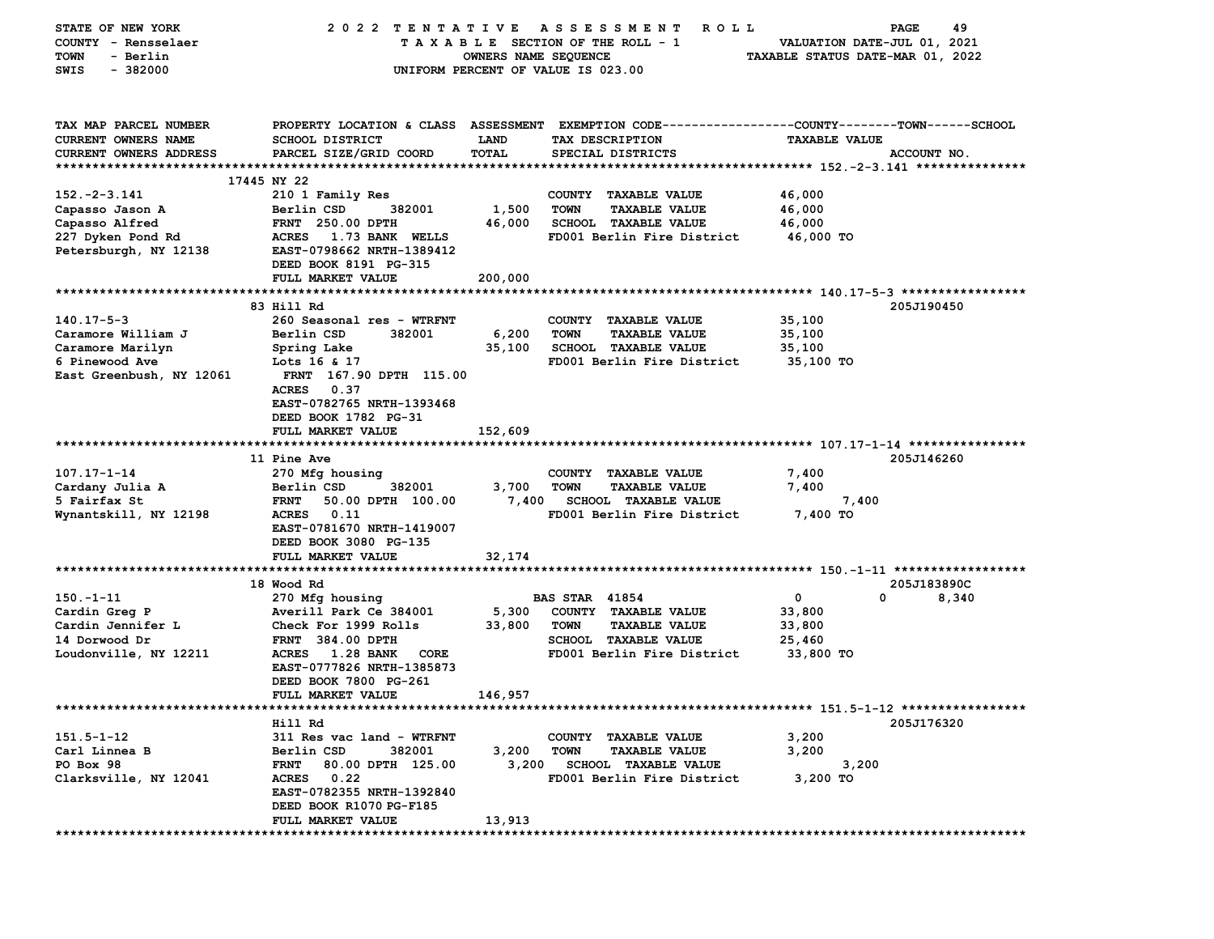| STATE OF NEW YORK             | 2022 TENTATIVE                           |                      | A S S E S S M E N T<br><b>ROLL</b>                                                              |                                  | 49<br>PAGE  |
|-------------------------------|------------------------------------------|----------------------|-------------------------------------------------------------------------------------------------|----------------------------------|-------------|
| COUNTY - Rensselaer           |                                          |                      | TAXABLE SECTION OF THE ROLL - 1                                                                 | VALUATION DATE-JUL 01, 2021      |             |
| - Berlin<br>TOWN              |                                          | OWNERS NAME SEQUENCE |                                                                                                 | TAXABLE STATUS DATE-MAR 01, 2022 |             |
| $-382000$<br>SWIS             |                                          |                      | UNIFORM PERCENT OF VALUE IS 023.00                                                              |                                  |             |
|                               |                                          |                      |                                                                                                 |                                  |             |
| TAX MAP PARCEL NUMBER         |                                          |                      | PROPERTY LOCATION & CLASS ASSESSMENT EXEMPTION CODE---------------COUNTY-------TOWN------SCHOOL |                                  |             |
| CURRENT OWNERS NAME           | SCHOOL DISTRICT                          | <b>LAND</b>          | TAX DESCRIPTION                                                                                 | <b>TAXABLE VALUE</b>             |             |
| <b>CURRENT OWNERS ADDRESS</b> | PARCEL SIZE/GRID COORD                   | TOTAL                | SPECIAL DISTRICTS                                                                               |                                  | ACCOUNT NO. |
|                               |                                          |                      |                                                                                                 |                                  |             |
|                               | 17445 NY 22                              |                      |                                                                                                 |                                  |             |
| $152. - 2 - 3.141$            | 210 1 Family Res                         |                      | COUNTY TAXABLE VALUE                                                                            | 46,000                           |             |
| Capasso Jason A               | Berlin CSD<br>382001                     | 1,500                | <b>TOWN</b><br><b>TAXABLE VALUE</b>                                                             | 46,000                           |             |
| Capasso Alfred                | <b>FRNT</b> 250.00 DPTH                  | 46,000               | <b>SCHOOL TAXABLE VALUE</b>                                                                     | 46,000                           |             |
| 227 Dyken Pond Rd             | <b>ACRES</b><br>1.73 BANK WELLS          |                      | FD001 Berlin Fire District                                                                      | 46,000 TO                        |             |
| Petersburgh, NY 12138         | EAST-0798662 NRTH-1389412                |                      |                                                                                                 |                                  |             |
|                               | DEED BOOK 8191 PG-315                    |                      |                                                                                                 |                                  |             |
|                               | FULL MARKET VALUE                        | 200,000              |                                                                                                 |                                  |             |
|                               |                                          |                      |                                                                                                 |                                  |             |
|                               | 83 Hill Rd                               |                      |                                                                                                 |                                  | 205J190450  |
| $140.17 - 5 - 3$              | 260 Seasonal res - WTRFNT                |                      | COUNTY TAXABLE VALUE                                                                            | 35,100                           |             |
| Caramore William J            | Berlin CSD<br>382001                     | 6,200                | <b>TOWN</b><br><b>TAXABLE VALUE</b>                                                             | 35,100                           |             |
| Caramore Marilyn              | Spring Lake                              | 35,100               | SCHOOL TAXABLE VALUE                                                                            | 35,100                           |             |
| 6 Pinewood Ave                | Lots 16 & 17                             |                      | FD001 Berlin Fire District                                                                      | 35,100 TO                        |             |
| East Greenbush, NY 12061      | FRNT 167.90 DPTH 115.00                  |                      |                                                                                                 |                                  |             |
|                               | <b>ACRES</b><br>0.37                     |                      |                                                                                                 |                                  |             |
|                               | EAST-0782765 NRTH-1393468                |                      |                                                                                                 |                                  |             |
|                               | DEED BOOK 1782 PG-31                     |                      |                                                                                                 |                                  |             |
|                               | FULL MARKET VALUE                        | 152,609              |                                                                                                 |                                  |             |
|                               |                                          |                      |                                                                                                 |                                  |             |
|                               | <b>11 Pine Ave</b>                       |                      |                                                                                                 |                                  | 205J146260  |
| $107.17 - 1 - 14$             | 270 Mfg housing                          |                      | COUNTY TAXABLE VALUE                                                                            | 7,400                            |             |
| Cardany Julia A               | Berlin CSD<br>382001                     | 3,700                | <b>TOWN</b><br><b>TAXABLE VALUE</b>                                                             | 7,400                            |             |
| 5 Fairfax St                  | 50.00 DPTH 100.00<br><b>FRNT</b>         | 7,400                | <b>SCHOOL TAXABLE VALUE</b>                                                                     | 7,400                            |             |
| Wynantskill, NY 12198         | <b>ACRES</b><br>0.11                     |                      | FD001 Berlin Fire District                                                                      | 7,400 TO                         |             |
|                               | EAST-0781670 NRTH-1419007                |                      |                                                                                                 |                                  |             |
|                               | DEED BOOK 3080 PG-135                    |                      |                                                                                                 |                                  |             |
|                               | FULL MARKET VALUE                        | 32,174               |                                                                                                 |                                  |             |
|                               |                                          |                      |                                                                                                 |                                  |             |
|                               | 18 Wood Rd                               |                      |                                                                                                 |                                  | 205J183890C |
| $150. - 1 - 11$               | 270 Mfg housing                          |                      | <b>BAS STAR 41854</b>                                                                           | 0<br>0                           | 8,340       |
| Cardin Greg P                 | Averill Park Ce 384001                   | 5,300                | COUNTY TAXABLE VALUE                                                                            | 33,800                           |             |
| Cardin Jennifer L             | Check For 1999 Rolls                     | 33,800               | <b>TOWN</b><br><b>TAXABLE VALUE</b>                                                             | 33,800                           |             |
| 14 Dorwood Dr                 | <b>FRNT 384.00 DPTH</b>                  |                      | SCHOOL TAXABLE VALUE                                                                            | 25,460                           |             |
| Loudonville, NY 12211         | <b>1.28 BANK</b><br>CORE<br><b>ACRES</b> |                      | FD001 Berlin Fire District                                                                      | 33,800 TO                        |             |
|                               | EAST-0777826 NRTH-1385873                |                      |                                                                                                 |                                  |             |
|                               | DEED BOOK 7800 PG-261                    |                      |                                                                                                 |                                  |             |
|                               | FULL MARKET VALUE                        | 146,957              |                                                                                                 |                                  |             |
| ***********************       |                                          |                      | *********************************** 151 .5-1-12 ******************                              |                                  |             |
|                               | Hill Rd                                  |                      |                                                                                                 |                                  | 205J176320  |
| $151.5 - 1 - 12$              | 311 Res vac land - WTRFNT                |                      | COUNTY TAXABLE VALUE                                                                            | 3,200                            |             |
| Carl Linnea B                 | Berlin CSD<br>382001                     | 3,200                | <b>TOWN</b><br><b>TAXABLE VALUE</b>                                                             | 3,200                            |             |
| PO Box 98                     | 80.00 DPTH 125.00<br><b>FRNT</b>         | 3,200                | <b>SCHOOL TAXABLE VALUE</b>                                                                     | 3,200                            |             |
| Clarksville, NY 12041         | ACRES 0.22                               |                      | FD001 Berlin Fire District                                                                      | 3,200 TO                         |             |
|                               | EAST-0782355 NRTH-1392840                |                      |                                                                                                 |                                  |             |
|                               | DEED BOOK R1070 PG-F185                  |                      |                                                                                                 |                                  |             |
|                               | FULL MARKET VALUE                        | 13,913               |                                                                                                 |                                  |             |
|                               |                                          |                      |                                                                                                 |                                  |             |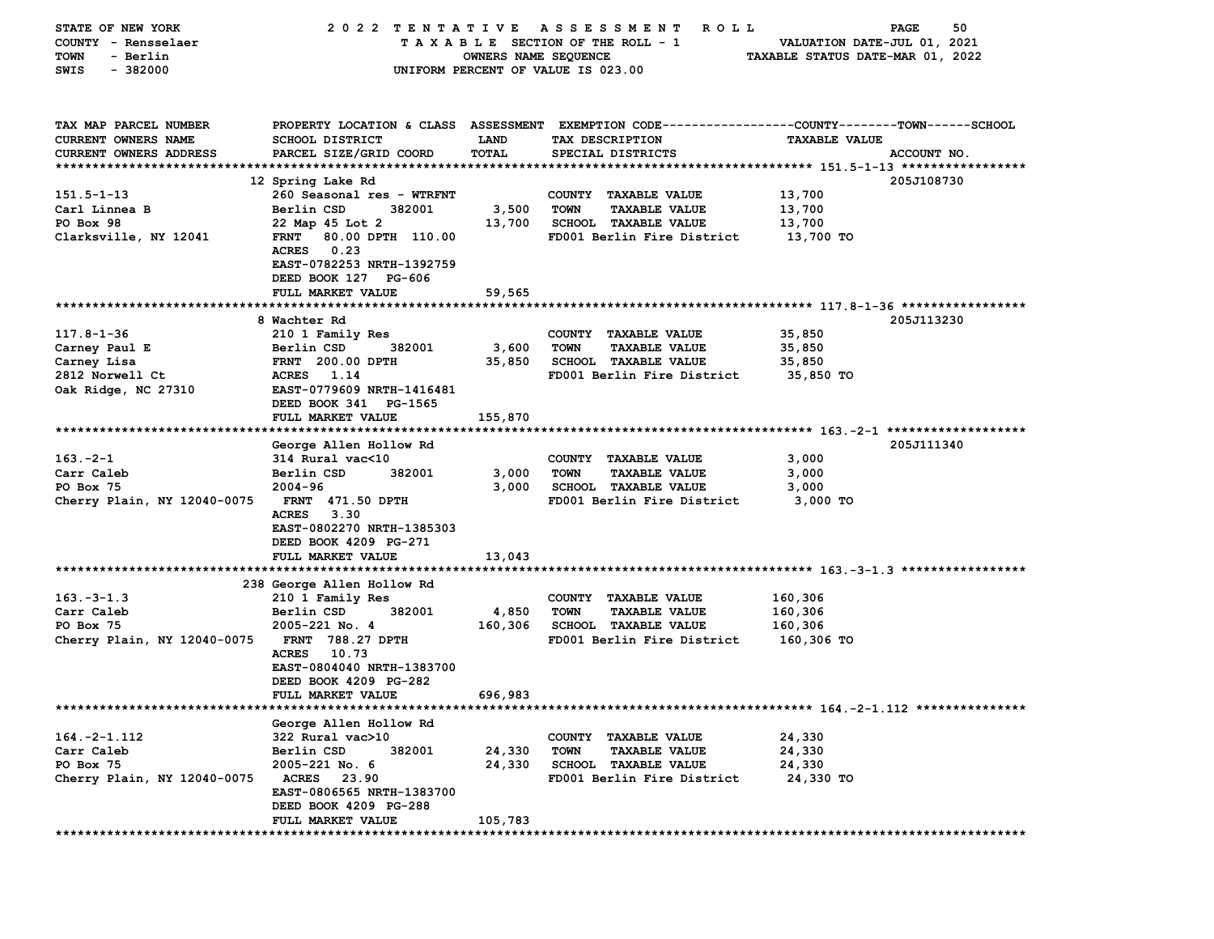| STATE OF NEW YORK              | 2022 TENTATIVE                   |                      | A S S E S S M E N T<br><b>ROLL</b>                                                             |                                  | 50<br>PAGE  |
|--------------------------------|----------------------------------|----------------------|------------------------------------------------------------------------------------------------|----------------------------------|-------------|
| COUNTY - Rensselaer            |                                  |                      | TAXABLE SECTION OF THE ROLL - 1                                                                | VALUATION DATE-JUL 01, 2021      |             |
| - Berlin<br>TOWN               |                                  | OWNERS NAME SEQUENCE |                                                                                                | TAXABLE STATUS DATE-MAR 01, 2022 |             |
| $-382000$<br>SWIS              |                                  |                      | UNIFORM PERCENT OF VALUE IS 023.00                                                             |                                  |             |
|                                |                                  |                      |                                                                                                |                                  |             |
|                                |                                  |                      |                                                                                                |                                  |             |
|                                |                                  |                      |                                                                                                |                                  |             |
| TAX MAP PARCEL NUMBER          |                                  |                      | PROPERTY LOCATION & CLASS ASSESSMENT EXEMPTION CODE---------------COUNTY-------TOWN-----SCHOOL |                                  |             |
| CURRENT OWNERS NAME            | SCHOOL DISTRICT                  | LAND                 | TAX DESCRIPTION                                                                                | <b>TAXABLE VALUE</b>             |             |
| <b>CURRENT OWNERS ADDRESS</b>  | PARCEL SIZE/GRID COORD           | <b>TOTAL</b>         | SPECIAL DISTRICTS                                                                              |                                  | ACCOUNT NO. |
|                                |                                  |                      |                                                                                                |                                  |             |
|                                | 12 Spring Lake Rd                |                      |                                                                                                |                                  | 205J108730  |
| $151.5 - 1 - 13$               | 260 Seasonal res - WTRFNT        |                      | COUNTY TAXABLE VALUE                                                                           | 13,700                           |             |
| Carl Linnea B                  | Berlin CSD<br>382001             | 3,500                | <b>TOWN</b><br><b>TAXABLE VALUE</b>                                                            | 13,700                           |             |
| PO Box 98                      | 22 Map 45 Lot 2                  | 13,700               | <b>SCHOOL TAXABLE VALUE</b>                                                                    | 13,700                           |             |
| Clarksville, NY 12041          | <b>FRNT</b><br>80.00 DPTH 110.00 |                      | FD001 Berlin Fire District                                                                     | 13,700 TO                        |             |
|                                | 0.23<br>ACRES                    |                      |                                                                                                |                                  |             |
|                                | EAST-0782253 NRTH-1392759        |                      |                                                                                                |                                  |             |
|                                | DEED BOOK 127 PG-606             |                      |                                                                                                |                                  |             |
|                                | FULL MARKET VALUE                | 59,565               |                                                                                                |                                  |             |
|                                |                                  |                      |                                                                                                |                                  |             |
|                                | 8 Wachter Rd                     |                      |                                                                                                |                                  | 205J113230  |
| $117.8 - 1 - 36$               | 210 1 Family Res                 |                      | COUNTY TAXABLE VALUE                                                                           | 35,850                           |             |
| Carney Paul E                  | Berlin CSD<br>382001             | 3,600                | <b>TOWN</b><br><b>TAXABLE VALUE</b>                                                            | 35,850                           |             |
|                                | <b>FRNT</b> 200.00 DPTH          | 35,850               | SCHOOL TAXABLE VALUE                                                                           | 35,850                           |             |
| Carney Lisa<br>2812 Norwell Ct | <b>ACRES</b><br>1.14             |                      | FD001 Berlin Fire District                                                                     | 35,850 TO                        |             |
|                                |                                  |                      |                                                                                                |                                  |             |
| Oak Ridge, NC 27310            | EAST-0779609 NRTH-1416481        |                      |                                                                                                |                                  |             |
|                                | DEED BOOK 341 PG-1565            |                      |                                                                                                |                                  |             |
|                                | FULL MARKET VALUE                | 155,870              |                                                                                                |                                  |             |
|                                |                                  |                      |                                                                                                |                                  |             |
|                                | George Allen Hollow Rd           |                      |                                                                                                |                                  | 205J111340  |
| $163 - 2 - 1$                  | 314 Rural vac<10                 |                      | COUNTY TAXABLE VALUE                                                                           | 3,000                            |             |
| Carr Caleb                     | Berlin CSD<br>382001             | 3,000                | <b>TOWN</b><br><b>TAXABLE VALUE</b>                                                            | 3,000                            |             |
| PO Box 75                      | $2004 - 96$                      | 3,000                | <b>SCHOOL TAXABLE VALUE</b>                                                                    | 3,000                            |             |
| Cherry Plain, NY 12040-0075    | FRNT 471.50 DPTH                 |                      | FD001 Berlin Fire District                                                                     | 3,000 TO                         |             |
|                                | <b>ACRES</b><br>3.30             |                      |                                                                                                |                                  |             |
|                                | EAST-0802270 NRTH-1385303        |                      |                                                                                                |                                  |             |
|                                | DEED BOOK 4209 PG-271            |                      |                                                                                                |                                  |             |
|                                | FULL MARKET VALUE                | 13,043               |                                                                                                |                                  |             |
|                                |                                  |                      |                                                                                                |                                  |             |
|                                | 238 George Allen Hollow Rd       |                      |                                                                                                |                                  |             |
| $163. -3 - 1.3$                | 210 1 Family Res                 |                      | COUNTY TAXABLE VALUE                                                                           | 160,306                          |             |
| Carr Caleb                     | Berlin CSD<br>382001             | 4,850                | <b>TOWN</b><br><b>TAXABLE VALUE</b>                                                            | 160,306                          |             |
| PO Box 75                      | 2005-221 No. 4                   | 160,306              | <b>SCHOOL TAXABLE VALUE</b>                                                                    | 160,306                          |             |
| Cherry Plain, NY 12040-0075    | FRNT 788.27 DPTH                 |                      | FD001 Berlin Fire District                                                                     | 160,306 то                       |             |
|                                | <b>ACRES</b><br>10.73            |                      |                                                                                                |                                  |             |
|                                | EAST-0804040 NRTH-1383700        |                      |                                                                                                |                                  |             |
|                                | DEED BOOK 4209 PG-282            |                      |                                                                                                |                                  |             |
|                                | <b>FULL MARKET VALUE</b>         | 696,983              |                                                                                                |                                  |             |
|                                |                                  |                      |                                                                                                |                                  |             |
|                                | George Allen Hollow Rd           |                      |                                                                                                |                                  |             |
| $164. -2 - 1.112$              | 322 Rural vac>10                 |                      | COUNTY TAXABLE VALUE                                                                           | 24,330                           |             |
| Carr Caleb                     | 382001<br>Berlin CSD             | 24,330               | <b>TOWN</b><br><b>TAXABLE VALUE</b>                                                            | 24,330                           |             |
| PO Box 75                      | 2005-221 No. 6                   | 24,330               | <b>SCHOOL TAXABLE VALUE</b>                                                                    | 24,330                           |             |
| Cherry Plain, NY 12040-0075    | <b>ACRES</b><br>23.90            |                      | FD001 Berlin Fire District                                                                     | 24,330 TO                        |             |
|                                | EAST-0806565 NRTH-1383700        |                      |                                                                                                |                                  |             |
|                                | DEED BOOK 4209 PG-288            |                      |                                                                                                |                                  |             |
|                                | FULL MARKET VALUE                | 105,783              |                                                                                                |                                  |             |
|                                |                                  |                      |                                                                                                |                                  |             |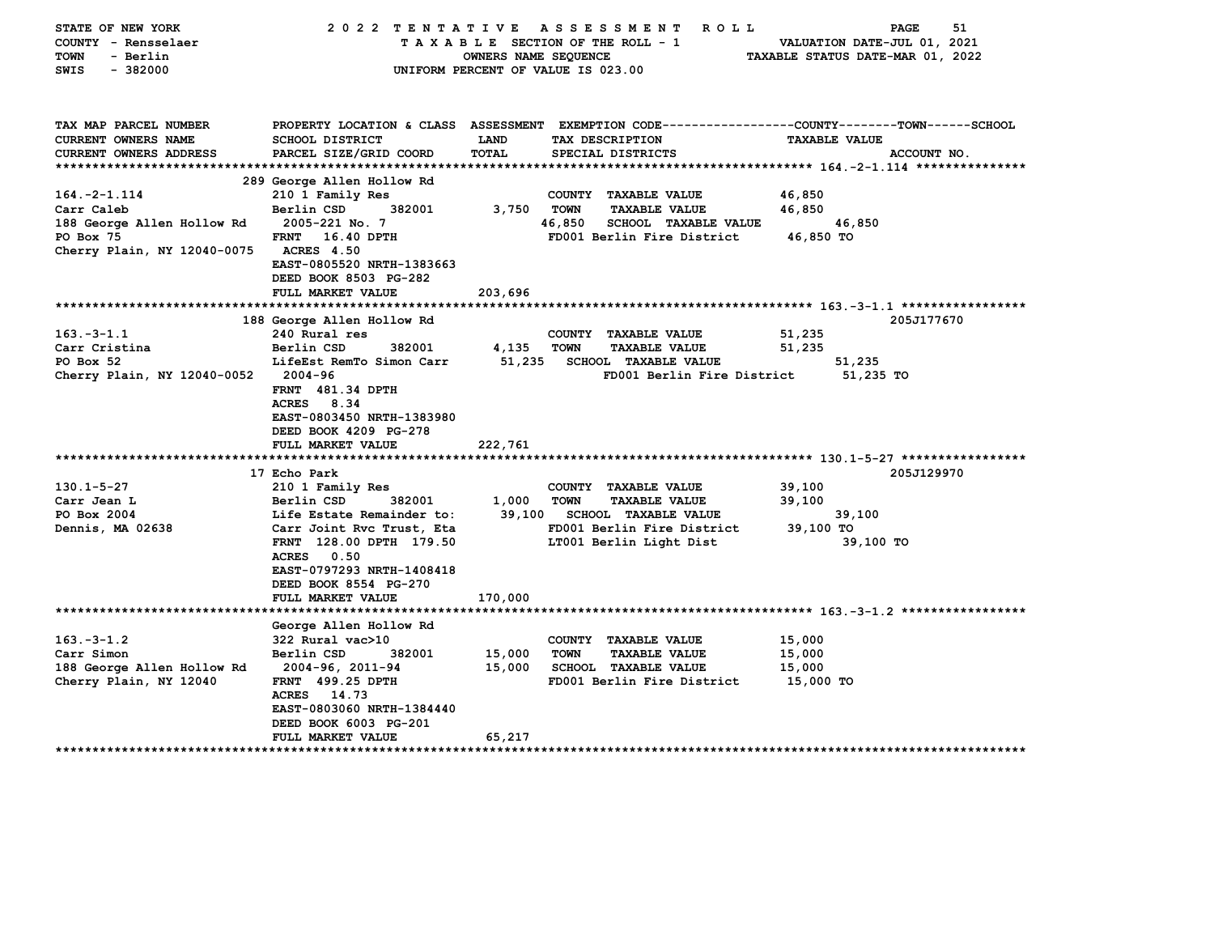| STATE OF NEW YORK                       | 2022 TENTATIVE                                    |                      | A S S E S S M E N T<br>R O L L                                      | 51<br>PAGE                                                                                     |
|-----------------------------------------|---------------------------------------------------|----------------------|---------------------------------------------------------------------|------------------------------------------------------------------------------------------------|
| COUNTY - Rensselaer                     |                                                   |                      | TAXABLE SECTION OF THE ROLL - 1                                     | VALUATION DATE-JUL 01, 2021                                                                    |
| - Berlin<br><b>TOWN</b>                 |                                                   | OWNERS NAME SEQUENCE |                                                                     | TAXABLE STATUS DATE-MAR 01, 2022                                                               |
| $-382000$<br>SWIS                       |                                                   |                      | UNIFORM PERCENT OF VALUE IS 023.00                                  |                                                                                                |
|                                         |                                                   |                      |                                                                     |                                                                                                |
|                                         |                                                   |                      |                                                                     |                                                                                                |
| TAX MAP PARCEL NUMBER                   |                                                   |                      |                                                                     | PROPERTY LOCATION & CLASS ASSESSMENT EXEMPTION CODE---------------COUNTY-------TOWN-----SCHOOL |
| CURRENT OWNERS NAME                     | SCHOOL DISTRICT                                   | <b>LAND</b>          | TAX DESCRIPTION                                                     | <b>TAXABLE VALUE</b>                                                                           |
| <b>CURRENT OWNERS ADDRESS</b>           | PARCEL SIZE/GRID COORD                            | <b>TOTAL</b>         | SPECIAL DISTRICTS                                                   | ACCOUNT NO.                                                                                    |
|                                         |                                                   |                      |                                                                     |                                                                                                |
|                                         | 289 George Allen Hollow Rd                        |                      |                                                                     |                                                                                                |
| $164. -2 - 1.114$                       | 210 1 Family Res                                  |                      | COUNTY TAXABLE VALUE                                                | 46,850                                                                                         |
| Carr Caleb                              | Berlin CSD<br>382001                              | 3,750                | <b>TOWN</b><br><b>TAXABLE VALUE</b>                                 | 46,850                                                                                         |
| 188 George Allen Hollow Rd<br>PO Box 75 | 2005-221 No. 7<br><b>FRNT</b><br>16.40 DPTH       |                      | 46,850<br><b>SCHOOL TAXABLE VALUE</b><br>FD001 Berlin Fire District | 46,850<br>46,850 TO                                                                            |
| Cherry Plain, NY 12040-0075             | <b>ACRES</b> 4.50                                 |                      |                                                                     |                                                                                                |
|                                         | EAST-0805520 NRTH-1383663                         |                      |                                                                     |                                                                                                |
|                                         | DEED BOOK 8503 PG-282                             |                      |                                                                     |                                                                                                |
|                                         | FULL MARKET VALUE                                 | 203,696              |                                                                     |                                                                                                |
|                                         |                                                   |                      |                                                                     |                                                                                                |
|                                         | 188 George Allen Hollow Rd                        |                      |                                                                     | 205J177670                                                                                     |
| $163.-3-1.1$                            | 240 Rural res                                     |                      | COUNTY TAXABLE VALUE                                                | 51,235                                                                                         |
| Carr Cristina                           | Berlin CSD<br>382001                              | 4,135                | <b>TOWN</b><br><b>TAXABLE VALUE</b>                                 | 51,235                                                                                         |
| PO Box 52                               | LifeEst RemTo Simon Carr                          | 51,235               | <b>SCHOOL TAXABLE VALUE</b>                                         | 51,235                                                                                         |
| Cherry Plain, NY 12040-0052             | 2004-96                                           |                      | FD001 Berlin Fire District                                          | 51,235 TO                                                                                      |
|                                         | <b>FRNT</b> 481.34 DPTH<br><b>ACRES</b><br>8.34   |                      |                                                                     |                                                                                                |
|                                         | EAST-0803450 NRTH-1383980                         |                      |                                                                     |                                                                                                |
|                                         | DEED BOOK 4209 PG-278                             |                      |                                                                     |                                                                                                |
|                                         | FULL MARKET VALUE                                 | 222,761              |                                                                     |                                                                                                |
|                                         |                                                   |                      |                                                                     |                                                                                                |
|                                         | 17 Echo Park                                      |                      |                                                                     | 205J129970                                                                                     |
| $130.1 - 5 - 27$                        | 210 1 Family Res                                  |                      | COUNTY TAXABLE VALUE                                                | 39,100                                                                                         |
| Carr Jean L                             | Berlin CSD<br>382001                              | 1,000                | <b>TOWN</b><br><b>TAXABLE VALUE</b>                                 | 39,100                                                                                         |
| PO Box 2004                             | Life Estate Remainder to:                         | 39,100               | <b>SCHOOL TAXABLE VALUE</b>                                         | 39,100                                                                                         |
| <b>Dennis, MA 02638</b>                 | Carr Joint Rvc Trust, Eta                         |                      | FD001 Berlin Fire District                                          | 39,100 TO                                                                                      |
|                                         | FRNT 128.00 DPTH 179.50                           |                      | LT001 Berlin Light Dist                                             | 39,100 TO                                                                                      |
|                                         | 0.50<br><b>ACRES</b>                              |                      |                                                                     |                                                                                                |
|                                         | EAST-0797293 NRTH-1408418                         |                      |                                                                     |                                                                                                |
|                                         | DEED BOOK 8554 PG-270<br><b>FULL MARKET VALUE</b> | 170,000              |                                                                     |                                                                                                |
|                                         |                                                   |                      |                                                                     |                                                                                                |
|                                         | George Allen Hollow Rd                            |                      |                                                                     |                                                                                                |
| $163. - 3 - 1.2$                        | $322$ Rural vac $>10$                             |                      | COUNTY TAXABLE VALUE                                                | 15,000                                                                                         |
| Carr Simon                              | Berlin CSD<br>382001                              | 15,000               | <b>TOWN</b><br><b>TAXABLE VALUE</b>                                 | 15,000                                                                                         |
| 188 George Allen Hollow Rd              | 2004-96, 2011-94                                  | 15,000               | <b>SCHOOL TAXABLE VALUE</b>                                         | 15,000                                                                                         |
| Cherry Plain, NY 12040                  | <b>FRNT</b> 499.25 DPTH                           |                      | FD001 Berlin Fire District                                          | 15,000 TO                                                                                      |
|                                         | <b>ACRES</b><br>14.73                             |                      |                                                                     |                                                                                                |
|                                         | EAST-0803060 NRTH-1384440                         |                      |                                                                     |                                                                                                |
|                                         | DEED BOOK 6003 PG-201                             |                      |                                                                     |                                                                                                |
| *********************                   | FULL MARKET VALUE                                 | 65,217               |                                                                     |                                                                                                |
|                                         | *********                                         |                      |                                                                     |                                                                                                |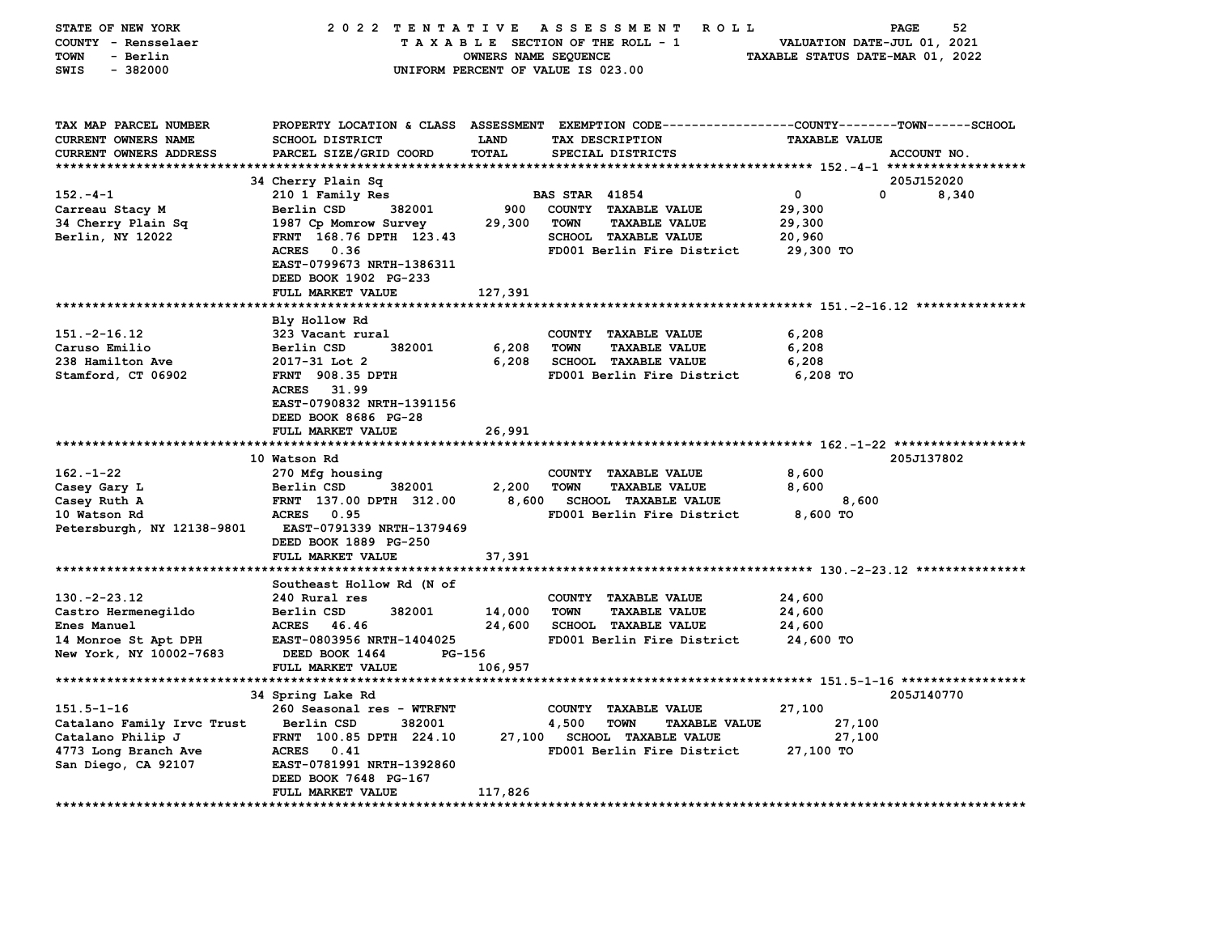| STATE OF NEW YORK          | 2022 TENTATIVE            |                      | A S S E S S M E N T<br><b>ROLL</b>                                                             |                                  | 52<br>PAGE  |
|----------------------------|---------------------------|----------------------|------------------------------------------------------------------------------------------------|----------------------------------|-------------|
| COUNTY - Rensselaer        |                           |                      | TAXABLE SECTION OF THE ROLL - 1                                                                | VALUATION DATE-JUL 01, 2021      |             |
| <b>TOWN</b><br>- Berlin    |                           | OWNERS NAME SEQUENCE |                                                                                                | TAXABLE STATUS DATE-MAR 01, 2022 |             |
| $-382000$<br>SWIS          |                           |                      | UNIFORM PERCENT OF VALUE IS 023.00                                                             |                                  |             |
|                            |                           |                      |                                                                                                |                                  |             |
|                            |                           |                      |                                                                                                |                                  |             |
|                            |                           |                      |                                                                                                |                                  |             |
| TAX MAP PARCEL NUMBER      |                           |                      | PROPERTY LOCATION & CLASS ASSESSMENT EXEMPTION CODE---------------COUNTY-------TOWN-----SCHOOL |                                  |             |
| <b>CURRENT OWNERS NAME</b> | <b>SCHOOL DISTRICT</b>    | <b>LAND</b>          | TAX DESCRIPTION                                                                                | <b>TAXABLE VALUE</b>             |             |
| CURRENT OWNERS ADDRESS     | PARCEL SIZE/GRID COORD    | TOTAL                | SPECIAL DISTRICTS                                                                              |                                  | ACCOUNT NO. |
|                            |                           |                      |                                                                                                |                                  |             |
|                            | 34 Cherry Plain Sq        |                      |                                                                                                |                                  | 205J152020  |
| 152.-4-1                   | 210 1 Family Res          |                      | <b>BAS STAR 41854</b>                                                                          | 0<br>0                           | 8,340       |
| Carreau Stacy M            | Berlin CSD<br>382001      | 900                  | COUNTY TAXABLE VALUE                                                                           | 29,300                           |             |
|                            |                           | 29,300               |                                                                                                |                                  |             |
| 34 Cherry Plain Sq         | 1987 Cp Momrow Survey     |                      | <b>TOWN</b><br><b>TAXABLE VALUE</b>                                                            | 29,300                           |             |
| Berlin, NY 12022           | FRNT 168.76 DPTH 123.43   |                      | SCHOOL TAXABLE VALUE                                                                           | 20,960                           |             |
|                            | ACRES 0.36                |                      | FD001 Berlin Fire District                                                                     | 29,300 TO                        |             |
|                            | EAST-0799673 NRTH-1386311 |                      |                                                                                                |                                  |             |
|                            | DEED BOOK 1902 PG-233     |                      |                                                                                                |                                  |             |
|                            | FULL MARKET VALUE         | 127,391              |                                                                                                |                                  |             |
|                            |                           |                      |                                                                                                |                                  |             |
|                            | Bly Hollow Rd             |                      |                                                                                                |                                  |             |
| $151.-2-16.12$             | 323 Vacant rural          |                      | COUNTY TAXABLE VALUE                                                                           | 6,208                            |             |
| Caruso Emilio              | Berlin CSD<br>382001      | 6,208                | <b>TAXABLE VALUE</b><br><b>TOWN</b>                                                            | 6,208                            |             |
| 238 Hamilton Ave           | 2017-31 Lot 2             | 6,208                | <b>SCHOOL TAXABLE VALUE</b>                                                                    | 6,208                            |             |
| Stamford, CT 06902         | <b>FRNT</b> 908.35 DPTH   |                      | FD001 Berlin Fire District                                                                     | 6,208 TO                         |             |
|                            | <b>ACRES</b><br>31.99     |                      |                                                                                                |                                  |             |
|                            | EAST-0790832 NRTH-1391156 |                      |                                                                                                |                                  |             |
|                            | DEED BOOK 8686 PG-28      |                      |                                                                                                |                                  |             |
|                            | FULL MARKET VALUE         | 26,991               |                                                                                                |                                  |             |
|                            |                           |                      |                                                                                                |                                  |             |
|                            | 10 Watson Rd              |                      |                                                                                                |                                  | 205J137802  |
| $162 - 1 - 22$             | 270 Mfg housing           |                      | COUNTY TAXABLE VALUE                                                                           | 8,600                            |             |
| Casey Gary L               | 382001<br>Berlin CSD      | 2,200                | <b>TAXABLE VALUE</b><br><b>TOWN</b>                                                            | 8,600                            |             |
|                            |                           | 8,600                | <b>SCHOOL TAXABLE VALUE</b>                                                                    | 8,600                            |             |
| Casey Ruth A               | FRNT 137.00 DPTH 312.00   |                      |                                                                                                |                                  |             |
| 10 Watson Rd               | <b>ACRES</b> 0.95         |                      | FD001 Berlin Fire District                                                                     | 8,600 TO                         |             |
| Petersburgh, NY 12138-9801 | EAST-0791339 NRTH-1379469 |                      |                                                                                                |                                  |             |
|                            | DEED BOOK 1889 PG-250     |                      |                                                                                                |                                  |             |
|                            | FULL MARKET VALUE         | 37,391               |                                                                                                |                                  |             |
|                            |                           |                      |                                                                                                |                                  |             |
|                            | Southeast Hollow Rd (N of |                      |                                                                                                |                                  |             |
| $130. -2 - 23.12$          | 240 Rural res             |                      | COUNTY TAXABLE VALUE                                                                           | 24,600                           |             |
| Castro Hermenegildo        | Berlin CSD<br>382001      | 14,000               | TOWN<br><b>TAXABLE VALUE</b>                                                                   | 24,600                           |             |
| <b>Enes Manuel</b>         | ACRES 46.46               | 24,600               | <b>SCHOOL TAXABLE VALUE</b>                                                                    | 24,600                           |             |
| 14 Monroe St Apt DPH       | EAST-0803956 NRTH-1404025 |                      | FD001 Berlin Fire District                                                                     | 24,600 TO                        |             |
| New York, NY 10002-7683    | DEED BOOK 1464<br>PG-156  |                      |                                                                                                |                                  |             |
|                            | FULL MARKET VALUE         | 106,957              |                                                                                                |                                  |             |
|                            |                           |                      |                                                                                                |                                  |             |
|                            | 34 Spring Lake Rd         |                      |                                                                                                |                                  | 205J140770  |
| $151.5 - 1 - 16$           | 260 Seasonal res - WTRFNT |                      | COUNTY TAXABLE VALUE                                                                           | 27,100                           |             |
| Catalano Family Irvc Trust | Berlin CSD<br>382001      |                      | 4,500<br><b>TOWN</b><br><b>TAXABLE VALUE</b>                                                   | 27,100                           |             |
| Catalano Philip J          | FRNT 100.85 DPTH 224.10   | 27,100               | <b>SCHOOL TAXABLE VALUE</b>                                                                    | 27,100                           |             |
| 4773 Long Branch Ave       | ACRES 0.41                |                      | FD001 Berlin Fire District                                                                     | 27,100 TO                        |             |
|                            | EAST-0781991 NRTH-1392860 |                      |                                                                                                |                                  |             |
| San Diego, CA 92107        |                           |                      |                                                                                                |                                  |             |
|                            | DEED BOOK 7648 PG-167     |                      |                                                                                                |                                  |             |
|                            | FULL MARKET VALUE         | 117,826              |                                                                                                |                                  |             |
|                            |                           |                      |                                                                                                |                                  |             |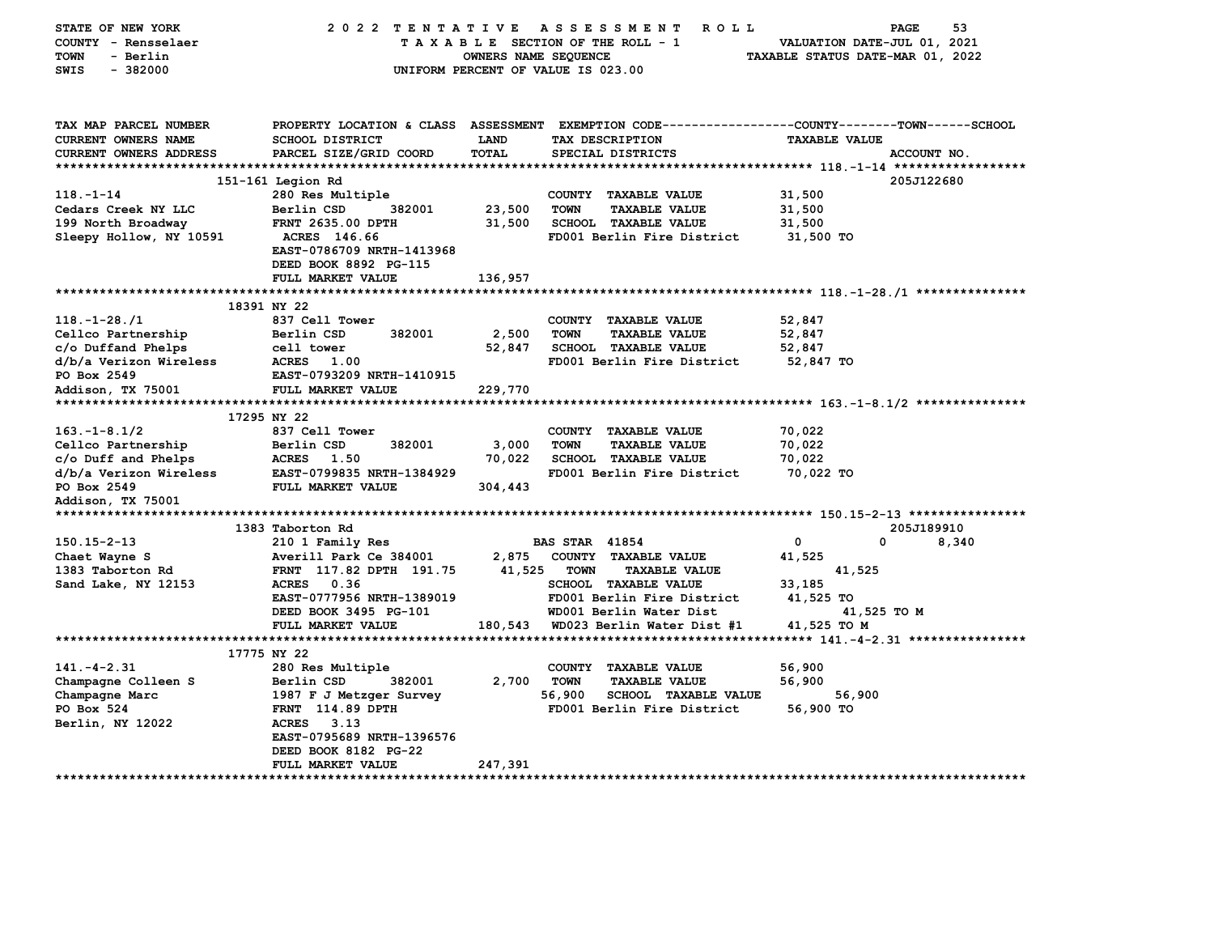| STATE OF NEW YORK<br>COUNTY - Rensselaer<br><b>TOWN</b><br>- Berlin | 2022 TENTATIVE ASSESSMENT                                          | OWNERS NAME SEQUENCE | <b>ROLL</b><br>TAXABLE SECTION OF THE ROLL - 1             | VALUATION DATE-JUL 01, 2021<br>TAXABLE STATUS DATE-MAR 01, 2022 | 53<br><b>PAGE</b> |
|---------------------------------------------------------------------|--------------------------------------------------------------------|----------------------|------------------------------------------------------------|-----------------------------------------------------------------|-------------------|
| $-382000$<br>SWIS                                                   |                                                                    |                      | UNIFORM PERCENT OF VALUE IS 023.00                         |                                                                 |                   |
| TAX MAP PARCEL NUMBER                                               | PROPERTY LOCATION & CLASS ASSESSMENT                               |                      | EXEMPTION CODE----------------COUNTY-------TOWN-----SCHOOL |                                                                 |                   |
| <b>CURRENT OWNERS NAME</b>                                          | <b>SCHOOL DISTRICT</b>                                             | LAND                 | TAX DESCRIPTION                                            | <b>TAXABLE VALUE</b>                                            |                   |
| <b>CURRENT OWNERS ADDRESS</b>                                       | PARCEL SIZE/GRID COORD                                             | TOTAL                | SPECIAL DISTRICTS                                          |                                                                 | ACCOUNT NO.       |
|                                                                     |                                                                    |                      |                                                            |                                                                 |                   |
|                                                                     | 151-161 Legion Rd                                                  |                      |                                                            |                                                                 | 205J122680        |
| $118. - 1 - 14$                                                     | 280 Res Multiple                                                   |                      | COUNTY TAXABLE VALUE                                       | 31,500                                                          |                   |
| Cedars Creek NY LLC                                                 | Berlin CSD<br>382001                                               | 23,500               | <b>TOWN</b><br><b>TAXABLE VALUE</b>                        | 31,500                                                          |                   |
| 199 North Broadway                                                  | FRNT 2635.00 DPTH                                                  | 31,500               | <b>SCHOOL TAXABLE VALUE</b>                                | 31,500                                                          |                   |
| Sleepy Hollow, NY 10591                                             | ACRES 146.66<br>EAST-0786709 NRTH-1413968<br>DEED BOOK 8892 PG-115 |                      | FD001 Berlin Fire District                                 | 31,500 TO                                                       |                   |
|                                                                     | FULL MARKET VALUE                                                  | 136,957              |                                                            |                                                                 |                   |
|                                                                     | 18391 NY 22                                                        |                      |                                                            |                                                                 |                   |
| $118. - 1 - 28. / 1$                                                | 837 Cell Tower                                                     |                      | COUNTY TAXABLE VALUE                                       | 52,847                                                          |                   |
| Cellco Partnership                                                  | Berlin CSD<br>382001                                               | 2,500                | <b>TOWN</b><br><b>TAXABLE VALUE</b>                        | 52,847                                                          |                   |
| c/o Duffand Phelps                                                  | cell tower                                                         | 52,847               | <b>SCHOOL TAXABLE VALUE</b>                                | 52,847                                                          |                   |
| d/b/a Verizon Wireless                                              | <b>ACRES</b><br>1.00                                               |                      | FD001 Berlin Fire District                                 | 52,847 TO                                                       |                   |
| PO Box 2549                                                         | EAST-0793209 NRTH-1410915                                          |                      |                                                            |                                                                 |                   |
| Addison, TX 75001                                                   | FULL MARKET VALUE                                                  | 229,770              |                                                            |                                                                 |                   |
|                                                                     |                                                                    |                      |                                                            |                                                                 |                   |
|                                                                     | 17295 NY 22                                                        |                      |                                                            |                                                                 |                   |
| $163. - 1 - 8.1/2$                                                  | 837 Cell Tower                                                     |                      | COUNTY TAXABLE VALUE                                       | 70,022                                                          |                   |
| Cellco Partnership                                                  | Berlin CSD<br>382001                                               | 3,000                | <b>TOWN</b><br><b>TAXABLE VALUE</b>                        | 70,022                                                          |                   |
| c/o Duff and Phelps                                                 | ACRES 1.50                                                         | 70,022               | SCHOOL TAXABLE VALUE                                       | 70,022                                                          |                   |
| d/b/a Verizon Wireless                                              | EAST-0799835 NRTH-1384929                                          |                      | FD001 Berlin Fire District                                 | 70,022 TO                                                       |                   |
| PO Box 2549                                                         | FULL MARKET VALUE                                                  | 304,443              |                                                            |                                                                 |                   |
| Addison, TX 75001                                                   |                                                                    |                      |                                                            |                                                                 |                   |
| ***********************                                             |                                                                    |                      |                                                            |                                                                 |                   |
|                                                                     | 1383 Taborton Rd                                                   |                      |                                                            |                                                                 | 205J189910        |
| $150.15 - 2 - 13$                                                   | 210 1 Family Res                                                   |                      | <b>BAS STAR 41854</b>                                      | 0<br>0                                                          | 8,340             |
| Chaet Wayne S                                                       | Averill Park Ce 384001                                             | 2,875                | COUNTY TAXABLE VALUE                                       | 41,525                                                          |                   |
| 1383 Taborton Rd                                                    | FRNT 117.82 DPTH 191.75                                            | 41,525               | <b>TOWN</b><br><b>TAXABLE VALUE</b>                        | 41,525                                                          |                   |
| Sand Lake, NY 12153                                                 | ACRES 0.36                                                         |                      | SCHOOL TAXABLE VALUE                                       | 33,185                                                          |                   |
|                                                                     | EAST-0777956 NRTH-1389019                                          |                      | FD001 Berlin Fire District                                 | 41,525 TO                                                       |                   |
|                                                                     | DEED BOOK 3495 PG-101                                              |                      | WD001 Berlin Water Dist                                    | 41,525 TO M                                                     |                   |
|                                                                     | FULL MARKET VALUE                                                  | 180,543              | WD023 Berlin Water Dist #1                                 | 41,525 TO M                                                     |                   |
|                                                                     | 17775 NY 22                                                        |                      |                                                            |                                                                 |                   |
| $141. - 4 - 2.31$                                                   | 280 Res Multiple                                                   |                      | COUNTY<br><b>TAXABLE VALUE</b>                             | 56,900                                                          |                   |
| Champagne Colleen S                                                 | Berlin CSD<br>382001                                               | 2,700                | <b>TOWN</b><br><b>TAXABLE VALUE</b>                        | 56,900                                                          |                   |
| Champagne Marc                                                      | 1987 F J Metzger Survey                                            |                      | 56,900<br><b>SCHOOL TAXABLE VALUE</b>                      | 56,900                                                          |                   |
| PO Box 524                                                          | <b>FRNT</b> 114.89 DPTH                                            |                      | FD001 Berlin Fire District                                 | 56,900 TO                                                       |                   |
| Berlin, NY 12022                                                    | ACRES<br>3.13                                                      |                      |                                                            |                                                                 |                   |
|                                                                     | EAST-0795689 NRTH-1396576                                          |                      |                                                            |                                                                 |                   |
|                                                                     | DEED BOOK 8182 PG-22                                               |                      |                                                            |                                                                 |                   |
|                                                                     | FULL MARKET VALUE                                                  | 247,391              |                                                            |                                                                 |                   |
| *********************                                               |                                                                    |                      |                                                            |                                                                 |                   |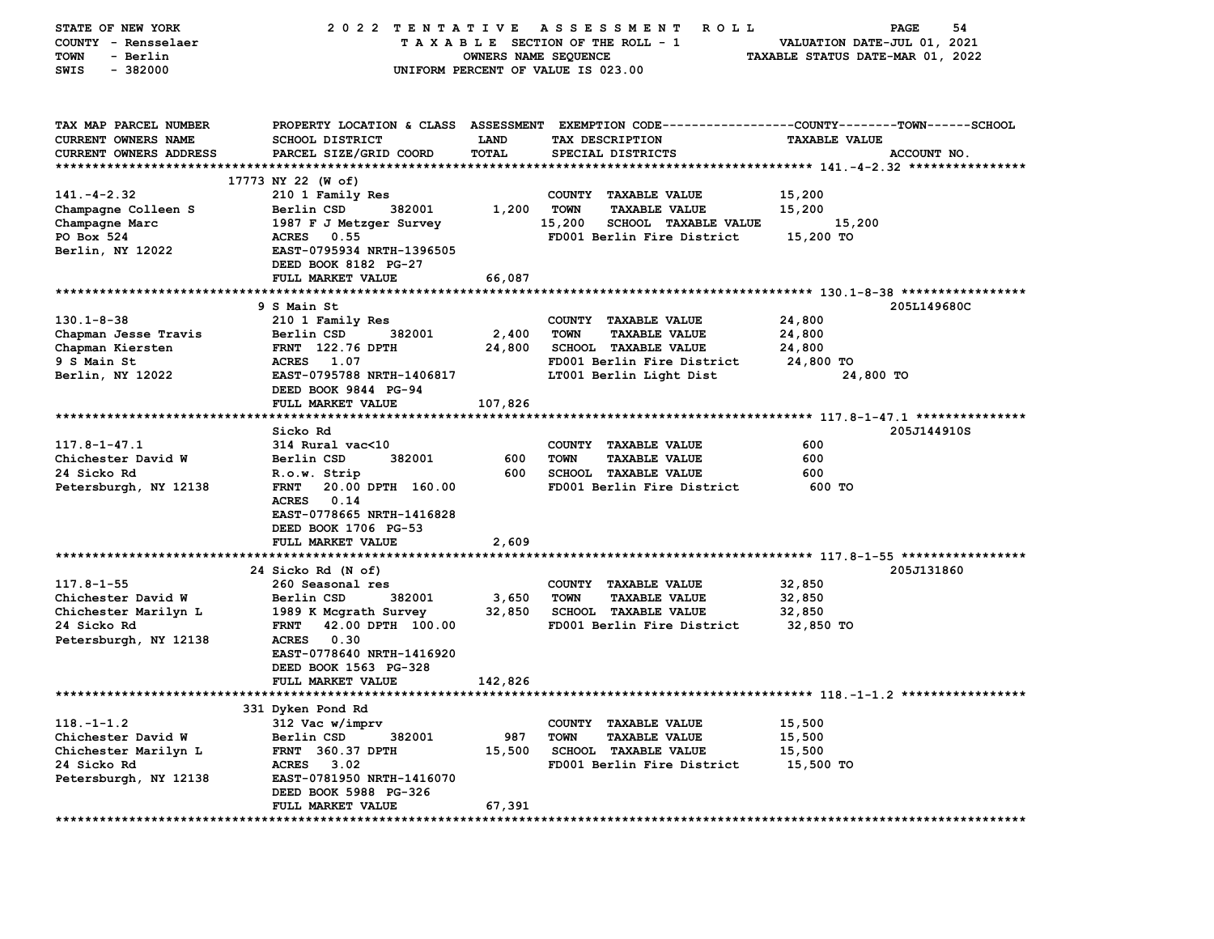| STATE OF NEW YORK                 | 2022 TENTATIVE                        |                      | A S S E S S M E N T<br>R O L L        | PAGE<br>54                                                 |
|-----------------------------------|---------------------------------------|----------------------|---------------------------------------|------------------------------------------------------------|
| COUNTY - Rensselaer               |                                       |                      | TAXABLE SECTION OF THE ROLL - 1       | VALUATION DATE-JUL 01, 2021                                |
| - Berlin<br>TOWN                  |                                       | OWNERS NAME SEQUENCE |                                       | TAXABLE STATUS DATE-MAR 01, 2022                           |
| $-382000$<br>SWIS                 |                                       |                      | UNIFORM PERCENT OF VALUE IS 023.00    |                                                            |
|                                   |                                       |                      |                                       |                                                            |
| TAX MAP PARCEL NUMBER             | PROPERTY LOCATION & CLASS ASSESSMENT  |                      |                                       | EXEMPTION CODE----------------COUNTY-------TOWN-----SCHOOL |
| <b>CURRENT OWNERS NAME</b>        | <b>SCHOOL DISTRICT</b>                | <b>LAND</b>          | TAX DESCRIPTION                       | <b>TAXABLE VALUE</b>                                       |
| <b>CURRENT OWNERS ADDRESS</b>     | PARCEL SIZE/GRID COORD                | TOTAL                | SPECIAL DISTRICTS                     | ACCOUNT NO.                                                |
| *************************         |                                       |                      |                                       |                                                            |
|                                   | 17773 NY 22 (W of)                    |                      |                                       |                                                            |
| $141. - 4 - 2.32$                 | 210 1 Family Res                      |                      | COUNTY TAXABLE VALUE                  | 15,200                                                     |
| Champagne Colleen S               | 382001<br>Berlin CSD                  | 1,200                | <b>TOWN</b><br><b>TAXABLE VALUE</b>   | 15,200                                                     |
| Champagne Marc                    | 1987 F J Metzger Survey               |                      | 15,200<br><b>SCHOOL TAXABLE VALUE</b> | 15,200                                                     |
| PO Box 524                        | <b>ACRES</b><br>0.55                  |                      | FD001 Berlin Fire District            | 15,200 TO                                                  |
| Berlin, NY 12022                  | EAST-0795934 NRTH-1396505             |                      |                                       |                                                            |
|                                   | DEED BOOK 8182 PG-27                  |                      |                                       |                                                            |
|                                   | FULL MARKET VALUE                     | 66,087               |                                       |                                                            |
|                                   |                                       |                      |                                       |                                                            |
|                                   | 9 S Main St                           |                      |                                       | 205L149680C                                                |
| $130.1 - 8 - 38$                  | 210 1 Family Res                      |                      | COUNTY TAXABLE VALUE                  | 24,800                                                     |
| Chapman Jesse Travis              | 382001<br>Berlin CSD                  | 2,400                | <b>TOWN</b><br><b>TAXABLE VALUE</b>   | 24,800                                                     |
| Chapman Kiersten                  | <b>FRNT</b> 122.76 DPTH               | 24,800               | SCHOOL TAXABLE VALUE                  | 24,800                                                     |
| 9 S Main St                       | ACRES 1.07                            |                      | FD001 Berlin Fire District            | 24,800 TO                                                  |
| Berlin, NY 12022                  | EAST-0795788 NRTH-1406817             |                      | LT001 Berlin Light Dist               | 24,800 TO                                                  |
|                                   | DEED BOOK 9844 PG-94                  |                      |                                       |                                                            |
|                                   | FULL MARKET VALUE                     | 107,826              |                                       |                                                            |
|                                   | Sicko Rd                              |                      |                                       | 205J144910S                                                |
| $117.8 - 1 - 47.1$                | 314 Rural vac<10                      |                      | COUNTY TAXABLE VALUE                  | 600                                                        |
| Chichester David W                | Berlin CSD<br>382001                  | 600                  | <b>TOWN</b><br><b>TAXABLE VALUE</b>   | 600                                                        |
| 24 Sicko Rd                       | R.o.w. Strip                          | 600                  | <b>SCHOOL TAXABLE VALUE</b>           | 600                                                        |
| Petersburgh, NY 12138             | <b>FRNT</b><br>20.00 DPTH 160.00      |                      | FD001 Berlin Fire District            | 600 TO                                                     |
|                                   | <b>ACRES</b><br>0.14                  |                      |                                       |                                                            |
|                                   | EAST-0778665 NRTH-1416828             |                      |                                       |                                                            |
|                                   | DEED BOOK 1706 PG-53                  |                      |                                       |                                                            |
|                                   | FULL MARKET VALUE                     | 2,609                |                                       |                                                            |
|                                   |                                       |                      |                                       |                                                            |
|                                   | 24 Sicko Rd (N of)                    |                      |                                       | 205J131860                                                 |
| $117.8 - 1 - 55$                  | 260 Seasonal res                      |                      | COUNTY TAXABLE VALUE                  | 32,850                                                     |
| Chichester David W                | Berlin CSD<br>382001                  | 3,650                | <b>TOWN</b><br><b>TAXABLE VALUE</b>   | 32,850                                                     |
| Chichester Marilyn L              | 1989 K Mcgrath Survey                 | 32,850               | <b>SCHOOL TAXABLE VALUE</b>           | 32,850                                                     |
| 24 Sicko Rd                       | 42.00 DPTH 100.00<br>FRNT             |                      | FD001 Berlin Fire District            | 32,850 TO                                                  |
| Petersburgh, NY 12138             | ACRES 0.30                            |                      |                                       |                                                            |
|                                   | EAST-0778640 NRTH-1416920             |                      |                                       |                                                            |
|                                   | DEED BOOK 1563 PG-328                 |                      |                                       |                                                            |
|                                   | FULL MARKET VALUE                     | 142,826              |                                       |                                                            |
|                                   |                                       |                      |                                       |                                                            |
|                                   | 331 Dyken Pond Rd                     |                      |                                       |                                                            |
| $118. - 1 - 1.2$                  | 312 Vac w/imprv                       |                      | COUNTY TAXABLE VALUE                  | 15,500                                                     |
| Chichester David W                | Berlin CSD<br>382001                  | 987                  | <b>TOWN</b><br><b>TAXABLE VALUE</b>   | 15,500                                                     |
| Chichester Marilyn L              | <b>FRNT 360.37 DPTH</b><br>ACRES 3.02 | 15,500               | <b>SCHOOL TAXABLE VALUE</b>           | 15,500                                                     |
| 24 Sicko Rd                       | EAST-0781950 NRTH-1416070             |                      | FD001 Berlin Fire District            | 15,500 TO                                                  |
| Petersburgh, NY 12138             | DEED BOOK 5988 PG-326                 |                      |                                       |                                                            |
|                                   | FULL MARKET VALUE                     | 67,391               |                                       |                                                            |
| ********************************* | ********************                  |                      |                                       |                                                            |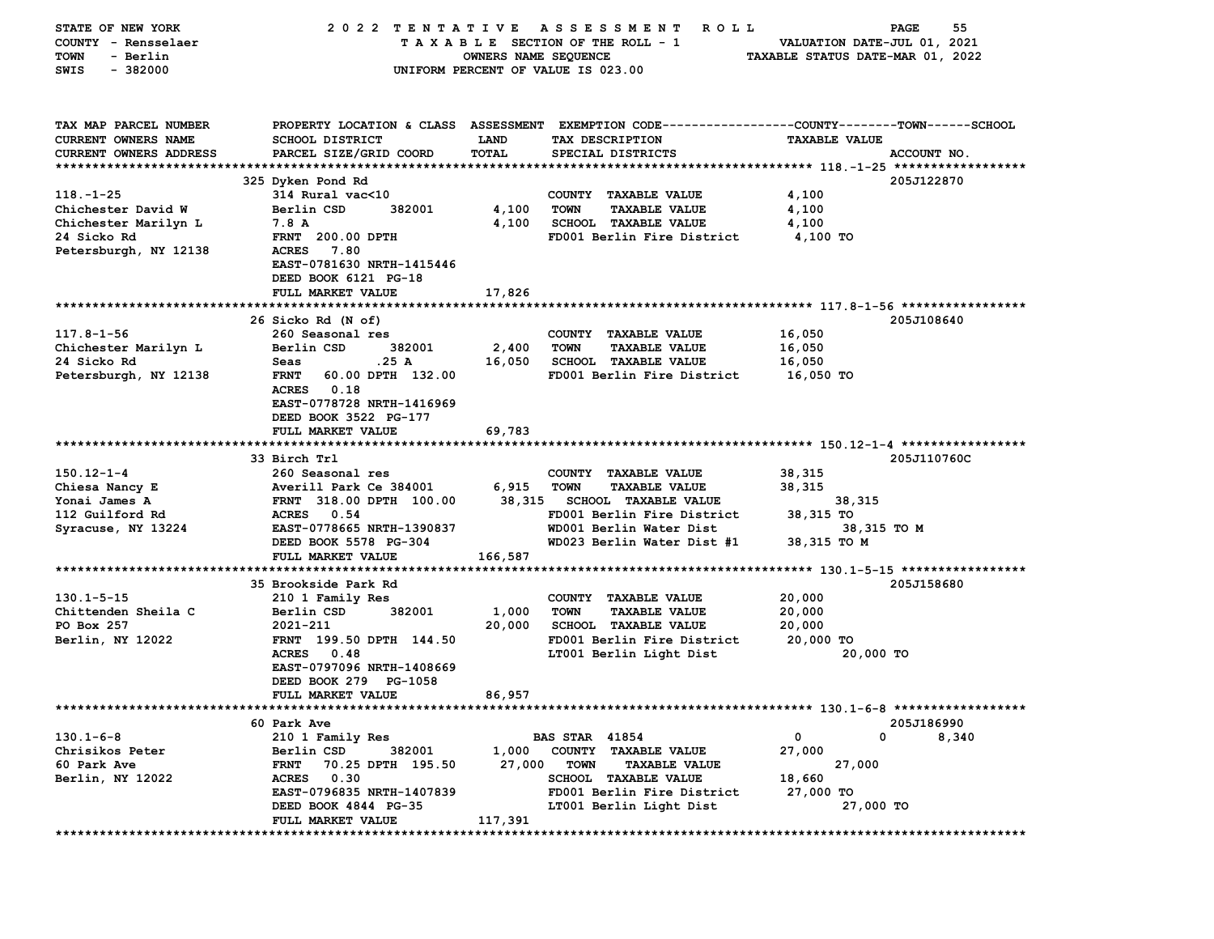| STATE OF NEW YORK      | 2022 TENTATIVE                   |                      | A S S E S S M E N T<br><b>ROLL</b>                                                             |                                  | 55<br><b>PAGE</b> |
|------------------------|----------------------------------|----------------------|------------------------------------------------------------------------------------------------|----------------------------------|-------------------|
| COUNTY - Rensselaer    |                                  |                      | TAXABLE SECTION OF THE ROLL - 1                                                                | VALUATION DATE-JUL 01, 2021      |                   |
| - Berlin<br>TOWN       |                                  | OWNERS NAME SEQUENCE |                                                                                                | TAXABLE STATUS DATE-MAR 01, 2022 |                   |
| SWIS<br>$-382000$      |                                  |                      | UNIFORM PERCENT OF VALUE IS 023.00                                                             |                                  |                   |
|                        |                                  |                      |                                                                                                |                                  |                   |
|                        |                                  |                      |                                                                                                |                                  |                   |
| TAX MAP PARCEL NUMBER  |                                  |                      | PROPERTY LOCATION & CLASS ASSESSMENT EXEMPTION CODE---------------COUNTY-------TOWN-----SCHOOL |                                  |                   |
| CURRENT OWNERS NAME    | SCHOOL DISTRICT                  | <b>LAND</b>          | TAX DESCRIPTION                                                                                | <b>TAXABLE VALUE</b>             |                   |
| CURRENT OWNERS ADDRESS | PARCEL SIZE/GRID COORD           | <b>TOTAL</b>         | SPECIAL DISTRICTS                                                                              |                                  | ACCOUNT NO.       |
|                        |                                  |                      |                                                                                                |                                  |                   |
|                        | 325 Dyken Pond Rd                |                      |                                                                                                |                                  | 205J122870        |
| $118. - 1 - 25$        | 314 Rural vac<10                 |                      | COUNTY TAXABLE VALUE                                                                           | 4,100                            |                   |
| Chichester David W     | 382001<br>Berlin CSD             | 4,100                | <b>TOWN</b><br><b>TAXABLE VALUE</b>                                                            | 4,100                            |                   |
| Chichester Marilyn L   | 7.8 A                            | 4,100                | <b>SCHOOL TAXABLE VALUE</b>                                                                    | 4,100                            |                   |
| 24 Sicko Rd            | <b>FRNT</b> 200.00 DPTH          |                      | FD001 Berlin Fire District                                                                     | 4,100 TO                         |                   |
| Petersburgh, NY 12138  | <b>ACRES</b><br>7.80             |                      |                                                                                                |                                  |                   |
|                        | EAST-0781630 NRTH-1415446        |                      |                                                                                                |                                  |                   |
|                        | DEED BOOK 6121 PG-18             |                      |                                                                                                |                                  |                   |
|                        | FULL MARKET VALUE                | 17,826               |                                                                                                |                                  |                   |
|                        |                                  |                      |                                                                                                |                                  |                   |
|                        | 26 Sicko Rd (N of)               |                      |                                                                                                |                                  | 205J108640        |
| $117.8 - 1 - 56$       | 260 Seasonal res                 |                      | COUNTY TAXABLE VALUE                                                                           | 16,050                           |                   |
| Chichester Marilyn L   | Berlin CSD<br>382001             |                      | <b>TOWN</b>                                                                                    |                                  |                   |
|                        | .25 A                            | 2,400                | <b>TAXABLE VALUE</b><br>SCHOOL TAXABLE VALUE                                                   | 16,050                           |                   |
| 24 Sicko Rd            | Seas                             | 16,050               |                                                                                                | 16,050                           |                   |
| Petersburgh, NY 12138  | FRNT 60.00 DPTH 132.00           |                      | FD001 Berlin Fire District                                                                     | 16,050 TO                        |                   |
|                        | ACRES 0.18                       |                      |                                                                                                |                                  |                   |
|                        | EAST-0778728 NRTH-1416969        |                      |                                                                                                |                                  |                   |
|                        | DEED BOOK 3522 PG-177            |                      |                                                                                                |                                  |                   |
|                        | FULL MARKET VALUE                | 69,783               |                                                                                                |                                  |                   |
|                        |                                  |                      |                                                                                                |                                  |                   |
|                        | 33 Birch Trl                     |                      |                                                                                                |                                  | 205J110760C       |
| $150.12 - 1 - 4$       | 260 Seasonal res                 |                      | COUNTY TAXABLE VALUE                                                                           | 38,315                           |                   |
| Chiesa Nancy E         | Averill Park Ce 384001           | 6,915                | <b>TOWN</b><br><b>TAXABLE VALUE</b>                                                            | 38,315                           |                   |
| Yonai James A          | FRNT 318.00 DPTH 100.00          |                      | 38,315 SCHOOL TAXABLE VALUE                                                                    | 38,315                           |                   |
| 112 Guilford Rd        | ACRES 0.54                       |                      | FD001 Berlin Fire District                                                                     | 38,315 TO                        |                   |
| Syracuse, NY 13224     | EAST-0778665 NRTH-1390837        |                      | WD001 Berlin Water Dist                                                                        | 38,315 TO M                      |                   |
|                        | DEED BOOK 5578 PG-304            |                      | WD023 Berlin Water Dist #1                                                                     | 38,315 TO M                      |                   |
|                        | FULL MARKET VALUE                | 166,587              |                                                                                                |                                  |                   |
|                        |                                  |                      |                                                                                                |                                  |                   |
|                        | 35 Brookside Park Rd             |                      |                                                                                                |                                  | 205J158680        |
| $130.1 - 5 - 15$       | 210 1 Family Res                 |                      | COUNTY TAXABLE VALUE                                                                           | 20,000                           |                   |
| Chittenden Sheila C    | 382001<br>Berlin CSD             | 1,000                | <b>TOWN</b><br><b>TAXABLE VALUE</b>                                                            | 20,000                           |                   |
| PO Box 257             | 2021-211                         | 20,000               | <b>SCHOOL TAXABLE VALUE</b>                                                                    | 20,000                           |                   |
| Berlin, NY 12022       | FRNT 199.50 DPTH 144.50          |                      | FD001 Berlin Fire District                                                                     | 20,000 TO                        |                   |
|                        | ACRES 0.48                       |                      | LT001 Berlin Light Dist                                                                        | 20,000 TO                        |                   |
|                        | EAST-0797096 NRTH-1408669        |                      |                                                                                                |                                  |                   |
|                        | DEED BOOK 279 PG-1058            |                      |                                                                                                |                                  |                   |
|                        | <b>FULL MARKET VALUE</b>         | 86,957               |                                                                                                |                                  |                   |
|                        |                                  |                      |                                                                                                |                                  |                   |
|                        | 60 Park Ave                      |                      |                                                                                                |                                  | 205J186990        |
| $130.1 - 6 - 8$        | 210 1 Family Res                 |                      | <b>BAS STAR 41854</b>                                                                          | 0<br>0                           | 8,340             |
| Chrisikos Peter        | Berlin CSD<br>382001             | 1,000                | COUNTY TAXABLE VALUE                                                                           | 27,000                           |                   |
| 60 Park Ave            | <b>FRNT</b><br>70.25 DPTH 195.50 | 27,000               | <b>TOWN</b><br><b>TAXABLE VALUE</b>                                                            | 27,000                           |                   |
| Berlin, NY 12022       | <b>ACRES</b><br>0.30             |                      | <b>SCHOOL TAXABLE VALUE</b>                                                                    | 18,660                           |                   |
|                        | EAST-0796835 NRTH-1407839        |                      | FD001 Berlin Fire District                                                                     | 27,000 TO                        |                   |
|                        | DEED BOOK 4844 PG-35             |                      | LT001 Berlin Light Dist                                                                        | 27,000 TO                        |                   |
|                        | FULL MARKET VALUE                | 117,391              |                                                                                                |                                  |                   |
| ***************        |                                  |                      |                                                                                                |                                  |                   |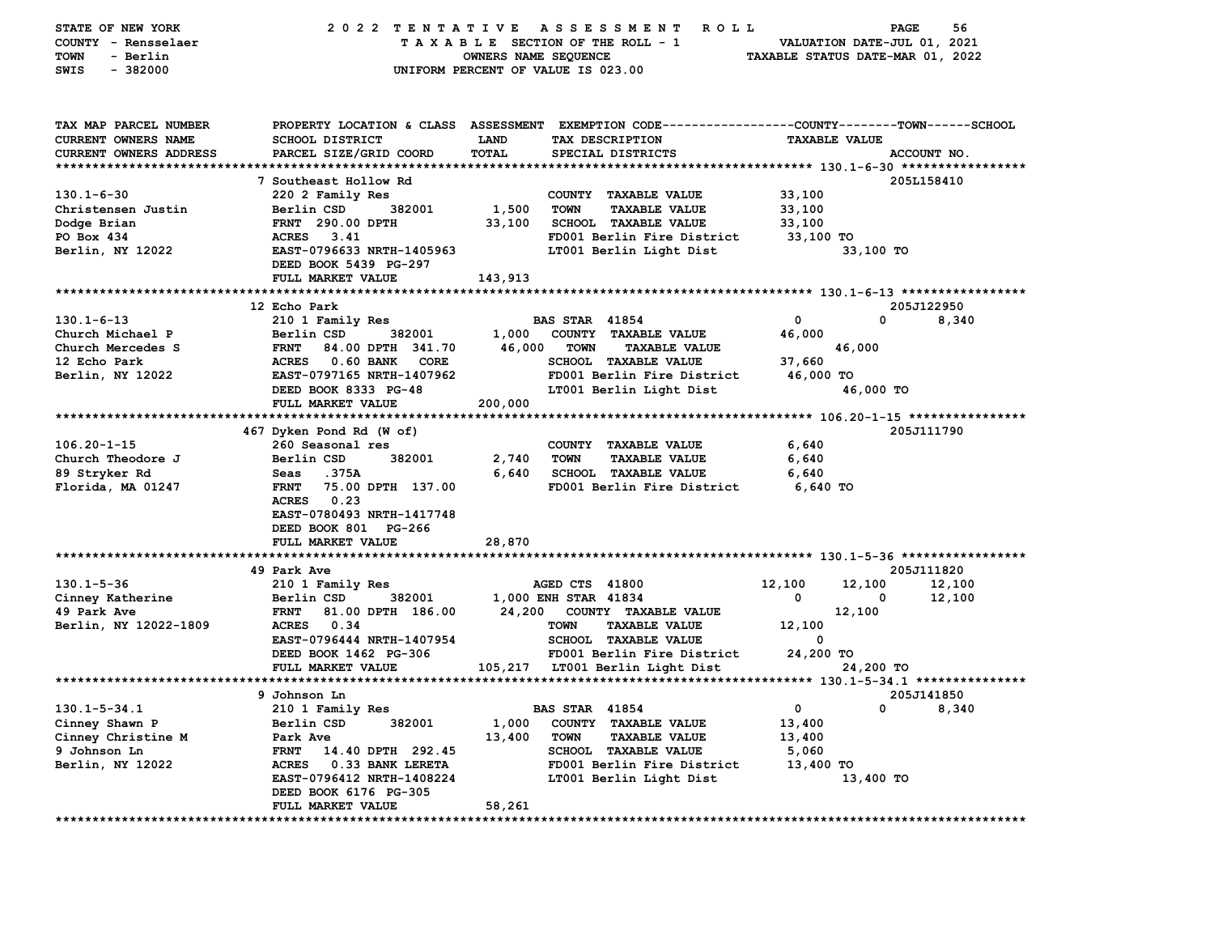| STATE OF NEW YORK<br>COUNTY - Rensselaer<br>- Berlin<br>TOWN<br>$-382000$<br>SWIS    | 2022 TENTATIVE                                           | OWNERS NAME SEQUENCE | ASSESSMENT<br>ROLL<br>TAXABLE SECTION OF THE ROLL - 1<br>UNIFORM PERCENT OF VALUE IS 023.00                                             | TAXABLE STATUS DATE-MAR 01, 2022 | 56<br>PAGE<br>VALUATION DATE-JUL 01, 2021 |
|--------------------------------------------------------------------------------------|----------------------------------------------------------|----------------------|-----------------------------------------------------------------------------------------------------------------------------------------|----------------------------------|-------------------------------------------|
| TAX MAP PARCEL NUMBER<br><b>CURRENT OWNERS NAME</b><br><b>CURRENT OWNERS ADDRESS</b> | <b>SCHOOL DISTRICT</b><br>PARCEL SIZE/GRID COORD         | LAND<br>TOTAL        | PROPERTY LOCATION & CLASS ASSESSMENT EXEMPTION CODE---------------COUNTY-------TOWN------SCHOOL<br>TAX DESCRIPTION<br>SPECIAL DISTRICTS | <b>TAXABLE VALUE</b>             | ACCOUNT NO.                               |
|                                                                                      |                                                          |                      |                                                                                                                                         |                                  |                                           |
|                                                                                      | 7 Southeast Hollow Rd                                    |                      |                                                                                                                                         |                                  | 205L158410                                |
| $130.1 - 6 - 30$                                                                     | 220 2 Family Res                                         |                      | COUNTY TAXABLE VALUE                                                                                                                    | 33,100                           |                                           |
| Christensen Justin                                                                   | Berlin CSD<br>382001<br><b>FRNT 290.00 DPTH</b>          | 1,500                | <b>TOWN</b><br><b>TAXABLE VALUE</b><br><b>SCHOOL TAXABLE VALUE</b>                                                                      | 33,100                           |                                           |
| Dodge Brian<br>PO Box 434                                                            | <b>ACRES</b><br>3.41                                     | 33,100               | FD001 Berlin Fire District                                                                                                              | 33,100<br>33,100 TO              |                                           |
| Berlin, NY 12022                                                                     | EAST-0796633 NRTH-1405963                                |                      | LT001 Berlin Light Dist                                                                                                                 |                                  | 33,100 TO                                 |
|                                                                                      | DEED BOOK 5439 PG-297                                    |                      |                                                                                                                                         |                                  |                                           |
|                                                                                      | FULL MARKET VALUE                                        | 143,913              |                                                                                                                                         |                                  |                                           |
|                                                                                      |                                                          |                      |                                                                                                                                         |                                  |                                           |
|                                                                                      | 12 Echo Park                                             |                      |                                                                                                                                         |                                  | 205J122950                                |
| $130.1 - 6 - 13$                                                                     | 210 1 Family Res                                         |                      | <b>BAS STAR 41854</b>                                                                                                                   | 0                                | 0<br>8,340                                |
| Church Michael P                                                                     | Berlin CSD<br>382001                                     | 1,000                | COUNTY TAXABLE VALUE                                                                                                                    | 46,000                           |                                           |
| Church Mercedes S                                                                    | <b>FRNT</b><br>84.00 DPTH 341.70                         | 46,000               | <b>TOWN</b><br><b>TAXABLE VALUE</b>                                                                                                     | 46,000                           |                                           |
| 12 Echo Park                                                                         | ACRES 0.60 BANK<br>CORE                                  |                      | SCHOOL TAXABLE VALUE                                                                                                                    | 37,660                           |                                           |
| Berlin, NY 12022                                                                     | EAST-0797165 NRTH-1407962                                |                      | FD001 Berlin Fire District                                                                                                              | 46,000 TO                        |                                           |
|                                                                                      | DEED BOOK 8333 PG-48                                     |                      | LT001 Berlin Light Dist                                                                                                                 |                                  | 46,000 TO                                 |
|                                                                                      | FULL MARKET VALUE                                        | 200,000              |                                                                                                                                         |                                  |                                           |
|                                                                                      | 467 Dyken Pond Rd (W of)                                 |                      |                                                                                                                                         |                                  | 205J111790                                |
| $106.20 - 1 - 15$                                                                    | 260 Seasonal res                                         |                      | COUNTY TAXABLE VALUE                                                                                                                    | 6,640                            |                                           |
| Church Theodore J                                                                    | Berlin CSD<br>382001                                     | 2,740                | <b>TOWN</b><br><b>TAXABLE VALUE</b>                                                                                                     | 6,640                            |                                           |
| 89 Stryker Rd                                                                        | .375A<br>Seas                                            | 6,640                | <b>SCHOOL TAXABLE VALUE</b>                                                                                                             | 6,640                            |                                           |
| Florida, MA 01247                                                                    | <b>FRNT</b><br>75.00 DPTH 137.00                         |                      | FD001 Berlin Fire District                                                                                                              | 6,640 TO                         |                                           |
|                                                                                      | <b>ACRES</b><br>0.23                                     |                      |                                                                                                                                         |                                  |                                           |
|                                                                                      | EAST-0780493 NRTH-1417748                                |                      |                                                                                                                                         |                                  |                                           |
|                                                                                      | DEED BOOK 801 PG-266                                     |                      |                                                                                                                                         |                                  |                                           |
|                                                                                      | FULL MARKET VALUE                                        | 28,870               |                                                                                                                                         |                                  |                                           |
|                                                                                      |                                                          |                      |                                                                                                                                         |                                  |                                           |
|                                                                                      | 49 Park Ave                                              |                      |                                                                                                                                         |                                  | 205J111820                                |
| $130.1 - 5 - 36$                                                                     | 210 1 Family Res                                         |                      | AGED CTS 41800                                                                                                                          | 12,100<br>12,100                 | 12,100                                    |
| Cinney Katherine<br>49 Park Ave                                                      | Berlin CSD<br>382001<br><b>FRNT</b><br>81.00 DPTH 186.00 | 24,200               | 1,000 ENH STAR 41834<br>COUNTY TAXABLE VALUE                                                                                            | 0<br>12,100                      | 12,100<br>0                               |
| Berlin, NY 12022-1809                                                                | 0.34<br><b>ACRES</b>                                     |                      | <b>TOWN</b><br><b>TAXABLE VALUE</b>                                                                                                     | 12,100                           |                                           |
|                                                                                      | EAST-0796444 NRTH-1407954                                |                      | <b>SCHOOL TAXABLE VALUE</b>                                                                                                             | 0                                |                                           |
|                                                                                      | DEED BOOK 1462 PG-306                                    |                      | FD001 Berlin Fire District                                                                                                              | 24,200 TO                        |                                           |
|                                                                                      | FULL MARKET VALUE                                        |                      | 105,217 LT001 Berlin Light Dist                                                                                                         |                                  | 24,200 TO                                 |
|                                                                                      |                                                          |                      |                                                                                                                                         |                                  |                                           |
|                                                                                      | 9 Johnson Ln                                             |                      |                                                                                                                                         |                                  | 205J141850                                |
| $130.1 - 5 - 34.1$                                                                   | 210 1 Family Res                                         |                      | BAS STAR 41854                                                                                                                          |                                  | 8,340<br>0                                |
| Cinney Shawn P                                                                       | Berlin CSD<br>382001                                     | 1,000                | COUNTY TAXABLE VALUE                                                                                                                    | 13,400                           |                                           |
| Cinney Christine M                                                                   | Park Ave                                                 | 13,400               | <b>TOWN</b><br><b>TAXABLE VALUE</b>                                                                                                     | 13,400                           |                                           |
| 9 Johnson Ln                                                                         | <b>FRNT</b><br>14.40 DPTH 292.45                         |                      | <b>SCHOOL TAXABLE VALUE</b>                                                                                                             | 5,060                            |                                           |
| Berlin, NY 12022                                                                     | <b>ACRES</b><br>0.33 BANK LERETA                         |                      | FD001 Berlin Fire District                                                                                                              | 13,400 TO                        |                                           |
|                                                                                      | EAST-0796412 NRTH-1408224                                |                      | LT001 Berlin Light Dist                                                                                                                 |                                  | 13,400 TO                                 |
|                                                                                      | DEED BOOK 6176 PG-305                                    |                      |                                                                                                                                         |                                  |                                           |
|                                                                                      | FULL MARKET VALUE                                        | 58,261               |                                                                                                                                         |                                  |                                           |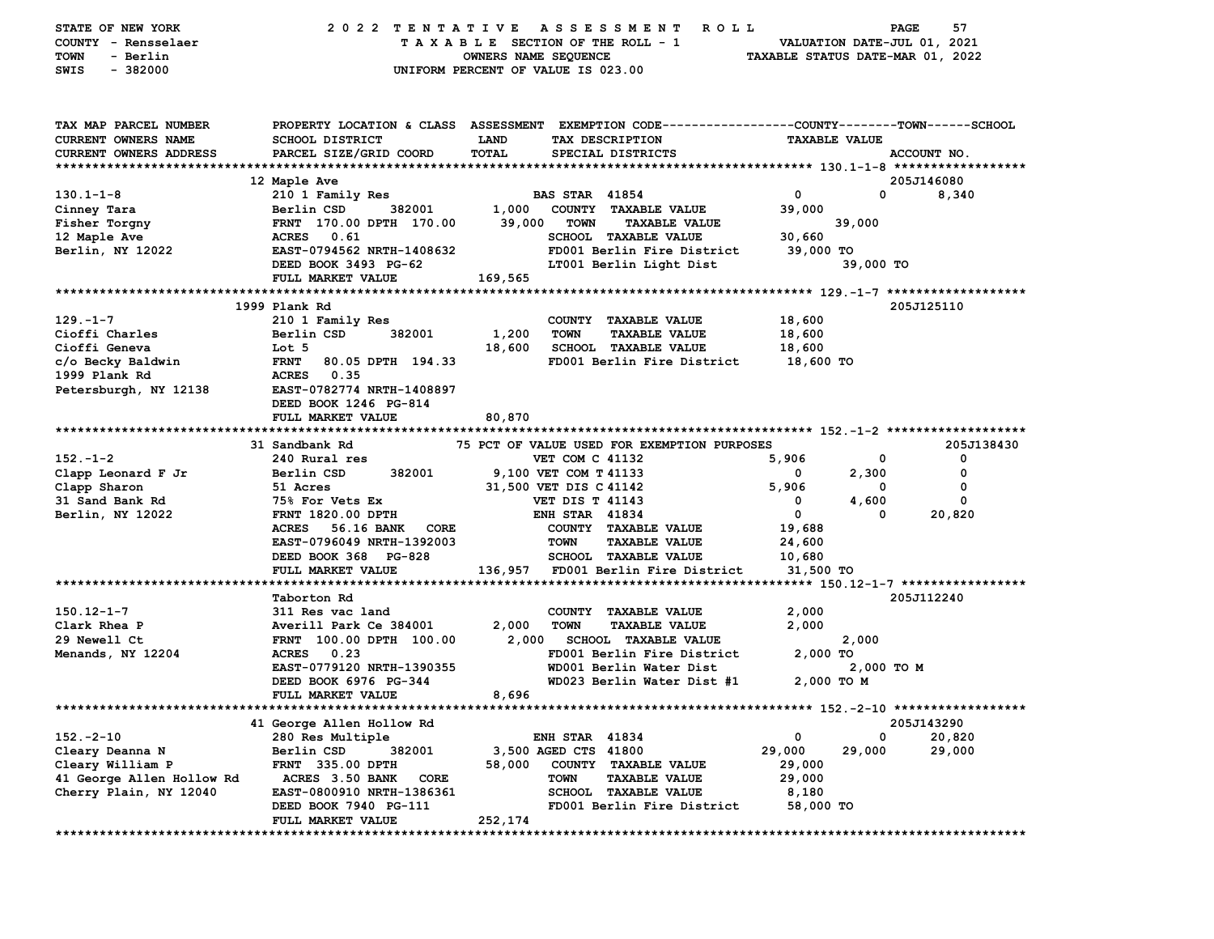| STATE OF NEW YORK<br>COUNTY - Rensselaer<br>- Berlin<br>TOWN<br>$-382000$<br>SWIS |                                              | 2022 TENTATIVE ASSESSMENT ROLL<br>TAXABLE SECTION OF THE ROLL - 1<br>OWNERS NAME SEQUENCE<br>UNIFORM PERCENT OF VALUE IS 023.00 | PAGE<br>57<br>VALUATION DATE-JUL 01, 2021<br>TAXABLE STATUS DATE-MAR 01, 2022 |
|-----------------------------------------------------------------------------------|----------------------------------------------|---------------------------------------------------------------------------------------------------------------------------------|-------------------------------------------------------------------------------|
| TAX MAP PARCEL NUMBER                                                             |                                              | PROPERTY LOCATION & CLASS ASSESSMENT EXEMPTION CODE---------------COUNTY-------TOWN------SCHOOL                                 |                                                                               |
| CURRENT OWNERS NAME                                                               | <b>SCHOOL DISTRICT</b>                       | LAND<br>TAX DESCRIPTION                                                                                                         | <b>TAXABLE VALUE</b>                                                          |
| CURRENT OWNERS ADDRESS                                                            | PARCEL SIZE/GRID COORD                       | TOTAL<br>SPECIAL DISTRICTS                                                                                                      | ACCOUNT NO.                                                                   |
|                                                                                   | 12 Maple Ave                                 |                                                                                                                                 | 205J146080                                                                    |
| $130.1 - 1 - 8$                                                                   | 210 1 Family Res                             | <b>BAS STAR 41854</b>                                                                                                           | $\mathbf{0}$<br>$\mathbf{0}$<br>8,340                                         |
| Cinney Tara                                                                       | Berlin CSD<br>382001                         | 1,000<br>COUNTY TAXABLE VALUE                                                                                                   | 39,000                                                                        |
| Fisher Torgny                                                                     | FRNT 170.00 DPTH 170.00                      | 39,000<br>TOWN<br><b>TAXABLE VALUE</b>                                                                                          | 39,000                                                                        |
| 12 Maple Ave                                                                      | ACRES 0.61                                   | SCHOOL TAXABLE VALUE                                                                                                            | 30,660                                                                        |
| Berlin, NY 12022                                                                  | EAST-0794562 NRTH-1408632                    | FD001 Berlin Fire District                                                                                                      | 39,000 TO                                                                     |
|                                                                                   | DEED BOOK 3493 PG-62                         | LT001 Berlin Light Dist                                                                                                         | 39,000 TO                                                                     |
|                                                                                   | FULL MARKET VALUE                            | 169,565                                                                                                                         |                                                                               |
|                                                                                   |                                              |                                                                                                                                 |                                                                               |
|                                                                                   | 1999 Plank Rd                                |                                                                                                                                 | 205J125110                                                                    |
| $129. - 1 - 7$                                                                    | 210 1 Family Res<br>382001                   | COUNTY TAXABLE VALUE                                                                                                            | 18,600                                                                        |
| Cioffi Charles<br>Cioffi Geneva                                                   | Berlin CSD<br>Lot 5                          | 1,200<br><b>TAXABLE VALUE</b><br><b>TOWN</b><br>18,600<br><b>SCHOOL TAXABLE VALUE</b>                                           | 18,600<br>18,600                                                              |
| c/o Becky Baldwin                                                                 | <b>FRNT</b><br>80.05 DPTH 194.33             | FD001 Berlin Fire District                                                                                                      | 18,600 TO                                                                     |
| 1999 Plank Rd                                                                     | <b>ACRES</b> 0.35                            |                                                                                                                                 |                                                                               |
| Petersburgh, NY 12138                                                             | EAST-0782774 NRTH-1408897                    |                                                                                                                                 |                                                                               |
|                                                                                   | DEED BOOK 1246 PG-814                        |                                                                                                                                 |                                                                               |
|                                                                                   | FULL MARKET VALUE                            | 80,870                                                                                                                          |                                                                               |
|                                                                                   |                                              |                                                                                                                                 |                                                                               |
|                                                                                   | 31 Sandbank Rd                               | 75 PCT OF VALUE USED FOR EXEMPTION PURPOSES                                                                                     | 205J138430                                                                    |
| $152 - 1 - 2$                                                                     | 240 Rural res                                | <b>VET COM C 41132</b>                                                                                                          | 5,906<br>0<br>0                                                               |
| Clapp Leonard F Jr                                                                | 382001<br>Berlin CSD                         | 9,100 VET COM T 41133                                                                                                           | 0<br>2,300<br>0                                                               |
| Clapp Sharon                                                                      | 51 Acres                                     | 31,500 VET DIS C 41142                                                                                                          | 5,906<br>0<br>0                                                               |
| 31 Sand Bank Rd                                                                   | 75% For Vets Ex                              | <b>VET DIS T 41143</b>                                                                                                          | 4,600<br>0<br>0                                                               |
| Berlin, NY 12022                                                                  | <b>FRNT 1820.00 DPTH</b><br><b>ACRES</b>     | <b>ENH STAR 41834</b>                                                                                                           | $\mathbf 0$<br>20,820<br>0                                                    |
|                                                                                   | 56.16 BANK CORE<br>EAST-0796049 NRTH-1392003 | COUNTY TAXABLE VALUE<br>TOWN<br><b>TAXABLE VALUE</b>                                                                            | 19,688<br>24,600                                                              |
|                                                                                   | DEED BOOK 368 PG-828                         | SCHOOL TAXABLE VALUE                                                                                                            | 10,680                                                                        |
|                                                                                   | FULL MARKET VALUE                            | FD001 Berlin Fire District<br>136,957                                                                                           | 31,500 TO                                                                     |
|                                                                                   |                                              |                                                                                                                                 |                                                                               |
|                                                                                   | Taborton Rd                                  |                                                                                                                                 | 205J112240                                                                    |
| $150.12 - 1 - 7$                                                                  | 311 Res vac land                             | COUNTY TAXABLE VALUE                                                                                                            | 2,000                                                                         |
| Clark Rhea P                                                                      | Averill Park Ce 384001                       | 2,000<br>TOWN<br><b>TAXABLE VALUE</b>                                                                                           | 2,000                                                                         |
| 29 Newell Ct                                                                      | FRNT 100.00 DPTH 100.00                      | 2,000 SCHOOL TAXABLE VALUE                                                                                                      | 2,000                                                                         |
| Menands, NY 12204                                                                 | 0.23<br><b>ACRES</b>                         | FD001 Berlin Fire District                                                                                                      | 2,000 TO                                                                      |
|                                                                                   | EAST-0779120 NRTH-1390355                    | WD001 Berlin Water Dist                                                                                                         | 2,000 TO M                                                                    |
|                                                                                   | DEED BOOK 6976 PG-344                        | WD023 Berlin Water Dist #1                                                                                                      | 2,000 TO M                                                                    |
|                                                                                   | FULL MARKET VALUE                            | 8,696                                                                                                                           |                                                                               |
|                                                                                   | 41 George Allen Hollow Rd                    |                                                                                                                                 | 205J143290                                                                    |
| $152 - 2 - 10$                                                                    | 280 Res Multiple                             | <b>ENH STAR 41834</b>                                                                                                           | 0<br>0<br>20,820                                                              |
| Cleary Deanna N                                                                   | 382001<br>Berlin CSD                         | 3,500 AGED CTS 41800                                                                                                            | 29,000<br>29,000<br>29,000                                                    |
| Cleary William P                                                                  | <b>FRNT 335.00 DPTH</b>                      | 58,000<br>COUNTY<br><b>TAXABLE VALUE</b>                                                                                        | 29,000                                                                        |
| 41 George Allen Hollow Rd                                                         | ACRES 3.50 BANK<br>CORE                      | <b>TOWN</b><br><b>TAXABLE VALUE</b>                                                                                             | 29,000                                                                        |
| Cherry Plain, NY 12040                                                            | EAST-0800910 NRTH-1386361                    | <b>SCHOOL</b><br><b>TAXABLE VALUE</b>                                                                                           | 8,180                                                                         |
|                                                                                   | DEED BOOK 7940 PG-111                        | FD001 Berlin Fire District                                                                                                      | 58,000 TO                                                                     |
|                                                                                   | FULL MARKET VALUE                            | 252,174                                                                                                                         |                                                                               |
|                                                                                   |                                              |                                                                                                                                 |                                                                               |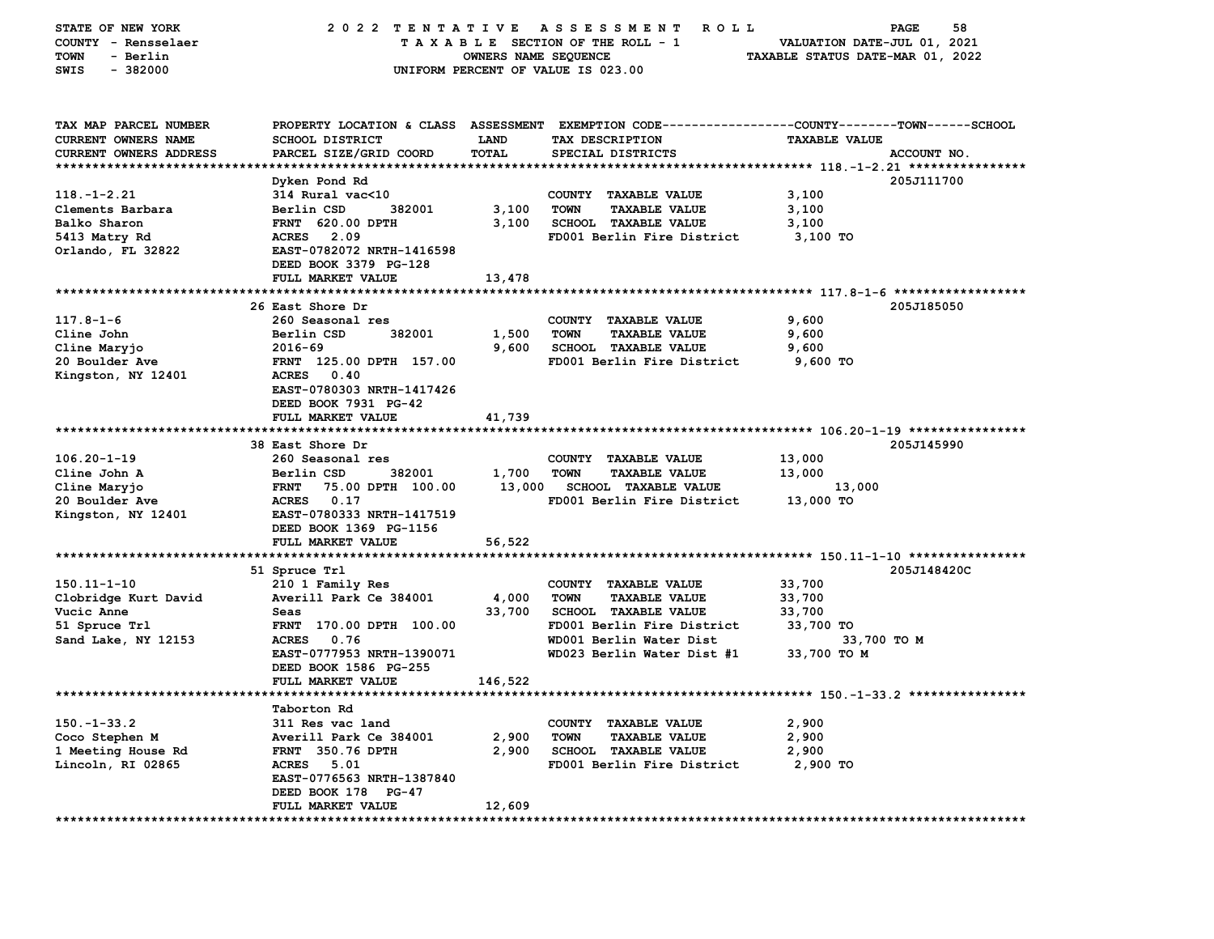| STATE OF NEW YORK<br>COUNTY - Rensselaer<br>- Berlin<br>TOWN<br>$-382000$<br>SWIS    | 2022 TENTATIVE                                                            | OWNERS NAME SEQUENCE | ASSESSMENT<br><b>ROLL</b><br>TAXABLE SECTION OF THE ROLL - 1<br>UNIFORM PERCENT OF VALUE IS 023.00 | 58<br>PAGE<br>VALUATION DATE-JUL 01, 2021<br>TAXABLE STATUS DATE-MAR 01, 2022                                                         |
|--------------------------------------------------------------------------------------|---------------------------------------------------------------------------|----------------------|----------------------------------------------------------------------------------------------------|---------------------------------------------------------------------------------------------------------------------------------------|
| TAX MAP PARCEL NUMBER<br><b>CURRENT OWNERS NAME</b><br><b>CURRENT OWNERS ADDRESS</b> | <b>SCHOOL DISTRICT</b><br>PARCEL SIZE/GRID COORD                          | LAND<br>TOTAL        | TAX DESCRIPTION<br>SPECIAL DISTRICTS                                                               | PROPERTY LOCATION & CLASS ASSESSMENT EXEMPTION CODE---------------COUNTY-------TOWN-----SCHOOL<br><b>TAXABLE VALUE</b><br>ACCOUNT NO. |
|                                                                                      | Dyken Pond Rd                                                             |                      |                                                                                                    | 205J111700                                                                                                                            |
| $118. - 1 - 2.21$                                                                    | 314 Rural vac<10                                                          |                      | COUNTY TAXABLE VALUE                                                                               | 3,100                                                                                                                                 |
| Clements Barbara                                                                     | Berlin CSD<br>382001                                                      | 3,100                | <b>TOWN</b><br><b>TAXABLE VALUE</b>                                                                | 3,100                                                                                                                                 |
| Balko Sharon                                                                         | <b>FRNT 620.00 DPTH</b>                                                   | 3,100                | <b>SCHOOL TAXABLE VALUE</b>                                                                        | 3,100                                                                                                                                 |
| 5413 Matry Rd                                                                        | 2.09<br><b>ACRES</b>                                                      |                      | FD001 Berlin Fire District                                                                         | 3,100 TO                                                                                                                              |
| Orlando, FL 32822                                                                    | EAST-0782072 NRTH-1416598<br>DEED BOOK 3379 PG-128                        |                      |                                                                                                    |                                                                                                                                       |
|                                                                                      | FULL MARKET VALUE                                                         | 13,478               |                                                                                                    |                                                                                                                                       |
|                                                                                      | 26 East Shore Dr                                                          |                      |                                                                                                    | 205J185050                                                                                                                            |
| $117.8 - 1 - 6$                                                                      | 260 Seasonal res                                                          |                      | COUNTY TAXABLE VALUE                                                                               | 9,600                                                                                                                                 |
| Cline John                                                                           | Berlin CSD<br>382001                                                      | 1,500                | <b>TOWN</b><br><b>TAXABLE VALUE</b>                                                                | 9,600                                                                                                                                 |
| Cline Maryjo                                                                         | $2016 - 69$                                                               | 9,600                | <b>SCHOOL TAXABLE VALUE</b>                                                                        | 9,600                                                                                                                                 |
| 20 Boulder Ave                                                                       | FRNT 125.00 DPTH 157.00                                                   |                      | FD001 Berlin Fire District                                                                         | 9,600 TO                                                                                                                              |
| Kingston, NY 12401                                                                   | 0.40<br><b>ACRES</b><br>EAST-0780303 NRTH-1417426<br>DEED BOOK 7931 PG-42 |                      |                                                                                                    |                                                                                                                                       |
|                                                                                      | FULL MARKET VALUE                                                         | 41,739               |                                                                                                    |                                                                                                                                       |
|                                                                                      | 38 East Shore Dr                                                          |                      |                                                                                                    | 205J145990                                                                                                                            |
| $106.20 - 1 - 19$                                                                    | 260 Seasonal res                                                          |                      | COUNTY TAXABLE VALUE                                                                               | 13,000                                                                                                                                |
| Cline John A                                                                         | Berlin CSD<br>382001                                                      | 1,700                | <b>TOWN</b><br><b>TAXABLE VALUE</b>                                                                | 13,000                                                                                                                                |
| Cline Maryjo                                                                         | <b>FRNT</b><br>75.00 DPTH 100.00                                          | 13,000               | <b>SCHOOL TAXABLE VALUE</b>                                                                        | 13,000                                                                                                                                |
| 20 Boulder Ave                                                                       | <b>ACRES</b><br>0.17                                                      |                      | FD001 Berlin Fire District                                                                         | 13,000 TO                                                                                                                             |
| Kingston, NY 12401                                                                   | EAST-0780333 NRTH-1417519                                                 |                      |                                                                                                    |                                                                                                                                       |
|                                                                                      | DEED BOOK 1369 PG-1156                                                    |                      |                                                                                                    |                                                                                                                                       |
|                                                                                      | FULL MARKET VALUE                                                         | 56,522               |                                                                                                    |                                                                                                                                       |
|                                                                                      |                                                                           |                      |                                                                                                    |                                                                                                                                       |
| $150.11 - 1 - 10$                                                                    | 51 Spruce Trl<br>210 1 Family Res                                         |                      | COUNTY TAXABLE VALUE                                                                               | 205J148420C<br>33,700                                                                                                                 |
| Clobridge Kurt David                                                                 | Averill Park Ce 384001                                                    | 4,000                | <b>TOWN</b><br><b>TAXABLE VALUE</b>                                                                | 33,700                                                                                                                                |
| Vucic Anne                                                                           | Seas                                                                      | 33,700               | <b>SCHOOL TAXABLE VALUE</b>                                                                        | 33,700                                                                                                                                |
| 51 Spruce Trl                                                                        | <b>FRNT</b><br>170.00 DPTH 100.00                                         |                      | FD001 Berlin Fire District                                                                         | 33,700 TO                                                                                                                             |
| Sand Lake, NY 12153                                                                  | <b>ACRES</b><br>0.76                                                      |                      | WD001 Berlin Water Dist                                                                            | 33,700 то м                                                                                                                           |
|                                                                                      | EAST-0777953 NRTH-1390071                                                 |                      | WD023 Berlin Water Dist #1                                                                         | 33,700 TO M                                                                                                                           |
|                                                                                      | DEED BOOK 1586 PG-255                                                     |                      |                                                                                                    |                                                                                                                                       |
|                                                                                      | FULL MARKET VALUE                                                         | 146,522              |                                                                                                    |                                                                                                                                       |
|                                                                                      |                                                                           |                      |                                                                                                    |                                                                                                                                       |
|                                                                                      | Taborton Rd                                                               |                      |                                                                                                    |                                                                                                                                       |
| $150. - 1 - 33.2$                                                                    | 311 Res vac land                                                          |                      | <b>TAXABLE VALUE</b><br><b>COUNTY</b>                                                              | 2,900                                                                                                                                 |
| Coco Stephen M<br>1 Meeting House Rd                                                 | Averill Park Ce 384001<br><b>FRNT</b> 350.76 DPTH                         | 2,900<br>2,900       | <b>TOWN</b><br><b>TAXABLE VALUE</b><br><b>SCHOOL TAXABLE VALUE</b>                                 | 2,900<br>2,900                                                                                                                        |
| Lincoln, RI 02865                                                                    | <b>ACRES</b><br>5.01                                                      |                      | FD001 Berlin Fire District                                                                         | 2,900 TO                                                                                                                              |
|                                                                                      | EAST-0776563 NRTH-1387840                                                 |                      |                                                                                                    |                                                                                                                                       |
|                                                                                      | DEED BOOK 178 PG-47                                                       |                      |                                                                                                    |                                                                                                                                       |
|                                                                                      | FULL MARKET VALUE                                                         | 12,609               |                                                                                                    |                                                                                                                                       |
|                                                                                      |                                                                           |                      |                                                                                                    |                                                                                                                                       |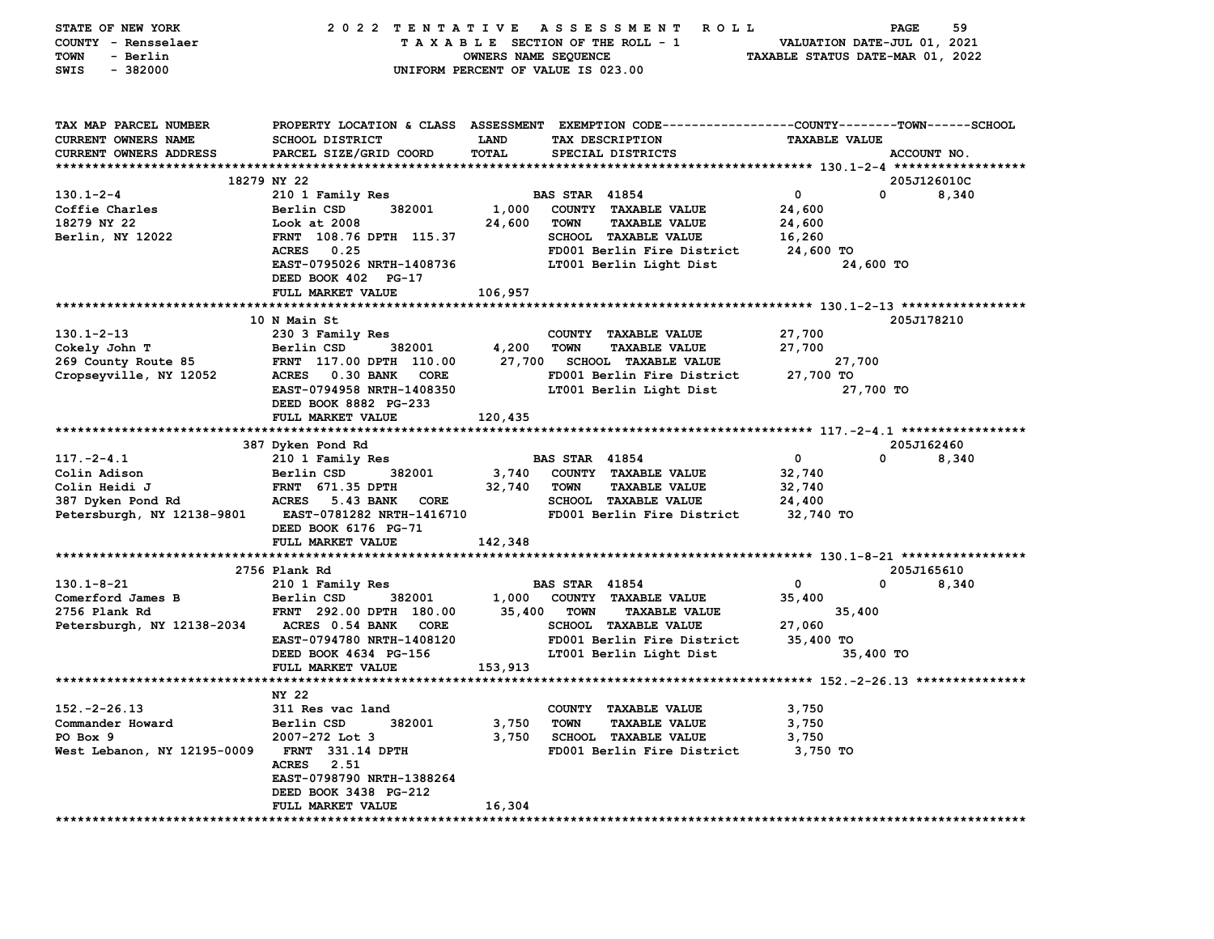| STATE OF NEW YORK             | 2022 TENTATIVE                                  |                      | A S S E S S M E N T<br><b>ROLL</b>                                                              |                                  | <b>PAGE</b><br>59    |
|-------------------------------|-------------------------------------------------|----------------------|-------------------------------------------------------------------------------------------------|----------------------------------|----------------------|
| COUNTY - Rensselaer           |                                                 |                      | TAXABLE SECTION OF THE ROLL - 1                                                                 | VALUATION DATE-JUL 01, 2021      |                      |
| - Berlin<br>TOWN              |                                                 | OWNERS NAME SEQUENCE |                                                                                                 | TAXABLE STATUS DATE-MAR 01, 2022 |                      |
| $-382000$<br>SWIS             |                                                 |                      | UNIFORM PERCENT OF VALUE IS 023.00                                                              |                                  |                      |
|                               |                                                 |                      |                                                                                                 |                                  |                      |
|                               |                                                 |                      |                                                                                                 |                                  |                      |
|                               |                                                 |                      |                                                                                                 |                                  |                      |
| TAX MAP PARCEL NUMBER         |                                                 |                      | PROPERTY LOCATION & CLASS ASSESSMENT EXEMPTION CODE---------------COUNTY-------TOWN------SCHOOL |                                  |                      |
| CURRENT OWNERS NAME           | <b>SCHOOL DISTRICT</b>                          | <b>LAND</b>          | TAX DESCRIPTION                                                                                 | <b>TAXABLE VALUE</b>             |                      |
| <b>CURRENT OWNERS ADDRESS</b> | PARCEL SIZE/GRID COORD                          | TOTAL                | SPECIAL DISTRICTS                                                                               |                                  | ACCOUNT NO.          |
|                               |                                                 |                      |                                                                                                 |                                  |                      |
|                               | 18279 NY 22                                     |                      |                                                                                                 |                                  | 205J126010C          |
| $130.1 - 2 - 4$               | 210 1 Family Res                                |                      | <b>BAS STAR 41854</b>                                                                           | 0                                | $\mathbf 0$<br>8,340 |
| Coffie Charles                | Berlin CSD<br>382001                            | 1,000                | COUNTY TAXABLE VALUE                                                                            | 24,600                           |                      |
| 18279 NY 22                   | Look at 2008                                    | 24,600               | TOWN<br><b>TAXABLE VALUE</b>                                                                    | 24,600                           |                      |
| Berlin, NY 12022              | FRNT 108.76 DPTH 115.37                         |                      | SCHOOL TAXABLE VALUE                                                                            | 16,260                           |                      |
|                               | <b>ACRES</b><br>0.25                            |                      | FD001 Berlin Fire District                                                                      | 24,600 TO                        |                      |
|                               | EAST-0795026 NRTH-1408736                       |                      | LT001 Berlin Light Dist                                                                         | 24,600 TO                        |                      |
|                               | DEED BOOK 402 PG-17                             |                      |                                                                                                 |                                  |                      |
|                               |                                                 |                      |                                                                                                 |                                  |                      |
|                               | FULL MARKET VALUE                               | 106,957              |                                                                                                 |                                  |                      |
|                               |                                                 |                      |                                                                                                 |                                  |                      |
|                               | 10 N Main St                                    |                      |                                                                                                 |                                  | 205J178210           |
| $130.1 - 2 - 13$              | 230 3 Family Res                                |                      | COUNTY TAXABLE VALUE                                                                            | 27,700                           |                      |
| Cokely John T                 | Berlin CSD<br>382001                            | 4,200                | <b>TOWN</b><br><b>TAXABLE VALUE</b>                                                             | 27,700                           |                      |
| 269 County Route 85           | FRNT 117.00 DPTH 110.00                         | 27,700               | <b>SCHOOL TAXABLE VALUE</b>                                                                     | 27,700                           |                      |
| Cropseyville, NY 12052        | <b>ACRES</b><br><b>0.30 BANK</b><br><b>CORE</b> |                      | FD001 Berlin Fire District                                                                      | 27,700 TO                        |                      |
|                               | EAST-0794958 NRTH-1408350                       |                      | LT001 Berlin Light Dist                                                                         | 27,700 TO                        |                      |
|                               | DEED BOOK 8882 PG-233                           |                      |                                                                                                 |                                  |                      |
|                               | FULL MARKET VALUE                               | 120,435              |                                                                                                 |                                  |                      |
|                               |                                                 |                      |                                                                                                 |                                  |                      |
|                               | 387 Dyken Pond Rd                               |                      |                                                                                                 |                                  | 205J162460           |
| $117. - 2 - 4.1$              | 210 1 Family Res                                |                      | <b>BAS STAR 41854</b>                                                                           | 0                                | 0<br>8,340           |
| Colin Adison                  | Berlin CSD<br>382001                            | 3,740                | COUNTY TAXABLE VALUE                                                                            | 32,740                           |                      |
| Colin Heidi J                 | <b>FRNT 671.35 DPTH</b>                         | 32,740               | <b>TOWN</b><br><b>TAXABLE VALUE</b>                                                             | 32,740                           |                      |
| 387 Dyken Pond Rd             | ACRES 5.43 BANK<br>CORE                         |                      | <b>SCHOOL TAXABLE VALUE</b>                                                                     | 24,400                           |                      |
| Petersburgh, NY 12138-9801    | <b>EAST-0781282 NRTH-1416710</b>                |                      | FD001 Berlin Fire District                                                                      | 32,740 TO                        |                      |
|                               | DEED BOOK 6176 PG-71                            |                      |                                                                                                 |                                  |                      |
|                               | FULL MARKET VALUE                               | 142,348              |                                                                                                 |                                  |                      |
|                               |                                                 |                      |                                                                                                 |                                  |                      |
|                               | 2756 Plank Rd                                   |                      |                                                                                                 |                                  | 205J165610           |
| $130.1 - 8 - 21$              | 210 1 Family Res                                |                      | <b>BAS STAR 41854</b>                                                                           | $\mathbf{o}$<br>0                | 8,340                |
| Comerford James B             | Berlin CSD<br>382001                            | 1,000                | COUNTY TAXABLE VALUE                                                                            | 35,400                           |                      |
| 2756 Plank Rd                 | FRNT 292.00 DPTH 180.00                         | 35,400               | <b>TOWN</b><br><b>TAXABLE VALUE</b>                                                             | 35,400                           |                      |
| Petersburgh, NY 12138-2034    | ACRES 0.54 BANK CORE                            |                      | <b>SCHOOL TAXABLE VALUE</b>                                                                     | 27,060                           |                      |
|                               | EAST-0794780 NRTH-1408120                       |                      | FD001 Berlin Fire District                                                                      | 35,400 TO                        |                      |
|                               | DEED BOOK 4634 PG-156                           |                      | LT001 Berlin Light Dist                                                                         | 35,400 TO                        |                      |
|                               | FULL MARKET VALUE                               | 153,913              |                                                                                                 |                                  |                      |
|                               |                                                 |                      |                                                                                                 |                                  |                      |
|                               | NY 22                                           |                      |                                                                                                 |                                  |                      |
| $152. -2 - 26.13$             | 311 Res vac land                                |                      | COUNTY TAXABLE VALUE                                                                            |                                  |                      |
|                               |                                                 |                      | <b>TAXABLE VALUE</b>                                                                            | 3,750<br>3,750                   |                      |
| Commander Howard              | 382001<br>Berlin CSD                            | 3,750                | <b>TOWN</b>                                                                                     |                                  |                      |
| PO Box 9                      | 2007-272 Lot 3                                  | 3,750                | <b>SCHOOL TAXABLE VALUE</b>                                                                     | 3,750                            |                      |
| West Lebanon, NY 12195-0009   | <b>FRNT 331.14 DPTH</b>                         |                      | FD001 Berlin Fire District                                                                      | 3,750 TO                         |                      |
|                               | ACRES 2.51                                      |                      |                                                                                                 |                                  |                      |
|                               | EAST-0798790 NRTH-1388264                       |                      |                                                                                                 |                                  |                      |
|                               | DEED BOOK 3438 PG-212                           |                      |                                                                                                 |                                  |                      |
|                               | FULL MARKET VALUE                               | 16,304               |                                                                                                 |                                  |                      |
|                               |                                                 |                      |                                                                                                 |                                  |                      |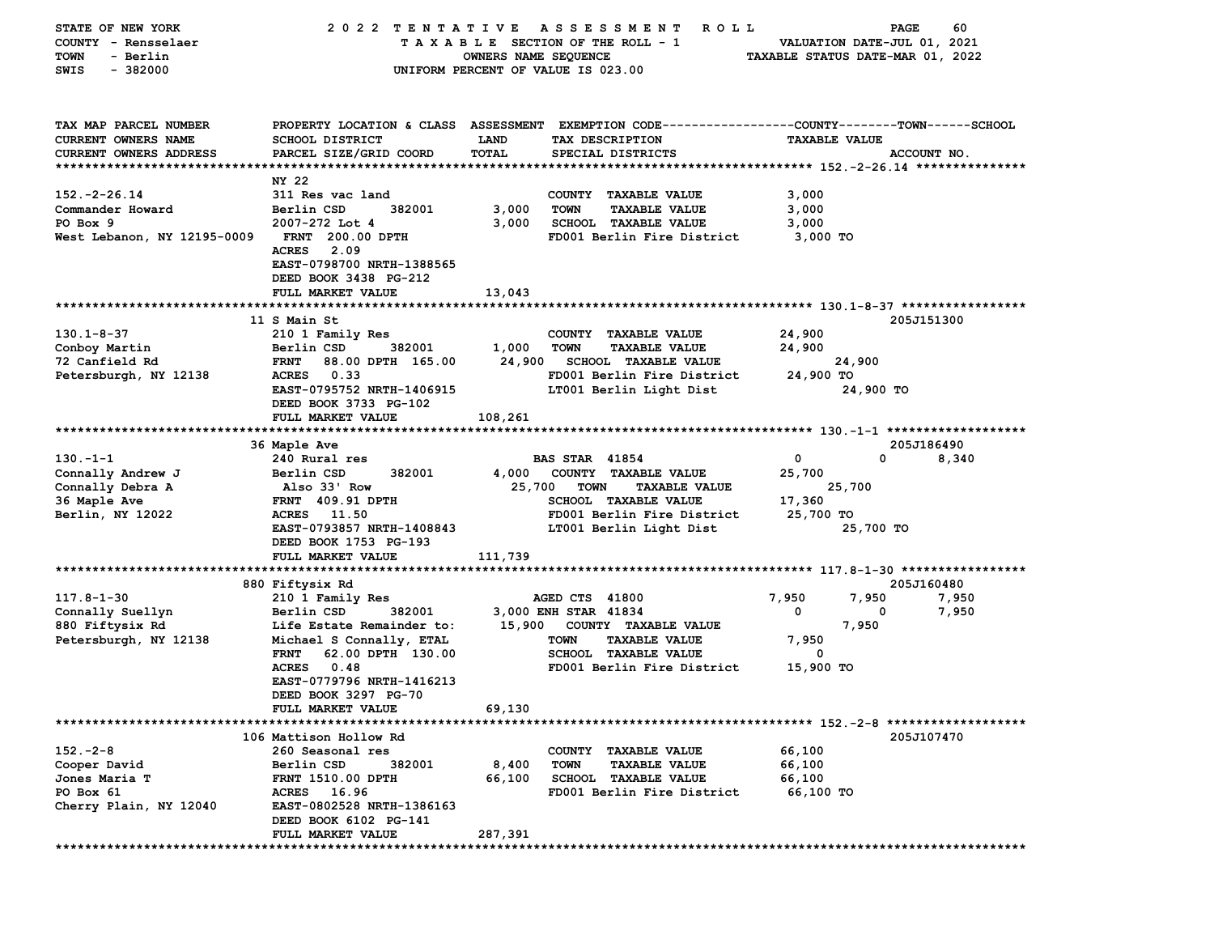| STATE OF NEW YORK           | 2022 TENTATIVE                                                                                 |                                    |                       | A S S E S S M E N T<br>R O L L  |                                  | PAGE                        | 60          |
|-----------------------------|------------------------------------------------------------------------------------------------|------------------------------------|-----------------------|---------------------------------|----------------------------------|-----------------------------|-------------|
| COUNTY - Rensselaer         |                                                                                                |                                    |                       | TAXABLE SECTION OF THE ROLL - 1 |                                  | VALUATION DATE-JUL 01, 2021 |             |
| - Berlin<br>TOWN            |                                                                                                | OWNERS NAME SEQUENCE               |                       |                                 | TAXABLE STATUS DATE-MAR 01, 2022 |                             |             |
| SWIS<br>$-382000$           |                                                                                                | UNIFORM PERCENT OF VALUE IS 023.00 |                       |                                 |                                  |                             |             |
|                             |                                                                                                |                                    |                       |                                 |                                  |                             |             |
|                             |                                                                                                |                                    |                       |                                 |                                  |                             |             |
|                             |                                                                                                |                                    |                       |                                 |                                  |                             |             |
| TAX MAP PARCEL NUMBER       | PROPERTY LOCATION & CLASS ASSESSMENT EXEMPTION CODE---------------COUNTY-------TOWN-----SCHOOL |                                    |                       |                                 |                                  |                             |             |
| CURRENT OWNERS NAME         | <b>SCHOOL DISTRICT</b>                                                                         | <b>LAND</b>                        |                       | TAX DESCRIPTION                 |                                  | <b>TAXABLE VALUE</b>        |             |
| CURRENT OWNERS ADDRESS      | PARCEL SIZE/GRID COORD                                                                         | <b>TOTAL</b>                       |                       | SPECIAL DISTRICTS               |                                  |                             | ACCOUNT NO. |
|                             |                                                                                                |                                    |                       |                                 |                                  |                             |             |
|                             | NY 22                                                                                          |                                    |                       |                                 |                                  |                             |             |
| $152. - 2 - 26.14$          | 311 Res vac land                                                                               |                                    |                       | COUNTY TAXABLE VALUE            | 3,000                            |                             |             |
| Commander Howard            | 382001                                                                                         |                                    | <b>TOWN</b>           |                                 |                                  |                             |             |
|                             | Berlin CSD                                                                                     | 3,000                              |                       | <b>TAXABLE VALUE</b>            | 3,000                            |                             |             |
| PO Box 9                    | 2007-272 Lot 4                                                                                 | 3,000                              |                       | SCHOOL TAXABLE VALUE            | 3,000                            |                             |             |
| West Lebanon, NY 12195-0009 | <b>FRNT 200.00 DPTH</b>                                                                        |                                    |                       | FD001 Berlin Fire District      | 3,000 TO                         |                             |             |
|                             | <b>ACRES</b><br>2.09                                                                           |                                    |                       |                                 |                                  |                             |             |
|                             | EAST-0798700 NRTH-1388565                                                                      |                                    |                       |                                 |                                  |                             |             |
|                             | DEED BOOK 3438 PG-212                                                                          |                                    |                       |                                 |                                  |                             |             |
|                             | FULL MARKET VALUE                                                                              | 13,043                             |                       |                                 |                                  |                             |             |
|                             |                                                                                                |                                    |                       |                                 |                                  |                             |             |
|                             | 11 S Main St                                                                                   |                                    |                       |                                 |                                  |                             | 205J151300  |
| $130.1 - 8 - 37$            | 210 1 Family Res                                                                               |                                    |                       | COUNTY TAXABLE VALUE            | 24,900                           |                             |             |
| Conboy Martin               | Berlin CSD<br>382001                                                                           | 1,000                              | <b>TOWN</b>           | <b>TAXABLE VALUE</b>            | 24,900                           |                             |             |
| 72 Canfield Rd              | <b>FRNT</b><br>88.00 DPTH 165.00                                                               | 24,900                             |                       | <b>SCHOOL TAXABLE VALUE</b>     |                                  | 24,900                      |             |
|                             | <b>ACRES</b><br>0.33                                                                           |                                    |                       | FD001 Berlin Fire District      |                                  |                             |             |
| Petersburgh, NY 12138       |                                                                                                |                                    |                       |                                 | 24,900 TO                        |                             |             |
|                             | EAST-0795752 NRTH-1406915                                                                      |                                    |                       | LT001 Berlin Light Dist         |                                  | 24,900 TO                   |             |
|                             | DEED BOOK 3733 PG-102                                                                          |                                    |                       |                                 |                                  |                             |             |
|                             | FULL MARKET VALUE                                                                              | 108,261                            |                       |                                 |                                  |                             |             |
|                             |                                                                                                |                                    |                       |                                 |                                  |                             |             |
|                             | 36 Maple Ave                                                                                   |                                    |                       |                                 |                                  |                             | 205J186490  |
| $130 - 1 - 1$               | 240 Rural res                                                                                  |                                    | <b>BAS STAR 41854</b> |                                 | 0                                | $\mathbf 0$                 | 8,340       |
| Connally Andrew J           | Berlin CSD<br>382001                                                                           | 4,000                              |                       | COUNTY TAXABLE VALUE            | 25,700                           |                             |             |
| Connally Debra A            | Also 33' Row                                                                                   | 25,700                             | <b>TOWN</b>           | <b>TAXABLE VALUE</b>            |                                  | 25,700                      |             |
| 36 Maple Ave                | <b>FRNT 409.91 DPTH</b>                                                                        |                                    |                       | <b>SCHOOL TAXABLE VALUE</b>     | 17,360                           |                             |             |
| Berlin, NY 12022            | ACRES 11.50                                                                                    |                                    |                       | FD001 Berlin Fire District      | 25,700 TO                        |                             |             |
|                             | EAST-0793857 NRTH-1408843                                                                      |                                    |                       | LT001 Berlin Light Dist         |                                  | 25,700 TO                   |             |
|                             | DEED BOOK 1753 PG-193                                                                          |                                    |                       |                                 |                                  |                             |             |
|                             | FULL MARKET VALUE                                                                              | 111,739                            |                       |                                 |                                  |                             |             |
|                             |                                                                                                |                                    |                       |                                 |                                  |                             |             |
|                             |                                                                                                |                                    |                       |                                 |                                  |                             |             |
|                             | 880 Fiftysix Rd                                                                                |                                    |                       |                                 |                                  |                             | 205J160480  |
| $117.8 - 1 - 30$            | 210 1 Family Res                                                                               |                                    | AGED CTS 41800        |                                 | 7,950                            | 7,950                       | 7,950       |
| Connally Suellyn            | Berlin CSD<br>382001                                                                           |                                    | 3,000 ENH STAR 41834  |                                 | 0                                | 0                           | 7,950       |
| 880 Fiftysix Rd             | Life Estate Remainder to:                                                                      | 15,900                             |                       | COUNTY TAXABLE VALUE            |                                  | 7,950                       |             |
| Petersburgh, NY 12138       | Michael S Connally, ETAL                                                                       |                                    | <b>TOWN</b>           | <b>TAXABLE VALUE</b>            | 7,950                            |                             |             |
|                             | <b>FRNT</b><br>62.00 DPTH 130.00                                                               |                                    |                       | <b>SCHOOL TAXABLE VALUE</b>     | 0                                |                             |             |
|                             | <b>ACRES</b><br>0.48                                                                           |                                    |                       | FD001 Berlin Fire District      | 15,900 TO                        |                             |             |
|                             | EAST-0779796 NRTH-1416213                                                                      |                                    |                       |                                 |                                  |                             |             |
|                             | DEED BOOK 3297 PG-70                                                                           |                                    |                       |                                 |                                  |                             |             |
|                             | FULL MARKET VALUE                                                                              | 69,130                             |                       |                                 |                                  |                             |             |
|                             |                                                                                                |                                    |                       |                                 |                                  |                             |             |
|                             | 106 Mattison Hollow Rd                                                                         |                                    |                       |                                 |                                  |                             | 205J107470  |
| $152 - 2 - 8$               | 260 Seasonal res                                                                               |                                    |                       | COUNTY TAXABLE VALUE            | 66,100                           |                             |             |
| Cooper David                | Berlin CSD<br>382001                                                                           | 8,400                              | <b>TOWN</b>           | <b>TAXABLE VALUE</b>            | 66,100                           |                             |             |
|                             |                                                                                                |                                    |                       |                                 |                                  |                             |             |
| Jones Maria T               | <b>FRNT 1510.00 DPTH</b>                                                                       | 66,100                             |                       | <b>SCHOOL TAXABLE VALUE</b>     | 66,100                           |                             |             |
| PO Box 61                   | ACRES 16.96                                                                                    |                                    |                       | FD001 Berlin Fire District      | 66,100 TO                        |                             |             |
| Cherry Plain, NY 12040      | EAST-0802528 NRTH-1386163                                                                      |                                    |                       |                                 |                                  |                             |             |
|                             | DEED BOOK 6102 PG-141                                                                          |                                    |                       |                                 |                                  |                             |             |
|                             | FULL MARKET VALUE                                                                              | 287,391                            |                       |                                 |                                  |                             |             |
|                             |                                                                                                |                                    |                       |                                 |                                  |                             |             |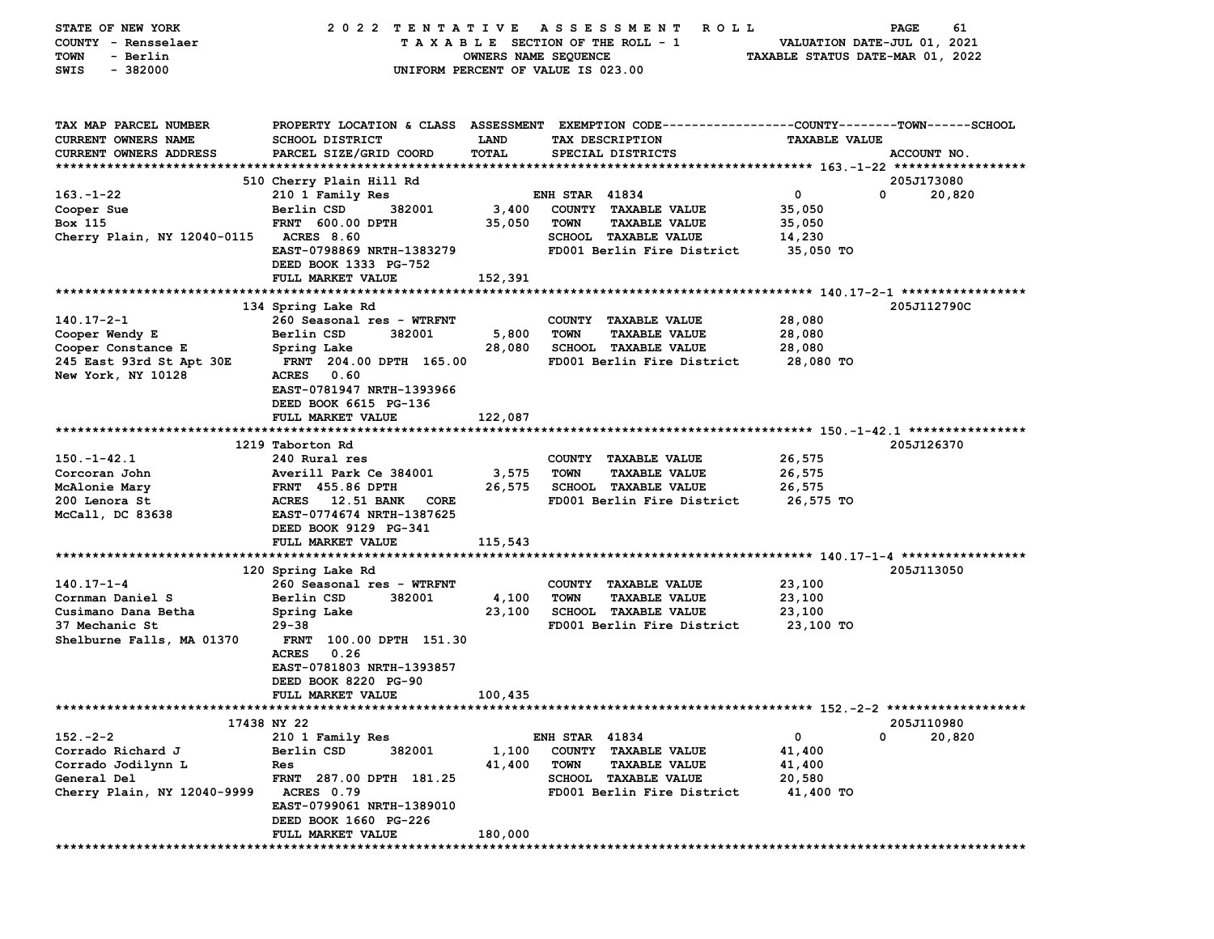| STATE OF NEW YORK<br>COUNTY - Rensselaer<br>- Berlin<br>TOWN<br>$-382000$<br>SWIS | 2022 TENTATIVE                                                                                                                                      | OWNERS NAME SEQUENCE<br>UNIFORM PERCENT OF VALUE IS 023.00 |                       | ASSESSMENT<br>ROLL<br>TAXABLE SECTION OF THE ROLL - 1 | TAXABLE STATUS DATE-MAR 01, 2022 | 61<br>PAGE<br>VALUATION DATE-JUL 01, 2021 |
|-----------------------------------------------------------------------------------|-----------------------------------------------------------------------------------------------------------------------------------------------------|------------------------------------------------------------|-----------------------|-------------------------------------------------------|----------------------------------|-------------------------------------------|
| TAX MAP PARCEL NUMBER<br>CURRENT OWNERS NAME<br>CURRENT OWNERS ADDRESS            | PROPERTY LOCATION & CLASS ASSESSMENT EXEMPTION CODE---------------COUNTY-------TOWN------SCHOOL<br><b>SCHOOL DISTRICT</b><br>PARCEL SIZE/GRID COORD | LAND<br>TOTAL                                              |                       | TAX DESCRIPTION<br>SPECIAL DISTRICTS                  | <b>TAXABLE VALUE</b>             | ACCOUNT NO.                               |
|                                                                                   | 510 Cherry Plain Hill Rd                                                                                                                            |                                                            |                       |                                                       |                                  | 205J173080                                |
| $163 - 1 - 22$                                                                    | 210 1 Family Res                                                                                                                                    |                                                            | <b>ENH STAR 41834</b> |                                                       | $\mathbf 0$                      | 0<br>20,820                               |
| Cooper Sue                                                                        | Berlin CSD<br>382001                                                                                                                                | 3,400                                                      |                       | COUNTY TAXABLE VALUE                                  | 35,050                           |                                           |
| Box 115                                                                           | <b>FRNT 600.00 DPTH</b>                                                                                                                             | 35,050                                                     | <b>TOWN</b>           | <b>TAXABLE VALUE</b>                                  | 35,050                           |                                           |
| Cherry Plain, NY 12040-0115                                                       | <b>ACRES 8.60</b>                                                                                                                                   |                                                            |                       | SCHOOL TAXABLE VALUE                                  | 14,230                           |                                           |
|                                                                                   | EAST-0798869 NRTH-1383279<br>DEED BOOK 1333 PG-752                                                                                                  |                                                            |                       | FD001 Berlin Fire District                            | 35,050 TO                        |                                           |
|                                                                                   | FULL MARKET VALUE                                                                                                                                   | 152,391                                                    |                       |                                                       |                                  |                                           |
|                                                                                   |                                                                                                                                                     |                                                            |                       |                                                       |                                  |                                           |
|                                                                                   | 134 Spring Lake Rd                                                                                                                                  |                                                            |                       |                                                       |                                  | 205J112790C                               |
| $140.17 - 2 - 1$                                                                  | 260 Seasonal res - WTRFNT                                                                                                                           |                                                            |                       | COUNTY TAXABLE VALUE                                  | 28,080                           |                                           |
| Cooper Wendy E                                                                    | 382001<br>Berlin CSD                                                                                                                                | 5,800                                                      | <b>TOWN</b>           | <b>TAXABLE VALUE</b>                                  | 28,080                           |                                           |
| Cooper Constance E                                                                | Spring Lake                                                                                                                                         | 28,080                                                     |                       | <b>SCHOOL TAXABLE VALUE</b>                           | 28,080                           |                                           |
| 245 East 93rd St Apt 30E                                                          | FRNT 204.00 DPTH 165.00                                                                                                                             |                                                            |                       | FD001 Berlin Fire District                            | 28,080 TO                        |                                           |
| New York, NY 10128                                                                | <b>ACRES</b><br>0.60                                                                                                                                |                                                            |                       |                                                       |                                  |                                           |
|                                                                                   | EAST-0781947 NRTH-1393966                                                                                                                           |                                                            |                       |                                                       |                                  |                                           |
|                                                                                   | DEED BOOK 6615 PG-136                                                                                                                               |                                                            |                       |                                                       |                                  |                                           |
|                                                                                   | FULL MARKET VALUE                                                                                                                                   | 122,087                                                    |                       |                                                       |                                  |                                           |
|                                                                                   | 1219 Taborton Rd                                                                                                                                    |                                                            |                       |                                                       |                                  | 205J126370                                |
| $150. - 1 - 42.1$                                                                 | 240 Rural res                                                                                                                                       |                                                            |                       | COUNTY TAXABLE VALUE                                  | 26,575                           |                                           |
| Corcoran John                                                                     | Averill Park Ce 384001                                                                                                                              | 3,575                                                      | <b>TOWN</b>           | <b>TAXABLE VALUE</b>                                  | 26,575                           |                                           |
| McAlonie Mary                                                                     | <b>FRNT</b> 455.86 DPTH                                                                                                                             | 26,575                                                     |                       | SCHOOL TAXABLE VALUE                                  | 26,575                           |                                           |
| 200 Lenora St                                                                     | <b>ACRES</b><br>12.51 BANK<br>CORE                                                                                                                  |                                                            |                       | FD001 Berlin Fire District                            | 26,575 TO                        |                                           |
| McCall, DC 83638                                                                  | EAST-0774674 NRTH-1387625                                                                                                                           |                                                            |                       |                                                       |                                  |                                           |
|                                                                                   | DEED BOOK 9129 PG-341                                                                                                                               |                                                            |                       |                                                       |                                  |                                           |
|                                                                                   | FULL MARKET VALUE                                                                                                                                   | 115,543                                                    |                       |                                                       |                                  |                                           |
|                                                                                   |                                                                                                                                                     |                                                            |                       |                                                       |                                  |                                           |
|                                                                                   | 120 Spring Lake Rd                                                                                                                                  |                                                            |                       |                                                       |                                  | 205J113050                                |
| $140.17 - 1 - 4$                                                                  | 260 Seasonal res - WTRFNT                                                                                                                           |                                                            |                       | COUNTY TAXABLE VALUE                                  | 23,100                           |                                           |
| Cornman Daniel S                                                                  | Berlin CSD<br>382001                                                                                                                                | 4,100                                                      | <b>TOWN</b>           | <b>TAXABLE VALUE</b>                                  | 23,100                           |                                           |
| Cusimano Dana Betha                                                               | Spring Lake                                                                                                                                         | 23,100                                                     |                       | <b>SCHOOL TAXABLE VALUE</b>                           | 23,100                           |                                           |
| 37 Mechanic St                                                                    | $29 - 38$                                                                                                                                           |                                                            |                       | FD001 Berlin Fire District                            | 23,100 TO                        |                                           |
| Shelburne Falls, MA 01370                                                         | <b>FRNT</b><br>100.00 DPTH 151.30                                                                                                                   |                                                            |                       |                                                       |                                  |                                           |
|                                                                                   | <b>ACRES</b><br>0.26                                                                                                                                |                                                            |                       |                                                       |                                  |                                           |
|                                                                                   | EAST-0781803 NRTH-1393857                                                                                                                           |                                                            |                       |                                                       |                                  |                                           |
|                                                                                   | DEED BOOK 8220 PG-90                                                                                                                                |                                                            |                       |                                                       |                                  |                                           |
|                                                                                   | FULL MARKET VALUE                                                                                                                                   | 100,435                                                    |                       |                                                       |                                  |                                           |
|                                                                                   | 17438 NY 22                                                                                                                                         |                                                            |                       |                                                       |                                  | 205J110980                                |
| $152 - 2 - 2$                                                                     | 210 1 Family Res                                                                                                                                    |                                                            | <b>ENH STAR 41834</b> |                                                       | 0                                | 0<br>20,820                               |
| Corrado Richard J                                                                 | Berlin CSD<br>382001                                                                                                                                | 1,100                                                      |                       | COUNTY TAXABLE VALUE                                  | 41,400                           |                                           |
| Corrado Jodilynn L                                                                | Res                                                                                                                                                 | 41,400                                                     | <b>TOWN</b>           | <b>TAXABLE VALUE</b>                                  | 41,400                           |                                           |
| General Del                                                                       | FRNT 287.00 DPTH 181.25                                                                                                                             |                                                            |                       | SCHOOL TAXABLE VALUE                                  | 20,580                           |                                           |
| Cherry Plain, NY 12040-9999                                                       | ACRES 0.79                                                                                                                                          |                                                            |                       | FD001 Berlin Fire District                            | 41,400 TO                        |                                           |
|                                                                                   | EAST-0799061 NRTH-1389010                                                                                                                           |                                                            |                       |                                                       |                                  |                                           |
|                                                                                   | DEED BOOK 1660 PG-226                                                                                                                               |                                                            |                       |                                                       |                                  |                                           |
|                                                                                   | FULL MARKET VALUE                                                                                                                                   | 180,000                                                    |                       |                                                       |                                  |                                           |
|                                                                                   |                                                                                                                                                     |                                                            |                       |                                                       |                                  |                                           |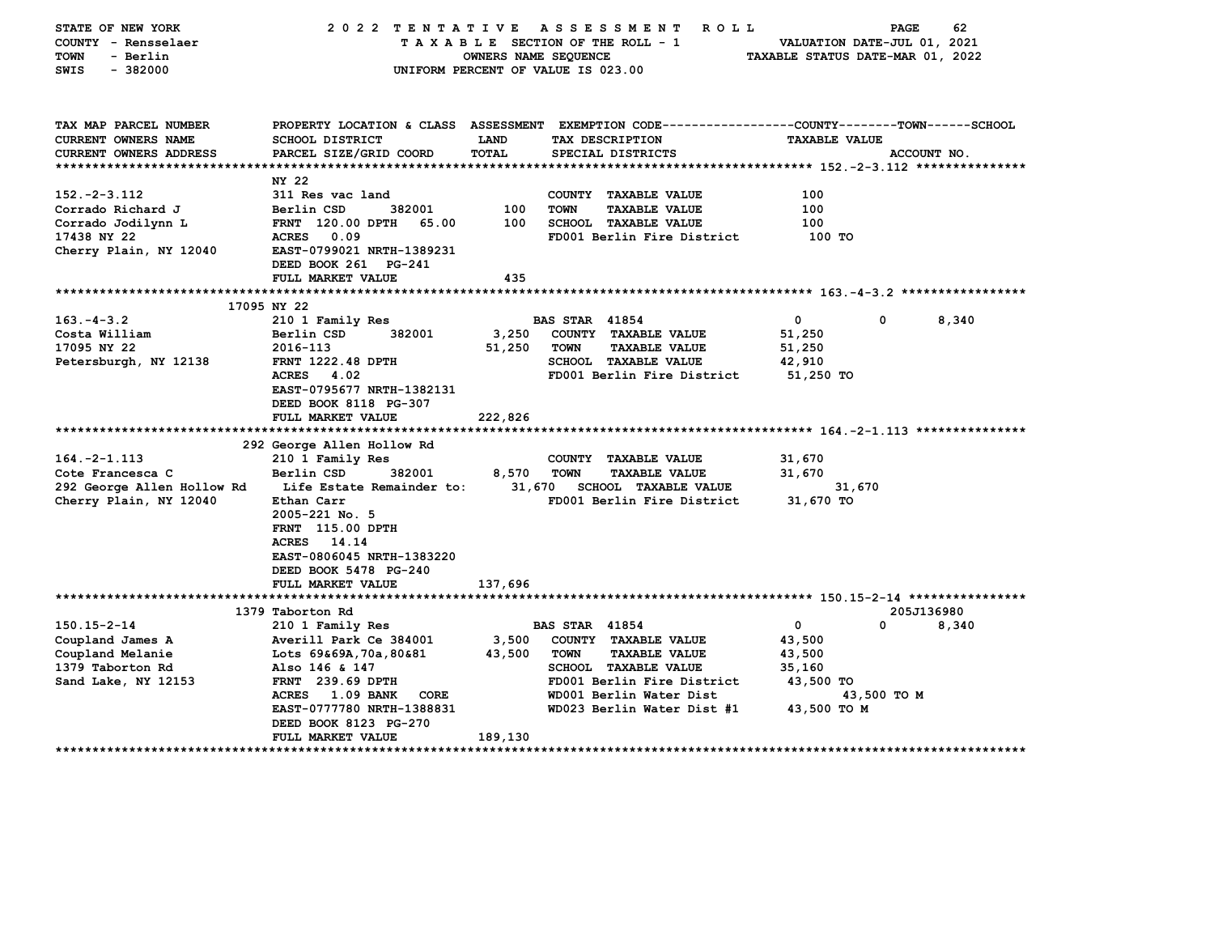| STATE OF NEW YORK<br>COUNTY - Rensselaer<br><b>TOWN</b><br>- Berlin<br>$-382000$<br>SWIS | 2022 TENTATIVE                                                                                                                                    | OWNERS NAME SEQUENCE | ASSESSMENT<br>TAXABLE SECTION OF THE ROLL - 1<br>UNIFORM PERCENT OF VALUE IS 023.00 | ROLL                              | VALUATION DATE-JUL 01, 2021<br>TAXABLE STATUS DATE-MAR 01, 2022 | PAGE        | 62                         |
|------------------------------------------------------------------------------------------|---------------------------------------------------------------------------------------------------------------------------------------------------|----------------------|-------------------------------------------------------------------------------------|-----------------------------------|-----------------------------------------------------------------|-------------|----------------------------|
| TAX MAP PARCEL NUMBER<br><b>CURRENT OWNERS NAME</b>                                      | PROPERTY LOCATION & CLASS ASSESSMENT EXEMPTION CODE---------------COUNTY-------TOWN------SCHOOL<br>SCHOOL DISTRICT                                | LAND                 | TAX DESCRIPTION                                                                     |                                   | <b>TAXABLE VALUE</b>                                            |             |                            |
| <b>CURRENT OWNERS ADDRESS</b>                                                            | PARCEL SIZE/GRID COORD                                                                                                                            | <b>TOTAL</b>         | SPECIAL DISTRICTS                                                                   |                                   |                                                                 | ACCOUNT NO. |                            |
|                                                                                          |                                                                                                                                                   |                      |                                                                                     |                                   |                                                                 |             |                            |
|                                                                                          | NY 22                                                                                                                                             |                      |                                                                                     |                                   |                                                                 |             |                            |
| $152. -2 - 3.112$                                                                        | 311 Res vac land                                                                                                                                  |                      | COUNTY TAXABLE VALUE                                                                |                                   | 100                                                             |             |                            |
| Corrado Richard J                                                                        | Berlin CSD<br>382001                                                                                                                              | 100                  | <b>TOWN</b><br><b>TAXABLE VALUE</b>                                                 |                                   | 100                                                             |             |                            |
| Corrado Jodilynn L                                                                       | FRNT 120.00 DPTH<br>65.00                                                                                                                         | 100                  | <b>SCHOOL TAXABLE VALUE</b>                                                         |                                   | 100                                                             |             |                            |
| 17438 NY 22                                                                              | <b>ACRES</b><br>0.09<br>EAST-0799021 NRTH-1389231                                                                                                 |                      | FD001 Berlin Fire District                                                          |                                   | 100 TO                                                          |             |                            |
| Cherry Plain, NY 12040                                                                   | DEED BOOK 261 PG-241                                                                                                                              |                      |                                                                                     |                                   |                                                                 |             |                            |
|                                                                                          | FULL MARKET VALUE                                                                                                                                 | 435                  |                                                                                     |                                   |                                                                 |             |                            |
|                                                                                          |                                                                                                                                                   |                      |                                                                                     |                                   |                                                                 |             |                            |
|                                                                                          | 17095 NY 22                                                                                                                                       |                      |                                                                                     |                                   |                                                                 |             |                            |
| $163. - 4 - 3.2$                                                                         | 210 1 Family Res                                                                                                                                  |                      | <b>BAS STAR 41854</b>                                                               |                                   | 0                                                               | 0           | 8,340                      |
| Costa William                                                                            | 382001<br>Berlin CSD                                                                                                                              | 3,250                | COUNTY TAXABLE VALUE                                                                |                                   | 51,250                                                          |             |                            |
| 17095 NY 22                                                                              | 2016-113                                                                                                                                          | 51,250               | <b>TOWN</b><br><b>TAXABLE VALUE</b>                                                 |                                   | 51,250                                                          |             |                            |
| Petersburgh, NY 12138                                                                    | <b>FRNT 1222.48 DPTH</b>                                                                                                                          |                      | <b>SCHOOL TAXABLE VALUE</b>                                                         |                                   | 42,910                                                          |             |                            |
|                                                                                          | <b>ACRES</b><br>4.02                                                                                                                              |                      | FD001 Berlin Fire District                                                          |                                   | 51,250 TO                                                       |             |                            |
|                                                                                          | EAST-0795677 NRTH-1382131                                                                                                                         |                      |                                                                                     |                                   |                                                                 |             |                            |
|                                                                                          | DEED BOOK 8118 PG-307<br>FULL MARKET VALUE                                                                                                        | 222,826              |                                                                                     |                                   |                                                                 |             |                            |
|                                                                                          |                                                                                                                                                   |                      |                                                                                     |                                   |                                                                 |             |                            |
|                                                                                          | 292 George Allen Hollow Rd                                                                                                                        |                      |                                                                                     |                                   |                                                                 |             |                            |
| $164. -2 - 1.113$                                                                        | 210 1 Family Res                                                                                                                                  |                      | COUNTY TAXABLE VALUE                                                                |                                   | 31,670                                                          |             |                            |
| Cote Francesca C                                                                         | Berlin CSD<br>382001                                                                                                                              | 8,570                | <b>TOWN</b><br><b>TAXABLE VALUE</b>                                                 |                                   | 31,670                                                          |             |                            |
| 292 George Allen Hollow Rd                                                               | Life Estate Remainder to:                                                                                                                         | 31,670               | <b>SCHOOL TAXABLE VALUE</b>                                                         |                                   | 31,670                                                          |             |                            |
| Cherry Plain, NY 12040                                                                   | Ethan Carr<br>2005-221 No. 5<br><b>FRNT</b> 115.00 DPTH<br>ACRES 14.14<br>EAST-0806045 NRTH-1383220<br>DEED BOOK 5478 PG-240<br>FULL MARKET VALUE | 137,696              | FD001 Berlin Fire District                                                          |                                   | 31,670 TO                                                       |             |                            |
|                                                                                          |                                                                                                                                                   |                      |                                                                                     |                                   |                                                                 |             |                            |
|                                                                                          | 1379 Taborton Rd                                                                                                                                  |                      |                                                                                     |                                   |                                                                 | 205J136980  |                            |
| $150.15 - 2 - 14$                                                                        | 210 1 Family Res                                                                                                                                  |                      | <b>BAS STAR 41854</b>                                                               |                                   | 0                                                               | 0           | 8,340                      |
| Coupland James A                                                                         | Averill Park Ce 384001                                                                                                                            | 3,500                | COUNTY TAXABLE VALUE                                                                |                                   | 43,500                                                          |             |                            |
| Coupland Melanie                                                                         | Lots 69&69A,70a,80&81                                                                                                                             | 43,500               | <b>TOWN</b><br><b>TAXABLE VALUE</b>                                                 |                                   | 43,500                                                          |             |                            |
| 1379 Taborton Rd<br>Sand Lake, NY 12153                                                  | Also 146 & 147<br>FRNT 239.69 DPTH                                                                                                                |                      | SCHOOL TAXABLE VALUE<br>FD001 Berlin Fire District                                  |                                   | 35,160<br>43,500 TO                                             |             |                            |
|                                                                                          | <b>ACRES</b><br><b>1.09 BANK</b><br>CORE                                                                                                          |                      | WD001 Berlin Water Dist                                                             |                                   |                                                                 | 43,500 TO M |                            |
|                                                                                          | EAST-0777780 NRTH-1388831<br>DEED BOOK 8123 PG-270                                                                                                |                      | WD023 Berlin Water Dist #1                                                          |                                   | 43,500 TO M                                                     |             |                            |
|                                                                                          | FULL MARKET VALUE                                                                                                                                 | 189,130              |                                                                                     |                                   |                                                                 |             |                            |
| *********************                                                                    | ****************                                                                                                                                  |                      |                                                                                     | ********************************* |                                                                 |             | ************************** |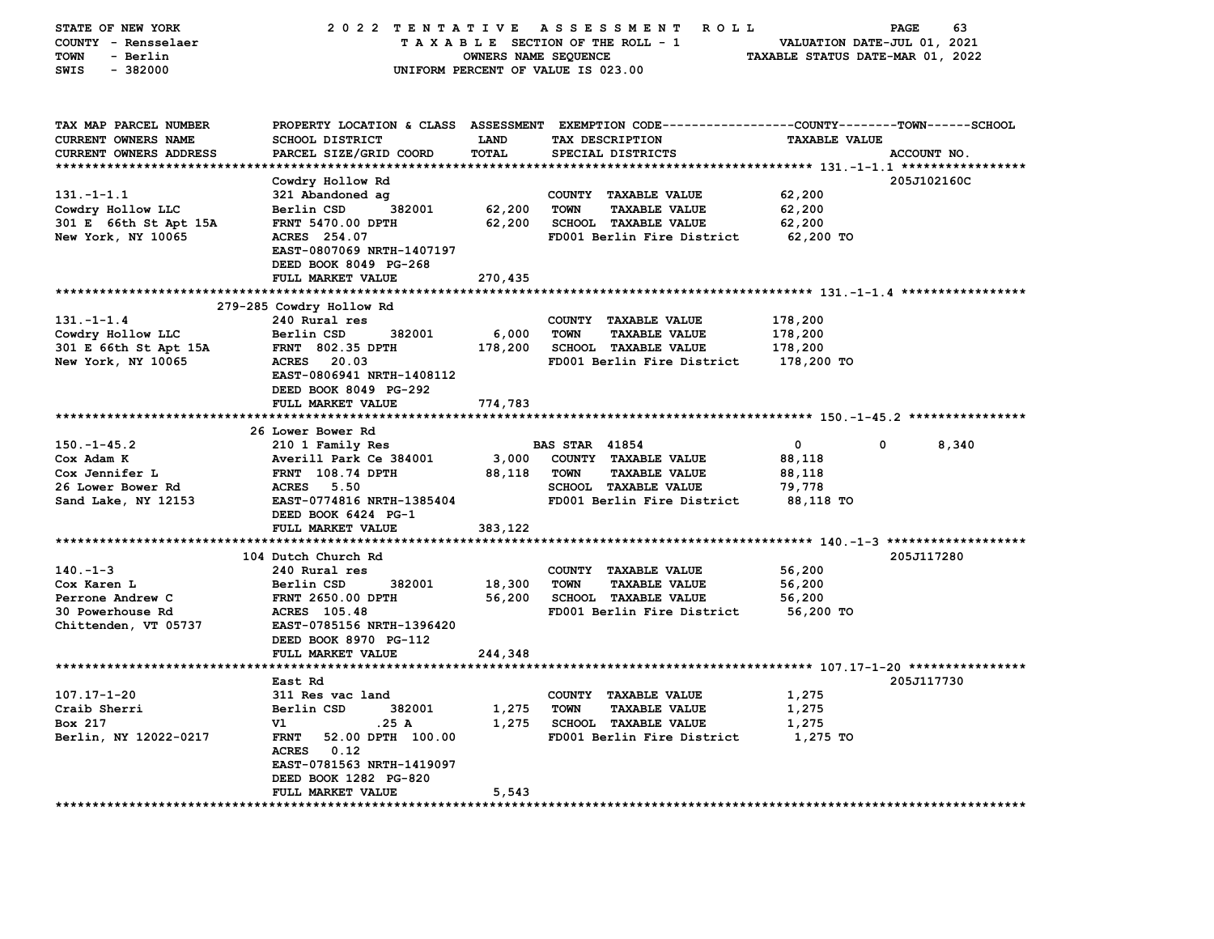| STATE OF NEW YORK          | 2022 TENTATIVE                             |                      | A S S E S S M E N T<br><b>ROLL</b>                                                             |                                  | 63<br>PAGE  |
|----------------------------|--------------------------------------------|----------------------|------------------------------------------------------------------------------------------------|----------------------------------|-------------|
| COUNTY - Rensselaer        |                                            |                      | TAXABLE SECTION OF THE ROLL - 1                                                                | VALUATION DATE-JUL 01, 2021      |             |
| - Berlin<br>TOWN           |                                            | OWNERS NAME SEQUENCE |                                                                                                | TAXABLE STATUS DATE-MAR 01, 2022 |             |
| $-382000$<br>SWIS          |                                            |                      | UNIFORM PERCENT OF VALUE IS 023.00                                                             |                                  |             |
|                            |                                            |                      |                                                                                                |                                  |             |
|                            |                                            |                      |                                                                                                |                                  |             |
| TAX MAP PARCEL NUMBER      |                                            |                      | PROPERTY LOCATION & CLASS ASSESSMENT EXEMPTION CODE---------------COUNTY-------TOWN-----SCHOOL |                                  |             |
| <b>CURRENT OWNERS NAME</b> | <b>SCHOOL DISTRICT</b>                     | LAND                 | TAX DESCRIPTION                                                                                | <b>TAXABLE VALUE</b>             |             |
| CURRENT OWNERS ADDRESS     | PARCEL SIZE/GRID COORD                     | <b>TOTAL</b>         | SPECIAL DISTRICTS                                                                              |                                  | ACCOUNT NO. |
| ************************** |                                            |                      |                                                                                                |                                  |             |
|                            | Cowdry Hollow Rd                           |                      |                                                                                                |                                  | 205J102160C |
| $131. - 1 - 1.1$           | 321 Abandoned ag                           |                      | COUNTY TAXABLE VALUE                                                                           | 62,200                           |             |
| Cowdry Hollow LLC          | Berlin CSD<br>382001                       | 62,200               | <b>TOWN</b><br><b>TAXABLE VALUE</b>                                                            | 62,200                           |             |
| 301 E 66th St Apt 15A      | FRNT 5470.00 DPTH                          | 62,200               | SCHOOL TAXABLE VALUE                                                                           | 62,200                           |             |
| New York, NY 10065         | ACRES 254.07                               |                      | FD001 Berlin Fire District                                                                     | 62,200 TO                        |             |
|                            | EAST-0807069 NRTH-1407197                  |                      |                                                                                                |                                  |             |
|                            | DEED BOOK 8049 PG-268                      |                      |                                                                                                |                                  |             |
|                            | FULL MARKET VALUE                          | 270,435              |                                                                                                |                                  |             |
|                            |                                            |                      |                                                                                                |                                  |             |
|                            | 279-285 Cowdry Hollow Rd                   |                      |                                                                                                |                                  |             |
| $131. - 1 - 1.4$           | 240 Rural res                              |                      | COUNTY TAXABLE VALUE                                                                           | 178,200                          |             |
| Cowdry Hollow LLC          | Berlin CSD<br>382001                       | 6,000                | <b>TOWN</b><br><b>TAXABLE VALUE</b>                                                            | 178,200                          |             |
| 301 E 66th St Apt 15A      | <b>FRNT 802.35 DPTH</b>                    | 178,200              | SCHOOL TAXABLE VALUE                                                                           | 178,200                          |             |
| New York, NY 10065         | ACRES 20.03                                |                      | FD001 Berlin Fire District                                                                     | 178,200 TO                       |             |
|                            | EAST-0806941 NRTH-1408112                  |                      |                                                                                                |                                  |             |
|                            | DEED BOOK 8049 PG-292                      |                      |                                                                                                |                                  |             |
|                            | <b>FULL MARKET VALUE</b>                   | 774,783              |                                                                                                |                                  |             |
|                            | 26 Lower Bower Rd                          |                      |                                                                                                |                                  |             |
| $150. - 1 - 45.2$          | 210 1 Family Res                           |                      | <b>BAS STAR 41854</b>                                                                          | 0<br>0                           | 8,340       |
| Cox Adam K                 | Averill Park Ce 384001                     | 3,000                | COUNTY TAXABLE VALUE                                                                           | 88,118                           |             |
| Cox Jennifer L             | FRNT 108.74 DPTH                           | 88,118               | <b>TOWN</b><br><b>TAXABLE VALUE</b>                                                            | 88,118                           |             |
| 26 Lower Bower Rd          | <b>ACRES</b> 5.50                          |                      | SCHOOL TAXABLE VALUE                                                                           | 79,778                           |             |
| Sand Lake, NY 12153        | EAST-0774816 NRTH-1385404                  |                      | FD001 Berlin Fire District                                                                     | 88,118 TO                        |             |
|                            | DEED BOOK 6424 PG-1                        |                      |                                                                                                |                                  |             |
|                            | FULL MARKET VALUE                          | 383,122              |                                                                                                |                                  |             |
|                            |                                            | **********           | ******************************** 140.-1-3 ********************                                 |                                  |             |
|                            | 104 Dutch Church Rd                        |                      |                                                                                                |                                  | 205J117280  |
| $140. -1 - 3$              | 240 Rural res                              |                      | COUNTY TAXABLE VALUE                                                                           | 56,200                           |             |
| Cox Karen L                | Berlin CSD<br>382001                       | 18,300               | <b>TOWN</b><br><b>TAXABLE VALUE</b>                                                            | 56,200                           |             |
| Perrone Andrew C           | <b>FRNT 2650.00 DPTH</b>                   | 56,200               | <b>SCHOOL TAXABLE VALUE</b>                                                                    | 56,200                           |             |
| <b>30 Powerhouse Rd</b>    | ACRES 105.48                               |                      | FD001 Berlin Fire District                                                                     | 56,200 TO                        |             |
| Chittenden, VT 05737       | EAST-0785156 NRTH-1396420                  |                      |                                                                                                |                                  |             |
|                            | DEED BOOK 8970 PG-112                      |                      |                                                                                                |                                  |             |
|                            | FULL MARKET VALUE                          | 244,348              |                                                                                                |                                  |             |
|                            |                                            |                      |                                                                                                |                                  |             |
|                            | East Rd                                    |                      |                                                                                                |                                  | 205J117730  |
| $107.17 - 1 - 20$          | 311 Res vac land                           |                      | COUNTY TAXABLE VALUE                                                                           | 1,275                            |             |
| Craib Sherri               | 382001<br>Berlin CSD                       | 1,275                | <b>TOWN</b><br><b>TAXABLE VALUE</b>                                                            | 1,275                            |             |
| Box 217                    | Vl<br>.25 A                                | 1,275                | <b>SCHOOL TAXABLE VALUE</b>                                                                    | 1,275                            |             |
| Berlin, NY 12022-0217      | <b>FRNT</b><br>52.00 DPTH 100.00           |                      | FD001 Berlin Fire District                                                                     | 1,275 TO                         |             |
|                            | ACRES 0.12                                 |                      |                                                                                                |                                  |             |
|                            | EAST-0781563 NRTH-1419097                  |                      |                                                                                                |                                  |             |
|                            | DEED BOOK 1282 PG-820<br>FULL MARKET VALUE | 5,543                |                                                                                                |                                  |             |
|                            |                                            |                      |                                                                                                |                                  |             |
|                            |                                            |                      |                                                                                                |                                  |             |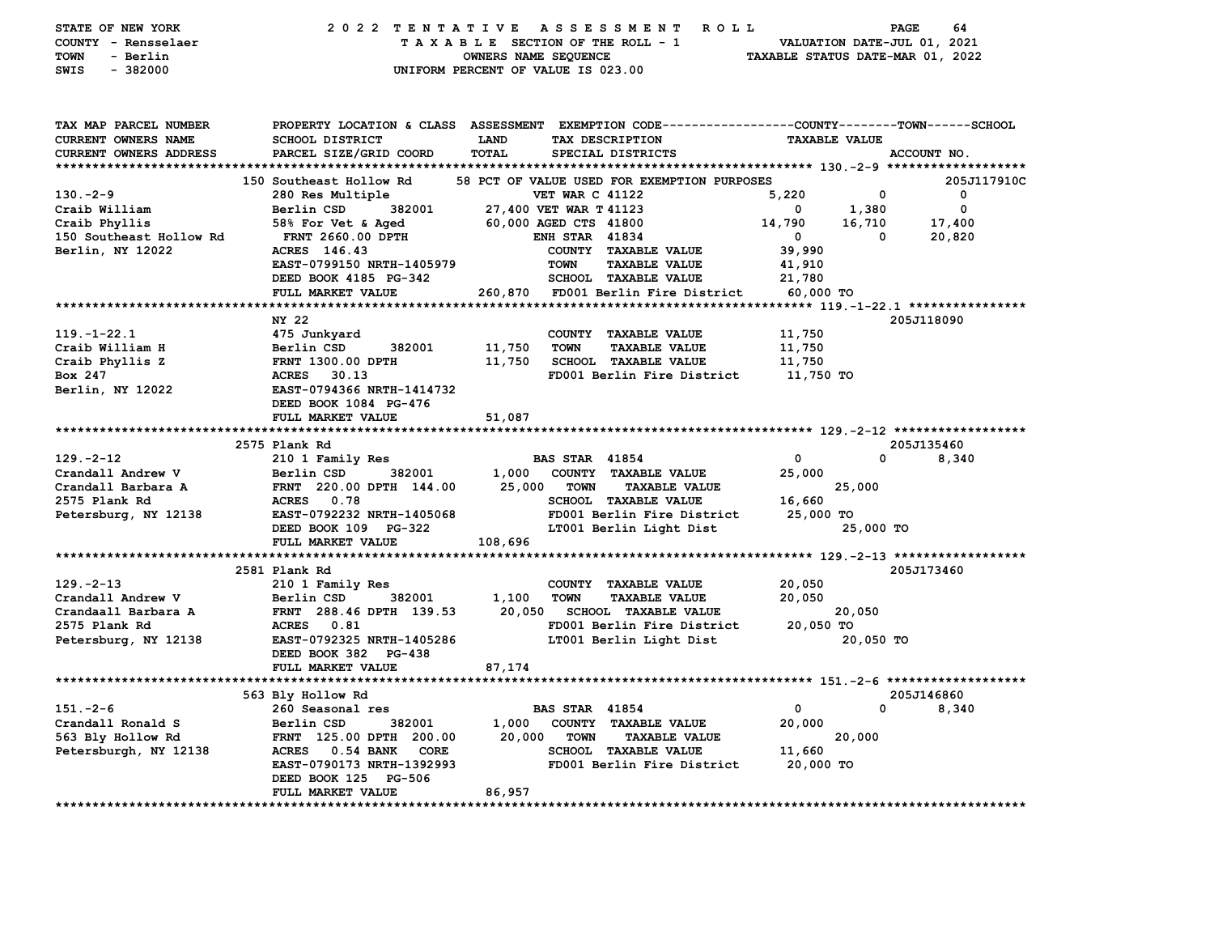| STATE OF NEW YORK<br>COUNTY - Rensselaer<br>- Berlin<br>TOWN<br>SWIS<br>$-382000$ |                                           | 2022 TENTATIVE ASSESSMENT ROLL<br>TAXABLE SECTION OF THE ROLL - 1<br>OWNERS NAME SEQUENCE<br>UNIFORM PERCENT OF VALUE IS 023.00                                  | PAGE<br>VALUATION DATE-JUL 01, 2021<br>TAXABLE STATUS DATE-MAR 01, 2022 | 64          |
|-----------------------------------------------------------------------------------|-------------------------------------------|------------------------------------------------------------------------------------------------------------------------------------------------------------------|-------------------------------------------------------------------------|-------------|
| TAX MAP PARCEL NUMBER<br>CURRENT OWNERS NAME<br><b>CURRENT OWNERS ADDRESS</b>     | SCHOOL DISTRICT<br>PARCEL SIZE/GRID COORD | PROPERTY LOCATION & CLASS ASSESSMENT EXEMPTION CODE----------------COUNTY-------TOWN------SCHOOL<br><b>LAND</b><br>TAX DESCRIPTION<br>TOTAL<br>SPECIAL DISTRICTS | <b>TAXABLE VALUE</b><br>ACCOUNT NO.                                     |             |
|                                                                                   |                                           |                                                                                                                                                                  |                                                                         |             |
|                                                                                   | 150 Southeast Hollow Rd                   | 58 PCT OF VALUE USED FOR EXEMPTION PURPOSES                                                                                                                      |                                                                         | 205J117910C |
| $130 - 2 - 9$                                                                     | 280 Res Multiple                          | <b>VET WAR C 41122</b>                                                                                                                                           | 5,220<br>0                                                              | $\mathbf 0$ |
| Craib William                                                                     | 382001<br>Berlin CSD                      | 27,400 VET WAR T 41123                                                                                                                                           | 1,380<br>$\mathbf 0$                                                    | $\mathbf 0$ |
| Craib Phyllis                                                                     | 58% For Vet & Aged                        | 60,000 AGED CTS 41800                                                                                                                                            | 14,790<br>16,710                                                        | 17,400      |
| 150 Southeast Hollow Rd                                                           | <b>FRNT 2660.00 DPTH</b>                  | <b>ENH STAR 41834</b>                                                                                                                                            | $\overline{\mathbf{0}}$<br>0                                            | 20,820      |
| Berlin, NY 12022                                                                  | ACRES 146.43                              | COUNTY TAXABLE VALUE                                                                                                                                             | 39,990                                                                  |             |
|                                                                                   | EAST-0799150 NRTH-1405979                 | <b>TAXABLE VALUE</b><br><b>TOWN</b>                                                                                                                              | 41,910                                                                  |             |
|                                                                                   | DEED BOOK 4185 PG-342                     | <b>SCHOOL TAXABLE VALUE</b>                                                                                                                                      | 21,780                                                                  |             |
|                                                                                   | FULL MARKET VALUE                         | 260,870<br>FD001 Berlin Fire District                                                                                                                            | 60,000 TO                                                               |             |
|                                                                                   | ********************                      |                                                                                                                                                                  |                                                                         |             |
|                                                                                   | NY 22                                     |                                                                                                                                                                  | 205J118090                                                              |             |
| $119. - 1 - 22.1$                                                                 | 475 Junkyard                              | COUNTY TAXABLE VALUE                                                                                                                                             | 11,750                                                                  |             |
| Craib William H                                                                   | Berlin CSD<br>382001                      | 11,750<br><b>TOWN</b><br><b>TAXABLE VALUE</b>                                                                                                                    | 11,750                                                                  |             |
| Craib Phyllis Z<br>Box 247                                                        | <b>FRNT 1300.00 DPTH</b><br>ACRES 30.13   | 11,750<br><b>SCHOOL TAXABLE VALUE</b><br>FD001 Berlin Fire District                                                                                              | 11,750<br>11,750 TO                                                     |             |
| Berlin, NY 12022                                                                  | EAST-0794366 NRTH-1414732                 |                                                                                                                                                                  |                                                                         |             |
|                                                                                   | DEED BOOK 1084 PG-476                     |                                                                                                                                                                  |                                                                         |             |
|                                                                                   | FULL MARKET VALUE                         | 51,087                                                                                                                                                           |                                                                         |             |
|                                                                                   | 2575 Plank Rd                             |                                                                                                                                                                  | 205J135460                                                              |             |
| $129. -2 - 12$                                                                    | 210 1 Family Res                          | <b>BAS STAR 41854</b>                                                                                                                                            | $\Omega$<br>0                                                           | 8,340       |
| Crandall Andrew V                                                                 | Berlin CSD 382001                         | 1,000 COUNTY TAXABLE VALUE                                                                                                                                       | 25,000                                                                  |             |
| Crandall Barbara A                                                                | FRNT 220.00 DPTH 144.00                   | 25,000<br><b>TOWN</b><br><b>TAXABLE VALUE</b>                                                                                                                    | 25,000                                                                  |             |
| 2575 Plank Rd                                                                     | ACRES 0.78                                | <b>SCHOOL TAXABLE VALUE</b>                                                                                                                                      | 16,660                                                                  |             |
| Petersburg, NY 12138                                                              | EAST-0792232 NRTH-1405068                 | FD001 Berlin Fire District                                                                                                                                       | 25,000 TO                                                               |             |
|                                                                                   | DEED BOOK 109 PG-322                      | LT001 Berlin Light Dist                                                                                                                                          | 25,000 TO                                                               |             |
|                                                                                   | FULL MARKET VALUE                         | 108,696                                                                                                                                                          |                                                                         |             |
|                                                                                   |                                           |                                                                                                                                                                  |                                                                         |             |
|                                                                                   | 2581 Plank Rd                             |                                                                                                                                                                  | 205J173460                                                              |             |
| $129. -2 - 13$                                                                    | 210 1 Family Res                          | COUNTY TAXABLE VALUE                                                                                                                                             | 20,050                                                                  |             |
| Crandall Andrew V                                                                 | Berlin CSD<br>382001                      | 1,100<br><b>TAXABLE VALUE</b><br>TOWN                                                                                                                            | 20,050                                                                  |             |
| Crandaall Barbara A                                                               | FRNT 288.46 DPTH 139.53                   | 20,050<br><b>SCHOOL TAXABLE VALUE</b>                                                                                                                            | 20,050                                                                  |             |
| 2575 Plank Rd                                                                     | ACRES 0.81                                | FD001 Berlin Fire District                                                                                                                                       | 20,050 TO                                                               |             |
| Petersburg, NY 12138                                                              | EAST-0792325 NRTH-1405286                 | LT001 Berlin Light Dist                                                                                                                                          | 20,050 TO                                                               |             |
|                                                                                   | DEED BOOK 382 PG-438                      |                                                                                                                                                                  |                                                                         |             |
|                                                                                   | FULL MARKET VALUE                         | 87,174                                                                                                                                                           |                                                                         |             |
|                                                                                   |                                           |                                                                                                                                                                  |                                                                         |             |
|                                                                                   | 563 Bly Hollow Rd                         |                                                                                                                                                                  | 205J146860                                                              |             |
| $151 - 2 - 6$                                                                     | 260 Seasonal res                          | <b>BAS STAR 41854</b>                                                                                                                                            | $\mathbf 0$<br>0                                                        | 8,340       |
| Crandall Ronald S                                                                 | Berlin CSD<br>382001                      | 1,000<br>COUNTY TAXABLE VALUE                                                                                                                                    | 20,000                                                                  |             |
| 563 Bly Hollow Rd                                                                 | FRNT 125.00 DPTH 200.00                   | 20,000<br><b>TOWN</b><br><b>TAXABLE VALUE</b>                                                                                                                    | 20,000                                                                  |             |
| Petersburgh, NY 12138                                                             | ACRES 0.54 BANK CORE                      | <b>SCHOOL TAXABLE VALUE</b>                                                                                                                                      | 11,660                                                                  |             |
|                                                                                   | EAST-0790173 NRTH-1392993                 | FD001 Berlin Fire District                                                                                                                                       | 20,000 TO                                                               |             |
|                                                                                   | DEED BOOK 125 PG-506                      |                                                                                                                                                                  |                                                                         |             |
|                                                                                   | FULL MARKET VALUE                         | 86,957                                                                                                                                                           |                                                                         |             |
|                                                                                   |                                           |                                                                                                                                                                  |                                                                         |             |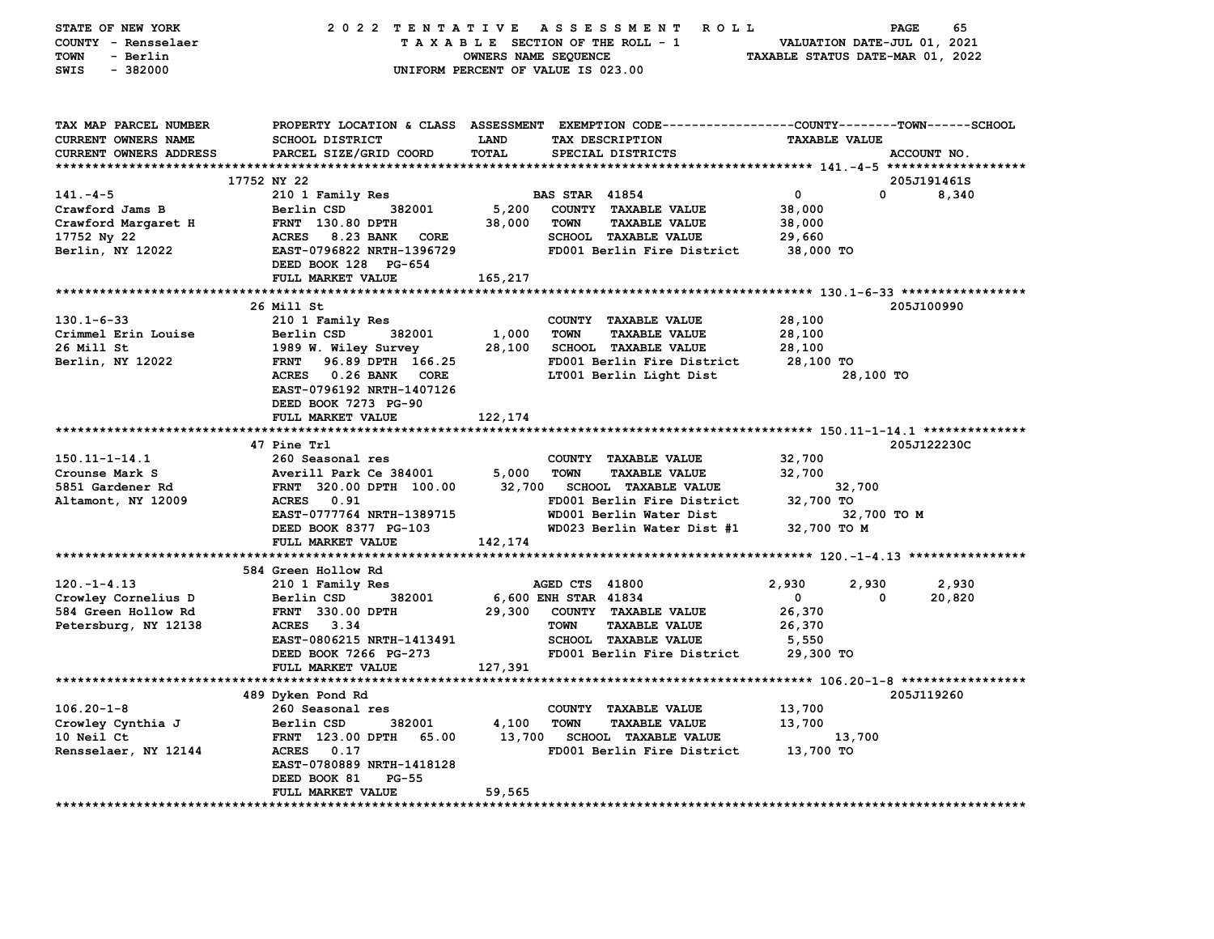| STATE OF NEW YORK<br>COUNTY - Rensselaer<br>TOWN<br>- Berlin<br><b>SWIS</b><br>$-382000$ |                                                 | OWNERS NAME SEQUENCE | 2022 TENTATIVE ASSESSMENT ROLL<br>TAXABLE SECTION OF THE ROLL - 1<br>UNIFORM PERCENT OF VALUE IS 023.00                                | VALUATION DATE-JUL 01, 2021<br>TAXABLE STATUS DATE-MAR 01, 2022 | 65<br>PAGE                |
|------------------------------------------------------------------------------------------|-------------------------------------------------|----------------------|----------------------------------------------------------------------------------------------------------------------------------------|-----------------------------------------------------------------|---------------------------|
| TAX MAP PARCEL NUMBER<br>CURRENT OWNERS NAME<br>CURRENT OWNERS ADDRESS                   | SCHOOL DISTRICT<br>PARCEL SIZE/GRID COORD       | <b>LAND</b><br>TOTAL | PROPERTY LOCATION & CLASS ASSESSMENT EXEMPTION CODE---------------COUNTY-------TOWN-----SCHOOL<br>TAX DESCRIPTION<br>SPECIAL DISTRICTS | <b>TAXABLE VALUE</b>                                            | ACCOUNT NO.               |
|                                                                                          |                                                 |                      |                                                                                                                                        |                                                                 |                           |
| $141. -4 - 5$                                                                            | 17752 NY 22<br>210 1 Family Res                 |                      | <b>BAS STAR 41854</b>                                                                                                                  | $\overline{\mathbf{0}}$                                         | 205J191461S<br>0<br>8,340 |
| Crawford Jams B                                                                          | Berlin CSD<br>382001                            | 5,200                | COUNTY TAXABLE VALUE                                                                                                                   | 38,000                                                          |                           |
| Crawford Margaret H                                                                      | <b>FRNT</b> 130.80 DPTH                         | 38,000               | <b>TOWN</b><br><b>TAXABLE VALUE</b>                                                                                                    | 38,000                                                          |                           |
| 17752 Ny 22                                                                              | ACRES 8.23 BANK CORE                            |                      | SCHOOL TAXABLE VALUE                                                                                                                   | 29,660                                                          |                           |
| Berlin, NY 12022                                                                         | EAST-0796822 NRTH-1396729                       |                      | FD001 Berlin Fire District                                                                                                             | 38,000 TO                                                       |                           |
|                                                                                          | DEED BOOK 128 PG-654                            |                      |                                                                                                                                        |                                                                 |                           |
|                                                                                          | FULL MARKET VALUE                               | 165,217              |                                                                                                                                        |                                                                 |                           |
|                                                                                          |                                                 |                      |                                                                                                                                        |                                                                 |                           |
|                                                                                          | 26 Mill St                                      |                      |                                                                                                                                        |                                                                 | 205J100990                |
| $130.1 - 6 - 33$<br>Crimmel Erin Louise                                                  | 210 1 Family Res<br>Berlin CSD<br>382001        | 1,000                | COUNTY TAXABLE VALUE<br><b>TOWN</b><br><b>TAXABLE VALUE</b>                                                                            | 28,100                                                          |                           |
| 26 Mill St                                                                               | 1989 W. Wiley Survey                            | 28,100               | <b>SCHOOL TAXABLE VALUE</b>                                                                                                            | 28,100<br>28,100                                                |                           |
| Berlin, NY 12022                                                                         | <b>FRNT</b><br>96.89 DPTH 166.25                |                      | FD001 Berlin Fire District                                                                                                             | 28,100 TO                                                       |                           |
|                                                                                          | ACRES 0.26 BANK CORE                            |                      | LT001 Berlin Light Dist                                                                                                                |                                                                 | 28,100 TO                 |
|                                                                                          | EAST-0796192 NRTH-1407126                       |                      |                                                                                                                                        |                                                                 |                           |
|                                                                                          | DEED BOOK 7273 PG-90                            |                      |                                                                                                                                        |                                                                 |                           |
|                                                                                          | FULL MARKET VALUE                               | 122,174              |                                                                                                                                        |                                                                 |                           |
|                                                                                          |                                                 |                      |                                                                                                                                        |                                                                 |                           |
| 150.11-1-14.1                                                                            | 47 Pine Trl<br>260 Seasonal res                 |                      | COUNTY TAXABLE VALUE                                                                                                                   | 32,700                                                          | 205J122230C               |
| Crounse Mark S                                                                           | Averill Park Ce 384001                          | 5,000                | TOWN<br><b>TAXABLE VALUE</b>                                                                                                           | 32,700                                                          |                           |
| 5851 Gardener Rd                                                                         | FRNT 320.00 DPTH 100.00                         | 32,700               | <b>SCHOOL TAXABLE VALUE</b>                                                                                                            | 32,700                                                          |                           |
| Altamont, NY 12009                                                                       | ACRES 0.91                                      |                      | FD001 Berlin Fire District                                                                                                             | 32,700 TO                                                       |                           |
|                                                                                          | EAST-0777764 NRTH-1389715                       |                      | WD001 Berlin Water Dist                                                                                                                |                                                                 | 32,700 TO M               |
|                                                                                          | DEED BOOK 8377 PG-103                           |                      | WD023 Berlin Water Dist #1                                                                                                             | 32,700 TO M                                                     |                           |
|                                                                                          | FULL MARKET VALUE                               | 142,174              |                                                                                                                                        |                                                                 |                           |
|                                                                                          |                                                 |                      |                                                                                                                                        |                                                                 |                           |
|                                                                                          | 584 Green Hollow Rd                             |                      |                                                                                                                                        |                                                                 |                           |
| $120. -1 - 4.13$                                                                         | 210 1 Family Res                                |                      | AGED CTS 41800                                                                                                                         | 2,930<br>2,930<br>$\Omega$                                      | 2,930<br>0                |
| Crowley Cornelius D<br>584 Green Hollow Rd                                               | Berlin CSD<br>382001<br><b>FRNT 330.00 DPTH</b> |                      | 6,600 ENH STAR 41834<br>29,300 COUNTY TAXABLE VALUE                                                                                    | 26,370                                                          | 20,820                    |
| Petersburg, NY 12138                                                                     | ACRES 3.34                                      |                      | <b>TOWN</b><br><b>TAXABLE VALUE</b>                                                                                                    | 26,370                                                          |                           |
|                                                                                          | EAST-0806215 NRTH-1413491                       |                      | <b>SCHOOL TAXABLE VALUE</b>                                                                                                            | 5,550                                                           |                           |
|                                                                                          | DEED BOOK 7266 PG-273                           |                      | FD001 Berlin Fire District                                                                                                             | 29,300 TO                                                       |                           |
|                                                                                          | FULL MARKET VALUE                               | 127,391              |                                                                                                                                        |                                                                 |                           |
|                                                                                          |                                                 |                      |                                                                                                                                        |                                                                 |                           |
|                                                                                          | 489 Dyken Pond Rd                               |                      |                                                                                                                                        |                                                                 | 205J119260                |
| $106.20 - 1 - 8$                                                                         | 260 Seasonal res                                |                      | COUNTY TAXABLE VALUE                                                                                                                   | 13,700                                                          |                           |
| Crowley Cynthia J                                                                        | Berlin CSD<br>382001                            | 4,100                | <b>TOWN</b><br><b>TAXABLE VALUE</b>                                                                                                    | 13,700                                                          |                           |
| 10 Neil Ct<br>Rensselaer, NY 12144                                                       | FRNT 123.00 DPTH<br>65.00<br>ACRES 0.17         |                      | 13,700 SCHOOL TAXABLE VALUE<br>FD001 Berlin Fire District                                                                              | 13,700<br>13,700 TO                                             |                           |
|                                                                                          | EAST-0780889 NRTH-1418128                       |                      |                                                                                                                                        |                                                                 |                           |
|                                                                                          | DEED BOOK 81<br>$PG-55$                         |                      |                                                                                                                                        |                                                                 |                           |
|                                                                                          | FULL MARKET VALUE                               | 59,565               |                                                                                                                                        |                                                                 |                           |
|                                                                                          |                                                 |                      |                                                                                                                                        |                                                                 |                           |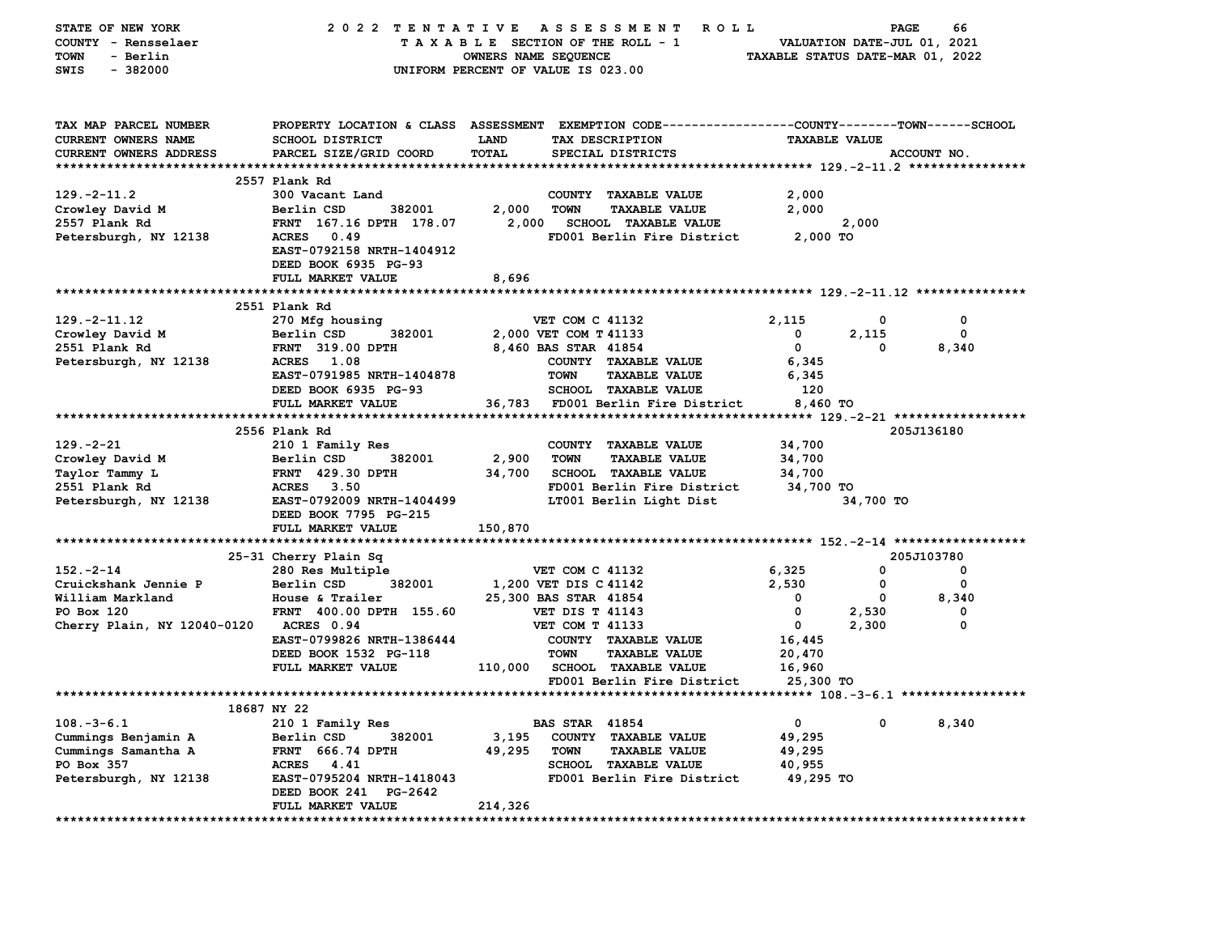| <b>STATE OF NEW YORK</b>               | 2022 TENTATIVE                               |                                 | A S S E S S M E N T<br>R O L L                                                                 |                                  | PAGE       | 66                                           |
|----------------------------------------|----------------------------------------------|---------------------------------|------------------------------------------------------------------------------------------------|----------------------------------|------------|----------------------------------------------|
| COUNTY - Rensselaer                    |                                              | TAXABLE SECTION OF THE ROLL - 1 |                                                                                                | VALUATION DATE-JUL 01, 2021      |            |                                              |
| - Berlin<br>TOWN                       |                                              | OWNERS NAME SEQUENCE            |                                                                                                | TAXABLE STATUS DATE-MAR 01, 2022 |            |                                              |
| $-382000$<br>SWIS                      |                                              |                                 | UNIFORM PERCENT OF VALUE IS 023.00                                                             |                                  |            |                                              |
|                                        |                                              |                                 |                                                                                                |                                  |            |                                              |
|                                        |                                              |                                 |                                                                                                |                                  |            |                                              |
| TAX MAP PARCEL NUMBER                  |                                              |                                 | PROPERTY LOCATION & CLASS ASSESSMENT EXEMPTION CODE---------------COUNTY-------TOWN-----SCHOOL |                                  |            |                                              |
| CURRENT OWNERS NAME                    | <b>SCHOOL DISTRICT</b>                       | <b>LAND</b>                     | TAX DESCRIPTION                                                                                | <b>TAXABLE VALUE</b>             |            |                                              |
| <b>CURRENT OWNERS ADDRESS</b>          | PARCEL SIZE/GRID COORD                       | <b>TOTAL</b>                    | SPECIAL DISTRICTS                                                                              |                                  |            | ACCOUNT NO.                                  |
|                                        |                                              |                                 |                                                                                                |                                  |            |                                              |
|                                        | 2557 Plank Rd                                |                                 |                                                                                                |                                  |            |                                              |
| $129. -2 - 11.2$                       | 300 Vacant Land                              |                                 | COUNTY TAXABLE VALUE                                                                           | 2,000                            |            |                                              |
| Crowley David M                        | Berlin CSD<br>382001                         | 2,000                           | <b>TOWN</b><br><b>TAXABLE VALUE</b>                                                            | 2,000                            |            |                                              |
| 2557 Plank Rd                          | FRNT 167.16 DPTH 178.07                      | 2,000                           | <b>SCHOOL TAXABLE VALUE</b>                                                                    |                                  | 2,000      |                                              |
| Petersburgh, NY 12138                  | <b>ACRES</b><br>0.49                         |                                 | FD001 Berlin Fire District                                                                     | 2,000 TO                         |            |                                              |
|                                        | EAST-0792158 NRTH-1404912                    |                                 |                                                                                                |                                  |            |                                              |
|                                        | DEED BOOK 6935 PG-93                         |                                 |                                                                                                |                                  |            |                                              |
|                                        | FULL MARKET VALUE                            | 8,696                           |                                                                                                |                                  |            |                                              |
|                                        |                                              |                                 |                                                                                                |                                  |            |                                              |
|                                        | 2551 Plank Rd                                |                                 |                                                                                                |                                  |            |                                              |
| $129. -2 - 11.12$                      | 270 Mfg housing<br>Berlin CSD<br>382001      |                                 | <b>VET COM C 41132</b><br>2,000 VET COM T 41133                                                | 2,115<br>0                       | 0<br>2,115 | 0<br>0                                       |
| Crowley David M                        |                                              |                                 |                                                                                                | 0                                | 0          |                                              |
| 2551 Plank Rd<br>Petersburgh, NY 12138 | <b>FRNT 319.00 DPTH</b><br><b>ACRES</b> 1.08 |                                 | 8,460 BAS STAR 41854<br>COUNTY TAXABLE VALUE                                                   | 6,345                            |            | 8,340                                        |
|                                        | EAST-0791985 NRTH-1404878                    |                                 | <b>TOWN</b><br><b>TAXABLE VALUE</b>                                                            | 6,345                            |            |                                              |
|                                        | DEED BOOK 6935 PG-93                         |                                 | <b>SCHOOL TAXABLE VALUE</b>                                                                    | 120                              |            |                                              |
|                                        | FULL MARKET VALUE                            | 36,783                          | FD001 Berlin Fire District                                                                     | 8,460 TO                         |            |                                              |
|                                        |                                              |                                 |                                                                                                |                                  |            | ************** 129.-2-21 ******************* |
|                                        | 2556 Plank Rd                                |                                 |                                                                                                |                                  |            | 205J136180                                   |
| $129. -2 - 21$                         | 210 1 Family Res                             |                                 | COUNTY TAXABLE VALUE                                                                           | 34,700                           |            |                                              |
| Crowley David M                        | 382001<br>Berlin CSD                         | 2,900                           | <b>TOWN</b><br><b>TAXABLE VALUE</b>                                                            | 34,700                           |            |                                              |
| <b>Taylor Tammy L</b>                  | <b>FRNT 429.30 DPTH</b>                      | 34,700                          | <b>SCHOOL TAXABLE VALUE</b>                                                                    | 34,700                           |            |                                              |
| 2551 Plank Rd                          | <b>ACRES</b> 3.50                            |                                 | FD001 Berlin Fire District                                                                     | 34,700 TO                        |            |                                              |
| Petersburgh, NY 12138                  | EAST-0792009 NRTH-1404499                    |                                 | LT001 Berlin Light Dist                                                                        |                                  | 34,700 TO  |                                              |
|                                        | DEED BOOK 7795 PG-215                        |                                 |                                                                                                |                                  |            |                                              |
|                                        | FULL MARKET VALUE                            | 150,870                         |                                                                                                |                                  |            |                                              |
|                                        |                                              |                                 |                                                                                                |                                  |            |                                              |
|                                        | 25-31 Cherry Plain Sq                        |                                 |                                                                                                |                                  |            | 205J103780                                   |
| $152 - 2 - 14$                         | 280 Res Multiple                             |                                 | <b>VET COM C 41132</b>                                                                         | 6,325                            | 0          | 0                                            |
| Cruickshank Jennie P                   | Berlin CSD<br>382001                         |                                 | 1,200 VET DIS C 41142                                                                          | 2,530                            | 0          | 0                                            |
| William Markland                       | House & Trailer                              |                                 | 25,300 BAS STAR 41854                                                                          | 0                                | 0          | 8,340                                        |
| PO Box 120                             | FRNT 400.00 DPTH 155.60                      |                                 | <b>VET DIS T 41143</b>                                                                         | $\mathbf{o}$                     | 2,530      | 0                                            |
| Cherry Plain, NY 12040-0120            | ACRES 0.94                                   |                                 | VET COM T 41133                                                                                | 0                                | 2,300      | $\mathbf 0$                                  |
|                                        | EAST-0799826 NRTH-1386444                    |                                 | COUNTY TAXABLE VALUE                                                                           | 16,445                           |            |                                              |
|                                        | DEED BOOK 1532 PG-118                        |                                 | <b>TOWN</b><br><b>TAXABLE VALUE</b>                                                            | 20,470                           |            |                                              |
|                                        | FULL MARKET VALUE                            | 110,000                         | SCHOOL TAXABLE VALUE                                                                           | 16,960                           |            |                                              |
|                                        |                                              |                                 | FD001 Berlin Fire District                                                                     | 25,300 TO                        |            |                                              |
|                                        |                                              |                                 |                                                                                                |                                  |            |                                              |
|                                        | 18687 NY 22                                  |                                 |                                                                                                |                                  |            |                                              |
| $108. -3 - 6.1$                        | 210 1 Family Res                             |                                 | <b>BAS STAR 41854</b>                                                                          | $\mathbf 0$                      | 0          | 8,340                                        |
| Cummings Benjamin A                    | Berlin CSD<br>382001                         | 3,195                           | COUNTY TAXABLE VALUE                                                                           | 49,295                           |            |                                              |
| Cummings Samantha A                    | <b>FRNT 666.74 DPTH</b>                      | 49,295                          | <b>TOWN</b><br><b>TAXABLE VALUE</b>                                                            | 49,295                           |            |                                              |
| PO Box 357                             | ACRES 4.41                                   |                                 | <b>SCHOOL TAXABLE VALUE</b>                                                                    | 40,955                           |            |                                              |
| Petersburgh, NY 12138                  | EAST-0795204 NRTH-1418043                    |                                 | FD001 Berlin Fire District                                                                     | 49,295 TO                        |            |                                              |
|                                        | DEED BOOK 241 PG-2642                        |                                 |                                                                                                |                                  |            |                                              |
|                                        | FULL MARKET VALUE                            | 214,326                         |                                                                                                |                                  |            |                                              |
|                                        |                                              |                                 |                                                                                                |                                  |            |                                              |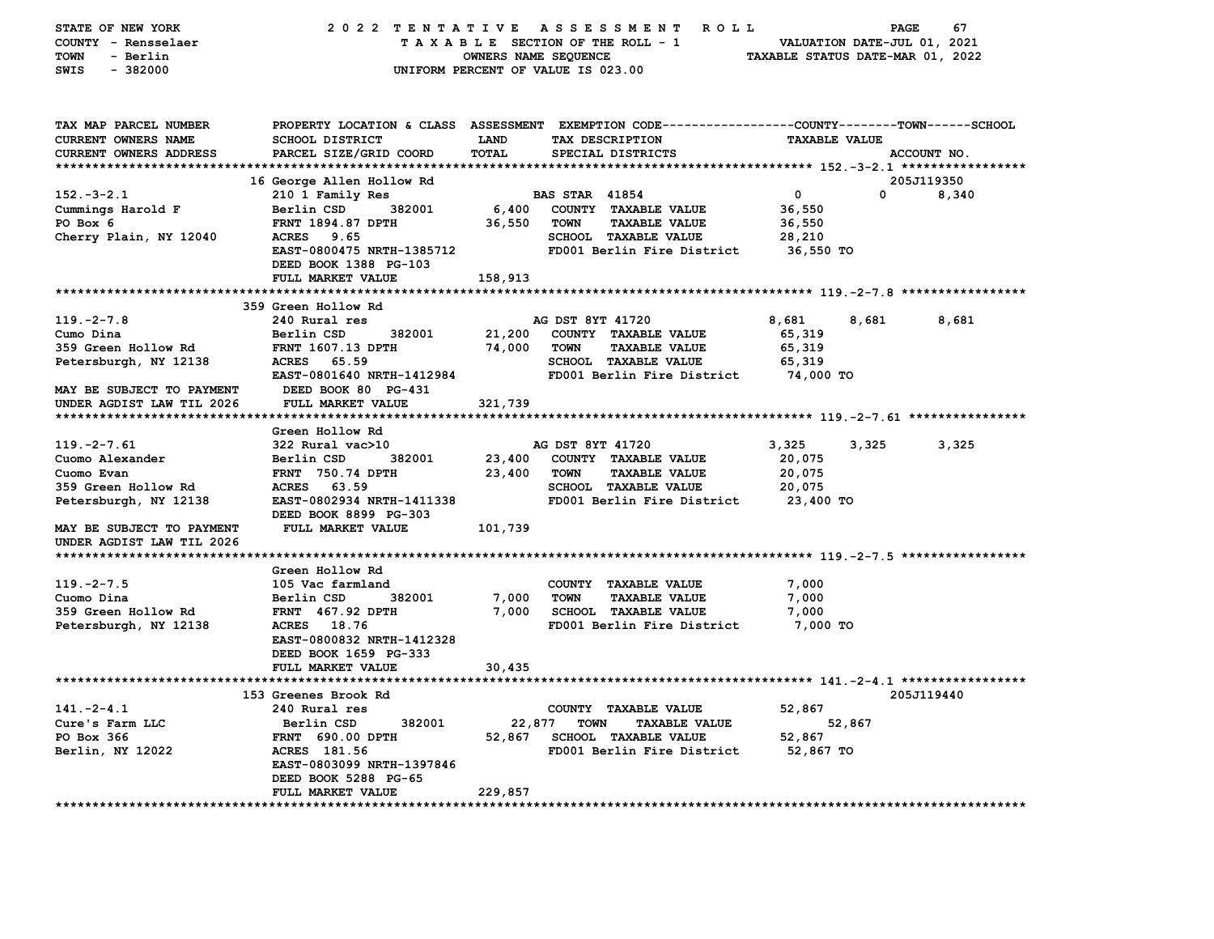| STATE OF NEW YORK             | 2022 TENTATIVE                                  |                      | A S S E S S M E N T<br><b>ROLL</b>                           |                                  | PAGE                        | 67    |
|-------------------------------|-------------------------------------------------|----------------------|--------------------------------------------------------------|----------------------------------|-----------------------------|-------|
| COUNTY - Rensselaer           |                                                 |                      | TAXABLE SECTION OF THE ROLL - 1                              |                                  | VALUATION DATE-JUL 01, 2021 |       |
| <b>TOWN</b><br>- Berlin       |                                                 | OWNERS NAME SEQUENCE |                                                              | TAXABLE STATUS DATE-MAR 01, 2022 |                             |       |
| $-382000$<br>SWIS             |                                                 |                      | UNIFORM PERCENT OF VALUE IS 023.00                           |                                  |                             |       |
|                               |                                                 |                      |                                                              |                                  |                             |       |
|                               |                                                 |                      |                                                              |                                  |                             |       |
| TAX MAP PARCEL NUMBER         | PROPERTY LOCATION & CLASS ASSESSMENT            |                      | EXEMPTION CODE-----------------COUNTY-------TOWN------SCHOOL |                                  |                             |       |
| CURRENT OWNERS NAME           | <b>SCHOOL DISTRICT</b>                          | LAND                 | TAX DESCRIPTION                                              | <b>TAXABLE VALUE</b>             |                             |       |
| CURRENT OWNERS ADDRESS        | PARCEL SIZE/GRID COORD                          | TOTAL                | SPECIAL DISTRICTS                                            |                                  | ACCOUNT NO.                 |       |
|                               |                                                 |                      |                                                              |                                  |                             |       |
|                               | 16 George Allen Hollow Rd                       |                      |                                                              |                                  | 205J119350                  |       |
| $152. - 3 - 2.1$              | 210 1 Family Res                                |                      | <b>BAS STAR 41854</b>                                        | 0                                | 0                           | 8,340 |
| Cummings Harold F<br>PO Box 6 | Berlin CSD<br>382001<br>FRNT 1894.87 DPTH       | 6,400                | COUNTY TAXABLE VALUE<br><b>TOWN</b><br><b>TAXABLE VALUE</b>  | 36,550                           |                             |       |
| Cherry Plain, NY 12040        | <b>ACRES</b><br>9.65                            | 36,550               | SCHOOL TAXABLE VALUE                                         | 36,550<br>28,210                 |                             |       |
|                               | EAST-0800475 NRTH-1385712                       |                      | FD001 Berlin Fire District                                   | 36,550 TO                        |                             |       |
|                               | DEED BOOK 1388 PG-103                           |                      |                                                              |                                  |                             |       |
|                               | FULL MARKET VALUE                               | 158,913              |                                                              |                                  |                             |       |
|                               |                                                 |                      |                                                              |                                  |                             |       |
|                               | 359 Green Hollow Rd                             |                      |                                                              |                                  |                             |       |
| $119. -2 - 7.8$               | 240 Rural res                                   |                      | AG DST 8YT 41720                                             | 8,681                            | 8,681                       | 8,681 |
| Cumo Dina                     | Berlin CSD<br>382001                            | 21,200               | COUNTY TAXABLE VALUE                                         | 65,319                           |                             |       |
| 359 Green Hollow Rd           | <b>FRNT 1607.13 DPTH</b>                        | 74,000               | <b>TOWN</b><br><b>TAXABLE VALUE</b>                          | 65,319                           |                             |       |
| Petersburgh, NY 12138         | <b>ACRES</b><br>65.59                           |                      | SCHOOL TAXABLE VALUE                                         | 65,319                           |                             |       |
|                               | EAST-0801640 NRTH-1412984                       |                      | FD001 Berlin Fire District                                   | 74,000 TO                        |                             |       |
| MAY BE SUBJECT TO PAYMENT     | DEED BOOK 80 PG-431                             |                      |                                                              |                                  |                             |       |
| UNDER AGDIST LAW TIL 2026     | FULL MARKET VALUE                               | 321,739              |                                                              |                                  |                             |       |
|                               |                                                 |                      |                                                              |                                  |                             |       |
|                               | Green Hollow Rd                                 |                      |                                                              |                                  |                             |       |
| $119. -2 - 7.61$              | 322 Rural vac>10                                |                      | AG DST 8YT 41720                                             | 3,325                            | 3,325                       | 3,325 |
| Cuomo Alexander<br>Cuomo Evan | Berlin CSD<br>382001<br><b>FRNT</b> 750.74 DPTH | 23,400<br>23,400     | COUNTY TAXABLE VALUE<br><b>TOWN</b><br><b>TAXABLE VALUE</b>  | 20,075<br>20,075                 |                             |       |
| 359 Green Hollow Rd           | <b>ACRES</b><br>63.59                           |                      | SCHOOL TAXABLE VALUE                                         | 20,075                           |                             |       |
| Petersburgh, NY 12138         | EAST-0802934 NRTH-1411338                       |                      | FD001 Berlin Fire District                                   | 23,400 TO                        |                             |       |
|                               | DEED BOOK 8899 PG-303                           |                      |                                                              |                                  |                             |       |
| MAY BE SUBJECT TO PAYMENT     | FULL MARKET VALUE                               | 101,739              |                                                              |                                  |                             |       |
| UNDER AGDIST LAW TIL 2026     |                                                 |                      |                                                              |                                  |                             |       |
|                               |                                                 |                      |                                                              |                                  |                             |       |
|                               | Green Hollow Rd                                 |                      |                                                              |                                  |                             |       |
| $119. -2 - 7.5$               | 105 Vac farmland                                |                      | COUNTY TAXABLE VALUE                                         | 7,000                            |                             |       |
| Cuomo Dina                    | Berlin CSD<br>382001                            | 7,000                | <b>TOWN</b><br><b>TAXABLE VALUE</b>                          | 7,000                            |                             |       |
| 359 Green Hollow Rd           | FRNT 467.92 DPTH                                | 7,000                | <b>SCHOOL TAXABLE VALUE</b>                                  | 7,000                            |                             |       |
| Petersburgh, NY 12138         | ACRES 18.76                                     |                      | FD001 Berlin Fire District                                   | 7,000 TO                         |                             |       |
|                               | EAST-0800832 NRTH-1412328                       |                      |                                                              |                                  |                             |       |
|                               | DEED BOOK 1659 PG-333                           |                      |                                                              |                                  |                             |       |
|                               | FULL MARKET VALUE                               | 30,435               |                                                              |                                  |                             |       |
|                               | 153 Greenes Brook Rd                            |                      |                                                              |                                  | 205J119440                  |       |
| $141. -2 - 4.1$               | 240 Rural res                                   |                      | COUNTY TAXABLE VALUE                                         | 52,867                           |                             |       |
| Cure's Farm LLC               | Berlin CSD<br>382001                            | 22,877               | <b>TOWN</b><br><b>TAXABLE VALUE</b>                          |                                  | 52,867                      |       |
| PO Box 366                    | <b>FRNT 690.00 DPTH</b>                         | 52,867               | <b>SCHOOL TAXABLE VALUE</b>                                  | 52,867                           |                             |       |
| Berlin, NY 12022              | ACRES 181.56                                    |                      | FD001 Berlin Fire District                                   | 52,867 TO                        |                             |       |
|                               | EAST-0803099 NRTH-1397846                       |                      |                                                              |                                  |                             |       |
|                               | DEED BOOK 5288 PG-65                            |                      |                                                              |                                  |                             |       |
|                               | FULL MARKET VALUE                               | 229,857              |                                                              |                                  |                             |       |
|                               |                                                 |                      |                                                              |                                  |                             |       |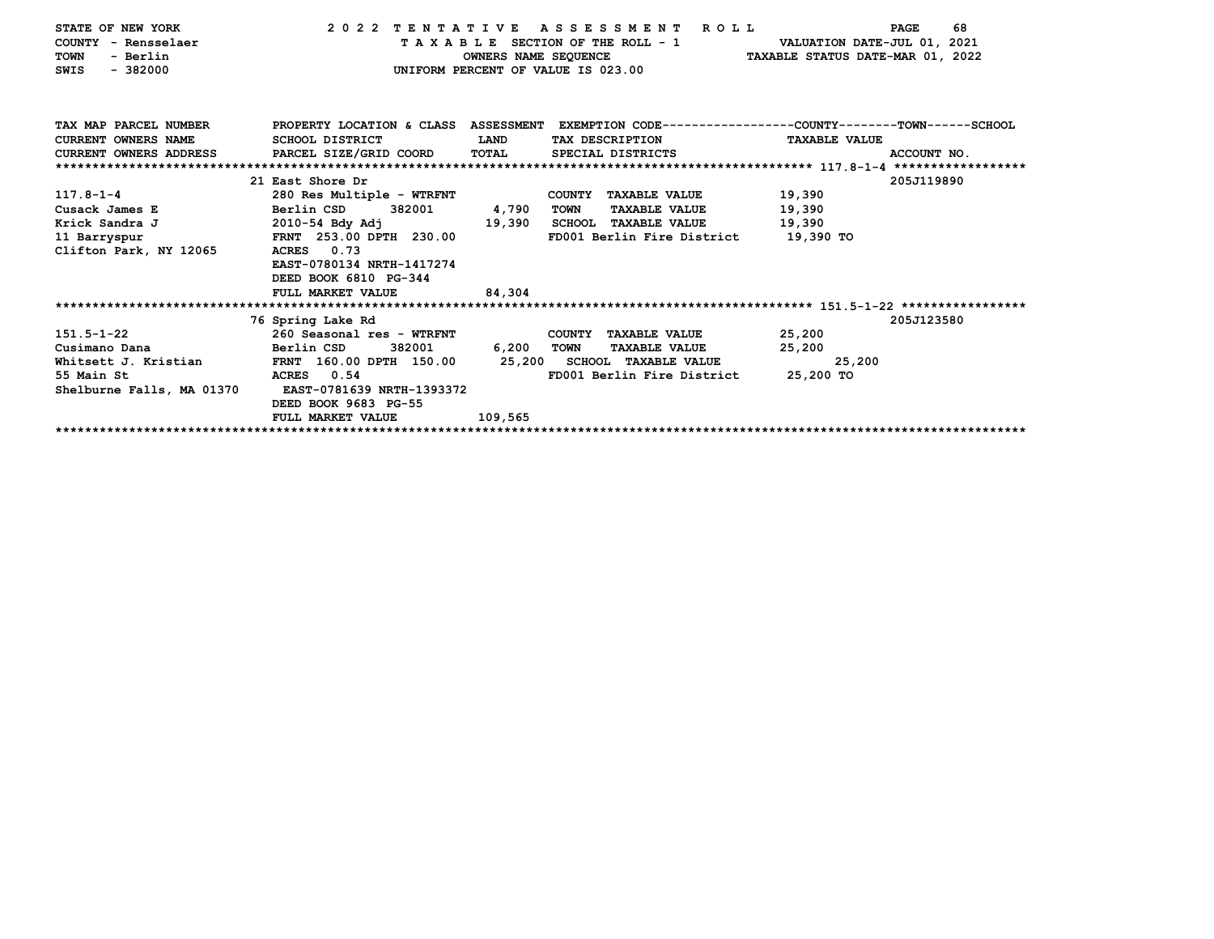| STATE OF NEW YORK                             |                                                                                                 |                      | 2022 TENTATIVE ASSESSMENT ROLL                                    |                                  | 68<br>PAGE  |
|-----------------------------------------------|-------------------------------------------------------------------------------------------------|----------------------|-------------------------------------------------------------------|----------------------------------|-------------|
| COUNTY - Rensselaer                           |                                                                                                 |                      | T A X A B L E SECTION OF THE ROLL - 1 VALUATION DATE-JUL 01, 2021 |                                  |             |
| - Berlin<br><b>TOWN</b>                       |                                                                                                 | OWNERS NAME SEQUENCE |                                                                   | TAXABLE STATUS DATE-MAR 01, 2022 |             |
| $-382000$<br>SWIS                             |                                                                                                 |                      | UNIFORM PERCENT OF VALUE IS 023.00                                |                                  |             |
|                                               |                                                                                                 |                      |                                                                   |                                  |             |
|                                               |                                                                                                 |                      |                                                                   |                                  |             |
|                                               |                                                                                                 |                      |                                                                   |                                  |             |
| TAX MAP PARCEL NUMBER                         | PROPERTY LOCATION & CLASS ASSESSMENT EXEMPTION CODE---------------COUNTY-------TOWN------SCHOOL |                      |                                                                   |                                  |             |
| <b>CURRENT OWNERS NAME</b>                    | SCHOOL DISTRICT                                                                                 | LAND                 | TAX DESCRIPTION                                                   | <b>TAXABLE VALUE</b>             |             |
| CURRENT OWNERS ADDRESS PARCEL SIZE/GRID COORD |                                                                                                 | TOTAL                | SPECIAL DISTRICTS                                                 |                                  | ACCOUNT NO. |
|                                               |                                                                                                 |                      |                                                                   |                                  |             |
|                                               | 21 East Shore Dr                                                                                |                      |                                                                   |                                  | 205J119890  |
| $117.8 - 1 - 4$                               | 280 Res Multiple - WTRFNT                                                                       |                      | COUNTY TAXABLE VALUE                                              | 19,390                           |             |
| Cusack James E                                | Berlin CSD<br>382001                                                                            | 4,790                | <b>TOWN</b><br><b>TAXABLE VALUE</b>                               | 19,390                           |             |
| Krick Sandra J                                | 2010-54 Bdy Adj                                                                                 | 19,390               | SCHOOL TAXABLE VALUE                                              | 19,390                           |             |
| 11 Barryspur                                  | FRNT 253.00 DPTH 230.00                                                                         |                      | FD001 Berlin Fire District 19,390 TO                              |                                  |             |
| Clifton Park, NY 12065                        | ACRES 0.73                                                                                      |                      |                                                                   |                                  |             |
|                                               | EAST-0780134 NRTH-1417274                                                                       |                      |                                                                   |                                  |             |
|                                               | DEED BOOK 6810 PG-344                                                                           |                      |                                                                   |                                  |             |
|                                               | FULL MARKET VALUE                                                                               | 84,304               |                                                                   |                                  |             |
|                                               |                                                                                                 |                      |                                                                   |                                  |             |
|                                               | 76 Spring Lake Rd                                                                               |                      |                                                                   |                                  | 205J123580  |
| 151.5-1-22                                    | 260 Seasonal res - WTRFNT                                                                       |                      | COUNTY TAXABLE VALUE                                              | 25,200                           |             |
| Cusimano Dana                                 | Berlin CSD<br>382001                                                                            | 6,200                | TOWN<br><b>TAXABLE VALUE</b>                                      | 25,200                           |             |
|                                               | Whitsett J. Kristian 60.00 DPTH 150.00 25,200 SCHOOL TAXABLE VALUE                              |                      |                                                                   | 25,200                           |             |
| 55 Main St                                    | ACRES 0.54                                                                                      |                      | FD001 Berlin Fire District                                        | 25,200 TO                        |             |
| Shelburne Falls, MA 01370                     | EAST-0781639 NRTH-1393372                                                                       |                      |                                                                   |                                  |             |
|                                               | DEED BOOK 9683 PG-55                                                                            |                      |                                                                   |                                  |             |
|                                               | FULL MARKET VALUE                                                                               | 109,565              |                                                                   |                                  |             |
|                                               |                                                                                                 |                      |                                                                   |                                  |             |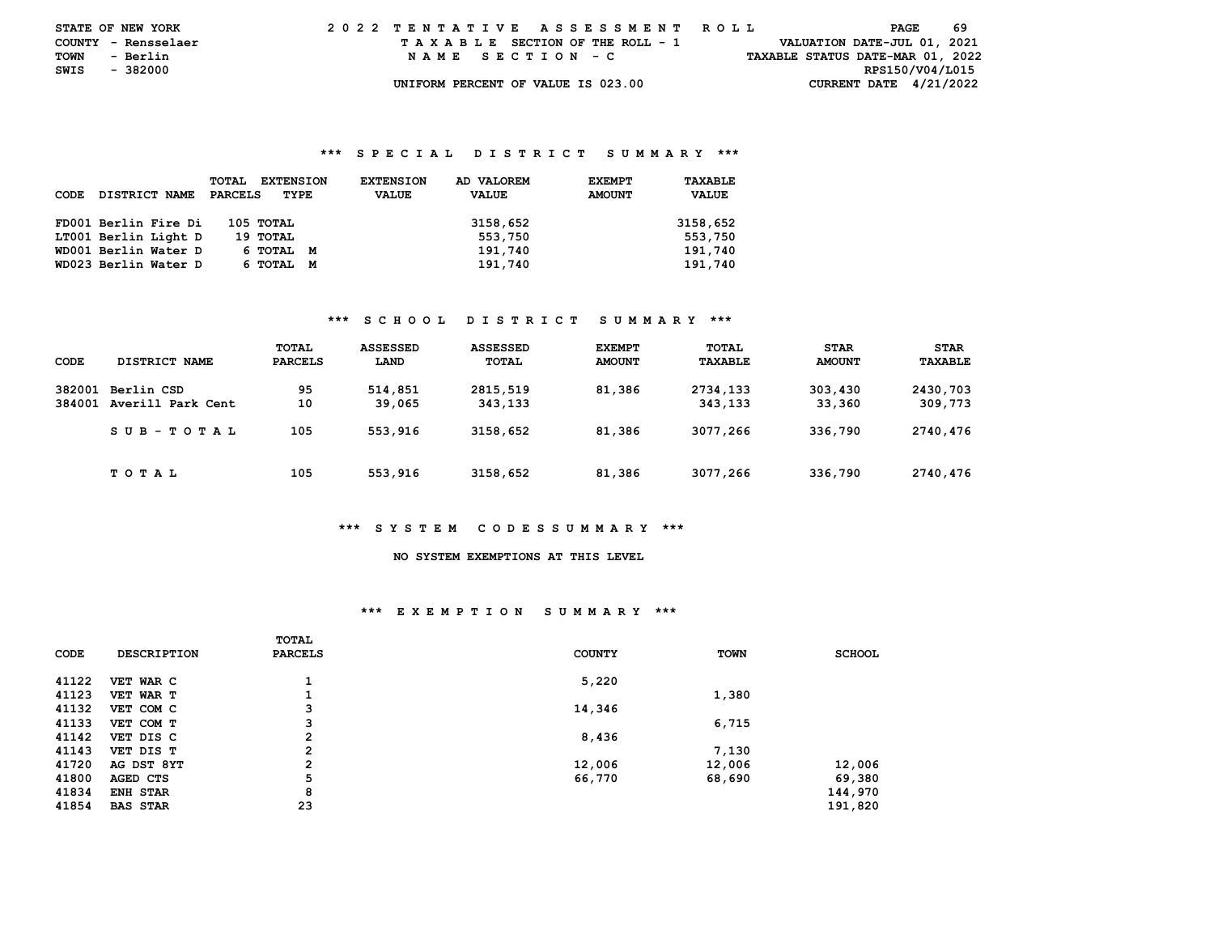| <b>STATE OF NEW YORK</b> |          |          | 2022 TENTATIVE ASSESSMENT ROLL |  |  |  |                                    |  |  |  |  |  |  |  |  |  |                                  | PAGE | -69 |  |
|--------------------------|----------|----------|--------------------------------|--|--|--|------------------------------------|--|--|--|--|--|--|--|--|--|----------------------------------|------|-----|--|
| COUNTY - Rensselaer      |          |          |                                |  |  |  | TAXABLE SECTION OF THE ROLL - 1    |  |  |  |  |  |  |  |  |  | VALUATION DATE-JUL 01, 2021      |      |     |  |
| TOWN                     |          | - Berlin |                                |  |  |  | NAME SECTION - C                   |  |  |  |  |  |  |  |  |  | TAXABLE STATUS DATE-MAR 01, 2022 |      |     |  |
| SWIS                     | - 382000 |          |                                |  |  |  |                                    |  |  |  |  |  |  |  |  |  | RPS150/V04/L015                  |      |     |  |
|                          |          |          |                                |  |  |  | UNIFORM PERCENT OF VALUE IS 023.00 |  |  |  |  |  |  |  |  |  | CURRENT DATE $4/21/2022$         |      |     |  |

#### **\*\*\* S P E C I A L D I S T R I C T S U M M A R Y \*\*\***

| CODE | DISTRICT NAME        | TOTAL<br><b>EXTENSION</b><br>PARCELS<br>TYPE | AD VALOREM<br><b>EXTENSION</b><br><b>VALUE</b><br><b>VALUE</b> | <b>EXEMPT</b><br><b>AMOUNT</b> | TAXABLE<br><b>VALUE</b> |
|------|----------------------|----------------------------------------------|----------------------------------------------------------------|--------------------------------|-------------------------|
|      | FD001 Berlin Fire Di | 105 TOTAL                                    | 3158,652                                                       |                                | 3158,652                |
|      | LT001 Berlin Light D | 19 тотац                                     | 553,750                                                        |                                | 553,750                 |
|      | WD001 Berlin Water D | 6 ТОТАL<br>M                                 | 191,740                                                        |                                | 191,740                 |
|      | WD023 Berlin Water D | 6 TOTAL<br>M                                 | 191,740                                                        |                                | 191,740                 |

#### **\*\*\* S C H O O L D I S T R I C T S U M M A R Y \*\*\***

| CODE             | DISTRICT NAME                   | TOTAL<br><b>PARCELS</b> | ASSESSED<br>LAND  | <b>ASSESSED</b><br>TOTAL | <b>EXEMPT</b><br><b>AMOUNT</b> | TOTAL<br>TAXABLE    | <b>STAR</b><br><b>AMOUNT</b> | <b>STAR</b><br><b>TAXABLE</b> |
|------------------|---------------------------------|-------------------------|-------------------|--------------------------|--------------------------------|---------------------|------------------------------|-------------------------------|
| 382001<br>384001 | Berlin CSD<br>Averill Park Cent | 95<br>10                | 514,851<br>39,065 | 2815,519<br>343,133      | 81,386                         | 2734,133<br>343,133 | 303,430<br>33,360            | 2430,703<br>309,773           |
|                  | SUB-TOTAL                       | 105                     | 553,916           | 3158,652                 | 81,386                         | 3077,266            | 336,790                      | 2740,476                      |
|                  | T O T A L                       | 105                     | 553,916           | 3158,652                 | 81,386                         | 3077,266            | 336,790                      | 2740,476                      |

#### **\*\*\* S Y S T E M C O D E S S U M M A R Y \*\*\***

# **NO SYSTEM EXEMPTIONS AT THIS LEVEL**

#### **\*\*\* E X E M P T I O N S U M M A R Y \*\*\***

|       |                    | TOTAL          |               |             |               |
|-------|--------------------|----------------|---------------|-------------|---------------|
| CODE  | <b>DESCRIPTION</b> | <b>PARCELS</b> | <b>COUNTY</b> | <b>TOWN</b> | <b>SCHOOL</b> |
|       |                    |                |               |             |               |
| 41122 | VET WAR C          |                | 5,220         |             |               |
| 41123 | VET WAR T          |                |               | 1,380       |               |
| 41132 | VET COM C          | 3              | 14,346        |             |               |
| 41133 | VET COM T          | 3              |               | 6,715       |               |
| 41142 | VET DIS C          | $\overline{2}$ | 8,436         |             |               |
| 41143 | VET DIS T          | $\overline{2}$ |               | 7,130       |               |
| 41720 | AG DST 8YT         | $\overline{2}$ | 12,006        | 12,006      | 12,006        |
| 41800 | AGED CTS           | 5              | 66,770        | 68,690      | 69,380        |
| 41834 | ENH STAR           | 8              |               |             | 144,970       |
| 41854 | <b>BAS STAR</b>    | 23             |               |             | 191,820       |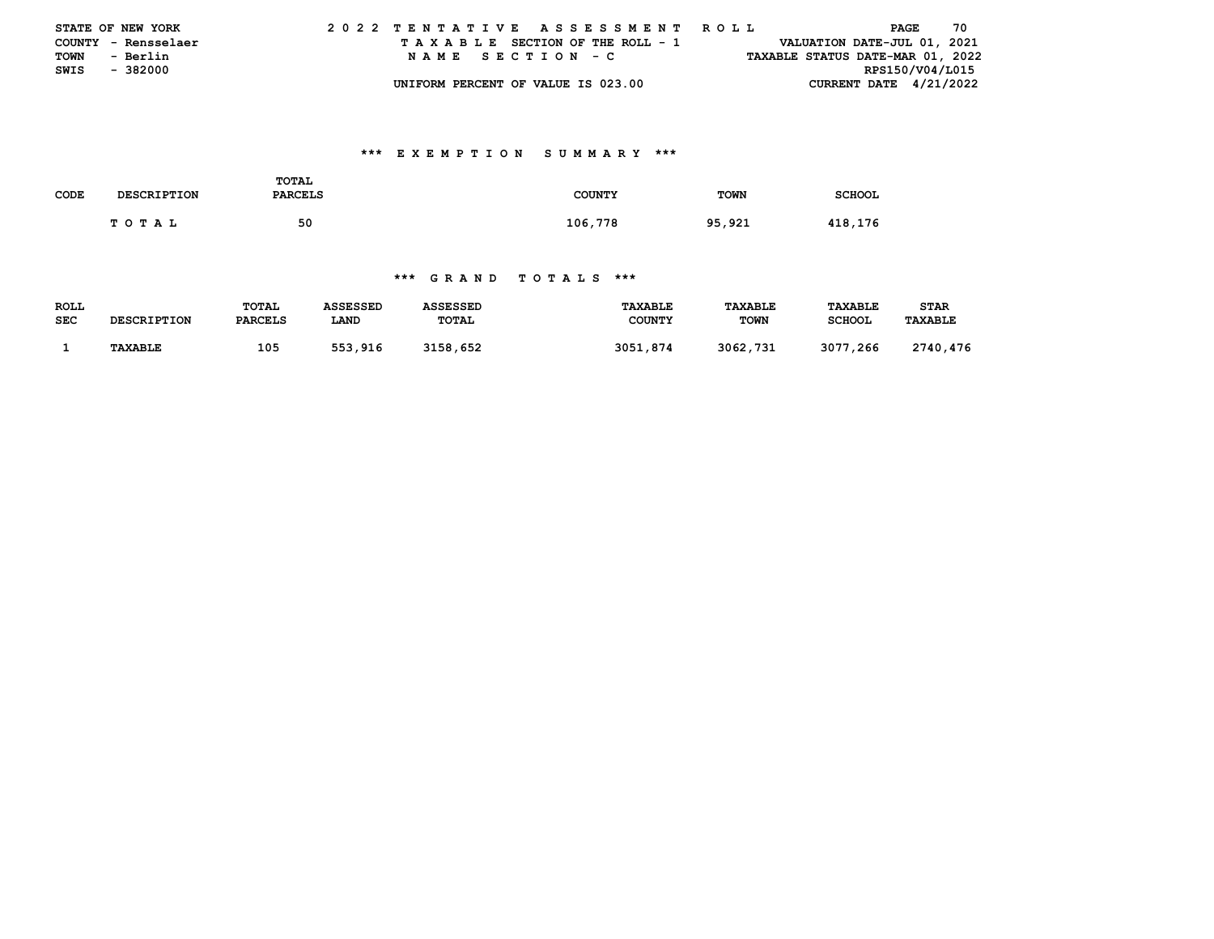|      | <b>STATE OF NEW YORK</b> | 2022 TENTATIVE ASSESSMENT ROLL |  |  |  |  |                                    |  |  |  |  |  |  |  |  |  |                                  | PAGE |  | 70 |  |
|------|--------------------------|--------------------------------|--|--|--|--|------------------------------------|--|--|--|--|--|--|--|--|--|----------------------------------|------|--|----|--|
|      | COUNTY - Rensselaer      |                                |  |  |  |  | TAXABLE SECTION OF THE ROLL - 1    |  |  |  |  |  |  |  |  |  | VALUATION DATE-JUL 01, 2021      |      |  |    |  |
| TOWN | - Berlin                 |                                |  |  |  |  | NAME SECTION - C                   |  |  |  |  |  |  |  |  |  | TAXABLE STATUS DATE-MAR 01, 2022 |      |  |    |  |
| SWIS | - 382000                 |                                |  |  |  |  |                                    |  |  |  |  |  |  |  |  |  | RPS150/V04/L015                  |      |  |    |  |
|      |                          |                                |  |  |  |  | UNIFORM PERCENT OF VALUE IS 023.00 |  |  |  |  |  |  |  |  |  | CURRENT DATE $4/21/2022$         |      |  |    |  |

### **\*\*\* E X E M P T I O N S U M M A R Y \*\*\***

| CODE | <b>DESCRIPTION</b> | <b>TOTAL</b><br><b>PARCELS</b> | <b>COUNTY</b> | <b>TOWN</b> | <b>SCHOOL</b> |
|------|--------------------|--------------------------------|---------------|-------------|---------------|
|      | TOTAL              | 50                             | 106,778       | 95,921      | 418,176       |

#### **\*\*\* G R A N D T O T A L S \*\*\***

| <b>ROLL</b> | <b>DESCRIPTION</b> | TOTAL          | ASSESSED | ASSESSED | <b>TAXABLE</b> | <b>TAXABLE</b> | <b>TAXABLE</b> | <b>STAR</b>    |
|-------------|--------------------|----------------|----------|----------|----------------|----------------|----------------|----------------|
| <b>SEC</b>  |                    | <b>PARCELS</b> | LAND     | TOTAL    | <b>COUNTY</b>  | <b>TOWN</b>    | <b>SCHOOL</b>  | <b>TAXABLE</b> |
|             | TAXABLE            | 105            | 553,916  | 3158,652 | 3051,874       | 3062,731       | 3077,266       | 2740,476       |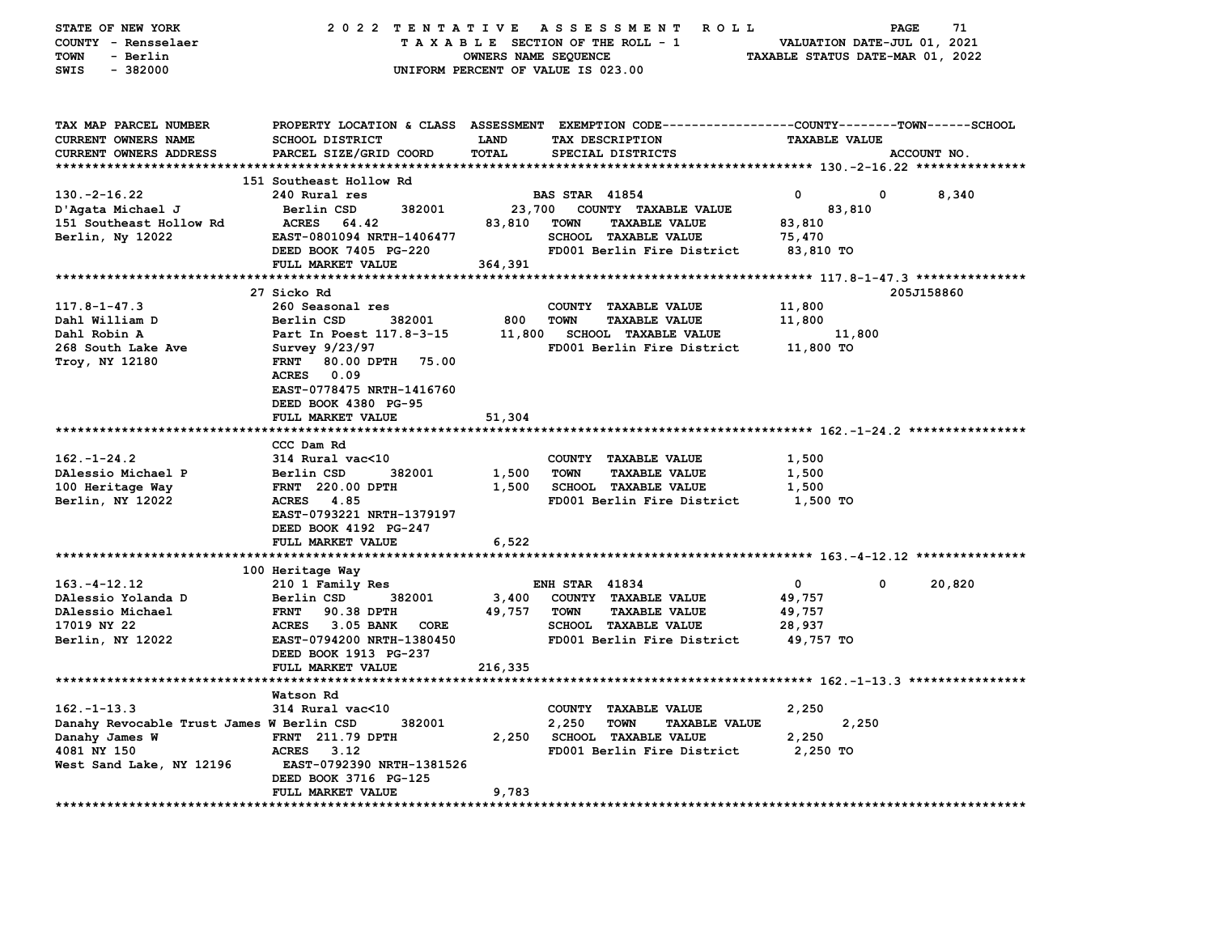| STATE OF NEW YORK                         | 2022 TENTATIVE            |                      | A S S E S S M E N T<br>ROLL ROLL                                                               |                                  | 71<br>PAGE                  |
|-------------------------------------------|---------------------------|----------------------|------------------------------------------------------------------------------------------------|----------------------------------|-----------------------------|
| COUNTY - Rensselaer                       |                           |                      | TAXABLE SECTION OF THE ROLL - 1                                                                |                                  | VALUATION DATE-JUL 01, 2021 |
| TOWN<br>- Berlin                          |                           | OWNERS NAME SEQUENCE |                                                                                                | TAXABLE STATUS DATE-MAR 01, 2022 |                             |
| SWIS<br>$-382000$                         |                           |                      | UNIFORM PERCENT OF VALUE IS 023.00                                                             |                                  |                             |
|                                           |                           |                      |                                                                                                |                                  |                             |
|                                           |                           |                      |                                                                                                |                                  |                             |
|                                           |                           |                      |                                                                                                |                                  |                             |
| TAX MAP PARCEL NUMBER                     |                           |                      | PROPERTY LOCATION & CLASS ASSESSMENT EXEMPTION CODE---------------COUNTY-------TOWN-----SCHOOL |                                  |                             |
| CURRENT OWNERS NAME                       | SCHOOL DISTRICT           | LAND                 | TAX DESCRIPTION                                                                                | <b>TAXABLE VALUE</b>             |                             |
| CURRENT OWNERS ADDRESS                    | PARCEL SIZE/GRID COORD    | TOTAL                | SPECIAL DISTRICTS                                                                              |                                  | ACCOUNT NO.                 |
|                                           |                           |                      |                                                                                                |                                  |                             |
|                                           | 151 Southeast Hollow Rd   |                      |                                                                                                |                                  |                             |
| $130. -2 - 16.22$                         | 240 Rural res             |                      | <b>BAS STAR</b> 41854                                                                          | 0                                | 8,340<br>0                  |
| D'Agata Michael J                         | 382001<br>Berlin CSD      | 23,700               | COUNTY TAXABLE VALUE                                                                           | 83,810                           |                             |
| 151 Southeast Hollow Rd                   | <b>ACRES</b><br>64.42     | 83,810               | <b>TOWN</b><br><b>TAXABLE VALUE</b>                                                            | 83,810                           |                             |
| Berlin, Ny 12022                          | EAST-0801094 NRTH-1406477 |                      | SCHOOL TAXABLE VALUE                                                                           | 75,470                           |                             |
|                                           | DEED BOOK 7405 PG-220     |                      | FD001 Berlin Fire District                                                                     | 83,810 TO                        |                             |
|                                           |                           |                      |                                                                                                |                                  |                             |
|                                           | FULL MARKET VALUE         | 364,391              |                                                                                                |                                  |                             |
|                                           |                           |                      |                                                                                                |                                  |                             |
|                                           | 27 Sicko Rd               |                      |                                                                                                |                                  | 205J158860                  |
| $117.8 - 1 - 47.3$                        | 260 Seasonal res          |                      | COUNTY TAXABLE VALUE                                                                           | 11,800                           |                             |
| Dahl William D                            | Berlin CSD<br>382001      | 800                  | <b>TOWN</b><br><b>TAXABLE VALUE</b>                                                            | 11,800                           |                             |
| Dahl Robin A                              | Part In Poest 117.8-3-15  | 11,800               | <b>SCHOOL TAXABLE VALUE</b>                                                                    | 11,800                           |                             |
| 268 South Lake Ave                        | Survey 9/23/97            |                      | FD001 Berlin Fire District                                                                     | 11,800 TO                        |                             |
| Troy, NY 12180                            | FRNT 80.00 DPTH<br>75.00  |                      |                                                                                                |                                  |                             |
|                                           | ACRES 0.09                |                      |                                                                                                |                                  |                             |
|                                           | EAST-0778475 NRTH-1416760 |                      |                                                                                                |                                  |                             |
|                                           | DEED BOOK 4380 PG-95      |                      |                                                                                                |                                  |                             |
|                                           |                           |                      |                                                                                                |                                  |                             |
|                                           | FULL MARKET VALUE         | 51,304               |                                                                                                |                                  |                             |
|                                           |                           |                      |                                                                                                |                                  |                             |
|                                           | CCC Dam Rd                |                      |                                                                                                |                                  |                             |
| $162. - 1 - 24.2$                         | 314 Rural vac<10          |                      | COUNTY TAXABLE VALUE                                                                           | 1,500                            |                             |
| DAlessio Michael P                        | Berlin CSD<br>382001      | 1,500                | <b>TAXABLE VALUE</b><br>TOWN                                                                   | 1,500                            |                             |
| 100 Heritage Way                          | <b>FRNT</b> 220.00 DPTH   | 1,500                | <b>SCHOOL TAXABLE VALUE</b>                                                                    | 1,500                            |                             |
| Berlin, NY 12022                          | ACRES 4.85                |                      | FD001 Berlin Fire District                                                                     | 1,500 TO                         |                             |
|                                           | EAST-0793221 NRTH-1379197 |                      |                                                                                                |                                  |                             |
|                                           | DEED BOOK 4192 PG-247     |                      |                                                                                                |                                  |                             |
|                                           | FULL MARKET VALUE         | 6,522                |                                                                                                |                                  |                             |
|                                           |                           |                      |                                                                                                |                                  |                             |
|                                           |                           |                      |                                                                                                |                                  |                             |
|                                           | 100 Heritage Way          |                      |                                                                                                |                                  |                             |
| $163. - 4 - 12.12$                        | 210 1 Family Res          |                      | <b>ENH STAR 41834</b>                                                                          | $\mathbf 0$                      | 0<br>20,820                 |
| DAlessio Yolanda D                        | Berlin CSD<br>382001      | 3,400                | COUNTY TAXABLE VALUE                                                                           | 49,757                           |                             |
| DAlessio Michael                          | 90.38 DPTH<br><b>FRNT</b> | 49,757               | <b>TOWN</b><br><b>TAXABLE VALUE</b>                                                            | 49,757                           |                             |
| 17019 NY 22                               | ACRES 3.05 BANK<br>CORE   |                      | SCHOOL TAXABLE VALUE                                                                           | 28,937                           |                             |
| Berlin, NY 12022                          | EAST-0794200 NRTH-1380450 |                      | FD001 Berlin Fire District                                                                     | 49,757 TO                        |                             |
|                                           | DEED BOOK 1913 PG-237     |                      |                                                                                                |                                  |                             |
|                                           | FULL MARKET VALUE         | 216,335              |                                                                                                |                                  |                             |
|                                           |                           |                      |                                                                                                |                                  |                             |
|                                           | Watson Rd                 |                      |                                                                                                |                                  |                             |
| $162. - 1 - 13.3$                         | 314 Rural vac<10          |                      | COUNTY TAXABLE VALUE                                                                           | 2,250                            |                             |
|                                           | 382001                    |                      |                                                                                                |                                  |                             |
| Danahy Revocable Trust James W Berlin CSD |                           |                      | 2,250<br><b>TOWN</b><br><b>TAXABLE VALUE</b>                                                   | 2,250                            |                             |
| Danahy James W                            | <b>FRNT</b> 211.79 DPTH   | 2,250                | <b>SCHOOL TAXABLE VALUE</b>                                                                    | 2,250                            |                             |
| 4081 NY 150                               | <b>ACRES</b><br>3.12      |                      | FD001 Berlin Fire District                                                                     | 2,250 TO                         |                             |
| West Sand Lake, NY 12196                  | EAST-0792390 NRTH-1381526 |                      |                                                                                                |                                  |                             |
|                                           | DEED BOOK 3716 PG-125     |                      |                                                                                                |                                  |                             |
|                                           | <b>FULL MARKET VALUE</b>  | 9,783                |                                                                                                |                                  |                             |
|                                           |                           |                      |                                                                                                |                                  |                             |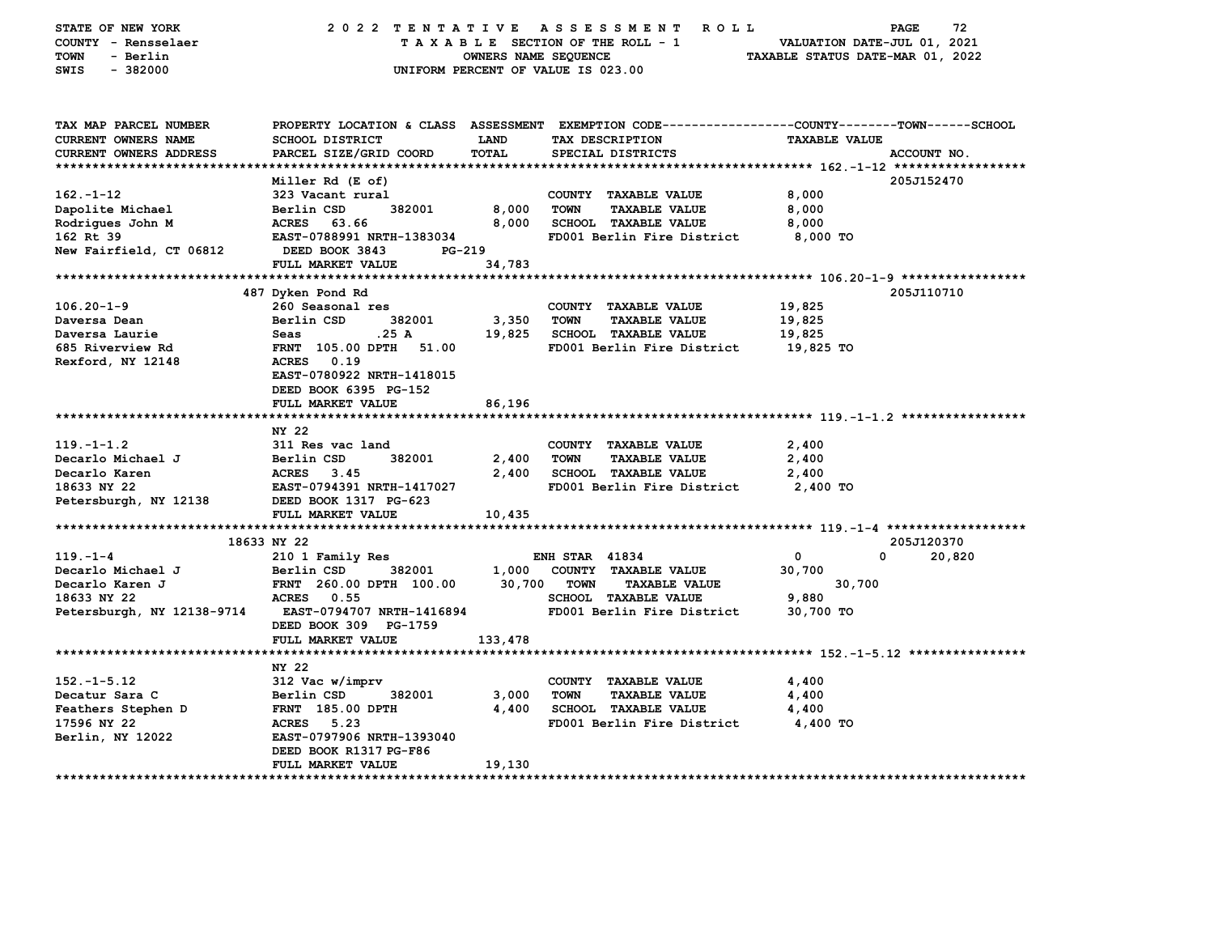| STATE OF NEW YORK<br>COUNTY - Rensselaer<br>TOWN<br>- Berlin<br>$-382000$<br>SWIS | 2022 TENTATIVE ASSESSMENT                          | OWNERS NAME SEQUENCE | <b>ROLL</b><br>TAXABLE SECTION OF THE ROLL - 1<br>UNIFORM PERCENT OF VALUE IS 023.00            | VALUATION DATE-JUL 01, 2021<br>TAXABLE STATUS DATE-MAR 01, 2022 | 72<br>PAGE  |
|-----------------------------------------------------------------------------------|----------------------------------------------------|----------------------|-------------------------------------------------------------------------------------------------|-----------------------------------------------------------------|-------------|
|                                                                                   |                                                    |                      |                                                                                                 |                                                                 |             |
| TAX MAP PARCEL NUMBER                                                             |                                                    |                      | PROPERTY LOCATION & CLASS ASSESSMENT EXEMPTION CODE---------------COUNTY-------TOWN------SCHOOL |                                                                 |             |
| <b>CURRENT OWNERS NAME</b>                                                        | <b>SCHOOL DISTRICT</b>                             | LAND                 | TAX DESCRIPTION                                                                                 | <b>TAXABLE VALUE</b>                                            |             |
| <b>CURRENT OWNERS ADDRESS</b>                                                     | PARCEL SIZE/GRID COORD                             | <b>TOTAL</b>         | SPECIAL DISTRICTS                                                                               |                                                                 | ACCOUNT NO. |
| *************************                                                         |                                                    |                      |                                                                                                 |                                                                 |             |
|                                                                                   | Miller Rd (E of)                                   |                      |                                                                                                 |                                                                 | 205J152470  |
| $162. - 1 - 12$                                                                   | 323 Vacant rural                                   |                      | COUNTY TAXABLE VALUE                                                                            | 8,000                                                           |             |
| Dapolite Michael                                                                  | Berlin CSD<br>382001<br>ACRES<br>63.66             | 8,000<br>8,000       | <b>TOWN</b><br><b>TAXABLE VALUE</b>                                                             | 8,000                                                           |             |
| Rodrigues John M<br>162 Rt 39                                                     | EAST-0788991 NRTH-1383034                          |                      | <b>SCHOOL TAXABLE VALUE</b><br>FD001 Berlin Fire District                                       | 8,000<br>8,000 TO                                               |             |
| New Fairfield, CT 06812                                                           | DEED BOOK 3843<br>PG-219                           |                      |                                                                                                 |                                                                 |             |
|                                                                                   | FULL MARKET VALUE                                  | 34,783               |                                                                                                 |                                                                 |             |
|                                                                                   |                                                    |                      |                                                                                                 |                                                                 |             |
|                                                                                   | 487 Dyken Pond Rd                                  |                      |                                                                                                 |                                                                 | 205J110710  |
| $106.20 - 1 - 9$                                                                  | 260 Seasonal res                                   |                      | COUNTY TAXABLE VALUE                                                                            | 19,825                                                          |             |
| Daversa Dean                                                                      | Berlin CSD<br>382001                               | 3,350                | <b>TOWN</b><br><b>TAXABLE VALUE</b>                                                             | 19,825                                                          |             |
| Daversa Laurie                                                                    | .25A<br>Seas                                       | 19,825               | <b>SCHOOL TAXABLE VALUE</b>                                                                     | 19,825                                                          |             |
| 685 Riverview Rd                                                                  | <b>FRNT</b> 105.00 DPTH<br>51.00                   |                      | FD001 Berlin Fire District                                                                      | 19,825 TO                                                       |             |
| Rexford, NY 12148                                                                 | ACRES 0.19                                         |                      |                                                                                                 |                                                                 |             |
|                                                                                   | EAST-0780922 NRTH-1418015                          |                      |                                                                                                 |                                                                 |             |
|                                                                                   | DEED BOOK 6395 PG-152                              |                      |                                                                                                 |                                                                 |             |
|                                                                                   | FULL MARKET VALUE                                  | 86,196               |                                                                                                 |                                                                 |             |
|                                                                                   |                                                    |                      |                                                                                                 |                                                                 |             |
|                                                                                   | NY 22                                              |                      |                                                                                                 |                                                                 |             |
| $119. - 1 - 1.2$                                                                  | 311 Res vac land                                   |                      | COUNTY TAXABLE VALUE                                                                            | 2,400                                                           |             |
| Decarlo Michael J<br>Decarlo Karen                                                | Berlin CSD<br>382001<br><b>ACRES</b><br>3.45       | 2,400<br>2,400       | <b>TOWN</b><br><b>TAXABLE VALUE</b><br><b>SCHOOL TAXABLE VALUE</b>                              | 2,400<br>2,400                                                  |             |
| 18633 NY 22                                                                       | EAST-0794391 NRTH-1417027                          |                      | FD001 Berlin Fire District                                                                      | 2,400 TO                                                        |             |
| Petersburgh, NY 12138                                                             | DEED BOOK 1317 PG-623                              |                      |                                                                                                 |                                                                 |             |
|                                                                                   | FULL MARKET VALUE                                  | 10,435               |                                                                                                 |                                                                 |             |
|                                                                                   |                                                    |                      |                                                                                                 |                                                                 |             |
|                                                                                   | 18633 NY 22                                        |                      |                                                                                                 |                                                                 | 205J120370  |
| $119. - 1 - 4$                                                                    | 210 1 Family Res                                   |                      | <b>ENH STAR 41834</b>                                                                           | 0                                                               | 0<br>20,820 |
| Decarlo Michael J                                                                 | 382001<br>Berlin CSD                               | 1,000                | COUNTY TAXABLE VALUE                                                                            | 30,700                                                          |             |
| Decarlo Karen J                                                                   | FRNT 260.00 DPTH 100.00                            | 30,700               | <b>TOWN</b><br><b>TAXABLE VALUE</b>                                                             | 30,700                                                          |             |
| 18633 NY 22                                                                       | 0.55<br><b>ACRES</b>                               |                      | <b>SCHOOL TAXABLE VALUE</b>                                                                     | 9,880                                                           |             |
| Petersburgh, NY 12138-9714                                                        | EAST-0794707 NRTH-1416894                          |                      | FD001 Berlin Fire District                                                                      | 30,700 TO                                                       |             |
|                                                                                   | DEED BOOK 309 PG-1759                              |                      |                                                                                                 |                                                                 |             |
|                                                                                   | FULL MARKET VALUE                                  | 133,478              |                                                                                                 |                                                                 |             |
|                                                                                   |                                                    |                      |                                                                                                 |                                                                 |             |
|                                                                                   | NY 22                                              |                      |                                                                                                 |                                                                 |             |
| $152. - 1 - 5.12$                                                                 | 312 Vac w/imprv                                    |                      | COUNTY TAXABLE VALUE                                                                            | 4,400                                                           |             |
| Decatur Sara C                                                                    | Berlin CSD<br>382001                               | 3,000                | <b>TOWN</b><br><b>TAXABLE VALUE</b>                                                             | 4,400                                                           |             |
| Feathers Stephen D                                                                | <b>FRNT</b> 185.00 DPTH                            | 4,400                | <b>SCHOOL TAXABLE VALUE</b>                                                                     | 4,400                                                           |             |
| 17596 NY 22                                                                       | ACRES 5.23                                         |                      | FD001 Berlin Fire District                                                                      | 4,400 TO                                                        |             |
| Berlin, NY 12022                                                                  | EAST-0797906 NRTH-1393040                          |                      |                                                                                                 |                                                                 |             |
|                                                                                   | DEED BOOK R1317 PG-F86<br><b>FULL MARKET VALUE</b> | 19,130               |                                                                                                 |                                                                 |             |
| ****************************                                                      |                                                    |                      |                                                                                                 |                                                                 |             |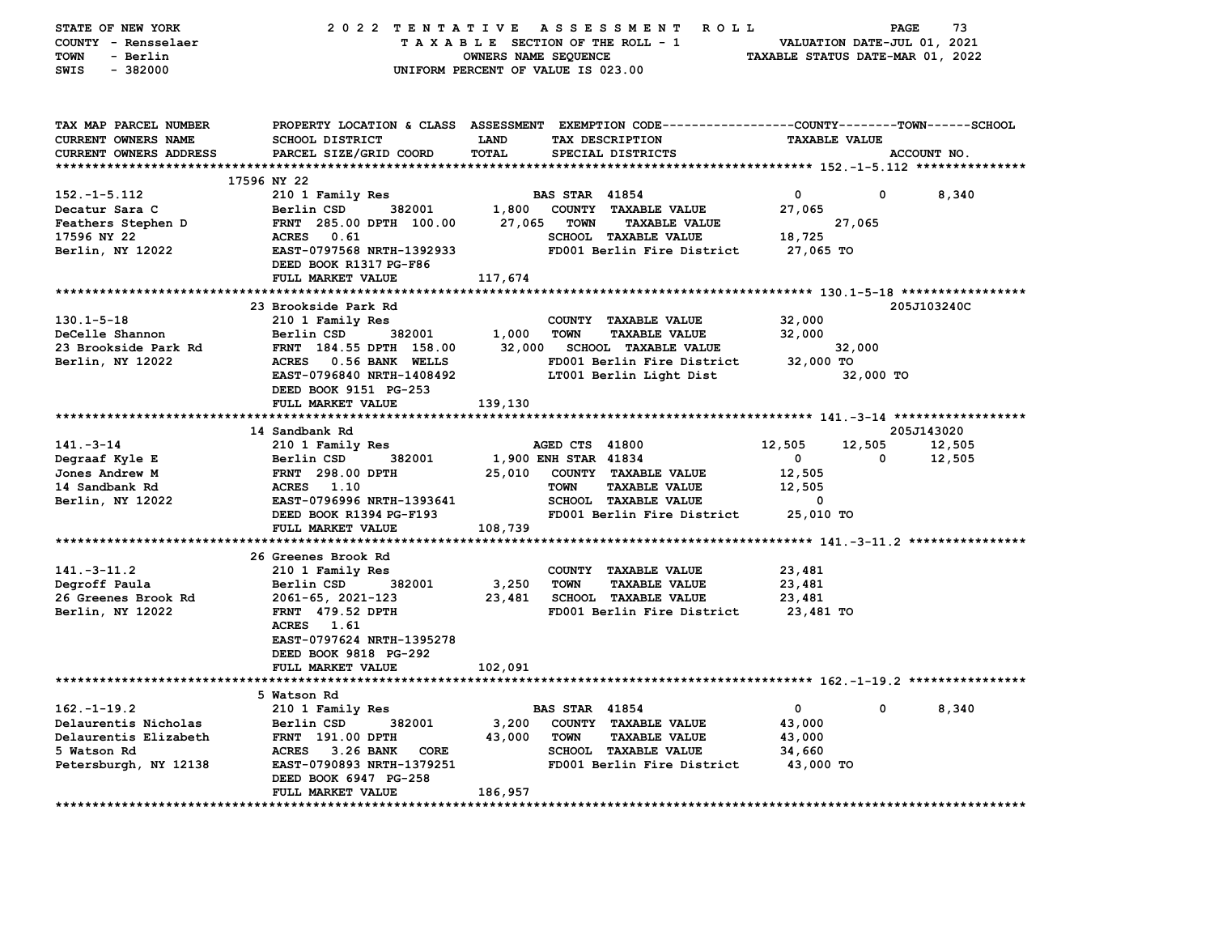| STATE OF NEW YORK<br>COUNTY - Rensselaer<br><b>TOWN</b><br>- Berlin<br>$-382000$<br>SWIS | 2022 TENTATIVE                                                                                                                               | OWNERS NAME SEQUENCE        | ASSESSMENT ROLL<br>TAXABLE SECTION OF THE ROLL - 1<br>UNIFORM PERCENT OF VALUE IS 023.00 | VALUATION DATE-JUL 01, 2021<br>TAXABLE STATUS DATE-MAR 01, 2022 | PAGE                 | 73          |
|------------------------------------------------------------------------------------------|----------------------------------------------------------------------------------------------------------------------------------------------|-----------------------------|------------------------------------------------------------------------------------------|-----------------------------------------------------------------|----------------------|-------------|
| TAX MAP PARCEL NUMBER<br>CURRENT OWNERS NAME<br>CURRENT OWNERS ADDRESS                   | PROPERTY LOCATION & CLASS ASSESSMENT EXEMPTION CODE---------------COUNTY-------TOWN------SCHOOL<br>SCHOOL DISTRICT<br>PARCEL SIZE/GRID COORD | <b>LAND</b><br><b>TOTAL</b> | TAX DESCRIPTION<br>SPECIAL DISTRICTS                                                     | <b>TAXABLE VALUE</b>                                            |                      | ACCOUNT NO. |
|                                                                                          |                                                                                                                                              |                             |                                                                                          |                                                                 |                      |             |
|                                                                                          | 17596 NY 22                                                                                                                                  |                             |                                                                                          |                                                                 |                      |             |
| $152. - 1 - 5.112$                                                                       | 210 1 Family Res                                                                                                                             |                             | <b>BAS STAR 41854</b>                                                                    | $\mathbf 0$                                                     | 0                    | 8,340       |
| Decatur Sara C                                                                           | 382001<br>Berlin CSD                                                                                                                         |                             | 1,800 COUNTY TAXABLE VALUE                                                               | 27,065                                                          |                      |             |
| Feathers Stephen D                                                                       | FRNT 285.00 DPTH 100.00                                                                                                                      | 27,065                      | <b>TOWN</b><br><b>TAXABLE VALUE</b>                                                      | 27,065                                                          |                      |             |
| 17596 NY 22                                                                              | ACRES 0.61                                                                                                                                   |                             | SCHOOL TAXABLE VALUE                                                                     | 18,725                                                          |                      |             |
| Berlin, NY 12022                                                                         | EAST-0797568 NRTH-1392933                                                                                                                    |                             | FD001 Berlin Fire District                                                               | 27,065 TO                                                       |                      |             |
|                                                                                          | DEED BOOK R1317 PG-F86                                                                                                                       |                             |                                                                                          |                                                                 |                      |             |
|                                                                                          | FULL MARKET VALUE                                                                                                                            | 117,674                     |                                                                                          |                                                                 |                      |             |
|                                                                                          |                                                                                                                                              |                             |                                                                                          |                                                                 |                      |             |
|                                                                                          | 23 Brookside Park Rd                                                                                                                         |                             |                                                                                          |                                                                 |                      | 205J103240C |
| $130.1 - 5 - 18$                                                                         | 210 1 Family Res                                                                                                                             |                             | COUNTY TAXABLE VALUE                                                                     | 32,000                                                          |                      |             |
| DeCelle Shannon                                                                          | Berlin CSD<br>382001                                                                                                                         | 1,000                       | <b>TOWN</b><br><b>TAXABLE VALUE</b>                                                      | 32,000                                                          |                      |             |
| 23 Brookside Park Rd                                                                     | FRNT 184.55 DPTH 158.00                                                                                                                      | 32,000                      | <b>SCHOOL TAXABLE VALUE</b>                                                              | 32,000                                                          |                      |             |
| Berlin, NY 12022                                                                         | ACRES 0.56 BANK WELLS                                                                                                                        |                             | FD001 Berlin Fire District                                                               | 32,000 TO                                                       |                      |             |
|                                                                                          | EAST-0796840 NRTH-1408492                                                                                                                    |                             | LT001 Berlin Light Dist                                                                  |                                                                 | 32,000 TO            |             |
|                                                                                          | DEED BOOK 9151 PG-253                                                                                                                        |                             |                                                                                          |                                                                 |                      |             |
|                                                                                          | FULL MARKET VALUE                                                                                                                            | 139,130                     |                                                                                          |                                                                 |                      |             |
|                                                                                          |                                                                                                                                              |                             |                                                                                          |                                                                 |                      |             |
| $141 - 3 - 14$                                                                           | 14 Sandbank Rd                                                                                                                               |                             | AGED CTS 41800                                                                           | 12,505                                                          | 205J143020<br>12,505 | 12,505      |
| Degraaf Kyle E                                                                           | 210 1 Family Res<br>Berlin CSD<br>382001                                                                                                     |                             | 1,900 ENH STAR 41834                                                                     | $\overline{\mathbf{0}}$                                         | 0                    | 12,505      |
| Jones Andrew M                                                                           | <b>FRNT 298.00 DPTH</b>                                                                                                                      |                             | 25,010 COUNTY TAXABLE VALUE                                                              | 12,505                                                          |                      |             |
| 14 Sandbank Rd                                                                           | <b>ACRES</b> 1.10                                                                                                                            |                             | <b>TOWN</b><br><b>TAXABLE VALUE</b>                                                      | 12,505                                                          |                      |             |
| Berlin, NY 12022                                                                         | EAST-0796996 NRTH-1393641                                                                                                                    |                             | <b>SCHOOL TAXABLE VALUE</b>                                                              | $\mathbf 0$                                                     |                      |             |
|                                                                                          | DEED BOOK R1394 PG-F193                                                                                                                      |                             | FD001 Berlin Fire District                                                               | 25,010 TO                                                       |                      |             |
|                                                                                          | FULL MARKET VALUE                                                                                                                            | 108,739                     |                                                                                          |                                                                 |                      |             |
|                                                                                          |                                                                                                                                              |                             |                                                                                          |                                                                 |                      |             |
|                                                                                          | 26 Greenes Brook Rd                                                                                                                          |                             |                                                                                          |                                                                 |                      |             |
| $141. - 3 - 11.2$                                                                        | 210 1 Family Res                                                                                                                             |                             | COUNTY TAXABLE VALUE                                                                     | 23,481                                                          |                      |             |
| Degroff Paula                                                                            | Berlin CSD<br>382001                                                                                                                         | 3,250                       | <b>TOWN</b><br><b>TAXABLE VALUE</b>                                                      | 23,481                                                          |                      |             |
| 26 Greenes Brook Rd                                                                      | $2061 - 65, 2021 - 123$                                                                                                                      |                             | 23,481 SCHOOL TAXABLE VALUE                                                              | 23,481                                                          |                      |             |
| Berlin, NY 12022                                                                         | <b>FRNT</b> 479.52 DPTH                                                                                                                      |                             | FD001 Berlin Fire District                                                               | 23,481 TO                                                       |                      |             |
|                                                                                          | ACRES 1.61                                                                                                                                   |                             |                                                                                          |                                                                 |                      |             |
|                                                                                          | EAST-0797624 NRTH-1395278                                                                                                                    |                             |                                                                                          |                                                                 |                      |             |
|                                                                                          | DEED BOOK 9818 PG-292                                                                                                                        |                             |                                                                                          |                                                                 |                      |             |
|                                                                                          | FULL MARKET VALUE                                                                                                                            | 102,091                     |                                                                                          |                                                                 |                      |             |
|                                                                                          |                                                                                                                                              |                             |                                                                                          |                                                                 |                      |             |
|                                                                                          | 5 Watson Rd                                                                                                                                  |                             |                                                                                          |                                                                 |                      |             |
| $162. - 1 - 19.2$                                                                        | 210 1 Family Res                                                                                                                             |                             | <b>BAS STAR 41854</b>                                                                    | $\mathbf{0}$                                                    | $\mathbf 0$          | 8,340       |
| Delaurentis Nicholas                                                                     | 382001<br>Berlin CSD                                                                                                                         | 3,200                       | COUNTY TAXABLE VALUE                                                                     | 43,000                                                          |                      |             |
| Delaurentis Elizabeth                                                                    | <b>FRNT</b> 191.00 DPTH                                                                                                                      | 43,000                      | <b>TOWN</b><br><b>TAXABLE VALUE</b>                                                      | 43,000                                                          |                      |             |
| 5 Watson Rd                                                                              | ACRES 3.26 BANK CORE                                                                                                                         |                             | <b>SCHOOL TAXABLE VALUE</b>                                                              | 34,660                                                          |                      |             |
| Petersburgh, NY 12138                                                                    | EAST-0790893 NRTH-1379251                                                                                                                    |                             | FD001 Berlin Fire District                                                               | 43,000 TO                                                       |                      |             |
|                                                                                          | DEED BOOK 6947 PG-258<br>FULL MARKET VALUE                                                                                                   | 186,957                     |                                                                                          |                                                                 |                      |             |
|                                                                                          |                                                                                                                                              |                             |                                                                                          |                                                                 |                      |             |
|                                                                                          |                                                                                                                                              |                             |                                                                                          |                                                                 |                      |             |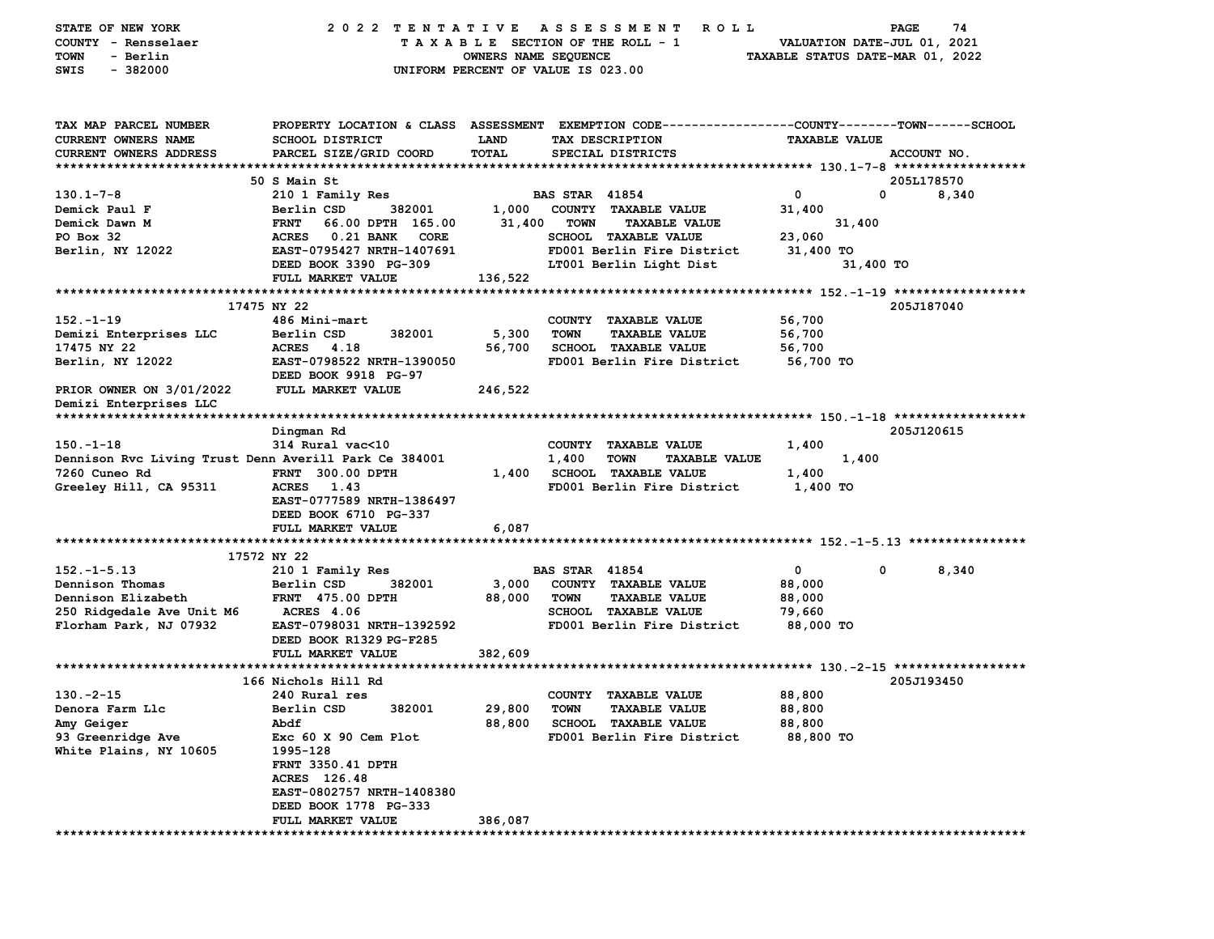| STATE OF NEW YORK<br>COUNTY - Rensselaer<br>- Berlin<br>TOWN<br>$-382000$<br>SWIS | 2022 TENTATIVE                            | OWNERS NAME SEQUENCE | A S S E S S M E N T<br>ROLL<br>TAXABLE SECTION OF THE ROLL - 1<br>UNIFORM PERCENT OF VALUE IS 023.00                                    | VALUATION DATE-JUL 01, 2021<br>TAXABLE STATUS DATE-MAR 01, 2022 | 74<br>PAGE  |
|-----------------------------------------------------------------------------------|-------------------------------------------|----------------------|-----------------------------------------------------------------------------------------------------------------------------------------|-----------------------------------------------------------------|-------------|
| TAX MAP PARCEL NUMBER<br><b>CURRENT OWNERS NAME</b><br>CURRENT OWNERS ADDRESS     | SCHOOL DISTRICT<br>PARCEL SIZE/GRID COORD | LAND<br>TOTAL        | PROPERTY LOCATION & CLASS ASSESSMENT EXEMPTION CODE---------------COUNTY-------TOWN------SCHOOL<br>TAX DESCRIPTION<br>SPECIAL DISTRICTS | <b>TAXABLE VALUE</b>                                            | ACCOUNT NO. |
|                                                                                   | 50 S Main St                              |                      |                                                                                                                                         |                                                                 | 205L178570  |
| $130.1 - 7 - 8$                                                                   | 210 1 Family Res                          |                      | <b>BAS STAR 41854</b>                                                                                                                   | 0<br>0                                                          | 8,340       |
| Demick Paul F                                                                     | Berlin CSD<br>382001                      | 1,000                | COUNTY TAXABLE VALUE                                                                                                                    | 31,400                                                          |             |
| Demick Dawn M                                                                     | <b>FRNT</b><br>66.00 DPTH 165.00          | 31,400               | <b>TOWN</b><br><b>TAXABLE VALUE</b>                                                                                                     | 31,400                                                          |             |
| PO Box 32                                                                         | ACRES<br><b>0.21 BANK</b><br>CORE         |                      | <b>SCHOOL TAXABLE VALUE</b>                                                                                                             | 23,060                                                          |             |
| Berlin, NY 12022                                                                  | EAST-0795427 NRTH-1407691                 |                      | FD001 Berlin Fire District                                                                                                              | 31,400 TO                                                       |             |
|                                                                                   | DEED BOOK 3390 PG-309                     |                      | LT001 Berlin Light Dist                                                                                                                 | 31,400 TO                                                       |             |
|                                                                                   | FULL MARKET VALUE                         | 136,522              |                                                                                                                                         |                                                                 |             |
|                                                                                   |                                           |                      |                                                                                                                                         |                                                                 |             |
| $152 - 1 - 19$                                                                    | 17475 NY 22<br>486 Mini-mart              |                      | COUNTY TAXABLE VALUE                                                                                                                    |                                                                 | 205J187040  |
| Demizi Enterprises LLC                                                            | Berlin CSD<br>382001                      | 5,300                | <b>TOWN</b><br><b>TAXABLE VALUE</b>                                                                                                     | 56,700<br>56,700                                                |             |
| 17475 NY 22                                                                       | <b>ACRES</b><br>4.18                      | 56,700               | <b>SCHOOL TAXABLE VALUE</b>                                                                                                             | 56,700                                                          |             |
| Berlin, NY 12022                                                                  | EAST-0798522 NRTH-1390050                 |                      | FD001 Berlin Fire District                                                                                                              | 56,700 TO                                                       |             |
|                                                                                   | DEED BOOK 9918 PG-97                      |                      |                                                                                                                                         |                                                                 |             |
| PRIOR OWNER ON 3/01/2022                                                          | FULL MARKET VALUE                         | 246,522              |                                                                                                                                         |                                                                 |             |
| Demizi Enterprises LLC                                                            |                                           |                      |                                                                                                                                         |                                                                 |             |
|                                                                                   |                                           |                      |                                                                                                                                         |                                                                 |             |
|                                                                                   | Dingman Rd                                |                      |                                                                                                                                         |                                                                 | 205J120615  |
| $150. - 1 - 18$                                                                   | 314 Rural vac<10                          |                      | COUNTY TAXABLE VALUE                                                                                                                    | 1,400                                                           |             |
| Dennison Rvc Living Trust Denn Averill Park Ce 384001                             |                                           |                      | 1,400<br><b>TOWN</b><br><b>TAXABLE VALUE</b>                                                                                            | 1,400                                                           |             |
| 7260 Cuneo Rd                                                                     | <b>FRNT 300.00 DPTH</b>                   | 1,400                | <b>SCHOOL TAXABLE VALUE</b>                                                                                                             | 1,400                                                           |             |
| Greeley Hill, CA 95311                                                            | <b>ACRES</b><br>1.43                      |                      | FD001 Berlin Fire District                                                                                                              | 1,400 TO                                                        |             |
|                                                                                   | EAST-0777589 NRTH-1386497                 |                      |                                                                                                                                         |                                                                 |             |
|                                                                                   | DEED BOOK 6710 PG-337                     |                      |                                                                                                                                         |                                                                 |             |
|                                                                                   | FULL MARKET VALUE                         | 6,087                |                                                                                                                                         |                                                                 |             |
|                                                                                   | 17572 NY 22                               |                      |                                                                                                                                         |                                                                 |             |
| $152. - 1 - 5.13$                                                                 | 210 1 Family Res                          |                      | <b>BAS STAR 41854</b>                                                                                                                   | 0<br>$\mathbf 0$                                                | 8,340       |
| Dennison Thomas                                                                   | Berlin CSD<br>382001                      | 3,000                | COUNTY TAXABLE VALUE                                                                                                                    | 88,000                                                          |             |
| Dennison Elizabeth                                                                | <b>FRNT 475.00 DPTH</b>                   | 88,000               | <b>TOWN</b><br><b>TAXABLE VALUE</b>                                                                                                     | 88,000                                                          |             |
| 250 Ridgedale Ave Unit M6                                                         | <b>ACRES</b> 4.06                         |                      | SCHOOL TAXABLE VALUE                                                                                                                    | 79,660                                                          |             |
| Florham Park, NJ 07932                                                            | EAST-0798031 NRTH-1392592                 |                      | FD001 Berlin Fire District                                                                                                              | 88,000 TO                                                       |             |
|                                                                                   | DEED BOOK R1329 PG-F285                   |                      |                                                                                                                                         |                                                                 |             |
|                                                                                   | FULL MARKET VALUE                         | 382,609              |                                                                                                                                         |                                                                 |             |
|                                                                                   |                                           |                      |                                                                                                                                         |                                                                 |             |
|                                                                                   | 166 Nichols Hill Rd                       |                      |                                                                                                                                         |                                                                 | 205J193450  |
| $130 - 2 - 15$                                                                    | 240 Rural res                             |                      | COUNTY TAXABLE VALUE                                                                                                                    | 88,800                                                          |             |
| Denora Farm Llc                                                                   | 382001<br>Berlin CSD                      | 29,800               | TOWN<br><b>TAXABLE VALUE</b>                                                                                                            | 88,800                                                          |             |
| Amy Geiger                                                                        | Abdf                                      | 88,800               | <b>SCHOOL TAXABLE VALUE</b>                                                                                                             | 88,800                                                          |             |
| 93 Greenridge Ave                                                                 | Exc 60 X 90 Cem Plot                      |                      | FD001 Berlin Fire District                                                                                                              | 88,800 TO                                                       |             |
| White Plains, NY 10605                                                            | 1995-128                                  |                      |                                                                                                                                         |                                                                 |             |
|                                                                                   | FRNT 3350.41 DPTH                         |                      |                                                                                                                                         |                                                                 |             |
|                                                                                   | ACRES 126.48<br>EAST-0802757 NRTH-1408380 |                      |                                                                                                                                         |                                                                 |             |
|                                                                                   | DEED BOOK 1778 PG-333                     |                      |                                                                                                                                         |                                                                 |             |
|                                                                                   | FULL MARKET VALUE                         | 386,087              |                                                                                                                                         |                                                                 |             |
|                                                                                   |                                           |                      |                                                                                                                                         |                                                                 |             |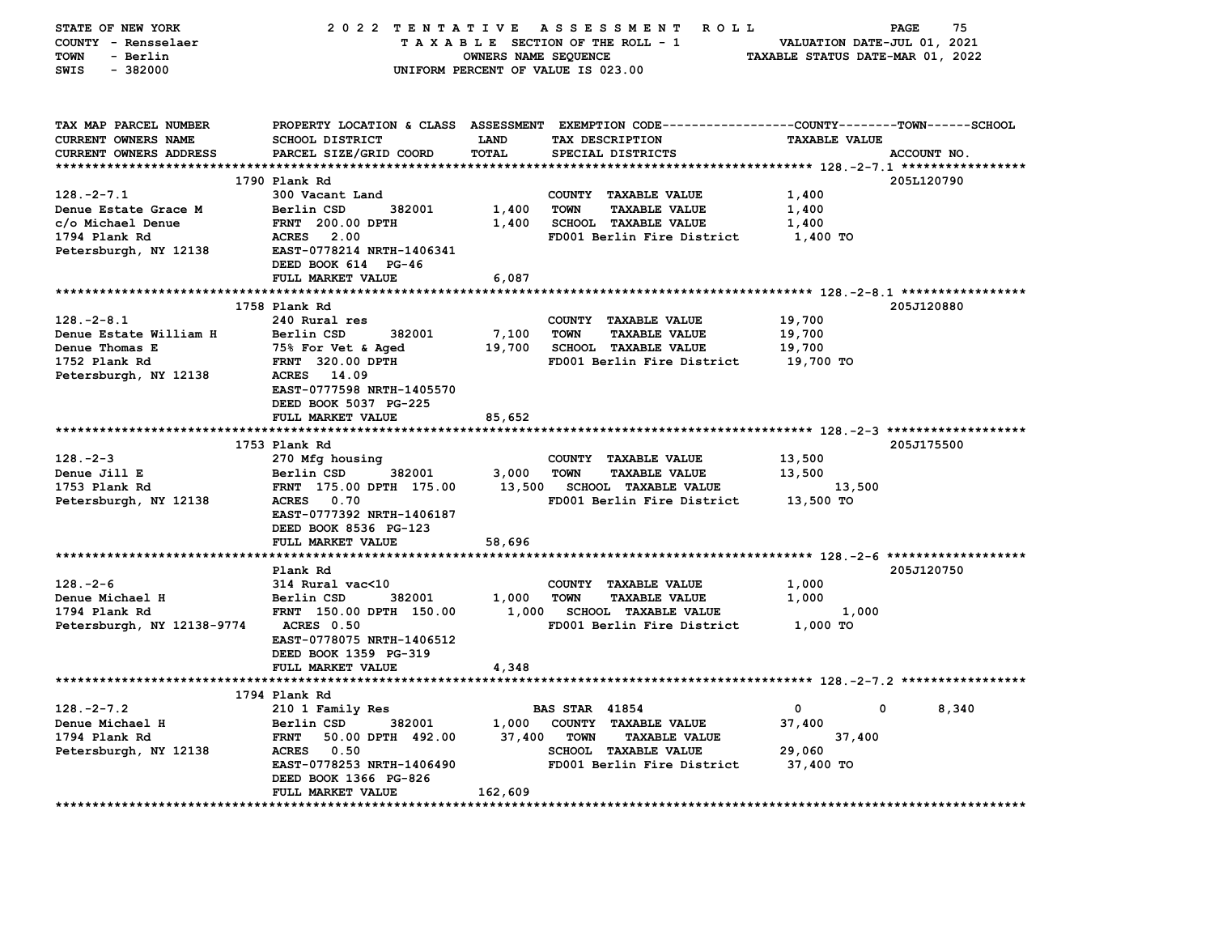| TAX MAP PARCEL NUMBER<br>PROPERTY LOCATION & CLASS ASSESSMENT EXEMPTION CODE---------------COUNTY-------TOWN------SCHOOL<br><b>CURRENT OWNERS NAME</b><br><b>SCHOOL DISTRICT</b><br><b>LAND</b><br>TAX DESCRIPTION<br><b>TAXABLE VALUE</b><br><b>TOTAL</b><br>CURRENT OWNERS ADDRESS<br>PARCEL SIZE/GRID COORD<br>SPECIAL DISTRICTS<br>ACCOUNT NO.<br>1790 Plank Rd<br>205L120790<br>$128. -2 - 7.1$<br>300 Vacant Land<br>COUNTY TAXABLE VALUE<br>1,400<br>Berlin CSD<br>1,400<br><b>TOWN</b><br><b>TAXABLE VALUE</b><br>1,400<br>Denue Estate Grace M<br>382001<br>c/o Michael Denue<br>FRNT 200.00 DPTH<br>1,400<br>SCHOOL TAXABLE VALUE<br>1,400<br>1794 Plank Rd<br><b>ACRES</b><br>2.00<br>FD001 Berlin Fire District<br>1,400 TO<br>Petersburgh, NY 12138<br>EAST-0778214 NRTH-1406341<br>DEED BOOK 614 PG-46<br>FULL MARKET VALUE<br>6,087<br>1758 Plank Rd<br>205J120880<br>240 Rural res<br>$128. - 2 - 8.1$<br>COUNTY TAXABLE VALUE<br>19,700<br>Denue Estate William H<br>Berlin CSD<br>382001<br>7,100<br><b>TOWN</b><br><b>TAXABLE VALUE</b><br>19,700<br>Denue Thomas E<br>75% For Vet & Aged<br>19,700<br><b>SCHOOL TAXABLE VALUE</b><br>19,700<br><b>FRNT</b> 320.00 DPTH<br>FD001 Berlin Fire District<br>1752 Plank Rd<br>19,700 TO<br>14.09<br>Petersburgh, NY 12138<br><b>ACRES</b><br>EAST-0777598 NRTH-1405570<br>DEED BOOK 5037 PG-225<br>FULL MARKET VALUE<br>85,652<br>1753 Plank Rd<br>205J175500<br>$128. - 2 - 3$<br>270 Mfg housing<br>COUNTY TAXABLE VALUE<br>13,500<br>Denue Jill E<br>Berlin CSD<br>382001<br>3,000<br><b>TOWN</b><br><b>TAXABLE VALUE</b><br>13,500<br>FRNT 175.00 DPTH 175.00<br>13,500<br>1753 Plank Rd<br>13,500<br><b>SCHOOL TAXABLE VALUE</b><br>ACRES 0.70<br>Petersburgh, NY 12138<br>FD001 Berlin Fire District<br>13,500 TO<br>EAST-0777392 NRTH-1406187<br>DEED BOOK 8536 PG-123<br>FULL MARKET VALUE<br>58,696<br>Plank Rd<br>205J120750<br>$128. - 2 - 6$<br>314 Rural vac<10<br>COUNTY TAXABLE VALUE<br>1,000<br>Denue Michael H<br>382001<br>1,000<br><b>TOWN</b><br><b>TAXABLE VALUE</b><br>1,000<br>Berlin CSD<br>FRNT 150.00 DPTH 150.00<br>1,000 SCHOOL TAXABLE VALUE<br>1,000<br>1794 Plank Rd<br>Petersburgh, NY 12138-9774<br>FD001 Berlin Fire District<br>1,000 TO<br>ACRES 0.50<br>EAST-0778075 NRTH-1406512<br>DEED BOOK 1359 PG-319<br>FULL MARKET VALUE<br>4,348<br>1794 Plank Rd<br>$128. -2 - 7.2$<br>$\mathbf{0}$<br>$\mathbf{0}$<br><b>BAS STAR 41854</b><br>8,340<br>210 1 Family Res<br>1,000<br>Denue Michael H<br>Berlin CSD<br>382001<br>COUNTY TAXABLE VALUE<br>37,400<br>37,400<br>1794 Plank Rd<br><b>FRNT</b><br>50.00 DPTH 492.00<br><b>TOWN</b><br><b>TAXABLE VALUE</b><br>37,400<br>Petersburgh, NY 12138<br>ACRES 0.50<br><b>SCHOOL TAXABLE VALUE</b><br>29,060<br>EAST-0778253 NRTH-1406490<br>FD001 Berlin Fire District<br>37,400 TO | STATE OF NEW YORK<br>COUNTY - Rensselaer<br>TOWN<br>- Berlin<br>$-382000$<br>SWIS | 2022 TENTATIVE ASSESSMENT | OWNERS NAME SEQUENCE | ROLL ROLL<br>TAXABLE SECTION OF THE ROLL - 1<br>UNIFORM PERCENT OF VALUE IS 023.00 | VALUATION DATE-JUL 01, 2021<br>TAXABLE STATUS DATE-MAR 01, 2022 | 75<br>PAGE |
|---------------------------------------------------------------------------------------------------------------------------------------------------------------------------------------------------------------------------------------------------------------------------------------------------------------------------------------------------------------------------------------------------------------------------------------------------------------------------------------------------------------------------------------------------------------------------------------------------------------------------------------------------------------------------------------------------------------------------------------------------------------------------------------------------------------------------------------------------------------------------------------------------------------------------------------------------------------------------------------------------------------------------------------------------------------------------------------------------------------------------------------------------------------------------------------------------------------------------------------------------------------------------------------------------------------------------------------------------------------------------------------------------------------------------------------------------------------------------------------------------------------------------------------------------------------------------------------------------------------------------------------------------------------------------------------------------------------------------------------------------------------------------------------------------------------------------------------------------------------------------------------------------------------------------------------------------------------------------------------------------------------------------------------------------------------------------------------------------------------------------------------------------------------------------------------------------------------------------------------------------------------------------------------------------------------------------------------------------------------------------------------------------------------------------------------------------------------------------------------------------------------------------------------------------------------------------------------------------------------------------------------------------------------------------------------------------------------------------------------------------------------------------------------------------------------------------------------|-----------------------------------------------------------------------------------|---------------------------|----------------------|------------------------------------------------------------------------------------|-----------------------------------------------------------------|------------|
|                                                                                                                                                                                                                                                                                                                                                                                                                                                                                                                                                                                                                                                                                                                                                                                                                                                                                                                                                                                                                                                                                                                                                                                                                                                                                                                                                                                                                                                                                                                                                                                                                                                                                                                                                                                                                                                                                                                                                                                                                                                                                                                                                                                                                                                                                                                                                                                                                                                                                                                                                                                                                                                                                                                                                                                                                                       |                                                                                   |                           |                      |                                                                                    |                                                                 |            |
|                                                                                                                                                                                                                                                                                                                                                                                                                                                                                                                                                                                                                                                                                                                                                                                                                                                                                                                                                                                                                                                                                                                                                                                                                                                                                                                                                                                                                                                                                                                                                                                                                                                                                                                                                                                                                                                                                                                                                                                                                                                                                                                                                                                                                                                                                                                                                                                                                                                                                                                                                                                                                                                                                                                                                                                                                                       |                                                                                   |                           |                      |                                                                                    |                                                                 |            |
|                                                                                                                                                                                                                                                                                                                                                                                                                                                                                                                                                                                                                                                                                                                                                                                                                                                                                                                                                                                                                                                                                                                                                                                                                                                                                                                                                                                                                                                                                                                                                                                                                                                                                                                                                                                                                                                                                                                                                                                                                                                                                                                                                                                                                                                                                                                                                                                                                                                                                                                                                                                                                                                                                                                                                                                                                                       |                                                                                   |                           |                      |                                                                                    |                                                                 |            |
|                                                                                                                                                                                                                                                                                                                                                                                                                                                                                                                                                                                                                                                                                                                                                                                                                                                                                                                                                                                                                                                                                                                                                                                                                                                                                                                                                                                                                                                                                                                                                                                                                                                                                                                                                                                                                                                                                                                                                                                                                                                                                                                                                                                                                                                                                                                                                                                                                                                                                                                                                                                                                                                                                                                                                                                                                                       |                                                                                   |                           |                      |                                                                                    |                                                                 |            |
|                                                                                                                                                                                                                                                                                                                                                                                                                                                                                                                                                                                                                                                                                                                                                                                                                                                                                                                                                                                                                                                                                                                                                                                                                                                                                                                                                                                                                                                                                                                                                                                                                                                                                                                                                                                                                                                                                                                                                                                                                                                                                                                                                                                                                                                                                                                                                                                                                                                                                                                                                                                                                                                                                                                                                                                                                                       |                                                                                   |                           |                      |                                                                                    |                                                                 |            |
|                                                                                                                                                                                                                                                                                                                                                                                                                                                                                                                                                                                                                                                                                                                                                                                                                                                                                                                                                                                                                                                                                                                                                                                                                                                                                                                                                                                                                                                                                                                                                                                                                                                                                                                                                                                                                                                                                                                                                                                                                                                                                                                                                                                                                                                                                                                                                                                                                                                                                                                                                                                                                                                                                                                                                                                                                                       |                                                                                   |                           |                      |                                                                                    |                                                                 |            |
|                                                                                                                                                                                                                                                                                                                                                                                                                                                                                                                                                                                                                                                                                                                                                                                                                                                                                                                                                                                                                                                                                                                                                                                                                                                                                                                                                                                                                                                                                                                                                                                                                                                                                                                                                                                                                                                                                                                                                                                                                                                                                                                                                                                                                                                                                                                                                                                                                                                                                                                                                                                                                                                                                                                                                                                                                                       |                                                                                   |                           |                      |                                                                                    |                                                                 |            |
|                                                                                                                                                                                                                                                                                                                                                                                                                                                                                                                                                                                                                                                                                                                                                                                                                                                                                                                                                                                                                                                                                                                                                                                                                                                                                                                                                                                                                                                                                                                                                                                                                                                                                                                                                                                                                                                                                                                                                                                                                                                                                                                                                                                                                                                                                                                                                                                                                                                                                                                                                                                                                                                                                                                                                                                                                                       |                                                                                   |                           |                      |                                                                                    |                                                                 |            |
|                                                                                                                                                                                                                                                                                                                                                                                                                                                                                                                                                                                                                                                                                                                                                                                                                                                                                                                                                                                                                                                                                                                                                                                                                                                                                                                                                                                                                                                                                                                                                                                                                                                                                                                                                                                                                                                                                                                                                                                                                                                                                                                                                                                                                                                                                                                                                                                                                                                                                                                                                                                                                                                                                                                                                                                                                                       |                                                                                   |                           |                      |                                                                                    |                                                                 |            |
|                                                                                                                                                                                                                                                                                                                                                                                                                                                                                                                                                                                                                                                                                                                                                                                                                                                                                                                                                                                                                                                                                                                                                                                                                                                                                                                                                                                                                                                                                                                                                                                                                                                                                                                                                                                                                                                                                                                                                                                                                                                                                                                                                                                                                                                                                                                                                                                                                                                                                                                                                                                                                                                                                                                                                                                                                                       |                                                                                   |                           |                      |                                                                                    |                                                                 |            |
|                                                                                                                                                                                                                                                                                                                                                                                                                                                                                                                                                                                                                                                                                                                                                                                                                                                                                                                                                                                                                                                                                                                                                                                                                                                                                                                                                                                                                                                                                                                                                                                                                                                                                                                                                                                                                                                                                                                                                                                                                                                                                                                                                                                                                                                                                                                                                                                                                                                                                                                                                                                                                                                                                                                                                                                                                                       |                                                                                   |                           |                      |                                                                                    |                                                                 |            |
|                                                                                                                                                                                                                                                                                                                                                                                                                                                                                                                                                                                                                                                                                                                                                                                                                                                                                                                                                                                                                                                                                                                                                                                                                                                                                                                                                                                                                                                                                                                                                                                                                                                                                                                                                                                                                                                                                                                                                                                                                                                                                                                                                                                                                                                                                                                                                                                                                                                                                                                                                                                                                                                                                                                                                                                                                                       |                                                                                   |                           |                      |                                                                                    |                                                                 |            |
|                                                                                                                                                                                                                                                                                                                                                                                                                                                                                                                                                                                                                                                                                                                                                                                                                                                                                                                                                                                                                                                                                                                                                                                                                                                                                                                                                                                                                                                                                                                                                                                                                                                                                                                                                                                                                                                                                                                                                                                                                                                                                                                                                                                                                                                                                                                                                                                                                                                                                                                                                                                                                                                                                                                                                                                                                                       |                                                                                   |                           |                      |                                                                                    |                                                                 |            |
|                                                                                                                                                                                                                                                                                                                                                                                                                                                                                                                                                                                                                                                                                                                                                                                                                                                                                                                                                                                                                                                                                                                                                                                                                                                                                                                                                                                                                                                                                                                                                                                                                                                                                                                                                                                                                                                                                                                                                                                                                                                                                                                                                                                                                                                                                                                                                                                                                                                                                                                                                                                                                                                                                                                                                                                                                                       |                                                                                   |                           |                      |                                                                                    |                                                                 |            |
|                                                                                                                                                                                                                                                                                                                                                                                                                                                                                                                                                                                                                                                                                                                                                                                                                                                                                                                                                                                                                                                                                                                                                                                                                                                                                                                                                                                                                                                                                                                                                                                                                                                                                                                                                                                                                                                                                                                                                                                                                                                                                                                                                                                                                                                                                                                                                                                                                                                                                                                                                                                                                                                                                                                                                                                                                                       |                                                                                   |                           |                      |                                                                                    |                                                                 |            |
|                                                                                                                                                                                                                                                                                                                                                                                                                                                                                                                                                                                                                                                                                                                                                                                                                                                                                                                                                                                                                                                                                                                                                                                                                                                                                                                                                                                                                                                                                                                                                                                                                                                                                                                                                                                                                                                                                                                                                                                                                                                                                                                                                                                                                                                                                                                                                                                                                                                                                                                                                                                                                                                                                                                                                                                                                                       |                                                                                   |                           |                      |                                                                                    |                                                                 |            |
|                                                                                                                                                                                                                                                                                                                                                                                                                                                                                                                                                                                                                                                                                                                                                                                                                                                                                                                                                                                                                                                                                                                                                                                                                                                                                                                                                                                                                                                                                                                                                                                                                                                                                                                                                                                                                                                                                                                                                                                                                                                                                                                                                                                                                                                                                                                                                                                                                                                                                                                                                                                                                                                                                                                                                                                                                                       |                                                                                   |                           |                      |                                                                                    |                                                                 |            |
|                                                                                                                                                                                                                                                                                                                                                                                                                                                                                                                                                                                                                                                                                                                                                                                                                                                                                                                                                                                                                                                                                                                                                                                                                                                                                                                                                                                                                                                                                                                                                                                                                                                                                                                                                                                                                                                                                                                                                                                                                                                                                                                                                                                                                                                                                                                                                                                                                                                                                                                                                                                                                                                                                                                                                                                                                                       |                                                                                   |                           |                      |                                                                                    |                                                                 |            |
|                                                                                                                                                                                                                                                                                                                                                                                                                                                                                                                                                                                                                                                                                                                                                                                                                                                                                                                                                                                                                                                                                                                                                                                                                                                                                                                                                                                                                                                                                                                                                                                                                                                                                                                                                                                                                                                                                                                                                                                                                                                                                                                                                                                                                                                                                                                                                                                                                                                                                                                                                                                                                                                                                                                                                                                                                                       |                                                                                   |                           |                      |                                                                                    |                                                                 |            |
|                                                                                                                                                                                                                                                                                                                                                                                                                                                                                                                                                                                                                                                                                                                                                                                                                                                                                                                                                                                                                                                                                                                                                                                                                                                                                                                                                                                                                                                                                                                                                                                                                                                                                                                                                                                                                                                                                                                                                                                                                                                                                                                                                                                                                                                                                                                                                                                                                                                                                                                                                                                                                                                                                                                                                                                                                                       |                                                                                   |                           |                      |                                                                                    |                                                                 |            |
|                                                                                                                                                                                                                                                                                                                                                                                                                                                                                                                                                                                                                                                                                                                                                                                                                                                                                                                                                                                                                                                                                                                                                                                                                                                                                                                                                                                                                                                                                                                                                                                                                                                                                                                                                                                                                                                                                                                                                                                                                                                                                                                                                                                                                                                                                                                                                                                                                                                                                                                                                                                                                                                                                                                                                                                                                                       |                                                                                   |                           |                      |                                                                                    |                                                                 |            |
|                                                                                                                                                                                                                                                                                                                                                                                                                                                                                                                                                                                                                                                                                                                                                                                                                                                                                                                                                                                                                                                                                                                                                                                                                                                                                                                                                                                                                                                                                                                                                                                                                                                                                                                                                                                                                                                                                                                                                                                                                                                                                                                                                                                                                                                                                                                                                                                                                                                                                                                                                                                                                                                                                                                                                                                                                                       |                                                                                   |                           |                      |                                                                                    |                                                                 |            |
|                                                                                                                                                                                                                                                                                                                                                                                                                                                                                                                                                                                                                                                                                                                                                                                                                                                                                                                                                                                                                                                                                                                                                                                                                                                                                                                                                                                                                                                                                                                                                                                                                                                                                                                                                                                                                                                                                                                                                                                                                                                                                                                                                                                                                                                                                                                                                                                                                                                                                                                                                                                                                                                                                                                                                                                                                                       |                                                                                   |                           |                      |                                                                                    |                                                                 |            |
|                                                                                                                                                                                                                                                                                                                                                                                                                                                                                                                                                                                                                                                                                                                                                                                                                                                                                                                                                                                                                                                                                                                                                                                                                                                                                                                                                                                                                                                                                                                                                                                                                                                                                                                                                                                                                                                                                                                                                                                                                                                                                                                                                                                                                                                                                                                                                                                                                                                                                                                                                                                                                                                                                                                                                                                                                                       |                                                                                   |                           |                      |                                                                                    |                                                                 |            |
|                                                                                                                                                                                                                                                                                                                                                                                                                                                                                                                                                                                                                                                                                                                                                                                                                                                                                                                                                                                                                                                                                                                                                                                                                                                                                                                                                                                                                                                                                                                                                                                                                                                                                                                                                                                                                                                                                                                                                                                                                                                                                                                                                                                                                                                                                                                                                                                                                                                                                                                                                                                                                                                                                                                                                                                                                                       |                                                                                   |                           |                      |                                                                                    |                                                                 |            |
|                                                                                                                                                                                                                                                                                                                                                                                                                                                                                                                                                                                                                                                                                                                                                                                                                                                                                                                                                                                                                                                                                                                                                                                                                                                                                                                                                                                                                                                                                                                                                                                                                                                                                                                                                                                                                                                                                                                                                                                                                                                                                                                                                                                                                                                                                                                                                                                                                                                                                                                                                                                                                                                                                                                                                                                                                                       |                                                                                   |                           |                      |                                                                                    |                                                                 |            |
|                                                                                                                                                                                                                                                                                                                                                                                                                                                                                                                                                                                                                                                                                                                                                                                                                                                                                                                                                                                                                                                                                                                                                                                                                                                                                                                                                                                                                                                                                                                                                                                                                                                                                                                                                                                                                                                                                                                                                                                                                                                                                                                                                                                                                                                                                                                                                                                                                                                                                                                                                                                                                                                                                                                                                                                                                                       |                                                                                   |                           |                      |                                                                                    |                                                                 |            |
|                                                                                                                                                                                                                                                                                                                                                                                                                                                                                                                                                                                                                                                                                                                                                                                                                                                                                                                                                                                                                                                                                                                                                                                                                                                                                                                                                                                                                                                                                                                                                                                                                                                                                                                                                                                                                                                                                                                                                                                                                                                                                                                                                                                                                                                                                                                                                                                                                                                                                                                                                                                                                                                                                                                                                                                                                                       |                                                                                   |                           |                      |                                                                                    |                                                                 |            |
|                                                                                                                                                                                                                                                                                                                                                                                                                                                                                                                                                                                                                                                                                                                                                                                                                                                                                                                                                                                                                                                                                                                                                                                                                                                                                                                                                                                                                                                                                                                                                                                                                                                                                                                                                                                                                                                                                                                                                                                                                                                                                                                                                                                                                                                                                                                                                                                                                                                                                                                                                                                                                                                                                                                                                                                                                                       |                                                                                   |                           |                      |                                                                                    |                                                                 |            |
|                                                                                                                                                                                                                                                                                                                                                                                                                                                                                                                                                                                                                                                                                                                                                                                                                                                                                                                                                                                                                                                                                                                                                                                                                                                                                                                                                                                                                                                                                                                                                                                                                                                                                                                                                                                                                                                                                                                                                                                                                                                                                                                                                                                                                                                                                                                                                                                                                                                                                                                                                                                                                                                                                                                                                                                                                                       |                                                                                   |                           |                      |                                                                                    |                                                                 |            |
|                                                                                                                                                                                                                                                                                                                                                                                                                                                                                                                                                                                                                                                                                                                                                                                                                                                                                                                                                                                                                                                                                                                                                                                                                                                                                                                                                                                                                                                                                                                                                                                                                                                                                                                                                                                                                                                                                                                                                                                                                                                                                                                                                                                                                                                                                                                                                                                                                                                                                                                                                                                                                                                                                                                                                                                                                                       |                                                                                   |                           |                      |                                                                                    |                                                                 |            |
|                                                                                                                                                                                                                                                                                                                                                                                                                                                                                                                                                                                                                                                                                                                                                                                                                                                                                                                                                                                                                                                                                                                                                                                                                                                                                                                                                                                                                                                                                                                                                                                                                                                                                                                                                                                                                                                                                                                                                                                                                                                                                                                                                                                                                                                                                                                                                                                                                                                                                                                                                                                                                                                                                                                                                                                                                                       |                                                                                   |                           |                      |                                                                                    |                                                                 |            |
|                                                                                                                                                                                                                                                                                                                                                                                                                                                                                                                                                                                                                                                                                                                                                                                                                                                                                                                                                                                                                                                                                                                                                                                                                                                                                                                                                                                                                                                                                                                                                                                                                                                                                                                                                                                                                                                                                                                                                                                                                                                                                                                                                                                                                                                                                                                                                                                                                                                                                                                                                                                                                                                                                                                                                                                                                                       |                                                                                   |                           |                      |                                                                                    |                                                                 |            |
|                                                                                                                                                                                                                                                                                                                                                                                                                                                                                                                                                                                                                                                                                                                                                                                                                                                                                                                                                                                                                                                                                                                                                                                                                                                                                                                                                                                                                                                                                                                                                                                                                                                                                                                                                                                                                                                                                                                                                                                                                                                                                                                                                                                                                                                                                                                                                                                                                                                                                                                                                                                                                                                                                                                                                                                                                                       |                                                                                   |                           |                      |                                                                                    |                                                                 |            |
|                                                                                                                                                                                                                                                                                                                                                                                                                                                                                                                                                                                                                                                                                                                                                                                                                                                                                                                                                                                                                                                                                                                                                                                                                                                                                                                                                                                                                                                                                                                                                                                                                                                                                                                                                                                                                                                                                                                                                                                                                                                                                                                                                                                                                                                                                                                                                                                                                                                                                                                                                                                                                                                                                                                                                                                                                                       |                                                                                   |                           |                      |                                                                                    |                                                                 |            |
|                                                                                                                                                                                                                                                                                                                                                                                                                                                                                                                                                                                                                                                                                                                                                                                                                                                                                                                                                                                                                                                                                                                                                                                                                                                                                                                                                                                                                                                                                                                                                                                                                                                                                                                                                                                                                                                                                                                                                                                                                                                                                                                                                                                                                                                                                                                                                                                                                                                                                                                                                                                                                                                                                                                                                                                                                                       |                                                                                   |                           |                      |                                                                                    |                                                                 |            |
|                                                                                                                                                                                                                                                                                                                                                                                                                                                                                                                                                                                                                                                                                                                                                                                                                                                                                                                                                                                                                                                                                                                                                                                                                                                                                                                                                                                                                                                                                                                                                                                                                                                                                                                                                                                                                                                                                                                                                                                                                                                                                                                                                                                                                                                                                                                                                                                                                                                                                                                                                                                                                                                                                                                                                                                                                                       |                                                                                   |                           |                      |                                                                                    |                                                                 |            |
|                                                                                                                                                                                                                                                                                                                                                                                                                                                                                                                                                                                                                                                                                                                                                                                                                                                                                                                                                                                                                                                                                                                                                                                                                                                                                                                                                                                                                                                                                                                                                                                                                                                                                                                                                                                                                                                                                                                                                                                                                                                                                                                                                                                                                                                                                                                                                                                                                                                                                                                                                                                                                                                                                                                                                                                                                                       |                                                                                   |                           |                      |                                                                                    |                                                                 |            |
|                                                                                                                                                                                                                                                                                                                                                                                                                                                                                                                                                                                                                                                                                                                                                                                                                                                                                                                                                                                                                                                                                                                                                                                                                                                                                                                                                                                                                                                                                                                                                                                                                                                                                                                                                                                                                                                                                                                                                                                                                                                                                                                                                                                                                                                                                                                                                                                                                                                                                                                                                                                                                                                                                                                                                                                                                                       |                                                                                   |                           |                      |                                                                                    |                                                                 |            |
|                                                                                                                                                                                                                                                                                                                                                                                                                                                                                                                                                                                                                                                                                                                                                                                                                                                                                                                                                                                                                                                                                                                                                                                                                                                                                                                                                                                                                                                                                                                                                                                                                                                                                                                                                                                                                                                                                                                                                                                                                                                                                                                                                                                                                                                                                                                                                                                                                                                                                                                                                                                                                                                                                                                                                                                                                                       |                                                                                   |                           |                      |                                                                                    |                                                                 |            |
| DEED BOOK 1366 PG-826                                                                                                                                                                                                                                                                                                                                                                                                                                                                                                                                                                                                                                                                                                                                                                                                                                                                                                                                                                                                                                                                                                                                                                                                                                                                                                                                                                                                                                                                                                                                                                                                                                                                                                                                                                                                                                                                                                                                                                                                                                                                                                                                                                                                                                                                                                                                                                                                                                                                                                                                                                                                                                                                                                                                                                                                                 |                                                                                   |                           |                      |                                                                                    |                                                                 |            |
| FULL MARKET VALUE<br>162,609                                                                                                                                                                                                                                                                                                                                                                                                                                                                                                                                                                                                                                                                                                                                                                                                                                                                                                                                                                                                                                                                                                                                                                                                                                                                                                                                                                                                                                                                                                                                                                                                                                                                                                                                                                                                                                                                                                                                                                                                                                                                                                                                                                                                                                                                                                                                                                                                                                                                                                                                                                                                                                                                                                                                                                                                          |                                                                                   |                           |                      |                                                                                    |                                                                 |            |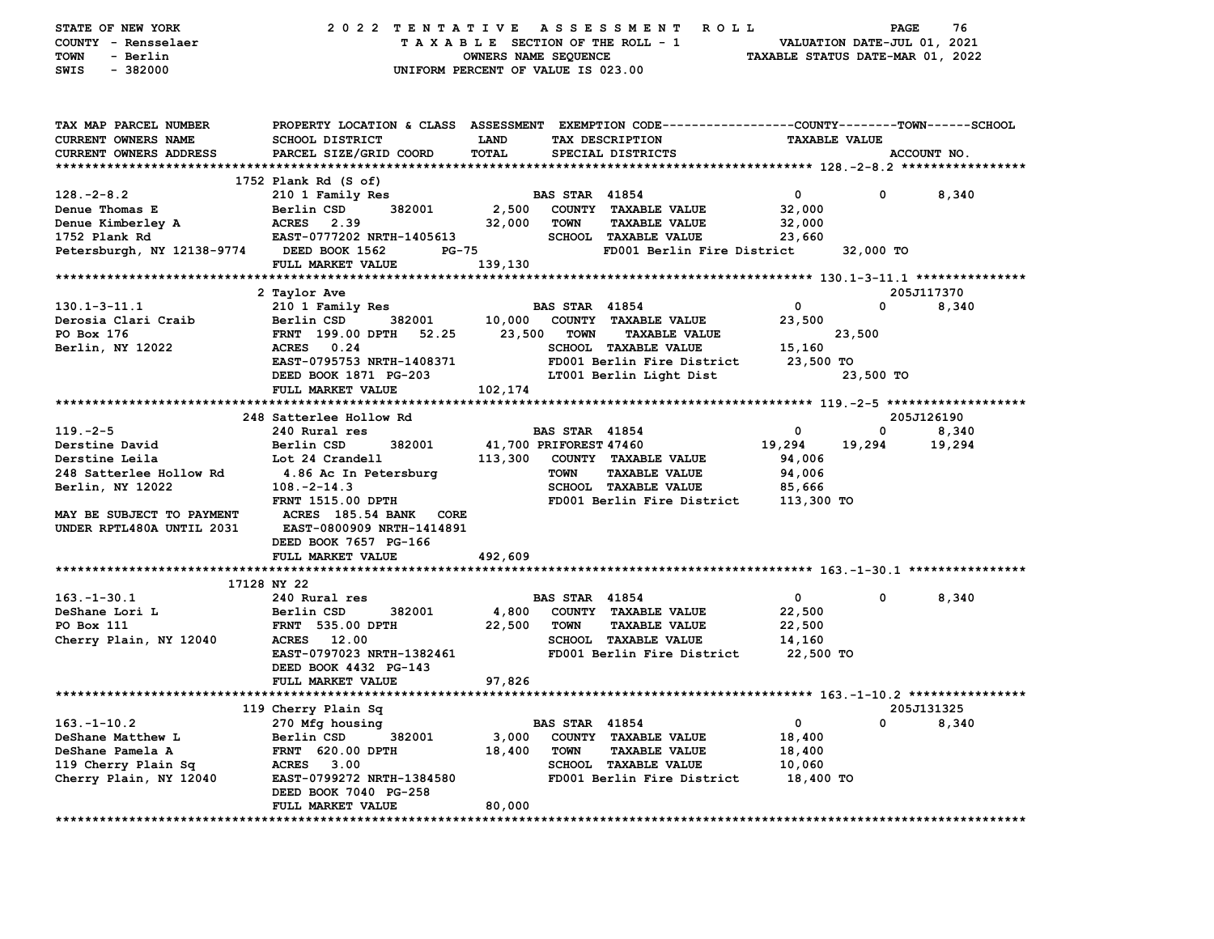| STATE OF NEW YORK<br>COUNTY - Rensselaer<br>TOWN<br>- Berlin<br><b>SWIS</b><br>$-382000$ | 2022 TENTATIVE<br>UNIFORM PERCENT OF VALUE IS 023.00                                            | OWNERS NAME SEQUENCE   |                       | ASSESSMENT ROLL<br>TAXABLE SECTION OF THE ROLL - 1 | VALUATION DATE-JUL 01, 2021<br>TAXABLE STATUS DATE-MAR 01, 2022 | PAGE                 | 76              |
|------------------------------------------------------------------------------------------|-------------------------------------------------------------------------------------------------|------------------------|-----------------------|----------------------------------------------------|-----------------------------------------------------------------|----------------------|-----------------|
| TAX MAP PARCEL NUMBER                                                                    | PROPERTY LOCATION & CLASS ASSESSMENT EXEMPTION CODE---------------COUNTY-------TOWN------SCHOOL |                        |                       |                                                    |                                                                 |                      |                 |
| <b>CURRENT OWNERS NAME</b>                                                               | SCHOOL DISTRICT                                                                                 | LAND                   |                       | TAX DESCRIPTION                                    |                                                                 | <b>TAXABLE VALUE</b> |                 |
| CURRENT OWNERS ADDRESS                                                                   | PARCEL SIZE/GRID COORD                                                                          | <b>TOTAL</b>           |                       | SPECIAL DISTRICTS                                  |                                                                 |                      | ACCOUNT NO.     |
|                                                                                          | 1752 Plank Rd (S of)                                                                            |                        |                       |                                                    |                                                                 |                      |                 |
| $128. - 2 - 8.2$                                                                         | 210 1 Family Res                                                                                |                        | <b>BAS STAR 41854</b> |                                                    | $\mathbf 0$                                                     | 0                    | 8,340           |
| Denue Thomas E                                                                           | 382001<br>Berlin CSD                                                                            |                        |                       | 2,500 COUNTY TAXABLE VALUE                         | 32,000                                                          |                      |                 |
| Denue Kimberley A                                                                        | ACRES<br>2.39                                                                                   | 32,000 TOWN            |                       | <b>TAXABLE VALUE</b>                               | 32,000                                                          |                      |                 |
| 1752 Plank Rd                                                                            | EAST-0777202 NRTH-1405613                                                                       |                        |                       | <b>SCHOOL TAXABLE VALUE</b>                        | 23,660                                                          |                      |                 |
| Petersburgh, NY 12138-9774                                                               | DEED BOOK 1562<br>PG-75                                                                         |                        |                       | FD001 Berlin Fire District                         |                                                                 | 32,000 TO            |                 |
|                                                                                          | FULL MARKET VALUE                                                                               | 139,130                |                       |                                                    |                                                                 |                      |                 |
|                                                                                          |                                                                                                 |                        |                       |                                                    |                                                                 |                      |                 |
|                                                                                          | 2 Taylor Ave                                                                                    |                        |                       |                                                    |                                                                 |                      | 205J117370      |
| $130.1 - 3 - 11.1$                                                                       | 210 1 Family Res                                                                                |                        | <b>BAS STAR 41854</b> |                                                    | $\mathbf 0$                                                     | 0                    | 8,340           |
| Derosia Clari Craib                                                                      | 382001<br>Berlin CSD                                                                            |                        |                       | 10,000 COUNTY TAXABLE VALUE                        | 23,500                                                          |                      |                 |
| PO Box 176                                                                               | FRNT 199.00 DPTH 52.25                                                                          |                        | 23,500 TOWN           | TAXABLE VALUE                                      |                                                                 | 23,500               |                 |
| Berlin, NY 12022                                                                         | ACRES 0.24                                                                                      |                        |                       | <b>SCHOOL TAXABLE VALUE</b>                        | 15,160                                                          |                      |                 |
|                                                                                          | EAST-0795753 NRTH-1408371                                                                       |                        |                       | FD001 Berlin Fire District                         | 23,500 TO                                                       |                      |                 |
|                                                                                          | DEED BOOK 1871 PG-203                                                                           |                        |                       | LT001 Berlin Light Dist                            |                                                                 | 23,500 TO            |                 |
|                                                                                          | FULL MARKET VALUE                                                                               | 102,174                |                       |                                                    |                                                                 |                      |                 |
|                                                                                          |                                                                                                 |                        |                       |                                                    |                                                                 |                      |                 |
| $119. -2 - 5$                                                                            | 248 Satterlee Hollow Rd<br>240 Rural res                                                        |                        | <b>BAS STAR 41854</b> |                                                    | 0                                                               | 0                    | 205J126190      |
| Derstine David                                                                           | Berlin CSD<br>382001                                                                            | 41,700 PRIFOREST 47460 |                       |                                                    | 19,294                                                          | 19,294               | 8,340<br>19,294 |
| Derstine Leila                                                                           | Lot 24 Crandell                                                                                 |                        |                       | 113,300 COUNTY TAXABLE VALUE                       | 94,006                                                          |                      |                 |
| 248 Satterlee Hollow Rd                                                                  | 4.86 Ac In Petersburg                                                                           |                        | <b>TOWN</b>           | <b>TAXABLE VALUE</b>                               | 94,006                                                          |                      |                 |
| Berlin, NY 12022                                                                         | $108. -2 - 14.3$                                                                                |                        |                       | <b>SCHOOL TAXABLE VALUE</b>                        | 85,666                                                          |                      |                 |
|                                                                                          | <b>FRNT 1515.00 DPTH</b>                                                                        |                        |                       | FD001 Berlin Fire District                         | 113,300 TO                                                      |                      |                 |
| MAY BE SUBJECT TO PAYMENT<br>UNDER RPTL480A UNTIL 2031                                   | ACRES 185.54 BANK CORE<br><b>EAST-0800909 NRTH-1414891</b><br>DEED BOOK 7657 PG-166             |                        |                       |                                                    |                                                                 |                      |                 |
|                                                                                          | FULL MARKET VALUE                                                                               | 492,609                |                       |                                                    |                                                                 |                      |                 |
|                                                                                          | 17128 NY 22                                                                                     |                        |                       |                                                    |                                                                 |                      |                 |
| $163.-1-30.1$                                                                            | 240 Rural res                                                                                   |                        | <b>BAS STAR 41854</b> |                                                    | $\overline{\mathbf{0}}$                                         | $\mathbf 0$          | 8,340           |
| DeShane Lori L                                                                           | Berlin CSD<br>382001                                                                            | 4,800                  |                       | COUNTY TAXABLE VALUE                               | 22,500                                                          |                      |                 |
| PO Box 111                                                                               | <b>FRNT</b> 535.00 DPTH                                                                         | 22,500                 | TOWN                  | <b>TAXABLE VALUE</b>                               | 22,500                                                          |                      |                 |
| Cherry Plain, NY 12040                                                                   | ACRES 12.00                                                                                     |                        |                       | <b>SCHOOL TAXABLE VALUE</b>                        | 14,160                                                          |                      |                 |
|                                                                                          | EAST-0797023 NRTH-1382461                                                                       |                        |                       | FD001 Berlin Fire District                         | 22,500 TO                                                       |                      |                 |
|                                                                                          | DEED BOOK 4432 PG-143                                                                           |                        |                       |                                                    |                                                                 |                      |                 |
|                                                                                          | FULL MARKET VALUE                                                                               | 97,826                 |                       |                                                    |                                                                 |                      |                 |
|                                                                                          |                                                                                                 |                        |                       |                                                    |                                                                 |                      |                 |
|                                                                                          | 119 Cherry Plain Sq                                                                             |                        |                       |                                                    |                                                                 |                      | 205J131325      |
| $163. - 1 - 10.2$                                                                        | 270 Mfg housing                                                                                 |                        | <b>BAS STAR 41854</b> |                                                    | $\mathbf{0}$                                                    | 0                    | 8,340           |
| DeShane Matthew L                                                                        | Berlin CSD<br>382001                                                                            | 3,000                  |                       | COUNTY TAXABLE VALUE                               | 18,400                                                          |                      |                 |
| DeShane Pamela A                                                                         | FRNT 620.00 DPTH                                                                                | 18,400                 | TOWN                  | <b>TAXABLE VALUE</b>                               | 18,400                                                          |                      |                 |
| 119 Cherry Plain Sq                                                                      | <b>ACRES</b> 3.00                                                                               |                        |                       | <b>SCHOOL TAXABLE VALUE</b>                        | 10,060                                                          |                      |                 |
| Cherry Plain, NY 12040                                                                   | EAST-0799272 NRTH-1384580<br>DEED BOOK 7040 PG-258                                              |                        |                       | FD001 Berlin Fire District                         | 18,400 TO                                                       |                      |                 |
|                                                                                          | FULL MARKET VALUE                                                                               | 80,000                 |                       |                                                    |                                                                 |                      |                 |
|                                                                                          |                                                                                                 |                        |                       |                                                    |                                                                 |                      |                 |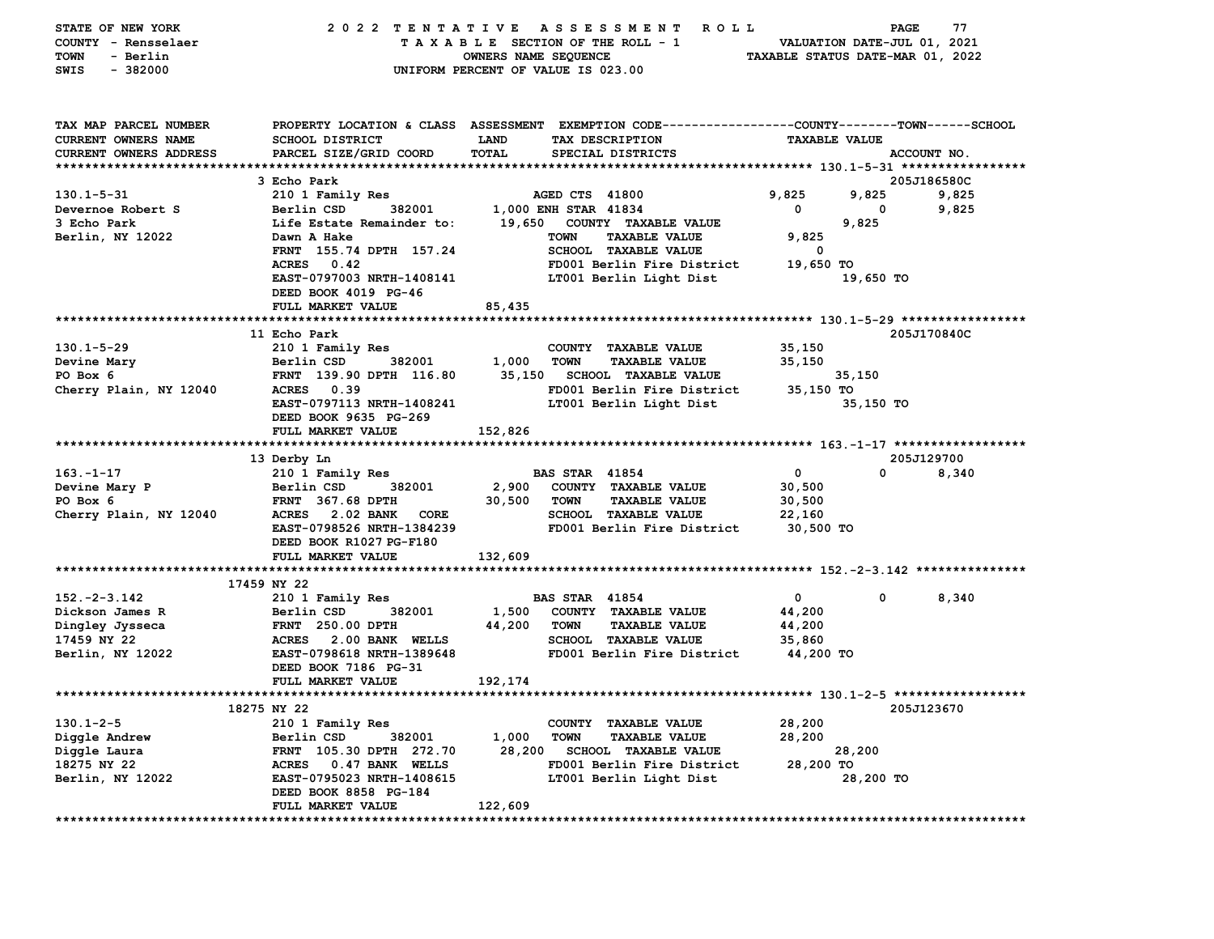| STATE OF NEW YORK              | 2022 TENTATIVE                   |                      | ASSESSMENT ROLL                                                                                |                                  | PAGE                        | 77          |
|--------------------------------|----------------------------------|----------------------|------------------------------------------------------------------------------------------------|----------------------------------|-----------------------------|-------------|
| COUNTY - Rensselaer            |                                  |                      | TAXABLE SECTION OF THE ROLL - 1                                                                |                                  | VALUATION DATE-JUL 01, 2021 |             |
| TOWN<br>- Berlin               |                                  | OWNERS NAME SEQUENCE |                                                                                                | TAXABLE STATUS DATE-MAR 01, 2022 |                             |             |
| $-382000$<br>SWIS              |                                  |                      | UNIFORM PERCENT OF VALUE IS 023.00                                                             |                                  |                             |             |
|                                |                                  |                      |                                                                                                |                                  |                             |             |
|                                |                                  |                      |                                                                                                |                                  |                             |             |
|                                |                                  |                      |                                                                                                |                                  |                             |             |
| TAX MAP PARCEL NUMBER          |                                  |                      | PROPERTY LOCATION & CLASS ASSESSMENT EXEMPTION CODE---------------COUNTY-------TOWN-----SCHOOL |                                  |                             |             |
| CURRENT OWNERS NAME            | <b>SCHOOL DISTRICT</b>           | <b>LAND</b>          | TAX DESCRIPTION                                                                                | <b>TAXABLE VALUE</b>             |                             |             |
| <b>CURRENT OWNERS ADDRESS</b>  | PARCEL SIZE/GRID COORD           | TOTAL                | SPECIAL DISTRICTS                                                                              |                                  |                             | ACCOUNT NO. |
|                                |                                  |                      |                                                                                                |                                  |                             |             |
|                                | 3 Echo Park                      |                      |                                                                                                |                                  |                             | 205J186580C |
| $130.1 - 5 - 31$               | 210 1 Family Res                 |                      | AGED CTS 41800                                                                                 | 9,825                            | 9,825                       | 9,825       |
| Devernoe Robert S              | Berlin CSD<br>382001             |                      | 1,000 ENH STAR 41834                                                                           | $\mathbf 0$                      | 0                           | 9,825       |
| 3 Echo Park                    | Life Estate Remainder to:        |                      | 19,650 COUNTY TAXABLE VALUE                                                                    |                                  | 9,825                       |             |
| Berlin, NY 12022               | Dawn A Hake                      |                      | <b>TOWN</b><br><b>TAXABLE VALUE</b>                                                            | 9,825                            |                             |             |
|                                | FRNT 155.74 DPTH 157.24          |                      | SCHOOL TAXABLE VALUE                                                                           | $\overline{\phantom{0}}$         |                             |             |
|                                | ACRES 0.42                       |                      | FD001 Berlin Fire District                                                                     | 19,650 TO                        |                             |             |
|                                | EAST-0797003 NRTH-1408141        |                      | LT001 Berlin Light Dist                                                                        |                                  | 19,650 TO                   |             |
|                                | DEED BOOK 4019 PG-46             |                      |                                                                                                |                                  |                             |             |
|                                | FULL MARKET VALUE                | 85,435               |                                                                                                |                                  |                             |             |
|                                |                                  |                      |                                                                                                |                                  |                             |             |
|                                | 11 Echo Park                     |                      |                                                                                                |                                  |                             | 205J170840C |
| 130.1-5-29                     | 210 1 Family Res                 |                      | COUNTY TAXABLE VALUE                                                                           | 35,150                           |                             |             |
| Devine Mary                    | Berlin CSD<br>382001             | 1,000                | <b>TOWN</b><br><b>TAXABLE VALUE</b>                                                            | 35,150                           |                             |             |
| PO Box 6                       | FRNT 139.90 DPTH 116.80          | 35,150               | <b>SCHOOL TAXABLE VALUE</b>                                                                    |                                  | 35,150                      |             |
| Cherry Plain, NY 12040         | ACRES 0.39                       |                      | FD001 Berlin Fire District                                                                     | 35,150 TO                        |                             |             |
|                                | EAST-0797113 NRTH-1408241        |                      | LT001 Berlin Light Dist                                                                        |                                  | 35,150 TO                   |             |
|                                | DEED BOOK 9635 PG-269            |                      |                                                                                                |                                  |                             |             |
|                                | FULL MARKET VALUE                | 152,826              |                                                                                                |                                  |                             |             |
|                                |                                  |                      |                                                                                                |                                  |                             |             |
|                                | 13 Derby Ln                      |                      |                                                                                                |                                  |                             | 205J129700  |
| $163. - 1 - 17$                | 210 1 Family Res                 |                      | <b>BAS STAR 41854</b>                                                                          | $\mathbf{o}$                     | $\Omega$                    | 8,340       |
| Devine Mary P                  | Berlin CSD<br>382001             | 2,900                | COUNTY TAXABLE VALUE                                                                           | 30,500                           |                             |             |
| PO Box 6                       | <b>FRNT 367.68 DPTH</b>          | 30,500               | <b>TOWN</b><br><b>TAXABLE VALUE</b>                                                            | 30,500                           |                             |             |
| Cherry Plain, NY 12040         | ACRES 2.02 BANK CORE             |                      | <b>SCHOOL TAXABLE VALUE</b>                                                                    | 22,160                           |                             |             |
|                                | EAST-0798526 NRTH-1384239        |                      | FD001 Berlin Fire District                                                                     | 30,500 TO                        |                             |             |
|                                | DEED BOOK R1027 PG-F180          |                      |                                                                                                |                                  |                             |             |
|                                | FULL MARKET VALUE                | 132,609              |                                                                                                |                                  |                             |             |
|                                |                                  |                      |                                                                                                |                                  |                             |             |
|                                | 17459 NY 22                      |                      |                                                                                                |                                  |                             |             |
| $152. -2 -3.142$               |                                  |                      |                                                                                                |                                  | 0                           | 8,340       |
|                                | 210 1 Family Res                 |                      | <b>BAS STAR 41854</b>                                                                          | $\mathbf{0}$                     |                             |             |
| Dickson James R                | Berlin CSD<br>382001             |                      | 1,500 COUNTY TAXABLE VALUE                                                                     | 44,200                           |                             |             |
| Dingley Jysseca                | <b>FRNT 250.00 DPTH</b>          | 44,200 TOWN          | <b>TAXABLE VALUE</b>                                                                           | 44,200                           |                             |             |
| 17459 NY 22                    | ACRES 2.00 BANK WELLS            |                      | <b>SCHOOL TAXABLE VALUE</b>                                                                    | 35,860                           |                             |             |
| Berlin, NY 12022               | EAST-0798618 NRTH-1389648        |                      | FD001 Berlin Fire District                                                                     | 44,200 TO                        |                             |             |
|                                | DEED BOOK 7186 PG-31             |                      |                                                                                                |                                  |                             |             |
|                                | FULL MARKET VALUE                | 192,174              |                                                                                                |                                  |                             |             |
|                                |                                  |                      |                                                                                                |                                  |                             |             |
|                                | 18275 NY 22                      |                      |                                                                                                |                                  |                             | 205J123670  |
| $130.1 - 2 - 5$                | 210 1 Family Res                 |                      | COUNTY TAXABLE VALUE                                                                           | 28,200                           |                             |             |
| Diggle Andrew                  | Berlin CSD<br>382001             | 1,000                | <b>TOWN</b><br><b>TAXABLE VALUE</b>                                                            | 28,200                           |                             |             |
| Diggle Laura                   | FRNT 105.30 DPTH 272.70          | 28,200               | <b>SCHOOL TAXABLE VALUE</b>                                                                    |                                  | 28,200                      |             |
| 18275 NY 22                    | ACRES 0.47 BANK WELLS            |                      | FD001 Berlin Fire District                                                                     | 28,200 TO                        |                             |             |
| Berlin, NY 12022               | <b>EAST-0795023 NRTH-1408615</b> |                      | LT001 Berlin Light Dist                                                                        |                                  | 28,200 TO                   |             |
|                                | DEED BOOK 8858 PG-184            |                      |                                                                                                |                                  |                             |             |
|                                | FULL MARKET VALUE                | 122,609              |                                                                                                |                                  |                             |             |
| ****************************** | *****************************    |                      |                                                                                                |                                  |                             |             |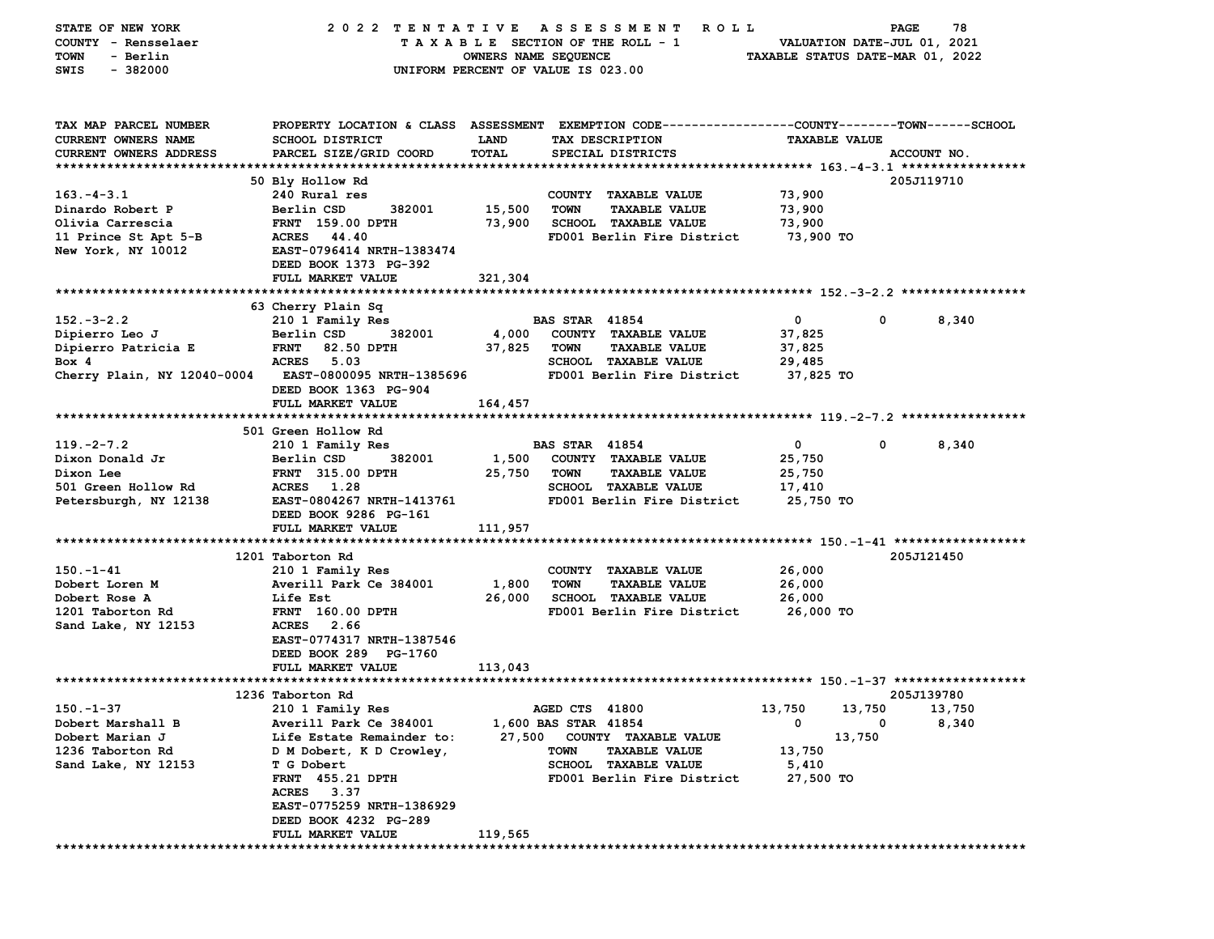| STATE OF NEW YORK             | 2022 TENTATIVE                                                                                  |                                    |                       | A S S E S S M E N T<br>R O L L |                                  | <b>PAGE</b>                 | 78              |
|-------------------------------|-------------------------------------------------------------------------------------------------|------------------------------------|-----------------------|--------------------------------|----------------------------------|-----------------------------|-----------------|
| COUNTY - Rensselaer           |                                                                                                 | TAXABLE SECTION OF THE ROLL - 1    |                       |                                |                                  | VALUATION DATE-JUL 01, 2021 |                 |
| TOWN<br>- Berlin              |                                                                                                 | OWNERS NAME SEQUENCE               |                       |                                | TAXABLE STATUS DATE-MAR 01, 2022 |                             |                 |
| $-382000$<br>SWIS             |                                                                                                 | UNIFORM PERCENT OF VALUE IS 023.00 |                       |                                |                                  |                             |                 |
|                               |                                                                                                 |                                    |                       |                                |                                  |                             |                 |
|                               |                                                                                                 |                                    |                       |                                |                                  |                             |                 |
| TAX MAP PARCEL NUMBER         | PROPERTY LOCATION & CLASS ASSESSMENT EXEMPTION CODE---------------COUNTY-------TOWN------SCHOOL |                                    |                       |                                |                                  |                             |                 |
| <b>CURRENT OWNERS NAME</b>    | SCHOOL DISTRICT                                                                                 | LAND                               |                       | TAX DESCRIPTION                | <b>TAXABLE VALUE</b>             |                             |                 |
| <b>CURRENT OWNERS ADDRESS</b> | PARCEL SIZE/GRID COORD                                                                          | TOTAL                              |                       | SPECIAL DISTRICTS              |                                  |                             | ACCOUNT NO.     |
|                               |                                                                                                 |                                    |                       |                                |                                  |                             |                 |
|                               | 50 Bly Hollow Rd                                                                                |                                    |                       |                                |                                  |                             | 205J119710      |
| $163.-4-3.1$                  | 240 Rural res                                                                                   |                                    |                       | COUNTY TAXABLE VALUE           | 73,900                           |                             |                 |
| Dinardo Robert P              | 382001<br>Berlin CSD                                                                            | 15,500                             | <b>TOWN</b>           | <b>TAXABLE VALUE</b>           | 73,900                           |                             |                 |
| Olivia Carrescia              | <b>FRNT 159.00 DPTH</b>                                                                         | 73,900                             |                       | <b>SCHOOL TAXABLE VALUE</b>    | 73,900                           |                             |                 |
| 11 Prince St Apt 5-B          | ACRES 44.40                                                                                     |                                    |                       | FD001 Berlin Fire District     | 73,900 TO                        |                             |                 |
| New York, NY 10012            | EAST-0796414 NRTH-1383474                                                                       |                                    |                       |                                |                                  |                             |                 |
|                               | DEED BOOK 1373 PG-392                                                                           |                                    |                       |                                |                                  |                             |                 |
|                               | FULL MARKET VALUE                                                                               | 321,304                            |                       |                                |                                  |                             |                 |
|                               |                                                                                                 |                                    |                       |                                |                                  |                             |                 |
|                               | 63 Cherry Plain Sq                                                                              |                                    |                       |                                |                                  |                             |                 |
| $152 - 3 - 2.2$               | 210 1 Family Res                                                                                |                                    | <b>BAS STAR 41854</b> |                                | 0                                | 0                           | 8,340           |
| Dipierro Leo J                | Berlin CSD<br>382001                                                                            | 4,000                              |                       | COUNTY TAXABLE VALUE           | 37,825                           |                             |                 |
| Dipierro Patricia E           | <b>FRNT</b><br>82.50 DPTH                                                                       | 37,825                             | <b>TOWN</b>           | <b>TAXABLE VALUE</b>           | 37,825                           |                             |                 |
| Box 4                         | <b>ACRES</b><br>5.03                                                                            |                                    |                       | <b>SCHOOL TAXABLE VALUE</b>    | 29,485                           |                             |                 |
| Cherry Plain, NY 12040-0004   | EAST-0800095 NRTH-1385696                                                                       |                                    |                       | FD001 Berlin Fire District     | 37,825 TO                        |                             |                 |
|                               | DEED BOOK 1363 PG-904                                                                           |                                    |                       |                                |                                  |                             |                 |
|                               | FULL MARKET VALUE                                                                               | 164,457                            |                       |                                |                                  |                             |                 |
|                               |                                                                                                 |                                    |                       |                                |                                  |                             |                 |
|                               | 501 Green Hollow Rd                                                                             |                                    |                       |                                |                                  |                             |                 |
| $119. -2 - 7.2$               | 210 1 Family Res                                                                                |                                    | <b>BAS STAR 41854</b> |                                | 0                                | 0                           | 8,340           |
| Dixon Donald Jr               | Berlin CSD<br>382001                                                                            | 1,500                              |                       | COUNTY TAXABLE VALUE           | 25,750                           |                             |                 |
| Dixon Lee                     | <b>FRNT</b> 315.00 DPTH                                                                         | 25,750                             | <b>TOWN</b>           | <b>TAXABLE VALUE</b>           | 25,750                           |                             |                 |
| 501 Green Hollow Rd           | 1.28<br><b>ACRES</b>                                                                            |                                    |                       | SCHOOL TAXABLE VALUE           | 17,410                           |                             |                 |
| Petersburgh, NY 12138         | EAST-0804267 NRTH-1413761                                                                       |                                    |                       | FD001 Berlin Fire District     | 25,750 TO                        |                             |                 |
|                               | DEED BOOK 9286 PG-161                                                                           |                                    |                       |                                |                                  |                             |                 |
|                               | FULL MARKET VALUE                                                                               | 111,957                            |                       |                                |                                  |                             |                 |
|                               |                                                                                                 |                                    |                       |                                |                                  |                             |                 |
|                               | 1201 Taborton Rd                                                                                |                                    |                       |                                |                                  |                             | 205J121450      |
| $150. - 1 - 41$               | 210 1 Family Res                                                                                |                                    |                       | COUNTY TAXABLE VALUE           | 26,000                           |                             |                 |
| Dobert Loren M                | Averill Park Ce 384001                                                                          | 1,800                              | <b>TOWN</b>           | <b>TAXABLE VALUE</b>           | 26,000                           |                             |                 |
| Dobert Rose A                 | <b>Life Est</b>                                                                                 | 26,000                             |                       | <b>SCHOOL TAXABLE VALUE</b>    | 26,000                           |                             |                 |
| 1201 Taborton Rd              | <b>FRNT</b> 160.00 DPTH                                                                         |                                    |                       | FD001 Berlin Fire District     | 26,000 TO                        |                             |                 |
| Sand Lake, NY 12153           | ACRES 2.66                                                                                      |                                    |                       |                                |                                  |                             |                 |
|                               | EAST-0774317 NRTH-1387546                                                                       |                                    |                       |                                |                                  |                             |                 |
|                               | DEED BOOK 289 PG-1760                                                                           |                                    |                       |                                |                                  |                             |                 |
|                               | FULL MARKET VALUE                                                                               | 113,043                            |                       |                                |                                  |                             |                 |
|                               | 1236 Taborton Rd                                                                                |                                    |                       |                                |                                  |                             | 205J139780      |
| $150. - 1 - 37$               |                                                                                                 |                                    | AGED CTS 41800        |                                |                                  |                             |                 |
| Dobert Marshall B             | 210 1 Family Res<br>Averill Park Ce 384001                                                      |                                    | 1,600 BAS STAR 41854  |                                | 13,750<br>0                      | 13,750<br>0                 | 13,750<br>8,340 |
| Dobert Marian J               |                                                                                                 |                                    |                       | 27,500 COUNTY TAXABLE VALUE    |                                  |                             |                 |
| 1236 Taborton Rd              | Life Estate Remainder to:<br>D M Dobert, K D Crowley,                                           |                                    | TOWN                  | <b>TAXABLE VALUE</b>           | 13,750                           | 13,750                      |                 |
| Sand Lake, NY 12153           | <b>T</b> G Dobert                                                                               |                                    |                       | SCHOOL TAXABLE VALUE           | 5,410                            |                             |                 |
|                               | <b>FRNT</b> 455.21 DPTH                                                                         |                                    |                       | FD001 Berlin Fire District     | 27,500 TO                        |                             |                 |
|                               | ACRES 3.37                                                                                      |                                    |                       |                                |                                  |                             |                 |
|                               | EAST-0775259 NRTH-1386929                                                                       |                                    |                       |                                |                                  |                             |                 |
|                               | DEED BOOK 4232 PG-289                                                                           |                                    |                       |                                |                                  |                             |                 |
|                               | FULL MARKET VALUE                                                                               | 119,565                            |                       |                                |                                  |                             |                 |
|                               |                                                                                                 |                                    |                       |                                |                                  |                             |                 |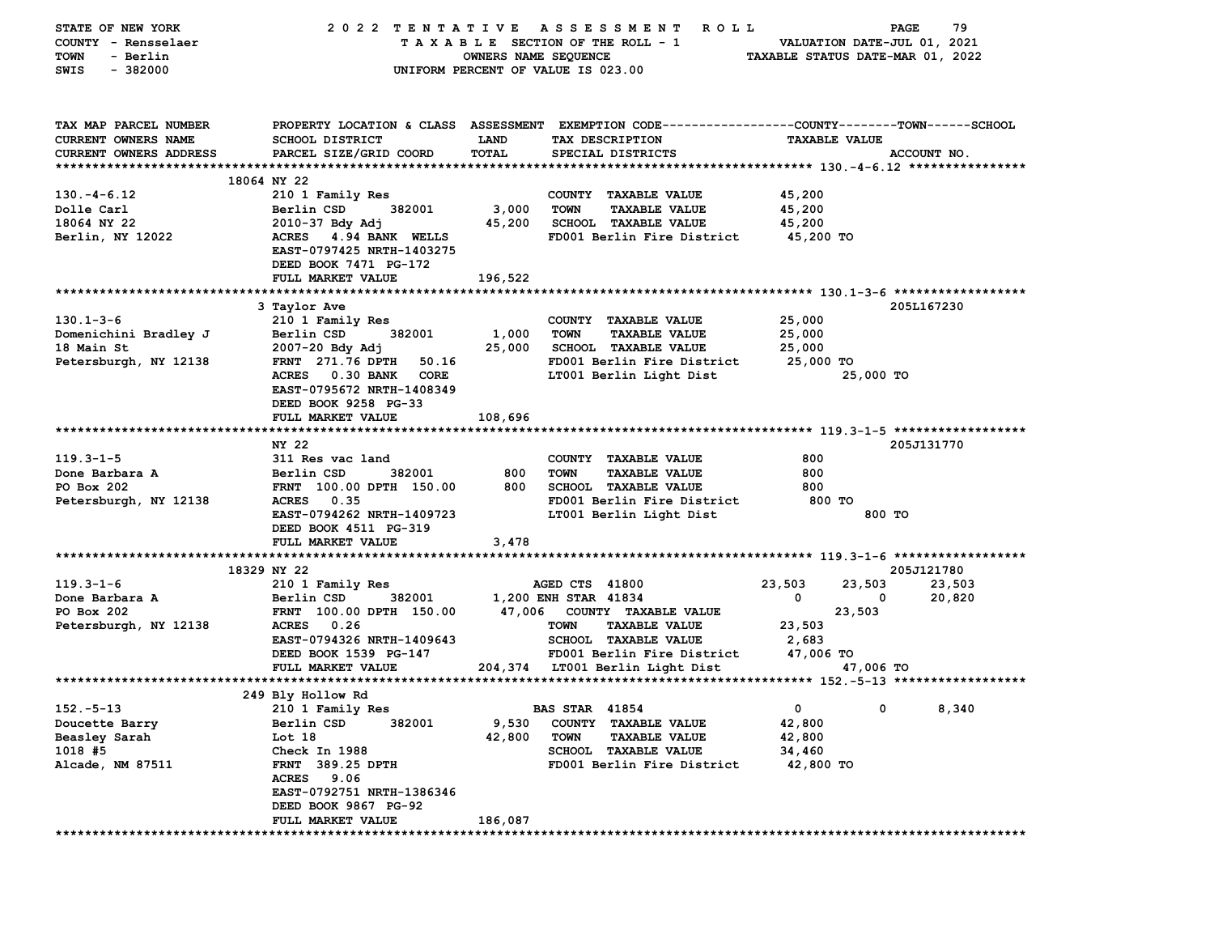| STATE OF NEW YORK             | 2022 TENTATIVE                    |                      | A S S E S S M E N T<br><b>ROLL</b>                                                              |                                  | 79<br>PAGE            |
|-------------------------------|-----------------------------------|----------------------|-------------------------------------------------------------------------------------------------|----------------------------------|-----------------------|
| COUNTY - Rensselaer           |                                   |                      | TAXABLE SECTION OF THE ROLL - 1                                                                 | VALUATION DATE-JUL 01, 2021      |                       |
| - Berlin<br>TOWN              |                                   | OWNERS NAME SEQUENCE |                                                                                                 | TAXABLE STATUS DATE-MAR 01, 2022 |                       |
| $-382000$<br>SWIS             |                                   |                      | UNIFORM PERCENT OF VALUE IS 023.00                                                              |                                  |                       |
|                               |                                   |                      |                                                                                                 |                                  |                       |
| TAX MAP PARCEL NUMBER         |                                   |                      | PROPERTY LOCATION & CLASS ASSESSMENT EXEMPTION CODE---------------COUNTY-------TOWN------SCHOOL |                                  |                       |
| CURRENT OWNERS NAME           | SCHOOL DISTRICT                   | <b>LAND</b>          | TAX DESCRIPTION                                                                                 | <b>TAXABLE VALUE</b>             |                       |
| <b>CURRENT OWNERS ADDRESS</b> | PARCEL SIZE/GRID COORD            | TOTAL                | SPECIAL DISTRICTS                                                                               |                                  | ACCOUNT NO.           |
|                               |                                   |                      |                                                                                                 |                                  |                       |
|                               | 18064 NY 22                       |                      |                                                                                                 |                                  |                       |
| $130. -4 - 6.12$              | 210 1 Family Res                  |                      | COUNTY TAXABLE VALUE                                                                            | 45,200                           |                       |
| Dolle Carl                    | Berlin CSD<br>382001              | 3,000                | <b>TOWN</b><br><b>TAXABLE VALUE</b>                                                             | 45,200                           |                       |
| 18064 NY 22                   | $2010 - 37$ Bdy Adj               | 45,200               | <b>SCHOOL TAXABLE VALUE</b>                                                                     | 45,200                           |                       |
| Berlin, NY 12022              | ACRES 4.94 BANK WELLS             |                      | FD001 Berlin Fire District                                                                      | 45,200 TO                        |                       |
|                               | EAST-0797425 NRTH-1403275         |                      |                                                                                                 |                                  |                       |
|                               | DEED BOOK 7471 PG-172             |                      |                                                                                                 |                                  |                       |
|                               | FULL MARKET VALUE                 | 196,522              |                                                                                                 |                                  |                       |
|                               |                                   |                      |                                                                                                 |                                  |                       |
|                               | 3 Taylor Ave                      |                      |                                                                                                 |                                  | 205L167230            |
| $130.1 - 3 - 6$               | 210 1 Family Res                  |                      | COUNTY TAXABLE VALUE                                                                            | 25,000                           |                       |
| Domenichini Bradley J         | 382001<br>Berlin CSD              | 1,000                | <b>TOWN</b><br><b>TAXABLE VALUE</b>                                                             | 25,000                           |                       |
| 18 Main St                    | 2007-20 Bdy Adj                   | 25,000               | <b>SCHOOL TAXABLE VALUE</b>                                                                     | 25,000                           |                       |
| Petersburgh, NY 12138         | <b>FRNT</b> 271.76 DPTH<br>50.16  |                      | FD001 Berlin Fire District                                                                      | 25,000 TO                        |                       |
|                               | <b>ACRES</b><br>0.30 BANK<br>CORE |                      | LT001 Berlin Light Dist                                                                         | 25,000 TO                        |                       |
|                               | EAST-0795672 NRTH-1408349         |                      |                                                                                                 |                                  |                       |
|                               | DEED BOOK 9258 PG-33              |                      |                                                                                                 |                                  |                       |
|                               | FULL MARKET VALUE                 | 108,696              |                                                                                                 |                                  |                       |
|                               |                                   |                      |                                                                                                 |                                  |                       |
|                               | NY 22                             |                      |                                                                                                 |                                  | 205J131770            |
| $119.3 - 1 - 5$               | 311 Res vac land                  |                      | COUNTY TAXABLE VALUE                                                                            | 800                              |                       |
| Done Barbara A                | Berlin CSD<br>382001              | 800                  | <b>TOWN</b><br><b>TAXABLE VALUE</b>                                                             | 800                              |                       |
| PO Box 202                    | FRNT 100.00 DPTH 150.00           | 800                  | <b>SCHOOL TAXABLE VALUE</b>                                                                     | 800                              |                       |
|                               | ACRES 0.35                        |                      | FD001 Berlin Fire District                                                                      | 800 TO                           |                       |
| Petersburgh, NY 12138         | EAST-0794262 NRTH-1409723         |                      |                                                                                                 |                                  | 800 TO                |
|                               |                                   |                      | LT001 Berlin Light Dist                                                                         |                                  |                       |
|                               | DEED BOOK 4511 PG-319             |                      |                                                                                                 |                                  |                       |
|                               | FULL MARKET VALUE                 | 3,478                |                                                                                                 |                                  |                       |
|                               |                                   |                      |                                                                                                 |                                  |                       |
|                               | 18329 NY 22                       |                      |                                                                                                 |                                  | 205J121780            |
| $119.3 - 1 - 6$               | 210 1 Family Res                  |                      | AGED CTS 41800                                                                                  | 23,503<br>23,503                 | 23,503                |
| Done Barbara A                | Berlin CSD<br>382001              |                      | 1,200 ENH STAR 41834                                                                            | 0                                | 20,820<br>0           |
| PO Box 202                    | FRNT 100.00 DPTH 150.00           | 47,006               | COUNTY TAXABLE VALUE                                                                            | 23,503                           |                       |
| Petersburgh, NY 12138         | ACRES 0.26                        |                      | <b>TOWN</b><br><b>TAXABLE VALUE</b>                                                             | 23,503                           |                       |
|                               | EAST-0794326 NRTH-1409643         |                      | SCHOOL TAXABLE VALUE                                                                            | 2,683                            |                       |
|                               | DEED BOOK 1539 PG-147             |                      | FD001 Berlin Fire District                                                                      | 47,006 TO                        |                       |
|                               | FULL MARKET VALUE                 |                      | 204,374 LT001 Berlin Light Dist                                                                 | 47,006 TO                        |                       |
|                               |                                   |                      |                                                                                                 |                                  |                       |
|                               | 249 Bly Hollow Rd                 |                      |                                                                                                 |                                  |                       |
| $152 - 5 - 13$                | 210 1 Family Res                  |                      | <b>BAS STAR 41854</b>                                                                           | 0                                | $\mathbf{0}$<br>8,340 |
| Doucette Barry                | 382001<br>Berlin CSD              | 9,530                | COUNTY TAXABLE VALUE                                                                            | 42,800                           |                       |
| Beasley Sarah                 | Lot 18                            | 42,800               | <b>TOWN</b><br><b>TAXABLE VALUE</b>                                                             | 42,800                           |                       |
| 1018 #5                       | Check In 1988                     |                      | <b>SCHOOL TAXABLE VALUE</b>                                                                     | 34,460                           |                       |
| Alcade, NM 87511              | FRNT 389.25 DPTH                  |                      | FD001 Berlin Fire District                                                                      | 42,800 TO                        |                       |
|                               | ACRES 9.06                        |                      |                                                                                                 |                                  |                       |
|                               | EAST-0792751 NRTH-1386346         |                      |                                                                                                 |                                  |                       |
|                               | DEED BOOK 9867 PG-92              |                      |                                                                                                 |                                  |                       |
|                               | FULL MARKET VALUE                 | 186,087              |                                                                                                 |                                  |                       |
|                               |                                   |                      |                                                                                                 |                                  |                       |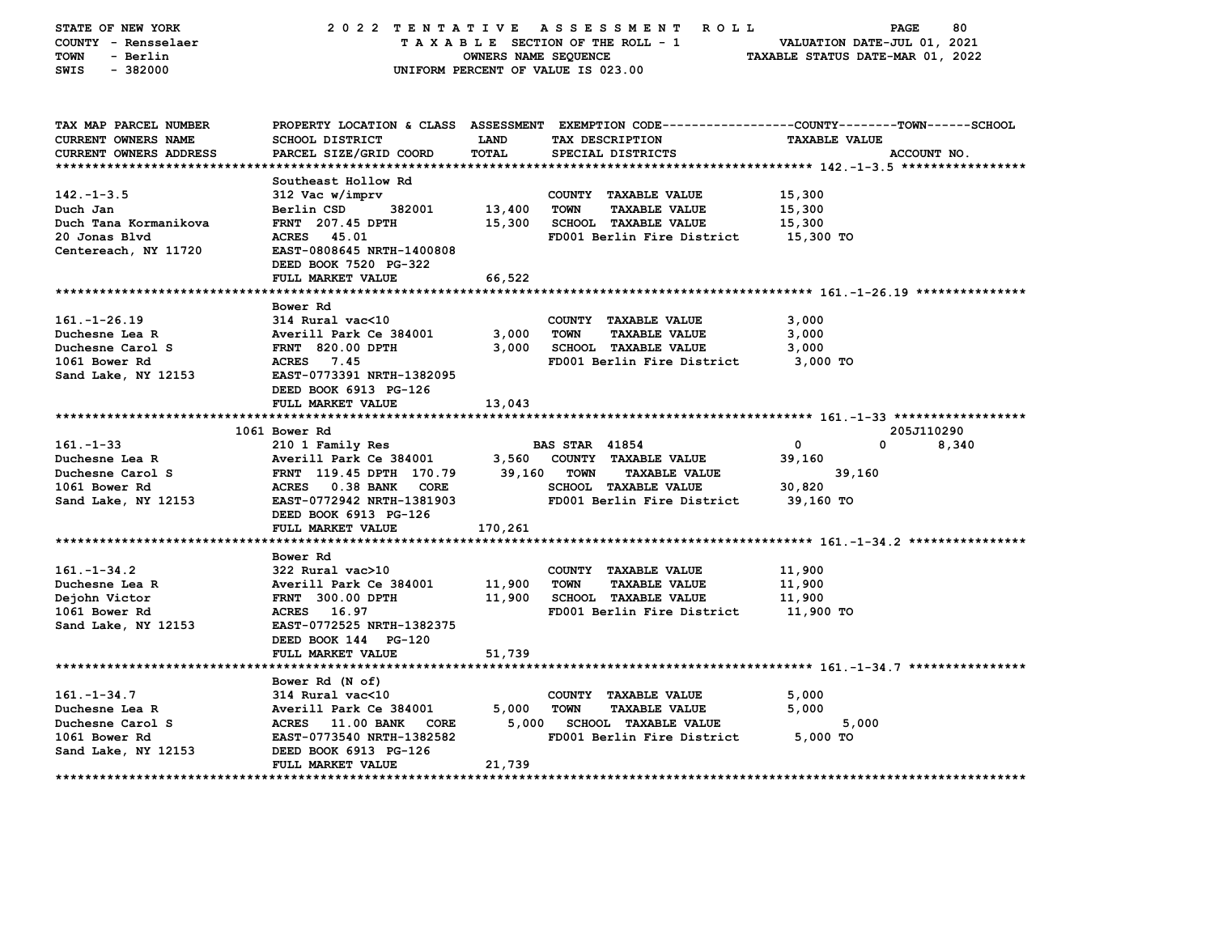| STATE OF NEW YORK<br>COUNTY - Rensselaer<br><b>TOWN</b><br>- Berlin<br>SWIS<br>$-382000$ | 2022 TENTATIVE ASSESSMENT                          | OWNERS NAME SEQUENCE | ROLL<br>TAXABLE SECTION OF THE ROLL - 1<br>UNIFORM PERCENT OF VALUE IS 023.00                   | PAGE<br>VALUATION DATE-JUL 01, 2021<br>TAXABLE STATUS DATE-MAR 01, 2022 | 80    |
|------------------------------------------------------------------------------------------|----------------------------------------------------|----------------------|-------------------------------------------------------------------------------------------------|-------------------------------------------------------------------------|-------|
| TAX MAP PARCEL NUMBER                                                                    |                                                    |                      | PROPERTY LOCATION & CLASS ASSESSMENT EXEMPTION CODE---------------COUNTY-------TOWN------SCHOOL |                                                                         |       |
| <b>CURRENT OWNERS NAME</b>                                                               | SCHOOL DISTRICT                                    | LAND                 | TAX DESCRIPTION                                                                                 | <b>TAXABLE VALUE</b>                                                    |       |
| <b>CURRENT OWNERS ADDRESS</b><br>*************************                               | PARCEL SIZE/GRID COORD                             | TOTAL                | SPECIAL DISTRICTS                                                                               | ACCOUNT NO.                                                             |       |
|                                                                                          | Southeast Hollow Rd                                |                      |                                                                                                 |                                                                         |       |
| $142. - 1 - 3.5$                                                                         | 312 Vac w/imprv                                    |                      | COUNTY TAXABLE VALUE                                                                            | 15,300                                                                  |       |
| Duch Jan                                                                                 | Berlin CSD<br>382001                               | 13,400               | TOWN<br><b>TAXABLE VALUE</b>                                                                    | 15,300                                                                  |       |
| Duch Tana Kormanikova                                                                    | <b>FRNT</b> 207.45 DPTH                            | 15,300               | SCHOOL TAXABLE VALUE                                                                            | 15,300                                                                  |       |
| 20 Jonas Blvd                                                                            | ACRES 45.01                                        |                      | FD001 Berlin Fire District                                                                      | 15,300 TO                                                               |       |
| Centereach, NY 11720                                                                     | EAST-0808645 NRTH-1400808                          |                      |                                                                                                 |                                                                         |       |
|                                                                                          | DEED BOOK 7520 PG-322                              |                      |                                                                                                 |                                                                         |       |
|                                                                                          | FULL MARKET VALUE                                  | 66,522               |                                                                                                 |                                                                         |       |
|                                                                                          |                                                    |                      |                                                                                                 |                                                                         |       |
|                                                                                          | Bower Rd                                           |                      |                                                                                                 |                                                                         |       |
| $161. - 1 - 26.19$                                                                       | 314 Rural vac<10                                   |                      | COUNTY TAXABLE VALUE                                                                            | 3,000                                                                   |       |
| Duchesne Lea R                                                                           | Averill Park Ce 384001                             | 3,000                | TOWN<br><b>TAXABLE VALUE</b>                                                                    | 3,000                                                                   |       |
| Duchesne Carol S                                                                         | <b>FRNT 820.00 DPTH</b>                            | 3,000                | <b>SCHOOL TAXABLE VALUE</b>                                                                     | 3,000                                                                   |       |
| 1061 Bower Rd                                                                            | ACRES 7.45                                         |                      | FD001 Berlin Fire District                                                                      | 3,000 TO                                                                |       |
| Sand Lake, NY 12153                                                                      | EAST-0773391 NRTH-1382095<br>DEED BOOK 6913 PG-126 |                      |                                                                                                 |                                                                         |       |
|                                                                                          | FULL MARKET VALUE                                  | 13,043               |                                                                                                 |                                                                         |       |
|                                                                                          | 1061 Bower Rd                                      |                      |                                                                                                 | 205J110290                                                              |       |
| $161 - 1 - 33$                                                                           | 210 1 Family Res                                   |                      | <b>BAS STAR 41854</b>                                                                           | 0<br>0                                                                  | 8,340 |
| Duchesne Lea R                                                                           | Averill Park Ce 384001                             | 3,560                | COUNTY TAXABLE VALUE                                                                            | 39,160                                                                  |       |
| Duchesne Carol S                                                                         | FRNT 119.45 DPTH 170.79                            | 39,160               | <b>TOWN</b><br><b>TAXABLE VALUE</b>                                                             | 39,160                                                                  |       |
| 1061 Bower Rd                                                                            | ACRES 0.38 BANK CORE                               |                      | <b>SCHOOL TAXABLE VALUE</b>                                                                     | 30,820                                                                  |       |
| Sand Lake, NY 12153                                                                      | EAST-0772942 NRTH-1381903                          |                      | FD001 Berlin Fire District                                                                      | 39,160 TO                                                               |       |
|                                                                                          | DEED BOOK 6913 PG-126                              |                      |                                                                                                 |                                                                         |       |
|                                                                                          | FULL MARKET VALUE                                  | 170,261              |                                                                                                 |                                                                         |       |
|                                                                                          |                                                    |                      |                                                                                                 |                                                                         |       |
|                                                                                          | Bower Rd                                           |                      |                                                                                                 |                                                                         |       |
| $161. - 1 - 34.2$                                                                        | 322 Rural vac>10                                   |                      | COUNTY TAXABLE VALUE                                                                            | 11,900                                                                  |       |
| Duchesne Lea R                                                                           | Averill Park Ce 384001                             | 11,900               | <b>TOWN</b><br><b>TAXABLE VALUE</b>                                                             | 11,900                                                                  |       |
| Dejohn Victor                                                                            | <b>FRNT 300.00 DPTH</b>                            | 11,900               | SCHOOL TAXABLE VALUE                                                                            | 11,900                                                                  |       |
| 1061 Bower Rd                                                                            | ACRES 16.97                                        |                      | FD001 Berlin Fire District                                                                      | 11,900 TO                                                               |       |
| Sand Lake, NY 12153                                                                      | EAST-0772525 NRTH-1382375                          |                      |                                                                                                 |                                                                         |       |
|                                                                                          | DEED BOOK 144 PG-120                               |                      |                                                                                                 |                                                                         |       |
|                                                                                          | FULL MARKET VALUE                                  | 51,739               |                                                                                                 |                                                                         |       |
|                                                                                          |                                                    |                      |                                                                                                 |                                                                         |       |
|                                                                                          | Bower Rd (N of)                                    |                      |                                                                                                 |                                                                         |       |
| $161. - 1 - 34.7$                                                                        | 314 Rural vac<10                                   |                      | COUNTY TAXABLE VALUE                                                                            | 5,000                                                                   |       |
| Duchesne Lea R<br>Duchesne Carol S                                                       | Averill Park Ce 384001<br>ACRES 11.00 BANK CORE    | 5,000<br>5,000       | <b>TOWN</b><br><b>TAXABLE VALUE</b><br>SCHOOL TAXABLE VALUE                                     | 5,000<br>5,000                                                          |       |
|                                                                                          | EAST-0773540 NRTH-1382582                          |                      | FD001 Berlin Fire District                                                                      | $5,000$ TO                                                              |       |
| 1061 Bower Rd<br>Sand Lake, NY 12153                                                     | DEED BOOK 6913 PG-126                              |                      |                                                                                                 |                                                                         |       |
|                                                                                          | FULL MARKET VALUE                                  | 21,739               |                                                                                                 |                                                                         |       |
| ***********                                                                              |                                                    |                      |                                                                                                 | ************************                                                |       |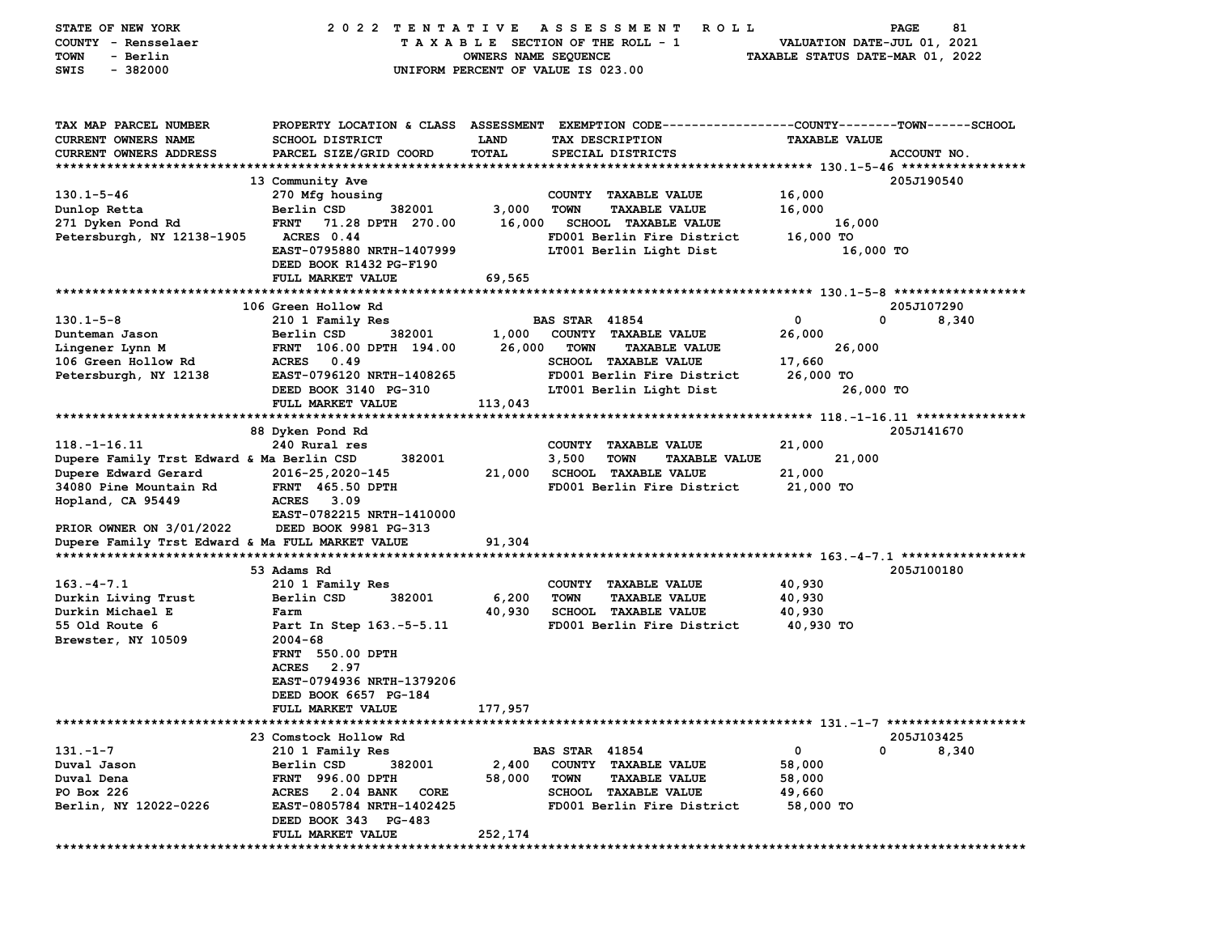| STATE OF NEW YORK<br>COUNTY - Rensselaer<br>- Berlin<br>TOWN<br>$-382000$<br>SWIS | 2022 TENTATIVE                                       | OWNERS NAME SEQUENCE | ASSESSMENT<br><b>ROLL</b><br>TAXABLE SECTION OF THE ROLL - 1<br>UNIFORM PERCENT OF VALUE IS 023.00                | VALUATION DATE-JUL 01, 2021<br>TAXABLE STATUS DATE-MAR 01, 2022 | 81<br><b>PAGE</b> |
|-----------------------------------------------------------------------------------|------------------------------------------------------|----------------------|-------------------------------------------------------------------------------------------------------------------|-----------------------------------------------------------------|-------------------|
|                                                                                   |                                                      |                      |                                                                                                                   |                                                                 |                   |
| TAX MAP PARCEL NUMBER<br><b>CURRENT OWNERS NAME</b>                               | SCHOOL DISTRICT                                      | LAND                 | PROPERTY LOCATION & CLASS ASSESSMENT EXEMPTION CODE---------------COUNTY-------TOWN-----SCHOOL<br>TAX DESCRIPTION | <b>TAXABLE VALUE</b>                                            |                   |
| <b>CURRENT OWNERS ADDRESS</b>                                                     | PARCEL SIZE/GRID COORD                               | <b>TOTAL</b>         | SPECIAL DISTRICTS                                                                                                 |                                                                 | ACCOUNT NO.       |
|                                                                                   |                                                      |                      |                                                                                                                   |                                                                 |                   |
| $130.1 - 5 - 46$                                                                  | 13 Community Ave<br>270 Mfg housing                  |                      | COUNTY TAXABLE VALUE                                                                                              | 16,000                                                          | 205J190540        |
| Dunlop Retta                                                                      | 382001<br>Berlin CSD                                 | 3,000                | <b>TOWN</b><br><b>TAXABLE VALUE</b>                                                                               | 16,000                                                          |                   |
| 271 Dyken Pond Rd                                                                 | <b>FRNT</b><br>71.28 DPTH 270.00                     | 16,000               | <b>SCHOOL TAXABLE VALUE</b>                                                                                       | 16,000                                                          |                   |
| Petersburgh, NY 12138-1905                                                        | ACRES 0.44                                           |                      | FD001 Berlin Fire District                                                                                        | 16,000 TO                                                       |                   |
|                                                                                   | EAST-0795880 NRTH-1407999<br>DEED BOOK R1432 PG-F190 |                      | LT001 Berlin Light Dist                                                                                           | 16,000 TO                                                       |                   |
|                                                                                   | FULL MARKET VALUE                                    | 69,565               |                                                                                                                   |                                                                 |                   |
|                                                                                   |                                                      |                      |                                                                                                                   |                                                                 |                   |
|                                                                                   | 106 Green Hollow Rd                                  |                      |                                                                                                                   |                                                                 | 205J107290        |
| $130.1 - 5 - 8$<br>Dunteman Jason                                                 | 210 1 Family Res<br>Berlin CSD<br>382001             | 1,000                | <b>BAS STAR 41854</b><br>COUNTY TAXABLE VALUE                                                                     | 0<br>0<br>26,000                                                | 8,340             |
| Lingener Lynn M                                                                   | FRNT 106.00 DPTH 194.00                              | 26,000               | <b>TOWN</b><br><b>TAXABLE VALUE</b>                                                                               | 26,000                                                          |                   |
| 106 Green Hollow Rd                                                               | <b>ACRES</b><br>0.49                                 |                      | <b>SCHOOL TAXABLE VALUE</b>                                                                                       | 17,660                                                          |                   |
| Petersburgh, NY 12138                                                             | EAST-0796120 NRTH-1408265                            |                      | FD001 Berlin Fire District                                                                                        | 26,000 TO                                                       |                   |
|                                                                                   | DEED BOOK 3140 PG-310<br>FULL MARKET VALUE           | 113,043              | LT001 Berlin Light Dist                                                                                           | 26,000 TO                                                       |                   |
|                                                                                   |                                                      |                      |                                                                                                                   |                                                                 |                   |
|                                                                                   | 88 Dyken Pond Rd                                     |                      |                                                                                                                   |                                                                 | 205J141670        |
| $118. - 1 - 16.11$                                                                | 240 Rural res                                        |                      | <b>COUNTY</b><br><b>TAXABLE VALUE</b>                                                                             | 21,000                                                          |                   |
| Dupere Family Trst Edward & Ma Berlin CSD                                         | 382001                                               |                      | 3,500<br><b>TOWN</b><br><b>TAXABLE VALUE</b>                                                                      | 21,000                                                          |                   |
| Dupere Edward Gerard<br>34080 Pine Mountain Rd                                    | 2016-25,2020-145<br><b>FRNT</b> 465.50 DPTH          | 21,000               | <b>SCHOOL TAXABLE VALUE</b><br>FD001 Berlin Fire District                                                         | 21,000<br>21,000 TO                                             |                   |
| Hopland, CA 95449                                                                 | <b>ACRES</b><br>3.09                                 |                      |                                                                                                                   |                                                                 |                   |
|                                                                                   | EAST-0782215 NRTH-1410000                            |                      |                                                                                                                   |                                                                 |                   |
| PRIOR OWNER ON 3/01/2022                                                          | DEED BOOK 9981 PG-313                                |                      |                                                                                                                   |                                                                 |                   |
| Dupere Family Trst Edward & Ma FULL MARKET VALUE                                  |                                                      | 91,304               |                                                                                                                   |                                                                 |                   |
|                                                                                   | 53 Adams Rd                                          |                      |                                                                                                                   |                                                                 | 205J100180        |
| $163. - 4 - 7.1$                                                                  | 210 1 Family Res                                     |                      | COUNTY TAXABLE VALUE                                                                                              | 40,930                                                          |                   |
| Durkin Living Trust                                                               | Berlin CSD<br>382001                                 | 6,200                | <b>TOWN</b><br><b>TAXABLE VALUE</b>                                                                               | 40,930                                                          |                   |
| Durkin Michael E<br>55 Old Route 6                                                | Farm<br>Part In Step 163.-5-5.11                     | 40,930               | <b>SCHOOL TAXABLE VALUE</b><br>FD001 Berlin Fire District                                                         | 40,930<br>40,930 TO                                             |                   |
| Brewster, NY 10509                                                                | $2004 - 68$                                          |                      |                                                                                                                   |                                                                 |                   |
|                                                                                   | <b>FRNT 550.00 DPTH</b>                              |                      |                                                                                                                   |                                                                 |                   |
|                                                                                   | <b>ACRES</b><br>2.97                                 |                      |                                                                                                                   |                                                                 |                   |
|                                                                                   | EAST-0794936 NRTH-1379206                            |                      |                                                                                                                   |                                                                 |                   |
|                                                                                   | DEED BOOK 6657 PG-184<br>FULL MARKET VALUE           | 177,957              |                                                                                                                   |                                                                 |                   |
|                                                                                   |                                                      |                      |                                                                                                                   |                                                                 |                   |
|                                                                                   | 23 Comstock Hollow Rd                                |                      |                                                                                                                   |                                                                 | 205J103425        |
| $131 - 1 - 7$                                                                     | 210 1 Family Res                                     |                      | <b>BAS STAR 41854</b>                                                                                             | 0<br>0                                                          | 8,340             |
| Duval Jason<br>Duval Dena                                                         | Berlin CSD<br>382001<br>FRNT 996.00 DPTH             | 2,400<br>58,000      | COUNTY TAXABLE VALUE<br><b>TOWN</b><br><b>TAXABLE VALUE</b>                                                       | 58,000<br>58,000                                                |                   |
| PO Box 226                                                                        | <b>ACRES</b><br>2.04 BANK<br>CORE                    |                      | SCHOOL TAXABLE VALUE                                                                                              | 49,660                                                          |                   |
| Berlin, NY 12022-0226                                                             | EAST-0805784 NRTH-1402425                            |                      | FD001 Berlin Fire District                                                                                        | 58,000 TO                                                       |                   |
|                                                                                   | DEED BOOK 343 PG-483                                 |                      |                                                                                                                   |                                                                 |                   |
|                                                                                   | FULL MARKET VALUE                                    | 252,174              |                                                                                                                   |                                                                 |                   |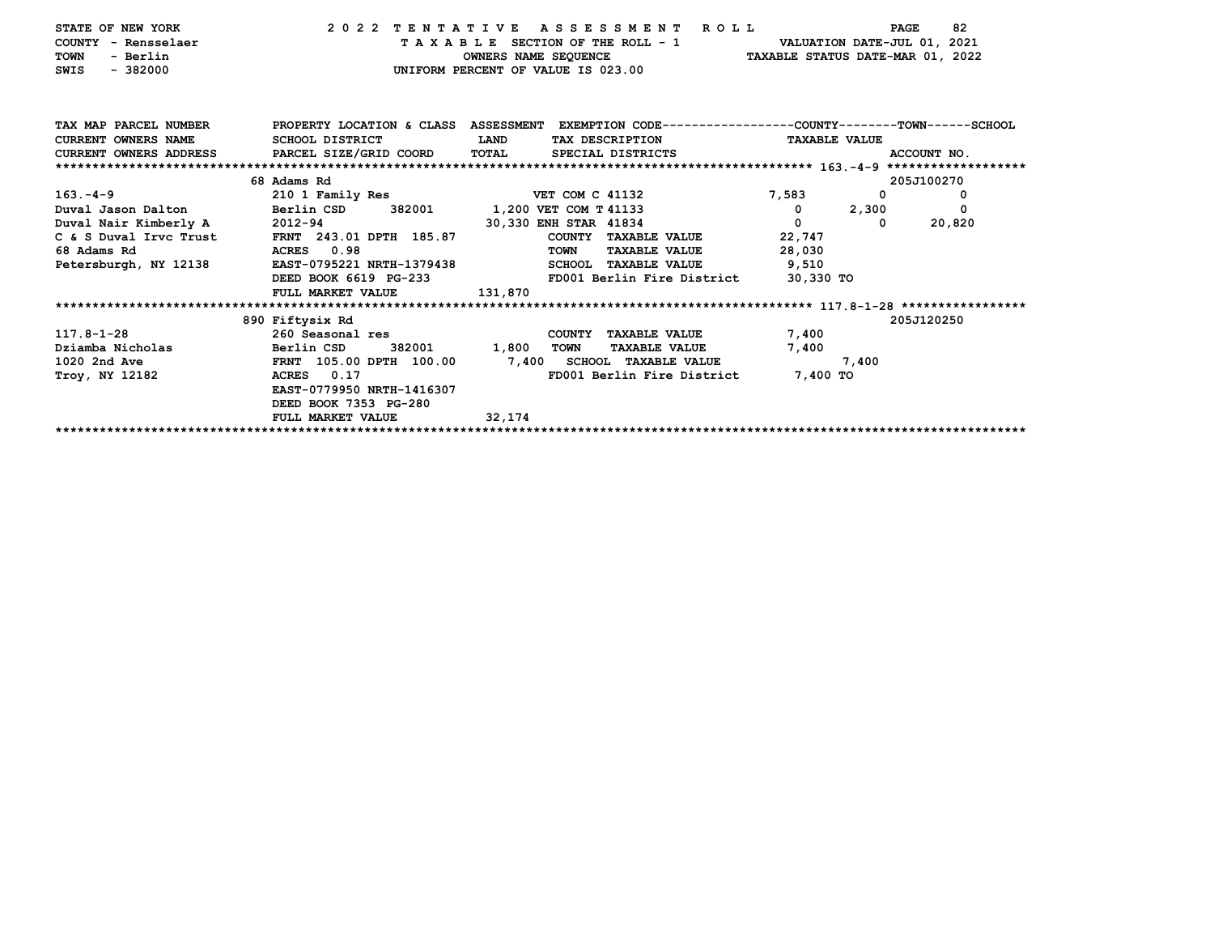| STATE OF NEW YORK<br>COUNTY - Rensselaer<br>- Berlin<br><b>TOWN</b><br>$-382000$<br>SWIS | 2022 TENTATIVE ASSESSMENT ROLL                                                                   |             | TAXABLE SECTION OF THE ROLL - 1<br>UNIFORM PERCENT OF VALUE IS 023.00 |                      | VALUATION DATE-JUL 01, 2021<br>OWNERS NAME SEQUENCE TAXABLE STATUS DATE-MAR 01, 2022 |              | 82<br><b>PAGE</b> |
|------------------------------------------------------------------------------------------|--------------------------------------------------------------------------------------------------|-------------|-----------------------------------------------------------------------|----------------------|--------------------------------------------------------------------------------------|--------------|-------------------|
| TAX MAP PARCEL NUMBER                                                                    | PROPERTY LOCATION & CLASS ASSESSMENT EXEMPTION CODE----------------COUNTY-------TOWN------SCHOOL |             |                                                                       |                      |                                                                                      |              |                   |
| <b>CURRENT OWNERS NAME</b>                                                               | SCHOOL DISTRICT                                                                                  | <b>LAND</b> | TAX DESCRIPTION                                                       |                      | <b>TAXABLE VALUE</b>                                                                 |              |                   |
| <b>CURRENT OWNERS ADDRESS</b>                                                            | PARCEL SIZE/GRID COORD                                                                           | TOTAL       | SPECIAL DISTRICTS                                                     |                      |                                                                                      |              | ACCOUNT NO.       |
|                                                                                          |                                                                                                  |             |                                                                       |                      |                                                                                      |              |                   |
|                                                                                          | 68 Adams Rd                                                                                      |             |                                                                       |                      |                                                                                      |              | 205J100270        |
| $163 - 4 - 9$                                                                            | 210 1 Family Res                                                                                 |             | <b>VET COM C 41132</b>                                                |                      | 7,583                                                                                | $\mathbf{0}$ | 0                 |
| Duval Jason Dalton Berlin CSD                                                            | 382001                                                                                           |             | 1,200 VET COM T 41133                                                 |                      | $^{\circ}$                                                                           | 2,300        | 0                 |
| Duval Nair Kimberly A 2012-94                                                            |                                                                                                  |             | 30,330 ENH STAR 41834                                                 |                      | 0                                                                                    | 0            | 20,820            |
| C & S Duval Irvc Trust FRNT 243.01 DPTH 185.87                                           |                                                                                                  |             | COUNTY TAXABLE VALUE                                                  |                      | 22,747                                                                               |              |                   |
| 68 Adams Rd                                                                              | ACRES 0.98                                                                                       |             | TOWN                                                                  | <b>TAXABLE VALUE</b> | 28,030                                                                               |              |                   |
| Petersburgh, NY 12138                                                                    | EAST-0795221 NRTH-1379438                                                                        |             | SCHOOL TAXABLE VALUE                                                  |                      | 9,510                                                                                |              |                   |
|                                                                                          | DEED BOOK 6619 PG-233                                                                            |             |                                                                       |                      | FD001 Berlin Fire District 30,330 TO                                                 |              |                   |
|                                                                                          | FULL MARKET VALUE                                                                                | 131,870     |                                                                       |                      |                                                                                      |              |                   |
|                                                                                          |                                                                                                  |             |                                                                       |                      |                                                                                      |              |                   |
|                                                                                          | 890 Fiftysix Rd                                                                                  |             |                                                                       |                      |                                                                                      |              | 205J120250        |
| 117.8-1-28                                                                               | 260 Seasonal res                                                                                 |             | COUNTY TAXABLE VALUE                                                  |                      | 7,400                                                                                |              |                   |
| Dziamba Nicholas                                                                         | Berlin CSD<br>382001                                                                             | 1,800       | <b>TOWN</b>                                                           | <b>TAXABLE VALUE</b> | 7,400                                                                                |              |                   |
| 1020 2nd Ave                                                                             | FRNT 105.00 DPTH 100.00                                                                          |             | 7,400 SCHOOL TAXABLE VALUE                                            |                      |                                                                                      | 7,400        |                   |
| Troy, NY 12182                                                                           | 0.17<br>ACRES                                                                                    |             | FD001 Berlin Fire District                                            |                      | 7,400 TO                                                                             |              |                   |
|                                                                                          | EAST-0779950 NRTH-1416307                                                                        |             |                                                                       |                      |                                                                                      |              |                   |
|                                                                                          | DEED BOOK 7353 PG-280                                                                            |             |                                                                       |                      |                                                                                      |              |                   |
|                                                                                          | FULL MARKET VALUE                                                                                | 32,174      |                                                                       |                      |                                                                                      |              |                   |
|                                                                                          |                                                                                                  |             |                                                                       |                      |                                                                                      |              |                   |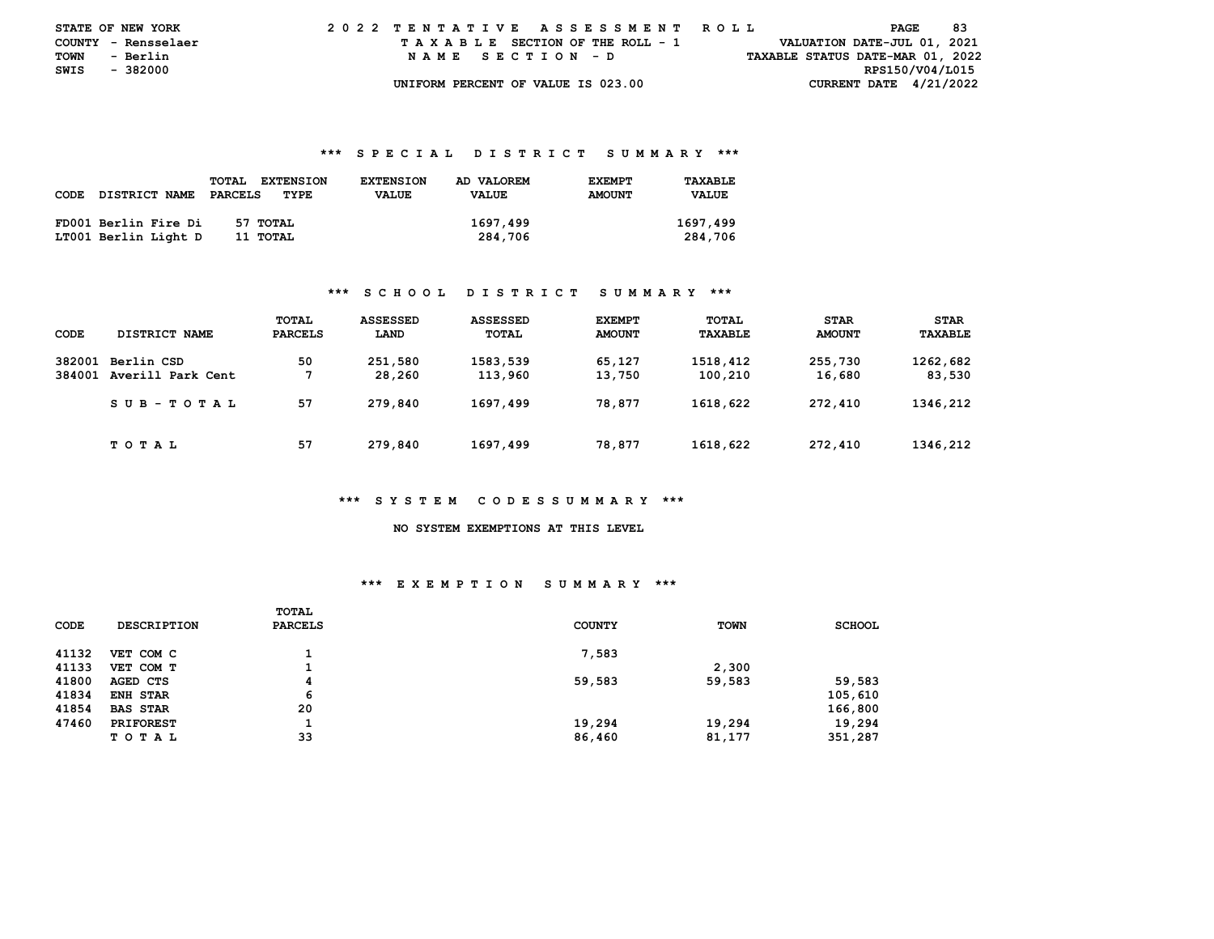| <b>STATE OF NEW YORK</b> |          | 2022 TENTATIVE ASSESSMENT ROLL |  |  |  |  |                                    |  |  |  |  |  |  |  |  |                                  | PAGE | -83 |  |
|--------------------------|----------|--------------------------------|--|--|--|--|------------------------------------|--|--|--|--|--|--|--|--|----------------------------------|------|-----|--|
| COUNTY - Rensselaer      |          |                                |  |  |  |  | TAXABLE SECTION OF THE ROLL - 1    |  |  |  |  |  |  |  |  | VALUATION DATE-JUL 01, 2021      |      |     |  |
| TOWN                     | - Berlin |                                |  |  |  |  | NAME SECTION - D                   |  |  |  |  |  |  |  |  | TAXABLE STATUS DATE-MAR 01, 2022 |      |     |  |
| SWIS                     | - 382000 |                                |  |  |  |  |                                    |  |  |  |  |  |  |  |  | RPS150/V04/L015                  |      |     |  |
|                          |          |                                |  |  |  |  | UNIFORM PERCENT OF VALUE IS 023.00 |  |  |  |  |  |  |  |  | CURRENT DATE $4/21/2022$         |      |     |  |

### **\*\*\* S P E C I A L D I S T R I C T S U M M A R Y \*\*\***

|      |                      | TOTAL<br><b>EXTENSION</b> | <b>EXTENSION</b> | AD VALOREM   | <b>EXEMPT</b> | TAXABLE      |
|------|----------------------|---------------------------|------------------|--------------|---------------|--------------|
| CODE | <b>DISTRICT NAME</b> | PARCELS<br>TYPE           | <b>VALUE</b>     | <b>VALUE</b> | <b>AMOUNT</b> | <b>VALUE</b> |
|      |                      |                           |                  |              |               |              |
|      | FD001 Berlin Fire Di | 57 TOTAL                  |                  | 1697,499     |               | 1697,499     |
|      | LT001 Berlin Light D | 11 ТОТАL                  |                  | 284,706      |               | 284,706      |

### **\*\*\* S C H O O L D I S T R I C T S U M M A R Y \*\*\***

|        |                   | <b>TOTAL</b>   | <b>ASSESSED</b> | <b>ASSESSED</b> | <b>EXEMPT</b> | <b>TOTAL</b> | <b>STAR</b>   | <b>STAR</b> |
|--------|-------------------|----------------|-----------------|-----------------|---------------|--------------|---------------|-------------|
| CODE   | DISTRICT NAME     | <b>PARCELS</b> | LAND            | TOTAL           | <b>AMOUNT</b> | TAXABLE      | <b>AMOUNT</b> | TAXABLE     |
| 382001 | Berlin CSD        | 50             | 251,580         | 1583,539        | 65,127        | 1518,412     | 255,730       | 1262,682    |
| 384001 | Averill Park Cent |                | 28,260          | 113,960         | 13,750        | 100,210      | 16,680        | 83,530      |
|        | SUB-TOTAL         | 57             | 279,840         | 1697,499        | 78.877        | 1618,622     | 272,410       | 1346,212    |
|        | <b>TOTAL</b>      | 57             | 279,840         | 1697,499        | 78,877        | 1618,622     | 272,410       | 1346,212    |

### **\*\*\* S Y S T E M C O D E S S U M M A R Y \*\*\***

#### **NO SYSTEM EXEMPTIONS AT THIS LEVEL**

# **\*\*\* E X E M P T I O N S U M M A R Y \*\*\***

| CODE  | <b>DESCRIPTION</b> | <b>TOTAL</b><br><b>PARCELS</b> | <b>COUNTY</b> | <b>TOWN</b> | <b>SCHOOL</b> |
|-------|--------------------|--------------------------------|---------------|-------------|---------------|
| 41132 | VET COM C          |                                | 7,583         |             |               |
| 41133 | VET COM T          | 1                              |               | 2,300       |               |
| 41800 | AGED CTS           | 4                              | 59,583        | 59,583      | 59,583        |
| 41834 | <b>ENH STAR</b>    | 6                              |               |             | 105,610       |
| 41854 | <b>BAS STAR</b>    | 20                             |               |             | 166,800       |
| 47460 | <b>PRIFOREST</b>   |                                | 19,294        | 19,294      | 19,294        |
|       | TOTAL              | 33                             | 86,460        | 81,177      | 351,287       |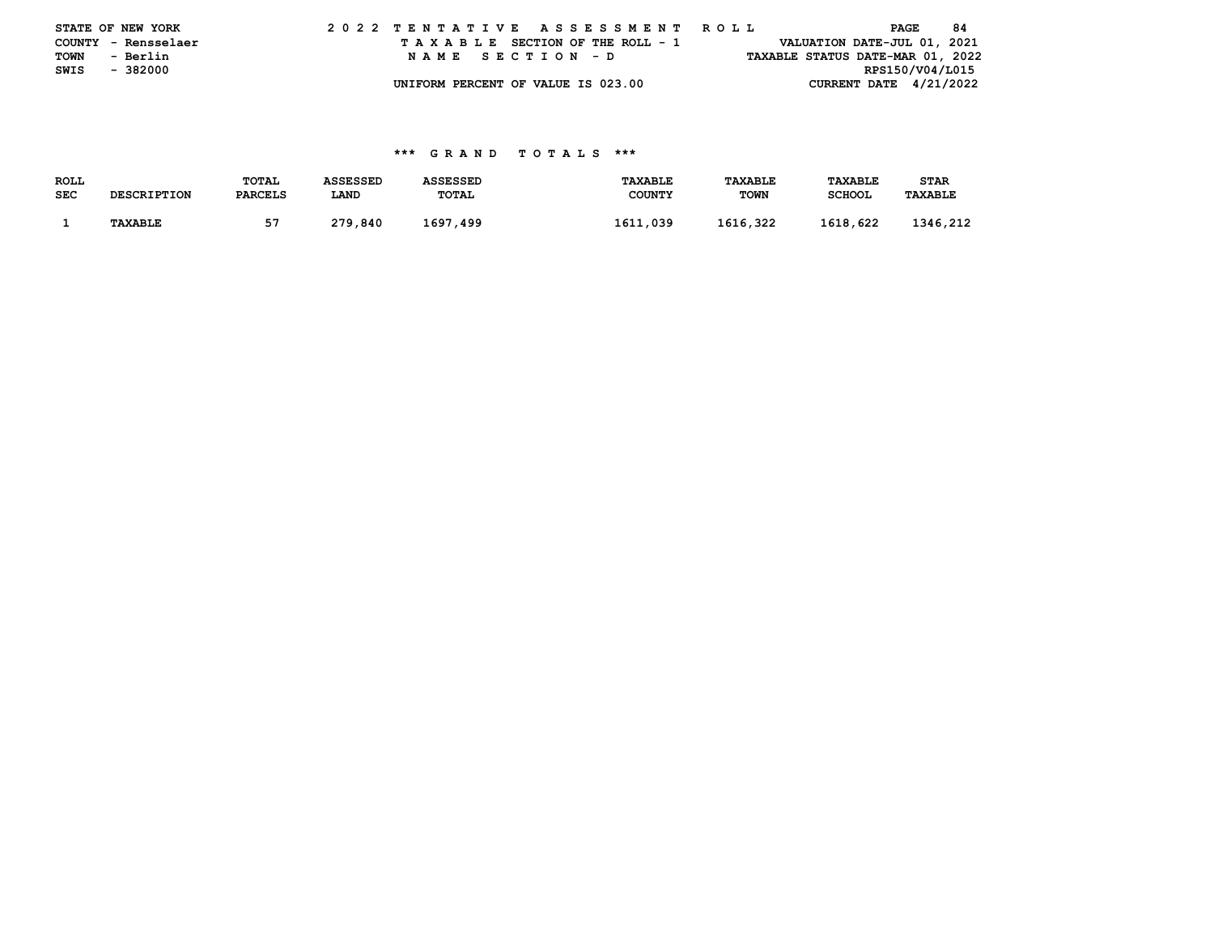|      | STATE OF NEW YORK   |  |  |  |  |  | 2022 TENTATIVE ASSESSMENT ROLL     |  |  |  |  |  |  |  |  | PAGE |                                  | -84 |  |
|------|---------------------|--|--|--|--|--|------------------------------------|--|--|--|--|--|--|--|--|------|----------------------------------|-----|--|
|      | COUNTY - Rensselaer |  |  |  |  |  | TAXABLE SECTION OF THE ROLL - 1    |  |  |  |  |  |  |  |  |      | VALUATION DATE-JUL 01, 2021      |     |  |
| TOWN | - Berlin            |  |  |  |  |  | NAME SECTION - D                   |  |  |  |  |  |  |  |  |      | TAXABLE STATUS DATE-MAR 01, 2022 |     |  |
| SWIS | - 382000            |  |  |  |  |  |                                    |  |  |  |  |  |  |  |  |      | RPS150/V04/L015                  |     |  |
|      |                     |  |  |  |  |  | UNIFORM PERCENT OF VALUE IS 023.00 |  |  |  |  |  |  |  |  |      | CURRENT DATE $4/21/2022$         |     |  |

### **\*\*\* G R A N D T O T A L S \*\*\***

| <b>ROLL</b> |                    | TOTAL          | <b>ASSESSED</b> | <b>ASSESSED</b> | <b>TAXABLE</b> | TAXABLE     | <b>TAXABLE</b> | STAR           |
|-------------|--------------------|----------------|-----------------|-----------------|----------------|-------------|----------------|----------------|
| <b>SEC</b>  | <b>DESCRIPTION</b> | <b>PARCELS</b> | LAND            | <b>TOTAL</b>    | <b>COUNTY</b>  | <b>TOWN</b> | <b>SCHOOL</b>  | <b>TAXABLE</b> |
|             |                    |                |                 |                 |                |             |                |                |
|             | <b>TAXABLE</b>     |                | 279,840         | 1697,499        | 1611,039       | 1616,322    | 1618,622       | 1346,212       |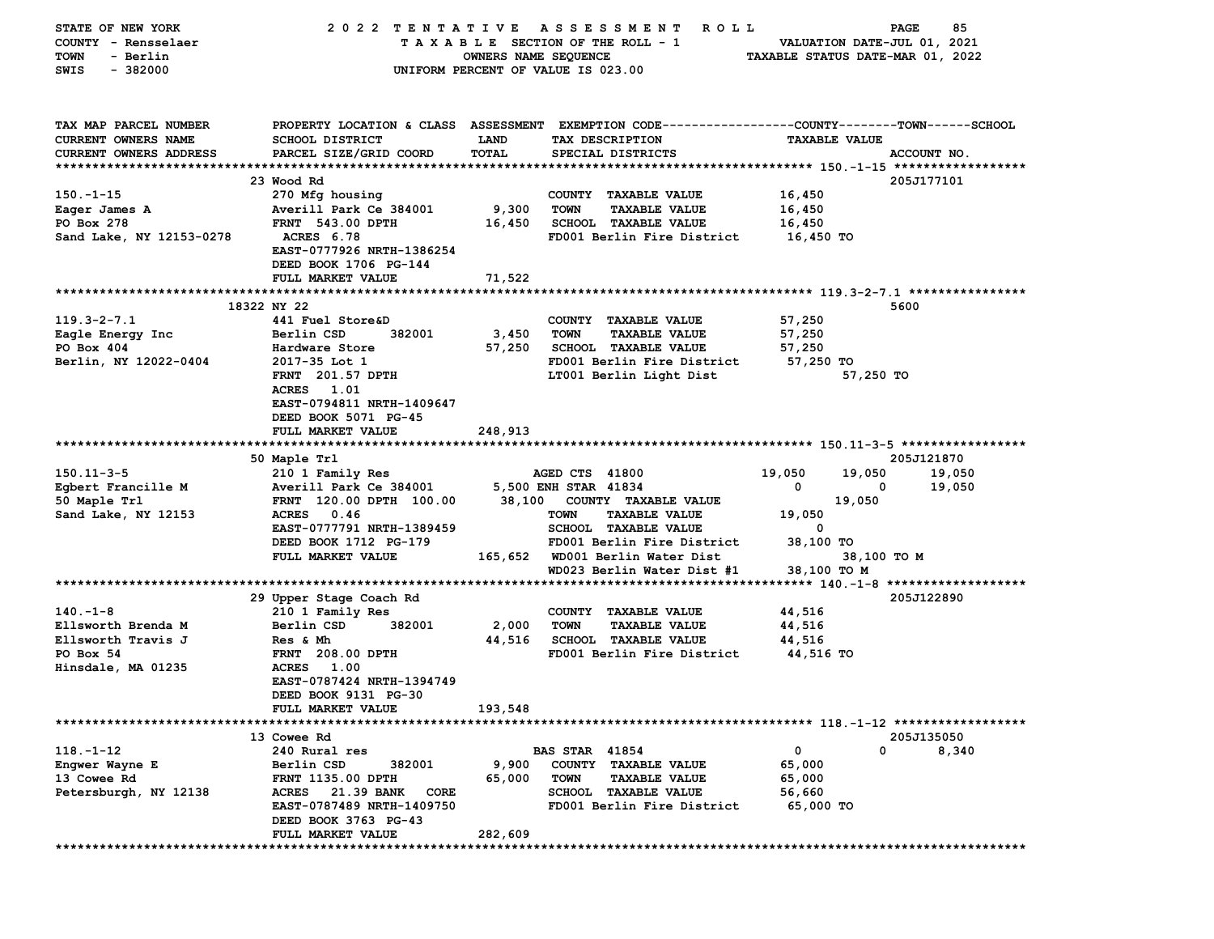| STATE OF NEW YORK        | 2022 TENTATIVE                     |                      | A S S E S S M E N T<br>ROLL <sub></sub>                                                        |                                  | 85<br><b>PAGE</b>           |
|--------------------------|------------------------------------|----------------------|------------------------------------------------------------------------------------------------|----------------------------------|-----------------------------|
| COUNTY - Rensselaer      |                                    |                      | TAXABLE SECTION OF THE ROLL - 1                                                                |                                  | VALUATION DATE-JUL 01, 2021 |
| - Berlin<br>TOWN         |                                    | OWNERS NAME SEQUENCE |                                                                                                | TAXABLE STATUS DATE-MAR 01, 2022 |                             |
| SWIS<br>- 382000         |                                    |                      | UNIFORM PERCENT OF VALUE IS 023.00                                                             |                                  |                             |
|                          |                                    |                      |                                                                                                |                                  |                             |
|                          |                                    |                      |                                                                                                |                                  |                             |
| TAX MAP PARCEL NUMBER    |                                    |                      | PROPERTY LOCATION & CLASS ASSESSMENT EXEMPTION CODE---------------COUNTY-------TOWN-----SCHOOL |                                  |                             |
| CURRENT OWNERS NAME      | <b>SCHOOL DISTRICT</b>             | <b>LAND</b>          | TAX DESCRIPTION                                                                                | <b>TAXABLE VALUE</b>             |                             |
| CURRENT OWNERS ADDRESS   | PARCEL SIZE/GRID COORD             | TOTAL                | SPECIAL DISTRICTS                                                                              |                                  | ACCOUNT NO.                 |
|                          |                                    |                      |                                                                                                |                                  |                             |
|                          | 23 Wood Rd                         |                      |                                                                                                |                                  | 205J177101                  |
| $150 - 1 - 15$           | 270 Mfg housing                    |                      | COUNTY TAXABLE VALUE                                                                           | 16,450                           |                             |
| Eager James A            | Averill Park Ce 384001             | 9,300                | <b>TOWN</b><br><b>TAXABLE VALUE</b>                                                            | 16,450                           |                             |
| PO Box 278               | <b>FRNT</b> 543.00 DPTH            | 16,450               | <b>SCHOOL TAXABLE VALUE</b>                                                                    | 16,450                           |                             |
| Sand Lake, NY 12153-0278 | ACRES 6.78                         |                      | FD001 Berlin Fire District                                                                     | 16,450 TO                        |                             |
|                          | EAST-0777926 NRTH-1386254          |                      |                                                                                                |                                  |                             |
|                          | DEED BOOK 1706 PG-144              |                      |                                                                                                |                                  |                             |
|                          | FULL MARKET VALUE                  | 71,522               |                                                                                                |                                  |                             |
|                          |                                    |                      |                                                                                                |                                  |                             |
|                          | 18322 NY 22                        |                      |                                                                                                |                                  | 5600                        |
| $119.3 - 2 - 7.1$        | 441 Fuel Store&D                   |                      | COUNTY TAXABLE VALUE                                                                           | 57,250                           |                             |
| Eagle Energy Inc         | Berlin CSD<br>382001               | 3,450                | TOWN<br><b>TAXABLE VALUE</b>                                                                   | 57,250                           |                             |
| PO Box 404               | Hardware Store                     | 57,250               | SCHOOL TAXABLE VALUE                                                                           | 57,250                           |                             |
| Berlin, NY 12022-0404    | 2017-35 Lot 1                      |                      | FD001 Berlin Fire District                                                                     | 57,250 TO                        |                             |
|                          | <b>FRNT</b> 201.57 DPTH            |                      | LT001 Berlin Light Dist                                                                        |                                  | 57,250 TO                   |
|                          | ACRES 1.01                         |                      |                                                                                                |                                  |                             |
|                          | EAST-0794811 NRTH-1409647          |                      |                                                                                                |                                  |                             |
|                          | DEED BOOK 5071 PG-45               |                      |                                                                                                |                                  |                             |
|                          | FULL MARKET VALUE                  | 248,913              |                                                                                                |                                  |                             |
|                          |                                    |                      |                                                                                                |                                  |                             |
|                          | 50 Maple Trl                       |                      |                                                                                                |                                  | 205J121870                  |
| $150.11 - 3 - 5$         | 210 1 Family Res                   |                      | AGED CTS 41800                                                                                 | 19,050<br>19,050                 | 19,050                      |
| Egbert Francille M       | Averill Park Ce 384001             |                      | 5,500 ENH STAR 41834                                                                           | 0                                | 19,050<br>0                 |
|                          | FRNT 120.00 DPTH 100.00            |                      | 38,100 COUNTY TAXABLE VALUE                                                                    | 19,050                           |                             |
| 50 Maple Trl             | ACRES 0.46                         |                      | <b>TAXABLE VALUE</b><br><b>TOWN</b>                                                            |                                  |                             |
| Sand Lake, NY 12153      |                                    |                      |                                                                                                | 19,050<br>0                      |                             |
|                          | EAST-0777791 NRTH-1389459          |                      | SCHOOL TAXABLE VALUE                                                                           |                                  |                             |
|                          | DEED BOOK 1712 PG-179              |                      | FD001 Berlin Fire District                                                                     | 38,100 TO                        |                             |
|                          | FULL MARKET VALUE                  |                      | 165,652 WD001 Berlin Water Dist                                                                |                                  | 38,100 TO M                 |
|                          |                                    |                      | WD023 Berlin Water Dist #1                                                                     | 38,100 TO M                      |                             |
|                          |                                    |                      |                                                                                                |                                  |                             |
|                          | 29 Upper Stage Coach Rd            |                      |                                                                                                |                                  | 205J122890                  |
| $140. -1 - 8$            | 210 1 Family Res                   |                      | COUNTY TAXABLE VALUE                                                                           | 44,516                           |                             |
| Ellsworth Brenda M       | Berlin CSD<br>382001               | 2,000                | <b>TOWN</b><br><b>TAXABLE VALUE</b>                                                            | 44,516                           |                             |
| Ellsworth Travis J       | Res & Mh                           | 44,516               | <b>SCHOOL TAXABLE VALUE</b>                                                                    | 44,516                           |                             |
| PO Box 54                | <b>FRNT</b> 208.00 DPTH            |                      | FD001 Berlin Fire District                                                                     | 44,516 TO                        |                             |
| Hinsdale, MA 01235       | ACRES 1.00                         |                      |                                                                                                |                                  |                             |
|                          | EAST-0787424 NRTH-1394749          |                      |                                                                                                |                                  |                             |
|                          | DEED BOOK 9131 PG-30               |                      |                                                                                                |                                  |                             |
|                          | FULL MARKET VALUE                  | 193,548              |                                                                                                |                                  |                             |
|                          |                                    |                      |                                                                                                |                                  |                             |
|                          | 13 Cowee Rd                        |                      |                                                                                                |                                  | 205J135050                  |
| $118. - 1 - 12$          | 240 Rural res                      |                      | <b>BAS STAR 41854</b>                                                                          | 0                                | 0<br>8,340                  |
| Engwer Wayne E           | Berlin CSD<br>382001               | 9,900                | COUNTY TAXABLE VALUE                                                                           | 65,000                           |                             |
| 13 Cowee Rd              | FRNT 1135.00 DPTH                  | 65,000               | <b>TOWN</b><br><b>TAXABLE VALUE</b>                                                            | 65,000                           |                             |
| Petersburgh, NY 12138    | 21.39 BANK<br><b>ACRES</b><br>CORE |                      | <b>SCHOOL TAXABLE VALUE</b>                                                                    | 56,660                           |                             |
|                          | EAST-0787489 NRTH-1409750          |                      | FD001 Berlin Fire District                                                                     | 65,000 TO                        |                             |
|                          | DEED BOOK 3763 PG-43               |                      |                                                                                                |                                  |                             |
|                          | FULL MARKET VALUE                  | 282,609              |                                                                                                |                                  |                             |
|                          |                                    |                      |                                                                                                |                                  |                             |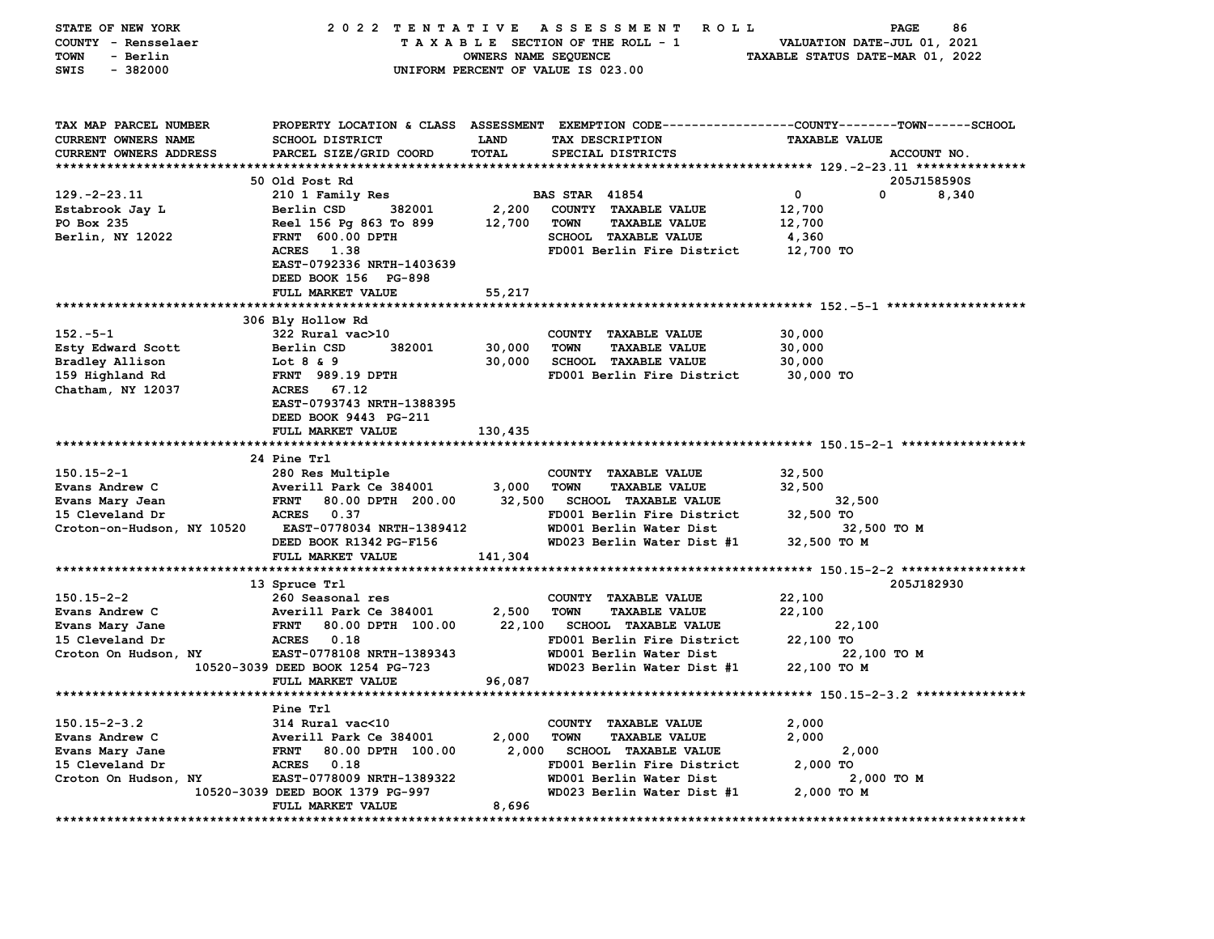| STATE OF NEW YORK          | 2022 TENTATIVE                   |                      | A S S E S S M E N T<br><b>ROLL</b>                                                             |                                  | PAGE<br>86  |
|----------------------------|----------------------------------|----------------------|------------------------------------------------------------------------------------------------|----------------------------------|-------------|
| COUNTY - Rensselaer        |                                  |                      | TAXABLE SECTION OF THE ROLL - 1                                                                | VALUATION DATE-JUL 01, 2021      |             |
| - Berlin<br>TOWN           |                                  | OWNERS NAME SEQUENCE |                                                                                                | TAXABLE STATUS DATE-MAR 01, 2022 |             |
| $-382000$<br>SWIS          |                                  |                      | UNIFORM PERCENT OF VALUE IS 023.00                                                             |                                  |             |
|                            |                                  |                      |                                                                                                |                                  |             |
|                            |                                  |                      |                                                                                                |                                  |             |
| TAX MAP PARCEL NUMBER      |                                  |                      | PROPERTY LOCATION & CLASS ASSESSMENT EXEMPTION CODE---------------COUNTY-------TOWN-----SCHOOL |                                  |             |
| <b>CURRENT OWNERS NAME</b> | SCHOOL DISTRICT                  | LAND                 | TAX DESCRIPTION                                                                                | <b>TAXABLE VALUE</b>             |             |
| CURRENT OWNERS ADDRESS     | PARCEL SIZE/GRID COORD           | <b>TOTAL</b>         | SPECIAL DISTRICTS                                                                              |                                  | ACCOUNT NO. |
|                            |                                  |                      |                                                                                                |                                  |             |
|                            | 50 Old Post Rd                   |                      |                                                                                                |                                  | 205J158590S |
| $129. -2 - 23.11$          | 210 1 Family Res                 |                      | <b>BAS STAR 41854</b>                                                                          | 0<br>0                           | 8,340       |
| Estabrook Jay L            | Berlin CSD<br>382001             | 2,200                | COUNTY TAXABLE VALUE                                                                           | 12,700                           |             |
| PO Box 235                 | Reel 156 Pg 863 To 899           | 12,700               | <b>TAXABLE VALUE</b><br><b>TOWN</b>                                                            | 12,700                           |             |
| Berlin, NY 12022           | FRNT 600.00 DPTH                 |                      | <b>SCHOOL TAXABLE VALUE</b>                                                                    | 4,360                            |             |
|                            | ACRES 1.38                       |                      | FD001 Berlin Fire District                                                                     | 12,700 TO                        |             |
|                            | EAST-0792336 NRTH-1403639        |                      |                                                                                                |                                  |             |
|                            | DEED BOOK 156 PG-898             |                      |                                                                                                |                                  |             |
|                            | FULL MARKET VALUE                | 55,217               |                                                                                                |                                  |             |
|                            |                                  |                      |                                                                                                |                                  |             |
|                            | 306 Bly Hollow Rd                |                      |                                                                                                |                                  |             |
| $152 - 5 - 1$              | 322 Rural vac>10                 |                      | COUNTY TAXABLE VALUE                                                                           | 30,000                           |             |
| Esty Edward Scott          | 382001<br>Berlin CSD             | 30,000               | <b>TOWN</b><br><b>TAXABLE VALUE</b>                                                            | 30,000                           |             |
| Bradley Allison            | Lot $8 \& 9$                     | 30,000               | <b>SCHOOL TAXABLE VALUE</b>                                                                    | 30,000                           |             |
| 159 Highland Rd            | <b>FRNT</b> 989.19 DPTH          |                      | FD001 Berlin Fire District                                                                     | 30,000 TO                        |             |
| Chatham, NY 12037          | ACRES 67.12                      |                      |                                                                                                |                                  |             |
|                            | EAST-0793743 NRTH-1388395        |                      |                                                                                                |                                  |             |
|                            | DEED BOOK 9443 PG-211            |                      |                                                                                                |                                  |             |
|                            | FULL MARKET VALUE                | 130,435              |                                                                                                |                                  |             |
|                            |                                  |                      |                                                                                                |                                  |             |
|                            | 24 Pine Trl                      |                      |                                                                                                |                                  |             |
| $150.15 - 2 - 1$           | 280 Res Multiple                 |                      | COUNTY TAXABLE VALUE                                                                           | 32,500                           |             |
| Evans Andrew C             | Averill Park Ce 384001           | 3,000                | <b>TOWN</b><br><b>TAXABLE VALUE</b>                                                            | 32,500                           |             |
| Evans Mary Jean            | 80.00 DPTH 200.00<br><b>FRNT</b> | 32,500               | <b>SCHOOL TAXABLE VALUE</b>                                                                    | 32,500                           |             |
| 15 Cleveland Dr            | <b>ACRES</b><br>0.37             |                      | FD001 Berlin Fire District                                                                     | 32,500 TO                        |             |
| Croton-on-Hudson, NY 10520 | EAST-0778034 NRTH-1389412        |                      | WD001 Berlin Water Dist                                                                        | 32,500 TO M                      |             |
|                            | DEED BOOK R1342 PG-F156          |                      | WD023 Berlin Water Dist #1                                                                     | 32,500 TO M                      |             |
|                            | FULL MARKET VALUE                | 141,304              |                                                                                                |                                  |             |
|                            |                                  |                      |                                                                                                |                                  |             |
|                            | 13 Spruce Trl                    |                      |                                                                                                |                                  | 205J182930  |
| $150.15 - 2 - 2$           | 260 Seasonal res                 |                      | COUNTY TAXABLE VALUE                                                                           | 22,100                           |             |
| Evans Andrew C             | Averill Park Ce 384001           | 2,500                | <b>TAXABLE VALUE</b><br>TOWN                                                                   | 22,100                           |             |
| Evans Mary Jane            | 80.00 DPTH 100.00<br><b>FRNT</b> | 22,100               | SCHOOL TAXABLE VALUE                                                                           | 22,100                           |             |
| 15 Cleveland Dr            | 0.18<br><b>ACRES</b>             |                      | FD001 Berlin Fire District                                                                     | 22,100 TO                        |             |
| Croton On Hudson, NY       | EAST-0778108 NRTH-1389343        |                      | WD001 Berlin Water Dist                                                                        | 22,100 TO M                      |             |
|                            | 10520-3039 DEED BOOK 1254 PG-723 |                      | WD023 Berlin Water Dist #1                                                                     | 22,100 TO M                      |             |
|                            | FULL MARKET VALUE                | 96,087               |                                                                                                |                                  |             |
|                            |                                  |                      |                                                                                                |                                  |             |
|                            | Pine Trl                         |                      |                                                                                                |                                  |             |
| $150.15 - 2 - 3.2$         | 314 Rural vac<10                 |                      | <b>COUNTY</b><br><b>TAXABLE VALUE</b>                                                          | 2,000                            |             |
| Evans Andrew C             | Averill Park Ce 384001           | 2,000                | <b>TOWN</b><br><b>TAXABLE VALUE</b>                                                            | 2,000                            |             |
| Evans Mary Jane            | <b>FRNT</b><br>80.00 DPTH 100.00 | 2,000                | <b>SCHOOL TAXABLE VALUE</b>                                                                    | 2,000                            |             |
| 15 Cleveland Dr            | ACRES 0.18                       |                      | FD001 Berlin Fire District                                                                     | 2,000 TO                         |             |
| Croton On Hudson, NY       | EAST-0778009 NRTH-1389322        |                      | WD001 Berlin Water Dist                                                                        |                                  | 2,000 TO M  |
|                            | 10520-3039 DEED BOOK 1379 PG-997 |                      | WD023 Berlin Water Dist #1                                                                     | 2,000 TO M                       |             |
|                            | FULL MARKET VALUE                | 8,696                |                                                                                                |                                  |             |
| *****************          |                                  |                      |                                                                                                |                                  |             |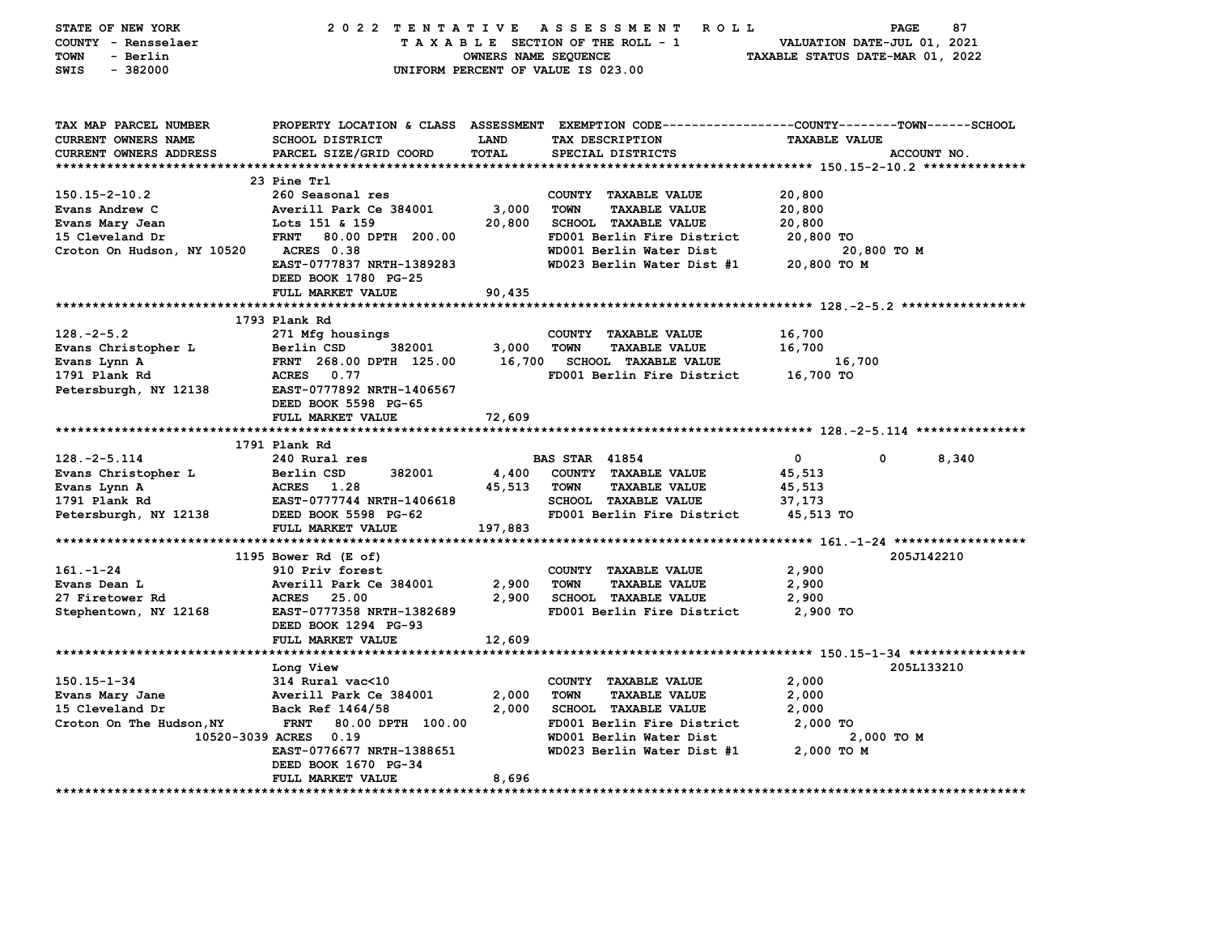| STATE OF NEW YORK<br>COUNTY - Rensselaer<br>TOWN<br>- Berlin<br>$-382000$<br>SWIS | 2022 TENTATIVE                                                                                 | <b>OWNERS NAME SEQUENCE</b> | A S S E S S M E N T<br><b>ROLL</b><br>TAXABLE SECTION OF THE ROLL - 1<br>UNIFORM PERCENT OF VALUE IS 023.00 | PAGE<br>VALUATION DATE-JUL 01, 2021<br>TAXABLE STATUS DATE-MAR 01, 2022 | 87          |
|-----------------------------------------------------------------------------------|------------------------------------------------------------------------------------------------|-----------------------------|-------------------------------------------------------------------------------------------------------------|-------------------------------------------------------------------------|-------------|
| TAX MAP PARCEL NUMBER                                                             | PROPERTY LOCATION & CLASS ASSESSMENT EXEMPTION CODE---------------COUNTY-------TOWN-----SCHOOL |                             |                                                                                                             |                                                                         |             |
| CURRENT OWNERS NAME                                                               | <b>SCHOOL DISTRICT</b>                                                                         | LAND<br>TOTAL               | TAX DESCRIPTION                                                                                             | <b>TAXABLE VALUE</b>                                                    |             |
| CURRENT OWNERS ADDRESS                                                            | PARCEL SIZE/GRID COORD                                                                         |                             | SPECIAL DISTRICTS                                                                                           |                                                                         | ACCOUNT NO. |
|                                                                                   | 23 Pine Trl                                                                                    |                             |                                                                                                             |                                                                         |             |
| $150.15 - 2 - 10.2$                                                               | 260 Seasonal res                                                                               |                             | COUNTY TAXABLE VALUE                                                                                        | 20,800                                                                  |             |
| Evans Andrew C                                                                    | Averill Park Ce 384001                                                                         | 3,000                       | <b>TOWN</b><br><b>TAXABLE VALUE</b>                                                                         | 20,800                                                                  |             |
| Evans Mary Jean                                                                   | Lots 151 & 159                                                                                 | 20,800                      | SCHOOL TAXABLE VALUE                                                                                        | 20,800                                                                  |             |
| 15 Cleveland Dr                                                                   | <b>FRNT</b><br>80.00 DPTH 200.00                                                               |                             | FD001 Berlin Fire District                                                                                  | 20,800 TO                                                               |             |
| Croton On Hudson, NY 10520                                                        | ACRES 0.38                                                                                     |                             | WD001 Berlin Water Dist                                                                                     | 20,800 TO M                                                             |             |
|                                                                                   | EAST-0777837 NRTH-1389283<br>DEED BOOK 1780 PG-25                                              |                             | WD023 Berlin Water Dist #1                                                                                  | 20,800 TO M                                                             |             |
|                                                                                   | FULL MARKET VALUE                                                                              | 90,435                      |                                                                                                             |                                                                         |             |
|                                                                                   |                                                                                                |                             |                                                                                                             |                                                                         |             |
|                                                                                   | 1793 Plank Rd                                                                                  |                             |                                                                                                             |                                                                         |             |
| $128. - 2 - 5.2$                                                                  | 271 Mfg housings                                                                               |                             | COUNTY TAXABLE VALUE                                                                                        | 16,700                                                                  |             |
| Evans Christopher L                                                               | Berlin CSD<br>382001<br>FRNT 268.00 DPTH 125.00                                                | 3,000<br>16,700             | <b>TOWN</b><br><b>TAXABLE VALUE</b><br><b>SCHOOL TAXABLE VALUE</b>                                          | 16,700<br>16,700                                                        |             |
| Evans Lynn A<br>1791 Plank Rd                                                     | ACRES 0.77                                                                                     |                             | FD001 Berlin Fire District                                                                                  | 16,700 TO                                                               |             |
| Petersburgh, NY 12138                                                             | EAST-0777892 NRTH-1406567                                                                      |                             |                                                                                                             |                                                                         |             |
|                                                                                   | DEED BOOK 5598 PG-65                                                                           |                             |                                                                                                             |                                                                         |             |
|                                                                                   | FULL MARKET VALUE                                                                              | 72,609                      |                                                                                                             |                                                                         |             |
|                                                                                   |                                                                                                |                             |                                                                                                             |                                                                         |             |
|                                                                                   | 1791 Plank Rd                                                                                  |                             |                                                                                                             |                                                                         |             |
| $128. - 2 - 5.114$                                                                | 240 Rural res                                                                                  |                             | <b>BAS STAR 41854</b>                                                                                       | 0<br>0                                                                  | 8,340       |
| Evans Christopher L                                                               | 382001<br>Berlin CSD                                                                           | 4,400                       | COUNTY TAXABLE VALUE                                                                                        | 45,513                                                                  |             |
| Evans Lynn A                                                                      | ACRES 1.28                                                                                     | 45,513                      | <b>TOWN</b><br><b>TAXABLE VALUE</b>                                                                         | 45,513                                                                  |             |
| 1791 Plank Rd                                                                     | EAST-0777744 NRTH-1406618                                                                      |                             | SCHOOL TAXABLE VALUE                                                                                        | 37,173                                                                  |             |
| Petersburgh, NY 12138                                                             | DEED BOOK 5598 PG-62<br>FULL MARKET VALUE                                                      | 197,883                     | FD001 Berlin Fire District                                                                                  | 45,513 TO                                                               |             |
|                                                                                   |                                                                                                |                             |                                                                                                             |                                                                         |             |
|                                                                                   | 1195 Bower Rd (E of)                                                                           |                             |                                                                                                             |                                                                         | 205J142210  |
| $161. - 1 - 24$                                                                   | 910 Priv forest                                                                                |                             | COUNTY TAXABLE VALUE                                                                                        | 2,900                                                                   |             |
| Evans Dean L                                                                      | Averill Park Ce 384001                                                                         | 2,900                       | <b>TOWN</b><br><b>TAXABLE VALUE</b>                                                                         | 2,900                                                                   |             |
| 27 Firetower Rd<br>Stephentown, NY 12168                                          | <b>ACRES</b> 25.00<br>EAST-0777358 NRTH-1382689                                                | 2,900                       | <b>SCHOOL TAXABLE VALUE</b><br>FD001 Berlin Fire District                                                   | 2,900<br>2,900 TO                                                       |             |
|                                                                                   | DEED BOOK 1294 PG-93                                                                           |                             |                                                                                                             |                                                                         |             |
|                                                                                   | FULL MARKET VALUE                                                                              | 12,609                      |                                                                                                             |                                                                         |             |
|                                                                                   | Long View                                                                                      |                             |                                                                                                             |                                                                         | 205L133210  |
| $150.15 - 1 - 34$                                                                 | $314$ Rural vac $\leq 10$                                                                      |                             | COUNTY TAXABLE VALUE                                                                                        | 2,000                                                                   |             |
| Evans Mary Jane                                                                   | Averill Park Ce 384001                                                                         | 2,000                       | <b>TOWN</b><br><b>TAXABLE VALUE</b>                                                                         | 2,000                                                                   |             |
| 15 Cleveland Dr                                                                   | Back Ref 1464/58                                                                               | 2,000                       | <b>SCHOOL TAXABLE VALUE</b>                                                                                 | 2,000                                                                   |             |
| Croton On The Hudson, NY                                                          | <b>FRNT</b><br>80.00 DPTH 100.00<br>10520-3039 ACRES 0.19                                      |                             | FD001 Berlin Fire District<br>WD001 Berlin Water Dist                                                       | 2,000 TO<br>2,000 TO M                                                  |             |
|                                                                                   | EAST-0776677 NRTH-1388651                                                                      |                             | WD023 Berlin Water Dist #1                                                                                  | 2,000 TO M                                                              |             |
|                                                                                   | DEED BOOK 1670 PG-34                                                                           |                             |                                                                                                             |                                                                         |             |
|                                                                                   | FULL MARKET VALUE                                                                              | 8,696                       |                                                                                                             |                                                                         |             |
|                                                                                   |                                                                                                |                             |                                                                                                             |                                                                         |             |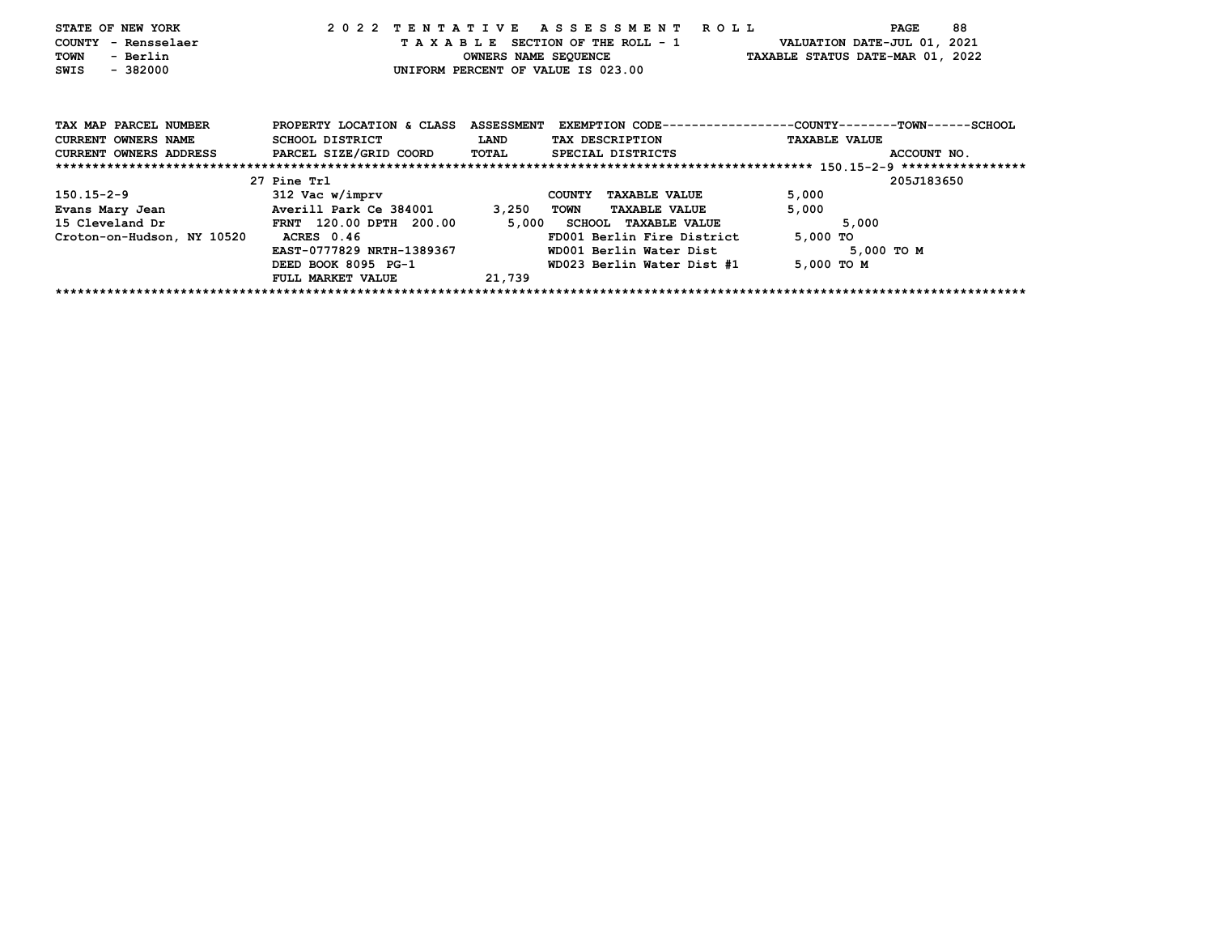| STATE OF NEW YORK<br>COUNTY - Rensselaer<br><b>TOWN</b><br>- Berlin |                                |                   | 2022 TENTATIVE ASSESSMENT ROLL<br>TAXABLE SECTION OF THE ROLL - 1 | 88<br>PAGE<br>VALUATION DATE-JUL 01, 2021<br>OWNERS NAME SEQUENCE TAXABLE STATUS DATE-MAR 01, 2022 |
|---------------------------------------------------------------------|--------------------------------|-------------------|-------------------------------------------------------------------|----------------------------------------------------------------------------------------------------|
| $-382000$<br>SWIS                                                   |                                |                   | UNIFORM PERCENT OF VALUE IS 023.00                                |                                                                                                    |
|                                                                     |                                |                   |                                                                   |                                                                                                    |
| TAX MAP PARCEL NUMBER                                               | PROPERTY LOCATION & CLASS      | <b>ASSESSMENT</b> |                                                                   | EXEMPTION CODE-----------------COUNTY-------TOWN------SCHOOL                                       |
| <b>CURRENT OWNERS NAME</b>                                          | SCHOOL DISTRICT                | <b>LAND</b>       | TAX DESCRIPTION                                                   | <b>TAXABLE VALUE</b>                                                                               |
| CURRENT OWNERS ADDRESS                                              | PARCEL SIZE/GRID COORD         | TOTAL             | SPECIAL DISTRICTS                                                 | ACCOUNT NO.                                                                                        |
|                                                                     |                                |                   |                                                                   |                                                                                                    |
|                                                                     | 27 Pine Trl                    |                   |                                                                   | 205J183650                                                                                         |
| 150.15-2-9                                                          | 312 Vac w/imprv                |                   | <b>TAXABLE VALUE</b><br><b>COUNTY</b>                             | 5,000                                                                                              |
| Evans Mary Jean                                                     | Averill Park Ce 384001         | 3,250             | TOWN<br><b>TAXABLE VALUE</b>                                      | 5,000                                                                                              |
| 15 Cleveland Dr                                                     | <b>FRNT 120.00 DPTH 200.00</b> |                   | 5,000 SCHOOL TAXABLE VALUE                                        | 5,000                                                                                              |
| Croton-on-Hudson, NY 10520                                          | ACRES 0.46                     |                   | FD001 Berlin Fire District                                        | 5,000 TO                                                                                           |
|                                                                     | EAST-0777829 NRTH-1389367      |                   | WD001 Berlin Water Dist                                           | 5,000 TO M                                                                                         |
|                                                                     | DEED BOOK 8095 PG-1            |                   | WD023 Berlin Water Dist #1                                        | 5,000 TO M                                                                                         |
|                                                                     | FULL MARKET VALUE              | 21,739            |                                                                   |                                                                                                    |
|                                                                     |                                |                   |                                                                   |                                                                                                    |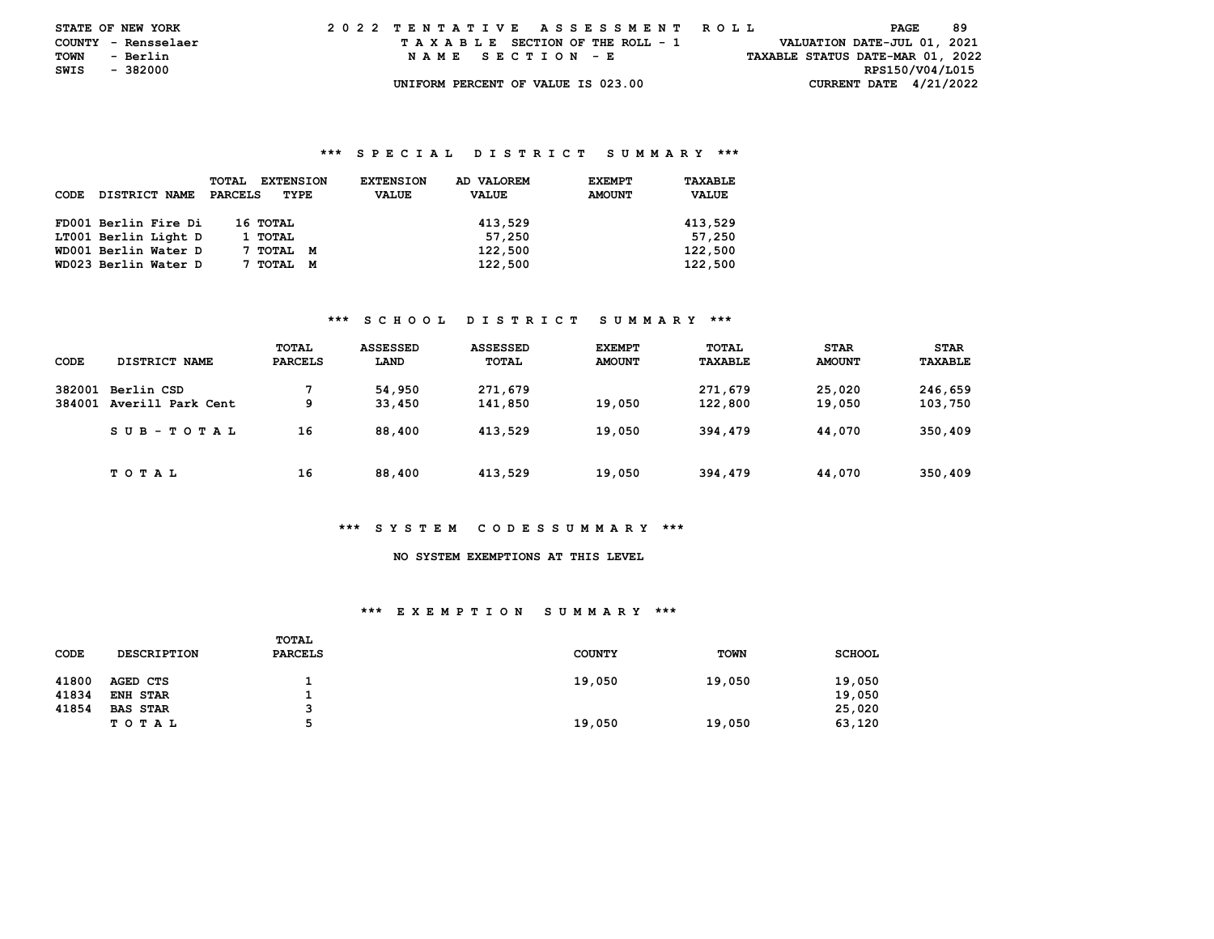| <b>STATE OF NEW YORK</b> |          | 2022 TENTATIVE ASSESSMENT ROLL |  |  |  |  |                                    |  |  |  |  |  |  |  |                                  |                 | PAGE | -89 |  |
|--------------------------|----------|--------------------------------|--|--|--|--|------------------------------------|--|--|--|--|--|--|--|----------------------------------|-----------------|------|-----|--|
| COUNTY - Rensselaer      |          |                                |  |  |  |  | TAXABLE SECTION OF THE ROLL - 1    |  |  |  |  |  |  |  | VALUATION DATE-JUL 01, 2021      |                 |      |     |  |
| TOWN                     | - Berlin |                                |  |  |  |  | NAME SECTION - E                   |  |  |  |  |  |  |  | TAXABLE STATUS DATE-MAR 01, 2022 |                 |      |     |  |
| SWIS                     | - 382000 |                                |  |  |  |  |                                    |  |  |  |  |  |  |  |                                  | RPS150/V04/L015 |      |     |  |
|                          |          |                                |  |  |  |  | UNIFORM PERCENT OF VALUE IS 023.00 |  |  |  |  |  |  |  | CURRENT DATE $4/21/2022$         |                 |      |     |  |

### **\*\*\* S P E C I A L D I S T R I C T S U M M A R Y \*\*\***

| CODE | DISTRICT NAME        | <b>TOTAL</b><br><b>EXTENSION</b><br>PARCELS<br>TYPE | AD VALOREM<br><b>EXTENSION</b><br><b>VALUE</b><br><b>VALUE</b> | TAXABLE<br><b>EXEMPT</b><br><b>AMOUNT</b><br><b>VALUE</b> |
|------|----------------------|-----------------------------------------------------|----------------------------------------------------------------|-----------------------------------------------------------|
|      | FD001 Berlin Fire Di | 16 ТОТАL                                            | 413,529                                                        | 413,529                                                   |
|      | LT001 Berlin Light D | 1 TOTAL                                             | 57,250                                                         | 57,250                                                    |
|      | WD001 Berlin Water D | 7 тотаг<br>M                                        | 122,500                                                        | 122,500                                                   |
|      | WD023 Berlin Water D | TOTAL<br>M                                          | 122,500                                                        | 122,500                                                   |

### **\*\*\* S C H O O L D I S T R I C T S U M M A R Y \*\*\***

| CODE             | DISTRICT NAME                   | TOTAL<br><b>PARCELS</b> | ASSESSED<br>LAND | <b>ASSESSED</b><br>TOTAL | <b>EXEMPT</b><br><b>AMOUNT</b> | TOTAL<br>TAXABLE   | <b>STAR</b><br><b>AMOUNT</b> | <b>STAR</b><br>TAXABLE |
|------------------|---------------------------------|-------------------------|------------------|--------------------------|--------------------------------|--------------------|------------------------------|------------------------|
| 382001<br>384001 | Berlin CSD<br>Averill Park Cent | 7<br>9                  | 54,950<br>33,450 | 271,679<br>141,850       | 19,050                         | 271,679<br>122,800 | 25,020<br>19,050             | 246,659<br>103,750     |
|                  | SUB-TOTAL                       | 16                      | 88,400           | 413,529                  | 19,050                         | 394,479            | 44,070                       | 350,409                |
|                  | T O T A L                       | 16                      | 88,400           | 413,529                  | 19,050                         | 394,479            | 44,070                       | 350,409                |

### **\*\*\* S Y S T E M C O D E S S U M M A R Y \*\*\***

# **NO SYSTEM EXEMPTIONS AT THIS LEVEL**

#### **\*\*\* E X E M P T I O N S U M M A R Y \*\*\***

| CODE  | <b>DESCRIPTION</b> | TOTAL<br><b>PARCELS</b> | <b>COUNTY</b> | <b>TOWN</b> | <b>SCHOOL</b> |
|-------|--------------------|-------------------------|---------------|-------------|---------------|
| 41800 | AGED CTS           |                         | 19,050        | 19,050      | 19,050        |
| 41834 | <b>ENH STAR</b>    |                         |               |             | 19,050        |
| 41854 | <b>BAS STAR</b>    |                         |               |             | 25,020        |
|       | T O T A L          | Б.                      | 19,050        | 19,050      | 63,120        |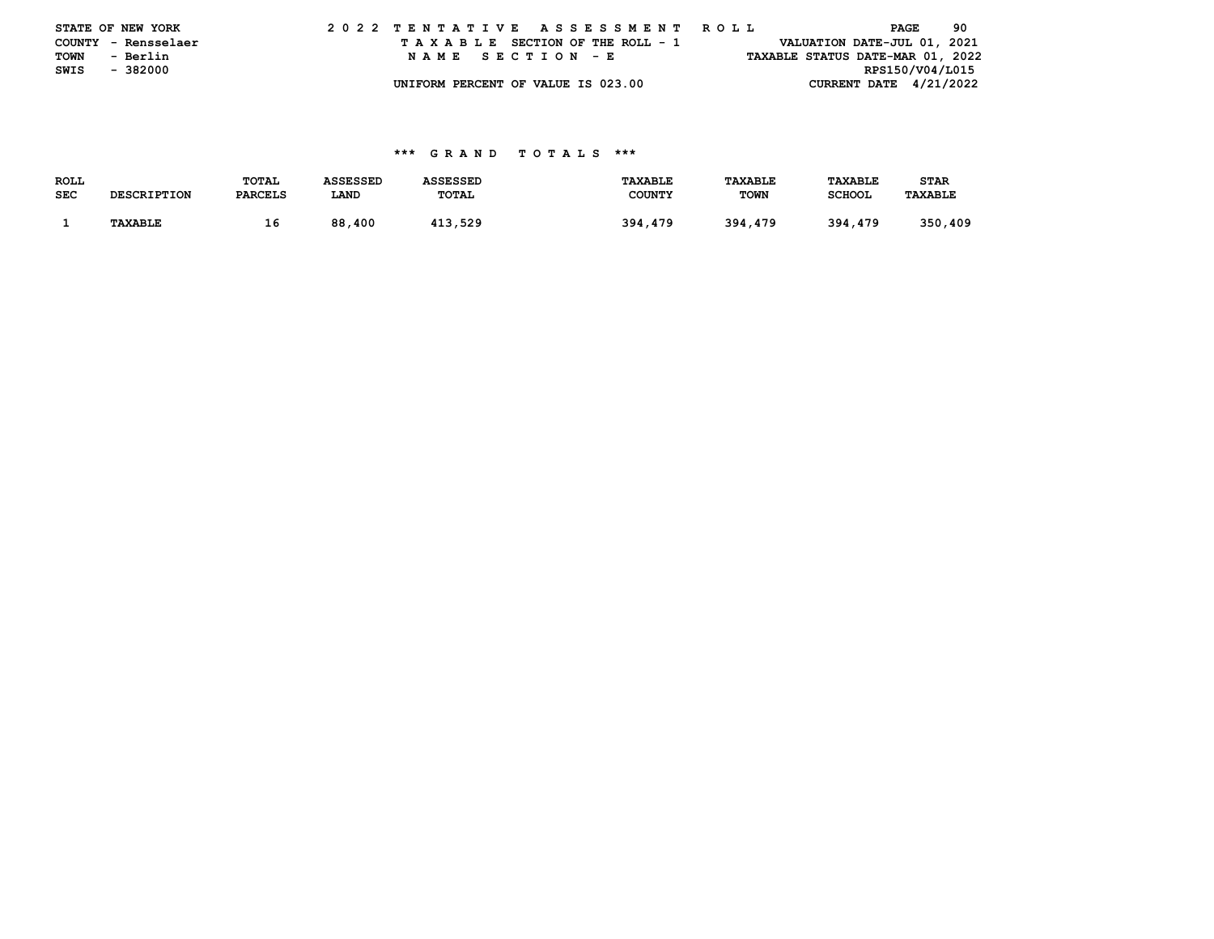|      | STATE OF NEW YORK   |  |  |  |  |  | 2022 TENTATIVE ASSESSMENT ROLL     |  |  |  |  |  |  |  |                                  | PAGE            | 90 |
|------|---------------------|--|--|--|--|--|------------------------------------|--|--|--|--|--|--|--|----------------------------------|-----------------|----|
|      | COUNTY - Rensselaer |  |  |  |  |  | TAXABLE SECTION OF THE ROLL - 1    |  |  |  |  |  |  |  | VALUATION DATE-JUL 01, 2021      |                 |    |
| TOWN | - Berlin            |  |  |  |  |  | NAME SECTION - E                   |  |  |  |  |  |  |  | TAXABLE STATUS DATE-MAR 01, 2022 |                 |    |
| SWIS | - 382000            |  |  |  |  |  |                                    |  |  |  |  |  |  |  |                                  | RPS150/V04/L015 |    |
|      |                     |  |  |  |  |  | UNIFORM PERCENT OF VALUE IS 023.00 |  |  |  |  |  |  |  | CURRENT DATE $4/21/2022$         |                 |    |

### **\*\*\* G R A N D T O T A L S \*\*\***

| ROLL       |                    | TOTAL          | ASSESSED   | ASSESSED | TAXABLE       | <b>TAXABLE</b> | <b>TAXABLE</b> | <b>STAR</b> |
|------------|--------------------|----------------|------------|----------|---------------|----------------|----------------|-------------|
| <b>SEC</b> | <b>DESCRIPTION</b> | <b>PARCELS</b> | LAND       | TOTAL    | <b>COUNTY</b> | <b>TOWN</b>    | <b>SCHOOL</b>  | TAXABLE     |
|            |                    |                |            |          |               |                |                |             |
|            | TAXABLE            | ∸              | 88<br>.400 | 413.529  | 394,479       | 394,479        | 394,479        | 350,409     |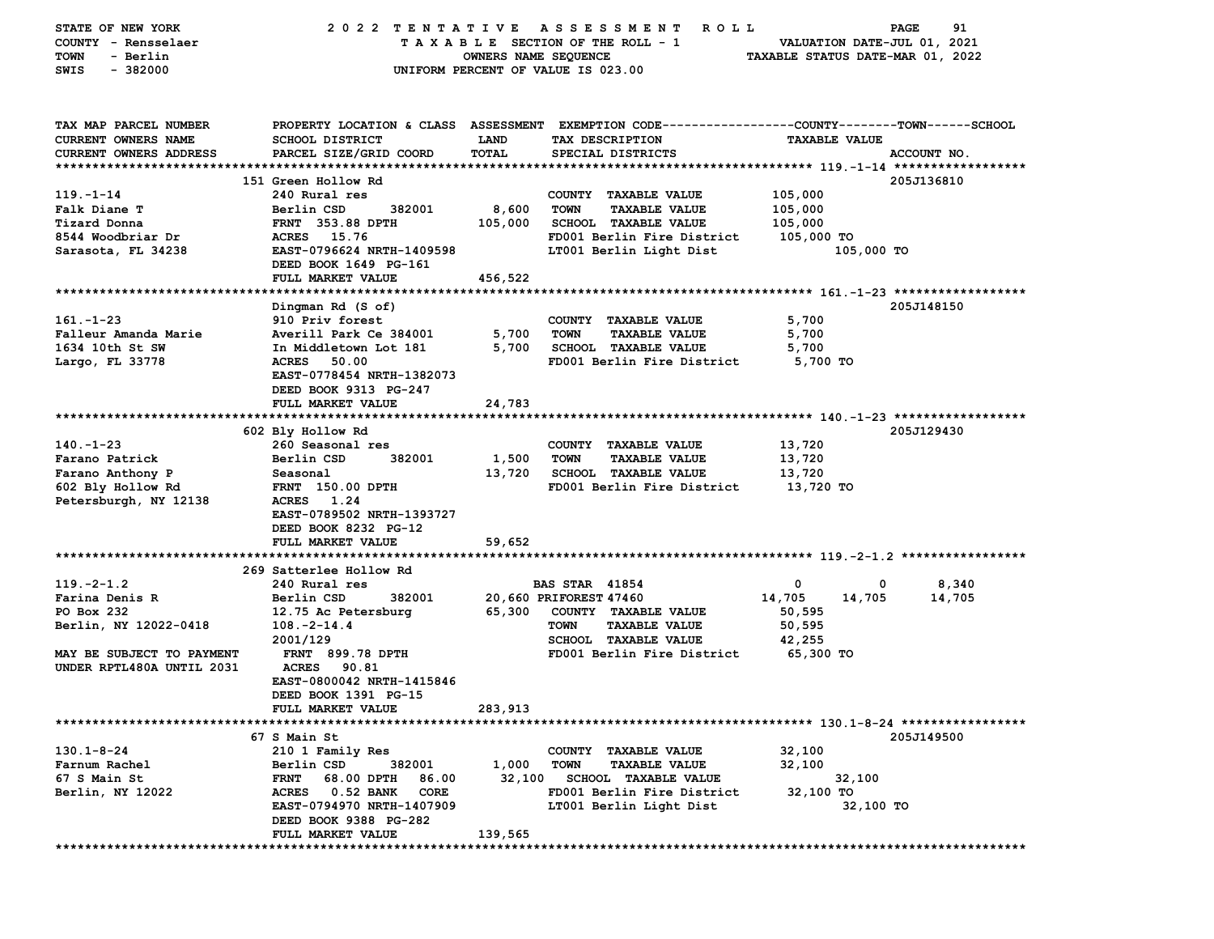| STATE OF NEW YORK<br>COUNTY - Rensselaer<br>- Berlin<br>TOWN<br>$-382000$<br>SWIS                                                  |                                                                                                                                                                                                                                                        | OWNERS NAME SEQUENCE        | 2022 TENTATIVE ASSESSMENT ROLL<br>TAXABLE SECTION OF THE ROLL - 1<br>UNIFORM PERCENT OF VALUE IS 023.00                                                       | VALUATION DATE-JUL 01, 2021<br>TAXABLE STATUS DATE-MAR 01, 2022       | 91<br>PAGE      |
|------------------------------------------------------------------------------------------------------------------------------------|--------------------------------------------------------------------------------------------------------------------------------------------------------------------------------------------------------------------------------------------------------|-----------------------------|---------------------------------------------------------------------------------------------------------------------------------------------------------------|-----------------------------------------------------------------------|-----------------|
| TAX MAP PARCEL NUMBER<br><b>CURRENT OWNERS NAME</b><br>CURRENT OWNERS ADDRESS                                                      | SCHOOL DISTRICT<br>PARCEL SIZE/GRID COORD                                                                                                                                                                                                              | <b>LAND</b><br>TOTAL        | PROPERTY LOCATION & CLASS ASSESSMENT EXEMPTION CODE---------------COUNTY-------TOWN------SCHOOL<br>TAX DESCRIPTION<br>SPECIAL DISTRICTS                       | <b>TAXABLE VALUE</b>                                                  | ACCOUNT NO.     |
| $119. - 1 - 14$<br>Falk Diane T<br>Tizard Donna<br>8544 Woodbriar Dr<br>Sarasota, FL 34238                                         | 151 Green Hollow Rd<br>240 Rural res<br>Berlin CSD<br>382001<br><b>FRNT 353.88 DPTH</b><br>ACRES 15.76<br>EAST-0796624 NRTH-1409598<br>DEED BOOK 1649 PG-161<br>FULL MARKET VALUE                                                                      | 8,600<br>105,000<br>456,522 | COUNTY TAXABLE VALUE<br><b>TOWN</b><br><b>TAXABLE VALUE</b><br><b>SCHOOL TAXABLE VALUE</b><br>FD001 Berlin Fire District<br>LT001 Berlin Light Dist           | 105,000<br>105,000<br>105,000<br>105,000 TO<br>105,000 TO             | 205J136810      |
| $161 - 1 - 23$<br>Falleur Amanda Marie<br>1634 10th St SW<br>Largo, FL 33778                                                       | Dingman Rd (S of)<br>910 Priv forest<br>Averill Park Ce 384001<br>In Middletown Lot 181<br>ACRES 50.00<br>EAST-0778454 NRTH-1382073<br>DEED BOOK 9313 PG-247<br>FULL MARKET VALUE                                                                      | 5,700<br>5,700<br>24,783    | COUNTY TAXABLE VALUE<br><b>TOWN</b><br><b>TAXABLE VALUE</b><br><b>SCHOOL TAXABLE VALUE</b><br>FD001 Berlin Fire District                                      | 5,700<br>5,700<br>5,700<br>5,700 TO                                   | 205J148150      |
| $140. - 1 - 23$<br>Farano Patrick<br>Farano Anthony P<br>602 Bly Hollow Rd<br>Petersburgh, NY 12138                                | 602 Bly Hollow Rd<br>260 Seasonal res<br>Berlin CSD<br>382001<br>Seasonal<br><b>FRNT</b> 150.00 DPTH<br>ACRES 1.24<br>EAST-0789502 NRTH-1393727<br>DEED BOOK 8232 PG-12<br>FULL MARKET VALUE                                                           | 1,500<br>13,720<br>59,652   | COUNTY TAXABLE VALUE<br><b>TOWN</b><br><b>TAXABLE VALUE</b><br><b>SCHOOL TAXABLE VALUE</b><br>FD001 Berlin Fire District                                      | 13,720<br>13,720<br>13,720<br>13,720 TO                               | 205J129430      |
| $119. -2 - 1.2$<br>Farina Denis R<br>PO Box 232<br>Berlin, NY 12022-0418<br>MAY BE SUBJECT TO PAYMENT<br>UNDER RPTL480A UNTIL 2031 | 269 Satterlee Hollow Rd<br>240 Rural res<br>Berlin CSD<br>382001<br>12.75 Ac Petersburg<br>$108. - 2 - 14.4$<br>2001/129<br><b>FRNT 899.78 DPTH</b><br><b>ACRES</b><br>90.81<br>EAST-0800042 NRTH-1415846<br>DEED BOOK 1391 PG-15<br>FULL MARKET VALUE | 65,300<br>283,913           | <b>BAS STAR 41854</b><br>20,660 PRIFOREST 47460<br>COUNTY TAXABLE VALUE<br>TOWN<br><b>TAXABLE VALUE</b><br>SCHOOL TAXABLE VALUE<br>FD001 Berlin Fire District | 0<br>0<br>14,705<br>14,705<br>50,595<br>50,595<br>42,255<br>65,300 TO | 8,340<br>14,705 |
| $130.1 - 8 - 24$<br>Farnum Rachel<br>67 S Main St<br>Berlin, NY 12022                                                              | 67 S Main St<br>210 1 Family Res<br>Berlin CSD<br>382001<br><b>FRNT</b><br>68.00 DPTH<br>86.00<br>ACRES 0.52 BANK<br>CORE<br>EAST-0794970 NRTH-1407909<br>DEED BOOK 9388 PG-282<br>FULL MARKET VALUE                                                   | 1,000<br>32,100<br>139,565  | COUNTY TAXABLE VALUE<br><b>TOWN</b><br><b>TAXABLE VALUE</b><br><b>SCHOOL TAXABLE VALUE</b><br>FD001 Berlin Fire District<br>LT001 Berlin Light Dist           | 32,100<br>32,100<br>32,100<br>32,100 TO<br>32,100 TO                  | 205J149500      |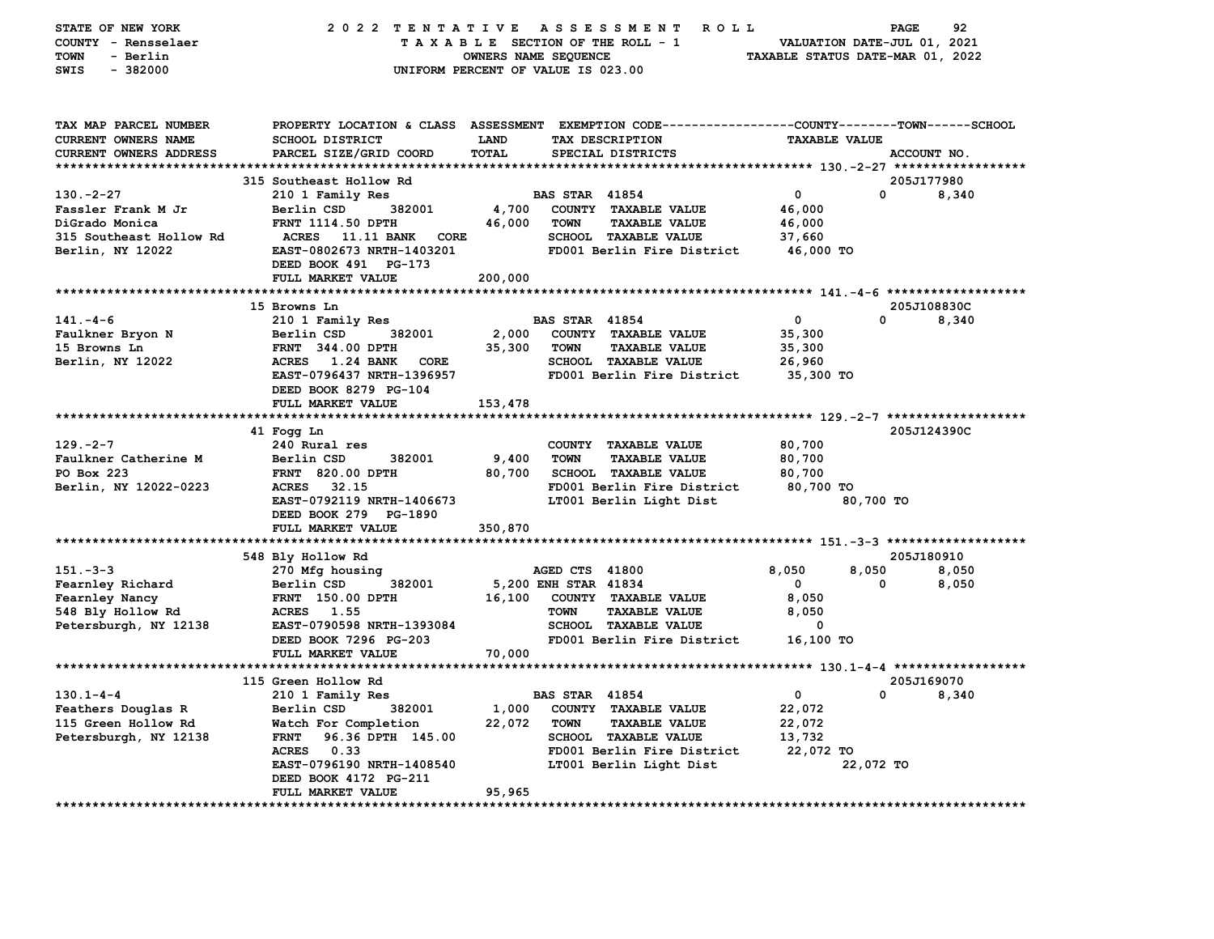| STATE OF NEW YORK<br>COUNTY - Rensselaer | 2022 TENTATIVE                        |                      | <b>ROLL</b><br>A S S E S S M E N T<br>TAXABLE SECTION OF THE ROLL - 1                            | VALUATION DATE-JUL 01, 2021      | PAGE        | 92    |
|------------------------------------------|---------------------------------------|----------------------|--------------------------------------------------------------------------------------------------|----------------------------------|-------------|-------|
| <b>TOWN</b><br>- Berlin                  |                                       | OWNERS NAME SEQUENCE |                                                                                                  | TAXABLE STATUS DATE-MAR 01, 2022 |             |       |
| $-382000$<br>SWIS                        |                                       |                      | UNIFORM PERCENT OF VALUE IS 023.00                                                               |                                  |             |       |
|                                          |                                       |                      |                                                                                                  |                                  |             |       |
| TAX MAP PARCEL NUMBER                    |                                       |                      | PROPERTY LOCATION & CLASS ASSESSMENT EXEMPTION CODE----------------COUNTY-------TOWN------SCHOOL |                                  |             |       |
| CURRENT OWNERS NAME                      | SCHOOL DISTRICT                       | LAND                 | TAX DESCRIPTION                                                                                  | <b>TAXABLE VALUE</b>             |             |       |
| CURRENT OWNERS ADDRESS                   | PARCEL SIZE/GRID COORD                | TOTAL                | SPECIAL DISTRICTS                                                                                |                                  | ACCOUNT NO. |       |
| *************************                |                                       |                      |                                                                                                  |                                  |             |       |
|                                          | 315 Southeast Hollow Rd               |                      |                                                                                                  |                                  | 205J177980  |       |
| $130. -2 - 27$                           | 210 1 Family Res                      |                      | <b>BAS STAR 41854</b>                                                                            | 0                                | 0           | 8,340 |
| Fassler Frank M Jr                       | Berlin CSD<br>382001                  | 4,700                | COUNTY TAXABLE VALUE                                                                             | 46,000                           |             |       |
| DiGrado Monica                           | FRNT 1114.50 DPTH                     | 46,000               | <b>TOWN</b><br><b>TAXABLE VALUE</b>                                                              | 46,000                           |             |       |
| 315 Southeast Hollow Rd                  | ACRES<br><b>11.11 BANK</b><br>CORE    |                      | <b>SCHOOL TAXABLE VALUE</b>                                                                      | 37,660                           |             |       |
| Berlin, NY 12022                         | EAST-0802673 NRTH-1403201             |                      | FD001 Berlin Fire District                                                                       | 46,000 TO                        |             |       |
|                                          | DEED BOOK 491 PG-173                  |                      |                                                                                                  |                                  |             |       |
|                                          | FULL MARKET VALUE                     | 200,000              |                                                                                                  |                                  |             |       |
|                                          |                                       |                      |                                                                                                  |                                  |             |       |
|                                          | 15 Browns Ln                          |                      |                                                                                                  |                                  | 205J108830C |       |
| $141. - 4 - 6$                           | 210 1 Family Res                      |                      | <b>BAS STAR 41854</b>                                                                            | 0                                | 0           | 8,340 |
| Faulkner Bryon N                         | Berlin CSD<br>382001                  | 2,000                | COUNTY TAXABLE VALUE                                                                             | 35,300                           |             |       |
| 15 Browns Ln                             | <b>FRNT 344.00 DPTH</b>               | 35,300               | <b>TOWN</b><br><b>TAXABLE VALUE</b>                                                              | 35,300                           |             |       |
| Berlin, NY 12022                         | ACRES 1.24 BANK<br>CORE               |                      | <b>SCHOOL TAXABLE VALUE</b>                                                                      | 26,960                           |             |       |
|                                          | EAST-0796437 NRTH-1396957             |                      | FD001 Berlin Fire District                                                                       | 35,300 TO                        |             |       |
|                                          | DEED BOOK 8279 PG-104                 |                      |                                                                                                  |                                  |             |       |
|                                          | FULL MARKET VALUE                     | 153,478              |                                                                                                  |                                  |             |       |
|                                          |                                       |                      |                                                                                                  |                                  |             |       |
|                                          | 41 Fogg Ln                            |                      |                                                                                                  |                                  | 205J124390C |       |
| $129. -2 - 7$                            | 240 Rural res                         |                      | COUNTY TAXABLE VALUE                                                                             | 80,700                           |             |       |
| Faulkner Catherine M                     | Berlin CSD<br>382001                  | 9,400                | <b>TOWN</b><br><b>TAXABLE VALUE</b>                                                              | 80,700                           |             |       |
| PO Box 223                               | <b>FRNT 820.00 DPTH</b>               | 80,700               | SCHOOL TAXABLE VALUE                                                                             | 80,700                           |             |       |
| Berlin, NY 12022-0223                    | <b>ACRES</b><br>32.15                 |                      | FD001 Berlin Fire District                                                                       | 80,700 TO                        |             |       |
|                                          | EAST-0792119 NRTH-1406673             |                      | LT001 Berlin Light Dist                                                                          |                                  | 80,700 TO   |       |
|                                          | DEED BOOK 279 PG-1890                 |                      |                                                                                                  |                                  |             |       |
|                                          | FULL MARKET VALUE                     | 350,870              |                                                                                                  |                                  |             |       |
|                                          |                                       |                      |                                                                                                  |                                  |             |       |
|                                          | 548 Bly Hollow Rd                     |                      |                                                                                                  |                                  | 205J180910  |       |
| $151 - 3 - 3$                            | 270 Mfg housing                       |                      | AGED CTS 41800                                                                                   | 8,050                            | 8,050       | 8,050 |
| Fearnley Richard                         | 382001<br>Berlin CSD                  |                      | 5,200 ENH STAR 41834                                                                             | 0                                | 0           | 8,050 |
| Fearnley Nancy                           | <b>FRNT</b> 150.00 DPTH<br>ACRES 1.55 | 16,100               | COUNTY TAXABLE VALUE<br><b>TOWN</b><br><b>TAXABLE VALUE</b>                                      | 8,050                            |             |       |
| 548 Bly Hollow Rd                        |                                       |                      | <b>SCHOOL TAXABLE VALUE</b>                                                                      | 8,050<br>0                       |             |       |
| Petersburgh, NY 12138                    | EAST-0790598 NRTH-1393084             |                      |                                                                                                  |                                  |             |       |
|                                          | DEED BOOK 7296 PG-203                 |                      | FD001 Berlin Fire District                                                                       | 16,100 TO                        |             |       |
|                                          | FULL MARKET VALUE                     | 70,000               |                                                                                                  |                                  |             |       |
|                                          | 115 Green Hollow Rd                   |                      |                                                                                                  |                                  | 205J169070  |       |
| $130.1 - 4 - 4$                          | 210 1 Family Res                      |                      | <b>BAS STAR 41854</b>                                                                            | $\mathbf 0$                      | 0           | 8,340 |
| Feathers Douglas R                       | Berlin CSD<br>382001                  | 1,000                | COUNTY TAXABLE VALUE                                                                             | 22,072                           |             |       |
| 115 Green Hollow Rd                      | Watch For Completion                  | 22,072               | <b>TOWN</b><br><b>TAXABLE VALUE</b>                                                              | 22,072                           |             |       |
| Petersburgh, NY 12138                    | 96.36 DPTH 145.00<br><b>FRNT</b>      |                      | <b>SCHOOL TAXABLE VALUE</b>                                                                      | 13,732                           |             |       |
|                                          | <b>ACRES</b><br>0.33                  |                      | FD001 Berlin Fire District                                                                       | 22,072 TO                        |             |       |
|                                          | EAST-0796190 NRTH-1408540             |                      | LT001 Berlin Light Dist                                                                          |                                  | 22,072 TO   |       |
|                                          | DEED BOOK 4172 PG-211                 |                      |                                                                                                  |                                  |             |       |
|                                          | FULL MARKET VALUE                     | 95,965               |                                                                                                  |                                  |             |       |
|                                          |                                       |                      |                                                                                                  |                                  |             |       |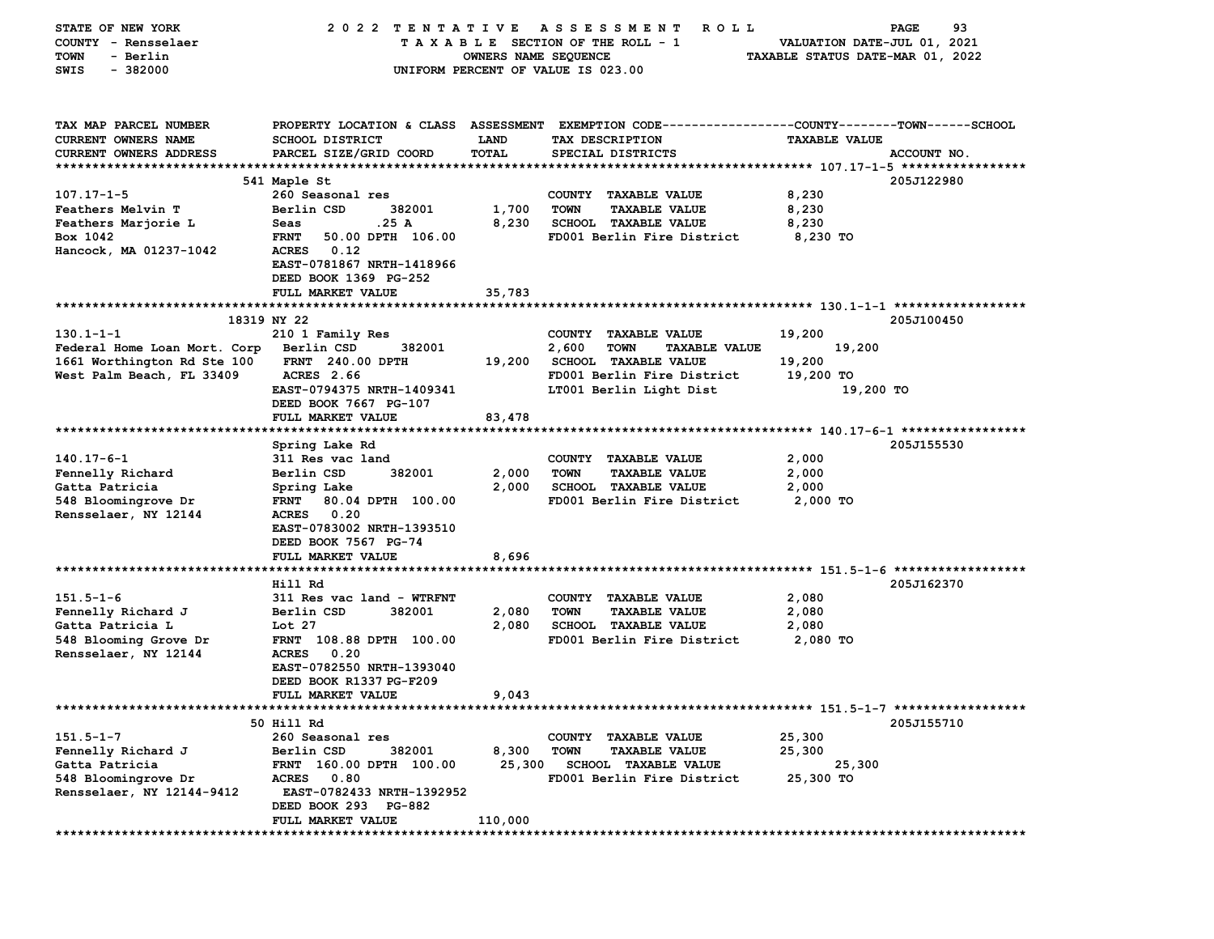| STATE OF NEW YORK             | 2022 TENTATIVE                   |                      | A S S E S S M E N T<br><b>ROLL</b>                                                             |                                  | 93<br>PAGE  |
|-------------------------------|----------------------------------|----------------------|------------------------------------------------------------------------------------------------|----------------------------------|-------------|
| COUNTY - Rensselaer           |                                  |                      | TAXABLE SECTION OF THE ROLL - 1                                                                | VALUATION DATE-JUL 01, 2021      |             |
| - Berlin<br>TOWN              |                                  | OWNERS NAME SEQUENCE |                                                                                                | TAXABLE STATUS DATE-MAR 01, 2022 |             |
| SWIS<br>$-382000$             |                                  |                      | UNIFORM PERCENT OF VALUE IS 023.00                                                             |                                  |             |
|                               |                                  |                      |                                                                                                |                                  |             |
|                               |                                  |                      |                                                                                                |                                  |             |
| TAX MAP PARCEL NUMBER         |                                  |                      | PROPERTY LOCATION & CLASS ASSESSMENT EXEMPTION CODE---------------COUNTY-------TOWN-----SCHOOL |                                  |             |
| CURRENT OWNERS NAME           | <b>SCHOOL DISTRICT</b>           | <b>LAND</b>          | TAX DESCRIPTION                                                                                | <b>TAXABLE VALUE</b>             |             |
|                               |                                  | TOTAL                |                                                                                                |                                  |             |
| <b>CURRENT OWNERS ADDRESS</b> | PARCEL SIZE/GRID COORD           |                      | SPECIAL DISTRICTS                                                                              |                                  | ACCOUNT NO. |
|                               | 541 Maple St                     |                      |                                                                                                |                                  | 205J122980  |
| $107.17 - 1 - 5$              | 260 Seasonal res                 |                      | COUNTY TAXABLE VALUE                                                                           | 8,230                            |             |
| <b>Feathers Melvin T</b>      | Berlin CSD<br>382001             | 1,700                | <b>TOWN</b><br><b>TAXABLE VALUE</b>                                                            | 8,230                            |             |
|                               |                                  |                      | <b>SCHOOL TAXABLE VALUE</b>                                                                    |                                  |             |
| Feathers Marjorie L           | .25 A<br>Seas                    | 8,230                |                                                                                                | 8,230                            |             |
| Box 1042                      | 50.00 DPTH 106.00<br><b>FRNT</b> |                      | FD001 Berlin Fire District                                                                     | 8,230 TO                         |             |
| Hancock, MA 01237-1042        | 0.12<br><b>ACRES</b>             |                      |                                                                                                |                                  |             |
|                               | EAST-0781867 NRTH-1418966        |                      |                                                                                                |                                  |             |
|                               | DEED BOOK 1369 PG-252            |                      |                                                                                                |                                  |             |
|                               | FULL MARKET VALUE                | 35,783               |                                                                                                |                                  |             |
|                               |                                  |                      |                                                                                                |                                  |             |
|                               | 18319 NY 22                      |                      |                                                                                                |                                  | 205J100450  |
| $130.1 - 1 - 1$               | 210 1 Family Res                 |                      | COUNTY TAXABLE VALUE                                                                           | 19,200                           |             |
| Federal Home Loan Mort. Corp  | Berlin CSD<br>382001             |                      | 2,600<br><b>TOWN</b><br><b>TAXABLE VALUE</b>                                                   | 19,200                           |             |
| 1661 Worthington Rd Ste 100   | <b>FRNT</b> 240.00 DPTH          | 19,200               | <b>SCHOOL TAXABLE VALUE</b>                                                                    | 19,200                           |             |
| West Palm Beach, FL 33409     | <b>ACRES</b> 2.66                |                      | FD001 Berlin Fire District                                                                     | 19,200 TO                        |             |
|                               | EAST-0794375 NRTH-1409341        |                      | LT001 Berlin Light Dist                                                                        | 19,200 TO                        |             |
|                               | DEED BOOK 7667 PG-107            |                      |                                                                                                |                                  |             |
|                               | FULL MARKET VALUE                | 83,478               |                                                                                                |                                  |             |
|                               |                                  |                      |                                                                                                |                                  |             |
|                               | Spring Lake Rd                   |                      |                                                                                                |                                  | 205J155530  |
| $140.17 - 6 - 1$              | 311 Res vac land                 |                      | COUNTY TAXABLE VALUE                                                                           | 2,000                            |             |
| Fennelly Richard              | Berlin CSD<br>382001             | 2,000                | <b>TOWN</b><br><b>TAXABLE VALUE</b>                                                            | 2,000                            |             |
| Gatta Patricia                | Spring Lake                      | 2,000                | SCHOOL TAXABLE VALUE                                                                           | 2,000                            |             |
| 548 Bloomingrove Dr           | 80.04 DPTH 100.00<br><b>FRNT</b> |                      | FD001 Berlin Fire District                                                                     | 2,000 TO                         |             |
| Rensselaer, NY 12144          | 0.20<br><b>ACRES</b>             |                      |                                                                                                |                                  |             |
|                               | EAST-0783002 NRTH-1393510        |                      |                                                                                                |                                  |             |
|                               | DEED BOOK 7567 PG-74             |                      |                                                                                                |                                  |             |
|                               | FULL MARKET VALUE                | 8,696                |                                                                                                |                                  |             |
|                               |                                  |                      |                                                                                                |                                  |             |
|                               | Hill Rd                          |                      |                                                                                                |                                  | 205J162370  |
| $151.5 - 1 - 6$               | 311 Res vac land - WTRFNT        |                      | COUNTY TAXABLE VALUE                                                                           | 2,080                            |             |
| Fennelly Richard J            | Berlin CSD<br>382001             | 2,080                | <b>TOWN</b><br><b>TAXABLE VALUE</b>                                                            | 2,080                            |             |
| Gatta Patricia L              | Lot 27                           | 2,080                | <b>SCHOOL TAXABLE VALUE</b>                                                                    | 2,080                            |             |
| 548 Blooming Grove Dr         | FRNT 108.88 DPTH 100.00          |                      | FD001 Berlin Fire District                                                                     | 2,080 TO                         |             |
| Rensselaer, NY 12144          | <b>ACRES</b><br>0.20             |                      |                                                                                                |                                  |             |
|                               | EAST-0782550 NRTH-1393040        |                      |                                                                                                |                                  |             |
|                               | DEED BOOK R1337 PG-F209          |                      |                                                                                                |                                  |             |
|                               | <b>FULL MARKET VALUE</b>         | 9,043                |                                                                                                |                                  |             |
|                               |                                  |                      |                                                                                                |                                  |             |
|                               | 50 Hill Rd                       |                      |                                                                                                |                                  | 205J155710  |
| $151.5 - 1 - 7$               | 260 Seasonal res                 |                      | COUNTY TAXABLE VALUE                                                                           | 25,300                           |             |
| Fennelly Richard J            | Berlin CSD<br>382001             | 8,300                | <b>TOWN</b><br><b>TAXABLE VALUE</b>                                                            | 25,300                           |             |
| Gatta Patricia                | FRNT 160.00 DPTH 100.00          | 25,300               | <b>SCHOOL TAXABLE VALUE</b>                                                                    | 25,300                           |             |
| 548 Bloomingrove Dr           | <b>ACRES</b><br>0.80             |                      | FD001 Berlin Fire District                                                                     | 25,300 TO                        |             |
| Rensselaer, NY 12144-9412     | EAST-0782433 NRTH-1392952        |                      |                                                                                                |                                  |             |
|                               | DEED BOOK 293 PG-882             |                      |                                                                                                |                                  |             |
|                               | FULL MARKET VALUE                | 110,000              |                                                                                                |                                  |             |
| **************                |                                  |                      |                                                                                                |                                  |             |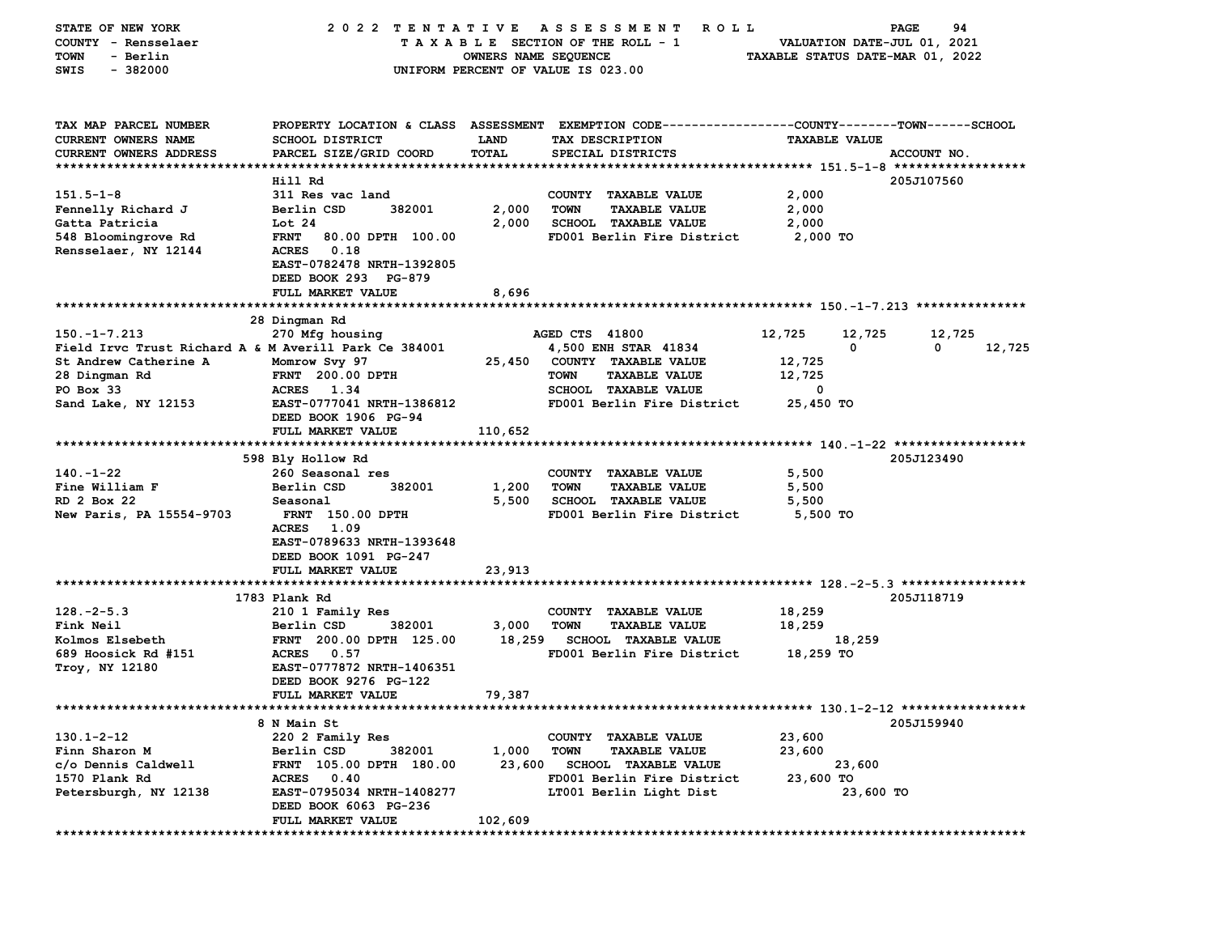| STATE OF NEW YORK<br>COUNTY - Rensselaer<br>TOWN<br>- Berlin<br>SWIS<br>$-382000$ | 2022 TENTATIVE                                                                                                                     | OWNERS NAME SEQUENCE | A S S E S S M E N T<br><b>ROLL</b><br>TAXABLE SECTION OF THE ROLL - 1<br>UNIFORM PERCENT OF VALUE IS 023.00                             | TAXABLE STATUS DATE-MAR 01, 2022 |                      | 94<br>PAGE<br>VALUATION DATE-JUL 01, 2021 |        |
|-----------------------------------------------------------------------------------|------------------------------------------------------------------------------------------------------------------------------------|----------------------|-----------------------------------------------------------------------------------------------------------------------------------------|----------------------------------|----------------------|-------------------------------------------|--------|
| TAX MAP PARCEL NUMBER<br><b>CURRENT OWNERS NAME</b><br>CURRENT OWNERS ADDRESS     | <b>SCHOOL DISTRICT</b><br>PARCEL SIZE/GRID COORD                                                                                   | LAND<br>TOTAL        | PROPERTY LOCATION & CLASS ASSESSMENT EXEMPTION CODE---------------COUNTY-------TOWN------SCHOOL<br>TAX DESCRIPTION<br>SPECIAL DISTRICTS |                                  | <b>TAXABLE VALUE</b> | ACCOUNT NO.                               |        |
|                                                                                   | Hill Rd                                                                                                                            |                      |                                                                                                                                         |                                  |                      | 205J107560                                |        |
| $151.5 - 1 - 8$                                                                   | 311 Res vac land                                                                                                                   |                      | COUNTY TAXABLE VALUE                                                                                                                    | 2,000                            |                      |                                           |        |
| Fennelly Richard J                                                                | Berlin CSD<br>382001                                                                                                               | 2,000                | <b>TOWN</b><br><b>TAXABLE VALUE</b>                                                                                                     | 2,000                            |                      |                                           |        |
| Gatta Patricia                                                                    | Lot 24                                                                                                                             | 2,000                | <b>SCHOOL TAXABLE VALUE</b>                                                                                                             | 2,000                            |                      |                                           |        |
| 548 Bloomingrove Rd<br>Rensselaer, NY 12144                                       | <b>FRNT</b><br>80.00 DPTH 100.00<br>0.18<br><b>ACRES</b><br>EAST-0782478 NRTH-1392805<br>DEED BOOK 293 PG-879<br>FULL MARKET VALUE | 8,696                | FD001 Berlin Fire District                                                                                                              | 2,000 TO                         |                      |                                           |        |
|                                                                                   |                                                                                                                                    |                      |                                                                                                                                         |                                  |                      |                                           |        |
|                                                                                   | 28 Dingman Rd                                                                                                                      |                      |                                                                                                                                         |                                  |                      |                                           |        |
| $150. - 1 - 7.213$                                                                | 270 Mfg housing                                                                                                                    |                      | AGED CTS 41800                                                                                                                          | 12,725                           | 12,725               | 12,725                                    |        |
| Field Irvc Trust Richard A & M Averill Park Ce 384001                             |                                                                                                                                    |                      | 4,500 ENH STAR 41834                                                                                                                    |                                  | 0                    | 0                                         | 12,725 |
| St Andrew Catherine A                                                             | Momrow Svy 97                                                                                                                      | 25,450               | COUNTY TAXABLE VALUE                                                                                                                    | 12,725                           |                      |                                           |        |
| 28 Dingman Rd<br>PO Box 33                                                        | <b>FRNT</b> 200.00 DPTH<br>ACRES 1.34                                                                                              |                      | <b>TOWN</b><br><b>TAXABLE VALUE</b><br>SCHOOL TAXABLE VALUE                                                                             | 12,725<br>0                      |                      |                                           |        |
| Sand Lake, NY 12153                                                               | EAST-0777041 NRTH-1386812                                                                                                          |                      | FD001 Berlin Fire District                                                                                                              | 25,450 TO                        |                      |                                           |        |
|                                                                                   | DEED BOOK 1906 PG-94<br>FULL MARKET VALUE                                                                                          | 110,652              |                                                                                                                                         |                                  |                      |                                           |        |
|                                                                                   |                                                                                                                                    |                      |                                                                                                                                         |                                  |                      |                                           |        |
|                                                                                   | 598 Bly Hollow Rd                                                                                                                  |                      |                                                                                                                                         |                                  |                      | 205J123490                                |        |
| $140. - 1 - 22$                                                                   | 260 Seasonal res                                                                                                                   |                      | COUNTY TAXABLE VALUE                                                                                                                    | 5,500                            |                      |                                           |        |
| Fine William F                                                                    | Berlin CSD<br>382001                                                                                                               | 1,200                | <b>TOWN</b><br><b>TAXABLE VALUE</b>                                                                                                     | 5,500                            |                      |                                           |        |
| RD 2 Box 22                                                                       | Seasonal                                                                                                                           | 5,500                | <b>SCHOOL TAXABLE VALUE</b>                                                                                                             | 5,500                            |                      |                                           |        |
| New Paris, PA 15554-9703                                                          | <b>FRNT</b> 150.00 DPTH<br><b>ACRES</b><br>1.09<br>EAST-0789633 NRTH-1393648<br>DEED BOOK 1091 PG-247<br>FULL MARKET VALUE         | 23,913               | FD001 Berlin Fire District                                                                                                              | 5,500 TO                         |                      |                                           |        |
|                                                                                   | 1783 Plank Rd                                                                                                                      |                      |                                                                                                                                         |                                  |                      | 205J118719                                |        |
| $128. - 2 - 5.3$                                                                  | 210 1 Family Res                                                                                                                   |                      | COUNTY TAXABLE VALUE                                                                                                                    | 18,259                           |                      |                                           |        |
| Fink Neil                                                                         | Berlin CSD<br>382001                                                                                                               | 3,000                | <b>TOWN</b><br><b>TAXABLE VALUE</b>                                                                                                     | 18,259                           |                      |                                           |        |
| Kolmos Elsebeth                                                                   | FRNT 200.00 DPTH 125.00                                                                                                            | 18,259               | <b>SCHOOL TAXABLE VALUE</b>                                                                                                             |                                  | 18,259               |                                           |        |
| 689 Hoosick Rd #151                                                               | <b>ACRES</b><br>0.57                                                                                                               |                      | FD001 Berlin Fire District                                                                                                              | 18,259 TO                        |                      |                                           |        |
| Troy, NY 12180                                                                    | EAST-0777872 NRTH-1406351                                                                                                          |                      |                                                                                                                                         |                                  |                      |                                           |        |
|                                                                                   | DEED BOOK 9276 PG-122                                                                                                              |                      |                                                                                                                                         |                                  |                      |                                           |        |
|                                                                                   | FULL MARKET VALUE                                                                                                                  | 79,387               |                                                                                                                                         |                                  |                      |                                           |        |
|                                                                                   |                                                                                                                                    |                      | ************************************** 130.1-2-12 ******************                                                                    |                                  |                      |                                           |        |
|                                                                                   | 8 N Main St                                                                                                                        |                      |                                                                                                                                         |                                  |                      | 205J159940                                |        |
| $130.1 - 2 - 12$                                                                  | 220 2 Family Res                                                                                                                   |                      | COUNTY TAXABLE VALUE                                                                                                                    | 23,600                           |                      |                                           |        |
| Finn Sharon M                                                                     | 382001<br>Berlin CSD                                                                                                               | 1,000                | <b>TAXABLE VALUE</b><br>TOWN                                                                                                            | 23,600                           |                      |                                           |        |
| c/o Dennis Caldwell                                                               | FRNT 105.00 DPTH 180.00                                                                                                            | 23,600               | <b>SCHOOL TAXABLE VALUE</b>                                                                                                             |                                  | 23,600               |                                           |        |
| 1570 Plank Rd<br>Petersburgh, NY 12138                                            | ACRES 0.40<br>EAST-0795034 NRTH-1408277                                                                                            |                      | FD001 Berlin Fire District<br>LT001 Berlin Light Dist                                                                                   | 23,600 TO                        | 23,600 TO            |                                           |        |
|                                                                                   | DEED BOOK 6063 PG-236<br>FULL MARKET VALUE                                                                                         | 102,609              |                                                                                                                                         |                                  |                      |                                           |        |
|                                                                                   |                                                                                                                                    |                      |                                                                                                                                         |                                  |                      |                                           |        |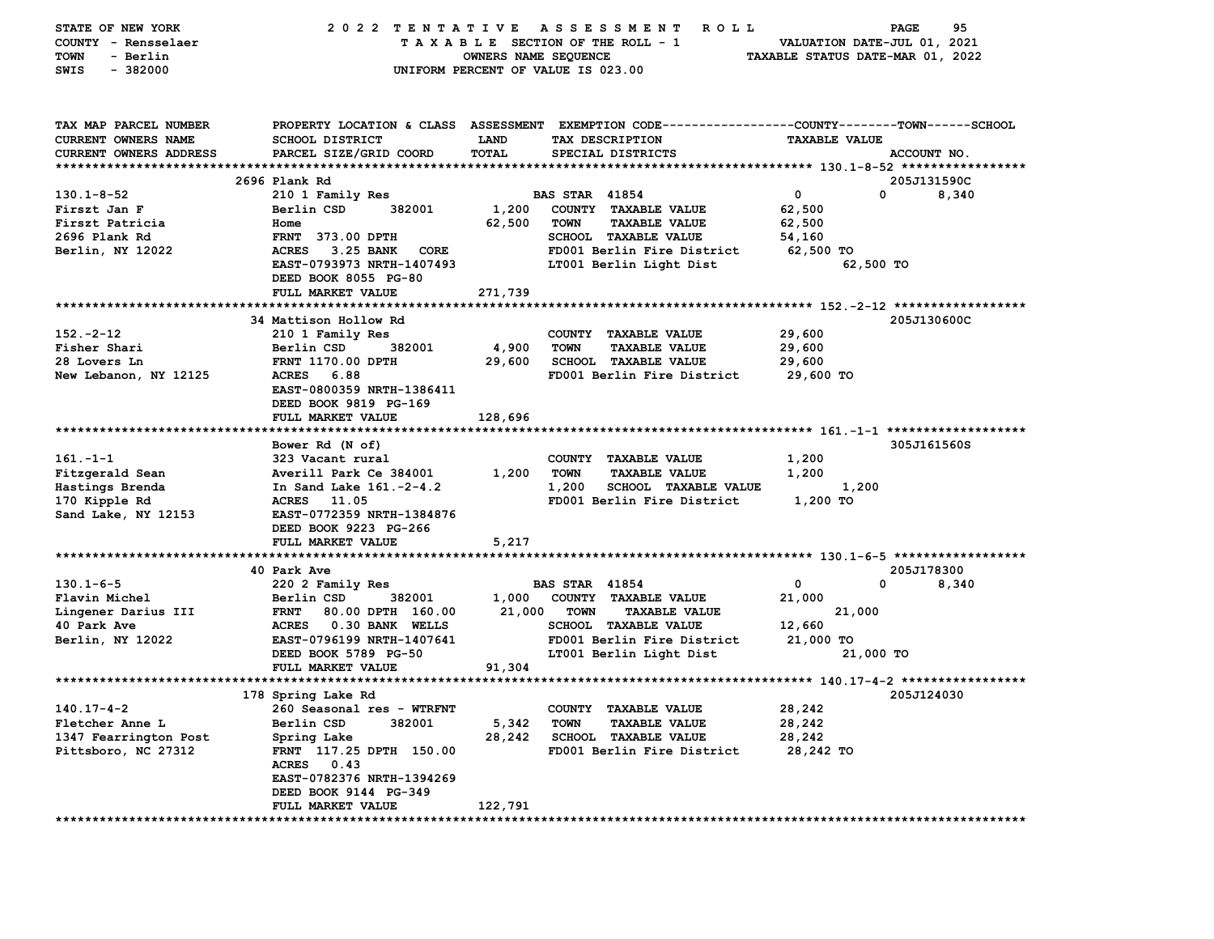| STATE OF NEW YORK               | 2022 TENTATIVE                                        |                      | <b>ROLL</b><br>A S S E S S M E N T                                                              |                                  | 95<br>PAGE      |
|---------------------------------|-------------------------------------------------------|----------------------|-------------------------------------------------------------------------------------------------|----------------------------------|-----------------|
| COUNTY - Rensselaer             |                                                       |                      | TAXABLE SECTION OF THE ROLL - 1                                                                 | VALUATION DATE-JUL 01, 2021      |                 |
| TOWN<br>- Berlin                |                                                       | OWNERS NAME SEQUENCE |                                                                                                 | TAXABLE STATUS DATE-MAR 01, 2022 |                 |
| $-382000$<br>SWIS               |                                                       |                      | UNIFORM PERCENT OF VALUE IS 023.00                                                              |                                  |                 |
|                                 |                                                       |                      |                                                                                                 |                                  |                 |
|                                 |                                                       |                      |                                                                                                 |                                  |                 |
| TAX MAP PARCEL NUMBER           |                                                       |                      | PROPERTY LOCATION & CLASS ASSESSMENT EXEMPTION CODE---------------COUNTY-------TOWN------SCHOOL |                                  |                 |
| <b>CURRENT OWNERS NAME</b>      | SCHOOL DISTRICT                                       | LAND                 | TAX DESCRIPTION                                                                                 | <b>TAXABLE VALUE</b>             |                 |
| CURRENT OWNERS ADDRESS          | PARCEL SIZE/GRID COORD                                | TOTAL                | SPECIAL DISTRICTS                                                                               |                                  | ACCOUNT NO.     |
|                                 |                                                       |                      |                                                                                                 |                                  |                 |
|                                 | 2696 Plank Rd                                         |                      |                                                                                                 |                                  | 205J131590C     |
| $130.1 - 8 - 52$                | 210 1 Family Res                                      |                      | <b>BAS STAR 41854</b>                                                                           | 0                                | 0<br>8,340      |
| Firszt Jan F                    | Berlin CSD<br>382001                                  | 1,200                | COUNTY TAXABLE VALUE                                                                            | 62,500                           |                 |
| Firszt Patricia                 | Home                                                  | 62,500               | <b>TOWN</b><br><b>TAXABLE VALUE</b>                                                             | 62,500                           |                 |
| 2696 Plank Rd                   | <b>FRNT</b> 373.00 DPTH                               |                      | SCHOOL TAXABLE VALUE                                                                            | 54,160                           |                 |
| Berlin, NY 12022                | ACRES 3.25 BANK<br>CORE                               |                      | FD001 Berlin Fire District                                                                      | 62,500 TO                        |                 |
|                                 | EAST-0793973 NRTH-1407493                             |                      | LT001 Berlin Light Dist                                                                         | 62,500 TO                        |                 |
|                                 | DEED BOOK 8055 PG-80                                  |                      |                                                                                                 |                                  |                 |
|                                 | FULL MARKET VALUE                                     | 271,739              |                                                                                                 |                                  |                 |
|                                 |                                                       |                      |                                                                                                 |                                  |                 |
|                                 | 34 Mattison Hollow Rd                                 |                      |                                                                                                 |                                  | 205J130600C     |
| $152 - 2 - 12$                  | 210 1 Family Res                                      |                      | COUNTY TAXABLE VALUE                                                                            | 29,600                           |                 |
| Fisher Shari                    | 382001<br>Berlin CSD                                  | 4,900                | <b>TOWN</b><br><b>TAXABLE VALUE</b>                                                             | 29,600                           |                 |
| 28 Lovers Ln                    | FRNT 1170.00 DPTH                                     | 29,600               | <b>SCHOOL TAXABLE VALUE</b>                                                                     | 29,600                           |                 |
| New Lebanon, NY 12125           | ACRES 6.88                                            |                      | FD001 Berlin Fire District                                                                      | 29,600 TO                        |                 |
|                                 | EAST-0800359 NRTH-1386411                             |                      |                                                                                                 |                                  |                 |
|                                 | DEED BOOK 9819 PG-169                                 |                      |                                                                                                 |                                  |                 |
|                                 | FULL MARKET VALUE                                     | 128,696              |                                                                                                 |                                  |                 |
|                                 |                                                       |                      |                                                                                                 |                                  |                 |
|                                 | Bower Rd (N of)                                       |                      |                                                                                                 |                                  | 305J161560S     |
| $161 - 1 - 1$                   | 323 Vacant rural                                      |                      | COUNTY TAXABLE VALUE                                                                            | 1,200                            |                 |
| Fitzgerald Sean                 | Averill Park Ce 384001                                | 1,200                | TOWN<br><b>TAXABLE VALUE</b>                                                                    | 1,200                            |                 |
| Hastings Brenda                 | In Sand Lake 161.-2-4.2                               |                      | 1,200<br><b>SCHOOL TAXABLE VALUE</b>                                                            | 1,200                            |                 |
| 170 Kipple Rd                   | ACRES 11.05                                           |                      | FD001 Berlin Fire District                                                                      | 1,200 TO                         |                 |
| Sand Lake, NY 12153             | EAST-0772359 NRTH-1384876                             |                      |                                                                                                 |                                  |                 |
|                                 | DEED BOOK 9223 PG-266                                 |                      |                                                                                                 |                                  |                 |
|                                 | FULL MARKET VALUE<br>******************************** | 5,217                |                                                                                                 |                                  |                 |
|                                 |                                                       |                      |                                                                                                 |                                  |                 |
|                                 | 40 Park Ave                                           |                      |                                                                                                 | 0                                | 205J178300<br>0 |
| $130.1 - 6 - 5$                 | 220 2 Family Res                                      |                      | <b>BAS STAR 41854</b>                                                                           |                                  | 8,340           |
| Flavin Michel                   | Berlin CSD<br>382001<br><b>FRNT</b>                   | 1,000<br>21,000      | COUNTY TAXABLE VALUE<br><b>TOWN</b><br><b>TAXABLE VALUE</b>                                     | 21,000<br>21,000                 |                 |
| Lingener Darius III             | 80.00 DPTH 160.00                                     |                      |                                                                                                 | 12,660                           |                 |
| 40 Park Ave<br>Berlin, NY 12022 | ACRES 0.30 BANK WELLS<br>EAST-0796199 NRTH-1407641    |                      | SCHOOL TAXABLE VALUE<br>FD001 Berlin Fire District                                              | 21,000 TO                        |                 |
|                                 |                                                       |                      |                                                                                                 |                                  |                 |
|                                 | DEED BOOK 5789 PG-50<br>FULL MARKET VALUE             | 91,304               | LT001 Berlin Light Dist                                                                         | 21,000 TO                        |                 |
|                                 |                                                       |                      |                                                                                                 |                                  |                 |
|                                 | 178 Spring Lake Rd                                    |                      |                                                                                                 |                                  | 205J124030      |
| $140.17 - 4 - 2$                | 260 Seasonal res - WTRFNT                             |                      | COUNTY TAXABLE VALUE                                                                            | 28,242                           |                 |
| Fletcher Anne L                 | Berlin CSD<br>382001                                  | 5,342                | <b>TOWN</b><br><b>TAXABLE VALUE</b>                                                             | 28,242                           |                 |
| 1347 Fearrington Post           | Spring Lake                                           | 28,242               | <b>SCHOOL TAXABLE VALUE</b>                                                                     | 28,242                           |                 |
| Pittsboro, NC 27312             | FRNT 117.25 DPTH 150.00                               |                      | FD001 Berlin Fire District                                                                      | 28,242 TO                        |                 |
|                                 | ACRES 0.43                                            |                      |                                                                                                 |                                  |                 |
|                                 | EAST-0782376 NRTH-1394269                             |                      |                                                                                                 |                                  |                 |
|                                 | DEED BOOK 9144 PG-349                                 |                      |                                                                                                 |                                  |                 |
|                                 | <b>FULL MARKET VALUE</b>                              | 122,791              |                                                                                                 |                                  |                 |
|                                 |                                                       |                      |                                                                                                 |                                  |                 |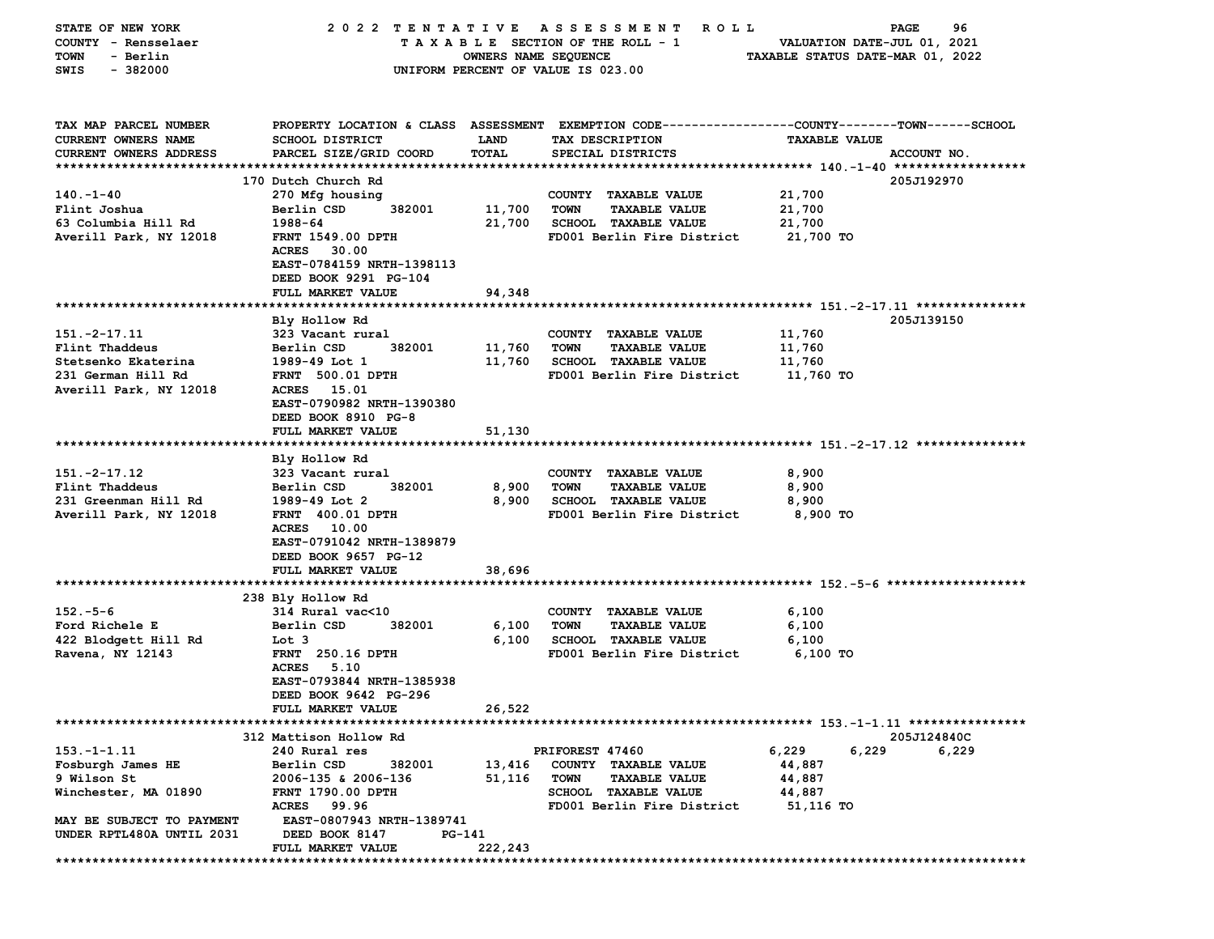| STATE OF NEW YORK             | 2022 TENTATIVE ASSESSMENT |                      | R O L L                                                                                         |                                  | 96<br>PAGE  |
|-------------------------------|---------------------------|----------------------|-------------------------------------------------------------------------------------------------|----------------------------------|-------------|
| COUNTY - Rensselaer           |                           |                      | TAXABLE SECTION OF THE ROLL - 1                                                                 | VALUATION DATE-JUL 01, 2021      |             |
| TOWN<br>- Berlin              |                           | OWNERS NAME SEQUENCE |                                                                                                 | TAXABLE STATUS DATE-MAR 01, 2022 |             |
| $-382000$<br>SWIS             |                           |                      | UNIFORM PERCENT OF VALUE IS 023.00                                                              |                                  |             |
|                               |                           |                      |                                                                                                 |                                  |             |
|                               |                           |                      |                                                                                                 |                                  |             |
| TAX MAP PARCEL NUMBER         |                           |                      | PROPERTY LOCATION & CLASS ASSESSMENT EXEMPTION CODE---------------COUNTY-------TOWN------SCHOOL |                                  |             |
| <b>CURRENT OWNERS NAME</b>    | SCHOOL DISTRICT           | <b>LAND</b>          | TAX DESCRIPTION                                                                                 | <b>TAXABLE VALUE</b>             |             |
| <b>CURRENT OWNERS ADDRESS</b> | PARCEL SIZE/GRID COORD    | TOTAL                | SPECIAL DISTRICTS                                                                               |                                  | ACCOUNT NO. |
|                               |                           |                      |                                                                                                 |                                  |             |
|                               | 170 Dutch Church Rd       |                      |                                                                                                 |                                  | 205J192970  |
| $140. - 1 - 40$               | 270 Mfg housing           |                      | COUNTY TAXABLE VALUE                                                                            | 21,700                           |             |
| Flint Joshua                  | 382001<br>Berlin CSD      | 11,700               | <b>TOWN</b><br><b>TAXABLE VALUE</b>                                                             | 21,700                           |             |
| 63 Columbia Hill Rd           | 1988-64                   | 21,700               | <b>SCHOOL TAXABLE VALUE</b>                                                                     | 21,700                           |             |
| Averill Park, NY 12018        | FRNT 1549.00 DPTH         |                      | FD001 Berlin Fire District                                                                      | 21,700 TO                        |             |
|                               | <b>ACRES</b><br>30.00     |                      |                                                                                                 |                                  |             |
|                               | EAST-0784159 NRTH-1398113 |                      |                                                                                                 |                                  |             |
|                               | DEED BOOK 9291 PG-104     |                      |                                                                                                 |                                  |             |
|                               | FULL MARKET VALUE         | 94,348               |                                                                                                 |                                  |             |
|                               |                           |                      |                                                                                                 |                                  |             |
|                               | Bly Hollow Rd             |                      |                                                                                                 |                                  | 205J139150  |
| $151. -2 - 17.11$             | 323 Vacant rural          |                      | COUNTY TAXABLE VALUE                                                                            | 11,760                           |             |
| Flint Thaddeus                | Berlin CSD<br>382001      | 11,760               | <b>TOWN</b><br><b>TAXABLE VALUE</b>                                                             | 11,760                           |             |
| Stetsenko Ekaterina           | 1989-49 Lot 1             | 11,760               | <b>SCHOOL TAXABLE VALUE</b>                                                                     | 11,760                           |             |
| 231 German Hill Rd            | <b>FRNT 500.01 DPTH</b>   |                      | FD001 Berlin Fire District                                                                      | 11,760 TO                        |             |
| Averill Park, NY 12018        | ACRES 15.01               |                      |                                                                                                 |                                  |             |
|                               | EAST-0790982 NRTH-1390380 |                      |                                                                                                 |                                  |             |
|                               | DEED BOOK 8910 PG-8       |                      |                                                                                                 |                                  |             |
|                               | FULL MARKET VALUE         | 51,130               |                                                                                                 |                                  |             |
|                               |                           |                      |                                                                                                 |                                  |             |
|                               | Bly Hollow Rd             |                      |                                                                                                 |                                  |             |
| 151. - 2 - 17.12              | 323 Vacant rural          |                      | COUNTY TAXABLE VALUE                                                                            | 8,900                            |             |
| Flint Thaddeus                | Berlin CSD<br>382001      | 8,900                | <b>TOWN</b><br><b>TAXABLE VALUE</b>                                                             | 8,900                            |             |
| 231 Greenman Hill Rd          | 1989-49 Lot 2             | 8,900                | <b>SCHOOL TAXABLE VALUE</b>                                                                     | 8,900                            |             |
| Averill Park, NY 12018        | <b>FRNT 400.01 DPTH</b>   |                      | FD001 Berlin Fire District                                                                      | 8,900 TO                         |             |
|                               | ACRES 10.00               |                      |                                                                                                 |                                  |             |
|                               | EAST-0791042 NRTH-1389879 |                      |                                                                                                 |                                  |             |
|                               | DEED BOOK 9657 PG-12      |                      |                                                                                                 |                                  |             |
|                               | FULL MARKET VALUE         | 38,696               |                                                                                                 |                                  |             |
|                               |                           |                      |                                                                                                 |                                  |             |
|                               | 238 Bly Hollow Rd         |                      |                                                                                                 |                                  |             |
| $152 - 5 - 6$                 | 314 Rural vac<10          |                      | COUNTY TAXABLE VALUE                                                                            | 6,100                            |             |
| Ford Richele E                | Berlin CSD<br>382001      | 6,100                | <b>TOWN</b><br><b>TAXABLE VALUE</b>                                                             | 6,100                            |             |
| 422 Blodgett Hill Rd          | Lot 3                     | 6,100                | <b>SCHOOL TAXABLE VALUE</b>                                                                     | 6,100                            |             |
| Ravena, NY 12143              | <b>FRNT</b> 250.16 DPTH   |                      | FD001 Berlin Fire District                                                                      | $6,100$ TO                       |             |
|                               | ACRES 5.10                |                      |                                                                                                 |                                  |             |
|                               | EAST-0793844 NRTH-1385938 |                      |                                                                                                 |                                  |             |
|                               | DEED BOOK 9642 PG-296     |                      |                                                                                                 |                                  |             |
|                               | FULL MARKET VALUE         | 26,522               |                                                                                                 |                                  |             |
|                               |                           |                      |                                                                                                 |                                  |             |
|                               | 312 Mattison Hollow Rd    |                      |                                                                                                 |                                  | 205J124840C |
| $153. - 1 - 1.11$             | 240 Rural res             |                      | PRIFOREST 47460                                                                                 | 6,229<br>6,229                   | 6,229       |
| Fosburgh James HE             | Berlin CSD<br>382001      | 13,416               | COUNTY TAXABLE VALUE                                                                            | 44,887                           |             |
| 9 Wilson St                   | 2006-135 & 2006-136       | 51,116               | <b>TOWN</b><br><b>TAXABLE VALUE</b>                                                             | 44,887                           |             |
| Winchester, MA 01890          | FRNT 1790.00 DPTH         |                      | SCHOOL TAXABLE VALUE                                                                            | 44,887                           |             |
|                               | ACRES 99.96               |                      | FD001 Berlin Fire District                                                                      | 51,116 TO                        |             |
| MAY BE SUBJECT TO PAYMENT     | EAST-0807943 NRTH-1389741 |                      |                                                                                                 |                                  |             |
| UNDER RPTL480A UNTIL 2031     | DEED BOOK 8147<br>PG-141  |                      |                                                                                                 |                                  |             |
|                               | FULL MARKET VALUE         | 222,243              |                                                                                                 |                                  |             |
|                               |                           |                      |                                                                                                 |                                  |             |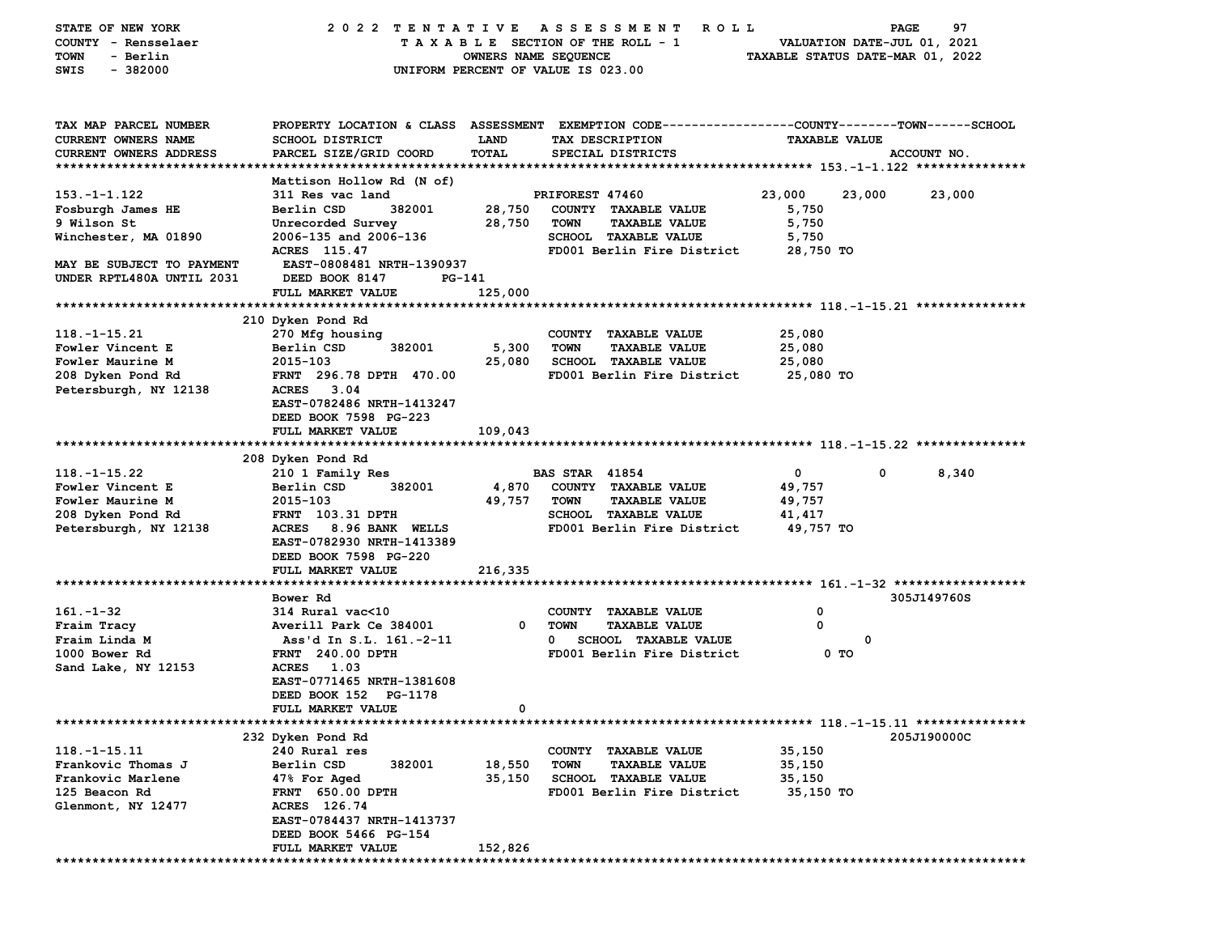| STATE OF NEW YORK         | 2022 TENTATIVE                             |                      | A S S E S S M E N T<br><b>ROLL</b>                                                             |                                  | 97<br><b>PAGE</b>           |
|---------------------------|--------------------------------------------|----------------------|------------------------------------------------------------------------------------------------|----------------------------------|-----------------------------|
| COUNTY - Rensselaer       |                                            |                      | TAXABLE SECTION OF THE ROLL - 1                                                                |                                  | VALUATION DATE-JUL 01, 2021 |
| - Berlin<br>TOWN          |                                            | OWNERS NAME SEQUENCE |                                                                                                | TAXABLE STATUS DATE-MAR 01, 2022 |                             |
| SWIS<br>$-382000$         |                                            |                      | UNIFORM PERCENT OF VALUE IS 023.00                                                             |                                  |                             |
|                           |                                            |                      |                                                                                                |                                  |                             |
|                           |                                            |                      |                                                                                                |                                  |                             |
|                           |                                            |                      |                                                                                                |                                  |                             |
|                           |                                            |                      |                                                                                                |                                  |                             |
| TAX MAP PARCEL NUMBER     |                                            |                      | PROPERTY LOCATION & CLASS ASSESSMENT EXEMPTION CODE---------------COUNTY-------TOWN-----SCHOOL |                                  |                             |
| CURRENT OWNERS NAME       | SCHOOL DISTRICT                            | LAND                 | TAX DESCRIPTION                                                                                | <b>TAXABLE VALUE</b>             |                             |
| CURRENT OWNERS ADDRESS    | PARCEL SIZE/GRID COORD                     | TOTAL                | SPECIAL DISTRICTS                                                                              |                                  | ACCOUNT NO.                 |
|                           |                                            |                      |                                                                                                |                                  |                             |
|                           | Mattison Hollow Rd (N of)                  |                      |                                                                                                |                                  |                             |
| $153. - 1 - 1.122$        | 311 Res vac land                           |                      | PRIFOREST 47460                                                                                | 23,000<br>23,000                 | 23,000                      |
| Fosburgh James HE         | Berlin CSD<br>382001                       | 28,750               | COUNTY TAXABLE VALUE                                                                           | 5,750                            |                             |
| 9 Wilson St               | Unrecorded Survey                          | 28,750               | TOWN<br><b>TAXABLE VALUE</b>                                                                   | 5,750                            |                             |
| Winchester, MA 01890      | 2006-135 and 2006-136                      |                      | SCHOOL TAXABLE VALUE                                                                           | 5,750                            |                             |
|                           | ACRES 115.47                               |                      | FD001 Berlin Fire District                                                                     | 28,750 TO                        |                             |
| MAY BE SUBJECT TO PAYMENT | EAST-0808481 NRTH-1390937                  |                      |                                                                                                |                                  |                             |
| UNDER RPTL480A UNTIL 2031 | DEED BOOK 8147                             | PG-141               |                                                                                                |                                  |                             |
|                           | FULL MARKET VALUE                          | 125,000              |                                                                                                |                                  |                             |
|                           |                                            |                      |                                                                                                |                                  |                             |
|                           |                                            |                      |                                                                                                |                                  |                             |
| $118. - 1 - 15.21$        | 210 Dyken Pond Rd<br>270 Mfg housing       |                      | COUNTY TAXABLE VALUE                                                                           | 25,080                           |                             |
|                           |                                            |                      |                                                                                                |                                  |                             |
| Fowler Vincent E          | Berlin CSD<br>382001                       | 5,300                | <b>TOWN</b><br><b>TAXABLE VALUE</b>                                                            | 25,080                           |                             |
| Fowler Maurine M          | 2015-103                                   | 25,080               | <b>SCHOOL TAXABLE VALUE</b>                                                                    | 25,080                           |                             |
| 208 Dyken Pond Rd         | FRNT 296.78 DPTH 470.00                    |                      | FD001 Berlin Fire District                                                                     | 25,080 TO                        |                             |
| Petersburgh, NY 12138     | ACRES 3.04                                 |                      |                                                                                                |                                  |                             |
|                           | EAST-0782486 NRTH-1413247                  |                      |                                                                                                |                                  |                             |
|                           | DEED BOOK 7598 PG-223                      |                      |                                                                                                |                                  |                             |
|                           | FULL MARKET VALUE                          | 109,043              |                                                                                                |                                  |                             |
|                           |                                            |                      |                                                                                                |                                  |                             |
|                           | 208 Dyken Pond Rd                          |                      |                                                                                                |                                  |                             |
| $118. - 1 - 15.22$        | 210 1 Family Res                           |                      | <b>BAS STAR 41854</b>                                                                          | $\mathbf{0}$                     | 0<br>8,340                  |
| Fowler Vincent E          | Berlin CSD<br>382001                       | 4,870                | COUNTY TAXABLE VALUE                                                                           | 49,757                           |                             |
| Fowler Maurine M          | 2015-103                                   | 49,757               | <b>TOWN</b><br><b>TAXABLE VALUE</b>                                                            | 49,757                           |                             |
| 208 Dyken Pond Rd         | FRNT 103.31 DPTH                           |                      | <b>SCHOOL TAXABLE VALUE</b>                                                                    | 41,417                           |                             |
| Petersburgh, NY 12138     | ACRES 8.96 BANK WELLS                      |                      | FD001 Berlin Fire District                                                                     | 49,757 TO                        |                             |
|                           | EAST-0782930 NRTH-1413389                  |                      |                                                                                                |                                  |                             |
|                           | DEED BOOK 7598 PG-220                      |                      |                                                                                                |                                  |                             |
|                           | FULL MARKET VALUE                          | 216,335              |                                                                                                |                                  |                             |
|                           |                                            |                      |                                                                                                |                                  |                             |
|                           | Bower Rd                                   |                      |                                                                                                |                                  | 305J149760S                 |
| $161 - 1 - 32$            | 314 Rural vac<10                           |                      | COUNTY TAXABLE VALUE                                                                           | 0                                |                             |
| Fraim Tracy               | Averill Park Ce 384001                     | 0                    | <b>TOWN</b><br><b>TAXABLE VALUE</b>                                                            | $\Omega$                         |                             |
| Fraim Linda M             | Ass'd In S.L. 161.-2-11                    |                      | <b>SCHOOL TAXABLE VALUE</b><br>$\mathbf{0}$                                                    | 0                                |                             |
|                           |                                            |                      |                                                                                                |                                  |                             |
| 1000 Bower Rd             | <b>FRNT</b> 240.00 DPTH                    |                      | FD001 Berlin Fire District                                                                     | 0 TO                             |                             |
| Sand Lake, NY 12153       | <b>ACRES</b><br>1.03                       |                      |                                                                                                |                                  |                             |
|                           | EAST-0771465 NRTH-1381608                  |                      |                                                                                                |                                  |                             |
|                           | DEED BOOK 152 PG-1178                      |                      |                                                                                                |                                  |                             |
|                           | FULL MARKET VALUE                          | $\Omega$             |                                                                                                |                                  |                             |
|                           |                                            |                      |                                                                                                |                                  |                             |
|                           | 232 Dyken Pond Rd                          |                      |                                                                                                |                                  | 205J190000C                 |
| $118.-1-15.11$            | 240 Rural res                              |                      | COUNTY TAXABLE VALUE                                                                           | 35,150                           |                             |
| Frankovic Thomas J        |                                            | 18,550               | <b>TOWN</b><br><b>TAXABLE VALUE</b>                                                            | 35,150                           |                             |
|                           | Berlin CSD<br>382001                       |                      |                                                                                                |                                  |                             |
| Frankovic Marlene         | 47% For Aged                               | 35,150               | <b>SCHOOL</b><br><b>TAXABLE VALUE</b>                                                          | 35,150                           |                             |
| 125 Beacon Rd             | FRNT 650.00 DPTH                           |                      | FD001 Berlin Fire District                                                                     | 35,150 TO                        |                             |
| Glenmont, NY 12477        | ACRES 126.74                               |                      |                                                                                                |                                  |                             |
|                           | EAST-0784437 NRTH-1413737                  |                      |                                                                                                |                                  |                             |
|                           |                                            |                      |                                                                                                |                                  |                             |
|                           | DEED BOOK 5466 PG-154<br>FULL MARKET VALUE | 152,826              |                                                                                                |                                  |                             |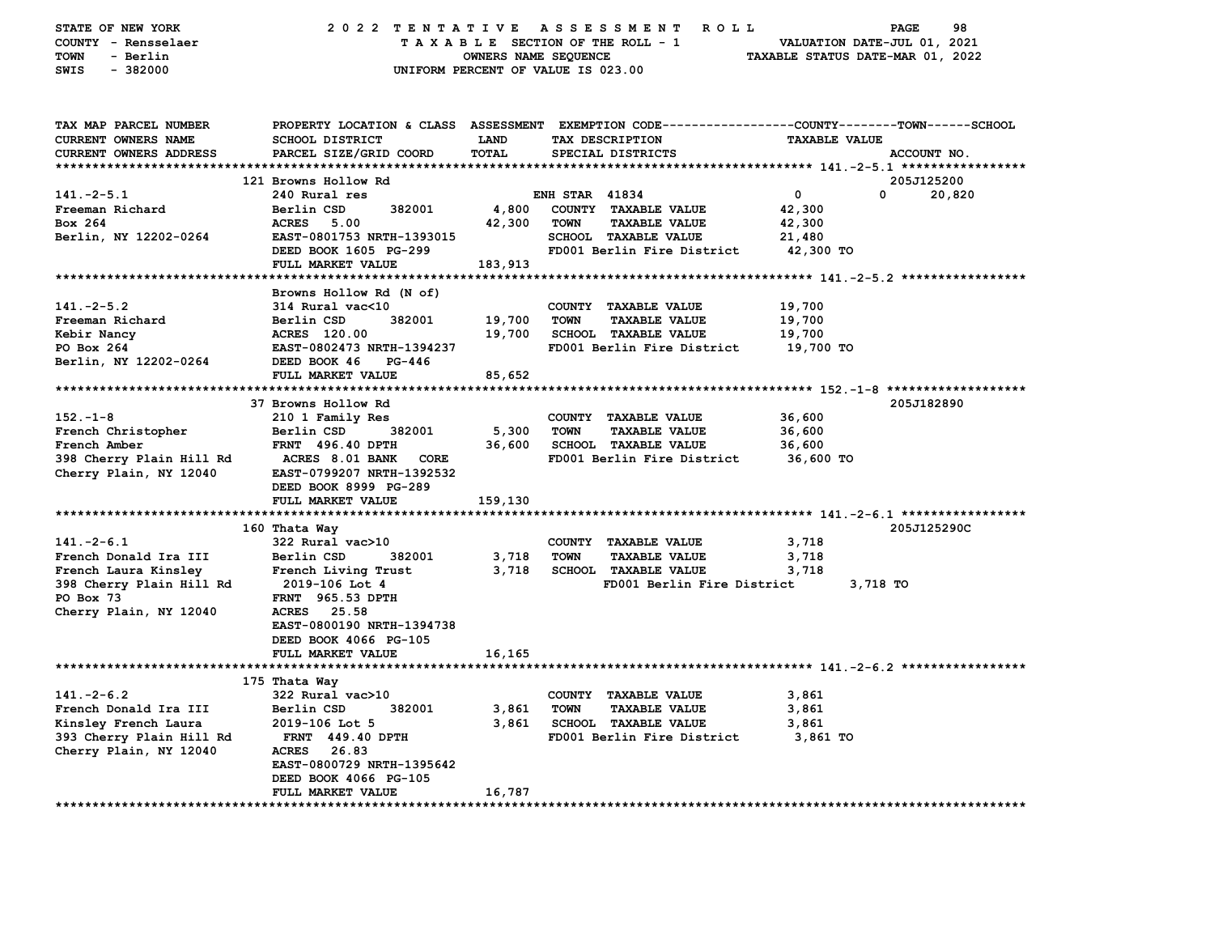| STATE OF NEW YORK<br>COUNTY - Rensselaer<br><b>TOWN</b><br>- Berlin<br>SWIS<br>$-382000$ | 2022 TENTATIVE ASSESSMENT                        | OWNERS NAME SEQUENCE | <b>ROLL</b><br>TAXABLE SECTION OF THE ROLL - 1<br>UNIFORM PERCENT OF VALUE IS 023.00                                                     | VALUATION DATE-JUL 01, 2021<br>TAXABLE STATUS DATE-MAR 01, 2022 | 98<br><b>PAGE</b> |
|------------------------------------------------------------------------------------------|--------------------------------------------------|----------------------|------------------------------------------------------------------------------------------------------------------------------------------|-----------------------------------------------------------------|-------------------|
| TAX MAP PARCEL NUMBER<br>CURRENT OWNERS NAME<br><b>CURRENT OWNERS ADDRESS</b>            | <b>SCHOOL DISTRICT</b><br>PARCEL SIZE/GRID COORD | <b>LAND</b><br>TOTAL | PROPERTY LOCATION & CLASS ASSESSMENT EXEMPTION CODE----------------COUNTY-------TOWN------SCHOOL<br>TAX DESCRIPTION<br>SPECIAL DISTRICTS | <b>TAXABLE VALUE</b>                                            | ACCOUNT NO.       |
|                                                                                          |                                                  |                      |                                                                                                                                          |                                                                 |                   |
|                                                                                          | 121 Browns Hollow Rd                             |                      |                                                                                                                                          |                                                                 | 205J125200        |
| $141. -2 - 5.1$                                                                          | 240 Rural res                                    |                      | <b>ENH STAR 41834</b>                                                                                                                    | 0                                                               | 0<br>20,820       |
| Freeman Richard                                                                          | Berlin CSD<br>382001                             | 4,800                | COUNTY TAXABLE VALUE                                                                                                                     | 42,300                                                          |                   |
| Box 264                                                                                  | ACRES 5.00                                       | 42,300               | <b>TOWN</b><br><b>TAXABLE VALUE</b>                                                                                                      | 42,300                                                          |                   |
| Berlin, NY 12202-0264                                                                    | EAST-0801753 NRTH-1393015                        |                      | SCHOOL TAXABLE VALUE                                                                                                                     | 21,480                                                          |                   |
|                                                                                          | DEED BOOK 1605 PG-299                            |                      | FD001 Berlin Fire District                                                                                                               | 42,300 TO                                                       |                   |
|                                                                                          | FULL MARKET VALUE                                | 183,913              |                                                                                                                                          |                                                                 |                   |
|                                                                                          |                                                  |                      |                                                                                                                                          |                                                                 |                   |
|                                                                                          | Browns Hollow Rd (N of)                          |                      |                                                                                                                                          |                                                                 |                   |
| $141. -2 - 5.2$                                                                          | 314 Rural vac<10                                 |                      | COUNTY TAXABLE VALUE                                                                                                                     | 19,700                                                          |                   |
| Freeman Richard                                                                          | Berlin CSD<br>382001                             | 19,700               | <b>TOWN</b><br><b>TAXABLE VALUE</b>                                                                                                      | 19,700                                                          |                   |
| Kebir Nancy                                                                              | ACRES 120.00                                     | 19,700               | SCHOOL TAXABLE VALUE                                                                                                                     | 19,700                                                          |                   |
| PO Box 264                                                                               | EAST-0802473 NRTH-1394237                        |                      | FD001 Berlin Fire District                                                                                                               | 19,700 TO                                                       |                   |
| Berlin, NY 12202-0264                                                                    | DEED BOOK 46<br>PG-446                           |                      |                                                                                                                                          |                                                                 |                   |
|                                                                                          | FULL MARKET VALUE                                | 85,652               |                                                                                                                                          |                                                                 |                   |
|                                                                                          |                                                  |                      |                                                                                                                                          |                                                                 |                   |
|                                                                                          | 37 Browns Hollow Rd                              |                      |                                                                                                                                          |                                                                 | 205J182890        |
| $152 - 1 - 8$                                                                            | 210 1 Family Res                                 |                      | COUNTY TAXABLE VALUE                                                                                                                     | 36,600                                                          |                   |
| French Christopher<br>French Amber                                                       | Berlin CSD<br>382001<br><b>FRNT 496.40 DPTH</b>  | 5,300<br>36,600      | <b>TOWN</b><br><b>TAXABLE VALUE</b><br><b>SCHOOL TAXABLE VALUE</b>                                                                       | 36,600<br>36,600                                                |                   |
| 398 Cherry Plain Hill Rd                                                                 | <b>ACRES 8.01 BANK</b><br>CORE                   |                      | FD001 Berlin Fire District                                                                                                               | 36,600 TO                                                       |                   |
| Cherry Plain, NY 12040                                                                   | EAST-0799207 NRTH-1392532                        |                      |                                                                                                                                          |                                                                 |                   |
|                                                                                          | DEED BOOK 8999 PG-289                            |                      |                                                                                                                                          |                                                                 |                   |
|                                                                                          | FULL MARKET VALUE                                | 159,130              |                                                                                                                                          |                                                                 |                   |
|                                                                                          |                                                  |                      |                                                                                                                                          |                                                                 |                   |
|                                                                                          | 160 Thata Way                                    |                      |                                                                                                                                          |                                                                 | 205J125290C       |
| $141. -2 - 6.1$                                                                          | 322 Rural vac>10                                 |                      | COUNTY TAXABLE VALUE                                                                                                                     | 3,718                                                           |                   |
| French Donald Ira III                                                                    | Berlin CSD<br>382001                             | 3,718                | <b>TOWN</b><br><b>TAXABLE VALUE</b>                                                                                                      | 3,718                                                           |                   |
| French Laura Kinsley                                                                     | French Living Trust                              | 3,718                | <b>SCHOOL TAXABLE VALUE</b>                                                                                                              | 3,718                                                           |                   |
| 398 Cherry Plain Hill Rd                                                                 | 2019–106 Lot 4                                   |                      | FD001 Berlin Fire District                                                                                                               | 3,718 TO                                                        |                   |
| PO Box 73                                                                                | <b>FRNT</b> 965.53 DPTH                          |                      |                                                                                                                                          |                                                                 |                   |
| Cherry Plain, NY 12040                                                                   | 25.58<br><b>ACRES</b>                            |                      |                                                                                                                                          |                                                                 |                   |
|                                                                                          | EAST-0800190 NRTH-1394738                        |                      |                                                                                                                                          |                                                                 |                   |
|                                                                                          | DEED BOOK 4066 PG-105                            |                      |                                                                                                                                          |                                                                 |                   |
|                                                                                          | FULL MARKET VALUE                                | 16,165               |                                                                                                                                          |                                                                 |                   |
|                                                                                          |                                                  |                      |                                                                                                                                          |                                                                 |                   |
|                                                                                          | 175 Thata Way                                    |                      |                                                                                                                                          |                                                                 |                   |
| $141. -2 - 6.2$                                                                          | 322 Rural vac>10                                 |                      | COUNTY TAXABLE VALUE                                                                                                                     | 3,861                                                           |                   |
| French Donald Ira III                                                                    | Berlin CSD<br>382001                             | 3,861                | <b>TOWN</b><br><b>TAXABLE VALUE</b>                                                                                                      | 3,861                                                           |                   |
| Kinsley French Laura                                                                     | 2019-106 Lot 5                                   | 3,861                | <b>SCHOOL TAXABLE VALUE</b>                                                                                                              | 3,861                                                           |                   |
| 393 Cherry Plain Hill Rd                                                                 | FRNT 449.40 DPTH                                 |                      | FD001 Berlin Fire District                                                                                                               | 3,861 TO                                                        |                   |
| Cherry Plain, NY 12040                                                                   | 26.83<br>ACRES                                   |                      |                                                                                                                                          |                                                                 |                   |
|                                                                                          | EAST-0800729 NRTH-1395642                        |                      |                                                                                                                                          |                                                                 |                   |
|                                                                                          | DEED BOOK 4066 PG-105                            |                      |                                                                                                                                          |                                                                 |                   |
| **************************                                                               | FULL MARKET VALUE                                | 16,787               |                                                                                                                                          |                                                                 |                   |
|                                                                                          |                                                  |                      |                                                                                                                                          |                                                                 |                   |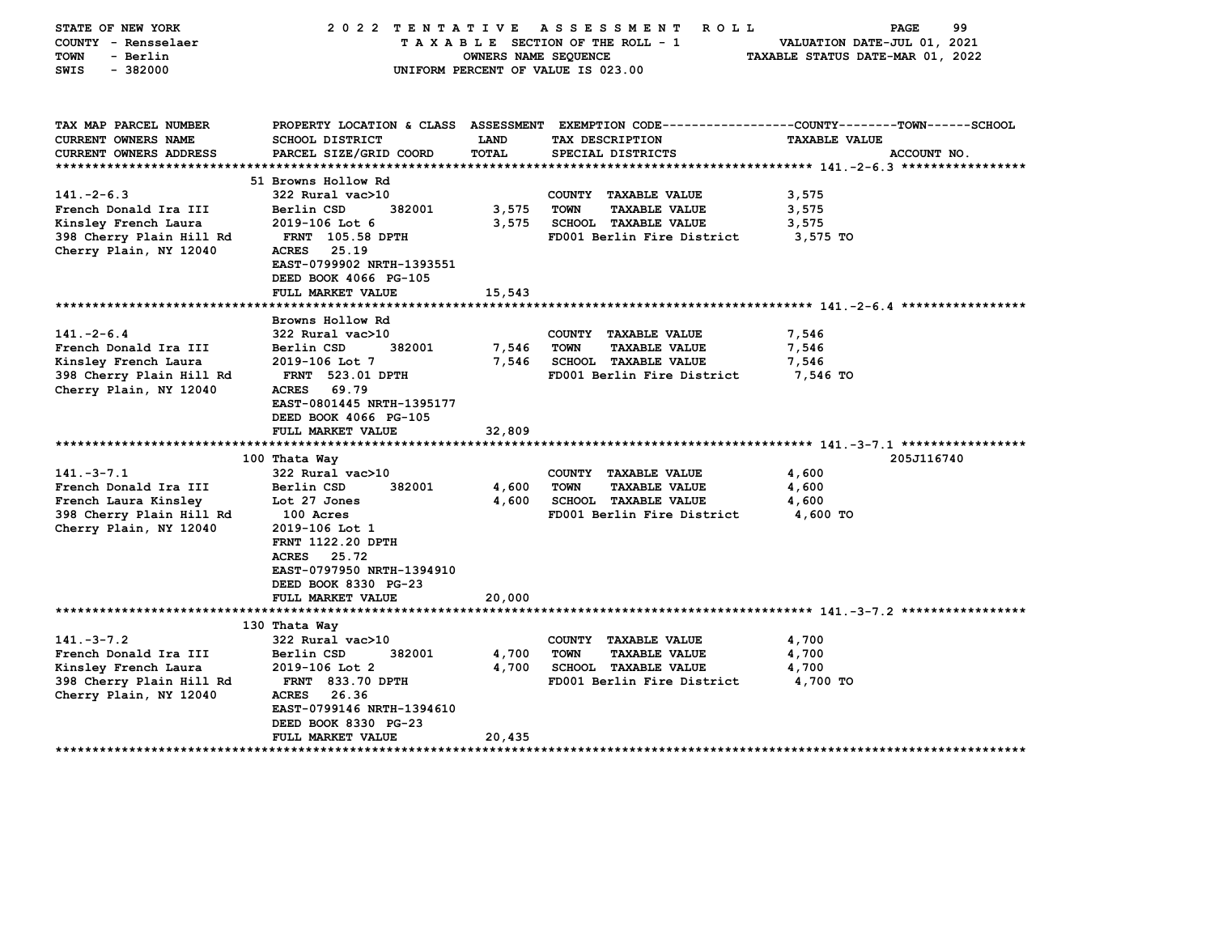| STATE OF NEW YORK<br>COUNTY - Rensselaer<br>- Berlin<br>TOWN<br>$-382000$<br>SWIS                                                                                                                                                                | 2022 TENTATIVE                                                                                                                                                                                                                                                                                                                                                                                                                                           | OWNERS NAME SEQUENCE                                                  | A S S E S S M E N T<br><b>ROLL</b><br>TAXABLE SECTION OF THE ROLL - 1<br>UNIFORM PERCENT OF VALUE IS 023.00                                                                                                                                          | 99<br>PAGE<br>VALUATION DATE-JUL 01, 2021<br>TAXABLE STATUS DATE-MAR 01, 2022                                                          |
|--------------------------------------------------------------------------------------------------------------------------------------------------------------------------------------------------------------------------------------------------|----------------------------------------------------------------------------------------------------------------------------------------------------------------------------------------------------------------------------------------------------------------------------------------------------------------------------------------------------------------------------------------------------------------------------------------------------------|-----------------------------------------------------------------------|------------------------------------------------------------------------------------------------------------------------------------------------------------------------------------------------------------------------------------------------------|----------------------------------------------------------------------------------------------------------------------------------------|
| TAX MAP PARCEL NUMBER<br><b>CURRENT OWNERS NAME</b><br><b>CURRENT OWNERS ADDRESS</b>                                                                                                                                                             | SCHOOL DISTRICT<br>PARCEL SIZE/GRID COORD                                                                                                                                                                                                                                                                                                                                                                                                                | <b>LAND</b><br><b>TOTAL</b>                                           | TAX DESCRIPTION<br>SPECIAL DISTRICTS                                                                                                                                                                                                                 | PROPERTY LOCATION & CLASS ASSESSMENT EXEMPTION CODE---------------COUNTY-------TOWN------SCHOOL<br><b>TAXABLE VALUE</b><br>ACCOUNT NO. |
|                                                                                                                                                                                                                                                  |                                                                                                                                                                                                                                                                                                                                                                                                                                                          |                                                                       |                                                                                                                                                                                                                                                      |                                                                                                                                        |
| $141. -2 - 6.3$<br>French Donald Ira III<br>Kinsley French Laura<br>398 Cherry Plain Hill Rd<br>Cherry Plain, NY 12040                                                                                                                           | 51 Browns Hollow Rd<br>322 Rural vac>10<br>Berlin CSD<br>382001<br>2019-106 Lot 6<br>FRNT 105.58 DPTH<br>25.19<br><b>ACRES</b><br>EAST-0799902 NRTH-1393551<br>DEED BOOK 4066 PG-105<br>FULL MARKET VALUE                                                                                                                                                                                                                                                | 3,575<br>3,575                                                        | COUNTY TAXABLE VALUE<br><b>TOWN</b><br><b>TAXABLE VALUE</b><br><b>SCHOOL TAXABLE VALUE</b><br>FD001 Berlin Fire District                                                                                                                             | 3,575<br>3,575<br>3,575<br>3,575 TO                                                                                                    |
|                                                                                                                                                                                                                                                  |                                                                                                                                                                                                                                                                                                                                                                                                                                                          | 15,543                                                                |                                                                                                                                                                                                                                                      |                                                                                                                                        |
| $141. -2 - 6.4$<br>French Donald Ira III<br>Kinsley French Laura<br>398 Cherry Plain Hill Rd<br>Cherry Plain, NY 12040<br>$141. -3 - 7.1$<br>French Donald Ira III<br>French Laura Kinsley<br>398 Cherry Plain Hill Rd<br>Cherry Plain, NY 12040 | Browns Hollow Rd<br>322 Rural vac>10<br>Berlin CSD<br>382001<br>2019-106 Lot 7<br><b>FRNT</b> 523.01 DPTH<br>69.79<br><b>ACRES</b><br>EAST-0801445 NRTH-1395177<br>DEED BOOK 4066 PG-105<br>FULL MARKET VALUE<br>100 Thata Way<br>322 Rural vac>10<br>Berlin CSD<br>382001<br>Lot 27 Jones<br>100 Acres<br>2019-106 Lot 1<br><b>FRNT 1122.20 DPTH</b><br><b>ACRES</b><br>25.72<br>EAST-0797950 NRTH-1394910<br>DEED BOOK 8330 PG-23<br>FULL MARKET VALUE | 7,546<br>7,546<br>32,809<br>*************<br>4,600<br>4,600<br>20,000 | COUNTY TAXABLE VALUE<br><b>TOWN</b><br><b>TAXABLE VALUE</b><br><b>SCHOOL TAXABLE VALUE</b><br>FD001 Berlin Fire District<br>COUNTY TAXABLE VALUE<br><b>TOWN</b><br><b>TAXABLE VALUE</b><br><b>SCHOOL TAXABLE VALUE</b><br>FD001 Berlin Fire District | 7,546<br>7,546<br>7,546<br>7,546 TO<br>205J116740<br>4,600<br>4,600<br>4,600<br>4,600 TO                                               |
|                                                                                                                                                                                                                                                  |                                                                                                                                                                                                                                                                                                                                                                                                                                                          |                                                                       |                                                                                                                                                                                                                                                      |                                                                                                                                        |
| $141. - 3 - 7.2$<br>French Donald Ira III<br>Kinsley French Laura<br>398 Cherry Plain Hill Rd<br>Cherry Plain, NY 12040                                                                                                                          | 130 Thata Way<br>322 Rural vac>10<br>382001<br>Berlin CSD<br>2019-106 Lot 2<br><b>FRNT 833.70 DPTH</b><br><b>ACRES</b><br>26.36<br>EAST-0799146 NRTH-1394610<br>DEED BOOK 8330 PG-23<br>FULL MARKET VALUE                                                                                                                                                                                                                                                | 4,700<br>4,700<br>20,435                                              | COUNTY TAXABLE VALUE<br><b>TOWN</b><br><b>TAXABLE VALUE</b><br><b>SCHOOL TAXABLE VALUE</b><br>FD001 Berlin Fire District                                                                                                                             | 4,700<br>4,700<br>4,700<br>4,700 TO                                                                                                    |
| ******************                                                                                                                                                                                                                               | ************                                                                                                                                                                                                                                                                                                                                                                                                                                             |                                                                       |                                                                                                                                                                                                                                                      |                                                                                                                                        |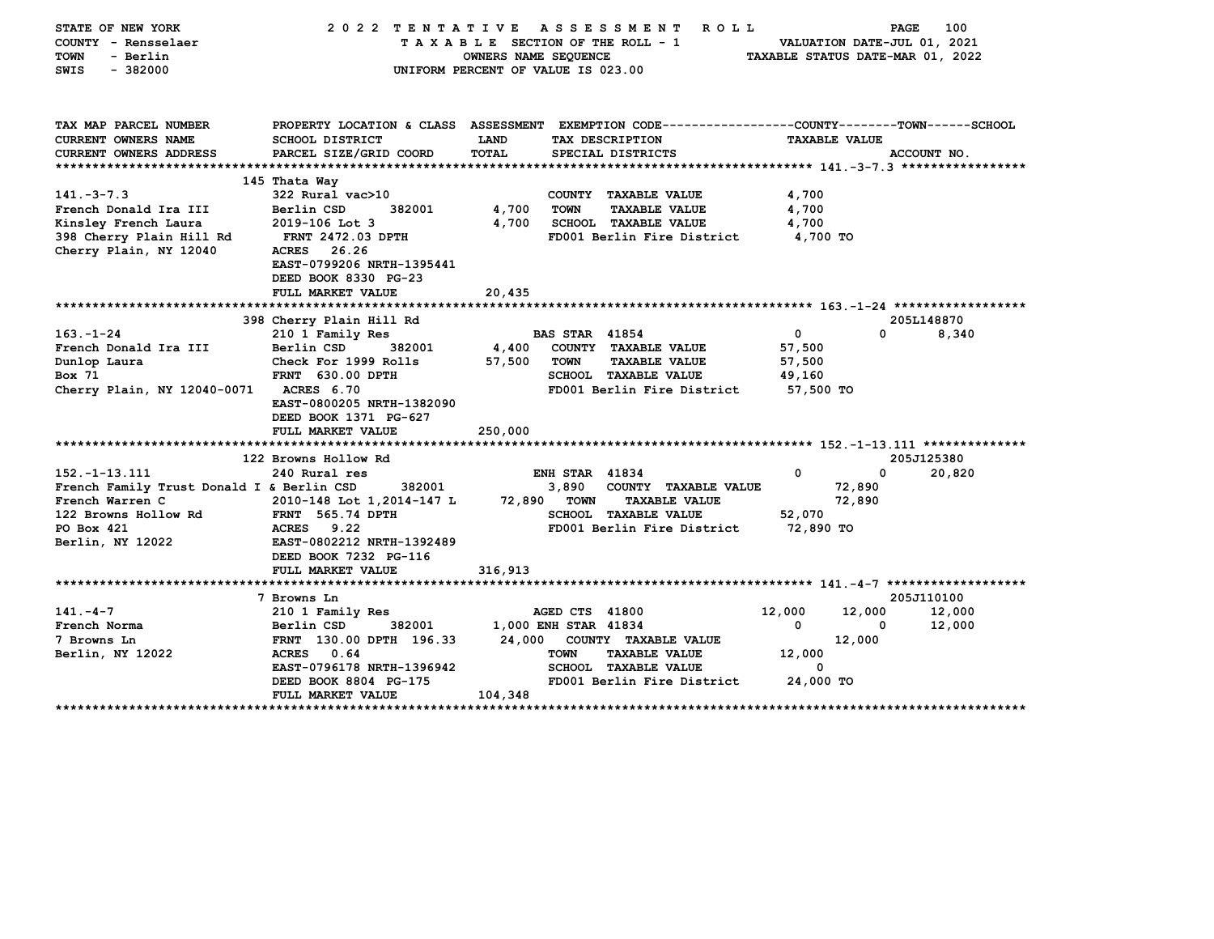| STATE OF NEW YORK                         | 2022 TENTATIVE                                                                                 |                                    |                       | A S S E S S M E N T<br><b>ROLL</b> |                 |                      | 100<br>PAGE                      |
|-------------------------------------------|------------------------------------------------------------------------------------------------|------------------------------------|-----------------------|------------------------------------|-----------------|----------------------|----------------------------------|
| COUNTY - Rensselaer                       |                                                                                                |                                    |                       | TAXABLE SECTION OF THE ROLL - 1    |                 |                      | VALUATION DATE-JUL 01, 2021      |
| <b>TOWN</b><br>- Berlin                   |                                                                                                | OWNERS NAME SEQUENCE               |                       |                                    |                 |                      | TAXABLE STATUS DATE-MAR 01, 2022 |
| $-382000$<br>SWIS                         |                                                                                                | UNIFORM PERCENT OF VALUE IS 023.00 |                       |                                    |                 |                      |                                  |
|                                           |                                                                                                |                                    |                       |                                    |                 |                      |                                  |
|                                           |                                                                                                |                                    |                       |                                    |                 |                      |                                  |
|                                           |                                                                                                |                                    |                       |                                    |                 |                      |                                  |
| TAX MAP PARCEL NUMBER                     | PROPERTY LOCATION & CLASS ASSESSMENT EXEMPTION CODE--------------COUNTY-------TOWN------SCHOOL |                                    |                       |                                    |                 |                      |                                  |
| <b>CURRENT OWNERS NAME</b>                | <b>SCHOOL DISTRICT</b>                                                                         | LAND                               |                       | TAX DESCRIPTION                    |                 | <b>TAXABLE VALUE</b> |                                  |
| CURRENT OWNERS ADDRESS                    | PARCEL SIZE/GRID COORD                                                                         | <b>TOTAL</b>                       |                       | SPECIAL DISTRICTS                  |                 |                      | ACCOUNT NO.                      |
|                                           | 145 Thata Way                                                                                  |                                    |                       |                                    |                 |                      |                                  |
| $141. - 3 - 7.3$                          | 322 Rural vac>10                                                                               |                                    |                       | COUNTY TAXABLE VALUE               | 4,700           |                      |                                  |
|                                           | Berlin CSD<br>382001                                                                           |                                    | <b>TOWN</b>           |                                    |                 |                      |                                  |
| French Donald Ira III                     |                                                                                                | 4,700                              |                       | <b>TAXABLE VALUE</b>               | 4,700           |                      |                                  |
| Kinsley French Laura                      | 2019-106 Lot 3                                                                                 | 4,700                              |                       | <b>SCHOOL TAXABLE VALUE</b>        | 4,700           |                      |                                  |
| 398 Cherry Plain Hill Rd                  | <b>FRNT 2472.03 DPTH</b>                                                                       |                                    |                       | FD001 Berlin Fire District         | <b>4,700 TO</b> |                      |                                  |
| Cherry Plain, NY 12040                    | <b>ACRES</b><br>26.26                                                                          |                                    |                       |                                    |                 |                      |                                  |
|                                           | EAST-0799206 NRTH-1395441                                                                      |                                    |                       |                                    |                 |                      |                                  |
|                                           | DEED BOOK 8330 PG-23                                                                           |                                    |                       |                                    |                 |                      |                                  |
|                                           | FULL MARKET VALUE                                                                              | 20,435                             |                       |                                    |                 |                      |                                  |
|                                           |                                                                                                |                                    |                       |                                    |                 |                      |                                  |
|                                           | 398 Cherry Plain Hill Rd                                                                       |                                    |                       |                                    |                 |                      | 205L148870                       |
| $163. - 1 - 24$                           | 210 1 Family Res                                                                               |                                    | <b>BAS STAR 41854</b> |                                    | 0               | 0                    | 8,340                            |
| French Donald Ira III                     | Berlin CSD<br>382001                                                                           | 4,400                              |                       | COUNTY TAXABLE VALUE               | 57,500          |                      |                                  |
| Dunlop Laura                              | Check For 1999 Rolls                                                                           | 57,500                             | <b>TOWN</b>           | <b>TAXABLE VALUE</b>               | 57,500          |                      |                                  |
| Box 71                                    | <b>FRNT 630.00 DPTH</b>                                                                        |                                    |                       | <b>SCHOOL TAXABLE VALUE</b>        | 49,160          |                      |                                  |
| Cherry Plain, NY 12040-0071 ACRES 6.70    |                                                                                                |                                    |                       | FD001 Berlin Fire District         | 57,500 TO       |                      |                                  |
|                                           | EAST-0800205 NRTH-1382090                                                                      |                                    |                       |                                    |                 |                      |                                  |
|                                           | DEED BOOK 1371 PG-627                                                                          |                                    |                       |                                    |                 |                      |                                  |
|                                           | FULL MARKET VALUE                                                                              | 250,000                            |                       |                                    |                 |                      |                                  |
|                                           |                                                                                                |                                    |                       |                                    |                 |                      |                                  |
|                                           | 122 Browns Hollow Rd                                                                           |                                    |                       |                                    |                 |                      | 205J125380                       |
| 152. -1-13.111                            | 240 Rural res                                                                                  |                                    | <b>ENH STAR 41834</b> |                                    | 0               | $\mathbf{0}$         | 20,820                           |
| French Family Trust Donald I & Berlin CSD | 382001                                                                                         |                                    | 3,890                 | COUNTY TAXABLE VALUE               |                 | 72,890               |                                  |
| French Warren C                           | 2010-148 Lot 1,2014-147 L                                                                      | 72,890 TOWN                        |                       | <b>TAXABLE VALUE</b>               |                 | 72,890               |                                  |
| 122 Browns Hollow Rd                      | <b>FRNT 565.74 DPTH</b>                                                                        |                                    |                       | SCHOOL TAXABLE VALUE               | 52,070          |                      |                                  |
| PO Box 421                                | ACRES 9.22                                                                                     |                                    |                       | FD001 Berlin Fire District         | 72,890 TO       |                      |                                  |
| Berlin, NY 12022                          | EAST-0802212 NRTH-1392489                                                                      |                                    |                       |                                    |                 |                      |                                  |
|                                           | DEED BOOK 7232 PG-116                                                                          |                                    |                       |                                    |                 |                      |                                  |
|                                           | FULL MARKET VALUE                                                                              | 316,913                            |                       |                                    |                 |                      |                                  |
|                                           |                                                                                                |                                    |                       |                                    |                 |                      |                                  |
|                                           | 7 Browns Ln                                                                                    |                                    |                       |                                    |                 |                      | 205J110100                       |
| $141. -4 - 7$                             | 210 1 Family Res                                                                               |                                    | AGED CTS 41800        |                                    | 12,000          | 12,000               | 12,000                           |
| French Norma                              | Berlin CSD<br>382001                                                                           | 1,000 ENH STAR 41834               |                       |                                    | 0               | 0                    | 12,000                           |
| 7 Browns Ln                               | FRNT 130.00 DPTH 196.33                                                                        |                                    |                       | 24,000 COUNTY TAXABLE VALUE        |                 | 12,000               |                                  |
| Berlin, NY 12022                          | ACRES 0.64                                                                                     |                                    | <b>TOWN</b>           | <b>TAXABLE VALUE</b>               | 12,000          |                      |                                  |
|                                           | EAST-0796178 NRTH-1396942                                                                      |                                    |                       | SCHOOL TAXABLE VALUE               | 0               |                      |                                  |
|                                           | DEED BOOK 8804 PG-175                                                                          |                                    |                       | FD001 Berlin Fire District         | 24,000 TO       |                      |                                  |
|                                           | FULL MARKET VALUE                                                                              | 104,348                            |                       |                                    |                 |                      |                                  |
|                                           |                                                                                                |                                    |                       |                                    |                 |                      |                                  |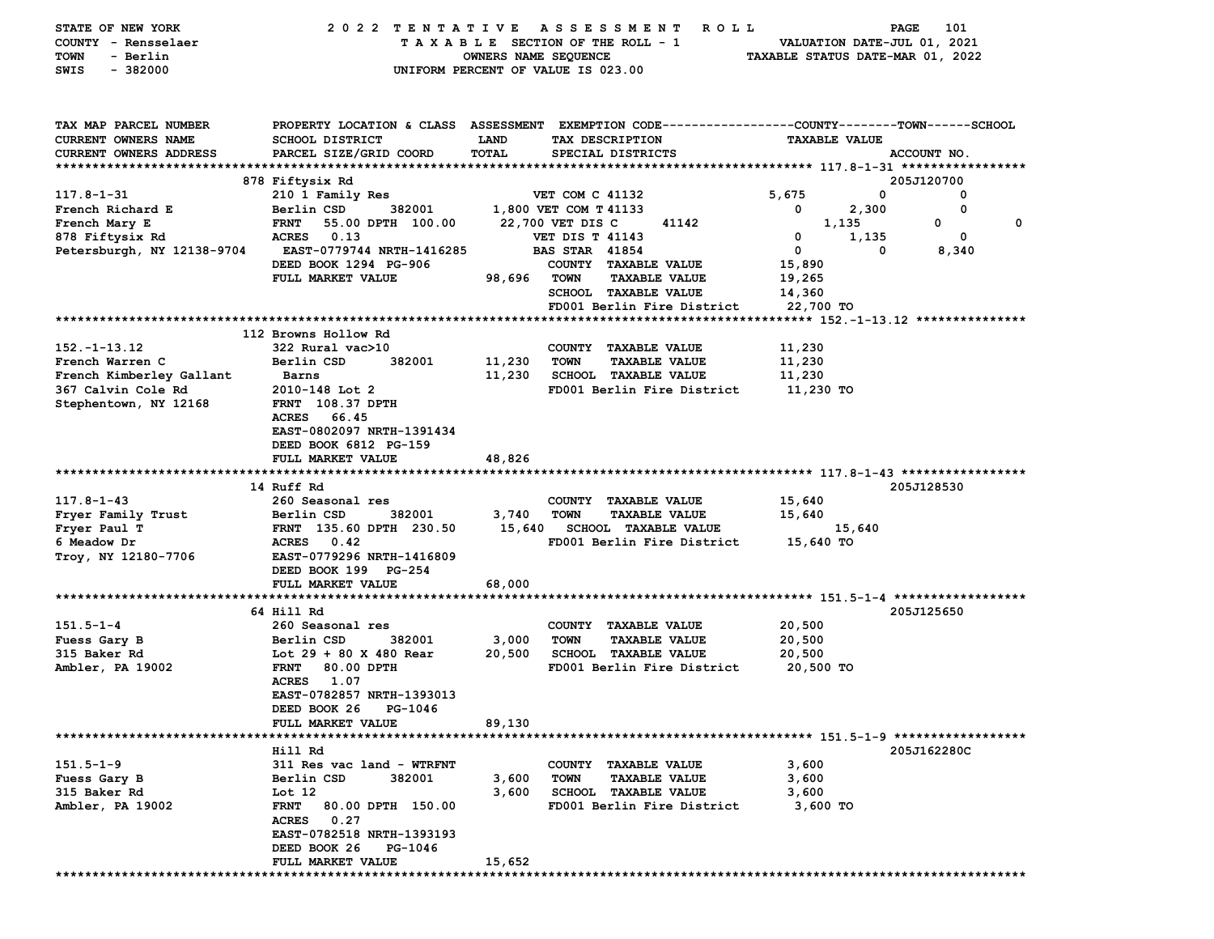| STATE OF NEW YORK             | 2022 TENTATIVE                   |                      | A S S E S S M E N T<br><b>ROLL</b>                                                               |                                  | 101<br>PAGE                 |
|-------------------------------|----------------------------------|----------------------|--------------------------------------------------------------------------------------------------|----------------------------------|-----------------------------|
| COUNTY - Rensselaer           |                                  |                      | TAXABLE SECTION OF THE ROLL - 1                                                                  |                                  | VALUATION DATE-JUL 01, 2021 |
| - Berlin<br>TOWN              |                                  | OWNERS NAME SEQUENCE |                                                                                                  | TAXABLE STATUS DATE-MAR 01, 2022 |                             |
| $-382000$<br>SWIS             |                                  |                      | UNIFORM PERCENT OF VALUE IS 023.00                                                               |                                  |                             |
|                               |                                  |                      |                                                                                                  |                                  |                             |
|                               |                                  |                      |                                                                                                  |                                  |                             |
|                               |                                  |                      |                                                                                                  |                                  |                             |
| TAX MAP PARCEL NUMBER         |                                  |                      | PROPERTY LOCATION & CLASS ASSESSMENT EXEMPTION CODE----------------COUNTY-------TOWN------SCHOOL |                                  |                             |
| CURRENT OWNERS NAME           | <b>SCHOOL DISTRICT</b>           | <b>LAND</b>          | TAX DESCRIPTION                                                                                  | <b>TAXABLE VALUE</b>             |                             |
| <b>CURRENT OWNERS ADDRESS</b> | PARCEL SIZE/GRID COORD           | TOTAL                | SPECIAL DISTRICTS                                                                                |                                  | ACCOUNT NO.                 |
|                               |                                  |                      |                                                                                                  |                                  |                             |
|                               | 878 Fiftysix Rd                  |                      |                                                                                                  |                                  | 205J120700                  |
| $117.8 - 1 - 31$              | 210 1 Family Res                 |                      | <b>VET COM C 41132</b>                                                                           | 5,675                            | 0<br>0                      |
| French Richard E              | Berlin CSD<br>382001             |                      | 1,800 VET COM T 41133                                                                            | 2,300<br>0                       | 0                           |
| French Mary E                 | <b>FRNT</b><br>55.00 DPTH 100.00 |                      | 22,700 VET DIS C<br>41142                                                                        | 1,135                            | 0<br>0                      |
| 878 Fiftysix Rd               | <b>ACRES</b><br>0.13             |                      | <b>VET DIS T 41143</b>                                                                           | 1,135<br>0                       | 0                           |
| Petersburgh, NY 12138-9704    | <b>EAST-0779744 NRTH-1416285</b> |                      | <b>BAS STAR 41854</b>                                                                            | 0                                | 0<br>8,340                  |
|                               | DEED BOOK 1294 PG-906            |                      | COUNTY TAXABLE VALUE                                                                             | 15,890                           |                             |
|                               | FULL MARKET VALUE                | 98,696               | TOWN<br><b>TAXABLE VALUE</b>                                                                     | 19,265                           |                             |
|                               |                                  |                      | SCHOOL TAXABLE VALUE                                                                             | 14,360                           |                             |
|                               |                                  |                      | FD001 Berlin Fire District                                                                       | 22,700 TO                        |                             |
|                               |                                  |                      |                                                                                                  |                                  |                             |
|                               | 112 Browns Hollow Rd             |                      |                                                                                                  |                                  |                             |
| $152 - 1 - 13.12$             | 322 Rural vac>10                 |                      | COUNTY TAXABLE VALUE                                                                             | 11,230                           |                             |
|                               |                                  |                      |                                                                                                  | 11,230                           |                             |
| French Warren C               | Berlin CSD<br>382001             | 11,230               | <b>TOWN</b><br><b>TAXABLE VALUE</b>                                                              |                                  |                             |
| French Kimberley Gallant      | Barns                            | 11,230               | <b>SCHOOL TAXABLE VALUE</b>                                                                      | 11,230                           |                             |
| 367 Calvin Cole Rd            | 2010-148 Lot 2                   |                      | FD001 Berlin Fire District                                                                       | 11,230 TO                        |                             |
| Stephentown, NY 12168         | <b>FRNT</b> 108.37 DPTH          |                      |                                                                                                  |                                  |                             |
|                               | <b>ACRES</b><br>66.45            |                      |                                                                                                  |                                  |                             |
|                               | EAST-0802097 NRTH-1391434        |                      |                                                                                                  |                                  |                             |
|                               | DEED BOOK 6812 PG-159            |                      |                                                                                                  |                                  |                             |
|                               | FULL MARKET VALUE                | 48,826               |                                                                                                  |                                  |                             |
|                               |                                  |                      |                                                                                                  |                                  |                             |
|                               | 14 Ruff Rd                       |                      |                                                                                                  |                                  | 205J128530                  |
| $117.8 - 1 - 43$              | 260 Seasonal res                 |                      | COUNTY TAXABLE VALUE                                                                             | 15,640                           |                             |
| Fryer Family Trust            | Berlin CSD<br>382001             | 3,740                | <b>TOWN</b><br><b>TAXABLE VALUE</b>                                                              | 15,640                           |                             |
| Fryer Paul T                  | FRNT 135.60 DPTH 230.50          | 15,640               | <b>SCHOOL TAXABLE VALUE</b>                                                                      | 15,640                           |                             |
| 6 Meadow Dr                   | 0.42<br><b>ACRES</b>             |                      | FD001 Berlin Fire District                                                                       | 15,640 TO                        |                             |
| Troy, NY 12180-7706           | EAST-0779296 NRTH-1416809        |                      |                                                                                                  |                                  |                             |
|                               | DEED BOOK 199 PG-254             |                      |                                                                                                  |                                  |                             |
|                               | FULL MARKET VALUE                | 68,000               |                                                                                                  |                                  |                             |
|                               |                                  |                      |                                                                                                  |                                  |                             |
|                               | 64 Hill Rd                       |                      |                                                                                                  |                                  | 205J125650                  |
| $151.5 - 1 - 4$               | 260 Seasonal res                 |                      | COUNTY TAXABLE VALUE                                                                             | 20,500                           |                             |
| Fuess Gary B                  | Berlin CSD<br>382001             | 3,000                | <b>TOWN</b><br><b>TAXABLE VALUE</b>                                                              | 20,500                           |                             |
| 315 Baker Rd                  | Lot $29 + 80$ X 480 Rear         | 20,500               | <b>SCHOOL TAXABLE VALUE</b>                                                                      | 20,500                           |                             |
| Ambler, PA 19002              | <b>FRNT</b><br>80.00 DPTH        |                      | FD001 Berlin Fire District                                                                       | 20,500 TO                        |                             |
|                               | <b>ACRES</b><br>1.07             |                      |                                                                                                  |                                  |                             |
|                               | EAST-0782857 NRTH-1393013        |                      |                                                                                                  |                                  |                             |
|                               | DEED BOOK 26 PG-1046             |                      |                                                                                                  |                                  |                             |
|                               | <b>FULL MARKET VALUE</b>         | 89,130               |                                                                                                  |                                  |                             |
|                               |                                  |                      |                                                                                                  |                                  |                             |
|                               | Hill Rd                          |                      |                                                                                                  |                                  | 205J162280C                 |
| $151.5 - 1 - 9$               | 311 Res vac land - WTRFNT        |                      | <b>COUNTY</b><br><b>TAXABLE VALUE</b>                                                            | 3,600                            |                             |
| Fuess Gary B                  | 382001<br>Berlin CSD             | 3,600                | <b>TAXABLE VALUE</b><br>TOWN                                                                     | 3,600                            |                             |
| 315 Baker Rd                  | Lot $12$                         | 3,600                | <b>SCHOOL</b><br><b>TAXABLE VALUE</b>                                                            | 3,600                            |                             |
| Ambler, PA 19002              | <b>FRNT</b><br>80.00 DPTH 150.00 |                      | FD001 Berlin Fire District                                                                       | 3,600 TO                         |                             |
|                               | <b>ACRES</b><br>0.27             |                      |                                                                                                  |                                  |                             |
|                               | EAST-0782518 NRTH-1393193        |                      |                                                                                                  |                                  |                             |
|                               | DEED BOOK 26<br>PG-1046          |                      |                                                                                                  |                                  |                             |
|                               | <b>FULL MARKET VALUE</b>         | 15,652               |                                                                                                  |                                  |                             |
|                               |                                  |                      |                                                                                                  |                                  |                             |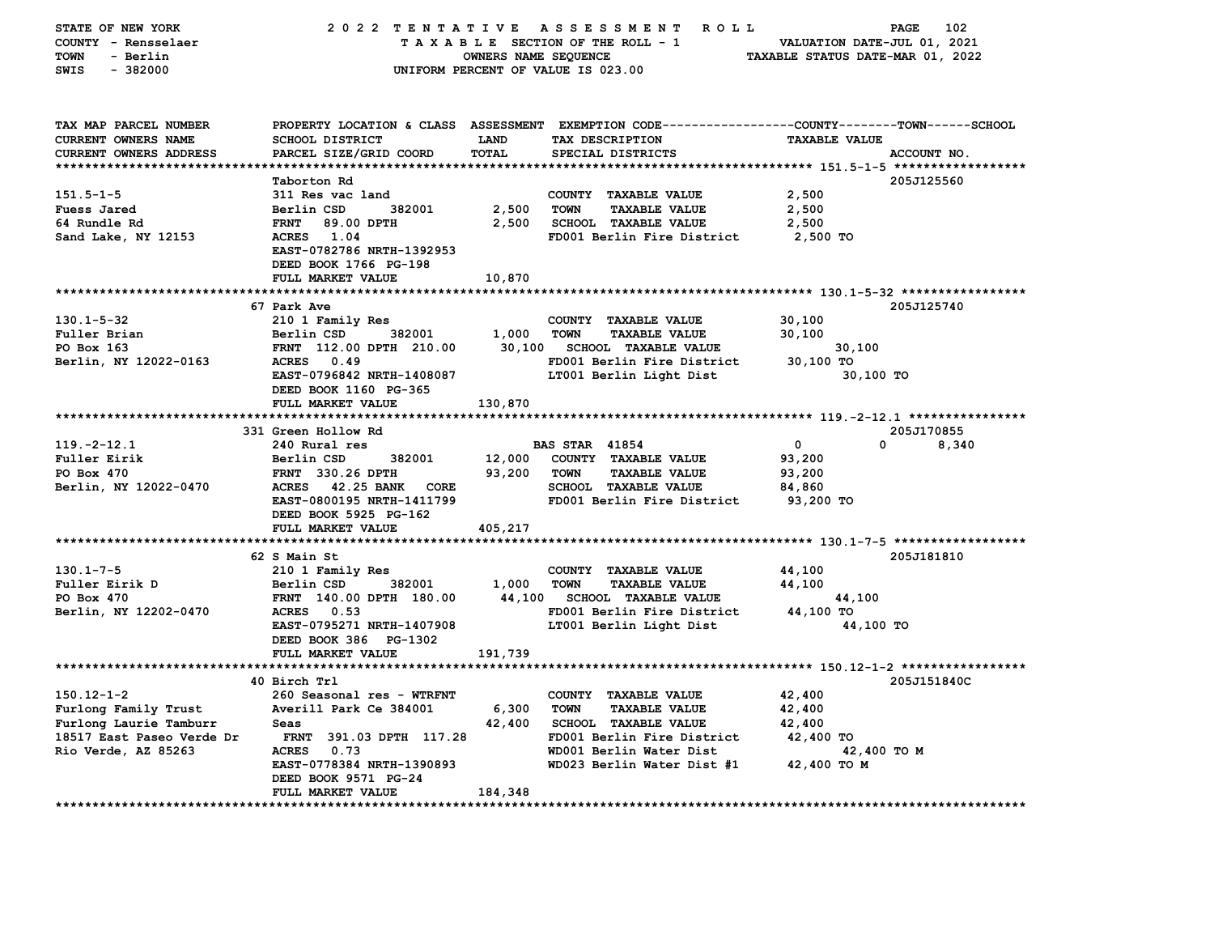| STATE OF NEW YORK<br>COUNTY - Rensselaer<br>TOWN<br>- Berlin<br>SWIS<br>$-382000$ | 2022 TENTATIVE                                                   | OWNERS NAME SEQUENCE        | A S S E S S M E N T<br>ROLL ROLL<br>TAXABLE SECTION OF THE ROLL - 1<br>UNIFORM PERCENT OF VALUE IS 023.00                              | VALUATION DATE-JUL 01, 2021<br>TAXABLE STATUS DATE-MAR 01, 2022 | PAGE<br>102 |
|-----------------------------------------------------------------------------------|------------------------------------------------------------------|-----------------------------|----------------------------------------------------------------------------------------------------------------------------------------|-----------------------------------------------------------------|-------------|
| TAX MAP PARCEL NUMBER<br>CURRENT OWNERS NAME<br>CURRENT OWNERS ADDRESS            | <b>SCHOOL DISTRICT</b><br>PARCEL SIZE/GRID COORD                 | <b>LAND</b><br><b>TOTAL</b> | PROPERTY LOCATION & CLASS ASSESSMENT EXEMPTION CODE---------------COUNTY-------TOWN-----SCHOOL<br>TAX DESCRIPTION<br>SPECIAL DISTRICTS | <b>TAXABLE VALUE</b>                                            | ACCOUNT NO. |
|                                                                                   | Taborton Rd                                                      |                             |                                                                                                                                        |                                                                 | 205J125560  |
| $151.5 - 1 - 5$                                                                   | 311 Res vac land                                                 |                             | COUNTY TAXABLE VALUE                                                                                                                   | 2,500                                                           |             |
| Fuess Jared                                                                       | Berlin CSD<br>382001                                             | 2,500                       | <b>TOWN</b><br><b>TAXABLE VALUE</b>                                                                                                    | 2,500                                                           |             |
| 64 Rundle Rd                                                                      | <b>FRNT</b><br>89.00 DPTH                                        | 2,500                       | <b>SCHOOL TAXABLE VALUE</b>                                                                                                            | 2,500                                                           |             |
| Sand Lake, NY 12153                                                               | ACRES 1.04<br>EAST-0782786 NRTH-1392953<br>DEED BOOK 1766 PG-198 |                             | FD001 Berlin Fire District                                                                                                             | 2,500 TO                                                        |             |
|                                                                                   | FULL MARKET VALUE                                                | 10,870                      |                                                                                                                                        |                                                                 |             |
|                                                                                   |                                                                  |                             |                                                                                                                                        |                                                                 |             |
| $130.1 - 5 - 32$                                                                  | 67 Park Ave                                                      |                             |                                                                                                                                        | 30,100                                                          | 205J125740  |
| Fuller Brian                                                                      | 210 1 Family Res<br>Berlin CSD<br>382001                         | 1,000                       | COUNTY TAXABLE VALUE<br><b>TAXABLE VALUE</b><br><b>TOWN</b>                                                                            | 30,100                                                          |             |
| PO Box 163                                                                        | FRNT 112.00 DPTH 210.00                                          | 30,100                      | <b>SCHOOL TAXABLE VALUE</b>                                                                                                            | 30,100                                                          |             |
| Berlin, NY 12022-0163                                                             | ACRES 0.49                                                       |                             | FD001 Berlin Fire District                                                                                                             | 30,100 TO                                                       |             |
|                                                                                   | EAST-0796842 NRTH-1408087                                        |                             | LT001 Berlin Light Dist                                                                                                                | 30,100 TO                                                       |             |
|                                                                                   | DEED BOOK 1160 PG-365                                            |                             |                                                                                                                                        |                                                                 |             |
|                                                                                   | FULL MARKET VALUE                                                | 130,870                     |                                                                                                                                        |                                                                 |             |
|                                                                                   |                                                                  |                             |                                                                                                                                        |                                                                 |             |
|                                                                                   | 331 Green Hollow Rd                                              |                             |                                                                                                                                        |                                                                 | 205J170855  |
| $119. -2 - 12.1$                                                                  | 240 Rural res                                                    |                             | <b>BAS STAR 41854</b>                                                                                                                  | $\mathbf 0$<br>$\Omega$                                         | 8,340       |
| <b>Fuller Eirik</b>                                                               | Berlin CSD<br>382001                                             | 12,000                      | COUNTY TAXABLE VALUE                                                                                                                   | 93,200                                                          |             |
| PO Box 470<br>Berlin, NY 12022-0470                                               | <b>FRNT</b> 330.26 DPTH<br><b>ACRES</b><br>42.25 BANK CORE       | 93,200                      | <b>TOWN</b><br><b>TAXABLE VALUE</b><br><b>SCHOOL TAXABLE VALUE</b>                                                                     | 93,200<br>84,860                                                |             |
|                                                                                   | EAST-0800195 NRTH-1411799                                        |                             | FD001 Berlin Fire District                                                                                                             | 93,200 TO                                                       |             |
|                                                                                   | DEED BOOK 5925 PG-162                                            |                             |                                                                                                                                        |                                                                 |             |
|                                                                                   | FULL MARKET VALUE                                                | 405,217                     |                                                                                                                                        |                                                                 |             |
|                                                                                   |                                                                  |                             |                                                                                                                                        |                                                                 |             |
|                                                                                   | 62 S Main St                                                     |                             |                                                                                                                                        |                                                                 | 205J181810  |
| $130.1 - 7 - 5$                                                                   | 210 1 Family Res                                                 |                             | COUNTY TAXABLE VALUE                                                                                                                   | 44,100                                                          |             |
| Fuller Eirik D                                                                    | Berlin CSD<br>382001                                             | 1,000                       | <b>TOWN</b><br><b>TAXABLE VALUE</b>                                                                                                    | 44,100                                                          |             |
| PO Box 470                                                                        | FRNT 140.00 DPTH 180.00                                          | 44,100                      | <b>SCHOOL TAXABLE VALUE</b>                                                                                                            | 44,100                                                          |             |
| Berlin, NY 12202-0470                                                             | ACRES 0.53<br>EAST-0795271 NRTH-1407908                          |                             | FD001 Berlin Fire District<br>LT001 Berlin Light Dist                                                                                  | 44,100 TO<br>44,100 TO                                          |             |
|                                                                                   | DEED BOOK 386 PG-1302<br>FULL MARKET VALUE                       | 191,739                     |                                                                                                                                        |                                                                 |             |
|                                                                                   |                                                                  |                             |                                                                                                                                        |                                                                 |             |
|                                                                                   | 40 Birch Trl                                                     |                             |                                                                                                                                        |                                                                 | 205J151840C |
| $150.12 - 1 - 2$                                                                  | 260 Seasonal res - WTRFNT                                        |                             | COUNTY TAXABLE VALUE                                                                                                                   | 42,400                                                          |             |
| Furlong Family Trust                                                              | Averill Park Ce 384001                                           | 6,300                       | <b>TOWN</b><br><b>TAXABLE VALUE</b>                                                                                                    | 42,400                                                          |             |
| Furlong Laurie Tamburr                                                            | Seas                                                             | 42,400                      | <b>SCHOOL TAXABLE VALUE</b>                                                                                                            | 42,400                                                          |             |
| 18517 East Paseo Verde Dr                                                         | FRNT 391.03 DPTH 117.28                                          |                             | FD001 Berlin Fire District                                                                                                             | 42,400 TO                                                       |             |
| Rio Verde, AZ 85263                                                               | <b>ACRES</b><br>0.73                                             |                             | WD001 Berlin Water Dist                                                                                                                | 42,400 TO M                                                     |             |
|                                                                                   | EAST-0778384 NRTH-1390893<br>DEED BOOK 9571 PG-24                |                             | WD023 Berlin Water Dist #1                                                                                                             | 42,400 TO M                                                     |             |
|                                                                                   | FULL MARKET VALUE                                                | 184,348                     |                                                                                                                                        |                                                                 |             |
|                                                                                   |                                                                  |                             |                                                                                                                                        |                                                                 |             |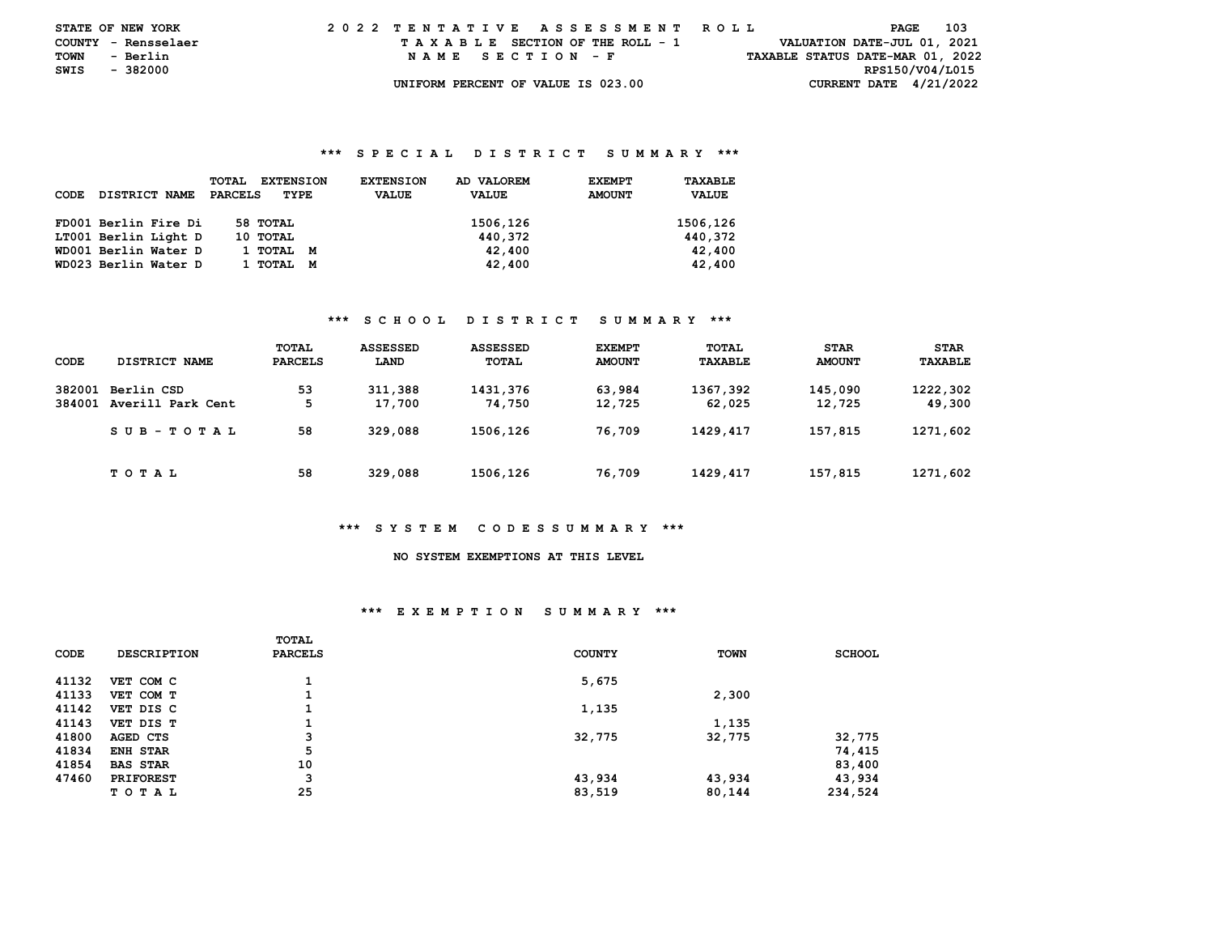| <b>STATE OF NEW YORK</b> |          |  |  |  |  | 2022 TENTATIVE ASSESSMENT ROLL     |  |  |  |  |  |                                  | PAGE            | - 103 |  |
|--------------------------|----------|--|--|--|--|------------------------------------|--|--|--|--|--|----------------------------------|-----------------|-------|--|
| COUNTY - Rensselaer      |          |  |  |  |  | TAXABLE SECTION OF THE ROLL - 1    |  |  |  |  |  | VALUATION DATE-JUL 01, 2021      |                 |       |  |
| TOWN                     | - Berlin |  |  |  |  | NAME SECTION - F                   |  |  |  |  |  | TAXABLE STATUS DATE-MAR 01, 2022 |                 |       |  |
| SWIS                     | - 382000 |  |  |  |  |                                    |  |  |  |  |  |                                  | RPS150/V04/L015 |       |  |
|                          |          |  |  |  |  | UNIFORM PERCENT OF VALUE IS 023.00 |  |  |  |  |  | CURRENT DATE $4/21/2022$         |                 |       |  |

### **\*\*\* S P E C I A L D I S T R I C T S U M M A R Y \*\*\***

| CODE | DISTRICT NAME        | <b>TOTAL</b><br><b>EXTENSION</b><br>PARCELS<br>TYPE | AD VALOREM<br><b>EXTENSION</b><br><b>VALUE</b><br><b>VALUE</b> | TAXABLE<br><b>EXEMPT</b><br><b>AMOUNT</b><br><b>VALUE</b> |
|------|----------------------|-----------------------------------------------------|----------------------------------------------------------------|-----------------------------------------------------------|
|      | FD001 Berlin Fire Di | 58 TOTAL                                            | 1506,126                                                       | 1506,126                                                  |
|      | LT001 Berlin Light D | 10 TOTAL                                            | 440,372                                                        | 440.372                                                   |
|      | WD001 Berlin Water D | 1 тотаг<br>M                                        | 42,400                                                         | 42,400                                                    |
|      | WD023 Berlin Water D | 1 тотаг<br>м                                        | 42,400                                                         | 42,400                                                    |

### **\*\*\* S C H O O L D I S T R I C T S U M M A R Y \*\*\***

| CODE             | DISTRICT NAME                   | TOTAL<br>PARCELS | <b>ASSESSED</b><br>LAND | <b>ASSESSED</b><br>TOTAL | <b>EXEMPT</b><br><b>AMOUNT</b> | TOTAL<br>TAXABLE   | <b>STAR</b><br><b>AMOUNT</b> | <b>STAR</b><br>TAXABLE |
|------------------|---------------------------------|------------------|-------------------------|--------------------------|--------------------------------|--------------------|------------------------------|------------------------|
| 382001<br>384001 | Berlin CSD<br>Averill Park Cent | 53<br>5          | 311,388<br>17,700       | 1431,376<br>74,750       | 63,984<br>12,725               | 1367,392<br>62,025 | 145,090<br>12,725            | 1222,302<br>49,300     |
|                  | SUB-TOTAL                       | 58               | 329,088                 | 1506,126                 | 76,709                         | 1429,417           | 157,815                      | 1271,602               |
|                  | TOTAL                           | 58               | 329,088                 | 1506,126                 | 76,709                         | 1429,417           | 157,815                      | 1271,602               |

### **\*\*\* S Y S T E M C O D E S S U M M A R Y \*\*\***

# **NO SYSTEM EXEMPTIONS AT THIS LEVEL**

### **\*\*\* E X E M P T I O N S U M M A R Y \*\*\***

|       |                    | TOTAL   |               |             |               |
|-------|--------------------|---------|---------------|-------------|---------------|
| CODE  | <b>DESCRIPTION</b> | PARCELS | <b>COUNTY</b> | <b>TOWN</b> | <b>SCHOOL</b> |
| 41132 | VET COM C          |         | 5,675         |             |               |
| 41133 | VET COM T          |         |               | 2,300       |               |
| 41142 | VET DIS C          |         | 1,135         |             |               |
| 41143 | VET DIS T          |         |               | 1,135       |               |
| 41800 | AGED CTS           | з       | 32,775        | 32,775      | 32,775        |
| 41834 | <b>ENH STAR</b>    | 5       |               |             | 74,415        |
| 41854 | <b>BAS STAR</b>    | 10      |               |             | 83,400        |
| 47460 | <b>PRIFOREST</b>   | з       | 43,934        | 43,934      | 43,934        |
|       | T O T A L          | 25      | 83,519        | 80,144      | 234,524       |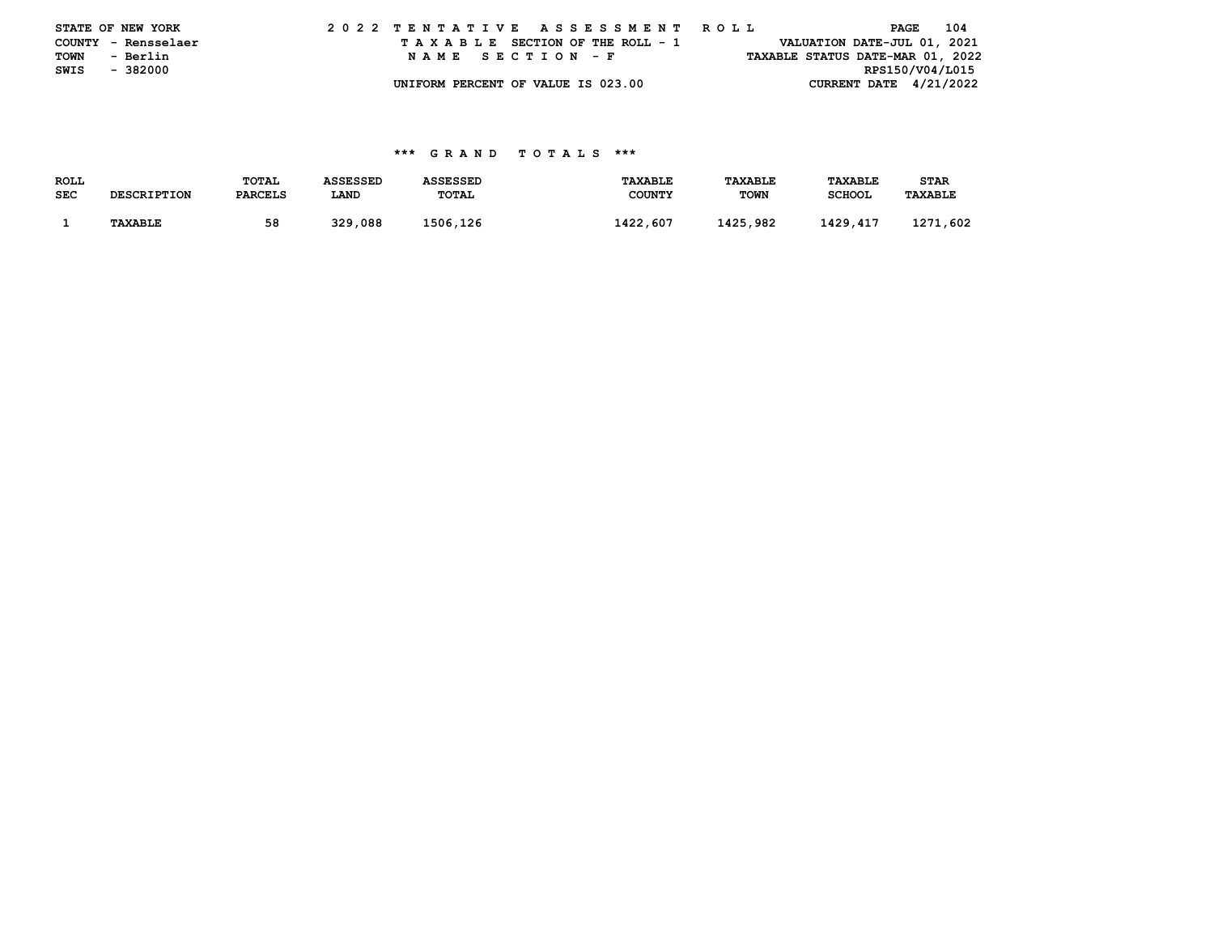|      | STATE OF NEW YORK   |  |  |  |  |  |                                    |  |  |  |  | 2022 TENTATIVE ASSESSMENT ROLL |  |  |                                  | PAGE            | 104 |
|------|---------------------|--|--|--|--|--|------------------------------------|--|--|--|--|--------------------------------|--|--|----------------------------------|-----------------|-----|
|      | COUNTY - Rensselaer |  |  |  |  |  | TAXABLE SECTION OF THE ROLL - 1    |  |  |  |  |                                |  |  | VALUATION DATE-JUL 01, 2021      |                 |     |
| TOWN | - Berlin            |  |  |  |  |  | NAME SECTION - F                   |  |  |  |  |                                |  |  | TAXABLE STATUS DATE-MAR 01, 2022 |                 |     |
| SWIS | - 382000            |  |  |  |  |  |                                    |  |  |  |  |                                |  |  |                                  | RPS150/V04/L015 |     |
|      |                     |  |  |  |  |  | UNIFORM PERCENT OF VALUE IS 023.00 |  |  |  |  |                                |  |  | CURRENT DATE $4/21/2022$         |                 |     |

### **\*\*\* G R A N D T O T A L S \*\*\***

| ROLL       |                    | TOTAL          | <b>ASSESSED</b> | <b>ASSESSED</b> | <b>TAXABLE</b> | TAXABLE     | <b>TAXABLE</b> | STAR           |
|------------|--------------------|----------------|-----------------|-----------------|----------------|-------------|----------------|----------------|
| <b>SEC</b> | <b>DESCRIPTION</b> | <b>PARCELS</b> | LAND            | <b>TOTAL</b>    | <b>COUNTY</b>  | <b>TOWN</b> | <b>SCHOOL</b>  | <b>TAXABLE</b> |
|            |                    |                |                 |                 |                |             |                |                |
|            | <b>TAXABLE</b>     | 58             | 329,088         | 1506,126        | 1422,607       | 1425,982    | 1429,417       | 1271,602       |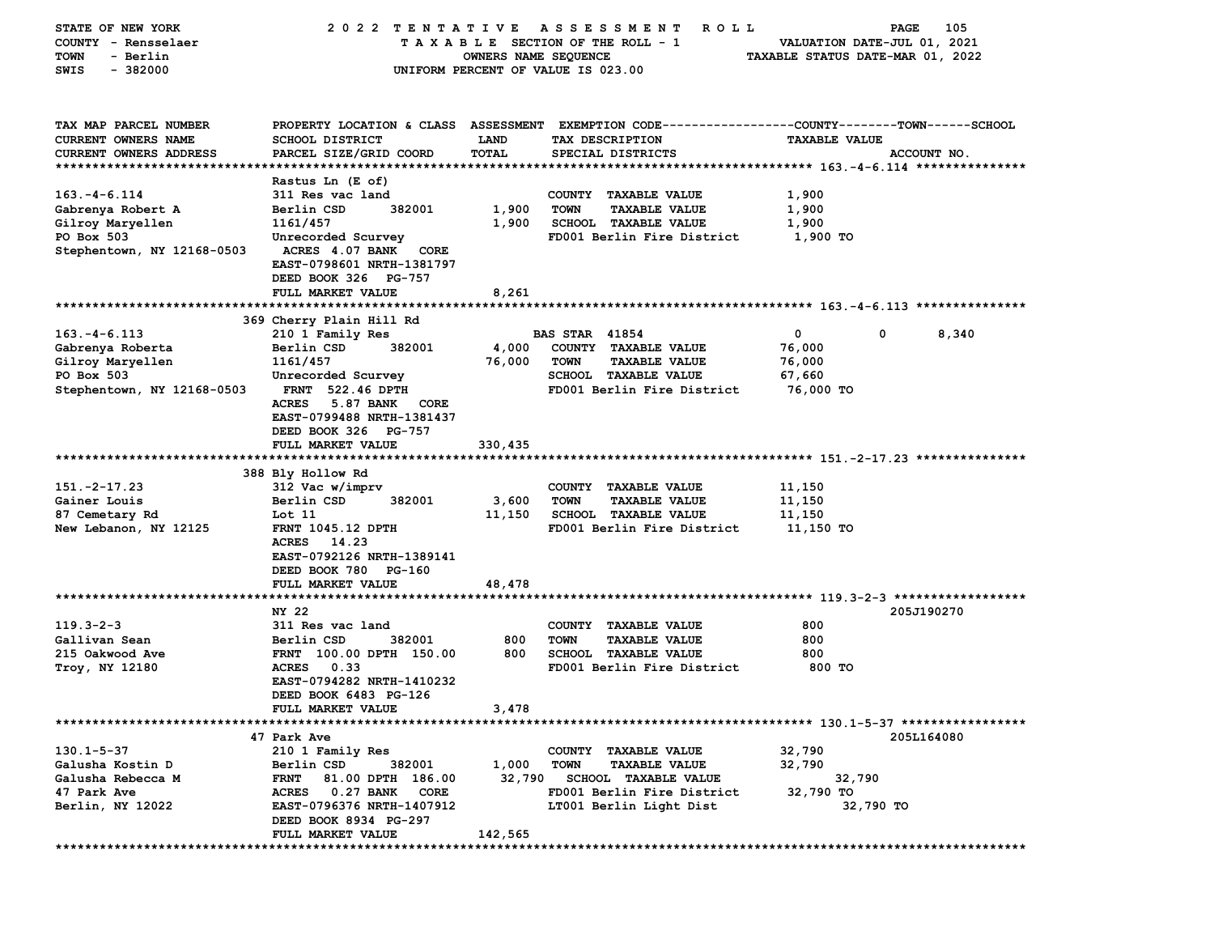| STATE OF NEW YORK             | 2022 TENTATIVE                                              |                      | A S S E S S M E N T<br>ROLL                                                                     |                                  | 105<br>PAGE |
|-------------------------------|-------------------------------------------------------------|----------------------|-------------------------------------------------------------------------------------------------|----------------------------------|-------------|
| COUNTY - Rensselaer           |                                                             |                      | TAXABLE SECTION OF THE ROLL - 1                                                                 | VALUATION DATE-JUL 01, 2021      |             |
| - Berlin<br><b>TOWN</b>       |                                                             | OWNERS NAME SEQUENCE |                                                                                                 | TAXABLE STATUS DATE-MAR 01, 2022 |             |
| $-382000$<br>SWIS             |                                                             |                      | UNIFORM PERCENT OF VALUE IS 023.00                                                              |                                  |             |
|                               |                                                             |                      |                                                                                                 |                                  |             |
| TAX MAP PARCEL NUMBER         |                                                             |                      | PROPERTY LOCATION & CLASS ASSESSMENT EXEMPTION CODE---------------COUNTY-------TOWN------SCHOOL |                                  |             |
| <b>CURRENT OWNERS NAME</b>    | SCHOOL DISTRICT                                             | <b>LAND</b>          | TAX DESCRIPTION                                                                                 | <b>TAXABLE VALUE</b>             |             |
| <b>CURRENT OWNERS ADDRESS</b> | PARCEL SIZE/GRID COORD                                      | TOTAL                | SPECIAL DISTRICTS                                                                               |                                  | ACCOUNT NO. |
|                               |                                                             |                      |                                                                                                 |                                  |             |
|                               | Rastus Ln (E of)                                            |                      |                                                                                                 |                                  |             |
| $163. -4 - 6.114$             | 311 Res vac land                                            |                      | COUNTY TAXABLE VALUE                                                                            | 1,900                            |             |
| Gabrenya Robert A             | Berlin CSD<br>382001                                        | 1,900                | <b>TOWN</b><br><b>TAXABLE VALUE</b>                                                             | 1,900                            |             |
| Gilroy Maryellen              | 1161/457                                                    | 1,900                | <b>SCHOOL TAXABLE VALUE</b>                                                                     | 1,900                            |             |
| PO Box 503                    |                                                             |                      | FD001 Berlin Fire District                                                                      | 1,900 TO                         |             |
|                               | Unrecorded Scurvey                                          |                      |                                                                                                 |                                  |             |
| Stephentown, NY 12168-0503    | <b>ACRES</b> 4.07 BANK<br>CORE<br>EAST-0798601 NRTH-1381797 |                      |                                                                                                 |                                  |             |
|                               | DEED BOOK 326 PG-757                                        |                      |                                                                                                 |                                  |             |
|                               | FULL MARKET VALUE                                           | 8,261                |                                                                                                 |                                  |             |
|                               |                                                             |                      |                                                                                                 |                                  |             |
|                               | 369 Cherry Plain Hill Rd                                    |                      |                                                                                                 |                                  |             |
| $163. - 4 - 6.113$            | 210 1 Family Res                                            |                      | <b>BAS STAR 41854</b>                                                                           | 0<br>0                           | 8,340       |
| Gabrenya Roberta              | Berlin CSD<br>382001                                        | 4,000                | COUNTY TAXABLE VALUE                                                                            | 76,000                           |             |
| Gilroy Maryellen              | 1161/457                                                    | 76,000               | <b>TOWN</b><br><b>TAXABLE VALUE</b>                                                             | 76,000                           |             |
| PO Box 503                    | Unrecorded Scurvey                                          |                      | <b>SCHOOL TAXABLE VALUE</b>                                                                     | 67,660                           |             |
| Stephentown, NY 12168-0503    | <b>FRNT</b> 522.46 DPTH                                     |                      | FD001 Berlin Fire District                                                                      | 76,000 TO                        |             |
|                               | <b>ACRES</b><br>5.87 BANK<br>CORE                           |                      |                                                                                                 |                                  |             |
|                               | EAST-0799488 NRTH-1381437                                   |                      |                                                                                                 |                                  |             |
|                               | DEED BOOK 326 PG-757                                        |                      |                                                                                                 |                                  |             |
|                               | FULL MARKET VALUE                                           | 330,435              |                                                                                                 |                                  |             |
|                               |                                                             |                      |                                                                                                 |                                  |             |
|                               | 388 Bly Hollow Rd                                           |                      |                                                                                                 |                                  |             |
| $151. -2 - 17.23$             | 312 Vac w/imprv                                             |                      | COUNTY TAXABLE VALUE                                                                            | 11,150                           |             |
| Gainer Louis                  | Berlin CSD<br>382001                                        | 3,600                | <b>TOWN</b><br><b>TAXABLE VALUE</b>                                                             | 11,150                           |             |
| 87 Cemetary Rd                | Lot 11                                                      | 11,150               | <b>SCHOOL TAXABLE VALUE</b>                                                                     | 11,150                           |             |
| New Lebanon, NY 12125         | <b>FRNT 1045.12 DPTH</b>                                    |                      | FD001 Berlin Fire District                                                                      | 11,150 TO                        |             |
|                               | 14.23<br><b>ACRES</b>                                       |                      |                                                                                                 |                                  |             |
|                               | EAST-0792126 NRTH-1389141                                   |                      |                                                                                                 |                                  |             |
|                               | DEED BOOK 780 PG-160                                        |                      |                                                                                                 |                                  |             |
|                               | FULL MARKET VALUE                                           | 48,478               |                                                                                                 |                                  |             |
|                               |                                                             |                      |                                                                                                 |                                  |             |
|                               | NY 22                                                       |                      |                                                                                                 |                                  | 205J190270  |
| $119.3 - 2 - 3$               | 311 Res vac land                                            |                      | COUNTY TAXABLE VALUE                                                                            | 800                              |             |
| Gallivan Sean                 | Berlin CSD<br>382001                                        | 800                  | <b>TOWN</b><br><b>TAXABLE VALUE</b>                                                             | 800                              |             |
| 215 Oakwood Ave               | FRNT 100.00 DPTH 150.00                                     | 800                  | <b>SCHOOL TAXABLE VALUE</b>                                                                     | 800                              |             |
| Troy, NY 12180                | <b>ACRES</b><br>0.33                                        |                      | FD001 Berlin Fire District                                                                      | 800 TO                           |             |
|                               | EAST-0794282 NRTH-1410232                                   |                      |                                                                                                 |                                  |             |
|                               | DEED BOOK 6483 PG-126                                       |                      |                                                                                                 |                                  |             |
|                               | FULL MARKET VALUE                                           | 3,478                |                                                                                                 |                                  |             |
|                               |                                                             |                      |                                                                                                 |                                  |             |
|                               | 47 Park Ave                                                 |                      |                                                                                                 |                                  | 205L164080  |
| $130.1 - 5 - 37$              | 210 1 Family Res                                            |                      | COUNTY TAXABLE VALUE                                                                            | 32,790                           |             |
| Galusha Kostin D              | Berlin CSD<br>382001                                        | 1,000                | <b>TOWN</b><br><b>TAXABLE VALUE</b>                                                             | 32,790                           |             |
| Galusha Rebecca M             | <b>FRNT</b><br>81.00 DPTH 186.00                            | 32,790               | <b>SCHOOL TAXABLE VALUE</b>                                                                     | 32,790                           |             |
| 47 Park Ave                   | ACRES 0.27 BANK<br>CORE                                     |                      | FD001 Berlin Fire District                                                                      | 32,790 TO                        |             |
| Berlin, NY 12022              | EAST-0796376 NRTH-1407912                                   |                      | LT001 Berlin Light Dist                                                                         | 32,790 TO                        |             |
|                               | DEED BOOK 8934 PG-297                                       |                      |                                                                                                 |                                  |             |
|                               | FULL MARKET VALUE                                           | 142,565              |                                                                                                 |                                  |             |
|                               |                                                             |                      |                                                                                                 |                                  |             |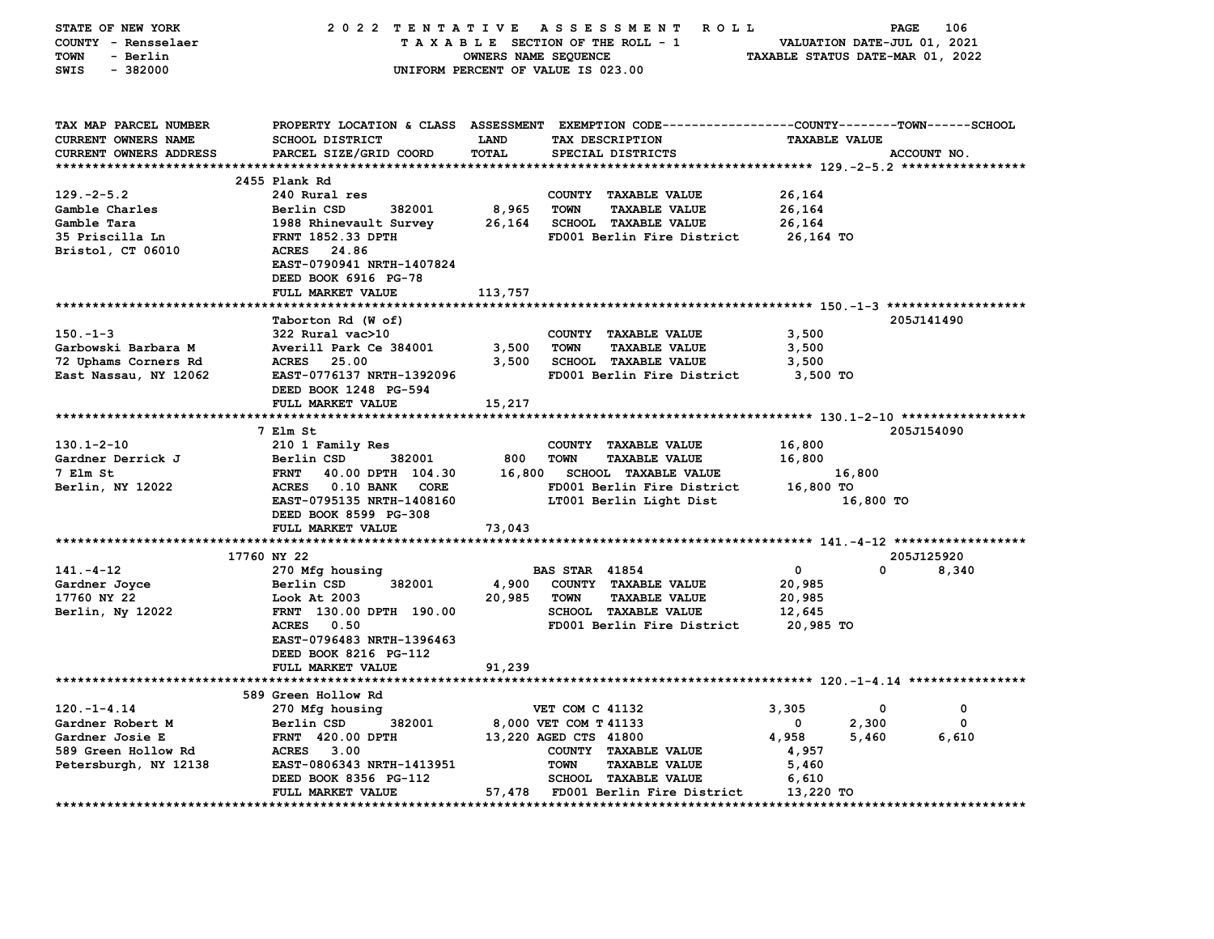| STATE OF NEW YORK      | 2022 TENTATIVE                   |                      | ASSESSMENT ROLL                                                                                 |                                     | PAGE<br>106            |
|------------------------|----------------------------------|----------------------|-------------------------------------------------------------------------------------------------|-------------------------------------|------------------------|
| COUNTY - Rensselaer    |                                  |                      | TAXABLE SECTION OF THE ROLL - 1                                                                 | VALUATION DATE-JUL 01, 2021         |                        |
| TOWN<br>- Berlin       |                                  | OWNERS NAME SEQUENCE |                                                                                                 | TAXABLE STATUS DATE-MAR 01, 2022    |                        |
| SWIS<br>$-382000$      |                                  |                      | UNIFORM PERCENT OF VALUE IS 023.00                                                              |                                     |                        |
|                        |                                  |                      |                                                                                                 |                                     |                        |
|                        |                                  |                      |                                                                                                 |                                     |                        |
| TAX MAP PARCEL NUMBER  |                                  |                      | PROPERTY LOCATION & CLASS ASSESSMENT EXEMPTION CODE---------------COUNTY-------TOWN------SCHOOL |                                     |                        |
| CURRENT OWNERS NAME    | SCHOOL DISTRICT                  | <b>LAND</b>          | TAX DESCRIPTION                                                                                 | <b>TAXABLE VALUE</b>                |                        |
| CURRENT OWNERS ADDRESS |                                  | TOTAL                | SPECIAL DISTRICTS                                                                               |                                     | ACCOUNT NO.            |
|                        | PARCEL SIZE/GRID COORD           |                      |                                                                                                 |                                     |                        |
|                        | 2455 Plank Rd                    |                      |                                                                                                 |                                     |                        |
| $129. - 2 - 5.2$       | 240 Rural res                    |                      | COUNTY TAXABLE VALUE                                                                            | 26,164                              |                        |
| Gamble Charles         | Berlin CSD<br>382001             | 8,965                | TOWN<br><b>TAXABLE VALUE</b>                                                                    | 26,164                              |                        |
| Gamble Tara            | 1988 Rhinevault Survey           | 26,164               | <b>SCHOOL TAXABLE VALUE</b>                                                                     | 26,164                              |                        |
| 35 Priscilla Ln        | <b>FRNT 1852.33 DPTH</b>         |                      | FD001 Berlin Fire District                                                                      | 26,164 TO                           |                        |
| Bristol, CT 06010      | ACRES 24.86                      |                      |                                                                                                 |                                     |                        |
|                        | EAST-0790941 NRTH-1407824        |                      |                                                                                                 |                                     |                        |
|                        | DEED BOOK 6916 PG-78             |                      |                                                                                                 |                                     |                        |
|                        |                                  |                      |                                                                                                 |                                     |                        |
|                        | FULL MARKET VALUE                | 113,757              |                                                                                                 |                                     |                        |
|                        |                                  |                      |                                                                                                 |                                     | 205J141490             |
|                        | Taborton Rd (W of)               |                      |                                                                                                 |                                     |                        |
| $150. - 1 - 3$         | $322$ Rural vac $>10$            |                      | COUNTY TAXABLE VALUE                                                                            | 3,500                               |                        |
| Garbowski Barbara M    | Averill Park Ce 384001           | 3,500                | TOWN<br><b>TAXABLE VALUE</b>                                                                    | 3,500                               |                        |
| 72 Uphams Corners Rd   | ACRES 25.00                      |                      | 3,500 SCHOOL TAXABLE VALUE                                                                      | 3,500                               |                        |
| East Nassau, NY 12062  | EAST-0776137 NRTH-1392096        |                      | FD001 Berlin Fire District                                                                      | 3,500 TO                            |                        |
|                        | DEED BOOK 1248 PG-594            |                      |                                                                                                 |                                     |                        |
|                        | FULL MARKET VALUE                | 15,217               |                                                                                                 |                                     |                        |
|                        |                                  |                      |                                                                                                 |                                     |                        |
|                        | 7 Elm St                         |                      |                                                                                                 |                                     | 205J154090             |
| $130.1 - 2 - 10$       | 210 1 Family Res                 |                      | COUNTY TAXABLE VALUE                                                                            | 16,800                              |                        |
| Gardner Derrick J      | Berlin CSD<br>382001             | 800                  | <b>TOWN</b><br><b>TAXABLE VALUE</b>                                                             | 16,800                              |                        |
| 7 Elm St               | <b>FRNT</b><br>40.00 DPTH 104.30 | 16,800               | <b>SCHOOL TAXABLE VALUE</b>                                                                     | 16,800                              |                        |
| Berlin, NY 12022       | ACRES 0.10 BANK<br>CORE          |                      | FD001 Berlin Fire District                                                                      | 16,800 TO                           |                        |
|                        | EAST-0795135 NRTH-1408160        |                      | LT001 Berlin Light Dist                                                                         | 16,800 TO                           |                        |
|                        | DEED BOOK 8599 PG-308            |                      |                                                                                                 |                                     |                        |
|                        | FULL MARKET VALUE                | 73,043               |                                                                                                 |                                     |                        |
|                        |                                  |                      |                                                                                                 |                                     | 205J125920             |
| $141. - 4 - 12$        | 17760 NY 22                      |                      | <b>BAS STAR 41854</b>                                                                           | $\overline{\mathbf{0}}$<br>$\Omega$ | 8,340                  |
|                        | 270 Mfg housing<br>382001        | 4,900                |                                                                                                 |                                     |                        |
| Gardner Joyce          | Berlin CSD<br>Look At 2003       |                      | COUNTY TAXABLE VALUE<br>TOWN<br><b>TAXABLE VALUE</b>                                            | 20,985                              |                        |
| 17760 NY 22            |                                  | 20,985               |                                                                                                 | 20,985                              |                        |
| Berlin, Ny 12022       | FRNT 130.00 DPTH 190.00          |                      | <b>SCHOOL TAXABLE VALUE</b>                                                                     | 12,645                              |                        |
|                        | <b>ACRES</b> 0.50                |                      | FD001 Berlin Fire District                                                                      | 20,985 TO                           |                        |
|                        | EAST-0796483 NRTH-1396463        |                      |                                                                                                 |                                     |                        |
|                        | DEED BOOK 8216 PG-112            |                      |                                                                                                 |                                     |                        |
|                        | FULL MARKET VALUE                | 91,239               |                                                                                                 |                                     |                        |
|                        |                                  |                      |                                                                                                 |                                     |                        |
|                        | 589 Green Hollow Rd              |                      |                                                                                                 |                                     |                        |
| $120. -1 - 4.14$       | 270 Mfg housing                  |                      | VET COM C 41132                                                                                 | 3,305<br>$\mathbf 0$                | 0                      |
| Gardner Robert M       | 382001<br>Berlin CSD             |                      | 8,000 VET COM T 41133                                                                           | 2,300<br>$^{\circ}$                 | 0                      |
| Gardner Josie E        | <b>FRNT 420.00 DPTH</b>          |                      | 13,220 AGED CTS 41800                                                                           | 4,958<br>5,460                      | 6,610                  |
| 589 Green Hollow Rd    | <b>ACRES</b> 3.00                |                      | COUNTY TAXABLE VALUE                                                                            | 4,957                               |                        |
| Petersburgh, NY 12138  | EAST-0806343 NRTH-1413951        |                      | <b>TOWN</b><br><b>TAXABLE VALUE</b>                                                             | 5,460                               |                        |
|                        | DEED BOOK 8356 PG-112            |                      | <b>SCHOOL TAXABLE VALUE</b>                                                                     | 6,610                               |                        |
|                        | <b>FULL MARKET VALUE</b>         |                      | 57,478 FD001 Berlin Fire District                                                               | 13,220 TO                           | ********************** |
|                        |                                  |                      |                                                                                                 |                                     |                        |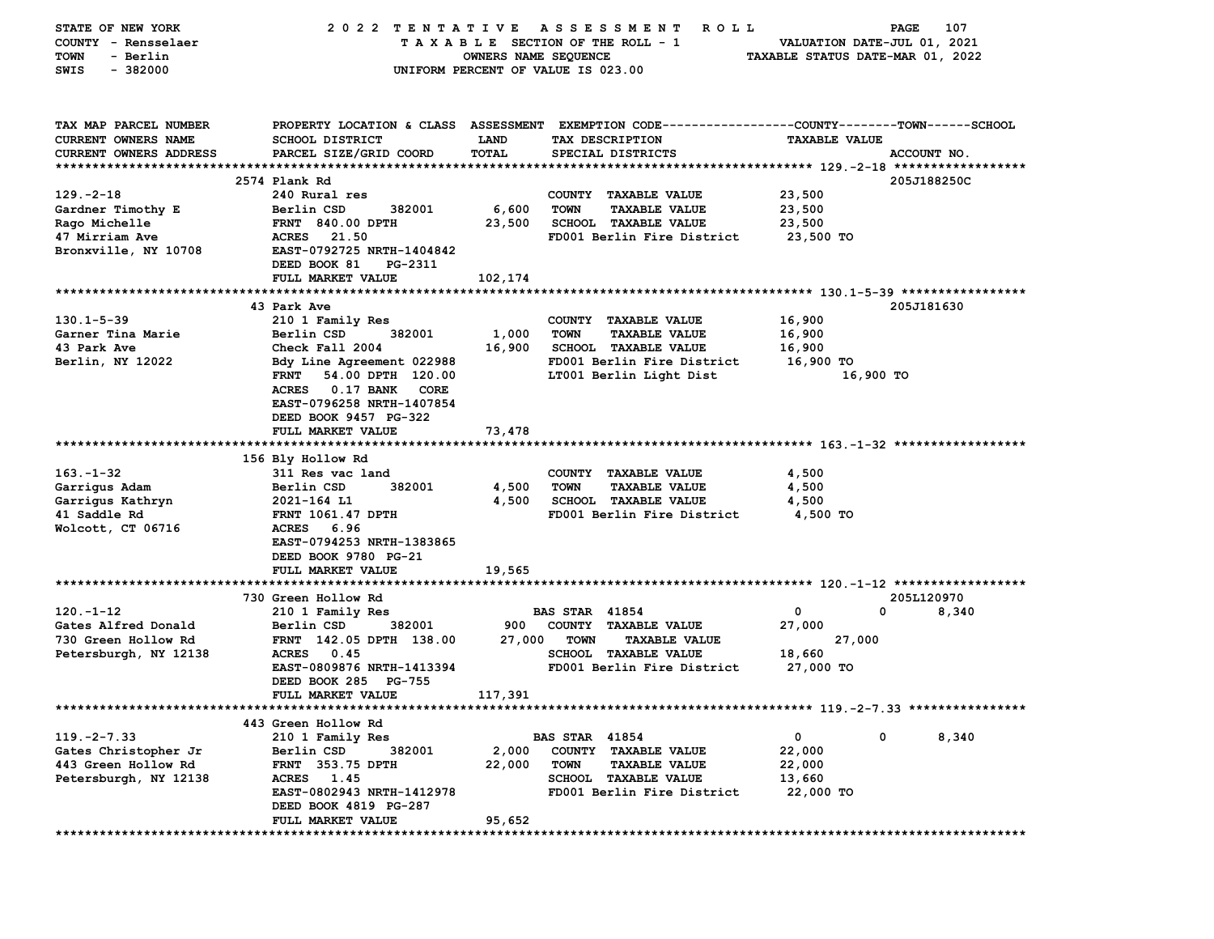| STATE OF NEW YORK<br>COUNTY - Rensselaer | 2022 TENTATIVE                             |                      | A S S E S S M E N T<br><b>ROLL</b><br>TAXABLE SECTION OF THE ROLL - 1                           | VALUATION DATE-JUL 01, 2021      | 107<br>PAGE |
|------------------------------------------|--------------------------------------------|----------------------|-------------------------------------------------------------------------------------------------|----------------------------------|-------------|
| - Berlin<br>TOWN                         |                                            | OWNERS NAME SEQUENCE |                                                                                                 | TAXABLE STATUS DATE-MAR 01, 2022 |             |
| SWIS<br>$-382000$                        |                                            |                      | UNIFORM PERCENT OF VALUE IS 023.00                                                              |                                  |             |
|                                          |                                            |                      |                                                                                                 |                                  |             |
| TAX MAP PARCEL NUMBER                    |                                            |                      | PROPERTY LOCATION & CLASS ASSESSMENT EXEMPTION CODE---------------COUNTY-------TOWN------SCHOOL |                                  |             |
| CURRENT OWNERS NAME                      | <b>SCHOOL DISTRICT</b>                     | <b>LAND</b>          | TAX DESCRIPTION                                                                                 | <b>TAXABLE VALUE</b>             |             |
| CURRENT OWNERS ADDRESS                   | PARCEL SIZE/GRID COORD                     | TOTAL                | SPECIAL DISTRICTS                                                                               |                                  | ACCOUNT NO. |
|                                          | 2574 Plank Rd                              |                      |                                                                                                 |                                  |             |
| $129. -2 - 18$                           | 240 Rural res                              |                      | COUNTY TAXABLE VALUE                                                                            | 23,500                           | 205J188250C |
| Gardner Timothy E                        | Berlin CSD<br>382001                       | 6,600                | <b>TOWN</b><br><b>TAXABLE VALUE</b>                                                             | 23,500                           |             |
| Rago Michelle                            | <b>FRNT 840.00 DPTH</b>                    | 23,500               | <b>SCHOOL TAXABLE VALUE</b>                                                                     | 23,500                           |             |
| 47 Mirriam Ave                           | ACRES 21.50                                |                      | FD001 Berlin Fire District                                                                      | 23,500 TO                        |             |
| Bronxville, NY 10708                     | EAST-0792725 NRTH-1404842                  |                      |                                                                                                 |                                  |             |
|                                          | DEED BOOK 81<br>PG-2311                    |                      |                                                                                                 |                                  |             |
|                                          | FULL MARKET VALUE                          | 102,174              |                                                                                                 |                                  |             |
|                                          |                                            |                      |                                                                                                 |                                  |             |
|                                          | 43 Park Ave                                |                      |                                                                                                 |                                  | 205J181630  |
| $130.1 - 5 - 39$                         | 210 1 Family Res                           |                      | COUNTY TAXABLE VALUE                                                                            | 16,900                           |             |
| Garner Tina Marie                        | Berlin CSD<br>382001                       | 1,000                | <b>TOWN</b><br><b>TAXABLE VALUE</b>                                                             | 16,900                           |             |
| 43 Park Ave                              | Check Fall 2004                            | 16,900               | SCHOOL TAXABLE VALUE                                                                            | 16,900                           |             |
| Berlin, NY 12022                         | Bdy Line Agreement 022988                  |                      | FD001 Berlin Fire District                                                                      | 16,900 TO                        |             |
|                                          | 54.00 DPTH 120.00<br><b>FRNT</b>           |                      | LT001 Berlin Light Dist                                                                         | 16,900 TO                        |             |
|                                          | ACRES 0.17 BANK CORE                       |                      |                                                                                                 |                                  |             |
|                                          | EAST-0796258 NRTH-1407854                  |                      |                                                                                                 |                                  |             |
|                                          | DEED BOOK 9457 PG-322<br>FULL MARKET VALUE | 73,478               |                                                                                                 |                                  |             |
|                                          |                                            |                      |                                                                                                 |                                  |             |
|                                          | 156 Bly Hollow Rd                          |                      |                                                                                                 |                                  |             |
| $163 - 1 - 32$                           | 311 Res vac land                           |                      | COUNTY TAXABLE VALUE                                                                            | 4,500                            |             |
| Garrigus Adam                            | Berlin CSD<br>382001                       | 4,500                | <b>TOWN</b><br><b>TAXABLE VALUE</b>                                                             | 4,500                            |             |
| Garrigus Kathryn                         | 2021-164 L1                                | 4,500                | <b>SCHOOL TAXABLE VALUE</b>                                                                     | 4,500                            |             |
| 41 Saddle Rd                             | <b>FRNT 1061.47 DPTH</b>                   |                      | FD001 Berlin Fire District                                                                      | 4,500 TO                         |             |
| Wolcott, CT 06716                        | ACRES 6.96                                 |                      |                                                                                                 |                                  |             |
|                                          | EAST-0794253 NRTH-1383865                  |                      |                                                                                                 |                                  |             |
|                                          | DEED BOOK 9780 PG-21                       |                      |                                                                                                 |                                  |             |
|                                          | FULL MARKET VALUE                          | 19,565               |                                                                                                 |                                  |             |
|                                          |                                            |                      |                                                                                                 |                                  | 205L120970  |
| $120. - 1 - 12$                          | 730 Green Hollow Rd                        |                      | <b>BAS STAR 41854</b>                                                                           | 0<br>0                           | 8,340       |
| Gates Alfred Donald                      | 210 1 Family Res<br>382001<br>Berlin CSD   | 900                  | COUNTY TAXABLE VALUE                                                                            | 27,000                           |             |
| 730 Green Hollow Rd                      | FRNT 142.05 DPTH 138.00                    | 27,000               | <b>TOWN</b><br><b>TAXABLE VALUE</b>                                                             | 27,000                           |             |
| Petersburgh, NY 12138                    | <b>ACRES</b><br>0.45                       |                      | <b>SCHOOL TAXABLE VALUE</b>                                                                     | 18,660                           |             |
|                                          | EAST-0809876 NRTH-1413394                  |                      | FD001 Berlin Fire District                                                                      | 27,000 TO                        |             |
|                                          | DEED BOOK 285 PG-755                       |                      |                                                                                                 |                                  |             |
|                                          | <b>FULL MARKET VALUE</b>                   | 117,391              |                                                                                                 |                                  |             |
|                                          |                                            |                      |                                                                                                 |                                  |             |
|                                          | 443 Green Hollow Rd                        |                      |                                                                                                 |                                  |             |
| $119. -2 - 7.33$                         | 210 1 Family Res                           |                      | <b>BAS STAR 41854</b>                                                                           | 0<br>0                           | 8,340       |
| Gates Christopher Jr                     | Berlin CSD<br>382001                       | 2,000                | <b>COUNTY</b><br><b>TAXABLE VALUE</b>                                                           | 22,000                           |             |
| 443 Green Hollow Rd                      | FRNT 353.75 DPTH                           | 22,000               | <b>TOWN</b><br><b>TAXABLE VALUE</b>                                                             | 22,000                           |             |
| Petersburgh, NY 12138                    | <b>ACRES</b><br>1.45                       |                      | <b>SCHOOL</b><br><b>TAXABLE VALUE</b>                                                           | 13,660                           |             |
|                                          | EAST-0802943 NRTH-1412978                  |                      | FD001 Berlin Fire District                                                                      | 22,000 TO                        |             |
|                                          | DEED BOOK 4819 PG-287                      |                      |                                                                                                 |                                  |             |
|                                          | FULL MARKET VALUE                          | 95,652               |                                                                                                 |                                  |             |
| **************                           |                                            |                      |                                                                                                 |                                  |             |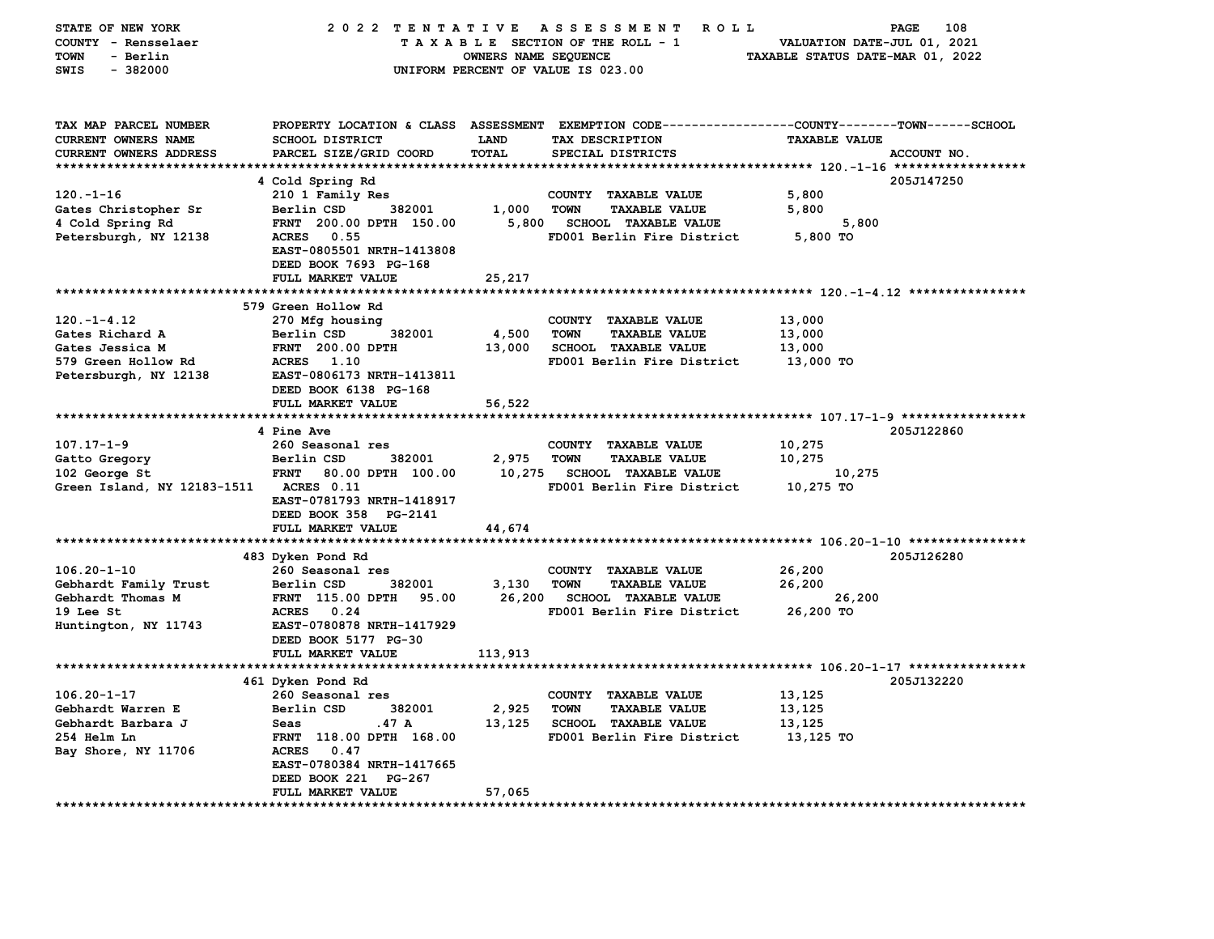| STATE OF NEW YORK             | 2022 TENTATIVE                       |                      | A S S E S S M E N T<br><b>ROLL</b>                           |                                  | 108<br>PAGE |
|-------------------------------|--------------------------------------|----------------------|--------------------------------------------------------------|----------------------------------|-------------|
| COUNTY - Rensselaer           |                                      |                      | TAXABLE SECTION OF THE ROLL - 1                              | VALUATION DATE-JUL 01, 2021      |             |
| <b>TOWN</b><br>- Berlin       |                                      | OWNERS NAME SEQUENCE |                                                              | TAXABLE STATUS DATE-MAR 01, 2022 |             |
| $-382000$<br>SWIS             |                                      |                      | UNIFORM PERCENT OF VALUE IS 023.00                           |                                  |             |
|                               |                                      |                      |                                                              |                                  |             |
|                               |                                      |                      |                                                              |                                  |             |
|                               |                                      |                      |                                                              |                                  |             |
| TAX MAP PARCEL NUMBER         | PROPERTY LOCATION & CLASS ASSESSMENT |                      | EXEMPTION CODE-----------------COUNTY-------TOWN------SCHOOL |                                  |             |
| <b>CURRENT OWNERS NAME</b>    | <b>SCHOOL DISTRICT</b>               | <b>LAND</b>          | TAX DESCRIPTION                                              | <b>TAXABLE VALUE</b>             |             |
| <b>CURRENT OWNERS ADDRESS</b> | PARCEL SIZE/GRID COORD               | TOTAL                | SPECIAL DISTRICTS                                            |                                  | ACCOUNT NO. |
| ************************      |                                      |                      |                                                              |                                  |             |
|                               | 4 Cold Spring Rd                     |                      |                                                              |                                  | 205J147250  |
| $120. - 1 - 16$               | 210 1 Family Res                     |                      | COUNTY TAXABLE VALUE                                         | 5,800                            |             |
| Gates Christopher Sr          | Berlin CSD<br>382001                 | 1,000                | <b>TOWN</b><br><b>TAXABLE VALUE</b>                          | 5,800                            |             |
| 4 Cold Spring Rd              | FRNT 200.00 DPTH 150.00              | 5,800                | <b>SCHOOL TAXABLE VALUE</b>                                  | 5,800                            |             |
| Petersburgh, NY 12138         | <b>ACRES</b><br>0.55                 |                      | FD001 Berlin Fire District                                   | 5,800 TO                         |             |
|                               | EAST-0805501 NRTH-1413808            |                      |                                                              |                                  |             |
|                               | DEED BOOK 7693 PG-168                |                      |                                                              |                                  |             |
|                               |                                      |                      |                                                              |                                  |             |
|                               | FULL MARKET VALUE                    | 25,217               |                                                              |                                  |             |
|                               |                                      |                      |                                                              |                                  |             |
|                               | 579 Green Hollow Rd                  |                      |                                                              |                                  |             |
| $120. - 1 - 4.12$             | 270 Mfg housing                      |                      | COUNTY TAXABLE VALUE                                         | 13,000                           |             |
| Gates Richard A               | Berlin CSD<br>382001                 | 4,500                | <b>TOWN</b><br><b>TAXABLE VALUE</b>                          | 13,000                           |             |
| Gates Jessica M               | <b>FRNT</b> 200.00 DPTH              | 13,000               | SCHOOL TAXABLE VALUE                                         | 13,000                           |             |
| 579 Green Hollow Rd           | ACRES 1.10                           |                      | FD001 Berlin Fire District                                   | 13,000 TO                        |             |
| Petersburgh, NY 12138         | EAST-0806173 NRTH-1413811            |                      |                                                              |                                  |             |
|                               | DEED BOOK 6138 PG-168                |                      |                                                              |                                  |             |
|                               | FULL MARKET VALUE                    | 56,522               |                                                              |                                  |             |
|                               |                                      |                      |                                                              |                                  |             |
|                               | 4 Pine Ave                           |                      |                                                              |                                  | 205J122860  |
| $107.17 - 1 - 9$              | 260 Seasonal res                     |                      | COUNTY TAXABLE VALUE                                         | 10,275                           |             |
| Gatto Gregory                 | Berlin CSD<br>382001                 | 2,975                | <b>TOWN</b><br><b>TAXABLE VALUE</b>                          | 10,275                           |             |
| 102 George St                 | <b>FRNT</b><br>80.00 DPTH 100.00     | 10,275               | <b>SCHOOL TAXABLE VALUE</b>                                  | 10,275                           |             |
| Green Island, NY 12183-1511   | ACRES 0.11                           |                      | FD001 Berlin Fire District                                   | 10,275 TO                        |             |
|                               | EAST-0781793 NRTH-1418917            |                      |                                                              |                                  |             |
|                               | DEED BOOK 358 PG-2141                |                      |                                                              |                                  |             |
|                               | FULL MARKET VALUE                    | 44,674               |                                                              |                                  |             |
| ****************************  | ********************                 |                      |                                                              |                                  |             |
|                               |                                      |                      |                                                              |                                  |             |
|                               | 483 Dyken Pond Rd                    |                      |                                                              |                                  | 205J126280  |
| $106.20 - 1 - 10$             | 260 Seasonal res                     |                      | COUNTY TAXABLE VALUE                                         | 26,200                           |             |
| Gebhardt Family Trust         | Berlin CSD<br>382001                 | 3,130                | <b>TOWN</b><br><b>TAXABLE VALUE</b>                          | 26,200                           |             |
| Gebhardt Thomas M             | 95.00<br><b>FRNT</b> 115.00 DPTH     | 26,200               | <b>SCHOOL TAXABLE VALUE</b>                                  | 26,200                           |             |
| 19 Lee St                     | <b>ACRES</b><br>0.24                 |                      | FD001 Berlin Fire District                                   | 26,200 TO                        |             |
| Huntington, NY 11743          | EAST-0780878 NRTH-1417929            |                      |                                                              |                                  |             |
|                               | DEED BOOK 5177 PG-30                 |                      |                                                              |                                  |             |
|                               | FULL MARKET VALUE                    | 113,913              |                                                              |                                  |             |
|                               |                                      |                      |                                                              |                                  |             |
|                               | 461 Dyken Pond Rd                    |                      |                                                              |                                  | 205J132220  |
| $106.20 - 1 - 17$             | 260 Seasonal res                     |                      | COUNTY TAXABLE VALUE                                         | 13,125                           |             |
| Gebhardt Warren E             | 382001<br>Berlin CSD                 | 2,925                | <b>TOWN</b><br><b>TAXABLE VALUE</b>                          | 13,125                           |             |
| Gebhardt Barbara J            | .47 A<br>Seas                        | 13,125               | <b>SCHOOL TAXABLE VALUE</b>                                  | 13,125                           |             |
| 254 Helm Ln                   | FRNT 118.00 DPTH 168.00              |                      | FD001 Berlin Fire District                                   | 13,125 TO                        |             |
| Bay Shore, NY 11706           | <b>ACRES</b><br>0.47                 |                      |                                                              |                                  |             |
|                               | EAST-0780384 NRTH-1417665            |                      |                                                              |                                  |             |
|                               | DEED BOOK 221 PG-267                 |                      |                                                              |                                  |             |
|                               | FULL MARKET VALUE                    | 57,065               |                                                              |                                  |             |
|                               |                                      |                      |                                                              |                                  |             |
|                               |                                      |                      |                                                              |                                  |             |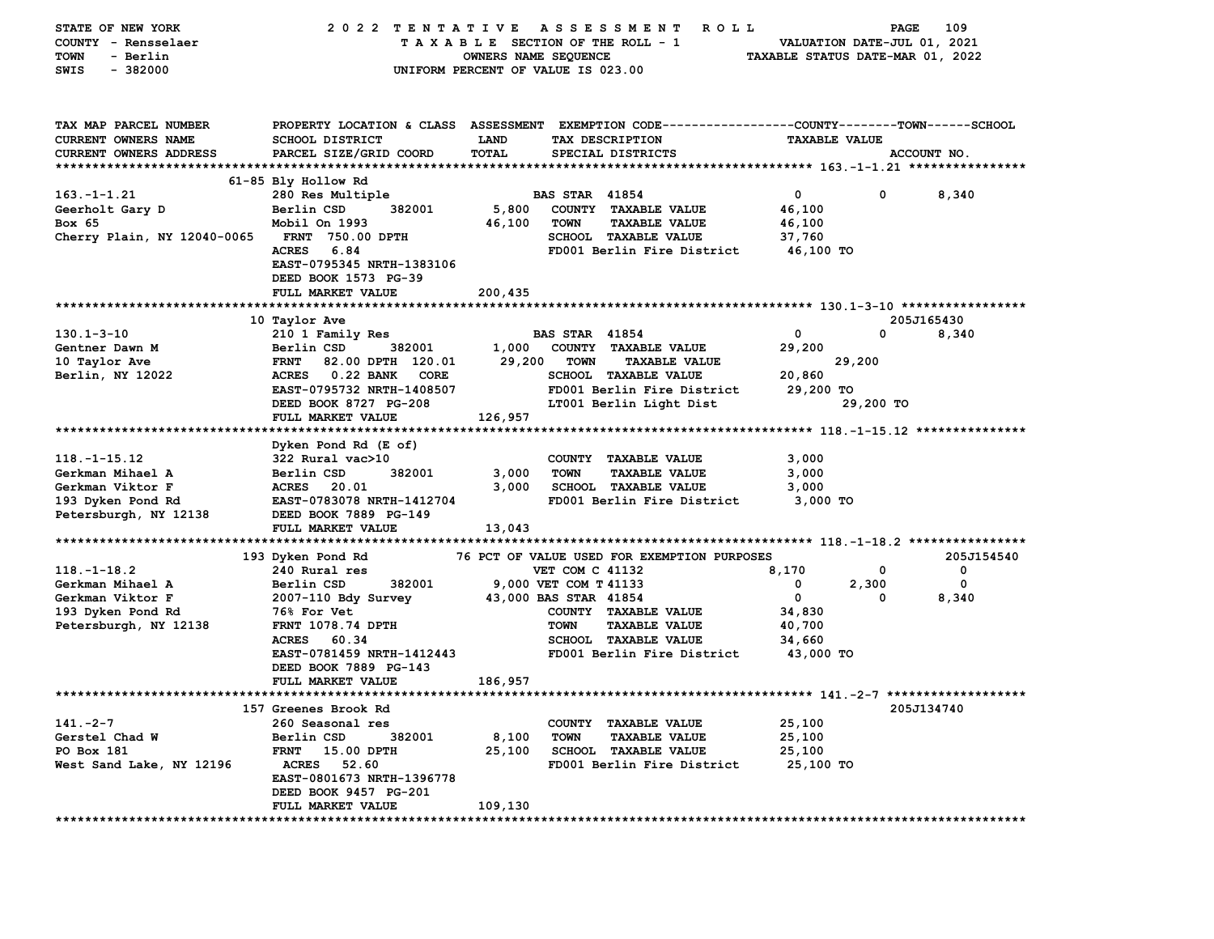| STATE OF NEW YORK             | 2022 TENTATIVE                      |                      | A S S E S S M E N T<br><b>ROLL</b>                                                               |                                  | PAGE        | 109         |
|-------------------------------|-------------------------------------|----------------------|--------------------------------------------------------------------------------------------------|----------------------------------|-------------|-------------|
| COUNTY - Rensselaer           |                                     |                      | TAXABLE SECTION OF THE ROLL - 1                                                                  | VALUATION DATE-JUL 01, 2021      |             |             |
| TOWN<br>- Berlin              |                                     | OWNERS NAME SEQUENCE |                                                                                                  | TAXABLE STATUS DATE-MAR 01, 2022 |             |             |
| $-382000$<br>SWIS             |                                     |                      | UNIFORM PERCENT OF VALUE IS 023.00                                                               |                                  |             |             |
|                               |                                     |                      |                                                                                                  |                                  |             |             |
|                               |                                     |                      |                                                                                                  |                                  |             |             |
|                               |                                     |                      |                                                                                                  |                                  |             |             |
| TAX MAP PARCEL NUMBER         |                                     |                      | PROPERTY LOCATION & CLASS ASSESSMENT EXEMPTION CODE----------------COUNTY-------TOWN------SCHOOL |                                  |             |             |
| <b>CURRENT OWNERS NAME</b>    | <b>SCHOOL DISTRICT</b>              | LAND                 | TAX DESCRIPTION                                                                                  | <b>TAXABLE VALUE</b>             |             |             |
| <b>CURRENT OWNERS ADDRESS</b> | PARCEL SIZE/GRID COORD              | TOTAL                | SPECIAL DISTRICTS                                                                                |                                  | ACCOUNT NO. |             |
|                               |                                     |                      |                                                                                                  |                                  |             |             |
|                               | 61-85 Bly Hollow Rd                 |                      |                                                                                                  |                                  |             |             |
| $163. - 1 - 1.21$             | 280 Res Multiple                    |                      | <b>BAS STAR 41854</b>                                                                            | $\mathbf{o}$                     | 0           | 8,340       |
| Geerholt Gary D               | Berlin CSD<br>382001                | 5,800                | COUNTY TAXABLE VALUE                                                                             | 46,100                           |             |             |
| Box 65                        | Mobil On 1993                       | 46,100               | <b>TOWN</b><br><b>TAXABLE VALUE</b>                                                              | 46,100                           |             |             |
| Cherry Plain, NY 12040-0065   | <b>FRNT 750.00 DPTH</b>             |                      | SCHOOL TAXABLE VALUE                                                                             | 37,760                           |             |             |
|                               | <b>ACRES</b><br>6.84                |                      | FD001 Berlin Fire District                                                                       | 46,100 TO                        |             |             |
|                               | EAST-0795345 NRTH-1383106           |                      |                                                                                                  |                                  |             |             |
|                               | DEED BOOK 1573 PG-39                |                      |                                                                                                  |                                  |             |             |
|                               | FULL MARKET VALUE                   | 200,435              |                                                                                                  |                                  |             |             |
|                               |                                     |                      |                                                                                                  |                                  |             |             |
|                               | 10 Taylor Ave                       |                      |                                                                                                  |                                  | 205J165430  |             |
| $130.1 - 3 - 10$              | 210 1 Family Res                    |                      | <b>BAS STAR 41854</b>                                                                            | $\mathbf{0}$                     | 0           | 8,340       |
| Gentner Dawn M                | Berlin CSD<br>382001                | 1,000                | COUNTY TAXABLE VALUE                                                                             | 29,200                           |             |             |
| 10 Taylor Ave                 | 82.00 DPTH 120.01<br><b>FRNT</b>    | 29,200               | <b>TAXABLE VALUE</b><br><b>TOWN</b>                                                              | 29,200                           |             |             |
| Berlin, NY 12022              | <b>ACRES</b><br>$0.22$ BANK<br>CORE |                      | SCHOOL TAXABLE VALUE                                                                             | 20,860                           |             |             |
|                               | EAST-0795732 NRTH-1408507           |                      | FD001 Berlin Fire District                                                                       | 29,200 TO                        |             |             |
|                               | DEED BOOK 8727 PG-208               |                      | LT001 Berlin Light Dist                                                                          |                                  | 29,200 TO   |             |
|                               | FULL MARKET VALUE                   | 126,957              |                                                                                                  |                                  |             |             |
|                               |                                     |                      |                                                                                                  |                                  |             |             |
|                               | Dyken Pond Rd (E of)                |                      |                                                                                                  |                                  |             |             |
| $118.-1-15.12$                | 322 Rural vac>10                    |                      | COUNTY TAXABLE VALUE                                                                             | 3,000                            |             |             |
| Gerkman Mihael A              | Berlin CSD<br>382001                | 3,000                | <b>TOWN</b><br><b>TAXABLE VALUE</b>                                                              | 3,000                            |             |             |
| Gerkman Viktor F              | ACRES 20.01                         | 3,000                | <b>SCHOOL TAXABLE VALUE</b>                                                                      | 3,000                            |             |             |
| 193 Dyken Pond Rd             | EAST-0783078 NRTH-1412704           |                      | FD001 Berlin Fire District                                                                       | 3,000 TO                         |             |             |
| Petersburgh, NY 12138         | DEED BOOK 7889 PG-149               |                      |                                                                                                  |                                  |             |             |
|                               | FULL MARKET VALUE                   | 13,043               |                                                                                                  |                                  |             |             |
|                               |                                     |                      |                                                                                                  |                                  |             |             |
|                               | 193 Dyken Pond Rd                   |                      | 76 PCT OF VALUE USED FOR EXEMPTION PURPOSES                                                      |                                  |             | 205J154540  |
| $118.-1-18.2$                 | 240 Rural res                       |                      | VET COM C 41132                                                                                  | 8,170                            | 0           | $\mathbf 0$ |
| Gerkman Mihael A              | 382001<br>Berlin CSD                |                      | 9,000 VET COM T 41133                                                                            | 0                                | 2,300       | 0           |
| Gerkman Viktor F              | 2007-110 Bdy Survey                 |                      | 43,000 BAS STAR 41854                                                                            | $\mathbf{o}$                     | 0           | 8,340       |
| 193 Dyken Pond Rd             | 76% For Vet                         |                      | COUNTY TAXABLE VALUE                                                                             | 34,830                           |             |             |
| Petersburgh, NY 12138         | FRNT 1078.74 DPTH                   |                      | <b>TOWN</b><br><b>TAXABLE VALUE</b>                                                              | 40,700                           |             |             |
|                               | <b>ACRES</b><br>60.34               |                      | <b>SCHOOL TAXABLE VALUE</b>                                                                      | 34,660                           |             |             |
|                               | EAST-0781459 NRTH-1412443           |                      | FD001 Berlin Fire District                                                                       | 43,000 TO                        |             |             |
|                               | DEED BOOK 7889 PG-143               |                      |                                                                                                  |                                  |             |             |
|                               | FULL MARKET VALUE                   | 186,957              |                                                                                                  |                                  |             |             |
|                               |                                     |                      |                                                                                                  |                                  |             |             |
|                               | 157 Greenes Brook Rd                |                      |                                                                                                  |                                  | 205J134740  |             |
| $141. -2 - 7$                 | 260 Seasonal res                    |                      | COUNTY TAXABLE VALUE                                                                             | 25,100                           |             |             |
| Gerstel Chad W                | Berlin CSD<br>382001                | 8,100                | <b>TOWN</b><br><b>TAXABLE VALUE</b>                                                              | 25,100                           |             |             |
| PO Box 181                    | <b>FRNT</b><br>15.00 DPTH           | 25,100               | <b>SCHOOL TAXABLE VALUE</b>                                                                      | 25,100                           |             |             |
| West Sand Lake, NY 12196      | 52.60<br>ACRES                      |                      | FD001 Berlin Fire District                                                                       | 25,100 TO                        |             |             |
|                               | EAST-0801673 NRTH-1396778           |                      |                                                                                                  |                                  |             |             |
|                               | DEED BOOK 9457 PG-201               |                      |                                                                                                  |                                  |             |             |
|                               | FULL MARKET VALUE                   | 109,130              |                                                                                                  |                                  |             |             |
|                               |                                     |                      |                                                                                                  |                                  |             |             |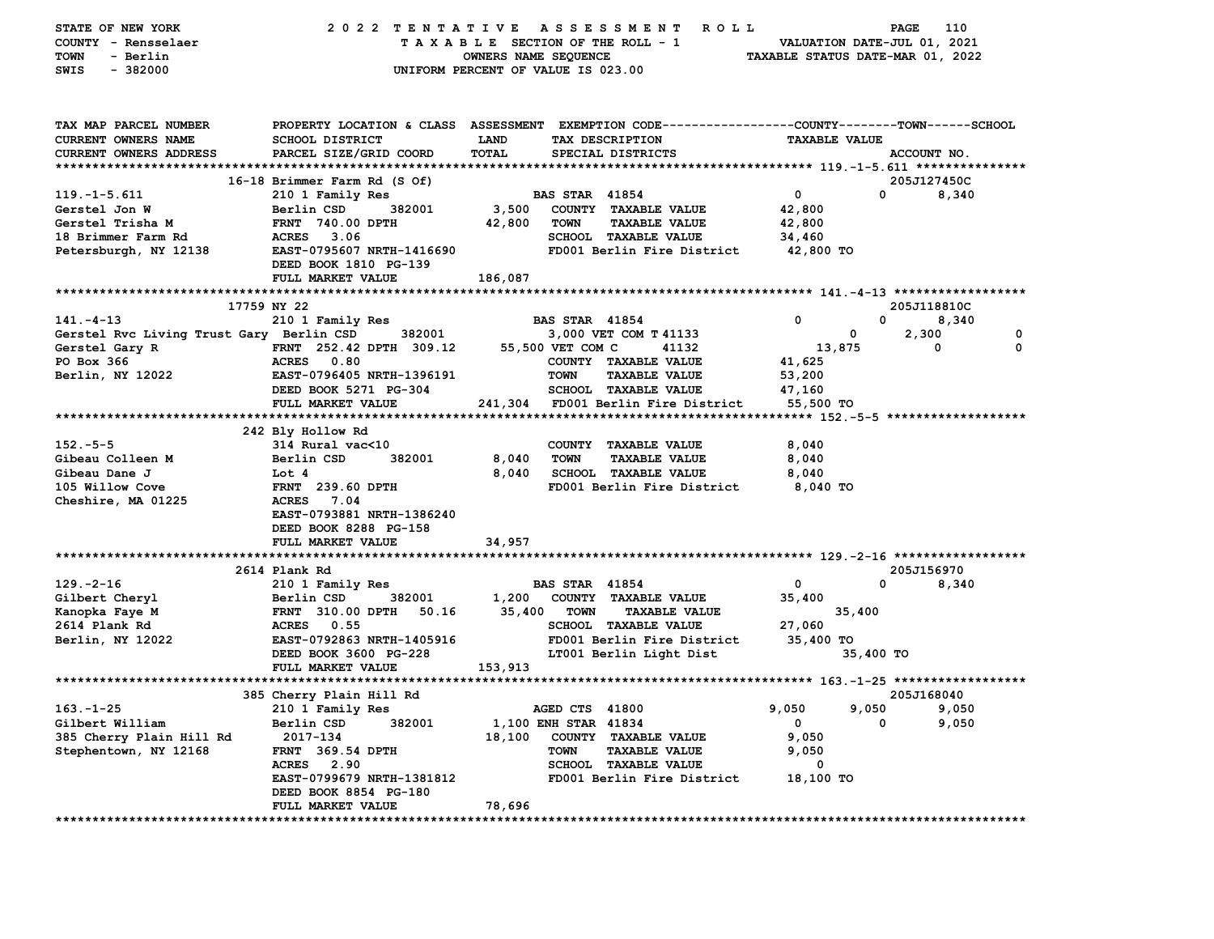| STATE OF NEW YORK<br>COUNTY - Rensselaer<br>- Berlin<br>TOWN<br>$-382000$<br>SWIS | 2022 TENTATIVE                                     | OWNERS NAME SEQUENCE | A S S E S S M E N T<br><b>ROLL</b><br>TAXABLE SECTION OF THE ROLL - 1<br>UNIFORM PERCENT OF VALUE IS 023.00       |                      | 110<br>PAGE<br>VALUATION DATE-JUL 01, 2021<br>TAXABLE STATUS DATE-MAR 01, 2022 |
|-----------------------------------------------------------------------------------|----------------------------------------------------|----------------------|-------------------------------------------------------------------------------------------------------------------|----------------------|--------------------------------------------------------------------------------|
| TAX MAP PARCEL NUMBER<br><b>CURRENT OWNERS NAME</b>                               | <b>SCHOOL DISTRICT</b>                             | LAND                 | PROPERTY LOCATION & CLASS ASSESSMENT EXEMPTION CODE--------------COUNTY-------TOWN------SCHOOL<br>TAX DESCRIPTION | <b>TAXABLE VALUE</b> |                                                                                |
| <b>CURRENT OWNERS ADDRESS</b>                                                     | PARCEL SIZE/GRID COORD                             | TOTAL                | SPECIAL DISTRICTS                                                                                                 |                      | ACCOUNT NO.                                                                    |
|                                                                                   |                                                    |                      |                                                                                                                   |                      |                                                                                |
|                                                                                   | 16-18 Brimmer Farm Rd (S Of)                       |                      |                                                                                                                   |                      | 205J127450C                                                                    |
| $119.-1-5.611$                                                                    | 210 1 Family Res                                   |                      | <b>BAS STAR 41854</b>                                                                                             | $\mathbf 0$          | 8,340<br>0                                                                     |
| Gerstel Jon W                                                                     | Berlin CSD<br>382001                               | 3,500                | COUNTY TAXABLE VALUE                                                                                              | 42,800               |                                                                                |
| Gerstel Trisha M                                                                  | <b>FRNT 740.00 DPTH</b>                            | 42,800               | <b>TOWN</b><br><b>TAXABLE VALUE</b>                                                                               | 42,800               |                                                                                |
| 18 Brimmer Farm Rd                                                                | <b>ACRES</b> 3.06                                  |                      | SCHOOL TAXABLE VALUE                                                                                              | 34,460               |                                                                                |
| Petersburgh, NY 12138                                                             | EAST-0795607 NRTH-1416690<br>DEED BOOK 1810 PG-139 |                      | FD001 Berlin Fire District                                                                                        | 42,800 TO            |                                                                                |
|                                                                                   | FULL MARKET VALUE                                  | 186,087              |                                                                                                                   |                      |                                                                                |
|                                                                                   | 17759 NY 22                                        |                      |                                                                                                                   |                      |                                                                                |
| $141. - 4 - 13$                                                                   | 210 1 Family Res                                   |                      | <b>BAS STAR 41854</b>                                                                                             | 0                    | 205J118810C<br>$\mathbf{0}$<br>8,340                                           |
| Gerstel Rvc Living Trust Gary Berlin CSD                                          | 382001                                             |                      | 3,000 VET COM T 41133                                                                                             | 0                    | 2,300<br>0                                                                     |
| Gerstel Gary R                                                                    | FRNT 252.42 DPTH 309.12                            |                      | 55,500 VET COM C<br>41132                                                                                         | 13,875               | $\mathbf 0$<br>0                                                               |
| PO Box 366                                                                        | ACRES 0.80                                         |                      | COUNTY TAXABLE VALUE                                                                                              | 41,625               |                                                                                |
| Berlin, NY 12022                                                                  | EAST-0796405 NRTH-1396191                          |                      | <b>TOWN</b><br><b>TAXABLE VALUE</b>                                                                               | 53,200               |                                                                                |
|                                                                                   | DEED BOOK 5271 PG-304                              |                      | SCHOOL TAXABLE VALUE                                                                                              | 47,160               |                                                                                |
|                                                                                   | FULL MARKET VALUE                                  |                      | 241,304 FD001 Berlin Fire District                                                                                | 55,500 TO            |                                                                                |
|                                                                                   |                                                    |                      |                                                                                                                   |                      |                                                                                |
|                                                                                   | 242 Bly Hollow Rd                                  |                      |                                                                                                                   |                      |                                                                                |
| $152 - 5 - 5$                                                                     | 314 Rural vac<10                                   |                      | COUNTY TAXABLE VALUE                                                                                              | 8,040                |                                                                                |
| Gibeau Colleen M                                                                  | Berlin CSD<br>382001                               | 8,040                | <b>TOWN</b><br><b>TAXABLE VALUE</b>                                                                               | 8,040                |                                                                                |
| Gibeau Dane J                                                                     | Lot 4<br><b>FRNT</b> 239.60 DPTH                   | 8,040                | <b>SCHOOL TAXABLE VALUE</b>                                                                                       | 8,040                |                                                                                |
| 105 Willow Cove<br>Cheshire, MA 01225                                             | ACRES 7.04                                         |                      | FD001 Berlin Fire District                                                                                        | 8,040 TO             |                                                                                |
|                                                                                   | EAST-0793881 NRTH-1386240                          |                      |                                                                                                                   |                      |                                                                                |
|                                                                                   | DEED BOOK 8288 PG-158                              |                      |                                                                                                                   |                      |                                                                                |
|                                                                                   | FULL MARKET VALUE                                  | 34,957               |                                                                                                                   |                      |                                                                                |
|                                                                                   |                                                    |                      |                                                                                                                   |                      |                                                                                |
|                                                                                   | 2614 Plank Rd                                      |                      |                                                                                                                   |                      | 205J156970                                                                     |
| $129. -2 - 16$                                                                    | 210 1 Family Res                                   |                      | <b>BAS STAR 41854</b>                                                                                             | 0                    | 0<br>8,340                                                                     |
| Gilbert Cheryl                                                                    | Berlin CSD<br>382001                               | 1,200                | COUNTY TAXABLE VALUE                                                                                              | 35,400               |                                                                                |
| Kanopka Faye M                                                                    | FRNT 310.00 DPTH<br>50.16                          | 35,400               | TOWN<br><b>TAXABLE VALUE</b>                                                                                      | 35,400               |                                                                                |
| 2614 Plank Rd<br>Berlin, NY 12022                                                 | ACRES 0.55<br>EAST-0792863 NRTH-1405916            |                      | SCHOOL TAXABLE VALUE<br>FD001 Berlin Fire District                                                                | 27,060<br>35,400 TO  |                                                                                |
|                                                                                   | DEED BOOK 3600 PG-228                              |                      | LT001 Berlin Light Dist                                                                                           |                      | 35,400 TO                                                                      |
|                                                                                   | FULL MARKET VALUE                                  | 153,913              |                                                                                                                   |                      |                                                                                |
|                                                                                   |                                                    |                      |                                                                                                                   |                      |                                                                                |
|                                                                                   | 385 Cherry Plain Hill Rd                           |                      |                                                                                                                   |                      | 205J168040                                                                     |
| $163.-1-25$                                                                       | 210 1 Family Res                                   |                      | AGED CTS 41800                                                                                                    | 9,050                | 9,050 9,050                                                                    |
| Gilbert William                                                                   | 382001<br>Berlin CSD                               |                      | 1,100 ENH STAR 41834                                                                                              | 0                    | 9,050<br>0                                                                     |
| 385 Cherry Plain Hill Rd                                                          | 2017-134                                           | 18,100               | COUNTY TAXABLE VALUE                                                                                              | 9,050                |                                                                                |
| Stephentown, NY 12168                                                             | <b>FRNT</b> 369.54 DPTH                            |                      | <b>TOWN</b><br><b>TAXABLE VALUE</b>                                                                               | 9,050                |                                                                                |
|                                                                                   | ACRES 2.90                                         |                      | SCHOOL TAXABLE VALUE                                                                                              | 0                    |                                                                                |
|                                                                                   | EAST-0799679 NRTH-1381812                          |                      | FD001 Berlin Fire District                                                                                        | 18,100 TO            |                                                                                |
|                                                                                   | DEED BOOK 8854 PG-180<br>FULL MARKET VALUE         | 78,696               |                                                                                                                   |                      |                                                                                |
|                                                                                   |                                                    |                      |                                                                                                                   |                      |                                                                                |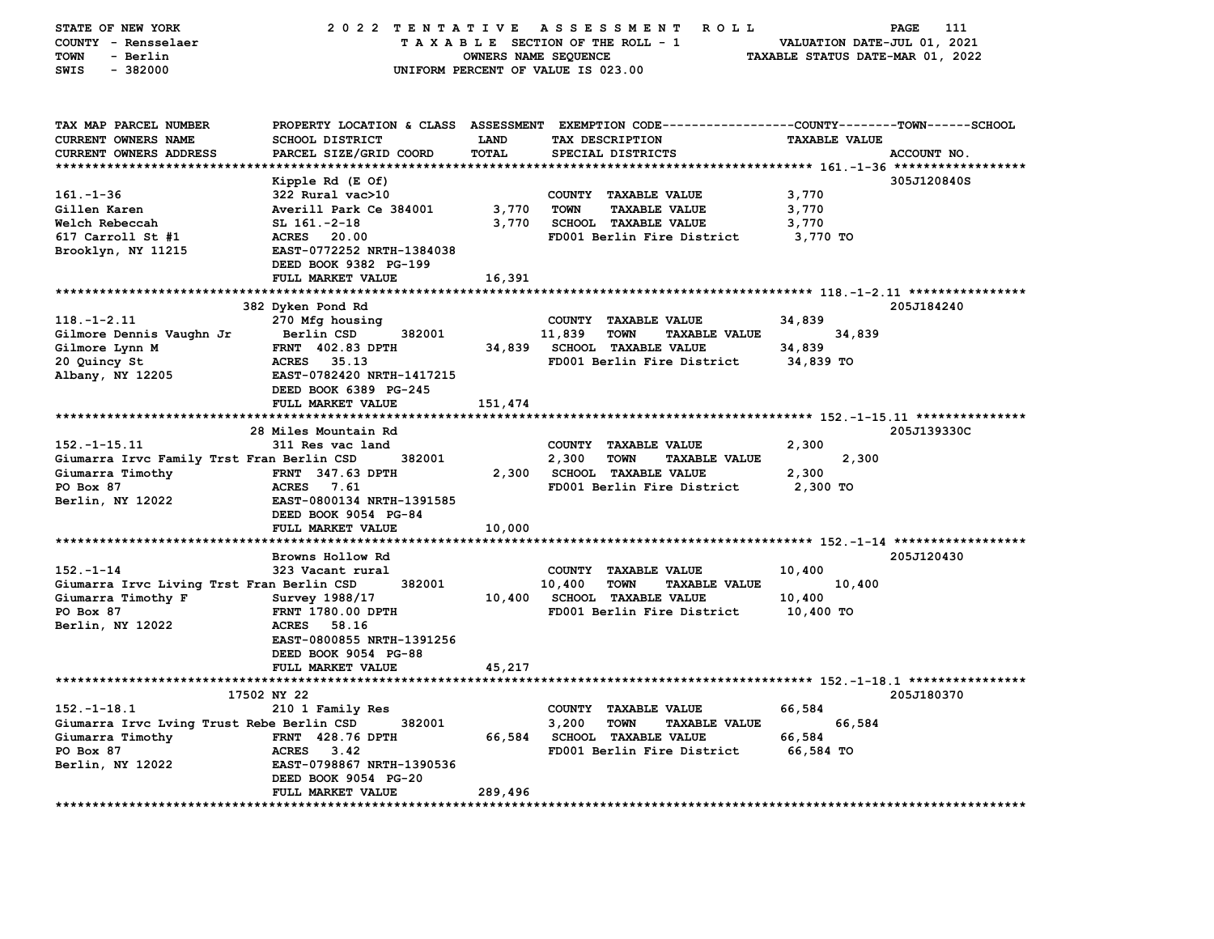| STATE OF NEW YORK<br>COUNTY - Rensselaer<br><b>TOWN</b><br>- Berlin<br>SWIS<br>$-382000$ | 2022 TENTATIVE                                                                           | OWNERS NAME SEQUENCE | A S S E S S M E N T<br>R O L L<br>TAXABLE SECTION OF THE ROLL - 1<br>UNIFORM PERCENT OF VALUE IS 023.00 | VALUATION DATE-JUL 01, 2021<br>TAXABLE STATUS DATE-MAR 01, 2022 | PAGE<br>111 |
|------------------------------------------------------------------------------------------|------------------------------------------------------------------------------------------|----------------------|---------------------------------------------------------------------------------------------------------|-----------------------------------------------------------------|-------------|
| TAX MAP PARCEL NUMBER<br><b>CURRENT OWNERS NAME</b><br>CURRENT OWNERS ADDRESS            | PROPERTY LOCATION & CLASS ASSESSMENT<br><b>SCHOOL DISTRICT</b><br>PARCEL SIZE/GRID COORD | LAND<br><b>TOTAL</b> | EXEMPTION CODE----------------COUNTY-------TOWN-----SCHOOL<br>TAX DESCRIPTION<br>SPECIAL DISTRICTS      | <b>TAXABLE VALUE</b>                                            | ACCOUNT NO. |
|                                                                                          |                                                                                          |                      |                                                                                                         |                                                                 |             |
|                                                                                          | Kipple Rd (E Of)                                                                         |                      |                                                                                                         |                                                                 | 305J120840S |
| $161 - 1 - 36$                                                                           | 322 Rural vac>10                                                                         |                      | COUNTY TAXABLE VALUE                                                                                    | 3,770                                                           |             |
| Gillen Karen                                                                             | Averill Park Ce 384001                                                                   | 3,770                | <b>TOWN</b><br><b>TAXABLE VALUE</b>                                                                     | 3,770                                                           |             |
| Welch Rebeccah                                                                           | $SL$ 161. $-2-18$                                                                        | 3,770                | <b>SCHOOL TAXABLE VALUE</b>                                                                             | 3,770                                                           |             |
| $617$ Carroll St $#1$                                                                    | <b>ACRES</b> 20.00                                                                       |                      | FD001 Berlin Fire District                                                                              | 3,770 TO                                                        |             |
| Brooklyn, NY 11215                                                                       | EAST-0772252 NRTH-1384038                                                                |                      |                                                                                                         |                                                                 |             |
|                                                                                          | DEED BOOK 9382 PG-199                                                                    |                      |                                                                                                         |                                                                 |             |
|                                                                                          | FULL MARKET VALUE                                                                        | 16,391               |                                                                                                         |                                                                 |             |
|                                                                                          |                                                                                          |                      |                                                                                                         |                                                                 |             |
|                                                                                          | 382 Dyken Pond Rd                                                                        |                      |                                                                                                         |                                                                 | 205J184240  |
| $118. - 1 - 2.11$                                                                        | 270 Mfg housing                                                                          |                      | COUNTY TAXABLE VALUE                                                                                    | 34,839                                                          |             |
| Gilmore Dennis Vaughn Jr                                                                 | Berlin CSD<br>382001                                                                     |                      | 11,839<br><b>TOWN</b><br><b>TAXABLE VALUE</b>                                                           | 34,839                                                          |             |
| Gilmore Lynn M                                                                           | <b>FRNT 402.83 DPTH</b>                                                                  | 34,839               | SCHOOL TAXABLE VALUE                                                                                    | 34,839                                                          |             |
| 20 Quincy St                                                                             | 35.13<br><b>ACRES</b>                                                                    |                      | FD001 Berlin Fire District                                                                              | 34,839 TO                                                       |             |
| Albany, NY 12205                                                                         | EAST-0782420 NRTH-1417215                                                                |                      |                                                                                                         |                                                                 |             |
|                                                                                          | DEED BOOK 6389 PG-245                                                                    |                      |                                                                                                         |                                                                 |             |
|                                                                                          | FULL MARKET VALUE                                                                        | 151,474              |                                                                                                         |                                                                 |             |
|                                                                                          | 28 Miles Mountain Rd                                                                     |                      |                                                                                                         |                                                                 | 205J139330C |
| $152. - 1 - 15.11$                                                                       | 311 Res vac land                                                                         |                      | COUNTY TAXABLE VALUE                                                                                    | 2,300                                                           |             |
| Giumarra Irvc Family Trst Fran Berlin CSD                                                | 382001                                                                                   |                      | 2,300<br><b>TOWN</b><br><b>TAXABLE VALUE</b>                                                            | 2,300                                                           |             |
| Giumarra Timothy                                                                         | <b>FRNT 347.63 DPTH</b>                                                                  | 2,300                | <b>SCHOOL TAXABLE VALUE</b>                                                                             | 2,300                                                           |             |
| PO Box 87                                                                                | <b>ACRES</b><br>7.61                                                                     |                      | FD001 Berlin Fire District                                                                              | 2,300 TO                                                        |             |
| Berlin, NY 12022                                                                         | EAST-0800134 NRTH-1391585                                                                |                      |                                                                                                         |                                                                 |             |
|                                                                                          | DEED BOOK 9054 PG-84                                                                     |                      |                                                                                                         |                                                                 |             |
|                                                                                          | FULL MARKET VALUE                                                                        | 10,000               |                                                                                                         |                                                                 |             |
|                                                                                          |                                                                                          |                      |                                                                                                         |                                                                 |             |
|                                                                                          | Browns Hollow Rd                                                                         |                      |                                                                                                         |                                                                 | 205J120430  |
| $152 - 1 - 14$                                                                           | 323 Vacant rural                                                                         |                      | COUNTY TAXABLE VALUE                                                                                    | 10,400                                                          |             |
| Giumarra Irvc Living Trst Fran Berlin CSD                                                | 382001                                                                                   |                      | 10,400<br><b>TOWN</b><br><b>TAXABLE VALUE</b>                                                           | 10,400                                                          |             |
| Giumarra Timothy F                                                                       | Survey 1988/17                                                                           |                      | 10,400 SCHOOL TAXABLE VALUE                                                                             | 10,400                                                          |             |
| PO Box 87                                                                                | FRNT 1780.00 DPTH                                                                        |                      | FD001 Berlin Fire District                                                                              | 10,400 TO                                                       |             |
| Berlin, NY 12022                                                                         | ACRES 58.16                                                                              |                      |                                                                                                         |                                                                 |             |
|                                                                                          | EAST-0800855 NRTH-1391256                                                                |                      |                                                                                                         |                                                                 |             |
|                                                                                          | DEED BOOK 9054 PG-88                                                                     |                      |                                                                                                         |                                                                 |             |
|                                                                                          | FULL MARKET VALUE                                                                        | 45,217               |                                                                                                         |                                                                 |             |
|                                                                                          |                                                                                          |                      |                                                                                                         |                                                                 |             |
|                                                                                          | 17502 NY 22                                                                              |                      |                                                                                                         |                                                                 | 205J180370  |
| $152.-1-18.1$                                                                            | 210 1 Family Res                                                                         |                      | COUNTY TAXABLE VALUE                                                                                    | 66,584                                                          |             |
| Giumarra Irvc Lving Trust Rebe Berlin CSD                                                | 382001                                                                                   |                      | 3,200<br><b>TOWN</b><br><b>TAXABLE VALUE</b>                                                            | 66,584                                                          |             |
| Giumarra Timothy                                                                         | <b>FRNT</b> 428.76 DPTH                                                                  | 66,584               | <b>SCHOOL TAXABLE VALUE</b>                                                                             | 66,584                                                          |             |
| PO Box 87                                                                                | <b>ACRES</b><br>3.42                                                                     |                      | FD001 Berlin Fire District                                                                              | 66,584 TO                                                       |             |
| Berlin, NY 12022                                                                         | EAST-0798867 NRTH-1390536                                                                |                      |                                                                                                         |                                                                 |             |
|                                                                                          | DEED BOOK 9054 PG-20<br>FULL MARKET VALUE                                                | 289,496              |                                                                                                         |                                                                 |             |
|                                                                                          |                                                                                          |                      |                                                                                                         |                                                                 |             |
|                                                                                          |                                                                                          |                      |                                                                                                         |                                                                 |             |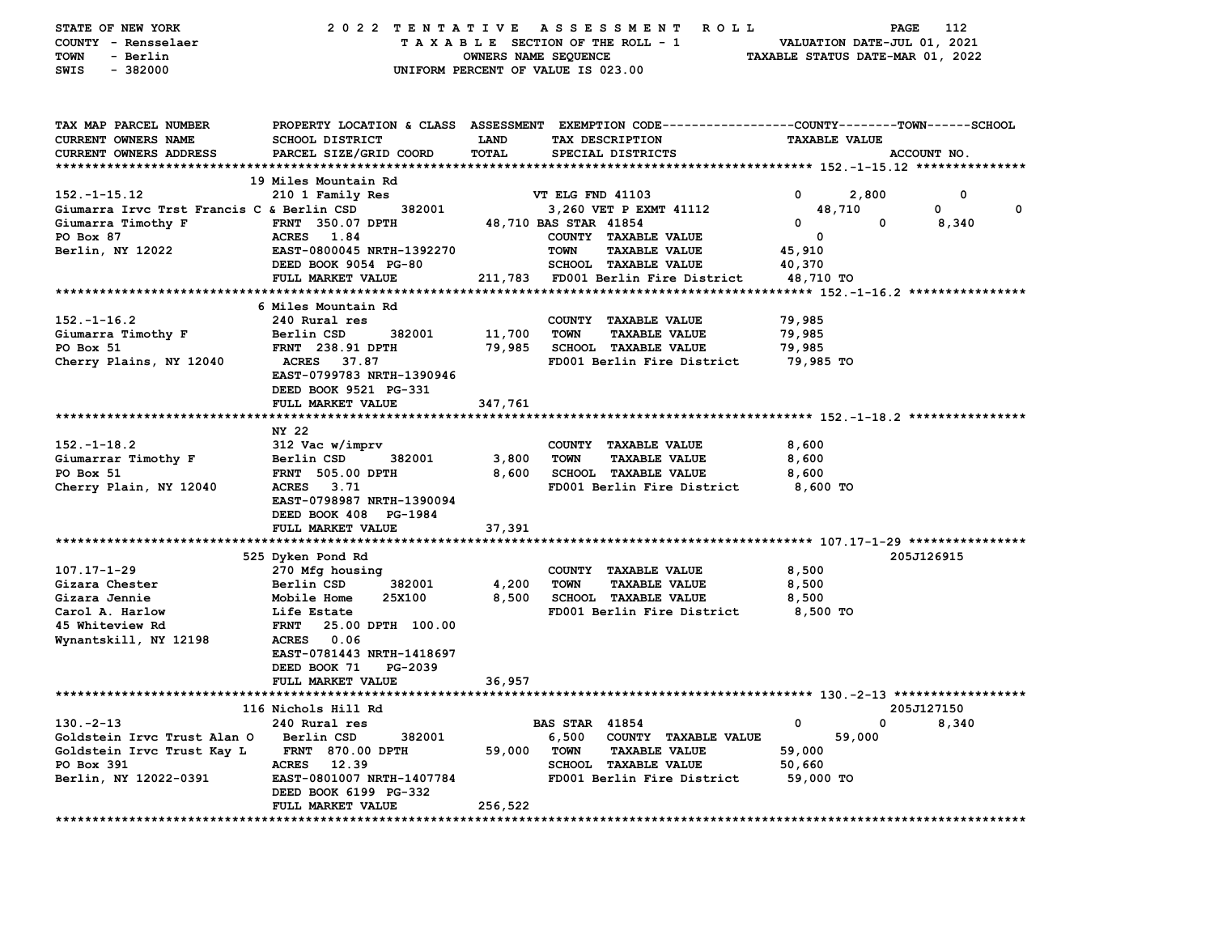| PROPERTY LOCATION & CLASS ASSESSMENT EXEMPTION CODE---------------COUNTY-------TOWN------SCHOOL<br>TAX MAP PARCEL NUMBER<br>SCHOOL DISTRICT<br><b>CURRENT OWNERS NAME</b><br><b>LAND</b><br>TAX DESCRIPTION<br><b>TAXABLE VALUE</b><br>PARCEL SIZE/GRID COORD<br>TOTAL<br>CURRENT OWNERS ADDRESS<br>SPECIAL DISTRICTS<br>ACCOUNT NO.<br>19 Miles Mountain Rd<br>$152. - 1 - 15.12$<br>VT ELG FND 41103<br>$^{\circ}$<br>2,800<br>0<br>210 1 Family Res<br>Giumarra Irvc Trst Francis C & Berlin CSD<br>382001<br>0<br>3,260 VET P EXMT 41112<br>48,710<br>0<br>$\mathbf{0}$<br>Giumarra Timothy F<br><b>FRNT</b> 350.07 DPTH<br>48,710 BAS STAR 41854<br>0<br>8,340<br>PO Box 87<br>ACRES 1.84<br>COUNTY TAXABLE VALUE<br>0<br>EAST-0800045 NRTH-1392270<br>Berlin, NY 12022<br><b>TOWN</b><br><b>TAXABLE VALUE</b><br>45,910<br>DEED BOOK 9054 PG-80<br><b>SCHOOL TAXABLE VALUE</b><br>40,370<br>211,783 FD001 Berlin Fire District<br>FULL MARKET VALUE<br>48,710 TO<br>6 Miles Mountain Rd<br>$152. - 1 - 16.2$<br>240 Rural res<br>COUNTY TAXABLE VALUE<br>79,985<br>11,700<br>Giumarra Timothy F<br>Berlin CSD<br>382001<br><b>TOWN</b><br><b>TAXABLE VALUE</b><br>79,985<br>PO Box 51<br><b>FRNT</b> 238.91 DPTH<br>79,985<br><b>SCHOOL TAXABLE VALUE</b><br>79,985<br>FD001 Berlin Fire District<br>Cherry Plains, NY 12040<br><b>ACRES</b><br>37.87<br>79,985 TO<br>EAST-0799783 NRTH-1390946<br>DEED BOOK 9521 PG-331<br>FULL MARKET VALUE<br>347,761<br>NY 22<br>$152. - 1 - 18.2$<br>8,600<br>312 Vac w/imprv<br>COUNTY TAXABLE VALUE<br>3,800<br>8,600<br>Giumarrar Timothy F<br>Berlin CSD<br>382001<br><b>TOWN</b><br><b>TAXABLE VALUE</b><br>PO Box 51<br><b>FRNT 505.00 DPTH</b><br>8,600<br><b>SCHOOL TAXABLE VALUE</b><br>8,600<br>ACRES 3.71<br>Cherry Plain, NY 12040<br>FD001 Berlin Fire District<br>8,600 TO<br>EAST-0798987 NRTH-1390094<br>DEED BOOK 408 PG-1984<br>FULL MARKET VALUE<br>37,391<br>525 Dyken Pond Rd<br>205J126915<br>$107.17 - 1 - 29$<br>270 Mfg housing<br>COUNTY TAXABLE VALUE<br>8,500<br>382001<br>4,200<br>8,500<br>Gizara Chester<br>Berlin CSD<br><b>TOWN</b><br><b>TAXABLE VALUE</b><br>8,500<br>SCHOOL TAXABLE VALUE<br>8,500<br>Gizara Jennie<br>Mobile Home<br>25X100<br>FD001 Berlin Fire District<br>Carol A. Harlow<br>8,500 TO<br>Life Estate<br>45 Whiteview Rd<br><b>FRNT</b><br>25.00 DPTH 100.00<br>Wynantskill, NY 12198<br><b>ACRES</b><br>0.06<br>EAST-0781443 NRTH-1418697<br>DEED BOOK 71<br>PG-2039<br>FULL MARKET VALUE<br>36,957<br>205J127150<br>116 Nichols Hill Rd<br>0<br>8,340<br>$130 - 2 - 13$<br><b>BAS STAR 41854</b><br>0<br>240 Rural res<br>59,000<br>Goldstein Irvc Trust Alan O<br>Berlin CSD<br>382001<br>6,500<br>COUNTY TAXABLE VALUE<br><b>FRNT 870.00 DPTH</b><br>59,000<br><b>TOWN</b><br><b>TAXABLE VALUE</b><br>59,000<br>Goldstein Irvc Trust Kay L<br>PO Box 391<br><b>ACRES</b><br>12.39<br><b>SCHOOL TAXABLE VALUE</b><br>50,660<br>Berlin, NY 12022-0391<br>EAST-0801007 NRTH-1407784<br>FD001 Berlin Fire District<br>59,000 TO<br>DEED BOOK 6199 PG-332<br>FULL MARKET VALUE<br>256,522 | STATE OF NEW YORK<br>COUNTY - Rensselaer<br>- Berlin<br>TOWN<br>$-382000$<br>SWIS | 2022 TENTATIVE ASSESSMENT | OWNERS NAME SEQUENCE | ROLL ROLL<br>TAXABLE SECTION OF THE ROLL - 1<br>UNIFORM PERCENT OF VALUE IS 023.00 | VALUATION DATE-JUL 01, 2021<br>TAXABLE STATUS DATE-MAR 01, 2022 | PAGE<br>112 |
|--------------------------------------------------------------------------------------------------------------------------------------------------------------------------------------------------------------------------------------------------------------------------------------------------------------------------------------------------------------------------------------------------------------------------------------------------------------------------------------------------------------------------------------------------------------------------------------------------------------------------------------------------------------------------------------------------------------------------------------------------------------------------------------------------------------------------------------------------------------------------------------------------------------------------------------------------------------------------------------------------------------------------------------------------------------------------------------------------------------------------------------------------------------------------------------------------------------------------------------------------------------------------------------------------------------------------------------------------------------------------------------------------------------------------------------------------------------------------------------------------------------------------------------------------------------------------------------------------------------------------------------------------------------------------------------------------------------------------------------------------------------------------------------------------------------------------------------------------------------------------------------------------------------------------------------------------------------------------------------------------------------------------------------------------------------------------------------------------------------------------------------------------------------------------------------------------------------------------------------------------------------------------------------------------------------------------------------------------------------------------------------------------------------------------------------------------------------------------------------------------------------------------------------------------------------------------------------------------------------------------------------------------------------------------------------------------------------------------------------------------------------------------------------------------------------------------------------------------------------------------------------------------------------------------------------------------------------------------------------------------------------------------------------------------------------------------------------------|-----------------------------------------------------------------------------------|---------------------------|----------------------|------------------------------------------------------------------------------------|-----------------------------------------------------------------|-------------|
|                                                                                                                                                                                                                                                                                                                                                                                                                                                                                                                                                                                                                                                                                                                                                                                                                                                                                                                                                                                                                                                                                                                                                                                                                                                                                                                                                                                                                                                                                                                                                                                                                                                                                                                                                                                                                                                                                                                                                                                                                                                                                                                                                                                                                                                                                                                                                                                                                                                                                                                                                                                                                                                                                                                                                                                                                                                                                                                                                                                                                                                                                            |                                                                                   |                           |                      |                                                                                    |                                                                 |             |
|                                                                                                                                                                                                                                                                                                                                                                                                                                                                                                                                                                                                                                                                                                                                                                                                                                                                                                                                                                                                                                                                                                                                                                                                                                                                                                                                                                                                                                                                                                                                                                                                                                                                                                                                                                                                                                                                                                                                                                                                                                                                                                                                                                                                                                                                                                                                                                                                                                                                                                                                                                                                                                                                                                                                                                                                                                                                                                                                                                                                                                                                                            |                                                                                   |                           |                      |                                                                                    |                                                                 |             |
|                                                                                                                                                                                                                                                                                                                                                                                                                                                                                                                                                                                                                                                                                                                                                                                                                                                                                                                                                                                                                                                                                                                                                                                                                                                                                                                                                                                                                                                                                                                                                                                                                                                                                                                                                                                                                                                                                                                                                                                                                                                                                                                                                                                                                                                                                                                                                                                                                                                                                                                                                                                                                                                                                                                                                                                                                                                                                                                                                                                                                                                                                            |                                                                                   |                           |                      |                                                                                    |                                                                 |             |
|                                                                                                                                                                                                                                                                                                                                                                                                                                                                                                                                                                                                                                                                                                                                                                                                                                                                                                                                                                                                                                                                                                                                                                                                                                                                                                                                                                                                                                                                                                                                                                                                                                                                                                                                                                                                                                                                                                                                                                                                                                                                                                                                                                                                                                                                                                                                                                                                                                                                                                                                                                                                                                                                                                                                                                                                                                                                                                                                                                                                                                                                                            |                                                                                   |                           |                      |                                                                                    |                                                                 |             |
|                                                                                                                                                                                                                                                                                                                                                                                                                                                                                                                                                                                                                                                                                                                                                                                                                                                                                                                                                                                                                                                                                                                                                                                                                                                                                                                                                                                                                                                                                                                                                                                                                                                                                                                                                                                                                                                                                                                                                                                                                                                                                                                                                                                                                                                                                                                                                                                                                                                                                                                                                                                                                                                                                                                                                                                                                                                                                                                                                                                                                                                                                            |                                                                                   |                           |                      |                                                                                    |                                                                 |             |
|                                                                                                                                                                                                                                                                                                                                                                                                                                                                                                                                                                                                                                                                                                                                                                                                                                                                                                                                                                                                                                                                                                                                                                                                                                                                                                                                                                                                                                                                                                                                                                                                                                                                                                                                                                                                                                                                                                                                                                                                                                                                                                                                                                                                                                                                                                                                                                                                                                                                                                                                                                                                                                                                                                                                                                                                                                                                                                                                                                                                                                                                                            |                                                                                   |                           |                      |                                                                                    |                                                                 |             |
|                                                                                                                                                                                                                                                                                                                                                                                                                                                                                                                                                                                                                                                                                                                                                                                                                                                                                                                                                                                                                                                                                                                                                                                                                                                                                                                                                                                                                                                                                                                                                                                                                                                                                                                                                                                                                                                                                                                                                                                                                                                                                                                                                                                                                                                                                                                                                                                                                                                                                                                                                                                                                                                                                                                                                                                                                                                                                                                                                                                                                                                                                            |                                                                                   |                           |                      |                                                                                    |                                                                 |             |
|                                                                                                                                                                                                                                                                                                                                                                                                                                                                                                                                                                                                                                                                                                                                                                                                                                                                                                                                                                                                                                                                                                                                                                                                                                                                                                                                                                                                                                                                                                                                                                                                                                                                                                                                                                                                                                                                                                                                                                                                                                                                                                                                                                                                                                                                                                                                                                                                                                                                                                                                                                                                                                                                                                                                                                                                                                                                                                                                                                                                                                                                                            |                                                                                   |                           |                      |                                                                                    |                                                                 |             |
|                                                                                                                                                                                                                                                                                                                                                                                                                                                                                                                                                                                                                                                                                                                                                                                                                                                                                                                                                                                                                                                                                                                                                                                                                                                                                                                                                                                                                                                                                                                                                                                                                                                                                                                                                                                                                                                                                                                                                                                                                                                                                                                                                                                                                                                                                                                                                                                                                                                                                                                                                                                                                                                                                                                                                                                                                                                                                                                                                                                                                                                                                            |                                                                                   |                           |                      |                                                                                    |                                                                 |             |
|                                                                                                                                                                                                                                                                                                                                                                                                                                                                                                                                                                                                                                                                                                                                                                                                                                                                                                                                                                                                                                                                                                                                                                                                                                                                                                                                                                                                                                                                                                                                                                                                                                                                                                                                                                                                                                                                                                                                                                                                                                                                                                                                                                                                                                                                                                                                                                                                                                                                                                                                                                                                                                                                                                                                                                                                                                                                                                                                                                                                                                                                                            |                                                                                   |                           |                      |                                                                                    |                                                                 |             |
|                                                                                                                                                                                                                                                                                                                                                                                                                                                                                                                                                                                                                                                                                                                                                                                                                                                                                                                                                                                                                                                                                                                                                                                                                                                                                                                                                                                                                                                                                                                                                                                                                                                                                                                                                                                                                                                                                                                                                                                                                                                                                                                                                                                                                                                                                                                                                                                                                                                                                                                                                                                                                                                                                                                                                                                                                                                                                                                                                                                                                                                                                            |                                                                                   |                           |                      |                                                                                    |                                                                 |             |
|                                                                                                                                                                                                                                                                                                                                                                                                                                                                                                                                                                                                                                                                                                                                                                                                                                                                                                                                                                                                                                                                                                                                                                                                                                                                                                                                                                                                                                                                                                                                                                                                                                                                                                                                                                                                                                                                                                                                                                                                                                                                                                                                                                                                                                                                                                                                                                                                                                                                                                                                                                                                                                                                                                                                                                                                                                                                                                                                                                                                                                                                                            |                                                                                   |                           |                      |                                                                                    |                                                                 |             |
|                                                                                                                                                                                                                                                                                                                                                                                                                                                                                                                                                                                                                                                                                                                                                                                                                                                                                                                                                                                                                                                                                                                                                                                                                                                                                                                                                                                                                                                                                                                                                                                                                                                                                                                                                                                                                                                                                                                                                                                                                                                                                                                                                                                                                                                                                                                                                                                                                                                                                                                                                                                                                                                                                                                                                                                                                                                                                                                                                                                                                                                                                            |                                                                                   |                           |                      |                                                                                    |                                                                 |             |
|                                                                                                                                                                                                                                                                                                                                                                                                                                                                                                                                                                                                                                                                                                                                                                                                                                                                                                                                                                                                                                                                                                                                                                                                                                                                                                                                                                                                                                                                                                                                                                                                                                                                                                                                                                                                                                                                                                                                                                                                                                                                                                                                                                                                                                                                                                                                                                                                                                                                                                                                                                                                                                                                                                                                                                                                                                                                                                                                                                                                                                                                                            |                                                                                   |                           |                      |                                                                                    |                                                                 |             |
|                                                                                                                                                                                                                                                                                                                                                                                                                                                                                                                                                                                                                                                                                                                                                                                                                                                                                                                                                                                                                                                                                                                                                                                                                                                                                                                                                                                                                                                                                                                                                                                                                                                                                                                                                                                                                                                                                                                                                                                                                                                                                                                                                                                                                                                                                                                                                                                                                                                                                                                                                                                                                                                                                                                                                                                                                                                                                                                                                                                                                                                                                            |                                                                                   |                           |                      |                                                                                    |                                                                 |             |
|                                                                                                                                                                                                                                                                                                                                                                                                                                                                                                                                                                                                                                                                                                                                                                                                                                                                                                                                                                                                                                                                                                                                                                                                                                                                                                                                                                                                                                                                                                                                                                                                                                                                                                                                                                                                                                                                                                                                                                                                                                                                                                                                                                                                                                                                                                                                                                                                                                                                                                                                                                                                                                                                                                                                                                                                                                                                                                                                                                                                                                                                                            |                                                                                   |                           |                      |                                                                                    |                                                                 |             |
|                                                                                                                                                                                                                                                                                                                                                                                                                                                                                                                                                                                                                                                                                                                                                                                                                                                                                                                                                                                                                                                                                                                                                                                                                                                                                                                                                                                                                                                                                                                                                                                                                                                                                                                                                                                                                                                                                                                                                                                                                                                                                                                                                                                                                                                                                                                                                                                                                                                                                                                                                                                                                                                                                                                                                                                                                                                                                                                                                                                                                                                                                            |                                                                                   |                           |                      |                                                                                    |                                                                 |             |
|                                                                                                                                                                                                                                                                                                                                                                                                                                                                                                                                                                                                                                                                                                                                                                                                                                                                                                                                                                                                                                                                                                                                                                                                                                                                                                                                                                                                                                                                                                                                                                                                                                                                                                                                                                                                                                                                                                                                                                                                                                                                                                                                                                                                                                                                                                                                                                                                                                                                                                                                                                                                                                                                                                                                                                                                                                                                                                                                                                                                                                                                                            |                                                                                   |                           |                      |                                                                                    |                                                                 |             |
|                                                                                                                                                                                                                                                                                                                                                                                                                                                                                                                                                                                                                                                                                                                                                                                                                                                                                                                                                                                                                                                                                                                                                                                                                                                                                                                                                                                                                                                                                                                                                                                                                                                                                                                                                                                                                                                                                                                                                                                                                                                                                                                                                                                                                                                                                                                                                                                                                                                                                                                                                                                                                                                                                                                                                                                                                                                                                                                                                                                                                                                                                            |                                                                                   |                           |                      |                                                                                    |                                                                 |             |
|                                                                                                                                                                                                                                                                                                                                                                                                                                                                                                                                                                                                                                                                                                                                                                                                                                                                                                                                                                                                                                                                                                                                                                                                                                                                                                                                                                                                                                                                                                                                                                                                                                                                                                                                                                                                                                                                                                                                                                                                                                                                                                                                                                                                                                                                                                                                                                                                                                                                                                                                                                                                                                                                                                                                                                                                                                                                                                                                                                                                                                                                                            |                                                                                   |                           |                      |                                                                                    |                                                                 |             |
|                                                                                                                                                                                                                                                                                                                                                                                                                                                                                                                                                                                                                                                                                                                                                                                                                                                                                                                                                                                                                                                                                                                                                                                                                                                                                                                                                                                                                                                                                                                                                                                                                                                                                                                                                                                                                                                                                                                                                                                                                                                                                                                                                                                                                                                                                                                                                                                                                                                                                                                                                                                                                                                                                                                                                                                                                                                                                                                                                                                                                                                                                            |                                                                                   |                           |                      |                                                                                    |                                                                 |             |
|                                                                                                                                                                                                                                                                                                                                                                                                                                                                                                                                                                                                                                                                                                                                                                                                                                                                                                                                                                                                                                                                                                                                                                                                                                                                                                                                                                                                                                                                                                                                                                                                                                                                                                                                                                                                                                                                                                                                                                                                                                                                                                                                                                                                                                                                                                                                                                                                                                                                                                                                                                                                                                                                                                                                                                                                                                                                                                                                                                                                                                                                                            |                                                                                   |                           |                      |                                                                                    |                                                                 |             |
|                                                                                                                                                                                                                                                                                                                                                                                                                                                                                                                                                                                                                                                                                                                                                                                                                                                                                                                                                                                                                                                                                                                                                                                                                                                                                                                                                                                                                                                                                                                                                                                                                                                                                                                                                                                                                                                                                                                                                                                                                                                                                                                                                                                                                                                                                                                                                                                                                                                                                                                                                                                                                                                                                                                                                                                                                                                                                                                                                                                                                                                                                            |                                                                                   |                           |                      |                                                                                    |                                                                 |             |
|                                                                                                                                                                                                                                                                                                                                                                                                                                                                                                                                                                                                                                                                                                                                                                                                                                                                                                                                                                                                                                                                                                                                                                                                                                                                                                                                                                                                                                                                                                                                                                                                                                                                                                                                                                                                                                                                                                                                                                                                                                                                                                                                                                                                                                                                                                                                                                                                                                                                                                                                                                                                                                                                                                                                                                                                                                                                                                                                                                                                                                                                                            |                                                                                   |                           |                      |                                                                                    |                                                                 |             |
|                                                                                                                                                                                                                                                                                                                                                                                                                                                                                                                                                                                                                                                                                                                                                                                                                                                                                                                                                                                                                                                                                                                                                                                                                                                                                                                                                                                                                                                                                                                                                                                                                                                                                                                                                                                                                                                                                                                                                                                                                                                                                                                                                                                                                                                                                                                                                                                                                                                                                                                                                                                                                                                                                                                                                                                                                                                                                                                                                                                                                                                                                            |                                                                                   |                           |                      |                                                                                    |                                                                 |             |
|                                                                                                                                                                                                                                                                                                                                                                                                                                                                                                                                                                                                                                                                                                                                                                                                                                                                                                                                                                                                                                                                                                                                                                                                                                                                                                                                                                                                                                                                                                                                                                                                                                                                                                                                                                                                                                                                                                                                                                                                                                                                                                                                                                                                                                                                                                                                                                                                                                                                                                                                                                                                                                                                                                                                                                                                                                                                                                                                                                                                                                                                                            |                                                                                   |                           |                      |                                                                                    |                                                                 |             |
|                                                                                                                                                                                                                                                                                                                                                                                                                                                                                                                                                                                                                                                                                                                                                                                                                                                                                                                                                                                                                                                                                                                                                                                                                                                                                                                                                                                                                                                                                                                                                                                                                                                                                                                                                                                                                                                                                                                                                                                                                                                                                                                                                                                                                                                                                                                                                                                                                                                                                                                                                                                                                                                                                                                                                                                                                                                                                                                                                                                                                                                                                            |                                                                                   |                           |                      |                                                                                    |                                                                 |             |
|                                                                                                                                                                                                                                                                                                                                                                                                                                                                                                                                                                                                                                                                                                                                                                                                                                                                                                                                                                                                                                                                                                                                                                                                                                                                                                                                                                                                                                                                                                                                                                                                                                                                                                                                                                                                                                                                                                                                                                                                                                                                                                                                                                                                                                                                                                                                                                                                                                                                                                                                                                                                                                                                                                                                                                                                                                                                                                                                                                                                                                                                                            |                                                                                   |                           |                      |                                                                                    |                                                                 |             |
|                                                                                                                                                                                                                                                                                                                                                                                                                                                                                                                                                                                                                                                                                                                                                                                                                                                                                                                                                                                                                                                                                                                                                                                                                                                                                                                                                                                                                                                                                                                                                                                                                                                                                                                                                                                                                                                                                                                                                                                                                                                                                                                                                                                                                                                                                                                                                                                                                                                                                                                                                                                                                                                                                                                                                                                                                                                                                                                                                                                                                                                                                            |                                                                                   |                           |                      |                                                                                    |                                                                 |             |
|                                                                                                                                                                                                                                                                                                                                                                                                                                                                                                                                                                                                                                                                                                                                                                                                                                                                                                                                                                                                                                                                                                                                                                                                                                                                                                                                                                                                                                                                                                                                                                                                                                                                                                                                                                                                                                                                                                                                                                                                                                                                                                                                                                                                                                                                                                                                                                                                                                                                                                                                                                                                                                                                                                                                                                                                                                                                                                                                                                                                                                                                                            |                                                                                   |                           |                      |                                                                                    |                                                                 |             |
|                                                                                                                                                                                                                                                                                                                                                                                                                                                                                                                                                                                                                                                                                                                                                                                                                                                                                                                                                                                                                                                                                                                                                                                                                                                                                                                                                                                                                                                                                                                                                                                                                                                                                                                                                                                                                                                                                                                                                                                                                                                                                                                                                                                                                                                                                                                                                                                                                                                                                                                                                                                                                                                                                                                                                                                                                                                                                                                                                                                                                                                                                            |                                                                                   |                           |                      |                                                                                    |                                                                 |             |
|                                                                                                                                                                                                                                                                                                                                                                                                                                                                                                                                                                                                                                                                                                                                                                                                                                                                                                                                                                                                                                                                                                                                                                                                                                                                                                                                                                                                                                                                                                                                                                                                                                                                                                                                                                                                                                                                                                                                                                                                                                                                                                                                                                                                                                                                                                                                                                                                                                                                                                                                                                                                                                                                                                                                                                                                                                                                                                                                                                                                                                                                                            |                                                                                   |                           |                      |                                                                                    |                                                                 |             |
|                                                                                                                                                                                                                                                                                                                                                                                                                                                                                                                                                                                                                                                                                                                                                                                                                                                                                                                                                                                                                                                                                                                                                                                                                                                                                                                                                                                                                                                                                                                                                                                                                                                                                                                                                                                                                                                                                                                                                                                                                                                                                                                                                                                                                                                                                                                                                                                                                                                                                                                                                                                                                                                                                                                                                                                                                                                                                                                                                                                                                                                                                            |                                                                                   |                           |                      |                                                                                    |                                                                 |             |
|                                                                                                                                                                                                                                                                                                                                                                                                                                                                                                                                                                                                                                                                                                                                                                                                                                                                                                                                                                                                                                                                                                                                                                                                                                                                                                                                                                                                                                                                                                                                                                                                                                                                                                                                                                                                                                                                                                                                                                                                                                                                                                                                                                                                                                                                                                                                                                                                                                                                                                                                                                                                                                                                                                                                                                                                                                                                                                                                                                                                                                                                                            |                                                                                   |                           |                      |                                                                                    |                                                                 |             |
|                                                                                                                                                                                                                                                                                                                                                                                                                                                                                                                                                                                                                                                                                                                                                                                                                                                                                                                                                                                                                                                                                                                                                                                                                                                                                                                                                                                                                                                                                                                                                                                                                                                                                                                                                                                                                                                                                                                                                                                                                                                                                                                                                                                                                                                                                                                                                                                                                                                                                                                                                                                                                                                                                                                                                                                                                                                                                                                                                                                                                                                                                            |                                                                                   |                           |                      |                                                                                    |                                                                 |             |
|                                                                                                                                                                                                                                                                                                                                                                                                                                                                                                                                                                                                                                                                                                                                                                                                                                                                                                                                                                                                                                                                                                                                                                                                                                                                                                                                                                                                                                                                                                                                                                                                                                                                                                                                                                                                                                                                                                                                                                                                                                                                                                                                                                                                                                                                                                                                                                                                                                                                                                                                                                                                                                                                                                                                                                                                                                                                                                                                                                                                                                                                                            |                                                                                   |                           |                      |                                                                                    |                                                                 |             |
|                                                                                                                                                                                                                                                                                                                                                                                                                                                                                                                                                                                                                                                                                                                                                                                                                                                                                                                                                                                                                                                                                                                                                                                                                                                                                                                                                                                                                                                                                                                                                                                                                                                                                                                                                                                                                                                                                                                                                                                                                                                                                                                                                                                                                                                                                                                                                                                                                                                                                                                                                                                                                                                                                                                                                                                                                                                                                                                                                                                                                                                                                            |                                                                                   |                           |                      |                                                                                    |                                                                 |             |
|                                                                                                                                                                                                                                                                                                                                                                                                                                                                                                                                                                                                                                                                                                                                                                                                                                                                                                                                                                                                                                                                                                                                                                                                                                                                                                                                                                                                                                                                                                                                                                                                                                                                                                                                                                                                                                                                                                                                                                                                                                                                                                                                                                                                                                                                                                                                                                                                                                                                                                                                                                                                                                                                                                                                                                                                                                                                                                                                                                                                                                                                                            |                                                                                   |                           |                      |                                                                                    |                                                                 |             |
|                                                                                                                                                                                                                                                                                                                                                                                                                                                                                                                                                                                                                                                                                                                                                                                                                                                                                                                                                                                                                                                                                                                                                                                                                                                                                                                                                                                                                                                                                                                                                                                                                                                                                                                                                                                                                                                                                                                                                                                                                                                                                                                                                                                                                                                                                                                                                                                                                                                                                                                                                                                                                                                                                                                                                                                                                                                                                                                                                                                                                                                                                            |                                                                                   |                           |                      |                                                                                    |                                                                 |             |
|                                                                                                                                                                                                                                                                                                                                                                                                                                                                                                                                                                                                                                                                                                                                                                                                                                                                                                                                                                                                                                                                                                                                                                                                                                                                                                                                                                                                                                                                                                                                                                                                                                                                                                                                                                                                                                                                                                                                                                                                                                                                                                                                                                                                                                                                                                                                                                                                                                                                                                                                                                                                                                                                                                                                                                                                                                                                                                                                                                                                                                                                                            |                                                                                   |                           |                      |                                                                                    |                                                                 |             |
|                                                                                                                                                                                                                                                                                                                                                                                                                                                                                                                                                                                                                                                                                                                                                                                                                                                                                                                                                                                                                                                                                                                                                                                                                                                                                                                                                                                                                                                                                                                                                                                                                                                                                                                                                                                                                                                                                                                                                                                                                                                                                                                                                                                                                                                                                                                                                                                                                                                                                                                                                                                                                                                                                                                                                                                                                                                                                                                                                                                                                                                                                            |                                                                                   |                           |                      |                                                                                    |                                                                 |             |
|                                                                                                                                                                                                                                                                                                                                                                                                                                                                                                                                                                                                                                                                                                                                                                                                                                                                                                                                                                                                                                                                                                                                                                                                                                                                                                                                                                                                                                                                                                                                                                                                                                                                                                                                                                                                                                                                                                                                                                                                                                                                                                                                                                                                                                                                                                                                                                                                                                                                                                                                                                                                                                                                                                                                                                                                                                                                                                                                                                                                                                                                                            |                                                                                   |                           |                      |                                                                                    |                                                                 |             |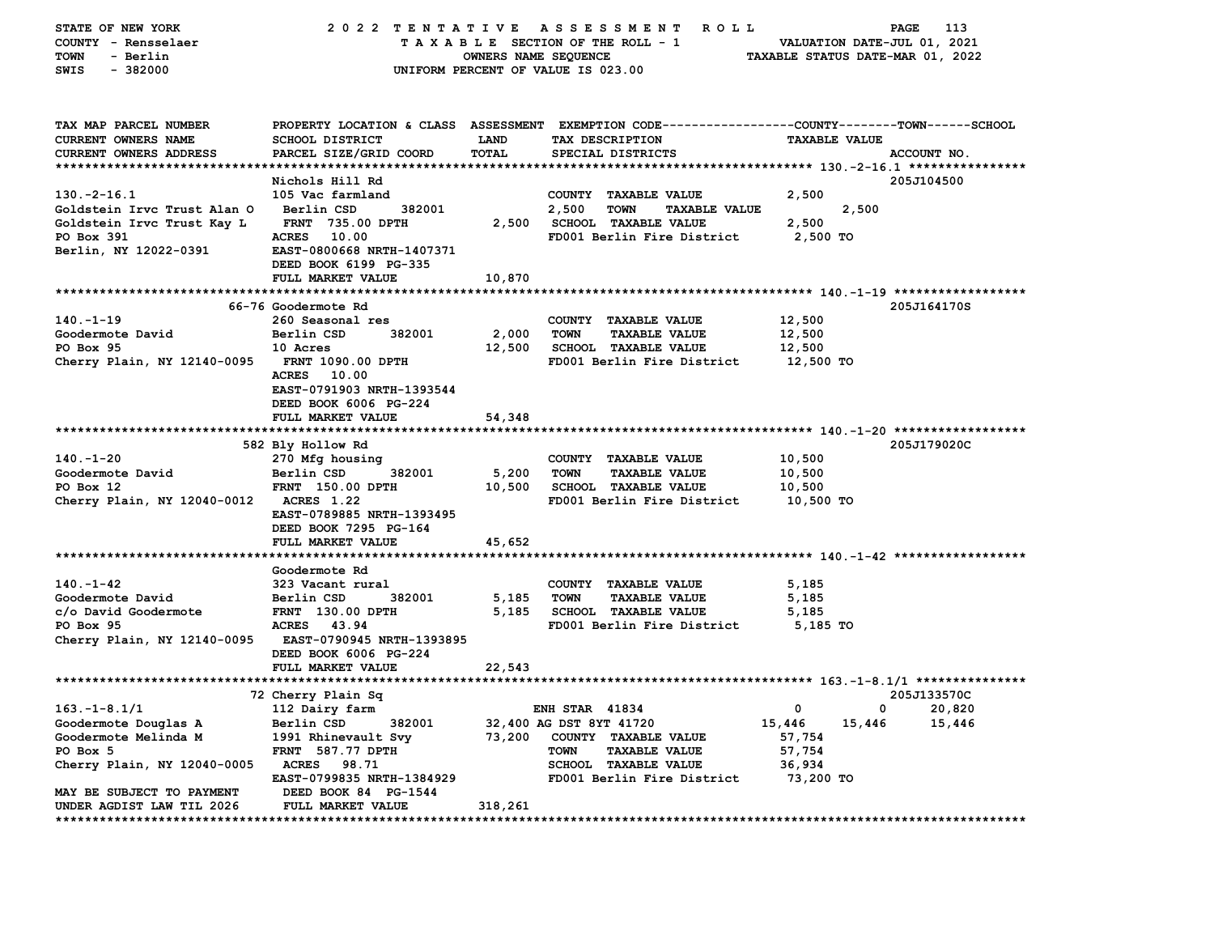| STATE OF NEW YORK<br>COUNTY - Rensselaer<br><b>TOWN</b><br>- Berlin<br>SWIS<br>$-382000$ | 2022 TENTATIVE ASSESSMENT                        | OWNERS NAME SEQUENCE | ROLL ROLL<br>TAXABLE SECTION OF THE ROLL - 1<br>UNIFORM PERCENT OF VALUE IS 023.00                                                     |                      | PAGE<br>VALUATION DATE-JUL 01, 2021<br>TAXABLE STATUS DATE-MAR 01, 2022 | 113    |
|------------------------------------------------------------------------------------------|--------------------------------------------------|----------------------|----------------------------------------------------------------------------------------------------------------------------------------|----------------------|-------------------------------------------------------------------------|--------|
| TAX MAP PARCEL NUMBER<br><b>CURRENT OWNERS NAME</b><br>CURRENT OWNERS ADDRESS            | <b>SCHOOL DISTRICT</b><br>PARCEL SIZE/GRID COORD | <b>LAND</b><br>TOTAL | PROPERTY LOCATION & CLASS ASSESSMENT EXEMPTION CODE---------------COUNTY-------TOWN-----SCHOOL<br>TAX DESCRIPTION<br>SPECIAL DISTRICTS | <b>TAXABLE VALUE</b> | ACCOUNT NO.                                                             |        |
|                                                                                          |                                                  |                      |                                                                                                                                        |                      |                                                                         |        |
|                                                                                          | Nichols Hill Rd                                  |                      |                                                                                                                                        |                      | 205J104500                                                              |        |
| $130.-2-16.1$                                                                            | 105 Vac farmland                                 |                      | COUNTY TAXABLE VALUE                                                                                                                   | 2,500                |                                                                         |        |
| Goldstein Irvc Trust Alan O                                                              | Berlin CSD<br>382001                             |                      | 2,500<br><b>TOWN</b><br><b>TAXABLE VALUE</b>                                                                                           |                      | 2,500                                                                   |        |
| Goldstein Irvc Trust Kay L                                                               | <b>FRNT</b> 735.00 DPTH                          |                      | 2,500 SCHOOL TAXABLE VALUE                                                                                                             | 2,500                |                                                                         |        |
| PO Box 391                                                                               | <b>ACRES</b><br>10.00                            |                      | FD001 Berlin Fire District                                                                                                             | 2,500 TO             |                                                                         |        |
| Berlin, NY 12022-0391                                                                    | EAST-0800668 NRTH-1407371                        |                      |                                                                                                                                        |                      |                                                                         |        |
|                                                                                          | DEED BOOK 6199 PG-335                            |                      |                                                                                                                                        |                      |                                                                         |        |
|                                                                                          | FULL MARKET VALUE                                | 10,870               |                                                                                                                                        |                      |                                                                         |        |
|                                                                                          | 66-76 Goodermote Rd                              |                      |                                                                                                                                        |                      | 205J164170S                                                             |        |
| $140. - 1 - 19$                                                                          | 260 Seasonal res                                 |                      | COUNTY TAXABLE VALUE                                                                                                                   | 12,500               |                                                                         |        |
| Goodermote David                                                                         | Berlin CSD<br>382001                             | 2,000                | <b>TOWN</b><br><b>TAXABLE VALUE</b>                                                                                                    | 12,500               |                                                                         |        |
| PO Box 95                                                                                | 10 Acres                                         | 12,500               | <b>SCHOOL TAXABLE VALUE</b>                                                                                                            | 12,500               |                                                                         |        |
| Cherry Plain, NY 12140-0095                                                              | <b>FRNT 1090.00 DPTH</b>                         |                      | FD001 Berlin Fire District                                                                                                             | 12,500 TO            |                                                                         |        |
|                                                                                          | ACRES 10.00                                      |                      |                                                                                                                                        |                      |                                                                         |        |
|                                                                                          | EAST-0791903 NRTH-1393544                        |                      |                                                                                                                                        |                      |                                                                         |        |
|                                                                                          | DEED BOOK 6006 PG-224                            |                      |                                                                                                                                        |                      |                                                                         |        |
|                                                                                          | FULL MARKET VALUE                                | 54,348               |                                                                                                                                        |                      |                                                                         |        |
|                                                                                          |                                                  |                      |                                                                                                                                        |                      |                                                                         |        |
|                                                                                          | 582 Bly Hollow Rd                                |                      |                                                                                                                                        |                      | 205J179020C                                                             |        |
| $140. - 1 - 20$                                                                          | 270 Mfg housing<br>382001                        |                      | COUNTY TAXABLE VALUE<br>TOWN                                                                                                           | 10,500               |                                                                         |        |
| Goodermote David<br>PO Box 12                                                            | Berlin CSD<br><b>FRNT</b> 150.00 DPTH            | 5,200<br>10,500      | <b>TAXABLE VALUE</b><br><b>SCHOOL TAXABLE VALUE</b>                                                                                    | 10,500<br>10,500     |                                                                         |        |
| Cherry Plain, NY 12040-0012                                                              | <b>ACRES 1.22</b>                                |                      | FD001 Berlin Fire District                                                                                                             | 10,500 TO            |                                                                         |        |
|                                                                                          | EAST-0789885 NRTH-1393495                        |                      |                                                                                                                                        |                      |                                                                         |        |
|                                                                                          | DEED BOOK 7295 PG-164                            |                      |                                                                                                                                        |                      |                                                                         |        |
|                                                                                          | FULL MARKET VALUE                                | 45,652               |                                                                                                                                        |                      |                                                                         |        |
|                                                                                          |                                                  |                      |                                                                                                                                        |                      |                                                                         |        |
|                                                                                          | Goodermote Rd                                    |                      |                                                                                                                                        |                      |                                                                         |        |
| $140. - 1 - 42$                                                                          | 323 Vacant rural                                 |                      | COUNTY TAXABLE VALUE                                                                                                                   | 5,185                |                                                                         |        |
| Goodermote David                                                                         | Berlin CSD<br>382001                             | 5,185                | <b>TOWN</b><br><b>TAXABLE VALUE</b>                                                                                                    | 5,185                |                                                                         |        |
| c/o David Goodermote                                                                     | <b>FRNT</b> 130.00 DPTH                          | 5,185                | <b>SCHOOL TAXABLE VALUE</b>                                                                                                            | 5,185                |                                                                         |        |
| PO Box 95                                                                                | <b>ACRES</b><br>43.94                            |                      | FD001 Berlin Fire District                                                                                                             | 5,185 TO             |                                                                         |        |
| Cherry Plain, NY 12140-0095                                                              | EAST-0790945 NRTH-1393895                        |                      |                                                                                                                                        |                      |                                                                         |        |
|                                                                                          | DEED BOOK 6006 PG-224                            |                      |                                                                                                                                        |                      |                                                                         |        |
|                                                                                          | FULL MARKET VALUE                                | 22,543               |                                                                                                                                        |                      |                                                                         |        |
|                                                                                          | 72 Cherry Plain Sq                               |                      |                                                                                                                                        |                      | 205J133570C                                                             |        |
| $163. - 1 - 8.1/1$                                                                       | 112 Dairy farm                                   |                      | <b>ENH STAR 41834</b>                                                                                                                  | 0                    | 0                                                                       | 20,820 |
| Goodermote Douglas A                                                                     | 382001<br>Berlin CSD                             |                      | 32,400 AG DST 8YT 41720                                                                                                                | 15,446               | 15,446                                                                  | 15,446 |
| Goodermote Melinda M                                                                     | 1991 Rhinevault Svy                              |                      | 73,200 COUNTY TAXABLE VALUE                                                                                                            | 57,754               |                                                                         |        |
| PO Box 5                                                                                 | <b>FRNT</b> 587.77 DPTH                          |                      | TOWN<br><b>TAXABLE VALUE</b>                                                                                                           | 57,754               |                                                                         |        |
| Cherry Plain, NY 12040-0005                                                              | <b>ACRES</b><br>98.71                            |                      | SCHOOL TAXABLE VALUE                                                                                                                   | 36,934               |                                                                         |        |
|                                                                                          | EAST-0799835 NRTH-1384929                        |                      | FD001 Berlin Fire District                                                                                                             | 73,200 TO            |                                                                         |        |
| MAY BE SUBJECT TO PAYMENT                                                                | DEED BOOK 84 PG-1544                             |                      |                                                                                                                                        |                      |                                                                         |        |
| UNDER AGDIST LAW TIL 2026                                                                | FULL MARKET VALUE                                | 318,261              |                                                                                                                                        |                      |                                                                         |        |
|                                                                                          |                                                  |                      |                                                                                                                                        |                      |                                                                         |        |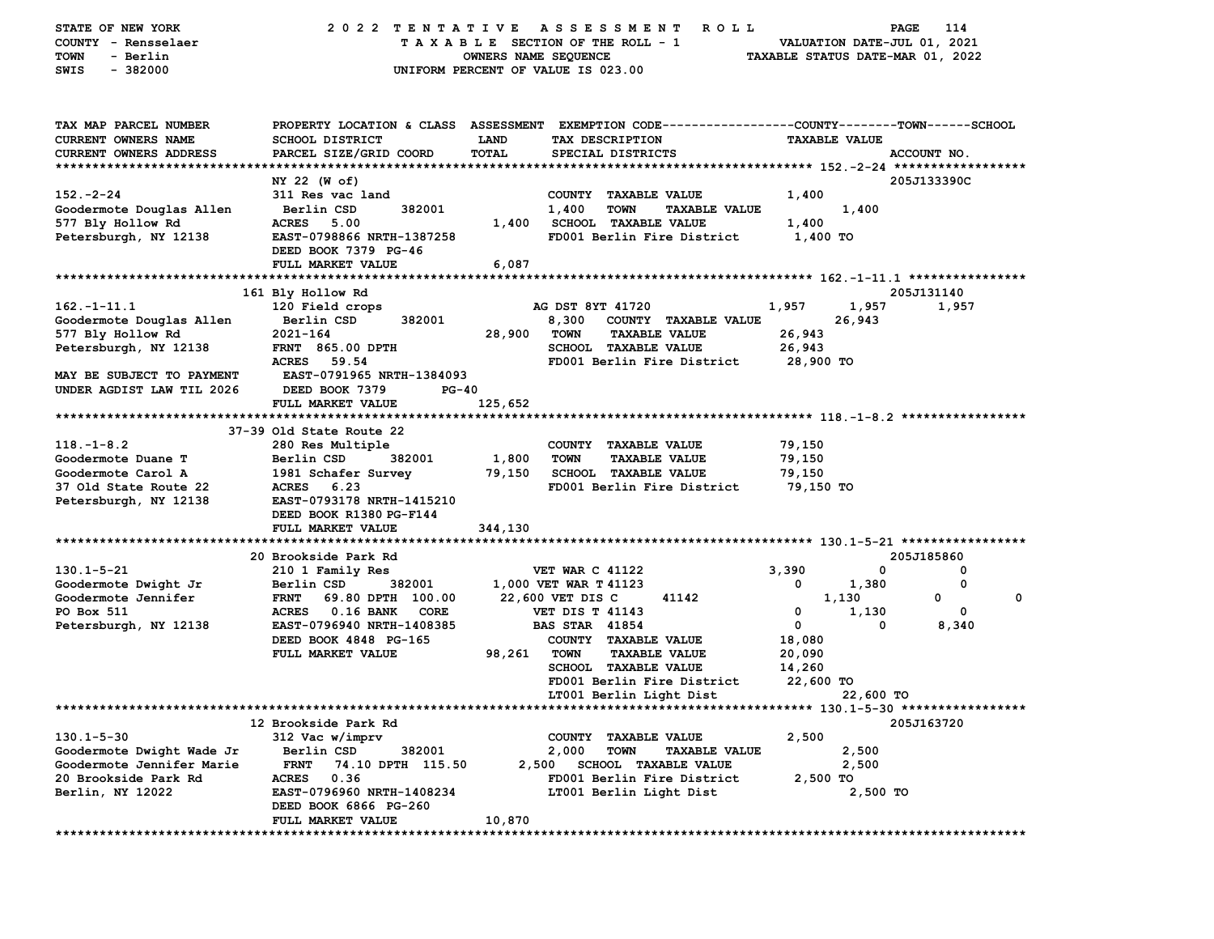| STATE OF NEW YORK         | 2022 TENTATIVE                                    |                      | A S S E S S M E N T<br>R O L L                                                                 |                                  | 114<br>PAGE |
|---------------------------|---------------------------------------------------|----------------------|------------------------------------------------------------------------------------------------|----------------------------------|-------------|
| COUNTY - Rensselaer       |                                                   |                      | TAXABLE SECTION OF THE ROLL - 1                                                                | VALUATION DATE-JUL 01, 2021      |             |
| <b>TOWN</b><br>- Berlin   |                                                   | OWNERS NAME SEQUENCE |                                                                                                | TAXABLE STATUS DATE-MAR 01, 2022 |             |
| $-382000$<br>SWIS         |                                                   |                      | UNIFORM PERCENT OF VALUE IS 023.00                                                             |                                  |             |
|                           |                                                   |                      |                                                                                                |                                  |             |
| TAX MAP PARCEL NUMBER     |                                                   |                      | PROPERTY LOCATION & CLASS ASSESSMENT EXEMPTION CODE---------------COUNTY-------TOWN-----SCHOOL |                                  |             |
| CURRENT OWNERS NAME       | <b>SCHOOL DISTRICT</b>                            | <b>LAND</b>          | TAX DESCRIPTION                                                                                | <b>TAXABLE VALUE</b>             |             |
| CURRENT OWNERS ADDRESS    | PARCEL SIZE/GRID COORD                            | TOTAL                | SPECIAL DISTRICTS                                                                              |                                  | ACCOUNT NO. |
|                           |                                                   |                      |                                                                                                |                                  |             |
|                           | NY 22 (W of)                                      |                      |                                                                                                |                                  | 205J133390C |
| $152 - 2 - 24$            | 311 Res vac land                                  |                      | COUNTY TAXABLE VALUE                                                                           | 1,400                            |             |
| Goodermote Douglas Allen  | 382001<br>Berlin CSD                              |                      | 1,400<br><b>TOWN</b><br><b>TAXABLE VALUE</b>                                                   | 1,400                            |             |
| 577 Bly Hollow Rd         | ACRES 5.00                                        |                      | 1,400 SCHOOL TAXABLE VALUE                                                                     | 1,400                            |             |
| Petersburgh, NY 12138     | EAST-0798866 NRTH-1387258<br>DEED BOOK 7379 PG-46 |                      | FD001 Berlin Fire District                                                                     | 1,400 TO                         |             |
|                           | FULL MARKET VALUE                                 | 6,087                |                                                                                                |                                  |             |
|                           | 161 Bly Hollow Rd                                 |                      |                                                                                                |                                  | 205J131140  |
| $162. - 1 - 11.1$         | 120 Field crops                                   |                      | AG DST 8YT 41720                                                                               | 1,957<br>1,957                   | 1,957       |
| Goodermote Douglas Allen  | 382001<br>Berlin CSD                              |                      | 8,300 COUNTY TAXABLE VALUE                                                                     | 26,943                           |             |
| 577 Bly Hollow Rd         | 2021-164                                          | 28,900               | TOWN<br><b>TAXABLE VALUE</b>                                                                   | 26,943                           |             |
| Petersburgh, NY 12138     | <b>FRNT 865.00 DPTH</b>                           |                      | SCHOOL TAXABLE VALUE                                                                           | 26,943                           |             |
|                           | ACRES 59.54                                       |                      | FD001 Berlin Fire District                                                                     | 28,900 TO                        |             |
| MAY BE SUBJECT TO PAYMENT | <b>EAST-0791965 NRTH-1384093</b>                  |                      |                                                                                                |                                  |             |
| UNDER AGDIST LAW TIL 2026 | DEED BOOK 7379<br><b>PG-40</b>                    |                      |                                                                                                |                                  |             |
|                           | FULL MARKET VALUE                                 | 125,652              |                                                                                                |                                  |             |
|                           |                                                   |                      |                                                                                                |                                  |             |
|                           | 37-39 Old State Route 22                          |                      |                                                                                                |                                  |             |
| $118. - 1 - 8.2$          | 280 Res Multiple                                  |                      | COUNTY TAXABLE VALUE                                                                           | 79,150                           |             |
| Goodermote Duane T        | Berlin CSD<br>382001                              | 1,800                | <b>TOWN</b><br><b>TAXABLE VALUE</b>                                                            | 79,150                           |             |
| Goodermote Carol A        | 1981 Schafer Survey                               | 79,150               | <b>SCHOOL TAXABLE VALUE</b>                                                                    | 79,150                           |             |
| 37 Old State Route 22     | 6.23<br>ACRES                                     |                      | FD001 Berlin Fire District                                                                     | 79,150 TO                        |             |
| Petersburgh, NY 12138     | EAST-0793178 NRTH-1415210                         |                      |                                                                                                |                                  |             |
|                           | DEED BOOK R1380 PG-F144                           |                      |                                                                                                |                                  |             |
|                           | FULL MARKET VALUE                                 | 344,130              |                                                                                                |                                  |             |
|                           |                                                   |                      |                                                                                                |                                  |             |
|                           | 20 Brookside Park Rd                              |                      |                                                                                                |                                  | 205J185860  |
| $130.1 - 5 - 21$          | 210 1 Family Res                                  |                      | <b>VET WAR C 41122</b>                                                                         | 3,390                            | 0<br>0      |
| Goodermote Dwight Jr      | Berlin CSD<br>382001                              |                      | 1,000 VET WAR T 41123                                                                          | 1,380<br>0                       | 0           |
| Goodermote Jennifer       | <b>FRNT</b><br>69.80 DPTH 100.00                  |                      | 22,600 VET DIS C<br>41142                                                                      | 1,130                            | 0<br>0      |
| PO Box 511                | ACRES 0.16 BANK CORE                              |                      | <b>VET DIS T 41143</b>                                                                         | 0<br>1,130                       | 0           |
| Petersburgh, NY 12138     | EAST-0796940 NRTH-1408385                         |                      | <b>BAS STAR 41854</b>                                                                          | $\mathbf 0$                      | 0<br>8,340  |
|                           | DEED BOOK 4848 PG-165                             |                      | COUNTY TAXABLE VALUE                                                                           | 18,080                           |             |
|                           | FULL MARKET VALUE                                 | 98,261               | TOWN<br><b>TAXABLE VALUE</b>                                                                   | 20,090                           |             |
|                           |                                                   |                      | SCHOOL TAXABLE VALUE                                                                           | 14,260                           |             |
|                           |                                                   |                      | FD001 Berlin Fire District                                                                     | 22,600 TO                        |             |
|                           |                                                   |                      | LT001 Berlin Light Dist                                                                        | 22,600 TO                        |             |
|                           |                                                   |                      |                                                                                                |                                  |             |
|                           | 12 Brookside Park Rd                              |                      |                                                                                                |                                  | 205J163720  |
| $130.1 - 5 - 30$          | 312 Vac w/imprv                                   |                      | <b>COUNTY</b><br><b>TAXABLE VALUE</b>                                                          | 2,500                            |             |
| Goodermote Dwight Wade Jr | Berlin CSD<br>382001                              |                      | 2,000<br><b>TOWN</b><br><b>TAXABLE VALUE</b>                                                   | 2,500                            |             |
| Goodermote Jennifer Marie | <b>FRNT</b><br>74.10 DPTH 115.50                  | 2,500                | <b>SCHOOL TAXABLE VALUE</b>                                                                    | 2,500                            |             |
| 20 Brookside Park Rd      | <b>ACRES</b><br>0.36                              |                      | FD001 Berlin Fire District                                                                     | 2,500 TO                         |             |
| Berlin, NY 12022          | EAST-0796960 NRTH-1408234                         |                      | LT001 Berlin Light Dist                                                                        |                                  | 2,500 TO    |
|                           | DEED BOOK 6866 PG-260                             |                      |                                                                                                |                                  |             |
|                           | FULL MARKET VALUE                                 | 10,870               |                                                                                                |                                  |             |
|                           |                                                   |                      |                                                                                                |                                  |             |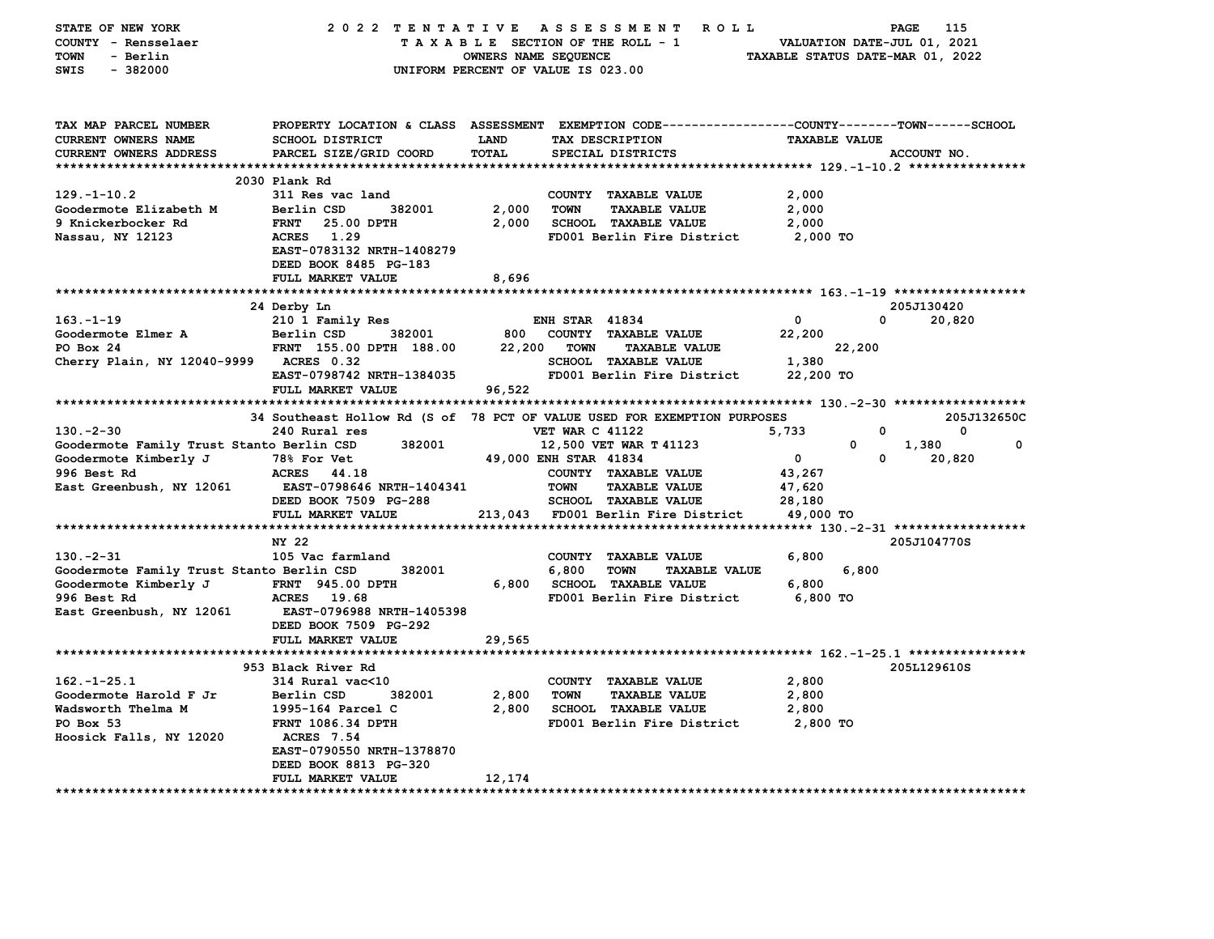| STATE OF NEW YORK<br>COUNTY - Rensselaer<br>- Berlin<br>TOWN<br>SWIS<br>$-382000$ | 2022 TENTATIVE ASSESSMENT                                                      | <b>OWNERS NAME SEQUENCE</b> | ROLL <sup>1</sup><br>TAXABLE SECTION OF THE ROLL - 1<br>UNIFORM PERCENT OF VALUE IS 023.00                        | TAXABLE STATUS DATE-MAR 01, 2022 | 115<br>PAGE<br>VALUATION DATE-JUL 01, 2021 |
|-----------------------------------------------------------------------------------|--------------------------------------------------------------------------------|-----------------------------|-------------------------------------------------------------------------------------------------------------------|----------------------------------|--------------------------------------------|
| TAX MAP PARCEL NUMBER<br><b>CURRENT OWNERS NAME</b>                               | <b>SCHOOL DISTRICT</b>                                                         | LAND                        | PROPERTY LOCATION & CLASS ASSESSMENT EXEMPTION CODE--------------COUNTY-------TOWN------SCHOOL<br>TAX DESCRIPTION | <b>TAXABLE VALUE</b>             |                                            |
| <b>CURRENT OWNERS ADDRESS</b>                                                     | PARCEL SIZE/GRID COORD                                                         | TOTAL                       | SPECIAL DISTRICTS                                                                                                 |                                  | ACCOUNT NO.                                |
|                                                                                   |                                                                                |                             |                                                                                                                   |                                  |                                            |
|                                                                                   | 2030 Plank Rd                                                                  |                             |                                                                                                                   |                                  |                                            |
| $129. - 1 - 10.2$                                                                 | 311 Res vac land                                                               |                             | COUNTY TAXABLE VALUE                                                                                              | 2,000                            |                                            |
| Goodermote Elizabeth M                                                            | 382001<br>Berlin CSD                                                           | 2,000                       | <b>TOWN</b><br><b>TAXABLE VALUE</b>                                                                               | 2,000                            |                                            |
| 9 Knickerbocker Rd                                                                | <b>FRNT</b><br>25.00 DPTH                                                      | 2,000                       | <b>SCHOOL TAXABLE VALUE</b>                                                                                       | 2,000                            |                                            |
| Nassau, NY 12123                                                                  | ACRES 1.29<br>EAST-0783132 NRTH-1408279<br>DEED BOOK 8485 PG-183               |                             | FD001 Berlin Fire District                                                                                        | 2,000 TO                         |                                            |
|                                                                                   | FULL MARKET VALUE                                                              | 8,696                       |                                                                                                                   |                                  |                                            |
|                                                                                   |                                                                                |                             |                                                                                                                   |                                  |                                            |
|                                                                                   | 24 Derby Ln                                                                    |                             |                                                                                                                   |                                  | 205J130420                                 |
| $163. - 1 - 19$                                                                   | 210 1 Family Res                                                               |                             | <b>ENH STAR 41834</b>                                                                                             | $\mathbf 0$                      | 20,820<br>0                                |
| Goodermote Elmer A                                                                | Berlin CSD<br>382001                                                           |                             | 800 COUNTY TAXABLE VALUE                                                                                          | 22,200                           |                                            |
| PO Box 24                                                                         | FRNT 155.00 DPTH 188.00                                                        | 22,200                      | <b>TOWN</b><br><b>TAXABLE VALUE</b>                                                                               | 22,200                           |                                            |
| Cherry Plain, NY 12040-9999 ACRES 0.32                                            |                                                                                |                             | <b>SCHOOL TAXABLE VALUE</b>                                                                                       | 1,380                            |                                            |
|                                                                                   | EAST-0798742 NRTH-1384035                                                      |                             | FD001 Berlin Fire District                                                                                        | 22,200 TO                        |                                            |
|                                                                                   | FULL MARKET VALUE                                                              | 96,522                      |                                                                                                                   |                                  |                                            |
|                                                                                   |                                                                                |                             |                                                                                                                   |                                  |                                            |
| $130 - 2 - 30$                                                                    | 240 Rural res                                                                  |                             | 34 Southeast Hollow Rd (S of 78 PCT OF VALUE USED FOR EXEMPTION PURPOSES<br><b>VET WAR C 41122</b>                | 5,733                            | 205J132650C<br>0<br>0                      |
| Goodermote Family Trust Stanto Berlin CSD                                         | 382001                                                                         |                             | 12,500 VET WAR T 41123                                                                                            | 0                                | 1,380<br>0                                 |
| Goodermote Kimberly J                                                             | 78% For Vet                                                                    |                             | 49,000 ENH STAR 41834                                                                                             | $\mathbf 0$                      | 0<br>20,820                                |
| 996 Best Rd                                                                       | ACRES 44.18                                                                    |                             | COUNTY TAXABLE VALUE                                                                                              | 43,267                           |                                            |
| East Greenbush, NY 12061                                                          | EAST-0798646 NRTH-1404341                                                      |                             | <b>TOWN</b><br><b>TAXABLE VALUE</b>                                                                               | 47,620                           |                                            |
|                                                                                   | DEED BOOK 7509 PG-288                                                          |                             | SCHOOL TAXABLE VALUE                                                                                              | 28,180                           |                                            |
|                                                                                   | FULL MARKET VALUE                                                              |                             | 213,043 FD001 Berlin Fire District                                                                                | 49,000 TO                        |                                            |
|                                                                                   |                                                                                |                             |                                                                                                                   |                                  |                                            |
|                                                                                   | NY 22                                                                          |                             |                                                                                                                   |                                  | 205J104770S                                |
| $130 - 2 - 31$                                                                    | 105 Vac farmland                                                               |                             | COUNTY TAXABLE VALUE                                                                                              | 6,800                            |                                            |
| Goodermote Family Trust Stanto Berlin CSD                                         | 382001                                                                         |                             | 6,800<br><b>TOWN</b><br><b>TAXABLE VALUE</b>                                                                      | 6,800                            |                                            |
| Goodermote Kimberly J                                                             | <b>FRNT 945.00 DPTH</b>                                                        |                             | 6,800 SCHOOL TAXABLE VALUE                                                                                        | 6,800                            |                                            |
| 996 Best Rd                                                                       | ACRES 19.68                                                                    |                             | FD001 Berlin Fire District                                                                                        | 6,800 TO                         |                                            |
| East Greenbush, NY 12061                                                          | <b>EAST-0796988 NRTH-1405398</b><br>DEED BOOK 7509 PG-292<br>FULL MARKET VALUE | 29,565                      |                                                                                                                   |                                  |                                            |
|                                                                                   |                                                                                |                             |                                                                                                                   |                                  |                                            |
|                                                                                   | 953 Black River Rd                                                             |                             |                                                                                                                   |                                  | 205L129610S                                |
| $162. - 1 - 25.1$                                                                 | 314 Rural vac<10                                                               |                             | COUNTY TAXABLE VALUE                                                                                              | 2,800                            |                                            |
| Goodermote Harold F Jr                                                            | 382001<br>Berlin CSD                                                           | 2,800                       | <b>TOWN</b><br><b>TAXABLE VALUE</b>                                                                               | 2,800                            |                                            |
| Wadsworth Thelma M                                                                | 1995-164 Parcel C                                                              | 2,800                       | <b>SCHOOL TAXABLE VALUE</b>                                                                                       | 2,800                            |                                            |
| PO Box 53                                                                         | <b>FRNT 1086.34 DPTH</b>                                                       |                             | FD001 Berlin Fire District                                                                                        | 2,800 TO                         |                                            |
| Hoosick Falls, NY 12020                                                           | <b>ACRES</b> 7.54                                                              |                             |                                                                                                                   |                                  |                                            |
|                                                                                   | EAST-0790550 NRTH-1378870                                                      |                             |                                                                                                                   |                                  |                                            |
|                                                                                   | DEED BOOK 8813 PG-320                                                          |                             |                                                                                                                   |                                  |                                            |
| *********************************                                                 | FULL MARKET VALUE<br>********************                                      | 12,174                      |                                                                                                                   |                                  |                                            |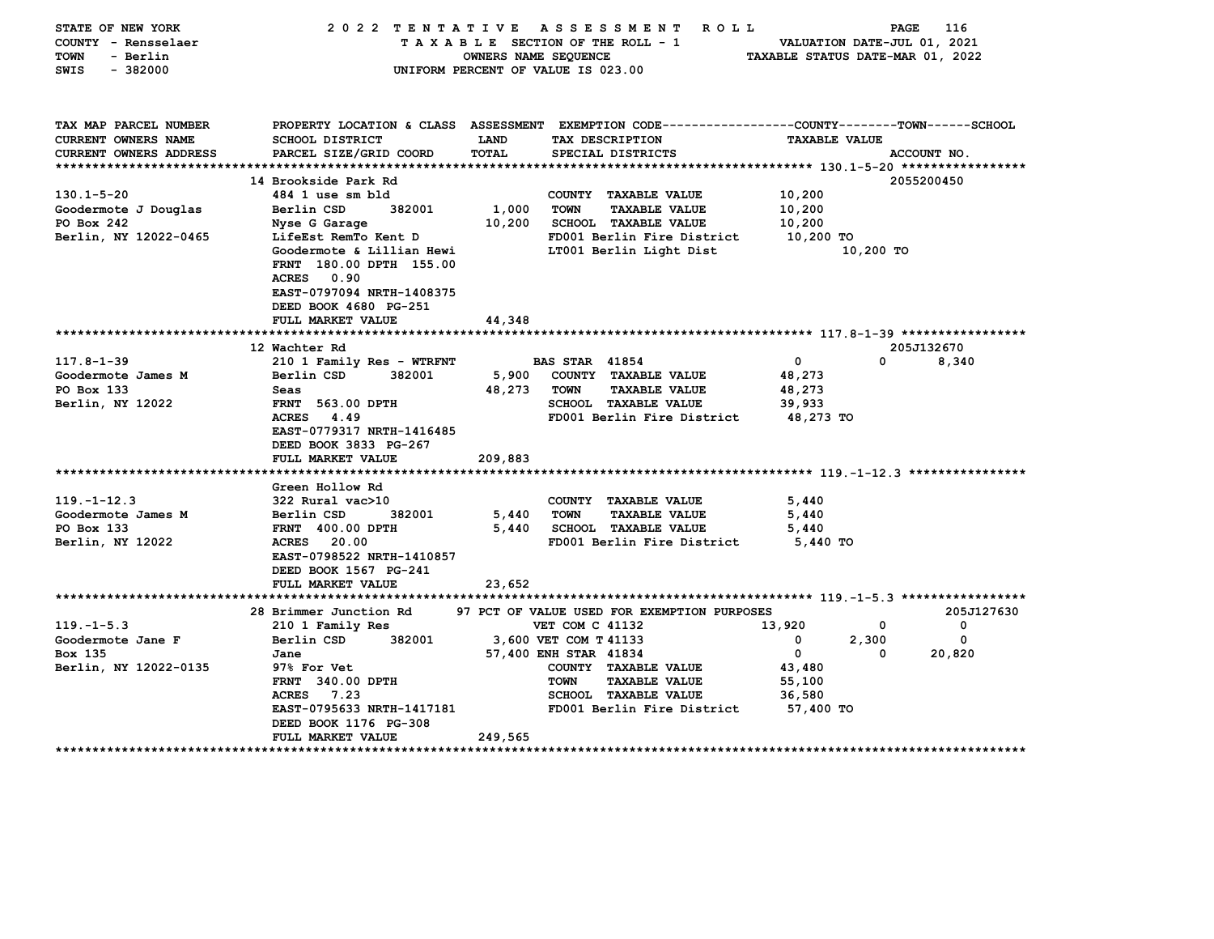| STATE OF NEW YORK<br>COUNTY - Rensselaer<br><b>TOWN</b><br>- Berlin<br>SWIS<br>$-382000$ |                                                                                                                                                  | OWNERS NAME SEQUENCE | 2022 TENTATIVE ASSESSMENT<br>ROLL ROLL<br>TAXABLE SECTION OF THE ROLL - 1<br>UNIFORM PERCENT OF VALUE IS 023.00                        | VALUATION DATE-JUL 01, 2021<br>TAXABLE STATUS DATE-MAR 01, 2022 | PAGE       | 116         |
|------------------------------------------------------------------------------------------|--------------------------------------------------------------------------------------------------------------------------------------------------|----------------------|----------------------------------------------------------------------------------------------------------------------------------------|-----------------------------------------------------------------|------------|-------------|
| TAX MAP PARCEL NUMBER<br>CURRENT OWNERS NAME<br><b>CURRENT OWNERS ADDRESS</b>            | <b>SCHOOL DISTRICT</b><br>PARCEL SIZE/GRID COORD                                                                                                 | LAND<br>TOTAL        | PROPERTY LOCATION & CLASS ASSESSMENT EXEMPTION CODE---------------COUNTY-------TOWN-----SCHOOL<br>TAX DESCRIPTION<br>SPECIAL DISTRICTS | <b>TAXABLE VALUE</b>                                            |            | ACCOUNT NO. |
|                                                                                          |                                                                                                                                                  |                      |                                                                                                                                        |                                                                 |            |             |
|                                                                                          | 14 Brookside Park Rd                                                                                                                             |                      |                                                                                                                                        |                                                                 |            | 2055200450  |
| $130.1 - 5 - 20$                                                                         | 484 1 use sm bld                                                                                                                                 |                      | COUNTY TAXABLE VALUE                                                                                                                   | 10,200                                                          |            |             |
| Goodermote J Douglas                                                                     | Berlin CSD<br>382001                                                                                                                             | 1,000                | <b>TAXABLE VALUE</b><br>TOWN                                                                                                           | 10,200                                                          |            |             |
| PO Box 242                                                                               | Nyse G Garage                                                                                                                                    | 10,200               | <b>SCHOOL TAXABLE VALUE</b>                                                                                                            | 10,200                                                          |            |             |
| Berlin, NY 12022-0465                                                                    | LifeEst RemTo Kent D<br>Goodermote & Lillian Hewi<br>FRNT 180.00 DPTH 155.00<br>ACRES 0.90<br>EAST-0797094 NRTH-1408375<br>DEED BOOK 4680 PG-251 |                      | FD001 Berlin Fire District<br>LT001 Berlin Light Dist                                                                                  | 10,200 TO                                                       | 10,200 TO  |             |
|                                                                                          | FULL MARKET VALUE                                                                                                                                | 44,348               |                                                                                                                                        |                                                                 |            |             |
|                                                                                          |                                                                                                                                                  |                      |                                                                                                                                        |                                                                 |            |             |
|                                                                                          | 12 Wachter Rd                                                                                                                                    |                      |                                                                                                                                        |                                                                 |            | 205J132670  |
| $117.8 - 1 - 39$                                                                         | 210 1 Family Res - WTRFNT<br>382001                                                                                                              |                      | <b>BAS STAR 41854</b>                                                                                                                  | $\mathbf 0$                                                     | 0          | 8,340       |
| Goodermote James M<br>PO Box 133                                                         | Berlin CSD<br>Seas                                                                                                                               | 5,900<br>48,273      | COUNTY TAXABLE VALUE<br>TOWN<br><b>TAXABLE VALUE</b>                                                                                   | 48,273<br>48,273                                                |            |             |
| Berlin, NY 12022                                                                         | <b>FRNT</b> 563.00 DPTH                                                                                                                          |                      | <b>SCHOOL TAXABLE VALUE</b>                                                                                                            | 39,933                                                          |            |             |
|                                                                                          | <b>ACRES</b> 4.49<br>EAST-0779317 NRTH-1416485<br>DEED BOOK 3833 PG-267<br>FULL MARKET VALUE                                                     | 209,883              | FD001 Berlin Fire District                                                                                                             | 48,273 TO                                                       |            |             |
|                                                                                          |                                                                                                                                                  |                      |                                                                                                                                        |                                                                 |            |             |
| $119. - 1 - 12.3$                                                                        | Green Hollow Rd<br>322 Rural vac>10                                                                                                              |                      | COUNTY TAXABLE VALUE                                                                                                                   | 5,440                                                           |            |             |
| Goodermote James M                                                                       | Berlin CSD<br>382001                                                                                                                             | 5,440                | TOWN<br><b>TAXABLE VALUE</b>                                                                                                           | 5,440                                                           |            |             |
| PO Box 133                                                                               | <b>FRNT 400.00 DPTH</b>                                                                                                                          | 5,440                | SCHOOL TAXABLE VALUE                                                                                                                   | 5,440                                                           |            |             |
| Berlin, NY 12022                                                                         | ACRES 20.00<br>EAST-0798522 NRTH-1410857<br>DEED BOOK 1567 PG-241<br>FULL MARKET VALUE                                                           | 23,652               | FD001 Berlin Fire District                                                                                                             | 5,440 TO                                                        |            |             |
|                                                                                          |                                                                                                                                                  |                      |                                                                                                                                        |                                                                 |            |             |
|                                                                                          | 28 Brimmer Junction Rd                                                                                                                           |                      | 97 PCT OF VALUE USED FOR EXEMPTION PURPOSES                                                                                            |                                                                 |            | 205J127630  |
| $119. -1 - 5.3$                                                                          | 210 1 Family Res                                                                                                                                 |                      | VET COM C 41132                                                                                                                        | 13,920                                                          | 0          | 0           |
| Goodermote Jane F<br>Box 135                                                             | Berlin CSD<br>382001<br>Jane                                                                                                                     |                      | 3,600 VET COM T 41133<br>57,400 ENH STAR 41834                                                                                         | 0<br>0                                                          | 2,300<br>0 | 0<br>20,820 |
| Berlin, NY 12022-0135                                                                    | 97% For Vet<br>FRNT 340.00 DPTH<br>7.23<br><b>ACRES</b><br>EAST-0795633 NRTH-1417181<br>DEED BOOK 1176 PG-308                                    |                      | COUNTY TAXABLE VALUE<br><b>TAXABLE VALUE</b><br>TOWN<br><b>SCHOOL TAXABLE VALUE</b><br>FD001 Berlin Fire District                      | 43,480<br>55,100<br>36,580<br>57,400 TO                         |            |             |
|                                                                                          | FULL MARKET VALUE                                                                                                                                | 249,565              |                                                                                                                                        |                                                                 |            |             |
|                                                                                          |                                                                                                                                                  |                      |                                                                                                                                        |                                                                 |            |             |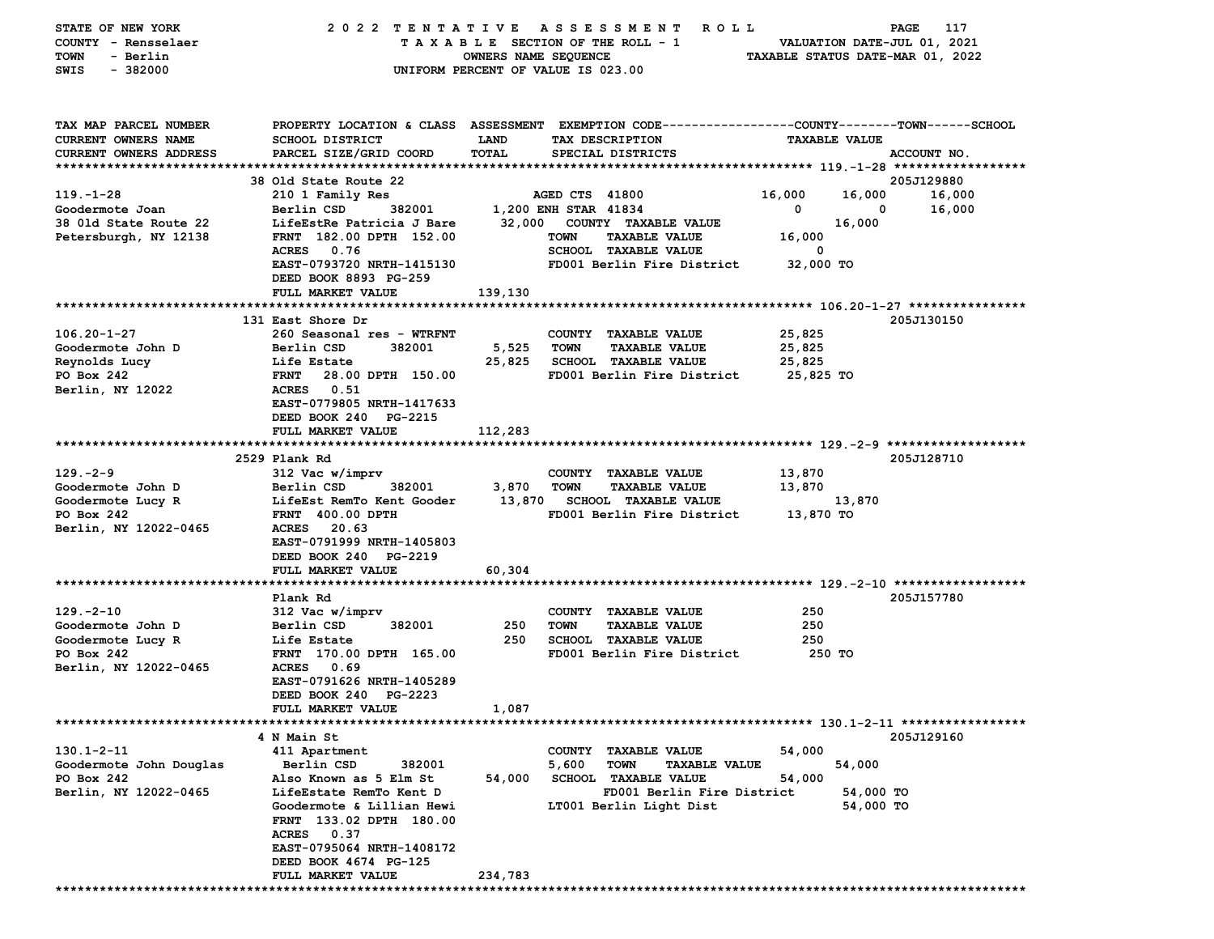| STATE OF NEW YORK             | 2022 TENTATIVE                             |                      | A S S E S S M E N T<br>R O L L                                                                  |                      | PAGE<br>117                      |
|-------------------------------|--------------------------------------------|----------------------|-------------------------------------------------------------------------------------------------|----------------------|----------------------------------|
| COUNTY - Rensselaer           |                                            |                      | TAXABLE SECTION OF THE ROLL - 1                                                                 |                      | VALUATION DATE-JUL 01, 2021      |
| TOWN<br>- Berlin              |                                            | OWNERS NAME SEQUENCE |                                                                                                 |                      | TAXABLE STATUS DATE-MAR 01, 2022 |
| $-382000$<br>SWIS             |                                            |                      | UNIFORM PERCENT OF VALUE IS 023.00                                                              |                      |                                  |
|                               |                                            |                      |                                                                                                 |                      |                                  |
|                               |                                            |                      |                                                                                                 |                      |                                  |
|                               |                                            |                      |                                                                                                 |                      |                                  |
| TAX MAP PARCEL NUMBER         |                                            |                      | PROPERTY LOCATION & CLASS ASSESSMENT EXEMPTION CODE---------------COUNTY-------TOWN------SCHOOL |                      |                                  |
| <b>CURRENT OWNERS NAME</b>    | SCHOOL DISTRICT                            | LAND                 | TAX DESCRIPTION                                                                                 | <b>TAXABLE VALUE</b> |                                  |
| <b>CURRENT OWNERS ADDRESS</b> | PARCEL SIZE/GRID COORD                     | TOTAL                | SPECIAL DISTRICTS                                                                               |                      | ACCOUNT NO.                      |
|                               | 38 Old State Route 22                      |                      |                                                                                                 |                      | 205J129880                       |
| $119. - 1 - 28$               | 210 1 Family Res                           |                      | AGED CTS 41800                                                                                  | 16,000               | 16,000<br>16,000                 |
| Goodermote Joan               | Berlin CSD<br>382001                       |                      | 1,200 ENH STAR 41834                                                                            | 0                    | 16,000<br>0                      |
| 38 Old State Route 22         | LifeEstRe Patricia J Bare                  |                      | 32,000 COUNTY TAXABLE VALUE                                                                     |                      | 16,000                           |
|                               | FRNT 182.00 DPTH 152.00                    |                      | <b>TOWN</b><br><b>TAXABLE VALUE</b>                                                             | 16,000               |                                  |
| Petersburgh, NY 12138         | 0.76<br><b>ACRES</b>                       |                      | SCHOOL TAXABLE VALUE                                                                            | 0                    |                                  |
|                               | EAST-0793720 NRTH-1415130                  |                      | FD001 Berlin Fire District                                                                      | 32,000 TO            |                                  |
|                               | DEED BOOK 8893 PG-259                      |                      |                                                                                                 |                      |                                  |
|                               | FULL MARKET VALUE                          | 139,130              |                                                                                                 |                      |                                  |
|                               |                                            |                      |                                                                                                 |                      |                                  |
|                               | 131 East Shore Dr                          |                      |                                                                                                 |                      | 205J130150                       |
| $106.20 - 1 - 27$             | 260 Seasonal res - WTRFNT                  |                      |                                                                                                 | 25,825               |                                  |
| Goodermote John D             | Berlin CSD<br>382001                       | 5,525                | COUNTY TAXABLE VALUE<br><b>TOWN</b><br><b>TAXABLE VALUE</b>                                     | 25,825               |                                  |
| Reynolds Lucy                 | Life Estate                                | 25,825               | <b>SCHOOL TAXABLE VALUE</b>                                                                     | 25,825               |                                  |
| PO Box 242                    | <b>FRNT</b><br>28.00 DPTH 150.00           |                      | FD001 Berlin Fire District                                                                      | 25,825 TO            |                                  |
|                               | <b>ACRES</b><br>0.51                       |                      |                                                                                                 |                      |                                  |
| Berlin, NY 12022              |                                            |                      |                                                                                                 |                      |                                  |
|                               | EAST-0779805 NRTH-1417633                  |                      |                                                                                                 |                      |                                  |
|                               | DEED BOOK 240 PG-2215<br>FULL MARKET VALUE |                      |                                                                                                 |                      |                                  |
|                               |                                            | 112,283              |                                                                                                 |                      |                                  |
|                               |                                            |                      |                                                                                                 |                      |                                  |
| $129. -2 - 9$                 | 2529 Plank Rd                              |                      |                                                                                                 |                      | 205J128710                       |
|                               | 312 Vac w/imprv                            |                      | COUNTY TAXABLE VALUE                                                                            | 13,870               |                                  |
| Goodermote John D             | Berlin CSD<br>382001                       | 3,870                | <b>TOWN</b><br><b>TAXABLE VALUE</b>                                                             | 13,870               |                                  |
| Goodermote Lucy R             | LifeEst RemTo Kent Gooder                  | 13,870               | <b>SCHOOL TAXABLE VALUE</b>                                                                     |                      | 13,870                           |
| PO Box 242                    | <b>FRNT 400.00 DPTH</b>                    |                      | FD001 Berlin Fire District                                                                      | 13,870 TO            |                                  |
| Berlin, NY 12022-0465         | <b>ACRES</b><br>20.63                      |                      |                                                                                                 |                      |                                  |
|                               | EAST-0791999 NRTH-1405803                  |                      |                                                                                                 |                      |                                  |
|                               | DEED BOOK 240 PG-2219                      |                      |                                                                                                 |                      |                                  |
|                               | FULL MARKET VALUE                          | 60,304               |                                                                                                 |                      |                                  |
|                               |                                            |                      |                                                                                                 |                      |                                  |
|                               | Plank Rd                                   |                      |                                                                                                 |                      | 205J157780                       |
| $129. -2 - 10$                | 312 Vac w/imprv                            |                      | COUNTY TAXABLE VALUE                                                                            | 250                  |                                  |
| Goodermote John D             | Berlin CSD<br>382001                       | 250                  | <b>TOWN</b><br><b>TAXABLE VALUE</b>                                                             | 250                  |                                  |
| Goodermote Lucy R             | Life Estate                                | 250                  | <b>SCHOOL TAXABLE VALUE</b>                                                                     | 250                  |                                  |
| PO Box 242                    | FRNT 170.00 DPTH 165.00                    |                      | FD001 Berlin Fire District                                                                      | 250 TO               |                                  |
| Berlin, NY 12022-0465         | <b>ACRES</b><br>0.69                       |                      |                                                                                                 |                      |                                  |
|                               | EAST-0791626 NRTH-1405289                  |                      |                                                                                                 |                      |                                  |
|                               | DEED BOOK 240 PG-2223                      |                      |                                                                                                 |                      |                                  |
|                               | FULL MARKET VALUE                          | 1,087                |                                                                                                 |                      |                                  |
|                               |                                            |                      |                                                                                                 |                      |                                  |
|                               | 4 N Main St                                |                      |                                                                                                 |                      | 205J129160                       |
| $130.1 - 2 - 11$              | 411 Apartment                              |                      | COUNTY TAXABLE VALUE                                                                            | 54,000               |                                  |
| Goodermote John Douglas       | Berlin CSD<br>382001                       |                      | 5,600<br><b>TOWN</b><br><b>TAXABLE VALUE</b>                                                    |                      | 54,000                           |
| PO Box 242                    | Also Known as 5 Elm St                     | 54,000               | <b>SCHOOL TAXABLE VALUE</b>                                                                     | 54,000               |                                  |
| Berlin, NY 12022-0465         | LifeEstate RemTo Kent D                    |                      | FD001 Berlin Fire District                                                                      |                      | 54,000 TO                        |
|                               | Goodermote & Lillian Hewi                  |                      | LT001 Berlin Light Dist                                                                         |                      | 54,000 TO                        |
|                               | FRNT 133.02 DPTH 180.00                    |                      |                                                                                                 |                      |                                  |
|                               | ACRES 0.37                                 |                      |                                                                                                 |                      |                                  |
|                               | EAST-0795064 NRTH-1408172                  |                      |                                                                                                 |                      |                                  |
|                               | DEED BOOK 4674 PG-125                      |                      |                                                                                                 |                      |                                  |
|                               | FULL MARKET VALUE                          | 234,783              |                                                                                                 |                      |                                  |
|                               |                                            |                      |                                                                                                 |                      |                                  |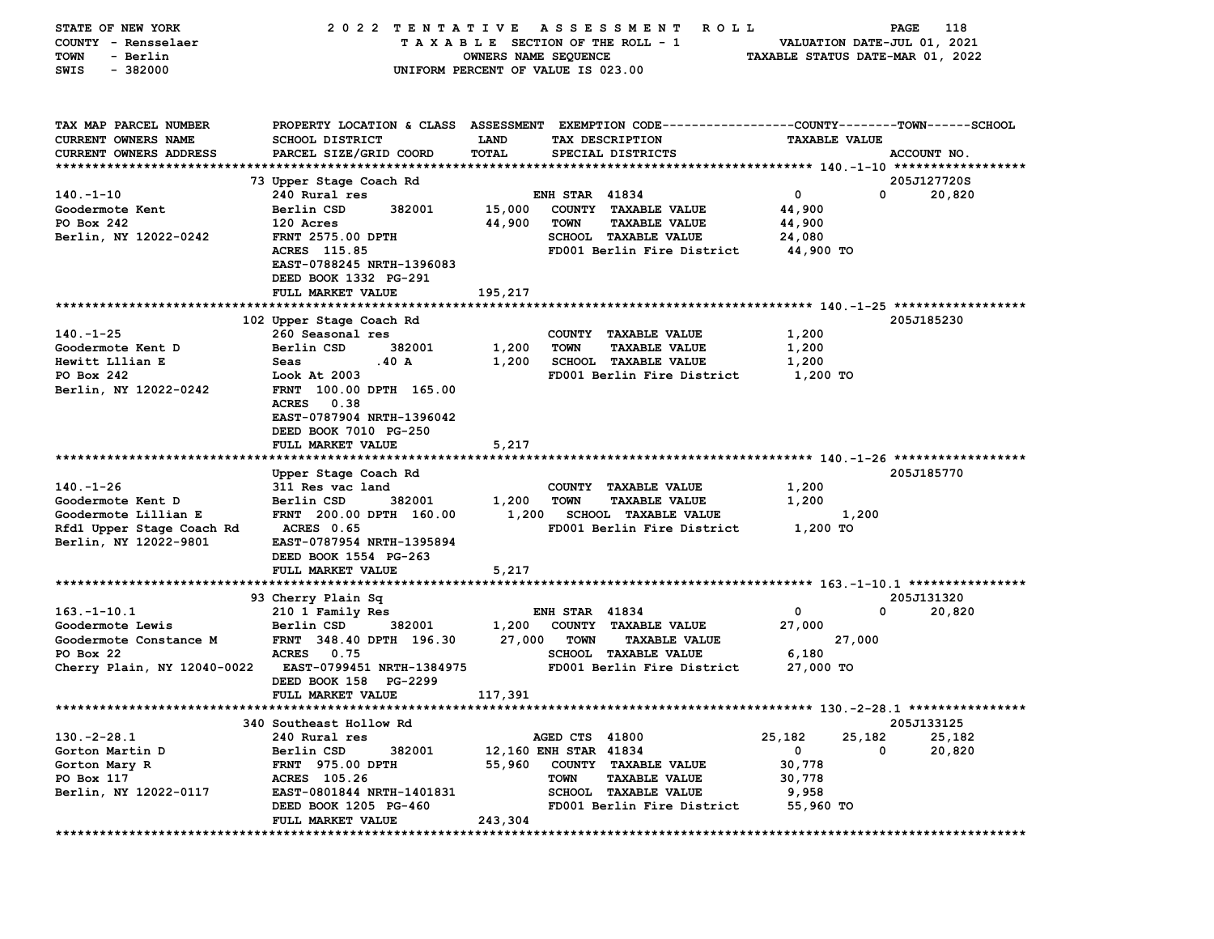| STATE OF NEW YORK           | 2022 TENTATIVE                                                                                  |                                    |                       | A S S E S S M E N T<br>R O L L                                  |                                  |        | PAGE<br>118                 |
|-----------------------------|-------------------------------------------------------------------------------------------------|------------------------------------|-----------------------|-----------------------------------------------------------------|----------------------------------|--------|-----------------------------|
| COUNTY - Rensselaer         |                                                                                                 |                                    |                       | TAXABLE SECTION OF THE ROLL - 1                                 |                                  |        | VALUATION DATE-JUL 01, 2021 |
| TOWN<br>- Berlin            |                                                                                                 | OWNERS NAME SEQUENCE               |                       |                                                                 | TAXABLE STATUS DATE-MAR 01, 2022 |        |                             |
| $-382000$<br>SWIS           |                                                                                                 | UNIFORM PERCENT OF VALUE IS 023.00 |                       |                                                                 |                                  |        |                             |
|                             |                                                                                                 |                                    |                       |                                                                 |                                  |        |                             |
|                             |                                                                                                 |                                    |                       |                                                                 |                                  |        |                             |
| TAX MAP PARCEL NUMBER       | PROPERTY LOCATION & CLASS ASSESSMENT EXEMPTION CODE---------------COUNTY-------TOWN------SCHOOL |                                    |                       |                                                                 |                                  |        |                             |
|                             |                                                                                                 |                                    |                       |                                                                 |                                  |        |                             |
| <b>CURRENT OWNERS NAME</b>  | SCHOOL DISTRICT                                                                                 | LAND                               |                       | TAX DESCRIPTION                                                 | <b>TAXABLE VALUE</b>             |        |                             |
| CURRENT OWNERS ADDRESS      | PARCEL SIZE/GRID COORD                                                                          | TOTAL                              |                       | SPECIAL DISTRICTS                                               |                                  |        | ACCOUNT NO.                 |
|                             |                                                                                                 |                                    |                       |                                                                 |                                  |        |                             |
|                             | 73 Upper Stage Coach Rd                                                                         |                                    |                       |                                                                 |                                  |        | 205J127720S                 |
| $140. - 1 - 10$             | 240 Rural res                                                                                   |                                    | <b>ENH STAR 41834</b> |                                                                 | $\mathbf 0$                      | 0      | 20,820                      |
| Goodermote Kent             | Berlin CSD<br>382001                                                                            | 15,000                             |                       | COUNTY TAXABLE VALUE                                            | 44,900                           |        |                             |
| PO Box 242                  | 120 Acres                                                                                       | 44,900                             | <b>TOWN</b>           | <b>TAXABLE VALUE</b>                                            | 44,900                           |        |                             |
| Berlin, NY 12022-0242       | <b>FRNT 2575.00 DPTH</b>                                                                        |                                    |                       | SCHOOL TAXABLE VALUE                                            | 24,080                           |        |                             |
|                             | ACRES 115.85                                                                                    |                                    |                       | FD001 Berlin Fire District                                      | 44,900 TO                        |        |                             |
|                             | EAST-0788245 NRTH-1396083                                                                       |                                    |                       |                                                                 |                                  |        |                             |
|                             | DEED BOOK 1332 PG-291                                                                           |                                    |                       |                                                                 |                                  |        |                             |
|                             | FULL MARKET VALUE                                                                               | 195,217                            |                       |                                                                 |                                  |        |                             |
|                             |                                                                                                 |                                    |                       |                                                                 |                                  |        |                             |
|                             | 102 Upper Stage Coach Rd                                                                        |                                    |                       |                                                                 |                                  |        | 205J185230                  |
| $140. - 1 - 25$             | 260 Seasonal res                                                                                |                                    |                       | COUNTY TAXABLE VALUE                                            | 1,200                            |        |                             |
| Goodermote Kent D           | Berlin CSD<br>382001                                                                            | 1,200                              | <b>TOWN</b>           | <b>TAXABLE VALUE</b>                                            | 1,200                            |        |                             |
| Hewitt Lllian E             | .40A<br>Seas                                                                                    | 1,200                              |                       | <b>SCHOOL TAXABLE VALUE</b>                                     | 1,200                            |        |                             |
| PO Box 242                  | Look At 2003                                                                                    |                                    |                       | FD001 Berlin Fire District                                      | 1,200 TO                         |        |                             |
| Berlin, NY 12022-0242       | FRNT 100.00 DPTH 165.00                                                                         |                                    |                       |                                                                 |                                  |        |                             |
|                             | 0.38                                                                                            |                                    |                       |                                                                 |                                  |        |                             |
|                             | <b>ACRES</b>                                                                                    |                                    |                       |                                                                 |                                  |        |                             |
|                             | EAST-0787904 NRTH-1396042                                                                       |                                    |                       |                                                                 |                                  |        |                             |
|                             | DEED BOOK 7010 PG-250                                                                           |                                    |                       |                                                                 |                                  |        |                             |
|                             | FULL MARKET VALUE                                                                               | 5,217                              |                       |                                                                 |                                  |        |                             |
|                             |                                                                                                 |                                    |                       |                                                                 |                                  |        |                             |
|                             | Upper Stage Coach Rd                                                                            |                                    |                       |                                                                 |                                  |        | 205J185770                  |
| $140. - 1 - 26$             | 311 Res vac land                                                                                |                                    |                       | COUNTY TAXABLE VALUE                                            | 1,200                            |        |                             |
| Goodermote Kent D           | Berlin CSD<br>382001                                                                            | 1,200                              | <b>TOWN</b>           | <b>TAXABLE VALUE</b>                                            | 1,200                            |        |                             |
| Goodermote Lillian E        | FRNT 200.00 DPTH 160.00                                                                         | 1,200                              |                       | <b>SCHOOL TAXABLE VALUE</b>                                     |                                  | 1,200  |                             |
| Rfd1 Upper Stage Coach Rd   | <b>ACRES 0.65</b>                                                                               |                                    |                       | FD001 Berlin Fire District                                      | 1,200 TO                         |        |                             |
| Berlin, NY 12022-9801       | EAST-0787954 NRTH-1395894                                                                       |                                    |                       |                                                                 |                                  |        |                             |
|                             | DEED BOOK 1554 PG-263                                                                           |                                    |                       |                                                                 |                                  |        |                             |
|                             | FULL MARKET VALUE                                                                               | 5,217                              |                       |                                                                 |                                  |        |                             |
|                             |                                                                                                 |                                    |                       |                                                                 |                                  |        |                             |
|                             | 93 Cherry Plain Sq                                                                              |                                    |                       |                                                                 |                                  |        | 205J131320                  |
| $163. - 1 - 10.1$           | 210 1 Family Res                                                                                |                                    | <b>ENH STAR 41834</b> |                                                                 | 0                                | 0      | 20,820                      |
| Goodermote Lewis            | 382001<br>Berlin CSD                                                                            | 1,200                              |                       | COUNTY TAXABLE VALUE                                            | 27,000                           |        |                             |
| Goodermote Constance M      | FRNT 348.40 DPTH 196.30                                                                         | 27,000                             | <b>TOWN</b>           | <b>TAXABLE VALUE</b>                                            |                                  | 27,000 |                             |
| PO Box 22                   | 0.75<br><b>ACRES</b>                                                                            |                                    |                       | <b>SCHOOL TAXABLE VALUE</b>                                     | 6,180                            |        |                             |
|                             | EAST-0799451 NRTH-1384975                                                                       |                                    |                       | FD001 Berlin Fire District                                      |                                  |        |                             |
| Cherry Plain, NY 12040-0022 |                                                                                                 |                                    |                       |                                                                 | 27,000 TO                        |        |                             |
|                             | DEED BOOK 158 PG-2299                                                                           |                                    |                       |                                                                 |                                  |        |                             |
|                             | <b>FULL MARKET VALUE</b>                                                                        | 117,391                            |                       |                                                                 |                                  |        |                             |
| ************************    | *********************                                                                           |                                    |                       | ********************************** 130.-2-28.1 **************** |                                  |        |                             |
|                             | 340 Southeast Hollow Rd                                                                         |                                    |                       |                                                                 |                                  |        | 205J133125                  |
| $130. -2 - 28.1$            | 240 Rural res                                                                                   |                                    | AGED CTS 41800        |                                                                 | 25,182                           | 25,182 | 25,182                      |
| Gorton Martin D             | 382001<br>Berlin CSD                                                                            | 12,160 ENH STAR 41834              |                       |                                                                 | 0                                | 0      | 20,820                      |
| Gorton Mary R               | <b>FRNT</b> 975.00 DPTH                                                                         | 55,960                             |                       | COUNTY TAXABLE VALUE                                            | 30,778                           |        |                             |
| PO Box 117                  | ACRES 105.26                                                                                    |                                    | TOWN                  | <b>TAXABLE VALUE</b>                                            | 30,778                           |        |                             |
| Berlin, NY 12022-0117       | EAST-0801844 NRTH-1401831                                                                       |                                    |                       | <b>SCHOOL TAXABLE VALUE</b>                                     | 9,958                            |        |                             |
|                             | DEED BOOK 1205 PG-460                                                                           |                                    |                       | FD001 Berlin Fire District                                      | 55,960 TO                        |        |                             |
|                             | FULL MARKET VALUE                                                                               | 243,304                            |                       |                                                                 |                                  |        |                             |
|                             |                                                                                                 |                                    |                       |                                                                 |                                  |        |                             |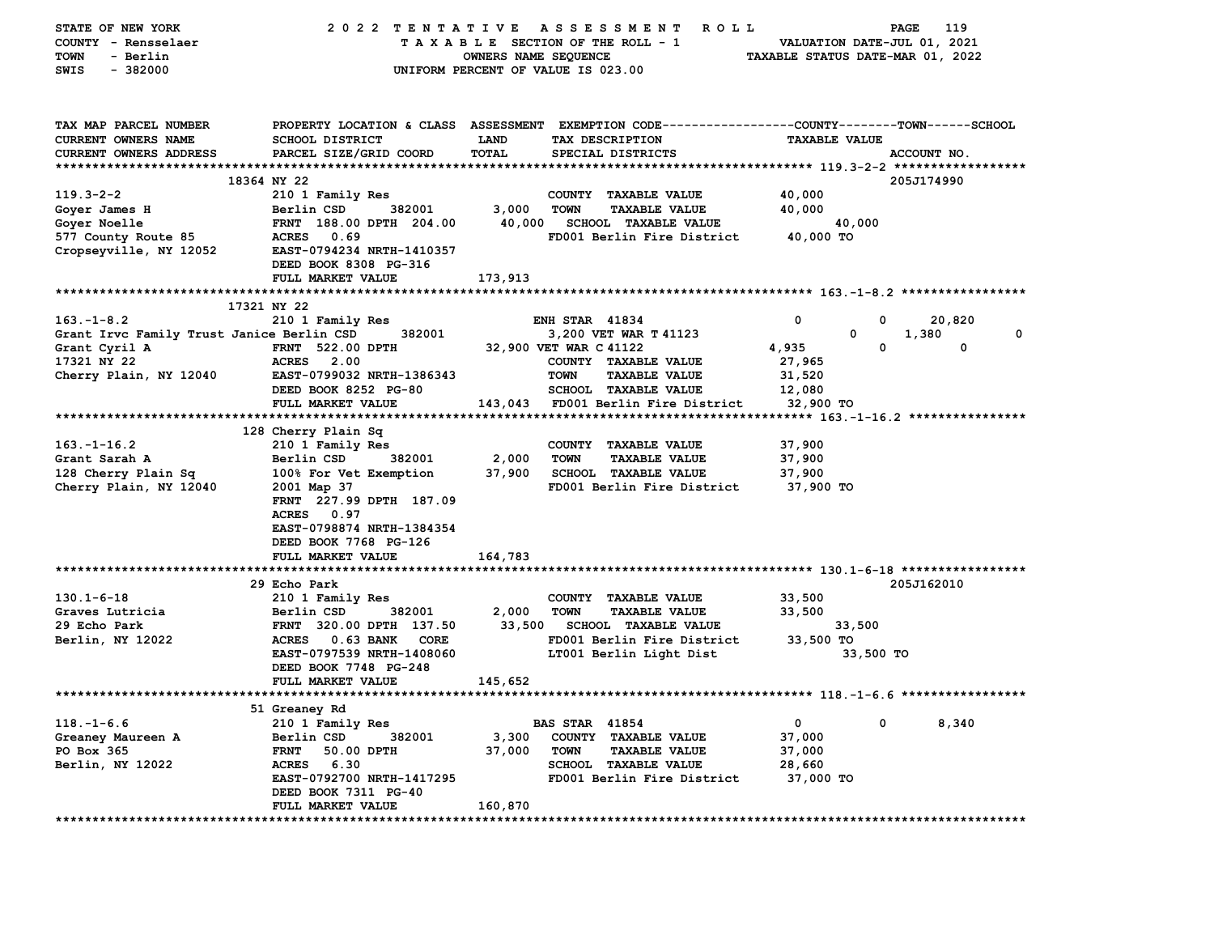| STATE OF NEW YORK                         | 2022 TENTATIVE                           |                      | ROLL<br>A S S E S S M E N T                                                                    |                                  | 119<br>PAGE                 |
|-------------------------------------------|------------------------------------------|----------------------|------------------------------------------------------------------------------------------------|----------------------------------|-----------------------------|
| COUNTY - Rensselaer                       |                                          |                      | TAXABLE SECTION OF THE ROLL - 1                                                                |                                  | VALUATION DATE-JUL 01, 2021 |
| TOWN<br>- Berlin                          |                                          | OWNERS NAME SEQUENCE |                                                                                                | TAXABLE STATUS DATE-MAR 01, 2022 |                             |
| $-382000$<br>SWIS                         |                                          |                      | UNIFORM PERCENT OF VALUE IS 023.00                                                             |                                  |                             |
|                                           |                                          |                      |                                                                                                |                                  |                             |
|                                           |                                          |                      |                                                                                                |                                  |                             |
| TAX MAP PARCEL NUMBER                     |                                          |                      | PROPERTY LOCATION & CLASS ASSESSMENT EXEMPTION CODE--------------COUNTY-------TOWN------SCHOOL |                                  |                             |
| CURRENT OWNERS NAME                       | SCHOOL DISTRICT                          | LAND                 | TAX DESCRIPTION                                                                                | <b>TAXABLE VALUE</b>             |                             |
| CURRENT OWNERS ADDRESS                    | PARCEL SIZE/GRID COORD                   | <b>TOTAL</b>         | SPECIAL DISTRICTS                                                                              |                                  | ACCOUNT NO.                 |
|                                           |                                          |                      |                                                                                                |                                  |                             |
|                                           | 18364 NY 22                              |                      |                                                                                                |                                  | 205J174990                  |
| $119.3 - 2 - 2$                           | 210 1 Family Res                         |                      | COUNTY TAXABLE VALUE                                                                           | 40,000                           |                             |
| Goyer James H                             | Berlin CSD<br>382001                     | 3,000                | <b>TOWN</b><br><b>TAXABLE VALUE</b>                                                            | 40,000                           |                             |
| Goyer Noelle                              | FRNT 188.00 DPTH 204.00                  | 40,000               | <b>SCHOOL TAXABLE VALUE</b>                                                                    | 40,000                           |                             |
| 577 County Route 85                       | ACRES 0.69                               |                      | FD001 Berlin Fire District                                                                     | 40,000 TO                        |                             |
| Cropseyville, NY 12052                    | EAST-0794234 NRTH-1410357                |                      |                                                                                                |                                  |                             |
|                                           | DEED BOOK 8308 PG-316                    |                      |                                                                                                |                                  |                             |
|                                           | FULL MARKET VALUE                        | 173,913              |                                                                                                |                                  |                             |
|                                           | 17321 NY 22                              |                      |                                                                                                |                                  |                             |
| $163. - 1 - 8.2$                          | 210 1 Family Res                         |                      | <b>ENH STAR 41834</b>                                                                          | 0                                | 0<br>20,820                 |
| Grant Irvc Family Trust Janice Berlin CSD | 382001                                   |                      | 3,200 VET WAR T 41123                                                                          | 0                                | 1,380<br>0                  |
| Grant Cyril A                             | <b>FRNT</b> 522.00 DPTH                  |                      | 32,900 VET WAR C 41122                                                                         | 4,935                            | 0<br>$\mathbf 0$            |
| 17321 NY 22                               | <b>ACRES</b> 2.00                        |                      | COUNTY TAXABLE VALUE                                                                           | 27,965                           |                             |
| Cherry Plain, NY 12040                    | EAST-0799032 NRTH-1386343                |                      | <b>TOWN</b><br><b>TAXABLE VALUE</b>                                                            | 31,520                           |                             |
|                                           | DEED BOOK 8252 PG-80                     |                      | <b>SCHOOL TAXABLE VALUE</b>                                                                    | 12,080                           |                             |
|                                           | FULL MARKET VALUE                        |                      | 143,043 FD001 Berlin Fire District                                                             | 32,900 TO                        |                             |
|                                           |                                          |                      |                                                                                                |                                  |                             |
|                                           | 128 Cherry Plain Sq                      |                      |                                                                                                |                                  |                             |
| $163. - 1 - 16.2$                         | 210 1 Family Res                         |                      | COUNTY TAXABLE VALUE                                                                           | 37,900                           |                             |
| Grant Sarah A                             | Berlin CSD<br>382001                     | 2,000                | <b>TOWN</b><br><b>TAXABLE VALUE</b>                                                            | 37,900                           |                             |
| 128 Cherry Plain Sq                       | 100% For Vet Exemption                   | 37,900               | <b>SCHOOL TAXABLE VALUE</b>                                                                    | 37,900                           |                             |
| Cherry Plain, NY 12040                    | 2001 Map 37                              |                      | FD001 Berlin Fire District                                                                     | 37,900 TO                        |                             |
|                                           | FRNT 227.99 DPTH 187.09                  |                      |                                                                                                |                                  |                             |
|                                           | ACRES 0.97                               |                      |                                                                                                |                                  |                             |
|                                           | EAST-0798874 NRTH-1384354                |                      |                                                                                                |                                  |                             |
|                                           | DEED BOOK 7768 PG-126                    |                      |                                                                                                |                                  |                             |
|                                           | FULL MARKET VALUE                        | 164,783              |                                                                                                |                                  |                             |
|                                           |                                          |                      |                                                                                                |                                  |                             |
|                                           | 29 Echo Park                             |                      |                                                                                                |                                  | 205J162010                  |
| $130.1 - 6 - 18$<br>Graves Lutricia       | 210 1 Family Res<br>382001<br>Berlin CSD | 2,000                | COUNTY TAXABLE VALUE<br><b>TOWN</b><br><b>TAXABLE VALUE</b>                                    | 33,500<br>33,500                 |                             |
| 29 Echo Park                              | FRNT 320.00 DPTH 137.50                  | 33,500               | <b>SCHOOL TAXABLE VALUE</b>                                                                    | 33,500                           |                             |
| Berlin, NY 12022                          | ACRES 0.63 BANK CORE                     |                      | FD001 Berlin Fire District                                                                     | 33,500 TO                        |                             |
|                                           | EAST-0797539 NRTH-1408060                |                      | LT001 Berlin Light Dist                                                                        |                                  | 33,500 TO                   |
|                                           | DEED BOOK 7748 PG-248                    |                      |                                                                                                |                                  |                             |
|                                           | FULL MARKET VALUE                        | 145,652              |                                                                                                |                                  |                             |
|                                           |                                          |                      |                                                                                                |                                  |                             |
|                                           | 51 Greaney Rd                            |                      |                                                                                                |                                  |                             |
| $118. - 1 - 6.6$                          | 210 1 Family Res                         |                      | <b>BAS STAR 41854</b>                                                                          | $\mathbf 0$                      | 0<br>8,340                  |
| Greaney Maureen A                         | Berlin CSD<br>382001                     | 3,300                | COUNTY TAXABLE VALUE                                                                           | 37,000                           |                             |
| PO Box 365                                | <b>FRNT</b><br>50.00 DPTH                | 37,000               | <b>TOWN</b><br><b>TAXABLE VALUE</b>                                                            | 37,000                           |                             |
| Berlin, NY 12022                          | ACRES 6.30                               |                      | <b>SCHOOL TAXABLE VALUE</b>                                                                    | 28,660                           |                             |
|                                           | EAST-0792700 NRTH-1417295                |                      | FD001 Berlin Fire District                                                                     | 37,000 TO                        |                             |
|                                           | DEED BOOK 7311 PG-40                     |                      |                                                                                                |                                  |                             |
|                                           | FULL MARKET VALUE                        | 160,870              |                                                                                                |                                  |                             |
|                                           |                                          |                      |                                                                                                |                                  |                             |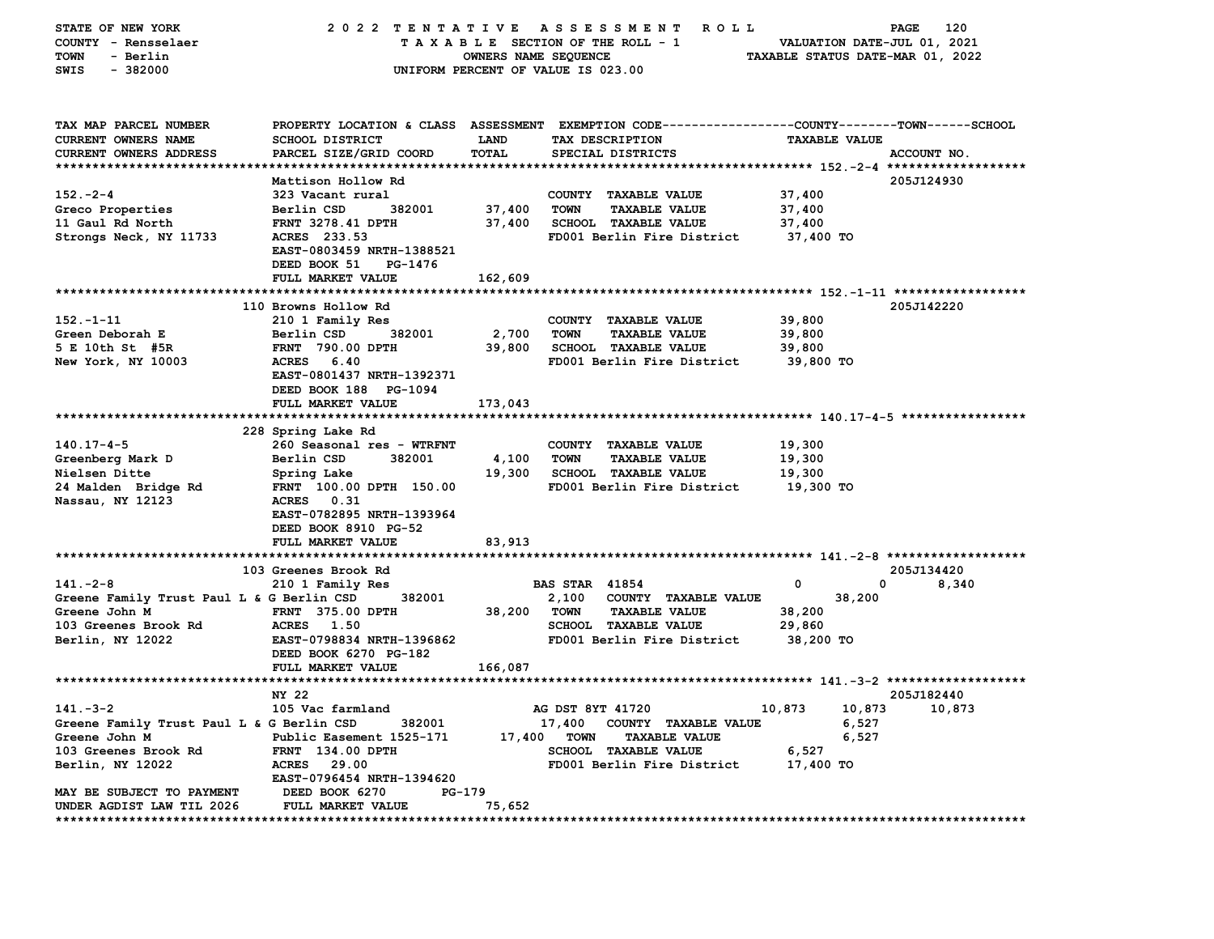| STATE OF NEW YORK                                          | 2022 TENTATIVE                           |                      | A S S E S S M E N T<br><b>ROLL</b>                                                              |                                  | 120<br>PAGE |
|------------------------------------------------------------|------------------------------------------|----------------------|-------------------------------------------------------------------------------------------------|----------------------------------|-------------|
| COUNTY - Rensselaer                                        |                                          |                      | TAXABLE SECTION OF THE ROLL - 1                                                                 | VALUATION DATE-JUL 01, 2021      |             |
| TOWN<br>- Berlin                                           |                                          | OWNERS NAME SEQUENCE |                                                                                                 | TAXABLE STATUS DATE-MAR 01, 2022 |             |
| SWIS<br>$-382000$                                          |                                          |                      | UNIFORM PERCENT OF VALUE IS 023.00                                                              |                                  |             |
|                                                            |                                          |                      |                                                                                                 |                                  |             |
|                                                            |                                          |                      |                                                                                                 |                                  |             |
| TAX MAP PARCEL NUMBER                                      |                                          |                      | PROPERTY LOCATION & CLASS ASSESSMENT EXEMPTION CODE---------------COUNTY-------TOWN------SCHOOL |                                  |             |
| CURRENT OWNERS NAME                                        | SCHOOL DISTRICT                          | LAND                 | TAX DESCRIPTION                                                                                 | <b>TAXABLE VALUE</b>             |             |
| CURRENT OWNERS ADDRESS                                     | PARCEL SIZE/GRID COORD                   | <b>TOTAL</b>         | SPECIAL DISTRICTS                                                                               |                                  | ACCOUNT NO. |
|                                                            |                                          |                      |                                                                                                 |                                  |             |
|                                                            | Mattison Hollow Rd                       |                      |                                                                                                 |                                  | 205J124930  |
| $152 - 2 - 4$                                              | 323 Vacant rural                         |                      | COUNTY TAXABLE VALUE                                                                            | 37,400                           |             |
| Greco Properties                                           | Berlin CSD<br>382001                     | 37,400               | <b>TOWN</b><br><b>TAXABLE VALUE</b>                                                             | 37,400                           |             |
| 11 Gaul Rd North                                           | FRNT 3278.41 DPTH                        | 37,400               | <b>SCHOOL TAXABLE VALUE</b>                                                                     | 37,400                           |             |
| Strongs Neck, NY 11733                                     | ACRES 233.53                             |                      | FD001 Berlin Fire District                                                                      | 37,400 TO                        |             |
|                                                            | EAST-0803459 NRTH-1388521                |                      |                                                                                                 |                                  |             |
|                                                            | DEED BOOK 51<br>PG-1476                  |                      |                                                                                                 |                                  |             |
|                                                            | FULL MARKET VALUE                        | 162,609              |                                                                                                 |                                  |             |
|                                                            |                                          |                      |                                                                                                 |                                  |             |
|                                                            | 110 Browns Hollow Rd                     |                      |                                                                                                 |                                  | 205J142220  |
| $152 - 1 - 11$<br>Green Deborah E                          | 210 1 Family Res<br>382001<br>Berlin CSD | 2,700                | COUNTY TAXABLE VALUE<br><b>TOWN</b><br><b>TAXABLE VALUE</b>                                     | 39,800<br>39,800                 |             |
| 5 E 10th St #5R                                            | <b>FRNT 790.00 DPTH</b>                  | 39,800               | <b>SCHOOL TAXABLE VALUE</b>                                                                     | 39,800                           |             |
| New York, NY 10003                                         | ACRES 6.40                               |                      | FD001 Berlin Fire District                                                                      | 39,800 TO                        |             |
|                                                            | EAST-0801437 NRTH-1392371                |                      |                                                                                                 |                                  |             |
|                                                            | DEED BOOK 188 PG-1094                    |                      |                                                                                                 |                                  |             |
|                                                            | FULL MARKET VALUE                        | 173,043              |                                                                                                 |                                  |             |
|                                                            |                                          |                      |                                                                                                 |                                  |             |
|                                                            | 228 Spring Lake Rd                       |                      |                                                                                                 |                                  |             |
| $140.17 - 4 - 5$                                           | 260 Seasonal res - WTRFNT                |                      | COUNTY TAXABLE VALUE                                                                            | 19,300                           |             |
| Greenberg Mark D                                           | Berlin CSD<br>382001                     | 4,100                | TOWN<br><b>TAXABLE VALUE</b>                                                                    | 19,300                           |             |
| Nielsen Ditte                                              | Spring Lake                              | 19,300               | <b>SCHOOL TAXABLE VALUE</b>                                                                     | 19,300                           |             |
| 24 Malden Bridge Rd                                        | FRNT 100.00 DPTH 150.00                  |                      | FD001 Berlin Fire District                                                                      | 19,300 то                        |             |
| Nassau, NY 12123                                           | ACRES 0.31                               |                      |                                                                                                 |                                  |             |
|                                                            | EAST-0782895 NRTH-1393964                |                      |                                                                                                 |                                  |             |
|                                                            | DEED BOOK 8910 PG-52                     |                      |                                                                                                 |                                  |             |
|                                                            | FULL MARKET VALUE                        | 83,913               |                                                                                                 |                                  |             |
|                                                            |                                          |                      |                                                                                                 |                                  |             |
|                                                            | 103 Greenes Brook Rd                     |                      |                                                                                                 |                                  | 205J134420  |
| $141. -2 - 8$                                              | 210 1 Family Res                         |                      | <b>BAS STAR 41854</b>                                                                           | 0<br>0                           | 8,340       |
| Greene Family Trust Paul L & G Berlin CSD<br>Greene John M | 382001<br><b>FRNT 375.00 DPTH</b>        |                      | 2,100<br>COUNTY TAXABLE VALUE<br><b>TOWN</b><br><b>TAXABLE VALUE</b>                            | 38,200<br>38,200                 |             |
| 103 Greenes Brook Rd                                       | ACRES 1.50                               | 38,200               | SCHOOL TAXABLE VALUE                                                                            | 29,860                           |             |
| Berlin, NY 12022                                           | EAST-0798834 NRTH-1396862                |                      | FD001 Berlin Fire District                                                                      | 38,200 TO                        |             |
|                                                            | DEED BOOK 6270 PG-182                    |                      |                                                                                                 |                                  |             |
|                                                            | FULL MARKET VALUE                        | 166,087              |                                                                                                 |                                  |             |
|                                                            |                                          |                      |                                                                                                 |                                  |             |
|                                                            | NY 22                                    |                      |                                                                                                 |                                  | 205J182440  |
| $141 - 3 - 2$                                              | 105 Vac farmland                         |                      | AG DST 8YT 41720                                                                                | 10,873<br>10,873                 | 10,873      |
| Greene Family Trust Paul L & G Berlin CSD                  | 382001                                   |                      | 17,400<br>COUNTY TAXABLE VALUE                                                                  | 6,527                            |             |
| Greene John M                                              | Public Easement 1525-171                 | 17,400               | <b>TOWN</b><br><b>TAXABLE VALUE</b>                                                             | 6,527                            |             |
| 103 Greenes Brook Rd                                       | <b>FRNT</b> 134.00 DPTH                  |                      | <b>SCHOOL TAXABLE VALUE</b>                                                                     | 6,527                            |             |
| Berlin, NY 12022                                           | <b>ACRES</b><br>29.00                    |                      | FD001 Berlin Fire District                                                                      | 17,400 TO                        |             |
|                                                            | EAST-0796454 NRTH-1394620                |                      |                                                                                                 |                                  |             |
| MAY BE SUBJECT TO PAYMENT                                  | DEED BOOK 6270<br>PG-179                 |                      |                                                                                                 |                                  |             |
| UNDER AGDIST LAW TIL 2026                                  | FULL MARKET VALUE                        | 75,652               |                                                                                                 |                                  |             |
|                                                            |                                          |                      |                                                                                                 |                                  |             |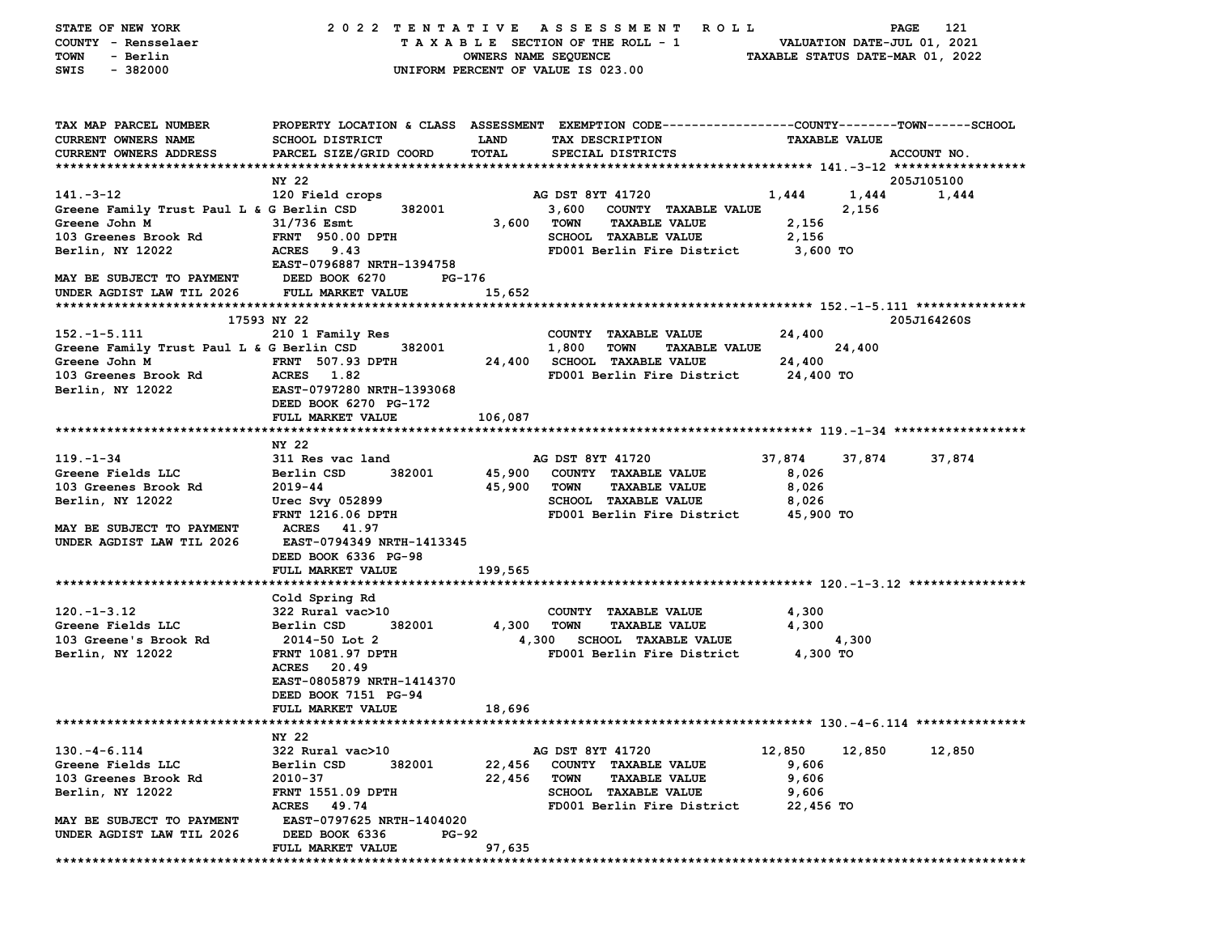| STATE OF NEW YORK                         |                                  |                      | 2022 TENTATIVE ASSESSMENT ROLL                                                                 |                                  | 121<br>PAGE    |
|-------------------------------------------|----------------------------------|----------------------|------------------------------------------------------------------------------------------------|----------------------------------|----------------|
| COUNTY - Rensselaer                       |                                  |                      | TAXABLE SECTION OF THE ROLL - 1                                                                | VALUATION DATE-JUL 01, 2021      |                |
| - Berlin<br>TOWN                          |                                  | OWNERS NAME SEQUENCE |                                                                                                | TAXABLE STATUS DATE-MAR 01, 2022 |                |
| SWIS<br>$-382000$                         |                                  |                      | UNIFORM PERCENT OF VALUE IS 023.00                                                             |                                  |                |
|                                           |                                  |                      |                                                                                                |                                  |                |
|                                           |                                  |                      |                                                                                                |                                  |                |
| TAX MAP PARCEL NUMBER                     |                                  |                      | PROPERTY LOCATION & CLASS ASSESSMENT EXEMPTION CODE---------------COUNTY-------TOWN-----SCHOOL |                                  |                |
| CURRENT OWNERS NAME                       | <b>SCHOOL DISTRICT</b>           | <b>LAND</b>          | TAX DESCRIPTION                                                                                | <b>TAXABLE VALUE</b>             |                |
| CURRENT OWNERS ADDRESS                    | PARCEL SIZE/GRID COORD           | TOTAL                | SPECIAL DISTRICTS                                                                              |                                  | ACCOUNT NO.    |
|                                           |                                  |                      |                                                                                                |                                  |                |
|                                           | NY 22                            |                      |                                                                                                |                                  | 205J105100     |
| $141. -3 - 12$                            | 120 Field crops                  |                      | AG DST 8YT 41720                                                                               | 1,444                            | 1,444<br>1,444 |
| Greene Family Trust Paul L & G Berlin CSD | 382001                           |                      | 3,600 COUNTY TAXABLE VALUE                                                                     | 2,156                            |                |
| Greene John M                             | 31/736 Esmt                      | 3,600 TOWN           | <b>TAXABLE VALUE</b>                                                                           | 2,156                            |                |
| 103 Greenes Brook Rd                      | FRNT 950.00 DPTH                 |                      | SCHOOL TAXABLE VALUE                                                                           | 2,156                            |                |
| Berlin, NY 12022                          | ACRES 9.43                       |                      | FD001 Berlin Fire District                                                                     | 3,600 TO                         |                |
|                                           | EAST-0796887 NRTH-1394758        |                      |                                                                                                |                                  |                |
| MAY BE SUBJECT TO PAYMENT                 | DEED BOOK 6270<br>PG-176         |                      |                                                                                                |                                  |                |
| UNDER AGDIST LAW TIL 2026                 | <b>FULL MARKET VALUE</b>         | 15,652               |                                                                                                |                                  |                |
|                                           |                                  |                      |                                                                                                |                                  |                |
|                                           | 17593 NY 22                      |                      |                                                                                                |                                  | 205J164260S    |
| $152.-1-5.111$                            | 210 1 Family Res                 |                      | COUNTY TAXABLE VALUE                                                                           | 24,400                           |                |
| Greene Family Trust Paul L & G Berlin CSD | 382001                           |                      | 1,800<br>TOWN<br><b>TAXABLE VALUE</b>                                                          | 24,400                           |                |
| Greene John M                             | <b>FRNT</b> 507.93 DPTH          |                      | 24,400 SCHOOL TAXABLE VALUE                                                                    | 24,400                           |                |
| 103 Greenes Brook Rd                      | ACRES 1.82                       |                      | FD001 Berlin Fire District                                                                     | 24,400 TO                        |                |
| Berlin, NY 12022                          | EAST-0797280 NRTH-1393068        |                      |                                                                                                |                                  |                |
|                                           | DEED BOOK 6270 PG-172            |                      |                                                                                                |                                  |                |
|                                           | FULL MARKET VALUE                | 106,087              |                                                                                                |                                  |                |
|                                           |                                  |                      |                                                                                                |                                  |                |
|                                           | NY 22                            |                      |                                                                                                |                                  |                |
| $119. - 1 - 34$                           | 311 Res vac land                 |                      | AG DST 8YT 41720                                                                               | 37,874<br>37,874                 | 37,874         |
| Greene Fields LLC                         | Berlin CSD<br>382001             |                      | 45,900 COUNTY TAXABLE VALUE                                                                    | 8,026                            |                |
| 103 Greenes Brook Rd                      | 2019-44                          | 45,900 TOWN          | <b>TAXABLE VALUE</b>                                                                           | 8,026                            |                |
| Berlin, NY 12022                          | Urec Svy 052899                  |                      | <b>SCHOOL TAXABLE VALUE</b>                                                                    | 8,026                            |                |
|                                           | FRNT 1216.06 DPTH                |                      | FD001 Berlin Fire District                                                                     | 45,900 TO                        |                |
| MAY BE SUBJECT TO PAYMENT                 | <b>ACRES</b> 41.97               |                      |                                                                                                |                                  |                |
| UNDER AGDIST LAW TIL 2026                 | <b>EAST-0794349 NRTH-1413345</b> |                      |                                                                                                |                                  |                |
|                                           | DEED BOOK 6336 PG-98             |                      |                                                                                                |                                  |                |
|                                           | <b>FULL MARKET VALUE</b>         | 199,565              |                                                                                                |                                  |                |
|                                           |                                  |                      |                                                                                                |                                  |                |
|                                           | Cold Spring Rd                   |                      |                                                                                                |                                  |                |
| $120. - 1 - 3.12$                         | 322 Rural vac>10                 |                      | COUNTY TAXABLE VALUE                                                                           | 4,300                            |                |
| Greene Fields LLC                         | 382001<br>Berlin CSD             | 4,300                | TOWN<br><b>TAXABLE VALUE</b>                                                                   | 4,300                            |                |
| 103 Greene's Brook Rd                     | 2014-50 Lot 2                    |                      | 4,300 SCHOOL TAXABLE VALUE                                                                     | 4,300                            |                |
| Berlin, NY 12022                          | <b>FRNT 1081.97 DPTH</b>         |                      | FD001 Berlin Fire District                                                                     | 4,300 TO                         |                |
|                                           | ACRES 20.49                      |                      |                                                                                                |                                  |                |
|                                           | EAST-0805879 NRTH-1414370        |                      |                                                                                                |                                  |                |
|                                           | DEED BOOK 7151 PG-94             |                      |                                                                                                |                                  |                |
|                                           | FULL MARKET VALUE                | 18,696               |                                                                                                |                                  |                |
|                                           |                                  |                      |                                                                                                |                                  |                |
|                                           | NY 22                            |                      |                                                                                                |                                  |                |
| $130. -4 - 6.114$                         | 322 Rural vac>10                 |                      | AG DST 8YT 41720                                                                               | 12,850<br>12,850                 | 12,850         |
| Greene Fields LLC                         | Berlin CSD<br>382001             | 22,456               | COUNTY TAXABLE VALUE                                                                           | 9,606                            |                |
| 103 Greenes Brook Rd                      | 2010-37                          | 22,456               | <b>TOWN</b><br><b>TAXABLE VALUE</b>                                                            | 9,606                            |                |
| Berlin, NY 12022                          | <b>FRNT 1551.09 DPTH</b>         |                      | SCHOOL TAXABLE VALUE                                                                           | 9,606                            |                |
|                                           | ACRES 49.74                      |                      | FD001 Berlin Fire District                                                                     | 22,456 TO                        |                |
| MAY BE SUBJECT TO PAYMENT                 | EAST-0797625 NRTH-1404020        |                      |                                                                                                |                                  |                |
| UNDER AGDIST LAW TIL 2026                 | DEED BOOK 6336<br><b>PG-92</b>   |                      |                                                                                                |                                  |                |
|                                           | FULL MARKET VALUE                | 97,635               |                                                                                                |                                  |                |
|                                           |                                  |                      |                                                                                                |                                  |                |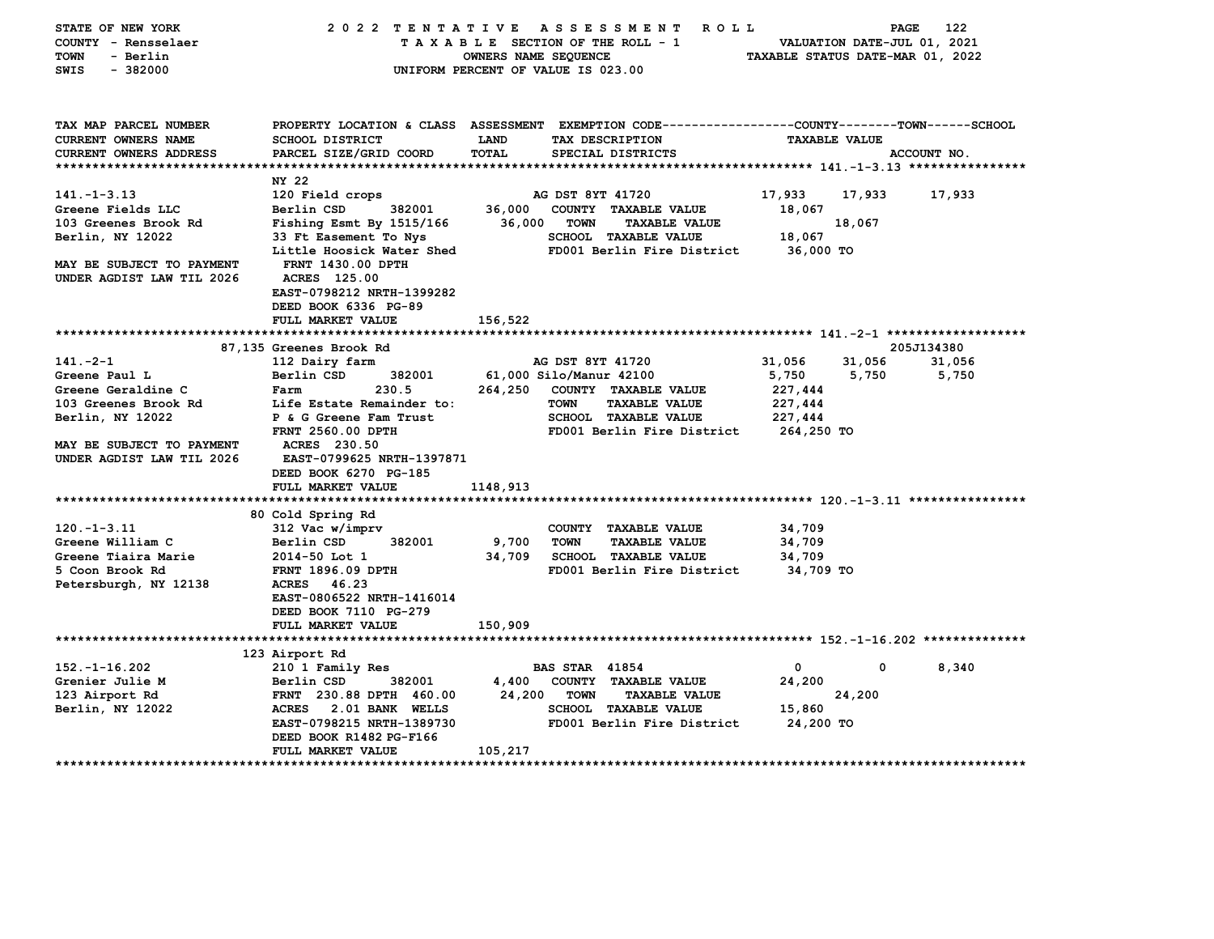| TAX MAP PARCEL NUMBER<br>PROPERTY LOCATION & CLASS ASSESSMENT EXEMPTION CODE---------------COUNTY-------TOWN-----SCHOOL<br><b>CURRENT OWNERS NAME</b><br><b>SCHOOL DISTRICT</b><br>LAND<br>TAX DESCRIPTION<br><b>TAXABLE VALUE</b><br>PARCEL SIZE/GRID COORD<br><b>TOTAL</b><br>SPECIAL DISTRICTS<br><b>CURRENT OWNERS ADDRESS</b><br>ACCOUNT NO.<br>NY 22<br>$141. - 1 - 3.13$<br>120 Field crops<br>AG DST 8YT 41720<br>17,933<br>17,933<br>17,933<br>382001<br>36,000 COUNTY TAXABLE VALUE<br>Greene Fields LLC<br>Berlin CSD<br>18,067<br>103 Greenes Brook Rd<br>Fishing Esmt By 1515/166<br>36,000<br><b>TOWN</b><br><b>TAXABLE VALUE</b><br>18,067<br>Berlin, NY 12022<br>33 Ft Easement To Nys<br><b>SCHOOL TAXABLE VALUE</b><br>18,067<br>Little Hoosick Water Shed<br>FD001 Berlin Fire District<br>36,000 TO<br>MAY BE SUBJECT TO PAYMENT<br><b>FRNT 1430.00 DPTH</b><br><b>ACRES</b> 125.00<br>UNDER AGDIST LAW TIL 2026<br>EAST-0798212 NRTH-1399282<br>DEED BOOK 6336 PG-89<br>FULL MARKET VALUE<br>156,522<br>87,135 Greenes Brook Rd<br>205J134380<br>$141. -2 - 1$<br>112 Dairy farm<br>AG DST 8YT 41720<br>31,056<br>31,056<br>31,056<br>61,000 Silo/Manur 42100<br>Greene Paul L<br>Berlin CSD<br>382001<br>5,750<br>5,750<br>5,750<br>Greene Geraldine C<br>230.5<br>264,250<br>COUNTY TAXABLE VALUE<br>227,444<br>Farm<br>103 Greenes Brook Rd<br>Life Estate Remainder to:<br><b>TOWN</b><br><b>TAXABLE VALUE</b><br>227,444<br>Berlin, NY 12022<br>P & G Greene Fam Trust<br><b>SCHOOL TAXABLE VALUE</b><br>227,444<br>FRNT 2560.00 DPTH<br>FD001 Berlin Fire District<br>264,250 TO<br>MAY BE SUBJECT TO PAYMENT<br><b>ACRES</b> 230.50<br>UNDER AGDIST LAW TIL 2026<br>EAST-0799625 NRTH-1397871<br>DEED BOOK 6270 PG-185<br>FULL MARKET VALUE<br>1148,913<br>80 Cold Spring Rd<br>$120. -1 - 3.11$<br>312 Vac w/imprv<br>COUNTY TAXABLE VALUE<br>34,709<br>9,700<br>Greene William C<br>Berlin CSD<br>382001<br>TOWN<br><b>TAXABLE VALUE</b><br>34,709<br>Greene Tiaira Marie<br>34,709<br>SCHOOL TAXABLE VALUE<br>2014-50 Lot 1<br>34,709<br>5 Coon Brook Rd<br>FD001 Berlin Fire District<br><b>FRNT 1896.09 DPTH</b><br>34,709 TO<br>ACRES 46.23<br>Petersburgh, NY 12138<br>EAST-0806522 NRTH-1416014<br>DEED BOOK 7110 PG-279<br>150,909<br>FULL MARKET VALUE<br>123 Airport Rd<br>$152. - 1 - 16.202$<br>210 1 Family Res<br><b>BAS STAR 41854</b><br>$\mathbf 0$<br>$\mathbf 0$<br>8,340<br>382001<br>4,400 COUNTY TAXABLE VALUE<br>Grenier Julie M<br>24,200<br>Berlin CSD<br>123 Airport Rd<br>FRNT 230.88 DPTH 460.00<br>24,200<br><b>TOWN</b><br><b>TAXABLE VALUE</b><br>24,200<br><b>SCHOOL TAXABLE VALUE</b><br>Berlin, NY 12022<br>ACRES 2.01 BANK WELLS<br>15,860<br>EAST-0798215 NRTH-1389730<br>FD001 Berlin Fire District<br>24,200 TO<br>DEED BOOK R1482 PG-F166<br>105,217<br>FULL MARKET VALUE | STATE OF NEW YORK<br>COUNTY - Rensselaer<br><b>TOWN</b><br>- Berlin<br>SWIS<br>$-382000$ | 2022 TENTATIVE ASSESSMENT | OWNERS NAME SEQUENCE | ROLL<br>TAXABLE SECTION OF THE ROLL - 1<br>UNIFORM PERCENT OF VALUE IS 023.00 | TAXABLE STATUS DATE-MAR 01, 2022 | PAGE<br>VALUATION DATE-JUL 01, 2021 | 122 |
|-----------------------------------------------------------------------------------------------------------------------------------------------------------------------------------------------------------------------------------------------------------------------------------------------------------------------------------------------------------------------------------------------------------------------------------------------------------------------------------------------------------------------------------------------------------------------------------------------------------------------------------------------------------------------------------------------------------------------------------------------------------------------------------------------------------------------------------------------------------------------------------------------------------------------------------------------------------------------------------------------------------------------------------------------------------------------------------------------------------------------------------------------------------------------------------------------------------------------------------------------------------------------------------------------------------------------------------------------------------------------------------------------------------------------------------------------------------------------------------------------------------------------------------------------------------------------------------------------------------------------------------------------------------------------------------------------------------------------------------------------------------------------------------------------------------------------------------------------------------------------------------------------------------------------------------------------------------------------------------------------------------------------------------------------------------------------------------------------------------------------------------------------------------------------------------------------------------------------------------------------------------------------------------------------------------------------------------------------------------------------------------------------------------------------------------------------------------------------------------------------------------------------------------------------------------------------------------------------------------------------------------------------------------------------------------------------------------------------------------------------------------------------------------------------------------------------------------------------|------------------------------------------------------------------------------------------|---------------------------|----------------------|-------------------------------------------------------------------------------|----------------------------------|-------------------------------------|-----|
|                                                                                                                                                                                                                                                                                                                                                                                                                                                                                                                                                                                                                                                                                                                                                                                                                                                                                                                                                                                                                                                                                                                                                                                                                                                                                                                                                                                                                                                                                                                                                                                                                                                                                                                                                                                                                                                                                                                                                                                                                                                                                                                                                                                                                                                                                                                                                                                                                                                                                                                                                                                                                                                                                                                                                                                                                                               |                                                                                          |                           |                      |                                                                               |                                  |                                     |     |
|                                                                                                                                                                                                                                                                                                                                                                                                                                                                                                                                                                                                                                                                                                                                                                                                                                                                                                                                                                                                                                                                                                                                                                                                                                                                                                                                                                                                                                                                                                                                                                                                                                                                                                                                                                                                                                                                                                                                                                                                                                                                                                                                                                                                                                                                                                                                                                                                                                                                                                                                                                                                                                                                                                                                                                                                                                               |                                                                                          |                           |                      |                                                                               |                                  |                                     |     |
|                                                                                                                                                                                                                                                                                                                                                                                                                                                                                                                                                                                                                                                                                                                                                                                                                                                                                                                                                                                                                                                                                                                                                                                                                                                                                                                                                                                                                                                                                                                                                                                                                                                                                                                                                                                                                                                                                                                                                                                                                                                                                                                                                                                                                                                                                                                                                                                                                                                                                                                                                                                                                                                                                                                                                                                                                                               |                                                                                          |                           |                      |                                                                               |                                  |                                     |     |
|                                                                                                                                                                                                                                                                                                                                                                                                                                                                                                                                                                                                                                                                                                                                                                                                                                                                                                                                                                                                                                                                                                                                                                                                                                                                                                                                                                                                                                                                                                                                                                                                                                                                                                                                                                                                                                                                                                                                                                                                                                                                                                                                                                                                                                                                                                                                                                                                                                                                                                                                                                                                                                                                                                                                                                                                                                               |                                                                                          |                           |                      |                                                                               |                                  |                                     |     |
|                                                                                                                                                                                                                                                                                                                                                                                                                                                                                                                                                                                                                                                                                                                                                                                                                                                                                                                                                                                                                                                                                                                                                                                                                                                                                                                                                                                                                                                                                                                                                                                                                                                                                                                                                                                                                                                                                                                                                                                                                                                                                                                                                                                                                                                                                                                                                                                                                                                                                                                                                                                                                                                                                                                                                                                                                                               |                                                                                          |                           |                      |                                                                               |                                  |                                     |     |
|                                                                                                                                                                                                                                                                                                                                                                                                                                                                                                                                                                                                                                                                                                                                                                                                                                                                                                                                                                                                                                                                                                                                                                                                                                                                                                                                                                                                                                                                                                                                                                                                                                                                                                                                                                                                                                                                                                                                                                                                                                                                                                                                                                                                                                                                                                                                                                                                                                                                                                                                                                                                                                                                                                                                                                                                                                               |                                                                                          |                           |                      |                                                                               |                                  |                                     |     |
|                                                                                                                                                                                                                                                                                                                                                                                                                                                                                                                                                                                                                                                                                                                                                                                                                                                                                                                                                                                                                                                                                                                                                                                                                                                                                                                                                                                                                                                                                                                                                                                                                                                                                                                                                                                                                                                                                                                                                                                                                                                                                                                                                                                                                                                                                                                                                                                                                                                                                                                                                                                                                                                                                                                                                                                                                                               |                                                                                          |                           |                      |                                                                               |                                  |                                     |     |
|                                                                                                                                                                                                                                                                                                                                                                                                                                                                                                                                                                                                                                                                                                                                                                                                                                                                                                                                                                                                                                                                                                                                                                                                                                                                                                                                                                                                                                                                                                                                                                                                                                                                                                                                                                                                                                                                                                                                                                                                                                                                                                                                                                                                                                                                                                                                                                                                                                                                                                                                                                                                                                                                                                                                                                                                                                               |                                                                                          |                           |                      |                                                                               |                                  |                                     |     |
|                                                                                                                                                                                                                                                                                                                                                                                                                                                                                                                                                                                                                                                                                                                                                                                                                                                                                                                                                                                                                                                                                                                                                                                                                                                                                                                                                                                                                                                                                                                                                                                                                                                                                                                                                                                                                                                                                                                                                                                                                                                                                                                                                                                                                                                                                                                                                                                                                                                                                                                                                                                                                                                                                                                                                                                                                                               |                                                                                          |                           |                      |                                                                               |                                  |                                     |     |
|                                                                                                                                                                                                                                                                                                                                                                                                                                                                                                                                                                                                                                                                                                                                                                                                                                                                                                                                                                                                                                                                                                                                                                                                                                                                                                                                                                                                                                                                                                                                                                                                                                                                                                                                                                                                                                                                                                                                                                                                                                                                                                                                                                                                                                                                                                                                                                                                                                                                                                                                                                                                                                                                                                                                                                                                                                               |                                                                                          |                           |                      |                                                                               |                                  |                                     |     |
|                                                                                                                                                                                                                                                                                                                                                                                                                                                                                                                                                                                                                                                                                                                                                                                                                                                                                                                                                                                                                                                                                                                                                                                                                                                                                                                                                                                                                                                                                                                                                                                                                                                                                                                                                                                                                                                                                                                                                                                                                                                                                                                                                                                                                                                                                                                                                                                                                                                                                                                                                                                                                                                                                                                                                                                                                                               |                                                                                          |                           |                      |                                                                               |                                  |                                     |     |
|                                                                                                                                                                                                                                                                                                                                                                                                                                                                                                                                                                                                                                                                                                                                                                                                                                                                                                                                                                                                                                                                                                                                                                                                                                                                                                                                                                                                                                                                                                                                                                                                                                                                                                                                                                                                                                                                                                                                                                                                                                                                                                                                                                                                                                                                                                                                                                                                                                                                                                                                                                                                                                                                                                                                                                                                                                               |                                                                                          |                           |                      |                                                                               |                                  |                                     |     |
|                                                                                                                                                                                                                                                                                                                                                                                                                                                                                                                                                                                                                                                                                                                                                                                                                                                                                                                                                                                                                                                                                                                                                                                                                                                                                                                                                                                                                                                                                                                                                                                                                                                                                                                                                                                                                                                                                                                                                                                                                                                                                                                                                                                                                                                                                                                                                                                                                                                                                                                                                                                                                                                                                                                                                                                                                                               |                                                                                          |                           |                      |                                                                               |                                  |                                     |     |
|                                                                                                                                                                                                                                                                                                                                                                                                                                                                                                                                                                                                                                                                                                                                                                                                                                                                                                                                                                                                                                                                                                                                                                                                                                                                                                                                                                                                                                                                                                                                                                                                                                                                                                                                                                                                                                                                                                                                                                                                                                                                                                                                                                                                                                                                                                                                                                                                                                                                                                                                                                                                                                                                                                                                                                                                                                               |                                                                                          |                           |                      |                                                                               |                                  |                                     |     |
|                                                                                                                                                                                                                                                                                                                                                                                                                                                                                                                                                                                                                                                                                                                                                                                                                                                                                                                                                                                                                                                                                                                                                                                                                                                                                                                                                                                                                                                                                                                                                                                                                                                                                                                                                                                                                                                                                                                                                                                                                                                                                                                                                                                                                                                                                                                                                                                                                                                                                                                                                                                                                                                                                                                                                                                                                                               |                                                                                          |                           |                      |                                                                               |                                  |                                     |     |
|                                                                                                                                                                                                                                                                                                                                                                                                                                                                                                                                                                                                                                                                                                                                                                                                                                                                                                                                                                                                                                                                                                                                                                                                                                                                                                                                                                                                                                                                                                                                                                                                                                                                                                                                                                                                                                                                                                                                                                                                                                                                                                                                                                                                                                                                                                                                                                                                                                                                                                                                                                                                                                                                                                                                                                                                                                               |                                                                                          |                           |                      |                                                                               |                                  |                                     |     |
|                                                                                                                                                                                                                                                                                                                                                                                                                                                                                                                                                                                                                                                                                                                                                                                                                                                                                                                                                                                                                                                                                                                                                                                                                                                                                                                                                                                                                                                                                                                                                                                                                                                                                                                                                                                                                                                                                                                                                                                                                                                                                                                                                                                                                                                                                                                                                                                                                                                                                                                                                                                                                                                                                                                                                                                                                                               |                                                                                          |                           |                      |                                                                               |                                  |                                     |     |
|                                                                                                                                                                                                                                                                                                                                                                                                                                                                                                                                                                                                                                                                                                                                                                                                                                                                                                                                                                                                                                                                                                                                                                                                                                                                                                                                                                                                                                                                                                                                                                                                                                                                                                                                                                                                                                                                                                                                                                                                                                                                                                                                                                                                                                                                                                                                                                                                                                                                                                                                                                                                                                                                                                                                                                                                                                               |                                                                                          |                           |                      |                                                                               |                                  |                                     |     |
|                                                                                                                                                                                                                                                                                                                                                                                                                                                                                                                                                                                                                                                                                                                                                                                                                                                                                                                                                                                                                                                                                                                                                                                                                                                                                                                                                                                                                                                                                                                                                                                                                                                                                                                                                                                                                                                                                                                                                                                                                                                                                                                                                                                                                                                                                                                                                                                                                                                                                                                                                                                                                                                                                                                                                                                                                                               |                                                                                          |                           |                      |                                                                               |                                  |                                     |     |
|                                                                                                                                                                                                                                                                                                                                                                                                                                                                                                                                                                                                                                                                                                                                                                                                                                                                                                                                                                                                                                                                                                                                                                                                                                                                                                                                                                                                                                                                                                                                                                                                                                                                                                                                                                                                                                                                                                                                                                                                                                                                                                                                                                                                                                                                                                                                                                                                                                                                                                                                                                                                                                                                                                                                                                                                                                               |                                                                                          |                           |                      |                                                                               |                                  |                                     |     |
|                                                                                                                                                                                                                                                                                                                                                                                                                                                                                                                                                                                                                                                                                                                                                                                                                                                                                                                                                                                                                                                                                                                                                                                                                                                                                                                                                                                                                                                                                                                                                                                                                                                                                                                                                                                                                                                                                                                                                                                                                                                                                                                                                                                                                                                                                                                                                                                                                                                                                                                                                                                                                                                                                                                                                                                                                                               |                                                                                          |                           |                      |                                                                               |                                  |                                     |     |
|                                                                                                                                                                                                                                                                                                                                                                                                                                                                                                                                                                                                                                                                                                                                                                                                                                                                                                                                                                                                                                                                                                                                                                                                                                                                                                                                                                                                                                                                                                                                                                                                                                                                                                                                                                                                                                                                                                                                                                                                                                                                                                                                                                                                                                                                                                                                                                                                                                                                                                                                                                                                                                                                                                                                                                                                                                               |                                                                                          |                           |                      |                                                                               |                                  |                                     |     |
|                                                                                                                                                                                                                                                                                                                                                                                                                                                                                                                                                                                                                                                                                                                                                                                                                                                                                                                                                                                                                                                                                                                                                                                                                                                                                                                                                                                                                                                                                                                                                                                                                                                                                                                                                                                                                                                                                                                                                                                                                                                                                                                                                                                                                                                                                                                                                                                                                                                                                                                                                                                                                                                                                                                                                                                                                                               |                                                                                          |                           |                      |                                                                               |                                  |                                     |     |
|                                                                                                                                                                                                                                                                                                                                                                                                                                                                                                                                                                                                                                                                                                                                                                                                                                                                                                                                                                                                                                                                                                                                                                                                                                                                                                                                                                                                                                                                                                                                                                                                                                                                                                                                                                                                                                                                                                                                                                                                                                                                                                                                                                                                                                                                                                                                                                                                                                                                                                                                                                                                                                                                                                                                                                                                                                               |                                                                                          |                           |                      |                                                                               |                                  |                                     |     |
|                                                                                                                                                                                                                                                                                                                                                                                                                                                                                                                                                                                                                                                                                                                                                                                                                                                                                                                                                                                                                                                                                                                                                                                                                                                                                                                                                                                                                                                                                                                                                                                                                                                                                                                                                                                                                                                                                                                                                                                                                                                                                                                                                                                                                                                                                                                                                                                                                                                                                                                                                                                                                                                                                                                                                                                                                                               |                                                                                          |                           |                      |                                                                               |                                  |                                     |     |
|                                                                                                                                                                                                                                                                                                                                                                                                                                                                                                                                                                                                                                                                                                                                                                                                                                                                                                                                                                                                                                                                                                                                                                                                                                                                                                                                                                                                                                                                                                                                                                                                                                                                                                                                                                                                                                                                                                                                                                                                                                                                                                                                                                                                                                                                                                                                                                                                                                                                                                                                                                                                                                                                                                                                                                                                                                               |                                                                                          |                           |                      |                                                                               |                                  |                                     |     |
|                                                                                                                                                                                                                                                                                                                                                                                                                                                                                                                                                                                                                                                                                                                                                                                                                                                                                                                                                                                                                                                                                                                                                                                                                                                                                                                                                                                                                                                                                                                                                                                                                                                                                                                                                                                                                                                                                                                                                                                                                                                                                                                                                                                                                                                                                                                                                                                                                                                                                                                                                                                                                                                                                                                                                                                                                                               |                                                                                          |                           |                      |                                                                               |                                  |                                     |     |
|                                                                                                                                                                                                                                                                                                                                                                                                                                                                                                                                                                                                                                                                                                                                                                                                                                                                                                                                                                                                                                                                                                                                                                                                                                                                                                                                                                                                                                                                                                                                                                                                                                                                                                                                                                                                                                                                                                                                                                                                                                                                                                                                                                                                                                                                                                                                                                                                                                                                                                                                                                                                                                                                                                                                                                                                                                               |                                                                                          |                           |                      |                                                                               |                                  |                                     |     |
|                                                                                                                                                                                                                                                                                                                                                                                                                                                                                                                                                                                                                                                                                                                                                                                                                                                                                                                                                                                                                                                                                                                                                                                                                                                                                                                                                                                                                                                                                                                                                                                                                                                                                                                                                                                                                                                                                                                                                                                                                                                                                                                                                                                                                                                                                                                                                                                                                                                                                                                                                                                                                                                                                                                                                                                                                                               |                                                                                          |                           |                      |                                                                               |                                  |                                     |     |
|                                                                                                                                                                                                                                                                                                                                                                                                                                                                                                                                                                                                                                                                                                                                                                                                                                                                                                                                                                                                                                                                                                                                                                                                                                                                                                                                                                                                                                                                                                                                                                                                                                                                                                                                                                                                                                                                                                                                                                                                                                                                                                                                                                                                                                                                                                                                                                                                                                                                                                                                                                                                                                                                                                                                                                                                                                               |                                                                                          |                           |                      |                                                                               |                                  |                                     |     |
|                                                                                                                                                                                                                                                                                                                                                                                                                                                                                                                                                                                                                                                                                                                                                                                                                                                                                                                                                                                                                                                                                                                                                                                                                                                                                                                                                                                                                                                                                                                                                                                                                                                                                                                                                                                                                                                                                                                                                                                                                                                                                                                                                                                                                                                                                                                                                                                                                                                                                                                                                                                                                                                                                                                                                                                                                                               |                                                                                          |                           |                      |                                                                               |                                  |                                     |     |
|                                                                                                                                                                                                                                                                                                                                                                                                                                                                                                                                                                                                                                                                                                                                                                                                                                                                                                                                                                                                                                                                                                                                                                                                                                                                                                                                                                                                                                                                                                                                                                                                                                                                                                                                                                                                                                                                                                                                                                                                                                                                                                                                                                                                                                                                                                                                                                                                                                                                                                                                                                                                                                                                                                                                                                                                                                               |                                                                                          |                           |                      |                                                                               |                                  |                                     |     |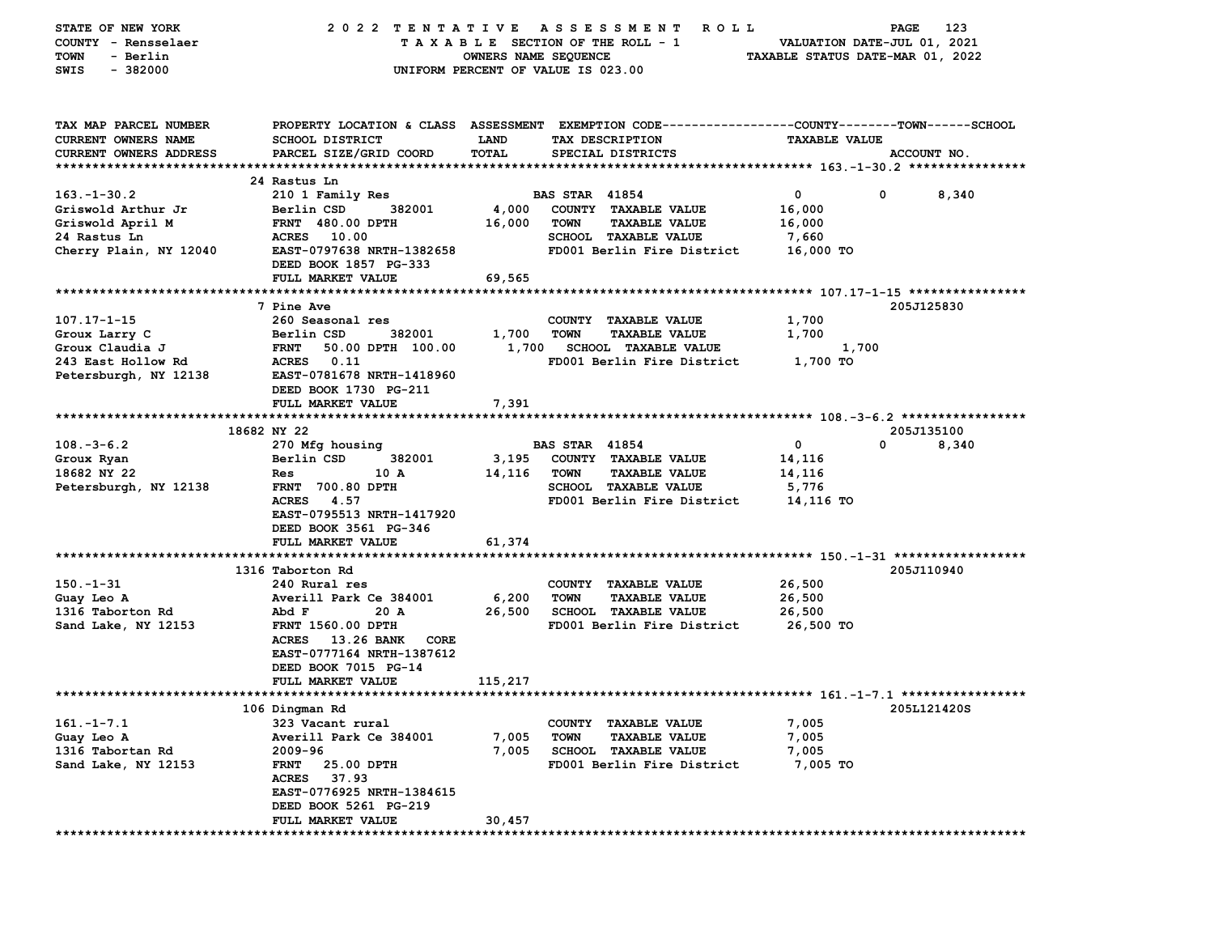| STATE OF NEW YORK      | 2022 TENTATIVE                   |                      | A S S E S S M E N T<br><b>ROLL</b>                                                              |                                  | 123<br>PAGE |
|------------------------|----------------------------------|----------------------|-------------------------------------------------------------------------------------------------|----------------------------------|-------------|
| COUNTY - Rensselaer    |                                  |                      | TAXABLE SECTION OF THE ROLL - 1                                                                 | VALUATION DATE-JUL 01, 2021      |             |
| - Berlin<br>TOWN       |                                  | OWNERS NAME SEQUENCE |                                                                                                 | TAXABLE STATUS DATE-MAR 01, 2022 |             |
| SWIS<br>$-382000$      |                                  |                      |                                                                                                 |                                  |             |
|                        |                                  |                      | UNIFORM PERCENT OF VALUE IS 023.00                                                              |                                  |             |
|                        |                                  |                      |                                                                                                 |                                  |             |
|                        |                                  |                      |                                                                                                 |                                  |             |
| TAX MAP PARCEL NUMBER  |                                  |                      | PROPERTY LOCATION & CLASS ASSESSMENT EXEMPTION CODE---------------COUNTY-------TOWN------SCHOOL |                                  |             |
| CURRENT OWNERS NAME    | <b>SCHOOL DISTRICT</b>           | <b>LAND</b>          | TAX DESCRIPTION                                                                                 | <b>TAXABLE VALUE</b>             |             |
| CURRENT OWNERS ADDRESS | PARCEL SIZE/GRID COORD           | TOTAL                | SPECIAL DISTRICTS                                                                               |                                  | ACCOUNT NO. |
|                        |                                  |                      |                                                                                                 |                                  |             |
|                        | 24 Rastus Ln                     |                      |                                                                                                 |                                  |             |
| $163.-1-30.2$          | 210 1 Family Res                 |                      | <b>BAS STAR 41854</b>                                                                           | $\mathbf 0$<br>0                 | 8,340       |
|                        |                                  |                      |                                                                                                 |                                  |             |
| Griswold Arthur Jr     | Berlin CSD<br>382001             | 4,000                | COUNTY TAXABLE VALUE                                                                            | 16,000                           |             |
| Griswold April M       | <b>FRNT 480.00 DPTH</b>          | 16,000               | <b>TAXABLE VALUE</b><br><b>TOWN</b>                                                             | 16,000                           |             |
| 24 Rastus Ln           | ACRES 10.00                      |                      | SCHOOL TAXABLE VALUE                                                                            | 7,660                            |             |
| Cherry Plain, NY 12040 | EAST-0797638 NRTH-1382658        |                      | FD001 Berlin Fire District                                                                      | 16,000 TO                        |             |
|                        | DEED BOOK 1857 PG-333            |                      |                                                                                                 |                                  |             |
|                        | FULL MARKET VALUE                | 69,565               |                                                                                                 |                                  |             |
|                        |                                  |                      |                                                                                                 |                                  |             |
|                        | 7 Pine Ave                       |                      |                                                                                                 |                                  | 205J125830  |
| $107.17 - 1 - 15$      | 260 Seasonal res                 |                      | COUNTY TAXABLE VALUE                                                                            | 1,700                            |             |
|                        | Berlin CSD<br>382001             | 1,700                | <b>TOWN</b><br><b>TAXABLE VALUE</b>                                                             | 1,700                            |             |
| Groux Larry C          |                                  |                      |                                                                                                 |                                  |             |
| Groux Claudia J        | <b>FRNT</b><br>50.00 DPTH 100.00 | 1,700                | <b>SCHOOL TAXABLE VALUE</b>                                                                     | 1,700                            |             |
| 243 East Hollow Rd     | <b>ACRES</b><br>0.11             |                      | FD001 Berlin Fire District                                                                      | 1,700 TO                         |             |
| Petersburgh, NY 12138  | EAST-0781678 NRTH-1418960        |                      |                                                                                                 |                                  |             |
|                        | DEED BOOK 1730 PG-211            |                      |                                                                                                 |                                  |             |
|                        | FULL MARKET VALUE                | 7,391                |                                                                                                 |                                  |             |
|                        |                                  |                      |                                                                                                 |                                  |             |
|                        | 18682 NY 22                      |                      |                                                                                                 |                                  | 205J135100  |
| $108.-3-6.2$           | 270 Mfg housing                  |                      | <b>BAS STAR 41854</b>                                                                           | 0<br>0                           | 8,340       |
| Groux Ryan             | Berlin CSD<br>382001             | 3,195                | COUNTY TAXABLE VALUE                                                                            | 14,116                           |             |
| 18682 NY 22            | 10 A<br>Res                      | 14,116               | <b>TOWN</b><br><b>TAXABLE VALUE</b>                                                             | 14,116                           |             |
|                        |                                  |                      | SCHOOL TAXABLE VALUE                                                                            |                                  |             |
| Petersburgh, NY 12138  | <b>FRNT 700.80 DPTH</b>          |                      |                                                                                                 | 5,776                            |             |
|                        | ACRES 4.57                       |                      | FD001 Berlin Fire District                                                                      | 14,116 TO                        |             |
|                        | EAST-0795513 NRTH-1417920        |                      |                                                                                                 |                                  |             |
|                        | DEED BOOK 3561 PG-346            |                      |                                                                                                 |                                  |             |
|                        | FULL MARKET VALUE                | 61,374               |                                                                                                 |                                  |             |
|                        |                                  |                      |                                                                                                 |                                  |             |
|                        | 1316 Taborton Rd                 |                      |                                                                                                 |                                  | 205J110940  |
| $150 - 1 - 31$         | 240 Rural res                    |                      | COUNTY TAXABLE VALUE                                                                            | 26,500                           |             |
| Guay Leo A             | Averill Park Ce 384001           | 6,200                | <b>TOWN</b><br><b>TAXABLE VALUE</b>                                                             | 26,500                           |             |
| 1316 Taborton Rd       | Abd F<br>20 A                    | 26,500               | <b>SCHOOL TAXABLE VALUE</b>                                                                     | 26,500                           |             |
| Sand Lake, NY 12153    | <b>FRNT 1560.00 DPTH</b>         |                      | FD001 Berlin Fire District                                                                      | 26,500 TO                        |             |
|                        | ACRES 13.26 BANK<br>CORE         |                      |                                                                                                 |                                  |             |
|                        |                                  |                      |                                                                                                 |                                  |             |
|                        | EAST-0777164 NRTH-1387612        |                      |                                                                                                 |                                  |             |
|                        | DEED BOOK 7015 PG-14             |                      |                                                                                                 |                                  |             |
|                        | FULL MARKET VALUE                | 115,217              |                                                                                                 |                                  |             |
|                        |                                  |                      |                                                                                                 |                                  |             |
|                        | 106 Dingman Rd                   |                      |                                                                                                 |                                  | 205L121420S |
| $161. -1 - 7.1$        | 323 Vacant rural                 |                      | COUNTY TAXABLE VALUE                                                                            | 7,005                            |             |
| Guay Leo A             | Averill Park Ce 384001           | 7,005                | <b>TOWN</b><br><b>TAXABLE VALUE</b>                                                             | 7,005                            |             |
| 1316 Tabortan Rd       | 2009-96                          | 7,005                | <b>SCHOOL TAXABLE VALUE</b>                                                                     | 7,005                            |             |
| Sand Lake, NY 12153    | 25.00 DPTH<br><b>FRNT</b>        |                      | FD001 Berlin Fire District                                                                      | 7,005 TO                         |             |
|                        | ACRES 37.93                      |                      |                                                                                                 |                                  |             |
|                        | EAST-0776925 NRTH-1384615        |                      |                                                                                                 |                                  |             |
|                        | DEED BOOK 5261 PG-219            |                      |                                                                                                 |                                  |             |
|                        |                                  |                      |                                                                                                 |                                  |             |
|                        | FULL MARKET VALUE                | 30,457               |                                                                                                 |                                  |             |
|                        |                                  |                      |                                                                                                 |                                  |             |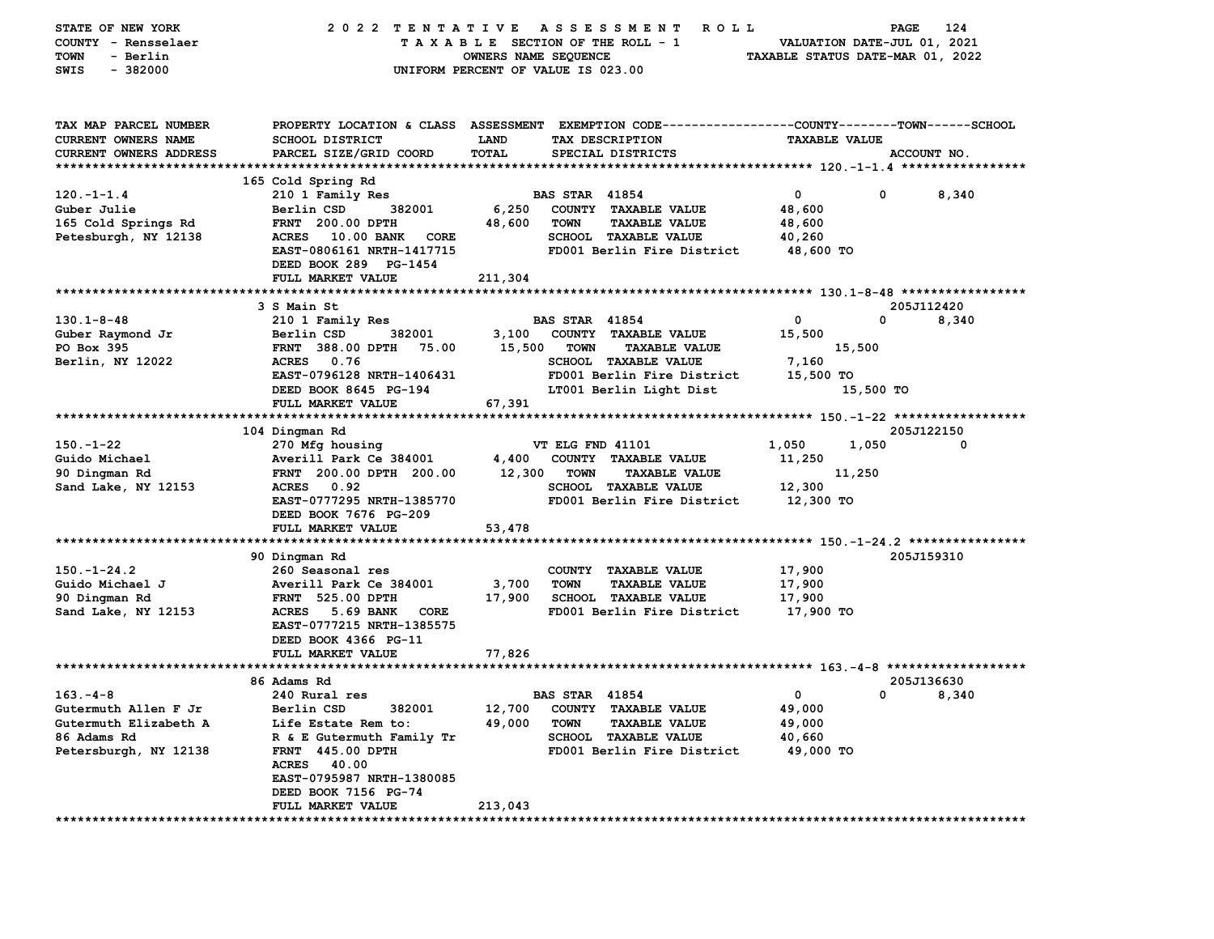| STATE OF NEW YORK<br>COUNTY - Rensselaer<br>TOWN<br>- Berlin                  | 2022 TENTATIVE                                                                                                                                     | TAXABLE SECTION OF THE ROLL - 1<br>OWNERS NAME SEQUENCE |                       | A S S E S S M E N T<br><b>ROLL</b>                        | VALUATION DATE-JUL 01, 2021<br>TAXABLE STATUS DATE-MAR 01, 2022 | PAGE      | 124         |
|-------------------------------------------------------------------------------|----------------------------------------------------------------------------------------------------------------------------------------------------|---------------------------------------------------------|-----------------------|-----------------------------------------------------------|-----------------------------------------------------------------|-----------|-------------|
| $-382000$<br>SWIS                                                             | UNIFORM PERCENT OF VALUE IS 023.00                                                                                                                 |                                                         |                       |                                                           |                                                                 |           |             |
| TAX MAP PARCEL NUMBER<br>CURRENT OWNERS NAME<br><b>CURRENT OWNERS ADDRESS</b> | PROPERTY LOCATION & CLASS ASSESSMENT EXEMPTION CODE--------------COUNTY-------TOWN------SCHOOL<br><b>SCHOOL DISTRICT</b><br>PARCEL SIZE/GRID COORD | <b>LAND</b><br>TOTAL                                    |                       | TAX DESCRIPTION<br>SPECIAL DISTRICTS                      | <b>TAXABLE VALUE</b>                                            |           | ACCOUNT NO. |
|                                                                               | 165 Cold Spring Rd                                                                                                                                 |                                                         |                       |                                                           |                                                                 |           |             |
| $120. -1 - 1.4$                                                               | 210 1 Family Res                                                                                                                                   |                                                         | <b>BAS STAR 41854</b> |                                                           | 0                                                               | 0         | 8,340       |
| Guber Julie                                                                   | Berlin CSD<br>382001                                                                                                                               | 6,250                                                   |                       | COUNTY TAXABLE VALUE                                      | 48,600                                                          |           |             |
| 165 Cold Springs Rd                                                           | <b>FRNT 200.00 DPTH</b>                                                                                                                            | 48,600                                                  | <b>TOWN</b>           | <b>TAXABLE VALUE</b>                                      | 48,600                                                          |           |             |
| Petesburgh, NY 12138                                                          | <b>ACRES</b><br>10.00 BANK<br>CORE<br>EAST-0806161 NRTH-1417715<br>DEED BOOK 289 PG-1454                                                           |                                                         |                       | <b>SCHOOL TAXABLE VALUE</b><br>FD001 Berlin Fire District | 40,260<br>48,600 TO                                             |           |             |
|                                                                               | FULL MARKET VALUE                                                                                                                                  | 211,304                                                 |                       |                                                           |                                                                 |           |             |
|                                                                               |                                                                                                                                                    |                                                         |                       |                                                           |                                                                 |           |             |
|                                                                               | 3 S Main St                                                                                                                                        |                                                         |                       |                                                           |                                                                 |           | 205J112420  |
| $130.1 - 8 - 48$                                                              | 210 1 Family Res                                                                                                                                   |                                                         | <b>BAS STAR 41854</b> |                                                           | 0                                                               | 0         | 8,340       |
| Guber Raymond Jr                                                              | Berlin CSD<br>382001                                                                                                                               | 3,100                                                   |                       | COUNTY TAXABLE VALUE                                      | 15,500                                                          |           |             |
| PO Box 395                                                                    | <b>FRNT 388.00 DPTH</b><br>75.00                                                                                                                   | 15,500                                                  | <b>TOWN</b>           | <b>TAXABLE VALUE</b><br>SCHOOL TAXABLE VALUE              |                                                                 | 15,500    |             |
| Berlin, NY 12022                                                              | <b>ACRES</b><br>0.76<br>EAST-0796128 NRTH-1406431                                                                                                  |                                                         |                       | FD001 Berlin Fire District                                | 7,160<br>15,500 TO                                              |           |             |
|                                                                               | DEED BOOK 8645 PG-194                                                                                                                              |                                                         |                       | LT001 Berlin Light Dist                                   |                                                                 | 15,500 TO |             |
|                                                                               | FULL MARKET VALUE                                                                                                                                  | 67,391                                                  |                       |                                                           |                                                                 |           |             |
|                                                                               |                                                                                                                                                    |                                                         |                       |                                                           |                                                                 |           |             |
|                                                                               | 104 Dingman Rd                                                                                                                                     |                                                         |                       |                                                           |                                                                 |           | 205J122150  |
| $150. - 1 - 22$                                                               | 270 Mfg housing                                                                                                                                    |                                                         | VT ELG FND 41101      |                                                           | 1,050                                                           | 1,050     | 0           |
| Guido Michael                                                                 | Averill Park Ce 384001                                                                                                                             | 4,400                                                   |                       | COUNTY TAXABLE VALUE                                      | 11,250                                                          |           |             |
| 90 Dingman Rd                                                                 | FRNT 200.00 DPTH 200.00                                                                                                                            | 12,300                                                  | <b>TOWN</b>           | <b>TAXABLE VALUE</b>                                      |                                                                 | 11,250    |             |
| Sand Lake, NY 12153                                                           | 0.92<br><b>ACRES</b><br>EAST-0777295 NRTH-1385770                                                                                                  |                                                         |                       | <b>SCHOOL TAXABLE VALUE</b><br>FD001 Berlin Fire District | 12,300                                                          |           |             |
|                                                                               | DEED BOOK 7676 PG-209<br>FULL MARKET VALUE                                                                                                         | 53,478                                                  |                       |                                                           | 12,300 TO                                                       |           |             |
|                                                                               |                                                                                                                                                    |                                                         |                       |                                                           |                                                                 |           |             |
|                                                                               | 90 Dingman Rd                                                                                                                                      |                                                         |                       |                                                           |                                                                 |           | 205J159310  |
| $150. - 1 - 24.2$                                                             | 260 Seasonal res                                                                                                                                   |                                                         |                       | COUNTY TAXABLE VALUE                                      | 17,900                                                          |           |             |
| Guido Michael J                                                               | Averill Park Ce 384001                                                                                                                             | 3,700                                                   | <b>TOWN</b>           | <b>TAXABLE VALUE</b>                                      | 17,900                                                          |           |             |
| 90 Dingman Rd                                                                 | <b>FRNT 525.00 DPTH</b>                                                                                                                            | 17,900                                                  |                       | <b>SCHOOL TAXABLE VALUE</b>                               | 17,900                                                          |           |             |
| Sand Lake, NY 12153                                                           | 5.69 BANK<br><b>ACRES</b><br>CORE<br>EAST-0777215 NRTH-1385575<br>DEED BOOK 4366 PG-11                                                             |                                                         |                       | FD001 Berlin Fire District                                | 17,900 TO                                                       |           |             |
|                                                                               | FULL MARKET VALUE                                                                                                                                  | 77,826                                                  |                       |                                                           |                                                                 |           |             |
|                                                                               |                                                                                                                                                    |                                                         |                       |                                                           |                                                                 |           |             |
|                                                                               | 86 Adams Rd                                                                                                                                        |                                                         |                       |                                                           |                                                                 |           | 205J136630  |
| $163 - 4 - 8$                                                                 | 240 Rural res                                                                                                                                      |                                                         | <b>BAS STAR 41854</b> |                                                           | 0                                                               | 0         | 8,340       |
| Gutermuth Allen F Jr                                                          | Berlin CSD<br>382001                                                                                                                               |                                                         |                       | 12,700 COUNTY TAXABLE VALUE                               | 49,000                                                          |           |             |
| Gutermuth Elizabeth A                                                         | Life Estate Rem to:                                                                                                                                | 49,000                                                  | TOWN                  | <b>TAXABLE VALUE</b>                                      | 49,000                                                          |           |             |
| 86 Adams Rd<br>Petersburgh, NY 12138                                          | R & E Gutermuth Family Tr<br><b>FRNT 445.00 DPTH</b>                                                                                               |                                                         |                       | SCHOOL TAXABLE VALUE<br>FD001 Berlin Fire District        | 40,660<br>49,000 TO                                             |           |             |
|                                                                               | ACRES 40.00                                                                                                                                        |                                                         |                       |                                                           |                                                                 |           |             |
|                                                                               | EAST-0795987 NRTH-1380085                                                                                                                          |                                                         |                       |                                                           |                                                                 |           |             |
|                                                                               | DEED BOOK 7156 PG-74                                                                                                                               |                                                         |                       |                                                           |                                                                 |           |             |
|                                                                               | FULL MARKET VALUE                                                                                                                                  | 213,043                                                 |                       |                                                           |                                                                 |           |             |
|                                                                               |                                                                                                                                                    |                                                         |                       |                                                           |                                                                 |           |             |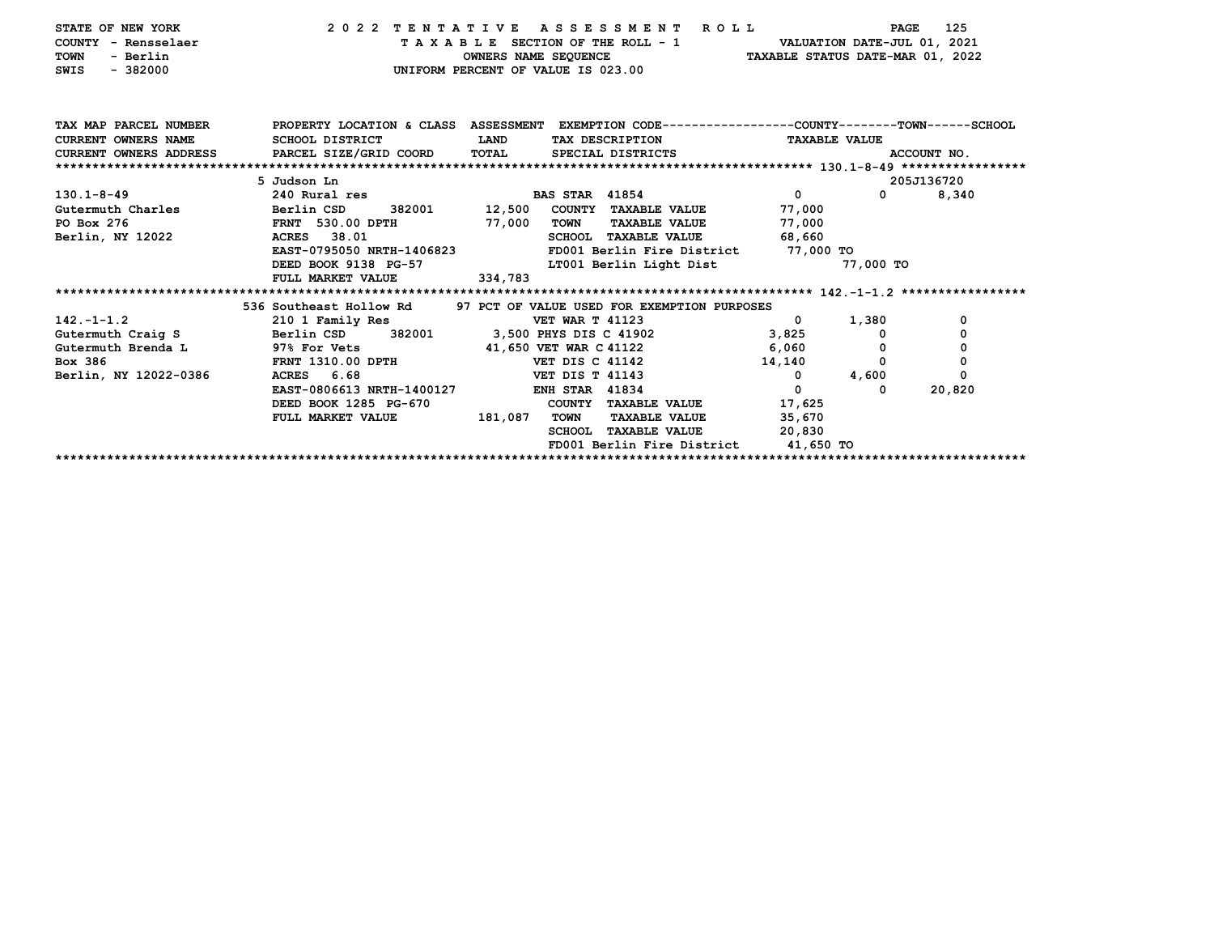| STATE OF NEW YORK<br>COUNTY - Rensselaer<br>- Berlin<br><b>TOWN</b><br>$-382000$<br><b>SWIS</b> | 2022 TENTATIVE<br>UNIFORM PERCENT OF VALUE IS 023.00                                            |             |                        | A S S E S S M E N T R O L L<br>TAXABLE SECTION OF THE ROLL - 1<br>OWNERS NAME SEQUENCE TAXABLE STATUS DATE-MAR 01, 2022 |                      | PAGE<br>VALUATION DATE-JUL 01, 2021 | 125         |
|-------------------------------------------------------------------------------------------------|-------------------------------------------------------------------------------------------------|-------------|------------------------|-------------------------------------------------------------------------------------------------------------------------|----------------------|-------------------------------------|-------------|
| TAX MAP PARCEL NUMBER                                                                           | PROPERTY LOCATION & CLASS ASSESSMENT EXEMPTION CODE---------------COUNTY-------TOWN------SCHOOL |             |                        |                                                                                                                         |                      |                                     |             |
| <b>CURRENT OWNERS NAME</b>                                                                      | SCHOOL DISTRICT                                                                                 | <b>LAND</b> |                        | TAX DESCRIPTION                                                                                                         | <b>TAXABLE VALUE</b> |                                     |             |
| CURRENT OWNERS ADDRESS PARCEL SIZE/GRID COORD                                                   |                                                                                                 | TOTAL       |                        | SPECIAL DISTRICTS                                                                                                       |                      |                                     | ACCOUNT NO. |
|                                                                                                 |                                                                                                 |             |                        |                                                                                                                         |                      |                                     |             |
|                                                                                                 | 5 Judson Ln                                                                                     |             |                        |                                                                                                                         |                      |                                     | 205J136720  |
| $130.1 - 8 - 49$                                                                                | 240 Rural res                                                                                   |             | <b>BAS STAR 41854</b>  |                                                                                                                         | $\mathbf{0}$         | $\mathbf{0}$                        | 8,340       |
| Gutermuth Charles                                                                               | 382001 12,500<br>Berlin CSD                                                                     |             |                        | COUNTY TAXABLE VALUE                                                                                                    | 77,000               |                                     |             |
| PO Box 276                                                                                      | FRNT 530.00 DPTH                                                                                | 77,000      | TOWN                   | <b>TAXABLE VALUE</b>                                                                                                    | 77,000               |                                     |             |
| Berlin, NY 12022                                                                                | ACRES 38.01                                                                                     |             |                        | SCHOOL TAXABLE VALUE                                                                                                    | 68,660               |                                     |             |
|                                                                                                 | EAST-0795050 NRTH-1406823                                                                       |             |                        | FD001 Berlin Fire District 77,000 TO                                                                                    |                      |                                     |             |
|                                                                                                 | DEED BOOK 9138 PG-57                                                                            |             |                        | LT001 Berlin Light Dist                                                                                                 |                      | 77,000 TO                           |             |
|                                                                                                 | FULL MARKET VALUE                                                                               | 334,783     |                        |                                                                                                                         |                      |                                     |             |
|                                                                                                 | 536 Southeast Hollow Rd                                                                         |             |                        | 97 PCT OF VALUE USED FOR EXEMPTION PURPOSES                                                                             |                      |                                     |             |
| $142. - 1 - 1.2$                                                                                | 210 1 Family Res                                                                                |             | <b>VET WAR T 41123</b> |                                                                                                                         | $\mathbf{0}$         | 1,380                               | 0           |
| Gutermuth Craig S                                                                               | Berlin CSD<br>382001                                                                            |             |                        | 3,500 PHYS DIS C 41902                                                                                                  | 3,825                |                                     | 0           |
| Gutermuth Brenda L 97% For Vets                                                                 |                                                                                                 |             |                        | 41,650 VET WAR C 41122                                                                                                  | 6,060                |                                     | 0           |
| Box 386                                                                                         | <b>FRNT 1310.00 DPTH</b>                                                                        |             | <b>VET DIS C 41142</b> |                                                                                                                         | 14,140               | 0                                   | 0           |
| Berlin, NY 12022-0386                                                                           | ACRES 6.68                                                                                      |             | <b>VET DIS T 41143</b> |                                                                                                                         | $^{\circ}$           | 4,600                               | 0           |
|                                                                                                 | EAST-0806613 NRTH-1400127                                                                       |             | <b>ENH STAR 41834</b>  |                                                                                                                         | $\Omega$             | 0                                   | 20,820      |
|                                                                                                 | DEED BOOK 1285 PG-670                                                                           |             |                        | COUNTY TAXABLE VALUE                                                                                                    | 17,625               |                                     |             |
|                                                                                                 | FULL MARKET VALUE                                                                               | 181,087     | <b>TOWN</b>            | <b>TAXABLE VALUE</b>                                                                                                    | 35,670               |                                     |             |
|                                                                                                 |                                                                                                 |             |                        | SCHOOL TAXABLE VALUE                                                                                                    | 20,830               |                                     |             |
|                                                                                                 |                                                                                                 |             |                        | FD001 Berlin Fire District 41,650 TO                                                                                    |                      |                                     |             |
|                                                                                                 |                                                                                                 |             |                        |                                                                                                                         |                      |                                     |             |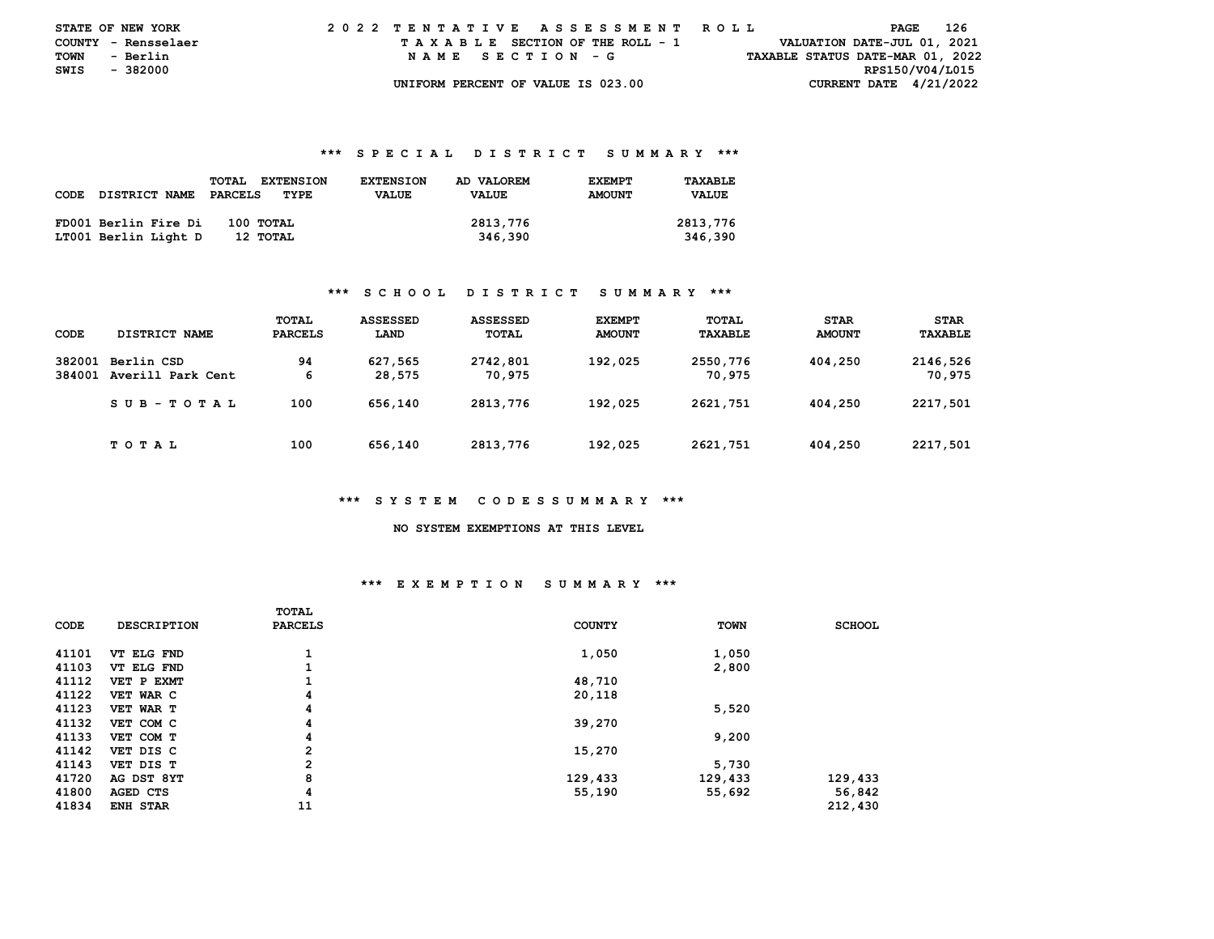| <b>STATE OF NEW YORK</b> |          | 2022 TENTATIVE ASSESSMENT ROLL |  |  |  |  |                                    |  |  |  |  |  |  |  |  |                                  | PAGE | - 126 |  |
|--------------------------|----------|--------------------------------|--|--|--|--|------------------------------------|--|--|--|--|--|--|--|--|----------------------------------|------|-------|--|
| COUNTY - Rensselaer      |          |                                |  |  |  |  | TAXABLE SECTION OF THE ROLL - 1    |  |  |  |  |  |  |  |  | VALUATION DATE-JUL 01, 2021      |      |       |  |
| TOWN                     | - Berlin |                                |  |  |  |  | NAME SECTION - G                   |  |  |  |  |  |  |  |  | TAXABLE STATUS DATE-MAR 01, 2022 |      |       |  |
| SWIS                     | - 382000 |                                |  |  |  |  |                                    |  |  |  |  |  |  |  |  | RPS150/V04/L015                  |      |       |  |
|                          |          |                                |  |  |  |  | UNIFORM PERCENT OF VALUE IS 023.00 |  |  |  |  |  |  |  |  | CURRENT DATE $4/21/2022$         |      |       |  |

#### **\*\*\* S P E C I A L D I S T R I C T S U M M A R Y \*\*\***

|      |                      | <b>EXTENSION</b><br><b>TOTAL</b> | <b>EXTENSION</b> | AD VALOREM | <b>EXEMPT</b> | TAXABLE      |
|------|----------------------|----------------------------------|------------------|------------|---------------|--------------|
| CODE | <b>DISTRICT NAME</b> | PARCELS<br>TYPE                  | <b>VALUE</b>     | VALUE      | <b>AMOUNT</b> | <b>VALUE</b> |
|      |                      |                                  |                  |            |               |              |
|      | FD001 Berlin Fire Di | 100 TOTAL                        |                  | 2813,776   |               | 2813,776     |
|      | LT001 Berlin Light D | 12 TOTAL                         |                  | 346,390    |               | 346,390      |

### **\*\*\* S C H O O L D I S T R I C T S U M M A R Y \*\*\***

| CODE             | DISTRICT NAME                   | TOTAL<br><b>PARCELS</b> | <b>ASSESSED</b><br>LAND | ASSESSED<br>TOTAL  | <b>EXEMPT</b><br><b>AMOUNT</b> | <b>TOTAL</b><br>TAXABLE | <b>STAR</b><br><b>AMOUNT</b> | <b>STAR</b><br>TAXABLE |
|------------------|---------------------------------|-------------------------|-------------------------|--------------------|--------------------------------|-------------------------|------------------------------|------------------------|
| 382001<br>384001 | Berlin CSD<br>Averill Park Cent | 94<br>6                 | 627,565<br>28,575       | 2742,801<br>70,975 | 192,025                        | 2550,776<br>70.975      | 404,250                      | 2146,526<br>70,975     |
|                  | SUB-TOTAL                       | 100                     | 656,140                 | 2813,776           | 192,025                        | 2621,751                | 404,250                      | 2217,501               |
|                  | TOTAL                           | 100                     | 656,140                 | 2813,776           | 192,025                        | 2621,751                | 404,250                      | 2217,501               |

### **\*\*\* S Y S T E M C O D E S S U M M A R Y \*\*\***

 **NO SYSTEM EXEMPTIONS AT THIS LEVEL** 

# **\*\*\* E X E M P T I O N S U M M A R Y \*\*\***

|       |                    | TOTAL          |               |             |               |
|-------|--------------------|----------------|---------------|-------------|---------------|
| CODE  | <b>DESCRIPTION</b> | <b>PARCELS</b> | <b>COUNTY</b> | <b>TOWN</b> | <b>SCHOOL</b> |
|       |                    |                |               |             |               |
| 41101 | VT ELG FND         | 1              | 1,050         | 1,050       |               |
| 41103 | VT ELG FND         | 1              |               | 2,800       |               |
| 41112 | VET P EXMT         | 1              | 48,710        |             |               |
| 41122 | VET WAR C          | 4              | 20,118        |             |               |
| 41123 | VET WAR T          | 4              |               | 5,520       |               |
| 41132 | VET COM C          | 4              | 39,270        |             |               |
| 41133 | VET COM T          | 4              |               | 9,200       |               |
| 41142 | VET DIS C          | $\mathbf{2}$   | 15,270        |             |               |
| 41143 | VET DIS T          | $\overline{2}$ |               | 5,730       |               |
| 41720 | AG DST 8YT         | 8              | 129,433       | 129,433     | 129,433       |
| 41800 | AGED CTS           | 4              | 55,190        | 55,692      | 56,842        |
| 41834 | <b>ENH STAR</b>    | 11             |               |             | 212,430       |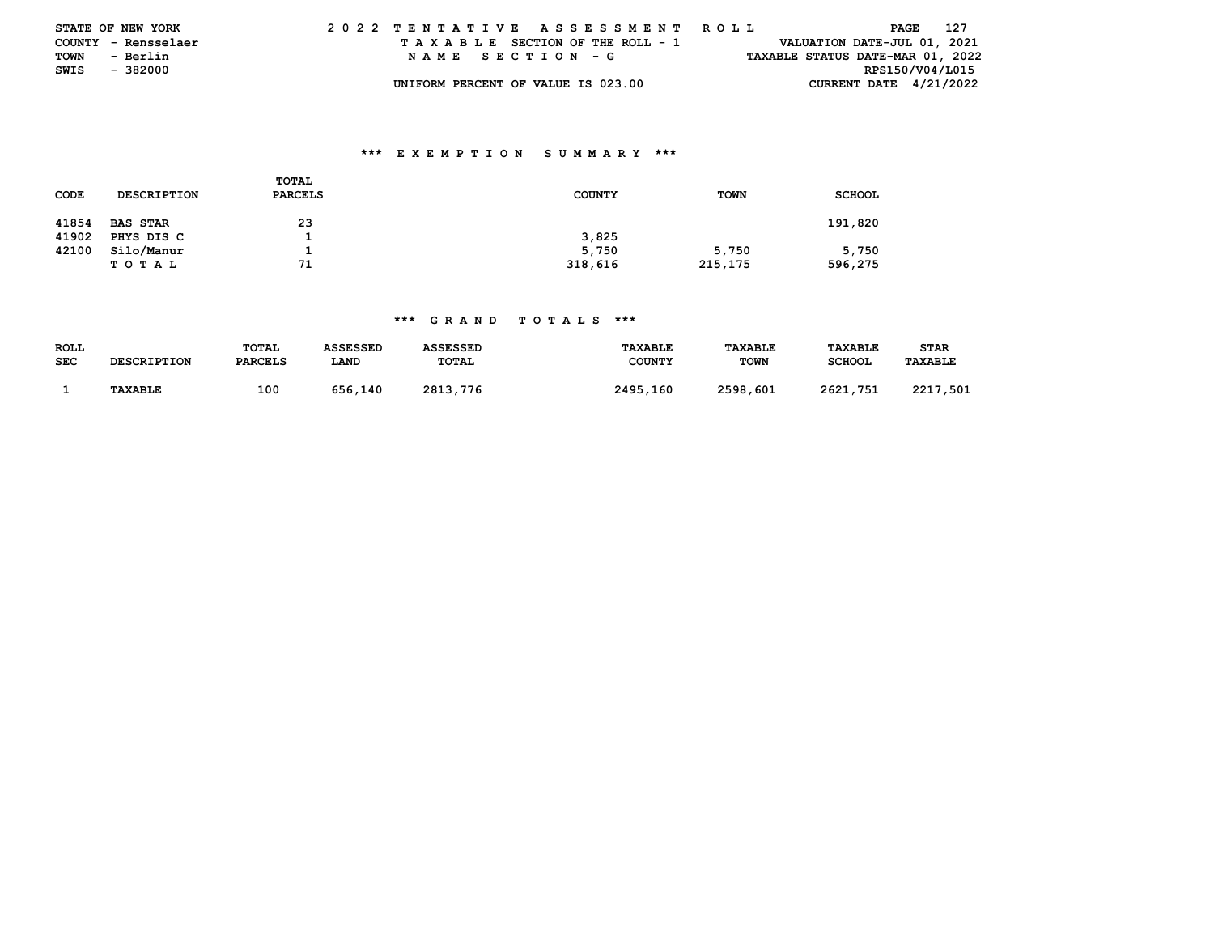|      | <b>STATE OF NEW YORK</b> | 2022 TENTATIVE ASSESSMENT ROLL     |                                  | 127<br>PAGE                 |  |
|------|--------------------------|------------------------------------|----------------------------------|-----------------------------|--|
|      | COUNTY - Rensselaer      | TAXABLE SECTION OF THE ROLL - 1    |                                  | VALUATION DATE-JUL 01, 2021 |  |
| TOWN | - Berlin                 | NAME SECTION - G                   | TAXABLE STATUS DATE-MAR 01, 2022 |                             |  |
| SWIS | - 382000                 |                                    |                                  | RPS150/V04/L015             |  |
|      |                          | UNIFORM PERCENT OF VALUE IS 023.00 |                                  | CURRENT DATE $4/21/2022$    |  |

## **\*\*\* E X E M P T I O N S U M M A R Y \*\*\***

| CODE  | <b>DESCRIPTION</b> | <b>TOTAL</b><br><b>PARCELS</b> | <b>COUNTY</b> | <b>TOWN</b> | <b>SCHOOL</b> |
|-------|--------------------|--------------------------------|---------------|-------------|---------------|
| 41854 | <b>BAS STAR</b>    | 23                             |               |             | 191,820       |
| 41902 | PHYS DIS C         |                                | 3,825         |             |               |
| 42100 | Silo/Manur         |                                | 5,750         | 5,750       | 5,750         |
|       | TOTAL              | 71                             | 318,616       | 215,175     | 596,275       |

## **\*\*\* G R A N D T O T A L S \*\*\***

| <b>ROLL</b><br><b>SEC</b> | <b>DESCRIPTION</b> | TOTAL<br><b>PARCELS</b> | ASSESSED<br>LAND | <b>ASSESSED</b><br>TOTAL | <b>TAXABLE</b><br><b>COUNTY</b> | <b>TAXABLE</b><br><b>TOWN</b> | <b>TAXABLE</b><br>SCHOOL | STAR<br><b>TAXABLE</b> |
|---------------------------|--------------------|-------------------------|------------------|--------------------------|---------------------------------|-------------------------------|--------------------------|------------------------|
|                           | <b>TAXABLE</b>     | 100                     | 656,140          | 2813,776                 | 2495,160                        | 2598,601                      | 2621,751                 | 2217<br>,501           |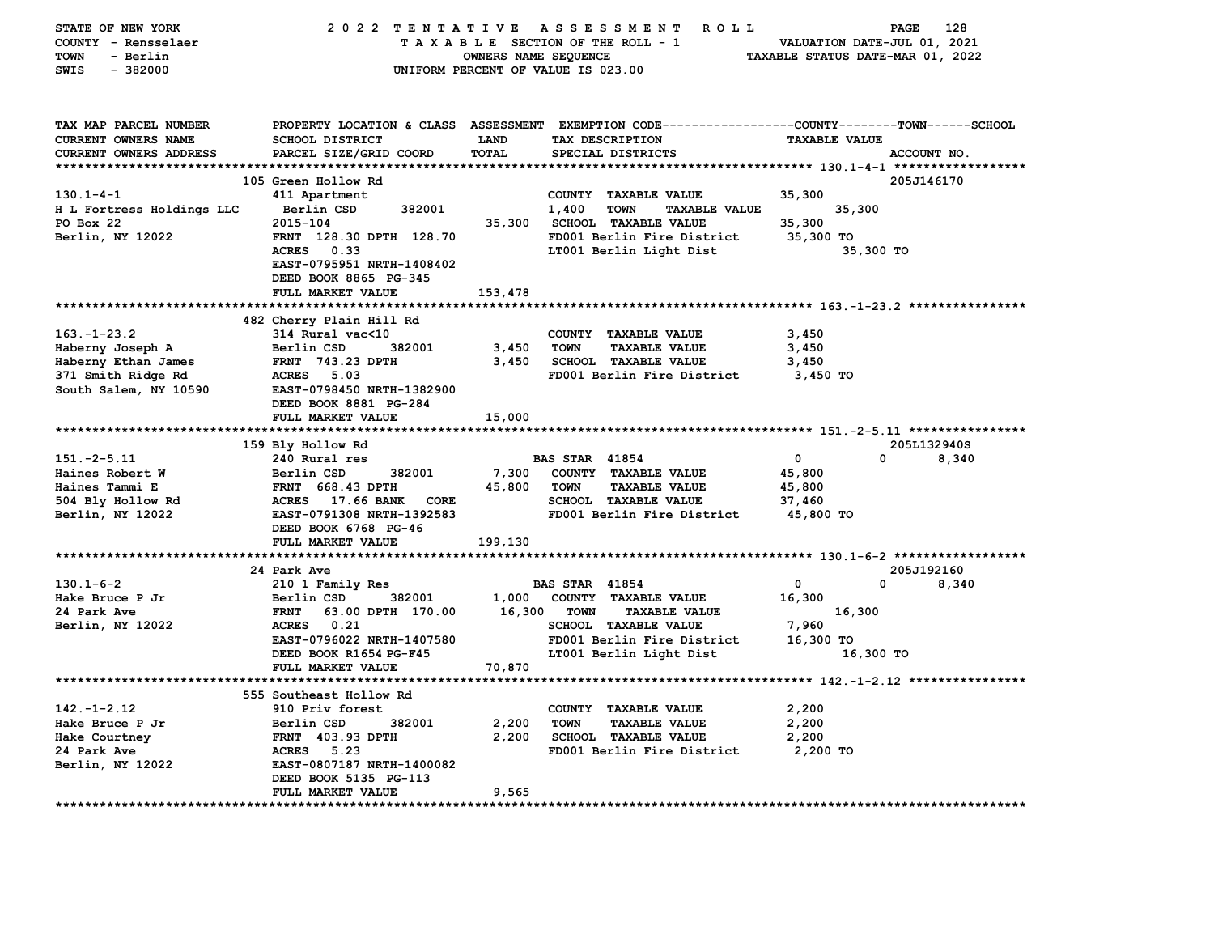|                               | 2022 TENTATIVE                             |                      | <b>ROLL</b><br>A S S E S S M E N T                                                             |                                  | 128<br><b>PAGE</b>    |
|-------------------------------|--------------------------------------------|----------------------|------------------------------------------------------------------------------------------------|----------------------------------|-----------------------|
| COUNTY - Rensselaer           |                                            |                      | TAXABLE SECTION OF THE ROLL - 1                                                                | VALUATION DATE-JUL 01, 2021      |                       |
| - Berlin<br><b>TOWN</b>       |                                            | OWNERS NAME SEQUENCE |                                                                                                | TAXABLE STATUS DATE-MAR 01, 2022 |                       |
| $-382000$<br>SWIS             |                                            |                      | UNIFORM PERCENT OF VALUE IS 023.00                                                             |                                  |                       |
|                               |                                            |                      |                                                                                                |                                  |                       |
|                               |                                            |                      |                                                                                                |                                  |                       |
|                               |                                            |                      |                                                                                                |                                  |                       |
| TAX MAP PARCEL NUMBER         |                                            |                      | PROPERTY LOCATION & CLASS ASSESSMENT EXEMPTION CODE---------------COUNTY-------TOWN-----SCHOOL |                                  |                       |
| <b>CURRENT OWNERS NAME</b>    | <b>SCHOOL DISTRICT</b>                     | <b>LAND</b>          | TAX DESCRIPTION                                                                                | <b>TAXABLE VALUE</b>             |                       |
| <b>CURRENT OWNERS ADDRESS</b> | PARCEL SIZE/GRID COORD                     | TOTAL                | SPECIAL DISTRICTS                                                                              |                                  | ACCOUNT NO.           |
| *************************     |                                            |                      |                                                                                                |                                  |                       |
|                               | 105 Green Hollow Rd                        |                      |                                                                                                |                                  | 205J146170            |
| $130.1 - 4 - 1$               | 411 Apartment                              |                      | COUNTY<br><b>TAXABLE VALUE</b>                                                                 | 35,300                           |                       |
| H L Fortress Holdings LLC     | Berlin CSD<br>382001                       |                      | 1,400<br><b>TOWN</b><br><b>TAXABLE VALUE</b>                                                   | 35,300                           |                       |
| PO Box 22                     | 2015-104                                   | 35,300               | <b>SCHOOL TAXABLE VALUE</b>                                                                    | 35,300                           |                       |
| Berlin, NY 12022              | FRNT 128.30 DPTH 128.70                    |                      | FD001 Berlin Fire District                                                                     | 35,300 TO                        |                       |
|                               | ACRES 0.33                                 |                      | LT001 Berlin Light Dist                                                                        | 35,300 TO                        |                       |
|                               | EAST-0795951 NRTH-1408402                  |                      |                                                                                                |                                  |                       |
|                               | DEED BOOK 8865 PG-345                      |                      |                                                                                                |                                  |                       |
|                               | FULL MARKET VALUE                          | 153,478              |                                                                                                |                                  |                       |
|                               |                                            |                      |                                                                                                |                                  |                       |
|                               | 482 Cherry Plain Hill Rd                   |                      |                                                                                                |                                  |                       |
| $163. - 1 - 23.2$             | 314 Rural vac<10                           |                      | COUNTY TAXABLE VALUE                                                                           | 3,450                            |                       |
| Haberny Joseph A              | Berlin CSD<br>382001                       | 3,450                | <b>TAXABLE VALUE</b><br><b>TOWN</b>                                                            | 3,450                            |                       |
| Haberny Ethan James           | <b>FRNT 743.23 DPTH</b>                    | 3,450                | <b>SCHOOL TAXABLE VALUE</b>                                                                    | 3,450                            |                       |
| 371 Smith Ridge Rd            | ACRES 5.03                                 |                      | FD001 Berlin Fire District                                                                     | 3,450 TO                         |                       |
| South Salem, NY 10590         | EAST-0798450 NRTH-1382900                  |                      |                                                                                                |                                  |                       |
|                               | DEED BOOK 8881 PG-284                      |                      |                                                                                                |                                  |                       |
|                               |                                            |                      |                                                                                                |                                  |                       |
|                               | FULL MARKET VALUE                          | 15,000               |                                                                                                |                                  |                       |
|                               |                                            |                      |                                                                                                |                                  |                       |
|                               | 159 Bly Hollow Rd                          |                      |                                                                                                |                                  | 205L132940S           |
| $151.-2-5.11$                 | 240 Rural res                              |                      | <b>BAS STAR 41854</b>                                                                          | 0                                | $\mathbf{0}$<br>8,340 |
| Haines Robert W               | Berlin CSD<br>382001                       | 7,300                | COUNTY TAXABLE VALUE                                                                           | 45,800                           |                       |
| Haines Tammi E                | <b>FRNT 668.43 DPTH</b>                    | 45,800               | <b>TOWN</b><br><b>TAXABLE VALUE</b>                                                            | 45,800                           |                       |
| 504 Bly Hollow Rd             | ACRES 17.66 BANK<br><b>CORE</b>            |                      | <b>SCHOOL TAXABLE VALUE</b>                                                                    | 37,460                           |                       |
| Berlin, NY 12022              | EAST-0791308 NRTH-1392583                  |                      | FD001 Berlin Fire District                                                                     | 45,800 TO                        |                       |
|                               | DEED BOOK 6768 PG-46                       |                      |                                                                                                |                                  |                       |
|                               | FULL MARKET VALUE                          | 199,130              |                                                                                                |                                  |                       |
|                               |                                            |                      |                                                                                                |                                  |                       |
|                               | 24 Park Ave                                |                      |                                                                                                |                                  | 205J192160            |
| $130.1 - 6 - 2$               | 210 1 Family Res                           |                      | <b>BAS STAR 41854</b>                                                                          | 0                                | 0<br>8,340            |
| Hake Bruce P Jr               | Berlin CSD<br>382001                       |                      |                                                                                                |                                  |                       |
| 24 Park Ave                   | <b>FRNT</b>                                | 1,000<br>16,300      | COUNTY TAXABLE VALUE<br><b>TOWN</b><br><b>TAXABLE VALUE</b>                                    | 16,300                           |                       |
|                               | 63.00 DPTH 170.00<br>ACRES 0.21            |                      |                                                                                                | 16,300                           |                       |
| Berlin, NY 12022              | EAST-0796022 NRTH-1407580                  |                      | SCHOOL TAXABLE VALUE<br>FD001 Berlin Fire District                                             | 7,960                            |                       |
|                               |                                            |                      |                                                                                                | 16,300 TO                        |                       |
|                               | DEED BOOK R1654 PG-F45                     |                      | LT001 Berlin Light Dist                                                                        | 16,300 TO                        |                       |
|                               | FULL MARKET VALUE                          | 70,870               |                                                                                                |                                  |                       |
|                               | 555 Southeast Hollow Rd                    |                      |                                                                                                |                                  |                       |
|                               |                                            |                      |                                                                                                |                                  |                       |
| $142. - 1 - 2.12$             | 910 Priv forest                            |                      | COUNTY TAXABLE VALUE                                                                           | 2,200                            |                       |
| Hake Bruce P Jr               | Berlin CSD<br>382001                       | 2,200                | <b>TOWN</b><br><b>TAXABLE VALUE</b>                                                            | 2,200                            |                       |
| Hake Courtney                 | <b>FRNT</b> 403.93 DPTH                    | 2,200                | <b>SCHOOL TAXABLE VALUE</b>                                                                    | 2,200                            |                       |
| 24 Park Ave                   | ACRES 5.23                                 |                      | FD001 Berlin Fire District                                                                     | 2,200 TO                         |                       |
| Berlin, NY 12022              | EAST-0807187 NRTH-1400082                  |                      |                                                                                                |                                  |                       |
|                               | DEED BOOK 5135 PG-113<br>FULL MARKET VALUE | 9,565                |                                                                                                |                                  |                       |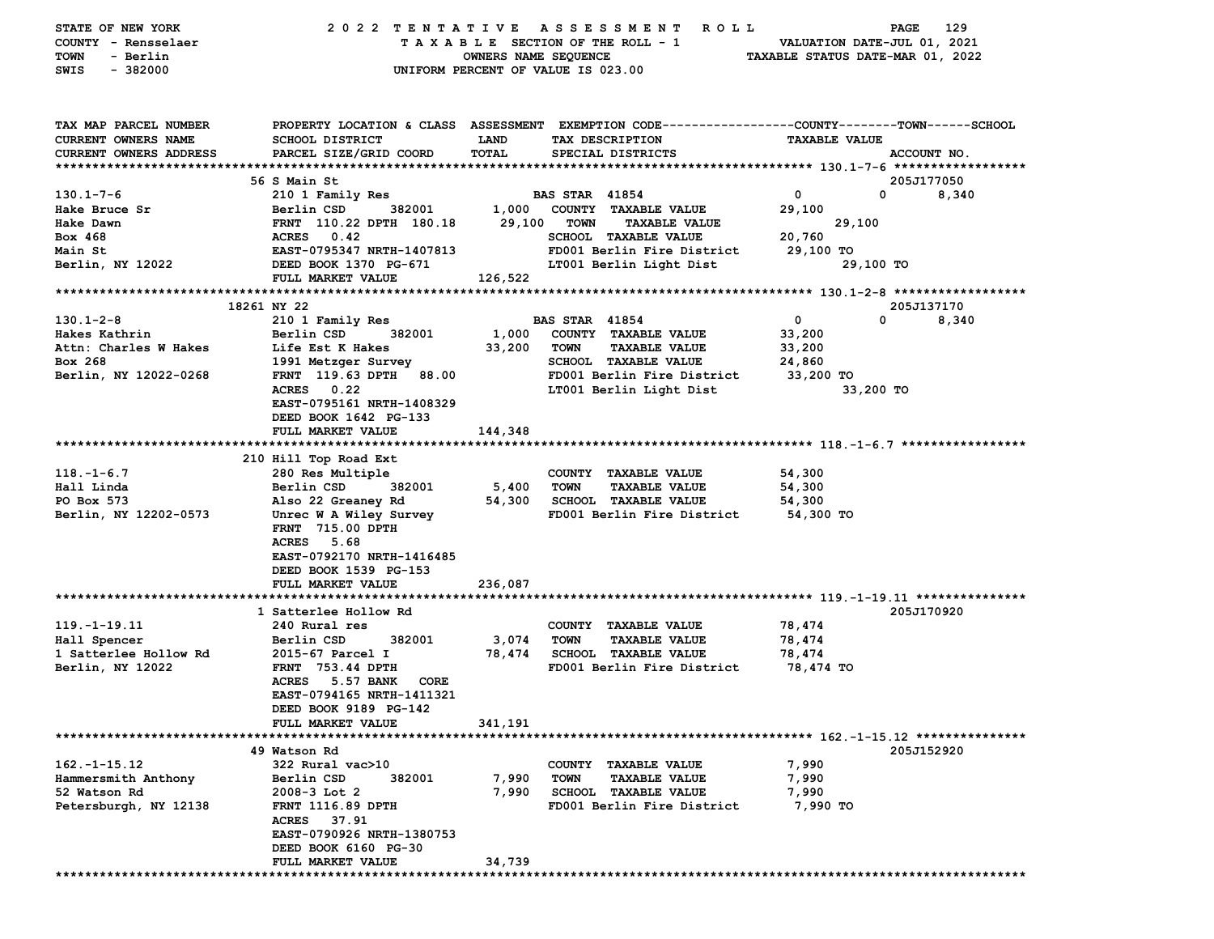| STATE OF NEW YORK<br>COUNTY - Rensselaer<br>TOWN<br>- Berlin | 2022 TENTATIVE                                   | OWNERS NAME SEQUENCE | A S S E S S M E N T<br>R O L L<br>TAXABLE SECTION OF THE ROLL - 1                               | TAXABLE STATUS DATE-MAR 01, 2022 | 129<br>PAGE<br>VALUATION DATE-JUL 01, 2021 |
|--------------------------------------------------------------|--------------------------------------------------|----------------------|-------------------------------------------------------------------------------------------------|----------------------------------|--------------------------------------------|
| SWIS<br>$-382000$                                            |                                                  |                      | UNIFORM PERCENT OF VALUE IS 023.00                                                              |                                  |                                            |
| TAX MAP PARCEL NUMBER                                        |                                                  |                      | PROPERTY LOCATION & CLASS ASSESSMENT EXEMPTION CODE---------------COUNTY-------TOWN------SCHOOL |                                  |                                            |
| <b>CURRENT OWNERS NAME</b>                                   | <b>SCHOOL DISTRICT</b>                           | <b>LAND</b><br>TOTAL | TAX DESCRIPTION                                                                                 | <b>TAXABLE VALUE</b>             |                                            |
| CURRENT OWNERS ADDRESS                                       | PARCEL SIZE/GRID COORD                           |                      | SPECIAL DISTRICTS                                                                               |                                  | ACCOUNT NO.                                |
|                                                              | 56 S Main St                                     |                      |                                                                                                 |                                  | 205J177050                                 |
| $130.1 - 7 - 6$                                              | 210 1 Family Res                                 |                      | <b>BAS STAR 41854</b>                                                                           | $\mathbf 0$                      | 0<br>8,340                                 |
| Hake Bruce Sr                                                | Berlin CSD<br>382001                             | 1,000                | COUNTY TAXABLE VALUE                                                                            | 29,100                           |                                            |
| Hake Dawn                                                    | FRNT 110.22 DPTH 180.18                          | 29,100               | <b>TOWN</b><br><b>TAXABLE VALUE</b>                                                             | 29,100                           |                                            |
| Box 468                                                      | ACRES 0.42                                       |                      | <b>SCHOOL TAXABLE VALUE</b>                                                                     | 20,760                           |                                            |
| Main St                                                      | EAST-0795347 NRTH-1407813                        |                      | FD001 Berlin Fire District                                                                      | 29,100 TO                        |                                            |
| Berlin, NY 12022                                             | DEED BOOK 1370 PG-671                            |                      | LT001 Berlin Light Dist                                                                         |                                  | 29,100 TO                                  |
|                                                              | FULL MARKET VALUE                                | 126,522              |                                                                                                 |                                  |                                            |
|                                                              |                                                  |                      |                                                                                                 |                                  |                                            |
|                                                              | 18261 NY 22                                      |                      |                                                                                                 |                                  | 205J137170                                 |
| $130.1 - 2 - 8$                                              | 210 1 Family Res                                 |                      | <b>BAS STAR 41854</b>                                                                           | 0                                | 0<br>8,340                                 |
| Hakes Kathrin                                                | 382001<br>Berlin CSD                             | 1,000                | COUNTY TAXABLE VALUE                                                                            | 33,200                           |                                            |
| Attn: Charles W Hakes                                        | Life Est K Hakes                                 | 33,200               | <b>TOWN</b><br><b>TAXABLE VALUE</b>                                                             | 33,200                           |                                            |
| Box 268<br>Berlin, NY 12022-0268                             | 1991 Metzger Survey<br>FRNT 119.63 DPTH<br>88.00 |                      | SCHOOL TAXABLE VALUE<br>FD001 Berlin Fire District                                              | 24,860<br>33,200 TO              |                                            |
|                                                              | <b>ACRES</b><br>0.22                             |                      | LT001 Berlin Light Dist                                                                         |                                  | 33,200 TO                                  |
|                                                              | EAST-0795161 NRTH-1408329                        |                      |                                                                                                 |                                  |                                            |
|                                                              | DEED BOOK 1642 PG-133                            |                      |                                                                                                 |                                  |                                            |
|                                                              | FULL MARKET VALUE                                | 144,348              |                                                                                                 |                                  |                                            |
|                                                              |                                                  |                      |                                                                                                 |                                  |                                            |
|                                                              | 210 Hill Top Road Ext                            |                      |                                                                                                 |                                  |                                            |
| $118. - 1 - 6.7$                                             | 280 Res Multiple                                 |                      | COUNTY TAXABLE VALUE                                                                            | 54,300                           |                                            |
| Hall Linda                                                   | Berlin CSD<br>382001                             | 5,400                | TOWN<br><b>TAXABLE VALUE</b>                                                                    | 54,300                           |                                            |
| PO Box 573                                                   | Also 22 Greaney Rd                               | 54,300               | SCHOOL TAXABLE VALUE                                                                            | 54,300                           |                                            |
| Berlin, NY 12202-0573                                        | Unrec W A Wiley Survey                           |                      | FD001 Berlin Fire District                                                                      | 54,300 TO                        |                                            |
|                                                              | FRNT 715.00 DPTH                                 |                      |                                                                                                 |                                  |                                            |
|                                                              | ACRES 5.68                                       |                      |                                                                                                 |                                  |                                            |
|                                                              | EAST-0792170 NRTH-1416485                        |                      |                                                                                                 |                                  |                                            |
|                                                              | DEED BOOK 1539 PG-153<br>FULL MARKET VALUE       | 236,087              |                                                                                                 |                                  |                                            |
|                                                              |                                                  |                      |                                                                                                 |                                  |                                            |
|                                                              | 1 Satterlee Hollow Rd                            |                      |                                                                                                 |                                  | 205J170920                                 |
| $119. - 1 - 19.11$                                           | 240 Rural res                                    |                      | COUNTY TAXABLE VALUE                                                                            | 78,474                           |                                            |
| Hall Spencer                                                 | 382001<br>Berlin CSD                             | 3,074                | <b>TOWN</b><br><b>TAXABLE VALUE</b>                                                             | 78,474                           |                                            |
| 1 Satterlee Hollow Rd                                        | 2015-67 Parcel I                                 | 78,474               | <b>SCHOOL TAXABLE VALUE</b>                                                                     | 78,474                           |                                            |
| Berlin, NY 12022                                             | <b>FRNT</b> 753.44 DPTH                          |                      | FD001 Berlin Fire District                                                                      | 78,474 TO                        |                                            |
|                                                              | <b>ACRES</b><br>5.57 BANK<br>CORE                |                      |                                                                                                 |                                  |                                            |
|                                                              | EAST-0794165 NRTH-1411321                        |                      |                                                                                                 |                                  |                                            |
|                                                              | DEED BOOK 9189 PG-142                            |                      |                                                                                                 |                                  |                                            |
|                                                              | <b>FULL MARKET VALUE</b>                         | 341,191              |                                                                                                 |                                  |                                            |
|                                                              |                                                  |                      |                                                                                                 |                                  |                                            |
|                                                              | 49 Watson Rd                                     |                      |                                                                                                 |                                  | 205J152920                                 |
| $162. - 1 - 15.12$<br>Hammersmith Anthony                    | 322 Rural vac>10<br>382001<br>Berlin CSD         | 7,990                | COUNTY TAXABLE VALUE<br>TOWN<br><b>TAXABLE VALUE</b>                                            | 7,990<br>7,990                   |                                            |
| 52 Watson Rd                                                 | $2008-3$ Lot 2                                   | 7,990                | <b>SCHOOL</b><br><b>TAXABLE VALUE</b>                                                           | 7,990                            |                                            |
| Petersburgh, NY 12138                                        | <b>FRNT 1116.89 DPTH</b>                         |                      | FD001 Berlin Fire District                                                                      | 7,990 TO                         |                                            |
|                                                              | <b>ACRES</b><br>37.91                            |                      |                                                                                                 |                                  |                                            |
|                                                              | EAST-0790926 NRTH-1380753                        |                      |                                                                                                 |                                  |                                            |
|                                                              | DEED BOOK 6160 PG-30                             |                      |                                                                                                 |                                  |                                            |
|                                                              | <b>FULL MARKET VALUE</b>                         | 34,739               |                                                                                                 |                                  |                                            |
|                                                              |                                                  |                      |                                                                                                 |                                  |                                            |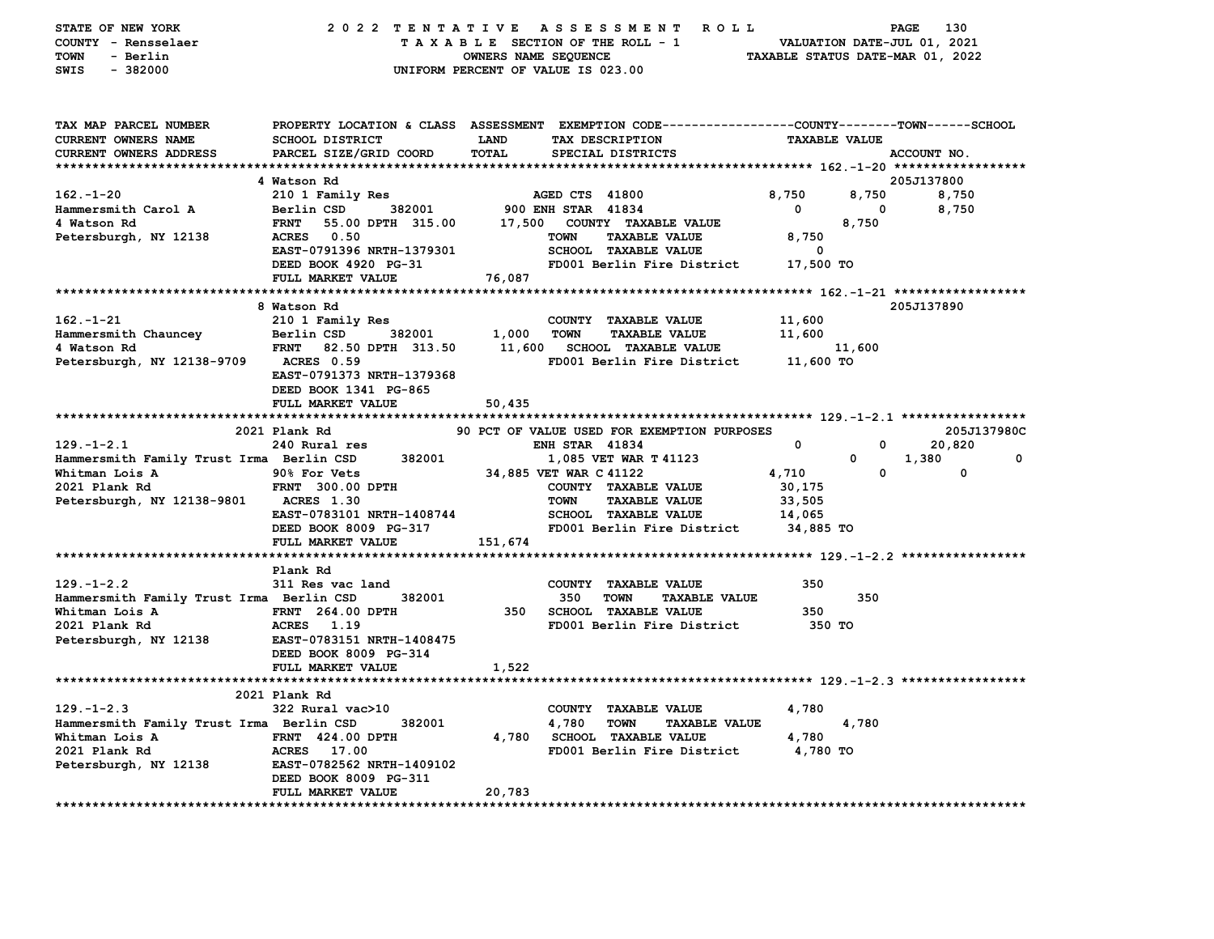| STATE OF NEW YORK<br>COUNTY - Rensselaer<br><b>TOWN</b><br>- Berlin<br>$-382000$<br>SWIS | 2022 TENTATIVE                                                          | A S S E S S M E N T<br><b>ROLL</b><br>TAXABLE SECTION OF THE ROLL - 1<br>OWNERS NAME SEQUENCE<br>UNIFORM PERCENT OF VALUE IS 023.00                       | VALUATION DATE-JUL 01, 2021<br>TAXABLE STATUS DATE-MAR 01, 2022 | 130<br>PAGE          |
|------------------------------------------------------------------------------------------|-------------------------------------------------------------------------|-----------------------------------------------------------------------------------------------------------------------------------------------------------|-----------------------------------------------------------------|----------------------|
| TAX MAP PARCEL NUMBER<br>CURRENT OWNERS NAME<br><b>CURRENT OWNERS ADDRESS</b>            | <b>SCHOOL DISTRICT</b><br>PARCEL SIZE/GRID COORD                        | PROPERTY LOCATION & CLASS ASSESSMENT EXEMPTION CODE----------------COUNTY-------TOWN------SCHOOL<br>LAND<br>TAX DESCRIPTION<br>TOTAL<br>SPECIAL DISTRICTS | <b>TAXABLE VALUE</b>                                            | ACCOUNT NO.          |
|                                                                                          |                                                                         |                                                                                                                                                           |                                                                 |                      |
|                                                                                          | 4 Watson Rd                                                             |                                                                                                                                                           |                                                                 | 205J137800           |
| $162 - 1 - 20$                                                                           | 210 1 Family Res                                                        | AGED CTS 41800                                                                                                                                            | 8,750<br>8,750                                                  | 8,750                |
| Hammersmith Carol A                                                                      | 382001<br>Berlin CSD                                                    | 900 ENH STAR 41834                                                                                                                                        | 0<br>0                                                          | 8,750                |
| 4 Watson Rd                                                                              | <b>FRNT</b><br>55.00 DPTH 315.00                                        | 17,500 COUNTY TAXABLE VALUE                                                                                                                               | 8,750                                                           |                      |
| Petersburgh, NY 12138                                                                    | 0.50<br><b>ACRES</b>                                                    | <b>TAXABLE VALUE</b><br><b>TOWN</b>                                                                                                                       | 8,750                                                           |                      |
|                                                                                          | EAST-0791396 NRTH-1379301                                               | <b>SCHOOL TAXABLE VALUE</b>                                                                                                                               | 0                                                               |                      |
|                                                                                          | DEED BOOK 4920 PG-31                                                    | FD001 Berlin Fire District                                                                                                                                | 17,500 TO                                                       |                      |
|                                                                                          | FULL MARKET VALUE                                                       | 76,087                                                                                                                                                    |                                                                 |                      |
|                                                                                          |                                                                         |                                                                                                                                                           |                                                                 |                      |
|                                                                                          | 8 Watson Rd                                                             |                                                                                                                                                           |                                                                 | 205J137890           |
| $162 - 1 - 21$                                                                           | 210 1 Family Res                                                        | COUNTY TAXABLE VALUE                                                                                                                                      | 11,600                                                          |                      |
| Hammersmith Chauncey                                                                     | Berlin CSD<br>382001                                                    | 1,000<br><b>TOWN</b><br><b>TAXABLE VALUE</b>                                                                                                              | 11,600                                                          |                      |
| 4 Watson Rd                                                                              | <b>FRNT</b><br>82.50 DPTH 313.50                                        | 11,600<br><b>SCHOOL TAXABLE VALUE</b>                                                                                                                     | 11,600                                                          |                      |
| Petersburgh, NY 12138-9709                                                               | <b>ACRES</b> 0.59<br>EAST-0791373 NRTH-1379368<br>DEED BOOK 1341 PG-865 | FD001 Berlin Fire District                                                                                                                                | 11,600 TO                                                       |                      |
|                                                                                          | FULL MARKET VALUE                                                       | 50,435                                                                                                                                                    |                                                                 |                      |
|                                                                                          |                                                                         |                                                                                                                                                           |                                                                 |                      |
|                                                                                          | 2021 Plank Rd                                                           | 90 PCT OF VALUE USED FOR EXEMPTION PURPOSES                                                                                                               |                                                                 | 205J137980C          |
| $129. - 1 - 2.1$                                                                         | 240 Rural res                                                           | <b>ENH STAR 41834</b>                                                                                                                                     | 0<br>0                                                          | 20,820               |
| Hammersmith Family Trust Irma Berlin CSD                                                 | 382001                                                                  | 1,085 VET WAR T 41123                                                                                                                                     | 0                                                               | $\mathbf 0$<br>1,380 |
| Whitman Lois A                                                                           | 90% For Vets                                                            | 34,885 VET WAR C 41122                                                                                                                                    | $\Omega$<br>4,710                                               | $\Omega$             |
| 2021 Plank Rd                                                                            | FRNT 300.00 DPTH                                                        | COUNTY TAXABLE VALUE                                                                                                                                      | 30,175                                                          |                      |
| Petersburgh, NY 12138-9801                                                               | <b>ACRES</b> 1.30                                                       | <b>TAXABLE VALUE</b><br><b>TOWN</b>                                                                                                                       | 33,505                                                          |                      |
|                                                                                          | EAST-0783101 NRTH-1408744                                               | <b>SCHOOL TAXABLE VALUE</b>                                                                                                                               | 14,065                                                          |                      |
|                                                                                          | DEED BOOK 8009 PG-317                                                   | FD001 Berlin Fire District                                                                                                                                | 34,885 TO                                                       |                      |
|                                                                                          | FULL MARKET VALUE                                                       | 151,674                                                                                                                                                   |                                                                 |                      |
|                                                                                          |                                                                         |                                                                                                                                                           |                                                                 |                      |
|                                                                                          | Plank Rd                                                                |                                                                                                                                                           |                                                                 |                      |
| $129. -1 - 2.2$                                                                          | 311 Res vac land                                                        | COUNTY TAXABLE VALUE                                                                                                                                      | 350                                                             |                      |
| Hammersmith Family Trust Irma Berlin CSD                                                 | 382001                                                                  | 350<br><b>TOWN</b><br><b>TAXABLE VALUE</b>                                                                                                                | 350                                                             |                      |
| Whitman Lois A                                                                           | <b>FRNT</b> 264.00 DPTH                                                 | 350<br><b>SCHOOL TAXABLE VALUE</b>                                                                                                                        | 350                                                             |                      |
| 2021 Plank Rd                                                                            | ACRES 1.19                                                              | FD001 Berlin Fire District                                                                                                                                | 350 TO                                                          |                      |
| Petersburgh, NY 12138                                                                    | EAST-0783151 NRTH-1408475                                               |                                                                                                                                                           |                                                                 |                      |
|                                                                                          | DEED BOOK 8009 PG-314                                                   |                                                                                                                                                           |                                                                 |                      |
|                                                                                          | FULL MARKET VALUE                                                       | 1,522                                                                                                                                                     |                                                                 |                      |
|                                                                                          |                                                                         |                                                                                                                                                           |                                                                 |                      |
|                                                                                          | 2021 Plank Rd                                                           |                                                                                                                                                           |                                                                 |                      |
| $129. - 1 - 2.3$                                                                         | 322 Rural vac>10                                                        | COUNTY TAXABLE VALUE                                                                                                                                      | 4,780                                                           |                      |
| Hammersmith Family Trust Irma Berlin CSD                                                 | 382001                                                                  | 4,780<br><b>TOWN</b><br><b>TAXABLE VALUE</b>                                                                                                              | 4,780                                                           |                      |
| Whitman Lois A                                                                           | <b>FRNT 424.00 DPTH</b>                                                 | 4,780 SCHOOL TAXABLE VALUE                                                                                                                                | 4,780                                                           |                      |
| 2021 Plank Rd                                                                            | <b>ACRES</b><br>17.00                                                   | FD001 Berlin Fire District                                                                                                                                | 4,780 TO                                                        |                      |
| Petersburgh, NY 12138                                                                    | EAST-0782562 NRTH-1409102                                               |                                                                                                                                                           |                                                                 |                      |
|                                                                                          | DEED BOOK 8009 PG-311                                                   |                                                                                                                                                           |                                                                 |                      |
|                                                                                          | FULL MARKET VALUE                                                       | 20,783                                                                                                                                                    |                                                                 |                      |
|                                                                                          |                                                                         |                                                                                                                                                           |                                                                 |                      |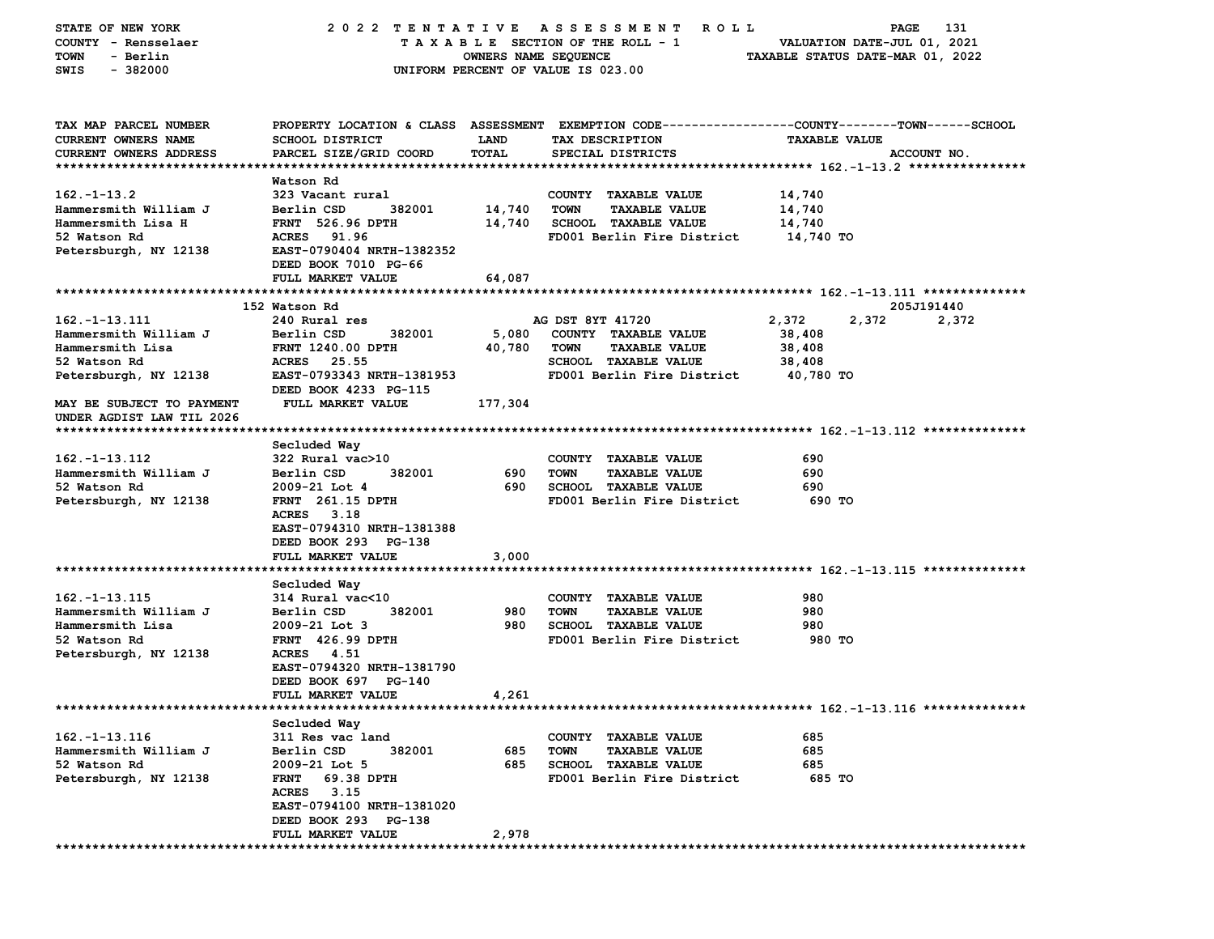| STATE OF NEW YORK<br>COUNTY - Rensselaer               | 2022 TENTATIVE                                                                                  | TAXABLE SECTION OF THE ROLL - 1    |                  | ASSESSMENT<br><b>ROLL</b>                                 |                                  | PAGE<br>VALUATION DATE-JUL 01, 2021 | 131         |
|--------------------------------------------------------|-------------------------------------------------------------------------------------------------|------------------------------------|------------------|-----------------------------------------------------------|----------------------------------|-------------------------------------|-------------|
| - Berlin<br>TOWN                                       |                                                                                                 | OWNERS NAME SEQUENCE               |                  |                                                           | TAXABLE STATUS DATE-MAR 01, 2022 |                                     |             |
| SWIS<br>$-382000$                                      |                                                                                                 | UNIFORM PERCENT OF VALUE IS 023.00 |                  |                                                           |                                  |                                     |             |
| TAX MAP PARCEL NUMBER                                  | PROPERTY LOCATION & CLASS ASSESSMENT EXEMPTION CODE---------------COUNTY-------TOWN------SCHOOL |                                    |                  |                                                           |                                  |                                     |             |
| CURRENT OWNERS NAME                                    | SCHOOL DISTRICT                                                                                 | <b>LAND</b>                        |                  | TAX DESCRIPTION                                           | <b>TAXABLE VALUE</b>             |                                     |             |
| <b>CURRENT OWNERS ADDRESS</b>                          | PARCEL SIZE/GRID COORD                                                                          | TOTAL                              |                  | SPECIAL DISTRICTS                                         |                                  |                                     | ACCOUNT NO. |
|                                                        | Watson Rd                                                                                       |                                    |                  |                                                           |                                  |                                     |             |
| $162. - 1 - 13.2$                                      | 323 Vacant rural                                                                                |                                    |                  | COUNTY TAXABLE VALUE                                      | 14,740                           |                                     |             |
| Hammersmith William J                                  | Berlin CSD<br>382001                                                                            | 14,740                             | TOWN             | <b>TAXABLE VALUE</b>                                      | 14,740                           |                                     |             |
| Hammersmith Lisa H                                     | <b>FRNT</b> 526.96 DPTH                                                                         | 14,740                             |                  | <b>SCHOOL TAXABLE VALUE</b>                               | 14,740                           |                                     |             |
| 52 Watson Rd                                           | ACRES 91.96                                                                                     |                                    |                  | FD001 Berlin Fire District                                | 14,740 TO                        |                                     |             |
| Petersburgh, NY 12138                                  | EAST-0790404 NRTH-1382352                                                                       |                                    |                  |                                                           |                                  |                                     |             |
|                                                        | DEED BOOK 7010 PG-66                                                                            |                                    |                  |                                                           |                                  |                                     |             |
|                                                        | FULL MARKET VALUE                                                                               | 64,087                             |                  |                                                           |                                  |                                     |             |
|                                                        | 152 Watson Rd                                                                                   |                                    |                  |                                                           |                                  |                                     | 205J191440  |
| $162. - 1 - 13.111$                                    | 240 Rural res                                                                                   |                                    | AG DST 8YT 41720 |                                                           | 2,372                            | 2,372                               | 2,372       |
| Hammersmith William J                                  | Berlin CSD<br>382001                                                                            | 5,080                              |                  | COUNTY TAXABLE VALUE                                      | 38,408                           |                                     |             |
| Hammersmith Lisa                                       | <b>FRNT 1240.00 DPTH</b>                                                                        | 40,780                             | <b>TOWN</b>      | <b>TAXABLE VALUE</b>                                      | 38,408                           |                                     |             |
| 52 Watson Rd                                           | ACRES 25.55                                                                                     |                                    |                  | <b>SCHOOL TAXABLE VALUE</b>                               | 38,408                           |                                     |             |
| Petersburgh, NY 12138                                  | EAST-0793343 NRTH-1381953<br>DEED BOOK 4233 PG-115                                              |                                    |                  | FD001 Berlin Fire District                                | 40,780 TO                        |                                     |             |
| MAY BE SUBJECT TO PAYMENT<br>UNDER AGDIST LAW TIL 2026 | FULL MARKET VALUE                                                                               | 177,304                            |                  |                                                           |                                  |                                     |             |
|                                                        |                                                                                                 |                                    |                  |                                                           |                                  |                                     |             |
|                                                        | Secluded Way                                                                                    |                                    |                  |                                                           |                                  |                                     |             |
| $162. - 1 - 13.112$                                    | $322$ Rural vac $>10$                                                                           |                                    |                  | COUNTY TAXABLE VALUE                                      | 690                              |                                     |             |
| Hammersmith William J<br>52 Watson Rd                  | 382001<br>Berlin CSD<br>$2009 - 21$ Lot 4                                                       | 690<br>690                         | <b>TOWN</b>      | <b>TAXABLE VALUE</b><br><b>SCHOOL TAXABLE VALUE</b>       | 690<br>690                       |                                     |             |
| Petersburgh, NY 12138                                  | <b>FRNT</b> 261.15 DPTH                                                                         |                                    |                  | FD001 Berlin Fire District                                | 690 TO                           |                                     |             |
|                                                        | ACRES 3.18                                                                                      |                                    |                  |                                                           |                                  |                                     |             |
|                                                        | EAST-0794310 NRTH-1381388                                                                       |                                    |                  |                                                           |                                  |                                     |             |
|                                                        | DEED BOOK 293 PG-138                                                                            |                                    |                  |                                                           |                                  |                                     |             |
|                                                        | FULL MARKET VALUE                                                                               | 3,000                              |                  |                                                           |                                  |                                     |             |
|                                                        |                                                                                                 |                                    |                  |                                                           |                                  |                                     |             |
|                                                        | Secluded Way                                                                                    |                                    |                  |                                                           |                                  |                                     |             |
| $162. - 1 - 13.115$                                    | 314 Rural vac<10                                                                                |                                    |                  | COUNTY TAXABLE VALUE                                      | 980                              |                                     |             |
| Hammersmith William J<br>Hammersmith Lisa              | Berlin CSD<br>382001<br>$2009 - 21$ Lot 3                                                       | 980<br>980                         | <b>TOWN</b>      | <b>TAXABLE VALUE</b><br><b>SCHOOL TAXABLE VALUE</b>       | 980<br>980                       |                                     |             |
| 52 Watson Rd                                           | <b>FRNT</b> 426.99 DPTH                                                                         |                                    |                  | FD001 Berlin Fire District                                | 980 TO                           |                                     |             |
| Petersburgh, NY 12138                                  | ACRES 4.51                                                                                      |                                    |                  |                                                           |                                  |                                     |             |
|                                                        | EAST-0794320 NRTH-1381790                                                                       |                                    |                  |                                                           |                                  |                                     |             |
|                                                        | DEED BOOK 697 PG-140                                                                            |                                    |                  |                                                           |                                  |                                     |             |
|                                                        | <b>FULL MARKET VALUE</b>                                                                        | 4,261                              |                  |                                                           |                                  |                                     |             |
|                                                        |                                                                                                 |                                    |                  |                                                           |                                  |                                     |             |
|                                                        | Secluded Way                                                                                    |                                    |                  |                                                           |                                  |                                     |             |
| $162. - 1 - 13.116$                                    | 311 Res vac land                                                                                |                                    |                  | COUNTY TAXABLE VALUE                                      | 685                              |                                     |             |
| Hammersmith William J                                  | Berlin CSD<br>382001                                                                            | 685<br>685                         | <b>TOWN</b>      | <b>TAXABLE VALUE</b>                                      | 685                              |                                     |             |
| 52 Watson Rd<br>Petersburgh, NY 12138                  | 2009-21 Lot 5<br>69.38 DPTH<br><b>FRNT</b>                                                      |                                    |                  | <b>SCHOOL TAXABLE VALUE</b><br>FD001 Berlin Fire District | 685<br>685 TO                    |                                     |             |
|                                                        | <b>ACRES</b><br>3.15                                                                            |                                    |                  |                                                           |                                  |                                     |             |
|                                                        | EAST-0794100 NRTH-1381020                                                                       |                                    |                  |                                                           |                                  |                                     |             |
|                                                        | DEED BOOK 293 PG-138                                                                            |                                    |                  |                                                           |                                  |                                     |             |
|                                                        | FULL MARKET VALUE                                                                               | 2,978                              |                  |                                                           |                                  |                                     |             |
|                                                        |                                                                                                 |                                    |                  |                                                           |                                  |                                     |             |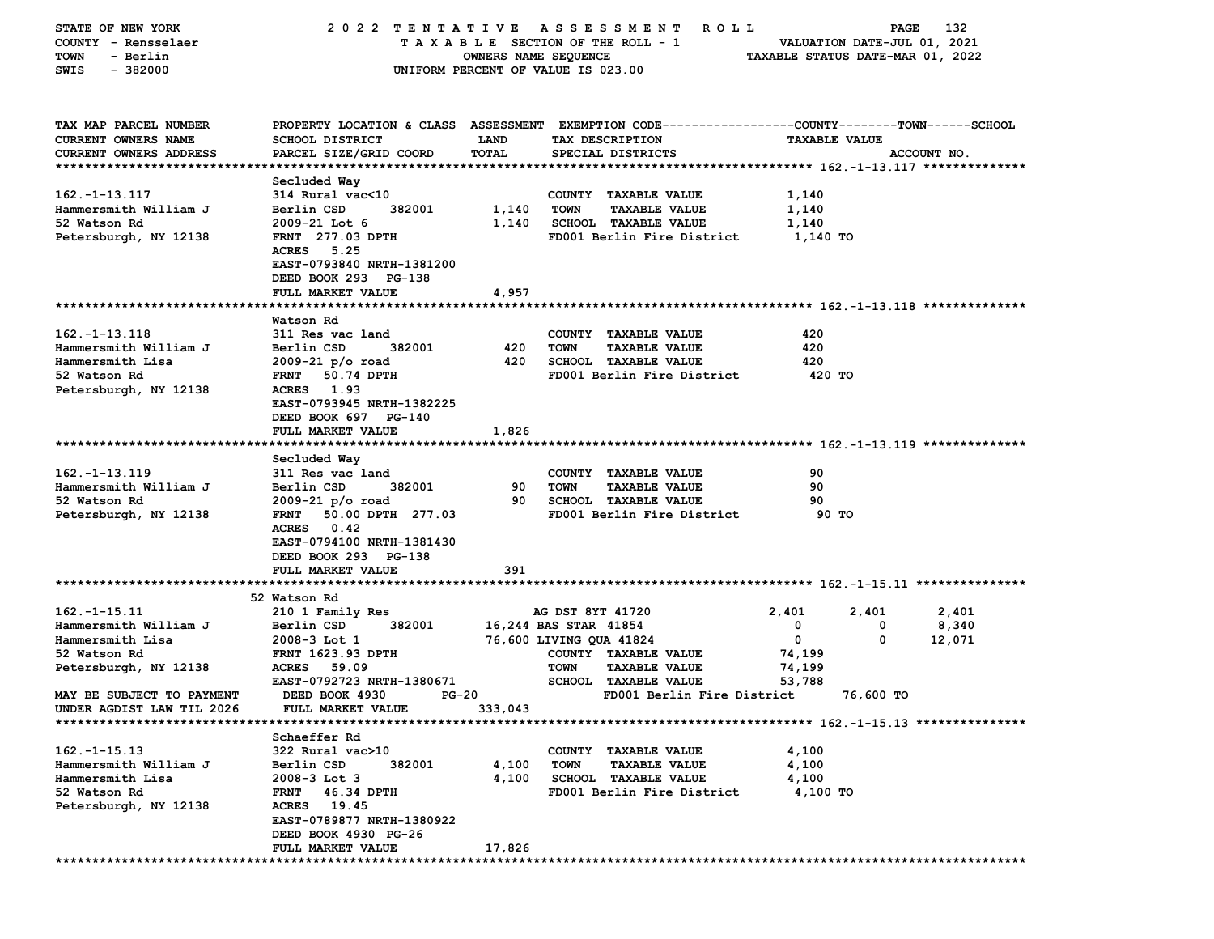| STATE OF NEW YORK         | 2022 TENTATIVE                   |                      | A S S E S S M E N T<br><b>ROLL</b>                                                             |                      | 132<br><b>PAGE</b>               |
|---------------------------|----------------------------------|----------------------|------------------------------------------------------------------------------------------------|----------------------|----------------------------------|
| COUNTY - Rensselaer       |                                  |                      | TAXABLE SECTION OF THE ROLL - 1                                                                |                      | VALUATION DATE-JUL 01, 2021      |
| - Berlin<br>TOWN          |                                  | OWNERS NAME SEQUENCE |                                                                                                |                      | TAXABLE STATUS DATE-MAR 01, 2022 |
| SWIS<br>$-382000$         |                                  |                      | UNIFORM PERCENT OF VALUE IS 023.00                                                             |                      |                                  |
|                           |                                  |                      |                                                                                                |                      |                                  |
|                           |                                  |                      |                                                                                                |                      |                                  |
| TAX MAP PARCEL NUMBER     |                                  |                      | PROPERTY LOCATION & CLASS ASSESSMENT EXEMPTION CODE---------------COUNTY-------TOWN-----SCHOOL |                      |                                  |
| CURRENT OWNERS NAME       | <b>SCHOOL DISTRICT</b>           | <b>LAND</b>          | TAX DESCRIPTION                                                                                | <b>TAXABLE VALUE</b> |                                  |
| CURRENT OWNERS ADDRESS    | PARCEL SIZE/GRID COORD           | <b>TOTAL</b>         | SPECIAL DISTRICTS                                                                              |                      | ACCOUNT NO.                      |
|                           |                                  |                      |                                                                                                |                      |                                  |
|                           | Secluded Way                     |                      |                                                                                                |                      |                                  |
| $162. - 1 - 13.117$       | 314 Rural vac<10                 |                      | COUNTY TAXABLE VALUE                                                                           | 1,140                |                                  |
| Hammersmith William J     | 382001<br>Berlin CSD             | 1,140                | TOWN<br><b>TAXABLE VALUE</b>                                                                   | 1,140                |                                  |
| 52 Watson Rd              | $2009 - 21$ Lot 6                | 1,140                | SCHOOL TAXABLE VALUE                                                                           | 1,140                |                                  |
| Petersburgh, NY 12138     | <b>FRNT</b> 277.03 DPTH          |                      | FD001 Berlin Fire District                                                                     | 1,140 TO             |                                  |
|                           | <b>ACRES</b><br>5.25             |                      |                                                                                                |                      |                                  |
|                           | EAST-0793840 NRTH-1381200        |                      |                                                                                                |                      |                                  |
|                           | DEED BOOK 293 PG-138             |                      |                                                                                                |                      |                                  |
|                           | FULL MARKET VALUE                | 4,957                |                                                                                                |                      |                                  |
|                           |                                  |                      |                                                                                                |                      |                                  |
|                           |                                  |                      |                                                                                                |                      |                                  |
|                           | Watson Rd                        |                      |                                                                                                |                      |                                  |
| $162. - 1 - 13.118$       | 311 Res vac land                 |                      | COUNTY TAXABLE VALUE                                                                           | 420                  |                                  |
| Hammersmith William J     | Berlin CSD<br>382001             | 420                  | <b>TOWN</b><br><b>TAXABLE VALUE</b>                                                            | 420                  |                                  |
| Hammersmith Lisa          | $2009 - 21 p/o$ road             | 420                  | <b>SCHOOL TAXABLE VALUE</b>                                                                    | 420                  |                                  |
| 52 Watson Rd              | FRNT 50.74 DPTH                  |                      | FD001 Berlin Fire District                                                                     | 420 TO               |                                  |
| Petersburgh, NY 12138     | ACRES 1.93                       |                      |                                                                                                |                      |                                  |
|                           | EAST-0793945 NRTH-1382225        |                      |                                                                                                |                      |                                  |
|                           | DEED BOOK 697 PG-140             |                      |                                                                                                |                      |                                  |
|                           | FULL MARKET VALUE                | 1,826                |                                                                                                |                      |                                  |
|                           |                                  |                      |                                                                                                |                      |                                  |
|                           | Secluded Way                     |                      |                                                                                                |                      |                                  |
| $162. - 1 - 13.119$       | 311 Res vac land                 |                      | COUNTY TAXABLE VALUE                                                                           | 90                   |                                  |
| Hammersmith William J     | 382001<br>Berlin CSD             | 90                   | <b>TAXABLE VALUE</b><br><b>TOWN</b>                                                            | 90                   |                                  |
| 52 Watson Rd              | $2009 - 21 p/o$ road             | 90                   | <b>SCHOOL TAXABLE VALUE</b>                                                                    | 90                   |                                  |
| Petersburgh, NY 12138     | <b>FRNT</b><br>50.00 DPTH 277.03 |                      | FD001 Berlin Fire District                                                                     | 90 TO                |                                  |
|                           | ACRES 0.42                       |                      |                                                                                                |                      |                                  |
|                           | EAST-0794100 NRTH-1381430        |                      |                                                                                                |                      |                                  |
|                           | DEED BOOK 293 PG-138             |                      |                                                                                                |                      |                                  |
|                           | FULL MARKET VALUE                | 391                  |                                                                                                |                      |                                  |
|                           |                                  |                      |                                                                                                |                      |                                  |
|                           | 52 Watson Rd                     |                      |                                                                                                |                      |                                  |
| $162. - 1 - 15.11$        | 210 1 Family Res                 |                      | AG DST 8YT 41720                                                                               | 2,401                | 2,401<br>2,401                   |
| Hammersmith William J     | 382001<br>Berlin CSD             |                      | 16,244 BAS STAR 41854                                                                          | 0                    | 8,340<br>0                       |
| Hammersmith Lisa          | $2008-3$ Lot 1                   |                      | 76,600 LIVING QUA 41824                                                                        | 0                    | 0<br>12,071                      |
| 52 Watson Rd              | <b>FRNT 1623.93 DPTH</b>         |                      | COUNTY TAXABLE VALUE                                                                           | 74,199               |                                  |
| Petersburgh, NY 12138     | ACRES 59.09                      |                      | <b>TOWN</b><br><b>TAXABLE VALUE</b>                                                            | 74,199               |                                  |
|                           | EAST-0792723 NRTH-1380671        |                      | <b>SCHOOL TAXABLE VALUE</b>                                                                    | 53,788               |                                  |
| MAY BE SUBJECT TO PAYMENT | DEED BOOK 4930<br><b>PG-20</b>   |                      | FD001 Berlin Fire District                                                                     |                      | 76,600 TO                        |
|                           |                                  |                      |                                                                                                |                      |                                  |
| UNDER AGDIST LAW TIL 2026 | FULL MARKET VALUE                | 333,043              |                                                                                                |                      |                                  |
|                           |                                  |                      |                                                                                                |                      |                                  |
|                           | Schaeffer Rd                     |                      |                                                                                                |                      |                                  |
| $162. - 1 - 15.13$        | 322 Rural vac>10                 |                      | COUNTY TAXABLE VALUE                                                                           | 4,100                |                                  |
| Hammersmith William J     | Berlin CSD<br>382001             | 4,100                | <b>TOWN</b><br><b>TAXABLE VALUE</b>                                                            | 4,100                |                                  |
| Hammersmith Lisa          | $2008-3$ Lot 3                   | 4,100                | <b>SCHOOL TAXABLE VALUE</b>                                                                    | 4,100                |                                  |
| 52 Watson Rd              | 46.34 DPTH<br><b>FRNT</b>        |                      | FD001 Berlin Fire District                                                                     | 4,100 TO             |                                  |
| Petersburgh, NY 12138     | ACRES 19.45                      |                      |                                                                                                |                      |                                  |
|                           | EAST-0789877 NRTH-1380922        |                      |                                                                                                |                      |                                  |
|                           | DEED BOOK 4930 PG-26             |                      |                                                                                                |                      |                                  |
|                           | FULL MARKET VALUE                | 17,826               |                                                                                                |                      |                                  |
|                           |                                  |                      |                                                                                                |                      |                                  |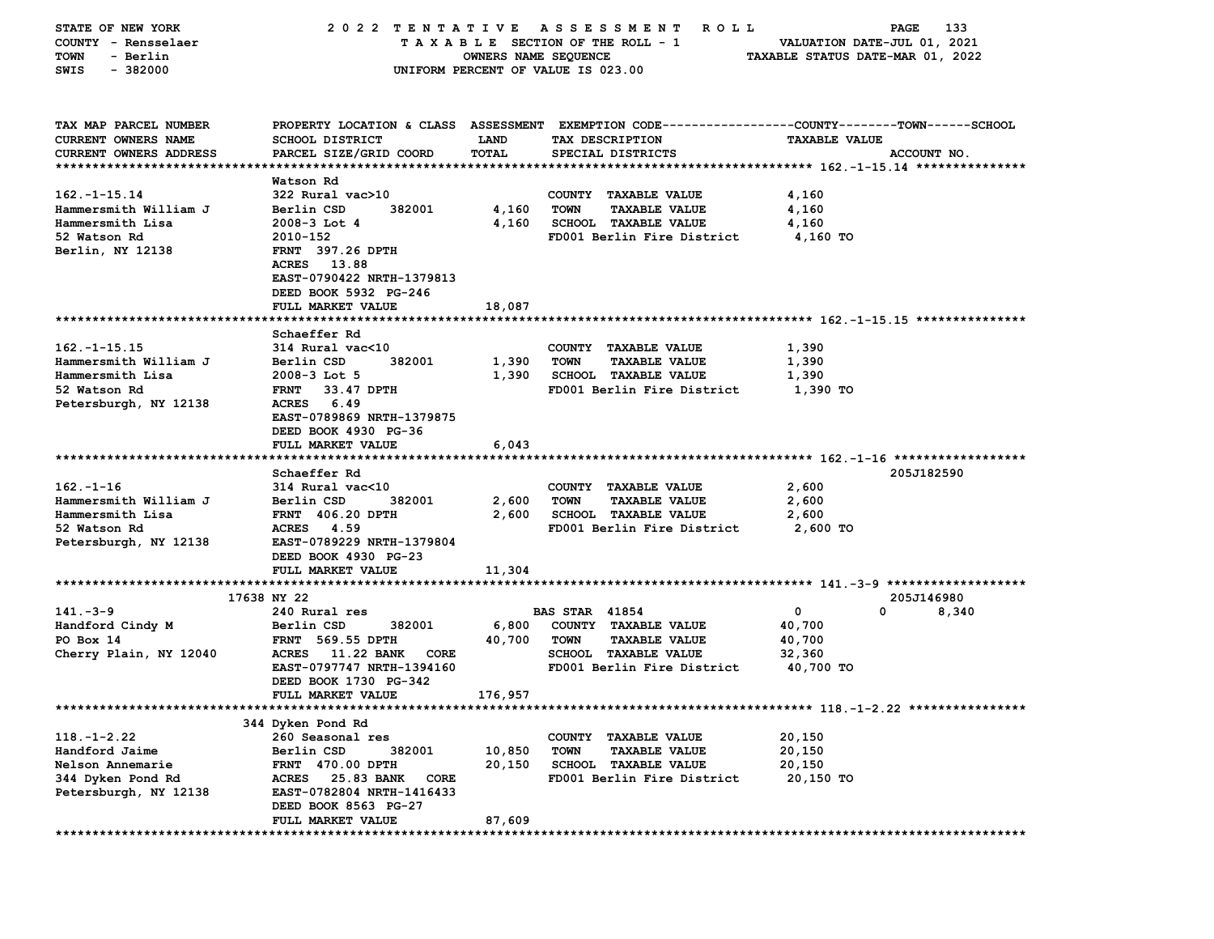| STATE OF NEW YORK             | 2022 TENTATIVE                            |                      | A S S E S S M E N T<br>R O L L                                                                  |                                  | 133<br>PAGE                                                 |
|-------------------------------|-------------------------------------------|----------------------|-------------------------------------------------------------------------------------------------|----------------------------------|-------------------------------------------------------------|
| COUNTY - Rensselaer           |                                           |                      | TAXABLE SECTION OF THE ROLL - 1                                                                 |                                  | VALUATION DATE-JUL 01, 2021                                 |
| TOWN<br>- Berlin              |                                           | OWNERS NAME SEQUENCE |                                                                                                 | TAXABLE STATUS DATE-MAR 01, 2022 |                                                             |
| $-382000$<br>SWIS             |                                           |                      | UNIFORM PERCENT OF VALUE IS 023.00                                                              |                                  |                                                             |
|                               |                                           |                      |                                                                                                 |                                  |                                                             |
|                               |                                           |                      |                                                                                                 |                                  |                                                             |
| TAX MAP PARCEL NUMBER         |                                           |                      | PROPERTY LOCATION & CLASS ASSESSMENT EXEMPTION CODE---------------COUNTY-------TOWN------SCHOOL |                                  |                                                             |
| <b>CURRENT OWNERS NAME</b>    | SCHOOL DISTRICT                           | <b>LAND</b>          | TAX DESCRIPTION                                                                                 | <b>TAXABLE VALUE</b>             |                                                             |
| <b>CURRENT OWNERS ADDRESS</b> | PARCEL SIZE/GRID COORD                    | TOTAL                | SPECIAL DISTRICTS                                                                               |                                  | ACCOUNT NO.                                                 |
|                               |                                           |                      |                                                                                                 |                                  |                                                             |
|                               | Watson Rd                                 |                      |                                                                                                 |                                  |                                                             |
| $162. - 1 - 15.14$            | 322 Rural vac>10                          |                      | COUNTY TAXABLE VALUE                                                                            | 4,160                            |                                                             |
| Hammersmith William J         | 382001<br>Berlin CSD                      | 4,160                | <b>TOWN</b><br><b>TAXABLE VALUE</b>                                                             | 4,160                            |                                                             |
| Hammersmith Lisa              | $2008-3$ Lot 4                            | 4,160                | <b>SCHOOL TAXABLE VALUE</b>                                                                     | 4,160                            |                                                             |
| 52 Watson Rd                  | 2010-152                                  |                      | FD001 Berlin Fire District                                                                      | 4,160 TO                         |                                                             |
| Berlin, NY 12138              | <b>FRNT</b> 397.26 DPTH                   |                      |                                                                                                 |                                  |                                                             |
|                               | ACRES 13.88                               |                      |                                                                                                 |                                  |                                                             |
|                               | EAST-0790422 NRTH-1379813                 |                      |                                                                                                 |                                  |                                                             |
|                               | DEED BOOK 5932 PG-246                     |                      |                                                                                                 |                                  |                                                             |
|                               | FULL MARKET VALUE                         | 18,087               |                                                                                                 |                                  |                                                             |
|                               |                                           |                      |                                                                                                 |                                  |                                                             |
|                               | Schaeffer Rd                              |                      |                                                                                                 |                                  |                                                             |
| $162. - 1 - 15.15$            | 314 Rural vac<10                          |                      | COUNTY TAXABLE VALUE                                                                            | 1,390                            |                                                             |
| Hammersmith William J         | Berlin CSD<br>382001                      | 1,390                | <b>TOWN</b><br><b>TAXABLE VALUE</b>                                                             | 1,390                            |                                                             |
| Hammersmith Lisa              | $2008 - 3$ Lot 5                          | 1,390                | <b>SCHOOL TAXABLE VALUE</b>                                                                     | 1,390                            |                                                             |
| 52 Watson Rd                  | <b>FRNT</b><br>33.47 DPTH                 |                      | FD001 Berlin Fire District                                                                      | 1,390 TO                         |                                                             |
| Petersburgh, NY 12138         | ACRES<br>6.49                             |                      |                                                                                                 |                                  |                                                             |
|                               | EAST-0789869 NRTH-1379875                 |                      |                                                                                                 |                                  |                                                             |
|                               | DEED BOOK 4930 PG-36                      |                      |                                                                                                 |                                  |                                                             |
|                               | FULL MARKET VALUE                         | 6,043                |                                                                                                 |                                  |                                                             |
|                               | Schaeffer Rd                              |                      |                                                                                                 |                                  | 205J182590                                                  |
| $162 - 1 - 16$                | 314 Rural vac<10                          |                      | COUNTY TAXABLE VALUE                                                                            | 2,600                            |                                                             |
| Hammersmith William J         | Berlin CSD<br>382001                      | 2,600                | <b>TOWN</b><br><b>TAXABLE VALUE</b>                                                             | 2,600                            |                                                             |
| Hammersmith Lisa              | <b>FRNT 406.20 DPTH</b>                   | 2,600                | <b>SCHOOL TAXABLE VALUE</b>                                                                     | 2,600                            |                                                             |
| 52 Watson Rd                  | ACRES 4.59                                |                      | FD001 Berlin Fire District                                                                      | 2,600 TO                         |                                                             |
| Petersburgh, NY 12138         | EAST-0789229 NRTH-1379804                 |                      |                                                                                                 |                                  |                                                             |
|                               | DEED BOOK 4930 PG-23                      |                      |                                                                                                 |                                  |                                                             |
|                               | FULL MARKET VALUE                         | 11,304               |                                                                                                 |                                  |                                                             |
|                               |                                           |                      |                                                                                                 |                                  |                                                             |
|                               | 17638 NY 22                               |                      |                                                                                                 |                                  | 205J146980                                                  |
| $141 - 3 - 9$                 | 240 Rural res                             |                      | <b>BAS STAR 41854</b>                                                                           | 0                                | 0<br>8,340                                                  |
| Handford Cindy M              | 382001<br>Berlin CSD                      | 6,800                | COUNTY TAXABLE VALUE                                                                            | 40,700                           |                                                             |
| PO Box 14                     | <b>FRNT</b> 569.55 DPTH                   | 40,700               | <b>TOWN</b><br><b>TAXABLE VALUE</b>                                                             | 40,700                           |                                                             |
| Cherry Plain, NY 12040        | <b>11.22 BANK</b><br><b>ACRES</b><br>CORE |                      | <b>SCHOOL TAXABLE VALUE</b>                                                                     | 32,360                           |                                                             |
|                               | EAST-0797747 NRTH-1394160                 |                      | FD001 Berlin Fire District                                                                      | 40,700 TO                        |                                                             |
|                               | DEED BOOK 1730 PG-342                     |                      |                                                                                                 |                                  |                                                             |
|                               | FULL MARKET VALUE                         | 176,957              |                                                                                                 |                                  |                                                             |
| ***************************   |                                           |                      |                                                                                                 |                                  | **************************** 118 .-1-2 .22 **************** |
|                               | 344 Dyken Pond Rd                         |                      |                                                                                                 |                                  |                                                             |
| $118. - 1 - 2.22$             | 260 Seasonal res                          |                      | COUNTY TAXABLE VALUE                                                                            | 20,150                           |                                                             |
| Handford Jaime                | 382001<br>Berlin CSD                      | 10,850               | TOWN<br><b>TAXABLE VALUE</b>                                                                    | 20,150                           |                                                             |
| Nelson Annemarie              | <b>FRNT 470.00 DPTH</b>                   | 20,150               | <b>SCHOOL TAXABLE VALUE</b>                                                                     | 20,150                           |                                                             |
| 344 Dyken Pond Rd             | 25.83 BANK<br><b>ACRES</b><br>CORE        |                      | FD001 Berlin Fire District                                                                      | 20,150 TO                        |                                                             |
| Petersburgh, NY 12138         | EAST-0782804 NRTH-1416433                 |                      |                                                                                                 |                                  |                                                             |
|                               | DEED BOOK 8563 PG-27                      |                      |                                                                                                 |                                  |                                                             |
|                               | FULL MARKET VALUE                         | 87,609               |                                                                                                 |                                  |                                                             |
|                               |                                           |                      |                                                                                                 |                                  |                                                             |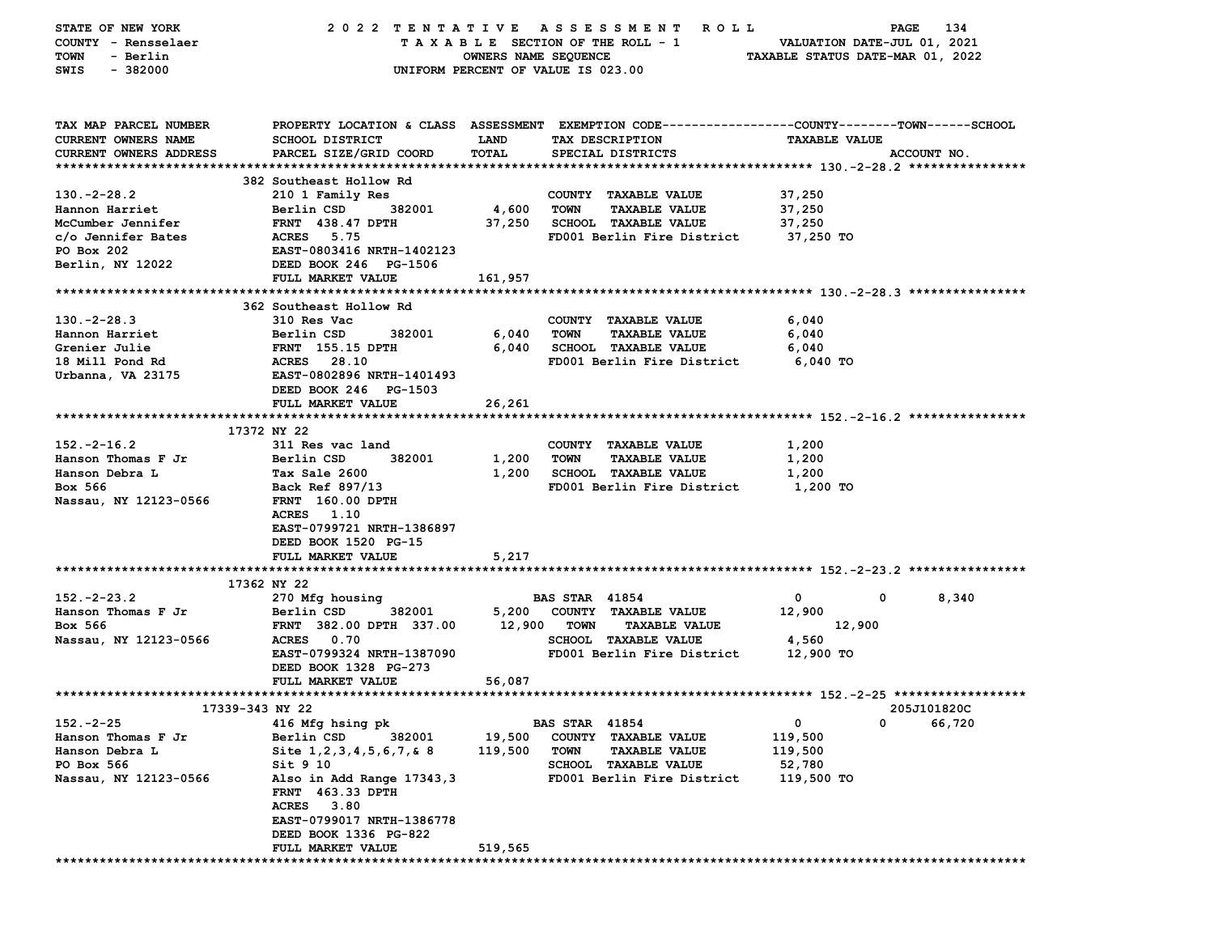| STATE OF NEW YORK             |                                                                                                |                                    |                       | 2022 TENTATIVE ASSESSMENT ROLL |                                  | 134<br>PAGE |  |
|-------------------------------|------------------------------------------------------------------------------------------------|------------------------------------|-----------------------|--------------------------------|----------------------------------|-------------|--|
| COUNTY - Rensselaer           |                                                                                                | TAXABLE SECTION OF THE ROLL - 1    |                       |                                | VALUATION DATE-JUL 01, 2021      |             |  |
| <b>TOWN</b><br>- Berlin       |                                                                                                | OWNERS NAME SEQUENCE               |                       |                                | TAXABLE STATUS DATE-MAR 01, 2022 |             |  |
| $-382000$<br>SWIS             |                                                                                                | UNIFORM PERCENT OF VALUE IS 023.00 |                       |                                |                                  |             |  |
|                               |                                                                                                |                                    |                       |                                |                                  |             |  |
|                               |                                                                                                |                                    |                       |                                |                                  |             |  |
|                               |                                                                                                |                                    |                       |                                |                                  |             |  |
| TAX MAP PARCEL NUMBER         | PROPERTY LOCATION & CLASS ASSESSMENT EXEMPTION CODE--------------COUNTY-------TOWN------SCHOOL |                                    |                       |                                |                                  |             |  |
| CURRENT OWNERS NAME           | <b>SCHOOL DISTRICT</b>                                                                         | LAND                               | TAX DESCRIPTION       |                                | <b>TAXABLE VALUE</b>             |             |  |
| <b>CURRENT OWNERS ADDRESS</b> | PARCEL SIZE/GRID COORD                                                                         | TOTAL                              |                       | SPECIAL DISTRICTS              |                                  | ACCOUNT NO. |  |
|                               | 382 Southeast Hollow Rd                                                                        |                                    |                       |                                |                                  |             |  |
| $130. -2 - 28.2$              |                                                                                                |                                    |                       | COUNTY TAXABLE VALUE           | 37,250                           |             |  |
| Hannon Harriet                | 210 1 Family Res<br>382001<br>Berlin CSD                                                       | 4,600                              | <b>TOWN</b>           | <b>TAXABLE VALUE</b>           | 37,250                           |             |  |
| McCumber Jennifer             |                                                                                                |                                    |                       |                                |                                  |             |  |
|                               | <b>FRNT</b> 438.47 DPTH                                                                        | 37,250                             |                       | <b>SCHOOL TAXABLE VALUE</b>    | 37,250<br>37,250 TO              |             |  |
| c/o Jennifer Bates            | ACRES 5.75                                                                                     |                                    |                       | FD001 Berlin Fire District     |                                  |             |  |
| PO Box 202                    | EAST-0803416 NRTH-1402123                                                                      |                                    |                       |                                |                                  |             |  |
| Berlin, NY 12022              | DEED BOOK 246 PG-1506                                                                          |                                    |                       |                                |                                  |             |  |
|                               | FULL MARKET VALUE                                                                              | 161,957                            |                       |                                |                                  |             |  |
|                               |                                                                                                |                                    |                       |                                |                                  |             |  |
|                               | 362 Southeast Hollow Rd                                                                        |                                    |                       |                                |                                  |             |  |
| $130. -2 - 28.3$              | 310 Res Vac                                                                                    |                                    |                       | COUNTY TAXABLE VALUE           | 6,040                            |             |  |
| Hannon Harriet                | Berlin CSD<br>382001                                                                           | 6,040                              | <b>TOWN</b>           | <b>TAXABLE VALUE</b>           | 6,040                            |             |  |
| Grenier Julie                 | FRNT 155.15 DPTH                                                                               | 6,040                              |                       | <b>SCHOOL TAXABLE VALUE</b>    | 6,040                            |             |  |
| 18 Mill Pond Rd               | ACRES 28.10                                                                                    |                                    |                       | FD001 Berlin Fire District     | 6,040 TO                         |             |  |
| Urbanna, VA 23175             | EAST-0802896 NRTH-1401493                                                                      |                                    |                       |                                |                                  |             |  |
|                               | DEED BOOK 246 PG-1503                                                                          |                                    |                       |                                |                                  |             |  |
|                               | FULL MARKET VALUE                                                                              | 26,261                             |                       |                                |                                  |             |  |
|                               |                                                                                                |                                    |                       |                                |                                  |             |  |
|                               | 17372 NY 22                                                                                    |                                    |                       |                                |                                  |             |  |
| $152. -2 - 16.2$              | 311 Res vac land                                                                               |                                    |                       | COUNTY TAXABLE VALUE           | 1,200                            |             |  |
| Hanson Thomas F Jr            | Berlin CSD<br>382001                                                                           | 1,200                              | <b>TOWN</b>           | <b>TAXABLE VALUE</b>           | 1,200                            |             |  |
| Hanson Debra L                | Tax Sale 2600                                                                                  | 1,200                              |                       | <b>SCHOOL TAXABLE VALUE</b>    | 1,200                            |             |  |
| Box 566                       | Back Ref 897/13                                                                                |                                    |                       | FD001 Berlin Fire District     | 1,200 TO                         |             |  |
| Nassau, NY 12123-0566         | <b>FRNT</b> 160.00 DPTH                                                                        |                                    |                       |                                |                                  |             |  |
|                               | ACRES 1.10                                                                                     |                                    |                       |                                |                                  |             |  |
|                               | EAST-0799721 NRTH-1386897                                                                      |                                    |                       |                                |                                  |             |  |
|                               | DEED BOOK 1520 PG-15                                                                           |                                    |                       |                                |                                  |             |  |
|                               | FULL MARKET VALUE                                                                              | 5,217                              |                       |                                |                                  |             |  |
|                               |                                                                                                |                                    |                       |                                |                                  |             |  |
|                               | 17362 NY 22                                                                                    |                                    |                       |                                |                                  |             |  |
| $152 - 2 - 23.2$              | 270 Mfg housing                                                                                |                                    | <b>BAS STAR 41854</b> |                                | 0                                | 0<br>8,340  |  |
| Hanson Thomas F Jr            | Berlin CSD<br>382001                                                                           |                                    |                       | 5,200 COUNTY TAXABLE VALUE     | 12,900                           |             |  |
| Box 566                       | FRNT 382.00 DPTH 337.00                                                                        |                                    | 12,900 TOWN           | <b>TAXABLE VALUE</b>           | 12,900                           |             |  |
| Nassau, NY 12123-0566         | ACRES 0.70                                                                                     |                                    |                       | <b>SCHOOL TAXABLE VALUE</b>    | 4,560                            |             |  |
|                               | EAST-0799324 NRTH-1387090                                                                      |                                    |                       | FD001 Berlin Fire District     | 12,900 TO                        |             |  |
|                               | DEED BOOK 1328 PG-273                                                                          |                                    |                       |                                |                                  |             |  |
|                               | FULL MARKET VALUE                                                                              | 56,087                             |                       |                                |                                  |             |  |
|                               |                                                                                                |                                    |                       |                                |                                  |             |  |
| 17339-343 NY 22               |                                                                                                |                                    |                       |                                |                                  | 205J101820C |  |
| $152 - 2 - 25$                | 416 Mfg hsing pk                                                                               |                                    | <b>BAS STAR 41854</b> |                                | 0                                | 0<br>66,720 |  |
| Hanson Thomas F Jr            | 382001<br>Berlin CSD                                                                           | 19,500                             | COUNTY                | <b>TAXABLE VALUE</b>           | 119,500                          |             |  |
| Hanson Debra L                | Site 1, 2, 3, 4, 5, 6, 7, & 8                                                                  | 119,500                            | TOWN                  | <b>TAXABLE VALUE</b>           | 119,500                          |             |  |
| PO Box 566                    | Sit 9 10                                                                                       |                                    |                       | SCHOOL TAXABLE VALUE           | 52,780                           |             |  |
| Nassau, NY 12123-0566         | Also in Add Range 17343,3                                                                      |                                    |                       | FD001 Berlin Fire District     | 119,500 то                       |             |  |
|                               | <b>FRNT</b> 463.33 DPTH                                                                        |                                    |                       |                                |                                  |             |  |
|                               | ACRES 3.80                                                                                     |                                    |                       |                                |                                  |             |  |
|                               | EAST-0799017 NRTH-1386778                                                                      |                                    |                       |                                |                                  |             |  |
|                               | DEED BOOK 1336 PG-822                                                                          |                                    |                       |                                |                                  |             |  |
|                               | <b>FULL MARKET VALUE</b>                                                                       | 519,565                            |                       |                                |                                  |             |  |
|                               |                                                                                                |                                    |                       |                                |                                  |             |  |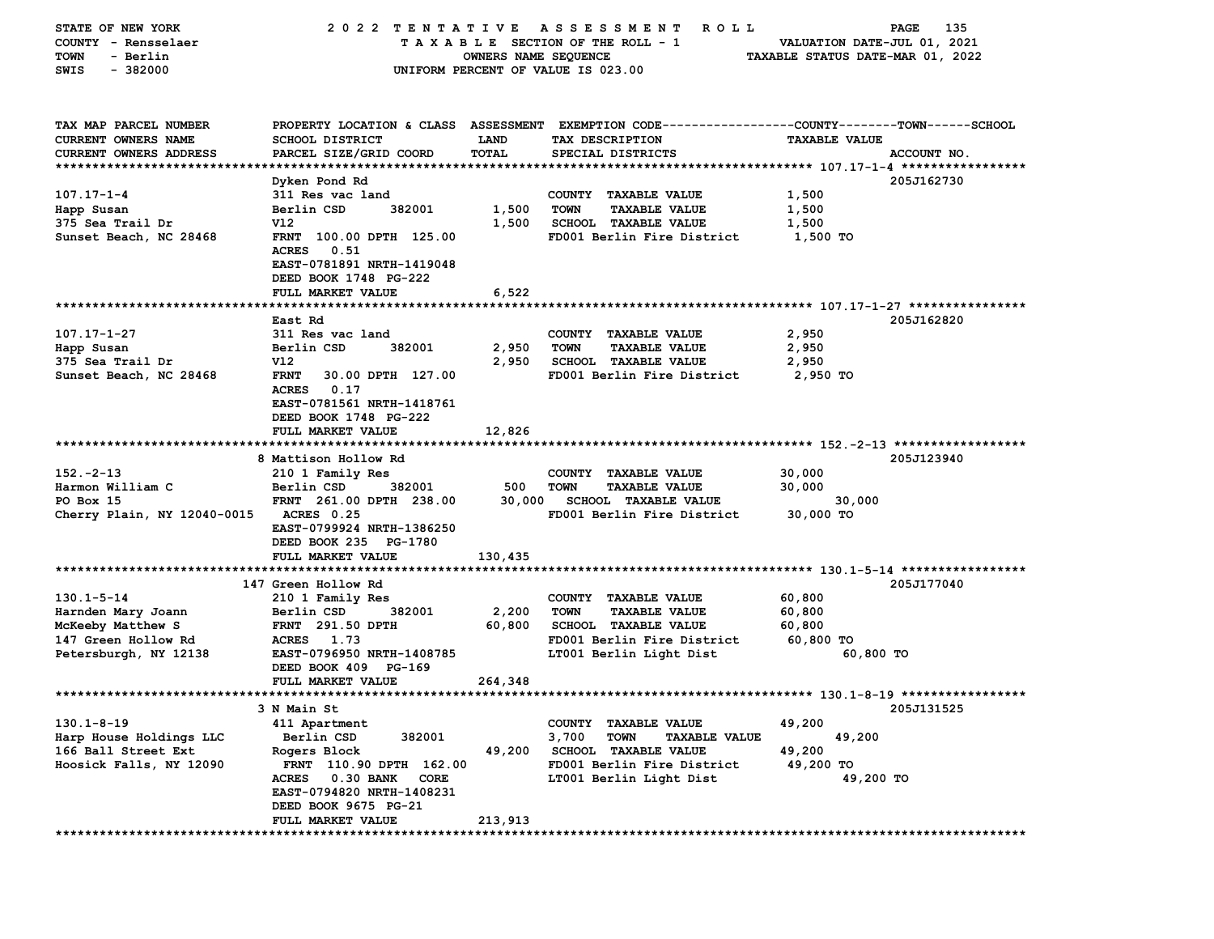| STATE OF NEW YORK             | 2022 TENTATIVE                    |                      | A S S E S S M E N T<br><b>ROLL</b>           | 135<br>PAGE                                                                                    |
|-------------------------------|-----------------------------------|----------------------|----------------------------------------------|------------------------------------------------------------------------------------------------|
| COUNTY - Rensselaer           |                                   |                      | TAXABLE SECTION OF THE ROLL - 1              | VALUATION DATE-JUL 01, 2021                                                                    |
| - Berlin<br>TOWN              |                                   | OWNERS NAME SEQUENCE |                                              | TAXABLE STATUS DATE-MAR 01, 2022                                                               |
| $-382000$<br>SWIS             |                                   |                      | UNIFORM PERCENT OF VALUE IS 023.00           |                                                                                                |
|                               |                                   |                      |                                              |                                                                                                |
|                               |                                   |                      |                                              |                                                                                                |
|                               |                                   |                      |                                              |                                                                                                |
| TAX MAP PARCEL NUMBER         |                                   |                      |                                              | PROPERTY LOCATION & CLASS ASSESSMENT EXEMPTION CODE---------------COUNTY-------TOWN-----SCHOOL |
| CURRENT OWNERS NAME           | <b>SCHOOL DISTRICT</b>            | LAND                 | TAX DESCRIPTION                              | <b>TAXABLE VALUE</b>                                                                           |
| <b>CURRENT OWNERS ADDRESS</b> | PARCEL SIZE/GRID COORD            | TOTAL                | SPECIAL DISTRICTS                            | ACCOUNT NO.                                                                                    |
|                               |                                   |                      |                                              |                                                                                                |
|                               | Dyken Pond Rd                     |                      |                                              | 205J162730                                                                                     |
| $107.17 - 1 - 4$              | 311 Res vac land                  |                      | COUNTY TAXABLE VALUE                         | 1,500                                                                                          |
| Happ Susan                    | Berlin CSD<br>382001              | 1,500                | <b>TOWN</b><br><b>TAXABLE VALUE</b>          | 1,500                                                                                          |
| 375 Sea Trail Dr              | V12                               | 1,500                | SCHOOL TAXABLE VALUE                         | 1,500                                                                                          |
| Sunset Beach, NC 28468        | FRNT 100.00 DPTH 125.00           |                      | FD001 Berlin Fire District                   | 1,500 TO                                                                                       |
|                               | <b>ACRES</b><br>0.51              |                      |                                              |                                                                                                |
|                               | EAST-0781891 NRTH-1419048         |                      |                                              |                                                                                                |
|                               | DEED BOOK 1748 PG-222             |                      |                                              |                                                                                                |
|                               | FULL MARKET VALUE                 | 6,522                |                                              |                                                                                                |
|                               |                                   |                      |                                              |                                                                                                |
|                               | East Rd                           |                      |                                              | 205J162820                                                                                     |
| 107.17-1-27                   | 311 Res vac land                  |                      | COUNTY TAXABLE VALUE                         | 2,950                                                                                          |
| Happ Susan                    | Berlin CSD<br>382001              | 2,950                | <b>TOWN</b><br><b>TAXABLE VALUE</b>          | 2,950                                                                                          |
| 375 Sea Trail Dr              | V12                               | 2,950                | <b>SCHOOL TAXABLE VALUE</b>                  | 2,950                                                                                          |
| Sunset Beach, NC 28468        | <b>FRNT</b><br>30.00 DPTH 127.00  |                      | FD001 Berlin Fire District                   | 2,950 TO                                                                                       |
|                               | <b>ACRES</b><br>0.17              |                      |                                              |                                                                                                |
|                               | EAST-0781561 NRTH-1418761         |                      |                                              |                                                                                                |
|                               | DEED BOOK 1748 PG-222             |                      |                                              |                                                                                                |
|                               | FULL MARKET VALUE                 | 12,826               |                                              |                                                                                                |
|                               |                                   |                      |                                              |                                                                                                |
|                               | 8 Mattison Hollow Rd              |                      |                                              | 205J123940                                                                                     |
| $152 - 2 - 13$                | 210 1 Family Res                  |                      | COUNTY TAXABLE VALUE                         | 30,000                                                                                         |
| Harmon William C              | Berlin CSD<br>382001              | 500                  | <b>TOWN</b><br><b>TAXABLE VALUE</b>          |                                                                                                |
|                               |                                   |                      |                                              | 30,000                                                                                         |
| PO Box 15                     | FRNT 261.00 DPTH 238.00           | 30,000               | <b>SCHOOL TAXABLE VALUE</b>                  | 30,000                                                                                         |
| Cherry Plain, NY 12040-0015   | ACRES 0.25                        |                      | FD001 Berlin Fire District                   | 30,000 TO                                                                                      |
|                               | EAST-0799924 NRTH-1386250         |                      |                                              |                                                                                                |
|                               | DEED BOOK 235 PG-1780             |                      |                                              |                                                                                                |
|                               | FULL MARKET VALUE                 | 130,435              |                                              |                                                                                                |
|                               |                                   |                      |                                              |                                                                                                |
|                               | 147 Green Hollow Rd               |                      |                                              | 205J177040                                                                                     |
| $130.1 - 5 - 14$              | 210 1 Family Res                  |                      | COUNTY TAXABLE VALUE                         | 60,800                                                                                         |
| Harnden Mary Joann            | 382001<br>Berlin CSD              | 2,200                | <b>TOWN</b><br><b>TAXABLE VALUE</b>          | 60,800                                                                                         |
| McKeeby Matthew S             | <b>FRNT</b> 291.50 DPTH           | 60,800               | SCHOOL TAXABLE VALUE                         | 60,800                                                                                         |
| 147 Green Hollow Rd           | ACRES 1.73                        |                      | FD001 Berlin Fire District                   | 60,800 TO                                                                                      |
| Petersburgh, NY 12138         | EAST-0796950 NRTH-1408785         |                      | LT001 Berlin Light Dist                      | 60,800 TO                                                                                      |
|                               | DEED BOOK 409 PG-169              |                      |                                              |                                                                                                |
|                               | FULL MARKET VALUE                 | 264,348              |                                              |                                                                                                |
|                               |                                   |                      |                                              |                                                                                                |
|                               | 3 N Main St                       |                      |                                              | 205J131525                                                                                     |
| $130.1 - 8 - 19$              | 411 Apartment                     |                      | COUNTY TAXABLE VALUE                         | 49,200                                                                                         |
| Harp House Holdings LLC       | 382001<br>Berlin CSD              |                      | 3,700<br><b>TOWN</b><br><b>TAXABLE VALUE</b> | 49,200                                                                                         |
| 166 Ball Street Ext           | Rogers Block                      | 49,200               | <b>SCHOOL TAXABLE VALUE</b>                  | 49,200                                                                                         |
| Hoosick Falls, NY 12090       | FRNT 110.90 DPTH 162.00           |                      | FD001 Berlin Fire District                   | 49,200 TO                                                                                      |
|                               | <b>ACRES</b><br>0.30 BANK<br>CORE |                      | LT001 Berlin Light Dist                      | 49,200 TO                                                                                      |
|                               | EAST-0794820 NRTH-1408231         |                      |                                              |                                                                                                |
|                               | DEED BOOK 9675 PG-21              |                      |                                              |                                                                                                |
|                               | FULL MARKET VALUE                 | 213,913              |                                              |                                                                                                |
|                               |                                   |                      |                                              |                                                                                                |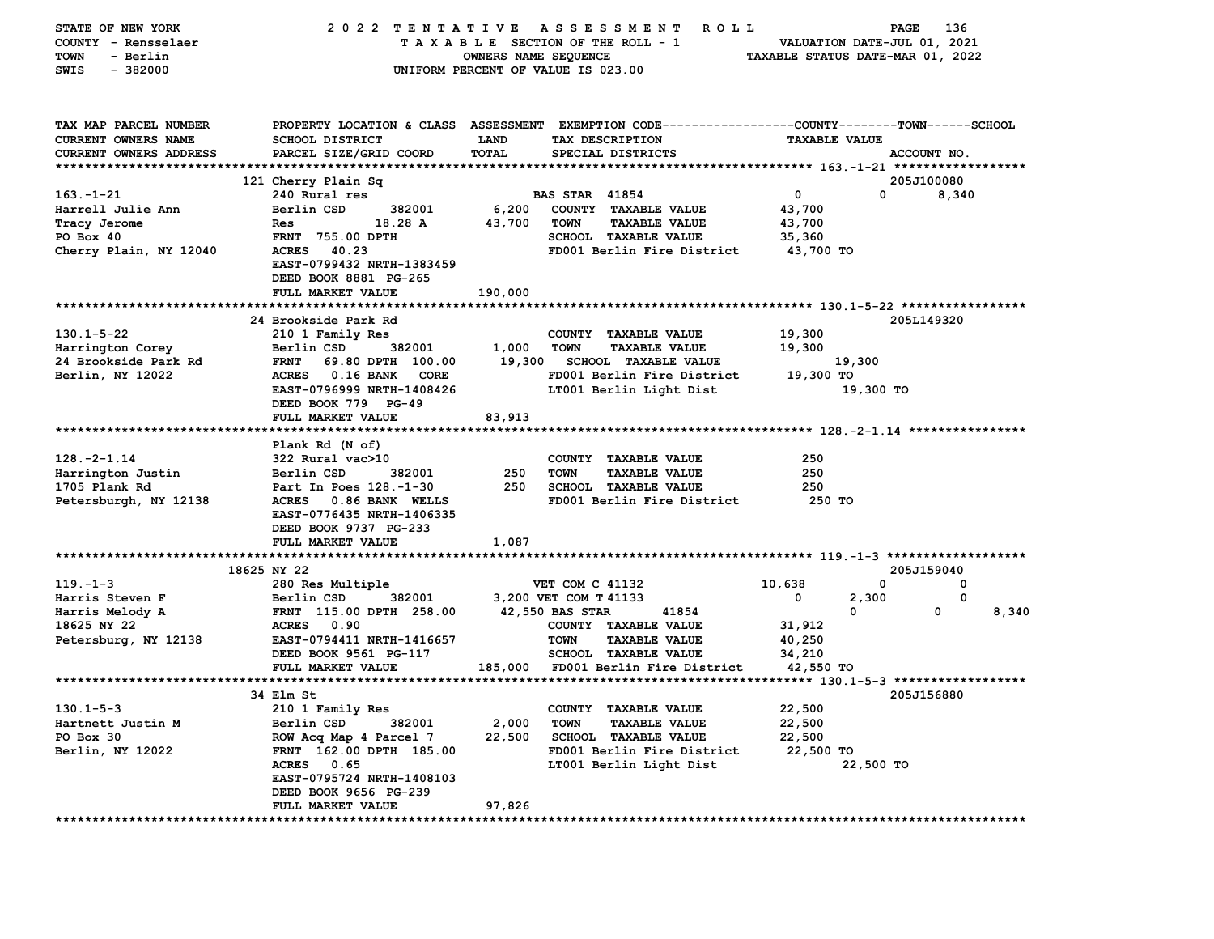| STATE OF NEW YORK<br>COUNTY - Rensselaer | 2022 TENTATIVE                                     |                             | <b>ROLL</b><br>A S S E S S M E N T<br>TAXABLE SECTION OF THE ROLL - 1                           |                      | 136<br>PAGE<br>VALUATION DATE-JUL 01, 2021 |
|------------------------------------------|----------------------------------------------------|-----------------------------|-------------------------------------------------------------------------------------------------|----------------------|--------------------------------------------|
| - Berlin<br><b>TOWN</b>                  |                                                    | OWNERS NAME SEQUENCE        |                                                                                                 |                      | TAXABLE STATUS DATE-MAR 01, 2022           |
| $-382000$<br>SWIS                        |                                                    |                             | UNIFORM PERCENT OF VALUE IS 023.00                                                              |                      |                                            |
|                                          |                                                    |                             |                                                                                                 |                      |                                            |
| TAX MAP PARCEL NUMBER                    |                                                    |                             | PROPERTY LOCATION & CLASS ASSESSMENT EXEMPTION CODE---------------COUNTY-------TOWN------SCHOOL |                      |                                            |
| <b>CURRENT OWNERS NAME</b>               | <b>SCHOOL DISTRICT</b>                             | <b>LAND</b><br><b>TOTAL</b> | TAX DESCRIPTION                                                                                 | <b>TAXABLE VALUE</b> |                                            |
| CURRENT OWNERS ADDRESS                   | PARCEL SIZE/GRID COORD                             |                             | SPECIAL DISTRICTS                                                                               |                      | ACCOUNT NO.                                |
|                                          | 121 Cherry Plain Sq                                |                             |                                                                                                 |                      | 205J100080                                 |
| $163. - 1 - 21$                          | 240 Rural res                                      |                             | <b>BAS STAR 41854</b>                                                                           | $\mathbf 0$          | 0<br>8,340                                 |
| Harrell Julie Ann                        | Berlin CSD<br>382001                               | 6,200                       | COUNTY TAXABLE VALUE                                                                            | 43,700               |                                            |
| Tracy Jerome                             | Res<br>18.28 A                                     | 43,700                      | <b>TOWN</b><br><b>TAXABLE VALUE</b>                                                             | 43,700               |                                            |
| PO Box 40                                | FRNT 755.00 DPTH                                   |                             | <b>SCHOOL TAXABLE VALUE</b>                                                                     | 35,360               |                                            |
| Cherry Plain, NY 12040                   | 40.23<br><b>ACRES</b>                              |                             | FD001 Berlin Fire District                                                                      | 43,700 TO            |                                            |
|                                          | EAST-0799432 NRTH-1383459<br>DEED BOOK 8881 PG-265 |                             |                                                                                                 |                      |                                            |
|                                          | FULL MARKET VALUE                                  | 190,000                     |                                                                                                 |                      |                                            |
|                                          |                                                    |                             |                                                                                                 |                      |                                            |
|                                          | 24 Brookside Park Rd                               |                             |                                                                                                 |                      | 2051149320                                 |
| $130.1 - 5 - 22$                         | 210 1 Family Res                                   |                             | COUNTY TAXABLE VALUE                                                                            | 19,300               |                                            |
| Harrington Corey                         | Berlin CSD<br>382001                               | 1,000                       | <b>TOWN</b><br><b>TAXABLE VALUE</b>                                                             | 19,300               |                                            |
| 24 Brookside Park Rd                     | <b>FRNT</b><br>69.80 DPTH 100.00                   | 19,300                      | <b>SCHOOL TAXABLE VALUE</b>                                                                     | 19,300               |                                            |
| Berlin, NY 12022                         | ACRES 0.16 BANK<br>CORE                            |                             | FD001 Berlin Fire District                                                                      | 19,300 TO            |                                            |
|                                          | EAST-0796999 NRTH-1408426                          |                             | LT001 Berlin Light Dist                                                                         |                      | 19,300 TO                                  |
|                                          | DEED BOOK 779 PG-49<br>FULL MARKET VALUE           | 83,913                      |                                                                                                 |                      |                                            |
|                                          |                                                    |                             |                                                                                                 |                      |                                            |
|                                          | Plank Rd (N of)                                    |                             |                                                                                                 |                      |                                            |
| $128. -2 - 1.14$                         | 322 Rural vac>10                                   |                             | COUNTY TAXABLE VALUE                                                                            | 250                  |                                            |
| Harrington Justin                        | Berlin CSD<br>382001                               | 250                         | <b>TOWN</b><br><b>TAXABLE VALUE</b>                                                             | 250                  |                                            |
| 1705 Plank Rd                            | Part In Poes 128.-1-30                             | 250                         | <b>SCHOOL TAXABLE VALUE</b>                                                                     | 250                  |                                            |
| Petersburgh, NY 12138                    | <b>ACRES</b><br>0.86 BANK WELLS                    |                             | FD001 Berlin Fire District                                                                      | 250 TO               |                                            |
|                                          | EAST-0776435 NRTH-1406335                          |                             |                                                                                                 |                      |                                            |
|                                          | DEED BOOK 9737 PG-233                              |                             |                                                                                                 |                      |                                            |
|                                          | FULL MARKET VALUE                                  | 1,087                       |                                                                                                 |                      |                                            |
|                                          |                                                    |                             |                                                                                                 |                      |                                            |
|                                          | 18625 NY 22                                        |                             |                                                                                                 |                      | 205J159040                                 |
| $119. - 1 - 3$                           | 280 Res Multiple                                   |                             | VET COM C 41132                                                                                 | 10,638               | $\mathbf 0$<br>0                           |
| Harris Steven F                          | Berlin CSD<br>382001                               |                             | 3,200 VET COM T 41133<br>42,550 BAS STAR<br>41854                                               | 0<br>$\mathbf{0}$    | 2,300<br>0<br>0<br>8,340                   |
| Harris Melody A<br>18625 NY 22           | FRNT 115.00 DPTH 258.00<br>0.90<br><b>ACRES</b>    |                             | COUNTY TAXABLE VALUE                                                                            | 31,912               |                                            |
| Petersburg, NY 12138                     | EAST-0794411 NRTH-1416657                          |                             | <b>TOWN</b><br><b>TAXABLE VALUE</b>                                                             | 40,250               |                                            |
|                                          | DEED BOOK 9561 PG-117                              |                             | <b>SCHOOL TAXABLE VALUE</b>                                                                     | 34,210               |                                            |
|                                          | FULL MARKET VALUE                                  | 185,000                     | FD001 Berlin Fire District                                                                      | 42,550 TO            |                                            |
|                                          |                                                    |                             |                                                                                                 |                      |                                            |
|                                          | 34 Elm St                                          |                             |                                                                                                 |                      | 205J156880                                 |
| $130.1 - 5 - 3$                          | 210 1 Family Res                                   |                             | COUNTY TAXABLE VALUE                                                                            | 22,500               |                                            |
| Hartnett Justin M                        | Berlin CSD<br>382001                               | 2,000                       | <b>TOWN</b><br><b>TAXABLE VALUE</b>                                                             | 22,500               |                                            |
| PO Box 30                                | ROW Acq Map 4 Parcel 7                             | 22,500                      | <b>SCHOOL TAXABLE VALUE</b>                                                                     | 22,500               |                                            |
| Berlin, NY 12022                         | FRNT 162.00 DPTH 185.00                            |                             | FD001 Berlin Fire District                                                                      | 22,500 TO            |                                            |
|                                          | <b>ACRES</b><br>0.65                               |                             | LT001 Berlin Light Dist                                                                         |                      | 22,500 TO                                  |
|                                          | EAST-0795724 NRTH-1408103                          |                             |                                                                                                 |                      |                                            |
|                                          | DEED BOOK 9656 PG-239                              |                             |                                                                                                 |                      |                                            |
| *********************                    | FULL MARKET VALUE<br>***************               | 97,826                      |                                                                                                 |                      |                                            |
|                                          |                                                    |                             |                                                                                                 |                      |                                            |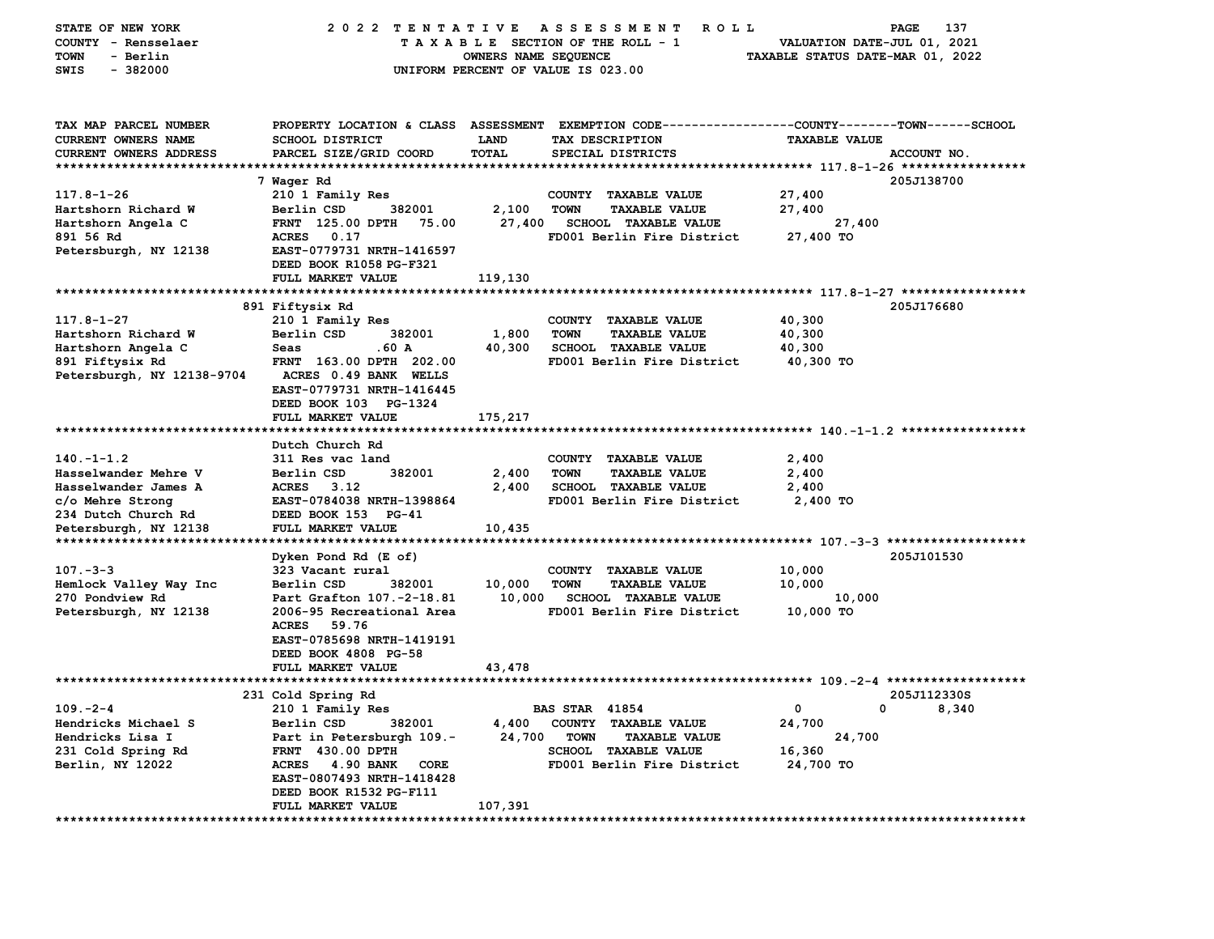| STATE OF NEW YORK            | 2022 TENTATIVE                    |                      | A S S E S S M E N T<br><b>ROLL</b>                                                              |                                  | 137<br>PAGE |
|------------------------------|-----------------------------------|----------------------|-------------------------------------------------------------------------------------------------|----------------------------------|-------------|
| COUNTY - Rensselaer          |                                   |                      | TAXABLE SECTION OF THE ROLL - 1                                                                 | VALUATION DATE-JUL 01, 2021      |             |
| - Berlin<br><b>TOWN</b>      |                                   | OWNERS NAME SEQUENCE |                                                                                                 | TAXABLE STATUS DATE-MAR 01, 2022 |             |
| $-382000$<br>SWIS            |                                   |                      | UNIFORM PERCENT OF VALUE IS 023.00                                                              |                                  |             |
|                              |                                   |                      |                                                                                                 |                                  |             |
|                              |                                   |                      |                                                                                                 |                                  |             |
|                              |                                   |                      |                                                                                                 |                                  |             |
| TAX MAP PARCEL NUMBER        |                                   |                      | PROPERTY LOCATION & CLASS ASSESSMENT EXEMPTION CODE---------------COUNTY-------TOWN------SCHOOL |                                  |             |
| CURRENT OWNERS NAME          | <b>SCHOOL DISTRICT</b>            | LAND                 | TAX DESCRIPTION                                                                                 | <b>TAXABLE VALUE</b>             |             |
| CURRENT OWNERS ADDRESS       | PARCEL SIZE/GRID COORD            | TOTAL                | SPECIAL DISTRICTS                                                                               |                                  | ACCOUNT NO. |
|                              |                                   |                      |                                                                                                 |                                  |             |
|                              | 7 Waqer Rd                        |                      |                                                                                                 |                                  | 205J138700  |
| $117.8 - 1 - 26$             | 210 1 Family Res                  |                      | <b>COUNTY</b><br><b>TAXABLE VALUE</b>                                                           | 27,400                           |             |
| Hartshorn Richard W          | Berlin CSD<br>382001              | 2,100                | <b>TOWN</b><br><b>TAXABLE VALUE</b>                                                             | 27,400                           |             |
| Hartshorn Angela C           | FRNT 125.00 DPTH<br>75.00         | 27,400               | <b>SCHOOL TAXABLE VALUE</b>                                                                     | 27,400                           |             |
| 891 56 Rd                    | <b>ACRES</b><br>0.17              |                      | FD001 Berlin Fire District                                                                      | 27,400 TO                        |             |
| Petersburgh, NY 12138        | EAST-0779731 NRTH-1416597         |                      |                                                                                                 |                                  |             |
|                              | DEED BOOK R1058 PG-F321           |                      |                                                                                                 |                                  |             |
|                              | FULL MARKET VALUE                 | 119,130              |                                                                                                 |                                  |             |
| **************************** | ******************                |                      |                                                                                                 |                                  |             |
|                              |                                   |                      |                                                                                                 |                                  | 205J176680  |
|                              | 891 Fiftysix Rd                   |                      |                                                                                                 |                                  |             |
| $117.8 - 1 - 27$             | 210 1 Family Res                  |                      | COUNTY<br><b>TAXABLE VALUE</b>                                                                  | 40,300                           |             |
| Hartshorn Richard W          | Berlin CSD<br>382001              | 1,800                | <b>TOWN</b><br><b>TAXABLE VALUE</b>                                                             | 40,300                           |             |
| Hartshorn Angela C           | .60 A<br>Seas                     | 40,300               | <b>SCHOOL TAXABLE VALUE</b>                                                                     | 40,300                           |             |
| 891 Fiftysix Rd              | FRNT 163.00 DPTH 202.00           |                      | FD001 Berlin Fire District                                                                      | 40,300 TO                        |             |
| Petersburgh, NY 12138-9704   | ACRES 0.49 BANK WELLS             |                      |                                                                                                 |                                  |             |
|                              | EAST-0779731 NRTH-1416445         |                      |                                                                                                 |                                  |             |
|                              | DEED BOOK 103 PG-1324             |                      |                                                                                                 |                                  |             |
|                              | FULL MARKET VALUE                 | 175,217              |                                                                                                 |                                  |             |
| **************************** |                                   |                      |                                                                                                 |                                  |             |
|                              | Dutch Church Rd                   |                      |                                                                                                 |                                  |             |
| $140. -1 - 1.2$              | 311 Res vac land                  |                      | COUNTY TAXABLE VALUE                                                                            | 2,400                            |             |
| Hasselwander Mehre V         | 382001<br>Berlin CSD              | 2,400                | <b>TOWN</b><br><b>TAXABLE VALUE</b>                                                             | 2,400                            |             |
| Hasselwander James A         | ACRES 3.12                        | 2,400                | <b>SCHOOL TAXABLE VALUE</b>                                                                     | 2,400                            |             |
| c/o Mehre Strong             | EAST-0784038 NRTH-1398864         |                      | FD001 Berlin Fire District                                                                      | 2,400 TO                         |             |
| 234 Dutch Church Rd          | DEED BOOK 153 PG-41               |                      |                                                                                                 |                                  |             |
| Petersburgh, NY 12138        | FULL MARKET VALUE                 | 10,435               |                                                                                                 |                                  |             |
|                              |                                   |                      |                                                                                                 |                                  |             |
|                              | Dyken Pond Rd (E of)              |                      |                                                                                                 |                                  | 205J101530  |
| $107 - 3 - 3$                | 323 Vacant rural                  |                      | COUNTY<br><b>TAXABLE VALUE</b>                                                                  | 10,000                           |             |
| Hemlock Valley Way Inc       | Berlin CSD<br>382001              | 10,000               | <b>TOWN</b><br><b>TAXABLE VALUE</b>                                                             | 10,000                           |             |
| 270 Pondview Rd              | Part Grafton 107.-2-18.81         | 10,000               | SCHOOL TAXABLE VALUE                                                                            | 10,000                           |             |
| Petersburgh, NY 12138        | 2006-95 Recreational Area         |                      | FD001 Berlin Fire District                                                                      | 10,000 TO                        |             |
|                              | <b>ACRES</b><br>59.76             |                      |                                                                                                 |                                  |             |
|                              | EAST-0785698 NRTH-1419191         |                      |                                                                                                 |                                  |             |
|                              | DEED BOOK 4808 PG-58              |                      |                                                                                                 |                                  |             |
|                              |                                   |                      |                                                                                                 |                                  |             |
|                              | FULL MARKET VALUE                 | 43,478               |                                                                                                 |                                  |             |
|                              |                                   |                      |                                                                                                 |                                  | 205J112330S |
|                              | 231 Cold Spring Rd                |                      |                                                                                                 |                                  |             |
| $109. -2 - 4$                | 210 1 Family Res                  |                      | <b>BAS STAR 41854</b>                                                                           | 0<br>0                           | 8,340       |
| Hendricks Michael S          | Berlin CSD<br>382001              | 4,400                | COUNTY TAXABLE VALUE                                                                            | 24,700                           |             |
| Hendricks Lisa I             | Part in Petersburgh 109.-         | 24,700               | <b>TOWN</b><br><b>TAXABLE VALUE</b>                                                             | 24,700                           |             |
| 231 Cold Spring Rd           | <b>FRNT 430.00 DPTH</b>           |                      | <b>SCHOOL TAXABLE VALUE</b>                                                                     | 16,360                           |             |
| Berlin, NY 12022             | <b>ACRES</b><br>4.90 BANK<br>CORE |                      | FD001 Berlin Fire District                                                                      | 24,700 TO                        |             |
|                              | EAST-0807493 NRTH-1418428         |                      |                                                                                                 |                                  |             |
|                              | DEED BOOK R1532 PG-F111           |                      |                                                                                                 |                                  |             |
|                              | FULL MARKET VALUE                 | 107,391              |                                                                                                 |                                  |             |
| ************************     | ************                      |                      |                                                                                                 |                                  |             |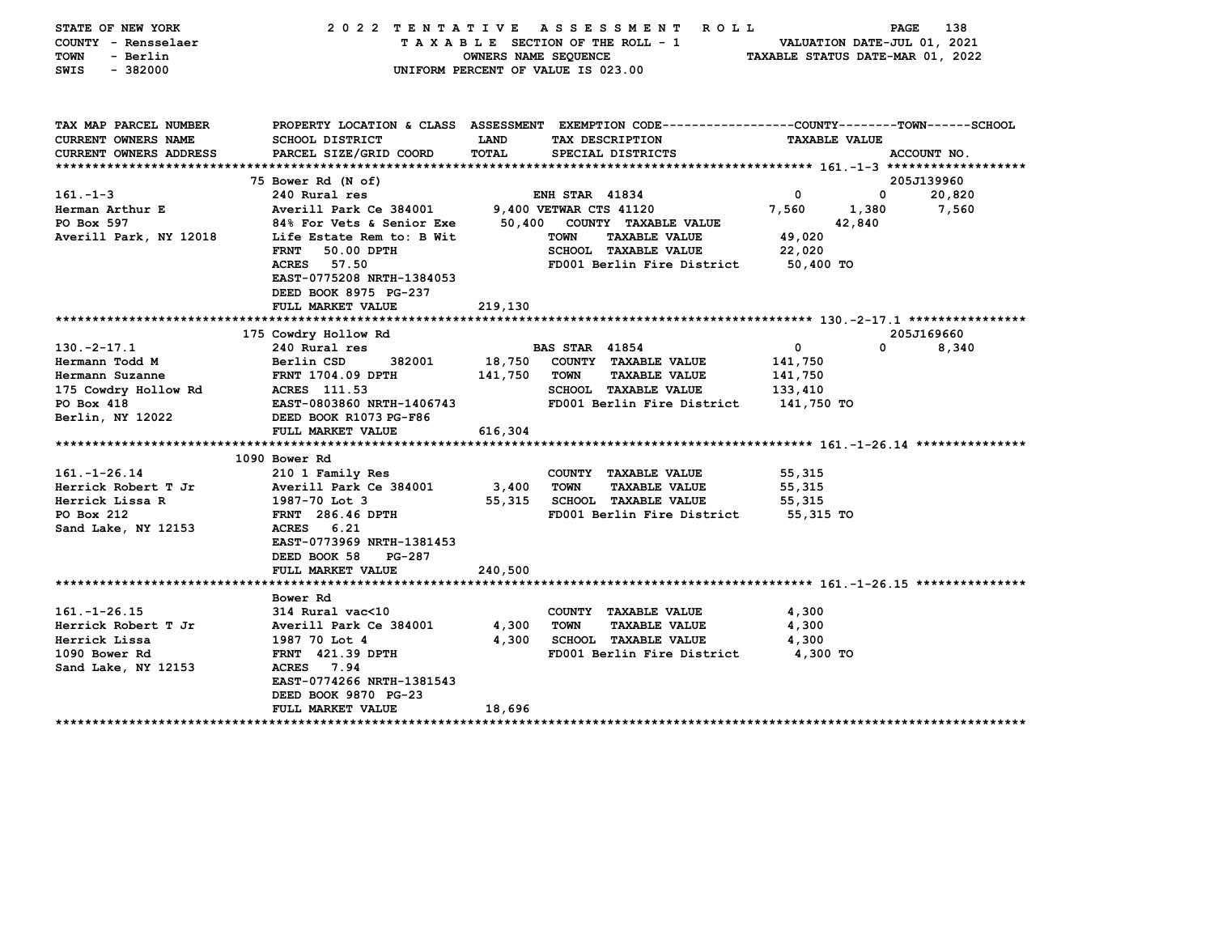| STATE OF NEW YORK<br>COUNTY - Rensselaer<br>- Berlin<br>TOWN<br>$-382000$<br>SWIS | 2022 TENTATIVE ASSESSMENT ROLL                                                                 | OWNERS NAME SEQUENCE<br>UNIFORM PERCENT OF VALUE IS 023.00 |                        | TAXABLE SECTION OF THE ROLL - 1              | TAXABLE STATUS DATE-MAR 01, 2022 | PAGE<br>VALUATION DATE-JUL 01, 2021 | 138         |
|-----------------------------------------------------------------------------------|------------------------------------------------------------------------------------------------|------------------------------------------------------------|------------------------|----------------------------------------------|----------------------------------|-------------------------------------|-------------|
| TAX MAP PARCEL NUMBER                                                             | PROPERTY LOCATION & CLASS ASSESSMENT EXEMPTION CODE--------------COUNTY-------TOWN------SCHOOL |                                                            |                        |                                              |                                  |                                     |             |
| CURRENT OWNERS NAME                                                               | <b>SCHOOL DISTRICT</b>                                                                         | <b>LAND</b>                                                |                        | TAX DESCRIPTION                              |                                  | <b>TAXABLE VALUE</b>                |             |
| CURRENT OWNERS ADDRESS                                                            | PARCEL SIZE/GRID COORD                                                                         | TOTAL                                                      |                        | SPECIAL DISTRICTS                            |                                  |                                     | ACCOUNT NO. |
|                                                                                   | 75 Bower Rd (N of)                                                                             |                                                            |                        |                                              |                                  |                                     | 205J139960  |
| $161. - 1 - 3$                                                                    | 240 Rural res                                                                                  |                                                            | <b>ENH STAR 41834</b>  |                                              | $\mathbf{0}$                     | 0                                   | 20,820      |
| Herman Arthur E                                                                   | Averill Park Ce 384001                                                                         |                                                            | 9,400 VETWAR CTS 41120 |                                              | 7,560                            | 1,380                               | 7,560       |
| PO Box 597                                                                        | 84% For Vets & Senior Exe                                                                      |                                                            |                        | 50,400 COUNTY TAXABLE VALUE                  |                                  | 42,840                              |             |
| Averill Park, NY 12018                                                            | Life Estate Rem to: B Wit                                                                      |                                                            | <b>TOWN</b>            | <b>TAXABLE VALUE</b>                         | 49,020                           |                                     |             |
|                                                                                   | <b>FRNT</b><br>50.00 DPTH                                                                      |                                                            |                        | <b>SCHOOL TAXABLE VALUE</b>                  | 22,020                           |                                     |             |
|                                                                                   | ACRES 57.50<br>EAST-0775208 NRTH-1384053<br>DEED BOOK 8975 PG-237                              |                                                            |                        | FD001 Berlin Fire District                   | 50,400 TO                        |                                     |             |
|                                                                                   | FULL MARKET VALUE                                                                              | 219,130                                                    |                        |                                              |                                  |                                     |             |
|                                                                                   |                                                                                                |                                                            |                        |                                              |                                  |                                     |             |
|                                                                                   | 175 Cowdry Hollow Rd                                                                           |                                                            |                        |                                              |                                  |                                     | 205J169660  |
| $130. -2 - 17.1$                                                                  | 240 Rural res                                                                                  |                                                            | <b>BAS STAR 41854</b>  |                                              | $\mathbf 0$                      | 0                                   | 8,340       |
| Hermann Todd M                                                                    | Berlin CSD<br>382001                                                                           | 18,750<br>141,750                                          | TOWN                   | COUNTY TAXABLE VALUE<br><b>TAXABLE VALUE</b> | 141,750                          |                                     |             |
| Hermann Suzanne<br>175 Cowdry Hollow Rd                                           | <b>FRNT 1704.09 DPTH</b><br>ACRES 111.53                                                       |                                                            |                        | <b>SCHOOL TAXABLE VALUE</b>                  | 141,750<br>133,410               |                                     |             |
| PO Box 418                                                                        | EAST-0803860 NRTH-1406743                                                                      |                                                            |                        | FD001 Berlin Fire District                   | 141,750 TO                       |                                     |             |
| Berlin, NY 12022                                                                  | DEED BOOK R1073 PG-F86                                                                         |                                                            |                        |                                              |                                  |                                     |             |
|                                                                                   | FULL MARKET VALUE                                                                              | 616,304                                                    |                        |                                              |                                  |                                     |             |
|                                                                                   |                                                                                                |                                                            |                        |                                              |                                  |                                     |             |
|                                                                                   | 1090 Bower Rd                                                                                  |                                                            |                        |                                              |                                  |                                     |             |
| $161. - 1 - 26.14$                                                                | 210 1 Family Res                                                                               |                                                            |                        | COUNTY TAXABLE VALUE                         | 55,315                           |                                     |             |
| Herrick Robert T Jr                                                               | Averill Park Ce 384001                                                                         | 3,400                                                      | <b>TOWN</b>            | <b>TAXABLE VALUE</b>                         | 55,315                           |                                     |             |
| Herrick Lissa R                                                                   | 1987-70 Lot 3                                                                                  | 55,315                                                     |                        | <b>SCHOOL TAXABLE VALUE</b>                  | 55,315                           |                                     |             |
| PO Box 212                                                                        | FRNT 286.46 DPTH                                                                               |                                                            |                        | FD001 Berlin Fire District                   | 55,315 TO                        |                                     |             |
| Sand Lake, NY 12153                                                               | ACRES 6.21                                                                                     |                                                            |                        |                                              |                                  |                                     |             |
|                                                                                   | EAST-0773969 NRTH-1381453                                                                      |                                                            |                        |                                              |                                  |                                     |             |
|                                                                                   | DEED BOOK 58<br>PG-287                                                                         |                                                            |                        |                                              |                                  |                                     |             |
|                                                                                   | FULL MARKET VALUE                                                                              | 240,500                                                    |                        |                                              |                                  |                                     |             |
|                                                                                   | Bower Rd                                                                                       |                                                            |                        |                                              |                                  |                                     |             |
| $161. - 1 - 26.15$                                                                | 314 Rural vac<10                                                                               |                                                            |                        | COUNTY TAXABLE VALUE                         | 4,300                            |                                     |             |
| Herrick Robert T Jr                                                               | Averill Park Ce 384001                                                                         | 4,300                                                      | <b>TOWN</b>            | <b>TAXABLE VALUE</b>                         | 4,300                            |                                     |             |
| Herrick Lissa                                                                     | 1987 70 Lot 4                                                                                  | 4,300                                                      |                        | <b>SCHOOL TAXABLE VALUE</b>                  | 4,300                            |                                     |             |
| 1090 Bower Rd                                                                     | <b>FRNT</b> 421.39 DPTH                                                                        |                                                            |                        | FD001 Berlin Fire District                   | 4,300 TO                         |                                     |             |
| Sand Lake, NY 12153                                                               | ACRES 7.94                                                                                     |                                                            |                        |                                              |                                  |                                     |             |
|                                                                                   | EAST-0774266 NRTH-1381543                                                                      |                                                            |                        |                                              |                                  |                                     |             |
|                                                                                   | DEED BOOK 9870 PG-23                                                                           |                                                            |                        |                                              |                                  |                                     |             |
|                                                                                   | <b>FULL MARKET VALUE</b>                                                                       | 18,696                                                     |                        |                                              |                                  |                                     |             |
|                                                                                   |                                                                                                |                                                            |                        |                                              |                                  |                                     |             |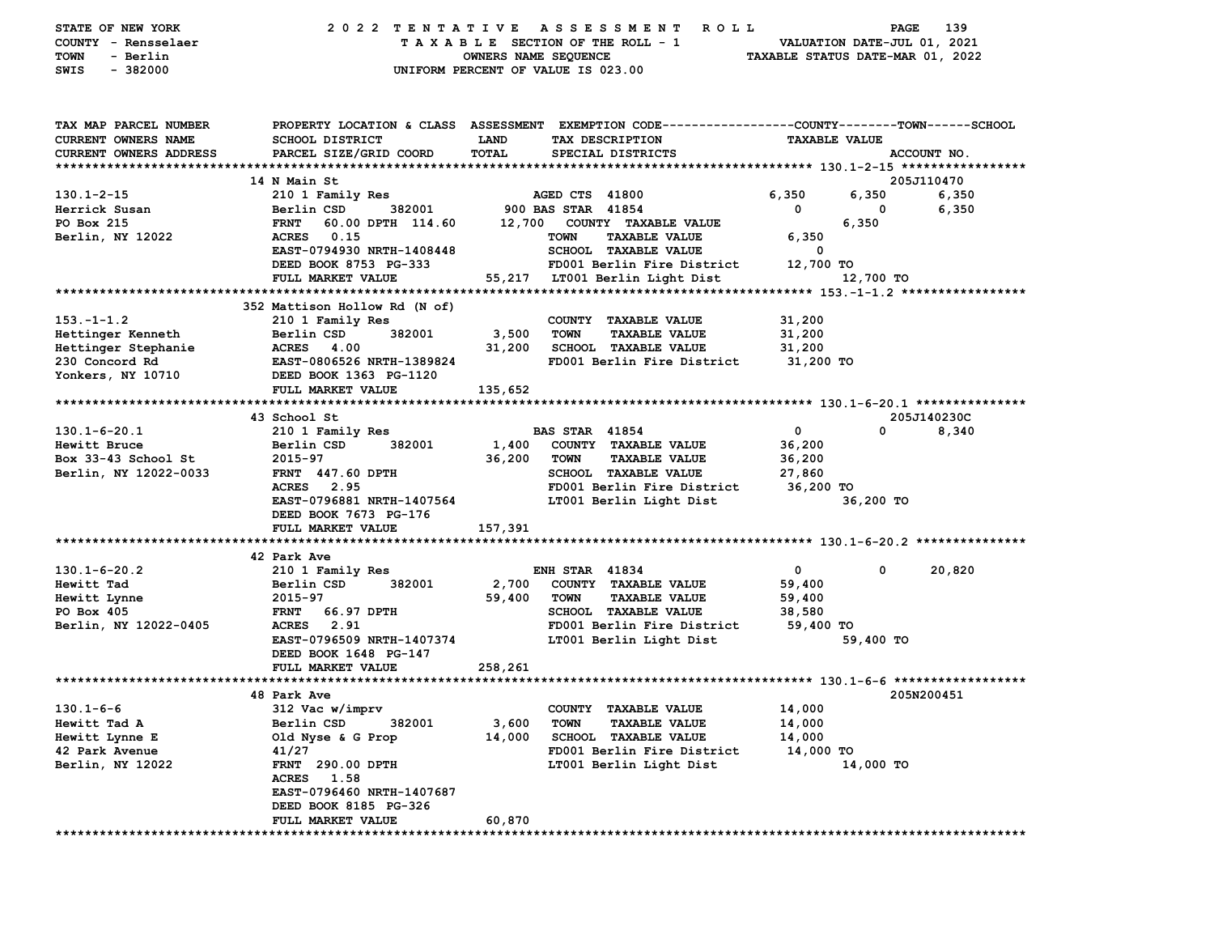| STATE OF NEW YORK<br>COUNTY - Rensselaer | 2022 TENTATIVE                              |                      | ASSESSMENT<br><b>ROLL</b><br>TAXABLE SECTION OF THE ROLL - 1                                    |                                  | PAGE<br>VALUATION DATE-JUL 01, 2021 | 139         |
|------------------------------------------|---------------------------------------------|----------------------|-------------------------------------------------------------------------------------------------|----------------------------------|-------------------------------------|-------------|
| TOWN<br>- Berlin<br>$-382000$<br>SWIS    |                                             | OWNERS NAME SEQUENCE | UNIFORM PERCENT OF VALUE IS 023.00                                                              | TAXABLE STATUS DATE-MAR 01, 2022 |                                     |             |
| TAX MAP PARCEL NUMBER                    |                                             |                      | PROPERTY LOCATION & CLASS ASSESSMENT EXEMPTION CODE---------------COUNTY-------TOWN------SCHOOL |                                  |                                     |             |
| CURRENT OWNERS NAME                      | <b>SCHOOL DISTRICT</b>                      | <b>LAND</b>          | TAX DESCRIPTION                                                                                 | <b>TAXABLE VALUE</b>             |                                     |             |
| <b>CURRENT OWNERS ADDRESS</b>            | PARCEL SIZE/GRID COORD                      | TOTAL                | SPECIAL DISTRICTS                                                                               |                                  |                                     | ACCOUNT NO. |
|                                          |                                             |                      |                                                                                                 |                                  |                                     |             |
|                                          | 14 N Main St                                |                      |                                                                                                 |                                  |                                     | 205J110470  |
| $130.1 - 2 - 15$                         | 210 1 Family Res                            |                      | AGED CTS 41800                                                                                  | 6,350                            | 6,350                               | 6,350       |
| Herrick Susan                            | Berlin CSD<br>382001                        |                      | 900 BAS STAR 41854                                                                              | 0                                | 0                                   | 6,350       |
| PO Box 215                               | <b>FRNT</b><br>60.00 DPTH 114.60            | 12,700               | COUNTY TAXABLE VALUE                                                                            |                                  | 6,350                               |             |
| Berlin, NY 12022                         | 0.15<br><b>ACRES</b>                        |                      | <b>TAXABLE VALUE</b><br><b>TOWN</b>                                                             | 6,350                            |                                     |             |
|                                          | EAST-0794930 NRTH-1408448                   |                      | <b>SCHOOL TAXABLE VALUE</b>                                                                     | 0                                |                                     |             |
|                                          | DEED BOOK 8753 PG-333                       |                      | FD001 Berlin Fire District                                                                      | 12,700 TO                        |                                     |             |
|                                          | FULL MARKET VALUE                           | 55,217               | LT001 Berlin Light Dist                                                                         |                                  | 12,700 TO                           |             |
|                                          |                                             |                      |                                                                                                 |                                  |                                     |             |
|                                          | 352 Mattison Hollow Rd (N of)               |                      |                                                                                                 |                                  |                                     |             |
| $153. - 1 - 1.2$                         | 210 1 Family Res                            |                      | COUNTY TAXABLE VALUE                                                                            | 31,200                           |                                     |             |
| Hettinger Kenneth                        | Berlin CSD<br>382001                        | 3,500                | <b>TOWN</b><br><b>TAXABLE VALUE</b>                                                             | 31,200                           |                                     |             |
| Hettinger Stephanie                      | <b>ACRES</b><br>4.00                        | 31,200               | <b>SCHOOL TAXABLE VALUE</b>                                                                     | 31,200                           |                                     |             |
| 230 Concord Rd                           | EAST-0806526 NRTH-1389824                   |                      | FD001 Berlin Fire District                                                                      | 31,200 TO                        |                                     |             |
| Yonkers, NY 10710                        | DEED BOOK 1363 PG-1120<br>FULL MARKET VALUE | 135,652              |                                                                                                 |                                  |                                     |             |
|                                          |                                             |                      |                                                                                                 |                                  |                                     |             |
|                                          | 43 School St                                |                      |                                                                                                 |                                  |                                     | 205J140230C |
| $130.1 - 6 - 20.1$                       | 210 1 Family Res                            |                      | <b>BAS STAR 41854</b>                                                                           | 0                                | 0                                   | 8,340       |
| Hewitt Bruce                             | 382001<br>Berlin CSD                        | 1,400                | COUNTY TAXABLE VALUE                                                                            | 36,200                           |                                     |             |
| Box 33-43 School St                      | 2015-97                                     | 36,200               | <b>TOWN</b><br><b>TAXABLE VALUE</b>                                                             | 36,200                           |                                     |             |
| Berlin, NY 12022-0033                    | <b>FRNT 447.60 DPTH</b>                     |                      | <b>SCHOOL TAXABLE VALUE</b>                                                                     | 27,860                           |                                     |             |
|                                          | 2.95<br><b>ACRES</b>                        |                      | FD001 Berlin Fire District                                                                      | 36,200 TO                        |                                     |             |
|                                          | EAST-0796881 NRTH-1407564                   |                      | LT001 Berlin Light Dist                                                                         |                                  | 36,200 TO                           |             |
|                                          | DEED BOOK 7673 PG-176                       |                      |                                                                                                 |                                  |                                     |             |
|                                          | FULL MARKET VALUE                           | 157,391              |                                                                                                 |                                  |                                     |             |
|                                          |                                             |                      |                                                                                                 |                                  |                                     |             |
|                                          | 42 Park Ave                                 |                      |                                                                                                 |                                  |                                     |             |
| $130.1 - 6 - 20.2$                       | 210 1 Family Res                            |                      | <b>ENH STAR 41834</b>                                                                           | 0                                | 0                                   | 20,820      |
| Hewitt Tad                               | Berlin CSD<br>382001                        | 2,700                | COUNTY TAXABLE VALUE                                                                            | 59,400                           |                                     |             |
| Hewitt Lynne                             | 2015-97                                     | 59,400               | <b>TOWN</b><br><b>TAXABLE VALUE</b>                                                             | 59,400                           |                                     |             |
| PO Box 405                               | 66.97 DPTH<br><b>FRNT</b>                   |                      | SCHOOL TAXABLE VALUE                                                                            | 38,580                           |                                     |             |
| Berlin, NY 12022-0405                    | <b>ACRES</b><br>2.91                        |                      | FD001 Berlin Fire District                                                                      | 59,400 TO                        |                                     |             |
|                                          | EAST-0796509 NRTH-1407374                   |                      | LT001 Berlin Light Dist                                                                         |                                  | 59,400 TO                           |             |
|                                          | DEED BOOK 1648 PG-147                       |                      |                                                                                                 |                                  |                                     |             |
|                                          | FULL MARKET VALUE                           | 258,261              |                                                                                                 |                                  |                                     |             |
|                                          |                                             |                      |                                                                                                 |                                  |                                     |             |
|                                          | 48 Park Ave                                 |                      |                                                                                                 |                                  |                                     | 205N200451  |
| $130.1 - 6 - 6$                          | 312 Vac w/imprv                             |                      | COUNTY TAXABLE VALUE                                                                            | 14,000                           |                                     |             |
| Hewitt Tad A                             | Berlin CSD<br>382001                        | 3,600                | <b>TOWN</b><br><b>TAXABLE VALUE</b>                                                             | 14,000                           |                                     |             |
| Hewitt Lynne E                           | Old Nyse & G Prop                           | 14,000               | <b>SCHOOL TAXABLE VALUE</b>                                                                     | 14,000                           |                                     |             |
| 42 Park Avenue                           | 41/27                                       |                      | FD001 Berlin Fire District                                                                      | 14,000 TO                        |                                     |             |
| Berlin, NY 12022                         | FRNT 290.00 DPTH                            |                      | LT001 Berlin Light Dist                                                                         |                                  | 14,000 TO                           |             |
|                                          | ACRES 1.58                                  |                      |                                                                                                 |                                  |                                     |             |
|                                          | EAST-0796460 NRTH-1407687                   |                      |                                                                                                 |                                  |                                     |             |
|                                          | DEED BOOK 8185 PG-326                       |                      |                                                                                                 |                                  |                                     |             |
|                                          | FULL MARKET VALUE                           | 60,870               |                                                                                                 |                                  |                                     |             |
|                                          |                                             |                      |                                                                                                 |                                  |                                     |             |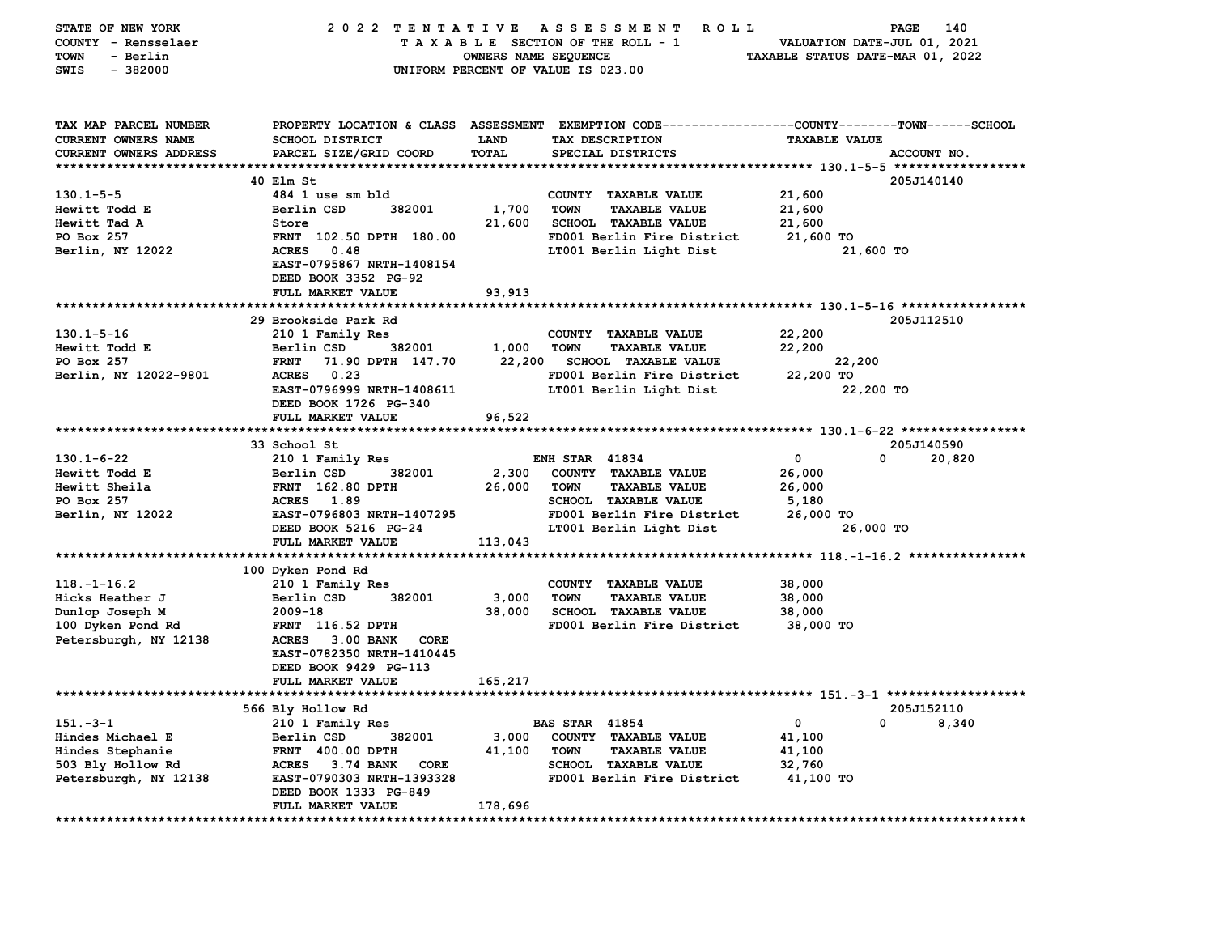| STATE OF NEW YORK      | 2022 TENTATIVE                       |                                                          | A S S E S S M E N T<br><b>ROLL</b>                           |                             | PAGE<br>140 |  |
|------------------------|--------------------------------------|----------------------------------------------------------|--------------------------------------------------------------|-----------------------------|-------------|--|
| COUNTY - Rensselaer    |                                      |                                                          | TAXABLE SECTION OF THE ROLL - 1                              | VALUATION DATE-JUL 01, 2021 |             |  |
| - Berlin<br>TOWN       |                                      | OWNERS NAME SEQUENCE<br>TAXABLE STATUS DATE-MAR 01, 2022 |                                                              |                             |             |  |
| $-382000$<br>SWIS      |                                      |                                                          | UNIFORM PERCENT OF VALUE IS 023.00                           |                             |             |  |
|                        |                                      |                                                          |                                                              |                             |             |  |
|                        |                                      |                                                          |                                                              |                             |             |  |
| TAX MAP PARCEL NUMBER  | PROPERTY LOCATION & CLASS ASSESSMENT |                                                          | EXEMPTION CODE-----------------COUNTY-------TOWN------SCHOOL |                             |             |  |
| CURRENT OWNERS NAME    | <b>SCHOOL DISTRICT</b>               | <b>LAND</b>                                              | TAX DESCRIPTION                                              | <b>TAXABLE VALUE</b>        |             |  |
| CURRENT OWNERS ADDRESS | PARCEL SIZE/GRID COORD               | <b>TOTAL</b>                                             | SPECIAL DISTRICTS                                            |                             | ACCOUNT NO. |  |
|                        |                                      |                                                          |                                                              |                             |             |  |
|                        | 40 Elm St                            |                                                          |                                                              |                             | 205J140140  |  |
| $130.1 - 5 - 5$        | 484 1 use sm bld                     |                                                          | COUNTY TAXABLE VALUE                                         | 21,600                      |             |  |
| Hewitt Todd E          | Berlin CSD<br>382001                 | 1,700                                                    | <b>TOWN</b><br><b>TAXABLE VALUE</b>                          | 21,600                      |             |  |
| Hewitt Tad A           | Store                                | 21,600                                                   | <b>SCHOOL TAXABLE VALUE</b>                                  | 21,600                      |             |  |
| PO Box 257             | FRNT 102.50 DPTH 180.00              |                                                          | FD001 Berlin Fire District                                   | 21,600 TO                   |             |  |
| Berlin, NY 12022       | <b>ACRES</b><br>0.48                 |                                                          | LT001 Berlin Light Dist                                      | 21,600 TO                   |             |  |
|                        | EAST-0795867 NRTH-1408154            |                                                          |                                                              |                             |             |  |
|                        | DEED BOOK 3352 PG-92                 |                                                          |                                                              |                             |             |  |
|                        | FULL MARKET VALUE                    | 93,913                                                   |                                                              |                             |             |  |
|                        |                                      |                                                          |                                                              |                             |             |  |
|                        | 29 Brookside Park Rd                 |                                                          |                                                              |                             | 205J112510  |  |
| $130.1 - 5 - 16$       | 210 1 Family Res                     |                                                          | COUNTY TAXABLE VALUE                                         | 22,200                      |             |  |
| Hewitt Todd E          | Berlin CSD<br>382001                 | 1,000                                                    | <b>TOWN</b><br><b>TAXABLE VALUE</b>                          | 22,200                      |             |  |
| PO Box 257             | <b>FRNT</b><br>71.90 DPTH 147.70     | 22,200                                                   | <b>SCHOOL TAXABLE VALUE</b>                                  | 22,200                      |             |  |
| Berlin, NY 12022-9801  | <b>ACRES</b><br>0.23                 |                                                          | FD001 Berlin Fire District                                   | 22,200 TO                   |             |  |
|                        | EAST-0796999 NRTH-1408611            |                                                          | LT001 Berlin Light Dist                                      | 22,200 TO                   |             |  |
|                        | DEED BOOK 1726 PG-340                |                                                          |                                                              |                             |             |  |
|                        | FULL MARKET VALUE                    | 96,522                                                   |                                                              |                             |             |  |
|                        |                                      |                                                          |                                                              |                             |             |  |
|                        | 33 School St                         |                                                          |                                                              |                             | 205J140590  |  |
| $130.1 - 6 - 22$       | 210 1 Family Res                     |                                                          | <b>ENH STAR 41834</b>                                        | $\mathbf 0$<br><sup>0</sup> | 20,820      |  |
| Hewitt Todd E          | 382001<br>Berlin CSD                 | 2,300                                                    | COUNTY TAXABLE VALUE                                         | 26,000                      |             |  |
| Hewitt Sheila          | <b>FRNT</b> 162.80 DPTH              | 26,000                                                   | <b>TOWN</b><br><b>TAXABLE VALUE</b>                          | 26,000                      |             |  |
| PO Box 257             | 1.89<br><b>ACRES</b>                 |                                                          | SCHOOL TAXABLE VALUE                                         | 5,180                       |             |  |
| Berlin, NY 12022       | EAST-0796803 NRTH-1407295            |                                                          | FD001 Berlin Fire District                                   | 26,000 TO                   |             |  |
|                        | DEED BOOK 5216 PG-24                 |                                                          | LT001 Berlin Light Dist                                      | 26,000 TO                   |             |  |
|                        | FULL MARKET VALUE                    | 113,043                                                  |                                                              |                             |             |  |
|                        |                                      |                                                          |                                                              |                             |             |  |
|                        | 100 Dyken Pond Rd                    |                                                          |                                                              |                             |             |  |
| $118. - 1 - 16.2$      | 210 1 Family Res                     |                                                          | COUNTY TAXABLE VALUE                                         | 38,000                      |             |  |
| Hicks Heather J        | Berlin CSD<br>382001                 | 3,000                                                    | <b>TOWN</b><br><b>TAXABLE VALUE</b>                          | 38,000                      |             |  |
| Dunlop Joseph M        | $2009 - 18$                          | 38,000                                                   | <b>SCHOOL TAXABLE VALUE</b>                                  | 38,000                      |             |  |
| 100 Dyken Pond Rd      | <b>FRNT</b> 116.52 DPTH              |                                                          | FD001 Berlin Fire District                                   | 38,000 TO                   |             |  |
| Petersburgh, NY 12138  | ACRES 3.00 BANK<br>CORE              |                                                          |                                                              |                             |             |  |
|                        | EAST-0782350 NRTH-1410445            |                                                          |                                                              |                             |             |  |
|                        | DEED BOOK 9429 PG-113                |                                                          |                                                              |                             |             |  |
|                        | FULL MARKET VALUE                    | 165,217                                                  |                                                              |                             |             |  |
|                        |                                      |                                                          |                                                              |                             |             |  |
|                        | 566 Bly Hollow Rd                    |                                                          |                                                              |                             | 205J152110  |  |
| $151 - 3 - 1$          | 210 1 Family Res                     |                                                          | <b>BAS STAR 41854</b>                                        | 0<br>0                      | 8,340       |  |
| Hindes Michael E       | Berlin CSD<br>382001                 | 3,000                                                    | COUNTY TAXABLE VALUE                                         | 41,100                      |             |  |
| Hindes Stephanie       | FRNT 400.00 DPTH                     | 41,100                                                   | <b>TOWN</b><br><b>TAXABLE VALUE</b>                          | 41,100                      |             |  |
| 503 Bly Hollow Rd      | ACRES 3.74 BANK<br><b>CORE</b>       |                                                          | <b>SCHOOL TAXABLE VALUE</b>                                  | 32,760                      |             |  |
| Petersburgh, NY 12138  | EAST-0790303 NRTH-1393328            |                                                          | FD001 Berlin Fire District                                   | 41,100 TO                   |             |  |
|                        | DEED BOOK 1333 PG-849                |                                                          |                                                              |                             |             |  |
|                        | FULL MARKET VALUE                    | 178,696                                                  |                                                              |                             |             |  |
| ******************     |                                      |                                                          |                                                              |                             |             |  |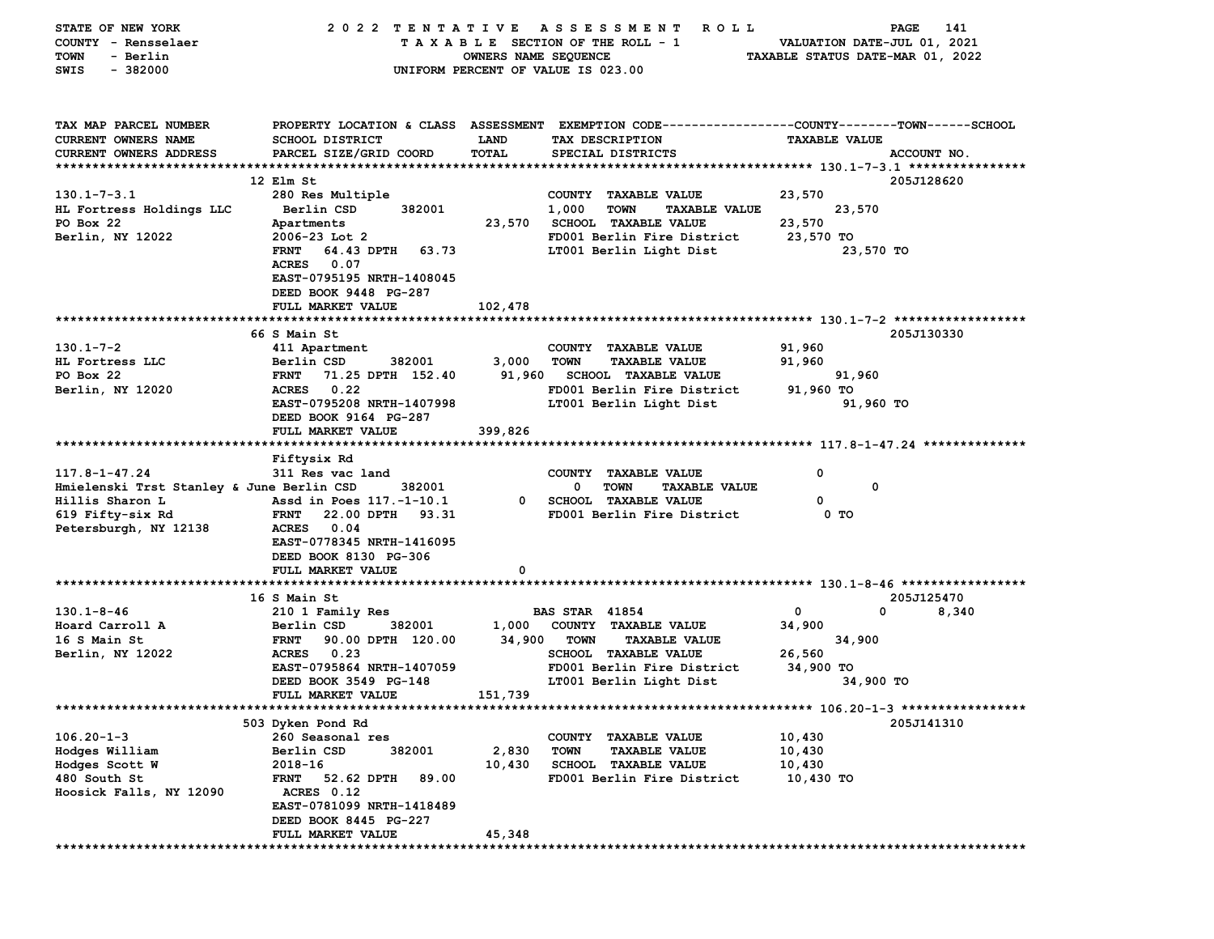| STATE OF NEW YORK                         | 2022 TENTATIVE                     |                      | A S S E S S M E N T<br><b>ROLL</b>                                                             |                                  | 141<br>PAGE |
|-------------------------------------------|------------------------------------|----------------------|------------------------------------------------------------------------------------------------|----------------------------------|-------------|
| COUNTY - Rensselaer                       |                                    |                      | TAXABLE SECTION OF THE ROLL - 1                                                                | VALUATION DATE-JUL 01, 2021      |             |
| - Berlin<br>TOWN                          |                                    | OWNERS NAME SEQUENCE |                                                                                                | TAXABLE STATUS DATE-MAR 01, 2022 |             |
| $-382000$<br>SWIS                         |                                    |                      | UNIFORM PERCENT OF VALUE IS 023.00                                                             |                                  |             |
|                                           |                                    |                      |                                                                                                |                                  |             |
|                                           |                                    |                      |                                                                                                |                                  |             |
|                                           |                                    |                      |                                                                                                |                                  |             |
| TAX MAP PARCEL NUMBER                     |                                    |                      | PROPERTY LOCATION & CLASS ASSESSMENT EXEMPTION CODE--------------COUNTY-------TOWN------SCHOOL |                                  |             |
| CURRENT OWNERS NAME                       | <b>SCHOOL DISTRICT</b>             | LAND                 | TAX DESCRIPTION                                                                                | <b>TAXABLE VALUE</b>             |             |
| CURRENT OWNERS ADDRESS                    | PARCEL SIZE/GRID COORD             | TOTAL                | SPECIAL DISTRICTS                                                                              |                                  | ACCOUNT NO. |
|                                           |                                    |                      |                                                                                                |                                  |             |
|                                           | 12 Elm St                          |                      |                                                                                                |                                  | 205J128620  |
| $130.1 - 7 - 3.1$                         | 280 Res Multiple                   |                      | COUNTY TAXABLE VALUE                                                                           | 23,570                           |             |
| HL Fortress Holdings LLC                  | Berlin CSD<br>382001               |                      | 1,000<br><b>TOWN</b><br><b>TAXABLE VALUE</b>                                                   | 23,570                           |             |
| PO Box 22                                 | Apartments                         |                      | 23,570 SCHOOL TAXABLE VALUE                                                                    | 23,570                           |             |
| Berlin, NY 12022                          | $2006 - 23$ Lot 2                  |                      | FD001 Berlin Fire District                                                                     | 23,570 TO                        |             |
|                                           | <b>FRNT</b><br>64.43 DPTH 63.73    |                      | LT001 Berlin Light Dist                                                                        | 23,570 TO                        |             |
|                                           | <b>ACRES</b><br>0.07               |                      |                                                                                                |                                  |             |
|                                           | EAST-0795195 NRTH-1408045          |                      |                                                                                                |                                  |             |
|                                           | DEED BOOK 9448 PG-287              |                      |                                                                                                |                                  |             |
|                                           | FULL MARKET VALUE                  | 102,478              |                                                                                                |                                  |             |
|                                           |                                    |                      |                                                                                                |                                  |             |
|                                           | 66 S Main St                       |                      |                                                                                                |                                  | 205J130330  |
| $130.1 - 7 - 2$                           | 411 Apartment                      |                      | COUNTY TAXABLE VALUE                                                                           | 91,960                           |             |
| HL Fortress LLC                           | Berlin CSD<br>382001               | 3,000                | <b>TOWN</b><br><b>TAXABLE VALUE</b>                                                            | 91,960                           |             |
| PO Box 22                                 | <b>FRNT</b><br>71.25 DPTH 152.40   | 91,960               | <b>SCHOOL TAXABLE VALUE</b>                                                                    | 91,960                           |             |
| Berlin, NY 12020                          | 0.22<br><b>ACRES</b>               |                      | FD001 Berlin Fire District                                                                     | 91,960 TO                        |             |
|                                           | EAST-0795208 NRTH-1407998          |                      | LT001 Berlin Light Dist                                                                        | 91,960 TO                        |             |
|                                           | DEED BOOK 9164 PG-287              |                      |                                                                                                |                                  |             |
|                                           | FULL MARKET VALUE                  | 399,826              |                                                                                                |                                  |             |
|                                           |                                    |                      |                                                                                                |                                  |             |
|                                           | Fiftysix Rd                        |                      |                                                                                                |                                  |             |
| $117.8 - 1 - 47.24$                       | 311 Res vac land                   |                      | COUNTY TAXABLE VALUE                                                                           | 0                                |             |
| Hmielenski Trst Stanley & June Berlin CSD | 382001                             |                      | 0<br><b>TOWN</b><br><b>TAXABLE VALUE</b>                                                       | 0                                |             |
| Hillis Sharon L                           | Assd in Poes 117.-1-10.1           | 0                    | <b>SCHOOL TAXABLE VALUE</b>                                                                    | 0                                |             |
| 619 Fifty-six Rd                          | <b>FRNT</b><br>22.00 DPTH<br>93.31 |                      | FD001 Berlin Fire District                                                                     | 0 TO                             |             |
| Petersburgh, NY 12138                     | <b>ACRES</b><br>0.04               |                      |                                                                                                |                                  |             |
|                                           | EAST-0778345 NRTH-1416095          |                      |                                                                                                |                                  |             |
|                                           | DEED BOOK 8130 PG-306              |                      |                                                                                                |                                  |             |
|                                           | FULL MARKET VALUE                  | 0                    |                                                                                                |                                  |             |
|                                           |                                    |                      |                                                                                                |                                  |             |
|                                           | 16 S Main St                       |                      |                                                                                                |                                  | 205J125470  |
| $130.1 - 8 - 46$                          | 210 1 Family Res                   |                      | <b>BAS STAR 41854</b>                                                                          | 0<br>0                           | 8,340       |
| Hoard Carroll A                           | Berlin CSD<br>382001               | 1,000                | COUNTY TAXABLE VALUE                                                                           | 34,900                           |             |
| 16 S Main St                              | <b>FRNT</b><br>90.00 DPTH 120.00   | 34,900               | <b>TOWN</b><br><b>TAXABLE VALUE</b>                                                            | 34,900                           |             |
| Berlin, NY 12022                          | 0.23<br><b>ACRES</b>               |                      | <b>SCHOOL TAXABLE VALUE</b>                                                                    | 26,560                           |             |
|                                           | EAST-0795864 NRTH-1407059          |                      | FD001 Berlin Fire District                                                                     | 34,900 TO                        |             |
|                                           | DEED BOOK 3549 PG-148              |                      | LT001 Berlin Light Dist                                                                        | 34,900 TO                        |             |
|                                           | <b>FULL MARKET VALUE</b>           | 151,739              |                                                                                                |                                  |             |
| *******************************           |                                    |                      |                                                                                                |                                  |             |
|                                           | 503 Dyken Pond Rd                  |                      |                                                                                                |                                  | 205J141310  |
| $106.20 - 1 - 3$                          | 260 Seasonal res                   |                      | COUNTY TAXABLE VALUE                                                                           | 10,430                           |             |
| Hodges William                            | Berlin CSD<br>382001               | 2,830                | <b>TOWN</b><br><b>TAXABLE VALUE</b>                                                            | 10,430                           |             |
| Hodges Scott W                            | $2018 - 16$                        | 10,430               | SCHOOL TAXABLE VALUE                                                                           | 10,430                           |             |
| 480 South St                              | <b>FRNT</b><br>52.62 DPTH<br>89.00 |                      | FD001 Berlin Fire District                                                                     | 10,430 TO                        |             |
| Hoosick Falls, NY 12090                   | ACRES 0.12                         |                      |                                                                                                |                                  |             |
|                                           | EAST-0781099 NRTH-1418489          |                      |                                                                                                |                                  |             |
|                                           | DEED BOOK 8445 PG-227              |                      |                                                                                                |                                  |             |
|                                           | <b>FULL MARKET VALUE</b>           | 45,348               |                                                                                                |                                  |             |
|                                           |                                    |                      |                                                                                                |                                  |             |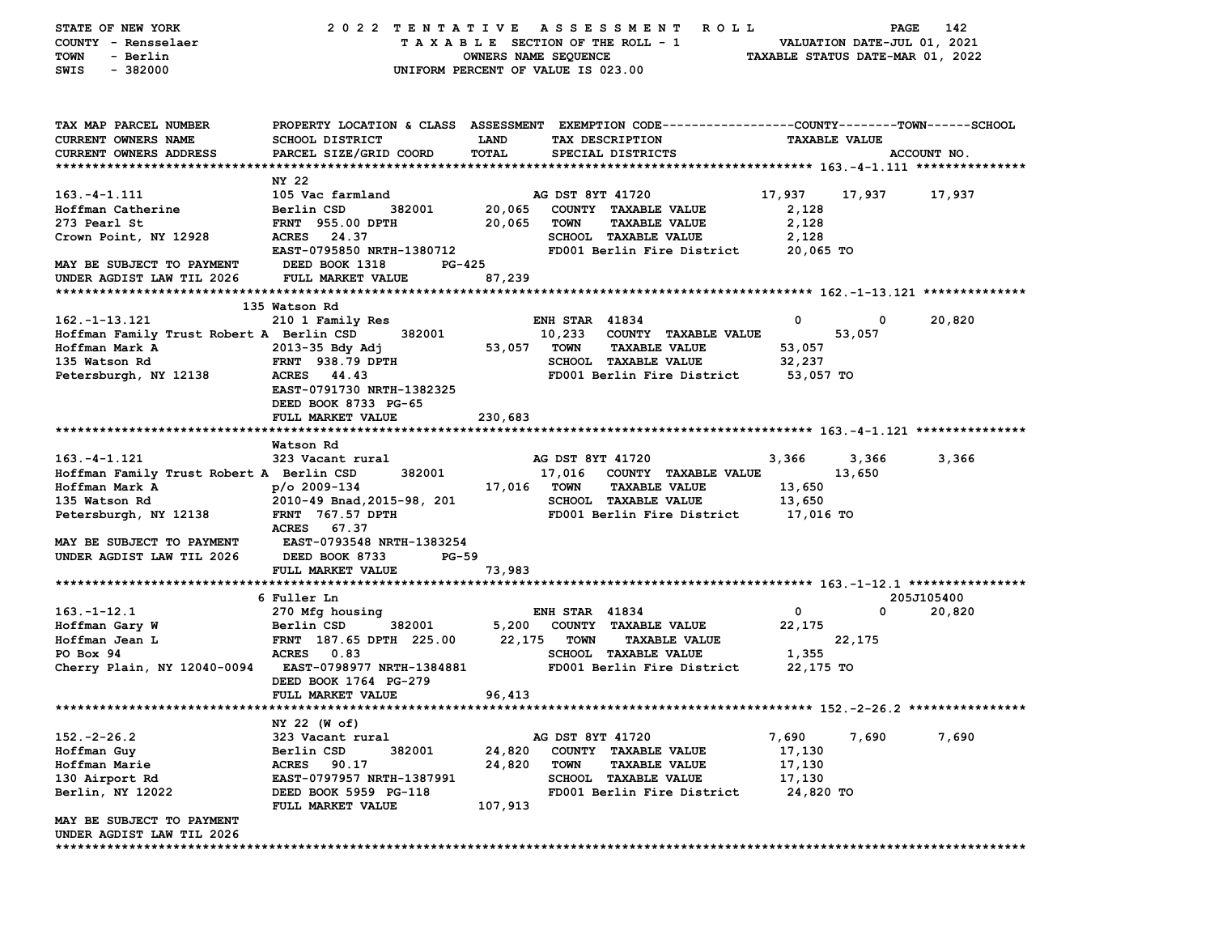| STATE OF NEW YORK                                     | 2022 TENTATIVE ASSESSMENT                                      |             | R O L L                                                                                        |                     |                      | PAGE<br>142 |
|-------------------------------------------------------|----------------------------------------------------------------|-------------|------------------------------------------------------------------------------------------------|---------------------|----------------------|-------------|
| COUNTY - Rensselaer                                   | TAXABLE SECTION OF THE ROLL - 1<br>VALUATION DATE-JUL 01, 2021 |             |                                                                                                |                     |                      |             |
| <b>TOWN</b><br>- Berlin                               | OWNERS NAME SEQUENCE<br>TAXABLE STATUS DATE-MAR 01, 2022       |             |                                                                                                |                     |                      |             |
| $-382000$<br>SWIS                                     | UNIFORM PERCENT OF VALUE IS 023.00                             |             |                                                                                                |                     |                      |             |
|                                                       |                                                                |             |                                                                                                |                     |                      |             |
|                                                       |                                                                |             |                                                                                                |                     |                      |             |
| TAX MAP PARCEL NUMBER                                 |                                                                |             | PROPERTY LOCATION & CLASS ASSESSMENT EXEMPTION CODE---------------COUNTY-------TOWN-----SCHOOL |                     |                      |             |
| CURRENT OWNERS NAME                                   | <b>SCHOOL DISTRICT</b>                                         | <b>LAND</b> | TAX DESCRIPTION                                                                                |                     | <b>TAXABLE VALUE</b> |             |
| CURRENT OWNERS ADDRESS                                | PARCEL SIZE/GRID COORD                                         | TOTAL       | SPECIAL DISTRICTS                                                                              |                     |                      | ACCOUNT NO. |
|                                                       |                                                                |             |                                                                                                |                     |                      |             |
|                                                       | NY 22                                                          |             |                                                                                                |                     |                      |             |
| $163. - 4 - 1.111$                                    | 105 Vac farmland                                               |             | AG DST 8YT 41720                                                                               | 17,937              | 17,937               | 17,937      |
| Hoffman Catherine                                     | 382001<br>Berlin CSD                                           |             | 20,065 COUNTY TAXABLE VALUE                                                                    | 2,128               |                      |             |
| 273 Pearl St                                          | <b>FRNT</b> 955.00 DPTH                                        | 20,065      | TOWN<br><b>TAXABLE VALUE</b>                                                                   | 2,128               |                      |             |
| Crown Point, NY 12928                                 | ACRES 24.37                                                    |             | SCHOOL TAXABLE VALUE                                                                           | 2,128               |                      |             |
|                                                       | EAST-0795850 NRTH-1380712                                      |             | FD001 Berlin Fire District                                                                     | 20,065 TO           |                      |             |
| MAY BE SUBJECT TO PAYMENT                             | DEED BOOK 1318<br>PG-425                                       |             |                                                                                                |                     |                      |             |
| UNDER AGDIST LAW TIL 2026                             | FULL MARKET VALUE                                              | 87,239      |                                                                                                |                     |                      |             |
|                                                       |                                                                |             |                                                                                                |                     |                      |             |
|                                                       | 135 Watson Rd                                                  |             |                                                                                                |                     |                      |             |
| 162.-1-13.121                                         | 210 1 Family Res                                               |             | <b>ENH STAR 41834</b>                                                                          | 0                   | 0                    | 20,820      |
| Hoffman Family Trust Robert A Berlin CSD              | 382001                                                         |             | 10,233 COUNTY TAXABLE VALUE                                                                    |                     | 53,057               |             |
| Hoffman Mark A                                        | 2013-35 Bdy Adj                                                | 53,057 TOWN | <b>TAXABLE VALUE</b>                                                                           | 53,057              |                      |             |
| 135 Watson Rd                                         | <b>FRNT</b> 938.79 DPTH                                        |             | <b>SCHOOL TAXABLE VALUE</b>                                                                    | 32,237              |                      |             |
| Petersburgh, NY 12138                                 | ACRES 44.43                                                    |             | FD001 Berlin Fire District 53,057 TO                                                           |                     |                      |             |
|                                                       | EAST-0791730 NRTH-1382325                                      |             |                                                                                                |                     |                      |             |
|                                                       | DEED BOOK 8733 PG-65                                           |             |                                                                                                |                     |                      |             |
|                                                       | FULL MARKET VALUE                                              | 230,683     |                                                                                                |                     |                      |             |
|                                                       |                                                                |             |                                                                                                |                     |                      |             |
| $163. -4 - 1.121$                                     | Watson Rd                                                      |             | AG DST 8YT 41720                                                                               |                     |                      |             |
|                                                       | 323 Vacant rural                                               |             |                                                                                                | 3,366               | 3,366                | 3,366       |
| Hoffman Family Trust Robert A Berlin CSD              | 382001                                                         |             | 17,016 COUNTY TAXABLE VALUE                                                                    |                     | 13,650               |             |
| Hoffman Mark A                                        | $p$ /o 2009-134                                                | 17,016 TOWN | <b>TAXABLE VALUE</b><br><b>SCHOOL TAXABLE VALUE</b>                                            | 13,650              |                      |             |
| 135 Watson Rd                                         | 2010-49 Bnad, 2015-98, 201<br><b>FRNT</b> 767.57 DPTH          |             | FD001 Berlin Fire District                                                                     | 13,650<br>17,016 TO |                      |             |
| Petersburgh, NY 12138                                 | ACRES 67.37                                                    |             |                                                                                                |                     |                      |             |
| MAY BE SUBJECT TO PAYMENT                             | <b>EAST-0793548 NRTH-1383254</b>                               |             |                                                                                                |                     |                      |             |
| UNDER AGDIST LAW TIL 2026                             | DEED BOOK 8733<br>PG-59                                        |             |                                                                                                |                     |                      |             |
|                                                       | FULL MARKET VALUE                                              | 73,983      |                                                                                                |                     |                      |             |
|                                                       |                                                                |             |                                                                                                |                     |                      |             |
|                                                       | 6 Fuller Ln                                                    |             |                                                                                                |                     |                      | 205J105400  |
| $163. - 1 - 12.1$                                     | 270 Mfg housing                                                |             | <b>ENH STAR 41834</b>                                                                          | 0                   | 0                    | 20,820      |
| Hoffman Gary W                                        | Berlin CSD<br>382001                                           | 5,200       | COUNTY TAXABLE VALUE                                                                           | 22,175              |                      |             |
| Hoffman Jean L                                        | FRNT 187.65 DPTH 225.00                                        | 22,175      | TOWN<br><b>TAXABLE VALUE</b>                                                                   |                     | 22,175               |             |
| PO Box 94                                             | <b>ACRES</b><br>0.83                                           |             | <b>SCHOOL TAXABLE VALUE</b>                                                                    | 1,355               |                      |             |
| Cherry Plain, NY 12040-0094 EAST-0798977 NRTH-1384881 |                                                                |             | FD001 Berlin Fire District                                                                     | 22,175 TO           |                      |             |
|                                                       | DEED BOOK 1764 PG-279                                          |             |                                                                                                |                     |                      |             |
|                                                       | <b>FULL MARKET VALUE</b>                                       | 96,413      |                                                                                                |                     |                      |             |
|                                                       |                                                                |             | *********************************** 152        .-2-26        .2 ****************               |                     |                      |             |
|                                                       | NY 22 (W of)                                                   |             |                                                                                                |                     |                      |             |
| $152. -2 - 26.2$                                      | 323 Vacant rural                                               |             | AG DST 8YT 41720                                                                               | 7,690               | 7,690                | 7,690       |
| Hoffman Guy                                           | Berlin CSD<br>382001                                           | 24,820      | COUNTY<br><b>TAXABLE VALUE</b>                                                                 | 17,130              |                      |             |
| Hoffman Marie                                         | <b>ACRES</b><br>90.17                                          | 24,820      | <b>TOWN</b><br><b>TAXABLE VALUE</b>                                                            | 17,130              |                      |             |
| 130 Airport Rd                                        | EAST-0797957 NRTH-1387991                                      |             | <b>SCHOOL</b><br><b>TAXABLE VALUE</b>                                                          | 17,130              |                      |             |
| Berlin, NY 12022                                      | DEED BOOK 5959 PG-118                                          |             | FD001 Berlin Fire District                                                                     | 24,820 TO           |                      |             |
|                                                       | FULL MARKET VALUE                                              | 107,913     |                                                                                                |                     |                      |             |
| MAY BE SUBJECT TO PAYMENT                             |                                                                |             |                                                                                                |                     |                      |             |
| UNDER AGDIST LAW TIL 2026                             |                                                                |             |                                                                                                |                     |                      |             |
| ****************************                          |                                                                |             |                                                                                                |                     |                      |             |
|                                                       |                                                                |             |                                                                                                |                     |                      |             |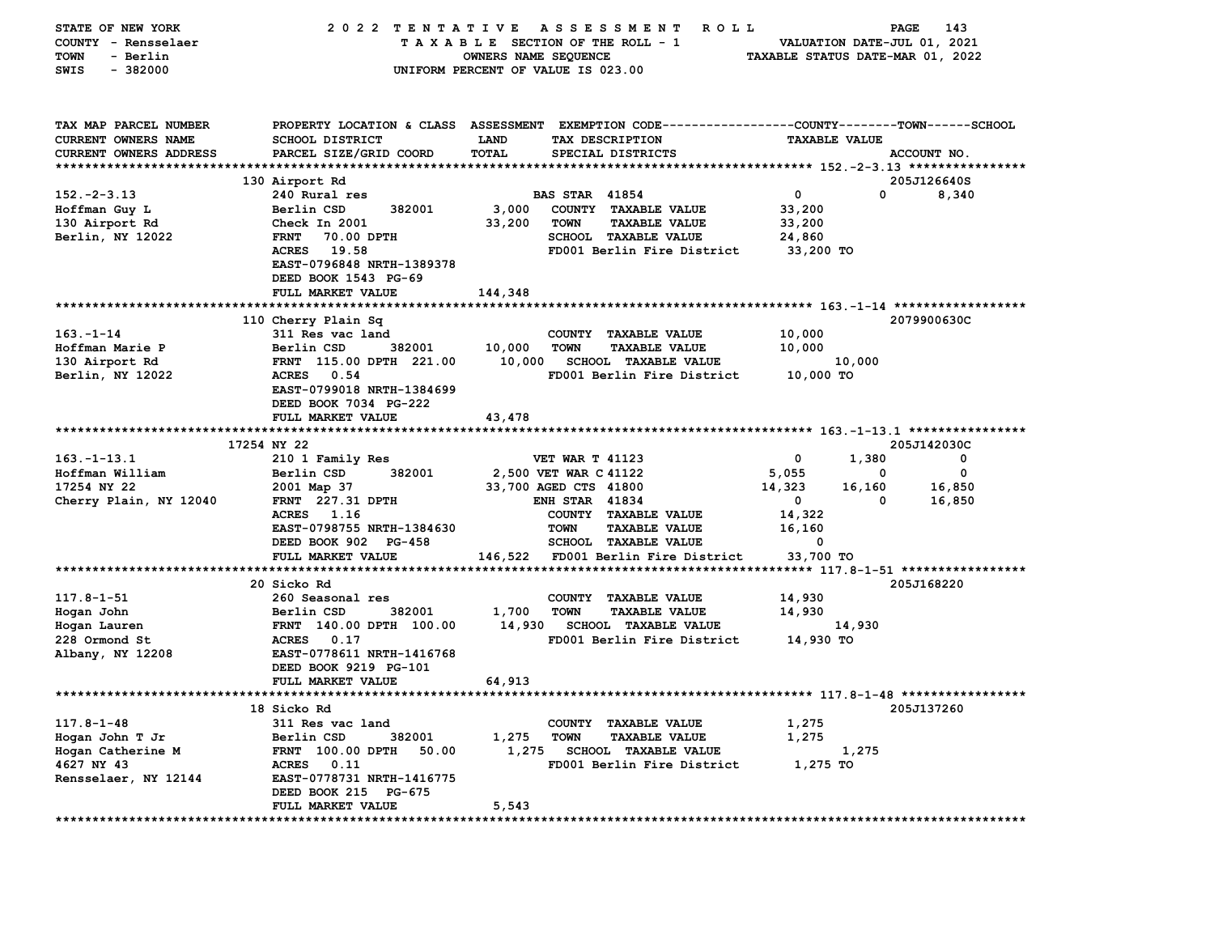| STATE OF NEW YORK             | 2022 TENTATIVE                                                 |         | A S S E S S M E N T<br>R O L L                                                                 |                      | PAGE   | 143         |
|-------------------------------|----------------------------------------------------------------|---------|------------------------------------------------------------------------------------------------|----------------------|--------|-------------|
| COUNTY - Rensselaer           | TAXABLE SECTION OF THE ROLL - 1<br>VALUATION DATE-JUL 01, 2021 |         |                                                                                                |                      |        |             |
| - Berlin<br><b>TOWN</b>       | TAXABLE STATUS DATE-MAR 01, 2022<br>OWNERS NAME SEQUENCE       |         |                                                                                                |                      |        |             |
| $-382000$<br>SWIS             | UNIFORM PERCENT OF VALUE IS 023.00                             |         |                                                                                                |                      |        |             |
|                               |                                                                |         |                                                                                                |                      |        |             |
|                               |                                                                |         |                                                                                                |                      |        |             |
|                               |                                                                |         |                                                                                                |                      |        |             |
|                               |                                                                |         |                                                                                                |                      |        |             |
| TAX MAP PARCEL NUMBER         |                                                                |         | PROPERTY LOCATION & CLASS ASSESSMENT EXEMPTION CODE---------------COUNTY-------TOWN-----SCHOOL |                      |        |             |
| CURRENT OWNERS NAME           | <b>SCHOOL DISTRICT</b>                                         | LAND    | TAX DESCRIPTION                                                                                | <b>TAXABLE VALUE</b> |        |             |
| <b>CURRENT OWNERS ADDRESS</b> | PARCEL SIZE/GRID COORD                                         | TOTAL   | SPECIAL DISTRICTS                                                                              |                      |        | ACCOUNT NO. |
|                               |                                                                |         |                                                                                                |                      |        |             |
|                               | 130 Airport Rd                                                 |         |                                                                                                |                      |        | 205J126640S |
| $152 - 2 - 3.13$              | 240 Rural res                                                  |         | <b>BAS STAR 41854</b>                                                                          | $\mathbf{o}$         | 0      | 8,340       |
| Hoffman Guy L                 | Berlin CSD<br>382001                                           | 3,000   | COUNTY TAXABLE VALUE                                                                           | 33,200               |        |             |
| 130 Airport Rd                | Check In 2001                                                  | 33,200  | <b>TOWN</b><br><b>TAXABLE VALUE</b>                                                            | 33,200               |        |             |
| Berlin, NY 12022              | <b>FRNT</b><br>70.00 DPTH                                      |         | SCHOOL TAXABLE VALUE                                                                           | 24,860               |        |             |
|                               | ACRES 19.58                                                    |         |                                                                                                |                      |        |             |
|                               |                                                                |         | FD001 Berlin Fire District                                                                     | 33,200 TO            |        |             |
|                               | EAST-0796848 NRTH-1389378                                      |         |                                                                                                |                      |        |             |
|                               | DEED BOOK 1543 PG-69                                           |         |                                                                                                |                      |        |             |
|                               | FULL MARKET VALUE                                              | 144,348 |                                                                                                |                      |        |             |
|                               |                                                                |         |                                                                                                |                      |        |             |
|                               | 110 Cherry Plain Sq                                            |         |                                                                                                |                      |        | 2079900630C |
| $163 - 1 - 14$                | 311 Res vac land                                               |         | COUNTY TAXABLE VALUE                                                                           | 10,000               |        |             |
| Hoffman Marie P               | Berlin CSD<br>382001                                           | 10,000  | <b>TAXABLE VALUE</b><br><b>TOWN</b>                                                            | 10,000               |        |             |
| 130 Airport Rd                | FRNT 115.00 DPTH 221.00                                        | 10,000  | <b>SCHOOL TAXABLE VALUE</b>                                                                    |                      | 10,000 |             |
| Berlin, NY 12022              | <b>ACRES</b><br>0.54                                           |         | FD001 Berlin Fire District                                                                     | 10,000 TO            |        |             |
|                               | EAST-0799018 NRTH-1384699                                      |         |                                                                                                |                      |        |             |
|                               |                                                                |         |                                                                                                |                      |        |             |
|                               | DEED BOOK 7034 PG-222                                          |         |                                                                                                |                      |        |             |
|                               | FULL MARKET VALUE                                              | 43,478  |                                                                                                |                      |        |             |
|                               |                                                                |         |                                                                                                |                      |        |             |
|                               | 17254 NY 22                                                    |         |                                                                                                |                      |        | 205J142030C |
| $163. - 1 - 13.1$             | 210 1 Family Res                                               |         | <b>VET WAR T 41123</b>                                                                         | 0                    | 1,380  | 0           |
| Hoffman William               | 382001<br>Berlin CSD                                           |         | 2,500 VET WAR C 41122                                                                          | 5,055                | 0      | 0           |
| 17254 NY 22                   | 2001 Map 37                                                    |         | 33,700 AGED CTS 41800                                                                          | 14,323               | 16,160 | 16,850      |
| Cherry Plain, NY 12040        | FRNT 227.31 DPTH                                               |         | <b>ENH STAR 41834</b>                                                                          | $\mathbf{0}$         | 0      | 16,850      |
|                               | ACRES 1.16                                                     |         | COUNTY TAXABLE VALUE                                                                           | 14,322               |        |             |
|                               | EAST-0798755 NRTH-1384630                                      |         | <b>TAXABLE VALUE</b>                                                                           | 16,160               |        |             |
|                               |                                                                |         | TOWN                                                                                           |                      |        |             |
|                               | DEED BOOK 902 PG-458                                           |         | <b>SCHOOL TAXABLE VALUE</b>                                                                    | 0                    |        |             |
|                               | FULL MARKET VALUE                                              | 146,522 | FD001 Berlin Fire District                                                                     | 33,700 TO            |        |             |
|                               |                                                                |         |                                                                                                |                      |        |             |
|                               | 20 Sicko Rd                                                    |         |                                                                                                |                      |        | 205J168220  |
| $117.8 - 1 - 51$              | 260 Seasonal res                                               |         | COUNTY<br><b>TAXABLE VALUE</b>                                                                 | 14,930               |        |             |
| Hogan John                    | 382001<br>Berlin CSD                                           | 1,700   | <b>TAXABLE VALUE</b><br><b>TOWN</b>                                                            | 14,930               |        |             |
| Hogan Lauren                  | FRNT 140.00 DPTH 100.00                                        | 14,930  | <b>SCHOOL TAXABLE VALUE</b>                                                                    |                      | 14,930 |             |
| 228 Ormond St                 | ACRES 0.17                                                     |         | FD001 Berlin Fire District                                                                     | 14,930 TO            |        |             |
| Albany, NY 12208              | EAST-0778611 NRTH-1416768                                      |         |                                                                                                |                      |        |             |
|                               |                                                                |         |                                                                                                |                      |        |             |
|                               | DEED BOOK 9219 PG-101                                          |         |                                                                                                |                      |        |             |
|                               | FULL MARKET VALUE                                              | 64,913  |                                                                                                |                      |        |             |
|                               |                                                                |         |                                                                                                |                      |        |             |
|                               | 18 Sicko Rd                                                    |         |                                                                                                |                      |        | 205J137260  |
| $117.8 - 1 - 48$              | 311 Res vac land                                               |         | COUNTY TAXABLE VALUE                                                                           | 1,275                |        |             |
| Hogan John T Jr               | 382001<br>Berlin CSD                                           | 1,275   | <b>TOWN</b><br><b>TAXABLE VALUE</b>                                                            | 1,275                |        |             |
| Hogan Catherine M             | FRNT 100.00 DPTH<br>50.00                                      | 1,275   | <b>SCHOOL TAXABLE VALUE</b>                                                                    |                      | 1,275  |             |
| 4627 NY 43                    | <b>ACRES</b><br>0.11                                           |         | FD001 Berlin Fire District                                                                     | 1,275 TO             |        |             |
| Rensselaer, NY 12144          | EAST-0778731 NRTH-1416775                                      |         |                                                                                                |                      |        |             |
|                               | DEED BOOK 215 PG-675                                           |         |                                                                                                |                      |        |             |
|                               | FULL MARKET VALUE                                              | 5,543   |                                                                                                |                      |        |             |
|                               | **********                                                     |         |                                                                                                |                      |        |             |
|                               |                                                                |         |                                                                                                |                      |        |             |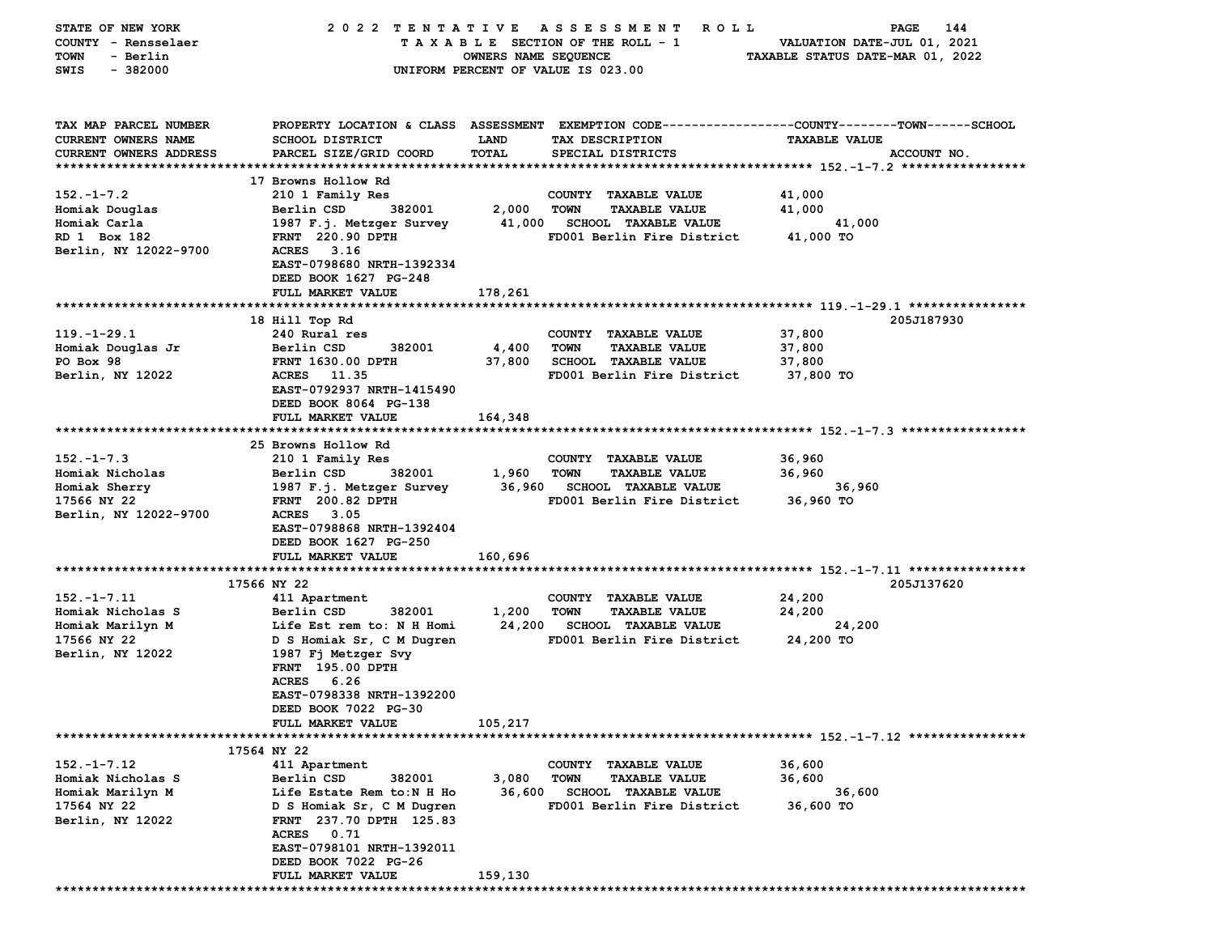| STATE OF NEW YORK       | 2022 TENTATIVE            |                      | A S S E S S M E N T<br>R O L L                                                                  |                                  | 144<br>PAGE |
|-------------------------|---------------------------|----------------------|-------------------------------------------------------------------------------------------------|----------------------------------|-------------|
| COUNTY - Rensselaer     |                           |                      | TAXABLE SECTION OF THE ROLL - 1                                                                 | VALUATION DATE-JUL 01, 2021      |             |
| <b>TOWN</b><br>- Berlin |                           | OWNERS NAME SEQUENCE |                                                                                                 | TAXABLE STATUS DATE-MAR 01, 2022 |             |
| $-382000$<br>SWIS       |                           |                      | UNIFORM PERCENT OF VALUE IS 023.00                                                              |                                  |             |
|                         |                           |                      |                                                                                                 |                                  |             |
|                         |                           |                      |                                                                                                 |                                  |             |
|                         |                           |                      |                                                                                                 |                                  |             |
| TAX MAP PARCEL NUMBER   |                           |                      | PROPERTY LOCATION & CLASS ASSESSMENT EXEMPTION CODE---------------COUNTY-------TOWN------SCHOOL |                                  |             |
| CURRENT OWNERS NAME     | <b>SCHOOL DISTRICT</b>    | LAND                 | TAX DESCRIPTION                                                                                 | <b>TAXABLE VALUE</b>             |             |
| CURRENT OWNERS ADDRESS  | PARCEL SIZE/GRID COORD    | TOTAL                | SPECIAL DISTRICTS                                                                               |                                  | ACCOUNT NO. |
|                         |                           |                      |                                                                                                 |                                  |             |
|                         | 17 Browns Hollow Rd       |                      |                                                                                                 |                                  |             |
| $152. - 1 - 7.2$        | 210 1 Family Res          |                      | COUNTY TAXABLE VALUE                                                                            | 41,000                           |             |
| Homiak Douglas          | 382001<br>Berlin CSD      | 2,000                | <b>TOWN</b><br><b>TAXABLE VALUE</b>                                                             | 41,000                           |             |
| Homiak Carla            | 1987 F.j. Metzger Survey  |                      | 41,000 SCHOOL TAXABLE VALUE                                                                     | 41,000                           |             |
| RD 1 Box 182            | <b>FRNT</b> 220.90 DPTH   |                      | FD001 Berlin Fire District                                                                      | 41,000 TO                        |             |
| Berlin, NY 12022-9700   | <b>ACRES</b><br>3.16      |                      |                                                                                                 |                                  |             |
|                         | EAST-0798680 NRTH-1392334 |                      |                                                                                                 |                                  |             |
|                         |                           |                      |                                                                                                 |                                  |             |
|                         | DEED BOOK 1627 PG-248     |                      |                                                                                                 |                                  |             |
|                         | FULL MARKET VALUE         | 178,261              |                                                                                                 |                                  |             |
|                         |                           |                      |                                                                                                 |                                  |             |
|                         | 18 Hill Top Rd            |                      |                                                                                                 |                                  | 205J187930  |
| $119. - 1 - 29.1$       | 240 Rural res             |                      | COUNTY TAXABLE VALUE                                                                            | 37,800                           |             |
| Homiak Douglas Jr       | Berlin CSD<br>382001      | 4,400                | <b>TOWN</b><br><b>TAXABLE VALUE</b>                                                             | 37,800                           |             |
| PO Box 98               | <b>FRNT 1630.00 DPTH</b>  | 37,800               | <b>SCHOOL TAXABLE VALUE</b>                                                                     | 37,800                           |             |
| Berlin, NY 12022        | ACRES 11.35               |                      | FD001 Berlin Fire District                                                                      | 37,800 TO                        |             |
|                         | EAST-0792937 NRTH-1415490 |                      |                                                                                                 |                                  |             |
|                         | DEED BOOK 8064 PG-138     |                      |                                                                                                 |                                  |             |
|                         | FULL MARKET VALUE         | 164,348              |                                                                                                 |                                  |             |
|                         |                           |                      |                                                                                                 |                                  |             |
|                         | 25 Browns Hollow Rd       |                      |                                                                                                 |                                  |             |
| $152 - 1 - 7.3$         | 210 1 Family Res          |                      | COUNTY TAXABLE VALUE                                                                            | 36,960                           |             |
| Homiak Nicholas         | Berlin CSD<br>382001      | 1,960                | <b>TOWN</b><br><b>TAXABLE VALUE</b>                                                             | 36,960                           |             |
| Homiak Sherry           | 1987 F.j. Metzger Survey  | 36,960               | <b>SCHOOL TAXABLE VALUE</b>                                                                     | 36,960                           |             |
| 17566 NY 22             | <b>FRNT</b> 200.82 DPTH   |                      | FD001 Berlin Fire District                                                                      | 36,960 TO                        |             |
|                         | 3.05<br><b>ACRES</b>      |                      |                                                                                                 |                                  |             |
| Berlin, NY 12022-9700   |                           |                      |                                                                                                 |                                  |             |
|                         | EAST-0798868 NRTH-1392404 |                      |                                                                                                 |                                  |             |
|                         | DEED BOOK 1627 PG-250     |                      |                                                                                                 |                                  |             |
|                         | FULL MARKET VALUE         | 160,696              |                                                                                                 |                                  |             |
|                         |                           |                      |                                                                                                 |                                  |             |
|                         | 17566 NY 22               |                      |                                                                                                 |                                  | 205J137620  |
| $152. - 1 - 7.11$       | 411 Apartment             |                      | COUNTY TAXABLE VALUE                                                                            | 24,200                           |             |
| Homiak Nicholas S       | Berlin CSD<br>382001      | 1,200                | <b>TOWN</b><br><b>TAXABLE VALUE</b>                                                             | 24,200                           |             |
| Homiak Marilyn M        | Life Est rem to: N H Homi | 24,200               | <b>SCHOOL TAXABLE VALUE</b>                                                                     | 24,200                           |             |
| 17566 NY 22             | D S Homiak Sr, C M Dugren |                      | FD001 Berlin Fire District                                                                      | 24,200 TO                        |             |
| Berlin, NY 12022        | 1987 Fj Metzger Svy       |                      |                                                                                                 |                                  |             |
|                         | FRNT 195.00 DPTH          |                      |                                                                                                 |                                  |             |
|                         | ACRES 6.26                |                      |                                                                                                 |                                  |             |
|                         | EAST-0798338 NRTH-1392200 |                      |                                                                                                 |                                  |             |
|                         | DEED BOOK 7022 PG-30      |                      |                                                                                                 |                                  |             |
|                         | FULL MARKET VALUE         | 105,217              |                                                                                                 |                                  |             |
|                         |                           |                      |                                                                                                 |                                  |             |
|                         | 17564 NY 22               |                      |                                                                                                 |                                  |             |
| $152. - 1 - 7.12$       |                           |                      |                                                                                                 | 36,600                           |             |
|                         | 411 Apartment             |                      | <b>COUNTY</b><br><b>TAXABLE VALUE</b>                                                           |                                  |             |
| Homiak Nicholas S       | Berlin CSD<br>382001      | 3,080                | <b>TOWN</b><br><b>TAXABLE VALUE</b>                                                             | 36,600                           |             |
| Homiak Marilyn M        | Life Estate Rem to:N H Ho | 36,600               | <b>SCHOOL TAXABLE VALUE</b>                                                                     | 36,600                           |             |
| 17564 NY 22             | D S Homiak Sr, C M Dugren |                      | FD001 Berlin Fire District                                                                      | 36,600 TO                        |             |
| Berlin, NY 12022        | FRNT 237.70 DPTH 125.83   |                      |                                                                                                 |                                  |             |
|                         | <b>ACRES</b><br>0.71      |                      |                                                                                                 |                                  |             |
|                         | EAST-0798101 NRTH-1392011 |                      |                                                                                                 |                                  |             |
|                         | DEED BOOK 7022 PG-26      |                      |                                                                                                 |                                  |             |
|                         | FULL MARKET VALUE         | 159,130              |                                                                                                 |                                  |             |
|                         |                           |                      |                                                                                                 |                                  |             |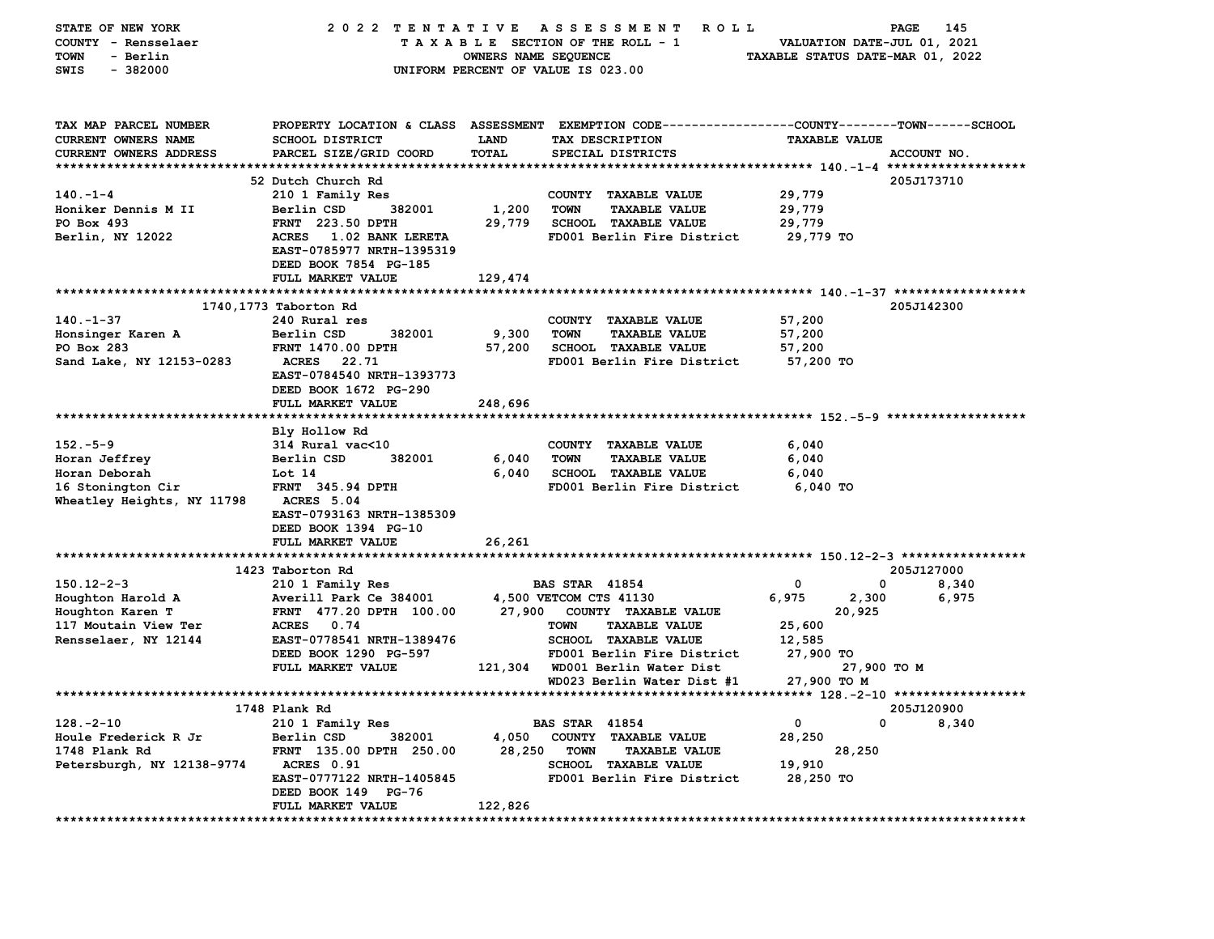| TAXABLE SECTION OF THE ROLL - 1<br>VALUATION DATE-JUL 01, 2021<br>- Berlin<br>OWNERS NAME SEQUENCE<br>TAXABLE STATUS DATE-MAR 01, 2022<br>$-382000$<br>UNIFORM PERCENT OF VALUE IS 023.00<br>PROPERTY LOCATION & CLASS ASSESSMENT EXEMPTION CODE----------------COUNTY-------TOWN------SCHOOL<br>TAX MAP PARCEL NUMBER<br>CURRENT OWNERS NAME<br><b>SCHOOL DISTRICT</b><br>LAND<br>TAX DESCRIPTION<br><b>TAXABLE VALUE</b><br><b>CURRENT OWNERS ADDRESS</b><br>PARCEL SIZE/GRID COORD<br>TOTAL<br>SPECIAL DISTRICTS<br>ACCOUNT NO.<br>52 Dutch Church Rd<br>205J173710<br>29,779<br>210 1 Family Res<br>COUNTY TAXABLE VALUE<br>1,200<br><b>TOWN</b><br><b>TAXABLE VALUE</b><br>29,779<br>Berlin CSD<br>382001<br>29,779<br><b>FRNT</b> 223.50 DPTH<br>SCHOOL TAXABLE VALUE<br>29,779<br>ACRES 1.02 BANK LERETA<br>FD001 Berlin Fire District<br>29,779 TO<br>EAST-0785977 NRTH-1395319<br>DEED BOOK 7854 PG-185<br>FULL MARKET VALUE<br>129,474<br>205J142300<br>1740,1773 Taborton Rd<br>57,200<br>240 Rural res<br>COUNTY TAXABLE VALUE<br>Berlin CSD<br>382001<br>9,300<br><b>TOWN</b><br><b>TAXABLE VALUE</b><br>57,200<br>Honsinger Karen A<br>PO Box 283<br><b>FRNT 1470.00 DPTH</b><br>57,200<br><b>SCHOOL TAXABLE VALUE</b><br>57,200<br>Sand Lake, NY 12153-0283<br>22.71<br>FD001 Berlin Fire District<br>57,200 TO<br><b>ACRES</b><br>EAST-0784540 NRTH-1393773<br>DEED BOOK 1672 PG-290<br>FULL MARKET VALUE<br>248,696<br>Bly Hollow Rd<br>$152.-5-9$<br>314 Rural vac<10<br>COUNTY TAXABLE VALUE<br>6,040<br>Horan Jeffrey<br>Berlin CSD<br>382001<br>6,040<br><b>TOWN</b><br><b>TAXABLE VALUE</b><br>6,040<br>Horan Deborah<br>Lot 14<br>6,040<br><b>SCHOOL TAXABLE VALUE</b><br>6,040<br>FRNT 345.94 DPTH<br>FD001 Berlin Fire District<br>6,040 TO<br>16 Stonington Cir<br>Wheatley Heights, NY 11798<br>ACRES 5.04<br>EAST-0793163 NRTH-1385309<br>DEED BOOK 1394 PG-10<br>FULL MARKET VALUE<br>26,261<br>1423 Taborton Rd<br>205J127000<br>0<br>210 1 Family Res<br><b>BAS STAR 41854</b><br>0<br>8,340<br>4,500 VETCOM CTS 41130<br>6,975<br>2,300<br>6,975<br>Averill Park Ce 384001<br>FRNT 477.20 DPTH 100.00<br>27,900 COUNTY TAXABLE VALUE<br>20,925<br>25,600<br>ACRES 0.74<br>TOWN<br><b>TAXABLE VALUE</b><br>EAST-0778541 NRTH-1389476<br>SCHOOL TAXABLE VALUE<br>12,585<br>DEED BOOK 1290 PG-597<br>FD001 Berlin Fire District<br>27,900 TO<br>FULL MARKET VALUE<br>121,304 WD001 Berlin Water Dist<br>27,900 TO M<br>27,900 TO M<br>WD023 Berlin Water Dist #1<br>1748 Plank Rd<br>205J120900<br>$128. - 2 - 10$<br>0<br>0<br>8,340<br>210 1 Family Res<br><b>BAS STAR 41854</b><br>28,250<br>Houle Frederick R Jr<br>Berlin CSD<br>382001<br>4,050<br>COUNTY TAXABLE VALUE<br>FRNT 135.00 DPTH 250.00<br>28,250<br>1748 Plank Rd<br><b>TOWN</b><br><b>TAXABLE VALUE</b><br>28,250<br>Petersburgh, NY 12138-9774<br>ACRES 0.91<br><b>SCHOOL TAXABLE VALUE</b><br>19,910<br>EAST-0777122 NRTH-1405845<br>FD001 Berlin Fire District<br>28,250 TO<br>DEED BOOK 149 PG-76<br>122,826<br><b>FULL MARKET VALUE</b> | STATE OF NEW YORK    | 2022 TENTATIVE | ASSESSMENT ROLL | PAGE<br>145 |
|----------------------------------------------------------------------------------------------------------------------------------------------------------------------------------------------------------------------------------------------------------------------------------------------------------------------------------------------------------------------------------------------------------------------------------------------------------------------------------------------------------------------------------------------------------------------------------------------------------------------------------------------------------------------------------------------------------------------------------------------------------------------------------------------------------------------------------------------------------------------------------------------------------------------------------------------------------------------------------------------------------------------------------------------------------------------------------------------------------------------------------------------------------------------------------------------------------------------------------------------------------------------------------------------------------------------------------------------------------------------------------------------------------------------------------------------------------------------------------------------------------------------------------------------------------------------------------------------------------------------------------------------------------------------------------------------------------------------------------------------------------------------------------------------------------------------------------------------------------------------------------------------------------------------------------------------------------------------------------------------------------------------------------------------------------------------------------------------------------------------------------------------------------------------------------------------------------------------------------------------------------------------------------------------------------------------------------------------------------------------------------------------------------------------------------------------------------------------------------------------------------------------------------------------------------------------------------------------------------------------------------------------------------------------------------------------------------------------------------------------------------------------------------------------------------------------------------------------------------------------------------------------------------------------------------------------------------------------------------------------------------------------------------------------|----------------------|----------------|-----------------|-------------|
|                                                                                                                                                                                                                                                                                                                                                                                                                                                                                                                                                                                                                                                                                                                                                                                                                                                                                                                                                                                                                                                                                                                                                                                                                                                                                                                                                                                                                                                                                                                                                                                                                                                                                                                                                                                                                                                                                                                                                                                                                                                                                                                                                                                                                                                                                                                                                                                                                                                                                                                                                                                                                                                                                                                                                                                                                                                                                                                                                                                                                                              | COUNTY - Rensselaer  |                |                 |             |
|                                                                                                                                                                                                                                                                                                                                                                                                                                                                                                                                                                                                                                                                                                                                                                                                                                                                                                                                                                                                                                                                                                                                                                                                                                                                                                                                                                                                                                                                                                                                                                                                                                                                                                                                                                                                                                                                                                                                                                                                                                                                                                                                                                                                                                                                                                                                                                                                                                                                                                                                                                                                                                                                                                                                                                                                                                                                                                                                                                                                                                              | <b>TOWN</b>          |                |                 |             |
|                                                                                                                                                                                                                                                                                                                                                                                                                                                                                                                                                                                                                                                                                                                                                                                                                                                                                                                                                                                                                                                                                                                                                                                                                                                                                                                                                                                                                                                                                                                                                                                                                                                                                                                                                                                                                                                                                                                                                                                                                                                                                                                                                                                                                                                                                                                                                                                                                                                                                                                                                                                                                                                                                                                                                                                                                                                                                                                                                                                                                                              | SWIS                 |                |                 |             |
|                                                                                                                                                                                                                                                                                                                                                                                                                                                                                                                                                                                                                                                                                                                                                                                                                                                                                                                                                                                                                                                                                                                                                                                                                                                                                                                                                                                                                                                                                                                                                                                                                                                                                                                                                                                                                                                                                                                                                                                                                                                                                                                                                                                                                                                                                                                                                                                                                                                                                                                                                                                                                                                                                                                                                                                                                                                                                                                                                                                                                                              |                      |                |                 |             |
|                                                                                                                                                                                                                                                                                                                                                                                                                                                                                                                                                                                                                                                                                                                                                                                                                                                                                                                                                                                                                                                                                                                                                                                                                                                                                                                                                                                                                                                                                                                                                                                                                                                                                                                                                                                                                                                                                                                                                                                                                                                                                                                                                                                                                                                                                                                                                                                                                                                                                                                                                                                                                                                                                                                                                                                                                                                                                                                                                                                                                                              |                      |                |                 |             |
|                                                                                                                                                                                                                                                                                                                                                                                                                                                                                                                                                                                                                                                                                                                                                                                                                                                                                                                                                                                                                                                                                                                                                                                                                                                                                                                                                                                                                                                                                                                                                                                                                                                                                                                                                                                                                                                                                                                                                                                                                                                                                                                                                                                                                                                                                                                                                                                                                                                                                                                                                                                                                                                                                                                                                                                                                                                                                                                                                                                                                                              |                      |                |                 |             |
|                                                                                                                                                                                                                                                                                                                                                                                                                                                                                                                                                                                                                                                                                                                                                                                                                                                                                                                                                                                                                                                                                                                                                                                                                                                                                                                                                                                                                                                                                                                                                                                                                                                                                                                                                                                                                                                                                                                                                                                                                                                                                                                                                                                                                                                                                                                                                                                                                                                                                                                                                                                                                                                                                                                                                                                                                                                                                                                                                                                                                                              |                      |                |                 |             |
|                                                                                                                                                                                                                                                                                                                                                                                                                                                                                                                                                                                                                                                                                                                                                                                                                                                                                                                                                                                                                                                                                                                                                                                                                                                                                                                                                                                                                                                                                                                                                                                                                                                                                                                                                                                                                                                                                                                                                                                                                                                                                                                                                                                                                                                                                                                                                                                                                                                                                                                                                                                                                                                                                                                                                                                                                                                                                                                                                                                                                                              |                      |                |                 |             |
|                                                                                                                                                                                                                                                                                                                                                                                                                                                                                                                                                                                                                                                                                                                                                                                                                                                                                                                                                                                                                                                                                                                                                                                                                                                                                                                                                                                                                                                                                                                                                                                                                                                                                                                                                                                                                                                                                                                                                                                                                                                                                                                                                                                                                                                                                                                                                                                                                                                                                                                                                                                                                                                                                                                                                                                                                                                                                                                                                                                                                                              |                      |                |                 |             |
|                                                                                                                                                                                                                                                                                                                                                                                                                                                                                                                                                                                                                                                                                                                                                                                                                                                                                                                                                                                                                                                                                                                                                                                                                                                                                                                                                                                                                                                                                                                                                                                                                                                                                                                                                                                                                                                                                                                                                                                                                                                                                                                                                                                                                                                                                                                                                                                                                                                                                                                                                                                                                                                                                                                                                                                                                                                                                                                                                                                                                                              | $140. -1 - 4$        |                |                 |             |
|                                                                                                                                                                                                                                                                                                                                                                                                                                                                                                                                                                                                                                                                                                                                                                                                                                                                                                                                                                                                                                                                                                                                                                                                                                                                                                                                                                                                                                                                                                                                                                                                                                                                                                                                                                                                                                                                                                                                                                                                                                                                                                                                                                                                                                                                                                                                                                                                                                                                                                                                                                                                                                                                                                                                                                                                                                                                                                                                                                                                                                              | Honiker Dennis M II  |                |                 |             |
|                                                                                                                                                                                                                                                                                                                                                                                                                                                                                                                                                                                                                                                                                                                                                                                                                                                                                                                                                                                                                                                                                                                                                                                                                                                                                                                                                                                                                                                                                                                                                                                                                                                                                                                                                                                                                                                                                                                                                                                                                                                                                                                                                                                                                                                                                                                                                                                                                                                                                                                                                                                                                                                                                                                                                                                                                                                                                                                                                                                                                                              | PO Box 493           |                |                 |             |
|                                                                                                                                                                                                                                                                                                                                                                                                                                                                                                                                                                                                                                                                                                                                                                                                                                                                                                                                                                                                                                                                                                                                                                                                                                                                                                                                                                                                                                                                                                                                                                                                                                                                                                                                                                                                                                                                                                                                                                                                                                                                                                                                                                                                                                                                                                                                                                                                                                                                                                                                                                                                                                                                                                                                                                                                                                                                                                                                                                                                                                              | Berlin, NY 12022     |                |                 |             |
|                                                                                                                                                                                                                                                                                                                                                                                                                                                                                                                                                                                                                                                                                                                                                                                                                                                                                                                                                                                                                                                                                                                                                                                                                                                                                                                                                                                                                                                                                                                                                                                                                                                                                                                                                                                                                                                                                                                                                                                                                                                                                                                                                                                                                                                                                                                                                                                                                                                                                                                                                                                                                                                                                                                                                                                                                                                                                                                                                                                                                                              |                      |                |                 |             |
|                                                                                                                                                                                                                                                                                                                                                                                                                                                                                                                                                                                                                                                                                                                                                                                                                                                                                                                                                                                                                                                                                                                                                                                                                                                                                                                                                                                                                                                                                                                                                                                                                                                                                                                                                                                                                                                                                                                                                                                                                                                                                                                                                                                                                                                                                                                                                                                                                                                                                                                                                                                                                                                                                                                                                                                                                                                                                                                                                                                                                                              |                      |                |                 |             |
|                                                                                                                                                                                                                                                                                                                                                                                                                                                                                                                                                                                                                                                                                                                                                                                                                                                                                                                                                                                                                                                                                                                                                                                                                                                                                                                                                                                                                                                                                                                                                                                                                                                                                                                                                                                                                                                                                                                                                                                                                                                                                                                                                                                                                                                                                                                                                                                                                                                                                                                                                                                                                                                                                                                                                                                                                                                                                                                                                                                                                                              |                      |                |                 |             |
|                                                                                                                                                                                                                                                                                                                                                                                                                                                                                                                                                                                                                                                                                                                                                                                                                                                                                                                                                                                                                                                                                                                                                                                                                                                                                                                                                                                                                                                                                                                                                                                                                                                                                                                                                                                                                                                                                                                                                                                                                                                                                                                                                                                                                                                                                                                                                                                                                                                                                                                                                                                                                                                                                                                                                                                                                                                                                                                                                                                                                                              |                      |                |                 |             |
|                                                                                                                                                                                                                                                                                                                                                                                                                                                                                                                                                                                                                                                                                                                                                                                                                                                                                                                                                                                                                                                                                                                                                                                                                                                                                                                                                                                                                                                                                                                                                                                                                                                                                                                                                                                                                                                                                                                                                                                                                                                                                                                                                                                                                                                                                                                                                                                                                                                                                                                                                                                                                                                                                                                                                                                                                                                                                                                                                                                                                                              |                      |                |                 |             |
|                                                                                                                                                                                                                                                                                                                                                                                                                                                                                                                                                                                                                                                                                                                                                                                                                                                                                                                                                                                                                                                                                                                                                                                                                                                                                                                                                                                                                                                                                                                                                                                                                                                                                                                                                                                                                                                                                                                                                                                                                                                                                                                                                                                                                                                                                                                                                                                                                                                                                                                                                                                                                                                                                                                                                                                                                                                                                                                                                                                                                                              | $140. - 1 - 37$      |                |                 |             |
|                                                                                                                                                                                                                                                                                                                                                                                                                                                                                                                                                                                                                                                                                                                                                                                                                                                                                                                                                                                                                                                                                                                                                                                                                                                                                                                                                                                                                                                                                                                                                                                                                                                                                                                                                                                                                                                                                                                                                                                                                                                                                                                                                                                                                                                                                                                                                                                                                                                                                                                                                                                                                                                                                                                                                                                                                                                                                                                                                                                                                                              |                      |                |                 |             |
|                                                                                                                                                                                                                                                                                                                                                                                                                                                                                                                                                                                                                                                                                                                                                                                                                                                                                                                                                                                                                                                                                                                                                                                                                                                                                                                                                                                                                                                                                                                                                                                                                                                                                                                                                                                                                                                                                                                                                                                                                                                                                                                                                                                                                                                                                                                                                                                                                                                                                                                                                                                                                                                                                                                                                                                                                                                                                                                                                                                                                                              |                      |                |                 |             |
|                                                                                                                                                                                                                                                                                                                                                                                                                                                                                                                                                                                                                                                                                                                                                                                                                                                                                                                                                                                                                                                                                                                                                                                                                                                                                                                                                                                                                                                                                                                                                                                                                                                                                                                                                                                                                                                                                                                                                                                                                                                                                                                                                                                                                                                                                                                                                                                                                                                                                                                                                                                                                                                                                                                                                                                                                                                                                                                                                                                                                                              |                      |                |                 |             |
|                                                                                                                                                                                                                                                                                                                                                                                                                                                                                                                                                                                                                                                                                                                                                                                                                                                                                                                                                                                                                                                                                                                                                                                                                                                                                                                                                                                                                                                                                                                                                                                                                                                                                                                                                                                                                                                                                                                                                                                                                                                                                                                                                                                                                                                                                                                                                                                                                                                                                                                                                                                                                                                                                                                                                                                                                                                                                                                                                                                                                                              |                      |                |                 |             |
|                                                                                                                                                                                                                                                                                                                                                                                                                                                                                                                                                                                                                                                                                                                                                                                                                                                                                                                                                                                                                                                                                                                                                                                                                                                                                                                                                                                                                                                                                                                                                                                                                                                                                                                                                                                                                                                                                                                                                                                                                                                                                                                                                                                                                                                                                                                                                                                                                                                                                                                                                                                                                                                                                                                                                                                                                                                                                                                                                                                                                                              |                      |                |                 |             |
|                                                                                                                                                                                                                                                                                                                                                                                                                                                                                                                                                                                                                                                                                                                                                                                                                                                                                                                                                                                                                                                                                                                                                                                                                                                                                                                                                                                                                                                                                                                                                                                                                                                                                                                                                                                                                                                                                                                                                                                                                                                                                                                                                                                                                                                                                                                                                                                                                                                                                                                                                                                                                                                                                                                                                                                                                                                                                                                                                                                                                                              |                      |                |                 |             |
|                                                                                                                                                                                                                                                                                                                                                                                                                                                                                                                                                                                                                                                                                                                                                                                                                                                                                                                                                                                                                                                                                                                                                                                                                                                                                                                                                                                                                                                                                                                                                                                                                                                                                                                                                                                                                                                                                                                                                                                                                                                                                                                                                                                                                                                                                                                                                                                                                                                                                                                                                                                                                                                                                                                                                                                                                                                                                                                                                                                                                                              |                      |                |                 |             |
|                                                                                                                                                                                                                                                                                                                                                                                                                                                                                                                                                                                                                                                                                                                                                                                                                                                                                                                                                                                                                                                                                                                                                                                                                                                                                                                                                                                                                                                                                                                                                                                                                                                                                                                                                                                                                                                                                                                                                                                                                                                                                                                                                                                                                                                                                                                                                                                                                                                                                                                                                                                                                                                                                                                                                                                                                                                                                                                                                                                                                                              |                      |                |                 |             |
|                                                                                                                                                                                                                                                                                                                                                                                                                                                                                                                                                                                                                                                                                                                                                                                                                                                                                                                                                                                                                                                                                                                                                                                                                                                                                                                                                                                                                                                                                                                                                                                                                                                                                                                                                                                                                                                                                                                                                                                                                                                                                                                                                                                                                                                                                                                                                                                                                                                                                                                                                                                                                                                                                                                                                                                                                                                                                                                                                                                                                                              |                      |                |                 |             |
|                                                                                                                                                                                                                                                                                                                                                                                                                                                                                                                                                                                                                                                                                                                                                                                                                                                                                                                                                                                                                                                                                                                                                                                                                                                                                                                                                                                                                                                                                                                                                                                                                                                                                                                                                                                                                                                                                                                                                                                                                                                                                                                                                                                                                                                                                                                                                                                                                                                                                                                                                                                                                                                                                                                                                                                                                                                                                                                                                                                                                                              |                      |                |                 |             |
|                                                                                                                                                                                                                                                                                                                                                                                                                                                                                                                                                                                                                                                                                                                                                                                                                                                                                                                                                                                                                                                                                                                                                                                                                                                                                                                                                                                                                                                                                                                                                                                                                                                                                                                                                                                                                                                                                                                                                                                                                                                                                                                                                                                                                                                                                                                                                                                                                                                                                                                                                                                                                                                                                                                                                                                                                                                                                                                                                                                                                                              |                      |                |                 |             |
|                                                                                                                                                                                                                                                                                                                                                                                                                                                                                                                                                                                                                                                                                                                                                                                                                                                                                                                                                                                                                                                                                                                                                                                                                                                                                                                                                                                                                                                                                                                                                                                                                                                                                                                                                                                                                                                                                                                                                                                                                                                                                                                                                                                                                                                                                                                                                                                                                                                                                                                                                                                                                                                                                                                                                                                                                                                                                                                                                                                                                                              |                      |                |                 |             |
|                                                                                                                                                                                                                                                                                                                                                                                                                                                                                                                                                                                                                                                                                                                                                                                                                                                                                                                                                                                                                                                                                                                                                                                                                                                                                                                                                                                                                                                                                                                                                                                                                                                                                                                                                                                                                                                                                                                                                                                                                                                                                                                                                                                                                                                                                                                                                                                                                                                                                                                                                                                                                                                                                                                                                                                                                                                                                                                                                                                                                                              |                      |                |                 |             |
|                                                                                                                                                                                                                                                                                                                                                                                                                                                                                                                                                                                                                                                                                                                                                                                                                                                                                                                                                                                                                                                                                                                                                                                                                                                                                                                                                                                                                                                                                                                                                                                                                                                                                                                                                                                                                                                                                                                                                                                                                                                                                                                                                                                                                                                                                                                                                                                                                                                                                                                                                                                                                                                                                                                                                                                                                                                                                                                                                                                                                                              |                      |                |                 |             |
|                                                                                                                                                                                                                                                                                                                                                                                                                                                                                                                                                                                                                                                                                                                                                                                                                                                                                                                                                                                                                                                                                                                                                                                                                                                                                                                                                                                                                                                                                                                                                                                                                                                                                                                                                                                                                                                                                                                                                                                                                                                                                                                                                                                                                                                                                                                                                                                                                                                                                                                                                                                                                                                                                                                                                                                                                                                                                                                                                                                                                                              |                      |                |                 |             |
|                                                                                                                                                                                                                                                                                                                                                                                                                                                                                                                                                                                                                                                                                                                                                                                                                                                                                                                                                                                                                                                                                                                                                                                                                                                                                                                                                                                                                                                                                                                                                                                                                                                                                                                                                                                                                                                                                                                                                                                                                                                                                                                                                                                                                                                                                                                                                                                                                                                                                                                                                                                                                                                                                                                                                                                                                                                                                                                                                                                                                                              |                      |                |                 |             |
|                                                                                                                                                                                                                                                                                                                                                                                                                                                                                                                                                                                                                                                                                                                                                                                                                                                                                                                                                                                                                                                                                                                                                                                                                                                                                                                                                                                                                                                                                                                                                                                                                                                                                                                                                                                                                                                                                                                                                                                                                                                                                                                                                                                                                                                                                                                                                                                                                                                                                                                                                                                                                                                                                                                                                                                                                                                                                                                                                                                                                                              |                      |                |                 |             |
|                                                                                                                                                                                                                                                                                                                                                                                                                                                                                                                                                                                                                                                                                                                                                                                                                                                                                                                                                                                                                                                                                                                                                                                                                                                                                                                                                                                                                                                                                                                                                                                                                                                                                                                                                                                                                                                                                                                                                                                                                                                                                                                                                                                                                                                                                                                                                                                                                                                                                                                                                                                                                                                                                                                                                                                                                                                                                                                                                                                                                                              | $150.12 - 2 - 3$     |                |                 |             |
|                                                                                                                                                                                                                                                                                                                                                                                                                                                                                                                                                                                                                                                                                                                                                                                                                                                                                                                                                                                                                                                                                                                                                                                                                                                                                                                                                                                                                                                                                                                                                                                                                                                                                                                                                                                                                                                                                                                                                                                                                                                                                                                                                                                                                                                                                                                                                                                                                                                                                                                                                                                                                                                                                                                                                                                                                                                                                                                                                                                                                                              | Houghton Harold A    |                |                 |             |
|                                                                                                                                                                                                                                                                                                                                                                                                                                                                                                                                                                                                                                                                                                                                                                                                                                                                                                                                                                                                                                                                                                                                                                                                                                                                                                                                                                                                                                                                                                                                                                                                                                                                                                                                                                                                                                                                                                                                                                                                                                                                                                                                                                                                                                                                                                                                                                                                                                                                                                                                                                                                                                                                                                                                                                                                                                                                                                                                                                                                                                              | Houghton Karen T     |                |                 |             |
|                                                                                                                                                                                                                                                                                                                                                                                                                                                                                                                                                                                                                                                                                                                                                                                                                                                                                                                                                                                                                                                                                                                                                                                                                                                                                                                                                                                                                                                                                                                                                                                                                                                                                                                                                                                                                                                                                                                                                                                                                                                                                                                                                                                                                                                                                                                                                                                                                                                                                                                                                                                                                                                                                                                                                                                                                                                                                                                                                                                                                                              | 117 Moutain View Ter |                |                 |             |
|                                                                                                                                                                                                                                                                                                                                                                                                                                                                                                                                                                                                                                                                                                                                                                                                                                                                                                                                                                                                                                                                                                                                                                                                                                                                                                                                                                                                                                                                                                                                                                                                                                                                                                                                                                                                                                                                                                                                                                                                                                                                                                                                                                                                                                                                                                                                                                                                                                                                                                                                                                                                                                                                                                                                                                                                                                                                                                                                                                                                                                              | Rensselaer, NY 12144 |                |                 |             |
|                                                                                                                                                                                                                                                                                                                                                                                                                                                                                                                                                                                                                                                                                                                                                                                                                                                                                                                                                                                                                                                                                                                                                                                                                                                                                                                                                                                                                                                                                                                                                                                                                                                                                                                                                                                                                                                                                                                                                                                                                                                                                                                                                                                                                                                                                                                                                                                                                                                                                                                                                                                                                                                                                                                                                                                                                                                                                                                                                                                                                                              |                      |                |                 |             |
|                                                                                                                                                                                                                                                                                                                                                                                                                                                                                                                                                                                                                                                                                                                                                                                                                                                                                                                                                                                                                                                                                                                                                                                                                                                                                                                                                                                                                                                                                                                                                                                                                                                                                                                                                                                                                                                                                                                                                                                                                                                                                                                                                                                                                                                                                                                                                                                                                                                                                                                                                                                                                                                                                                                                                                                                                                                                                                                                                                                                                                              |                      |                |                 |             |
|                                                                                                                                                                                                                                                                                                                                                                                                                                                                                                                                                                                                                                                                                                                                                                                                                                                                                                                                                                                                                                                                                                                                                                                                                                                                                                                                                                                                                                                                                                                                                                                                                                                                                                                                                                                                                                                                                                                                                                                                                                                                                                                                                                                                                                                                                                                                                                                                                                                                                                                                                                                                                                                                                                                                                                                                                                                                                                                                                                                                                                              |                      |                |                 |             |
|                                                                                                                                                                                                                                                                                                                                                                                                                                                                                                                                                                                                                                                                                                                                                                                                                                                                                                                                                                                                                                                                                                                                                                                                                                                                                                                                                                                                                                                                                                                                                                                                                                                                                                                                                                                                                                                                                                                                                                                                                                                                                                                                                                                                                                                                                                                                                                                                                                                                                                                                                                                                                                                                                                                                                                                                                                                                                                                                                                                                                                              |                      |                |                 |             |
|                                                                                                                                                                                                                                                                                                                                                                                                                                                                                                                                                                                                                                                                                                                                                                                                                                                                                                                                                                                                                                                                                                                                                                                                                                                                                                                                                                                                                                                                                                                                                                                                                                                                                                                                                                                                                                                                                                                                                                                                                                                                                                                                                                                                                                                                                                                                                                                                                                                                                                                                                                                                                                                                                                                                                                                                                                                                                                                                                                                                                                              |                      |                |                 |             |
|                                                                                                                                                                                                                                                                                                                                                                                                                                                                                                                                                                                                                                                                                                                                                                                                                                                                                                                                                                                                                                                                                                                                                                                                                                                                                                                                                                                                                                                                                                                                                                                                                                                                                                                                                                                                                                                                                                                                                                                                                                                                                                                                                                                                                                                                                                                                                                                                                                                                                                                                                                                                                                                                                                                                                                                                                                                                                                                                                                                                                                              |                      |                |                 |             |
|                                                                                                                                                                                                                                                                                                                                                                                                                                                                                                                                                                                                                                                                                                                                                                                                                                                                                                                                                                                                                                                                                                                                                                                                                                                                                                                                                                                                                                                                                                                                                                                                                                                                                                                                                                                                                                                                                                                                                                                                                                                                                                                                                                                                                                                                                                                                                                                                                                                                                                                                                                                                                                                                                                                                                                                                                                                                                                                                                                                                                                              |                      |                |                 |             |
|                                                                                                                                                                                                                                                                                                                                                                                                                                                                                                                                                                                                                                                                                                                                                                                                                                                                                                                                                                                                                                                                                                                                                                                                                                                                                                                                                                                                                                                                                                                                                                                                                                                                                                                                                                                                                                                                                                                                                                                                                                                                                                                                                                                                                                                                                                                                                                                                                                                                                                                                                                                                                                                                                                                                                                                                                                                                                                                                                                                                                                              |                      |                |                 |             |
|                                                                                                                                                                                                                                                                                                                                                                                                                                                                                                                                                                                                                                                                                                                                                                                                                                                                                                                                                                                                                                                                                                                                                                                                                                                                                                                                                                                                                                                                                                                                                                                                                                                                                                                                                                                                                                                                                                                                                                                                                                                                                                                                                                                                                                                                                                                                                                                                                                                                                                                                                                                                                                                                                                                                                                                                                                                                                                                                                                                                                                              |                      |                |                 |             |
|                                                                                                                                                                                                                                                                                                                                                                                                                                                                                                                                                                                                                                                                                                                                                                                                                                                                                                                                                                                                                                                                                                                                                                                                                                                                                                                                                                                                                                                                                                                                                                                                                                                                                                                                                                                                                                                                                                                                                                                                                                                                                                                                                                                                                                                                                                                                                                                                                                                                                                                                                                                                                                                                                                                                                                                                                                                                                                                                                                                                                                              |                      |                |                 |             |
|                                                                                                                                                                                                                                                                                                                                                                                                                                                                                                                                                                                                                                                                                                                                                                                                                                                                                                                                                                                                                                                                                                                                                                                                                                                                                                                                                                                                                                                                                                                                                                                                                                                                                                                                                                                                                                                                                                                                                                                                                                                                                                                                                                                                                                                                                                                                                                                                                                                                                                                                                                                                                                                                                                                                                                                                                                                                                                                                                                                                                                              |                      |                |                 |             |
|                                                                                                                                                                                                                                                                                                                                                                                                                                                                                                                                                                                                                                                                                                                                                                                                                                                                                                                                                                                                                                                                                                                                                                                                                                                                                                                                                                                                                                                                                                                                                                                                                                                                                                                                                                                                                                                                                                                                                                                                                                                                                                                                                                                                                                                                                                                                                                                                                                                                                                                                                                                                                                                                                                                                                                                                                                                                                                                                                                                                                                              |                      |                |                 |             |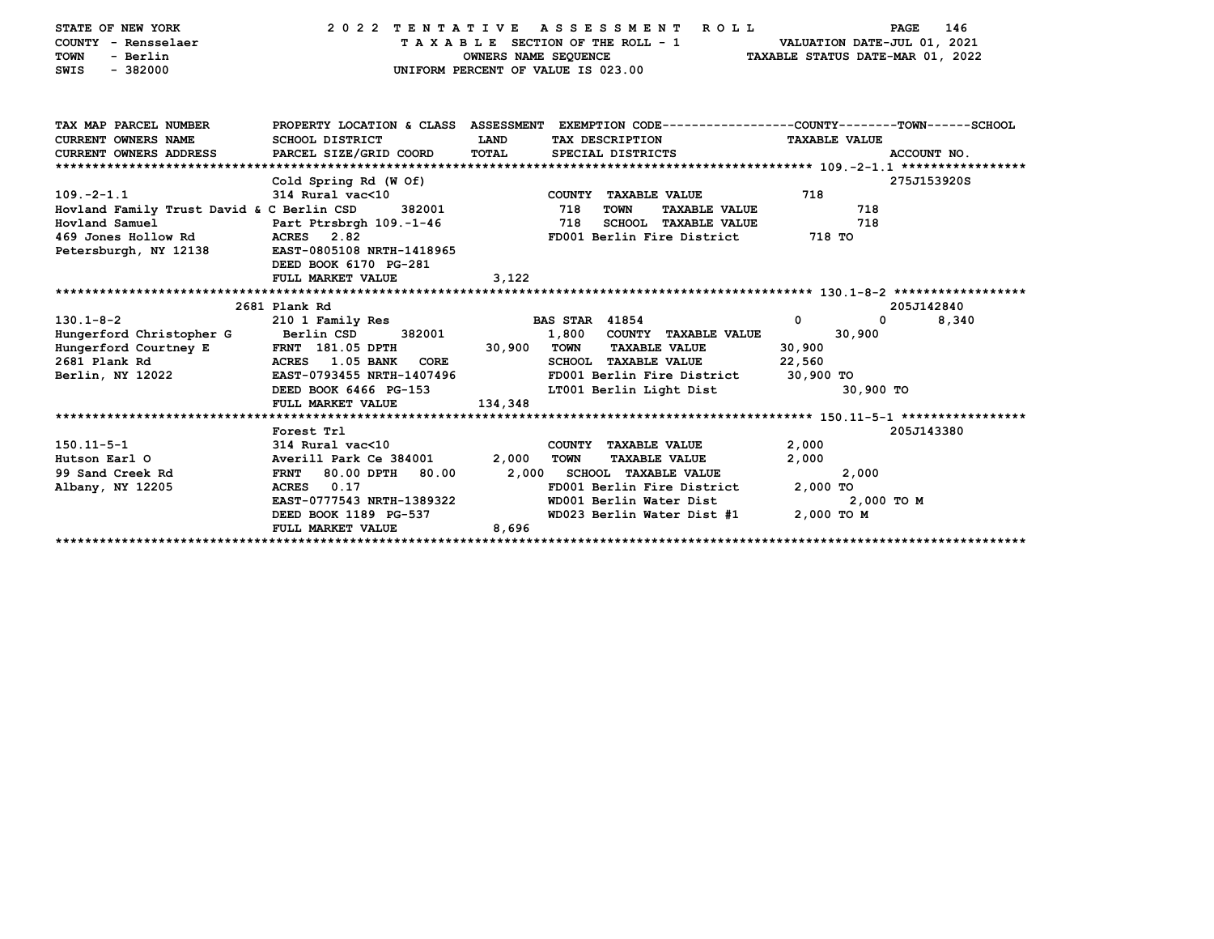| STATE OF NEW YORK<br>COUNTY - Rensselaer<br>- Berlin<br><b>TOWN</b><br>$-382000$<br>SWIS |                                                                                                                             | OWNERS NAME SEQUENCE | 2022 TENTATIVE ASSESSMENT<br>R O L L<br>TAXABLE SECTION OF THE ROLL - 1<br>UNIFORM PERCENT OF VALUE IS 023.00 | <b>PAGE</b><br>VALUATION DATE-JUL 01, 2021<br>TAXABLE STATUS DATE-MAR 01, 2022 | 146         |
|------------------------------------------------------------------------------------------|-----------------------------------------------------------------------------------------------------------------------------|----------------------|---------------------------------------------------------------------------------------------------------------|--------------------------------------------------------------------------------|-------------|
| TAX MAP PARCEL NUMBER                                                                    |                                                                                                                             |                      | PROPERTY LOCATION & CLASS ASSESSMENT EXEMPTION CODE---------------COUNTY-------TOWN-----SCHOOL                |                                                                                |             |
| <b>CURRENT OWNERS NAME</b>                                                               | <b>SCHOOL DISTRICT</b>                                                                                                      | <b>LAND</b>          | TAX DESCRIPTION                                                                                               | <b>TAXABLE VALUE</b>                                                           |             |
| CURRENT OWNERS ADDRESS PARCEL SIZE/GRID COORD                                            |                                                                                                                             | TOTAL                | SPECIAL DISTRICTS                                                                                             |                                                                                | ACCOUNT NO. |
|                                                                                          | Cold Spring Rd (W Of)                                                                                                       |                      |                                                                                                               |                                                                                | 275J153920S |
| $109. -2 - 1.1$                                                                          | 314 Rural vac<10                                                                                                            |                      | COUNTY TAXABLE VALUE                                                                                          | 718                                                                            |             |
| Hovland Family Trust David & C Berlin CSD                                                | 382001                                                                                                                      |                      | 718<br><b>TOWN</b><br><b>TAXABLE VALUE</b>                                                                    | 718                                                                            |             |
| Hovland Samuel                                                                           | Part Ptrsbrgh 109.-1-46                                                                                                     |                      | 718<br><b>SCHOOL TAXABLE VALUE</b>                                                                            | 718                                                                            |             |
| 469 Jones Hollow Rd                                                                      | ACRES 2.82                                                                                                                  |                      | FD001 Berlin Fire District                                                                                    | 718 TO                                                                         |             |
| Petersburgh, NY 12138                                                                    | EAST-0805108 NRTH-1418965<br>DEED BOOK 6170 PG-281                                                                          |                      |                                                                                                               |                                                                                |             |
|                                                                                          | FULL MARKET VALUE                                                                                                           | 3,122                |                                                                                                               |                                                                                |             |
|                                                                                          |                                                                                                                             |                      |                                                                                                               |                                                                                |             |
|                                                                                          | 2681 Plank Rd                                                                                                               |                      |                                                                                                               |                                                                                | 205J142840  |
| $130.1 - 8 - 2$                                                                          | 210 1 Family Res                                                                                                            |                      | <b>BAS STAR 41854</b>                                                                                         | $\mathbf 0$<br>$\mathbf{0}$                                                    | 8,340       |
| Hungerford Christopher G                                                                 | Berlin CSD<br>382001                                                                                                        |                      | 1,800 COUNTY TAXABLE VALUE                                                                                    | 30,900                                                                         |             |
| Hungerford Courtney E                                                                    | $\begin{array}{cc}\n\text{FRNT} & 181.05 & \text{DPTH} \\ \text{FRT} & \text{FRT} & \text{FRT} & \text{FRT} \\ \end{array}$ | 30,900 TOWN          | <b>TAXABLE VALUE</b>                                                                                          | 30,900                                                                         |             |
| 2681 Plank Rd                                                                            | ACRES 1.05 BANK CORE<br>EAST-0793455 NRTH-1407496                                                                           |                      | <b>SCHOOL TAXABLE VALUE</b><br>FD001 Berlin Fire District                                                     | 22,560<br>30,900 TO                                                            |             |
| Berlin, NY 12022                                                                         | DEED BOOK 6466 PG-153                                                                                                       |                      | LT001 Berlin Light Dist                                                                                       | 30,900 TO                                                                      |             |
|                                                                                          | FULL MARKET VALUE                                                                                                           | 134,348              |                                                                                                               |                                                                                |             |
|                                                                                          |                                                                                                                             |                      |                                                                                                               |                                                                                |             |
|                                                                                          | Forest Trl                                                                                                                  |                      |                                                                                                               |                                                                                | 205J143380  |
| $150.11 - 5 - 1$                                                                         | $314$ Rural vac<10                                                                                                          |                      | COUNTY TAXABLE VALUE                                                                                          | 2,000                                                                          |             |
| Hutson Earl O                                                                            | Averill Park Ce 384001                                                                                                      | 2,000                | <b>TOWN</b><br><b>TAXABLE VALUE</b>                                                                           | 2,000                                                                          |             |
| 99 Sand Creek Rd                                                                         | 80.00 DPTH<br>80.00<br><b>FRNT</b>                                                                                          | 2,000                | <b>SCHOOL TAXABLE VALUE</b>                                                                                   | 2,000                                                                          |             |
| Albany, NY 12205                                                                         | 0.17<br><b>ACRES</b><br>EAST-0777543 NRTH-1389322                                                                           |                      | FD001 Berlin Fire District<br>WD001 Berlin Water Dist                                                         | 2,000 TO<br>2,000 TO M                                                         |             |
|                                                                                          | DEED BOOK 1189 PG-537                                                                                                       |                      | WD023 Berlin Water Dist #1                                                                                    | 2,000 TO M                                                                     |             |
|                                                                                          | FULL MARKET VALUE                                                                                                           | 8,696                |                                                                                                               |                                                                                |             |
|                                                                                          |                                                                                                                             |                      |                                                                                                               |                                                                                |             |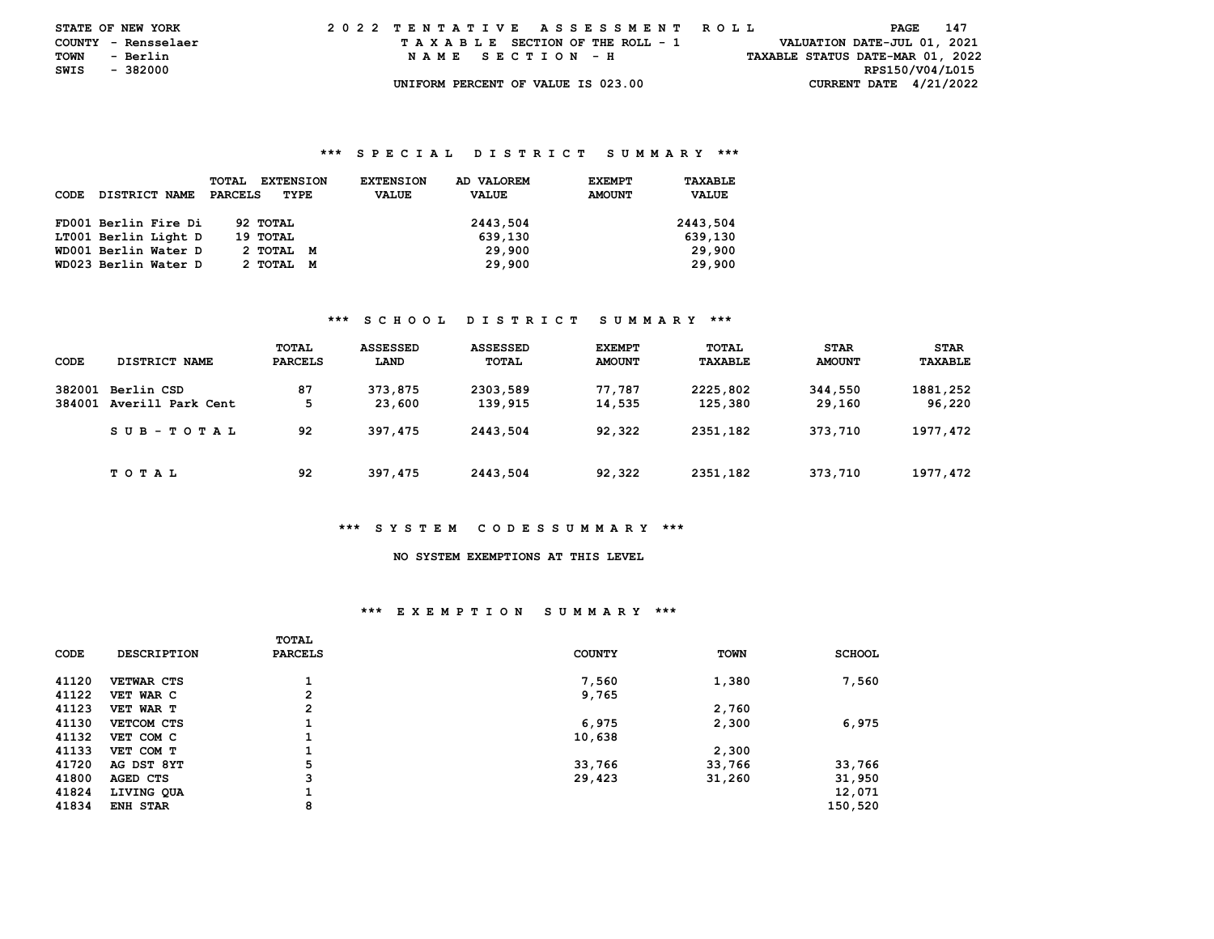| <b>STATE OF NEW YORK</b> |          | 2022 TENTATIVE ASSESSMENT ROLL |  |  |  |  |                                    |  |  |  |  |  |  |  |  |                                  | <b>PAGE</b> 147 |  |  |
|--------------------------|----------|--------------------------------|--|--|--|--|------------------------------------|--|--|--|--|--|--|--|--|----------------------------------|-----------------|--|--|
| COUNTY - Rensselaer      |          |                                |  |  |  |  | TAXABLE SECTION OF THE ROLL - 1    |  |  |  |  |  |  |  |  | VALUATION DATE-JUL 01, 2021      |                 |  |  |
| TOWN                     | - Berlin |                                |  |  |  |  | NAME SECTION - H                   |  |  |  |  |  |  |  |  | TAXABLE STATUS DATE-MAR 01, 2022 |                 |  |  |
| SWIS                     | - 382000 |                                |  |  |  |  |                                    |  |  |  |  |  |  |  |  |                                  | RPS150/V04/L015 |  |  |
|                          |          |                                |  |  |  |  | UNIFORM PERCENT OF VALUE IS 023.00 |  |  |  |  |  |  |  |  | CURRENT DATE $4/21/2022$         |                 |  |  |

| CODE | DISTRICT NAME        | <b>EXTENSION</b><br><b>TOTAL</b><br>PARCELS<br>TYPE | AD VALOREM<br><b>EXTENSION</b><br><b>VALUE</b><br><b>VALUE</b> | TAXABLE<br><b>EXEMPT</b><br><b>AMOUNT</b><br><b>VALUE</b> |
|------|----------------------|-----------------------------------------------------|----------------------------------------------------------------|-----------------------------------------------------------|
|      | FD001 Berlin Fire Di | 92 TOTAL                                            | 2443,504                                                       | 2443,504                                                  |
|      | LT001 Berlin Light D | 19 TOTAL                                            | 639,130                                                        | 639,130                                                   |
|      | WD001 Berlin Water D | 2 ТОТАL<br>M                                        | 29,900                                                         | 29,900                                                    |
|      | WD023 Berlin Water D | 2 ТОТАL<br>M                                        | 29,900                                                         | 29,900                                                    |

### **\*\*\* S C H O O L D I S T R I C T S U M M A R Y \*\*\***

| CODE             | DISTRICT NAME                   | TOTAL<br><b>PARCELS</b> | <b>ASSESSED</b><br>LAND | <b>ASSESSED</b><br>TOTAL | <b>EXEMPT</b><br><b>AMOUNT</b> | TOTAL<br>TAXABLE    | <b>STAR</b><br><b>AMOUNT</b> | <b>STAR</b><br>TAXABLE |
|------------------|---------------------------------|-------------------------|-------------------------|--------------------------|--------------------------------|---------------------|------------------------------|------------------------|
| 382001<br>384001 | Berlin CSD<br>Averill Park Cent | 87<br>5                 | 373,875<br>23,600       | 2303,589<br>139,915      | 77.787<br>14,535               | 2225,802<br>125,380 | 344,550<br>29,160            | 1881,252<br>96,220     |
|                  | SUB-TOTAL                       | 92                      | 397,475                 | 2443,504                 | 92,322                         | 2351,182            | 373,710                      | 1977,472               |
|                  | T O T A L                       | 92                      | 397,475                 | 2443,504                 | 92,322                         | 2351,182            | 373,710                      | 1977, 472              |

#### **\*\*\* S Y S T E M C O D E S S U M M A R Y \*\*\***

# **NO SYSTEM EXEMPTIONS AT THIS LEVEL**

### **\*\*\* E X E M P T I O N S U M M A R Y \*\*\***

|       |                    | TOTAL          |               |             |               |
|-------|--------------------|----------------|---------------|-------------|---------------|
| CODE  | <b>DESCRIPTION</b> | <b>PARCELS</b> | <b>COUNTY</b> | <b>TOWN</b> | <b>SCHOOL</b> |
| 41120 | <b>VETWAR CTS</b>  |                | 7,560         | 1,380       | 7,560         |
| 41122 | VET WAR C          | $\overline{2}$ | 9,765         |             |               |
| 41123 | VET WAR T          | $\overline{2}$ |               | 2,760       |               |
| 41130 | VETCOM CTS         |                | 6,975         | 2,300       | 6,975         |
| 41132 | VET COM C          |                | 10,638        |             |               |
| 41133 | VET COM T          |                |               | 2,300       |               |
| 41720 | AG DST 8YT         | 5              | 33,766        | 33,766      | 33,766        |
| 41800 | AGED CTS           | 3              | 29,423        | 31,260      | 31,950        |
| 41824 | LIVING QUA         |                |               |             | 12,071        |
| 41834 | <b>ENH STAR</b>    | 8              |               |             | 150,520       |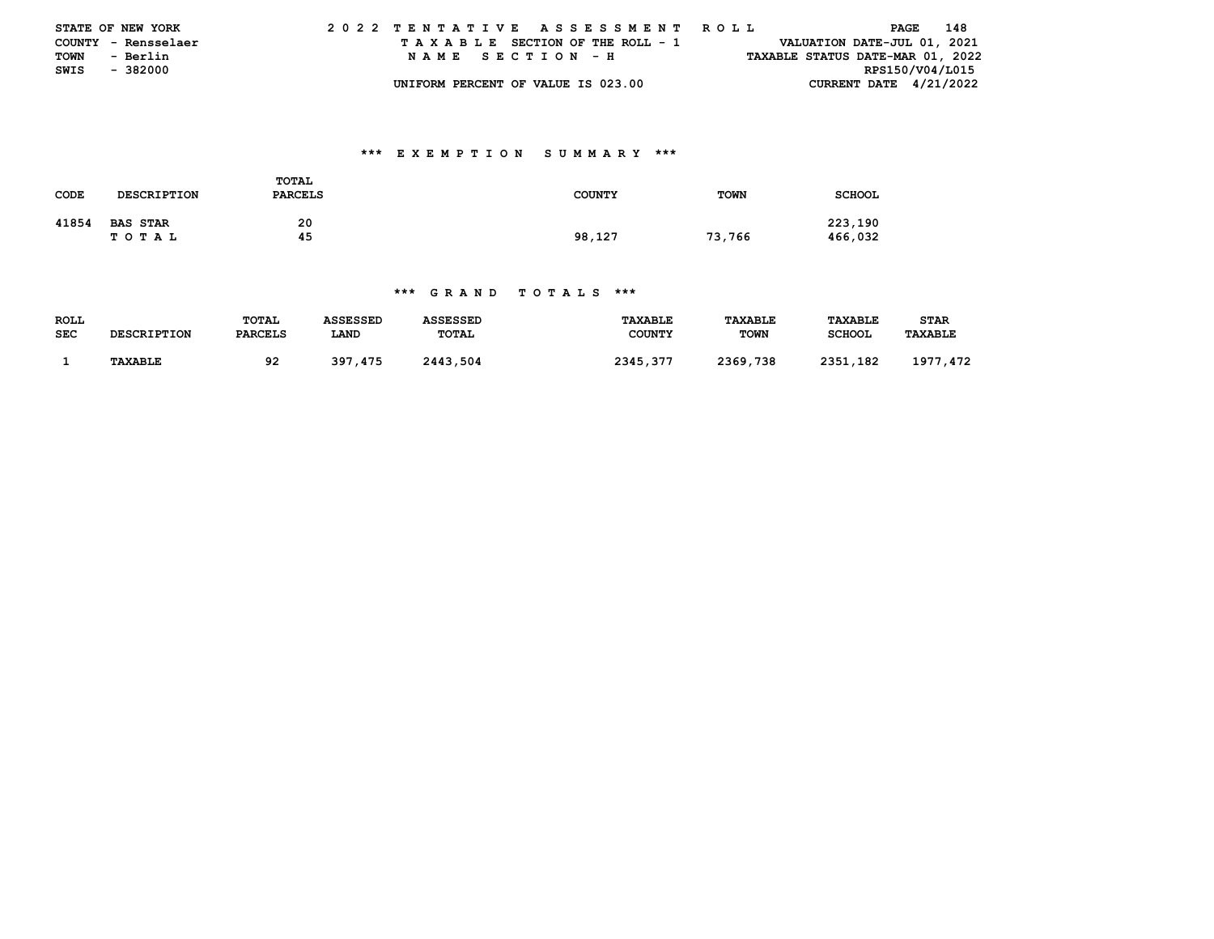|      | <b>STATE OF NEW YORK</b> | 2022 TENTATIVE ASSESSMENT ROLL     |                                  | PAGE 148        |  |
|------|--------------------------|------------------------------------|----------------------------------|-----------------|--|
|      | COUNTY - Rensselaer      | TAXABLE SECTION OF THE ROLL - 1    | VALUATION DATE-JUL 01, 2021      |                 |  |
| TOWN | - Berlin                 | NAME SECTION - H                   | TAXABLE STATUS DATE-MAR 01, 2022 |                 |  |
|      | SWIS - 382000            |                                    |                                  | RPS150/V04/L015 |  |
|      |                          | UNIFORM PERCENT OF VALUE IS 023.00 | CURRENT DATE $4/21/2022$         |                 |  |

## **\*\*\* E X E M P T I O N S U M M A R Y \*\*\***

| <b>CODE</b> | <b>DESCRIPTION</b>           | TOTAL<br><b>PARCELS</b> | <b>COUNTY</b> | <b>TOWN</b> | <b>SCHOOL</b>      |
|-------------|------------------------------|-------------------------|---------------|-------------|--------------------|
| 41854       | <b>BAS STAR</b><br>T O T A L | 20<br>45                | 98,127        | 73,766      | 223,190<br>466,032 |

| ROLL       |                    | <b>TOTAL</b>   | ASSESSED | ASSESSED     | TAXABLE       | TAXABLE     | <b>TAXABLE</b> | STAR           |
|------------|--------------------|----------------|----------|--------------|---------------|-------------|----------------|----------------|
| <b>SEC</b> | <b>DESCRIPTION</b> | <b>PARCELS</b> | LAND     | <b>TOTAL</b> | <b>COUNTY</b> | <b>TOWN</b> | <b>SCHOOL</b>  | <b>TAXABLE</b> |
|            |                    |                |          |              |               |             |                |                |
|            | <b>TAXABLE</b>     | 92             | 397,475  | 2443.504     | 2345,377      | 2369,738    | 2351,182       | 1977.<br>. 472 |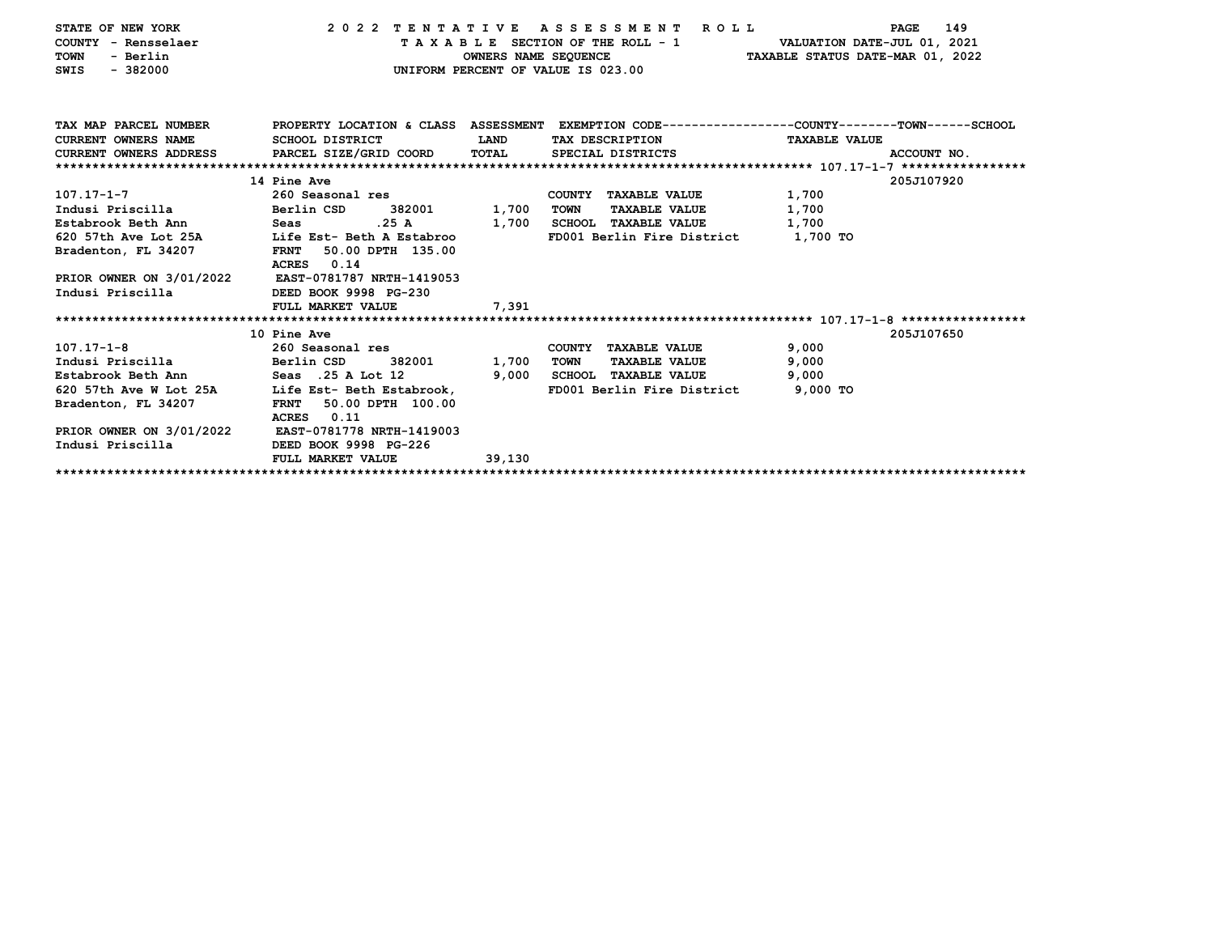| STATE OF NEW YORK             |                                  |                      | 2022 TENTATIVE ASSESSMENT<br><b>ROLL</b> | 149<br><b>PAGE</b>                                                                              |
|-------------------------------|----------------------------------|----------------------|------------------------------------------|-------------------------------------------------------------------------------------------------|
| COUNTY - Rensselaer           |                                  |                      | TAXABLE SECTION OF THE ROLL - 1          | VALUATION DATE-JUL 01, 2021                                                                     |
| <b>TOWN</b><br>- Berlin       |                                  | OWNERS NAME SEQUENCE |                                          | TAXABLE STATUS DATE-MAR 01, 2022                                                                |
| $-382000$<br>SWIS             |                                  |                      | UNIFORM PERCENT OF VALUE IS 023.00       |                                                                                                 |
|                               |                                  |                      |                                          |                                                                                                 |
|                               |                                  |                      |                                          |                                                                                                 |
|                               |                                  |                      |                                          |                                                                                                 |
| TAX MAP PARCEL NUMBER         |                                  |                      |                                          | PROPERTY LOCATION & CLASS ASSESSMENT EXEMPTION CODE---------------COUNTY-------TOWN------SCHOOL |
| <b>CURRENT OWNERS NAME</b>    | SCHOOL DISTRICT                  | LAND                 | TAX DESCRIPTION                          | <b>TAXABLE VALUE</b>                                                                            |
| <b>CURRENT OWNERS ADDRESS</b> | PARCEL SIZE/GRID COORD           | TOTAL                | SPECIAL DISTRICTS                        | ACCOUNT NO.                                                                                     |
|                               |                                  |                      |                                          |                                                                                                 |
|                               | 14 Pine Ave                      |                      |                                          | 205J107920                                                                                      |
| 107.17-1-7                    | 260 Seasonal res                 |                      | COUNTY TAXABLE VALUE                     | 1,700                                                                                           |
| Indusi Priscilla              | Berlin CSD<br>382001             | 1,700                | TOWN<br><b>TAXABLE VALUE</b>             | 1,700                                                                                           |
| Estabrook Beth Ann            | .25A<br>Seas                     | 1,700                | SCHOOL TAXABLE VALUE                     | 1,700                                                                                           |
| 620 57th Ave Lot 25A          | Life Est- Beth A Estabroo        |                      | FD001 Berlin Fire District 1.700 TO      |                                                                                                 |
| Bradenton, FL 34207           | FRNT 50.00 DPTH 135.00           |                      |                                          |                                                                                                 |
|                               | ACRES 0.14                       |                      |                                          |                                                                                                 |
| PRIOR OWNER ON 3/01/2022      | EAST-0781787 NRTH-1419053        |                      |                                          |                                                                                                 |
| Indusi Priscilla              | DEED BOOK 9998 PG-230            |                      |                                          |                                                                                                 |
|                               | FULL MARKET VALUE                | 7,391                |                                          |                                                                                                 |
|                               |                                  |                      |                                          |                                                                                                 |
|                               | 10 Pine Ave                      |                      |                                          | 205J107650                                                                                      |
| $107.17 - 1 - 8$              | 260 Seasonal res                 |                      | COUNTY TAXABLE VALUE                     | 9,000                                                                                           |
| Indusi Priscilla              | Berlin CSD<br>382001             | 1,700                | <b>TOWN</b><br><b>TAXABLE VALUE</b>      | 9,000                                                                                           |
| Estabrook Beth Ann            | Seas .25 A Lot 12                | 9,000                | SCHOOL TAXABLE VALUE                     | 9,000                                                                                           |
| 620 57th Ave W Lot 25A        | Life Est- Beth Estabrook,        |                      | FD001 Berlin Fire District               | 9,000 TO                                                                                        |
| Bradenton, FL 34207           | 50.00 DPTH 100.00<br><b>FRNT</b> |                      |                                          |                                                                                                 |
|                               | 0.11<br>ACRES                    |                      |                                          |                                                                                                 |
| PRIOR OWNER ON 3/01/2022      | EAST-0781778 NRTH-1419003        |                      |                                          |                                                                                                 |
| Indusi Priscilla              | DEED BOOK 9998 PG-226            |                      |                                          |                                                                                                 |
|                               | FULL MARKET VALUE                | 39,130               |                                          |                                                                                                 |
|                               |                                  |                      |                                          |                                                                                                 |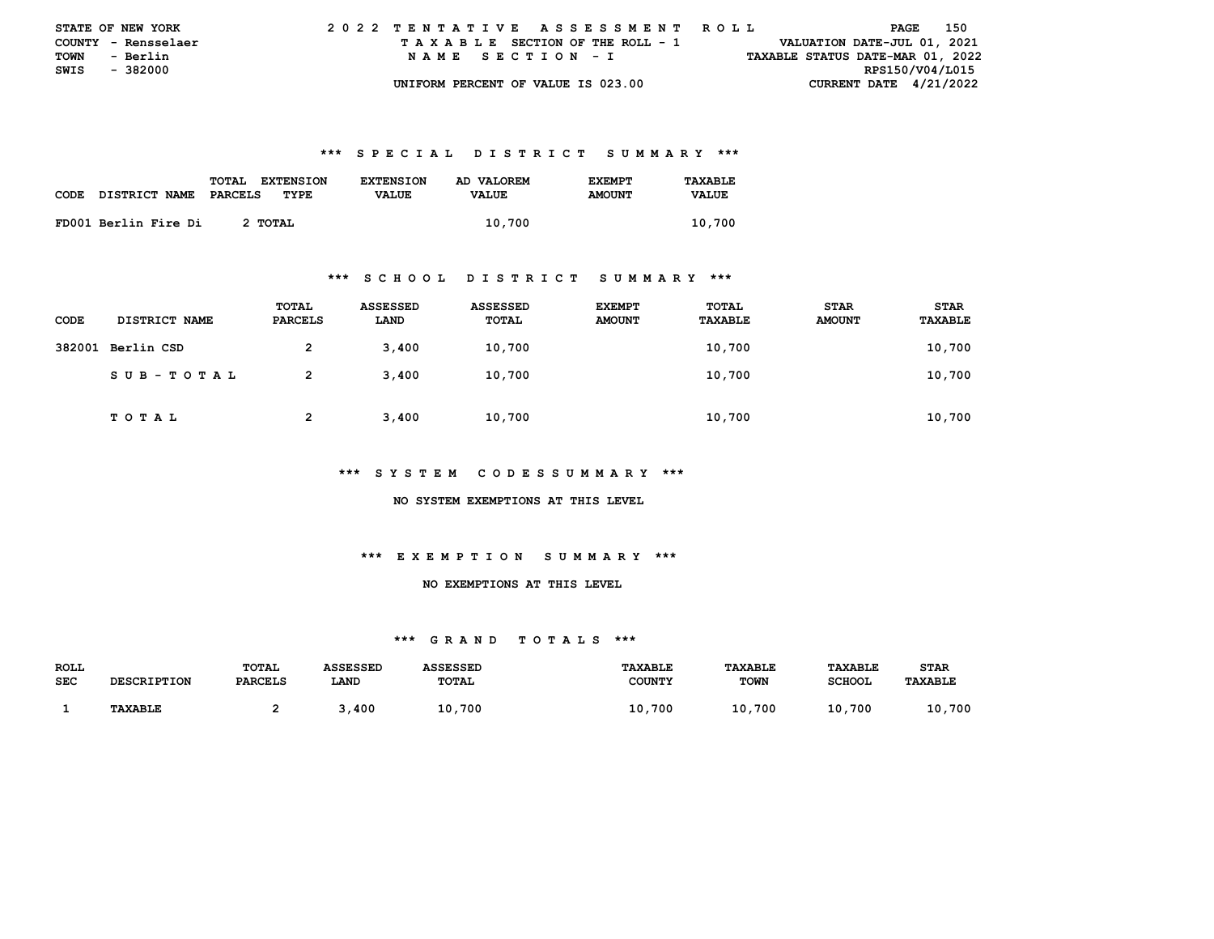| <b>STATE OF NEW YORK</b> |                     |  |  |  |  |  | 2022 TENTATIVE ASSESSMENT ROLL     |  |  |  |  |  |  |  |  |                                  | PAGE |                 | 150 |  |
|--------------------------|---------------------|--|--|--|--|--|------------------------------------|--|--|--|--|--|--|--|--|----------------------------------|------|-----------------|-----|--|
|                          | COUNTY - Rensselaer |  |  |  |  |  | TAXABLE SECTION OF THE ROLL - 1    |  |  |  |  |  |  |  |  | VALUATION DATE-JUL 01, 2021      |      |                 |     |  |
| TOWN                     | - Berlin            |  |  |  |  |  | NAME SECTION - I                   |  |  |  |  |  |  |  |  | TAXABLE STATUS DATE-MAR 01, 2022 |      |                 |     |  |
| SWIS - 382000            |                     |  |  |  |  |  |                                    |  |  |  |  |  |  |  |  |                                  |      | RPS150/V04/L015 |     |  |
|                          |                     |  |  |  |  |  | UNIFORM PERCENT OF VALUE IS 023.00 |  |  |  |  |  |  |  |  | CURRENT DATE $4/21/2022$         |      |                 |     |  |

| CODE | DISTRICT NAME        | TOTAL<br><b>EXTENSION</b><br>PARCELS<br>TYPE. | <b>EXTENSION</b><br><b>VALUE</b> | AD VALOREM<br><b>VALUE</b> | <b>F.XFMPT</b><br><b>AMOUNT</b> | TAXARLE.<br><b>VALUE</b> |
|------|----------------------|-----------------------------------------------|----------------------------------|----------------------------|---------------------------------|--------------------------|
|      | FD001 Berlin Fire Di | 2 TOTAL                                       |                                  | 10,700                     |                                 | 10,700                   |

#### **\*\*\* S C H O O L D I S T R I C T S U M M A R Y \*\*\***

| CODE   | DISTRICT NAME   | TOTAL<br>PARCELS | ASSESSED<br>LAND | ASSESSED<br>TOTAL | <b>EXEMPT</b><br><b>AMOUNT</b> | TOTAL<br>TAXABLE | <b>STAR</b><br><b>AMOUNT</b> | <b>STAR</b><br>TAXABLE |
|--------|-----------------|------------------|------------------|-------------------|--------------------------------|------------------|------------------------------|------------------------|
| 382001 | Berlin CSD      | 2                | 3,400            | 10,700            |                                | 10,700           |                              | 10,700                 |
|        | $SUB - TO T AL$ | 2                | 3,400            | 10,700            |                                | 10,700           |                              | 10,700                 |
|        | <b>TOTAL</b>    | 2                | 3.400            | 10,700            |                                | 10,700           |                              | 10,700                 |

### **\*\*\* S Y S T E M C O D E S S U M M A R Y \*\*\***

 **NO SYSTEM EXEMPTIONS AT THIS LEVEL** 

# **\*\*\* E X E M P T I O N S U M M A R Y \*\*\***

## **NO EXEMPTIONS AT THIS LEVEL**

| <b>ROLL</b> |                    | <b>TOTAL</b>   | <b>ASSESSED</b> | <b>ASSESSED</b> | <b>TAXABLE</b> | TAXABLE     | <b>TAXABLE</b> | <b>STAR</b>    |
|-------------|--------------------|----------------|-----------------|-----------------|----------------|-------------|----------------|----------------|
| <b>SEC</b>  | <b>DESCRIPTION</b> | <b>PARCELS</b> | LAND            | TOTAL           | <b>COUNTY</b>  | <b>TOWN</b> | <b>SCHOOL</b>  | <b>TAXABLE</b> |
|             |                    |                |                 |                 |                |             |                |                |
|             | <b>TAXABLE</b>     |                | ,400            | 10,700          | 10,700         | 10,700      | 10,700         | 10,700         |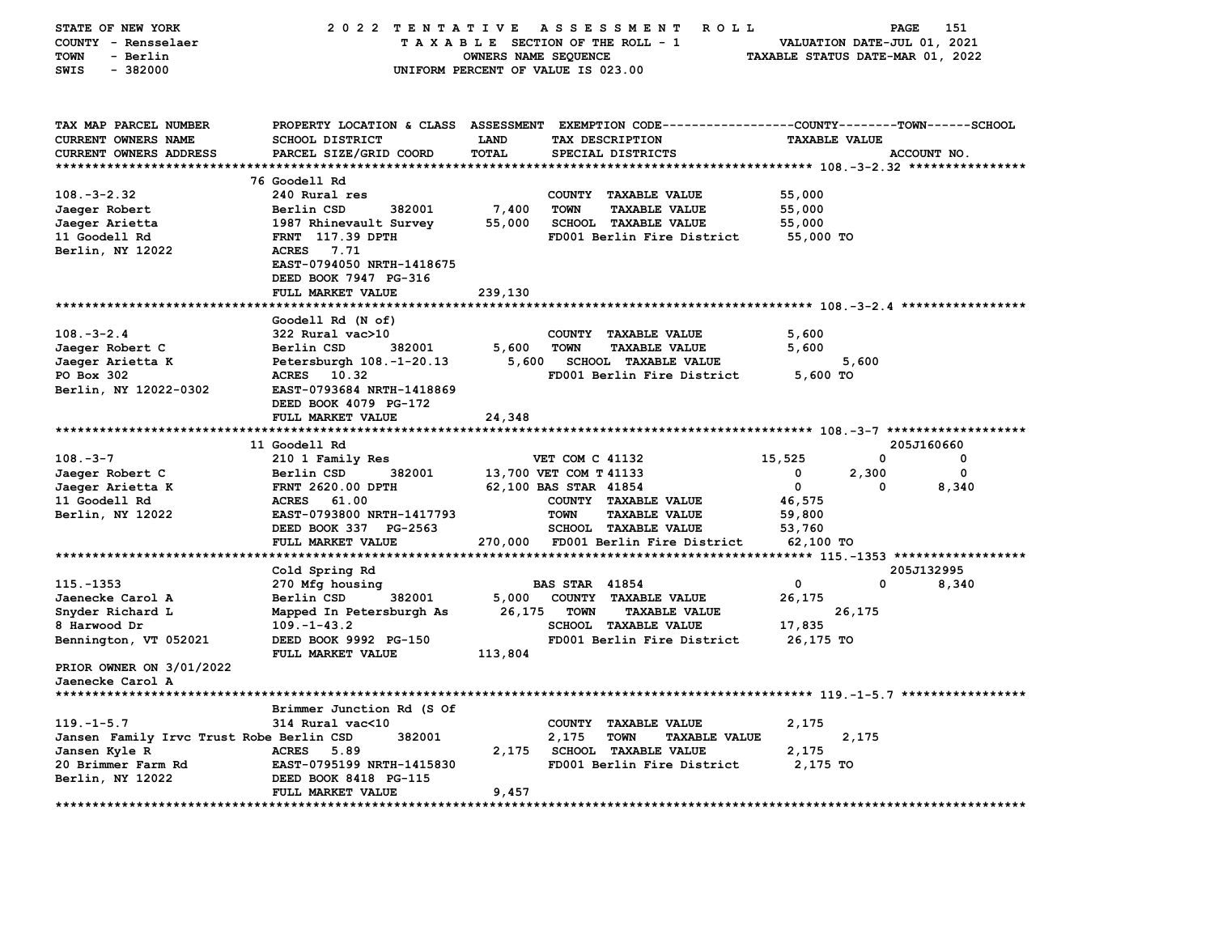| STATE OF NEW YORK                        | 2022 TENTATIVE                       |                      | A S S E S S M E N T<br><b>ROLL</b>                         |                                  | PAGE                        | 151         |
|------------------------------------------|--------------------------------------|----------------------|------------------------------------------------------------|----------------------------------|-----------------------------|-------------|
| COUNTY - Rensselaer                      |                                      |                      | TAXABLE SECTION OF THE ROLL - 1                            |                                  | VALUATION DATE-JUL 01, 2021 |             |
| <b>TOWN</b><br>- Berlin                  |                                      | OWNERS NAME SEQUENCE |                                                            | TAXABLE STATUS DATE-MAR 01, 2022 |                             |             |
| SWIS<br>$-382000$                        |                                      |                      | UNIFORM PERCENT OF VALUE IS 023.00                         |                                  |                             |             |
|                                          |                                      |                      |                                                            |                                  |                             |             |
|                                          |                                      |                      |                                                            |                                  |                             |             |
|                                          |                                      |                      |                                                            |                                  |                             |             |
|                                          |                                      |                      |                                                            |                                  |                             |             |
| TAX MAP PARCEL NUMBER                    | PROPERTY LOCATION & CLASS ASSESSMENT |                      | EXEMPTION CODE----------------COUNTY-------TOWN-----SCHOOL |                                  |                             |             |
| <b>CURRENT OWNERS NAME</b>               | <b>SCHOOL DISTRICT</b>               | LAND                 | TAX DESCRIPTION                                            | <b>TAXABLE VALUE</b>             |                             |             |
| CURRENT OWNERS ADDRESS                   | PARCEL SIZE/GRID COORD               | TOTAL                | SPECIAL DISTRICTS                                          |                                  |                             | ACCOUNT NO. |
|                                          |                                      |                      |                                                            |                                  |                             |             |
|                                          | 76 Goodell Rd                        |                      |                                                            |                                  |                             |             |
| $108. - 3 - 2.32$                        | 240 Rural res                        |                      | COUNTY TAXABLE VALUE                                       | 55,000                           |                             |             |
| Jaeger Robert                            | Berlin CSD<br>382001                 | 7,400                | <b>TOWN</b><br><b>TAXABLE VALUE</b>                        | 55,000                           |                             |             |
| Jaeger Arietta                           | 1987 Rhinevault Survey               | 55,000               | <b>SCHOOL TAXABLE VALUE</b>                                | 55,000                           |                             |             |
| 11 Goodell Rd                            | <b>FRNT</b> 117.39 DPTH              |                      | FD001 Berlin Fire District                                 | 55,000 TO                        |                             |             |
| Berlin, NY 12022                         | ACRES 7.71                           |                      |                                                            |                                  |                             |             |
|                                          | EAST-0794050 NRTH-1418675            |                      |                                                            |                                  |                             |             |
|                                          |                                      |                      |                                                            |                                  |                             |             |
|                                          | DEED BOOK 7947 PG-316                |                      |                                                            |                                  |                             |             |
|                                          | <b>FULL MARKET VALUE</b>             | 239,130              |                                                            |                                  |                             |             |
|                                          |                                      |                      |                                                            |                                  |                             |             |
|                                          | Goodell Rd (N of)                    |                      |                                                            |                                  |                             |             |
| $108. - 3 - 2.4$                         | 322 Rural vac>10                     |                      | COUNTY TAXABLE VALUE                                       | 5,600                            |                             |             |
| Jaeger Robert C                          | Berlin CSD<br>382001                 | 5,600                | TOWN<br><b>TAXABLE VALUE</b>                               | 5,600                            |                             |             |
| Jaeger Arietta K                         | Petersburgh 108.-1-20.13             | 5,600                | <b>SCHOOL TAXABLE VALUE</b>                                |                                  | 5,600                       |             |
| PO Box 302                               | ACRES 10.32                          |                      | FD001 Berlin Fire District                                 | $5,600$ TO                       |                             |             |
| Berlin, NY 12022-0302                    | EAST-0793684 NRTH-1418869            |                      |                                                            |                                  |                             |             |
|                                          | DEED BOOK 4079 PG-172                |                      |                                                            |                                  |                             |             |
|                                          | FULL MARKET VALUE                    | 24,348               |                                                            |                                  |                             |             |
|                                          |                                      |                      |                                                            |                                  |                             |             |
|                                          | 11 Goodell Rd                        |                      |                                                            |                                  |                             | 205J160660  |
|                                          |                                      |                      |                                                            |                                  |                             |             |
| $108. -3 -7$                             | 210 1 Family Res                     |                      | VET COM C 41132                                            | 15,525                           | 0                           | 0           |
| Jaeger Robert C                          | Berlin CSD<br>382001                 |                      | 13,700 VET COM T 41133                                     | 0                                | 2,300                       | 0           |
| Jaeger Arietta K                         | FRNT 2620.00 DPTH                    |                      | 62,100 BAS STAR 41854                                      | 0                                | <sup>0</sup>                | 8,340       |
| 11 Goodell Rd                            | ACRES 61.00                          |                      | COUNTY TAXABLE VALUE                                       | 46,575                           |                             |             |
| Berlin, NY 12022                         | EAST-0793800 NRTH-1417793            |                      | <b>TOWN</b><br><b>TAXABLE VALUE</b>                        | 59,800                           |                             |             |
|                                          | DEED BOOK 337 PG-2563                |                      | <b>SCHOOL TAXABLE VALUE</b>                                | 53,760                           |                             |             |
|                                          | FULL MARKET VALUE                    | 270,000              | FD001 Berlin Fire District                                 | 62,100 TO                        |                             |             |
|                                          |                                      |                      |                                                            |                                  |                             |             |
|                                          | Cold Spring Rd                       |                      |                                                            |                                  |                             | 205J132995  |
| 115. - 1353                              | 270 Mfg housing                      |                      | <b>BAS STAR 41854</b>                                      | 0                                | 0                           | 8,340       |
| Jaenecke Carol A                         | Berlin CSD<br>382001                 | 5,000                | COUNTY TAXABLE VALUE                                       | 26,175                           |                             |             |
| Snyder Richard L                         | Mapped In Petersburgh As             | 26,175               | <b>TOWN</b><br><b>TAXABLE VALUE</b>                        |                                  | 26,175                      |             |
| 8 Harwood Dr                             | $109. - 1 - 43.2$                    |                      | <b>SCHOOL TAXABLE VALUE</b>                                | 17,835                           |                             |             |
| Bennington, VT 052021                    | DEED BOOK 9992 PG-150                |                      | FD001 Berlin Fire District                                 | 26,175 TO                        |                             |             |
|                                          |                                      |                      |                                                            |                                  |                             |             |
|                                          | FULL MARKET VALUE                    | 113,804              |                                                            |                                  |                             |             |
| PRIOR OWNER ON 3/01/2022                 |                                      |                      |                                                            |                                  |                             |             |
| Jaenecke Carol A                         |                                      |                      |                                                            |                                  |                             |             |
| ********************                     |                                      |                      |                                                            |                                  |                             |             |
|                                          | Brimmer Junction Rd (S Of            |                      |                                                            |                                  |                             |             |
| $119. - 1 - 5.7$                         | 314 Rural vac<10                     |                      | COUNTY<br><b>TAXABLE VALUE</b>                             | 2,175                            |                             |             |
| Jansen Family Irvc Trust Robe Berlin CSD | 382001                               |                      | 2,175<br><b>TOWN</b><br><b>TAXABLE VALUE</b>               |                                  | 2,175                       |             |
| Jansen Kyle R                            | <b>ACRES</b><br>5.89                 |                      | 2,175 SCHOOL TAXABLE VALUE                                 | 2,175                            |                             |             |
| 20 Brimmer Farm Rd                       | EAST-0795199 NRTH-1415830            |                      | FD001 Berlin Fire District                                 | 2,175 TO                         |                             |             |
| Berlin, NY 12022                         | DEED BOOK 8418 PG-115                |                      |                                                            |                                  |                             |             |
|                                          | <b>FULL MARKET VALUE</b>             | 9,457                |                                                            |                                  |                             |             |
|                                          |                                      |                      |                                                            |                                  |                             |             |
|                                          |                                      |                      |                                                            |                                  |                             |             |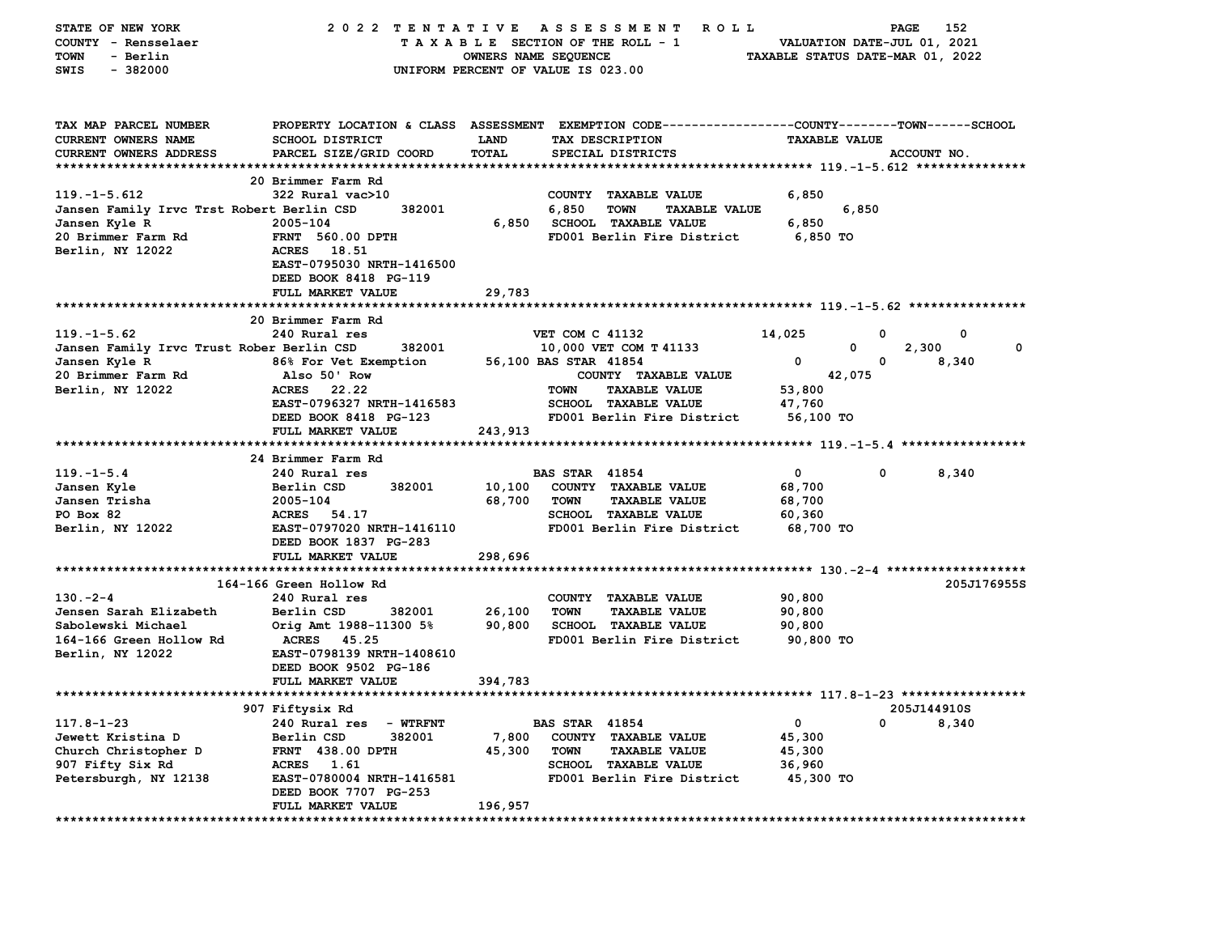| STATE OF NEW YORK                                    | 2022 TENTATIVE                                   |                      | A S S E S S M E N T<br>R O L L                                                                  |                                  | PAGE<br>152 |
|------------------------------------------------------|--------------------------------------------------|----------------------|-------------------------------------------------------------------------------------------------|----------------------------------|-------------|
| COUNTY - Rensselaer                                  |                                                  |                      | TAXABLE SECTION OF THE ROLL - 1                                                                 | VALUATION DATE-JUL 01, 2021      |             |
| <b>TOWN</b><br>- Berlin                              |                                                  | OWNERS NAME SEQUENCE |                                                                                                 | TAXABLE STATUS DATE-MAR 01, 2022 |             |
| $-382000$<br>SWIS                                    |                                                  |                      | UNIFORM PERCENT OF VALUE IS 023.00                                                              |                                  |             |
|                                                      |                                                  |                      |                                                                                                 |                                  |             |
|                                                      |                                                  |                      |                                                                                                 |                                  |             |
| TAX MAP PARCEL NUMBER                                |                                                  |                      | PROPERTY LOCATION & CLASS ASSESSMENT EXEMPTION CODE---------------COUNTY-------TOWN------SCHOOL |                                  |             |
| CURRENT OWNERS NAME<br><b>CURRENT OWNERS ADDRESS</b> | <b>SCHOOL DISTRICT</b><br>PARCEL SIZE/GRID COORD | LAND<br><b>TOTAL</b> | TAX DESCRIPTION                                                                                 | <b>TAXABLE VALUE</b>             | ACCOUNT NO. |
| *********************                                |                                                  |                      | SPECIAL DISTRICTS                                                                               |                                  |             |
|                                                      | 20 Brimmer Farm Rd                               |                      |                                                                                                 |                                  |             |
| $119. - 1 - 5.612$                                   | 322 Rural vac>10                                 |                      | COUNTY<br><b>TAXABLE VALUE</b>                                                                  | 6,850                            |             |
| Jansen Family Irvc Trst Robert Berlin CSD            | 382001                                           |                      | 6,850<br><b>TOWN</b><br><b>TAXABLE VALUE</b>                                                    | 6,850                            |             |
| Jansen Kyle R                                        | 2005-104                                         | 6,850                | <b>SCHOOL TAXABLE VALUE</b>                                                                     | 6,850                            |             |
| 20 Brimmer Farm Rd                                   | FRNT 560.00 DPTH                                 |                      | FD001 Berlin Fire District                                                                      | 6,850 TO                         |             |
| Berlin, NY 12022                                     | <b>ACRES</b><br>18.51                            |                      |                                                                                                 |                                  |             |
|                                                      | EAST-0795030 NRTH-1416500                        |                      |                                                                                                 |                                  |             |
|                                                      | DEED BOOK 8418 PG-119                            |                      |                                                                                                 |                                  |             |
|                                                      | FULL MARKET VALUE                                | 29,783               |                                                                                                 |                                  |             |
|                                                      |                                                  |                      |                                                                                                 |                                  |             |
|                                                      | 20 Brimmer Farm Rd                               |                      |                                                                                                 |                                  |             |
| $119. - 1 - 5.62$                                    | 240 Rural res                                    |                      | VET COM C 41132                                                                                 | 14,025                           | 0<br>0      |
| Jansen Family Irvc Trust Rober Berlin CSD            | 382001                                           |                      | 10,000 VET COM T 41133                                                                          | 0                                | 2,300<br>0  |
| Jansen Kyle R                                        | 86% For Vet Exemption                            |                      | 56,100 BAS STAR 41854                                                                           | 0                                | 0<br>8,340  |
| 20 Brimmer Farm Rd                                   | Also 50' Row                                     |                      | COUNTY TAXABLE VALUE                                                                            | 42,075                           |             |
| Berlin, NY 12022                                     | <b>ACRES</b><br>22.22                            |                      | <b>TOWN</b><br><b>TAXABLE VALUE</b>                                                             | 53,800                           |             |
|                                                      | EAST-0796327 NRTH-1416583                        |                      | <b>SCHOOL TAXABLE VALUE</b>                                                                     | 47,760                           |             |
|                                                      | DEED BOOK 8418 PG-123                            |                      | FD001 Berlin Fire District                                                                      | 56,100 TO                        |             |
|                                                      | FULL MARKET VALUE                                | 243,913              |                                                                                                 |                                  |             |
|                                                      |                                                  |                      |                                                                                                 |                                  |             |
|                                                      | 24 Brimmer Farm Rd                               |                      |                                                                                                 |                                  |             |
| $119. - 1 - 5.4$                                     | 240 Rural res                                    |                      | <b>BAS STAR 41854</b>                                                                           | 0                                | 0<br>8,340  |
| Jansen Kyle                                          | Berlin CSD<br>382001                             | 10,100               | COUNTY TAXABLE VALUE                                                                            | 68,700                           |             |
| Jansen Trisha                                        | 2005-104                                         | 68,700               | <b>TOWN</b><br><b>TAXABLE VALUE</b>                                                             | 68,700                           |             |
| PO Box 82                                            | ACRES<br>54.17                                   |                      | SCHOOL TAXABLE VALUE                                                                            | 60,360                           |             |
| Berlin, NY 12022                                     | EAST-0797020 NRTH-1416110                        |                      | FD001 Berlin Fire District                                                                      | 68,700 TO                        |             |
|                                                      | DEED BOOK 1837 PG-283                            |                      |                                                                                                 |                                  |             |
|                                                      | FULL MARKET VALUE                                | 298,696              |                                                                                                 |                                  |             |
|                                                      |                                                  | *******************  | **************************** 130.-2-4 ********************                                      |                                  |             |
|                                                      | 164-166 Green Hollow Rd                          |                      |                                                                                                 |                                  | 205J176955S |
| $130 - 2 - 4$                                        | 240 Rural res                                    |                      | COUNTY TAXABLE VALUE                                                                            | 90,800                           |             |
| Jensen Sarah Elizabeth                               | Berlin CSD<br>382001                             | 26,100               | <b>TAXABLE VALUE</b><br><b>TOWN</b>                                                             | 90,800                           |             |
| Sabolewski Michael                                   | Orig Amt 1988-11300 5%                           | 90,800               | SCHOOL TAXABLE VALUE                                                                            | 90,800                           |             |
| 164-166 Green Hollow Rd                              | <b>ACRES</b><br>45.25                            |                      | FD001 Berlin Fire District                                                                      | 90,800 TO                        |             |
| Berlin, NY 12022                                     | EAST-0798139 NRTH-1408610                        |                      |                                                                                                 |                                  |             |
|                                                      | DEED BOOK 9502 PG-186                            |                      |                                                                                                 |                                  |             |
|                                                      | FULL MARKET VALUE                                | 394,783              |                                                                                                 |                                  |             |
|                                                      |                                                  |                      |                                                                                                 |                                  |             |
|                                                      | 907 Fiftysix Rd                                  |                      |                                                                                                 |                                  | 205J144910S |
| $117.8 - 1 - 23$                                     | 240 Rural res<br><b>- WTRFNT</b>                 |                      | <b>BAS STAR 41854</b>                                                                           | 0                                | 0<br>8,340  |
| Jewett Kristina D                                    | Berlin CSD<br>382001                             | 7,800                | COUNTY TAXABLE VALUE                                                                            | 45,300                           |             |
| Church Christopher D                                 | <b>FRNT 438.00 DPTH</b>                          | 45,300               | <b>TOWN</b><br><b>TAXABLE VALUE</b>                                                             | 45,300                           |             |
| 907 Fifty Six Rd                                     | ACRES 1.61                                       |                      | <b>SCHOOL TAXABLE VALUE</b>                                                                     | 36,960                           |             |
| Petersburgh, NY 12138                                | EAST-0780004 NRTH-1416581                        |                      | FD001 Berlin Fire District                                                                      | 45,300 TO                        |             |
|                                                      | DEED BOOK 7707 PG-253                            |                      |                                                                                                 |                                  |             |
|                                                      | FULL MARKET VALUE                                | 196,957              |                                                                                                 |                                  |             |
|                                                      |                                                  |                      |                                                                                                 |                                  |             |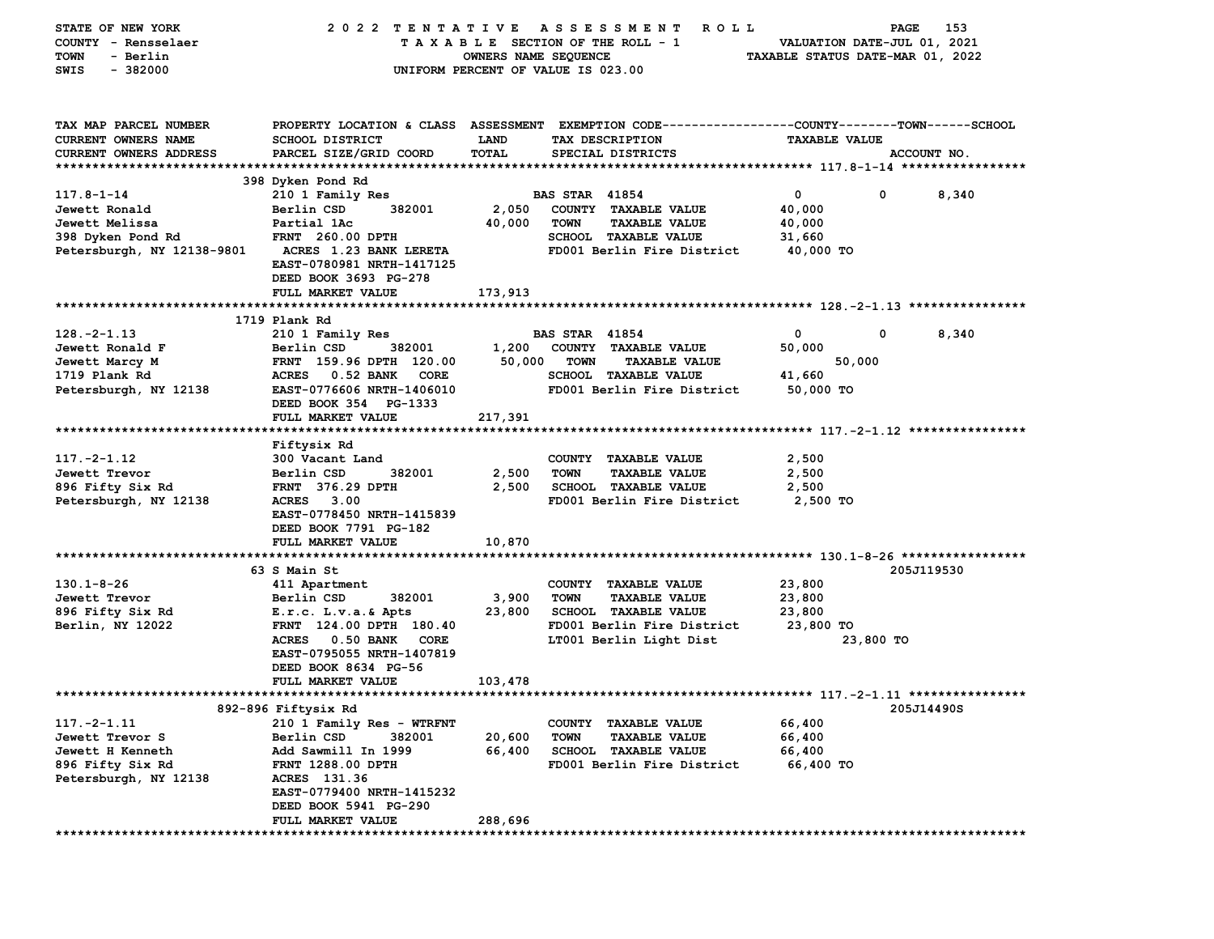| STATE OF NEW YORK          | 2022 TENTATIVE                    |                      | A S S E S S M E N T<br><b>ROLL</b>                                                              |                                  | 153<br>PAGE                 |
|----------------------------|-----------------------------------|----------------------|-------------------------------------------------------------------------------------------------|----------------------------------|-----------------------------|
| COUNTY - Rensselaer        |                                   |                      | TAXABLE SECTION OF THE ROLL - 1                                                                 |                                  | VALUATION DATE-JUL 01, 2021 |
| - Berlin<br>TOWN           |                                   | OWNERS NAME SEQUENCE |                                                                                                 | TAXABLE STATUS DATE-MAR 01, 2022 |                             |
| $-382000$<br>SWIS          |                                   |                      | UNIFORM PERCENT OF VALUE IS 023.00                                                              |                                  |                             |
|                            |                                   |                      |                                                                                                 |                                  |                             |
|                            |                                   |                      |                                                                                                 |                                  |                             |
| TAX MAP PARCEL NUMBER      |                                   |                      | PROPERTY LOCATION & CLASS ASSESSMENT EXEMPTION CODE---------------COUNTY-------TOWN------SCHOOL |                                  |                             |
|                            |                                   |                      |                                                                                                 |                                  |                             |
| CURRENT OWNERS NAME        | <b>SCHOOL DISTRICT</b>            | <b>LAND</b>          | TAX DESCRIPTION                                                                                 | <b>TAXABLE VALUE</b>             |                             |
| CURRENT OWNERS ADDRESS     | PARCEL SIZE/GRID COORD            | TOTAL                | SPECIAL DISTRICTS                                                                               |                                  | ACCOUNT NO.                 |
|                            |                                   |                      |                                                                                                 |                                  |                             |
|                            | 398 Dyken Pond Rd                 |                      |                                                                                                 |                                  |                             |
| $117.8 - 1 - 14$           | 210 1 Family Res                  |                      | <b>BAS STAR 41854</b>                                                                           | $\mathbf 0$                      | 0<br>8,340                  |
| Jewett Ronald              | Berlin CSD<br>382001              | 2,050                | COUNTY TAXABLE VALUE                                                                            | 40,000                           |                             |
| Jewett Melissa             | Partial 1Ac                       | 40,000               | <b>TOWN</b><br><b>TAXABLE VALUE</b>                                                             | 40,000                           |                             |
| 398 Dyken Pond Rd          | <b>FRNT</b> 260.00 DPTH           |                      | SCHOOL TAXABLE VALUE                                                                            | 31,660                           |                             |
| Petersburgh, NY 12138-9801 | <b>ACRES 1.23 BANK LERETA</b>     |                      | FD001 Berlin Fire District                                                                      | 40,000 TO                        |                             |
|                            | EAST-0780981 NRTH-1417125         |                      |                                                                                                 |                                  |                             |
|                            | DEED BOOK 3693 PG-278             |                      |                                                                                                 |                                  |                             |
|                            | FULL MARKET VALUE                 | 173,913              |                                                                                                 |                                  |                             |
|                            |                                   |                      |                                                                                                 |                                  |                             |
|                            | 1719 Plank Rd                     |                      |                                                                                                 |                                  |                             |
| $128. -2 - 1.13$           | 210 1 Family Res                  |                      | <b>BAS STAR 41854</b>                                                                           | 0                                | 0<br>8,340                  |
| Jewett Ronald F            | Berlin CSD<br>382001              | 1,200                | COUNTY TAXABLE VALUE                                                                            | 50,000                           |                             |
| Jewett Marcy M             | FRNT 159.96 DPTH 120.00           | 50,000               | <b>TOWN</b><br><b>TAXABLE VALUE</b>                                                             | 50,000                           |                             |
| 1719 Plank Rd              | <b>ACRES</b><br>0.52 BANK<br>CORE |                      | <b>SCHOOL TAXABLE VALUE</b>                                                                     | 41,660                           |                             |
| Petersburgh, NY 12138      | EAST-0776606 NRTH-1406010         |                      | FD001 Berlin Fire District                                                                      | 50,000 TO                        |                             |
|                            | DEED BOOK 354 PG-1333             |                      |                                                                                                 |                                  |                             |
|                            | FULL MARKET VALUE                 | 217,391              |                                                                                                 |                                  |                             |
|                            |                                   |                      |                                                                                                 |                                  |                             |
|                            | Fiftysix Rd                       |                      |                                                                                                 |                                  |                             |
| $117. - 2 - 1.12$          | 300 Vacant Land                   |                      | COUNTY TAXABLE VALUE                                                                            | 2,500                            |                             |
| Jewett Trevor              | Berlin CSD<br>382001              | 2,500                | <b>TOWN</b><br><b>TAXABLE VALUE</b>                                                             | 2,500                            |                             |
| 896 Fifty Six Rd           | <b>FRNT</b> 376.29 DPTH           | 2,500                | <b>SCHOOL TAXABLE VALUE</b>                                                                     | 2,500                            |                             |
| Petersburgh, NY 12138      | <b>ACRES</b><br>3.00              |                      | FD001 Berlin Fire District                                                                      | 2,500 TO                         |                             |
|                            | EAST-0778450 NRTH-1415839         |                      |                                                                                                 |                                  |                             |
|                            | DEED BOOK 7791 PG-182             |                      |                                                                                                 |                                  |                             |
|                            | FULL MARKET VALUE                 | 10,870               |                                                                                                 |                                  |                             |
|                            |                                   |                      |                                                                                                 |                                  |                             |
|                            | 63 S Main St                      |                      |                                                                                                 |                                  | 205J119530                  |
| $130.1 - 8 - 26$           | 411 Apartment                     |                      | COUNTY TAXABLE VALUE                                                                            | 23,800                           |                             |
| Jewett Trevor              | Berlin CSD<br>382001              | 3,900                | <b>TOWN</b><br><b>TAXABLE VALUE</b>                                                             | 23,800                           |                             |
| 896 Fifty Six Rd           | E.r.c. L.v.a.& Apts               | 23,800               | <b>SCHOOL TAXABLE VALUE</b>                                                                     | 23,800                           |                             |
| Berlin, NY 12022           | FRNT 124.00 DPTH 180.40           |                      | FD001 Berlin Fire District                                                                      | 23,800 TO                        |                             |
|                            | ACRES 0.50 BANK<br>CORE           |                      | LT001 Berlin Light Dist                                                                         |                                  | 23,800 TO                   |
|                            | EAST-0795055 NRTH-1407819         |                      |                                                                                                 |                                  |                             |
|                            | DEED BOOK 8634 PG-56              |                      |                                                                                                 |                                  |                             |
|                            | FULL MARKET VALUE                 | 103,478              |                                                                                                 |                                  |                             |
|                            |                                   |                      |                                                                                                 |                                  |                             |
|                            | 892-896 Fiftysix Rd               |                      |                                                                                                 |                                  | 205J14490S                  |
| $117. -2 - 1.11$           | 210 1 Family Res - WTRFNT         |                      | COUNTY TAXABLE VALUE                                                                            | 66,400                           |                             |
| Jewett Trevor S            | Berlin CSD<br>382001              | 20,600               | <b>TOWN</b><br><b>TAXABLE VALUE</b>                                                             | 66,400                           |                             |
|                            |                                   |                      |                                                                                                 |                                  |                             |
| Jewett H Kenneth           | Add Sawmill In 1999               | 66,400               | <b>SCHOOL TAXABLE VALUE</b>                                                                     | 66,400                           |                             |
| 896 Fifty Six Rd           | FRNT 1288.00 DPTH                 |                      | FD001 Berlin Fire District                                                                      | 66,400 TO                        |                             |
| Petersburgh, NY 12138      | ACRES 131.36                      |                      |                                                                                                 |                                  |                             |
|                            | EAST-0779400 NRTH-1415232         |                      |                                                                                                 |                                  |                             |
|                            | DEED BOOK 5941 PG-290             |                      |                                                                                                 |                                  |                             |
|                            | FULL MARKET VALUE                 | 288,696              |                                                                                                 |                                  |                             |
|                            |                                   |                      |                                                                                                 |                                  |                             |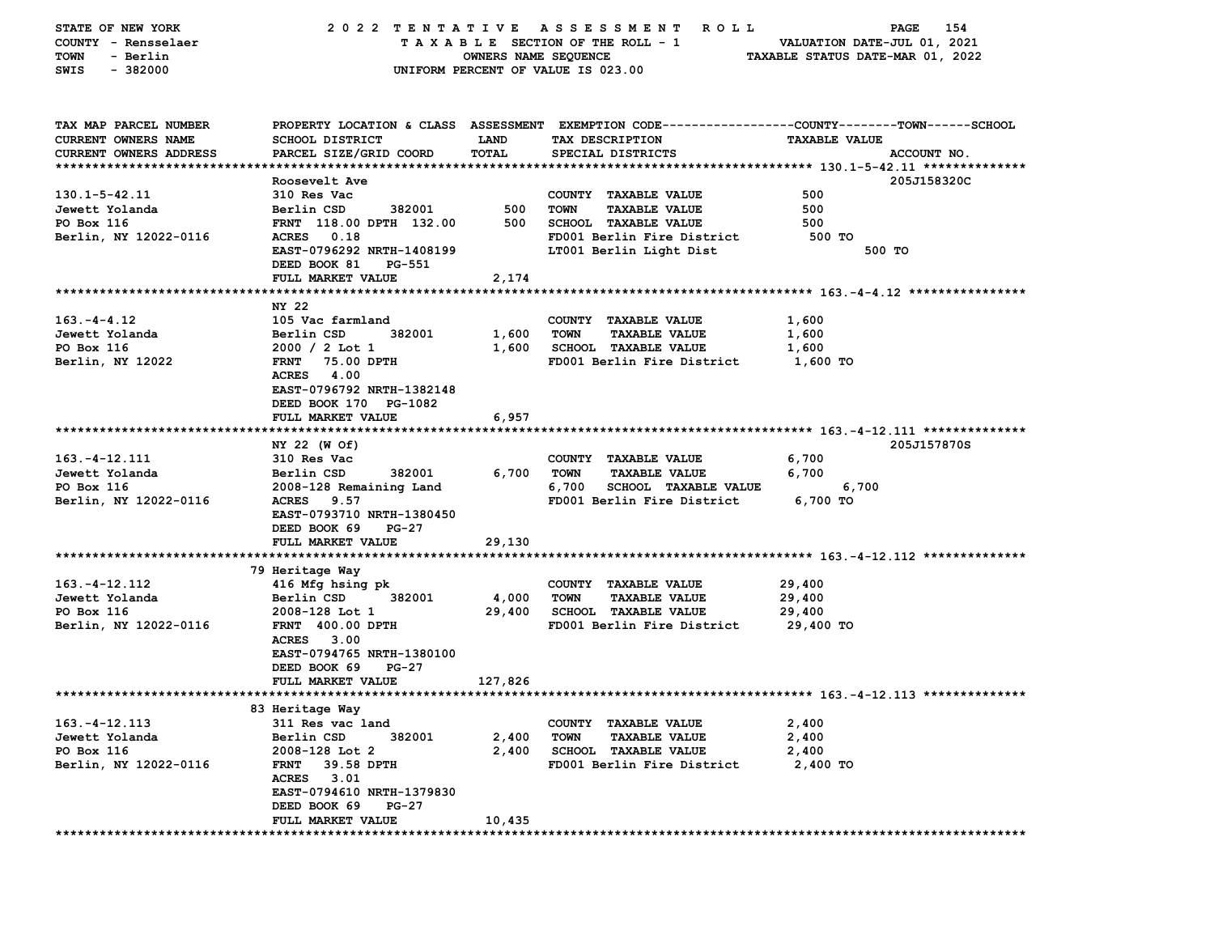| STATE OF NEW YORK      | 2022 TENTATIVE            |                      | A S S E S S M E N T<br>R O L L       | 154<br><b>PAGE</b>                                                                             |
|------------------------|---------------------------|----------------------|--------------------------------------|------------------------------------------------------------------------------------------------|
| COUNTY - Rensselaer    |                           |                      | TAXABLE SECTION OF THE ROLL - 1      | VALUATION DATE-JUL 01, 2021                                                                    |
| - Berlin<br>TOWN       |                           | OWNERS NAME SEQUENCE |                                      | TAXABLE STATUS DATE-MAR 01, 2022                                                               |
| SWIS<br>- 382000       |                           |                      | UNIFORM PERCENT OF VALUE IS 023.00   |                                                                                                |
|                        |                           |                      |                                      |                                                                                                |
|                        |                           |                      |                                      |                                                                                                |
| TAX MAP PARCEL NUMBER  |                           |                      |                                      | PROPERTY LOCATION & CLASS ASSESSMENT EXEMPTION CODE---------------COUNTY-------TOWN-----SCHOOL |
| CURRENT OWNERS NAME    | SCHOOL DISTRICT           | <b>LAND</b>          | TAX DESCRIPTION                      | <b>TAXABLE VALUE</b>                                                                           |
| CURRENT OWNERS ADDRESS | PARCEL SIZE/GRID COORD    | <b>TOTAL</b>         | SPECIAL DISTRICTS                    | ACCOUNT NO.                                                                                    |
|                        |                           |                      |                                      |                                                                                                |
|                        | Roosevelt Ave             |                      |                                      | 205J158320C                                                                                    |
| $130.1 - 5 - 42.11$    | 310 Res Vac               |                      | COUNTY TAXABLE VALUE                 | 500                                                                                            |
| Jewett Yolanda         | Berlin CSD<br>382001      | 500                  | <b>TOWN</b><br><b>TAXABLE VALUE</b>  | 500                                                                                            |
| PO Box 116             | FRNT 118.00 DPTH 132.00   | 500                  | <b>SCHOOL TAXABLE VALUE</b>          | 500                                                                                            |
| Berlin, NY 12022-0116  | ACRES 0.18                |                      | FD001 Berlin Fire District           | 500 TO                                                                                         |
|                        | EAST-0796292 NRTH-1408199 |                      | LT001 Berlin Light Dist              | 500 TO                                                                                         |
|                        | DEED BOOK 81<br>PG-551    |                      |                                      |                                                                                                |
|                        | FULL MARKET VALUE         | 2,174                |                                      |                                                                                                |
|                        |                           |                      |                                      |                                                                                                |
|                        | NY 22                     |                      |                                      |                                                                                                |
| $163. -4 - 4.12$       | 105 Vac farmland          |                      | COUNTY TAXABLE VALUE                 | 1,600                                                                                          |
| Jewett Yolanda         | Berlin CSD<br>382001      | 1,600                | TOWN<br><b>TAXABLE VALUE</b>         | 1,600                                                                                          |
| PO Box 116             | $2000 / 2$ Lot 1          | 1,600                | <b>SCHOOL TAXABLE VALUE</b>          | 1,600                                                                                          |
| Berlin, NY 12022       | FRNT 75.00 DPTH           |                      | FD001 Berlin Fire District           | 1,600 TO                                                                                       |
|                        | ACRES 4.00                |                      |                                      |                                                                                                |
|                        | EAST-0796792 NRTH-1382148 |                      |                                      |                                                                                                |
|                        | DEED BOOK 170 PG-1082     |                      |                                      |                                                                                                |
|                        | FULL MARKET VALUE         | 6,957                |                                      |                                                                                                |
|                        |                           |                      |                                      |                                                                                                |
|                        | NY 22 (W Of)              |                      |                                      | 205J157870S                                                                                    |
| 163.-4-12.111          | 310 Res Vac               |                      | COUNTY TAXABLE VALUE                 | 6,700                                                                                          |
| Jewett Yolanda         | Berlin CSD<br>382001      | 6,700                | TOWN<br><b>TAXABLE VALUE</b>         | 6,700                                                                                          |
| PO Box 116             | 2008-128 Remaining Land   |                      | 6,700<br><b>SCHOOL TAXABLE VALUE</b> | 6,700                                                                                          |
| Berlin, NY 12022-0116  | ACRES 9.57                |                      | FD001 Berlin Fire District           | 6,700 TO                                                                                       |
|                        | EAST-0793710 NRTH-1380450 |                      |                                      |                                                                                                |
|                        | DEED BOOK 69<br>PG-27     |                      |                                      |                                                                                                |
|                        | FULL MARKET VALUE         | 29,130               |                                      |                                                                                                |
|                        |                           |                      |                                      |                                                                                                |
|                        | 79 Heritage Way           |                      |                                      |                                                                                                |
| $163. - 4 - 12.112$    | 416 Mfg hsing pk          |                      | COUNTY TAXABLE VALUE                 | 29,400                                                                                         |
| Jewett Yolanda         | Berlin CSD<br>382001      | 4,000                | <b>TOWN</b><br><b>TAXABLE VALUE</b>  | 29,400                                                                                         |
| PO Box 116             | 2008-128 Lot 1            | 29,400               | <b>SCHOOL TAXABLE VALUE</b>          | 29,400                                                                                         |
| Berlin, NY 12022-0116  | FRNT 400.00 DPTH          |                      | FD001 Berlin Fire District           | 29,400 TO                                                                                      |
|                        | ACRES 3.00                |                      |                                      |                                                                                                |
|                        | EAST-0794765 NRTH-1380100 |                      |                                      |                                                                                                |
|                        | DEED BOOK 69<br>PG-27     |                      |                                      |                                                                                                |
|                        | <b>FULL MARKET VALUE</b>  | 127,826              |                                      |                                                                                                |
|                        |                           |                      |                                      |                                                                                                |
|                        | 83 Heritage Way           |                      |                                      |                                                                                                |
| $163. - 4 - 12.113$    | 311 Res vac land          |                      | COUNTY TAXABLE VALUE                 | 2,400                                                                                          |
| Jewett Yolanda         | Berlin CSD<br>382001      | 2,400                | <b>TOWN</b><br><b>TAXABLE VALUE</b>  | 2,400                                                                                          |
| PO Box 116             | 2008-128 Lot 2            | 2,400                | SCHOOL TAXABLE VALUE                 | 2,400                                                                                          |
| Berlin, NY 12022-0116  | <b>FRNT</b><br>39.58 DPTH |                      | FD001 Berlin Fire District           | 2,400 TO                                                                                       |
|                        | ACRES 3.01                |                      |                                      |                                                                                                |
|                        | EAST-0794610 NRTH-1379830 |                      |                                      |                                                                                                |
|                        | DEED BOOK 69<br>PG-27     |                      |                                      |                                                                                                |
|                        | FULL MARKET VALUE         | 10,435               |                                      |                                                                                                |
|                        |                           |                      |                                      |                                                                                                |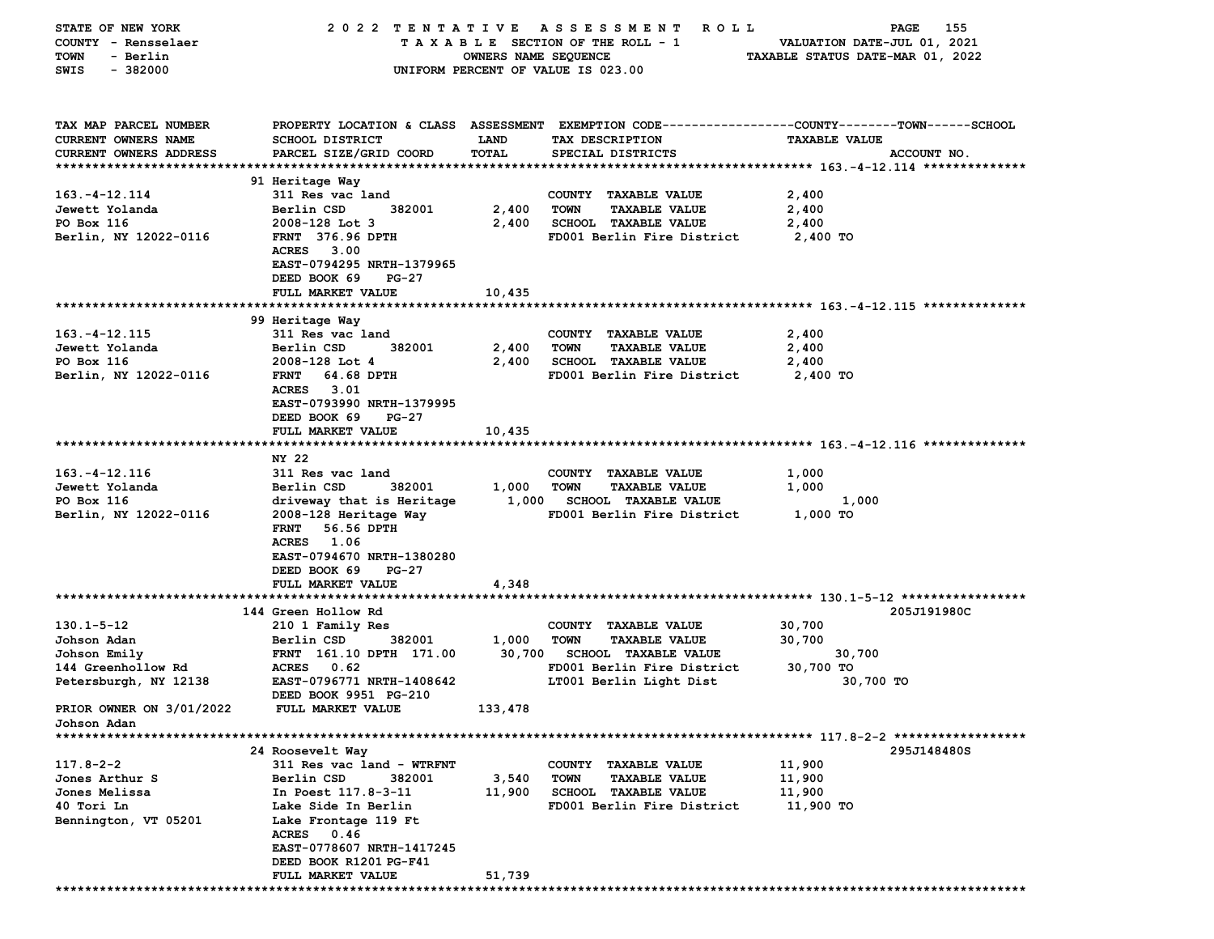| STATE OF NEW YORK        | 2022 TENTATIVE               |                      | A S S E S S M E N T<br><b>ROLL</b>  | 155<br>PAGE                                                                                    |
|--------------------------|------------------------------|----------------------|-------------------------------------|------------------------------------------------------------------------------------------------|
| COUNTY - Rensselaer      |                              |                      | TAXABLE SECTION OF THE ROLL - 1     | VALUATION DATE-JUL 01, 2021                                                                    |
| - Berlin<br>TOWN         |                              | OWNERS NAME SEQUENCE |                                     | TAXABLE STATUS DATE-MAR 01, 2022                                                               |
| $-382000$<br>SWIS        |                              |                      | UNIFORM PERCENT OF VALUE IS 023.00  |                                                                                                |
|                          |                              |                      |                                     |                                                                                                |
|                          |                              |                      |                                     |                                                                                                |
|                          |                              |                      |                                     |                                                                                                |
| TAX MAP PARCEL NUMBER    |                              |                      |                                     | PROPERTY LOCATION & CLASS ASSESSMENT EXEMPTION CODE---------------COUNTY-------TOWN-----SCHOOL |
| CURRENT OWNERS NAME      | <b>SCHOOL DISTRICT</b>       | LAND                 | TAX DESCRIPTION                     | <b>TAXABLE VALUE</b>                                                                           |
| CURRENT OWNERS ADDRESS   | PARCEL SIZE/GRID COORD       | TOTAL                | SPECIAL DISTRICTS                   | ACCOUNT NO.                                                                                    |
|                          |                              |                      |                                     |                                                                                                |
|                          | 91 Heritage Way              |                      |                                     |                                                                                                |
| $163. - 4 - 12.114$      | 311 Res vac land             |                      | COUNTY TAXABLE VALUE                | 2,400                                                                                          |
| Jewett Yolanda           | Berlin CSD<br>382001         | 2,400                | <b>TOWN</b><br><b>TAXABLE VALUE</b> | 2,400                                                                                          |
| PO Box 116               | 2008-128 Lot 3               | 2,400                | SCHOOL TAXABLE VALUE                | 2,400                                                                                          |
| Berlin, NY 12022-0116    | <b>FRNT</b> 376.96 DPTH      |                      | FD001 Berlin Fire District          | 2,400 TO                                                                                       |
|                          | <b>ACRES</b><br>3.00         |                      |                                     |                                                                                                |
|                          | EAST-0794295 NRTH-1379965    |                      |                                     |                                                                                                |
|                          | DEED BOOK 69<br>PG-27        |                      |                                     |                                                                                                |
|                          | FULL MARKET VALUE            | 10,435               |                                     |                                                                                                |
|                          |                              |                      |                                     |                                                                                                |
|                          | 99 Heritage Way              |                      |                                     |                                                                                                |
| $163. - 4 - 12.115$      | 311 Res vac land             |                      | COUNTY TAXABLE VALUE                | 2,400                                                                                          |
| Jewett Yolanda           | Berlin CSD<br>382001         | 2,400                | <b>TOWN</b><br><b>TAXABLE VALUE</b> | 2,400                                                                                          |
| PO Box 116               | 2008-128 Lot 4               | 2,400                | <b>SCHOOL TAXABLE VALUE</b>         | 2,400                                                                                          |
| Berlin, NY 12022-0116    | 64.68 DPTH<br><b>FRNT</b>    |                      | FD001 Berlin Fire District          | 2,400 TO                                                                                       |
|                          | ACRES 3.01                   |                      |                                     |                                                                                                |
|                          | EAST-0793990 NRTH-1379995    |                      |                                     |                                                                                                |
|                          | DEED BOOK 69<br>PG-27        |                      |                                     |                                                                                                |
|                          | FULL MARKET VALUE            | 10,435               |                                     |                                                                                                |
|                          |                              |                      |                                     |                                                                                                |
|                          | NY 22                        |                      |                                     |                                                                                                |
| $163. - 4 - 12.116$      | 311 Res vac land             |                      | COUNTY TAXABLE VALUE                | 1,000                                                                                          |
|                          |                              |                      |                                     |                                                                                                |
| Jewett Yolanda           | Berlin CSD<br>382001         | 1,000                | <b>TOWN</b><br><b>TAXABLE VALUE</b> | 1,000                                                                                          |
| PO Box 116               | driveway that is Heritage    | 1,000                | <b>SCHOOL TAXABLE VALUE</b>         | 1,000                                                                                          |
| Berlin, NY 12022-0116    | 2008-128 Heritage Way        |                      | FD001 Berlin Fire District          | 1,000 TO                                                                                       |
|                          | <b>FRNT</b><br>56.56 DPTH    |                      |                                     |                                                                                                |
|                          | <b>ACRES</b><br>1.06         |                      |                                     |                                                                                                |
|                          | EAST-0794670 NRTH-1380280    |                      |                                     |                                                                                                |
|                          | DEED BOOK 69<br><b>PG-27</b> |                      |                                     |                                                                                                |
|                          | FULL MARKET VALUE            | 4,348                |                                     |                                                                                                |
|                          |                              |                      |                                     |                                                                                                |
|                          | 144 Green Hollow Rd          |                      |                                     | 205J191980C                                                                                    |
| $130.1 - 5 - 12$         | 210 1 Family Res             |                      | COUNTY TAXABLE VALUE                | 30,700                                                                                         |
| Johson Adan              | 382001<br>Berlin CSD         | 1,000                | <b>TOWN</b><br><b>TAXABLE VALUE</b> | 30,700                                                                                         |
| Johson Emily             | FRNT 161.10 DPTH 171.00      | 30,700               | <b>SCHOOL TAXABLE VALUE</b>         | 30,700                                                                                         |
| 144 Greenhollow Rd       | ACRES 0.62                   |                      | FD001 Berlin Fire District          | 30,700 TO                                                                                      |
| Petersburgh, NY 12138    | EAST-0796771 NRTH-1408642    |                      | LT001 Berlin Light Dist             | 30,700 TO                                                                                      |
|                          | DEED BOOK 9951 PG-210        |                      |                                     |                                                                                                |
| PRIOR OWNER ON 3/01/2022 | FULL MARKET VALUE            | 133,478              |                                     |                                                                                                |
| Johson Adan              |                              |                      |                                     |                                                                                                |
|                          |                              |                      |                                     |                                                                                                |
|                          | 24 Roosevelt Way             |                      |                                     | 295J148480S                                                                                    |
| $117.8 - 2 - 2$          | 311 Res vac land - WTRFNT    |                      | COUNTY TAXABLE VALUE                | 11,900                                                                                         |
| Jones Arthur S           | Berlin CSD<br>382001         | 3,540                | <b>TOWN</b><br><b>TAXABLE VALUE</b> | 11,900                                                                                         |
| Jones Melissa            | In Poest 117.8-3-11          | 11,900               | <b>SCHOOL TAXABLE VALUE</b>         | 11,900                                                                                         |
| 40 Tori Ln               | Lake Side In Berlin          |                      | FD001 Berlin Fire District          | 11,900 TO                                                                                      |
| Bennington, VT 05201     | Lake Frontage 119 Ft         |                      |                                     |                                                                                                |
|                          | <b>ACRES</b><br>0.46         |                      |                                     |                                                                                                |
|                          | EAST-0778607 NRTH-1417245    |                      |                                     |                                                                                                |
|                          | DEED BOOK R1201 PG-F41       |                      |                                     |                                                                                                |
|                          | <b>FULL MARKET VALUE</b>     | 51,739               |                                     |                                                                                                |
|                          |                              |                      |                                     |                                                                                                |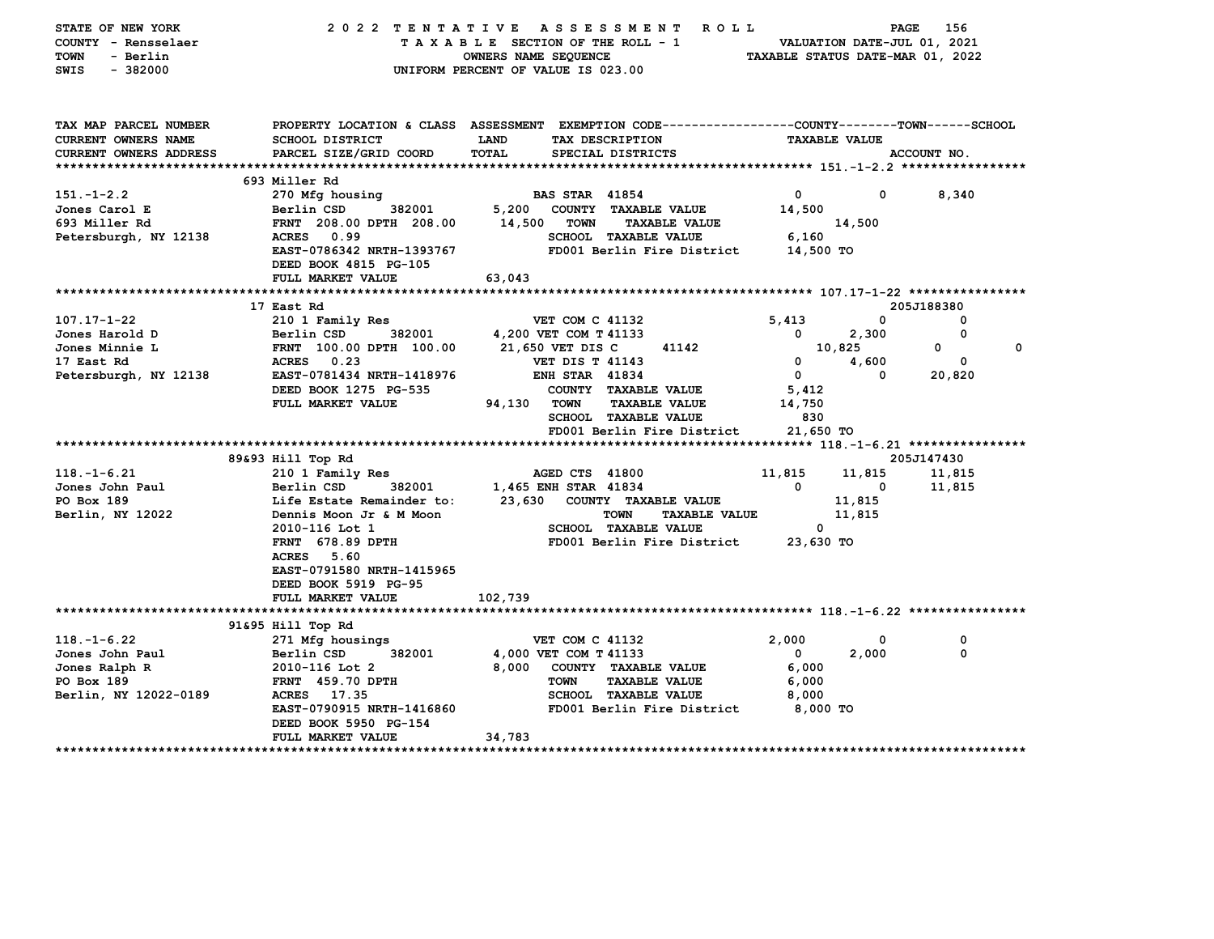| STATE OF NEW YORK<br>COUNTY - Rensselaer<br><b>TOWN</b><br>- Berlin<br>$-382000$<br>SWIS |                                                    | 2022 TENTATIVE ASSESSMENT<br>ROLL <sup></sup><br>TAXABLE SECTION OF THE ROLL - 1<br>OWNERS NAME SEQUENCE<br>UNIFORM PERCENT OF VALUE IS 023.00 | VALUATION DATE-JUL 01, 2021<br>TAXABLE STATUS DATE-MAR 01, 2022 | PAGE         | 156           |
|------------------------------------------------------------------------------------------|----------------------------------------------------|------------------------------------------------------------------------------------------------------------------------------------------------|-----------------------------------------------------------------|--------------|---------------|
| TAX MAP PARCEL NUMBER<br><b>CURRENT OWNERS NAME</b>                                      | <b>SCHOOL DISTRICT</b>                             | PROPERTY LOCATION & CLASS ASSESSMENT EXEMPTION CODE---------------COUNTY-------TOWN-----SCHOOL<br>TAX DESCRIPTION<br>LAND                      | <b>TAXABLE VALUE</b>                                            |              |               |
| <b>CURRENT OWNERS ADDRESS</b>                                                            | PARCEL SIZE/GRID COORD                             | <b>TOTAL</b><br>SPECIAL DISTRICTS                                                                                                              |                                                                 |              | ACCOUNT NO.   |
|                                                                                          | 693 Miller Rd                                      |                                                                                                                                                |                                                                 |              |               |
| $151. - 1 - 2.2$                                                                         | 270 Mfg housing                                    | <b>BAS STAR 41854</b>                                                                                                                          | $\mathbf 0$                                                     | $\mathbf{0}$ | 8,340         |
| Jones Carol E                                                                            | 382001<br>Berlin CSD                               | 5,200 COUNTY TAXABLE VALUE                                                                                                                     | 14,500                                                          |              |               |
| 693 Miller Rd                                                                            | FRNT 208.00 DPTH 208.00                            | 14,500<br><b>TOWN</b><br><b>TAXABLE VALUE</b>                                                                                                  |                                                                 | 14,500       |               |
| Petersburgh, NY 12138                                                                    | ACRES 0.99                                         | <b>SCHOOL TAXABLE VALUE</b>                                                                                                                    | 6,160                                                           |              |               |
|                                                                                          | EAST-0786342 NRTH-1393767<br>DEED BOOK 4815 PG-105 | FD001 Berlin Fire District                                                                                                                     | 14,500 TO                                                       |              |               |
|                                                                                          | FULL MARKET VALUE                                  | 63,043                                                                                                                                         |                                                                 |              |               |
|                                                                                          | 17 East Rd                                         |                                                                                                                                                |                                                                 |              | 205J188380    |
| 107.17-1-22                                                                              | 210 1 Family Res                                   | <b>VET COM C 41132</b>                                                                                                                         | 5,413                                                           | 0            | $\Omega$      |
| Jones Harold D                                                                           | 382001<br>Berlin CSD                               | 4,200 VET COM T 41133                                                                                                                          | 0                                                               | 2,300        | 0             |
| Jones Minnie L                                                                           | FRNT 100.00 DPTH 100.00                            | 21,650 VET DIS C<br>41142                                                                                                                      | 10,825                                                          |              | 0<br>$\Omega$ |
| 17 East Rd                                                                               | <b>ACRES</b> 0.23                                  | <b>VET DIS T 41143</b>                                                                                                                         | $\mathbf{0}$                                                    | 4,600        | 0             |
| Petersburgh, NY 12138                                                                    | EAST-0781434 NRTH-1418976                          | <b>ENH STAR 41834</b>                                                                                                                          | $\mathbf{0}$                                                    | 0            | 20,820        |
|                                                                                          | DEED BOOK 1275 PG-535                              | COUNTY TAXABLE VALUE                                                                                                                           | 5,412                                                           |              |               |
|                                                                                          | FULL MARKET VALUE                                  | 94,130 TOWN<br><b>TAXABLE VALUE</b>                                                                                                            | 14,750                                                          |              |               |
|                                                                                          |                                                    | SCHOOL TAXABLE VALUE                                                                                                                           | 830                                                             |              |               |
|                                                                                          |                                                    | FD001 Berlin Fire District                                                                                                                     | 21,650 TO                                                       |              |               |
|                                                                                          | 89&93 Hill Top Rd                                  |                                                                                                                                                |                                                                 |              | 205J147430    |
| $118. - 1 - 6.21$                                                                        | 210 1 Family Res                                   | AGED CTS 41800                                                                                                                                 | 11,815                                                          | 11,815       | 11,815        |
| Jones John Paul                                                                          | Berlin CSD<br>382001                               | 1,465 ENH STAR 41834                                                                                                                           | $\mathbf{0}$                                                    | 0            | 11,815        |
| PO Box 189                                                                               | Life Estate Remainder to:                          | 23,630 COUNTY TAXABLE VALUE                                                                                                                    |                                                                 | 11,815       |               |
| Berlin, NY 12022                                                                         | Dennis Moon Jr & M Moon                            | <b>TOWN</b><br><b>TAXABLE VALUE</b>                                                                                                            |                                                                 | 11,815       |               |
|                                                                                          | 2010-116 Lot 1                                     | <b>SCHOOL TAXABLE VALUE</b>                                                                                                                    | $^{\circ}$                                                      |              |               |
|                                                                                          | <b>FRNT</b> 678.89 DPTH                            | FD001 Berlin Fire District                                                                                                                     | 23,630 TO                                                       |              |               |
|                                                                                          | <b>ACRES</b> 5.60                                  |                                                                                                                                                |                                                                 |              |               |
|                                                                                          | EAST-0791580 NRTH-1415965                          |                                                                                                                                                |                                                                 |              |               |
|                                                                                          | DEED BOOK 5919 PG-95<br>FULL MARKET VALUE          | 102,739                                                                                                                                        |                                                                 |              |               |
|                                                                                          |                                                    |                                                                                                                                                |                                                                 |              |               |
|                                                                                          | 91&95 Hill Top Rd                                  |                                                                                                                                                |                                                                 |              |               |
| $118. - 1 - 6.22$                                                                        | 271 Mfg housings                                   | <b>VET COM C 41132</b>                                                                                                                         | 2,000                                                           | 0            | 0             |
| Jones John Paul                                                                          | Berlin CSD<br>382001                               | 4,000 VET COM T 41133                                                                                                                          | $\Omega$                                                        | 2,000        | $\Omega$      |
| Jones Ralph R                                                                            | 2010-116 Lot 2                                     | 8,000<br>COUNTY TAXABLE VALUE                                                                                                                  | 6,000                                                           |              |               |
| PO Box 189                                                                               | <b>FRNT</b> 459.70 DPTH                            | <b>TOWN</b><br><b>TAXABLE VALUE</b>                                                                                                            | 6,000                                                           |              |               |
| Berlin, NY 12022-0189                                                                    | 17.35<br>ACRES                                     | <b>SCHOOL TAXABLE VALUE</b>                                                                                                                    | 8,000                                                           |              |               |
|                                                                                          | EAST-0790915 NRTH-1416860<br>DEED BOOK 5950 PG-154 | FD001 Berlin Fire District                                                                                                                     | 8,000 TO                                                        |              |               |
|                                                                                          | FULL MARKET VALUE                                  | 34,783                                                                                                                                         |                                                                 |              |               |
|                                                                                          |                                                    |                                                                                                                                                |                                                                 |              |               |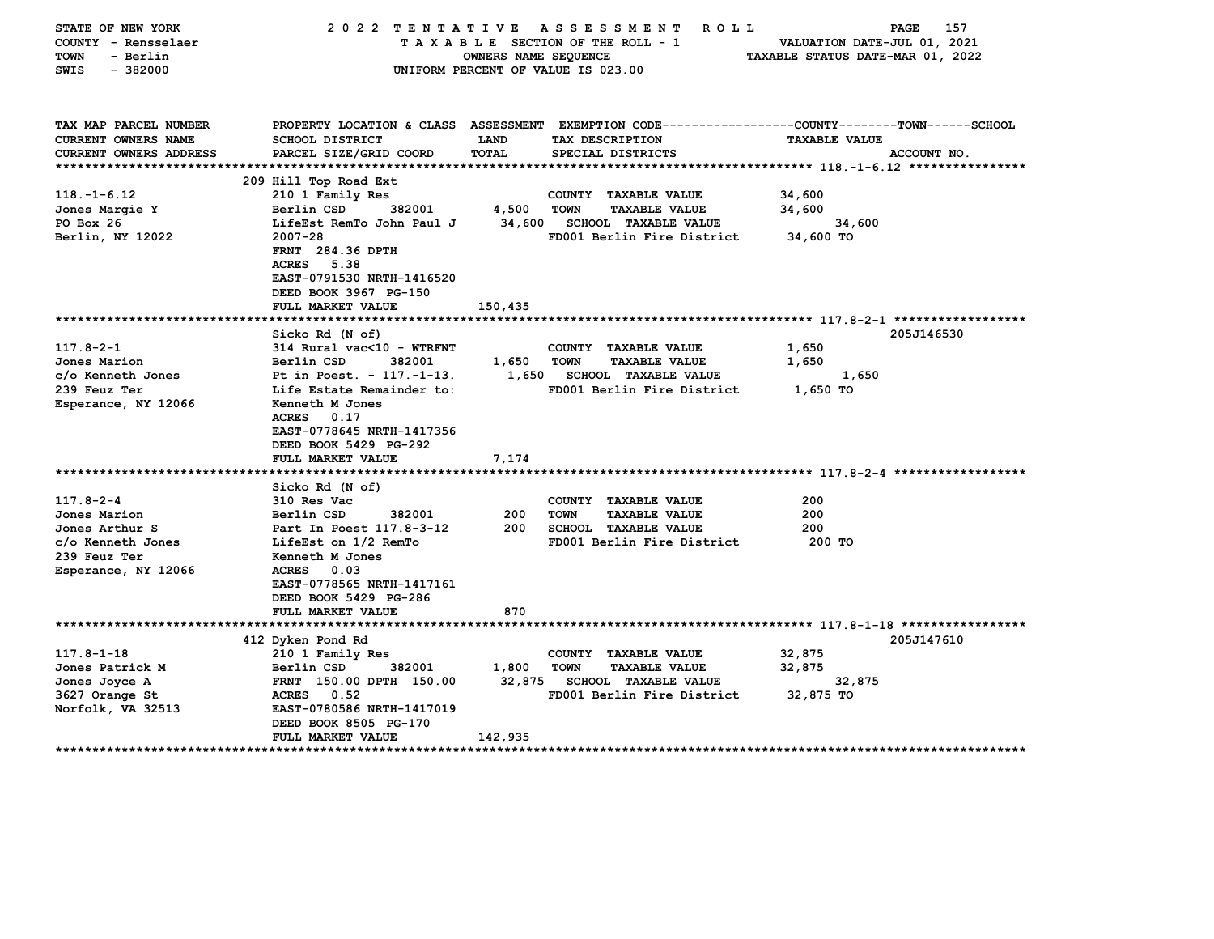| STATE OF NEW YORK          | 2022 TENTATIVE            |                      | ROLL <sup></sup><br>A S S E S S M E N T                                                         | PAGE                             | 157 |
|----------------------------|---------------------------|----------------------|-------------------------------------------------------------------------------------------------|----------------------------------|-----|
| COUNTY - Rensselaer        |                           |                      | TAXABLE SECTION OF THE ROLL - 1                                                                 | VALUATION DATE-JUL 01, 2021      |     |
| TOWN<br>- Berlin           |                           | OWNERS NAME SEQUENCE |                                                                                                 | TAXABLE STATUS DATE-MAR 01, 2022 |     |
| $-382000$<br>SWIS          |                           |                      | UNIFORM PERCENT OF VALUE IS 023.00                                                              |                                  |     |
|                            |                           |                      |                                                                                                 |                                  |     |
|                            |                           |                      |                                                                                                 |                                  |     |
| TAX MAP PARCEL NUMBER      |                           |                      | PROPERTY LOCATION & CLASS ASSESSMENT EXEMPTION CODE---------------COUNTY-------TOWN------SCHOOL |                                  |     |
| <b>CURRENT OWNERS NAME</b> | <b>SCHOOL DISTRICT</b>    | <b>LAND</b>          | TAX DESCRIPTION                                                                                 | <b>TAXABLE VALUE</b>             |     |
| CURRENT OWNERS ADDRESS     | PARCEL SIZE/GRID COORD    | TOTAL                | SPECIAL DISTRICTS                                                                               | ACCOUNT NO.                      |     |
|                            |                           |                      |                                                                                                 |                                  |     |
|                            | 209 Hill Top Road Ext     |                      |                                                                                                 |                                  |     |
| $118. - 1 - 6.12$          | 210 1 Family Res          |                      | COUNTY TAXABLE VALUE                                                                            | 34,600                           |     |
| Jones Margie Y             | Berlin CSD<br>382001      | 4,500                | TOWN<br><b>TAXABLE VALUE</b>                                                                    | 34,600                           |     |
| PO Box 26                  | LifeEst RemTo John Paul J | 34,600               | <b>SCHOOL TAXABLE VALUE</b>                                                                     | 34,600                           |     |
| Berlin, NY 12022           | $2007 - 28$               |                      | FD001 Berlin Fire District                                                                      | 34,600 TO                        |     |
|                            | FRNT 284.36 DPTH          |                      |                                                                                                 |                                  |     |
|                            | ACRES 5.38                |                      |                                                                                                 |                                  |     |
|                            | EAST-0791530 NRTH-1416520 |                      |                                                                                                 |                                  |     |
|                            | DEED BOOK 3967 PG-150     |                      |                                                                                                 |                                  |     |
|                            | FULL MARKET VALUE         | 150,435              |                                                                                                 |                                  |     |
|                            |                           |                      |                                                                                                 |                                  |     |
|                            | Sicko Rd (N of)           |                      |                                                                                                 | 205J146530                       |     |
| $117.8 - 2 - 1$            | 314 Rural vac<10 - WTRFNT |                      | COUNTY TAXABLE VALUE                                                                            | 1,650                            |     |
| Jones Marion               | Berlin CSD<br>382001      | 1,650                | <b>TOWN</b><br><b>TAXABLE VALUE</b>                                                             | 1,650                            |     |
| c/o Kenneth Jones          | Pt in Poest. - 117.-1-13. | 1,650                | <b>SCHOOL TAXABLE VALUE</b>                                                                     | 1,650                            |     |
| 239 Feuz Ter               | Life Estate Remainder to: |                      | FD001 Berlin Fire District                                                                      | 1,650 TO                         |     |
| Esperance, NY 12066        | Kenneth M Jones           |                      |                                                                                                 |                                  |     |
|                            | ACRES 0.17                |                      |                                                                                                 |                                  |     |
|                            | EAST-0778645 NRTH-1417356 |                      |                                                                                                 |                                  |     |
|                            | DEED BOOK 5429 PG-292     |                      |                                                                                                 |                                  |     |
|                            | FULL MARKET VALUE         | 7,174                |                                                                                                 |                                  |     |
|                            | Sicko Rd (N of)           |                      |                                                                                                 |                                  |     |
| $117.8 - 2 - 4$            | 310 Res Vac               |                      | COUNTY TAXABLE VALUE                                                                            | 200                              |     |
| Jones Marion               | Berlin CSD<br>382001      | 200                  | <b>TOWN</b><br><b>TAXABLE VALUE</b>                                                             | 200                              |     |
| Jones Arthur S             | Part In Poest 117.8-3-12  | 200                  | <b>SCHOOL TAXABLE VALUE</b>                                                                     | 200                              |     |
| c/o Kenneth Jones          | LifeEst on 1/2 RemTo      |                      | FD001 Berlin Fire District                                                                      | 200 TO                           |     |
| 239 Feuz Ter               | Kenneth M Jones           |                      |                                                                                                 |                                  |     |
| Esperance, NY 12066        | ACRES 0.03                |                      |                                                                                                 |                                  |     |
|                            | EAST-0778565 NRTH-1417161 |                      |                                                                                                 |                                  |     |
|                            | DEED BOOK 5429 PG-286     |                      |                                                                                                 |                                  |     |
|                            | FULL MARKET VALUE         | 870                  |                                                                                                 |                                  |     |
|                            |                           |                      |                                                                                                 |                                  |     |
|                            | 412 Dyken Pond Rd         |                      |                                                                                                 | 205J147610                       |     |
| $117.8 - 1 - 18$           | 210 1 Family Res          |                      | COUNTY TAXABLE VALUE                                                                            | 32,875                           |     |
| Jones Patrick M            | Berlin CSD<br>382001      | 1,800                | TOWN<br><b>TAXABLE VALUE</b>                                                                    | 32,875                           |     |
| Jones Joyce A              | FRNT 150.00 DPTH 150.00   |                      | 32,875 SCHOOL TAXABLE VALUE                                                                     | 32,875                           |     |
| 3627 Orange St             | ACRES 0.52                |                      | FD001 Berlin Fire District                                                                      | 32,875 TO                        |     |
| Norfolk, VA 32513          | EAST-0780586 NRTH-1417019 |                      |                                                                                                 |                                  |     |
|                            | DEED BOOK 8505 PG-170     |                      |                                                                                                 |                                  |     |
|                            | FULL MARKET VALUE         | 142,935              |                                                                                                 |                                  |     |
|                            |                           |                      |                                                                                                 |                                  |     |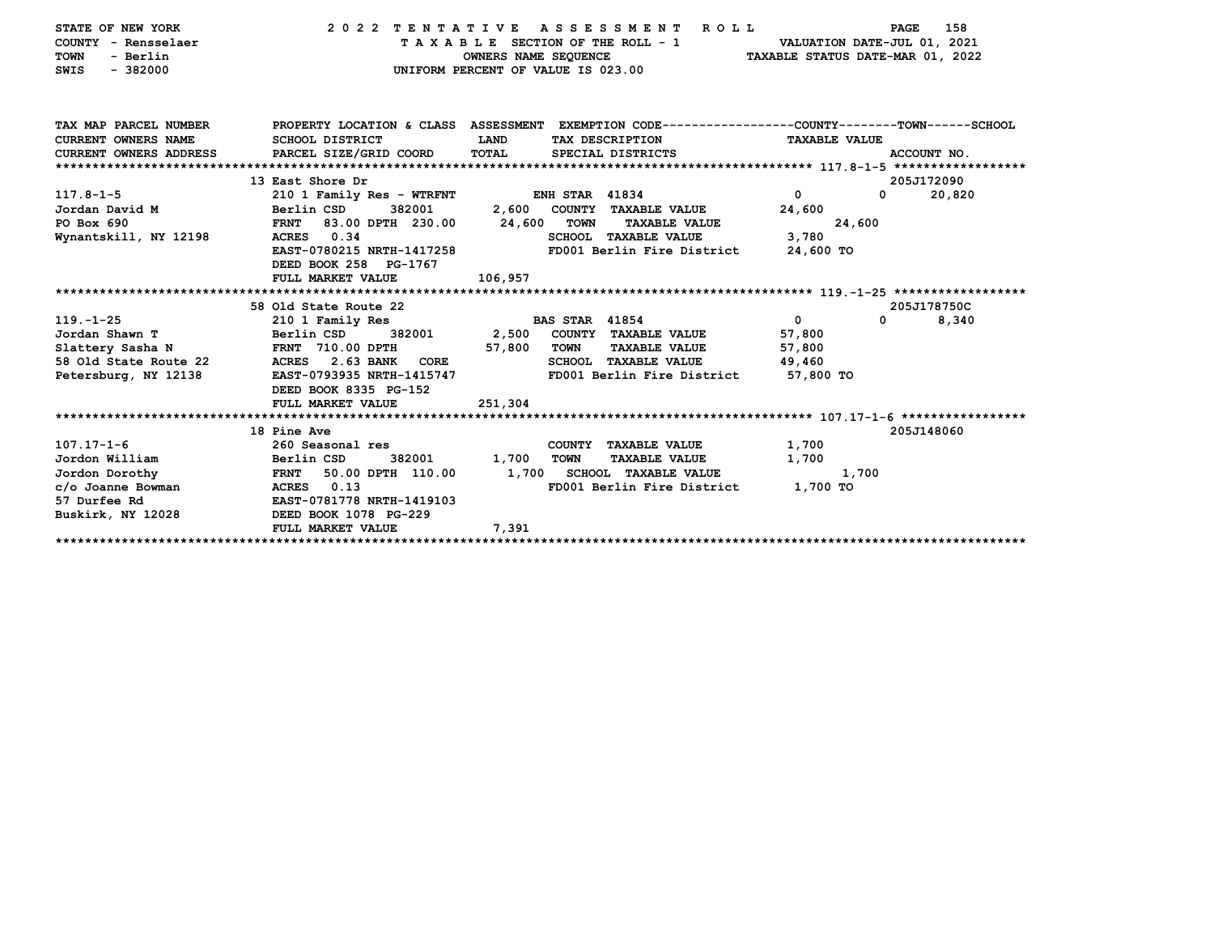| STATE OF NEW YORK<br>COUNTY - Rensselaer<br>- Berlin<br><b>TOWN</b><br>$-382000$<br>SWIS<br>TAX MAP PARCEL NUMBER<br><b>CURRENT OWNERS NAME</b><br><b>CURRENT OWNERS ADDRESS</b> | 2022 TENTATIVE<br>PROPERTY LOCATION & CLASS ASSESSMENT EXEMPTION CODE---------------COUNTY-------TOWN------SCHOOL<br><b>SCHOOL DISTRICT</b><br>PARCEL SIZE/GRID COORD | TAXABLE SECTION OF THE ROLL - 1<br>OWNERS NAME SEQUENCE<br>UNIFORM PERCENT OF VALUE IS 023.00<br>LAND<br>TOTAL | A S S E S S M E N T<br>ROLL<br>TAX DESCRIPTION<br>SPECIAL DISTRICTS | TAXABLE STATUS DATE-MAR 01, 2022<br><b>TAXABLE VALUE</b> | 158<br>PAGE<br>VALUATION DATE-JUL 01, 2021<br>ACCOUNT NO. |
|----------------------------------------------------------------------------------------------------------------------------------------------------------------------------------|-----------------------------------------------------------------------------------------------------------------------------------------------------------------------|----------------------------------------------------------------------------------------------------------------|---------------------------------------------------------------------|----------------------------------------------------------|-----------------------------------------------------------|
|                                                                                                                                                                                  |                                                                                                                                                                       |                                                                                                                |                                                                     |                                                          |                                                           |
|                                                                                                                                                                                  | 13 East Shore Dr                                                                                                                                                      |                                                                                                                |                                                                     |                                                          | 205J172090                                                |
| $117.8 - 1 - 5$                                                                                                                                                                  | 210 1 Family Res - WTRFNT                                                                                                                                             | <b>ENH STAR 41834</b>                                                                                          |                                                                     | 0                                                        | $\mathbf{0}$<br>20,820                                    |
| Jordan David M                                                                                                                                                                   | Berlin CSD<br>382001                                                                                                                                                  | 2,600                                                                                                          | COUNTY TAXABLE VALUE                                                | 24,600                                                   |                                                           |
| PO Box 690                                                                                                                                                                       | <b>FRNT</b><br>83.00 DPTH 230.00                                                                                                                                      | <b>TOWN</b><br>24,600                                                                                          | <b>TAXABLE VALUE</b>                                                | 24,600                                                   |                                                           |
| Wynantskill, NY 12198                                                                                                                                                            | ACRES 0.34                                                                                                                                                            |                                                                                                                | <b>SCHOOL TAXABLE VALUE</b>                                         | 3,780                                                    |                                                           |
|                                                                                                                                                                                  | EAST-0780215 NRTH-1417258                                                                                                                                             |                                                                                                                | FD001 Berlin Fire District                                          | 24,600 TO                                                |                                                           |
|                                                                                                                                                                                  | DEED BOOK 258 PG-1767                                                                                                                                                 |                                                                                                                |                                                                     |                                                          |                                                           |
|                                                                                                                                                                                  | FULL MARKET VALUE                                                                                                                                                     | 106,957                                                                                                        |                                                                     |                                                          |                                                           |
|                                                                                                                                                                                  |                                                                                                                                                                       |                                                                                                                |                                                                     |                                                          | 205J178750C                                               |
| $119. - 1 - 25$                                                                                                                                                                  | 58 Old State Route 22<br>210 1 Family Res                                                                                                                             | <b>BAS STAR 41854</b>                                                                                          |                                                                     | 0                                                        | 0<br>8,340                                                |
| Jordan Shawn T                                                                                                                                                                   | Berlin CSD<br>382001                                                                                                                                                  | 2,500                                                                                                          | COUNTY TAXABLE VALUE                                                | 57,800                                                   |                                                           |
| Slattery Sasha N                                                                                                                                                                 | FRNT 710.00 DPTH                                                                                                                                                      | 57,800<br><b>TOWN</b>                                                                                          | <b>TAXABLE VALUE</b>                                                | 57,800                                                   |                                                           |
| 58 Old State Route 22                                                                                                                                                            | 2.63 BANK<br>ACRES<br>CORE                                                                                                                                            |                                                                                                                | <b>SCHOOL TAXABLE VALUE</b>                                         | 49,460                                                   |                                                           |
| Petersburg, NY 12138                                                                                                                                                             | EAST-0793935 NRTH-1415747                                                                                                                                             |                                                                                                                | FD001 Berlin Fire District                                          | 57,800 TO                                                |                                                           |
|                                                                                                                                                                                  | DEED BOOK 8335 PG-152                                                                                                                                                 |                                                                                                                |                                                                     |                                                          |                                                           |
|                                                                                                                                                                                  | FULL MARKET VALUE                                                                                                                                                     | 251,304                                                                                                        |                                                                     |                                                          |                                                           |
|                                                                                                                                                                                  |                                                                                                                                                                       |                                                                                                                |                                                                     |                                                          |                                                           |
|                                                                                                                                                                                  | 18 Pine Ave                                                                                                                                                           |                                                                                                                |                                                                     |                                                          | 205J148060                                                |
| $107.17 - 1 - 6$                                                                                                                                                                 | 260 Seasonal res                                                                                                                                                      |                                                                                                                | COUNTY TAXABLE VALUE                                                | 1,700                                                    |                                                           |
| Jordon William                                                                                                                                                                   | Berlin CSD<br>382001                                                                                                                                                  | 1,700<br><b>TOWN</b>                                                                                           | <b>TAXABLE VALUE</b>                                                | 1,700                                                    |                                                           |
| Jordon Dorothy                                                                                                                                                                   | <b>FRNT</b><br>50.00 DPTH 110.00                                                                                                                                      | 1,700                                                                                                          | <b>SCHOOL TAXABLE VALUE</b>                                         | 1,700                                                    |                                                           |
| c/o Joanne Bowman                                                                                                                                                                | <b>ACRES</b><br>0.13                                                                                                                                                  |                                                                                                                | FD001 Berlin Fire District                                          | 1,700 TO                                                 |                                                           |
| 57 Durfee Rd                                                                                                                                                                     | EAST-0781778 NRTH-1419103                                                                                                                                             |                                                                                                                |                                                                     |                                                          |                                                           |
| Buskirk, NY 12028                                                                                                                                                                | DEED BOOK 1078 PG-229                                                                                                                                                 |                                                                                                                |                                                                     |                                                          |                                                           |
|                                                                                                                                                                                  | FULL MARKET VALUE                                                                                                                                                     | 7,391                                                                                                          |                                                                     |                                                          |                                                           |
|                                                                                                                                                                                  |                                                                                                                                                                       |                                                                                                                |                                                                     |                                                          |                                                           |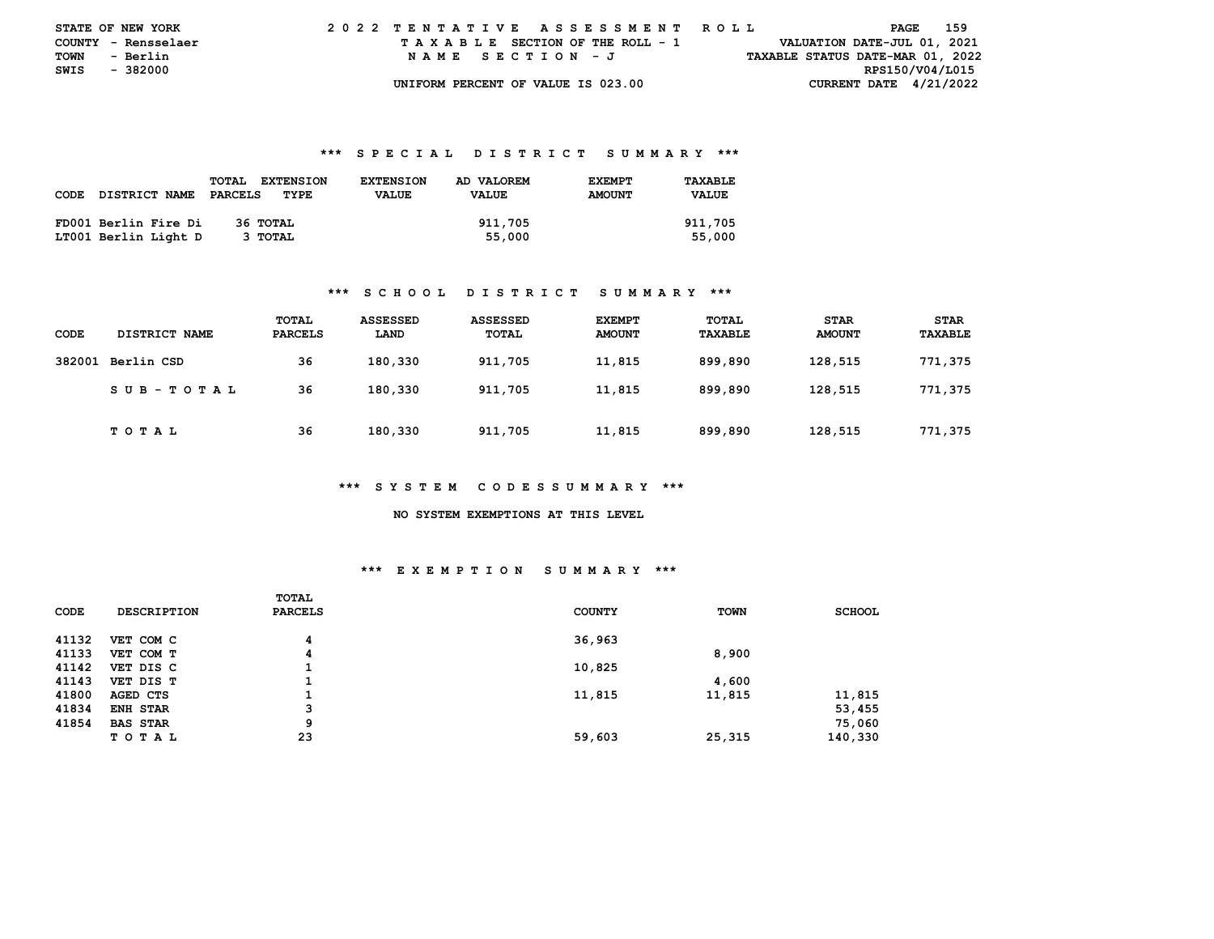| <b>STATE OF NEW YORK</b> |                     |  |  |  |  |  | 2022 TENTATIVE ASSESSMENT ROLL     |  |  |  |  |  |  |  |  |                                  | PAGE | 159 |  |
|--------------------------|---------------------|--|--|--|--|--|------------------------------------|--|--|--|--|--|--|--|--|----------------------------------|------|-----|--|
|                          | COUNTY - Rensselaer |  |  |  |  |  | TAXABLE SECTION OF THE ROLL - 1    |  |  |  |  |  |  |  |  | VALUATION DATE-JUL 01, 2021      |      |     |  |
| TOWN                     | - Berlin            |  |  |  |  |  | NAME SECTION - J                   |  |  |  |  |  |  |  |  | TAXABLE STATUS DATE-MAR 01, 2022 |      |     |  |
| SWIS - 382000            |                     |  |  |  |  |  |                                    |  |  |  |  |  |  |  |  | RPS150/V04/L015                  |      |     |  |
|                          |                     |  |  |  |  |  | UNIFORM PERCENT OF VALUE IS 023.00 |  |  |  |  |  |  |  |  | CURRENT DATE $4/21/2022$         |      |     |  |

|      |                      | <b>EXTENSION</b><br><b>TOTAL</b> | <b>EXTENSION</b> | AD VALOREM   | <b>EXEMPT</b> | TAXABLE      |
|------|----------------------|----------------------------------|------------------|--------------|---------------|--------------|
| CODE | <b>DISTRICT NAME</b> | PARCELS<br>TYPE                  | <b>VALUE</b>     | <b>VALUE</b> | <b>AMOUNT</b> | <b>VALUE</b> |
|      |                      |                                  |                  |              |               |              |
|      | FD001 Berlin Fire Di | 36 ТОТАL                         |                  | 911,705      |               | 911,705      |
|      | LT001 Berlin Light D | 3 TOTAL                          |                  | 55,000       |               | 55,000       |

### **\*\*\* S C H O O L D I S T R I C T S U M M A R Y \*\*\***

| CODE   | DISTRICT NAME | TOTAL<br><b>PARCELS</b> | <b>ASSESSED</b><br>LAND | ASSESSED<br>TOTAL | <b>EXEMPT</b><br><b>AMOUNT</b> | TOTAL<br>TAXABLE | <b>STAR</b><br><b>AMOUNT</b> | <b>STAR</b><br>TAXABLE |
|--------|---------------|-------------------------|-------------------------|-------------------|--------------------------------|------------------|------------------------------|------------------------|
| 382001 | Berlin CSD    | 36                      | 180,330                 | 911,705           | 11,815                         | 899,890          | 128,515                      | 771,375                |
|        | SUB-TOTAL     | 36                      | 180,330                 | 911,705           | 11,815                         | 899,890          | 128,515                      | 771,375                |
|        | TOTAL         | 36                      | 180,330                 | 911,705           | 11,815                         | 899,890          | 128,515                      | 771,375                |

### **\*\*\* S Y S T E M C O D E S S U M M A R Y \*\*\***

#### **NO SYSTEM EXEMPTIONS AT THIS LEVEL**

## **\*\*\* E X E M P T I O N S U M M A R Y \*\*\***

| CODE  | <b>DESCRIPTION</b> | TOTAL<br><b>PARCELS</b> | <b>COUNTY</b> | <b>TOWN</b> | <b>SCHOOL</b> |
|-------|--------------------|-------------------------|---------------|-------------|---------------|
| 41132 | VET COM C          | 4                       | 36,963        |             |               |
| 41133 | VET COM T          | 4                       |               | 8,900       |               |
| 41142 | VET DIS C          | J.                      | 10,825        |             |               |
| 41143 | VET DIS T          |                         |               | 4,600       |               |
| 41800 | AGED CTS           | д.                      | 11,815        | 11,815      | 11,815        |
| 41834 | ENH STAR           | 3                       |               |             | 53,455        |
| 41854 | <b>BAS STAR</b>    | 9                       |               |             | 75,060        |
|       | <b>TOTAL</b>       | 23                      | 59,603        | 25,315      | 140,330       |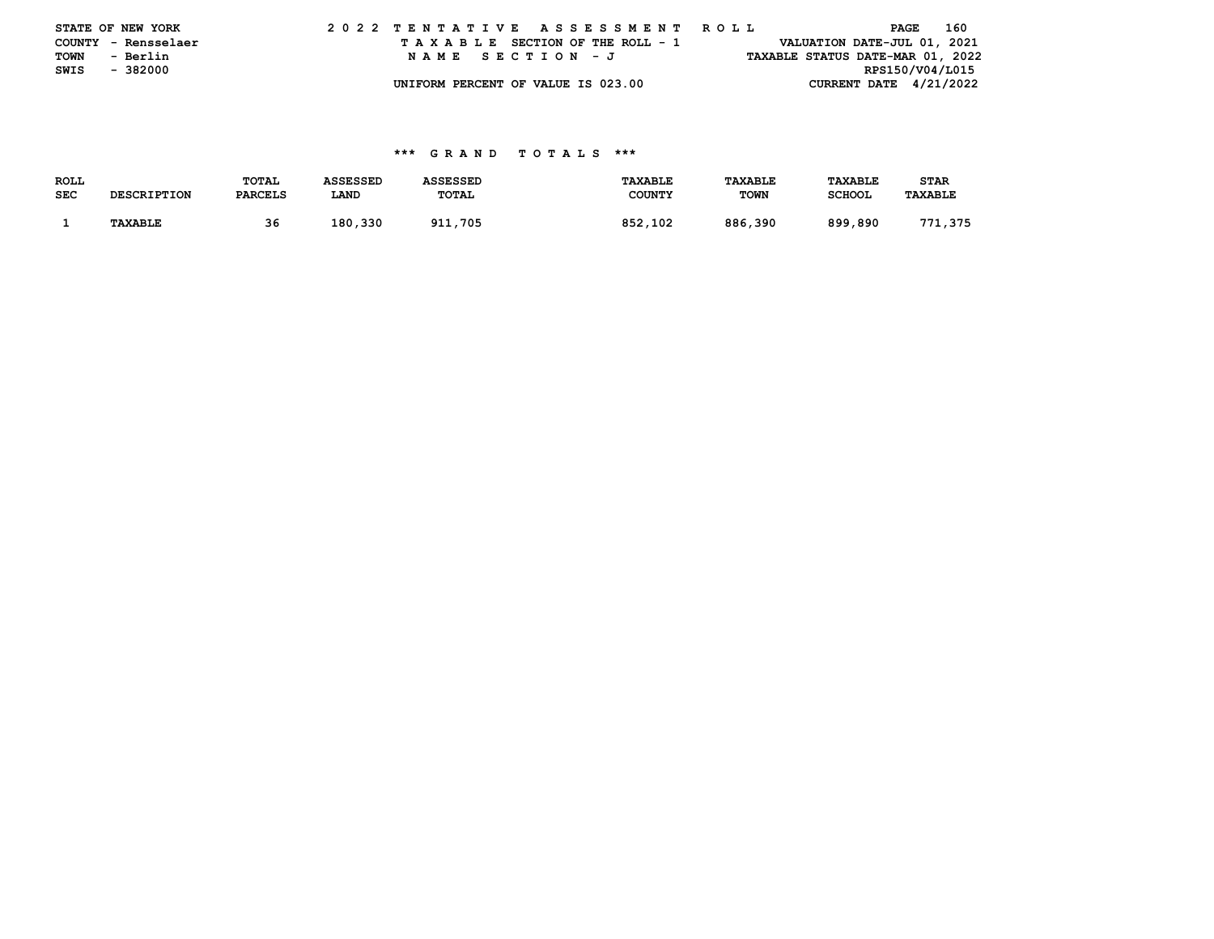|      | STATE OF NEW YORK   |  |  |  |  |  | 2022 TENTATIVE ASSESSMENT ROLL     |  |  |  |  |  |                                  |                          | PAGE            | 160 |
|------|---------------------|--|--|--|--|--|------------------------------------|--|--|--|--|--|----------------------------------|--------------------------|-----------------|-----|
|      | COUNTY - Rensselaer |  |  |  |  |  | TAXABLE SECTION OF THE ROLL - 1    |  |  |  |  |  | VALUATION DATE-JUL 01, 2021      |                          |                 |     |
| TOWN | - Berlin            |  |  |  |  |  | NAME SECTION - J                   |  |  |  |  |  | TAXABLE STATUS DATE-MAR 01, 2022 |                          |                 |     |
| SWIS | - 382000            |  |  |  |  |  |                                    |  |  |  |  |  |                                  |                          | RPS150/V04/L015 |     |
|      |                     |  |  |  |  |  | UNIFORM PERCENT OF VALUE IS 023.00 |  |  |  |  |  |                                  | CURRENT DATE $4/21/2022$ |                 |     |

| <b>ROLL</b> |                    | TOTAL          | <b>ASSESSED</b> | <b>ASSESSED</b> | <b>TAXABLE</b> | TAXABLE     | <b>TAXABLE</b> | <b>STAR</b>    |
|-------------|--------------------|----------------|-----------------|-----------------|----------------|-------------|----------------|----------------|
| <b>SEC</b>  | <b>DESCRIPTION</b> | <b>PARCELS</b> | LAND            | TOTAL           | <b>COUNTY</b>  | <b>TOWN</b> | <b>SCHOOL</b>  | <b>TAXABLE</b> |
|             |                    |                |                 |                 |                |             |                |                |
|             | <b>TAXABLE</b>     | 36             | 180.330         | 911,705         | 852,102        | 886,390     | 899,890        | 771,375        |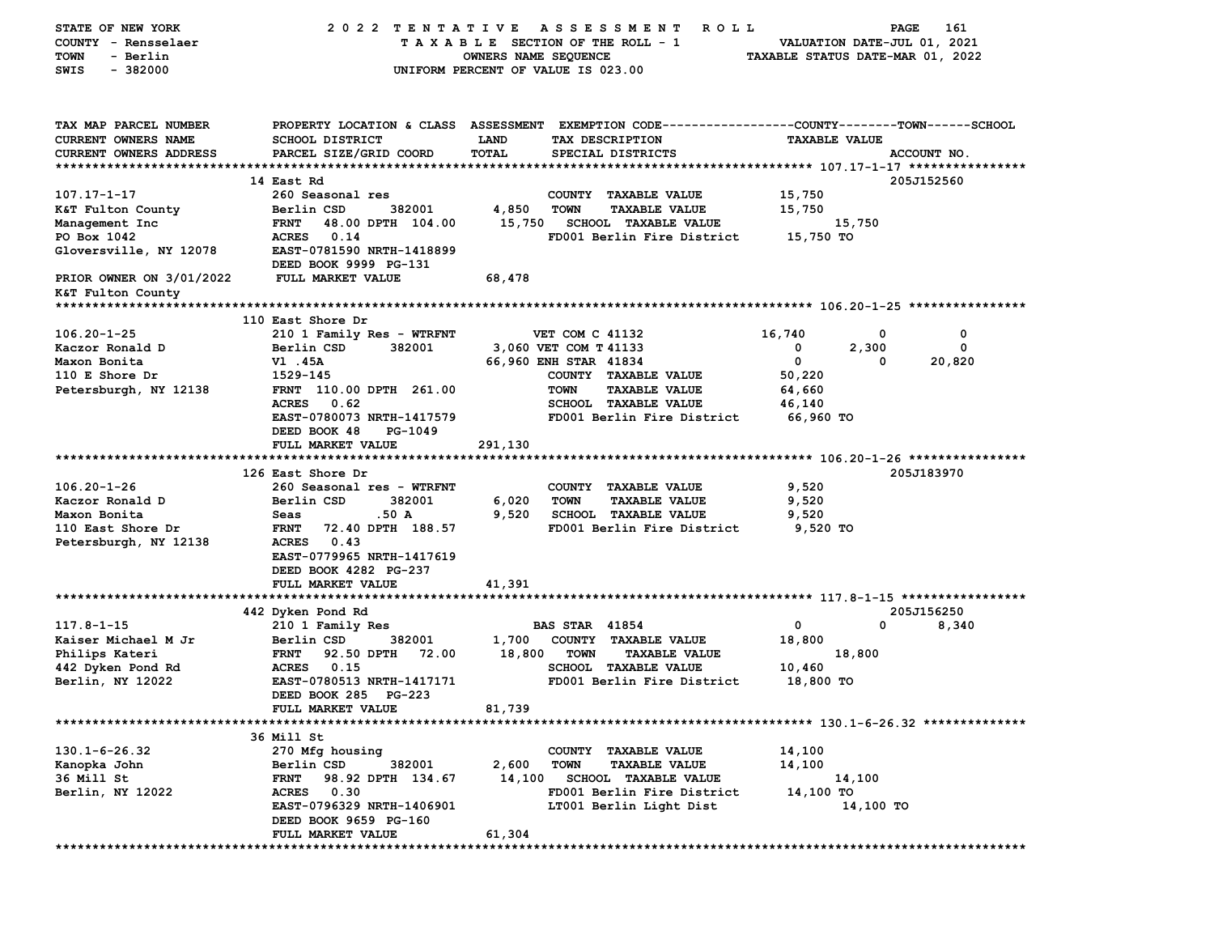| STATE OF NEW YORK             | 2022 TENTATIVE                                    | A S S E S S M E N T<br><b>ROLL</b>                                                             | PAGE<br>161                      |
|-------------------------------|---------------------------------------------------|------------------------------------------------------------------------------------------------|----------------------------------|
| COUNTY - Rensselaer           |                                                   | TAXABLE SECTION OF THE ROLL - 1                                                                | VALUATION DATE-JUL 01, 2021      |
| <b>TOWN</b><br>- Berlin       |                                                   | OWNERS NAME SEQUENCE                                                                           | TAXABLE STATUS DATE-MAR 01, 2022 |
| SWIS<br>$-382000$             |                                                   | UNIFORM PERCENT OF VALUE IS 023.00                                                             |                                  |
|                               |                                                   |                                                                                                |                                  |
|                               |                                                   |                                                                                                |                                  |
| TAX MAP PARCEL NUMBER         |                                                   | PROPERTY LOCATION & CLASS ASSESSMENT EXEMPTION CODE---------------COUNTY-------TOWN-----SCHOOL |                                  |
| <b>CURRENT OWNERS NAME</b>    | <b>SCHOOL DISTRICT</b>                            | <b>LAND</b><br>TAX DESCRIPTION                                                                 | <b>TAXABLE VALUE</b>             |
| <b>CURRENT OWNERS ADDRESS</b> | PARCEL SIZE/GRID COORD                            | <b>TOTAL</b><br>SPECIAL DISTRICTS                                                              | ACCOUNT NO.                      |
|                               |                                                   |                                                                                                |                                  |
|                               | 14 East Rd                                        |                                                                                                | 205J152560                       |
| 107.17-1-17                   | 260 Seasonal res                                  | COUNTY TAXABLE VALUE                                                                           | 15,750                           |
| K&T Fulton County             | 382001<br>Berlin CSD                              | 4,850<br><b>TOWN</b><br><b>TAXABLE VALUE</b>                                                   | 15,750                           |
| Management Inc                | 48.00 DPTH 104.00<br><b>FRNT</b>                  | 15,750<br><b>SCHOOL TAXABLE VALUE</b>                                                          | 15,750                           |
| PO Box 1042                   | <b>ACRES</b><br>0.14                              | FD001 Berlin Fire District                                                                     | 15,750 TO                        |
| Gloversville, NY 12078        | EAST-0781590 NRTH-1418899                         |                                                                                                |                                  |
|                               | DEED BOOK 9999 PG-131                             |                                                                                                |                                  |
| PRIOR OWNER ON 3/01/2022      | <b>FULL MARKET VALUE</b>                          | 68,478                                                                                         |                                  |
| K&T Fulton County             |                                                   |                                                                                                |                                  |
|                               |                                                   |                                                                                                |                                  |
|                               | 110 East Shore Dr                                 |                                                                                                |                                  |
| $106.20 - 1 - 25$             | 210 1 Family Res - WTRFNT                         | VET COM C 41132                                                                                | 16,740<br>0<br>0                 |
| Kaczor Ronald D               | Berlin CSD<br>382001                              | 3,060 VET COM T 41133                                                                          | 0<br>2,300<br>0                  |
| Maxon Bonita                  | V1.45A                                            | 66,960 ENH STAR 41834                                                                          | 0<br>20,820<br>0                 |
| 110 E Shore $Dr$              | 1529-145                                          | COUNTY TAXABLE VALUE                                                                           | 50,220                           |
| Petersburgh, NY 12138         | FRNT 110.00 DPTH 261.00                           | <b>TOWN</b><br><b>TAXABLE VALUE</b>                                                            | 64,660                           |
|                               | ACRES 0.62                                        | <b>SCHOOL TAXABLE VALUE</b>                                                                    | 46,140                           |
|                               | EAST-0780073 NRTH-1417579                         | FD001 Berlin Fire District                                                                     | 66,960 TO                        |
|                               | DEED BOOK 48<br>PG-1049                           |                                                                                                |                                  |
|                               | <b>FULL MARKET VALUE</b>                          | 291,130                                                                                        |                                  |
|                               | 126 East Shore Dr                                 |                                                                                                | 205J183970                       |
| $106.20 - 1 - 26$             |                                                   |                                                                                                | 9,520                            |
| Kaczor Ronald D               | 260 Seasonal res - WTRFNT<br>Berlin CSD<br>382001 | COUNTY TAXABLE VALUE<br>6,020<br><b>TOWN</b><br><b>TAXABLE VALUE</b>                           | 9,520                            |
| Maxon Bonita                  | Seas<br>.50 A                                     | 9,520<br><b>SCHOOL TAXABLE VALUE</b>                                                           | 9,520                            |
| 110 East Shore Dr             | <b>FRNT</b><br>72.40 DPTH 188.57                  | FD001 Berlin Fire District                                                                     | 9,520 TO                         |
| Petersburgh, NY 12138         | <b>ACRES</b><br>0.43                              |                                                                                                |                                  |
|                               | EAST-0779965 NRTH-1417619                         |                                                                                                |                                  |
|                               | DEED BOOK 4282 PG-237                             |                                                                                                |                                  |
|                               | FULL MARKET VALUE                                 | 41,391                                                                                         |                                  |
|                               |                                                   |                                                                                                |                                  |
|                               | 442 Dyken Pond Rd                                 |                                                                                                | 205J156250                       |
| $117.8 - 1 - 15$              | 210 1 Family Res                                  | <b>BAS STAR 41854</b>                                                                          | 0<br>0<br>8,340                  |
| Kaiser Michael M Jr           | Berlin CSD<br>382001                              | 1,700<br>COUNTY TAXABLE VALUE                                                                  | 18,800                           |
| Philips Kateri                | 92.50 DPTH<br>72.00<br><b>FRNT</b>                | 18,800<br><b>TOWN</b><br><b>TAXABLE VALUE</b>                                                  | 18,800                           |
| 442 Dyken Pond Rd             | <b>ACRES</b><br>0.15                              | <b>SCHOOL TAXABLE VALUE</b>                                                                    | 10,460                           |
| Berlin, NY 12022              | EAST-0780513 NRTH-1417171                         | FD001 Berlin Fire District                                                                     | 18,800 TO                        |
|                               | DEED BOOK 285 PG-223                              |                                                                                                |                                  |
|                               | FULL MARKET VALUE                                 | 81,739                                                                                         |                                  |
|                               |                                                   |                                                                                                |                                  |
|                               | 36 Mill St                                        |                                                                                                |                                  |
| $130.1 - 6 - 26.32$           | 270 Mfg housing                                   | COUNTY TAXABLE VALUE                                                                           | 14,100                           |
| Kanopka John                  | Berlin CSD<br>382001                              | 2,600<br><b>TOWN</b><br><b>TAXABLE VALUE</b>                                                   | 14,100                           |
| 36 Mill St                    | 98.92 DPTH 134.67<br>FRNT                         | 14,100<br><b>SCHOOL TAXABLE VALUE</b>                                                          | 14,100                           |
| Berlin, NY 12022              | ACRES 0.30                                        | FD001 Berlin Fire District                                                                     | 14,100 TO                        |
|                               | EAST-0796329 NRTH-1406901                         | LT001 Berlin Light Dist                                                                        | 14,100 TO                        |
|                               | DEED BOOK 9659 PG-160                             |                                                                                                |                                  |
|                               | FULL MARKET VALUE                                 | 61,304                                                                                         |                                  |
|                               |                                                   |                                                                                                |                                  |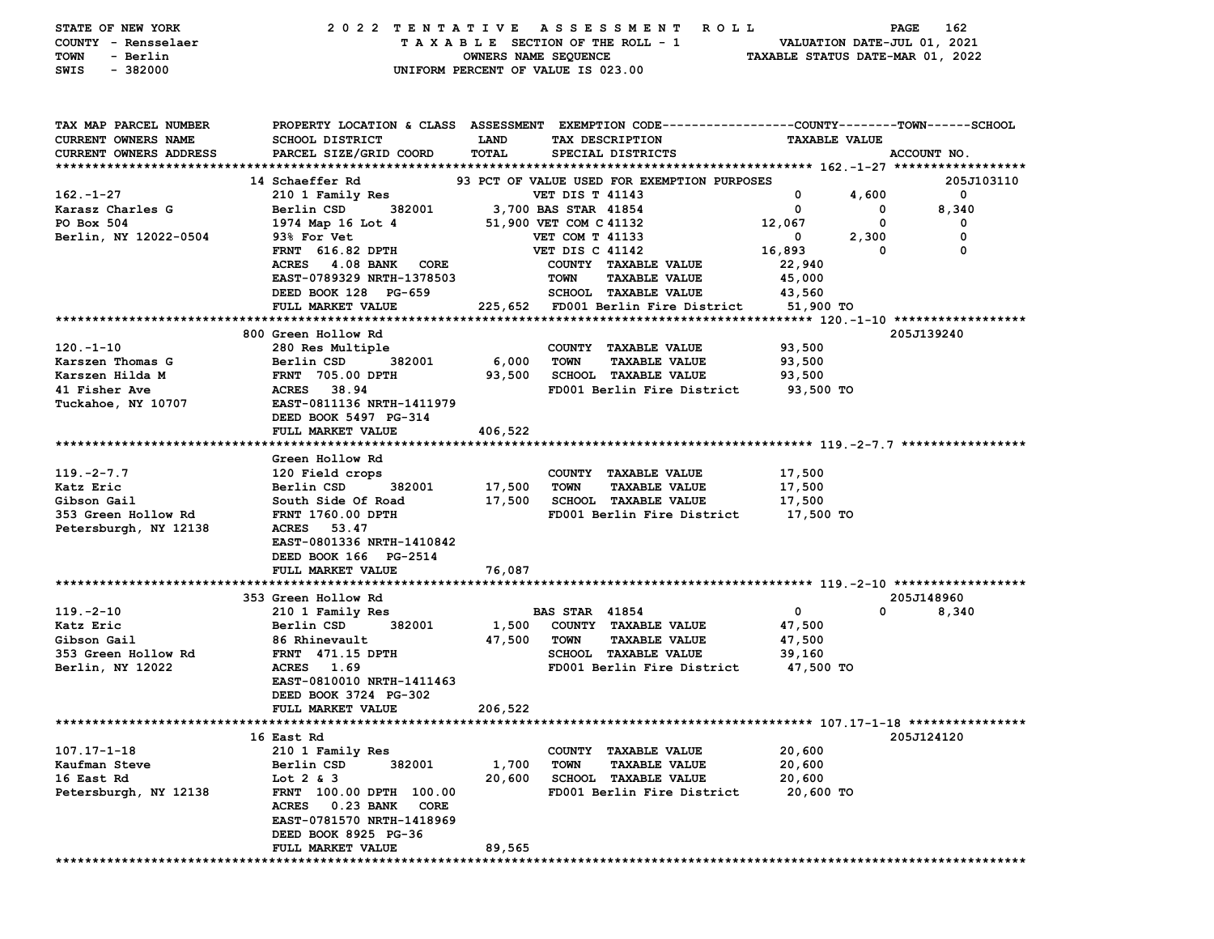| STATE OF NEW YORK<br>COUNTY - Rensselaer<br>TOWN<br>- Berlin<br>$-382000$<br>SWIS |                                                                                                | OWNERS NAME SEQUENCE<br>UNIFORM PERCENT OF VALUE IS 023.00 |                        | 2022 TENTATIVE ASSESSMENT ROLL<br>TAXABLE SECTION OF THE ROLL - 1 | TAXABLE STATUS DATE-MAR 01, 2022 | PAGE<br>VALUATION DATE-JUL 01, 2021 | 162          |
|-----------------------------------------------------------------------------------|------------------------------------------------------------------------------------------------|------------------------------------------------------------|------------------------|-------------------------------------------------------------------|----------------------------------|-------------------------------------|--------------|
| TAX MAP PARCEL NUMBER                                                             | PROPERTY LOCATION & CLASS ASSESSMENT EXEMPTION CODE---------------COUNTY-------TOWN-----SCHOOL |                                                            |                        |                                                                   |                                  |                                     |              |
| <b>CURRENT OWNERS NAME</b>                                                        | SCHOOL DISTRICT                                                                                | <b>LAND</b>                                                |                        | TAX DESCRIPTION                                                   | <b>TAXABLE VALUE</b>             |                                     |              |
| CURRENT OWNERS ADDRESS                                                            | PARCEL SIZE/GRID COORD                                                                         | TOTAL                                                      |                        | SPECIAL DISTRICTS                                                 |                                  | ACCOUNT NO.                         |              |
|                                                                                   | 14 Schaeffer Rd                                                                                |                                                            |                        |                                                                   |                                  |                                     | 205J103110   |
| $162 - 1 - 27$                                                                    | 210 1 Family Res                                                                               |                                                            | <b>VET DIS T 41143</b> | 93 PCT OF VALUE USED FOR EXEMPTION PURPOSES                       | $\mathbf 0$                      | 4,600                               | $\mathbf{o}$ |
| Karasz Charles G                                                                  | Berlin CSD<br>382001                                                                           | 3,700 BAS STAR 41854                                       |                        |                                                                   | 0                                | $\mathbf 0$                         | 8,340        |
| PO Box 504                                                                        | 1974 Map 16 Lot 4                                                                              |                                                            | 51,900 VET COM C 41132 |                                                                   | 12,067                           | 0                                   | 0            |
| Berlin, NY 12022-0504                                                             | 93% For Vet                                                                                    |                                                            | VET COM T 41133        |                                                                   | $\mathbf 0$                      | 2,300                               | 0            |
|                                                                                   | <b>FRNT</b> 616.82 DPTH                                                                        |                                                            | <b>VET DIS C 41142</b> |                                                                   | 16,893                           | 0                                   | 0            |
|                                                                                   | ACRES 4.08 BANK CORE                                                                           |                                                            |                        | COUNTY TAXABLE VALUE                                              | 22,940                           |                                     |              |
|                                                                                   | EAST-0789329 NRTH-1378503                                                                      |                                                            | TOWN                   | <b>TAXABLE VALUE</b>                                              | 45,000                           |                                     |              |
|                                                                                   | DEED BOOK 128 PG-659                                                                           |                                                            |                        | <b>SCHOOL TAXABLE VALUE</b>                                       | 43,560                           |                                     |              |
|                                                                                   | FULL MARKET VALUE                                                                              |                                                            |                        | 225,652 FD001 Berlin Fire District                                | 51,900 TO                        |                                     |              |
|                                                                                   |                                                                                                |                                                            |                        |                                                                   |                                  |                                     |              |
|                                                                                   | 800 Green Hollow Rd                                                                            |                                                            |                        |                                                                   |                                  | 205J139240                          |              |
| $120. - 1 - 10$                                                                   | 280 Res Multiple<br>382001                                                                     |                                                            |                        | COUNTY TAXABLE VALUE                                              | 93,500                           |                                     |              |
| Karszen Thomas G<br>Karszen Hilda M                                               | Berlin CSD<br><b>FRNT 705.00 DPTH</b>                                                          | 6,000<br>93,500                                            | <b>TOWN</b>            | <b>TAXABLE VALUE</b><br><b>SCHOOL TAXABLE VALUE</b>               | 93,500<br>93,500                 |                                     |              |
| 41 Fisher Ave                                                                     | ACRES 38.94                                                                                    |                                                            |                        | FD001 Berlin Fire District                                        | 93,500 TO                        |                                     |              |
| Tuckahoe, NY 10707                                                                | EAST-0811136 NRTH-1411979                                                                      |                                                            |                        |                                                                   |                                  |                                     |              |
|                                                                                   | DEED BOOK 5497 PG-314                                                                          |                                                            |                        |                                                                   |                                  |                                     |              |
|                                                                                   | FULL MARKET VALUE                                                                              | 406,522                                                    |                        |                                                                   |                                  |                                     |              |
|                                                                                   |                                                                                                |                                                            |                        |                                                                   |                                  |                                     |              |
|                                                                                   | Green Hollow Rd                                                                                |                                                            |                        |                                                                   |                                  |                                     |              |
| $119. -2 - 7.7$                                                                   | 120 Field crops                                                                                |                                                            |                        | COUNTY TAXABLE VALUE                                              | 17,500                           |                                     |              |
| Katz Eric                                                                         | Berlin CSD<br>382001                                                                           | 17,500                                                     | TOWN                   | <b>TAXABLE VALUE</b>                                              | 17,500                           |                                     |              |
| Gibson Gail                                                                       | South Side Of Road                                                                             | 17,500                                                     |                        | SCHOOL TAXABLE VALUE                                              | 17,500                           |                                     |              |
| 353 Green Hollow Rd                                                               | <b>FRNT 1760.00 DPTH</b><br>ACRES 53.47                                                        |                                                            |                        | FD001 Berlin Fire District                                        | 17,500 TO                        |                                     |              |
| Petersburgh, NY 12138                                                             | EAST-0801336 NRTH-1410842                                                                      |                                                            |                        |                                                                   |                                  |                                     |              |
|                                                                                   | DEED BOOK 166 PG-2514                                                                          |                                                            |                        |                                                                   |                                  |                                     |              |
|                                                                                   | FULL MARKET VALUE                                                                              | 76,087                                                     |                        |                                                                   |                                  |                                     |              |
|                                                                                   |                                                                                                |                                                            |                        |                                                                   |                                  |                                     |              |
|                                                                                   | 353 Green Hollow Rd                                                                            |                                                            |                        |                                                                   |                                  | 205J148960                          |              |
| $119. -2 - 10$                                                                    | 210 1 Family Res                                                                               |                                                            | <b>BAS STAR 41854</b>  |                                                                   | $\mathbf 0$                      | 0                                   | 8,340        |
| Katz Eric                                                                         | Berlin CSD<br>382001                                                                           | 1,500                                                      |                        | COUNTY TAXABLE VALUE                                              | 47,500                           |                                     |              |
| Gibson Gail                                                                       | 86 Rhinevault                                                                                  | 47,500                                                     | TOWN                   | <b>TAXABLE VALUE</b>                                              | 47,500                           |                                     |              |
| 353 Green Hollow Rd                                                               | <b>FRNT</b> 471.15 DPTH                                                                        |                                                            |                        | <b>SCHOOL TAXABLE VALUE</b>                                       | 39,160                           |                                     |              |
| Berlin, NY 12022                                                                  | ACRES 1.69                                                                                     |                                                            |                        | FD001 Berlin Fire District                                        | 47,500 TO                        |                                     |              |
|                                                                                   | EAST-0810010 NRTH-1411463                                                                      |                                                            |                        |                                                                   |                                  |                                     |              |
|                                                                                   | DEED BOOK 3724 PG-302<br>FULL MARKET VALUE                                                     | 206,522                                                    |                        |                                                                   |                                  |                                     |              |
|                                                                                   |                                                                                                |                                                            |                        |                                                                   |                                  |                                     |              |
|                                                                                   | 16 East Rd                                                                                     |                                                            |                        |                                                                   |                                  | 205J124120                          |              |
| $107.17 - 1 - 18$                                                                 | 210 1 Family Res                                                                               |                                                            |                        | COUNTY TAXABLE VALUE                                              | 20,600                           |                                     |              |
| Kaufman Steve                                                                     | 382001<br>Berlin CSD                                                                           | 1,700                                                      | <b>TOWN</b>            | <b>TAXABLE VALUE</b>                                              | 20,600                           |                                     |              |
| 16 East Rd                                                                        | Lot $2 \& 3$                                                                                   | 20,600                                                     |                        | <b>SCHOOL TAXABLE VALUE</b>                                       | 20,600                           |                                     |              |
| Petersburgh, NY 12138                                                             | FRNT 100.00 DPTH 100.00                                                                        |                                                            |                        | FD001 Berlin Fire District                                        | 20,600 TO                        |                                     |              |
|                                                                                   | <b>ACRES</b><br><b>0.23 BANK</b><br>CORE                                                       |                                                            |                        |                                                                   |                                  |                                     |              |
|                                                                                   | EAST-0781570 NRTH-1418969                                                                      |                                                            |                        |                                                                   |                                  |                                     |              |
|                                                                                   | DEED BOOK 8925 PG-36                                                                           |                                                            |                        |                                                                   |                                  |                                     |              |
|                                                                                   | FULL MARKET VALUE                                                                              | 89,565                                                     |                        |                                                                   |                                  |                                     |              |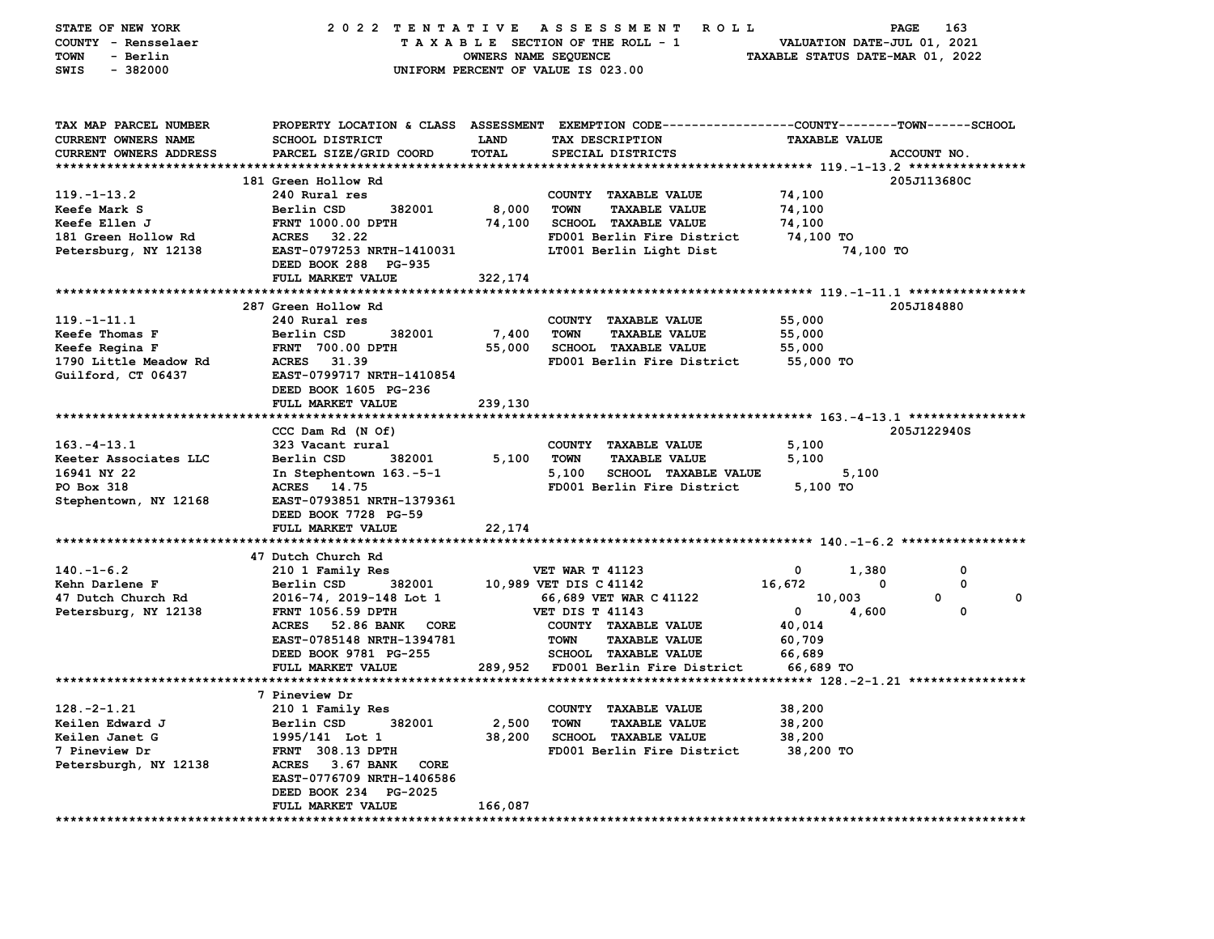| STATE OF NEW YORK<br>COUNTY - Rensselaer   | A S S E S S M E N T<br>163<br>2022 TENTATIVE<br>R O L L<br>PAGE<br>TAXABLE SECTION OF THE ROLL - 1<br>VALUATION DATE-JUL 01, 2021 |                      |                                                                                                |                                  |             |                  |  |  |
|--------------------------------------------|-----------------------------------------------------------------------------------------------------------------------------------|----------------------|------------------------------------------------------------------------------------------------|----------------------------------|-------------|------------------|--|--|
| - Berlin<br>TOWN                           |                                                                                                                                   | OWNERS NAME SEQUENCE |                                                                                                | TAXABLE STATUS DATE-MAR 01, 2022 |             |                  |  |  |
| SWIS<br>$-382000$                          |                                                                                                                                   |                      | UNIFORM PERCENT OF VALUE IS 023.00                                                             |                                  |             |                  |  |  |
|                                            |                                                                                                                                   |                      |                                                                                                |                                  |             |                  |  |  |
| TAX MAP PARCEL NUMBER                      |                                                                                                                                   |                      | PROPERTY LOCATION & CLASS ASSESSMENT EXEMPTION CODE--------------COUNTY-------TOWN------SCHOOL |                                  |             |                  |  |  |
| CURRENT OWNERS NAME                        | SCHOOL DISTRICT                                                                                                                   | <b>LAND</b>          | TAX DESCRIPTION                                                                                | <b>TAXABLE VALUE</b>             |             |                  |  |  |
| CURRENT OWNERS ADDRESS                     | PARCEL SIZE/GRID COORD                                                                                                            | TOTAL                | SPECIAL DISTRICTS                                                                              |                                  | ACCOUNT NO. |                  |  |  |
|                                            |                                                                                                                                   |                      |                                                                                                |                                  |             |                  |  |  |
|                                            | 181 Green Hollow Rd                                                                                                               |                      |                                                                                                |                                  | 205J113680C |                  |  |  |
| $119. - 1 - 13.2$                          | 240 Rural res                                                                                                                     |                      | COUNTY TAXABLE VALUE                                                                           | 74,100                           |             |                  |  |  |
| Keefe Mark S                               | Berlin CSD<br>382001                                                                                                              | 8,000                | <b>TOWN</b><br><b>TAXABLE VALUE</b>                                                            | 74,100                           |             |                  |  |  |
| Keefe Ellen J                              | FRNT 1000.00 DPTH                                                                                                                 | 74,100               | <b>SCHOOL TAXABLE VALUE</b>                                                                    | 74,100                           |             |                  |  |  |
| 181 Green Hollow Rd                        | ACRES 32.22                                                                                                                       |                      | FD001 Berlin Fire District                                                                     | 74,100 TO                        |             |                  |  |  |
| Petersburg, NY 12138                       | EAST-0797253 NRTH-1410031                                                                                                         |                      | LT001 Berlin Light Dist                                                                        |                                  | 74,100 TO   |                  |  |  |
|                                            | DEED BOOK 288 PG-935                                                                                                              |                      |                                                                                                |                                  |             |                  |  |  |
|                                            | FULL MARKET VALUE                                                                                                                 | 322,174              |                                                                                                |                                  |             |                  |  |  |
|                                            |                                                                                                                                   |                      |                                                                                                |                                  |             |                  |  |  |
|                                            | 287 Green Hollow Rd                                                                                                               |                      |                                                                                                |                                  | 205J184880  |                  |  |  |
| $119. - 1 - 11.1$                          | 240 Rural res                                                                                                                     |                      | COUNTY TAXABLE VALUE                                                                           | 55,000                           |             |                  |  |  |
| Keefe Thomas F                             | Berlin CSD<br>382001                                                                                                              | 7,400                | TOWN<br><b>TAXABLE VALUE</b>                                                                   | 55,000                           |             |                  |  |  |
| Keefe Regina F                             | <b>FRNT 700.00 DPTH</b>                                                                                                           | 55,000               | SCHOOL TAXABLE VALUE                                                                           | 55,000                           |             |                  |  |  |
| 1790 Little Meadow Rd                      | ACRES 31.39                                                                                                                       |                      | FD001 Berlin Fire District                                                                     | 55,000 TO                        |             |                  |  |  |
| Guilford, CT 06437                         | EAST-0799717 NRTH-1410854                                                                                                         |                      |                                                                                                |                                  |             |                  |  |  |
|                                            | DEED BOOK 1605 PG-236                                                                                                             |                      |                                                                                                |                                  |             |                  |  |  |
|                                            | FULL MARKET VALUE                                                                                                                 | 239,130              |                                                                                                |                                  |             |                  |  |  |
|                                            |                                                                                                                                   |                      |                                                                                                |                                  |             |                  |  |  |
|                                            | CCC Dam Rd (N Of)                                                                                                                 |                      |                                                                                                |                                  | 205J122940S |                  |  |  |
| $163. - 4 - 13.1$<br>Keeter Associates LLC | 323 Vacant rural                                                                                                                  |                      | COUNTY TAXABLE VALUE                                                                           | 5,100                            |             |                  |  |  |
|                                            | 382001<br>Berlin CSD                                                                                                              | 5,100                | <b>TOWN</b><br><b>TAXABLE VALUE</b>                                                            | 5,100                            |             |                  |  |  |
| 16941 NY 22                                | In Stephentown 163.-5-1                                                                                                           |                      | 5,100<br><b>SCHOOL TAXABLE VALUE</b>                                                           |                                  | 5,100       |                  |  |  |
| PO Box 318                                 | ACRES 14.75<br>EAST-0793851 NRTH-1379361                                                                                          |                      | FD001 Berlin Fire District                                                                     | 5,100 TO                         |             |                  |  |  |
| Stephentown, NY 12168                      | DEED BOOK 7728 PG-59<br>FULL MARKET VALUE                                                                                         | 22,174               |                                                                                                |                                  |             |                  |  |  |
|                                            |                                                                                                                                   |                      |                                                                                                |                                  |             |                  |  |  |
|                                            | 47 Dutch Church Rd                                                                                                                |                      |                                                                                                |                                  |             |                  |  |  |
| $140. - 1 - 6.2$<br>Kehn Darlene F         | 210 1 Family Res<br>382001                                                                                                        |                      | <b>VET WAR T 41123</b>                                                                         | 0<br>16,672                      | 1,380<br>0  | 0<br>0           |  |  |
|                                            | Berlin CSD                                                                                                                        |                      | 10,989 VET DIS C 41142                                                                         |                                  |             | 0<br>$\mathbf 0$ |  |  |
| 47 Dutch Church Rd                         | 2016-74, 2019-148 Lot 1<br><b>FRNT 1056.59 DPTH</b>                                                                               |                      | 66,689 VET WAR C 41122<br>VET DIS T 41143                                                      | 10,003<br>$\mathbf{0}$           | 4,600       | 0                |  |  |
| Petersburg, NY 12138                       | ACRES 52.86 BANK<br><b>CORE</b>                                                                                                   |                      | COUNTY TAXABLE VALUE                                                                           | 40,014                           |             |                  |  |  |
|                                            | EAST-0785148 NRTH-1394781                                                                                                         |                      | <b>TOWN</b><br><b>TAXABLE VALUE</b>                                                            | 60,709                           |             |                  |  |  |
|                                            | DEED BOOK 9781 PG-255                                                                                                             |                      | SCHOOL TAXABLE VALUE                                                                           | 66,689                           |             |                  |  |  |
|                                            | FULL MARKET VALUE                                                                                                                 |                      | 289,952 FD001 Berlin Fire District                                                             | 66,689 TO                        |             |                  |  |  |
|                                            |                                                                                                                                   |                      |                                                                                                |                                  |             |                  |  |  |
|                                            | 7 Pineview Dr                                                                                                                     |                      |                                                                                                |                                  |             |                  |  |  |
| $128. -2 - 1.21$                           | 210 1 Family Res                                                                                                                  |                      | COUNTY TAXABLE VALUE                                                                           | 38,200                           |             |                  |  |  |
| Keilen Edward J                            | Berlin CSD<br>382001                                                                                                              | 2,500                | <b>TAXABLE VALUE</b><br>TOWN                                                                   | 38,200                           |             |                  |  |  |
| Keilen Janet G                             | 1995/141 Lot 1                                                                                                                    | 38,200               | <b>SCHOOL TAXABLE VALUE</b>                                                                    | 38,200                           |             |                  |  |  |
| 7 Pineview Dr                              | FRNT 308.13 DPTH                                                                                                                  |                      | FD001 Berlin Fire District                                                                     | 38,200 TO                        |             |                  |  |  |
| Petersburgh, NY 12138                      | ACRES 3.67 BANK<br>CORE                                                                                                           |                      |                                                                                                |                                  |             |                  |  |  |
|                                            | EAST-0776709 NRTH-1406586                                                                                                         |                      |                                                                                                |                                  |             |                  |  |  |
|                                            | DEED BOOK 234 PG-2025                                                                                                             |                      |                                                                                                |                                  |             |                  |  |  |
|                                            | FULL MARKET VALUE                                                                                                                 | 166,087              |                                                                                                |                                  |             |                  |  |  |
|                                            |                                                                                                                                   |                      |                                                                                                |                                  |             |                  |  |  |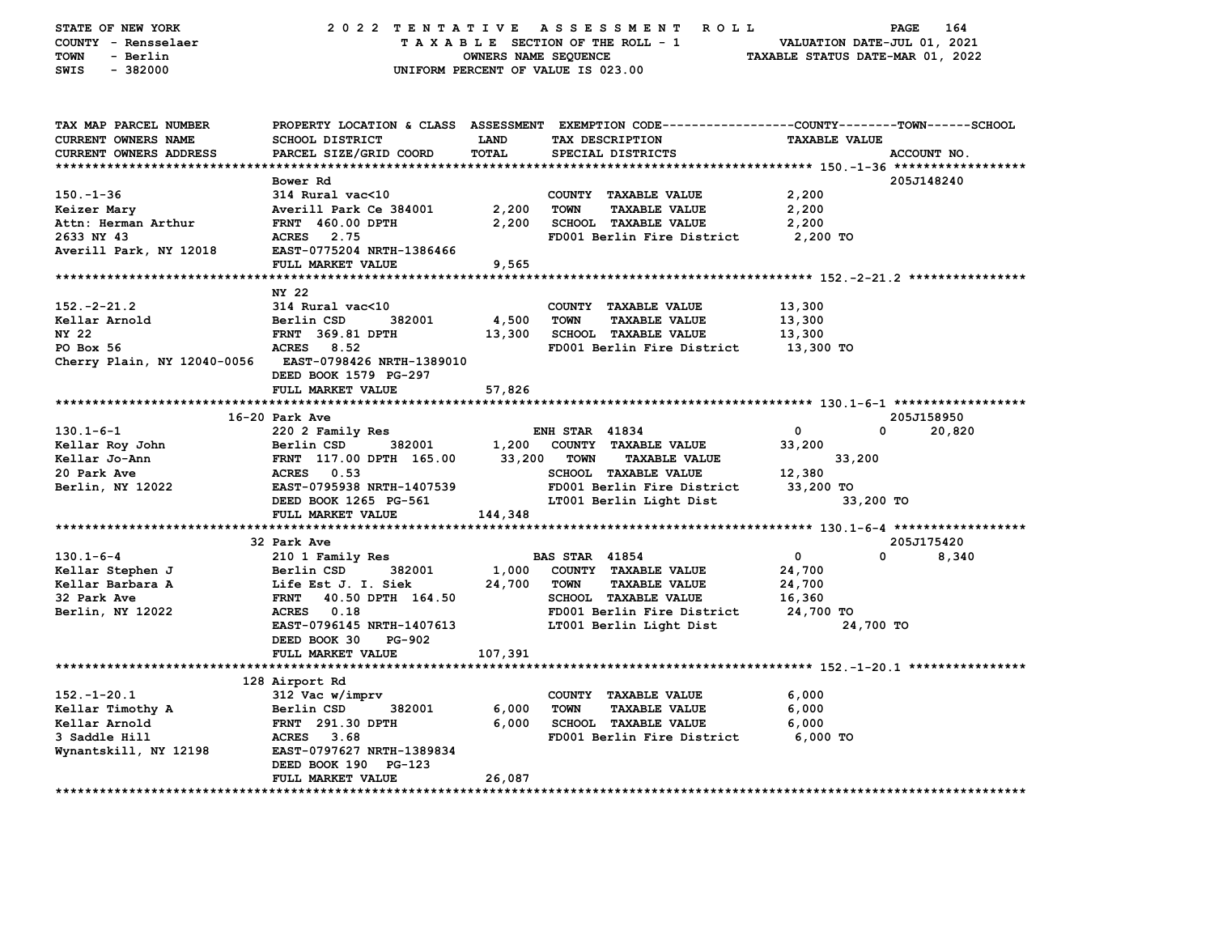| STATE OF NEW YORK<br>COUNTY - Rensselaer<br><b>TOWN</b><br>- Berlin<br>SWIS<br>$-382000$ |                                           | OWNERS NAME SEQUENCE        | 2022 TENTATIVE ASSESSMENT ROLL<br>TAXABLE SECTION OF THE ROLL - 1<br>UNIFORM PERCENT OF VALUE IS 023.00                                 | VALUATION DATE-JUL 01, 2021<br>TAXABLE STATUS DATE-MAR 01, 2022 | PAGE<br>164 |
|------------------------------------------------------------------------------------------|-------------------------------------------|-----------------------------|-----------------------------------------------------------------------------------------------------------------------------------------|-----------------------------------------------------------------|-------------|
| TAX MAP PARCEL NUMBER<br><b>CURRENT OWNERS NAME</b><br>CURRENT OWNERS ADDRESS            | SCHOOL DISTRICT<br>PARCEL SIZE/GRID COORD | <b>LAND</b><br><b>TOTAL</b> | PROPERTY LOCATION & CLASS ASSESSMENT EXEMPTION CODE---------------COUNTY-------TOWN------SCHOOL<br>TAX DESCRIPTION<br>SPECIAL DISTRICTS | <b>TAXABLE VALUE</b>                                            | ACCOUNT NO. |
|                                                                                          |                                           |                             |                                                                                                                                         |                                                                 |             |
|                                                                                          | Bower Rd                                  |                             |                                                                                                                                         |                                                                 | 205J148240  |
| $150 - 1 - 36$                                                                           | 314 Rural vac<10                          |                             | COUNTY TAXABLE VALUE                                                                                                                    | 2,200                                                           |             |
| Keizer Mary                                                                              | Averill Park Ce 384001                    | 2,200                       | <b>TOWN</b><br><b>TAXABLE VALUE</b>                                                                                                     | 2,200                                                           |             |
| Attn: Herman Arthur                                                                      | <b>FRNT 460.00 DPTH</b>                   | 2,200                       | <b>SCHOOL TAXABLE VALUE</b>                                                                                                             | 2,200                                                           |             |
| 2633 NY 43<br>Averill Park, NY 12018                                                     | ACRES 2.75<br>EAST-0775204 NRTH-1386466   |                             | FD001 Berlin Fire District                                                                                                              | 2,200 TO                                                        |             |
|                                                                                          | FULL MARKET VALUE                         | 9,565                       |                                                                                                                                         |                                                                 |             |
|                                                                                          | NY 22                                     |                             |                                                                                                                                         |                                                                 |             |
| $152. -2 - 21.2$                                                                         | 314 Rural vac<10                          |                             | COUNTY TAXABLE VALUE                                                                                                                    | 13,300                                                          |             |
| Kellar Arnold                                                                            | Berlin CSD<br>382001                      | 4,500                       | <b>TOWN</b><br><b>TAXABLE VALUE</b>                                                                                                     | 13,300                                                          |             |
| NY 22                                                                                    | FRNT 369.81 DPTH                          | 13,300                      | SCHOOL TAXABLE VALUE                                                                                                                    | 13,300                                                          |             |
| $PO$ Box 56                                                                              | ACRES 8.52                                |                             | FD001 Berlin Fire District                                                                                                              | 13,300 TO                                                       |             |
| Cherry Plain, NY 12040-0056                                                              | <b>EAST-0798426 NRTH-1389010</b>          |                             |                                                                                                                                         |                                                                 |             |
|                                                                                          | DEED BOOK 1579 PG-297                     |                             |                                                                                                                                         |                                                                 |             |
|                                                                                          | FULL MARKET VALUE                         | 57,826                      |                                                                                                                                         |                                                                 |             |
|                                                                                          |                                           |                             |                                                                                                                                         |                                                                 |             |
|                                                                                          | 16-20 Park Ave                            |                             |                                                                                                                                         |                                                                 | 205J158950  |
| $130.1 - 6 - 1$                                                                          | 220 2 Family Res                          |                             | <b>ENH STAR 41834</b>                                                                                                                   | $\mathbf 0$                                                     | 0<br>20,820 |
| Kellar Roy John                                                                          | Berlin CSD<br>382001                      |                             | 1,200 COUNTY TAXABLE VALUE                                                                                                              | 33,200                                                          |             |
| Kellar Jo-Ann<br>20 Park Ave                                                             | FRNT 117.00 DPTH 165.00<br>ACRES 0.53     |                             | 33,200 TOWN<br><b>TAXABLE VALUE</b><br>SCHOOL TAXABLE VALUE                                                                             | 33,200<br>12,380                                                |             |
| Berlin, NY 12022                                                                         | EAST-0795938 NRTH-1407539                 |                             | FD001 Berlin Fire District                                                                                                              | 33,200 TO                                                       |             |
|                                                                                          | DEED BOOK 1265 PG-561                     |                             | LT001 Berlin Light Dist                                                                                                                 | 33,200 TO                                                       |             |
|                                                                                          | FULL MARKET VALUE                         | 144,348                     |                                                                                                                                         |                                                                 |             |
|                                                                                          |                                           |                             |                                                                                                                                         |                                                                 |             |
|                                                                                          | 32 Park Ave                               |                             |                                                                                                                                         |                                                                 | 205J175420  |
| $130.1 - 6 - 4$                                                                          | 210 1 Family Res                          |                             | <b>BAS STAR 41854</b>                                                                                                                   | $\mathbf 0$                                                     | 0<br>8,340  |
| Kellar Stephen J                                                                         | 382001<br>Berlin CSD                      |                             | 1,000 COUNTY TAXABLE VALUE                                                                                                              | 24,700                                                          |             |
| Kellar Barbara A                                                                         | Life Est J. I. Siek                       | 24,700                      | TOWN<br><b>TAXABLE VALUE</b>                                                                                                            | 24,700                                                          |             |
| 32 Park Ave                                                                              | FRNT 40.50 DPTH 164.50                    |                             | <b>SCHOOL TAXABLE VALUE</b>                                                                                                             | 16,360                                                          |             |
| Berlin, NY 12022                                                                         | ACRES 0.18                                |                             | FD001 Berlin Fire District                                                                                                              | 24,700 TO                                                       |             |
|                                                                                          | EAST-0796145 NRTH-1407613                 |                             | LT001 Berlin Light Dist                                                                                                                 | 24,700 TO                                                       |             |
|                                                                                          | DEED BOOK 30<br><b>PG-902</b>             |                             |                                                                                                                                         |                                                                 |             |
|                                                                                          | FULL MARKET VALUE                         | 107,391                     |                                                                                                                                         |                                                                 |             |
|                                                                                          |                                           |                             |                                                                                                                                         |                                                                 |             |
| $152. - 1 - 20.1$                                                                        | 128 Airport Rd<br>312 Vac w/imprv         |                             | COUNTY TAXABLE VALUE                                                                                                                    | 6,000                                                           |             |
| Kellar Timothy A                                                                         | Berlin CSD<br>382001                      | 6,000                       | <b>TOWN</b><br><b>TAXABLE VALUE</b>                                                                                                     | 6,000                                                           |             |
| Kellar Arnold                                                                            | FRNT 291.30 DPTH                          | 6,000                       | SCHOOL TAXABLE VALUE                                                                                                                    | 6,000                                                           |             |
| 3 Saddle Hill                                                                            | ACRES 3.68                                |                             | FD001 Berlin Fire District                                                                                                              | 6,000 TO                                                        |             |
| Wynantskill, NY 12198                                                                    | EAST-0797627 NRTH-1389834                 |                             |                                                                                                                                         |                                                                 |             |
|                                                                                          | DEED BOOK 190 PG-123                      |                             |                                                                                                                                         |                                                                 |             |
|                                                                                          | FULL MARKET VALUE                         | 26,087                      |                                                                                                                                         |                                                                 |             |
| ********************                                                                     |                                           |                             |                                                                                                                                         |                                                                 |             |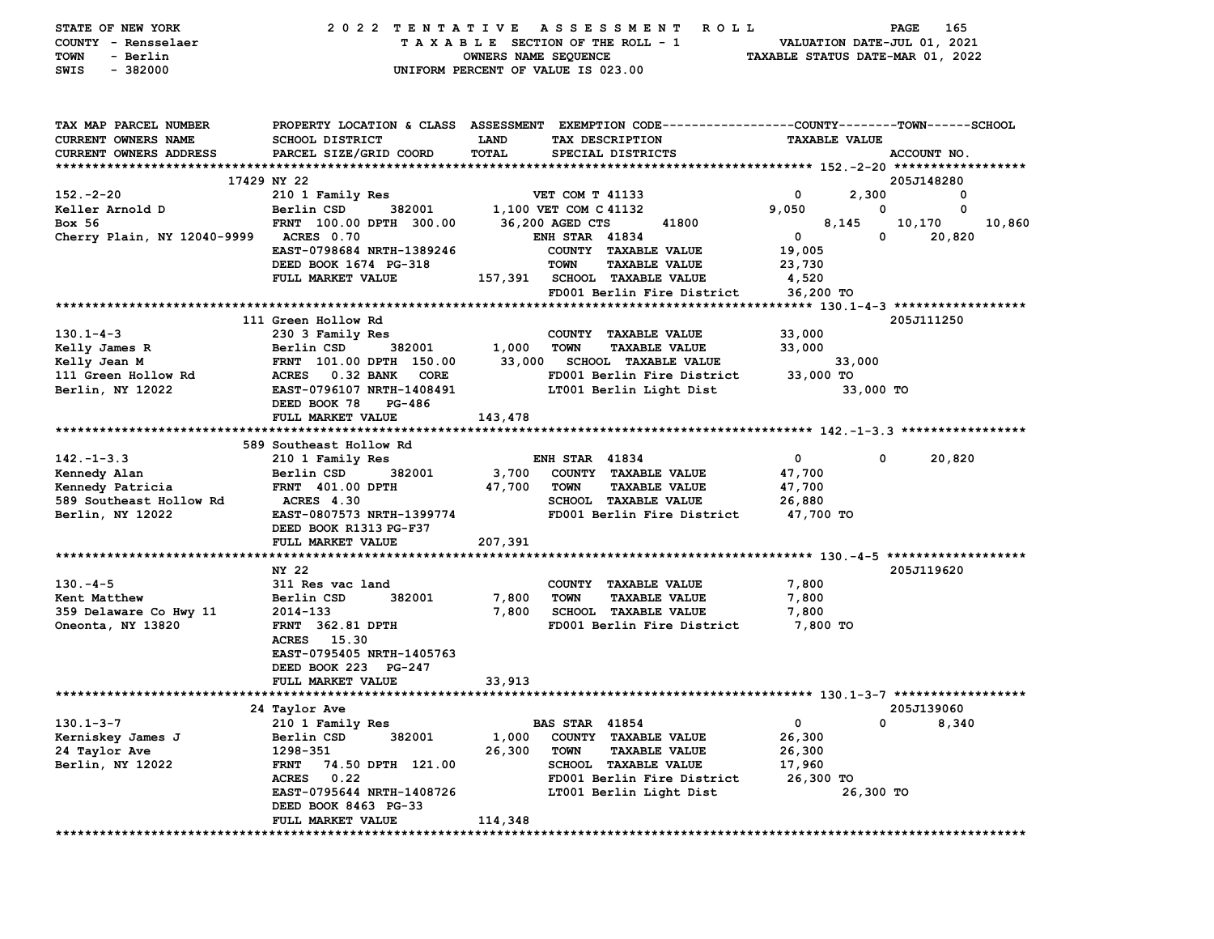| STATE OF NEW YORK                      | 2022 TENTATIVE                    |                      | A S S E S S M E N T<br>R O L L                                                                 |                  |                      | 165<br><b>PAGE</b>               |
|----------------------------------------|-----------------------------------|----------------------|------------------------------------------------------------------------------------------------|------------------|----------------------|----------------------------------|
| COUNTY - Rensselaer                    |                                   |                      | TAXABLE SECTION OF THE ROLL - 1                                                                |                  |                      | VALUATION DATE-JUL 01, 2021      |
| <b>TOWN</b><br>- Berlin                |                                   | OWNERS NAME SEQUENCE |                                                                                                |                  |                      | TAXABLE STATUS DATE-MAR 01, 2022 |
| $-382000$<br>SWIS                      |                                   |                      | UNIFORM PERCENT OF VALUE IS 023.00                                                             |                  |                      |                                  |
|                                        |                                   |                      |                                                                                                |                  |                      |                                  |
| TAX MAP PARCEL NUMBER                  |                                   |                      | PROPERTY LOCATION & CLASS ASSESSMENT EXEMPTION CODE---------------COUNTY-------TOWN-----SCHOOL |                  |                      |                                  |
| CURRENT OWNERS NAME                    | <b>SCHOOL DISTRICT</b>            | <b>LAND</b>          | TAX DESCRIPTION                                                                                |                  | <b>TAXABLE VALUE</b> |                                  |
| CURRENT OWNERS ADDRESS                 | PARCEL SIZE/GRID COORD            | <b>TOTAL</b>         | SPECIAL DISTRICTS                                                                              |                  |                      | ACCOUNT NO.                      |
|                                        |                                   |                      |                                                                                                |                  |                      |                                  |
|                                        | 17429 NY 22                       |                      |                                                                                                |                  |                      | 205J148280                       |
| $152 - 2 - 20$                         | 210 1 Family Res                  |                      | <b>VET COM T 41133</b>                                                                         | 0                | 2,300                | 0                                |
| Keller Arnold D                        | Berlin CSD<br>382001              |                      | 1,100 VET COM C 41132                                                                          | 9,050            | 0                    | 0                                |
| Box 56                                 | FRNT 100.00 DPTH 300.00           |                      | 36,200 AGED CTS<br>41800                                                                       |                  | 8,145                | 10,170<br>10,860                 |
| Cherry Plain, NY 12040-9999 ACRES 0.70 |                                   |                      | <b>ENH STAR 41834</b>                                                                          | $\mathbf{0}$     | $\mathbf 0$          | 20,820                           |
|                                        | EAST-0798684 NRTH-1389246         |                      | COUNTY TAXABLE VALUE                                                                           | 19,005           |                      |                                  |
|                                        | DEED BOOK 1674 PG-318             |                      | <b>TOWN</b><br><b>TAXABLE VALUE</b>                                                            | 23,730           |                      |                                  |
|                                        | FULL MARKET VALUE                 |                      | 157,391 SCHOOL TAXABLE VALUE                                                                   | 4,520            |                      |                                  |
|                                        |                                   |                      | FD001 Berlin Fire District                                                                     | 36,200 TO        |                      |                                  |
|                                        |                                   |                      |                                                                                                |                  |                      |                                  |
|                                        | 111 Green Hollow Rd               |                      |                                                                                                |                  |                      | 205J111250                       |
| $130.1 - 4 - 3$                        | 230 3 Family Res                  |                      | COUNTY TAXABLE VALUE                                                                           | 33,000           |                      |                                  |
| Kelly James R                          | Berlin CSD<br>382001              | 1,000                | <b>TOWN</b><br><b>TAXABLE VALUE</b>                                                            | 33,000           |                      |                                  |
| Kelly Jean M                           | FRNT 101.00 DPTH 150.00           | 33,000               | <b>SCHOOL TAXABLE VALUE</b>                                                                    |                  | 33,000               |                                  |
| 111 Green Hollow Rd                    | ACRES 0.32 BANK<br>CORE           |                      | FD001 Berlin Fire District                                                                     | 33,000 TO        |                      |                                  |
| Berlin, NY 12022                       | EAST-0796107 NRTH-1408491         |                      | LT001 Berlin Light Dist                                                                        |                  | 33,000 TO            |                                  |
|                                        | PG-486<br>DEED BOOK 78            |                      |                                                                                                |                  |                      |                                  |
|                                        | FULL MARKET VALUE                 | 143,478              |                                                                                                |                  |                      |                                  |
|                                        |                                   |                      |                                                                                                |                  |                      |                                  |
|                                        | 589 Southeast Hollow Rd           |                      |                                                                                                |                  |                      |                                  |
| $142. - 1 - 3.3$                       | 210 1 Family Res                  |                      | <b>ENH STAR 41834</b>                                                                          | $\mathbf{0}$     | 0                    | 20,820                           |
| Kennedy Alan                           | Berlin CSD<br>382001              | 3,700                | COUNTY TAXABLE VALUE                                                                           | 47,700           |                      |                                  |
| Kennedy Patricia                       | <b>FRNT 401.00 DPTH</b>           | 47,700               | <b>TAXABLE VALUE</b><br><b>TOWN</b>                                                            | 47,700           |                      |                                  |
| 589 Southeast Hollow Rd                | <b>ACRES 4.30</b>                 |                      | SCHOOL TAXABLE VALUE                                                                           | 26,880           |                      |                                  |
| Berlin, NY 12022                       | EAST-0807573 NRTH-1399774         |                      | FD001 Berlin Fire District                                                                     | 47,700 TO        |                      |                                  |
|                                        | DEED BOOK R1313 PG-F37            |                      |                                                                                                |                  |                      |                                  |
|                                        | FULL MARKET VALUE                 | 207,391              |                                                                                                |                  |                      |                                  |
|                                        |                                   |                      |                                                                                                |                  |                      |                                  |
|                                        | NY 22                             |                      |                                                                                                |                  |                      | 205J119620                       |
| $130 - 4 - 5$                          | 311 Res vac land                  |                      | COUNTY TAXABLE VALUE                                                                           | 7,800            |                      |                                  |
| Kent Matthew                           | 382001<br>Berlin CSD              | 7,800                | <b>TOWN</b><br><b>TAXABLE VALUE</b>                                                            | 7,800            |                      |                                  |
| 359 Delaware Co Hwy 11                 | 2014-133                          | 7,800                | SCHOOL TAXABLE VALUE                                                                           | 7,800            |                      |                                  |
| Oneonta, NY 13820                      | <b>FRNT</b> 362.81 DPTH           |                      | FD001 Berlin Fire District                                                                     | 7,800 TO         |                      |                                  |
|                                        | ACRES 15.30                       |                      |                                                                                                |                  |                      |                                  |
|                                        | EAST-0795405 NRTH-1405763         |                      |                                                                                                |                  |                      |                                  |
|                                        | DEED BOOK 223 PG-247              |                      |                                                                                                |                  |                      |                                  |
|                                        | FULL MARKET VALUE                 | 33,913               |                                                                                                |                  |                      |                                  |
|                                        |                                   |                      |                                                                                                |                  |                      | 205J139060                       |
| $130.1 - 3 - 7$                        | 24 Taylor Ave<br>210 1 Family Res |                      | <b>BAS STAR 41854</b>                                                                          | 0                | 0                    |                                  |
|                                        |                                   |                      | <b>COUNTY</b>                                                                                  |                  |                      | 8,340                            |
| Kerniskey James J                      | Berlin CSD<br>382001<br>1298-351  | 1,000<br>26,300      | <b>TAXABLE VALUE</b><br><b>TOWN</b>                                                            | 26,300           |                      |                                  |
| 24 Taylor Ave<br>Berlin, NY 12022      | <b>FRNT</b><br>74.50 DPTH 121.00  |                      | <b>TAXABLE VALUE</b><br>SCHOOL TAXABLE VALUE                                                   | 26,300<br>17,960 |                      |                                  |
|                                        | 0.22<br><b>ACRES</b>              |                      | FD001 Berlin Fire District                                                                     | 26,300 TO        |                      |                                  |
|                                        | EAST-0795644 NRTH-1408726         |                      | LT001 Berlin Light Dist                                                                        |                  | 26,300 TO            |                                  |
|                                        | DEED BOOK 8463 PG-33              |                      |                                                                                                |                  |                      |                                  |
|                                        | FULL MARKET VALUE                 | 114,348              |                                                                                                |                  |                      |                                  |
|                                        |                                   |                      |                                                                                                |                  |                      |                                  |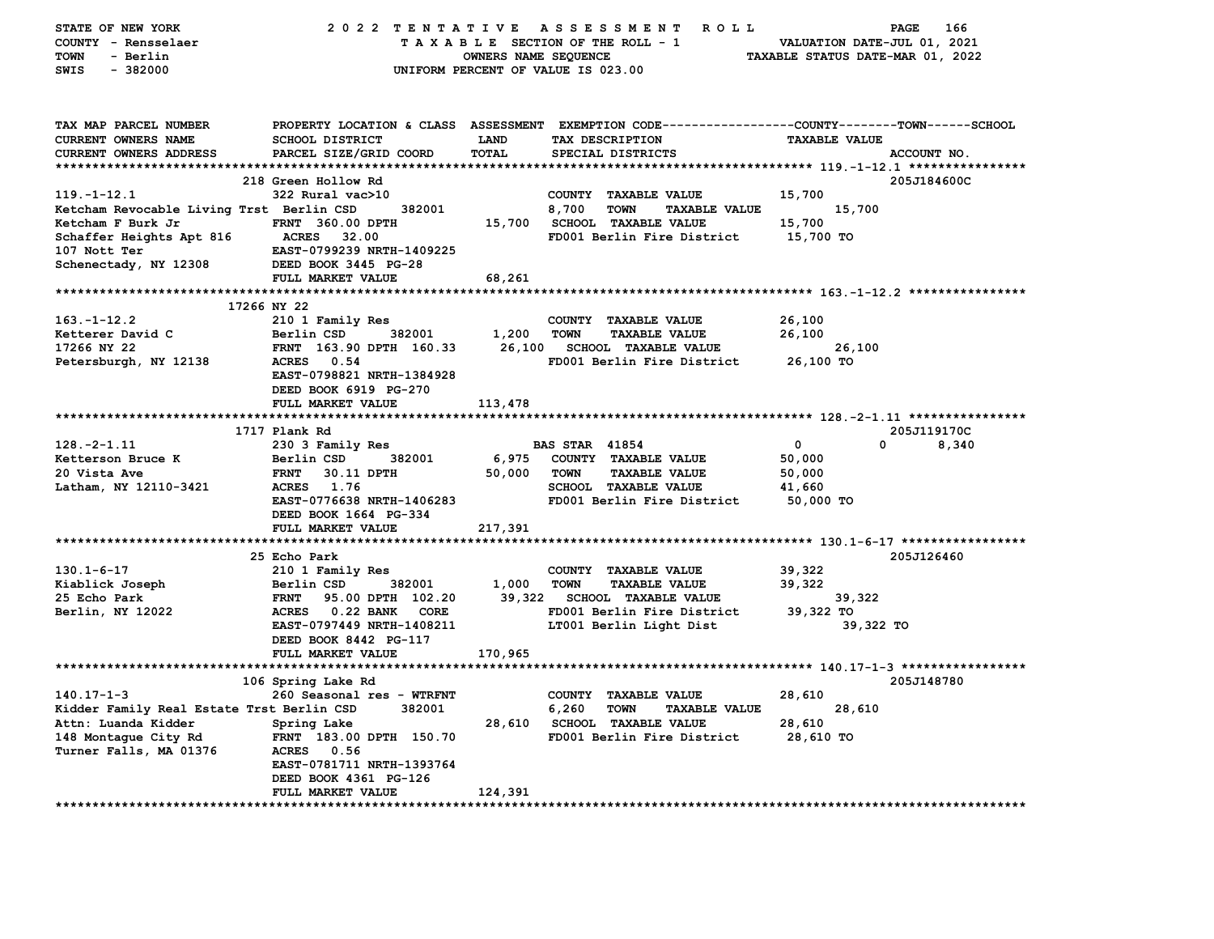| STATE OF NEW YORK                         |                                          |                      | 2022 TENTATIVE ASSESSMENT ROLL                                                                   | PAGE                             | 166   |
|-------------------------------------------|------------------------------------------|----------------------|--------------------------------------------------------------------------------------------------|----------------------------------|-------|
| COUNTY - Rensselaer                       |                                          |                      | TAXABLE SECTION OF THE ROLL - 1                                                                  | VALUATION DATE-JUL 01, 2021      |       |
| - Berlin<br><b>TOWN</b>                   |                                          | OWNERS NAME SEQUENCE |                                                                                                  | TAXABLE STATUS DATE-MAR 01, 2022 |       |
| $-382000$<br>SWIS                         |                                          |                      | UNIFORM PERCENT OF VALUE IS 023.00                                                               |                                  |       |
|                                           |                                          |                      |                                                                                                  |                                  |       |
|                                           |                                          |                      |                                                                                                  |                                  |       |
|                                           |                                          |                      |                                                                                                  |                                  |       |
| TAX MAP PARCEL NUMBER                     |                                          |                      | PROPERTY LOCATION & CLASS ASSESSMENT EXEMPTION CODE----------------COUNTY-------TOWN------SCHOOL |                                  |       |
| <b>CURRENT OWNERS NAME</b>                | <b>SCHOOL DISTRICT</b>                   | <b>LAND</b>          | TAX DESCRIPTION                                                                                  | <b>TAXABLE VALUE</b>             |       |
| CURRENT OWNERS ADDRESS                    | PARCEL SIZE/GRID COORD                   | <b>TOTAL</b>         | SPECIAL DISTRICTS                                                                                | ACCOUNT NO.                      |       |
|                                           |                                          |                      |                                                                                                  |                                  |       |
|                                           | 218 Green Hollow Rd                      |                      |                                                                                                  | 205J184600C                      |       |
| $119. - 1 - 12.1$                         | 322 Rural vac>10                         |                      | COUNTY TAXABLE VALUE                                                                             | 15,700                           |       |
| Ketcham Revocable Living Trst Berlin CSD  | 382001                                   |                      | 8,700<br><b>TOWN</b><br><b>TAXABLE VALUE</b>                                                     | 15,700                           |       |
| Ketcham F Burk Jr                         | FRNT 360.00 DPTH                         |                      | 15,700 SCHOOL TAXABLE VALUE                                                                      | 15,700                           |       |
| Schaffer Heights Apt 816                  | <b>ACRES</b><br>32.00                    |                      | FD001 Berlin Fire District                                                                       | 15,700 TO                        |       |
| 107 Nott Ter                              | EAST-0799239 NRTH-1409225                |                      |                                                                                                  |                                  |       |
| Schenectady, NY 12308                     | DEED BOOK 3445 PG-28                     |                      |                                                                                                  |                                  |       |
|                                           | FULL MARKET VALUE                        | 68,261               |                                                                                                  |                                  |       |
|                                           |                                          |                      |                                                                                                  |                                  |       |
| 17266 NY 22                               |                                          |                      |                                                                                                  |                                  |       |
| $163. - 1 - 12.2$                         | 210 1 Family Res                         |                      | COUNTY TAXABLE VALUE                                                                             | 26,100                           |       |
| Ketterer David C                          | Berlin CSD<br>382001                     | 1,200                | <b>TOWN</b><br><b>TAXABLE VALUE</b>                                                              | 26,100                           |       |
| 17266 NY 22                               | FRNT 163.90 DPTH 160.33                  | 26,100               | <b>SCHOOL TAXABLE VALUE</b>                                                                      | 26,100                           |       |
| Petersburgh, NY 12138                     | ACRES 0.54                               |                      | FD001 Berlin Fire District                                                                       | 26,100 TO                        |       |
|                                           | EAST-0798821 NRTH-1384928                |                      |                                                                                                  |                                  |       |
|                                           | DEED BOOK 6919 PG-270                    |                      |                                                                                                  |                                  |       |
|                                           | FULL MARKET VALUE                        | 113,478              |                                                                                                  |                                  |       |
|                                           |                                          |                      |                                                                                                  |                                  |       |
|                                           | 1717 Plank Rd                            |                      |                                                                                                  | 205J119170C                      |       |
| $128. - 2 - 1.11$                         |                                          |                      | <b>BAS STAR</b> 41854                                                                            | $\mathbf{0}$<br>$\Omega$         | 8,340 |
| Ketterson Bruce K                         | 230 3 Family Res<br>Berlin CSD<br>382001 | 6,975                | COUNTY TAXABLE VALUE                                                                             | 50,000                           |       |
| 20 Vista Ave                              | 30.11 DPTH<br><b>FRNT</b>                | 50,000               | <b>TAXABLE VALUE</b><br><b>TOWN</b>                                                              | 50,000                           |       |
|                                           | ACRES 1.76                               |                      |                                                                                                  |                                  |       |
| Latham, NY 12110-3421                     |                                          |                      | SCHOOL TAXABLE VALUE                                                                             | 41,660                           |       |
|                                           | EAST-0776638 NRTH-1406283                |                      | FD001 Berlin Fire District                                                                       | 50,000 TO                        |       |
|                                           | DEED BOOK 1664 PG-334                    |                      |                                                                                                  |                                  |       |
|                                           | FULL MARKET VALUE                        | 217,391              |                                                                                                  |                                  |       |
|                                           |                                          |                      |                                                                                                  |                                  |       |
|                                           | 25 Echo Park                             |                      |                                                                                                  | 205J126460                       |       |
| $130.1 - 6 - 17$                          | 210 1 Family Res                         |                      | COUNTY TAXABLE VALUE                                                                             | 39,322                           |       |
| Kiablick Joseph                           | 382001<br>Berlin CSD                     | 1,000                | <b>TAXABLE VALUE</b><br><b>TOWN</b>                                                              | 39,322                           |       |
| 25 Echo Park                              | <b>FRNT</b><br>95.00 DPTH 102.20         | 39,322               | <b>SCHOOL TAXABLE VALUE</b>                                                                      | 39,322                           |       |
| Berlin, NY 12022                          | ACRES 0.22 BANK CORE                     |                      | FD001 Berlin Fire District                                                                       | 39,322 TO                        |       |
|                                           | EAST-0797449 NRTH-1408211                |                      | LT001 Berlin Light Dist                                                                          | 39,322 TO                        |       |
|                                           | DEED BOOK 8442 PG-117                    |                      |                                                                                                  |                                  |       |
|                                           | FULL MARKET VALUE                        | 170,965              |                                                                                                  |                                  |       |
|                                           |                                          |                      |                                                                                                  |                                  |       |
|                                           | 106 Spring Lake Rd                       |                      |                                                                                                  | 205J148780                       |       |
| $140.17 - 1 - 3$                          | 260 Seasonal res - WTRFNT                |                      | COUNTY TAXABLE VALUE                                                                             | 28,610                           |       |
| Kidder Family Real Estate Trst Berlin CSD | 382001                                   |                      | 6,260<br><b>TOWN</b><br><b>TAXABLE VALUE</b>                                                     | 28,610                           |       |
| Attn: Luanda Kidder                       | Spring Lake                              |                      | 28,610 SCHOOL TAXABLE VALUE                                                                      | 28,610                           |       |
| 148 Montague City Rd                      | FRNT 183.00 DPTH 150.70                  |                      | FD001 Berlin Fire District                                                                       | 28,610 TO                        |       |
| Turner Falls, MA 01376                    | ACRES 0.56                               |                      |                                                                                                  |                                  |       |
|                                           | EAST-0781711 NRTH-1393764                |                      |                                                                                                  |                                  |       |
|                                           | DEED BOOK 4361 PG-126                    |                      |                                                                                                  |                                  |       |
|                                           | FULL MARKET VALUE                        | 124,391              |                                                                                                  |                                  |       |
|                                           |                                          |                      |                                                                                                  |                                  |       |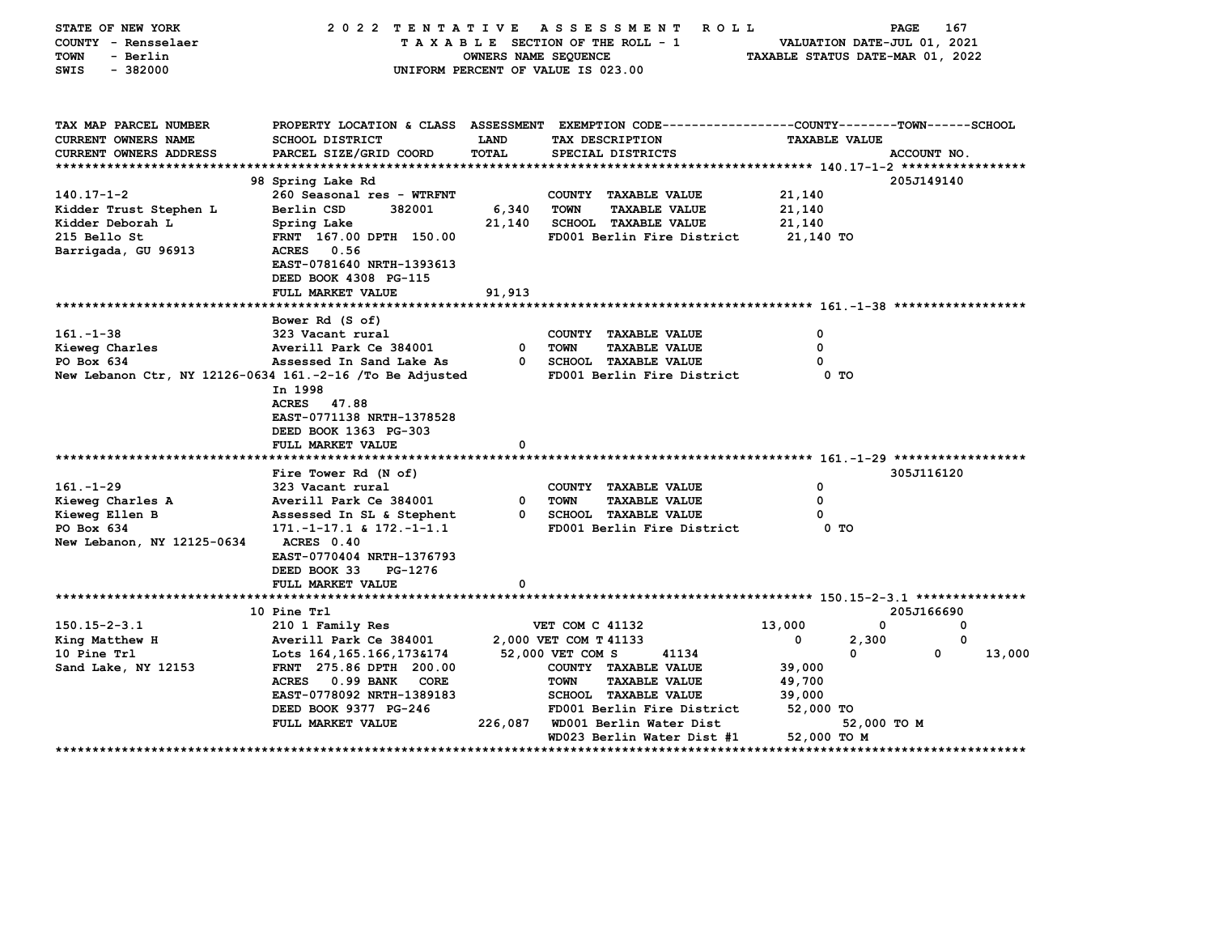| STATE OF NEW YORK<br>COUNTY - Rensselaer<br><b>TOWN</b><br>- Berlin    | 2022 TENTATIVE                                    | OWNERS NAME SEQUENCE | A S S E S S M E N T<br><b>ROLL</b><br>TAXABLE SECTION OF THE ROLL - 1                                             | VALUATION DATE-JUL 01, 2021<br>TAXABLE STATUS DATE-MAR 01, 2022 | <b>PAGE</b><br>167 |
|------------------------------------------------------------------------|---------------------------------------------------|----------------------|-------------------------------------------------------------------------------------------------------------------|-----------------------------------------------------------------|--------------------|
| $-382000$<br>SWIS                                                      |                                                   |                      | UNIFORM PERCENT OF VALUE IS 023.00                                                                                |                                                                 |                    |
| TAX MAP PARCEL NUMBER<br><b>CURRENT OWNERS NAME</b>                    | <b>SCHOOL DISTRICT</b>                            | <b>LAND</b>          | PROPERTY LOCATION & CLASS ASSESSMENT EXEMPTION CODE---------------COUNTY-------TOWN-----SCHOOL<br>TAX DESCRIPTION | <b>TAXABLE VALUE</b>                                            |                    |
| <b>CURRENT OWNERS ADDRESS</b>                                          | PARCEL SIZE/GRID COORD                            | <b>TOTAL</b>         | SPECIAL DISTRICTS                                                                                                 |                                                                 | ACCOUNT NO.        |
|                                                                        |                                                   |                      |                                                                                                                   |                                                                 |                    |
|                                                                        | 98 Spring Lake Rd                                 |                      |                                                                                                                   |                                                                 | 205J149140         |
| $140.17 - 1 - 2$                                                       | 260 Seasonal res - WTRFNT                         |                      | COUNTY TAXABLE VALUE                                                                                              | 21,140                                                          |                    |
| Kidder Trust Stephen L                                                 | Berlin CSD<br>382001                              | 6,340                | <b>TOWN</b><br><b>TAXABLE VALUE</b>                                                                               | 21,140                                                          |                    |
| Kidder Deborah L                                                       | Spring Lake                                       | 21,140               | SCHOOL TAXABLE VALUE                                                                                              | 21,140                                                          |                    |
| 215 Bello St                                                           | FRNT 167.00 DPTH 150.00                           |                      | FD001 Berlin Fire District                                                                                        | 21,140 TO                                                       |                    |
| Barrigada, GU 96913                                                    | 0.56<br><b>ACRES</b><br>EAST-0781640 NRTH-1393613 |                      |                                                                                                                   |                                                                 |                    |
|                                                                        | DEED BOOK 4308 PG-115                             |                      |                                                                                                                   |                                                                 |                    |
|                                                                        | FULL MARKET VALUE                                 | 91,913               |                                                                                                                   |                                                                 |                    |
|                                                                        |                                                   |                      |                                                                                                                   |                                                                 |                    |
|                                                                        | Bower Rd (S of)                                   |                      |                                                                                                                   |                                                                 |                    |
| $161. - 1 - 38$                                                        | 323 Vacant rural                                  |                      | COUNTY TAXABLE VALUE                                                                                              | 0                                                               |                    |
| Kieweg Charles                                                         | Averill Park Ce 384001                            | 0                    | <b>TOWN</b><br><b>TAXABLE VALUE</b>                                                                               | 0                                                               |                    |
| PO Box 634<br>New Lebanon Ctr, NY 12126-0634 161.-2-16 /To Be Adjusted | Assessed In Sand Lake As                          | $^{\circ}$           | SCHOOL TAXABLE VALUE<br>FD001 Berlin Fire District                                                                | 0<br>0 <sub>T</sub>                                             |                    |
|                                                                        | In 1998                                           |                      |                                                                                                                   |                                                                 |                    |
|                                                                        | ACRES 47.88                                       |                      |                                                                                                                   |                                                                 |                    |
|                                                                        | EAST-0771138 NRTH-1378528                         |                      |                                                                                                                   |                                                                 |                    |
|                                                                        | DEED BOOK 1363 PG-303                             |                      |                                                                                                                   |                                                                 |                    |
|                                                                        | FULL MARKET VALUE                                 | 0                    |                                                                                                                   |                                                                 |                    |
|                                                                        |                                                   |                      |                                                                                                                   |                                                                 |                    |
|                                                                        | Fire Tower Rd (N of)                              |                      |                                                                                                                   |                                                                 | 305J116120         |
| $161. - 1 - 29$                                                        | 323 Vacant rural                                  |                      | COUNTY TAXABLE VALUE                                                                                              | 0                                                               |                    |
| Kieweg Charles A                                                       | Averill Park Ce 384001                            | <sup>0</sup>         | <b>TOWN</b><br><b>TAXABLE VALUE</b>                                                                               | 0                                                               |                    |
| Kieweg Ellen B                                                         | Assessed In SL & Stephent                         | $^{\circ}$           | <b>SCHOOL TAXABLE VALUE</b>                                                                                       |                                                                 |                    |
| PO Box 634                                                             | $171.-1-17.1$ & $172.-1-1.1$                      |                      | FD001 Berlin Fire District                                                                                        | 0 <sub>T</sub>                                                  |                    |
| New Lebanon, NY 12125-0634                                             | ACRES 0.40                                        |                      |                                                                                                                   |                                                                 |                    |
|                                                                        | EAST-0770404 NRTH-1376793                         |                      |                                                                                                                   |                                                                 |                    |
|                                                                        | DEED BOOK 33<br>PG-1276<br>FULL MARKET VALUE      | 0                    |                                                                                                                   |                                                                 |                    |
|                                                                        |                                                   |                      |                                                                                                                   |                                                                 |                    |
|                                                                        | 10 Pine Trl                                       |                      |                                                                                                                   |                                                                 | 205J166690         |
| $150.15 - 2 - 3.1$                                                     | 210 1 Family Res                                  |                      | <b>VET COM C 41132</b>                                                                                            | 13,000<br>0                                                     | 0                  |
| King Matthew H                                                         | Averill Park Ce 384001                            |                      | 2,000 VET COM T 41133                                                                                             | 0<br>2,300                                                      | 0                  |
| 10 Pine Trl                                                            | Lots 164, 165. 166, 173& 174                      |                      | 52,000 VET COM S<br>41134                                                                                         | 0                                                               | 0<br>13,000        |
| Sand Lake, NY 12153                                                    | FRNT 275.86 DPTH 200.00                           |                      | COUNTY TAXABLE VALUE                                                                                              | 39,000                                                          |                    |
|                                                                        | 0.99 BANK<br><b>ACRES</b><br><b>CORE</b>          |                      | <b>TOWN</b><br><b>TAXABLE VALUE</b>                                                                               | 49,700                                                          |                    |
|                                                                        | EAST-0778092 NRTH-1389183                         |                      | <b>SCHOOL TAXABLE VALUE</b>                                                                                       | 39,000                                                          |                    |
|                                                                        | DEED BOOK 9377 PG-246                             |                      | FD001 Berlin Fire District                                                                                        | 52,000 TO                                                       |                    |
|                                                                        | FULL MARKET VALUE                                 | 226,087              | WD001 Berlin Water Dist                                                                                           | 52,000 TO M                                                     |                    |
|                                                                        |                                                   |                      | WD023 Berlin Water Dist #1<br>**********************                                                              | 52,000 TO M                                                     | *****************  |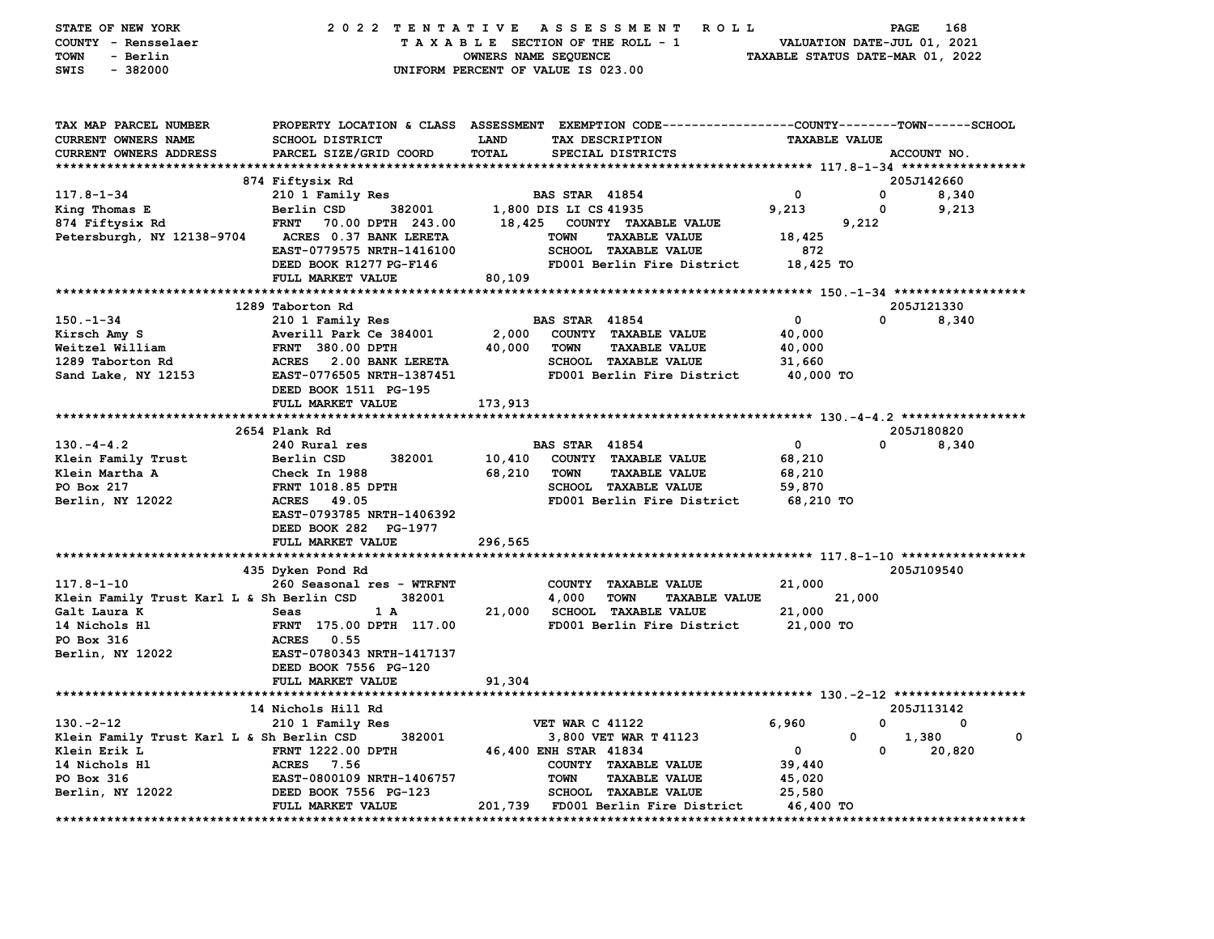| STATE OF NEW YORK                         | 2022 TENTATIVE                                                                                  |                      | A S S E S S M E N T R O L L                  |                                  | PAGE                        | 168                       |
|-------------------------------------------|-------------------------------------------------------------------------------------------------|----------------------|----------------------------------------------|----------------------------------|-----------------------------|---------------------------|
| COUNTY - Rensselaer                       |                                                                                                 |                      | TAXABLE SECTION OF THE ROLL - 1              |                                  | VALUATION DATE-JUL 01, 2021 |                           |
| <b>TOWN</b><br>- Berlin                   |                                                                                                 | OWNERS NAME SEQUENCE |                                              | TAXABLE STATUS DATE-MAR 01, 2022 |                             |                           |
| SWIS<br>$-382000$                         |                                                                                                 |                      | UNIFORM PERCENT OF VALUE IS 023.00           |                                  |                             |                           |
|                                           |                                                                                                 |                      |                                              |                                  |                             |                           |
| TAX MAP PARCEL NUMBER                     | PROPERTY LOCATION & CLASS ASSESSMENT EXEMPTION CODE---------------COUNTY-------TOWN------SCHOOL |                      |                                              |                                  |                             |                           |
| CURRENT OWNERS NAME                       | <b>SCHOOL DISTRICT</b>                                                                          | <b>LAND</b>          | TAX DESCRIPTION                              | <b>TAXABLE VALUE</b>             |                             |                           |
| <b>CURRENT OWNERS ADDRESS</b>             | PARCEL SIZE/GRID COORD                                                                          | TOTAL                | SPECIAL DISTRICTS                            |                                  |                             | ACCOUNT NO.               |
|                                           |                                                                                                 |                      |                                              |                                  |                             |                           |
|                                           | 874 Fiftysix Rd                                                                                 |                      |                                              |                                  |                             | 205J142660                |
| $117.8 - 1 - 34$                          | 210 1 Family Res                                                                                |                      | <b>BAS STAR 41854</b>                        | 0                                | 0                           | 8,340                     |
| King Thomas E                             | Berlin CSD<br>382001                                                                            |                      | 1,800 DIS LI CS 41935                        | 9,213                            | 0                           | 9,213                     |
| 874 Fiftysix Rd                           | <b>FRNT</b><br>70.00 DPTH 243.00                                                                |                      | 18,425 COUNTY TAXABLE VALUE                  |                                  | 9,212                       |                           |
| Petersburgh, NY 12138-9704                | ACRES 0.37 BANK LERETA                                                                          |                      | TOWN<br><b>TAXABLE VALUE</b>                 | 18,425                           |                             |                           |
|                                           | EAST-0779575 NRTH-1416100                                                                       |                      | <b>SCHOOL TAXABLE VALUE</b>                  | 872                              |                             |                           |
|                                           | DEED BOOK R1277 PG-F146                                                                         |                      | FD001 Berlin Fire District                   | 18,425 TO                        |                             |                           |
|                                           | FULL MARKET VALUE                                                                               | 80,109               |                                              |                                  |                             |                           |
|                                           |                                                                                                 |                      |                                              |                                  |                             |                           |
|                                           | 1289 Taborton Rd                                                                                |                      |                                              |                                  |                             | 205J121330                |
| 150.-1-34                                 | 210 1 Family Res                                                                                |                      | <b>BAS STAR 41854</b>                        | $\mathbf 0$                      | $\Omega$                    | 8,340                     |
| Kirsch Amy S                              | Averill Park Ce 384001                                                                          |                      | 2,000 COUNTY TAXABLE VALUE                   | 40,000                           |                             |                           |
| Weitzel William                           | <b>FRNT 380.00 DPTH</b>                                                                         | 40,000               | <b>TOWN</b><br><b>TAXABLE VALUE</b>          | 40,000                           |                             |                           |
| 1289 Taborton Rd                          | ACRES 2.00 BANK LERETA                                                                          |                      | <b>SCHOOL TAXABLE VALUE</b>                  | 31,660                           |                             |                           |
| Sand Lake, NY 12153                       | EAST-0776505 NRTH-1387451                                                                       |                      | FD001 Berlin Fire District                   | 40,000 TO                        |                             |                           |
|                                           | DEED BOOK 1511 PG-195                                                                           |                      |                                              |                                  |                             |                           |
|                                           | FULL MARKET VALUE                                                                               | 173,913              |                                              |                                  |                             |                           |
|                                           |                                                                                                 |                      |                                              |                                  |                             |                           |
|                                           | 2654 Plank Rd                                                                                   |                      |                                              |                                  |                             | 205J180820                |
| $130 - 4 - 4.2$                           | 240 Rural res                                                                                   |                      | <b>BAS STAR 41854</b>                        | $\mathbf 0$                      | $\Omega$                    | 8,340                     |
| Klein Family Trust                        | Berlin CSD<br>382001                                                                            | 10,410               | COUNTY TAXABLE VALUE                         | 68,210                           |                             |                           |
| Klein Martha A                            | Check In 1988                                                                                   | 68,210               | <b>TOWN</b><br><b>TAXABLE VALUE</b>          | 68,210                           |                             |                           |
| PO Box 217                                | <b>FRNT 1018.85 DPTH</b>                                                                        |                      | SCHOOL TAXABLE VALUE                         | 59,870                           |                             |                           |
| Berlin, NY 12022                          | ACRES 49.05<br>EAST-0793785 NRTH-1406392                                                        |                      | FD001 Berlin Fire District                   | 68,210 TO                        |                             |                           |
|                                           | DEED BOOK 282 PG-1977                                                                           |                      |                                              |                                  |                             |                           |
|                                           | FULL MARKET VALUE                                                                               | 296,565              |                                              |                                  |                             |                           |
|                                           |                                                                                                 |                      |                                              |                                  |                             |                           |
|                                           | 435 Dyken Pond Rd                                                                               |                      |                                              |                                  |                             | 205J109540                |
| $117.8 - 1 - 10$                          | 260 Seasonal res - WTRFNT                                                                       |                      | COUNTY TAXABLE VALUE                         | 21,000                           |                             |                           |
| Klein Family Trust Karl L & Sh Berlin CSD | 382001                                                                                          |                      | 4,000<br><b>TOWN</b><br><b>TAXABLE VALUE</b> |                                  | 21,000                      |                           |
| Galt Laura K                              | Seas<br>1 A                                                                                     |                      | 21,000 SCHOOL TAXABLE VALUE                  | 21,000                           |                             |                           |
| 14 Nichols Hl                             | FRNT 175.00 DPTH 117.00                                                                         |                      | FD001 Berlin Fire District                   | 21,000 TO                        |                             |                           |
| PO Box 316                                | <b>ACRES</b> 0.55                                                                               |                      |                                              |                                  |                             |                           |
| Berlin, NY 12022                          | EAST-0780343 NRTH-1417137                                                                       |                      |                                              |                                  |                             |                           |
|                                           | DEED BOOK 7556 PG-120                                                                           |                      |                                              |                                  |                             |                           |
|                                           | FULL MARKET VALUE                                                                               | 91,304               |                                              |                                  |                             |                           |
|                                           |                                                                                                 |                      |                                              |                                  |                             |                           |
|                                           | 14 Nichols Hill Rd                                                                              |                      |                                              |                                  |                             | 205J113142                |
| $130 - 2 - 12$                            | 210 1 Family Res                                                                                |                      | <b>VET WAR C 41122</b>                       | 6,960                            | 0                           | 0                         |
| Klein Family Trust Karl L & Sh Berlin CSD | 382001                                                                                          |                      | 3,800 VET WAR T 41123                        |                                  | 0                           | 1,380<br>0                |
| Klein Erik L                              | <b>FRNT 1222.00 DPTH</b>                                                                        |                      | 46,400 ENH STAR 41834                        | $\mathbf{0}$                     | $\mathbf 0$                 | 20,820                    |
| 14 Nichols Hl                             | ACRES 7.56                                                                                      |                      | COUNTY TAXABLE VALUE                         | 39,440                           |                             |                           |
| PO Box 316                                | <b>EAST-0800109 NRTH-1406757</b>                                                                |                      | <b>TOWN</b><br><b>TAXABLE VALUE</b>          | 45,020                           |                             |                           |
| Berlin, NY 12022                          | DEED BOOK 7556 PG-123                                                                           |                      | SCHOOL TAXABLE VALUE                         | 25,580                           |                             |                           |
|                                           | FULL MARKET VALUE                                                                               |                      | 201,739 FD001 Berlin Fire District           | 46,400 TO                        |                             |                           |
|                                           |                                                                                                 |                      |                                              |                                  |                             | ************************* |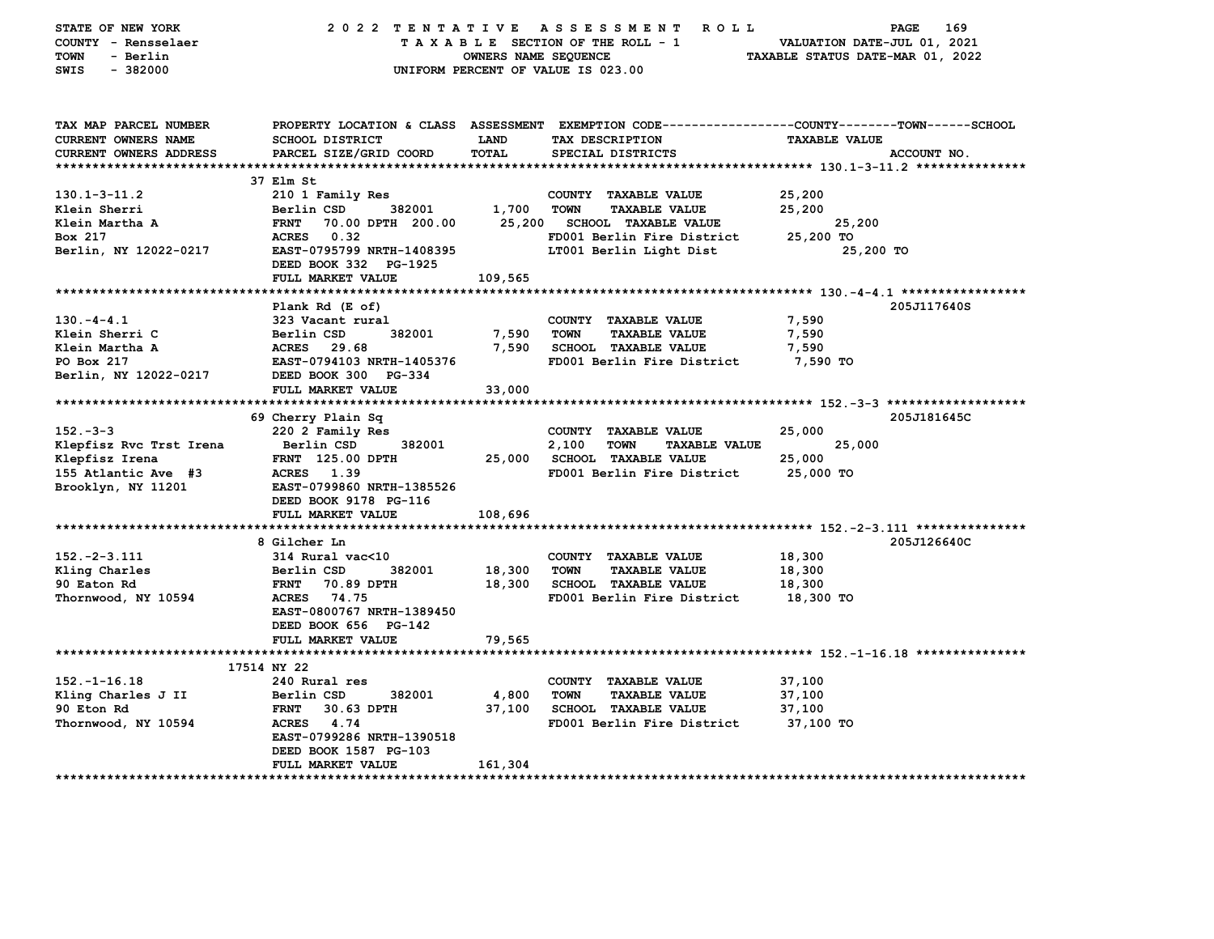| STATE OF NEW YORK<br>COUNTY - Rensselaer<br><b>TOWN</b><br>- Berlin<br>SWIS<br>$-382000$ | 2022 TENTATIVE ASSESSMENT                          | OWNERS NAME SEQUENCE | <b>ROLL</b><br>TAXABLE SECTION OF THE ROLL - 1<br>UNIFORM PERCENT OF VALUE IS 023.00 | 169<br><b>PAGE</b><br>VALUATION DATE-JUL 01, 2021<br>TAXABLE STATUS DATE-MAR 01, 2022                                  |
|------------------------------------------------------------------------------------------|----------------------------------------------------|----------------------|--------------------------------------------------------------------------------------|------------------------------------------------------------------------------------------------------------------------|
| TAX MAP PARCEL NUMBER<br><b>CURRENT OWNERS NAME</b>                                      | <b>SCHOOL DISTRICT</b>                             | <b>LAND</b>          | TAX DESCRIPTION                                                                      | PROPERTY LOCATION & CLASS ASSESSMENT EXEMPTION CODE---------------COUNTY-------TOWN-----SCHOOL<br><b>TAXABLE VALUE</b> |
| <b>CURRENT OWNERS ADDRESS</b>                                                            | PARCEL SIZE/GRID COORD                             | TOTAL                | SPECIAL DISTRICTS                                                                    | ACCOUNT NO.                                                                                                            |
| **********************                                                                   |                                                    |                      |                                                                                      |                                                                                                                        |
|                                                                                          | 37 Elm St                                          |                      |                                                                                      |                                                                                                                        |
| $130.1 - 3 - 11.2$                                                                       | 210 1 Family Res                                   |                      | COUNTY TAXABLE VALUE                                                                 | 25,200                                                                                                                 |
| Klein Sherri                                                                             | 382001<br>Berlin CSD                               | 1,700                | <b>TOWN</b><br><b>TAXABLE VALUE</b>                                                  | 25,200                                                                                                                 |
| Klein Martha A                                                                           | <b>FRNT</b><br>70.00 DPTH 200.00                   | 25,200               | <b>SCHOOL TAXABLE VALUE</b>                                                          | 25,200                                                                                                                 |
| Box 217                                                                                  | ACRES 0.32                                         |                      | FD001 Berlin Fire District                                                           | 25,200 TO                                                                                                              |
| Berlin, NY 12022-0217                                                                    | EAST-0795799 NRTH-1408395<br>DEED BOOK 332 PG-1925 |                      | LT001 Berlin Light Dist                                                              | 25,200 TO                                                                                                              |
| **************************                                                               | FULL MARKET VALUE                                  | 109,565              |                                                                                      |                                                                                                                        |
|                                                                                          |                                                    |                      |                                                                                      |                                                                                                                        |
|                                                                                          | Plank Rd (E of)                                    |                      |                                                                                      | 205J117640S                                                                                                            |
| $130. -4 - 4.1$                                                                          | 323 Vacant rural                                   |                      | COUNTY TAXABLE VALUE                                                                 | 7,590                                                                                                                  |
| Klein Sherri C                                                                           | Berlin CSD<br>382001                               | 7,590                | <b>TOWN</b><br><b>TAXABLE VALUE</b>                                                  | 7,590                                                                                                                  |
| Klein Martha A                                                                           | ACRES 29.68<br>EAST-0794103 NRTH-1405376           | 7,590                | <b>SCHOOL TAXABLE VALUE</b>                                                          | 7,590                                                                                                                  |
| PO Box 217                                                                               |                                                    |                      | FD001 Berlin Fire District                                                           | 7,590 TO                                                                                                               |
| Berlin, NY 12022-0217                                                                    | DEED BOOK 300 PG-334<br>FULL MARKET VALUE          | 33,000               |                                                                                      |                                                                                                                        |
|                                                                                          |                                                    |                      |                                                                                      |                                                                                                                        |
|                                                                                          | 69 Cherry Plain Sq                                 |                      |                                                                                      | 205J181645C                                                                                                            |
| $152 - 3 - 3$                                                                            | 220 2 Family Res                                   |                      | COUNTY TAXABLE VALUE                                                                 | 25,000                                                                                                                 |
| Klepfisz Rvc Trst Irena                                                                  | 382001<br>Berlin CSD                               |                      | 2,100<br><b>TOWN</b><br><b>TAXABLE VALUE</b>                                         | 25,000                                                                                                                 |
| Klepfisz Irena                                                                           | <b>FRNT</b> 125.00 DPTH                            | 25,000               | <b>SCHOOL TAXABLE VALUE</b>                                                          | 25,000                                                                                                                 |
| 155 Atlantic Ave #3                                                                      | <b>ACRES</b><br>1.39                               |                      | FD001 Berlin Fire District                                                           | 25,000 TO                                                                                                              |
| Brooklyn, NY 11201                                                                       | EAST-0799860 NRTH-1385526                          |                      |                                                                                      |                                                                                                                        |
|                                                                                          | DEED BOOK 9178 PG-116                              |                      |                                                                                      |                                                                                                                        |
|                                                                                          | FULL MARKET VALUE                                  | 108,696              |                                                                                      |                                                                                                                        |
|                                                                                          | 8 Gilcher Ln                                       |                      |                                                                                      | 205J126640C                                                                                                            |
| $152 - 2 - 3.111$                                                                        | 314 Rural vac<10                                   |                      | COUNTY TAXABLE VALUE                                                                 | 18,300                                                                                                                 |
| Kling Charles                                                                            | 382001<br>Berlin CSD                               | 18,300               | <b>TOWN</b><br><b>TAXABLE VALUE</b>                                                  | 18,300                                                                                                                 |
| 90 Eaton Rd                                                                              | 70.89 DPTH<br><b>FRNT</b>                          | 18,300               | <b>SCHOOL TAXABLE VALUE</b>                                                          | 18,300                                                                                                                 |
| Thornwood, NY 10594                                                                      | 74.75<br><b>ACRES</b>                              |                      | FD001 Berlin Fire District                                                           | 18,300 TO                                                                                                              |
|                                                                                          | EAST-0800767 NRTH-1389450                          |                      |                                                                                      |                                                                                                                        |
|                                                                                          | DEED BOOK 656 PG-142                               |                      |                                                                                      |                                                                                                                        |
|                                                                                          | FULL MARKET VALUE                                  | 79,565               |                                                                                      |                                                                                                                        |
|                                                                                          |                                                    |                      |                                                                                      |                                                                                                                        |
|                                                                                          | 17514 NY 22                                        |                      |                                                                                      |                                                                                                                        |
| $152. - 1 - 16.18$                                                                       | 240 Rural res                                      |                      | COUNTY TAXABLE VALUE                                                                 | 37,100                                                                                                                 |
| Kling Charles J II                                                                       | Berlin CSD<br>382001                               | 4,800                | <b>TOWN</b><br><b>TAXABLE VALUE</b>                                                  | 37,100                                                                                                                 |
| 90 Eton Rd                                                                               | <b>FRNT</b><br>30.63 DPTH                          | 37,100               | <b>SCHOOL TAXABLE VALUE</b>                                                          | 37,100                                                                                                                 |
| Thornwood, NY 10594                                                                      | ACRES 4.74                                         |                      | FD001 Berlin Fire District                                                           | 37,100 TO                                                                                                              |
|                                                                                          | EAST-0799286 NRTH-1390518                          |                      |                                                                                      |                                                                                                                        |
|                                                                                          | DEED BOOK 1587 PG-103                              |                      |                                                                                      |                                                                                                                        |
|                                                                                          | FULL MARKET VALUE                                  | 161,304              |                                                                                      |                                                                                                                        |
| ********************                                                                     |                                                    |                      |                                                                                      |                                                                                                                        |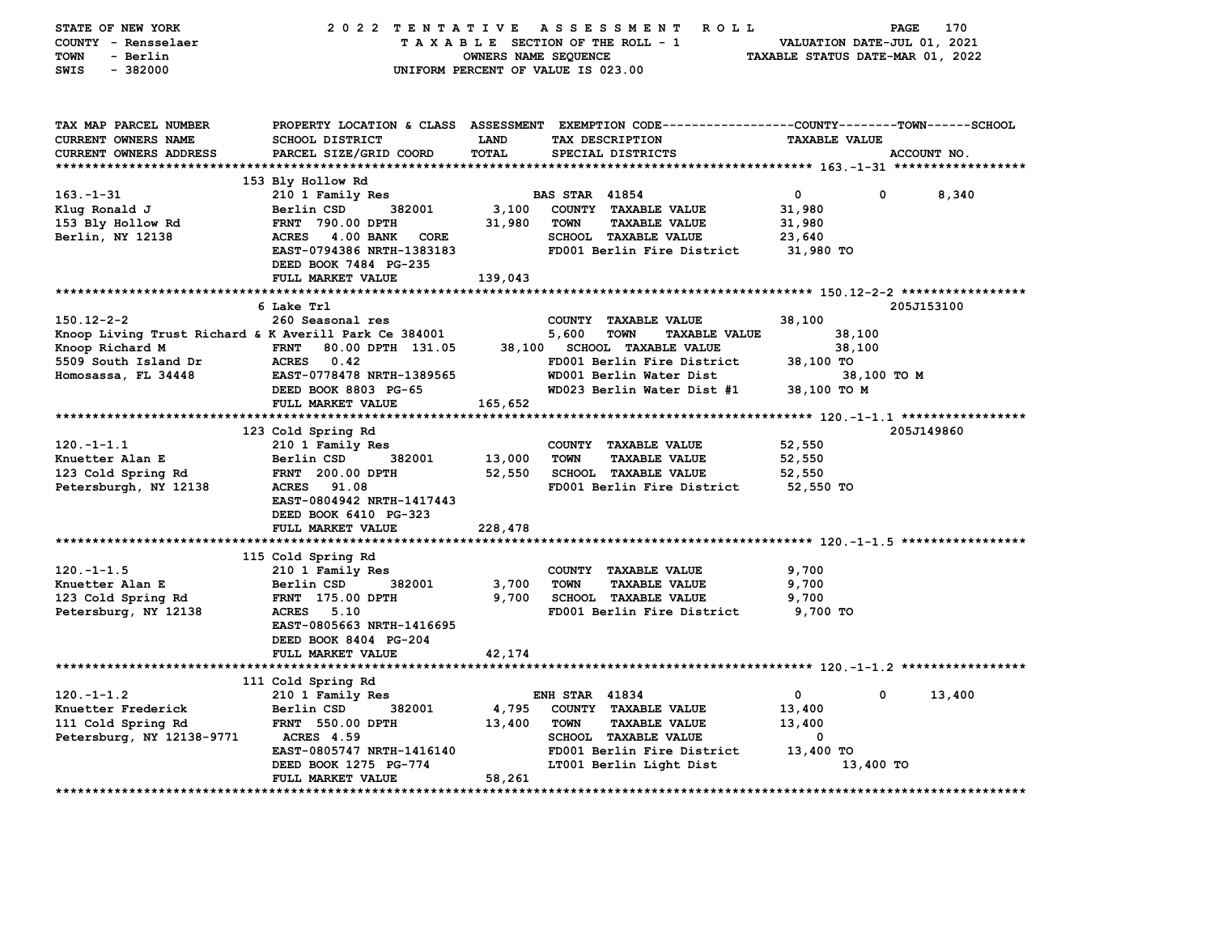| STATE OF NEW YORK                                     | 2022 TENTATIVE ASSESSMENT                      |                      | R O L L                                                                                         |                                  | 170<br><b>PAGE</b> |
|-------------------------------------------------------|------------------------------------------------|----------------------|-------------------------------------------------------------------------------------------------|----------------------------------|--------------------|
| COUNTY - Rensselaer                                   |                                                |                      | TAXABLE SECTION OF THE ROLL - 1                                                                 | VALUATION DATE-JUL 01, 2021      |                    |
| <b>TOWN</b><br>- Berlin                               |                                                | OWNERS NAME SEQUENCE |                                                                                                 | TAXABLE STATUS DATE-MAR 01, 2022 |                    |
| SWIS<br>$-382000$                                     |                                                |                      | UNIFORM PERCENT OF VALUE IS 023.00                                                              |                                  |                    |
|                                                       |                                                |                      |                                                                                                 |                                  |                    |
|                                                       |                                                |                      |                                                                                                 |                                  |                    |
| TAX MAP PARCEL NUMBER                                 |                                                |                      | PROPERTY LOCATION & CLASS ASSESSMENT EXEMPTION CODE---------------COUNTY-------TOWN------SCHOOL |                                  |                    |
| CURRENT OWNERS NAME                                   | <b>SCHOOL DISTRICT</b>                         | <b>LAND</b>          | TAX DESCRIPTION                                                                                 | <b>TAXABLE VALUE</b>             |                    |
| CURRENT OWNERS ADDRESS                                | PARCEL SIZE/GRID COORD                         | TOTAL                | SPECIAL DISTRICTS                                                                               |                                  | ACCOUNT NO.        |
|                                                       |                                                |                      |                                                                                                 |                                  |                    |
|                                                       | 153 Bly Hollow Rd                              |                      |                                                                                                 |                                  |                    |
| $163. - 1 - 31$                                       | 210 1 Family Res                               |                      | <b>BAS STAR 41854</b>                                                                           | $\mathbf{0}$<br>$\mathbf 0$      | 8,340              |
| Klug Ronald J                                         | 382001<br>Berlin CSD                           | 3,100                | COUNTY TAXABLE VALUE                                                                            | 31,980                           |                    |
| 153 Bly Hollow Rd                                     | FRNT 790.00 DPTH                               | 31,980               | <b>TAXABLE VALUE</b><br><b>TOWN</b>                                                             | 31,980                           |                    |
| Berlin, NY 12138                                      | ACRES 4.00 BANK CORE                           |                      | <b>SCHOOL TAXABLE VALUE</b>                                                                     | 23,640                           |                    |
|                                                       | EAST-0794386 NRTH-1383183                      |                      | FD001 Berlin Fire District                                                                      | 31,980 TO                        |                    |
|                                                       | DEED BOOK 7484 PG-235                          |                      |                                                                                                 |                                  |                    |
|                                                       | FULL MARKET VALUE                              | 139,043              |                                                                                                 |                                  |                    |
|                                                       |                                                |                      |                                                                                                 |                                  |                    |
|                                                       | 6 Lake Trl                                     |                      |                                                                                                 |                                  | 205J153100         |
| $150.12 - 2 - 2$                                      | 260 Seasonal res                               |                      | COUNTY TAXABLE VALUE                                                                            | 38,100                           |                    |
| Knoop Living Trust Richard & K Averill Park Ce 384001 |                                                |                      | 5,600<br><b>TOWN</b><br><b>TAXABLE VALUE</b>                                                    | 38,100                           |                    |
|                                                       |                                                |                      | 38,100 SCHOOL TAXABLE VALUE                                                                     |                                  |                    |
| Knoop Richard M                                       | 80.00 DPTH 131.05<br><b>FRNT</b><br>ACRES 0.42 |                      | FD001 Berlin Fire District                                                                      | 38,100<br>38,100 TO              |                    |
| 5509 South Island Dr<br>Homosassa, FL 34448           | EAST-0778478 NRTH-1389565                      |                      | WD001 Berlin Water Dist                                                                         | 38,100 TO M                      |                    |
|                                                       | DEED BOOK 8803 PG-65                           |                      | WD023 Berlin Water Dist #1                                                                      | 38,100 TO M                      |                    |
|                                                       |                                                |                      |                                                                                                 |                                  |                    |
|                                                       | FULL MARKET VALUE                              | 165,652              |                                                                                                 |                                  |                    |
|                                                       |                                                |                      |                                                                                                 |                                  |                    |
|                                                       | 123 Cold Spring Rd                             |                      |                                                                                                 |                                  | 205J149860         |
| $120. -1 - 1.1$                                       | 210 1 Family Res                               |                      | COUNTY TAXABLE VALUE                                                                            | 52,550                           |                    |
| Knuetter Alan E                                       | Berlin CSD<br>382001                           | 13,000               | <b>TOWN</b><br><b>TAXABLE VALUE</b>                                                             | 52,550                           |                    |
| 123 Cold Spring Rd                                    | <b>FRNT</b> 200.00 DPTH                        | 52,550               | <b>SCHOOL TAXABLE VALUE</b>                                                                     | 52,550                           |                    |
| Petersburgh, NY 12138                                 | 91.08<br><b>ACRES</b>                          |                      | FD001 Berlin Fire District                                                                      | 52,550 TO                        |                    |
|                                                       | EAST-0804942 NRTH-1417443                      |                      |                                                                                                 |                                  |                    |
|                                                       | DEED BOOK 6410 PG-323                          |                      |                                                                                                 |                                  |                    |
|                                                       | FULL MARKET VALUE                              | 228,478              |                                                                                                 |                                  |                    |
|                                                       |                                                |                      |                                                                                                 |                                  |                    |
|                                                       | 115 Cold Spring Rd                             |                      |                                                                                                 |                                  |                    |
| $120. -1 - 1.5$                                       | 210 1 Family Res                               |                      | COUNTY TAXABLE VALUE                                                                            | 9,700                            |                    |
| Knuetter Alan E                                       | 382001<br>Berlin CSD                           | 3,700                | <b>TOWN</b><br><b>TAXABLE VALUE</b>                                                             | 9,700                            |                    |
| 123 Cold Spring Rd                                    | <b>FRNT</b> 175.00 DPTH                        | 9,700                | SCHOOL TAXABLE VALUE                                                                            | 9,700                            |                    |
| Petersburg, NY 12138                                  | <b>ACRES</b><br>5.10                           |                      | FD001 Berlin Fire District                                                                      | 9,700 TO                         |                    |
|                                                       | EAST-0805663 NRTH-1416695                      |                      |                                                                                                 |                                  |                    |
|                                                       | DEED BOOK 8404 PG-204                          |                      |                                                                                                 |                                  |                    |
|                                                       | FULL MARKET VALUE                              | 42,174               |                                                                                                 |                                  |                    |
|                                                       |                                                |                      |                                                                                                 |                                  |                    |
|                                                       | 111 Cold Spring Rd                             |                      |                                                                                                 |                                  |                    |
| $120. -1 - 1.2$                                       | 210 1 Family Res                               |                      | <b>ENH STAR 41834</b>                                                                           | $\mathbf 0$<br>$\mathbf{0}$      | 13,400             |
| Knuetter Frederick                                    | Berlin CSD<br>382001                           | 4,795                | COUNTY TAXABLE VALUE                                                                            | 13,400                           |                    |
| 111 Cold Spring Rd                                    | <b>FRNT 550.00 DPTH</b>                        | 13,400               | TOWN<br><b>TAXABLE VALUE</b>                                                                    | 13,400                           |                    |
| Petersburg, NY 12138-9771                             | <b>ACRES 4.59</b>                              |                      | <b>SCHOOL TAXABLE VALUE</b>                                                                     | 0                                |                    |
|                                                       | EAST-0805747 NRTH-1416140                      |                      | FD001 Berlin Fire District                                                                      | 13,400 TO                        |                    |
|                                                       | DEED BOOK 1275 PG-774                          |                      | LT001 Berlin Light Dist                                                                         | 13,400 TO                        |                    |
|                                                       | FULL MARKET VALUE                              | 58,261               |                                                                                                 |                                  |                    |
|                                                       |                                                |                      |                                                                                                 |                                  |                    |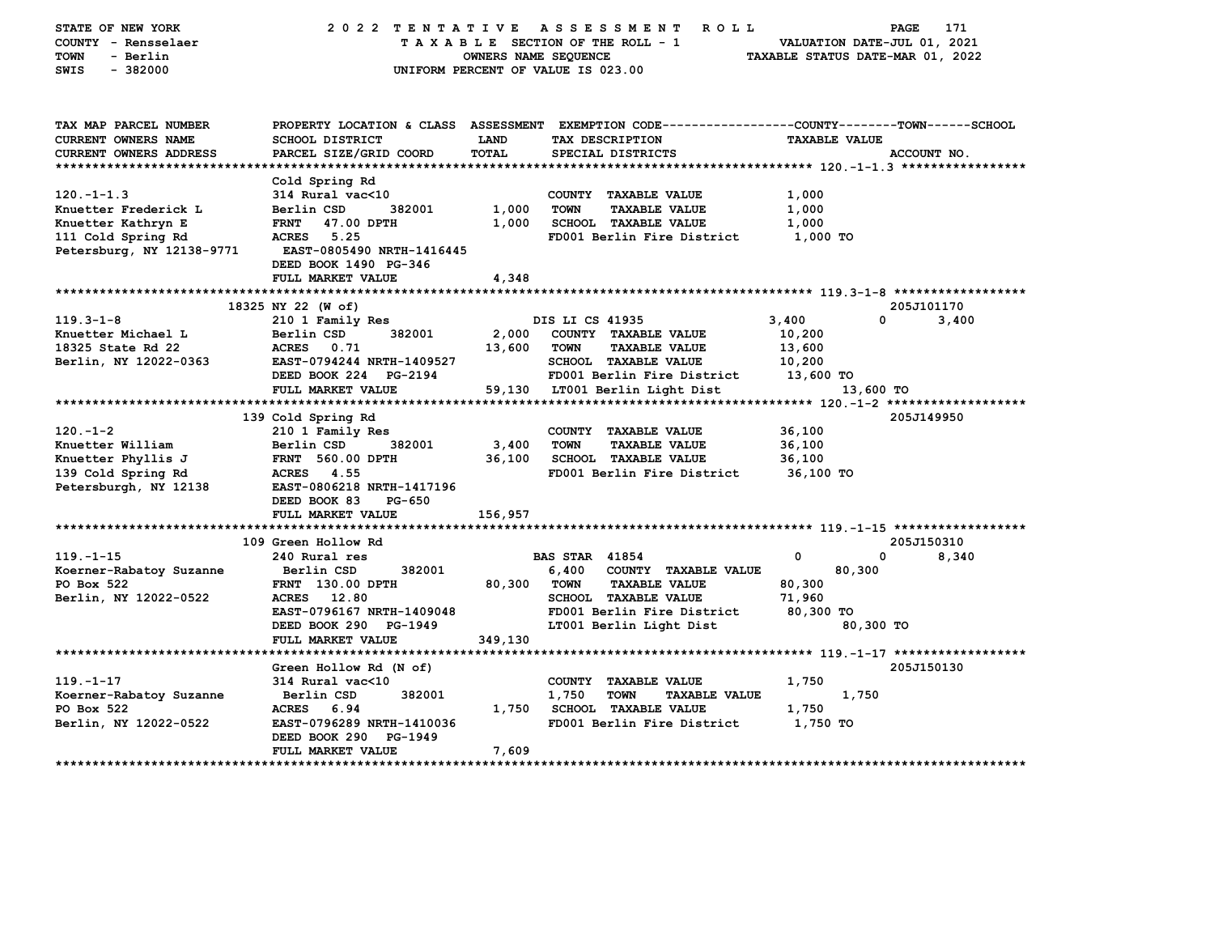| STATE OF NEW YORK<br>COUNTY - Rensselaer<br><b>TOWN</b><br>- Berlin<br>$-382000$<br>SWIS | 2022 TENTATIVE<br>UNIFORM PERCENT OF VALUE IS 023.00                                           | OWNERS NAME SEQUENCE |                       | ASSESSMENT ROLL<br>TAXABLE SECTION OF THE ROLL - 1 | TAXABLE STATUS DATE-MAR 01, 2022 | PAGE<br>VALUATION DATE-JUL 01, 2021 | 171         |
|------------------------------------------------------------------------------------------|------------------------------------------------------------------------------------------------|----------------------|-----------------------|----------------------------------------------------|----------------------------------|-------------------------------------|-------------|
| TAX MAP PARCEL NUMBER                                                                    | PROPERTY LOCATION & CLASS ASSESSMENT EXEMPTION CODE---------------COUNTY-------TOWN-----SCHOOL |                      |                       |                                                    |                                  |                                     |             |
| <b>CURRENT OWNERS NAME</b>                                                               | SCHOOL DISTRICT                                                                                | LAND                 |                       | TAX DESCRIPTION                                    |                                  | <b>TAXABLE VALUE</b>                |             |
| <b>CURRENT OWNERS ADDRESS</b>                                                            | PARCEL SIZE/GRID COORD                                                                         | <b>TOTAL</b>         |                       | SPECIAL DISTRICTS                                  |                                  |                                     | ACCOUNT NO. |
|                                                                                          | Cold Spring Rd                                                                                 |                      |                       |                                                    |                                  |                                     |             |
| $120. -1 - 1.3$                                                                          | 314 Rural vac<10                                                                               |                      |                       | COUNTY TAXABLE VALUE                               | 1,000                            |                                     |             |
| Knuetter Frederick L                                                                     | Berlin CSD<br>382001                                                                           | 1,000                | TOWN                  | <b>TAXABLE VALUE</b>                               | 1,000                            |                                     |             |
| Knuetter Kathryn E                                                                       | FRNT 47.00 DPTH                                                                                | 1,000                |                       | SCHOOL TAXABLE VALUE                               | 1,000                            |                                     |             |
| 111 Cold Spring Rd                                                                       | ACRES 5.25                                                                                     |                      |                       | FD001 Berlin Fire District                         | 1,000 TO                         |                                     |             |
| Petersburg, NY 12138-9771                                                                | <b>EAST-0805490 NRTH-1416445</b>                                                               |                      |                       |                                                    |                                  |                                     |             |
|                                                                                          | DEED BOOK 1490 PG-346                                                                          |                      |                       |                                                    |                                  |                                     |             |
|                                                                                          | FULL MARKET VALUE                                                                              | 4,348                |                       |                                                    |                                  |                                     |             |
|                                                                                          |                                                                                                |                      |                       |                                                    |                                  |                                     |             |
| $119.3 - 1 - 8$                                                                          | 18325 NY 22 (W of)                                                                             |                      |                       |                                                    |                                  | $\Omega$                            | 205J101170  |
| Knuetter Michael L                                                                       | 210 1 Family Res<br>Berlin CSD<br>382001                                                       | 2,000                | DIS LI CS 41935       | COUNTY TAXABLE VALUE                               | 3,400<br>10,200                  |                                     | 3,400       |
| 18325 State Rd 22                                                                        | ACRES 0.71                                                                                     | 13,600               | TOWN                  | <b>TAXABLE VALUE</b>                               | 13,600                           |                                     |             |
| Berlin, NY 12022-0363                                                                    | EAST-0794244 NRTH-1409527                                                                      |                      |                       | <b>SCHOOL TAXABLE VALUE</b>                        | 10,200                           |                                     |             |
|                                                                                          | DEED BOOK 224 PG-2194                                                                          |                      |                       | FD001 Berlin Fire District 13,600 TO               |                                  |                                     |             |
|                                                                                          | FULL MARKET VALUE                                                                              |                      |                       | 59,130 LT001 Berlin Light Dist                     |                                  | 13,600 TO                           |             |
|                                                                                          |                                                                                                |                      |                       |                                                    |                                  |                                     |             |
|                                                                                          | 139 Cold Spring Rd                                                                             |                      |                       |                                                    |                                  |                                     | 205J149950  |
| $120. - 1 - 2$                                                                           | 210 1 Family Res                                                                               |                      |                       | COUNTY TAXABLE VALUE                               | 36,100                           |                                     |             |
| Knuetter William                                                                         | Berlin CSD<br>382001                                                                           | 3,400                | <b>TOWN</b>           | <b>TAXABLE VALUE</b>                               | 36,100                           |                                     |             |
| Knuetter Phyllis J                                                                       | <b>FRNT 560.00 DPTH</b>                                                                        |                      |                       | 36,100 SCHOOL TAXABLE VALUE                        | 36,100                           |                                     |             |
| 139 Cold Spring Rd                                                                       | <b>ACRES</b> 4.55<br>EAST-0806218 NRTH-1417196                                                 |                      |                       | FD001 Berlin Fire District                         | 36,100 TO                        |                                     |             |
| Petersburgh, NY 12138                                                                    | DEED BOOK 83<br>PG-650                                                                         |                      |                       |                                                    |                                  |                                     |             |
|                                                                                          | FULL MARKET VALUE                                                                              | 156,957              |                       |                                                    |                                  |                                     |             |
|                                                                                          |                                                                                                |                      |                       |                                                    |                                  |                                     |             |
|                                                                                          | 109 Green Hollow Rd                                                                            |                      |                       |                                                    |                                  |                                     | 205J150310  |
| $119. - 1 - 15$                                                                          | 240 Rural res                                                                                  |                      | <b>BAS STAR 41854</b> |                                                    | 0                                | 0                                   | 8,340       |
| Koerner-Rabatoy Suzanne                                                                  | 382001<br>Berlin CSD                                                                           |                      |                       | 6,400 COUNTY TAXABLE VALUE                         |                                  | 80,300                              |             |
| PO Box 522                                                                               | <b>FRNT</b> 130.00 DPTH                                                                        | 80,300 TOWN          |                       | <b>TAXABLE VALUE</b>                               | 80,300                           |                                     |             |
| Berlin, NY 12022-0522                                                                    | ACRES 12.80                                                                                    |                      |                       | SCHOOL TAXABLE VALUE                               | 71,960                           |                                     |             |
|                                                                                          | EAST-0796167 NRTH-1409048                                                                      |                      |                       | FD001 Berlin Fire District                         | 80,300 TO                        |                                     |             |
|                                                                                          | DEED BOOK 290 PG-1949                                                                          |                      |                       | LT001 Berlin Light Dist                            |                                  | 80,300 TO                           |             |
|                                                                                          | FULL MARKET VALUE                                                                              | 349,130              |                       |                                                    |                                  |                                     |             |
|                                                                                          | Green Hollow Rd (N of)                                                                         |                      |                       |                                                    |                                  |                                     | 205J150130  |
| $119. - 1 - 17$                                                                          | 314 Rural vac<10                                                                               |                      |                       | COUNTY TAXABLE VALUE                               | 1,750                            |                                     |             |
| Koerner-Rabatoy Suzanne                                                                  | Berlin CSD<br>382001                                                                           |                      | 1,750                 | <b>TOWN</b><br><b>TAXABLE VALUE</b>                |                                  | 1,750                               |             |
| PO Box 522                                                                               | ACRES 6.94                                                                                     |                      |                       | 1,750 SCHOOL TAXABLE VALUE                         | 1,750                            |                                     |             |
| Berlin, NY 12022-0522                                                                    | <b>EAST-0796289 NRTH-1410036</b>                                                               |                      |                       | FD001 Berlin Fire District                         | 1,750 TO                         |                                     |             |
|                                                                                          | DEED BOOK 290 PG-1949                                                                          |                      |                       |                                                    |                                  |                                     |             |
|                                                                                          | FULL MARKET VALUE                                                                              | 7,609                |                       |                                                    |                                  |                                     |             |
|                                                                                          |                                                                                                |                      |                       |                                                    |                                  |                                     |             |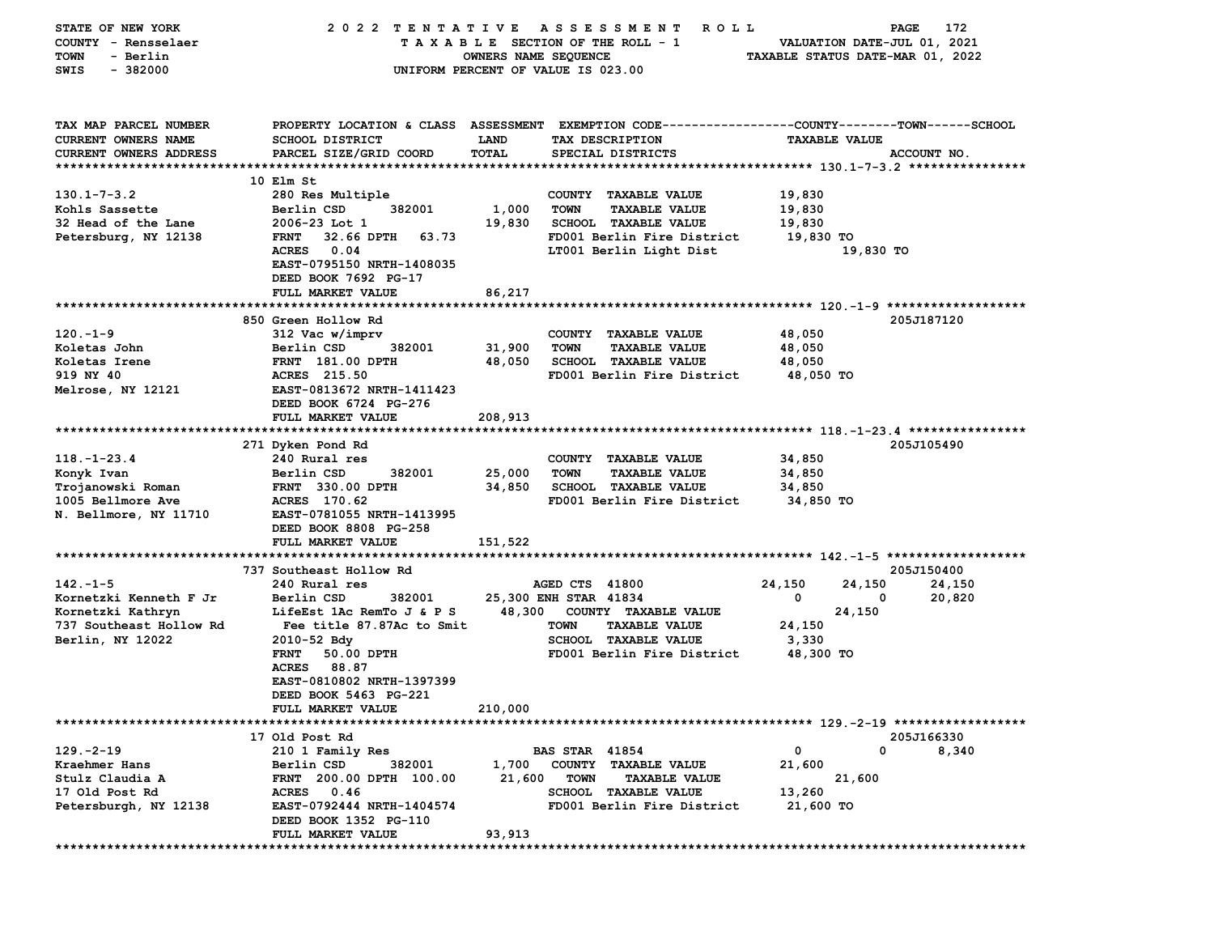| STATE OF NEW YORK             | 2022 TENTATIVE                     |                      | A S S E S S M E N T<br>R O L L                                                                  |                                  | 172<br>PAGE                 |
|-------------------------------|------------------------------------|----------------------|-------------------------------------------------------------------------------------------------|----------------------------------|-----------------------------|
| COUNTY - Rensselaer           |                                    |                      | TAXABLE SECTION OF THE ROLL - 1                                                                 |                                  | VALUATION DATE-JUL 01, 2021 |
| <b>TOWN</b><br>- Berlin       |                                    | OWNERS NAME SEQUENCE |                                                                                                 | TAXABLE STATUS DATE-MAR 01, 2022 |                             |
| $-382000$<br>SWIS             |                                    |                      | UNIFORM PERCENT OF VALUE IS 023.00                                                              |                                  |                             |
|                               |                                    |                      |                                                                                                 |                                  |                             |
|                               |                                    |                      |                                                                                                 |                                  |                             |
| TAX MAP PARCEL NUMBER         |                                    |                      | PROPERTY LOCATION & CLASS ASSESSMENT EXEMPTION CODE---------------COUNTY-------TOWN------SCHOOL |                                  |                             |
| CURRENT OWNERS NAME           | SCHOOL DISTRICT                    | LAND                 | TAX DESCRIPTION                                                                                 | <b>TAXABLE VALUE</b>             |                             |
| <b>CURRENT OWNERS ADDRESS</b> | PARCEL SIZE/GRID COORD             | TOTAL                | SPECIAL DISTRICTS                                                                               |                                  | ACCOUNT NO.                 |
|                               |                                    |                      |                                                                                                 |                                  |                             |
|                               | 10 Elm St                          |                      |                                                                                                 |                                  |                             |
| $130.1 - 7 - 3.2$             | 280 Res Multiple                   |                      | COUNTY TAXABLE VALUE                                                                            |                                  |                             |
| Kohls Sassette                | 382001<br>Berlin CSD               | 1,000                | <b>TOWN</b>                                                                                     | 19,830<br>19,830                 |                             |
|                               |                                    |                      | <b>TAXABLE VALUE</b>                                                                            |                                  |                             |
| 32 Head of the Lane           | $2006 - 23$ Lot 1                  | 19,830               | <b>SCHOOL TAXABLE VALUE</b>                                                                     | 19,830                           |                             |
| Petersburg, NY 12138          | <b>FRNT</b><br>32.66 DPTH<br>63.73 |                      | FD001 Berlin Fire District                                                                      | 19,830 TO                        |                             |
|                               | <b>ACRES</b><br>0.04               |                      | LT001 Berlin Light Dist                                                                         |                                  | 19,830 TO                   |
|                               | EAST-0795150 NRTH-1408035          |                      |                                                                                                 |                                  |                             |
|                               | DEED BOOK 7692 PG-17               |                      |                                                                                                 |                                  |                             |
|                               | FULL MARKET VALUE                  | 86,217               |                                                                                                 |                                  |                             |
|                               |                                    |                      |                                                                                                 |                                  |                             |
|                               | 850 Green Hollow Rd                |                      |                                                                                                 |                                  | 205J187120                  |
| $120 - 1 - 9$                 | 312 Vac w/imprv                    |                      | COUNTY TAXABLE VALUE                                                                            | 48,050                           |                             |
| Koletas John                  | Berlin CSD<br>382001               | 31,900               | <b>TOWN</b><br><b>TAXABLE VALUE</b>                                                             | 48,050                           |                             |
| Koletas Irene                 | <b>FRNT 181.00 DPTH</b>            | 48,050               | <b>SCHOOL TAXABLE VALUE</b>                                                                     | 48,050                           |                             |
| 919 NY 40                     | ACRES 215.50                       |                      | FD001 Berlin Fire District                                                                      | 48,050 TO                        |                             |
| Melrose, NY 12121             | EAST-0813672 NRTH-1411423          |                      |                                                                                                 |                                  |                             |
|                               | DEED BOOK 6724 PG-276              |                      |                                                                                                 |                                  |                             |
|                               | FULL MARKET VALUE                  | 208,913              |                                                                                                 |                                  |                             |
|                               |                                    |                      |                                                                                                 |                                  |                             |
|                               | 271 Dyken Pond Rd                  |                      |                                                                                                 |                                  | 205J105490                  |
| $118. - 1 - 23.4$             | 240 Rural res                      |                      | COUNTY TAXABLE VALUE                                                                            | 34,850                           |                             |
| Konyk Ivan                    | Berlin CSD<br>382001               | 25,000               | <b>TOWN</b><br><b>TAXABLE VALUE</b>                                                             | 34,850                           |                             |
| Trojanowski Roman             | <b>FRNT 330.00 DPTH</b>            | 34,850               | <b>SCHOOL TAXABLE VALUE</b>                                                                     | 34,850                           |                             |
| 1005 Bellmore Ave             | ACRES 170.62                       |                      | FD001 Berlin Fire District                                                                      | 34,850 TO                        |                             |
| N. Bellmore, NY 11710         | EAST-0781055 NRTH-1413995          |                      |                                                                                                 |                                  |                             |
|                               | DEED BOOK 8808 PG-258              |                      |                                                                                                 |                                  |                             |
|                               | FULL MARKET VALUE                  | 151,522              |                                                                                                 |                                  |                             |
|                               |                                    |                      |                                                                                                 |                                  |                             |
|                               | 737 Southeast Hollow Rd            |                      |                                                                                                 |                                  | 205J150400                  |
| $142 - 1 - 5$                 | 240 Rural res                      |                      | AGED CTS 41800                                                                                  | 24,150<br>24,150                 | 24,150                      |
| Kornetzki Kenneth F Jr        | Berlin CSD<br>382001               |                      | 25,300 ENH STAR 41834                                                                           | 0                                | 20,820<br>0                 |
| Kornetzki Kathryn             | LifeEst 1Ac RemTo J & P S          | 48,300               | COUNTY TAXABLE VALUE                                                                            | 24,150                           |                             |
| 737 Southeast Hollow Rd       | Fee title 87.87Ac to Smit          |                      | <b>TOWN</b><br><b>TAXABLE VALUE</b>                                                             | 24,150                           |                             |
| Berlin, NY 12022              | $2010 - 52$ Bdy                    |                      | SCHOOL TAXABLE VALUE                                                                            | 3,330                            |                             |
|                               | 50.00 DPTH<br><b>FRNT</b>          |                      | FD001 Berlin Fire District                                                                      | 48,300 TO                        |                             |
|                               | <b>ACRES</b><br>88.87              |                      |                                                                                                 |                                  |                             |
|                               | EAST-0810802 NRTH-1397399          |                      |                                                                                                 |                                  |                             |
|                               |                                    |                      |                                                                                                 |                                  |                             |
|                               | DEED BOOK 5463 PG-221              |                      |                                                                                                 |                                  |                             |
|                               | FULL MARKET VALUE                  | 210,000              |                                                                                                 |                                  |                             |
|                               |                                    |                      |                                                                                                 |                                  |                             |
|                               | 17 Old Post Rd                     |                      |                                                                                                 |                                  | 205J166330                  |
| $129. -2 - 19$                | 210 1 Family Res                   |                      | <b>BAS STAR 41854</b>                                                                           | 0                                | 0<br>8,340                  |
| Kraehmer Hans                 | Berlin CSD<br>382001               | 1,700                | COUNTY TAXABLE VALUE                                                                            | 21,600                           |                             |
| Stulz Claudia A               | FRNT 200.00 DPTH 100.00            | 21,600               | <b>TOWN</b><br><b>TAXABLE VALUE</b>                                                             | 21,600                           |                             |
| 17 Old Post Rd                | <b>ACRES</b><br>0.46               |                      | <b>SCHOOL TAXABLE VALUE</b>                                                                     | 13,260                           |                             |
| Petersburgh, NY 12138         | EAST-0792444 NRTH-1404574          |                      | FD001 Berlin Fire District                                                                      | 21,600 TO                        |                             |
|                               | DEED BOOK 1352 PG-110              |                      |                                                                                                 |                                  |                             |
|                               | FULL MARKET VALUE                  | 93,913               |                                                                                                 |                                  |                             |
|                               |                                    |                      |                                                                                                 |                                  |                             |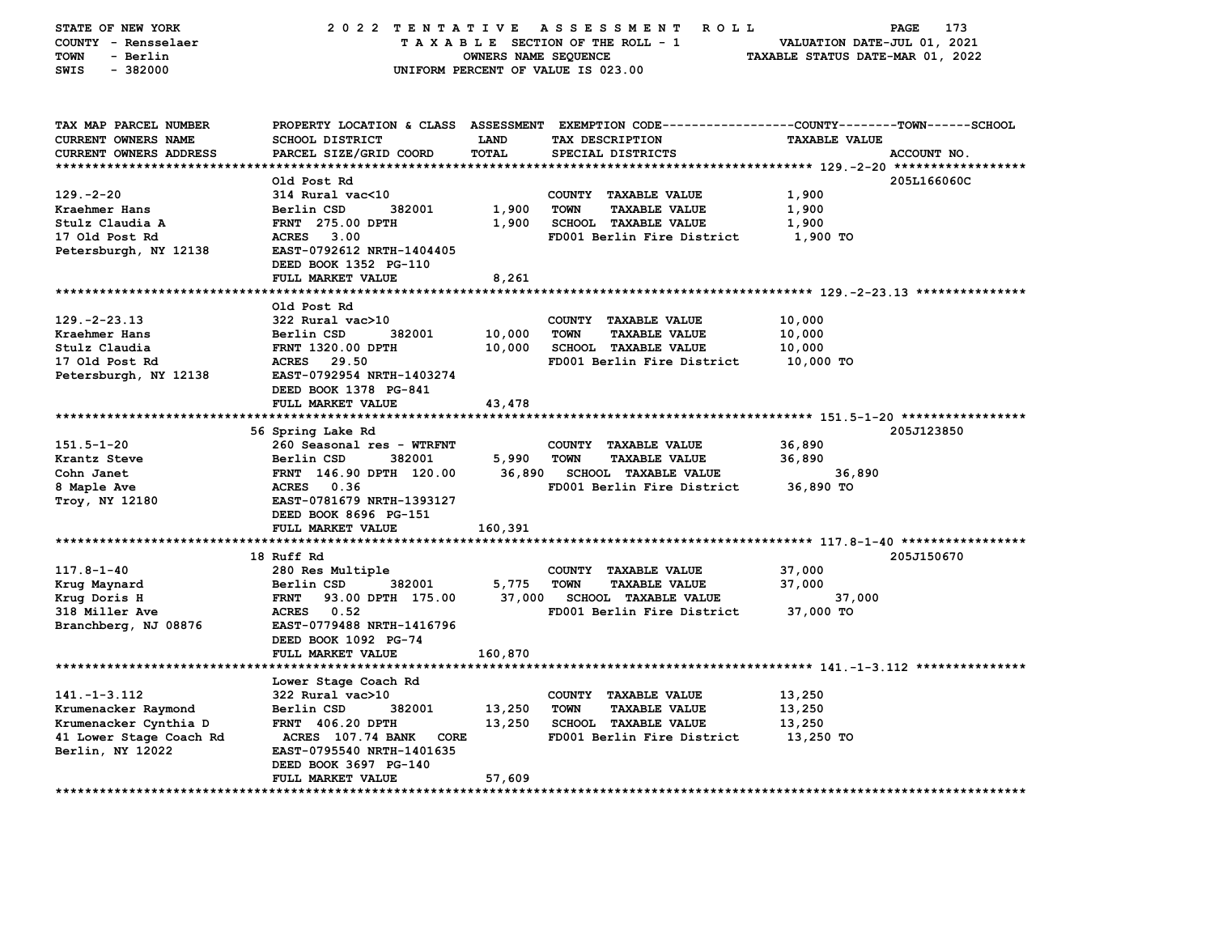| STATE OF NEW YORK<br>COUNTY - Rensselaer<br><b>TOWN</b><br>- Berlin<br>SWIS<br>$-382000$ | 2022 TENTATIVE                                                          | OWNERS NAME SEQUENCE | ASSESSMENT<br><b>ROLL</b><br>TAXABLE SECTION OF THE ROLL - 1<br>UNIFORM PERCENT OF VALUE IS 023.00 | 173<br>PAGE<br>VALUATION DATE-JUL 01, 2021<br>TAXABLE STATUS DATE-MAR 01, 2022       |  |
|------------------------------------------------------------------------------------------|-------------------------------------------------------------------------|----------------------|----------------------------------------------------------------------------------------------------|--------------------------------------------------------------------------------------|--|
| TAX MAP PARCEL NUMBER<br>CURRENT OWNERS NAME                                             | PROPERTY LOCATION & CLASS ASSESSMENT<br><b>SCHOOL DISTRICT</b>          | <b>LAND</b>          | TAX DESCRIPTION                                                                                    | EXEMPTION CODE-----------------COUNTY-------TOWN------SCHOOL<br><b>TAXABLE VALUE</b> |  |
| <b>CURRENT OWNERS ADDRESS</b><br>************************                                | PARCEL SIZE/GRID COORD                                                  | TOTAL                | SPECIAL DISTRICTS                                                                                  | ACCOUNT NO.                                                                          |  |
|                                                                                          | Old Post Rd                                                             |                      |                                                                                                    | 205L166060C                                                                          |  |
| $129. -2 - 20$                                                                           | 314 Rural vac<10                                                        |                      | COUNTY TAXABLE VALUE                                                                               | 1,900                                                                                |  |
| Kraehmer Hans                                                                            | Berlin CSD<br>382001                                                    | 1,900                | <b>TOWN</b><br><b>TAXABLE VALUE</b>                                                                | 1,900                                                                                |  |
| Stulz Claudia A                                                                          | <b>FRNT</b> 275.00 DPTH                                                 | 1,900                | <b>SCHOOL TAXABLE VALUE</b>                                                                        | 1,900                                                                                |  |
| 17 Old Post Rd                                                                           | <b>ACRES</b><br>3.00                                                    |                      | FD001 Berlin Fire District                                                                         | 1,900 TO                                                                             |  |
| Petersburgh, NY 12138                                                                    | EAST-0792612 NRTH-1404405<br>DEED BOOK 1352 PG-110<br>FULL MARKET VALUE | 8,261                |                                                                                                    |                                                                                      |  |
|                                                                                          | ******************                                                      |                      |                                                                                                    | *********************************** 129.-2-23.13 ***************                     |  |
|                                                                                          | Old Post Rd                                                             |                      |                                                                                                    |                                                                                      |  |
| $129. -2 - 23.13$                                                                        | 322 Rural vac>10                                                        |                      | COUNTY TAXABLE VALUE                                                                               | 10,000                                                                               |  |
| Kraehmer Hans                                                                            | 382001<br>Berlin CSD                                                    | 10,000               | <b>TOWN</b><br><b>TAXABLE VALUE</b>                                                                | 10,000                                                                               |  |
| Stulz Claudia                                                                            | FRNT 1320.00 DPTH                                                       | 10,000               | <b>SCHOOL TAXABLE VALUE</b>                                                                        | 10,000                                                                               |  |
| 17 Old Post Rd                                                                           | ACRES 29.50                                                             |                      | FD001 Berlin Fire District                                                                         | 10,000 TO                                                                            |  |
| Petersburgh, NY 12138                                                                    | EAST-0792954 NRTH-1403274<br>DEED BOOK 1378 PG-841<br>FULL MARKET VALUE |                      |                                                                                                    |                                                                                      |  |
| *******************                                                                      |                                                                         | 43,478               |                                                                                                    |                                                                                      |  |
|                                                                                          | 56 Spring Lake Rd                                                       |                      |                                                                                                    | 205J123850                                                                           |  |
| $151.5 - 1 - 20$                                                                         | 260 Seasonal res - WTRFNT                                               |                      | COUNTY TAXABLE VALUE                                                                               | 36,890                                                                               |  |
| Krantz Steve                                                                             | Berlin CSD<br>382001                                                    | 5,990                | <b>TOWN</b><br><b>TAXABLE VALUE</b>                                                                | 36,890                                                                               |  |
| Cohn Janet                                                                               | FRNT 146.90 DPTH 120.00                                                 | 36,890               | <b>SCHOOL TAXABLE VALUE</b>                                                                        | 36,890                                                                               |  |
| 8 Maple Ave                                                                              | ACRES 0.36                                                              |                      | FD001 Berlin Fire District                                                                         | 36,890 TO                                                                            |  |
| Troy, NY 12180                                                                           | EAST-0781679 NRTH-1393127                                               |                      |                                                                                                    |                                                                                      |  |
|                                                                                          | DEED BOOK 8696 PG-151<br><b>FULL MARKET VALUE</b>                       | 160,391              |                                                                                                    |                                                                                      |  |
|                                                                                          |                                                                         |                      |                                                                                                    |                                                                                      |  |
|                                                                                          | 18 Ruff Rd                                                              |                      |                                                                                                    | 205J150670                                                                           |  |
| $117.8 - 1 - 40$                                                                         | 280 Res Multiple                                                        |                      | COUNTY TAXABLE VALUE                                                                               | 37,000                                                                               |  |
| Krug Maynard                                                                             | Berlin CSD<br>382001                                                    | 5,775                | <b>TOWN</b><br><b>TAXABLE VALUE</b>                                                                | 37,000                                                                               |  |
| Krug Doris H                                                                             | 93.00 DPTH 175.00<br><b>FRNT</b>                                        | 37,000               | <b>SCHOOL TAXABLE VALUE</b>                                                                        | 37,000                                                                               |  |
| 318 Miller Ave                                                                           | ACRES 0.52                                                              |                      | FD001 Berlin Fire District                                                                         | 37,000 TO                                                                            |  |
| Branchberg, NJ 08876                                                                     | EAST-0779488 NRTH-1416796<br>DEED BOOK 1092 PG-74<br>FULL MARKET VALUE  | 160,870              |                                                                                                    |                                                                                      |  |
|                                                                                          |                                                                         |                      |                                                                                                    |                                                                                      |  |
|                                                                                          | Lower Stage Coach Rd                                                    |                      |                                                                                                    |                                                                                      |  |
| $141. -1 - 3.112$                                                                        | 322 Rural vac>10                                                        |                      | COUNTY TAXABLE VALUE                                                                               | 13,250                                                                               |  |
| Krumenacker Raymond                                                                      | Berlin CSD<br>382001                                                    | 13,250               | <b>TOWN</b><br><b>TAXABLE VALUE</b>                                                                | 13,250                                                                               |  |
| Krumenacker Cynthia D                                                                    | FRNT 406.20 DPTH                                                        | 13,250               | SCHOOL TAXABLE VALUE                                                                               | 13,250                                                                               |  |
| 41 Lower Stage Coach Rd                                                                  | ACRES 107.74 BANK<br>CORE                                               |                      | FD001 Berlin Fire District                                                                         | 13,250 TO                                                                            |  |
| Berlin, NY 12022                                                                         | EAST-0795540 NRTH-1401635                                               |                      |                                                                                                    |                                                                                      |  |
|                                                                                          | DEED BOOK 3697 PG-140                                                   |                      |                                                                                                    |                                                                                      |  |
|                                                                                          | FULL MARKET VALUE                                                       | 57,609               |                                                                                                    |                                                                                      |  |
| **********************                                                                   | *******                                                                 |                      |                                                                                                    |                                                                                      |  |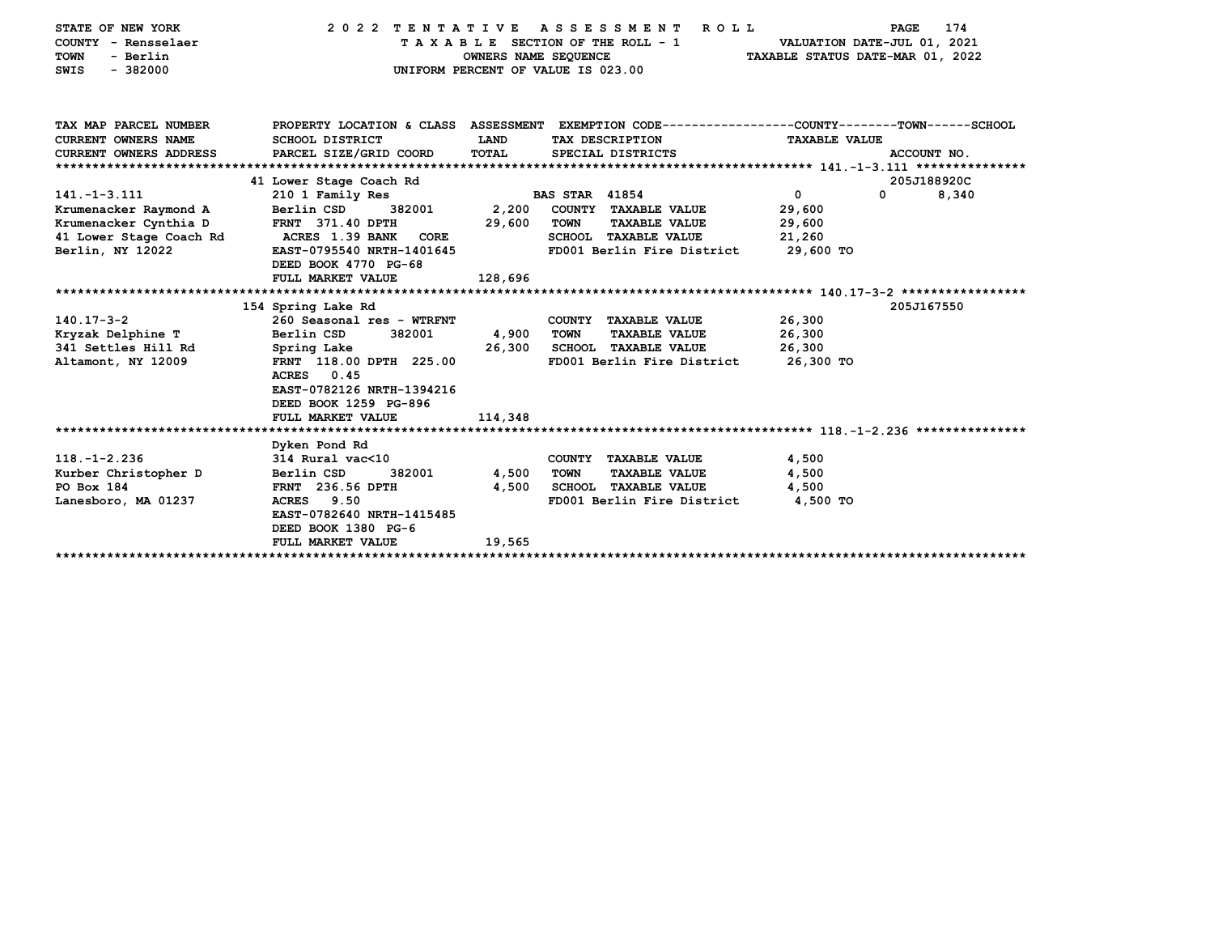| STATE OF NEW YORK          | 2022 TENTATIVE ASSESSMENT                                                                        |                                    |                       | ROLL                            |                                  | <b>PAGE</b> | 174   |
|----------------------------|--------------------------------------------------------------------------------------------------|------------------------------------|-----------------------|---------------------------------|----------------------------------|-------------|-------|
| COUNTY - Rensselaer        |                                                                                                  |                                    |                       | TAXABLE SECTION OF THE ROLL - 1 | VALUATION DATE-JUL 01, 2021      |             |       |
| - Berlin<br><b>TOWN</b>    |                                                                                                  | OWNERS NAME SEQUENCE               |                       |                                 | TAXABLE STATUS DATE-MAR 01, 2022 |             |       |
| $-382000$<br><b>SWIS</b>   |                                                                                                  | UNIFORM PERCENT OF VALUE IS 023.00 |                       |                                 |                                  |             |       |
|                            |                                                                                                  |                                    |                       |                                 |                                  |             |       |
|                            |                                                                                                  |                                    |                       |                                 |                                  |             |       |
| TAX MAP PARCEL NUMBER      | PROPERTY LOCATION & CLASS ASSESSMENT EXEMPTION CODE----------------COUNTY-------TOWN------SCHOOL |                                    |                       |                                 |                                  |             |       |
| <b>CURRENT OWNERS NAME</b> | SCHOOL DISTRICT                                                                                  | <b>LAND</b>                        |                       | TAX DESCRIPTION                 | <b>TAXABLE VALUE</b>             |             |       |
|                            | PARCEL SIZE/GRID COORD                                                                           | <b>TOTAL</b>                       |                       |                                 |                                  | ACCOUNT NO. |       |
| CURRENT OWNERS ADDRESS     |                                                                                                  |                                    |                       | SPECIAL DISTRICTS               |                                  |             |       |
|                            |                                                                                                  |                                    |                       |                                 |                                  |             |       |
|                            | 41 Lower Stage Coach Rd                                                                          |                                    |                       |                                 |                                  | 205J188920C |       |
| $141. - 1 - 3.111$         | 210 1 Family Res                                                                                 |                                    | <b>BAS STAR 41854</b> |                                 | $\mathbf 0$                      | 0           | 8,340 |
| Krumenacker Raymond A      | Berlin CSD<br>382001                                                                             | 2,200                              |                       | COUNTY TAXABLE VALUE            | 29,600                           |             |       |
| Krumenacker Cynthia D      | <b>FRNT 371.40 DPTH</b>                                                                          | 29,600                             | TOWN                  | <b>TAXABLE VALUE</b>            | 29,600                           |             |       |
| 41 Lower Stage Coach Rd    | ACRES 1.39 BANK CORE                                                                             |                                    |                       | <b>SCHOOL TAXABLE VALUE</b>     | 21,260                           |             |       |
| Berlin, NY 12022           | EAST-0795540 NRTH-1401645                                                                        |                                    |                       | FD001 Berlin Fire District      | 29,600 TO                        |             |       |
|                            | DEED BOOK 4770 PG-68                                                                             |                                    |                       |                                 |                                  |             |       |
|                            | FULL MARKET VALUE                                                                                | 128,696                            |                       |                                 |                                  |             |       |
|                            |                                                                                                  |                                    |                       |                                 |                                  |             |       |
|                            | 154 Spring Lake Rd                                                                               |                                    |                       |                                 |                                  | 205J167550  |       |
| $140.17 - 3 - 2$           | 260 Seasonal res - WTRFNT                                                                        |                                    |                       | COUNTY TAXABLE VALUE            | 26,300                           |             |       |
| Kryzak Delphine T          | 382001<br>Berlin CSD                                                                             | 4,900                              | <b>TOWN</b>           | <b>TAXABLE VALUE</b>            | 26,300                           |             |       |
| 341 Settles Hill Rd        | Spring Lake                                                                                      | 26,300                             |                       | <b>SCHOOL TAXABLE VALUE</b>     | 26,300                           |             |       |
| Altamont, NY 12009         | FRNT 118.00 DPTH 225.00                                                                          |                                    |                       | FD001 Berlin Fire District      | 26,300 TO                        |             |       |
|                            | <b>ACRES</b><br>0.45                                                                             |                                    |                       |                                 |                                  |             |       |
|                            | EAST-0782126 NRTH-1394216                                                                        |                                    |                       |                                 |                                  |             |       |
|                            | DEED BOOK 1259 PG-896                                                                            |                                    |                       |                                 |                                  |             |       |
|                            | FULL MARKET VALUE                                                                                | 114,348                            |                       |                                 |                                  |             |       |
|                            |                                                                                                  |                                    |                       |                                 |                                  |             |       |
|                            | Dyken Pond Rd                                                                                    |                                    |                       |                                 |                                  |             |       |
| $118. - 1 - 2.236$         | 314 Rural vac<10                                                                                 |                                    |                       | COUNTY TAXABLE VALUE            | 4,500                            |             |       |
| Kurber Christopher D       | 382001<br>Berlin CSD                                                                             | 4,500                              | <b>TOWN</b>           | <b>TAXABLE VALUE</b>            | 4,500                            |             |       |
| PO Box 184                 | FRNT 236.56 DPTH                                                                                 | 4,500                              |                       | <b>SCHOOL TAXABLE VALUE</b>     | 4,500                            |             |       |
|                            |                                                                                                  |                                    |                       |                                 |                                  |             |       |
| Lanesboro, MA 01237        | <b>ACRES</b><br>9.50                                                                             |                                    |                       | FD001 Berlin Fire District      | 4,500 TO                         |             |       |
|                            | EAST-0782640 NRTH-1415485                                                                        |                                    |                       |                                 |                                  |             |       |
|                            | DEED BOOK 1380 PG-6                                                                              |                                    |                       |                                 |                                  |             |       |
|                            | FULL MARKET VALUE                                                                                | 19,565                             |                       |                                 |                                  |             |       |
|                            |                                                                                                  |                                    |                       |                                 |                                  |             |       |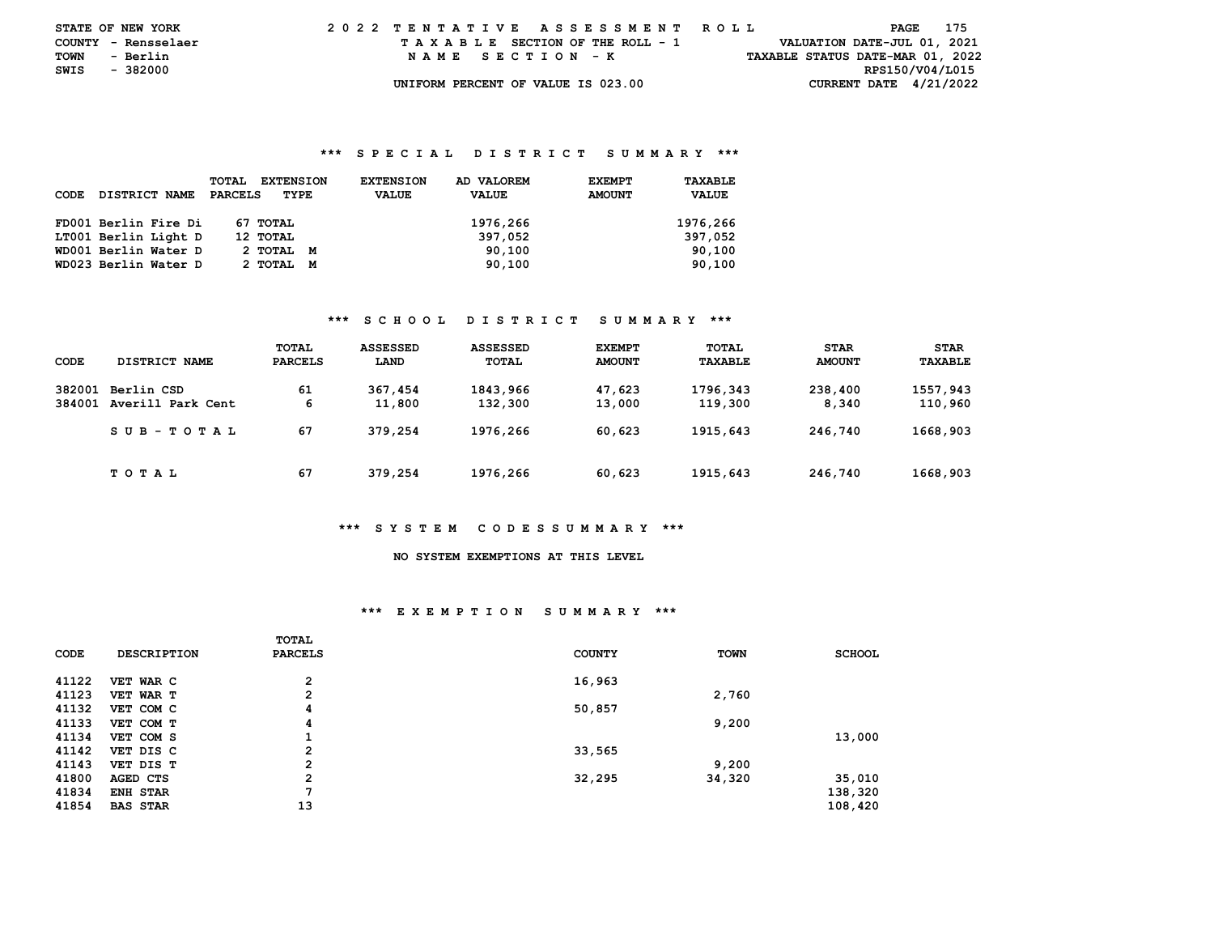|      | <b>STATE OF NEW YORK</b> | 2022 TENTATIVE ASSESSMENT ROLL     | 175<br>PAGE                      |
|------|--------------------------|------------------------------------|----------------------------------|
|      | COUNTY - Rensselaer      | TAXABLE SECTION OF THE ROLL - 1    | VALUATION DATE-JUL 01, 2021      |
| TOWN | - Berlin                 | NAME SECTION - K                   | TAXABLE STATUS DATE-MAR 01, 2022 |
| SWIS | - 382000                 |                                    | RPS150/V04/L015                  |
|      |                          | UNIFORM PERCENT OF VALUE IS 023.00 | CURRENT DATE $4/21/2022$         |

| <b>CODE</b> | <b>DISTRICT NAME</b> | <b>EXTENSION</b><br><b>TOTAL</b><br>PARCELS<br>TYPE | AD VALOREM<br><b>EXTENSION</b><br><b>VALUE</b><br><b>VALUE</b> | <b>EXEMPT</b><br><b>AMOUNT</b> | TAXABLE<br><b>VALUE</b> |
|-------------|----------------------|-----------------------------------------------------|----------------------------------------------------------------|--------------------------------|-------------------------|
|             | FD001 Berlin Fire Di | 67 TOTAL                                            | 1976,266                                                       |                                | 1976,266                |
|             | LT001 Berlin Light D | 12 TOTAL                                            | 397,052                                                        |                                | 397,052                 |
|             | WD001 Berlin Water D | 2 TOTAL M                                           | 90,100                                                         |                                | 90,100                  |
|             | WD023 Berlin Water D | 2 ТОТАL<br>M                                        | 90,100                                                         |                                | 90,100                  |

### **\*\*\* S C H O O L D I S T R I C T S U M M A R Y \*\*\***

| CODE             | DISTRICT NAME                   | TOTAL<br><b>PARCELS</b> | <b>ASSESSED</b><br>LAND | <b>ASSESSED</b><br>TOTAL | <b>EXEMPT</b><br><b>AMOUNT</b> | TOTAL<br>TAXABLE    | <b>STAR</b><br><b>AMOUNT</b> | <b>STAR</b><br>TAXABLE |
|------------------|---------------------------------|-------------------------|-------------------------|--------------------------|--------------------------------|---------------------|------------------------------|------------------------|
| 382001<br>384001 | Berlin CSD<br>Averill Park Cent | 61<br>6                 | 367,454<br>11,800       | 1843,966<br>132,300      | 47,623<br>13,000               | 1796,343<br>119,300 | 238,400<br>8,340             | 1557,943<br>110,960    |
|                  | SUB-TOTAL                       | 67                      | 379,254                 | 1976,266                 | 60,623                         | 1915,643            | 246,740                      | 1668,903               |
|                  | T O T A L                       | 67                      | 379,254                 | 1976,266                 | 60,623                         | 1915,643            | 246,740                      | 1668,903               |

#### **\*\*\* S Y S T E M C O D E S S U M M A R Y \*\*\***

# **NO SYSTEM EXEMPTIONS AT THIS LEVEL**

### **\*\*\* E X E M P T I O N S U M M A R Y \*\*\***

|       |                    | <b>TOTAL</b>   |               |             |               |
|-------|--------------------|----------------|---------------|-------------|---------------|
| CODE  | <b>DESCRIPTION</b> | <b>PARCELS</b> | <b>COUNTY</b> | <b>TOWN</b> | <b>SCHOOL</b> |
|       |                    |                |               |             |               |
| 41122 | VET WAR C          | $\overline{2}$ | 16,963        |             |               |
| 41123 | VET WAR T          | $\overline{2}$ |               | 2,760       |               |
| 41132 | VET COM C          | 4              | 50,857        |             |               |
| 41133 | VET COM T          | 4              |               | 9,200       |               |
| 41134 | VET COM S          |                |               |             | 13,000        |
| 41142 | VET DIS C          | $\overline{2}$ | 33,565        |             |               |
| 41143 | VET DIS T          | $\overline{2}$ |               | 9,200       |               |
| 41800 | AGED CTS           | $\overline{2}$ | 32,295        | 34,320      | 35,010        |
| 41834 | ENH STAR           | 7              |               |             | 138,320       |
| 41854 | <b>BAS STAR</b>    | 13             |               |             | 108,420       |
|       |                    |                |               |             |               |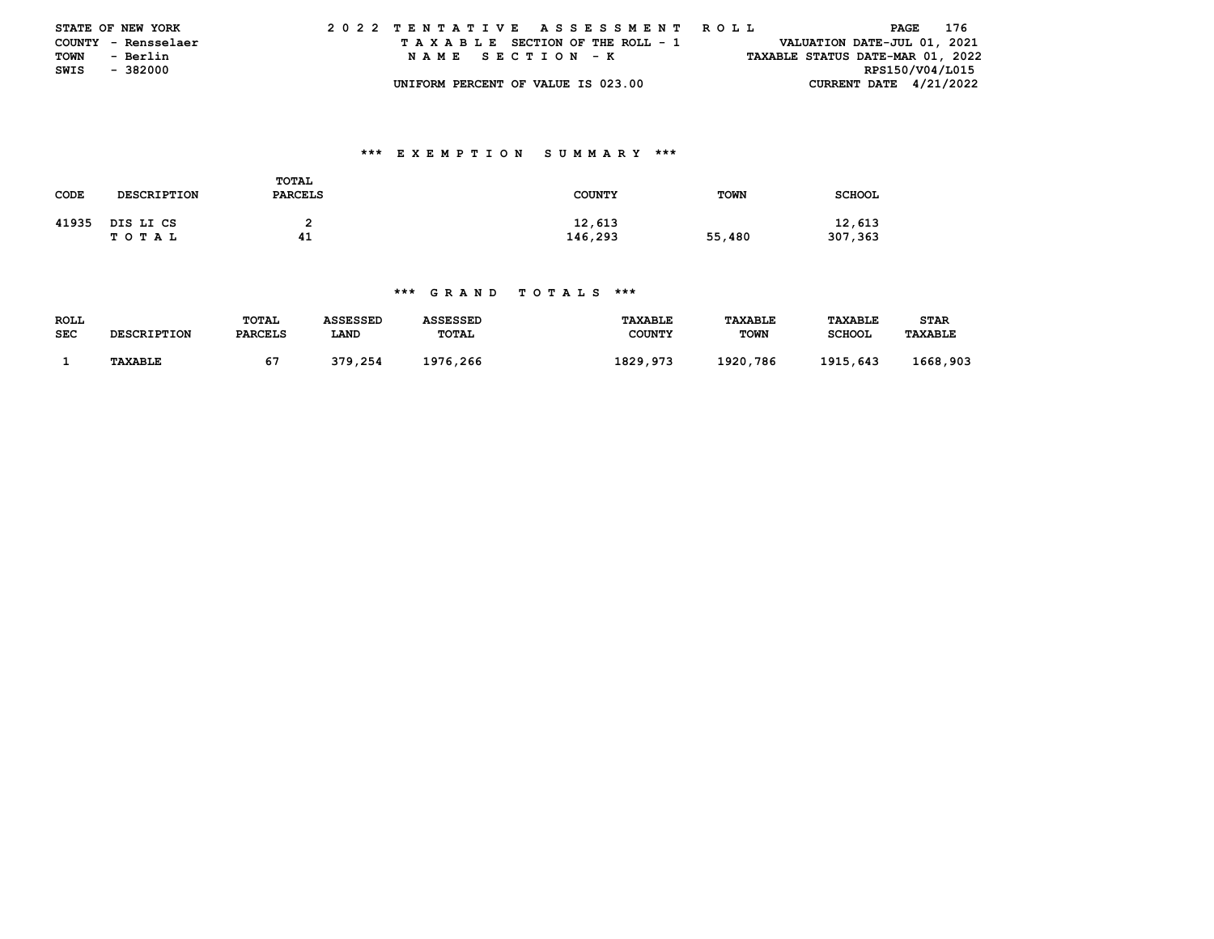|               | <b>STATE OF NEW YORK</b> | 2022 TENTATIVE ASSESSMENT ROLL     |                                  | PAGE 176                    |
|---------------|--------------------------|------------------------------------|----------------------------------|-----------------------------|
|               | COUNTY - Rensselaer      | TAXABLE SECTION OF THE ROLL - 1    |                                  | VALUATION DATE-JUL 01, 2021 |
| TOWN          | - Berlin                 | NAME SECTION - K                   | TAXABLE STATUS DATE-MAR 01, 2022 |                             |
| SWIS - 382000 |                          |                                    |                                  | RPS150/V04/L015             |
|               |                          | UNIFORM PERCENT OF VALUE IS 023.00 |                                  | CURRENT DATE $4/21/2022$    |

## **\*\*\* E X E M P T I O N S U M M A R Y \*\*\***

| CODE  | <b>DESCRIPTION</b> | TOTAL<br><b>PARCELS</b> | <b>COUNTY</b>     | <b>TOWN</b> | <b>SCHOOL</b>     |
|-------|--------------------|-------------------------|-------------------|-------------|-------------------|
| 41935 | DIS LI CS<br>TOTAL | 41                      | 12,613<br>146,293 | 55,480      | 12,613<br>307,363 |

| ROLL       |                    | <b>TOTAL</b>   | ASSESSED | ASSESSED     | <b>TAXABLE</b> | TAXABLE     | <b>TAXABLE</b> | STAR           |
|------------|--------------------|----------------|----------|--------------|----------------|-------------|----------------|----------------|
| <b>SEC</b> | <b>DESCRIPTION</b> | <b>PARCELS</b> | LAND     | <b>TOTAL</b> | <b>COUNTY</b>  | <b>TOWN</b> | <b>SCHOOL</b>  | <b>TAXABLE</b> |
|            |                    |                |          |              |                |             |                |                |
|            | <b>TAXABLE</b>     |                | 379,254  | 1976,266     | 1829,973       | 1920,786    | 1915,643       | 1668,903       |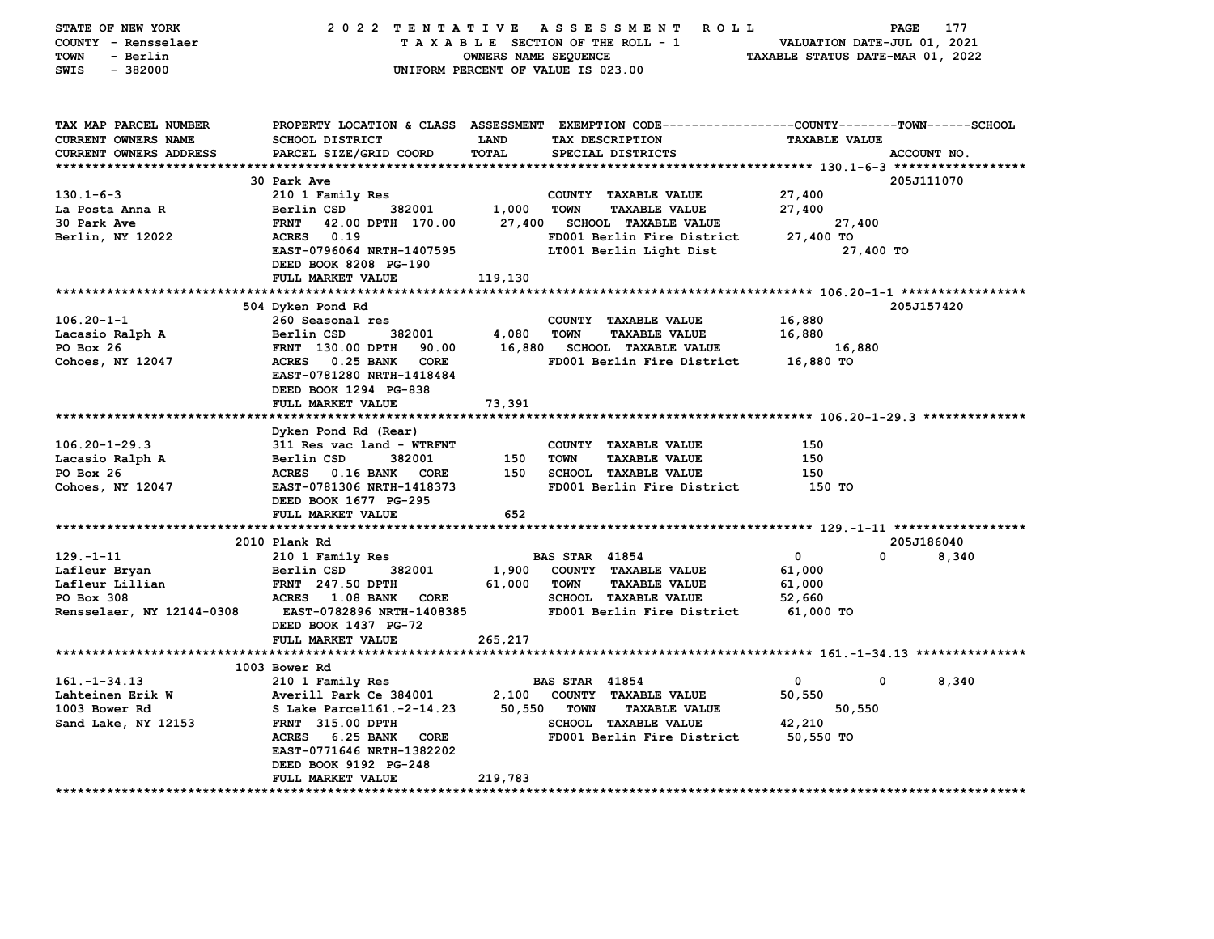| STATE OF NEW YORK<br>COUNTY - Rensselaer<br><b>TOWN</b><br>- Berlin<br>$-382000$<br>SWIS |                                                                                                                                                      | <b>OWNERS NAME SEQUENCE</b>         | 2022 TENTATIVE ASSESSMENT ROLL<br>TAXABLE SECTION OF THE ROLL - 1<br>UNIFORM PERCENT OF VALUE IS 023.00 | VALUATION DATE-JUL 01, 2021<br>TAXABLE STATUS DATE-MAR 01, 2022 | 177<br>PAGE |
|------------------------------------------------------------------------------------------|------------------------------------------------------------------------------------------------------------------------------------------------------|-------------------------------------|---------------------------------------------------------------------------------------------------------|-----------------------------------------------------------------|-------------|
| TAX MAP PARCEL NUMBER<br>CURRENT OWNERS NAME<br>CURRENT OWNERS ADDRESS                   | PROPERTY LOCATION & CLASS ASSESSMENT EXEMPTION CODE----------------COUNTY-------TOWN------SCHOOL<br><b>SCHOOL DISTRICT</b><br>PARCEL SIZE/GRID COORD | LAND<br>TOTAL                       | TAX DESCRIPTION<br>SPECIAL DISTRICTS                                                                    | <b>TAXABLE VALUE</b>                                            | ACCOUNT NO. |
|                                                                                          |                                                                                                                                                      |                                     |                                                                                                         |                                                                 |             |
|                                                                                          | 30 Park Ave                                                                                                                                          |                                     |                                                                                                         |                                                                 | 205J111070  |
| $130.1 - 6 - 3$                                                                          | 210 1 Family Res                                                                                                                                     |                                     | COUNTY TAXABLE VALUE                                                                                    | 27,400                                                          |             |
| La Posta Anna R                                                                          | 382001<br>Berlin CSD                                                                                                                                 | 1,000                               | <b>TOWN</b><br><b>TAXABLE VALUE</b>                                                                     | 27,400                                                          |             |
| 30 Park Ave                                                                              | <b>FRNT</b><br>42.00 DPTH 170.00                                                                                                                     | 27,400                              | <b>SCHOOL TAXABLE VALUE</b>                                                                             | 27,400                                                          |             |
| Berlin, NY 12022                                                                         | ACRES 0.19<br>EAST-0796064 NRTH-1407595<br>DEED BOOK 8208 PG-190<br>FULL MARKET VALUE                                                                | 119,130                             | FD001 Berlin Fire District<br>LT001 Berlin Light Dist                                                   | 27,400 TO<br>27,400 TO                                          |             |
|                                                                                          |                                                                                                                                                      |                                     |                                                                                                         |                                                                 |             |
|                                                                                          | 504 Dyken Pond Rd                                                                                                                                    |                                     |                                                                                                         |                                                                 | 205J157420  |
| $106.20 - 1 - 1$                                                                         | 260 Seasonal res                                                                                                                                     |                                     | COUNTY TAXABLE VALUE                                                                                    | 16,880                                                          |             |
| Lacasio Ralph A                                                                          | 382001<br>Berlin CSD                                                                                                                                 | 4,080                               | <b>TAXABLE VALUE</b><br>TOWN                                                                            | 16,880                                                          |             |
| PO Box 26                                                                                | FRNT 130.00 DPTH<br>90.00                                                                                                                            | 16,880                              | <b>SCHOOL TAXABLE VALUE</b>                                                                             | 16,880                                                          |             |
| Cohoes, NY 12047                                                                         | ACRES 0.25 BANK CORE<br>EAST-0781280 NRTH-1418484<br>DEED BOOK 1294 PG-838                                                                           |                                     | FD001 Berlin Fire District                                                                              | 16,880 TO                                                       |             |
|                                                                                          | FULL MARKET VALUE                                                                                                                                    | 73,391                              |                                                                                                         |                                                                 |             |
|                                                                                          | Dyken Pond Rd (Rear)                                                                                                                                 |                                     |                                                                                                         |                                                                 |             |
| $106.20 - 1 - 29.3$                                                                      | 311 Res vac land - WTRFNT                                                                                                                            |                                     | COUNTY TAXABLE VALUE                                                                                    | 150                                                             |             |
| Lacasio Ralph A                                                                          | Berlin CSD<br>382001                                                                                                                                 | 150                                 | TOWN<br><b>TAXABLE VALUE</b>                                                                            | 150                                                             |             |
| PO Box 26                                                                                | ACRES 0.16 BANK CORE                                                                                                                                 | 150                                 | SCHOOL TAXABLE VALUE                                                                                    | 150                                                             |             |
| Cohoes, NY 12047                                                                         | EAST-0781306 NRTH-1418373<br>DEED BOOK 1677 PG-295                                                                                                   |                                     | FD001 Berlin Fire District                                                                              | 150 TO                                                          |             |
|                                                                                          | FULL MARKET VALUE                                                                                                                                    | 652                                 |                                                                                                         |                                                                 |             |
|                                                                                          | 2010 Plank Rd                                                                                                                                        |                                     |                                                                                                         |                                                                 | 205J186040  |
| 129. - 1 - 11                                                                            | 210 1 Family Res                                                                                                                                     |                                     | <b>BAS STAR 41854</b>                                                                                   | $\mathbf 0$<br>$\Omega$                                         | 8,340       |
| Lafleur Bryan                                                                            | Berlin CSD<br>382001                                                                                                                                 |                                     | 1,900 COUNTY TAXABLE VALUE                                                                              | 61,000                                                          |             |
| Lafleur Lillian                                                                          | FRNT 247.50 DPTH                                                                                                                                     | 61,000 TOWN                         | <b>TAXABLE VALUE</b>                                                                                    | 61,000                                                          |             |
| PO Box 308                                                                               | ACRES 1.08 BANK CORE                                                                                                                                 |                                     | <b>SCHOOL TAXABLE VALUE</b>                                                                             | 52,660                                                          |             |
| Rensselaer, NY 12144-0308                                                                | <b>EAST-0782896 NRTH-1408385</b><br>DEED BOOK 1437 PG-72<br>FULL MARKET VALUE                                                                        | 265,217                             | FD001 Berlin Fire District                                                                              | 61,000 TO                                                       |             |
|                                                                                          |                                                                                                                                                      |                                     |                                                                                                         |                                                                 |             |
|                                                                                          | 1003 Bower Rd                                                                                                                                        |                                     |                                                                                                         |                                                                 |             |
| $161. - 1 - 34.13$                                                                       | 210 1 Family Res                                                                                                                                     |                                     | <b>BAS STAR 41854</b>                                                                                   | $\mathbf{0}$<br>$\mathbf{0}$                                    | 8,340       |
| Lahteinen Erik W                                                                         | Averill Park Ce 384001                                                                                                                               |                                     | 2,100 COUNTY TAXABLE VALUE                                                                              | 50,550                                                          |             |
| 1003 Bower Rd                                                                            | S Lake Parcel161.-2-14.23                                                                                                                            | 50,550 TOWN<br><b>TAXABLE VALUE</b> |                                                                                                         | 50,550                                                          |             |
| Sand Lake, NY 12153                                                                      | <b>FRNT</b> 315.00 DPTH                                                                                                                              |                                     | <b>SCHOOL TAXABLE VALUE</b>                                                                             | 42,210                                                          |             |
|                                                                                          | ACRES 6.25 BANK CORE<br>EAST-0771646 NRTH-1382202<br>DEED BOOK 9192 PG-248                                                                           |                                     | FD001 Berlin Fire District                                                                              | 50,550 TO                                                       |             |
|                                                                                          | FULL MARKET VALUE                                                                                                                                    | 219,783                             |                                                                                                         |                                                                 |             |
|                                                                                          |                                                                                                                                                      |                                     |                                                                                                         |                                                                 |             |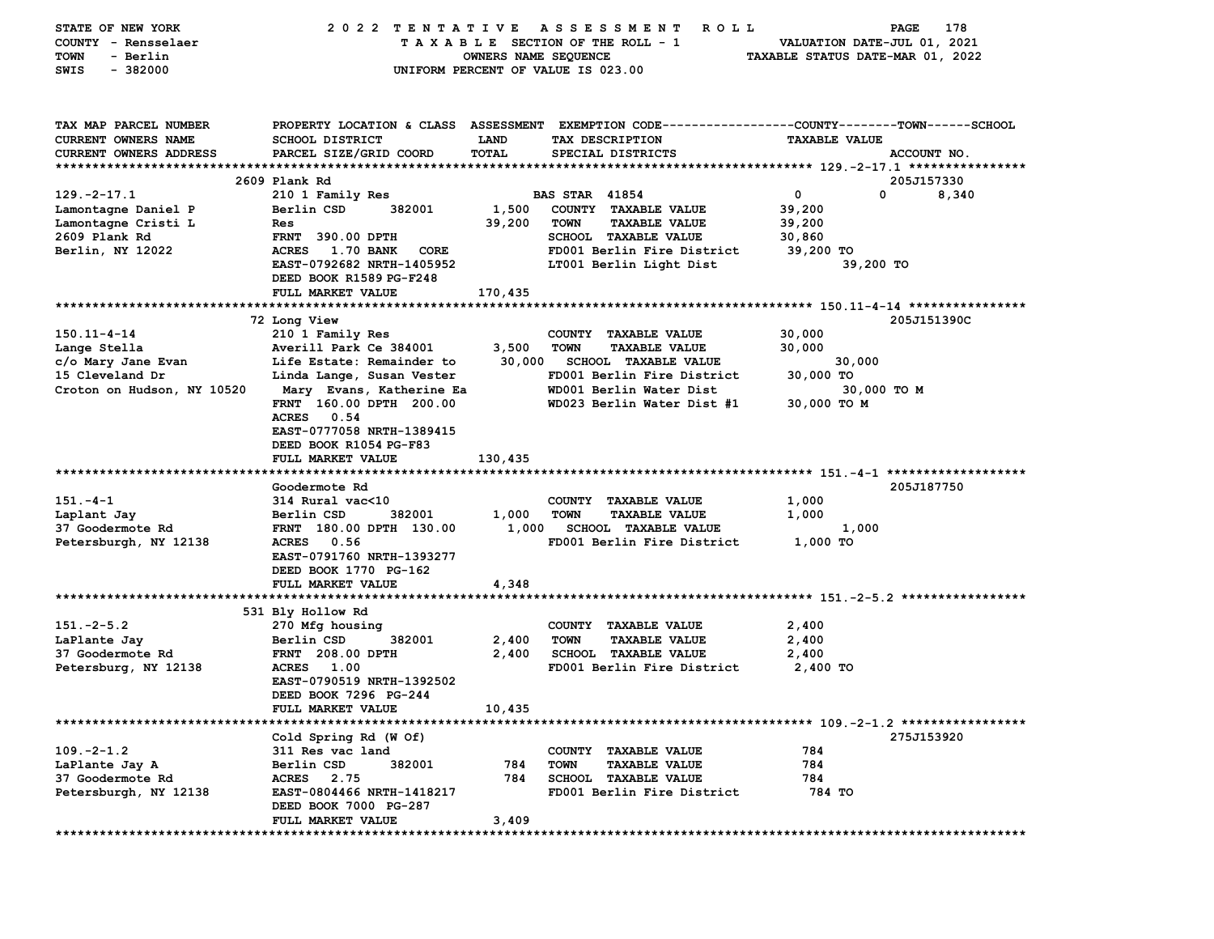| <b>STATE OF NEW YORK</b>   | 2022 TENTATIVE                             |                      | A S S E S S M E N T<br><b>ROLL</b>                                                              |                                  | 178<br>PAGE |
|----------------------------|--------------------------------------------|----------------------|-------------------------------------------------------------------------------------------------|----------------------------------|-------------|
| COUNTY - Rensselaer        |                                            |                      | TAXABLE SECTION OF THE ROLL - 1                                                                 | VALUATION DATE-JUL 01, 2021      |             |
| - Berlin<br>TOWN           |                                            | OWNERS NAME SEQUENCE |                                                                                                 | TAXABLE STATUS DATE-MAR 01, 2022 |             |
| $-382000$<br>SWIS          |                                            |                      | UNIFORM PERCENT OF VALUE IS 023.00                                                              |                                  |             |
|                            |                                            |                      |                                                                                                 |                                  |             |
|                            |                                            |                      |                                                                                                 |                                  |             |
| TAX MAP PARCEL NUMBER      |                                            |                      | PROPERTY LOCATION & CLASS ASSESSMENT EXEMPTION CODE---------------COUNTY-------TOWN------SCHOOL |                                  |             |
| CURRENT OWNERS NAME        | <b>SCHOOL DISTRICT</b>                     | <b>LAND</b>          | TAX DESCRIPTION                                                                                 | <b>TAXABLE VALUE</b>             |             |
| CURRENT OWNERS ADDRESS     | PARCEL SIZE/GRID COORD                     | TOTAL                | SPECIAL DISTRICTS                                                                               |                                  | ACCOUNT NO. |
|                            |                                            |                      |                                                                                                 |                                  |             |
|                            | 2609 Plank Rd                              |                      |                                                                                                 |                                  | 205J157330  |
| $129. -2 - 17.1$           | 210 1 Family Res                           |                      | <b>BAS STAR 41854</b>                                                                           | 0<br>0                           | 8,340       |
| Lamontagne Daniel P        | Berlin CSD<br>382001                       | 1,500                | COUNTY TAXABLE VALUE                                                                            | 39,200                           |             |
| Lamontagne Cristi L        | Res                                        | 39,200               | <b>TOWN</b><br><b>TAXABLE VALUE</b>                                                             | 39,200                           |             |
| 2609 Plank Rd              | <b>FRNT 390.00 DPTH</b>                    |                      | <b>SCHOOL TAXABLE VALUE</b>                                                                     | 30,860                           |             |
| Berlin, NY 12022           | <b>ACRES</b><br><b>1.70 BANK</b><br>CORE   |                      | FD001 Berlin Fire District                                                                      | 39,200 TO                        |             |
|                            | EAST-0792682 NRTH-1405952                  |                      | LT001 Berlin Light Dist                                                                         | 39,200 TO                        |             |
|                            | DEED BOOK R1589 PG-F248                    |                      |                                                                                                 |                                  |             |
|                            | FULL MARKET VALUE                          | 170,435              |                                                                                                 |                                  |             |
|                            |                                            |                      |                                                                                                 |                                  |             |
|                            | 72 Long View                               |                      |                                                                                                 |                                  | 205J151390C |
| $150.11 - 4 - 14$          | 210 1 Family Res                           |                      | COUNTY TAXABLE VALUE                                                                            | 30,000                           |             |
| Lange Stella               | Averill Park Ce 384001                     | 3,500                | <b>TOWN</b><br><b>TAXABLE VALUE</b>                                                             | 30,000                           |             |
| c/o Mary Jane Evan         | Life Estate: Remainder to                  | 30,000               | <b>SCHOOL TAXABLE VALUE</b>                                                                     | 30,000                           |             |
| 15 Cleveland Dr            | Linda Lange, Susan Vester                  |                      | FD001 Berlin Fire District                                                                      | 30,000 TO                        |             |
| Croton on Hudson, NY 10520 | Mary Evans, Katherine Ea                   |                      | WD001 Berlin Water Dist                                                                         | 30,000 TO M                      |             |
|                            | FRNT 160.00 DPTH 200.00                    |                      | WD023 Berlin Water Dist #1                                                                      | 30,000 TO M                      |             |
|                            | 0.54<br><b>ACRES</b>                       |                      |                                                                                                 |                                  |             |
|                            | EAST-0777058 NRTH-1389415                  |                      |                                                                                                 |                                  |             |
|                            | DEED BOOK R1054 PG-F83                     |                      |                                                                                                 |                                  |             |
|                            | FULL MARKET VALUE                          | 130,435              |                                                                                                 |                                  |             |
|                            |                                            |                      |                                                                                                 |                                  |             |
|                            | Goodermote Rd                              |                      |                                                                                                 |                                  | 205J187750  |
| $151 - 4 - 1$              | 314 Rural vac<10                           |                      | COUNTY TAXABLE VALUE                                                                            | 1,000                            |             |
| Laplant Jay                | Berlin CSD<br>382001                       | 1,000                | <b>TOWN</b><br><b>TAXABLE VALUE</b>                                                             | 1,000                            |             |
| 37 Goodermote Rd           | FRNT 180.00 DPTH 130.00                    | 1,000                | <b>SCHOOL TAXABLE VALUE</b>                                                                     | 1,000                            |             |
| Petersburgh, NY 12138      | 0.56<br><b>ACRES</b>                       |                      | FD001 Berlin Fire District                                                                      | 1,000 TO                         |             |
|                            | EAST-0791760 NRTH-1393277                  |                      |                                                                                                 |                                  |             |
|                            | DEED BOOK 1770 PG-162                      |                      |                                                                                                 |                                  |             |
|                            | FULL MARKET VALUE                          | 4,348                |                                                                                                 |                                  |             |
|                            |                                            |                      |                                                                                                 |                                  |             |
|                            | 531 Bly Hollow Rd                          |                      |                                                                                                 |                                  |             |
| $151 - 2 - 5.2$            | 270 Mfg housing                            |                      | COUNTY TAXABLE VALUE                                                                            | 2,400                            |             |
| LaPlante Jay               | Berlin CSD<br>382001                       | 2,400                | <b>TOWN</b><br><b>TAXABLE VALUE</b>                                                             | 2,400                            |             |
| 37 Goodermote Rd           | <b>FRNT</b> 208.00 DPTH                    | 2,400                | <b>SCHOOL TAXABLE VALUE</b>                                                                     | 2,400                            |             |
| Petersburg, NY 12138       | ACRES 1.00                                 |                      | FD001 Berlin Fire District                                                                      | 2,400 TO                         |             |
|                            | EAST-0790519 NRTH-1392502                  |                      |                                                                                                 |                                  |             |
|                            | DEED BOOK 7296 PG-244                      |                      |                                                                                                 |                                  |             |
|                            | <b>FULL MARKET VALUE</b>                   | 10,435               |                                                                                                 |                                  |             |
|                            |                                            |                      |                                                                                                 |                                  |             |
|                            | Cold Spring Rd (W Of)                      |                      |                                                                                                 |                                  | 275J153920  |
| $109. -2 - 1.2$            | 311 Res vac land                           |                      | COUNTY TAXABLE VALUE                                                                            | 784                              |             |
| LaPlante Jay A             | Berlin CSD<br>382001                       | 784                  | <b>TOWN</b><br><b>TAXABLE VALUE</b>                                                             | 784                              |             |
| 37 Goodermote Rd           | ACRES 2.75                                 | 784                  | <b>SCHOOL TAXABLE VALUE</b>                                                                     | 784                              |             |
| Petersburgh, NY 12138      | EAST-0804466 NRTH-1418217                  |                      | FD001 Berlin Fire District                                                                      | 784 TO                           |             |
|                            | DEED BOOK 7000 PG-287<br>FULL MARKET VALUE |                      |                                                                                                 |                                  |             |
|                            |                                            | 3,409                |                                                                                                 |                                  |             |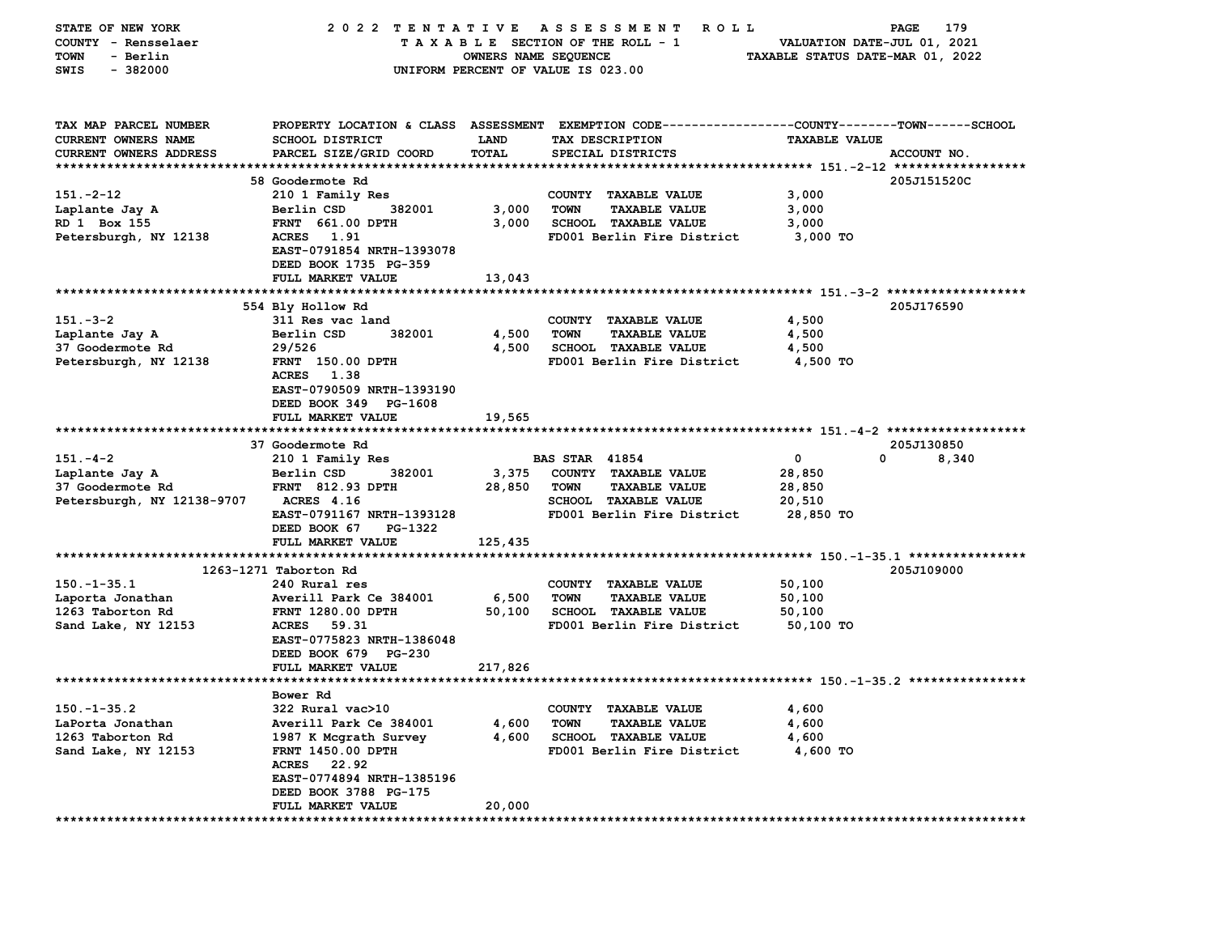| STATE OF NEW YORK          | 2022 TENTATIVE<br>179<br>A S S E S S M E N T<br>R O L L<br>PAGE |                      |                                                                  |                                  |             |  |  |
|----------------------------|-----------------------------------------------------------------|----------------------|------------------------------------------------------------------|----------------------------------|-------------|--|--|
| COUNTY - Rensselaer        | TAXABLE SECTION OF THE ROLL - 1<br>VALUATION DATE-JUL 01, 2021  |                      |                                                                  |                                  |             |  |  |
| <b>TOWN</b><br>- Berlin    |                                                                 | OWNERS NAME SEQUENCE |                                                                  | TAXABLE STATUS DATE-MAR 01, 2022 |             |  |  |
| $-382000$<br>SWIS          |                                                                 |                      | UNIFORM PERCENT OF VALUE IS 023.00                               |                                  |             |  |  |
|                            |                                                                 |                      |                                                                  |                                  |             |  |  |
|                            |                                                                 |                      |                                                                  |                                  |             |  |  |
|                            |                                                                 |                      |                                                                  |                                  |             |  |  |
| TAX MAP PARCEL NUMBER      | PROPERTY LOCATION & CLASS ASSESSMENT                            |                      | EXEMPTION CODE----------------COUNTY-------TOWN-----SCHOOL       |                                  |             |  |  |
| <b>CURRENT OWNERS NAME</b> | <b>SCHOOL DISTRICT</b>                                          | <b>LAND</b>          | TAX DESCRIPTION                                                  | <b>TAXABLE VALUE</b>             |             |  |  |
| CURRENT OWNERS ADDRESS     | PARCEL SIZE/GRID COORD                                          | TOTAL                | SPECIAL DISTRICTS                                                |                                  | ACCOUNT NO. |  |  |
| *************************  |                                                                 |                      |                                                                  |                                  |             |  |  |
|                            | <b>58 Goodermote Rd</b>                                         |                      |                                                                  |                                  | 205J151520C |  |  |
| $151 - 2 - 12$             | 210 1 Family Res                                                |                      | COUNTY TAXABLE VALUE                                             | 3,000                            |             |  |  |
| Laplante Jay A             | Berlin CSD<br>382001                                            | 3,000                | <b>TOWN</b><br>TAXABLE VALUE                                     | 3,000                            |             |  |  |
| RD 1 Box 155               | <b>FRNT 661.00 DPTH</b>                                         | 3,000                | <b>SCHOOL TAXABLE VALUE</b>                                      | 3,000                            |             |  |  |
| Petersburgh, NY 12138      | <b>ACRES</b><br>1.91                                            |                      | FD001 Berlin Fire District                                       | 3,000 TO                         |             |  |  |
|                            | EAST-0791854 NRTH-1393078                                       |                      |                                                                  |                                  |             |  |  |
|                            | DEED BOOK 1735 PG-359                                           |                      |                                                                  |                                  |             |  |  |
|                            | FULL MARKET VALUE                                               | 13,043               |                                                                  |                                  |             |  |  |
| *************************  |                                                                 | *********            | *********************************** 151.-3-2 ******************* |                                  |             |  |  |
|                            | 554 Bly Hollow Rd                                               |                      |                                                                  |                                  | 205J176590  |  |  |
| $151 - 3 - 2$              | 311 Res vac land                                                |                      | <b>COUNTY</b><br><b>TAXABLE VALUE</b>                            | 4,500                            |             |  |  |
| Laplante Jay A             | 382001<br>Berlin CSD                                            | 4,500                | TOWN<br><b>TAXABLE VALUE</b>                                     | 4,500                            |             |  |  |
| 37 Goodermote Rd           | 29/526                                                          | 4,500                | SCHOOL TAXABLE VALUE                                             | 4,500                            |             |  |  |
|                            |                                                                 |                      |                                                                  |                                  |             |  |  |
| Petersburgh, NY 12138      | FRNT 150.00 DPTH                                                |                      | FD001 Berlin Fire District                                       | 4,500 TO                         |             |  |  |
|                            | <b>ACRES</b><br>1.38                                            |                      |                                                                  |                                  |             |  |  |
|                            | EAST-0790509 NRTH-1393190                                       |                      |                                                                  |                                  |             |  |  |
|                            | DEED BOOK 349 PG-1608                                           |                      |                                                                  |                                  |             |  |  |
|                            | FULL MARKET VALUE                                               | 19,565               |                                                                  |                                  |             |  |  |
|                            |                                                                 |                      |                                                                  |                                  |             |  |  |
|                            | 37 Goodermote Rd                                                |                      |                                                                  |                                  | 205J130850  |  |  |
| $151 - 4 - 2$              | 210 1 Family Res                                                |                      | <b>BAS STAR 41854</b>                                            | $\mathbf 0$                      | 0<br>8,340  |  |  |
| Laplante Jay A             | 382001<br>Berlin CSD                                            | 3,375                | COUNTY TAXABLE VALUE                                             | 28,850                           |             |  |  |
| 37 Goodermote Rd           | <b>FRNT 812.93 DPTH</b>                                         | 28,850               | TOWN<br><b>TAXABLE VALUE</b>                                     | 28,850                           |             |  |  |
| Petersburgh, NY 12138-9707 | <b>ACRES</b> 4.16                                               |                      | SCHOOL TAXABLE VALUE                                             | 20,510                           |             |  |  |
|                            | EAST-0791167 NRTH-1393128                                       |                      | FD001 Berlin Fire District                                       | 28,850 TO                        |             |  |  |
|                            | DEED BOOK 67<br>PG-1322                                         |                      |                                                                  |                                  |             |  |  |
|                            | FULL MARKET VALUE                                               | 125,435              |                                                                  |                                  |             |  |  |
|                            |                                                                 |                      |                                                                  |                                  |             |  |  |
|                            | 1263-1271 Taborton Rd                                           |                      |                                                                  |                                  | 205J109000  |  |  |
| $150. - 1 - 35.1$          | 240 Rural res                                                   |                      | COUNTY TAXABLE VALUE                                             | 50,100                           |             |  |  |
| Laporta Jonathan           | Averill Park Ce 384001                                          | 6,500                | <b>TOWN</b><br><b>TAXABLE VALUE</b>                              | 50,100                           |             |  |  |
| 1263 Taborton Rd           | <b>FRNT 1280.00 DPTH</b>                                        | 50,100               | SCHOOL TAXABLE VALUE                                             | 50,100                           |             |  |  |
| Sand Lake, NY 12153        | <b>ACRES</b><br>59.31                                           |                      | FD001 Berlin Fire District                                       | 50,100 TO                        |             |  |  |
|                            | EAST-0775823 NRTH-1386048                                       |                      |                                                                  |                                  |             |  |  |
|                            |                                                                 |                      |                                                                  |                                  |             |  |  |
|                            | DEED BOOK 679 PG-230                                            |                      |                                                                  |                                  |             |  |  |
|                            | FULL MARKET VALUE                                               | 217,826              |                                                                  |                                  |             |  |  |
|                            | ******************                                              |                      | ********************************* 150.-1-35.2 ****************   |                                  |             |  |  |
|                            | Bower Rd                                                        |                      |                                                                  |                                  |             |  |  |
| $150. - 1 - 35.2$          | 322 Rural vac>10                                                |                      | COUNTY TAXABLE VALUE                                             | 4,600                            |             |  |  |
| LaPorta Jonathan           | Averill Park Ce 384001                                          | 4,600                | <b>TOWN</b><br><b>TAXABLE VALUE</b>                              | 4,600                            |             |  |  |
| 1263 Taborton Rd           | 1987 K Mcgrath Survey                                           | 4,600                | <b>SCHOOL TAXABLE VALUE</b>                                      | 4,600                            |             |  |  |
| Sand Lake, NY 12153        | <b>FRNT 1450.00 DPTH</b>                                        |                      | FD001 Berlin Fire District                                       | 4,600 TO                         |             |  |  |
|                            | <b>ACRES</b><br>22.92                                           |                      |                                                                  |                                  |             |  |  |
|                            | EAST-0774894 NRTH-1385196                                       |                      |                                                                  |                                  |             |  |  |
|                            | DEED BOOK 3788 PG-175                                           |                      |                                                                  |                                  |             |  |  |
|                            | <b>FULL MARKET VALUE</b>                                        | 20,000               |                                                                  |                                  |             |  |  |
| *******************        |                                                                 |                      |                                                                  |                                  |             |  |  |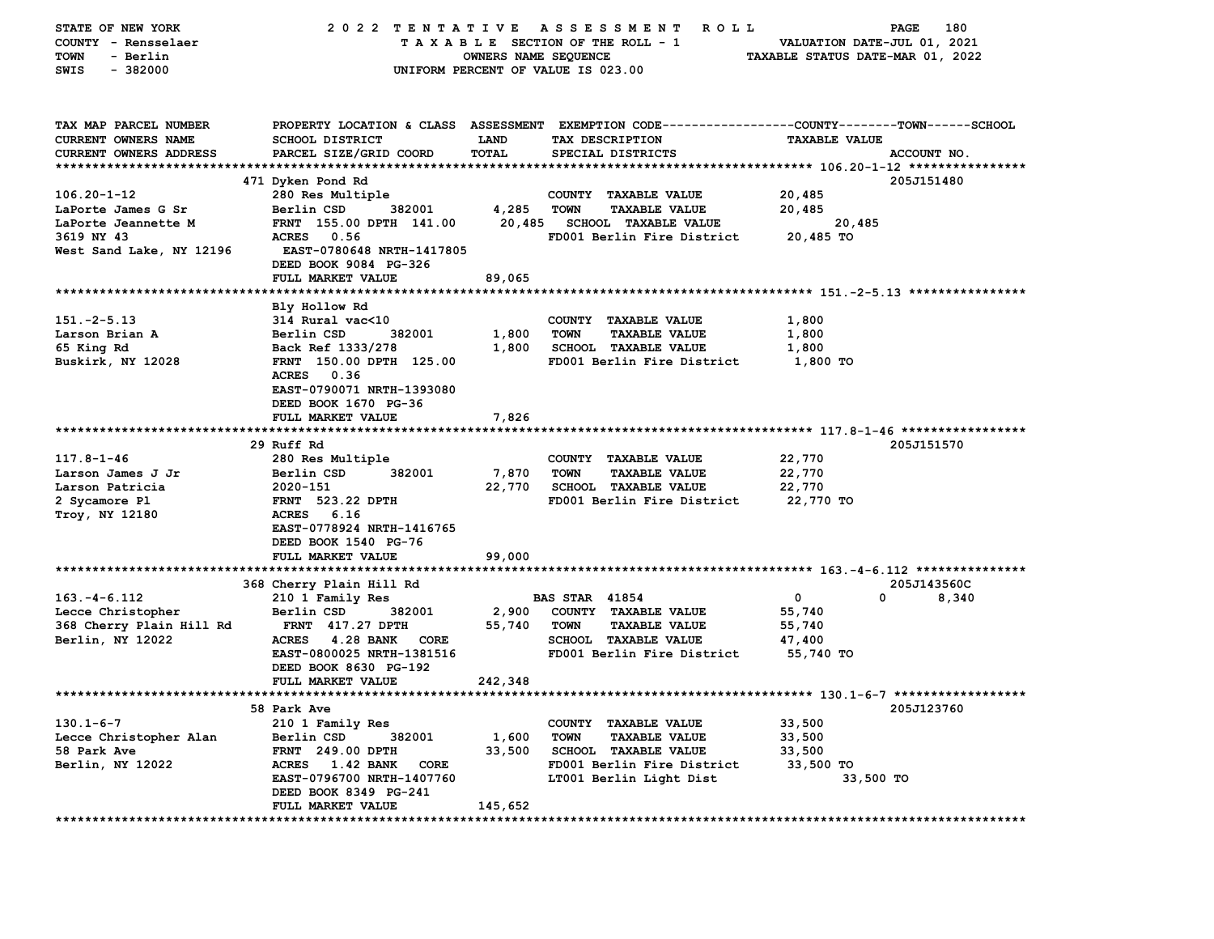| COUNTY - Rensselaer<br>TAXABLE SECTION OF THE ROLL - 1<br>VALUATION DATE-JUL 01, 2021<br>TAXABLE STATUS DATE-MAR 01, 2022<br><b>TOWN</b><br>- Berlin<br>OWNERS NAME SEQUENCE<br>$-382000$<br>SWIS<br>UNIFORM PERCENT OF VALUE IS 023.00<br>TAX MAP PARCEL NUMBER<br>PROPERTY LOCATION & CLASS ASSESSMENT EXEMPTION CODE---------------COUNTY-------TOWN------SCHOOL<br>CURRENT OWNERS NAME<br><b>SCHOOL DISTRICT</b><br><b>LAND</b><br>TAX DESCRIPTION<br><b>TAXABLE VALUE</b><br>PARCEL SIZE/GRID COORD<br>TOTAL<br>ACCOUNT NO.<br>CURRENT OWNERS ADDRESS<br>SPECIAL DISTRICTS<br>471 Dyken Pond Rd<br>205J151480<br>$106.20 - 1 - 12$<br>280 Res Multiple<br>COUNTY TAXABLE VALUE<br>20,485<br><b>TAXABLE VALUE</b><br>LaPorte James G Sr<br>Berlin CSD<br>382001<br>4,285<br><b>TOWN</b><br>20,485<br>20,485<br>LaPorte Jeannette M<br>FRNT 155.00 DPTH 141.00<br><b>SCHOOL TAXABLE VALUE</b><br>20,485<br>20,485 TO<br>3619 NY 43<br><b>ACRES</b><br>0.56<br>FD001 Berlin Fire District<br>West Sand Lake, NY 12196<br>EAST-0780648 NRTH-1417805<br>DEED BOOK 9084 PG-326<br>FULL MARKET VALUE<br>89,065<br>Bly Hollow Rd<br>$151 - 2 - 5.13$<br>314 Rural vac<10<br>COUNTY TAXABLE VALUE<br>1,800<br>Larson Brian A<br>Berlin CSD<br>382001<br>1,800<br><b>TOWN</b><br><b>TAXABLE VALUE</b><br>1,800<br>65 King Rd<br>Back Ref 1333/278<br>1,800<br><b>SCHOOL TAXABLE VALUE</b><br>1,800<br>Buskirk, NY 12028<br>FRNT 150.00 DPTH 125.00<br>FD001 Berlin Fire District<br>1,800 TO<br>ACRES 0.36<br>EAST-0790071 NRTH-1393080<br>DEED BOOK 1670 PG-36<br>FULL MARKET VALUE<br>7,826<br>29 Ruff Rd<br>205J151570<br>$117.8 - 1 - 46$<br>22,770<br>280 Res Multiple<br>COUNTY TAXABLE VALUE<br>382001<br>7,870<br>22,770<br>Larson James J Jr<br>Berlin CSD<br>TOWN<br><b>TAXABLE VALUE</b><br>Larson Patricia<br>2020-151<br>22,770<br><b>SCHOOL TAXABLE VALUE</b><br>22,770<br><b>FRNT</b> 523.22 DPTH<br>FD001 Berlin Fire District<br>22,770 TO<br>2 Sycamore Pl<br>Troy, NY 12180<br>ACRES 6.16<br>EAST-0778924 NRTH-1416765<br>DEED BOOK 1540 PG-76<br>FULL MARKET VALUE<br>99,000<br>205J143560C<br>368 Cherry Plain Hill Rd<br>$163. - 4 - 6.112$<br>210 1 Family Res<br><b>BAS STAR 41854</b><br>$\mathbf 0$<br>0<br>8,340<br>382001<br>2,900<br>Lecce Christopher<br>Berlin CSD<br>COUNTY TAXABLE VALUE<br>55,740<br>368 Cherry Plain Hill Rd<br><b>FRNT 417.27 DPTH</b><br>55,740<br><b>TOWN</b><br><b>TAXABLE VALUE</b><br>55,740<br>Berlin, NY 12022<br>4.28 BANK CORE<br><b>SCHOOL TAXABLE VALUE</b><br><b>ACRES</b><br>47,400<br>EAST-0800025 NRTH-1381516<br>FD001 Berlin Fire District<br>55,740 TO<br>DEED BOOK 8630 PG-192<br>242,348<br>FULL MARKET VALUE<br>205J123760<br>58 Park Ave<br>$130.1 - 6 - 7$<br>210 1 Family Res<br>COUNTY TAXABLE VALUE<br>33,500<br>33,500<br>Lecce Christopher Alan<br>Berlin CSD<br>382001<br>1,600<br><b>TOWN</b><br><b>TAXABLE VALUE</b><br>58 Park Ave<br>FRNT 249.00 DPTH<br>33,500<br><b>SCHOOL TAXABLE VALUE</b><br>33,500<br>Berlin, NY 12022<br>ACRES 1.42 BANK<br>FD001 Berlin Fire District<br>33,500 TO<br>CORE<br>EAST-0796700 NRTH-1407760<br>LT001 Berlin Light Dist<br>33,500 TO<br>DEED BOOK 8349 PG-241<br>FULL MARKET VALUE<br>145,652<br>***************** | STATE OF NEW YORK            | 2022 TENTATIVE |  | A S S E S S M E N T | ROLL <sup></sup> | 180<br>PAGE |  |  |  |
|---------------------------------------------------------------------------------------------------------------------------------------------------------------------------------------------------------------------------------------------------------------------------------------------------------------------------------------------------------------------------------------------------------------------------------------------------------------------------------------------------------------------------------------------------------------------------------------------------------------------------------------------------------------------------------------------------------------------------------------------------------------------------------------------------------------------------------------------------------------------------------------------------------------------------------------------------------------------------------------------------------------------------------------------------------------------------------------------------------------------------------------------------------------------------------------------------------------------------------------------------------------------------------------------------------------------------------------------------------------------------------------------------------------------------------------------------------------------------------------------------------------------------------------------------------------------------------------------------------------------------------------------------------------------------------------------------------------------------------------------------------------------------------------------------------------------------------------------------------------------------------------------------------------------------------------------------------------------------------------------------------------------------------------------------------------------------------------------------------------------------------------------------------------------------------------------------------------------------------------------------------------------------------------------------------------------------------------------------------------------------------------------------------------------------------------------------------------------------------------------------------------------------------------------------------------------------------------------------------------------------------------------------------------------------------------------------------------------------------------------------------------------------------------------------------------------------------------------------------------------------------------------------------------------------------------------------------------------------------------------------------------------------------------------------------------------------------------------------------------------------------------------------------------------------------------------------------------------------------------|------------------------------|----------------|--|---------------------|------------------|-------------|--|--|--|
|                                                                                                                                                                                                                                                                                                                                                                                                                                                                                                                                                                                                                                                                                                                                                                                                                                                                                                                                                                                                                                                                                                                                                                                                                                                                                                                                                                                                                                                                                                                                                                                                                                                                                                                                                                                                                                                                                                                                                                                                                                                                                                                                                                                                                                                                                                                                                                                                                                                                                                                                                                                                                                                                                                                                                                                                                                                                                                                                                                                                                                                                                                                                                                                                                                       |                              |                |  |                     |                  |             |  |  |  |
|                                                                                                                                                                                                                                                                                                                                                                                                                                                                                                                                                                                                                                                                                                                                                                                                                                                                                                                                                                                                                                                                                                                                                                                                                                                                                                                                                                                                                                                                                                                                                                                                                                                                                                                                                                                                                                                                                                                                                                                                                                                                                                                                                                                                                                                                                                                                                                                                                                                                                                                                                                                                                                                                                                                                                                                                                                                                                                                                                                                                                                                                                                                                                                                                                                       |                              |                |  |                     |                  |             |  |  |  |
|                                                                                                                                                                                                                                                                                                                                                                                                                                                                                                                                                                                                                                                                                                                                                                                                                                                                                                                                                                                                                                                                                                                                                                                                                                                                                                                                                                                                                                                                                                                                                                                                                                                                                                                                                                                                                                                                                                                                                                                                                                                                                                                                                                                                                                                                                                                                                                                                                                                                                                                                                                                                                                                                                                                                                                                                                                                                                                                                                                                                                                                                                                                                                                                                                                       |                              |                |  |                     |                  |             |  |  |  |
|                                                                                                                                                                                                                                                                                                                                                                                                                                                                                                                                                                                                                                                                                                                                                                                                                                                                                                                                                                                                                                                                                                                                                                                                                                                                                                                                                                                                                                                                                                                                                                                                                                                                                                                                                                                                                                                                                                                                                                                                                                                                                                                                                                                                                                                                                                                                                                                                                                                                                                                                                                                                                                                                                                                                                                                                                                                                                                                                                                                                                                                                                                                                                                                                                                       |                              |                |  |                     |                  |             |  |  |  |
|                                                                                                                                                                                                                                                                                                                                                                                                                                                                                                                                                                                                                                                                                                                                                                                                                                                                                                                                                                                                                                                                                                                                                                                                                                                                                                                                                                                                                                                                                                                                                                                                                                                                                                                                                                                                                                                                                                                                                                                                                                                                                                                                                                                                                                                                                                                                                                                                                                                                                                                                                                                                                                                                                                                                                                                                                                                                                                                                                                                                                                                                                                                                                                                                                                       |                              |                |  |                     |                  |             |  |  |  |
|                                                                                                                                                                                                                                                                                                                                                                                                                                                                                                                                                                                                                                                                                                                                                                                                                                                                                                                                                                                                                                                                                                                                                                                                                                                                                                                                                                                                                                                                                                                                                                                                                                                                                                                                                                                                                                                                                                                                                                                                                                                                                                                                                                                                                                                                                                                                                                                                                                                                                                                                                                                                                                                                                                                                                                                                                                                                                                                                                                                                                                                                                                                                                                                                                                       |                              |                |  |                     |                  |             |  |  |  |
|                                                                                                                                                                                                                                                                                                                                                                                                                                                                                                                                                                                                                                                                                                                                                                                                                                                                                                                                                                                                                                                                                                                                                                                                                                                                                                                                                                                                                                                                                                                                                                                                                                                                                                                                                                                                                                                                                                                                                                                                                                                                                                                                                                                                                                                                                                                                                                                                                                                                                                                                                                                                                                                                                                                                                                                                                                                                                                                                                                                                                                                                                                                                                                                                                                       |                              |                |  |                     |                  |             |  |  |  |
|                                                                                                                                                                                                                                                                                                                                                                                                                                                                                                                                                                                                                                                                                                                                                                                                                                                                                                                                                                                                                                                                                                                                                                                                                                                                                                                                                                                                                                                                                                                                                                                                                                                                                                                                                                                                                                                                                                                                                                                                                                                                                                                                                                                                                                                                                                                                                                                                                                                                                                                                                                                                                                                                                                                                                                                                                                                                                                                                                                                                                                                                                                                                                                                                                                       |                              |                |  |                     |                  |             |  |  |  |
|                                                                                                                                                                                                                                                                                                                                                                                                                                                                                                                                                                                                                                                                                                                                                                                                                                                                                                                                                                                                                                                                                                                                                                                                                                                                                                                                                                                                                                                                                                                                                                                                                                                                                                                                                                                                                                                                                                                                                                                                                                                                                                                                                                                                                                                                                                                                                                                                                                                                                                                                                                                                                                                                                                                                                                                                                                                                                                                                                                                                                                                                                                                                                                                                                                       |                              |                |  |                     |                  |             |  |  |  |
|                                                                                                                                                                                                                                                                                                                                                                                                                                                                                                                                                                                                                                                                                                                                                                                                                                                                                                                                                                                                                                                                                                                                                                                                                                                                                                                                                                                                                                                                                                                                                                                                                                                                                                                                                                                                                                                                                                                                                                                                                                                                                                                                                                                                                                                                                                                                                                                                                                                                                                                                                                                                                                                                                                                                                                                                                                                                                                                                                                                                                                                                                                                                                                                                                                       |                              |                |  |                     |                  |             |  |  |  |
|                                                                                                                                                                                                                                                                                                                                                                                                                                                                                                                                                                                                                                                                                                                                                                                                                                                                                                                                                                                                                                                                                                                                                                                                                                                                                                                                                                                                                                                                                                                                                                                                                                                                                                                                                                                                                                                                                                                                                                                                                                                                                                                                                                                                                                                                                                                                                                                                                                                                                                                                                                                                                                                                                                                                                                                                                                                                                                                                                                                                                                                                                                                                                                                                                                       |                              |                |  |                     |                  |             |  |  |  |
|                                                                                                                                                                                                                                                                                                                                                                                                                                                                                                                                                                                                                                                                                                                                                                                                                                                                                                                                                                                                                                                                                                                                                                                                                                                                                                                                                                                                                                                                                                                                                                                                                                                                                                                                                                                                                                                                                                                                                                                                                                                                                                                                                                                                                                                                                                                                                                                                                                                                                                                                                                                                                                                                                                                                                                                                                                                                                                                                                                                                                                                                                                                                                                                                                                       |                              |                |  |                     |                  |             |  |  |  |
|                                                                                                                                                                                                                                                                                                                                                                                                                                                                                                                                                                                                                                                                                                                                                                                                                                                                                                                                                                                                                                                                                                                                                                                                                                                                                                                                                                                                                                                                                                                                                                                                                                                                                                                                                                                                                                                                                                                                                                                                                                                                                                                                                                                                                                                                                                                                                                                                                                                                                                                                                                                                                                                                                                                                                                                                                                                                                                                                                                                                                                                                                                                                                                                                                                       |                              |                |  |                     |                  |             |  |  |  |
|                                                                                                                                                                                                                                                                                                                                                                                                                                                                                                                                                                                                                                                                                                                                                                                                                                                                                                                                                                                                                                                                                                                                                                                                                                                                                                                                                                                                                                                                                                                                                                                                                                                                                                                                                                                                                                                                                                                                                                                                                                                                                                                                                                                                                                                                                                                                                                                                                                                                                                                                                                                                                                                                                                                                                                                                                                                                                                                                                                                                                                                                                                                                                                                                                                       |                              |                |  |                     |                  |             |  |  |  |
|                                                                                                                                                                                                                                                                                                                                                                                                                                                                                                                                                                                                                                                                                                                                                                                                                                                                                                                                                                                                                                                                                                                                                                                                                                                                                                                                                                                                                                                                                                                                                                                                                                                                                                                                                                                                                                                                                                                                                                                                                                                                                                                                                                                                                                                                                                                                                                                                                                                                                                                                                                                                                                                                                                                                                                                                                                                                                                                                                                                                                                                                                                                                                                                                                                       |                              |                |  |                     |                  |             |  |  |  |
|                                                                                                                                                                                                                                                                                                                                                                                                                                                                                                                                                                                                                                                                                                                                                                                                                                                                                                                                                                                                                                                                                                                                                                                                                                                                                                                                                                                                                                                                                                                                                                                                                                                                                                                                                                                                                                                                                                                                                                                                                                                                                                                                                                                                                                                                                                                                                                                                                                                                                                                                                                                                                                                                                                                                                                                                                                                                                                                                                                                                                                                                                                                                                                                                                                       |                              |                |  |                     |                  |             |  |  |  |
|                                                                                                                                                                                                                                                                                                                                                                                                                                                                                                                                                                                                                                                                                                                                                                                                                                                                                                                                                                                                                                                                                                                                                                                                                                                                                                                                                                                                                                                                                                                                                                                                                                                                                                                                                                                                                                                                                                                                                                                                                                                                                                                                                                                                                                                                                                                                                                                                                                                                                                                                                                                                                                                                                                                                                                                                                                                                                                                                                                                                                                                                                                                                                                                                                                       |                              |                |  |                     |                  |             |  |  |  |
|                                                                                                                                                                                                                                                                                                                                                                                                                                                                                                                                                                                                                                                                                                                                                                                                                                                                                                                                                                                                                                                                                                                                                                                                                                                                                                                                                                                                                                                                                                                                                                                                                                                                                                                                                                                                                                                                                                                                                                                                                                                                                                                                                                                                                                                                                                                                                                                                                                                                                                                                                                                                                                                                                                                                                                                                                                                                                                                                                                                                                                                                                                                                                                                                                                       |                              |                |  |                     |                  |             |  |  |  |
|                                                                                                                                                                                                                                                                                                                                                                                                                                                                                                                                                                                                                                                                                                                                                                                                                                                                                                                                                                                                                                                                                                                                                                                                                                                                                                                                                                                                                                                                                                                                                                                                                                                                                                                                                                                                                                                                                                                                                                                                                                                                                                                                                                                                                                                                                                                                                                                                                                                                                                                                                                                                                                                                                                                                                                                                                                                                                                                                                                                                                                                                                                                                                                                                                                       |                              |                |  |                     |                  |             |  |  |  |
|                                                                                                                                                                                                                                                                                                                                                                                                                                                                                                                                                                                                                                                                                                                                                                                                                                                                                                                                                                                                                                                                                                                                                                                                                                                                                                                                                                                                                                                                                                                                                                                                                                                                                                                                                                                                                                                                                                                                                                                                                                                                                                                                                                                                                                                                                                                                                                                                                                                                                                                                                                                                                                                                                                                                                                                                                                                                                                                                                                                                                                                                                                                                                                                                                                       |                              |                |  |                     |                  |             |  |  |  |
|                                                                                                                                                                                                                                                                                                                                                                                                                                                                                                                                                                                                                                                                                                                                                                                                                                                                                                                                                                                                                                                                                                                                                                                                                                                                                                                                                                                                                                                                                                                                                                                                                                                                                                                                                                                                                                                                                                                                                                                                                                                                                                                                                                                                                                                                                                                                                                                                                                                                                                                                                                                                                                                                                                                                                                                                                                                                                                                                                                                                                                                                                                                                                                                                                                       |                              |                |  |                     |                  |             |  |  |  |
|                                                                                                                                                                                                                                                                                                                                                                                                                                                                                                                                                                                                                                                                                                                                                                                                                                                                                                                                                                                                                                                                                                                                                                                                                                                                                                                                                                                                                                                                                                                                                                                                                                                                                                                                                                                                                                                                                                                                                                                                                                                                                                                                                                                                                                                                                                                                                                                                                                                                                                                                                                                                                                                                                                                                                                                                                                                                                                                                                                                                                                                                                                                                                                                                                                       |                              |                |  |                     |                  |             |  |  |  |
|                                                                                                                                                                                                                                                                                                                                                                                                                                                                                                                                                                                                                                                                                                                                                                                                                                                                                                                                                                                                                                                                                                                                                                                                                                                                                                                                                                                                                                                                                                                                                                                                                                                                                                                                                                                                                                                                                                                                                                                                                                                                                                                                                                                                                                                                                                                                                                                                                                                                                                                                                                                                                                                                                                                                                                                                                                                                                                                                                                                                                                                                                                                                                                                                                                       |                              |                |  |                     |                  |             |  |  |  |
|                                                                                                                                                                                                                                                                                                                                                                                                                                                                                                                                                                                                                                                                                                                                                                                                                                                                                                                                                                                                                                                                                                                                                                                                                                                                                                                                                                                                                                                                                                                                                                                                                                                                                                                                                                                                                                                                                                                                                                                                                                                                                                                                                                                                                                                                                                                                                                                                                                                                                                                                                                                                                                                                                                                                                                                                                                                                                                                                                                                                                                                                                                                                                                                                                                       |                              |                |  |                     |                  |             |  |  |  |
|                                                                                                                                                                                                                                                                                                                                                                                                                                                                                                                                                                                                                                                                                                                                                                                                                                                                                                                                                                                                                                                                                                                                                                                                                                                                                                                                                                                                                                                                                                                                                                                                                                                                                                                                                                                                                                                                                                                                                                                                                                                                                                                                                                                                                                                                                                                                                                                                                                                                                                                                                                                                                                                                                                                                                                                                                                                                                                                                                                                                                                                                                                                                                                                                                                       |                              |                |  |                     |                  |             |  |  |  |
|                                                                                                                                                                                                                                                                                                                                                                                                                                                                                                                                                                                                                                                                                                                                                                                                                                                                                                                                                                                                                                                                                                                                                                                                                                                                                                                                                                                                                                                                                                                                                                                                                                                                                                                                                                                                                                                                                                                                                                                                                                                                                                                                                                                                                                                                                                                                                                                                                                                                                                                                                                                                                                                                                                                                                                                                                                                                                                                                                                                                                                                                                                                                                                                                                                       |                              |                |  |                     |                  |             |  |  |  |
|                                                                                                                                                                                                                                                                                                                                                                                                                                                                                                                                                                                                                                                                                                                                                                                                                                                                                                                                                                                                                                                                                                                                                                                                                                                                                                                                                                                                                                                                                                                                                                                                                                                                                                                                                                                                                                                                                                                                                                                                                                                                                                                                                                                                                                                                                                                                                                                                                                                                                                                                                                                                                                                                                                                                                                                                                                                                                                                                                                                                                                                                                                                                                                                                                                       |                              |                |  |                     |                  |             |  |  |  |
|                                                                                                                                                                                                                                                                                                                                                                                                                                                                                                                                                                                                                                                                                                                                                                                                                                                                                                                                                                                                                                                                                                                                                                                                                                                                                                                                                                                                                                                                                                                                                                                                                                                                                                                                                                                                                                                                                                                                                                                                                                                                                                                                                                                                                                                                                                                                                                                                                                                                                                                                                                                                                                                                                                                                                                                                                                                                                                                                                                                                                                                                                                                                                                                                                                       |                              |                |  |                     |                  |             |  |  |  |
|                                                                                                                                                                                                                                                                                                                                                                                                                                                                                                                                                                                                                                                                                                                                                                                                                                                                                                                                                                                                                                                                                                                                                                                                                                                                                                                                                                                                                                                                                                                                                                                                                                                                                                                                                                                                                                                                                                                                                                                                                                                                                                                                                                                                                                                                                                                                                                                                                                                                                                                                                                                                                                                                                                                                                                                                                                                                                                                                                                                                                                                                                                                                                                                                                                       |                              |                |  |                     |                  |             |  |  |  |
|                                                                                                                                                                                                                                                                                                                                                                                                                                                                                                                                                                                                                                                                                                                                                                                                                                                                                                                                                                                                                                                                                                                                                                                                                                                                                                                                                                                                                                                                                                                                                                                                                                                                                                                                                                                                                                                                                                                                                                                                                                                                                                                                                                                                                                                                                                                                                                                                                                                                                                                                                                                                                                                                                                                                                                                                                                                                                                                                                                                                                                                                                                                                                                                                                                       |                              |                |  |                     |                  |             |  |  |  |
|                                                                                                                                                                                                                                                                                                                                                                                                                                                                                                                                                                                                                                                                                                                                                                                                                                                                                                                                                                                                                                                                                                                                                                                                                                                                                                                                                                                                                                                                                                                                                                                                                                                                                                                                                                                                                                                                                                                                                                                                                                                                                                                                                                                                                                                                                                                                                                                                                                                                                                                                                                                                                                                                                                                                                                                                                                                                                                                                                                                                                                                                                                                                                                                                                                       |                              |                |  |                     |                  |             |  |  |  |
|                                                                                                                                                                                                                                                                                                                                                                                                                                                                                                                                                                                                                                                                                                                                                                                                                                                                                                                                                                                                                                                                                                                                                                                                                                                                                                                                                                                                                                                                                                                                                                                                                                                                                                                                                                                                                                                                                                                                                                                                                                                                                                                                                                                                                                                                                                                                                                                                                                                                                                                                                                                                                                                                                                                                                                                                                                                                                                                                                                                                                                                                                                                                                                                                                                       |                              |                |  |                     |                  |             |  |  |  |
|                                                                                                                                                                                                                                                                                                                                                                                                                                                                                                                                                                                                                                                                                                                                                                                                                                                                                                                                                                                                                                                                                                                                                                                                                                                                                                                                                                                                                                                                                                                                                                                                                                                                                                                                                                                                                                                                                                                                                                                                                                                                                                                                                                                                                                                                                                                                                                                                                                                                                                                                                                                                                                                                                                                                                                                                                                                                                                                                                                                                                                                                                                                                                                                                                                       |                              |                |  |                     |                  |             |  |  |  |
|                                                                                                                                                                                                                                                                                                                                                                                                                                                                                                                                                                                                                                                                                                                                                                                                                                                                                                                                                                                                                                                                                                                                                                                                                                                                                                                                                                                                                                                                                                                                                                                                                                                                                                                                                                                                                                                                                                                                                                                                                                                                                                                                                                                                                                                                                                                                                                                                                                                                                                                                                                                                                                                                                                                                                                                                                                                                                                                                                                                                                                                                                                                                                                                                                                       |                              |                |  |                     |                  |             |  |  |  |
|                                                                                                                                                                                                                                                                                                                                                                                                                                                                                                                                                                                                                                                                                                                                                                                                                                                                                                                                                                                                                                                                                                                                                                                                                                                                                                                                                                                                                                                                                                                                                                                                                                                                                                                                                                                                                                                                                                                                                                                                                                                                                                                                                                                                                                                                                                                                                                                                                                                                                                                                                                                                                                                                                                                                                                                                                                                                                                                                                                                                                                                                                                                                                                                                                                       |                              |                |  |                     |                  |             |  |  |  |
|                                                                                                                                                                                                                                                                                                                                                                                                                                                                                                                                                                                                                                                                                                                                                                                                                                                                                                                                                                                                                                                                                                                                                                                                                                                                                                                                                                                                                                                                                                                                                                                                                                                                                                                                                                                                                                                                                                                                                                                                                                                                                                                                                                                                                                                                                                                                                                                                                                                                                                                                                                                                                                                                                                                                                                                                                                                                                                                                                                                                                                                                                                                                                                                                                                       |                              |                |  |                     |                  |             |  |  |  |
|                                                                                                                                                                                                                                                                                                                                                                                                                                                                                                                                                                                                                                                                                                                                                                                                                                                                                                                                                                                                                                                                                                                                                                                                                                                                                                                                                                                                                                                                                                                                                                                                                                                                                                                                                                                                                                                                                                                                                                                                                                                                                                                                                                                                                                                                                                                                                                                                                                                                                                                                                                                                                                                                                                                                                                                                                                                                                                                                                                                                                                                                                                                                                                                                                                       |                              |                |  |                     |                  |             |  |  |  |
|                                                                                                                                                                                                                                                                                                                                                                                                                                                                                                                                                                                                                                                                                                                                                                                                                                                                                                                                                                                                                                                                                                                                                                                                                                                                                                                                                                                                                                                                                                                                                                                                                                                                                                                                                                                                                                                                                                                                                                                                                                                                                                                                                                                                                                                                                                                                                                                                                                                                                                                                                                                                                                                                                                                                                                                                                                                                                                                                                                                                                                                                                                                                                                                                                                       |                              |                |  |                     |                  |             |  |  |  |
|                                                                                                                                                                                                                                                                                                                                                                                                                                                                                                                                                                                                                                                                                                                                                                                                                                                                                                                                                                                                                                                                                                                                                                                                                                                                                                                                                                                                                                                                                                                                                                                                                                                                                                                                                                                                                                                                                                                                                                                                                                                                                                                                                                                                                                                                                                                                                                                                                                                                                                                                                                                                                                                                                                                                                                                                                                                                                                                                                                                                                                                                                                                                                                                                                                       |                              |                |  |                     |                  |             |  |  |  |
|                                                                                                                                                                                                                                                                                                                                                                                                                                                                                                                                                                                                                                                                                                                                                                                                                                                                                                                                                                                                                                                                                                                                                                                                                                                                                                                                                                                                                                                                                                                                                                                                                                                                                                                                                                                                                                                                                                                                                                                                                                                                                                                                                                                                                                                                                                                                                                                                                                                                                                                                                                                                                                                                                                                                                                                                                                                                                                                                                                                                                                                                                                                                                                                                                                       |                              |                |  |                     |                  |             |  |  |  |
|                                                                                                                                                                                                                                                                                                                                                                                                                                                                                                                                                                                                                                                                                                                                                                                                                                                                                                                                                                                                                                                                                                                                                                                                                                                                                                                                                                                                                                                                                                                                                                                                                                                                                                                                                                                                                                                                                                                                                                                                                                                                                                                                                                                                                                                                                                                                                                                                                                                                                                                                                                                                                                                                                                                                                                                                                                                                                                                                                                                                                                                                                                                                                                                                                                       |                              |                |  |                     |                  |             |  |  |  |
|                                                                                                                                                                                                                                                                                                                                                                                                                                                                                                                                                                                                                                                                                                                                                                                                                                                                                                                                                                                                                                                                                                                                                                                                                                                                                                                                                                                                                                                                                                                                                                                                                                                                                                                                                                                                                                                                                                                                                                                                                                                                                                                                                                                                                                                                                                                                                                                                                                                                                                                                                                                                                                                                                                                                                                                                                                                                                                                                                                                                                                                                                                                                                                                                                                       |                              |                |  |                     |                  |             |  |  |  |
|                                                                                                                                                                                                                                                                                                                                                                                                                                                                                                                                                                                                                                                                                                                                                                                                                                                                                                                                                                                                                                                                                                                                                                                                                                                                                                                                                                                                                                                                                                                                                                                                                                                                                                                                                                                                                                                                                                                                                                                                                                                                                                                                                                                                                                                                                                                                                                                                                                                                                                                                                                                                                                                                                                                                                                                                                                                                                                                                                                                                                                                                                                                                                                                                                                       |                              |                |  |                     |                  |             |  |  |  |
|                                                                                                                                                                                                                                                                                                                                                                                                                                                                                                                                                                                                                                                                                                                                                                                                                                                                                                                                                                                                                                                                                                                                                                                                                                                                                                                                                                                                                                                                                                                                                                                                                                                                                                                                                                                                                                                                                                                                                                                                                                                                                                                                                                                                                                                                                                                                                                                                                                                                                                                                                                                                                                                                                                                                                                                                                                                                                                                                                                                                                                                                                                                                                                                                                                       |                              |                |  |                     |                  |             |  |  |  |
|                                                                                                                                                                                                                                                                                                                                                                                                                                                                                                                                                                                                                                                                                                                                                                                                                                                                                                                                                                                                                                                                                                                                                                                                                                                                                                                                                                                                                                                                                                                                                                                                                                                                                                                                                                                                                                                                                                                                                                                                                                                                                                                                                                                                                                                                                                                                                                                                                                                                                                                                                                                                                                                                                                                                                                                                                                                                                                                                                                                                                                                                                                                                                                                                                                       |                              |                |  |                     |                  |             |  |  |  |
|                                                                                                                                                                                                                                                                                                                                                                                                                                                                                                                                                                                                                                                                                                                                                                                                                                                                                                                                                                                                                                                                                                                                                                                                                                                                                                                                                                                                                                                                                                                                                                                                                                                                                                                                                                                                                                                                                                                                                                                                                                                                                                                                                                                                                                                                                                                                                                                                                                                                                                                                                                                                                                                                                                                                                                                                                                                                                                                                                                                                                                                                                                                                                                                                                                       |                              |                |  |                     |                  |             |  |  |  |
|                                                                                                                                                                                                                                                                                                                                                                                                                                                                                                                                                                                                                                                                                                                                                                                                                                                                                                                                                                                                                                                                                                                                                                                                                                                                                                                                                                                                                                                                                                                                                                                                                                                                                                                                                                                                                                                                                                                                                                                                                                                                                                                                                                                                                                                                                                                                                                                                                                                                                                                                                                                                                                                                                                                                                                                                                                                                                                                                                                                                                                                                                                                                                                                                                                       |                              |                |  |                     |                  |             |  |  |  |
|                                                                                                                                                                                                                                                                                                                                                                                                                                                                                                                                                                                                                                                                                                                                                                                                                                                                                                                                                                                                                                                                                                                                                                                                                                                                                                                                                                                                                                                                                                                                                                                                                                                                                                                                                                                                                                                                                                                                                                                                                                                                                                                                                                                                                                                                                                                                                                                                                                                                                                                                                                                                                                                                                                                                                                                                                                                                                                                                                                                                                                                                                                                                                                                                                                       |                              |                |  |                     |                  |             |  |  |  |
|                                                                                                                                                                                                                                                                                                                                                                                                                                                                                                                                                                                                                                                                                                                                                                                                                                                                                                                                                                                                                                                                                                                                                                                                                                                                                                                                                                                                                                                                                                                                                                                                                                                                                                                                                                                                                                                                                                                                                                                                                                                                                                                                                                                                                                                                                                                                                                                                                                                                                                                                                                                                                                                                                                                                                                                                                                                                                                                                                                                                                                                                                                                                                                                                                                       |                              |                |  |                     |                  |             |  |  |  |
|                                                                                                                                                                                                                                                                                                                                                                                                                                                                                                                                                                                                                                                                                                                                                                                                                                                                                                                                                                                                                                                                                                                                                                                                                                                                                                                                                                                                                                                                                                                                                                                                                                                                                                                                                                                                                                                                                                                                                                                                                                                                                                                                                                                                                                                                                                                                                                                                                                                                                                                                                                                                                                                                                                                                                                                                                                                                                                                                                                                                                                                                                                                                                                                                                                       |                              |                |  |                     |                  |             |  |  |  |
|                                                                                                                                                                                                                                                                                                                                                                                                                                                                                                                                                                                                                                                                                                                                                                                                                                                                                                                                                                                                                                                                                                                                                                                                                                                                                                                                                                                                                                                                                                                                                                                                                                                                                                                                                                                                                                                                                                                                                                                                                                                                                                                                                                                                                                                                                                                                                                                                                                                                                                                                                                                                                                                                                                                                                                                                                                                                                                                                                                                                                                                                                                                                                                                                                                       |                              |                |  |                     |                  |             |  |  |  |
|                                                                                                                                                                                                                                                                                                                                                                                                                                                                                                                                                                                                                                                                                                                                                                                                                                                                                                                                                                                                                                                                                                                                                                                                                                                                                                                                                                                                                                                                                                                                                                                                                                                                                                                                                                                                                                                                                                                                                                                                                                                                                                                                                                                                                                                                                                                                                                                                                                                                                                                                                                                                                                                                                                                                                                                                                                                                                                                                                                                                                                                                                                                                                                                                                                       |                              |                |  |                     |                  |             |  |  |  |
|                                                                                                                                                                                                                                                                                                                                                                                                                                                                                                                                                                                                                                                                                                                                                                                                                                                                                                                                                                                                                                                                                                                                                                                                                                                                                                                                                                                                                                                                                                                                                                                                                                                                                                                                                                                                                                                                                                                                                                                                                                                                                                                                                                                                                                                                                                                                                                                                                                                                                                                                                                                                                                                                                                                                                                                                                                                                                                                                                                                                                                                                                                                                                                                                                                       |                              |                |  |                     |                  |             |  |  |  |
|                                                                                                                                                                                                                                                                                                                                                                                                                                                                                                                                                                                                                                                                                                                                                                                                                                                                                                                                                                                                                                                                                                                                                                                                                                                                                                                                                                                                                                                                                                                                                                                                                                                                                                                                                                                                                                                                                                                                                                                                                                                                                                                                                                                                                                                                                                                                                                                                                                                                                                                                                                                                                                                                                                                                                                                                                                                                                                                                                                                                                                                                                                                                                                                                                                       |                              |                |  |                     |                  |             |  |  |  |
|                                                                                                                                                                                                                                                                                                                                                                                                                                                                                                                                                                                                                                                                                                                                                                                                                                                                                                                                                                                                                                                                                                                                                                                                                                                                                                                                                                                                                                                                                                                                                                                                                                                                                                                                                                                                                                                                                                                                                                                                                                                                                                                                                                                                                                                                                                                                                                                                                                                                                                                                                                                                                                                                                                                                                                                                                                                                                                                                                                                                                                                                                                                                                                                                                                       |                              |                |  |                     |                  |             |  |  |  |
|                                                                                                                                                                                                                                                                                                                                                                                                                                                                                                                                                                                                                                                                                                                                                                                                                                                                                                                                                                                                                                                                                                                                                                                                                                                                                                                                                                                                                                                                                                                                                                                                                                                                                                                                                                                                                                                                                                                                                                                                                                                                                                                                                                                                                                                                                                                                                                                                                                                                                                                                                                                                                                                                                                                                                                                                                                                                                                                                                                                                                                                                                                                                                                                                                                       |                              |                |  |                     |                  |             |  |  |  |
|                                                                                                                                                                                                                                                                                                                                                                                                                                                                                                                                                                                                                                                                                                                                                                                                                                                                                                                                                                                                                                                                                                                                                                                                                                                                                                                                                                                                                                                                                                                                                                                                                                                                                                                                                                                                                                                                                                                                                                                                                                                                                                                                                                                                                                                                                                                                                                                                                                                                                                                                                                                                                                                                                                                                                                                                                                                                                                                                                                                                                                                                                                                                                                                                                                       |                              |                |  |                     |                  |             |  |  |  |
|                                                                                                                                                                                                                                                                                                                                                                                                                                                                                                                                                                                                                                                                                                                                                                                                                                                                                                                                                                                                                                                                                                                                                                                                                                                                                                                                                                                                                                                                                                                                                                                                                                                                                                                                                                                                                                                                                                                                                                                                                                                                                                                                                                                                                                                                                                                                                                                                                                                                                                                                                                                                                                                                                                                                                                                                                                                                                                                                                                                                                                                                                                                                                                                                                                       | **************************** |                |  |                     |                  |             |  |  |  |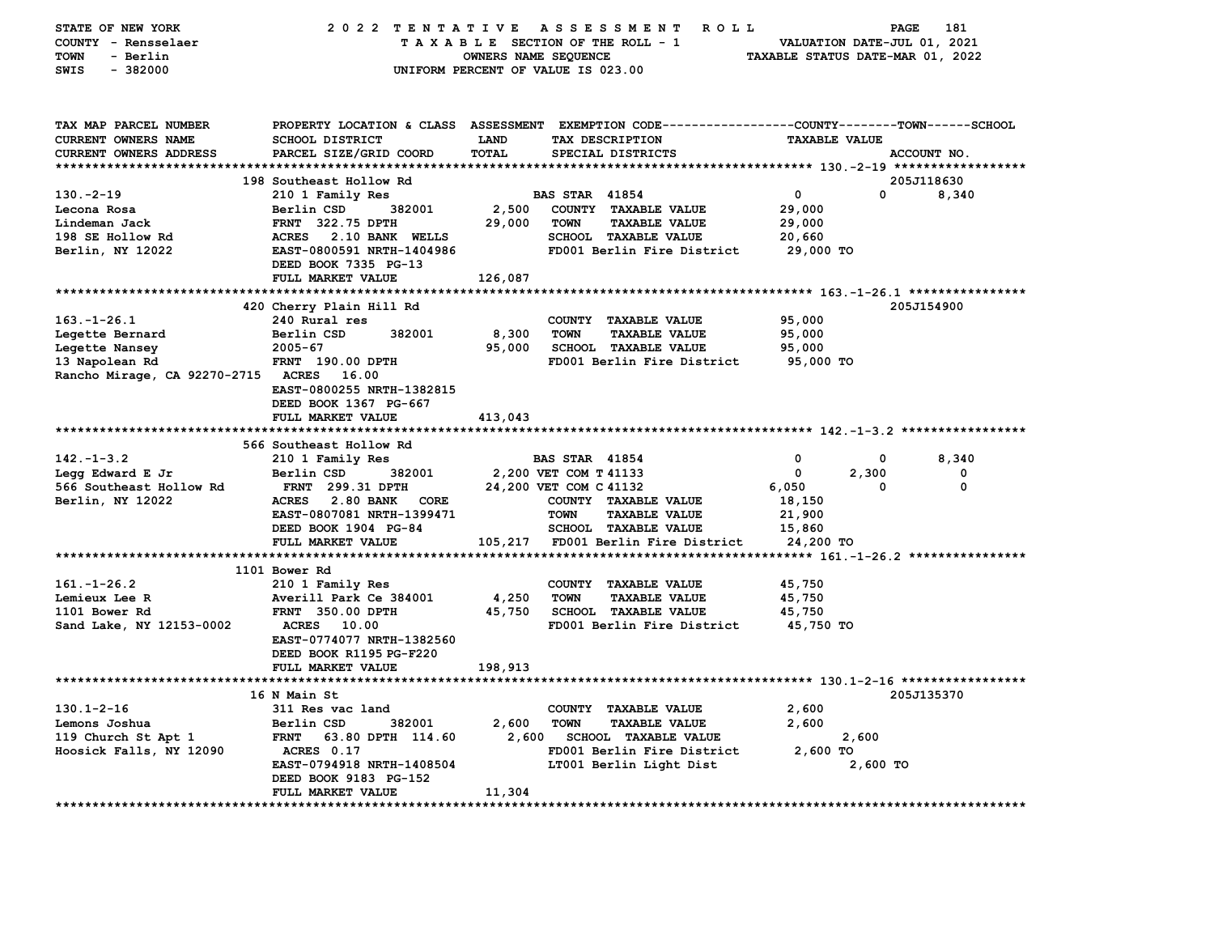| STATE OF NEW YORK<br>COUNTY - Rensselaer<br>TOWN<br>- Berlin<br>SWIS<br>$-382000$ | 2022 TENTATIVE                                    | OWNERS NAME SEQUENCE | <b>ROLL</b><br>A S S E S S M E N T<br>TAXABLE SECTION OF THE ROLL - 1<br>UNIFORM PERCENT OF VALUE IS 023.00                            | TAXABLE STATUS DATE-MAR 01, 2022 | <b>PAGE</b><br>VALUATION DATE-JUL 01, 2021 | 181         |
|-----------------------------------------------------------------------------------|---------------------------------------------------|----------------------|----------------------------------------------------------------------------------------------------------------------------------------|----------------------------------|--------------------------------------------|-------------|
| TAX MAP PARCEL NUMBER<br>CURRENT OWNERS NAME<br>CURRENT OWNERS ADDRESS            | <b>SCHOOL DISTRICT</b><br>PARCEL SIZE/GRID COORD  | <b>LAND</b><br>TOTAL | PROPERTY LOCATION & CLASS ASSESSMENT EXEMPTION CODE---------------COUNTY-------TOWN-----SCHOOL<br>TAX DESCRIPTION<br>SPECIAL DISTRICTS | <b>TAXABLE VALUE</b>             | ACCOUNT NO.                                |             |
|                                                                                   |                                                   |                      |                                                                                                                                        |                                  |                                            |             |
|                                                                                   | 198 Southeast Hollow Rd                           |                      |                                                                                                                                        |                                  | 205J118630                                 |             |
| $130. -2 - 19$<br>Lecona Rosa                                                     | 210 1 Family Res<br>Berlin CSD<br>382001          |                      | <b>BAS STAR 41854</b><br>COUNTY TAXABLE VALUE                                                                                          | 0<br>29,000                      | 0                                          | 8,340       |
| Lindeman Jack                                                                     | <b>FRNT</b> 322.75 DPTH                           | 2,500<br>29,000      | <b>TOWN</b><br><b>TAXABLE VALUE</b>                                                                                                    | 29,000                           |                                            |             |
| 198 SE Hollow Rd                                                                  | ACRES 2.10 BANK WELLS                             |                      | <b>SCHOOL TAXABLE VALUE</b>                                                                                                            | 20,660                           |                                            |             |
| Berlin, NY 12022                                                                  | EAST-0800591 NRTH-1404986                         |                      | FD001 Berlin Fire District                                                                                                             | 29,000 TO                        |                                            |             |
|                                                                                   | DEED BOOK 7335 PG-13                              |                      |                                                                                                                                        |                                  |                                            |             |
|                                                                                   | FULL MARKET VALUE                                 | 126,087              |                                                                                                                                        |                                  |                                            |             |
|                                                                                   |                                                   |                      |                                                                                                                                        |                                  |                                            |             |
|                                                                                   | 420 Cherry Plain Hill Rd                          |                      |                                                                                                                                        |                                  | 205J154900                                 |             |
| $163. - 1 - 26.1$                                                                 | 240 Rural res                                     |                      | COUNTY TAXABLE VALUE                                                                                                                   | 95,000                           |                                            |             |
| Legette Bernard                                                                   | Berlin CSD<br>382001                              | 8,300                | <b>TOWN</b><br><b>TAXABLE VALUE</b>                                                                                                    | 95,000                           |                                            |             |
| Legette Nansey                                                                    | $2005 - 67$<br><b>FRNT</b> 190.00 DPTH            | 95,000               | <b>SCHOOL TAXABLE VALUE</b><br>FD001 Berlin Fire District                                                                              | 95,000                           |                                            |             |
| 13 Napolean Rd<br>Rancho Mirage, CA 92270-2715 ACRES 16.00                        |                                                   |                      |                                                                                                                                        | 95,000 TO                        |                                            |             |
|                                                                                   | EAST-0800255 NRTH-1382815                         |                      |                                                                                                                                        |                                  |                                            |             |
|                                                                                   | DEED BOOK 1367 PG-667                             |                      |                                                                                                                                        |                                  |                                            |             |
|                                                                                   | FULL MARKET VALUE                                 | 413,043              |                                                                                                                                        |                                  |                                            |             |
|                                                                                   |                                                   |                      |                                                                                                                                        |                                  |                                            |             |
|                                                                                   | 566 Southeast Hollow Rd                           |                      |                                                                                                                                        |                                  |                                            |             |
| $142. - 1 - 3.2$                                                                  | 210 1 Family Res                                  |                      | <b>BAS STAR 41854</b>                                                                                                                  | 0                                | 0                                          | 8,340       |
| Legg Edward E Jr                                                                  | Berlin CSD<br>382001                              |                      | 2,200 VET COM T 41133                                                                                                                  | 0                                | 2,300                                      | 0           |
| 566 Southeast Hollow Rd                                                           | <b>FRNT</b> 299.31 DPTH                           |                      | 24,200 VET COM C 41132                                                                                                                 | 6,050                            | $\mathbf{0}$                               | $\mathbf 0$ |
| Berlin, NY 12022                                                                  | ACRES 2.80 BANK CORE<br>EAST-0807081 NRTH-1399471 |                      | COUNTY TAXABLE VALUE<br><b>TOWN</b><br><b>TAXABLE VALUE</b>                                                                            | 18,150<br>21,900                 |                                            |             |
|                                                                                   | DEED BOOK 1904 PG-84                              |                      | SCHOOL TAXABLE VALUE                                                                                                                   | 15,860                           |                                            |             |
|                                                                                   | FULL MARKET VALUE                                 |                      | 105,217 FD001 Berlin Fire District                                                                                                     | 24,200 TO                        |                                            |             |
|                                                                                   |                                                   |                      |                                                                                                                                        |                                  |                                            |             |
|                                                                                   | 1101 Bower Rd                                     |                      |                                                                                                                                        |                                  |                                            |             |
| $161. - 1 - 26.2$                                                                 | 210 1 Family Res                                  |                      | COUNTY TAXABLE VALUE                                                                                                                   | 45,750                           |                                            |             |
| Lemieux Lee R                                                                     | Averill Park Ce 384001                            | 4,250                | <b>TOWN</b><br><b>TAXABLE VALUE</b>                                                                                                    | 45,750                           |                                            |             |
| 1101 Bower Rd                                                                     | FRNT 350.00 DPTH                                  | 45,750               | <b>SCHOOL TAXABLE VALUE</b>                                                                                                            | 45,750                           |                                            |             |
| Sand Lake, NY 12153-0002                                                          | <b>ACRES</b> 10.00                                |                      | FD001 Berlin Fire District                                                                                                             | 45,750 TO                        |                                            |             |
|                                                                                   | EAST-0774077 NRTH-1382560                         |                      |                                                                                                                                        |                                  |                                            |             |
|                                                                                   | DEED BOOK R1195 PG-F220<br>FULL MARKET VALUE      | 198,913              |                                                                                                                                        |                                  |                                            |             |
|                                                                                   |                                                   |                      |                                                                                                                                        |                                  |                                            |             |
|                                                                                   | 16 N Main St                                      |                      |                                                                                                                                        |                                  | 205J135370                                 |             |
| $130.1 - 2 - 16$                                                                  | 311 Res vac land                                  |                      | COUNTY TAXABLE VALUE                                                                                                                   | 2,600                            |                                            |             |
| Lemons Joshua                                                                     | 382001<br>Berlin CSD                              | 2,600                | <b>TOWN</b><br><b>TAXABLE VALUE</b>                                                                                                    | 2,600                            |                                            |             |
| 119 Church St Apt 1                                                               | 63.80 DPTH 114.60<br><b>FRNT</b>                  | 2,600                | <b>SCHOOL TAXABLE VALUE</b>                                                                                                            |                                  | 2,600                                      |             |
| Hoosick Falls, NY 12090                                                           | ACRES 0.17                                        |                      | FD001 Berlin Fire District                                                                                                             | $2,600$ TO                       |                                            |             |
|                                                                                   | EAST-0794918 NRTH-1408504                         |                      | LT001 Berlin Light Dist                                                                                                                |                                  | 2,600 TO                                   |             |
|                                                                                   | DEED BOOK 9183 PG-152                             |                      |                                                                                                                                        |                                  |                                            |             |
|                                                                                   | <b>FULL MARKET VALUE</b>                          | 11,304               |                                                                                                                                        |                                  |                                            |             |
|                                                                                   |                                                   |                      |                                                                                                                                        |                                  |                                            |             |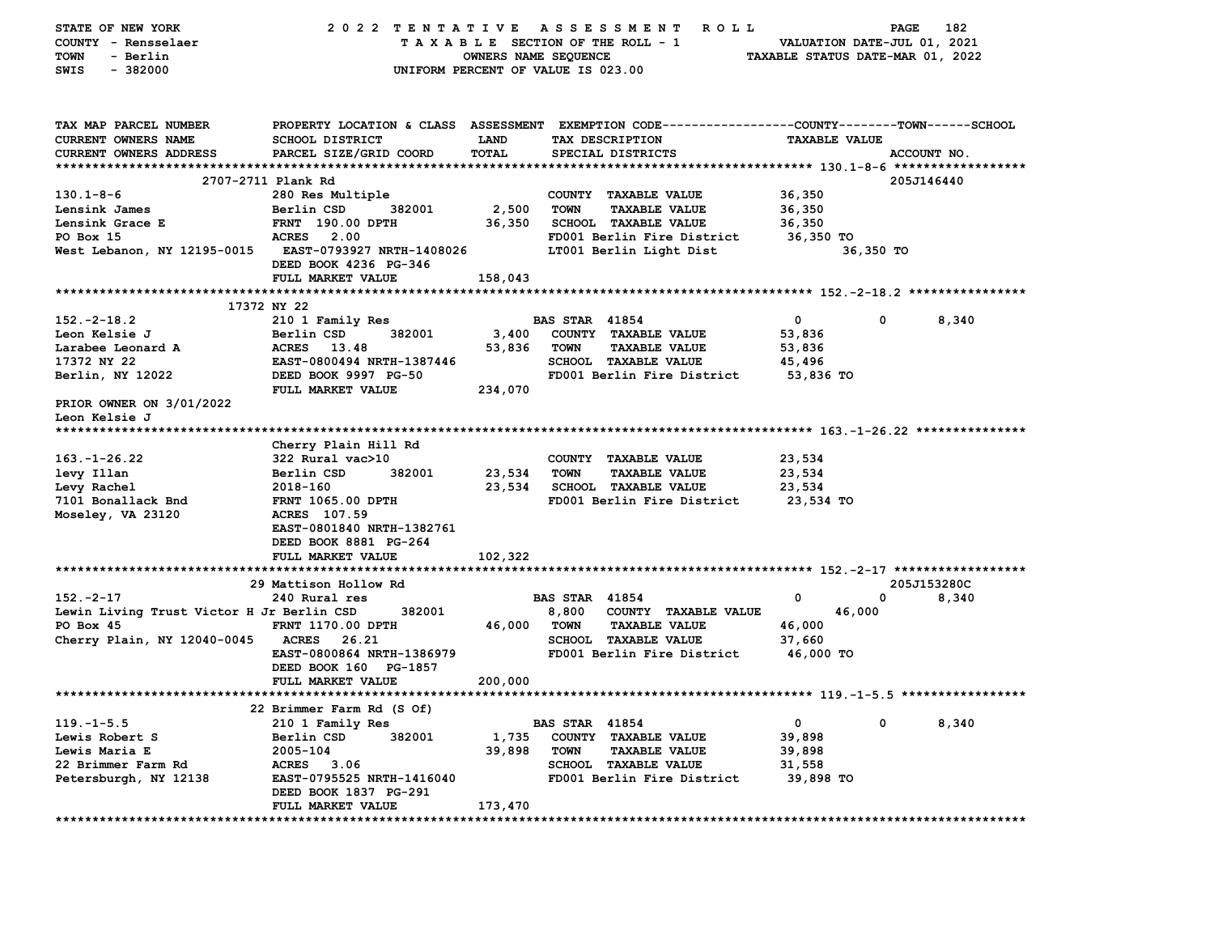| STATE OF NEW YORK                         | 2022 TENTATIVE                                                                                 |                                    |                       | A S S E S S M E N T<br>R O L L  |                                  | PAGE        | 182   |
|-------------------------------------------|------------------------------------------------------------------------------------------------|------------------------------------|-----------------------|---------------------------------|----------------------------------|-------------|-------|
| COUNTY - Rensselaer                       |                                                                                                |                                    |                       | TAXABLE SECTION OF THE ROLL - 1 | VALUATION DATE-JUL 01, 2021      |             |       |
| <b>TOWN</b><br>- Berlin                   |                                                                                                | OWNERS NAME SEQUENCE               |                       |                                 | TAXABLE STATUS DATE-MAR 01, 2022 |             |       |
| $-382000$<br>SWIS                         |                                                                                                | UNIFORM PERCENT OF VALUE IS 023.00 |                       |                                 |                                  |             |       |
|                                           |                                                                                                |                                    |                       |                                 |                                  |             |       |
|                                           |                                                                                                |                                    |                       |                                 |                                  |             |       |
|                                           |                                                                                                |                                    |                       |                                 |                                  |             |       |
| TAX MAP PARCEL NUMBER                     | PROPERTY LOCATION & CLASS ASSESSMENT EXEMPTION CODE---------------COUNTY-------TOWN-----SCHOOL |                                    |                       |                                 |                                  |             |       |
| CURRENT OWNERS NAME                       | <b>SCHOOL DISTRICT</b>                                                                         | LAND                               |                       | TAX DESCRIPTION                 | <b>TAXABLE VALUE</b>             |             |       |
| <b>CURRENT OWNERS ADDRESS</b>             | PARCEL SIZE/GRID COORD                                                                         | TOTAL                              |                       | SPECIAL DISTRICTS               |                                  | ACCOUNT NO. |       |
|                                           |                                                                                                |                                    |                       |                                 |                                  |             |       |
|                                           | 2707-2711 Plank Rd                                                                             |                                    |                       |                                 |                                  | 205J146440  |       |
| $130.1 - 8 - 6$                           | 280 Res Multiple                                                                               |                                    |                       | COUNTY TAXABLE VALUE            | 36,350                           |             |       |
| Lensink James                             | Berlin CSD<br>382001                                                                           | 2,500                              | <b>TOWN</b>           | <b>TAXABLE VALUE</b>            | 36,350                           |             |       |
| Lensink Grace E                           | <b>FRNT</b> 190.00 DPTH                                                                        | 36,350                             |                       | <b>SCHOOL TAXABLE VALUE</b>     | 36,350                           |             |       |
| PO Box 15                                 | <b>ACRES</b><br>2.00                                                                           |                                    |                       | FD001 Berlin Fire District      | 36,350 TO                        |             |       |
|                                           |                                                                                                |                                    |                       |                                 |                                  |             |       |
| West Lebanon, NY 12195-0015               | EAST-0793927 NRTH-1408026                                                                      |                                    |                       | LT001 Berlin Light Dist         |                                  | 36,350 TO   |       |
|                                           | DEED BOOK 4236 PG-346                                                                          |                                    |                       |                                 |                                  |             |       |
|                                           | FULL MARKET VALUE                                                                              | 158,043                            |                       |                                 |                                  |             |       |
| ******************                        |                                                                                                | **********                         |                       |                                 |                                  |             |       |
|                                           | 17372 NY 22                                                                                    |                                    |                       |                                 |                                  |             |       |
| $152. -2 - 18.2$                          | 210 1 Family Res                                                                               |                                    | <b>BAS STAR 41854</b> |                                 | 0                                | 0           | 8,340 |
| Leon Kelsie J                             | Berlin CSD<br>382001                                                                           | 3,400                              |                       | COUNTY TAXABLE VALUE            | 53,836                           |             |       |
| Larabee Leonard A                         | <b>ACRES</b><br>13.48                                                                          | 53,836                             | <b>TOWN</b>           | <b>TAXABLE VALUE</b>            | 53,836                           |             |       |
| 17372 NY 22                               | EAST-0800494 NRTH-1387446                                                                      |                                    |                       | SCHOOL TAXABLE VALUE            | 45,496                           |             |       |
| Berlin, NY 12022                          | DEED BOOK 9997 PG-50                                                                           |                                    |                       | FD001 Berlin Fire District      | 53,836 TO                        |             |       |
|                                           | FULL MARKET VALUE                                                                              | 234,070                            |                       |                                 |                                  |             |       |
| PRIOR OWNER ON 3/01/2022                  |                                                                                                |                                    |                       |                                 |                                  |             |       |
| Leon Kelsie J                             |                                                                                                |                                    |                       |                                 |                                  |             |       |
| *****************                         |                                                                                                |                                    |                       |                                 |                                  |             |       |
|                                           | Cherry Plain Hill Rd                                                                           |                                    |                       |                                 |                                  |             |       |
| $163. - 1 - 26.22$                        | 322 Rural vac>10                                                                               |                                    |                       | COUNTY TAXABLE VALUE            | 23,534                           |             |       |
| levy Illan                                | 382001<br>Berlin CSD                                                                           | 23,534                             | <b>TOWN</b>           | <b>TAXABLE VALUE</b>            | 23,534                           |             |       |
| Levy Rachel                               | 2018-160                                                                                       | 23,534                             |                       | SCHOOL TAXABLE VALUE            | 23,534                           |             |       |
| 7101 Bonallack Bnd                        | FRNT 1065.00 DPTH                                                                              |                                    |                       | FD001 Berlin Fire District      | 23,534 TO                        |             |       |
|                                           | ACRES 107.59                                                                                   |                                    |                       |                                 |                                  |             |       |
| Moseley, VA 23120                         |                                                                                                |                                    |                       |                                 |                                  |             |       |
|                                           | EAST-0801840 NRTH-1382761                                                                      |                                    |                       |                                 |                                  |             |       |
|                                           | DEED BOOK 8881 PG-264                                                                          |                                    |                       |                                 |                                  |             |       |
|                                           | FULL MARKET VALUE                                                                              | 102,322                            |                       |                                 |                                  |             |       |
| *****************************             | *******************                                                                            |                                    |                       |                                 |                                  |             |       |
|                                           | 29 Mattison Hollow Rd                                                                          |                                    |                       |                                 |                                  | 205J153280C |       |
| $152 - 2 - 17$                            | 240 Rural res                                                                                  |                                    | <b>BAS STAR 41854</b> |                                 | 0                                | 0           | 8,340 |
| Lewin Living Trust Victor H Jr Berlin CSD | 382001                                                                                         |                                    | 8,800                 | COUNTY TAXABLE VALUE            | 46,000                           |             |       |
| PO Box 45                                 | <b>FRNT 1170.00 DPTH</b>                                                                       | 46,000                             | TOWN                  | <b>TAXABLE VALUE</b>            | 46,000                           |             |       |
| Cherry Plain, NY 12040-0045               | <b>ACRES</b><br>26.21                                                                          |                                    |                       | <b>SCHOOL TAXABLE VALUE</b>     | 37,660                           |             |       |
|                                           | EAST-0800864 NRTH-1386979                                                                      |                                    |                       | FD001 Berlin Fire District      | 46,000 TO                        |             |       |
|                                           | DEED BOOK 160 PG-1857                                                                          |                                    |                       |                                 |                                  |             |       |
|                                           | <b>FULL MARKET VALUE</b>                                                                       | 200,000                            |                       |                                 |                                  |             |       |
|                                           |                                                                                                |                                    |                       |                                 |                                  |             |       |
|                                           | 22 Brimmer Farm Rd (S Of)                                                                      |                                    |                       |                                 |                                  |             |       |
| $119. - 1 - 5.5$                          | 210 1 Family Res                                                                               |                                    | <b>BAS STAR 41854</b> |                                 | 0                                | 0           | 8,340 |
| Lewis Robert S                            | Berlin CSD<br>382001                                                                           | 1,735                              |                       | COUNTY TAXABLE VALUE            | 39,898                           |             |       |
| Lewis Maria E                             | 2005-104                                                                                       | 39,898                             | <b>TOWN</b>           |                                 |                                  |             |       |
|                                           |                                                                                                |                                    |                       | <b>TAXABLE VALUE</b>            | 39,898                           |             |       |
| 22 Brimmer Farm Rd                        | ACRES 3.06                                                                                     |                                    |                       | SCHOOL TAXABLE VALUE            | 31,558                           |             |       |
| Petersburgh, NY 12138                     | EAST-0795525 NRTH-1416040                                                                      |                                    |                       | FD001 Berlin Fire District      | 39,898 TO                        |             |       |
|                                           | DEED BOOK 1837 PG-291                                                                          |                                    |                       |                                 |                                  |             |       |
| **********************                    | FULL MARKET VALUE                                                                              | 173,470                            |                       |                                 |                                  |             |       |
|                                           | ********************************                                                               |                                    |                       |                                 |                                  |             |       |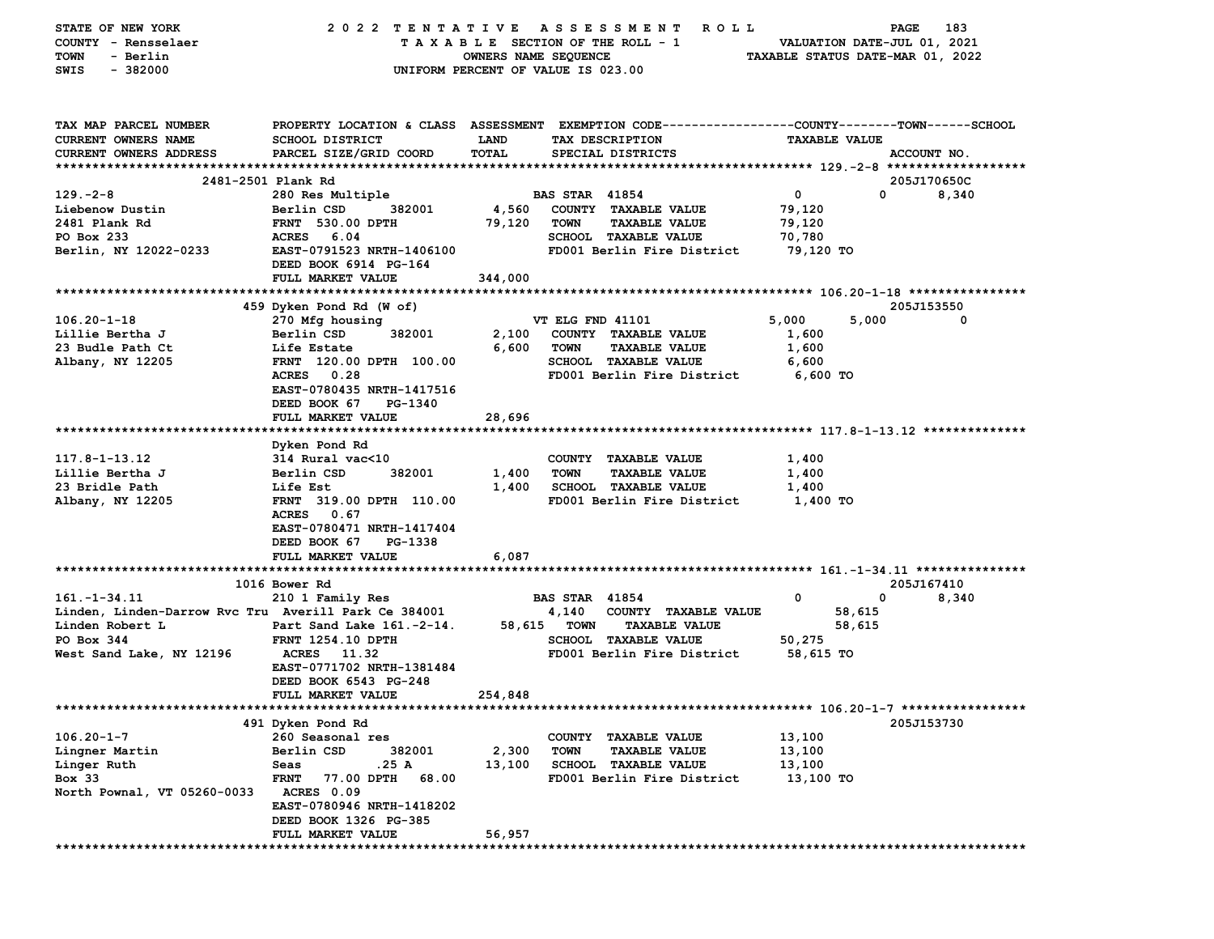| STATE OF NEW YORK<br>COUNTY - Rensselaer             | 2022 TENTATIVE                                                                                 | TAXABLE SECTION OF THE ROLL - 1    |                       | ASSESSMENT<br><b>ROLL</b>                           |                                  | PAGE         | 183<br>VALUATION DATE-JUL 01, 2021 |
|------------------------------------------------------|------------------------------------------------------------------------------------------------|------------------------------------|-----------------------|-----------------------------------------------------|----------------------------------|--------------|------------------------------------|
| - Berlin<br>TOWN                                     |                                                                                                | OWNERS NAME SEQUENCE               |                       |                                                     | TAXABLE STATUS DATE-MAR 01, 2022 |              |                                    |
| $-382000$<br>SWIS                                    |                                                                                                | UNIFORM PERCENT OF VALUE IS 023.00 |                       |                                                     |                                  |              |                                    |
|                                                      |                                                                                                |                                    |                       |                                                     |                                  |              |                                    |
| TAX MAP PARCEL NUMBER                                | PROPERTY LOCATION & CLASS ASSESSMENT EXEMPTION CODE---------------COUNTY-------TOWN-----SCHOOL |                                    |                       |                                                     |                                  |              |                                    |
| CURRENT OWNERS NAME                                  | SCHOOL DISTRICT                                                                                | <b>LAND</b>                        |                       | TAX DESCRIPTION                                     | <b>TAXABLE VALUE</b>             |              |                                    |
| <b>CURRENT OWNERS ADDRESS</b>                        | PARCEL SIZE/GRID COORD                                                                         | TOTAL                              |                       | SPECIAL DISTRICTS                                   |                                  |              | ACCOUNT NO.                        |
|                                                      |                                                                                                |                                    |                       |                                                     |                                  |              |                                    |
|                                                      | 2481-2501 Plank Rd                                                                             |                                    |                       |                                                     |                                  |              | 205J170650C                        |
| $129. -2 - 8$                                        | 280 Res Multiple                                                                               |                                    | <b>BAS STAR 41854</b> |                                                     | 0                                | $\mathbf{0}$ | 8,340                              |
| Liebenow Dustin                                      | Berlin CSD<br>382001                                                                           | 4,560                              |                       | COUNTY TAXABLE VALUE                                | 79,120                           |              |                                    |
| 2481 Plank Rd                                        | <b>FRNT</b> 530.00 DPTH                                                                        | 79,120                             | TOWN                  | <b>TAXABLE VALUE</b>                                | 79,120                           |              |                                    |
| PO Box 233                                           | ACRES 6.04                                                                                     |                                    |                       | <b>SCHOOL TAXABLE VALUE</b>                         | 70,780                           |              |                                    |
| Berlin, NY 12022-0233                                | EAST-0791523 NRTH-1406100                                                                      |                                    |                       | FD001 Berlin Fire District                          | 79,120 TO                        |              |                                    |
|                                                      | DEED BOOK 6914 PG-164                                                                          |                                    |                       |                                                     |                                  |              |                                    |
|                                                      | FULL MARKET VALUE                                                                              | 344,000                            |                       |                                                     |                                  |              |                                    |
|                                                      |                                                                                                |                                    |                       |                                                     |                                  |              |                                    |
|                                                      | 459 Dyken Pond Rd (W of)                                                                       |                                    |                       |                                                     |                                  |              | 205J153550                         |
| $106.20 - 1 - 18$                                    | 270 Mfg housing                                                                                |                                    | VT ELG FND 41101      |                                                     | 5,000                            | 5,000        | 0                                  |
| Lillie Bertha J                                      | 382001<br>Berlin CSD                                                                           | 2,100                              |                       | COUNTY TAXABLE VALUE                                | 1,600                            |              |                                    |
| 23 Budle Path Ct                                     | Life Estate                                                                                    | 6,600                              | <b>TOWN</b>           | <b>TAXABLE VALUE</b><br><b>SCHOOL TAXABLE VALUE</b> | 1,600                            |              |                                    |
| Albany, NY 12205                                     | FRNT 120.00 DPTH 100.00<br>ACRES 0.28                                                          |                                    |                       | FD001 Berlin Fire District                          | 6,600<br>6,600 TO                |              |                                    |
|                                                      | EAST-0780435 NRTH-1417516                                                                      |                                    |                       |                                                     |                                  |              |                                    |
|                                                      | DEED BOOK 67<br>PG-1340                                                                        |                                    |                       |                                                     |                                  |              |                                    |
|                                                      | FULL MARKET VALUE                                                                              | 28,696                             |                       |                                                     |                                  |              |                                    |
|                                                      |                                                                                                |                                    |                       |                                                     |                                  |              |                                    |
|                                                      | Dyken Pond Rd                                                                                  |                                    |                       |                                                     |                                  |              |                                    |
| 117.8-1-13.12                                        | 314 Rural vac<10                                                                               |                                    |                       | COUNTY TAXABLE VALUE                                | 1,400                            |              |                                    |
| Lillie Bertha J                                      | 382001<br>Berlin CSD                                                                           | 1,400                              | <b>TOWN</b>           | <b>TAXABLE VALUE</b>                                | 1,400                            |              |                                    |
| 23 Bridle Path                                       | Life Est                                                                                       | 1,400                              |                       | SCHOOL TAXABLE VALUE                                | 1,400                            |              |                                    |
| Albany, NY 12205                                     | FRNT 319.00 DPTH 110.00                                                                        |                                    |                       | FD001 Berlin Fire District                          | 1,400 TO                         |              |                                    |
|                                                      | ACRES 0.67                                                                                     |                                    |                       |                                                     |                                  |              |                                    |
|                                                      | EAST-0780471 NRTH-1417404                                                                      |                                    |                       |                                                     |                                  |              |                                    |
|                                                      | DEED BOOK 67<br>PG-1338                                                                        |                                    |                       |                                                     |                                  |              |                                    |
|                                                      | FULL MARKET VALUE                                                                              | 6,087                              |                       |                                                     |                                  |              |                                    |
|                                                      |                                                                                                |                                    |                       |                                                     |                                  |              |                                    |
|                                                      | 1016 Bower Rd                                                                                  |                                    |                       |                                                     |                                  |              | 205J167410                         |
| $161. - 1 - 34.11$                                   | 210 1 Family Res                                                                               |                                    | <b>BAS STAR 41854</b> |                                                     | 0                                | 0            | 8,340                              |
| Linden, Linden-Darrow Rvc Tru Averill Park Ce 384001 |                                                                                                |                                    | 4,140                 | COUNTY TAXABLE VALUE                                |                                  | 58,615       |                                    |
| Linden Robert L                                      | Part Sand Lake 161.-2-14.                                                                      | 58,615                             | TOWN                  | <b>TAXABLE VALUE</b>                                |                                  | 58,615       |                                    |
| PO Box 344                                           | <b>FRNT 1254.10 DPTH</b>                                                                       |                                    |                       | <b>SCHOOL TAXABLE VALUE</b>                         | 50,275                           |              |                                    |
| West Sand Lake, NY 12196                             | <b>ACRES</b><br>11.32                                                                          |                                    |                       | FD001 Berlin Fire District                          | 58,615 TO                        |              |                                    |
|                                                      | EAST-0771702 NRTH-1381484                                                                      |                                    |                       |                                                     |                                  |              |                                    |
|                                                      | DEED BOOK 6543 PG-248                                                                          |                                    |                       |                                                     |                                  |              |                                    |
|                                                      | FULL MARKET VALUE                                                                              | 254,848                            |                       |                                                     |                                  |              |                                    |
|                                                      | 491 Dyken Pond Rd                                                                              |                                    |                       |                                                     |                                  |              | 205J153730                         |
| $106.20 - 1 - 7$                                     | 260 Seasonal res                                                                               |                                    | <b>COUNTY</b>         | <b>TAXABLE VALUE</b>                                | 13,100                           |              |                                    |
| Lingner Martin                                       | Berlin CSD<br>382001                                                                           | 2,300                              | <b>TOWN</b>           | <b>TAXABLE VALUE</b>                                | 13,100                           |              |                                    |
| Linger Ruth                                          | .25 A<br>Seas                                                                                  | 13,100                             |                       | SCHOOL TAXABLE VALUE                                | 13,100                           |              |                                    |
| Box 33                                               | <b>FRNT</b><br>77.00 DPTH<br>68.00                                                             |                                    |                       | FD001 Berlin Fire District                          | 13,100 TO                        |              |                                    |
| North Pownal, VT 05260-0033                          | ACRES 0.09                                                                                     |                                    |                       |                                                     |                                  |              |                                    |
|                                                      | EAST-0780946 NRTH-1418202                                                                      |                                    |                       |                                                     |                                  |              |                                    |
|                                                      | DEED BOOK 1326 PG-385                                                                          |                                    |                       |                                                     |                                  |              |                                    |
|                                                      | FULL MARKET VALUE                                                                              | 56,957                             |                       |                                                     |                                  |              |                                    |
|                                                      |                                                                                                |                                    |                       |                                                     |                                  |              |                                    |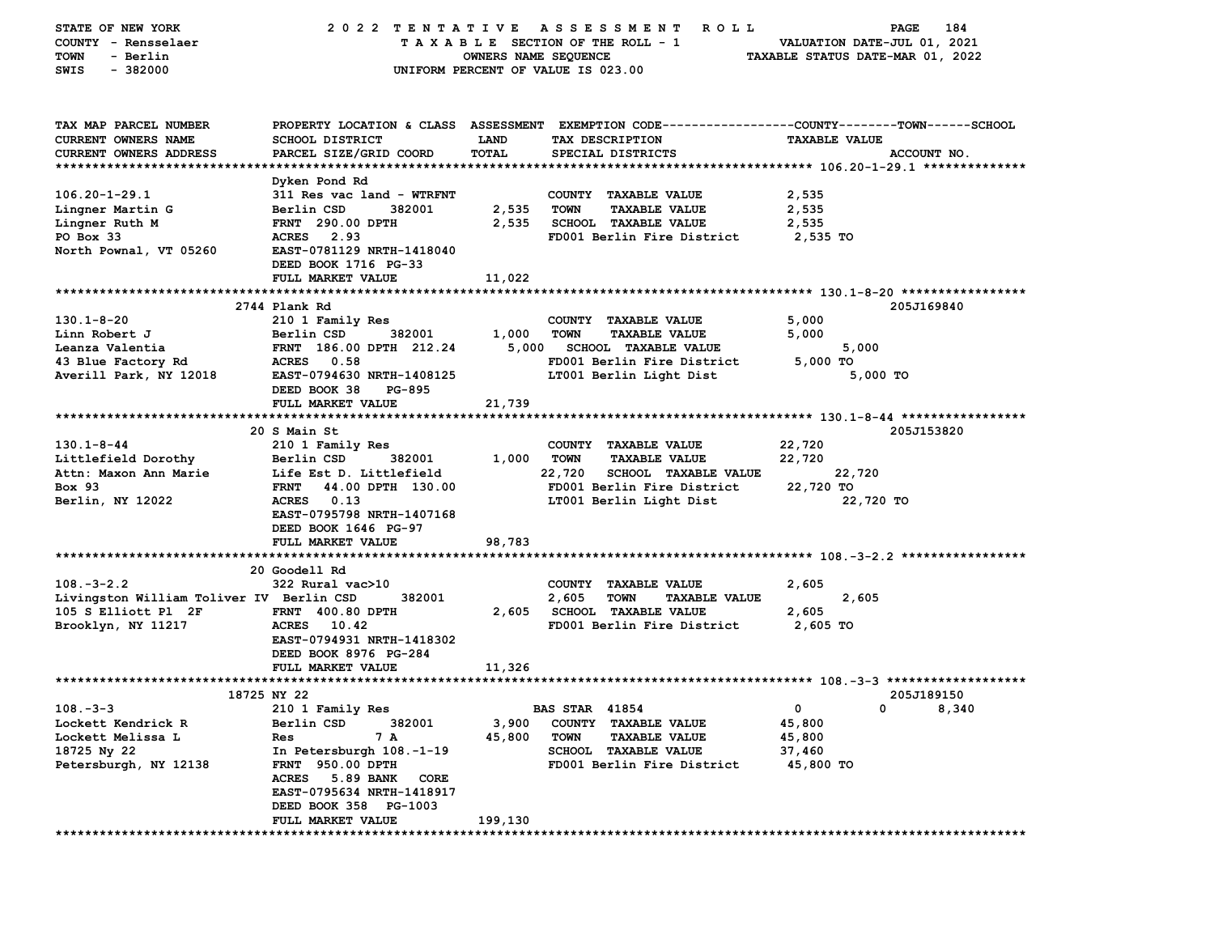| STATE OF NEW YORK                        | 2022 TENTATIVE                   |                      | A S S E S S M E N T<br><b>ROLL</b>                                                             |                                  | 184<br>PAGE  |
|------------------------------------------|----------------------------------|----------------------|------------------------------------------------------------------------------------------------|----------------------------------|--------------|
| COUNTY - Rensselaer                      |                                  |                      | TAXABLE SECTION OF THE ROLL - 1                                                                | VALUATION DATE-JUL 01, 2021      |              |
| - Berlin<br>TOWN                         |                                  | OWNERS NAME SEQUENCE |                                                                                                | TAXABLE STATUS DATE-MAR 01, 2022 |              |
| SWIS<br>$-382000$                        |                                  |                      | UNIFORM PERCENT OF VALUE IS 023.00                                                             |                                  |              |
|                                          |                                  |                      |                                                                                                |                                  |              |
|                                          |                                  |                      |                                                                                                |                                  |              |
|                                          |                                  |                      |                                                                                                |                                  |              |
| TAX MAP PARCEL NUMBER                    |                                  |                      | PROPERTY LOCATION & CLASS ASSESSMENT EXEMPTION CODE---------------COUNTY-------TOWN-----SCHOOL |                                  |              |
| CURRENT OWNERS NAME                      | <b>SCHOOL DISTRICT</b>           | LAND                 | TAX DESCRIPTION                                                                                | <b>TAXABLE VALUE</b>             |              |
| <b>CURRENT OWNERS ADDRESS</b>            | PARCEL SIZE/GRID COORD           | TOTAL                | SPECIAL DISTRICTS                                                                              |                                  | ACCOUNT NO.  |
|                                          |                                  |                      |                                                                                                |                                  |              |
|                                          | Dyken Pond Rd                    |                      |                                                                                                |                                  |              |
| $106.20 - 1 - 29.1$                      |                                  |                      | COUNTY TAXABLE VALUE                                                                           | 2,535                            |              |
|                                          | 311 Res vac land - WTRFNT        |                      |                                                                                                |                                  |              |
| Lingner Martin G                         | Berlin CSD<br>382001             | 2,535                | <b>TOWN</b><br><b>TAXABLE VALUE</b>                                                            | 2,535                            |              |
| Lingner Ruth M                           | <b>FRNT</b> 290.00 DPTH          | 2,535                | <b>SCHOOL TAXABLE VALUE</b>                                                                    | 2,535                            |              |
| PO Box 33                                | 2.93<br><b>ACRES</b>             |                      | FD001 Berlin Fire District                                                                     | 2,535 TO                         |              |
| North Pownal, VT 05260                   | EAST-0781129 NRTH-1418040        |                      |                                                                                                |                                  |              |
|                                          | DEED BOOK 1716 PG-33             |                      |                                                                                                |                                  |              |
|                                          | FULL MARKET VALUE                | 11,022               |                                                                                                |                                  |              |
|                                          |                                  |                      |                                                                                                |                                  |              |
|                                          | 2744 Plank Rd                    |                      |                                                                                                |                                  | 205J169840   |
| $130.1 - 8 - 20$                         | 210 1 Family Res                 |                      | COUNTY TAXABLE VALUE                                                                           | 5,000                            |              |
| Linn Robert J                            | 382001<br>Berlin CSD             | 1,000                | <b>TOWN</b><br><b>TAXABLE VALUE</b>                                                            | 5,000                            |              |
| Leanza Valentia                          | FRNT 186.00 DPTH 212.24          | 5,000                | <b>SCHOOL TAXABLE VALUE</b>                                                                    | 5,000                            |              |
| 43 Blue Factory Rd                       | ACRES 0.58                       |                      | FD001 Berlin Fire District                                                                     | 5,000 TO                         |              |
| Averill Park, NY 12018                   | EAST-0794630 NRTH-1408125        |                      | LT001 Berlin Light Dist                                                                        | 5,000 TO                         |              |
|                                          | DEED BOOK 38<br>PG-895           |                      |                                                                                                |                                  |              |
|                                          |                                  |                      |                                                                                                |                                  |              |
|                                          | FULL MARKET VALUE                | 21,739               |                                                                                                |                                  |              |
|                                          |                                  |                      |                                                                                                |                                  |              |
|                                          | 20 S Main St                     |                      |                                                                                                |                                  | 205J153820   |
| $130.1 - 8 - 44$                         | 210 1 Family Res                 |                      | COUNTY TAXABLE VALUE                                                                           | 22,720                           |              |
| Littlefield Dorothy                      | Berlin CSD<br>382001             | 1,000                | <b>TOWN</b><br><b>TAXABLE VALUE</b>                                                            | 22,720                           |              |
| Attn: Maxon Ann Marie                    | Life Est D. Littlefield          |                      | 22,720<br><b>SCHOOL TAXABLE VALUE</b>                                                          | 22,720                           |              |
| <b>Box 93</b>                            | <b>FRNT</b><br>44.00 DPTH 130.00 |                      | FD001 Berlin Fire District                                                                     | 22,720 TO                        |              |
| Berlin, NY 12022                         | ACRES 0.13                       |                      | LT001 Berlin Light Dist                                                                        | 22,720 TO                        |              |
|                                          | EAST-0795798 NRTH-1407168        |                      |                                                                                                |                                  |              |
|                                          | DEED BOOK 1646 PG-97             |                      |                                                                                                |                                  |              |
|                                          | FULL MARKET VALUE                | 98,783               |                                                                                                |                                  |              |
|                                          |                                  |                      |                                                                                                |                                  |              |
|                                          | 20 Goodell Rd                    |                      |                                                                                                |                                  |              |
| $108. - 3 - 2.2$                         | 322 Rural vac>10                 |                      | COUNTY TAXABLE VALUE                                                                           | 2,605                            |              |
| Livingston William Toliver IV Berlin CSD | 382001                           |                      | 2,605<br><b>TOWN</b><br><b>TAXABLE VALUE</b>                                                   | 2,605                            |              |
| 105 S Elliott Pl 2F                      | FRNT 400.80 DPTH                 |                      | 2,605 SCHOOL TAXABLE VALUE                                                                     | 2,605                            |              |
| Brooklyn, NY 11217                       | ACRES 10.42                      |                      | FD001 Berlin Fire District                                                                     | 2,605 TO                         |              |
|                                          | EAST-0794931 NRTH-1418302        |                      |                                                                                                |                                  |              |
|                                          |                                  |                      |                                                                                                |                                  |              |
|                                          | DEED BOOK 8976 PG-284            |                      |                                                                                                |                                  |              |
|                                          | <b>FULL MARKET VALUE</b>         | 11,326               |                                                                                                |                                  |              |
|                                          |                                  |                      |                                                                                                |                                  |              |
|                                          | 18725 NY 22                      |                      |                                                                                                |                                  | 205J189150   |
| $108. - 3 - 3$                           | 210 1 Family Res                 |                      | <b>BAS STAR 41854</b>                                                                          |                                  | $0 \t 8,340$ |
| Lockett Kendrick R                       | Berlin CSD<br>382001             | 3,900                | COUNTY TAXABLE VALUE                                                                           | 45,800                           |              |
| Lockett Melissa L                        | 7 A<br>Res                       | 45,800               | <b>TOWN</b><br><b>TAXABLE VALUE</b>                                                            | 45,800                           |              |
| 18725 Ny 22                              | In Petersburgh 108.-1-19         |                      | SCHOOL TAXABLE VALUE                                                                           | 37,460                           |              |
| Petersburgh, NY 12138                    | <b>FRNT 950.00 DPTH</b>          |                      | FD001 Berlin Fire District                                                                     | 45,800 TO                        |              |
|                                          | ACRES 5.89 BANK<br>CORE          |                      |                                                                                                |                                  |              |
|                                          | EAST-0795634 NRTH-1418917        |                      |                                                                                                |                                  |              |
|                                          | DEED BOOK 358 PG-1003            |                      |                                                                                                |                                  |              |
|                                          | FULL MARKET VALUE                | 199,130              |                                                                                                |                                  |              |
|                                          |                                  |                      |                                                                                                |                                  |              |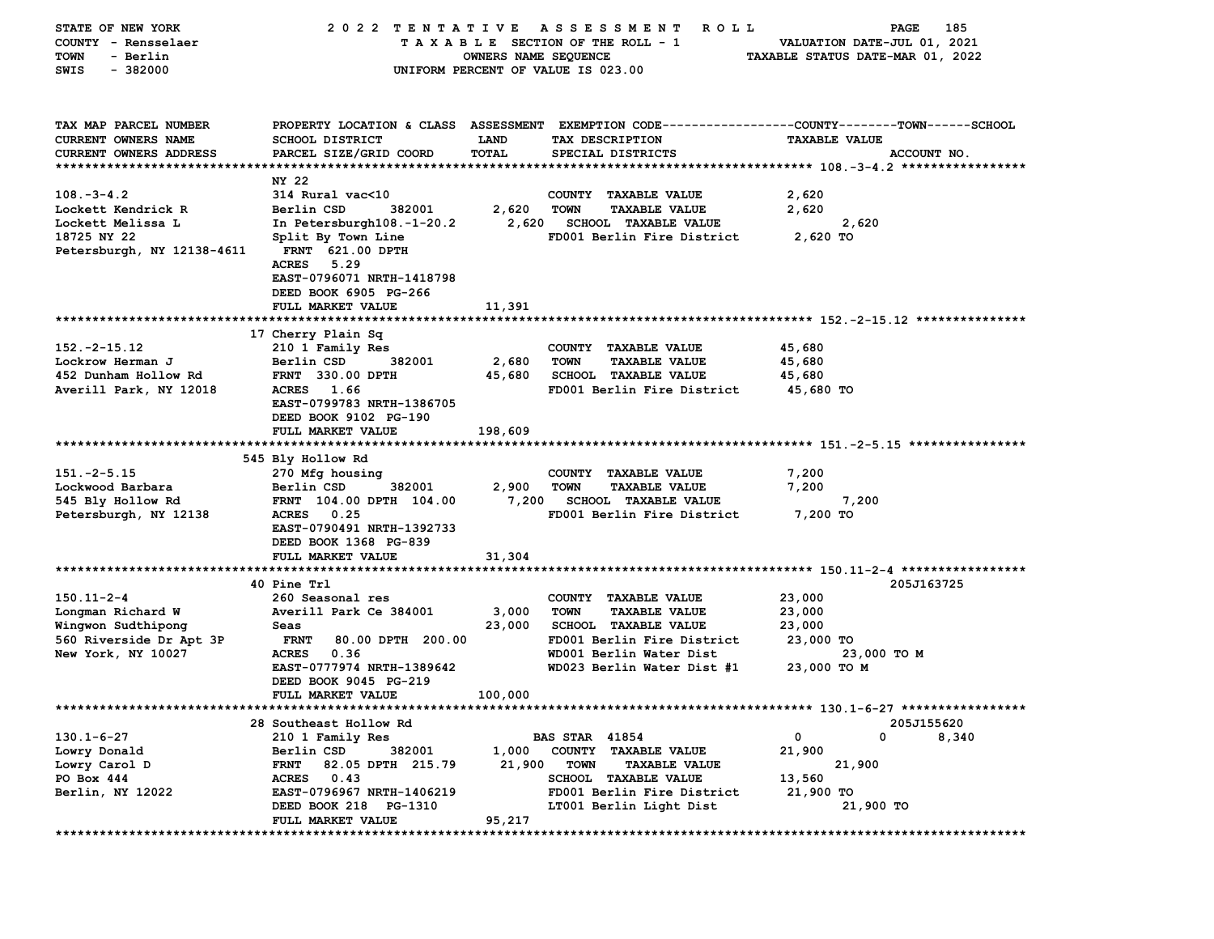| STATE OF NEW YORK           | 2022 TENTATIVE                           |                      | A S S E S S M E N T<br><b>ROLL</b>                                                               | PAGE                                                         | 185         |
|-----------------------------|------------------------------------------|----------------------|--------------------------------------------------------------------------------------------------|--------------------------------------------------------------|-------------|
| COUNTY - Rensselaer         |                                          |                      | TAXABLE SECTION OF THE ROLL - 1                                                                  | VALUATION DATE-JUL 01, 2021                                  |             |
| <b>TOWN</b><br>- Berlin     |                                          | OWNERS NAME SEQUENCE |                                                                                                  | TAXABLE STATUS DATE-MAR 01, 2022                             |             |
| $-382000$<br>SWIS           |                                          |                      | UNIFORM PERCENT OF VALUE IS 023.00                                                               |                                                              |             |
|                             |                                          |                      |                                                                                                  |                                                              |             |
|                             |                                          |                      |                                                                                                  |                                                              |             |
| TAX MAP PARCEL NUMBER       |                                          |                      | PROPERTY LOCATION & CLASS ASSESSMENT EXEMPTION CODE----------------COUNTY-------TOWN------SCHOOL |                                                              |             |
| <b>CURRENT OWNERS NAME</b>  | SCHOOL DISTRICT                          | LAND                 | TAX DESCRIPTION                                                                                  | <b>TAXABLE VALUE</b>                                         |             |
| CURRENT OWNERS ADDRESS      | PARCEL SIZE/GRID COORD                   | TOTAL                | SPECIAL DISTRICTS                                                                                |                                                              | ACCOUNT NO. |
|                             |                                          |                      |                                                                                                  |                                                              |             |
|                             | NY 22                                    |                      |                                                                                                  |                                                              |             |
| $108. - 3 - 4.2$            | 314 Rural vac<10                         |                      | COUNTY TAXABLE VALUE                                                                             | 2,620                                                        |             |
| Lockett Kendrick R          | Berlin CSD<br>382001                     | 2,620                | <b>TOWN</b><br><b>TAXABLE VALUE</b>                                                              | 2,620                                                        |             |
| Lockett Melissa L           | In Petersburgh108.-1-20.2                |                      | 2,620 SCHOOL TAXABLE VALUE                                                                       | 2,620                                                        |             |
| 18725 NY 22                 | Split By Town Line                       |                      | FD001 Berlin Fire District                                                                       | 2,620 TO                                                     |             |
| Petersburgh, NY 12138-4611  | <b>FRNT 621.00 DPTH</b>                  |                      |                                                                                                  |                                                              |             |
|                             | <b>ACRES</b><br>5.29                     |                      |                                                                                                  |                                                              |             |
|                             | EAST-0796071 NRTH-1418798                |                      |                                                                                                  |                                                              |             |
|                             |                                          |                      |                                                                                                  |                                                              |             |
|                             | DEED BOOK 6905 PG-266                    |                      |                                                                                                  |                                                              |             |
|                             | FULL MARKET VALUE                        | 11,391               |                                                                                                  |                                                              |             |
|                             |                                          |                      |                                                                                                  |                                                              |             |
| $152. - 2 - 15.12$          | 17 Cherry Plain Sq                       |                      | COUNTY TAXABLE VALUE                                                                             |                                                              |             |
|                             | 210 1 Family Res                         |                      |                                                                                                  | 45,680                                                       |             |
| Lockrow Herman J            | Berlin CSD<br>382001<br>FRNT 330.00 DPTH | 2,680                | <b>TOWN</b><br><b>TAXABLE VALUE</b><br>SCHOOL TAXABLE VALUE                                      | 45,680                                                       |             |
| 452 Dunham Hollow Rd        | ACRES 1.66                               | 45,680               |                                                                                                  | 45,680                                                       |             |
| Averill Park, NY 12018      |                                          |                      | FD001 Berlin Fire District                                                                       | 45,680 TO                                                    |             |
|                             | EAST-0799783 NRTH-1386705                |                      |                                                                                                  |                                                              |             |
|                             | DEED BOOK 9102 PG-190                    |                      |                                                                                                  |                                                              |             |
|                             | FULL MARKET VALUE                        | 198,609              |                                                                                                  |                                                              |             |
|                             | 545 Bly Hollow Rd                        |                      |                                                                                                  |                                                              |             |
| $151. -2 - 5.15$            |                                          |                      |                                                                                                  |                                                              |             |
|                             | 270 Mfg housing                          |                      | COUNTY TAXABLE VALUE                                                                             | 7,200                                                        |             |
| Lockwood Barbara            | Berlin CSD<br>382001                     | 2,900                | <b>TOWN</b><br><b>TAXABLE VALUE</b>                                                              | 7,200                                                        |             |
| 545 Bly Hollow Rd           | FRNT 104.00 DPTH 104.00                  | 7,200                | <b>SCHOOL TAXABLE VALUE</b>                                                                      | 7,200                                                        |             |
| Petersburgh, NY 12138       | <b>ACRES</b><br>0.25                     |                      | FD001 Berlin Fire District                                                                       | 7,200 TO                                                     |             |
|                             | EAST-0790491 NRTH-1392733                |                      |                                                                                                  |                                                              |             |
|                             | DEED BOOK 1368 PG-839                    |                      |                                                                                                  |                                                              |             |
|                             | FULL MARKET VALUE                        | 31,304               |                                                                                                  |                                                              |             |
|                             |                                          |                      |                                                                                                  |                                                              |             |
|                             | 40 Pine Trl                              |                      |                                                                                                  |                                                              | 205J163725  |
| $150.11 - 2 - 4$            | 260 Seasonal res                         |                      | COUNTY TAXABLE VALUE                                                                             | 23,000                                                       |             |
| Longman Richard W           | Averill Park Ce 384001                   | 3,000                | <b>TOWN</b><br><b>TAXABLE VALUE</b>                                                              | 23,000                                                       |             |
| Wingwon Sudthipong          | Seas                                     | 23,000               | <b>SCHOOL TAXABLE VALUE</b>                                                                      | 23,000                                                       |             |
| 560 Riverside Dr Apt 3P     | <b>FRNT</b><br>80.00 DPTH 200.00         |                      | FD001 Berlin Fire District                                                                       | 23,000 TO                                                    |             |
| New York, NY 10027          | <b>ACRES</b><br>0.36                     |                      | WD001 Berlin Water Dist                                                                          | 23,000 то м                                                  |             |
|                             | EAST-0777974 NRTH-1389642                |                      | WD023 Berlin Water Dist #1                                                                       | 23,000 TO M                                                  |             |
|                             | DEED BOOK 9045 PG-219                    |                      |                                                                                                  |                                                              |             |
|                             | FULL MARKET VALUE                        | 100,000              |                                                                                                  |                                                              |             |
| *************************** |                                          |                      |                                                                                                  | ******************************* 130.1–6–27 ***************** |             |
|                             | 28 Southeast Hollow Rd                   |                      |                                                                                                  |                                                              | 205J155620  |
| $130.1 - 6 - 27$            | 210 1 Family Res                         |                      | <b>BAS STAR 41854</b>                                                                            | 0<br>0                                                       | 8,340       |
| Lowry Donald                | 382001<br>Berlin CSD                     | 1,000                | <b>COUNTY</b><br><b>TAXABLE VALUE</b>                                                            | 21,900                                                       |             |
| Lowry Carol D               | 82.05 DPTH 215.79<br><b>FRNT</b>         | 21,900               | <b>TOWN</b><br><b>TAXABLE VALUE</b>                                                              | 21,900                                                       |             |
| PO Box 444                  | <b>ACRES</b><br>0.43                     |                      | <b>SCHOOL TAXABLE VALUE</b>                                                                      | 13,560                                                       |             |
| Berlin, NY 12022            | EAST-0796967 NRTH-1406219                |                      | FD001 Berlin Fire District                                                                       | 21,900 TO                                                    |             |
|                             | DEED BOOK 218 PG-1310                    |                      | LT001 Berlin Light Dist                                                                          | 21,900 TO                                                    |             |
|                             | FULL MARKET VALUE                        | 95,217               |                                                                                                  |                                                              |             |
|                             |                                          |                      |                                                                                                  |                                                              |             |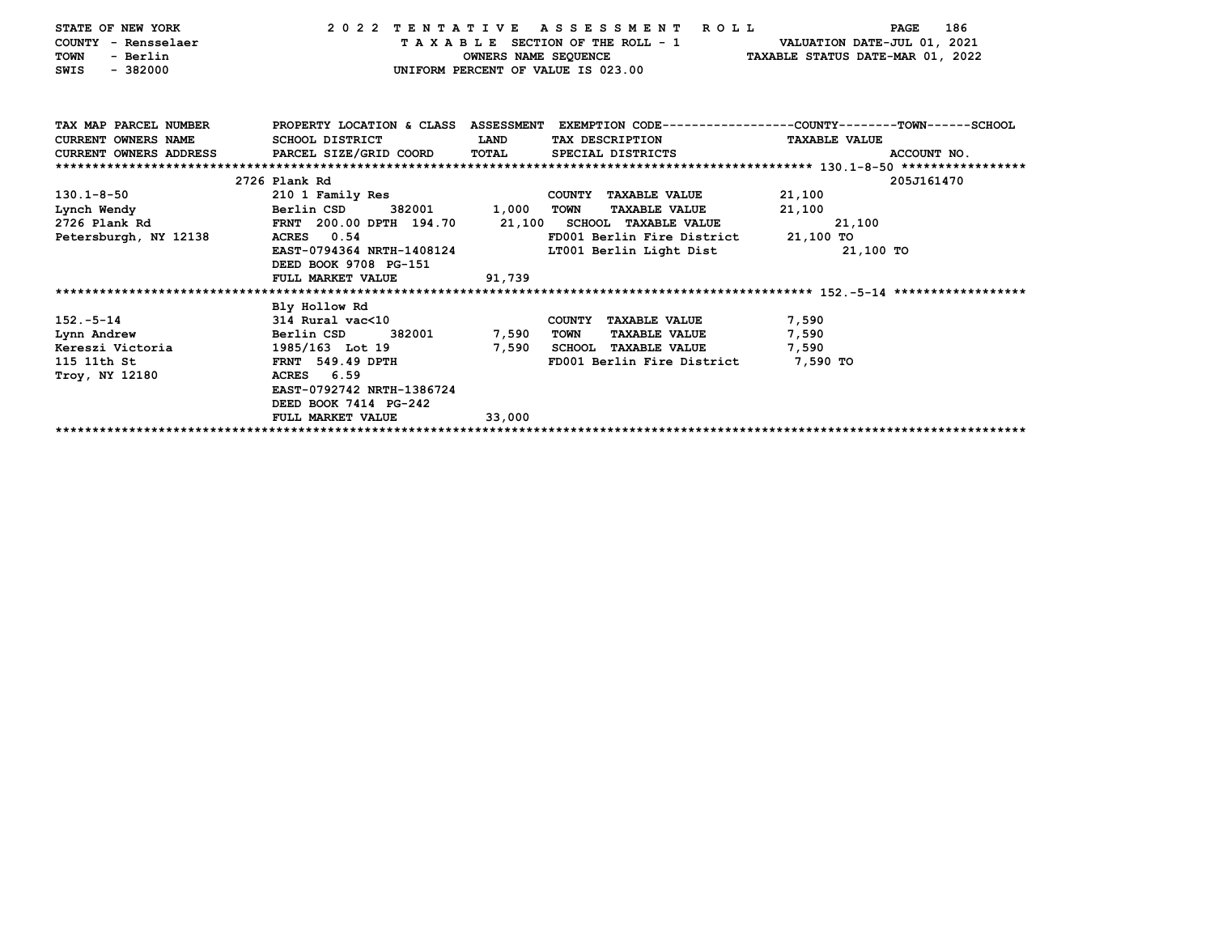| PROPERTY LOCATION & CLASS ASSESSMENT EXEMPTION CODE---------------COUNTY-------TOWN------SCHOOL<br>TAX MAP PARCEL NUMBER<br><b>CURRENT OWNERS NAME</b><br>SCHOOL DISTRICT<br>LAND<br>TAX DESCRIPTION<br><b>TAXABLE VALUE</b><br>CURRENT OWNERS ADDRESS PARCEL SIZE/GRID COORD<br>TOTAL<br>SPECIAL DISTRICTS<br>ACCOUNT NO.<br>2726 Plank Rd<br>205J161470<br>130.1-8-50<br>210 1 Family Res<br>COUNTY TAXABLE VALUE<br>21,100<br>Berlin CSD<br>1,000<br>21,100<br>Lynch Wendy<br>382001<br><b>TOWN</b><br><b>TAXABLE VALUE</b><br>2726 Plank Rd<br>FRNT 200.00 DPTH 194.70<br>21,100 SCHOOL TAXABLE VALUE<br>21,100<br>ACRES 0.54<br>21,100 TO<br>Petersburgh, NY 12138<br>FD001 Berlin Fire District<br>EAST-0794364 NRTH-1408124<br>LT001 Berlin Light Dist<br>21,100 TO<br>DEED BOOK 9708 PG-151<br>91,739<br>FULL MARKET VALUE<br>Bly Hollow Rd |
|-----------------------------------------------------------------------------------------------------------------------------------------------------------------------------------------------------------------------------------------------------------------------------------------------------------------------------------------------------------------------------------------------------------------------------------------------------------------------------------------------------------------------------------------------------------------------------------------------------------------------------------------------------------------------------------------------------------------------------------------------------------------------------------------------------------------------------------------------------|
|                                                                                                                                                                                                                                                                                                                                                                                                                                                                                                                                                                                                                                                                                                                                                                                                                                                     |
|                                                                                                                                                                                                                                                                                                                                                                                                                                                                                                                                                                                                                                                                                                                                                                                                                                                     |
|                                                                                                                                                                                                                                                                                                                                                                                                                                                                                                                                                                                                                                                                                                                                                                                                                                                     |
|                                                                                                                                                                                                                                                                                                                                                                                                                                                                                                                                                                                                                                                                                                                                                                                                                                                     |
|                                                                                                                                                                                                                                                                                                                                                                                                                                                                                                                                                                                                                                                                                                                                                                                                                                                     |
|                                                                                                                                                                                                                                                                                                                                                                                                                                                                                                                                                                                                                                                                                                                                                                                                                                                     |
|                                                                                                                                                                                                                                                                                                                                                                                                                                                                                                                                                                                                                                                                                                                                                                                                                                                     |
|                                                                                                                                                                                                                                                                                                                                                                                                                                                                                                                                                                                                                                                                                                                                                                                                                                                     |
|                                                                                                                                                                                                                                                                                                                                                                                                                                                                                                                                                                                                                                                                                                                                                                                                                                                     |
|                                                                                                                                                                                                                                                                                                                                                                                                                                                                                                                                                                                                                                                                                                                                                                                                                                                     |
|                                                                                                                                                                                                                                                                                                                                                                                                                                                                                                                                                                                                                                                                                                                                                                                                                                                     |
|                                                                                                                                                                                                                                                                                                                                                                                                                                                                                                                                                                                                                                                                                                                                                                                                                                                     |
|                                                                                                                                                                                                                                                                                                                                                                                                                                                                                                                                                                                                                                                                                                                                                                                                                                                     |
| 152.-5-14<br>314 Rural vac<10<br>7,590<br>COUNTY TAXABLE VALUE                                                                                                                                                                                                                                                                                                                                                                                                                                                                                                                                                                                                                                                                                                                                                                                      |
| Berlin CSD<br>382001<br>7,590<br>Lynn Andrew<br>7,590<br>TOWN<br><b>TAXABLE VALUE</b>                                                                                                                                                                                                                                                                                                                                                                                                                                                                                                                                                                                                                                                                                                                                                               |
| Kereszi Victoria<br>1985/163 Lot 19<br>7,590<br><b>SCHOOL TAXABLE VALUE</b><br>7,590                                                                                                                                                                                                                                                                                                                                                                                                                                                                                                                                                                                                                                                                                                                                                                |
| 115 11th St<br>FRNT 549.49 DPTH<br>FD001 Berlin Fire District<br>7,590 TO                                                                                                                                                                                                                                                                                                                                                                                                                                                                                                                                                                                                                                                                                                                                                                           |
| Troy, NY 12180<br>ACRES 6.59                                                                                                                                                                                                                                                                                                                                                                                                                                                                                                                                                                                                                                                                                                                                                                                                                        |
| EAST-0792742 NRTH-1386724                                                                                                                                                                                                                                                                                                                                                                                                                                                                                                                                                                                                                                                                                                                                                                                                                           |
| DEED BOOK 7414 PG-242                                                                                                                                                                                                                                                                                                                                                                                                                                                                                                                                                                                                                                                                                                                                                                                                                               |
| FULL MARKET VALUE<br>33,000                                                                                                                                                                                                                                                                                                                                                                                                                                                                                                                                                                                                                                                                                                                                                                                                                         |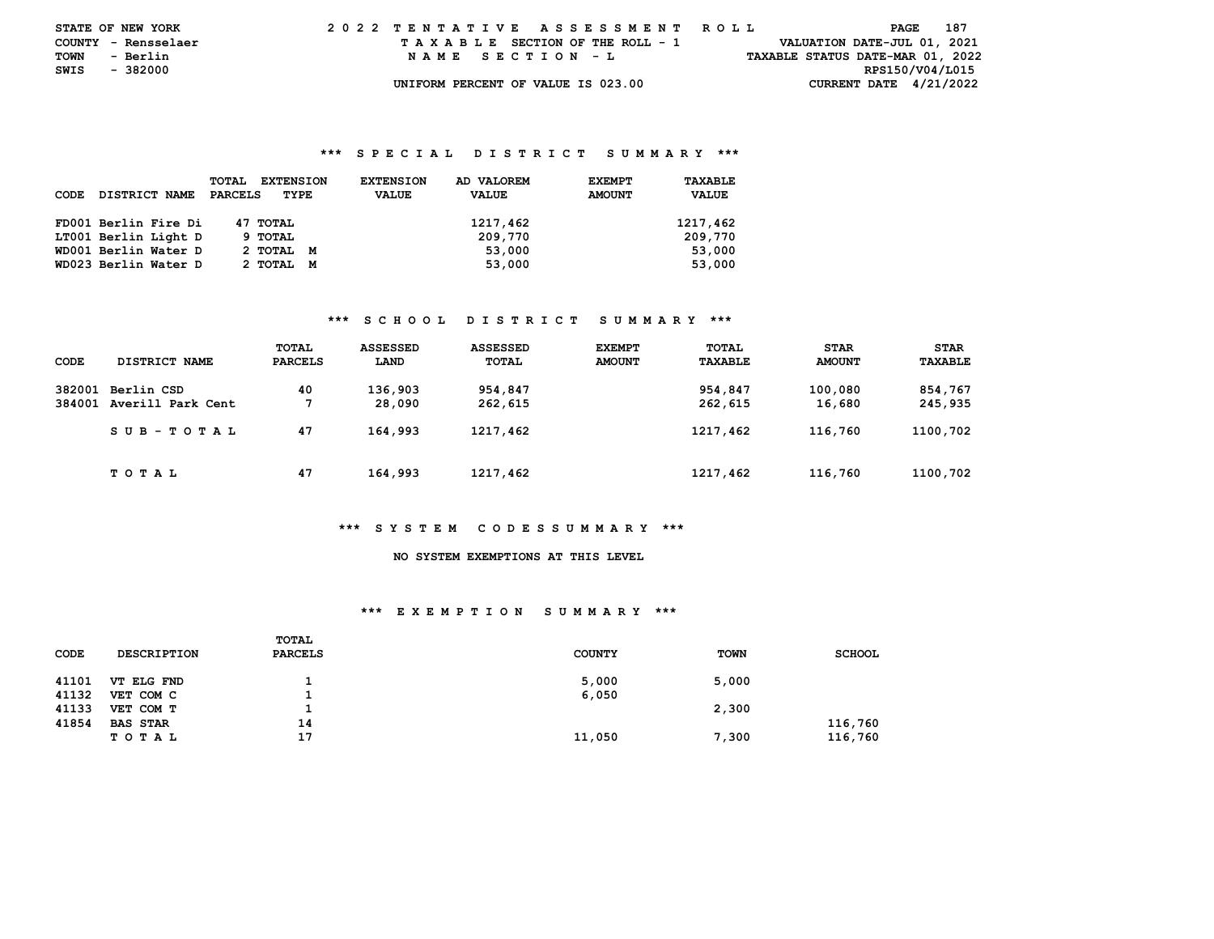| <b>STATE OF NEW YORK</b> |          |          | 2022 TENTATIVE ASSESSMENT ROLL |  |  |  |  |                                    |  |  |  |  |  |  |  |  |                                  |                 | PAGE | - 187 |  |
|--------------------------|----------|----------|--------------------------------|--|--|--|--|------------------------------------|--|--|--|--|--|--|--|--|----------------------------------|-----------------|------|-------|--|
| COUNTY - Rensselaer      |          |          |                                |  |  |  |  | TAXABLE SECTION OF THE ROLL - 1    |  |  |  |  |  |  |  |  | VALUATION DATE-JUL 01, 2021      |                 |      |       |  |
| TOWN                     | - Berlin |          |                                |  |  |  |  | NAME SECTION - L                   |  |  |  |  |  |  |  |  | TAXABLE STATUS DATE-MAR 01, 2022 |                 |      |       |  |
| SWIS                     |          | - 382000 |                                |  |  |  |  |                                    |  |  |  |  |  |  |  |  |                                  | RPS150/V04/L015 |      |       |  |
|                          |          |          |                                |  |  |  |  | UNIFORM PERCENT OF VALUE IS 023.00 |  |  |  |  |  |  |  |  | CURRENT DATE $4/21/2022$         |                 |      |       |  |

## **\*\*\* S P E C I A L D I S T R I C T S U M M A R Y \*\*\***

| CODE | DISTRICT NAME        | <b>EXTENSION</b><br>TOTAL<br>PARCELS<br>TYPE | AD VALOREM<br><b>EXTENSION</b><br><b>VALUE</b><br><b>VALUE</b> | <b>EXEMPT</b><br><b>AMOUNT</b> | TAXABLE<br><b>VALUE</b> |
|------|----------------------|----------------------------------------------|----------------------------------------------------------------|--------------------------------|-------------------------|
|      | FD001 Berlin Fire Di | 47 TOTAL                                     | 1217,462                                                       |                                | 1217,462                |
|      | LT001 Berlin Light D | 9 TOTAL                                      | 209,770                                                        |                                | 209,770                 |
|      | WD001 Berlin Water D | 2 тотаг<br>M                                 | 53,000                                                         |                                | 53,000                  |
|      | WD023 Berlin Water D | 2 TOTAL<br>M                                 | 53,000                                                         |                                | 53,000                  |

## **\*\*\* S C H O O L D I S T R I C T S U M M A R Y \*\*\***

| CODE             | DISTRICT NAME                   | TOTAL<br><b>PARCELS</b> | ASSESSED<br>LAND  | <b>ASSESSED</b><br>TOTAL | <b>EXEMPT</b><br><b>AMOUNT</b> | TOTAL<br>TAXABLE   | <b>STAR</b><br><b>AMOUNT</b> | <b>STAR</b><br>TAXABLE |
|------------------|---------------------------------|-------------------------|-------------------|--------------------------|--------------------------------|--------------------|------------------------------|------------------------|
| 382001<br>384001 | Berlin CSD<br>Averill Park Cent | 40<br>7                 | 136,903<br>28,090 | 954,847<br>262,615       |                                | 954,847<br>262,615 | 100,080<br>16,680            | 854,767<br>245,935     |
|                  | SUB-TOTAL                       | 47                      | 164,993           | 1217,462                 |                                | 1217,462           | 116,760                      | 1100,702               |
|                  | T O T A L                       | 47                      | 164,993           | 1217,462                 |                                | 1217,462           | 116,760                      | 1100,702               |

#### **\*\*\* S Y S T E M C O D E S S U M M A R Y \*\*\***

# **NO SYSTEM EXEMPTIONS AT THIS LEVEL**

## **\*\*\* E X E M P T I O N S U M M A R Y \*\*\***

| CODE  | <b>DESCRIPTION</b> | TOTAL<br>PARCELS | <b>COUNTY</b> | <b>TOWN</b> | <b>SCHOOL</b> |
|-------|--------------------|------------------|---------------|-------------|---------------|
| 41101 | VT ELG FND         |                  | 5,000         | 5,000       |               |
| 41132 | VET COM C          |                  | 6,050         |             |               |
| 41133 | VET COM T          |                  |               | 2,300       |               |
| 41854 | <b>BAS STAR</b>    | 14               |               |             | 116,760       |
|       | <b>TOTAL</b>       | 17               | 11,050        | 7,300       | 116,760       |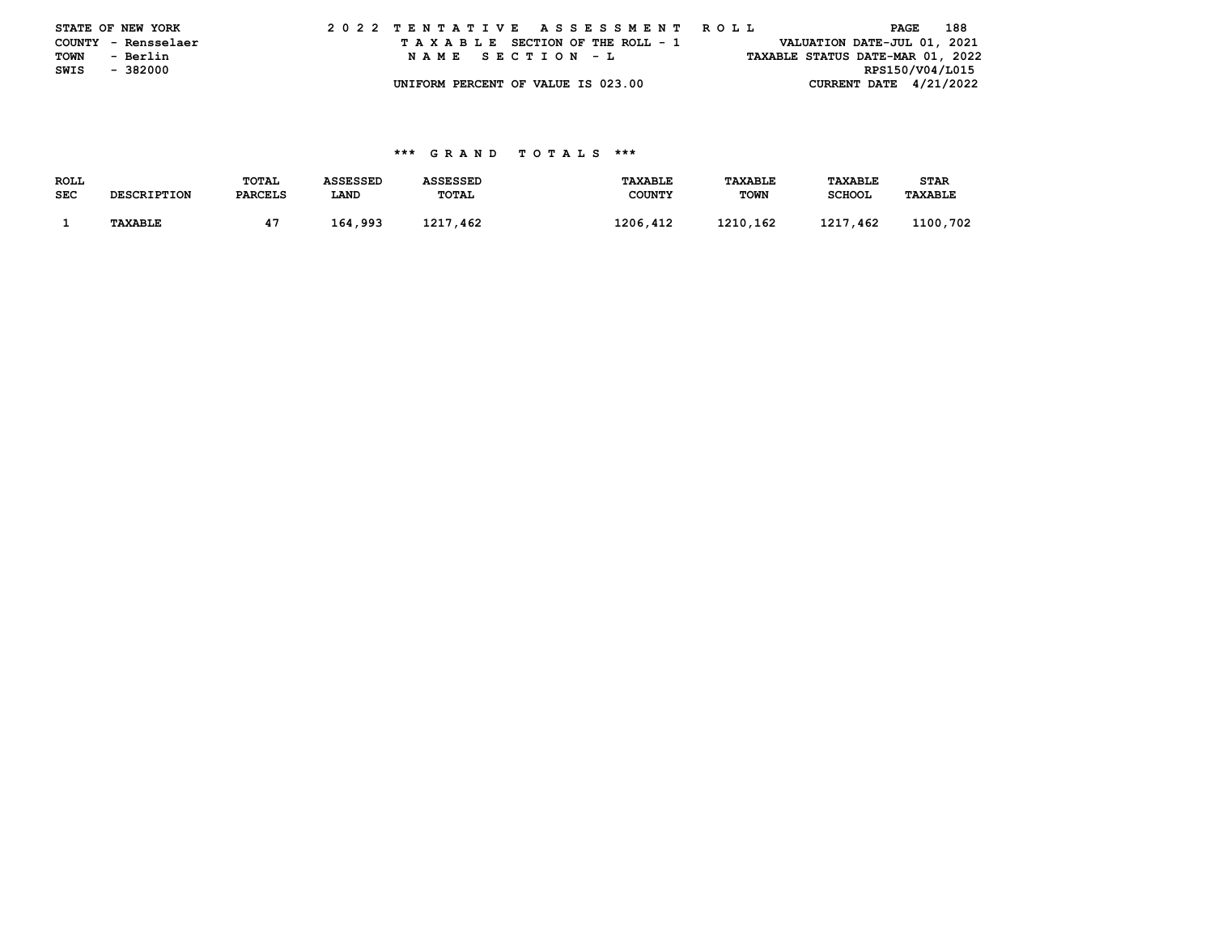|      | STATE OF NEW YORK   | 2022 TENTATIVE ASSESSMENT ROLL |  |  |  |  |                                    |  |  |  |  |  |  |  |                                  |                 | PAGE | 188 |  |
|------|---------------------|--------------------------------|--|--|--|--|------------------------------------|--|--|--|--|--|--|--|----------------------------------|-----------------|------|-----|--|
|      | COUNTY - Rensselaer |                                |  |  |  |  | TAXABLE SECTION OF THE ROLL - 1    |  |  |  |  |  |  |  | VALUATION DATE-JUL 01, 2021      |                 |      |     |  |
| TOWN | - Berlin            |                                |  |  |  |  | NAME SECTION - L                   |  |  |  |  |  |  |  | TAXABLE STATUS DATE-MAR 01, 2022 |                 |      |     |  |
| SWIS | - 382000            |                                |  |  |  |  |                                    |  |  |  |  |  |  |  |                                  | RPS150/V04/L015 |      |     |  |
|      |                     |                                |  |  |  |  | UNIFORM PERCENT OF VALUE IS 023.00 |  |  |  |  |  |  |  | CURRENT DATE $4/21/2022$         |                 |      |     |  |

## **\*\*\* G R A N D T O T A L S \*\*\***

| ROLL       |                    | TOTAL          | <b>ASSESSED</b> | <b>ASSESSED</b> | <b>TAXABLE</b> | TAXABLE     | <b>TAXABLE</b> | STAR           |
|------------|--------------------|----------------|-----------------|-----------------|----------------|-------------|----------------|----------------|
| <b>SEC</b> | <b>DESCRIPTION</b> | <b>PARCELS</b> | LAND            | <b>TOTAL</b>    | COUNTY         | <b>TOWN</b> | <b>SCHOOL</b>  | <b>TAXABLE</b> |
|            |                    |                |                 |                 |                |             |                |                |
|            | <b>TAXABLE</b>     |                | 164,993         | 1217,462        | 1206,412       | 1210.162    | 1217,462       | 1100,702       |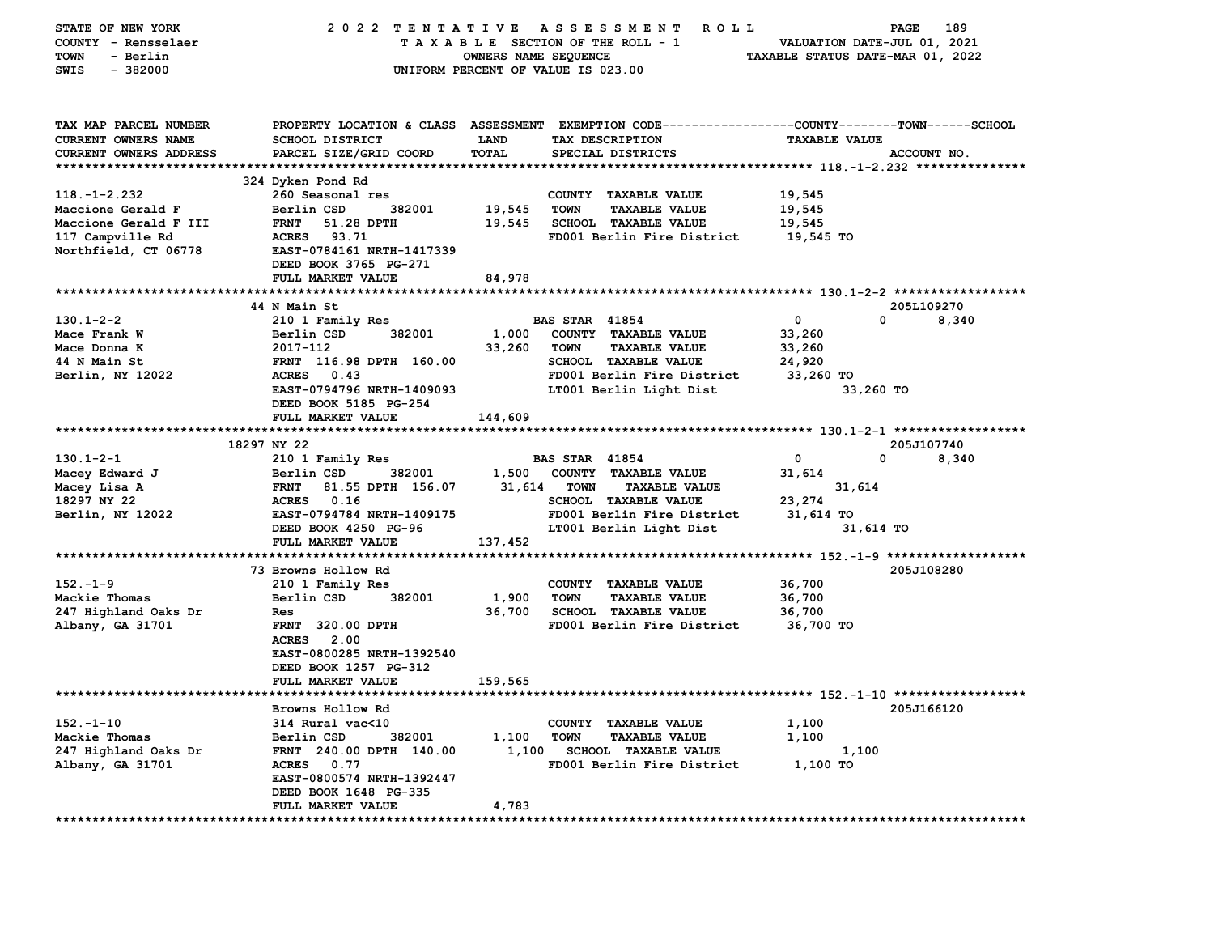| STATE OF NEW YORK             | 2022 TENTATIVE                      |                      | A S S E S S M E N T<br>ROLL ROLL                                                                 |                                  | PAGE<br>189 |
|-------------------------------|-------------------------------------|----------------------|--------------------------------------------------------------------------------------------------|----------------------------------|-------------|
| COUNTY - Rensselaer           |                                     |                      | TAXABLE SECTION OF THE ROLL - 1                                                                  | VALUATION DATE-JUL 01, 2021      |             |
| TOWN<br>- Berlin              |                                     | OWNERS NAME SEQUENCE |                                                                                                  | TAXABLE STATUS DATE-MAR 01, 2022 |             |
| $-382000$<br>SWIS             |                                     |                      | UNIFORM PERCENT OF VALUE IS 023.00                                                               |                                  |             |
|                               |                                     |                      |                                                                                                  |                                  |             |
|                               |                                     |                      |                                                                                                  |                                  |             |
| TAX MAP PARCEL NUMBER         |                                     |                      | PROPERTY LOCATION & CLASS ASSESSMENT EXEMPTION CODE----------------COUNTY-------TOWN------SCHOOL |                                  |             |
| <b>CURRENT OWNERS NAME</b>    | <b>SCHOOL DISTRICT</b>              | LAND                 | TAX DESCRIPTION                                                                                  | <b>TAXABLE VALUE</b>             |             |
| <b>CURRENT OWNERS ADDRESS</b> | PARCEL SIZE/GRID COORD              | TOTAL                | SPECIAL DISTRICTS                                                                                |                                  | ACCOUNT NO. |
|                               |                                     |                      |                                                                                                  |                                  |             |
|                               | 324 Dyken Pond Rd                   |                      |                                                                                                  |                                  |             |
| $118. - 1 - 2.232$            | 260 Seasonal res                    |                      | COUNTY TAXABLE VALUE                                                                             | 19,545                           |             |
| Maccione Gerald F             | Berlin CSD<br>382001                | 19,545               | <b>TOWN</b><br><b>TAXABLE VALUE</b>                                                              | 19,545                           |             |
| Maccione Gerald F III         | <b>FRNT</b><br>51.28 DPTH           | 19,545               | <b>SCHOOL TAXABLE VALUE</b>                                                                      | 19,545                           |             |
| 117 Campville Rd              | <b>ACRES</b><br>93.71               |                      | FD001 Berlin Fire District                                                                       | 19,545 TO                        |             |
| Northfield, CT 06778          | EAST-0784161 NRTH-1417339           |                      |                                                                                                  |                                  |             |
|                               | DEED BOOK 3765 PG-271               |                      |                                                                                                  |                                  |             |
|                               | FULL MARKET VALUE                   | 84,978               |                                                                                                  |                                  |             |
|                               |                                     |                      |                                                                                                  |                                  |             |
|                               | 44 N Main St                        |                      |                                                                                                  |                                  | 205L109270  |
| $130.1 - 2 - 2$               | 210 1 Family Res                    |                      | <b>BAS STAR 41854</b>                                                                            | $\mathbf 0$<br>0                 | 8,340       |
| Mace Frank W                  | Berlin CSD<br>382001                | 1,000                | COUNTY TAXABLE VALUE                                                                             | 33,260                           |             |
| Mace Donna K<br>44 N Main St  | 2017-112<br>FRNT 116.98 DPTH 160.00 | 33,260               | <b>TOWN</b><br><b>TAXABLE VALUE</b><br><b>SCHOOL TAXABLE VALUE</b>                               | 33,260                           |             |
| Berlin, NY 12022              | <b>ACRES</b><br>0.43                |                      | FD001 Berlin Fire District                                                                       | 24,920<br>33,260 TO              |             |
|                               | EAST-0794796 NRTH-1409093           |                      | LT001 Berlin Light Dist                                                                          | 33,260 TO                        |             |
|                               | DEED BOOK 5185 PG-254               |                      |                                                                                                  |                                  |             |
|                               | FULL MARKET VALUE                   | 144,609              |                                                                                                  |                                  |             |
|                               |                                     |                      |                                                                                                  |                                  |             |
|                               | 18297 NY 22                         |                      |                                                                                                  |                                  | 205J107740  |
| $130.1 - 2 - 1$               | 210 1 Family Res                    |                      | <b>BAS STAR 41854</b>                                                                            | 0<br>0                           | 8,340       |
| Macey Edward J                | 382001<br>Berlin CSD                | 1,500                | COUNTY TAXABLE VALUE                                                                             | 31,614                           |             |
| Macey Lisa A                  | 81.55 DPTH 156.07<br><b>FRNT</b>    | 31,614               | <b>TOWN</b><br><b>TAXABLE VALUE</b>                                                              | 31,614                           |             |
| 18297 NY 22                   | <b>ACRES</b><br>0.16                |                      | <b>SCHOOL TAXABLE VALUE</b>                                                                      | 23,274                           |             |
| Berlin, NY 12022              | EAST-0794784 NRTH-1409175           |                      | FD001 Berlin Fire District                                                                       | 31,614 TO                        |             |
|                               | DEED BOOK 4250 PG-96                |                      | LT001 Berlin Light Dist                                                                          | 31,614 TO                        |             |
|                               | FULL MARKET VALUE                   | 137,452              |                                                                                                  |                                  |             |
|                               |                                     |                      |                                                                                                  |                                  |             |
|                               | 73 Browns Hollow Rd                 |                      |                                                                                                  |                                  | 205J108280  |
| $152 - 1 - 9$                 | 210 1 Family Res                    |                      | COUNTY TAXABLE VALUE                                                                             | 36,700                           |             |
| Mackie Thomas                 | Berlin CSD<br>382001                | 1,900                | <b>TOWN</b><br><b>TAXABLE VALUE</b>                                                              | 36,700                           |             |
| 247 Highland Oaks Dr          | Res                                 | 36,700               | <b>SCHOOL TAXABLE VALUE</b>                                                                      | 36,700                           |             |
| Albany, GA 31701              | <b>FRNT 320.00 DPTH</b>             |                      | FD001 Berlin Fire District                                                                       | 36,700 TO                        |             |
|                               | <b>ACRES</b> 2.00                   |                      |                                                                                                  |                                  |             |
|                               | EAST-0800285 NRTH-1392540           |                      |                                                                                                  |                                  |             |
|                               | DEED BOOK 1257 PG-312               |                      |                                                                                                  |                                  |             |
|                               | FULL MARKET VALUE                   | 159,565              |                                                                                                  |                                  |             |
|                               | Browns Hollow Rd                    |                      |                                                                                                  |                                  | 205J166120  |
| $152. - 1 - 10$               | 314 Rural vac<10                    |                      | COUNTY TAXABLE VALUE                                                                             | 1,100                            |             |
| Mackie Thomas                 | Berlin CSD<br>382001                | 1,100                | <b>TOWN</b><br><b>TAXABLE VALUE</b>                                                              | 1,100                            |             |
| 247 Highland Oaks Dr          | FRNT 240.00 DPTH 140.00             | 1,100                | <b>SCHOOL TAXABLE VALUE</b>                                                                      | 1,100                            |             |
| Albany, GA 31701              | ACRES 0.77                          |                      | FD001 Berlin Fire District                                                                       | 1,100 TO                         |             |
|                               | EAST-0800574 NRTH-1392447           |                      |                                                                                                  |                                  |             |
|                               | DEED BOOK 1648 PG-335               |                      |                                                                                                  |                                  |             |
|                               | <b>FULL MARKET VALUE</b>            | 4,783                |                                                                                                  |                                  |             |
| ****************************  |                                     |                      |                                                                                                  |                                  |             |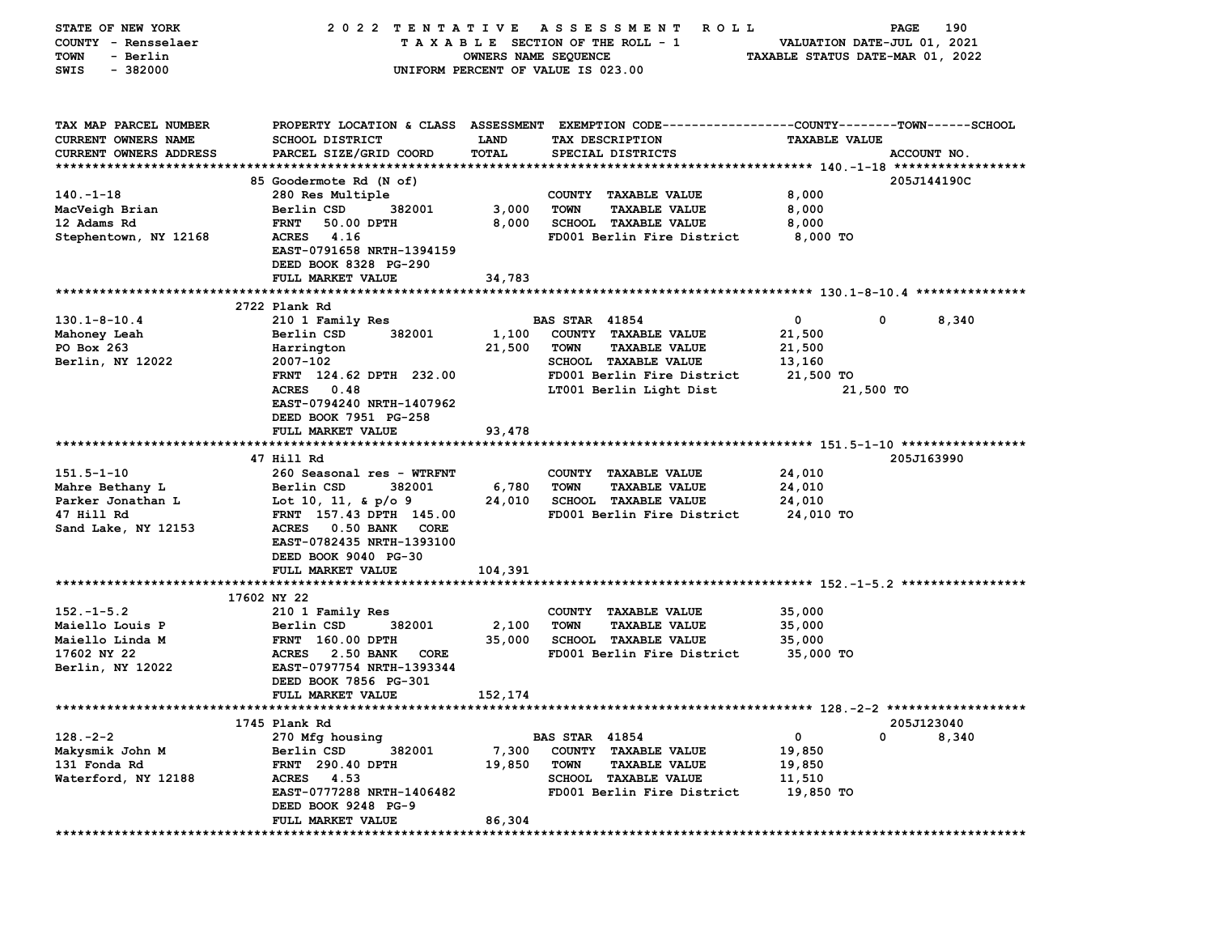| STATE OF NEW YORK             | 2022 TENTATIVE            |                      | A S S E S S M E N T<br><b>ROLL</b>                                                             |                                  | 190<br>PAGE |
|-------------------------------|---------------------------|----------------------|------------------------------------------------------------------------------------------------|----------------------------------|-------------|
| COUNTY - Rensselaer           |                           |                      | TAXABLE SECTION OF THE ROLL - 1                                                                | VALUATION DATE-JUL 01, 2021      |             |
| - Berlin<br>TOWN              |                           | OWNERS NAME SEQUENCE |                                                                                                | TAXABLE STATUS DATE-MAR 01, 2022 |             |
| $-382000$<br>SWIS             |                           |                      | UNIFORM PERCENT OF VALUE IS 023.00                                                             |                                  |             |
|                               |                           |                      |                                                                                                |                                  |             |
|                               |                           |                      |                                                                                                |                                  |             |
|                               |                           |                      |                                                                                                |                                  |             |
| TAX MAP PARCEL NUMBER         |                           |                      | PROPERTY LOCATION & CLASS ASSESSMENT EXEMPTION CODE---------------COUNTY-------TOWN-----SCHOOL |                                  |             |
| CURRENT OWNERS NAME           | <b>SCHOOL DISTRICT</b>    | LAND                 | TAX DESCRIPTION                                                                                | <b>TAXABLE VALUE</b>             |             |
| <b>CURRENT OWNERS ADDRESS</b> | PARCEL SIZE/GRID COORD    | TOTAL                | SPECIAL DISTRICTS                                                                              |                                  | ACCOUNT NO. |
|                               |                           |                      |                                                                                                |                                  |             |
|                               | 85 Goodermote Rd (N of)   |                      |                                                                                                |                                  | 205J144190C |
| $140. - 1 - 18$               | 280 Res Multiple          |                      | COUNTY TAXABLE VALUE                                                                           | 8,000                            |             |
| MacVeigh Brian                | Berlin CSD<br>382001      | 3,000                | <b>TOWN</b><br><b>TAXABLE VALUE</b>                                                            | 8,000                            |             |
| 12 Adams Rd                   | <b>FRNT</b><br>50.00 DPTH | 8,000                | SCHOOL TAXABLE VALUE                                                                           | 8,000                            |             |
| Stephentown, NY 12168         | 4.16<br><b>ACRES</b>      |                      | FD001 Berlin Fire District                                                                     | 8,000 TO                         |             |
|                               | EAST-0791658 NRTH-1394159 |                      |                                                                                                |                                  |             |
|                               | DEED BOOK 8328 PG-290     |                      |                                                                                                |                                  |             |
|                               | FULL MARKET VALUE         | 34,783               |                                                                                                |                                  |             |
|                               |                           |                      |                                                                                                |                                  |             |
|                               | 2722 Plank Rd             |                      |                                                                                                |                                  |             |
| $130.1 - 8 - 10.4$            | 210 1 Family Res          |                      | <b>BAS STAR 41854</b>                                                                          | 0<br>0                           | 8,340       |
| Mahoney Leah                  | Berlin CSD<br>382001      | 1,100                | COUNTY TAXABLE VALUE                                                                           | 21,500                           |             |
| PO Box 263                    | Harrington                | 21,500               | <b>TOWN</b><br><b>TAXABLE VALUE</b>                                                            | 21,500                           |             |
| Berlin, NY 12022              | 2007-102                  |                      | <b>SCHOOL TAXABLE VALUE</b>                                                                    | 13,160                           |             |
|                               | FRNT 124.62 DPTH 232.00   |                      | FD001 Berlin Fire District                                                                     | 21,500 TO                        |             |
|                               | ACRES 0.48                |                      | LT001 Berlin Light Dist                                                                        | 21,500 TO                        |             |
|                               | EAST-0794240 NRTH-1407962 |                      |                                                                                                |                                  |             |
|                               | DEED BOOK 7951 PG-258     |                      |                                                                                                |                                  |             |
|                               | FULL MARKET VALUE         | 93,478               |                                                                                                |                                  |             |
|                               |                           |                      |                                                                                                |                                  |             |
|                               | 47 Hill Rd                |                      |                                                                                                |                                  | 205J163990  |
| $151.5 - 1 - 10$              | 260 Seasonal res - WTRFNT |                      | COUNTY TAXABLE VALUE                                                                           | 24,010                           |             |
| Mahre Bethany L               | 382001<br>Berlin CSD      | 6,780                | <b>TAXABLE VALUE</b><br><b>TOWN</b>                                                            | 24,010                           |             |
| Parker Jonathan L             | Lot 10, 11, & $p/o$ 9     | 24,010               | <b>SCHOOL TAXABLE VALUE</b>                                                                    | 24,010                           |             |
| 47 Hill Rd                    | FRNT 157.43 DPTH 145.00   |                      | FD001 Berlin Fire District                                                                     | 24,010 TO                        |             |
| Sand Lake, NY 12153           | ACRES 0.50 BANK<br>CORE   |                      |                                                                                                |                                  |             |
|                               | EAST-0782435 NRTH-1393100 |                      |                                                                                                |                                  |             |
|                               | DEED BOOK 9040 PG-30      |                      |                                                                                                |                                  |             |
|                               | FULL MARKET VALUE         | 104,391              |                                                                                                |                                  |             |
|                               |                           |                      |                                                                                                |                                  |             |
|                               | 17602 NY 22               |                      |                                                                                                |                                  |             |
| $152 - 1 - 5.2$               | 210 1 Family Res          |                      | COUNTY TAXABLE VALUE                                                                           | 35,000                           |             |
| Maiello Louis P               | 382001<br>Berlin CSD      | 2,100                | <b>TOWN</b><br><b>TAXABLE VALUE</b>                                                            | 35,000                           |             |
| Maiello Linda M               | <b>FRNT</b> 160.00 DPTH   | 35,000               | <b>SCHOOL TAXABLE VALUE</b>                                                                    | 35,000                           |             |
| 17602 NY 22                   | ACRES 2.50 BANK<br>CORE   |                      | FD001 Berlin Fire District                                                                     | 35,000 TO                        |             |
| Berlin, NY 12022              | EAST-0797754 NRTH-1393344 |                      |                                                                                                |                                  |             |
|                               |                           |                      |                                                                                                |                                  |             |
|                               | DEED BOOK 7856 PG-301     |                      |                                                                                                |                                  |             |
|                               | <b>FULL MARKET VALUE</b>  | 152,174              |                                                                                                |                                  |             |
|                               |                           |                      |                                                                                                |                                  |             |
|                               | 1745 Plank Rd             |                      |                                                                                                |                                  | 205J123040  |
| $128. -2 - 2$                 | 270 Mfg housing           |                      | <b>BAS STAR 41854</b>                                                                          | 0<br>0                           | 8,340       |
| Makysmik John M               | Berlin CSD<br>382001      | 7,300                | COUNTY TAXABLE VALUE                                                                           | 19,850                           |             |
| 131 Fonda Rd                  | <b>FRNT</b> 290.40 DPTH   | 19,850               | <b>TOWN</b><br><b>TAXABLE VALUE</b>                                                            | 19,850                           |             |
| Waterford, NY 12188           | <b>ACRES</b><br>4.53      |                      | <b>SCHOOL TAXABLE VALUE</b>                                                                    | 11,510                           |             |
|                               | EAST-0777288 NRTH-1406482 |                      | FD001 Berlin Fire District                                                                     | 19,850 TO                        |             |
|                               | DEED BOOK 9248 PG-9       |                      |                                                                                                |                                  |             |
|                               | FULL MARKET VALUE         | 86,304               |                                                                                                |                                  |             |
| ***********                   | **********************    |                      |                                                                                                |                                  |             |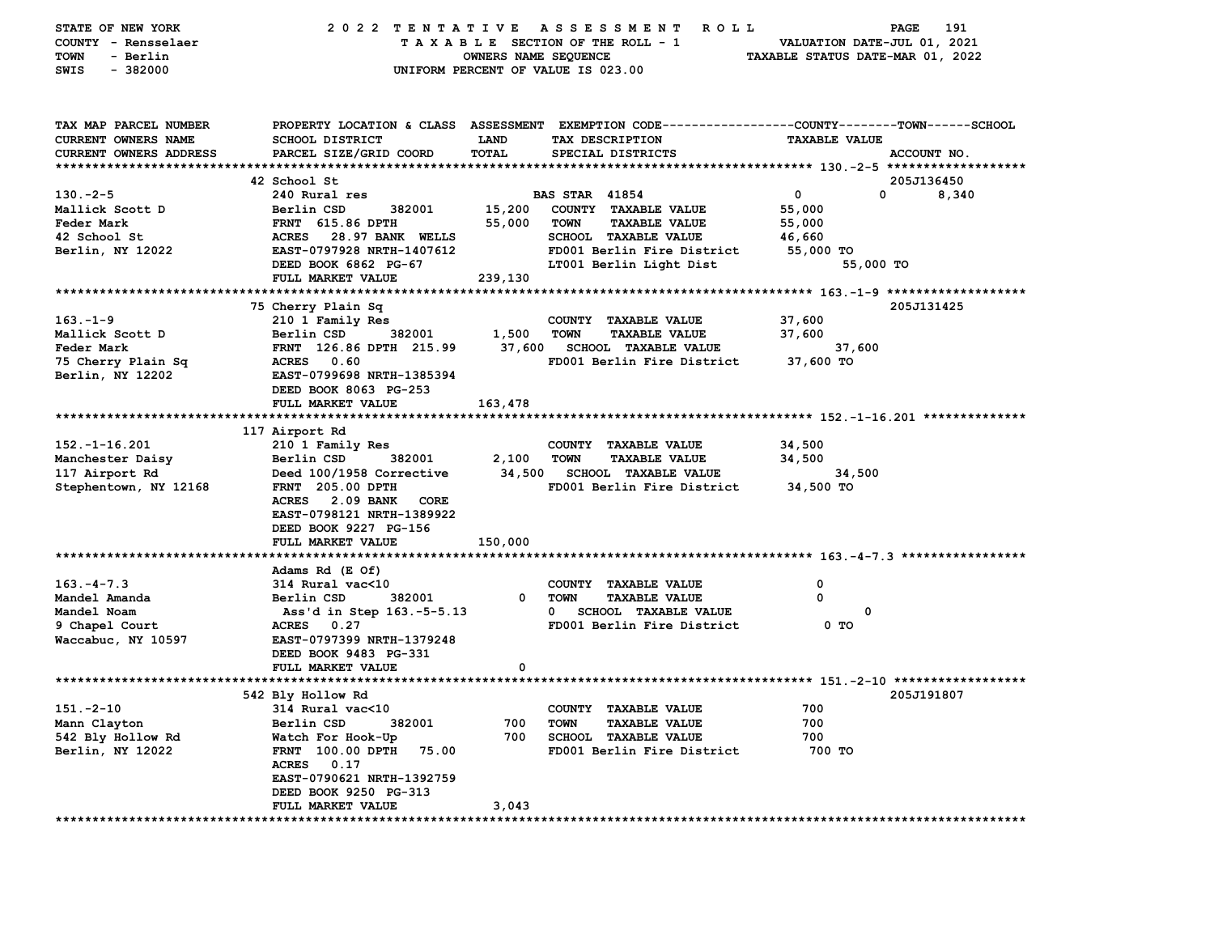| STATE OF NEW YORK<br>COUNTY - Rensselaer<br>- Berlin<br>TOWN<br>$-382000$<br>SWIS    | 2022 TENTATIVE ASSESSMENT                        | OWNERS NAME SEQUENCE | ROLL<br>TAXABLE SECTION OF THE ROLL - 1<br>UNIFORM PERCENT OF VALUE IS 023.00                                                           | VALUATION DATE-JUL 01, 2021<br>TAXABLE STATUS DATE-MAR 01, 2022 | 191<br>PAGE |
|--------------------------------------------------------------------------------------|--------------------------------------------------|----------------------|-----------------------------------------------------------------------------------------------------------------------------------------|-----------------------------------------------------------------|-------------|
| TAX MAP PARCEL NUMBER<br><b>CURRENT OWNERS NAME</b><br><b>CURRENT OWNERS ADDRESS</b> | <b>SCHOOL DISTRICT</b><br>PARCEL SIZE/GRID COORD | LAND<br>TOTAL        | PROPERTY LOCATION & CLASS ASSESSMENT EXEMPTION CODE---------------COUNTY-------TOWN------SCHOOL<br>TAX DESCRIPTION<br>SPECIAL DISTRICTS | <b>TAXABLE VALUE</b>                                            | ACCOUNT NO. |
|                                                                                      | 42 School St                                     |                      |                                                                                                                                         |                                                                 | 205J136450  |
| $130 - 2 - 5$                                                                        | 240 Rural res                                    |                      | <b>BAS STAR 41854</b>                                                                                                                   | $\mathbf 0$<br>0                                                | 8,340       |
| Mallick Scott D                                                                      | Berlin CSD<br>382001                             | 15,200               | COUNTY TAXABLE VALUE                                                                                                                    | 55,000                                                          |             |
| Feder Mark                                                                           | <b>FRNT</b> 615.86 DPTH                          | 55,000               | <b>TOWN</b><br><b>TAXABLE VALUE</b>                                                                                                     | 55,000                                                          |             |
| 42 School St                                                                         | <b>ACRES</b><br>28.97 BANK WELLS                 |                      | SCHOOL TAXABLE VALUE                                                                                                                    | 46,660                                                          |             |
| Berlin, NY 12022                                                                     | EAST-0797928 NRTH-1407612                        |                      | FD001 Berlin Fire District                                                                                                              | 55,000 TO                                                       |             |
|                                                                                      | DEED BOOK 6862 PG-67                             |                      | LT001 Berlin Light Dist                                                                                                                 | 55,000 TO                                                       |             |
|                                                                                      | FULL MARKET VALUE                                | 239,130              |                                                                                                                                         |                                                                 |             |
|                                                                                      |                                                  |                      |                                                                                                                                         |                                                                 |             |
|                                                                                      | 75 Cherry Plain Sq                               |                      |                                                                                                                                         |                                                                 | 205J131425  |
| $163. - 1 - 9$                                                                       | 210 1 Family Res                                 |                      | COUNTY TAXABLE VALUE                                                                                                                    | 37,600                                                          |             |
| Mallick Scott D                                                                      | Berlin CSD<br>382001                             | 1,500                | <b>TOWN</b><br><b>TAXABLE VALUE</b>                                                                                                     | 37,600                                                          |             |
| Feder Mark                                                                           | FRNT 126.86 DPTH 215.99                          | 37,600               | <b>SCHOOL TAXABLE VALUE</b>                                                                                                             | 37,600                                                          |             |
| 75 Cherry Plain Sq                                                                   | <b>ACRES</b><br>0.60                             |                      | FD001 Berlin Fire District                                                                                                              | 37,600 TO                                                       |             |
| Berlin, NY 12202                                                                     | EAST-0799698 NRTH-1385394                        |                      |                                                                                                                                         |                                                                 |             |
|                                                                                      | DEED BOOK 8063 PG-253                            |                      |                                                                                                                                         |                                                                 |             |
|                                                                                      | FULL MARKET VALUE                                | 163,478              |                                                                                                                                         |                                                                 |             |
|                                                                                      |                                                  |                      |                                                                                                                                         |                                                                 |             |
|                                                                                      | 117 Airport Rd                                   |                      |                                                                                                                                         |                                                                 |             |
| $152. - 1 - 16.201$                                                                  | 210 1 Family Res                                 |                      | COUNTY TAXABLE VALUE                                                                                                                    | 34,500                                                          |             |
| Manchester Daisy                                                                     | Berlin CSD<br>382001                             | 2,100                | <b>TOWN</b><br><b>TAXABLE VALUE</b>                                                                                                     | 34,500                                                          |             |
| 117 Airport Rd                                                                       | Deed 100/1958 Corrective                         | 34,500               | <b>SCHOOL TAXABLE VALUE</b>                                                                                                             | 34,500                                                          |             |
| Stephentown, NY 12168                                                                | <b>FRNT</b> 205.00 DPTH                          |                      | FD001 Berlin Fire District                                                                                                              | 34,500 TO                                                       |             |
|                                                                                      | <b>ACRES</b><br>2.09 BANK<br>CORE                |                      |                                                                                                                                         |                                                                 |             |
|                                                                                      | EAST-0798121 NRTH-1389922                        |                      |                                                                                                                                         |                                                                 |             |
|                                                                                      | DEED BOOK 9227 PG-156                            |                      |                                                                                                                                         |                                                                 |             |
|                                                                                      | FULL MARKET VALUE                                | 150,000              |                                                                                                                                         |                                                                 |             |
|                                                                                      |                                                  |                      |                                                                                                                                         |                                                                 |             |
|                                                                                      | Adams Rd (E Of)                                  |                      |                                                                                                                                         |                                                                 |             |
| $163. - 4 - 7.3$                                                                     | 314 Rural vac<10                                 |                      | COUNTY TAXABLE VALUE                                                                                                                    | 0                                                               |             |
| Mandel Amanda                                                                        | Berlin CSD<br>382001                             | 0                    | <b>TAXABLE VALUE</b><br>TOWN                                                                                                            | 0                                                               |             |
| Mandel Noam                                                                          | Ass'd in Step 163.-5-5.13                        |                      | 0<br>SCHOOL TAXABLE VALUE                                                                                                               | 0                                                               |             |
| 9 Chapel Court                                                                       | <b>ACRES</b><br>0.27                             |                      | FD001 Berlin Fire District                                                                                                              | 0 TO                                                            |             |
| Waccabuc, NY 10597                                                                   | EAST-0797399 NRTH-1379248                        |                      |                                                                                                                                         |                                                                 |             |
|                                                                                      | DEED BOOK 9483 PG-331                            |                      |                                                                                                                                         |                                                                 |             |
|                                                                                      | FULL MARKET VALUE                                | 0                    |                                                                                                                                         |                                                                 |             |
|                                                                                      |                                                  |                      |                                                                                                                                         |                                                                 |             |
|                                                                                      | 542 Bly Hollow Rd                                |                      |                                                                                                                                         |                                                                 | 205J191807  |
| $151.-2-10$                                                                          | 314 Rural vac<10                                 |                      | COUNTY TAXABLE VALUE                                                                                                                    | 700                                                             |             |
| Mann Clayton                                                                         | Berlin CSD<br>382001                             | 700                  | <b>TOWN</b><br><b>TAXABLE VALUE</b>                                                                                                     | 700                                                             |             |
| 542 Bly Hollow Rd                                                                    | Watch For Hook-Up                                | 700                  | <b>SCHOOL TAXABLE VALUE</b>                                                                                                             | 700                                                             |             |
| Berlin, NY 12022                                                                     | FRNT 100.00 DPTH<br>75.00                        |                      | FD001 Berlin Fire District                                                                                                              | 700 TO                                                          |             |
|                                                                                      | ACRES 0.17                                       |                      |                                                                                                                                         |                                                                 |             |
|                                                                                      | EAST-0790621 NRTH-1392759                        |                      |                                                                                                                                         |                                                                 |             |
|                                                                                      | DEED BOOK 9250 PG-313<br>FULL MARKET VALUE       | 3,043                |                                                                                                                                         |                                                                 |             |
|                                                                                      |                                                  |                      |                                                                                                                                         |                                                                 |             |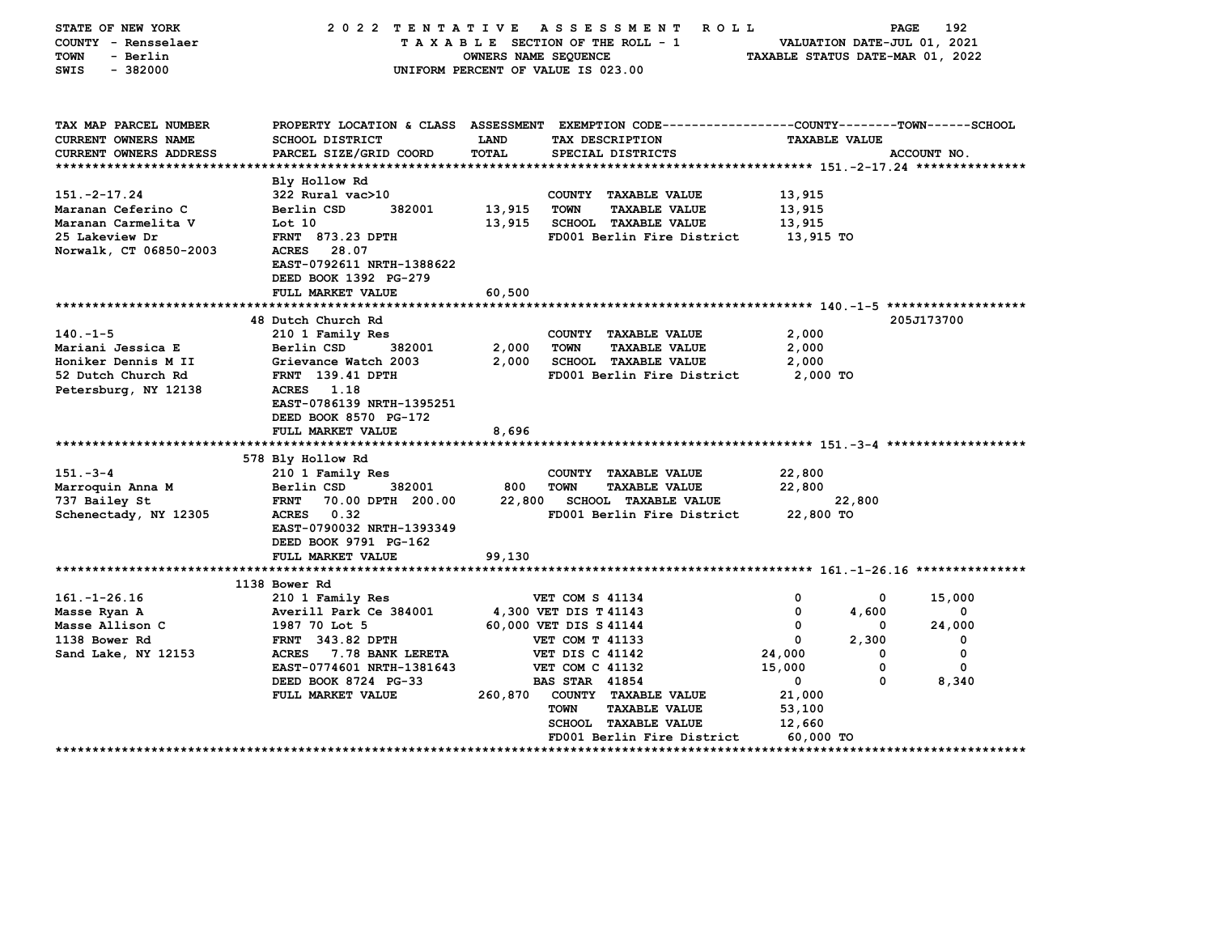| STATE OF NEW YORK<br>COUNTY - Rensselaer<br><b>TOWN</b><br>- Berlin<br>SWIS<br>$-382000$ | 2022 TENTATIVE ASSESSMENT                                                                      | OWNERS NAME SEQUENCE<br>UNIFORM PERCENT OF VALUE IS 023.00 |                        | ROLL ROLL<br>TAXABLE SECTION OF THE ROLL - 1 | TAXABLE STATUS DATE-MAR 01, 2022 | PAGE       | 192<br>VALUATION DATE-JUL 01, 2021 |
|------------------------------------------------------------------------------------------|------------------------------------------------------------------------------------------------|------------------------------------------------------------|------------------------|----------------------------------------------|----------------------------------|------------|------------------------------------|
| TAX MAP PARCEL NUMBER                                                                    | PROPERTY LOCATION & CLASS ASSESSMENT EXEMPTION CODE---------------COUNTY-------TOWN-----SCHOOL |                                                            |                        |                                              |                                  |            |                                    |
| CURRENT OWNERS NAME<br>CURRENT OWNERS ADDRESS                                            | <b>SCHOOL DISTRICT</b><br>PARCEL SIZE/GRID COORD                                               | <b>LAND</b><br>TOTAL                                       |                        | TAX DESCRIPTION<br>SPECIAL DISTRICTS         | <b>TAXABLE VALUE</b>             |            | ACCOUNT NO.                        |
|                                                                                          |                                                                                                |                                                            |                        |                                              |                                  |            |                                    |
|                                                                                          | Bly Hollow Rd                                                                                  |                                                            |                        |                                              |                                  |            |                                    |
| $151. - 2 - 17.24$                                                                       | 322 Rural vac>10                                                                               |                                                            |                        | COUNTY TAXABLE VALUE                         | 13,915                           |            |                                    |
| Maranan Ceferino C                                                                       | Berlin CSD<br>382001                                                                           | 13,915                                                     | <b>TOWN</b>            | <b>TAXABLE VALUE</b>                         | 13,915                           |            |                                    |
| Maranan Carmelita V                                                                      | Lot 10                                                                                         | 13,915                                                     |                        | <b>SCHOOL TAXABLE VALUE</b>                  | 13,915                           |            |                                    |
| 25 Lakeview Dr                                                                           | <b>FRNT 873.23 DPTH</b>                                                                        |                                                            |                        | FD001 Berlin Fire District                   | 13,915 TO                        |            |                                    |
| Norwalk, CT 06850-2003                                                                   | ACRES 28.07<br>EAST-0792611 NRTH-1388622<br>DEED BOOK 1392 PG-279                              |                                                            |                        |                                              |                                  |            |                                    |
|                                                                                          | FULL MARKET VALUE                                                                              | 60,500                                                     |                        |                                              |                                  |            |                                    |
|                                                                                          |                                                                                                |                                                            |                        |                                              |                                  |            |                                    |
|                                                                                          | 48 Dutch Church Rd                                                                             |                                                            |                        |                                              |                                  |            | 205J173700                         |
| $140. -1 - 5$                                                                            | 210 1 Family Res                                                                               |                                                            |                        | COUNTY TAXABLE VALUE                         | 2,000                            |            |                                    |
| Mariani Jessica E                                                                        | Berlin CSD<br>382001                                                                           | 2,000                                                      | <b>TOWN</b>            | <b>TAXABLE VALUE</b>                         | 2,000                            |            |                                    |
| Honiker Dennis M II                                                                      | Grievance Watch 2003                                                                           | 2,000                                                      |                        | <b>SCHOOL TAXABLE VALUE</b>                  | 2,000                            |            |                                    |
| 52 Dutch Church Rd<br>Petersburg, NY 12138                                               | <b>FRNT</b> 139.41 DPTH<br>ACRES 1.18                                                          |                                                            |                        | FD001 Berlin Fire District                   | 2,000 TO                         |            |                                    |
|                                                                                          | EAST-0786139 NRTH-1395251<br>DEED BOOK 8570 PG-172                                             |                                                            |                        |                                              |                                  |            |                                    |
|                                                                                          | FULL MARKET VALUE                                                                              | 8,696                                                      |                        |                                              |                                  |            |                                    |
|                                                                                          |                                                                                                |                                                            |                        |                                              |                                  |            |                                    |
| $151 - 3 - 4$                                                                            | 578 Bly Hollow Rd                                                                              |                                                            |                        | COUNTY TAXABLE VALUE                         | 22,800                           |            |                                    |
| Marroquin Anna M                                                                         | 210 1 Family Res<br>Berlin CSD<br>382001                                                       | 800                                                        | <b>TOWN</b>            | <b>TAXABLE VALUE</b>                         | 22,800                           |            |                                    |
| 737 Bailey St                                                                            | <b>FRNT</b><br>70.00 DPTH 200.00                                                               | 22,800                                                     |                        | <b>SCHOOL TAXABLE VALUE</b>                  |                                  | 22,800     |                                    |
| Schenectady, NY 12305                                                                    | ACRES 0.32                                                                                     |                                                            |                        | FD001 Berlin Fire District                   | 22,800 TO                        |            |                                    |
|                                                                                          | EAST-0790032 NRTH-1393349                                                                      |                                                            |                        |                                              |                                  |            |                                    |
|                                                                                          | DEED BOOK 9791 PG-162                                                                          |                                                            |                        |                                              |                                  |            |                                    |
|                                                                                          | FULL MARKET VALUE                                                                              | 99,130                                                     |                        |                                              |                                  |            |                                    |
|                                                                                          |                                                                                                |                                                            |                        |                                              |                                  |            |                                    |
|                                                                                          | 1138 Bower Rd                                                                                  |                                                            |                        |                                              |                                  |            |                                    |
| $161. - 1 - 26.16$                                                                       | 210 1 Family Res<br>Averill Park Ce 384001                                                     |                                                            | VET COM S 41134        |                                              | 0<br>0                           | 0<br>4,600 | 15,000<br>0                        |
| Masse Ryan A<br>Masse Allison C                                                          | 1987 70 Lot 5                                                                                  | 4,300 VET DIS T 41143<br>60,000 VET DIS S 41144            |                        |                                              | 0                                | 0          | 24,000                             |
| 1138 Bower Rd                                                                            | FRNT 343.82 DPTH                                                                               |                                                            | <b>VET COM T 41133</b> |                                              | 0                                | 2,300      | 0                                  |
| Sand Lake, NY 12153                                                                      | <b>ACRES</b><br>7.78 BANK LERETA                                                               |                                                            | <b>VET DIS C 41142</b> |                                              | 24,000                           | 0          | 0                                  |
|                                                                                          | EAST-0774601 NRTH-1381643                                                                      |                                                            | <b>VET COM C 41132</b> |                                              | 15,000                           | 0          | $\mathbf 0$                        |
|                                                                                          | DEED BOOK 8724 PG-33                                                                           |                                                            | <b>BAS STAR 41854</b>  |                                              | $\mathbf 0$                      | 0          | 8,340                              |
|                                                                                          | FULL MARKET VALUE                                                                              | 260,870                                                    |                        | COUNTY TAXABLE VALUE                         | 21,000                           |            |                                    |
|                                                                                          |                                                                                                |                                                            | <b>TOWN</b>            | <b>TAXABLE VALUE</b>                         | 53,100                           |            |                                    |
|                                                                                          |                                                                                                |                                                            |                        | <b>SCHOOL TAXABLE VALUE</b>                  | 12,660                           |            |                                    |
|                                                                                          |                                                                                                |                                                            |                        | FD001 Berlin Fire District                   | 60,000 TO                        |            |                                    |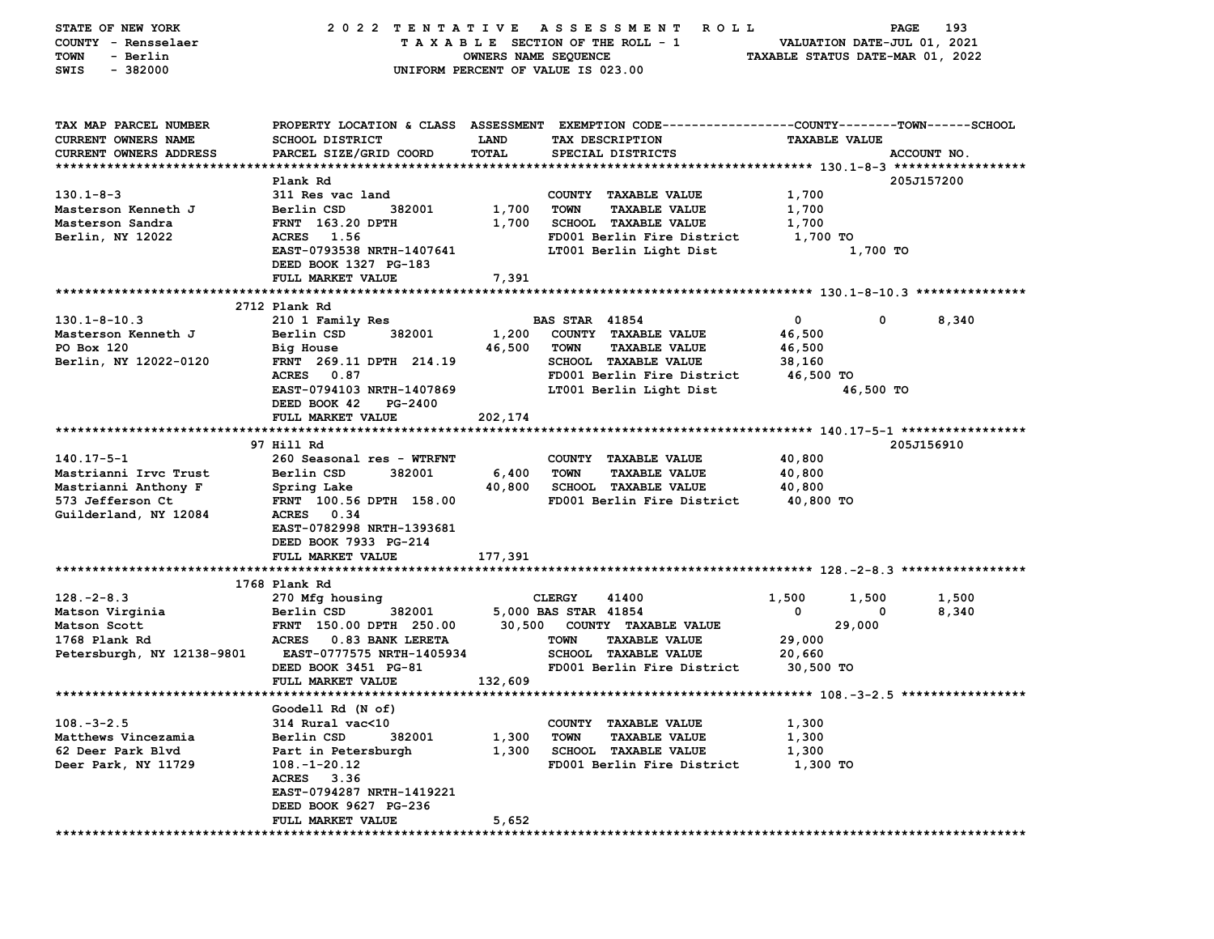| STATE OF NEW YORK<br>COUNTY - Rensselaer<br>- Berlin<br>TOWN<br>$-382000$<br>SWIS | 2022 TENTATIVE                                                   | OWNERS NAME SEQUENCE | A S S E S S M E N T<br><b>ROLL</b><br>TAXABLE SECTION OF THE ROLL - 1<br>UNIFORM PERCENT OF VALUE IS 023.00                             | VALUATION DATE-JUL 01, 2021<br>TAXABLE STATUS DATE-MAR 01, 2022 | 193<br>PAGE |
|-----------------------------------------------------------------------------------|------------------------------------------------------------------|----------------------|-----------------------------------------------------------------------------------------------------------------------------------------|-----------------------------------------------------------------|-------------|
| TAX MAP PARCEL NUMBER<br><b>CURRENT OWNERS NAME</b><br>CURRENT OWNERS ADDRESS     | <b>SCHOOL DISTRICT</b><br>PARCEL SIZE/GRID COORD                 | LAND<br><b>TOTAL</b> | PROPERTY LOCATION & CLASS ASSESSMENT EXEMPTION CODE---------------COUNTY-------TOWN------SCHOOL<br>TAX DESCRIPTION<br>SPECIAL DISTRICTS | <b>TAXABLE VALUE</b>                                            | ACCOUNT NO. |
|                                                                                   | Plank Rd                                                         |                      |                                                                                                                                         |                                                                 | 205J157200  |
| $130.1 - 8 - 3$                                                                   | 311 Res vac land                                                 |                      | COUNTY TAXABLE VALUE                                                                                                                    | 1,700                                                           |             |
| Masterson Kenneth J                                                               | Berlin CSD<br>382001                                             | 1,700                | <b>TOWN</b><br><b>TAXABLE VALUE</b>                                                                                                     | 1,700                                                           |             |
| Masterson Sandra                                                                  | <b>FRNT</b> 163.20 DPTH                                          | 1,700                | SCHOOL TAXABLE VALUE                                                                                                                    | 1,700                                                           |             |
| Berlin, NY 12022                                                                  | ACRES 1.56<br>EAST-0793538 NRTH-1407641<br>DEED BOOK 1327 PG-183 |                      | FD001 Berlin Fire District<br>LT001 Berlin Light Dist                                                                                   | 1,700 TO<br>1,700 TO                                            |             |
|                                                                                   | FULL MARKET VALUE                                                | 7,391                |                                                                                                                                         |                                                                 |             |
|                                                                                   | 2712 Plank Rd                                                    |                      |                                                                                                                                         |                                                                 |             |
| $130.1 - 8 - 10.3$                                                                | 210 1 Family Res                                                 |                      | <b>BAS STAR 41854</b>                                                                                                                   | 0<br>0                                                          | 8,340       |
| Masterson Kenneth J                                                               | Berlin CSD<br>382001                                             | 1,200                | COUNTY TAXABLE VALUE                                                                                                                    | 46,500                                                          |             |
| PO Box 120                                                                        | Big House                                                        | 46,500               | <b>TOWN</b><br><b>TAXABLE VALUE</b>                                                                                                     | 46,500                                                          |             |
| Berlin, NY 12022-0120                                                             | FRNT 269.11 DPTH 214.19                                          |                      | <b>SCHOOL TAXABLE VALUE</b>                                                                                                             | 38,160                                                          |             |
|                                                                                   | ACRES 0.87                                                       |                      | FD001 Berlin Fire District                                                                                                              | 46,500 TO                                                       |             |
|                                                                                   | EAST-0794103 NRTH-1407869                                        |                      | LT001 Berlin Light Dist                                                                                                                 | 46,500 TO                                                       |             |
|                                                                                   | DEED BOOK 42<br>PG-2400                                          |                      |                                                                                                                                         |                                                                 |             |
|                                                                                   | FULL MARKET VALUE                                                | 202,174              |                                                                                                                                         |                                                                 |             |
|                                                                                   |                                                                  |                      |                                                                                                                                         |                                                                 |             |
|                                                                                   | 97 Hill Rd                                                       |                      |                                                                                                                                         |                                                                 | 205J156910  |
| $140.17 - 5 - 1$                                                                  | 260 Seasonal res - WTRFNT                                        |                      | COUNTY TAXABLE VALUE                                                                                                                    | 40,800                                                          |             |
| Mastrianni Irvc Trust                                                             | Berlin CSD<br>382001                                             | 6,400                | <b>TOWN</b><br><b>TAXABLE VALUE</b>                                                                                                     | 40,800                                                          |             |
| Mastrianni Anthony F                                                              | Spring Lake                                                      | 40,800               | SCHOOL TAXABLE VALUE                                                                                                                    | 40,800                                                          |             |
| 573 Jefferson Ct                                                                  | FRNT 100.56 DPTH 158.00                                          |                      | FD001 Berlin Fire District                                                                                                              | 40,800 TO                                                       |             |
| Guilderland, NY 12084                                                             | ACRES 0.34<br>EAST-0782998 NRTH-1393681<br>DEED BOOK 7933 PG-214 |                      |                                                                                                                                         |                                                                 |             |
|                                                                                   | FULL MARKET VALUE                                                | 177,391              |                                                                                                                                         |                                                                 |             |
|                                                                                   |                                                                  |                      |                                                                                                                                         |                                                                 |             |
|                                                                                   | 1768 Plank Rd                                                    |                      |                                                                                                                                         |                                                                 |             |
| $128. - 2 - 8.3$                                                                  | 270 Mfg housing                                                  |                      | <b>CLERGY</b><br>41400                                                                                                                  | 1,500<br>1,500                                                  | 1,500       |
| Matson Virginia                                                                   | Berlin CSD<br>382001                                             |                      | 5,000 BAS STAR 41854                                                                                                                    | 0<br>0                                                          | 8,340       |
| Matson Scott                                                                      | FRNT 150.00 DPTH 250.00                                          |                      | 30,500 COUNTY TAXABLE VALUE                                                                                                             | 29,000                                                          |             |
| 1768 Plank Rd                                                                     | ACRES 0.83 BANK LERETA                                           |                      | <b>TOWN</b><br><b>TAXABLE VALUE</b>                                                                                                     | 29,000                                                          |             |
| Petersburgh, NY 12138-9801                                                        | EAST-0777575 NRTH-1405934<br>DEED BOOK 3451 PG-81                |                      | <b>SCHOOL TAXABLE VALUE</b><br>FD001 Berlin Fire District                                                                               | 20,660                                                          |             |
|                                                                                   | FULL MARKET VALUE                                                | 132,609              |                                                                                                                                         | 30,500 TO                                                       |             |
|                                                                                   |                                                                  |                      |                                                                                                                                         |                                                                 |             |
|                                                                                   | Goodell Rd (N of)                                                |                      |                                                                                                                                         |                                                                 |             |
| $108. - 3 - 2.5$                                                                  | 314 Rural vac<10                                                 |                      | COUNTY TAXABLE VALUE                                                                                                                    | 1,300                                                           |             |
| Matthews Vincezamia                                                               | Berlin CSD<br>382001                                             | 1,300                | <b>TOWN</b><br><b>TAXABLE VALUE</b>                                                                                                     | 1,300                                                           |             |
| 62 Deer Park Blvd                                                                 | Part in Petersburgh                                              | 1,300                | <b>SCHOOL TAXABLE VALUE</b>                                                                                                             | 1,300                                                           |             |
| Deer Park, NY 11729                                                               | $108. - 1 - 20.12$                                               |                      | FD001 Berlin Fire District                                                                                                              | 1,300 TO                                                        |             |
|                                                                                   | ACRES 3.36                                                       |                      |                                                                                                                                         |                                                                 |             |
|                                                                                   | EAST-0794287 NRTH-1419221                                        |                      |                                                                                                                                         |                                                                 |             |
|                                                                                   | DEED BOOK 9627 PG-236                                            |                      |                                                                                                                                         |                                                                 |             |
|                                                                                   | FULL MARKET VALUE                                                | 5,652                |                                                                                                                                         |                                                                 |             |
|                                                                                   |                                                                  |                      |                                                                                                                                         |                                                                 |             |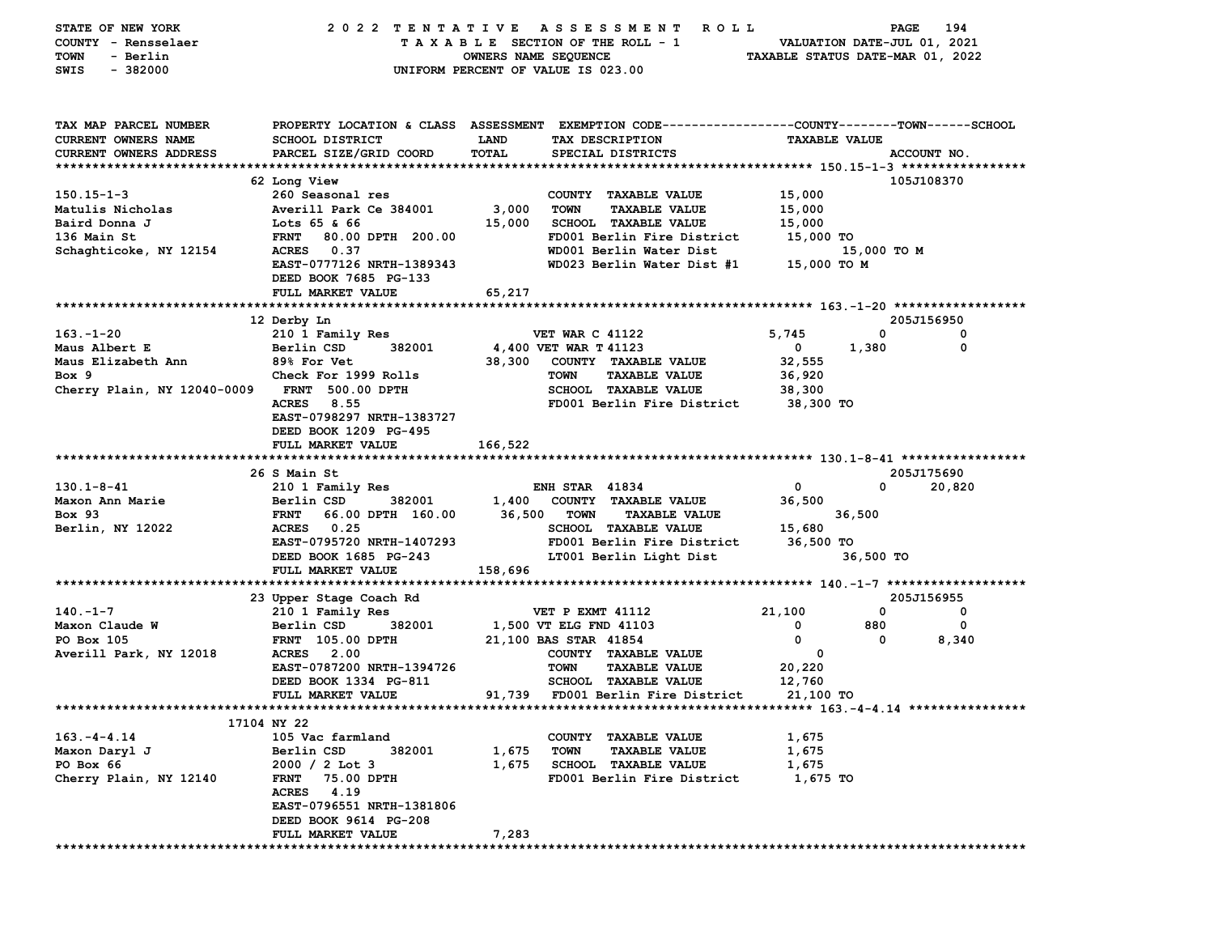| STATE OF NEW YORK                            | 2022 TENTATIVE                                                                                  |                                    |                        | ASSESSMENT ROLL                      |                      | PAGE                             | 194         |
|----------------------------------------------|-------------------------------------------------------------------------------------------------|------------------------------------|------------------------|--------------------------------------|----------------------|----------------------------------|-------------|
| COUNTY - Rensselaer                          |                                                                                                 |                                    |                        | TAXABLE SECTION OF THE ROLL - 1      |                      | VALUATION DATE-JUL 01, 2021      |             |
| <b>TOWN</b><br>- Berlin                      | OWNERS NAME SEQUENCE                                                                            |                                    |                        |                                      |                      | TAXABLE STATUS DATE-MAR 01, 2022 |             |
| SWIS<br>$-382000$                            |                                                                                                 | UNIFORM PERCENT OF VALUE IS 023.00 |                        |                                      |                      |                                  |             |
|                                              |                                                                                                 |                                    |                        |                                      |                      |                                  |             |
| TAX MAP PARCEL NUMBER                        | PROPERTY LOCATION & CLASS ASSESSMENT EXEMPTION CODE----------------COUNTY-------TOWN-----SCHOOL |                                    |                        |                                      |                      |                                  |             |
| CURRENT OWNERS NAME                          | <b>SCHOOL DISTRICT</b>                                                                          | <b>LAND</b>                        |                        | TAX DESCRIPTION                      | <b>TAXABLE VALUE</b> |                                  |             |
| CURRENT OWNERS ADDRESS                       | PARCEL SIZE/GRID COORD                                                                          | TOTAL                              |                        | SPECIAL DISTRICTS                    |                      |                                  | ACCOUNT NO. |
|                                              |                                                                                                 |                                    |                        |                                      |                      |                                  |             |
|                                              | 62 Long View                                                                                    |                                    |                        |                                      |                      |                                  | 105J108370  |
| $150.15 - 1 - 3$                             | 260 Seasonal res                                                                                |                                    |                        | COUNTY TAXABLE VALUE                 | 15,000               |                                  |             |
| Matulis Nicholas                             | Averill Park Ce 384001                                                                          | 3,000                              | <b>TOWN</b>            | <b>TAXABLE VALUE</b>                 | 15,000               |                                  |             |
| Baird Donna J                                | Lots 65 & 66                                                                                    | 15,000                             |                        | <b>SCHOOL TAXABLE VALUE</b>          | 15,000               |                                  |             |
| 136 Main St                                  | 80.00 DPTH 200.00<br><b>FRNT</b>                                                                |                                    |                        | FD001 Berlin Fire District           | 15,000 TO            |                                  |             |
| Schaghticoke, NY 12154                       | ACRES 0.37                                                                                      |                                    |                        | WD001 Berlin Water Dist              |                      | 15,000 TO M                      |             |
|                                              | EAST-0777126 NRTH-1389343                                                                       |                                    |                        | WD023 Berlin Water Dist #1           | 15,000 TO M          |                                  |             |
|                                              | DEED BOOK 7685 PG-133                                                                           |                                    |                        |                                      |                      |                                  |             |
|                                              | FULL MARKET VALUE                                                                               | 65,217                             |                        |                                      |                      |                                  |             |
|                                              |                                                                                                 |                                    |                        |                                      |                      |                                  |             |
|                                              | 12 Derby Ln                                                                                     |                                    |                        |                                      |                      |                                  | 205J156950  |
| $163. - 1 - 20$                              | 210 1 Family Res                                                                                |                                    | <b>VET WAR C 41122</b> |                                      | 5,745                | $^{\circ}$                       | 0           |
| Maus Albert E                                | Berlin CSD<br>382001                                                                            | 4,400 VET WAR T 41123              |                        |                                      | $\mathbf{0}$         | 1,380                            | $\mathbf 0$ |
| Maus Elizabeth Ann                           | <b>89% For Vet</b>                                                                              | 38,300                             |                        | COUNTY TAXABLE VALUE                 | 32,555               |                                  |             |
| Box 9                                        | Check For 1999 Rolls                                                                            |                                    | <b>TOWN</b>            | <b>TAXABLE VALUE</b>                 | 36,920               |                                  |             |
| Cherry Plain, NY 12040-0009 FRNT 500.00 DPTH |                                                                                                 |                                    |                        | <b>SCHOOL TAXABLE VALUE</b>          | 38,300               |                                  |             |
|                                              | 8.55<br><b>ACRES</b>                                                                            |                                    |                        | FD001 Berlin Fire District           | 38,300 TO            |                                  |             |
|                                              | EAST-0798297 NRTH-1383727                                                                       |                                    |                        |                                      |                      |                                  |             |
|                                              | DEED BOOK 1209 PG-495                                                                           |                                    |                        |                                      |                      |                                  |             |
|                                              | FULL MARKET VALUE                                                                               | 166,522                            |                        |                                      |                      |                                  |             |
|                                              |                                                                                                 |                                    |                        |                                      |                      |                                  |             |
|                                              | 26 S Main St                                                                                    |                                    |                        |                                      |                      |                                  | 205J175690  |
| $130.1 - 8 - 41$                             | 210 1 Family Res                                                                                |                                    | <b>ENH STAR 41834</b>  |                                      | $\mathbf 0$          | $\mathbf{0}$                     | 20,820      |
| Maxon Ann Marie                              | 382001<br>Berlin CSD                                                                            |                                    |                        | 1,400 COUNTY TAXABLE VALUE           | 36,500               |                                  |             |
| <b>Box 93</b>                                | 66.00 DPTH 160.00<br><b>FRNT</b>                                                                |                                    | 36,500 TOWN            | <b>TAXABLE VALUE</b>                 |                      | 36,500                           |             |
| Berlin, NY 12022                             | <b>ACRES</b> 0.25                                                                               |                                    |                        | SCHOOL TAXABLE VALUE                 | 15,680               |                                  |             |
|                                              | EAST-0795720 NRTH-1407293                                                                       |                                    |                        | FD001 Berlin Fire District 36,500 TO |                      |                                  |             |
|                                              | DEED BOOK 1685 PG-243                                                                           |                                    |                        | LT001 Berlin Light Dist              |                      | 36,500 TO                        |             |
|                                              | FULL MARKET VALUE                                                                               | 158,696                            |                        |                                      |                      |                                  |             |
|                                              |                                                                                                 |                                    |                        |                                      |                      |                                  |             |
|                                              | 23 Upper Stage Coach Rd                                                                         |                                    |                        |                                      |                      |                                  | 205J156955  |
| $140. - 1 - 7$                               | 210 1 Family Res                                                                                |                                    | VET P EXMT 41112       |                                      | 21,100               | $\mathbf{0}$                     | 0           |
| Maxon Claude W                               | 382001<br>Berlin CSD                                                                            | 1,500 VT ELG FND 41103             |                        |                                      | 0                    | 880                              | 0           |
| PO Box 105                                   | <b>FRNT</b> 105.00 DPTH                                                                         | 21,100 BAS STAR 41854              |                        |                                      | 0                    | $^{\circ}$                       | 8,340       |
| Averill Park, NY 12018                       | <b>ACRES</b> 2.00                                                                               |                                    |                        | COUNTY TAXABLE VALUE                 | $\mathbf 0$          |                                  |             |
|                                              | EAST-0787200 NRTH-1394726                                                                       |                                    | <b>TOWN</b>            | <b>TAXABLE VALUE</b>                 | 20,220               |                                  |             |
|                                              | DEED BOOK 1334 PG-811                                                                           |                                    |                        | <b>SCHOOL TAXABLE VALUE</b>          | 12,760               |                                  |             |
|                                              | FULL MARKET VALUE                                                                               |                                    |                        | 91,739 FD001 Berlin Fire District    | 21,100 TO            |                                  |             |
|                                              |                                                                                                 |                                    |                        |                                      |                      |                                  |             |
|                                              | 17104 NY 22                                                                                     |                                    |                        |                                      |                      |                                  |             |
| $163. -4 - 4.14$                             | 105 Vac farmland                                                                                |                                    |                        | COUNTY TAXABLE VALUE                 | 1,675                |                                  |             |
| Maxon Daryl J                                | Berlin CSD<br>382001                                                                            | 1,675                              | <b>TOWN</b>            | <b>TAXABLE VALUE</b>                 | 1,675                |                                  |             |
| PO Box 66                                    | $2000 / 2$ Lot 3                                                                                | 1,675                              |                        | <b>SCHOOL TAXABLE VALUE</b>          | 1,675                |                                  |             |
| Cherry Plain, NY 12140                       | 75.00 DPTH<br><b>FRNT</b>                                                                       |                                    |                        | FD001 Berlin Fire District           | 1,675 TO             |                                  |             |
|                                              | 4.19<br><b>ACRES</b>                                                                            |                                    |                        |                                      |                      |                                  |             |
|                                              | EAST-0796551 NRTH-1381806                                                                       |                                    |                        |                                      |                      |                                  |             |
|                                              | DEED BOOK 9614 PG-208                                                                           |                                    |                        |                                      |                      |                                  |             |
|                                              | FULL MARKET VALUE                                                                               | 7,283                              |                        |                                      |                      |                                  |             |
|                                              |                                                                                                 |                                    |                        |                                      |                      |                                  |             |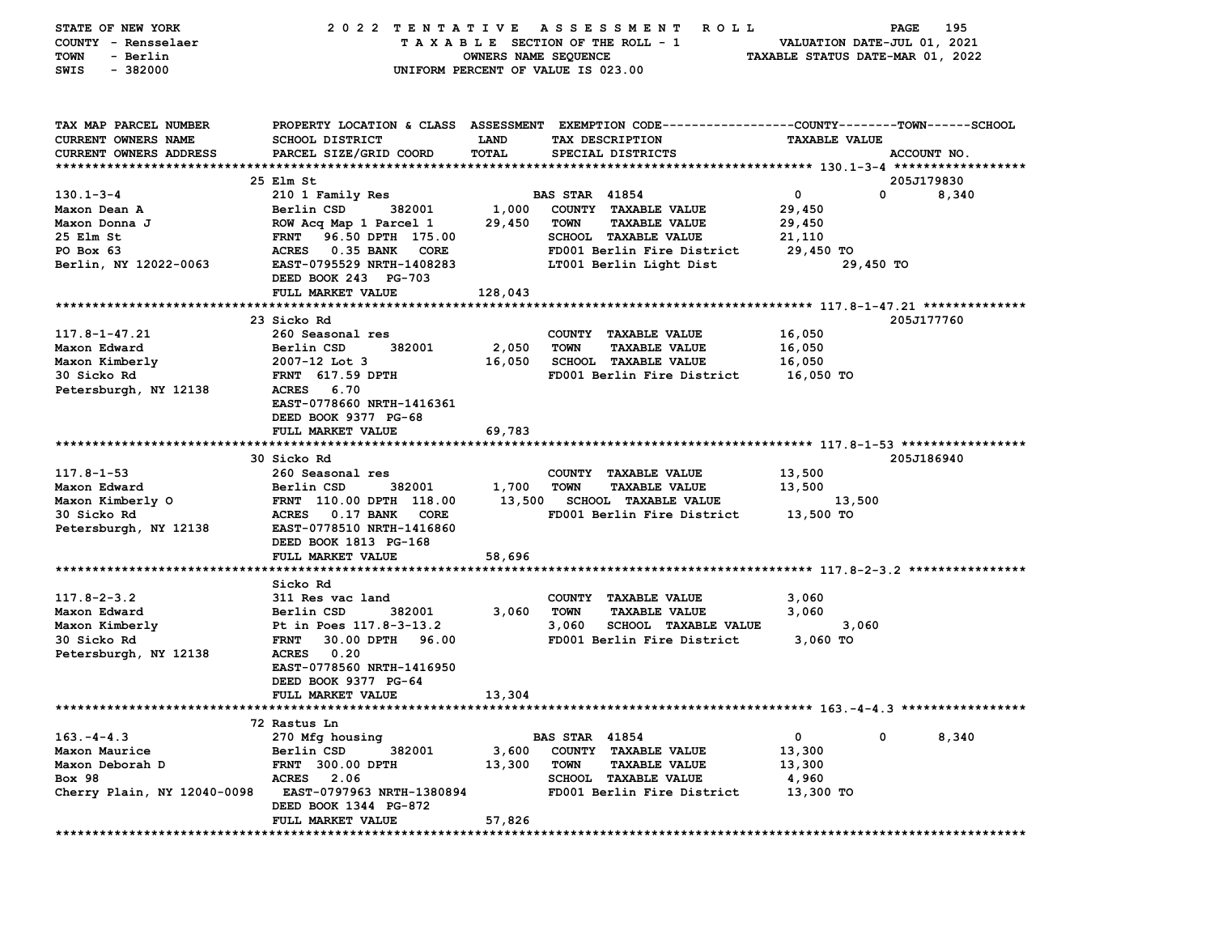| STATE OF NEW YORK             | 2022 TENTATIVE                                           |             | ASSESSMENT ROLL                                                                                |                             | 195<br>PAGE |
|-------------------------------|----------------------------------------------------------|-------------|------------------------------------------------------------------------------------------------|-----------------------------|-------------|
| COUNTY - Rensselaer           |                                                          |             | TAXABLE SECTION OF THE ROLL - 1                                                                | VALUATION DATE-JUL 01, 2021 |             |
| - Berlin<br>TOWN              | OWNERS NAME SEQUENCE<br>TAXABLE STATUS DATE-MAR 01, 2022 |             |                                                                                                |                             |             |
| SWIS<br>$-382000$             |                                                          |             | UNIFORM PERCENT OF VALUE IS 023.00                                                             |                             |             |
|                               |                                                          |             |                                                                                                |                             |             |
|                               |                                                          |             |                                                                                                |                             |             |
|                               |                                                          |             |                                                                                                |                             |             |
| TAX MAP PARCEL NUMBER         |                                                          |             | PROPERTY LOCATION & CLASS ASSESSMENT EXEMPTION CODE---------------COUNTY-------TOWN-----SCHOOL |                             |             |
| CURRENT OWNERS NAME           | SCHOOL DISTRICT                                          | <b>LAND</b> | TAX DESCRIPTION                                                                                | <b>TAXABLE VALUE</b>        |             |
| <b>CURRENT OWNERS ADDRESS</b> | PARCEL SIZE/GRID COORD                                   | TOTAL       | SPECIAL DISTRICTS                                                                              |                             | ACCOUNT NO. |
|                               |                                                          |             |                                                                                                |                             |             |
|                               | 25 Elm St                                                |             |                                                                                                |                             | 205J179830  |
| $130.1 - 3 - 4$               | 210 1 Family Res                                         |             | <b>BAS STAR 41854</b>                                                                          | $\mathbf 0$                 | 0<br>8,340  |
| Maxon Dean A                  | Berlin CSD<br>382001                                     | 1,000       | COUNTY TAXABLE VALUE                                                                           | 29,450                      |             |
| Maxon Donna J                 | ROW Acq Map 1 Parcel 1                                   | 29,450      | TOWN<br><b>TAXABLE VALUE</b>                                                                   | 29,450                      |             |
| 25 Elm St                     | <b>FRNT</b><br>96.50 DPTH 175.00                         |             | <b>SCHOOL TAXABLE VALUE</b>                                                                    | 21,110                      |             |
| PO Box 63                     | <b>ACRES</b><br>0.35 BANK CORE                           |             | FD001 Berlin Fire District                                                                     | 29,450 TO                   |             |
| Berlin, NY 12022-0063         | EAST-0795529 NRTH-1408283                                |             | LT001 Berlin Light Dist                                                                        | 29,450 TO                   |             |
|                               | DEED BOOK 243 PG-703                                     |             |                                                                                                |                             |             |
|                               | FULL MARKET VALUE                                        | 128,043     |                                                                                                |                             |             |
|                               |                                                          |             |                                                                                                |                             |             |
|                               | 23 Sicko Rd                                              |             |                                                                                                |                             | 205J177760  |
| 117.8-1-47.21                 | 260 Seasonal res                                         |             | COUNTY TAXABLE VALUE                                                                           | 16,050                      |             |
| Maxon Edward                  | Berlin CSD<br>382001                                     | 2,050       | <b>TOWN</b><br><b>TAXABLE VALUE</b>                                                            | 16,050                      |             |
| Maxon Kimberly                | $2007 - 12$ Lot 3                                        | 16,050      | <b>SCHOOL TAXABLE VALUE</b>                                                                    | 16,050                      |             |
| 30 Sicko Rd                   | <b>FRNT</b> 617.59 DPTH                                  |             | FD001 Berlin Fire District                                                                     | 16,050 TO                   |             |
| Petersburgh, NY 12138         | ACRES 6.70                                               |             |                                                                                                |                             |             |
|                               | EAST-0778660 NRTH-1416361                                |             |                                                                                                |                             |             |
|                               | DEED BOOK 9377 PG-68                                     |             |                                                                                                |                             |             |
|                               | FULL MARKET VALUE                                        | 69,783      |                                                                                                |                             |             |
|                               |                                                          |             |                                                                                                |                             |             |
|                               | 30 Sicko Rd                                              |             |                                                                                                |                             | 205J186940  |
| $117.8 - 1 - 53$              | 260 Seasonal res                                         |             | COUNTY TAXABLE VALUE                                                                           | 13,500                      |             |
| Maxon Edward                  | Berlin CSD<br>382001                                     | 1,700 TOWN  | <b>TAXABLE VALUE</b>                                                                           | 13,500                      |             |
| Maxon Kimberly O              | FRNT 110.00 DPTH 118.00                                  |             | 13,500 SCHOOL TAXABLE VALUE                                                                    | 13,500                      |             |
| 30 Sicko Rd                   | ACRES 0.17 BANK<br>CORE                                  |             | FD001 Berlin Fire District                                                                     | 13,500 TO                   |             |
| Petersburgh, NY 12138         | EAST-0778510 NRTH-1416860                                |             |                                                                                                |                             |             |
|                               | DEED BOOK 1813 PG-168                                    |             |                                                                                                |                             |             |
|                               | FULL MARKET VALUE                                        | 58,696      |                                                                                                |                             |             |
|                               |                                                          |             |                                                                                                |                             |             |
|                               | Sicko Rd                                                 |             |                                                                                                |                             |             |
| $117.8 - 2 - 3.2$             | 311 Res vac land                                         |             | COUNTY TAXABLE VALUE                                                                           | 3,060                       |             |
| Maxon Edward                  | 382001                                                   |             | TOWN                                                                                           | 3,060                       |             |
|                               | Berlin CSD                                               | 3,060       | <b>TAXABLE VALUE</b>                                                                           |                             |             |
| Maxon Kimberly                | Pt in Poes 117.8-3-13.2                                  |             | 3,060<br>SCHOOL TAXABLE VALUE                                                                  | 3,060                       |             |
| 30 Sicko Rd                   | 30.00 DPTH 96.00<br><b>FRNT</b>                          |             | FD001 Berlin Fire District                                                                     | 3,060 TO                    |             |
| Petersburgh, NY 12138         | ACRES 0.20                                               |             |                                                                                                |                             |             |
|                               | EAST-0778560 NRTH-1416950                                |             |                                                                                                |                             |             |
|                               | DEED BOOK 9377 PG-64                                     |             |                                                                                                |                             |             |
|                               | <b>FULL MARKET VALUE</b>                                 | 13,304      |                                                                                                |                             |             |
|                               |                                                          |             |                                                                                                |                             |             |
|                               | 72 Rastus Ln                                             |             |                                                                                                |                             |             |
| $163. -4 - 4.3$               | 270 Mfg housing                                          |             | <b>BAS STAR 41854</b>                                                                          | 0<br>0                      | 8,340       |
| Maxon Maurice                 | Berlin CSD<br>382001                                     | 3,600       | COUNTY TAXABLE VALUE                                                                           | 13,300                      |             |
| Maxon Deborah D               | <b>FRNT 300.00 DPTH</b>                                  | 13,300      | <b>TOWN</b><br><b>TAXABLE VALUE</b>                                                            | 13,300                      |             |
| <b>Box 98</b>                 | <b>ACRES</b><br>2.06                                     |             | <b>SCHOOL TAXABLE VALUE</b>                                                                    | 4,960                       |             |
| Cherry Plain, NY 12040-0098   | EAST-0797963 NRTH-1380894                                |             | FD001 Berlin Fire District                                                                     | 13,300 TO                   |             |
|                               | DEED BOOK 1344 PG-872                                    |             |                                                                                                |                             |             |
|                               | FULL MARKET VALUE                                        | 57,826      |                                                                                                |                             |             |
| **********                    | **********************                                   |             |                                                                                                |                             |             |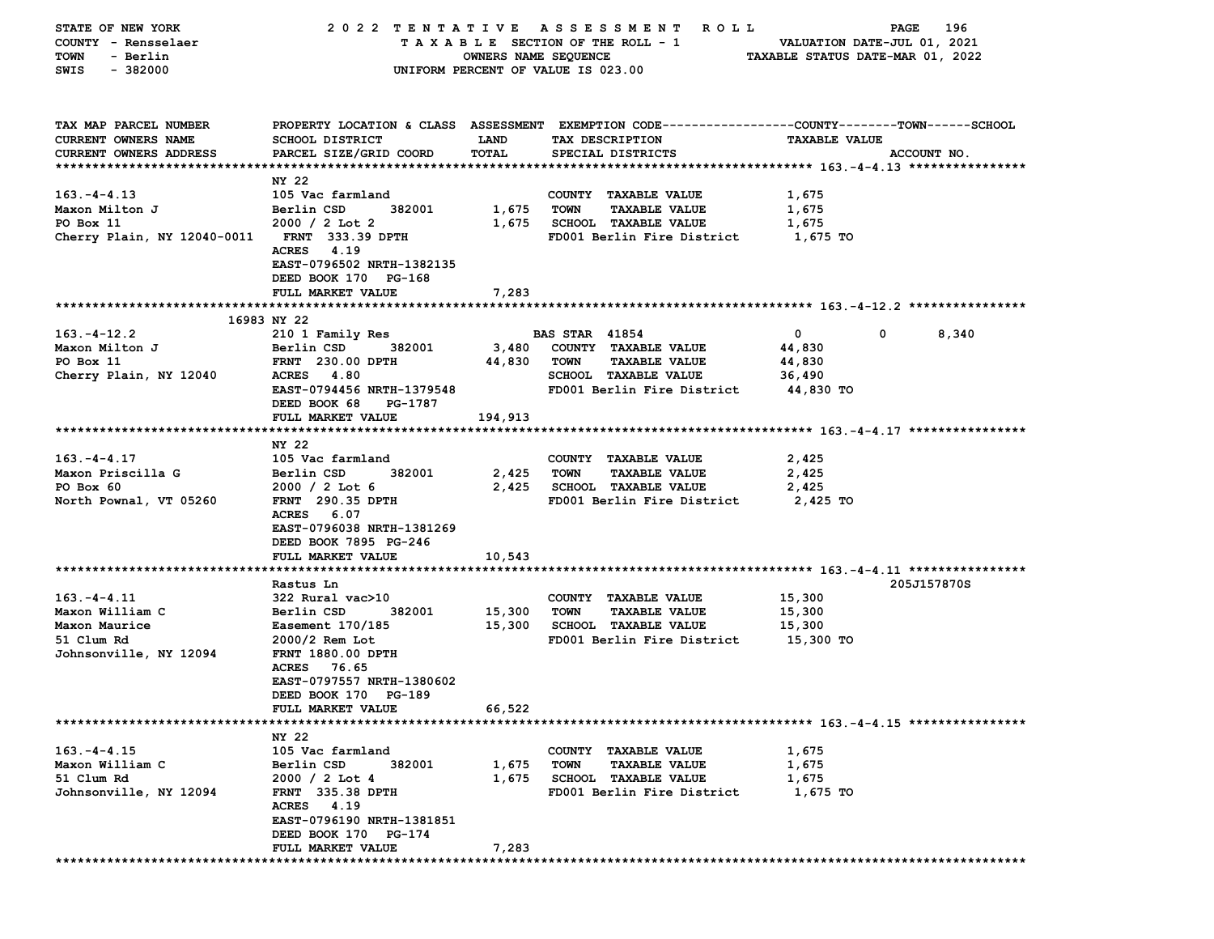| STATE OF NEW YORK                            |                           |                      | 2022 TENTATIVE ASSESSMENT ROLL                                                                 |                                  | <b>PAGE</b><br>196 |
|----------------------------------------------|---------------------------|----------------------|------------------------------------------------------------------------------------------------|----------------------------------|--------------------|
| COUNTY - Rensselaer                          |                           |                      | TAXABLE SECTION OF THE ROLL - 1                                                                | VALUATION DATE-JUL 01, 2021      |                    |
| - Berlin<br>TOWN                             |                           | OWNERS NAME SEQUENCE |                                                                                                | TAXABLE STATUS DATE-MAR 01, 2022 |                    |
| SWIS<br>- 382000                             |                           |                      | UNIFORM PERCENT OF VALUE IS 023.00                                                             |                                  |                    |
|                                              |                           |                      |                                                                                                |                                  |                    |
|                                              |                           |                      |                                                                                                |                                  |                    |
| TAX MAP PARCEL NUMBER                        |                           |                      | PROPERTY LOCATION & CLASS ASSESSMENT EXEMPTION CODE---------------COUNTY-------TOWN-----SCHOOL |                                  |                    |
| CURRENT OWNERS NAME                          | <b>SCHOOL DISTRICT</b>    | <b>LAND</b>          | TAX DESCRIPTION                                                                                | <b>TAXABLE VALUE</b>             |                    |
| CURRENT OWNERS ADDRESS                       | PARCEL SIZE/GRID COORD    | TOTAL                | SPECIAL DISTRICTS                                                                              |                                  | ACCOUNT NO.        |
|                                              |                           |                      |                                                                                                |                                  |                    |
|                                              | NY 22                     |                      |                                                                                                |                                  |                    |
| $163. -4 - 4.13$                             | 105 Vac farmland          |                      | COUNTY TAXABLE VALUE                                                                           | 1,675                            |                    |
| Maxon Milton J                               | 382001<br>Berlin CSD      | 1,675                | TOWN<br><b>TAXABLE VALUE</b>                                                                   | 1,675                            |                    |
| PO Box 11                                    | $2000 / 2$ Lot 2          |                      | 1,675 SCHOOL TAXABLE VALUE                                                                     | 1,675                            |                    |
| Cherry Plain, NY 12040-0011 FRNT 333.39 DPTH |                           |                      | FD001 Berlin Fire District                                                                     | 1,675 TO                         |                    |
|                                              | ACRES 4.19                |                      |                                                                                                |                                  |                    |
|                                              | EAST-0796502 NRTH-1382135 |                      |                                                                                                |                                  |                    |
|                                              | DEED BOOK 170 PG-168      |                      |                                                                                                |                                  |                    |
|                                              | <b>FULL MARKET VALUE</b>  | 7,283                |                                                                                                |                                  |                    |
|                                              |                           |                      |                                                                                                |                                  |                    |
|                                              | 16983 NY 22               |                      |                                                                                                |                                  |                    |
| $163. - 4 - 12.2$                            | 210 1 Family Res          |                      | <b>BAS STAR 41854</b>                                                                          | $\mathbf{0}$                     | 0<br>8,340         |
| Maxon Milton J                               | Berlin CSD<br>382001      | 3,480                | COUNTY TAXABLE VALUE                                                                           | 44,830                           |                    |
| PO Box 11                                    | <b>FRNT</b> 230.00 DPTH   | 44,830               | TOWN<br><b>TAXABLE VALUE</b>                                                                   | 44,830                           |                    |
| Cherry Plain, NY 12040                       | <b>ACRES</b> 4.80         |                      | <b>SCHOOL TAXABLE VALUE</b>                                                                    | 36,490                           |                    |
|                                              | EAST-0794456 NRTH-1379548 |                      | FD001 Berlin Fire District                                                                     | 44,830 TO                        |                    |
|                                              | DEED BOOK 68<br>PG-1787   |                      |                                                                                                |                                  |                    |
|                                              | FULL MARKET VALUE         | 194,913              |                                                                                                |                                  |                    |
|                                              |                           |                      |                                                                                                |                                  |                    |
|                                              | NY 22                     |                      |                                                                                                |                                  |                    |
| $163. - 4 - 4.17$                            | 105 Vac farmland          |                      | COUNTY TAXABLE VALUE                                                                           | 2,425                            |                    |
| Maxon Priscilla G                            | Berlin CSD<br>382001      | 2,425                | <b>TOWN</b><br><b>TAXABLE VALUE</b>                                                            | 2,425                            |                    |
| PO Box 60                                    | $2000 / 2$ Lot 6          |                      | 2,425 SCHOOL TAXABLE VALUE                                                                     | 2,425                            |                    |
| North Pownal, VT 05260                       | <b>FRNT</b> 290.35 DPTH   |                      | FD001 Berlin Fire District                                                                     | 2,425 TO                         |                    |
|                                              | ACRES 6.07                |                      |                                                                                                |                                  |                    |
|                                              | EAST-0796038 NRTH-1381269 |                      |                                                                                                |                                  |                    |
|                                              | DEED BOOK 7895 PG-246     |                      |                                                                                                |                                  |                    |
|                                              | FULL MARKET VALUE         | 10,543               |                                                                                                |                                  |                    |
|                                              |                           |                      |                                                                                                |                                  |                    |
|                                              | Rastus Ln                 |                      |                                                                                                |                                  | 205J157870S        |
| $163. -4 - 4.11$                             | 322 Rural vac>10          |                      | COUNTY TAXABLE VALUE                                                                           | 15,300                           |                    |
| Maxon William C                              | 382001<br>Berlin CSD      | 15,300               | TOWN<br><b>TAXABLE VALUE</b>                                                                   | 15,300                           |                    |
| Maxon Maurice                                | <b>Easement 170/185</b>   | 15,300               | <b>SCHOOL TAXABLE VALUE</b>                                                                    | 15,300                           |                    |
| 51 Clum Rd                                   | 2000/2 Rem Lot            |                      | FD001 Berlin Fire District                                                                     | 15,300 TO                        |                    |
| Johnsonville, NY 12094                       | <b>FRNT 1880.00 DPTH</b>  |                      |                                                                                                |                                  |                    |
|                                              | ACRES 76.65               |                      |                                                                                                |                                  |                    |
|                                              | EAST-0797557 NRTH-1380602 |                      |                                                                                                |                                  |                    |
|                                              | DEED BOOK 170 PG-189      |                      |                                                                                                |                                  |                    |
|                                              | <b>FULL MARKET VALUE</b>  | 66,522               |                                                                                                |                                  |                    |
|                                              |                           |                      |                                                                                                |                                  |                    |
|                                              | NY 22                     |                      |                                                                                                |                                  |                    |
| $163. -4 - 4.15$                             | 105 Vac farmland          |                      | COUNTY TAXABLE VALUE                                                                           | 1,675                            |                    |
| Maxon William C                              | Berlin CSD<br>382001      | 1,675                | <b>TOWN</b><br><b>TAXABLE VALUE</b>                                                            | 1,675                            |                    |
| 51 Clum Rd                                   | $2000 / 2$ Lot 4          | 1,675                | <b>SCHOOL TAXABLE VALUE</b>                                                                    | 1,675                            |                    |
| Johnsonville, NY 12094                       | <b>FRNT 335.38 DPTH</b>   |                      | FD001 Berlin Fire District                                                                     | 1,675 TO                         |                    |
|                                              | ACRES 4.19                |                      |                                                                                                |                                  |                    |
|                                              | EAST-0796190 NRTH-1381851 |                      |                                                                                                |                                  |                    |
|                                              | DEED BOOK 170 PG-174      |                      |                                                                                                |                                  |                    |
|                                              | FULL MARKET VALUE         | 7,283                |                                                                                                |                                  |                    |
|                                              |                           |                      |                                                                                                |                                  |                    |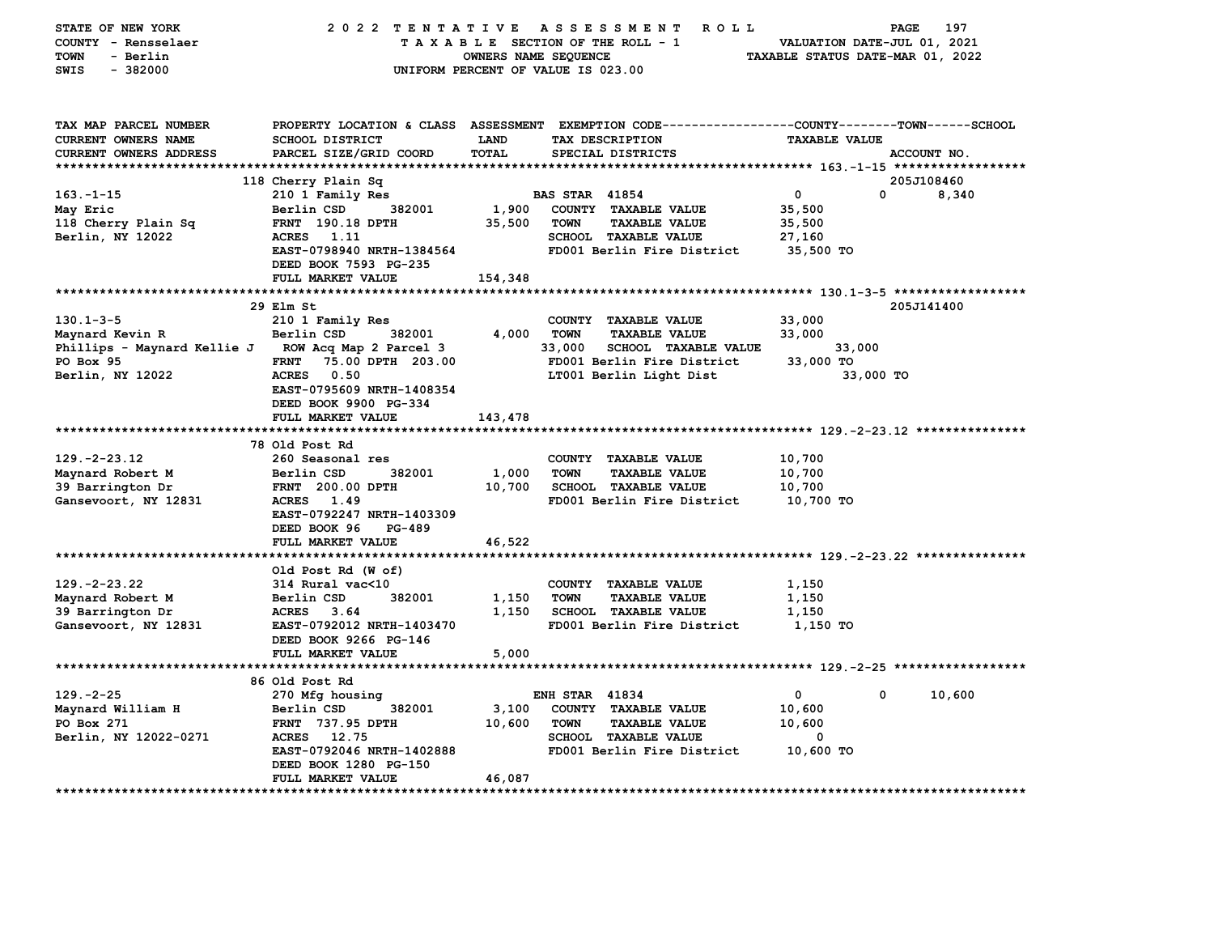| STATE OF NEW YORK<br>COUNTY - Rensselaer<br><b>TOWN</b><br>- Berlin<br>SWIS<br>$-382000$ | 2022 TENTATIVE                                     | OWNERS NAME SEQUENCE | A S S E S S M E N T<br><b>ROLL</b><br>TAXABLE SECTION OF THE ROLL - 1<br>UNIFORM PERCENT OF VALUE IS 023.00                             | VALUATION DATE-JUL 01, 2021<br>TAXABLE STATUS DATE-MAR 01, 2022 | 197<br>PAGE |
|------------------------------------------------------------------------------------------|----------------------------------------------------|----------------------|-----------------------------------------------------------------------------------------------------------------------------------------|-----------------------------------------------------------------|-------------|
| TAX MAP PARCEL NUMBER<br>CURRENT OWNERS NAME<br>CURRENT OWNERS ADDRESS                   | <b>SCHOOL DISTRICT</b><br>PARCEL SIZE/GRID COORD   | LAND<br><b>TOTAL</b> | PROPERTY LOCATION & CLASS ASSESSMENT EXEMPTION CODE---------------COUNTY-------TOWN------SCHOOL<br>TAX DESCRIPTION<br>SPECIAL DISTRICTS | <b>TAXABLE VALUE</b>                                            | ACCOUNT NO. |
|                                                                                          | 118 Cherry Plain Sq                                |                      |                                                                                                                                         |                                                                 | 205J108460  |
| $163 - 1 - 15$                                                                           | 210 1 Family Res                                   |                      | <b>BAS STAR 41854</b>                                                                                                                   | $\mathbf 0$<br>0                                                | 8,340       |
| May Eric                                                                                 | Berlin CSD<br>382001                               | 1,900                | COUNTY TAXABLE VALUE                                                                                                                    | 35,500                                                          |             |
| 118 Cherry Plain Sq                                                                      | FRNT 190.18 DPTH                                   | 35,500               | <b>TOWN</b><br><b>TAXABLE VALUE</b>                                                                                                     | 35,500                                                          |             |
| Berlin, NY 12022                                                                         | ACRES<br>1.11                                      |                      | SCHOOL TAXABLE VALUE                                                                                                                    | 27,160                                                          |             |
|                                                                                          | EAST-0798940 NRTH-1384564<br>DEED BOOK 7593 PG-235 |                      | FD001 Berlin Fire District                                                                                                              | 35,500 TO                                                       |             |
|                                                                                          | FULL MARKET VALUE                                  | 154,348              |                                                                                                                                         |                                                                 |             |
|                                                                                          |                                                    |                      |                                                                                                                                         |                                                                 |             |
|                                                                                          | 29 Elm St                                          |                      |                                                                                                                                         |                                                                 | 205J141400  |
| $130.1 - 3 - 5$                                                                          | 210 1 Family Res                                   |                      | COUNTY TAXABLE VALUE                                                                                                                    | 33,000                                                          |             |
| Maynard Kevin R                                                                          | Berlin CSD<br>382001                               | 4,000                | <b>TOWN</b><br><b>TAXABLE VALUE</b>                                                                                                     | 33,000                                                          |             |
| Phillips - Maynard Kellie J ROW Acq Map 2 Parcel 3                                       |                                                    |                      | 33,000<br><b>SCHOOL TAXABLE VALUE</b>                                                                                                   | 33,000                                                          |             |
| PO Box 95                                                                                | 75.00 DPTH 203.00<br><b>FRNT</b>                   |                      | FD001 Berlin Fire District                                                                                                              | 33,000 TO                                                       |             |
| Berlin, NY 12022                                                                         | ACRES 0.50                                         |                      | LT001 Berlin Light Dist                                                                                                                 | 33,000 TO                                                       |             |
|                                                                                          | EAST-0795609 NRTH-1408354                          |                      |                                                                                                                                         |                                                                 |             |
|                                                                                          | DEED BOOK 9900 PG-334<br>FULL MARKET VALUE         | 143,478              |                                                                                                                                         |                                                                 |             |
|                                                                                          |                                                    |                      |                                                                                                                                         |                                                                 |             |
|                                                                                          | 78 Old Post Rd                                     |                      |                                                                                                                                         |                                                                 |             |
| $129. -2 - 23.12$                                                                        | 260 Seasonal res                                   |                      | COUNTY TAXABLE VALUE                                                                                                                    | 10,700                                                          |             |
| Maynard Robert M                                                                         | 382001<br>Berlin CSD                               | 1,000                | <b>TAXABLE VALUE</b><br>TOWN                                                                                                            | 10,700                                                          |             |
| 39 Barrington Dr                                                                         | FRNT 200.00 DPTH                                   | 10,700               | SCHOOL TAXABLE VALUE                                                                                                                    | 10,700                                                          |             |
| Gansevoort, NY 12831                                                                     | ACRES 1.49                                         |                      | FD001 Berlin Fire District                                                                                                              | 10,700 TO                                                       |             |
|                                                                                          | EAST-0792247 NRTH-1403309                          |                      |                                                                                                                                         |                                                                 |             |
|                                                                                          | DEED BOOK 96<br><b>PG-489</b>                      |                      |                                                                                                                                         |                                                                 |             |
|                                                                                          | FULL MARKET VALUE                                  | 46,522               |                                                                                                                                         |                                                                 |             |
|                                                                                          | Old Post Rd (W of)                                 |                      |                                                                                                                                         |                                                                 |             |
| $129. -2 - 23.22$                                                                        | 314 Rural vac<10                                   |                      | COUNTY TAXABLE VALUE                                                                                                                    | 1,150                                                           |             |
| Maynard Robert M                                                                         | Berlin CSD<br>382001                               | 1,150                | <b>TOWN</b><br><b>TAXABLE VALUE</b>                                                                                                     | 1,150                                                           |             |
| 39 Barrington Dr                                                                         | <b>ACRES</b><br>3.64                               | 1,150                | SCHOOL TAXABLE VALUE                                                                                                                    | 1,150                                                           |             |
| Gansevoort, NY 12831                                                                     | EAST-0792012 NRTH-1403470                          |                      | FD001 Berlin Fire District                                                                                                              | 1,150 TO                                                        |             |
|                                                                                          | DEED BOOK 9266 PG-146                              |                      |                                                                                                                                         |                                                                 |             |
|                                                                                          | FULL MARKET VALUE                                  | 5,000                |                                                                                                                                         |                                                                 |             |
|                                                                                          |                                                    |                      |                                                                                                                                         |                                                                 |             |
| $129. -2 - 25$                                                                           | 86 Old Post Rd                                     |                      | <b>ENH STAR 41834</b>                                                                                                                   | 0<br>0                                                          |             |
|                                                                                          | 270 Mfg housing<br>382001                          |                      |                                                                                                                                         | 10,600                                                          | 10,600      |
| Maynard William H<br>PO Box 271                                                          | Berlin CSD<br><b>FRNT 737.95 DPTH</b>              | 3,100<br>10,600      | COUNTY TAXABLE VALUE<br><b>TOWN</b><br><b>TAXABLE VALUE</b>                                                                             | 10,600                                                          |             |
| Berlin, NY 12022-0271                                                                    | ACRES 12.75                                        |                      | <b>SCHOOL TAXABLE VALUE</b>                                                                                                             | 0                                                               |             |
|                                                                                          | EAST-0792046 NRTH-1402888                          |                      | FD001 Berlin Fire District                                                                                                              | 10,600 TO                                                       |             |
|                                                                                          | DEED BOOK 1280 PG-150                              |                      |                                                                                                                                         |                                                                 |             |
|                                                                                          | <b>FULL MARKET VALUE</b>                           | 46,087               |                                                                                                                                         |                                                                 |             |
|                                                                                          |                                                    |                      |                                                                                                                                         |                                                                 |             |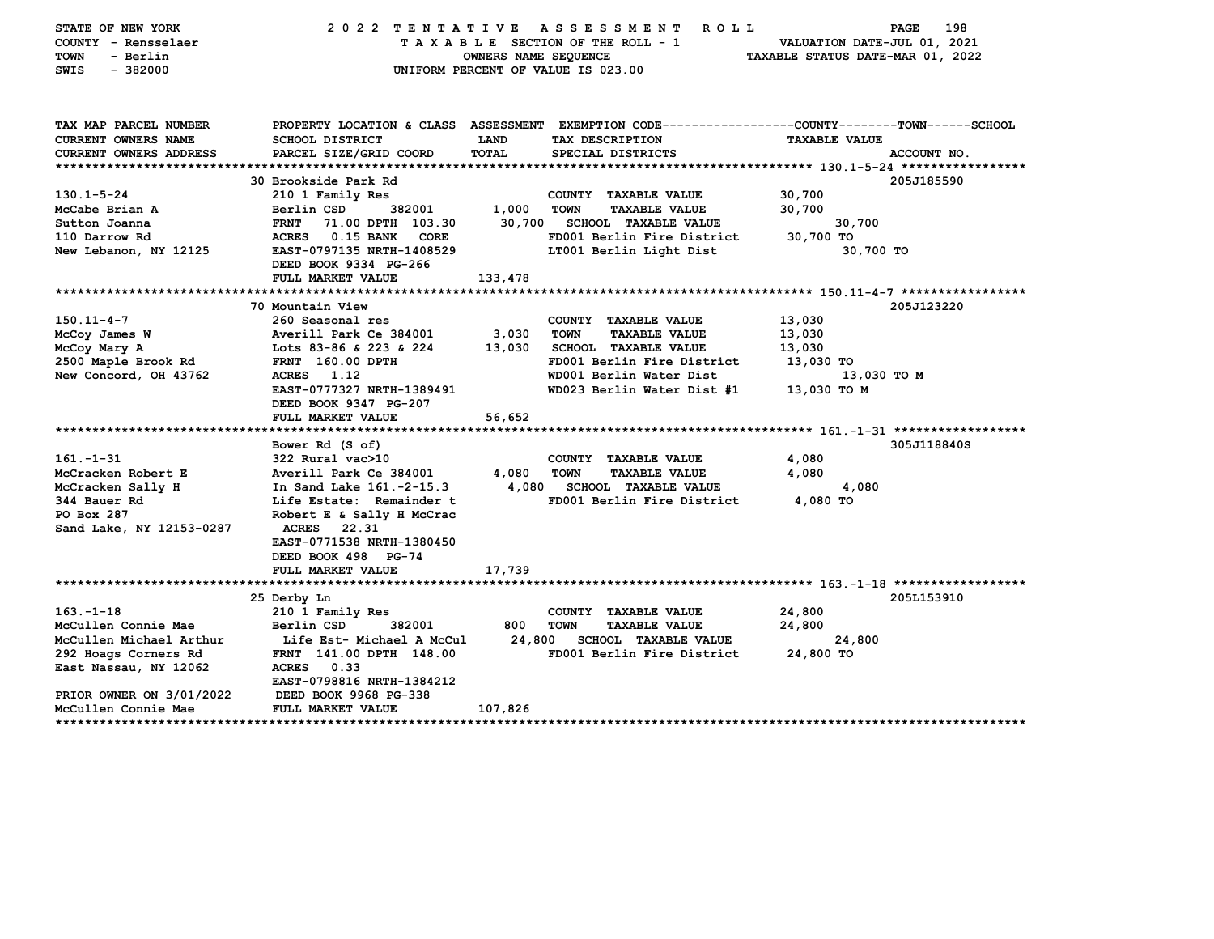| STATE OF NEW YORK<br>COUNTY - Rensselaer<br><b>TOWN</b><br>- Berlin<br>$-382000$<br>SWIS | 2022 TENTATIVE ASSESSMENT                                                                        | OWNERS NAME SEQUENCE | R O L L<br>TAXABLE SECTION OF THE ROLL - 1<br>UNIFORM PERCENT OF VALUE IS 023.00 | VALUATION DATE-JUL 01, 2021<br>TAXABLE STATUS DATE-MAR 01, 2022 | 198<br>PAGE |
|------------------------------------------------------------------------------------------|--------------------------------------------------------------------------------------------------|----------------------|----------------------------------------------------------------------------------|-----------------------------------------------------------------|-------------|
| TAX MAP PARCEL NUMBER                                                                    | PROPERTY LOCATION & CLASS ASSESSMENT EXEMPTION CODE----------------COUNTY-------TOWN------SCHOOL |                      |                                                                                  |                                                                 |             |
| CURRENT OWNERS NAME                                                                      | <b>SCHOOL DISTRICT</b>                                                                           | LAND                 | TAX DESCRIPTION                                                                  | <b>TAXABLE VALUE</b>                                            |             |
| CURRENT OWNERS ADDRESS                                                                   | PARCEL SIZE/GRID COORD                                                                           | <b>TOTAL</b>         | SPECIAL DISTRICTS                                                                |                                                                 | ACCOUNT NO. |
|                                                                                          | 30 Brookside Park Rd                                                                             |                      |                                                                                  |                                                                 | 205J185590  |
| $130.1 - 5 - 24$                                                                         | 210 1 Family Res                                                                                 |                      | COUNTY TAXABLE VALUE                                                             | 30,700                                                          |             |
| McCabe Brian A                                                                           | 382001<br>Berlin CSD                                                                             | 1,000                | <b>TOWN</b><br><b>TAXABLE VALUE</b>                                              | 30,700                                                          |             |
| Sutton Joanna                                                                            | <b>FRNT</b><br>71.00 DPTH 103.30                                                                 | 30,700               | <b>SCHOOL TAXABLE VALUE</b>                                                      | 30,700                                                          |             |
| 110 Darrow Rd                                                                            | ACRES 0.15 BANK CORE                                                                             |                      | FD001 Berlin Fire District                                                       | 30,700 TO                                                       |             |
| New Lebanon, NY 12125                                                                    | EAST-0797135 NRTH-1408529                                                                        |                      | LT001 Berlin Light Dist                                                          | 30,700 TO                                                       |             |
|                                                                                          | DEED BOOK 9334 PG-266                                                                            |                      |                                                                                  |                                                                 |             |
|                                                                                          | FULL MARKET VALUE                                                                                | 133,478              |                                                                                  |                                                                 |             |
|                                                                                          |                                                                                                  |                      |                                                                                  |                                                                 |             |
|                                                                                          | 70 Mountain View                                                                                 |                      |                                                                                  |                                                                 | 205J123220  |
| $150.11 - 4 - 7$                                                                         | 260 Seasonal res                                                                                 |                      | COUNTY TAXABLE VALUE                                                             | 13,030                                                          |             |
| McCoy James W                                                                            | Averill Park Ce 384001                                                                           | 3,030                | <b>TOWN</b><br><b>TAXABLE VALUE</b><br>SCHOOL TAXABLE VALUE                      | 13,030                                                          |             |
| McCoy Mary A<br>2500 Maple Brook Rd                                                      | Lots 83-86 & 223 & 224<br><b>FRNT</b> 160.00 DPTH                                                | 13,030               | FD001 Berlin Fire District                                                       | 13,030<br>13,030 TO                                             |             |
| <b>New Concord, OH 43762</b>                                                             | ACRES 1.12                                                                                       |                      | WD001 Berlin Water Dist                                                          | 13,030 TO M                                                     |             |
|                                                                                          | EAST-0777327 NRTH-1389491                                                                        |                      | WD023 Berlin Water Dist #1                                                       | 13,030 TO M                                                     |             |
|                                                                                          | DEED BOOK 9347 PG-207                                                                            |                      |                                                                                  |                                                                 |             |
|                                                                                          | FULL MARKET VALUE                                                                                | 56,652               |                                                                                  |                                                                 |             |
|                                                                                          |                                                                                                  |                      |                                                                                  |                                                                 |             |
|                                                                                          | Bower Rd (S of)                                                                                  |                      |                                                                                  |                                                                 | 305J118840S |
| $161. - 1 - 31$                                                                          | 322 Rural vac>10                                                                                 |                      | COUNTY TAXABLE VALUE                                                             | 4,080                                                           |             |
| McCracken Robert E                                                                       | Averill Park Ce 384001                                                                           | 4,080                | <b>TOWN</b><br><b>TAXABLE VALUE</b>                                              | 4,080                                                           |             |
| McCracken Sally H                                                                        | In Sand Lake 161.-2-15.3                                                                         | 4,080                | <b>SCHOOL TAXABLE VALUE</b>                                                      | 4,080                                                           |             |
| 344 Bauer Rd                                                                             | Life Estate: Remainder t                                                                         |                      | FD001 Berlin Fire District                                                       | 4,080 TO                                                        |             |
| PO Box 287                                                                               | Robert E & Sally H McCrac                                                                        |                      |                                                                                  |                                                                 |             |
| Sand Lake, NY 12153-0287                                                                 | ACRES<br>22.31<br>EAST-0771538 NRTH-1380450                                                      |                      |                                                                                  |                                                                 |             |
|                                                                                          | DEED BOOK 498 PG-74                                                                              |                      |                                                                                  |                                                                 |             |
|                                                                                          | FULL MARKET VALUE                                                                                | 17,739               |                                                                                  |                                                                 |             |
|                                                                                          |                                                                                                  |                      |                                                                                  |                                                                 |             |
|                                                                                          | 25 Derby Ln                                                                                      |                      |                                                                                  |                                                                 | 205L153910  |
| $163. - 1 - 18$                                                                          | 210 1 Family Res                                                                                 |                      | COUNTY TAXABLE VALUE                                                             | 24,800                                                          |             |
| McCullen Connie Mae                                                                      | Berlin CSD<br>382001                                                                             | 800                  | <b>TOWN</b><br><b>TAXABLE VALUE</b>                                              | 24,800                                                          |             |
| McCullen Michael Arthur                                                                  | Life Est- Michael A McCul                                                                        |                      | 24,800 SCHOOL TAXABLE VALUE                                                      | 24,800                                                          |             |
| 292 Hoags Corners Rd                                                                     | FRNT 141.00 DPTH 148.00                                                                          |                      | FD001 Berlin Fire District                                                       | 24,800 TO                                                       |             |
| East Nassau, NY 12062                                                                    | <b>ACRES</b><br>0.33                                                                             |                      |                                                                                  |                                                                 |             |
|                                                                                          | EAST-0798816 NRTH-1384212                                                                        |                      |                                                                                  |                                                                 |             |
| PRIOR OWNER ON 3/01/2022<br>McCullen Connie Mae                                          | DEED BOOK 9968 PG-338<br><b>FULL MARKET VALUE</b>                                                | 107,826              |                                                                                  |                                                                 |             |
|                                                                                          |                                                                                                  |                      |                                                                                  |                                                                 |             |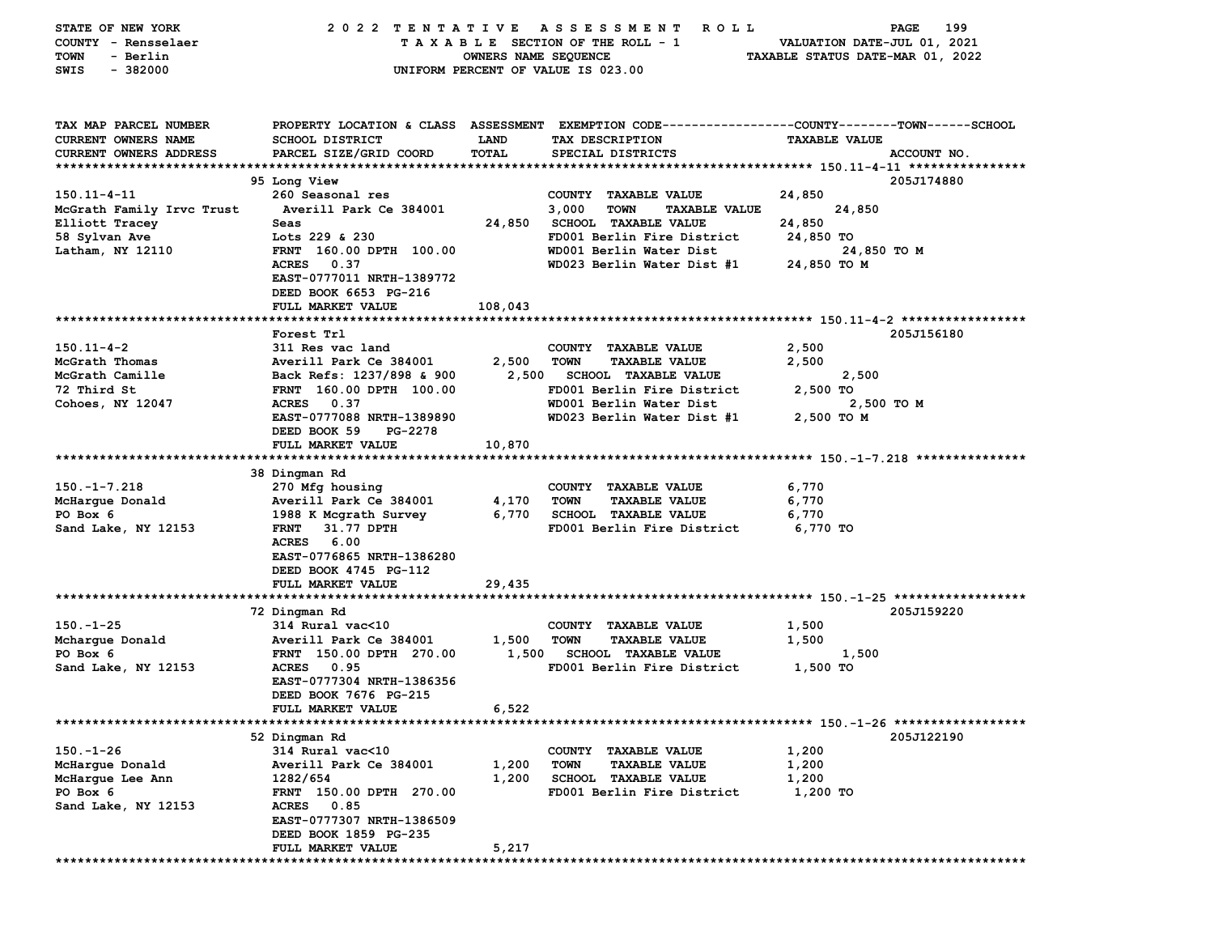| <b>STATE OF NEW YORK</b>      | 2022 TENTATIVE            |                      | A S S E S S M E N T<br>R O L L        | PAGE<br>199                                                                                    |
|-------------------------------|---------------------------|----------------------|---------------------------------------|------------------------------------------------------------------------------------------------|
| COUNTY - Rensselaer           |                           |                      | TAXABLE SECTION OF THE ROLL - 1       | VALUATION DATE-JUL 01, 2021                                                                    |
| - Berlin<br>TOWN              |                           | OWNERS NAME SEQUENCE |                                       | TAXABLE STATUS DATE-MAR 01, 2022                                                               |
| SWIS<br>$-382000$             |                           |                      | UNIFORM PERCENT OF VALUE IS 023.00    |                                                                                                |
|                               |                           |                      |                                       |                                                                                                |
|                               |                           |                      |                                       |                                                                                                |
|                               |                           |                      |                                       |                                                                                                |
| TAX MAP PARCEL NUMBER         |                           |                      |                                       | PROPERTY LOCATION & CLASS ASSESSMENT EXEMPTION CODE---------------COUNTY-------TOWN-----SCHOOL |
| CURRENT OWNERS NAME           | SCHOOL DISTRICT           | <b>LAND</b>          | TAX DESCRIPTION                       | <b>TAXABLE VALUE</b>                                                                           |
| <b>CURRENT OWNERS ADDRESS</b> | PARCEL SIZE/GRID COORD    | TOTAL                | SPECIAL DISTRICTS                     | ACCOUNT NO.                                                                                    |
|                               |                           |                      |                                       |                                                                                                |
|                               | 95 Long View              |                      |                                       | 205J174880                                                                                     |
| $150.11 - 4 - 11$             | 260 Seasonal res          |                      | COUNTY TAXABLE VALUE                  | 24,850                                                                                         |
| McGrath Family Irvc Trust     | Averill Park Ce 384001    |                      | 3,000<br>TOWN<br><b>TAXABLE VALUE</b> | 24,850                                                                                         |
| Elliott Tracey                | Seas                      | 24,850               | <b>SCHOOL TAXABLE VALUE</b>           | 24,850                                                                                         |
| 58 Sylvan Ave                 | Lots 229 & 230            |                      | FD001 Berlin Fire District            | 24,850 TO                                                                                      |
| Latham, NY 12110              | FRNT 160.00 DPTH 100.00   |                      | WD001 Berlin Water Dist               | 24,850 TO M                                                                                    |
|                               | <b>ACRES</b><br>0.37      |                      | WD023 Berlin Water Dist #1            | 24,850 TO M                                                                                    |
|                               | EAST-0777011 NRTH-1389772 |                      |                                       |                                                                                                |
|                               | DEED BOOK 6653 PG-216     |                      |                                       |                                                                                                |
|                               | FULL MARKET VALUE         | 108,043              |                                       |                                                                                                |
|                               |                           |                      |                                       |                                                                                                |
|                               | Forest Trl                |                      |                                       | 205J156180                                                                                     |
| $150.11 - 4 - 2$              | 311 Res vac land          |                      | COUNTY TAXABLE VALUE                  | 2,500                                                                                          |
| McGrath Thomas                | Averill Park Ce 384001    | 2,500                | <b>TAXABLE VALUE</b><br><b>TOWN</b>   | 2,500                                                                                          |
| McGrath Camille               | Back Refs: 1237/898 & 900 | 2,500                | <b>SCHOOL TAXABLE VALUE</b>           | 2,500                                                                                          |
| 72 Third St                   | FRNT 160.00 DPTH 100.00   |                      | FD001 Berlin Fire District            | 2,500 TO                                                                                       |
| Cohoes, NY 12047              | <b>ACRES</b><br>0.37      |                      | WD001 Berlin Water Dist               | 2,500 TO M                                                                                     |
|                               | EAST-0777088 NRTH-1389890 |                      | WD023 Berlin Water Dist #1            | 2,500 то м                                                                                     |
|                               | DEED BOOK 59<br>PG-2278   |                      |                                       |                                                                                                |
|                               | FULL MARKET VALUE         | 10,870               |                                       |                                                                                                |
|                               |                           |                      |                                       |                                                                                                |
|                               | 38 Dingman Rd             |                      |                                       |                                                                                                |
| $150. - 1 - 7.218$            | 270 Mfg housing           |                      | COUNTY TAXABLE VALUE                  | 6,770                                                                                          |
| McHarque Donald               | Averill Park Ce 384001    | 4,170                | <b>TOWN</b><br><b>TAXABLE VALUE</b>   | 6,770                                                                                          |
| PO Box 6                      | 1988 K Mcgrath Survey     | 6,770                | <b>SCHOOL TAXABLE VALUE</b>           | 6,770                                                                                          |
| Sand Lake, NY 12153           | <b>FRNT</b><br>31.77 DPTH |                      | FD001 Berlin Fire District            | 6,770 TO                                                                                       |
|                               | <b>ACRES</b><br>6.00      |                      |                                       |                                                                                                |
|                               | EAST-0776865 NRTH-1386280 |                      |                                       |                                                                                                |
|                               | DEED BOOK 4745 PG-112     |                      |                                       |                                                                                                |
|                               | FULL MARKET VALUE         | 29,435               |                                       |                                                                                                |
|                               |                           |                      |                                       |                                                                                                |
|                               | 72 Dingman Rd             |                      |                                       | 205J159220                                                                                     |
| $150. - 1 - 25$               | 314 Rural vac<10          |                      | COUNTY<br><b>TAXABLE VALUE</b>        | 1,500                                                                                          |
| Mcharque Donald               | Averill Park Ce 384001    | 1,500                | <b>TOWN</b><br><b>TAXABLE VALUE</b>   | 1,500                                                                                          |
| PO Box 6                      | FRNT 150.00 DPTH 270.00   | 1,500                | <b>SCHOOL TAXABLE VALUE</b>           | 1,500                                                                                          |
| Sand Lake, NY 12153           | <b>ACRES</b><br>0.95      |                      | FD001 Berlin Fire District            | 1,500 TO                                                                                       |
|                               | EAST-0777304 NRTH-1386356 |                      |                                       |                                                                                                |
|                               | DEED BOOK 7676 PG-215     |                      |                                       |                                                                                                |
|                               | <b>FULL MARKET VALUE</b>  | 6,522                |                                       |                                                                                                |
|                               |                           |                      |                                       |                                                                                                |
|                               | 52 Dingman Rd             |                      |                                       | 205J122190                                                                                     |
| $150. - 1 - 26$               | 314 Rural vac<10          |                      | COUNTY TAXABLE VALUE                  | 1,200                                                                                          |
| McHargue Donald               | Averill Park Ce 384001    | 1,200                | <b>TOWN</b><br><b>TAXABLE VALUE</b>   | 1,200                                                                                          |
| McHarque Lee Ann              | 1282/654                  | 1,200                | <b>SCHOOL TAXABLE VALUE</b>           | 1,200                                                                                          |
| PO Box 6                      | FRNT 150.00 DPTH 270.00   |                      | FD001 Berlin Fire District            | 1,200 TO                                                                                       |
| Sand Lake, NY 12153           | ACRES 0.85                |                      |                                       |                                                                                                |
|                               | EAST-0777307 NRTH-1386509 |                      |                                       |                                                                                                |
|                               | DEED BOOK 1859 PG-235     |                      |                                       |                                                                                                |
|                               | FULL MARKET VALUE         | 5,217                |                                       |                                                                                                |
|                               |                           |                      |                                       |                                                                                                |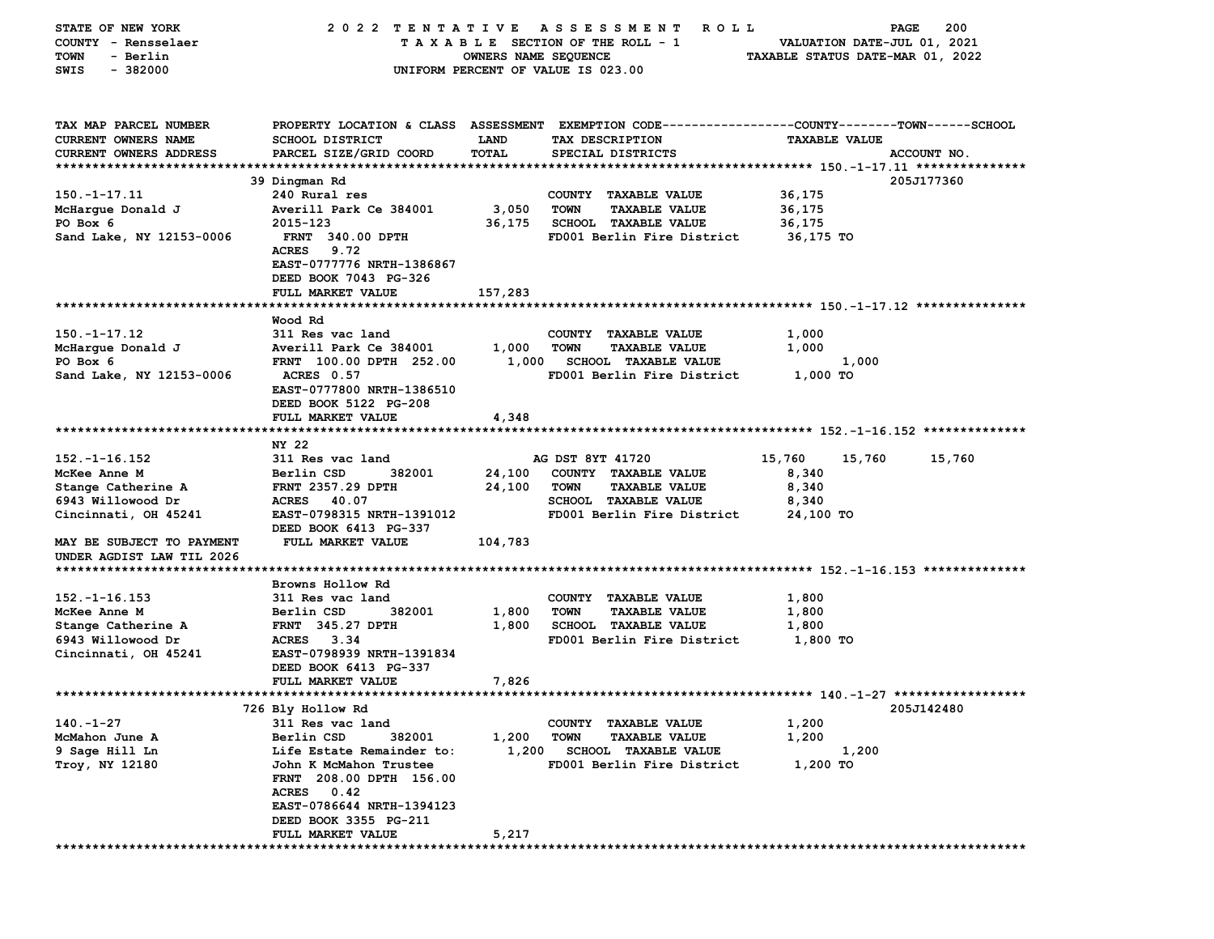| STATE OF NEW YORK          | 2022 TENTATIVE                                                                                   |                                    |                  | A S S E S S M E N T<br>R O L L |                                  | PAGE                        | 200         |
|----------------------------|--------------------------------------------------------------------------------------------------|------------------------------------|------------------|--------------------------------|----------------------------------|-----------------------------|-------------|
| COUNTY - Rensselaer        |                                                                                                  | TAXABLE SECTION OF THE ROLL - 1    |                  |                                |                                  | VALUATION DATE-JUL 01, 2021 |             |
| <b>TOWN</b><br>- Berlin    |                                                                                                  | OWNERS NAME SEQUENCE               |                  |                                | TAXABLE STATUS DATE-MAR 01, 2022 |                             |             |
| $-382000$<br>SWIS          |                                                                                                  | UNIFORM PERCENT OF VALUE IS 023.00 |                  |                                |                                  |                             |             |
|                            |                                                                                                  |                                    |                  |                                |                                  |                             |             |
|                            |                                                                                                  |                                    |                  |                                |                                  |                             |             |
| TAX MAP PARCEL NUMBER      | PROPERTY LOCATION & CLASS ASSESSMENT EXEMPTION CODE----------------COUNTY-------TOWN------SCHOOL |                                    |                  |                                |                                  |                             |             |
| <b>CURRENT OWNERS NAME</b> | SCHOOL DISTRICT                                                                                  | LAND                               |                  | TAX DESCRIPTION                | <b>TAXABLE VALUE</b>             |                             |             |
| CURRENT OWNERS ADDRESS     | PARCEL SIZE/GRID COORD                                                                           | TOTAL                              |                  | SPECIAL DISTRICTS              |                                  |                             | ACCOUNT NO. |
|                            |                                                                                                  |                                    |                  |                                |                                  |                             |             |
|                            | 39 Dingman Rd                                                                                    |                                    |                  |                                |                                  |                             | 205J177360  |
| $150. - 1 - 17.11$         | 240 Rural res                                                                                    |                                    |                  | COUNTY TAXABLE VALUE           | 36,175                           |                             |             |
|                            |                                                                                                  |                                    | <b>TOWN</b>      |                                |                                  |                             |             |
| McHargue Donald J          | Averill Park Ce 384001                                                                           | 3,050                              |                  | <b>TAXABLE VALUE</b>           | 36,175                           |                             |             |
| PO Box 6                   | 2015-123                                                                                         | 36,175                             |                  | <b>SCHOOL TAXABLE VALUE</b>    | 36,175                           |                             |             |
| Sand Lake, NY 12153-0006   | <b>FRNT 340.00 DPTH</b>                                                                          |                                    |                  | FD001 Berlin Fire District     | 36,175 TO                        |                             |             |
|                            | <b>ACRES</b><br>9.72                                                                             |                                    |                  |                                |                                  |                             |             |
|                            | EAST-0777776 NRTH-1386867                                                                        |                                    |                  |                                |                                  |                             |             |
|                            | DEED BOOK 7043 PG-326                                                                            |                                    |                  |                                |                                  |                             |             |
|                            | FULL MARKET VALUE                                                                                | 157,283                            |                  |                                |                                  |                             |             |
|                            |                                                                                                  |                                    |                  |                                |                                  |                             |             |
|                            | Wood Rd                                                                                          |                                    |                  |                                |                                  |                             |             |
| $150. - 1 - 17.12$         | 311 Res vac land                                                                                 |                                    |                  | COUNTY TAXABLE VALUE           | 1,000                            |                             |             |
| McHargue Donald J          | Averill Park Ce 384001                                                                           | 1,000                              | <b>TOWN</b>      | <b>TAXABLE VALUE</b>           | 1,000                            |                             |             |
| PO Box 6                   | FRNT 100.00 DPTH 252.00                                                                          | 1,000                              |                  | <b>SCHOOL TAXABLE VALUE</b>    |                                  | 1,000                       |             |
| Sand Lake, NY 12153-0006   | <b>ACRES</b> 0.57                                                                                |                                    |                  | FD001 Berlin Fire District     | 1,000 TO                         |                             |             |
|                            | EAST-0777800 NRTH-1386510                                                                        |                                    |                  |                                |                                  |                             |             |
|                            | DEED BOOK 5122 PG-208                                                                            |                                    |                  |                                |                                  |                             |             |
|                            | FULL MARKET VALUE                                                                                | 4,348                              |                  |                                |                                  |                             |             |
|                            |                                                                                                  |                                    |                  |                                |                                  |                             |             |
|                            | NY 22                                                                                            |                                    |                  |                                |                                  |                             |             |
| $152. - 1 - 16.152$        | 311 Res vac land                                                                                 |                                    | AG DST 8YT 41720 |                                | 15,760                           | 15,760                      | 15,760      |
| McKee Anne M               | Berlin CSD<br>382001                                                                             | 24,100                             |                  | COUNTY TAXABLE VALUE           | 8,340                            |                             |             |
| Stange Catherine A         | <b>FRNT 2357.29 DPTH</b>                                                                         | 24,100                             | <b>TOWN</b>      | <b>TAXABLE VALUE</b>           | 8,340                            |                             |             |
| 6943 Willowood Dr          | <b>ACRES</b><br>40.07                                                                            |                                    |                  | SCHOOL TAXABLE VALUE           | 8,340                            |                             |             |
| Cincinnati, OH 45241       | EAST-0798315 NRTH-1391012                                                                        |                                    |                  | FD001 Berlin Fire District     | 24,100 TO                        |                             |             |
|                            | DEED BOOK 6413 PG-337                                                                            |                                    |                  |                                |                                  |                             |             |
| MAY BE SUBJECT TO PAYMENT  | FULL MARKET VALUE                                                                                | 104,783                            |                  |                                |                                  |                             |             |
| UNDER AGDIST LAW TIL 2026  |                                                                                                  |                                    |                  |                                |                                  |                             |             |
|                            |                                                                                                  |                                    |                  |                                |                                  |                             |             |
|                            | Browns Hollow Rd                                                                                 |                                    |                  |                                |                                  |                             |             |
| $152. - 1 - 16.153$        | 311 Res vac land                                                                                 |                                    |                  | COUNTY TAXABLE VALUE           | 1,800                            |                             |             |
| McKee Anne M               | 382001<br>Berlin CSD                                                                             | 1,800                              | <b>TOWN</b>      | <b>TAXABLE VALUE</b>           | 1,800                            |                             |             |
| Stange Catherine A         | <b>FRNT 345.27 DPTH</b>                                                                          | 1,800                              |                  | <b>SCHOOL TAXABLE VALUE</b>    | 1,800                            |                             |             |
| 6943 Willowood Dr          | ACRES 3.34                                                                                       |                                    |                  | FD001 Berlin Fire District     | 1,800 TO                         |                             |             |
| Cincinnati, OH 45241       | EAST-0798939 NRTH-1391834                                                                        |                                    |                  |                                |                                  |                             |             |
|                            | DEED BOOK 6413 PG-337                                                                            |                                    |                  |                                |                                  |                             |             |
|                            | FULL MARKET VALUE                                                                                | 7,826                              |                  |                                |                                  |                             |             |
|                            |                                                                                                  |                                    |                  |                                |                                  |                             |             |
|                            | 726 Bly Hollow Rd                                                                                |                                    |                  |                                |                                  |                             | 205J142480  |
| $140. -1 - 27$             | 311 Res vac land                                                                                 |                                    |                  | COUNTY TAXABLE VALUE           | 1,200                            |                             |             |
| McMahon June A             | Berlin CSD<br>382001                                                                             | 1,200                              | TOWN             | <b>TAXABLE VALUE</b>           | 1,200                            |                             |             |
| 9 Sage Hill Ln             | Life Estate Remainder to:                                                                        | 1,200                              |                  | <b>SCHOOL TAXABLE VALUE</b>    |                                  | 1,200                       |             |
| <b>Troy, NY 12180</b>      | John K McMahon Trustee                                                                           |                                    |                  | FD001 Berlin Fire District     | 1,200 TO                         |                             |             |
|                            | FRNT 208.00 DPTH 156.00                                                                          |                                    |                  |                                |                                  |                             |             |
|                            | ACRES 0.42                                                                                       |                                    |                  |                                |                                  |                             |             |
|                            | EAST-0786644 NRTH-1394123                                                                        |                                    |                  |                                |                                  |                             |             |
|                            |                                                                                                  |                                    |                  |                                |                                  |                             |             |
|                            | DEED BOOK 3355 PG-211                                                                            |                                    |                  |                                |                                  |                             |             |
|                            | <b>FULL MARKET VALUE</b>                                                                         | 5,217                              |                  |                                |                                  |                             |             |
|                            |                                                                                                  |                                    |                  |                                |                                  |                             |             |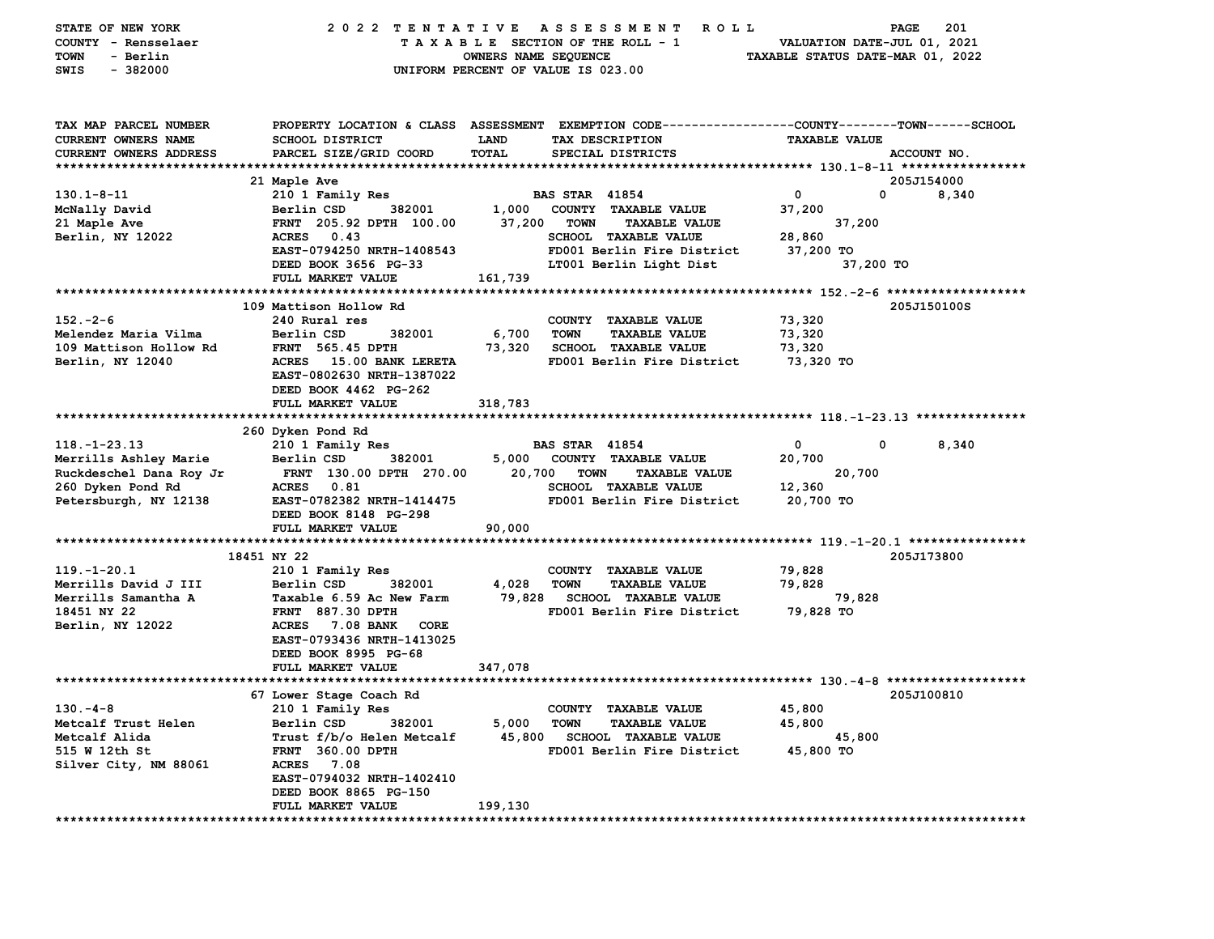| STATE OF NEW YORK<br>COUNTY - Rensselaer<br>- Berlin<br>TOWN<br>$-382000$<br>SWIS    | 2022 TENTATIVE                                                                                                    | OWNERS NAME SEQUENCE | A S S E S S M E N T<br>ROLL<br>TAXABLE SECTION OF THE ROLL - 1<br>UNIFORM PERCENT OF VALUE IS 023.00                                    | TAXABLE STATUS DATE-MAR 01, 2022 | 201<br>PAGE<br>VALUATION DATE-JUL 01, 2021 |
|--------------------------------------------------------------------------------------|-------------------------------------------------------------------------------------------------------------------|----------------------|-----------------------------------------------------------------------------------------------------------------------------------------|----------------------------------|--------------------------------------------|
| TAX MAP PARCEL NUMBER<br><b>CURRENT OWNERS NAME</b><br><b>CURRENT OWNERS ADDRESS</b> | SCHOOL DISTRICT<br>PARCEL SIZE/GRID COORD                                                                         | LAND<br><b>TOTAL</b> | PROPERTY LOCATION & CLASS ASSESSMENT EXEMPTION CODE---------------COUNTY-------TOWN------SCHOOL<br>TAX DESCRIPTION<br>SPECIAL DISTRICTS | <b>TAXABLE VALUE</b>             | ACCOUNT NO.                                |
|                                                                                      | 21 Maple Ave                                                                                                      |                      |                                                                                                                                         |                                  | 205J154000                                 |
| $130.1 - 8 - 11$                                                                     | 210 1 Family Res                                                                                                  |                      | <b>BAS STAR 41854</b>                                                                                                                   | 0                                | 0<br>8,340                                 |
| McNally David                                                                        | 382001<br>Berlin CSD                                                                                              | 1,000                | COUNTY TAXABLE VALUE                                                                                                                    | 37,200                           |                                            |
| 21 Maple Ave                                                                         | FRNT 205.92 DPTH 100.00                                                                                           | 37,200               | <b>TOWN</b><br><b>TAXABLE VALUE</b>                                                                                                     | 37,200                           |                                            |
| Berlin, NY 12022                                                                     | <b>ACRES</b><br>0.43                                                                                              |                      | <b>SCHOOL TAXABLE VALUE</b>                                                                                                             | 28,860                           |                                            |
|                                                                                      | EAST-0794250 NRTH-1408543                                                                                         |                      | FD001 Berlin Fire District                                                                                                              | 37,200 TO                        |                                            |
|                                                                                      | DEED BOOK 3656 PG-33                                                                                              |                      | LT001 Berlin Light Dist                                                                                                                 |                                  | 37,200 TO                                  |
|                                                                                      | FULL MARKET VALUE                                                                                                 | 161,739              |                                                                                                                                         |                                  |                                            |
|                                                                                      | 109 Mattison Hollow Rd                                                                                            |                      |                                                                                                                                         |                                  | 205J150100S                                |
| $152 - 2 - 6$                                                                        | 240 Rural res                                                                                                     |                      | COUNTY TAXABLE VALUE                                                                                                                    | 73,320                           |                                            |
| Melendez Maria Vilma                                                                 | Berlin CSD<br>382001                                                                                              | 6,700                | <b>TOWN</b><br><b>TAXABLE VALUE</b>                                                                                                     | 73,320                           |                                            |
| 109 Mattison Hollow Rd                                                               | <b>FRNT</b> 565.45 DPTH                                                                                           | 73,320               | <b>SCHOOL TAXABLE VALUE</b>                                                                                                             | 73,320                           |                                            |
| Berlin, NY 12040                                                                     | ACRES 15.00 BANK LERETA<br>EAST-0802630 NRTH-1387022<br>DEED BOOK 4462 PG-262                                     |                      | FD001 Berlin Fire District                                                                                                              | 73,320 TO                        |                                            |
|                                                                                      | FULL MARKET VALUE                                                                                                 | 318,783              |                                                                                                                                         |                                  |                                            |
|                                                                                      |                                                                                                                   |                      |                                                                                                                                         |                                  |                                            |
| $118. - 1 - 23.13$                                                                   | 260 Dyken Pond Rd<br>210 1 Family Res                                                                             |                      | <b>BAS STAR 41854</b>                                                                                                                   | 0                                | 0<br>8,340                                 |
| Merrills Ashley Marie                                                                | Berlin CSD<br>382001                                                                                              | 5,000                | COUNTY TAXABLE VALUE                                                                                                                    | 20,700                           |                                            |
| Ruckdeschel Dana Roy Jr                                                              | FRNT 130.00 DPTH 270.00                                                                                           | 20,700               | <b>TOWN</b><br><b>TAXABLE VALUE</b>                                                                                                     | 20,700                           |                                            |
| 260 Dyken Pond Rd                                                                    | 0.81<br><b>ACRES</b>                                                                                              |                      | <b>SCHOOL TAXABLE VALUE</b>                                                                                                             | 12,360                           |                                            |
| Petersburgh, NY 12138                                                                | EAST-0782382 NRTH-1414475<br>DEED BOOK 8148 PG-298                                                                |                      | FD001 Berlin Fire District                                                                                                              | 20,700 TO                        |                                            |
|                                                                                      | FULL MARKET VALUE                                                                                                 | 90,000               |                                                                                                                                         |                                  |                                            |
|                                                                                      | 18451 NY 22                                                                                                       |                      |                                                                                                                                         |                                  | 205J173800                                 |
| $119. - 1 - 20.1$                                                                    | 210 1 Family Res                                                                                                  |                      | COUNTY TAXABLE VALUE                                                                                                                    | 79,828                           |                                            |
| Merrills David J III                                                                 | Berlin CSD<br>382001                                                                                              | 4,028                | <b>TOWN</b><br><b>TAXABLE VALUE</b>                                                                                                     | 79,828                           |                                            |
| Merrills Samantha A                                                                  | Taxable 6.59 Ac New Farm                                                                                          | 79,828               | <b>SCHOOL TAXABLE VALUE</b>                                                                                                             | 79,828                           |                                            |
| 18451 NY 22<br>Berlin, NY 12022                                                      | <b>FRNT 887.30 DPTH</b><br><b>ACRES</b><br>7.08 BANK<br>CORE<br>EAST-0793436 NRTH-1413025<br>DEED BOOK 8995 PG-68 |                      | FD001 Berlin Fire District                                                                                                              | 79,828 TO                        |                                            |
|                                                                                      | FULL MARKET VALUE                                                                                                 | 347,078              |                                                                                                                                         |                                  |                                            |
|                                                                                      | 67 Lower Stage Coach Rd                                                                                           |                      |                                                                                                                                         |                                  | 205J100810                                 |
| $130 - 4 - 8$                                                                        | 210 1 Family Res                                                                                                  |                      | COUNTY TAXABLE VALUE                                                                                                                    | 45,800                           |                                            |
| Metcalf Trust Helen                                                                  | Berlin CSD<br>382001                                                                                              | 5,000                | <b>TOWN</b><br><b>TAXABLE VALUE</b>                                                                                                     | 45,800                           |                                            |
| Metcalf Alida                                                                        | Trust f/b/o Helen Metcalf                                                                                         |                      | 45,800 SCHOOL TAXABLE VALUE                                                                                                             | 45,800                           |                                            |
| 515 W 12th St                                                                        | FRNT 360.00 DPTH                                                                                                  |                      | FD001 Berlin Fire District                                                                                                              | 45,800 TO                        |                                            |
| Silver City, NM 88061                                                                | ACRES 7.08                                                                                                        |                      |                                                                                                                                         |                                  |                                            |
|                                                                                      | EAST-0794032 NRTH-1402410                                                                                         |                      |                                                                                                                                         |                                  |                                            |
|                                                                                      | DEED BOOK 8865 PG-150<br>FULL MARKET VALUE                                                                        | 199,130              |                                                                                                                                         |                                  |                                            |
|                                                                                      |                                                                                                                   |                      |                                                                                                                                         |                                  |                                            |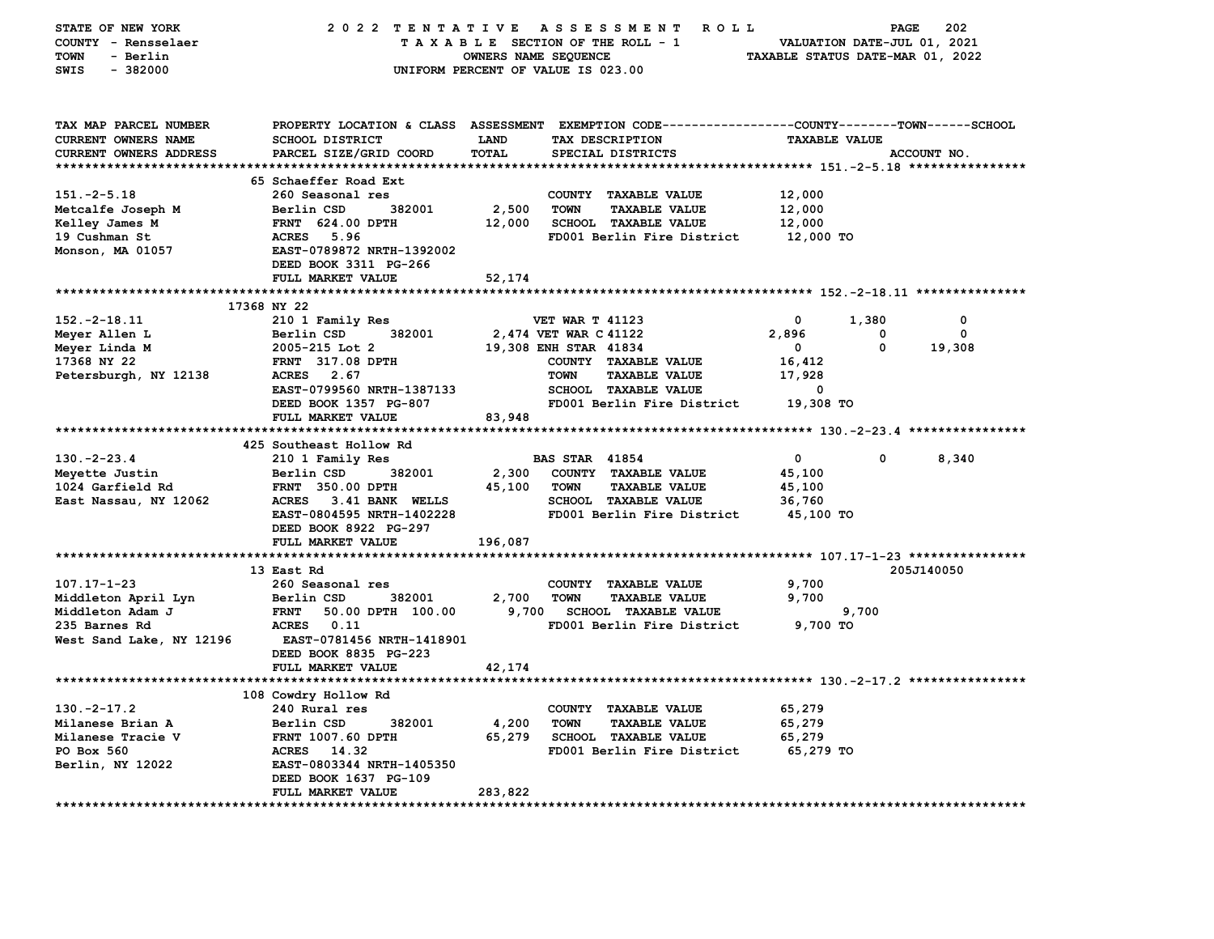| STATE OF NEW YORK        | 2022 TENTATIVE                                                                                 |         | A S S E S S M E N T<br><b>ROLL</b>  |                      | PAGE  | 202         |
|--------------------------|------------------------------------------------------------------------------------------------|---------|-------------------------------------|----------------------|-------|-------------|
| COUNTY - Rensselaer      | TAXABLE SECTION OF THE ROLL - 1<br>VALUATION DATE-JUL 01, 2021                                 |         |                                     |                      |       |             |
| <b>TOWN</b><br>- Berlin  | TAXABLE STATUS DATE-MAR 01, 2022<br>OWNERS NAME SEQUENCE                                       |         |                                     |                      |       |             |
| SWIS<br>$-382000$        |                                                                                                |         | UNIFORM PERCENT OF VALUE IS 023.00  |                      |       |             |
|                          |                                                                                                |         |                                     |                      |       |             |
|                          |                                                                                                |         |                                     |                      |       |             |
|                          |                                                                                                |         |                                     |                      |       |             |
| TAX MAP PARCEL NUMBER    | PROPERTY LOCATION & CLASS ASSESSMENT EXEMPTION CODE---------------COUNTY-------TOWN-----SCHOOL |         |                                     |                      |       |             |
| CURRENT OWNERS NAME      | <b>SCHOOL DISTRICT</b>                                                                         | LAND    | TAX DESCRIPTION                     | <b>TAXABLE VALUE</b> |       |             |
| CURRENT OWNERS ADDRESS   | PARCEL SIZE/GRID COORD                                                                         | TOTAL   | SPECIAL DISTRICTS                   |                      |       | ACCOUNT NO. |
|                          |                                                                                                |         |                                     |                      |       |             |
|                          | 65 Schaeffer Road Ext                                                                          |         |                                     |                      |       |             |
| $151.-2-5.18$            | 260 Seasonal res                                                                               |         | COUNTY TAXABLE VALUE                | 12,000               |       |             |
| Metcalfe Joseph M        | Berlin CSD<br>382001                                                                           | 2,500   | <b>TOWN</b><br><b>TAXABLE VALUE</b> | 12,000               |       |             |
| Kelley James M           | <b>FRNT 624.00 DPTH</b>                                                                        | 12,000  | SCHOOL TAXABLE VALUE                | 12,000               |       |             |
| 19 Cushman St            | <b>ACRES</b> 5.96                                                                              |         | FD001 Berlin Fire District          | 12,000 TO            |       |             |
| Monson, MA 01057         | EAST-0789872 NRTH-1392002                                                                      |         |                                     |                      |       |             |
|                          | DEED BOOK 3311 PG-266                                                                          |         |                                     |                      |       |             |
|                          | FULL MARKET VALUE                                                                              | 52,174  |                                     |                      |       |             |
|                          |                                                                                                |         |                                     |                      |       |             |
|                          | 17368 NY 22                                                                                    |         |                                     |                      |       |             |
| $152. - 2 - 18.11$       | 210 1 Family Res                                                                               |         | <b>VET WAR T 41123</b>              | 0                    | 1,380 | 0           |
| Meyer Allen L            | Berlin CSD<br>382001                                                                           |         | 2,474 VET WAR C 41122               | 2,896                | 0     | 0           |
| Meyer Linda M            | 2005-215 Lot 2                                                                                 |         | 19,308 ENH STAR 41834               | $\mathbf 0$          | 0     | 19,308      |
| 17368 NY 22              | <b>FRNT 317.08 DPTH</b>                                                                        |         | COUNTY TAXABLE VALUE                | 16,412               |       |             |
| Petersburgh, NY 12138    | ACRES 2.67                                                                                     |         | <b>TOWN</b><br><b>TAXABLE VALUE</b> | 17,928               |       |             |
|                          | EAST-0799560 NRTH-1387133                                                                      |         | <b>SCHOOL TAXABLE VALUE</b>         | 0                    |       |             |
|                          | DEED BOOK 1357 PG-807                                                                          |         | FD001 Berlin Fire District          | 19,308 TO            |       |             |
|                          | FULL MARKET VALUE                                                                              | 83,948  |                                     |                      |       |             |
|                          |                                                                                                |         |                                     |                      |       |             |
|                          | 425 Southeast Hollow Rd                                                                        |         |                                     |                      |       |             |
| $130. -2 - 23.4$         | 210 1 Family Res                                                                               |         | <b>BAS STAR 41854</b>               | $\mathbf{o}$         | 0     | 8,340       |
| Meyette Justin           | Berlin CSD<br>382001                                                                           | 2,300   | COUNTY TAXABLE VALUE                | 45,100               |       |             |
| 1024 Garfield Rd         | <b>FRNT 350.00 DPTH</b>                                                                        | 45,100  | <b>TOWN</b><br><b>TAXABLE VALUE</b> | 45,100               |       |             |
| East Nassau, NY 12062    | ACRES 3.41 BANK WELLS                                                                          |         | <b>SCHOOL TAXABLE VALUE</b>         | 36,760               |       |             |
|                          | EAST-0804595 NRTH-1402228                                                                      |         | FD001 Berlin Fire District          | 45,100 TO            |       |             |
|                          | DEED BOOK 8922 PG-297                                                                          |         |                                     |                      |       |             |
|                          | FULL MARKET VALUE                                                                              | 196,087 |                                     |                      |       |             |
|                          |                                                                                                |         |                                     |                      |       |             |
|                          | 13 East Rd                                                                                     |         |                                     |                      |       | 205J140050  |
| $107.17 - 1 - 23$        | 260 Seasonal res                                                                               |         | COUNTY TAXABLE VALUE                | 9,700                |       |             |
| Middleton April Lyn      | Berlin CSD<br>382001                                                                           | 2,700   | <b>TOWN</b><br><b>TAXABLE VALUE</b> | 9,700                |       |             |
| Middleton Adam J         | 50.00 DPTH 100.00<br><b>FRNT</b>                                                               | 9,700   | <b>SCHOOL TAXABLE VALUE</b>         |                      | 9,700 |             |
| 235 Barnes Rd            | ACRES 0.11                                                                                     |         | FD001 Berlin Fire District          | 9,700 TO             |       |             |
| West Sand Lake, NY 12196 | EAST-0781456 NRTH-1418901                                                                      |         |                                     |                      |       |             |
|                          | DEED BOOK 8835 PG-223                                                                          |         |                                     |                      |       |             |
|                          | FULL MARKET VALUE                                                                              | 42,174  |                                     |                      |       |             |
|                          |                                                                                                |         |                                     |                      |       |             |
|                          | 108 Cowdry Hollow Rd                                                                           |         |                                     |                      |       |             |
| $130. -2 - 17.2$         | 240 Rural res                                                                                  |         | COUNTY TAXABLE VALUE                | 65,279               |       |             |
| Milanese Brian A         | Berlin CSD<br>382001                                                                           | 4,200   | <b>TOWN</b><br><b>TAXABLE VALUE</b> | 65,279               |       |             |
| Milanese Tracie V        | <b>FRNT 1007.60 DPTH</b>                                                                       | 65,279  | <b>SCHOOL TAXABLE VALUE</b>         | 65,279               |       |             |
| PO Box 560               | ACRES 14.32                                                                                    |         | FD001 Berlin Fire District          | 65,279 TO            |       |             |
| Berlin, NY 12022         | EAST-0803344 NRTH-1405350                                                                      |         |                                     |                      |       |             |
|                          | DEED BOOK 1637 PG-109                                                                          |         |                                     |                      |       |             |
|                          | FULL MARKET VALUE                                                                              | 283,822 |                                     |                      |       |             |
|                          |                                                                                                |         |                                     |                      |       |             |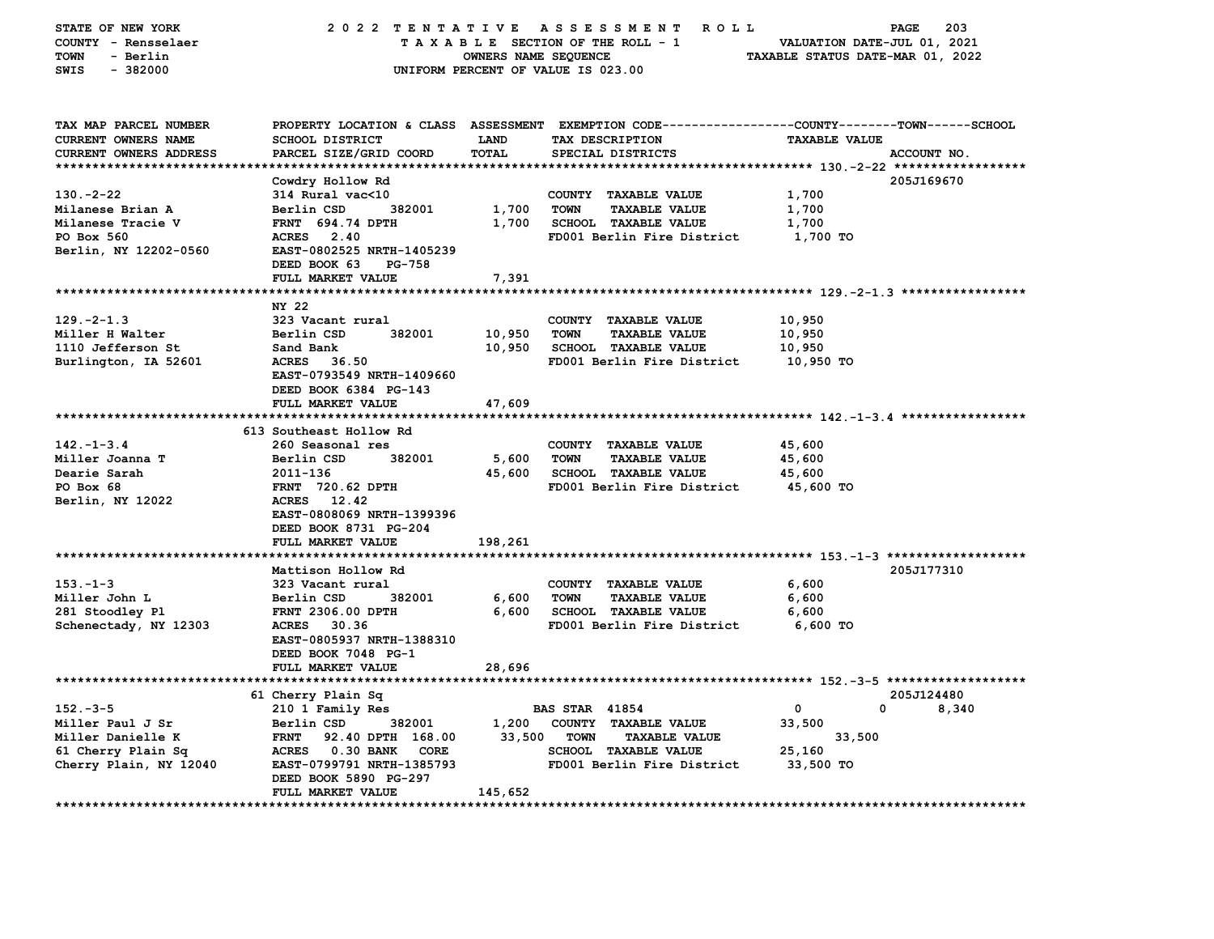| STATE OF NEW YORK<br>COUNTY - Rensselaer<br><b>TOWN</b><br>- Berlin<br>$-382000$<br>SWIS | 2022 TENTATIVE                            | OWNERS NAME SEQUENCE | A S S E S S M E N T<br>R O L L<br>TAXABLE SECTION OF THE ROLL - 1<br>UNIFORM PERCENT OF VALUE IS 023.00                                | VALUATION DATE-JUL 01, 2021<br>TAXABLE STATUS DATE-MAR 01, 2022 | 203<br>PAGE |
|------------------------------------------------------------------------------------------|-------------------------------------------|----------------------|----------------------------------------------------------------------------------------------------------------------------------------|-----------------------------------------------------------------|-------------|
| TAX MAP PARCEL NUMBER<br>CURRENT OWNERS NAME<br>CURRENT OWNERS ADDRESS                   | SCHOOL DISTRICT<br>PARCEL SIZE/GRID COORD | LAND<br>TOTAL        | PROPERTY LOCATION & CLASS ASSESSMENT EXEMPTION CODE---------------COUNTY-------TOWN-----SCHOOL<br>TAX DESCRIPTION<br>SPECIAL DISTRICTS | <b>TAXABLE VALUE</b>                                            | ACCOUNT NO. |
|                                                                                          |                                           |                      |                                                                                                                                        |                                                                 |             |
| $130 - 2 - 22$                                                                           | Cowdry Hollow Rd                          |                      |                                                                                                                                        | 1,700                                                           | 205J169670  |
| Milanese Brian A                                                                         | 314 Rural vac<10<br>Berlin CSD<br>382001  | 1,700                | COUNTY TAXABLE VALUE<br><b>TOWN</b><br><b>TAXABLE VALUE</b>                                                                            | 1,700                                                           |             |
| Milanese Tracie V                                                                        | <b>FRNT</b> 694.74 DPTH                   | 1,700                | <b>SCHOOL TAXABLE VALUE</b>                                                                                                            | 1,700                                                           |             |
| PO Box 560                                                                               | ACRES 2.40                                |                      | FD001 Berlin Fire District                                                                                                             | 1,700 TO                                                        |             |
| Berlin, NY 12202-0560                                                                    | EAST-0802525 NRTH-1405239                 |                      |                                                                                                                                        |                                                                 |             |
|                                                                                          | DEED BOOK 63<br>PG-758                    |                      |                                                                                                                                        |                                                                 |             |
|                                                                                          | FULL MARKET VALUE                         | 7,391                |                                                                                                                                        |                                                                 |             |
|                                                                                          |                                           |                      |                                                                                                                                        |                                                                 |             |
|                                                                                          | NY 22                                     |                      |                                                                                                                                        |                                                                 |             |
| $129. -2 - 1.3$                                                                          | 323 Vacant rural                          |                      | COUNTY TAXABLE VALUE                                                                                                                   | 10,950                                                          |             |
| Miller H Walter                                                                          | Berlin CSD<br>382001                      | 10,950               | <b>TOWN</b><br><b>TAXABLE VALUE</b>                                                                                                    | 10,950                                                          |             |
| 1110 Jefferson St                                                                        | Sand Bank                                 | 10,950               | <b>SCHOOL TAXABLE VALUE</b>                                                                                                            | 10,950                                                          |             |
| Burlington, IA 52601                                                                     | <b>ACRES</b><br>36.50                     |                      | FD001 Berlin Fire District                                                                                                             | 10,950 TO                                                       |             |
|                                                                                          | EAST-0793549 NRTH-1409660                 |                      |                                                                                                                                        |                                                                 |             |
|                                                                                          | DEED BOOK 6384 PG-143                     |                      |                                                                                                                                        |                                                                 |             |
|                                                                                          | FULL MARKET VALUE                         | 47,609               |                                                                                                                                        |                                                                 |             |
|                                                                                          | ******************************            |                      |                                                                                                                                        |                                                                 |             |
|                                                                                          | 613 Southeast Hollow Rd                   |                      |                                                                                                                                        |                                                                 |             |
| $142. - 1 - 3.4$                                                                         | 260 Seasonal res                          |                      | COUNTY TAXABLE VALUE                                                                                                                   | 45,600                                                          |             |
| Miller Joanna T                                                                          | Berlin CSD<br>382001                      | 5,600                | <b>TOWN</b><br><b>TAXABLE VALUE</b>                                                                                                    | 45,600                                                          |             |
| Dearie Sarah                                                                             | 2011-136                                  | 45,600               | <b>SCHOOL TAXABLE VALUE</b>                                                                                                            | 45,600                                                          |             |
| PO Box 68<br>Berlin, NY 12022                                                            | <b>FRNT</b> 720.62 DPTH<br>ACRES 12.42    |                      | FD001 Berlin Fire District                                                                                                             | 45,600 TO                                                       |             |
|                                                                                          | EAST-0808069 NRTH-1399396                 |                      |                                                                                                                                        |                                                                 |             |
|                                                                                          | DEED BOOK 8731 PG-204                     |                      |                                                                                                                                        |                                                                 |             |
|                                                                                          | FULL MARKET VALUE                         | 198,261              |                                                                                                                                        |                                                                 |             |
|                                                                                          |                                           |                      |                                                                                                                                        |                                                                 |             |
|                                                                                          | Mattison Hollow Rd                        |                      |                                                                                                                                        |                                                                 | 205J177310  |
| $153 - 1 - 3$                                                                            | 323 Vacant rural                          |                      | COUNTY TAXABLE VALUE                                                                                                                   | 6,600                                                           |             |
| Miller John L                                                                            | Berlin CSD<br>382001                      | 6,600                | <b>TAXABLE VALUE</b><br><b>TOWN</b>                                                                                                    | 6,600                                                           |             |
| 281 Stoodley Pl                                                                          | FRNT 2306.00 DPTH                         | 6,600                | <b>SCHOOL TAXABLE VALUE</b>                                                                                                            | 6,600                                                           |             |
| Schenectady, NY 12303                                                                    | ACRES 30.36                               |                      | FD001 Berlin Fire District                                                                                                             | 6,600 TO                                                        |             |
|                                                                                          | EAST-0805937 NRTH-1388310                 |                      |                                                                                                                                        |                                                                 |             |
|                                                                                          | DEED BOOK 7048 PG-1                       |                      |                                                                                                                                        |                                                                 |             |
|                                                                                          | FULL MARKET VALUE                         | 28,696               |                                                                                                                                        |                                                                 |             |
|                                                                                          |                                           |                      |                                                                                                                                        |                                                                 |             |
|                                                                                          | 61 Cherry Plain Sq                        |                      |                                                                                                                                        |                                                                 | 205J124480  |
| $152 - 3 - 5$                                                                            | 210 1 Family Res                          |                      | <b>BAS STAR 41854</b>                                                                                                                  | $\mathbf{o}$<br>0                                               | 8,340       |
| Miller Paul J Sr                                                                         | Berlin CSD<br>382001                      | 1,200                | COUNTY TAXABLE VALUE                                                                                                                   | 33,500                                                          |             |
| Miller Danielle K                                                                        | <b>FRNT</b><br>92.40 DPTH 168.00          | 33,500               | <b>TOWN</b><br><b>TAXABLE VALUE</b>                                                                                                    | 33,500                                                          |             |
| 61 Cherry Plain Sq                                                                       | ACRES 0.30 BANK<br>CORE                   |                      | <b>SCHOOL TAXABLE VALUE</b>                                                                                                            | 25,160                                                          |             |
| Cherry Plain, NY 12040                                                                   | EAST-0799791 NRTH-1385793                 |                      | FD001 Berlin Fire District                                                                                                             | 33,500 TO                                                       |             |
|                                                                                          | DEED BOOK 5890 PG-297                     |                      |                                                                                                                                        |                                                                 |             |
|                                                                                          | FULL MARKET VALUE                         | 145,652              |                                                                                                                                        |                                                                 |             |
|                                                                                          |                                           |                      |                                                                                                                                        |                                                                 |             |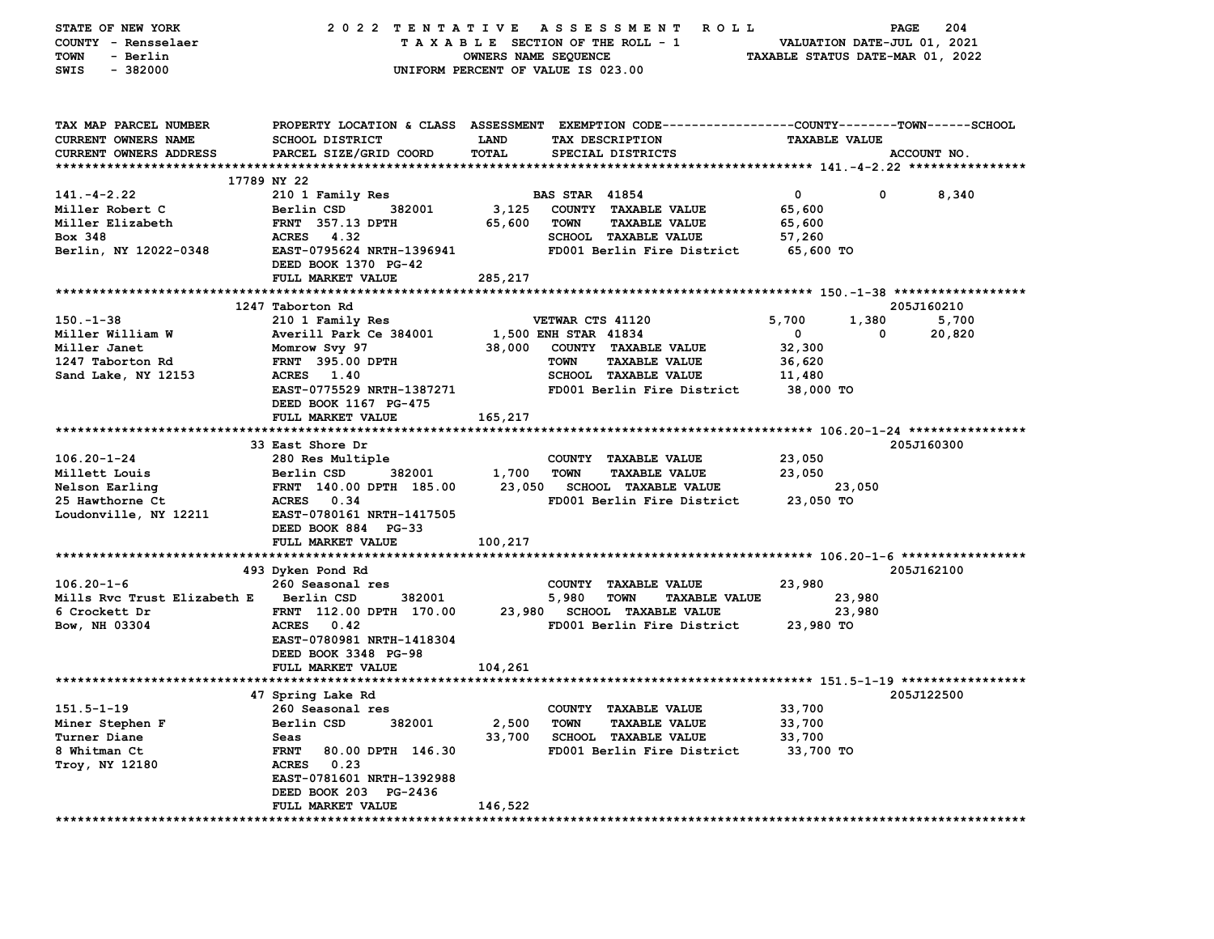| STATE OF NEW YORK             | 2022 TENTATIVE                            |                      | A S S E S S M E N T<br>ROLL ROLL                                                               |                                  | PAGE                        | 204    |
|-------------------------------|-------------------------------------------|----------------------|------------------------------------------------------------------------------------------------|----------------------------------|-----------------------------|--------|
| COUNTY - Rensselaer           |                                           |                      | TAXABLE SECTION OF THE ROLL - 1                                                                |                                  | VALUATION DATE-JUL 01, 2021 |        |
| - Berlin<br>TOWN              |                                           | OWNERS NAME SEQUENCE |                                                                                                | TAXABLE STATUS DATE-MAR 01, 2022 |                             |        |
| SWIS<br>$-382000$             |                                           |                      | UNIFORM PERCENT OF VALUE IS 023.00                                                             |                                  |                             |        |
|                               |                                           |                      |                                                                                                |                                  |                             |        |
| TAX MAP PARCEL NUMBER         |                                           |                      | PROPERTY LOCATION & CLASS ASSESSMENT EXEMPTION CODE---------------COUNTY-------TOWN-----SCHOOL |                                  |                             |        |
| CURRENT OWNERS NAME           | <b>SCHOOL DISTRICT</b>                    | <b>LAND</b>          | TAX DESCRIPTION                                                                                | <b>TAXABLE VALUE</b>             |                             |        |
| <b>CURRENT OWNERS ADDRESS</b> | PARCEL SIZE/GRID COORD                    | TOTAL                | SPECIAL DISTRICTS                                                                              |                                  | ACCOUNT NO.                 |        |
|                               |                                           |                      |                                                                                                |                                  |                             |        |
|                               | 17789 NY 22                               |                      |                                                                                                |                                  |                             |        |
| $141. - 4 - 2.22$             | 210 1 Family Res                          |                      | <b>BAS STAR 41854</b>                                                                          | 0                                | 0                           | 8,340  |
| Miller Robert C               | Berlin CSD<br>382001                      | 3,125                | COUNTY TAXABLE VALUE                                                                           | 65,600                           |                             |        |
| Miller Elizabeth              | <b>FRNT</b> 357.13 DPTH                   | 65,600               | <b>TOWN</b><br><b>TAXABLE VALUE</b>                                                            | 65,600                           |                             |        |
| Box 348                       | ACRES 4.32                                |                      | SCHOOL TAXABLE VALUE                                                                           | 57,260                           |                             |        |
| Berlin, NY 12022-0348         | EAST-0795624 NRTH-1396941                 |                      | FD001 Berlin Fire District                                                                     | 65,600 TO                        |                             |        |
|                               | DEED BOOK 1370 PG-42<br>FULL MARKET VALUE | 285,217              |                                                                                                |                                  |                             |        |
|                               |                                           |                      |                                                                                                |                                  |                             |        |
|                               | 1247 Taborton Rd                          |                      |                                                                                                |                                  | 205J160210                  |        |
| $150 - 1 - 38$                | 210 1 Family Res                          |                      | VETWAR CTS 41120                                                                               | 5,700                            | 1,380                       | 5,700  |
| Miller William W              | Averill Park Ce 384001                    |                      | 1,500 ENH STAR 41834                                                                           | 0                                | 0                           | 20,820 |
| Miller Janet                  | Momrow Svy 97                             | 38,000               | COUNTY TAXABLE VALUE                                                                           | 32,300                           |                             |        |
| 1247 Taborton Rd              | <b>FRNT 395.00 DPTH</b>                   |                      | <b>TOWN</b><br><b>TAXABLE VALUE</b>                                                            | 36,620                           |                             |        |
| Sand Lake, NY 12153           | ACRES 1.40                                |                      | <b>SCHOOL TAXABLE VALUE</b>                                                                    | 11,480                           |                             |        |
|                               | EAST-0775529 NRTH-1387271                 |                      | FD001 Berlin Fire District                                                                     | 38,000 TO                        |                             |        |
|                               | DEED BOOK 1167 PG-475                     |                      |                                                                                                |                                  |                             |        |
|                               | FULL MARKET VALUE                         | 165,217              |                                                                                                |                                  |                             |        |
|                               |                                           |                      |                                                                                                |                                  |                             |        |
|                               | 33 East Shore Dr                          |                      |                                                                                                |                                  | 205J160300                  |        |
| $106.20 - 1 - 24$             | 280 Res Multiple                          |                      | COUNTY TAXABLE VALUE                                                                           | 23,050                           |                             |        |
| Millett Louis                 | Berlin CSD<br>382001                      | 1,700                | <b>TOWN</b><br><b>TAXABLE VALUE</b>                                                            | 23,050                           |                             |        |
| Nelson Earling                | FRNT 140.00 DPTH 185.00                   | 23,050               | SCHOOL TAXABLE VALUE                                                                           | 23,050                           |                             |        |
| 25 Hawthorne Ct               | ACRES 0.34                                |                      | FD001 Berlin Fire District                                                                     | 23,050 TO                        |                             |        |
| Loudonville, NY 12211         | EAST-0780161 NRTH-1417505                 |                      |                                                                                                |                                  |                             |        |
|                               | DEED BOOK 884 PG-33                       |                      |                                                                                                |                                  |                             |        |
|                               | FULL MARKET VALUE                         | 100,217              |                                                                                                |                                  |                             |        |
|                               |                                           |                      |                                                                                                |                                  |                             |        |
|                               | 493 Dyken Pond Rd                         |                      |                                                                                                |                                  | 205J162100                  |        |
| $106.20 - 1 - 6$              | 260 Seasonal res                          |                      | <b>COUNTY</b><br><b>TAXABLE VALUE</b>                                                          | 23,980                           |                             |        |
| Mills Rvc Trust Elizabeth E   | Berlin CSD<br>382001                      |                      | 5,980<br><b>TOWN</b><br><b>TAXABLE VALUE</b>                                                   | 23,980                           |                             |        |
| 6 Crockett Dr                 | FRNT 112.00 DPTH 170.00                   |                      | 23,980 SCHOOL TAXABLE VALUE                                                                    | 23,980                           |                             |        |
| Bow, NH 03304                 | ACRES 0.42                                |                      | FD001 Berlin Fire District                                                                     | 23,980 TO                        |                             |        |
|                               | EAST-0780981 NRTH-1418304                 |                      |                                                                                                |                                  |                             |        |
|                               | DEED BOOK 3348 PG-98                      |                      |                                                                                                |                                  |                             |        |
|                               | FULL MARKET VALUE                         | 104,261              |                                                                                                |                                  |                             |        |
|                               |                                           |                      |                                                                                                |                                  | 205J122500                  |        |
| $151.5 - 1 - 19$              | 47 Spring Lake Rd<br>260 Seasonal res     |                      | COUNTY TAXABLE VALUE                                                                           | 33,700                           |                             |        |
| Miner Stephen F               | Berlin CSD<br>382001                      | 2,500                | <b>TOWN</b><br><b>TAXABLE VALUE</b>                                                            | 33,700                           |                             |        |
| Turner Diane                  | Seas                                      | 33,700               | <b>SCHOOL TAXABLE VALUE</b>                                                                    | 33,700                           |                             |        |
| 8 Whitman Ct                  | <b>FRNT</b><br>80.00 DPTH 146.30          |                      | FD001 Berlin Fire District                                                                     | 33,700 TO                        |                             |        |
| Troy, NY 12180                | ACRES 0.23                                |                      |                                                                                                |                                  |                             |        |
|                               | EAST-0781601 NRTH-1392988                 |                      |                                                                                                |                                  |                             |        |
|                               | DEED BOOK 203 PG-2436                     |                      |                                                                                                |                                  |                             |        |
|                               | FULL MARKET VALUE                         | 146,522              |                                                                                                |                                  |                             |        |
| ****************************  |                                           |                      |                                                                                                |                                  |                             |        |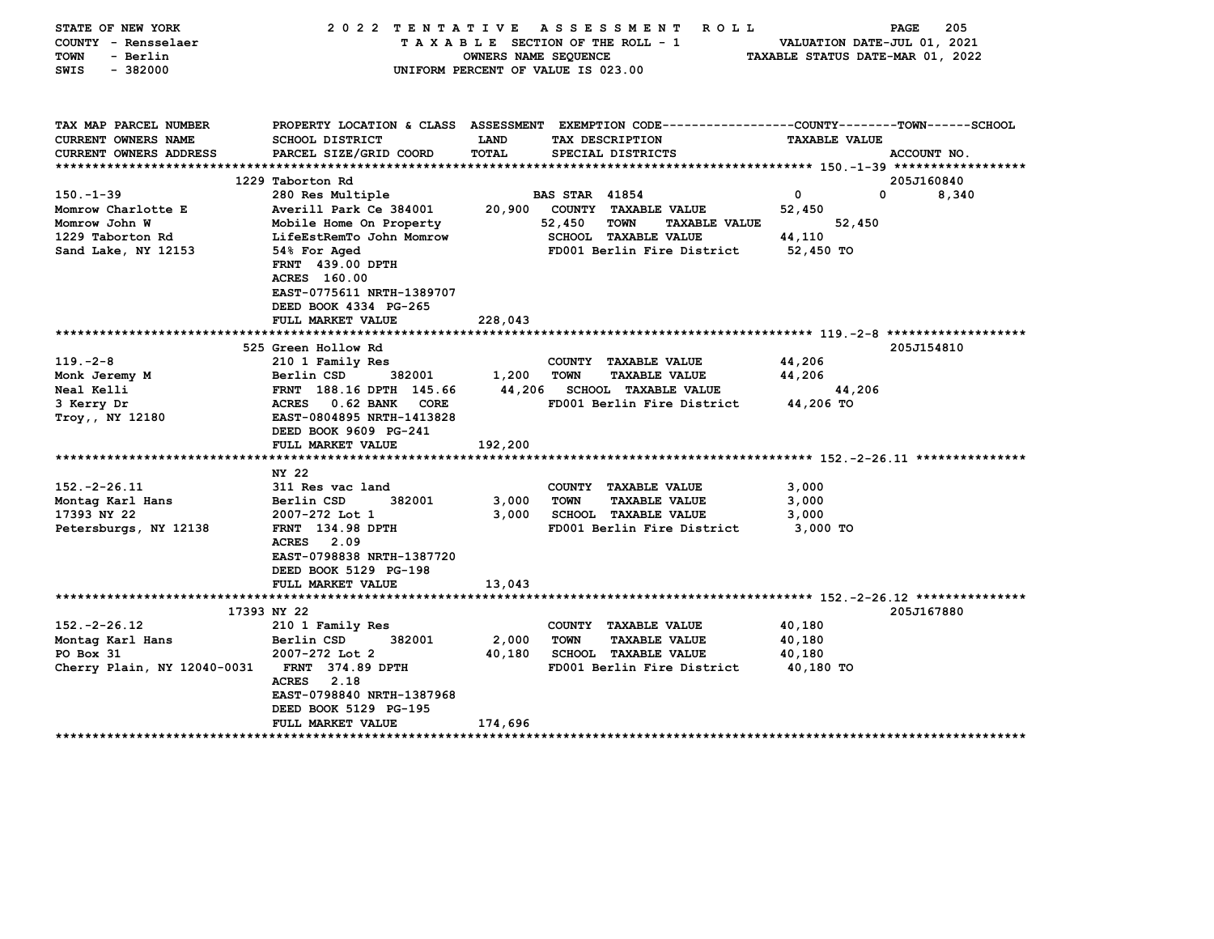| STATE OF NEW YORK<br>COUNTY - Rensselaer<br><b>TOWN</b><br>- Berlin<br>$-382000$<br>SWIS |                                                             | OWNERS NAME SEQUENCE | 2022 TENTATIVE ASSESSMENT<br>R O L L<br>TAXABLE SECTION OF THE ROLL - 1<br>UNIFORM PERCENT OF VALUE IS 023.00                           | VALUATION DATE-JUL 01, 2021<br>TAXABLE STATUS DATE-MAR 01, 2022 | 205<br>PAGE |
|------------------------------------------------------------------------------------------|-------------------------------------------------------------|----------------------|-----------------------------------------------------------------------------------------------------------------------------------------|-----------------------------------------------------------------|-------------|
|                                                                                          |                                                             |                      |                                                                                                                                         |                                                                 |             |
| TAX MAP PARCEL NUMBER<br><b>CURRENT OWNERS NAME</b><br><b>CURRENT OWNERS ADDRESS</b>     | <b>SCHOOL DISTRICT</b><br>PARCEL SIZE/GRID COORD            | <b>LAND</b><br>TOTAL | PROPERTY LOCATION & CLASS ASSESSMENT EXEMPTION CODE---------------COUNTY-------TOWN------SCHOOL<br>TAX DESCRIPTION<br>SPECIAL DISTRICTS | <b>TAXABLE VALUE</b>                                            | ACCOUNT NO. |
|                                                                                          |                                                             |                      |                                                                                                                                         |                                                                 |             |
|                                                                                          | 1229 Taborton Rd                                            |                      |                                                                                                                                         |                                                                 | 205J160840  |
| $150 - 1 - 39$                                                                           | 280 Res Multiple                                            |                      | <b>BAS STAR 41854</b>                                                                                                                   | 0                                                               | 0<br>8,340  |
| Momrow Charlotte E                                                                       | Averill Park Ce 384001                                      | 20,900               | COUNTY TAXABLE VALUE                                                                                                                    | 52,450                                                          |             |
| Momrow John W                                                                            | Mobile Home On Property                                     |                      | 52,450<br>TOWN<br><b>TAXABLE VALUE</b>                                                                                                  | 52,450                                                          |             |
| 1229 Taborton Rd<br>Sand Lake, NY 12153                                                  | LifeEstRemTo John Momrow<br>54% For Aged                    |                      | <b>SCHOOL TAXABLE VALUE</b><br>FD001 Berlin Fire District                                                                               | 44,110<br>52,450 TO                                             |             |
|                                                                                          | FRNT 439.00 DPTH                                            |                      |                                                                                                                                         |                                                                 |             |
|                                                                                          | ACRES 160.00                                                |                      |                                                                                                                                         |                                                                 |             |
|                                                                                          | EAST-0775611 NRTH-1389707                                   |                      |                                                                                                                                         |                                                                 |             |
|                                                                                          | DEED BOOK 4334 PG-265                                       |                      |                                                                                                                                         |                                                                 |             |
|                                                                                          | FULL MARKET VALUE                                           | 228,043              |                                                                                                                                         |                                                                 |             |
|                                                                                          |                                                             |                      |                                                                                                                                         |                                                                 |             |
|                                                                                          | 525 Green Hollow Rd                                         |                      |                                                                                                                                         |                                                                 | 205J154810  |
| $119. -2 - 8$                                                                            | 210 1 Family Res                                            |                      | COUNTY TAXABLE VALUE                                                                                                                    | 44,206                                                          |             |
| Monk Jeremy M                                                                            | Berlin CSD<br>382001                                        | 1,200                | <b>TOWN</b><br>TAXABLE VALUE                                                                                                            | 44,206                                                          |             |
| Neal Kelli                                                                               | FRNT 188.16 DPTH 145.66                                     | 44,206               | <b>SCHOOL TAXABLE VALUE</b>                                                                                                             | 44,206                                                          |             |
| 3 Kerry Dr                                                                               | ACRES 0.62 BANK<br><b>CORE</b><br>EAST-0804895 NRTH-1413828 |                      | FD001 Berlin Fire District                                                                                                              | 44,206 TO                                                       |             |
| Troy,, NY 12180                                                                          | DEED BOOK 9609 PG-241                                       |                      |                                                                                                                                         |                                                                 |             |
|                                                                                          | FULL MARKET VALUE                                           | 192,200              |                                                                                                                                         |                                                                 |             |
|                                                                                          |                                                             |                      |                                                                                                                                         |                                                                 |             |
|                                                                                          | NY 22                                                       |                      |                                                                                                                                         |                                                                 |             |
| $152. -2 - 26.11$                                                                        | 311 Res vac land                                            |                      | COUNTY TAXABLE VALUE                                                                                                                    | 3,000                                                           |             |
| Montag Karl Hans                                                                         | Berlin CSD<br>382001                                        | 3,000                | <b>TOWN</b><br><b>TAXABLE VALUE</b>                                                                                                     | 3,000                                                           |             |
| 17393 NY 22                                                                              | 2007-272 Lot 1                                              | 3,000                | <b>SCHOOL TAXABLE VALUE</b>                                                                                                             | 3,000                                                           |             |
| Petersburgs, NY 12138                                                                    | FRNT 134.98 DPTH                                            |                      | FD001 Berlin Fire District                                                                                                              | 3,000 TO                                                        |             |
|                                                                                          | ACRES 2.09                                                  |                      |                                                                                                                                         |                                                                 |             |
|                                                                                          | EAST-0798838 NRTH-1387720                                   |                      |                                                                                                                                         |                                                                 |             |
|                                                                                          | DEED BOOK 5129 PG-198                                       |                      |                                                                                                                                         |                                                                 |             |
|                                                                                          | FULL MARKET VALUE                                           | 13,043               |                                                                                                                                         |                                                                 |             |
|                                                                                          | 17393 NY 22                                                 |                      |                                                                                                                                         |                                                                 | 205J167880  |
| $152. -2 -26.12$                                                                         | 210 1 Family Res                                            |                      | COUNTY TAXABLE VALUE                                                                                                                    | 40,180                                                          |             |
| Montag Karl Hans                                                                         | 382001<br>Berlin CSD                                        | 2,000                | <b>TOWN</b><br><b>TAXABLE VALUE</b>                                                                                                     | 40,180                                                          |             |
| PO Box 31                                                                                | 2007-272 Lot 2                                              | 40,180               | <b>SCHOOL TAXABLE VALUE</b>                                                                                                             | 40,180                                                          |             |
| Cherry Plain, NY 12040-0031                                                              | FRNT 374.89 DPTH                                            |                      | FD001 Berlin Fire District                                                                                                              | 40,180 TO                                                       |             |
|                                                                                          | 2.18<br><b>ACRES</b>                                        |                      |                                                                                                                                         |                                                                 |             |
|                                                                                          | EAST-0798840 NRTH-1387968                                   |                      |                                                                                                                                         |                                                                 |             |
|                                                                                          | DEED BOOK 5129 PG-195                                       |                      |                                                                                                                                         |                                                                 |             |
|                                                                                          | FULL MARKET VALUE                                           | 174,696              |                                                                                                                                         |                                                                 |             |
|                                                                                          |                                                             |                      |                                                                                                                                         |                                                                 |             |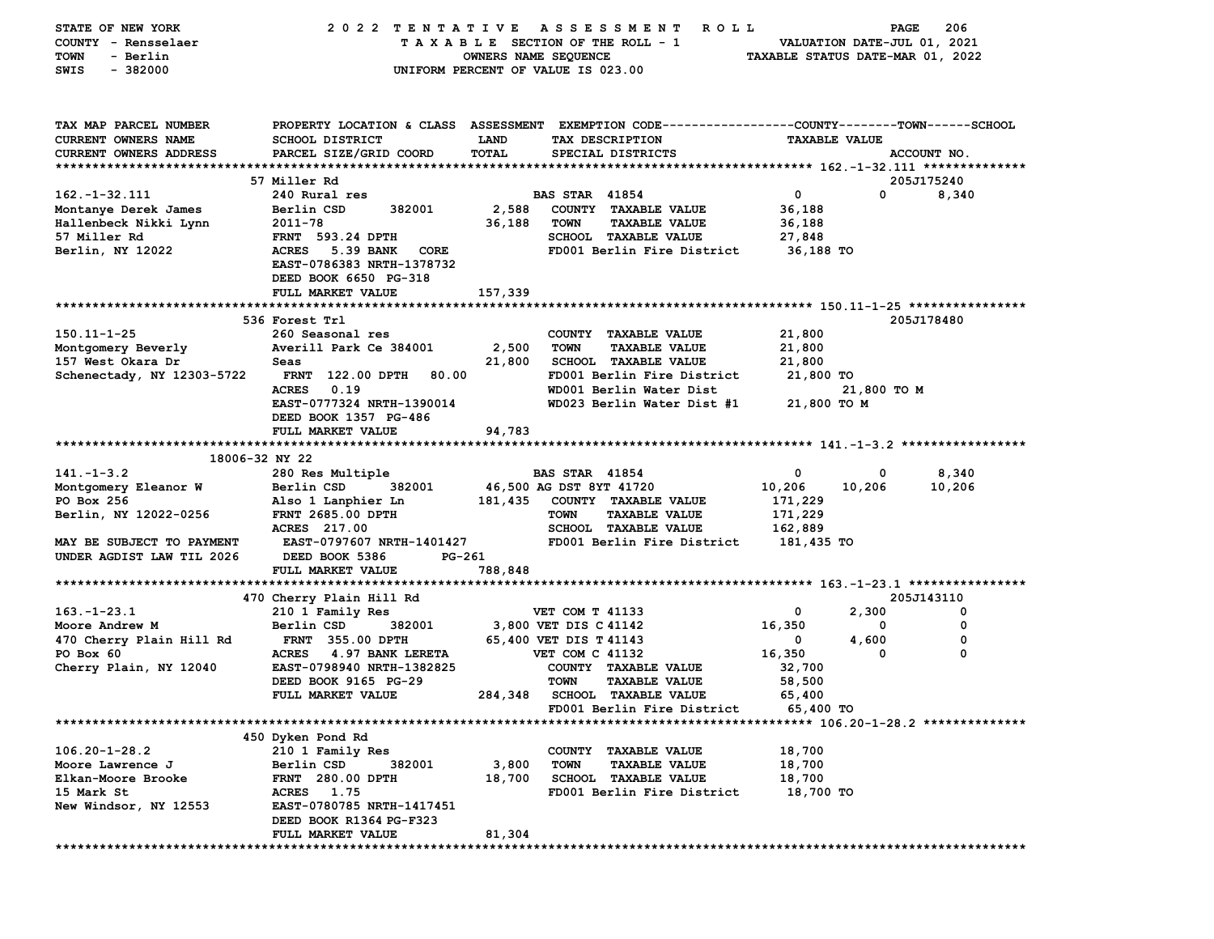| STATE OF NEW YORK          | 2022 TENTATIVE                   |             | A S S E S S M E N T R O L L                                                                     |                                                                 | <b>PAGE</b> | 206         |
|----------------------------|----------------------------------|-------------|-------------------------------------------------------------------------------------------------|-----------------------------------------------------------------|-------------|-------------|
| COUNTY - Rensselaer        |                                  |             | TAXABLE SECTION OF THE ROLL - 1                                                                 | VALUATION DATE-JUL 01, 2021<br>TAXABLE STATUS DATE-MAR 01, 2022 |             |             |
| <b>TOWN</b><br>- Berlin    |                                  |             | OWNERS NAME SEQUENCE                                                                            |                                                                 |             |             |
| $-382000$<br>SWIS          |                                  |             | UNIFORM PERCENT OF VALUE IS 023.00                                                              |                                                                 |             |             |
|                            |                                  |             |                                                                                                 |                                                                 |             |             |
|                            |                                  |             |                                                                                                 |                                                                 |             |             |
|                            |                                  |             |                                                                                                 |                                                                 |             |             |
| TAX MAP PARCEL NUMBER      |                                  |             | PROPERTY LOCATION & CLASS ASSESSMENT EXEMPTION CODE---------------COUNTY-------TOWN------SCHOOL |                                                                 |             |             |
| CURRENT OWNERS NAME        | <b>SCHOOL DISTRICT</b>           | <b>LAND</b> | TAX DESCRIPTION                                                                                 | <b>TAXABLE VALUE</b>                                            |             |             |
| CURRENT OWNERS ADDRESS     | PARCEL SIZE/GRID COORD           | TOTAL       | SPECIAL DISTRICTS                                                                               |                                                                 |             | ACCOUNT NO. |
|                            |                                  |             |                                                                                                 |                                                                 |             |             |
|                            | 57 Miller Rd                     |             |                                                                                                 |                                                                 |             | 205J175240  |
| $162. - 1 - 32.111$        | 240 Rural res                    |             | <b>BAS STAR 41854</b>                                                                           | $\mathbf{0}$                                                    | $\mathbf 0$ | 8,340       |
| Montanye Derek James       | 382001<br>Berlin CSD             | 2,588       | COUNTY TAXABLE VALUE                                                                            | 36,188                                                          |             |             |
| Hallenbeck Nikki Lynn      | 2011-78                          | 36,188      | <b>TAXABLE VALUE</b><br>TOWN                                                                    | 36,188                                                          |             |             |
|                            |                                  |             |                                                                                                 |                                                                 |             |             |
| 57 Miller Rd               | <b>FRNT</b> 593.24 DPTH          |             | SCHOOL TAXABLE VALUE                                                                            | 27,848                                                          |             |             |
| Berlin, NY 12022           | ACRES 5.39 BANK CORE             |             | FD001 Berlin Fire District                                                                      | 36,188 TO                                                       |             |             |
|                            | EAST-0786383 NRTH-1378732        |             |                                                                                                 |                                                                 |             |             |
|                            | DEED BOOK 6650 PG-318            |             |                                                                                                 |                                                                 |             |             |
|                            | FULL MARKET VALUE                | 157,339     |                                                                                                 |                                                                 |             |             |
|                            |                                  |             |                                                                                                 |                                                                 |             |             |
|                            | 536 Forest Trl                   |             |                                                                                                 |                                                                 |             | 205J178480  |
| 150.11-1-25                | 260 Seasonal res                 |             | COUNTY TAXABLE VALUE                                                                            | 21,800                                                          |             |             |
| Montgomery Beverly         | Averill Park Ce 384001           | 2,500       | <b>TOWN</b><br><b>TAXABLE VALUE</b>                                                             | 21,800                                                          |             |             |
| 157 West Okara Dr          | Seas                             | 21,800      | <b>SCHOOL TAXABLE VALUE</b>                                                                     | 21,800                                                          |             |             |
|                            |                                  |             |                                                                                                 |                                                                 |             |             |
| Schenectady, NY 12303-5722 | <b>FRNT 122.00 DPTH</b><br>80.00 |             | FD001 Berlin Fire District                                                                      | 21,800 TO                                                       |             |             |
|                            | <b>ACRES</b><br>0.19             |             | WD001 Berlin Water Dist                                                                         |                                                                 | 21,800 TO M |             |
|                            | EAST-0777324 NRTH-1390014        |             | WD023 Berlin Water Dist #1                                                                      | 21,800 TO M                                                     |             |             |
|                            | DEED BOOK 1357 PG-486            |             |                                                                                                 |                                                                 |             |             |
|                            | FULL MARKET VALUE                | 94,783      |                                                                                                 |                                                                 |             |             |
|                            |                                  |             |                                                                                                 |                                                                 |             |             |
| 18006-32 NY 22             |                                  |             |                                                                                                 |                                                                 |             |             |
| $141. - 1 - 3.2$           | 280 Res Multiple                 |             | <b>BAS STAR 41854</b>                                                                           | $\mathbf 0$                                                     | $^{\circ}$  | 8,340       |
| Montgomery Eleanor W       | Berlin CSD<br>382001             |             | 46,500 AG DST 8YT 41720                                                                         | 10,206                                                          | 10,206      | 10,206      |
| PO Box 256                 | Also 1 Lanphier Ln               |             | 181,435 COUNTY TAXABLE VALUE                                                                    | 171,229                                                         |             |             |
| Berlin, NY 12022-0256      | <b>FRNT 2685.00 DPTH</b>         |             | <b>TOWN</b><br><b>TAXABLE VALUE</b>                                                             | 171,229                                                         |             |             |
|                            | ACRES 217.00                     |             | <b>SCHOOL TAXABLE VALUE</b>                                                                     | 162,889                                                         |             |             |
| MAY BE SUBJECT TO PAYMENT  | <b>EAST-0797607 NRTH-1401427</b> |             | FD001 Berlin Fire District                                                                      | 181,435 TO                                                      |             |             |
|                            |                                  |             |                                                                                                 |                                                                 |             |             |
| UNDER AGDIST LAW TIL 2026  | DEED BOOK 5386<br>PG-261         |             |                                                                                                 |                                                                 |             |             |
|                            | FULL MARKET VALUE                | 788,848     |                                                                                                 |                                                                 |             |             |
|                            |                                  |             |                                                                                                 |                                                                 |             |             |
|                            | 470 Cherry Plain Hill Rd         |             |                                                                                                 |                                                                 |             | 205J143110  |
| $163. - 1 - 23.1$          | 210 1 Family Res                 |             | VET COM T 41133                                                                                 | 0                                                               | 2,300       | 0           |
| Moore Andrew M             | Berlin CSD<br>382001             |             | 3,800 VET DIS C 41142                                                                           | 16,350                                                          | 0           | 0           |
| 470 Cherry Plain Hill Rd   | <b>FRNT 355.00 DPTH</b>          |             | 65,400 VET DIS T 41143                                                                          | $\mathbf{0}$                                                    | 4,600       | 0           |
| PO Box 60                  | ACRES 4.97 BANK LERETA           |             | VET COM C 41132                                                                                 | 16,350                                                          | 0           | 0           |
| Cherry Plain, NY 12040     | EAST-0798940 NRTH-1382825        |             | COUNTY TAXABLE VALUE                                                                            | 32,700                                                          |             |             |
|                            | DEED BOOK 9165 PG-29             |             | TOWN<br><b>TAXABLE VALUE</b>                                                                    | 58,500                                                          |             |             |
|                            | FULL MARKET VALUE                |             | 284,348 SCHOOL TAXABLE VALUE                                                                    | 65,400                                                          |             |             |
|                            |                                  |             |                                                                                                 |                                                                 |             |             |
|                            |                                  |             | FD001 Berlin Fire District                                                                      | 65,400 TO                                                       |             |             |
|                            |                                  |             |                                                                                                 |                                                                 |             |             |
|                            | 450 Dyken Pond Rd                |             |                                                                                                 |                                                                 |             |             |
| $106.20 - 1 - 28.2$        | 210 1 Family Res                 |             | COUNTY TAXABLE VALUE                                                                            | 18,700                                                          |             |             |
| Moore Lawrence J           | Berlin CSD<br>382001             | 3,800       | <b>TOWN</b><br><b>TAXABLE VALUE</b>                                                             | 18,700                                                          |             |             |
| Elkan-Moore Brooke         | <b>FRNT 280.00 DPTH</b>          | 18,700      | <b>SCHOOL TAXABLE VALUE</b>                                                                     | 18,700                                                          |             |             |
| 15 Mark St                 | ACRES 1.75                       |             | FD001 Berlin Fire District                                                                      | 18,700 TO                                                       |             |             |
| New Windsor, NY 12553      | EAST-0780785 NRTH-1417451        |             |                                                                                                 |                                                                 |             |             |
|                            | DEED BOOK R1364 PG-F323          |             |                                                                                                 |                                                                 |             |             |
|                            | FULL MARKET VALUE                | 81,304      |                                                                                                 |                                                                 |             |             |
|                            |                                  |             |                                                                                                 |                                                                 |             |             |
|                            |                                  |             |                                                                                                 |                                                                 |             |             |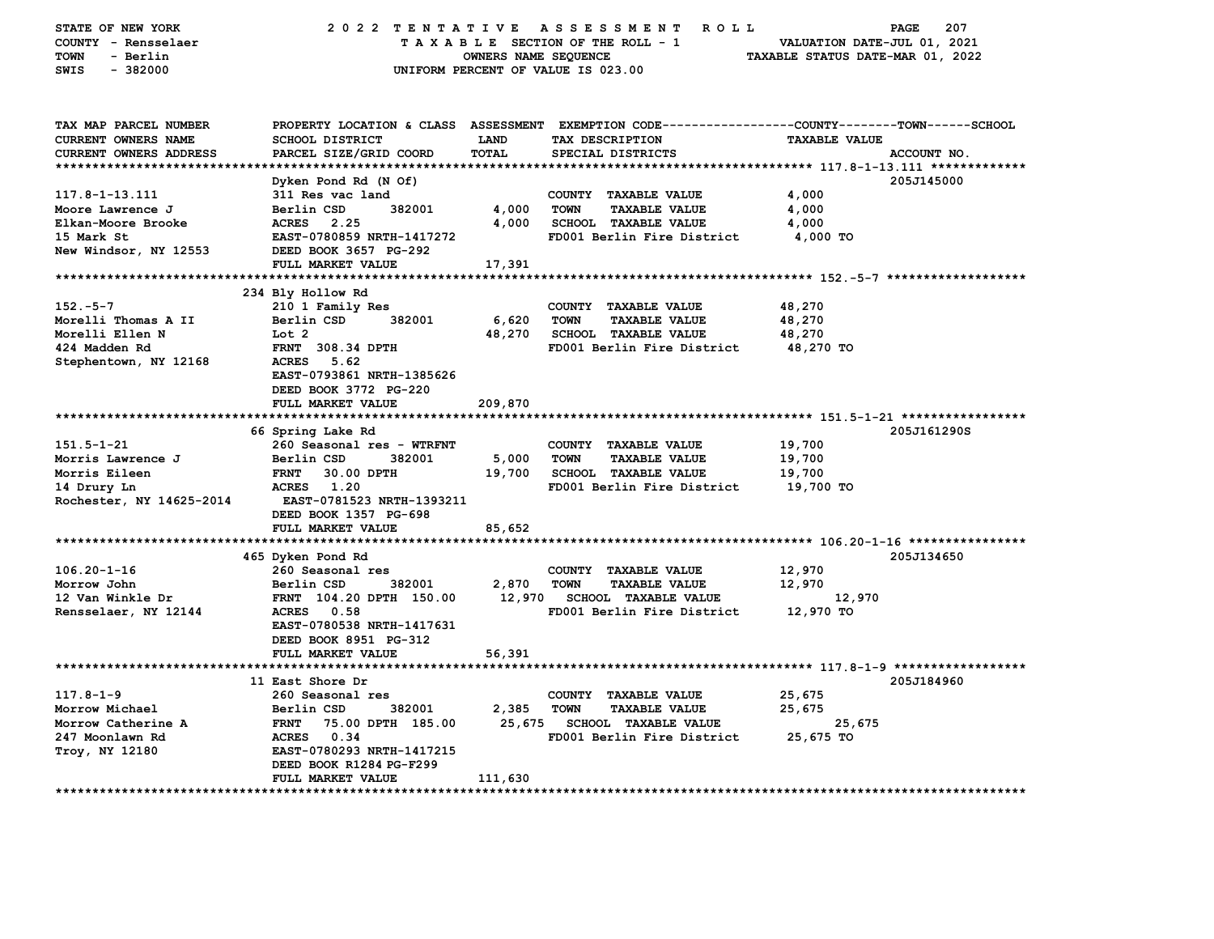| STATE OF NEW YORK<br>COUNTY - Rensselaer<br>TOWN<br>- Berlin<br>$-382000$<br>SWIS                 | 2022 TENTATIVE ASSESSMENT                                                                                                                                                                          | OWNERS NAME SEQUENCE       | <b>ROLL</b><br>TAXABLE SECTION OF THE ROLL - 1<br>UNIFORM PERCENT OF VALUE IS 023.00                                                   | PAGE<br>VALUATION DATE-JUL 01, 2021<br>TAXABLE STATUS DATE-MAR 01, 2022 | 207         |
|---------------------------------------------------------------------------------------------------|----------------------------------------------------------------------------------------------------------------------------------------------------------------------------------------------------|----------------------------|----------------------------------------------------------------------------------------------------------------------------------------|-------------------------------------------------------------------------|-------------|
| TAX MAP PARCEL NUMBER<br><b>CURRENT OWNERS NAME</b><br>CURRENT OWNERS ADDRESS                     | <b>SCHOOL DISTRICT</b><br>PARCEL SIZE/GRID COORD                                                                                                                                                   | LAND<br>TOTAL              | PROPERTY LOCATION & CLASS ASSESSMENT EXEMPTION CODE---------------COUNTY-------TOWN-----SCHOOL<br>TAX DESCRIPTION<br>SPECIAL DISTRICTS | <b>TAXABLE VALUE</b>                                                    | ACCOUNT NO. |
| 117.8-1-13.111<br>Moore Lawrence J<br>Elkan-Moore Brooke<br>15 Mark St<br>New Windsor, NY 12553   | Dyken Pond Rd (N Of)<br>311 Res vac land<br>Berlin CSD<br>382001<br>ACRES 2.25<br>EAST-0780859 NRTH-1417272<br>DEED BOOK 3657 PG-292                                                               | 4,000<br>4,000             | COUNTY TAXABLE VALUE<br><b>TOWN</b><br><b>TAXABLE VALUE</b><br>SCHOOL TAXABLE VALUE<br>FD001 Berlin Fire District                      | 4,000<br>4,000<br>4,000<br>4,000 TO                                     | 205J145000  |
|                                                                                                   | FULL MARKET VALUE                                                                                                                                                                                  | 17,391                     |                                                                                                                                        |                                                                         |             |
| $152.-5-7$<br>Morelli Thomas A II<br>Morelli Ellen N<br>424 Madden Rd<br>Stephentown, NY 12168    | 234 Bly Hollow Rd<br>210 1 Family Res<br>Berlin CSD<br>382001<br>Lot 2<br><b>FRNT 308.34 DPTH</b><br>ACRES<br>5.62<br>EAST-0793861 NRTH-1385626<br>DEED BOOK 3772 PG-220<br>FULL MARKET VALUE      | 6,620<br>48,270            | COUNTY TAXABLE VALUE<br><b>TOWN</b><br><b>TAXABLE VALUE</b><br><b>SCHOOL TAXABLE VALUE</b><br>FD001 Berlin Fire District               | 48,270<br>48,270<br>48,270<br>48,270 TO                                 |             |
|                                                                                                   |                                                                                                                                                                                                    | 209,870                    |                                                                                                                                        |                                                                         |             |
| $151.5 - 1 - 21$<br>Morris Lawrence J<br>Morris Eileen<br>14 Drury Ln<br>Rochester, NY 14625-2014 | 66 Spring Lake Rd<br>260 Seasonal res - WTRFNT<br>Berlin CSD<br>382001<br><b>FRNT</b><br>30.00 DPTH<br>ACRES 1.20<br>EAST-0781523 NRTH-1393211<br>DEED BOOK 1357 PG-698                            | 5,000<br>19,700            | COUNTY TAXABLE VALUE<br><b>TOWN</b><br><b>TAXABLE VALUE</b><br><b>SCHOOL TAXABLE VALUE</b><br>FD001 Berlin Fire District               | 19,700<br>19,700<br>19,700<br>19,700 TO                                 | 205J161290S |
|                                                                                                   | FULL MARKET VALUE                                                                                                                                                                                  | 85,652                     |                                                                                                                                        |                                                                         |             |
| $106.20 - 1 - 16$<br>Morrow John<br>12 Van Winkle Dr<br>Rensselaer, NY 12144                      | 465 Dyken Pond Rd<br>260 Seasonal res<br>382001<br>Berlin CSD<br>FRNT 104.20 DPTH 150.00<br><b>ACRES</b><br>0.58<br>EAST-0780538 NRTH-1417631<br>DEED BOOK 8951 PG-312<br>FULL MARKET VALUE        | 2,870<br>12,970<br>56,391  | COUNTY TAXABLE VALUE<br><b>TOWN</b><br><b>TAXABLE VALUE</b><br><b>SCHOOL TAXABLE VALUE</b><br>FD001 Berlin Fire District               | 12,970<br>12,970<br>12,970<br>12,970 TO                                 | 205J134650  |
|                                                                                                   |                                                                                                                                                                                                    |                            |                                                                                                                                        |                                                                         |             |
| $117.8 - 1 - 9$<br>Morrow Michael<br>Morrow Catherine A<br>247 Moonlawn Rd<br>Troy, NY 12180      | 11 East Shore Dr<br>260 Seasonal res<br>Berlin CSD<br>382001<br><b>FRNT</b><br>75.00 DPTH 185.00<br>ACRES 0.34<br>EAST-0780293 NRTH-1417215<br>DEED BOOK R1284 PG-F299<br><b>FULL MARKET VALUE</b> | 2,385<br>25,675<br>111,630 | COUNTY TAXABLE VALUE<br><b>TOWN</b><br><b>TAXABLE VALUE</b><br><b>SCHOOL TAXABLE VALUE</b><br>FD001 Berlin Fire District               | 25,675<br>25,675<br>25,675<br>25,675 TO                                 | 205J184960  |
|                                                                                                   |                                                                                                                                                                                                    |                            |                                                                                                                                        |                                                                         |             |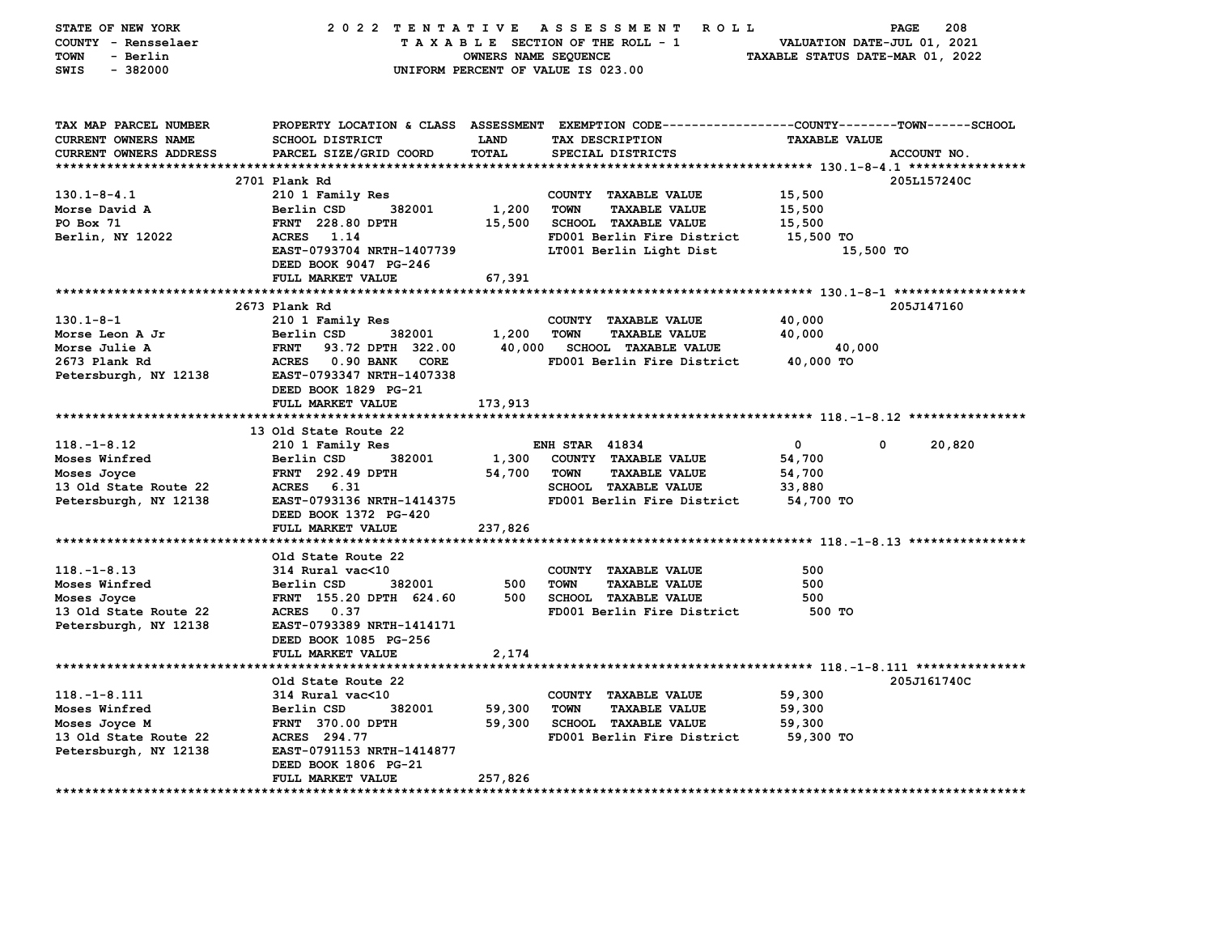| STATE OF NEW YORK<br>COUNTY - Rensselaer<br>- Berlin<br>TOWN<br>$-382000$<br>SWIS                      |                                                                                                                                                                                     | OWNERS NAME SEQUENCE        | 2022 TENTATIVE ASSESSMENT ROLL<br>TAXABLE SECTION OF THE ROLL - 1<br>UNIFORM PERCENT OF VALUE IS 023.00                                             | VALUATION DATE-JUL 01, 2021<br>TAXABLE STATUS DATE-MAR 01, 2022 | 208<br>PAGE |
|--------------------------------------------------------------------------------------------------------|-------------------------------------------------------------------------------------------------------------------------------------------------------------------------------------|-----------------------------|-----------------------------------------------------------------------------------------------------------------------------------------------------|-----------------------------------------------------------------|-------------|
| TAX MAP PARCEL NUMBER<br><b>CURRENT OWNERS NAME</b><br>CURRENT OWNERS ADDRESS                          | SCHOOL DISTRICT<br>PARCEL SIZE/GRID COORD                                                                                                                                           | <b>LAND</b><br>TOTAL        | PROPERTY LOCATION & CLASS ASSESSMENT EXEMPTION CODE----------------COUNTY-------TOWN------SCHOOL<br>TAX DESCRIPTION<br>SPECIAL DISTRICTS            | <b>TAXABLE VALUE</b>                                            | ACCOUNT NO. |
| $130.1 - 8 - 4.1$<br>Morse David A<br>PO Box 71<br>Berlin, NY 12022                                    | 2701 Plank Rd<br>210 1 Family Res<br>Berlin CSD<br>382001<br>FRNT 228.80 DPTH<br>ACRES 1.14<br>EAST-0793704 NRTH-1407739<br>DEED BOOK 9047 PG-246                                   | 1,200<br>15,500             | COUNTY TAXABLE VALUE<br><b>TOWN</b><br><b>TAXABLE VALUE</b><br><b>SCHOOL TAXABLE VALUE</b><br>FD001 Berlin Fire District<br>LT001 Berlin Light Dist | 15,500<br>15,500<br>15,500<br>15,500 TO<br>15,500 TO            | 205L157240C |
|                                                                                                        | FULL MARKET VALUE                                                                                                                                                                   | 67,391                      |                                                                                                                                                     |                                                                 |             |
| 130.1-8-1<br>Morse Leon A Jr<br>Morse Julie A<br>2673 Plank Rd<br>Petersburgh, NY 12138                | 2673 Plank Rd<br>210 1 Family Res<br>Berlin CSD<br>382001<br>FRNT 93.72 DPTH 322.00<br>ACRES 0.90 BANK CORE<br><b>EAST-0793347 NRTH-1407338</b>                                     | 1,200                       | COUNTY TAXABLE VALUE<br><b>TOWN</b><br><b>TAXABLE VALUE</b><br>40,000 SCHOOL TAXABLE VALUE<br>FD001 Berlin Fire District                            | 40,000<br>40,000<br>40,000<br>40,000 TO                         | 205J147160  |
| $118. - 1 - 8.12$                                                                                      | DEED BOOK 1829 PG-21<br>FULL MARKET VALUE<br>13 Old State Route 22<br>210 1 Family Res                                                                                              | 173,913                     | <b>ENH STAR 41834</b>                                                                                                                               | $\mathbf{0}$<br>$\mathbf{0}$                                    | 20,820      |
| Moses Winfred<br>Moses Joyce<br>13 Old State Route 22<br>Petersburgh, NY 12138                         | Berlin CSD<br>382001<br>FRNT 292.49 DPTH<br>ACRES 6.31<br>EAST-0793136 NRTH-1414375<br>DEED BOOK 1372 PG-420                                                                        | 1,300<br>54,700             | COUNTY TAXABLE VALUE<br><b>TAXABLE VALUE</b><br>TOWN<br><b>SCHOOL TAXABLE VALUE</b><br>FD001 Berlin Fire District                                   | 54,700<br>54,700<br>33,880<br>54,700 TO                         |             |
|                                                                                                        | FULL MARKET VALUE                                                                                                                                                                   | 237,826                     |                                                                                                                                                     |                                                                 |             |
| $118. - 1 - 8.13$<br>Moses Winfred<br>Moses Joyce<br>13 Old State Route 22<br>Petersburgh, NY 12138    | Old State Route 22<br>314 Rural vac<10<br>382001<br>Berlin CSD<br>FRNT 155.20 DPTH 624.60<br>ACRES 0.37<br>EAST-0793389 NRTH-1414171<br>DEED BOOK 1085 PG-256<br>FULL MARKET VALUE  | 500<br>500<br>2,174         | COUNTY TAXABLE VALUE<br><b>TAXABLE VALUE</b><br><b>TOWN</b><br><b>SCHOOL TAXABLE VALUE</b><br>FD001 Berlin Fire District                            | 500<br>500<br>500<br>500 TO                                     |             |
| $118. - 1 - 8.111$<br>Moses Winfred<br>Moses Joyce M<br>13 Old State Route 22<br>Petersburgh, NY 12138 | Old State Route 22<br>314 Rural vac<10<br>Berlin CSD<br>382001<br><b>FRNT</b> 370.00 DPTH<br>ACRES 294.77<br>EAST-0791153 NRTH-1414877<br>DEED BOOK 1806 PG-21<br>FULL MARKET VALUE | 59,300<br>59,300<br>257,826 | COUNTY TAXABLE VALUE<br><b>TOWN</b><br><b>TAXABLE VALUE</b><br>SCHOOL TAXABLE VALUE<br>FD001 Berlin Fire District                                   | 59,300<br>59,300<br>59,300<br>59,300 TO                         | 205J161740C |
|                                                                                                        |                                                                                                                                                                                     |                             |                                                                                                                                                     |                                                                 |             |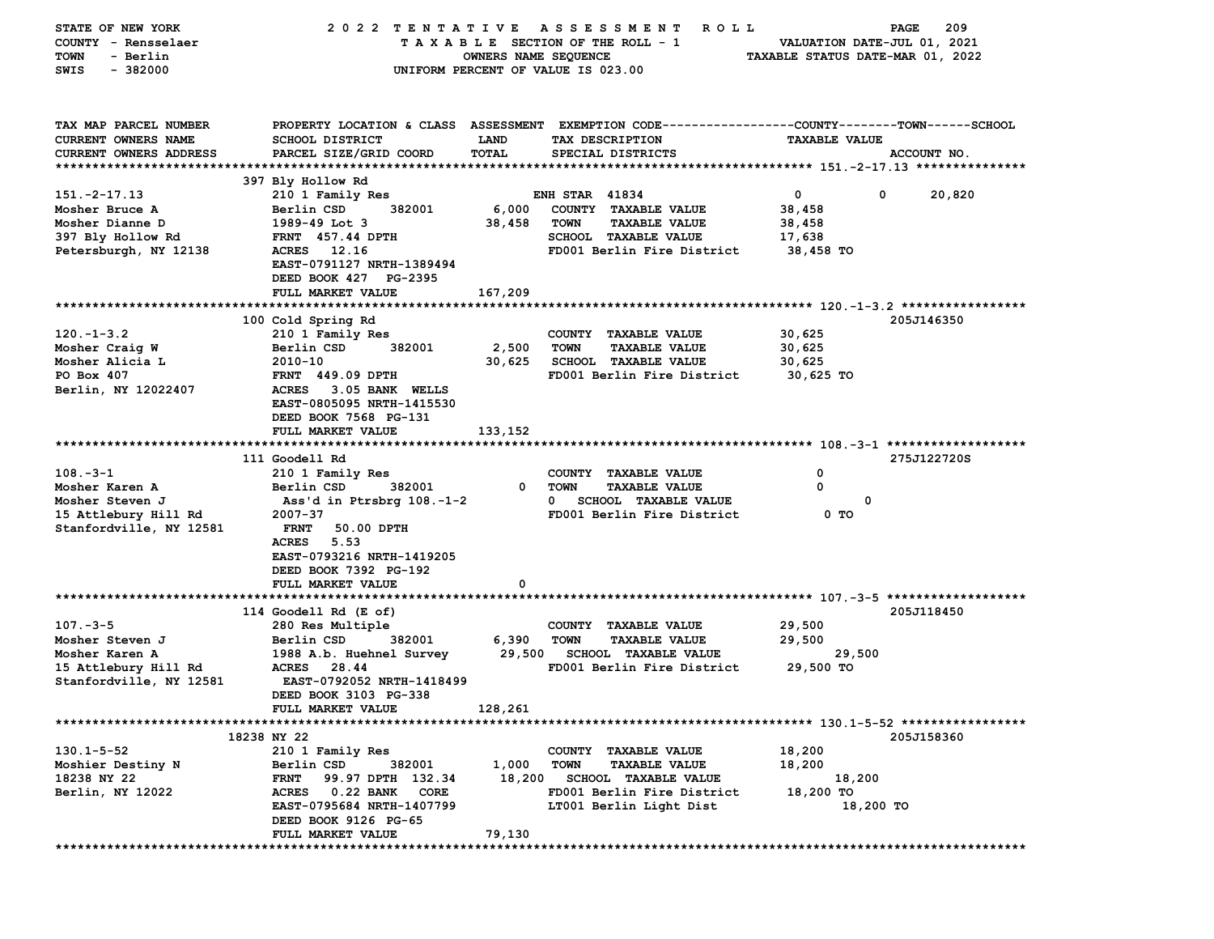| STATE OF NEW YORK       | 2022 TENTATIVE                     |                      | ASSESSMENT<br>R O L L                                                                          |                                  | 209<br>PAGE |
|-------------------------|------------------------------------|----------------------|------------------------------------------------------------------------------------------------|----------------------------------|-------------|
| COUNTY - Rensselaer     |                                    |                      | TAXABLE SECTION OF THE ROLL - 1                                                                | VALUATION DATE-JUL 01, 2021      |             |
| - Berlin<br>TOWN        |                                    | OWNERS NAME SEQUENCE |                                                                                                | TAXABLE STATUS DATE-MAR 01, 2022 |             |
| $-382000$<br>SWIS       |                                    |                      | UNIFORM PERCENT OF VALUE IS 023.00                                                             |                                  |             |
|                         |                                    |                      |                                                                                                |                                  |             |
|                         |                                    |                      |                                                                                                |                                  |             |
|                         |                                    |                      |                                                                                                |                                  |             |
| TAX MAP PARCEL NUMBER   |                                    |                      | PROPERTY LOCATION & CLASS ASSESSMENT EXEMPTION CODE---------------COUNTY-------TOWN-----SCHOOL |                                  |             |
| CURRENT OWNERS NAME     | <b>SCHOOL DISTRICT</b>             | LAND                 | TAX DESCRIPTION                                                                                | <b>TAXABLE VALUE</b>             |             |
| CURRENT OWNERS ADDRESS  | PARCEL SIZE/GRID COORD             | TOTAL                | SPECIAL DISTRICTS                                                                              |                                  | ACCOUNT NO. |
|                         |                                    |                      |                                                                                                |                                  |             |
|                         | 397 Bly Hollow Rd                  |                      |                                                                                                |                                  |             |
| $151. -2 - 17.13$       | 210 1 Family Res                   |                      | <b>ENH STAR 41834</b>                                                                          | 0<br>0                           | 20,820      |
| Mosher Bruce A          | 382001<br>Berlin CSD               | 6,000                | COUNTY TAXABLE VALUE                                                                           | 38,458                           |             |
| Mosher Dianne D         | 1989-49 Lot 3                      | 38,458               | <b>TOWN</b><br><b>TAXABLE VALUE</b>                                                            | 38,458                           |             |
| 397 Bly Hollow Rd       | FRNT 457.44 DPTH                   |                      | <b>SCHOOL TAXABLE VALUE</b>                                                                    | 17,638                           |             |
| Petersburgh, NY 12138   | <b>ACRES</b><br>12.16              |                      | FD001 Berlin Fire District                                                                     | 38,458 TO                        |             |
|                         | EAST-0791127 NRTH-1389494          |                      |                                                                                                |                                  |             |
|                         | DEED BOOK 427 PG-2395              |                      |                                                                                                |                                  |             |
|                         | FULL MARKET VALUE                  | 167,209              |                                                                                                |                                  |             |
|                         |                                    |                      |                                                                                                |                                  |             |
|                         | 100 Cold Spring Rd                 |                      |                                                                                                |                                  | 205J146350  |
| $120. -1 - 3.2$         | 210 1 Family Res                   |                      | COUNTY TAXABLE VALUE                                                                           | 30,625                           |             |
| Mosher Craig W          | 382001<br>Berlin CSD               | 2,500                | <b>TOWN</b><br><b>TAXABLE VALUE</b>                                                            | 30,625                           |             |
| Mosher Alicia L         | 2010-10                            | 30,625               | <b>SCHOOL TAXABLE VALUE</b>                                                                    | 30,625                           |             |
| PO Box 407              | FRNT 449.09 DPTH                   |                      | FD001 Berlin Fire District                                                                     | 30,625 TO                        |             |
| Berlin, NY 12022407     | <b>ACRES</b><br>3.05 BANK WELLS    |                      |                                                                                                |                                  |             |
|                         | EAST-0805095 NRTH-1415530          |                      |                                                                                                |                                  |             |
|                         | DEED BOOK 7568 PG-131              |                      |                                                                                                |                                  |             |
|                         | FULL MARKET VALUE                  | 133,152              |                                                                                                |                                  |             |
|                         |                                    |                      |                                                                                                |                                  |             |
|                         | 111 Goodell Rd                     |                      |                                                                                                |                                  | 275J122720S |
| $108. -3 - 1$           | 210 1 Family Res                   |                      | COUNTY TAXABLE VALUE                                                                           | 0                                |             |
| Mosher Karen A          | Berlin CSD<br>382001               | 0                    | <b>TOWN</b><br><b>TAXABLE VALUE</b>                                                            | 0                                |             |
| Mosher Steven J         | Ass'd in Ptrsbrg 108.-1-2          |                      | $\mathbf{0}$<br><b>SCHOOL TAXABLE VALUE</b>                                                    | 0                                |             |
|                         | 2007-37                            |                      | FD001 Berlin Fire District                                                                     | 0 TO                             |             |
| 15 Attlebury Hill Rd    | <b>FRNT</b>                        |                      |                                                                                                |                                  |             |
| Stanfordville, NY 12581 | 50.00 DPTH<br><b>ACRES</b><br>5.53 |                      |                                                                                                |                                  |             |
|                         |                                    |                      |                                                                                                |                                  |             |
|                         | EAST-0793216 NRTH-1419205          |                      |                                                                                                |                                  |             |
|                         | DEED BOOK 7392 PG-192              |                      |                                                                                                |                                  |             |
|                         | FULL MARKET VALUE                  | 0                    |                                                                                                |                                  |             |
|                         |                                    |                      |                                                                                                |                                  |             |
|                         | 114 Goodell Rd (E of)              |                      |                                                                                                |                                  | 205J118450  |
| $107. - 3 - 5$          | 280 Res Multiple                   |                      | COUNTY TAXABLE VALUE                                                                           | 29,500                           |             |
| Mosher Steven J         | 382001<br>Berlin CSD               | 6,390                | <b>TOWN</b><br><b>TAXABLE VALUE</b>                                                            | 29,500                           |             |
| Mosher Karen A          | 1988 A.b. Huehnel Survey           | 29,500               | <b>SCHOOL TAXABLE VALUE</b>                                                                    | 29,500                           |             |
| 15 Attlebury Hill Rd    | <b>ACRES</b><br>28.44              |                      | FD001 Berlin Fire District                                                                     | 29,500 TO                        |             |
| Stanfordville, NY 12581 | EAST-0792052 NRTH-1418499          |                      |                                                                                                |                                  |             |
|                         | DEED BOOK 3103 PG-338              |                      |                                                                                                |                                  |             |
|                         | <b>FULL MARKET VALUE</b>           | 128,261              |                                                                                                |                                  |             |
|                         |                                    |                      |                                                                                                |                                  |             |
|                         | 18238 NY 22                        |                      |                                                                                                |                                  | 205J158360  |
| $130.1 - 5 - 52$        | 210 1 Family Res                   |                      | COUNTY TAXABLE VALUE                                                                           | 18,200                           |             |
| Moshier Destiny N       | Berlin CSD<br>382001               | 1,000                | <b>TOWN</b><br><b>TAXABLE VALUE</b>                                                            | 18,200                           |             |
| 18238 NY 22             | 99.97 DPTH 132.34<br><b>FRNT</b>   | 18,200               | <b>SCHOOL TAXABLE VALUE</b>                                                                    | 18,200                           |             |
| Berlin, NY 12022        | ACRES 0.22 BANK<br>CORE            |                      | FD001 Berlin Fire District                                                                     | 18,200 TO                        |             |
|                         | EAST-0795684 NRTH-1407799          |                      | LT001 Berlin Light Dist                                                                        | 18,200 TO                        |             |
|                         | DEED BOOK 9126 PG-65               |                      |                                                                                                |                                  |             |
|                         | FULL MARKET VALUE                  | 79,130               |                                                                                                |                                  |             |
|                         |                                    |                      |                                                                                                |                                  |             |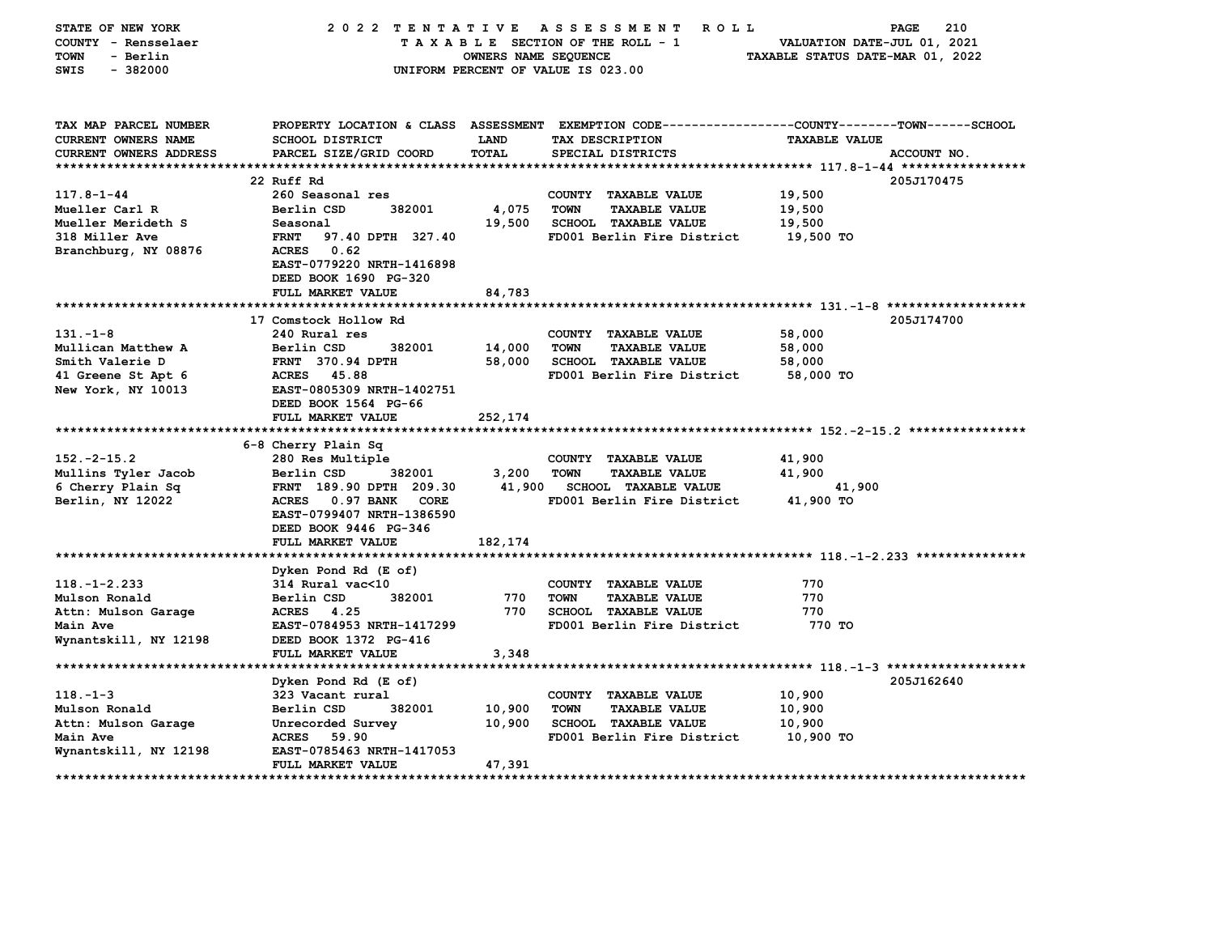| PROPERTY LOCATION & CLASS ASSESSMENT EXEMPTION CODE---------------COUNTY-------TOWN------SCHOOL<br>TAX MAP PARCEL NUMBER<br><b>CURRENT OWNERS NAME</b><br><b>SCHOOL DISTRICT</b><br>LAND<br>TAX DESCRIPTION<br><b>TAXABLE VALUE</b><br>PARCEL SIZE/GRID COORD<br><b>TOTAL</b><br><b>CURRENT OWNERS ADDRESS</b><br>SPECIAL DISTRICTS<br>ACCOUNT NO.<br>**********************<br>22 Ruff Rd<br>205J170475<br>$117.8 - 1 - 44$<br>260 Seasonal res<br>COUNTY TAXABLE VALUE<br>19,500<br>Mueller Carl R<br>Berlin CSD<br>382001<br>4,075<br><b>TOWN</b><br><b>TAXABLE VALUE</b><br>19,500<br>Mueller Merideth S<br>19,500<br><b>SCHOOL TAXABLE VALUE</b><br>19,500<br>Seasonal<br>19,500 TO<br>318 Miller Ave<br><b>FRNT</b><br>97.40 DPTH 327.40<br>FD001 Berlin Fire District<br>0.62<br>Branchburg, NY 08876<br>ACRES<br>EAST-0779220 NRTH-1416898<br>DEED BOOK 1690 PG-320<br>84,783<br>FULL MARKET VALUE<br>17 Comstock Hollow Rd<br>205J174700<br>$131 - 1 - 8$<br>240 Rural res<br>COUNTY TAXABLE VALUE<br>58,000<br>Berlin CSD<br>14,000<br><b>TAXABLE VALUE</b><br>58,000<br>Mullican Matthew A<br>382001<br><b>TOWN</b><br>Smith Valerie D<br>FRNT 370.94 DPTH<br>58,000<br><b>SCHOOL TAXABLE VALUE</b><br>58,000<br>41 Greene St Apt 6<br><b>ACRES</b><br>45.88<br>FD001 Berlin Fire District<br>58,000 TO<br>New York, NY 10013<br>EAST-0805309 NRTH-1402751<br>DEED BOOK 1564 PG-66<br>FULL MARKET VALUE<br>252,174<br>*****************************<br>6-8 Cherry Plain Sq<br>$152. -2 - 15.2$<br>280 Res Multiple<br>COUNTY TAXABLE VALUE<br>41,900<br>Mullins Tyler Jacob<br>Berlin CSD<br>382001<br>3,200<br><b>TOWN</b><br><b>TAXABLE VALUE</b><br>41,900<br>41,900<br>6 Cherry Plain Sq<br>FRNT 189.90 DPTH 209.30<br><b>SCHOOL TAXABLE VALUE</b><br>41,900<br>Berlin, NY 12022<br>ACRES 0.97 BANK<br>FD001 Berlin Fire District<br>41,900 TO<br><b>CORE</b><br>EAST-0799407 NRTH-1386590<br>DEED BOOK 9446 PG-346<br>FULL MARKET VALUE<br>182,174<br>Dyken Pond Rd (E of)<br>$118. - 1 - 2.233$<br>314 Rural vac<10<br>770<br>COUNTY TAXABLE VALUE<br>770<br>770<br>Mulson Ronald<br>Berlin CSD<br>382001<br><b>TOWN</b><br><b>TAXABLE VALUE</b><br>Attn: Mulson Garage<br>ACRES 4.25<br>770<br><b>SCHOOL TAXABLE VALUE</b><br>770<br>EAST-0784953 NRTH-1417299<br>FD001 Berlin Fire District<br>770 TO<br>Main Ave<br>Wynantskill, NY 12198<br>DEED BOOK 1372 PG-416<br>FULL MARKET VALUE<br>3,348<br>205J162640<br>Dyken Pond Rd (E of)<br>$118. - 1 - 3$<br>10,900<br>323 Vacant rural<br>COUNTY TAXABLE VALUE<br>Mulson Ronald<br>Berlin CSD<br>382001<br>10,900<br><b>TOWN</b><br><b>TAXABLE VALUE</b><br>10,900<br>10,900<br>Attn: Mulson Garage<br><b>SCHOOL TAXABLE VALUE</b><br>10,900<br>Unrecorded Survey<br>10,900 TO<br>Main Ave<br><b>ACRES</b><br>59.90<br>FD001 Berlin Fire District<br>Wynantskill, NY 12198<br>EAST-0785463 NRTH-1417053<br>47,391<br>FULL MARKET VALUE | STATE OF NEW YORK<br>COUNTY - Rensselaer<br><b>TOWN</b><br>- Berlin<br>$-382000$<br>SWIS | 2022 TENTATIVE | OWNERS NAME SEQUENCE | A S S E S S M E N T<br><b>ROLL</b><br>TAXABLE SECTION OF THE ROLL - 1<br>UNIFORM PERCENT OF VALUE IS 023.00 | PAGE<br>210<br>VALUATION DATE-JUL 01, 2021<br>TAXABLE STATUS DATE-MAR 01, 2022 |
|------------------------------------------------------------------------------------------------------------------------------------------------------------------------------------------------------------------------------------------------------------------------------------------------------------------------------------------------------------------------------------------------------------------------------------------------------------------------------------------------------------------------------------------------------------------------------------------------------------------------------------------------------------------------------------------------------------------------------------------------------------------------------------------------------------------------------------------------------------------------------------------------------------------------------------------------------------------------------------------------------------------------------------------------------------------------------------------------------------------------------------------------------------------------------------------------------------------------------------------------------------------------------------------------------------------------------------------------------------------------------------------------------------------------------------------------------------------------------------------------------------------------------------------------------------------------------------------------------------------------------------------------------------------------------------------------------------------------------------------------------------------------------------------------------------------------------------------------------------------------------------------------------------------------------------------------------------------------------------------------------------------------------------------------------------------------------------------------------------------------------------------------------------------------------------------------------------------------------------------------------------------------------------------------------------------------------------------------------------------------------------------------------------------------------------------------------------------------------------------------------------------------------------------------------------------------------------------------------------------------------------------------------------------------------------------------------------------------------------------------------------------------------------------------------------------------------------------------------------------------------------------------------------|------------------------------------------------------------------------------------------|----------------|----------------------|-------------------------------------------------------------------------------------------------------------|--------------------------------------------------------------------------------|
|                                                                                                                                                                                                                                                                                                                                                                                                                                                                                                                                                                                                                                                                                                                                                                                                                                                                                                                                                                                                                                                                                                                                                                                                                                                                                                                                                                                                                                                                                                                                                                                                                                                                                                                                                                                                                                                                                                                                                                                                                                                                                                                                                                                                                                                                                                                                                                                                                                                                                                                                                                                                                                                                                                                                                                                                                                                                                                            |                                                                                          |                |                      |                                                                                                             |                                                                                |
|                                                                                                                                                                                                                                                                                                                                                                                                                                                                                                                                                                                                                                                                                                                                                                                                                                                                                                                                                                                                                                                                                                                                                                                                                                                                                                                                                                                                                                                                                                                                                                                                                                                                                                                                                                                                                                                                                                                                                                                                                                                                                                                                                                                                                                                                                                                                                                                                                                                                                                                                                                                                                                                                                                                                                                                                                                                                                                            |                                                                                          |                |                      |                                                                                                             |                                                                                |
|                                                                                                                                                                                                                                                                                                                                                                                                                                                                                                                                                                                                                                                                                                                                                                                                                                                                                                                                                                                                                                                                                                                                                                                                                                                                                                                                                                                                                                                                                                                                                                                                                                                                                                                                                                                                                                                                                                                                                                                                                                                                                                                                                                                                                                                                                                                                                                                                                                                                                                                                                                                                                                                                                                                                                                                                                                                                                                            |                                                                                          |                |                      |                                                                                                             |                                                                                |
|                                                                                                                                                                                                                                                                                                                                                                                                                                                                                                                                                                                                                                                                                                                                                                                                                                                                                                                                                                                                                                                                                                                                                                                                                                                                                                                                                                                                                                                                                                                                                                                                                                                                                                                                                                                                                                                                                                                                                                                                                                                                                                                                                                                                                                                                                                                                                                                                                                                                                                                                                                                                                                                                                                                                                                                                                                                                                                            |                                                                                          |                |                      |                                                                                                             |                                                                                |
|                                                                                                                                                                                                                                                                                                                                                                                                                                                                                                                                                                                                                                                                                                                                                                                                                                                                                                                                                                                                                                                                                                                                                                                                                                                                                                                                                                                                                                                                                                                                                                                                                                                                                                                                                                                                                                                                                                                                                                                                                                                                                                                                                                                                                                                                                                                                                                                                                                                                                                                                                                                                                                                                                                                                                                                                                                                                                                            |                                                                                          |                |                      |                                                                                                             |                                                                                |
|                                                                                                                                                                                                                                                                                                                                                                                                                                                                                                                                                                                                                                                                                                                                                                                                                                                                                                                                                                                                                                                                                                                                                                                                                                                                                                                                                                                                                                                                                                                                                                                                                                                                                                                                                                                                                                                                                                                                                                                                                                                                                                                                                                                                                                                                                                                                                                                                                                                                                                                                                                                                                                                                                                                                                                                                                                                                                                            |                                                                                          |                |                      |                                                                                                             |                                                                                |
|                                                                                                                                                                                                                                                                                                                                                                                                                                                                                                                                                                                                                                                                                                                                                                                                                                                                                                                                                                                                                                                                                                                                                                                                                                                                                                                                                                                                                                                                                                                                                                                                                                                                                                                                                                                                                                                                                                                                                                                                                                                                                                                                                                                                                                                                                                                                                                                                                                                                                                                                                                                                                                                                                                                                                                                                                                                                                                            |                                                                                          |                |                      |                                                                                                             |                                                                                |
|                                                                                                                                                                                                                                                                                                                                                                                                                                                                                                                                                                                                                                                                                                                                                                                                                                                                                                                                                                                                                                                                                                                                                                                                                                                                                                                                                                                                                                                                                                                                                                                                                                                                                                                                                                                                                                                                                                                                                                                                                                                                                                                                                                                                                                                                                                                                                                                                                                                                                                                                                                                                                                                                                                                                                                                                                                                                                                            |                                                                                          |                |                      |                                                                                                             |                                                                                |
|                                                                                                                                                                                                                                                                                                                                                                                                                                                                                                                                                                                                                                                                                                                                                                                                                                                                                                                                                                                                                                                                                                                                                                                                                                                                                                                                                                                                                                                                                                                                                                                                                                                                                                                                                                                                                                                                                                                                                                                                                                                                                                                                                                                                                                                                                                                                                                                                                                                                                                                                                                                                                                                                                                                                                                                                                                                                                                            |                                                                                          |                |                      |                                                                                                             |                                                                                |
|                                                                                                                                                                                                                                                                                                                                                                                                                                                                                                                                                                                                                                                                                                                                                                                                                                                                                                                                                                                                                                                                                                                                                                                                                                                                                                                                                                                                                                                                                                                                                                                                                                                                                                                                                                                                                                                                                                                                                                                                                                                                                                                                                                                                                                                                                                                                                                                                                                                                                                                                                                                                                                                                                                                                                                                                                                                                                                            |                                                                                          |                |                      |                                                                                                             |                                                                                |
|                                                                                                                                                                                                                                                                                                                                                                                                                                                                                                                                                                                                                                                                                                                                                                                                                                                                                                                                                                                                                                                                                                                                                                                                                                                                                                                                                                                                                                                                                                                                                                                                                                                                                                                                                                                                                                                                                                                                                                                                                                                                                                                                                                                                                                                                                                                                                                                                                                                                                                                                                                                                                                                                                                                                                                                                                                                                                                            |                                                                                          |                |                      |                                                                                                             |                                                                                |
|                                                                                                                                                                                                                                                                                                                                                                                                                                                                                                                                                                                                                                                                                                                                                                                                                                                                                                                                                                                                                                                                                                                                                                                                                                                                                                                                                                                                                                                                                                                                                                                                                                                                                                                                                                                                                                                                                                                                                                                                                                                                                                                                                                                                                                                                                                                                                                                                                                                                                                                                                                                                                                                                                                                                                                                                                                                                                                            |                                                                                          |                |                      |                                                                                                             |                                                                                |
|                                                                                                                                                                                                                                                                                                                                                                                                                                                                                                                                                                                                                                                                                                                                                                                                                                                                                                                                                                                                                                                                                                                                                                                                                                                                                                                                                                                                                                                                                                                                                                                                                                                                                                                                                                                                                                                                                                                                                                                                                                                                                                                                                                                                                                                                                                                                                                                                                                                                                                                                                                                                                                                                                                                                                                                                                                                                                                            |                                                                                          |                |                      |                                                                                                             |                                                                                |
|                                                                                                                                                                                                                                                                                                                                                                                                                                                                                                                                                                                                                                                                                                                                                                                                                                                                                                                                                                                                                                                                                                                                                                                                                                                                                                                                                                                                                                                                                                                                                                                                                                                                                                                                                                                                                                                                                                                                                                                                                                                                                                                                                                                                                                                                                                                                                                                                                                                                                                                                                                                                                                                                                                                                                                                                                                                                                                            |                                                                                          |                |                      |                                                                                                             |                                                                                |
|                                                                                                                                                                                                                                                                                                                                                                                                                                                                                                                                                                                                                                                                                                                                                                                                                                                                                                                                                                                                                                                                                                                                                                                                                                                                                                                                                                                                                                                                                                                                                                                                                                                                                                                                                                                                                                                                                                                                                                                                                                                                                                                                                                                                                                                                                                                                                                                                                                                                                                                                                                                                                                                                                                                                                                                                                                                                                                            |                                                                                          |                |                      |                                                                                                             |                                                                                |
|                                                                                                                                                                                                                                                                                                                                                                                                                                                                                                                                                                                                                                                                                                                                                                                                                                                                                                                                                                                                                                                                                                                                                                                                                                                                                                                                                                                                                                                                                                                                                                                                                                                                                                                                                                                                                                                                                                                                                                                                                                                                                                                                                                                                                                                                                                                                                                                                                                                                                                                                                                                                                                                                                                                                                                                                                                                                                                            |                                                                                          |                |                      |                                                                                                             |                                                                                |
|                                                                                                                                                                                                                                                                                                                                                                                                                                                                                                                                                                                                                                                                                                                                                                                                                                                                                                                                                                                                                                                                                                                                                                                                                                                                                                                                                                                                                                                                                                                                                                                                                                                                                                                                                                                                                                                                                                                                                                                                                                                                                                                                                                                                                                                                                                                                                                                                                                                                                                                                                                                                                                                                                                                                                                                                                                                                                                            |                                                                                          |                |                      |                                                                                                             |                                                                                |
|                                                                                                                                                                                                                                                                                                                                                                                                                                                                                                                                                                                                                                                                                                                                                                                                                                                                                                                                                                                                                                                                                                                                                                                                                                                                                                                                                                                                                                                                                                                                                                                                                                                                                                                                                                                                                                                                                                                                                                                                                                                                                                                                                                                                                                                                                                                                                                                                                                                                                                                                                                                                                                                                                                                                                                                                                                                                                                            |                                                                                          |                |                      |                                                                                                             |                                                                                |
|                                                                                                                                                                                                                                                                                                                                                                                                                                                                                                                                                                                                                                                                                                                                                                                                                                                                                                                                                                                                                                                                                                                                                                                                                                                                                                                                                                                                                                                                                                                                                                                                                                                                                                                                                                                                                                                                                                                                                                                                                                                                                                                                                                                                                                                                                                                                                                                                                                                                                                                                                                                                                                                                                                                                                                                                                                                                                                            |                                                                                          |                |                      |                                                                                                             |                                                                                |
|                                                                                                                                                                                                                                                                                                                                                                                                                                                                                                                                                                                                                                                                                                                                                                                                                                                                                                                                                                                                                                                                                                                                                                                                                                                                                                                                                                                                                                                                                                                                                                                                                                                                                                                                                                                                                                                                                                                                                                                                                                                                                                                                                                                                                                                                                                                                                                                                                                                                                                                                                                                                                                                                                                                                                                                                                                                                                                            |                                                                                          |                |                      |                                                                                                             |                                                                                |
|                                                                                                                                                                                                                                                                                                                                                                                                                                                                                                                                                                                                                                                                                                                                                                                                                                                                                                                                                                                                                                                                                                                                                                                                                                                                                                                                                                                                                                                                                                                                                                                                                                                                                                                                                                                                                                                                                                                                                                                                                                                                                                                                                                                                                                                                                                                                                                                                                                                                                                                                                                                                                                                                                                                                                                                                                                                                                                            |                                                                                          |                |                      |                                                                                                             |                                                                                |
|                                                                                                                                                                                                                                                                                                                                                                                                                                                                                                                                                                                                                                                                                                                                                                                                                                                                                                                                                                                                                                                                                                                                                                                                                                                                                                                                                                                                                                                                                                                                                                                                                                                                                                                                                                                                                                                                                                                                                                                                                                                                                                                                                                                                                                                                                                                                                                                                                                                                                                                                                                                                                                                                                                                                                                                                                                                                                                            |                                                                                          |                |                      |                                                                                                             |                                                                                |
|                                                                                                                                                                                                                                                                                                                                                                                                                                                                                                                                                                                                                                                                                                                                                                                                                                                                                                                                                                                                                                                                                                                                                                                                                                                                                                                                                                                                                                                                                                                                                                                                                                                                                                                                                                                                                                                                                                                                                                                                                                                                                                                                                                                                                                                                                                                                                                                                                                                                                                                                                                                                                                                                                                                                                                                                                                                                                                            |                                                                                          |                |                      |                                                                                                             |                                                                                |
|                                                                                                                                                                                                                                                                                                                                                                                                                                                                                                                                                                                                                                                                                                                                                                                                                                                                                                                                                                                                                                                                                                                                                                                                                                                                                                                                                                                                                                                                                                                                                                                                                                                                                                                                                                                                                                                                                                                                                                                                                                                                                                                                                                                                                                                                                                                                                                                                                                                                                                                                                                                                                                                                                                                                                                                                                                                                                                            |                                                                                          |                |                      |                                                                                                             |                                                                                |
|                                                                                                                                                                                                                                                                                                                                                                                                                                                                                                                                                                                                                                                                                                                                                                                                                                                                                                                                                                                                                                                                                                                                                                                                                                                                                                                                                                                                                                                                                                                                                                                                                                                                                                                                                                                                                                                                                                                                                                                                                                                                                                                                                                                                                                                                                                                                                                                                                                                                                                                                                                                                                                                                                                                                                                                                                                                                                                            |                                                                                          |                |                      |                                                                                                             |                                                                                |
|                                                                                                                                                                                                                                                                                                                                                                                                                                                                                                                                                                                                                                                                                                                                                                                                                                                                                                                                                                                                                                                                                                                                                                                                                                                                                                                                                                                                                                                                                                                                                                                                                                                                                                                                                                                                                                                                                                                                                                                                                                                                                                                                                                                                                                                                                                                                                                                                                                                                                                                                                                                                                                                                                                                                                                                                                                                                                                            |                                                                                          |                |                      |                                                                                                             |                                                                                |
|                                                                                                                                                                                                                                                                                                                                                                                                                                                                                                                                                                                                                                                                                                                                                                                                                                                                                                                                                                                                                                                                                                                                                                                                                                                                                                                                                                                                                                                                                                                                                                                                                                                                                                                                                                                                                                                                                                                                                                                                                                                                                                                                                                                                                                                                                                                                                                                                                                                                                                                                                                                                                                                                                                                                                                                                                                                                                                            |                                                                                          |                |                      |                                                                                                             |                                                                                |
|                                                                                                                                                                                                                                                                                                                                                                                                                                                                                                                                                                                                                                                                                                                                                                                                                                                                                                                                                                                                                                                                                                                                                                                                                                                                                                                                                                                                                                                                                                                                                                                                                                                                                                                                                                                                                                                                                                                                                                                                                                                                                                                                                                                                                                                                                                                                                                                                                                                                                                                                                                                                                                                                                                                                                                                                                                                                                                            |                                                                                          |                |                      |                                                                                                             |                                                                                |
|                                                                                                                                                                                                                                                                                                                                                                                                                                                                                                                                                                                                                                                                                                                                                                                                                                                                                                                                                                                                                                                                                                                                                                                                                                                                                                                                                                                                                                                                                                                                                                                                                                                                                                                                                                                                                                                                                                                                                                                                                                                                                                                                                                                                                                                                                                                                                                                                                                                                                                                                                                                                                                                                                                                                                                                                                                                                                                            |                                                                                          |                |                      |                                                                                                             |                                                                                |
|                                                                                                                                                                                                                                                                                                                                                                                                                                                                                                                                                                                                                                                                                                                                                                                                                                                                                                                                                                                                                                                                                                                                                                                                                                                                                                                                                                                                                                                                                                                                                                                                                                                                                                                                                                                                                                                                                                                                                                                                                                                                                                                                                                                                                                                                                                                                                                                                                                                                                                                                                                                                                                                                                                                                                                                                                                                                                                            |                                                                                          |                |                      |                                                                                                             |                                                                                |
|                                                                                                                                                                                                                                                                                                                                                                                                                                                                                                                                                                                                                                                                                                                                                                                                                                                                                                                                                                                                                                                                                                                                                                                                                                                                                                                                                                                                                                                                                                                                                                                                                                                                                                                                                                                                                                                                                                                                                                                                                                                                                                                                                                                                                                                                                                                                                                                                                                                                                                                                                                                                                                                                                                                                                                                                                                                                                                            |                                                                                          |                |                      |                                                                                                             |                                                                                |
|                                                                                                                                                                                                                                                                                                                                                                                                                                                                                                                                                                                                                                                                                                                                                                                                                                                                                                                                                                                                                                                                                                                                                                                                                                                                                                                                                                                                                                                                                                                                                                                                                                                                                                                                                                                                                                                                                                                                                                                                                                                                                                                                                                                                                                                                                                                                                                                                                                                                                                                                                                                                                                                                                                                                                                                                                                                                                                            |                                                                                          |                |                      |                                                                                                             |                                                                                |
|                                                                                                                                                                                                                                                                                                                                                                                                                                                                                                                                                                                                                                                                                                                                                                                                                                                                                                                                                                                                                                                                                                                                                                                                                                                                                                                                                                                                                                                                                                                                                                                                                                                                                                                                                                                                                                                                                                                                                                                                                                                                                                                                                                                                                                                                                                                                                                                                                                                                                                                                                                                                                                                                                                                                                                                                                                                                                                            |                                                                                          |                |                      |                                                                                                             |                                                                                |
|                                                                                                                                                                                                                                                                                                                                                                                                                                                                                                                                                                                                                                                                                                                                                                                                                                                                                                                                                                                                                                                                                                                                                                                                                                                                                                                                                                                                                                                                                                                                                                                                                                                                                                                                                                                                                                                                                                                                                                                                                                                                                                                                                                                                                                                                                                                                                                                                                                                                                                                                                                                                                                                                                                                                                                                                                                                                                                            |                                                                                          |                |                      |                                                                                                             |                                                                                |
|                                                                                                                                                                                                                                                                                                                                                                                                                                                                                                                                                                                                                                                                                                                                                                                                                                                                                                                                                                                                                                                                                                                                                                                                                                                                                                                                                                                                                                                                                                                                                                                                                                                                                                                                                                                                                                                                                                                                                                                                                                                                                                                                                                                                                                                                                                                                                                                                                                                                                                                                                                                                                                                                                                                                                                                                                                                                                                            |                                                                                          |                |                      |                                                                                                             |                                                                                |
|                                                                                                                                                                                                                                                                                                                                                                                                                                                                                                                                                                                                                                                                                                                                                                                                                                                                                                                                                                                                                                                                                                                                                                                                                                                                                                                                                                                                                                                                                                                                                                                                                                                                                                                                                                                                                                                                                                                                                                                                                                                                                                                                                                                                                                                                                                                                                                                                                                                                                                                                                                                                                                                                                                                                                                                                                                                                                                            |                                                                                          |                |                      |                                                                                                             |                                                                                |
|                                                                                                                                                                                                                                                                                                                                                                                                                                                                                                                                                                                                                                                                                                                                                                                                                                                                                                                                                                                                                                                                                                                                                                                                                                                                                                                                                                                                                                                                                                                                                                                                                                                                                                                                                                                                                                                                                                                                                                                                                                                                                                                                                                                                                                                                                                                                                                                                                                                                                                                                                                                                                                                                                                                                                                                                                                                                                                            |                                                                                          |                |                      |                                                                                                             |                                                                                |
|                                                                                                                                                                                                                                                                                                                                                                                                                                                                                                                                                                                                                                                                                                                                                                                                                                                                                                                                                                                                                                                                                                                                                                                                                                                                                                                                                                                                                                                                                                                                                                                                                                                                                                                                                                                                                                                                                                                                                                                                                                                                                                                                                                                                                                                                                                                                                                                                                                                                                                                                                                                                                                                                                                                                                                                                                                                                                                            |                                                                                          |                |                      |                                                                                                             |                                                                                |
|                                                                                                                                                                                                                                                                                                                                                                                                                                                                                                                                                                                                                                                                                                                                                                                                                                                                                                                                                                                                                                                                                                                                                                                                                                                                                                                                                                                                                                                                                                                                                                                                                                                                                                                                                                                                                                                                                                                                                                                                                                                                                                                                                                                                                                                                                                                                                                                                                                                                                                                                                                                                                                                                                                                                                                                                                                                                                                            |                                                                                          |                |                      |                                                                                                             |                                                                                |
|                                                                                                                                                                                                                                                                                                                                                                                                                                                                                                                                                                                                                                                                                                                                                                                                                                                                                                                                                                                                                                                                                                                                                                                                                                                                                                                                                                                                                                                                                                                                                                                                                                                                                                                                                                                                                                                                                                                                                                                                                                                                                                                                                                                                                                                                                                                                                                                                                                                                                                                                                                                                                                                                                                                                                                                                                                                                                                            |                                                                                          |                |                      |                                                                                                             |                                                                                |
|                                                                                                                                                                                                                                                                                                                                                                                                                                                                                                                                                                                                                                                                                                                                                                                                                                                                                                                                                                                                                                                                                                                                                                                                                                                                                                                                                                                                                                                                                                                                                                                                                                                                                                                                                                                                                                                                                                                                                                                                                                                                                                                                                                                                                                                                                                                                                                                                                                                                                                                                                                                                                                                                                                                                                                                                                                                                                                            |                                                                                          |                |                      |                                                                                                             |                                                                                |
|                                                                                                                                                                                                                                                                                                                                                                                                                                                                                                                                                                                                                                                                                                                                                                                                                                                                                                                                                                                                                                                                                                                                                                                                                                                                                                                                                                                                                                                                                                                                                                                                                                                                                                                                                                                                                                                                                                                                                                                                                                                                                                                                                                                                                                                                                                                                                                                                                                                                                                                                                                                                                                                                                                                                                                                                                                                                                                            |                                                                                          |                |                      |                                                                                                             |                                                                                |
|                                                                                                                                                                                                                                                                                                                                                                                                                                                                                                                                                                                                                                                                                                                                                                                                                                                                                                                                                                                                                                                                                                                                                                                                                                                                                                                                                                                                                                                                                                                                                                                                                                                                                                                                                                                                                                                                                                                                                                                                                                                                                                                                                                                                                                                                                                                                                                                                                                                                                                                                                                                                                                                                                                                                                                                                                                                                                                            |                                                                                          |                |                      |                                                                                                             |                                                                                |
|                                                                                                                                                                                                                                                                                                                                                                                                                                                                                                                                                                                                                                                                                                                                                                                                                                                                                                                                                                                                                                                                                                                                                                                                                                                                                                                                                                                                                                                                                                                                                                                                                                                                                                                                                                                                                                                                                                                                                                                                                                                                                                                                                                                                                                                                                                                                                                                                                                                                                                                                                                                                                                                                                                                                                                                                                                                                                                            |                                                                                          |                |                      |                                                                                                             |                                                                                |
|                                                                                                                                                                                                                                                                                                                                                                                                                                                                                                                                                                                                                                                                                                                                                                                                                                                                                                                                                                                                                                                                                                                                                                                                                                                                                                                                                                                                                                                                                                                                                                                                                                                                                                                                                                                                                                                                                                                                                                                                                                                                                                                                                                                                                                                                                                                                                                                                                                                                                                                                                                                                                                                                                                                                                                                                                                                                                                            | *****************                                                                        | *************  |                      |                                                                                                             | ************************                                                       |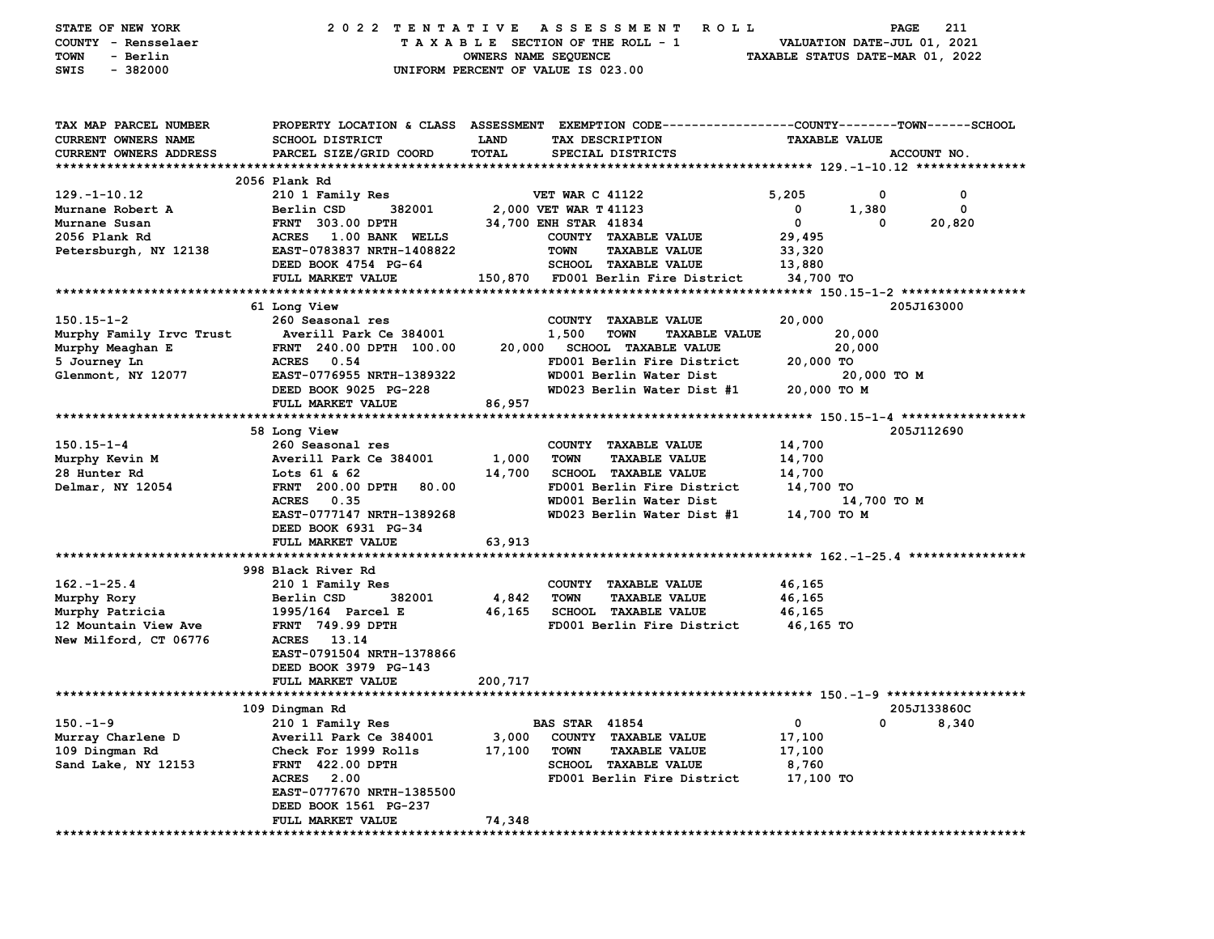| STATE OF NEW YORK        | 2022 TENTATIVE                   |                      | A S S E S S M E N T<br>ROLL <sub></sub>                                                        |                                  | PAGE                        | 211         |
|--------------------------|----------------------------------|----------------------|------------------------------------------------------------------------------------------------|----------------------------------|-----------------------------|-------------|
| COUNTY - Rensselaer      |                                  |                      | TAXABLE SECTION OF THE ROLL - 1                                                                |                                  | VALUATION DATE-JUL 01, 2021 |             |
| - Berlin<br>TOWN         |                                  | OWNERS NAME SEQUENCE |                                                                                                | TAXABLE STATUS DATE-MAR 01, 2022 |                             |             |
| SWIS<br>$-382000$        |                                  |                      | UNIFORM PERCENT OF VALUE IS 023.00                                                             |                                  |                             |             |
|                          |                                  |                      |                                                                                                |                                  |                             |             |
|                          |                                  |                      |                                                                                                |                                  |                             |             |
| TAX MAP PARCEL NUMBER    |                                  |                      | PROPERTY LOCATION & CLASS ASSESSMENT EXEMPTION CODE---------------COUNTY-------TOWN-----SCHOOL |                                  |                             |             |
| CURRENT OWNERS NAME      | <b>SCHOOL DISTRICT</b>           | <b>LAND</b>          | TAX DESCRIPTION                                                                                | <b>TAXABLE VALUE</b>             |                             |             |
| CURRENT OWNERS ADDRESS   | PARCEL SIZE/GRID COORD           | TOTAL                | SPECIAL DISTRICTS                                                                              |                                  |                             | ACCOUNT NO. |
|                          |                                  |                      |                                                                                                |                                  |                             |             |
|                          | 2056 Plank Rd                    |                      |                                                                                                |                                  |                             |             |
| $129. - 1 - 10.12$       | 210 1 Family Res                 |                      | <b>VET WAR C 41122</b>                                                                         | 5,205                            | 0                           | 0           |
| Murnane Robert A         | Berlin CSD<br>382001             |                      | 2,000 VET WAR T 41123                                                                          | 0                                | 1,380                       | 0           |
| Murnane Susan            | <b>FRNT 303.00 DPTH</b>          |                      | 34,700 ENH STAR 41834                                                                          | $\mathbf 0$                      | 0                           | 20,820      |
| 2056 Plank Rd            | ACRES 1.00 BANK WELLS            |                      | COUNTY TAXABLE VALUE                                                                           | 29,495                           |                             |             |
|                          | EAST-0783837 NRTH-1408822        |                      | <b>TAXABLE VALUE</b><br>TOWN                                                                   |                                  |                             |             |
| Petersburgh, NY 12138    | DEED BOOK 4754 PG-64             |                      | SCHOOL TAXABLE VALUE                                                                           | 33,320                           |                             |             |
|                          | FULL MARKET VALUE                |                      |                                                                                                | 13,880                           |                             |             |
|                          |                                  |                      | 150,870 FD001 Berlin Fire District                                                             | 34,700 TO                        |                             |             |
|                          |                                  |                      |                                                                                                |                                  |                             |             |
|                          | 61 Long View                     |                      |                                                                                                |                                  |                             | 205J163000  |
| $150.15 - 1 - 2$         | 260 Seasonal res                 |                      | COUNTY TAXABLE VALUE                                                                           | 20,000                           |                             |             |
| Murphy Family Irvc Trust | Averill Park Ce 384001           |                      | 1,500<br>TOWN<br><b>TAXABLE VALUE</b>                                                          |                                  | 20,000                      |             |
| Murphy Meaghan E         | FRNT 240.00 DPTH 100.00          |                      | 20,000 SCHOOL TAXABLE VALUE                                                                    |                                  | 20,000                      |             |
| 5 Journey Ln             | ACRES 0.54                       |                      | FD001 Berlin Fire District                                                                     | 20,000 TO                        |                             |             |
| Glenmont, NY 12077       | EAST-0776955 NRTH-1389322        |                      | WD001 Berlin Water Dist                                                                        |                                  | 20,000 TO M                 |             |
|                          | DEED BOOK 9025 PG-228            |                      | WD023 Berlin Water Dist #1                                                                     | 20,000 TO M                      |                             |             |
|                          | FULL MARKET VALUE                | 86,957               |                                                                                                |                                  |                             |             |
|                          |                                  |                      |                                                                                                |                                  |                             |             |
|                          | 58 Long View                     |                      |                                                                                                |                                  |                             | 205J112690  |
| $150.15 - 1 - 4$         | 260 Seasonal res                 |                      | COUNTY TAXABLE VALUE                                                                           | 14,700                           |                             |             |
| Murphy Kevin M           | Averill Park Ce 384001           | 1,000                | <b>TOWN</b><br><b>TAXABLE VALUE</b>                                                            | 14,700                           |                             |             |
| 28 Hunter Rd             | Lots 61 & 62                     | 14,700               | SCHOOL TAXABLE VALUE                                                                           | 14,700                           |                             |             |
| Delmar, NY 12054         | <b>FRNT</b> 200.00 DPTH<br>80.00 |                      | FD001 Berlin Fire District                                                                     | 14,700 TO                        |                             |             |
|                          | ACRES 0.35                       |                      | WD001 Berlin Water Dist                                                                        |                                  | 14,700 TO M                 |             |
|                          | EAST-0777147 NRTH-1389268        |                      | WD023 Berlin Water Dist #1                                                                     | 14,700 TO M                      |                             |             |
|                          | DEED BOOK 6931 PG-34             |                      |                                                                                                |                                  |                             |             |
|                          | FULL MARKET VALUE                | 63,913               |                                                                                                |                                  |                             |             |
|                          |                                  |                      |                                                                                                |                                  |                             |             |
|                          | 998 Black River Rd               |                      |                                                                                                |                                  |                             |             |
| $162. - 1 - 25.4$        | 210 1 Family Res                 |                      | COUNTY TAXABLE VALUE                                                                           | 46,165                           |                             |             |
| Murphy Rory              | 382001<br>Berlin CSD             | 4,842                | TOWN<br><b>TAXABLE VALUE</b>                                                                   | 46,165                           |                             |             |
| Murphy Patricia          | 1995/164 Parcel E                |                      | 46,165 SCHOOL TAXABLE VALUE                                                                    | 46,165                           |                             |             |
| 12 Mountain View Ave     | <b>FRNT</b> 749.99 DPTH          |                      | FD001 Berlin Fire District                                                                     | 46,165 TO                        |                             |             |
| New Milford, CT 06776    | ACRES 13.14                      |                      |                                                                                                |                                  |                             |             |
|                          | EAST-0791504 NRTH-1378866        |                      |                                                                                                |                                  |                             |             |
|                          | DEED BOOK 3979 PG-143            |                      |                                                                                                |                                  |                             |             |
|                          | FULL MARKET VALUE                | 200,717              |                                                                                                |                                  |                             |             |
|                          |                                  |                      |                                                                                                |                                  |                             |             |
|                          | 109 Dingman Rd                   |                      |                                                                                                |                                  |                             | 205J133860C |
| $150.-1-9$               | 210 1 Family Res                 |                      | <b>BAS STAR 41854</b>                                                                          | 0                                | 0                           | 8,340       |
| Murray Charlene D        | Averill Park Ce 384001           | 3,000                | <b>COUNTY</b><br><b>TAXABLE VALUE</b>                                                          | 17,100                           |                             |             |
| 109 Dingman Rd           | Check For 1999 Rolls             | 17,100               | <b>TOWN</b><br><b>TAXABLE VALUE</b>                                                            | 17,100                           |                             |             |
| Sand Lake, NY 12153      | <b>FRNT 422.00 DPTH</b>          |                      | <b>SCHOOL</b><br><b>TAXABLE VALUE</b>                                                          | 8,760                            |                             |             |
|                          | <b>ACRES</b> 2.00                |                      | FD001 Berlin Fire District                                                                     | 17,100 TO                        |                             |             |
|                          | EAST-0777670 NRTH-1385500        |                      |                                                                                                |                                  |                             |             |
|                          | DEED BOOK 1561 PG-237            |                      |                                                                                                |                                  |                             |             |
|                          | FULL MARKET VALUE                | 74,348               |                                                                                                |                                  |                             |             |
|                          |                                  |                      |                                                                                                |                                  |                             |             |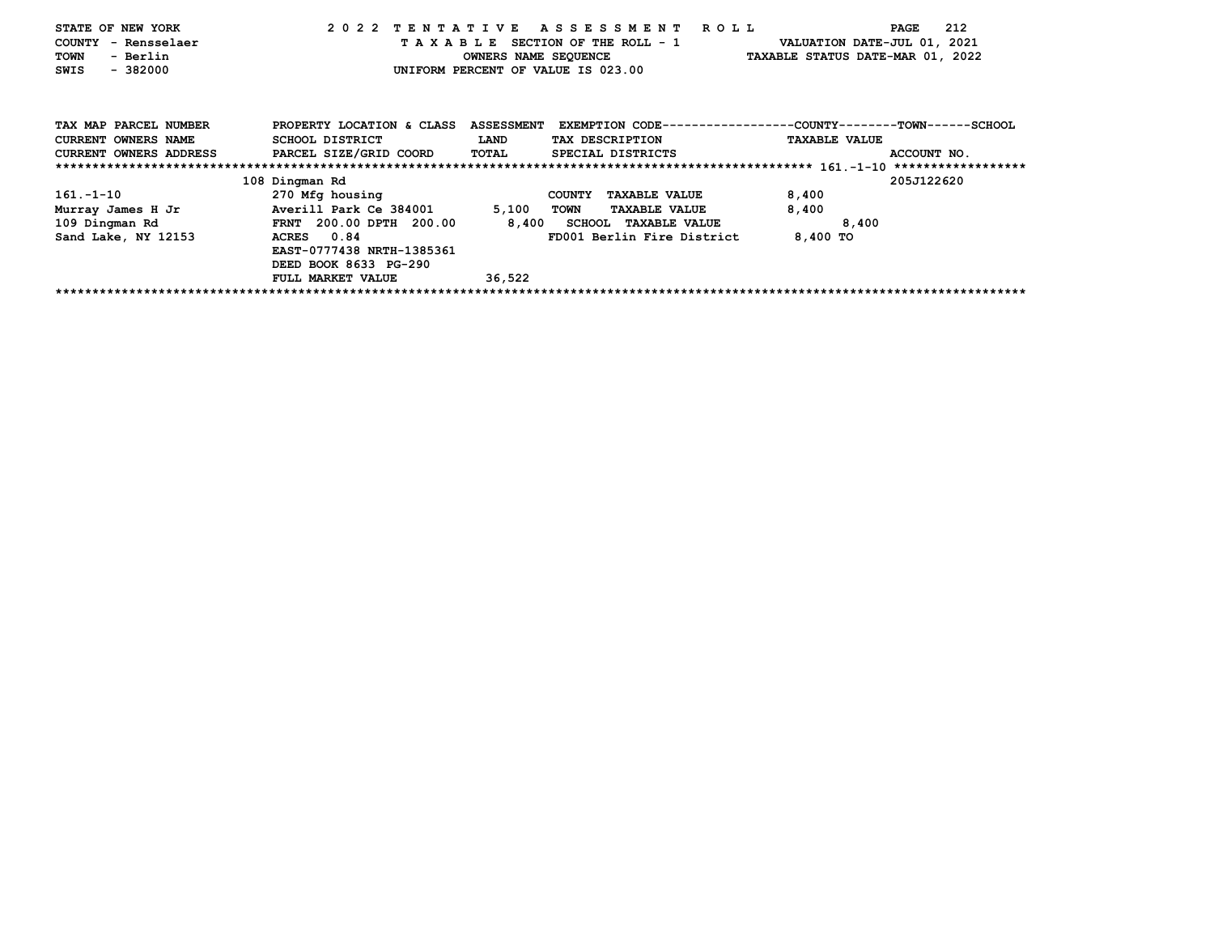| STATE OF NEW YORK<br>COUNTY - Rensselaer |                                |                   | 2022 TENTATIVE ASSESSMENT ROLL<br>TAXABLE SECTION OF THE ROLL - 1 | VALUATION DATE-JUL 01, 2021      | 212<br>PAGE |
|------------------------------------------|--------------------------------|-------------------|-------------------------------------------------------------------|----------------------------------|-------------|
| - Berlin<br>TOWN                         |                                |                   | OWNERS NAME SEQUENCE                                              | TAXABLE STATUS DATE-MAR 01, 2022 |             |
| $-382000$<br>SWIS                        |                                |                   | UNIFORM PERCENT OF VALUE IS 023.00                                |                                  |             |
|                                          |                                |                   |                                                                   |                                  |             |
| TAX MAP PARCEL NUMBER                    | PROPERTY LOCATION & CLASS      | <b>ASSESSMENT</b> | EXEMPTION CODE-----------------COUNTY-------TOWN------SCHOOL      |                                  |             |
| <b>CURRENT OWNERS NAME</b>               | SCHOOL DISTRICT                | <b>LAND</b>       | TAX DESCRIPTION                                                   | <b>TAXABLE VALUE</b>             |             |
| <b>CURRENT OWNERS ADDRESS</b>            | PARCEL SIZE/GRID COORD         | <b>TOTAL</b>      | SPECIAL DISTRICTS                                                 |                                  | ACCOUNT NO. |
|                                          |                                |                   |                                                                   |                                  |             |
|                                          | 108 Dingman Rd                 |                   |                                                                   |                                  | 205J122620  |
| $161. - 1 - 10$                          | 270 Mfg housing                |                   | <b>TAXABLE VALUE</b><br><b>COUNTY</b>                             | 8,400                            |             |
| Murray James H Jr                        | Averill Park Ce 384001         | 5,100             | TOWN<br><b>TAXABLE VALUE</b>                                      | 8,400                            |             |
| 109 Dingman Rd                           | <b>FRNT</b> 200.00 DPTH 200.00 |                   | 8,400 SCHOOL TAXABLE VALUE                                        | 8,400                            |             |
| Sand Lake, NY 12153                      | ACRES 0.84                     |                   | FD001 Berlin Fire District                                        | 8,400 TO                         |             |
|                                          | EAST-0777438 NRTH-1385361      |                   |                                                                   |                                  |             |
|                                          | DEED BOOK 8633 PG-290          |                   |                                                                   |                                  |             |
|                                          | <b>FULL MARKET VALUE</b>       | 36,522            |                                                                   |                                  |             |
|                                          |                                |                   |                                                                   |                                  |             |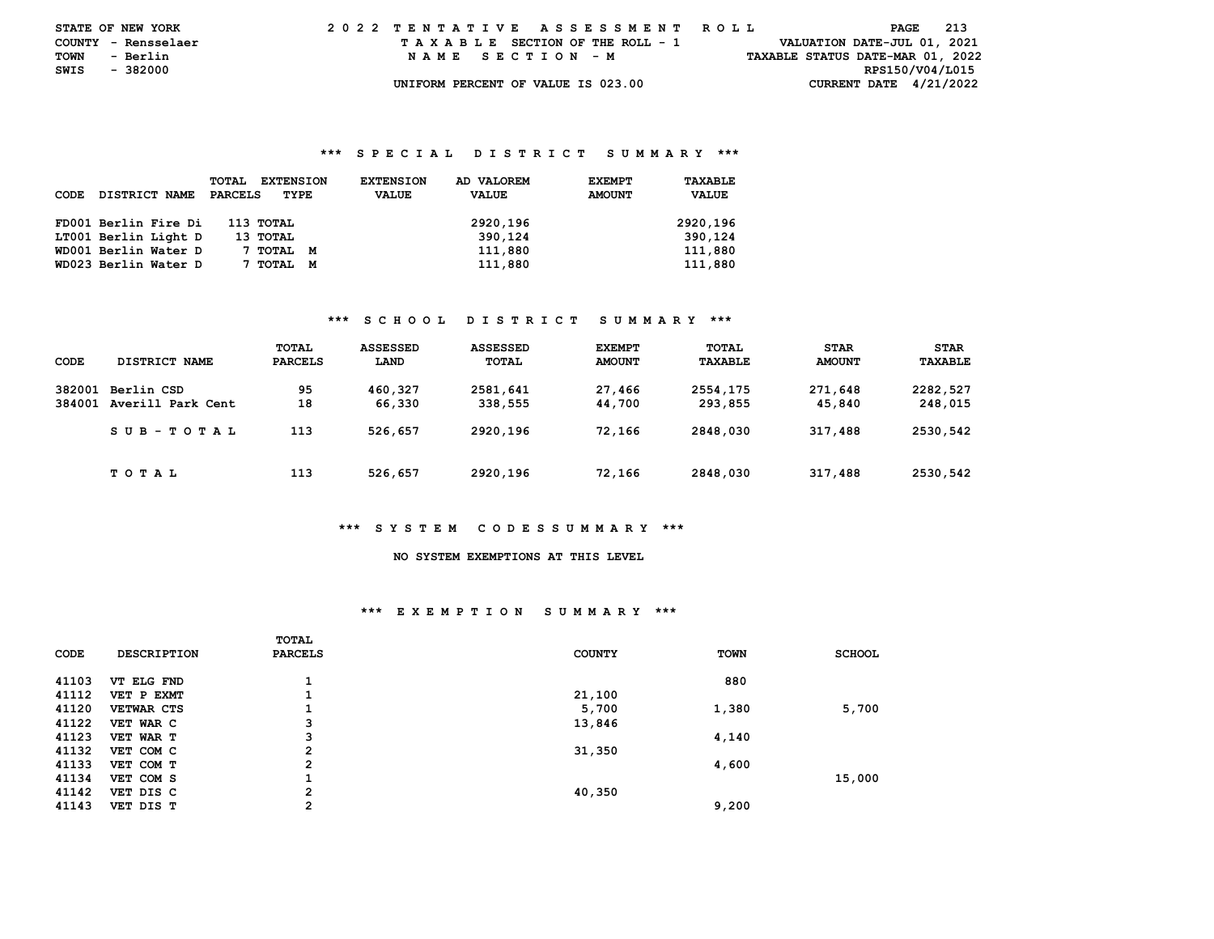|      | <b>STATE OF NEW YORK</b> |  |  |  |  |  |  | 2022 TENTATIVE ASSESSMENT ROLL     |  |  |  |  |  |  |  |                                  | PAGE | 213 |  |
|------|--------------------------|--|--|--|--|--|--|------------------------------------|--|--|--|--|--|--|--|----------------------------------|------|-----|--|
|      | COUNTY - Rensselaer      |  |  |  |  |  |  | TAXABLE SECTION OF THE ROLL - 1    |  |  |  |  |  |  |  | VALUATION DATE-JUL 01, 2021      |      |     |  |
| TOWN | - Berlin                 |  |  |  |  |  |  | NAME SECTION - M                   |  |  |  |  |  |  |  | TAXABLE STATUS DATE-MAR 01, 2022 |      |     |  |
| SWIS | - 382000                 |  |  |  |  |  |  |                                    |  |  |  |  |  |  |  | RPS150/V04/L015                  |      |     |  |
|      |                          |  |  |  |  |  |  | UNIFORM PERCENT OF VALUE IS 023.00 |  |  |  |  |  |  |  | CURRENT DATE $4/21/2022$         |      |     |  |

#### **\*\*\* S P E C I A L D I S T R I C T S U M M A R Y \*\*\***

| CODE | DISTRICT NAME        | <b>EXTENSION</b><br>TOTAL<br><b>PARCELS</b><br>TYPE | AD VALOREM<br><b>EXTENSION</b><br><b>VALUE</b><br><b>VALUE</b> | <b>EXEMPT</b><br>TAXABLE<br><b>AMOUNT</b><br><b>VALUE</b> |
|------|----------------------|-----------------------------------------------------|----------------------------------------------------------------|-----------------------------------------------------------|
|      | FD001 Berlin Fire Di | 113 TOTAL                                           | 2920,196                                                       | 2920,196                                                  |
|      | LT001 Berlin Light D | 13 ТОТАL                                            | 390.124                                                        | 390,124                                                   |
|      | WD001 Berlin Water D | 7 тотаг<br>M                                        | 111,880                                                        | 111,880                                                   |
|      | WD023 Berlin Water D | TOTAL<br>M                                          | 111,880                                                        | 111,880                                                   |

## **\*\*\* S C H O O L D I S T R I C T S U M M A R Y \*\*\***

| CODE             | DISTRICT NAME                   | TOTAL<br>PARCELS | ASSESSED<br>LAND  | ASSESSED<br><b>TOTAL</b> | <b>EXEMPT</b><br><b>AMOUNT</b> | <b>TOTAL</b><br>TAXABLE | <b>STAR</b><br><b>AMOUNT</b> | <b>STAR</b><br>TAXABLE |
|------------------|---------------------------------|------------------|-------------------|--------------------------|--------------------------------|-------------------------|------------------------------|------------------------|
| 382001<br>384001 | Berlin CSD<br>Averill Park Cent | 95<br>18         | 460,327<br>66,330 | 2581,641<br>338,555      | 27,466<br>44,700               | 2554,175<br>293,855     | 271,648<br>45,840            | 2282,527<br>248,015    |
|                  | $SUB - TO T AL$                 | 113              | 526,657           | 2920,196                 | 72,166                         | 2848,030                | 317,488                      | 2530,542               |
|                  | T O T A L                       | 113              | 526,657           | 2920,196                 | 72,166                         | 2848,030                | 317,488                      | 2530,542               |

### **\*\*\* S Y S T E M C O D E S S U M M A R Y \*\*\***

# **NO SYSTEM EXEMPTIONS AT THIS LEVEL**

## **\*\*\* E X E M P T I O N S U M M A R Y \*\*\***

|       |                    | TOTAL          |               |             |               |
|-------|--------------------|----------------|---------------|-------------|---------------|
| CODE  | <b>DESCRIPTION</b> | PARCELS        | <b>COUNTY</b> | <b>TOWN</b> | <b>SCHOOL</b> |
|       |                    |                |               |             |               |
| 41103 | VT ELG FND         |                |               | 880         |               |
| 41112 | VET P EXMT         |                | 21,100        |             |               |
| 41120 | <b>VETWAR CTS</b>  |                | 5,700         | 1,380       | 5,700         |
| 41122 | VET WAR C          | з              | 13,846        |             |               |
| 41123 | VET WAR T          | 3              |               | 4,140       |               |
| 41132 | VET COM C          | $\overline{2}$ | 31,350        |             |               |
| 41133 | VET COM T          | $\overline{2}$ |               | 4,600       |               |
| 41134 | VET COM S          |                |               |             | 15,000        |
| 41142 | VET DIS C          | $\overline{2}$ | 40,350        |             |               |
| 41143 | VET DIS T          | 2              |               | 9,200       |               |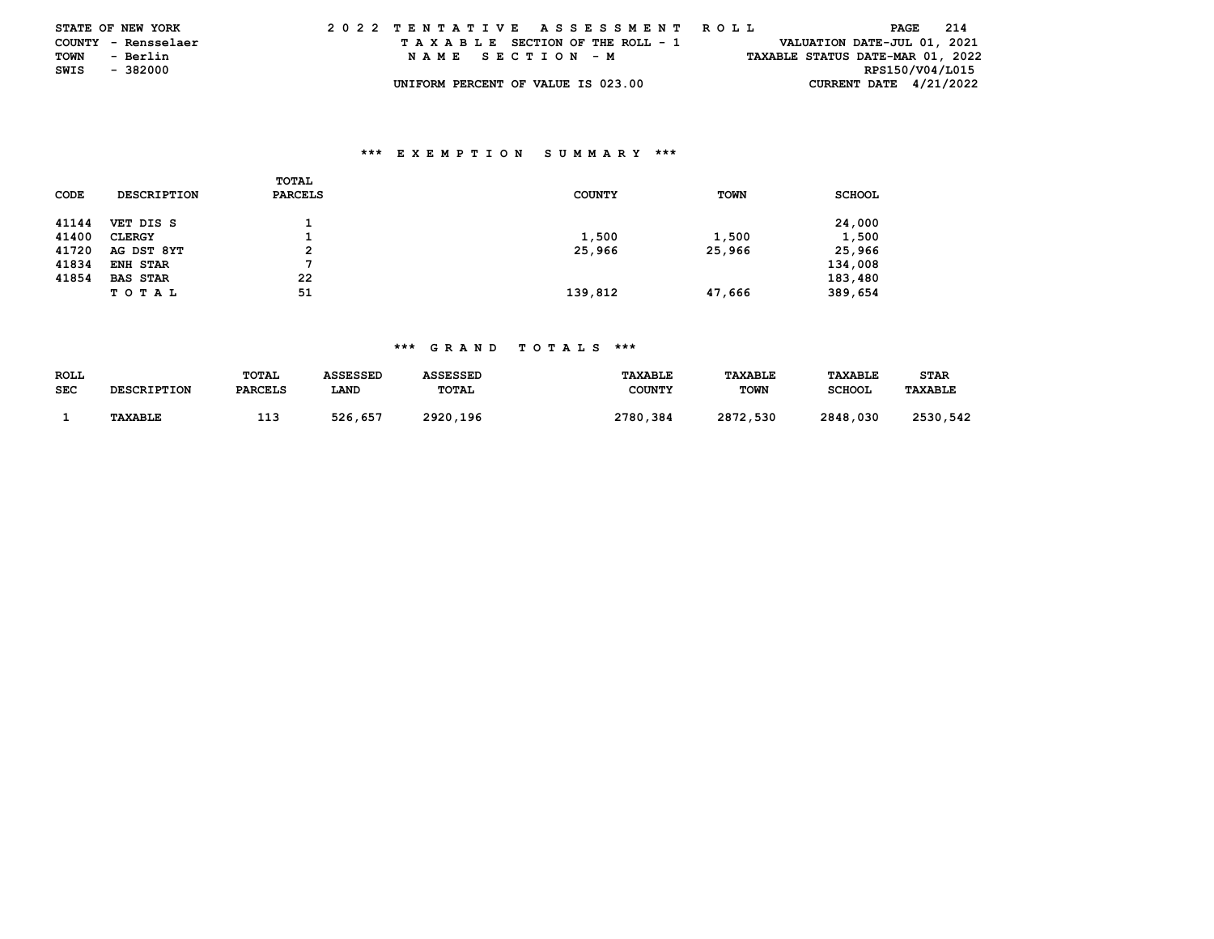|      | <b>STATE OF NEW YORK</b> | 2022 TENTATIVE ASSESSMENT ROLL     |                                  | PAGE            | 214 |
|------|--------------------------|------------------------------------|----------------------------------|-----------------|-----|
|      | COUNTY - Rensselaer      | TAXABLE SECTION OF THE ROLL - 1    | VALUATION DATE-JUL 01, 2021      |                 |     |
| TOWN | - Berlin                 | NAME SECTION - M                   | TAXABLE STATUS DATE-MAR 01, 2022 |                 |     |
| SWIS | - 382000                 |                                    |                                  | RPS150/V04/L015 |     |
|      |                          | UNIFORM PERCENT OF VALUE IS 023.00 | CURRENT DATE $4/21/2022$         |                 |     |

## **\*\*\* E X E M P T I O N S U M M A R Y \*\*\***

| CODE  | <b>DESCRIPTION</b> | TOTAL<br>PARCELS | <b>COUNTY</b> | <b>TOWN</b> | <b>SCHOOL</b> |
|-------|--------------------|------------------|---------------|-------------|---------------|
| 41144 | VET DIS S          |                  |               |             | 24,000        |
| 41400 | <b>CLERGY</b>      |                  | 1,500         | 1,500       | 1,500         |
| 41720 | AG DST 8YT         | 2                | 25,966        | 25,966      | 25,966        |
| 41834 | ENH STAR           |                  |               |             | 134,008       |
| 41854 | <b>BAS STAR</b>    | 22               |               |             | 183,480       |
|       | TOTAL              | 51               | 139,812       | 47,666      | 389,654       |

## **\*\*\* G R A N D T O T A L S \*\*\***

| ROLL       |                    | TOTAL          | <b>ASSESSED</b> | <b>ASSESSED</b> | <b>TAXABLE</b> | <b>TAXABLE</b> | <b>TAXABLE</b> | STAR           |
|------------|--------------------|----------------|-----------------|-----------------|----------------|----------------|----------------|----------------|
| <b>SEC</b> | <b>DESCRIPTION</b> | <b>PARCELS</b> | LAND            | TOTAL           | <b>COUNTY</b>  | <b>TOWN</b>    | <b>SCHOOL</b>  | <b>TAXABLE</b> |
|            |                    |                |                 |                 |                |                |                |                |
|            | TAXABLE            | --             | 526.657         | 2920,196        | 2780,384       | 2872.530       | 2848,030       | 2530.542       |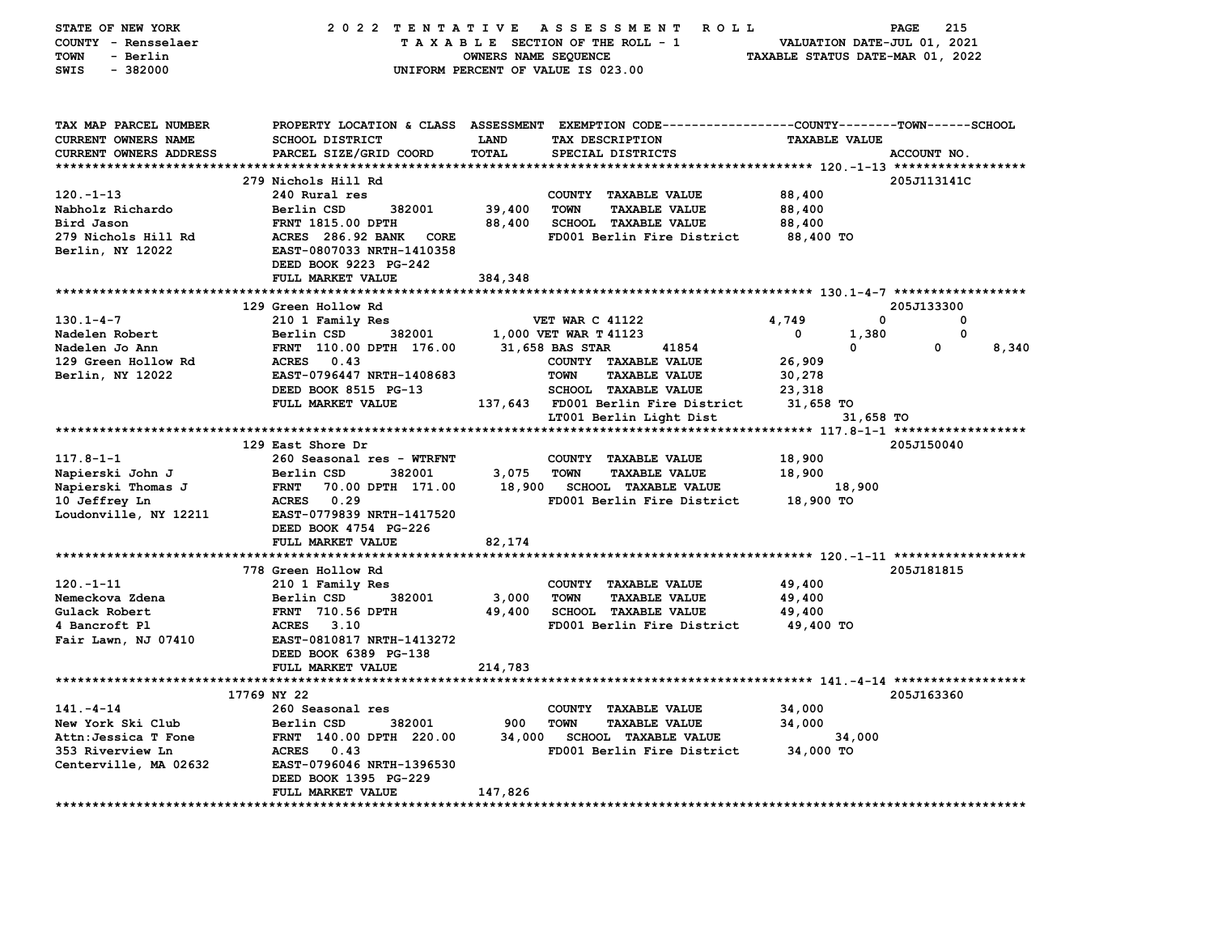| STATE OF NEW YORK<br>COUNTY - Rensselaer<br>- Berlin<br><b>TOWN</b><br>$-382000$<br>SWIS | 2022 TENTATIVE ASSESSMENT                                                    | OWNERS NAME SEQUENCE | R O L L<br>TAXABLE SECTION OF THE ROLL - 1<br>UNIFORM PERCENT OF VALUE IS 023.00                                  | VALUATION DATE-JUL 01, 2021<br>TAXABLE STATUS DATE-MAR 01, 2022 | 215<br>PAGE |
|------------------------------------------------------------------------------------------|------------------------------------------------------------------------------|----------------------|-------------------------------------------------------------------------------------------------------------------|-----------------------------------------------------------------|-------------|
| TAX MAP PARCEL NUMBER<br>CURRENT OWNERS NAME                                             | <b>SCHOOL DISTRICT</b>                                                       | LAND                 | PROPERTY LOCATION & CLASS ASSESSMENT EXEMPTION CODE---------------COUNTY-------TOWN-----SCHOOL<br>TAX DESCRIPTION | <b>TAXABLE VALUE</b>                                            |             |
| <b>CURRENT OWNERS ADDRESS</b>                                                            | PARCEL SIZE/GRID COORD                                                       | TOTAL                | SPECIAL DISTRICTS                                                                                                 |                                                                 | ACCOUNT NO. |
|                                                                                          |                                                                              |                      |                                                                                                                   |                                                                 |             |
|                                                                                          | 279 Nichols Hill Rd                                                          |                      |                                                                                                                   |                                                                 | 205J113141C |
| $120. -1 - 13$                                                                           | 240 Rural res                                                                |                      | COUNTY TAXABLE VALUE                                                                                              | 88,400                                                          |             |
| Nabholz Richardo                                                                         | Berlin CSD<br>382001                                                         | 39,400               | <b>TOWN</b><br><b>TAXABLE VALUE</b>                                                                               | 88,400                                                          |             |
| Bird Jason<br>279 Nichols Hill Rd                                                        | FRNT 1815.00 DPTH                                                            | 88,400               | <b>SCHOOL TAXABLE VALUE</b>                                                                                       | 88,400                                                          |             |
| Berlin, NY 12022                                                                         | ACRES 286.92 BANK CORE<br>EAST-0807033 NRTH-1410358<br>DEED BOOK 9223 PG-242 |                      | FD001 Berlin Fire District                                                                                        | 88,400 TO                                                       |             |
|                                                                                          | FULL MARKET VALUE                                                            | 384,348              |                                                                                                                   |                                                                 |             |
|                                                                                          | 129 Green Hollow Rd                                                          |                      |                                                                                                                   |                                                                 | 205J133300  |
| $130.1 - 4 - 7$                                                                          | 210 1 Family Res                                                             |                      | <b>VET WAR C 41122</b>                                                                                            | 4,749<br>0                                                      | 0           |
| Nadelen Robert                                                                           | Berlin CSD<br>382001                                                         |                      | 1,000 VET WAR T 41123                                                                                             | 0<br>1,380                                                      | 0           |
| Nadelen Jo Ann                                                                           | FRNT 110.00 DPTH 176.00                                                      |                      | 41854<br>31,658 BAS STAR                                                                                          | 0                                                               | 0<br>8,340  |
| 129 Green Hollow Rd                                                                      | ACRES 0.43                                                                   |                      | COUNTY TAXABLE VALUE                                                                                              | 26,909                                                          |             |
| Berlin, NY 12022                                                                         | EAST-0796447 NRTH-1408683                                                    |                      | <b>TAXABLE VALUE</b><br><b>TOWN</b>                                                                               | 30,278                                                          |             |
|                                                                                          | DEED BOOK 8515 PG-13                                                         |                      | <b>SCHOOL TAXABLE VALUE</b>                                                                                       | 23,318                                                          |             |
|                                                                                          | FULL MARKET VALUE                                                            |                      | 137,643 FD001 Berlin Fire District                                                                                | 31,658 TO                                                       |             |
|                                                                                          |                                                                              |                      | LT001 Berlin Light Dist                                                                                           | 31,658 TO                                                       |             |
|                                                                                          |                                                                              |                      |                                                                                                                   |                                                                 |             |
|                                                                                          | 129 East Shore Dr                                                            |                      |                                                                                                                   |                                                                 | 205J150040  |
| $117.8 - 1 - 1$                                                                          | 260 Seasonal res - WTRFNT                                                    |                      | COUNTY TAXABLE VALUE                                                                                              | 18,900                                                          |             |
| Napierski John J                                                                         | Berlin CSD<br>382001                                                         | 3,075                | TOWN<br><b>TAXABLE VALUE</b>                                                                                      | 18,900                                                          |             |
| Napierski Thomas J                                                                       | 70.00 DPTH 171.00<br><b>FRNT</b>                                             | 18,900               | <b>SCHOOL TAXABLE VALUE</b>                                                                                       | 18,900                                                          |             |
| 10 Jeffrey Ln                                                                            | ACRES 0.29                                                                   |                      | FD001 Berlin Fire District                                                                                        | 18,900 TO                                                       |             |
| Loudonville, NY 12211                                                                    | EAST-0779839 NRTH-1417520                                                    |                      |                                                                                                                   |                                                                 |             |
|                                                                                          | DEED BOOK 4754 PG-226                                                        |                      |                                                                                                                   |                                                                 |             |
|                                                                                          | FULL MARKET VALUE                                                            | 82,174               |                                                                                                                   |                                                                 |             |
|                                                                                          | 778 Green Hollow Rd                                                          |                      |                                                                                                                   |                                                                 | 205J181815  |
| $120. - 1 - 11$                                                                          | 210 1 Family Res                                                             |                      | COUNTY TAXABLE VALUE                                                                                              | 49,400                                                          |             |
| Nemeckova Zdena                                                                          | Berlin CSD<br>382001                                                         | 3,000                | <b>TAXABLE VALUE</b><br><b>TOWN</b>                                                                               | 49,400                                                          |             |
| Gulack Robert                                                                            | <b>FRNT</b> 710.56 DPTH                                                      | 49,400               | <b>SCHOOL TAXABLE VALUE</b>                                                                                       | 49,400                                                          |             |
| 4 Bancroft Pl                                                                            | ACRES 3.10                                                                   |                      | FD001 Berlin Fire District                                                                                        | 49,400 TO                                                       |             |
| Fair Lawn, NJ 07410                                                                      | EAST-0810817 NRTH-1413272                                                    |                      |                                                                                                                   |                                                                 |             |
|                                                                                          | DEED BOOK 6389 PG-138                                                        |                      |                                                                                                                   |                                                                 |             |
|                                                                                          | FULL MARKET VALUE                                                            | 214,783              |                                                                                                                   |                                                                 |             |
|                                                                                          |                                                                              |                      |                                                                                                                   |                                                                 |             |
|                                                                                          | 17769 NY 22                                                                  |                      |                                                                                                                   |                                                                 | 205J163360  |
| $141. - 4 - 14$                                                                          | 260 Seasonal res                                                             |                      | COUNTY TAXABLE VALUE                                                                                              | 34,000                                                          |             |
| New York Ski Club                                                                        | 382001<br>Berlin CSD                                                         | 900                  | <b>TOWN</b><br><b>TAXABLE VALUE</b>                                                                               | 34,000                                                          |             |
| Attn:Jessica T Fone                                                                      | FRNT 140.00 DPTH 220.00                                                      | 34,000               | <b>SCHOOL TAXABLE VALUE</b>                                                                                       | 34,000                                                          |             |
| 353 Riverview Ln                                                                         | ACRES 0.43                                                                   |                      | FD001 Berlin Fire District                                                                                        | 34,000 TO                                                       |             |
| Centerville, MA 02632                                                                    | EAST-0796046 NRTH-1396530<br>DEED BOOK 1395 PG-229                           |                      |                                                                                                                   |                                                                 |             |
|                                                                                          | <b>FULL MARKET VALUE</b>                                                     | 147,826              |                                                                                                                   |                                                                 |             |
|                                                                                          |                                                                              |                      |                                                                                                                   |                                                                 |             |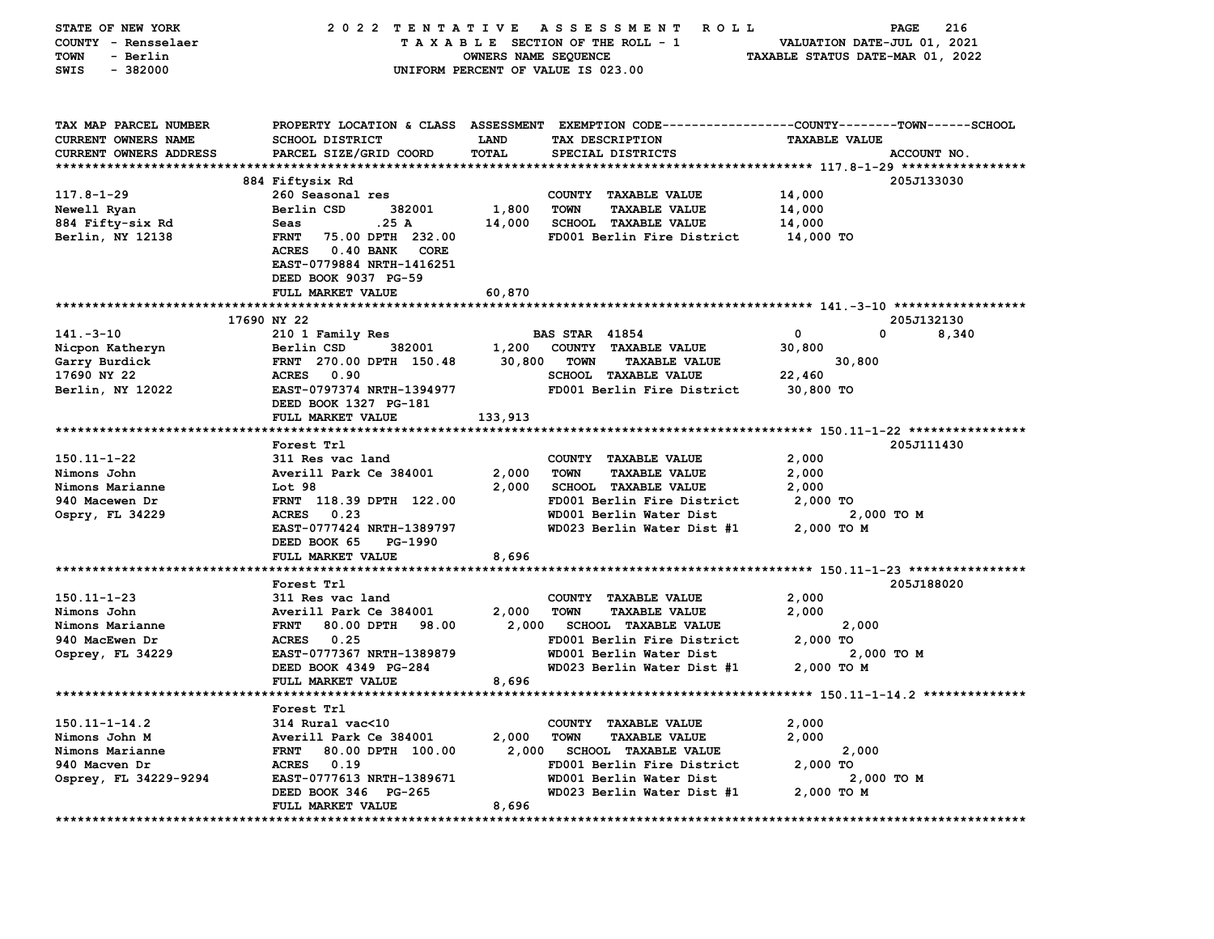| STATE OF NEW YORK             | 2022 TENTATIVE                                                 |                      | <b>ROLL</b><br>A S S E S S M E N T                                                             |                                  | 216<br>PAGE |  |  |
|-------------------------------|----------------------------------------------------------------|----------------------|------------------------------------------------------------------------------------------------|----------------------------------|-------------|--|--|
| COUNTY - Rensselaer           | TAXABLE SECTION OF THE ROLL - 1<br>VALUATION DATE-JUL 01, 2021 |                      |                                                                                                |                                  |             |  |  |
| - Berlin<br><b>TOWN</b>       |                                                                | OWNERS NAME SEQUENCE |                                                                                                | TAXABLE STATUS DATE-MAR 01, 2022 |             |  |  |
| $-382000$<br>SWIS             |                                                                |                      | UNIFORM PERCENT OF VALUE IS 023.00                                                             |                                  |             |  |  |
|                               |                                                                |                      |                                                                                                |                                  |             |  |  |
|                               |                                                                |                      |                                                                                                |                                  |             |  |  |
|                               |                                                                |                      |                                                                                                |                                  |             |  |  |
| TAX MAP PARCEL NUMBER         |                                                                |                      | PROPERTY LOCATION & CLASS ASSESSMENT EXEMPTION CODE---------------COUNTY-------TOWN-----SCHOOL |                                  |             |  |  |
| CURRENT OWNERS NAME           | <b>SCHOOL DISTRICT</b>                                         | LAND                 | TAX DESCRIPTION                                                                                | <b>TAXABLE VALUE</b>             |             |  |  |
| <b>CURRENT OWNERS ADDRESS</b> | PARCEL SIZE/GRID COORD                                         | <b>TOTAL</b>         | SPECIAL DISTRICTS                                                                              |                                  | ACCOUNT NO. |  |  |
|                               |                                                                |                      |                                                                                                |                                  |             |  |  |
|                               | 884 Fiftysix Rd                                                |                      |                                                                                                |                                  | 205J133030  |  |  |
| $117.8 - 1 - 29$              | 260 Seasonal res                                               |                      | COUNTY TAXABLE VALUE                                                                           | 14,000                           |             |  |  |
| Newell Ryan                   | Berlin CSD<br>382001                                           | 1,800                | <b>TOWN</b><br><b>TAXABLE VALUE</b>                                                            | 14,000                           |             |  |  |
| 884 Fifty-six Rd              | .25 A<br>Seas                                                  | 14,000               | <b>SCHOOL TAXABLE VALUE</b>                                                                    | 14,000                           |             |  |  |
| Berlin, NY 12138              | <b>FRNT</b><br>75.00 DPTH 232.00                               |                      | FD001 Berlin Fire District                                                                     | 14,000 TO                        |             |  |  |
|                               | <b>ACRES</b><br><b>0.40 BANK</b><br><b>CORE</b>                |                      |                                                                                                |                                  |             |  |  |
|                               | EAST-0779884 NRTH-1416251                                      |                      |                                                                                                |                                  |             |  |  |
|                               |                                                                |                      |                                                                                                |                                  |             |  |  |
|                               | DEED BOOK 9037 PG-59                                           |                      |                                                                                                |                                  |             |  |  |
|                               | FULL MARKET VALUE                                              | 60,870               |                                                                                                |                                  |             |  |  |
|                               |                                                                |                      |                                                                                                |                                  |             |  |  |
|                               | 17690 NY 22                                                    |                      |                                                                                                |                                  | 205J132130  |  |  |
| $141. - 3 - 10$               | 210 1 Family Res                                               |                      | <b>BAS STAR 41854</b>                                                                          | 0                                | 0<br>8,340  |  |  |
| Nicpon Katheryn               | Berlin CSD<br>382001                                           | 1,200                | COUNTY TAXABLE VALUE                                                                           | 30,800                           |             |  |  |
| Garry Burdick                 | FRNT 270.00 DPTH 150.48                                        | 30,800               | <b>TOWN</b><br><b>TAXABLE VALUE</b>                                                            | 30,800                           |             |  |  |
| 17690 NY 22                   | <b>ACRES</b><br>0.90                                           |                      | <b>SCHOOL TAXABLE VALUE</b>                                                                    | 22,460                           |             |  |  |
| Berlin, NY 12022              | EAST-0797374 NRTH-1394977                                      |                      | FD001 Berlin Fire District                                                                     | 30,800 TO                        |             |  |  |
|                               | DEED BOOK 1327 PG-181                                          |                      |                                                                                                |                                  |             |  |  |
|                               | FULL MARKET VALUE                                              | 133,913              |                                                                                                |                                  |             |  |  |
|                               |                                                                |                      |                                                                                                |                                  |             |  |  |
|                               | Forest Trl                                                     |                      |                                                                                                |                                  | 205J111430  |  |  |
| 150.11-1-22                   | 311 Res vac land                                               |                      | COUNTY TAXABLE VALUE                                                                           | 2,000                            |             |  |  |
| Nimons John                   | Averill Park Ce 384001                                         | 2,000                | <b>TOWN</b><br><b>TAXABLE VALUE</b>                                                            | 2,000                            |             |  |  |
| Nimons Marianne               | Lot 98                                                         | 2,000                | <b>SCHOOL TAXABLE VALUE</b>                                                                    | 2,000                            |             |  |  |
| 940 Macewen Dr                | FRNT 118.39 DPTH 122.00                                        |                      | FD001 Berlin Fire District                                                                     | 2,000 TO                         |             |  |  |
| Ospry, FL 34229               | <b>ACRES</b><br>0.23                                           |                      | WD001 Berlin Water Dist                                                                        |                                  | 2,000 TO M  |  |  |
|                               | EAST-0777424 NRTH-1389797                                      |                      | WD023 Berlin Water Dist #1                                                                     | 2,000 TO M                       |             |  |  |
|                               | DEED BOOK 65<br>PG-1990                                        |                      |                                                                                                |                                  |             |  |  |
|                               | FULL MARKET VALUE                                              | 8,696                |                                                                                                |                                  |             |  |  |
|                               | *******************                                            |                      |                                                                                                |                                  |             |  |  |
|                               | Forest Trl                                                     |                      |                                                                                                |                                  | 205J188020  |  |  |
| $150.11 - 1 - 23$             | 311 Res vac land                                               |                      | COUNTY TAXABLE VALUE                                                                           | 2,000                            |             |  |  |
|                               |                                                                | 2,000                | TOWN                                                                                           | 2,000                            |             |  |  |
| Nimons John                   | Averill Park Ce 384001                                         |                      | <b>TAXABLE VALUE</b>                                                                           |                                  |             |  |  |
| Nimons Marianne               | <b>FRNT</b><br>80.00 DPTH<br>98.00                             | 2,000                | <b>SCHOOL TAXABLE VALUE</b>                                                                    | 2,000                            |             |  |  |
| 940 MacEwen Dr                | ACRES 0.25                                                     |                      | FD001 Berlin Fire District                                                                     | 2,000 TO                         |             |  |  |
| Osprey, FL 34229              | EAST-0777367 NRTH-1389879                                      |                      | WD001 Berlin Water Dist                                                                        |                                  | 2,000 TO M  |  |  |
|                               | DEED BOOK 4349 PG-284                                          |                      | WD023 Berlin Water Dist #1                                                                     | 2,000 TO M                       |             |  |  |
|                               | <b>FULL MARKET VALUE</b>                                       | 8,696                |                                                                                                |                                  |             |  |  |
|                               |                                                                |                      |                                                                                                |                                  |             |  |  |
|                               | Forest Trl                                                     |                      |                                                                                                |                                  |             |  |  |
| $150.11 - 1 - 14.2$           | 314 Rural vac<10                                               |                      | COUNTY TAXABLE VALUE                                                                           | 2,000                            |             |  |  |
| Nimons John M                 | Averill Park Ce 384001                                         | 2,000                | <b>TOWN</b><br><b>TAXABLE VALUE</b>                                                            | 2,000                            |             |  |  |
| Nimons Marianne               | <b>FRNT</b><br>80.00 DPTH 100.00                               | 2,000                | SCHOOL TAXABLE VALUE                                                                           | 2,000                            |             |  |  |
| 940 Macven Dr                 | <b>ACRES</b><br>0.19                                           |                      | FD001 Berlin Fire District                                                                     | 2,000 TO                         |             |  |  |
| Osprey, FL 34229-9294         | EAST-0777613 NRTH-1389671                                      |                      | WD001 Berlin Water Dist                                                                        |                                  | 2,000 TO M  |  |  |
|                               | DEED BOOK 346 PG-265                                           |                      | WD023 Berlin Water Dist #1                                                                     | 2,000 TO M                       |             |  |  |
|                               | FULL MARKET VALUE                                              | 8,696                |                                                                                                |                                  |             |  |  |
|                               |                                                                |                      |                                                                                                |                                  |             |  |  |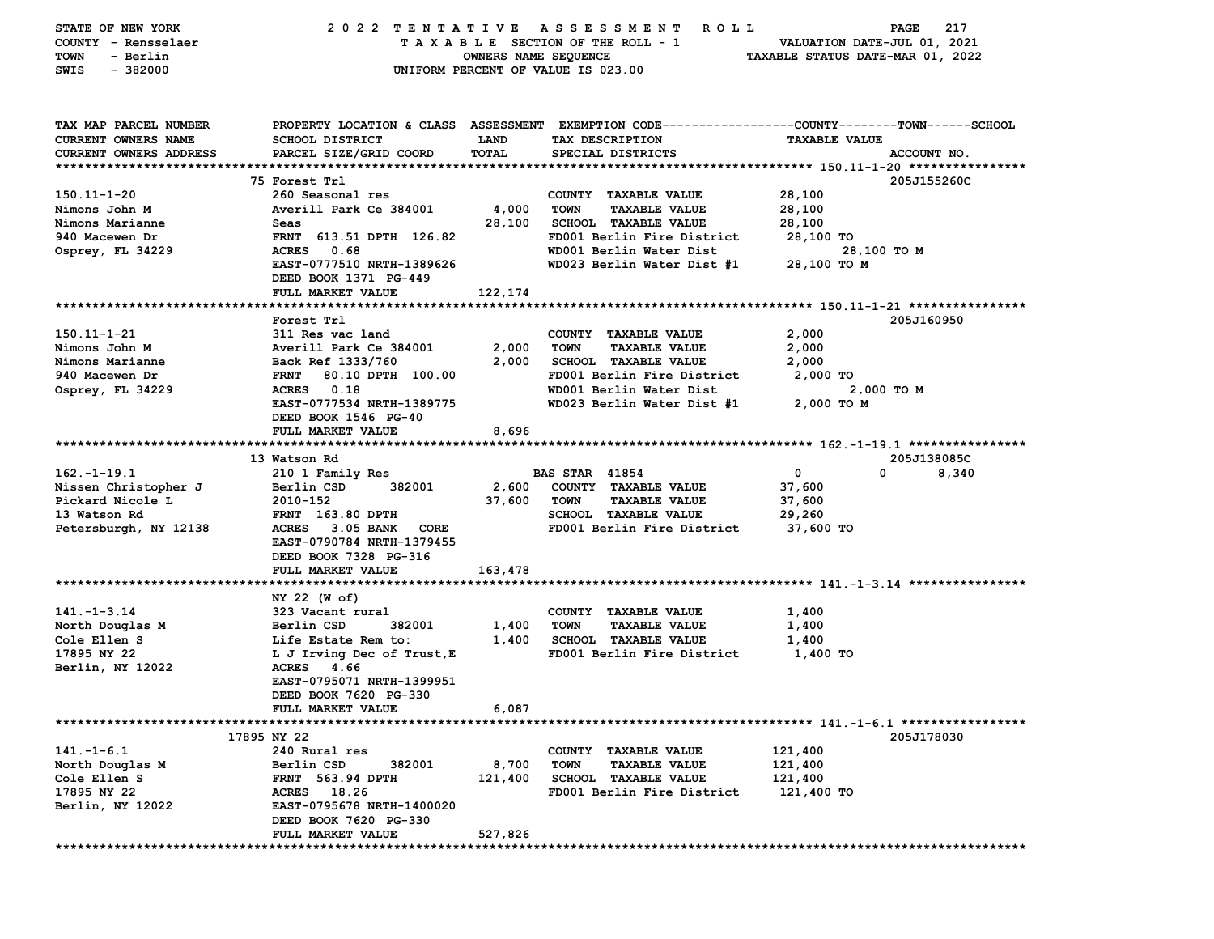| STATE OF NEW YORK      | 2022 TENTATIVE                   |                      | A S S E S S M E N T<br>ROLL ROLL                                                               |                                  | 217<br>PAGE |
|------------------------|----------------------------------|----------------------|------------------------------------------------------------------------------------------------|----------------------------------|-------------|
| COUNTY - Rensselaer    |                                  |                      | TAXABLE SECTION OF THE ROLL - 1                                                                | VALUATION DATE-JUL 01, 2021      |             |
| - Berlin<br>TOWN       |                                  | OWNERS NAME SEQUENCE |                                                                                                | TAXABLE STATUS DATE-MAR 01, 2022 |             |
| SWIS<br>$-382000$      |                                  |                      | UNIFORM PERCENT OF VALUE IS 023.00                                                             |                                  |             |
|                        |                                  |                      |                                                                                                |                                  |             |
|                        |                                  |                      |                                                                                                |                                  |             |
| TAX MAP PARCEL NUMBER  |                                  |                      | PROPERTY LOCATION & CLASS ASSESSMENT EXEMPTION CODE---------------COUNTY-------TOWN-----SCHOOL |                                  |             |
| CURRENT OWNERS NAME    | SCHOOL DISTRICT                  | <b>LAND</b>          | TAX DESCRIPTION                                                                                | <b>TAXABLE VALUE</b>             |             |
| CURRENT OWNERS ADDRESS | PARCEL SIZE/GRID COORD           | TOTAL                | SPECIAL DISTRICTS                                                                              |                                  | ACCOUNT NO. |
|                        |                                  |                      |                                                                                                |                                  |             |
|                        | 75 Forest Trl                    |                      |                                                                                                |                                  | 205J155260C |
| 150.11-1-20            | 260 Seasonal res                 |                      | COUNTY TAXABLE VALUE                                                                           | 28,100                           |             |
| Nimons John M          | Averill Park Ce 384001           | 4,000                | <b>TOWN</b><br><b>TAXABLE VALUE</b>                                                            | 28,100                           |             |
| Nimons Marianne        |                                  |                      | <b>SCHOOL TAXABLE VALUE</b>                                                                    |                                  |             |
|                        | Seas<br>FRNT 613.51 DPTH 126.82  | 28,100               | FD001 Berlin Fire District                                                                     | 28,100                           |             |
| 940 Macewen Dr         | ACRES 0.68                       |                      | WD001 Berlin Water Dist                                                                        | 28,100 TO                        |             |
| Osprey, FL 34229       |                                  |                      | WD023 Berlin Water Dist #1                                                                     | 28,100 TO M                      |             |
|                        | EAST-0777510 NRTH-1389626        |                      |                                                                                                | 28,100 TO M                      |             |
|                        | DEED BOOK 1371 PG-449            |                      |                                                                                                |                                  |             |
|                        | FULL MARKET VALUE                | 122,174              |                                                                                                |                                  |             |
|                        |                                  |                      |                                                                                                |                                  | 205J160950  |
|                        | Forest Trl                       |                      |                                                                                                |                                  |             |
| 150.11-1-21            | 311 Res vac land                 |                      | COUNTY TAXABLE VALUE                                                                           | 2,000                            |             |
| Nimons John M          | Averill Park Ce 384001           | 2,000                | <b>TOWN</b><br><b>TAXABLE VALUE</b>                                                            | 2,000                            |             |
| Nimons Marianne        | Back Ref 1333/760                | 2,000                | SCHOOL TAXABLE VALUE                                                                           | 2,000                            |             |
| 940 Macewen Dr         | <b>FRNT</b><br>80.10 DPTH 100.00 |                      | FD001 Berlin Fire District                                                                     | 2,000 TO                         |             |
| Osprey, FL 34229       | ACRES 0.18                       |                      | WD001 Berlin Water Dist                                                                        | 2,000 TO M                       |             |
|                        | EAST-0777534 NRTH-1389775        |                      | WD023 Berlin Water Dist #1                                                                     | 2,000 TO M                       |             |
|                        | DEED BOOK 1546 PG-40             |                      |                                                                                                |                                  |             |
|                        | FULL MARKET VALUE                | 8,696                |                                                                                                |                                  |             |
|                        |                                  |                      |                                                                                                |                                  |             |
|                        | 13 Watson Rd                     |                      |                                                                                                | $\mathbf 0$<br>0                 | 205J138085C |
| $162. - 1 - 19.1$      | 210 1 Family Res                 |                      | <b>BAS STAR 41854</b>                                                                          |                                  | 8,340       |
| Nissen Christopher J   | Berlin CSD<br>382001             | 2,600                | COUNTY TAXABLE VALUE                                                                           | 37,600                           |             |
| Pickard Nicole L       | 2010-152                         | 37,600               | <b>TOWN</b><br><b>TAXABLE VALUE</b>                                                            | 37,600                           |             |
| 13 Watson Rd           | <b>FRNT</b> 163.80 DPTH          |                      | SCHOOL TAXABLE VALUE                                                                           | 29,260                           |             |
| Petersburgh, NY 12138  | ACRES 3.05 BANK<br>CORE          |                      | FD001 Berlin Fire District                                                                     | 37,600 TO                        |             |
|                        | EAST-0790784 NRTH-1379455        |                      |                                                                                                |                                  |             |
|                        | DEED BOOK 7328 PG-316            |                      |                                                                                                |                                  |             |
|                        | FULL MARKET VALUE                | 163,478              |                                                                                                |                                  |             |
|                        |                                  |                      |                                                                                                |                                  |             |
|                        | NY 22 (W of)                     |                      |                                                                                                |                                  |             |
| $141. - 1 - 3.14$      | 323 Vacant rural                 |                      | COUNTY TAXABLE VALUE                                                                           | 1,400                            |             |
| North Douglas M        | 382001<br>Berlin CSD             | 1,400                | <b>TOWN</b><br><b>TAXABLE VALUE</b>                                                            | 1,400                            |             |
| Cole Ellen S           | Life Estate Rem to:              | 1,400                | <b>SCHOOL TAXABLE VALUE</b>                                                                    | 1,400                            |             |
| 17895 NY 22            | L J Irving Dec of Trust, E       |                      | FD001 Berlin Fire District                                                                     | 1,400 TO                         |             |
| Berlin, NY 12022       | ACRES 4.66                       |                      |                                                                                                |                                  |             |
|                        | EAST-0795071 NRTH-1399951        |                      |                                                                                                |                                  |             |
|                        | DEED BOOK 7620 PG-330            |                      |                                                                                                |                                  |             |
|                        | FULL MARKET VALUE                | 6,087                |                                                                                                |                                  |             |
|                        |                                  |                      |                                                                                                |                                  |             |
|                        | 17895 NY 22                      |                      |                                                                                                |                                  | 205J178030  |
| $141. -1 - 6.1$        | 240 Rural res                    |                      | COUNTY TAXABLE VALUE                                                                           | 121,400                          |             |
| North Douglas M        | Berlin CSD<br>382001             | 8,700                | <b>TOWN</b><br><b>TAXABLE VALUE</b>                                                            | 121,400                          |             |
| Cole Ellen S           | <b>FRNT</b> 563.94 DPTH          | 121,400              | <b>SCHOOL TAXABLE VALUE</b>                                                                    | 121,400                          |             |
| 17895 NY 22            | ACRES 18.26                      |                      | FD001 Berlin Fire District                                                                     | 121,400 TO                       |             |
| Berlin, NY 12022       | EAST-0795678 NRTH-1400020        |                      |                                                                                                |                                  |             |
|                        | DEED BOOK 7620 PG-330            |                      |                                                                                                |                                  |             |
|                        | FULL MARKET VALUE                | 527,826              |                                                                                                |                                  |             |
|                        |                                  |                      |                                                                                                |                                  |             |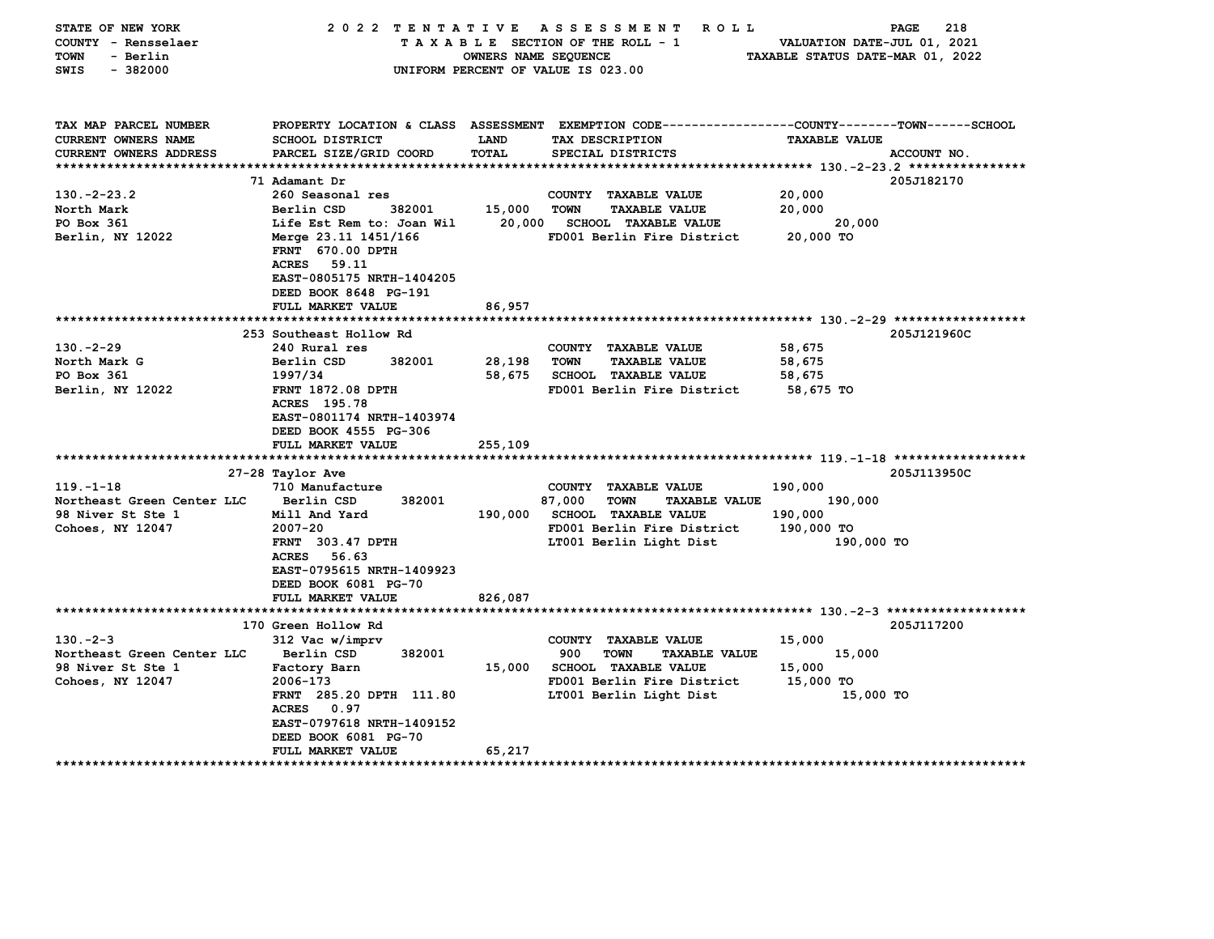| STATE OF NEW YORK<br>COUNTY - Rensselaer<br><b>TOWN</b><br>- Berlin<br>$-382000$<br>SWIS | 2022 TENTATIVE                                                                                                                               | OWNERS NAME SEQUENCE | A S S E S S M E N T<br><b>ROLL</b><br>TAXABLE SECTION OF THE ROLL - 1<br>UNIFORM PERCENT OF VALUE IS 023.00        | VALUATION DATE-JUL 01, 2021<br>TAXABLE STATUS DATE-MAR 01, 2022 | 218<br>PAGE |
|------------------------------------------------------------------------------------------|----------------------------------------------------------------------------------------------------------------------------------------------|----------------------|--------------------------------------------------------------------------------------------------------------------|-----------------------------------------------------------------|-------------|
| TAX MAP PARCEL NUMBER<br><b>CURRENT OWNERS NAME</b>                                      | <b>SCHOOL DISTRICT</b>                                                                                                                       | LAND                 | PROPERTY LOCATION & CLASS ASSESSMENT EXEMPTION CODE---------------COUNTY-------TOWN------SCHOOL<br>TAX DESCRIPTION | <b>TAXABLE VALUE</b>                                            |             |
| <b>CURRENT OWNERS ADDRESS</b>                                                            | PARCEL SIZE/GRID COORD                                                                                                                       | TOTAL                | SPECIAL DISTRICTS                                                                                                  |                                                                 | ACCOUNT NO. |
|                                                                                          |                                                                                                                                              |                      |                                                                                                                    |                                                                 |             |
|                                                                                          | 71 Adamant Dr                                                                                                                                |                      |                                                                                                                    |                                                                 | 205J182170  |
| $130. -2 - 23.2$                                                                         | 260 Seasonal res                                                                                                                             |                      | COUNTY TAXABLE VALUE                                                                                               | 20,000                                                          |             |
| North Mark                                                                               | Berlin CSD<br>382001                                                                                                                         | 15,000               | <b>TOWN</b><br><b>TAXABLE VALUE</b>                                                                                | 20,000                                                          |             |
| PO Box 361                                                                               | Life Est Rem to: Joan Wil                                                                                                                    | 20,000               | <b>SCHOOL TAXABLE VALUE</b>                                                                                        | 20,000                                                          |             |
| Berlin, NY 12022                                                                         | Merge 23.11 1451/166<br>FRNT 670.00 DPTH<br><b>ACRES</b><br>59.11<br>EAST-0805175 NRTH-1404205<br>DEED BOOK 8648 PG-191<br>FULL MARKET VALUE | 86,957               | FD001 Berlin Fire District                                                                                         | 20,000 TO                                                       |             |
|                                                                                          |                                                                                                                                              |                      |                                                                                                                    |                                                                 |             |
|                                                                                          | 253 Southeast Hollow Rd                                                                                                                      |                      |                                                                                                                    |                                                                 | 205J121960C |
| $130 - 2 - 29$                                                                           | 240 Rural res                                                                                                                                |                      | COUNTY TAXABLE VALUE                                                                                               | 58,675                                                          |             |
| North Mark G                                                                             | Berlin CSD<br>382001                                                                                                                         | 28,198               | <b>TOWN</b><br><b>TAXABLE VALUE</b>                                                                                | 58,675                                                          |             |
| PO Box 361                                                                               | 1997/34                                                                                                                                      | 58,675               | <b>SCHOOL TAXABLE VALUE</b>                                                                                        | 58,675                                                          |             |
| Berlin, NY 12022                                                                         | FRNT 1872.08 DPTH<br>ACRES 195.78<br>EAST-0801174 NRTH-1403974<br>DEED BOOK 4555 PG-306<br>FULL MARKET VALUE                                 | 255,109              | FD001 Berlin Fire District                                                                                         | 58,675 TO                                                       |             |
|                                                                                          |                                                                                                                                              |                      |                                                                                                                    |                                                                 |             |
|                                                                                          | 27-28 Taylor Ave                                                                                                                             |                      |                                                                                                                    |                                                                 | 205J113950C |
| $119. - 1 - 18$                                                                          | 710 Manufacture                                                                                                                              |                      | COUNTY TAXABLE VALUE                                                                                               | 190,000                                                         |             |
| Northeast Green Center LLC                                                               | 382001<br>Berlin CSD                                                                                                                         |                      | 87,000<br>TOWN<br><b>TAXABLE VALUE</b>                                                                             | 190,000                                                         |             |
| 98 Niver St Ste 1                                                                        | Mill And Yard                                                                                                                                | 190,000              | <b>SCHOOL TAXABLE VALUE</b>                                                                                        | 190,000                                                         |             |
| Cohoes, NY 12047                                                                         | $2007 - 20$                                                                                                                                  |                      | FD001 Berlin Fire District                                                                                         | 190,000 TO                                                      |             |
|                                                                                          | <b>FRNT</b> 303.47 DPTH<br><b>ACRES</b><br>56.63<br>EAST-0795615 NRTH-1409923<br>DEED BOOK 6081 PG-70<br>FULL MARKET VALUE                   | 826,087              | LT001 Berlin Light Dist                                                                                            | 190,000 TO                                                      |             |
|                                                                                          | *****************************                                                                                                                |                      |                                                                                                                    |                                                                 |             |
|                                                                                          | 170 Green Hollow Rd                                                                                                                          |                      |                                                                                                                    |                                                                 | 205J117200  |
| $130 - 2 - 3$                                                                            | 312 Vac w/imprv                                                                                                                              |                      | COUNTY TAXABLE VALUE                                                                                               | 15,000                                                          |             |
| Northeast Green Center LLC                                                               | Berlin CSD<br>382001                                                                                                                         |                      | 900<br><b>TOWN</b><br><b>TAXABLE VALUE</b>                                                                         | 15,000                                                          |             |
| <b>98 Niver St Ste 1</b>                                                                 | Factory Barn                                                                                                                                 | 15,000               | <b>SCHOOL TAXABLE VALUE</b>                                                                                        | 15,000                                                          |             |
| Cohoes, NY 12047                                                                         | 2006-173                                                                                                                                     |                      | FD001 Berlin Fire District                                                                                         | 15,000 TO                                                       |             |
|                                                                                          | FRNT 285.20 DPTH 111.80<br><b>ACRES</b><br>0.97<br>EAST-0797618 NRTH-1409152                                                                 |                      | LT001 Berlin Light Dist                                                                                            | 15,000 TO                                                       |             |
|                                                                                          | DEED BOOK 6081 PG-70                                                                                                                         |                      |                                                                                                                    |                                                                 |             |
| ********************                                                                     | <b>FULL MARKET VALUE</b>                                                                                                                     | 65,217               |                                                                                                                    |                                                                 |             |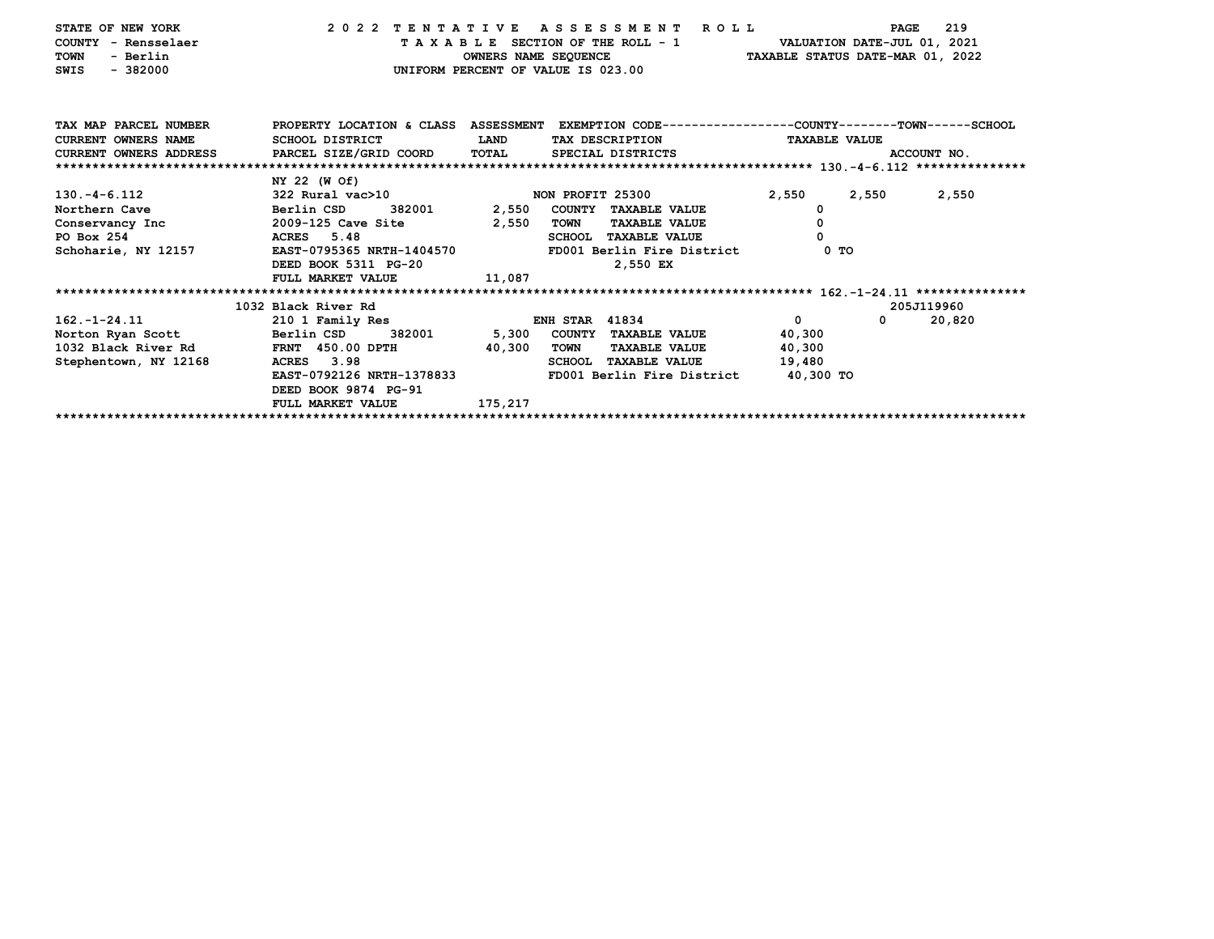| STATE OF NEW YORK<br>COUNTY - Rensselaer<br>- Berlin<br><b>TOWN</b><br>$-382000$<br>SWIS | 2022 TENTATIVE                                                                                  |             | A S S E S S M E N T R O L L<br>TAXABLE SECTION OF THE ROLL - 1<br>OWNERS NAME SEQUENCE<br>UNIFORM PERCENT OF VALUE IS 023.00 | VALUATION DATE-JUL 01, 2021<br>TAXABLE STATUS DATE-MAR 01, 2022 | PAGE        | 219    |
|------------------------------------------------------------------------------------------|-------------------------------------------------------------------------------------------------|-------------|------------------------------------------------------------------------------------------------------------------------------|-----------------------------------------------------------------|-------------|--------|
| TAX MAP PARCEL NUMBER                                                                    | PROPERTY LOCATION & CLASS ASSESSMENT EXEMPTION CODE---------------COUNTY-------TOWN------SCHOOL |             |                                                                                                                              |                                                                 |             |        |
| <b>CURRENT OWNERS NAME</b>                                                               | SCHOOL DISTRICT                                                                                 | <b>LAND</b> | TAX DESCRIPTION                                                                                                              | <b>TAXABLE VALUE</b>                                            |             |        |
| CURRENT OWNERS ADDRESS PARCEL SIZE/GRID COORD                                            |                                                                                                 | TOTAL       | SPECIAL DISTRICTS                                                                                                            |                                                                 | ACCOUNT NO. |        |
|                                                                                          |                                                                                                 |             |                                                                                                                              |                                                                 |             |        |
|                                                                                          | NY 22 (W Of)                                                                                    |             |                                                                                                                              |                                                                 |             |        |
| $130. -4 - 6.112$                                                                        | 322 Rural vac>10                                                                                |             | NON PROFIT 25300                                                                                                             | 2,550                                                           | 2,550       | 2,550  |
| Northern Cave                                                                            | Berlin CSD<br>382001                                                                            | 2,550       | COUNTY TAXABLE VALUE                                                                                                         | 0                                                               |             |        |
| Conservancy Inc and 2009-125 Cave Site                                                   |                                                                                                 | 2,550       | TOWN<br><b>TAXABLE VALUE</b>                                                                                                 | 0                                                               |             |        |
| PO Box 254                                                                               | ACRES 5.48                                                                                      |             | <b>SCHOOL TAXABLE VALUE</b>                                                                                                  | $\Omega$                                                        |             |        |
| Schoharie, NY 12157                                                                      | EAST-0795365 NRTH-1404570                                                                       |             | FD001 Berlin Fire District                                                                                                   | 0 <sub>T</sub>                                                  |             |        |
|                                                                                          | DEED BOOK 5311 PG-20                                                                            |             | 2,550 EX                                                                                                                     |                                                                 |             |        |
|                                                                                          | FULL MARKET VALUE                                                                               | 11,087      |                                                                                                                              |                                                                 |             |        |
|                                                                                          |                                                                                                 |             |                                                                                                                              |                                                                 |             |        |
|                                                                                          | 1032 Black River Rd                                                                             |             |                                                                                                                              |                                                                 | 205J119960  |        |
| $162. - 1 - 24.11$                                                                       | 210 1 Family Res                                                                                |             | <b>ENH STAR 41834</b>                                                                                                        | $\Omega$                                                        | $\mathbf 0$ | 20,820 |
| Norton Ryan Scott Berlin CSD                                                             | 382001                                                                                          |             | 5,300 COUNTY TAXABLE VALUE                                                                                                   | 40,300                                                          |             |        |
| 1032 Black River Rd FRNT 450.00 DPTH                                                     |                                                                                                 | 40,300      | <b>TAXABLE VALUE</b><br>TOWN                                                                                                 | 40,300                                                          |             |        |
| Stephentown, NY 12168                                                                    | ACRES 3.98                                                                                      |             | SCHOOL TAXABLE VALUE                                                                                                         | 19,480                                                          |             |        |
|                                                                                          | EAST-0792126 NRTH-1378833                                                                       |             | FD001 Berlin Fire District                                                                                                   | 40,300 TO                                                       |             |        |
|                                                                                          | DEED BOOK 9874 PG-91                                                                            |             |                                                                                                                              |                                                                 |             |        |
|                                                                                          | FULL MARKET VALUE                                                                               | 175,217     |                                                                                                                              |                                                                 |             |        |
|                                                                                          |                                                                                                 |             |                                                                                                                              |                                                                 |             |        |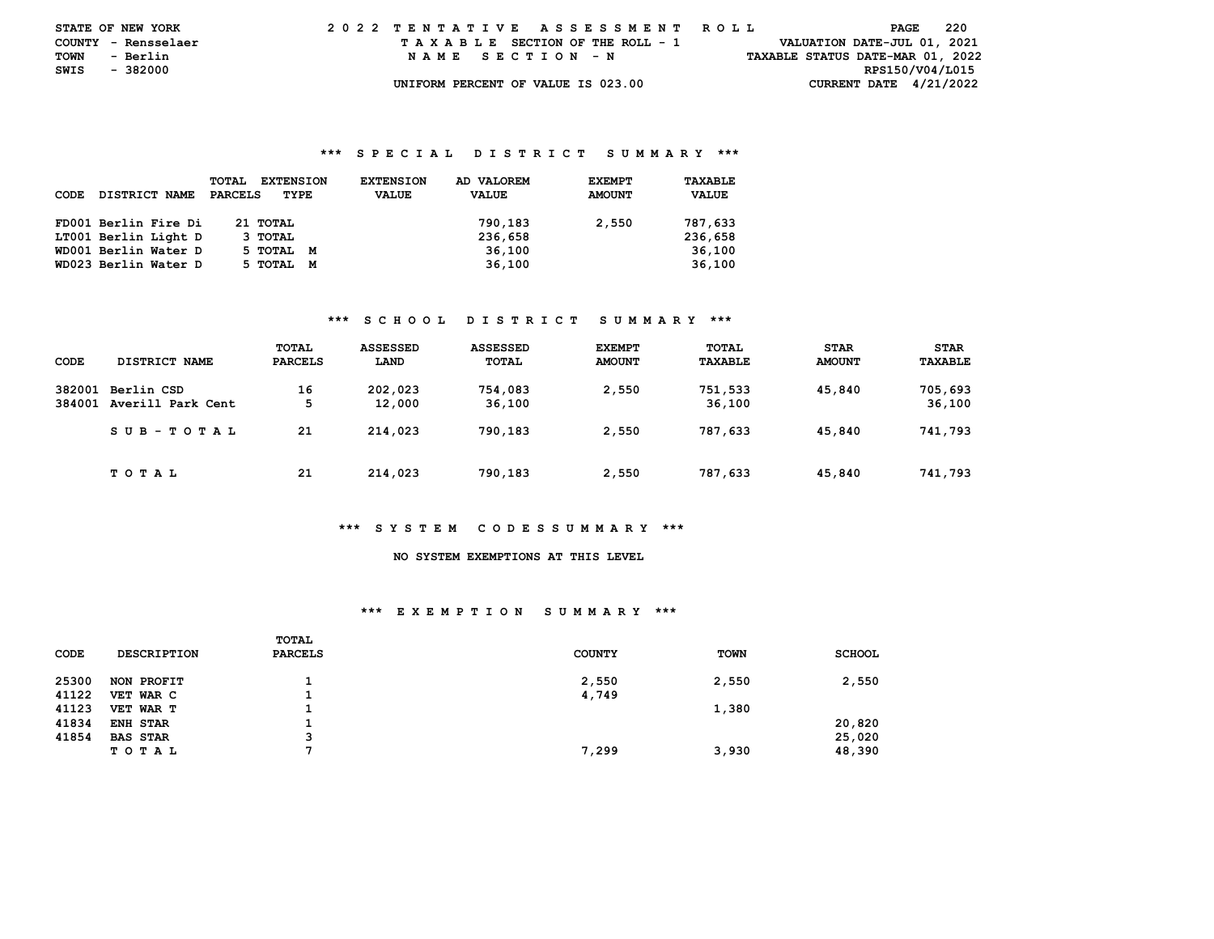| <b>STATE OF NEW YORK</b> |          |          | 2022 TENTATIVE ASSESSMENT ROLL |  |  |  |  |                                    |  |  |  |  |  |  |  |  |                                  | PAGE | - 220 |  |
|--------------------------|----------|----------|--------------------------------|--|--|--|--|------------------------------------|--|--|--|--|--|--|--|--|----------------------------------|------|-------|--|
| COUNTY - Rensselaer      |          |          |                                |  |  |  |  | TAXABLE SECTION OF THE ROLL - 1    |  |  |  |  |  |  |  |  | VALUATION DATE-JUL 01, 2021      |      |       |  |
| TOWN                     | - Berlin |          |                                |  |  |  |  | NAME SECTION - N                   |  |  |  |  |  |  |  |  | TAXABLE STATUS DATE-MAR 01, 2022 |      |       |  |
| SWIS                     |          | - 382000 |                                |  |  |  |  |                                    |  |  |  |  |  |  |  |  | RPS150/V04/L015                  |      |       |  |
|                          |          |          |                                |  |  |  |  | UNIFORM PERCENT OF VALUE IS 023.00 |  |  |  |  |  |  |  |  | CURRENT DATE $4/21/2022$         |      |       |  |

| CODE | DISTRICT NAME        | <b>EXTENSION</b><br><b>TOTAL</b><br>PARCELS<br>TYPE | <b>EXTENSION</b><br><b>VALUE</b> | AD VALOREM<br><b>VALUE</b> | <b>EXEMPT</b><br><b>AMOUNT</b> | TAXABLE<br><b>VALUE</b> |
|------|----------------------|-----------------------------------------------------|----------------------------------|----------------------------|--------------------------------|-------------------------|
|      | FD001 Berlin Fire Di | 21 TOTAL                                            |                                  | 790,183                    | 2,550                          | 787,633                 |
|      | LT001 Berlin Light D | 3 TOTAL                                             |                                  | 236,658                    |                                | 236,658                 |
|      | WD001 Berlin Water D | 5 тотаг<br>M                                        |                                  | 36,100                     |                                | 36,100                  |
|      | WD023 Berlin Water D | 5 ТОТАL<br>м                                        |                                  | 36,100                     |                                | 36,100                  |

## **\*\*\* S C H O O L D I S T R I C T S U M M A R Y \*\*\***

| CODE             | DISTRICT NAME                   | TOTAL<br><b>PARCELS</b> | <b>ASSESSED</b><br>LAND | <b>ASSESSED</b><br>TOTAL | <b>EXEMPT</b><br><b>AMOUNT</b> | TOTAL<br><b>TAXABLE</b> | <b>STAR</b><br><b>AMOUNT</b> | <b>STAR</b><br>TAXABLE |
|------------------|---------------------------------|-------------------------|-------------------------|--------------------------|--------------------------------|-------------------------|------------------------------|------------------------|
| 382001<br>384001 | Berlin CSD<br>Averill Park Cent | 16<br>-5                | 202,023<br>12,000       | 754,083<br>36,100        | 2,550                          | 751,533<br>36,100       | 45,840                       | 705,693<br>36,100      |
|                  | SUB-TOTAL                       | 21                      | 214,023                 | 790,183                  | 2,550                          | 787.633                 | 45,840                       | 741,793                |
|                  | T O T A L                       | 21                      | 214,023                 | 790,183                  | 2,550                          | 787,633                 | 45,840                       | 741,793                |

#### **\*\*\* S Y S T E M C O D E S S U M M A R Y \*\*\***

## **NO SYSTEM EXEMPTIONS AT THIS LEVEL**

#### **\*\*\* E X E M P T I O N S U M M A R Y \*\*\***

|       |                    | TOTAL          |               |             |               |
|-------|--------------------|----------------|---------------|-------------|---------------|
| CODE  | <b>DESCRIPTION</b> | <b>PARCELS</b> | <b>COUNTY</b> | <b>TOWN</b> | <b>SCHOOL</b> |
| 25300 | NON PROFIT         |                | 2,550         | 2,550       | 2,550         |
| 41122 | VET WAR C          |                | 4,749         |             |               |
| 41123 | VET WAR T          |                |               | 1,380       |               |
| 41834 | ENH STAR           |                |               |             | 20,820        |
| 41854 | <b>BAS STAR</b>    | 3              |               |             | 25,020        |
|       | TOTAL              | .,             | 7,299         | 3,930       | 48,390        |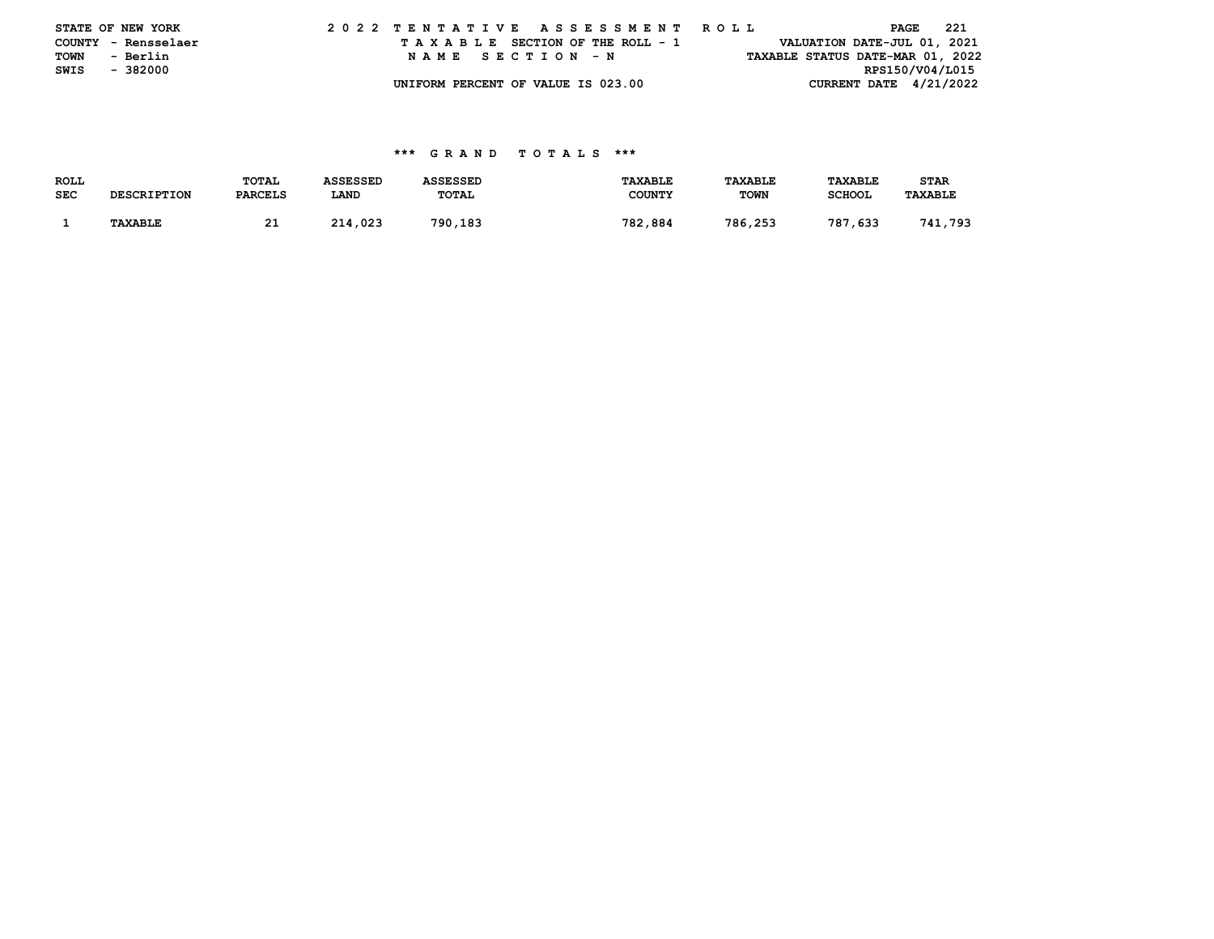|      | STATE OF NEW YORK   |  |  |  |  |  | 2022 TENTATIVE ASSESSMENT ROLL     |  |  |  |  |  |  |  | PAGE            | - 221                            |
|------|---------------------|--|--|--|--|--|------------------------------------|--|--|--|--|--|--|--|-----------------|----------------------------------|
|      | COUNTY - Rensselaer |  |  |  |  |  | TAXABLE SECTION OF THE ROLL - 1    |  |  |  |  |  |  |  |                 | VALUATION DATE-JUL 01, 2021      |
| TOWN | - Berlin            |  |  |  |  |  | NAME SECTION - N                   |  |  |  |  |  |  |  |                 | TAXABLE STATUS DATE-MAR 01, 2022 |
| SWIS | - 382000            |  |  |  |  |  |                                    |  |  |  |  |  |  |  | RPS150/V04/L015 |                                  |
|      |                     |  |  |  |  |  | UNIFORM PERCENT OF VALUE IS 023.00 |  |  |  |  |  |  |  |                 | CURRENT DATE $4/21/2022$         |

| <b>ROLL</b> |                    | TOTAL          | <b>ASSESSED</b> | <b>ASSESSED</b> | <b>TAXABLE</b> | TAXABLE     | <b>TAXABLE</b> | <b>STAR</b>    |
|-------------|--------------------|----------------|-----------------|-----------------|----------------|-------------|----------------|----------------|
| <b>SEC</b>  | <b>DESCRIPTION</b> | <b>PARCELS</b> | LAND            | TOTAL           | <b>COUNTY</b>  | <b>TOWN</b> | <b>SCHOOL</b>  | <b>TAXABLE</b> |
|             |                    |                |                 |                 |                |             |                |                |
|             | <b>TAXABLE</b>     | 21             | 214,023         | 790,183         | 782,884        | 786,253     | 787,633        | 741,793        |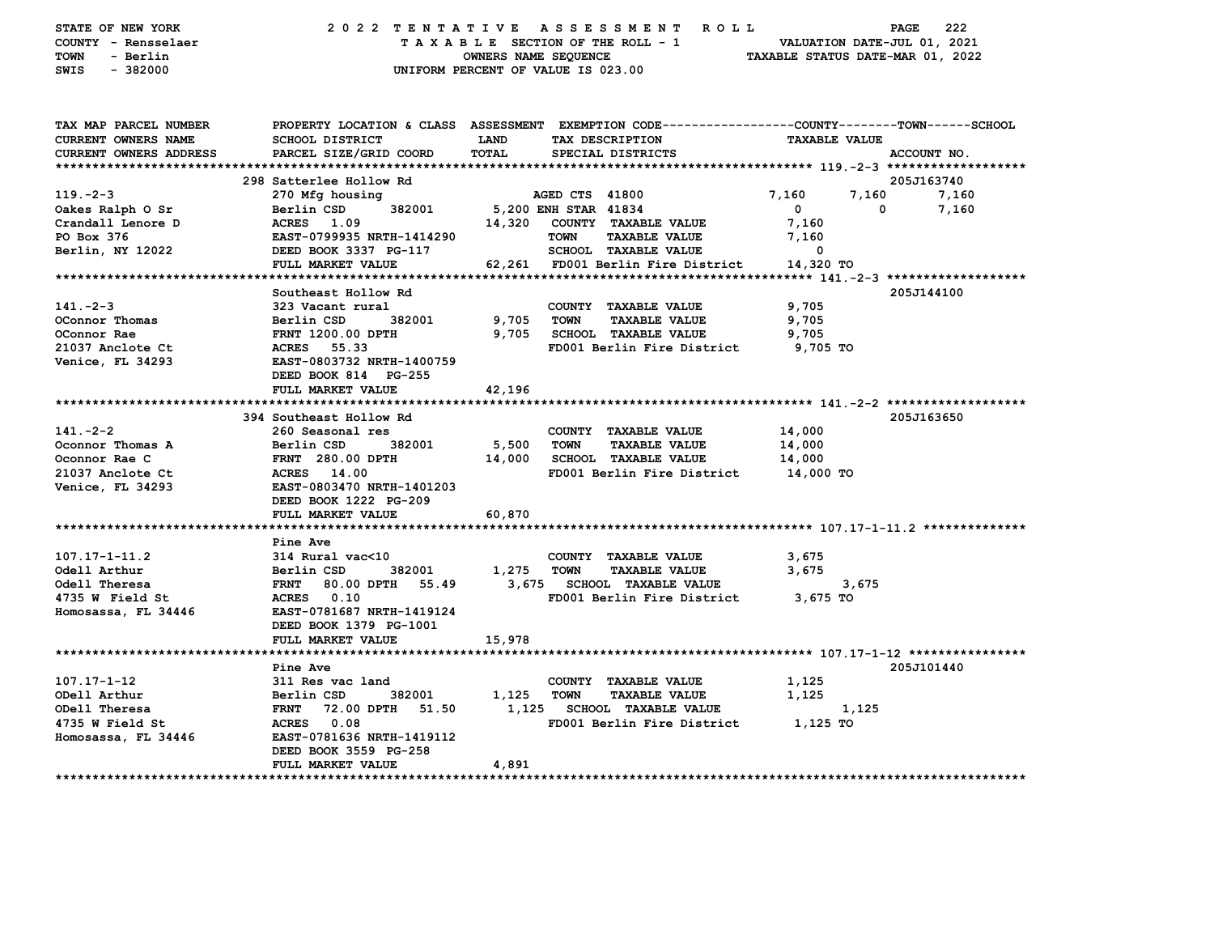| STATE OF NEW YORK<br>COUNTY - Rensselaer<br>- Berlin<br>TOWN<br>$-382000$<br>SWIS |                                            | OWNERS NAME SEQUENCE | 2022 TENTATIVE ASSESSMENT ROLL<br>TAXABLE SECTION OF THE ROLL - 1<br>UNIFORM PERCENT OF VALUE IS 023.00 | VALUATION DATE-JUL 01, 2021<br>TAXABLE STATUS DATE-MAR 01, 2022 | 222<br>PAGE                       |
|-----------------------------------------------------------------------------------|--------------------------------------------|----------------------|---------------------------------------------------------------------------------------------------------|-----------------------------------------------------------------|-----------------------------------|
| TAX MAP PARCEL NUMBER                                                             |                                            |                      | PROPERTY LOCATION & CLASS ASSESSMENT EXEMPTION CODE--------------COUNTY-------TOWN------SCHOOL          |                                                                 |                                   |
| CURRENT OWNERS NAME                                                               | <b>SCHOOL DISTRICT</b>                     | LAND                 | TAX DESCRIPTION                                                                                         | <b>TAXABLE VALUE</b>                                            |                                   |
| CURRENT OWNERS ADDRESS                                                            | PARCEL SIZE/GRID COORD                     | <b>TOTAL</b>         | SPECIAL DISTRICTS                                                                                       |                                                                 | ACCOUNT NO.                       |
|                                                                                   |                                            |                      |                                                                                                         |                                                                 |                                   |
| $119. -2 - 3$                                                                     | 298 Satterlee Hollow Rd<br>270 Mfg housing |                      | AGED CTS 41800                                                                                          | 7,160<br>7,160                                                  | 205J163740<br>7,160               |
| Oakes Ralph O Sr                                                                  | Berlin CSD<br>382001                       |                      | 5,200 ENH STAR 41834                                                                                    | $\mathbf 0$                                                     | 7,160<br>0                        |
| Crandall Lenore D                                                                 | ACRES 1.09                                 | 14,320               | COUNTY TAXABLE VALUE                                                                                    | 7,160                                                           |                                   |
| PO Box 376                                                                        | EAST-0799935 NRTH-1414290                  |                      | <b>TAXABLE VALUE</b><br><b>TOWN</b>                                                                     | 7,160                                                           |                                   |
| Berlin, NY 12022                                                                  | DEED BOOK 3337 PG-117                      |                      | SCHOOL TAXABLE VALUE                                                                                    | 0                                                               |                                   |
|                                                                                   | FULL MARKET VALUE                          |                      | 62,261 FD001 Berlin Fire District                                                                       | 14,320 TO                                                       |                                   |
|                                                                                   |                                            |                      |                                                                                                         |                                                                 |                                   |
|                                                                                   | Southeast Hollow Rd                        |                      |                                                                                                         |                                                                 | 205J144100                        |
| $141. -2 - 3$                                                                     | 323 Vacant rural                           |                      | COUNTY TAXABLE VALUE                                                                                    | 9,705                                                           |                                   |
| OConnor Thomas                                                                    | Berlin CSD<br>382001                       | 9,705                | <b>TOWN</b><br><b>TAXABLE VALUE</b>                                                                     | 9,705                                                           |                                   |
| OConnor Rae                                                                       | <b>FRNT 1200.00 DPTH</b>                   | 9,705                | <b>SCHOOL TAXABLE VALUE</b>                                                                             | 9,705                                                           |                                   |
| 21037 Anclote Ct                                                                  | ACRES 55.33                                |                      | FD001 Berlin Fire District                                                                              | 9,705 TO                                                        |                                   |
| Venice, FL 34293                                                                  | EAST-0803732 NRTH-1400759                  |                      |                                                                                                         |                                                                 |                                   |
|                                                                                   | DEED BOOK 814 PG-255<br>FULL MARKET VALUE  | 42,196               |                                                                                                         |                                                                 |                                   |
|                                                                                   |                                            |                      |                                                                                                         |                                                                 |                                   |
|                                                                                   | 394 Southeast Hollow Rd                    |                      |                                                                                                         |                                                                 | 205J163650                        |
| $141. -2 - 2$                                                                     | 260 Seasonal res                           |                      | COUNTY TAXABLE VALUE                                                                                    | 14,000                                                          |                                   |
| Oconnor Thomas A                                                                  | Berlin CSD<br>382001                       | 5,500                | TOWN<br><b>TAXABLE VALUE</b>                                                                            | 14,000                                                          |                                   |
| Oconnor Rae C                                                                     | FRNT 280.00 DPTH                           | 14,000               | <b>SCHOOL TAXABLE VALUE</b>                                                                             | 14,000                                                          |                                   |
| 21037 Anclote Ct                                                                  | ACRES 14.00                                |                      | FD001 Berlin Fire District                                                                              | 14,000 TO                                                       |                                   |
| Venice, FL 34293                                                                  | EAST-0803470 NRTH-1401203                  |                      |                                                                                                         |                                                                 |                                   |
|                                                                                   | DEED BOOK 1222 PG-209                      |                      |                                                                                                         |                                                                 |                                   |
|                                                                                   | FULL MARKET VALUE                          | 60,870               |                                                                                                         |                                                                 |                                   |
|                                                                                   |                                            |                      |                                                                                                         |                                                                 |                                   |
|                                                                                   | Pine Ave                                   |                      |                                                                                                         |                                                                 |                                   |
| $107.17 - 1 - 11.2$                                                               | 314 Rural vac<10                           |                      | COUNTY TAXABLE VALUE                                                                                    | 3,675                                                           |                                   |
| Odell Arthur                                                                      | Berlin CSD<br>382001                       | 1,275                | <b>TOWN</b><br><b>TAXABLE VALUE</b>                                                                     | 3,675                                                           |                                   |
| Odell Theresa                                                                     | FRNT 80.00 DPTH 55.49<br>ACRES 0.10        |                      | 3,675 SCHOOL TAXABLE VALUE                                                                              | 3,675                                                           |                                   |
| 4735 W Field St<br>Homosassa, FL 34446                                            | EAST-0781687 NRTH-1419124                  |                      | FD001 Berlin Fire District                                                                              | 3,675 TO                                                        |                                   |
|                                                                                   | DEED BOOK 1379 PG-1001                     |                      |                                                                                                         |                                                                 |                                   |
|                                                                                   | FULL MARKET VALUE                          | 15,978               |                                                                                                         |                                                                 |                                   |
|                                                                                   |                                            |                      |                                                                                                         |                                                                 |                                   |
|                                                                                   | Pine Ave                                   |                      |                                                                                                         |                                                                 | 205J101440                        |
| 107.17-1-12                                                                       | 311 Res vac land                           |                      | COUNTY TAXABLE VALUE                                                                                    | 1,125                                                           |                                   |
| ODell Arthur                                                                      | Berlin CSD<br>382001                       | 1,125                | TOWN<br><b>TAXABLE VALUE</b>                                                                            | 1,125                                                           |                                   |
| ODell Theresa                                                                     | <b>FRNT 72.00 DPTH</b><br>51.50            |                      | 1,125 SCHOOL TAXABLE VALUE                                                                              | 1,125                                                           |                                   |
| 4735 W Field St                                                                   | ACRES 0.08                                 |                      | FD001 Berlin Fire District                                                                              | 1,125 TO                                                        |                                   |
| Homosassa, FL 34446                                                               | EAST-0781636 NRTH-1419112                  |                      |                                                                                                         |                                                                 |                                   |
|                                                                                   | DEED BOOK 3559 PG-258                      |                      |                                                                                                         |                                                                 |                                   |
| ********************                                                              | FULL MARKET VALUE                          | 4,891                |                                                                                                         |                                                                 | ********************************* |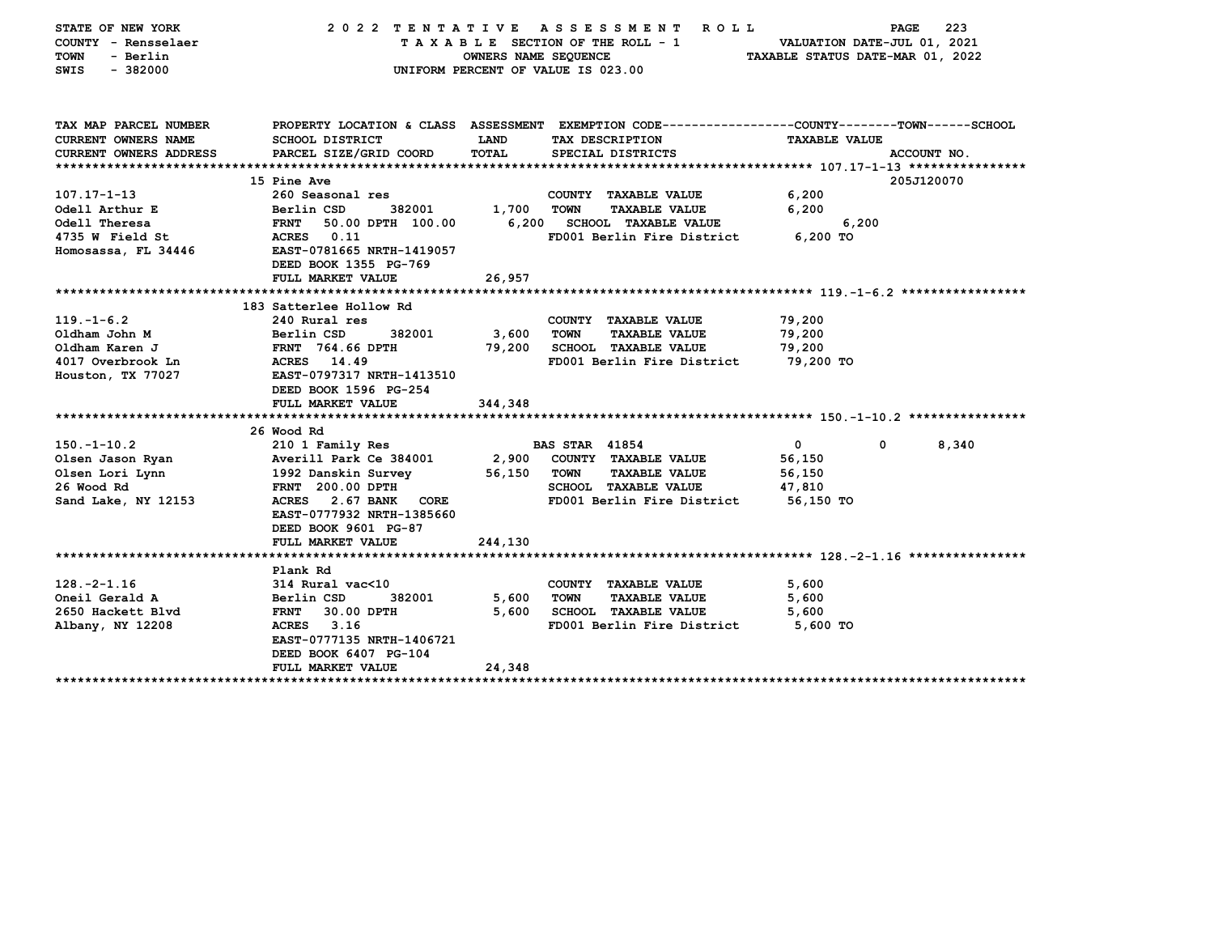| STATE OF NEW YORK<br>COUNTY - Rensselaer<br>- Berlin<br>TOWN<br>$-382000$<br><b>SWIS</b>                          | 2022 TENTATIVE                                                                                                                                                                                                             | OWNERS NAME SEQUENCE       | <b>ASSESSMENT</b><br><b>ROLL</b><br>TAXABLE SECTION OF THE ROLL - 1<br>UNIFORM PERCENT OF VALUE IS 023.00                                         | VALUATION DATE-JUL 01, 2021<br>TAXABLE STATUS DATE-MAR 01, 2022 | 223<br>PAGE |
|-------------------------------------------------------------------------------------------------------------------|----------------------------------------------------------------------------------------------------------------------------------------------------------------------------------------------------------------------------|----------------------------|---------------------------------------------------------------------------------------------------------------------------------------------------|-----------------------------------------------------------------|-------------|
| TAX MAP PARCEL NUMBER<br>CURRENT OWNERS NAME                                                                      | <b>SCHOOL DISTRICT</b>                                                                                                                                                                                                     | LAND                       | PROPERTY LOCATION & CLASS ASSESSMENT EXEMPTION CODE--------------COUNTY-------TOWN------SCHOOL<br>TAX DESCRIPTION                                 | <b>TAXABLE VALUE</b>                                            |             |
| CURRENT OWNERS ADDRESS                                                                                            | PARCEL SIZE/GRID COORD                                                                                                                                                                                                     | <b>TOTAL</b>               | SPECIAL DISTRICTS                                                                                                                                 |                                                                 | ACCOUNT NO. |
|                                                                                                                   | 15 Pine Ave                                                                                                                                                                                                                |                            |                                                                                                                                                   |                                                                 | 205J120070  |
| $107.17 - 1 - 13$<br>Odell Arthur E<br>Odell Theresa<br>4735 W Field St<br>Homosassa, FL 34446                    | 260 Seasonal res<br>Berlin CSD<br>382001<br><b>FRNT</b><br>50.00 DPTH 100.00<br>0.11<br>ACRES<br>EAST-0781665 NRTH-1419057<br>DEED BOOK 1355 PG-769                                                                        | 1,700<br>6,200             | COUNTY TAXABLE VALUE<br><b>TOWN</b><br><b>TAXABLE VALUE</b><br><b>SCHOOL TAXABLE VALUE</b><br>FD001 Berlin Fire District                          | 6,200<br>6,200<br>6,200<br>6,200 TO                             |             |
|                                                                                                                   | FULL MARKET VALUE                                                                                                                                                                                                          | 26,957                     |                                                                                                                                                   |                                                                 |             |
|                                                                                                                   |                                                                                                                                                                                                                            |                            |                                                                                                                                                   |                                                                 |             |
| $119. -1 - 6.2$<br>Oldham John M<br>Oldham Karen J<br>4017 Overbrook Ln<br>Houston, TX 77027<br>$150. - 1 - 10.2$ | 183 Satterlee Hollow Rd<br>240 Rural res<br>Berlin CSD<br>382001<br><b>FRNT 764.66 DPTH</b><br>ACRES<br>14.49<br>EAST-0797317 NRTH-1413510<br>DEED BOOK 1596 PG-254<br>FULL MARKET VALUE<br>26 Wood Rd<br>210 1 Family Res | 3,600<br>79,200<br>344,348 | COUNTY TAXABLE VALUE<br><b>TOWN</b><br><b>TAXABLE VALUE</b><br><b>SCHOOL TAXABLE VALUE</b><br>FD001 Berlin Fire District<br><b>BAS STAR 41854</b> | 79,200<br>79,200<br>79,200<br>79,200 TO<br>0<br>0               | 8,340       |
| Olsen Jason Ryan<br>Olsen Lori Lynn<br>26 Wood Rd<br>Sand Lake, NY 12153                                          | Averill Park Ce 384001<br>1992 Danskin Survey<br>FRNT 200.00 DPTH<br>ACRES 2.67 BANK<br>CORE<br>EAST-0777932 NRTH-1385660<br>DEED BOOK 9601 PG-87<br>FULL MARKET VALUE                                                     | 2,900<br>56,150<br>244,130 | COUNTY TAXABLE VALUE<br><b>TOWN</b><br><b>TAXABLE VALUE</b><br><b>SCHOOL TAXABLE VALUE</b><br>FD001 Berlin Fire District                          | 56,150<br>56,150<br>47,810<br>56,150 TO                         |             |
| $128. -2 - 1.16$<br>Oneil Gerald A<br>2650 Hackett Blvd<br>Albany, NY 12208                                       | Plank Rd<br>314 Rural vac<10<br>Berlin CSD<br>382001<br><b>FRNT</b><br>30.00 DPTH<br>ACRES 3.16<br>EAST-0777135 NRTH-1406721<br>DEED BOOK 6407 PG-104<br>FULL MARKET VALUE                                                 | 5,600<br>5,600<br>24,348   | COUNTY TAXABLE VALUE<br><b>TOWN</b><br><b>TAXABLE VALUE</b><br>SCHOOL TAXABLE VALUE<br>FD001 Berlin Fire District                                 | 5,600<br>5,600<br>5,600<br>5,600 TO                             |             |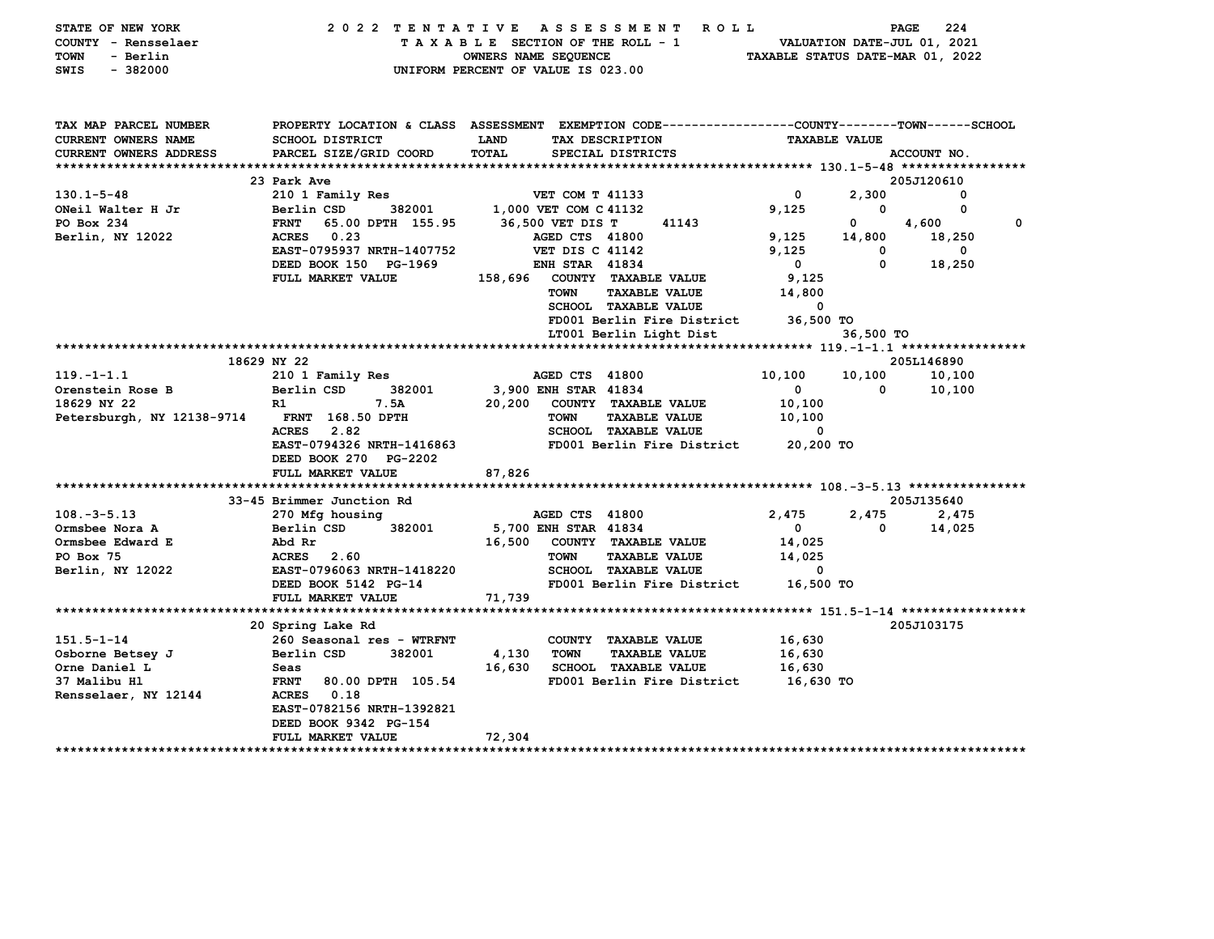| STATE OF NEW YORK<br>COUNTY - Rensselaer<br>TOWN<br>- Berlin<br>SWIS<br>$-382000$ | 2022 TENTATIVE                                     | A S S E S S M E N T<br>R O L L<br>TAXABLE SECTION OF THE ROLL - 1<br>OWNERS NAME SEQUENCE<br>UNIFORM PERCENT OF VALUE IS 023.00  |                       |                      | 224<br>PAGE<br>VALUATION DATE-JUL 01, 2021<br>TAXABLE STATUS DATE-MAR 01, 2022 |             |
|-----------------------------------------------------------------------------------|----------------------------------------------------|----------------------------------------------------------------------------------------------------------------------------------|-----------------------|----------------------|--------------------------------------------------------------------------------|-------------|
| TAX MAP PARCEL NUMBER<br>CURRENT OWNERS NAME                                      | <b>SCHOOL DISTRICT</b>                             | PROPERTY LOCATION & CLASS ASSESSMENT EXEMPTION CODE---------------COUNTY-------TOWN-----SCHOOL<br>TAX DESCRIPTION<br><b>LAND</b> |                       | <b>TAXABLE VALUE</b> |                                                                                |             |
| CURRENT OWNERS ADDRESS                                                            | PARCEL SIZE/GRID COORD                             | <b>TOTAL</b><br>SPECIAL DISTRICTS                                                                                                |                       |                      | ACCOUNT NO.                                                                    |             |
|                                                                                   |                                                    |                                                                                                                                  |                       |                      |                                                                                |             |
|                                                                                   | 23 Park Ave                                        |                                                                                                                                  |                       |                      | 205J120610                                                                     |             |
| $130.1 - 5 - 48$                                                                  | 210 1 Family Res                                   | VET COM T 41133                                                                                                                  | $\mathbf{o}$          | 2,300                | 0                                                                              |             |
| ONeil Walter H Jr                                                                 | 382001<br>Berlin CSD                               | 1,000 VET COM C 41132                                                                                                            | 9,125                 | 0                    | 0                                                                              |             |
| PO Box 234                                                                        | 65.00 DPTH 155.95<br><b>FRNT</b>                   | 36,500 VET DIS T<br>41143                                                                                                        |                       | 0                    | 4,600                                                                          | $\mathbf 0$ |
| Berlin, NY 12022                                                                  | <b>ACRES</b><br>0.23                               | AGED CTS 41800                                                                                                                   | 9,125                 | 14,800               | 18,250                                                                         |             |
|                                                                                   | EAST-0795937 NRTH-1407752<br>DEED BOOK 150 PG-1969 | VET DIS C 41142<br><b>ENH STAR 41834</b>                                                                                         | 9,125<br>$\mathbf{0}$ | 0<br>$\mathbf{0}$    | 0<br>18,250                                                                    |             |
|                                                                                   | FULL MARKET VALUE                                  | 158,696<br>COUNTY TAXABLE VALUE                                                                                                  | 9,125                 |                      |                                                                                |             |
|                                                                                   |                                                    | <b>TOWN</b><br><b>TAXABLE VALUE</b>                                                                                              | 14,800                |                      |                                                                                |             |
|                                                                                   |                                                    | <b>SCHOOL TAXABLE VALUE</b>                                                                                                      | $\Omega$              |                      |                                                                                |             |
|                                                                                   |                                                    | FD001 Berlin Fire District                                                                                                       | 36,500 TO             |                      |                                                                                |             |
|                                                                                   |                                                    | LT001 Berlin Light Dist                                                                                                          |                       | 36,500 TO            |                                                                                |             |
|                                                                                   |                                                    |                                                                                                                                  |                       |                      |                                                                                |             |
|                                                                                   | 18629 NY 22                                        |                                                                                                                                  |                       |                      | 205L146890                                                                     |             |
| $119. - 1 - 1.1$                                                                  | 210 1 Family Res                                   | AGED CTS 41800                                                                                                                   | 10,100                | 10,100               | 10,100                                                                         |             |
| Orenstein Rose B                                                                  | Berlin CSD<br>382001                               | 3,900 ENH STAR 41834                                                                                                             | $\mathbf{0}$          | 0                    | 10,100                                                                         |             |
| 18629 NY 22                                                                       | R1<br>7.5A<br><b>FRNT</b> 168.50 DPTH              | 20,200<br>COUNTY TAXABLE VALUE<br><b>TOWN</b><br><b>TAXABLE VALUE</b>                                                            | 10,100                |                      |                                                                                |             |
| Petersburgh, NY 12138-9714                                                        | 2.82<br>ACRES                                      | <b>SCHOOL TAXABLE VALUE</b>                                                                                                      | 10,100<br>0           |                      |                                                                                |             |
|                                                                                   | EAST-0794326 NRTH-1416863                          | FD001 Berlin Fire District                                                                                                       | 20,200 TO             |                      |                                                                                |             |
|                                                                                   | DEED BOOK 270 PG-2202                              |                                                                                                                                  |                       |                      |                                                                                |             |
|                                                                                   | FULL MARKET VALUE                                  | 87,826                                                                                                                           |                       |                      |                                                                                |             |
|                                                                                   |                                                    |                                                                                                                                  |                       |                      |                                                                                |             |
|                                                                                   | 33-45 Brimmer Junction Rd                          |                                                                                                                                  |                       |                      | 205J135640                                                                     |             |
| $108. - 3 - 5.13$                                                                 | 270 Mfg housing                                    | AGED CTS 41800                                                                                                                   | 2,475                 | 2,475                | 2,475                                                                          |             |
| Ormsbee Nora A                                                                    | 382001<br>Berlin CSD                               | 5,700 ENH STAR 41834                                                                                                             | $\mathbf{0}$          | 0                    | 14,025                                                                         |             |
| Ormsbee Edward E                                                                  | Abd Rr                                             | 16,500<br>COUNTY TAXABLE VALUE                                                                                                   | 14,025                |                      |                                                                                |             |
| PO Box 75                                                                         | ACRES 2.60<br>EAST-0796063 NRTH-1418220            | <b>TOWN</b><br><b>TAXABLE VALUE</b><br><b>SCHOOL TAXABLE VALUE</b>                                                               | 14,025<br>0           |                      |                                                                                |             |
| Berlin, NY 12022                                                                  | DEED BOOK 5142 PG-14                               | FD001 Berlin Fire District                                                                                                       | 16,500 TO             |                      |                                                                                |             |
|                                                                                   | FULL MARKET VALUE                                  | 71,739                                                                                                                           |                       |                      |                                                                                |             |
|                                                                                   |                                                    |                                                                                                                                  |                       |                      |                                                                                |             |
|                                                                                   | 20 Spring Lake Rd                                  |                                                                                                                                  |                       |                      | 205J103175                                                                     |             |
| $151.5 - 1 - 14$                                                                  | 260 Seasonal res - WTRFNT                          | COUNTY TAXABLE VALUE                                                                                                             | 16,630                |                      |                                                                                |             |
| Osborne Betsey J                                                                  | 382001<br>Berlin CSD                               | 4,130<br><b>TOWN</b><br><b>TAXABLE VALUE</b>                                                                                     | 16,630                |                      |                                                                                |             |
| Orne Daniel L                                                                     | Seas                                               | 16,630<br><b>SCHOOL TAXABLE VALUE</b>                                                                                            | 16,630                |                      |                                                                                |             |
| 37 Malibu Hl                                                                      | <b>FRNT</b><br>80.00 DPTH 105.54                   | FD001 Berlin Fire District                                                                                                       | 16,630 то             |                      |                                                                                |             |
| Rensselaer, NY 12144                                                              | 0.18<br><b>ACRES</b>                               |                                                                                                                                  |                       |                      |                                                                                |             |
|                                                                                   | EAST-0782156 NRTH-1392821<br>DEED BOOK 9342 PG-154 |                                                                                                                                  |                       |                      |                                                                                |             |
|                                                                                   | <b>FULL MARKET VALUE</b>                           | 72,304                                                                                                                           |                       |                      |                                                                                |             |
|                                                                                   |                                                    |                                                                                                                                  |                       |                      |                                                                                |             |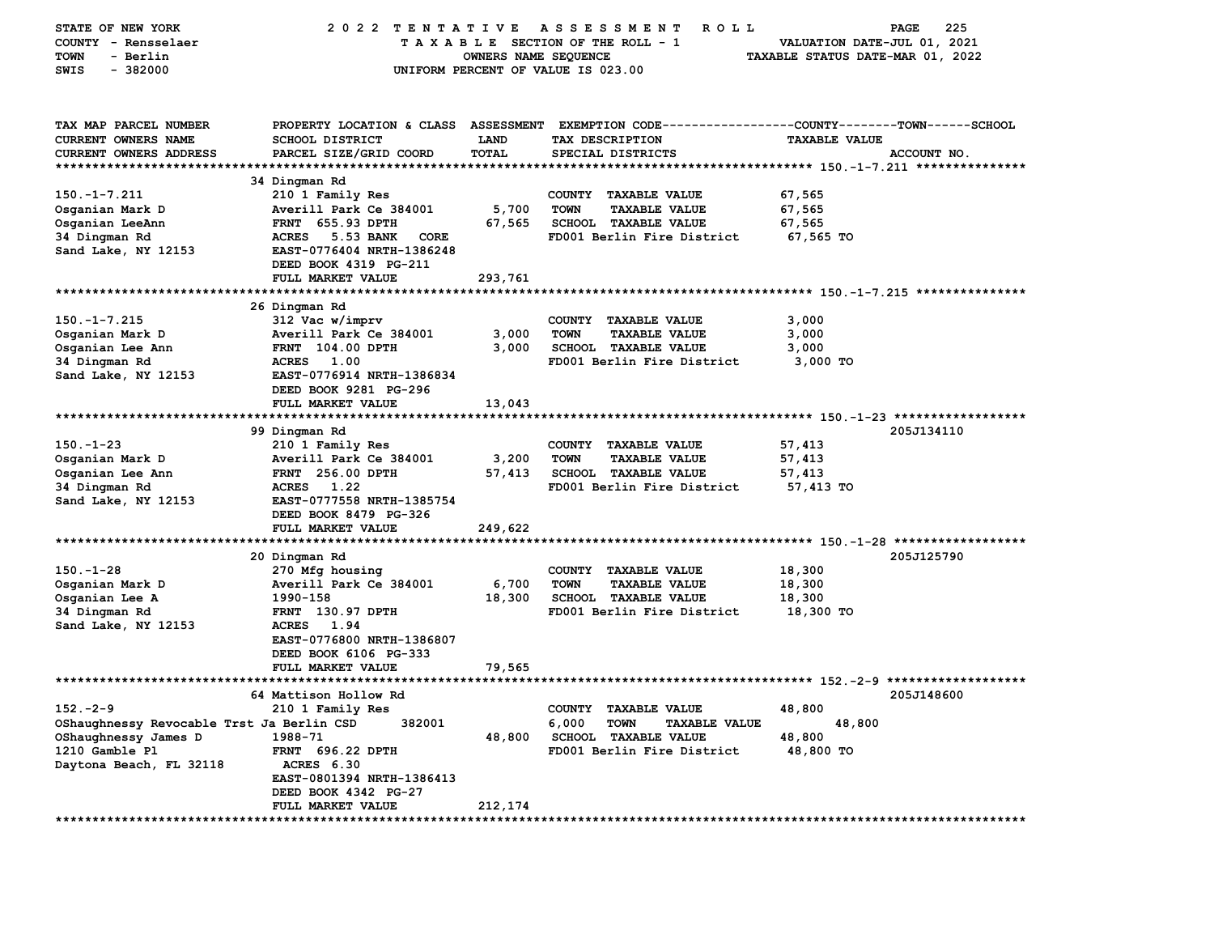| STATE OF NEW YORK                         | 2022 TENTATIVE                                   |                      | A S S E S S M E N T<br><b>ROLL</b>                         |                                  | 225<br>PAGE |
|-------------------------------------------|--------------------------------------------------|----------------------|------------------------------------------------------------|----------------------------------|-------------|
| COUNTY - Rensselaer                       |                                                  |                      | TAXABLE SECTION OF THE ROLL - 1                            | VALUATION DATE-JUL 01, 2021      |             |
| - Berlin<br><b>TOWN</b>                   |                                                  | OWNERS NAME SEQUENCE |                                                            | TAXABLE STATUS DATE-MAR 01, 2022 |             |
| <b>SWIS</b><br>$-382000$                  |                                                  |                      | UNIFORM PERCENT OF VALUE IS 023.00                         |                                  |             |
|                                           |                                                  |                      |                                                            |                                  |             |
| TAX MAP PARCEL NUMBER                     | PROPERTY LOCATION & CLASS ASSESSMENT             |                      | EXEMPTION CODE----------------COUNTY-------TOWN-----SCHOOL |                                  |             |
| <b>CURRENT OWNERS NAME</b>                | <b>SCHOOL DISTRICT</b>                           | <b>LAND</b>          | TAX DESCRIPTION                                            | <b>TAXABLE VALUE</b>             |             |
| <b>CURRENT OWNERS ADDRESS</b>             | PARCEL SIZE/GRID COORD                           | TOTAL                | SPECIAL DISTRICTS                                          |                                  | ACCOUNT NO. |
| ***********************                   |                                                  |                      |                                                            |                                  |             |
|                                           | 34 Dingman Rd                                    |                      |                                                            |                                  |             |
| $150. -1 - 7.211$                         | 210 1 Family Res                                 |                      | COUNTY TAXABLE VALUE                                       | 67,565                           |             |
| Osganian Mark D                           | Averill Park Ce 384001                           | 5,700                | <b>TOWN</b><br><b>TAXABLE VALUE</b>                        | 67,565                           |             |
| Osganian LeeAnn                           | FRNT 655.93 DPTH                                 | 67,565               | SCHOOL TAXABLE VALUE                                       | 67,565                           |             |
| 34 Dingman Rd                             | <b>ACRES</b><br>5.53 BANK<br>CORE                |                      | FD001 Berlin Fire District                                 | 67,565 TO                        |             |
| Sand Lake, NY 12153                       | EAST-0776404 NRTH-1386248                        |                      |                                                            |                                  |             |
|                                           | DEED BOOK 4319 PG-211<br>FULL MARKET VALUE       | 293,761              |                                                            |                                  |             |
|                                           |                                                  |                      |                                                            |                                  |             |
|                                           | 26 Dingman Rd                                    |                      |                                                            |                                  |             |
| $150. -1 - 7.215$                         | 312 Vac w/imprv                                  |                      | COUNTY TAXABLE VALUE                                       | 3,000                            |             |
| Osganian Mark D                           | Averill Park Ce 384001                           | 3,000                | <b>TOWN</b><br><b>TAXABLE VALUE</b>                        | 3,000                            |             |
| Osganian Lee Ann                          | <b>FRNT</b> 104.00 DPTH                          | 3,000                | <b>SCHOOL TAXABLE VALUE</b>                                | 3,000                            |             |
| 34 Dingman Rd                             | 1.00<br><b>ACRES</b>                             |                      | FD001 Berlin Fire District                                 | 3,000 TO                         |             |
| Sand Lake, NY 12153                       | EAST-0776914 NRTH-1386834                        |                      |                                                            |                                  |             |
|                                           | DEED BOOK 9281 PG-296                            |                      |                                                            |                                  |             |
|                                           | FULL MARKET VALUE                                | 13,043               |                                                            |                                  |             |
|                                           | ************************                         |                      |                                                            |                                  |             |
|                                           | 99 Dingman Rd                                    |                      |                                                            |                                  | 205J134110  |
| $150 - 1 - 23$                            | 210 1 Family Res                                 |                      | <b>COUNTY</b><br><b>TAXABLE VALUE</b>                      | 57,413                           |             |
| Osganian Mark D                           | Averill Park Ce 384001                           | 3,200                | <b>TOWN</b><br><b>TAXABLE VALUE</b>                        | 57,413                           |             |
| Osganian Lee Ann                          | <b>FRNT</b> 256.00 DPTH                          | 57,413               | SCHOOL TAXABLE VALUE                                       | 57,413                           |             |
| 34 Dingman Rd                             | ACRES 1.22                                       |                      | FD001 Berlin Fire District                                 | 57,413 TO                        |             |
| Sand Lake, NY 12153                       | EAST-0777558 NRTH-1385754                        |                      |                                                            |                                  |             |
|                                           | DEED BOOK 8479 PG-326<br>FULL MARKET VALUE       |                      |                                                            |                                  |             |
|                                           | ******************                               | 249,622              |                                                            |                                  |             |
|                                           | 20 Dingman Rd                                    |                      |                                                            |                                  | 205J125790  |
| $150. - 1 - 28$                           | 270 Mfg housing                                  |                      | COUNTY TAXABLE VALUE                                       | 18,300                           |             |
| Osganian Mark D                           | Averill Park Ce 384001                           | 6,700                | <b>TOWN</b><br><b>TAXABLE VALUE</b>                        | 18,300                           |             |
| Osganian Lee A                            | 1990-158                                         | 18,300               | <b>SCHOOL TAXABLE VALUE</b>                                | 18,300                           |             |
| 34 Dingman Rd                             | FRNT 130.97 DPTH                                 |                      | FD001 Berlin Fire District                                 | 18,300 TO                        |             |
| Sand Lake, NY 12153                       | <b>ACRES</b><br>1.94                             |                      |                                                            |                                  |             |
|                                           | EAST-0776800 NRTH-1386807                        |                      |                                                            |                                  |             |
|                                           | DEED BOOK 6106 PG-333                            |                      |                                                            |                                  |             |
|                                           | FULL MARKET VALUE                                | 79,565               |                                                            |                                  |             |
| *****************************             |                                                  |                      |                                                            |                                  |             |
|                                           | 64 Mattison Hollow Rd                            |                      |                                                            |                                  | 205J148600  |
| $152 - 2 - 9$                             | 210 1 Family Res                                 |                      | COUNTY TAXABLE VALUE                                       | 48,800                           |             |
| OShaughnessy Revocable Trst Ja Berlin CSD | 382001                                           |                      | 6,000<br><b>TOWN</b><br><b>TAXABLE VALUE</b>               | 48,800                           |             |
| OShaughnessy James D                      | 1988-71                                          | 48,800               | SCHOOL TAXABLE VALUE                                       | 48,800                           |             |
| 1210 Gamble Pl                            | <b>FRNT 696.22 DPTH</b>                          |                      | FD001 Berlin Fire District                                 | 48,800 TO                        |             |
| Daytona Beach, FL 32118                   | ACRES 6.30                                       |                      |                                                            |                                  |             |
|                                           | EAST-0801394 NRTH-1386413                        |                      |                                                            |                                  |             |
|                                           | DEED BOOK 4342 PG-27<br><b>FULL MARKET VALUE</b> | 212,174              |                                                            |                                  |             |
|                                           |                                                  |                      |                                                            |                                  |             |
|                                           |                                                  |                      |                                                            |                                  |             |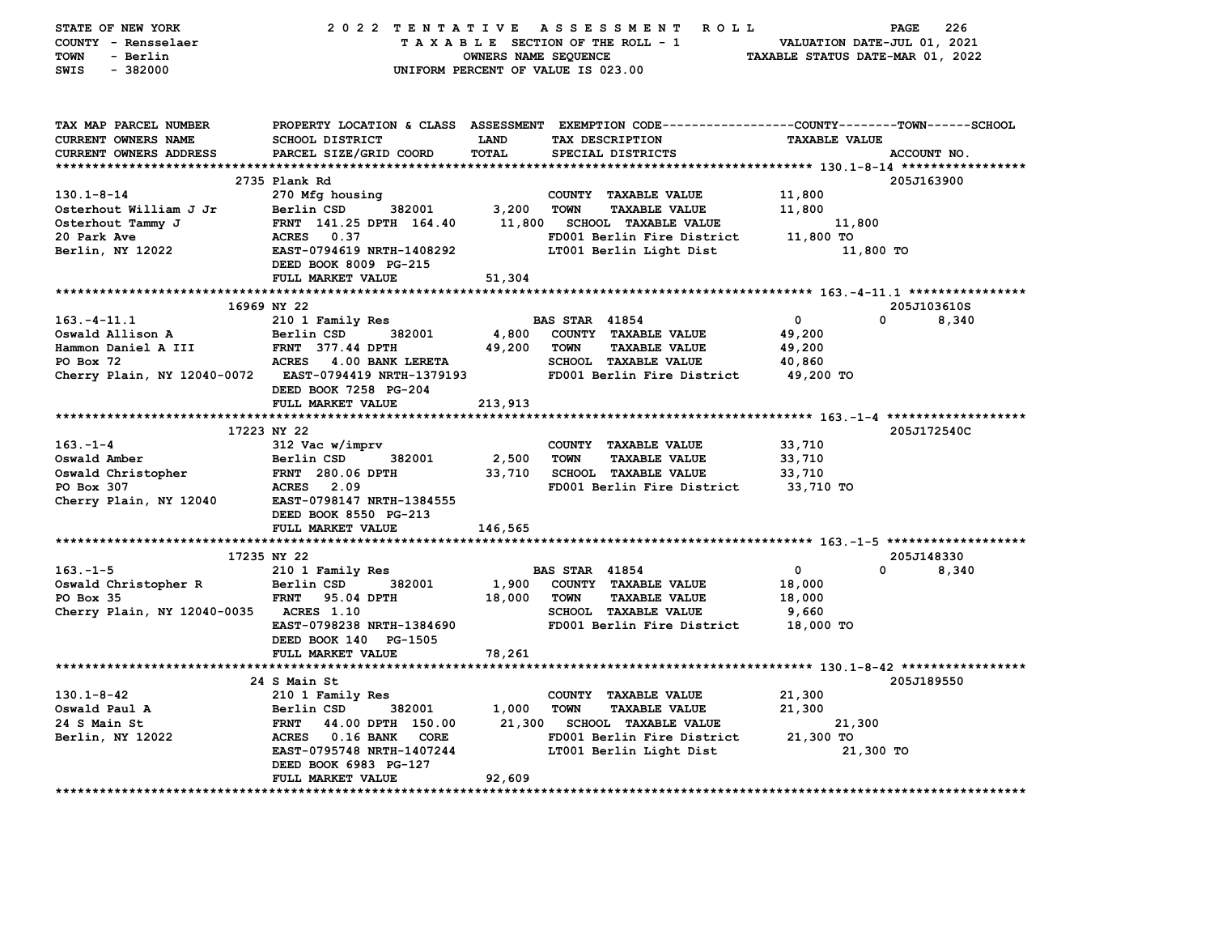| STATE OF NEW YORK             | 2022 TENTATIVE                   |                      | ROLL <sub></sub><br>A S S E S S M E N T                                                        |                                  | 226<br><b>PAGE</b> |
|-------------------------------|----------------------------------|----------------------|------------------------------------------------------------------------------------------------|----------------------------------|--------------------|
| COUNTY - Rensselaer           |                                  |                      | TAXABLE SECTION OF THE ROLL - 1                                                                | VALUATION DATE-JUL 01, 2021      |                    |
| <b>TOWN</b><br>- Berlin       |                                  | OWNERS NAME SEQUENCE |                                                                                                | TAXABLE STATUS DATE-MAR 01, 2022 |                    |
| $-382000$<br>SWIS             |                                  |                      | UNIFORM PERCENT OF VALUE IS 023.00                                                             |                                  |                    |
|                               |                                  |                      |                                                                                                |                                  |                    |
|                               |                                  |                      |                                                                                                |                                  |                    |
| TAX MAP PARCEL NUMBER         |                                  |                      | PROPERTY LOCATION & CLASS ASSESSMENT EXEMPTION CODE---------------COUNTY-------TOWN-----SCHOOL |                                  |                    |
| CURRENT OWNERS NAME           | SCHOOL DISTRICT                  | <b>LAND</b>          | TAX DESCRIPTION                                                                                | <b>TAXABLE VALUE</b>             |                    |
| <b>CURRENT OWNERS ADDRESS</b> | PARCEL SIZE/GRID COORD           | <b>TOTAL</b>         | SPECIAL DISTRICTS                                                                              |                                  | ACCOUNT NO.        |
|                               |                                  |                      |                                                                                                |                                  |                    |
|                               | 2735 Plank Rd                    |                      |                                                                                                |                                  | 205J163900         |
| $130.1 - 8 - 14$              | 270 Mfg housing                  |                      | COUNTY TAXABLE VALUE                                                                           | 11,800                           |                    |
| Osterhout William J Jr        | 382001<br>Berlin CSD             | 3,200                | TOWN<br><b>TAXABLE VALUE</b>                                                                   | 11,800                           |                    |
| Osterhout Tammy J             | FRNT 141.25 DPTH 164.40          |                      | 11,800 SCHOOL TAXABLE VALUE                                                                    | 11,800                           |                    |
| 20 Park Ave                   | ACRES 0.37                       |                      | FD001 Berlin Fire District                                                                     | 11,800 TO                        |                    |
| Berlin, NY 12022              | EAST-0794619 NRTH-1408292        |                      | LT001 Berlin Light Dist                                                                        | 11,800 TO                        |                    |
|                               | DEED BOOK 8009 PG-215            |                      |                                                                                                |                                  |                    |
|                               | FULL MARKET VALUE                | 51,304               |                                                                                                |                                  |                    |
|                               |                                  |                      |                                                                                                |                                  |                    |
|                               | 16969 NY 22                      |                      |                                                                                                |                                  | 205J103610S        |
| $163. -4 - 11.1$              | 210 1 Family Res                 |                      | <b>BAS STAR 41854</b>                                                                          | $\mathbf{0}$                     | 0<br>8,340         |
| Oswald Allison A              | Berlin CSD<br>382001             | 4,800                | COUNTY TAXABLE VALUE                                                                           | 49,200                           |                    |
| Hammon Daniel A III           | <b>FRNT 377.44 DPTH</b>          | 49,200               | <b>TOWN</b><br><b>TAXABLE VALUE</b>                                                            | 49,200                           |                    |
| PO Box 72                     | ACRES 4.00 BANK LERETA           |                      | <b>SCHOOL TAXABLE VALUE</b>                                                                    | 40,860                           |                    |
| Cherry Plain, NY 12040-0072   | <b>EAST-0794419 NRTH-1379193</b> |                      | FD001 Berlin Fire District                                                                     | 49,200 TO                        |                    |
|                               | DEED BOOK 7258 PG-204            |                      |                                                                                                |                                  |                    |
|                               | FULL MARKET VALUE                | 213,913              |                                                                                                |                                  |                    |
|                               |                                  |                      |                                                                                                |                                  |                    |
|                               | 17223 NY 22                      |                      |                                                                                                |                                  | 205J172540C        |
| $163. - 1 - 4$                | 312 Vac w/imprv                  |                      | COUNTY TAXABLE VALUE                                                                           | 33,710                           |                    |
| Oswald Amber                  | 382001<br>Berlin CSD             | 2,500                | <b>TOWN</b><br><b>TAXABLE VALUE</b>                                                            | 33,710                           |                    |
| Oswald Christopher            | FRNT 280.06 DPTH                 | 33,710               | <b>SCHOOL TAXABLE VALUE</b>                                                                    | 33,710                           |                    |
| PO Box 307                    | <b>ACRES</b> 2.09                |                      | FD001 Berlin Fire District                                                                     | 33,710 TO                        |                    |
| Cherry Plain, NY 12040        | EAST-0798147 NRTH-1384555        |                      |                                                                                                |                                  |                    |
|                               | DEED BOOK 8550 PG-213            |                      |                                                                                                |                                  |                    |
|                               | FULL MARKET VALUE                | 146,565              |                                                                                                |                                  |                    |
|                               |                                  |                      |                                                                                                |                                  |                    |
|                               | 17235 NY 22                      |                      |                                                                                                |                                  | 205J148330         |
| $163. -1 - 5$                 | 210 1 Family Res                 |                      | <b>BAS STAR 41854</b>                                                                          | $\mathbf{0}$                     | 0<br>8,340         |
| Oswald Christopher R          | 382001<br>Berlin CSD             | 1,900                | COUNTY TAXABLE VALUE                                                                           | 18,000                           |                    |
| PO Box 35                     | <b>FRNT</b><br>95.04 DPTH        | 18,000               | <b>TOWN</b><br><b>TAXABLE VALUE</b>                                                            | 18,000                           |                    |
| Cherry Plain, NY 12040-0035   | <b>ACRES</b> 1.10                |                      | <b>SCHOOL TAXABLE VALUE</b>                                                                    | 9,660                            |                    |
|                               | EAST-0798238 NRTH-1384690        |                      | FD001 Berlin Fire District                                                                     | 18,000 TO                        |                    |
|                               | DEED BOOK 140 PG-1505            |                      |                                                                                                |                                  |                    |
|                               | FULL MARKET VALUE                | 78,261               |                                                                                                |                                  |                    |
|                               |                                  |                      |                                                                                                |                                  |                    |
|                               | 24 S Main St                     |                      |                                                                                                |                                  | 205J189550         |
| $130.1 - 8 - 42$              | 210 1 Family Res                 |                      | COUNTY TAXABLE VALUE                                                                           | 21,300                           |                    |
| Oswald Paul A                 | 382001<br>Berlin CSD             | 1,000                | <b>TOWN</b><br><b>TAXABLE VALUE</b>                                                            | 21,300                           |                    |
| 24 S Main St                  | <b>FRNT</b><br>44.00 DPTH 150.00 | 21,300               | <b>SCHOOL TAXABLE VALUE</b>                                                                    | 21,300                           |                    |
| Berlin, NY 12022              | ACRES 0.16 BANK CORE             |                      | FD001 Berlin Fire District                                                                     | 21,300 TO                        |                    |
|                               | EAST-0795748 NRTH-1407244        |                      | LT001 Berlin Light Dist                                                                        | 21,300 TO                        |                    |
|                               | DEED BOOK 6983 PG-127            |                      |                                                                                                |                                  |                    |
|                               | FULL MARKET VALUE                | 92,609               |                                                                                                |                                  |                    |
|                               |                                  |                      |                                                                                                |                                  |                    |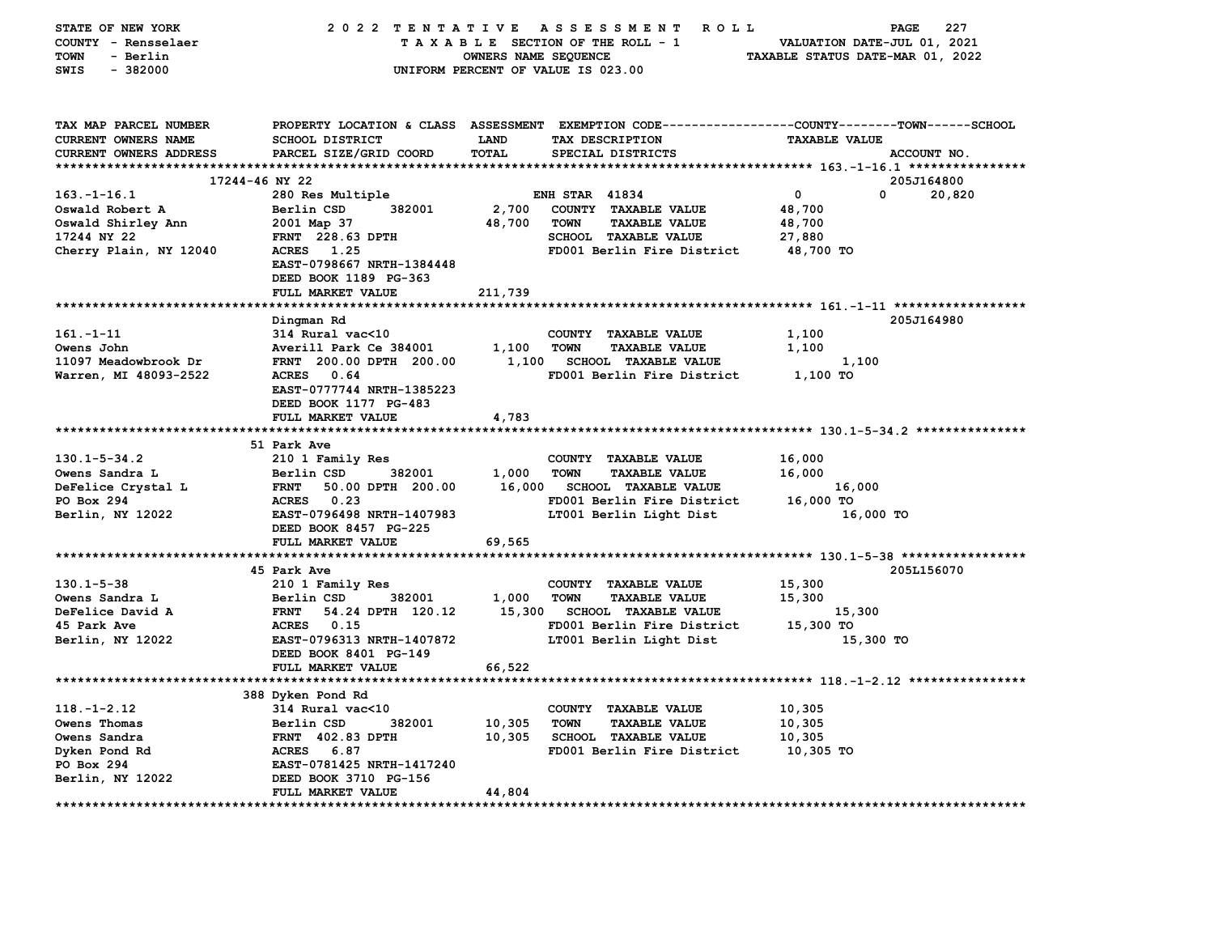| STATE OF NEW YORK<br>COUNTY - Rensselaer |                                            |                      | 2022 TENTATIVE ASSESSMENT ROLL<br>TAXABLE SECTION OF THE ROLL - 1 | 227<br>PAGE<br>VALUATION DATE-JUL 01, 2021                                                      |
|------------------------------------------|--------------------------------------------|----------------------|-------------------------------------------------------------------|-------------------------------------------------------------------------------------------------|
| - Berlin<br>TOWN                         |                                            | OWNERS NAME SEQUENCE |                                                                   | TAXABLE STATUS DATE-MAR 01, 2022                                                                |
| $-382000$<br>SWIS                        |                                            |                      | UNIFORM PERCENT OF VALUE IS 023.00                                |                                                                                                 |
|                                          |                                            |                      |                                                                   |                                                                                                 |
| TAX MAP PARCEL NUMBER                    |                                            |                      |                                                                   | PROPERTY LOCATION & CLASS ASSESSMENT EXEMPTION CODE---------------COUNTY-------TOWN------SCHOOL |
| <b>CURRENT OWNERS NAME</b>               | <b>SCHOOL DISTRICT</b>                     | <b>LAND</b>          | TAX DESCRIPTION                                                   | <b>TAXABLE VALUE</b>                                                                            |
| CURRENT OWNERS ADDRESS                   | PARCEL SIZE/GRID COORD                     | <b>TOTAL</b>         | SPECIAL DISTRICTS                                                 | ACCOUNT NO.                                                                                     |
|                                          |                                            |                      |                                                                   |                                                                                                 |
| 17244-46 NY 22<br>$163. - 1 - 16.1$      |                                            |                      |                                                                   | 205J164800<br>$\mathbf 0$<br>0                                                                  |
| Oswald Robert A                          | 280 Res Multiple<br>Berlin CSD<br>382001   | 2,700                | <b>ENH STAR 41834</b><br>COUNTY TAXABLE VALUE                     | 20,820<br>48,700                                                                                |
| Oswald Shirley Ann                       | 2001 Map 37                                | 48,700               | <b>TAXABLE VALUE</b><br><b>TOWN</b>                               | 48,700                                                                                          |
| 17244 NY 22                              | FRNT 228.63 DPTH                           |                      | SCHOOL TAXABLE VALUE                                              | 27,880                                                                                          |
| Cherry Plain, NY 12040                   | ACRES 1.25                                 |                      | FD001 Berlin Fire District                                        | 48,700 TO                                                                                       |
|                                          | EAST-0798667 NRTH-1384448                  |                      |                                                                   |                                                                                                 |
|                                          | DEED BOOK 1189 PG-363                      |                      |                                                                   |                                                                                                 |
|                                          | <b>FULL MARKET VALUE</b>                   | 211,739              |                                                                   |                                                                                                 |
|                                          |                                            |                      |                                                                   |                                                                                                 |
|                                          | Dingman Rd                                 |                      |                                                                   | 205J164980                                                                                      |
| $161 - 1 - 11$                           | 314 Rural vac<10                           |                      | COUNTY TAXABLE VALUE                                              | 1,100                                                                                           |
| Owens John                               | Averill Park Ce 384001                     | 1,100                | TOWN<br><b>TAXABLE VALUE</b>                                      | 1,100                                                                                           |
| 11097 Meadowbrook Dr                     | FRNT 200.00 DPTH 200.00                    |                      | 1,100 SCHOOL TAXABLE VALUE                                        | 1,100                                                                                           |
| Warren, MI 48093-2522                    | ACRES 0.64                                 |                      | FD001 Berlin Fire District                                        | 1,100 TO                                                                                        |
|                                          | EAST-0777744 NRTH-1385223                  |                      |                                                                   |                                                                                                 |
|                                          | DEED BOOK 1177 PG-483                      |                      |                                                                   |                                                                                                 |
|                                          | FULL MARKET VALUE                          | 4,783                |                                                                   |                                                                                                 |
|                                          | 51 Park Ave                                |                      |                                                                   |                                                                                                 |
| $130.1 - 5 - 34.2$                       | 210 1 Family Res                           |                      | COUNTY TAXABLE VALUE                                              | 16,000                                                                                          |
| Owens Sandra L                           | Berlin CSD<br>382001                       | 1,000                | <b>TOWN</b><br><b>TAXABLE VALUE</b>                               | 16,000                                                                                          |
| DeFelice Crystal L                       | 50.00 DPTH 200.00<br><b>FRNT</b>           | 16,000               | <b>SCHOOL TAXABLE VALUE</b>                                       | 16,000                                                                                          |
| PO Box 294                               | ACRES 0.23                                 |                      | FD001 Berlin Fire District                                        | 16,000 TO                                                                                       |
| Berlin, NY 12022                         | EAST-0796498 NRTH-1407983                  |                      | LT001 Berlin Light Dist                                           | 16,000 TO                                                                                       |
|                                          | DEED BOOK 8457 PG-225                      |                      |                                                                   |                                                                                                 |
|                                          | FULL MARKET VALUE                          | 69,565               |                                                                   |                                                                                                 |
|                                          |                                            |                      |                                                                   |                                                                                                 |
|                                          | 45 Park Ave                                |                      |                                                                   | 205L156070                                                                                      |
| $130.1 - 5 - 38$                         | 210 1 Family Res                           |                      | COUNTY TAXABLE VALUE                                              | 15,300                                                                                          |
| Owens Sandra L                           | Berlin CSD<br>382001                       | 1,000                | <b>TOWN</b><br><b>TAXABLE VALUE</b>                               | 15,300                                                                                          |
| DeFelice David A                         | 54.24 DPTH 120.12<br><b>FRNT</b>           | 15,300               | <b>SCHOOL TAXABLE VALUE</b>                                       | 15,300                                                                                          |
| 45 Park Ave                              | ACRES 0.15                                 |                      | FD001 Berlin Fire District                                        | 15,300 TO                                                                                       |
| Berlin, NY 12022                         | EAST-0796313 NRTH-1407872                  |                      | LT001 Berlin Light Dist                                           | 15,300 TO                                                                                       |
|                                          | DEED BOOK 8401 PG-149<br>FULL MARKET VALUE |                      |                                                                   |                                                                                                 |
|                                          |                                            | 66,522               |                                                                   |                                                                                                 |
|                                          | 388 Dyken Pond Rd                          |                      |                                                                   |                                                                                                 |
| $118. - 1 - 2.12$                        | 314 Rural vac<10                           |                      | COUNTY TAXABLE VALUE                                              | 10,305                                                                                          |
| Owens Thomas                             | 382001<br>Berlin CSD                       | 10,305               | TOWN<br><b>TAXABLE VALUE</b>                                      | 10,305                                                                                          |
| Owens Sandra                             | <b>FRNT 402.83 DPTH</b>                    | 10,305               | SCHOOL TAXABLE VALUE                                              | 10,305                                                                                          |
| Dyken Pond Rd                            | ACRES 6.87                                 |                      | FD001 Berlin Fire District                                        | 10,305 TO                                                                                       |
| PO Box 294                               | EAST-0781425 NRTH-1417240                  |                      |                                                                   |                                                                                                 |
| Berlin, NY 12022                         | DEED BOOK 3710 PG-156                      |                      |                                                                   |                                                                                                 |
|                                          | FULL MARKET VALUE                          | 44,804               |                                                                   |                                                                                                 |
|                                          |                                            |                      |                                                                   |                                                                                                 |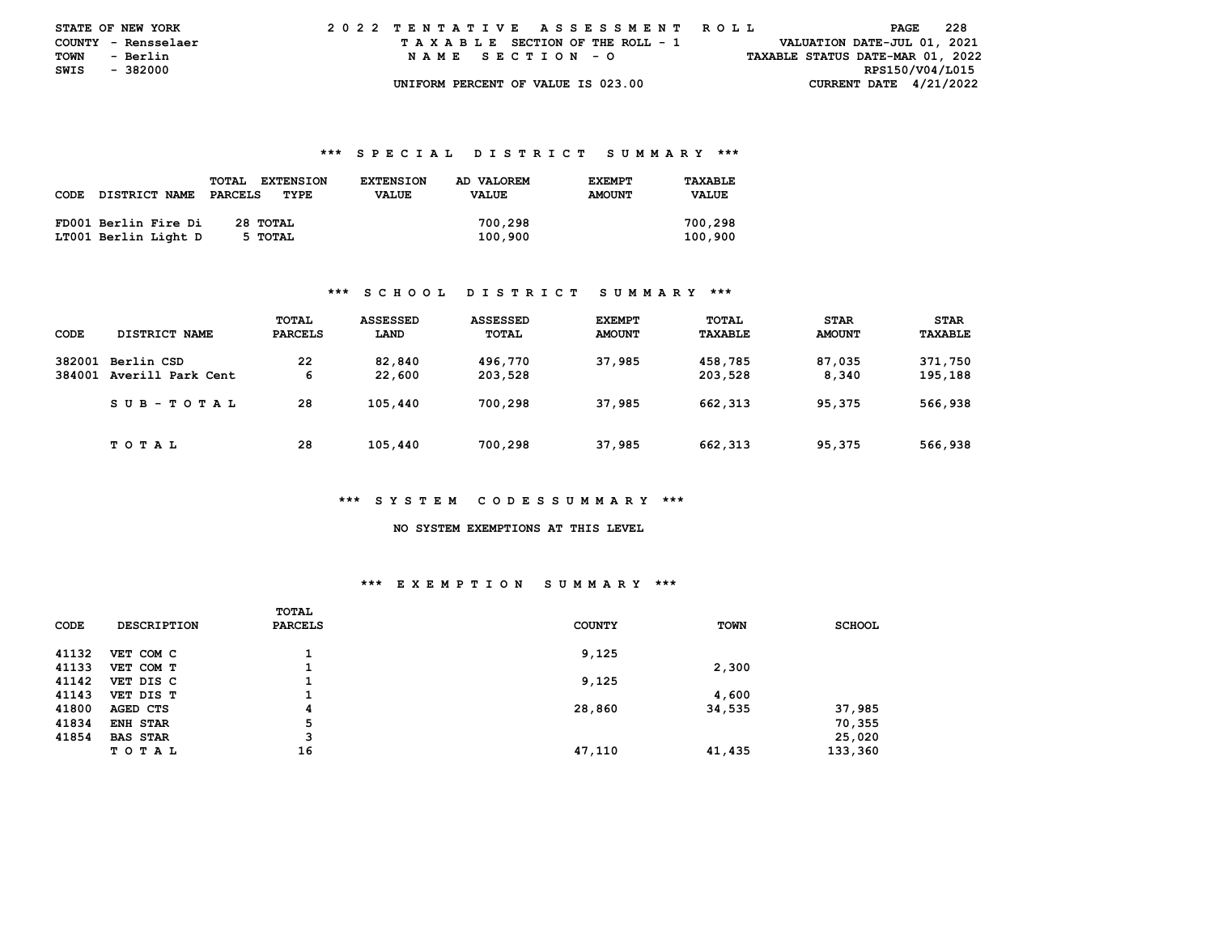|      | <b>STATE OF NEW YORK</b> | 2022 TENTATIVE ASSESSMENT ROLL     | - 228<br>PAGE                    |  |
|------|--------------------------|------------------------------------|----------------------------------|--|
|      | COUNTY - Rensselaer      | TAXABLE SECTION OF THE ROLL - 1    | VALUATION DATE-JUL 01, 2021      |  |
| TOWN | - Berlin                 | NAME SECTION - O                   | TAXABLE STATUS DATE-MAR 01, 2022 |  |
| SWIS | - 382000                 |                                    | RPS150/V04/L015                  |  |
|      |                          | UNIFORM PERCENT OF VALUE IS 023.00 | CURRENT DATE $4/21/2022$         |  |

|      |                      | <b>TOTAL</b><br><b>EXTENSION</b> | <b>EXTENSION</b> | AD VALOREM   | <b>EXEMPT</b> | TAXABLE      |
|------|----------------------|----------------------------------|------------------|--------------|---------------|--------------|
| CODE | <b>DISTRICT NAME</b> | PARCELS<br>TYPE                  | <b>VALUE</b>     | <b>VALUE</b> | <b>AMOUNT</b> | <b>VALUE</b> |
|      |                      |                                  |                  |              |               |              |
|      | FD001 Berlin Fire Di | 28 TOTAL                         |                  | 700,298      |               | 700,298      |
|      | LT001 Berlin Light D | 5 TOTAL                          |                  | 100,900      |               | 100,900      |

#### **\*\*\* S C H O O L D I S T R I C T S U M M A R Y \*\*\***

| CODE             | DISTRICT NAME                   | TOTAL<br><b>PARCELS</b> | <b>ASSESSED</b><br>LAND | ASSESSED<br>TOTAL  | <b>EXEMPT</b><br><b>AMOUNT</b> | <b>TOTAL</b><br><b>TAXABLE</b> | <b>STAR</b><br><b>AMOUNT</b> | <b>STAR</b><br>TAXABLE |
|------------------|---------------------------------|-------------------------|-------------------------|--------------------|--------------------------------|--------------------------------|------------------------------|------------------------|
| 382001<br>384001 | Berlin CSD<br>Averill Park Cent | 22<br>6                 | 82,840<br>22,600        | 496,770<br>203,528 | 37,985                         | 458,785<br>203,528             | 87.035<br>8,340              | 371,750<br>195,188     |
|                  | SUB-TOTAL                       | 28                      | 105,440                 | 700,298            | 37,985                         | 662, 313                       | 95,375                       | 566,938                |
|                  | TOTAL                           | 28                      | 105,440                 | 700,298            | 37,985                         | 662,313                        | 95,375                       | 566,938                |

#### **\*\*\* S Y S T E M C O D E S S U M M A R Y \*\*\***

#### **NO SYSTEM EXEMPTIONS AT THIS LEVEL**

# **\*\*\* E X E M P T I O N S U M M A R Y \*\*\***

| <b>CODE</b> | <b>DESCRIPTION</b> | TOTAL<br><b>PARCELS</b> | <b>COUNTY</b> | <b>TOWN</b> | <b>SCHOOL</b> |
|-------------|--------------------|-------------------------|---------------|-------------|---------------|
| 41132       | VET COM C          |                         | 9,125         |             |               |
| 41133       | VET COM T          |                         |               | 2,300       |               |
| 41142       | VET DIS C          |                         | 9,125         |             |               |
| 41143       | VET DIS T          |                         |               | 4,600       |               |
| 41800       | AGED CTS           | 4                       | 28,860        | 34,535      | 37,985        |
| 41834       | ENH STAR           | 5                       |               |             | 70,355        |
| 41854       | <b>BAS STAR</b>    | 3                       |               |             | 25,020        |
|             | T O T A L          | 16                      | 47,110        | 41,435      | 133,360       |
|             |                    |                         |               |             |               |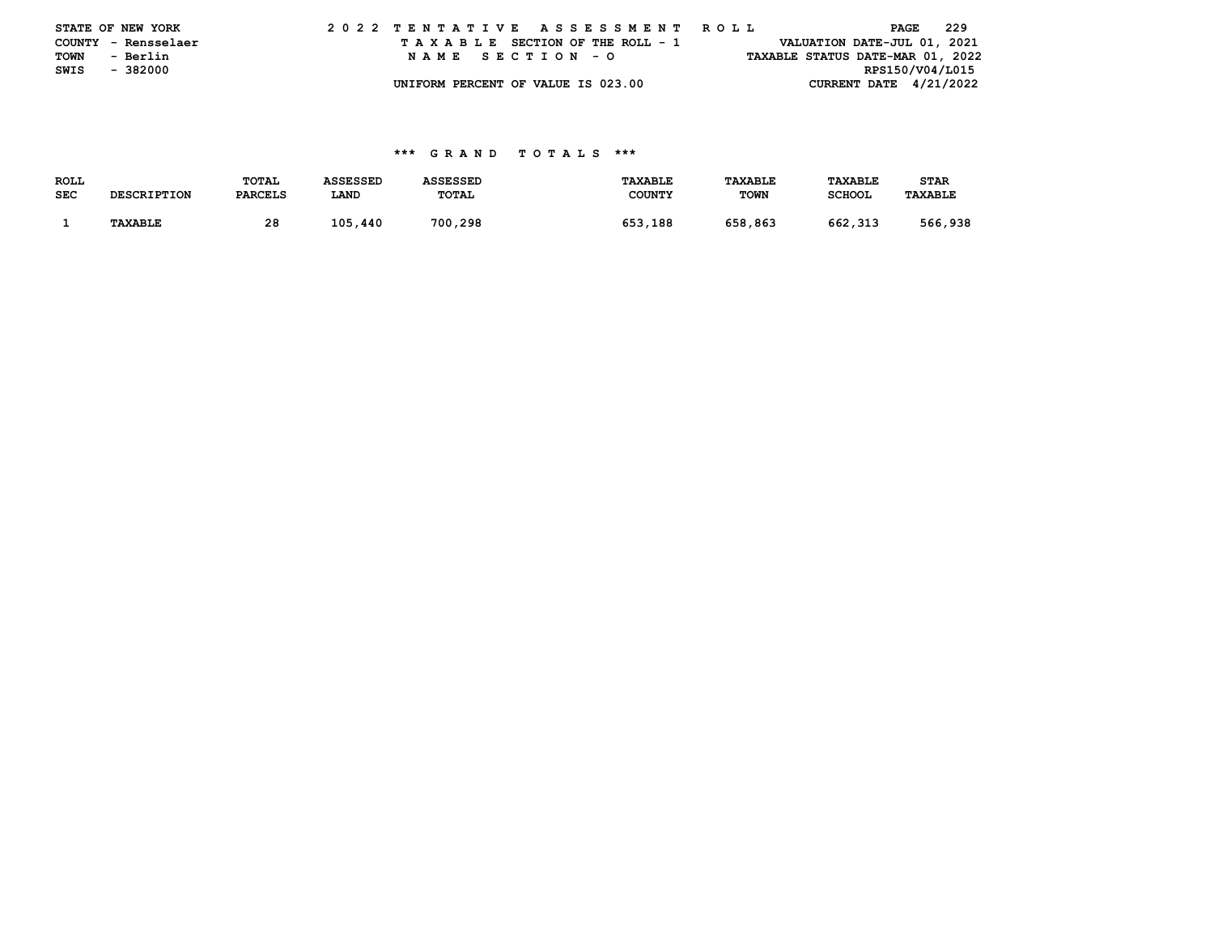|      | STATE OF NEW YORK   |  |  |  |  |  | 2022 TENTATIVE ASSESSMENT ROLL     |  |  |  |  |  |  |  | PAGE                             | - 229 |  |
|------|---------------------|--|--|--|--|--|------------------------------------|--|--|--|--|--|--|--|----------------------------------|-------|--|
|      | COUNTY - Rensselaer |  |  |  |  |  | TAXABLE SECTION OF THE ROLL - 1    |  |  |  |  |  |  |  | VALUATION DATE-JUL 01, 2021      |       |  |
| TOWN | - Berlin            |  |  |  |  |  | NAME SECTION - O                   |  |  |  |  |  |  |  | TAXABLE STATUS DATE-MAR 01, 2022 |       |  |
| SWIS | - 382000            |  |  |  |  |  |                                    |  |  |  |  |  |  |  | RPS150/V04/L015                  |       |  |
|      |                     |  |  |  |  |  | UNIFORM PERCENT OF VALUE IS 023.00 |  |  |  |  |  |  |  | CURRENT DATE $4/21/2022$         |       |  |

| <b>ROLL</b> |                    | TOTAL          | <b>ASSESSED</b> | <b>ASSESSED</b> | <b>TAXABLE</b> | TAXABLE     | <b>TAXABLE</b> | <b>STAR</b>    |
|-------------|--------------------|----------------|-----------------|-----------------|----------------|-------------|----------------|----------------|
| <b>SEC</b>  | <b>DESCRIPTION</b> | <b>PARCELS</b> | LAND            | TOTAL           | <b>COUNTY</b>  | <b>TOWN</b> | <b>SCHOOL</b>  | <b>TAXABLE</b> |
|             |                    |                |                 |                 |                |             |                |                |
|             | <b>TAXABLE</b>     | 28             | 105,440         | 700,298         | 653,188        | 658,863     | 662,313        | 566,938        |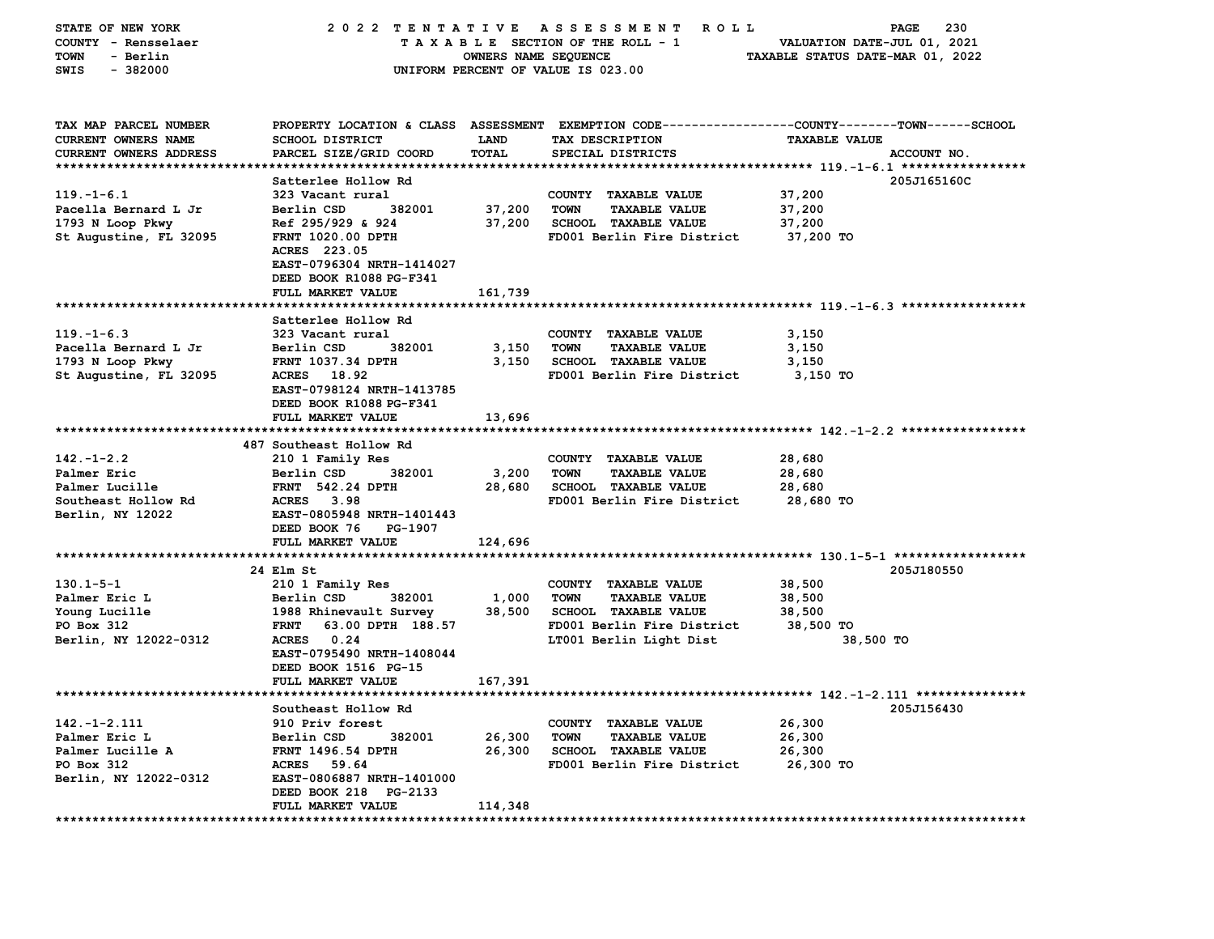| STATE OF NEW YORK                | 2022 TENTATIVE ASSESSMENT            |                      | <b>ROLL</b>                         | PAGE<br>230                                                |
|----------------------------------|--------------------------------------|----------------------|-------------------------------------|------------------------------------------------------------|
| COUNTY - Rensselaer              |                                      |                      | TAXABLE SECTION OF THE ROLL - 1     | VALUATION DATE-JUL 01, 2021                                |
| - Berlin<br>TOWN                 |                                      | OWNERS NAME SEQUENCE |                                     | TAXABLE STATUS DATE-MAR 01, 2022                           |
| $-382000$<br>SWIS                |                                      |                      | UNIFORM PERCENT OF VALUE IS 023.00  |                                                            |
|                                  |                                      |                      |                                     |                                                            |
|                                  |                                      |                      |                                     |                                                            |
| TAX MAP PARCEL NUMBER            | PROPERTY LOCATION & CLASS ASSESSMENT |                      |                                     | EXEMPTION CODE----------------COUNTY-------TOWN-----SCHOOL |
| CURRENT OWNERS NAME              | <b>SCHOOL DISTRICT</b>               | <b>LAND</b>          | TAX DESCRIPTION                     | <b>TAXABLE VALUE</b>                                       |
| <b>CURRENT OWNERS ADDRESS</b>    | PARCEL SIZE/GRID COORD               | TOTAL                | SPECIAL DISTRICTS                   | ACCOUNT NO.                                                |
|                                  |                                      |                      |                                     |                                                            |
|                                  | Satterlee Hollow Rd                  |                      |                                     | 205J165160C                                                |
| $119. -1 - 6.1$                  | 323 Vacant rural                     |                      | COUNTY TAXABLE VALUE                | 37,200                                                     |
| Pacella Bernard L Jr             | Berlin CSD<br>382001                 | 37,200               | <b>TOWN</b><br><b>TAXABLE VALUE</b> | 37,200                                                     |
| 1793 N Loop Pkwy                 | Ref 295/929 & 924                    | 37,200               | <b>SCHOOL TAXABLE VALUE</b>         | 37,200                                                     |
| St Augustine, FL 32095           | <b>FRNT 1020.00 DPTH</b>             |                      | FD001 Berlin Fire District          | 37,200 TO                                                  |
|                                  | ACRES 223.05                         |                      |                                     |                                                            |
|                                  | EAST-0796304 NRTH-1414027            |                      |                                     |                                                            |
|                                  | DEED BOOK R1088 PG-F341              |                      |                                     |                                                            |
|                                  | FULL MARKET VALUE                    | 161,739              |                                     |                                                            |
|                                  |                                      |                      |                                     |                                                            |
|                                  | Satterlee Hollow Rd                  |                      |                                     |                                                            |
| $119. - 1 - 6.3$                 | 323 Vacant rural                     |                      | COUNTY TAXABLE VALUE                | 3,150                                                      |
| Pacella Bernard L Jr             | Berlin CSD<br>382001                 | 3,150                | <b>TOWN</b><br>TAXABLE VALUE        | 3,150                                                      |
| 1793 N Loop Pkwy                 | FRNT 1037.34 DPTH                    | 3,150                | <b>SCHOOL TAXABLE VALUE</b>         | 3,150                                                      |
| St Augustine, FL 32095           | ACRES 18.92                          |                      | FD001 Berlin Fire District          | 3,150 TO                                                   |
|                                  | EAST-0798124 NRTH-1413785            |                      |                                     |                                                            |
|                                  | DEED BOOK R1088 PG-F341              |                      |                                     |                                                            |
|                                  | FULL MARKET VALUE                    | 13,696               |                                     |                                                            |
|                                  |                                      |                      |                                     |                                                            |
|                                  | 487 Southeast Hollow Rd              |                      |                                     |                                                            |
| $142. - 1 - 2.2$                 | 210 1 Family Res                     |                      | COUNTY TAXABLE VALUE                | 28,680                                                     |
| Palmer Eric                      | Berlin CSD<br>382001                 | 3,200                | <b>TOWN</b><br><b>TAXABLE VALUE</b> | 28,680                                                     |
| Palmer Lucille                   | <b>FRNT 542.24 DPTH</b>              | 28,680               | <b>SCHOOL TAXABLE VALUE</b>         | 28,680                                                     |
| Southeast Hollow Rd              | <b>ACRES</b><br>3.98                 |                      | FD001 Berlin Fire District          | 28,680 TO                                                  |
| Berlin, NY 12022                 | EAST-0805948 NRTH-1401443            |                      |                                     |                                                            |
|                                  | DEED BOOK 76<br>PG-1907              |                      |                                     |                                                            |
|                                  | FULL MARKET VALUE                    | 124,696              |                                     |                                                            |
|                                  |                                      |                      |                                     |                                                            |
|                                  | 24 Elm St                            |                      |                                     | 205J180550                                                 |
| $130.1 - 5 - 1$                  | 210 1 Family Res                     |                      | COUNTY TAXABLE VALUE                | 38,500                                                     |
| Palmer Eric L                    | Berlin CSD<br>382001                 | 1,000                | <b>TOWN</b><br><b>TAXABLE VALUE</b> | 38,500                                                     |
| Young Lucille                    | 1988 Rhinevault Survey               | 38,500               | <b>SCHOOL TAXABLE VALUE</b>         | 38,500                                                     |
| PO Box 312                       | 63.00 DPTH 188.57<br><b>FRNT</b>     |                      | FD001 Berlin Fire District          | 38,500 TO                                                  |
| Berlin, NY 12022-0312            | ACRES 0.24                           |                      | LT001 Berlin Light Dist             | 38,500 TO                                                  |
|                                  | EAST-0795490 NRTH-1408044            |                      |                                     |                                                            |
|                                  | DEED BOOK 1516 PG-15                 |                      |                                     |                                                            |
|                                  | <b>FULL MARKET VALUE</b>             | 167,391              |                                     |                                                            |
|                                  |                                      |                      |                                     |                                                            |
|                                  | Southeast Hollow Rd                  |                      |                                     | 205J156430                                                 |
| $142. - 1 - 2.111$               | 910 Priv forest                      |                      | COUNTY TAXABLE VALUE                | 26,300                                                     |
| Palmer Eric L                    | Berlin CSD<br>382001                 | 26,300               | <b>TAXABLE VALUE</b><br><b>TOWN</b> | 26,300                                                     |
| Palmer Lucille A                 | <b>FRNT 1496.54 DPTH</b>             | 26,300               | SCHOOL TAXABLE VALUE                | 26,300                                                     |
| PO Box 312                       | <b>ACRES</b><br>59.64                |                      | FD001 Berlin Fire District          | 26,300 TO                                                  |
| Berlin, NY 12022-0312            | EAST-0806887 NRTH-1401000            |                      |                                     |                                                            |
|                                  | DEED BOOK 218 PG-2133                |                      |                                     |                                                            |
|                                  | FULL MARKET VALUE                    | 114,348              |                                     |                                                            |
| ******************************** | ***************                      |                      |                                     |                                                            |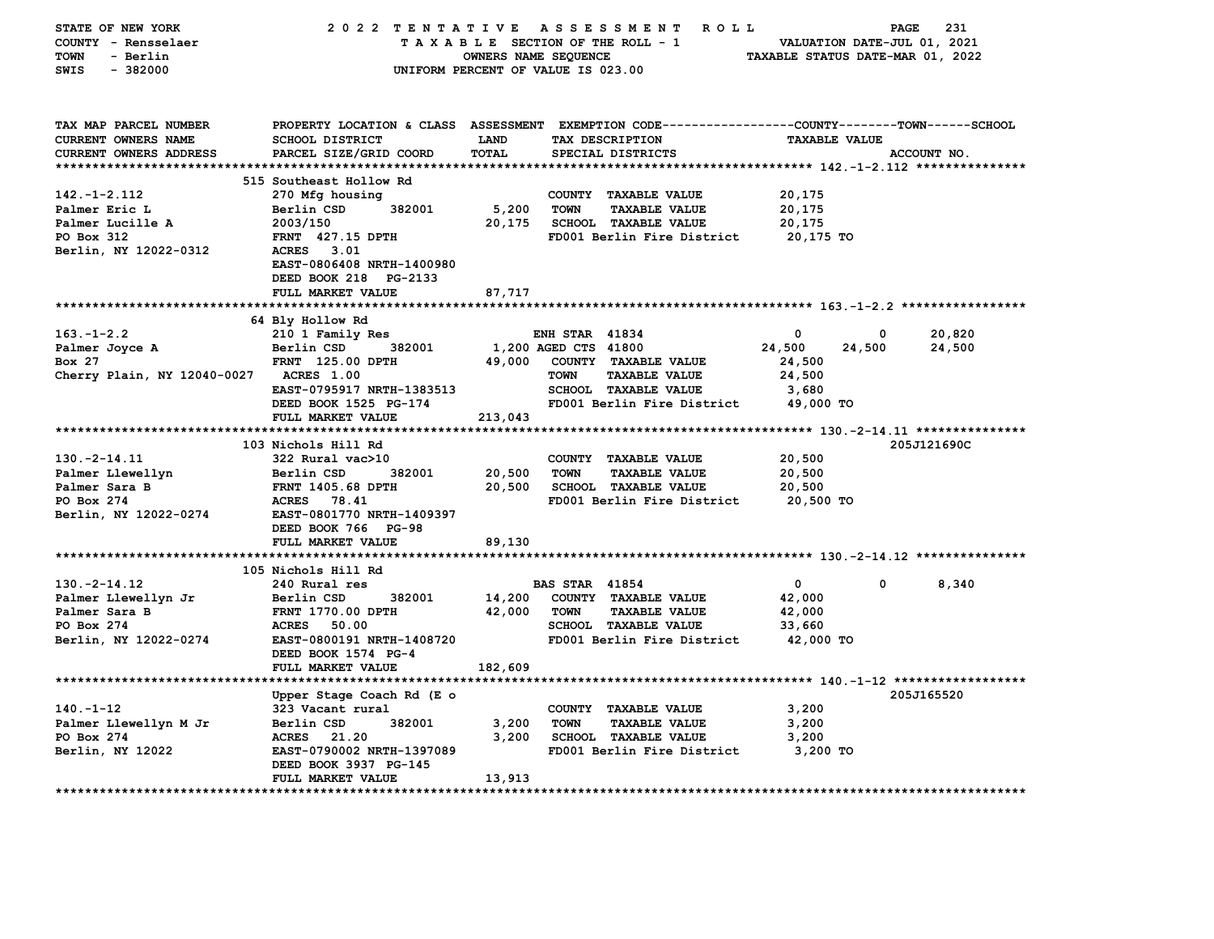| STATE OF NEW YORK             | 2022 TENTATIVE            |                      | A S S E S S M E N T<br><b>ROLL</b>                                                              |                                  | 231<br>PAGE                 |
|-------------------------------|---------------------------|----------------------|-------------------------------------------------------------------------------------------------|----------------------------------|-----------------------------|
| COUNTY - Rensselaer           |                           |                      | TAXABLE SECTION OF THE ROLL - 1                                                                 |                                  | VALUATION DATE-JUL 01, 2021 |
| <b>TOWN</b><br>- Berlin       |                           | OWNERS NAME SEQUENCE |                                                                                                 | TAXABLE STATUS DATE-MAR 01, 2022 |                             |
| $-382000$<br>SWIS             |                           |                      | UNIFORM PERCENT OF VALUE IS 023.00                                                              |                                  |                             |
|                               |                           |                      |                                                                                                 |                                  |                             |
|                               |                           |                      |                                                                                                 |                                  |                             |
|                               |                           |                      |                                                                                                 |                                  |                             |
| TAX MAP PARCEL NUMBER         |                           |                      | PROPERTY LOCATION & CLASS ASSESSMENT EXEMPTION CODE---------------COUNTY-------TOWN------SCHOOL |                                  |                             |
| CURRENT OWNERS NAME           | <b>SCHOOL DISTRICT</b>    | LAND                 | TAX DESCRIPTION                                                                                 | <b>TAXABLE VALUE</b>             |                             |
| CURRENT OWNERS ADDRESS        | PARCEL SIZE/GRID COORD    | <b>TOTAL</b>         | SPECIAL DISTRICTS                                                                               |                                  | ACCOUNT NO.                 |
|                               |                           |                      |                                                                                                 |                                  |                             |
|                               | 515 Southeast Hollow Rd   |                      |                                                                                                 |                                  |                             |
| $142. - 1 - 2.112$            | 270 Mfg housing           |                      | COUNTY TAXABLE VALUE                                                                            | 20,175                           |                             |
| Palmer Eric L                 | 382001<br>Berlin CSD      | 5,200                | <b>TOWN</b><br><b>TAXABLE VALUE</b>                                                             | 20,175                           |                             |
| Palmer Lucille A              | 2003/150                  | 20,175               | <b>SCHOOL TAXABLE VALUE</b>                                                                     | 20,175                           |                             |
| PO Box 312                    | FRNT 427.15 DPTH          |                      | FD001 Berlin Fire District                                                                      | 20,175 TO                        |                             |
| Berlin, NY 12022-0312         | <b>ACRES</b><br>3.01      |                      |                                                                                                 |                                  |                             |
|                               | EAST-0806408 NRTH-1400980 |                      |                                                                                                 |                                  |                             |
|                               | DEED BOOK 218 PG-2133     |                      |                                                                                                 |                                  |                             |
|                               | FULL MARKET VALUE         | 87,717               |                                                                                                 |                                  |                             |
|                               | **********************    |                      |                                                                                                 |                                  |                             |
|                               | 64 Bly Hollow Rd          |                      |                                                                                                 |                                  |                             |
| $163. - 1 - 2.2$              | 210 1 Family Res          |                      | <b>ENH STAR 41834</b>                                                                           | 0                                | 0<br>20,820                 |
| Palmer Joyce A                | Berlin CSD<br>382001      |                      | 1,200 AGED CTS 41800                                                                            | 24,500<br>24,500                 | 24,500                      |
| Box 27                        | FRNT 125.00 DPTH          | 49,000               | COUNTY TAXABLE VALUE                                                                            | 24,500                           |                             |
| Cherry Plain, NY 12040-0027   | <b>ACRES 1.00</b>         |                      | <b>TOWN</b><br><b>TAXABLE VALUE</b>                                                             | 24,500                           |                             |
|                               | EAST-0795917 NRTH-1383513 |                      | <b>SCHOOL TAXABLE VALUE</b>                                                                     | 3,680                            |                             |
|                               | DEED BOOK 1525 PG-174     |                      | FD001 Berlin Fire District                                                                      | 49,000 TO                        |                             |
|                               | FULL MARKET VALUE         | 213,043              |                                                                                                 |                                  |                             |
|                               |                           |                      |                                                                                                 |                                  |                             |
|                               | 103 Nichols Hill Rd       |                      |                                                                                                 |                                  | 205J121690C                 |
| $130. -2 - 14.11$             | 322 Rural vac>10          |                      | COUNTY TAXABLE VALUE                                                                            | 20,500                           |                             |
| Palmer Llewellyn              | Berlin CSD<br>382001      | 20,500               | <b>TOWN</b><br><b>TAXABLE VALUE</b>                                                             | 20,500                           |                             |
| Palmer Sara B                 | <b>FRNT 1405.68 DPTH</b>  | 20,500               | <b>SCHOOL TAXABLE VALUE</b>                                                                     | 20,500                           |                             |
| PO Box 274                    | <b>ACRES</b><br>78.41     |                      | FD001 Berlin Fire District                                                                      | 20,500 TO                        |                             |
| Berlin, NY 12022-0274         | EAST-0801770 NRTH-1409397 |                      |                                                                                                 |                                  |                             |
|                               | DEED BOOK 766 PG-98       |                      |                                                                                                 |                                  |                             |
|                               | FULL MARKET VALUE         | 89,130               |                                                                                                 |                                  |                             |
|                               |                           |                      |                                                                                                 |                                  |                             |
|                               | 105 Nichols Hill Rd       |                      |                                                                                                 |                                  |                             |
| $130. -2 - 14.12$             | 240 Rural res             |                      | <b>BAS STAR 41854</b>                                                                           | 0                                | 0<br>8,340                  |
| Palmer Llewellyn Jr           | Berlin CSD<br>382001      | 14,200               | COUNTY TAXABLE VALUE                                                                            | 42,000                           |                             |
| Palmer Sara B                 | FRNT 1770.00 DPTH         | 42,000               | <b>TOWN</b><br><b>TAXABLE VALUE</b>                                                             | 42,000                           |                             |
| PO Box 274                    | 50.00<br><b>ACRES</b>     |                      | <b>SCHOOL TAXABLE VALUE</b>                                                                     | 33,660                           |                             |
| Berlin, NY 12022-0274         | EAST-0800191 NRTH-1408720 |                      | FD001 Berlin Fire District                                                                      | 42,000 TO                        |                             |
|                               | DEED BOOK 1574 PG-4       |                      |                                                                                                 |                                  |                             |
|                               | FULL MARKET VALUE         | 182,609              |                                                                                                 |                                  |                             |
|                               |                           |                      |                                                                                                 |                                  |                             |
|                               | Upper Stage Coach Rd (E o |                      |                                                                                                 |                                  | 205J165520                  |
| $140. - 1 - 12$               | 323 Vacant rural          |                      | COUNTY TAXABLE VALUE                                                                            | 3,200                            |                             |
| Palmer Llewellyn M Jr         | 382001<br>Berlin CSD      | 3,200                | <b>TOWN</b><br><b>TAXABLE VALUE</b>                                                             | 3,200                            |                             |
| PO Box 274                    | <b>ACRES</b><br>21.20     | 3,200                | <b>SCHOOL TAXABLE VALUE</b>                                                                     | 3,200                            |                             |
| Berlin, NY 12022              | EAST-0790002 NRTH-1397089 |                      | FD001 Berlin Fire District                                                                      | 3,200 TO                         |                             |
|                               | DEED BOOK 3937 PG-145     |                      |                                                                                                 |                                  |                             |
|                               | FULL MARKET VALUE         | 13,913               |                                                                                                 |                                  |                             |
| ***************************** | *********************     |                      |                                                                                                 |                                  |                             |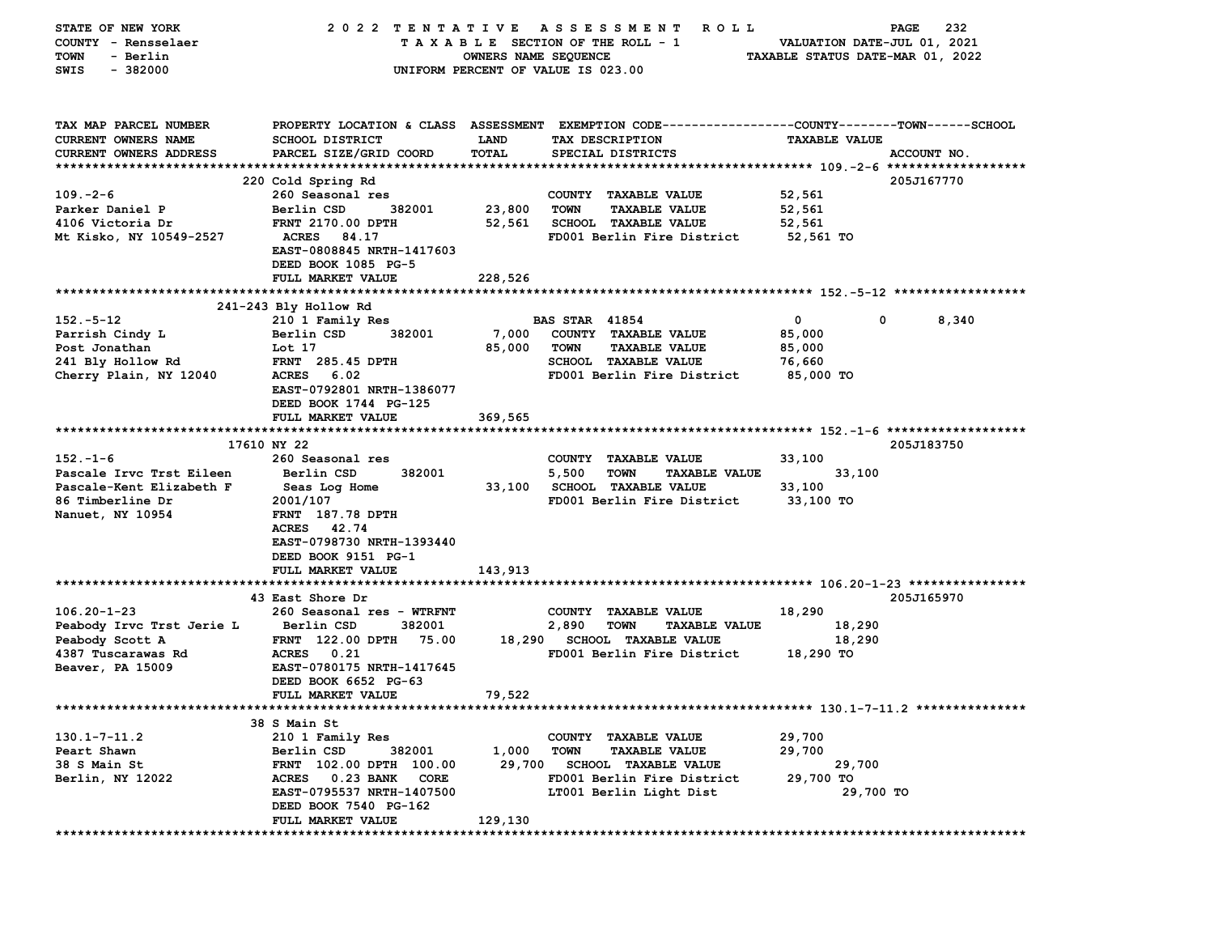| STATE OF NEW YORK                 | 2022 TENTATIVE                                   |                      | A S S E S S M E N T<br><b>ROLL</b>                                                             |                                  | 232<br>PAGE |
|-----------------------------------|--------------------------------------------------|----------------------|------------------------------------------------------------------------------------------------|----------------------------------|-------------|
| COUNTY - Rensselaer               |                                                  |                      | TAXABLE SECTION OF THE ROLL - 1                                                                | VALUATION DATE-JUL 01, 2021      |             |
| <b>TOWN</b><br>- Berlin           |                                                  | OWNERS NAME SEQUENCE |                                                                                                | TAXABLE STATUS DATE-MAR 01, 2022 |             |
| $-382000$<br>SWIS                 |                                                  |                      | UNIFORM PERCENT OF VALUE IS 023.00                                                             |                                  |             |
|                                   |                                                  |                      |                                                                                                |                                  |             |
|                                   |                                                  |                      |                                                                                                |                                  |             |
| TAX MAP PARCEL NUMBER             |                                                  |                      | PROPERTY LOCATION & CLASS ASSESSMENT EXEMPTION CODE--------------COUNTY-------TOWN------SCHOOL |                                  |             |
| CURRENT OWNERS NAME               | <b>SCHOOL DISTRICT</b>                           | <b>LAND</b>          | TAX DESCRIPTION                                                                                | <b>TAXABLE VALUE</b>             |             |
| <b>CURRENT OWNERS ADDRESS</b>     | PARCEL SIZE/GRID COORD                           | <b>TOTAL</b>         | SPECIAL DISTRICTS                                                                              |                                  | ACCOUNT NO. |
|                                   |                                                  |                      |                                                                                                |                                  |             |
| $109. -2 - 6$                     | 220 Cold Spring Rd<br>260 Seasonal res           |                      | COUNTY TAXABLE VALUE                                                                           | 52,561                           | 205J167770  |
| Parker Daniel P                   | 382001<br>Berlin CSD                             | 23,800               | <b>TOWN</b><br><b>TAXABLE VALUE</b>                                                            | 52,561                           |             |
| 4106 Victoria Dr                  | FRNT 2170.00 DPTH                                | 52,561               | <b>SCHOOL TAXABLE VALUE</b>                                                                    | 52,561                           |             |
| Mt Kisko, NY 10549-2527           | <b>ACRES</b><br>84.17                            |                      | FD001 Berlin Fire District                                                                     | 52,561 TO                        |             |
|                                   | EAST-0808845 NRTH-1417603                        |                      |                                                                                                |                                  |             |
|                                   | DEED BOOK 1085 PG-5                              |                      |                                                                                                |                                  |             |
|                                   | FULL MARKET VALUE                                | 228,526              |                                                                                                |                                  |             |
|                                   |                                                  |                      |                                                                                                |                                  |             |
|                                   | 241-243 Bly Hollow Rd                            |                      |                                                                                                |                                  |             |
| $152.-5-12$                       | 210 1 Family Res                                 |                      | <b>BAS STAR 41854</b>                                                                          | 0<br>0                           | 8,340       |
| Parrish Cindy L                   | Berlin CSD<br>382001                             | 7,000                | COUNTY TAXABLE VALUE                                                                           | 85,000                           |             |
| Post Jonathan                     | Lot 17                                           | 85,000               | <b>TOWN</b><br><b>TAXABLE VALUE</b>                                                            | 85,000                           |             |
| 241 Bly Hollow Rd                 | <b>FRNT</b> 285.45 DPTH<br><b>ACRES</b><br>6.02  |                      | SCHOOL TAXABLE VALUE<br>FD001 Berlin Fire District                                             | 76,660<br>85,000 TO              |             |
| Cherry Plain, NY 12040            | EAST-0792801 NRTH-1386077                        |                      |                                                                                                |                                  |             |
|                                   | DEED BOOK 1744 PG-125                            |                      |                                                                                                |                                  |             |
|                                   | FULL MARKET VALUE                                | 369,565              |                                                                                                |                                  |             |
|                                   |                                                  |                      |                                                                                                |                                  |             |
|                                   | 17610 NY 22                                      |                      |                                                                                                |                                  | 205J183750  |
| $152 - 1 - 6$                     | 260 Seasonal res                                 |                      | COUNTY TAXABLE VALUE                                                                           | 33,100                           |             |
| Pascale Irvc Trst Eileen          | Berlin CSD<br>382001                             |                      | 5,500<br><b>TOWN</b><br><b>TAXABLE VALUE</b>                                                   | 33,100                           |             |
| Pascale-Kent Elizabeth F          | Seas Log Home                                    |                      | 33,100 SCHOOL TAXABLE VALUE                                                                    | 33,100                           |             |
| 86 Timberline Dr                  | 2001/107                                         |                      | FD001 Berlin Fire District                                                                     | 33,100 TO                        |             |
| Nanuet, NY 10954                  | <b>FRNT</b> 187.78 DPTH                          |                      |                                                                                                |                                  |             |
|                                   | 42.74<br>ACRES                                   |                      |                                                                                                |                                  |             |
|                                   | EAST-0798730 NRTH-1393440<br>DEED BOOK 9151 PG-1 |                      |                                                                                                |                                  |             |
|                                   | FULL MARKET VALUE                                | 143,913              |                                                                                                |                                  |             |
|                                   |                                                  |                      |                                                                                                |                                  |             |
|                                   | 43 East Shore Dr                                 |                      |                                                                                                |                                  | 205J165970  |
| $106.20 - 1 - 23$                 | 260 Seasonal res - WTRFNT                        |                      | COUNTY TAXABLE VALUE                                                                           | 18,290                           |             |
| Peabody Irvc Trst Jerie L         | Berlin CSD<br>382001                             |                      | 2,890<br><b>TOWN</b><br><b>TAXABLE VALUE</b>                                                   | 18,290                           |             |
| Peabody Scott A                   | FRNT 122.00 DPTH 75.00                           |                      | 18,290 SCHOOL TAXABLE VALUE                                                                    | 18,290                           |             |
| 4387 Tuscarawas Rd                | 0.21<br><b>ACRES</b>                             |                      | FD001 Berlin Fire District                                                                     | 18,290 TO                        |             |
| Beaver, PA 15009                  | EAST-0780175 NRTH-1417645                        |                      |                                                                                                |                                  |             |
|                                   | DEED BOOK 6652 PG-63                             |                      |                                                                                                |                                  |             |
|                                   | FULL MARKET VALUE                                | 79,522               |                                                                                                |                                  |             |
|                                   |                                                  |                      | *********************************** 130  .1-7-11  .2 ***************                           |                                  |             |
|                                   | 38 S Main St                                     |                      |                                                                                                |                                  |             |
| $130.1 - 7 - 11.2$<br>Peart Shawn | 210 1 Family Res<br>Berlin CSD<br>382001         | 1,000                | COUNTY TAXABLE VALUE<br><b>TOWN</b><br><b>TAXABLE VALUE</b>                                    | 29,700<br>29,700                 |             |
| 38 S Main St                      | FRNT 102.00 DPTH 100.00                          | 29,700               | <b>SCHOOL TAXABLE VALUE</b>                                                                    | 29,700                           |             |
| Berlin, NY 12022                  | 0.23 BANK<br><b>ACRES</b><br>CORE                |                      | FD001 Berlin Fire District                                                                     | 29,700 TO                        |             |
|                                   | EAST-0795537 NRTH-1407500                        |                      | LT001 Berlin Light Dist                                                                        | 29,700 TO                        |             |
|                                   | DEED BOOK 7540 PG-162                            |                      |                                                                                                |                                  |             |
|                                   | <b>FULL MARKET VALUE</b>                         | 129,130              |                                                                                                |                                  |             |
|                                   |                                                  |                      |                                                                                                |                                  |             |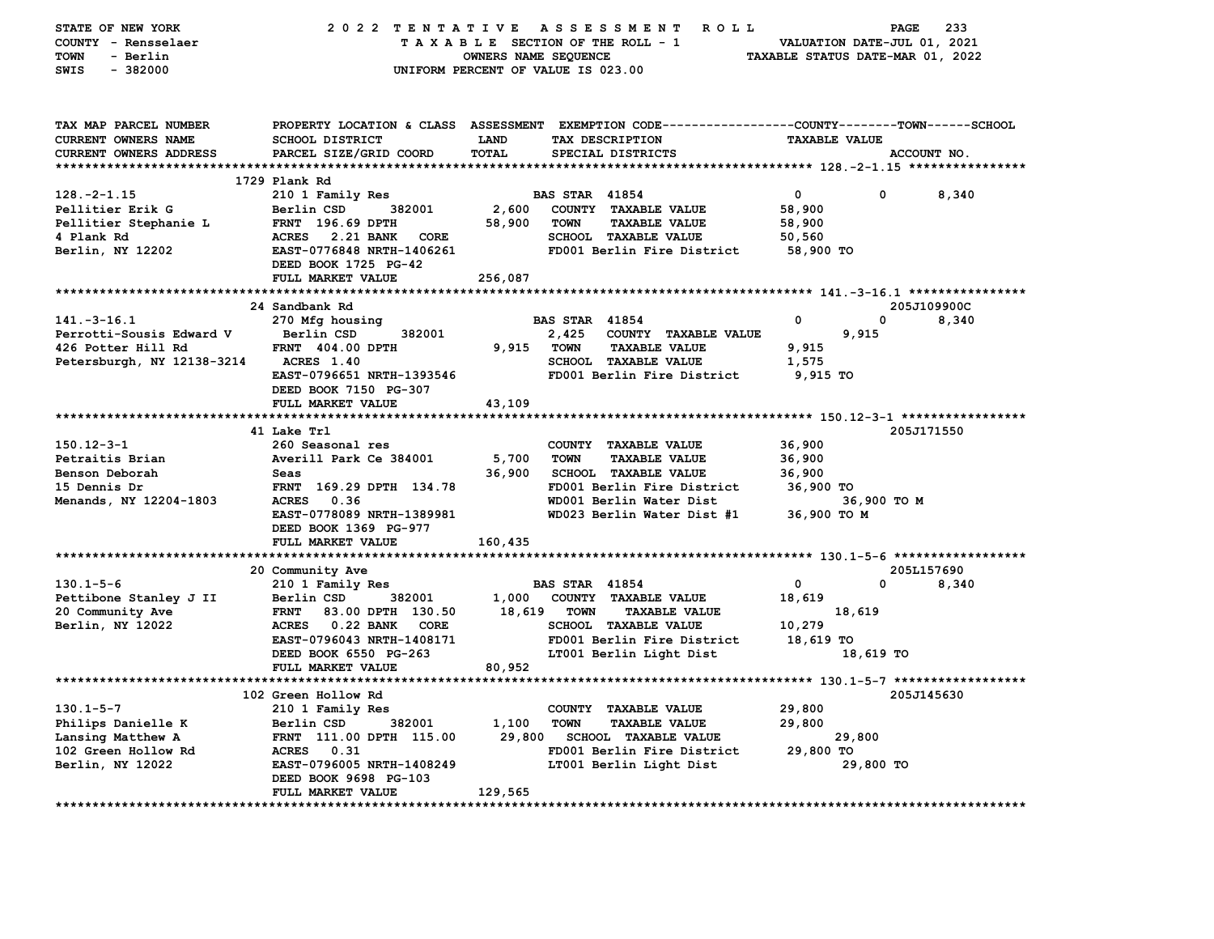| STATE OF NEW YORK          | 2022 TENTATIVE                   |                      | <b>ROLL</b><br>A S S E S S M E N T                                                             |                                  | 233<br>PAGE |
|----------------------------|----------------------------------|----------------------|------------------------------------------------------------------------------------------------|----------------------------------|-------------|
| COUNTY - Rensselaer        |                                  |                      | TAXABLE SECTION OF THE ROLL - 1                                                                | VALUATION DATE-JUL 01, 2021      |             |
| - Berlin<br>TOWN           |                                  | OWNERS NAME SEQUENCE |                                                                                                | TAXABLE STATUS DATE-MAR 01, 2022 |             |
| SWIS<br>$-382000$          |                                  |                      | UNIFORM PERCENT OF VALUE IS 023.00                                                             |                                  |             |
|                            |                                  |                      |                                                                                                |                                  |             |
|                            |                                  |                      |                                                                                                |                                  |             |
| TAX MAP PARCEL NUMBER      |                                  |                      | PROPERTY LOCATION & CLASS ASSESSMENT EXEMPTION CODE---------------COUNTY-------TOWN-----SCHOOL |                                  |             |
| CURRENT OWNERS NAME        | SCHOOL DISTRICT                  | LAND                 | TAX DESCRIPTION                                                                                | <b>TAXABLE VALUE</b>             |             |
|                            |                                  | <b>TOTAL</b>         |                                                                                                |                                  |             |
| CURRENT OWNERS ADDRESS     | PARCEL SIZE/GRID COORD           |                      | SPECIAL DISTRICTS                                                                              |                                  | ACCOUNT NO. |
|                            | 1729 Plank Rd                    |                      |                                                                                                |                                  |             |
| $128. - 2 - 1.15$          | 210 1 Family Res                 |                      | <b>BAS STAR 41854</b>                                                                          | $\mathbf 0$<br>0                 | 8,340       |
| Pellitier Erik G           | 382001<br>Berlin CSD             | 2,600                | COUNTY TAXABLE VALUE                                                                           | 58,900                           |             |
|                            |                                  | 58,900               | <b>TOWN</b>                                                                                    |                                  |             |
| Pellitier Stephanie L      | FRNT 196.69 DPTH                 |                      | <b>TAXABLE VALUE</b>                                                                           | 58,900                           |             |
| 4 Plank Rd                 | ACRES 2.21 BANK<br>CORE          |                      | SCHOOL TAXABLE VALUE                                                                           | 50,560                           |             |
| Berlin, NY 12202           | EAST-0776848 NRTH-1406261        |                      | FD001 Berlin Fire District                                                                     | 58,900 TO                        |             |
|                            | DEED BOOK 1725 PG-42             |                      |                                                                                                |                                  |             |
|                            | FULL MARKET VALUE                | 256,087              |                                                                                                |                                  |             |
|                            |                                  |                      |                                                                                                |                                  |             |
|                            | 24 Sandbank Rd                   |                      |                                                                                                |                                  | 205J109900C |
| $141. - 3 - 16.1$          | 270 Mfg housing                  |                      | <b>BAS STAR 41854</b>                                                                          | 0<br>0                           | 8,340       |
| Perrotti-Sousis Edward V   | Berlin CSD<br>382001             |                      | 2,425<br>COUNTY TAXABLE VALUE                                                                  | 9,915                            |             |
| 426 Potter Hill Rd         | <b>FRNT 404.00 DPTH</b>          | 9,915                | TOWN<br><b>TAXABLE VALUE</b>                                                                   | 9,915                            |             |
| Petersburgh, NY 12138-3214 | <b>ACRES</b> 1.40                |                      | SCHOOL TAXABLE VALUE                                                                           | 1,575                            |             |
|                            | EAST-0796651 NRTH-1393546        |                      | FD001 Berlin Fire District                                                                     | 9,915 TO                         |             |
|                            | DEED BOOK 7150 PG-307            |                      |                                                                                                |                                  |             |
|                            | FULL MARKET VALUE                | 43,109               |                                                                                                |                                  |             |
|                            |                                  |                      |                                                                                                |                                  |             |
|                            | 41 Lake Trl                      |                      |                                                                                                |                                  | 205J171550  |
| $150.12 - 3 - 1$           | 260 Seasonal res                 |                      | COUNTY TAXABLE VALUE                                                                           | 36,900                           |             |
| Petraitis Brian            | Averill Park Ce 384001           | 5,700                | <b>TOWN</b><br><b>TAXABLE VALUE</b>                                                            | 36,900                           |             |
| Benson Deborah             | Seas                             | 36,900               | SCHOOL TAXABLE VALUE                                                                           | 36,900                           |             |
| 15 Dennis Dr               | FRNT 169.29 DPTH 134.78          |                      | FD001 Berlin Fire District                                                                     | 36,900 TO                        |             |
| Menands, NY 12204-1803     | ACRES 0.36                       |                      | WD001 Berlin Water Dist                                                                        | 36,900 TO M                      |             |
|                            | EAST-0778089 NRTH-1389981        |                      | WD023 Berlin Water Dist #1                                                                     | 36,900 ТО М                      |             |
|                            | DEED BOOK 1369 PG-977            |                      |                                                                                                |                                  |             |
|                            | FULL MARKET VALUE                | 160,435              |                                                                                                |                                  |             |
|                            |                                  |                      |                                                                                                |                                  |             |
|                            | 20 Community Ave                 |                      |                                                                                                |                                  | 205L157690  |
| $130.1 - 5 - 6$            | 210 1 Family Res                 |                      | <b>BAS STAR 41854</b>                                                                          | 0<br>$\mathbf 0$                 | 8,340       |
| Pettibone Stanley J II     | Berlin CSD<br>382001             | 1,000                | COUNTY TAXABLE VALUE                                                                           | 18,619                           |             |
| 20 Community Ave           | <b>FRNT</b><br>83.00 DPTH 130.50 | 18,619               | <b>TOWN</b><br><b>TAXABLE VALUE</b>                                                            | 18,619                           |             |
| Berlin, NY 12022           | ACRES 0.22 BANK<br><b>CORE</b>   |                      | <b>SCHOOL TAXABLE VALUE</b>                                                                    | 10,279                           |             |
|                            | EAST-0796043 NRTH-1408171        |                      | FD001 Berlin Fire District                                                                     | 18,619 TO                        |             |
|                            | DEED BOOK 6550 PG-263            |                      | LT001 Berlin Light Dist                                                                        | 18,619 TO                        |             |
|                            | FULL MARKET VALUE                | 80,952               |                                                                                                |                                  |             |
|                            |                                  |                      |                                                                                                |                                  |             |
|                            | 102 Green Hollow Rd              |                      |                                                                                                |                                  | 205J145630  |
| $130.1 - 5 - 7$            | 210 1 Family Res                 |                      | COUNTY TAXABLE VALUE                                                                           | 29,800                           |             |
| Philips Danielle K         | Berlin CSD<br>382001             | 1,100                | <b>TOWN</b><br><b>TAXABLE VALUE</b>                                                            | 29,800                           |             |
| Lansing Matthew A          | FRNT 111.00 DPTH 115.00          | 29,800               | <b>SCHOOL TAXABLE VALUE</b>                                                                    | 29,800                           |             |
| 102 Green Hollow Rd        | ACRES 0.31                       |                      | FD001 Berlin Fire District                                                                     | 29,800 TO                        |             |
| Berlin, NY 12022           | EAST-0796005 NRTH-1408249        |                      | LT001 Berlin Light Dist                                                                        | 29,800 TO                        |             |
|                            | DEED BOOK 9698 PG-103            |                      |                                                                                                |                                  |             |
|                            | FULL MARKET VALUE                | 129,565              |                                                                                                |                                  |             |
|                            |                                  |                      |                                                                                                |                                  |             |
|                            |                                  |                      |                                                                                                |                                  |             |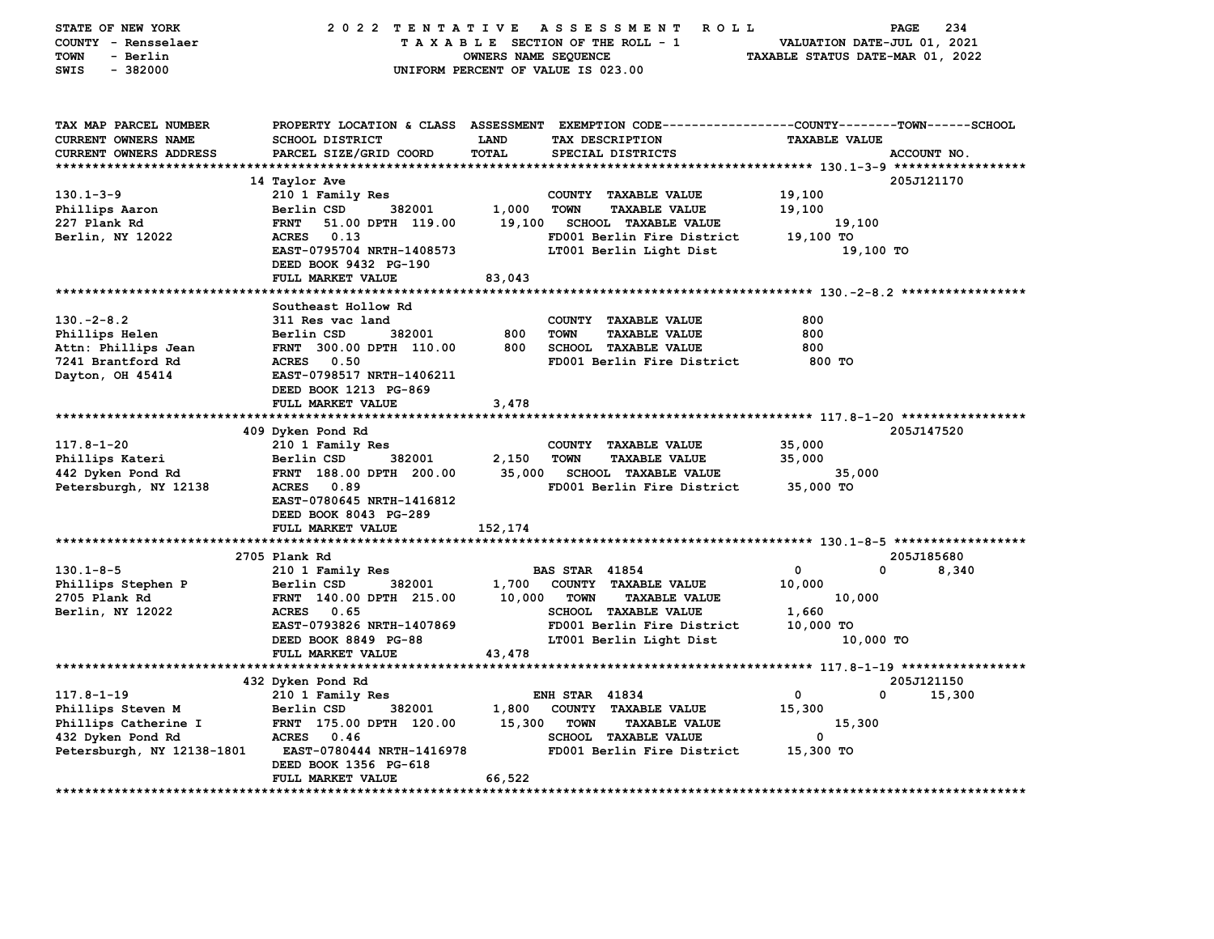| STATE OF NEW YORK<br>COUNTY - Rensselaer<br>- Berlin<br>TOWN<br>$-382000$<br>SWIS | 2022 TENTATIVE                                                              | <b>ROLL</b><br>A S S E S S M E N T<br>TAXABLE SECTION OF THE ROLL - 1<br>OWNERS NAME SEQUENCE<br>UNIFORM PERCENT OF VALUE IS 023.00                              | 234<br>PAGE<br>VALUATION DATE-JUL 01, 2021<br>TAXABLE STATUS DATE-MAR 01, 2022 |
|-----------------------------------------------------------------------------------|-----------------------------------------------------------------------------|------------------------------------------------------------------------------------------------------------------------------------------------------------------|--------------------------------------------------------------------------------|
| TAX MAP PARCEL NUMBER<br>CURRENT OWNERS NAME<br><b>CURRENT OWNERS ADDRESS</b>     | <b>SCHOOL DISTRICT</b><br>PARCEL SIZE/GRID COORD                            | PROPERTY LOCATION & CLASS ASSESSMENT EXEMPTION CODE----------------COUNTY-------TOWN------SCHOOL<br>LAND<br>TAX DESCRIPTION<br><b>TOTAL</b><br>SPECIAL DISTRICTS | <b>TAXABLE VALUE</b><br>ACCOUNT NO.                                            |
|                                                                                   | 14 Taylor Ave                                                               |                                                                                                                                                                  | 205J121170                                                                     |
| $130.1 - 3 - 9$<br>Phillips Aaron                                                 | 210 1 Family Res<br>Berlin CSD<br>382001                                    | COUNTY TAXABLE VALUE<br>1,000<br><b>TOWN</b><br><b>TAXABLE VALUE</b>                                                                                             | 19,100<br>19,100                                                               |
| 227 Plank Rd<br>Berlin, NY 12022                                                  | 51.00 DPTH 119.00<br><b>FRNT</b><br>ACRES 0.13<br>EAST-0795704 NRTH-1408573 | 19,100<br><b>SCHOOL TAXABLE VALUE</b><br>FD001 Berlin Fire District<br>LT001 Berlin Light Dist                                                                   | 19,100<br>19,100 TO<br>19,100 TO                                               |
|                                                                                   | DEED BOOK 9432 PG-190<br>FULL MARKET VALUE                                  | 83,043                                                                                                                                                           |                                                                                |
|                                                                                   |                                                                             |                                                                                                                                                                  |                                                                                |
|                                                                                   | Southeast Hollow Rd                                                         |                                                                                                                                                                  |                                                                                |
| $130 - 2 - 8.2$                                                                   | 311 Res vac land                                                            | COUNTY TAXABLE VALUE                                                                                                                                             | 800                                                                            |
| Phillips Helen                                                                    | Berlin CSD<br>382001                                                        | 800<br><b>TAXABLE VALUE</b><br><b>TOWN</b>                                                                                                                       | 800                                                                            |
| Attn: Phillips Jean                                                               | FRNT 300.00 DPTH 110.00                                                     | 800<br><b>SCHOOL TAXABLE VALUE</b>                                                                                                                               | 800                                                                            |
| 7241 Brantford Rd<br>Dayton, OH 45414                                             | <b>ACRES</b> 0.50<br>EAST-0798517 NRTH-1406211<br>DEED BOOK 1213 PG-869     | FD001 Berlin Fire District                                                                                                                                       | 800 TO                                                                         |
|                                                                                   | FULL MARKET VALUE                                                           | 3,478                                                                                                                                                            |                                                                                |
|                                                                                   |                                                                             |                                                                                                                                                                  |                                                                                |
| $117.8 - 1 - 20$                                                                  | 409 Dyken Pond Rd<br>210 1 Family Res                                       | COUNTY TAXABLE VALUE                                                                                                                                             | 205J147520<br>35,000                                                           |
| Phillips Kateri                                                                   | 382001<br>Berlin CSD                                                        | 2,150<br><b>TOWN</b><br><b>TAXABLE VALUE</b>                                                                                                                     | 35,000                                                                         |
| 442 Dyken Pond Rd                                                                 | FRNT 188.00 DPTH 200.00                                                     | 35,000<br><b>SCHOOL TAXABLE VALUE</b>                                                                                                                            | 35,000                                                                         |
| Petersburgh, NY 12138                                                             | <b>ACRES</b><br>0.89<br>EAST-0780645 NRTH-1416812<br>DEED BOOK 8043 PG-289  | FD001 Berlin Fire District                                                                                                                                       | 35,000 TO                                                                      |
|                                                                                   | FULL MARKET VALUE                                                           | 152,174                                                                                                                                                          |                                                                                |
|                                                                                   | 2705 Plank Rd                                                               |                                                                                                                                                                  | 205J185680                                                                     |
| $130.1 - 8 - 5$                                                                   | 210 1 Family Res                                                            | <b>BAS STAR 41854</b>                                                                                                                                            | $\mathbf 0$<br>0<br>8,340                                                      |
| Phillips Stephen P                                                                | 382001<br>Berlin CSD                                                        | 1,700<br>COUNTY TAXABLE VALUE                                                                                                                                    | 10,000                                                                         |
| 2705 Plank Rd                                                                     | FRNT 140.00 DPTH 215.00                                                     | 10,000<br><b>TOWN</b><br><b>TAXABLE VALUE</b>                                                                                                                    | 10,000                                                                         |
| Berlin, NY 12022                                                                  | ACRES 0.65                                                                  | SCHOOL TAXABLE VALUE                                                                                                                                             | 1,660                                                                          |
|                                                                                   | EAST-0793826 NRTH-1407869<br>DEED BOOK 8849 PG-88                           | FD001 Berlin Fire District<br>LT001 Berlin Light Dist                                                                                                            | 10,000 TO<br>10,000 TO                                                         |
|                                                                                   | FULL MARKET VALUE                                                           | 43,478                                                                                                                                                           |                                                                                |
|                                                                                   | 432 Dyken Pond Rd                                                           |                                                                                                                                                                  | 205J121150                                                                     |
| $117.8 - 1 - 19$                                                                  | 210 1 Family Res                                                            | <b>ENH STAR 41834</b>                                                                                                                                            | $\mathbf{0}$<br>0<br>15,300                                                    |
| Phillips Steven M                                                                 | 382001<br>Berlin CSD                                                        | 1,800<br>COUNTY TAXABLE VALUE                                                                                                                                    | 15,300                                                                         |
| Phillips Catherine I                                                              | FRNT 175.00 DPTH 120.00                                                     | 15,300<br><b>TOWN</b><br><b>TAXABLE VALUE</b>                                                                                                                    | 15,300                                                                         |
| 432 Dyken Pond Rd                                                                 | ACRES 0.46                                                                  | SCHOOL TAXABLE VALUE                                                                                                                                             | $\mathbf{0}$                                                                   |
| Petersburgh, NY 12138-1801                                                        | EAST-0780444 NRTH-1416978<br>DEED BOOK 1356 PG-618                          | FD001 Berlin Fire District                                                                                                                                       | 15,300 TO                                                                      |
|                                                                                   | FULL MARKET VALUE                                                           | 66,522                                                                                                                                                           |                                                                                |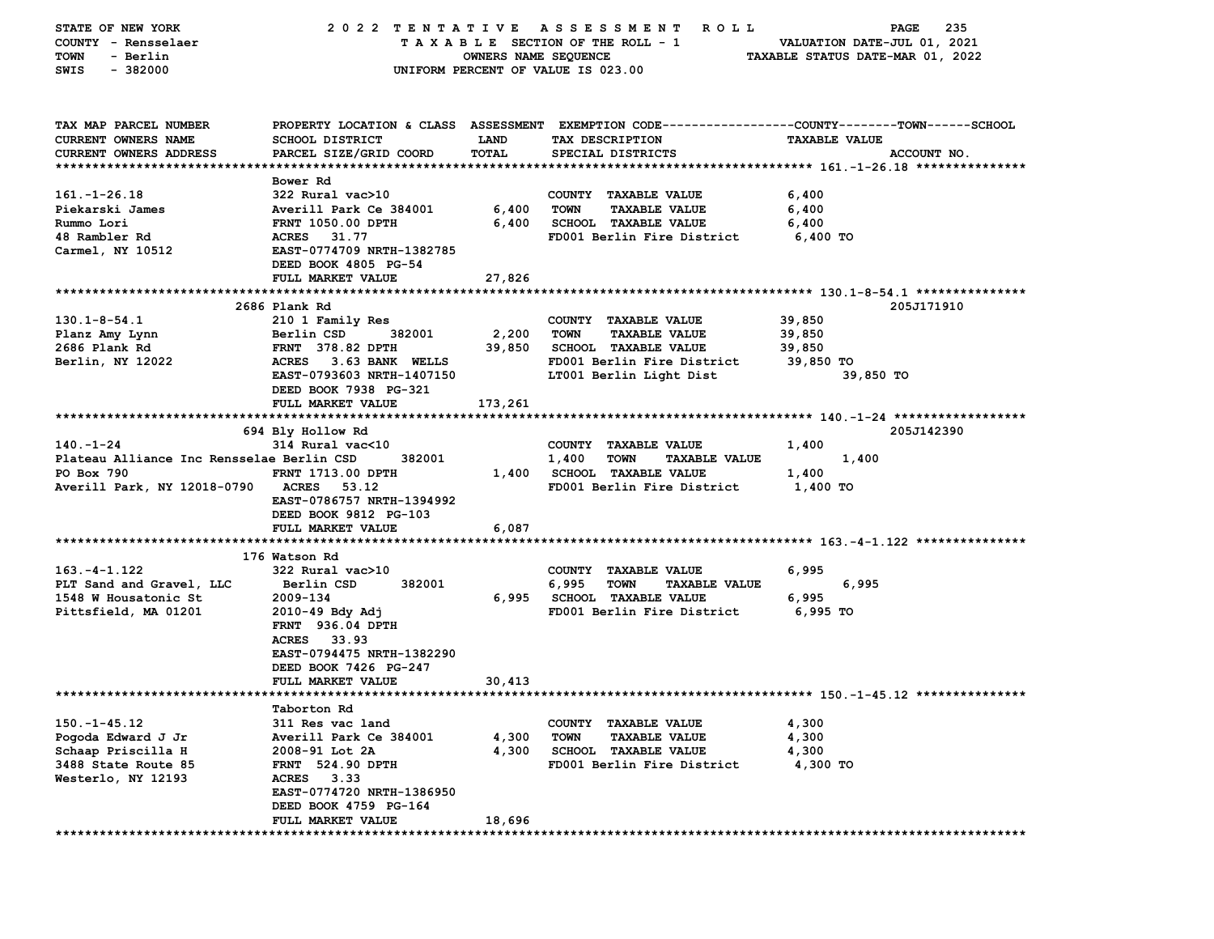| STATE OF NEW YORK                         | 2022 TENTATIVE                           |                      | A S S E S S M E N T<br>R O L L                                     | 235<br>PAGE                                                                                     |
|-------------------------------------------|------------------------------------------|----------------------|--------------------------------------------------------------------|-------------------------------------------------------------------------------------------------|
| COUNTY - Rensselaer                       |                                          |                      | TAXABLE SECTION OF THE ROLL - 1                                    | VALUATION DATE-JUL 01, 2021                                                                     |
| - Berlin<br>TOWN                          |                                          | OWNERS NAME SEQUENCE |                                                                    | TAXABLE STATUS DATE-MAR 01, 2022                                                                |
| $-382000$<br>SWIS                         |                                          |                      | UNIFORM PERCENT OF VALUE IS 023.00                                 |                                                                                                 |
|                                           |                                          |                      |                                                                    |                                                                                                 |
|                                           |                                          |                      |                                                                    |                                                                                                 |
| TAX MAP PARCEL NUMBER                     |                                          |                      |                                                                    | PROPERTY LOCATION & CLASS ASSESSMENT EXEMPTION CODE---------------COUNTY-------TOWN------SCHOOL |
| <b>CURRENT OWNERS NAME</b>                | SCHOOL DISTRICT                          | LAND                 | TAX DESCRIPTION                                                    | <b>TAXABLE VALUE</b>                                                                            |
| CURRENT OWNERS ADDRESS                    | PARCEL SIZE/GRID COORD                   | TOTAL                | SPECIAL DISTRICTS                                                  | ACCOUNT NO.                                                                                     |
|                                           |                                          |                      |                                                                    |                                                                                                 |
|                                           | Bower Rd                                 |                      |                                                                    |                                                                                                 |
| $161. - 1 - 26.18$                        | 322 Rural vac>10                         |                      | COUNTY TAXABLE VALUE                                               | 6,400                                                                                           |
| Piekarski James                           | Averill Park Ce 384001                   | 6,400                | <b>TOWN</b><br><b>TAXABLE VALUE</b>                                | 6,400                                                                                           |
| Rummo Lori                                | <b>FRNT 1050.00 DPTH</b>                 | 6,400                | <b>SCHOOL TAXABLE VALUE</b>                                        | 6,400                                                                                           |
| 48 Rambler Rd                             | <b>ACRES</b><br>31.77                    |                      | FD001 Berlin Fire District                                         | 6,400 TO                                                                                        |
| Carmel, NY 10512                          | EAST-0774709 NRTH-1382785                |                      |                                                                    |                                                                                                 |
|                                           | DEED BOOK 4805 PG-54                     |                      |                                                                    |                                                                                                 |
|                                           | FULL MARKET VALUE                        | 27,826               |                                                                    |                                                                                                 |
|                                           |                                          |                      |                                                                    |                                                                                                 |
|                                           | 2686 Plank Rd                            |                      |                                                                    | 205J171910                                                                                      |
| $130.1 - 8 - 54.1$                        | 210 1 Family Res                         |                      | COUNTY TAXABLE VALUE                                               | 39,850                                                                                          |
| Planz Amy Lynn                            | Berlin CSD<br>382001                     | 2,200                | <b>TOWN</b><br><b>TAXABLE VALUE</b>                                | 39,850                                                                                          |
| 2686 Plank Rd                             | <b>FRNT</b> 378.82 DPTH                  | 39,850               | <b>SCHOOL TAXABLE VALUE</b>                                        | 39,850                                                                                          |
| Berlin, NY 12022                          | <b>ACRES</b><br>3.63 BANK WELLS          |                      | FD001 Berlin Fire District                                         | 39,850 TO                                                                                       |
|                                           | EAST-0793603 NRTH-1407150                |                      | LT001 Berlin Light Dist                                            | 39,850 TO                                                                                       |
|                                           | DEED BOOK 7938 PG-321                    |                      |                                                                    |                                                                                                 |
|                                           | FULL MARKET VALUE                        | 173,261              |                                                                    |                                                                                                 |
|                                           |                                          |                      |                                                                    |                                                                                                 |
|                                           | 694 Bly Hollow Rd                        |                      |                                                                    | 205J142390                                                                                      |
| $140. - 1 - 24$                           | 314 Rural vac<10                         |                      | COUNTY TAXABLE VALUE                                               | 1,400                                                                                           |
| Plateau Alliance Inc Rensselae Berlin CSD | 382001                                   |                      | 1,400<br><b>TOWN</b><br><b>TAXABLE VALUE</b>                       | 1,400                                                                                           |
| PO Box 790                                | <b>FRNT 1713.00 DPTH</b>                 | 1,400                | <b>SCHOOL TAXABLE VALUE</b>                                        | 1,400                                                                                           |
| Averill Park, NY 12018-0790               | ACRES<br>53.12                           |                      | FD001 Berlin Fire District                                         | 1,400 TO                                                                                        |
|                                           | EAST-0786757 NRTH-1394992                |                      |                                                                    |                                                                                                 |
|                                           | DEED BOOK 9812 PG-103                    |                      |                                                                    |                                                                                                 |
|                                           | FULL MARKET VALUE                        | 6,087                |                                                                    |                                                                                                 |
|                                           |                                          |                      |                                                                    |                                                                                                 |
|                                           | 176 Watson Rd                            |                      |                                                                    |                                                                                                 |
| $163. - 4 - 1.122$                        | 322 Rural vac>10                         |                      | COUNTY TAXABLE VALUE                                               | 6,995                                                                                           |
| PLT Sand and Gravel, LLC                  | Berlin CSD<br>382001                     |                      | 6,995<br><b>TOWN</b><br><b>TAXABLE VALUE</b>                       | 6,995                                                                                           |
| 1548 W Housatonic St                      | 2009-134                                 | 6,995                | <b>SCHOOL TAXABLE VALUE</b>                                        | 6,995                                                                                           |
| Pittsfield, MA 01201                      | $2010 - 49$ Bdy Adj                      |                      | FD001 Berlin Fire District                                         | 6,995 TO                                                                                        |
|                                           | <b>FRNT</b> 936.04 DPTH                  |                      |                                                                    |                                                                                                 |
|                                           | <b>ACRES</b><br>33.93                    |                      |                                                                    |                                                                                                 |
|                                           | EAST-0794475 NRTH-1382290                |                      |                                                                    |                                                                                                 |
|                                           | DEED BOOK 7426 PG-247                    |                      |                                                                    |                                                                                                 |
|                                           | FULL MARKET VALUE                        | 30,413               |                                                                    |                                                                                                 |
|                                           |                                          |                      |                                                                    |                                                                                                 |
|                                           | Taborton Rd                              |                      |                                                                    |                                                                                                 |
| $150. - 1 - 45.12$                        | 311 Res vac land                         |                      | COUNTY TAXABLE VALUE                                               | 4,300                                                                                           |
| Pogoda Edward J Jr                        | Averill Park Ce 384001                   | 4,300                | <b>TOWN</b><br><b>TAXABLE VALUE</b><br><b>SCHOOL TAXABLE VALUE</b> | 4,300                                                                                           |
| Schaap Priscilla H                        | 2008-91 Lot 2A                           | 4,300                | FD001 Berlin Fire District                                         | 4,300                                                                                           |
| 3488 State Route 85<br>Westerlo, NY 12193 | FRNT 524.90 DPTH<br><b>ACRES</b><br>3.33 |                      |                                                                    | 4,300 TO                                                                                        |
|                                           | EAST-0774720 NRTH-1386950                |                      |                                                                    |                                                                                                 |
|                                           | DEED BOOK 4759 PG-164                    |                      |                                                                    |                                                                                                 |
|                                           | FULL MARKET VALUE                        | 18,696               |                                                                    |                                                                                                 |
|                                           |                                          |                      |                                                                    |                                                                                                 |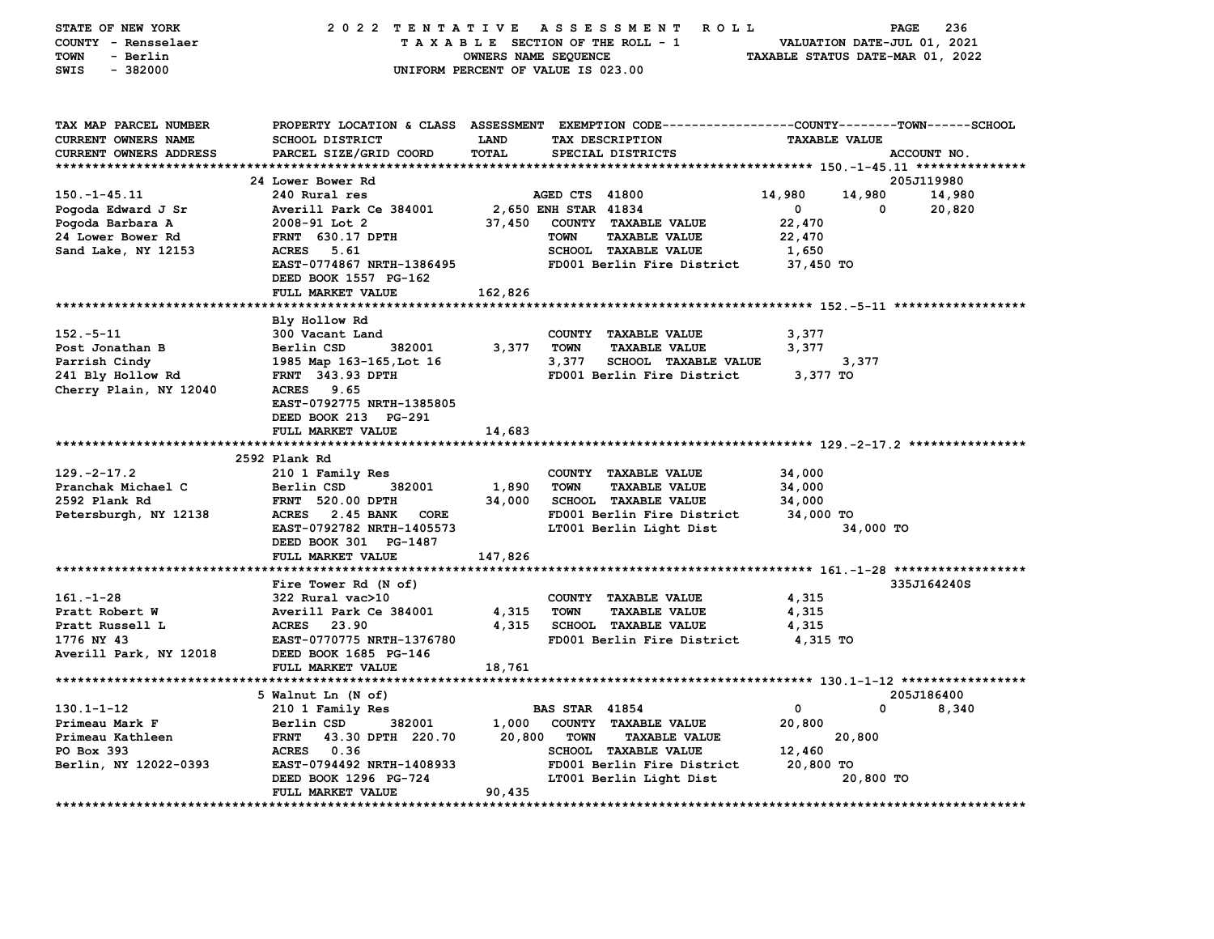| STATE OF NEW YORK      |                                        |                      | 2022 TENTATIVE ASSESSMENT ROLL                                                                  |                      | PAGE                             | 236         |
|------------------------|----------------------------------------|----------------------|-------------------------------------------------------------------------------------------------|----------------------|----------------------------------|-------------|
| COUNTY - Rensselaer    |                                        |                      | TAXABLE SECTION OF THE ROLL - 1                                                                 |                      | VALUATION DATE-JUL 01, 2021      |             |
| TOWN<br>- Berlin       |                                        | OWNERS NAME SEQUENCE |                                                                                                 |                      | TAXABLE STATUS DATE-MAR 01, 2022 |             |
| SWIS<br>$-382000$      |                                        |                      | UNIFORM PERCENT OF VALUE IS 023.00                                                              |                      |                                  |             |
|                        |                                        |                      |                                                                                                 |                      |                                  |             |
|                        |                                        |                      |                                                                                                 |                      |                                  |             |
| TAX MAP PARCEL NUMBER  |                                        |                      | PROPERTY LOCATION & CLASS ASSESSMENT EXEMPTION CODE---------------COUNTY-------TOWN------SCHOOL |                      |                                  |             |
| CURRENT OWNERS NAME    | <b>SCHOOL DISTRICT</b>                 | <b>LAND</b>          | TAX DESCRIPTION                                                                                 | <b>TAXABLE VALUE</b> |                                  |             |
| CURRENT OWNERS ADDRESS | PARCEL SIZE/GRID COORD                 | <b>TOTAL</b>         | SPECIAL DISTRICTS                                                                               |                      | ACCOUNT NO.                      |             |
|                        |                                        |                      |                                                                                                 |                      |                                  |             |
|                        | 24 Lower Bower Rd                      |                      |                                                                                                 |                      | 205J119980                       |             |
| $150. - 1 - 45.11$     | 240 Rural res                          |                      | AGED CTS 41800                                                                                  | 14,980               | 14,980                           | 14,980      |
| Pogoda Edward J Sr     | Averill Park Ce 384001                 |                      | 2,650 ENH STAR 41834                                                                            | $\mathbf 0$          | 0                                | 20,820      |
| Pogoda Barbara A       | $2008 - 91$ Lot 2                      | 37,450               | COUNTY TAXABLE VALUE                                                                            | 22,470               |                                  |             |
| 24 Lower Bower Rd      | <b>FRNT</b> 630.17 DPTH                |                      | <b>TOWN</b><br><b>TAXABLE VALUE</b>                                                             | 22,470               |                                  |             |
| Sand Lake, NY 12153    | ACRES 5.61                             |                      | <b>SCHOOL TAXABLE VALUE</b>                                                                     | 1,650                |                                  |             |
|                        | EAST-0774867 NRTH-1386495              |                      | FD001 Berlin Fire District                                                                      | 37,450 TO            |                                  |             |
|                        | DEED BOOK 1557 PG-162                  |                      |                                                                                                 |                      |                                  |             |
|                        | FULL MARKET VALUE                      | 162,826              |                                                                                                 |                      |                                  |             |
|                        |                                        |                      |                                                                                                 |                      |                                  |             |
|                        | Bly Hollow Rd                          |                      |                                                                                                 |                      |                                  |             |
| $152 - 5 - 11$         | 300 Vacant Land                        |                      | COUNTY TAXABLE VALUE                                                                            | 3,377                |                                  |             |
| Post Jonathan B        | Berlin CSD<br>382001                   | 3,377                | TOWN<br><b>TAXABLE VALUE</b>                                                                    | 3,377                |                                  |             |
| Parrish Cindy          | 1985 Map 163-165, Lot 16               |                      | 3,377<br><b>SCHOOL TAXABLE VALUE</b>                                                            |                      | 3,377                            |             |
| 241 Bly Hollow Rd      | FRNT 343.93 DPTH                       |                      | FD001 Berlin Fire District                                                                      | 3,377 TO             |                                  |             |
| Cherry Plain, NY 12040 | ACRES 9.65                             |                      |                                                                                                 |                      |                                  |             |
|                        | EAST-0792775 NRTH-1385805              |                      |                                                                                                 |                      |                                  |             |
|                        | DEED BOOK 213 PG-291                   |                      |                                                                                                 |                      |                                  |             |
|                        | FULL MARKET VALUE                      | 14,683               |                                                                                                 |                      |                                  |             |
|                        |                                        |                      |                                                                                                 |                      |                                  |             |
|                        | 2592 Plank Rd                          |                      |                                                                                                 |                      |                                  |             |
| $129. -2 - 17.2$       | 210 1 Family Res                       |                      | COUNTY TAXABLE VALUE                                                                            | 34,000               |                                  |             |
| Pranchak Michael C     | 382001<br>Berlin CSD                   | 1,890                | <b>TOWN</b><br><b>TAXABLE VALUE</b>                                                             | 34,000               |                                  |             |
| 2592 Plank Rd          | <b>FRNT 520.00 DPTH</b>                | 34,000               | <b>SCHOOL TAXABLE VALUE</b>                                                                     | 34,000               |                                  |             |
| Petersburgh, NY 12138  | ACRES 2.45 BANK<br>CORE                |                      | FD001 Berlin Fire District                                                                      | 34,000 TO            |                                  |             |
|                        | EAST-0792782 NRTH-1405573              |                      | LT001 Berlin Light Dist                                                                         |                      | 34,000 TO                        |             |
|                        | DEED BOOK 301 PG-1487                  |                      |                                                                                                 |                      |                                  |             |
|                        | FULL MARKET VALUE                      | 147,826              |                                                                                                 |                      |                                  |             |
|                        |                                        |                      |                                                                                                 |                      |                                  |             |
|                        | Fire Tower Rd (N of)                   |                      |                                                                                                 |                      |                                  | 335J164240S |
| $161. - 1 - 28$        | 322 Rural vac>10                       |                      | COUNTY TAXABLE VALUE                                                                            | 4,315                |                                  |             |
| Pratt Robert W         | Averill Park Ce 384001                 | 4,315                | TOWN<br><b>TAXABLE VALUE</b>                                                                    | 4,315                |                                  |             |
| Pratt Russell L        | ACRES 23.90                            |                      | 4,315 SCHOOL TAXABLE VALUE                                                                      | 4,315                |                                  |             |
| 1776 NY 43             | EAST-0770775 NRTH-1376780              |                      | FD001 Berlin Fire District                                                                      | 4,315 TO             |                                  |             |
| Averill Park, NY 12018 | DEED BOOK 1685 PG-146                  |                      |                                                                                                 |                      |                                  |             |
|                        | FULL MARKET VALUE                      | 18,761               |                                                                                                 |                      |                                  |             |
|                        |                                        |                      |                                                                                                 |                      |                                  |             |
| $130.1 - 1 - 12$       | 5 Walnut Ln (N of)<br>210 1 Family Res |                      | <b>BAS STAR 41854</b>                                                                           | $\mathbf 0$          | 205J186400<br>$\mathbf 0$        | 8,340       |
| Primeau Mark F         | Berlin CSD<br>382001                   |                      | 1,000 COUNTY TAXABLE VALUE                                                                      | 20,800               |                                  |             |
|                        |                                        |                      |                                                                                                 |                      |                                  |             |
| Primeau Kathleen       | FRNT 43.30 DPTH 220.70<br>ACRES 0.36   | 20,800               | TOWN<br><b>TAXABLE VALUE</b><br><b>SCHOOL TAXABLE VALUE</b>                                     | 12,460               | 20,800                           |             |
| PO Box 393             | EAST-0794492 NRTH-1408933              |                      | FD001 Berlin Fire District                                                                      | 20,800 TO            |                                  |             |
| Berlin, NY 12022-0393  | DEED BOOK 1296 PG-724                  |                      | LT001 Berlin Light Dist                                                                         |                      | 20,800 TO                        |             |
|                        | FULL MARKET VALUE                      | 90,435               |                                                                                                 |                      |                                  |             |
|                        |                                        |                      |                                                                                                 |                      |                                  |             |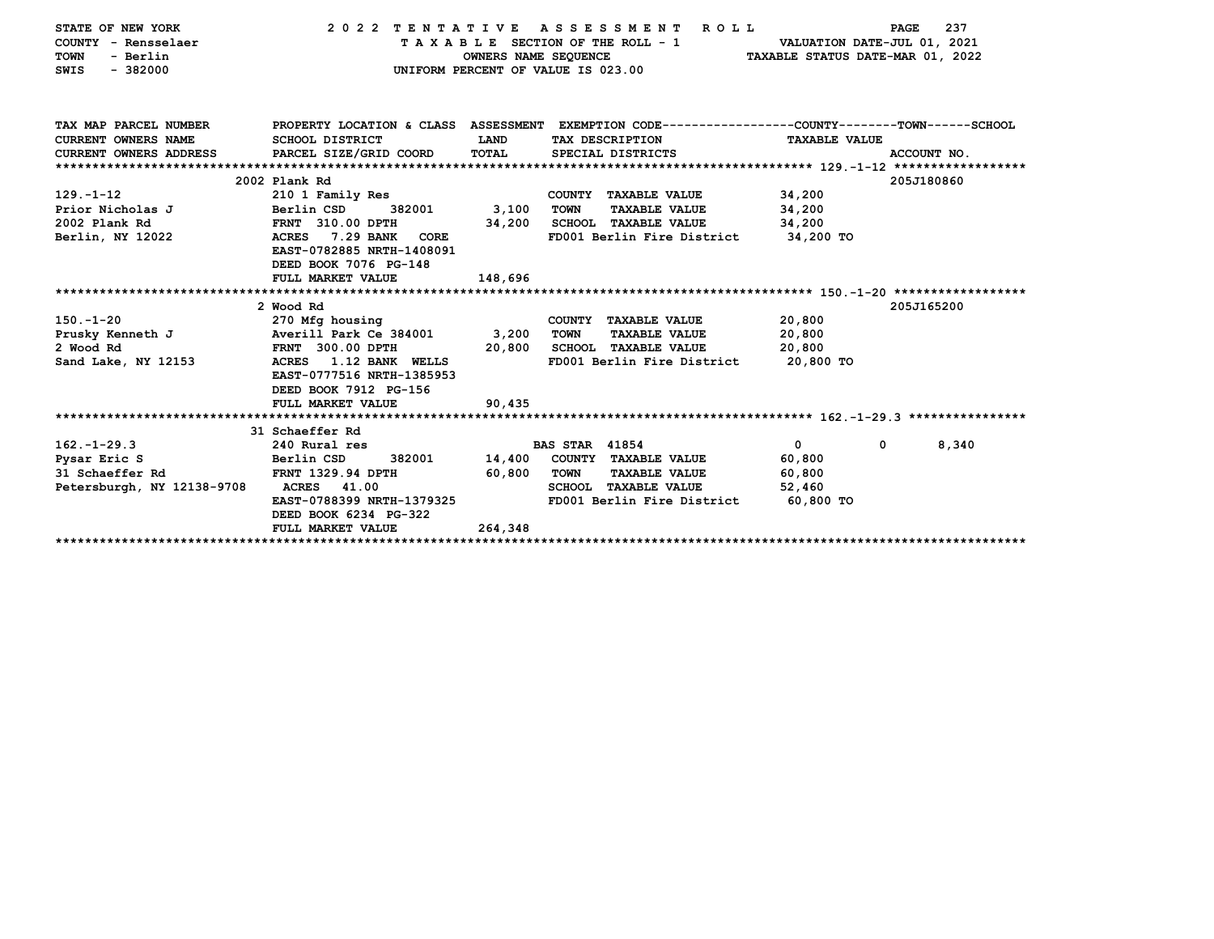| STATE OF NEW YORK                             | 2022 TENTATIVE ASSESSMENT                                                                        |                      |                       | R O L L                         |                                  | 237<br><b>PAGE</b>    |
|-----------------------------------------------|--------------------------------------------------------------------------------------------------|----------------------|-----------------------|---------------------------------|----------------------------------|-----------------------|
| COUNTY - Rensselaer                           |                                                                                                  |                      |                       | TAXABLE SECTION OF THE ROLL - 1 | VALUATION DATE-JUL 01, 2021      |                       |
| - Berlin<br>TOWN                              |                                                                                                  | OWNERS NAME SEQUENCE |                       |                                 | TAXABLE STATUS DATE-MAR 01, 2022 |                       |
| $-382000$<br>SWIS                             | UNIFORM PERCENT OF VALUE IS 023.00                                                               |                      |                       |                                 |                                  |                       |
|                                               |                                                                                                  |                      |                       |                                 |                                  |                       |
|                                               |                                                                                                  |                      |                       |                                 |                                  |                       |
| TAX MAP PARCEL NUMBER                         | PROPERTY LOCATION & CLASS ASSESSMENT EXEMPTION CODE----------------COUNTY-------TOWN------SCHOOL |                      |                       |                                 |                                  |                       |
| CURRENT OWNERS NAME                           | SCHOOL DISTRICT                                                                                  | LAND                 |                       | TAX DESCRIPTION                 | <b>TAXABLE VALUE</b>             |                       |
| CURRENT OWNERS ADDRESS PARCEL SIZE/GRID COORD |                                                                                                  | TOTAL                |                       | SPECIAL DISTRICTS               |                                  | ACCOUNT NO.           |
|                                               |                                                                                                  |                      |                       |                                 |                                  |                       |
|                                               | 2002 Plank Rd                                                                                    |                      |                       |                                 |                                  | 205J180860            |
| $129. - 1 - 12$                               | 210 1 Family Res                                                                                 |                      |                       | COUNTY TAXABLE VALUE            | 34,200                           |                       |
| Prior Nicholas J                              | Berlin CSD<br>382001                                                                             | 3,100                | <b>TOWN</b>           | <b>TAXABLE VALUE</b>            | 34,200                           |                       |
| 2002 Plank Rd                                 | FRNT 310.00 DPTH                                                                                 | 34,200               |                       | <b>SCHOOL TAXABLE VALUE</b>     | 34,200                           |                       |
| Berlin, NY 12022                              | 7.29 BANK<br>ACRES<br>CORE                                                                       |                      |                       | FD001 Berlin Fire District      | 34,200 TO                        |                       |
|                                               | EAST-0782885 NRTH-1408091                                                                        |                      |                       |                                 |                                  |                       |
|                                               | DEED BOOK 7076 PG-148                                                                            |                      |                       |                                 |                                  |                       |
|                                               | FULL MARKET VALUE                                                                                | 148,696              |                       |                                 |                                  |                       |
|                                               |                                                                                                  |                      |                       |                                 |                                  |                       |
|                                               | 2 Wood Rd                                                                                        |                      |                       |                                 |                                  | 205J165200            |
| $150. - 1 - 20$                               | 270 Mfg housing                                                                                  |                      |                       | COUNTY TAXABLE VALUE            | 20,800                           |                       |
| Prusky Kenneth J                              | Averill Park Ce 384001                                                                           | 3,200                | <b>TOWN</b>           | <b>TAXABLE VALUE</b>            | 20,800                           |                       |
| 2 Wood Rd                                     | <b>FRNT 300.00 DPTH</b>                                                                          | 20,800               |                       | <b>SCHOOL TAXABLE VALUE</b>     | 20,800                           |                       |
| Sand Lake, NY 12153                           | <b>ACRES</b><br>1.12 BANK WELLS                                                                  |                      |                       | FD001 Berlin Fire District      | 20,800 TO                        |                       |
|                                               | EAST-0777516 NRTH-1385953                                                                        |                      |                       |                                 |                                  |                       |
|                                               | DEED BOOK 7912 PG-156                                                                            |                      |                       |                                 |                                  |                       |
|                                               | FULL MARKET VALUE                                                                                | 90,435               |                       |                                 |                                  |                       |
|                                               |                                                                                                  |                      |                       |                                 |                                  |                       |
|                                               | 31 Schaeffer Rd                                                                                  |                      |                       |                                 |                                  |                       |
| $162. - 1 - 29.3$                             | 240 Rural res                                                                                    |                      | <b>BAS STAR 41854</b> |                                 | $\mathbf{0}$                     | $\mathbf{0}$<br>8,340 |
| Pysar Eric S                                  | Berlin CSD<br>382001                                                                             | 14,400               |                       | COUNTY TAXABLE VALUE            | 60,800                           |                       |
| 31 Schaeffer Rd                               | <b>FRNT 1329.94 DPTH</b>                                                                         | 60,800               | TOWN                  | <b>TAXABLE VALUE</b>            | 60,800                           |                       |
| Petersburgh, NY 12138-9708                    | <b>ACRES</b><br>41.00                                                                            |                      |                       | SCHOOL TAXABLE VALUE            | 52,460                           |                       |
|                                               | EAST-0788399 NRTH-1379325                                                                        |                      |                       | FD001 Berlin Fire District      | 60,800 TO                        |                       |
|                                               | DEED BOOK 6234 PG-322                                                                            |                      |                       |                                 |                                  |                       |
|                                               | FULL MARKET VALUE                                                                                | 264,348              |                       |                                 |                                  |                       |
|                                               |                                                                                                  |                      |                       |                                 |                                  |                       |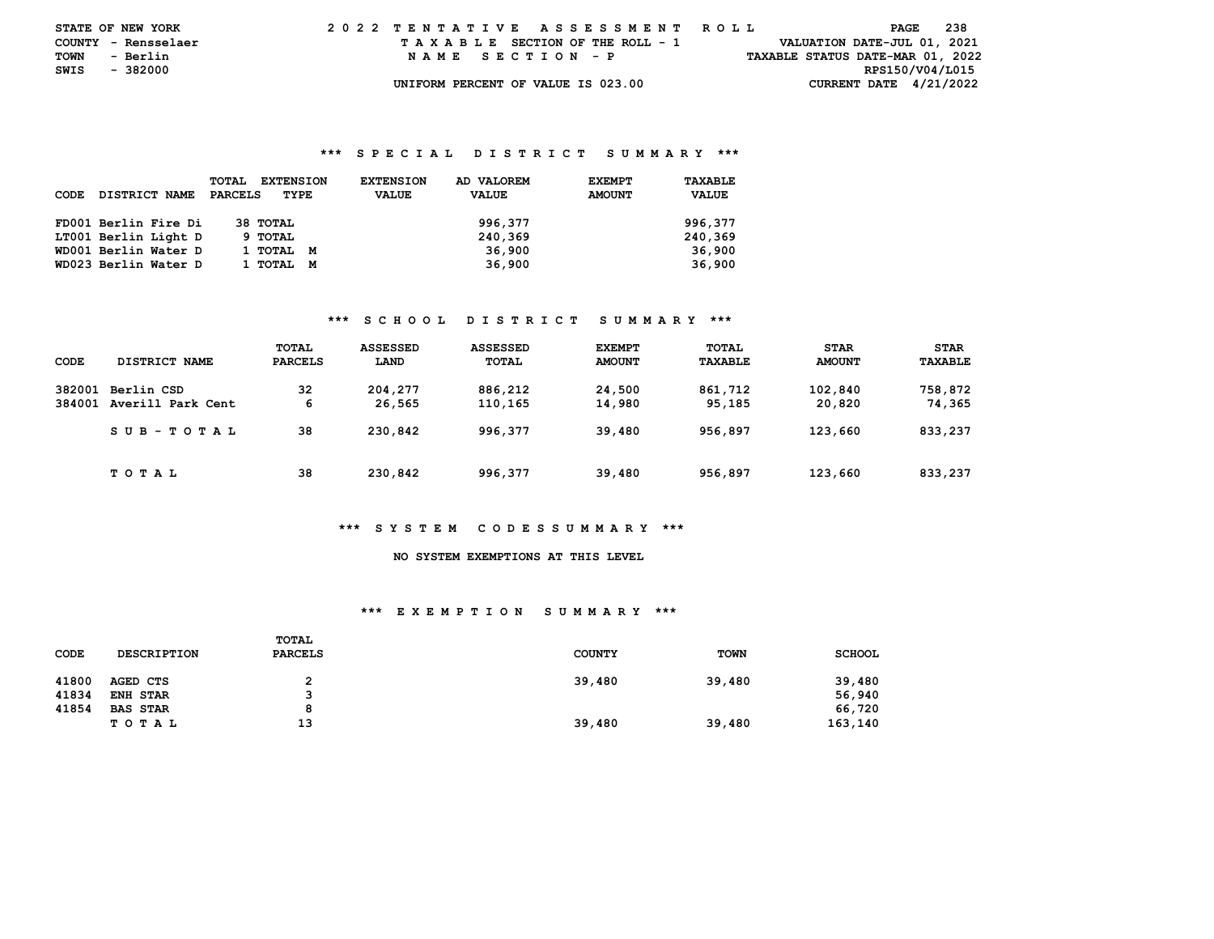| <b>STATE OF NEW YORK</b> |          |  | 2022 TENTATIVE ASSESSMENT ROLL |  |  |  |                                    |  |  |  |  |  |                                  |                             | PAGE            | -238 |  |
|--------------------------|----------|--|--------------------------------|--|--|--|------------------------------------|--|--|--|--|--|----------------------------------|-----------------------------|-----------------|------|--|
| COUNTY - Rensselaer      |          |  |                                |  |  |  | TAXABLE SECTION OF THE ROLL - 1    |  |  |  |  |  |                                  | VALUATION DATE-JUL 01, 2021 |                 |      |  |
| TOWN                     | - Berlin |  |                                |  |  |  | NAME SECTION - P                   |  |  |  |  |  | TAXABLE STATUS DATE-MAR 01, 2022 |                             |                 |      |  |
| SWIS                     | - 382000 |  |                                |  |  |  |                                    |  |  |  |  |  |                                  |                             | RPS150/V04/L015 |      |  |
|                          |          |  |                                |  |  |  | UNIFORM PERCENT OF VALUE IS 023.00 |  |  |  |  |  |                                  | CURRENT DATE $4/21/2022$    |                 |      |  |

| CODE | DISTRICT NAME        | TOTAL<br><b>EXTENSION</b><br>PARCELS<br>TYPE | <b>EXTENSION</b><br><b>VALUE</b> | AD VALOREM<br><b>VALUE</b> | <b>EXEMPT</b><br><b>AMOUNT</b> | TAXABLE<br><b>VALUE</b> |
|------|----------------------|----------------------------------------------|----------------------------------|----------------------------|--------------------------------|-------------------------|
|      | FD001 Berlin Fire Di | 38 ТОТАЬ                                     |                                  | 996,377                    |                                | 996,377                 |
|      | LT001 Berlin Light D | 9 TOTAL                                      |                                  | 240,369                    |                                | 240,369                 |
|      | WD001 Berlin Water D | 1 тотаг<br>M                                 |                                  | 36,900                     |                                | 36,900                  |
|      | WD023 Berlin Water D | 1 тотаг<br>M                                 |                                  | 36,900                     |                                | 36,900                  |

## **\*\*\* S C H O O L D I S T R I C T S U M M A R Y \*\*\***

| CODE             | DISTRICT NAME                   | TOTAL<br><b>PARCELS</b> | <b>ASSESSED</b><br>LAND | <b>ASSESSED</b><br>TOTAL | <b>EXEMPT</b><br><b>AMOUNT</b> | TOTAL<br><b>TAXABLE</b> | <b>STAR</b><br><b>AMOUNT</b> | <b>STAR</b><br>TAXABLE |
|------------------|---------------------------------|-------------------------|-------------------------|--------------------------|--------------------------------|-------------------------|------------------------------|------------------------|
| 382001<br>384001 | Berlin CSD<br>Averill Park Cent | 32<br>6                 | 204,277<br>26,565       | 886,212<br>110,165       | 24,500<br>14,980               | 861,712<br>95,185       | 102,840<br>20,820            | 758,872<br>74,365      |
|                  | SUB-TOTAL                       | 38                      | 230,842                 | 996,377                  | 39,480                         | 956,897                 | 123,660                      | 833,237                |
|                  | тотаь                           | 38                      | 230,842                 | 996,377                  | 39,480                         | 956,897                 | 123,660                      | 833,237                |

#### **\*\*\* S Y S T E M C O D E S S U M M A R Y \*\*\***

## **NO SYSTEM EXEMPTIONS AT THIS LEVEL**

#### **\*\*\* E X E M P T I O N S U M M A R Y \*\*\***

| CODE  | <b>DESCRIPTION</b> | TOTAL<br>PARCELS | <b>COUNTY</b> | <b>TOWN</b> | <b>SCHOOL</b> |
|-------|--------------------|------------------|---------------|-------------|---------------|
| 41800 | AGED CTS           | າ                | 39,480        | 39,480      | 39,480        |
| 41834 | <b>ENH STAR</b>    | ີ                |               |             | 56,940        |
| 41854 | <b>BAS STAR</b>    | 8                |               |             | 66,720        |
|       | T O T A L          | 13               | 39,480        | 39,480      | 163,140       |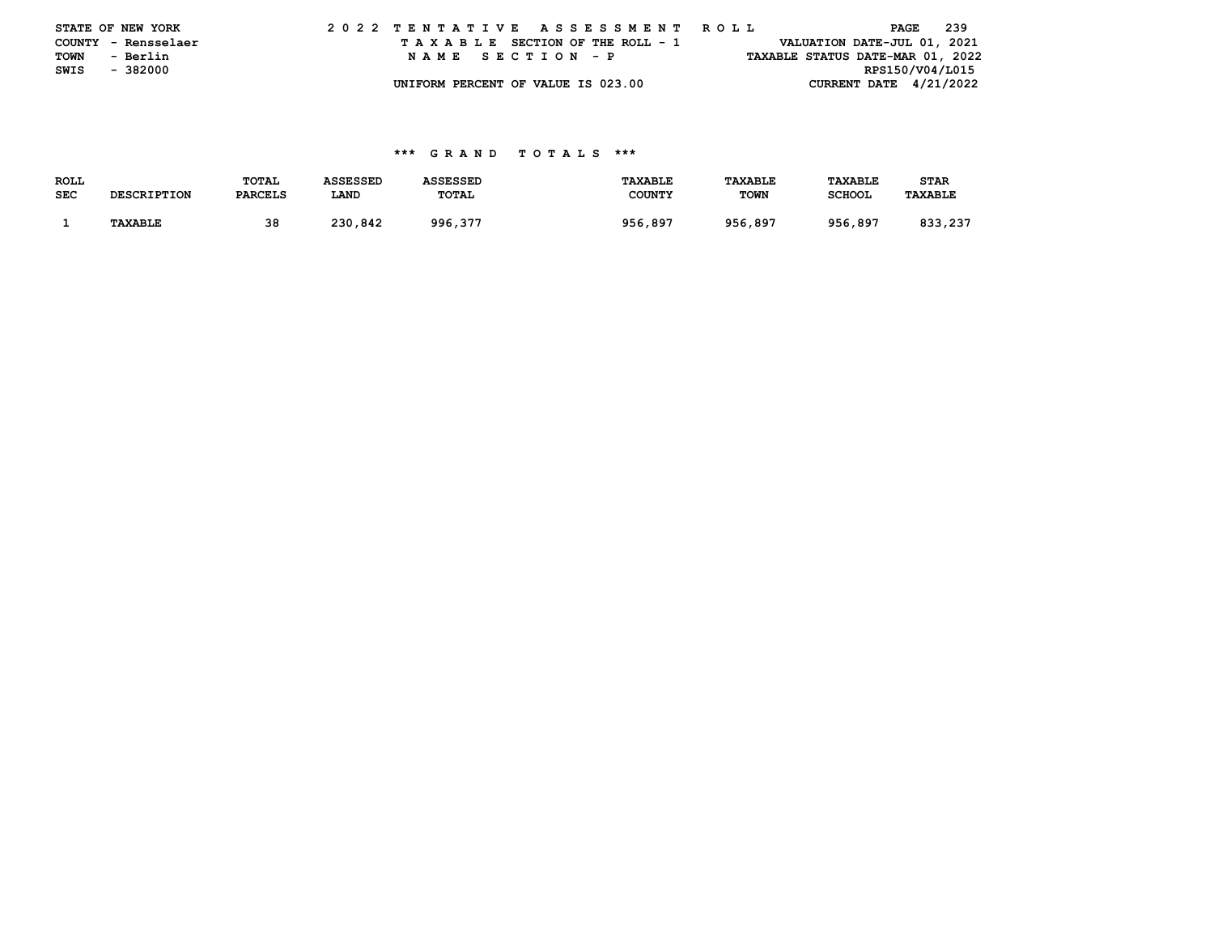|      | STATE OF NEW YORK   | 2022 TENTATIVE ASSESSMENT ROLL |  |  |  |  |                                    |  |  |  |  |  |  |  |                                  | PAGE            | 239 |  |
|------|---------------------|--------------------------------|--|--|--|--|------------------------------------|--|--|--|--|--|--|--|----------------------------------|-----------------|-----|--|
|      | COUNTY - Rensselaer |                                |  |  |  |  | TAXABLE SECTION OF THE ROLL - 1    |  |  |  |  |  |  |  | VALUATION DATE-JUL 01, 2021      |                 |     |  |
| TOWN | - Berlin            |                                |  |  |  |  | NAME SECTION - P                   |  |  |  |  |  |  |  | TAXABLE STATUS DATE-MAR 01, 2022 |                 |     |  |
| SWIS | - 382000            |                                |  |  |  |  |                                    |  |  |  |  |  |  |  |                                  | RPS150/V04/L015 |     |  |
|      |                     |                                |  |  |  |  | UNIFORM PERCENT OF VALUE IS 023.00 |  |  |  |  |  |  |  | CURRENT DATE $4/21/2022$         |                 |     |  |

| <b>ROLL</b> |                | <b>TOTAL</b>   | ASSESSED | SSESSED | <b>TAXABLE</b> | <b><i>TAXABLE</i></b> | <b>TAXABLE</b> | <b>STAR</b>    |
|-------------|----------------|----------------|----------|---------|----------------|-----------------------|----------------|----------------|
| <b>SEC</b>  | SCRIPTION      | <b>PARCELS</b> | LAND     | TOTAL   | <b>COUNTY</b>  | <b>TOWN</b>           | <b>SCHOOL</b>  | <b>TAXABLE</b> |
|             |                |                |          |         |                |                       |                |                |
|             | <b>TAXABLE</b> | 38             | 230,842  | 996,377 | 956,897        | 956,897               | 956,897        | 933<br>,237    |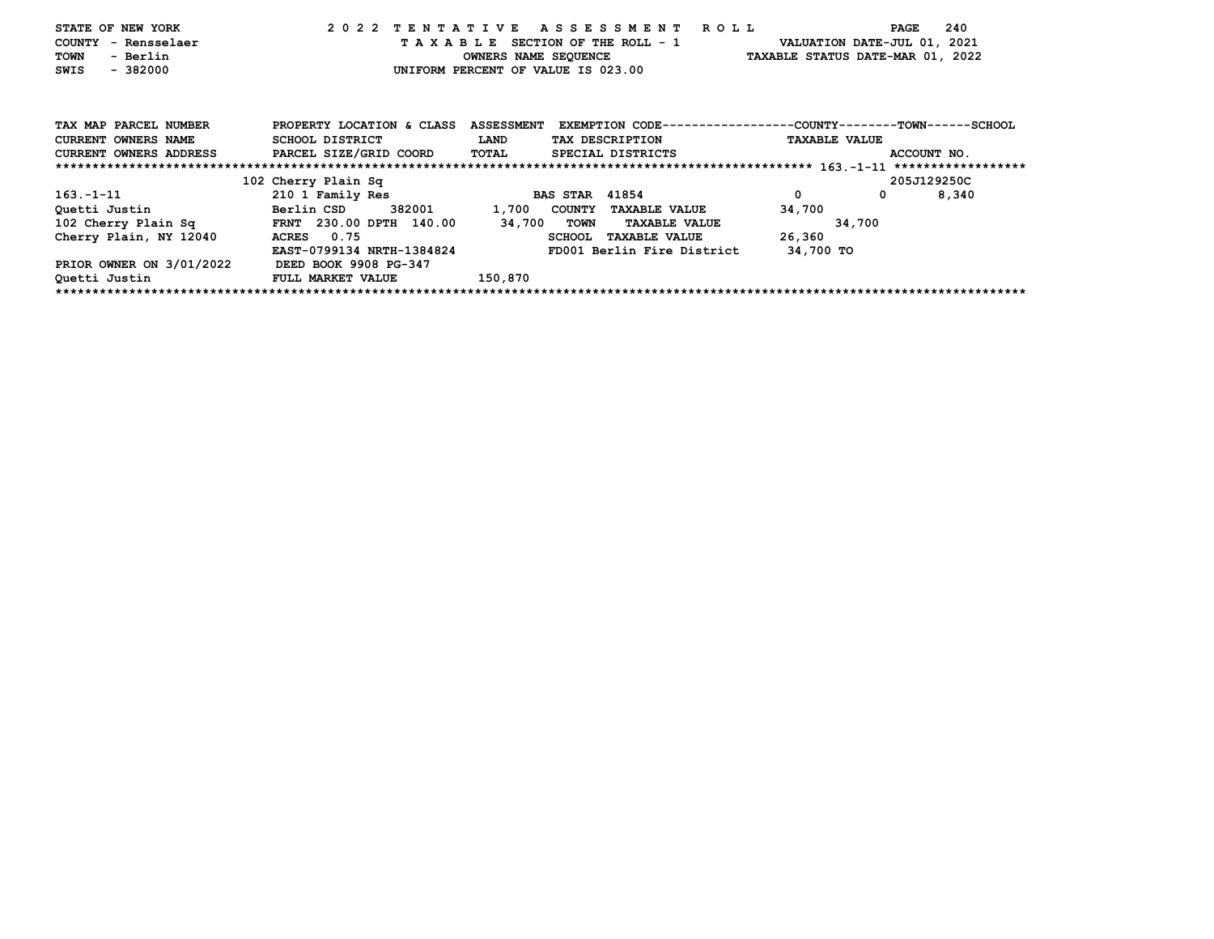| STATE OF NEW YORK<br>COUNTY - Rensselaer<br>- Berlin<br>TOWN<br>$-382000$<br>SWIS |                           |                   | 2022 TENTATIVE ASSESSMENT ROLL<br>TAXABLE SECTION OF THE ROLL - 1<br>OWNERS NAME SEQUENCE TAXABLE STATUS DATE-MAR 01, 2022<br>UNIFORM PERCENT OF VALUE IS 023.00 | VALUATION DATE-JUL 01, 2021 | 240<br>PAGE |
|-----------------------------------------------------------------------------------|---------------------------|-------------------|------------------------------------------------------------------------------------------------------------------------------------------------------------------|-----------------------------|-------------|
| TAX MAP PARCEL NUMBER                                                             | PROPERTY LOCATION & CLASS | <b>ASSESSMENT</b> | EXEMPTION CODE----------------COUNTY-------TOWN-----SCHOOL                                                                                                       |                             |             |
| <b>CURRENT OWNERS NAME</b>                                                        | SCHOOL DISTRICT           | <b>LAND</b>       | TAX DESCRIPTION                                                                                                                                                  | <b>TAXABLE VALUE</b>        |             |
| <b>CURRENT OWNERS ADDRESS</b>                                                     | PARCEL SIZE/GRID COORD    | TOTAL             | SPECIAL DISTRICTS                                                                                                                                                |                             | ACCOUNT NO. |
|                                                                                   |                           |                   |                                                                                                                                                                  |                             |             |
|                                                                                   | 102 Cherry Plain Sq       |                   |                                                                                                                                                                  |                             | 205J129250C |
| $163. - 1 - 11$                                                                   | 210 1 Family Res          |                   | <b>BAS STAR 41854</b>                                                                                                                                            | $\mathbf 0$                 | 8,340       |
| Quetti Justin                                                                     | Berlin CSD                |                   | 382001 1,700 COUNTY TAXABLE VALUE                                                                                                                                | 34,700                      |             |
| 102 Cherry Plain Sq FRNT 230.00 DPTH 140.00                                       |                           | 34,700 TOWN       | <b>TAXABLE VALUE</b>                                                                                                                                             | 34,700                      |             |
| Cherry Plain, NY 12040                                                            | ACRES 0.75                |                   | <b>SCHOOL</b><br><b>TAXABLE VALUE</b>                                                                                                                            | 26,360                      |             |
|                                                                                   | EAST-0799134 NRTH-1384824 |                   | FD001 Berlin Fire District                                                                                                                                       | 34,700 TO                   |             |
| PRIOR OWNER ON 3/01/2022                                                          | DEED BOOK 9908 PG-347     |                   |                                                                                                                                                                  |                             |             |
| Quetti Justin                                                                     | <b>FULL MARKET VALUE</b>  | 150,870           |                                                                                                                                                                  |                             |             |
|                                                                                   |                           |                   |                                                                                                                                                                  |                             |             |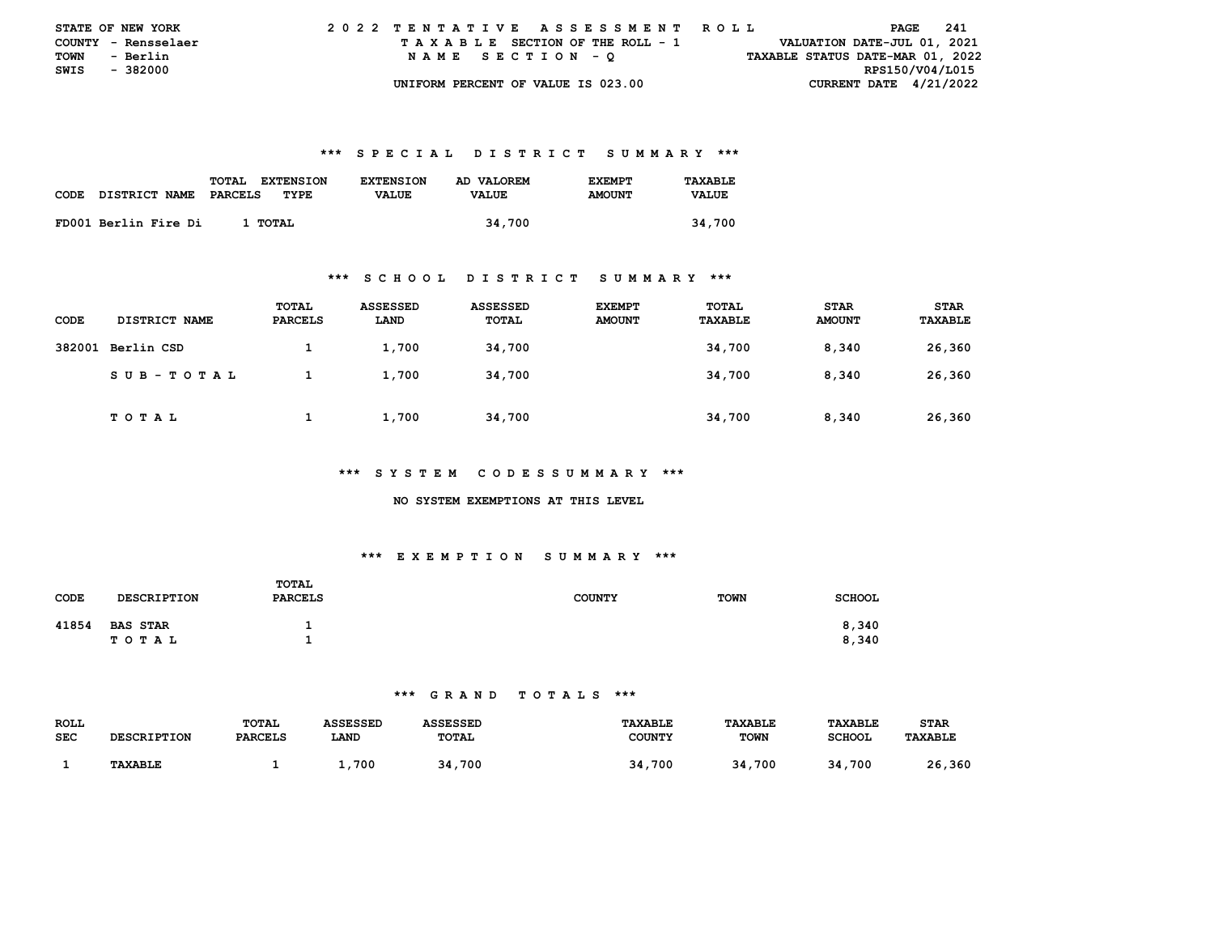|             | <b>STATE OF NEW YORK</b> | 2022 TENTATIVE ASSESSMENT ROLL     |                                  | PAGE 241                    |
|-------------|--------------------------|------------------------------------|----------------------------------|-----------------------------|
|             | COUNTY - Rensselaer      | TAXABLE SECTION OF THE ROLL - 1    |                                  | VALUATION DATE-JUL 01, 2021 |
| <b>TOWN</b> | - Berlin                 | NAME SECTION - O                   | TAXABLE STATUS DATE-MAR 01, 2022 |                             |
|             | SWIS - 382000            |                                    |                                  | RPS150/V04/L015             |
|             |                          | UNIFORM PERCENT OF VALUE IS 023.00 |                                  | CURRENT DATE $4/21/2022$    |

| CODE | DISTRICT NAME        | TOTAL<br><b>EXTENSION</b><br>PARCELS<br>TYPE. | <b>EXTENSION</b><br><b>VALUE</b> | AD VALOREM<br><b>VALUE</b> | <b>F.XFMPT</b><br><b>AMOUNT</b> | TAXARLE.<br><b>VALUE</b> |
|------|----------------------|-----------------------------------------------|----------------------------------|----------------------------|---------------------------------|--------------------------|
|      | FD001 Berlin Fire Di | 1 TOTAL                                       |                                  | 34,700                     |                                 | 34,700                   |

#### **\*\*\* S C H O O L D I S T R I C T S U M M A R Y \*\*\***

| CODE   | DISTRICT NAME | TOTAL<br><b>PARCELS</b> | <b>ASSESSED</b><br>LAND | ASSESSED<br>TOTAL | <b>EXEMPT</b><br><b>AMOUNT</b> | TOTAL<br><b>TAXABLE</b> | <b>STAR</b><br><b>AMOUNT</b> | <b>STAR</b><br><b>TAXABLE</b> |
|--------|---------------|-------------------------|-------------------------|-------------------|--------------------------------|-------------------------|------------------------------|-------------------------------|
| 382001 | Berlin CSD    |                         | 1,700                   | 34,700            |                                | 34,700                  | 8.340                        | 26,360                        |
|        | SUB-TOTAL     |                         | 1,700                   | 34,700            |                                | 34,700                  | 8.340                        | 26,360                        |
|        | <b>TOTAL</b>  |                         | 1,700                   | 34,700            |                                | 34,700                  | 8,340                        | 26,360                        |

#### **\*\*\* S Y S T E M C O D E S S U M M A R Y \*\*\***

#### **NO SYSTEM EXEMPTIONS AT THIS LEVEL**

## **\*\*\* E X E M P T I O N S U M M A R Y \*\*\***

| <b>CODE</b> | <b>DESCRIPTION</b>           | TOTAL<br><b>PARCELS</b> | <b>COUNTY</b> | <b>TOWN</b> | <b>SCHOOL</b>  |
|-------------|------------------------------|-------------------------|---------------|-------------|----------------|
| 41854       | <b>BAS STAR</b><br>T O T A L |                         |               |             | 8,340<br>8,340 |

| ROLL       |                    | <b>TOTAL</b>   | ASSESSED | ASSESSED     | <b>TAXABLE</b> | <b>TAXABLE</b> | <b>TAXABLE</b> | STAR           |
|------------|--------------------|----------------|----------|--------------|----------------|----------------|----------------|----------------|
| <b>SEC</b> | <b>DESCRIPTION</b> | <b>PARCELS</b> | LAND     | <b>TOTAL</b> | COUNTY         | <b>TOWN</b>    | <b>SCHOOL</b>  | <b>TAXABLE</b> |
|            |                    |                |          |              |                |                |                |                |
|            | <b>TAXABLE</b>     |                | 700      | 34,700       | 34,700         | .700<br>34     | 34,700         | 26,360         |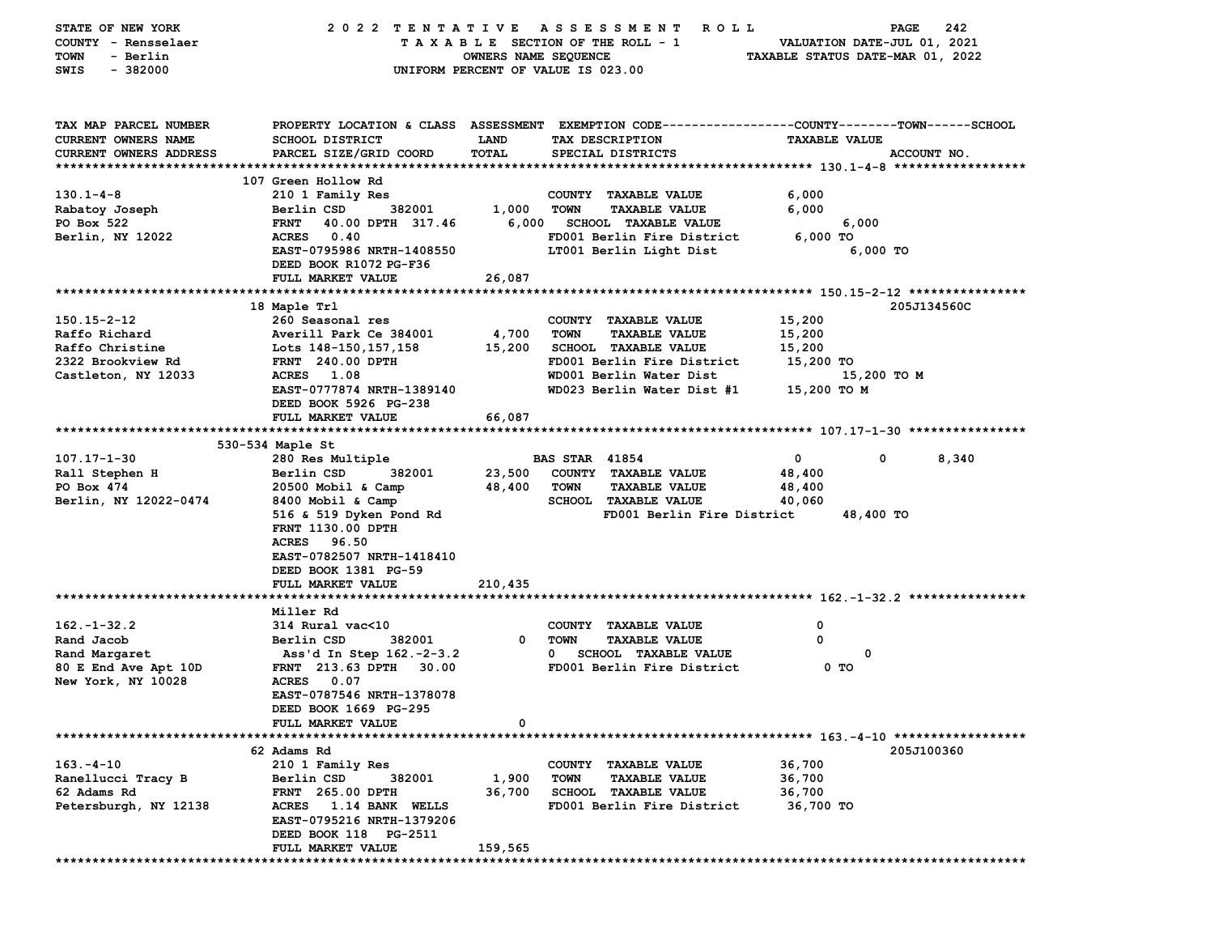| STATE OF NEW YORK          |                                        |                      | 2022 TENTATIVE ASSESSMENT<br><b>ROLL</b>                                                        |                                  | 242<br>PAGE |
|----------------------------|----------------------------------------|----------------------|-------------------------------------------------------------------------------------------------|----------------------------------|-------------|
| COUNTY - Rensselaer        |                                        |                      | TAXABLE SECTION OF THE ROLL - 1                                                                 | VALUATION DATE-JUL 01, 2021      |             |
| <b>TOWN</b><br>- Berlin    |                                        | OWNERS NAME SEQUENCE |                                                                                                 | TAXABLE STATUS DATE-MAR 01, 2022 |             |
| $-382000$<br>SWIS          |                                        |                      | UNIFORM PERCENT OF VALUE IS 023.00                                                              |                                  |             |
|                            |                                        |                      |                                                                                                 |                                  |             |
| TAX MAP PARCEL NUMBER      |                                        |                      | PROPERTY LOCATION & CLASS ASSESSMENT EXEMPTION CODE---------------COUNTY-------TOWN------SCHOOL |                                  |             |
| <b>CURRENT OWNERS NAME</b> | <b>SCHOOL DISTRICT</b>                 | LAND                 | TAX DESCRIPTION                                                                                 | <b>TAXABLE VALUE</b>             |             |
| CURRENT OWNERS ADDRESS     | PARCEL SIZE/GRID COORD                 | TOTAL                | SPECIAL DISTRICTS                                                                               |                                  | ACCOUNT NO. |
|                            |                                        |                      |                                                                                                 |                                  |             |
|                            | 107 Green Hollow Rd                    |                      |                                                                                                 |                                  |             |
| $130.1 - 4 - 8$            | 210 1 Family Res                       |                      | COUNTY TAXABLE VALUE                                                                            | 6,000                            |             |
| Rabatoy Joseph             | Berlin CSD<br>382001                   | 1,000                | <b>TOWN</b><br><b>TAXABLE VALUE</b>                                                             | 6,000                            |             |
| PO Box 522                 | <b>FRNT</b><br>40.00 DPTH 317.46       |                      | 6,000 SCHOOL TAXABLE VALUE                                                                      | 6,000                            |             |
| Berlin, NY 12022           | <b>ACRES</b><br>0.40                   |                      | FD001 Berlin Fire District                                                                      | 6,000 TO                         |             |
|                            | EAST-0795986 NRTH-1408550              |                      | LT001 Berlin Light Dist                                                                         | $6,000$ TO                       |             |
|                            | DEED BOOK R1072 PG-F36                 |                      |                                                                                                 |                                  |             |
|                            | FULL MARKET VALUE                      |                      |                                                                                                 |                                  |             |
|                            |                                        | 26,087               |                                                                                                 |                                  |             |
|                            |                                        |                      |                                                                                                 |                                  |             |
|                            | 18 Maple Trl                           |                      |                                                                                                 |                                  | 205J134560C |
| 150.15-2-12                | 260 Seasonal res                       |                      | COUNTY TAXABLE VALUE                                                                            | 15,200                           |             |
| Raffo Richard              | Averill Park Ce 384001                 | 4,700                | <b>TOWN</b><br><b>TAXABLE VALUE</b>                                                             | 15,200                           |             |
| Raffo Christine            | Lots 148-150, 157, 158                 | 15,200               | SCHOOL TAXABLE VALUE                                                                            | 15,200                           |             |
| 2322 Brookview Rd          | <b>FRNT</b> 240.00 DPTH                |                      | FD001 Berlin Fire District                                                                      | 15,200 TO                        |             |
| Castleton, NY 12033        | <b>ACRES</b><br>1.08                   |                      | WD001 Berlin Water Dist                                                                         |                                  | 15,200 TO M |
|                            | EAST-0777874 NRTH-1389140              |                      | WD023 Berlin Water Dist #1                                                                      | 15,200 TO M                      |             |
|                            | DEED BOOK 5926 PG-238                  |                      |                                                                                                 |                                  |             |
|                            | FULL MARKET VALUE                      | 66,087               |                                                                                                 |                                  |             |
|                            |                                        |                      |                                                                                                 |                                  |             |
|                            | 530-534 Maple St                       |                      |                                                                                                 |                                  |             |
| 107.17-1-30                | 280 Res Multiple                       |                      | <b>BAS STAR 41854</b>                                                                           | 0                                | 0<br>8,340  |
| Rall Stephen H             | Berlin CSD<br>382001                   | 23,500               | COUNTY TAXABLE VALUE                                                                            | 48,400                           |             |
| PO Box 474                 | 20500 Mobil & Camp                     | 48,400               | <b>TOWN</b><br><b>TAXABLE VALUE</b>                                                             | 48,400                           |             |
| Berlin, NY 12022-0474      | 8400 Mobil & Camp                      |                      | <b>SCHOOL TAXABLE VALUE</b>                                                                     | 40,060                           |             |
|                            | 516 & 519 Dyken Pond Rd                |                      | FD001 Berlin Fire District                                                                      | 48,400 TO                        |             |
|                            | FRNT 1130.00 DPTH                      |                      |                                                                                                 |                                  |             |
|                            | <b>ACRES</b><br>96.50                  |                      |                                                                                                 |                                  |             |
|                            | EAST-0782507 NRTH-1418410              |                      |                                                                                                 |                                  |             |
|                            | DEED BOOK 1381 PG-59                   |                      |                                                                                                 |                                  |             |
|                            | FULL MARKET VALUE                      | 210,435              |                                                                                                 |                                  |             |
|                            |                                        |                      |                                                                                                 |                                  |             |
|                            | Miller Rd                              |                      |                                                                                                 |                                  |             |
| $162. - 1 - 32.2$          | 314 Rural vac<10                       |                      | COUNTY TAXABLE VALUE                                                                            | 0                                |             |
| Rand Jacob                 | Berlin CSD<br>382001                   | $\mathbf 0$          | TOWN<br><b>TAXABLE VALUE</b>                                                                    | 0                                |             |
|                            |                                        |                      | $\mathbf{0}$                                                                                    | 0                                |             |
| Rand Margaret              | Ass'd In Step 162.-2-3.2               |                      | <b>SCHOOL TAXABLE VALUE</b>                                                                     |                                  |             |
| 80 E End Ave Apt 10D       | FRNT 213.63 DPTH 30.00                 |                      | FD001 Berlin Fire District                                                                      | 0 TO                             |             |
| New York, NY 10028         | <b>ACRES</b><br>0.07                   |                      |                                                                                                 |                                  |             |
|                            | EAST-0787546 NRTH-1378078              |                      |                                                                                                 |                                  |             |
|                            | DEED BOOK 1669 PG-295                  |                      |                                                                                                 |                                  |             |
|                            | <b>FULL MARKET VALUE</b>               | 0                    |                                                                                                 |                                  |             |
|                            |                                        |                      |                                                                                                 |                                  |             |
|                            | 62 Adams Rd                            |                      |                                                                                                 |                                  | 205J100360  |
| $163 - 4 - 10$             | 210 1 Family Res                       |                      | <b>COUNTY</b><br><b>TAXABLE VALUE</b>                                                           | 36,700                           |             |
| Ranellucci Tracy B         | 382001<br>Berlin CSD                   | 1,900                | TOWN<br><b>TAXABLE VALUE</b>                                                                    | 36,700                           |             |
| 62 Adams Rd                | FRNT 265.00 DPTH                       | 36,700               | <b>SCHOOL TAXABLE VALUE</b>                                                                     | 36,700                           |             |
| Petersburgh, NY 12138      | <b>ACRES</b><br><b>1.14 BANK WELLS</b> |                      | FD001 Berlin Fire District                                                                      | 36,700 TO                        |             |
|                            | EAST-0795216 NRTH-1379206              |                      |                                                                                                 |                                  |             |
|                            | DEED BOOK 118 PG-2511                  |                      |                                                                                                 |                                  |             |
|                            | FULL MARKET VALUE                      | 159,565              |                                                                                                 |                                  |             |
|                            |                                        |                      |                                                                                                 |                                  |             |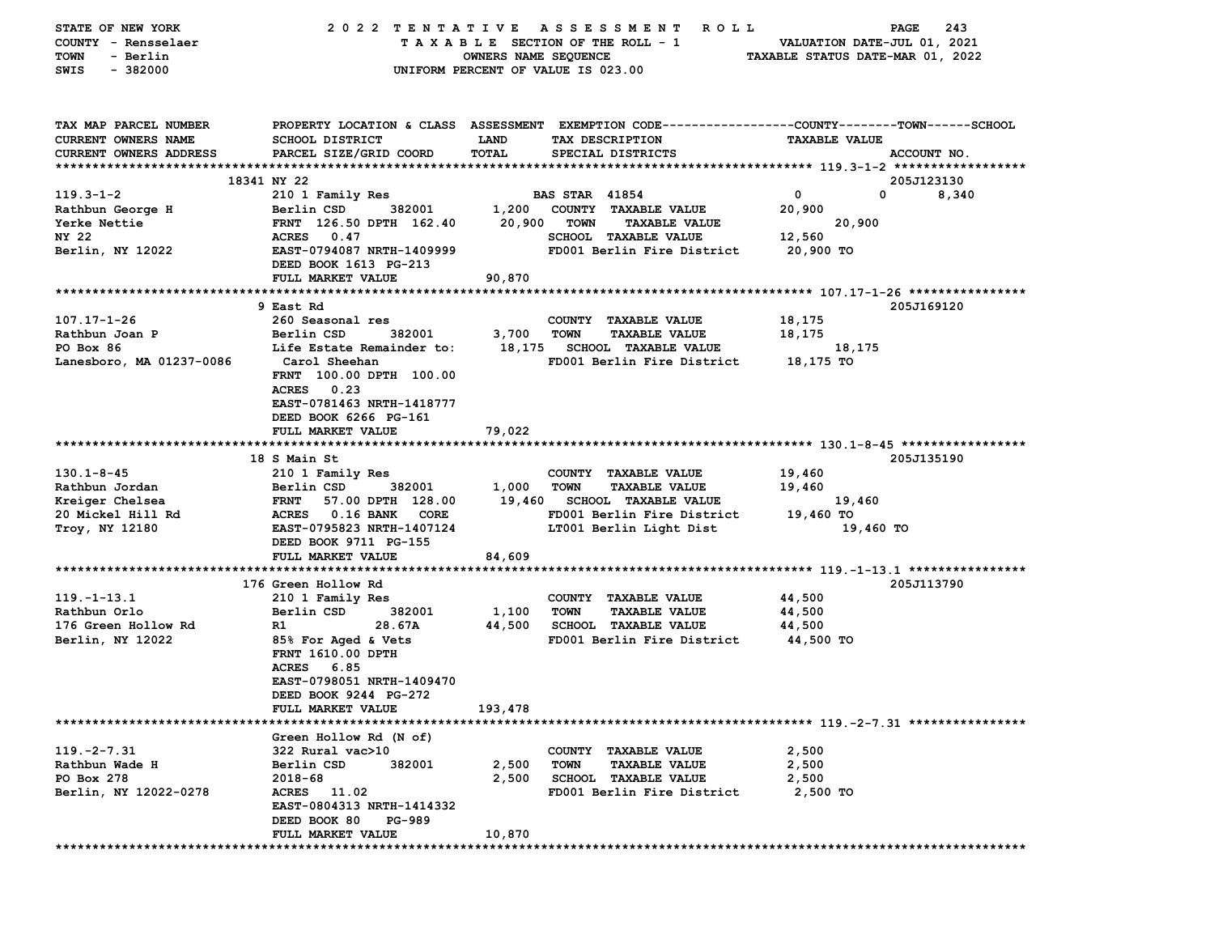| STATE OF NEW YORK<br>COUNTY - Rensselaer<br>- Berlin<br>TOWN<br>SWIS<br>$-382000$ | 2022 TENTATIVE                                                                                                                                     | OWNERS NAME SEQUENCE | A S S E S S M E N T<br>R O L L<br>TAXABLE SECTION OF THE ROLL - 1<br>UNIFORM PERCENT OF VALUE IS 023.00 | VALUATION DATE-JUL 01, 2021<br>TAXABLE STATUS DATE-MAR 01, 2022 | 243<br>PAGE |
|-----------------------------------------------------------------------------------|----------------------------------------------------------------------------------------------------------------------------------------------------|----------------------|---------------------------------------------------------------------------------------------------------|-----------------------------------------------------------------|-------------|
| TAX MAP PARCEL NUMBER<br><b>CURRENT OWNERS NAME</b><br>CURRENT OWNERS ADDRESS     | PROPERTY LOCATION & CLASS ASSESSMENT EXEMPTION CODE---------------COUNTY-------TOWN-----SCHOOL<br><b>SCHOOL DISTRICT</b><br>PARCEL SIZE/GRID COORD | LAND<br>TOTAL        | TAX DESCRIPTION<br>SPECIAL DISTRICTS                                                                    | <b>TAXABLE VALUE</b>                                            | ACCOUNT NO. |
|                                                                                   | 18341 NY 22                                                                                                                                        |                      |                                                                                                         |                                                                 | 205J123130  |
| $119.3 - 1 - 2$                                                                   | 210 1 Family Res                                                                                                                                   |                      | <b>BAS STAR 41854</b>                                                                                   | $\mathbf{o}$<br>0                                               | 8,340       |
| Rathbun George H                                                                  | Berlin CSD<br>382001                                                                                                                               |                      | 1,200 COUNTY TAXABLE VALUE                                                                              | 20,900                                                          |             |
| Yerke Nettie                                                                      | FRNT 126.50 DPTH 162.40                                                                                                                            |                      | 20,900 TOWN<br><b>TAXABLE VALUE</b>                                                                     | 20,900                                                          |             |
| NY 22                                                                             | ACRES 0.47                                                                                                                                         |                      | <b>SCHOOL TAXABLE VALUE</b>                                                                             | 12,560                                                          |             |
| Berlin, NY 12022                                                                  | EAST-0794087 NRTH-1409999<br>DEED BOOK 1613 PG-213                                                                                                 |                      | FD001 Berlin Fire District                                                                              | 20,900 TO                                                       |             |
|                                                                                   | FULL MARKET VALUE                                                                                                                                  | 90,870               |                                                                                                         |                                                                 |             |
|                                                                                   | 9 East Rd                                                                                                                                          |                      |                                                                                                         |                                                                 | 205J169120  |
| $107.17 - 1 - 26$                                                                 | 260 Seasonal res                                                                                                                                   |                      | COUNTY TAXABLE VALUE                                                                                    | 18,175                                                          |             |
| Rathbun Joan P                                                                    | 382001<br>Berlin CSD                                                                                                                               | 3,700                | <b>TOWN</b><br><b>TAXABLE VALUE</b>                                                                     | 18,175                                                          |             |
| PO Box 86                                                                         | Life Estate Remainder to:                                                                                                                          |                      | 18,175 SCHOOL TAXABLE VALUE                                                                             | 18,175                                                          |             |
| Lanesboro, MA 01237-0086                                                          | Carol Sheehan                                                                                                                                      |                      | FD001 Berlin Fire District                                                                              | 18,175 TO                                                       |             |
|                                                                                   | FRNT 100.00 DPTH 100.00<br>ACRES<br>0.23<br>EAST-0781463 NRTH-1418777<br>DEED BOOK 6266 PG-161                                                     |                      |                                                                                                         |                                                                 |             |
|                                                                                   | FULL MARKET VALUE                                                                                                                                  | 79,022               |                                                                                                         |                                                                 |             |
|                                                                                   |                                                                                                                                                    |                      |                                                                                                         |                                                                 |             |
| $130.1 - 8 - 45$                                                                  | 18 S Main St<br>210 1 Family Res                                                                                                                   |                      | COUNTY TAXABLE VALUE                                                                                    | 19,460                                                          | 205J135190  |
| Rathbun Jordan                                                                    | Berlin CSD<br>382001                                                                                                                               | 1,000                | TOWN<br><b>TAXABLE VALUE</b>                                                                            | 19,460                                                          |             |
| Kreiger Chelsea                                                                   | <b>FRNT</b><br>57.00 DPTH 128.00                                                                                                                   | 19,460               | <b>SCHOOL TAXABLE VALUE</b>                                                                             | 19,460                                                          |             |
| 20 Mickel Hill Rd                                                                 | ACRES 0.16 BANK<br><b>CORE</b>                                                                                                                     |                      | FD001 Berlin Fire District                                                                              | 19,460 TO                                                       |             |
| Troy, NY 12180                                                                    | EAST-0795823 NRTH-1407124<br>DEED BOOK 9711 PG-155                                                                                                 |                      | LT001 Berlin Light Dist                                                                                 | 19,460 TO                                                       |             |
|                                                                                   | FULL MARKET VALUE                                                                                                                                  | 84,609               |                                                                                                         |                                                                 |             |
|                                                                                   |                                                                                                                                                    |                      |                                                                                                         |                                                                 |             |
|                                                                                   | 176 Green Hollow Rd                                                                                                                                |                      |                                                                                                         |                                                                 | 205J113790  |
| $119. - 1 - 13.1$                                                                 | 210 1 Family Res                                                                                                                                   |                      | COUNTY TAXABLE VALUE                                                                                    | 44,500                                                          |             |
| Rathbun Orlo                                                                      | Berlin CSD<br>382001                                                                                                                               | 1,100                | <b>TOWN</b><br><b>TAXABLE VALUE</b>                                                                     | 44,500                                                          |             |
| 176 Green Hollow Rd                                                               | 28.67A<br>R1.                                                                                                                                      | 44,500               | <b>SCHOOL TAXABLE VALUE</b>                                                                             | 44,500                                                          |             |
| Berlin, NY 12022                                                                  | 85% For Aged & Vets<br>FRNT 1610.00 DPTH<br><b>ACRES</b><br>6.85<br>EAST-0798051 NRTH-1409470<br>DEED BOOK 9244 PG-272                             |                      | FD001 Berlin Fire District                                                                              | 44,500 TO                                                       |             |
|                                                                                   | FULL MARKET VALUE                                                                                                                                  | 193,478              |                                                                                                         |                                                                 |             |
|                                                                                   |                                                                                                                                                    |                      |                                                                                                         |                                                                 |             |
| $119. -2 - 7.31$                                                                  | Green Hollow Rd (N of)<br>322 Rural vac>10                                                                                                         |                      | COUNTY TAXABLE VALUE                                                                                    | 2,500                                                           |             |
| Rathbun Wade H                                                                    | Berlin CSD<br>382001                                                                                                                               | 2,500                | TOWN<br><b>TAXABLE VALUE</b>                                                                            | 2,500                                                           |             |
| PO Box 278                                                                        | 2018-68                                                                                                                                            | 2,500                | <b>SCHOOL TAXABLE VALUE</b>                                                                             | 2,500                                                           |             |
| Berlin, NY 12022-0278                                                             | ACRES 11.02                                                                                                                                        |                      | FD001 Berlin Fire District                                                                              | 2,500 TO                                                        |             |
|                                                                                   | EAST-0804313 NRTH-1414332                                                                                                                          |                      |                                                                                                         |                                                                 |             |
|                                                                                   | DEED BOOK 80<br>PG-989                                                                                                                             |                      |                                                                                                         |                                                                 |             |
|                                                                                   | FULL MARKET VALUE                                                                                                                                  | 10,870               |                                                                                                         |                                                                 |             |
|                                                                                   |                                                                                                                                                    |                      |                                                                                                         |                                                                 |             |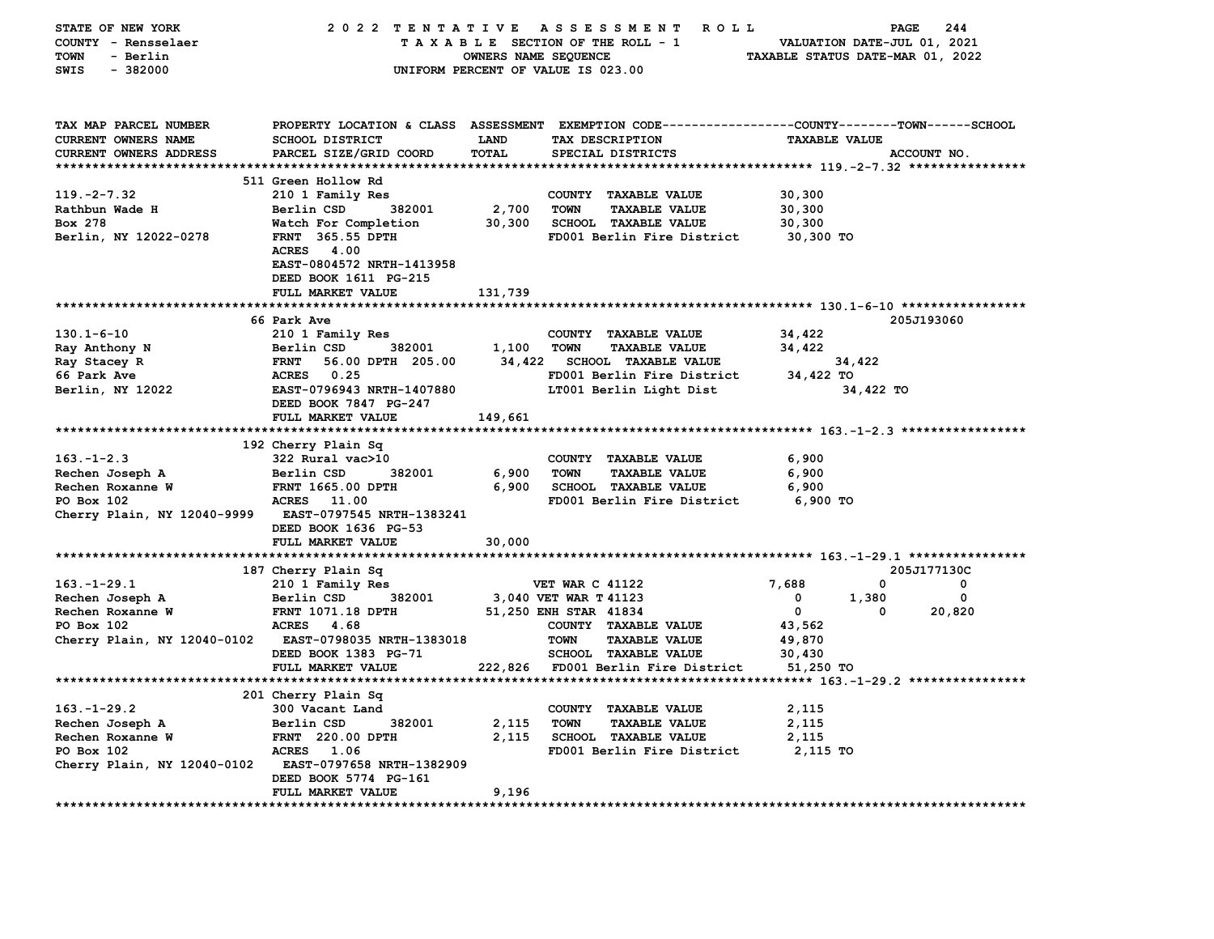| STATE OF NEW YORK           | 2022 TENTATIVE                   |                                  | <b>ROLL</b><br>A S S E S S M E N T                                                             |                                                           | 244<br>PAGE |
|-----------------------------|----------------------------------|----------------------------------|------------------------------------------------------------------------------------------------|-----------------------------------------------------------|-------------|
| COUNTY - Rensselaer         |                                  |                                  | TAXABLE SECTION OF THE ROLL - 1                                                                | VALUATION DATE-JUL 01, 2021                               |             |
| <b>TOWN</b><br>- Berlin     | OWNERS NAME SEQUENCE             | TAXABLE STATUS DATE-MAR 01, 2022 |                                                                                                |                                                           |             |
| $-382000$<br>SWIS           |                                  |                                  | UNIFORM PERCENT OF VALUE IS 023.00                                                             |                                                           |             |
|                             |                                  |                                  |                                                                                                |                                                           |             |
|                             |                                  |                                  |                                                                                                |                                                           |             |
|                             |                                  |                                  |                                                                                                |                                                           |             |
| TAX MAP PARCEL NUMBER       |                                  |                                  | PROPERTY LOCATION & CLASS ASSESSMENT EXEMPTION CODE---------------COUNTY-------TOWN-----SCHOOL |                                                           |             |
| <b>CURRENT OWNERS NAME</b>  | <b>SCHOOL DISTRICT</b>           | <b>LAND</b>                      | TAX DESCRIPTION                                                                                | <b>TAXABLE VALUE</b>                                      |             |
| CURRENT OWNERS ADDRESS      | PARCEL SIZE/GRID COORD           | TOTAL                            | SPECIAL DISTRICTS                                                                              |                                                           | ACCOUNT NO. |
|                             |                                  |                                  |                                                                                                |                                                           |             |
|                             | 511 Green Hollow Rd              |                                  |                                                                                                |                                                           |             |
| $119. -2 - 7.32$            | 210 1 Family Res                 |                                  | COUNTY TAXABLE VALUE                                                                           | 30,300                                                    |             |
| Rathbun Wade H              | Berlin CSD<br>382001             | 2,700                            | <b>TOWN</b><br><b>TAXABLE VALUE</b>                                                            | 30,300                                                    |             |
| Box 278                     |                                  |                                  | <b>SCHOOL TAXABLE VALUE</b>                                                                    |                                                           |             |
|                             | Watch For Completion             | 30,300                           |                                                                                                | 30,300                                                    |             |
| Berlin, NY 12022-0278       | <b>FRNT</b> 365.55 DPTH          |                                  | FD001 Berlin Fire District                                                                     | 30,300 TO                                                 |             |
|                             | ACRES 4.00                       |                                  |                                                                                                |                                                           |             |
|                             | EAST-0804572 NRTH-1413958        |                                  |                                                                                                |                                                           |             |
|                             | DEED BOOK 1611 PG-215            |                                  |                                                                                                |                                                           |             |
|                             | FULL MARKET VALUE                | 131,739                          |                                                                                                |                                                           |             |
|                             |                                  |                                  |                                                                                                |                                                           |             |
|                             | 66 Park Ave                      |                                  |                                                                                                |                                                           | 205J193060  |
| $130.1 - 6 - 10$            | 210 1 Family Res                 |                                  | COUNTY TAXABLE VALUE                                                                           | 34,422                                                    |             |
| Ray Anthony N               | Berlin CSD<br>382001             | 1,100                            | <b>TAXABLE VALUE</b><br>TOWN                                                                   | 34,422                                                    |             |
| Ray Stacey R                | <b>FRNT</b><br>56.00 DPTH 205.00 | 34,422                           | <b>SCHOOL TAXABLE VALUE</b>                                                                    | 34,422                                                    |             |
| 66 Park Ave                 | ACRES 0.25                       |                                  | FD001 Berlin Fire District                                                                     | 34,422 TO                                                 |             |
| Berlin, NY 12022            | EAST-0796943 NRTH-1407880        |                                  | LT001 Berlin Light Dist                                                                        | 34,422 TO                                                 |             |
|                             | DEED BOOK 7847 PG-247            |                                  |                                                                                                |                                                           |             |
|                             | FULL MARKET VALUE                |                                  |                                                                                                |                                                           |             |
|                             |                                  | 149,661                          |                                                                                                |                                                           |             |
|                             | 192 Cherry Plain Sq              |                                  |                                                                                                |                                                           |             |
| $163. -1 - 2.3$             | 322 Rural vac>10                 |                                  |                                                                                                | 6,900                                                     |             |
|                             |                                  |                                  | COUNTY TAXABLE VALUE                                                                           |                                                           |             |
| Rechen Joseph A             | Berlin CSD<br>382001             | 6,900                            | <b>TOWN</b><br><b>TAXABLE VALUE</b>                                                            | 6,900                                                     |             |
| Rechen Roxanne W            | FRNT 1665.00 DPTH                | 6,900                            | <b>SCHOOL TAXABLE VALUE</b>                                                                    | 6,900                                                     |             |
| PO Box 102                  | <b>ACRES</b> 11.00               |                                  | FD001 Berlin Fire District                                                                     | 6,900 TO                                                  |             |
| Cherry Plain, NY 12040-9999 | <b>EAST-0797545 NRTH-1383241</b> |                                  |                                                                                                |                                                           |             |
|                             | DEED BOOK 1636 PG-53             |                                  |                                                                                                |                                                           |             |
|                             | FULL MARKET VALUE                | 30,000                           |                                                                                                |                                                           |             |
|                             |                                  |                                  |                                                                                                |                                                           |             |
|                             | 187 Cherry Plain Sq              |                                  |                                                                                                |                                                           | 205J177130C |
| $163. - 1 - 29.1$           | 210 1 Family Res                 |                                  | <b>VET WAR C 41122</b>                                                                         | 7,688<br>0                                                | 0           |
| Rechen Joseph A             | 382001<br>Berlin CSD             |                                  | 3,040 VET WAR T 41123                                                                          | 1,380<br>0                                                | 0           |
| Rechen Roxanne W            | <b>FRNT 1071.18 DPTH</b>         |                                  | 51,250 ENH STAR 41834                                                                          | $\mathbf 0$<br>0                                          | 20,820      |
| PO Box 102                  | ACRES 4.68                       |                                  | COUNTY TAXABLE VALUE                                                                           | 43,562                                                    |             |
| Cherry Plain, NY 12040-0102 | EAST-0798035 NRTH-1383018        |                                  | <b>TOWN</b><br><b>TAXABLE VALUE</b>                                                            | 49,870                                                    |             |
|                             | DEED BOOK 1383 PG-71             |                                  | SCHOOL TAXABLE VALUE                                                                           | 30,430                                                    |             |
|                             | FULL MARKET VALUE                |                                  | 222,826 FD001 Berlin Fire District                                                             | 51,250 TO                                                 |             |
|                             |                                  |                                  |                                                                                                | **************************** 163.-1-29.2 **************** |             |
|                             |                                  |                                  |                                                                                                |                                                           |             |
|                             | 201 Cherry Plain Sq              |                                  |                                                                                                |                                                           |             |
| $163. - 1 - 29.2$           | 300 Vacant Land                  |                                  | COUNTY TAXABLE VALUE                                                                           | 2,115                                                     |             |
| Rechen Joseph A             | Berlin CSD<br>382001             | 2,115                            | <b>TOWN</b><br><b>TAXABLE VALUE</b>                                                            | 2,115                                                     |             |
| Rechen Roxanne W            | FRNT 220.00 DPTH                 | 2,115                            | <b>SCHOOL TAXABLE VALUE</b>                                                                    | 2,115                                                     |             |
| PO Box 102                  | ACRES 1.06                       |                                  | FD001 Berlin Fire District                                                                     | 2,115 TO                                                  |             |
| Cherry Plain, NY 12040-0102 | <b>EAST-0797658 NRTH-1382909</b> |                                  |                                                                                                |                                                           |             |
|                             | DEED BOOK 5774 PG-161            |                                  |                                                                                                |                                                           |             |
|                             | FULL MARKET VALUE                | 9,196                            |                                                                                                |                                                           |             |
| **************************  |                                  |                                  |                                                                                                |                                                           |             |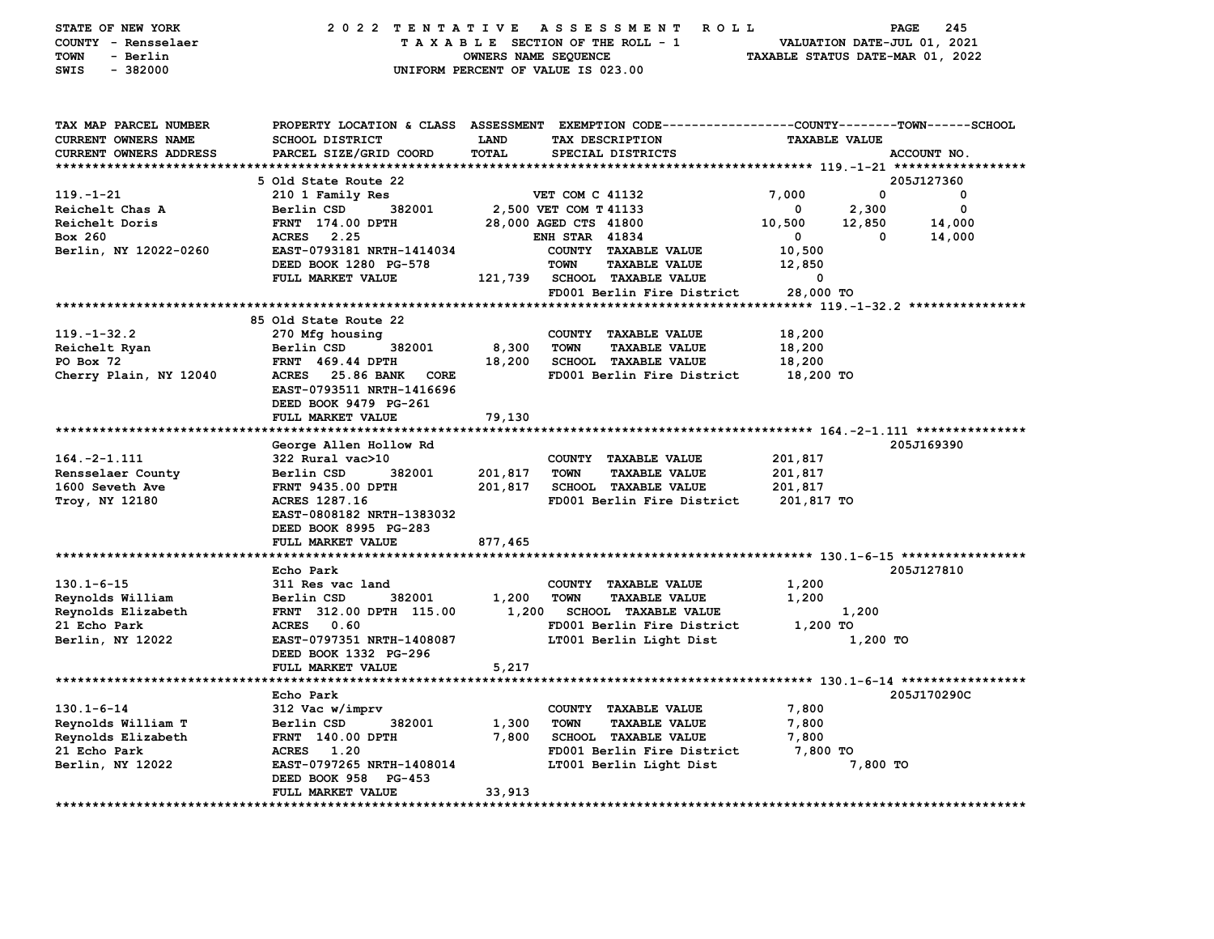| STATE OF NEW YORK<br>COUNTY - Rensselaer<br><b>TOWN</b><br>- Berlin<br>SWIS<br>$-382000$ | 2022 TENTATIVE ASSESSMENT                        | OWNERS NAME SEQUENCE | R O L L<br>TAXABLE SECTION OF THE ROLL - 1<br>UNIFORM PERCENT OF VALUE IS 023.00                                                        | VALUATION DATE-JUL 01, 2021<br>TAXABLE STATUS DATE-MAR 01, 2022 | 245<br><b>PAGE</b> |
|------------------------------------------------------------------------------------------|--------------------------------------------------|----------------------|-----------------------------------------------------------------------------------------------------------------------------------------|-----------------------------------------------------------------|--------------------|
| TAX MAP PARCEL NUMBER<br>CURRENT OWNERS NAME<br>CURRENT OWNERS ADDRESS                   | <b>SCHOOL DISTRICT</b><br>PARCEL SIZE/GRID COORD | LAND<br>TOTAL        | PROPERTY LOCATION & CLASS ASSESSMENT EXEMPTION CODE---------------COUNTY-------TOWN------SCHOOL<br>TAX DESCRIPTION<br>SPECIAL DISTRICTS | <b>TAXABLE VALUE</b>                                            | ACCOUNT NO.        |
|                                                                                          |                                                  |                      |                                                                                                                                         |                                                                 |                    |
|                                                                                          | 5 Old State Route 22                             |                      |                                                                                                                                         |                                                                 | 205J127360         |
| 119. - 1 - 21                                                                            | 210 1 Family Res                                 |                      | VET COM C 41132                                                                                                                         | 7,000                                                           | 0<br>0             |
| Reichelt Chas A                                                                          | 382001<br>Berlin CSD                             |                      | 2,500 VET COM T 41133                                                                                                                   | 2,300<br>$\mathbf 0$                                            | 0                  |
| Reichelt Doris                                                                           | FRNT 174.00 DPTH                                 |                      | 28,000 AGED CTS 41800                                                                                                                   | 10,500<br>12,850                                                | 14,000             |
| Box 260                                                                                  | ACRES 2.25                                       |                      | <b>ENH STAR 41834</b>                                                                                                                   | $\overline{\mathbf{0}}$                                         | 14,000<br>0        |
| Berlin, NY 12022-0260                                                                    | EAST-0793181 NRTH-1414034                        |                      | COUNTY TAXABLE VALUE                                                                                                                    | 10,500                                                          |                    |
|                                                                                          | DEED BOOK 1280 PG-578                            |                      | <b>TOWN</b><br><b>TAXABLE VALUE</b>                                                                                                     | 12,850                                                          |                    |
|                                                                                          | FULL MARKET VALUE                                |                      | 121,739 SCHOOL TAXABLE VALUE                                                                                                            | $\mathbf{o}$                                                    |                    |
|                                                                                          |                                                  |                      | FD001 Berlin Fire District                                                                                                              | 28,000 TO                                                       |                    |
|                                                                                          |                                                  |                      |                                                                                                                                         |                                                                 |                    |
|                                                                                          | 85 Old State Route 22                            |                      |                                                                                                                                         |                                                                 |                    |
| $119. - 1 - 32.2$                                                                        | 270 Mfg housing                                  |                      | COUNTY TAXABLE VALUE                                                                                                                    | 18,200                                                          |                    |
| Reichelt Ryan                                                                            | Berlin CSD<br>382001                             | 8,300                | <b>TOWN</b><br><b>TAXABLE VALUE</b>                                                                                                     | 18,200                                                          |                    |
| PO Box 72                                                                                | <b>FRNT</b> 469.44 DPTH                          | 18,200               | <b>SCHOOL TAXABLE VALUE</b>                                                                                                             | 18,200                                                          |                    |
| Cherry Plain, NY 12040                                                                   | ACRES 25.86 BANK<br><b>CORE</b>                  |                      | FD001 Berlin Fire District                                                                                                              | 18,200 TO                                                       |                    |
|                                                                                          | EAST-0793511 NRTH-1416696                        |                      |                                                                                                                                         |                                                                 |                    |
|                                                                                          | DEED BOOK 9479 PG-261                            |                      |                                                                                                                                         |                                                                 |                    |
|                                                                                          | FULL MARKET VALUE                                | 79,130               |                                                                                                                                         |                                                                 |                    |
| *****************************                                                            |                                                  |                      |                                                                                                                                         |                                                                 |                    |
|                                                                                          | George Allen Hollow Rd                           |                      |                                                                                                                                         |                                                                 | 205J169390         |
| $164. -2 - 1.111$                                                                        | 322 Rural vac>10                                 |                      | COUNTY TAXABLE VALUE                                                                                                                    | 201,817                                                         |                    |
| Rensselaer County                                                                        | Berlin CSD<br>382001                             | 201,817              | <b>TOWN</b><br><b>TAXABLE VALUE</b>                                                                                                     | 201,817                                                         |                    |
| 1600 Seveth Ave                                                                          | <b>FRNT 9435.00 DPTH</b>                         | 201,817              | <b>SCHOOL TAXABLE VALUE</b>                                                                                                             | 201,817                                                         |                    |
| Troy, NY 12180                                                                           | ACRES 1287.16                                    |                      | FD001 Berlin Fire District                                                                                                              | 201,817 TO                                                      |                    |
|                                                                                          | EAST-0808182 NRTH-1383032                        |                      |                                                                                                                                         |                                                                 |                    |
|                                                                                          | DEED BOOK 8995 PG-283                            |                      |                                                                                                                                         |                                                                 |                    |
|                                                                                          | FULL MARKET VALUE                                | 877,465              |                                                                                                                                         |                                                                 |                    |
|                                                                                          |                                                  |                      |                                                                                                                                         |                                                                 |                    |
|                                                                                          | Echo Park                                        |                      |                                                                                                                                         |                                                                 | 205J127810         |
| $130.1 - 6 - 15$                                                                         | 311 Res vac land                                 |                      | COUNTY TAXABLE VALUE                                                                                                                    | 1,200                                                           |                    |
| Reynolds William                                                                         | Berlin CSD<br>382001                             | 1,200                | TOWN<br><b>TAXABLE VALUE</b>                                                                                                            | 1,200                                                           |                    |
| Reynolds Elizabeth                                                                       | FRNT 312.00 DPTH 115.00                          | 1,200                | <b>SCHOOL TAXABLE VALUE</b>                                                                                                             | 1,200                                                           |                    |
| 21 Echo Park                                                                             | ACRES 0.60                                       |                      | FD001 Berlin Fire District                                                                                                              | 1,200 TO                                                        |                    |
| Berlin, NY 12022                                                                         | EAST-0797351 NRTH-1408087                        |                      | LT001 Berlin Light Dist                                                                                                                 | 1,200 TO                                                        |                    |
|                                                                                          | DEED BOOK 1332 PG-296                            |                      |                                                                                                                                         |                                                                 |                    |
|                                                                                          | FULL MARKET VALUE                                | 5,217                |                                                                                                                                         |                                                                 |                    |
|                                                                                          |                                                  |                      |                                                                                                                                         |                                                                 |                    |
|                                                                                          | Echo Park                                        |                      |                                                                                                                                         |                                                                 | 205J170290C        |
| $130.1 - 6 - 14$                                                                         | 312 Vac w/imprv                                  |                      | COUNTY TAXABLE VALUE                                                                                                                    | 7,800                                                           |                    |
| Reynolds William T                                                                       | 382001<br>Berlin CSD                             | 1,300                | <b>TOWN</b><br><b>TAXABLE VALUE</b>                                                                                                     | 7,800                                                           |                    |
|                                                                                          |                                                  |                      |                                                                                                                                         |                                                                 |                    |
| Reynolds Elizabeth                                                                       | <b>FRNT 140.00 DPTH</b>                          | 7,800                | <b>SCHOOL TAXABLE VALUE</b>                                                                                                             | 7,800                                                           |                    |
| 21 Echo Park                                                                             | ACRES 1.20                                       |                      | FD001 Berlin Fire District                                                                                                              | 7,800 TO                                                        |                    |
| Berlin, NY 12022                                                                         | EAST-0797265 NRTH-1408014                        |                      | LT001 Berlin Light Dist                                                                                                                 | 7,800 TO                                                        |                    |
|                                                                                          | DEED BOOK 958 PG-453                             |                      |                                                                                                                                         |                                                                 |                    |
|                                                                                          | FULL MARKET VALUE                                | 33,913               |                                                                                                                                         |                                                                 |                    |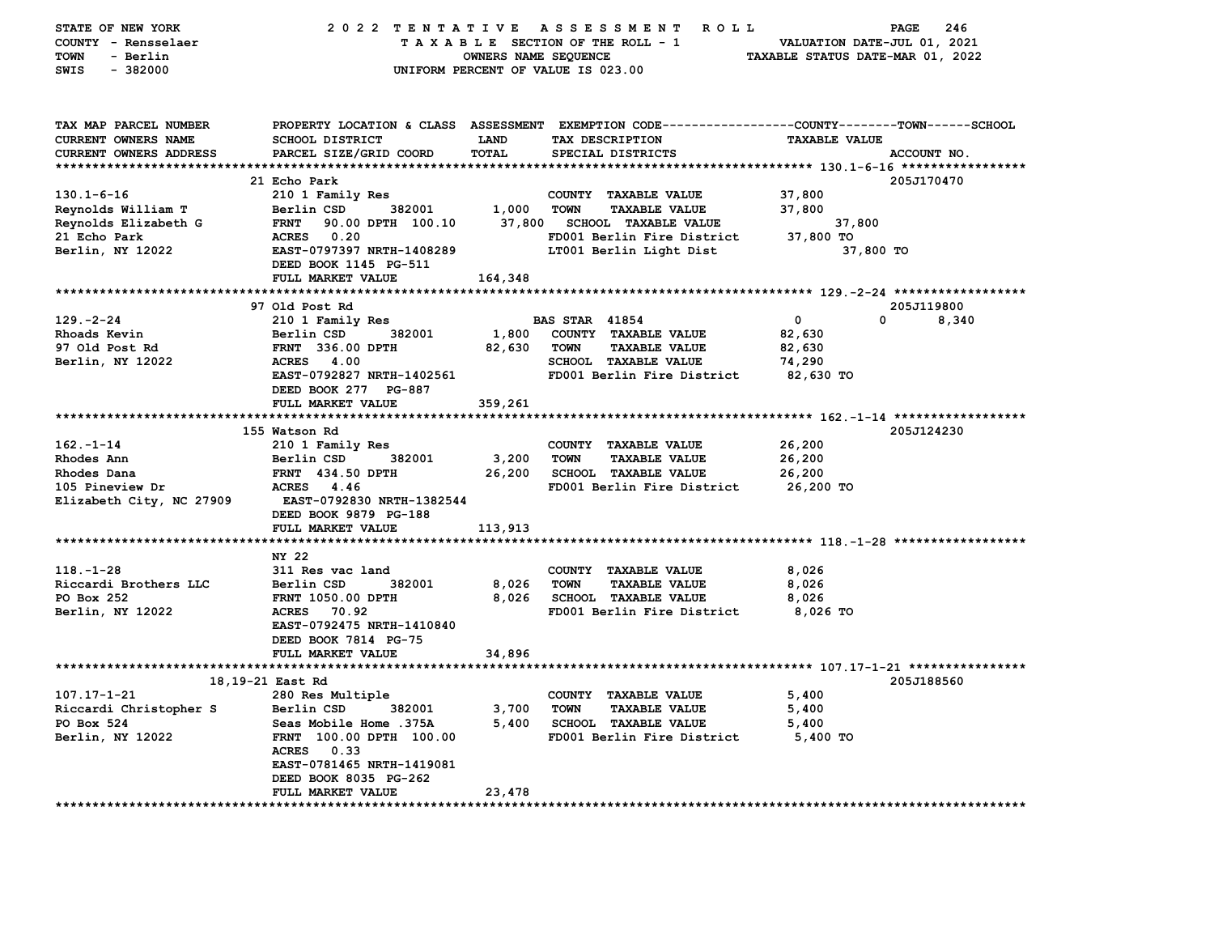| STATE OF NEW YORK          | 2022 TENTATIVE                   |                             | ASSESSMENT ROLL                                                                                |                                  | 246<br><b>PAGE</b> |
|----------------------------|----------------------------------|-----------------------------|------------------------------------------------------------------------------------------------|----------------------------------|--------------------|
| COUNTY - Rensselaer        |                                  |                             | TAXABLE SECTION OF THE ROLL - 1                                                                | VALUATION DATE-JUL 01, 2021      |                    |
| <b>TOWN</b><br>- Berlin    |                                  | <b>OWNERS NAME SEQUENCE</b> |                                                                                                | TAXABLE STATUS DATE-MAR 01, 2022 |                    |
| $-382000$<br><b>SWIS</b>   |                                  |                             | UNIFORM PERCENT OF VALUE IS 023.00                                                             |                                  |                    |
|                            |                                  |                             |                                                                                                |                                  |                    |
|                            |                                  |                             |                                                                                                |                                  |                    |
| TAX MAP PARCEL NUMBER      |                                  |                             | PROPERTY LOCATION & CLASS ASSESSMENT EXEMPTION CODE---------------COUNTY-------TOWN-----SCHOOL |                                  |                    |
| <b>CURRENT OWNERS NAME</b> | SCHOOL DISTRICT                  | <b>LAND</b>                 | TAX DESCRIPTION                                                                                | <b>TAXABLE VALUE</b>             |                    |
| CURRENT OWNERS ADDRESS     | PARCEL SIZE/GRID COORD           | <b>TOTAL</b>                | SPECIAL DISTRICTS                                                                              |                                  | ACCOUNT NO.        |
|                            |                                  |                             |                                                                                                |                                  |                    |
|                            | 21 Echo Park                     |                             |                                                                                                |                                  | 205J170470         |
| $130.1 - 6 - 16$           | 210 1 Family Res                 |                             | COUNTY TAXABLE VALUE                                                                           | 37,800                           |                    |
| Reynolds William T         | Berlin CSD<br>382001             | 1,000                       | <b>TOWN</b><br><b>TAXABLE VALUE</b>                                                            | 37,800                           |                    |
| Reynolds Elizabeth G       | <b>FRNT</b><br>90.00 DPTH 100.10 | 37,800                      | <b>SCHOOL TAXABLE VALUE</b>                                                                    | 37,800                           |                    |
| 21 Echo Park               | ACRES 0.20                       |                             | FD001 Berlin Fire District                                                                     | 37,800 TO                        |                    |
| Berlin, NY 12022           | EAST-0797397 NRTH-1408289        |                             | LT001 Berlin Light Dist                                                                        | 37,800 TO                        |                    |
|                            | DEED BOOK 1145 PG-511            |                             |                                                                                                |                                  |                    |
|                            | FULL MARKET VALUE                | 164,348                     |                                                                                                |                                  |                    |
|                            |                                  |                             |                                                                                                |                                  |                    |
|                            |                                  |                             |                                                                                                |                                  |                    |
|                            | 97 Old Post Rd                   |                             |                                                                                                |                                  | 205J119800         |
| $129. -2 - 24$             | 210 1 Family Res                 |                             | <b>BAS STAR 41854</b>                                                                          | 0<br>0                           | 8,340              |
| Rhoads Kevin               | Berlin CSD<br>382001             | 1,800                       | COUNTY TAXABLE VALUE                                                                           | 82,630                           |                    |
| 97 Old Post Rd             | FRNT 336.00 DPTH                 | 82,630                      | <b>TOWN</b><br><b>TAXABLE VALUE</b>                                                            | 82,630                           |                    |
| Berlin, NY 12022           | <b>ACRES</b><br>4.00             |                             | SCHOOL TAXABLE VALUE                                                                           | 74,290                           |                    |
|                            | EAST-0792827 NRTH-1402561        |                             | FD001 Berlin Fire District                                                                     | 82,630 TO                        |                    |
|                            | DEED BOOK 277 PG-887             |                             |                                                                                                |                                  |                    |
|                            | FULL MARKET VALUE                | 359,261                     |                                                                                                |                                  |                    |
|                            |                                  |                             |                                                                                                |                                  |                    |
|                            | 155 Watson Rd                    |                             |                                                                                                |                                  | 205J124230         |
| $162 - 1 - 14$             | 210 1 Family Res                 |                             | COUNTY TAXABLE VALUE                                                                           | 26,200                           |                    |
| Rhodes Ann                 | Berlin CSD<br>382001             | 3,200                       | <b>TOWN</b><br><b>TAXABLE VALUE</b>                                                            | 26,200                           |                    |
| Rhodes Dana                | <b>FRNT</b> 434.50 DPTH          | 26,200                      | <b>SCHOOL TAXABLE VALUE</b>                                                                    | 26,200                           |                    |
| 105 Pineview Dr            | ACRES<br>4.46                    |                             | FD001 Berlin Fire District                                                                     | 26,200 TO                        |                    |
| Elizabeth City, NC 27909   | EAST-0792830 NRTH-1382544        |                             |                                                                                                |                                  |                    |
|                            | DEED BOOK 9879 PG-188            |                             |                                                                                                |                                  |                    |
|                            | FULL MARKET VALUE                | 113,913                     |                                                                                                |                                  |                    |
|                            |                                  |                             |                                                                                                |                                  |                    |
|                            | NY 22                            |                             |                                                                                                |                                  |                    |
| $118. - 1 - 28$            | 311 Res vac land                 |                             | COUNTY TAXABLE VALUE                                                                           | 8,026                            |                    |
| Riccardi Brothers LLC      | 382001<br>Berlin CSD             | 8,026                       | <b>TAXABLE VALUE</b><br>TOWN                                                                   | 8,026                            |                    |
| PO Box 252                 | <b>FRNT 1050.00 DPTH</b>         | 8,026                       | <b>SCHOOL TAXABLE VALUE</b>                                                                    | 8,026                            |                    |
| Berlin, NY 12022           | ACRES 70.92                      |                             | FD001 Berlin Fire District                                                                     | 8,026 то                         |                    |
|                            | EAST-0792475 NRTH-1410840        |                             |                                                                                                |                                  |                    |
|                            | DEED BOOK 7814 PG-75             |                             |                                                                                                |                                  |                    |
|                            | FULL MARKET VALUE                | 34,896                      |                                                                                                |                                  |                    |
|                            |                                  |                             |                                                                                                |                                  |                    |
|                            | 18,19-21 East Rd                 |                             |                                                                                                |                                  | 205J188560         |
| 107.17-1-21                | 280 Res Multiple                 |                             | COUNTY TAXABLE VALUE                                                                           | 5,400                            |                    |
| Riccardi Christopher S     | Berlin CSD<br>382001             | 3,700                       | TOWN<br><b>TAXABLE VALUE</b>                                                                   | 5,400                            |                    |
| PO Box 524                 | Seas Mobile Home .375A           | 5,400                       | <b>SCHOOL TAXABLE VALUE</b>                                                                    | 5,400                            |                    |
| Berlin, NY 12022           | FRNT 100.00 DPTH 100.00          |                             | FD001 Berlin Fire District                                                                     | 5,400 TO                         |                    |
|                            | <b>ACRES</b><br>0.33             |                             |                                                                                                |                                  |                    |
|                            | EAST-0781465 NRTH-1419081        |                             |                                                                                                |                                  |                    |
|                            | DEED BOOK 8035 PG-262            |                             |                                                                                                |                                  |                    |
|                            | FULL MARKET VALUE                | 23,478                      |                                                                                                |                                  |                    |
|                            |                                  |                             |                                                                                                |                                  |                    |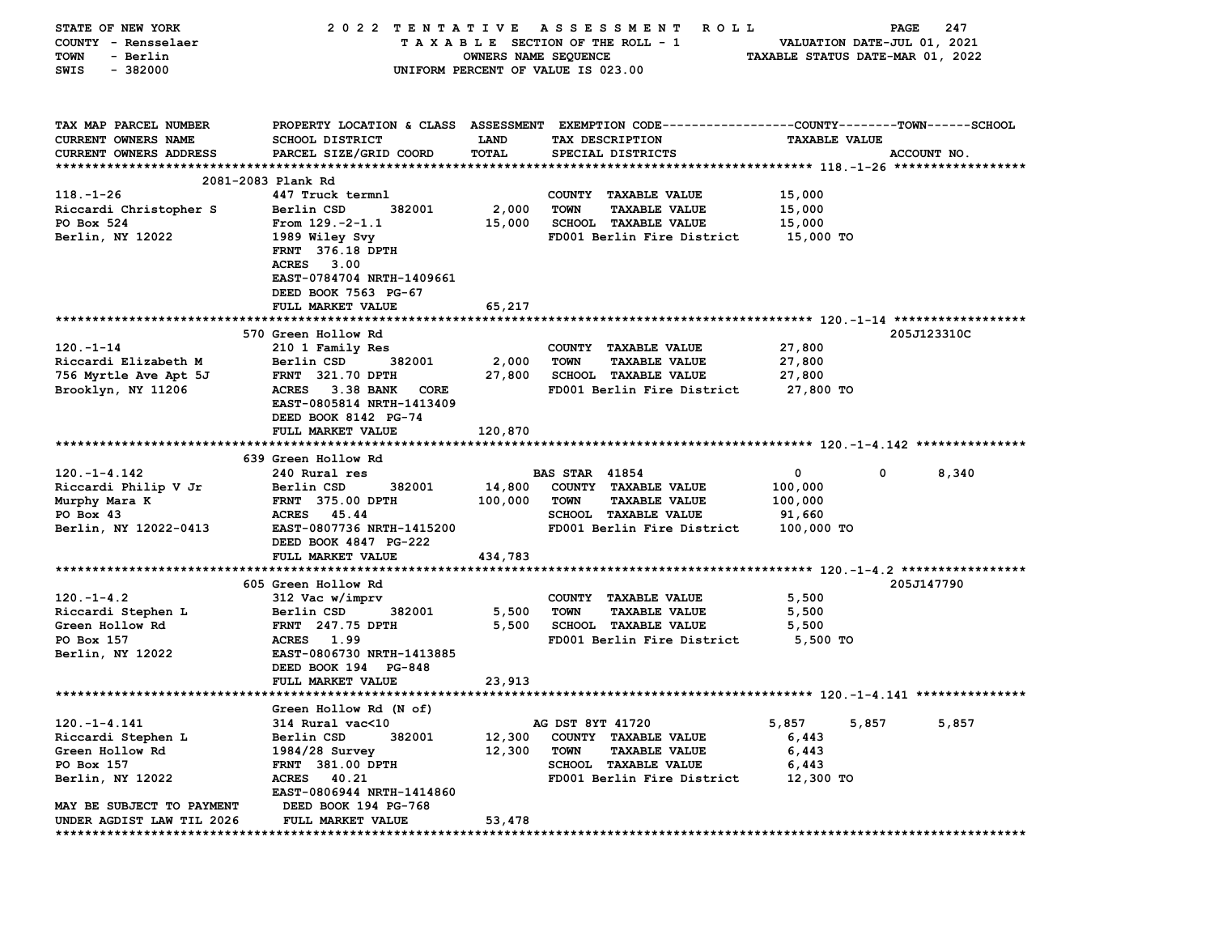| STATE OF NEW YORK                                      | 2022 TENTATIVE                                   |                      | A S S E S S M E N T<br><b>ROLL</b>                                                              |                                  | 247<br>PAGE           |
|--------------------------------------------------------|--------------------------------------------------|----------------------|-------------------------------------------------------------------------------------------------|----------------------------------|-----------------------|
| COUNTY - Rensselaer                                    |                                                  |                      | TAXABLE SECTION OF THE ROLL - 1                                                                 | VALUATION DATE-JUL 01, 2021      |                       |
| <b>TOWN</b><br>- Berlin                                |                                                  | OWNERS NAME SEQUENCE |                                                                                                 | TAXABLE STATUS DATE-MAR 01, 2022 |                       |
| $-382000$<br>SWIS                                      |                                                  |                      | UNIFORM PERCENT OF VALUE IS 023.00                                                              |                                  |                       |
|                                                        |                                                  |                      |                                                                                                 |                                  |                       |
| TAX MAP PARCEL NUMBER                                  |                                                  |                      | PROPERTY LOCATION & CLASS ASSESSMENT EXEMPTION CODE---------------COUNTY-------TOWN------SCHOOL |                                  |                       |
| CURRENT OWNERS NAME                                    | <b>SCHOOL DISTRICT</b>                           | <b>LAND</b>          | TAX DESCRIPTION                                                                                 | <b>TAXABLE VALUE</b>             |                       |
| <b>CURRENT OWNERS ADDRESS</b>                          | PARCEL SIZE/GRID COORD                           | TOTAL                | SPECIAL DISTRICTS                                                                               |                                  | ACCOUNT NO.           |
|                                                        |                                                  |                      |                                                                                                 |                                  |                       |
|                                                        | 2081-2083 Plank Rd                               |                      |                                                                                                 |                                  |                       |
| $118. - 1 - 26$                                        | 447 Truck termnl                                 |                      | COUNTY TAXABLE VALUE                                                                            | 15,000                           |                       |
| Riccardi Christopher S                                 | Berlin CSD<br>382001                             | 2,000                | <b>TOWN</b><br><b>TAXABLE VALUE</b>                                                             | 15,000                           |                       |
| PO Box 524                                             | From $129. -2 - 1.1$                             | 15,000               | SCHOOL TAXABLE VALUE<br>FD001 Berlin Fire District                                              | 15,000<br>15,000 TO              |                       |
| Berlin, NY 12022                                       | 1989 Wiley Svy<br><b>FRNT</b> 376.18 DPTH        |                      |                                                                                                 |                                  |                       |
|                                                        | ACRES<br>3.00                                    |                      |                                                                                                 |                                  |                       |
|                                                        | EAST-0784704 NRTH-1409661                        |                      |                                                                                                 |                                  |                       |
|                                                        | DEED BOOK 7563 PG-67                             |                      |                                                                                                 |                                  |                       |
|                                                        | FULL MARKET VALUE                                | 65,217               |                                                                                                 |                                  |                       |
|                                                        |                                                  |                      |                                                                                                 |                                  |                       |
|                                                        | 570 Green Hollow Rd                              |                      |                                                                                                 |                                  | 205J123310C           |
| $120. - 1 - 14$                                        | 210 1 Family Res                                 |                      | COUNTY TAXABLE VALUE                                                                            | 27,800                           |                       |
| Riccardi Elizabeth M                                   | Berlin CSD<br>382001                             | 2,000                | TOWN<br><b>TAXABLE VALUE</b>                                                                    | 27,800                           |                       |
| 756 Myrtle Ave Apt 5J                                  | <b>FRNT 321.70 DPTH</b>                          | 27,800               | <b>SCHOOL TAXABLE VALUE</b>                                                                     | 27,800                           |                       |
| Brooklyn, NY 11206                                     | ACRES 3.38 BANK<br>CORE                          |                      | FD001 Berlin Fire District                                                                      | 27,800 TO                        |                       |
|                                                        | EAST-0805814 NRTH-1413409                        |                      |                                                                                                 |                                  |                       |
|                                                        | DEED BOOK 8142 PG-74                             |                      |                                                                                                 |                                  |                       |
|                                                        | FULL MARKET VALUE                                | 120,870              |                                                                                                 |                                  |                       |
|                                                        |                                                  |                      |                                                                                                 |                                  |                       |
|                                                        | 639 Green Hollow Rd                              |                      |                                                                                                 |                                  |                       |
| $120. -1 - 4.142$                                      | 240 Rural res                                    |                      | <b>BAS STAR 41854</b>                                                                           | 0                                | $\mathbf{0}$<br>8,340 |
| Riccardi Philip V Jr                                   | Berlin CSD<br>382001                             | 14,800               | COUNTY TAXABLE VALUE<br><b>TOWN</b>                                                             | 100,000                          |                       |
| Murphy Mara K<br>PO Box 43                             | <b>FRNT 375.00 DPTH</b><br>45.44<br><b>ACRES</b> | 100,000              | <b>TAXABLE VALUE</b><br><b>SCHOOL TAXABLE VALUE</b>                                             | 100,000<br>91,660                |                       |
| Berlin, NY 12022-0413                                  | EAST-0807736 NRTH-1415200                        |                      | FD001 Berlin Fire District                                                                      | 100,000 TO                       |                       |
|                                                        | DEED BOOK 4847 PG-222                            |                      |                                                                                                 |                                  |                       |
|                                                        | FULL MARKET VALUE                                | 434,783              |                                                                                                 |                                  |                       |
|                                                        |                                                  |                      |                                                                                                 |                                  |                       |
|                                                        |                                                  |                      |                                                                                                 |                                  |                       |
|                                                        |                                                  |                      |                                                                                                 |                                  |                       |
| $120. -1 - 4.2$                                        | 605 Green Hollow Rd                              |                      |                                                                                                 |                                  | 205J147790            |
|                                                        | 312 Vac w/imprv<br>Berlin CSD<br>382001          | 5,500                | COUNTY TAXABLE VALUE<br><b>TOWN</b><br><b>TAXABLE VALUE</b>                                     | 5,500<br>5,500                   |                       |
| Riccardi Stephen L<br>Green Hollow Rd                  | <b>FRNT</b> 247.75 DPTH                          | 5,500                | SCHOOL TAXABLE VALUE                                                                            | 5,500                            |                       |
| PO Box 157                                             | ACRES 1.99                                       |                      | FD001 Berlin Fire District                                                                      | 5,500 TO                         |                       |
| Berlin, NY 12022                                       | EAST-0806730 NRTH-1413885                        |                      |                                                                                                 |                                  |                       |
|                                                        | DEED BOOK 194 PG-848                             |                      |                                                                                                 |                                  |                       |
|                                                        | FULL MARKET VALUE                                | 23,913               |                                                                                                 |                                  |                       |
|                                                        |                                                  |                      |                                                                                                 |                                  |                       |
|                                                        | Green Hollow Rd (N of)                           |                      |                                                                                                 |                                  |                       |
| $120. -1 - 4.141$                                      | 314 Rural vac<10                                 |                      | AG DST 8YT 41720                                                                                | 5,857<br>5,857                   | 5,857                 |
| Riccardi Stephen L                                     | 382001<br>Berlin CSD                             | 12,300               | COUNTY TAXABLE VALUE                                                                            | 6,443                            |                       |
| Green Hollow Rd                                        | 1984/28 Survey                                   | 12,300               | <b>TOWN</b><br><b>TAXABLE VALUE</b>                                                             | 6,443                            |                       |
| PO Box 157                                             | FRNT 381.00 DPTH                                 |                      | <b>SCHOOL TAXABLE VALUE</b>                                                                     | 6,443                            |                       |
| Berlin, NY 12022                                       | <b>ACRES</b><br>40.21                            |                      | FD001 Berlin Fire District                                                                      | 12,300 TO                        |                       |
|                                                        | EAST-0806944 NRTH-1414860                        |                      |                                                                                                 |                                  |                       |
| MAY BE SUBJECT TO PAYMENT<br>UNDER AGDIST LAW TIL 2026 | DEED BOOK 194 PG-768<br><b>FULL MARKET VALUE</b> | 53,478               |                                                                                                 |                                  |                       |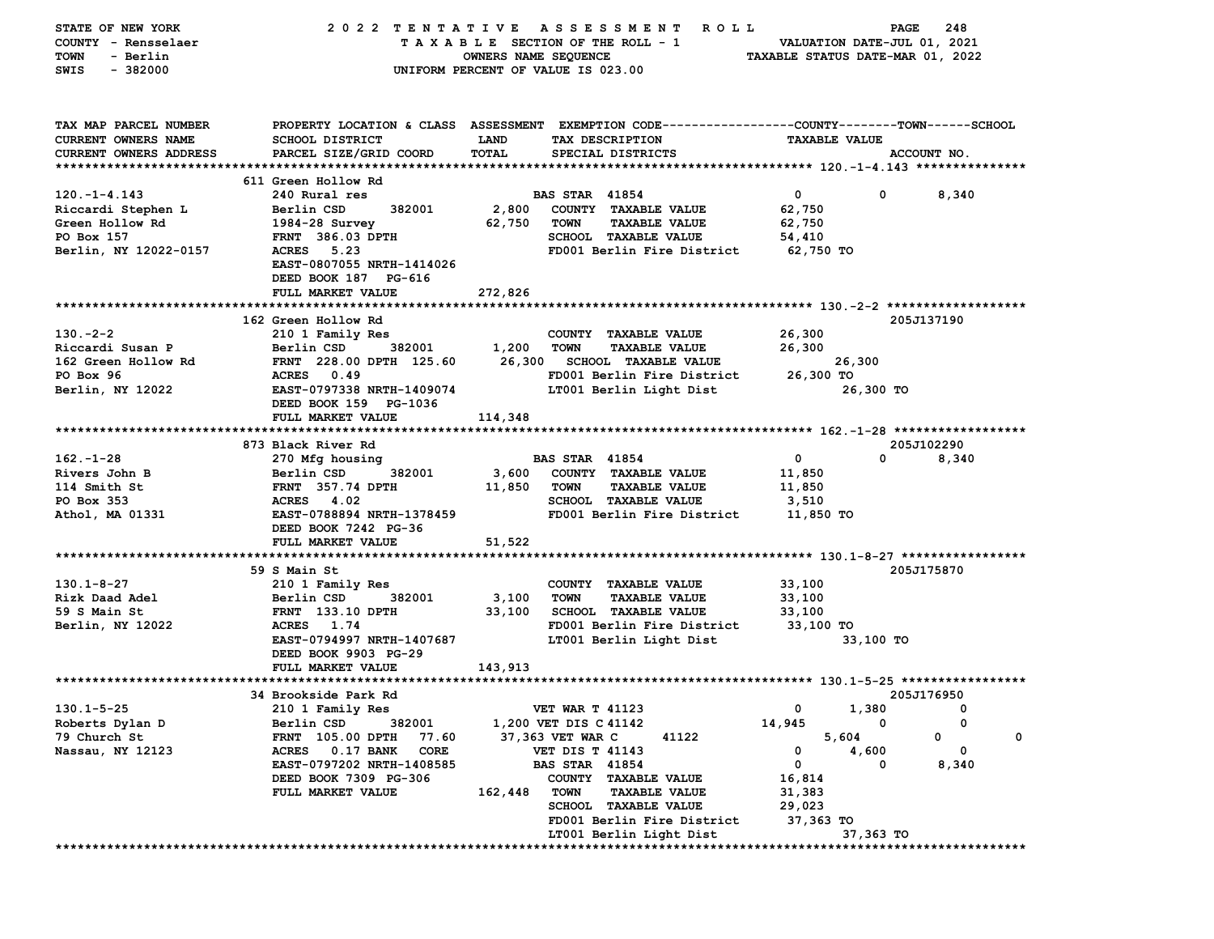| STATE OF NEW YORK             | 2022 TENTATIVE                    |                      | A S S E S S M E N T<br><b>ROLL</b>                                                             |                                  | PAGE      | 248         |   |
|-------------------------------|-----------------------------------|----------------------|------------------------------------------------------------------------------------------------|----------------------------------|-----------|-------------|---|
| COUNTY - Rensselaer           |                                   |                      | TAXABLE SECTION OF THE ROLL - 1                                                                | VALUATION DATE-JUL 01, 2021      |           |             |   |
| <b>TOWN</b><br>- Berlin       |                                   | OWNERS NAME SEQUENCE |                                                                                                | TAXABLE STATUS DATE-MAR 01, 2022 |           |             |   |
| $-382000$<br>SWIS             |                                   |                      | UNIFORM PERCENT OF VALUE IS 023.00                                                             |                                  |           |             |   |
|                               |                                   |                      |                                                                                                |                                  |           |             |   |
|                               |                                   |                      |                                                                                                |                                  |           |             |   |
|                               |                                   |                      |                                                                                                |                                  |           |             |   |
| TAX MAP PARCEL NUMBER         |                                   |                      | PROPERTY LOCATION & CLASS ASSESSMENT EXEMPTION CODE---------------COUNTY-------TOWN-----SCHOOL |                                  |           |             |   |
| <b>CURRENT OWNERS NAME</b>    | <b>SCHOOL DISTRICT</b>            | LAND                 | TAX DESCRIPTION                                                                                | <b>TAXABLE VALUE</b>             |           |             |   |
| <b>CURRENT OWNERS ADDRESS</b> | PARCEL SIZE/GRID COORD            | TOTAL                | SPECIAL DISTRICTS                                                                              |                                  |           | ACCOUNT NO. |   |
|                               |                                   |                      |                                                                                                |                                  |           |             |   |
|                               | 611 Green Hollow Rd               |                      |                                                                                                |                                  |           |             |   |
| $120. -1 - 4.143$             | 240 Rural res                     |                      | <b>BAS STAR 41854</b>                                                                          | 0                                | 0         | 8,340       |   |
| Riccardi Stephen L            | Berlin CSD<br>382001              | 2,800                | COUNTY TAXABLE VALUE                                                                           | 62,750                           |           |             |   |
| Green Hollow Rd               | $1984-28$ Survey                  | 62,750               | <b>TOWN</b><br><b>TAXABLE VALUE</b>                                                            | 62,750                           |           |             |   |
| PO Box 157                    | <b>FRNT 386.03 DPTH</b>           |                      | SCHOOL TAXABLE VALUE                                                                           | 54,410                           |           |             |   |
| Berlin, NY 12022-0157         | ACRES<br>5.23                     |                      | FD001 Berlin Fire District                                                                     | 62,750 TO                        |           |             |   |
|                               | EAST-0807055 NRTH-1414026         |                      |                                                                                                |                                  |           |             |   |
|                               | DEED BOOK 187 PG-616              |                      |                                                                                                |                                  |           |             |   |
|                               | FULL MARKET VALUE                 | 272,826              |                                                                                                |                                  |           |             |   |
|                               |                                   |                      |                                                                                                |                                  |           |             |   |
|                               | 162 Green Hollow Rd               |                      |                                                                                                |                                  |           | 205J137190  |   |
| $130 - 2 - 2$                 | 210 1 Family Res                  |                      | COUNTY TAXABLE VALUE                                                                           | 26,300                           |           |             |   |
| Riccardi Susan P              | Berlin CSD<br>382001              | 1,200                | <b>TOWN</b><br><b>TAXABLE VALUE</b>                                                            | 26,300                           |           |             |   |
| 162 Green Hollow Rd           | FRNT 228.00 DPTH 125.60           | 26,300               | <b>SCHOOL TAXABLE VALUE</b>                                                                    |                                  | 26,300    |             |   |
| PO Box 96                     | ACRES 0.49                        |                      | FD001 Berlin Fire District                                                                     | 26,300 TO                        |           |             |   |
| Berlin, NY 12022              | EAST-0797338 NRTH-1409074         |                      | LT001 Berlin Light Dist                                                                        |                                  | 26,300 TO |             |   |
|                               | DEED BOOK 159 PG-1036             |                      |                                                                                                |                                  |           |             |   |
|                               | FULL MARKET VALUE                 | 114,348              |                                                                                                |                                  |           |             |   |
|                               |                                   |                      |                                                                                                |                                  |           |             |   |
|                               | 873 Black River Rd                |                      |                                                                                                |                                  |           | 205J102290  |   |
| $162 - 1 - 28$                | 270 Mfg housing                   |                      | <b>BAS STAR 41854</b>                                                                          | 0                                | 0         | 8,340       |   |
| Rivers John B                 | Berlin CSD<br>382001              | 3,600                | COUNTY TAXABLE VALUE                                                                           | 11,850                           |           |             |   |
| 114 Smith St                  | <b>FRNT</b> 357.74 DPTH           | 11,850               | <b>TAXABLE VALUE</b><br><b>TOWN</b>                                                            | 11,850                           |           |             |   |
| PO Box 353                    | 4.02<br><b>ACRES</b>              |                      | <b>SCHOOL TAXABLE VALUE</b>                                                                    | 3,510                            |           |             |   |
| Athol, MA 01331               | EAST-0788894 NRTH-1378459         |                      | FD001 Berlin Fire District                                                                     | 11,850 TO                        |           |             |   |
|                               | DEED BOOK 7242 PG-36              |                      |                                                                                                |                                  |           |             |   |
|                               | FULL MARKET VALUE                 | 51,522               |                                                                                                |                                  |           |             |   |
|                               |                                   |                      |                                                                                                |                                  |           |             |   |
|                               | 59 S Main St                      |                      |                                                                                                |                                  |           | 205J175870  |   |
| $130.1 - 8 - 27$              | 210 1 Family Res                  |                      | COUNTY TAXABLE VALUE                                                                           | 33,100                           |           |             |   |
| Rizk Daad Adel                | 382001<br>Berlin CSD              | 3,100                | <b>TOWN</b><br><b>TAXABLE VALUE</b>                                                            | 33,100                           |           |             |   |
| 59 S Main St                  | <b>FRNT</b> 133.10 DPTH           | 33,100               | <b>SCHOOL TAXABLE VALUE</b>                                                                    | 33,100                           |           |             |   |
| Berlin, NY 12022              | ACRES 1.74                        |                      | FD001 Berlin Fire District                                                                     | 33,100 TO                        |           |             |   |
|                               | EAST-0794997 NRTH-1407687         |                      | LT001 Berlin Light Dist                                                                        |                                  | 33,100 TO |             |   |
|                               | DEED BOOK 9903 PG-29              |                      |                                                                                                |                                  |           |             |   |
|                               | FULL MARKET VALUE                 | 143,913              |                                                                                                |                                  |           |             |   |
|                               |                                   |                      |                                                                                                |                                  |           |             |   |
|                               | 34 Brookside Park Rd              |                      |                                                                                                |                                  |           | 205J176950  |   |
| $130.1 - 5 - 25$              | 210 1 Family Res                  |                      | <b>VET WAR T 41123</b>                                                                         | 0                                | 1,380     | 0           |   |
| Roberts Dylan D               | Berlin CSD<br>382001              |                      | 1,200 VET DIS C 41142                                                                          | 14,945                           | 0         | 0           |   |
| 79 Church St                  | FRNT 105.00 DPTH<br>77.60         |                      | 37,363 VET WAR C<br>41122                                                                      | 5,604                            |           | 0           | 0 |
| Nassau, NY 12123              | CORE<br><b>ACRES</b><br>0.17 BANK |                      | <b>VET DIS T 41143</b>                                                                         | 0                                | 4,600     | 0           |   |
|                               | EAST-0797202 NRTH-1408585         |                      | <b>BAS STAR 41854</b>                                                                          | 0                                | O         | 8,340       |   |
|                               | DEED BOOK 7309 PG-306             |                      | COUNTY TAXABLE VALUE                                                                           | 16,814                           |           |             |   |
|                               | FULL MARKET VALUE                 | 162,448              | <b>TOWN</b><br><b>TAXABLE VALUE</b>                                                            | 31,383                           |           |             |   |
|                               |                                   |                      | <b>SCHOOL TAXABLE VALUE</b>                                                                    | 29,023                           |           |             |   |
|                               |                                   |                      | FD001 Berlin Fire District                                                                     | 37,363 TO                        |           |             |   |
|                               |                                   |                      | LT001 Berlin Light Dist                                                                        |                                  | 37,363 TO |             |   |
|                               |                                   |                      |                                                                                                |                                  |           |             |   |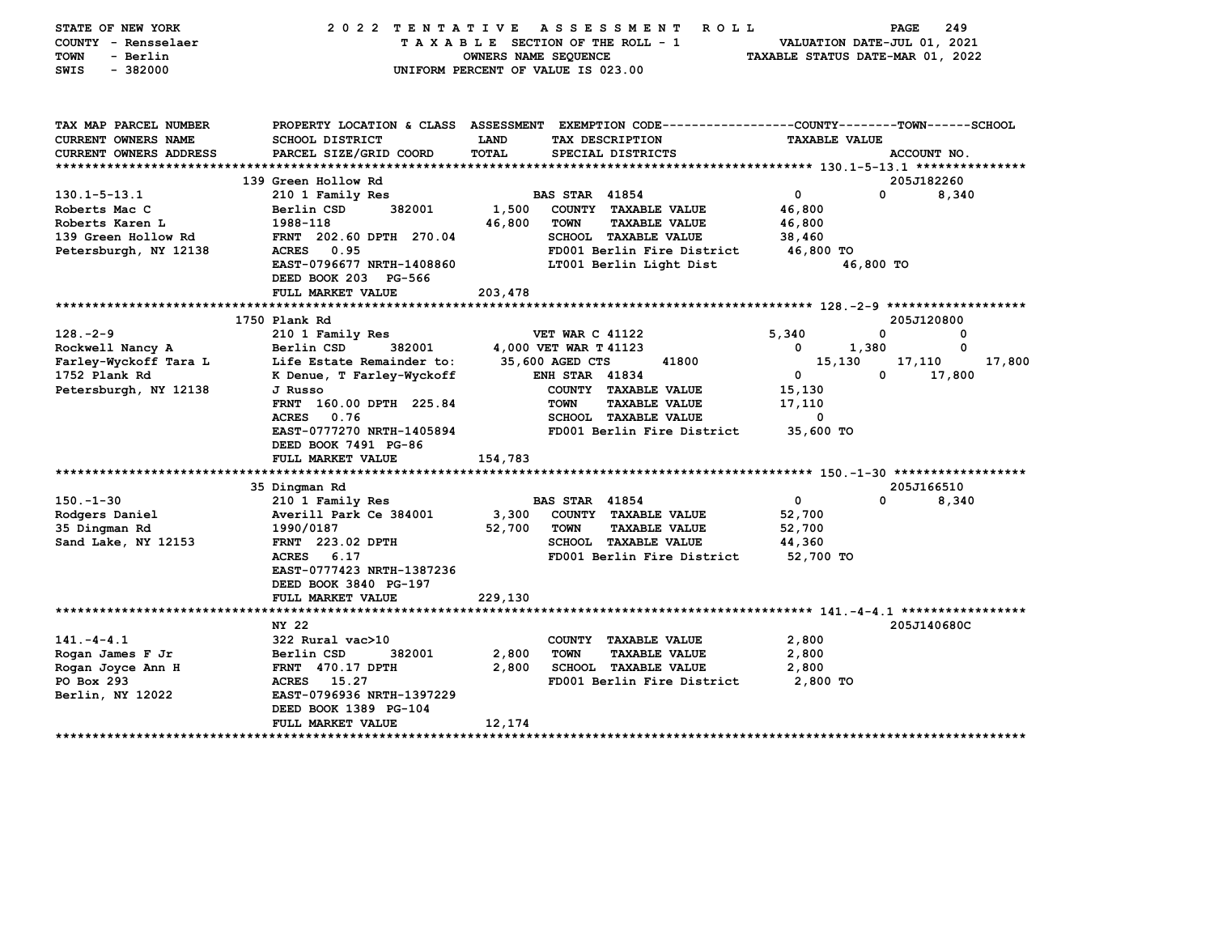| STATE OF NEW YORK<br>COUNTY - Rensselaer<br><b>TOWN</b><br>- Berlin<br>SWIS<br>$-382000$ | 2022 TENTATIVE                                                                                                                                     | OWNERS NAME SEQUENCE<br>UNIFORM PERCENT OF VALUE IS 023.00 |                        | ASSESSMENT<br><b>ROLL</b><br>TAXABLE SECTION OF THE ROLL - 1 |                | VALUATION DATE-JUL 01, 2021<br>TAXABLE STATUS DATE-MAR 01, 2022 | PAGE        | 249    |
|------------------------------------------------------------------------------------------|----------------------------------------------------------------------------------------------------------------------------------------------------|------------------------------------------------------------|------------------------|--------------------------------------------------------------|----------------|-----------------------------------------------------------------|-------------|--------|
| TAX MAP PARCEL NUMBER<br><b>CURRENT OWNERS NAME</b><br>CURRENT OWNERS ADDRESS            | PROPERTY LOCATION & CLASS ASSESSMENT EXEMPTION CODE---------------COUNTY-------TOWN-----SCHOOL<br><b>SCHOOL DISTRICT</b><br>PARCEL SIZE/GRID COORD | LAND<br><b>TOTAL</b>                                       |                        | TAX DESCRIPTION<br>SPECIAL DISTRICTS                         |                | <b>TAXABLE VALUE</b>                                            | ACCOUNT NO. |        |
|                                                                                          |                                                                                                                                                    |                                                            |                        |                                                              |                |                                                                 |             |        |
|                                                                                          | 139 Green Hollow Rd                                                                                                                                |                                                            |                        |                                                              |                |                                                                 | 205J182260  |        |
| $130.1 - 5 - 13.1$                                                                       | 210 1 Family Res                                                                                                                                   |                                                            | <b>BAS STAR 41854</b>  |                                                              | 0              | 0                                                               |             | 8,340  |
| Roberts Mac C                                                                            | 382001<br>Berlin CSD                                                                                                                               | 1,500                                                      |                        | COUNTY TAXABLE VALUE                                         | 46,800         |                                                                 |             |        |
| Roberts Karen L                                                                          | 1988-118                                                                                                                                           | 46,800                                                     | <b>TOWN</b>            | <b>TAXABLE VALUE</b>                                         | 46,800         |                                                                 |             |        |
| 139 Green Hollow Rd                                                                      | FRNT 202.60 DPTH 270.04                                                                                                                            |                                                            |                        | <b>SCHOOL TAXABLE VALUE</b>                                  | 38,460         |                                                                 |             |        |
| Petersburgh, NY 12138                                                                    | ACRES<br>0.95                                                                                                                                      |                                                            |                        | FD001 Berlin Fire District                                   |                | 46,800 TO                                                       |             |        |
|                                                                                          | EAST-0796677 NRTH-1408860                                                                                                                          | LT001 Berlin Light Dist                                    |                        |                                                              | 46,800 TO      |                                                                 |             |        |
|                                                                                          | DEED BOOK 203 PG-566                                                                                                                               |                                                            |                        |                                                              |                |                                                                 |             |        |
|                                                                                          | FULL MARKET VALUE                                                                                                                                  | 203,478                                                    |                        |                                                              |                |                                                                 |             |        |
|                                                                                          | 1750 Plank Rd                                                                                                                                      |                                                            |                        |                                                              |                |                                                                 | 205J120800  |        |
| $128. -2 - 9$                                                                            | 210 1 Family Res                                                                                                                                   |                                                            | <b>VET WAR C 41122</b> |                                                              | 5,340          | 0                                                               |             | 0      |
| Rockwell Nancy A                                                                         | 382001<br>Berlin CSD                                                                                                                               |                                                            | 4,000 VET WAR T 41123  |                                                              | 0              | 1,380                                                           |             | 0      |
| Farley-Wyckoff Tara L                                                                    | Life Estate Remainder to:                                                                                                                          |                                                            | 35,600 AGED CTS        | 41800                                                        |                | 15,130                                                          | 17,110      | 17,800 |
| 1752 Plank Rd                                                                            | K Denue, T Farley-Wyckoff                                                                                                                          |                                                            | <b>ENH STAR 41834</b>  |                                                              | 0              | 0                                                               | 17,800      |        |
| Petersburgh, NY 12138                                                                    | J Russo                                                                                                                                            |                                                            |                        | COUNTY TAXABLE VALUE                                         | 15,130         |                                                                 |             |        |
|                                                                                          | FRNT 160.00 DPTH 225.84                                                                                                                            |                                                            | <b>TOWN</b>            | <b>TAXABLE VALUE</b>                                         | 17,110         |                                                                 |             |        |
|                                                                                          | 0.76<br>ACRES                                                                                                                                      |                                                            |                        | <b>SCHOOL TAXABLE VALUE</b>                                  |                | 0                                                               |             |        |
|                                                                                          | EAST-0777270 NRTH-1405894                                                                                                                          |                                                            |                        | FD001 Berlin Fire District                                   |                | 35,600 TO                                                       |             |        |
|                                                                                          | DEED BOOK 7491 PG-86                                                                                                                               |                                                            |                        |                                                              |                |                                                                 |             |        |
|                                                                                          | FULL MARKET VALUE                                                                                                                                  | 154,783                                                    |                        |                                                              |                |                                                                 |             |        |
|                                                                                          |                                                                                                                                                    |                                                            |                        |                                                              |                |                                                                 |             |        |
|                                                                                          | 35 Dingman Rd                                                                                                                                      |                                                            |                        |                                                              |                |                                                                 | 205J166510  |        |
| $150. - 1 - 30$                                                                          | 210 1 Family Res                                                                                                                                   |                                                            | <b>BAS STAR 41854</b>  |                                                              | 0              | $\Omega$                                                        |             | 8,340  |
| Rodgers Daniel                                                                           | Averill Park Ce 384001                                                                                                                             | 3,300                                                      |                        | COUNTY TAXABLE VALUE                                         | 52,700         |                                                                 |             |        |
| 35 Dingman Rd                                                                            | 1990/0187                                                                                                                                          | 52,700                                                     | <b>TOWN</b>            | <b>TAXABLE VALUE</b>                                         | 52,700         |                                                                 |             |        |
| Sand Lake, NY 12153                                                                      | FRNT 223.02 DPTH                                                                                                                                   |                                                            |                        | SCHOOL TAXABLE VALUE                                         | 44,360         |                                                                 |             |        |
|                                                                                          | ACRES<br>6.17                                                                                                                                      |                                                            |                        | FD001 Berlin Fire District                                   |                | 52,700 TO                                                       |             |        |
|                                                                                          | EAST-0777423 NRTH-1387236                                                                                                                          |                                                            |                        |                                                              |                |                                                                 |             |        |
|                                                                                          | DEED BOOK 3840 PG-197                                                                                                                              |                                                            |                        |                                                              |                |                                                                 |             |        |
|                                                                                          | FULL MARKET VALUE                                                                                                                                  | 229,130                                                    |                        |                                                              |                |                                                                 |             |        |
|                                                                                          |                                                                                                                                                    |                                                            |                        |                                                              |                |                                                                 |             |        |
|                                                                                          | NY 22                                                                                                                                              |                                                            |                        |                                                              |                |                                                                 | 205J140680C |        |
| $141. -4 - 4.1$                                                                          | 322 Rural vac>10                                                                                                                                   |                                                            |                        | COUNTY TAXABLE VALUE                                         | 2,800          |                                                                 |             |        |
| Rogan James F Jr                                                                         | 382001<br>Berlin CSD<br>FRNT 470.17 DPTH                                                                                                           | 2,800<br>2,800                                             | <b>TOWN</b>            | <b>TAXABLE VALUE</b><br><b>SCHOOL TAXABLE VALUE</b>          | 2,800<br>2,800 |                                                                 |             |        |
| Rogan Joyce Ann H<br>PO Box 293                                                          | <b>ACRES</b><br>15.27                                                                                                                              |                                                            |                        | FD001 Berlin Fire District                                   |                | 2,800 TO                                                        |             |        |
| Berlin, NY 12022                                                                         | EAST-0796936 NRTH-1397229                                                                                                                          |                                                            |                        |                                                              |                |                                                                 |             |        |
|                                                                                          | DEED BOOK 1389 PG-104                                                                                                                              |                                                            |                        |                                                              |                |                                                                 |             |        |
|                                                                                          | <b>FULL MARKET VALUE</b>                                                                                                                           | 12,174                                                     |                        |                                                              |                |                                                                 |             |        |
|                                                                                          |                                                                                                                                                    |                                                            |                        |                                                              |                |                                                                 |             |        |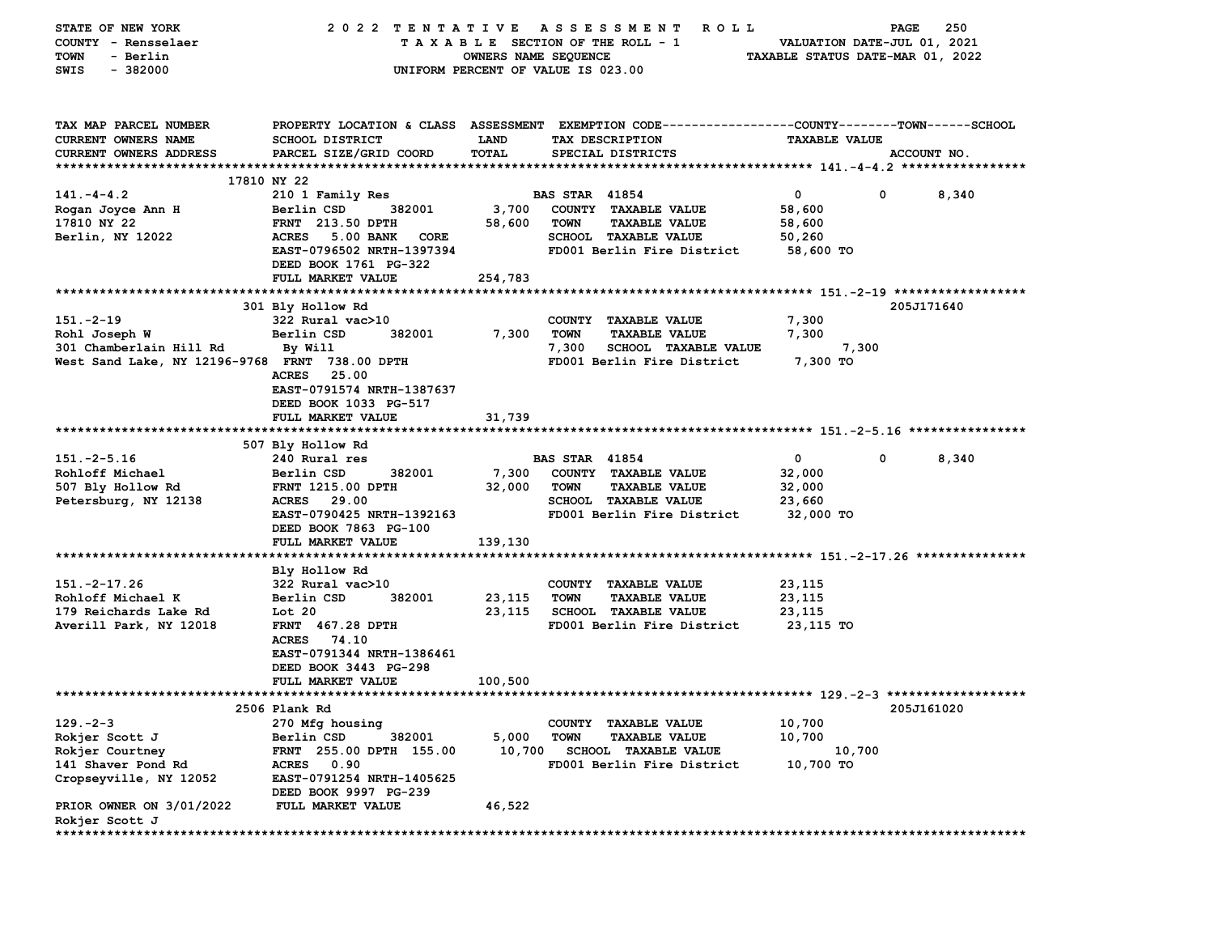| STATE OF NEW YORK                              | 2022 TENTATIVE ASSESSMENT                |                      | <b>ROLL</b>                                                                                    |                             | 250<br><b>PAGE</b>  |
|------------------------------------------------|------------------------------------------|----------------------|------------------------------------------------------------------------------------------------|-----------------------------|---------------------|
| COUNTY - Rensselaer                            |                                          |                      | TAXABLE SECTION OF THE ROLL - 1                                                                | VALUATION DATE-JUL 01, 2021 |                     |
| <b>TOWN</b><br>- Berlin                        |                                          | OWNERS NAME SEQUENCE | TAXABLE STATUS DATE-MAR 01, 2022                                                               |                             |                     |
| $-382000$<br>SWIS                              |                                          |                      | UNIFORM PERCENT OF VALUE IS 023.00                                                             |                             |                     |
|                                                |                                          |                      |                                                                                                |                             |                     |
| TAX MAP PARCEL NUMBER                          |                                          |                      | PROPERTY LOCATION & CLASS ASSESSMENT EXEMPTION CODE---------------COUNTY-------TOWN-----SCHOOL |                             |                     |
| CURRENT OWNERS NAME                            | <b>SCHOOL DISTRICT</b>                   | <b>LAND</b>          | TAX DESCRIPTION                                                                                | <b>TAXABLE VALUE</b>        |                     |
| CURRENT OWNERS ADDRESS                         | PARCEL SIZE/GRID COORD                   | <b>TOTAL</b>         | SPECIAL DISTRICTS                                                                              |                             | ACCOUNT NO.         |
|                                                |                                          |                      |                                                                                                |                             |                     |
|                                                | 17810 NY 22                              |                      |                                                                                                |                             |                     |
| $141. - 4 - 4.2$                               | 210 1 Family Res                         |                      | <b>BAS STAR 41854</b>                                                                          | $\mathbf 0$                 | $^{\circ}$<br>8,340 |
| Rogan Joyce Ann H                              | 382001<br>Berlin CSD                     | 3,700                | COUNTY TAXABLE VALUE                                                                           | 58,600                      |                     |
| 17810 NY 22                                    | <b>FRNT</b> 213.50 DPTH                  | 58,600               | TOWN<br><b>TAXABLE VALUE</b>                                                                   | 58,600                      |                     |
| Berlin, NY 12022                               | <b>5.00 BANK</b><br><b>ACRES</b><br>CORE |                      | SCHOOL TAXABLE VALUE                                                                           | 50,260                      |                     |
|                                                | EAST-0796502 NRTH-1397394                |                      | FD001 Berlin Fire District                                                                     | 58,600 TO                   |                     |
|                                                | DEED BOOK 1761 PG-322                    |                      |                                                                                                |                             |                     |
|                                                | FULL MARKET VALUE                        | 254,783              |                                                                                                |                             |                     |
|                                                |                                          |                      |                                                                                                |                             |                     |
|                                                | 301 Bly Hollow Rd                        |                      |                                                                                                |                             | 205J171640          |
| $151.-2-19$                                    | 322 Rural vac>10                         |                      | COUNTY TAXABLE VALUE                                                                           | 7,300                       |                     |
| Rohl Joseph W                                  | Berlin CSD<br>382001                     | 7,300                | TOWN<br><b>TAXABLE VALUE</b>                                                                   | 7,300                       |                     |
| 301 Chamberlain Hill Rd                        | By Will                                  |                      | 7,300<br><b>SCHOOL TAXABLE VALUE</b>                                                           | 7,300                       |                     |
| West Sand Lake, NY 12196-9768 FRNT 738.00 DPTH |                                          |                      | FD001 Berlin Fire District                                                                     | 7,300 TO                    |                     |
|                                                | 25.00<br><b>ACRES</b>                    |                      |                                                                                                |                             |                     |
|                                                | EAST-0791574 NRTH-1387637                |                      |                                                                                                |                             |                     |
|                                                | DEED BOOK 1033 PG-517                    |                      |                                                                                                |                             |                     |
|                                                | FULL MARKET VALUE                        | 31,739               |                                                                                                |                             |                     |
|                                                |                                          |                      |                                                                                                |                             |                     |
|                                                | 507 Bly Hollow Rd                        |                      |                                                                                                |                             |                     |
| $151. -2 - 5.16$                               | 240 Rural res                            |                      | <b>BAS STAR 41854</b>                                                                          | 0<br>0                      | 8,340               |
| Rohloff Michael                                | Berlin CSD<br>382001                     | 7,300                | COUNTY TAXABLE VALUE                                                                           | 32,000                      |                     |
| 507 Bly Hollow Rd                              | <b>FRNT 1215.00 DPTH</b>                 | 32,000               | <b>TOWN</b><br><b>TAXABLE VALUE</b>                                                            | 32,000                      |                     |
| Petersburg, NY 12138                           | ACRES 29.00                              |                      | <b>SCHOOL TAXABLE VALUE</b>                                                                    | 23,660                      |                     |
|                                                | EAST-0790425 NRTH-1392163                |                      | FD001 Berlin Fire District                                                                     | 32,000 TO                   |                     |
|                                                | DEED BOOK 7863 PG-100                    |                      |                                                                                                |                             |                     |
|                                                | FULL MARKET VALUE                        | 139,130              |                                                                                                |                             |                     |
|                                                |                                          |                      |                                                                                                |                             |                     |
|                                                | Bly Hollow Rd                            |                      |                                                                                                |                             |                     |
| $151. -2 - 17.26$                              | $322$ Rural vac $>10$                    |                      | COUNTY TAXABLE VALUE                                                                           | 23,115                      |                     |
| Rohloff Michael K                              | Berlin CSD<br>382001                     | 23,115               | <b>TOWN</b><br><b>TAXABLE VALUE</b>                                                            | 23,115                      |                     |
| 179 Reichards Lake Rd                          | Lot 20                                   | 23,115               | SCHOOL TAXABLE VALUE                                                                           | 23,115                      |                     |
| Averill Park, NY 12018                         | <b>FRNT 467.28 DPTH</b>                  |                      | FD001 Berlin Fire District                                                                     | 23,115 TO                   |                     |
|                                                | ACRES 74.10                              |                      |                                                                                                |                             |                     |
|                                                | EAST-0791344 NRTH-1386461                |                      |                                                                                                |                             |                     |
|                                                | DEED BOOK 3443 PG-298                    |                      |                                                                                                |                             |                     |
|                                                | <b>FULL MARKET VALUE</b>                 | 100,500              |                                                                                                |                             |                     |
|                                                |                                          |                      |                                                                                                |                             |                     |
|                                                | 2506 Plank Rd                            |                      |                                                                                                |                             | 205J161020          |
| $129. -2 - 3$                                  | 270 Mfg housing                          |                      | COUNTY TAXABLE VALUE                                                                           | 10,700                      |                     |
| Rokjer Scott J                                 | Berlin CSD<br>382001                     | 5,000                | <b>TOWN</b><br><b>TAXABLE VALUE</b>                                                            | 10,700                      |                     |
| Rokjer Courtney                                | FRNT 255.00 DPTH 155.00                  | 10,700               | <b>SCHOOL TAXABLE VALUE</b>                                                                    | 10,700                      |                     |
| 141 Shaver Pond Rd                             | <b>ACRES</b><br>0.90                     |                      | FD001 Berlin Fire District                                                                     | 10,700 TO                   |                     |
| Cropseyville, NY 12052                         | EAST-0791254 NRTH-1405625                |                      |                                                                                                |                             |                     |
|                                                | DEED BOOK 9997 PG-239                    |                      |                                                                                                |                             |                     |
| PRIOR OWNER ON 3/01/2022                       | FULL MARKET VALUE                        | 46,522               |                                                                                                |                             |                     |
| Rokjer Scott J                                 |                                          |                      |                                                                                                |                             |                     |
|                                                |                                          |                      |                                                                                                |                             |                     |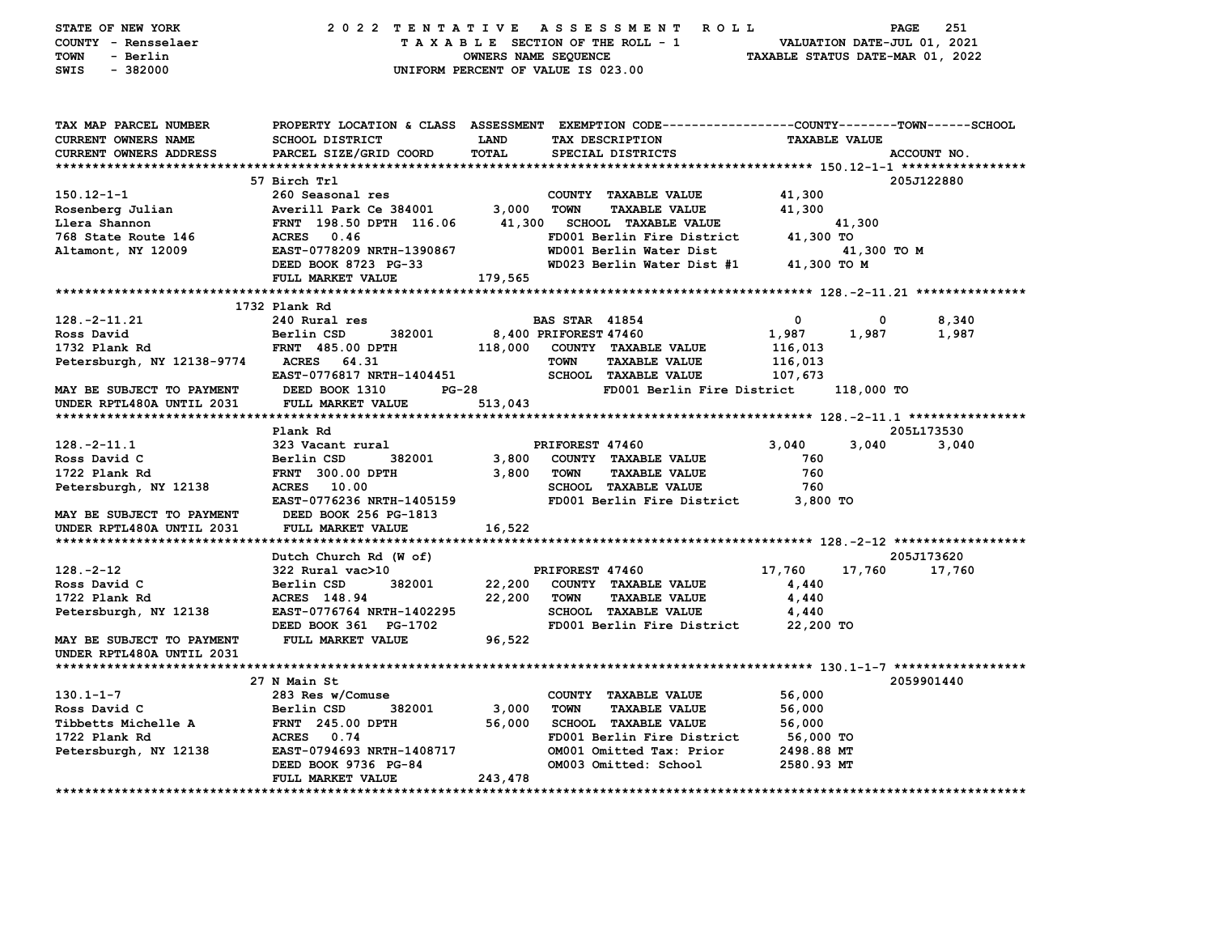| STATE OF NEW YORK                      |                                                                |              | 2022 TENTATIVE ASSESSMENT ROLL                                                                 |                          | PAGE          | 251         |  |
|----------------------------------------|----------------------------------------------------------------|--------------|------------------------------------------------------------------------------------------------|--------------------------|---------------|-------------|--|
| COUNTY - Rensselaer                    | TAXABLE SECTION OF THE ROLL - 1<br>VALUATION DATE-JUL 01, 2021 |              |                                                                                                |                          |               |             |  |
| <b>TOWN</b><br>- Berlin                | OWNERS NAME SEQUENCE<br>TAXABLE STATUS DATE-MAR 01, 2022       |              |                                                                                                |                          |               |             |  |
| SWIS<br>$-382000$                      | UNIFORM PERCENT OF VALUE IS 023.00                             |              |                                                                                                |                          |               |             |  |
|                                        |                                                                |              |                                                                                                |                          |               |             |  |
| TAX MAP PARCEL NUMBER                  |                                                                |              | PROPERTY LOCATION & CLASS ASSESSMENT EXEMPTION CODE--------------COUNTY-------TOWN------SCHOOL |                          |               |             |  |
| <b>CURRENT OWNERS NAME</b>             | <b>SCHOOL DISTRICT</b>                                         | <b>LAND</b>  | TAX DESCRIPTION                                                                                | <b>TAXABLE VALUE</b>     |               |             |  |
| CURRENT OWNERS ADDRESS                 | PARCEL SIZE/GRID COORD                                         | TOTAL        | SPECIAL DISTRICTS                                                                              |                          |               | ACCOUNT NO. |  |
|                                        |                                                                |              |                                                                                                |                          |               |             |  |
|                                        | 57 Birch Trl                                                   |              |                                                                                                |                          |               | 205J122880  |  |
| $150.12 - 1 - 1$                       | 260 Seasonal res                                               |              | COUNTY TAXABLE VALUE                                                                           | 41,300                   |               |             |  |
| Rosenberg Julian                       | Averill Park Ce 384001                                         | 3,000        | TOWN<br><b>TAXABLE VALUE</b>                                                                   | 41,300                   |               |             |  |
| Llera Shannon                          | FRNT 198.50 DPTH 116.06                                        |              | 41,300 SCHOOL TAXABLE VALUE                                                                    |                          | 41,300        |             |  |
| 768 State Route 146                    | ACRES 0.46                                                     |              | FD001 Berlin Fire District                                                                     | 41,300 TO                |               |             |  |
| Altamont, NY 12009                     | EAST-0778209 NRTH-1390867                                      |              | WD001 Berlin Water Dist                                                                        |                          | 41,300 TO M   |             |  |
|                                        | DEED BOOK 8723 PG-33                                           |              | WD023 Berlin Water Dist #1                                                                     | 41,300 TO M              |               |             |  |
|                                        | FULL MARKET VALUE                                              | 179,565      |                                                                                                |                          |               |             |  |
|                                        |                                                                |              |                                                                                                |                          |               |             |  |
|                                        | 1732 Plank Rd                                                  |              |                                                                                                |                          |               |             |  |
| $128. -2 - 11.21$                      | 240 Rural res                                                  |              | <b>BAS STAR 41854</b>                                                                          | $\overline{\phantom{0}}$ | 0             | 8,340       |  |
| Ross David                             | 382001<br>Berlin CSD                                           |              | 8,400 PRIFOREST 47460                                                                          | 1,987                    | 1,987         | 1,987       |  |
| 1732 Plank Rd                          | <b>FRNT 485.00 DPTH</b>                                        |              | 118,000 COUNTY TAXABLE VALUE                                                                   | 116,013                  |               |             |  |
| Petersburgh, NY 12138-9774 ACRES 64.31 |                                                                |              | <b>TOWN</b><br><b>TAXABLE VALUE</b>                                                            | 116,013                  |               |             |  |
|                                        | <b>EAST-0776817 NRTH-1404451</b>                               |              | <b>SCHOOL TAXABLE VALUE</b>                                                                    | 107,673                  |               |             |  |
| MAY BE SUBJECT TO PAYMENT              | DEED BOOK 1310                                                 | <b>PG-28</b> | FD001 Berlin Fire District                                                                     |                          | 118,000 TO    |             |  |
| UNDER RPTL480A UNTIL 2031              | <b>FULL MARKET VALUE</b>                                       | 513,043      |                                                                                                |                          |               |             |  |
|                                        |                                                                |              |                                                                                                |                          |               |             |  |
|                                        | Plank Rd                                                       |              |                                                                                                |                          |               | 205L173530  |  |
| $128. - 2 - 11.1$                      | 323 Vacant rural<br>382001                                     |              | PRIFOREST 47460<br>3,800 COUNTY TAXABLE VALUE                                                  | 3,040<br>760             | 3,040         | 3,040       |  |
| Ross David C<br>1722 Plank Rd          | Berlin CSD<br><b>FRNT</b> 300.00 DPTH                          | 3,800        | <b>TOWN</b><br><b>TAXABLE VALUE</b>                                                            | 760                      |               |             |  |
| Petersburgh, NY 12138                  | <b>ACRES</b> 10.00                                             |              | <b>SCHOOL TAXABLE VALUE</b>                                                                    | 760                      |               |             |  |
|                                        | EAST-0776236 NRTH-1405159                                      |              | FD001 Berlin Fire District 3,800 TO                                                            |                          |               |             |  |
| MAY BE SUBJECT TO PAYMENT              | DEED BOOK 256 PG-1813                                          |              |                                                                                                |                          |               |             |  |
| UNDER RPTL480A UNTIL 2031              | FULL MARKET VALUE                                              | 16,522       |                                                                                                |                          |               |             |  |
|                                        |                                                                |              |                                                                                                |                          |               |             |  |
|                                        | Dutch Church Rd (W of)                                         |              |                                                                                                |                          |               | 205J173620  |  |
| 128.-2-12                              | 322 Rural vac>10                                               |              | PRIFOREST 47460                                                                                | 17,760                   | 17,760 17,760 |             |  |
| Ross David C                           | Berlin CSD<br>382001                                           | 22,200       | COUNTY TAXABLE VALUE                                                                           | 4,440                    |               |             |  |
| 1722 Plank Rd                          | ACRES 148.94                                                   | 22,200       | <b>TOWN</b><br><b>TAXABLE VALUE</b>                                                            | 4,440                    |               |             |  |
| Petersburgh, NY 12138                  | EAST-0776764 NRTH-1402295                                      |              | <b>SCHOOL TAXABLE VALUE</b>                                                                    | 4,440                    |               |             |  |
|                                        | DEED BOOK 361 PG-1702                                          |              | FD001 Berlin Fire District 22,200 TO                                                           |                          |               |             |  |
| MAY BE SUBJECT TO PAYMENT              | <b>FULL MARKET VALUE</b>                                       | 96,522       |                                                                                                |                          |               |             |  |
| UNDER RPTL480A UNTIL 2031              |                                                                |              |                                                                                                |                          |               |             |  |
|                                        |                                                                |              |                                                                                                |                          |               |             |  |
|                                        | 27 N Main St                                                   |              |                                                                                                |                          |               | 2059901440  |  |
| $130.1 - 1 - 7$                        | 283 Res w/Comuse                                               |              | COUNTY TAXABLE VALUE                                                                           | 56,000                   |               |             |  |
| Ross David C                           | 382001<br>Berlin CSD                                           | 3,000        | <b>TOWN</b><br><b>TAXABLE VALUE</b>                                                            | 56,000                   |               |             |  |
| Tibbetts Michelle A                    | <b>FRNT 245.00 DPTH</b>                                        | 56,000       | SCHOOL TAXABLE VALUE                                                                           | 56,000                   |               |             |  |
| 1722 Plank Rd                          | ACRES 0.74                                                     |              | FD001 Berlin Fire District                                                                     | 56,000 TO                |               |             |  |
| Petersburgh, NY 12138                  | EAST-0794693 NRTH-1408717                                      |              | OM001 Omitted Tax: Prior                                                                       | 2498.88 MT               |               |             |  |
|                                        | DEED BOOK 9736 PG-84                                           |              | OM003 Omitted: School                                                                          | 2580.93 MT               |               |             |  |
|                                        | FULL MARKET VALUE                                              | 243,478      |                                                                                                |                          |               |             |  |
|                                        |                                                                |              |                                                                                                |                          |               |             |  |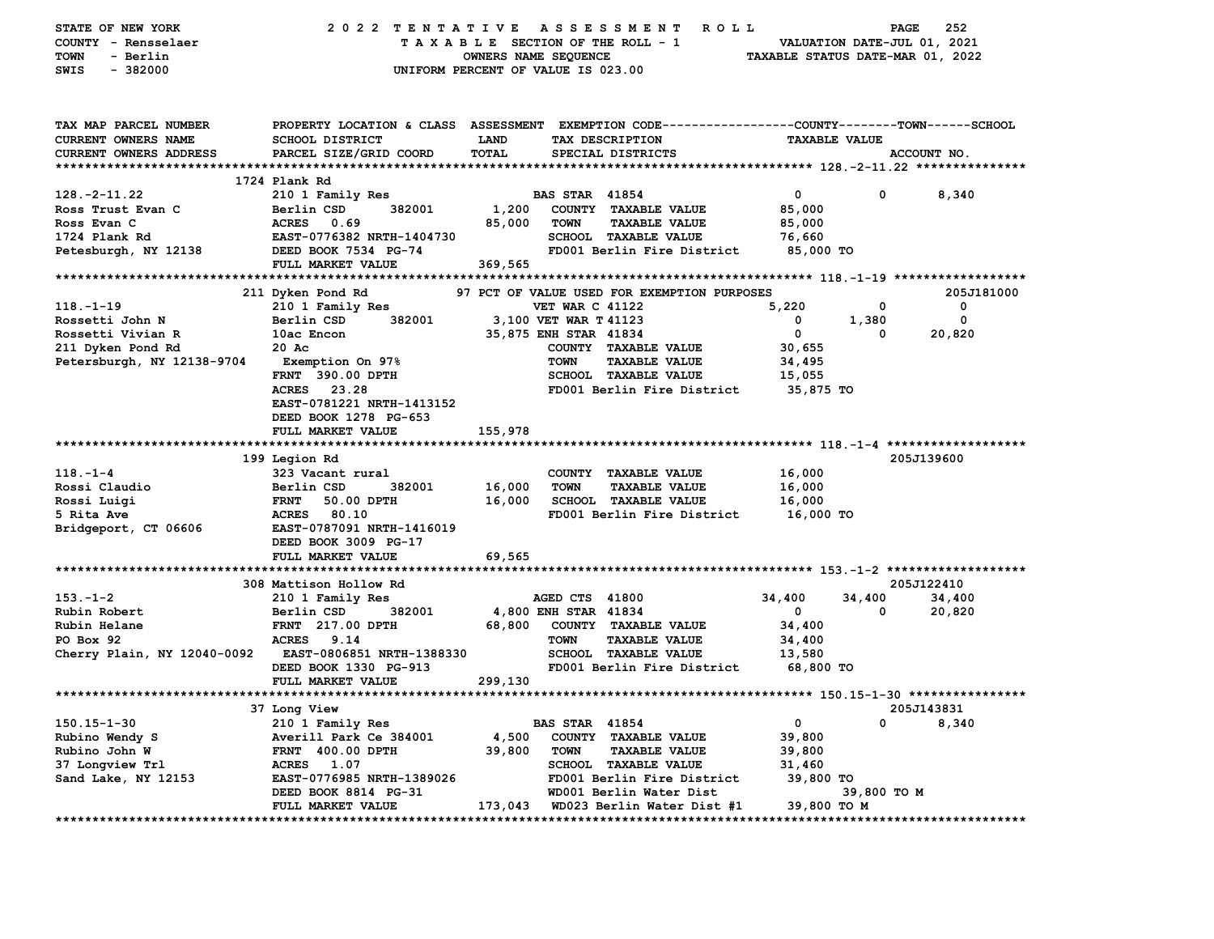| STATE OF NEW YORK           | 2022 TENTATIVE                                                 |                                    |                        | <b>ROLL</b><br>A S S E S S M E N T                           |                      | PAGE        | 252                   |
|-----------------------------|----------------------------------------------------------------|------------------------------------|------------------------|--------------------------------------------------------------|----------------------|-------------|-----------------------|
| COUNTY - Rensselaer         | TAXABLE SECTION OF THE ROLL - 1<br>VALUATION DATE-JUL 01, 2021 |                                    |                        |                                                              |                      |             |                       |
| TOWN<br>- Berlin            | OWNERS NAME SEQUENCE<br>TAXABLE STATUS DATE-MAR 01, 2022       |                                    |                        |                                                              |                      |             |                       |
| $-382000$<br><b>SWIS</b>    |                                                                | UNIFORM PERCENT OF VALUE IS 023.00 |                        |                                                              |                      |             |                       |
|                             |                                                                |                                    |                        |                                                              |                      |             |                       |
|                             |                                                                |                                    |                        |                                                              |                      |             |                       |
| TAX MAP PARCEL NUMBER       | PROPERTY LOCATION & CLASS ASSESSMENT                           |                                    |                        | EXEMPTION CODE-----------------COUNTY-------TOWN------SCHOOL |                      |             |                       |
| CURRENT OWNERS NAME         | SCHOOL DISTRICT                                                | LAND                               |                        | TAX DESCRIPTION                                              | <b>TAXABLE VALUE</b> |             |                       |
| CURRENT OWNERS ADDRESS      | PARCEL SIZE/GRID COORD                                         | <b>TOTAL</b>                       |                        |                                                              |                      |             | ACCOUNT NO.           |
|                             |                                                                |                                    |                        | SPECIAL DISTRICTS                                            |                      |             |                       |
|                             | 1724 Plank Rd                                                  |                                    |                        |                                                              |                      |             |                       |
| $128. - 2 - 11.22$          | 210 1 Family Res                                               |                                    | <b>BAS STAR 41854</b>  |                                                              | 0                    | 0           | 8,340                 |
| Ross Trust Evan C           | Berlin CSD<br>382001                                           | 1,200                              |                        | COUNTY TAXABLE VALUE                                         | 85,000               |             |                       |
|                             |                                                                |                                    |                        |                                                              |                      |             |                       |
| Ross Evan C                 | <b>ACRES</b><br>0.69                                           | 85,000                             | <b>TOWN</b>            | <b>TAXABLE VALUE</b>                                         | 85,000               |             |                       |
| 1724 Plank Rd               | EAST-0776382 NRTH-1404730                                      |                                    |                        | SCHOOL TAXABLE VALUE                                         | 76,660               |             |                       |
| Petesburgh, NY 12138        | DEED BOOK 7534 PG-74                                           |                                    |                        | FD001 Berlin Fire District                                   | 85,000 TO            |             |                       |
|                             | FULL MARKET VALUE                                              | 369,565                            |                        |                                                              |                      |             |                       |
|                             |                                                                |                                    |                        |                                                              |                      |             |                       |
|                             | 211 Dyken Pond Rd                                              |                                    |                        | 97 PCT OF VALUE USED FOR EXEMPTION PURPOSES                  |                      |             | 205J181000            |
| $118. - 1 - 19$             | 210 1 Family Res                                               |                                    | <b>VET WAR C 41122</b> |                                                              | 5,220                | 0           | 0                     |
| Rossetti John N             | 382001<br>Berlin CSD                                           |                                    | 3,100 VET WAR T 41123  |                                                              | 0                    | 1,380       | $\mathbf 0$           |
| Rossetti Vivian R           | 10ac Encon                                                     |                                    | 35,875 ENH STAR 41834  |                                                              | 0                    | 0           | 20,820                |
| 211 Dyken Pond Rd           | 20 Ac                                                          |                                    |                        | COUNTY TAXABLE VALUE                                         | 30,655               |             |                       |
| Petersburgh, NY 12138-9704  | <b>Exemption On 97%</b>                                        |                                    | <b>TOWN</b>            | <b>TAXABLE VALUE</b>                                         | 34,495               |             |                       |
|                             | FRNT 390.00 DPTH                                               |                                    |                        | <b>SCHOOL TAXABLE VALUE</b>                                  | 15,055               |             |                       |
|                             | 23.28<br><b>ACRES</b>                                          |                                    |                        | FD001 Berlin Fire District                                   | 35,875 TO            |             |                       |
|                             | EAST-0781221 NRTH-1413152                                      |                                    |                        |                                                              |                      |             |                       |
|                             | DEED BOOK 1278 PG-653                                          |                                    |                        |                                                              |                      |             |                       |
|                             | FULL MARKET VALUE                                              | 155,978                            |                        |                                                              |                      |             |                       |
|                             |                                                                |                                    |                        |                                                              |                      |             |                       |
|                             | 199 Legion Rd                                                  |                                    |                        |                                                              |                      |             | 205J139600            |
| $118. - 1 - 4$              | 323 Vacant rural                                               |                                    |                        | COUNTY TAXABLE VALUE                                         | 16,000               |             |                       |
| Rossi Claudio               | Berlin CSD<br>382001                                           | 16,000                             | <b>TOWN</b>            | <b>TAXABLE VALUE</b>                                         | 16,000               |             |                       |
| Rossi Luigi                 | <b>FRNT</b><br>50.00 DPTH                                      | 16,000                             |                        | <b>SCHOOL TAXABLE VALUE</b>                                  | 16,000               |             |                       |
| 5 Rita Ave                  | <b>ACRES</b><br>80.10                                          |                                    |                        | FD001 Berlin Fire District                                   | 16,000 TO            |             |                       |
| Bridgeport, CT 06606        | EAST-0787091 NRTH-1416019                                      |                                    |                        |                                                              |                      |             |                       |
|                             | DEED BOOK 3009 PG-17                                           |                                    |                        |                                                              |                      |             |                       |
|                             | FULL MARKET VALUE                                              | 69,565                             |                        |                                                              |                      |             |                       |
|                             |                                                                |                                    |                        |                                                              |                      |             |                       |
|                             | 308 Mattison Hollow Rd                                         |                                    |                        |                                                              |                      |             | 205J122410            |
| $153. - 1 - 2$              | 210 1 Family Res                                               |                                    | AGED CTS 41800         |                                                              | 34,400               | 34,400      | 34,400                |
| Rubin Robert                | Berlin CSD<br>382001                                           |                                    | 4,800 ENH STAR 41834   |                                                              | 0                    | 0           | 20,820                |
| Rubin Helane                | <b>FRNT</b> 217.00 DPTH                                        | 68,800                             |                        | COUNTY TAXABLE VALUE                                         | 34,400               |             |                       |
| PO Box 92                   | ACRES 9.14                                                     |                                    | <b>TOWN</b>            | <b>TAXABLE VALUE</b>                                         | 34,400               |             |                       |
| Cherry Plain, NY 12040-0092 | EAST-0806851 NRTH-1388330                                      |                                    |                        | <b>SCHOOL TAXABLE VALUE</b>                                  | 13,580               |             |                       |
|                             | DEED BOOK 1330 PG-913                                          |                                    |                        | FD001 Berlin Fire District                                   | 68,800 TO            |             |                       |
|                             | FULL MARKET VALUE                                              | 299,130                            |                        |                                                              |                      |             |                       |
|                             |                                                                |                                    |                        |                                                              |                      |             |                       |
|                             | 37 Long View                                                   |                                    |                        |                                                              |                      |             | 205J143831            |
| $150.15 - 1 - 30$           | 210 1 Family Res                                               |                                    | <b>BAS STAR 41854</b>  |                                                              | 0                    | 0           | 8,340                 |
| Rubino Wendy S              | Averill Park Ce 384001                                         | 4,500                              |                        | COUNTY TAXABLE VALUE                                         | 39,800               |             |                       |
| Rubino John W               | <b>FRNT 400.00 DPTH</b>                                        | 39,800                             | <b>TOWN</b>            | <b>TAXABLE VALUE</b>                                         | 39,800               |             |                       |
| 37 Longview Trl             | ACRES 1.07                                                     |                                    |                        | SCHOOL TAXABLE VALUE                                         | 31,460               |             |                       |
| Sand Lake, NY 12153         | EAST-0776985 NRTH-1389026                                      |                                    |                        | FD001 Berlin Fire District                                   | 39,800 TO            |             |                       |
|                             | DEED BOOK 8814 PG-31                                           |                                    |                        | WD001 Berlin Water Dist                                      |                      | 39,800 TO M |                       |
|                             | FULL MARKET VALUE                                              | 173,043                            |                        | WD023 Berlin Water Dist #1                                   | 39,800 TO M          |             |                       |
|                             |                                                                |                                    |                        |                                                              |                      |             | ********************* |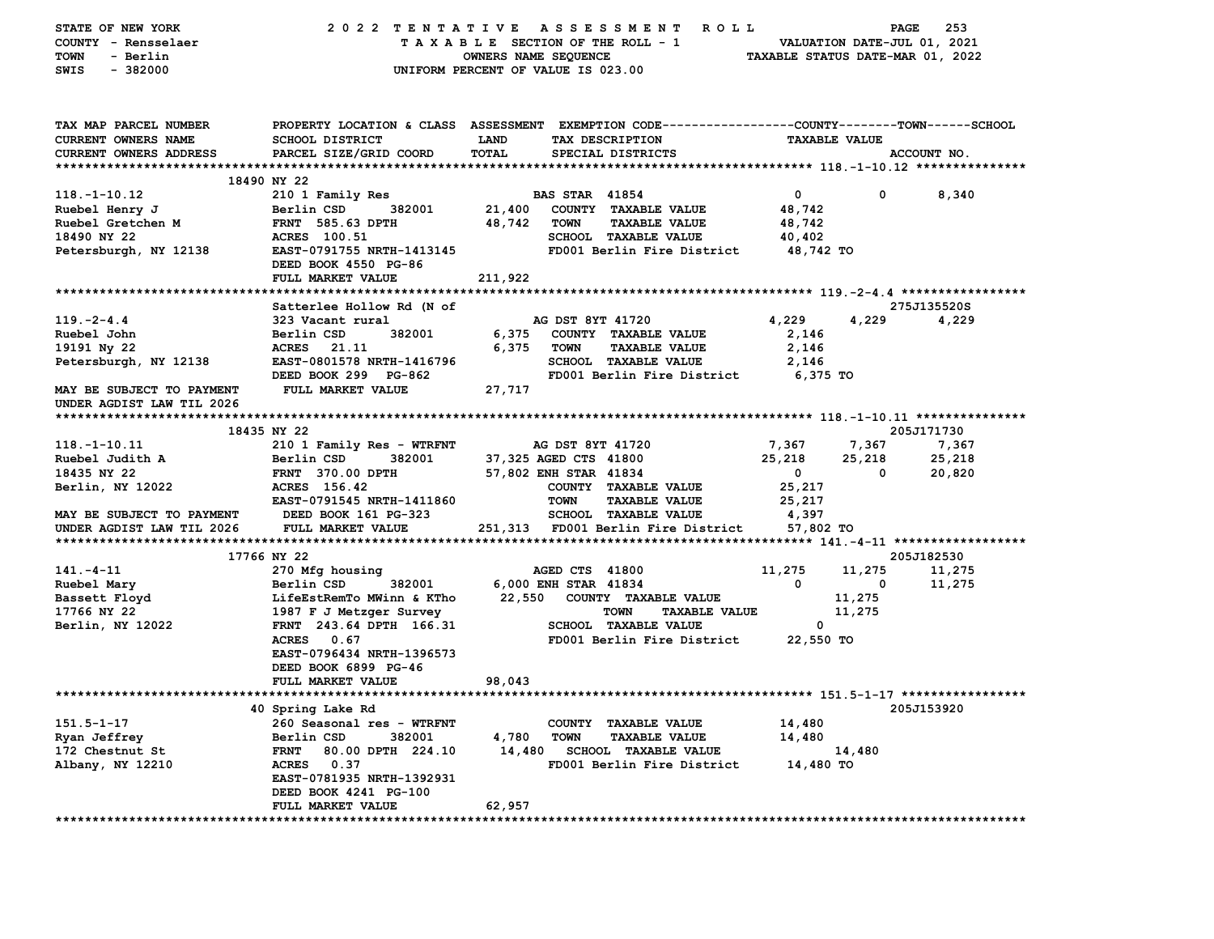| STATE OF NEW YORK                                                                |                                                                                                                            |                                    |                       | 2022 TENTATIVE ASSESSMENT ROLL       |                         | <b>PAGE</b>             | 253         |  |
|----------------------------------------------------------------------------------|----------------------------------------------------------------------------------------------------------------------------|------------------------------------|-----------------------|--------------------------------------|-------------------------|-------------------------|-------------|--|
| COUNTY - Rensselaer                                                              | T A X A B L E SECTION OF THE ROLL - 1 VALUATION DATE-JUL 01, 2021<br>OWNERS NAME SEQUENCE TAXABLE STATUS DATE-MAR 01, 2022 |                                    |                       |                                      |                         |                         |             |  |
| TOWN<br>- Berlin                                                                 |                                                                                                                            |                                    |                       |                                      |                         |                         |             |  |
| $-382000$<br>SWIS                                                                |                                                                                                                            | UNIFORM PERCENT OF VALUE IS 023.00 |                       |                                      |                         |                         |             |  |
|                                                                                  |                                                                                                                            |                                    |                       |                                      |                         |                         |             |  |
|                                                                                  |                                                                                                                            |                                    |                       |                                      |                         |                         |             |  |
|                                                                                  |                                                                                                                            |                                    |                       |                                      |                         |                         |             |  |
| TAX MAP PARCEL NUMBER                                                            | PROPERTY LOCATION & CLASS ASSESSMENT EXEMPTION CODE----------------COUNTY-------TOWN------SCHOOL                           |                                    |                       |                                      |                         |                         |             |  |
| <b>CURRENT OWNERS NAME</b>                                                       | SCHOOL DISTRICT                                                                                                            | <b>LAND</b>                        |                       | TAX DESCRIPTION                      | <b>TAXABLE VALUE</b>    |                         |             |  |
| CURRENT OWNERS ADDRESS                                                           | PARCEL SIZE/GRID COORD                                                                                                     | TOTAL                              |                       | SPECIAL DISTRICTS                    |                         |                         | ACCOUNT NO. |  |
|                                                                                  |                                                                                                                            |                                    |                       |                                      |                         |                         |             |  |
|                                                                                  | 18490 NY 22                                                                                                                |                                    |                       |                                      |                         |                         |             |  |
| 118.-1-10.12                                                                     | 210 1 Family Res                                                                                                           |                                    | <b>BAS STAR 41854</b> |                                      | $\overline{0}$          | $\mathbf{0}$            | 8,340       |  |
| Ruebel Henry J                                                                   |                                                                                                                            |                                    |                       | 382001 21,400 COUNTY TAXABLE VALUE   |                         |                         |             |  |
|                                                                                  | Berlin CSD                                                                                                                 |                                    |                       |                                      | 48,742                  |                         |             |  |
| Ruebel Gretchen M<br>18490 NY 22                                                 | FRNT 585.63 DPTH                                                                                                           | 48,742 TOWN                        |                       | <b>TAXABLE VALUE</b>                 | 48,742                  |                         |             |  |
| 18490 NY 22                                                                      | <b>ACRES</b> 100.51                                                                                                        |                                    |                       | SCHOOL TAXABLE VALUE                 | 40,402                  |                         |             |  |
| Petersburgh, NY 12138                                                            | EAST-0791755 NRTH-1413145                                                                                                  |                                    |                       | FD001 Berlin Fire District 48,742 TO |                         |                         |             |  |
|                                                                                  | DEED BOOK 4550 PG-86                                                                                                       |                                    |                       |                                      |                         |                         |             |  |
|                                                                                  | FULL MARKET VALUE                                                                                                          | 211,922                            |                       |                                      |                         |                         |             |  |
|                                                                                  |                                                                                                                            |                                    |                       |                                      |                         |                         |             |  |
|                                                                                  | Satterlee Hollow Rd (N of                                                                                                  |                                    |                       |                                      |                         |                         | 275J135520S |  |
| $119. -2 - 4.4$                                                                  | 323 Vacant rural                                                                                                           |                                    | AG DST 8YT 41720      |                                      | 4,229                   | 4,229                   | 4,229       |  |
| Ruebel John                                                                      | 382001<br>Berlin CSD                                                                                                       |                                    |                       | 6,375 COUNTY TAXABLE VALUE           | 2,146                   |                         |             |  |
| 19191 Ny 22                                                                      | ACRES 21.11                                                                                                                | 6,375 TOWN                         |                       | <b>TAXABLE VALUE</b>                 | 2,146                   |                         |             |  |
| Petersburgh, NY 12138                                                            | EAST-0801578 NRTH-1416796                                                                                                  |                                    |                       | <b>SCHOOL TAXABLE VALUE</b>          | 2,146                   |                         |             |  |
|                                                                                  | DEED BOOK 299 PG-862                                                                                                       |                                    |                       | FD001 Berlin Fire District 6,375 TO  |                         |                         |             |  |
| MAY BE SUBJECT TO PAYMENT FULL MARKET VALUE                                      |                                                                                                                            | 27,717                             |                       |                                      |                         |                         |             |  |
|                                                                                  |                                                                                                                            |                                    |                       |                                      |                         |                         |             |  |
| UNDER AGDIST LAW TIL 2026                                                        |                                                                                                                            |                                    |                       |                                      |                         |                         |             |  |
|                                                                                  |                                                                                                                            |                                    |                       |                                      |                         |                         |             |  |
|                                                                                  | 18435 NY 22                                                                                                                |                                    |                       |                                      |                         |                         | 205J171730  |  |
| 118.-1-10.11                                                                     | 210 1 Family Res - WTRFNT                                                                                                  | <b>AG DST 8YT 41720</b>            |                       |                                      | 7,367 7,367             |                         | 7,367       |  |
| Ruebel Judith A                                                                  | 382001<br>Berlin CSD                                                                                                       |                                    |                       | 37,325 AGED CTS 41800                | 25,218                  | 25,218                  | 25,218      |  |
| 18435 NY 22                                                                      | FRNT 370.00 DPTH                                                                                                           | 57,802 ENH STAR 41834              |                       |                                      | $\overline{\mathbf{0}}$ | $\mathbf{0}$            | 20,820      |  |
| Berlin, NY 12022                                                                 | ACRES 156.42                                                                                                               |                                    |                       | COUNTY TAXABLE VALUE                 | 25,217                  |                         |             |  |
|                                                                                  | EAST-0791545 NRTH-1411860                                                                                                  |                                    | <b>TOWN</b>           | <b>TAXABLE VALUE</b>                 | 25,217                  |                         |             |  |
| MAY BE SUBJECT TO PAYMENT DEED BOOK 161 PG-323                                   |                                                                                                                            |                                    |                       | SCHOOL TAXABLE VALUE                 | 4,397                   |                         |             |  |
| UNDER AGDIST LAW TIL 2026 FULL MARKET VALUE $251,313$ FD001 Berlin Fire District |                                                                                                                            |                                    |                       |                                      | 57,802 TO               |                         |             |  |
|                                                                                  |                                                                                                                            |                                    |                       |                                      |                         |                         |             |  |
|                                                                                  | 17766 NY 22                                                                                                                |                                    |                       |                                      |                         |                         | 205J182530  |  |
| 141.-4-11                                                                        | 270 Mfg housing                                                                                                            |                                    |                       | AGED CTS 41800                       | 11,275                  | 11,275                  | 11,275      |  |
| Ruebel Mary                                                                      | 382001<br>Berlin CSD                                                                                                       |                                    | 6,000 ENH STAR 41834  |                                      | $\mathbf 0$             | $\overline{\mathbf{0}}$ | 11,275      |  |
| Bassett Floyd                                                                    | LifeEstRemTo MWinn & KTho  22,550  COUNTY TAXABLE VALUE                                                                    |                                    |                       |                                      |                         | 11,275                  |             |  |
|                                                                                  |                                                                                                                            |                                    |                       |                                      |                         |                         |             |  |
| 17766 NY 22                                                                      | 1987 F J Metzger Survey                                                                                                    |                                    |                       | <b>TAXABLE VALUE</b><br><b>TOWN</b>  |                         | 11,275                  |             |  |
| Berlin, NY 12022                                                                 | FRNT 243.64 DPTH 166.31                                                                                                    |                                    |                       | <b>SCHOOL TAXABLE VALUE</b>          | $\mathbf{0}$            |                         |             |  |
|                                                                                  | ACRES 0.67                                                                                                                 |                                    |                       | FD001 Berlin Fire District 22,550 TO |                         |                         |             |  |
|                                                                                  | EAST-0796434 NRTH-1396573                                                                                                  |                                    |                       |                                      |                         |                         |             |  |
|                                                                                  | DEED BOOK 6899 PG-46                                                                                                       |                                    |                       |                                      |                         |                         |             |  |
|                                                                                  | FULL MARKET VALUE                                                                                                          | 98,043                             |                       |                                      |                         |                         |             |  |
|                                                                                  |                                                                                                                            |                                    |                       |                                      |                         |                         |             |  |
|                                                                                  | 40 Spring Lake Rd                                                                                                          |                                    |                       |                                      |                         |                         | 205J153920  |  |
| $151.5 - 1 - 17$                                                                 | 260 Seasonal res - WTRFNT                                                                                                  |                                    |                       | COUNTY TAXABLE VALUE                 | 14,480                  |                         |             |  |
| Ryan Jeffrey                                                                     | Berlin CSD<br>382001                                                                                                       | 4,780                              | <b>TOWN</b>           | <b>TAXABLE VALUE</b>                 | 14,480                  |                         |             |  |
| 172 Chestnut St                                                                  | <b>FRNT</b><br>80.00 DPTH 224.10                                                                                           | 14,480                             |                       | SCHOOL TAXABLE VALUE                 |                         | 14,480                  |             |  |
| Albany, NY 12210                                                                 | ACRES 0.37                                                                                                                 |                                    |                       | FD001 Berlin Fire District           | 14,480 TO               |                         |             |  |
|                                                                                  | EAST-0781935 NRTH-1392931                                                                                                  |                                    |                       |                                      |                         |                         |             |  |
|                                                                                  | DEED BOOK 4241 PG-100                                                                                                      |                                    |                       |                                      |                         |                         |             |  |
|                                                                                  |                                                                                                                            | 62,957                             |                       |                                      |                         |                         |             |  |
|                                                                                  | FULL MARKET VALUE                                                                                                          |                                    |                       |                                      |                         |                         |             |  |
|                                                                                  |                                                                                                                            |                                    |                       |                                      |                         |                         |             |  |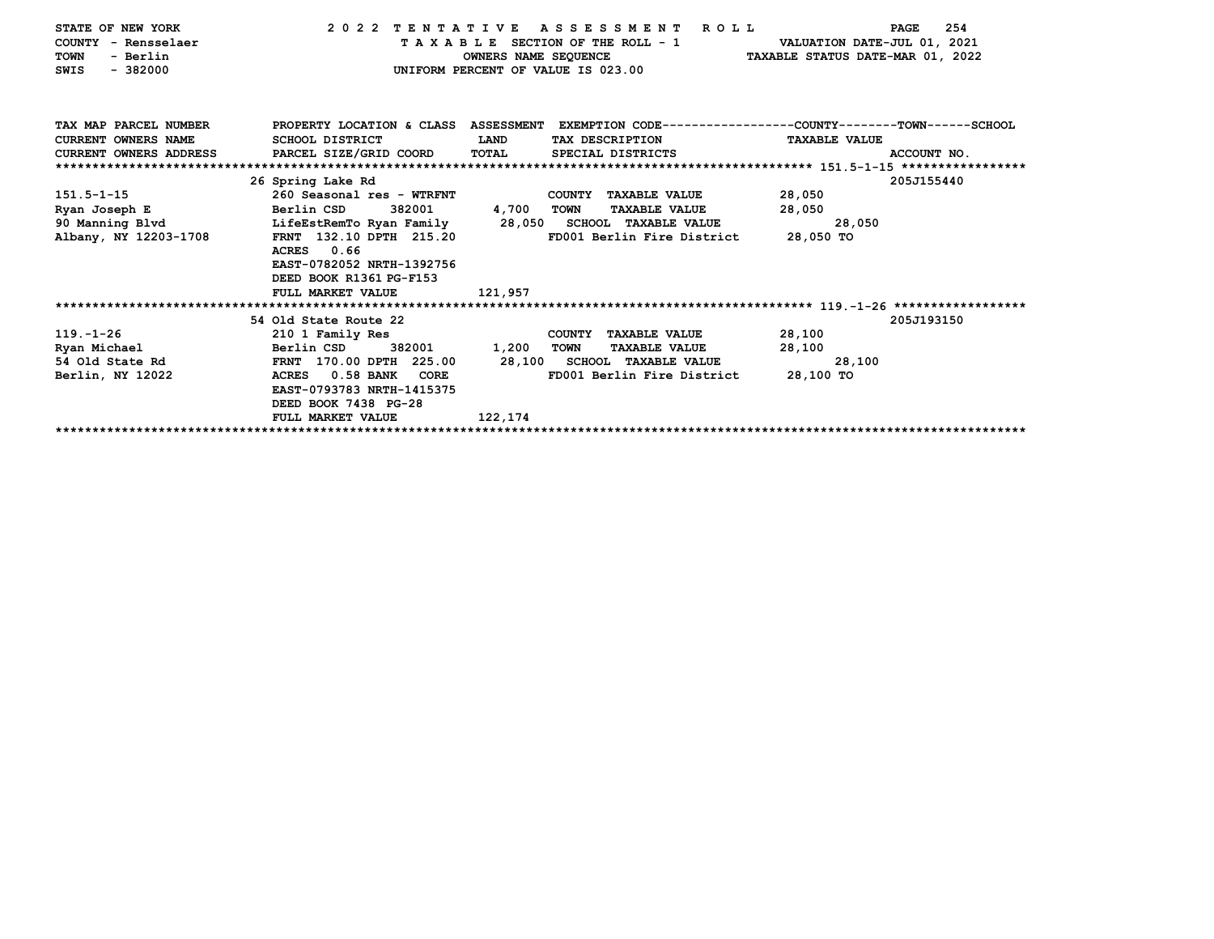| STATE OF NEW YORK<br>COUNTY - Rensselaer<br>- Berlin<br><b>TOWN</b><br>$-382000$<br>SWIS | 2022 TENTATIVE             | OWNERS NAME SEQUENCE | ASSESSMENT ROLL<br>TAXABLE SECTION OF THE ROLL - 1<br>UNIFORM PERCENT OF VALUE IS 023.00        | VALUATION DATE-JUL 01, 2021<br>TAXABLE STATUS DATE-MAR 01, 2022 | 254<br><b>PAGE</b> |
|------------------------------------------------------------------------------------------|----------------------------|----------------------|-------------------------------------------------------------------------------------------------|-----------------------------------------------------------------|--------------------|
| TAX MAP PARCEL NUMBER                                                                    |                            |                      | PROPERTY LOCATION & CLASS ASSESSMENT EXEMPTION CODE---------------COUNTY-------TOWN------SCHOOL |                                                                 |                    |
| <b>CURRENT OWNERS NAME</b>                                                               | SCHOOL DISTRICT            | LAND                 | TAX DESCRIPTION                                                                                 | <b>TAXABLE VALUE</b>                                            |                    |
| <b>CURRENT OWNERS ADDRESS</b>                                                            | PARCEL SIZE/GRID COORD     | TOTAL                | SPECIAL DISTRICTS                                                                               |                                                                 | ACCOUNT NO.        |
|                                                                                          |                            |                      |                                                                                                 |                                                                 |                    |
|                                                                                          | 26 Spring Lake Rd          |                      |                                                                                                 |                                                                 | 205J155440         |
| $151.5 - 1 - 15$                                                                         | 260 Seasonal res - WTRFNT  |                      | COUNTY TAXABLE VALUE                                                                            | 28,050                                                          |                    |
| Ryan Joseph E                                                                            | 382001<br>Berlin CSD       | 4,700                | <b>TOWN</b><br><b>TAXABLE VALUE</b>                                                             | 28,050                                                          |                    |
| 90 Manning Blvd                                                                          | LifeEstRemTo Ryan Family   |                      | 28,050 SCHOOL TAXABLE VALUE                                                                     | 28,050                                                          |                    |
| Albany, NY 12203-1708                                                                    | FRNT 132.10 DPTH 215.20    |                      | FD001 Berlin Fire District                                                                      | 28,050 TO                                                       |                    |
|                                                                                          | ACRES 0.66                 |                      |                                                                                                 |                                                                 |                    |
|                                                                                          | EAST-0782052 NRTH-1392756  |                      |                                                                                                 |                                                                 |                    |
|                                                                                          | DEED BOOK R1361 PG-F153    |                      |                                                                                                 |                                                                 |                    |
|                                                                                          | FULL MARKET VALUE          | 121,957              |                                                                                                 |                                                                 |                    |
|                                                                                          | 54 Old State Route 22      |                      |                                                                                                 |                                                                 | 205J193150         |
| $119. - 1 - 26$                                                                          | 210 1 Family Res           |                      | COUNTY TAXABLE VALUE                                                                            | 28,100                                                          |                    |
| Ryan Michael                                                                             | Berlin CSD<br>382001       | 1,200                | <b>TAXABLE VALUE</b><br>TOWN                                                                    | 28,100                                                          |                    |
| 54 Old State Rd                                                                          | FRNT 170.00 DPTH 225.00    |                      | 28,100 SCHOOL TAXABLE VALUE                                                                     | 28,100                                                          |                    |
| Berlin, NY 12022                                                                         | 0.58 BANK<br>CORE<br>ACRES |                      | FD001 Berlin Fire District                                                                      | 28,100 TO                                                       |                    |
|                                                                                          | EAST-0793783 NRTH-1415375  |                      |                                                                                                 |                                                                 |                    |
|                                                                                          | DEED BOOK 7438 PG-28       |                      |                                                                                                 |                                                                 |                    |
|                                                                                          | FULL MARKET VALUE          | 122,174              |                                                                                                 |                                                                 |                    |
|                                                                                          |                            |                      |                                                                                                 |                                                                 |                    |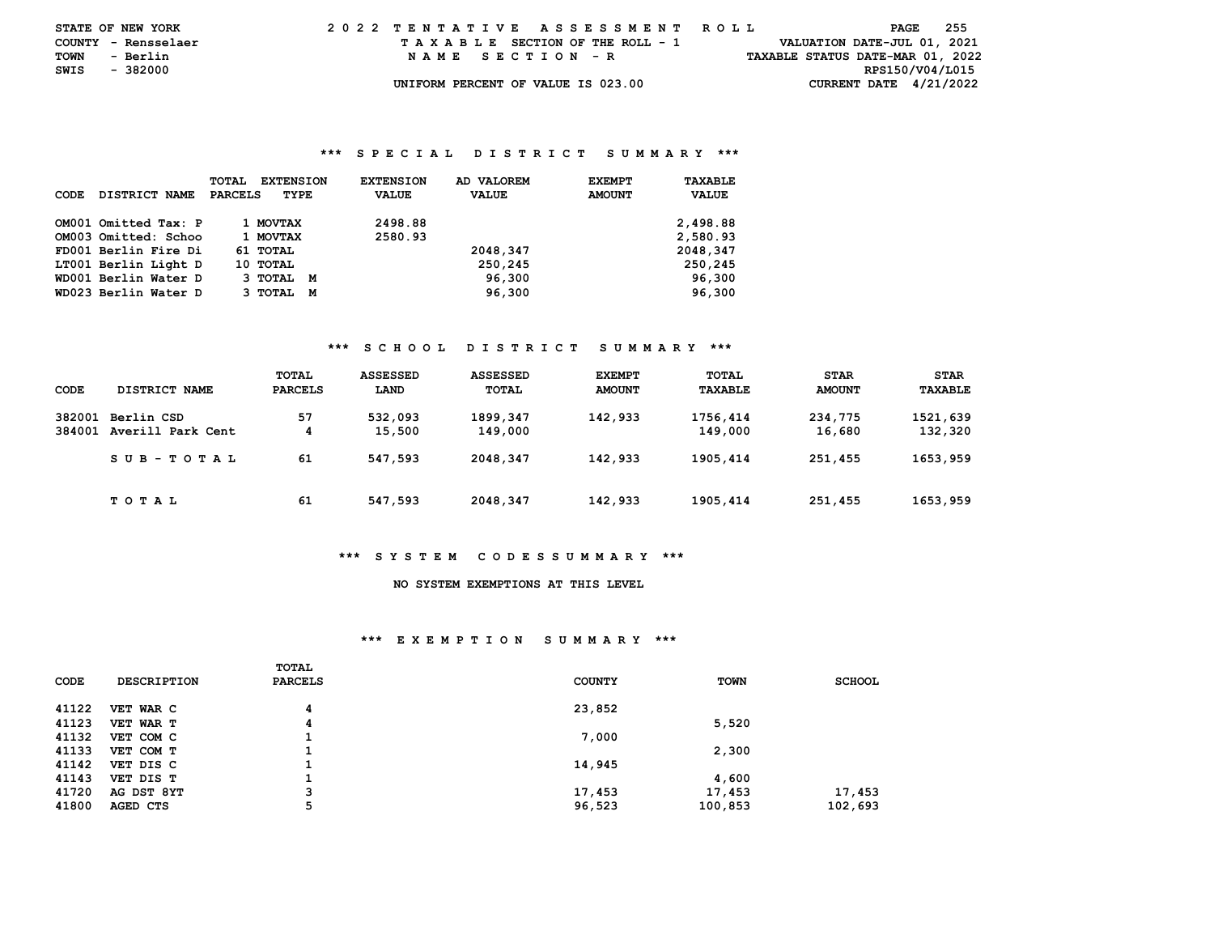| <b>STATE OF NEW YORK</b> |          |          | 2022 TENTATIVE ASSESSMENT ROLL |  |  |  |  |                                    |  |  |  |  |  |  |  |  |                                  | PAGE | - 255 |  |
|--------------------------|----------|----------|--------------------------------|--|--|--|--|------------------------------------|--|--|--|--|--|--|--|--|----------------------------------|------|-------|--|
| COUNTY - Rensselaer      |          |          |                                |  |  |  |  | TAXABLE SECTION OF THE ROLL - 1    |  |  |  |  |  |  |  |  | VALUATION DATE-JUL 01, 2021      |      |       |  |
| TOWN                     | - Berlin |          |                                |  |  |  |  | NAME SECTION - R                   |  |  |  |  |  |  |  |  | TAXABLE STATUS DATE-MAR 01, 2022 |      |       |  |
| SWIS                     |          | - 382000 |                                |  |  |  |  |                                    |  |  |  |  |  |  |  |  | RPS150/V04/L015                  |      |       |  |
|                          |          |          |                                |  |  |  |  | UNIFORM PERCENT OF VALUE IS 023.00 |  |  |  |  |  |  |  |  | CURRENT DATE $4/21/2022$         |      |       |  |

#### **\*\*\* S P E C I A L D I S T R I C T S U M M A R Y \*\*\***

| CODE | DISTRICT NAME        | <b>TOTAL</b><br><b>PARCELS</b> | <b>EXTENSION</b><br>TYPE | <b>EXTENSION</b><br><b>VALUE</b> | AD VALOREM<br><b>VALUE</b> | <b>EXEMPT</b><br><b>AMOUNT</b> | TAXABLE<br><b>VALUE</b> |
|------|----------------------|--------------------------------|--------------------------|----------------------------------|----------------------------|--------------------------------|-------------------------|
|      | OM001 Omitted Tax: P |                                | 1 MOVTAX                 | 2498.88                          |                            |                                | 2,498.88                |
|      | OM003 Omitted: Schoo |                                | 1 MOVTAX                 | 2580.93                          |                            |                                | 2,580.93                |
|      | FD001 Berlin Fire Di |                                | 61 TOTAL                 |                                  | 2048,347                   |                                | 2048,347                |
|      | LT001 Berlin Light D |                                | 10 TOTAL                 |                                  | 250,245                    |                                | 250,245                 |
|      | WD001 Berlin Water D |                                | 3 TOTAL M                |                                  | 96,300                     |                                | 96,300                  |
|      | WD023 Berlin Water D |                                | З ТОТАL<br>м             |                                  | 96,300                     |                                | 96,300                  |

#### **\*\*\* S C H O O L D I S T R I C T S U M M A R Y \*\*\***

| CODE             | DISTRICT NAME                   | TOTAL<br>PARCELS | <b>ASSESSED</b><br>LAND | <b>ASSESSED</b><br>TOTAL | <b>EXEMPT</b><br><b>AMOUNT</b> | TOTAL<br>TAXABLE    | <b>STAR</b><br><b>AMOUNT</b> | <b>STAR</b><br>TAXABLE |
|------------------|---------------------------------|------------------|-------------------------|--------------------------|--------------------------------|---------------------|------------------------------|------------------------|
| 382001<br>384001 | Berlin CSD<br>Averill Park Cent | 57<br>4          | 532,093<br>15,500       | 1899,347<br>149,000      | 142,933                        | 1756,414<br>149,000 | 234,775<br>16,680            | 1521,639<br>132,320    |
|                  | SUB-TOTAL                       | 61               | 547,593                 | 2048, 347                | 142,933                        | 1905, 414           | 251,455                      | 1653,959               |
|                  | T O T A L                       | 61               | 547,593                 | 2048,347                 | 142,933                        | 1905, 414           | 251,455                      | 1653,959               |

## **\*\*\* S Y S T E M C O D E S S U M M A R Y \*\*\***

# **NO SYSTEM EXEMPTIONS AT THIS LEVEL**

#### **\*\*\* E X E M P T I O N S U M M A R Y \*\*\***

| CODE  | <b>DESCRIPTION</b> | <b>TOTAL</b><br><b>PARCELS</b> | <b>COUNTY</b> | <b>TOWN</b> | <b>SCHOOL</b> |
|-------|--------------------|--------------------------------|---------------|-------------|---------------|
| 41122 | VET WAR C          | 4                              | 23,852        |             |               |
| 41123 | VET WAR T          | 4                              |               | 5,520       |               |
| 41132 | VET COM C          |                                | 7,000         |             |               |
| 41133 | VET COM T          |                                |               | 2,300       |               |
| 41142 | VET DIS C          |                                | 14,945        |             |               |
| 41143 | VET DIS T          |                                |               | 4,600       |               |
| 41720 | AG DST 8YT         | 3                              | 17,453        | 17,453      | 17,453        |
| 41800 | AGED CTS           | 5                              | 96,523        | 100,853     | 102,693       |
|       |                    |                                |               |             |               |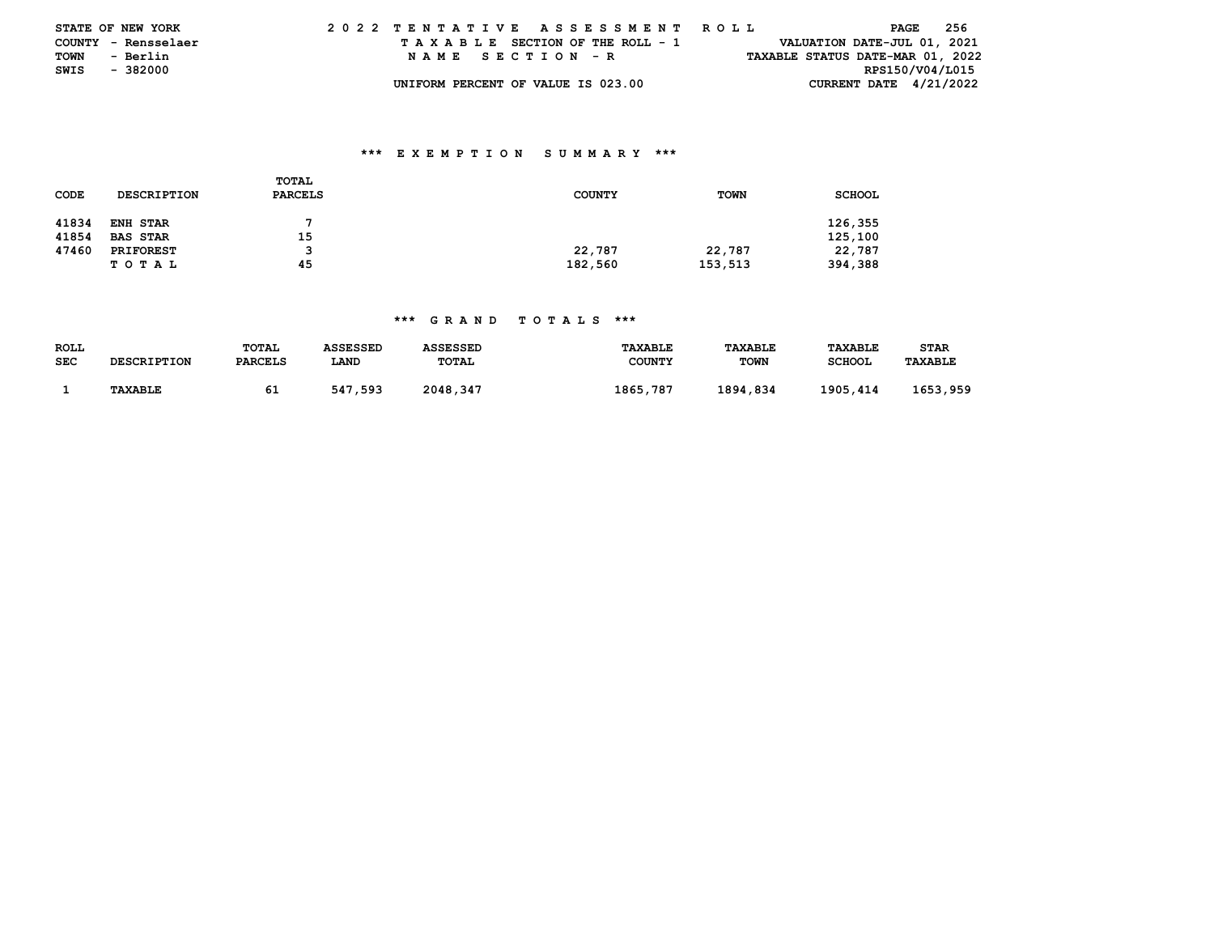|      | <b>STATE OF NEW YORK</b> | 2022 TENTATIVE ASSESSMENT ROLL     | 256<br>PAGE                      |
|------|--------------------------|------------------------------------|----------------------------------|
|      | COUNTY - Rensselaer      | TAXABLE SECTION OF THE ROLL - 1    | VALUATION DATE-JUL 01, 2021      |
| TOWN | - Berlin                 | NAME SECTION - R                   | TAXABLE STATUS DATE-MAR 01, 2022 |
| SWIS | - 382000                 |                                    | RPS150/V04/L015                  |
|      |                          | UNIFORM PERCENT OF VALUE IS 023.00 | CURRENT DATE $4/21/2022$         |

## **\*\*\* E X E M P T I O N S U M M A R Y \*\*\***

| CODE  | <b>DESCRIPTION</b> | <b>TOTAL</b><br><b>PARCELS</b> | <b>COUNTY</b> | <b>TOWN</b> | <b>SCHOOL</b> |
|-------|--------------------|--------------------------------|---------------|-------------|---------------|
| 41834 | <b>ENH STAR</b>    |                                |               |             | 126,355       |
| 41854 | <b>BAS STAR</b>    | 15                             |               |             | 125,100       |
| 47460 | <b>PRIFOREST</b>   |                                | 22,787        | 22,787      | 22,787        |
|       | T O T A L          | 45                             | 182,560       | 153,513     | 394,388       |

## **\*\*\* G R A N D T O T A L S \*\*\***

| <b>ROLL</b><br><b>SEC</b> | <b>DESCRIPTION</b> | TOTAL<br><b>PARCELS</b> | ASSESSED<br>LAND | <b>ASSESSED</b><br>TOTAL | <b>TAXABLE</b><br><b>COUNTY</b> | <b>TAXABLE</b><br><b>TOWN</b> | <b>TAXABLE</b><br>SCHOOL | STAR<br><b>TAXABLE</b> |
|---------------------------|--------------------|-------------------------|------------------|--------------------------|---------------------------------|-------------------------------|--------------------------|------------------------|
|                           | <b>TAXABLE</b>     | 61                      | 547,593          | 2048,347                 | 1865,787                        | 1894,834                      | 1905,414                 | 1653,959               |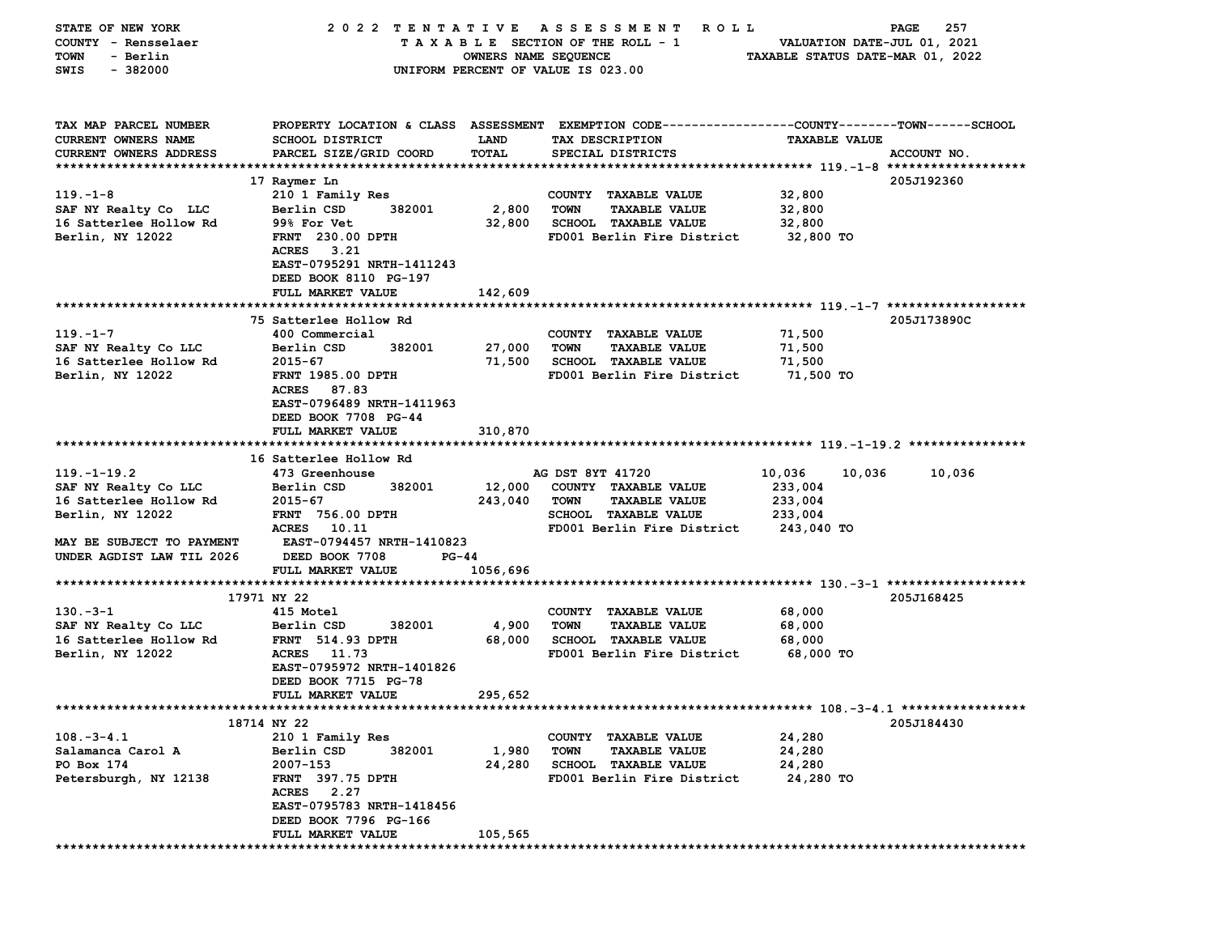| STATE OF NEW YORK         | 2022 TENTATIVE                   |                      | A S S E S S M E N T<br><b>ROLL</b>                                                             |                                  | 257<br>PAGE |
|---------------------------|----------------------------------|----------------------|------------------------------------------------------------------------------------------------|----------------------------------|-------------|
| COUNTY - Rensselaer       |                                  |                      | TAXABLE SECTION OF THE ROLL - 1                                                                | VALUATION DATE-JUL 01, 2021      |             |
| - Berlin<br>TOWN          |                                  | OWNERS NAME SEQUENCE |                                                                                                | TAXABLE STATUS DATE-MAR 01, 2022 |             |
| SWIS<br>$-382000$         |                                  |                      | UNIFORM PERCENT OF VALUE IS 023.00                                                             |                                  |             |
|                           |                                  |                      |                                                                                                |                                  |             |
|                           |                                  |                      |                                                                                                |                                  |             |
| TAX MAP PARCEL NUMBER     |                                  |                      | PROPERTY LOCATION & CLASS ASSESSMENT EXEMPTION CODE--------------COUNTY-------TOWN------SCHOOL |                                  |             |
| CURRENT OWNERS NAME       | SCHOOL DISTRICT                  | <b>LAND</b>          | TAX DESCRIPTION                                                                                | <b>TAXABLE VALUE</b>             |             |
| CURRENT OWNERS ADDRESS    | PARCEL SIZE/GRID COORD           | TOTAL                | SPECIAL DISTRICTS                                                                              |                                  | ACCOUNT NO. |
|                           |                                  |                      |                                                                                                |                                  |             |
|                           | 17 Raymer Ln                     |                      |                                                                                                |                                  | 205J192360  |
| $119. - 1 - 8$            | 210 1 Family Res                 |                      | COUNTY TAXABLE VALUE                                                                           | 32,800                           |             |
| SAF NY Realty Co LLC      | Berlin CSD<br>382001             | 2,800                | <b>TOWN</b><br><b>TAXABLE VALUE</b>                                                            | 32,800                           |             |
| 16 Satterlee Hollow Rd    | 99% For Vet                      | 32,800               | <b>SCHOOL TAXABLE VALUE</b>                                                                    | 32,800                           |             |
| Berlin, NY 12022          | <b>FRNT</b> 230.00 DPTH          |                      | FD001 Berlin Fire District                                                                     | 32,800 TO                        |             |
|                           | ACRES 3.21                       |                      |                                                                                                |                                  |             |
|                           | EAST-0795291 NRTH-1411243        |                      |                                                                                                |                                  |             |
|                           | DEED BOOK 8110 PG-197            |                      |                                                                                                |                                  |             |
|                           | FULL MARKET VALUE                | 142,609              |                                                                                                |                                  |             |
|                           |                                  |                      |                                                                                                |                                  |             |
|                           | 75 Satterlee Hollow Rd           |                      |                                                                                                |                                  | 205J173890C |
| $119. - 1 - 7$            | 400 Commercial                   |                      | COUNTY TAXABLE VALUE                                                                           | 71,500                           |             |
| SAF NY Realty Co LLC      | Berlin CSD<br>382001             | 27,000               | <b>TOWN</b><br><b>TAXABLE VALUE</b>                                                            | 71,500                           |             |
| 16 Satterlee Hollow Rd    | $2015 - 67$                      | 71,500               | SCHOOL TAXABLE VALUE                                                                           | 71,500                           |             |
| Berlin, NY 12022          | <b>FRNT 1985.00 DPTH</b>         |                      | FD001 Berlin Fire District                                                                     | 71,500 TO                        |             |
|                           | ACRES 87.83                      |                      |                                                                                                |                                  |             |
|                           | EAST-0796489 NRTH-1411963        |                      |                                                                                                |                                  |             |
|                           | DEED BOOK 7708 PG-44             |                      |                                                                                                |                                  |             |
|                           | FULL MARKET VALUE                | 310,870              |                                                                                                |                                  |             |
|                           |                                  |                      |                                                                                                |                                  |             |
|                           | 16 Satterlee Hollow Rd           |                      |                                                                                                |                                  |             |
| $119. - 1 - 19.2$         | 473 Greenhouse                   |                      | AG DST 8YT 41720                                                                               | 10,036<br>10,036                 | 10,036      |
| SAF NY Realty Co LLC      | Berlin CSD<br>382001             | 12,000               | COUNTY TAXABLE VALUE                                                                           | 233,004                          |             |
| 16 Satterlee Hollow Rd    | $2015 - 67$                      | 243,040              | <b>TAXABLE VALUE</b><br>TOWN                                                                   | 233,004                          |             |
| Berlin, NY 12022          | <b>FRNT 756.00 DPTH</b>          |                      | SCHOOL TAXABLE VALUE                                                                           | 233,004                          |             |
|                           | ACRES 10.11                      |                      | FD001 Berlin Fire District                                                                     | 243,040 TO                       |             |
| MAY BE SUBJECT TO PAYMENT | <b>EAST-0794457 NRTH-1410823</b> |                      |                                                                                                |                                  |             |
| UNDER AGDIST LAW TIL 2026 | DEED BOOK 7708<br>PG-44          |                      |                                                                                                |                                  |             |
|                           | FULL MARKET VALUE                | 1056,696             |                                                                                                |                                  |             |
|                           |                                  |                      |                                                                                                |                                  |             |
|                           | 17971 NY 22                      |                      |                                                                                                |                                  | 205J168425  |
| $130 - 3 - 1$             | 415 Motel                        |                      | COUNTY TAXABLE VALUE                                                                           | 68,000                           |             |
| SAF NY Realty Co LLC      | 382001<br>Berlin CSD             | 4,900                | <b>TOWN</b><br><b>TAXABLE VALUE</b>                                                            | 68,000                           |             |
| 16 Satterlee Hollow Rd    | <b>FRNT</b> 514.93 DPTH          | 68,000               | <b>SCHOOL TAXABLE VALUE</b>                                                                    | 68,000                           |             |
| Berlin, NY 12022          | ACRES 11.73                      |                      | FD001 Berlin Fire District                                                                     | 68,000 TO                        |             |
|                           | EAST-0795972 NRTH-1401826        |                      |                                                                                                |                                  |             |
|                           | DEED BOOK 7715 PG-78             |                      |                                                                                                |                                  |             |
|                           | <b>FULL MARKET VALUE</b>         | 295,652              |                                                                                                |                                  |             |
|                           |                                  |                      |                                                                                                |                                  |             |
|                           | 18714 NY 22                      |                      |                                                                                                |                                  | 205J184430  |
| $108. -3 - 4.1$           | 210 1 Family Res                 |                      | COUNTY TAXABLE VALUE                                                                           | 24,280                           |             |
| Salamanca Carol A         | Berlin CSD<br>382001             | 1,980                | <b>TOWN</b><br><b>TAXABLE VALUE</b>                                                            | 24,280                           |             |
| PO Box 174                | 2007-153                         | 24,280               | <b>SCHOOL TAXABLE VALUE</b>                                                                    | 24,280                           |             |
| Petersburgh, NY 12138     | <b>FRNT</b> 397.75 DPTH          |                      | FD001 Berlin Fire District                                                                     | 24,280 TO                        |             |
|                           | <b>ACRES</b><br>2.27             |                      |                                                                                                |                                  |             |
|                           | EAST-0795783 NRTH-1418456        |                      |                                                                                                |                                  |             |
|                           | DEED BOOK 7796 PG-166            |                      |                                                                                                |                                  |             |
|                           | FULL MARKET VALUE                | 105,565              |                                                                                                |                                  |             |
|                           |                                  |                      |                                                                                                |                                  |             |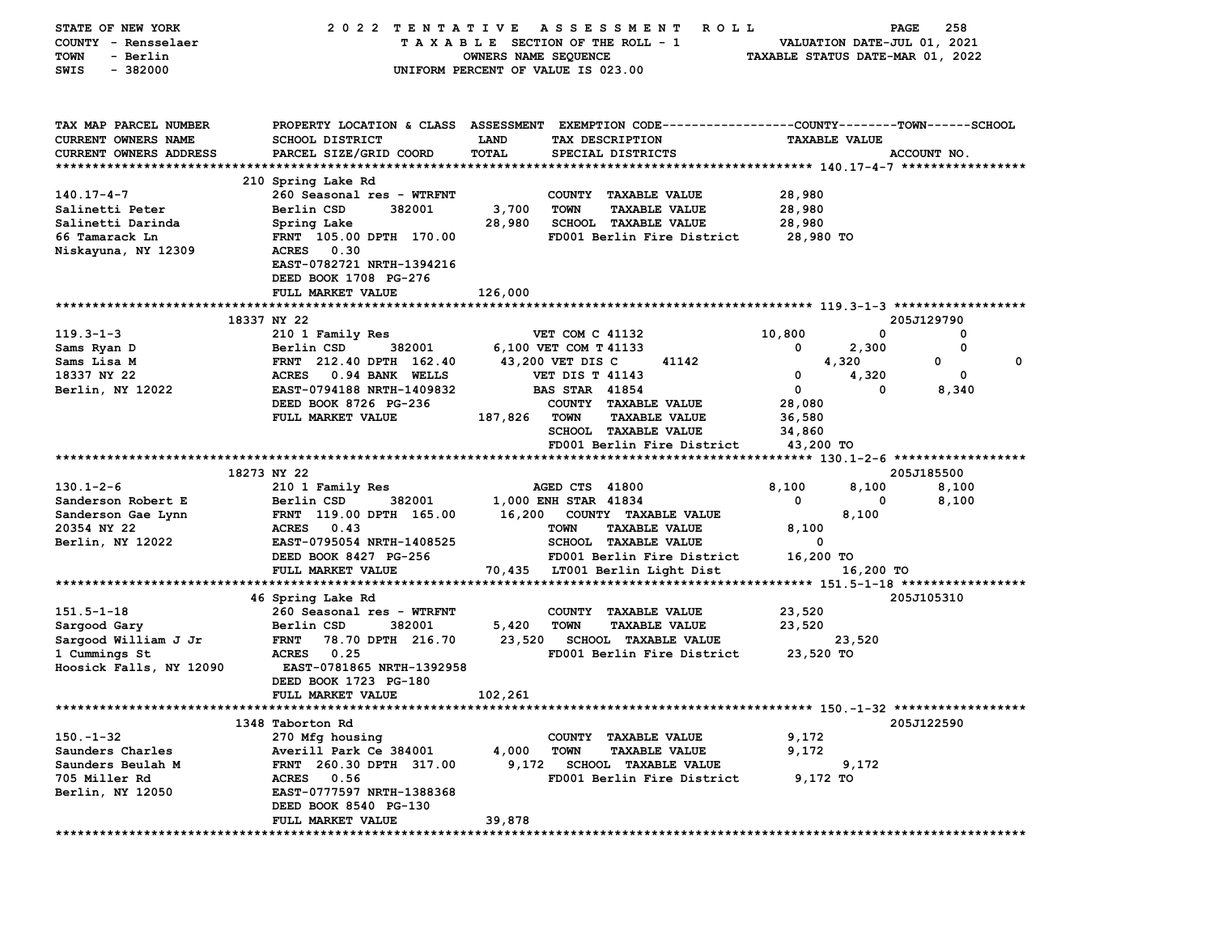| <b>STATE OF NEW YORK</b>   | 2022 TENTATIVE                                                                                  |                                    |                        | A S S E S S M E N T<br><b>ROLL</b> |                                  |                             | 258<br>PAGE |  |
|----------------------------|-------------------------------------------------------------------------------------------------|------------------------------------|------------------------|------------------------------------|----------------------------------|-----------------------------|-------------|--|
| COUNTY - Rensselaer        |                                                                                                 | TAXABLE SECTION OF THE ROLL - 1    |                        |                                    |                                  | VALUATION DATE-JUL 01, 2021 |             |  |
| <b>TOWN</b><br>- Berlin    |                                                                                                 | OWNERS NAME SEQUENCE               |                        |                                    | TAXABLE STATUS DATE-MAR 01, 2022 |                             |             |  |
| $-382000$<br>SWIS          |                                                                                                 | UNIFORM PERCENT OF VALUE IS 023.00 |                        |                                    |                                  |                             |             |  |
|                            |                                                                                                 |                                    |                        |                                    |                                  |                             |             |  |
|                            |                                                                                                 |                                    |                        |                                    |                                  |                             |             |  |
| TAX MAP PARCEL NUMBER      | PROPERTY LOCATION & CLASS ASSESSMENT EXEMPTION CODE---------------COUNTY-------TOWN------SCHOOL |                                    |                        |                                    |                                  |                             |             |  |
| <b>CURRENT OWNERS NAME</b> | <b>SCHOOL DISTRICT</b>                                                                          | LAND                               | TAX DESCRIPTION        |                                    |                                  | <b>TAXABLE VALUE</b>        |             |  |
| CURRENT OWNERS ADDRESS     | PARCEL SIZE/GRID COORD                                                                          | <b>TOTAL</b>                       |                        | SPECIAL DISTRICTS                  |                                  |                             | ACCOUNT NO. |  |
|                            |                                                                                                 |                                    |                        |                                    |                                  |                             |             |  |
|                            | 210 Spring Lake Rd                                                                              |                                    |                        |                                    |                                  |                             |             |  |
| 140.17-4-7                 | 260 Seasonal res - WTRFNT                                                                       |                                    |                        | COUNTY TAXABLE VALUE               | 28,980                           |                             |             |  |
| Salinetti Peter            | Berlin CSD<br>382001                                                                            | 3,700                              | <b>TOWN</b>            | <b>TAXABLE VALUE</b>               | 28,980                           |                             |             |  |
| Salinetti Darinda          | Spring Lake                                                                                     | 28,980                             |                        | SCHOOL TAXABLE VALUE               | 28,980                           |                             |             |  |
| 66 Tamarack Ln             | FRNT 105.00 DPTH 170.00                                                                         |                                    |                        | FD001 Berlin Fire District         | 28,980 TO                        |                             |             |  |
| Niskayuna, NY 12309        | <b>ACRES</b><br>0.30                                                                            |                                    |                        |                                    |                                  |                             |             |  |
|                            | EAST-0782721 NRTH-1394216                                                                       |                                    |                        |                                    |                                  |                             |             |  |
|                            | DEED BOOK 1708 PG-276                                                                           |                                    |                        |                                    |                                  |                             |             |  |
|                            | FULL MARKET VALUE                                                                               | 126,000                            |                        |                                    |                                  |                             |             |  |
|                            |                                                                                                 |                                    |                        |                                    |                                  |                             |             |  |
|                            | 18337 NY 22                                                                                     |                                    |                        |                                    |                                  |                             | 205J129790  |  |
| $119.3 - 1 - 3$            | 210 1 Family Res                                                                                |                                    | <b>VET COM C 41132</b> |                                    | 10,800                           | 0                           | 0           |  |
| Sams Ryan D                | Berlin CSD<br>382001                                                                            |                                    | 6,100 VET COM T 41133  |                                    | 0                                | 2,300                       | 0           |  |
| Sams Lisa M                | FRNT 212.40 DPTH 162.40                                                                         |                                    | 43,200 VET DIS C       | 41142                              |                                  | 4,320                       | 0<br>0      |  |
| 18337 NY 22                | <b>ACRES</b><br>0.94 BANK WELLS                                                                 |                                    | <b>VET DIS T 41143</b> |                                    | 0                                | 4,320                       | 0           |  |
| Berlin, NY 12022           | EAST-0794188 NRTH-1409832                                                                       |                                    | <b>BAS STAR 41854</b>  |                                    | 0                                | 0                           | 8,340       |  |
|                            | DEED BOOK 8726 PG-236                                                                           |                                    |                        | COUNTY TAXABLE VALUE               | 28,080                           |                             |             |  |
|                            | FULL MARKET VALUE                                                                               | 187,826                            | <b>TOWN</b>            | <b>TAXABLE VALUE</b>               | 36,580                           |                             |             |  |
|                            |                                                                                                 |                                    |                        | <b>SCHOOL TAXABLE VALUE</b>        | 34,860                           |                             |             |  |
|                            |                                                                                                 |                                    |                        | FD001 Berlin Fire District         | 43,200 TO                        |                             |             |  |
|                            |                                                                                                 |                                    |                        |                                    |                                  |                             |             |  |
|                            | 18273 NY 22                                                                                     |                                    |                        |                                    |                                  |                             | 205J185500  |  |
| $130.1 - 2 - 6$            | 210 1 Family Res                                                                                |                                    | AGED CTS 41800         |                                    | 8,100                            | 8,100                       | 8,100       |  |
| Sanderson Robert E         | Berlin CSD<br>382001                                                                            |                                    | 1,000 ENH STAR 41834   |                                    | 0                                | 0                           | 8,100       |  |
| Sanderson Gae Lynn         | FRNT 119.00 DPTH 165.00                                                                         | 16,200                             |                        | COUNTY TAXABLE VALUE               |                                  | 8,100                       |             |  |
| 20354 NY 22                | ACRES 0.43                                                                                      |                                    | <b>TOWN</b>            | <b>TAXABLE VALUE</b>               | 8,100                            |                             |             |  |
| Berlin, NY 12022           | EAST-0795054 NRTH-1408525                                                                       |                                    |                        | <b>SCHOOL TAXABLE VALUE</b>        | 0                                |                             |             |  |
|                            | DEED BOOK 8427 PG-256                                                                           |                                    |                        | FD001 Berlin Fire District         | 16,200 TO                        |                             |             |  |
|                            | FULL MARKET VALUE                                                                               |                                    |                        | 70,435 LT001 Berlin Light Dist     |                                  | 16,200 TO                   |             |  |
|                            |                                                                                                 |                                    |                        |                                    |                                  |                             |             |  |
|                            | 46 Spring Lake Rd                                                                               |                                    |                        |                                    |                                  |                             | 205J105310  |  |
| $151.5 - 1 - 18$           | 260 Seasonal res - WTRFNT                                                                       |                                    |                        | COUNTY TAXABLE VALUE               | 23,520                           |                             |             |  |
| Sargood Gary               | Berlin CSD<br>382001                                                                            | 5,420                              | <b>TOWN</b>            | <b>TAXABLE VALUE</b>               | 23,520                           |                             |             |  |
| Sargood William J Jr       | <b>FRNT</b><br>78.70 DPTH 216.70                                                                | 23,520                             |                        | <b>SCHOOL TAXABLE VALUE</b>        |                                  | 23,520                      |             |  |
| 1 Cummings St              | 0.25<br><b>ACRES</b>                                                                            |                                    |                        | FD001 Berlin Fire District         | 23,520 TO                        |                             |             |  |
| Hoosick Falls, NY 12090    | EAST-0781865 NRTH-1392958                                                                       |                                    |                        |                                    |                                  |                             |             |  |
|                            | DEED BOOK 1723 PG-180                                                                           |                                    |                        |                                    |                                  |                             |             |  |
|                            | FULL MARKET VALUE                                                                               | 102,261                            |                        |                                    |                                  |                             |             |  |
| ************************** | *********<br>*********                                                                          |                                    |                        |                                    |                                  |                             |             |  |
|                            | 1348 Taborton Rd                                                                                |                                    |                        |                                    |                                  |                             | 205J122590  |  |
| $150 - 1 - 32$             | 270 Mfg housing                                                                                 |                                    |                        | COUNTY TAXABLE VALUE               | 9,172                            |                             |             |  |
| Saunders Charles           | Averill Park Ce 384001                                                                          | 4,000                              | <b>TOWN</b>            | <b>TAXABLE VALUE</b>               | 9,172                            |                             |             |  |
| Saunders Beulah M          | FRNT 260.30 DPTH 317.00                                                                         | 9,172                              |                        | <b>SCHOOL TAXABLE VALUE</b>        |                                  | 9,172                       |             |  |
| 705 Miller Rd              | <b>ACRES</b><br>0.56                                                                            |                                    |                        | FD001 Berlin Fire District         | 9,172 TO                         |                             |             |  |
| Berlin, NY 12050           | EAST-0777597 NRTH-1388368                                                                       |                                    |                        |                                    |                                  |                             |             |  |
|                            | DEED BOOK 8540 PG-130                                                                           |                                    |                        |                                    |                                  |                             |             |  |
|                            | FULL MARKET VALUE                                                                               | 39,878                             |                        |                                    |                                  |                             |             |  |
|                            |                                                                                                 |                                    |                        |                                    |                                  |                             |             |  |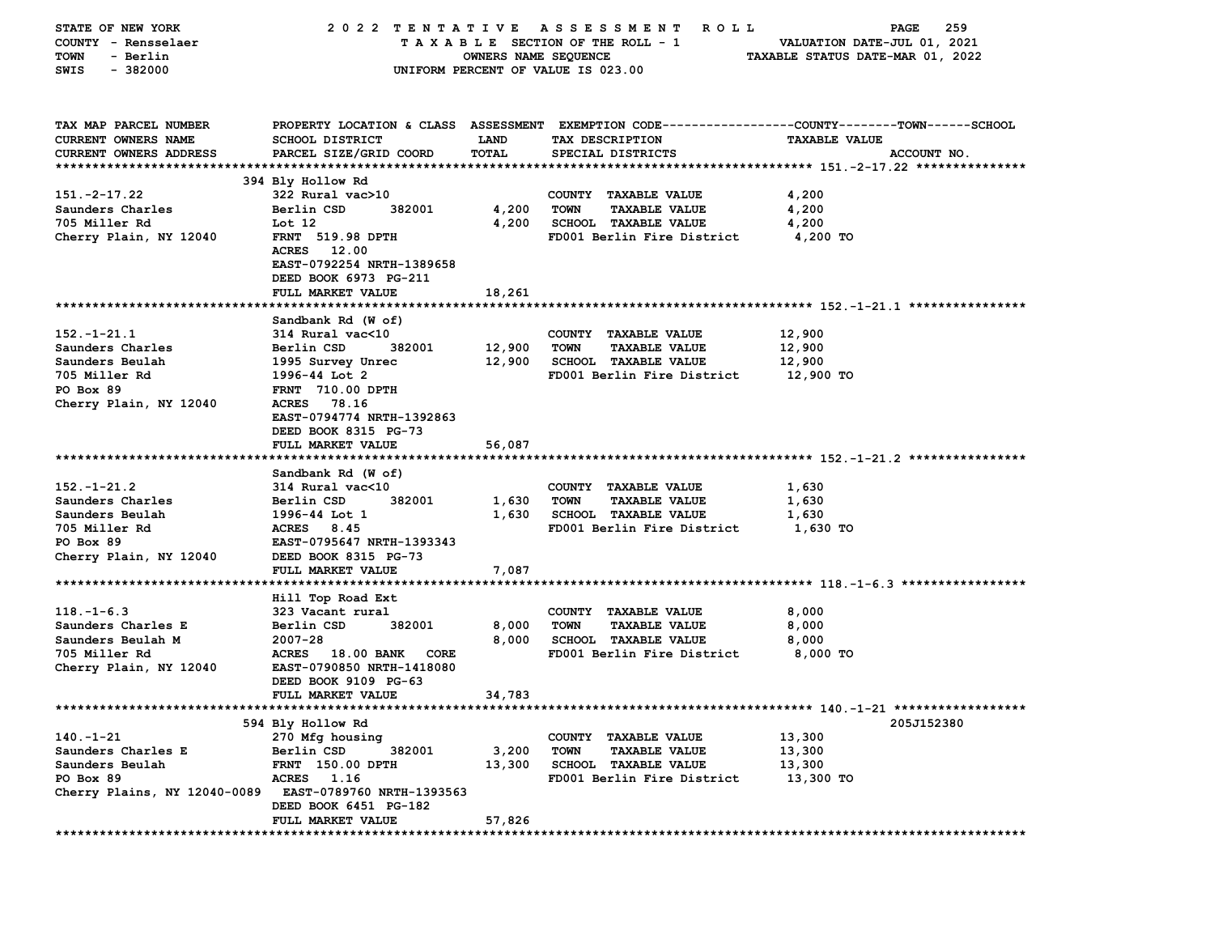| STATE OF NEW YORK             | 2022 TENTATIVE                                  |                      | A S S E S S M E N T<br>R O L L                                                                  |                                  | 259<br>PAGE |
|-------------------------------|-------------------------------------------------|----------------------|-------------------------------------------------------------------------------------------------|----------------------------------|-------------|
| COUNTY - Rensselaer           |                                                 |                      | TAXABLE SECTION OF THE ROLL - 1                                                                 | VALUATION DATE-JUL 01, 2021      |             |
| <b>TOWN</b><br>- Berlin       |                                                 | OWNERS NAME SEQUENCE |                                                                                                 | TAXABLE STATUS DATE-MAR 01, 2022 |             |
| $-382000$<br>SWIS             |                                                 |                      | UNIFORM PERCENT OF VALUE IS 023.00                                                              |                                  |             |
|                               |                                                 |                      |                                                                                                 |                                  |             |
|                               |                                                 |                      |                                                                                                 |                                  |             |
| TAX MAP PARCEL NUMBER         |                                                 |                      | PROPERTY LOCATION & CLASS ASSESSMENT EXEMPTION CODE---------------COUNTY-------TOWN------SCHOOL |                                  |             |
| CURRENT OWNERS NAME           | <b>SCHOOL DISTRICT</b>                          | LAND                 | TAX DESCRIPTION                                                                                 | <b>TAXABLE VALUE</b>             |             |
| <b>CURRENT OWNERS ADDRESS</b> | PARCEL SIZE/GRID COORD                          | TOTAL                | SPECIAL DISTRICTS                                                                               |                                  | ACCOUNT NO. |
|                               |                                                 |                      |                                                                                                 |                                  |             |
|                               | 394 Bly Hollow Rd                               |                      |                                                                                                 |                                  |             |
| $151. -2 - 17.22$             | 322 Rural vac>10                                |                      | COUNTY TAXABLE VALUE                                                                            | 4,200                            |             |
| Saunders Charles              | Berlin CSD<br>382001                            | 4,200                | <b>TOWN</b><br><b>TAXABLE VALUE</b>                                                             | 4,200                            |             |
| 705 Miller Rd                 | Lot 12                                          | 4,200                | <b>SCHOOL TAXABLE VALUE</b>                                                                     | 4,200                            |             |
| Cherry Plain, NY 12040        | <b>FRNT</b> 519.98 DPTH                         |                      | FD001 Berlin Fire District                                                                      | 4,200 TO                         |             |
|                               | <b>ACRES</b><br>12.00                           |                      |                                                                                                 |                                  |             |
|                               | EAST-0792254 NRTH-1389658                       |                      |                                                                                                 |                                  |             |
|                               | DEED BOOK 6973 PG-211                           |                      |                                                                                                 |                                  |             |
|                               |                                                 |                      |                                                                                                 |                                  |             |
|                               | <b>FULL MARKET VALUE</b>                        | 18,261               |                                                                                                 |                                  |             |
|                               | Sandbank Rd (W of)                              |                      |                                                                                                 |                                  |             |
| $152. - 1 - 21.1$             | 314 Rural vac<10                                |                      | COUNTY TAXABLE VALUE                                                                            | 12,900                           |             |
| Saunders Charles              | Berlin CSD<br>382001                            | 12,900               | <b>TOWN</b><br><b>TAXABLE VALUE</b>                                                             | 12,900                           |             |
|                               |                                                 |                      | <b>SCHOOL TAXABLE VALUE</b>                                                                     |                                  |             |
| Saunders Beulah               | 1995 Survey Unrec                               | 12,900               | FD001 Berlin Fire District                                                                      | 12,900                           |             |
| 705 Miller Rd                 | 1996-44 Lot 2                                   |                      |                                                                                                 | 12,900 TO                        |             |
| PO Box 89                     | <b>FRNT 710.00 DPTH</b>                         |                      |                                                                                                 |                                  |             |
| Cherry Plain, NY 12040        | <b>ACRES</b><br>78.16                           |                      |                                                                                                 |                                  |             |
|                               | EAST-0794774 NRTH-1392863                       |                      |                                                                                                 |                                  |             |
|                               | DEED BOOK 8315 PG-73                            |                      |                                                                                                 |                                  |             |
|                               | FULL MARKET VALUE                               | 56,087               |                                                                                                 |                                  |             |
|                               | Sandbank Rd (W of)                              |                      |                                                                                                 |                                  |             |
| $152. - 1 - 21.2$             | 314 Rural vac<10                                |                      |                                                                                                 | 1,630                            |             |
| Saunders Charles              | 382001<br>Berlin CSD                            | 1,630                | COUNTY TAXABLE VALUE<br><b>TOWN</b><br><b>TAXABLE VALUE</b>                                     | 1,630                            |             |
| Saunders Beulah               | 1996-44 Lot 1                                   | 1,630                |                                                                                                 |                                  |             |
|                               |                                                 |                      | <b>SCHOOL TAXABLE VALUE</b>                                                                     | 1,630                            |             |
| 705 Miller Rd                 | ACRES 8.45                                      |                      | FD001 Berlin Fire District                                                                      | 1,630 TO                         |             |
| PO Box 89                     | EAST-0795647 NRTH-1393343                       |                      |                                                                                                 |                                  |             |
| Cherry Plain, NY 12040        | DEED BOOK 8315 PG-73                            |                      |                                                                                                 |                                  |             |
|                               | FULL MARKET VALUE                               | 7,087                |                                                                                                 |                                  |             |
|                               |                                                 |                      |                                                                                                 |                                  |             |
| $118. - 1 - 6.3$              | Hill Top Road Ext<br>323 Vacant rural           |                      | COUNTY TAXABLE VALUE                                                                            | 8,000                            |             |
| Saunders Charles E            | Berlin CSD<br>382001                            | 8,000                | <b>TOWN</b><br><b>TAXABLE VALUE</b>                                                             | 8,000                            |             |
| Saunders Beulah M             | $2007 - 28$                                     | 8,000                | SCHOOL TAXABLE VALUE                                                                            | 8,000                            |             |
|                               |                                                 |                      |                                                                                                 |                                  |             |
| 705 Miller Rd                 | ACRES 18.00 BANK<br>CORE                        |                      | FD001 Berlin Fire District                                                                      | 8,000 TO                         |             |
| Cherry Plain, NY 12040        | EAST-0790850 NRTH-1418080                       |                      |                                                                                                 |                                  |             |
|                               | DEED BOOK 9109 PG-63                            |                      |                                                                                                 |                                  |             |
|                               | FULL MARKET VALUE                               | 34,783               |                                                                                                 |                                  |             |
|                               | 594 Bly Hollow Rd                               |                      |                                                                                                 |                                  | 205J152380  |
| $140. -1 - 21$                |                                                 |                      |                                                                                                 |                                  |             |
|                               | 270 Mfg housing                                 |                      | <b>COUNTY</b><br><b>TAXABLE VALUE</b>                                                           | 13,300                           |             |
| Saunders Charles E            | Berlin CSD<br>382001<br><b>FRNT</b> 150.00 DPTH | 3,200                | <b>TOWN</b><br><b>TAXABLE VALUE</b>                                                             | 13,300                           |             |
| Saunders Beulah               | 1.16                                            | 13,300               | <b>SCHOOL TAXABLE VALUE</b><br>FD001 Berlin Fire District                                       | 13,300                           |             |
| PO Box 89                     | <b>ACRES</b>                                    |                      |                                                                                                 | 13,300 TO                        |             |
| Cherry Plains, NY 12040-0089  | EAST-0789760 NRTH-1393563                       |                      |                                                                                                 |                                  |             |
|                               | DEED BOOK 6451 PG-182                           |                      |                                                                                                 |                                  |             |
|                               | <b>FULL MARKET VALUE</b>                        | 57,826               |                                                                                                 |                                  |             |
|                               |                                                 |                      |                                                                                                 |                                  |             |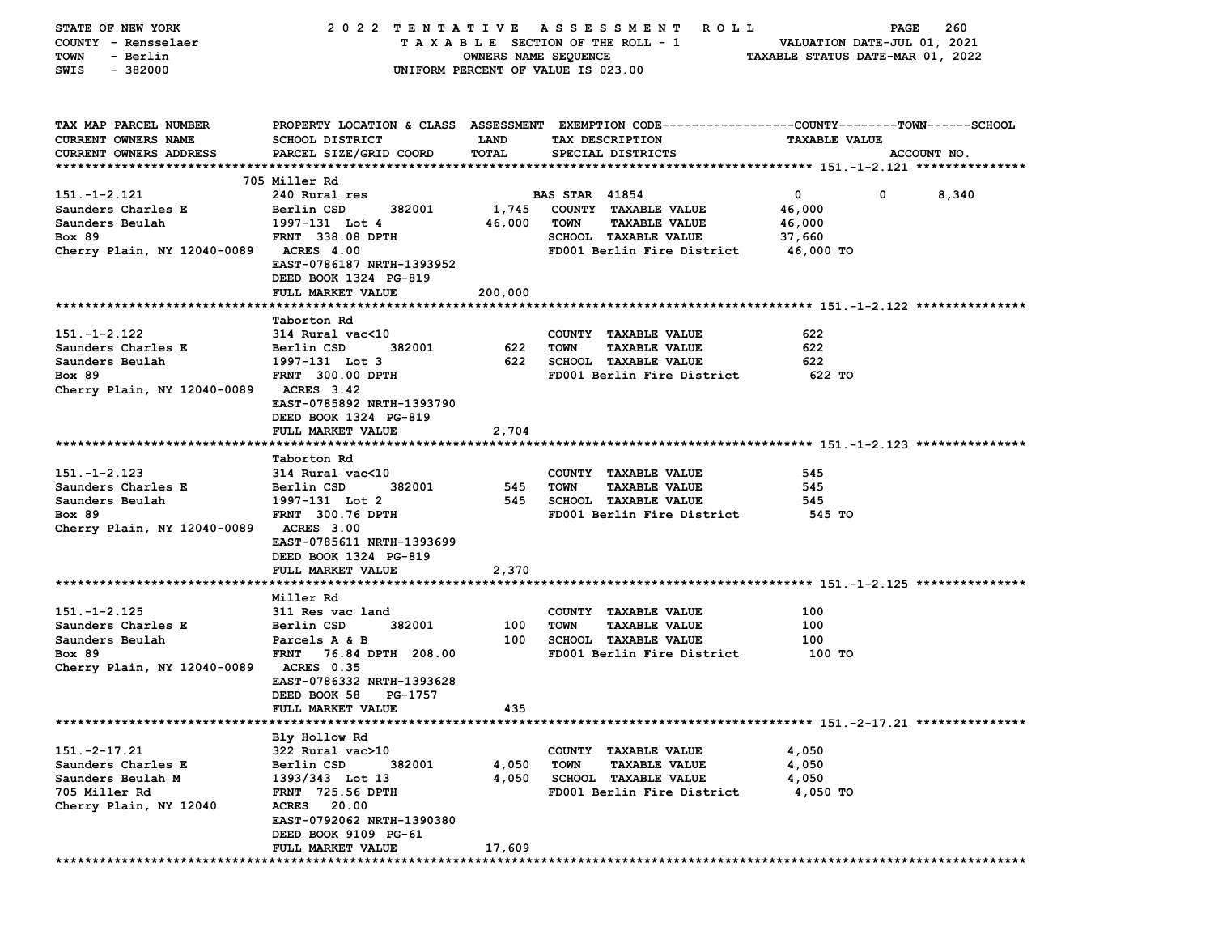| STATE OF NEW YORK                      |                                    |                      | 2022 TENTATIVE ASSESSMENT ROLL                                                                   |                                  | 260<br>PAGE           |
|----------------------------------------|------------------------------------|----------------------|--------------------------------------------------------------------------------------------------|----------------------------------|-----------------------|
| COUNTY - Rensselaer                    |                                    |                      | $T A X A B L E$ SECTION OF THE ROLL - 1 VALUATION DATE-JUL 01, 2021                              |                                  |                       |
| - Berlin<br>TOWN                       |                                    | OWNERS NAME SEQUENCE |                                                                                                  | TAXABLE STATUS DATE-MAR 01, 2022 |                       |
| SWIS<br>$-382000$                      |                                    |                      | UNIFORM PERCENT OF VALUE IS 023.00                                                               |                                  |                       |
|                                        |                                    |                      |                                                                                                  |                                  |                       |
|                                        |                                    |                      |                                                                                                  |                                  |                       |
| TAX MAP PARCEL NUMBER                  |                                    |                      | PROPERTY LOCATION & CLASS ASSESSMENT EXEMPTION CODE----------------COUNTY-------TOWN------SCHOOL |                                  |                       |
| <b>CURRENT OWNERS NAME</b>             | SCHOOL DISTRICT                    | <b>LAND</b>          | TAX DESCRIPTION                                                                                  | <b>TAXABLE VALUE</b>             |                       |
| <b>CURRENT OWNERS ADDRESS</b>          | PARCEL SIZE/GRID COORD             | TOTAL                | SPECIAL DISTRICTS                                                                                |                                  | ACCOUNT NO.           |
|                                        |                                    |                      |                                                                                                  |                                  |                       |
|                                        | 705 Miller Rd                      |                      |                                                                                                  |                                  |                       |
| 151.-1-2.121                           | 240 Rural res                      |                      | <b>BAS STAR 41854</b>                                                                            | $\mathbf{0}$                     | $\mathbf{0}$<br>8,340 |
| Saunders Charles E                     | Berlin CSD                         |                      | 382001 1,745 COUNTY TAXABLE VALUE                                                                | 46,000                           |                       |
| Saunders Beulah                        | 1997-131 Lot 4                     | 46,000 TOWN          | <b>TAXABLE VALUE</b>                                                                             | 46,000                           |                       |
| Box 89                                 | FRNT 338.08 DPTH                   |                      | SCHOOL TAXABLE VALUE                                                                             | 37,660                           |                       |
| Cherry Plain, NY 12040-0089 ACRES 4.00 |                                    |                      | FD001 Berlin Fire District 46,000 TO                                                             |                                  |                       |
|                                        | EAST-0786187 NRTH-1393952          |                      |                                                                                                  |                                  |                       |
|                                        | DEED BOOK 1324 PG-819              |                      |                                                                                                  |                                  |                       |
|                                        | FULL MARKET VALUE                  | 200,000              |                                                                                                  |                                  |                       |
|                                        |                                    |                      |                                                                                                  |                                  |                       |
| 151.-1-2.122                           | Taborton Rd<br>314 Rural vac<10    |                      |                                                                                                  | 622                              |                       |
|                                        | Berlin CSD                         | 622                  | COUNTY TAXABLE VALUE<br><b>TOWN</b><br><b>TAXABLE VALUE</b>                                      | 622                              |                       |
| Saunders Charles E                     | 382001                             |                      |                                                                                                  |                                  |                       |
| Saunders Beulah                        | 1997-131 Lot 3<br>FRNT 300.00 DPTH |                      | 622 SCHOOL TAXABLE VALUE                                                                         | 622                              |                       |
| <b>Box 89</b>                          |                                    |                      | FD001 Berlin Fire District 622 TO                                                                |                                  |                       |
| Cherry Plain, NY 12040-0089 ACRES 3.42 | EAST-0785892 NRTH-1393790          |                      |                                                                                                  |                                  |                       |
|                                        | DEED BOOK 1324 PG-819              |                      |                                                                                                  |                                  |                       |
|                                        | FULL MARKET VALUE                  | 2,704                |                                                                                                  |                                  |                       |
|                                        |                                    |                      |                                                                                                  |                                  |                       |
|                                        | Taborton Rd                        |                      |                                                                                                  |                                  |                       |
| $151. - 1 - 2.123$                     | 314 Rural vac<10                   |                      | COUNTY TAXABLE VALUE                                                                             | 545                              |                       |
| Saunders Charles E                     | 382001<br>Berlin CSD               | 545 TOWN             | <b>TAXABLE VALUE</b>                                                                             | 545                              |                       |
| Saunders Beulah                        | 1997-131 Lot 2                     |                      | 545 SCHOOL TAXABLE VALUE                                                                         | 545                              |                       |
| <b>Box 89</b>                          | FRNT 300.76 DPTH                   |                      | FD001 Berlin Fire District                                                                       | 545 TO                           |                       |
| Cherry Plain, NY 12040-0089 ACRES 3.00 |                                    |                      |                                                                                                  |                                  |                       |
|                                        | EAST-0785611 NRTH-1393699          |                      |                                                                                                  |                                  |                       |
|                                        | DEED BOOK 1324 PG-819              |                      |                                                                                                  |                                  |                       |
|                                        | FULL MARKET VALUE                  | 2,370                |                                                                                                  |                                  |                       |
|                                        |                                    |                      |                                                                                                  |                                  |                       |
|                                        | Miller Rd                          |                      |                                                                                                  |                                  |                       |
| $151. - 1 - 2.125$                     | 311 Res vac land                   |                      | COUNTY TAXABLE VALUE                                                                             | 100                              |                       |
| Saunders Charles E                     | 382001<br>Berlin CSD               | 100                  | TOWN<br><b>TAXABLE VALUE</b>                                                                     | 100                              |                       |
| Saunders Beulah                        | Parcels A & B                      | 100                  | SCHOOL TAXABLE VALUE                                                                             | 100                              |                       |
| <b>Box 89</b>                          | FRNT 76.84 DPTH 208.00             |                      | FD001 Berlin Fire District                                                                       | 100 TO                           |                       |
| Cherry Plain, NY 12040-0089 ACRES 0.35 |                                    |                      |                                                                                                  |                                  |                       |
|                                        | EAST-0786332 NRTH-1393628          |                      |                                                                                                  |                                  |                       |
|                                        | DEED BOOK 58 PG-1757               |                      |                                                                                                  |                                  |                       |
|                                        | <b>FULL MARKET VALUE</b>           | 435                  |                                                                                                  |                                  |                       |
|                                        |                                    |                      |                                                                                                  |                                  |                       |
|                                        | Bly Hollow Rd                      |                      |                                                                                                  |                                  |                       |
| $151.-2-17.21$                         | 322 Rural vac>10                   |                      | COUNTY TAXABLE VALUE                                                                             | 4,050                            |                       |
| Saunders Charles E                     | Berlin CSD<br>382001               | 4,050                | <b>TOWN</b><br><b>TAXABLE VALUE</b>                                                              | 4,050                            |                       |
| Saunders Beulah M                      | 1393/343 Lot 13                    | 4,050                | <b>SCHOOL TAXABLE VALUE</b>                                                                      | 4,050                            |                       |
| 705 Miller Rd                          | FRNT 725.56 DPTH                   |                      | FD001 Berlin Fire District                                                                       | 4,050 TO                         |                       |
| Cherry Plain, NY 12040                 | <b>ACRES</b> 20.00                 |                      |                                                                                                  |                                  |                       |
|                                        | EAST-0792062 NRTH-1390380          |                      |                                                                                                  |                                  |                       |
|                                        | DEED BOOK 9109 PG-61               |                      |                                                                                                  |                                  |                       |
|                                        | FULL MARKET VALUE                  | 17,609               |                                                                                                  |                                  |                       |
|                                        |                                    |                      |                                                                                                  |                                  |                       |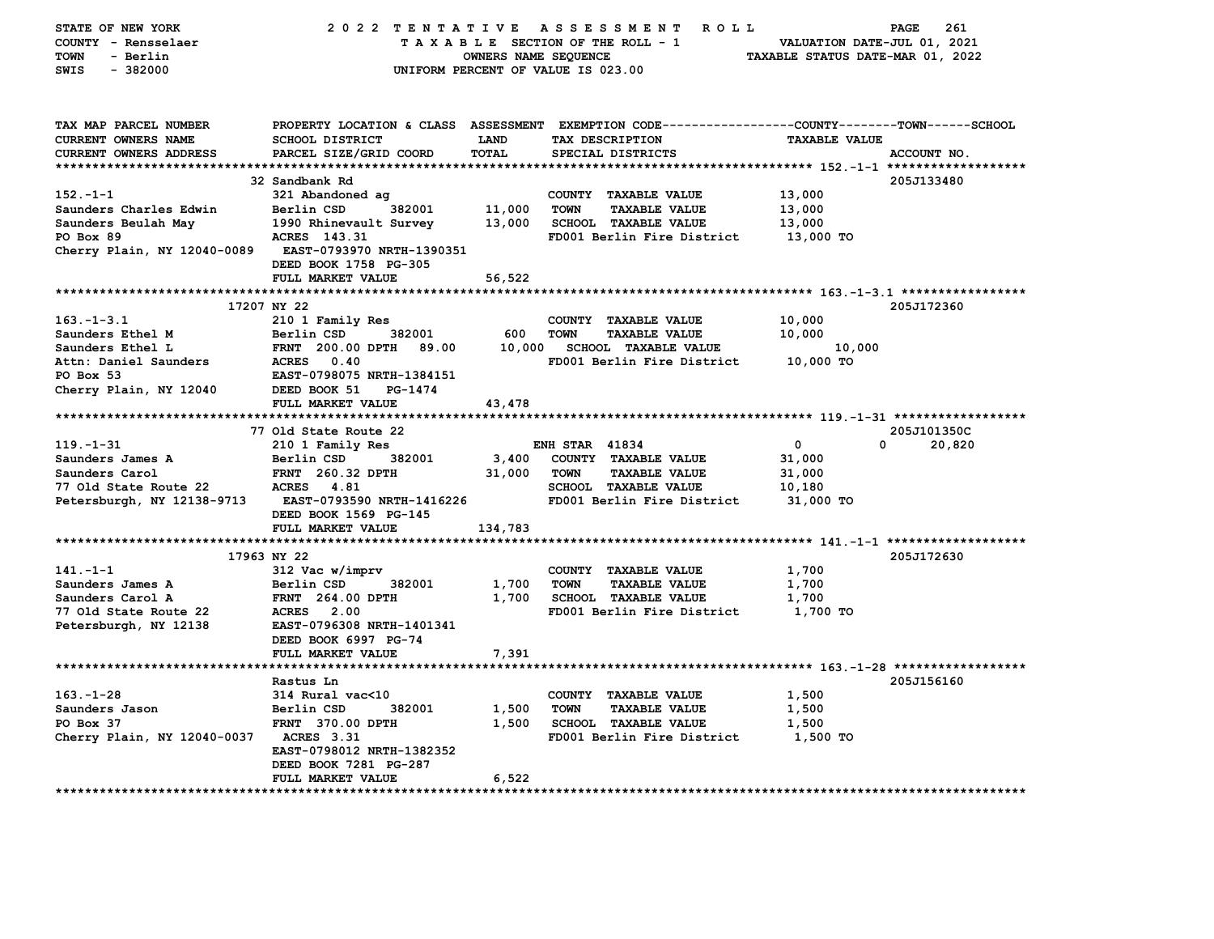| STATE OF NEW YORK<br>COUNTY - Rensselaer<br>TOWN<br>- Berlin<br>$-382000$<br>SWIS    |                                            | OWNERS NAME SEQUENCE | 2022 TENTATIVE ASSESSMENT ROLL<br>TAXABLE SECTION OF THE ROLL - 1<br>UNIFORM PERCENT OF VALUE IS 023.00                                 | VALUATION DATE-JUL 01, 2021<br>TAXABLE STATUS DATE-MAR 01, 2022 | PAGE<br>261 |
|--------------------------------------------------------------------------------------|--------------------------------------------|----------------------|-----------------------------------------------------------------------------------------------------------------------------------------|-----------------------------------------------------------------|-------------|
| TAX MAP PARCEL NUMBER<br><b>CURRENT OWNERS NAME</b><br><b>CURRENT OWNERS ADDRESS</b> | SCHOOL DISTRICT<br>PARCEL SIZE/GRID COORD  | LAND<br><b>TOTAL</b> | PROPERTY LOCATION & CLASS ASSESSMENT EXEMPTION CODE---------------COUNTY-------TOWN------SCHOOL<br>TAX DESCRIPTION<br>SPECIAL DISTRICTS | <b>TAXABLE VALUE</b>                                            | ACCOUNT NO. |
|                                                                                      | 32 Sandbank Rd                             |                      |                                                                                                                                         |                                                                 | 205J133480  |
| $152 - 1 - 1$                                                                        | 321 Abandoned ag                           |                      | COUNTY TAXABLE VALUE                                                                                                                    | 13,000                                                          |             |
| Saunders Charles Edwin                                                               | Berlin CSD<br>382001                       | 11,000               | <b>TOWN</b><br><b>TAXABLE VALUE</b>                                                                                                     | 13,000                                                          |             |
| Saunders Beulah May                                                                  | 1990 Rhinevault Survey                     | 13,000               | <b>SCHOOL TAXABLE VALUE</b>                                                                                                             | 13,000                                                          |             |
| PO Box 89                                                                            | ACRES 143.31                               |                      | FD001 Berlin Fire District                                                                                                              | 13,000 TO                                                       |             |
| Cherry Plain, NY 12040-0089                                                          | <b>EAST-0793970 NRTH-1390351</b>           |                      |                                                                                                                                         |                                                                 |             |
|                                                                                      | DEED BOOK 1758 PG-305                      |                      |                                                                                                                                         |                                                                 |             |
|                                                                                      | FULL MARKET VALUE                          | 56,522               |                                                                                                                                         |                                                                 |             |
|                                                                                      |                                            |                      |                                                                                                                                         |                                                                 |             |
|                                                                                      | 17207 NY 22                                |                      |                                                                                                                                         |                                                                 | 205J172360  |
| $163 - 1 - 3.1$                                                                      | 210 1 Family Res                           |                      | COUNTY TAXABLE VALUE                                                                                                                    | 10,000                                                          |             |
| Saunders Ethel M                                                                     | 382001<br>Berlin CSD                       | 600                  | <b>TOWN</b><br><b>TAXABLE VALUE</b>                                                                                                     | 10,000                                                          |             |
| Saunders Ethel L                                                                     | FRNT 200.00 DPTH<br>89.00                  | 10,000               | <b>SCHOOL TAXABLE VALUE</b>                                                                                                             | 10,000                                                          |             |
| Attn: Daniel Saunders<br>PO Box 53                                                   | ACRES 0.40<br>EAST-0798075 NRTH-1384151    |                      | FD001 Berlin Fire District                                                                                                              | 10,000 TO                                                       |             |
| Cherry Plain, NY 12040                                                               | DEED BOOK 51<br>PG-1474                    |                      |                                                                                                                                         |                                                                 |             |
|                                                                                      | FULL MARKET VALUE                          | 43,478               |                                                                                                                                         |                                                                 |             |
|                                                                                      |                                            |                      |                                                                                                                                         |                                                                 |             |
|                                                                                      | 77 Old State Route 22                      |                      |                                                                                                                                         |                                                                 | 205J101350C |
| 119. - 1 - 31                                                                        | 210 1 Family Res                           |                      | <b>ENH STAR 41834</b>                                                                                                                   | $\mathbf 0$                                                     | 20,820<br>0 |
| Saunders James A                                                                     | 382001<br>Berlin CSD                       | 3,400                | COUNTY TAXABLE VALUE                                                                                                                    | 31,000                                                          |             |
| Saunders Carol                                                                       | <b>FRNT</b> 260.32 DPTH                    | 31,000               | <b>TOWN</b><br><b>TAXABLE VALUE</b>                                                                                                     | 31,000                                                          |             |
| 77 Old State Route 22                                                                | <b>ACRES</b> 4.81                          |                      | <b>SCHOOL TAXABLE VALUE</b>                                                                                                             | 10,180                                                          |             |
| Petersburgh, NY 12138-9713                                                           | <b>EAST-0793590 NRTH-1416226</b>           |                      | FD001 Berlin Fire District                                                                                                              | 31,000 TO                                                       |             |
|                                                                                      | DEED BOOK 1569 PG-145                      |                      |                                                                                                                                         |                                                                 |             |
|                                                                                      | FULL MARKET VALUE                          | 134,783              |                                                                                                                                         |                                                                 |             |
|                                                                                      |                                            |                      |                                                                                                                                         |                                                                 |             |
| $141. - 1 - 1$                                                                       | 17963 NY 22<br>312 Vac w/imprv             |                      | COUNTY TAXABLE VALUE                                                                                                                    | 1,700                                                           | 205J172630  |
| Saunders James A                                                                     | Berlin CSD<br>382001                       | 1,700                | <b>TOWN</b><br><b>TAXABLE VALUE</b>                                                                                                     | 1,700                                                           |             |
| Saunders Carol A                                                                     | <b>FRNT</b> 264.00 DPTH                    | 1,700                | <b>SCHOOL TAXABLE VALUE</b>                                                                                                             | 1,700                                                           |             |
| 77 Old State Route 22                                                                | <b>ACRES</b> 2.00                          |                      | FD001 Berlin Fire District                                                                                                              | 1,700 TO                                                        |             |
| Petersburgh, NY 12138                                                                |                                            |                      |                                                                                                                                         |                                                                 |             |
|                                                                                      | EAST-0796308 NRTH-1401341                  |                      |                                                                                                                                         |                                                                 |             |
|                                                                                      | DEED BOOK 6997 PG-74                       |                      |                                                                                                                                         |                                                                 |             |
|                                                                                      | FULL MARKET VALUE                          | 7,391                |                                                                                                                                         |                                                                 |             |
|                                                                                      | ******************                         |                      |                                                                                                                                         |                                                                 |             |
|                                                                                      | Rastus Ln                                  |                      |                                                                                                                                         |                                                                 | 205J156160  |
| $163. - 1 - 28$                                                                      | 314 Rural vac<10                           |                      | COUNTY TAXABLE VALUE                                                                                                                    | 1,500                                                           |             |
| Saunders Jason                                                                       | 382001<br>Berlin CSD                       | 1,500                | <b>TOWN</b><br><b>TAXABLE VALUE</b>                                                                                                     | 1,500                                                           |             |
| PO Box 37                                                                            | FRNT 370.00 DPTH                           | 1,500                | SCHOOL TAXABLE VALUE                                                                                                                    | 1,500                                                           |             |
| Cherry Plain, NY 12040-0037 ACRES 3.31                                               |                                            |                      | FD001 Berlin Fire District                                                                                                              | 1,500 TO                                                        |             |
|                                                                                      | EAST-0798012 NRTH-1382352                  |                      |                                                                                                                                         |                                                                 |             |
|                                                                                      | DEED BOOK 7281 PG-287<br>FULL MARKET VALUE | 6,522                |                                                                                                                                         |                                                                 |             |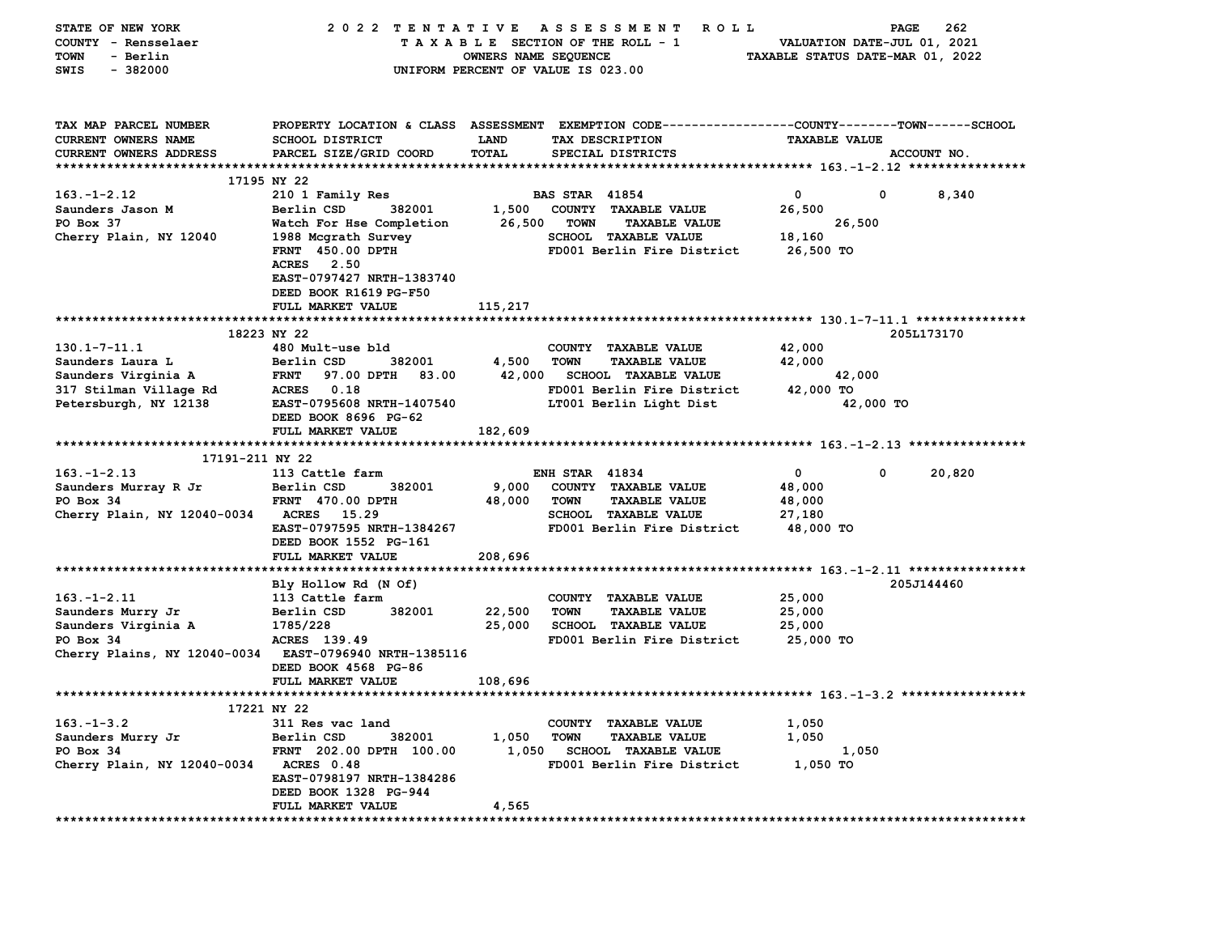| STATE OF NEW YORK                                      | 2022 TENTATIVE                                 |                             | A S S E S S M E N T<br>R O L L                                                                 |                                  | 262<br>PAGE                 |
|--------------------------------------------------------|------------------------------------------------|-----------------------------|------------------------------------------------------------------------------------------------|----------------------------------|-----------------------------|
| COUNTY - Rensselaer                                    |                                                |                             | TAXABLE SECTION OF THE ROLL - 1                                                                |                                  | VALUATION DATE-JUL 01, 2021 |
| <b>TOWN</b><br>- Berlin                                |                                                | <b>OWNERS NAME SEQUENCE</b> |                                                                                                | TAXABLE STATUS DATE-MAR 01, 2022 |                             |
| $-382000$<br>SWIS                                      |                                                |                             | UNIFORM PERCENT OF VALUE IS 023.00                                                             |                                  |                             |
|                                                        |                                                |                             |                                                                                                |                                  |                             |
|                                                        |                                                |                             |                                                                                                |                                  |                             |
| TAX MAP PARCEL NUMBER                                  |                                                |                             | PROPERTY LOCATION & CLASS ASSESSMENT EXEMPTION CODE---------------COUNTY-------TOWN-----SCHOOL |                                  |                             |
| CURRENT OWNERS NAME                                    | <b>SCHOOL DISTRICT</b>                         | LAND                        | TAX DESCRIPTION                                                                                | <b>TAXABLE VALUE</b>             |                             |
| <b>CURRENT OWNERS ADDRESS</b>                          | PARCEL SIZE/GRID COORD                         | <b>TOTAL</b>                | SPECIAL DISTRICTS                                                                              |                                  | ACCOUNT NO.                 |
|                                                        |                                                |                             |                                                                                                |                                  |                             |
|                                                        | 17195 NY 22                                    |                             |                                                                                                |                                  |                             |
| $163. - 1 - 2.12$                                      | 210 1 Family Res                               |                             | <b>BAS STAR 41854</b>                                                                          | $\mathbf 0$                      | 0<br>8,340                  |
| Saunders Jason M                                       | Berlin CSD<br>382001                           | 1,500                       | COUNTY TAXABLE VALUE                                                                           | 26,500                           |                             |
| PO Box 37                                              | Watch For Hse Completion                       | 26,500                      | <b>TOWN</b><br><b>TAXABLE VALUE</b>                                                            | 26,500                           |                             |
| Cherry Plain, NY 12040                                 | 1988 Mcgrath Survey                            |                             | SCHOOL TAXABLE VALUE                                                                           | 18,160                           |                             |
|                                                        | FRNT 450.00 DPTH                               |                             | FD001 Berlin Fire District                                                                     | 26,500 TO                        |                             |
|                                                        | <b>ACRES</b> 2.50<br>EAST-0797427 NRTH-1383740 |                             |                                                                                                |                                  |                             |
|                                                        | DEED BOOK R1619 PG-F50                         |                             |                                                                                                |                                  |                             |
|                                                        | FULL MARKET VALUE                              | 115,217                     |                                                                                                |                                  |                             |
|                                                        |                                                |                             |                                                                                                |                                  |                             |
|                                                        | 18223 NY 22                                    |                             |                                                                                                |                                  | 205L173170                  |
| $130.1 - 7 - 11.1$                                     | 480 Mult-use bld                               |                             | COUNTY TAXABLE VALUE                                                                           | 42,000                           |                             |
| Saunders Laura L                                       | Berlin CSD<br>382001                           | 4,500                       | <b>TOWN</b><br><b>TAXABLE VALUE</b>                                                            | 42,000                           |                             |
| Saunders Virginia A                                    | <b>FRNT</b><br>97.00 DPTH 83.00                | 42,000                      | <b>SCHOOL TAXABLE VALUE</b>                                                                    | 42,000                           |                             |
| 317 Stilman Village Rd                                 | ACRES 0.18                                     |                             | FD001 Berlin Fire District                                                                     | 42,000 TO                        |                             |
| Petersburgh, NY 12138                                  | EAST-0795608 NRTH-1407540                      |                             | LT001 Berlin Light Dist                                                                        | 42,000 TO                        |                             |
|                                                        | DEED BOOK 8696 PG-62                           |                             |                                                                                                |                                  |                             |
|                                                        | FULL MARKET VALUE                              | 182,609                     |                                                                                                |                                  |                             |
|                                                        |                                                |                             |                                                                                                |                                  |                             |
| 17191-211 NY 22                                        |                                                |                             |                                                                                                |                                  |                             |
| $163. - 1 - 2.13$                                      | 113 Cattle farm                                |                             | <b>ENH STAR 41834</b>                                                                          | $\mathbf 0$                      | 0<br>20,820                 |
| Saunders Murray R Jr                                   | Berlin CSD<br>382001                           | 9,000                       | COUNTY TAXABLE VALUE                                                                           | 48,000                           |                             |
| PO Box 34                                              | <b>FRNT 470.00 DPTH</b>                        | 48,000                      | <b>TOWN</b><br><b>TAXABLE VALUE</b>                                                            | 48,000                           |                             |
| Cherry Plain, NY 12040-0034                            | ACRES 15.29                                    |                             | <b>SCHOOL TAXABLE VALUE</b>                                                                    | 27,180                           |                             |
|                                                        | EAST-0797595 NRTH-1384267                      |                             | FD001 Berlin Fire District                                                                     | 48,000 TO                        |                             |
|                                                        | DEED BOOK 1552 PG-161                          |                             |                                                                                                |                                  |                             |
|                                                        | FULL MARKET VALUE                              | 208,696                     |                                                                                                |                                  |                             |
|                                                        |                                                |                             |                                                                                                |                                  |                             |
|                                                        | Bly Hollow Rd (N Of)                           |                             |                                                                                                |                                  | 205J144460                  |
| $163. - 1 - 2.11$                                      | 113 Cattle farm                                |                             | COUNTY TAXABLE VALUE                                                                           | 25,000                           |                             |
| Saunders Murry Jr                                      | Berlin CSD<br>382001                           | 22,500                      | TOWN<br><b>TAXABLE VALUE</b>                                                                   | 25,000                           |                             |
| Saunders Virginia A                                    | 1785/228                                       | 25,000                      | <b>SCHOOL TAXABLE VALUE</b>                                                                    | 25,000                           |                             |
| PO Box 34                                              | ACRES 139.49                                   |                             | FD001 Berlin Fire District                                                                     | 25,000 TO                        |                             |
| Cherry Plains, NY 12040-0034 EAST-0796940 NRTH-1385116 | DEED BOOK 4568 PG-86                           |                             |                                                                                                |                                  |                             |
|                                                        | FULL MARKET VALUE                              | 108,696                     |                                                                                                |                                  |                             |
|                                                        |                                                |                             |                                                                                                |                                  |                             |
|                                                        | 17221 NY 22                                    |                             |                                                                                                |                                  |                             |
| $163. - 1 - 3.2$                                       | 311 Res vac land                               |                             | COUNTY TAXABLE VALUE                                                                           | 1,050                            |                             |
| Saunders Murry Jr                                      | 382001<br>Berlin CSD                           | 1,050                       | <b>TOWN</b><br><b>TAXABLE VALUE</b>                                                            | 1,050                            |                             |
| PO Box 34                                              | FRNT 202.00 DPTH 100.00                        | 1,050                       | <b>SCHOOL TAXABLE VALUE</b>                                                                    | 1,050                            |                             |
| Cherry Plain, NY 12040-0034                            | ACRES 0.48                                     |                             | FD001 Berlin Fire District                                                                     | 1,050 TO                         |                             |
|                                                        | EAST-0798197 NRTH-1384286                      |                             |                                                                                                |                                  |                             |
|                                                        | DEED BOOK 1328 PG-944                          |                             |                                                                                                |                                  |                             |
|                                                        | FULL MARKET VALUE                              | 4,565                       |                                                                                                |                                  |                             |
| **************************                             |                                                |                             |                                                                                                |                                  |                             |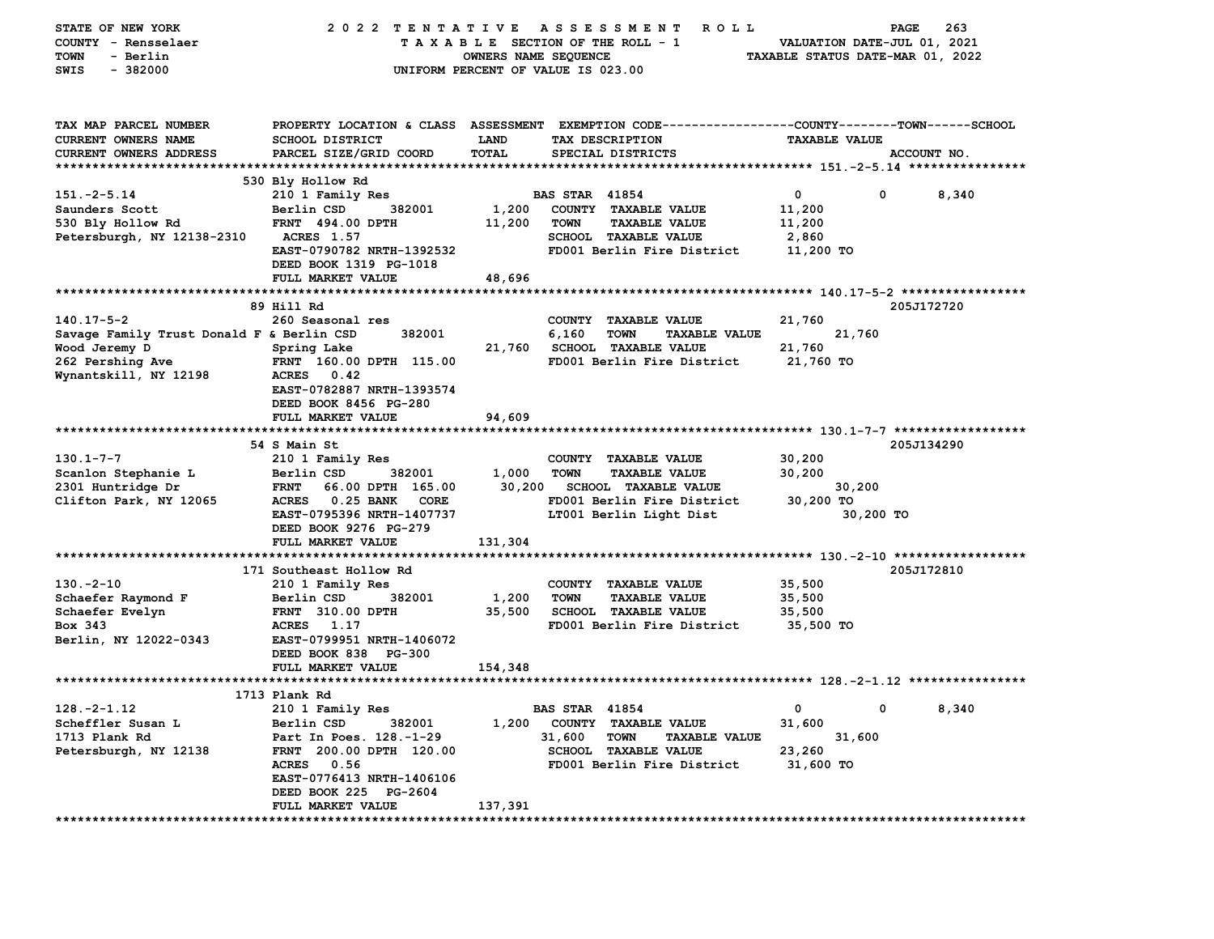| STATE OF NEW YORK                         | 2022 TENTATIVE                             |                      | A S S E S S M E N T<br><b>ROLL</b>                                                             |                                  | 263<br>PAGE |
|-------------------------------------------|--------------------------------------------|----------------------|------------------------------------------------------------------------------------------------|----------------------------------|-------------|
| COUNTY - Rensselaer                       |                                            |                      | TAXABLE SECTION OF THE ROLL - 1                                                                | VALUATION DATE-JUL 01, 2021      |             |
| - Berlin<br><b>TOWN</b>                   |                                            | OWNERS NAME SEQUENCE |                                                                                                | TAXABLE STATUS DATE-MAR 01, 2022 |             |
| SWIS<br>$-382000$                         |                                            |                      | UNIFORM PERCENT OF VALUE IS 023.00                                                             |                                  |             |
|                                           |                                            |                      |                                                                                                |                                  |             |
|                                           |                                            |                      |                                                                                                |                                  |             |
| TAX MAP PARCEL NUMBER                     |                                            |                      | PROPERTY LOCATION & CLASS ASSESSMENT EXEMPTION CODE---------------COUNTY-------TOWN-----SCHOOL |                                  |             |
| CURRENT OWNERS NAME                       | <b>SCHOOL DISTRICT</b>                     | <b>LAND</b>          | TAX DESCRIPTION                                                                                | <b>TAXABLE VALUE</b>             |             |
| CURRENT OWNERS ADDRESS                    | PARCEL SIZE/GRID COORD                     | <b>TOTAL</b>         | SPECIAL DISTRICTS                                                                              |                                  | ACCOUNT NO. |
|                                           |                                            |                      |                                                                                                |                                  |             |
|                                           | 530 Bly Hollow Rd                          |                      |                                                                                                |                                  |             |
| $151 - 2 - 5.14$                          | 210 1 Family Res                           |                      | <b>BAS STAR 41854</b>                                                                          | 0<br>0                           | 8,340       |
| Saunders Scott                            | 382001<br>Berlin CSD                       | 1,200                | COUNTY TAXABLE VALUE                                                                           | 11,200                           |             |
| 530 Bly Hollow Rd                         | <b>FRNT 494.00 DPTH</b>                    | 11,200               | <b>TOWN</b><br><b>TAXABLE VALUE</b>                                                            | 11,200                           |             |
| Petersburgh, NY 12138-2310                | <b>ACRES</b> 1.57                          |                      | SCHOOL TAXABLE VALUE                                                                           | 2,860                            |             |
|                                           | EAST-0790782 NRTH-1392532                  |                      | FD001 Berlin Fire District                                                                     | 11,200 TO                        |             |
|                                           | DEED BOOK 1319 PG-1018                     |                      |                                                                                                |                                  |             |
|                                           | FULL MARKET VALUE                          | 48,696               |                                                                                                |                                  |             |
|                                           |                                            |                      |                                                                                                |                                  |             |
|                                           | 89 Hill Rd                                 |                      |                                                                                                |                                  | 205J172720  |
| $140.17 - 5 - 2$                          | 260 Seasonal res                           |                      | COUNTY TAXABLE VALUE                                                                           | 21,760                           |             |
| Savage Family Trust Donald F & Berlin CSD | 382001                                     |                      | 6,160<br><b>TOWN</b><br><b>TAXABLE VALUE</b>                                                   | 21,760                           |             |
| Wood Jeremy D                             | Spring Lake                                | 21,760               | <b>SCHOOL TAXABLE VALUE</b>                                                                    | 21,760                           |             |
| 262 Pershing Ave                          | FRNT 160.00 DPTH 115.00                    |                      | FD001 Berlin Fire District                                                                     | 21,760 TO                        |             |
| Wynantskill, NY 12198                     | <b>ACRES</b><br>0.42                       |                      |                                                                                                |                                  |             |
|                                           | EAST-0782887 NRTH-1393574                  |                      |                                                                                                |                                  |             |
|                                           | DEED BOOK 8456 PG-280                      |                      |                                                                                                |                                  |             |
|                                           | FULL MARKET VALUE                          | 94,609               |                                                                                                |                                  |             |
|                                           |                                            |                      |                                                                                                |                                  |             |
| $130.1 - 7 - 7$                           | 54 S Main St<br>210 1 Family Res           |                      | COUNTY TAXABLE VALUE                                                                           | 30,200                           | 205J134290  |
| Scanlon Stephanie L                       | Berlin CSD<br>382001                       | 1,000                | <b>TOWN</b><br><b>TAXABLE VALUE</b>                                                            | 30,200                           |             |
| 2301 Huntridge Dr                         | <b>FRNT</b><br>66.00 DPTH 165.00           | 30,200               | <b>SCHOOL TAXABLE VALUE</b>                                                                    | 30,200                           |             |
| Clifton Park, NY 12065                    | ACRES 0.25 BANK<br>CORE                    |                      | FD001 Berlin Fire District                                                                     | 30,200 TO                        |             |
|                                           | EAST-0795396 NRTH-1407737                  |                      | LT001 Berlin Light Dist                                                                        | 30,200 TO                        |             |
|                                           | DEED BOOK 9276 PG-279                      |                      |                                                                                                |                                  |             |
|                                           | FULL MARKET VALUE                          | 131,304              |                                                                                                |                                  |             |
|                                           |                                            |                      |                                                                                                |                                  |             |
|                                           | 171 Southeast Hollow Rd                    |                      |                                                                                                |                                  | 205J172810  |
| $130 - 2 - 10$                            | 210 1 Family Res                           |                      | COUNTY TAXABLE VALUE                                                                           | 35,500                           |             |
| Schaefer Raymond F                        | Berlin CSD<br>382001                       | 1,200                | <b>TOWN</b><br><b>TAXABLE VALUE</b>                                                            | 35,500                           |             |
| Schaefer Evelyn                           | <b>FRNT</b> 310.00 DPTH                    | 35,500               | <b>SCHOOL TAXABLE VALUE</b>                                                                    | 35,500                           |             |
| Box 343                                   | 1.17<br><b>ACRES</b>                       |                      | FD001 Berlin Fire District                                                                     | 35,500 TO                        |             |
| Berlin, NY 12022-0343                     | EAST-0799951 NRTH-1406072                  |                      |                                                                                                |                                  |             |
|                                           | DEED BOOK 838 PG-300                       |                      |                                                                                                |                                  |             |
|                                           | FULL MARKET VALUE                          | 154,348              |                                                                                                |                                  |             |
|                                           |                                            |                      |                                                                                                |                                  |             |
|                                           | 1713 Plank Rd                              |                      |                                                                                                |                                  |             |
| $128. -2 - 1.12$                          | 210 1 Family Res                           |                      | <b>BAS STAR 41854</b>                                                                          | ົດ<br>$\mathbf{0}$               | 8,340       |
| Scheffler Susan L                         | Berlin CSD<br>382001                       |                      | 1,200 COUNTY TAXABLE VALUE                                                                     | 31,600                           |             |
| 1713 Plank Rd                             | Part In Poes. 128.-1-29                    |                      | 31,600<br><b>TOWN</b><br><b>TAXABLE VALUE</b>                                                  | 31,600                           |             |
| Petersburgh, NY 12138                     | FRNT 200.00 DPTH 120.00                    |                      | <b>SCHOOL TAXABLE VALUE</b>                                                                    | 23,260                           |             |
|                                           | ACRES 0.56                                 |                      | FD001 Berlin Fire District                                                                     | 31,600 TO                        |             |
|                                           | EAST-0776413 NRTH-1406106                  |                      |                                                                                                |                                  |             |
|                                           | DEED BOOK 225 PG-2604<br>FULL MARKET VALUE |                      |                                                                                                |                                  |             |
|                                           |                                            | 137,391              |                                                                                                |                                  |             |
|                                           |                                            |                      |                                                                                                |                                  |             |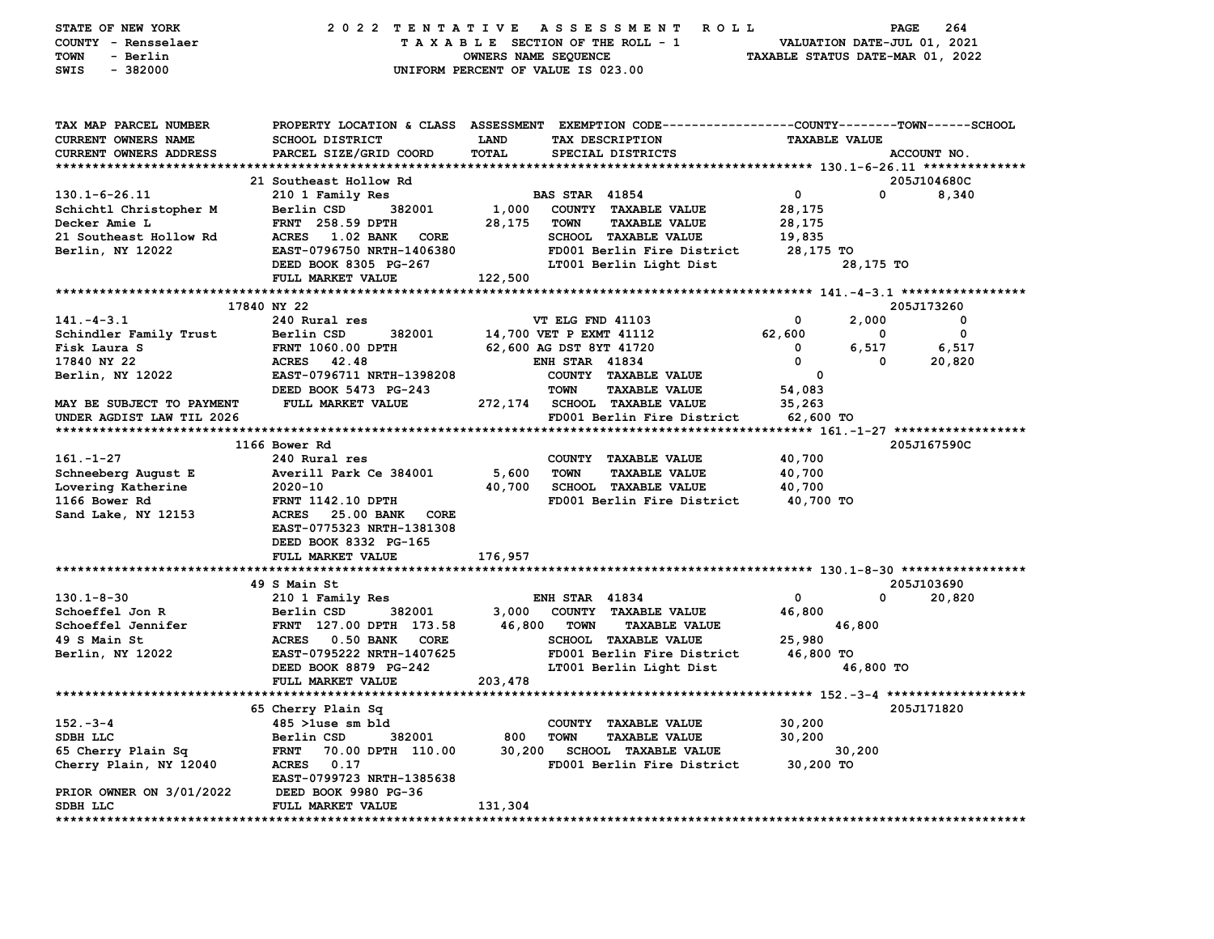| STATE OF NEW YORK<br>COUNTY - Rensselaer      |                                           | 2022 TENTATIVE ASSESSMENT<br><b>ROLL</b><br>TAXABLE SECTION OF THE ROLL - 1                    | PAGE<br>264<br>VALUATION DATE-JUL 01, 2021 |  |
|-----------------------------------------------|-------------------------------------------|------------------------------------------------------------------------------------------------|--------------------------------------------|--|
| <b>TOWN</b><br>- Berlin                       |                                           | OWNERS NAME SEQUENCE                                                                           | TAXABLE STATUS DATE-MAR 01, 2022           |  |
| $-382000$<br>SWIS                             |                                           | UNIFORM PERCENT OF VALUE IS 023.00                                                             |                                            |  |
| TAX MAP PARCEL NUMBER                         |                                           | PROPERTY LOCATION & CLASS ASSESSMENT EXEMPTION CODE---------------COUNTY-------TOWN-----SCHOOL |                                            |  |
| <b>CURRENT OWNERS NAME</b>                    | <b>SCHOOL DISTRICT</b>                    | TAX DESCRIPTION<br><b>LAND</b>                                                                 | <b>TAXABLE VALUE</b>                       |  |
| CURRENT OWNERS ADDRESS                        | PARCEL SIZE/GRID COORD                    | TOTAL<br>SPECIAL DISTRICTS                                                                     | ACCOUNT NO.                                |  |
|                                               |                                           |                                                                                                |                                            |  |
|                                               | 21 Southeast Hollow Rd                    |                                                                                                | 205J104680C<br>0                           |  |
| $130.1 - 6 - 26.11$<br>Schichtl Christopher M | 210 1 Family Res<br>Berlin CSD<br>382001  | <b>BAS STAR 41854</b><br>1,000<br>COUNTY TAXABLE VALUE                                         | $\mathbf 0$<br>8,340<br>28,175             |  |
| Decker Amie L                                 | <b>FRNT</b> 258.59 DPTH                   | 28,175<br><b>TOWN</b><br><b>TAXABLE VALUE</b>                                                  | 28,175                                     |  |
| 21 Southeast Hollow Rd                        | ACRES<br>1.02 BANK<br>CORE                | <b>SCHOOL TAXABLE VALUE</b>                                                                    | 19,835                                     |  |
| Berlin, NY 12022                              | EAST-0796750 NRTH-1406380                 | FD001 Berlin Fire District                                                                     | 28,175 TO                                  |  |
|                                               | DEED BOOK 8305 PG-267                     | LT001 Berlin Light Dist                                                                        | 28,175 TO                                  |  |
|                                               | FULL MARKET VALUE                         | 122,500                                                                                        |                                            |  |
|                                               |                                           |                                                                                                |                                            |  |
|                                               | 17840 NY 22                               |                                                                                                | 205J173260                                 |  |
| $141. - 4 - 3.1$                              | 240 Rural res                             | VT ELG FND 41103                                                                               | 0<br>2,000<br>0                            |  |
| Schindler Family Trust                        | Berlin CSD<br>382001                      | 14,700 VET P EXMT 41112                                                                        | 62,600<br>0<br>0                           |  |
| Fisk Laura S                                  | <b>FRNT 1060.00 DPTH</b>                  | 62,600 AG DST 8YT 41720                                                                        | $\mathbf 0$<br>6,517<br>6,517              |  |
| 17840 NY 22                                   | <b>ACRES</b><br>42.48                     | <b>ENH STAR 41834</b>                                                                          | $\mathbf 0$<br>$\Omega$<br>20,820          |  |
| Berlin, NY 12022                              | EAST-0796711 NRTH-1398208                 | COUNTY TAXABLE VALUE                                                                           | 0                                          |  |
|                                               | DEED BOOK 5473 PG-243                     | <b>TAXABLE VALUE</b><br><b>TOWN</b>                                                            | 54,083                                     |  |
| MAY BE SUBJECT TO PAYMENT                     | FULL MARKET VALUE                         | 272,174 SCHOOL TAXABLE VALUE                                                                   | 35,263                                     |  |
| UNDER AGDIST LAW TIL 2026                     |                                           | FD001 Berlin Fire District                                                                     | 62,600 TO                                  |  |
|                                               | 1166 Bower Rd                             |                                                                                                | 205J167590C                                |  |
| $161. - 1 - 27$                               | 240 Rural res                             | COUNTY TAXABLE VALUE                                                                           | 40,700                                     |  |
| Schneeberg August E                           | Averill Park Ce 384001                    | 5,600<br><b>TOWN</b><br><b>TAXABLE VALUE</b>                                                   | 40,700                                     |  |
| Lovering Katherine                            | 2020-10                                   | 40,700<br><b>SCHOOL TAXABLE VALUE</b>                                                          | 40,700                                     |  |
| 1166 Bower Rd                                 | <b>FRNT 1142.10 DPTH</b>                  | FD001 Berlin Fire District                                                                     | 40,700 TO                                  |  |
| Sand Lake, NY 12153                           | <b>ACRES</b><br>25.00 BANK<br>CORE        |                                                                                                |                                            |  |
|                                               | EAST-0775323 NRTH-1381308                 |                                                                                                |                                            |  |
|                                               | DEED BOOK 8332 PG-165                     |                                                                                                |                                            |  |
|                                               | FULL MARKET VALUE                         | 176,957                                                                                        |                                            |  |
|                                               |                                           |                                                                                                |                                            |  |
| $130.1 - 8 - 30$                              | 49 S Main St<br>210 1 Family Res          |                                                                                                | 205J103690<br>$\mathbf 0$<br>0<br>20,820   |  |
| Schoeffel Jon R                               | Berlin CSD<br>382001                      | <b>ENH STAR 41834</b><br>3,000<br>COUNTY TAXABLE VALUE                                         | 46,800                                     |  |
| Schoeffel Jennifer                            | FRNT 127.00 DPTH 173.58                   | 46,800<br><b>TOWN</b><br><b>TAXABLE VALUE</b>                                                  | 46,800                                     |  |
| 49 S Main St                                  | ACRES 0.50 BANK<br>CORE                   | <b>SCHOOL TAXABLE VALUE</b>                                                                    | 25,980                                     |  |
| Berlin, NY 12022                              | EAST-0795222 NRTH-1407625                 | FD001 Berlin Fire District                                                                     | 46,800 TO                                  |  |
|                                               | DEED BOOK 8879 PG-242                     | LT001 Berlin Light Dist                                                                        | 46,800 TO                                  |  |
|                                               | FULL MARKET VALUE                         | 203,478                                                                                        |                                            |  |
|                                               |                                           |                                                                                                |                                            |  |
|                                               | 65 Cherry Plain Sq                        |                                                                                                | 205J171820                                 |  |
| $152 - 3 - 4$                                 |                                           |                                                                                                |                                            |  |
|                                               | 485 >luse sm bld                          | COUNTY TAXABLE VALUE                                                                           | 30,200                                     |  |
| SDBH LLC                                      | Berlin CSD<br>382001                      | 800<br><b>TOWN</b><br><b>TAXABLE VALUE</b>                                                     | 30,200                                     |  |
| 65 Cherry Plain Sq                            | <b>FRNT</b><br>70.00 DPTH 110.00          | 30,200<br><b>SCHOOL TAXABLE VALUE</b>                                                          | 30,200                                     |  |
| Cherry Plain, NY 12040                        | ACRES 0.17                                | FD001 Berlin Fire District                                                                     | 30,200 TO                                  |  |
|                                               | EAST-0799723 NRTH-1385638                 |                                                                                                |                                            |  |
| PRIOR OWNER ON 3/01/2022<br>SDBH LLC          | DEED BOOK 9980 PG-36<br>FULL MARKET VALUE | 131,304                                                                                        |                                            |  |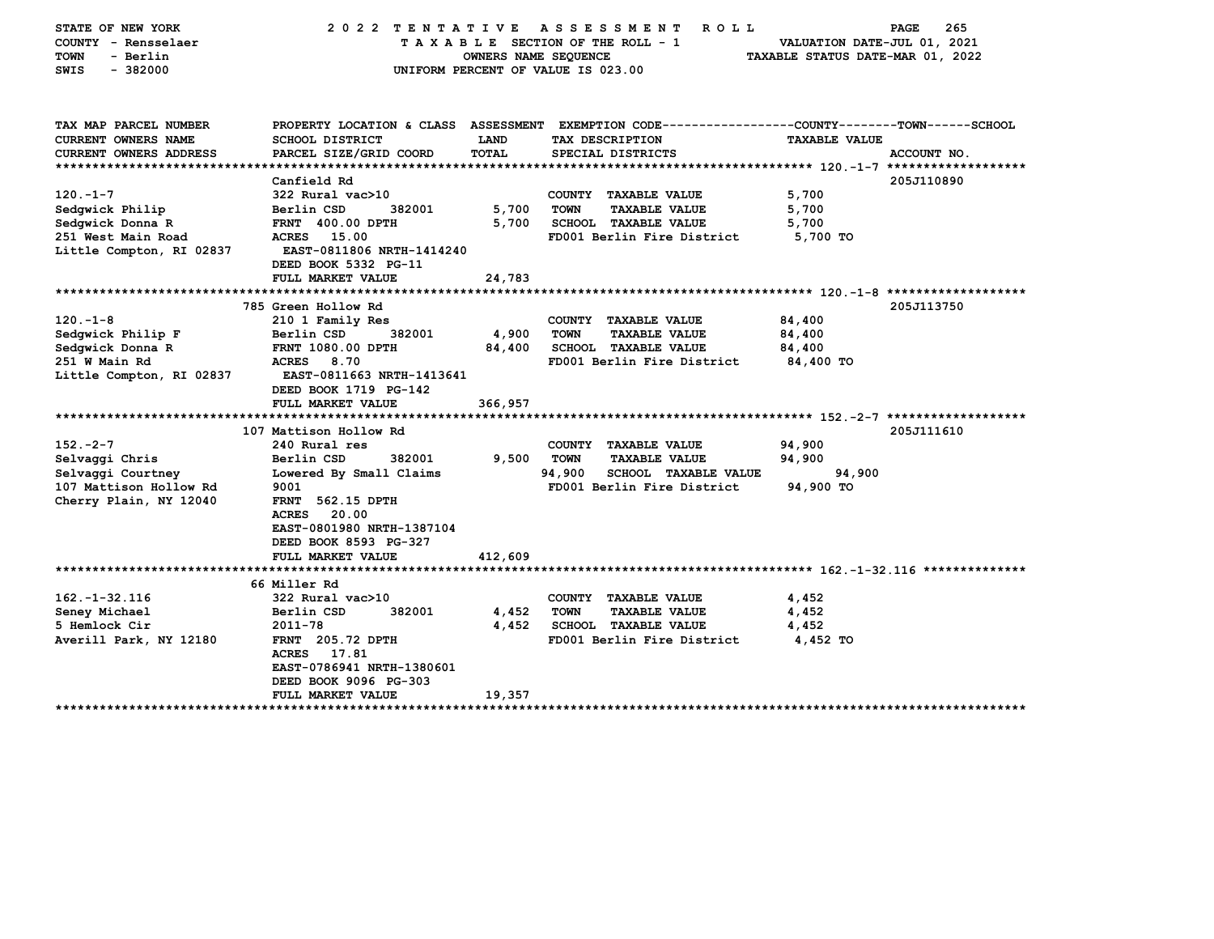| STATE OF NEW YORK<br>COUNTY - Rensselaer<br>- Berlin<br>TOWN<br>SWIS<br>$-382000$ | 2022 TENTATIVE ASSESSMENT                        | OWNERS NAME SEQUENCE | <b>ROLL</b><br>TAXABLE SECTION OF THE ROLL - 1<br>UNIFORM PERCENT OF VALUE IS 023.00 | 265<br>PAGE<br>VALUATION DATE-JUL 01, 2021<br>TAXABLE STATUS DATE-MAR 01, 2022                 |
|-----------------------------------------------------------------------------------|--------------------------------------------------|----------------------|--------------------------------------------------------------------------------------|------------------------------------------------------------------------------------------------|
| TAX MAP PARCEL NUMBER                                                             |                                                  |                      |                                                                                      | PROPERTY LOCATION & CLASS ASSESSMENT EXEMPTION CODE---------------COUNTY-------TOWN-----SCHOOL |
| <b>CURRENT OWNERS NAME</b><br>CURRENT OWNERS ADDRESS                              | SCHOOL DISTRICT<br>PARCEL SIZE/GRID COORD        | LAND<br><b>TOTAL</b> | TAX DESCRIPTION<br>SPECIAL DISTRICTS                                                 | <b>TAXABLE VALUE</b><br>ACCOUNT NO.                                                            |
|                                                                                   |                                                  |                      |                                                                                      |                                                                                                |
|                                                                                   | Canfield Rd                                      |                      |                                                                                      | 205J110890                                                                                     |
| $120 - 1 - 7$                                                                     | 322 Rural vac>10                                 |                      | COUNTY TAXABLE VALUE                                                                 | 5,700                                                                                          |
| Sedgwick Philip                                                                   | Berlin CSD<br>382001                             | 5,700                | <b>TOWN</b><br><b>TAXABLE VALUE</b>                                                  | 5,700                                                                                          |
| Sedgwick Donna R                                                                  | <b>FRNT 400.00 DPTH</b>                          | 5,700                | <b>SCHOOL TAXABLE VALUE</b>                                                          | 5,700                                                                                          |
| 251 West Main Road                                                                | ACRES 15.00                                      |                      | FD001 Berlin Fire District                                                           | 5,700 TO                                                                                       |
| Little Compton, RI 02837                                                          | EAST-0811806 NRTH-1414240                        |                      |                                                                                      |                                                                                                |
|                                                                                   | DEED BOOK 5332 PG-11                             |                      |                                                                                      |                                                                                                |
|                                                                                   | FULL MARKET VALUE                                | 24,783               |                                                                                      |                                                                                                |
|                                                                                   | 785 Green Hollow Rd                              |                      |                                                                                      | 205J113750                                                                                     |
| $120. -1 - 8$                                                                     | 210 1 Family Res                                 |                      | COUNTY TAXABLE VALUE                                                                 | 84,400                                                                                         |
| Sedgwick Philip F                                                                 | 382001<br>Berlin CSD                             | 4,900                | <b>TOWN</b><br><b>TAXABLE VALUE</b>                                                  | 84,400                                                                                         |
| Sedgwick Donna R                                                                  | <b>FRNT 1080.00 DPTH</b>                         | 84,400               | <b>SCHOOL TAXABLE VALUE</b>                                                          | 84,400                                                                                         |
| 251 W Main Rd                                                                     | <b>ACRES</b><br>8.70                             |                      | FD001 Berlin Fire District                                                           | 84,400 TO                                                                                      |
| Little Compton, RI 02837                                                          | EAST-0811663 NRTH-1413641                        |                      |                                                                                      |                                                                                                |
|                                                                                   | DEED BOOK 1719 PG-142                            |                      |                                                                                      |                                                                                                |
|                                                                                   | FULL MARKET VALUE                                | 366,957              |                                                                                      |                                                                                                |
|                                                                                   |                                                  |                      |                                                                                      |                                                                                                |
|                                                                                   | 107 Mattison Hollow Rd                           |                      |                                                                                      | 205J111610                                                                                     |
| $152 - 2 - 7$                                                                     | 240 Rural res<br>Berlin CSD                      | 9,500                | COUNTY TAXABLE VALUE<br><b>TOWN</b>                                                  | 94,900                                                                                         |
| Selvaggi Chris<br>Selvaggi Courtney                                               | 382001<br>Lowered By Small Claims                |                      | <b>TAXABLE VALUE</b><br>94,900<br><b>SCHOOL TAXABLE VALUE</b>                        | 94,900<br>94,900                                                                               |
| 107 Mattison Hollow Rd                                                            | 9001                                             |                      | FD001 Berlin Fire District                                                           | 94,900 TO                                                                                      |
| Cherry Plain, NY 12040                                                            | <b>FRNT</b> 562.15 DPTH                          |                      |                                                                                      |                                                                                                |
|                                                                                   | 20.00<br><b>ACRES</b>                            |                      |                                                                                      |                                                                                                |
|                                                                                   | EAST-0801980 NRTH-1387104                        |                      |                                                                                      |                                                                                                |
|                                                                                   | DEED BOOK 8593 PG-327                            |                      |                                                                                      |                                                                                                |
|                                                                                   | FULL MARKET VALUE                                | 412,609              |                                                                                      |                                                                                                |
|                                                                                   |                                                  |                      |                                                                                      |                                                                                                |
|                                                                                   | 66 Miller Rd                                     |                      |                                                                                      |                                                                                                |
| $162. - 1 - 32.116$                                                               | 322 Rural vac>10                                 |                      | COUNTY TAXABLE VALUE                                                                 | 4,452                                                                                          |
| Seney Michael                                                                     | Berlin CSD<br>382001                             | 4,452                | <b>TOWN</b><br><b>TAXABLE VALUE</b>                                                  | 4,452                                                                                          |
| 5 Hemlock Cir                                                                     | 2011-78                                          | 4,452                | SCHOOL TAXABLE VALUE                                                                 | 4,452                                                                                          |
| Averill Park, NY 12180                                                            | <b>FRNT</b> 205.72 DPTH<br><b>ACRES</b><br>17.81 |                      | FD001 Berlin Fire District                                                           | 4,452 TO                                                                                       |
|                                                                                   | EAST-0786941 NRTH-1380601                        |                      |                                                                                      |                                                                                                |
|                                                                                   | DEED BOOK 9096 PG-303                            |                      |                                                                                      |                                                                                                |
|                                                                                   | FULL MARKET VALUE                                | 19,357               |                                                                                      |                                                                                                |
|                                                                                   |                                                  |                      |                                                                                      |                                                                                                |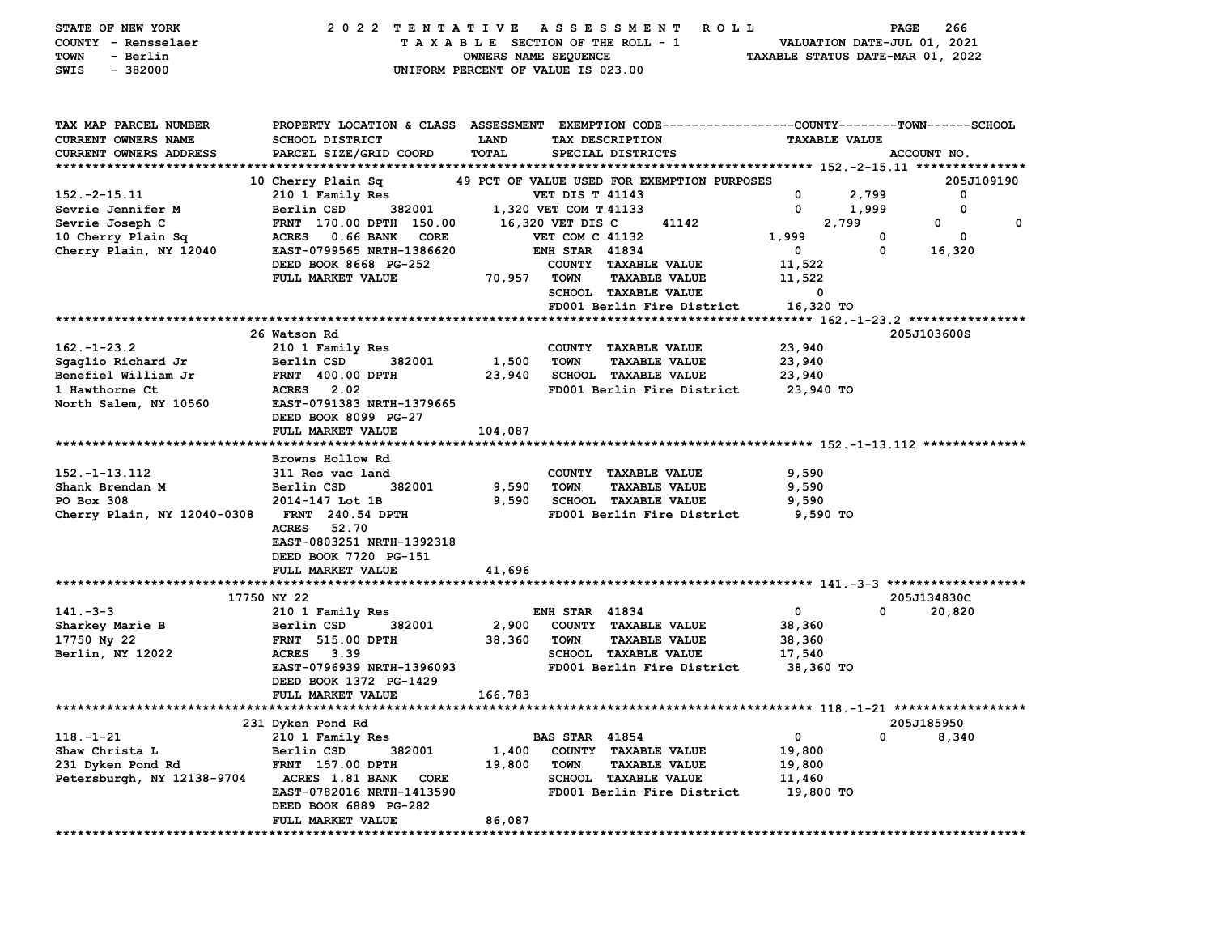| STATE OF NEW YORK<br>COUNTY - Rensselaer<br>- Berlin<br>TOWN<br>$-382000$<br>SWIS | 2022 TENTATIVE ASSESSMENT                                                                                                                          | OWNERS NAME SEQUENCE | <b>ROLL</b><br>TAXABLE SECTION OF THE ROLL - 1<br>UNIFORM PERCENT OF VALUE IS 023.00 | VALUATION DATE-JUL 01, 2021<br>TAXABLE STATUS DATE-MAR 01, 2022 | <b>PAGE</b><br>266 |
|-----------------------------------------------------------------------------------|----------------------------------------------------------------------------------------------------------------------------------------------------|----------------------|--------------------------------------------------------------------------------------|-----------------------------------------------------------------|--------------------|
| TAX MAP PARCEL NUMBER<br>CURRENT OWNERS NAME<br><b>CURRENT OWNERS ADDRESS</b>     | PROPERTY LOCATION & CLASS ASSESSMENT EXEMPTION CODE---------------COUNTY-------TOWN-----SCHOOL<br><b>SCHOOL DISTRICT</b><br>PARCEL SIZE/GRID COORD | LAND<br>TOTAL        | TAX DESCRIPTION<br>SPECIAL DISTRICTS                                                 | <b>TAXABLE VALUE</b>                                            | ACCOUNT NO.        |
| *************************                                                         |                                                                                                                                                    |                      |                                                                                      |                                                                 |                    |
|                                                                                   | 10 Cherry Plain Sq                                                                                                                                 |                      | 49 PCT OF VALUE USED FOR EXEMPTION PURPOSES                                          |                                                                 | 205J109190         |
| $152. -2 - 15.11$                                                                 | 210 1 Family Res                                                                                                                                   |                      | <b>VET DIS T 41143</b>                                                               | 2,799<br>0                                                      | 0                  |
| Sevrie Jennifer M                                                                 | 382001<br>Berlin CSD                                                                                                                               |                      | 1,320 VET COM T 41133                                                                | 0<br>1,999                                                      | 0                  |
| Sevrie Joseph C                                                                   | FRNT 170.00 DPTH 150.00                                                                                                                            |                      | 16,320 VET DIS C<br>41142                                                            | 2,799                                                           | 0<br>0             |
| 10 Cherry Plain Sq                                                                | <b>ACRES</b><br><b>0.66 BANK</b><br><b>CORE</b>                                                                                                    |                      | VET COM C 41132                                                                      | 1,999                                                           | 0<br>0             |
| Cherry Plain, NY 12040                                                            | EAST-0799565 NRTH-1386620                                                                                                                          |                      | <b>ENH STAR 41834</b>                                                                | $\mathbf 0$                                                     | 0<br>16,320        |
|                                                                                   | DEED BOOK 8668 PG-252                                                                                                                              |                      | COUNTY TAXABLE VALUE                                                                 | 11,522                                                          |                    |
|                                                                                   | FULL MARKET VALUE                                                                                                                                  | 70,957               | <b>TAXABLE VALUE</b><br>TOWN                                                         | 11,522                                                          |                    |
|                                                                                   |                                                                                                                                                    |                      | SCHOOL TAXABLE VALUE                                                                 | 0                                                               |                    |
|                                                                                   |                                                                                                                                                    |                      | FD001 Berlin Fire District                                                           | 16,320 TO                                                       |                    |
|                                                                                   |                                                                                                                                                    |                      |                                                                                      |                                                                 |                    |
|                                                                                   | 26 Watson Rd                                                                                                                                       |                      |                                                                                      |                                                                 | 205J103600S        |
| $162. - 1 - 23.2$                                                                 | 210 1 Family Res                                                                                                                                   |                      | COUNTY TAXABLE VALUE                                                                 | 23,940                                                          |                    |
| Sqaqlio Richard Jr                                                                | Berlin CSD<br>382001                                                                                                                               | 1,500                | <b>TOWN</b><br><b>TAXABLE VALUE</b>                                                  | 23,940                                                          |                    |
| Benefiel William Jr                                                               | FRNT 400.00 DPTH                                                                                                                                   | 23,940               | <b>SCHOOL TAXABLE VALUE</b>                                                          | 23,940                                                          |                    |
| 1 Hawthorne Ct                                                                    | ACRES 2.02                                                                                                                                         |                      | FD001 Berlin Fire District                                                           | 23,940 TO                                                       |                    |
| North Salem, NY 10560                                                             | EAST-0791383 NRTH-1379665<br>DEED BOOK 8099 PG-27                                                                                                  |                      |                                                                                      |                                                                 |                    |
|                                                                                   | FULL MARKET VALUE                                                                                                                                  | 104,087              |                                                                                      |                                                                 |                    |
|                                                                                   |                                                                                                                                                    |                      |                                                                                      |                                                                 |                    |
| $152. - 1 - 13.112$                                                               | Browns Hollow Rd<br>311 Res vac land                                                                                                               |                      |                                                                                      | 9,590                                                           |                    |
| Shank Brendan M                                                                   | Berlin CSD<br>382001                                                                                                                               | 9,590                | COUNTY TAXABLE VALUE<br><b>TOWN</b><br><b>TAXABLE VALUE</b>                          | 9,590                                                           |                    |
| PO Box 308                                                                        | 2014-147 Lot 1B                                                                                                                                    | 9,590                | <b>SCHOOL TAXABLE VALUE</b>                                                          | 9,590                                                           |                    |
| Cherry Plain, NY 12040-0308                                                       | FRNT 240.54 DPTH                                                                                                                                   |                      | FD001 Berlin Fire District                                                           | 9,590 TO                                                        |                    |
|                                                                                   | 52.70<br><b>ACRES</b>                                                                                                                              |                      |                                                                                      |                                                                 |                    |
|                                                                                   | EAST-0803251 NRTH-1392318                                                                                                                          |                      |                                                                                      |                                                                 |                    |
|                                                                                   | DEED BOOK 7720 PG-151                                                                                                                              |                      |                                                                                      |                                                                 |                    |
|                                                                                   | FULL MARKET VALUE                                                                                                                                  | 41,696               |                                                                                      |                                                                 |                    |
|                                                                                   |                                                                                                                                                    |                      |                                                                                      |                                                                 |                    |
|                                                                                   | 17750 NY 22                                                                                                                                        |                      |                                                                                      |                                                                 | 205J134830C        |
| $141 - 3 - 3$                                                                     | 210 1 Family Res                                                                                                                                   |                      | <b>ENH STAR 41834</b>                                                                | $\mathbf 0$                                                     | 0<br>20,820        |
| Sharkey Marie B                                                                   | 382001<br>Berlin CSD                                                                                                                               | 2,900                | COUNTY TAXABLE VALUE                                                                 | 38,360                                                          |                    |
| 17750 Ny 22                                                                       | <b>FRNT 515.00 DPTH</b>                                                                                                                            | 38,360               | <b>TOWN</b><br><b>TAXABLE VALUE</b>                                                  | 38,360                                                          |                    |
| Berlin, NY 12022                                                                  | ACRES 3.39                                                                                                                                         |                      | SCHOOL TAXABLE VALUE                                                                 | 17,540                                                          |                    |
|                                                                                   | EAST-0796939 NRTH-1396093                                                                                                                          |                      | FD001 Berlin Fire District                                                           | 38,360 TO                                                       |                    |
|                                                                                   | DEED BOOK 1372 PG-1429                                                                                                                             |                      |                                                                                      |                                                                 |                    |
|                                                                                   | FULL MARKET VALUE                                                                                                                                  | 166,783              |                                                                                      |                                                                 |                    |
|                                                                                   |                                                                                                                                                    |                      |                                                                                      |                                                                 |                    |
|                                                                                   | 231 Dyken Pond Rd                                                                                                                                  |                      |                                                                                      |                                                                 | 205J185950         |
| $118. - 1 - 21$                                                                   | 210 1 Family Res                                                                                                                                   |                      | <b>BAS STAR 41854</b>                                                                | 0                                                               | 0<br>8,340         |
| Shaw Christa L                                                                    | 382001<br>Berlin CSD                                                                                                                               | 1,400                | COUNTY TAXABLE VALUE                                                                 | 19,800                                                          |                    |
| 231 Dyken Pond Rd                                                                 | FRNT 157.00 DPTH                                                                                                                                   | 19,800               | <b>TOWN</b><br><b>TAXABLE VALUE</b>                                                  | 19,800                                                          |                    |
| Petersburgh, NY 12138-9704                                                        | ACRES 1.81 BANK<br>CORE                                                                                                                            |                      | <b>SCHOOL TAXABLE VALUE</b>                                                          | 11,460                                                          |                    |
|                                                                                   | EAST-0782016 NRTH-1413590                                                                                                                          |                      | FD001 Berlin Fire District                                                           | 19,800 TO                                                       |                    |
|                                                                                   | DEED BOOK 6889 PG-282<br>FULL MARKET VALUE                                                                                                         | 86,087               |                                                                                      |                                                                 |                    |
|                                                                                   |                                                                                                                                                    |                      |                                                                                      |                                                                 |                    |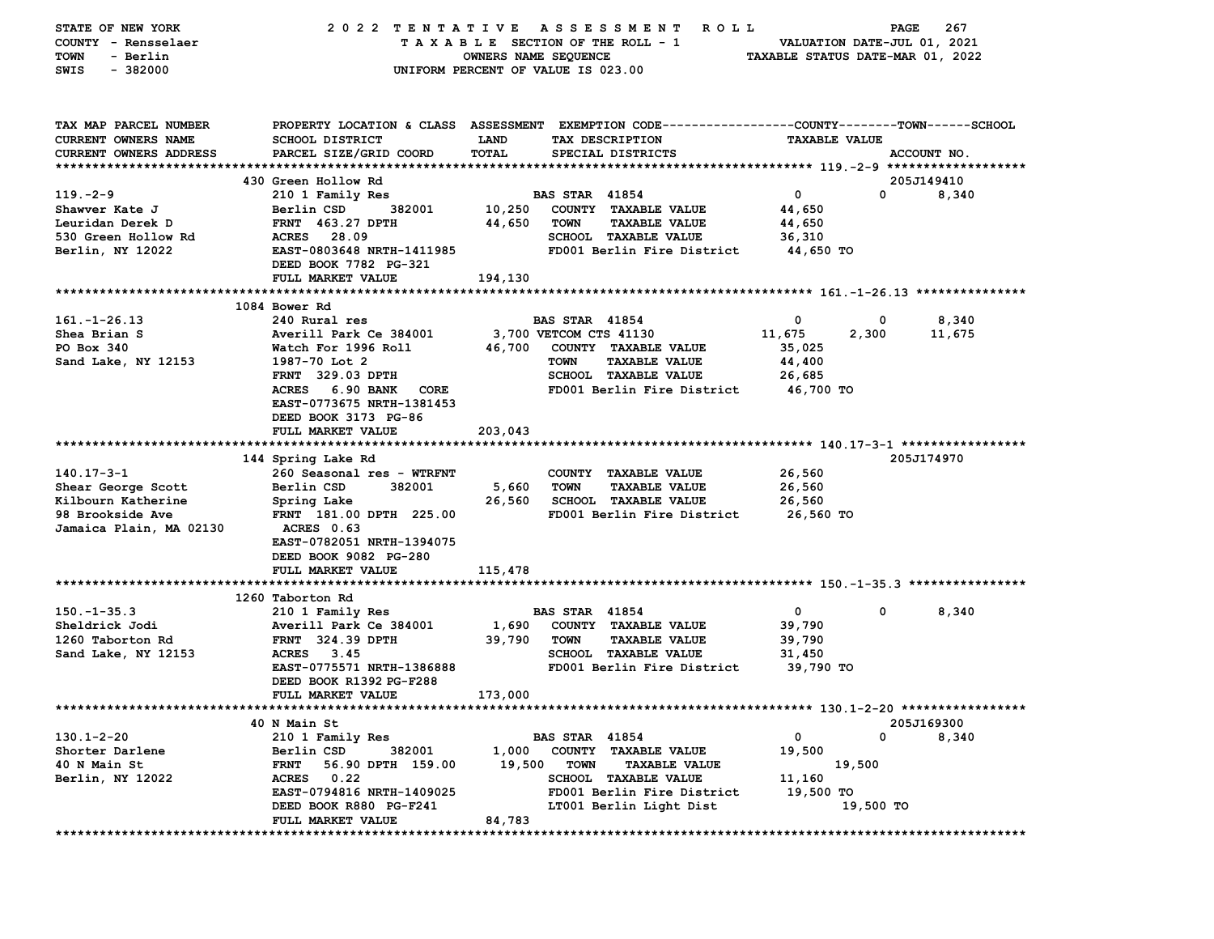| STATE OF NEW YORK           | 2022 TENTATIVE                   | A S S E S S M E N T<br><b>ROLL</b>                                                              |                                  | 267<br>PAGE |
|-----------------------------|----------------------------------|-------------------------------------------------------------------------------------------------|----------------------------------|-------------|
| COUNTY - Rensselaer         |                                  | TAXABLE SECTION OF THE ROLL - 1                                                                 | VALUATION DATE-JUL 01, 2021      |             |
| - Berlin<br><b>TOWN</b>     |                                  | OWNERS NAME SEQUENCE                                                                            | TAXABLE STATUS DATE-MAR 01, 2022 |             |
| $-382000$<br>SWIS           |                                  | UNIFORM PERCENT OF VALUE IS 023.00                                                              |                                  |             |
|                             |                                  |                                                                                                 |                                  |             |
|                             |                                  |                                                                                                 |                                  |             |
| TAX MAP PARCEL NUMBER       |                                  | PROPERTY LOCATION & CLASS ASSESSMENT EXEMPTION CODE---------------COUNTY-------TOWN------SCHOOL |                                  |             |
| <b>CURRENT OWNERS NAME</b>  | SCHOOL DISTRICT                  | LAND<br>TAX DESCRIPTION                                                                         | <b>TAXABLE VALUE</b>             |             |
| CURRENT OWNERS ADDRESS      | PARCEL SIZE/GRID COORD           | TOTAL<br>SPECIAL DISTRICTS                                                                      |                                  | ACCOUNT NO. |
|                             |                                  |                                                                                                 |                                  |             |
|                             | 430 Green Hollow Rd              |                                                                                                 |                                  | 205J149410  |
| $119. -2 - 9$               | 210 1 Family Res                 | <b>BAS STAR 41854</b>                                                                           | $\mathbf 0$<br>0                 | 8,340       |
| Shawver Kate J              | Berlin CSD<br>382001             | 10,250<br>COUNTY TAXABLE VALUE                                                                  | 44,650                           |             |
| Leuridan Derek D            | <b>FRNT</b> 463.27 DPTH          | 44,650<br><b>TOWN</b><br><b>TAXABLE VALUE</b>                                                   | 44,650                           |             |
| 530 Green Hollow Rd         | ACRES 28.09                      | <b>SCHOOL TAXABLE VALUE</b>                                                                     | 36,310                           |             |
| Berlin, NY 12022            | EAST-0803648 NRTH-1411985        | FD001 Berlin Fire District                                                                      | 44,650 TO                        |             |
|                             | DEED BOOK 7782 PG-321            |                                                                                                 |                                  |             |
|                             | FULL MARKET VALUE                | 194,130                                                                                         |                                  |             |
|                             |                                  |                                                                                                 |                                  |             |
|                             | 1084 Bower Rd                    |                                                                                                 |                                  |             |
| $161. - 1 - 26.13$          | 240 Rural res                    | <b>BAS STAR 41854</b>                                                                           | 0<br>0                           | 8,340       |
| Shea Brian S                | Averill Park Ce 384001           | 3,700 VETCOM CTS 41130                                                                          | 11,675<br>2,300                  | 11,675      |
| PO Box 340                  | Watch For 1996 Roll              | 46,700<br>COUNTY TAXABLE VALUE                                                                  | 35,025                           |             |
| Sand Lake, NY 12153         | 1987-70 Lot 2                    | <b>TOWN</b><br><b>TAXABLE VALUE</b>                                                             | 44,400                           |             |
|                             | <b>FRNT</b> 329.03 DPTH          | SCHOOL TAXABLE VALUE                                                                            | 26,685                           |             |
|                             | ACRES 6.90 BANK<br>CORE          | FD001 Berlin Fire District                                                                      | 46,700 TO                        |             |
|                             | EAST-0773675 NRTH-1381453        |                                                                                                 |                                  |             |
|                             | DEED BOOK 3173 PG-86             |                                                                                                 |                                  |             |
|                             | FULL MARKET VALUE                | 203,043                                                                                         |                                  |             |
|                             |                                  |                                                                                                 |                                  |             |
|                             | 144 Spring Lake Rd               |                                                                                                 |                                  | 205J174970  |
| $140.17 - 3 - 1$            | 260 Seasonal res - WTRFNT        | COUNTY TAXABLE VALUE                                                                            | 26,560                           |             |
| Shear George Scott          | Berlin CSD<br>382001             | 5,660<br><b>TOWN</b><br><b>TAXABLE VALUE</b>                                                    | 26,560                           |             |
| Kilbourn Katherine          | Spring Lake                      | <b>SCHOOL TAXABLE VALUE</b><br>26,560                                                           | 26,560                           |             |
| 98 Brookside Ave            | FRNT 181.00 DPTH 225.00          | FD001 Berlin Fire District                                                                      | 26,560 TO                        |             |
| Jamaica Plain, MA 02130     | ACRES 0.63                       |                                                                                                 |                                  |             |
|                             | EAST-0782051 NRTH-1394075        |                                                                                                 |                                  |             |
|                             | DEED BOOK 9082 PG-280            |                                                                                                 |                                  |             |
|                             | FULL MARKET VALUE                | 115,478                                                                                         |                                  |             |
|                             | 1260 Taborton Rd                 |                                                                                                 |                                  |             |
| $150. - 1 - 35.3$           | 210 1 Family Res                 | <b>BAS STAR 41854</b>                                                                           | 0<br>$\mathbf 0$                 | 8,340       |
| Sheldrick Jodi              | Averill Park Ce 384001           | 1,690<br>COUNTY TAXABLE VALUE                                                                   | 39,790                           |             |
| 1260 Taborton Rd            | <b>FRNT</b> 324.39 DPTH          | <b>TAXABLE VALUE</b><br>39,790<br><b>TOWN</b>                                                   | 39,790                           |             |
| Sand Lake, NY 12153         | <b>ACRES</b><br>3.45             | <b>SCHOOL TAXABLE VALUE</b>                                                                     | 31,450                           |             |
|                             | EAST-0775571 NRTH-1386888        | FD001 Berlin Fire District                                                                      | 39,790 TO                        |             |
|                             | DEED BOOK R1392 PG-F288          |                                                                                                 |                                  |             |
|                             | FULL MARKET VALUE                | 173,000                                                                                         |                                  |             |
| *************************** | ********                         | *********************************** 130 .1-2-20 *****************                               |                                  |             |
|                             | 40 N Main St                     |                                                                                                 |                                  | 205J169300  |
| $130.1 - 2 - 20$            | 210 1 Family Res                 | <b>BAS STAR 41854</b>                                                                           | 0<br>0                           | 8,340       |
| Shorter Darlene             | 382001<br>Berlin CSD             | 1,000<br>COUNTY TAXABLE VALUE                                                                   | 19,500                           |             |
| 40 N Main St                | <b>FRNT</b><br>56.90 DPTH 159.00 | 19,500<br><b>TOWN</b><br><b>TAXABLE VALUE</b>                                                   | 19,500                           |             |
| Berlin, NY 12022            | <b>ACRES</b><br>0.22             | <b>SCHOOL TAXABLE VALUE</b>                                                                     | 11,160                           |             |
|                             | EAST-0794816 NRTH-1409025        | FD001 Berlin Fire District                                                                      | 19,500 TO                        |             |
|                             | DEED BOOK R880 PG-F241           | LT001 Berlin Light Dist                                                                         | 19,500 TO                        |             |
|                             | FULL MARKET VALUE                | 84,783                                                                                          |                                  |             |
|                             |                                  |                                                                                                 |                                  |             |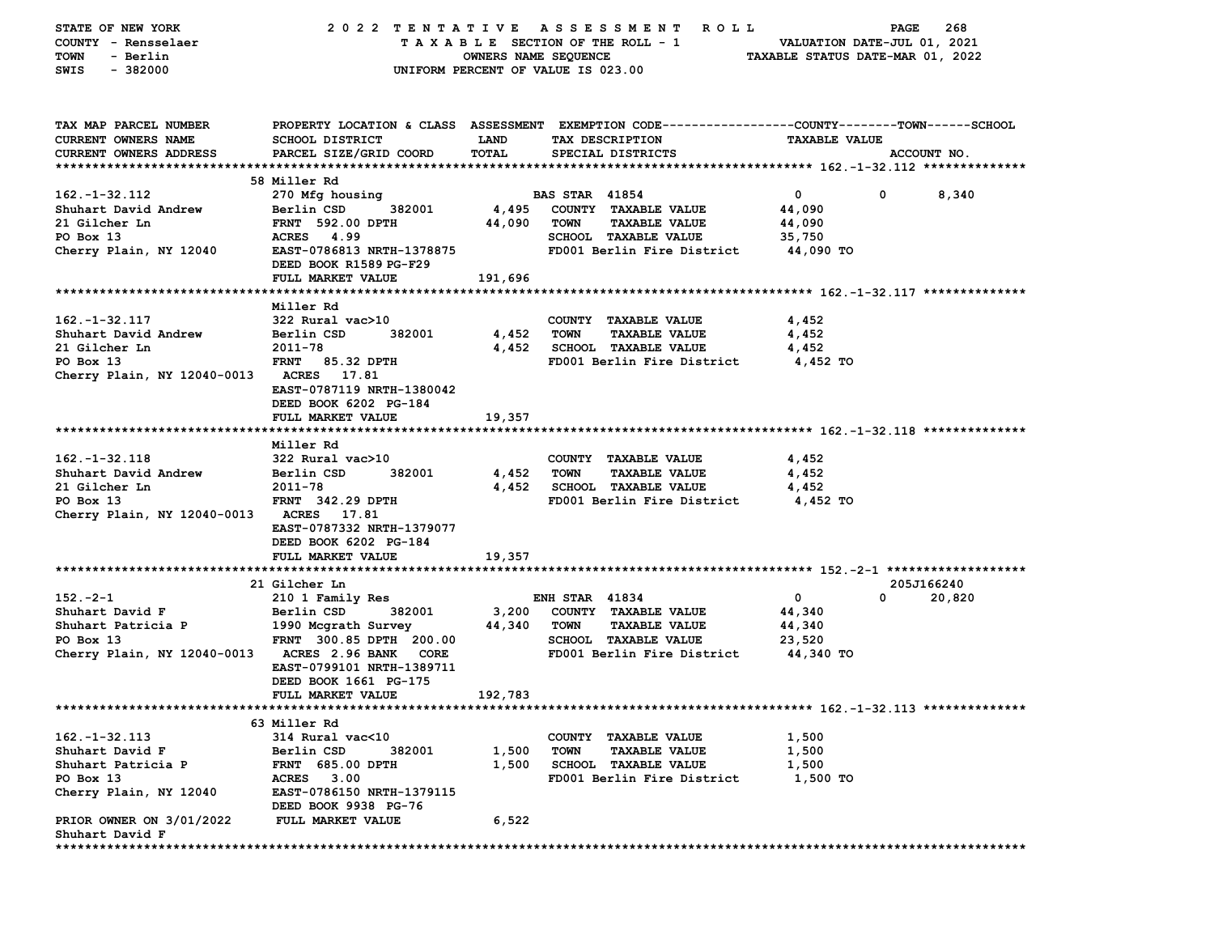| STATE OF NEW YORK<br>COUNTY - Rensselaer    | 2022 TENTATIVE ASSESSMENT                                                                      |                                    |                       | ROLL.<br>TAXABLE SECTION OF THE ROLL - 1            | VALUATION DATE-JUL 01, 2021      | PAGE       | 268         |
|---------------------------------------------|------------------------------------------------------------------------------------------------|------------------------------------|-----------------------|-----------------------------------------------------|----------------------------------|------------|-------------|
| TOWN<br>- Berlin                            |                                                                                                | OWNERS NAME SEQUENCE               |                       |                                                     | TAXABLE STATUS DATE-MAR 01, 2022 |            |             |
| $-382000$<br>SWIS                           |                                                                                                | UNIFORM PERCENT OF VALUE IS 023.00 |                       |                                                     |                                  |            |             |
|                                             |                                                                                                |                                    |                       |                                                     |                                  |            |             |
| TAX MAP PARCEL NUMBER                       | PROPERTY LOCATION & CLASS ASSESSMENT EXEMPTION CODE---------------COUNTY-------TOWN-----SCHOOL |                                    |                       |                                                     |                                  |            |             |
| CURRENT OWNERS NAME                         | SCHOOL DISTRICT                                                                                | <b>LAND</b>                        |                       | TAX DESCRIPTION                                     | <b>TAXABLE VALUE</b>             |            |             |
| <b>CURRENT OWNERS ADDRESS</b>               | PARCEL SIZE/GRID COORD                                                                         | TOTAL                              |                       | SPECIAL DISTRICTS                                   |                                  |            | ACCOUNT NO. |
|                                             | 58 Miller Rd                                                                                   |                                    |                       |                                                     |                                  |            |             |
| $162. - 1 - 32.112$                         | 270 Mfg housing                                                                                |                                    | <b>BAS STAR 41854</b> |                                                     | $\mathbf 0$                      | 0          | 8,340       |
| Shuhart David Andrew                        | Berlin CSD<br>382001                                                                           | 4,495                              |                       | COUNTY TAXABLE VALUE                                | 44,090                           |            |             |
| 21 Gilcher Ln                               | <b>FRNT 592.00 DPTH</b>                                                                        | 44,090                             | <b>TOWN</b>           | <b>TAXABLE VALUE</b>                                | 44,090                           |            |             |
| PO Box 13                                   | ACRES 4.99                                                                                     |                                    |                       | SCHOOL TAXABLE VALUE                                | 35,750                           |            |             |
| Cherry Plain, NY 12040                      | EAST-0786813 NRTH-1378875                                                                      |                                    |                       | FD001 Berlin Fire District                          | 44,090 TO                        |            |             |
|                                             | DEED BOOK R1589 PG-F29                                                                         |                                    |                       |                                                     |                                  |            |             |
|                                             | FULL MARKET VALUE                                                                              | 191,696                            |                       |                                                     |                                  |            |             |
|                                             |                                                                                                |                                    |                       |                                                     |                                  |            |             |
|                                             | Miller Rd                                                                                      |                                    |                       |                                                     |                                  |            |             |
| $162. - 1 - 32.117$<br>Shuhart David Andrew | 322 Rural vac>10<br>Berlin CSD<br>382001                                                       | 4,452 TOWN                         |                       | COUNTY TAXABLE VALUE<br><b>TAXABLE VALUE</b>        | 4,452<br>4,452                   |            |             |
| 21 Gilcher Ln                               | 2011-78                                                                                        |                                    |                       | 4,452 SCHOOL TAXABLE VALUE                          | 4,452                            |            |             |
| PO Box 13                                   | FRNT 85.32 DPTH                                                                                |                                    |                       | FD001 Berlin Fire District                          | 4,452 TO                         |            |             |
| Cherry Plain, NY 12040-0013 ACRES 17.81     |                                                                                                |                                    |                       |                                                     |                                  |            |             |
|                                             | EAST-0787119 NRTH-1380042                                                                      |                                    |                       |                                                     |                                  |            |             |
|                                             | DEED BOOK 6202 PG-184                                                                          |                                    |                       |                                                     |                                  |            |             |
|                                             | FULL MARKET VALUE                                                                              | 19,357                             |                       |                                                     |                                  |            |             |
|                                             |                                                                                                |                                    |                       |                                                     |                                  |            |             |
|                                             | Miller Rd                                                                                      |                                    |                       |                                                     |                                  |            |             |
| $162. - 1 - 32.118$                         | 322 Rural vac>10                                                                               |                                    |                       | COUNTY TAXABLE VALUE                                | 4,452                            |            |             |
| Shuhart David Andrew<br>21 Gilcher Ln       | Berlin CSD<br>382001<br>2011-78                                                                | 4,452<br>4,452                     | TOWN                  | <b>TAXABLE VALUE</b><br><b>SCHOOL TAXABLE VALUE</b> | 4,452                            |            |             |
| PO Box 13                                   | <b>FRNT 342.29 DPTH</b>                                                                        |                                    |                       | FD001 Berlin Fire District 4,452 TO                 | 4,452                            |            |             |
| Cherry Plain, NY 12040-0013 ACRES 17.81     |                                                                                                |                                    |                       |                                                     |                                  |            |             |
|                                             | EAST-0787332 NRTH-1379077                                                                      |                                    |                       |                                                     |                                  |            |             |
|                                             | DEED BOOK 6202 PG-184                                                                          |                                    |                       |                                                     |                                  |            |             |
|                                             | FULL MARKET VALUE                                                                              | 19,357                             |                       |                                                     |                                  |            |             |
|                                             |                                                                                                |                                    |                       |                                                     |                                  |            |             |
|                                             | 21 Gilcher Ln                                                                                  |                                    |                       |                                                     |                                  | 205J166240 |             |
| $152 - 2 - 1$                               | 210 1 Family Res                                                                               |                                    | <b>ENH STAR 41834</b> |                                                     | $\mathbf 0$                      | 0          | 20,820      |
| Shuhart David F                             | Berlin CSD<br>382001                                                                           | 3,200<br>44,340                    |                       | COUNTY TAXABLE VALUE                                | 44,340                           |            |             |
| Shuhart Patricia P<br>PO Box 13             | 1990 Mcgrath Survey<br>FRNT 300.85 DPTH 200.00                                                 |                                    | TOWN                  | <b>TAXABLE VALUE</b><br><b>SCHOOL TAXABLE VALUE</b> | 44,340<br>23,520                 |            |             |
| Cherry Plain, NY 12040-0013 ACRES 2.96 BANK | <b>CORE</b>                                                                                    |                                    |                       | FD001 Berlin Fire District                          | 44,340 TO                        |            |             |
|                                             | EAST-0799101 NRTH-1389711                                                                      |                                    |                       |                                                     |                                  |            |             |
|                                             | DEED BOOK 1661 PG-175                                                                          |                                    |                       |                                                     |                                  |            |             |
|                                             | FULL MARKET VALUE                                                                              | 192,783                            |                       |                                                     |                                  |            |             |
|                                             |                                                                                                |                                    |                       |                                                     |                                  |            |             |
|                                             | 63 Miller Rd                                                                                   |                                    |                       |                                                     |                                  |            |             |
| $162. - 1 - 32.113$                         | 314 Rural vac<10                                                                               |                                    | <b>COUNTY</b>         | <b>TAXABLE VALUE</b>                                | 1,500                            |            |             |
| Shuhart David F                             | Berlin CSD<br>382001                                                                           | 1,500                              | TOWN                  | <b>TAXABLE VALUE</b>                                | 1,500                            |            |             |
| Shuhart Patricia P                          | <b>FRNT 685.00 DPTH</b>                                                                        | 1,500                              |                       | <b>SCHOOL TAXABLE VALUE</b>                         | 1,500                            |            |             |
| PO Box 13                                   | <b>ACRES</b><br>3.00                                                                           |                                    |                       | FD001 Berlin Fire District                          | 1,500 TO                         |            |             |
| Cherry Plain, NY 12040                      | EAST-0786150 NRTH-1379115<br>DEED BOOK 9938 PG-76                                              |                                    |                       |                                                     |                                  |            |             |
| PRIOR OWNER ON 3/01/2022                    | FULL MARKET VALUE                                                                              | 6,522                              |                       |                                                     |                                  |            |             |
| Shuhart David F                             |                                                                                                |                                    |                       |                                                     |                                  |            |             |
|                                             |                                                                                                |                                    |                       |                                                     |                                  |            |             |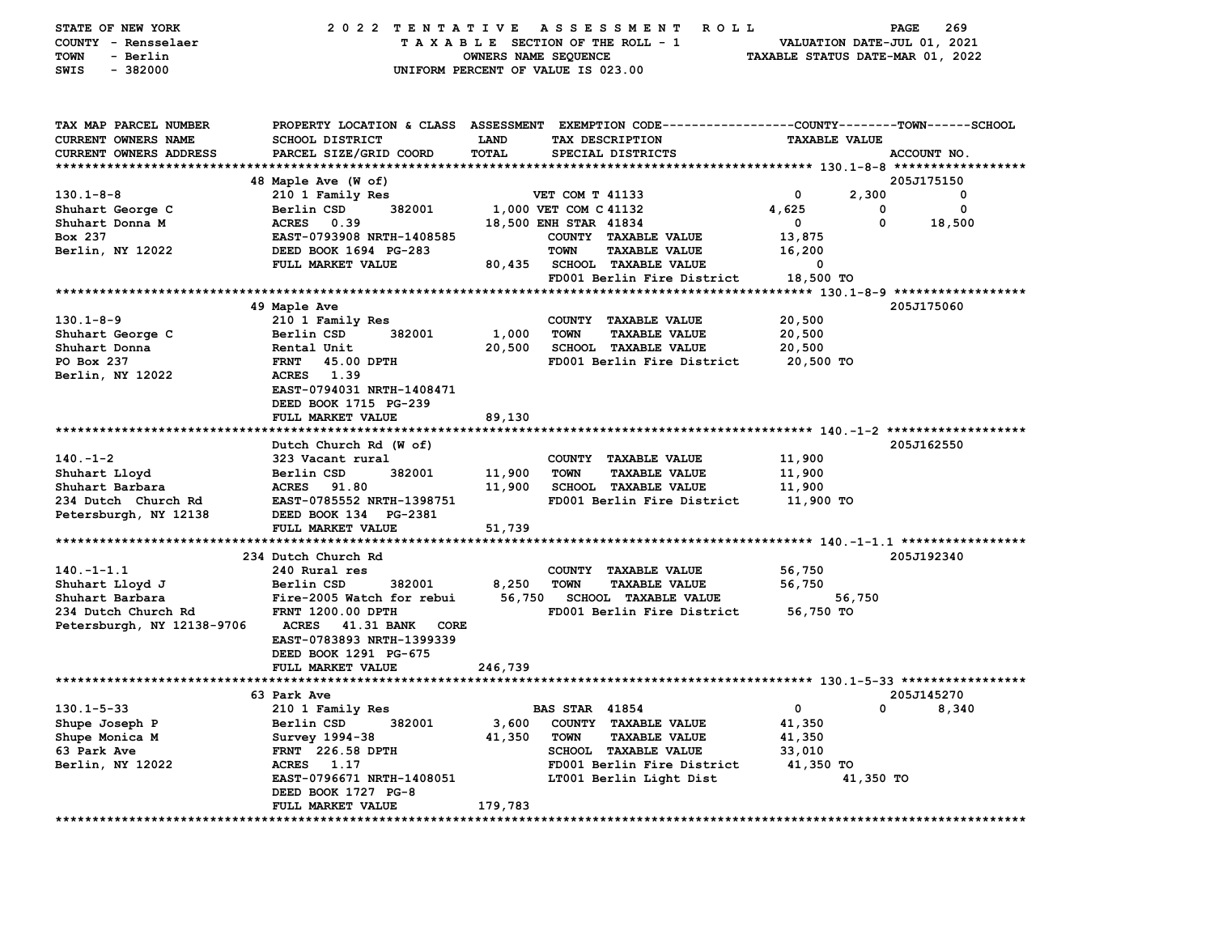| STATE OF NEW YORK<br>COUNTY - Rensselaer<br>- Berlin<br>TOWN<br>$-382000$<br>SWIS | 2022 TENTATIVE ASSESSMENT                                                      | OWNERS NAME SEQUENCE | <b>ROLL</b><br>TAXABLE SECTION OF THE ROLL - 1<br>UNIFORM PERCENT OF VALUE IS 023.00                                                    |                      | PAGE<br>269<br>VALUATION DATE-JUL 01, 2021<br>TAXABLE STATUS DATE-MAR 01, 2022 |  |
|-----------------------------------------------------------------------------------|--------------------------------------------------------------------------------|----------------------|-----------------------------------------------------------------------------------------------------------------------------------------|----------------------|--------------------------------------------------------------------------------|--|
| TAX MAP PARCEL NUMBER<br><b>CURRENT OWNERS NAME</b><br>CURRENT OWNERS ADDRESS     | <b>SCHOOL DISTRICT</b><br>PARCEL SIZE/GRID COORD                               | <b>LAND</b><br>TOTAL | PROPERTY LOCATION & CLASS ASSESSMENT EXEMPTION CODE---------------COUNTY-------TOWN------SCHOOL<br>TAX DESCRIPTION<br>SPECIAL DISTRICTS | <b>TAXABLE VALUE</b> | ACCOUNT NO.                                                                    |  |
|                                                                                   |                                                                                |                      |                                                                                                                                         |                      |                                                                                |  |
| $130.1 - 8 - 8$                                                                   | 48 Maple Ave (W of)<br>210 1 Family Res                                        |                      | VET COM T 41133                                                                                                                         | 0                    | 205J175150<br>2,300<br>0                                                       |  |
| Shuhart George C                                                                  | Berlin CSD<br>382001                                                           |                      | 1,000 VET COM C 41132                                                                                                                   | 4,625                | 0<br>0                                                                         |  |
| Shuhart Donna M                                                                   | ACRES 0.39                                                                     |                      | 18,500 ENH STAR 41834                                                                                                                   | 0                    | 0<br>18,500                                                                    |  |
| Box 237                                                                           | EAST-0793908 NRTH-1408585                                                      |                      | COUNTY TAXABLE VALUE                                                                                                                    | 13,875               |                                                                                |  |
| Berlin, NY 12022                                                                  | DEED BOOK 1694 PG-283                                                          |                      | <b>TOWN</b><br><b>TAXABLE VALUE</b>                                                                                                     | 16,200               |                                                                                |  |
|                                                                                   | FULL MARKET VALUE                                                              | 80,435               | SCHOOL TAXABLE VALUE                                                                                                                    | 0                    |                                                                                |  |
|                                                                                   |                                                                                |                      | FD001 Berlin Fire District                                                                                                              | 18,500 TO            |                                                                                |  |
|                                                                                   |                                                                                |                      |                                                                                                                                         |                      |                                                                                |  |
|                                                                                   | 49 Maple Ave                                                                   |                      |                                                                                                                                         |                      | 205J175060                                                                     |  |
| $130.1 - 8 - 9$                                                                   | 210 1 Family Res                                                               |                      | COUNTY TAXABLE VALUE                                                                                                                    | 20,500               |                                                                                |  |
| Shuhart George C                                                                  | Berlin CSD<br>382001                                                           | 1,000                | <b>TOWN</b><br><b>TAXABLE VALUE</b>                                                                                                     | 20,500               |                                                                                |  |
| Shuhart Donna                                                                     | Rental Unit                                                                    | 20,500               | <b>SCHOOL TAXABLE VALUE</b>                                                                                                             | 20,500               |                                                                                |  |
| PO Box 237                                                                        | <b>FRNT</b><br>45.00 DPTH                                                      |                      | FD001 Berlin Fire District                                                                                                              | 20,500 TO            |                                                                                |  |
| Berlin, NY 12022                                                                  | 1.39<br><b>ACRES</b><br>EAST-0794031 NRTH-1408471<br>DEED BOOK 1715 PG-239     |                      |                                                                                                                                         |                      |                                                                                |  |
|                                                                                   | FULL MARKET VALUE                                                              | 89,130               |                                                                                                                                         |                      |                                                                                |  |
|                                                                                   |                                                                                |                      |                                                                                                                                         |                      |                                                                                |  |
|                                                                                   | Dutch Church Rd (W of)                                                         |                      |                                                                                                                                         |                      | 205J162550                                                                     |  |
| $140. - 1 - 2$                                                                    | 323 Vacant rural                                                               |                      | COUNTY TAXABLE VALUE                                                                                                                    | 11,900               |                                                                                |  |
| Shuhart Lloyd                                                                     | Berlin CSD<br>382001                                                           | 11,900               | <b>TOWN</b><br><b>TAXABLE VALUE</b>                                                                                                     | 11,900               |                                                                                |  |
| Shuhart Barbara                                                                   | <b>ACRES</b><br>91.80                                                          | 11,900               | <b>SCHOOL TAXABLE VALUE</b>                                                                                                             | 11,900               |                                                                                |  |
| 234 Dutch Church Rd                                                               | EAST-0785552 NRTH-1398751                                                      |                      | FD001 Berlin Fire District                                                                                                              | 11,900 TO            |                                                                                |  |
| Petersburgh, NY 12138                                                             | DEED BOOK 134 PG-2381                                                          |                      |                                                                                                                                         |                      |                                                                                |  |
|                                                                                   | FULL MARKET VALUE                                                              | 51,739               |                                                                                                                                         |                      |                                                                                |  |
|                                                                                   |                                                                                |                      |                                                                                                                                         |                      |                                                                                |  |
| $140. - 1 - 1.1$                                                                  | 234 Dutch Church Rd<br>240 Rural res                                           |                      | COUNTY TAXABLE VALUE                                                                                                                    |                      | 205J192340                                                                     |  |
| Shuhart Lloyd J                                                                   | Berlin CSD<br>382001                                                           | 8,250                | <b>TOWN</b><br><b>TAXABLE VALUE</b>                                                                                                     | 56,750<br>56,750     |                                                                                |  |
| Shuhart Barbara                                                                   | Fire-2005 Watch for rebui                                                      | 56,750               | <b>SCHOOL TAXABLE VALUE</b>                                                                                                             |                      | 56,750                                                                         |  |
| 234 Dutch Church Rd                                                               | <b>FRNT 1200.00 DPTH</b>                                                       |                      | FD001 Berlin Fire District                                                                                                              | 56,750 TO            |                                                                                |  |
| Petersburgh, NY 12138-9706                                                        | ACRES<br>41.31 BANK CORE<br>EAST-0783893 NRTH-1399339<br>DEED BOOK 1291 PG-675 |                      |                                                                                                                                         |                      |                                                                                |  |
|                                                                                   | FULL MARKET VALUE                                                              | 246,739              |                                                                                                                                         |                      |                                                                                |  |
|                                                                                   |                                                                                |                      |                                                                                                                                         |                      |                                                                                |  |
|                                                                                   | 63 Park Ave                                                                    |                      |                                                                                                                                         |                      | 205J145270                                                                     |  |
| $130.1 - 5 - 33$                                                                  | 210 1 Family Res                                                               |                      | <b>BAS STAR 41854</b>                                                                                                                   |                      | 8,340<br>$^{\circ}$                                                            |  |
| Shupe Joseph P                                                                    | Berlin CSD<br>382001                                                           | 3,600                | COUNTY TAXABLE VALUE                                                                                                                    | 41,350               |                                                                                |  |
| Shupe Monica M                                                                    | Survey 1994-38                                                                 | 41,350               | <b>TOWN</b><br><b>TAXABLE VALUE</b>                                                                                                     | 41,350               |                                                                                |  |
| 63 Park Ave                                                                       | <b>FRNT</b> 226.58 DPTH                                                        |                      | <b>SCHOOL TAXABLE VALUE</b>                                                                                                             | 33,010               |                                                                                |  |
| Berlin, NY 12022                                                                  | ACRES 1.17                                                                     |                      | FD001 Berlin Fire District                                                                                                              | 41,350 TO            |                                                                                |  |
|                                                                                   | EAST-0796671 NRTH-1408051<br>DEED BOOK 1727 PG-8                               |                      | LT001 Berlin Light Dist                                                                                                                 |                      | 41,350 TO                                                                      |  |
|                                                                                   | FULL MARKET VALUE                                                              | 179,783              |                                                                                                                                         |                      |                                                                                |  |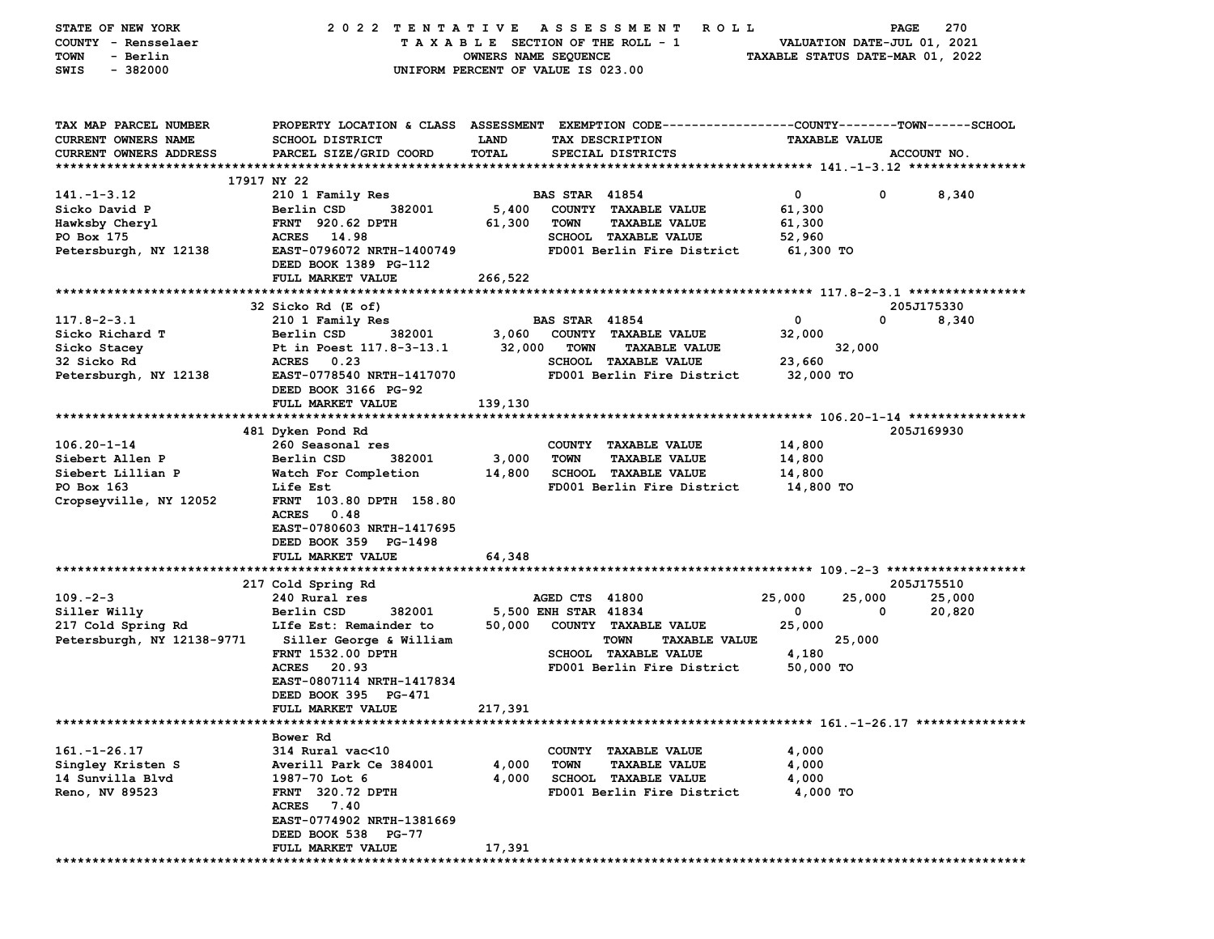| STATE OF NEW YORK             | 2022 TENTATIVE                                                                                 |                                    |                       | A S S E S S M E N T<br><b>ROLL</b>  |                                  | PAGE                        | 270         |
|-------------------------------|------------------------------------------------------------------------------------------------|------------------------------------|-----------------------|-------------------------------------|----------------------------------|-----------------------------|-------------|
| COUNTY - Rensselaer           |                                                                                                |                                    |                       | TAXABLE SECTION OF THE ROLL - 1     |                                  | VALUATION DATE-JUL 01, 2021 |             |
| - Berlin<br>TOWN              |                                                                                                | OWNERS NAME SEQUENCE               |                       |                                     | TAXABLE STATUS DATE-MAR 01, 2022 |                             |             |
| SWIS<br>$-382000$             |                                                                                                | UNIFORM PERCENT OF VALUE IS 023.00 |                       |                                     |                                  |                             |             |
|                               |                                                                                                |                                    |                       |                                     |                                  |                             |             |
|                               |                                                                                                |                                    |                       |                                     |                                  |                             |             |
|                               |                                                                                                |                                    |                       |                                     |                                  |                             |             |
|                               |                                                                                                |                                    |                       |                                     |                                  |                             |             |
| TAX MAP PARCEL NUMBER         | PROPERTY LOCATION & CLASS ASSESSMENT EXEMPTION CODE---------------COUNTY-------TOWN-----SCHOOL |                                    |                       |                                     |                                  |                             |             |
| CURRENT OWNERS NAME           | <b>SCHOOL DISTRICT</b>                                                                         | <b>LAND</b>                        |                       | TAX DESCRIPTION                     | <b>TAXABLE VALUE</b>             |                             |             |
| <b>CURRENT OWNERS ADDRESS</b> | PARCEL SIZE/GRID COORD                                                                         | <b>TOTAL</b>                       |                       | SPECIAL DISTRICTS                   |                                  |                             | ACCOUNT NO. |
|                               |                                                                                                |                                    |                       |                                     |                                  |                             |             |
|                               | 17917 NY 22                                                                                    |                                    |                       |                                     |                                  |                             |             |
| $141. - 1 - 3.12$             | 210 1 Family Res                                                                               |                                    | <b>BAS STAR 41854</b> |                                     | $\mathbf 0$                      | 0                           | 8,340       |
| Sicko David P                 | Berlin CSD<br>382001                                                                           | 5,400                              |                       | COUNTY TAXABLE VALUE                | 61,300                           |                             |             |
| Hawksby Cheryl                | <b>FRNT</b> 920.62 DPTH                                                                        | 61,300                             | TOWN                  | <b>TAXABLE VALUE</b>                | 61,300                           |                             |             |
| PO Box 175                    | ACRES 14.98                                                                                    |                                    |                       | <b>SCHOOL TAXABLE VALUE</b>         | 52,960                           |                             |             |
| Petersburgh, NY 12138         | EAST-0796072 NRTH-1400749                                                                      |                                    |                       | FD001 Berlin Fire District          | 61,300 TO                        |                             |             |
|                               | DEED BOOK 1389 PG-112                                                                          |                                    |                       |                                     |                                  |                             |             |
|                               | FULL MARKET VALUE                                                                              | 266,522                            |                       |                                     |                                  |                             |             |
|                               |                                                                                                |                                    |                       |                                     |                                  |                             |             |
|                               | 32 Sicko Rd (E of)                                                                             |                                    |                       |                                     |                                  |                             | 205J175330  |
|                               |                                                                                                |                                    |                       |                                     |                                  | $\mathbf 0$                 |             |
| $117.8 - 2 - 3.1$             | 210 1 Family Res                                                                               |                                    | <b>BAS STAR 41854</b> |                                     | 0                                |                             | 8,340       |
| Sicko Richard T               | Berlin CSD<br>382001                                                                           | 3,060                              |                       | COUNTY TAXABLE VALUE                | 32,000                           |                             |             |
| Sicko Stacey                  | Pt in Poest 117.8-3-13.1                                                                       | 32,000                             | TOWN                  | <b>TAXABLE VALUE</b>                |                                  | 32,000                      |             |
| 32 Sicko Rd                   | ACRES 0.23                                                                                     |                                    |                       | <b>SCHOOL TAXABLE VALUE</b>         | 23,660                           |                             |             |
| Petersburgh, NY 12138         | EAST-0778540 NRTH-1417070                                                                      |                                    |                       | FD001 Berlin Fire District          | 32,000 TO                        |                             |             |
|                               | DEED BOOK 3166 PG-92                                                                           |                                    |                       |                                     |                                  |                             |             |
|                               | FULL MARKET VALUE                                                                              | 139,130                            |                       |                                     |                                  |                             |             |
|                               |                                                                                                |                                    |                       |                                     |                                  |                             |             |
|                               | 481 Dyken Pond Rd                                                                              |                                    |                       |                                     |                                  |                             | 205J169930  |
| $106.20 - 1 - 14$             | 260 Seasonal res                                                                               |                                    |                       | COUNTY TAXABLE VALUE                | 14,800                           |                             |             |
| Siebert Allen P               | Berlin CSD<br>382001                                                                           | 3,000                              | <b>TOWN</b>           | <b>TAXABLE VALUE</b>                | 14,800                           |                             |             |
| Siebert Lillian P             | Watch For Completion                                                                           | 14,800                             |                       | <b>SCHOOL TAXABLE VALUE</b>         | 14,800                           |                             |             |
| PO Box 163                    | Life Est                                                                                       |                                    |                       | FD001 Berlin Fire District          | 14,800 TO                        |                             |             |
| Cropseyville, NY 12052        | FRNT 103.80 DPTH 158.80                                                                        |                                    |                       |                                     |                                  |                             |             |
|                               | ACRES<br>0.48                                                                                  |                                    |                       |                                     |                                  |                             |             |
|                               | EAST-0780603 NRTH-1417695                                                                      |                                    |                       |                                     |                                  |                             |             |
|                               |                                                                                                |                                    |                       |                                     |                                  |                             |             |
|                               | DEED BOOK 359 PG-1498                                                                          |                                    |                       |                                     |                                  |                             |             |
|                               | FULL MARKET VALUE                                                                              | 64,348                             |                       |                                     |                                  |                             |             |
|                               |                                                                                                |                                    |                       |                                     |                                  |                             |             |
|                               | 217 Cold Spring Rd                                                                             |                                    |                       |                                     |                                  |                             | 205J175510  |
| $109. -2 - 3$                 | 240 Rural res                                                                                  |                                    | AGED CTS 41800        |                                     | 25,000                           | 25,000                      | 25,000      |
| Siller Willy                  | Berlin CSD<br>382001                                                                           |                                    | 5,500 ENH STAR 41834  |                                     | 0                                | 0                           | 20,820      |
| 217 Cold Spring Rd            | LIfe Est: Remainder to                                                                         | 50,000                             |                       | COUNTY TAXABLE VALUE                | 25,000                           |                             |             |
| Petersburgh, NY 12138-9771    | Siller George & William                                                                        |                                    |                       | <b>TOWN</b><br><b>TAXABLE VALUE</b> |                                  | 25,000                      |             |
|                               | <b>FRNT 1532.00 DPTH</b>                                                                       |                                    |                       | <b>SCHOOL TAXABLE VALUE</b>         | 4,180                            |                             |             |
|                               | <b>ACRES</b><br>20.93                                                                          |                                    |                       | FD001 Berlin Fire District          | 50,000 TO                        |                             |             |
|                               | EAST-0807114 NRTH-1417834                                                                      |                                    |                       |                                     |                                  |                             |             |
|                               | DEED BOOK 395 PG-471                                                                           |                                    |                       |                                     |                                  |                             |             |
|                               | FULL MARKET VALUE                                                                              | 217,391                            |                       |                                     |                                  |                             |             |
|                               |                                                                                                |                                    |                       |                                     |                                  |                             |             |
|                               |                                                                                                |                                    |                       |                                     |                                  |                             |             |
|                               | Bower Rd<br>314 Rural vac<10                                                                   |                                    |                       |                                     |                                  |                             |             |
| $161. - 1 - 26.17$            |                                                                                                |                                    |                       | COUNTY TAXABLE VALUE                | 4,000                            |                             |             |
| Singley Kristen S             | Averill Park Ce 384001                                                                         | 4,000                              | <b>TOWN</b>           | <b>TAXABLE VALUE</b>                | 4,000                            |                             |             |
| 14 Sunvilla Blvd              | 1987-70 Lot 6                                                                                  | 4,000                              |                       | <b>SCHOOL TAXABLE VALUE</b>         | 4,000                            |                             |             |
| Reno, NV 89523                | <b>FRNT 320.72 DPTH</b>                                                                        |                                    |                       | FD001 Berlin Fire District          | 4,000 TO                         |                             |             |
|                               | ACRES 7.40                                                                                     |                                    |                       |                                     |                                  |                             |             |
|                               | EAST-0774902 NRTH-1381669                                                                      |                                    |                       |                                     |                                  |                             |             |
|                               | DEED BOOK 538 PG-77                                                                            |                                    |                       |                                     |                                  |                             |             |
|                               | FULL MARKET VALUE                                                                              | 17,391                             |                       |                                     |                                  |                             |             |
|                               |                                                                                                |                                    |                       |                                     |                                  |                             |             |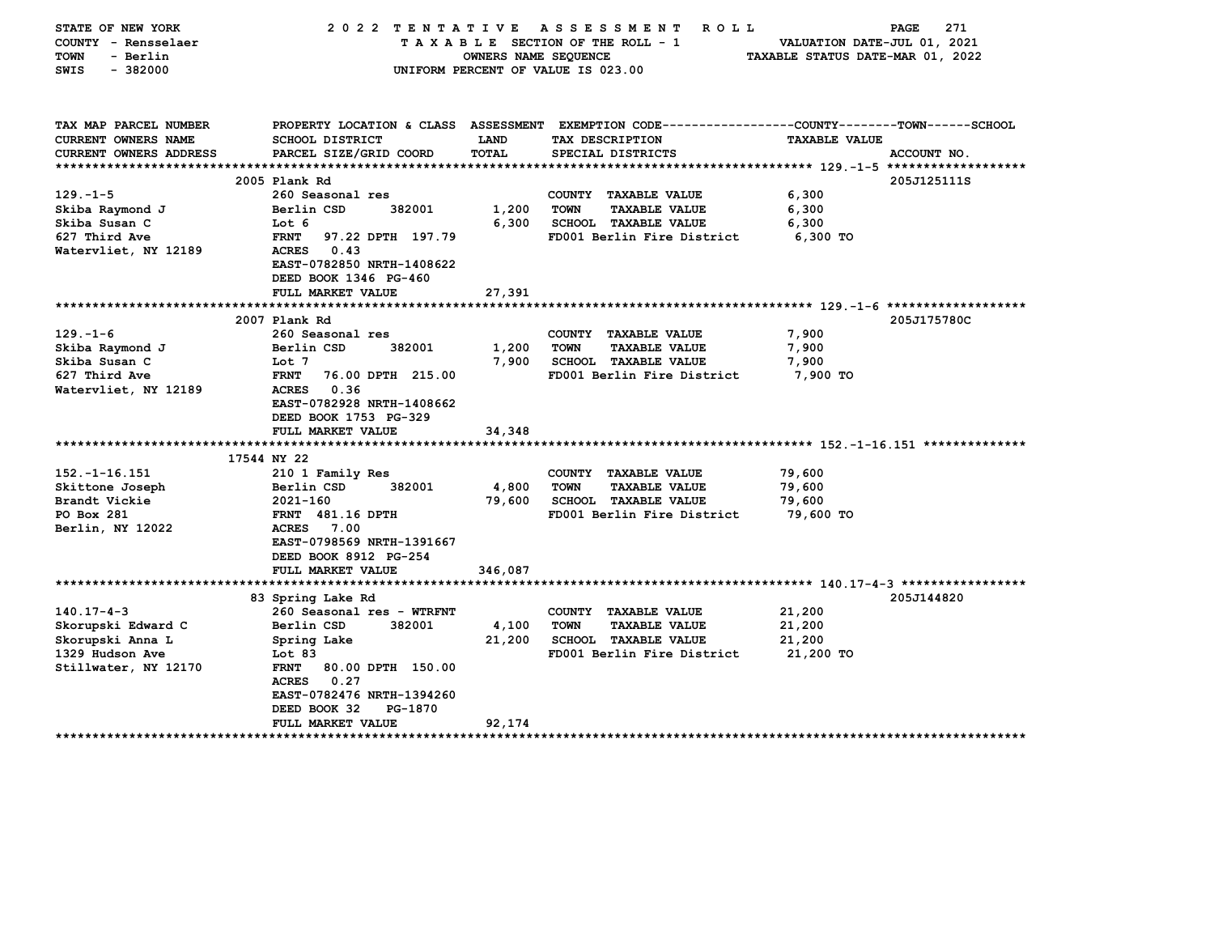| STATE OF NEW YORK<br>COUNTY - Rensselaer<br><b>TOWN</b><br>- Berlin<br>$-382000$<br>SWIS | 2022<br>TENTATIVE                                                                                                | OWNERS NAME SEQUENCE | ASSESSMENT<br>ROLL<br>TAXABLE SECTION OF THE ROLL - 1<br>UNIFORM PERCENT OF VALUE IS 023.00 | 271<br>PAGE<br>VALUATION DATE-JUL 01, 2021<br>TAXABLE STATUS DATE-MAR 01, 2022                                         |  |
|------------------------------------------------------------------------------------------|------------------------------------------------------------------------------------------------------------------|----------------------|---------------------------------------------------------------------------------------------|------------------------------------------------------------------------------------------------------------------------|--|
| TAX MAP PARCEL NUMBER<br>CURRENT OWNERS NAME                                             | <b>SCHOOL DISTRICT</b>                                                                                           | LAND                 | TAX DESCRIPTION                                                                             | PROPERTY LOCATION & CLASS ASSESSMENT EXEMPTION CODE---------------COUNTY-------TOWN-----SCHOOL<br><b>TAXABLE VALUE</b> |  |
| CURRENT OWNERS ADDRESS                                                                   | PARCEL SIZE/GRID COORD                                                                                           | <b>TOTAL</b>         | SPECIAL DISTRICTS                                                                           | ACCOUNT NO.                                                                                                            |  |
| ************************                                                                 |                                                                                                                  |                      |                                                                                             |                                                                                                                        |  |
|                                                                                          | 2005 Plank Rd                                                                                                    |                      |                                                                                             | 205J125111S                                                                                                            |  |
| $129. - 1 - 5$                                                                           | 260 Seasonal res                                                                                                 |                      | COUNTY TAXABLE VALUE                                                                        | 6,300                                                                                                                  |  |
| Skiba Raymond J                                                                          | Berlin CSD<br>382001                                                                                             | 1,200                | <b>TOWN</b><br><b>TAXABLE VALUE</b>                                                         | 6,300                                                                                                                  |  |
| Skiba Susan C                                                                            | Lot 6                                                                                                            | 6,300                | <b>SCHOOL TAXABLE VALUE</b>                                                                 | 6,300                                                                                                                  |  |
| 627 Third Ave                                                                            | <b>FRNT</b><br>97.22 DPTH 197.79                                                                                 |                      | FD001 Berlin Fire District                                                                  | 6,300 TO                                                                                                               |  |
| Watervliet, NY 12189                                                                     | <b>ACRES</b><br>0.43<br>EAST-0782850 NRTH-1408622<br>DEED BOOK 1346 PG-460                                       |                      |                                                                                             |                                                                                                                        |  |
|                                                                                          | FULL MARKET VALUE                                                                                                | 27,391               |                                                                                             |                                                                                                                        |  |
|                                                                                          |                                                                                                                  |                      |                                                                                             |                                                                                                                        |  |
|                                                                                          | 2007 Plank Rd                                                                                                    |                      |                                                                                             | 205J175780C                                                                                                            |  |
| $129. - 1 - 6$                                                                           | 260 Seasonal res                                                                                                 |                      | COUNTY TAXABLE VALUE                                                                        | 7,900                                                                                                                  |  |
| Skiba Raymond J                                                                          | 382001<br>Berlin CSD                                                                                             | 1,200                | <b>TOWN</b><br><b>TAXABLE VALUE</b>                                                         | 7,900                                                                                                                  |  |
| Skiba Susan C<br>627 Third Ave                                                           | Lot 7<br><b>FRNT</b><br>76.00 DPTH 215.00                                                                        | 7,900                | <b>SCHOOL TAXABLE VALUE</b><br>FD001 Berlin Fire District                                   | 7,900<br>7,900 TO                                                                                                      |  |
| Watervliet, NY 12189                                                                     | 0.36<br><b>ACRES</b><br>EAST-0782928 NRTH-1408662<br>DEED BOOK 1753 PG-329<br>FULL MARKET VALUE                  | 34,348               |                                                                                             |                                                                                                                        |  |
|                                                                                          |                                                                                                                  |                      |                                                                                             |                                                                                                                        |  |
|                                                                                          | 17544 NY 22                                                                                                      |                      |                                                                                             |                                                                                                                        |  |
| $152. - 1 - 16.151$                                                                      | 210 1 Family Res                                                                                                 |                      | COUNTY TAXABLE VALUE                                                                        | 79,600                                                                                                                 |  |
| Skittone Joseph                                                                          | Berlin CSD<br>382001                                                                                             | 4,800                | <b>TOWN</b><br><b>TAXABLE VALUE</b>                                                         | 79,600                                                                                                                 |  |
| Brandt Vickie                                                                            | 2021-160                                                                                                         | 79,600               | SCHOOL TAXABLE VALUE                                                                        | 79,600                                                                                                                 |  |
| PO Box 281                                                                               | <b>FRNT</b> 481.16 DPTH                                                                                          |                      | FD001 Berlin Fire District                                                                  | 79,600 TO                                                                                                              |  |
| Berlin, NY 12022                                                                         | <b>ACRES</b><br>7.00                                                                                             |                      |                                                                                             |                                                                                                                        |  |
|                                                                                          | EAST-0798569 NRTH-1391667                                                                                        |                      |                                                                                             |                                                                                                                        |  |
|                                                                                          | DEED BOOK 8912 PG-254                                                                                            |                      |                                                                                             |                                                                                                                        |  |
|                                                                                          | FULL MARKET VALUE                                                                                                | 346,087              |                                                                                             |                                                                                                                        |  |
|                                                                                          |                                                                                                                  |                      |                                                                                             |                                                                                                                        |  |
|                                                                                          | 83 Spring Lake Rd                                                                                                |                      |                                                                                             | 205J144820                                                                                                             |  |
| $140.17 - 4 - 3$                                                                         | 260 Seasonal res - WTRFNT                                                                                        |                      | COUNTY TAXABLE VALUE                                                                        | 21,200                                                                                                                 |  |
| Skorupski Edward C                                                                       | Berlin CSD<br>382001                                                                                             | 4,100                | <b>TOWN</b><br><b>TAXABLE VALUE</b>                                                         | 21,200                                                                                                                 |  |
| Skorupski Anna L                                                                         | Spring Lake                                                                                                      | 21,200               | <b>SCHOOL TAXABLE VALUE</b>                                                                 | 21,200                                                                                                                 |  |
| 1329 Hudson Ave                                                                          | Lot 83                                                                                                           |                      | FD001 Berlin Fire District                                                                  | 21,200 TO                                                                                                              |  |
| Stillwater, NY 12170                                                                     | <b>FRNT</b><br>80.00 DPTH 150.00<br>0.27<br><b>ACRES</b><br>EAST-0782476 NRTH-1394260<br>DEED BOOK 32<br>PG-1870 |                      |                                                                                             |                                                                                                                        |  |
|                                                                                          | FULL MARKET VALUE                                                                                                | 92,174               |                                                                                             |                                                                                                                        |  |
| **********************                                                                   | ***************                                                                                                  |                      |                                                                                             |                                                                                                                        |  |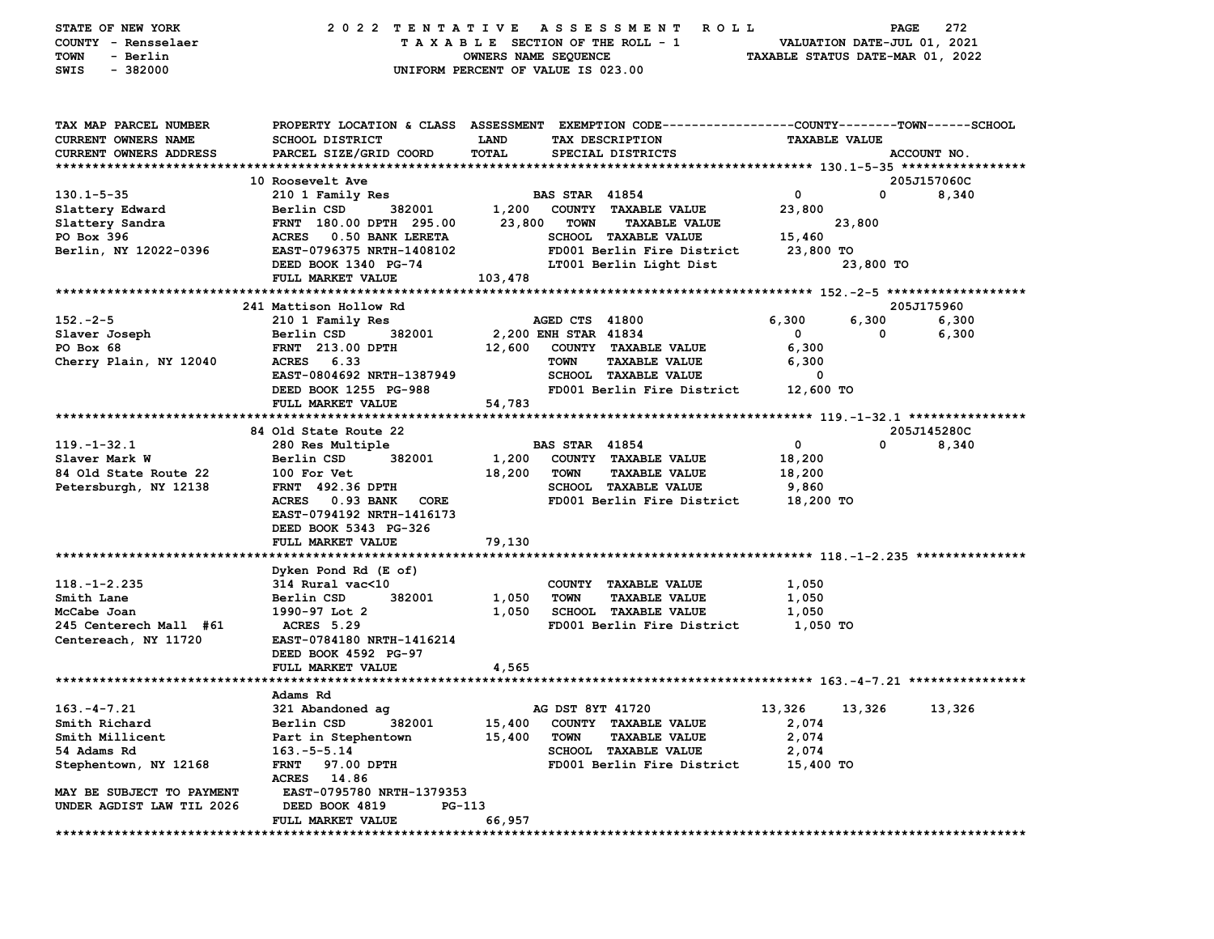| STATE OF NEW YORK                    | 2022 TENTATIVE                                                                                 |                                    |                       | A S S E S S M E N T<br><b>ROLL</b> |                                  | PAGE                        | 272         |
|--------------------------------------|------------------------------------------------------------------------------------------------|------------------------------------|-----------------------|------------------------------------|----------------------------------|-----------------------------|-------------|
| COUNTY - Rensselaer                  |                                                                                                | TAXABLE SECTION OF THE ROLL - 1    |                       |                                    |                                  | VALUATION DATE-JUL 01, 2021 |             |
| - Berlin<br>TOWN                     |                                                                                                | OWNERS NAME SEQUENCE               |                       |                                    | TAXABLE STATUS DATE-MAR 01, 2022 |                             |             |
| SWIS<br>$-382000$                    |                                                                                                | UNIFORM PERCENT OF VALUE IS 023.00 |                       |                                    |                                  |                             |             |
|                                      |                                                                                                |                                    |                       |                                    |                                  |                             |             |
|                                      |                                                                                                |                                    |                       |                                    |                                  |                             |             |
| TAX MAP PARCEL NUMBER                | PROPERTY LOCATION & CLASS ASSESSMENT EXEMPTION CODE--------------COUNTY-------TOWN------SCHOOL |                                    |                       |                                    |                                  |                             |             |
| <b>CURRENT OWNERS NAME</b>           | <b>SCHOOL DISTRICT</b>                                                                         | <b>LAND</b>                        |                       | TAX DESCRIPTION                    | <b>TAXABLE VALUE</b>             |                             |             |
| <b>CURRENT OWNERS ADDRESS</b>        | PARCEL SIZE/GRID COORD                                                                         | TOTAL                              |                       | SPECIAL DISTRICTS                  |                                  |                             | ACCOUNT NO. |
|                                      |                                                                                                |                                    |                       |                                    |                                  |                             |             |
|                                      | 10 Roosevelt Ave                                                                               |                                    |                       |                                    |                                  |                             | 205J157060C |
| $130.1 - 5 - 35$                     | 210 1 Family Res                                                                               |                                    | <b>BAS STAR 41854</b> |                                    | $\mathbf 0$                      | $\mathbf 0$                 | 8,340       |
| Slattery Edward                      | Berlin CSD<br>382001                                                                           | 1,200                              |                       | COUNTY TAXABLE VALUE               | 23,800                           |                             |             |
| Slattery Sandra                      | FRNT 180.00 DPTH 295.00                                                                        | 23,800                             | <b>TOWN</b>           | <b>TAXABLE VALUE</b>               |                                  | 23,800                      |             |
| PO Box 396                           | ACRES 0.50 BANK LERETA                                                                         |                                    |                       | SCHOOL TAXABLE VALUE               | 15,460                           |                             |             |
| Berlin, NY 12022-0396                | EAST-0796375 NRTH-1408102                                                                      |                                    |                       | FD001 Berlin Fire District         | 23,800 TO                        |                             |             |
|                                      | DEED BOOK 1340 PG-74                                                                           |                                    |                       | LT001 Berlin Light Dist            |                                  | 23,800 TO                   |             |
|                                      | FULL MARKET VALUE                                                                              | 103,478                            |                       |                                    |                                  |                             |             |
|                                      |                                                                                                |                                    |                       |                                    |                                  |                             |             |
|                                      | 241 Mattison Hollow Rd                                                                         |                                    |                       |                                    |                                  |                             | 205J175960  |
| $152 - 2 - 5$                        | 210 1 Family Res                                                                               |                                    | AGED CTS 41800        |                                    | 6,300                            | 6,300                       | 6,300       |
| Slaver Joseph                        | Berlin CSD<br>382001                                                                           |                                    | 2,200 ENH STAR 41834  |                                    | 0                                | 0                           | 6,300       |
| PO Box 68                            | <b>FRNT</b> 213.00 DPTH                                                                        | 12,600                             |                       | COUNTY TAXABLE VALUE               | 6,300                            |                             |             |
| Cherry Plain, NY 12040               | <b>ACRES</b><br>6.33                                                                           |                                    | <b>TOWN</b>           | <b>TAXABLE VALUE</b>               | 6,300                            |                             |             |
|                                      | EAST-0804692 NRTH-1387949                                                                      |                                    |                       | <b>SCHOOL TAXABLE VALUE</b>        | 0                                |                             |             |
|                                      | DEED BOOK 1255 PG-988                                                                          |                                    |                       | FD001 Berlin Fire District         | 12,600 TO                        |                             |             |
|                                      | FULL MARKET VALUE                                                                              | 54,783                             |                       |                                    |                                  |                             |             |
|                                      |                                                                                                |                                    |                       |                                    |                                  |                             |             |
|                                      | 84 Old State Route 22                                                                          |                                    |                       |                                    |                                  |                             | 205J145280C |
| $119. - 1 - 32.1$                    | 280 Res Multiple                                                                               |                                    | <b>BAS STAR 41854</b> |                                    | 0                                | 0                           | 8,340       |
| Slaver Mark W                        | Berlin CSD<br>382001                                                                           | 1,200                              |                       | COUNTY TAXABLE VALUE               | 18,200                           |                             |             |
| 84 Old State Route 22                | 100 For Vet                                                                                    | 18,200                             | TOWN                  | <b>TAXABLE VALUE</b>               | 18,200                           |                             |             |
| Petersburgh, NY 12138                | <b>FRNT</b> 492.36 DPTH                                                                        |                                    |                       | SCHOOL TAXABLE VALUE               | 9,860                            |                             |             |
|                                      | ACRES 0.93 BANK<br>CORE                                                                        |                                    |                       | FD001 Berlin Fire District         | 18,200 TO                        |                             |             |
|                                      | EAST-0794192 NRTH-1416173                                                                      |                                    |                       |                                    |                                  |                             |             |
|                                      | DEED BOOK 5343 PG-326                                                                          |                                    |                       |                                    |                                  |                             |             |
|                                      | FULL MARKET VALUE                                                                              | 79,130                             |                       |                                    |                                  |                             |             |
|                                      |                                                                                                |                                    |                       |                                    |                                  |                             |             |
|                                      |                                                                                                |                                    |                       |                                    |                                  |                             |             |
| $118. - 1 - 2.235$                   | Dyken Pond Rd (E of)<br>$314$ Rural vac $<$ 10                                                 |                                    |                       | COUNTY TAXABLE VALUE               | 1,050                            |                             |             |
| Smith Lane                           | 382001<br>Berlin CSD                                                                           | 1,050                              | <b>TOWN</b>           | <b>TAXABLE VALUE</b>               | 1,050                            |                             |             |
| McCabe Joan                          | 1990-97 Lot 2                                                                                  | 1,050                              |                       | SCHOOL TAXABLE VALUE               | 1,050                            |                             |             |
| 245 Centerech Mall #61               | ACRES 5.29                                                                                     |                                    |                       | FD001 Berlin Fire District         | 1,050 TO                         |                             |             |
| Centereach, NY 11720                 | EAST-0784180 NRTH-1416214                                                                      |                                    |                       |                                    |                                  |                             |             |
|                                      | DEED BOOK 4592 PG-97                                                                           |                                    |                       |                                    |                                  |                             |             |
|                                      | FULL MARKET VALUE                                                                              | 4,565                              |                       |                                    |                                  |                             |             |
|                                      |                                                                                                |                                    |                       |                                    |                                  |                             |             |
|                                      | Adams Rd                                                                                       |                                    |                       |                                    |                                  |                             |             |
| $163. -4 - 7.21$                     | 321 Abandoned ag                                                                               |                                    | AG DST 8YT 41720      |                                    |                                  |                             |             |
|                                      | Berlin CSD 382001                                                                              |                                    |                       |                                    | 13,326                           | 13,326                      | 13,326      |
| Smith Richard                        |                                                                                                | 15,400                             |                       | 15,400 COUNTY TAXABLE VALUE        | 2,074<br>2,074                   |                             |             |
| Smith Millicent                      | Part in Stephentown                                                                            |                                    | <b>TOWN</b>           | <b>TAXABLE VALUE</b>               | 2,074                            |                             |             |
| 54 Adams Rd<br>Stephentown, NY 12168 | $163.-5-5.14$<br>FRNT 97.00 DPTH                                                               |                                    |                       | <b>SCHOOL TAXABLE VALUE</b>        |                                  |                             |             |
|                                      | ACRES 14.86                                                                                    |                                    |                       | FD001 Berlin Fire District         | 15,400 TO                        |                             |             |
| MAY BE SUBJECT TO PAYMENT            | EAST-0795780 NRTH-1379353                                                                      |                                    |                       |                                    |                                  |                             |             |
| UNDER AGDIST LAW TIL 2026            | DEED BOOK 4819<br>PG-113                                                                       |                                    |                       |                                    |                                  |                             |             |
|                                      | FULL MARKET VALUE                                                                              | 66,957                             |                       |                                    |                                  |                             |             |
|                                      |                                                                                                |                                    |                       |                                    |                                  |                             |             |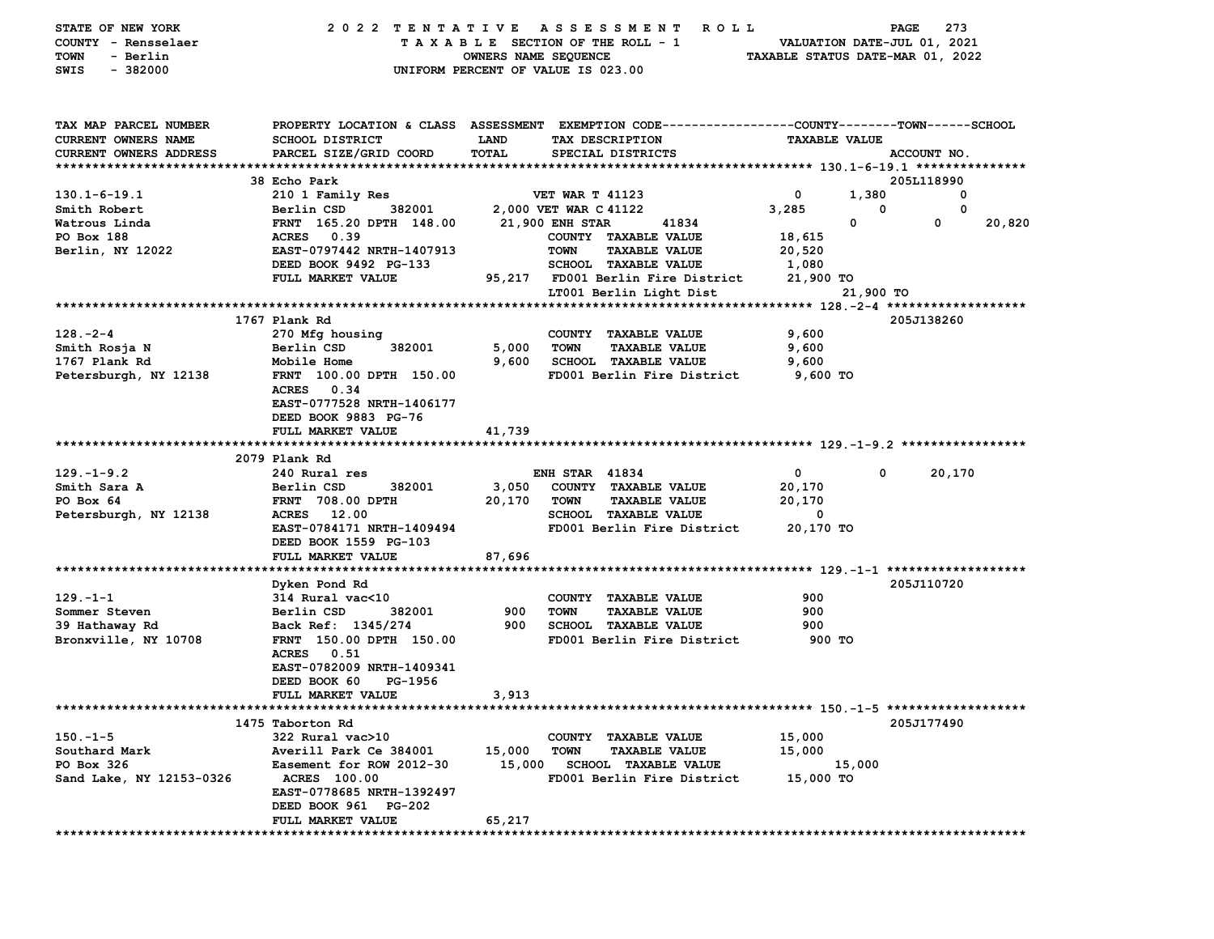| TAX MAP PARCEL NUMBER<br>PROPERTY LOCATION & CLASS ASSESSMENT EXEMPTION CODE---------------COUNTY-------TOWN-----SCHOOL<br>CURRENT OWNERS NAME<br><b>SCHOOL DISTRICT</b><br><b>LAND</b><br>TAX DESCRIPTION<br><b>TAXABLE VALUE</b><br>PARCEL SIZE/GRID COORD<br>TOTAL<br>CURRENT OWNERS ADDRESS<br>SPECIAL DISTRICTS<br>ACCOUNT NO.<br>38 Echo Park<br>205L118990<br>$130.1 - 6 - 19.1$<br><b>VET WAR T 41123</b><br>0<br>1,380<br>0<br>210 1 Family Res<br>3,285<br>0<br>Smith Robert<br>Berlin CSD<br>382001<br>2,000 VET WAR C 41122<br>0 |
|----------------------------------------------------------------------------------------------------------------------------------------------------------------------------------------------------------------------------------------------------------------------------------------------------------------------------------------------------------------------------------------------------------------------------------------------------------------------------------------------------------------------------------------------|
|                                                                                                                                                                                                                                                                                                                                                                                                                                                                                                                                              |
|                                                                                                                                                                                                                                                                                                                                                                                                                                                                                                                                              |
|                                                                                                                                                                                                                                                                                                                                                                                                                                                                                                                                              |
|                                                                                                                                                                                                                                                                                                                                                                                                                                                                                                                                              |
|                                                                                                                                                                                                                                                                                                                                                                                                                                                                                                                                              |
| $\mathbf 0$<br>0<br>20,820<br>FRNT 165.20 DPTH 148.00<br>21,900 ENH STAR<br>41834<br>Watrous Linda<br>ACRES 0.39<br>PO Box 188<br>COUNTY TAXABLE VALUE<br>18,615                                                                                                                                                                                                                                                                                                                                                                             |
| <b>TAXABLE VALUE</b><br>Berlin, NY 12022<br>EAST-0797442 NRTH-1407913<br><b>TOWN</b><br>20,520                                                                                                                                                                                                                                                                                                                                                                                                                                               |
| DEED BOOK 9492 PG-133<br>SCHOOL TAXABLE VALUE<br>1,080                                                                                                                                                                                                                                                                                                                                                                                                                                                                                       |
| FULL MARKET VALUE<br>95,217 FD001 Berlin Fire District<br>21,900 TO                                                                                                                                                                                                                                                                                                                                                                                                                                                                          |
| LT001 Berlin Light Dist<br>21,900 TO                                                                                                                                                                                                                                                                                                                                                                                                                                                                                                         |
|                                                                                                                                                                                                                                                                                                                                                                                                                                                                                                                                              |
| 1767 Plank Rd<br>205J138260                                                                                                                                                                                                                                                                                                                                                                                                                                                                                                                  |
| 9,600<br>$128. - 2 - 4$<br>270 Mfg housing<br>COUNTY TAXABLE VALUE                                                                                                                                                                                                                                                                                                                                                                                                                                                                           |
| 5,000<br>Berlin CSD<br>382001<br><b>TOWN</b><br><b>TAXABLE VALUE</b><br>9,600<br>Smith Rosja N                                                                                                                                                                                                                                                                                                                                                                                                                                               |
| 1767 Plank Rd<br>Mobile Home<br>9,600<br><b>SCHOOL TAXABLE VALUE</b><br>9,600                                                                                                                                                                                                                                                                                                                                                                                                                                                                |
| FRNT 100.00 DPTH 150.00<br>FD001 Berlin Fire District<br>9,600 TO<br>Petersburgh, NY 12138<br>ACRES 0.34<br>EAST-0777528 NRTH-1406177<br>DEED BOOK 9883 PG-76<br>FULL MARKET VALUE<br>41,739                                                                                                                                                                                                                                                                                                                                                 |
|                                                                                                                                                                                                                                                                                                                                                                                                                                                                                                                                              |
| 2079 Plank Rd                                                                                                                                                                                                                                                                                                                                                                                                                                                                                                                                |
| $129. - 1 - 9.2$<br>240 Rural res<br><b>ENH STAR 41834</b><br>$\mathbf{0}$<br>0<br>20,170                                                                                                                                                                                                                                                                                                                                                                                                                                                    |
| Smith Sara A<br>COUNTY TAXABLE VALUE<br>Berlin CSD<br>382001<br>3,050<br>20,170                                                                                                                                                                                                                                                                                                                                                                                                                                                              |
| PO Box 64<br><b>FRNT 708.00 DPTH</b><br>20,170<br>TOWN<br><b>TAXABLE VALUE</b><br>20,170                                                                                                                                                                                                                                                                                                                                                                                                                                                     |
| Petersburgh, NY 12138<br>ACRES 12.00<br><b>SCHOOL TAXABLE VALUE</b><br>0<br>EAST-0784171 NRTH-1409494<br>FD001 Berlin Fire District<br>20,170 TO<br>DEED BOOK 1559 PG-103                                                                                                                                                                                                                                                                                                                                                                    |
| 87,696<br>FULL MARKET VALUE                                                                                                                                                                                                                                                                                                                                                                                                                                                                                                                  |
|                                                                                                                                                                                                                                                                                                                                                                                                                                                                                                                                              |
| 205J110720<br>Dyken Pond Rd                                                                                                                                                                                                                                                                                                                                                                                                                                                                                                                  |
| $129. - 1 - 1$<br>314 Rural vac<10<br>COUNTY TAXABLE VALUE<br>900                                                                                                                                                                                                                                                                                                                                                                                                                                                                            |
| 900<br>Sommer Steven<br>382001<br><b>TOWN</b><br><b>TAXABLE VALUE</b><br>900<br>Berlin CSD                                                                                                                                                                                                                                                                                                                                                                                                                                                   |
| 900<br><b>SCHOOL TAXABLE VALUE</b><br>39 Hathaway Rd<br>Back Ref: 1345/274<br>900                                                                                                                                                                                                                                                                                                                                                                                                                                                            |
| Bronxville, NY 10708<br>FRNT 150.00 DPTH 150.00<br>FD001 Berlin Fire District<br>900 TO<br>0.51<br>ACRES<br>EAST-0782009 NRTH-1409341<br>DEED BOOK 60<br>PG-1956                                                                                                                                                                                                                                                                                                                                                                             |
| FULL MARKET VALUE<br>3,913                                                                                                                                                                                                                                                                                                                                                                                                                                                                                                                   |
| **********************                                                                                                                                                                                                                                                                                                                                                                                                                                                                                                                       |
| 205J177490<br>1475 Taborton Rd                                                                                                                                                                                                                                                                                                                                                                                                                                                                                                               |
| $150.-1-5$<br>322 Rural vac>10<br>COUNTY TAXABLE VALUE<br>15,000                                                                                                                                                                                                                                                                                                                                                                                                                                                                             |
| Southard Mark<br>Averill Park Ce 384001<br>15,000<br><b>TOWN</b><br>15,000<br><b>TAXABLE VALUE</b>                                                                                                                                                                                                                                                                                                                                                                                                                                           |
| PO Box 326<br>Easement for ROW 2012-30<br>15,000 SCHOOL TAXABLE VALUE<br>15,000                                                                                                                                                                                                                                                                                                                                                                                                                                                              |
| Sand Lake, NY 12153-0326<br><b>ACRES</b> 100.00<br>FD001 Berlin Fire District<br>15,000 TO<br>EAST-0778685 NRTH-1392497<br>DEED BOOK 961 PG-202                                                                                                                                                                                                                                                                                                                                                                                              |
| FULL MARKET VALUE<br>65,217                                                                                                                                                                                                                                                                                                                                                                                                                                                                                                                  |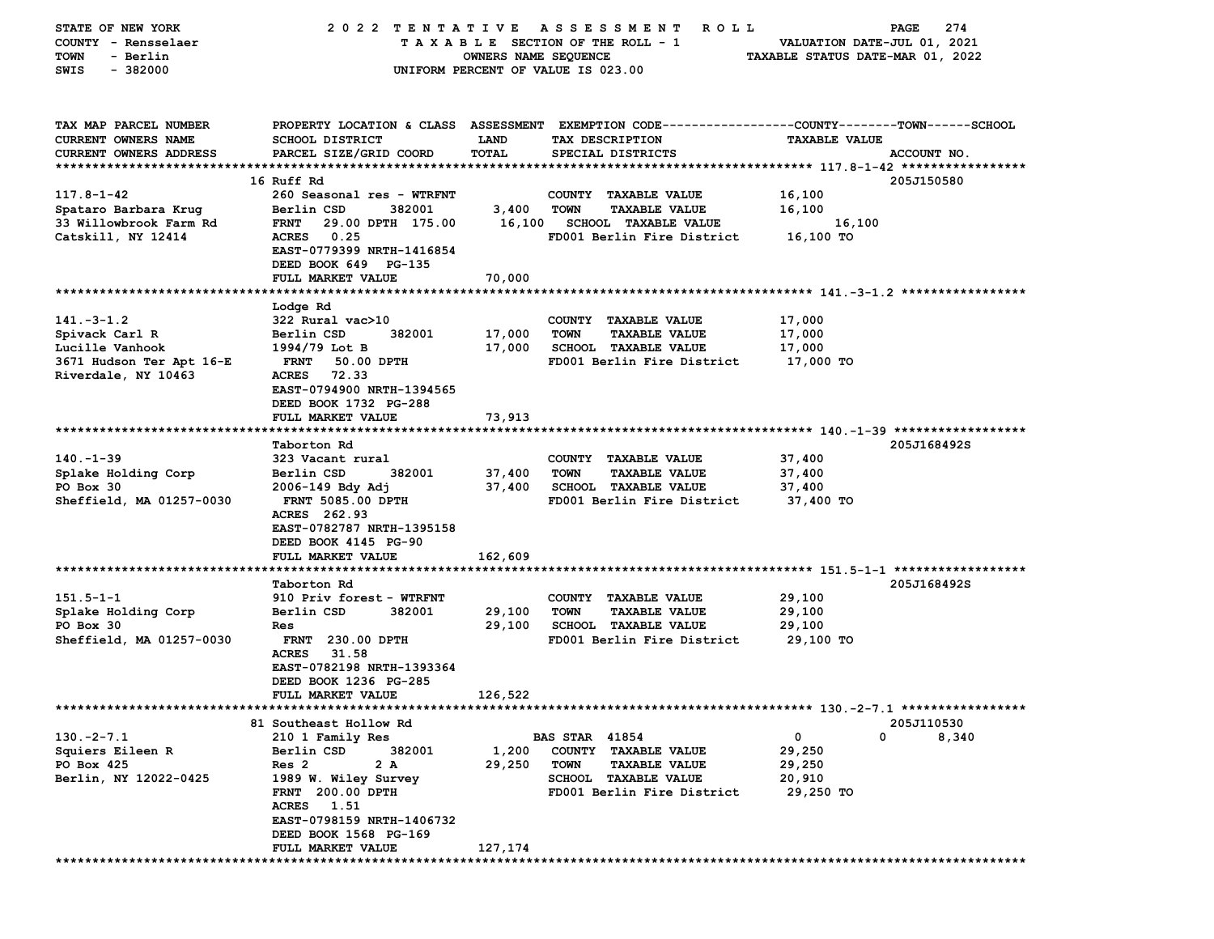| STATE OF NEW YORK          | 2022 TENTATIVE                   |                      | A S S E S S M E N T<br>R O L L                                                                  |                                  | 274<br>PAGE |
|----------------------------|----------------------------------|----------------------|-------------------------------------------------------------------------------------------------|----------------------------------|-------------|
| COUNTY - Rensselaer        |                                  |                      | TAXABLE SECTION OF THE ROLL - 1                                                                 | VALUATION DATE-JUL 01, 2021      |             |
| <b>TOWN</b><br>- Berlin    |                                  | OWNERS NAME SEQUENCE |                                                                                                 | TAXABLE STATUS DATE-MAR 01, 2022 |             |
| $-382000$<br>SWIS          |                                  |                      | UNIFORM PERCENT OF VALUE IS 023.00                                                              |                                  |             |
|                            |                                  |                      |                                                                                                 |                                  |             |
|                            |                                  |                      |                                                                                                 |                                  |             |
| TAX MAP PARCEL NUMBER      |                                  |                      | PROPERTY LOCATION & CLASS ASSESSMENT EXEMPTION CODE---------------COUNTY-------TOWN------SCHOOL |                                  |             |
| <b>CURRENT OWNERS NAME</b> | <b>SCHOOL DISTRICT</b>           | LAND                 | TAX DESCRIPTION                                                                                 | <b>TAXABLE VALUE</b>             |             |
| CURRENT OWNERS ADDRESS     | PARCEL SIZE/GRID COORD           | TOTAL                | SPECIAL DISTRICTS                                                                               |                                  | ACCOUNT NO. |
|                            |                                  |                      |                                                                                                 |                                  |             |
|                            | 16 Ruff Rd                       |                      |                                                                                                 |                                  | 205J150580  |
| 117.8-1-42                 | 260 Seasonal res - WTRFNT        |                      | COUNTY TAXABLE VALUE                                                                            | 16,100                           |             |
| Spataro Barbara Krug       | 382001<br>Berlin CSD             | 3,400                | <b>TOWN</b><br><b>TAXABLE VALUE</b>                                                             | 16,100                           |             |
| 33 Willowbrook Farm Rd     | <b>FRNT</b><br>29.00 DPTH 175.00 |                      | 16,100 SCHOOL TAXABLE VALUE                                                                     | 16,100                           |             |
| Catskill, NY 12414         | <b>ACRES</b><br>0.25             |                      | FD001 Berlin Fire District                                                                      | 16,100 TO                        |             |
|                            | EAST-0779399 NRTH-1416854        |                      |                                                                                                 |                                  |             |
|                            | DEED BOOK 649 PG-135             |                      |                                                                                                 |                                  |             |
|                            | FULL MARKET VALUE                | 70,000               |                                                                                                 |                                  |             |
|                            |                                  |                      |                                                                                                 |                                  |             |
|                            |                                  |                      |                                                                                                 |                                  |             |
|                            | Lodge Rd                         |                      |                                                                                                 |                                  |             |
| $141. -3 - 1.2$            | 322 Rural vac>10<br>Berlin CSD   |                      | COUNTY TAXABLE VALUE                                                                            | 17,000                           |             |
| Spivack Carl R             | 382001                           | 17,000               | <b>TOWN</b><br><b>TAXABLE VALUE</b>                                                             | 17,000                           |             |
| Lucille Vanhook            | 1994/79 Lot B                    | 17,000               | <b>SCHOOL TAXABLE VALUE</b>                                                                     | 17,000                           |             |
| 3671 Hudson Ter Apt 16-E   | 50.00 DPTH<br><b>FRNT</b>        |                      | FD001 Berlin Fire District                                                                      | 17,000 TO                        |             |
| Riverdale, NY 10463        | <b>ACRES</b><br>72.33            |                      |                                                                                                 |                                  |             |
|                            | EAST-0794900 NRTH-1394565        |                      |                                                                                                 |                                  |             |
|                            | DEED BOOK 1732 PG-288            |                      |                                                                                                 |                                  |             |
|                            | FULL MARKET VALUE                | 73,913               |                                                                                                 |                                  |             |
|                            |                                  |                      |                                                                                                 |                                  |             |
|                            | Taborton Rd                      |                      |                                                                                                 |                                  | 205J168492S |
| $140. -1 - 39$             | 323 Vacant rural                 |                      | COUNTY TAXABLE VALUE                                                                            | 37,400                           |             |
| Splake Holding Corp        | Berlin CSD<br>382001             | 37,400               | <b>TOWN</b><br><b>TAXABLE VALUE</b>                                                             | 37,400                           |             |
| PO Box 30                  | 2006-149 Bdy Adj                 | 37,400               | <b>SCHOOL TAXABLE VALUE</b>                                                                     | 37,400                           |             |
| Sheffield, MA 01257-0030   | <b>FRNT 5085.00 DPTH</b>         |                      | FD001 Berlin Fire District                                                                      | 37,400 TO                        |             |
|                            | ACRES 262.93                     |                      |                                                                                                 |                                  |             |
|                            | EAST-0782787 NRTH-1395158        |                      |                                                                                                 |                                  |             |
|                            | DEED BOOK 4145 PG-90             |                      |                                                                                                 |                                  |             |
|                            | FULL MARKET VALUE                | 162,609              |                                                                                                 |                                  |             |
|                            |                                  |                      |                                                                                                 |                                  |             |
|                            | Taborton Rd                      |                      |                                                                                                 |                                  | 205J168492S |
| $151.5 - 1 - 1$            | 910 Priv forest - WTRFNT         |                      | COUNTY TAXABLE VALUE                                                                            | 29,100                           |             |
| Splake Holding Corp        | Berlin CSD<br>382001             | 29,100               | TOWN<br><b>TAXABLE VALUE</b>                                                                    | 29,100                           |             |
| PO Box 30                  | Res                              | 29,100               | <b>SCHOOL TAXABLE VALUE</b>                                                                     | 29,100                           |             |
| Sheffield, MA 01257-0030   | <b>FRNT</b> 230.00 DPTH          |                      | FD001 Berlin Fire District                                                                      | 29,100 TO                        |             |
|                            | 31.58<br><b>ACRES</b>            |                      |                                                                                                 |                                  |             |
|                            | EAST-0782198 NRTH-1393364        |                      |                                                                                                 |                                  |             |
|                            | DEED BOOK 1236 PG-285            |                      |                                                                                                 |                                  |             |
|                            | <b>FULL MARKET VALUE</b>         | 126,522              |                                                                                                 |                                  |             |
| **********************     |                                  |                      |                                                                                                 |                                  |             |
|                            | 81 Southeast Hollow Rd           |                      |                                                                                                 |                                  | 205J110530  |
| $130 - 2 - 7.1$            | 210 1 Family Res                 |                      | <b>BAS STAR 41854</b>                                                                           | 0<br>0                           | 8,340       |
| Squiers Eileen R           | Berlin CSD<br>382001             | 1,200                | <b>TAXABLE VALUE</b><br><b>COUNTY</b>                                                           | 29,250                           |             |
| PO Box 425                 | 2 A<br>Res <sub>2</sub>          | 29,250               | <b>TOWN</b><br><b>TAXABLE VALUE</b>                                                             | 29,250                           |             |
| Berlin, NY 12022-0425      | 1989 W. Wiley Survey             |                      | <b>SCHOOL</b><br><b>TAXABLE VALUE</b>                                                           | 20,910                           |             |
|                            | FRNT 200.00 DPTH                 |                      | FD001 Berlin Fire District                                                                      | 29,250 TO                        |             |
|                            | 1.51<br><b>ACRES</b>             |                      |                                                                                                 |                                  |             |
|                            | EAST-0798159 NRTH-1406732        |                      |                                                                                                 |                                  |             |
|                            | DEED BOOK 1568 PG-169            |                      |                                                                                                 |                                  |             |
|                            | FULL MARKET VALUE                | 127,174              |                                                                                                 |                                  |             |
|                            |                                  |                      |                                                                                                 |                                  |             |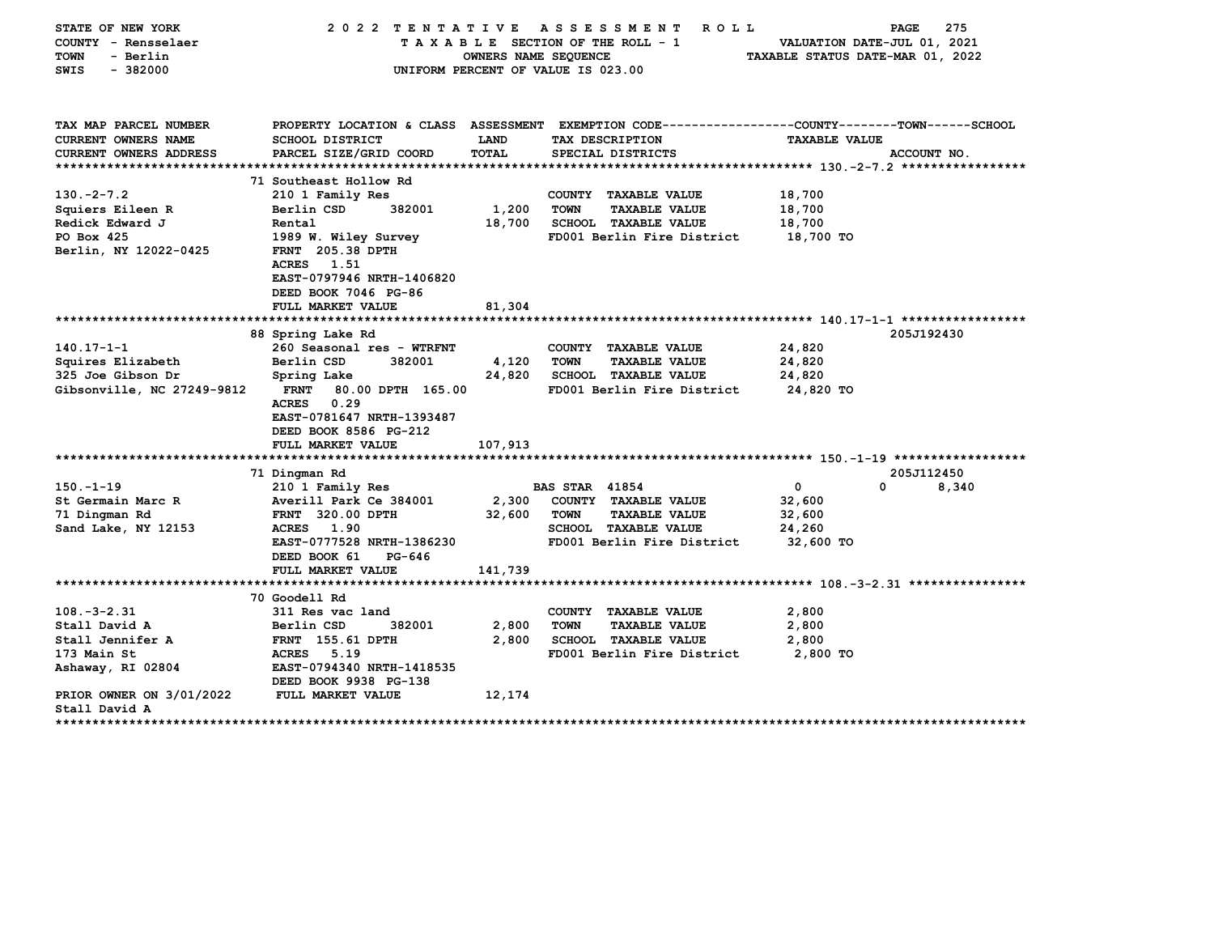| STATE OF NEW YORK<br>COUNTY - Rensselaer | 2022 TENTATIVE                                                                                  |                      | A S S E S S M E N T<br>R O L L<br>TAXABLE SECTION OF THE ROLL - 1 | VALUATION DATE-JUL 01, 2021      | PAGE<br>275 |
|------------------------------------------|-------------------------------------------------------------------------------------------------|----------------------|-------------------------------------------------------------------|----------------------------------|-------------|
| - Berlin<br>TOWN                         |                                                                                                 | OWNERS NAME SEQUENCE |                                                                   | TAXABLE STATUS DATE-MAR 01, 2022 |             |
| $-382000$<br>SWIS                        |                                                                                                 |                      | UNIFORM PERCENT OF VALUE IS 023.00                                |                                  |             |
|                                          |                                                                                                 |                      |                                                                   |                                  |             |
| TAX MAP PARCEL NUMBER                    | PROPERTY LOCATION & CLASS ASSESSMENT EXEMPTION CODE---------------COUNTY-------TOWN------SCHOOL |                      |                                                                   |                                  |             |
| <b>CURRENT OWNERS NAME</b>               | <b>SCHOOL DISTRICT</b>                                                                          | LAND                 | TAX DESCRIPTION                                                   | <b>TAXABLE VALUE</b>             |             |
| CURRENT OWNERS ADDRESS                   | PARCEL SIZE/GRID COORD                                                                          | TOTAL                | SPECIAL DISTRICTS                                                 |                                  | ACCOUNT NO. |
|                                          |                                                                                                 |                      |                                                                   |                                  |             |
|                                          | 71 Southeast Hollow Rd                                                                          |                      |                                                                   |                                  |             |
| $130. -2 - 7.2$                          | 210 1 Family Res                                                                                |                      | COUNTY TAXABLE VALUE                                              | 18,700                           |             |
| Squiers Eileen R                         | 382001<br>Berlin CSD                                                                            | 1,200                | <b>TOWN</b><br><b>TAXABLE VALUE</b>                               | 18,700                           |             |
| Redick Edward J                          | Rental                                                                                          | 18,700               | SCHOOL TAXABLE VALUE                                              | 18,700                           |             |
| PO Box 425                               | 1989 W. Wiley Survey<br>FRNT 205.38 DPTH                                                        |                      | FD001 Berlin Fire District                                        | 18,700 TO                        |             |
| Berlin, NY 12022-0425                    | <b>ACRES</b><br>1.51                                                                            |                      |                                                                   |                                  |             |
|                                          | EAST-0797946 NRTH-1406820                                                                       |                      |                                                                   |                                  |             |
|                                          | DEED BOOK 7046 PG-86                                                                            |                      |                                                                   |                                  |             |
|                                          | FULL MARKET VALUE                                                                               | 81,304               |                                                                   |                                  |             |
|                                          |                                                                                                 |                      |                                                                   |                                  |             |
|                                          | 88 Spring Lake Rd                                                                               |                      |                                                                   |                                  | 205J192430  |
| $140.17 - 1 - 1$                         | 260 Seasonal res - WTRFNT                                                                       |                      | COUNTY TAXABLE VALUE                                              | 24,820                           |             |
| Squires Elizabeth                        | 382001<br>Berlin CSD                                                                            | 4,120                | <b>TAXABLE VALUE</b><br><b>TOWN</b>                               | 24,820                           |             |
| 325 Joe Gibson Dr                        | Spring Lake                                                                                     | 24,820               | <b>SCHOOL TAXABLE VALUE</b>                                       | 24,820                           |             |
| Gibsonville, NC 27249-9812               | <b>FRNT</b><br>80.00 DPTH 165.00                                                                |                      | FD001 Berlin Fire District                                        | 24,820 TO                        |             |
|                                          | 0.29<br><b>ACRES</b>                                                                            |                      |                                                                   |                                  |             |
|                                          | EAST-0781647 NRTH-1393487                                                                       |                      |                                                                   |                                  |             |
|                                          | DEED BOOK 8586 PG-212                                                                           |                      |                                                                   |                                  |             |
|                                          | FULL MARKET VALUE                                                                               | 107,913              |                                                                   |                                  |             |
|                                          |                                                                                                 |                      |                                                                   |                                  |             |
|                                          | 71 Dingman Rd                                                                                   |                      |                                                                   |                                  | 205J112450  |
| $150. -1 - 19$                           | 210 1 Family Res                                                                                |                      | <b>BAS STAR 41854</b>                                             | 0<br>$\Omega$                    | 8,340       |
| St Germain Marc R                        | Averill Park Ce 384001                                                                          | 2,300                | COUNTY TAXABLE VALUE                                              | 32,600                           |             |
| 71 Dingman Rd                            | <b>FRNT 320.00 DPTH</b>                                                                         | 32,600               | <b>TAXABLE VALUE</b><br><b>TOWN</b>                               | 32,600                           |             |
| Sand Lake, NY 12153                      | <b>ACRES</b><br>1.90                                                                            |                      | SCHOOL TAXABLE VALUE                                              | 24,260                           |             |
|                                          | EAST-0777528 NRTH-1386230                                                                       |                      | FD001 Berlin Fire District                                        | 32,600 TO                        |             |
|                                          | DEED BOOK 61<br>PG-646<br>FULL MARKET VALUE                                                     | 141,739              |                                                                   |                                  |             |
|                                          |                                                                                                 |                      |                                                                   |                                  |             |
|                                          | 70 Goodell Rd                                                                                   |                      |                                                                   |                                  |             |
| $108. - 3 - 2.31$                        | 311 Res vac land                                                                                |                      | COUNTY TAXABLE VALUE                                              | 2,800                            |             |
| Stall David A                            | 382001<br>Berlin CSD                                                                            | 2,800                | <b>TOWN</b><br><b>TAXABLE VALUE</b>                               | 2,800                            |             |
| Stall Jennifer A                         | <b>FRNT</b> 155.61 DPTH                                                                         | 2,800                | <b>SCHOOL TAXABLE VALUE</b>                                       | 2,800                            |             |
| 173 Main St                              | ACRES<br>5.19                                                                                   |                      | FD001 Berlin Fire District                                        | 2,800 TO                         |             |
| Ashaway, RI 02804                        | EAST-0794340 NRTH-1418535                                                                       |                      |                                                                   |                                  |             |
|                                          | DEED BOOK 9938 PG-138                                                                           |                      |                                                                   |                                  |             |
| PRIOR OWNER ON 3/01/2022                 | FULL MARKET VALUE                                                                               | 12,174               |                                                                   |                                  |             |
| Stall David A                            |                                                                                                 |                      |                                                                   |                                  |             |
| ************                             |                                                                                                 |                      | *************************                                         |                                  |             |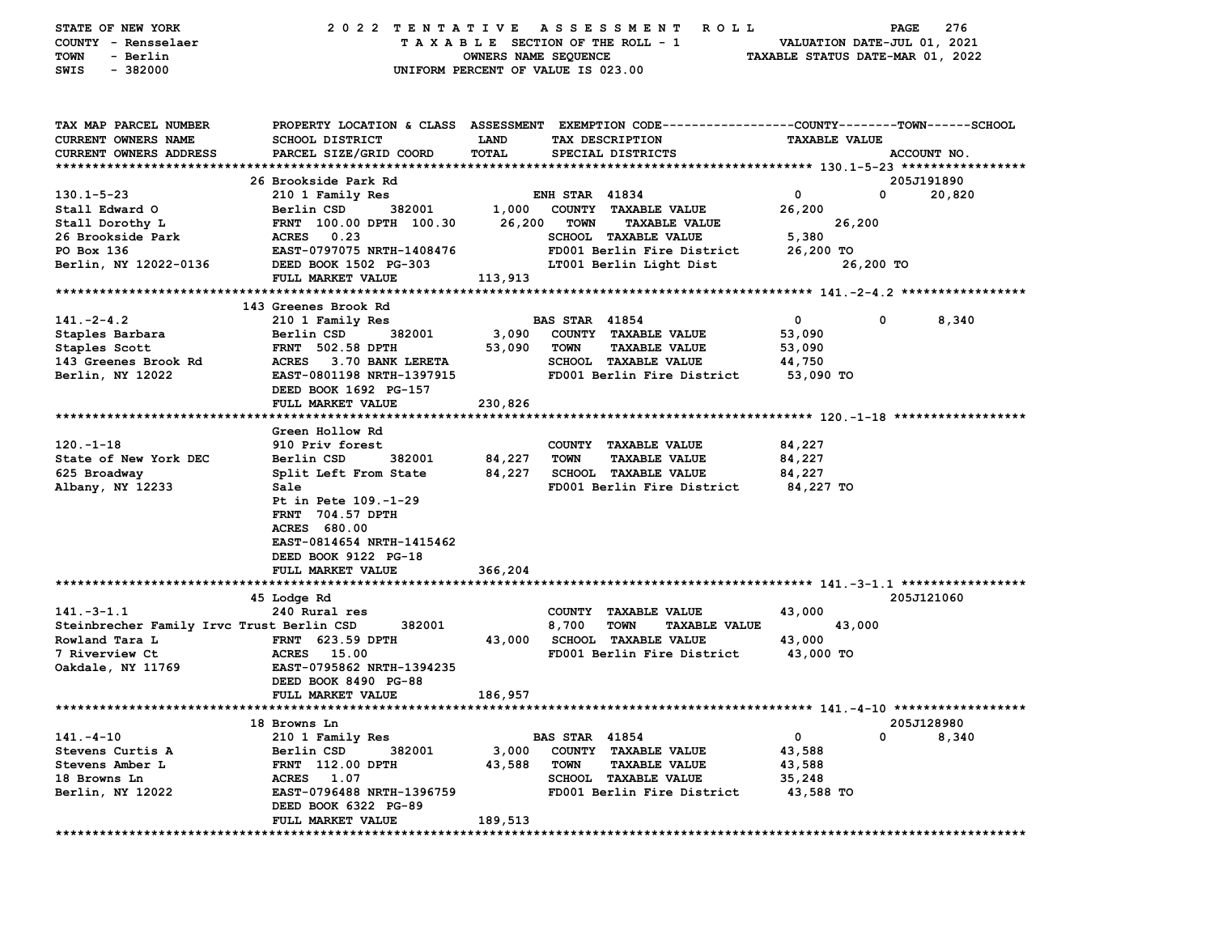| STATE OF NEW YORK                         | 2022 TENTATIVE                                                                                 |                                    |                       | A S S E S S M E N T<br><b>ROLL</b>  |                                  | PAGE      | 276         |
|-------------------------------------------|------------------------------------------------------------------------------------------------|------------------------------------|-----------------------|-------------------------------------|----------------------------------|-----------|-------------|
| COUNTY - Rensselaer                       |                                                                                                |                                    |                       | TAXABLE SECTION OF THE ROLL - 1     | VALUATION DATE-JUL 01, 2021      |           |             |
| <b>TOWN</b><br>- Berlin                   |                                                                                                | OWNERS NAME SEQUENCE               |                       |                                     | TAXABLE STATUS DATE-MAR 01, 2022 |           |             |
| $-382000$<br>SWIS                         |                                                                                                | UNIFORM PERCENT OF VALUE IS 023.00 |                       |                                     |                                  |           |             |
|                                           |                                                                                                |                                    |                       |                                     |                                  |           |             |
| TAX MAP PARCEL NUMBER                     | PROPERTY LOCATION & CLASS ASSESSMENT EXEMPTION CODE---------------COUNTY-------TOWN-----SCHOOL |                                    |                       |                                     |                                  |           |             |
| CURRENT OWNERS NAME                       | <b>SCHOOL DISTRICT</b>                                                                         | LAND                               |                       | TAX DESCRIPTION                     | <b>TAXABLE VALUE</b>             |           |             |
| CURRENT OWNERS ADDRESS                    | PARCEL SIZE/GRID COORD                                                                         | TOTAL                              |                       | SPECIAL DISTRICTS                   |                                  |           | ACCOUNT NO. |
|                                           |                                                                                                |                                    |                       |                                     |                                  |           |             |
|                                           | 26 Brookside Park Rd                                                                           |                                    |                       |                                     |                                  |           | 205J191890  |
| $130.1 - 5 - 23$                          | 210 1 Family Res                                                                               |                                    | <b>ENH STAR 41834</b> |                                     | 0                                | 0         | 20,820      |
| Stall Edward O                            | 382001<br>Berlin CSD                                                                           | 1,000                              |                       | COUNTY TAXABLE VALUE                | 26,200                           |           |             |
| Stall Dorothy L                           | FRNT 100.00 DPTH 100.30                                                                        | 26,200                             | <b>TOWN</b>           | <b>TAXABLE VALUE</b>                |                                  | 26,200    |             |
| 26 Brookside Park                         | ACRES 0.23                                                                                     |                                    |                       | <b>SCHOOL TAXABLE VALUE</b>         | 5,380                            |           |             |
| PO Box 136                                | EAST-0797075 NRTH-1408476                                                                      |                                    |                       | FD001 Berlin Fire District          | 26,200 TO                        |           |             |
| Berlin, NY 12022-0136                     | DEED BOOK 1502 PG-303                                                                          |                                    |                       | LT001 Berlin Light Dist             |                                  | 26,200 TO |             |
|                                           | FULL MARKET VALUE                                                                              | 113,913                            |                       |                                     |                                  |           |             |
|                                           |                                                                                                |                                    |                       |                                     |                                  |           |             |
| $141. -2 - 4.2$                           | 143 Greenes Brook Rd                                                                           |                                    | <b>BAS STAR 41854</b> |                                     | $\mathbf 0$                      | 0         | 8,340       |
| Staples Barbara                           | 210 1 Family Res<br>Berlin CSD<br>382001                                                       | 3,090                              |                       | COUNTY TAXABLE VALUE                | 53,090                           |           |             |
| Staples Scott                             | <b>FRNT 502.58 DPTH</b>                                                                        | 53,090                             | <b>TOWN</b>           | <b>TAXABLE VALUE</b>                | 53,090                           |           |             |
| 143 Greenes Brook Rd                      | ACRES 3.70 BANK LERETA                                                                         |                                    |                       | <b>SCHOOL TAXABLE VALUE</b>         | 44,750                           |           |             |
| Berlin, NY 12022                          | EAST-0801198 NRTH-1397915                                                                      |                                    |                       | FD001 Berlin Fire District          | 53,090 TO                        |           |             |
|                                           | DEED BOOK 1692 PG-157                                                                          |                                    |                       |                                     |                                  |           |             |
|                                           | FULL MARKET VALUE                                                                              | 230,826                            |                       |                                     |                                  |           |             |
|                                           |                                                                                                |                                    |                       |                                     |                                  |           |             |
|                                           | Green Hollow Rd                                                                                |                                    |                       |                                     |                                  |           |             |
| $120. - 1 - 18$                           | 910 Priv forest                                                                                |                                    |                       | COUNTY TAXABLE VALUE                | 84,227                           |           |             |
| State of New York DEC                     | 382001<br>Berlin CSD                                                                           | 84,227                             | <b>TOWN</b>           | <b>TAXABLE VALUE</b>                | 84,227                           |           |             |
| 625 Broadway                              | Split Left From State                                                                          | 84,227                             |                       | <b>SCHOOL TAXABLE VALUE</b>         | 84,227                           |           |             |
| Albany, NY 12233                          | Sale                                                                                           |                                    |                       | FD001 Berlin Fire District          | 84,227 TO                        |           |             |
|                                           | Pt in Pete 109.-1-29                                                                           |                                    |                       |                                     |                                  |           |             |
|                                           | FRNT 704.57 DPTH                                                                               |                                    |                       |                                     |                                  |           |             |
|                                           | ACRES 680.00                                                                                   |                                    |                       |                                     |                                  |           |             |
|                                           | EAST-0814654 NRTH-1415462                                                                      |                                    |                       |                                     |                                  |           |             |
|                                           | DEED BOOK 9122 PG-18                                                                           |                                    |                       |                                     |                                  |           |             |
|                                           | FULL MARKET VALUE                                                                              | 366,204                            |                       |                                     |                                  |           |             |
|                                           | 45 Lodge Rd                                                                                    |                                    |                       |                                     |                                  |           | 205J121060  |
| $141. -3 - 1.1$                           | 240 Rural res                                                                                  |                                    |                       | COUNTY TAXABLE VALUE                | 43,000                           |           |             |
| Steinbrecher Family Irvc Trust Berlin CSD | 382001                                                                                         |                                    | 8,700                 | <b>TOWN</b><br><b>TAXABLE VALUE</b> |                                  | 43,000    |             |
| Rowland Tara L                            | <b>FRNT 623.59 DPTH</b>                                                                        | 43,000                             |                       | <b>SCHOOL TAXABLE VALUE</b>         | 43,000                           |           |             |
| 7 Riverview Ct                            | 15.00<br><b>ACRES</b>                                                                          |                                    |                       | FD001 Berlin Fire District          | 43,000 TO                        |           |             |
| Oakdale, NY 11769                         | EAST-0795862 NRTH-1394235                                                                      |                                    |                       |                                     |                                  |           |             |
|                                           | DEED BOOK 8490 PG-88                                                                           |                                    |                       |                                     |                                  |           |             |
|                                           | <b>FULL MARKET VALUE</b>                                                                       | 186,957                            |                       |                                     |                                  |           |             |
|                                           |                                                                                                |                                    |                       |                                     |                                  |           |             |
|                                           | 18 Browns Ln                                                                                   |                                    |                       |                                     |                                  |           | 205J128980  |
| $141. - 4 - 10$                           | 210 1 Family Res                                                                               |                                    | <b>BAS STAR 41854</b> |                                     | 0                                | 0         | 8,340       |
| Stevens Curtis A                          | 382001<br>Berlin CSD                                                                           | 3,000                              | <b>COUNTY</b>         | <b>TAXABLE VALUE</b>                | 43,588                           |           |             |
| Stevens Amber L                           | 112.00 DPTH<br>FRNT                                                                            | 43,588                             | <b>TOWN</b>           | <b>TAXABLE VALUE</b>                | 43,588                           |           |             |
| 18 Browns Ln                              | <b>ACRES</b><br>1.07                                                                           |                                    | <b>SCHOOL</b>         | <b>TAXABLE VALUE</b>                | 35,248                           |           |             |
| Berlin, NY 12022                          | EAST-0796488 NRTH-1396759                                                                      |                                    |                       | FD001 Berlin Fire District          | 43,588 TO                        |           |             |
|                                           | DEED BOOK 6322 PG-89                                                                           |                                    |                       |                                     |                                  |           |             |
|                                           | <b>FULL MARKET VALUE</b>                                                                       | 189,513                            |                       |                                     |                                  |           |             |
|                                           |                                                                                                |                                    |                       |                                     |                                  |           |             |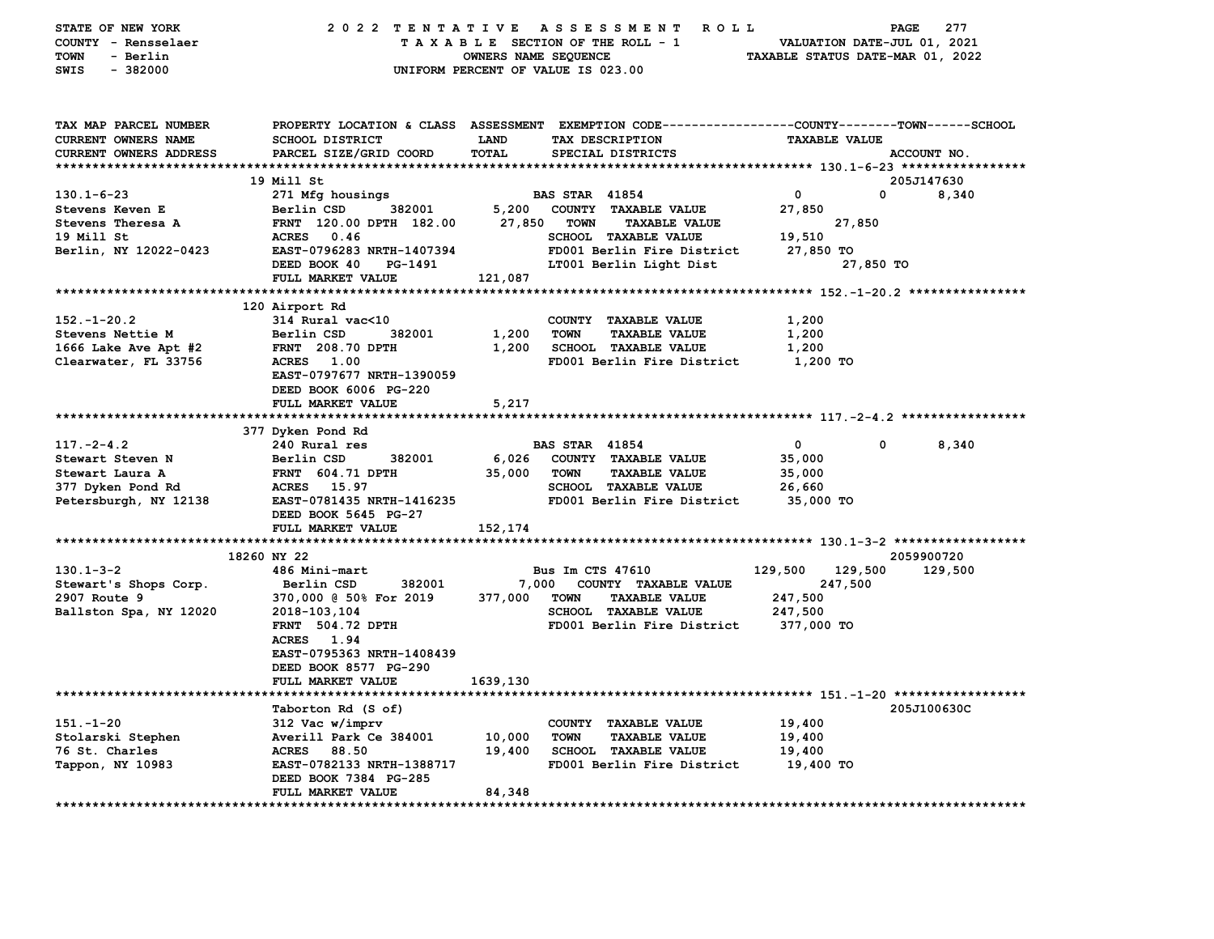| STATE OF NEW YORK<br>COUNTY - Rensselaer<br>TOWN<br>- Berlin<br>$-382000$<br>SWIS | 2022 TENTATIVE                                  | OWNERS NAME SEQUENCE | A S S E S S M E N T<br><b>ROLL</b><br>TAXABLE SECTION OF THE ROLL - 1<br>UNIFORM PERCENT OF VALUE IS 023.00 | VALUATION DATE-JUL 01, 2021<br>TAXABLE STATUS DATE-MAR 01, 2022 | PAGE<br>277         |
|-----------------------------------------------------------------------------------|-------------------------------------------------|----------------------|-------------------------------------------------------------------------------------------------------------|-----------------------------------------------------------------|---------------------|
|                                                                                   |                                                 |                      |                                                                                                             |                                                                 |                     |
| TAX MAP PARCEL NUMBER                                                             |                                                 |                      | PROPERTY LOCATION & CLASS ASSESSMENT EXEMPTION CODE---------------COUNTY-------TOWN------SCHOOL             |                                                                 |                     |
| CURRENT OWNERS NAME                                                               | <b>SCHOOL DISTRICT</b>                          | LAND                 | TAX DESCRIPTION                                                                                             | <b>TAXABLE VALUE</b>                                            |                     |
| CURRENT OWNERS ADDRESS                                                            | PARCEL SIZE/GRID COORD                          | <b>TOTAL</b>         | SPECIAL DISTRICTS                                                                                           |                                                                 | ACCOUNT NO.         |
|                                                                                   |                                                 |                      |                                                                                                             |                                                                 |                     |
| $130.1 - 6 - 23$                                                                  | 19 Mill St                                      |                      | <b>BAS STAR 41854</b>                                                                                       | 0<br>$\mathbf 0$                                                | 205J147630<br>8,340 |
| <b>Stevens Keven E</b>                                                            | 271 Mfg housings<br>Berlin CSD<br>382001        | 5,200                | COUNTY TAXABLE VALUE                                                                                        | 27,850                                                          |                     |
| Stevens Theresa A                                                                 | FRNT 120.00 DPTH 182.00                         | 27,850               | <b>TOWN</b><br><b>TAXABLE VALUE</b>                                                                         | 27,850                                                          |                     |
| 19 Mill St                                                                        | <b>ACRES</b><br>0.46                            |                      | SCHOOL TAXABLE VALUE                                                                                        | 19,510                                                          |                     |
| Berlin, NY 12022-0423                                                             | EAST-0796283 NRTH-1407394                       |                      | FD001 Berlin Fire District                                                                                  | 27,850 TO                                                       |                     |
|                                                                                   | DEED BOOK 40<br>PG-1491                         |                      | LT001 Berlin Light Dist                                                                                     | 27,850 TO                                                       |                     |
|                                                                                   | FULL MARKET VALUE                               | 121,087              |                                                                                                             |                                                                 |                     |
|                                                                                   |                                                 |                      |                                                                                                             |                                                                 |                     |
|                                                                                   | 120 Airport Rd                                  |                      |                                                                                                             |                                                                 |                     |
| $152. - 1 - 20.2$                                                                 | 314 Rural vac<10                                |                      | COUNTY TAXABLE VALUE                                                                                        | 1,200                                                           |                     |
| Stevens Nettie M                                                                  | Berlin CSD<br>382001                            | 1,200                | <b>TAXABLE VALUE</b><br><b>TOWN</b>                                                                         | 1,200                                                           |                     |
| 1666 Lake Ave Apt #2                                                              | <b>FRNT</b> 208.70 DPTH                         | 1,200                | SCHOOL TAXABLE VALUE                                                                                        | 1,200                                                           |                     |
| Clearwater, FL 33756                                                              | <b>ACRES</b> 1.00                               |                      | FD001 Berlin Fire District                                                                                  | 1,200 TO                                                        |                     |
|                                                                                   | EAST-0797677 NRTH-1390059                       |                      |                                                                                                             |                                                                 |                     |
|                                                                                   | DEED BOOK 6006 PG-220                           |                      |                                                                                                             |                                                                 |                     |
|                                                                                   | FULL MARKET VALUE                               | 5,217                |                                                                                                             |                                                                 |                     |
|                                                                                   |                                                 |                      |                                                                                                             |                                                                 |                     |
|                                                                                   | 377 Dyken Pond Rd                               |                      |                                                                                                             |                                                                 |                     |
| $117. -2 - 4.2$                                                                   | 240 Rural res                                   |                      | <b>BAS STAR 41854</b>                                                                                       | $\mathbf 0$<br>0                                                | 8,340               |
| Stewart Steven N                                                                  | Berlin CSD<br>382001                            | 6,026                | COUNTY TAXABLE VALUE                                                                                        | 35,000                                                          |                     |
| Stewart Laura A                                                                   | <b>FRNT 604.71 DPTH</b>                         | 35,000               | <b>TOWN</b><br><b>TAXABLE VALUE</b>                                                                         | 35,000                                                          |                     |
| 377 Dyken Pond Rd                                                                 | ACRES 15.97<br>EAST-0781435 NRTH-1416235        |                      | SCHOOL TAXABLE VALUE                                                                                        | 26,660                                                          |                     |
| Petersburgh, NY 12138                                                             | DEED BOOK 5645 PG-27                            |                      | FD001 Berlin Fire District                                                                                  | 35,000 TO                                                       |                     |
|                                                                                   | FULL MARKET VALUE                               | 152,174              |                                                                                                             |                                                                 |                     |
|                                                                                   |                                                 |                      |                                                                                                             |                                                                 |                     |
|                                                                                   | 18260 NY 22                                     |                      |                                                                                                             |                                                                 | 2059900720          |
| $130.1 - 3 - 2$                                                                   | 486 Mini-mart                                   |                      | <b>Bus Im CTS 47610</b>                                                                                     | 129,500<br>129,500                                              | 129,500             |
| Stewart's Shops Corp.                                                             | Berlin CSD<br>382001                            | 7,000                | COUNTY TAXABLE VALUE                                                                                        | 247,500                                                         |                     |
| 2907 Route 9                                                                      | 370,000 @ 50% For 2019                          | 377,000              | <b>TOWN</b><br><b>TAXABLE VALUE</b>                                                                         | 247,500                                                         |                     |
| Ballston Spa, NY 12020                                                            | 2018-103,104                                    |                      | <b>SCHOOL TAXABLE VALUE</b>                                                                                 | 247,500                                                         |                     |
|                                                                                   | <b>FRNT</b> 504.72 DPTH                         |                      | FD001 Berlin Fire District                                                                                  | 377,000 TO                                                      |                     |
|                                                                                   | ACRES 1.94                                      |                      |                                                                                                             |                                                                 |                     |
|                                                                                   | EAST-0795363 NRTH-1408439                       |                      |                                                                                                             |                                                                 |                     |
|                                                                                   | DEED BOOK 8577 PG-290                           |                      |                                                                                                             |                                                                 |                     |
|                                                                                   | FULL MARKET VALUE                               | 1639,130             |                                                                                                             |                                                                 |                     |
|                                                                                   |                                                 |                      |                                                                                                             |                                                                 |                     |
|                                                                                   | Taborton Rd (S of)                              |                      |                                                                                                             |                                                                 | 205J100630C         |
| $151. - 1 - 20$                                                                   | 312 Vac w/imprv                                 |                      | COUNTY TAXABLE VALUE                                                                                        | 19,400                                                          |                     |
| Stolarski Stephen<br>76 St. Charles                                               | Averill Park Ce 384001<br><b>ACRES</b><br>88.50 | 10,000<br>19,400     | <b>TOWN</b><br><b>TAXABLE VALUE</b><br>SCHOOL TAXABLE VALUE                                                 | 19,400<br>19,400                                                |                     |
| Tappon, NY 10983                                                                  | EAST-0782133 NRTH-1388717                       |                      | FD001 Berlin Fire District                                                                                  | 19,400 TO                                                       |                     |
|                                                                                   | DEED BOOK 7384 PG-285                           |                      |                                                                                                             |                                                                 |                     |
|                                                                                   | <b>FULL MARKET VALUE</b>                        | 84,348               |                                                                                                             |                                                                 |                     |
|                                                                                   |                                                 |                      |                                                                                                             |                                                                 |                     |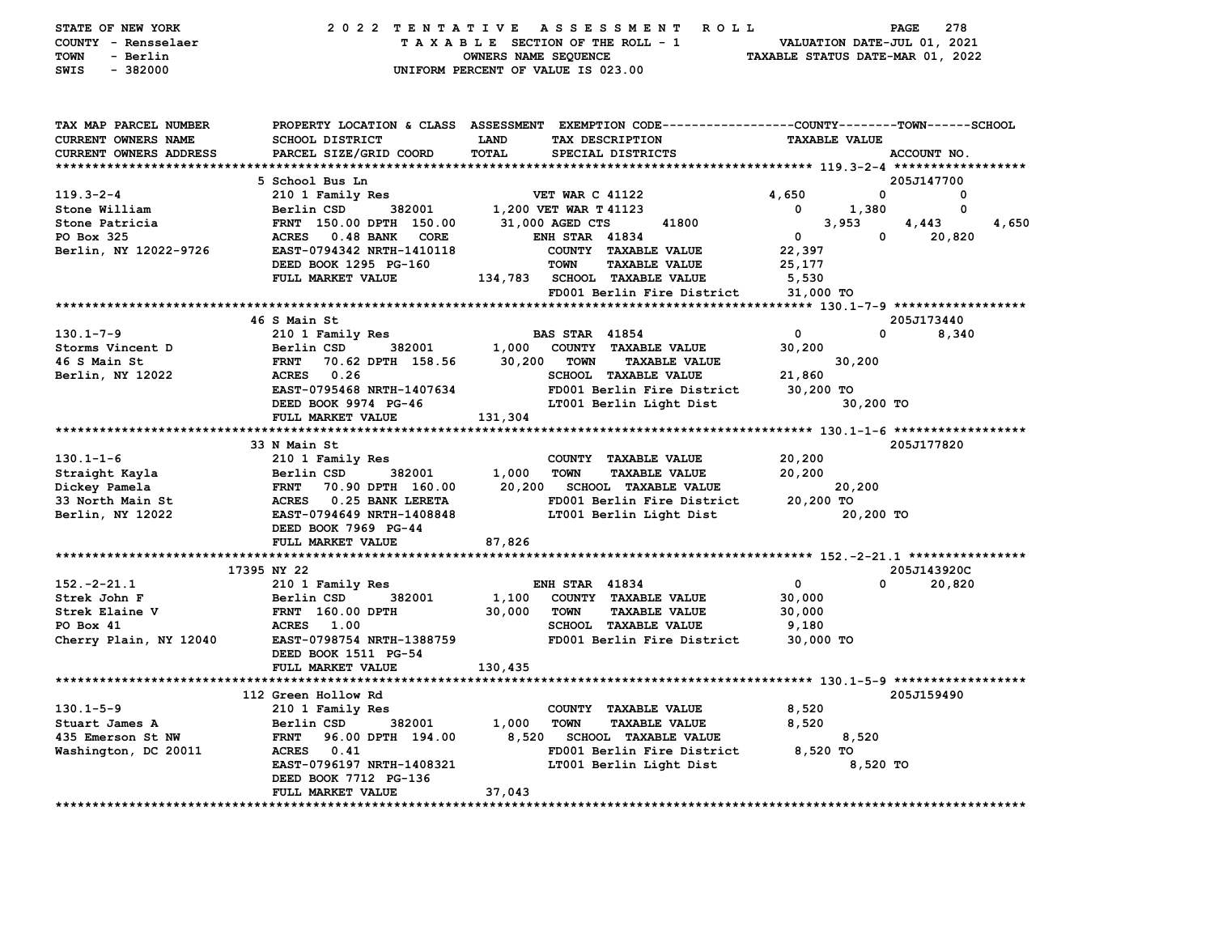| STATE OF NEW YORK             |                                            | 2022 TENTATIVE ASSESSMENT ROLL                                                                 |                                   | PAGE<br>278    |
|-------------------------------|--------------------------------------------|------------------------------------------------------------------------------------------------|-----------------------------------|----------------|
| COUNTY - Rensselaer           | TAXABLE SECTION OF THE ROLL - 1            | VALUATION DATE-JUL 01, 2021                                                                    |                                   |                |
| TOWN<br>- Berlin              | OWNERS NAME SEQUENCE                       | TAXABLE STATUS DATE-MAR 01, 2022                                                               |                                   |                |
| $-382000$<br>SWIS             |                                            | UNIFORM PERCENT OF VALUE IS 023.00                                                             |                                   |                |
|                               |                                            |                                                                                                |                                   |                |
|                               |                                            |                                                                                                |                                   |                |
| TAX MAP PARCEL NUMBER         |                                            | PROPERTY LOCATION & CLASS ASSESSMENT EXEMPTION CODE---------------COUNTY-------TOWN-----SCHOOL |                                   |                |
| CURRENT OWNERS NAME           | SCHOOL DISTRICT                            | LAND<br>TAX DESCRIPTION                                                                        | <b>TAXABLE VALUE</b>              |                |
| CURRENT OWNERS ADDRESS        | PARCEL SIZE/GRID COORD                     | <b>TOTAL</b><br>SPECIAL DISTRICTS                                                              |                                   | ACCOUNT NO.    |
|                               |                                            |                                                                                                |                                   |                |
|                               | 5 School Bus Ln                            |                                                                                                |                                   | 205J147700     |
| $119.3 - 2 - 4$               | 210 1 Family Res                           | <b>VET WAR C 41122</b>                                                                         | 4,650<br>0                        | $\mathbf{o}$   |
| Stone William                 | Berlin CSD<br>382001                       | 1,200 VET WAR T 41123                                                                          | $\overline{\phantom{0}}$<br>1,380 | 0              |
| Stone Patricia                | FRNT 150.00 DPTH 150.00                    | 41800<br>31,000 AGED CTS                                                                       | 3,953                             | 4,443<br>4,650 |
| PO Box 325                    | ACRES 0.48 BANK CORE                       | <b>ENH STAR 41834</b>                                                                          | $\mathbf 0$<br>$\overline{0}$     | 20,820         |
| Berlin, NY 12022-9726         | EAST-0794342 NRTH-1410118                  | COUNTY TAXABLE VALUE                                                                           | 22,397                            |                |
|                               | DEED BOOK 1295 PG-160                      | <b>TOWN</b><br><b>TAXABLE VALUE</b>                                                            | 25,177                            |                |
|                               | FULL MARKET VALUE                          | 134,783 SCHOOL TAXABLE VALUE                                                                   | 5,530                             |                |
|                               |                                            | FD001 Berlin Fire District                                                                     | 31,000 TO                         |                |
|                               |                                            |                                                                                                |                                   |                |
|                               | 46 S Main St                               |                                                                                                |                                   | 205J173440     |
| $130.1 - 7 - 9$               | 210 1 Family Res                           | <b>BAS STAR 41854</b>                                                                          | $\mathbf 0$<br>$\mathbf 0$        | 8,340          |
| Storms Vincent D              | Berlin CSD 382001                          | 1,000 COUNTY TAXABLE VALUE                                                                     | 30,200                            |                |
| 46 S Main St                  | 70.62 DPTH 158.56<br>$\rm FRNT$            | 30,200<br>TOWN<br><b>TAXABLE VALUE</b>                                                         | 30,200                            |                |
| Berlin, NY 12022              | ACRES 0.26                                 | SCHOOL TAXABLE VALUE                                                                           | 21,860                            |                |
|                               | EAST-0795468 NRTH-1407634                  | FD001 Berlin Fire District                                                                     | 30,200 TO                         |                |
|                               | DEED BOOK 9974 PG-46                       | LT001 Berlin Light Dist                                                                        | 30,200 TO                         |                |
|                               | FULL MARKET VALUE                          | 131,304                                                                                        |                                   |                |
|                               | 33 N Main St                               |                                                                                                |                                   | 205J177820     |
| $130.1 - 1 - 6$               | 210 1 Family Res                           | COUNTY TAXABLE VALUE                                                                           | 20,200                            |                |
| Straight Kayla                | Berlin CSD<br>382001                       | 1,000 TOWN<br><b>TAXABLE VALUE</b>                                                             | 20,200                            |                |
| Dickey Pamela                 | FRNT 70.90 DPTH 160.00                     | 20,200<br>SCHOOL TAXABLE VALUE                                                                 | 20,200                            |                |
| 33 North Main St              | ACRES 0.25 BANK LERETA                     | FD001 Berlin Fire District                                                                     | 20,200 TO                         |                |
| Berlin, NY 12022              | EAST-0794649 NRTH-1408848                  | LT001 Berlin Light Dist                                                                        | 20,200 TO                         |                |
|                               | DEED BOOK 7969 PG-44                       |                                                                                                |                                   |                |
|                               | FULL MARKET VALUE                          | 87,826                                                                                         |                                   |                |
|                               |                                            |                                                                                                |                                   |                |
|                               | 17395 NY 22                                |                                                                                                |                                   | 205J143920C    |
| $152. -2 - 21.1$              | 210 1 Family Res                           | <b>ENH STAR 41834</b>                                                                          | $\Omega$<br>$\mathbf 0$           | 20,820         |
| Strek John F                  | 382001<br>Berlin CSD                       | 1,100<br>COUNTY TAXABLE VALUE                                                                  | 30,000                            |                |
| Strek Elaine V                | <b>FRNT</b> 160.00 DPTH                    | 30,000<br>TOWN<br><b>TAXABLE VALUE</b>                                                         | 30,000                            |                |
| PO Box 41                     | <b>ACRES</b> 1.00                          | SCHOOL TAXABLE VALUE                                                                           | 9,180                             |                |
| Cherry Plain, NY 12040        | EAST-0798754 NRTH-1388759                  | FD001 Berlin Fire District                                                                     | 30,000 TO                         |                |
|                               | DEED BOOK 1511 PG-54                       |                                                                                                |                                   |                |
|                               | FULL MARKET VALUE                          | 130,435                                                                                        |                                   |                |
|                               |                                            |                                                                                                |                                   |                |
|                               | 112 Green Hollow Rd                        |                                                                                                |                                   | 205J159490     |
| $130.1 - 5 - 9$               | 210 1 Family Res                           | COUNTY TAXABLE VALUE                                                                           | 8,520                             |                |
| Stuart James A                | 382001<br>Berlin CSD                       | 1,000<br><b>TOWN</b><br><b>TAXABLE VALUE</b>                                                   | 8,520                             |                |
| 435 Emerson St NW             | FRNT 96.00 DPTH 194.00                     | 8,520 SCHOOL TAXABLE VALUE                                                                     | 8,520                             |                |
| Washington, DC 20011          | ACRES 0.41                                 | FD001 Berlin Fire District                                                                     | 8,520 TO                          |                |
|                               | EAST-0796197 NRTH-1408321                  | LT001 Berlin Light Dist                                                                        | 8,520 TO                          |                |
|                               | DEED BOOK 7712 PG-136<br>FULL MARKET VALUE | 37,043                                                                                         |                                   |                |
| ***************************** |                                            |                                                                                                |                                   |                |
|                               |                                            |                                                                                                |                                   |                |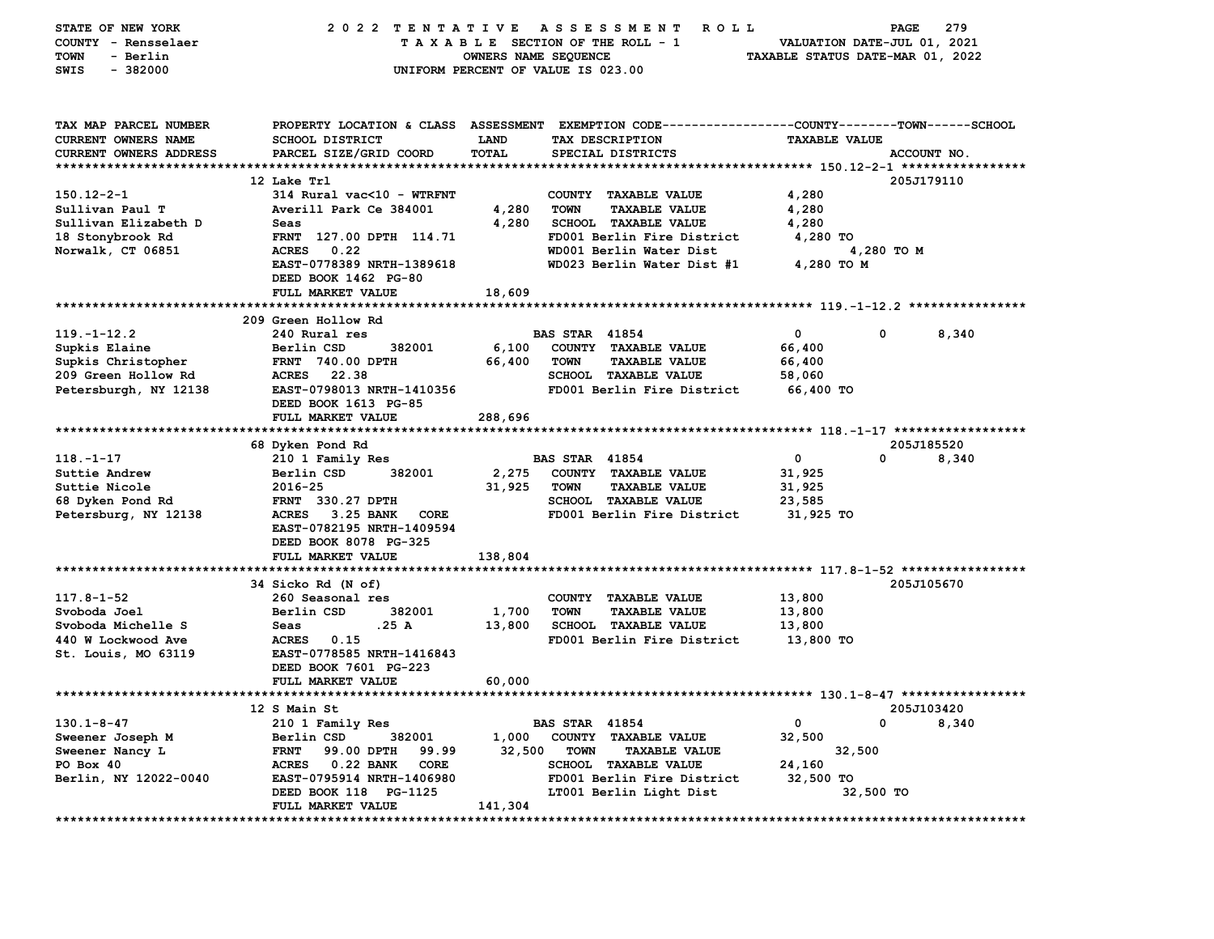| STATE OF NEW YORK                 | 2022 TENTATIVE                                        |                      | A S S E S S M E N T<br>R O L L                                     |                                  | PAGE<br>279                 |
|-----------------------------------|-------------------------------------------------------|----------------------|--------------------------------------------------------------------|----------------------------------|-----------------------------|
| COUNTY - Rensselaer               |                                                       |                      | TAXABLE SECTION OF THE ROLL - 1                                    | VALUATION DATE-JUL 01, 2021      |                             |
| TOWN<br>- Berlin                  |                                                       | OWNERS NAME SEQUENCE |                                                                    | TAXABLE STATUS DATE-MAR 01, 2022 |                             |
| $-382000$<br>SWIS                 |                                                       |                      | UNIFORM PERCENT OF VALUE IS 023.00                                 |                                  |                             |
|                                   |                                                       |                      |                                                                    |                                  |                             |
|                                   |                                                       |                      |                                                                    |                                  |                             |
| TAX MAP PARCEL NUMBER             | PROPERTY LOCATION & CLASS ASSESSMENT                  |                      | EXEMPTION CODE-----------------COUNTY-------TOWN------SCHOOL       |                                  |                             |
| <b>CURRENT OWNERS NAME</b>        | <b>SCHOOL DISTRICT</b>                                | <b>LAND</b>          | TAX DESCRIPTION                                                    | <b>TAXABLE VALUE</b>             |                             |
| <b>CURRENT OWNERS ADDRESS</b>     | PARCEL SIZE/GRID COORD                                | <b>TOTAL</b>         | SPECIAL DISTRICTS                                                  |                                  | ACCOUNT NO.                 |
| *************************         |                                                       |                      |                                                                    |                                  |                             |
|                                   | 12 Lake Trl                                           |                      |                                                                    |                                  | 205J179110                  |
| $150.12 - 2 - 1$                  | 314 Rural vac<10 - WTRFNT                             |                      | COUNTY TAXABLE VALUE                                               | 4,280                            |                             |
| Sullivan Paul T                   | Averill Park Ce 384001                                | 4,280                | <b>TOWN</b><br><b>TAXABLE VALUE</b>                                | 4,280                            |                             |
| Sullivan Elizabeth D              | Seas                                                  | 4,280                | SCHOOL TAXABLE VALUE                                               | 4,280                            |                             |
| 18 Stonybrook Rd                  | FRNT 127.00 DPTH 114.71                               |                      | FD001 Berlin Fire District                                         | 4,280 TO                         |                             |
| Norwalk, CT 06851                 | ACRES 0.22                                            |                      | WD001 Berlin Water Dist                                            |                                  | 4,280 TO M                  |
|                                   | EAST-0778389 NRTH-1389618                             |                      | WD023 Berlin Water Dist #1                                         | 4,280 TO M                       |                             |
|                                   | DEED BOOK 1462 PG-80                                  |                      |                                                                    |                                  |                             |
|                                   | FULL MARKET VALUE                                     | 18,609               |                                                                    |                                  |                             |
|                                   |                                                       |                      |                                                                    |                                  |                             |
|                                   | 209 Green Hollow Rd                                   |                      |                                                                    |                                  |                             |
| $119. - 1 - 12.2$                 | 240 Rural res                                         |                      | <b>BAS STAR 41854</b>                                              | 0                                | 0<br>8,340                  |
| Supkis Elaine                     | 382001<br>Berlin CSD                                  | 6,100                | COUNTY TAXABLE VALUE                                               | 66,400                           |                             |
| Supkis Christopher                | <b>FRNT 740.00 DPTH</b>                               | 66,400               | <b>TOWN</b><br><b>TAXABLE VALUE</b>                                | 66,400                           |                             |
| 209 Green Hollow Rd               | 22.38<br>ACRES<br>EAST-0798013 NRTH-1410356           |                      | SCHOOL TAXABLE VALUE<br>FD001 Berlin Fire District                 | 58,060                           |                             |
| Petersburgh, NY 12138             |                                                       |                      |                                                                    | 66,400 TO                        |                             |
|                                   | DEED BOOK 1613 PG-85<br>FULL MARKET VALUE             | 288,696              |                                                                    |                                  |                             |
| *****************************     |                                                       |                      |                                                                    |                                  |                             |
|                                   | 68 Dyken Pond Rd                                      |                      |                                                                    |                                  | 205J185520                  |
| $118. - 1 - 17$                   | 210 1 Family Res                                      |                      | <b>BAS STAR 41854</b>                                              | 0                                | 0<br>8,340                  |
| Suttie Andrew                     | 382001<br>Berlin CSD                                  | 2,275                | COUNTY TAXABLE VALUE                                               | 31,925                           |                             |
| Suttie Nicole                     | 2016-25                                               | 31,925               | <b>TOWN</b><br><b>TAXABLE VALUE</b>                                | 31,925                           |                             |
| 68 Dyken Pond Rd                  | FRNT 330.27 DPTH                                      |                      | SCHOOL TAXABLE VALUE                                               | 23,585                           |                             |
| Petersburg, NY 12138              | <b>ACRES</b><br>3.25 BANK<br>CORE                     |                      | FD001 Berlin Fire District                                         | 31,925 TO                        |                             |
|                                   | EAST-0782195 NRTH-1409594                             |                      |                                                                    |                                  |                             |
|                                   | DEED BOOK 8078 PG-325                                 |                      |                                                                    |                                  |                             |
|                                   | FULL MARKET VALUE                                     | 138,804              |                                                                    |                                  |                             |
|                                   |                                                       |                      |                                                                    |                                  |                             |
|                                   | 34 Sicko Rd (N of)                                    |                      |                                                                    |                                  | 205J105670                  |
| $117.8 - 1 - 52$                  | 260 Seasonal res                                      |                      | COUNTY TAXABLE VALUE                                               | 13,800                           |                             |
| Svoboda Joel                      | Berlin CSD<br>382001                                  | 1,700                | <b>TAXABLE VALUE</b><br><b>TOWN</b>                                | 13,800                           |                             |
| Svoboda Michelle S                | .25 A<br>Seas                                         | 13,800               | <b>SCHOOL TAXABLE VALUE</b>                                        | 13,800                           |                             |
| 440 W Lockwood Ave                | ACRES 0.15                                            |                      | FD001 Berlin Fire District                                         | 13,800 TO                        |                             |
| St. Louis, MO 63119               | EAST-0778585 NRTH-1416843                             |                      |                                                                    |                                  |                             |
|                                   | DEED BOOK 7601 PG-223                                 |                      |                                                                    |                                  |                             |
|                                   | FULL MARKET VALUE                                     | 60,000               |                                                                    |                                  |                             |
|                                   |                                                       |                      |                                                                    |                                  |                             |
|                                   | 12 S Main St                                          |                      |                                                                    |                                  | 205J103420                  |
| $130.1 - 8 - 47$                  | 210 1 Family Res                                      |                      | <b>BAS STAR 41854</b>                                              | 0                                | 0<br>8,340                  |
| Sweener Joseph M                  | Berlin CSD<br>382001                                  | 1,000                | COUNTY TAXABLE VALUE                                               | 32,500                           |                             |
| Sweener Nancy L                   | 99.00 DPTH<br><b>FRNT</b><br>99.99<br>ACRES 0.22 BANK | 32,500               | <b>TOWN</b><br><b>TAXABLE VALUE</b><br><b>SCHOOL TAXABLE VALUE</b> | 32,500<br>24,160                 |                             |
| PO Box 40                         | CORE<br>EAST-0795914 NRTH-1406980                     |                      | FD001 Berlin Fire District                                         | 32,500 TO                        |                             |
| Berlin, NY 12022-0040             | DEED BOOK 118 PG-1125                                 |                      | LT001 Berlin Light Dist                                            | 32,500 TO                        |                             |
|                                   | FULL MARKET VALUE                                     | 141,304              |                                                                    |                                  |                             |
| ********************************* | ****************                                      |                      | ******************************                                     |                                  | *************************** |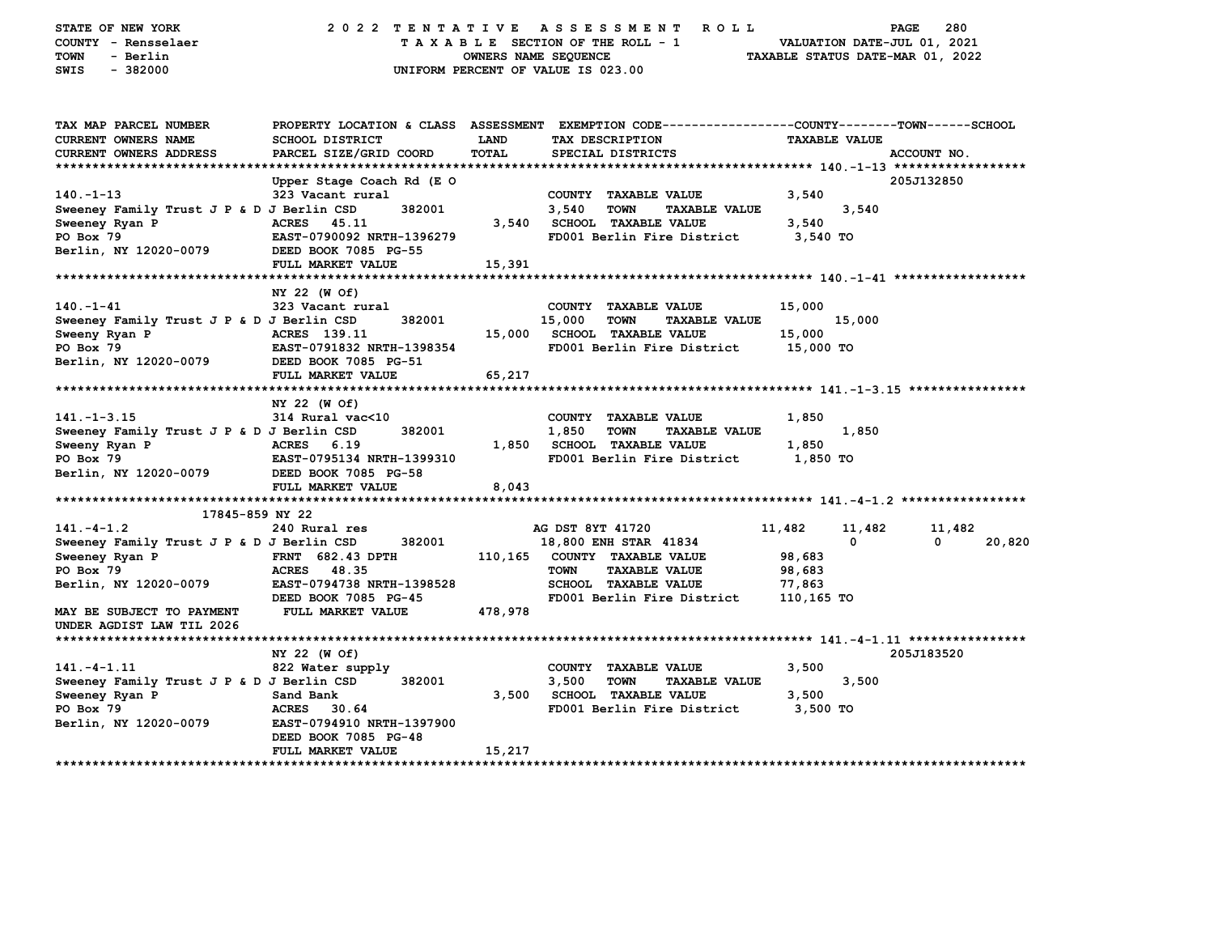| STATE OF NEW YORK<br>COUNTY - Rensselaer<br><b>TOWN</b><br>- Berlin<br>$-382000$<br>SWIS                                                                              | 2022 TENTATIVE                                                                                                                                             | OWNERS NAME SEQUENCE | A S S E S S M E N T<br><b>ROLL</b><br>TAXABLE SECTION OF THE ROLL - 1<br>UNIFORM PERCENT OF VALUE IS 023.00                                                           | VALUATION DATE-JUL 01, 2021<br>TAXABLE STATUS DATE-MAR 01, 2022   | 280<br>PAGE                  |
|-----------------------------------------------------------------------------------------------------------------------------------------------------------------------|------------------------------------------------------------------------------------------------------------------------------------------------------------|----------------------|-----------------------------------------------------------------------------------------------------------------------------------------------------------------------|-------------------------------------------------------------------|------------------------------|
| TAX MAP PARCEL NUMBER<br>CURRENT OWNERS NAME<br><b>CURRENT OWNERS ADDRESS</b>                                                                                         | <b>SCHOOL DISTRICT</b><br>PARCEL SIZE/GRID COORD                                                                                                           | LAND<br><b>TOTAL</b> | PROPERTY LOCATION & CLASS ASSESSMENT EXEMPTION CODE----------------COUNTY-------TOWN------SCHOOL<br>TAX DESCRIPTION<br>SPECIAL DISTRICTS                              | <b>TAXABLE VALUE</b>                                              | ACCOUNT NO.                  |
| $140. -1 - 13$<br>Sweeney Family Trust J P & D J Berlin CSD<br>Sweeney Ryan P<br>PO Box 79<br>Berlin, NY 12020-0079                                                   | Upper Stage Coach Rd (E O<br>323 Vacant rural<br>382001<br><b>ACRES</b><br>45.11<br>EAST-0790092 NRTH-1396279<br>DEED BOOK 7085 PG-55<br>FULL MARKET VALUE | 3,540<br>15,391      | COUNTY TAXABLE VALUE<br>3,540<br><b>TOWN</b><br><b>TAXABLE VALUE</b><br><b>SCHOOL TAXABLE VALUE</b><br>FD001 Berlin Fire District                                     | 3,540<br>3,540<br>3,540<br>3,540 TO                               | 205J132850                   |
| $140. - 1 - 41$<br>Sweeney Family Trust J P & D J Berlin CSD<br>Sweeny Ryan P<br>PO Box 79<br>Berlin, NY 12020-0079                                                   | NY 22 (W Of)<br>323 Vacant rural<br>382001<br>ACRES 139.11<br>EAST-0791832 NRTH-1398354<br>DEED BOOK 7085 PG-51<br>FULL MARKET VALUE                       | 15,000<br>65,217     | COUNTY TAXABLE VALUE<br>15,000<br><b>TOWN</b><br><b>TAXABLE VALUE</b><br><b>SCHOOL TAXABLE VALUE</b><br>FD001 Berlin Fire District                                    | 15,000<br>15,000<br>15,000<br>15,000 TO                           |                              |
| $141. - 1 - 3.15$<br>Sweeney Family Trust J P & D J Berlin CSD<br>Sweeny Ryan P<br>PO Box 79<br>Berlin, NY 12020-0079                                                 | NY 22 (W Of)<br>314 Rural vac<10<br>382001<br><b>ACRES</b><br>6.19<br>EAST-0795134 NRTH-1399310<br>DEED BOOK 7085 PG-58<br>FULL MARKET VALUE               | 1,850<br>8,043       | COUNTY TAXABLE VALUE<br>1,850<br><b>TOWN</b><br><b>TAXABLE VALUE</b><br><b>SCHOOL TAXABLE VALUE</b><br>FD001 Berlin Fire District                                     | 1,850<br>1,850<br>1,850<br>1,850 TO                               |                              |
|                                                                                                                                                                       |                                                                                                                                                            |                      |                                                                                                                                                                       |                                                                   |                              |
| 17845-859 NY 22<br>$141. - 4 - 1.2$<br>Sweeney Family Trust J P & D J Berlin CSD<br>Sweeney Ryan P<br>PO Box 79<br>Berlin, NY 12020-0079<br>MAY BE SUBJECT TO PAYMENT | 240 Rural res<br>382001<br><b>FRNT 682.43 DPTH</b><br><b>ACRES</b><br>48.35<br>EAST-0794738 NRTH-1398528<br>DEED BOOK 7085 PG-45<br>FULL MARKET VALUE      | 110,165<br>478,978   | AG DST 8YT 41720<br>18,800 ENH STAR 41834<br>COUNTY TAXABLE VALUE<br><b>TOWN</b><br><b>TAXABLE VALUE</b><br><b>SCHOOL TAXABLE VALUE</b><br>FD001 Berlin Fire District | 11,482<br>11,482<br>0<br>98,683<br>98,683<br>77,863<br>110,165 TO | 11,482<br>$\Omega$<br>20,820 |
| UNDER AGDIST LAW TIL 2026                                                                                                                                             |                                                                                                                                                            |                      |                                                                                                                                                                       |                                                                   |                              |
| $141. - 4 - 1.11$<br>Sweeney Family Trust J P & D J Berlin CSD<br>Sweeney Ryan P<br>PO Box 79<br>Berlin, NY 12020-0079<br>****************************                | NY 22 (W Of)<br>822 Water supply<br>382001<br>Sand Bank<br><b>ACRES</b><br>30.64<br>EAST-0794910 NRTH-1397900<br>DEED BOOK 7085 PG-48<br>FULL MARKET VALUE | 3,500<br>15,217      | COUNTY TAXABLE VALUE<br>3,500<br>TOWN<br><b>TAXABLE VALUE</b><br><b>SCHOOL TAXABLE VALUE</b><br>FD001 Berlin Fire District                                            | 3,500<br>3,500<br>3,500<br>3,500 TO                               | 205J183520                   |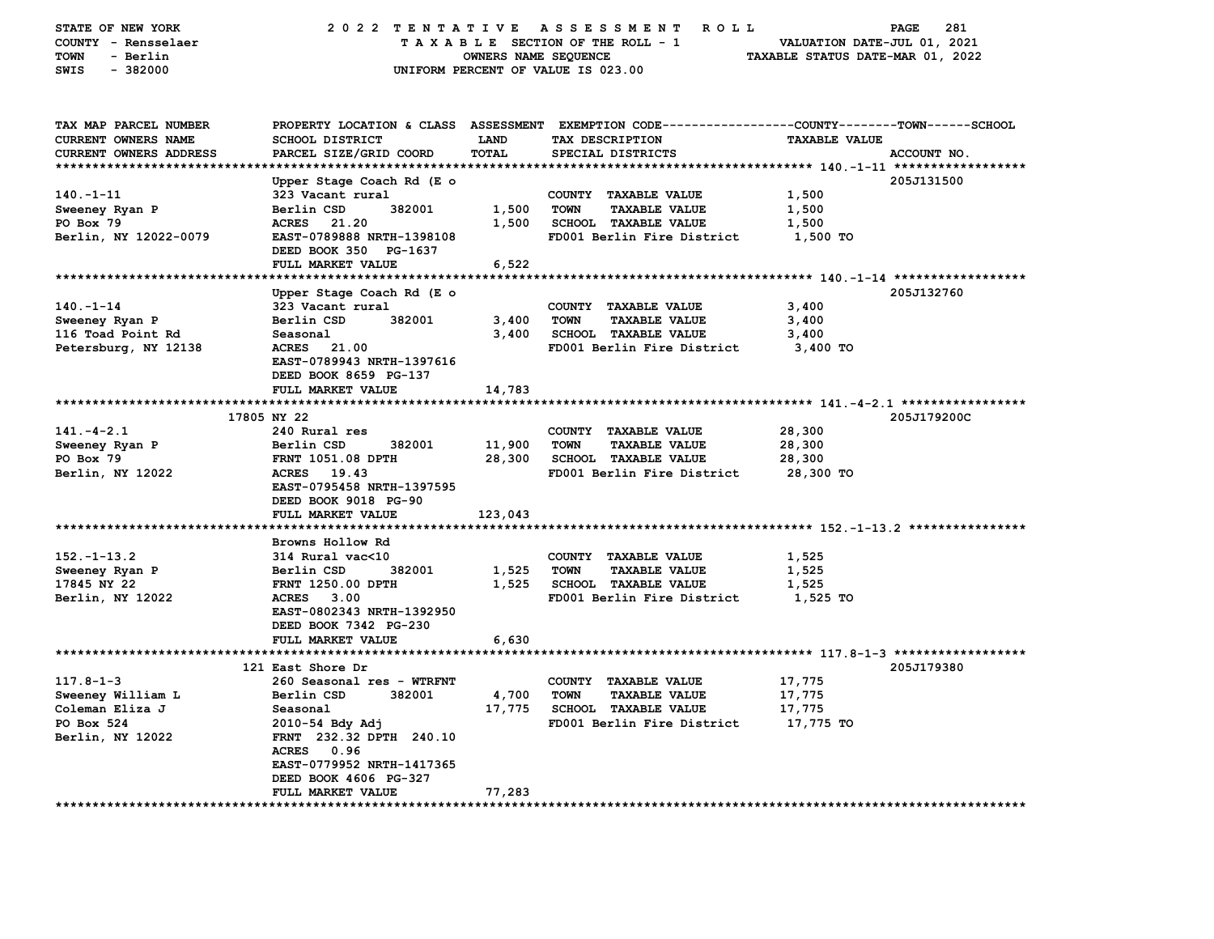| STATE OF NEW YORK<br>COUNTY - Rensselaer<br>TOWN<br>- Berlin<br>$-382000$<br>SWIS | 2022 TENTATIVE ASSESSMENT                                                   | OWNERS NAME SEQUENCE | R O L L<br>TAXABLE SECTION OF THE ROLL - 1<br>UNIFORM PERCENT OF VALUE IS 023.00                                                       | VALUATION DATE-JUL 01, 2021<br>TAXABLE STATUS DATE-MAR 01, 2022 | 281<br>PAGE |
|-----------------------------------------------------------------------------------|-----------------------------------------------------------------------------|----------------------|----------------------------------------------------------------------------------------------------------------------------------------|-----------------------------------------------------------------|-------------|
| TAX MAP PARCEL NUMBER<br><b>CURRENT OWNERS NAME</b><br>CURRENT OWNERS ADDRESS     | <b>SCHOOL DISTRICT</b><br>PARCEL SIZE/GRID COORD                            | LAND<br>TOTAL        | PROPERTY LOCATION & CLASS ASSESSMENT EXEMPTION CODE---------------COUNTY-------TOWN-----SCHOOL<br>TAX DESCRIPTION<br>SPECIAL DISTRICTS | <b>TAXABLE VALUE</b>                                            | ACCOUNT NO. |
|                                                                                   | Upper Stage Coach Rd (E o                                                   |                      |                                                                                                                                        |                                                                 | 205J131500  |
| $140. -1 - 11$                                                                    | 323 Vacant rural                                                            |                      | COUNTY TAXABLE VALUE                                                                                                                   | 1,500                                                           |             |
| Sweeney Ryan P                                                                    | Berlin CSD<br>382001                                                        | 1,500                | <b>TOWN</b><br><b>TAXABLE VALUE</b>                                                                                                    | 1,500                                                           |             |
| PO Box 79                                                                         | <b>ACRES</b><br>21.20                                                       | 1,500                | <b>SCHOOL TAXABLE VALUE</b>                                                                                                            | 1,500                                                           |             |
| Berlin, NY 12022-0079                                                             | EAST-0789888 NRTH-1398108<br>DEED BOOK 350 PG-1637                          |                      | FD001 Berlin Fire District                                                                                                             | 1,500 TO                                                        |             |
|                                                                                   | FULL MARKET VALUE                                                           | 6,522                |                                                                                                                                        |                                                                 |             |
|                                                                                   |                                                                             |                      |                                                                                                                                        |                                                                 |             |
|                                                                                   | Upper Stage Coach Rd (E o                                                   |                      |                                                                                                                                        |                                                                 | 205J132760  |
| $140. - 1 - 14$                                                                   | 323 Vacant rural                                                            |                      | COUNTY TAXABLE VALUE                                                                                                                   | 3,400                                                           |             |
| Sweeney Ryan P                                                                    | Berlin CSD<br>382001                                                        | 3,400                | <b>TOWN</b><br><b>TAXABLE VALUE</b>                                                                                                    | 3,400                                                           |             |
| 116 Toad Point Rd                                                                 | Seasonal                                                                    | 3,400                | <b>SCHOOL TAXABLE VALUE</b>                                                                                                            | 3,400                                                           |             |
| Petersburg, NY 12138                                                              | <b>ACRES</b><br>21.00<br>EAST-0789943 NRTH-1397616<br>DEED BOOK 8659 PG-137 |                      | FD001 Berlin Fire District                                                                                                             | 3,400 TO                                                        |             |
|                                                                                   | FULL MARKET VALUE                                                           | 14,783               |                                                                                                                                        |                                                                 |             |
|                                                                                   | 17805 NY 22                                                                 |                      |                                                                                                                                        |                                                                 | 205J179200C |
| $141. - 4 - 2.1$                                                                  | 240 Rural res                                                               |                      | COUNTY TAXABLE VALUE                                                                                                                   | 28,300                                                          |             |
| Sweeney Ryan P                                                                    | Berlin CSD<br>382001                                                        | 11,900               | <b>TOWN</b><br><b>TAXABLE VALUE</b>                                                                                                    | 28,300                                                          |             |
| PO Box 79                                                                         | <b>FRNT 1051.08 DPTH</b>                                                    | 28,300               | <b>SCHOOL TAXABLE VALUE</b>                                                                                                            | 28,300                                                          |             |
| Berlin, NY 12022                                                                  | ACRES 19.43                                                                 |                      | FD001 Berlin Fire District                                                                                                             | 28,300 TO                                                       |             |
|                                                                                   | EAST-0795458 NRTH-1397595<br>DEED BOOK 9018 PG-90                           |                      |                                                                                                                                        |                                                                 |             |
| *****************************                                                     | FULL MARKET VALUE                                                           | 123,043              |                                                                                                                                        |                                                                 |             |
|                                                                                   | Browns Hollow Rd                                                            |                      |                                                                                                                                        |                                                                 |             |
| $152. - 1 - 13.2$                                                                 | 314 Rural vac<10                                                            |                      | COUNTY TAXABLE VALUE                                                                                                                   | 1,525                                                           |             |
| Sweeney Ryan P                                                                    | Berlin CSD<br>382001                                                        | 1,525                | <b>TOWN</b><br><b>TAXABLE VALUE</b>                                                                                                    | 1,525                                                           |             |
| 17845 NY 22                                                                       | FRNT 1250.00 DPTH                                                           | 1,525                | <b>SCHOOL TAXABLE VALUE</b>                                                                                                            | 1,525                                                           |             |
| Berlin, NY 12022                                                                  | ACRES 3.00<br>EAST-0802343 NRTH-1392950<br>DEED BOOK 7342 PG-230            |                      | FD001 Berlin Fire District                                                                                                             | 1,525 TO                                                        |             |
|                                                                                   | FULL MARKET VALUE                                                           | 6,630                |                                                                                                                                        |                                                                 |             |
|                                                                                   |                                                                             |                      |                                                                                                                                        |                                                                 |             |
|                                                                                   | 121 East Shore Dr                                                           |                      |                                                                                                                                        |                                                                 | 205J179380  |
| $117.8 - 1 - 3$                                                                   | 260 Seasonal res - WTRFNT                                                   |                      | COUNTY TAXABLE VALUE                                                                                                                   | 17,775                                                          |             |
| Sweeney William L                                                                 | Berlin CSD<br>382001                                                        | 4,700                | <b>TOWN</b><br><b>TAXABLE VALUE</b>                                                                                                    | 17,775                                                          |             |
| Coleman Eliza J<br>PO Box 524                                                     | Seasonal                                                                    | 17,775               | <b>SCHOOL TAXABLE VALUE</b><br>FD001 Berlin Fire District                                                                              | 17,775<br>17,775 TO                                             |             |
| Berlin, NY 12022                                                                  | 2010-54 Bdy Adj<br>FRNT 232.32 DPTH 240.10                                  |                      |                                                                                                                                        |                                                                 |             |
|                                                                                   | ACRES 0.96                                                                  |                      |                                                                                                                                        |                                                                 |             |
|                                                                                   | EAST-0779952 NRTH-1417365                                                   |                      |                                                                                                                                        |                                                                 |             |
|                                                                                   | DEED BOOK 4606 PG-327                                                       |                      |                                                                                                                                        |                                                                 |             |
|                                                                                   | FULL MARKET VALUE                                                           | 77,283               |                                                                                                                                        |                                                                 |             |
|                                                                                   |                                                                             |                      |                                                                                                                                        |                                                                 |             |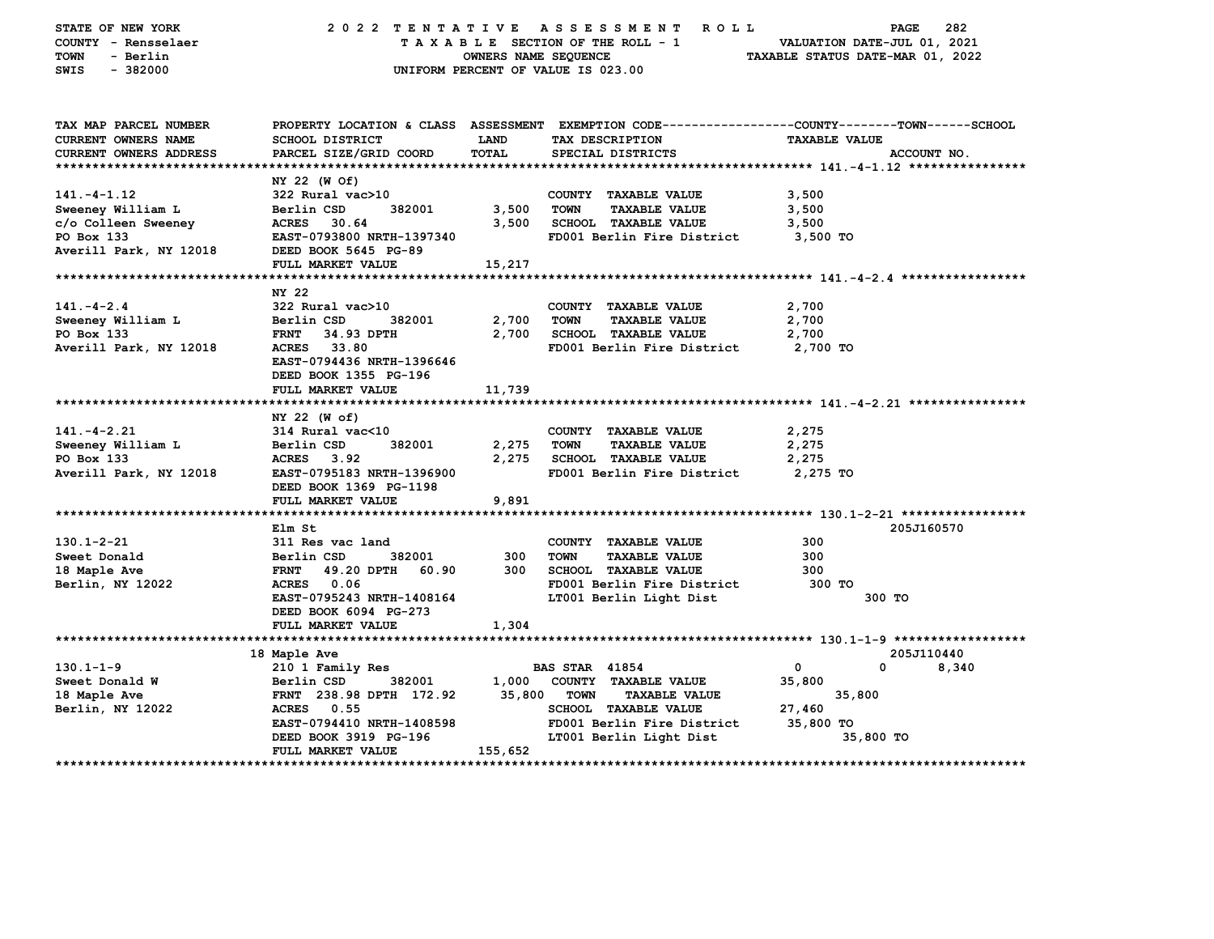| STATE OF NEW YORK             |                                    |                      | 2022 TENTATIVE ASSESSMENT<br>R O L L                                                            |                                  | PAGE<br>282            |
|-------------------------------|------------------------------------|----------------------|-------------------------------------------------------------------------------------------------|----------------------------------|------------------------|
| COUNTY - Rensselaer           |                                    |                      | TAXABLE SECTION OF THE ROLL - 1                                                                 | VALUATION DATE-JUL 01, 2021      |                        |
| TOWN<br>- Berlin              |                                    | OWNERS NAME SEQUENCE |                                                                                                 | TAXABLE STATUS DATE-MAR 01, 2022 |                        |
| SWIS<br>$-382000$             |                                    |                      | UNIFORM PERCENT OF VALUE IS 023.00                                                              |                                  |                        |
|                               |                                    |                      |                                                                                                 |                                  |                        |
|                               |                                    |                      |                                                                                                 |                                  |                        |
| TAX MAP PARCEL NUMBER         |                                    |                      | PROPERTY LOCATION & CLASS ASSESSMENT EXEMPTION CODE---------------COUNTY-------TOWN------SCHOOL |                                  |                        |
| CURRENT OWNERS NAME           | <b>SCHOOL DISTRICT</b>             | <b>LAND</b>          | TAX DESCRIPTION                                                                                 | <b>TAXABLE VALUE</b>             |                        |
| <b>CURRENT OWNERS ADDRESS</b> | PARCEL SIZE/GRID COORD             | TOTAL                | SPECIAL DISTRICTS                                                                               |                                  | ACCOUNT NO.            |
|                               |                                    |                      |                                                                                                 |                                  |                        |
|                               | NY 22 (W Of)                       |                      |                                                                                                 |                                  |                        |
| $141. - 4 - 1.12$             | 322 Rural vac>10                   |                      | COUNTY TAXABLE VALUE                                                                            | 3,500                            |                        |
| Sweeney William L             | Berlin CSD<br>382001               | 3,500                | <b>TOWN</b><br>TAXABLE VALUE                                                                    | 3,500                            |                        |
| c/o Colleen Sweeney           | <b>ACRES</b><br>30.64              | 3,500                | <b>SCHOOL TAXABLE VALUE</b>                                                                     | 3,500                            |                        |
| PO Box 133                    | EAST-0793800 NRTH-1397340          |                      | FD001 Berlin Fire District                                                                      | 3,500 TO                         |                        |
| Averill Park, NY 12018        | DEED BOOK 5645 PG-89               |                      |                                                                                                 |                                  |                        |
|                               | FULL MARKET VALUE                  | 15,217               |                                                                                                 |                                  |                        |
|                               |                                    |                      |                                                                                                 |                                  |                        |
|                               | NY 22                              |                      |                                                                                                 |                                  |                        |
| $141. - 4 - 2.4$              | 322 Rural vac>10                   |                      | COUNTY TAXABLE VALUE                                                                            | 2,700                            |                        |
| Sweeney William L             | Berlin CSD<br>382001               | 2,700                | <b>TOWN</b><br><b>TAXABLE VALUE</b>                                                             | 2,700                            |                        |
| PO Box 133                    | <b>FRNT</b><br>34.93 DPTH          | 2,700                | <b>SCHOOL TAXABLE VALUE</b>                                                                     | 2,700                            |                        |
| Averill Park, NY 12018        | ACRES 33.80                        |                      | FD001 Berlin Fire District                                                                      | 2,700 TO                         |                        |
|                               | EAST-0794436 NRTH-1396646          |                      |                                                                                                 |                                  |                        |
|                               | DEED BOOK 1355 PG-196              |                      |                                                                                                 |                                  |                        |
|                               | FULL MARKET VALUE                  | 11,739               |                                                                                                 |                                  |                        |
|                               |                                    |                      |                                                                                                 |                                  |                        |
|                               | NY 22 (W of)                       |                      |                                                                                                 |                                  |                        |
| $141. - 4 - 2.21$             | 314 Rural vac<10                   |                      | COUNTY TAXABLE VALUE                                                                            | 2,275                            |                        |
| Sweeney William L             | Berlin CSD<br>382001               | 2,275                | <b>TOWN</b><br><b>TAXABLE VALUE</b>                                                             | 2,275                            |                        |
| PO Box 133                    | ACRES 3.92                         | 2,275                | <b>SCHOOL TAXABLE VALUE</b>                                                                     | 2,275                            |                        |
| Averill Park, NY 12018        | EAST-0795183 NRTH-1396900          |                      | FD001 Berlin Fire District                                                                      | 2,275 TO                         |                        |
|                               | DEED BOOK 1369 PG-1198             |                      |                                                                                                 |                                  |                        |
|                               | FULL MARKET VALUE                  | 9,891                |                                                                                                 |                                  |                        |
|                               |                                    |                      |                                                                                                 |                                  |                        |
|                               | Elm St                             |                      |                                                                                                 |                                  | 205J160570             |
| $130.1 - 2 - 21$              | 311 Res vac land                   |                      | COUNTY TAXABLE VALUE                                                                            | 300                              |                        |
| Sweet Donald                  | Berlin CSD<br>382001               | 300                  | <b>TOWN</b><br><b>TAXABLE VALUE</b>                                                             | 300                              |                        |
| 18 Maple Ave                  | <b>FRNT</b><br>49.20 DPTH<br>60.90 | 300                  | <b>SCHOOL TAXABLE VALUE</b>                                                                     | 300                              |                        |
| Berlin, NY 12022              | ACRES 0.06                         |                      | FD001 Berlin Fire District                                                                      | 300 TO                           |                        |
|                               | EAST-0795243 NRTH-1408164          |                      | LT001 Berlin Light Dist                                                                         | 300 TO                           |                        |
|                               | DEED BOOK 6094 PG-273              |                      |                                                                                                 |                                  |                        |
|                               | FULL MARKET VALUE                  | 1,304                |                                                                                                 |                                  |                        |
|                               |                                    |                      |                                                                                                 |                                  |                        |
|                               | 18 Maple Ave                       |                      |                                                                                                 |                                  | 205J110440             |
| $130.1 - 1 - 9$               | 210 1 Family Res                   |                      | <b>BAS STAR 41854</b>                                                                           | 0<br>0                           | 8,340                  |
| Sweet Donald W                | 382001<br>Berlin CSD               | 1,000                | COUNTY TAXABLE VALUE                                                                            | 35,800                           |                        |
| 18 Maple Ave                  | FRNT 238.98 DPTH 172.92            | 35,800               | <b>TOWN</b><br><b>TAXABLE VALUE</b>                                                             | 35,800                           |                        |
| Berlin, NY 12022              | ACRES 0.55                         |                      | SCHOOL TAXABLE VALUE                                                                            | 27,460                           |                        |
|                               | EAST-0794410 NRTH-1408598          |                      | FD001 Berlin Fire District                                                                      | 35,800 TO                        |                        |
|                               | DEED BOOK 3919 PG-196              |                      | LT001 Berlin Light Dist                                                                         | 35,800 TO                        |                        |
|                               | FULL MARKET VALUE                  | 155,652              |                                                                                                 |                                  |                        |
| **************************    |                                    |                      |                                                                                                 |                                  | ********************** |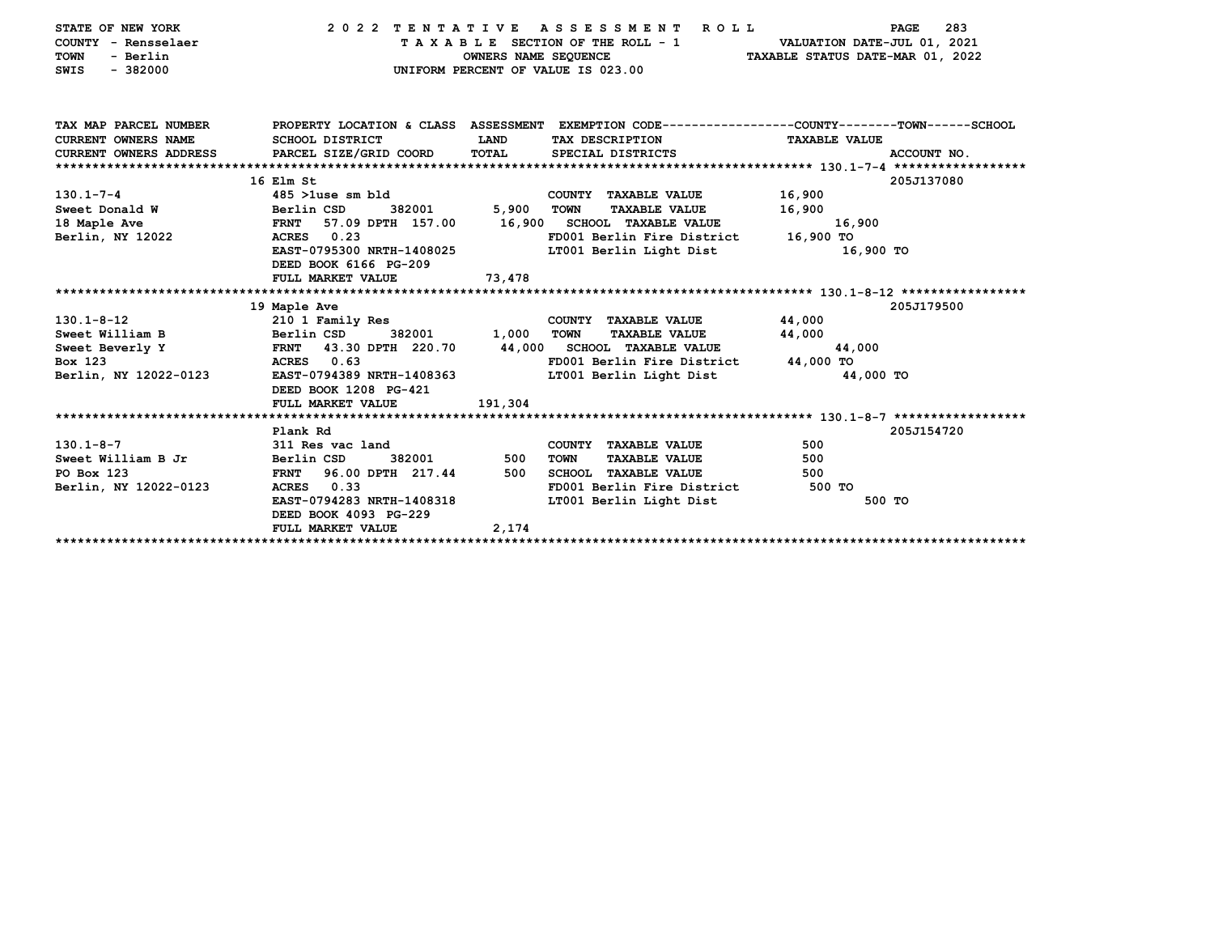| STATE OF NEW YORK<br>COUNTY - Rensselaer<br>- Berlin<br><b>TOWN</b><br>$-382000$<br>SWIS | 2022 TENTATIVE ASSESSMENT                          | OWNERS NAME SEQUENCE | R O L L<br>TAXABLE SECTION OF THE ROLL - 1<br>UNIFORM PERCENT OF VALUE IS 023.00                | VALUATION DATE-JUL 01, 2021<br>TAXABLE STATUS DATE-MAR 01, 2022 | 283<br><b>PAGE</b> |
|------------------------------------------------------------------------------------------|----------------------------------------------------|----------------------|-------------------------------------------------------------------------------------------------|-----------------------------------------------------------------|--------------------|
| TAX MAP PARCEL NUMBER                                                                    |                                                    |                      | PROPERTY LOCATION & CLASS ASSESSMENT EXEMPTION CODE---------------COUNTY-------TOWN------SCHOOL |                                                                 |                    |
| CURRENT OWNERS NAME<br>CURRENT OWNERS ADDRESS PARCEL SIZE/GRID COORD                     | <b>SCHOOL DISTRICT</b>                             | LAND<br>TOTAL        | TAX DESCRIPTION<br>SPECIAL DISTRICTS                                                            | <b>TAXABLE VALUE</b>                                            |                    |
|                                                                                          |                                                    |                      |                                                                                                 |                                                                 | ACCOUNT NO.        |
|                                                                                          | 16 Elm St                                          |                      |                                                                                                 |                                                                 | 205J137080         |
| $130.1 - 7 - 4$                                                                          | 485 >1use sm bld                                   |                      | COUNTY TAXABLE VALUE                                                                            | 16,900                                                          |                    |
| Sweet Donald W                                                                           | Berlin CSD<br>382001                               | 5,900                | <b>TOWN</b><br><b>TAXABLE VALUE</b>                                                             | 16,900                                                          |                    |
| 18 Maple Ave                                                                             | 57.09 DPTH 157.00<br><b>FRNT</b>                   |                      | 16,900 SCHOOL TAXABLE VALUE                                                                     | 16,900                                                          |                    |
| Berlin, NY 12022                                                                         | 0.23<br><b>ACRES</b>                               |                      | FD001 Berlin Fire District                                                                      | 16,900 TO                                                       |                    |
|                                                                                          | EAST-0795300 NRTH-1408025                          |                      | LT001 Berlin Light Dist                                                                         | 16,900 TO                                                       |                    |
|                                                                                          | DEED BOOK 6166 PG-209                              |                      |                                                                                                 |                                                                 |                    |
|                                                                                          | FULL MARKET VALUE                                  | 73,478               |                                                                                                 |                                                                 |                    |
|                                                                                          | 19 Maple Ave                                       |                      |                                                                                                 |                                                                 | 205J179500         |
| $130.1 - 8 - 12$                                                                         | 210 1 Family Res                                   |                      | COUNTY TAXABLE VALUE                                                                            | 44,000                                                          |                    |
| Sweet William B                                                                          | Berlin CSD<br>382001                               | 1,000                | <b>TOWN</b><br><b>TAXABLE VALUE</b>                                                             | 44,000                                                          |                    |
| Sweet Beverly Y                                                                          | FRNT 43.30 DPTH 220.70                             |                      | 44,000 SCHOOL TAXABLE VALUE                                                                     | 44,000                                                          |                    |
| Box 123                                                                                  | ACRES 0.63                                         |                      | FD001 Berlin Fire District                                                                      | 44,000 TO                                                       |                    |
| Berlin, NY 12022-0123                                                                    | EAST-0794389 NRTH-1408363<br>DEED BOOK 1208 PG-421 |                      | LT001 Berlin Light Dist                                                                         | 44,000 TO                                                       |                    |
|                                                                                          | FULL MARKET VALUE                                  | 191,304              |                                                                                                 |                                                                 |                    |
|                                                                                          |                                                    |                      |                                                                                                 |                                                                 |                    |
|                                                                                          | Plank Rd                                           |                      |                                                                                                 |                                                                 | 205J154720         |
| $130.1 - 8 - 7$                                                                          | 311 Res vac land                                   |                      | COUNTY TAXABLE VALUE                                                                            | 500                                                             |                    |
| Sweet William B Jr                                                                       | Berlin CSD<br>382001                               | 500                  | <b>TOWN</b><br><b>TAXABLE VALUE</b>                                                             | 500                                                             |                    |
| PO Box 123                                                                               | 96.00 DPTH 217.44<br><b>FRNT</b>                   | 500                  | <b>SCHOOL TAXABLE VALUE</b>                                                                     | 500                                                             |                    |
| Berlin, NY 12022-0123                                                                    | 0.33<br><b>ACRES</b>                               |                      | FD001 Berlin Fire District                                                                      | 500 TO                                                          |                    |
|                                                                                          | EAST-0794283 NRTH-1408318<br>DEED BOOK 4093 PG-229 |                      | LT001 Berlin Light Dist                                                                         | 500 TO                                                          |                    |
|                                                                                          | FULL MARKET VALUE                                  | 2,174                |                                                                                                 |                                                                 |                    |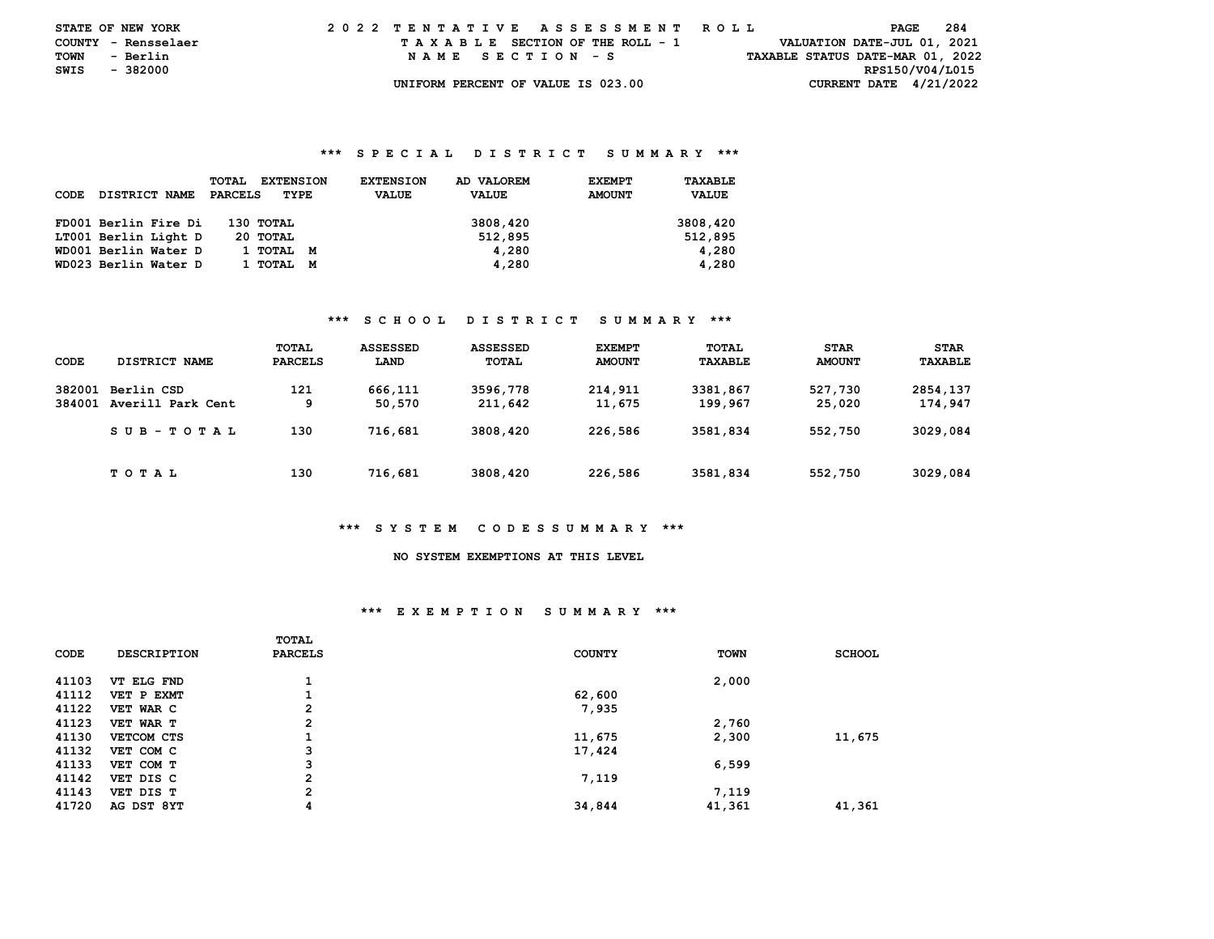| <b>STATE OF NEW YORK</b> |          |  | 2022 TENTATIVE ASSESSMENT ROLL |  |  |  |                                    |  |  |  |  |  |  |  |  |                                  | PAGE            |  | -284 |  |
|--------------------------|----------|--|--------------------------------|--|--|--|------------------------------------|--|--|--|--|--|--|--|--|----------------------------------|-----------------|--|------|--|
| COUNTY - Rensselaer      |          |  |                                |  |  |  | TAXABLE SECTION OF THE ROLL - 1    |  |  |  |  |  |  |  |  | VALUATION DATE-JUL 01, 2021      |                 |  |      |  |
| TOWN                     | - Berlin |  |                                |  |  |  | NAME SECTION - S                   |  |  |  |  |  |  |  |  | TAXABLE STATUS DATE-MAR 01, 2022 |                 |  |      |  |
| SWIS                     | - 382000 |  |                                |  |  |  |                                    |  |  |  |  |  |  |  |  |                                  | RPS150/V04/L015 |  |      |  |
|                          |          |  |                                |  |  |  | UNIFORM PERCENT OF VALUE IS 023.00 |  |  |  |  |  |  |  |  | CURRENT DATE $4/21/2022$         |                 |  |      |  |

#### **\*\*\* S P E C I A L D I S T R I C T S U M M A R Y \*\*\***

| CODE | DISTRICT NAME        | <b>TOTAL</b><br><b>EXTENSION</b><br>PARCELS<br>TYPE | AD VALOREM<br><b>EXTENSION</b><br><b>VALUE</b><br><b>VALUE</b> | TAXABLE<br><b>EXEMPT</b><br><b>AMOUNT</b><br><b>VALUE</b> |
|------|----------------------|-----------------------------------------------------|----------------------------------------------------------------|-----------------------------------------------------------|
|      | FD001 Berlin Fire Di | 130 TOTAL                                           | 3808,420                                                       | 3808,420                                                  |
|      | LT001 Berlin Light D | 20 TOTAL                                            | 512,895                                                        | 512,895                                                   |
|      | WD001 Berlin Water D | 1 ТОТАЬ<br>M                                        | 4,280                                                          | 4,280                                                     |
|      | WD023 Berlin Water D | 1 тотаг<br>M                                        | 4,280                                                          | 4,280                                                     |

#### **\*\*\* S C H O O L D I S T R I C T S U M M A R Y \*\*\***

| CODE             | DISTRICT NAME                   | TOTAL<br><b>PARCELS</b> | <b>ASSESSED</b><br>LAND | <b>ASSESSED</b><br><b>TOTAL</b> | <b>EXEMPT</b><br><b>AMOUNT</b> | TOTAL<br>TAXABLE    | <b>STAR</b><br><b>AMOUNT</b> | <b>STAR</b><br>TAXABLE |
|------------------|---------------------------------|-------------------------|-------------------------|---------------------------------|--------------------------------|---------------------|------------------------------|------------------------|
| 382001<br>384001 | Berlin CSD<br>Averill Park Cent | 121<br>9                | 666,111<br>50.570       | 3596,778<br>211,642             | 214,911<br>11,675              | 3381,867<br>199,967 | 527,730<br>25,020            | 2854,137<br>174,947    |
|                  | $SUB - TO T AL$                 | 130                     | 716,681                 | 3808,420                        | 226,586                        | 3581,834            | 552,750                      | 3029,084               |
|                  | T O T A L                       | 130                     | 716,681                 | 3808,420                        | 226,586                        | 3581,834            | 552,750                      | 3029,084               |

#### **\*\*\* S Y S T E M C O D E S S U M M A R Y \*\*\***

## **NO SYSTEM EXEMPTIONS AT THIS LEVEL**

#### **\*\*\* E X E M P T I O N S U M M A R Y \*\*\***

|       |                    | <b>TOTAL</b>   |               |             |               |
|-------|--------------------|----------------|---------------|-------------|---------------|
| CODE  | <b>DESCRIPTION</b> | <b>PARCELS</b> | <b>COUNTY</b> | <b>TOWN</b> | <b>SCHOOL</b> |
| 41103 | VT ELG FND         |                |               | 2,000       |               |
| 41112 | VET P EXMT         |                | 62,600        |             |               |
| 41122 | VET WAR C          | 2              | 7,935         |             |               |
| 41123 | VET WAR T          | $\overline{2}$ |               | 2,760       |               |
| 41130 | VETCOM CTS         |                | 11,675        | 2,300       | 11,675        |
| 41132 | VET COM C          | 3              | 17,424        |             |               |
| 41133 | VET COM T          | 3              |               | 6,599       |               |
| 41142 | VET DIS C          | $\mathbf{2}$   | 7,119         |             |               |
| 41143 | VET DIS T          | $\overline{2}$ |               | 7,119       |               |
| 41720 | AG DST 8YT         | 4              | 34,844        | 41,361      | 41,361        |
|       |                    |                |               |             |               |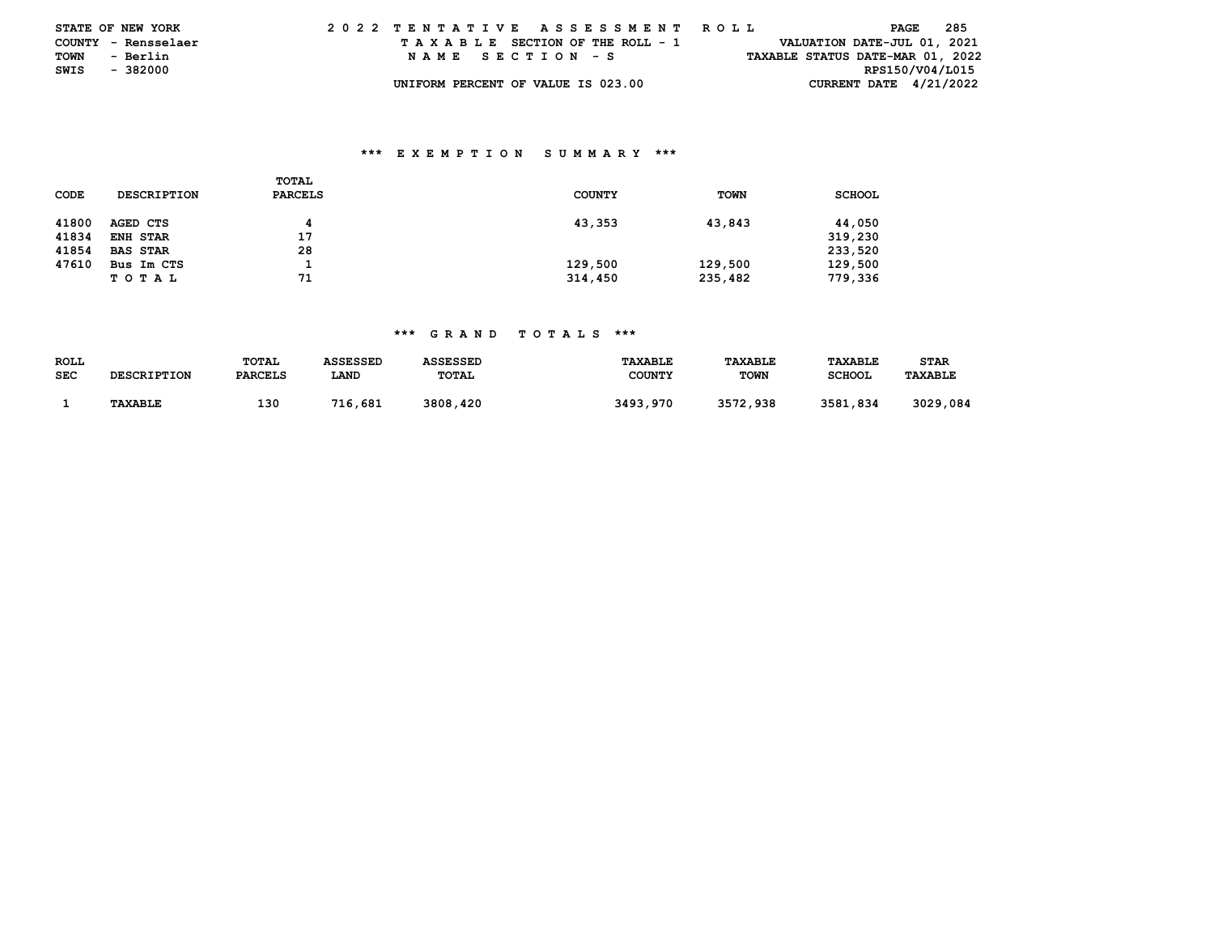| <b>STATE OF NEW YORK</b> |                     |  |  |  |  |  | 2022 TENTATIVE ASSESSMENT ROLL     |  |  |  |  |  |  |  |  |  |                                  | PAGE | 285 |  |
|--------------------------|---------------------|--|--|--|--|--|------------------------------------|--|--|--|--|--|--|--|--|--|----------------------------------|------|-----|--|
|                          | COUNTY - Rensselaer |  |  |  |  |  | TAXABLE SECTION OF THE ROLL - 1    |  |  |  |  |  |  |  |  |  | VALUATION DATE-JUL 01, 2021      |      |     |  |
| TOWN                     | - Berlin            |  |  |  |  |  | NAME SECTION - S                   |  |  |  |  |  |  |  |  |  | TAXABLE STATUS DATE-MAR 01, 2022 |      |     |  |
| SWIS - 382000            |                     |  |  |  |  |  |                                    |  |  |  |  |  |  |  |  |  | RPS150/V04/L015                  |      |     |  |
|                          |                     |  |  |  |  |  | UNIFORM PERCENT OF VALUE IS 023.00 |  |  |  |  |  |  |  |  |  | CURRENT DATE $4/21/2022$         |      |     |  |

## **\*\*\* E X E M P T I O N S U M M A R Y \*\*\***

|       |                    | TOTAL          |               |             |               |
|-------|--------------------|----------------|---------------|-------------|---------------|
| CODE  | <b>DESCRIPTION</b> | <b>PARCELS</b> | <b>COUNTY</b> | <b>TOWN</b> | <b>SCHOOL</b> |
|       |                    |                |               |             |               |
| 41800 | AGED CTS           | 4              | 43,353        | 43,843      | 44,050        |
| 41834 | ENH STAR           | 17             |               |             | 319,230       |
| 41854 | <b>BAS STAR</b>    | 28             |               |             | 233,520       |
| 47610 | Bus Im CTS         |                | 129,500       | 129,500     | 129,500       |
|       | TOTAL              | 71             | 314,450       | 235,482     | 779,336       |

### **\*\*\* G R A N D T O T A L S \*\*\***

| <b>ROLL</b> |                    | TOTAL          | ASSESSED | ASSESSED     | <b>TAXABLE</b> | <b>TAXABLE</b> | TAXABLE       | STAR           |
|-------------|--------------------|----------------|----------|--------------|----------------|----------------|---------------|----------------|
| SEC         | <b>DESCRIPTION</b> | <b>PARCELS</b> | LAND     | <b>TOTAL</b> | <b>COUNTY</b>  | <b>TOWN</b>    | <b>SCHOOL</b> | <b>TAXABLE</b> |
|             |                    |                |          |              |                |                |               |                |
|             | <b>TAXABLE</b>     | 130            | 716,681  | 3808,420     | 3493,970       | 3572,938       | 3581,834      | 3029,084       |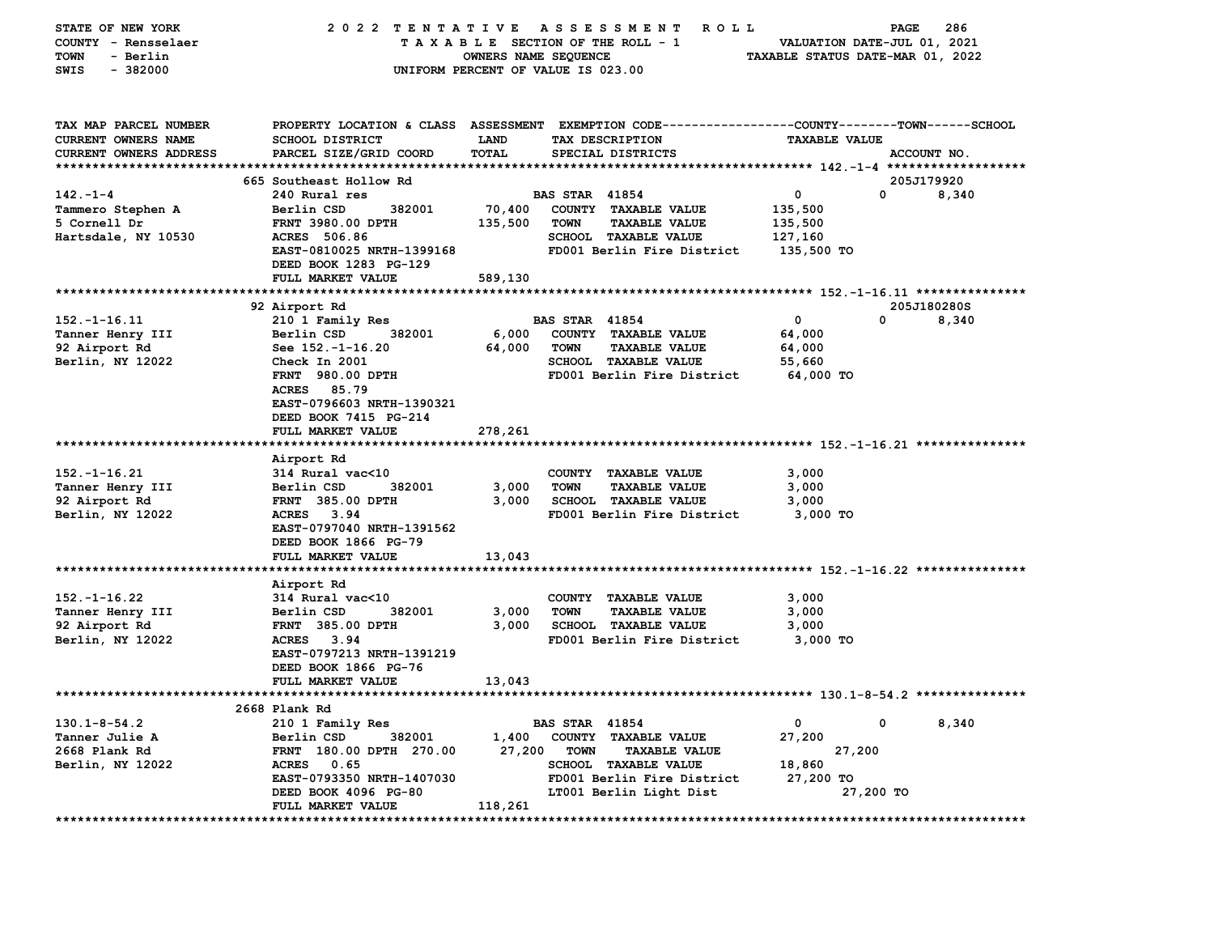| STATE OF NEW YORK             | 2022 TENTATIVE                 |                      | A S S E S S M E N T<br>ROLL ROLL                                                               |                                  | PAGE<br>286       |
|-------------------------------|--------------------------------|----------------------|------------------------------------------------------------------------------------------------|----------------------------------|-------------------|
| COUNTY - Rensselaer           |                                |                      | TAXABLE SECTION OF THE ROLL - 1                                                                | VALUATION DATE-JUL 01, 2021      |                   |
| - Berlin<br>TOWN              |                                | OWNERS NAME SEQUENCE |                                                                                                | TAXABLE STATUS DATE-MAR 01, 2022 |                   |
| $-382000$<br>SWIS             |                                |                      | UNIFORM PERCENT OF VALUE IS 023.00                                                             |                                  |                   |
|                               |                                |                      |                                                                                                |                                  |                   |
|                               |                                |                      |                                                                                                |                                  |                   |
| TAX MAP PARCEL NUMBER         |                                |                      | PROPERTY LOCATION & CLASS ASSESSMENT EXEMPTION CODE---------------COUNTY-------TOWN-----SCHOOL |                                  |                   |
| <b>CURRENT OWNERS NAME</b>    | <b>SCHOOL DISTRICT</b>         | <b>LAND</b>          | TAX DESCRIPTION                                                                                | <b>TAXABLE VALUE</b>             |                   |
| <b>CURRENT OWNERS ADDRESS</b> | PARCEL SIZE/GRID COORD         | TOTAL                | SPECIAL DISTRICTS                                                                              |                                  | ACCOUNT NO.       |
|                               |                                |                      |                                                                                                |                                  |                   |
|                               | 665 Southeast Hollow Rd        |                      |                                                                                                |                                  | 205J179920        |
| $142. - 1 - 4$                | 240 Rural res                  |                      | <b>BAS STAR 41854</b>                                                                          | 0                                | $\Omega$<br>8,340 |
| Tammero Stephen A             | Berlin CSD<br>382001           | 70,400               | COUNTY TAXABLE VALUE                                                                           | 135,500                          |                   |
| 5 Cornell Dr                  | <b>FRNT 3980.00 DPTH</b>       | 135,500              | <b>TOWN</b><br><b>TAXABLE VALUE</b>                                                            | 135,500                          |                   |
| Hartsdale, NY 10530           | ACRES 506.86                   |                      | SCHOOL TAXABLE VALUE                                                                           | 127,160                          |                   |
|                               | EAST-0810025 NRTH-1399168      |                      | FD001 Berlin Fire District                                                                     | 135,500 TO                       |                   |
|                               | DEED BOOK 1283 PG-129          |                      |                                                                                                |                                  |                   |
|                               | FULL MARKET VALUE              | 589,130              |                                                                                                |                                  |                   |
|                               |                                |                      |                                                                                                |                                  |                   |
|                               | 92 Airport Rd                  |                      |                                                                                                |                                  | 205J180280S       |
| $152. - 1 - 16.11$            | 210 1 Family Res               |                      | <b>BAS STAR 41854</b>                                                                          | $\mathbf 0$                      | 0<br>8,340        |
| Tanner Henry III              | 382001<br>Berlin CSD           | 6,000                | COUNTY TAXABLE VALUE                                                                           | 64,000                           |                   |
| 92 Airport Rd                 | See 152.-1-16.20               | 64,000               | <b>TOWN</b><br><b>TAXABLE VALUE</b>                                                            | 64,000                           |                   |
| Berlin, NY 12022              | Check In 2001                  |                      | <b>SCHOOL TAXABLE VALUE</b>                                                                    | 55,660                           |                   |
|                               | FRNT 980.00 DPTH               |                      | FD001 Berlin Fire District                                                                     | 64,000 TO                        |                   |
|                               | ACRES 85.79                    |                      |                                                                                                |                                  |                   |
|                               | EAST-0796603 NRTH-1390321      |                      |                                                                                                |                                  |                   |
|                               | DEED BOOK 7415 PG-214          |                      |                                                                                                |                                  |                   |
|                               | FULL MARKET VALUE              | 278,261              |                                                                                                |                                  |                   |
|                               |                                |                      |                                                                                                |                                  |                   |
| $152. - 1 - 16.21$            | Airport Rd<br>314 Rural vac<10 |                      | COUNTY TAXABLE VALUE                                                                           | 3,000                            |                   |
| Tanner Henry III              | Berlin CSD<br>382001           | 3,000                | <b>TOWN</b><br><b>TAXABLE VALUE</b>                                                            | 3,000                            |                   |
| 92 Airport Rd                 | <b>FRNT 385.00 DPTH</b>        | 3,000                | <b>SCHOOL TAXABLE VALUE</b>                                                                    | 3,000                            |                   |
| Berlin, NY 12022              | ACRES 3.94                     |                      | FD001 Berlin Fire District                                                                     | 3,000 TO                         |                   |
|                               | EAST-0797040 NRTH-1391562      |                      |                                                                                                |                                  |                   |
|                               | DEED BOOK 1866 PG-79           |                      |                                                                                                |                                  |                   |
|                               | FULL MARKET VALUE              | 13,043               |                                                                                                |                                  |                   |
|                               |                                |                      |                                                                                                |                                  |                   |
|                               | Airport Rd                     |                      |                                                                                                |                                  |                   |
| $152. - 1 - 16.22$            | 314 Rural vac<10               |                      | COUNTY TAXABLE VALUE                                                                           | 3,000                            |                   |
| Tanner Henry III              | Berlin CSD<br>382001           | 3,000                | <b>TOWN</b><br><b>TAXABLE VALUE</b>                                                            | 3,000                            |                   |
| 92 Airport Rd                 | <b>FRNT 385.00 DPTH</b>        | 3,000                | <b>SCHOOL TAXABLE VALUE</b>                                                                    | 3,000                            |                   |
| Berlin, NY 12022              | ACRES 3.94                     |                      | FD001 Berlin Fire District                                                                     | 3,000 TO                         |                   |
|                               | EAST-0797213 NRTH-1391219      |                      |                                                                                                |                                  |                   |
|                               | DEED BOOK 1866 PG-76           |                      |                                                                                                |                                  |                   |
|                               | FULL MARKET VALUE              | 13,043               |                                                                                                |                                  |                   |
|                               |                                |                      |                                                                                                |                                  |                   |
|                               | 2668 Plank Rd                  |                      |                                                                                                |                                  |                   |
| $130.1 - 8 - 54.2$            | 210 1 Family Res               |                      | <b>BAS STAR 41854</b>                                                                          | 0                                | 0<br>8,340        |
| Tanner Julie A                | Berlin CSD<br>382001           | 1,400                | COUNTY TAXABLE VALUE                                                                           | 27,200                           |                   |
| 2668 Plank Rd                 | FRNT 180.00 DPTH 270.00        | 27,200               | <b>TOWN</b><br><b>TAXABLE VALUE</b>                                                            | 27,200                           |                   |
| Berlin, NY 12022              | ACRES 0.65                     |                      | <b>SCHOOL TAXABLE VALUE</b>                                                                    | 18,860                           |                   |
|                               | EAST-0793350 NRTH-1407030      |                      | FD001 Berlin Fire District                                                                     | 27,200 TO                        |                   |
|                               | DEED BOOK 4096 PG-80           |                      | LT001 Berlin Light Dist                                                                        | 27,200 TO                        |                   |
|                               | FULL MARKET VALUE              | 118,261              |                                                                                                |                                  |                   |
| **************************    |                                |                      |                                                                                                |                                  |                   |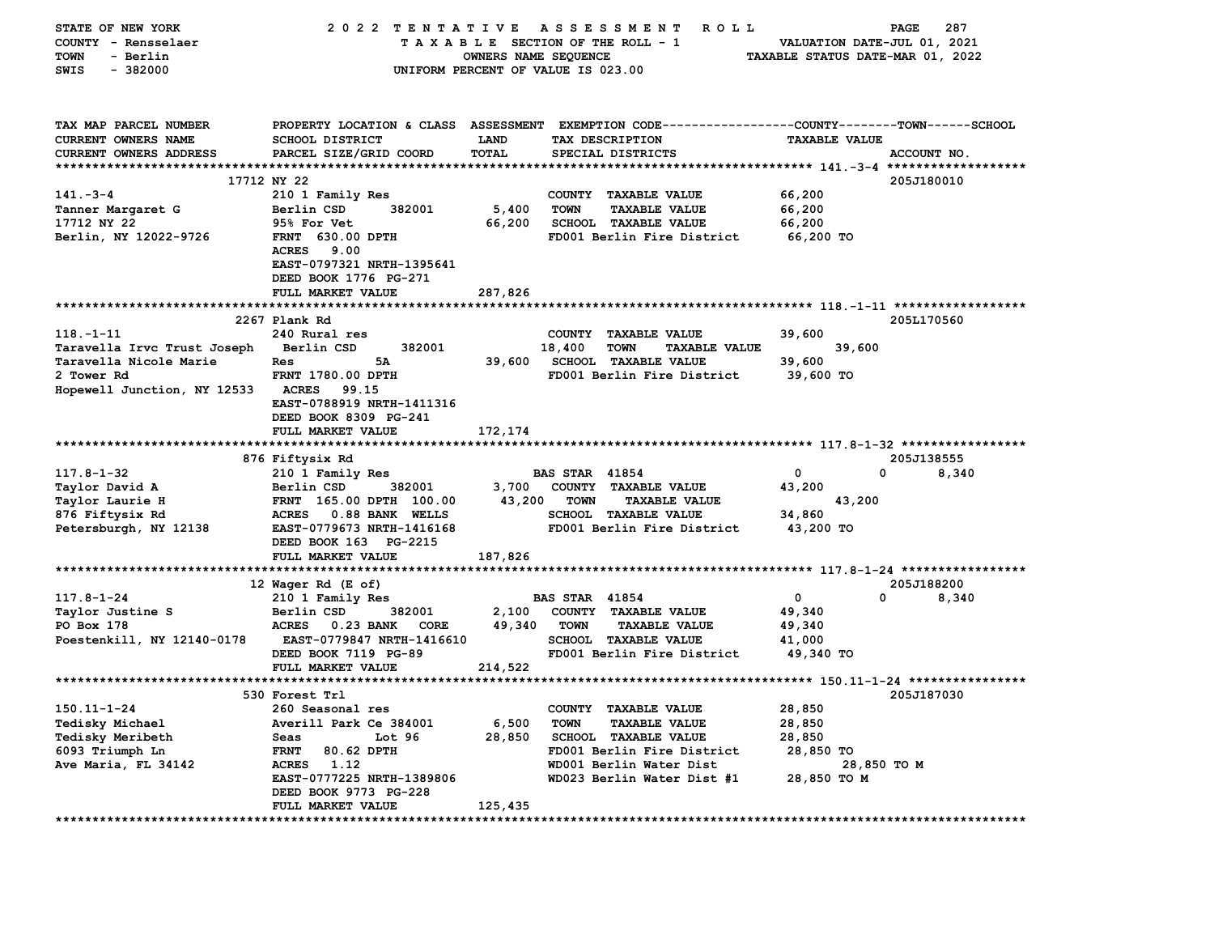| STATE OF NEW YORK<br>COUNTY - Rensselaer | 2022 TENTATIVE                                               |                      | A S S E S S M E N T<br>ROLL<br>TAXABLE SECTION OF THE ROLL - 1                                 | VALUATION DATE-JUL 01, 2021      | <b>PAGE</b><br>287 |
|------------------------------------------|--------------------------------------------------------------|----------------------|------------------------------------------------------------------------------------------------|----------------------------------|--------------------|
| - Berlin<br>TOWN                         |                                                              | OWNERS NAME SEQUENCE |                                                                                                | TAXABLE STATUS DATE-MAR 01, 2022 |                    |
| $-382000$<br>SWIS                        |                                                              |                      | UNIFORM PERCENT OF VALUE IS 023.00                                                             |                                  |                    |
|                                          |                                                              |                      |                                                                                                |                                  |                    |
| TAX MAP PARCEL NUMBER                    |                                                              |                      | PROPERTY LOCATION & CLASS ASSESSMENT EXEMPTION CODE---------------COUNTY-------TOWN-----SCHOOL |                                  |                    |
| CURRENT OWNERS NAME                      | SCHOOL DISTRICT                                              | LAND                 | TAX DESCRIPTION                                                                                | <b>TAXABLE VALUE</b>             |                    |
| CURRENT OWNERS ADDRESS                   | PARCEL SIZE/GRID COORD                                       | TOTAL                | SPECIAL DISTRICTS                                                                              |                                  | ACCOUNT NO.        |
|                                          |                                                              |                      |                                                                                                |                                  |                    |
|                                          | 17712 NY 22                                                  |                      |                                                                                                |                                  | 205J180010         |
| $141 - 3 - 4$                            | 210 1 Family Res                                             |                      | COUNTY TAXABLE VALUE                                                                           | 66,200                           |                    |
| Tanner Margaret G                        | Berlin CSD<br>382001                                         | 5,400                | <b>TOWN</b><br><b>TAXABLE VALUE</b>                                                            | 66,200                           |                    |
| 17712 NY 22                              | 95% For Vet                                                  | 66,200               | <b>SCHOOL TAXABLE VALUE</b>                                                                    | 66,200                           |                    |
| Berlin, NY 12022-9726                    | <b>FRNT 630.00 DPTH</b>                                      |                      | FD001 Berlin Fire District                                                                     | 66,200 TO                        |                    |
|                                          | <b>ACRES</b><br>9.00<br>EAST-0797321 NRTH-1395641            |                      |                                                                                                |                                  |                    |
|                                          | DEED BOOK 1776 PG-271                                        |                      |                                                                                                |                                  |                    |
|                                          | FULL MARKET VALUE                                            | 287,826              |                                                                                                |                                  |                    |
|                                          |                                                              |                      |                                                                                                |                                  |                    |
|                                          | 2267 Plank Rd                                                |                      |                                                                                                |                                  | 205L170560         |
| $118. - 1 - 11$                          | 240 Rural res                                                |                      | COUNTY TAXABLE VALUE                                                                           | 39,600                           |                    |
| Taravella Irvc Trust Joseph              | 382001<br>Berlin CSD                                         |                      | 18,400<br><b>TOWN</b><br><b>TAXABLE VALUE</b>                                                  | 39,600                           |                    |
| Taravella Nicole Marie                   | 5A<br>Res                                                    | 39,600               | <b>SCHOOL TAXABLE VALUE</b>                                                                    | 39,600                           |                    |
| 2 Tower Rd                               | FRNT 1780.00 DPTH                                            |                      | FD001 Berlin Fire District                                                                     | 39,600 TO                        |                    |
| Hopewell Junction, NY 12533              | <b>ACRES</b><br>99.15                                        |                      |                                                                                                |                                  |                    |
|                                          | EAST-0788919 NRTH-1411316                                    |                      |                                                                                                |                                  |                    |
|                                          | DEED BOOK 8309 PG-241                                        |                      |                                                                                                |                                  |                    |
|                                          | FULL MARKET VALUE                                            | 172,174              |                                                                                                |                                  |                    |
|                                          |                                                              |                      |                                                                                                |                                  |                    |
|                                          | 876 Fiftysix Rd                                              |                      |                                                                                                |                                  | 205J138555         |
| $117.8 - 1 - 32$                         | 210 1 Family Res                                             |                      | <b>BAS STAR 41854</b>                                                                          | $\mathbf{o}$                     | 0<br>8,340         |
| Taylor David A                           | Berlin CSD<br>382001                                         | 3,700                | COUNTY TAXABLE VALUE                                                                           | 43,200                           |                    |
| Taylor Laurie H                          | FRNT 165.00 DPTH 100.00                                      | 43,200               | <b>TOWN</b><br><b>TAXABLE VALUE</b>                                                            | 43,200                           |                    |
| 876 Fiftysix Rd                          | <b>ACRES</b><br>0.88 BANK WELLS<br>EAST-0779673 NRTH-1416168 |                      | <b>SCHOOL TAXABLE VALUE</b><br>FD001 Berlin Fire District                                      | 34,860                           |                    |
| Petersburgh, NY 12138                    | DEED BOOK 163 PG-2215                                        |                      |                                                                                                | 43,200 TO                        |                    |
|                                          | FULL MARKET VALUE                                            | 187,826              |                                                                                                |                                  |                    |
|                                          |                                                              |                      |                                                                                                |                                  |                    |
|                                          | 12 Wager Rd (E of)                                           |                      |                                                                                                |                                  | 205J188200         |
| $117.8 - 1 - 24$                         | 210 1 Family Res                                             |                      | <b>BAS STAR 41854</b>                                                                          | 0                                | 0<br>8,340         |
| Taylor Justine S                         | Berlin CSD<br>382001                                         | 2,100                | COUNTY TAXABLE VALUE                                                                           | 49,340                           |                    |
| PO Box 178                               | <b>ACRES</b><br>0.23 BANK<br>CORE                            | 49,340               | <b>TOWN</b><br><b>TAXABLE VALUE</b>                                                            | 49,340                           |                    |
| Poestenkill, NY 12140-0178               | EAST-0779847 NRTH-1416610                                    |                      | SCHOOL TAXABLE VALUE                                                                           | 41,000                           |                    |
|                                          | DEED BOOK 7119 PG-89                                         |                      | FD001 Berlin Fire District                                                                     | 49,340 TO                        |                    |
|                                          | FULL MARKET VALUE                                            | 214,522              |                                                                                                |                                  |                    |
|                                          |                                                              |                      |                                                                                                |                                  |                    |
|                                          | 530 Forest Trl                                               |                      |                                                                                                |                                  | 205J187030         |
| $150.11 - 1 - 24$                        | 260 Seasonal res                                             |                      | COUNTY TAXABLE VALUE                                                                           | 28,850                           |                    |
| Tedisky Michael                          | Averill Park Ce 384001                                       | 6,500                | <b>TOWN</b><br><b>TAXABLE VALUE</b>                                                            | 28,850                           |                    |
| <b>Tedisky Meribeth</b>                  | Seas<br>Lot <sub>96</sub>                                    | 28,850               | <b>SCHOOL TAXABLE VALUE</b>                                                                    | 28,850                           |                    |
| 6093 Triumph Ln                          | <b>FRNT</b><br>80.62 DPTH                                    |                      | FD001 Berlin Fire District                                                                     | 28,850 TO                        |                    |
| Ave Maria, FL 34142                      | <b>ACRES</b><br>1.12                                         |                      | WD001 Berlin Water Dist                                                                        |                                  | 28,850 TO M        |
|                                          | EAST-0777225 NRTH-1389806                                    |                      | WD023 Berlin Water Dist #1                                                                     | 28,850 TO M                      |                    |
|                                          | DEED BOOK 9773 PG-228<br>FULL MARKET VALUE                   | 125,435              |                                                                                                |                                  |                    |
| **************************               |                                                              |                      |                                                                                                |                                  |                    |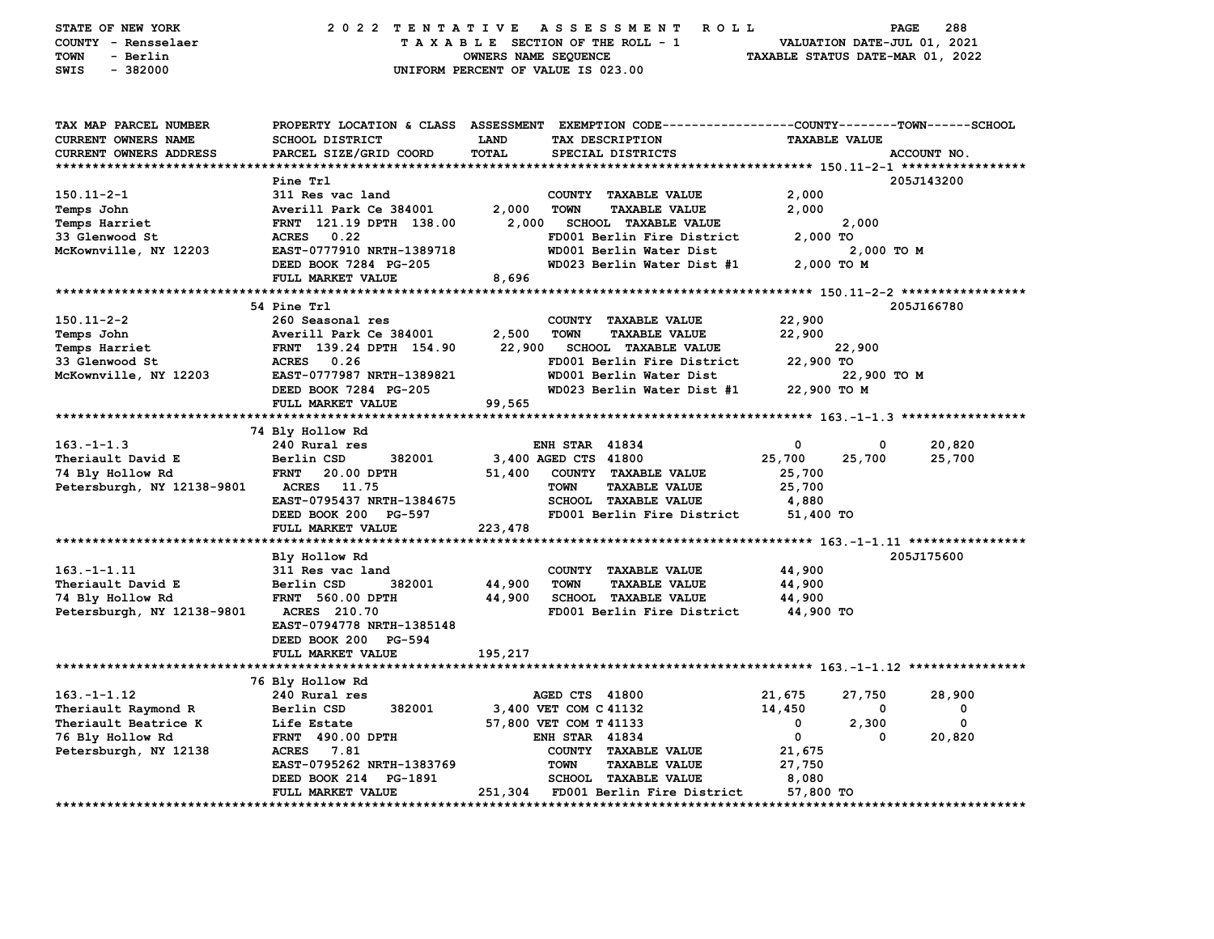| STATE OF NEW YORK<br>COUNTY - Rensselaer<br><b>TOWN</b><br>- Berlin<br>SWIS<br>$-382000$ | 2022 TENTATIVE                                    | A S S E S S M E N T<br>TAXABLE SECTION OF THE ROLL - 1<br>OWNERS NAME SEQUENCE<br>UNIFORM PERCENT OF VALUE IS 023.00 | 288<br><b>ROLL</b><br><b>PAGE</b><br>VALUATION DATE-JUL 01, 2021<br>TAXABLE STATUS DATE-MAR 01, 2022                    |
|------------------------------------------------------------------------------------------|---------------------------------------------------|----------------------------------------------------------------------------------------------------------------------|-------------------------------------------------------------------------------------------------------------------------|
| TAX MAP PARCEL NUMBER<br>CURRENT OWNERS NAME                                             | <b>SCHOOL DISTRICT</b>                            | TAX DESCRIPTION<br><b>LAND</b>                                                                                       | PROPERTY LOCATION & CLASS ASSESSMENT EXEMPTION CODE---------------COUNTY-------TOWN------SCHOOL<br><b>TAXABLE VALUE</b> |
| <b>CURRENT OWNERS ADDRESS</b>                                                            | PARCEL SIZE/GRID COORD                            | TOTAL<br>SPECIAL DISTRICTS                                                                                           | ACCOUNT NO.                                                                                                             |
|                                                                                          |                                                   |                                                                                                                      |                                                                                                                         |
|                                                                                          | Pine Trl                                          |                                                                                                                      | 205J143200                                                                                                              |
| $150.11 - 2 - 1$                                                                         | 311 Res vac land<br>Averill Park Ce 384001        | COUNTY TAXABLE VALUE<br>2,000<br>TOWN<br><b>TAXABLE VALUE</b>                                                        | 2,000<br>2,000                                                                                                          |
| Temps John                                                                               | FRNT 121.19 DPTH 138.00                           | 2,000<br><b>SCHOOL TAXABLE VALUE</b>                                                                                 | 2,000                                                                                                                   |
| Temps Harriet<br>33 Glenwood St                                                          | 0.22<br><b>ACRES</b>                              | FD001 Berlin Fire District                                                                                           | 2,000 TO                                                                                                                |
| McKownville, NY 12203                                                                    | EAST-0777910 NRTH-1389718                         | WD001 Berlin Water Dist                                                                                              | 2,000 TO M                                                                                                              |
|                                                                                          | DEED BOOK 7284 PG-205                             | WD023 Berlin Water Dist #1                                                                                           | 2,000 TO M                                                                                                              |
|                                                                                          | FULL MARKET VALUE                                 | 8,696                                                                                                                |                                                                                                                         |
|                                                                                          |                                                   |                                                                                                                      |                                                                                                                         |
|                                                                                          | 54 Pine Trl                                       |                                                                                                                      | 205J166780                                                                                                              |
| $150.11 - 2 - 2$                                                                         | 260 Seasonal res                                  | COUNTY TAXABLE VALUE                                                                                                 | 22,900                                                                                                                  |
| Temps John                                                                               | Averill Park Ce 384001                            | 2,500<br><b>TOWN</b><br><b>TAXABLE VALUE</b>                                                                         | 22,900                                                                                                                  |
| Temps Harriet                                                                            | FRNT 139.24 DPTH 154.90                           | 22,900<br><b>SCHOOL TAXABLE VALUE</b>                                                                                | 22,900                                                                                                                  |
| 33 Glenwood St                                                                           | <b>ACRES</b><br>0.26                              | FD001 Berlin Fire District                                                                                           | 22,900 TO                                                                                                               |
| McKownville, NY 12203                                                                    | EAST-0777987 NRTH-1389821                         | WD001 Berlin Water Dist                                                                                              | 22,900 TO M                                                                                                             |
|                                                                                          | DEED BOOK 7284 PG-205                             | WD023 Berlin Water Dist #1                                                                                           | 22,900 TO M                                                                                                             |
|                                                                                          | FULL MARKET VALUE                                 | 99,565                                                                                                               |                                                                                                                         |
|                                                                                          |                                                   |                                                                                                                      |                                                                                                                         |
|                                                                                          | 74 Bly Hollow Rd                                  |                                                                                                                      |                                                                                                                         |
| $163. -1 - 1.3$                                                                          | 240 Rural res                                     | <b>ENH STAR 41834</b>                                                                                                | 0<br>20,820<br>0                                                                                                        |
| Theriault David E                                                                        | Berlin CSD<br>382001                              | 3,400 AGED CTS 41800                                                                                                 | 25,700<br>25,700<br>25,700                                                                                              |
| 74 Bly Hollow Rd                                                                         | <b>FRNT</b><br>20.00 DPTH                         | 51,400<br>COUNTY TAXABLE VALUE                                                                                       | 25,700                                                                                                                  |
| Petersburgh, NY 12138-9801                                                               | <b>ACRES</b> 11.75                                | <b>TAXABLE VALUE</b><br><b>TOWN</b>                                                                                  | 25,700                                                                                                                  |
|                                                                                          | EAST-0795437 NRTH-1384675                         | SCHOOL TAXABLE VALUE                                                                                                 | 4,880                                                                                                                   |
|                                                                                          | DEED BOOK 200 PG-597                              | FD001 Berlin Fire District                                                                                           | 51,400 TO                                                                                                               |
|                                                                                          | FULL MARKET VALUE                                 | 223,478                                                                                                              |                                                                                                                         |
|                                                                                          |                                                   |                                                                                                                      |                                                                                                                         |
|                                                                                          | Bly Hollow Rd                                     |                                                                                                                      | 205J175600                                                                                                              |
| $163. - 1 - 1.11$                                                                        | 311 Res vac land                                  | COUNTY TAXABLE VALUE                                                                                                 | 44,900                                                                                                                  |
| Theriault David E                                                                        | Berlin CSD<br>382001                              | 44,900<br><b>TOWN</b><br><b>TAXABLE VALUE</b>                                                                        | 44,900                                                                                                                  |
| 74 Bly Hollow Rd                                                                         | <b>FRNT</b> 560.00 DPTH                           | 44,900<br><b>SCHOOL TAXABLE VALUE</b>                                                                                | 44,900                                                                                                                  |
| Petersburgh, NY 12138-9801                                                               | <b>ACRES</b> 210.70                               | FD001 Berlin Fire District                                                                                           | 44,900 TO                                                                                                               |
|                                                                                          | EAST-0794778 NRTH-1385148<br>DEED BOOK 200 PG-594 |                                                                                                                      |                                                                                                                         |
|                                                                                          | FULL MARKET VALUE                                 | 195,217                                                                                                              |                                                                                                                         |
|                                                                                          |                                                   |                                                                                                                      |                                                                                                                         |
|                                                                                          | 76 Bly Hollow Rd                                  |                                                                                                                      |                                                                                                                         |
| $163. - 1 - 1.12$                                                                        | 240 Rural res                                     | AGED CTS 41800                                                                                                       | 21,675<br>27,750<br>28,900                                                                                              |
| Theriault Raymond R                                                                      | 382001<br>Berlin CSD                              | 3,400 VET COM C 41132                                                                                                | 14,450<br>0<br>0                                                                                                        |
| Theriault Beatrice K                                                                     | Life Estate                                       | 57,800 VET COM T 41133                                                                                               | $\mathbf 0$<br>2,300<br>0                                                                                               |
| 76 Bly Hollow Rd                                                                         | <b>FRNT 490.00 DPTH</b>                           | <b>ENH STAR 41834</b>                                                                                                | $\mathbf 0$<br>20,820<br>0                                                                                              |
| Petersburgh, NY 12138                                                                    | ACRES 7.81                                        | COUNTY TAXABLE VALUE                                                                                                 | 21,675                                                                                                                  |
|                                                                                          | EAST-0795262 NRTH-1383769                         | <b>TOWN</b><br><b>TAXABLE VALUE</b>                                                                                  | 27,750                                                                                                                  |
|                                                                                          | DEED BOOK 214 PG-1891                             | <b>SCHOOL TAXABLE VALUE</b>                                                                                          | 8,080                                                                                                                   |
|                                                                                          | FULL MARKET VALUE                                 | 251,304 FD001 Berlin Fire District                                                                                   | 57,800 TO                                                                                                               |
|                                                                                          |                                                   |                                                                                                                      | **********************                                                                                                  |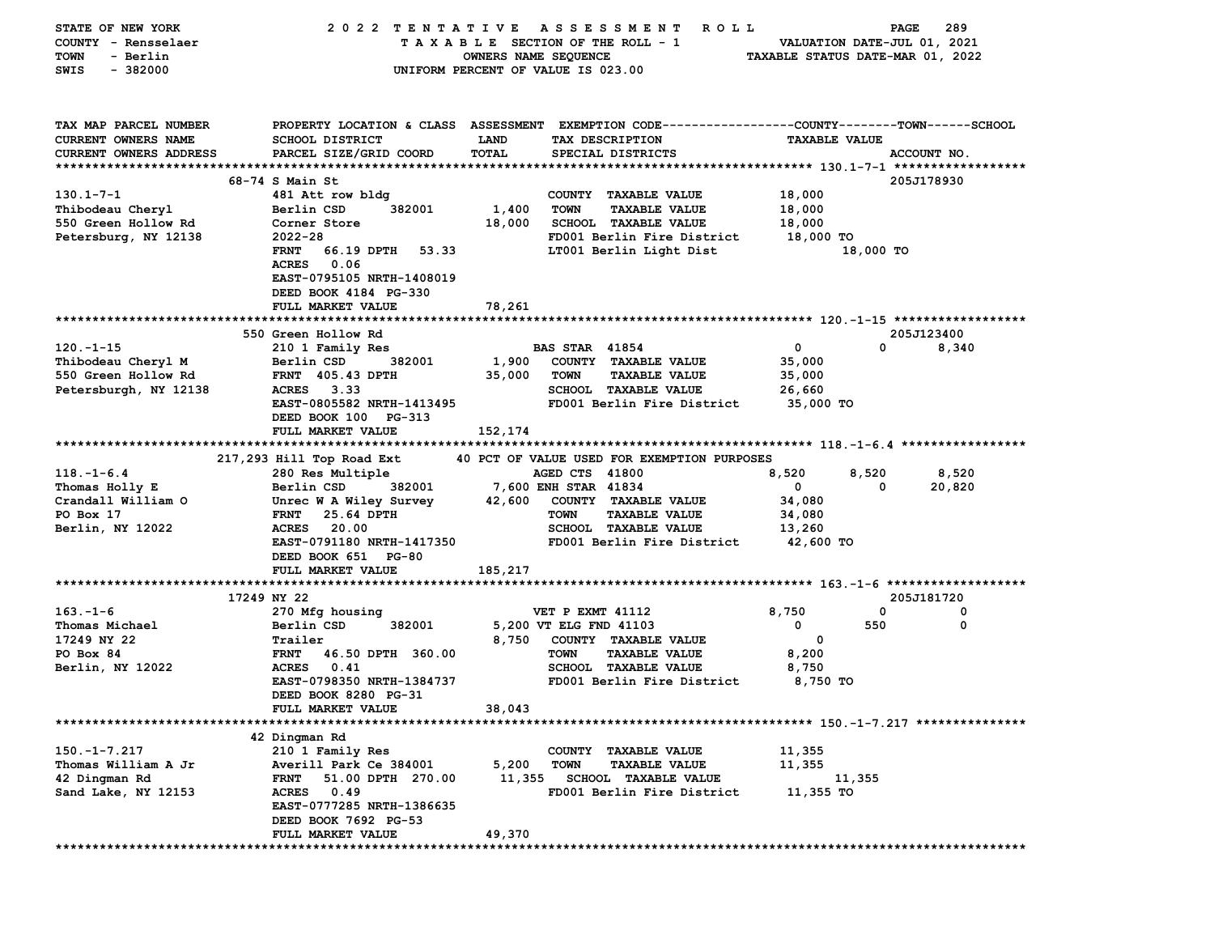| STATE OF NEW YORK          | 2022 TENTATIVE                                   |                      | A S S E S S M E N T<br>ROLL                                                                    |                                  | 289<br>PAGE |
|----------------------------|--------------------------------------------------|----------------------|------------------------------------------------------------------------------------------------|----------------------------------|-------------|
| COUNTY - Rensselaer        |                                                  |                      | TAXABLE SECTION OF THE ROLL - 1                                                                | VALUATION DATE-JUL 01, 2021      |             |
| <b>TOWN</b><br>- Berlin    |                                                  | OWNERS NAME SEQUENCE |                                                                                                | TAXABLE STATUS DATE-MAR 01, 2022 |             |
| $-382000$<br>SWIS          |                                                  |                      | UNIFORM PERCENT OF VALUE IS 023.00                                                             |                                  |             |
|                            |                                                  |                      |                                                                                                |                                  |             |
|                            |                                                  |                      |                                                                                                |                                  |             |
|                            |                                                  |                      |                                                                                                |                                  |             |
| TAX MAP PARCEL NUMBER      |                                                  |                      | PROPERTY LOCATION & CLASS ASSESSMENT EXEMPTION CODE---------------COUNTY-------TOWN-----SCHOOL |                                  |             |
| <b>CURRENT OWNERS NAME</b> | <b>SCHOOL DISTRICT</b>                           | LAND                 | TAX DESCRIPTION                                                                                | <b>TAXABLE VALUE</b>             |             |
| CURRENT OWNERS ADDRESS     | PARCEL SIZE/GRID COORD                           | TOTAL                | SPECIAL DISTRICTS                                                                              |                                  | ACCOUNT NO. |
|                            |                                                  |                      |                                                                                                |                                  |             |
|                            | $68-74$ S Main St                                |                      |                                                                                                |                                  | 205J178930  |
| $130.1 - 7 - 1$            | 481 Att row bldg                                 |                      | COUNTY TAXABLE VALUE                                                                           | 18,000                           |             |
| Thibodeau Cheryl           | 382001<br>Berlin CSD                             | 1,400                | <b>TOWN</b><br><b>TAXABLE VALUE</b>                                                            | 18,000                           |             |
| 550 Green Hollow Rd        | Corner Store                                     | 18,000               | <b>SCHOOL TAXABLE VALUE</b>                                                                    | 18,000                           |             |
| Petersburg, NY 12138       | $2022 - 28$                                      |                      | FD001 Berlin Fire District                                                                     | 18,000 TO                        |             |
|                            | FRNT 66.19 DPTH 53.33                            |                      | LT001 Berlin Light Dist                                                                        | 18,000 TO                        |             |
|                            | ACRES 0.06                                       |                      |                                                                                                |                                  |             |
|                            | EAST-0795105 NRTH-1408019                        |                      |                                                                                                |                                  |             |
|                            | DEED BOOK 4184 PG-330                            |                      |                                                                                                |                                  |             |
|                            | FULL MARKET VALUE                                | 78,261               |                                                                                                |                                  |             |
|                            |                                                  |                      |                                                                                                |                                  |             |
|                            | 550 Green Hollow Rd                              |                      |                                                                                                |                                  | 205J123400  |
| $120. -1 - 15$             | 210 1 Family Res                                 |                      | <b>BAS STAR 41854</b>                                                                          | $\mathbf 0$                      | 0<br>8,340  |
| Thibodeau Cheryl M         | Berlin CSD<br>382001                             | 1,900                | COUNTY TAXABLE VALUE                                                                           | 35,000                           |             |
| 550 Green Hollow Rd        | <b>FRNT</b> 405.43 DPTH                          | 35,000               | <b>TOWN</b><br><b>TAXABLE VALUE</b>                                                            | 35,000                           |             |
| Petersburgh, NY 12138      | ACRES 3.33                                       |                      | <b>SCHOOL TAXABLE VALUE</b>                                                                    | 26,660                           |             |
|                            | EAST-0805582 NRTH-1413495                        |                      | FD001 Berlin Fire District                                                                     | 35,000 TO                        |             |
|                            | DEED BOOK 100 PG-313                             |                      |                                                                                                |                                  |             |
|                            | FULL MARKET VALUE                                |                      |                                                                                                |                                  |             |
|                            |                                                  | 152,174              |                                                                                                |                                  |             |
|                            |                                                  |                      | 40 PCT OF VALUE USED FOR EXEMPTION PURPOSES                                                    |                                  |             |
|                            | 217,293 Hill Top Road Ext                        |                      | AGED CTS 41800                                                                                 |                                  |             |
|                            |                                                  |                      |                                                                                                |                                  |             |
| $118. - 1 - 6.4$           | 280 Res Multiple                                 |                      |                                                                                                | 8,520<br>8,520                   | 8,520       |
| Thomas Holly E             | Berlin CSD<br>382001                             |                      | 7,600 ENH STAR 41834                                                                           | $\mathbf 0$                      | 20,820<br>0 |
| Crandall William O         | Unrec W A Wiley Survey                           | 42,600               | COUNTY TAXABLE VALUE                                                                           | 34,080                           |             |
| PO Box 17                  | 25.64 DPTH<br><b>FRNT</b>                        |                      | <b>TAXABLE VALUE</b><br><b>TOWN</b>                                                            | 34,080                           |             |
| Berlin, NY 12022           | <b>ACRES</b><br>20.00                            |                      | SCHOOL TAXABLE VALUE                                                                           | 13,260                           |             |
|                            | EAST-0791180 NRTH-1417350                        |                      | FD001 Berlin Fire District                                                                     | 42,600 TO                        |             |
|                            | DEED BOOK 651 PG-80                              |                      |                                                                                                |                                  |             |
|                            | FULL MARKET VALUE                                | 185,217              |                                                                                                |                                  |             |
|                            |                                                  |                      |                                                                                                |                                  |             |
|                            | 17249 NY 22                                      |                      |                                                                                                |                                  | 205J181720  |
| $163 - 1 - 6$              | 270 Mfg housing                                  |                      | VET P EXMT 41112                                                                               | 8,750                            | 0<br>0      |
| Thomas Michael             | Berlin CSD<br>382001                             |                      | 5,200 VT ELG FND 41103                                                                         | 550<br>0                         | $\mathbf 0$ |
| 17249 NY 22                | Trailer                                          | 8,750                | COUNTY TAXABLE VALUE                                                                           | $\mathbf 0$                      |             |
| PO Box 84                  | 46.50 DPTH 360.00<br><b>FRNT</b>                 |                      | <b>TAXABLE VALUE</b><br><b>TOWN</b>                                                            | 8,200                            |             |
| Berlin, NY 12022           | ACRES 0.41                                       |                      | <b>SCHOOL TAXABLE VALUE</b>                                                                    | 8,750                            |             |
|                            | EAST-0798350 NRTH-1384737                        |                      | FD001 Berlin Fire District                                                                     | 8,750 TO                         |             |
|                            | DEED BOOK 8280 PG-31                             |                      |                                                                                                |                                  |             |
|                            | FULL MARKET VALUE                                | 38,043               |                                                                                                |                                  |             |
|                            |                                                  |                      |                                                                                                |                                  |             |
|                            |                                                  |                      |                                                                                                |                                  |             |
|                            | 42 Dingman Rd                                    |                      |                                                                                                |                                  |             |
| $150.-1-7.217$             | 210 1 Family Res                                 |                      | <b>COUNTY</b><br><b>TAXABLE VALUE</b>                                                          | 11,355                           |             |
| Thomas William A Jr        | Averill Park Ce 384001                           | 5,200                | <b>TOWN</b><br><b>TAXABLE VALUE</b>                                                            | 11,355                           |             |
| 42 Dingman Rd              | 51.00 DPTH 270.00<br><b>FRNT</b>                 | 11,355               | SCHOOL TAXABLE VALUE                                                                           | 11,355                           |             |
| Sand Lake, NY 12153        | <b>ACRES</b><br>0.49                             |                      | FD001 Berlin Fire District                                                                     | 11,355 TO                        |             |
|                            | EAST-0777285 NRTH-1386635                        |                      |                                                                                                |                                  |             |
|                            | DEED BOOK 7692 PG-53<br><b>FULL MARKET VALUE</b> | 49,370               |                                                                                                |                                  |             |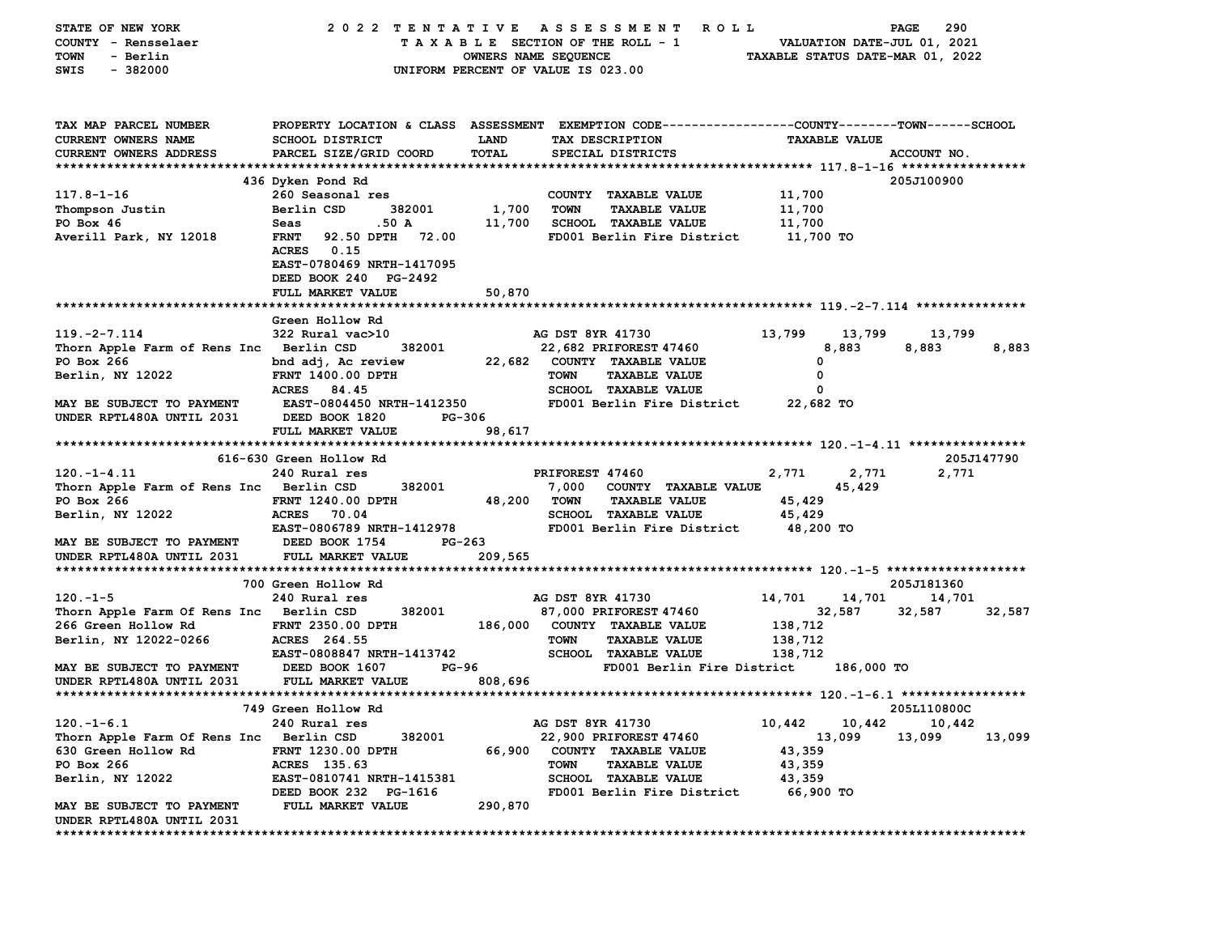| STATE OF NEW YORK                       | 2022 TENTATIVE                                                                                         |                      | A S S E S S M E N T<br>R O L L                                                                 |                     |                      | 290<br>PAGE                      |            |
|-----------------------------------------|--------------------------------------------------------------------------------------------------------|----------------------|------------------------------------------------------------------------------------------------|---------------------|----------------------|----------------------------------|------------|
| COUNTY - Rensselaer                     |                                                                                                        |                      | TAXABLE SECTION OF THE ROLL - 1                                                                |                     |                      | VALUATION DATE-JUL 01, 2021      |            |
| <b>TOWN</b><br>- Berlin                 |                                                                                                        | OWNERS NAME SEQUENCE |                                                                                                |                     |                      | TAXABLE STATUS DATE-MAR 01, 2022 |            |
| $-382000$<br>SWIS                       |                                                                                                        |                      | UNIFORM PERCENT OF VALUE IS 023.00                                                             |                     |                      |                                  |            |
|                                         |                                                                                                        |                      |                                                                                                |                     |                      |                                  |            |
| TAX MAP PARCEL NUMBER                   |                                                                                                        |                      | PROPERTY LOCATION & CLASS ASSESSMENT EXEMPTION CODE---------------COUNTY-------TOWN-----SCHOOL |                     |                      |                                  |            |
| <b>CURRENT OWNERS NAME</b>              | <b>SCHOOL DISTRICT</b>                                                                                 | LAND                 | TAX DESCRIPTION                                                                                |                     | <b>TAXABLE VALUE</b> |                                  |            |
| CURRENT OWNERS ADDRESS                  | PARCEL SIZE/GRID COORD                                                                                 | <b>TOTAL</b>         | SPECIAL DISTRICTS                                                                              |                     |                      | ACCOUNT NO.                      |            |
|                                         |                                                                                                        |                      |                                                                                                |                     |                      |                                  |            |
|                                         | 436 Dyken Pond Rd                                                                                      |                      |                                                                                                |                     |                      | 205J100900                       |            |
| $117.8 - 1 - 16$                        | 260 Seasonal res                                                                                       |                      | COUNTY TAXABLE VALUE                                                                           | 11,700              |                      |                                  |            |
| Thompson Justin                         | Berlin CSD<br>382001                                                                                   | 1,700                | <b>TOWN</b><br><b>TAXABLE VALUE</b>                                                            | 11,700              |                      |                                  |            |
| PO Box 46                               | .50A<br>Seas                                                                                           | 11,700               | SCHOOL TAXABLE VALUE                                                                           | 11,700              |                      |                                  |            |
| Averill Park, NY 12018                  | <b>FRNT</b><br>92.50 DPTH<br>72.00<br>ACRES 0.15<br>EAST-0780469 NRTH-1417095<br>DEED BOOK 240 PG-2492 |                      | FD001 Berlin Fire District                                                                     | 11,700 TO           |                      |                                  |            |
|                                         | FULL MARKET VALUE                                                                                      | 50,870               |                                                                                                |                     |                      |                                  |            |
|                                         |                                                                                                        |                      |                                                                                                |                     |                      |                                  |            |
|                                         | Green Hollow Rd                                                                                        |                      |                                                                                                |                     |                      |                                  |            |
| $119. -2 - 7.114$                       | 322 Rural vac>10                                                                                       |                      | AG DST 8YR 41730                                                                               | 13,799              | 13,799               | 13,799                           |            |
| Thorn Apple Farm of Rens Inc Berlin CSD | 382001                                                                                                 |                      | 22,682 PRIFOREST 47460                                                                         |                     | 8,883                | 8,883                            | 8,883      |
| PO Box 266                              | bnd adj, Ac review                                                                                     |                      | 22,682 COUNTY TAXABLE VALUE                                                                    | 0                   |                      |                                  |            |
| Berlin, NY 12022                        | <b>FRNT 1400.00 DPTH</b>                                                                               |                      | TOWN<br><b>TAXABLE VALUE</b>                                                                   | 0                   |                      |                                  |            |
|                                         | ACRES 84.45                                                                                            |                      | <b>SCHOOL TAXABLE VALUE</b>                                                                    | 0                   |                      |                                  |            |
| MAY BE SUBJECT TO PAYMENT               | <b>EAST-0804450 NRTH-1412350</b>                                                                       |                      | FD001 Berlin Fire District                                                                     | 22,682 TO           |                      |                                  |            |
| UNDER RPTL480A UNTIL 2031               | DEED BOOK 1820<br>PG-306                                                                               |                      |                                                                                                |                     |                      |                                  |            |
|                                         | FULL MARKET VALUE                                                                                      | 98,617               |                                                                                                |                     |                      |                                  |            |
|                                         |                                                                                                        |                      |                                                                                                |                     |                      |                                  |            |
|                                         | 616-630 Green Hollow Rd                                                                                |                      |                                                                                                |                     |                      |                                  | 205J147790 |
| $120. - 1 - 4.11$                       | 240 Rural res                                                                                          |                      | PRIFOREST 47460                                                                                | 2,771               | 2,771                | 2,771                            |            |
| Thorn Apple Farm of Rens Inc Berlin CSD | 382001                                                                                                 |                      | 7,000<br>COUNTY TAXABLE VALUE                                                                  |                     | 45,429               |                                  |            |
| PO Box 266                              | <b>FRNT 1240.00 DPTH</b>                                                                               | 48,200 TOWN          | <b>TAXABLE VALUE</b>                                                                           | 45,429              |                      |                                  |            |
| Berlin, NY 12022                        | <b>ACRES</b><br>70.04<br>EAST-0806789 NRTH-1412978                                                     |                      | <b>SCHOOL TAXABLE VALUE</b><br>FD001 Berlin Fire District                                      | 45,429<br>48,200 TO |                      |                                  |            |
| MAY BE SUBJECT TO PAYMENT               | DEED BOOK 1754<br>PG-263                                                                               |                      |                                                                                                |                     |                      |                                  |            |
| UNDER RPTL480A UNTIL 2031               | FULL MARKET VALUE                                                                                      | 209,565              |                                                                                                |                     |                      |                                  |            |
|                                         |                                                                                                        |                      |                                                                                                |                     |                      |                                  |            |
|                                         | 700 Green Hollow Rd                                                                                    |                      |                                                                                                |                     |                      | 205J181360                       |            |
| $120. -1 - 5$                           | 240 Rural res                                                                                          |                      | AG DST 8YR 41730                                                                               | 14,701              | 14,701               | 14,701                           |            |
| Thorn Apple Farm Of Rens Inc Berlin CSD | 382001                                                                                                 |                      | 87,000 PRIFOREST 47460                                                                         |                     | 32,587               | 32,587                           | 32,587     |
| 266 Green Hollow Rd                     | <b>FRNT 2350.00 DPTH</b>                                                                               |                      | 186,000 COUNTY TAXABLE VALUE                                                                   | 138,712             |                      |                                  |            |
| Berlin, NY 12022-0266                   | ACRES 264.55                                                                                           |                      | <b>TOWN</b><br><b>TAXABLE VALUE</b>                                                            | 138,712             |                      |                                  |            |
|                                         | EAST-0808847 NRTH-1413742                                                                              |                      | <b>SCHOOL TAXABLE VALUE</b>                                                                    | 138,712             |                      |                                  |            |
| MAY BE SUBJECT TO PAYMENT               | DEED BOOK 1607                                                                                         | PG-96                | FD001 Berlin Fire District                                                                     |                     | 186,000 TO           |                                  |            |
| UNDER RPTL480A UNTIL 2031               | FULL MARKET VALUE                                                                                      | 808,696              |                                                                                                |                     |                      |                                  |            |
|                                         |                                                                                                        |                      |                                                                                                |                     |                      |                                  |            |
|                                         | 749 Green Hollow Rd                                                                                    |                      |                                                                                                |                     |                      | 205L110800C                      |            |
| $120. -1 - 6.1$                         | 240 Rural res                                                                                          |                      | AG DST 8YR 41730                                                                               | 10,442              |                      | 10,442 10,442                    |            |
| Thorn Apple Farm Of Rens Inc Berlin CSD | 382001                                                                                                 |                      | 22,900 PRIFOREST 47460                                                                         |                     | 13,099               | 13,099                           | 13,099     |
| 630 Green Hollow Rd                     | FRNT 1230.00 DPTH                                                                                      | 66,900               | COUNTY TAXABLE VALUE                                                                           | 43,359              |                      |                                  |            |
| PO Box 266                              | ACRES 135.63                                                                                           |                      | <b>TOWN</b><br><b>TAXABLE VALUE</b>                                                            | 43,359              |                      |                                  |            |
| Berlin, NY 12022                        | EAST-0810741 NRTH-1415381                                                                              |                      | <b>SCHOOL TAXABLE VALUE</b>                                                                    | 43,359              |                      |                                  |            |
|                                         | DEED BOOK 232 PG-1616                                                                                  |                      | FD001 Berlin Fire District                                                                     | 66,900 TO           |                      |                                  |            |
| MAY BE SUBJECT TO PAYMENT               | FULL MARKET VALUE                                                                                      | 290,870              |                                                                                                |                     |                      |                                  |            |
| UNDER RPTL480A UNTIL 2031               |                                                                                                        |                      |                                                                                                |                     |                      |                                  |            |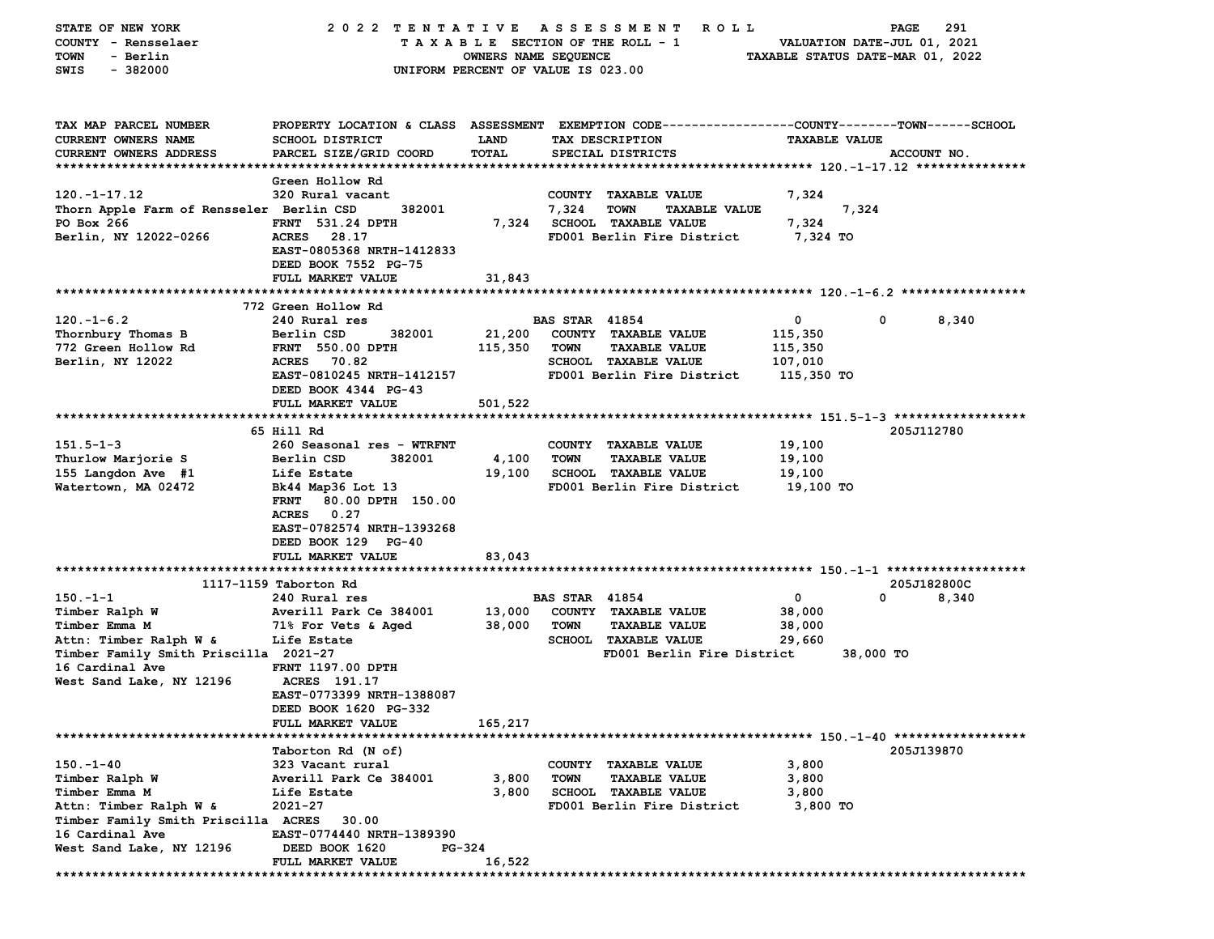| STATE OF NEW YORK                        | 2022 TENTATIVE                                                                                 |                                    |                       | A S S E S S M E N T<br><b>ROLL</b>  |                                  | PAGE        | 291   |
|------------------------------------------|------------------------------------------------------------------------------------------------|------------------------------------|-----------------------|-------------------------------------|----------------------------------|-------------|-------|
| COUNTY - Rensselaer                      |                                                                                                | TAXABLE SECTION OF THE ROLL - 1    |                       |                                     | VALUATION DATE-JUL 01, 2021      |             |       |
| <b>TOWN</b><br>- Berlin                  |                                                                                                | OWNERS NAME SEQUENCE               |                       |                                     | TAXABLE STATUS DATE-MAR 01, 2022 |             |       |
| SWIS<br>$-382000$                        |                                                                                                | UNIFORM PERCENT OF VALUE IS 023.00 |                       |                                     |                                  |             |       |
|                                          |                                                                                                |                                    |                       |                                     |                                  |             |       |
|                                          |                                                                                                |                                    |                       |                                     |                                  |             |       |
| TAX MAP PARCEL NUMBER                    | PROPERTY LOCATION & CLASS ASSESSMENT EXEMPTION CODE---------------COUNTY-------TOWN-----SCHOOL |                                    |                       |                                     |                                  |             |       |
| CURRENT OWNERS NAME                      | SCHOOL DISTRICT                                                                                | <b>LAND</b>                        |                       | TAX DESCRIPTION                     | <b>TAXABLE VALUE</b>             |             |       |
| <b>CURRENT OWNERS ADDRESS</b>            | PARCEL SIZE/GRID COORD                                                                         | <b>TOTAL</b>                       |                       | SPECIAL DISTRICTS                   |                                  | ACCOUNT NO. |       |
|                                          |                                                                                                |                                    |                       |                                     |                                  |             |       |
|                                          | Green Hollow Rd                                                                                |                                    |                       |                                     |                                  |             |       |
| $120. -1 - 17.12$                        | 320 Rural vacant                                                                               |                                    |                       | COUNTY TAXABLE VALUE                | 7,324                            |             |       |
| Thorn Apple Farm of Rensseler Berlin CSD | 382001                                                                                         |                                    | 7,324                 | <b>TOWN</b><br><b>TAXABLE VALUE</b> | 7,324                            |             |       |
| PO Box 266                               | <b>FRNT 531.24 DPTH</b>                                                                        |                                    |                       | 7,324 SCHOOL TAXABLE VALUE          | 7,324                            |             |       |
| Berlin, NY 12022-0266                    | ACRES 28.17                                                                                    |                                    |                       | FD001 Berlin Fire District          | 7,324 TO                         |             |       |
|                                          | EAST-0805368 NRTH-1412833                                                                      |                                    |                       |                                     |                                  |             |       |
|                                          | DEED BOOK 7552 PG-75                                                                           |                                    |                       |                                     |                                  |             |       |
|                                          | <b>FULL MARKET VALUE</b>                                                                       | 31,843                             |                       |                                     |                                  |             |       |
|                                          |                                                                                                |                                    |                       |                                     |                                  |             |       |
|                                          | 772 Green Hollow Rd                                                                            |                                    |                       |                                     |                                  |             |       |
| $120. -1 - 6.2$                          | 240 Rural res                                                                                  |                                    | <b>BAS STAR 41854</b> |                                     | 0                                | 0           | 8,340 |
| Thornbury Thomas B                       | Berlin CSD<br>382001                                                                           | 21,200                             |                       | COUNTY TAXABLE VALUE                | 115,350                          |             |       |
| 772 Green Hollow Rd                      | <b>FRNT 550.00 DPTH</b>                                                                        | 115,350                            | <b>TOWN</b>           | <b>TAXABLE VALUE</b>                | 115,350                          |             |       |
| Berlin, NY 12022                         | <b>ACRES</b><br>70.82                                                                          |                                    |                       | SCHOOL TAXABLE VALUE                | 107,010                          |             |       |
|                                          | EAST-0810245 NRTH-1412157                                                                      |                                    |                       | FD001 Berlin Fire District          | 115,350 TO                       |             |       |
|                                          | DEED BOOK 4344 PG-43                                                                           |                                    |                       |                                     |                                  |             |       |
|                                          | FULL MARKET VALUE                                                                              | 501,522                            |                       |                                     |                                  |             |       |
|                                          |                                                                                                |                                    |                       |                                     |                                  |             |       |
|                                          | 65 Hill Rd                                                                                     |                                    |                       |                                     |                                  | 205J112780  |       |
| $151.5 - 1 - 3$                          | 260 Seasonal res - WTRFNT                                                                      |                                    |                       | COUNTY TAXABLE VALUE                | 19,100                           |             |       |
| Thurlow Marjorie S                       | Berlin CSD<br>382001                                                                           | 4,100                              | <b>TOWN</b>           | <b>TAXABLE VALUE</b>                | 19,100                           |             |       |
| 155 Langdon Ave #1                       | Life Estate                                                                                    | 19,100                             |                       | <b>SCHOOL TAXABLE VALUE</b>         | 19,100                           |             |       |
| Watertown, MA 02472                      | Bk44 Map36 Lot 13                                                                              |                                    |                       | FD001 Berlin Fire District          | 19,100 TO                        |             |       |
|                                          | <b>FRNT</b><br>80.00 DPTH 150.00                                                               |                                    |                       |                                     |                                  |             |       |
|                                          | ACRES 0.27                                                                                     |                                    |                       |                                     |                                  |             |       |
|                                          | EAST-0782574 NRTH-1393268                                                                      |                                    |                       |                                     |                                  |             |       |
|                                          | DEED BOOK 129 PG-40                                                                            |                                    |                       |                                     |                                  |             |       |
|                                          | FULL MARKET VALUE                                                                              | 83,043                             |                       |                                     |                                  |             |       |
|                                          |                                                                                                |                                    |                       |                                     |                                  |             |       |
|                                          | 1117-1159 Taborton Rd                                                                          |                                    |                       |                                     |                                  | 205J182800C |       |
| $150 - 1 - 1$                            | 240 Rural res                                                                                  |                                    | <b>BAS STAR 41854</b> |                                     | 0                                | 0           | 8,340 |
| Timber Ralph W                           | Averill Park Ce 384001                                                                         | 13,000                             |                       | COUNTY TAXABLE VALUE                | 38,000                           |             |       |
| Timber Emma M                            | 71% For Vets & Aged                                                                            | 38,000                             | <b>TOWN</b>           | <b>TAXABLE VALUE</b>                | 38,000                           |             |       |
| Attn: Timber Ralph W &                   | Life Estate                                                                                    |                                    |                       | SCHOOL TAXABLE VALUE                | 29,660                           |             |       |
| Timber Family Smith Priscilla 2021-27    |                                                                                                |                                    |                       | FD001 Berlin Fire District          |                                  | 38,000 TO   |       |
| 16 Cardinal Ave                          | <b>FRNT 1197.00 DPTH</b>                                                                       |                                    |                       |                                     |                                  |             |       |
| West Sand Lake, NY 12196                 | ACRES 191.17                                                                                   |                                    |                       |                                     |                                  |             |       |
|                                          | EAST-0773399 NRTH-1388087                                                                      |                                    |                       |                                     |                                  |             |       |
|                                          | DEED BOOK 1620 PG-332                                                                          |                                    |                       |                                     |                                  |             |       |
|                                          | FULL MARKET VALUE                                                                              | 165,217                            |                       |                                     |                                  |             |       |
|                                          |                                                                                                |                                    |                       |                                     |                                  | 205J139870  |       |
| $150. - 1 - 40$                          | Taborton Rd (N of)<br>323 Vacant rural                                                         |                                    |                       | <b>TAXABLE VALUE</b>                | 3,800                            |             |       |
|                                          | Averill Park Ce 384001                                                                         | 3,800                              | COUNTY<br><b>TOWN</b> | <b>TAXABLE VALUE</b>                |                                  |             |       |
| Timber Ralph W                           | Life Estate                                                                                    | 3,800                              |                       | <b>SCHOOL TAXABLE VALUE</b>         | 3,800                            |             |       |
| Timber Emma M<br>Attn: Timber Ralph W &  | 2021-27                                                                                        |                                    |                       | FD001 Berlin Fire District          | 3,800<br>3,800 TO                |             |       |
| Timber Family Smith Priscilla ACRES      | 30.00                                                                                          |                                    |                       |                                     |                                  |             |       |
| 16 Cardinal Ave                          | EAST-0774440 NRTH-1389390                                                                      |                                    |                       |                                     |                                  |             |       |
| West Sand Lake, NY 12196                 | DEED BOOK 1620                                                                                 | PG-324                             |                       |                                     |                                  |             |       |
|                                          | FULL MARKET VALUE                                                                              | 16,522                             |                       |                                     |                                  |             |       |
|                                          |                                                                                                |                                    |                       |                                     |                                  |             |       |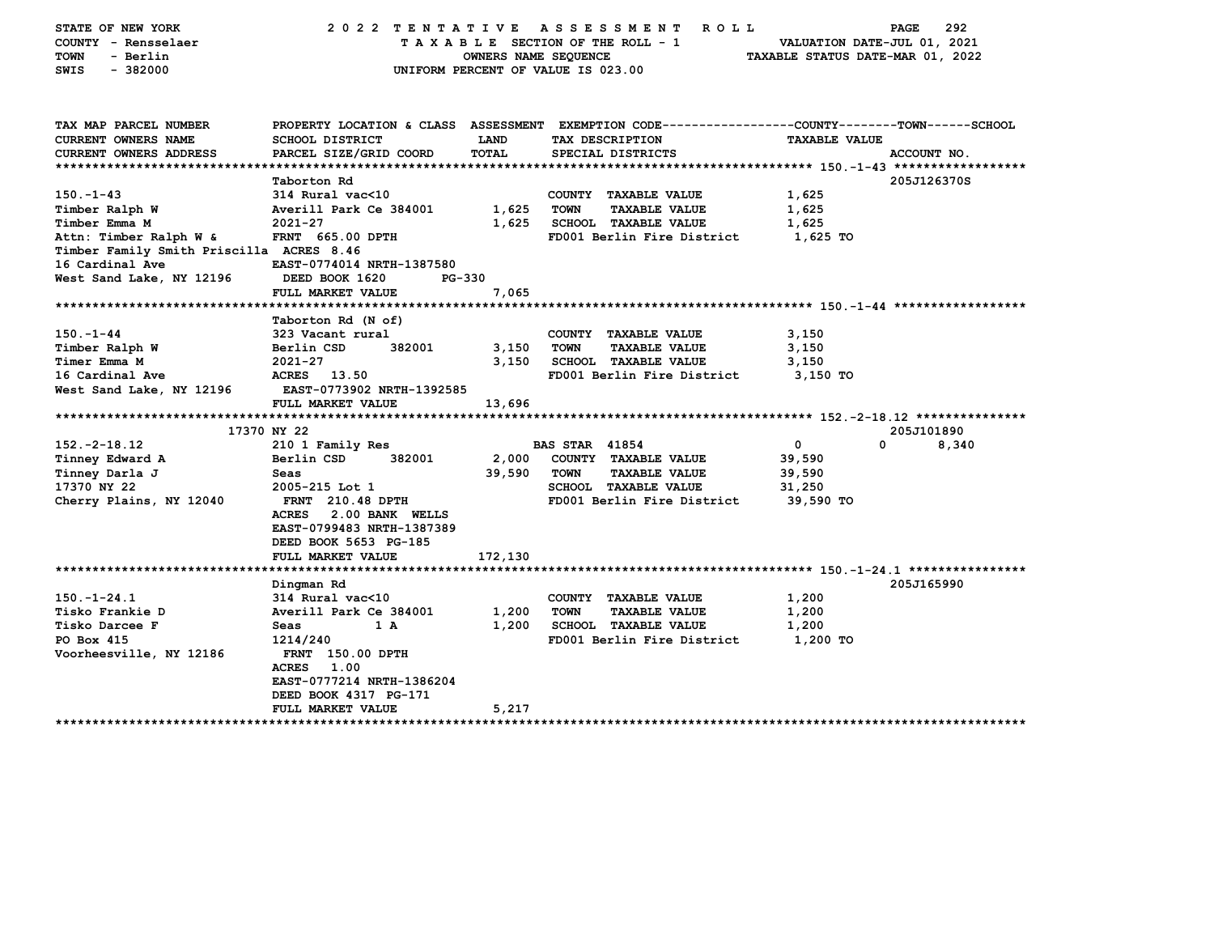| STATE OF NEW YORK<br>COUNTY - Rensselaer<br><b>TOWN</b><br>- Berlin<br>SWIS<br>$-382000$ | 2022 TENTATIVE ASSESSMENT                                                                                                      | TAXABLE SECTION OF THE ROLL - 1<br>OWNERS NAME SEQUENCE<br>UNIFORM PERCENT OF VALUE IS 023.00 |                       | R O L L                     | VALUATION DATE-JUL 01, 2021<br>TAXABLE STATUS DATE-MAR 01, 2022 | 292<br>PAGE |
|------------------------------------------------------------------------------------------|--------------------------------------------------------------------------------------------------------------------------------|-----------------------------------------------------------------------------------------------|-----------------------|-----------------------------|-----------------------------------------------------------------|-------------|
| TAX MAP PARCEL NUMBER<br><b>CURRENT OWNERS NAME</b>                                      | PROPERTY LOCATION & CLASS ASSESSMENT EXEMPTION CODE---------------COUNTY-------TOWN-----SCHOOL<br><b>SCHOOL DISTRICT</b>       | LAND                                                                                          |                       | TAX DESCRIPTION             | <b>TAXABLE VALUE</b>                                            |             |
| <b>CURRENT OWNERS ADDRESS</b>                                                            | PARCEL SIZE/GRID COORD                                                                                                         | <b>TOTAL</b>                                                                                  |                       | SPECIAL DISTRICTS           |                                                                 | ACCOUNT NO. |
|                                                                                          |                                                                                                                                |                                                                                               |                       |                             |                                                                 |             |
|                                                                                          | Taborton Rd                                                                                                                    |                                                                                               |                       |                             |                                                                 | 205J126370S |
| $150. - 1 - 43$                                                                          | 314 Rural vac<10                                                                                                               |                                                                                               |                       | COUNTY TAXABLE VALUE        | 1,625                                                           |             |
| Timber Ralph W                                                                           | Averill Park Ce 384001                                                                                                         | 1,625                                                                                         | <b>TOWN</b>           | <b>TAXABLE VALUE</b>        | 1,625                                                           |             |
| Timber Emma M                                                                            | $2021 - 27$                                                                                                                    | 1,625                                                                                         |                       | <b>SCHOOL TAXABLE VALUE</b> | 1,625                                                           |             |
| Attn: Timber Ralph W &                                                                   | <b>FRNT 665.00 DPTH</b>                                                                                                        |                                                                                               |                       | FD001 Berlin Fire District  | 1,625 TO                                                        |             |
| Timber Family Smith Priscilla ACRES 8.46<br>16 Cardinal Ave                              | EAST-0774014 NRTH-1387580                                                                                                      |                                                                                               |                       |                             |                                                                 |             |
| West Sand Lake, NY 12196                                                                 | DEED BOOK 1620                                                                                                                 | PG-330                                                                                        |                       |                             |                                                                 |             |
|                                                                                          | FULL MARKET VALUE                                                                                                              | 7,065                                                                                         |                       |                             |                                                                 |             |
|                                                                                          |                                                                                                                                |                                                                                               |                       |                             |                                                                 |             |
|                                                                                          | Taborton Rd (N of)                                                                                                             |                                                                                               |                       |                             |                                                                 |             |
| $150 - 1 - 44$                                                                           | 323 Vacant rural                                                                                                               |                                                                                               |                       | COUNTY TAXABLE VALUE        | 3,150                                                           |             |
| Timber Ralph W                                                                           | Berlin CSD<br>382001                                                                                                           | 3,150                                                                                         | <b>TOWN</b>           | <b>TAXABLE VALUE</b>        | 3,150                                                           |             |
| Timer Emma M                                                                             | $2021 - 27$                                                                                                                    | 3,150                                                                                         |                       | SCHOOL TAXABLE VALUE        | 3,150                                                           |             |
| 16 Cardinal Ave                                                                          | ACRES 13.50                                                                                                                    |                                                                                               |                       | FD001 Berlin Fire District  | 3,150 TO                                                        |             |
| West Sand Lake, NY 12196                                                                 | EAST-0773902 NRTH-1392585                                                                                                      |                                                                                               |                       |                             |                                                                 |             |
|                                                                                          | FULL MARKET VALUE                                                                                                              | 13,696                                                                                        |                       |                             |                                                                 |             |
|                                                                                          |                                                                                                                                |                                                                                               |                       |                             |                                                                 |             |
|                                                                                          | 17370 NY 22                                                                                                                    |                                                                                               |                       |                             |                                                                 | 205J101890  |
| $152. -2 - 18.12$                                                                        | 210 1 Family Res                                                                                                               |                                                                                               | <b>BAS STAR 41854</b> |                             | $\mathbf 0$                                                     | 0<br>8,340  |
| Tinney Edward A                                                                          | Berlin CSD<br>382001                                                                                                           | 2,000                                                                                         |                       | COUNTY TAXABLE VALUE        | 39,590                                                          |             |
| Tinney Darla J                                                                           | Seas                                                                                                                           | 39,590                                                                                        | TOWN                  | <b>TAXABLE VALUE</b>        | 39,590                                                          |             |
| 17370 NY 22                                                                              | 2005-215 Lot 1                                                                                                                 |                                                                                               |                       | SCHOOL TAXABLE VALUE        | 31,250                                                          |             |
| Cherry Plains, NY 12040                                                                  | FRNT 210.48 DPTH<br>2.00 BANK WELLS<br><b>ACRES</b><br>EAST-0799483 NRTH-1387389<br>DEED BOOK 5653 PG-185<br>FULL MARKET VALUE |                                                                                               |                       | FD001 Berlin Fire District  | 39,590 TO                                                       |             |
|                                                                                          |                                                                                                                                | 172,130                                                                                       |                       |                             |                                                                 |             |
|                                                                                          | Dingman Rd                                                                                                                     |                                                                                               |                       |                             |                                                                 | 205J165990  |
| $150. - 1 - 24.1$                                                                        | 314 Rural vac<10                                                                                                               |                                                                                               |                       | COUNTY TAXABLE VALUE        | 1,200                                                           |             |
| Tisko Frankie D                                                                          | Averill Park Ce 384001                                                                                                         | 1,200                                                                                         | <b>TOWN</b>           | <b>TAXABLE VALUE</b>        | 1,200                                                           |             |
| Tisko Darcee F                                                                           | Seas<br>1 A                                                                                                                    | 1,200                                                                                         |                       | <b>SCHOOL TAXABLE VALUE</b> | 1,200                                                           |             |
| PO Box 415                                                                               | 1214/240                                                                                                                       |                                                                                               |                       | FD001 Berlin Fire District  | 1,200 TO                                                        |             |
| Voorheesville, NY 12186                                                                  | <b>FRNT</b> 150.00 DPTH<br><b>ACRES</b><br>1.00<br>EAST-0777214 NRTH-1386204<br>DEED BOOK 4317 PG-171                          |                                                                                               |                       |                             |                                                                 |             |
| **********************                                                                   | <b>FULL MARKET VALUE</b><br>*******************                                                                                | 5,217                                                                                         |                       |                             |                                                                 |             |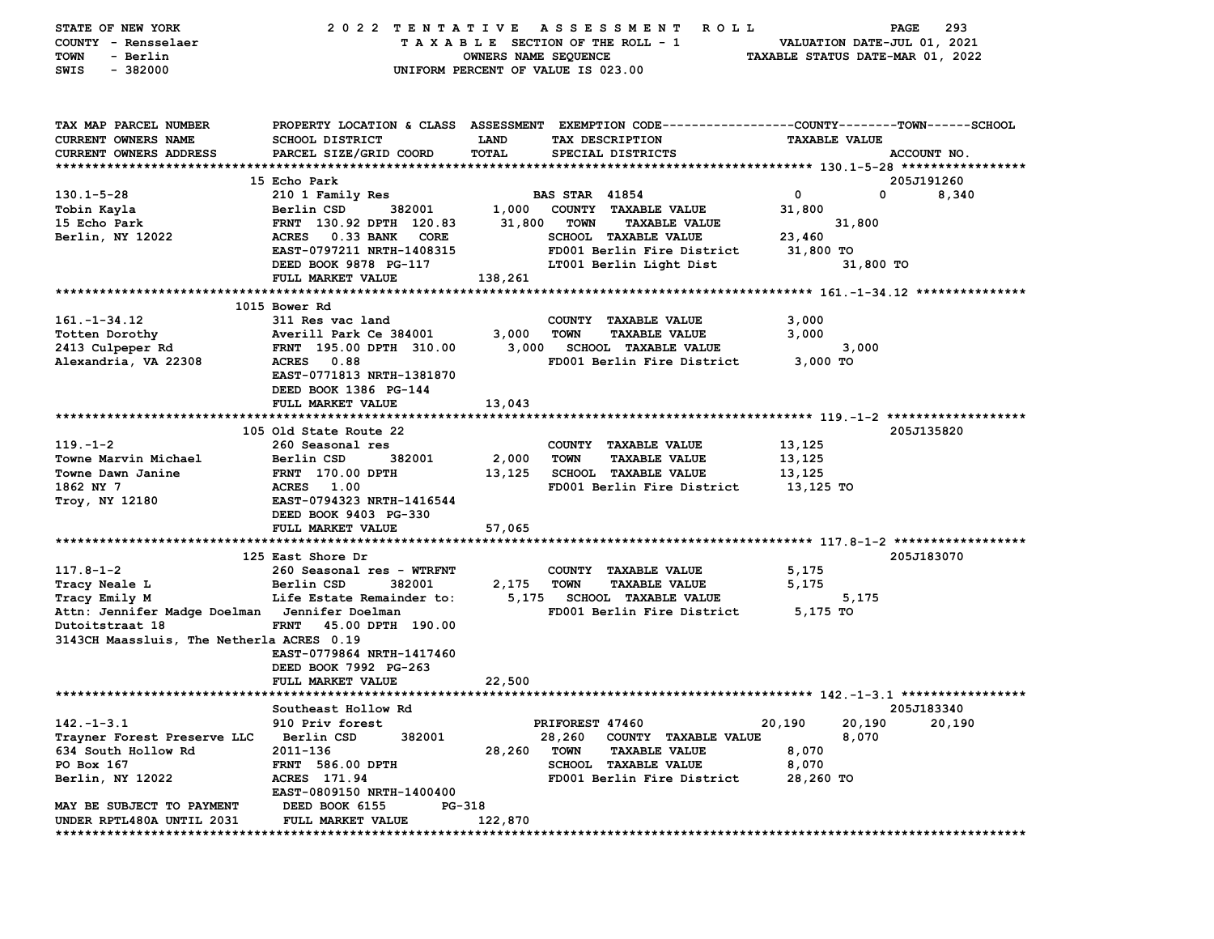| STATE OF NEW YORK                             | 2022 TENTATIVE                                                                                  |                                    |                       | A S S E S S M E N T<br><b>ROLL</b> |                                  | PAGE                        | 293         |
|-----------------------------------------------|-------------------------------------------------------------------------------------------------|------------------------------------|-----------------------|------------------------------------|----------------------------------|-----------------------------|-------------|
| COUNTY - Rensselaer                           |                                                                                                 | TAXABLE SECTION OF THE ROLL - 1    |                       |                                    |                                  | VALUATION DATE-JUL 01, 2021 |             |
| - Berlin<br>TOWN                              |                                                                                                 | OWNERS NAME SEQUENCE               |                       |                                    | TAXABLE STATUS DATE-MAR 01, 2022 |                             |             |
| $-382000$<br>SWIS                             |                                                                                                 | UNIFORM PERCENT OF VALUE IS 023.00 |                       |                                    |                                  |                             |             |
|                                               |                                                                                                 |                                    |                       |                                    |                                  |                             |             |
| TAX MAP PARCEL NUMBER                         | PROPERTY LOCATION & CLASS ASSESSMENT EXEMPTION CODE---------------COUNTY-------TOWN------SCHOOL |                                    |                       |                                    |                                  |                             |             |
| <b>CURRENT OWNERS NAME</b>                    | <b>SCHOOL DISTRICT</b>                                                                          | LAND                               | TAX DESCRIPTION       |                                    | <b>TAXABLE VALUE</b>             |                             |             |
| <b>CURRENT OWNERS ADDRESS</b>                 | PARCEL SIZE/GRID COORD                                                                          | TOTAL                              |                       | SPECIAL DISTRICTS                  |                                  |                             | ACCOUNT NO. |
|                                               |                                                                                                 |                                    |                       |                                    |                                  |                             |             |
|                                               | 15 Echo Park                                                                                    |                                    |                       |                                    |                                  |                             | 205J191260  |
| $130.1 - 5 - 28$                              | 210 1 Family Res                                                                                |                                    | <b>BAS STAR 41854</b> |                                    | $\mathbf 0$                      | 0                           | 8,340       |
| Tobin Kayla                                   | Berlin CSD<br>382001                                                                            | 1,000                              |                       | COUNTY TAXABLE VALUE               | 31,800                           |                             |             |
| 15 Echo Park                                  |                                                                                                 | 31,800                             | <b>TOWN</b>           | <b>TAXABLE VALUE</b>               |                                  |                             |             |
|                                               | FRNT 130.92 DPTH 120.83                                                                         |                                    |                       |                                    |                                  | 31,800                      |             |
| Berlin, NY 12022                              | <b>ACRES</b><br><b>0.33 BANK</b><br>CORE                                                        |                                    |                       | <b>SCHOOL TAXABLE VALUE</b>        | 23,460                           |                             |             |
|                                               | EAST-0797211 NRTH-1408315                                                                       |                                    |                       | FD001 Berlin Fire District         | 31,800 TO                        |                             |             |
|                                               | DEED BOOK 9878 PG-117                                                                           |                                    |                       | LT001 Berlin Light Dist            |                                  | 31,800 TO                   |             |
|                                               | FULL MARKET VALUE                                                                               | 138,261                            |                       |                                    |                                  |                             |             |
|                                               |                                                                                                 |                                    |                       |                                    |                                  |                             |             |
|                                               | 1015 Bower Rd                                                                                   |                                    |                       |                                    |                                  |                             |             |
| $161. - 1 - 34.12$                            | 311 Res vac land                                                                                |                                    |                       | COUNTY TAXABLE VALUE               | 3,000                            |                             |             |
| Totten Dorothy                                | Averill Park Ce 384001                                                                          | 3,000                              | <b>TOWN</b>           | <b>TAXABLE VALUE</b>               | 3,000                            |                             |             |
| 2413 Culpeper Rd                              | FRNT 195.00 DPTH 310.00                                                                         | 3,000                              |                       | <b>SCHOOL TAXABLE VALUE</b>        |                                  | 3,000                       |             |
| Alexandria, VA 22308                          | <b>ACRES</b><br>0.88                                                                            |                                    |                       | FD001 Berlin Fire District         | 3,000 TO                         |                             |             |
|                                               | EAST-0771813 NRTH-1381870                                                                       |                                    |                       |                                    |                                  |                             |             |
|                                               | DEED BOOK 1386 PG-144                                                                           |                                    |                       |                                    |                                  |                             |             |
|                                               | FULL MARKET VALUE                                                                               | 13,043                             |                       |                                    |                                  |                             |             |
|                                               |                                                                                                 |                                    |                       |                                    |                                  |                             |             |
|                                               | 105 Old State Route 22                                                                          |                                    |                       |                                    |                                  |                             | 205J135820  |
| $119. - 1 - 2$                                | 260 Seasonal res                                                                                |                                    |                       | COUNTY TAXABLE VALUE               | 13,125                           |                             |             |
| Towne Marvin Michael                          | Berlin CSD<br>382001                                                                            | 2,000                              | <b>TOWN</b>           | <b>TAXABLE VALUE</b>               | 13,125                           |                             |             |
| Towne Dawn Janine                             | FRNT 170.00 DPTH                                                                                | 13,125                             |                       | <b>SCHOOL TAXABLE VALUE</b>        | 13,125                           |                             |             |
| 1862 NY 7                                     | 1.00<br><b>ACRES</b>                                                                            |                                    |                       | FD001 Berlin Fire District         | 13,125 TO                        |                             |             |
| Troy, NY 12180                                | EAST-0794323 NRTH-1416544                                                                       |                                    |                       |                                    |                                  |                             |             |
|                                               | DEED BOOK 9403 PG-330                                                                           |                                    |                       |                                    |                                  |                             |             |
|                                               | FULL MARKET VALUE                                                                               | 57,065                             |                       |                                    |                                  |                             |             |
|                                               |                                                                                                 |                                    |                       |                                    |                                  |                             |             |
|                                               | 125 East Shore Dr                                                                               |                                    |                       |                                    |                                  |                             | 205J183070  |
| $117.8 - 1 - 2$                               | 260 Seasonal res - WTRFNT                                                                       |                                    |                       | COUNTY TAXABLE VALUE               | 5,175                            |                             |             |
| Tracy Neale L                                 | Berlin CSD<br>382001                                                                            | 2,175                              | <b>TOWN</b>           | <b>TAXABLE VALUE</b>               | 5,175                            |                             |             |
| Tracy Emily M                                 | Life Estate Remainder to:                                                                       | 5,175                              |                       | <b>SCHOOL TAXABLE VALUE</b>        |                                  | 5,175                       |             |
| Attn: Jennifer Madge Doelman Jennifer Doelman |                                                                                                 |                                    |                       | FD001 Berlin Fire District         | 5,175 TO                         |                             |             |
| Dutoitstraat 18                               | 45.00 DPTH 190.00<br><b>FRNT</b>                                                                |                                    |                       |                                    |                                  |                             |             |
| 3143CH Maassluis, The Netherla ACRES 0.19     |                                                                                                 |                                    |                       |                                    |                                  |                             |             |
|                                               | EAST-0779864 NRTH-1417460                                                                       |                                    |                       |                                    |                                  |                             |             |
|                                               | DEED BOOK 7992 PG-263                                                                           |                                    |                       |                                    |                                  |                             |             |
|                                               | FULL MARKET VALUE                                                                               | 22,500                             |                       |                                    |                                  |                             |             |
|                                               |                                                                                                 |                                    |                       |                                    |                                  |                             |             |
|                                               | Southeast Hollow Rd                                                                             |                                    |                       |                                    |                                  |                             | 205J183340  |
| $142. - 1 - 3.1$                              | 910 Priv forest                                                                                 |                                    | PRIFOREST 47460       |                                    | 20,190                           | 20,190                      | 20,190      |
| Trayner Forest Preserve LLC                   | 382001<br>Berlin CSD                                                                            |                                    | 28,260                | COUNTY TAXABLE VALUE               |                                  | 8,070                       |             |
| 634 South Hollow Rd                           | 2011-136                                                                                        | 28,260                             | <b>TOWN</b>           | <b>TAXABLE VALUE</b>               | 8,070                            |                             |             |
| PO Box 167                                    | <b>FRNT 586.00 DPTH</b>                                                                         |                                    |                       | SCHOOL TAXABLE VALUE               | 8,070                            |                             |             |
| Berlin, NY 12022                              | ACRES 171.94                                                                                    |                                    |                       | FD001 Berlin Fire District         | 28,260 TO                        |                             |             |
|                                               | EAST-0809150 NRTH-1400400                                                                       |                                    |                       |                                    |                                  |                             |             |
| MAY BE SUBJECT TO PAYMENT                     | DEED BOOK 6155<br>PG-318                                                                        |                                    |                       |                                    |                                  |                             |             |
| UNDER RPTL480A UNTIL 2031                     | FULL MARKET VALUE                                                                               | 122,870                            |                       |                                    |                                  |                             |             |
|                                               |                                                                                                 |                                    |                       |                                    |                                  |                             |             |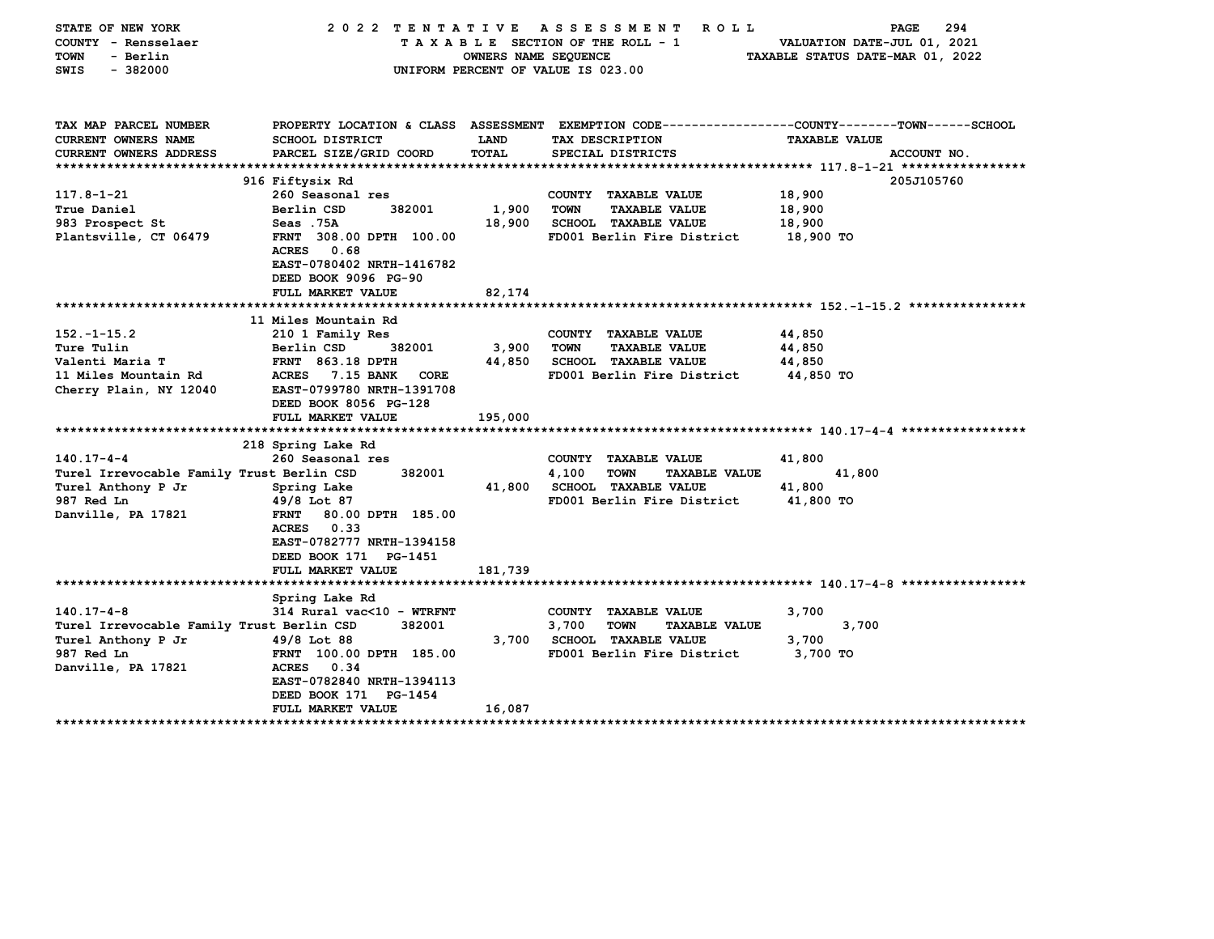| STATE OF NEW YORK<br>COUNTY - Rensselaer<br>- Berlin<br>TOWN<br>SWIS<br>$-382000$ | 2022 TENTATIVE                                                                                                                              | <b>OWNERS NAME SEQUENCE</b> | ASSESSMENT<br>ROLL<br>TAXABLE SECTION OF THE ROLL - 1<br>UNIFORM PERCENT OF VALUE IS 023.00 | 294<br>PAGE<br>VALUATION DATE-JUL 01, 2021<br>TAXABLE STATUS DATE-MAR 01, 2022                  |
|-----------------------------------------------------------------------------------|---------------------------------------------------------------------------------------------------------------------------------------------|-----------------------------|---------------------------------------------------------------------------------------------|-------------------------------------------------------------------------------------------------|
| TAX MAP PARCEL NUMBER                                                             |                                                                                                                                             |                             |                                                                                             | PROPERTY LOCATION & CLASS ASSESSMENT EXEMPTION CODE---------------COUNTY-------TOWN------SCHOOL |
| <b>CURRENT OWNERS NAME</b>                                                        | <b>SCHOOL DISTRICT</b>                                                                                                                      | LAND                        | TAX DESCRIPTION                                                                             | <b>TAXABLE VALUE</b>                                                                            |
| <b>CURRENT OWNERS ADDRESS</b>                                                     | PARCEL SIZE/GRID COORD                                                                                                                      | TOTAL                       | SPECIAL DISTRICTS                                                                           | ACCOUNT NO.                                                                                     |
|                                                                                   | 916 Fiftysix Rd                                                                                                                             |                             |                                                                                             | 205J105760                                                                                      |
| $117.8 - 1 - 21$                                                                  | 260 Seasonal res                                                                                                                            |                             | COUNTY TAXABLE VALUE                                                                        | 18,900                                                                                          |
| True Daniel                                                                       | Berlin CSD<br>382001                                                                                                                        | 1,900                       | TOWN<br><b>TAXABLE VALUE</b>                                                                | 18,900                                                                                          |
| 983 Prospect St                                                                   | Seas .75A                                                                                                                                   | 18,900                      | <b>SCHOOL TAXABLE VALUE</b>                                                                 | 18,900                                                                                          |
| Plantsville, CT 06479                                                             | FRNT 308.00 DPTH 100.00<br><b>ACRES</b><br>0.68<br>EAST-0780402 NRTH-1416782<br>DEED BOOK 9096 PG-90                                        |                             | FD001 Berlin Fire District                                                                  | 18,900 TO                                                                                       |
|                                                                                   | FULL MARKET VALUE                                                                                                                           | 82,174                      |                                                                                             |                                                                                                 |
|                                                                                   |                                                                                                                                             |                             |                                                                                             |                                                                                                 |
| $152. - 1 - 15.2$                                                                 | 11 Miles Mountain Rd                                                                                                                        |                             |                                                                                             |                                                                                                 |
| Ture Tulin                                                                        | 210 1 Family Res<br>Berlin CSD<br>382001                                                                                                    | 3,900                       | COUNTY<br><b>TAXABLE VALUE</b><br><b>TOWN</b><br><b>TAXABLE VALUE</b>                       | 44,850<br>44,850                                                                                |
| Valenti Maria T                                                                   | <b>FRNT 863.18 DPTH</b>                                                                                                                     | 44,850                      | <b>SCHOOL TAXABLE VALUE</b>                                                                 | 44,850                                                                                          |
| 11 Miles Mountain Rd                                                              | ACRES<br><b>7.15 BANK</b><br>CORE                                                                                                           |                             | FD001 Berlin Fire District                                                                  | 44,850 TO                                                                                       |
| Cherry Plain, NY 12040                                                            | EAST-0799780 NRTH-1391708<br>DEED BOOK 8056 PG-128<br>FULL MARKET VALUE                                                                     | 195,000                     |                                                                                             |                                                                                                 |
|                                                                                   |                                                                                                                                             |                             |                                                                                             |                                                                                                 |
|                                                                                   | 218 Spring Lake Rd                                                                                                                          |                             |                                                                                             |                                                                                                 |
| $140.17 - 4 - 4$                                                                  | 260 Seasonal res                                                                                                                            |                             | COUNTY TAXABLE VALUE                                                                        | 41,800                                                                                          |
| Turel Irrevocable Family Trust Berlin CSD                                         | 382001                                                                                                                                      |                             | 4,100<br><b>TAXABLE VALUE</b><br><b>TOWN</b>                                                | 41,800                                                                                          |
| Turel Anthony P Jr                                                                | Spring Lake                                                                                                                                 | 41,800                      | <b>SCHOOL TAXABLE VALUE</b>                                                                 | 41,800                                                                                          |
| 987 Red Ln<br>Danville, PA 17821                                                  | 49/8 Lot 87<br>80.00 DPTH 185.00<br><b>FRNT</b><br>0.33<br>ACRES<br>EAST-0782777 NRTH-1394158<br>DEED BOOK 171 PG-1451<br>FULL MARKET VALUE | 181,739                     | FD001 Berlin Fire District                                                                  | 41,800 TO                                                                                       |
|                                                                                   |                                                                                                                                             |                             |                                                                                             |                                                                                                 |
|                                                                                   | Spring Lake Rd                                                                                                                              |                             |                                                                                             |                                                                                                 |
| $140.17 - 4 - 8$                                                                  | 314 Rural vac<10 - WTRFNT                                                                                                                   |                             | COUNTY TAXABLE VALUE                                                                        | 3,700                                                                                           |
| Turel Irrevocable Family Trust Berlin CSD                                         | 382001<br>49/8 Lot 88                                                                                                                       | 3,700                       | 3,700<br><b>TOWN</b><br><b>TAXABLE VALUE</b><br>SCHOOL TAXABLE VALUE                        | 3,700<br>3,700                                                                                  |
| Turel Anthony P Jr<br>987 Red Ln                                                  | FRNT 100.00 DPTH 185.00                                                                                                                     |                             | FD001 Berlin Fire District                                                                  | 3,700 TO                                                                                        |
| Danville, PA 17821                                                                | <b>ACRES</b><br>0.34<br>EAST-0782840 NRTH-1394113<br>DEED BOOK 171 PG-1454                                                                  |                             |                                                                                             |                                                                                                 |
| *************************                                                         | <b>FULL MARKET VALUE</b>                                                                                                                    | 16,087                      |                                                                                             |                                                                                                 |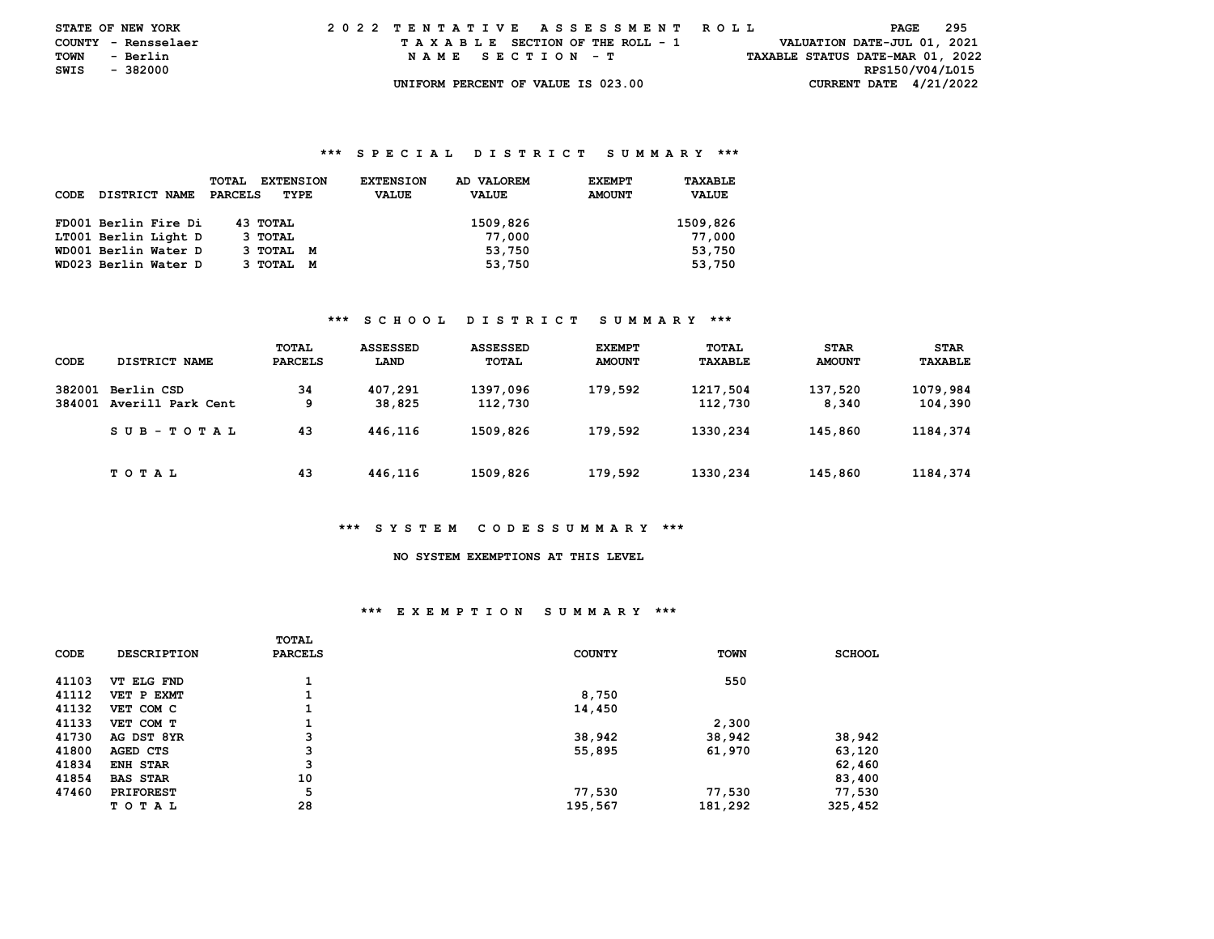| <b>STATE OF NEW YORK</b> |          |          |  |  |  |  |  | 2022 TENTATIVE ASSESSMENT ROLL     |  |  |  |  |  |  |  |  |                                  | PAGE | 295 |  |
|--------------------------|----------|----------|--|--|--|--|--|------------------------------------|--|--|--|--|--|--|--|--|----------------------------------|------|-----|--|
| COUNTY - Rensselaer      |          |          |  |  |  |  |  | TAXABLE SECTION OF THE ROLL - 1    |  |  |  |  |  |  |  |  | VALUATION DATE-JUL 01, 2021      |      |     |  |
| TOWN                     |          | - Berlin |  |  |  |  |  | NAME SECTION - T                   |  |  |  |  |  |  |  |  | TAXABLE STATUS DATE-MAR 01, 2022 |      |     |  |
| SWIS                     | - 382000 |          |  |  |  |  |  |                                    |  |  |  |  |  |  |  |  | RPS150/V04/L015                  |      |     |  |
|                          |          |          |  |  |  |  |  | UNIFORM PERCENT OF VALUE IS 023.00 |  |  |  |  |  |  |  |  | CURRENT DATE $4/21/2022$         |      |     |  |

| <b>CODE</b> | <b>DISTRICT NAME</b> | <b>TOTAL</b><br><b>EXTENSION</b><br>PARCELS<br>TYPE | <b>EXTENSION</b><br><b>VALUE</b> | AD VALOREM<br><b>VALUE</b> | <b>EXEMPT</b><br><b>AMOUNT</b> | TAXABLE<br><b>VALUE</b> |
|-------------|----------------------|-----------------------------------------------------|----------------------------------|----------------------------|--------------------------------|-------------------------|
|             | FD001 Berlin Fire Di | 43 TOTAL                                            |                                  | 1509,826                   |                                | 1509,826                |
|             | LT001 Berlin Light D | 3 TOTAL                                             |                                  | 77,000                     |                                | 77,000                  |
|             | WD001 Berlin Water D | 3 TOTAL M                                           |                                  | 53,750                     |                                | 53,750                  |
|             | WD023 Berlin Water D | 3 TOTAL M                                           |                                  | 53,750                     |                                | 53,750                  |

## **\*\*\* S C H O O L D I S T R I C T S U M M A R Y \*\*\***

| CODE             | DISTRICT NAME                   | TOTAL<br><b>PARCELS</b> | ASSESSED<br>LAND  | <b>ASSESSED</b><br>TOTAL | <b>EXEMPT</b><br><b>AMOUNT</b> | TOTAL<br>TAXABLE    | <b>STAR</b><br><b>AMOUNT</b> | <b>STAR</b><br><b>TAXABLE</b> |
|------------------|---------------------------------|-------------------------|-------------------|--------------------------|--------------------------------|---------------------|------------------------------|-------------------------------|
| 382001<br>384001 | Berlin CSD<br>Averill Park Cent | 34<br>9                 | 407,291<br>38,825 | 1397,096<br>112,730      | 179,592                        | 1217,504<br>112,730 | 137,520<br>8,340             | 1079,984<br>104,390           |
|                  | SUB-TOTAL                       | 43                      | 446,116           | 1509,826                 | 179,592                        | 1330,234            | 145,860                      | 1184,374                      |
|                  | T O T A L                       | 43                      | 446,116           | 1509,826                 | 179,592                        | 1330,234            | 145,860                      | 1184,374                      |

### **\*\*\* S Y S T E M C O D E S S U M M A R Y \*\*\***

# **NO SYSTEM EXEMPTIONS AT THIS LEVEL**

## **\*\*\* E X E M P T I O N S U M M A R Y \*\*\***

|       |                    | TOTAL          |               |             |               |
|-------|--------------------|----------------|---------------|-------------|---------------|
| CODE  | <b>DESCRIPTION</b> | <b>PARCELS</b> | <b>COUNTY</b> | <b>TOWN</b> | <b>SCHOOL</b> |
|       |                    |                |               |             |               |
| 41103 | VT ELG FND         |                |               | 550         |               |
| 41112 | VET P EXMT         |                | 8,750         |             |               |
| 41132 | VET COM C          | 1              | 14,450        |             |               |
| 41133 | VET COM T          |                |               | 2,300       |               |
| 41730 | AG DST 8YR         | 3              | 38,942        | 38,942      | 38,942        |
| 41800 | AGED CTS           | 3              | 55,895        | 61,970      | 63,120        |
| 41834 | <b>ENH STAR</b>    | 3              |               |             | 62,460        |
| 41854 | <b>BAS STAR</b>    | 10             |               |             | 83,400        |
| 47460 | <b>PRIFOREST</b>   | 5              | 77,530        | 77,530      | 77,530        |
|       | T O T A L          | 28             | 195,567       | 181,292     | 325,452       |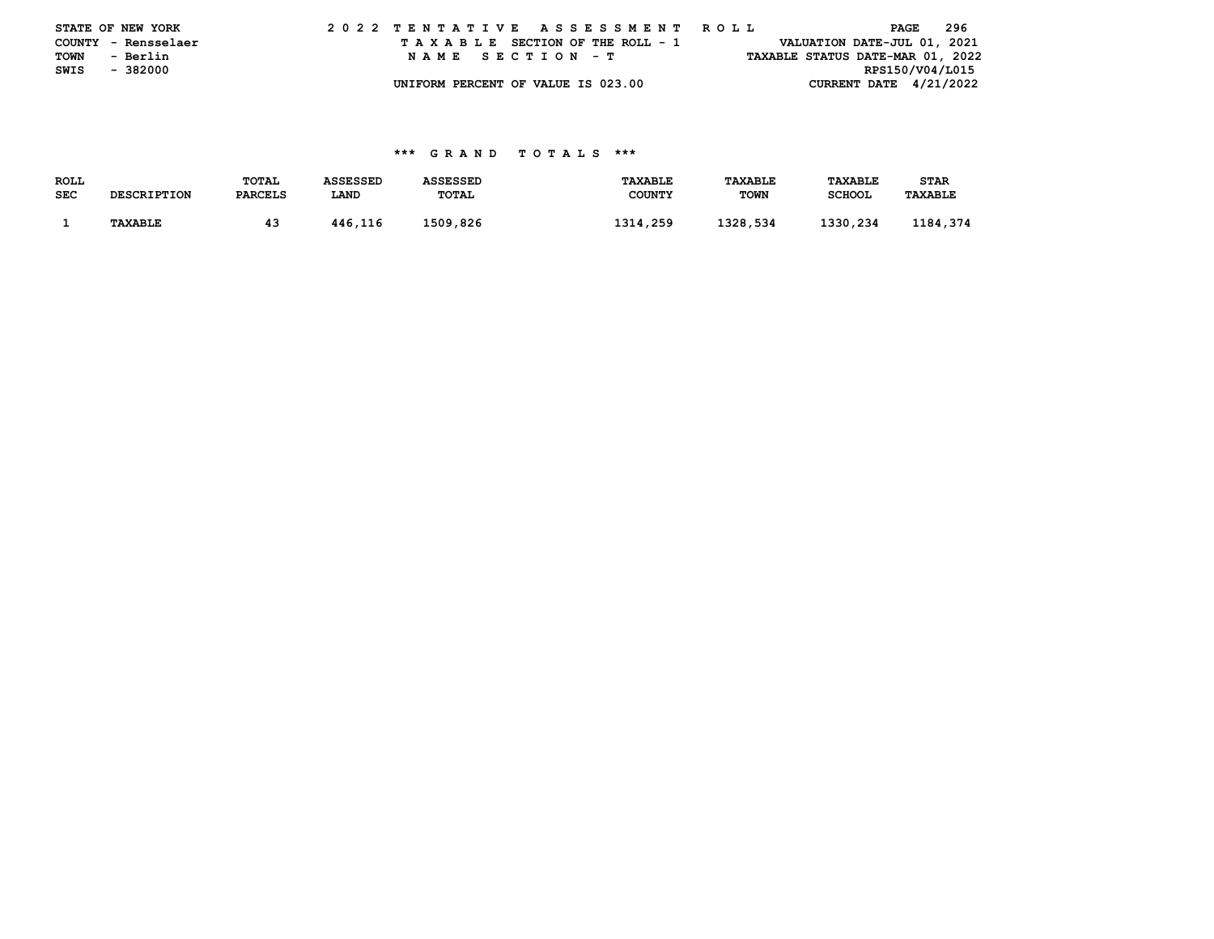|      | STATE OF NEW YORK   |  |  |  |  |  | 2022 TENTATIVE ASSESSMENT ROLL     |  |  |  |  |  |  |  |                                  | PAGE | 296 |
|------|---------------------|--|--|--|--|--|------------------------------------|--|--|--|--|--|--|--|----------------------------------|------|-----|
|      | COUNTY - Rensselaer |  |  |  |  |  | TAXABLE SECTION OF THE ROLL - 1    |  |  |  |  |  |  |  | VALUATION DATE-JUL 01, 2021      |      |     |
| TOWN | - Berlin            |  |  |  |  |  | NAME SECTION - T                   |  |  |  |  |  |  |  | TAXABLE STATUS DATE-MAR 01, 2022 |      |     |
| SWIS | - 382000            |  |  |  |  |  |                                    |  |  |  |  |  |  |  | RPS150/V04/L015                  |      |     |
|      |                     |  |  |  |  |  | UNIFORM PERCENT OF VALUE IS 023.00 |  |  |  |  |  |  |  | CURRENT DATE $4/21/2022$         |      |     |

| <b>ROLL</b> |                    | TOTAL          | <b>ASSESSED</b> | <b>ASSESSED</b> | <b>TAXABLE</b> | <b>TAXABLE</b> | <b>TAXABLE</b> | <b>STAR</b>    |  |
|-------------|--------------------|----------------|-----------------|-----------------|----------------|----------------|----------------|----------------|--|
| <b>SEC</b>  | <b>DESCRIPTION</b> | <b>PARCELS</b> | <b>LAND</b>     | TOTAL           | <b>COUNTY</b>  | <b>TOWN</b>    | <b>SCHOOL</b>  | <b>TAXABLE</b> |  |
|             |                    |                |                 |                 |                |                |                |                |  |
|             | <b>TAXABLE</b>     |                | 446.116         | 1509.826        | 1314,259       | 1328,534       | 1330,234       | 1184.374       |  |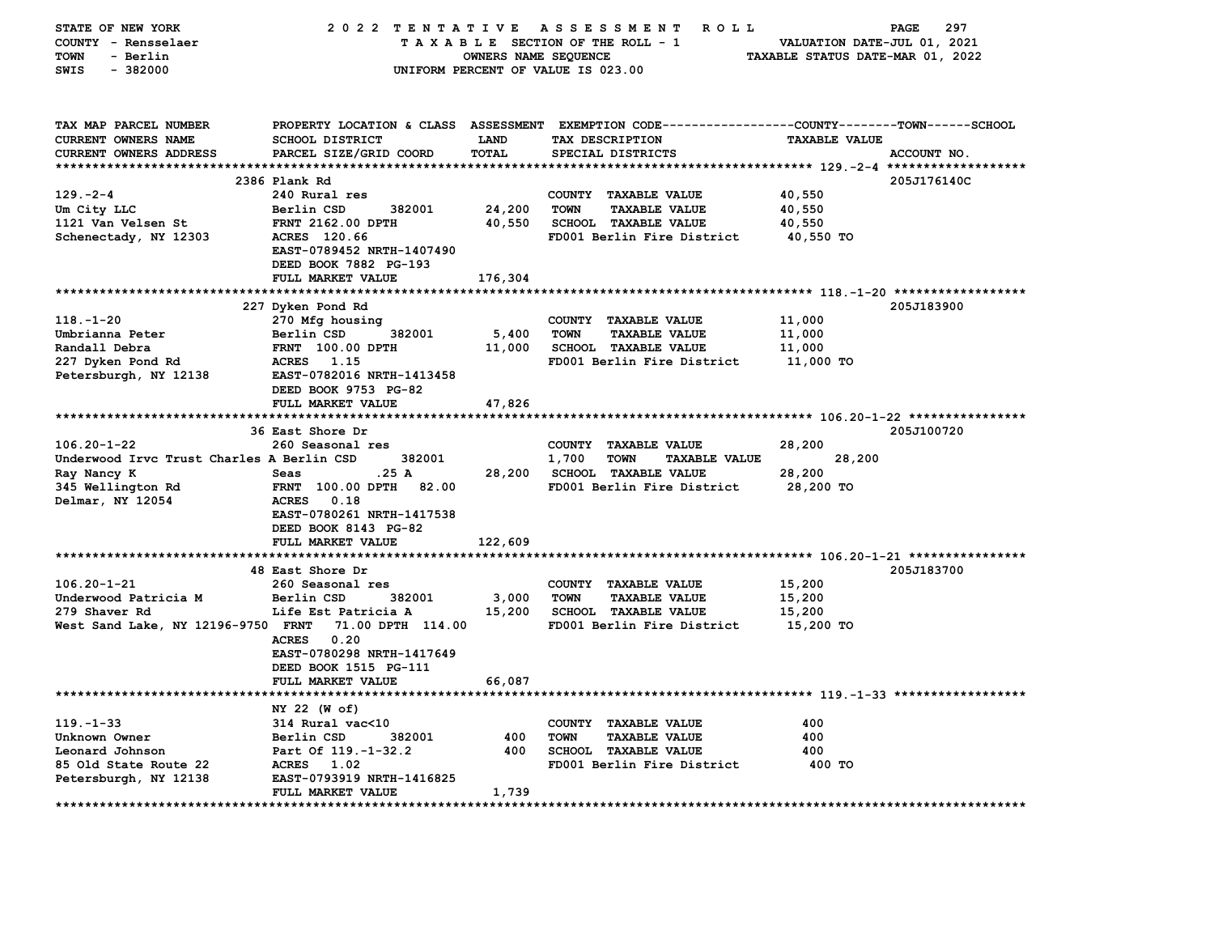| STATE OF NEW YORK<br>COUNTY - Rensselaer<br><b>TOWN</b><br>- Berlin    | 2022 TENTATIVE                                                                           | OWNERS NAME SEQUENCE | A S S E S S M E N T<br><b>ROLL</b><br>TAXABLE SECTION OF THE ROLL - 1 | 297<br>PAGE<br>VALUATION DATE-JUL 01, 2021<br>TAXABLE STATUS DATE-MAR 01, 2022                      |
|------------------------------------------------------------------------|------------------------------------------------------------------------------------------|----------------------|-----------------------------------------------------------------------|-----------------------------------------------------------------------------------------------------|
| $-382000$<br>SWIS                                                      |                                                                                          |                      | UNIFORM PERCENT OF VALUE IS 023.00                                    |                                                                                                     |
| TAX MAP PARCEL NUMBER<br>CURRENT OWNERS NAME<br>CURRENT OWNERS ADDRESS | PROPERTY LOCATION & CLASS ASSESSMENT<br><b>SCHOOL DISTRICT</b><br>PARCEL SIZE/GRID COORD | LAND<br><b>TOTAL</b> | TAX DESCRIPTION<br>SPECIAL DISTRICTS                                  | EXEMPTION CODE-----------------COUNTY-------TOWN------SCHOOL<br><b>TAXABLE VALUE</b><br>ACCOUNT NO. |
|                                                                        |                                                                                          |                      |                                                                       |                                                                                                     |
|                                                                        | 2386 Plank Rd                                                                            |                      |                                                                       | 205J176140C                                                                                         |
| 129.-2-4                                                               | 240 Rural res                                                                            |                      | COUNTY TAXABLE VALUE                                                  | 40,550                                                                                              |
| Um City LLC                                                            | Berlin CSD<br>382001                                                                     | 24,200               | <b>TOWN</b><br><b>TAXABLE VALUE</b>                                   | 40,550                                                                                              |
| 1121 Van Velsen St                                                     | FRNT 2162.00 DPTH                                                                        | 40,550               | SCHOOL TAXABLE VALUE                                                  | 40,550                                                                                              |
| Schenectady, NY 12303                                                  | ACRES 120.66<br>EAST-0789452 NRTH-1407490                                                |                      | FD001 Berlin Fire District                                            | 40,550 TO                                                                                           |
|                                                                        | DEED BOOK 7882 PG-193                                                                    |                      |                                                                       |                                                                                                     |
|                                                                        | FULL MARKET VALUE                                                                        | 176,304              |                                                                       |                                                                                                     |
|                                                                        |                                                                                          |                      |                                                                       |                                                                                                     |
|                                                                        | 227 Dyken Pond Rd                                                                        |                      |                                                                       | 205J183900                                                                                          |
| $118. - 1 - 20$                                                        | 270 Mfg housing                                                                          |                      | COUNTY TAXABLE VALUE                                                  | 11,000                                                                                              |
| Umbrianna Peter                                                        | Berlin CSD<br>382001                                                                     | 5,400                | <b>TOWN</b><br><b>TAXABLE VALUE</b>                                   | 11,000                                                                                              |
| Randall Debra                                                          | <b>FRNT</b> 100.00 DPTH                                                                  | 11,000               | SCHOOL TAXABLE VALUE                                                  | 11,000                                                                                              |
| 227 Dyken Pond Rd                                                      | ACRES 1.15                                                                               |                      | FD001 Berlin Fire District                                            | 11,000 TO                                                                                           |
| Petersburgh, NY 12138                                                  | EAST-0782016 NRTH-1413458                                                                |                      |                                                                       |                                                                                                     |
|                                                                        | DEED BOOK 9753 PG-82                                                                     |                      |                                                                       |                                                                                                     |
|                                                                        | FULL MARKET VALUE                                                                        | 47,826               |                                                                       |                                                                                                     |
|                                                                        | 36 East Shore Dr                                                                         |                      |                                                                       | 205J100720                                                                                          |
| $106.20 - 1 - 22$                                                      | 260 Seasonal res                                                                         |                      | COUNTY TAXABLE VALUE                                                  | 28,200                                                                                              |
| Underwood Irvc Trust Charles A Berlin CSD                              | 382001                                                                                   |                      | 1,700<br><b>TOWN</b><br><b>TAXABLE VALUE</b>                          | 28,200                                                                                              |
| Ray Nancy K                                                            | .25 A<br>Seas                                                                            | 28,200               | SCHOOL TAXABLE VALUE                                                  | 28,200                                                                                              |
| 345 Wellington Rd                                                      | FRNT 100.00 DPTH<br>82.00                                                                |                      | FD001 Berlin Fire District                                            | 28,200 TO                                                                                           |
| Delmar, NY 12054                                                       | <b>ACRES</b><br>0.18                                                                     |                      |                                                                       |                                                                                                     |
|                                                                        | EAST-0780261 NRTH-1417538                                                                |                      |                                                                       |                                                                                                     |
|                                                                        | DEED BOOK 8143 PG-82                                                                     |                      |                                                                       |                                                                                                     |
|                                                                        | <b>FULL MARKET VALUE</b>                                                                 | 122,609              |                                                                       |                                                                                                     |
|                                                                        | 48 East Shore Dr                                                                         |                      |                                                                       |                                                                                                     |
| $106.20 - 1 - 21$                                                      | 260 Seasonal res                                                                         |                      | COUNTY TAXABLE VALUE                                                  | 205J183700<br>15,200                                                                                |
| Underwood Patricia M                                                   | Berlin CSD<br>382001                                                                     | 3,000                | <b>TOWN</b><br><b>TAXABLE VALUE</b>                                   | 15,200                                                                                              |
| 279 Shaver Rd                                                          | Life Est Patricia A                                                                      | 15,200               | <b>SCHOOL TAXABLE VALUE</b>                                           | 15,200                                                                                              |
| West Sand Lake, NY 12196-9750 FRNT                                     | 71.00 DPTH 114.00                                                                        |                      | FD001 Berlin Fire District                                            | 15,200 TO                                                                                           |
|                                                                        | <b>ACRES</b><br>0.20                                                                     |                      |                                                                       |                                                                                                     |
|                                                                        | EAST-0780298 NRTH-1417649                                                                |                      |                                                                       |                                                                                                     |
|                                                                        | DEED BOOK 1515 PG-111                                                                    |                      |                                                                       |                                                                                                     |
|                                                                        | FULL MARKET VALUE                                                                        | 66,087               |                                                                       |                                                                                                     |
|                                                                        |                                                                                          |                      |                                                                       |                                                                                                     |
|                                                                        | NY 22 (W of)                                                                             |                      |                                                                       |                                                                                                     |
| $119. - 1 - 33$<br>Unknown Owner                                       | 314 Rural vac<10<br>Berlin CSD<br>382001                                                 | 400                  | COUNTY TAXABLE VALUE<br><b>TOWN</b><br><b>TAXABLE VALUE</b>           | 400<br>400                                                                                          |
| Leonard Johnson                                                        | Part Of 119.-1-32.2                                                                      | 400                  | SCHOOL TAXABLE VALUE                                                  | 400                                                                                                 |
| 85 Old State Route 22                                                  | <b>ACRES</b><br>1.02                                                                     |                      | FD001 Berlin Fire District                                            | 400 TO                                                                                              |
| Petersburgh, NY 12138                                                  | EAST-0793919 NRTH-1416825                                                                |                      |                                                                       |                                                                                                     |
|                                                                        | <b>FULL MARKET VALUE</b>                                                                 | 1,739                |                                                                       |                                                                                                     |
| ****************                                                       |                                                                                          |                      |                                                                       |                                                                                                     |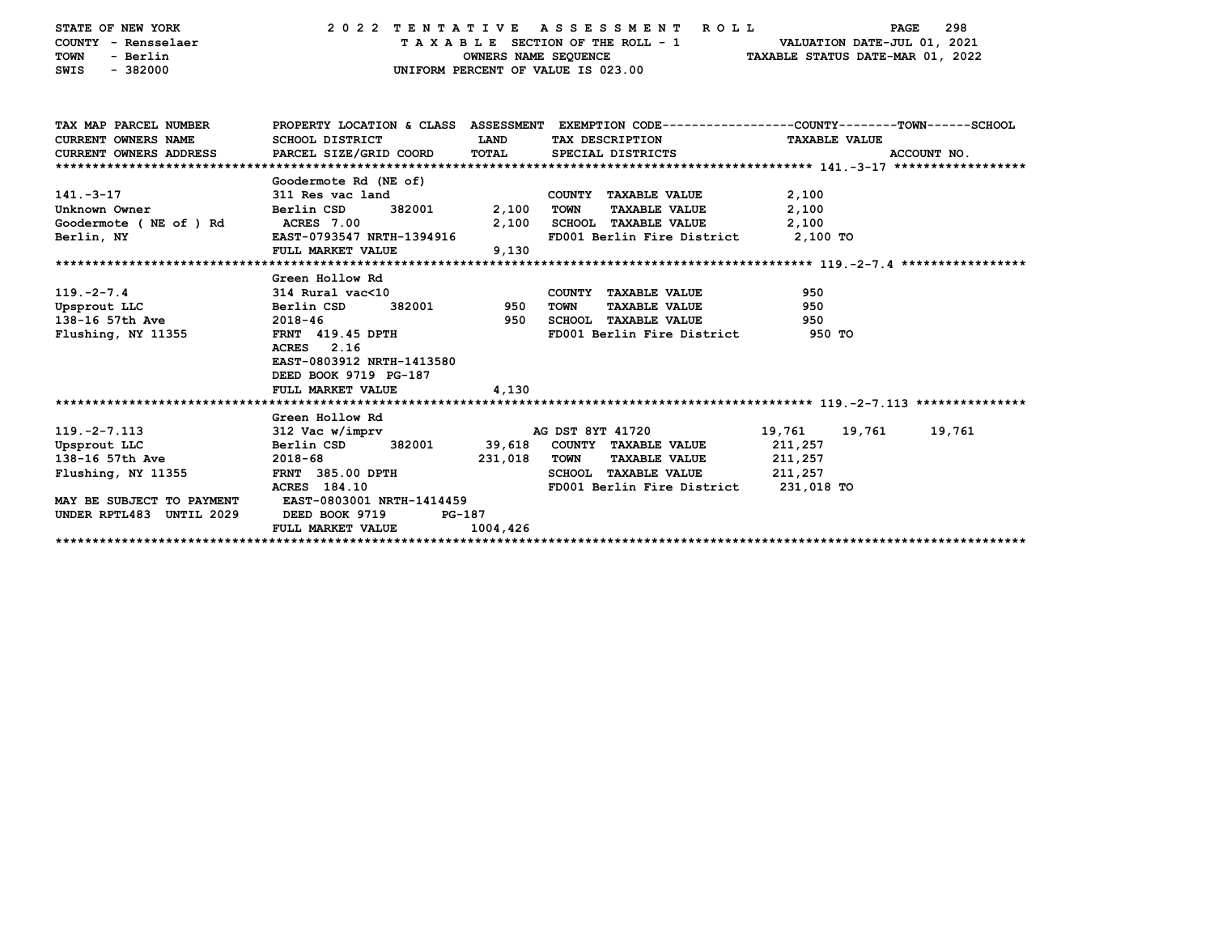| STATE OF NEW YORK                             | 2022 TENTATIVE ASSESSMENT                                                                       |                      |                                    | R O L L                               |                                  | PAGE                        | 298    |
|-----------------------------------------------|-------------------------------------------------------------------------------------------------|----------------------|------------------------------------|---------------------------------------|----------------------------------|-----------------------------|--------|
| COUNTY - Rensselaer                           |                                                                                                 |                      | TAXABLE SECTION OF THE ROLL - 1    |                                       |                                  | VALUATION DATE-JUL 01, 2021 |        |
| <b>TOWN</b><br>- Berlin                       |                                                                                                 | OWNERS NAME SEQUENCE |                                    |                                       | TAXABLE STATUS DATE-MAR 01, 2022 |                             |        |
| $-382000$<br><b>SWIS</b>                      |                                                                                                 |                      | UNIFORM PERCENT OF VALUE IS 023.00 |                                       |                                  |                             |        |
|                                               |                                                                                                 |                      |                                    |                                       |                                  |                             |        |
|                                               |                                                                                                 |                      |                                    |                                       |                                  |                             |        |
|                                               |                                                                                                 |                      |                                    |                                       |                                  |                             |        |
| TAX MAP PARCEL NUMBER                         | PROPERTY LOCATION & CLASS ASSESSMENT EXEMPTION CODE---------------COUNTY-------TOWN------SCHOOL |                      |                                    |                                       |                                  |                             |        |
| <b>CURRENT OWNERS NAME</b>                    | SCHOOL DISTRICT                                                                                 | LAND                 | TAX DESCRIPTION                    |                                       | <b>TAXABLE VALUE</b>             |                             |        |
| CURRENT OWNERS ADDRESS PARCEL SIZE/GRID COORD |                                                                                                 | TOTAL                | SPECIAL DISTRICTS                  |                                       |                                  | ACCOUNT NO.                 |        |
|                                               |                                                                                                 |                      |                                    |                                       |                                  |                             |        |
|                                               | Goodermote Rd (NE of)                                                                           |                      |                                    |                                       |                                  |                             |        |
| $141. - 3 - 17$                               | 311 Res vac land                                                                                |                      | COUNTY TAXABLE VALUE               |                                       | 2,100                            |                             |        |
| Unknown Owner                                 | 382001<br>Berlin CSD                                                                            | 2,100                | TOWN                               | <b>TAXABLE VALUE</b>                  | 2,100                            |                             |        |
| Goodermote (NE of ) Rd                        | <b>ACRES</b> 7.00                                                                               | 2,100                | SCHOOL TAXABLE VALUE               |                                       | 2,100                            |                             |        |
| Berlin, NY                                    | EAST-0793547 NRTH-1394916                                                                       |                      |                                    | FD001 Berlin Fire District 2,100 TO   |                                  |                             |        |
|                                               | <b>FULL MARKET VALUE</b>                                                                        | 9,130                |                                    |                                       |                                  |                             |        |
|                                               |                                                                                                 |                      |                                    |                                       |                                  |                             |        |
|                                               | Green Hollow Rd                                                                                 |                      |                                    |                                       |                                  |                             |        |
| $119. - 2 - 7.4$                              | 314 Rural vac<10                                                                                |                      | COUNTY TAXABLE VALUE               |                                       | 950                              |                             |        |
| Upsprout LLC                                  | 382001<br>Berlin CSD                                                                            | 950                  | <b>TOWN</b>                        | <b>TAXABLE VALUE</b>                  | 950                              |                             |        |
| 138-16 57th Ave                               | 2018-46                                                                                         | 950                  | <b>SCHOOL TAXABLE VALUE</b>        |                                       | 950                              |                             |        |
| Flushing, NY 11355                            | FRNT 419.45 DPTH                                                                                |                      |                                    | FD001 Berlin Fire District            | 950 TO                           |                             |        |
|                                               | ACRES 2.16                                                                                      |                      |                                    |                                       |                                  |                             |        |
|                                               | EAST-0803912 NRTH-1413580                                                                       |                      |                                    |                                       |                                  |                             |        |
|                                               | DEED BOOK 9719 PG-187                                                                           |                      |                                    |                                       |                                  |                             |        |
|                                               | FULL MARKET VALUE                                                                               | 4,130                |                                    |                                       |                                  |                             |        |
|                                               |                                                                                                 |                      |                                    |                                       |                                  |                             |        |
|                                               | Green Hollow Rd                                                                                 |                      |                                    |                                       |                                  |                             |        |
| $119. -2 - 7.113$                             | 312 Vac w/imprv                                                                                 |                      | AG DST 8YT 41720                   |                                       | 19,761                           | 19,761                      | 19,761 |
| Upsprout LLC                                  | 382001<br>Berlin CSD                                                                            |                      | 39,618 COUNTY TAXABLE VALUE        |                                       | 211,257                          |                             |        |
| 138-16 57th Ave                               | $2018 - 68$                                                                                     | 231,018              | <b>TOWN</b>                        | <b>TAXABLE VALUE</b>                  | 211,257                          |                             |        |
| Flushing, NY 11355                            | FRNT 385.00 DPTH                                                                                |                      |                                    | SCHOOL TAXABLE VALUE 211,257          |                                  |                             |        |
|                                               | ACRES 184.10                                                                                    |                      |                                    | FD001 Berlin Fire District 231,018 TO |                                  |                             |        |
| MAY BE SUBJECT TO PAYMENT                     | EAST-0803001 NRTH-1414459                                                                       |                      |                                    |                                       |                                  |                             |        |
| UNDER RPTL483 UNTIL 2029                      | DEED BOOK 9719                                                                                  | PG-187               |                                    |                                       |                                  |                             |        |
|                                               | FULL MARKET VALUE                                                                               | 1004,426             |                                    |                                       |                                  |                             |        |
|                                               |                                                                                                 |                      |                                    |                                       |                                  |                             |        |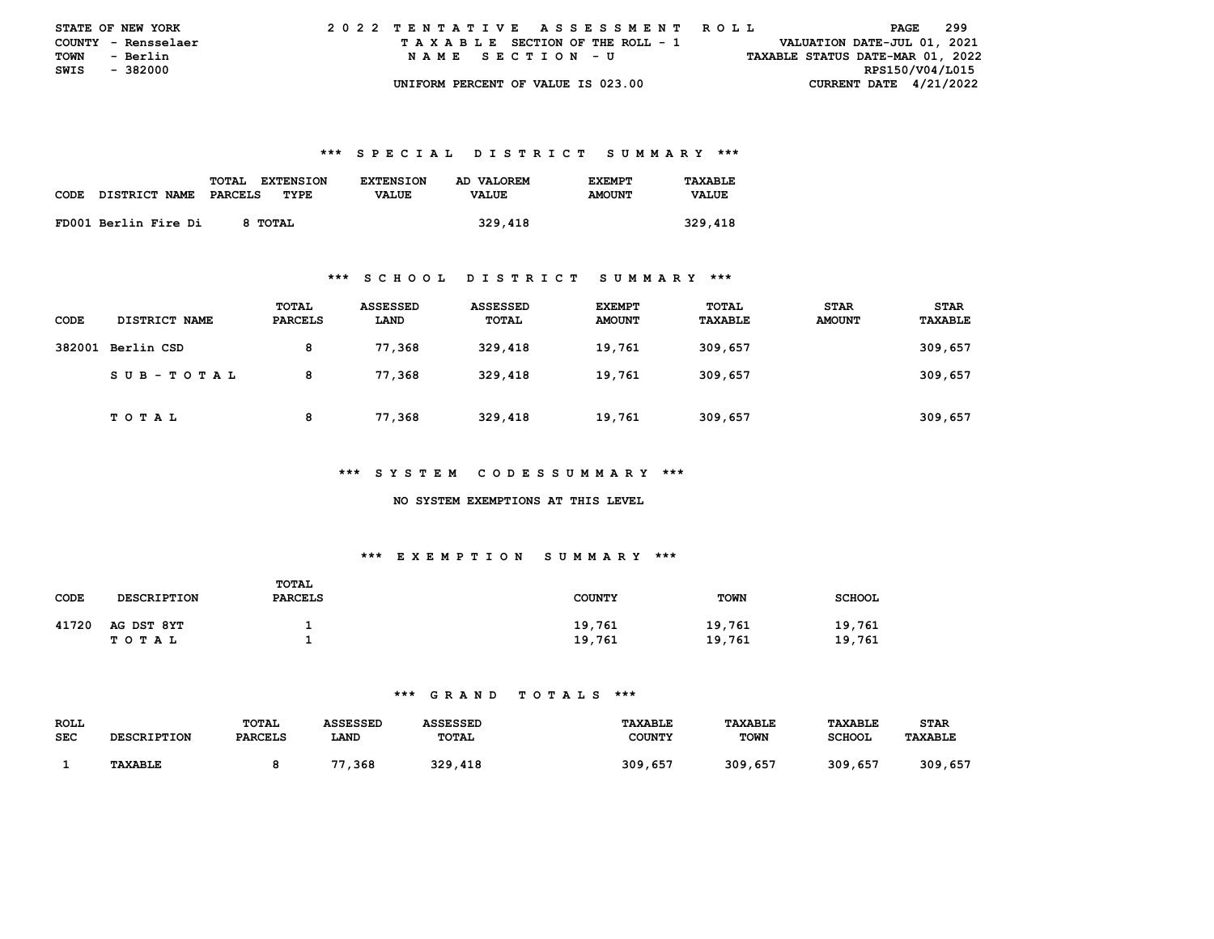| <b>STATE OF NEW YORK</b> |                     |  |  |  |  |  | 2022 TENTATIVE ASSESSMENT ROLL     |  |  |  |  |  |  |  |  |                                  | PAGE | 299 |  |
|--------------------------|---------------------|--|--|--|--|--|------------------------------------|--|--|--|--|--|--|--|--|----------------------------------|------|-----|--|
|                          | COUNTY - Rensselaer |  |  |  |  |  | TAXABLE SECTION OF THE ROLL - 1    |  |  |  |  |  |  |  |  | VALUATION DATE-JUL 01, 2021      |      |     |  |
| TOWN                     | - Berlin            |  |  |  |  |  | NAME SECTION - U                   |  |  |  |  |  |  |  |  | TAXABLE STATUS DATE-MAR 01, 2022 |      |     |  |
| SWIS - 382000            |                     |  |  |  |  |  |                                    |  |  |  |  |  |  |  |  | RPS150/V04/L015                  |      |     |  |
|                          |                     |  |  |  |  |  | UNIFORM PERCENT OF VALUE IS 023.00 |  |  |  |  |  |  |  |  | CURRENT DATE $4/21/2022$         |      |     |  |

|      |                      | <b>TOTAL</b><br><b>EXTENSION</b> | <b>EXTENSION</b> | AD VALOREM   | <b>F.XFMPT</b> | TAXABLE      |
|------|----------------------|----------------------------------|------------------|--------------|----------------|--------------|
| CODE | DISTRICT NAME        | PARCELS<br>TYPE                  | <b>VALUE</b>     | <b>VALUE</b> | <b>AMOUNT</b>  | <b>VALUE</b> |
|      |                      |                                  |                  |              |                |              |
|      | FD001 Berlin Fire Di | 8 TOTAL                          |                  | 329,418      |                | 329,418      |

#### **\*\*\* S C H O O L D I S T R I C T S U M M A R Y \*\*\***

| <b>CODE</b> | <b>DISTRICT NAME</b> | TOTAL<br><b>PARCELS</b> | ASSESSED<br>LAND | ASSESSED<br>TOTAL | <b>EXEMPT</b><br><b>AMOUNT</b> | TOTAL<br>TAXABLE | <b>STAR</b><br><b>AMOUNT</b> | <b>STAR</b><br>TAXABLE |
|-------------|----------------------|-------------------------|------------------|-------------------|--------------------------------|------------------|------------------------------|------------------------|
| 382001      | Berlin CSD           | 8                       | 77,368           | 329,418           | 19,761                         | 309,657          |                              | 309,657                |
|             | SUB-TOTAL            | 8                       | 77,368           | 329,418           | 19,761                         | 309,657          |                              | 309,657                |
|             | T O T A L            | 8                       | 77,368           | 329,418           | 19,761                         | 309,657          |                              | 309,657                |

#### **\*\*\* S Y S T E M C O D E S S U M M A R Y \*\*\***

#### **NO SYSTEM EXEMPTIONS AT THIS LEVEL**

# **\*\*\* E X E M P T I O N S U M M A R Y \*\*\***

| CODE  | <b>DESCRIPTION</b>      | TOTAL<br><b>PARCELS</b> | <b>COUNTY</b>    | <b>TOWN</b>      | <b>SCHOOL</b>    |
|-------|-------------------------|-------------------------|------------------|------------------|------------------|
| 41720 | AG DST 8YT<br>T O T A L |                         | 19,761<br>19,761 | 19,761<br>19,761 | 19,761<br>19,761 |

| ROLL       |                    | TOTAL          | ASSESSED     | ASSESSED     | <b>TAXABLE</b> | <b>TAXABLE</b> | <b>TAXABLE</b> | <b>STAR</b>    |
|------------|--------------------|----------------|--------------|--------------|----------------|----------------|----------------|----------------|
| <b>SEC</b> | <b>DESCRIPTION</b> | <b>PARCELS</b> | LAND         | <b>TOTAL</b> | COUNTY         | <b>TOWN</b>    | <b>SCHOOL</b>  | <b>TAXABLE</b> |
|            |                    |                |              |              |                |                |                |                |
|            | <b>TAXABLE</b>     |                | . 368<br>. . | 329,418      | 309,657        | 309,657        | 309,657        | 309,657        |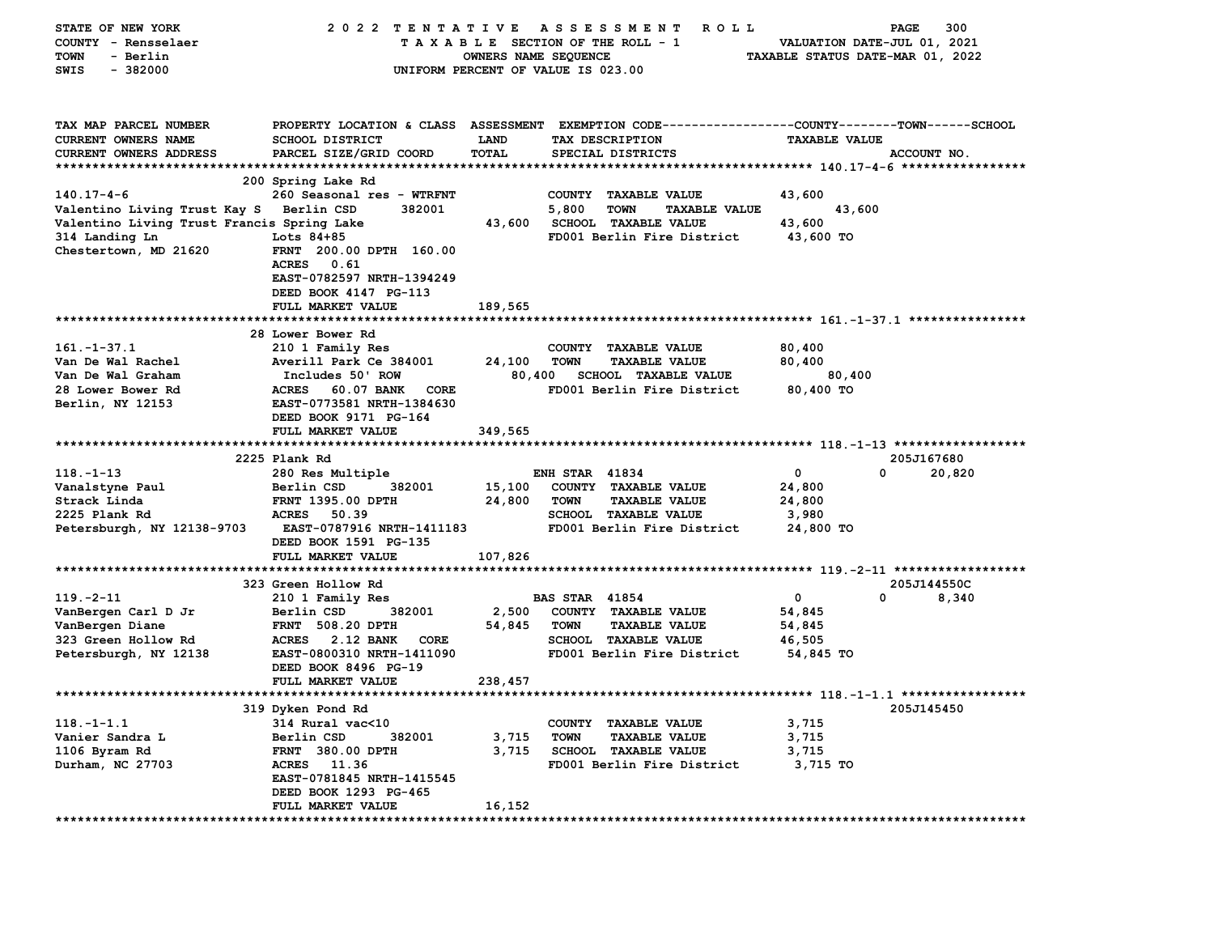| STATE OF NEW YORK                          | 2022 TENTATIVE                                                                                 |                                    |                       | A S S E S S M E N T<br><b>ROLL</b>           |                                  | PAGE        | 300    |
|--------------------------------------------|------------------------------------------------------------------------------------------------|------------------------------------|-----------------------|----------------------------------------------|----------------------------------|-------------|--------|
| COUNTY - Rensselaer                        |                                                                                                | TAXABLE SECTION OF THE ROLL - 1    |                       |                                              | VALUATION DATE-JUL 01, 2021      |             |        |
| <b>TOWN</b><br>- Berlin                    |                                                                                                | OWNERS NAME SEQUENCE               |                       |                                              | TAXABLE STATUS DATE-MAR 01, 2022 |             |        |
| SWIS<br>$-382000$                          |                                                                                                | UNIFORM PERCENT OF VALUE IS 023.00 |                       |                                              |                                  |             |        |
|                                            |                                                                                                |                                    |                       |                                              |                                  |             |        |
| TAX MAP PARCEL NUMBER                      | PROPERTY LOCATION & CLASS ASSESSMENT EXEMPTION CODE---------------COUNTY-------TOWN-----SCHOOL |                                    |                       |                                              |                                  |             |        |
| CURRENT OWNERS NAME                        | <b>SCHOOL DISTRICT</b>                                                                         | <b>LAND</b>                        |                       | TAX DESCRIPTION                              | <b>TAXABLE VALUE</b>             |             |        |
| <b>CURRENT OWNERS ADDRESS</b>              | PARCEL SIZE/GRID COORD                                                                         | <b>TOTAL</b>                       |                       | SPECIAL DISTRICTS                            |                                  | ACCOUNT NO. |        |
| *************************                  |                                                                                                |                                    |                       |                                              |                                  |             |        |
|                                            | 200 Spring Lake Rd                                                                             |                                    |                       |                                              |                                  |             |        |
| $140.17 - 4 - 6$                           | 260 Seasonal res - WTRFNT                                                                      |                                    | <b>COUNTY</b>         | <b>TAXABLE VALUE</b>                         | 43,600                           |             |        |
| Valentino Living Trust Kay S Berlin CSD    | 382001                                                                                         |                                    | 5,800                 | <b>TOWN</b><br><b>TAXABLE VALUE</b>          | 43,600                           |             |        |
| Valentino Living Trust Francis Spring Lake |                                                                                                | 43,600                             |                       | <b>SCHOOL TAXABLE VALUE</b>                  | 43,600                           |             |        |
| 314 Landing Ln                             | Lots $84+85$<br>FRNT 200.00 DPTH 160.00                                                        |                                    |                       | FD001 Berlin Fire District                   | 43,600 TO                        |             |        |
| Chestertown, MD 21620                      | 0.61<br><b>ACRES</b>                                                                           |                                    |                       |                                              |                                  |             |        |
|                                            | EAST-0782597 NRTH-1394249                                                                      |                                    |                       |                                              |                                  |             |        |
|                                            | DEED BOOK 4147 PG-113                                                                          |                                    |                       |                                              |                                  |             |        |
|                                            | FULL MARKET VALUE                                                                              | 189,565                            |                       |                                              |                                  |             |        |
|                                            |                                                                                                |                                    |                       |                                              |                                  |             |        |
|                                            | 28 Lower Bower Rd                                                                              |                                    |                       |                                              |                                  |             |        |
| $161. - 1 - 37.1$                          | 210 1 Family Res                                                                               |                                    |                       | COUNTY TAXABLE VALUE                         | 80,400                           |             |        |
| Van De Wal Rachel                          | Averill Park Ce 384001                                                                         | 24,100                             | <b>TOWN</b>           | <b>TAXABLE VALUE</b>                         | 80,400                           |             |        |
| Van De Wal Graham                          | Includes 50' ROW                                                                               | 80,400                             |                       | SCHOOL TAXABLE VALUE                         | 80,400                           |             |        |
| 28 Lower Bower Rd                          | <b>ACRES</b><br>60.07 BANK<br>CORE                                                             |                                    |                       | FD001 Berlin Fire District                   | 80,400 TO                        |             |        |
| Berlin, NY 12153                           | EAST-0773581 NRTH-1384630                                                                      |                                    |                       |                                              |                                  |             |        |
|                                            | DEED BOOK 9171 PG-164                                                                          |                                    |                       |                                              |                                  |             |        |
|                                            | FULL MARKET VALUE                                                                              | 349,565                            |                       |                                              |                                  |             |        |
|                                            |                                                                                                |                                    |                       |                                              |                                  |             |        |
|                                            | 2225 Plank Rd                                                                                  |                                    |                       |                                              |                                  | 205J167680  |        |
| $118. - 1 - 13$                            | 280 Res Multiple                                                                               |                                    | <b>ENH STAR 41834</b> |                                              | $\mathbf 0$                      | 0           | 20,820 |
| Vanalstyne Paul<br>Strack Linda            | Berlin CSD<br>382001<br>FRNT 1395.00 DPTH                                                      | 15,100                             |                       | COUNTY TAXABLE VALUE                         | 24,800                           |             |        |
| 2225 Plank Rd                              | <b>ACRES</b><br>50.39                                                                          | 24,800                             | <b>TOWN</b>           | <b>TAXABLE VALUE</b><br>SCHOOL TAXABLE VALUE | 24,800<br>3,980                  |             |        |
| Petersburgh, NY 12138-9703                 | EAST-0787916 NRTH-1411183                                                                      |                                    |                       | FD001 Berlin Fire District                   | 24,800 TO                        |             |        |
|                                            | DEED BOOK 1591 PG-135                                                                          |                                    |                       |                                              |                                  |             |        |
|                                            | FULL MARKET VALUE                                                                              | 107,826                            |                       |                                              |                                  |             |        |
|                                            |                                                                                                |                                    |                       |                                              |                                  |             |        |
|                                            | 323 Green Hollow Rd                                                                            |                                    |                       |                                              |                                  | 205J144550C |        |
| $119. -2 - 11$                             | 210 1 Family Res                                                                               |                                    | <b>BAS STAR 41854</b> |                                              | 0                                | 0           | 8,340  |
| VanBergen Carl D Jr                        | Berlin CSD<br>382001                                                                           | 2,500                              |                       | COUNTY TAXABLE VALUE                         | 54,845                           |             |        |
| VanBergen Diane                            | <b>FRNT 508.20 DPTH</b>                                                                        | 54,845                             | <b>TOWN</b>           | <b>TAXABLE VALUE</b>                         | 54,845                           |             |        |
| 323 Green Hollow Rd                        | ACRES 2.12 BANK<br>CORE                                                                        |                                    |                       | <b>SCHOOL TAXABLE VALUE</b>                  | 46,505                           |             |        |
| Petersburgh, NY 12138                      | EAST-0800310 NRTH-1411090                                                                      |                                    |                       | FD001 Berlin Fire District                   | 54,845 TO                        |             |        |
|                                            | DEED BOOK 8496 PG-19                                                                           |                                    |                       |                                              |                                  |             |        |
|                                            | FULL MARKET VALUE                                                                              | 238,457                            |                       |                                              |                                  |             |        |
|                                            |                                                                                                |                                    |                       |                                              |                                  |             |        |
|                                            | 319 Dyken Pond Rd                                                                              |                                    |                       |                                              |                                  | 205J145450  |        |
| $118. - 1 - 1.1$<br>Vanier Sandra L        | 314 Rural vac<10<br>382001                                                                     | 3,715                              |                       | COUNTY TAXABLE VALUE<br><b>TAXABLE VALUE</b> | 3,715                            |             |        |
| 1106 Byram Rd                              | Berlin CSD<br><b>FRNT 380.00 DPTH</b>                                                          | 3,715                              | <b>TOWN</b>           | <b>SCHOOL TAXABLE VALUE</b>                  | 3,715<br>3,715                   |             |        |
| Durham, NC 27703                           | ACRES 11.36                                                                                    |                                    |                       | FD001 Berlin Fire District                   | 3,715 TO                         |             |        |
|                                            | EAST-0781845 NRTH-1415545                                                                      |                                    |                       |                                              |                                  |             |        |
|                                            | DEED BOOK 1293 PG-465                                                                          |                                    |                       |                                              |                                  |             |        |
|                                            | FULL MARKET VALUE                                                                              | 16,152                             |                       |                                              |                                  |             |        |
| *************************                  |                                                                                                |                                    |                       |                                              |                                  |             |        |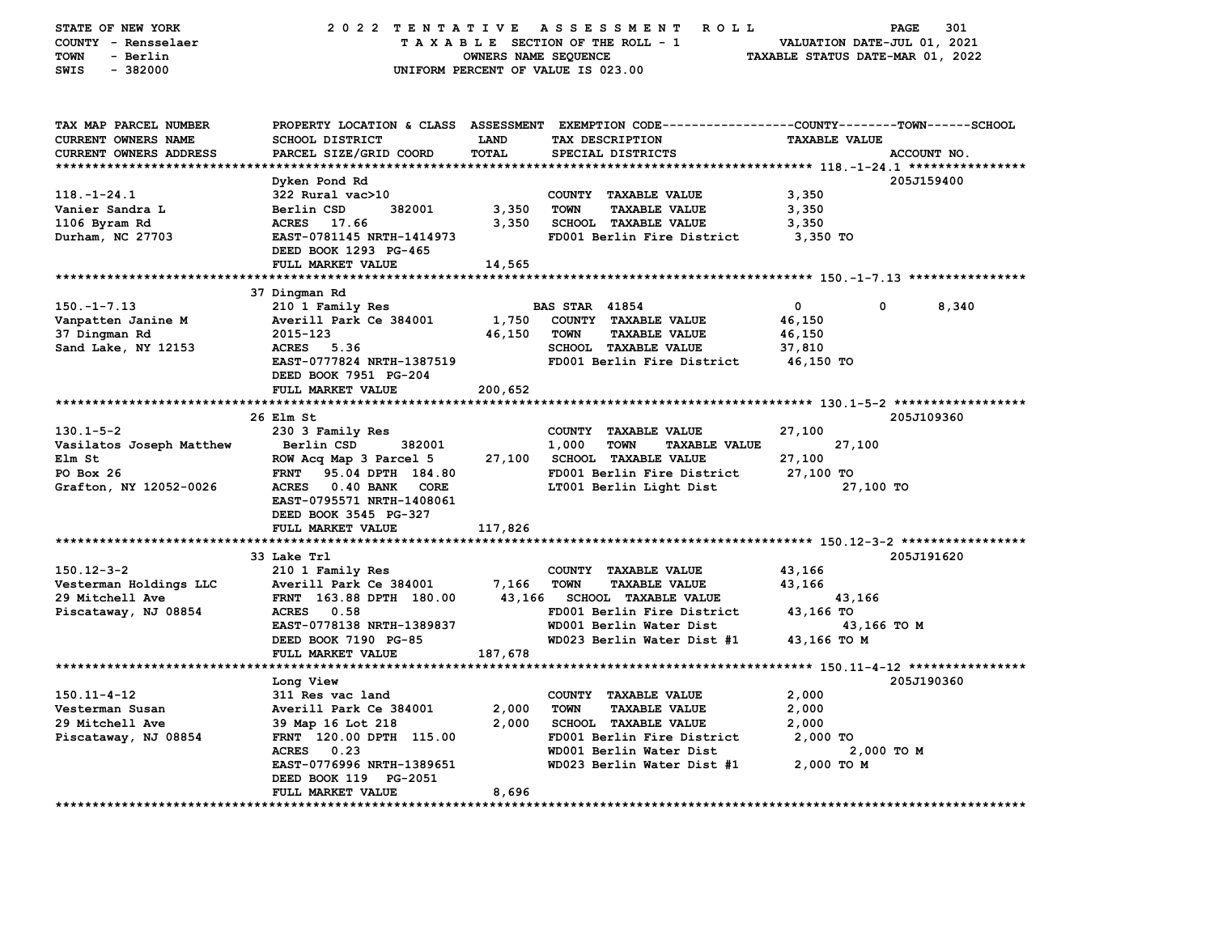| STATE OF NEW YORK<br>COUNTY - Rensselaer<br><b>TOWN</b><br>- Berlin<br>$-382000$<br>SWIS | 2022 TENTATIVE ASSESSMENT                                                               | OWNERS NAME SEQUENCE        | <b>ROLL</b><br>TAXABLE SECTION OF THE ROLL - 1<br>UNIFORM PERCENT OF VALUE IS 023.00                                                   | VALUATION DATE-JUL 01, 2021<br>TAXABLE STATUS DATE-MAR 01, 2022 | 301<br><b>PAGE</b> |
|------------------------------------------------------------------------------------------|-----------------------------------------------------------------------------------------|-----------------------------|----------------------------------------------------------------------------------------------------------------------------------------|-----------------------------------------------------------------|--------------------|
| TAX MAP PARCEL NUMBER<br>CURRENT OWNERS NAME<br>CURRENT OWNERS ADDRESS                   | <b>SCHOOL DISTRICT</b><br>PARCEL SIZE/GRID COORD                                        | <b>LAND</b><br><b>TOTAL</b> | PROPERTY LOCATION & CLASS ASSESSMENT EXEMPTION CODE---------------COUNTY-------TOWN-----SCHOOL<br>TAX DESCRIPTION<br>SPECIAL DISTRICTS | <b>TAXABLE VALUE</b>                                            | ACCOUNT NO.        |
|                                                                                          | Dyken Pond Rd                                                                           |                             |                                                                                                                                        |                                                                 |                    |
| $118. - 1 - 24.1$                                                                        | 322 Rural vac>10                                                                        |                             | COUNTY TAXABLE VALUE                                                                                                                   | 3,350                                                           | 205J159400         |
| Vanier Sandra L                                                                          | Berlin CSD<br>382001                                                                    | 3,350                       | <b>TOWN</b><br><b>TAXABLE VALUE</b>                                                                                                    | 3,350                                                           |                    |
| 1106 Byram Rd                                                                            | ACRES 17.66                                                                             | 3,350                       | <b>SCHOOL TAXABLE VALUE</b>                                                                                                            | 3,350                                                           |                    |
| Durham, NC 27703                                                                         | EAST-0781145 NRTH-1414973<br>DEED BOOK 1293 PG-465                                      |                             | FD001 Berlin Fire District                                                                                                             | 3,350 TO                                                        |                    |
|                                                                                          | FULL MARKET VALUE                                                                       | 14,565                      |                                                                                                                                        |                                                                 |                    |
|                                                                                          |                                                                                         |                             |                                                                                                                                        |                                                                 |                    |
|                                                                                          | 37 Dingman Rd                                                                           |                             |                                                                                                                                        | $\mathbf 0$<br>0                                                |                    |
| $150. -1 - 7.13$<br>Vanpatten Janine M                                                   | 210 1 Family Res<br>Averill Park Ce 384001                                              | 1,750                       | <b>BAS STAR 41854</b><br>COUNTY TAXABLE VALUE                                                                                          | 46,150                                                          | 8,340              |
| 37 Dingman Rd                                                                            | 2015-123                                                                                | 46,150                      | <b>TAXABLE VALUE</b><br><b>TOWN</b>                                                                                                    | 46,150                                                          |                    |
| Sand Lake, NY 12153                                                                      | ACRES 5.36                                                                              |                             | SCHOOL TAXABLE VALUE                                                                                                                   | 37,810                                                          |                    |
|                                                                                          | EAST-0777824 NRTH-1387519<br>DEED BOOK 7951 PG-204                                      |                             | FD001 Berlin Fire District                                                                                                             | 46,150 TO                                                       |                    |
|                                                                                          | FULL MARKET VALUE                                                                       | 200,652                     |                                                                                                                                        |                                                                 |                    |
|                                                                                          |                                                                                         |                             |                                                                                                                                        |                                                                 |                    |
|                                                                                          | 26 Elm St                                                                               |                             |                                                                                                                                        |                                                                 | 205J109360         |
| $130.1 - 5 - 2$                                                                          | 230 3 Family Res                                                                        |                             | COUNTY TAXABLE VALUE                                                                                                                   | 27,100                                                          |                    |
| Vasilatos Joseph Matthew                                                                 | 382001<br>Berlin CSD                                                                    |                             | 1,000<br>TOWN<br><b>TAXABLE VALUE</b>                                                                                                  | 27,100                                                          |                    |
| Elm St                                                                                   | ROW Acq Map 3 Parcel 5                                                                  | 27,100                      | SCHOOL TAXABLE VALUE                                                                                                                   | 27,100                                                          |                    |
| PO Box 26                                                                                | <b>FRNT</b><br>95.04 DPTH 184.80                                                        |                             | FD001 Berlin Fire District                                                                                                             | 27,100 TO                                                       |                    |
| Grafton, NY 12052-0026                                                                   | <b>ACRES</b><br>0.40 BANK<br>CORE<br>EAST-0795571 NRTH-1408061<br>DEED BOOK 3545 PG-327 |                             | LT001 Berlin Light Dist                                                                                                                | 27,100 TO                                                       |                    |
|                                                                                          | FULL MARKET VALUE                                                                       | 117,826                     |                                                                                                                                        |                                                                 |                    |
|                                                                                          |                                                                                         |                             | ********************************** 150                              12-3-2 ******************                                          |                                                                 |                    |
|                                                                                          | 33 Lake Trl                                                                             |                             |                                                                                                                                        |                                                                 | 205J191620         |
| $150.12 - 3 - 2$                                                                         | 210 1 Family Res                                                                        |                             | COUNTY TAXABLE VALUE                                                                                                                   | 43,166                                                          |                    |
| Vesterman Holdings LLC                                                                   | Averill Park Ce 384001                                                                  | 7,166                       | <b>TOWN</b><br><b>TAXABLE VALUE</b>                                                                                                    | 43,166                                                          |                    |
| 29 Mitchell Ave                                                                          | FRNT 163.88 DPTH 180.00                                                                 | 43,166                      | <b>SCHOOL TAXABLE VALUE</b>                                                                                                            | 43,166                                                          |                    |
| Piscataway, NJ 08854                                                                     | ACRES 0.58<br>EAST-0778138 NRTH-1389837                                                 |                             | FD001 Berlin Fire District<br>WD001 Berlin Water Dist                                                                                  | 43,166 то<br>43,166 TO M                                        |                    |
|                                                                                          | DEED BOOK 7190 PG-85                                                                    |                             | WD023 Berlin Water Dist #1                                                                                                             | 43,166 TO M                                                     |                    |
|                                                                                          | FULL MARKET VALUE                                                                       | 187,678                     |                                                                                                                                        |                                                                 |                    |
|                                                                                          |                                                                                         |                             |                                                                                                                                        |                                                                 |                    |
|                                                                                          | Long View                                                                               |                             |                                                                                                                                        |                                                                 | 205J190360         |
| $150.11 - 4 - 12$                                                                        | 311 Res vac land                                                                        |                             | COUNTY TAXABLE VALUE                                                                                                                   | 2,000                                                           |                    |
| Vesterman Susan                                                                          | Averill Park Ce 384001                                                                  | 2,000                       | <b>TOWN</b><br><b>TAXABLE VALUE</b>                                                                                                    | 2,000                                                           |                    |
| 29 Mitchell Ave                                                                          | 39 Map 16 Lot 218                                                                       | 2,000                       | <b>SCHOOL TAXABLE VALUE</b>                                                                                                            | 2,000                                                           |                    |
| Piscataway, NJ 08854                                                                     | FRNT 120.00 DPTH 115.00                                                                 |                             | FD001 Berlin Fire District                                                                                                             | 2,000 TO                                                        |                    |
|                                                                                          | <b>ACRES</b><br>0.23                                                                    |                             | WD001 Berlin Water Dist                                                                                                                | 2,000 TO M                                                      |                    |
|                                                                                          | EAST-0776996 NRTH-1389651                                                               |                             | WD023 Berlin Water Dist #1                                                                                                             | 2,000 TO M                                                      |                    |
|                                                                                          | DEED BOOK 119 PG-2051                                                                   |                             |                                                                                                                                        |                                                                 |                    |
|                                                                                          | FULL MARKET VALUE                                                                       | 8,696                       |                                                                                                                                        |                                                                 |                    |
|                                                                                          |                                                                                         |                             |                                                                                                                                        |                                                                 |                    |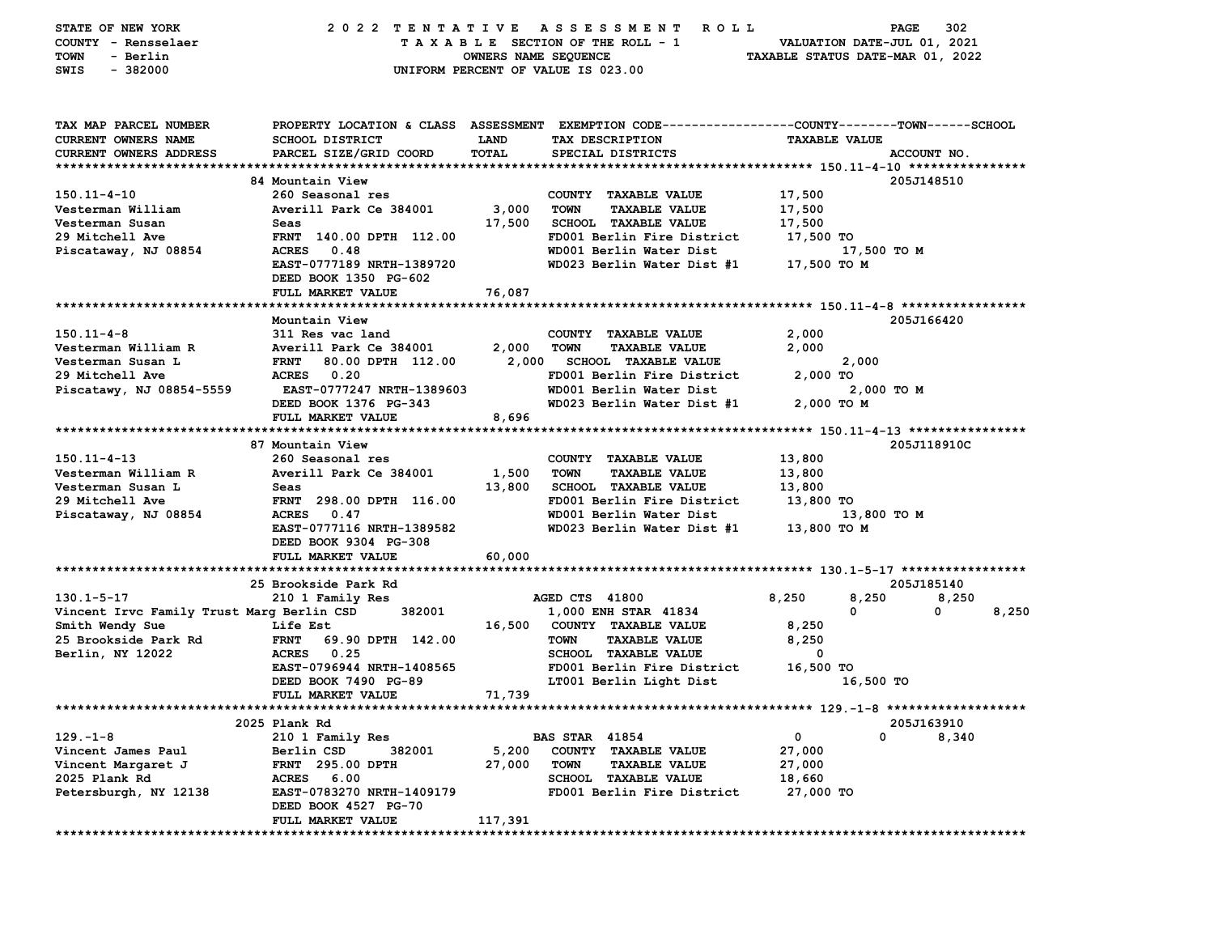| STATE OF NEW YORK                                            | 2022 TENTATIVE                   |                      | A S S E S S M E N T R O L L                                                                    |                                  | 302<br>PAGE         |
|--------------------------------------------------------------|----------------------------------|----------------------|------------------------------------------------------------------------------------------------|----------------------------------|---------------------|
| COUNTY - Rensselaer                                          |                                  |                      | TAXABLE SECTION OF THE ROLL - 1                                                                | VALUATION DATE-JUL 01, 2021      |                     |
| - Berlin<br>TOWN                                             |                                  | OWNERS NAME SEQUENCE |                                                                                                | TAXABLE STATUS DATE-MAR 01, 2022 |                     |
| $-382000$<br>SWIS                                            |                                  |                      | UNIFORM PERCENT OF VALUE IS 023.00                                                             |                                  |                     |
|                                                              |                                  |                      |                                                                                                |                                  |                     |
|                                                              |                                  |                      |                                                                                                |                                  |                     |
| TAX MAP PARCEL NUMBER                                        |                                  |                      | PROPERTY LOCATION & CLASS ASSESSMENT EXEMPTION CODE---------------COUNTY-------TOWN-----SCHOOL |                                  |                     |
| CURRENT OWNERS NAME                                          | <b>SCHOOL DISTRICT</b>           | <b>LAND</b>          | TAX DESCRIPTION                                                                                | <b>TAXABLE VALUE</b>             |                     |
| CURRENT OWNERS ADDRESS                                       | PARCEL SIZE/GRID COORD           | <b>TOTAL</b>         | SPECIAL DISTRICTS                                                                              |                                  | ACCOUNT NO.         |
|                                                              |                                  |                      |                                                                                                |                                  |                     |
|                                                              | 84 Mountain View                 |                      |                                                                                                |                                  | 205J148510          |
| $150.11 - 4 - 10$                                            | 260 Seasonal res                 |                      | COUNTY TAXABLE VALUE                                                                           | 17,500                           |                     |
| Vesterman William                                            | Averill Park Ce 384001           | 3,000                | <b>TOWN</b><br><b>TAXABLE VALUE</b>                                                            | 17,500                           |                     |
| Vesterman Susan                                              | Seas                             | 17,500               | <b>SCHOOL TAXABLE VALUE</b>                                                                    | 17,500                           |                     |
| 29 Mitchell Ave                                              | FRNT 140.00 DPTH 112.00          |                      | FD001 Berlin Fire District                                                                     | 17,500 TO                        |                     |
| Piscataway, NJ 08854                                         | ACRES 0.48                       |                      | WD001 Berlin Water Dist                                                                        | 17,500 TO M                      |                     |
|                                                              | EAST-0777189 NRTH-1389720        |                      | WD023 Berlin Water Dist #1                                                                     | 17,500 TO M                      |                     |
|                                                              | DEED BOOK 1350 PG-602            |                      |                                                                                                |                                  |                     |
|                                                              | FULL MARKET VALUE                | 76,087               |                                                                                                |                                  |                     |
|                                                              | Mountain View                    |                      |                                                                                                |                                  | 205J166420          |
| $150.11 - 4 - 8$                                             | 311 Res vac land                 |                      | COUNTY TAXABLE VALUE                                                                           | 2,000                            |                     |
| Vesterman William R                                          | Averill Park Ce 384001           | 2,000                | <b>TOWN</b><br><b>TAXABLE VALUE</b>                                                            | 2,000                            |                     |
| Vesterman Susan L                                            | <b>FRNT</b><br>80.00 DPTH 112.00 | 2,000                | SCHOOL TAXABLE VALUE                                                                           | 2,000                            |                     |
| 29 Mitchell Ave                                              | ACRES 0.20                       |                      | FD001 Berlin Fire District                                                                     | 2,000 TO                         |                     |
| Piscatawy, NJ 08854-5559                                     | <b>EAST-0777247 NRTH-1389603</b> |                      | WD001 Berlin Water Dist                                                                        |                                  | 2,000 TO M          |
|                                                              | DEED BOOK 1376 PG-343            |                      | WD023 Berlin Water Dist #1                                                                     | 2,000 TO M                       |                     |
|                                                              | FULL MARKET VALUE                | 8,696                |                                                                                                |                                  |                     |
|                                                              |                                  |                      |                                                                                                |                                  |                     |
|                                                              | 87 Mountain View                 |                      |                                                                                                |                                  | 205J118910C         |
| $150.11 - 4 - 13$                                            | 260 Seasonal res                 |                      | COUNTY TAXABLE VALUE                                                                           | 13,800                           |                     |
| Vesterman William R                                          | Averill Park Ce 384001           | 1,500                | TOWN<br><b>TAXABLE VALUE</b>                                                                   | 13,800                           |                     |
| Vesterman Susan L                                            | Seas                             | 13,800               | <b>SCHOOL TAXABLE VALUE</b>                                                                    | 13,800                           |                     |
| 29 Mitchell Ave                                              | FRNT 298.00 DPTH 116.00          |                      | FD001 Berlin Fire District                                                                     | 13,800 TO                        |                     |
| Piscataway, NJ 08854                                         | ACRES 0.47                       |                      | WD001 Berlin Water Dist                                                                        |                                  | 13,800 TO M         |
|                                                              | EAST-0777116 NRTH-1389582        |                      | WD023 Berlin Water Dist #1                                                                     | 13,800 TO M                      |                     |
|                                                              | DEED BOOK 9304 PG-308            |                      |                                                                                                |                                  |                     |
|                                                              | FULL MARKET VALUE                | 60,000               |                                                                                                |                                  |                     |
|                                                              |                                  |                      |                                                                                                |                                  |                     |
|                                                              | 25 Brookside Park Rd             |                      |                                                                                                |                                  | 205J185140          |
| 130.1-5-17                                                   | 210 1 Family Res<br>382001       |                      | AGED CTS 41800                                                                                 | 8,250<br>8,250<br>0              | 8,250<br>8,250<br>0 |
| Vincent Irvc Family Trust Marg Berlin CSD<br>Smith Wendy Sue | <b>Life Est</b>                  |                      | 1,000 ENH STAR 41834<br>16,500 COUNTY TAXABLE VALUE                                            | 8,250                            |                     |
| 25 Brookside Park Rd                                         | <b>FRNT</b><br>69.90 DPTH 142.00 |                      | <b>TOWN</b><br><b>TAXABLE VALUE</b>                                                            | 8,250                            |                     |
| Berlin, NY 12022                                             | ACRES 0.25                       |                      | <b>SCHOOL TAXABLE VALUE</b>                                                                    | $\mathbf 0$                      |                     |
|                                                              | EAST-0796944 NRTH-1408565        |                      | FD001 Berlin Fire District                                                                     | 16,500 TO                        |                     |
|                                                              | DEED BOOK 7490 PG-89             |                      | LT001 Berlin Light Dist                                                                        | 16,500 TO                        |                     |
|                                                              | FULL MARKET VALUE                | 71,739               |                                                                                                |                                  |                     |
|                                                              |                                  |                      |                                                                                                |                                  |                     |
|                                                              | 2025 Plank Rd                    |                      |                                                                                                |                                  | 205J163910          |
| $129. - 1 - 8$                                               | 210 1 Family Res                 |                      | <b>BAS STAR 41854</b>                                                                          | 0                                | 0<br>8,340          |
| Vincent James Paul                                           | Berlin CSD<br>382001             | 5,200                | <b>COUNTY</b><br><b>TAXABLE VALUE</b>                                                          | 27,000                           |                     |
| Vincent Margaret J                                           | <b>FRNT</b><br>295.00 DPTH       | 27,000               | <b>TOWN</b><br><b>TAXABLE VALUE</b>                                                            | 27,000                           |                     |
| 2025 Plank Rd                                                | <b>ACRES</b><br>6.00             |                      | <b>SCHOOL</b><br><b>TAXABLE VALUE</b>                                                          | 18,660                           |                     |
| Petersburgh, NY 12138                                        | <b>EAST-0783270 NRTH-1409179</b> |                      | FD001 Berlin Fire District                                                                     | 27,000 TO                        |                     |
|                                                              | DEED BOOK 4527 PG-70             |                      |                                                                                                |                                  |                     |
|                                                              | FULL MARKET VALUE                | 117,391              |                                                                                                |                                  |                     |
| ***********                                                  | ***********************          |                      | ********************************                                                               |                                  | ******************  |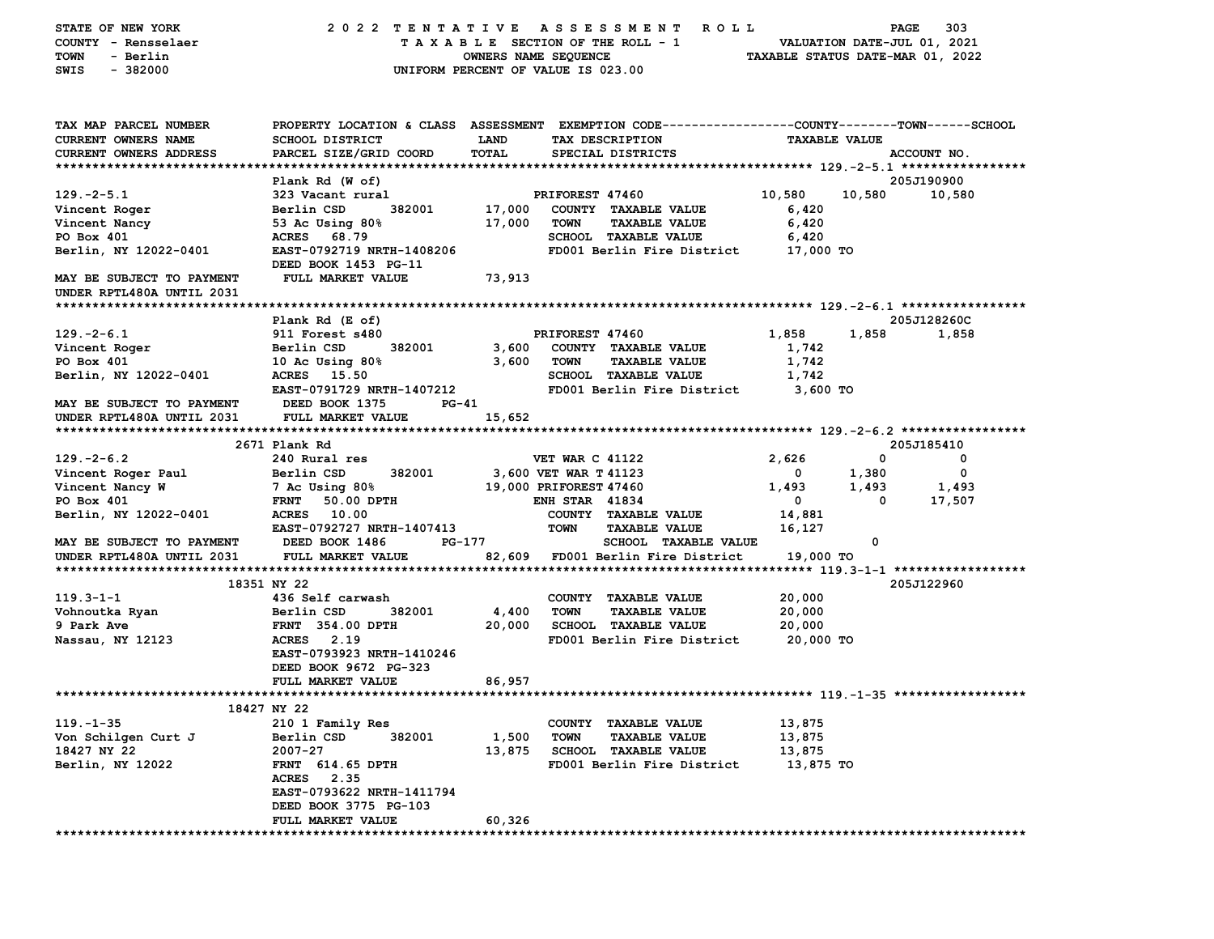| STATE OF NEW YORK                                      | 2022 TENTATIVE                                                                                 |                      |                        | A S S E S S M E N T<br><b>ROLL</b>                  |                                  | PAGE                 | 303                         |
|--------------------------------------------------------|------------------------------------------------------------------------------------------------|----------------------|------------------------|-----------------------------------------------------|----------------------------------|----------------------|-----------------------------|
| COUNTY - Rensselaer                                    |                                                                                                |                      |                        | TAXABLE SECTION OF THE ROLL - 1                     |                                  |                      | VALUATION DATE-JUL 01, 2021 |
| TOWN<br>- Berlin                                       |                                                                                                | OWNERS NAME SEQUENCE |                        |                                                     | TAXABLE STATUS DATE-MAR 01, 2022 |                      |                             |
| $-382000$<br>SWIS                                      | UNIFORM PERCENT OF VALUE IS 023.00                                                             |                      |                        |                                                     |                                  |                      |                             |
|                                                        |                                                                                                |                      |                        |                                                     |                                  |                      |                             |
| TAX MAP PARCEL NUMBER                                  | PROPERTY LOCATION & CLASS ASSESSMENT EXEMPTION CODE---------------COUNTY-------TOWN-----SCHOOL |                      |                        |                                                     |                                  |                      |                             |
| <b>CURRENT OWNERS NAME</b>                             | <b>SCHOOL DISTRICT</b>                                                                         | <b>LAND</b>          |                        | TAX DESCRIPTION                                     |                                  | <b>TAXABLE VALUE</b> |                             |
| CURRENT OWNERS ADDRESS                                 | PARCEL SIZE/GRID COORD                                                                         | TOTAL                |                        | SPECIAL DISTRICTS                                   |                                  |                      | ACCOUNT NO.                 |
|                                                        |                                                                                                |                      |                        |                                                     |                                  |                      |                             |
|                                                        | Plank Rd (W of)                                                                                |                      |                        |                                                     |                                  |                      | 205J190900                  |
| $129. -2 - 5.1$                                        | 323 Vacant rural                                                                               |                      | PRIFOREST 47460        |                                                     | 10,580                           | 10,580               | 10,580                      |
| Vincent Roger                                          | 382001<br>Berlin CSD                                                                           | 17,000               |                        | COUNTY TAXABLE VALUE                                | 6,420                            |                      |                             |
| Vincent Nancy                                          | 53 Ac Using 80%                                                                                | 17,000               | <b>TOWN</b>            | <b>TAXABLE VALUE</b>                                | 6,420                            |                      |                             |
| PO Box 401                                             | ACRES 68.79                                                                                    |                      |                        | <b>SCHOOL TAXABLE VALUE</b>                         | 6,420                            |                      |                             |
| Berlin, NY 12022-0401                                  | EAST-0792719 NRTH-1408206<br>DEED BOOK 1453 PG-11                                              |                      |                        | FD001 Berlin Fire District                          | 17,000 TO                        |                      |                             |
| MAY BE SUBJECT TO PAYMENT<br>UNDER RPTL480A UNTIL 2031 | FULL MARKET VALUE                                                                              | 73,913               |                        |                                                     |                                  |                      |                             |
|                                                        |                                                                                                |                      |                        |                                                     |                                  |                      |                             |
|                                                        | Plank Rd (E of)                                                                                |                      |                        |                                                     |                                  |                      | 205J128260C                 |
| $129. -2 - 6.1$                                        | 911 Forest s480                                                                                |                      | PRIFOREST 47460        |                                                     | 1,858                            | 1,858                | 1,858                       |
| Vincent Roger                                          | 382001<br>Berlin CSD                                                                           | 3,600                |                        | COUNTY TAXABLE VALUE                                | 1,742                            |                      |                             |
| PO Box 401                                             | 10 Ac Using $80\%$                                                                             | 3,600                | <b>TOWN</b>            | <b>TAXABLE VALUE</b>                                | 1,742                            |                      |                             |
| Berlin, NY 12022-0401                                  | <b>ACRES</b><br>15.50                                                                          |                      |                        | <b>SCHOOL TAXABLE VALUE</b>                         | 1,742                            |                      |                             |
|                                                        | EAST-0791729 NRTH-1407212                                                                      |                      |                        | FD001 Berlin Fire District                          | 3,600 TO                         |                      |                             |
| MAY BE SUBJECT TO PAYMENT                              | DEED BOOK 1375<br>PG-41                                                                        |                      |                        |                                                     |                                  |                      |                             |
| UNDER RPTL480A UNTIL 2031                              | FULL MARKET VALUE                                                                              | 15,652               |                        |                                                     |                                  |                      |                             |
|                                                        | 2671 Plank Rd                                                                                  |                      |                        |                                                     |                                  |                      | 205J185410                  |
| $129. - 2 - 6.2$                                       | 240 Rural res                                                                                  |                      | <b>VET WAR C 41122</b> |                                                     | 2,626                            | 0                    | 0                           |
| Vincent Roger Paul                                     | Berlin CSD<br>382001                                                                           |                      | 3,600 VET WAR T 41123  |                                                     | 0                                | 1,380                | 0                           |
| Vincent Nancy W                                        | 7 Ac Using 80%                                                                                 |                      | 19,000 PRIFOREST 47460 |                                                     | 1,493                            | 1,493                | 1,493                       |
| PO Box 401                                             | FRNT 50.00 DPTH                                                                                |                      | <b>ENH STAR 41834</b>  |                                                     | 0                                | 0                    | 17,507                      |
| Berlin, NY 12022-0401                                  | ACRES 10.00                                                                                    |                      |                        | COUNTY TAXABLE VALUE                                | 14,881                           |                      |                             |
|                                                        | EAST-0792727 NRTH-1407413                                                                      |                      | TOWN                   | <b>TAXABLE VALUE</b>                                | 16,127                           |                      |                             |
| MAY BE SUBJECT TO PAYMENT                              | DEED BOOK 1486<br>PG-177                                                                       |                      |                        | SCHOOL TAXABLE VALUE                                |                                  | 0                    |                             |
| UNDER RPTL480A UNTIL 2031                              | FULL MARKET VALUE                                                                              |                      |                        | 82,609 FD001 Berlin Fire District                   | 19,000 TO                        |                      |                             |
|                                                        |                                                                                                |                      |                        |                                                     |                                  |                      |                             |
|                                                        | 18351 NY 22                                                                                    |                      |                        |                                                     |                                  |                      | 205J122960                  |
| $119.3 - 1 - 1$                                        | 436 Self carwash                                                                               |                      |                        | COUNTY TAXABLE VALUE                                | 20,000                           |                      |                             |
| Vohnoutka Ryan<br>9 Park Ave                           | 382001<br>Berlin CSD                                                                           | 4,400<br>20,000      | <b>TOWN</b>            | <b>TAXABLE VALUE</b><br><b>SCHOOL TAXABLE VALUE</b> | 20,000                           |                      |                             |
| Nassau, NY 12123                                       | <b>FRNT 354.00 DPTH</b><br>ACRES 2.19                                                          |                      |                        | FD001 Berlin Fire District                          | 20,000<br>20,000 TO              |                      |                             |
|                                                        | EAST-0793923 NRTH-1410246                                                                      |                      |                        |                                                     |                                  |                      |                             |
|                                                        | DEED BOOK 9672 PG-323                                                                          |                      |                        |                                                     |                                  |                      |                             |
|                                                        | FULL MARKET VALUE                                                                              | 86,957               |                        |                                                     |                                  |                      |                             |
|                                                        |                                                                                                |                      |                        |                                                     |                                  |                      |                             |
|                                                        | 18427 NY 22                                                                                    |                      |                        |                                                     |                                  |                      |                             |
| $119. - 1 - 35$                                        | 210 1 Family Res                                                                               |                      |                        | COUNTY TAXABLE VALUE                                | 13,875                           |                      |                             |
| Von Schilgen Curt J                                    | Berlin CSD<br>382001                                                                           | 1,500                | <b>TOWN</b>            | <b>TAXABLE VALUE</b>                                | 13,875                           |                      |                             |
| 18427 NY 22                                            | $2007 - 27$                                                                                    | 13,875               |                        | <b>SCHOOL TAXABLE VALUE</b>                         | 13,875                           |                      |                             |
| Berlin, NY 12022                                       | <b>FRNT</b> 614.65 DPTH                                                                        |                      |                        | FD001 Berlin Fire District                          | 13,875 TO                        |                      |                             |
|                                                        | ACRES 2.35                                                                                     |                      |                        |                                                     |                                  |                      |                             |
|                                                        | EAST-0793622 NRTH-1411794                                                                      |                      |                        |                                                     |                                  |                      |                             |
|                                                        | DEED BOOK 3775 PG-103                                                                          |                      |                        |                                                     |                                  |                      |                             |
|                                                        | FULL MARKET VALUE                                                                              | 60,326               |                        |                                                     |                                  |                      |                             |
|                                                        |                                                                                                |                      |                        |                                                     |                                  |                      |                             |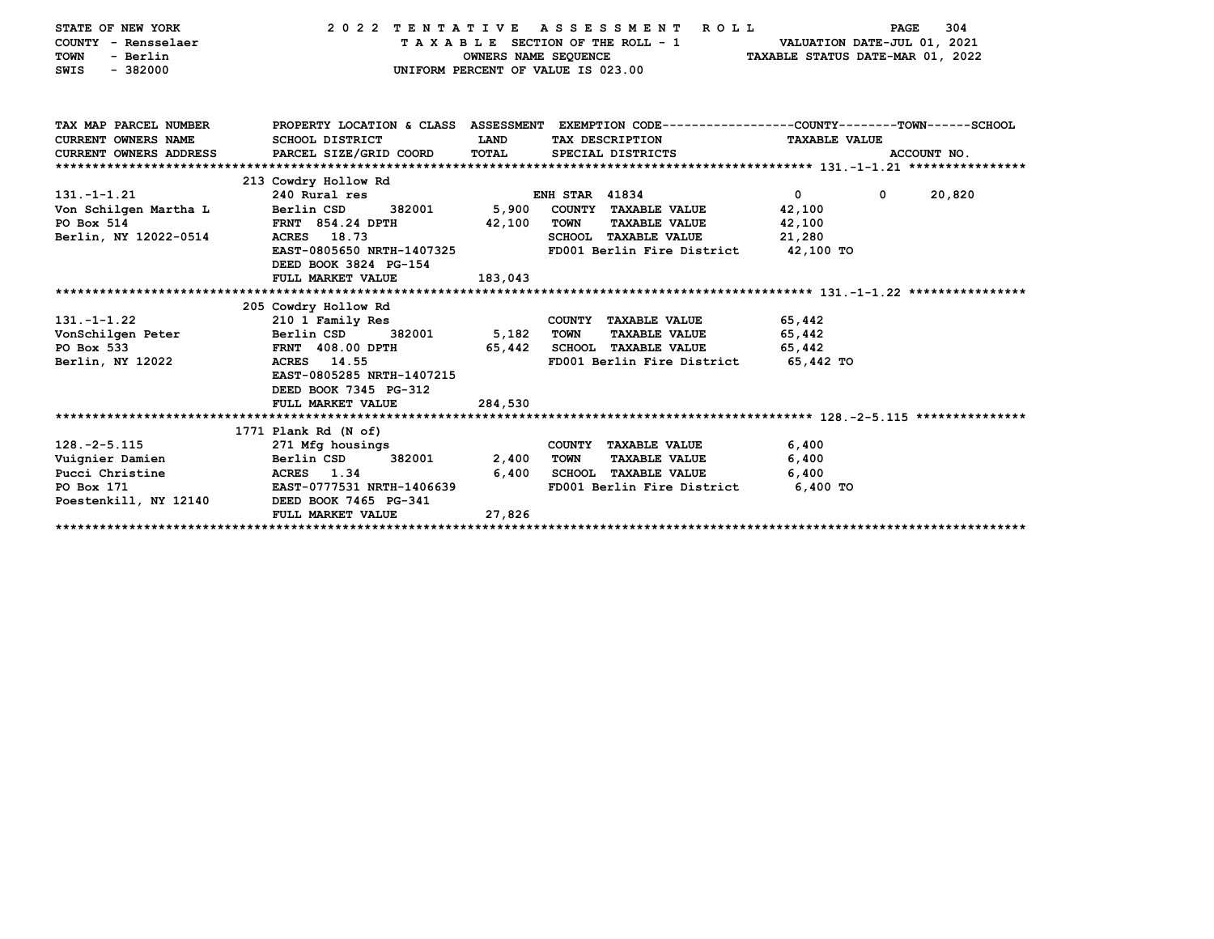| TAX MAP PARCEL NUMBER<br>PROPERTY LOCATION & CLASS ASSESSMENT EXEMPTION CODE---------------COUNTY-------TOWN-----SCHOOL<br><b>CURRENT OWNERS NAME</b><br>LAND<br>SCHOOL DISTRICT<br>TAX DESCRIPTION<br><b>TAXABLE VALUE</b><br><b>CURRENT OWNERS ADDRESS</b><br>PARCEL SIZE/GRID COORD<br>TOTAL<br>SPECIAL DISTRICTS<br>ACCOUNT NO.<br>213 Cowdry Hollow Rd<br>$\overline{0}$<br><b>ENH STAR 41834</b><br>$\mathbf 0$<br>20,820<br>$131. - 1 - 1.21$<br>240 Rural res<br>5,900<br>Von Schilgen Martha L<br>Berlin CSD<br>382001<br>COUNTY TAXABLE VALUE<br>42,100<br>42,100<br><b>TOWN</b><br><b>FRNT 854.24 DPTH</b><br><b>TAXABLE VALUE</b><br>42,100<br>ACRES 18.73<br>21,280<br>SCHOOL TAXABLE VALUE<br>FD001 Berlin Fire District 42,100 TO<br>EAST-0805650 NRTH-1407325<br>DEED BOOK 3824 PG-154<br>183,043<br>FULL MARKET VALUE<br>205 Cowdry Hollow Rd<br>$131. - 1 - 1.22$<br>210 1 Family Res<br>COUNTY TAXABLE VALUE<br>65,442<br>5,182<br>382001<br>65,442<br>VonSchilgen Peter<br>Berlin CSD<br>TOWN<br><b>TAXABLE VALUE</b><br>65,442 SCHOOL TAXABLE VALUE<br>65,442<br><b>FRNT 408.00 DPTH</b><br>65,442 TO<br>ACRES 14.55<br>FD001 Berlin Fire District<br>EAST-0805285 NRTH-1407215<br>DEED BOOK 7345 PG-312<br>284,530<br>FULL MARKET VALUE<br>1771 Plank Rd (N of)<br>$128. -2 - 5.115$<br>6,400<br>271 Mfg housings<br>COUNTY TAXABLE VALUE<br>Vuignier Damien<br>Berlin CSD<br>382001<br>2,400<br>TOWN<br><b>TAXABLE VALUE</b><br>6,400<br>Pucci Christine<br>6,400<br><b>SCHOOL TAXABLE VALUE</b><br>6,400<br><b>ACRES</b> 1.34<br>PO Box 171<br>EAST-0777531 NRTH-1406639<br>FD001 Berlin Fire District<br>6,400 TO<br>Poestenkill, NY 12140 DEED BOOK 7465 PG-341<br>27,826<br>FULL MARKET VALUE | STATE OF NEW YORK<br>COUNTY - Rensselaer<br>- Berlin<br><b>TOWN</b><br>$-382000$<br>SWIS | 2022 TENTATIVE ASSESSMENT | OWNERS NAME SEQUENCE<br>UNIFORM PERCENT OF VALUE IS 023.00 | <b>ROLL</b><br>TAXABLE SECTION OF THE ROLL - 1 VALUATION DATE-JUL 01, 2021 | TAXABLE STATUS DATE-MAR 01, 2022 | PAGE | 304 |
|--------------------------------------------------------------------------------------------------------------------------------------------------------------------------------------------------------------------------------------------------------------------------------------------------------------------------------------------------------------------------------------------------------------------------------------------------------------------------------------------------------------------------------------------------------------------------------------------------------------------------------------------------------------------------------------------------------------------------------------------------------------------------------------------------------------------------------------------------------------------------------------------------------------------------------------------------------------------------------------------------------------------------------------------------------------------------------------------------------------------------------------------------------------------------------------------------------------------------------------------------------------------------------------------------------------------------------------------------------------------------------------------------------------------------------------------------------------------------------------------------------------------------------------------------------------------------------------------------------------------------------------------------------------------------------------------------------------------------|------------------------------------------------------------------------------------------|---------------------------|------------------------------------------------------------|----------------------------------------------------------------------------|----------------------------------|------|-----|
|                                                                                                                                                                                                                                                                                                                                                                                                                                                                                                                                                                                                                                                                                                                                                                                                                                                                                                                                                                                                                                                                                                                                                                                                                                                                                                                                                                                                                                                                                                                                                                                                                                                                                                                          |                                                                                          |                           |                                                            |                                                                            |                                  |      |     |
|                                                                                                                                                                                                                                                                                                                                                                                                                                                                                                                                                                                                                                                                                                                                                                                                                                                                                                                                                                                                                                                                                                                                                                                                                                                                                                                                                                                                                                                                                                                                                                                                                                                                                                                          |                                                                                          |                           |                                                            |                                                                            |                                  |      |     |
|                                                                                                                                                                                                                                                                                                                                                                                                                                                                                                                                                                                                                                                                                                                                                                                                                                                                                                                                                                                                                                                                                                                                                                                                                                                                                                                                                                                                                                                                                                                                                                                                                                                                                                                          |                                                                                          |                           |                                                            |                                                                            |                                  |      |     |
|                                                                                                                                                                                                                                                                                                                                                                                                                                                                                                                                                                                                                                                                                                                                                                                                                                                                                                                                                                                                                                                                                                                                                                                                                                                                                                                                                                                                                                                                                                                                                                                                                                                                                                                          |                                                                                          |                           |                                                            |                                                                            |                                  |      |     |
|                                                                                                                                                                                                                                                                                                                                                                                                                                                                                                                                                                                                                                                                                                                                                                                                                                                                                                                                                                                                                                                                                                                                                                                                                                                                                                                                                                                                                                                                                                                                                                                                                                                                                                                          |                                                                                          |                           |                                                            |                                                                            |                                  |      |     |
|                                                                                                                                                                                                                                                                                                                                                                                                                                                                                                                                                                                                                                                                                                                                                                                                                                                                                                                                                                                                                                                                                                                                                                                                                                                                                                                                                                                                                                                                                                                                                                                                                                                                                                                          |                                                                                          |                           |                                                            |                                                                            |                                  |      |     |
|                                                                                                                                                                                                                                                                                                                                                                                                                                                                                                                                                                                                                                                                                                                                                                                                                                                                                                                                                                                                                                                                                                                                                                                                                                                                                                                                                                                                                                                                                                                                                                                                                                                                                                                          | PO Box 514                                                                               |                           |                                                            |                                                                            |                                  |      |     |
|                                                                                                                                                                                                                                                                                                                                                                                                                                                                                                                                                                                                                                                                                                                                                                                                                                                                                                                                                                                                                                                                                                                                                                                                                                                                                                                                                                                                                                                                                                                                                                                                                                                                                                                          | Berlin, NY 12022-0514                                                                    |                           |                                                            |                                                                            |                                  |      |     |
|                                                                                                                                                                                                                                                                                                                                                                                                                                                                                                                                                                                                                                                                                                                                                                                                                                                                                                                                                                                                                                                                                                                                                                                                                                                                                                                                                                                                                                                                                                                                                                                                                                                                                                                          |                                                                                          |                           |                                                            |                                                                            |                                  |      |     |
|                                                                                                                                                                                                                                                                                                                                                                                                                                                                                                                                                                                                                                                                                                                                                                                                                                                                                                                                                                                                                                                                                                                                                                                                                                                                                                                                                                                                                                                                                                                                                                                                                                                                                                                          |                                                                                          |                           |                                                            |                                                                            |                                  |      |     |
|                                                                                                                                                                                                                                                                                                                                                                                                                                                                                                                                                                                                                                                                                                                                                                                                                                                                                                                                                                                                                                                                                                                                                                                                                                                                                                                                                                                                                                                                                                                                                                                                                                                                                                                          |                                                                                          |                           |                                                            |                                                                            |                                  |      |     |
|                                                                                                                                                                                                                                                                                                                                                                                                                                                                                                                                                                                                                                                                                                                                                                                                                                                                                                                                                                                                                                                                                                                                                                                                                                                                                                                                                                                                                                                                                                                                                                                                                                                                                                                          |                                                                                          |                           |                                                            |                                                                            |                                  |      |     |
|                                                                                                                                                                                                                                                                                                                                                                                                                                                                                                                                                                                                                                                                                                                                                                                                                                                                                                                                                                                                                                                                                                                                                                                                                                                                                                                                                                                                                                                                                                                                                                                                                                                                                                                          |                                                                                          |                           |                                                            |                                                                            |                                  |      |     |
|                                                                                                                                                                                                                                                                                                                                                                                                                                                                                                                                                                                                                                                                                                                                                                                                                                                                                                                                                                                                                                                                                                                                                                                                                                                                                                                                                                                                                                                                                                                                                                                                                                                                                                                          |                                                                                          |                           |                                                            |                                                                            |                                  |      |     |
|                                                                                                                                                                                                                                                                                                                                                                                                                                                                                                                                                                                                                                                                                                                                                                                                                                                                                                                                                                                                                                                                                                                                                                                                                                                                                                                                                                                                                                                                                                                                                                                                                                                                                                                          | PO Box 533                                                                               |                           |                                                            |                                                                            |                                  |      |     |
|                                                                                                                                                                                                                                                                                                                                                                                                                                                                                                                                                                                                                                                                                                                                                                                                                                                                                                                                                                                                                                                                                                                                                                                                                                                                                                                                                                                                                                                                                                                                                                                                                                                                                                                          | Berlin, NY 12022                                                                         |                           |                                                            |                                                                            |                                  |      |     |
|                                                                                                                                                                                                                                                                                                                                                                                                                                                                                                                                                                                                                                                                                                                                                                                                                                                                                                                                                                                                                                                                                                                                                                                                                                                                                                                                                                                                                                                                                                                                                                                                                                                                                                                          |                                                                                          |                           |                                                            |                                                                            |                                  |      |     |
|                                                                                                                                                                                                                                                                                                                                                                                                                                                                                                                                                                                                                                                                                                                                                                                                                                                                                                                                                                                                                                                                                                                                                                                                                                                                                                                                                                                                                                                                                                                                                                                                                                                                                                                          |                                                                                          |                           |                                                            |                                                                            |                                  |      |     |
|                                                                                                                                                                                                                                                                                                                                                                                                                                                                                                                                                                                                                                                                                                                                                                                                                                                                                                                                                                                                                                                                                                                                                                                                                                                                                                                                                                                                                                                                                                                                                                                                                                                                                                                          |                                                                                          |                           |                                                            |                                                                            |                                  |      |     |
|                                                                                                                                                                                                                                                                                                                                                                                                                                                                                                                                                                                                                                                                                                                                                                                                                                                                                                                                                                                                                                                                                                                                                                                                                                                                                                                                                                                                                                                                                                                                                                                                                                                                                                                          |                                                                                          |                           |                                                            |                                                                            |                                  |      |     |
|                                                                                                                                                                                                                                                                                                                                                                                                                                                                                                                                                                                                                                                                                                                                                                                                                                                                                                                                                                                                                                                                                                                                                                                                                                                                                                                                                                                                                                                                                                                                                                                                                                                                                                                          |                                                                                          |                           |                                                            |                                                                            |                                  |      |     |
|                                                                                                                                                                                                                                                                                                                                                                                                                                                                                                                                                                                                                                                                                                                                                                                                                                                                                                                                                                                                                                                                                                                                                                                                                                                                                                                                                                                                                                                                                                                                                                                                                                                                                                                          |                                                                                          |                           |                                                            |                                                                            |                                  |      |     |
|                                                                                                                                                                                                                                                                                                                                                                                                                                                                                                                                                                                                                                                                                                                                                                                                                                                                                                                                                                                                                                                                                                                                                                                                                                                                                                                                                                                                                                                                                                                                                                                                                                                                                                                          |                                                                                          |                           |                                                            |                                                                            |                                  |      |     |
|                                                                                                                                                                                                                                                                                                                                                                                                                                                                                                                                                                                                                                                                                                                                                                                                                                                                                                                                                                                                                                                                                                                                                                                                                                                                                                                                                                                                                                                                                                                                                                                                                                                                                                                          |                                                                                          |                           |                                                            |                                                                            |                                  |      |     |
|                                                                                                                                                                                                                                                                                                                                                                                                                                                                                                                                                                                                                                                                                                                                                                                                                                                                                                                                                                                                                                                                                                                                                                                                                                                                                                                                                                                                                                                                                                                                                                                                                                                                                                                          |                                                                                          |                           |                                                            |                                                                            |                                  |      |     |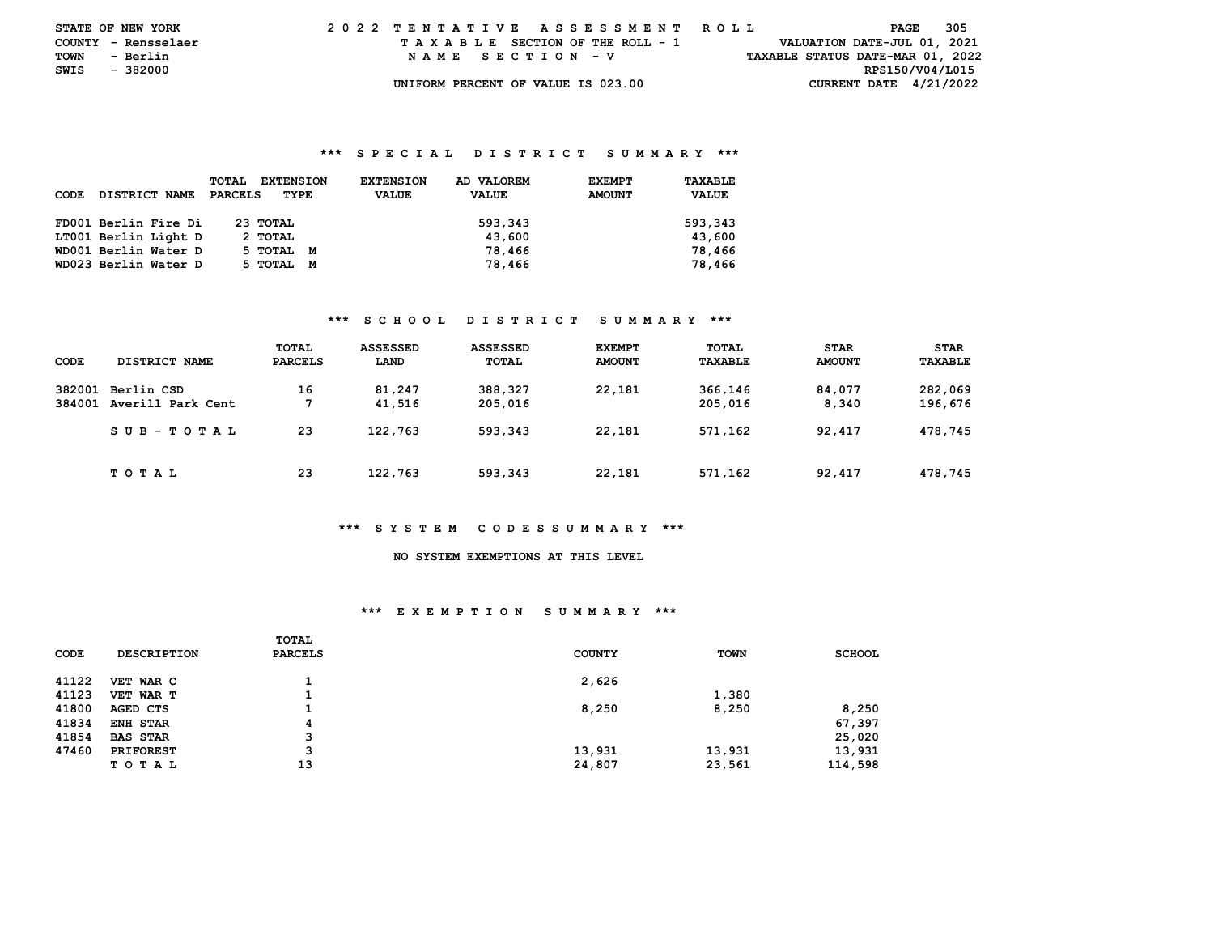| <b>STATE OF NEW YORK</b> |          |          |  |  |  |  |  |                                    |  |  |  |                                 | 2022 TENTATIVE ASSESSMENT ROLL |  |  |  |                                  |                 | PAGE | -305 |  |
|--------------------------|----------|----------|--|--|--|--|--|------------------------------------|--|--|--|---------------------------------|--------------------------------|--|--|--|----------------------------------|-----------------|------|------|--|
| COUNTY - Rensselaer      |          |          |  |  |  |  |  |                                    |  |  |  | TAXABLE SECTION OF THE ROLL - 1 |                                |  |  |  | VALUATION DATE-JUL 01, 2021      |                 |      |      |  |
| TOWN                     | - Berlin |          |  |  |  |  |  | NAME SECTION - V                   |  |  |  |                                 |                                |  |  |  | TAXABLE STATUS DATE-MAR 01, 2022 |                 |      |      |  |
| SWIS                     |          | - 382000 |  |  |  |  |  |                                    |  |  |  |                                 |                                |  |  |  |                                  | RPS150/V04/L015 |      |      |  |
|                          |          |          |  |  |  |  |  | UNIFORM PERCENT OF VALUE IS 023.00 |  |  |  |                                 |                                |  |  |  | CURRENT DATE $4/21/2022$         |                 |      |      |  |

| CODE | DISTRICT NAME        | <b>TOTAL</b><br><b>EXTENSION</b><br>PARCELS<br>TYPE | <b>EXTENSION</b><br><b>VALUE</b> | AD VALOREM<br><b>VALUE</b> | <b>EXEMPT</b><br><b>AMOUNT</b> | TAXABLE<br><b>VALUE</b> |
|------|----------------------|-----------------------------------------------------|----------------------------------|----------------------------|--------------------------------|-------------------------|
|      | FD001 Berlin Fire Di | 23 TOTAL                                            |                                  | 593,343                    |                                | 593,343                 |
|      | LT001 Berlin Light D | 2 TOTAL                                             |                                  | 43,600                     |                                | 43,600                  |
|      | WD001 Berlin Water D | 5 ТОТАL<br>M                                        |                                  | 78,466                     |                                | 78,466                  |
|      | WD023 Berlin Water D | 5 TOTAL<br>M                                        |                                  | 78,466                     |                                | 78,466                  |

## **\*\*\* S C H O O L D I S T R I C T S U M M A R Y \*\*\***

| CODE             | DISTRICT NAME                   | TOTAL<br><b>PARCELS</b> | <b>ASSESSED</b><br>LAND | <b>ASSESSED</b><br>TOTAL | <b>EXEMPT</b><br><b>AMOUNT</b> | TOTAL<br>TAXABLE   | <b>STAR</b><br><b>AMOUNT</b> | <b>STAR</b><br>TAXABLE |
|------------------|---------------------------------|-------------------------|-------------------------|--------------------------|--------------------------------|--------------------|------------------------------|------------------------|
| 382001<br>384001 | Berlin CSD<br>Averill Park Cent | 16<br>7                 | 81,247<br>41,516        | 388,327<br>205,016       | 22,181                         | 366,146<br>205,016 | 84,077<br>8,340              | 282,069<br>196,676     |
|                  | SUB-TOTAL                       | 23                      | 122,763                 | 593,343                  | 22,181                         | 571,162            | 92,417                       | 478,745                |
|                  | T O T A L                       | 23                      | 122,763                 | 593,343                  | 22,181                         | 571,162            | 92,417                       | 478,745                |

#### **\*\*\* S Y S T E M C O D E S S U M M A R Y \*\*\***

# **NO SYSTEM EXEMPTIONS AT THIS LEVEL**

#### **\*\*\* E X E M P T I O N S U M M A R Y \*\*\***

|       |                    | TOTAL          |               |        |               |
|-------|--------------------|----------------|---------------|--------|---------------|
| CODE  | <b>DESCRIPTION</b> | <b>PARCELS</b> | <b>COUNTY</b> | TOWN   | <b>SCHOOL</b> |
| 41122 | VET WAR C          |                | 2,626         |        |               |
| 41123 | VET WAR T          |                |               | 1,380  |               |
| 41800 | AGED CTS           |                | 8,250         | 8,250  | 8,250         |
| 41834 | <b>ENH STAR</b>    | 4              |               |        | 67,397        |
| 41854 | <b>BAS STAR</b>    | 3              |               |        | 25,020        |
| 47460 | <b>PRIFOREST</b>   | 3              | 13,931        | 13,931 | 13,931        |
|       | T O T A L          | 13             | 24,807        | 23,561 | 114,598       |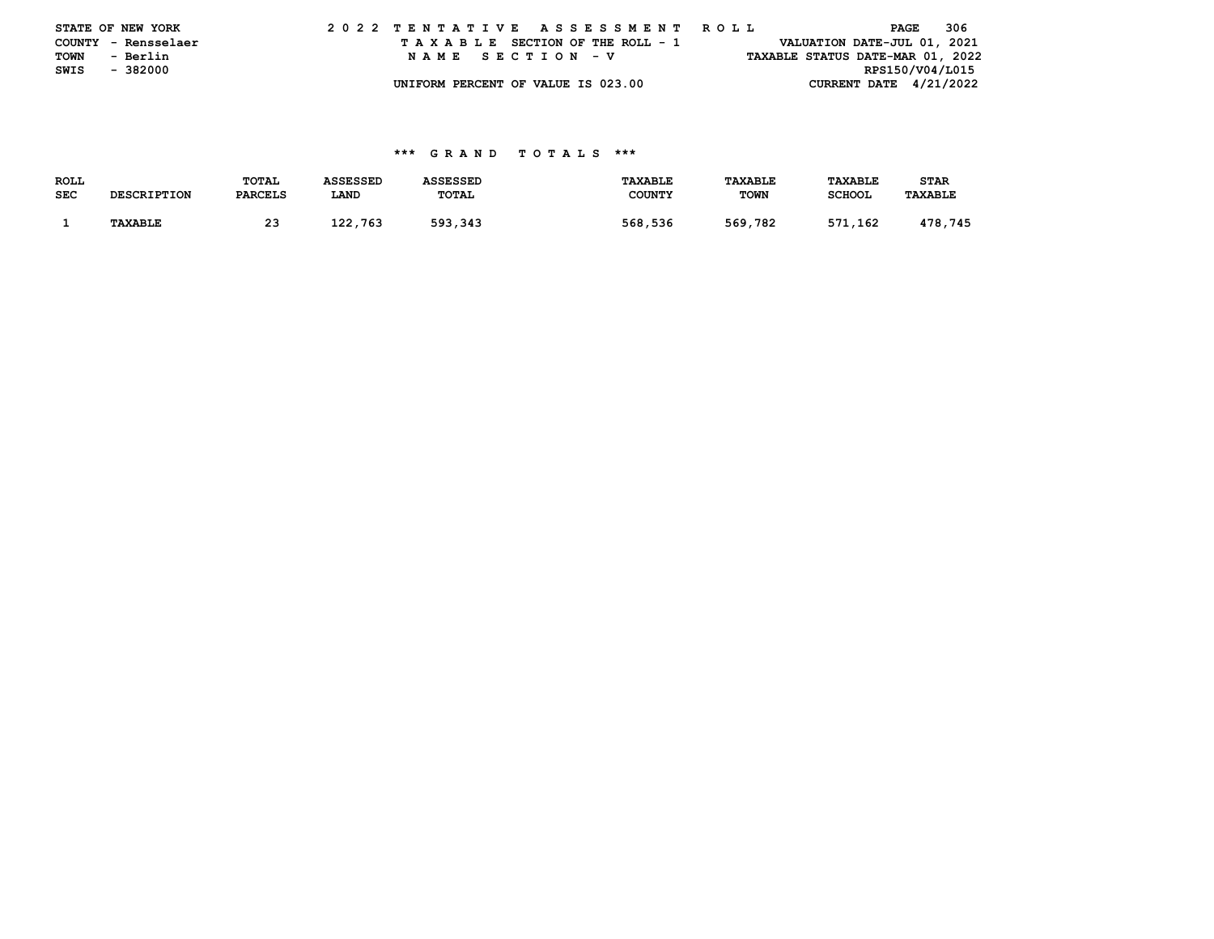|      | STATE OF NEW YORK   |  | 2022 TENTATIVE ASSESSMENT ROLL |  |  |  |                                    |  |  |  |  |  |  |  |                             | PAGE |                 | - 306 |                                  |
|------|---------------------|--|--------------------------------|--|--|--|------------------------------------|--|--|--|--|--|--|--|-----------------------------|------|-----------------|-------|----------------------------------|
|      | COUNTY - Rensselaer |  |                                |  |  |  | TAXABLE SECTION OF THE ROLL - 1    |  |  |  |  |  |  |  | VALUATION DATE-JUL 01, 2021 |      |                 |       |                                  |
| TOWN | - Berlin            |  |                                |  |  |  | NAME SECTION - V                   |  |  |  |  |  |  |  |                             |      |                 |       | TAXABLE STATUS DATE-MAR 01, 2022 |
| SWIS | - 382000            |  |                                |  |  |  |                                    |  |  |  |  |  |  |  |                             |      | RPS150/V04/L015 |       |                                  |
|      |                     |  |                                |  |  |  | UNIFORM PERCENT OF VALUE IS 023.00 |  |  |  |  |  |  |  | CURRENT DATE $4/21/2022$    |      |                 |       |                                  |

| <b>ROLL</b> |                    | TOTAL          | <b>ASSESSED</b> | <b>ASSESSED</b> | <b>TAXABLE</b> | TAXABLE     | <b>TAXABLE</b> | STAR           |
|-------------|--------------------|----------------|-----------------|-----------------|----------------|-------------|----------------|----------------|
| <b>SEC</b>  | <b>DESCRIPTION</b> | <b>PARCELS</b> | LAND            | TOTAL           | <b>COUNTY</b>  | <b>TOWN</b> | <b>SCHOOL</b>  | <b>TAXABLE</b> |
|             |                    |                |                 |                 |                |             |                |                |
|             | <b>TAXABLE</b>     | 23             | 122,763         | 593,343         | 568,536        | 569,782     | 571,162        | 478,745        |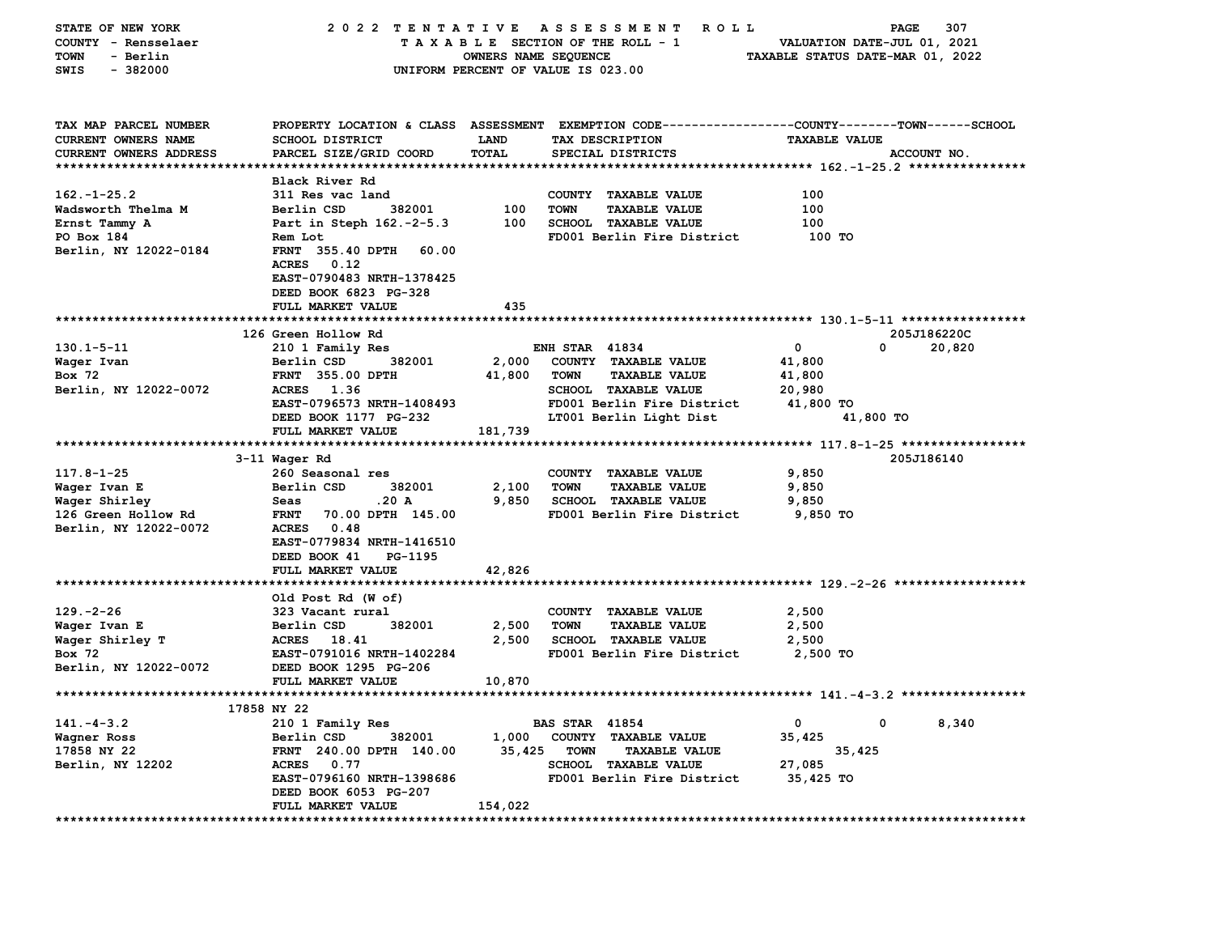| STATE OF NEW YORK<br>COUNTY - Rensselaer | 2022 TENTATIVE ASSESSMENT                          |                      | R O L L<br>TAXABLE SECTION OF THE ROLL - 1                                                     | VALUATION DATE-JUL 01, 2021      | 307<br>PAGE |
|------------------------------------------|----------------------------------------------------|----------------------|------------------------------------------------------------------------------------------------|----------------------------------|-------------|
| <b>TOWN</b><br>- Berlin                  |                                                    | OWNERS NAME SEQUENCE |                                                                                                | TAXABLE STATUS DATE-MAR 01, 2022 |             |
| $-382000$<br>SWIS                        |                                                    |                      | UNIFORM PERCENT OF VALUE IS 023.00                                                             |                                  |             |
|                                          |                                                    |                      |                                                                                                |                                  |             |
|                                          |                                                    |                      |                                                                                                |                                  |             |
| TAX MAP PARCEL NUMBER                    |                                                    |                      | PROPERTY LOCATION & CLASS ASSESSMENT EXEMPTION CODE---------------COUNTY-------TOWN-----SCHOOL |                                  |             |
| CURRENT OWNERS NAME                      | <b>SCHOOL DISTRICT</b>                             | <b>LAND</b>          | TAX DESCRIPTION                                                                                | <b>TAXABLE VALUE</b>             |             |
| <b>CURRENT OWNERS ADDRESS</b>            | PARCEL SIZE/GRID COORD                             | <b>TOTAL</b>         | SPECIAL DISTRICTS                                                                              |                                  | ACCOUNT NO. |
|                                          |                                                    |                      |                                                                                                |                                  |             |
|                                          | Black River Rd                                     |                      |                                                                                                |                                  |             |
| $162. - 1 - 25.2$                        | 311 Res vac land                                   |                      | COUNTY TAXABLE VALUE                                                                           | 100                              |             |
| Wadsworth Thelma M                       | Berlin CSD<br>382001                               | 100                  | <b>TOWN</b><br><b>TAXABLE VALUE</b>                                                            | 100                              |             |
| Ernst Tammy A                            | Part in Steph 162.-2-5.3                           | 100                  | <b>SCHOOL TAXABLE VALUE</b>                                                                    | 100                              |             |
| PO Box 184                               | Rem Lot                                            |                      | FD001 Berlin Fire District                                                                     | 100 TO                           |             |
| Berlin, NY 12022-0184                    | <b>FRNT 355.40 DPTH</b><br>60.00                   |                      |                                                                                                |                                  |             |
|                                          | <b>ACRES</b><br>0.12                               |                      |                                                                                                |                                  |             |
|                                          | EAST-0790483 NRTH-1378425<br>DEED BOOK 6823 PG-328 |                      |                                                                                                |                                  |             |
|                                          | FULL MARKET VALUE                                  | 435                  |                                                                                                |                                  |             |
|                                          |                                                    |                      |                                                                                                |                                  |             |
|                                          | 126 Green Hollow Rd                                |                      |                                                                                                |                                  | 205J186220C |
| $130.1 - 5 - 11$                         | 210 1 Family Res                                   |                      | <b>ENH STAR 41834</b>                                                                          | 0<br>0                           | 20,820      |
| Waqer Ivan                               | Berlin CSD<br>382001                               | 2,000                | COUNTY TAXABLE VALUE                                                                           | 41,800                           |             |
| Box 72                                   | FRNT 355.00 DPTH                                   | 41,800               | <b>TOWN</b><br><b>TAXABLE VALUE</b>                                                            | 41,800                           |             |
| Berlin, NY 12022-0072                    | ACRES 1.36                                         |                      | <b>SCHOOL TAXABLE VALUE</b>                                                                    | 20,980                           |             |
|                                          | EAST-0796573 NRTH-1408493                          |                      | FD001 Berlin Fire District                                                                     | 41,800 TO                        |             |
|                                          | DEED BOOK 1177 PG-232                              |                      | LT001 Berlin Light Dist                                                                        | 41,800 TO                        |             |
|                                          | FULL MARKET VALUE                                  | 181,739              |                                                                                                |                                  |             |
|                                          |                                                    |                      |                                                                                                |                                  |             |
|                                          | 3-11 Wager Rd                                      |                      |                                                                                                |                                  | 205J186140  |
| $117.8 - 1 - 25$                         | 260 Seasonal res                                   |                      | COUNTY TAXABLE VALUE                                                                           | 9,850                            |             |
| Wager Ivan E                             | Berlin CSD<br>382001<br>.20 A                      | 2,100<br>9,850       | <b>TOWN</b><br><b>TAXABLE VALUE</b><br><b>SCHOOL TAXABLE VALUE</b>                             | 9,850                            |             |
| Wager Shirley<br>126 Green Hollow Rd     | Seas<br>70.00 DPTH 145.00<br><b>FRNT</b>           |                      | FD001 Berlin Fire District                                                                     | 9,850<br>9,850 TO                |             |
| Berlin, NY 12022-0072                    | ACRES 0.48                                         |                      |                                                                                                |                                  |             |
|                                          | EAST-0779834 NRTH-1416510                          |                      |                                                                                                |                                  |             |
|                                          | DEED BOOK 41<br>PG-1195                            |                      |                                                                                                |                                  |             |
|                                          | FULL MARKET VALUE                                  | 42,826               |                                                                                                |                                  |             |
|                                          |                                                    |                      |                                                                                                |                                  |             |
|                                          | Old Post Rd (W of)                                 |                      |                                                                                                |                                  |             |
| $129. -2 - 26$                           | 323 Vacant rural                                   |                      | COUNTY TAXABLE VALUE                                                                           | 2,500                            |             |
| Wager Ivan E                             | Berlin CSD<br>382001                               | 2,500                | <b>TOWN</b><br><b>TAXABLE VALUE</b>                                                            | 2,500                            |             |
| Wager Shirley T                          | ACRES 18.41                                        | 2,500                | <b>SCHOOL TAXABLE VALUE</b>                                                                    | 2,500                            |             |
| Box 72                                   | EAST-0791016 NRTH-1402284                          |                      | FD001 Berlin Fire District                                                                     | 2,500 TO                         |             |
| Berlin, NY 12022-0072                    | DEED BOOK 1295 PG-206                              |                      |                                                                                                |                                  |             |
|                                          | FULL MARKET VALUE                                  | 10,870               |                                                                                                |                                  |             |
|                                          | 17858 NY 22                                        |                      |                                                                                                |                                  |             |
| $141. - 4 - 3.2$                         | 210 1 Family Res                                   |                      | <b>BAS STAR 41854</b>                                                                          | 0<br>0                           | 8,340       |
| Wagner Ross                              | 382001<br>Berlin CSD                               | 1,000                | COUNTY TAXABLE VALUE                                                                           | 35,425                           |             |
| 17858 NY 22                              | FRNT 240.00 DPTH 140.00                            | 35,425               | <b>TOWN</b><br><b>TAXABLE VALUE</b>                                                            | 35,425                           |             |
| Berlin, NY 12202                         | ACRES 0.77                                         |                      | SCHOOL TAXABLE VALUE                                                                           | 27,085                           |             |
|                                          | EAST-0796160 NRTH-1398686                          |                      | FD001 Berlin Fire District                                                                     | 35,425 TO                        |             |
|                                          | DEED BOOK 6053 PG-207                              |                      |                                                                                                |                                  |             |
|                                          | FULL MARKET VALUE                                  | 154,022              |                                                                                                |                                  |             |
| *********************************        | ****************************                       |                      |                                                                                                |                                  |             |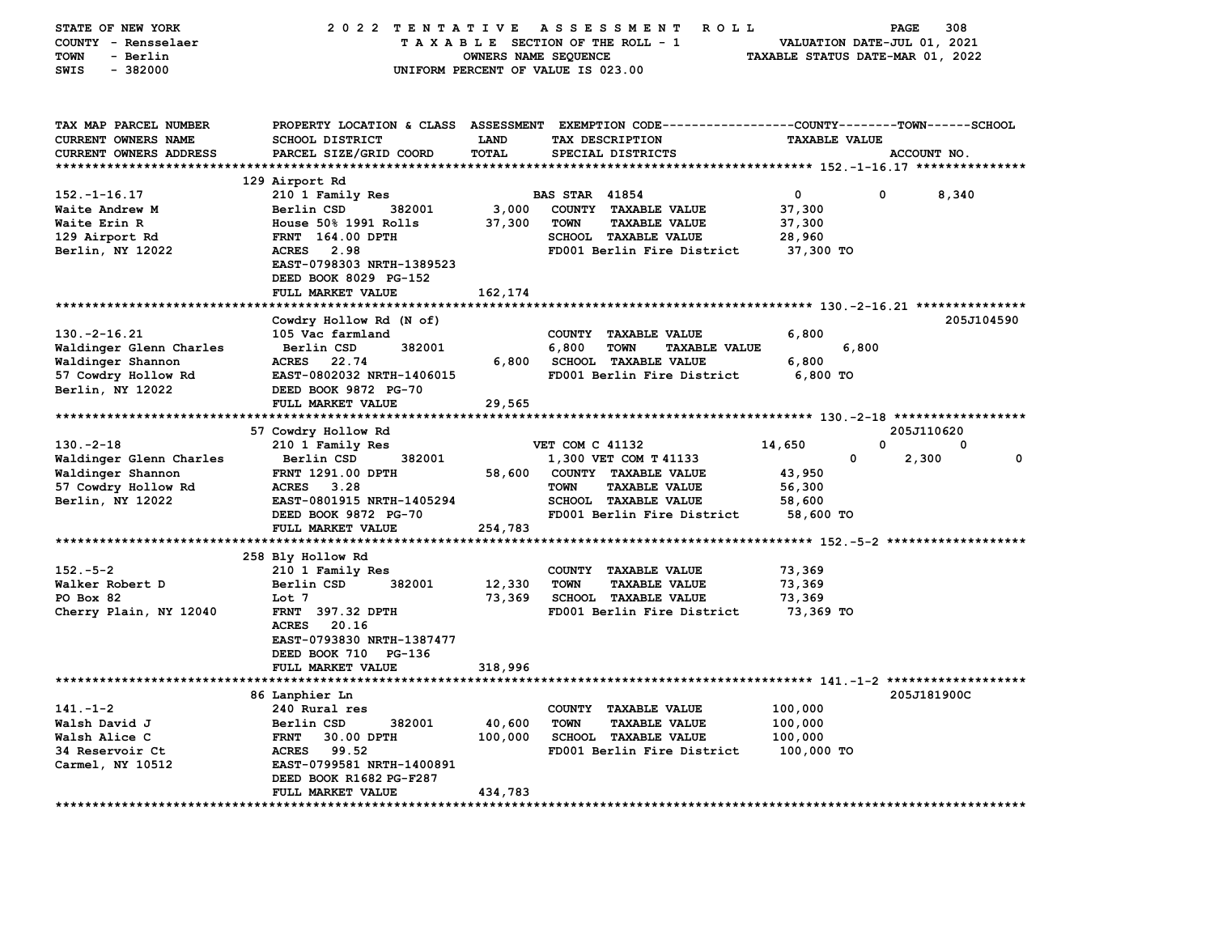| STATE OF NEW YORK<br>COUNTY - Rensselaer<br>- Berlin<br>TOWN                  | 2022 TENTATIVE                                                                           | OWNERS NAME SEQUENCE        | A S S E S S M E N T<br>ROLL<br>TAXABLE SECTION OF THE ROLL - 1                                       | TAXABLE STATUS DATE-MAR 01, 2022 | 308<br>PAGE<br>VALUATION DATE-JUL 01, 2021 |
|-------------------------------------------------------------------------------|------------------------------------------------------------------------------------------|-----------------------------|------------------------------------------------------------------------------------------------------|----------------------------------|--------------------------------------------|
| $-382000$<br>SWIS                                                             |                                                                                          |                             | UNIFORM PERCENT OF VALUE IS 023.00                                                                   |                                  |                                            |
| TAX MAP PARCEL NUMBER<br><b>CURRENT OWNERS NAME</b><br>CURRENT OWNERS ADDRESS | PROPERTY LOCATION & CLASS ASSESSMENT<br><b>SCHOOL DISTRICT</b><br>PARCEL SIZE/GRID COORD | <b>LAND</b><br><b>TOTAL</b> | EXEMPTION CODE-----------------COUNTY-------TOWN------SCHOOL<br>TAX DESCRIPTION<br>SPECIAL DISTRICTS | <b>TAXABLE VALUE</b>             | ACCOUNT NO.                                |
| ***********************                                                       |                                                                                          |                             |                                                                                                      |                                  |                                            |
|                                                                               | 129 Airport Rd                                                                           |                             |                                                                                                      |                                  |                                            |
| $152. - 1 - 16.17$                                                            | 210 1 Family Res                                                                         |                             | <b>BAS STAR 41854</b>                                                                                | 0                                | 0<br>8,340                                 |
| Waite Andrew M<br>Waite Erin R                                                | Berlin CSD<br>382001<br>House 50% 1991 Rolls                                             | 3,000<br>37,300             | COUNTY TAXABLE VALUE<br><b>TOWN</b><br><b>TAXABLE VALUE</b>                                          | 37,300                           |                                            |
| 129 Airport Rd                                                                | FRNT 164.00 DPTH                                                                         |                             | SCHOOL TAXABLE VALUE                                                                                 | 37,300<br>28,960                 |                                            |
| Berlin, NY 12022                                                              | <b>ACRES</b><br>2.98                                                                     |                             | FD001 Berlin Fire District                                                                           | 37,300 TO                        |                                            |
|                                                                               | EAST-0798303 NRTH-1389523<br>DEED BOOK 8029 PG-152<br>FULL MARKET VALUE                  | 162,174                     |                                                                                                      |                                  |                                            |
|                                                                               |                                                                                          |                             |                                                                                                      |                                  |                                            |
|                                                                               | Cowdry Hollow Rd (N of)                                                                  |                             |                                                                                                      |                                  | 205J104590                                 |
| $130.-2-16.21$                                                                | 105 Vac farmland                                                                         |                             | COUNTY TAXABLE VALUE                                                                                 | 6,800                            |                                            |
| Waldinger Glenn Charles                                                       | Berlin CSD<br>382001<br><b>ACRES</b><br>22.74                                            | 6,800                       | 6,800<br><b>TOWN</b><br><b>TAXABLE VALUE</b><br><b>SCHOOL TAXABLE VALUE</b>                          | 6,800<br>6,800                   |                                            |
| Waldinger Shannon<br>57 Cowdry Hollow Rd                                      | EAST-0802032 NRTH-1406015                                                                |                             | FD001 Berlin Fire District                                                                           | $6,800$ TO                       |                                            |
| Berlin, NY 12022                                                              | DEED BOOK 9872 PG-70                                                                     |                             |                                                                                                      |                                  |                                            |
|                                                                               | FULL MARKET VALUE                                                                        | 29,565                      |                                                                                                      |                                  |                                            |
| ***********************                                                       | ******************                                                                       |                             |                                                                                                      |                                  |                                            |
|                                                                               | 57 Cowdry Hollow Rd                                                                      |                             |                                                                                                      |                                  | 205J110620                                 |
| $130. -2 - 18$                                                                | 210 1 Family Res                                                                         |                             | VET COM C 41132                                                                                      | 14,650                           | 0<br>0                                     |
| Waldinger Glenn Charles                                                       | 382001<br>Berlin CSD                                                                     |                             | 1,300 VET COM T 41133                                                                                | 0                                | 2,300<br>0                                 |
| Waldinger Shannon                                                             | <b>FRNT 1291.00 DPTH</b>                                                                 | 58,600                      | COUNTY TAXABLE VALUE                                                                                 | 43,950                           |                                            |
| 57 Cowdry Hollow Rd                                                           | <b>ACRES</b><br>3.28                                                                     |                             | <b>TAXABLE VALUE</b><br><b>TOWN</b>                                                                  | 56,300                           |                                            |
| Berlin, NY 12022                                                              | EAST-0801915 NRTH-1405294                                                                |                             | SCHOOL TAXABLE VALUE                                                                                 | 58,600                           |                                            |
|                                                                               | DEED BOOK 9872 PG-70<br>FULL MARKET VALUE                                                | 254,783                     | FD001 Berlin Fire District                                                                           | 58,600 TO                        |                                            |
|                                                                               | *********************                                                                    |                             |                                                                                                      |                                  |                                            |
|                                                                               | 258 Bly Hollow Rd                                                                        |                             |                                                                                                      |                                  |                                            |
| $152 - 5 - 2$                                                                 | 210 1 Family Res                                                                         |                             | COUNTY TAXABLE VALUE                                                                                 | 73,369                           |                                            |
| Walker Robert D                                                               | Berlin CSD<br>382001                                                                     | 12,330                      | <b>TOWN</b><br><b>TAXABLE VALUE</b>                                                                  | 73,369                           |                                            |
| PO Box 82                                                                     | Lot 7                                                                                    | 73,369                      | SCHOOL TAXABLE VALUE                                                                                 | 73,369                           |                                            |
| Cherry Plain, NY 12040                                                        | FRNT 397.32 DPTH                                                                         |                             | FD001 Berlin Fire District                                                                           | 73,369 то                        |                                            |
|                                                                               | <b>ACRES</b><br>20.16                                                                    |                             |                                                                                                      |                                  |                                            |
|                                                                               | EAST-0793830 NRTH-1387477                                                                |                             |                                                                                                      |                                  |                                            |
|                                                                               | DEED BOOK 710 PG-136<br>FULL MARKET VALUE                                                | 318,996                     |                                                                                                      |                                  |                                            |
|                                                                               |                                                                                          |                             |                                                                                                      |                                  |                                            |
|                                                                               | 86 Lanphier Ln                                                                           |                             |                                                                                                      |                                  | 205J181900C                                |
| $141. - 1 - 2$                                                                | 240 Rural res                                                                            |                             | COUNTY TAXABLE VALUE                                                                                 | 100,000                          |                                            |
| Walsh David J                                                                 | Berlin CSD<br>382001                                                                     | 40,600                      | <b>TOWN</b><br><b>TAXABLE VALUE</b>                                                                  | 100,000                          |                                            |
| Walsh Alice C                                                                 | <b>FRNT</b><br>30.00 DPTH                                                                | 100,000                     | SCHOOL TAXABLE VALUE                                                                                 | 100,000                          |                                            |
| 34 Reservoir Ct                                                               | <b>ACRES</b><br>99.52                                                                    |                             | FD001 Berlin Fire District                                                                           | 100,000 TO                       |                                            |
| Carmel, NY 10512                                                              | EAST-0799581 NRTH-1400891                                                                |                             |                                                                                                      |                                  |                                            |
|                                                                               | DEED BOOK R1682 PG-F287<br>FULL MARKET VALUE                                             | 434,783                     |                                                                                                      |                                  |                                            |
|                                                                               |                                                                                          |                             |                                                                                                      |                                  |                                            |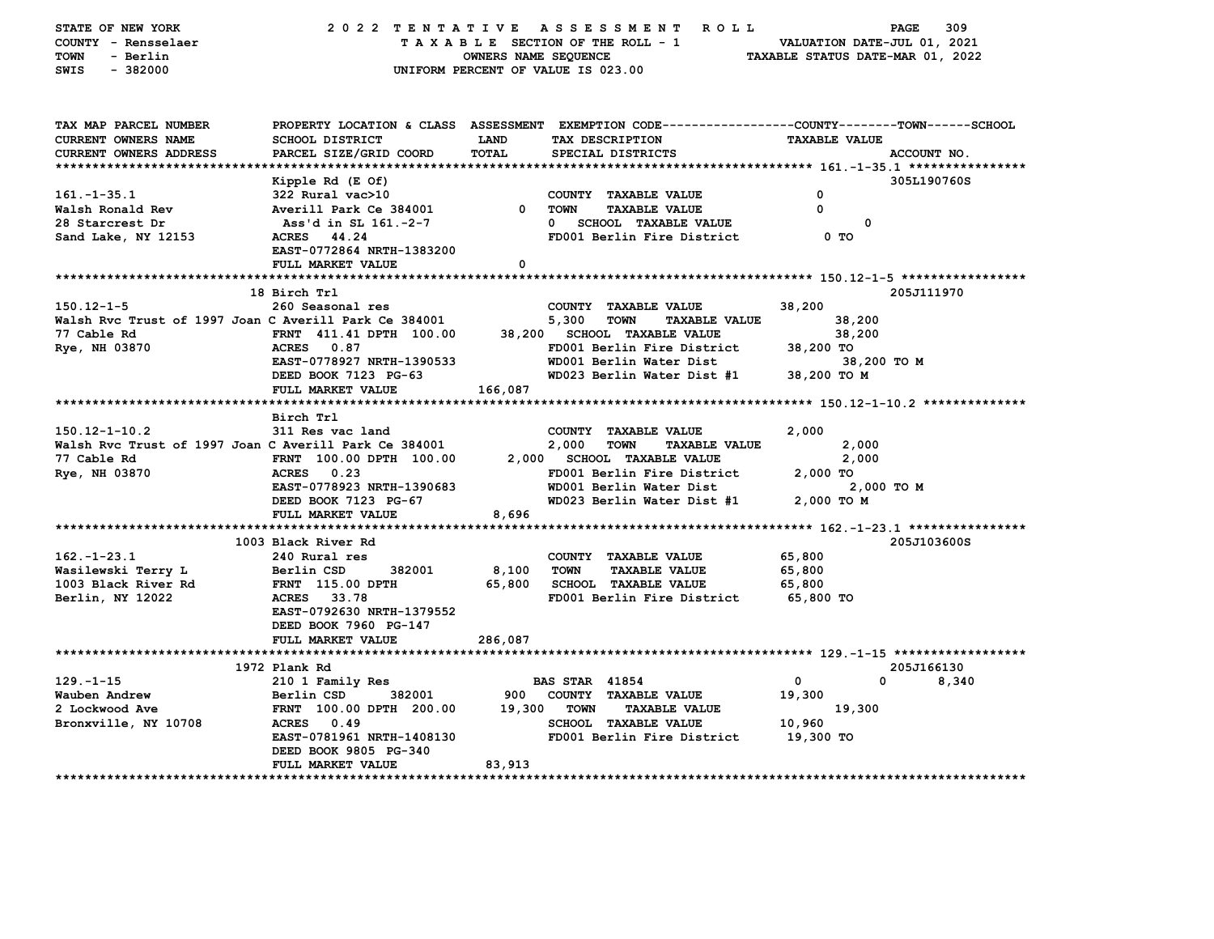| STATE OF NEW YORK<br>COUNTY - Rensselaer              |                           |                             | 2022 TENTATIVE ASSESSMENT ROLL<br>TAXABLE SECTION OF THE ROLL - 1                              | VALUATION DATE-JUL 01, 2021      | PAGE<br>309 |
|-------------------------------------------------------|---------------------------|-----------------------------|------------------------------------------------------------------------------------------------|----------------------------------|-------------|
| TOWN<br>- Berlin                                      |                           | <b>OWNERS NAME SEQUENCE</b> |                                                                                                | TAXABLE STATUS DATE-MAR 01, 2022 |             |
| SWIS<br>$-382000$                                     |                           |                             | UNIFORM PERCENT OF VALUE IS 023.00                                                             |                                  |             |
|                                                       |                           |                             |                                                                                                |                                  |             |
|                                                       |                           |                             |                                                                                                |                                  |             |
| TAX MAP PARCEL NUMBER                                 |                           |                             | PROPERTY LOCATION & CLASS ASSESSMENT EXEMPTION CODE---------------COUNTY-------TOWN-----SCHOOL |                                  |             |
| CURRENT OWNERS NAME                                   | <b>SCHOOL DISTRICT</b>    | <b>LAND</b>                 | TAX DESCRIPTION                                                                                | <b>TAXABLE VALUE</b>             |             |
| <b>CURRENT OWNERS ADDRESS</b>                         | PARCEL SIZE/GRID COORD    | TOTAL                       | SPECIAL DISTRICTS                                                                              |                                  | ACCOUNT NO. |
| *********************                                 |                           |                             |                                                                                                |                                  |             |
|                                                       | Kipple Rd (E Of)          |                             |                                                                                                |                                  | 305L190760S |
| $161. - 1 - 35.1$                                     | 322 Rural vac>10          |                             | COUNTY TAXABLE VALUE                                                                           | 0                                |             |
| Walsh Ronald Rev                                      | Averill Park Ce 384001    | $^{\circ}$                  | TOWN<br><b>TAXABLE VALUE</b>                                                                   | 0                                |             |
| 28 Starcrest Dr                                       | Ass'd in SL 161.-2-7      |                             | 0 SCHOOL TAXABLE VALUE                                                                         | 0                                |             |
| Sand Lake, NY 12153                                   | ACRES 44.24               |                             | FD001 Berlin Fire District                                                                     | 0 TO                             |             |
|                                                       | EAST-0772864 NRTH-1383200 |                             |                                                                                                |                                  |             |
|                                                       | FULL MARKET VALUE         | 0                           |                                                                                                |                                  |             |
|                                                       |                           |                             |                                                                                                |                                  |             |
|                                                       | 18 Birch Trl              |                             |                                                                                                |                                  | 205J111970  |
| $150.12 - 1 - 5$                                      | 260 Seasonal res          |                             | COUNTY TAXABLE VALUE                                                                           | 38,200                           |             |
| Walsh Rvc Trust of 1997 Joan C Averill Park Ce 384001 |                           |                             | 5,300<br>TOWN<br><b>TAXABLE VALUE</b>                                                          | 38,200                           |             |
| 77 Cable Rd                                           | FRNT 411.41 DPTH 100.00   |                             | 38,200 SCHOOL TAXABLE VALUE                                                                    | 38,200                           |             |
| Rye, NH 03870                                         | ACRES 0.87                |                             | FD001 Berlin Fire District                                                                     | 38,200 TO                        |             |
|                                                       | EAST-0778927 NRTH-1390533 |                             | WD001 Berlin Water Dist                                                                        | 38,200 TO M                      |             |
|                                                       | DEED BOOK 7123 PG-63      |                             | WD023 Berlin Water Dist #1                                                                     | 38,200 TO M                      |             |
|                                                       | FULL MARKET VALUE         | 166,087                     |                                                                                                |                                  |             |
|                                                       |                           |                             |                                                                                                |                                  |             |
|                                                       | Birch Trl                 |                             |                                                                                                |                                  |             |
| $150.12 - 1 - 10.2$                                   | 311 Res vac land          |                             | COUNTY TAXABLE VALUE                                                                           | 2,000                            |             |
| Walsh Rvc Trust of 1997 Joan C Averill Park Ce 384001 |                           |                             | 2,000<br><b>TOWN</b><br><b>TAXABLE VALUE</b>                                                   | 2,000                            |             |
| 77 Cable Rd                                           | FRNT 100.00 DPTH 100.00   |                             | 2,000 SCHOOL TAXABLE VALUE                                                                     | 2,000                            |             |
| Rye, NH 03870                                         | ACRES 0.23                |                             | FD001 Berlin Fire District                                                                     | 2,000 TO                         |             |
|                                                       | EAST-0778923 NRTH-1390683 |                             | WD001 Berlin Water Dist                                                                        | 2,000 TO M                       |             |
|                                                       | DEED BOOK 7123 PG-67      |                             | WD023 Berlin Water Dist #1                                                                     | 2,000 TO M                       |             |
|                                                       | FULL MARKET VALUE         | 8,696                       |                                                                                                |                                  |             |
|                                                       |                           |                             |                                                                                                |                                  |             |
|                                                       | 1003 Black River Rd       |                             |                                                                                                |                                  | 205J103600S |
| $162. - 1 - 23.1$                                     | 240 Rural res             |                             | COUNTY TAXABLE VALUE                                                                           | 65,800                           |             |
| Wasilewski Terry L                                    | 382001<br>Berlin CSD      | 8,100                       | <b>TOWN</b><br><b>TAXABLE VALUE</b>                                                            | 65,800                           |             |
| 1003 Black River Rd                                   | FRNT 115.00 DPTH          | 65,800                      | <b>SCHOOL TAXABLE VALUE</b>                                                                    | 65,800                           |             |
| Berlin, NY 12022                                      | <b>ACRES</b><br>33.78     |                             | FD001 Berlin Fire District                                                                     | 65,800 TO                        |             |
|                                                       | EAST-0792630 NRTH-1379552 |                             |                                                                                                |                                  |             |
|                                                       | DEED BOOK 7960 PG-147     |                             |                                                                                                |                                  |             |
|                                                       | FULL MARKET VALUE         | 286,087                     |                                                                                                |                                  |             |
|                                                       |                           |                             |                                                                                                |                                  |             |
|                                                       | 1972 Plank Rd             |                             |                                                                                                |                                  | 205J166130  |
| $129. - 1 - 15$                                       | 210 1 Family Res          |                             | <b>BAS STAR 41854</b>                                                                          | $\mathbf{0}$<br>0                | 8,340       |
| Wauben Andrew                                         | 382001<br>Berlin CSD      | 900                         | COUNTY TAXABLE VALUE                                                                           | 19,300                           |             |
| 2 Lockwood Ave                                        | FRNT 100.00 DPTH 200.00   | 19,300                      | <b>TOWN</b><br><b>TAXABLE VALUE</b>                                                            | 19,300                           |             |
| Bronxville, NY 10708                                  | ACRES 0.49                |                             | <b>SCHOOL TAXABLE VALUE</b>                                                                    | 10,960                           |             |
|                                                       | EAST-0781961 NRTH-1408130 |                             | FD001 Berlin Fire District                                                                     | 19,300 TO                        |             |
|                                                       | DEED BOOK 9805 PG-340     |                             |                                                                                                |                                  |             |
|                                                       | FULL MARKET VALUE         | 83,913                      |                                                                                                |                                  |             |
| *******************                                   |                           |                             |                                                                                                |                                  |             |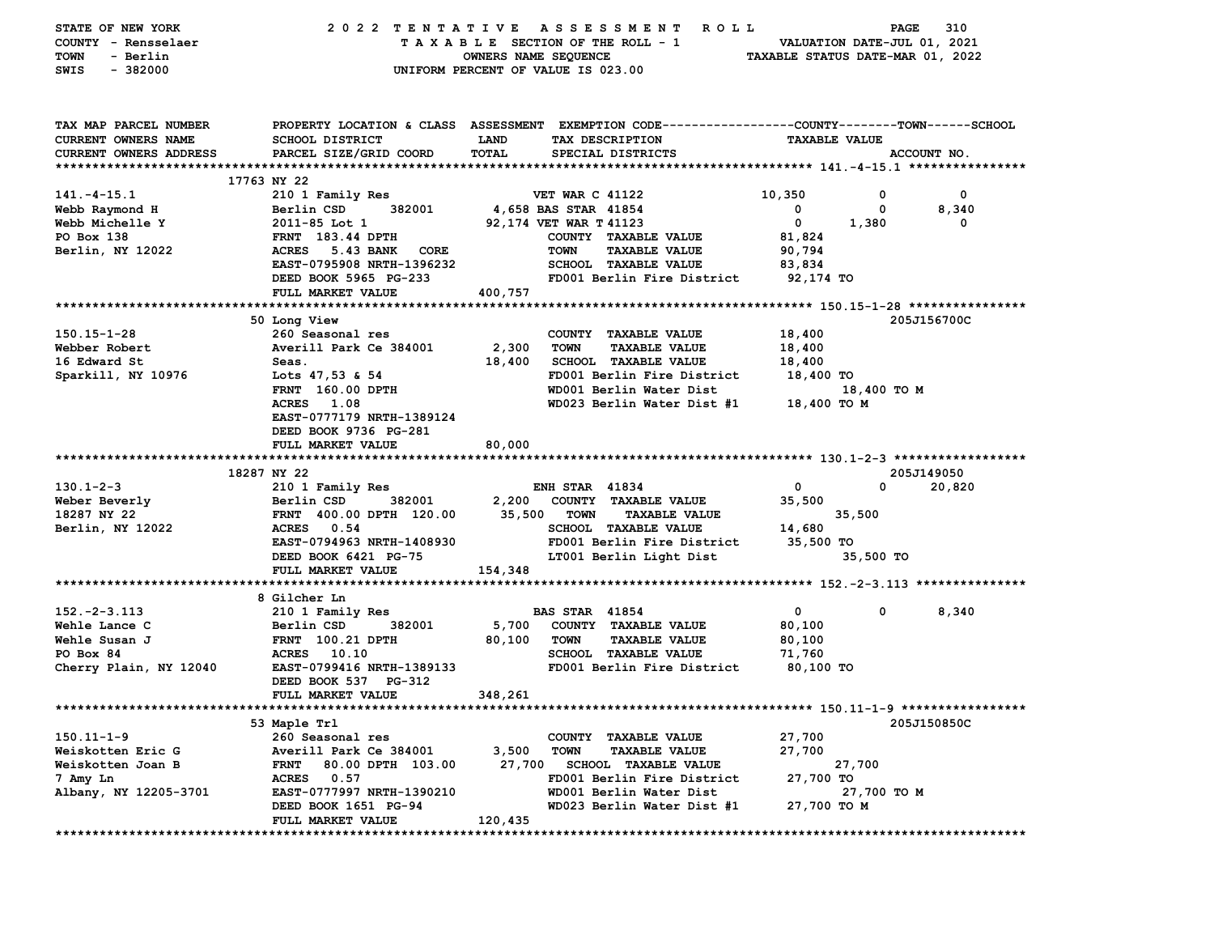| STATE OF NEW YORK<br>COUNTY - Rensselaer<br>- Berlin<br>TOWN<br>$-382000$<br>SWIS | 2022 TENTATIVE                                   | OWNERS NAME SEQUENCE | A S S E S S M E N T<br>ROLL<br>TAXABLE SECTION OF THE ROLL - 1<br>UNIFORM PERCENT OF VALUE IS 023.00                                   | TAXABLE STATUS DATE-MAR 01, 2022 | PAGE<br>VALUATION DATE-JUL 01, 2021 | 310         |
|-----------------------------------------------------------------------------------|--------------------------------------------------|----------------------|----------------------------------------------------------------------------------------------------------------------------------------|----------------------------------|-------------------------------------|-------------|
| TAX MAP PARCEL NUMBER<br><b>CURRENT OWNERS NAME</b><br>CURRENT OWNERS ADDRESS     | <b>SCHOOL DISTRICT</b><br>PARCEL SIZE/GRID COORD | LAND<br>TOTAL        | PROPERTY LOCATION & CLASS ASSESSMENT EXEMPTION CODE---------------COUNTY-------TOWN-----SCHOOL<br>TAX DESCRIPTION<br>SPECIAL DISTRICTS | <b>TAXABLE VALUE</b>             |                                     | ACCOUNT NO. |
|                                                                                   |                                                  |                      |                                                                                                                                        |                                  |                                     |             |
|                                                                                   | 17763 NY 22                                      |                      |                                                                                                                                        |                                  |                                     |             |
| $141. - 4 - 15.1$                                                                 | 210 1 Family Res                                 |                      | <b>VET WAR C 41122</b>                                                                                                                 | 10,350                           | 0                                   | 0           |
| Webb Raymond H                                                                    | Berlin CSD<br>382001                             |                      | 4,658 BAS STAR 41854                                                                                                                   | 0                                | 0                                   | 8,340       |
| Webb Michelle Y                                                                   | $2011 - 85$ Lot 1                                |                      | 92,174 VET WAR T 41123                                                                                                                 | 0                                | 1,380                               | 0           |
| PO Box 138                                                                        | <b>FRNT</b> 183.44 DPTH                          |                      | COUNTY TAXABLE VALUE                                                                                                                   | 81,824                           |                                     |             |
| Berlin, NY 12022                                                                  | <b>ACRES</b><br><b>5.43 BANK</b><br>CORE         |                      | <b>TAXABLE VALUE</b><br><b>TOWN</b>                                                                                                    | 90,794                           |                                     |             |
|                                                                                   | EAST-0795908 NRTH-1396232                        |                      | SCHOOL TAXABLE VALUE                                                                                                                   | 83,834                           |                                     |             |
|                                                                                   | DEED BOOK 5965 PG-233                            |                      | FD001 Berlin Fire District                                                                                                             | 92,174 TO                        |                                     |             |
|                                                                                   | FULL MARKET VALUE                                | 400,757              |                                                                                                                                        |                                  |                                     |             |
|                                                                                   |                                                  |                      |                                                                                                                                        |                                  |                                     |             |
|                                                                                   | 50 Long View                                     |                      |                                                                                                                                        |                                  |                                     | 205J156700C |
| $150.15 - 1 - 28$                                                                 | 260 Seasonal res                                 |                      | COUNTY TAXABLE VALUE                                                                                                                   | 18,400                           |                                     |             |
| Webber Robert                                                                     | Averill Park Ce 384001                           | 2,300                | <b>TOWN</b><br><b>TAXABLE VALUE</b>                                                                                                    | 18,400                           |                                     |             |
| 16 Edward St                                                                      | Seas.                                            | 18,400               | <b>SCHOOL TAXABLE VALUE</b>                                                                                                            | 18,400                           |                                     |             |
| Sparkill, NY 10976                                                                | Lots 47,53 & 54                                  |                      | FD001 Berlin Fire District                                                                                                             | 18,400 TO                        |                                     |             |
|                                                                                   | <b>FRNT</b> 160.00 DPTH                          |                      | WD001 Berlin Water Dist                                                                                                                |                                  | 18,400 TO M                         |             |
|                                                                                   | ACRES<br>1.08                                    |                      | WD023 Berlin Water Dist #1                                                                                                             | 18,400 TO M                      |                                     |             |
|                                                                                   | EAST-0777179 NRTH-1389124                        |                      |                                                                                                                                        |                                  |                                     |             |
|                                                                                   | DEED BOOK 9736 PG-281<br>FULL MARKET VALUE       | 80,000               |                                                                                                                                        |                                  |                                     |             |
|                                                                                   |                                                  |                      |                                                                                                                                        |                                  |                                     |             |
|                                                                                   | 18287 NY 22                                      |                      |                                                                                                                                        |                                  |                                     | 205J149050  |
| $130.1 - 2 - 3$                                                                   | 210 1 Family Res                                 |                      | <b>ENH STAR 41834</b>                                                                                                                  | 0                                | 0                                   | 20,820      |
| Weber Beverly                                                                     | Berlin CSD<br>382001                             | 2,200                | COUNTY TAXABLE VALUE                                                                                                                   | 35,500                           |                                     |             |
| 18287 NY 22                                                                       | FRNT 400.00 DPTH 120.00                          | 35,500               | <b>TOWN</b><br><b>TAXABLE VALUE</b>                                                                                                    |                                  | 35,500                              |             |
| Berlin, NY 12022                                                                  | ACRES 0.54                                       |                      | SCHOOL TAXABLE VALUE                                                                                                                   | 14,680                           |                                     |             |
|                                                                                   | EAST-0794963 NRTH-1408930                        |                      | FD001 Berlin Fire District                                                                                                             | 35,500 TO                        |                                     |             |
|                                                                                   | DEED BOOK 6421 PG-75                             |                      | LT001 Berlin Light Dist                                                                                                                |                                  | 35,500 TO                           |             |
|                                                                                   | FULL MARKET VALUE                                | 154,348              |                                                                                                                                        |                                  |                                     |             |
|                                                                                   |                                                  |                      |                                                                                                                                        |                                  |                                     |             |
|                                                                                   | 8 Gilcher Ln                                     |                      |                                                                                                                                        |                                  |                                     |             |
| $152. -2 -3.113$                                                                  | 210 1 Family Res                                 |                      | <b>BAS STAR 41854</b>                                                                                                                  | 0                                | 0                                   | 8,340       |
| Wehle Lance C                                                                     | 382001<br>Berlin CSD                             | 5,700                | COUNTY TAXABLE VALUE                                                                                                                   | 80,100                           |                                     |             |
| Wehle Susan J                                                                     | <b>FRNT</b> 100.21 DPTH                          | 80,100               | <b>TOWN</b><br><b>TAXABLE VALUE</b>                                                                                                    | 80,100                           |                                     |             |
| PO Box 84                                                                         | <b>ACRES</b><br>10.10                            |                      | <b>SCHOOL TAXABLE VALUE</b>                                                                                                            | 71,760                           |                                     |             |
| Cherry Plain, NY 12040                                                            | EAST-0799416 NRTH-1389133                        |                      | FD001 Berlin Fire District                                                                                                             | 80,100 TO                        |                                     |             |
|                                                                                   | DEED BOOK 537 PG-312                             |                      |                                                                                                                                        |                                  |                                     |             |
|                                                                                   | FULL MARKET VALUE                                | 348,261              |                                                                                                                                        |                                  |                                     |             |
| ****************                                                                  |                                                  |                      |                                                                                                                                        |                                  |                                     |             |
|                                                                                   | 53 Maple Trl                                     |                      |                                                                                                                                        |                                  |                                     | 205J150850C |
| $150.11 - 1 - 9$                                                                  | 260 Seasonal res                                 |                      | COUNTY TAXABLE VALUE                                                                                                                   | 27,700                           |                                     |             |
| Weiskotten Eric G                                                                 | Averill Park Ce 384001                           | 3,500                | <b>TOWN</b><br><b>TAXABLE VALUE</b>                                                                                                    | 27,700                           |                                     |             |
| Weiskotten Joan B                                                                 | 80.00 DPTH 103.00<br><b>FRNT</b>                 | 27,700               | SCHOOL TAXABLE VALUE                                                                                                                   |                                  | 27,700                              |             |
| 7 Amy Ln                                                                          | ACRES 0.57                                       |                      | FD001 Berlin Fire District                                                                                                             | 27,700 TO                        |                                     |             |
| Albany, NY 12205-3701                                                             | EAST-0777997 NRTH-1390210                        |                      | WD001 Berlin Water Dist                                                                                                                |                                  | 27,700 TO M                         |             |
|                                                                                   | DEED BOOK 1651 PG-94                             |                      | WD023 Berlin Water Dist #1                                                                                                             | 27,700 TO M                      |                                     |             |
|                                                                                   | FULL MARKET VALUE                                | 120,435              |                                                                                                                                        |                                  |                                     |             |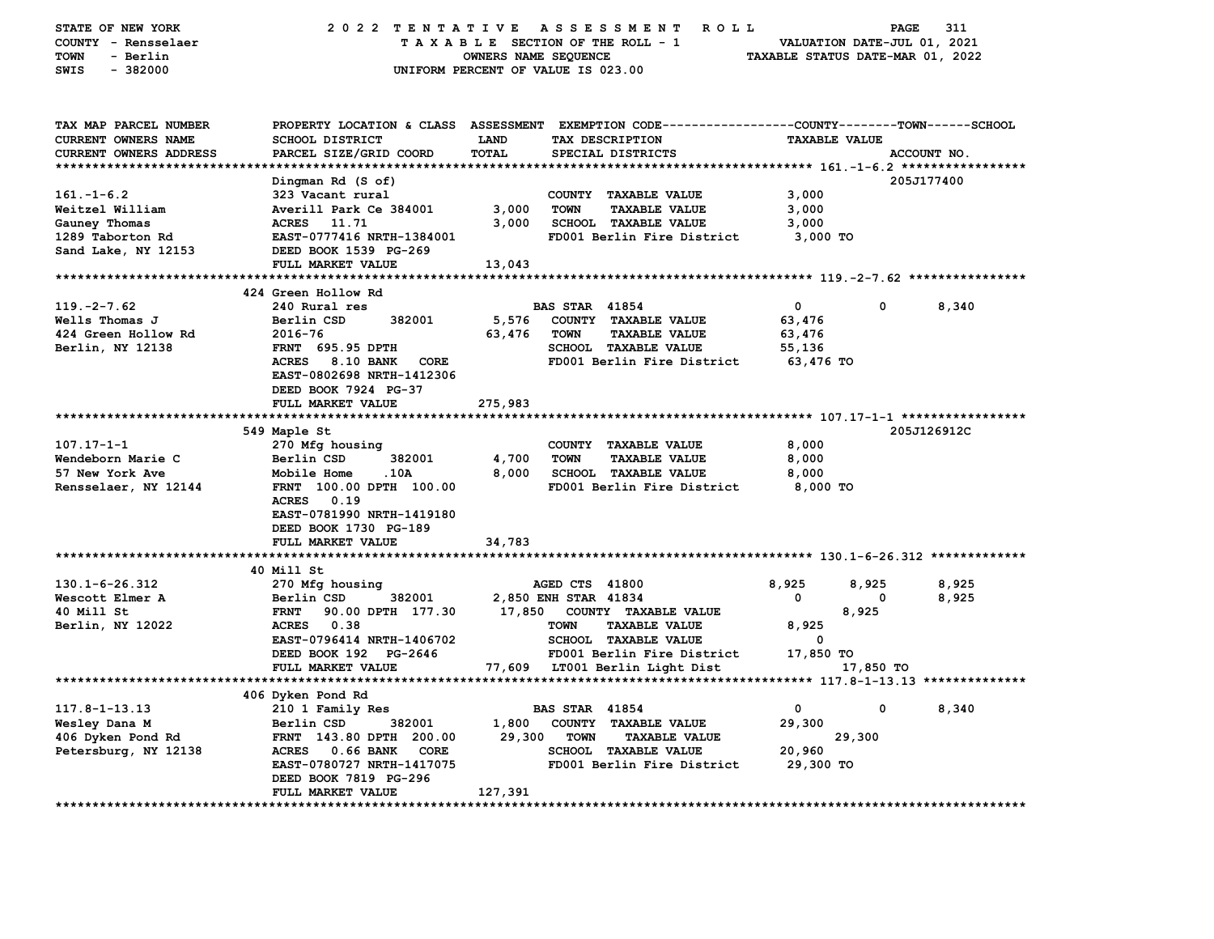| STATE OF NEW YORK<br>COUNTY - Rensselaer<br><b>TOWN</b><br>- Berlin<br>SWIS<br>$-382000$ | 2022 TENTATIVE<br>UNIFORM PERCENT OF VALUE IS 023.00                                                                                               | OWNERS NAME SEQUENCE |                       | A S S E S S M E N T<br><b>ROLL</b><br>TAXABLE SECTION OF THE ROLL - 1 | VALUATION DATE-JUL 01, 2021<br>TAXABLE STATUS DATE-MAR 01, 2022 | PAGE      | 311         |
|------------------------------------------------------------------------------------------|----------------------------------------------------------------------------------------------------------------------------------------------------|----------------------|-----------------------|-----------------------------------------------------------------------|-----------------------------------------------------------------|-----------|-------------|
| TAX MAP PARCEL NUMBER<br><b>CURRENT OWNERS NAME</b><br>CURRENT OWNERS ADDRESS            | PROPERTY LOCATION & CLASS ASSESSMENT EXEMPTION CODE---------------COUNTY-------TOWN-----SCHOOL<br><b>SCHOOL DISTRICT</b><br>PARCEL SIZE/GRID COORD | LAND<br>TOTAL        |                       | TAX DESCRIPTION<br>SPECIAL DISTRICTS                                  | <b>TAXABLE VALUE</b>                                            |           | ACCOUNT NO. |
| *****************************                                                            |                                                                                                                                                    |                      |                       |                                                                       |                                                                 |           |             |
|                                                                                          | Dingman Rd (S of)                                                                                                                                  |                      |                       |                                                                       |                                                                 |           | 205J177400  |
| $161 - 1 - 6.2$                                                                          | 323 Vacant rural                                                                                                                                   |                      |                       | COUNTY TAXABLE VALUE                                                  | 3,000                                                           |           |             |
| Weitzel William                                                                          | Averill Park Ce 384001                                                                                                                             | 3,000                | <b>TOWN</b>           | <b>TAXABLE VALUE</b>                                                  | 3,000                                                           |           |             |
| Gauney Thomas                                                                            | ACRES 11.71                                                                                                                                        | 3,000                |                       | SCHOOL TAXABLE VALUE                                                  | 3,000                                                           |           |             |
| 1289 Taborton Rd                                                                         | EAST-0777416 NRTH-1384001                                                                                                                          |                      |                       | FD001 Berlin Fire District                                            | 3,000 TO                                                        |           |             |
| Sand Lake, NY 12153                                                                      | DEED BOOK 1539 PG-269                                                                                                                              |                      |                       |                                                                       |                                                                 |           |             |
|                                                                                          | FULL MARKET VALUE                                                                                                                                  | 13,043               |                       |                                                                       |                                                                 |           |             |
|                                                                                          |                                                                                                                                                    |                      |                       |                                                                       |                                                                 |           |             |
|                                                                                          | 424 Green Hollow Rd                                                                                                                                |                      |                       |                                                                       |                                                                 |           |             |
| $119. -2 - 7.62$                                                                         | 240 Rural res                                                                                                                                      |                      | <b>BAS STAR 41854</b> |                                                                       | $\mathbf 0$                                                     | 0         | 8,340       |
| Wells Thomas J                                                                           | Berlin CSD<br>382001                                                                                                                               | 5,576                |                       | COUNTY TAXABLE VALUE                                                  | 63,476                                                          |           |             |
| 424 Green Hollow Rd                                                                      | 2016-76                                                                                                                                            | 63,476               | <b>TOWN</b>           | <b>TAXABLE VALUE</b>                                                  | 63,476                                                          |           |             |
| Berlin, NY 12138                                                                         | FRNT 695.95 DPTH<br>ACRES 8.10 BANK CORE                                                                                                           |                      |                       | SCHOOL TAXABLE VALUE<br>FD001 Berlin Fire District                    | 55,136<br>63,476 TO                                             |           |             |
|                                                                                          | EAST-0802698 NRTH-1412306<br>DEED BOOK 7924 PG-37                                                                                                  |                      |                       |                                                                       |                                                                 |           |             |
|                                                                                          | FULL MARKET VALUE                                                                                                                                  | 275,983              |                       |                                                                       |                                                                 |           |             |
|                                                                                          | 549 Maple St                                                                                                                                       |                      |                       |                                                                       |                                                                 |           | 205J126912C |
| $107.17 - 1 - 1$                                                                         | 270 Mfg housing                                                                                                                                    |                      |                       | COUNTY TAXABLE VALUE                                                  | 8,000                                                           |           |             |
| Wendeborn Marie C                                                                        | 382001<br>Berlin CSD                                                                                                                               | 4,700                | <b>TOWN</b>           | <b>TAXABLE VALUE</b>                                                  | 8,000                                                           |           |             |
| 57 New York Ave                                                                          | <b>Mobile Home</b><br>.10A                                                                                                                         | 8,000                |                       | <b>SCHOOL TAXABLE VALUE</b>                                           | 8,000                                                           |           |             |
| Rensselaer, NY 12144                                                                     | FRNT 100.00 DPTH 100.00<br>ACRES 0.19<br>EAST-0781990 NRTH-1419180<br>DEED BOOK 1730 PG-189                                                        |                      |                       | FD001 Berlin Fire District                                            | 8,000 TO                                                        |           |             |
|                                                                                          | FULL MARKET VALUE                                                                                                                                  | 34,783               |                       |                                                                       |                                                                 |           |             |
|                                                                                          |                                                                                                                                                    |                      |                       |                                                                       |                                                                 |           |             |
|                                                                                          | 40 Mill St                                                                                                                                         |                      |                       |                                                                       |                                                                 |           |             |
| $130.1 - 6 - 26.312$                                                                     | 270 Mfg housing                                                                                                                                    |                      | AGED CTS 41800        |                                                                       | 8,925                                                           | 8,925     | 8,925       |
| Wescott Elmer A                                                                          | Berlin CSD<br>382001                                                                                                                               |                      | 2,850 ENH STAR 41834  |                                                                       | $\mathbf 0$                                                     | 0         | 8,925       |
| 40 Mill St                                                                               | 90.00 DPTH 177.30<br><b>FRNT</b>                                                                                                                   | 17,850               |                       | COUNTY TAXABLE VALUE                                                  |                                                                 | 8,925     |             |
| Berlin, NY 12022                                                                         | ACRES 0.38                                                                                                                                         |                      | <b>TOWN</b>           | <b>TAXABLE VALUE</b>                                                  | 8,925                                                           |           |             |
|                                                                                          | EAST-0796414 NRTH-1406702                                                                                                                          |                      |                       | <b>SCHOOL TAXABLE VALUE</b>                                           | $\mathbf 0$                                                     |           |             |
|                                                                                          | DEED BOOK 192 PG-2646                                                                                                                              |                      |                       | FD001 Berlin Fire District                                            | 17,850 TO                                                       |           |             |
|                                                                                          | FULL MARKET VALUE                                                                                                                                  |                      |                       | 77,609 LT001 Berlin Light Dist                                        |                                                                 | 17,850 TO |             |
|                                                                                          |                                                                                                                                                    |                      |                       |                                                                       |                                                                 |           |             |
|                                                                                          | 406 Dyken Pond Rd                                                                                                                                  |                      |                       |                                                                       |                                                                 |           |             |
| $117.8 - 1 - 13.13$                                                                      | 210 1 Family Res                                                                                                                                   |                      | <b>BAS STAR 41854</b> |                                                                       | $\mathbf 0$                                                     | 0         | 8,340       |
| Wesley Dana M                                                                            | 382001<br>Berlin CSD                                                                                                                               | 1,800                |                       | COUNTY TAXABLE VALUE                                                  | 29,300                                                          |           |             |
| 406 Dyken Pond Rd                                                                        | FRNT 143.80 DPTH 200.00                                                                                                                            | 29,300               | <b>TOWN</b>           | <b>TAXABLE VALUE</b>                                                  |                                                                 | 29,300    |             |
| Petersburg, NY 12138                                                                     | ACRES 0.66 BANK<br>CORE                                                                                                                            |                      |                       | <b>SCHOOL TAXABLE VALUE</b>                                           | 20,960                                                          |           |             |
|                                                                                          | EAST-0780727 NRTH-1417075                                                                                                                          |                      |                       | FD001 Berlin Fire District                                            | 29,300 TO                                                       |           |             |
|                                                                                          | DEED BOOK 7819 PG-296                                                                                                                              |                      |                       |                                                                       |                                                                 |           |             |
|                                                                                          | FULL MARKET VALUE                                                                                                                                  | 127,391              |                       |                                                                       |                                                                 |           |             |
|                                                                                          |                                                                                                                                                    |                      |                       |                                                                       |                                                                 |           |             |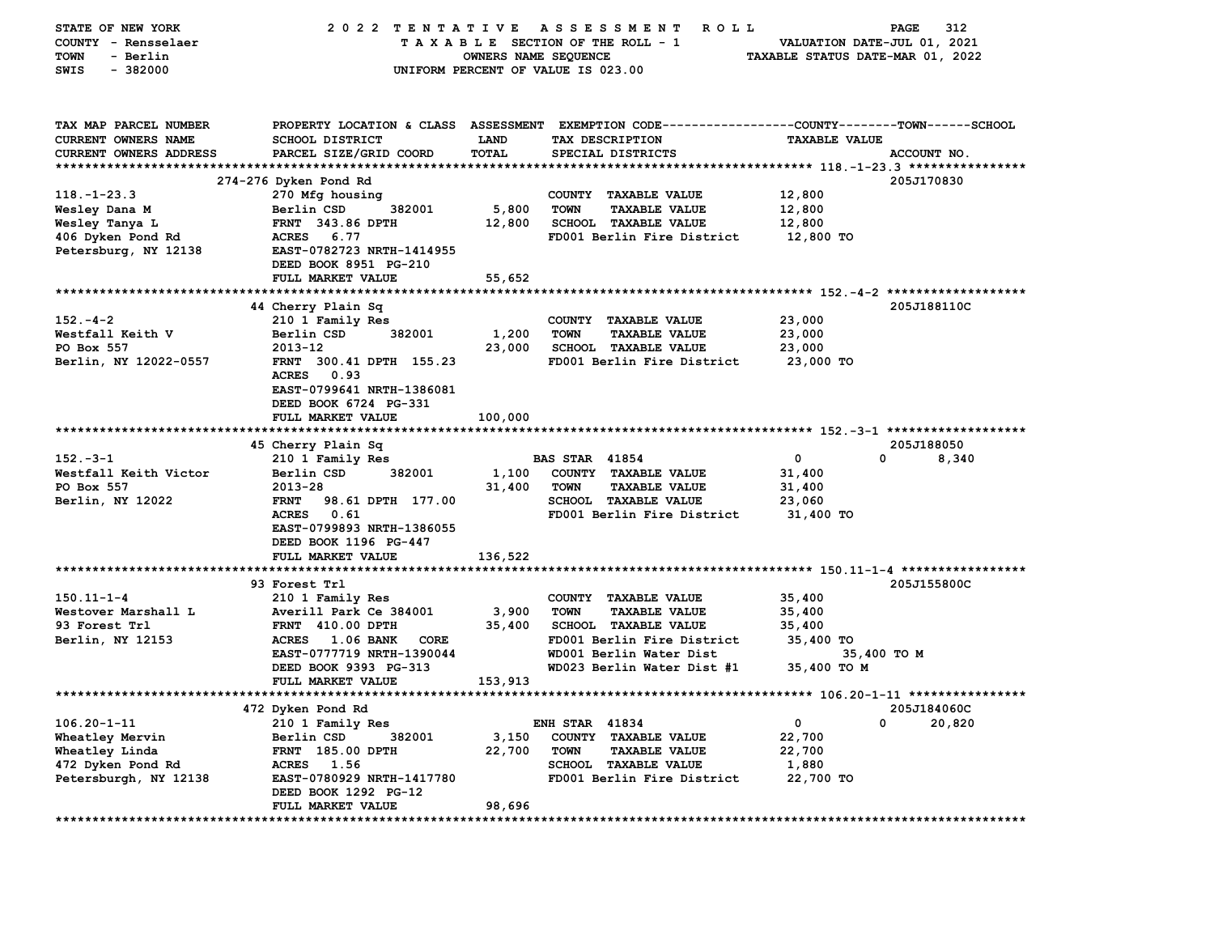| STATE OF NEW YORK<br>COUNTY - Rensselaer | 2022 TENTATIVE                                  |                      | A S S E S S M E N T<br><b>ROLL</b><br>TAXABLE SECTION OF THE ROLL - 1                          | VALUATION DATE-JUL 01, 2021      | PAGE<br>312 |
|------------------------------------------|-------------------------------------------------|----------------------|------------------------------------------------------------------------------------------------|----------------------------------|-------------|
| <b>TOWN</b><br>- Berlin                  |                                                 | OWNERS NAME SEQUENCE |                                                                                                | TAXABLE STATUS DATE-MAR 01, 2022 |             |
| $-382000$<br>SWIS                        |                                                 |                      | UNIFORM PERCENT OF VALUE IS 023.00                                                             |                                  |             |
|                                          |                                                 |                      |                                                                                                |                                  |             |
| TAX MAP PARCEL NUMBER                    |                                                 |                      | PROPERTY LOCATION & CLASS ASSESSMENT EXEMPTION CODE---------------COUNTY-------TOWN-----SCHOOL |                                  |             |
| CURRENT OWNERS NAME                      | SCHOOL DISTRICT                                 | LAND                 | TAX DESCRIPTION                                                                                | <b>TAXABLE VALUE</b>             |             |
| CURRENT OWNERS ADDRESS                   | PARCEL SIZE/GRID COORD                          | TOTAL                | SPECIAL DISTRICTS                                                                              |                                  | ACCOUNT NO. |
|                                          |                                                 |                      |                                                                                                |                                  |             |
|                                          | 274-276 Dyken Pond Rd                           |                      |                                                                                                |                                  | 205J170830  |
| $118. - 1 - 23.3$                        | 270 Mfg housing                                 |                      | COUNTY TAXABLE VALUE                                                                           | 12,800                           |             |
| Wesley Dana M                            | Berlin CSD<br>382001                            | 5,800                | <b>TOWN</b><br><b>TAXABLE VALUE</b>                                                            | 12,800                           |             |
| Wesley Tanya L                           | <b>FRNT 343.86 DPTH</b>                         | 12,800               | SCHOOL TAXABLE VALUE                                                                           | 12,800                           |             |
| 406 Dyken Pond Rd                        | <b>ACRES</b><br>6.77                            |                      | FD001 Berlin Fire District                                                                     | 12,800 TO                        |             |
| Petersburg, NY 12138                     | EAST-0782723 NRTH-1414955                       |                      |                                                                                                |                                  |             |
|                                          | DEED BOOK 8951 PG-210                           |                      |                                                                                                |                                  |             |
|                                          | FULL MARKET VALUE                               | 55,652               |                                                                                                |                                  |             |
|                                          | *****************                               | **********           | **************************** 152.-4-2 *******************                                      |                                  |             |
|                                          | 44 Cherry Plain Sq                              |                      |                                                                                                |                                  | 205J188110C |
| $152 - 4 - 2$                            | 210 1 Family Res                                |                      | COUNTY TAXABLE VALUE                                                                           | 23,000                           |             |
| Westfall Keith V                         | Berlin CSD<br>382001                            | 1,200                | <b>TOWN</b><br><b>TAXABLE VALUE</b>                                                            | 23,000                           |             |
| PO Box 557                               | 2013-12                                         | 23,000               | SCHOOL TAXABLE VALUE                                                                           | 23,000                           |             |
| Berlin, NY 12022-0557                    | FRNT 300.41 DPTH 155.23<br><b>ACRES</b><br>0.93 |                      | FD001 Berlin Fire District                                                                     | 23,000 TO                        |             |
|                                          | EAST-0799641 NRTH-1386081                       |                      |                                                                                                |                                  |             |
|                                          | DEED BOOK 6724 PG-331                           |                      |                                                                                                |                                  |             |
|                                          | FULL MARKET VALUE                               | 100,000              |                                                                                                |                                  |             |
|                                          |                                                 |                      |                                                                                                |                                  |             |
|                                          | 45 Cherry Plain Sq                              |                      |                                                                                                |                                  | 205J188050  |
| $152 - 3 - 1$                            | 210 1 Family Res                                |                      | <b>BAS STAR 41854</b>                                                                          | $\mathbf 0$<br><sup>0</sup>      | 8,340       |
| Westfall Keith Victor                    | 382001<br>Berlin CSD                            | 1,100                | COUNTY TAXABLE VALUE                                                                           | 31,400                           |             |
| PO Box 557                               | 2013-28                                         | 31,400               | <b>TOWN</b><br><b>TAXABLE VALUE</b>                                                            | 31,400                           |             |
| Berlin, NY 12022                         | 98.61 DPTH 177.00<br><b>FRNT</b>                |                      | <b>SCHOOL TAXABLE VALUE</b>                                                                    | 23,060                           |             |
|                                          | <b>ACRES</b><br>0.61                            |                      | FD001 Berlin Fire District                                                                     | 31,400 TO                        |             |
|                                          | EAST-0799893 NRTH-1386055                       |                      |                                                                                                |                                  |             |
|                                          | DEED BOOK 1196 PG-447                           |                      |                                                                                                |                                  |             |
|                                          | FULL MARKET VALUE                               | 136,522              |                                                                                                |                                  |             |
|                                          |                                                 |                      |                                                                                                |                                  |             |
|                                          | 93 Forest Trl                                   |                      |                                                                                                |                                  | 205J155800C |
| $150.11 - 1 - 4$                         | 210 1 Family Res                                |                      | COUNTY TAXABLE VALUE                                                                           | 35,400                           |             |
| Westover Marshall L                      | Averill Park Ce 384001                          | 3,900                | <b>TOWN</b><br><b>TAXABLE VALUE</b>                                                            | 35,400                           |             |
| 93 Forest Trl                            | <b>FRNT 410.00 DPTH</b>                         | 35,400               | <b>SCHOOL TAXABLE VALUE</b>                                                                    | 35,400                           |             |
| Berlin, NY 12153                         | <b>ACRES</b><br><b>1.06 BANK</b><br>CORE        |                      | FD001 Berlin Fire District                                                                     | 35,400 TO                        |             |
|                                          | EAST-0777719 NRTH-1390044                       |                      | WD001 Berlin Water Dist                                                                        | 35,400 TO M                      |             |
|                                          | DEED BOOK 9393 PG-313                           |                      | WD023 Berlin Water Dist #1                                                                     | 35,400 TO M                      |             |
|                                          | FULL MARKET VALUE                               | 153,913              |                                                                                                |                                  |             |
|                                          |                                                 |                      |                                                                                                |                                  |             |
|                                          | 472 Dyken Pond Rd                               |                      |                                                                                                |                                  | 205J184060C |
| $106.20 - 1 - 11$                        | 210 1 Family Res                                |                      | <b>ENH STAR 41834</b>                                                                          | 0<br>0                           | 20,820      |
| Wheatley Mervin                          | Berlin CSD<br>382001                            | 3,150                | COUNTY TAXABLE VALUE                                                                           | 22,700                           |             |
| Wheatley Linda                           | FRNT 185.00 DPTH                                | 22,700               | <b>TOWN</b><br><b>TAXABLE VALUE</b>                                                            | 22,700                           |             |
| 472 Dyken Pond Rd                        | ACRES 1.56                                      |                      | SCHOOL TAXABLE VALUE                                                                           | 1,880                            |             |
| Petersburgh, NY 12138                    | EAST-0780929 NRTH-1417780                       |                      | FD001 Berlin Fire District                                                                     | 22,700 TO                        |             |
|                                          | DEED BOOK 1292 PG-12                            |                      |                                                                                                |                                  |             |
| ******************                       | FULL MARKET VALUE                               | 98,696               |                                                                                                |                                  |             |
|                                          |                                                 |                      |                                                                                                |                                  |             |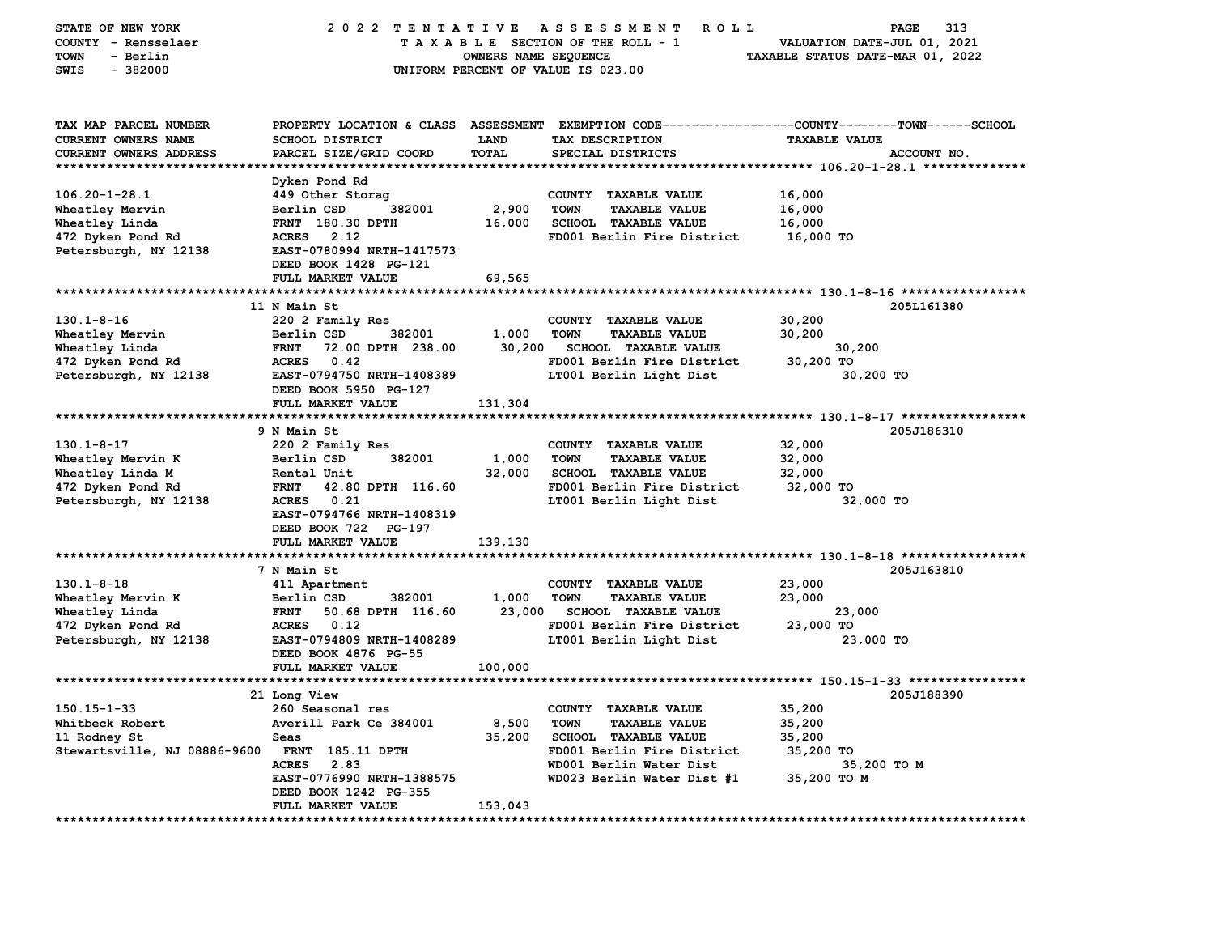| STATE OF NEW YORK<br>COUNTY - Rensselaer | 2022 TENTATIVE                                 |                      | A S S E S S M E N T<br>ROLL<br>TAXABLE SECTION OF THE ROLL - 1 | 313<br>PAGE<br>VALUATION DATE-JUL 01, 2021                                                     |
|------------------------------------------|------------------------------------------------|----------------------|----------------------------------------------------------------|------------------------------------------------------------------------------------------------|
| - Berlin<br>TOWN                         |                                                | OWNERS NAME SEQUENCE |                                                                | TAXABLE STATUS DATE-MAR 01, 2022                                                               |
| SWIS<br>$-382000$                        |                                                |                      | UNIFORM PERCENT OF VALUE IS 023.00                             |                                                                                                |
|                                          |                                                |                      |                                                                |                                                                                                |
| TAX MAP PARCEL NUMBER                    |                                                |                      |                                                                | PROPERTY LOCATION & CLASS ASSESSMENT EXEMPTION CODE---------------COUNTY-------TOWN-----SCHOOL |
| CURRENT OWNERS NAME                      | SCHOOL DISTRICT                                | LAND                 | TAX DESCRIPTION                                                | <b>TAXABLE VALUE</b>                                                                           |
| <b>CURRENT OWNERS ADDRESS</b>            | PARCEL SIZE/GRID COORD                         | TOTAL                | SPECIAL DISTRICTS                                              | ACCOUNT NO.                                                                                    |
|                                          | Dyken Pond Rd                                  |                      |                                                                |                                                                                                |
| $106.20 - 1 - 28.1$                      | 449 Other Storag                               |                      | COUNTY TAXABLE VALUE                                           | 16,000                                                                                         |
| Wheatley Mervin                          | 382001<br>Berlin CSD                           | 2,900                | <b>TOWN</b><br><b>TAXABLE VALUE</b>                            | 16,000                                                                                         |
| Wheatley Linda                           | FRNT 180.30 DPTH                               | 16,000               | <b>SCHOOL TAXABLE VALUE</b>                                    | 16,000                                                                                         |
| 472 Dyken Pond Rd                        | 2.12<br><b>ACRES</b>                           |                      | FD001 Berlin Fire District                                     | 16,000 TO                                                                                      |
| Petersburgh, NY 12138                    | EAST-0780994 NRTH-1417573                      |                      |                                                                |                                                                                                |
|                                          | DEED BOOK 1428 PG-121                          |                      |                                                                |                                                                                                |
|                                          | FULL MARKET VALUE                              | 69,565               |                                                                |                                                                                                |
|                                          |                                                |                      |                                                                |                                                                                                |
|                                          | 11 N Main St                                   |                      |                                                                | 205L161380                                                                                     |
| $130.1 - 8 - 16$                         | 220 2 Family Res                               |                      | COUNTY TAXABLE VALUE                                           | 30,200                                                                                         |
| Wheatley Mervin                          | 382001<br>Berlin CSD                           | 1,000                | <b>TOWN</b><br><b>TAXABLE VALUE</b>                            | 30,200                                                                                         |
| Wheatley Linda                           | 72.00 DPTH 238.00<br><b>FRNT</b>               | 30,200               | <b>SCHOOL TAXABLE VALUE</b>                                    | 30,200                                                                                         |
| 472 Dyken Pond Rd                        | <b>ACRES</b><br>0.42                           |                      | FD001 Berlin Fire District                                     | 30,200 TO                                                                                      |
| Petersburgh, NY 12138                    | EAST-0794750 NRTH-1408389                      |                      | LT001 Berlin Light Dist                                        | 30,200 TO                                                                                      |
|                                          | DEED BOOK 5950 PG-127                          |                      |                                                                |                                                                                                |
|                                          | FULL MARKET VALUE                              | 131,304              |                                                                |                                                                                                |
|                                          | 9 N Main St                                    |                      |                                                                | 205J186310                                                                                     |
| $130.1 - 8 - 17$                         | 220 2 Family Res                               |                      | COUNTY TAXABLE VALUE                                           | 32,000                                                                                         |
| Wheatley Mervin K                        | Berlin CSD<br>382001                           | 1,000                | <b>TOWN</b><br><b>TAXABLE VALUE</b>                            | 32,000                                                                                         |
| Wheatley Linda M                         | Rental Unit                                    | 32,000               | <b>SCHOOL TAXABLE VALUE</b>                                    | 32,000                                                                                         |
| 472 Dyken Pond Rd                        | 42.80 DPTH 116.60<br><b>FRNT</b>               |                      | FD001 Berlin Fire District                                     | 32,000 TO                                                                                      |
| Petersburgh, NY 12138                    | <b>ACRES</b><br>0.21                           |                      | LT001 Berlin Light Dist                                        | 32,000 TO                                                                                      |
|                                          | EAST-0794766 NRTH-1408319                      |                      |                                                                |                                                                                                |
|                                          | DEED BOOK 722 PG-197                           |                      |                                                                |                                                                                                |
|                                          | FULL MARKET VALUE                              | 139,130              |                                                                |                                                                                                |
|                                          |                                                |                      |                                                                |                                                                                                |
|                                          | 7 N Main St                                    |                      |                                                                | 205J163810                                                                                     |
| $130.1 - 8 - 18$                         | 411 Apartment<br>382001                        |                      | COUNTY TAXABLE VALUE<br><b>TOWN</b><br><b>TAXABLE VALUE</b>    | 23,000                                                                                         |
| Wheatley Mervin K<br>Wheatley Linda      | Berlin CSD<br>50.68 DPTH 116.60<br><b>FRNT</b> | 1,000<br>23,000      | <b>SCHOOL TAXABLE VALUE</b>                                    | 23,000<br>23,000                                                                               |
| 472 Dyken Pond Rd                        | 0.12<br><b>ACRES</b>                           |                      | FD001 Berlin Fire District                                     | 23,000 TO                                                                                      |
| Petersburgh, NY 12138                    | EAST-0794809 NRTH-1408289                      |                      | LT001 Berlin Light Dist                                        | 23,000 TO                                                                                      |
|                                          | DEED BOOK 4876 PG-55                           |                      |                                                                |                                                                                                |
|                                          | FULL MARKET VALUE                              | 100,000              |                                                                |                                                                                                |
| ****************************             |                                                |                      |                                                                |                                                                                                |
|                                          | <b>21 Long View</b>                            |                      |                                                                | 205J188390                                                                                     |
| $150.15 - 1 - 33$                        | 260 Seasonal res                               |                      | COUNTY TAXABLE VALUE                                           | 35,200                                                                                         |
| Whitbeck Robert                          | Averill Park Ce 384001                         | 8,500                | <b>TOWN</b><br><b>TAXABLE VALUE</b>                            | 35,200                                                                                         |
| 11 Rodney St                             | Seas                                           | 35,200               | <b>SCHOOL TAXABLE VALUE</b>                                    | 35,200                                                                                         |
| Stewartsville, NJ 08886-9600             | <b>FRNT 185.11 DPTH</b>                        |                      | FD001 Berlin Fire District                                     | 35,200 TO                                                                                      |
|                                          | ACRES 2.83                                     |                      | WD001 Berlin Water Dist                                        | 35,200 TO M                                                                                    |
|                                          | EAST-0776990 NRTH-1388575                      |                      | WD023 Berlin Water Dist #1                                     | 35,200 TO M                                                                                    |
|                                          | DEED BOOK 1242 PG-355<br>FULL MARKET VALUE     | 153,043              |                                                                |                                                                                                |
|                                          |                                                |                      |                                                                |                                                                                                |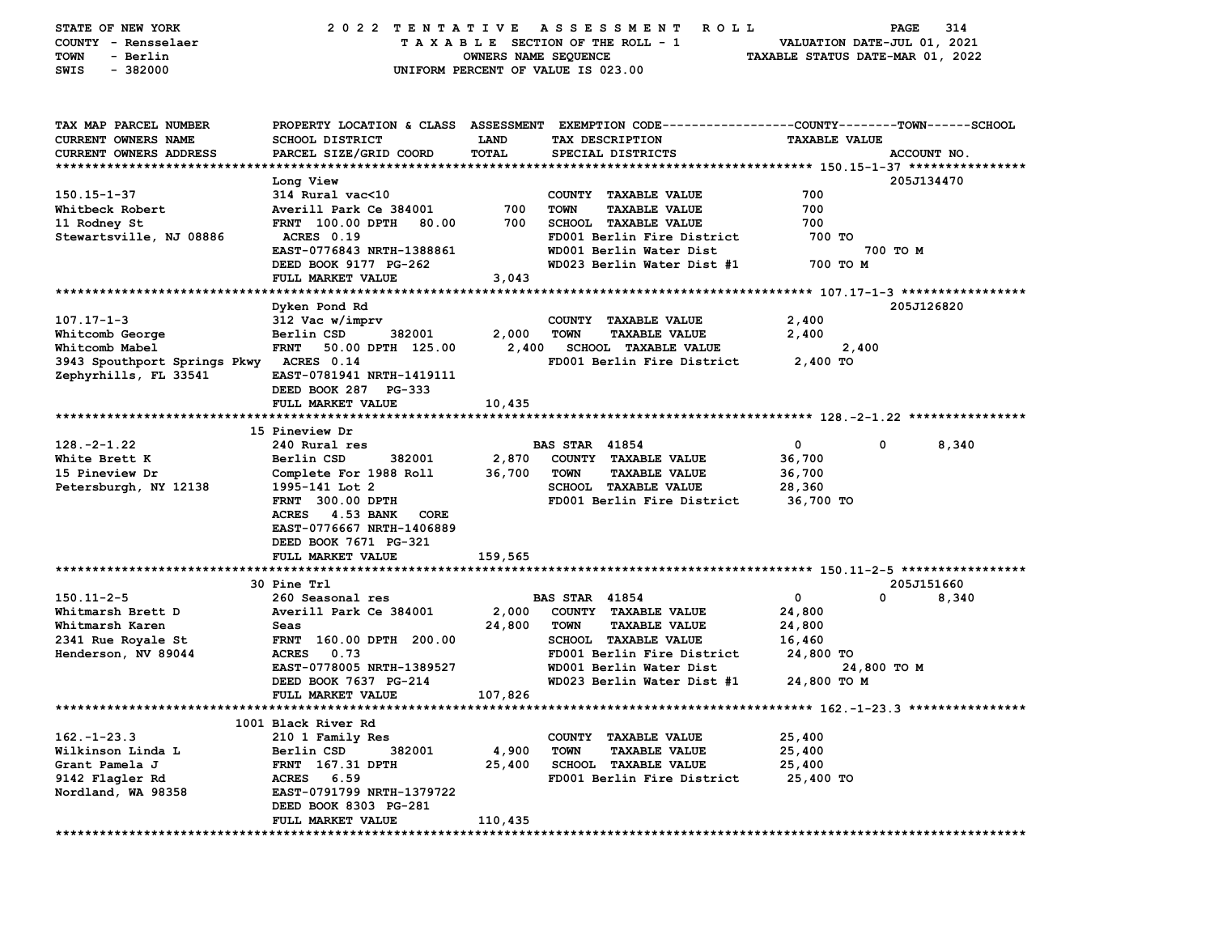| STATE OF NEW YORK<br>COUNTY - Rensselaer<br>- Berlin<br>TOWN<br>$-382000$<br>SWIS | 2022 TENTATIVE                                                                                               | OWNERS NAME SEQUENCE | ASSESSMENT<br>ROLL<br>TAXABLE SECTION OF THE ROLL - 1<br>UNIFORM PERCENT OF VALUE IS 023.00                                            | PAGE<br>VALUATION DATE-JUL 01, 2021<br>TAXABLE STATUS DATE-MAR 01, 2022 | 314         |
|-----------------------------------------------------------------------------------|--------------------------------------------------------------------------------------------------------------|----------------------|----------------------------------------------------------------------------------------------------------------------------------------|-------------------------------------------------------------------------|-------------|
| TAX MAP PARCEL NUMBER<br><b>CURRENT OWNERS NAME</b><br>CURRENT OWNERS ADDRESS     | SCHOOL DISTRICT<br>PARCEL SIZE/GRID COORD                                                                    | LAND<br>TOTAL        | PROPERTY LOCATION & CLASS ASSESSMENT EXEMPTION CODE---------------COUNTY-------TOWN-----SCHOOL<br>TAX DESCRIPTION<br>SPECIAL DISTRICTS | <b>TAXABLE VALUE</b>                                                    | ACCOUNT NO. |
|                                                                                   |                                                                                                              |                      |                                                                                                                                        |                                                                         |             |
| $150.15 - 1 - 37$                                                                 | Long View                                                                                                    |                      | COUNTY TAXABLE VALUE                                                                                                                   | 700                                                                     | 205J134470  |
| Whitbeck Robert                                                                   | 314 Rural vac<10<br>Averill Park Ce 384001                                                                   | 700                  | <b>TOWN</b><br><b>TAXABLE VALUE</b>                                                                                                    | 700                                                                     |             |
| 11 Rodney St                                                                      | FRNT 100.00 DPTH<br>80.00                                                                                    | 700                  | SCHOOL TAXABLE VALUE                                                                                                                   | 700                                                                     |             |
| Stewartsville, NJ 08886                                                           | ACRES 0.19                                                                                                   |                      | FD001 Berlin Fire District                                                                                                             | 700 TO                                                                  |             |
|                                                                                   | EAST-0776843 NRTH-1388861<br>DEED BOOK 9177 PG-262                                                           |                      | WD001 Berlin Water Dist<br>WD023 Berlin Water Dist #1                                                                                  | 700 TO M<br>700 TO M                                                    |             |
|                                                                                   | FULL MARKET VALUE                                                                                            | 3,043                |                                                                                                                                        |                                                                         |             |
|                                                                                   |                                                                                                              |                      |                                                                                                                                        |                                                                         |             |
| $107.17 - 1 - 3$                                                                  | Dyken Pond Rd<br>312 Vac w/imprv                                                                             |                      | COUNTY TAXABLE VALUE                                                                                                                   | 2,400                                                                   | 205J126820  |
| Whitcomb George                                                                   | Berlin CSD<br>382001                                                                                         | 2,000                | <b>TOWN</b><br><b>TAXABLE VALUE</b>                                                                                                    | 2,400                                                                   |             |
| Whitcomb Mabel                                                                    | <b>FRNT</b><br>50.00 DPTH 125.00                                                                             | 2,400                | <b>SCHOOL TAXABLE VALUE</b>                                                                                                            | 2,400                                                                   |             |
| 3943 Spouthport Springs Pkwy ACRES 0.14                                           |                                                                                                              |                      | FD001 Berlin Fire District                                                                                                             | 2,400 TO                                                                |             |
| Zephyrhills, FL 33541                                                             | EAST-0781941 NRTH-1419111<br>DEED BOOK 287 PG-333                                                            |                      |                                                                                                                                        |                                                                         |             |
|                                                                                   | FULL MARKET VALUE                                                                                            | 10,435               |                                                                                                                                        |                                                                         |             |
|                                                                                   |                                                                                                              |                      |                                                                                                                                        |                                                                         |             |
|                                                                                   | 15 Pineview Dr                                                                                               |                      |                                                                                                                                        |                                                                         |             |
| $128. -2 - 1.22$<br>White Brett K                                                 | 240 Rural res<br>Berlin CSD                                                                                  |                      | <b>BAS STAR 41854</b>                                                                                                                  | $\mathbf 0$<br>0                                                        | 8,340       |
| 15 Pineview Dr                                                                    | 382001<br>Complete For 1988 Roll                                                                             | 2,870<br>36,700      | COUNTY TAXABLE VALUE<br><b>TOWN</b><br><b>TAXABLE VALUE</b>                                                                            | 36,700<br>36,700                                                        |             |
| Petersburgh, NY 12138                                                             | 1995-141 Lot 2                                                                                               |                      | <b>SCHOOL TAXABLE VALUE</b>                                                                                                            | 28,360                                                                  |             |
|                                                                                   | FRNT 300.00 DPTH                                                                                             |                      | FD001 Berlin Fire District                                                                                                             | 36,700 TO                                                               |             |
|                                                                                   | <b>ACRES</b><br>4.53 BANK<br>CORE<br>EAST-0776667 NRTH-1406889<br>DEED BOOK 7671 PG-321<br>FULL MARKET VALUE | 159,565              |                                                                                                                                        |                                                                         |             |
|                                                                                   |                                                                                                              |                      |                                                                                                                                        |                                                                         |             |
|                                                                                   | 30 Pine Trl                                                                                                  |                      |                                                                                                                                        |                                                                         | 205J151660  |
| $150.11 - 2 - 5$                                                                  | 260 Seasonal res                                                                                             |                      | <b>BAS STAR 41854</b>                                                                                                                  | $\mathbf{o}$<br>0                                                       | 8,340       |
| Whitmarsh Brett D                                                                 | Averill Park Ce 384001                                                                                       | 2,000                | COUNTY TAXABLE VALUE                                                                                                                   | 24,800                                                                  |             |
| Whitmarsh Karen                                                                   | Seas                                                                                                         | 24,800               | <b>TOWN</b><br><b>TAXABLE VALUE</b>                                                                                                    | 24,800                                                                  |             |
| 2341 Rue Royale St                                                                | FRNT 160.00 DPTH 200.00                                                                                      |                      | SCHOOL TAXABLE VALUE                                                                                                                   | 16,460                                                                  |             |
| Henderson, NV 89044                                                               | 0.73<br><b>ACRES</b>                                                                                         |                      | FD001 Berlin Fire District                                                                                                             | 24,800 TO                                                               |             |
|                                                                                   | EAST-0778005 NRTH-1389527                                                                                    |                      | WD001 Berlin Water Dist                                                                                                                | 24,800 то м                                                             |             |
|                                                                                   | DEED BOOK 7637 PG-214                                                                                        |                      | WD023 Berlin Water Dist #1                                                                                                             | 24,800 TO M                                                             |             |
|                                                                                   | FULL MARKET VALUE                                                                                            | 107,826              |                                                                                                                                        |                                                                         |             |
|                                                                                   |                                                                                                              |                      |                                                                                                                                        |                                                                         |             |
|                                                                                   | 1001 Black River Rd                                                                                          |                      |                                                                                                                                        |                                                                         |             |
| $162. - 1 - 23.3$<br>Wilkinson Linda L                                            | 210 1 Family Res<br>Berlin CSD<br>382001                                                                     | 4,900                | COUNTY TAXABLE VALUE<br><b>TOWN</b><br><b>TAXABLE VALUE</b>                                                                            | 25,400<br>25,400                                                        |             |
| Grant Pamela J                                                                    | FRNT 167.31 DPTH                                                                                             | 25,400               | <b>SCHOOL TAXABLE VALUE</b>                                                                                                            | 25,400                                                                  |             |
| 9142 Flagler Rd                                                                   | ACRES 6.59                                                                                                   |                      | FD001 Berlin Fire District                                                                                                             | 25,400 TO                                                               |             |
| Nordland, WA 98358                                                                | EAST-0791799 NRTH-1379722                                                                                    |                      |                                                                                                                                        |                                                                         |             |
|                                                                                   | DEED BOOK 8303 PG-281                                                                                        |                      |                                                                                                                                        |                                                                         |             |
|                                                                                   | FULL MARKET VALUE                                                                                            | 110,435              |                                                                                                                                        |                                                                         |             |
|                                                                                   |                                                                                                              |                      |                                                                                                                                        |                                                                         |             |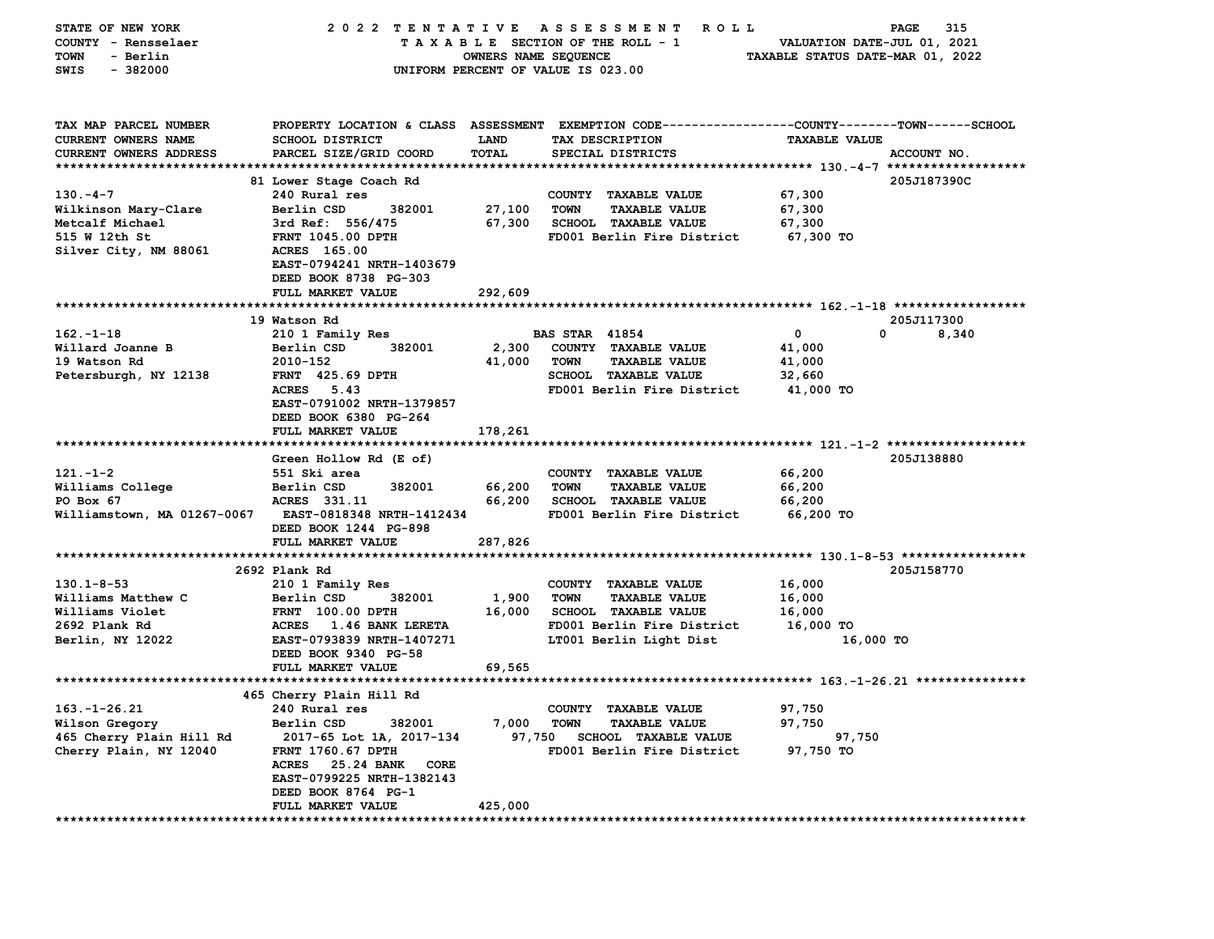| STATE OF NEW YORK                 | 2022 TENTATIVE ASSESSMENT                           |                      | <b>ROLL</b>                                                  |                                  | PAGE<br>315 |
|-----------------------------------|-----------------------------------------------------|----------------------|--------------------------------------------------------------|----------------------------------|-------------|
| COUNTY - Rensselaer               |                                                     |                      | TAXABLE SECTION OF THE ROLL - 1                              | VALUATION DATE-JUL 01, 2021      |             |
| <b>TOWN</b><br>- Berlin           |                                                     | OWNERS NAME SEQUENCE |                                                              | TAXABLE STATUS DATE-MAR 01, 2022 |             |
| $-382000$<br>SWIS                 |                                                     |                      | UNIFORM PERCENT OF VALUE IS 023.00                           |                                  |             |
|                                   |                                                     |                      |                                                              |                                  |             |
| TAX MAP PARCEL NUMBER             | PROPERTY LOCATION & CLASS ASSESSMENT                |                      | EXEMPTION CODE-----------------COUNTY-------TOWN------SCHOOL |                                  |             |
| <b>CURRENT OWNERS NAME</b>        | <b>SCHOOL DISTRICT</b>                              | LAND                 | TAX DESCRIPTION                                              | <b>TAXABLE VALUE</b>             |             |
| CURRENT OWNERS ADDRESS            | PARCEL SIZE/GRID COORD                              | TOTAL                | SPECIAL DISTRICTS                                            |                                  | ACCOUNT NO. |
|                                   |                                                     |                      |                                                              |                                  |             |
|                                   | 81 Lower Stage Coach Rd                             |                      |                                                              |                                  | 205J187390C |
| $130 - 4 - 7$                     | 240 Rural res                                       |                      | COUNTY TAXABLE VALUE                                         | 67,300                           |             |
| Wilkinson Mary-Clare              | Berlin CSD<br>382001                                | 27,100               | <b>TOWN</b><br><b>TAXABLE VALUE</b>                          | 67,300                           |             |
| Metcalf Michael                   | 3rd Ref: 556/475                                    | 67,300               | SCHOOL TAXABLE VALUE                                         | 67,300                           |             |
| 515 W 12th St                     | FRNT 1045.00 DPTH                                   |                      | FD001 Berlin Fire District                                   | 67,300 TO                        |             |
| Silver City, NM 88061             | ACRES 165.00<br>EAST-0794241 NRTH-1403679           |                      |                                                              |                                  |             |
|                                   | DEED BOOK 8738 PG-303                               |                      |                                                              |                                  |             |
|                                   | FULL MARKET VALUE                                   | 292,609              |                                                              |                                  |             |
|                                   |                                                     |                      |                                                              |                                  |             |
|                                   | 19 Watson Rd                                        |                      |                                                              |                                  | 205J117300  |
| $162 - 1 - 18$                    | 210 1 Family Res                                    |                      | <b>BAS STAR 41854</b>                                        | 0                                | 0<br>8,340  |
| Willard Joanne B                  | 382001<br>Berlin CSD                                | 2,300                | COUNTY TAXABLE VALUE                                         | 41,000                           |             |
| 19 Watson Rd                      | 2010-152                                            | 41,000               | <b>TOWN</b><br><b>TAXABLE VALUE</b>                          | 41,000                           |             |
| Petersburgh, NY 12138             | FRNT 425.69 DPTH                                    |                      | <b>SCHOOL TAXABLE VALUE</b>                                  | 32,660                           |             |
|                                   | ACRES 5.43                                          |                      | FD001 Berlin Fire District                                   | 41,000 TO                        |             |
|                                   | EAST-0791002 NRTH-1379857                           |                      |                                                              |                                  |             |
|                                   | DEED BOOK 6380 PG-264                               |                      |                                                              |                                  |             |
|                                   | FULL MARKET VALUE                                   | 178,261              |                                                              |                                  |             |
|                                   | Green Hollow Rd (E of)                              |                      |                                                              |                                  | 205J138880  |
| $121 - 1 - 2$                     | 551 Ski area                                        |                      | COUNTY TAXABLE VALUE                                         | 66,200                           |             |
| Williams College                  | Berlin CSD<br>382001                                | 66,200               | <b>TOWN</b><br><b>TAXABLE VALUE</b>                          | 66,200                           |             |
| PO Box 67                         | ACRES 331.11                                        | 66,200               | SCHOOL TAXABLE VALUE                                         | 66,200                           |             |
| Williamstown, MA 01267-0067       | EAST-0818348 NRTH-1412434                           |                      | FD001 Berlin Fire District                                   | 66,200 TO                        |             |
|                                   | DEED BOOK 1244 PG-898                               |                      |                                                              |                                  |             |
|                                   | FULL MARKET VALUE                                   | 287,826              |                                                              |                                  |             |
|                                   |                                                     |                      |                                                              |                                  |             |
|                                   | 2692 Plank Rd                                       |                      |                                                              |                                  | 205J158770  |
| $130.1 - 8 - 53$                  | 210 1 Family Res                                    |                      | COUNTY TAXABLE VALUE                                         | 16,000                           |             |
| Williams Matthew C                | Berlin CSD<br>382001                                | 1,900                | <b>TOWN</b><br><b>TAXABLE VALUE</b>                          | 16,000                           |             |
| Williams Violet                   | <b>FRNT</b> 100.00 DPTH                             | 16,000               | SCHOOL TAXABLE VALUE                                         | 16,000                           |             |
| 2692 Plank Rd<br>Berlin, NY 12022 | ACRES 1.46 BANK LERETA<br>EAST-0793839 NRTH-1407271 |                      | FD001 Berlin Fire District<br>LT001 Berlin Light Dist        | 16,000 TO<br>16,000 TO           |             |
|                                   | DEED BOOK 9340 PG-58                                |                      |                                                              |                                  |             |
|                                   | FULL MARKET VALUE                                   | 69,565               |                                                              |                                  |             |
|                                   |                                                     |                      |                                                              |                                  |             |
|                                   | 465 Cherry Plain Hill Rd                            |                      |                                                              |                                  |             |
| $163. - 1 - 26.21$                | 240 Rural res                                       |                      | COUNTY TAXABLE VALUE                                         | 97,750                           |             |
| Wilson Gregory                    | Berlin CSD<br>382001                                | 7,000                | <b>TOWN</b><br><b>TAXABLE VALUE</b>                          | 97,750                           |             |
| 465 Cherry Plain Hill Rd          | 2017-65 Lot 1A, 2017-134                            | 97,750               | <b>SCHOOL TAXABLE VALUE</b>                                  | 97,750                           |             |
| Cherry Plain, NY 12040            | FRNT 1760.67 DPTH                                   |                      | FD001 Berlin Fire District                                   | 97,750 TO                        |             |
|                                   | <b>ACRES</b><br>25.24 BANK<br>CORE                  |                      |                                                              |                                  |             |
|                                   | EAST-0799225 NRTH-1382143                           |                      |                                                              |                                  |             |
|                                   | DEED BOOK 8764 PG-1<br>FULL MARKET VALUE            | 425,000              |                                                              |                                  |             |
| *********************             | ****************                                    |                      |                                                              |                                  |             |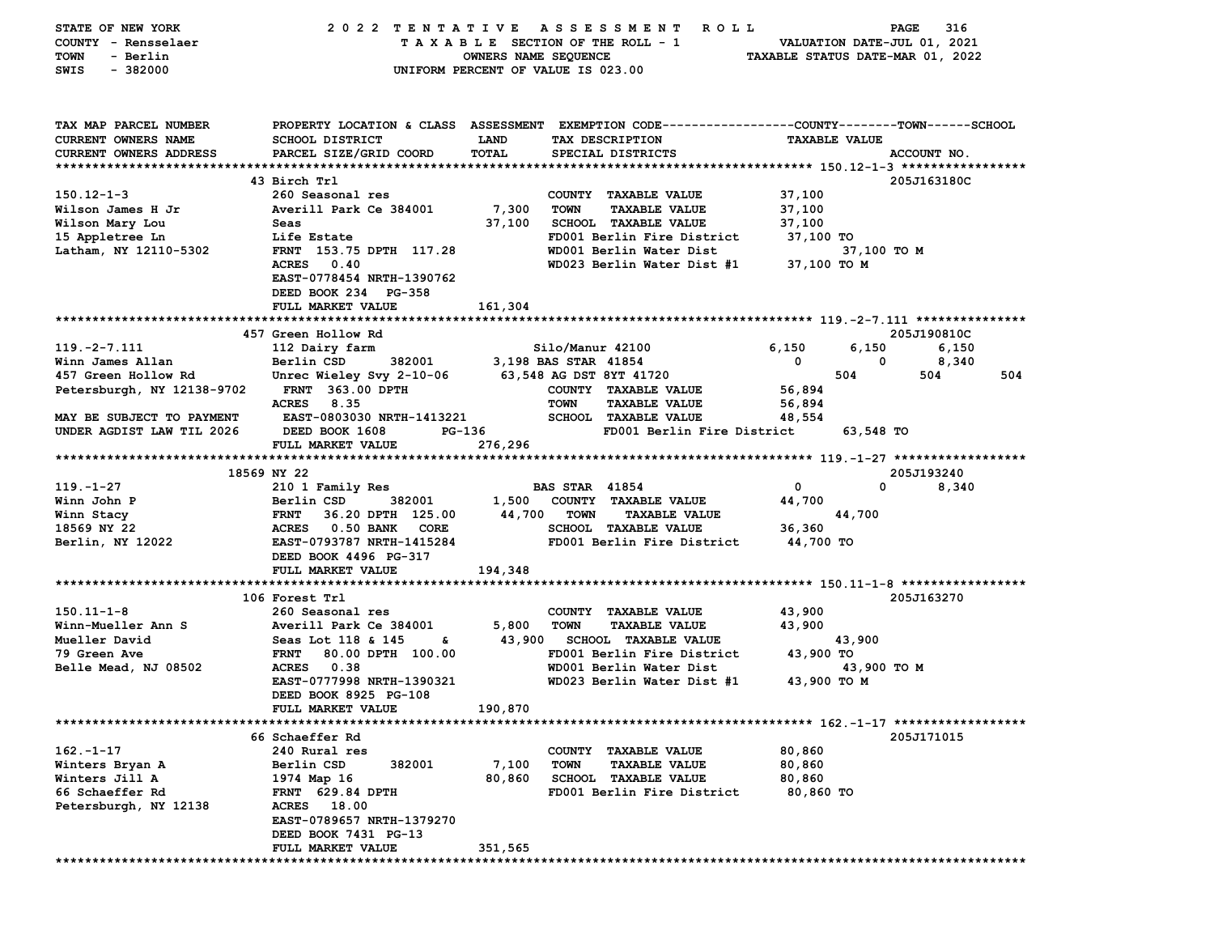| STATE OF NEW YORK          | 2022 TENTATIVE                                                                                 |                                    |                       | A S S E S S M E N T<br>ROLL     |             |                      | 316<br>PAGE                      |     |
|----------------------------|------------------------------------------------------------------------------------------------|------------------------------------|-----------------------|---------------------------------|-------------|----------------------|----------------------------------|-----|
| COUNTY - Rensselaer        |                                                                                                |                                    |                       | TAXABLE SECTION OF THE ROLL - 1 |             |                      | VALUATION DATE-JUL 01, 2021      |     |
| - Berlin<br>TOWN           |                                                                                                | OWNERS NAME SEQUENCE               |                       |                                 |             |                      | TAXABLE STATUS DATE-MAR 01, 2022 |     |
| SWIS<br>$-382000$          |                                                                                                | UNIFORM PERCENT OF VALUE IS 023.00 |                       |                                 |             |                      |                                  |     |
|                            |                                                                                                |                                    |                       |                                 |             |                      |                                  |     |
|                            |                                                                                                |                                    |                       |                                 |             |                      |                                  |     |
|                            |                                                                                                |                                    |                       |                                 |             |                      |                                  |     |
| TAX MAP PARCEL NUMBER      | PROPERTY LOCATION & CLASS ASSESSMENT EXEMPTION CODE--------------COUNTY-------TOWN------SCHOOL |                                    |                       |                                 |             |                      |                                  |     |
| CURRENT OWNERS NAME        | SCHOOL DISTRICT                                                                                | <b>LAND</b>                        |                       | TAX DESCRIPTION                 |             | <b>TAXABLE VALUE</b> |                                  |     |
| CURRENT OWNERS ADDRESS     | PARCEL SIZE/GRID COORD                                                                         | TOTAL                              |                       | SPECIAL DISTRICTS               |             |                      | ACCOUNT NO.                      |     |
|                            |                                                                                                |                                    |                       |                                 |             |                      |                                  |     |
|                            | 43 Birch Trl                                                                                   |                                    |                       |                                 |             |                      | 205J163180C                      |     |
| $150.12 - 1 - 3$           | 260 Seasonal res                                                                               |                                    |                       | COUNTY TAXABLE VALUE            | 37,100      |                      |                                  |     |
| Wilson James H Jr          | Averill Park Ce 384001                                                                         | 7,300                              | <b>TOWN</b>           | <b>TAXABLE VALUE</b>            | 37,100      |                      |                                  |     |
| Wilson Mary Lou            | Seas                                                                                           | 37,100                             |                       | <b>SCHOOL TAXABLE VALUE</b>     | 37,100      |                      |                                  |     |
| 15 Appletree Ln            | Life Estate                                                                                    |                                    |                       | FD001 Berlin Fire District      | 37,100 TO   |                      |                                  |     |
|                            | FRNT 153.75 DPTH 117.28                                                                        |                                    |                       | WD001 Berlin Water Dist         |             |                      |                                  |     |
| Latham, NY 12110-5302      |                                                                                                |                                    |                       |                                 |             | 37,100 TO M          |                                  |     |
|                            | 0.40<br><b>ACRES</b>                                                                           |                                    |                       | WD023 Berlin Water Dist #1      | 37,100 TO M |                      |                                  |     |
|                            | EAST-0778454 NRTH-1390762                                                                      |                                    |                       |                                 |             |                      |                                  |     |
|                            | DEED BOOK 234 PG-358                                                                           |                                    |                       |                                 |             |                      |                                  |     |
|                            | FULL MARKET VALUE                                                                              | 161,304                            |                       |                                 |             |                      |                                  |     |
|                            |                                                                                                |                                    |                       |                                 |             |                      |                                  |     |
|                            | 457 Green Hollow Rd                                                                            |                                    |                       |                                 |             |                      | 205J190810C                      |     |
| $119. -2 - 7.111$          | 112 Dairy farm                                                                                 |                                    | Silo/Manur 42100      |                                 | 6,150       | 6,150                | 6,150                            |     |
| Winn James Allan           | Berlin CSD<br>382001                                                                           |                                    | 3,198 BAS STAR 41854  |                                 | 0           | 0                    | 8,340                            |     |
| 457 Green Hollow Rd        | Unrec Wieley Svy 2-10-06                                                                       |                                    |                       | 63,548 AG DST 8YT 41720         |             | 504                  | 504                              | 504 |
| Petersburgh, NY 12138-9702 | <b>FRNT 363.00 DPTH</b>                                                                        |                                    |                       | COUNTY TAXABLE VALUE            | 56,894      |                      |                                  |     |
|                            | 8.35<br><b>ACRES</b>                                                                           |                                    | <b>TOWN</b>           | <b>TAXABLE VALUE</b>            | 56,894      |                      |                                  |     |
| MAY BE SUBJECT TO PAYMENT  | EAST-0803030 NRTH-1413221                                                                      |                                    |                       | <b>SCHOOL TAXABLE VALUE</b>     | 48,554      |                      |                                  |     |
| UNDER AGDIST LAW TIL 2026  | DEED BOOK 1608<br>PG-136                                                                       |                                    |                       | FD001 Berlin Fire District      |             | 63,548 TO            |                                  |     |
|                            | FULL MARKET VALUE                                                                              | 276,296                            |                       |                                 |             |                      |                                  |     |
|                            |                                                                                                |                                    |                       |                                 |             |                      |                                  |     |
|                            | 18569 NY 22                                                                                    |                                    |                       |                                 |             |                      | 205J193240                       |     |
| $119. - 1 - 27$            | 210 1 Family Res                                                                               |                                    | <b>BAS STAR 41854</b> |                                 | 0           | $\mathbf 0$          | 8,340                            |     |
| Winn John P                | Berlin CSD<br>382001                                                                           | 1,500                              |                       | COUNTY TAXABLE VALUE            | 44,700      |                      |                                  |     |
| Winn Stacy                 | <b>FRNT</b><br>36.20 DPTH 125.00                                                               |                                    | 44,700 TOWN           | <b>TAXABLE VALUE</b>            |             | 44,700               |                                  |     |
| 18569 NY 22                | ACRES 0.50 BANK<br><b>CORE</b>                                                                 |                                    |                       | <b>SCHOOL TAXABLE VALUE</b>     | 36,360      |                      |                                  |     |
|                            |                                                                                                |                                    |                       | FD001 Berlin Fire District      |             |                      |                                  |     |
| Berlin, NY 12022           | EAST-0793787 NRTH-1415284                                                                      |                                    |                       |                                 | 44,700 TO   |                      |                                  |     |
|                            | DEED BOOK 4496 PG-317                                                                          |                                    |                       |                                 |             |                      |                                  |     |
|                            | FULL MARKET VALUE                                                                              | 194,348                            |                       |                                 |             |                      |                                  |     |
|                            |                                                                                                |                                    |                       |                                 |             |                      |                                  |     |
|                            | 106 Forest Trl                                                                                 |                                    |                       |                                 |             |                      | 205J163270                       |     |
| 150.11-1-8                 | 260 Seasonal res                                                                               |                                    |                       | COUNTY TAXABLE VALUE            | 43,900      |                      |                                  |     |
| Winn-Mueller Ann S         | Averill Park Ce 384001                                                                         | 5,800                              | <b>TOWN</b>           | <b>TAXABLE VALUE</b>            | 43,900      |                      |                                  |     |
| Mueller David              | Seas Lot 118 & 145<br>s.                                                                       |                                    |                       | 43,900 SCHOOL TAXABLE VALUE     |             | 43,900               |                                  |     |
| 79 Green Ave               | <b>FRNT</b><br>80.00 DPTH 100.00                                                               |                                    |                       | FD001 Berlin Fire District      | 43,900 TO   |                      |                                  |     |
| Belle Mead, NJ 08502       | ACRES 0.38                                                                                     |                                    |                       | WD001 Berlin Water Dist         |             | 43,900 TO M          |                                  |     |
|                            | EAST-0777998 NRTH-1390321                                                                      |                                    |                       | WD023 Berlin Water Dist #1      | 43,900 TO M |                      |                                  |     |
|                            | DEED BOOK 8925 PG-108                                                                          |                                    |                       |                                 |             |                      |                                  |     |
|                            | FULL MARKET VALUE                                                                              | 190,870                            |                       |                                 |             |                      |                                  |     |
|                            |                                                                                                |                                    |                       |                                 |             |                      |                                  |     |
|                            | 66 Schaeffer Rd                                                                                |                                    |                       |                                 |             |                      | 205J171015                       |     |
| $162. - 1 - 17$            | 240 Rural res                                                                                  |                                    |                       | COUNTY TAXABLE VALUE            | 80,860      |                      |                                  |     |
| Winters Bryan A            | Berlin CSD<br>382001                                                                           | 7,100                              | <b>TOWN</b>           | <b>TAXABLE VALUE</b>            | 80,860      |                      |                                  |     |
|                            |                                                                                                |                                    |                       |                                 |             |                      |                                  |     |
| Winters Jill A             | 1974 Map 16                                                                                    | 80,860                             |                       | <b>SCHOOL TAXABLE VALUE</b>     | 80,860      |                      |                                  |     |
| 66 Schaeffer Rd            | <b>FRNT 629.84 DPTH</b>                                                                        |                                    |                       | FD001 Berlin Fire District      | 80,860 TO   |                      |                                  |     |
| Petersburgh, NY 12138      | ACRES 18.00                                                                                    |                                    |                       |                                 |             |                      |                                  |     |
|                            | EAST-0789657 NRTH-1379270                                                                      |                                    |                       |                                 |             |                      |                                  |     |
|                            | DEED BOOK 7431 PG-13                                                                           |                                    |                       |                                 |             |                      |                                  |     |
|                            | FULL MARKET VALUE                                                                              | 351,565                            |                       |                                 |             |                      |                                  |     |
|                            |                                                                                                |                                    |                       |                                 |             |                      |                                  |     |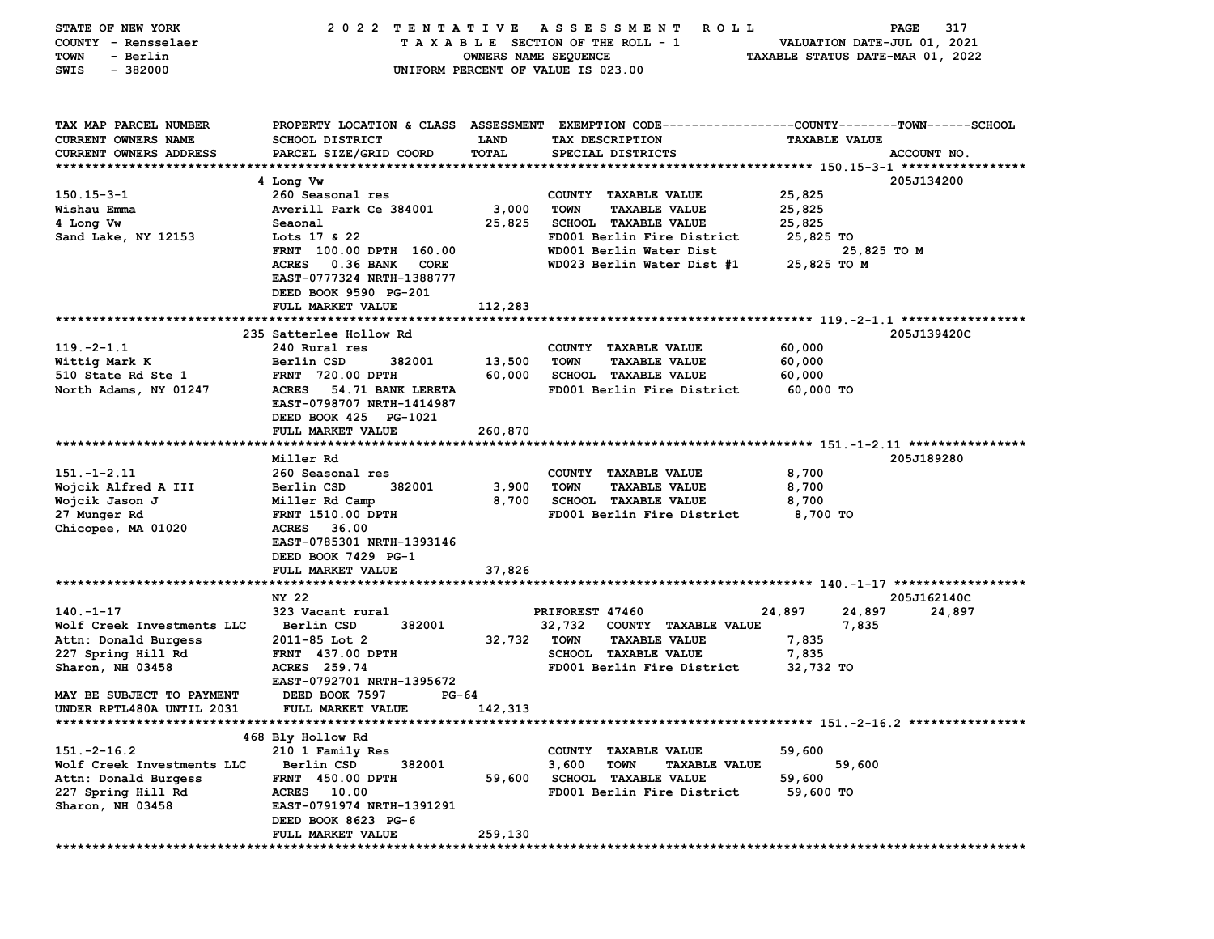| STATE OF NEW YORK          | 2022 TENTATIVE                    |                      | A S S E S S M E N T<br>R O L L                                                                 |                                  | 317<br>PAGE |
|----------------------------|-----------------------------------|----------------------|------------------------------------------------------------------------------------------------|----------------------------------|-------------|
| COUNTY - Rensselaer        |                                   |                      | TAXABLE SECTION OF THE ROLL - 1                                                                | VALUATION DATE-JUL 01, 2021      |             |
| - Berlin<br>TOWN           |                                   | OWNERS NAME SEQUENCE |                                                                                                | TAXABLE STATUS DATE-MAR 01, 2022 |             |
| SWIS<br>$-382000$          |                                   |                      | UNIFORM PERCENT OF VALUE IS 023.00                                                             |                                  |             |
|                            |                                   |                      |                                                                                                |                                  |             |
|                            |                                   |                      |                                                                                                |                                  |             |
|                            |                                   |                      |                                                                                                |                                  |             |
| TAX MAP PARCEL NUMBER      |                                   |                      | PROPERTY LOCATION & CLASS ASSESSMENT EXEMPTION CODE---------------COUNTY-------TOWN-----SCHOOL |                                  |             |
| CURRENT OWNERS NAME        | <b>SCHOOL DISTRICT</b>            | <b>LAND</b>          | TAX DESCRIPTION                                                                                | <b>TAXABLE VALUE</b>             |             |
| CURRENT OWNERS ADDRESS     | PARCEL SIZE/GRID COORD            | TOTAL                | SPECIAL DISTRICTS                                                                              |                                  | ACCOUNT NO. |
|                            |                                   |                      |                                                                                                |                                  |             |
|                            | 4 Long Vw                         |                      |                                                                                                |                                  | 205J134200  |
| $150.15 - 3 - 1$           | 260 Seasonal res                  |                      | COUNTY TAXABLE VALUE                                                                           | 25,825                           |             |
| Wishau Emma                | Averill Park Ce 384001            | 3,000                | <b>TOWN</b><br><b>TAXABLE VALUE</b>                                                            | 25,825                           |             |
| 4 Long Vw                  | Seaonal                           | 25,825               | <b>SCHOOL TAXABLE VALUE</b>                                                                    | 25,825                           |             |
| Sand Lake, NY 12153        | Lots 17 & 22                      |                      | FD001 Berlin Fire District                                                                     | 25,825 TO                        |             |
|                            | FRNT 100.00 DPTH 160.00           |                      | WD001 Berlin Water Dist                                                                        | 25,825 TO M                      |             |
|                            | <b>ACRES</b><br>0.36 BANK<br>CORE |                      | WD023 Berlin Water Dist #1                                                                     | 25,825 TO M                      |             |
|                            | EAST-0777324 NRTH-1388777         |                      |                                                                                                |                                  |             |
|                            | DEED BOOK 9590 PG-201             |                      |                                                                                                |                                  |             |
|                            | FULL MARKET VALUE                 | 112,283              |                                                                                                |                                  |             |
|                            |                                   |                      |                                                                                                |                                  |             |
|                            | 235 Satterlee Hollow Rd           |                      |                                                                                                |                                  | 205J139420C |
| $119. -2 - 1.1$            | 240 Rural res                     |                      | COUNTY TAXABLE VALUE                                                                           | 60,000                           |             |
| Wittig Mark K              | Berlin CSD<br>382001              | 13,500               | <b>TOWN</b><br><b>TAXABLE VALUE</b>                                                            | 60,000                           |             |
| 510 State Rd Ste 1         | <b>FRNT 720.00 DPTH</b>           | 60,000               | SCHOOL TAXABLE VALUE                                                                           | 60,000                           |             |
| North Adams, NY 01247      | <b>ACRES</b><br>54.71 BANK LERETA |                      | FD001 Berlin Fire District                                                                     | 60,000 TO                        |             |
|                            | EAST-0798707 NRTH-1414987         |                      |                                                                                                |                                  |             |
|                            | DEED BOOK 425 PG-1021             |                      |                                                                                                |                                  |             |
|                            | FULL MARKET VALUE                 | 260,870              |                                                                                                |                                  |             |
|                            |                                   |                      |                                                                                                |                                  |             |
|                            | Miller Rd                         |                      |                                                                                                |                                  | 205J189280  |
| $151. - 1 - 2.11$          | 260 Seasonal res                  |                      | COUNTY TAXABLE VALUE                                                                           | 8,700                            |             |
| Wojcik Alfred A III        | Berlin CSD<br>382001              | 3,900                | <b>TOWN</b><br><b>TAXABLE VALUE</b>                                                            | 8,700                            |             |
| Wojcik Jason J             | Miller Rd Camp                    | 8,700                | <b>SCHOOL TAXABLE VALUE</b>                                                                    | 8,700                            |             |
| 27 Munger Rd               | FRNT 1510.00 DPTH                 |                      | FD001 Berlin Fire District                                                                     | 8,700 TO                         |             |
| Chicopee, MA 01020         | <b>ACRES</b><br>36.00             |                      |                                                                                                |                                  |             |
|                            | EAST-0785301 NRTH-1393146         |                      |                                                                                                |                                  |             |
|                            | DEED BOOK 7429 PG-1               |                      |                                                                                                |                                  |             |
|                            | <b>FULL MARKET VALUE</b>          | 37,826               |                                                                                                |                                  |             |
|                            |                                   |                      |                                                                                                |                                  |             |
|                            | NY 22                             |                      |                                                                                                |                                  | 205J162140C |
| $140. - 1 - 17$            | 323 Vacant rural                  |                      | PRIFOREST 47460                                                                                | 24,897<br>24,897                 | 24,897      |
| Wolf Creek Investments LLC | Berlin CSD<br>382001              |                      | 32,732<br>COUNTY TAXABLE VALUE                                                                 | 7,835                            |             |
| Attn: Donald Burgess       | 2011-85 Lot 2                     | 32,732               | <b>TOWN</b><br><b>TAXABLE VALUE</b>                                                            | 7,835                            |             |
| 227 Spring Hill Rd         | <b>FRNT 437.00 DPTH</b>           |                      | SCHOOL TAXABLE VALUE                                                                           | 7,835                            |             |
| Sharon, NH 03458           | ACRES 259.74                      |                      | FD001 Berlin Fire District                                                                     | 32,732 TO                        |             |
|                            | EAST-0792701 NRTH-1395672         |                      |                                                                                                |                                  |             |
| MAY BE SUBJECT TO PAYMENT  | DEED BOOK 7597<br>PG-64           |                      |                                                                                                |                                  |             |
| UNDER RPTL480A UNTIL 2031  | FULL MARKET VALUE                 | 142,313              |                                                                                                |                                  |             |
|                            |                                   |                      |                                                                                                |                                  |             |
|                            | 468 Bly Hollow Rd                 |                      |                                                                                                |                                  |             |
|                            |                                   |                      |                                                                                                |                                  |             |
| $151.-2-16.2$              | 210 1 Family Res                  |                      | COUNTY TAXABLE VALUE                                                                           | 59,600                           |             |
| Wolf Creek Investments LLC | Berlin CSD<br>382001              |                      | 3,600<br><b>TOWN</b><br><b>TAXABLE VALUE</b>                                                   | 59,600                           |             |
| Attn: Donald Burgess       | FRNT 450.00 DPTH                  | 59,600               | <b>SCHOOL TAXABLE VALUE</b>                                                                    | 59,600                           |             |
| 227 Spring Hill Rd         | ACRES 10.00                       |                      | FD001 Berlin Fire District                                                                     | 59,600 TO                        |             |
| Sharon, NH 03458           | EAST-0791974 NRTH-1391291         |                      |                                                                                                |                                  |             |
|                            | DEED BOOK 8623 PG-6               |                      |                                                                                                |                                  |             |
|                            | FULL MARKET VALUE                 | 259,130              |                                                                                                |                                  |             |
|                            |                                   |                      |                                                                                                |                                  |             |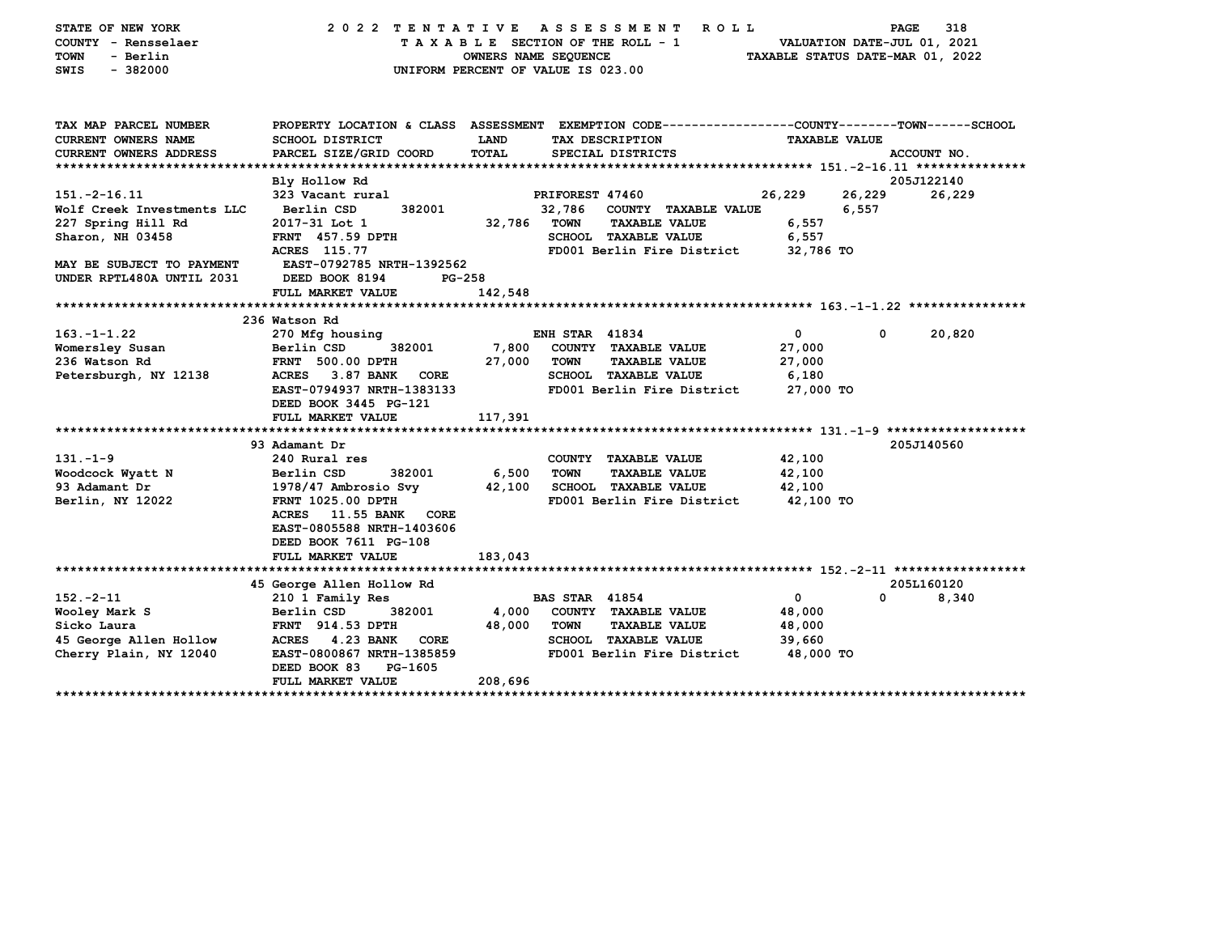| STATE OF NEW YORK<br>COUNTY - Rensselaer<br>- Berlin<br>TOWN<br>SWIS<br>$-382000$ | 2022 TENTATIVE<br>UNIFORM PERCENT OF VALUE IS 023.00                                                                                          | OWNERS NAME SEQUENCE |                       | ASSESSMENT<br><b>ROLL</b><br>TAXABLE SECTION OF THE ROLL - 1 | TAXABLE STATUS DATE-MAR 01, 2022 | PAGE<br>VALUATION DATE-JUL 01, 2021 | 318         |
|-----------------------------------------------------------------------------------|-----------------------------------------------------------------------------------------------------------------------------------------------|----------------------|-----------------------|--------------------------------------------------------------|----------------------------------|-------------------------------------|-------------|
| TAX MAP PARCEL NUMBER<br>CURRENT OWNERS NAME<br>CURRENT OWNERS ADDRESS            | PROPERTY LOCATION & CLASS ASSESSMENT EXEMPTION CODE----------------COUNTY-------TOWN------SCHOOL<br>SCHOOL DISTRICT<br>PARCEL SIZE/GRID COORD | LAND<br><b>TOTAL</b> |                       | TAX DESCRIPTION<br>SPECIAL DISTRICTS                         | <b>TAXABLE VALUE</b>             |                                     | ACCOUNT NO. |
|                                                                                   |                                                                                                                                               |                      |                       |                                                              |                                  |                                     |             |
|                                                                                   | Bly Hollow Rd                                                                                                                                 |                      |                       |                                                              |                                  |                                     | 205J122140  |
| $151. -2 - 16.11$                                                                 | 323 Vacant rural                                                                                                                              |                      | PRIFOREST 47460       |                                                              | 26,229                           | 26,229                              | 26,229      |
| Wolf Creek Investments LLC                                                        | Berlin CSD<br>382001                                                                                                                          | 32,786 TOWN          |                       | 32,786 COUNTY TAXABLE VALUE<br><b>TAXABLE VALUE</b>          | 6,557                            | 6,557                               |             |
| 227 Spring Hill Rd<br>Sharon, NH 03458                                            | 2017-31 Lot 1<br><b>FRNT</b> 457.59 DPTH                                                                                                      |                      |                       | SCHOOL TAXABLE VALUE                                         | 6,557                            |                                     |             |
|                                                                                   | ACRES 115.77                                                                                                                                  |                      |                       | FD001 Berlin Fire District                                   | 32,786 TO                        |                                     |             |
| MAY BE SUBJECT TO PAYMENT                                                         | EAST-0792785 NRTH-1392562                                                                                                                     |                      |                       |                                                              |                                  |                                     |             |
| UNDER RPTL480A UNTIL 2031                                                         | DEED BOOK 8194<br>$PG-258$                                                                                                                    |                      |                       |                                                              |                                  |                                     |             |
|                                                                                   | FULL MARKET VALUE                                                                                                                             | 142,548              |                       |                                                              |                                  |                                     |             |
|                                                                                   |                                                                                                                                               |                      |                       |                                                              |                                  |                                     |             |
|                                                                                   | 236 Watson Rd                                                                                                                                 |                      |                       |                                                              |                                  |                                     |             |
| $163. - 1 - 1.22$                                                                 | 270 Mfg housing                                                                                                                               |                      | <b>ENH STAR 41834</b> |                                                              | $\mathbf 0$                      | 0                                   | 20,820      |
| Womersley Susan                                                                   | 382001<br>Berlin CSD                                                                                                                          | 7,800                |                       | COUNTY TAXABLE VALUE                                         | 27,000                           |                                     |             |
| 236 Watson Rd                                                                     | <b>FRNT 500.00 DPTH</b>                                                                                                                       | 27,000               | <b>TOWN</b>           | <b>TAXABLE VALUE</b>                                         | 27,000                           |                                     |             |
| Petersburgh, NY 12138                                                             | ACRES 3.87 BANK<br>CORE                                                                                                                       |                      |                       | <b>SCHOOL TAXABLE VALUE</b>                                  | 6,180                            |                                     |             |
|                                                                                   | EAST-0794937 NRTH-1383133                                                                                                                     |                      |                       | FD001 Berlin Fire District                                   | 27,000 TO                        |                                     |             |
|                                                                                   | DEED BOOK 3445 PG-121<br>FULL MARKET VALUE                                                                                                    | 117,391              |                       |                                                              |                                  |                                     |             |
|                                                                                   |                                                                                                                                               |                      |                       |                                                              |                                  |                                     |             |
|                                                                                   | 93 Adamant Dr                                                                                                                                 |                      |                       |                                                              |                                  |                                     | 205J140560  |
| $131 - 1 - 9$                                                                     | 240 Rural res                                                                                                                                 |                      |                       | COUNTY TAXABLE VALUE                                         | 42,100                           |                                     |             |
| Woodcock Wyatt N                                                                  | 382001<br>Berlin CSD                                                                                                                          | 6,500                | <b>TOWN</b>           | <b>TAXABLE VALUE</b>                                         | 42,100                           |                                     |             |
| 93 Adamant Dr                                                                     | 1978/47 Ambrosio Svy                                                                                                                          | 42,100               |                       | SCHOOL TAXABLE VALUE                                         | 42,100                           |                                     |             |
| Berlin, NY 12022                                                                  | <b>FRNT 1025.00 DPTH</b>                                                                                                                      |                      |                       | FD001 Berlin Fire District                                   | 42,100 TO                        |                                     |             |
|                                                                                   | ACRES 11.55 BANK CORE                                                                                                                         |                      |                       |                                                              |                                  |                                     |             |
|                                                                                   | EAST-0805588 NRTH-1403606                                                                                                                     |                      |                       |                                                              |                                  |                                     |             |
|                                                                                   | DEED BOOK 7611 PG-108                                                                                                                         |                      |                       |                                                              |                                  |                                     |             |
|                                                                                   | FULL MARKET VALUE                                                                                                                             | 183,043              |                       |                                                              |                                  |                                     |             |
|                                                                                   | 45 George Allen Hollow Rd                                                                                                                     |                      |                       |                                                              |                                  |                                     | 205L160120  |
| $152 - 2 - 11$                                                                    | 210 1 Family Res                                                                                                                              |                      | <b>BAS STAR 41854</b> |                                                              | $\mathbf 0$                      | $\Omega$                            | 8,340       |
| Wooley Mark S                                                                     | Berlin CSD<br>382001                                                                                                                          | 4,000                |                       | COUNTY TAXABLE VALUE                                         | 48,000                           |                                     |             |
| Sicko Laura                                                                       | <b>FRNT</b> 914.53 DPTH                                                                                                                       | 48,000               | <b>TOWN</b>           | <b>TAXABLE VALUE</b>                                         | 48,000                           |                                     |             |
| 45 George Allen Hollow                                                            | ACRES 4.23 BANK<br><b>CORE</b>                                                                                                                |                      |                       | SCHOOL TAXABLE VALUE                                         | 39,660                           |                                     |             |
| Cherry Plain, NY 12040                                                            | EAST-0800867 NRTH-1385859                                                                                                                     |                      |                       | FD001 Berlin Fire District                                   | 48,000 TO                        |                                     |             |
|                                                                                   | DEED BOOK 83<br>PG-1605                                                                                                                       |                      |                       |                                                              |                                  |                                     |             |
|                                                                                   | FULL MARKET VALUE                                                                                                                             | 208,696              |                       |                                                              |                                  |                                     |             |
|                                                                                   |                                                                                                                                               |                      |                       |                                                              |                                  |                                     |             |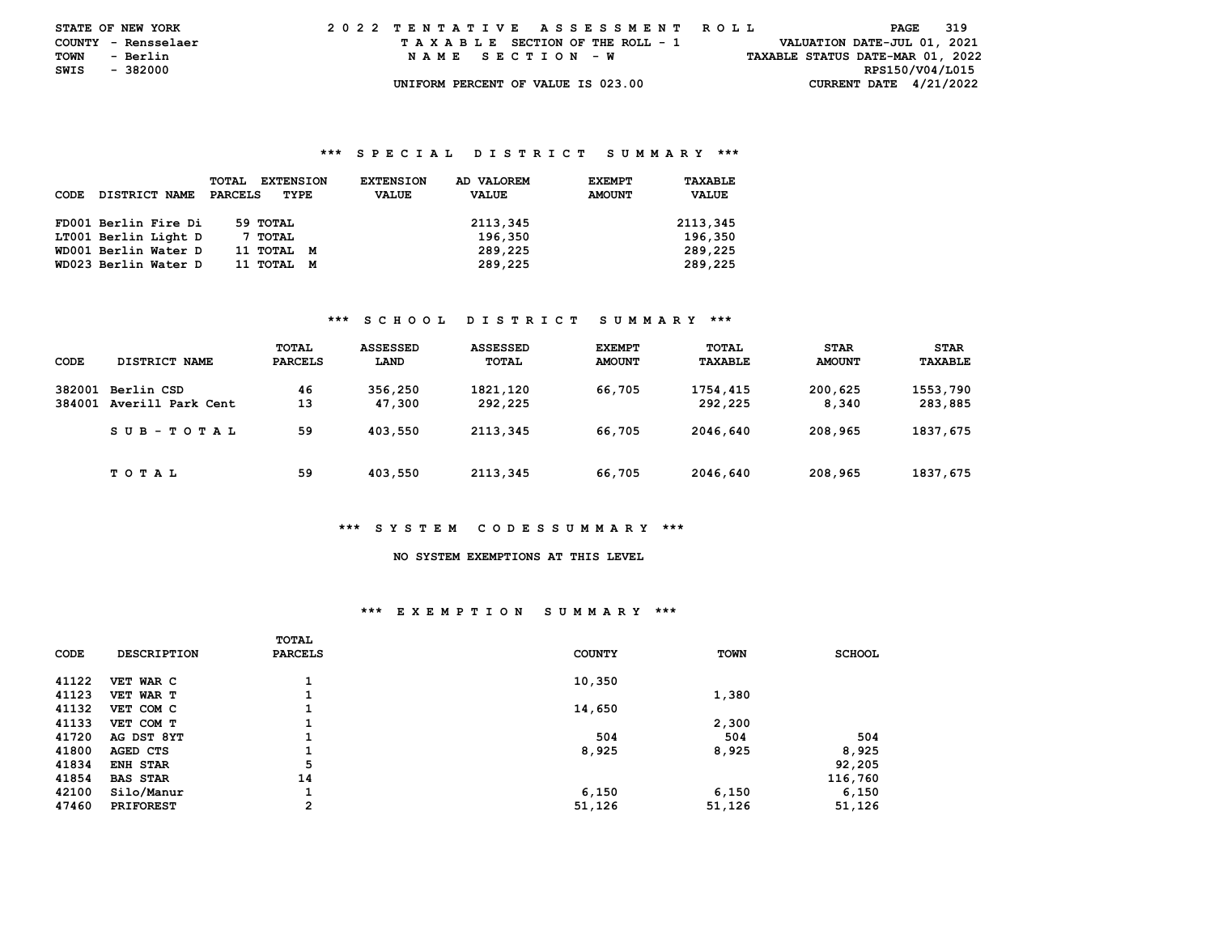| <b>STATE OF NEW YORK</b> |          |          |  |  |  |  |                                    |  |  |  |  | 2022 TENTATIVE ASSESSMENT ROLL |  |  |                                  |                 | PAGE | 319 |  |
|--------------------------|----------|----------|--|--|--|--|------------------------------------|--|--|--|--|--------------------------------|--|--|----------------------------------|-----------------|------|-----|--|
| COUNTY - Rensselaer      |          |          |  |  |  |  | TAXABLE SECTION OF THE ROLL - 1    |  |  |  |  |                                |  |  | VALUATION DATE-JUL 01, 2021      |                 |      |     |  |
| TOWN                     | - Berlin |          |  |  |  |  | NAME SECTION - W                   |  |  |  |  |                                |  |  | TAXABLE STATUS DATE-MAR 01, 2022 |                 |      |     |  |
| SWIS                     |          | - 382000 |  |  |  |  |                                    |  |  |  |  |                                |  |  |                                  | RPS150/V04/L015 |      |     |  |
|                          |          |          |  |  |  |  | UNIFORM PERCENT OF VALUE IS 023.00 |  |  |  |  |                                |  |  | CURRENT DATE $4/21/2022$         |                 |      |     |  |

| CODE | DISTRICT NAME        | <b>TOTAL</b><br><b>EXTENSION</b><br>PARCELS<br>TYPE | AD VALOREM<br><b>EXTENSION</b><br><b>VALUE</b><br><b>VALUE</b> | TAXABLE<br><b>EXEMPT</b><br><b>AMOUNT</b><br><b>VALUE</b> |
|------|----------------------|-----------------------------------------------------|----------------------------------------------------------------|-----------------------------------------------------------|
|      | FD001 Berlin Fire Di | 59 TOTAL                                            | 2113,345                                                       | 2113,345                                                  |
|      | LT001 Berlin Light D | 7 TOTAL                                             | 196,350                                                        | 196,350                                                   |
|      | WD001 Berlin Water D | 11 тотац<br>M                                       | 289,225                                                        | 289,225                                                   |
|      | WD023 Berlin Water D | 11 тотаг<br>M                                       | 289,225                                                        | 289,225                                                   |

## **\*\*\* S C H O O L D I S T R I C T S U M M A R Y \*\*\***

| CODE             | DISTRICT NAME                   | TOTAL<br><b>PARCELS</b> | <b>ASSESSED</b><br>LAND | <b>ASSESSED</b><br><b>TOTAL</b> | <b>EXEMPT</b><br><b>AMOUNT</b> | TOTAL<br>TAXABLE    | <b>STAR</b><br><b>AMOUNT</b> | <b>STAR</b><br>TAXABLE |
|------------------|---------------------------------|-------------------------|-------------------------|---------------------------------|--------------------------------|---------------------|------------------------------|------------------------|
| 382001<br>384001 | Berlin CSD<br>Averill Park Cent | 46<br>13                | 356,250<br>47,300       | 1821, 120<br>292,225            | 66,705                         | 1754,415<br>292,225 | 200,625<br>8,340             | 1553,790<br>283,885    |
|                  | $SUB - TO T AL$                 | 59                      | 403,550                 | 2113,345                        | 66,705                         | 2046,640            | 208,965                      | 1837,675               |
|                  | T O T A L                       | 59                      | 403,550                 | 2113,345                        | 66,705                         | 2046.640            | 208,965                      | 1837,675               |

### **\*\*\* S Y S T E M C O D E S S U M M A R Y \*\*\***

# **NO SYSTEM EXEMPTIONS AT THIS LEVEL**

## **\*\*\* E X E M P T I O N S U M M A R Y \*\*\***

|       |                    | <b>TOTAL</b>   |               |             |               |
|-------|--------------------|----------------|---------------|-------------|---------------|
| CODE  | <b>DESCRIPTION</b> | <b>PARCELS</b> | <b>COUNTY</b> | <b>TOWN</b> | <b>SCHOOL</b> |
| 41122 |                    |                |               |             |               |
|       | VET WAR C          |                | 10,350        |             |               |
| 41123 | VET WAR T          | 1              |               | 1,380       |               |
| 41132 | VET COM C          | 1              | 14,650        |             |               |
| 41133 | VET COM T          |                |               | 2,300       |               |
| 41720 | AG DST 8YT         | 1              | 504           | 504         | 504           |
| 41800 | AGED CTS           | 1              | 8,925         | 8,925       | 8,925         |
| 41834 | <b>ENH STAR</b>    | 5              |               |             | 92,205        |
| 41854 | <b>BAS STAR</b>    | 14             |               |             | 116,760       |
| 42100 | Silo/Manur         | 1              | 6,150         | 6,150       | 6,150         |
| 47460 | <b>PRIFOREST</b>   | $\overline{2}$ | 51,126        | 51,126      | 51,126        |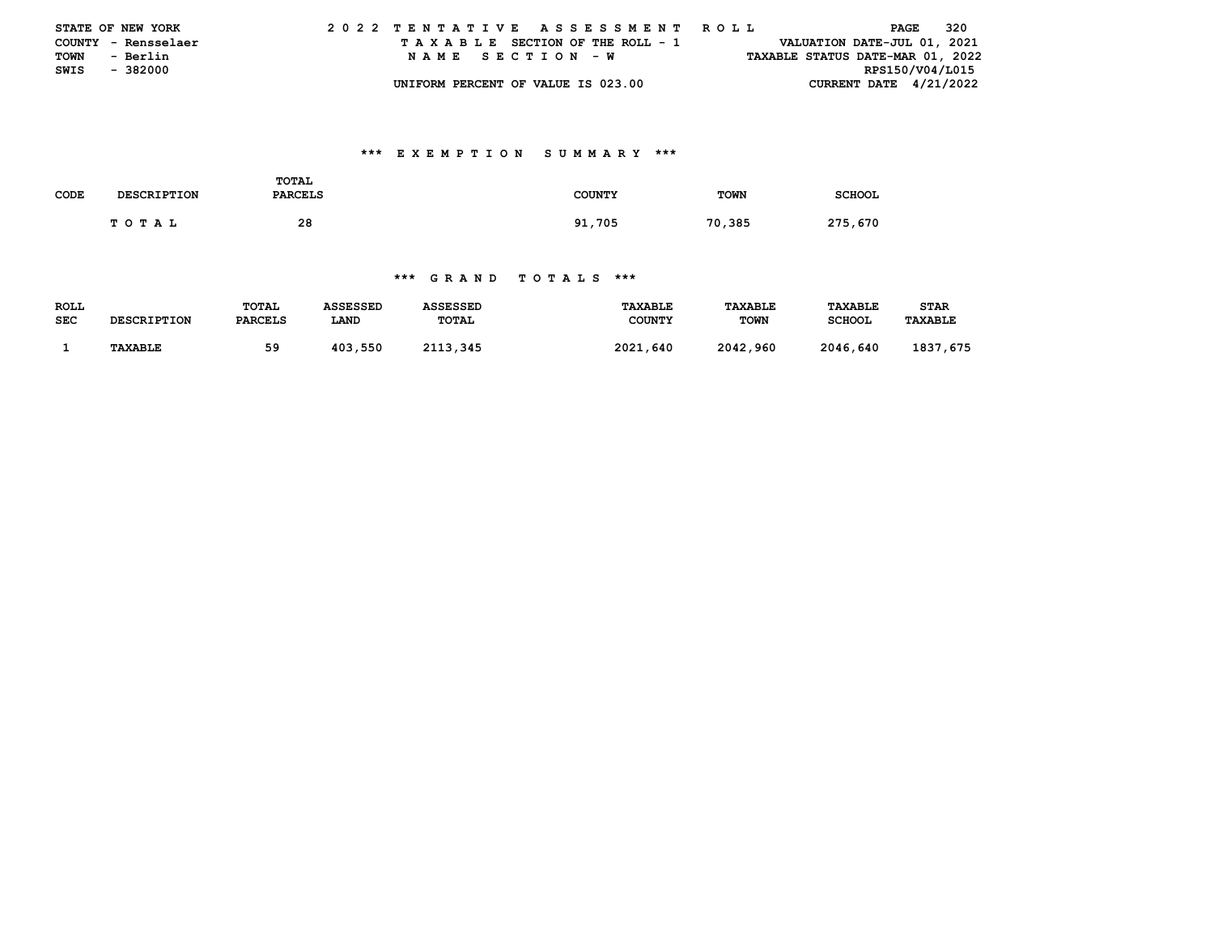|      | <b>STATE OF NEW YORK</b> | 2022 TENTATIVE ASSESSMENT ROLL     | 320<br>PAGE                      |
|------|--------------------------|------------------------------------|----------------------------------|
|      | COUNTY - Rensselaer      | TAXABLE SECTION OF THE ROLL - 1    | VALUATION DATE-JUL 01, 2021      |
| TOWN | - Berlin                 | NAME SECTION - W                   | TAXABLE STATUS DATE-MAR 01, 2022 |
| SWIS | - 382000                 |                                    | RPS150/V04/L015                  |
|      |                          | UNIFORM PERCENT OF VALUE IS 023.00 | CURRENT DATE $4/21/2022$         |

# **\*\*\* E X E M P T I O N S U M M A R Y \*\*\***

| CODE | <b>DESCRIPTION</b> | TOTAL<br><b>PARCELS</b> | <b>COUNTY</b> | TOWN   | <b>SCHOOL</b> |
|------|--------------------|-------------------------|---------------|--------|---------------|
|      | <b>TOTAL</b>       | 28                      | 91,705        | 70,385 | 275,670       |

| <b>ROLL</b> | <b>DESCRIPTION</b> | TOTAL          | ASSESSED | ASSESSED | <b>TAXABLE</b> | <b>TAXABLE</b> | <b>TAXABLE</b> | <b>STAR</b>    |
|-------------|--------------------|----------------|----------|----------|----------------|----------------|----------------|----------------|
| <b>SEC</b>  |                    | <b>PARCELS</b> | LAND     | TOTAL    | <b>COUNTY</b>  | <b>TOWN</b>    | <b>SCHOOL</b>  | <b>TAXABLE</b> |
|             | <b>TAXABLE</b>     | 59             | 403,550  | 2113,345 | 2021,640       | 2042,960       | 2046,640       | 1837,675       |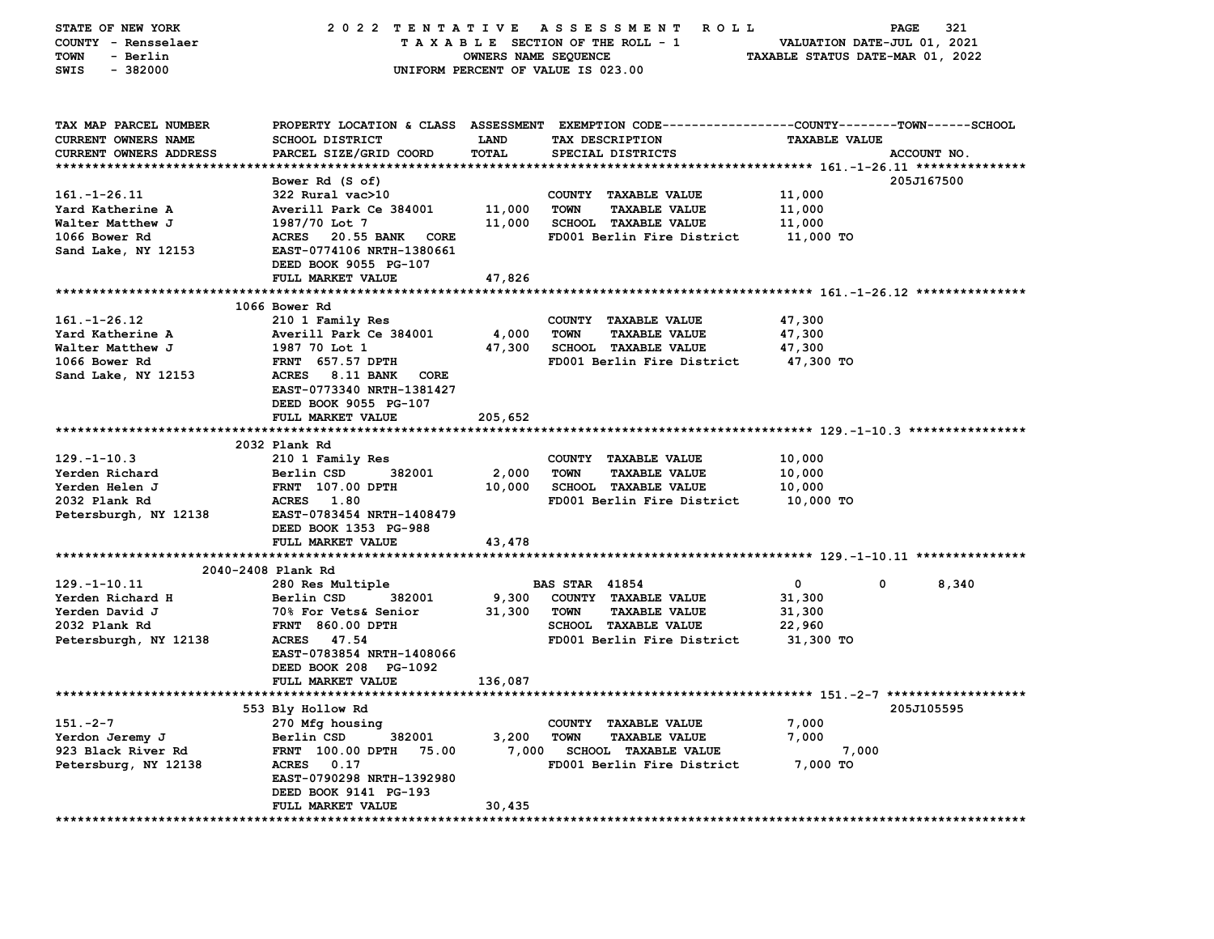| STATE OF NEW YORK                                   | 2022 TENTATIVE<br>A S S E S S M E N T<br>ROLL<br><b>PAGE</b><br>321 |                      |                                                                                                 |                                  |                                                         |  |  |
|-----------------------------------------------------|---------------------------------------------------------------------|----------------------|-------------------------------------------------------------------------------------------------|----------------------------------|---------------------------------------------------------|--|--|
| COUNTY - Rensselaer                                 |                                                                     |                      | TAXABLE SECTION OF THE ROLL - 1                                                                 | VALUATION DATE-JUL 01, 2021      |                                                         |  |  |
| - Berlin<br><b>TOWN</b>                             |                                                                     | OWNERS NAME SEQUENCE |                                                                                                 | TAXABLE STATUS DATE-MAR 01, 2022 |                                                         |  |  |
| $-382000$<br>SWIS                                   |                                                                     |                      | UNIFORM PERCENT OF VALUE IS 023.00                                                              |                                  |                                                         |  |  |
|                                                     |                                                                     |                      |                                                                                                 |                                  |                                                         |  |  |
|                                                     |                                                                     |                      |                                                                                                 |                                  |                                                         |  |  |
| TAX MAP PARCEL NUMBER                               |                                                                     |                      | PROPERTY LOCATION & CLASS ASSESSMENT EXEMPTION CODE---------------COUNTY-------TOWN------SCHOOL |                                  |                                                         |  |  |
| CURRENT OWNERS NAME                                 | SCHOOL DISTRICT                                                     | LAND                 | TAX DESCRIPTION                                                                                 | <b>TAXABLE VALUE</b>             |                                                         |  |  |
| CURRENT OWNERS ADDRESS                              | PARCEL SIZE/GRID COORD                                              | TOTAL                | SPECIAL DISTRICTS                                                                               |                                  | ACCOUNT NO.                                             |  |  |
|                                                     |                                                                     |                      |                                                                                                 |                                  |                                                         |  |  |
|                                                     | Bower Rd (S of)                                                     |                      |                                                                                                 |                                  | 205J167500                                              |  |  |
| $161. - 1 - 26.11$                                  | 322 Rural vac>10                                                    |                      | COUNTY TAXABLE VALUE                                                                            | 11,000                           |                                                         |  |  |
| Yard Katherine A                                    | Averill Park Ce 384001                                              | 11,000               | <b>TOWN</b><br><b>TAXABLE VALUE</b>                                                             | 11,000                           |                                                         |  |  |
| Walter Matthew J                                    | 1987/70 Lot 7                                                       | 11,000               | <b>SCHOOL TAXABLE VALUE</b>                                                                     | 11,000                           |                                                         |  |  |
| 1066 Bower Rd                                       | <b>ACRES</b><br>20.55 BANK<br>CORE                                  |                      | FD001 Berlin Fire District                                                                      | 11,000 TO                        |                                                         |  |  |
| Sand Lake, NY 12153                                 | EAST-0774106 NRTH-1380661                                           |                      |                                                                                                 |                                  |                                                         |  |  |
|                                                     | DEED BOOK 9055 PG-107                                               |                      |                                                                                                 |                                  |                                                         |  |  |
|                                                     | FULL MARKET VALUE                                                   | 47,826               |                                                                                                 |                                  |                                                         |  |  |
|                                                     |                                                                     | ********             |                                                                                                 |                                  | ************************** 161.-1-26.12 *************** |  |  |
|                                                     | 1066 Bower Rd                                                       |                      |                                                                                                 |                                  |                                                         |  |  |
| $161. - 1 - 26.12$                                  | 210 1 Family Res                                                    |                      | COUNTY TAXABLE VALUE                                                                            | 47,300                           |                                                         |  |  |
| Yard Katherine A                                    | Averill Park Ce 384001                                              | 4,000                | <b>TOWN</b><br><b>TAXABLE VALUE</b>                                                             | 47,300                           |                                                         |  |  |
| Walter Matthew J                                    | 1987 70 Lot 1                                                       | 47,300               | <b>SCHOOL TAXABLE VALUE</b>                                                                     | 47,300                           |                                                         |  |  |
| 1066 Bower Rd                                       | <b>FRNT 657.57 DPTH</b>                                             |                      | FD001 Berlin Fire District                                                                      | 47,300 TO                        |                                                         |  |  |
| Sand Lake, NY 12153                                 | <b>ACRES</b><br>8.11 BANK<br>CORE                                   |                      |                                                                                                 |                                  |                                                         |  |  |
|                                                     | EAST-0773340 NRTH-1381427                                           |                      |                                                                                                 |                                  |                                                         |  |  |
|                                                     | DEED BOOK 9055 PG-107                                               |                      |                                                                                                 |                                  |                                                         |  |  |
|                                                     | FULL MARKET VALUE                                                   | 205,652              |                                                                                                 |                                  |                                                         |  |  |
|                                                     |                                                                     |                      | ************************************** 129.-1-10.3 ****************                             |                                  |                                                         |  |  |
|                                                     | 2032 Plank Rd                                                       |                      |                                                                                                 |                                  |                                                         |  |  |
| $129. - 1 - 10.3$                                   | 210 1 Family Res                                                    |                      | COUNTY TAXABLE VALUE                                                                            | 10,000                           |                                                         |  |  |
| Yerden Richard                                      | 382001<br>Berlin CSD                                                | 2,000                | <b>TOWN</b><br><b>TAXABLE VALUE</b>                                                             | 10,000                           |                                                         |  |  |
| Yerden Helen J                                      | <b>FRNT</b> 107.00 DPTH                                             | 10,000               | <b>SCHOOL TAXABLE VALUE</b>                                                                     | 10,000                           |                                                         |  |  |
| 2032 Plank Rd                                       | 1.80<br><b>ACRES</b>                                                |                      | FD001 Berlin Fire District                                                                      | 10,000 TO                        |                                                         |  |  |
| Petersburgh, NY 12138                               | EAST-0783454 NRTH-1408479                                           |                      |                                                                                                 |                                  |                                                         |  |  |
|                                                     | DEED BOOK 1353 PG-988                                               |                      |                                                                                                 |                                  |                                                         |  |  |
|                                                     | FULL MARKET VALUE                                                   | 43,478               |                                                                                                 |                                  |                                                         |  |  |
|                                                     |                                                                     |                      |                                                                                                 |                                  |                                                         |  |  |
|                                                     | 2040-2408 Plank Rd                                                  |                      |                                                                                                 |                                  |                                                         |  |  |
| $129. - 1 - 10.11$                                  | 280 Res Multiple                                                    |                      | <b>BAS STAR 41854</b>                                                                           | $\mathbf{o}$<br>0                | 8,340                                                   |  |  |
| Yerden Richard H                                    | Berlin CSD<br>382001                                                | 9,300                | COUNTY TAXABLE VALUE                                                                            | 31,300                           |                                                         |  |  |
| Yerden David J                                      | 70% For Vets& Senior                                                | 31,300               | <b>TOWN</b><br><b>TAXABLE VALUE</b>                                                             | 31,300                           |                                                         |  |  |
| 2032 Plank Rd                                       | <b>FRNT 860.00 DPTH</b>                                             |                      | SCHOOL TAXABLE VALUE                                                                            | 22,960                           |                                                         |  |  |
| Petersburgh, NY 12138                               | 47.54<br><b>ACRES</b>                                               |                      | FD001 Berlin Fire District                                                                      | 31,300 TO                        |                                                         |  |  |
|                                                     | EAST-0783854 NRTH-1408066                                           |                      |                                                                                                 |                                  |                                                         |  |  |
|                                                     | DEED BOOK 208 PG-1092                                               |                      |                                                                                                 |                                  |                                                         |  |  |
|                                                     | <b>FULL MARKET VALUE</b>                                            | 136,087              |                                                                                                 |                                  |                                                         |  |  |
|                                                     |                                                                     |                      |                                                                                                 |                                  |                                                         |  |  |
|                                                     | 553 Bly Hollow Rd                                                   |                      |                                                                                                 |                                  | 205J105595                                              |  |  |
| $151 - 2 - 7$                                       | 270 Mfg housing                                                     |                      | <b>COUNTY</b><br><b>TAXABLE VALUE</b>                                                           | 7,000                            |                                                         |  |  |
| Yerdon Jeremy J                                     | Berlin CSD<br>382001                                                | 3,200                | <b>TAXABLE VALUE</b><br><b>TOWN</b>                                                             | 7,000                            |                                                         |  |  |
| 923 Black River Rd                                  | 75.00<br>FRNT 100.00 DPTH                                           |                      | SCHOOL TAXABLE VALUE                                                                            | 7,000                            |                                                         |  |  |
| Petersburg, NY 12138                                | <b>ACRES</b><br>0.17                                                | 7,000                | FD001 Berlin Fire District                                                                      | 7,000 TO                         |                                                         |  |  |
|                                                     | EAST-0790298 NRTH-1392980                                           |                      |                                                                                                 |                                  |                                                         |  |  |
|                                                     | DEED BOOK 9141 PG-193                                               |                      |                                                                                                 |                                  |                                                         |  |  |
|                                                     | FULL MARKET VALUE                                                   | 30,435               |                                                                                                 |                                  |                                                         |  |  |
| ****************************<br>******************* |                                                                     |                      |                                                                                                 |                                  |                                                         |  |  |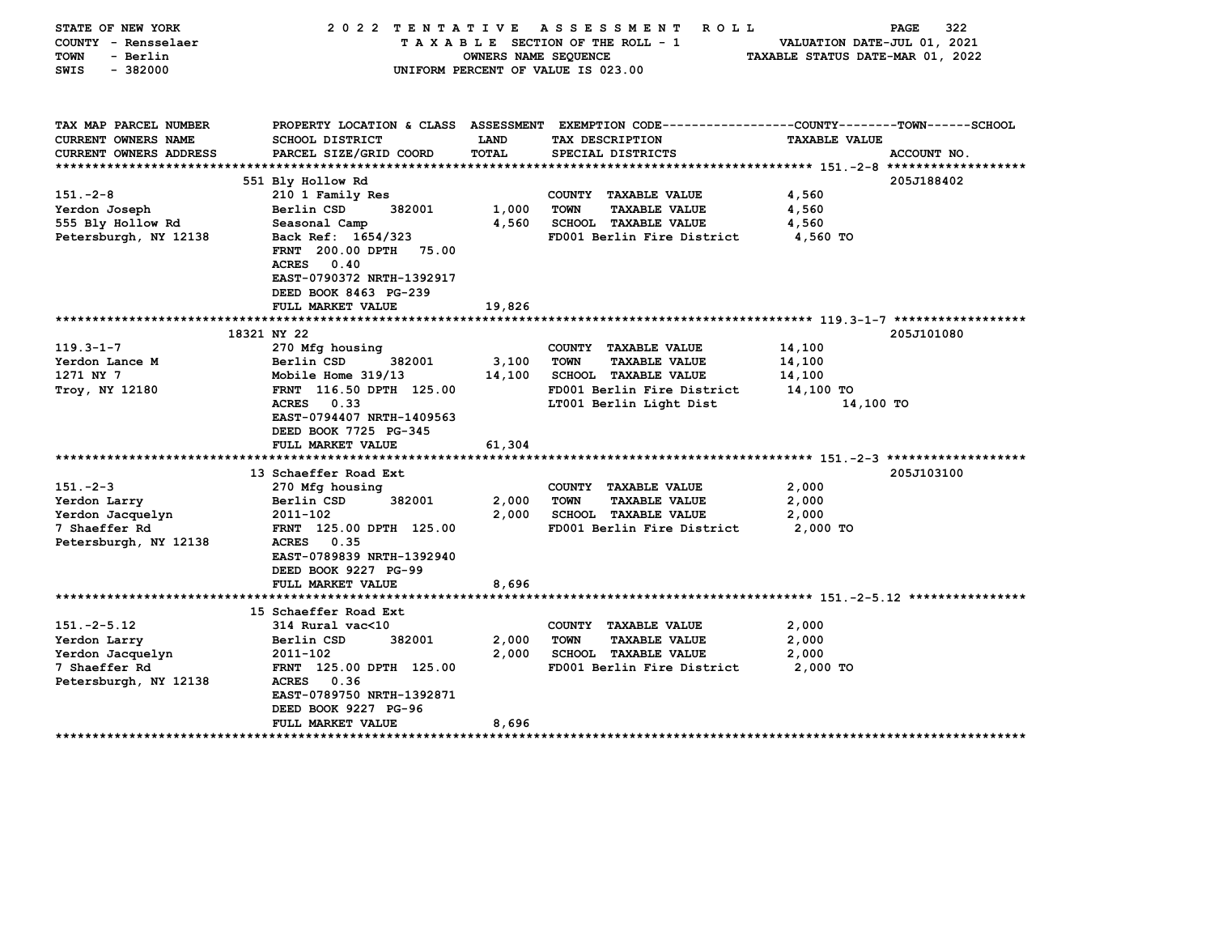| STATE OF NEW YORK<br>COUNTY - Rensselaer<br>TOWN<br>- Berlin<br>$-382000$<br>SWIS | 2022 TENTATIVE                                                                                                                                  | OWNERS NAME SEQUENCE | A S S E S S M E N T<br><b>ROLL</b><br>TAXABLE SECTION OF THE ROLL - 1<br>UNIFORM PERCENT OF VALUE IS 023.00 | VALUATION DATE-JUL 01, 2021<br>TAXABLE STATUS DATE-MAR 01, 2022 | 322<br>PAGE |
|-----------------------------------------------------------------------------------|-------------------------------------------------------------------------------------------------------------------------------------------------|----------------------|-------------------------------------------------------------------------------------------------------------|-----------------------------------------------------------------|-------------|
| TAX MAP PARCEL NUMBER                                                             |                                                                                                                                                 |                      | PROPERTY LOCATION & CLASS ASSESSMENT EXEMPTION CODE---------------COUNTY-------TOWN-----SCHOOL              |                                                                 |             |
| CURRENT OWNERS NAME                                                               | <b>SCHOOL DISTRICT</b>                                                                                                                          | LAND                 | TAX DESCRIPTION                                                                                             | <b>TAXABLE VALUE</b>                                            |             |
| CURRENT OWNERS ADDRESS                                                            | PARCEL SIZE/GRID COORD                                                                                                                          | <b>TOTAL</b>         | SPECIAL DISTRICTS                                                                                           |                                                                 | ACCOUNT NO. |
| ************************                                                          |                                                                                                                                                 |                      |                                                                                                             |                                                                 |             |
|                                                                                   | 551 Bly Hollow Rd                                                                                                                               |                      |                                                                                                             |                                                                 | 205J188402  |
| $151 - 2 - 8$                                                                     | 210 1 Family Res                                                                                                                                |                      | COUNTY TAXABLE VALUE                                                                                        | 4,560                                                           |             |
| Yerdon Joseph                                                                     | Berlin CSD<br>382001                                                                                                                            | 1,000                | <b>TOWN</b><br><b>TAXABLE VALUE</b>                                                                         | 4,560                                                           |             |
| 555 Bly Hollow Rd                                                                 | Seasonal Camp                                                                                                                                   | 4,560                | <b>SCHOOL TAXABLE VALUE</b>                                                                                 | 4,560                                                           |             |
| Petersburgh, NY 12138                                                             | Back Ref: 1654/323<br>FRNT 200.00 DPTH 75.00<br><b>ACRES</b><br>0.40<br>EAST-0790372 NRTH-1392917<br>DEED BOOK 8463 PG-239<br>FULL MARKET VALUE | 19,826               | FD001 Berlin Fire District                                                                                  | 4,560 TO                                                        |             |
|                                                                                   |                                                                                                                                                 |                      |                                                                                                             |                                                                 |             |
|                                                                                   | 18321 NY 22                                                                                                                                     |                      |                                                                                                             |                                                                 | 205J101080  |
| $119.3 - 1 - 7$                                                                   | 270 Mfg housing                                                                                                                                 |                      | COUNTY TAXABLE VALUE                                                                                        | 14,100                                                          |             |
| Yerdon Lance M                                                                    | Berlin CSD<br>382001                                                                                                                            | 3,100                | <b>TOWN</b><br><b>TAXABLE VALUE</b>                                                                         | 14,100                                                          |             |
| 1271 NY 7                                                                         | Mobile Home 319/13                                                                                                                              | 14,100               | <b>SCHOOL TAXABLE VALUE</b>                                                                                 | 14,100                                                          |             |
| Troy, NY 12180                                                                    | FRNT 116.50 DPTH 125.00                                                                                                                         |                      | FD001 Berlin Fire District                                                                                  | 14,100 TO                                                       |             |
|                                                                                   | <b>ACRES</b><br>0.33<br>EAST-0794407 NRTH-1409563<br>DEED BOOK 7725 PG-345<br>FULL MARKET VALUE                                                 | 61,304               | LT001 Berlin Light Dist                                                                                     | 14,100 TO                                                       |             |
|                                                                                   |                                                                                                                                                 |                      |                                                                                                             |                                                                 |             |
|                                                                                   | 13 Schaeffer Road Ext                                                                                                                           |                      |                                                                                                             |                                                                 | 205J103100  |
| $151 - 2 - 3$                                                                     | 270 Mfg housing                                                                                                                                 |                      | COUNTY TAXABLE VALUE                                                                                        | 2,000                                                           |             |
| Yerdon Larry                                                                      | Berlin CSD<br>382001                                                                                                                            | 2,000                | <b>TOWN</b><br><b>TAXABLE VALUE</b>                                                                         | 2,000                                                           |             |
| Yerdon Jacquelyn                                                                  | 2011-102                                                                                                                                        | 2,000                | <b>SCHOOL TAXABLE VALUE</b>                                                                                 | 2,000                                                           |             |
| 7 Shaeffer Rd                                                                     | FRNT 125.00 DPTH 125.00                                                                                                                         |                      | FD001 Berlin Fire District                                                                                  | $2,000$ TO                                                      |             |
| Petersburgh, NY 12138                                                             | <b>ACRES</b><br>0.35                                                                                                                            |                      |                                                                                                             |                                                                 |             |
|                                                                                   | EAST-0789839 NRTH-1392940                                                                                                                       |                      |                                                                                                             |                                                                 |             |
|                                                                                   | DEED BOOK 9227 PG-99                                                                                                                            |                      |                                                                                                             |                                                                 |             |
|                                                                                   | FULL MARKET VALUE                                                                                                                               | 8,696                |                                                                                                             |                                                                 |             |
|                                                                                   | 15 Schaeffer Road Ext                                                                                                                           |                      |                                                                                                             |                                                                 |             |
| $151.-2-5.12$                                                                     | 314 Rural vac<10                                                                                                                                |                      | COUNTY TAXABLE VALUE                                                                                        | 2,000                                                           |             |
| Yerdon Larry                                                                      | Berlin CSD<br>382001                                                                                                                            | 2,000                | <b>TOWN</b><br><b>TAXABLE VALUE</b>                                                                         | 2,000                                                           |             |
| Yerdon Jacquelyn                                                                  | 2011-102                                                                                                                                        | 2,000                | <b>SCHOOL TAXABLE VALUE</b>                                                                                 | 2,000                                                           |             |
| 7 Shaeffer Rd                                                                     | FRNT 125.00 DPTH 125.00                                                                                                                         |                      | FD001 Berlin Fire District                                                                                  | 2,000 TO                                                        |             |
| Petersburgh, NY 12138                                                             | 0.36<br><b>ACRES</b><br>EAST-0789750 NRTH-1392871<br>DEED BOOK 9227 PG-96                                                                       |                      |                                                                                                             |                                                                 |             |
| ****************************                                                      | FULL MARKET VALUE<br>*************************                                                                                                  | 8,696                |                                                                                                             |                                                                 |             |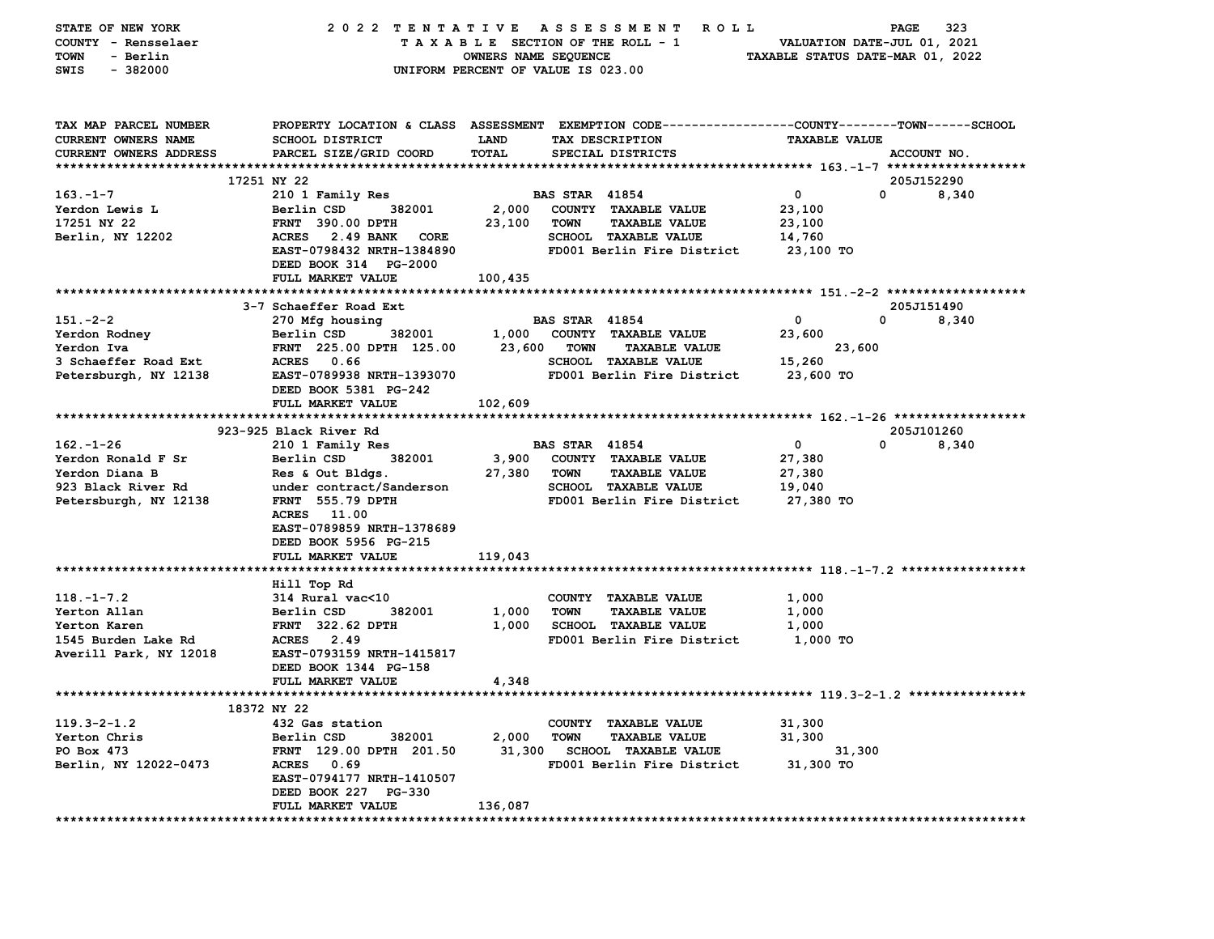| STATE OF NEW YORK<br>COUNTY - Rensselaer<br>- Berlin<br>TOWN<br>$-382000$<br>SWIS | 2022 TENTATIVE                                   | A S S E S S M E N T<br>ROLL <sup></sup><br>TAXABLE SECTION OF THE ROLL - 1<br>OWNERS NAME SEQUENCE<br>UNIFORM PERCENT OF VALUE IS 023.00 | 323<br>PAGE<br>VALUATION DATE-JUL 01, 2021<br>TAXABLE STATUS DATE-MAR 01, 2022                                                          |                      |                                     |  |
|-----------------------------------------------------------------------------------|--------------------------------------------------|------------------------------------------------------------------------------------------------------------------------------------------|-----------------------------------------------------------------------------------------------------------------------------------------|----------------------|-------------------------------------|--|
| TAX MAP PARCEL NUMBER<br><b>CURRENT OWNERS NAME</b><br>CURRENT OWNERS ADDRESS     | <b>SCHOOL DISTRICT</b><br>PARCEL SIZE/GRID COORD | <b>LAND</b><br>TOTAL                                                                                                                     | PROPERTY LOCATION & CLASS ASSESSMENT EXEMPTION CODE---------------COUNTY-------TOWN------SCHOOL<br>TAX DESCRIPTION<br>SPECIAL DISTRICTS | <b>TAXABLE VALUE</b> | ACCOUNT NO.                         |  |
|                                                                                   |                                                  |                                                                                                                                          |                                                                                                                                         |                      |                                     |  |
| $163 - 1 - 7$                                                                     | 17251 NY 22                                      |                                                                                                                                          | <b>BAS STAR 41854</b>                                                                                                                   | $\mathbf{0}$         | 205J152290<br>$\mathbf{0}$<br>8,340 |  |
| Yerdon Lewis L                                                                    | 210 1 Family Res<br>Berlin CSD<br>382001         | 2,000                                                                                                                                    | COUNTY TAXABLE VALUE                                                                                                                    | 23,100               |                                     |  |
| 17251 NY 22                                                                       | <b>FRNT 390.00 DPTH</b>                          | 23,100                                                                                                                                   | TOWN<br><b>TAXABLE VALUE</b>                                                                                                            | 23,100               |                                     |  |
| Berlin, NY 12202                                                                  | ACRES 2.49 BANK<br>CORE                          |                                                                                                                                          | <b>SCHOOL TAXABLE VALUE</b>                                                                                                             | 14,760               |                                     |  |
|                                                                                   | EAST-0798432 NRTH-1384890                        |                                                                                                                                          | FD001 Berlin Fire District                                                                                                              | 23,100 TO            |                                     |  |
|                                                                                   | DEED BOOK 314 PG-2000                            |                                                                                                                                          |                                                                                                                                         |                      |                                     |  |
|                                                                                   | FULL MARKET VALUE                                | 100,435                                                                                                                                  |                                                                                                                                         |                      |                                     |  |
|                                                                                   |                                                  |                                                                                                                                          |                                                                                                                                         |                      |                                     |  |
|                                                                                   | 3-7 Schaeffer Road Ext                           |                                                                                                                                          |                                                                                                                                         |                      | 205J151490                          |  |
| $151. -2 - 2$                                                                     | 270 Mfg housing                                  |                                                                                                                                          | <b>BAS STAR 41854</b>                                                                                                                   | $\mathbf 0$          | $\mathbf 0$<br>8,340                |  |
| Yerdon Rodney                                                                     | 382001<br>Berlin CSD                             |                                                                                                                                          | 1,000 COUNTY TAXABLE VALUE                                                                                                              | 23,600               |                                     |  |
| Yerdon Iva                                                                        | FRNT 225.00 DPTH 125.00                          | 23,600                                                                                                                                   | <b>TOWN</b><br><b>TAXABLE VALUE</b>                                                                                                     | 23,600               |                                     |  |
| 3 Schaeffer Road Ext                                                              | ACRES 0.66                                       |                                                                                                                                          | <b>SCHOOL TAXABLE VALUE</b>                                                                                                             | 15,260               |                                     |  |
| Petersburgh, NY 12138                                                             | EAST-0789938 NRTH-1393070                        |                                                                                                                                          | FD001 Berlin Fire District                                                                                                              | 23,600 TO            |                                     |  |
|                                                                                   | DEED BOOK 5381 PG-242                            |                                                                                                                                          |                                                                                                                                         |                      |                                     |  |
|                                                                                   | FULL MARKET VALUE                                | 102,609                                                                                                                                  |                                                                                                                                         |                      |                                     |  |
|                                                                                   |                                                  |                                                                                                                                          |                                                                                                                                         |                      | 205J101260                          |  |
| $162. - 1 - 26$                                                                   | 923-925 Black River Rd                           |                                                                                                                                          | <b>BAS STAR 41854</b>                                                                                                                   | $\mathbf{0}$         | 8,340<br>0                          |  |
| Yerdon Ronald F Sr                                                                | 210 1 Family Res<br>Berlin CSD<br>382001         | 3,900                                                                                                                                    | COUNTY TAXABLE VALUE                                                                                                                    | 27,380               |                                     |  |
| Yerdon Diana B                                                                    | Res & Out Bldgs.                                 | 27,380                                                                                                                                   | TOWN<br><b>TAXABLE VALUE</b>                                                                                                            | 27,380               |                                     |  |
| 923 Black River Rd                                                                | under contract/Sanderson                         |                                                                                                                                          | <b>SCHOOL TAXABLE VALUE</b>                                                                                                             | 19,040               |                                     |  |
| Petersburgh, NY 12138                                                             | FRNT 555.79 DPTH                                 |                                                                                                                                          | FD001 Berlin Fire District                                                                                                              | 27,380 TO            |                                     |  |
|                                                                                   | ACRES 11.00                                      |                                                                                                                                          |                                                                                                                                         |                      |                                     |  |
|                                                                                   | EAST-0789859 NRTH-1378689                        |                                                                                                                                          |                                                                                                                                         |                      |                                     |  |
|                                                                                   | DEED BOOK 5956 PG-215                            |                                                                                                                                          |                                                                                                                                         |                      |                                     |  |
|                                                                                   | FULL MARKET VALUE                                | 119,043                                                                                                                                  |                                                                                                                                         |                      |                                     |  |
|                                                                                   |                                                  |                                                                                                                                          |                                                                                                                                         |                      |                                     |  |
|                                                                                   | Hill Top Rd                                      |                                                                                                                                          |                                                                                                                                         |                      |                                     |  |
| $118. - 1 - 7.2$                                                                  | 314 Rural vac<10                                 |                                                                                                                                          | COUNTY TAXABLE VALUE                                                                                                                    | 1,000                |                                     |  |
| Yerton Allan                                                                      | Berlin CSD<br>382001                             | 1,000                                                                                                                                    | <b>TOWN</b><br><b>TAXABLE VALUE</b>                                                                                                     | 1,000                |                                     |  |
| Yerton Karen<br>1545 Burden Lake Rd                                               | <b>FRNT</b> 322.62 DPTH<br>ACRES 2.49            | 1,000                                                                                                                                    | <b>SCHOOL TAXABLE VALUE</b><br>FD001 Berlin Fire District                                                                               | 1,000<br>1,000 TO    |                                     |  |
| Averill Park, NY 12018                                                            | EAST-0793159 NRTH-1415817                        |                                                                                                                                          |                                                                                                                                         |                      |                                     |  |
|                                                                                   | DEED BOOK 1344 PG-158                            |                                                                                                                                          |                                                                                                                                         |                      |                                     |  |
|                                                                                   | FULL MARKET VALUE                                | 4,348                                                                                                                                    |                                                                                                                                         |                      |                                     |  |
|                                                                                   |                                                  |                                                                                                                                          |                                                                                                                                         |                      |                                     |  |
|                                                                                   | 18372 NY 22                                      |                                                                                                                                          |                                                                                                                                         |                      |                                     |  |
| $119.3 - 2 - 1.2$                                                                 | 432 Gas station                                  |                                                                                                                                          | COUNTY TAXABLE VALUE                                                                                                                    | 31,300               |                                     |  |
| Yerton Chris                                                                      | Berlin CSD<br>382001                             | 2,000                                                                                                                                    | <b>TOWN</b><br><b>TAXABLE VALUE</b>                                                                                                     | 31,300               |                                     |  |
| PO Box 473                                                                        | FRNT 129.00 DPTH 201.50                          | 31,300<br><b>SCHOOL TAXABLE VALUE</b>                                                                                                    |                                                                                                                                         | 31,300               |                                     |  |
| Berlin, NY 12022-0473<br>ACRES 0.69<br>FD001 Berlin Fire District                 |                                                  |                                                                                                                                          | 31,300 TO                                                                                                                               |                      |                                     |  |
|                                                                                   | EAST-0794177 NRTH-1410507                        |                                                                                                                                          |                                                                                                                                         |                      |                                     |  |
|                                                                                   | DEED BOOK 227 PG-330                             |                                                                                                                                          |                                                                                                                                         |                      |                                     |  |
|                                                                                   | FULL MARKET VALUE                                | 136,087                                                                                                                                  |                                                                                                                                         |                      |                                     |  |
|                                                                                   |                                                  |                                                                                                                                          |                                                                                                                                         |                      |                                     |  |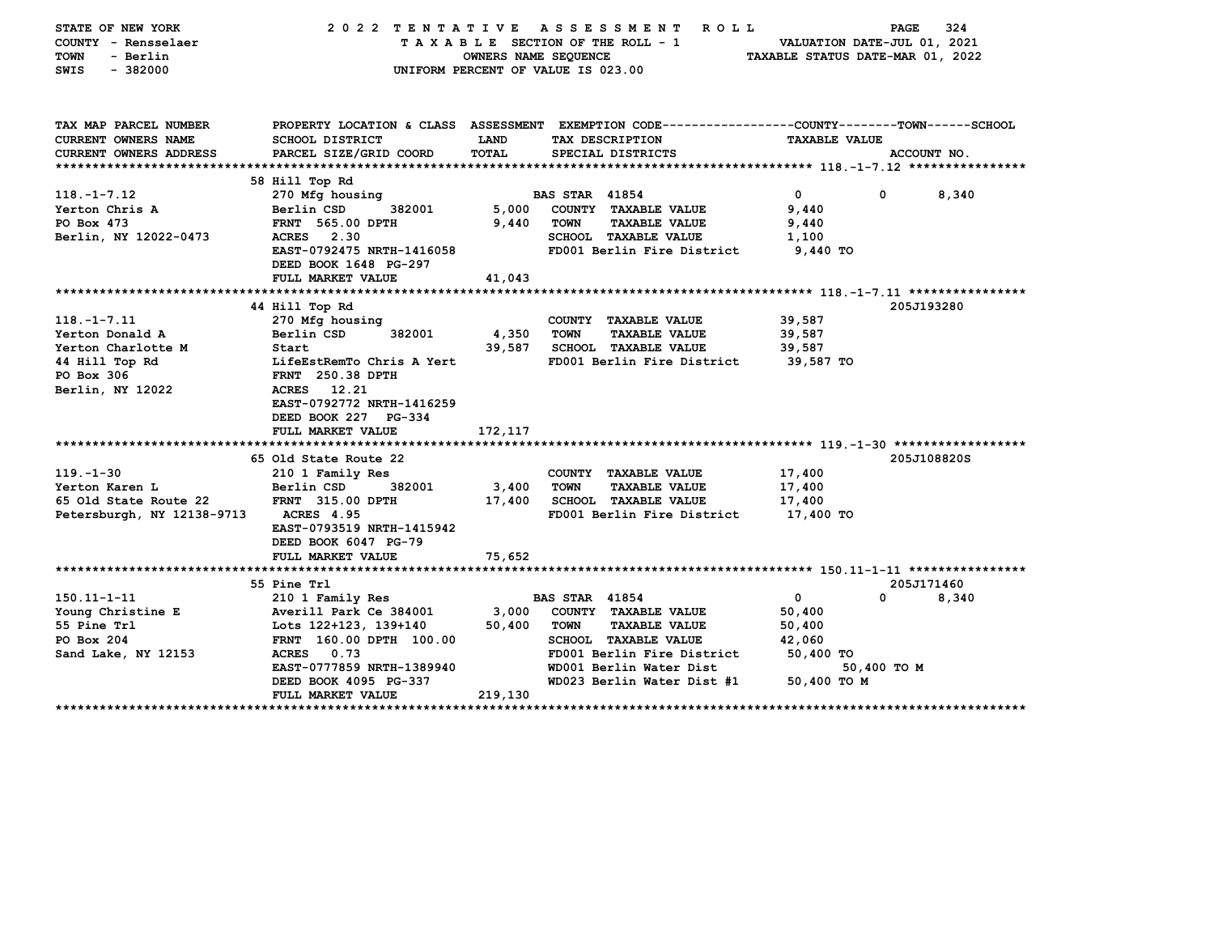| STATE OF NEW YORK<br>COUNTY - Rensselaer<br>TOWN<br>- Berlin<br>$-382000$<br><b>SWIS</b> | 2022 TENTATIVE                                 | OWNERS NAME SEQUENCE | A S S E S S M E N T<br><b>ROLL</b><br>TAXABLE SECTION OF THE ROLL - 1<br>UNIFORM PERCENT OF VALUE IS 023.00 | VALUATION DATE-JUL 01, 2021<br>TAXABLE STATUS DATE-MAR 01, 2022 | 324<br>PAGE          |  |  |
|------------------------------------------------------------------------------------------|------------------------------------------------|----------------------|-------------------------------------------------------------------------------------------------------------|-----------------------------------------------------------------|----------------------|--|--|
| TAX MAP PARCEL NUMBER                                                                    |                                                |                      | PROPERTY LOCATION & CLASS ASSESSMENT EXEMPTION CODE----------------COUNTY-------TOWN------SCHOOL            |                                                                 |                      |  |  |
| CURRENT OWNERS NAME                                                                      | SCHOOL DISTRICT                                | LAND                 | TAX DESCRIPTION                                                                                             |                                                                 | <b>TAXABLE VALUE</b> |  |  |
| CURRENT OWNERS ADDRESS                                                                   | PARCEL SIZE/GRID COORD                         | TOTAL                | SPECIAL DISTRICTS                                                                                           |                                                                 | ACCOUNT NO.          |  |  |
|                                                                                          | 58 Hill Top Rd                                 |                      |                                                                                                             |                                                                 |                      |  |  |
| $118. - 1 - 7.12$                                                                        | 270 Mfg housing                                |                      | <b>BAS STAR 41854</b>                                                                                       | $\overline{0}$<br>$\mathbf 0$                                   | 8,340                |  |  |
| Yerton Chris A                                                                           | Berlin CSD<br>382001                           | 5,000                | COUNTY TAXABLE VALUE                                                                                        | 9,440                                                           |                      |  |  |
| PO Box 473                                                                               | <b>FRNT 565.00 DPTH</b>                        | 9,440                | <b>TOWN</b><br><b>TAXABLE VALUE</b>                                                                         | 9,440                                                           |                      |  |  |
| Berlin, NY 12022-0473                                                                    | ACRES 2.30                                     |                      | SCHOOL TAXABLE VALUE                                                                                        | 1,100                                                           |                      |  |  |
|                                                                                          | EAST-0792475 NRTH-1416058                      |                      | FD001 Berlin Fire District                                                                                  | 9,440 TO                                                        |                      |  |  |
|                                                                                          | DEED BOOK 1648 PG-297                          |                      |                                                                                                             |                                                                 |                      |  |  |
|                                                                                          | FULL MARKET VALUE                              | 41,043               |                                                                                                             |                                                                 |                      |  |  |
|                                                                                          |                                                |                      |                                                                                                             |                                                                 |                      |  |  |
|                                                                                          | 44 Hill Top Rd                                 |                      |                                                                                                             |                                                                 | 205J193280           |  |  |
| $118. - 1 - 7.11$                                                                        | 270 Mfg housing                                |                      | COUNTY TAXABLE VALUE                                                                                        | 39,587                                                          |                      |  |  |
| Yerton Donald A                                                                          | Berlin CSD<br>382001<br>Start                  | 4,350<br>39,587      | <b>TOWN</b><br><b>TAXABLE VALUE</b>                                                                         | 39,587                                                          |                      |  |  |
| Yerton Charlotte M<br>44 Hill Top Rd                                                     | LifeEstRemTo Chris A Yert                      |                      | SCHOOL TAXABLE VALUE<br>FD001 Berlin Fire District                                                          | 39,587<br>39,587 TO                                             |                      |  |  |
| PO Box 306                                                                               | <b>FRNT 250.38 DPTH</b>                        |                      |                                                                                                             |                                                                 |                      |  |  |
| Berlin, NY 12022                                                                         | 12.21<br><b>ACRES</b>                          |                      |                                                                                                             |                                                                 |                      |  |  |
|                                                                                          | EAST-0792772 NRTH-1416259                      |                      |                                                                                                             |                                                                 |                      |  |  |
|                                                                                          | DEED BOOK 227 PG-334                           |                      |                                                                                                             |                                                                 |                      |  |  |
|                                                                                          | FULL MARKET VALUE                              | 172, 117             |                                                                                                             |                                                                 |                      |  |  |
|                                                                                          |                                                |                      |                                                                                                             |                                                                 |                      |  |  |
|                                                                                          | 65 Old State Route 22                          |                      |                                                                                                             |                                                                 | 205J108820S          |  |  |
| $119. - 1 - 30$                                                                          | 210 1 Family Res                               |                      | COUNTY TAXABLE VALUE                                                                                        | 17,400                                                          |                      |  |  |
| Yerton Karen L                                                                           | Berlin CSD<br>382001                           | 3,400                | <b>TOWN</b><br><b>TAXABLE VALUE</b>                                                                         | 17,400                                                          |                      |  |  |
| 65 Old State Route 22                                                                    | <b>FRNT 315.00 DPTH</b>                        | 17,400               | SCHOOL TAXABLE VALUE                                                                                        | 17,400                                                          |                      |  |  |
| Petersburgh, NY 12138-9713                                                               | <b>ACRES</b> 4.95<br>EAST-0793519 NRTH-1415942 |                      | FD001 Berlin Fire District                                                                                  | 17,400 TO                                                       |                      |  |  |
|                                                                                          | DEED BOOK 6047 PG-79                           |                      |                                                                                                             |                                                                 |                      |  |  |
|                                                                                          | FULL MARKET VALUE                              | 75,652               |                                                                                                             |                                                                 |                      |  |  |
|                                                                                          |                                                |                      |                                                                                                             |                                                                 |                      |  |  |
|                                                                                          | 55 Pine Trl                                    |                      |                                                                                                             |                                                                 | 205J171460           |  |  |
| $150.11 - 1 - 11$                                                                        | 210 1 Family Res                               |                      | <b>BAS STAR 41854</b>                                                                                       | $\mathbf 0$<br>0                                                | 8,340                |  |  |
| Young Christine E                                                                        | Averill Park Ce 384001                         | 3,000                | COUNTY TAXABLE VALUE                                                                                        | 50,400                                                          |                      |  |  |
| 55 Pine Trl                                                                              | Lots 122+123, 139+140                          | 50,400               | <b>TOWN</b><br><b>TAXABLE VALUE</b>                                                                         | 50,400                                                          |                      |  |  |
| PO Box 204                                                                               | FRNT 160.00 DPTH 100.00                        |                      | <b>SCHOOL TAXABLE VALUE</b>                                                                                 | 42,060                                                          |                      |  |  |
| Sand Lake, NY 12153                                                                      | 0.73<br><b>ACRES</b>                           |                      | FD001 Berlin Fire District                                                                                  | 50,400 TO                                                       |                      |  |  |
|                                                                                          | EAST-0777859 NRTH-1389940                      |                      | WD001 Berlin Water Dist                                                                                     | 50,400 TO M                                                     |                      |  |  |
|                                                                                          | DEED BOOK 4095 PG-337<br>FULL MARKET VALUE     | 219,130              | WD023 Berlin Water Dist #1                                                                                  | 50,400 TO M                                                     |                      |  |  |
|                                                                                          |                                                |                      |                                                                                                             |                                                                 |                      |  |  |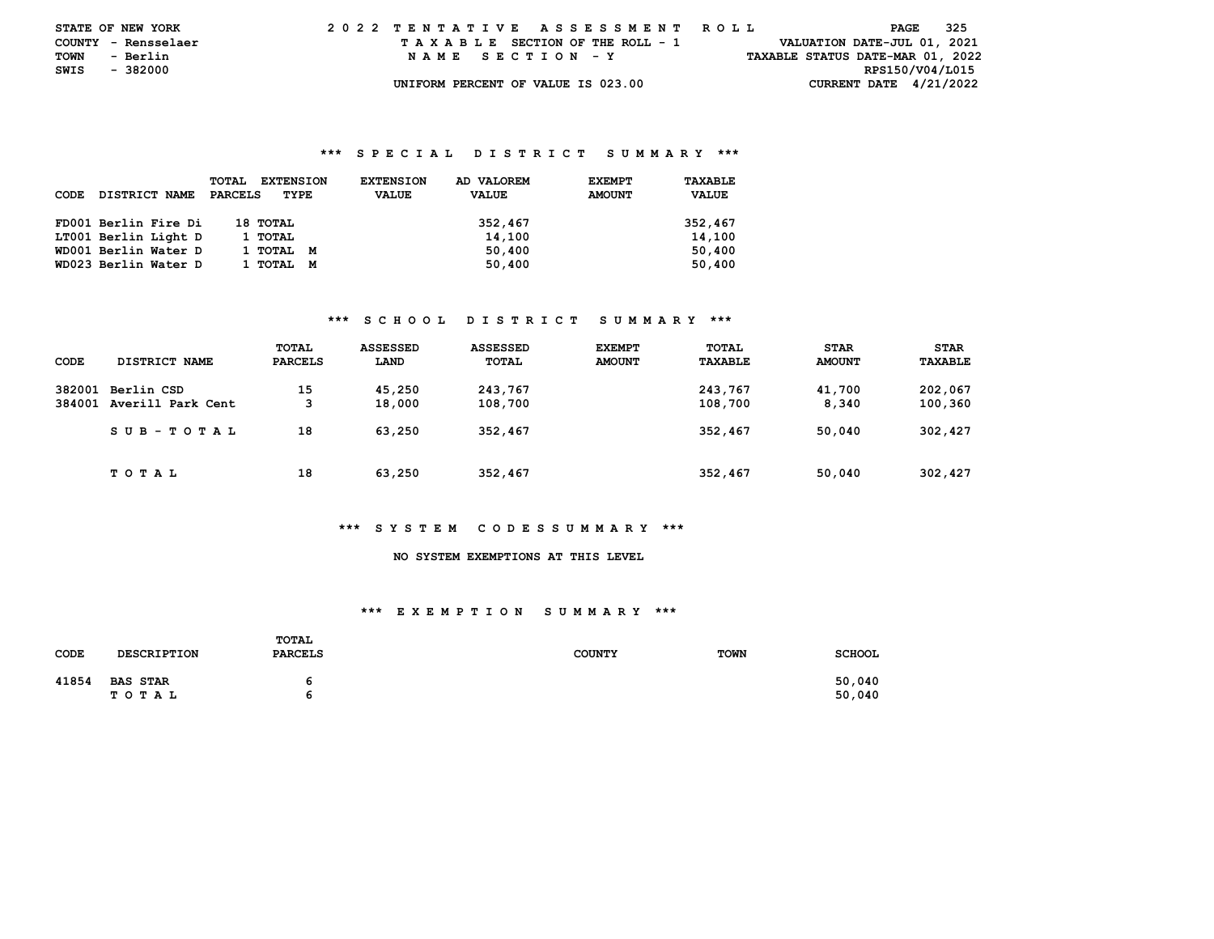| <b>STATE OF NEW YORK</b> |          |          | 2022 TENTATIVE ASSESSMENT ROLL |  |  |  |  |                                    |  |  |  |  |  |  |  |  |                                  | PAGE            |  | - 325 |  |
|--------------------------|----------|----------|--------------------------------|--|--|--|--|------------------------------------|--|--|--|--|--|--|--|--|----------------------------------|-----------------|--|-------|--|
| COUNTY - Rensselaer      |          |          |                                |  |  |  |  | TAXABLE SECTION OF THE ROLL - 1    |  |  |  |  |  |  |  |  | VALUATION DATE-JUL 01, 2021      |                 |  |       |  |
| TOWN                     | - Berlin |          |                                |  |  |  |  | NAME SECTION - Y                   |  |  |  |  |  |  |  |  | TAXABLE STATUS DATE-MAR 01, 2022 |                 |  |       |  |
| SWIS                     |          | - 382000 |                                |  |  |  |  |                                    |  |  |  |  |  |  |  |  |                                  | RPS150/V04/L015 |  |       |  |
|                          |          |          |                                |  |  |  |  | UNIFORM PERCENT OF VALUE IS 023.00 |  |  |  |  |  |  |  |  | CURRENT DATE $4/21/2022$         |                 |  |       |  |

| CODE | DISTRICT NAME        | <b>TOTAL</b><br><b>EXTENSION</b><br>PARCELS<br>TYPE | AD VALOREM<br><b>EXTENSION</b><br><b>VALUE</b><br><b>VALUE</b> | <b>EXEMPT</b><br><b>AMOUNT</b> | TAXABLE<br><b>VALUE</b> |
|------|----------------------|-----------------------------------------------------|----------------------------------------------------------------|--------------------------------|-------------------------|
|      | FD001 Berlin Fire Di | 18 тотац                                            | 352,467                                                        |                                | 352,467                 |
|      | LT001 Berlin Light D | 1 TOTAL                                             | 14,100                                                         |                                | 14,100                  |
|      | WD001 Berlin Water D | 1 тотаг<br>M                                        | 50,400                                                         |                                | 50,400                  |
|      | WD023 Berlin Water D | 1 тотаг<br>м                                        | 50,400                                                         |                                | 50,400                  |

## **\*\*\* S C H O O L D I S T R I C T S U M M A R Y \*\*\***

| CODE             | DISTRICT NAME                   | TOTAL<br><b>PARCELS</b> | ASSESSED<br>LAND | <b>ASSESSED</b><br>TOTAL | <b>EXEMPT</b><br><b>AMOUNT</b> | TOTAL<br>TAXABLE   | <b>STAR</b><br><b>AMOUNT</b> | <b>STAR</b><br><b>TAXABLE</b> |
|------------------|---------------------------------|-------------------------|------------------|--------------------------|--------------------------------|--------------------|------------------------------|-------------------------------|
| 382001<br>384001 | Berlin CSD<br>Averill Park Cent | 15<br>3                 | 45,250<br>18,000 | 243,767<br>108,700       |                                | 243,767<br>108,700 | 41,700<br>8,340              | 202,067<br>100,360            |
|                  | SUB-TOTAL                       | 18                      | 63,250           | 352,467                  |                                | 352,467            | 50,040                       | 302,427                       |
|                  | T O T A L                       | 18                      | 63,250           | 352,467                  |                                | 352,467            | 50.040                       | 302,427                       |

#### **\*\*\* S Y S T E M C O D E S S U M M A R Y \*\*\***

# **NO SYSTEM EXEMPTIONS AT THIS LEVEL**

#### **\*\*\* E X E M P T I O N S U M M A R Y \*\*\***

| <b>CODE</b> | <b>DESCRIPTION</b>       | TOTAL<br><b>PARCELS</b> | <b>COUNTY</b> | <b>TOWN</b> | <b>SCHOOL</b>    |
|-------------|--------------------------|-------------------------|---------------|-------------|------------------|
| 41854       | <b>BAS STAR</b><br>тотаь | ь<br>ь                  |               |             | 50,040<br>50,040 |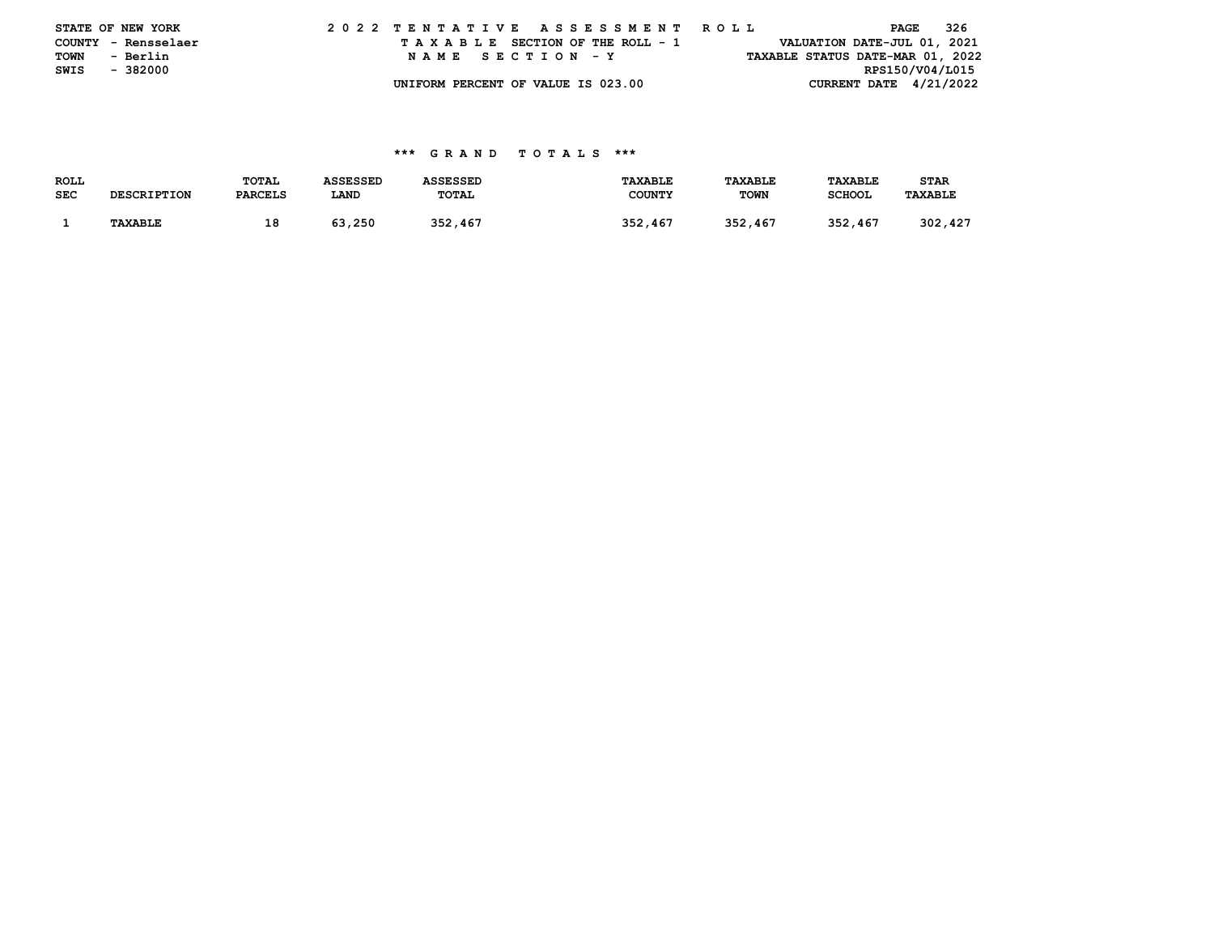|      | STATE OF NEW YORK   |  |  |  |  |  |                                    |  |  |  |  | 2022 TENTATIVE ASSESSMENT ROLL |  |  |                                  | PAGE            | - 326 |  |
|------|---------------------|--|--|--|--|--|------------------------------------|--|--|--|--|--------------------------------|--|--|----------------------------------|-----------------|-------|--|
|      | COUNTY - Rensselaer |  |  |  |  |  | TAXABLE SECTION OF THE ROLL - 1    |  |  |  |  |                                |  |  | VALUATION DATE-JUL 01, 2021      |                 |       |  |
| TOWN | - Berlin            |  |  |  |  |  | NAME SECTION - Y                   |  |  |  |  |                                |  |  | TAXABLE STATUS DATE-MAR 01, 2022 |                 |       |  |
| SWIS | - 382000            |  |  |  |  |  |                                    |  |  |  |  |                                |  |  |                                  | RPS150/V04/L015 |       |  |
|      |                     |  |  |  |  |  | UNIFORM PERCENT OF VALUE IS 023.00 |  |  |  |  |                                |  |  | CURRENT DATE $4/21/2022$         |                 |       |  |

| ROLL |                    | <b>TOTAL</b>   | <b>ASSESSED</b> | <b>ASSESSED</b> | <b>TAXABLE</b> | TAXABLE     | <b>TAXABLE</b> | STAR           |
|------|--------------------|----------------|-----------------|-----------------|----------------|-------------|----------------|----------------|
| SEC  | <b>DESCRIPTION</b> | <b>PARCELS</b> | LAND            | <b>TOTAL</b>    | <b>COUNTY</b>  | <b>TOWN</b> | <b>SCHOOL</b>  | <b>TAXABLE</b> |
|      |                    |                |                 |                 |                |             |                |                |
|      | <b>TAXABLE</b>     | 18             | 63,250          | 352,467         | 352,467        | 352,467     | 352,467        | 302,427        |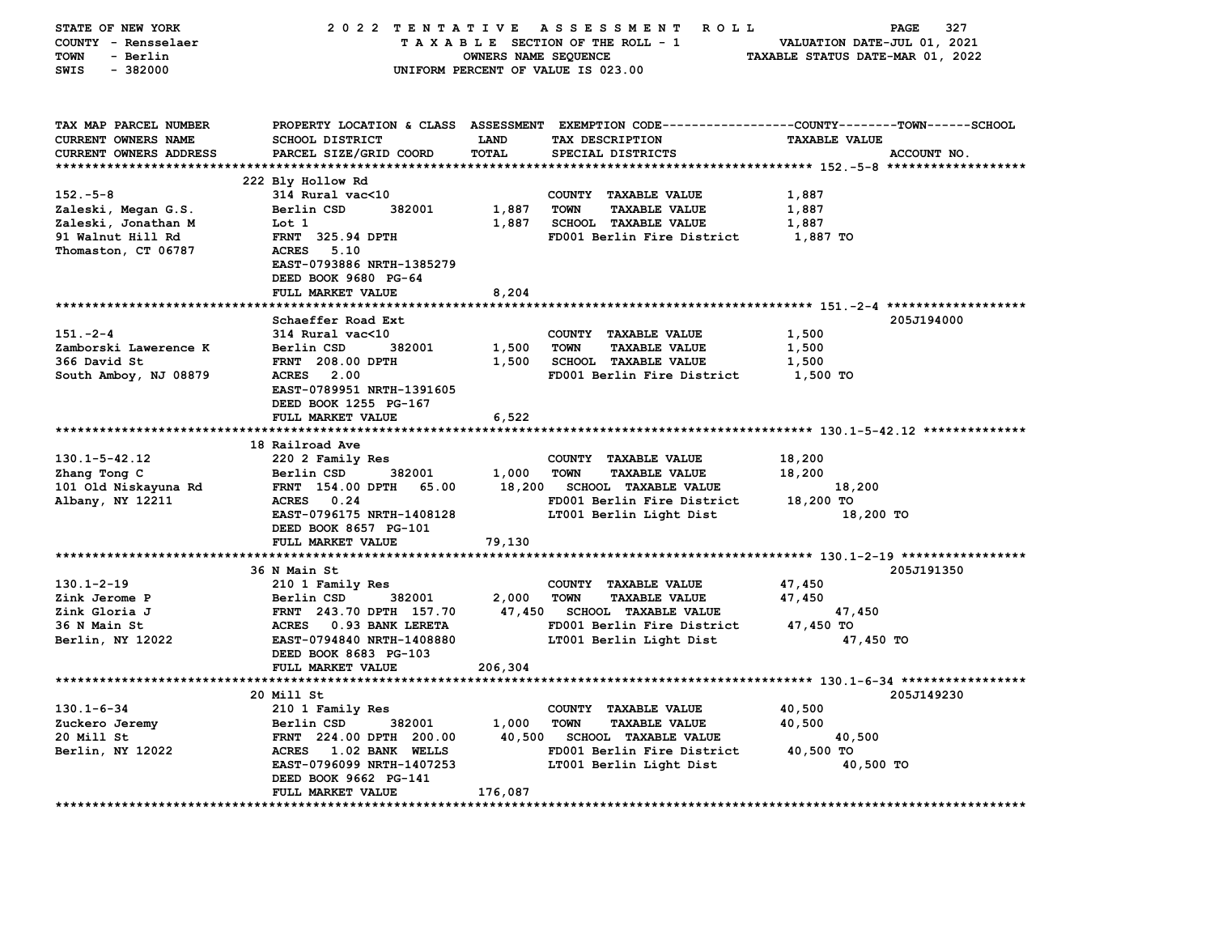| STATE OF NEW YORK          | 2022 TENTATIVE                   |                      | A S S E S S M E N T R O L L         | 327<br>PAGE                                                                                     |  |
|----------------------------|----------------------------------|----------------------|-------------------------------------|-------------------------------------------------------------------------------------------------|--|
| COUNTY - Rensselaer        |                                  |                      | TAXABLE SECTION OF THE ROLL - 1     | VALUATION DATE-JUL 01, 2021                                                                     |  |
| <b>TOWN</b><br>- Berlin    |                                  | OWNERS NAME SEQUENCE |                                     | TAXABLE STATUS DATE-MAR 01, 2022                                                                |  |
| $-382000$<br><b>SWIS</b>   |                                  |                      | UNIFORM PERCENT OF VALUE IS 023.00  |                                                                                                 |  |
|                            |                                  |                      |                                     |                                                                                                 |  |
| TAX MAP PARCEL NUMBER      |                                  |                      |                                     | PROPERTY LOCATION & CLASS ASSESSMENT EXEMPTION CODE---------------COUNTY-------TOWN------SCHOOL |  |
| <b>CURRENT OWNERS NAME</b> | SCHOOL DISTRICT                  | <b>LAND</b>          | TAX DESCRIPTION                     | <b>TAXABLE VALUE</b>                                                                            |  |
| CURRENT OWNERS ADDRESS     | PARCEL SIZE/GRID COORD           | TOTAL                | SPECIAL DISTRICTS                   | ACCOUNT NO.                                                                                     |  |
|                            |                                  |                      |                                     |                                                                                                 |  |
|                            | 222 Bly Hollow Rd                |                      |                                     |                                                                                                 |  |
| $152 - 5 - 8$              | 314 Rural vac<10                 |                      | COUNTY TAXABLE VALUE                | 1,887                                                                                           |  |
| Zaleski, Megan G.S.        | Berlin CSD<br>382001             | 1,887                | <b>TOWN</b><br><b>TAXABLE VALUE</b> | 1,887                                                                                           |  |
| Zaleski, Jonathan M        | Lot 1                            | 1,887                | <b>SCHOOL TAXABLE VALUE</b>         | 1,887                                                                                           |  |
| 91 Walnut Hill Rd          | <b>FRNT 325.94 DPTH</b>          |                      | FD001 Berlin Fire District          | 1,887 TO                                                                                        |  |
| Thomaston, CT 06787        | <b>ACRES</b> 5.10                |                      |                                     |                                                                                                 |  |
|                            | EAST-0793886 NRTH-1385279        |                      |                                     |                                                                                                 |  |
|                            | DEED BOOK 9680 PG-64             |                      |                                     |                                                                                                 |  |
|                            | FULL MARKET VALUE                | 8,204                |                                     |                                                                                                 |  |
|                            |                                  |                      |                                     |                                                                                                 |  |
|                            | Schaeffer Road Ext               |                      |                                     | 205J194000                                                                                      |  |
| $151 - 2 - 4$              | 314 Rural vac<10                 |                      | COUNTY TAXABLE VALUE                | 1,500                                                                                           |  |
| Zamborski Lawerence K      | Berlin CSD<br>382001             | 1,500                | <b>TOWN</b><br><b>TAXABLE VALUE</b> | 1,500                                                                                           |  |
| 366 David St               | <b>FRNT 208.00 DPTH</b>          | 1,500                | <b>SCHOOL TAXABLE VALUE</b>         | 1,500                                                                                           |  |
| South Amboy, NJ 08879      | ACRES 2.00                       |                      | FD001 Berlin Fire District          | 1,500 TO                                                                                        |  |
|                            | EAST-0789951 NRTH-1391605        |                      |                                     |                                                                                                 |  |
|                            | DEED BOOK 1255 PG-167            |                      |                                     |                                                                                                 |  |
|                            | FULL MARKET VALUE                | 6,522                |                                     |                                                                                                 |  |
|                            | 18 Railroad Ave                  |                      |                                     |                                                                                                 |  |
| $130.1 - 5 - 42.12$        | 220 2 Family Res                 |                      | COUNTY TAXABLE VALUE                | 18,200                                                                                          |  |
| Zhang Tong C               | Berlin CSD<br>382001             | 1,000                | <b>TOWN</b><br><b>TAXABLE VALUE</b> | 18,200                                                                                          |  |
| 101 Old Niskayuna Rd       | <b>FRNT</b> 154.00 DPTH<br>65.00 | 18,200               | <b>SCHOOL TAXABLE VALUE</b>         | 18,200                                                                                          |  |
| Albany, NY 12211           | ACRES 0.24                       |                      | FD001 Berlin Fire District          | 18,200 TO                                                                                       |  |
|                            | EAST-0796175 NRTH-1408128        |                      | LT001 Berlin Light Dist             | 18,200 TO                                                                                       |  |
|                            | DEED BOOK 8657 PG-101            |                      |                                     |                                                                                                 |  |
|                            | FULL MARKET VALUE                | 79,130               |                                     |                                                                                                 |  |
|                            |                                  |                      |                                     |                                                                                                 |  |
|                            | 36 N Main St                     |                      |                                     | 205J191350                                                                                      |  |
| $130.1 - 2 - 19$           | 210 1 Family Res                 |                      | COUNTY TAXABLE VALUE                | 47,450                                                                                          |  |
| Zink Jerome P              | Berlin CSD<br>382001             | 2,000                | <b>TOWN</b><br><b>TAXABLE VALUE</b> | 47,450                                                                                          |  |
| Zink Gloria J              | FRNT 243.70 DPTH 157.70          |                      | 47,450 SCHOOL TAXABLE VALUE         | 47,450                                                                                          |  |
| 36 N Main St               | ACRES 0.93 BANK LERETA           |                      | FD001 Berlin Fire District          | 47,450 TO                                                                                       |  |
| Berlin, NY 12022           | EAST-0794840 NRTH-1408880        |                      | LT001 Berlin Light Dist             | 47,450 TO                                                                                       |  |
|                            | DEED BOOK 8683 PG-103            |                      |                                     |                                                                                                 |  |
|                            | FULL MARKET VALUE                | 206,304              |                                     |                                                                                                 |  |
|                            |                                  |                      |                                     |                                                                                                 |  |
|                            | 20 Mill St                       |                      |                                     | 205J149230                                                                                      |  |
| $130.1 - 6 - 34$           | 210 1 Family Res                 |                      | COUNTY TAXABLE VALUE                | 40,500                                                                                          |  |
| Zuckero Jeremy             | 382001<br>Berlin CSD             | 1,000                | <b>TOWN</b><br><b>TAXABLE VALUE</b> | 40,500                                                                                          |  |
| 20 Mill St                 | FRNT 224.00 DPTH 200.00          | 40,500               | <b>SCHOOL TAXABLE VALUE</b>         | 40,500                                                                                          |  |
| Berlin, NY 12022           | ACRES 1.02 BANK WELLS            |                      | FD001 Berlin Fire District          | 40,500 TO                                                                                       |  |
|                            | EAST-0796099 NRTH-1407253        |                      | LT001 Berlin Light Dist             | 40,500 TO                                                                                       |  |
|                            | DEED BOOK 9662 PG-141            |                      |                                     |                                                                                                 |  |
|                            | FULL MARKET VALUE                | 176,087              |                                     |                                                                                                 |  |
|                            |                                  |                      |                                     |                                                                                                 |  |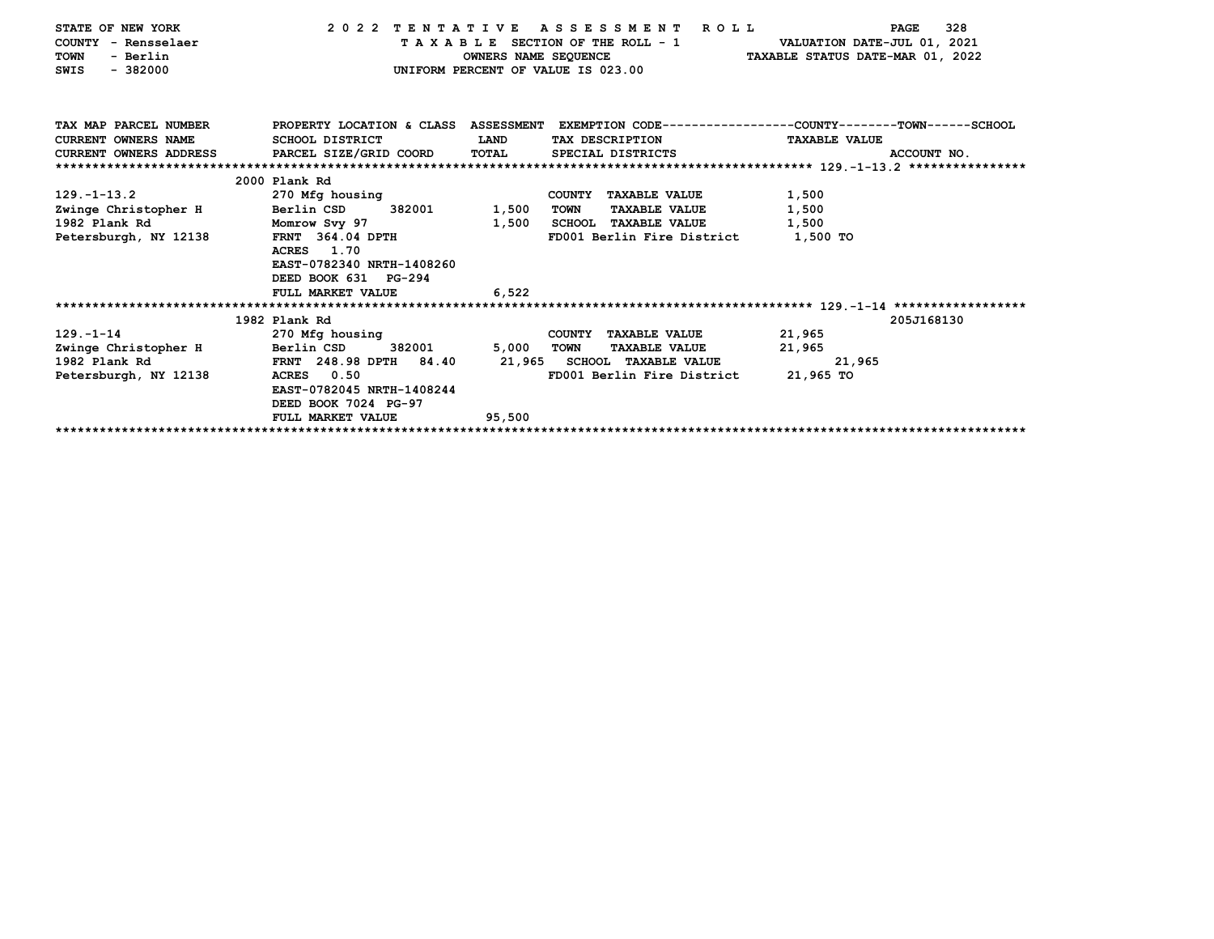| STATE OF NEW YORK          | 2022 TENTATIVE                                | A S S E S S M E N T<br><b>ROLL</b>           | 328<br><b>PAGE</b>                                                                              |
|----------------------------|-----------------------------------------------|----------------------------------------------|-------------------------------------------------------------------------------------------------|
| COUNTY - Rensselaer        |                                               | TAXABLE SECTION OF THE ROLL - 1              | VALUATION DATE-JUL 01, 2021                                                                     |
| - Berlin<br><b>TOWN</b>    |                                               | OWNERS NAME SEQUENCE                         | TAXABLE STATUS DATE-MAR 01, 2022                                                                |
| $-382000$<br>SWIS          |                                               | UNIFORM PERCENT OF VALUE IS 023.00           |                                                                                                 |
|                            |                                               |                                              |                                                                                                 |
|                            |                                               |                                              |                                                                                                 |
|                            |                                               |                                              |                                                                                                 |
| TAX MAP PARCEL NUMBER      |                                               |                                              | PROPERTY LOCATION & CLASS ASSESSMENT EXEMPTION CODE---------------COUNTY-------TOWN------SCHOOL |
| <b>CURRENT OWNERS NAME</b> | SCHOOL DISTRICT                               | LAND<br>TAX DESCRIPTION                      | <b>TAXABLE VALUE</b>                                                                            |
|                            | CURRENT OWNERS ADDRESS PARCEL SIZE/GRID COORD | TOTAL<br>SPECIAL DISTRICTS                   | ACCOUNT NO.                                                                                     |
|                            |                                               |                                              |                                                                                                 |
|                            | 2000 Plank Rd                                 |                                              |                                                                                                 |
| $129. - 1 - 13.2$          | 270 Mfg housing                               | COUNTY TAXABLE VALUE                         | 1,500                                                                                           |
| Zwinge Christopher H       | Berlin CSD<br>382001                          | 1,500<br><b>TOWN</b><br><b>TAXABLE VALUE</b> | 1,500                                                                                           |
| 1982 Plank Rd              | Momrow Svy 97                                 | 1,500<br>SCHOOL TAXABLE VALUE                | 1,500                                                                                           |
| Petersburgh, NY 12138      | FRNT 364.04 DPTH                              | FD001 Berlin Fire District                   | 1,500 TO                                                                                        |
|                            | ACRES 1.70                                    |                                              |                                                                                                 |
|                            | EAST-0782340 NRTH-1408260                     |                                              |                                                                                                 |
|                            | DEED BOOK 631 PG-294                          |                                              |                                                                                                 |
|                            | FULL MARKET VALUE                             | 6,522                                        |                                                                                                 |
|                            |                                               |                                              |                                                                                                 |
|                            | 1982 Plank Rd                                 |                                              | 205J168130                                                                                      |
| $129. - 1 - 14$            | 270 Mfg housing                               | COUNTY TAXABLE VALUE                         | 21,965                                                                                          |
| Zwinge Christopher H       | 382001<br>Berlin CSD                          | 5,000<br><b>TOWN</b><br><b>TAXABLE VALUE</b> | 21,965                                                                                          |
| 1982 Plank Rd              | FRNT 248.98 DPTH 84.40                        | 21,965 SCHOOL TAXABLE VALUE                  | 21,965                                                                                          |
| Petersburgh, NY 12138      | 0.50<br>ACRES                                 | FD001 Berlin Fire District                   | 21,965 TO                                                                                       |
|                            | EAST-0782045 NRTH-1408244                     |                                              |                                                                                                 |
|                            | DEED BOOK 7024 PG-97                          |                                              |                                                                                                 |
|                            | FULL MARKET VALUE                             | 95,500                                       |                                                                                                 |
|                            |                                               |                                              |                                                                                                 |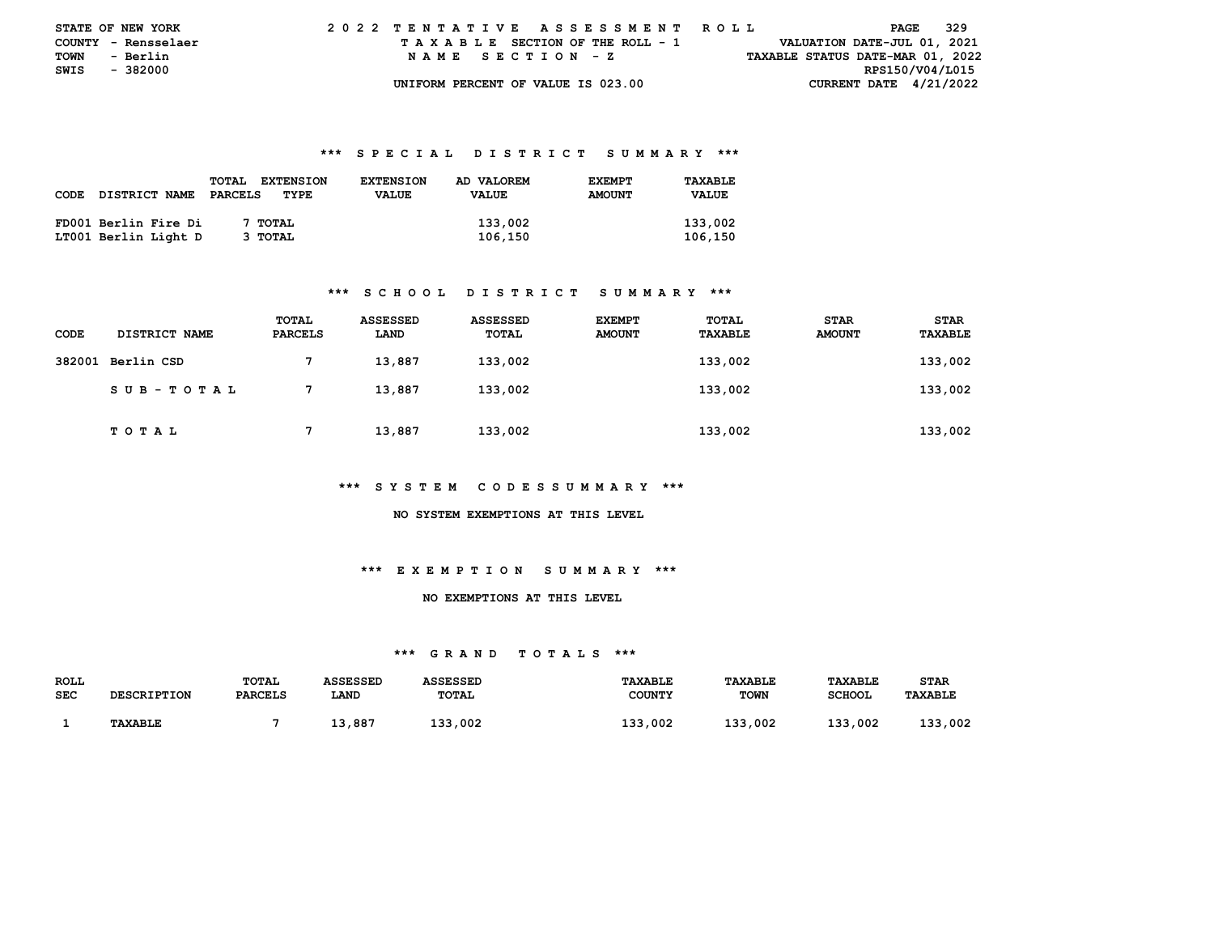| <b>STATE OF NEW YORK</b> |                     |  |  |  |  |  | 2022 TENTATIVE ASSESSMENT ROLL     |  |  |  |  |  |  |  |  |  |                                  | PAGE | - 329 |  |
|--------------------------|---------------------|--|--|--|--|--|------------------------------------|--|--|--|--|--|--|--|--|--|----------------------------------|------|-------|--|
|                          | COUNTY - Rensselaer |  |  |  |  |  | TAXABLE SECTION OF THE ROLL - 1    |  |  |  |  |  |  |  |  |  | VALUATION DATE-JUL 01, 2021      |      |       |  |
| TOWN                     | - Berlin            |  |  |  |  |  | NAME SECTION - Z                   |  |  |  |  |  |  |  |  |  | TAXABLE STATUS DATE-MAR 01, 2022 |      |       |  |
| SWIS - 382000            |                     |  |  |  |  |  |                                    |  |  |  |  |  |  |  |  |  | RPS150/V04/L015                  |      |       |  |
|                          |                     |  |  |  |  |  | UNIFORM PERCENT OF VALUE IS 023.00 |  |  |  |  |  |  |  |  |  | CURRENT DATE $4/21/2022$         |      |       |  |

|             |                      | <b>TOTAL</b><br><b>EXTENSION</b> | <b>EXTENSION</b> | AD VALOREM   | <b>EXEMPT</b> | TAXABLE      |
|-------------|----------------------|----------------------------------|------------------|--------------|---------------|--------------|
| <b>CODE</b> | <b>DISTRICT NAME</b> | PARCELS<br>TYPE                  | <b>VALUE</b>     | <b>VALUE</b> | <b>AMOUNT</b> | <b>VALUE</b> |
|             |                      |                                  |                  |              |               |              |
|             | FD001 Berlin Fire Di | <b>TOTAL</b>                     |                  | 133,002      |               | 133,002      |
|             | LT001 Berlin Light D | 3 TOTAL                          |                  | 106,150      |               | 106,150      |

#### **\*\*\* S C H O O L D I S T R I C T S U M M A R Y \*\*\***

| CODE | DISTRICT NAME     | TOTAL<br><b>PARCELS</b> | <b>ASSESSED</b><br>LAND | <b>ASSESSED</b><br>TOTAL | <b>EXEMPT</b><br><b>AMOUNT</b> | TOTAL<br>TAXABLE | <b>STAR</b><br><b>AMOUNT</b> | <b>STAR</b><br>TAXABLE |
|------|-------------------|-------------------------|-------------------------|--------------------------|--------------------------------|------------------|------------------------------|------------------------|
|      | 382001 Berlin CSD |                         | 13,887                  | 133,002                  |                                | 133,002          |                              | 133,002                |
|      | SUB-TOTAL         |                         | 13,887                  | 133,002                  |                                | 133,002          |                              | 133,002                |
|      | T O T A L         |                         | 13,887                  | 133,002                  |                                | 133,002          |                              | 133,002                |

#### **\*\*\* S Y S T E M C O D E S S U M M A R Y \*\*\***

#### **NO SYSTEM EXEMPTIONS AT THIS LEVEL**

## **\*\*\* E X E M P T I O N S U M M A R Y \*\*\***

#### **NO EXEMPTIONS AT THIS LEVEL**

| <b>ROLL</b> | <b>DESCRIPTION</b> | <b>TOTAL</b><br><b>PARCELS</b> | ASSESSED      | ASSESSED     | <b>TAXABLE</b><br>COUNTY | TAXABLE       | TAXABLE<br><b>SCHOOL</b> | <b>STAR</b><br><b>TAXABLE</b> |
|-------------|--------------------|--------------------------------|---------------|--------------|--------------------------|---------------|--------------------------|-------------------------------|
| <b>SEC</b>  |                    |                                | LAND          | <b>TOTAL</b> |                          | <b>TOWN</b>   |                          |                               |
|             | <b>TAXABLE</b>     |                                | .887<br>1. 2. | 133.002      | 1 2 2<br>. 002           | 1 ว ว<br>,002 | 133,002                  | າລລ<br>,002                   |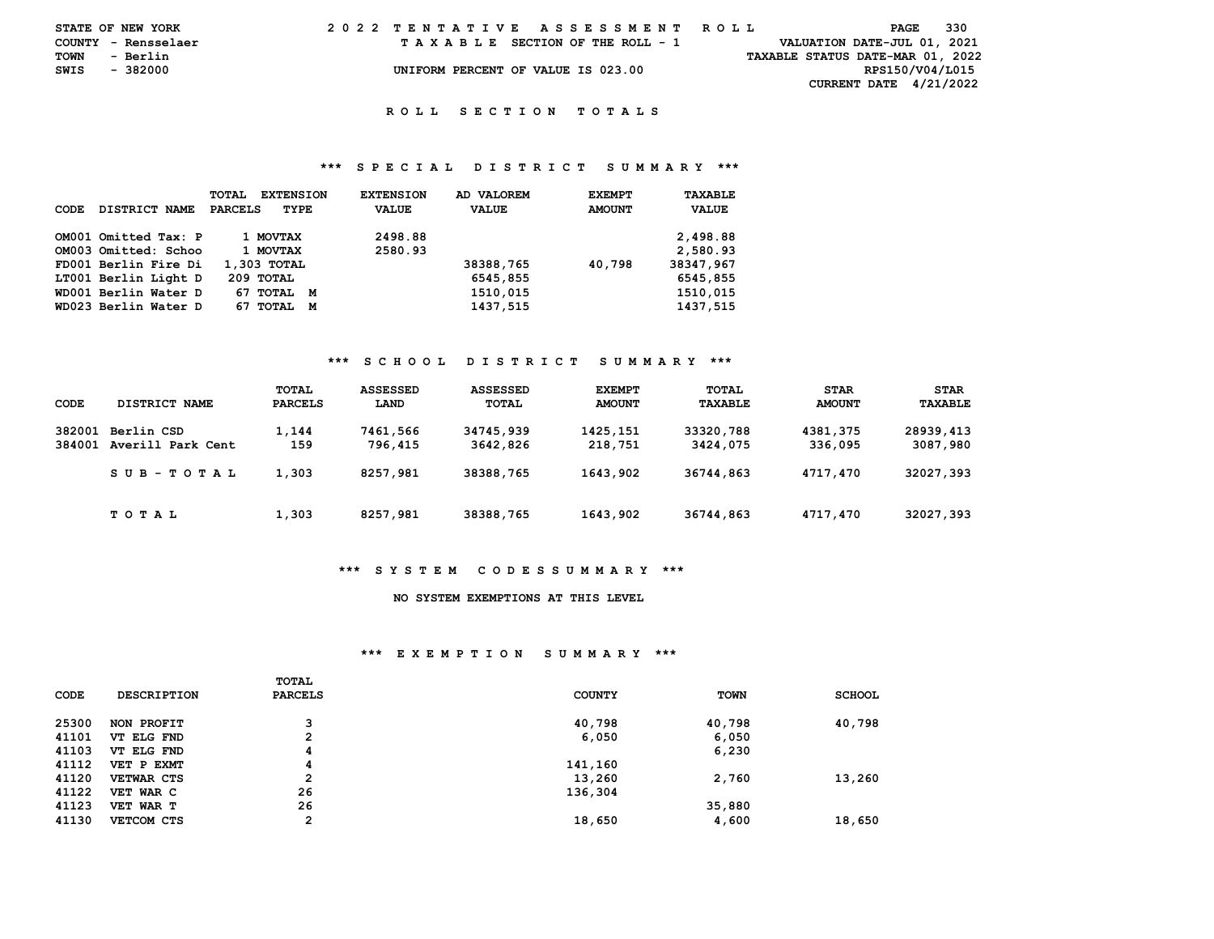|      | STATE OF NEW YORK   |  |  |  |  |  | 2022 TENTATIVE ASSESSMENT ROLL     |  |  |  |  |  |  |  |  | PAGE                             | 330 |  |
|------|---------------------|--|--|--|--|--|------------------------------------|--|--|--|--|--|--|--|--|----------------------------------|-----|--|
|      | COUNTY - Rensselaer |  |  |  |  |  | TAXABLE SECTION OF THE ROLL - 1    |  |  |  |  |  |  |  |  | VALUATION DATE-JUL 01, 2021      |     |  |
| TOWN | - Berlin            |  |  |  |  |  |                                    |  |  |  |  |  |  |  |  | TAXABLE STATUS DATE-MAR 01, 2022 |     |  |
| SWIS | - 382000            |  |  |  |  |  | UNIFORM PERCENT OF VALUE IS 023.00 |  |  |  |  |  |  |  |  | RPS150/V04/L015                  |     |  |
|      |                     |  |  |  |  |  |                                    |  |  |  |  |  |  |  |  | <b>CURRENT DATE 4/21/2022</b>    |     |  |

## **\*\*\* S P E C I A L D I S T R I C T S U M M A R Y \*\*\***

| CODE | DISTRICT NAME        | <b>TOTAL</b><br><b>EXTENSION</b><br><b>PARCELS</b><br>TYPE | <b>EXTENSION</b><br><b>VALUE</b> | AD VALOREM<br><b>VALUE</b> | <b>EXEMPT</b><br><b>AMOUNT</b> | TAXABLE<br><b>VALUE</b> |
|------|----------------------|------------------------------------------------------------|----------------------------------|----------------------------|--------------------------------|-------------------------|
|      | OM001 Omitted Tax: P | 1 MOVTAX                                                   | 2498.88                          |                            |                                | 2,498.88                |
|      | OM003 Omitted: Schoo | 1 MOVTAX                                                   | 2580.93                          |                            |                                | 2,580.93                |
|      | FD001 Berlin Fire Di | 1,303 TOTAL                                                |                                  | 38388,765                  | 40.798                         | 38347,967               |
|      | LT001 Berlin Light D | 209 TOTAL                                                  |                                  | 6545,855                   |                                | 6545,855                |
|      | WD001 Berlin Water D | 67 TOTAL M                                                 |                                  | 1510,015                   |                                | 1510.015                |
|      | WD023 Berlin Water D | 67 TOTAL<br>М                                              |                                  | 1437,515                   |                                | 1437,515                |

# **\*\*\* S C H O O L D I S T R I C T S U M M A R Y \*\*\***

| CODE             | DISTRICT NAME                   | TOTAL<br><b>PARCELS</b> | <b>ASSESSED</b><br>LAND | ASSESSED<br>TOTAL     | <b>EXEMPT</b><br><b>AMOUNT</b> | TOTAL<br>TAXABLE      | <b>STAR</b><br><b>AMOUNT</b> | <b>STAR</b><br>TAXABLE |
|------------------|---------------------------------|-------------------------|-------------------------|-----------------------|--------------------------------|-----------------------|------------------------------|------------------------|
| 382001<br>384001 | Berlin CSD<br>Averill Park Cent | 1,144<br>159            | 7461,566<br>796,415     | 34745,939<br>3642,826 | 1425,151<br>218,751            | 33320,788<br>3424,075 | 4381,375<br>336,095          | 28939,413<br>3087,980  |
|                  | SUB-TOTAL                       | 1,303                   | 8257,981                | 38388,765             | 1643,902                       | 36744,863             | 4717,470                     | 32027,393              |
|                  | TOTAL                           | 1,303                   | 8257,981                | 38388,765             | 1643,902                       | 36744,863             | 4717,470                     | 32027,393              |

## **\*\*\* S Y S T E M C O D E S S U M M A R Y \*\*\***

#### **NO SYSTEM EXEMPTIONS AT THIS LEVEL**

## **\*\*\* E X E M P T I O N S U M M A R Y \*\*\***

| CODE  | <b>DESCRIPTION</b> | TOTAL<br><b>PARCELS</b> | <b>COUNTY</b> | TOWN   | <b>SCHOOL</b> |
|-------|--------------------|-------------------------|---------------|--------|---------------|
| 25300 | NON PROFIT         | 3                       | 40,798        | 40,798 | 40,798        |
| 41101 | VT ELG FND         | $\overline{2}$          | 6,050         | 6,050  |               |
| 41103 | VT ELG FND         | 4                       |               | 6,230  |               |
| 41112 | VET P EXMT         | 4                       | 141,160       |        |               |
| 41120 | VETWAR CTS         | $\mathbf{2}$            | 13,260        | 2,760  | 13,260        |
| 41122 | VET WAR C          | 26                      | 136,304       |        |               |
| 41123 | VET WAR T          | 26                      |               | 35,880 |               |
| 41130 | VETCOM CTS         | $\overline{2}$          | 18,650        | 4,600  | 18,650        |
|       |                    |                         |               |        |               |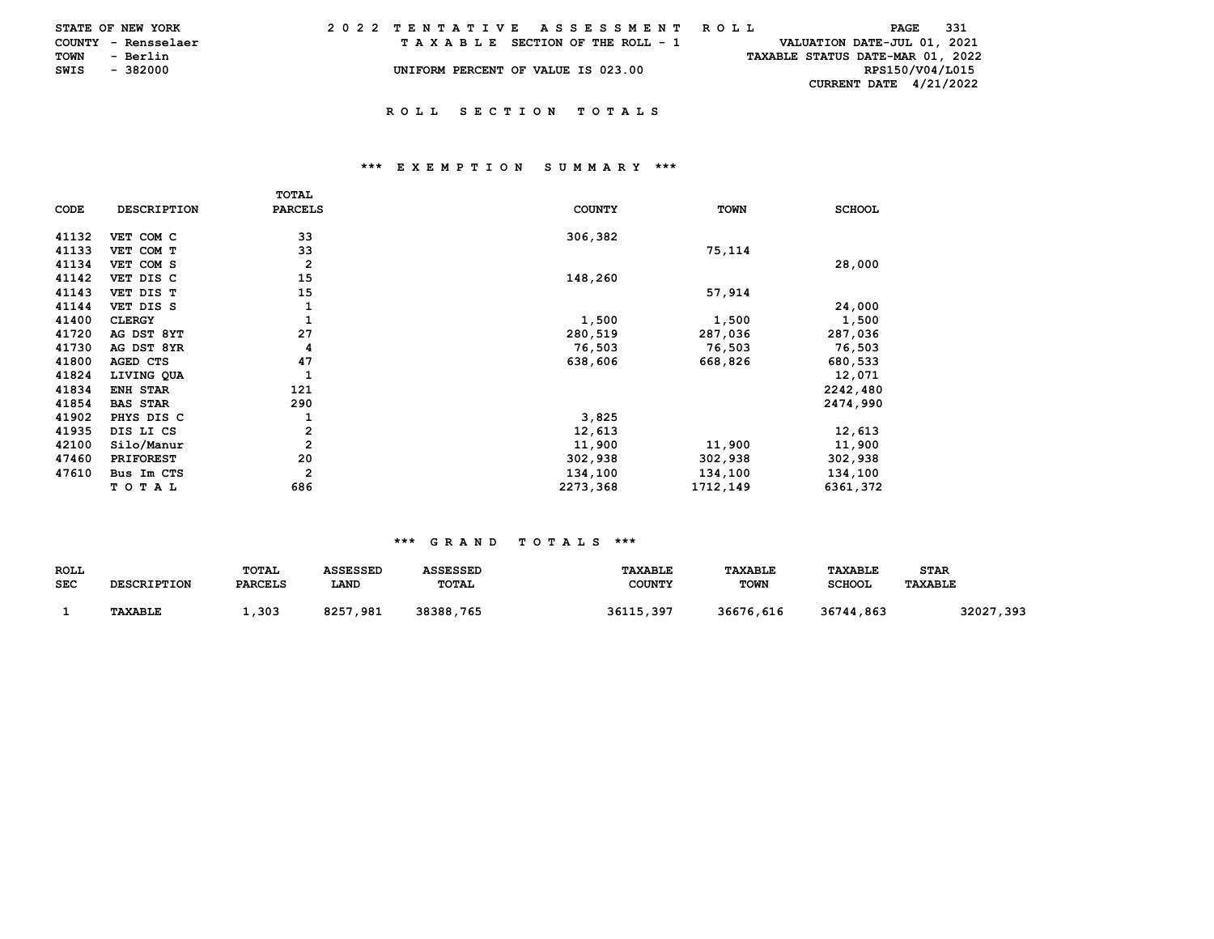|             | STATE OF NEW YORK   |  | 2022 TENTATIVE ASSESSMENT ROLL |  |  |                                    |  |  |  |  |  |  |                                  |  | PAGE            | - 331 |  |
|-------------|---------------------|--|--------------------------------|--|--|------------------------------------|--|--|--|--|--|--|----------------------------------|--|-----------------|-------|--|
|             | COUNTY - Rensselaer |  |                                |  |  | TAXABLE SECTION OF THE ROLL - 1    |  |  |  |  |  |  | VALUATION DATE-JUL 01, 2021      |  |                 |       |  |
| <b>TOWN</b> | - Berlin            |  |                                |  |  |                                    |  |  |  |  |  |  | TAXABLE STATUS DATE-MAR 01, 2022 |  |                 |       |  |
| SWIS        | - 382000            |  |                                |  |  | UNIFORM PERCENT OF VALUE IS 023.00 |  |  |  |  |  |  |                                  |  | RPS150/V04/L015 |       |  |
|             |                     |  |                                |  |  |                                    |  |  |  |  |  |  | CURRENT DATE 4/21/2022           |  |                 |       |  |
|             |                     |  |                                |  |  |                                    |  |  |  |  |  |  |                                  |  |                 |       |  |

## **\*\*\* E X E M P T I O N S U M M A R Y \*\*\***

|       |                    | <b>TOTAL</b>   |               |             |               |
|-------|--------------------|----------------|---------------|-------------|---------------|
| CODE  | <b>DESCRIPTION</b> | <b>PARCELS</b> | <b>COUNTY</b> | <b>TOWN</b> | <b>SCHOOL</b> |
| 41132 | VET COM C          | 33             | 306,382       |             |               |
| 41133 | VET COM T          | 33             |               | 75,114      |               |
| 41134 | VET COM S          | 2              |               |             | 28,000        |
| 41142 | VET DIS C          | 15             | 148,260       |             |               |
| 41143 | VET DIS T          | 15             |               | 57,914      |               |
| 41144 | VET DIS S          | 1              |               |             | 24,000        |
| 41400 | <b>CLERGY</b>      |                | 1,500         | 1,500       | 1,500         |
| 41720 | AG DST 8YT         | 27             | 280,519       | 287,036     | 287,036       |
| 41730 | AG DST 8YR         | 4              | 76,503        | 76,503      | 76,503        |
| 41800 | AGED CTS           | 47             | 638,606       | 668,826     | 680,533       |
| 41824 | LIVING QUA         | 1              |               |             | 12,071        |
| 41834 | ENH STAR           | 121            |               |             | 2242,480      |
| 41854 | <b>BAS STAR</b>    | 290            |               |             | 2474,990      |
| 41902 | PHYS DIS C         | 1              | 3,825         |             |               |
| 41935 | DIS LI CS          | $\mathbf{2}$   | 12,613        |             | 12,613        |
| 42100 | Silo/Manur         | $\mathbf{2}$   | 11,900        | 11,900      | 11,900        |
| 47460 | <b>PRIFOREST</b>   | 20             | 302,938       | 302,938     | 302,938       |
| 47610 | Bus Im CTS         | $\overline{2}$ | 134,100       | 134,100     | 134,100       |
|       | тотаь              | 686            | 2273,368      | 1712,149    | 6361,372      |

| <b>ROLL</b> |                    | TOTAL          | <b>ASSESSED</b> | <b>ASSESSED</b> | <b>TAXABLE</b> | <b>TAXABLE</b> | <b>TAXABLE</b> | <b>STAR</b>    |
|-------------|--------------------|----------------|-----------------|-----------------|----------------|----------------|----------------|----------------|
| <b>SEC</b>  | <b>DESCRIPTION</b> | <b>PARCELS</b> | LAND            | TOTAL           | <b>COUNTY</b>  | <b>TOWN</b>    | <b>SCHOOL</b>  | <b>TAXABLE</b> |
|             |                    |                |                 |                 |                |                |                |                |
|             | TAXABLE            | .,303          | 8257,981        | 38388,765       | 36115,397      | 36676,616      | 36744,863      | 32027,393      |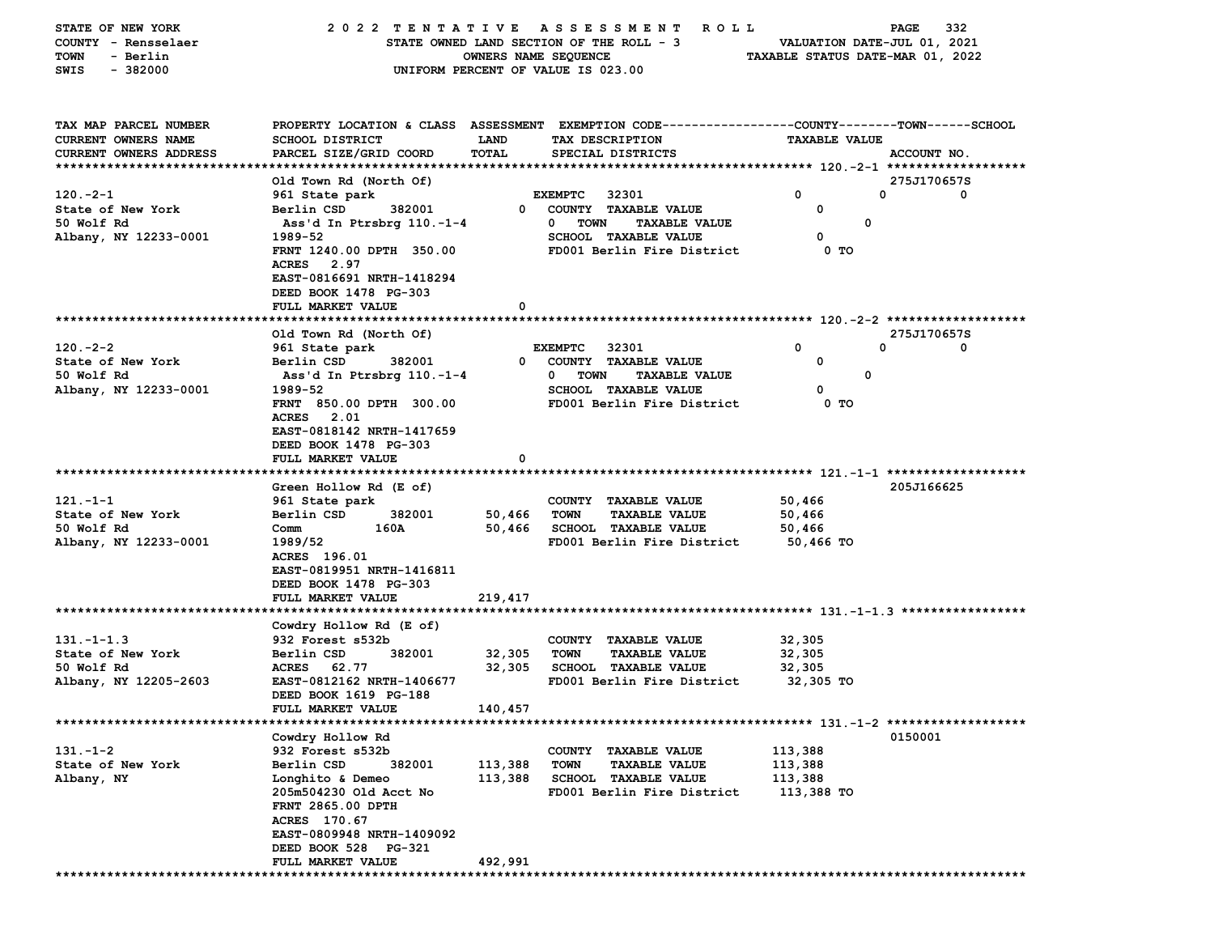| STATE OF NEW YORK<br>COUNTY - Rensselaer |                                                    |                      | 2022 TENTATIVE ASSESSMENT<br><b>ROLL</b><br>STATE OWNED LAND SECTION OF THE ROLL - 3           | VALUATION DATE-JUL 01, 2021      | 332<br><b>PAGE</b>    |
|------------------------------------------|----------------------------------------------------|----------------------|------------------------------------------------------------------------------------------------|----------------------------------|-----------------------|
| - Berlin<br>TOWN                         |                                                    | OWNERS NAME SEQUENCE |                                                                                                | TAXABLE STATUS DATE-MAR 01, 2022 |                       |
| $-382000$<br>SWIS                        |                                                    |                      | UNIFORM PERCENT OF VALUE IS 023.00                                                             |                                  |                       |
|                                          |                                                    |                      |                                                                                                |                                  |                       |
| TAX MAP PARCEL NUMBER                    |                                                    |                      | PROPERTY LOCATION & CLASS ASSESSMENT EXEMPTION CODE---------------COUNTY-------TOWN-----SCHOOL |                                  |                       |
| CURRENT OWNERS NAME                      | <b>SCHOOL DISTRICT</b>                             | <b>LAND</b>          | TAX DESCRIPTION                                                                                | <b>TAXABLE VALUE</b>             |                       |
| CURRENT OWNERS ADDRESS                   | PARCEL SIZE/GRID COORD                             | TOTAL                | SPECIAL DISTRICTS                                                                              |                                  | ACCOUNT NO.           |
|                                          |                                                    |                      |                                                                                                |                                  |                       |
| $120 - 2 - 1$                            | Old Town Rd (North Of)<br>961 State park           |                      | <b>EXEMPTC</b><br>32301                                                                        | 0                                | 275J170657S<br>0<br>0 |
| State of New York                        | Berlin CSD<br>382001                               | $\overline{0}$       | COUNTY TAXABLE VALUE                                                                           | 0                                |                       |
| 50 Wolf Rd                               | Ass'd In Ptrsbrg 110.-1-4                          |                      | $\mathbf{0}$<br><b>TOWN</b><br><b>TAXABLE VALUE</b>                                            | 0                                |                       |
| Albany, NY 12233-0001                    | 1989-52                                            |                      | SCHOOL TAXABLE VALUE                                                                           | 0                                |                       |
|                                          | FRNT 1240.00 DPTH 350.00                           |                      | FD001 Berlin Fire District                                                                     | 0 TO                             |                       |
|                                          | 2.97<br><b>ACRES</b>                               |                      |                                                                                                |                                  |                       |
|                                          | EAST-0816691 NRTH-1418294                          |                      |                                                                                                |                                  |                       |
|                                          | DEED BOOK 1478 PG-303                              |                      |                                                                                                |                                  |                       |
|                                          | FULL MARKET VALUE                                  | 0                    |                                                                                                |                                  |                       |
|                                          |                                                    |                      |                                                                                                |                                  |                       |
|                                          | Old Town Rd (North Of)                             |                      |                                                                                                |                                  | 275J170657S           |
| $120 - 2 - 2$                            | 961 State park                                     |                      | <b>EXEMPTC</b><br>32301                                                                        | 0                                | 0<br>0                |
| State of New York                        | Berlin CSD<br>382001                               | $^{\circ}$           | COUNTY TAXABLE VALUE                                                                           | 0                                |                       |
| 50 Wolf Rd                               | Ass'd In Ptrsbrg 110.-1-4                          |                      | 0<br><b>TOWN</b><br><b>TAXABLE VALUE</b>                                                       | $\mathbf 0$                      |                       |
| Albany, NY 12233-0001                    | 1989-52                                            |                      | <b>SCHOOL TAXABLE VALUE</b>                                                                    | 0                                |                       |
|                                          | FRNT 850.00 DPTH 300.00                            |                      | FD001 Berlin Fire District                                                                     | 0 TO                             |                       |
|                                          | <b>ACRES</b> 2.01<br>EAST-0818142 NRTH-1417659     |                      |                                                                                                |                                  |                       |
|                                          | DEED BOOK 1478 PG-303                              |                      |                                                                                                |                                  |                       |
|                                          | FULL MARKET VALUE                                  | 0                    |                                                                                                |                                  |                       |
|                                          |                                                    |                      |                                                                                                |                                  |                       |
|                                          | Green Hollow Rd (E of)                             |                      |                                                                                                |                                  | 205J166625            |
| $121 - 1 - 1$                            | 961 State park                                     |                      | COUNTY TAXABLE VALUE                                                                           | 50,466                           |                       |
| State of New York                        | Berlin CSD<br>382001                               | 50,466               | <b>TOWN</b><br><b>TAXABLE VALUE</b>                                                            | 50,466                           |                       |
| 50 Wolf Rd                               | 160A<br>Comm                                       | 50,466               | <b>SCHOOL TAXABLE VALUE</b>                                                                    | 50,466                           |                       |
| Albany, NY 12233-0001                    | 1989/52                                            |                      | FD001 Berlin Fire District                                                                     | 50,466 TO                        |                       |
|                                          | ACRES 196.01                                       |                      |                                                                                                |                                  |                       |
|                                          | EAST-0819951 NRTH-1416811                          |                      |                                                                                                |                                  |                       |
|                                          | DEED BOOK 1478 PG-303                              |                      |                                                                                                |                                  |                       |
|                                          | FULL MARKET VALUE                                  | 219,417              |                                                                                                |                                  |                       |
|                                          |                                                    |                      |                                                                                                |                                  |                       |
|                                          | Cowdry Hollow Rd (E of)                            |                      |                                                                                                |                                  |                       |
| $131 - 1 - 1.3$                          | 932 Forest s532b                                   |                      | COUNTY TAXABLE VALUE                                                                           | 32,305                           |                       |
| State of New York                        | Berlin CSD<br>382001                               | 32,305               | TOWN<br><b>TAXABLE VALUE</b>                                                                   | 32,305                           |                       |
| 50 Wolf Rd<br>Albany, NY 12205-2603      | ACRES 62.77                                        | 32,305               | <b>SCHOOL TAXABLE VALUE</b><br>FD001 Berlin Fire District                                      | 32,305                           |                       |
|                                          | EAST-0812162 NRTH-1406677<br>DEED BOOK 1619 PG-188 |                      |                                                                                                | 32,305 TO                        |                       |
|                                          | FULL MARKET VALUE                                  | 140,457              |                                                                                                |                                  |                       |
|                                          |                                                    |                      |                                                                                                |                                  |                       |
|                                          | Cowdry Hollow Rd                                   |                      |                                                                                                |                                  | 0150001               |
| $131. - 1 - 2$                           | 932 Forest s532b                                   |                      | COUNTY TAXABLE VALUE                                                                           | 113,388                          |                       |
| State of New York                        | Berlin CSD<br>382001                               | 113,388              | <b>TOWN</b><br><b>TAXABLE VALUE</b>                                                            | 113,388                          |                       |
| Albany, NY                               | Longhito & Demeo                                   | 113,388              | <b>SCHOOL TAXABLE VALUE</b>                                                                    | 113,388                          |                       |
|                                          | 205m504230 Old Acct No                             |                      | FD001 Berlin Fire District                                                                     | 113,388 TO                       |                       |
|                                          | FRNT 2865.00 DPTH                                  |                      |                                                                                                |                                  |                       |
|                                          | ACRES 170.67                                       |                      |                                                                                                |                                  |                       |
|                                          | EAST-0809948 NRTH-1409092                          |                      |                                                                                                |                                  |                       |
|                                          | DEED BOOK 528 PG-321                               |                      |                                                                                                |                                  |                       |
|                                          | FULL MARKET VALUE                                  | 492,991              |                                                                                                |                                  |                       |
|                                          |                                                    |                      |                                                                                                |                                  |                       |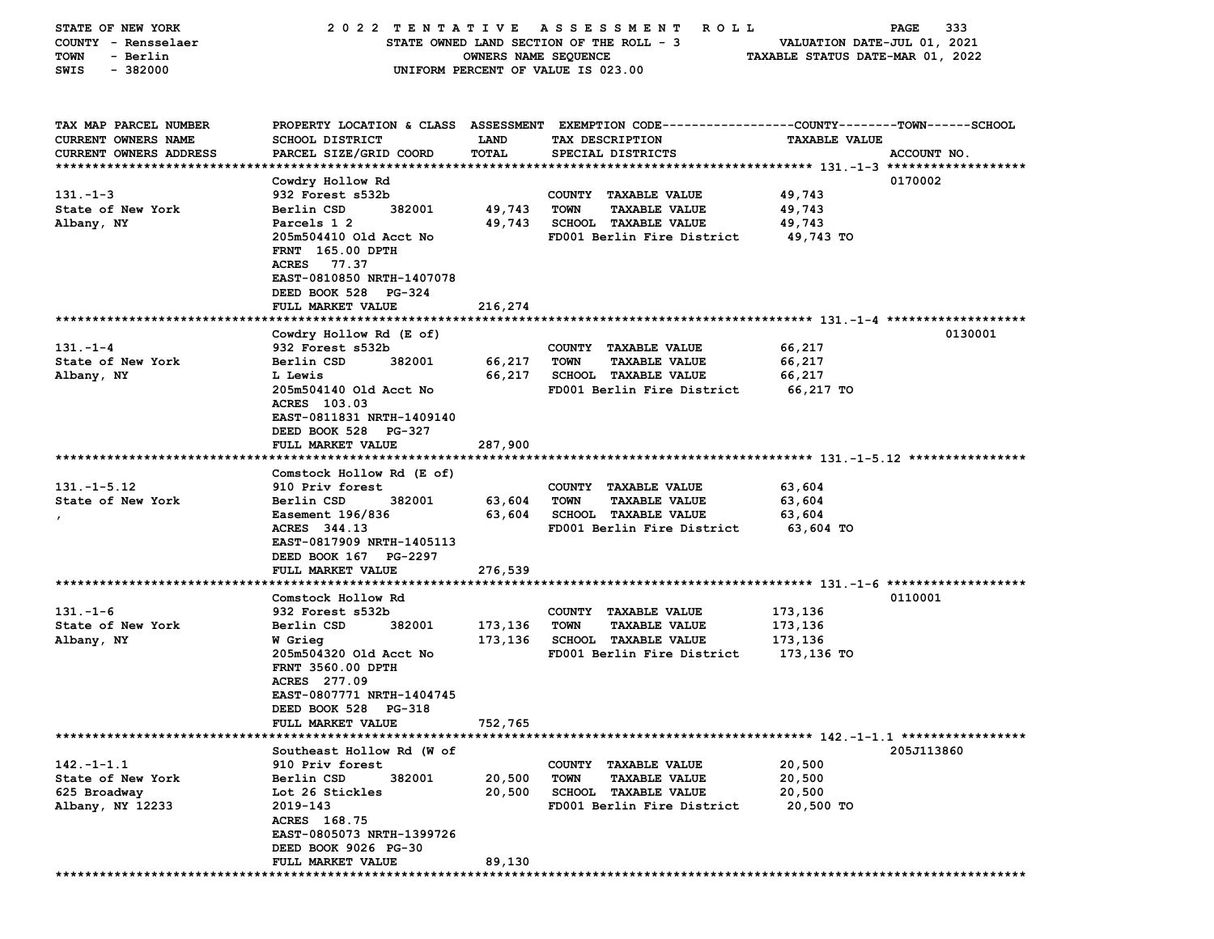| STATE OF NEW YORK             |                                             |                      | 2022 TENTATIVE ASSESSMENT<br>R O L L                                                            |                                  | 333<br>PAGE |
|-------------------------------|---------------------------------------------|----------------------|-------------------------------------------------------------------------------------------------|----------------------------------|-------------|
| COUNTY - Rensselaer           |                                             |                      | STATE OWNED LAND SECTION OF THE ROLL - 3                                                        | VALUATION DATE-JUL 01, 2021      |             |
| <b>TOWN</b><br>- Berlin       |                                             | OWNERS NAME SEQUENCE |                                                                                                 | TAXABLE STATUS DATE-MAR 01, 2022 |             |
| $-382000$<br>SWIS             |                                             |                      | UNIFORM PERCENT OF VALUE IS 023.00                                                              |                                  |             |
|                               |                                             |                      |                                                                                                 |                                  |             |
|                               |                                             |                      |                                                                                                 |                                  |             |
| TAX MAP PARCEL NUMBER         |                                             |                      | PROPERTY LOCATION & CLASS ASSESSMENT EXEMPTION CODE---------------COUNTY-------TOWN------SCHOOL |                                  |             |
| CURRENT OWNERS NAME           | SCHOOL DISTRICT                             | <b>LAND</b>          | TAX DESCRIPTION                                                                                 | <b>TAXABLE VALUE</b>             |             |
| <b>CURRENT OWNERS ADDRESS</b> | PARCEL SIZE/GRID COORD                      | TOTAL                | SPECIAL DISTRICTS                                                                               |                                  | ACCOUNT NO. |
|                               |                                             |                      |                                                                                                 |                                  |             |
|                               | Cowdry Hollow Rd                            |                      |                                                                                                 |                                  | 0170002     |
| $131 - 1 - 3$                 | 932 Forest s532b                            |                      | COUNTY TAXABLE VALUE                                                                            | 49,743                           |             |
| State of New York             | 382001<br>Berlin CSD                        | 49,743               | <b>TOWN</b><br><b>TAXABLE VALUE</b>                                                             | 49,743                           |             |
| Albany, NY                    | Parcels 1 2                                 | 49,743               | <b>SCHOOL TAXABLE VALUE</b>                                                                     | 49,743                           |             |
|                               | 205m504410 Old Acct No                      |                      | FD001 Berlin Fire District                                                                      | 49,743 TO                        |             |
|                               | <b>FRNT</b> 165.00 DPTH                     |                      |                                                                                                 |                                  |             |
|                               | <b>ACRES</b><br>77.37                       |                      |                                                                                                 |                                  |             |
|                               | EAST-0810850 NRTH-1407078                   |                      |                                                                                                 |                                  |             |
|                               | DEED BOOK 528 PG-324                        |                      |                                                                                                 |                                  |             |
|                               | FULL MARKET VALUE                           | 216,274              |                                                                                                 |                                  |             |
|                               | Cowdry Hollow Rd (E of)                     |                      |                                                                                                 |                                  | 0130001     |
| $131 - 1 - 4$                 | 932 Forest s532b                            |                      | COUNTY TAXABLE VALUE                                                                            | 66,217                           |             |
| State of New York             | Berlin CSD<br>382001                        | 66,217               | TOWN<br><b>TAXABLE VALUE</b>                                                                    | 66,217                           |             |
| Albany, NY                    | L Lewis                                     | 66,217               | <b>SCHOOL TAXABLE VALUE</b>                                                                     | 66,217                           |             |
|                               | 205m504140 Old Acct No                      |                      | FD001 Berlin Fire District                                                                      | 66,217 TO                        |             |
|                               | ACRES 103.03                                |                      |                                                                                                 |                                  |             |
|                               | EAST-0811831 NRTH-1409140                   |                      |                                                                                                 |                                  |             |
|                               | DEED BOOK 528 PG-327                        |                      |                                                                                                 |                                  |             |
|                               | FULL MARKET VALUE                           | 287,900              |                                                                                                 |                                  |             |
|                               |                                             |                      |                                                                                                 |                                  |             |
|                               | Comstock Hollow Rd (E of)                   |                      |                                                                                                 |                                  |             |
| $131. - 1 - 5.12$             | 910 Priv forest                             |                      | COUNTY TAXABLE VALUE                                                                            | 63,604                           |             |
| State of New York             | Berlin CSD<br>382001                        | 63,604               | TOWN<br><b>TAXABLE VALUE</b>                                                                    | 63,604                           |             |
| $\mathbf{r}$                  | Easement 196/836                            | 63,604               | <b>SCHOOL TAXABLE VALUE</b>                                                                     | 63,604                           |             |
|                               | ACRES 344.13                                |                      | FD001 Berlin Fire District                                                                      | 63,604 TO                        |             |
|                               | EAST-0817909 NRTH-1405113                   |                      |                                                                                                 |                                  |             |
|                               | DEED BOOK 167 PG-2297                       |                      |                                                                                                 |                                  |             |
|                               | FULL MARKET VALUE                           | 276,539              |                                                                                                 |                                  |             |
|                               |                                             |                      |                                                                                                 |                                  |             |
|                               | Comstock Hollow Rd                          |                      |                                                                                                 |                                  | 0110001     |
| $131 - 1 - 6$                 | 932 Forest s532b                            |                      | COUNTY TAXABLE VALUE                                                                            | 173,136                          |             |
| State of New York             | Berlin CSD<br>382001                        | 173,136              | <b>TOWN</b><br><b>TAXABLE VALUE</b>                                                             | 173,136                          |             |
| Albany, NY                    | W Grieg                                     | 173,136              | <b>SCHOOL TAXABLE VALUE</b><br>FD001 Berlin Fire District                                       | 173,136                          |             |
|                               | 205m504320 Old Acct No<br>FRNT 3560.00 DPTH |                      |                                                                                                 | 173,136 то                       |             |
|                               | ACRES 277.09                                |                      |                                                                                                 |                                  |             |
|                               | EAST-0807771 NRTH-1404745                   |                      |                                                                                                 |                                  |             |
|                               | DEED BOOK 528 PG-318                        |                      |                                                                                                 |                                  |             |
|                               | FULL MARKET VALUE                           | 752,765              |                                                                                                 |                                  |             |
| **************************    |                                             |                      |                                                                                                 |                                  |             |
|                               | Southeast Hollow Rd (W of                   |                      |                                                                                                 |                                  | 205J113860  |
| $142. - 1 - 1.1$              | 910 Priv forest                             |                      | <b>COUNTY</b><br><b>TAXABLE VALUE</b>                                                           | 20,500                           |             |
| State of New York             | Berlin CSD<br>382001                        | 20,500               | <b>TOWN</b><br><b>TAXABLE VALUE</b>                                                             | 20,500                           |             |
| 625 Broadway                  | Lot 26 Stickles                             | 20,500               | <b>SCHOOL TAXABLE VALUE</b>                                                                     | 20,500                           |             |
| Albany, NY 12233              | 2019-143                                    |                      | FD001 Berlin Fire District                                                                      | 20,500 TO                        |             |
|                               | ACRES 168.75                                |                      |                                                                                                 |                                  |             |
|                               | EAST-0805073 NRTH-1399726                   |                      |                                                                                                 |                                  |             |
|                               | DEED BOOK 9026 PG-30                        |                      |                                                                                                 |                                  |             |
|                               | FULL MARKET VALUE                           | 89,130               |                                                                                                 |                                  |             |
|                               |                                             |                      |                                                                                                 |                                  |             |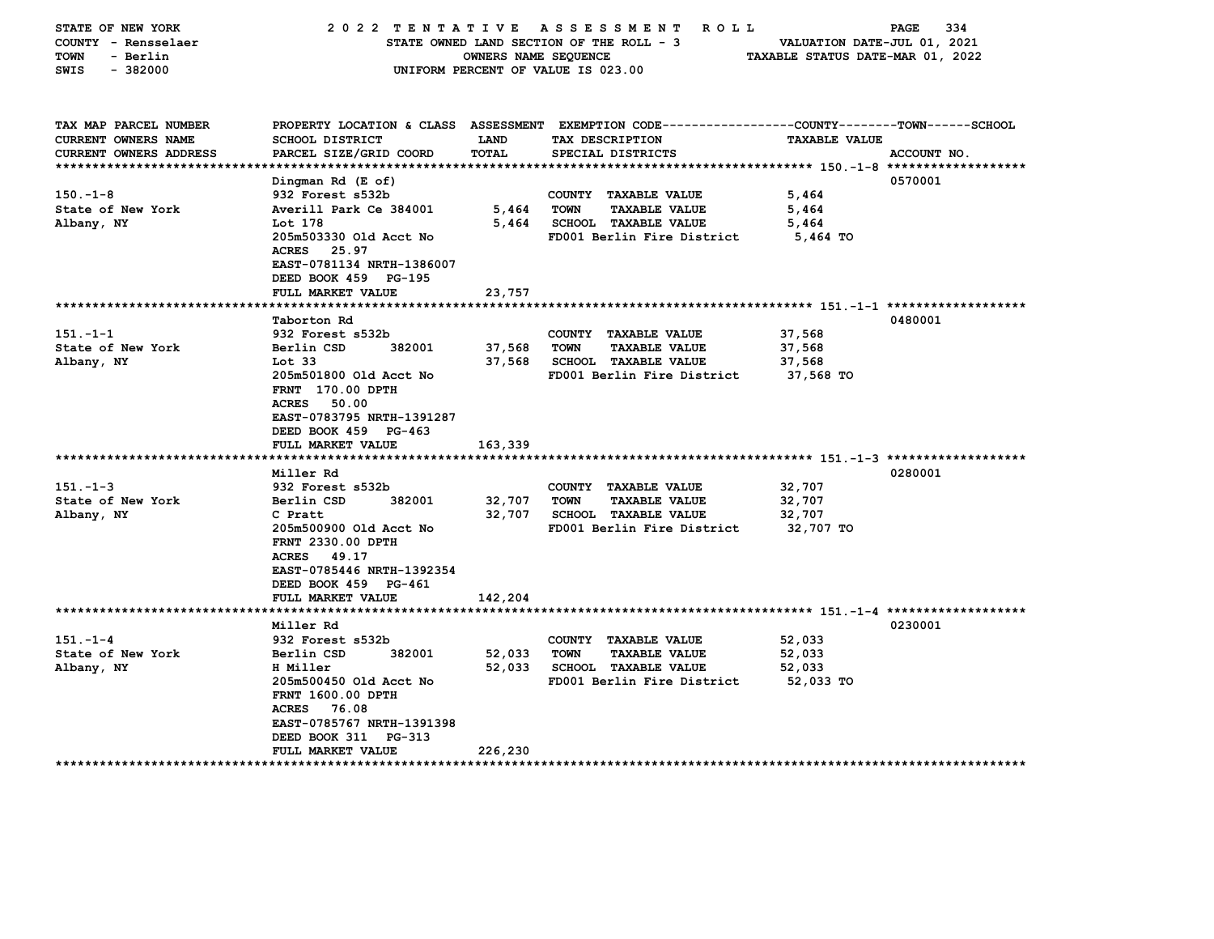| TAX MAP PARCEL NUMBER<br>PROPERTY LOCATION & CLASS ASSESSMENT EXEMPTION CODE---------------COUNTY-------TOWN-----SCHOOL<br><b>CURRENT OWNERS NAME</b><br><b>SCHOOL DISTRICT</b><br>TAX DESCRIPTION<br><b>TAXABLE VALUE</b><br>LAND<br>PARCEL SIZE/GRID COORD<br><b>CURRENT OWNERS ADDRESS</b><br>TOTAL<br>SPECIAL DISTRICTS<br>ACCOUNT NO.<br>0570001<br>Dingman Rd (E of)<br>$150. - 1 - 8$<br>932 Forest s532b<br>5,464<br>COUNTY TAXABLE VALUE<br>Averill Park Ce 384001<br><b>TAXABLE VALUE</b><br>State of New York<br>5,464<br>TOWN<br>5,464<br>Lot 178<br><b>SCHOOL TAXABLE VALUE</b><br>Albany, NY<br>5,464<br>5,464<br>205m503330 Old Acct No<br>FD001 Berlin Fire District<br>5,464 TO<br>ACRES 25.97<br>EAST-0781134 NRTH-1386007<br>DEED BOOK 459 PG-195 | STATE OF NEW YORK<br>COUNTY - Rensselaer<br>- Berlin<br>TOWN<br>SWIS<br>$-382000$ | 2022 TENTATIVE | OWNERS NAME SEQUENCE | A S S E S S M E N T<br>ROLL<br>STATE OWNED LAND SECTION OF THE ROLL - 3<br>UNIFORM PERCENT OF VALUE IS 023.00 | VALUATION DATE-JUL 01, 2021<br>TAXABLE STATUS DATE-MAR 01, 2022 | 334<br>PAGE |
|----------------------------------------------------------------------------------------------------------------------------------------------------------------------------------------------------------------------------------------------------------------------------------------------------------------------------------------------------------------------------------------------------------------------------------------------------------------------------------------------------------------------------------------------------------------------------------------------------------------------------------------------------------------------------------------------------------------------------------------------------------------------|-----------------------------------------------------------------------------------|----------------|----------------------|---------------------------------------------------------------------------------------------------------------|-----------------------------------------------------------------|-------------|
|                                                                                                                                                                                                                                                                                                                                                                                                                                                                                                                                                                                                                                                                                                                                                                      |                                                                                   |                |                      |                                                                                                               |                                                                 |             |
|                                                                                                                                                                                                                                                                                                                                                                                                                                                                                                                                                                                                                                                                                                                                                                      |                                                                                   |                |                      |                                                                                                               |                                                                 |             |
|                                                                                                                                                                                                                                                                                                                                                                                                                                                                                                                                                                                                                                                                                                                                                                      |                                                                                   |                |                      |                                                                                                               |                                                                 |             |
|                                                                                                                                                                                                                                                                                                                                                                                                                                                                                                                                                                                                                                                                                                                                                                      |                                                                                   |                |                      |                                                                                                               |                                                                 |             |
|                                                                                                                                                                                                                                                                                                                                                                                                                                                                                                                                                                                                                                                                                                                                                                      |                                                                                   |                |                      |                                                                                                               |                                                                 |             |
|                                                                                                                                                                                                                                                                                                                                                                                                                                                                                                                                                                                                                                                                                                                                                                      |                                                                                   |                |                      |                                                                                                               |                                                                 |             |
|                                                                                                                                                                                                                                                                                                                                                                                                                                                                                                                                                                                                                                                                                                                                                                      |                                                                                   |                |                      |                                                                                                               |                                                                 |             |
|                                                                                                                                                                                                                                                                                                                                                                                                                                                                                                                                                                                                                                                                                                                                                                      |                                                                                   |                |                      |                                                                                                               |                                                                 |             |
|                                                                                                                                                                                                                                                                                                                                                                                                                                                                                                                                                                                                                                                                                                                                                                      |                                                                                   |                |                      |                                                                                                               |                                                                 |             |
|                                                                                                                                                                                                                                                                                                                                                                                                                                                                                                                                                                                                                                                                                                                                                                      |                                                                                   |                |                      |                                                                                                               |                                                                 |             |
|                                                                                                                                                                                                                                                                                                                                                                                                                                                                                                                                                                                                                                                                                                                                                                      |                                                                                   |                |                      |                                                                                                               |                                                                 |             |
| FULL MARKET VALUE<br>23,757                                                                                                                                                                                                                                                                                                                                                                                                                                                                                                                                                                                                                                                                                                                                          |                                                                                   |                |                      |                                                                                                               |                                                                 |             |
| 0480001<br>Taborton Rd                                                                                                                                                                                                                                                                                                                                                                                                                                                                                                                                                                                                                                                                                                                                               |                                                                                   |                |                      |                                                                                                               |                                                                 |             |
| 151.-1-1<br>932 Forest s532b<br>COUNTY TAXABLE VALUE<br>37,568                                                                                                                                                                                                                                                                                                                                                                                                                                                                                                                                                                                                                                                                                                       |                                                                                   |                |                      |                                                                                                               |                                                                 |             |
| State of New York<br>Berlin CSD<br><b>TOWN</b><br><b>TAXABLE VALUE</b><br>382001<br>37,568<br>37,568                                                                                                                                                                                                                                                                                                                                                                                                                                                                                                                                                                                                                                                                 |                                                                                   |                |                      |                                                                                                               |                                                                 |             |
| Albany, NY<br>Tot <sub>33</sub><br>37,568<br><b>SCHOOL TAXABLE VALUE</b><br>37,568                                                                                                                                                                                                                                                                                                                                                                                                                                                                                                                                                                                                                                                                                   |                                                                                   |                |                      |                                                                                                               |                                                                 |             |
| 205m501800 Old Acct No<br>FD001 Berlin Fire District<br>37,568 TO                                                                                                                                                                                                                                                                                                                                                                                                                                                                                                                                                                                                                                                                                                    |                                                                                   |                |                      |                                                                                                               |                                                                 |             |
| <b>FRNT</b> 170.00 DPTH                                                                                                                                                                                                                                                                                                                                                                                                                                                                                                                                                                                                                                                                                                                                              |                                                                                   |                |                      |                                                                                                               |                                                                 |             |
| <b>ACRES</b><br>50.00                                                                                                                                                                                                                                                                                                                                                                                                                                                                                                                                                                                                                                                                                                                                                |                                                                                   |                |                      |                                                                                                               |                                                                 |             |
| EAST-0783795 NRTH-1391287                                                                                                                                                                                                                                                                                                                                                                                                                                                                                                                                                                                                                                                                                                                                            |                                                                                   |                |                      |                                                                                                               |                                                                 |             |
| DEED BOOK 459 PG-463                                                                                                                                                                                                                                                                                                                                                                                                                                                                                                                                                                                                                                                                                                                                                 |                                                                                   |                |                      |                                                                                                               |                                                                 |             |
| 163,339<br>FULL MARKET VALUE                                                                                                                                                                                                                                                                                                                                                                                                                                                                                                                                                                                                                                                                                                                                         |                                                                                   |                |                      |                                                                                                               |                                                                 |             |
|                                                                                                                                                                                                                                                                                                                                                                                                                                                                                                                                                                                                                                                                                                                                                                      |                                                                                   |                |                      |                                                                                                               |                                                                 |             |
| 0280001<br>Miller Rd                                                                                                                                                                                                                                                                                                                                                                                                                                                                                                                                                                                                                                                                                                                                                 |                                                                                   |                |                      |                                                                                                               |                                                                 |             |
| $151 - 1 - 3$<br>932 Forest s532b<br>32,707<br>COUNTY TAXABLE VALUE                                                                                                                                                                                                                                                                                                                                                                                                                                                                                                                                                                                                                                                                                                  |                                                                                   |                |                      |                                                                                                               |                                                                 |             |
| State of New York<br>382001<br>32,707<br>Berlin CSD<br>32,707<br><b>TOWN</b><br><b>TAXABLE VALUE</b>                                                                                                                                                                                                                                                                                                                                                                                                                                                                                                                                                                                                                                                                 |                                                                                   |                |                      |                                                                                                               |                                                                 |             |
| 32,707<br><b>SCHOOL TAXABLE VALUE</b><br>Albany, NY<br>C Pratt<br>32,707                                                                                                                                                                                                                                                                                                                                                                                                                                                                                                                                                                                                                                                                                             |                                                                                   |                |                      |                                                                                                               |                                                                 |             |
| 205m500900 Old Acct No<br>FD001 Berlin Fire District<br>32,707 TO<br>FRNT 2330.00 DPTH                                                                                                                                                                                                                                                                                                                                                                                                                                                                                                                                                                                                                                                                               |                                                                                   |                |                      |                                                                                                               |                                                                 |             |
| 49.17<br>ACRES                                                                                                                                                                                                                                                                                                                                                                                                                                                                                                                                                                                                                                                                                                                                                       |                                                                                   |                |                      |                                                                                                               |                                                                 |             |
| EAST-0785446 NRTH-1392354                                                                                                                                                                                                                                                                                                                                                                                                                                                                                                                                                                                                                                                                                                                                            |                                                                                   |                |                      |                                                                                                               |                                                                 |             |
| DEED BOOK 459 PG-461                                                                                                                                                                                                                                                                                                                                                                                                                                                                                                                                                                                                                                                                                                                                                 |                                                                                   |                |                      |                                                                                                               |                                                                 |             |
| FULL MARKET VALUE<br>142,204                                                                                                                                                                                                                                                                                                                                                                                                                                                                                                                                                                                                                                                                                                                                         |                                                                                   |                |                      |                                                                                                               |                                                                 |             |
|                                                                                                                                                                                                                                                                                                                                                                                                                                                                                                                                                                                                                                                                                                                                                                      |                                                                                   |                |                      |                                                                                                               |                                                                 |             |
| 0230001<br>Miller Rd                                                                                                                                                                                                                                                                                                                                                                                                                                                                                                                                                                                                                                                                                                                                                 |                                                                                   |                |                      |                                                                                                               |                                                                 |             |
| $151 - 1 - 4$<br>932 Forest s532b<br>COUNTY TAXABLE VALUE<br>52,033                                                                                                                                                                                                                                                                                                                                                                                                                                                                                                                                                                                                                                                                                                  |                                                                                   |                |                      |                                                                                                               |                                                                 |             |
| State of New York<br>Berlin CSD<br>382001<br>52,033<br><b>TOWN</b><br><b>TAXABLE VALUE</b><br>52,033                                                                                                                                                                                                                                                                                                                                                                                                                                                                                                                                                                                                                                                                 |                                                                                   |                |                      |                                                                                                               |                                                                 |             |
| Albany, NY<br>H Miller<br>52,033<br><b>SCHOOL TAXABLE VALUE</b><br>52,033                                                                                                                                                                                                                                                                                                                                                                                                                                                                                                                                                                                                                                                                                            |                                                                                   |                |                      |                                                                                                               |                                                                 |             |
| 205m500450 Old Acct No<br>FD001 Berlin Fire District<br>52,033 TO                                                                                                                                                                                                                                                                                                                                                                                                                                                                                                                                                                                                                                                                                                    |                                                                                   |                |                      |                                                                                                               |                                                                 |             |
| FRNT 1600.00 DPTH                                                                                                                                                                                                                                                                                                                                                                                                                                                                                                                                                                                                                                                                                                                                                    |                                                                                   |                |                      |                                                                                                               |                                                                 |             |
| <b>ACRES</b><br>76.08                                                                                                                                                                                                                                                                                                                                                                                                                                                                                                                                                                                                                                                                                                                                                |                                                                                   |                |                      |                                                                                                               |                                                                 |             |
| EAST-0785767 NRTH-1391398                                                                                                                                                                                                                                                                                                                                                                                                                                                                                                                                                                                                                                                                                                                                            |                                                                                   |                |                      |                                                                                                               |                                                                 |             |
| DEED BOOK 311 PG-313                                                                                                                                                                                                                                                                                                                                                                                                                                                                                                                                                                                                                                                                                                                                                 |                                                                                   |                |                      |                                                                                                               |                                                                 |             |
| 226,230<br>FULL MARKET VALUE                                                                                                                                                                                                                                                                                                                                                                                                                                                                                                                                                                                                                                                                                                                                         |                                                                                   |                |                      |                                                                                                               |                                                                 |             |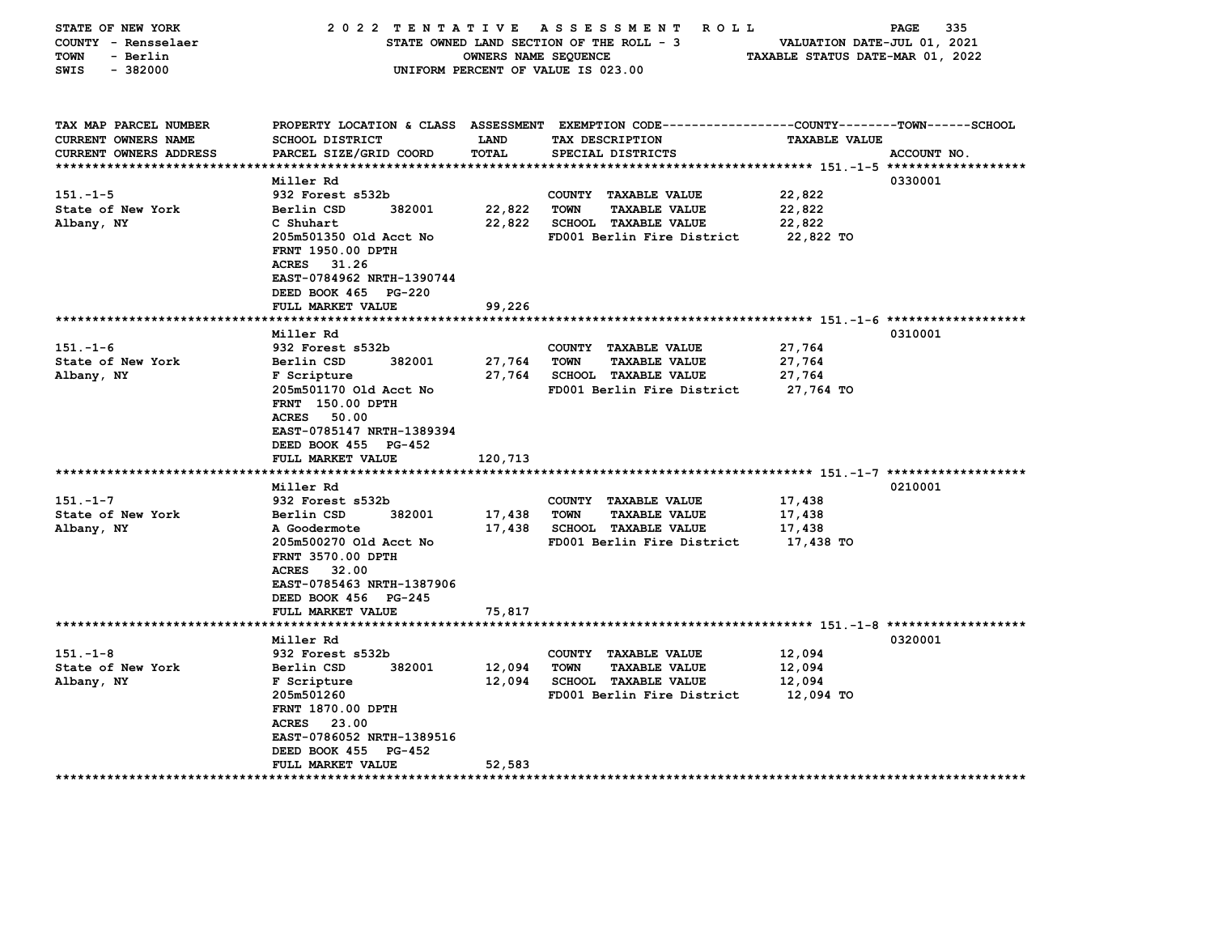| STATE OF NEW YORK<br>COUNTY - Rensselaer<br>TOWN<br>- Berlin<br>$-382000$<br>SWIS    | 2022 TENTATIVE ASSESSMENT                                                                                                                                                                                                      | OWNERS NAME SEQUENCE        | R O L L<br>STATE OWNED LAND SECTION OF THE ROLL - 3<br>UNIFORM PERCENT OF VALUE IS 023.00                                               | VALUATION DATE-JUL 01, 2021<br>TAXABLE STATUS DATE-MAR 01, 2022 | 335<br><b>PAGE</b> |
|--------------------------------------------------------------------------------------|--------------------------------------------------------------------------------------------------------------------------------------------------------------------------------------------------------------------------------|-----------------------------|-----------------------------------------------------------------------------------------------------------------------------------------|-----------------------------------------------------------------|--------------------|
| TAX MAP PARCEL NUMBER<br><b>CURRENT OWNERS NAME</b><br><b>CURRENT OWNERS ADDRESS</b> | SCHOOL DISTRICT<br>PARCEL SIZE/GRID COORD                                                                                                                                                                                      | <b>LAND</b><br>TOTAL        | PROPERTY LOCATION & CLASS ASSESSMENT EXEMPTION CODE---------------COUNTY-------TOWN------SCHOOL<br>TAX DESCRIPTION<br>SPECIAL DISTRICTS | <b>TAXABLE VALUE</b>                                            | ACCOUNT NO.        |
| $151 - 1 - 5$<br>State of New York<br>Albany, NY                                     | Miller Rd<br>932 Forest s532b<br>382001<br>Berlin CSD<br>C Shuhart<br>205m501350 Old Acct No<br>FRNT 1950.00 DPTH<br><b>ACRES</b><br>31.26<br>EAST-0784962 NRTH-1390744<br>DEED BOOK 465 PG-220                                | 22,822<br>22,822            | COUNTY TAXABLE VALUE<br><b>TOWN</b><br><b>TAXABLE VALUE</b><br><b>SCHOOL TAXABLE VALUE</b><br>FD001 Berlin Fire District                | 22,822<br>22,822<br>22,822<br>22,822 TO                         | 0330001            |
|                                                                                      | FULL MARKET VALUE                                                                                                                                                                                                              | 99,226                      |                                                                                                                                         |                                                                 |                    |
|                                                                                      | Miller Rd                                                                                                                                                                                                                      |                             |                                                                                                                                         |                                                                 | 0310001            |
| $151. - 1 - 6$<br>State of New York<br>Albany, NY                                    | 932 Forest s532b<br>382001<br>Berlin CSD<br>F Scripture<br>205m501170 Old Acct No<br>FRNT 150.00 DPTH<br><b>ACRES</b><br>50.00<br>EAST-0785147 NRTH-1389394<br>DEED BOOK 455 PG-452<br>FULL MARKET VALUE                       | 27,764<br>27,764<br>120,713 | COUNTY<br><b>TAXABLE VALUE</b><br><b>TOWN</b><br><b>TAXABLE VALUE</b><br><b>SCHOOL TAXABLE VALUE</b><br>FD001 Berlin Fire District      | 27,764<br>27,764<br>27,764<br>27,764 TO                         |                    |
| $151 - 1 - 7$<br>State of New York<br>Albany, NY                                     | Miller Rd<br>932 Forest s532b<br>382001<br>Berlin CSD<br>A Goodermote<br>205m500270 Old Acct No<br>FRNT 3570.00 DPTH<br><b>ACRES</b><br>32.00<br>EAST-0785463 NRTH-1387906<br>DEED BOOK 456 PG-245<br><b>FULL MARKET VALUE</b> | 17,438<br>17,438<br>75,817  | COUNTY TAXABLE VALUE<br><b>TOWN</b><br><b>TAXABLE VALUE</b><br><b>SCHOOL TAXABLE VALUE</b><br>FD001 Berlin Fire District                | 17,438<br>17,438<br>17,438<br>17,438 TO                         | 0210001            |
|                                                                                      | *******************                                                                                                                                                                                                            |                             |                                                                                                                                         |                                                                 |                    |
| $151 - 1 - 8$<br>State of New York<br>Albany, NY                                     | Miller Rd<br>932 Forest s532b<br>382001<br>Berlin CSD<br>F Scripture<br>205m501260<br>FRNT 1870.00 DPTH<br>ACRES 23.00<br>EAST-0786052 NRTH-1389516<br>DEED BOOK 455<br>PG-452                                                 | 12,094<br>12,094            | COUNTY TAXABLE VALUE<br><b>TAXABLE VALUE</b><br>TOWN<br>SCHOOL TAXABLE VALUE<br>FD001 Berlin Fire District                              | 12,094<br>12,094<br>12,094<br>12,094 TO                         | 0320001            |
|                                                                                      | FULL MARKET VALUE                                                                                                                                                                                                              | 52,583                      |                                                                                                                                         |                                                                 |                    |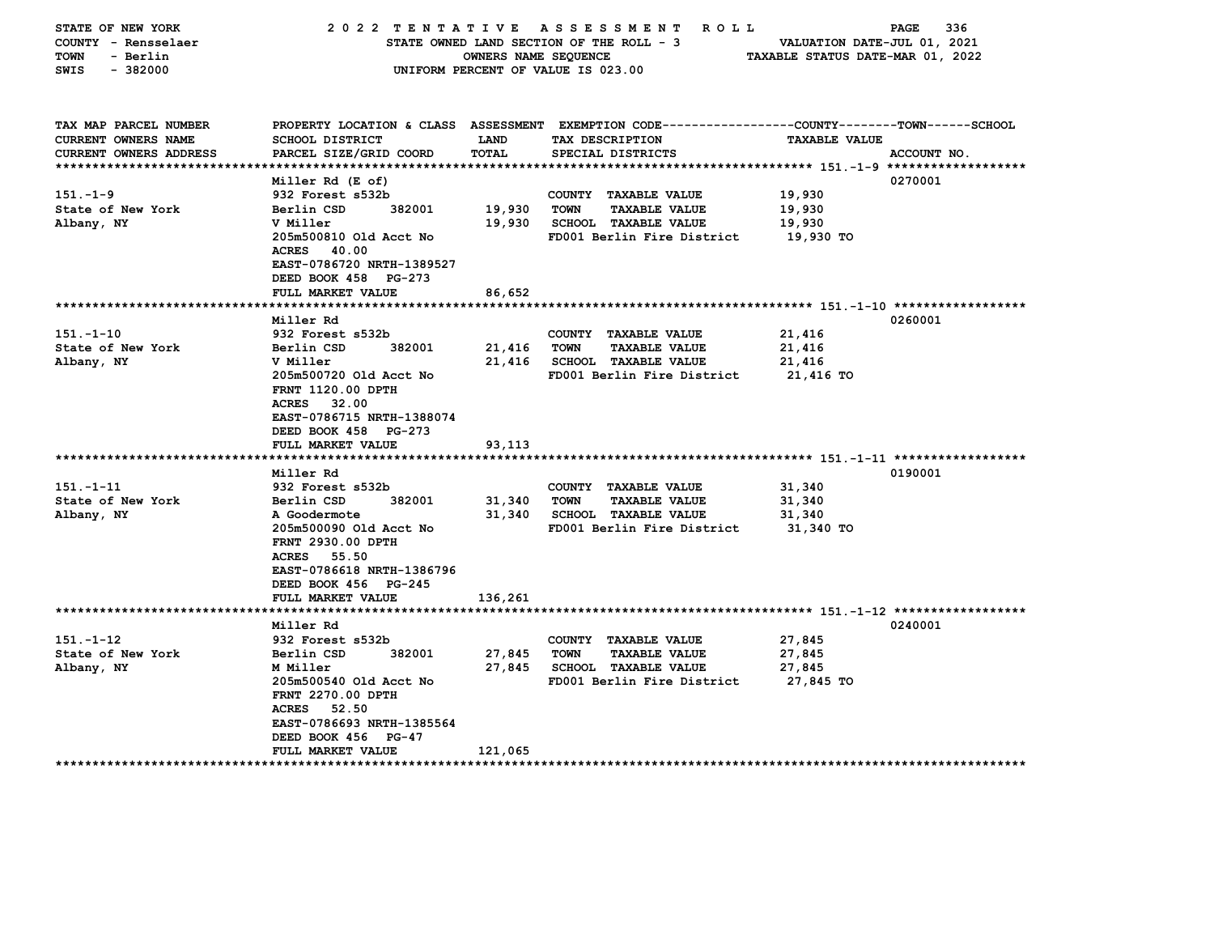| STATE OF NEW YORK<br>COUNTY - Rensselaer<br>- Berlin<br>TOWN<br>$-382000$<br>SWIS | 2022 TENTATIVE ASSESSMENT        | OWNERS NAME SEQUENCE | ROLL<br>STATE OWNED LAND SECTION OF THE ROLL - 3<br>UNIFORM PERCENT OF VALUE IS 023.00                              | VALUATION DATE-JUL 01, 2021<br>TAXABLE STATUS DATE-MAR 01, 2022 | 336<br>PAGE |
|-----------------------------------------------------------------------------------|----------------------------------|----------------------|---------------------------------------------------------------------------------------------------------------------|-----------------------------------------------------------------|-------------|
| TAX MAP PARCEL NUMBER<br>CURRENT OWNERS NAME                                      | SCHOOL DISTRICT                  | <b>LAND</b>          | PROPERTY LOCATION & CLASS ASSESSMENT EXEMPTION CODE----------------COUNTY-------TOWN------SCHOOL<br>TAX DESCRIPTION | <b>TAXABLE VALUE</b>                                            |             |
| <b>CURRENT OWNERS ADDRESS</b>                                                     | PARCEL SIZE/GRID COORD           | TOTAL                | SPECIAL DISTRICTS                                                                                                   |                                                                 | ACCOUNT NO. |
|                                                                                   |                                  |                      |                                                                                                                     |                                                                 |             |
|                                                                                   | Miller Rd (E of)                 |                      |                                                                                                                     |                                                                 | 0270001     |
| $151. - 1 - 9$                                                                    | 932 Forest s532b                 |                      | COUNTY TAXABLE VALUE                                                                                                | 19,930                                                          |             |
| State of New York                                                                 | Berlin CSD<br>382001             | 19,930               | TOWN<br><b>TAXABLE VALUE</b>                                                                                        | 19,930                                                          |             |
| Albany, NY                                                                        | V Miller                         | 19,930               | <b>SCHOOL TAXABLE VALUE</b>                                                                                         | 19,930                                                          |             |
|                                                                                   | 205m500810 Old Acct No           |                      | FD001 Berlin Fire District                                                                                          | 19,930 TO                                                       |             |
|                                                                                   | ACRES 40.00                      |                      |                                                                                                                     |                                                                 |             |
|                                                                                   | EAST-0786720 NRTH-1389527        |                      |                                                                                                                     |                                                                 |             |
|                                                                                   | DEED BOOK 458 PG-273             |                      |                                                                                                                     |                                                                 |             |
|                                                                                   | FULL MARKET VALUE                | 86,652               |                                                                                                                     |                                                                 |             |
|                                                                                   | Miller Rd                        |                      |                                                                                                                     |                                                                 | 0260001     |
| $151. - 1 - 10$                                                                   | 932 Forest s532b                 |                      | COUNTY TAXABLE VALUE                                                                                                | 21,416                                                          |             |
| State of New York                                                                 | Berlin CSD<br>382001             | 21,416               | <b>TAXABLE VALUE</b><br>TOWN                                                                                        | 21,416                                                          |             |
| Albany, NY                                                                        | V Miller                         | 21,416               | <b>SCHOOL TAXABLE VALUE</b>                                                                                         | 21,416                                                          |             |
|                                                                                   | 205m500720 Old Acct No           |                      | FD001 Berlin Fire District                                                                                          | 21,416 TO                                                       |             |
|                                                                                   | <b>FRNT 1120.00 DPTH</b>         |                      |                                                                                                                     |                                                                 |             |
|                                                                                   | 32.00<br><b>ACRES</b>            |                      |                                                                                                                     |                                                                 |             |
|                                                                                   | EAST-0786715 NRTH-1388074        |                      |                                                                                                                     |                                                                 |             |
|                                                                                   | DEED BOOK 458 PG-273             |                      |                                                                                                                     |                                                                 |             |
|                                                                                   | FULL MARKET VALUE                | 93,113               |                                                                                                                     |                                                                 |             |
|                                                                                   | Miller Rd                        |                      |                                                                                                                     |                                                                 | 0190001     |
| $151 - 1 - 11$                                                                    | 932 Forest s532b                 |                      | COUNTY TAXABLE VALUE                                                                                                | 31,340                                                          |             |
| State of New York                                                                 | 382001<br>Berlin CSD             | 31,340               | <b>TOWN</b><br><b>TAXABLE VALUE</b>                                                                                 | 31,340                                                          |             |
| Albany, NY                                                                        | A Goodermote                     | 31,340               | <b>SCHOOL TAXABLE VALUE</b>                                                                                         | 31,340                                                          |             |
|                                                                                   | 205m500090 Old Acct No           |                      | FD001 Berlin Fire District                                                                                          | 31,340 TO                                                       |             |
|                                                                                   | FRNT 2930.00 DPTH                |                      |                                                                                                                     |                                                                 |             |
|                                                                                   | <b>ACRES</b><br>55.50            |                      |                                                                                                                     |                                                                 |             |
|                                                                                   | EAST-0786618 NRTH-1386796        |                      |                                                                                                                     |                                                                 |             |
|                                                                                   | DEED BOOK 456 PG-245             |                      |                                                                                                                     |                                                                 |             |
|                                                                                   | <b>FULL MARKET VALUE</b>         | 136,261              |                                                                                                                     |                                                                 |             |
|                                                                                   |                                  |                      |                                                                                                                     |                                                                 |             |
|                                                                                   | Miller Rd                        |                      |                                                                                                                     |                                                                 | 0240001     |
| $151 - 1 - 12$                                                                    | 932 Forest s532b                 |                      | COUNTY TAXABLE VALUE                                                                                                | 27,845                                                          |             |
| State of New York                                                                 | Berlin CSD<br>382001<br>M Miller | 27,845<br>27,845     | <b>TOWN</b><br><b>TAXABLE VALUE</b>                                                                                 | 27,845                                                          |             |
| Albany, NY                                                                        | 205m500540 Old Acct No           |                      | <b>SCHOOL TAXABLE VALUE</b><br>FD001 Berlin Fire District                                                           | 27,845                                                          |             |
|                                                                                   | FRNT 2270.00 DPTH                |                      |                                                                                                                     | 27,845 TO                                                       |             |
|                                                                                   | <b>ACRES</b><br>52.50            |                      |                                                                                                                     |                                                                 |             |
|                                                                                   | EAST-0786693 NRTH-1385564        |                      |                                                                                                                     |                                                                 |             |
|                                                                                   | DEED BOOK 456 PG-47              |                      |                                                                                                                     |                                                                 |             |
|                                                                                   | FULL MARKET VALUE                | 121,065              |                                                                                                                     |                                                                 |             |
|                                                                                   |                                  |                      |                                                                                                                     |                                                                 |             |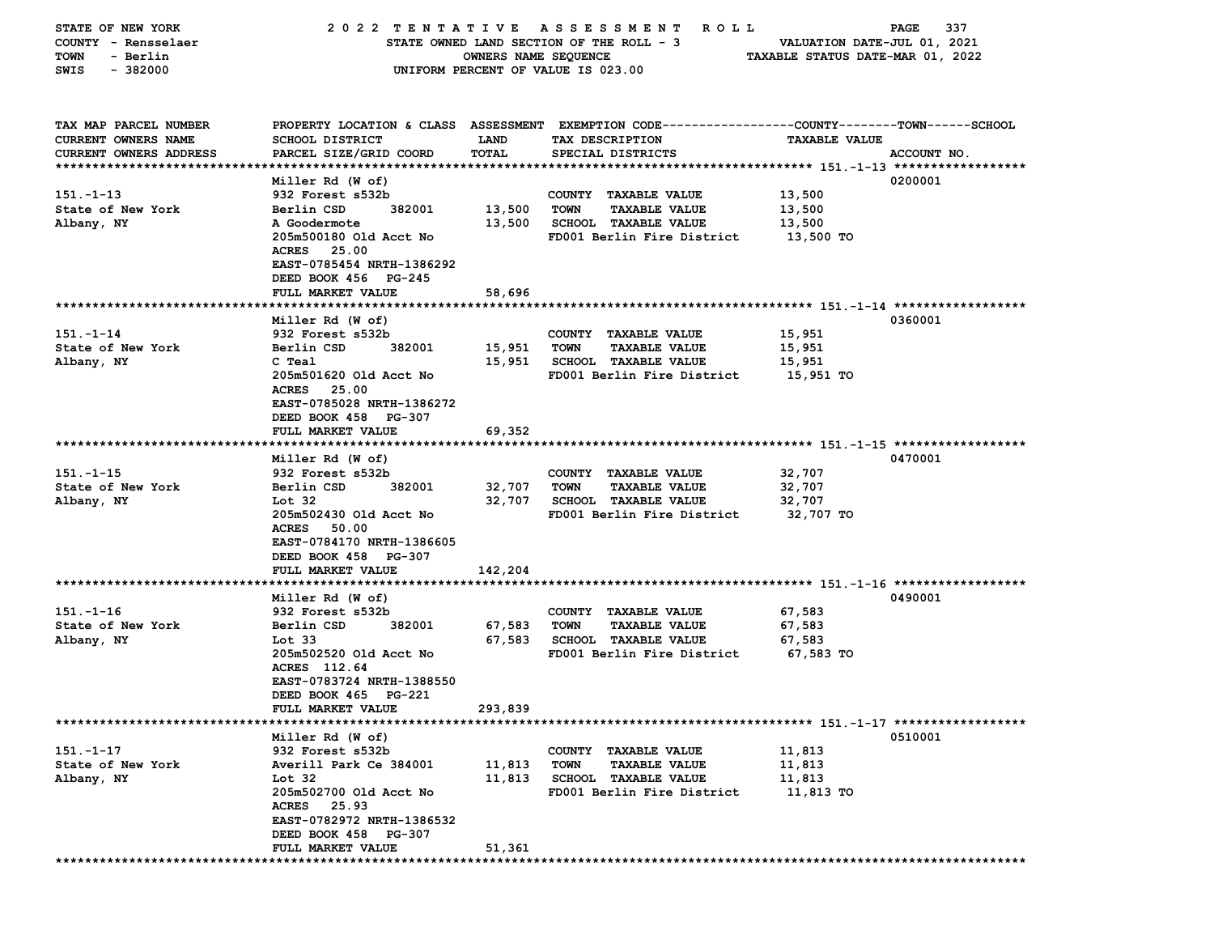| STATE OF NEW YORK                   | 2022 TENTATIVE ASSESSMENT                | R O L L                                  | PAGE<br>337                                                                                     |                                  |             |
|-------------------------------------|------------------------------------------|------------------------------------------|-------------------------------------------------------------------------------------------------|----------------------------------|-------------|
| COUNTY - Rensselaer                 |                                          | STATE OWNED LAND SECTION OF THE ROLL - 3 | VALUATION DATE-JUL 01, 2021                                                                     |                                  |             |
| - Berlin<br>TOWN                    |                                          | OWNERS NAME SEQUENCE                     |                                                                                                 | TAXABLE STATUS DATE-MAR 01, 2022 |             |
| $-382000$<br>SWIS                   |                                          |                                          | UNIFORM PERCENT OF VALUE IS 023.00                                                              |                                  |             |
|                                     |                                          |                                          |                                                                                                 |                                  |             |
|                                     |                                          |                                          |                                                                                                 |                                  |             |
| TAX MAP PARCEL NUMBER               |                                          |                                          | PROPERTY LOCATION & CLASS ASSESSMENT EXEMPTION CODE---------------COUNTY-------TOWN------SCHOOL |                                  |             |
| CURRENT OWNERS NAME                 | SCHOOL DISTRICT                          | <b>LAND</b>                              | TAX DESCRIPTION                                                                                 | <b>TAXABLE VALUE</b>             |             |
| CURRENT OWNERS ADDRESS              | PARCEL SIZE/GRID COORD                   | TOTAL                                    | SPECIAL DISTRICTS                                                                               |                                  | ACCOUNT NO. |
|                                     |                                          |                                          |                                                                                                 |                                  |             |
|                                     | Miller Rd (W of)                         |                                          |                                                                                                 |                                  | 0200001     |
| $151 - 1 - 13$                      | 932 Forest s532b                         |                                          | COUNTY TAXABLE VALUE                                                                            | 13,500                           |             |
| State of New York                   | Berlin CSD<br>382001                     | 13,500                                   | <b>TOWN</b><br><b>TAXABLE VALUE</b>                                                             | 13,500                           |             |
| Albany, NY                          | A Goodermote                             | 13,500                                   | <b>SCHOOL TAXABLE VALUE</b>                                                                     | 13,500                           |             |
|                                     | 205m500180 Old Acct No                   |                                          | FD001 Berlin Fire District                                                                      | 13,500 TO                        |             |
|                                     | ACRES 25.00                              |                                          |                                                                                                 |                                  |             |
|                                     | EAST-0785454 NRTH-1386292                |                                          |                                                                                                 |                                  |             |
|                                     | DEED BOOK 456 PG-245                     |                                          |                                                                                                 |                                  |             |
|                                     | FULL MARKET VALUE                        | 58,696                                   |                                                                                                 |                                  |             |
|                                     |                                          |                                          |                                                                                                 |                                  |             |
|                                     | Miller Rd (W of)                         |                                          |                                                                                                 |                                  | 0360001     |
| $151 - 1 - 14$                      | 932 Forest s532b                         |                                          | COUNTY TAXABLE VALUE                                                                            | 15,951                           |             |
| State of New York                   | Berlin CSD<br>382001                     | 15,951                                   | <b>TAXABLE VALUE</b><br><b>TOWN</b>                                                             | 15,951                           |             |
| Albany, NY                          | C Teal                                   | 15,951                                   | <b>SCHOOL TAXABLE VALUE</b>                                                                     | 15,951                           |             |
|                                     | 205m501620 Old Acct No                   |                                          | FD001 Berlin Fire District                                                                      | 15,951 TO                        |             |
|                                     | <b>ACRES</b><br>25.00                    |                                          |                                                                                                 |                                  |             |
|                                     | EAST-0785028 NRTH-1386272                |                                          |                                                                                                 |                                  |             |
|                                     | DEED BOOK 458 PG-307                     |                                          |                                                                                                 |                                  |             |
|                                     | FULL MARKET VALUE                        | 69,352                                   |                                                                                                 |                                  |             |
|                                     |                                          |                                          |                                                                                                 |                                  |             |
|                                     | Miller Rd (W of)                         |                                          |                                                                                                 |                                  | 0470001     |
| $151 - 1 - 15$                      | 932 Forest s532b                         |                                          | COUNTY TAXABLE VALUE                                                                            | 32,707                           |             |
| State of New York                   | Berlin CSD<br>382001                     | 32,707                                   | TOWN<br><b>TAXABLE VALUE</b>                                                                    | 32,707                           |             |
| Albany, NY                          | Lot 32                                   | 32,707                                   | <b>SCHOOL TAXABLE VALUE</b>                                                                     | 32,707                           |             |
|                                     | 205m502430 Old Acct No                   |                                          | FD001 Berlin Fire District                                                                      | 32,707 TO                        |             |
|                                     | ACRES 50.00                              |                                          |                                                                                                 |                                  |             |
|                                     | EAST-0784170 NRTH-1386605                |                                          |                                                                                                 |                                  |             |
|                                     | DEED BOOK 458 PG-307                     |                                          |                                                                                                 |                                  |             |
|                                     | FULL MARKET VALUE                        | 142,204                                  |                                                                                                 |                                  |             |
|                                     |                                          |                                          |                                                                                                 |                                  |             |
|                                     | Miller Rd (W of)                         |                                          |                                                                                                 |                                  | 0490001     |
| $151 - 1 - 16$<br>State of New York | 932 Forest s532b<br>Berlin CSD<br>382001 |                                          | COUNTY TAXABLE VALUE<br><b>TOWN</b>                                                             | 67,583                           |             |
|                                     | Lot 33                                   | 67,583<br>67,583                         | <b>TAXABLE VALUE</b><br><b>SCHOOL TAXABLE VALUE</b>                                             | 67,583<br>67,583                 |             |
| Albany, NY                          | 205m502520 Old Acct No                   |                                          |                                                                                                 |                                  |             |
|                                     | ACRES 112.64                             |                                          | FD001 Berlin Fire District                                                                      | 67,583 TO                        |             |
|                                     | EAST-0783724 NRTH-1388550                |                                          |                                                                                                 |                                  |             |
|                                     | DEED BOOK 465 PG-221                     |                                          |                                                                                                 |                                  |             |
|                                     | <b>FULL MARKET VALUE</b>                 | 293,839                                  |                                                                                                 |                                  |             |
|                                     |                                          |                                          |                                                                                                 |                                  |             |
|                                     | Miller Rd (W of)                         |                                          |                                                                                                 |                                  | 0510001     |
| $151 - 1 - 17$                      | 932 Forest s532b                         |                                          | COUNTY TAXABLE VALUE                                                                            | 11,813                           |             |
| State of New York                   | Averill Park Ce 384001                   | 11,813                                   | <b>TOWN</b><br><b>TAXABLE VALUE</b>                                                             | 11,813                           |             |
| Albany, NY                          | Lot 32                                   | 11,813                                   | <b>SCHOOL TAXABLE VALUE</b>                                                                     | 11,813                           |             |
|                                     | 205m502700 Old Acct No                   |                                          | FD001 Berlin Fire District                                                                      | 11,813 TO                        |             |
|                                     | ACRES 25.93                              |                                          |                                                                                                 |                                  |             |
|                                     | EAST-0782972 NRTH-1386532                |                                          |                                                                                                 |                                  |             |
|                                     | DEED BOOK 458 PG-307                     |                                          |                                                                                                 |                                  |             |
|                                     | FULL MARKET VALUE                        | 51,361                                   |                                                                                                 |                                  |             |
|                                     |                                          |                                          |                                                                                                 |                                  |             |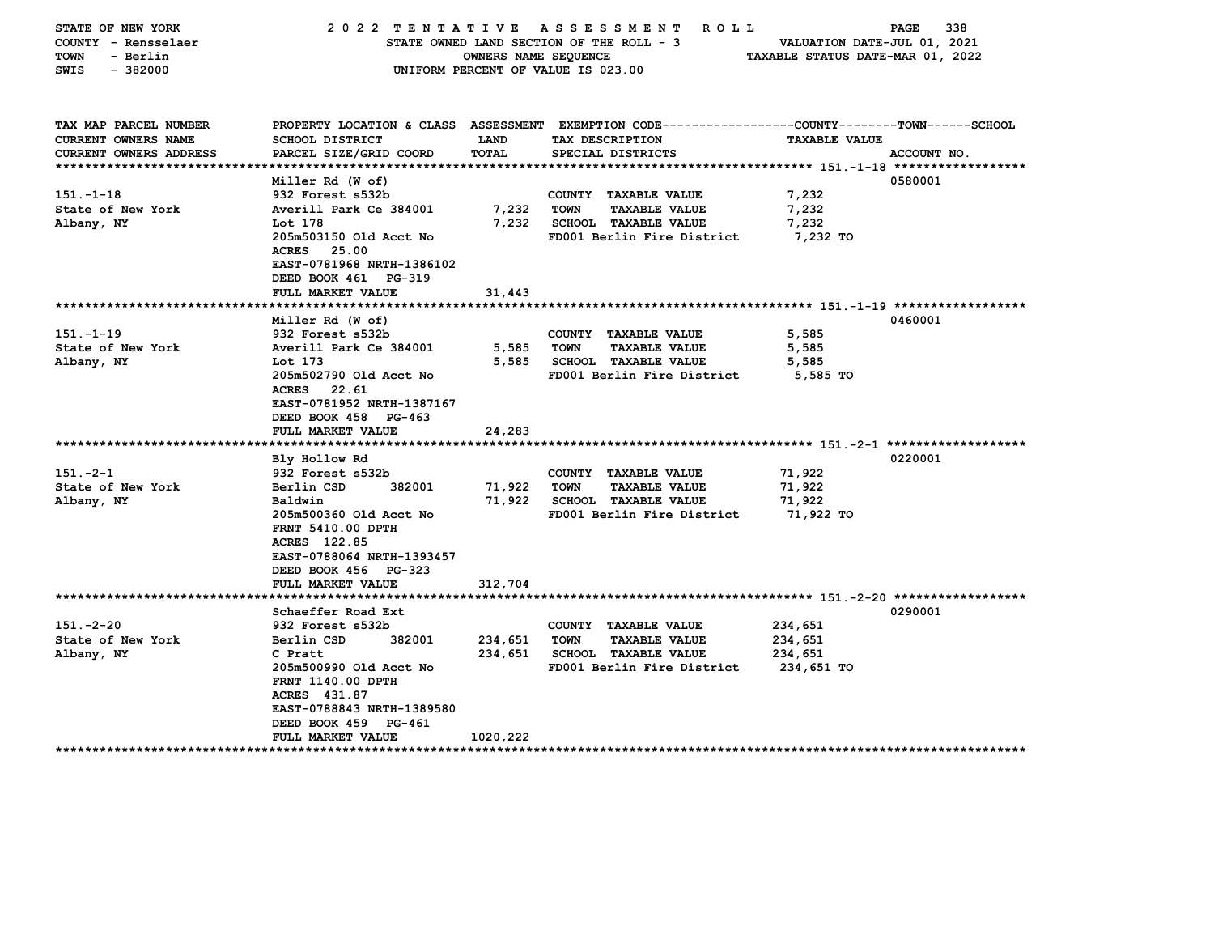| STATE OF NEW YORK<br>COUNTY - Rensselaer<br><b>TOWN</b><br>- Berlin<br>$-382000$<br>SWIS | 2022 TENTATIVE                                                                                                                                          | A S S E S S M E N T<br>R O L L<br>STATE OWNED LAND SECTION OF THE ROLL - 3<br>OWNERS NAME SEQUENCE<br>UNIFORM PERCENT OF VALUE IS 023.00 | 338<br>PAGE<br>VALUATION DATE-JUL 01, 2021<br>TAXABLE STATUS DATE-MAR 01, 2022                                    |                       |             |  |  |  |  |  |
|------------------------------------------------------------------------------------------|---------------------------------------------------------------------------------------------------------------------------------------------------------|------------------------------------------------------------------------------------------------------------------------------------------|-------------------------------------------------------------------------------------------------------------------|-----------------------|-------------|--|--|--|--|--|
| TAX MAP PARCEL NUMBER<br><b>CURRENT OWNERS NAME</b>                                      | <b>SCHOOL DISTRICT</b>                                                                                                                                  | LAND                                                                                                                                     | PROPERTY LOCATION & CLASS ASSESSMENT EXEMPTION CODE---------------COUNTY-------TOWN-----SCHOOL<br>TAX DESCRIPTION | <b>TAXABLE VALUE</b>  |             |  |  |  |  |  |
| <b>CURRENT OWNERS ADDRESS</b>                                                            | PARCEL SIZE/GRID COORD                                                                                                                                  | TOTAL                                                                                                                                    | SPECIAL DISTRICTS                                                                                                 |                       | ACCOUNT NO. |  |  |  |  |  |
| **************************                                                               |                                                                                                                                                         |                                                                                                                                          |                                                                                                                   |                       |             |  |  |  |  |  |
| $151 - 1 - 18$                                                                           | Miller Rd (W of)<br>932 Forest s532b                                                                                                                    |                                                                                                                                          | COUNTY TAXABLE VALUE                                                                                              | 7,232                 | 0580001     |  |  |  |  |  |
| State of New York                                                                        | Averill Park Ce 384001                                                                                                                                  | 7,232                                                                                                                                    | <b>TOWN</b><br><b>TAXABLE VALUE</b>                                                                               | 7,232                 |             |  |  |  |  |  |
| Albany, NY                                                                               | Lot 178                                                                                                                                                 | 7,232                                                                                                                                    | <b>SCHOOL TAXABLE VALUE</b>                                                                                       | 7,232                 |             |  |  |  |  |  |
|                                                                                          | 205m503150 Old Acct No                                                                                                                                  |                                                                                                                                          | FD001 Berlin Fire District                                                                                        | 7,232 TO              |             |  |  |  |  |  |
|                                                                                          | 25.00<br>ACRES<br>EAST-0781968 NRTH-1386102<br>DEED BOOK 461 PG-319                                                                                     |                                                                                                                                          |                                                                                                                   |                       |             |  |  |  |  |  |
|                                                                                          | FULL MARKET VALUE                                                                                                                                       | 31,443                                                                                                                                   |                                                                                                                   |                       |             |  |  |  |  |  |
|                                                                                          |                                                                                                                                                         |                                                                                                                                          |                                                                                                                   |                       |             |  |  |  |  |  |
|                                                                                          | Miller Rd (W of)                                                                                                                                        |                                                                                                                                          |                                                                                                                   |                       | 0460001     |  |  |  |  |  |
| $151 - 1 - 19$<br>State of New York                                                      | 932 Forest s532b<br>Averill Park Ce 384001                                                                                                              | 5,585                                                                                                                                    | COUNTY TAXABLE VALUE<br><b>TOWN</b><br><b>TAXABLE VALUE</b>                                                       | 5,585<br>5,585        |             |  |  |  |  |  |
| Albany, NY                                                                               | Lot 173                                                                                                                                                 | 5,585                                                                                                                                    | <b>SCHOOL TAXABLE VALUE</b>                                                                                       | 5,585                 |             |  |  |  |  |  |
|                                                                                          | 205m502790 Old Acct No<br>ACRES 22.61<br>EAST-0781952 NRTH-1387167<br>DEED BOOK 458 PG-463                                                              |                                                                                                                                          | FD001 Berlin Fire District                                                                                        | 5,585 TO              |             |  |  |  |  |  |
|                                                                                          | FULL MARKET VALUE                                                                                                                                       | 24,283                                                                                                                                   |                                                                                                                   |                       |             |  |  |  |  |  |
|                                                                                          | ***********************                                                                                                                                 |                                                                                                                                          |                                                                                                                   |                       | 0220001     |  |  |  |  |  |
| $151 - 2 - 1$                                                                            | Bly Hollow Rd<br>932 Forest s532b                                                                                                                       |                                                                                                                                          | COUNTY TAXABLE VALUE                                                                                              | 71,922                |             |  |  |  |  |  |
| State of New York                                                                        | Berlin CSD<br>382001                                                                                                                                    | 71,922                                                                                                                                   | <b>TOWN</b><br><b>TAXABLE VALUE</b>                                                                               | 71,922                |             |  |  |  |  |  |
| Albany, NY                                                                               | Baldwin                                                                                                                                                 | 71,922                                                                                                                                   | <b>SCHOOL TAXABLE VALUE</b>                                                                                       | 71,922                |             |  |  |  |  |  |
|                                                                                          | 205m500360 Old Acct No<br>FRNT 5410.00 DPTH<br>ACRES 122.85<br>EAST-0788064 NRTH-1393457<br>DEED BOOK 456 PG-323<br>FULL MARKET VALUE                   | 312,704                                                                                                                                  | FD001 Berlin Fire District                                                                                        | 71,922 TO             |             |  |  |  |  |  |
|                                                                                          |                                                                                                                                                         |                                                                                                                                          |                                                                                                                   |                       |             |  |  |  |  |  |
|                                                                                          | Schaeffer Road Ext                                                                                                                                      |                                                                                                                                          |                                                                                                                   |                       | 0290001     |  |  |  |  |  |
| $151. -2 - 20$                                                                           | 932 Forest s532b                                                                                                                                        |                                                                                                                                          | COUNTY TAXABLE VALUE                                                                                              | 234,651               |             |  |  |  |  |  |
| State of New York                                                                        | Berlin CSD<br>382001                                                                                                                                    | 234,651                                                                                                                                  | <b>TOWN</b><br><b>TAXABLE VALUE</b>                                                                               | 234,651               |             |  |  |  |  |  |
| Albany, NY                                                                               | C Pratt<br>205m500990 Old Acct No<br><b>FRNT 1140.00 DPTH</b><br>ACRES 431.87<br>EAST-0788843 NRTH-1389580<br>DEED BOOK 459 PG-461<br>FULL MARKET VALUE | 234,651<br>1020,222                                                                                                                      | <b>SCHOOL TAXABLE VALUE</b><br>FD001 Berlin Fire District                                                         | 234,651<br>234,651 TO |             |  |  |  |  |  |
| ******************                                                                       | *********************                                                                                                                                   |                                                                                                                                          |                                                                                                                   |                       |             |  |  |  |  |  |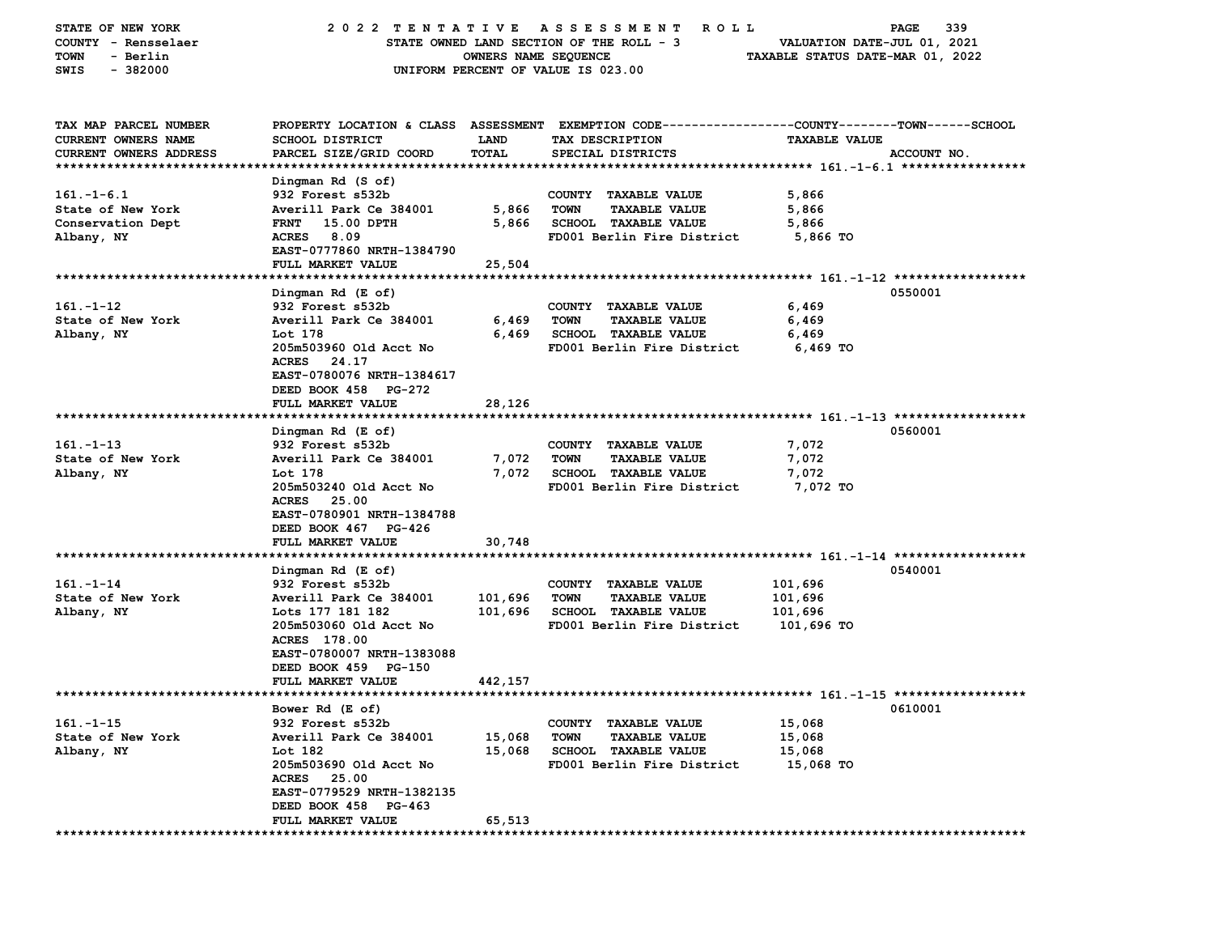| STATE OF NEW YORK      | 2022 TENTATIVE            |                      | A S S E S S M E N T<br><b>ROLL</b>                                                             |                                  | 339<br>PAGE |
|------------------------|---------------------------|----------------------|------------------------------------------------------------------------------------------------|----------------------------------|-------------|
| COUNTY - Rensselaer    |                           |                      | STATE OWNED LAND SECTION OF THE ROLL - 3                                                       | VALUATION DATE-JUL 01, 2021      |             |
| - Berlin<br>TOWN       |                           | OWNERS NAME SEQUENCE |                                                                                                | TAXABLE STATUS DATE-MAR 01, 2022 |             |
| $-382000$<br>SWIS      |                           |                      | UNIFORM PERCENT OF VALUE IS 023.00                                                             |                                  |             |
|                        |                           |                      |                                                                                                |                                  |             |
|                        |                           |                      |                                                                                                |                                  |             |
| TAX MAP PARCEL NUMBER  |                           |                      | PROPERTY LOCATION & CLASS ASSESSMENT EXEMPTION CODE---------------COUNTY-------TOWN-----SCHOOL |                                  |             |
| CURRENT OWNERS NAME    | <b>SCHOOL DISTRICT</b>    | LAND                 | TAX DESCRIPTION                                                                                | <b>TAXABLE VALUE</b>             |             |
| CURRENT OWNERS ADDRESS | PARCEL SIZE/GRID COORD    | TOTAL                | SPECIAL DISTRICTS                                                                              |                                  | ACCOUNT NO. |
|                        |                           |                      |                                                                                                |                                  |             |
|                        | Dingman Rd (S of)         |                      |                                                                                                |                                  |             |
| $161. - 1 - 6.1$       | 932 Forest s532b          |                      | COUNTY TAXABLE VALUE                                                                           | 5,866                            |             |
| State of New York      | Averill Park Ce 384001    | 5,866                | <b>TOWN</b><br><b>TAXABLE VALUE</b>                                                            | 5,866                            |             |
| Conservation Dept      | 15.00 DPTH<br><b>FRNT</b> | 5,866                | <b>SCHOOL TAXABLE VALUE</b>                                                                    | 5,866                            |             |
| Albany, NY             | <b>ACRES</b><br>8.09      |                      | FD001 Berlin Fire District                                                                     | 5,866 TO                         |             |
|                        | EAST-0777860 NRTH-1384790 |                      |                                                                                                |                                  |             |
|                        | FULL MARKET VALUE         | 25,504               |                                                                                                |                                  |             |
|                        |                           |                      |                                                                                                |                                  |             |
|                        | Dingman Rd (E of)         |                      |                                                                                                |                                  | 0550001     |
| $161. - 1 - 12$        | 932 Forest s532b          |                      | COUNTY TAXABLE VALUE                                                                           | 6,469                            |             |
| State of New York      | Averill Park Ce 384001    | 6,469                | <b>TOWN</b><br><b>TAXABLE VALUE</b>                                                            | 6,469                            |             |
| Albany, NY             | Lot 178                   | 6,469                | SCHOOL TAXABLE VALUE                                                                           | 6,469                            |             |
|                        | 205m503960 Old Acct No    |                      | FD001 Berlin Fire District                                                                     | 6,469 TO                         |             |
|                        | 24.17<br><b>ACRES</b>     |                      |                                                                                                |                                  |             |
|                        | EAST-0780076 NRTH-1384617 |                      |                                                                                                |                                  |             |
|                        | DEED BOOK 458 PG-272      |                      |                                                                                                |                                  |             |
|                        | FULL MARKET VALUE         | 28,126               |                                                                                                |                                  |             |
|                        |                           |                      |                                                                                                |                                  |             |
|                        | Dingman Rd (E of)         |                      |                                                                                                |                                  | 0560001     |
| $161. - 1 - 13$        | 932 Forest s532b          |                      | COUNTY TAXABLE VALUE                                                                           | 7,072                            |             |
| State of New York      | Averill Park Ce 384001    | 7,072                | <b>TOWN</b><br><b>TAXABLE VALUE</b>                                                            | 7,072                            |             |
| Albany, NY             | Lot 178                   | 7,072                | <b>SCHOOL TAXABLE VALUE</b>                                                                    | 7,072                            |             |
|                        | 205m503240 Old Acct No    |                      | FD001 Berlin Fire District                                                                     | 7,072 TO                         |             |
|                        | <b>ACRES</b><br>25.00     |                      |                                                                                                |                                  |             |
|                        | EAST-0780901 NRTH-1384788 |                      |                                                                                                |                                  |             |
|                        | DEED BOOK 467 PG-426      |                      |                                                                                                |                                  |             |
|                        | FULL MARKET VALUE         | 30,748               |                                                                                                |                                  |             |
|                        |                           |                      |                                                                                                |                                  |             |
|                        | Dingman Rd (E of)         |                      |                                                                                                |                                  | 0540001     |
| $161 - 1 - 14$         | 932 Forest s532b          |                      | COUNTY TAXABLE VALUE                                                                           | 101,696                          |             |
| State of New York      | Averill Park Ce 384001    | 101,696              | <b>TOWN</b><br><b>TAXABLE VALUE</b>                                                            | 101,696                          |             |
| Albany, NY             | Lots 177 181 182          | 101,696              | <b>SCHOOL TAXABLE VALUE</b>                                                                    | 101,696                          |             |
|                        | 205m503060 Old Acct No    |                      | FD001 Berlin Fire District                                                                     | 101,696 TO                       |             |
|                        | ACRES 178.00              |                      |                                                                                                |                                  |             |
|                        | EAST-0780007 NRTH-1383088 |                      |                                                                                                |                                  |             |
|                        | DEED BOOK 459 PG-150      |                      |                                                                                                |                                  |             |
|                        | FULL MARKET VALUE         | 442,157              |                                                                                                |                                  |             |
|                        |                           |                      |                                                                                                |                                  |             |
|                        | Bower Rd (E of)           |                      |                                                                                                |                                  | 0610001     |
| $161. - 1 - 15$        | 932 Forest s532b          |                      | COUNTY TAXABLE VALUE                                                                           | 15,068                           |             |
| State of New York      | Averill Park Ce 384001    | 15,068               | <b>TOWN</b><br><b>TAXABLE VALUE</b>                                                            | 15,068                           |             |
| Albany, NY             | Lot 182                   | 15,068               | <b>SCHOOL TAXABLE VALUE</b>                                                                    | 15,068                           |             |
|                        | 205m503690 Old Acct No    |                      | FD001 Berlin Fire District                                                                     | 15,068 TO                        |             |
|                        | ACRES 25.00               |                      |                                                                                                |                                  |             |
|                        | EAST-0779529 NRTH-1382135 |                      |                                                                                                |                                  |             |
|                        | DEED BOOK 458 PG-463      |                      |                                                                                                |                                  |             |
|                        | FULL MARKET VALUE         | 65,513               |                                                                                                |                                  |             |
|                        |                           |                      |                                                                                                |                                  |             |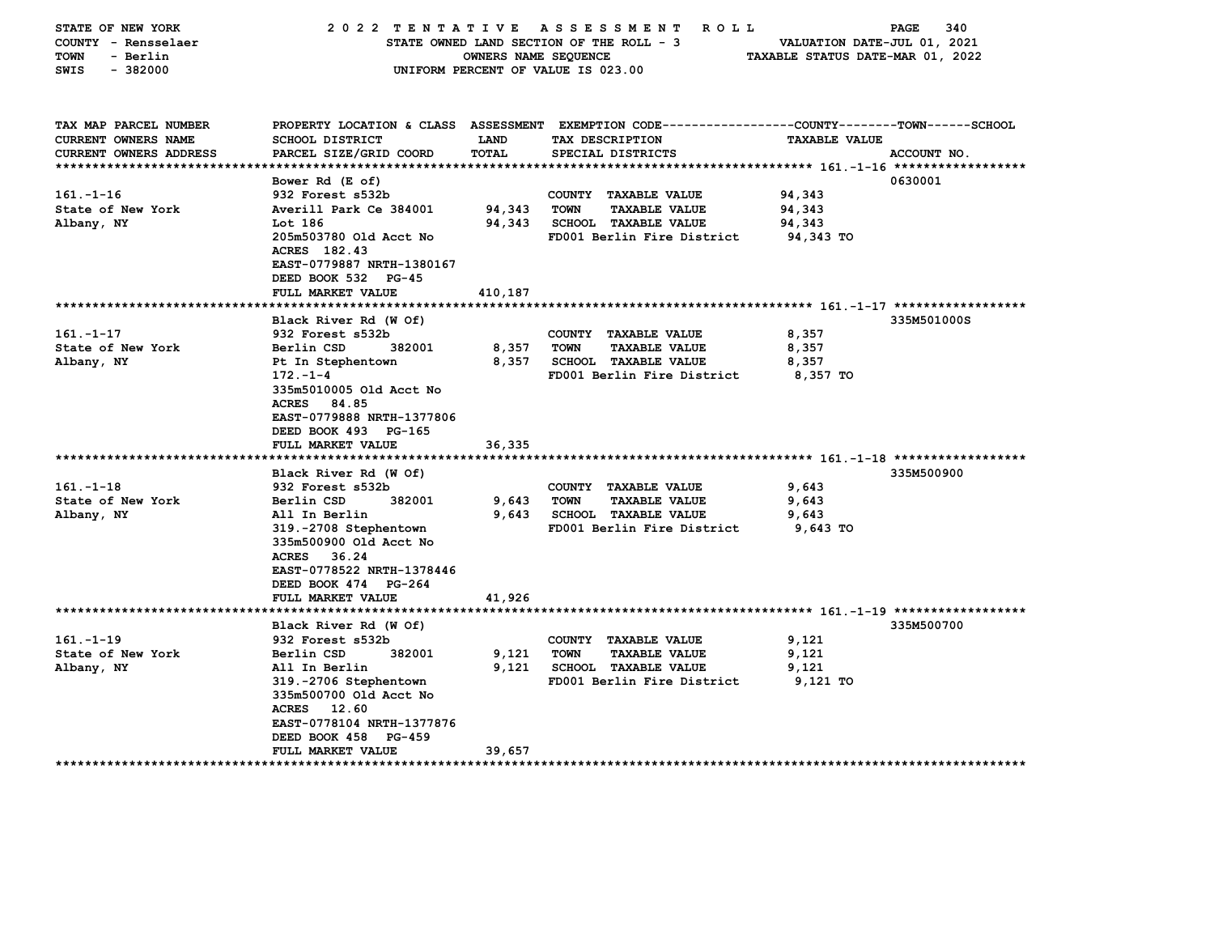| STATE OF NEW YORK<br>COUNTY - Rensselaer<br><b>TOWN</b><br>- Berlin<br>$-382000$<br>SWIS | 2022 TENTATIVE                           | OWNERS NAME SEQUENCE | A S S E S S M E N T<br><b>ROLL</b><br>STATE OWNED LAND SECTION OF THE ROLL - 3<br>UNIFORM PERCENT OF VALUE IS 023.00 | VALUATION DATE-JUL 01, 2021<br>TAXABLE STATUS DATE-MAR 01, 2022 | 340<br>PAGE |
|------------------------------------------------------------------------------------------|------------------------------------------|----------------------|----------------------------------------------------------------------------------------------------------------------|-----------------------------------------------------------------|-------------|
| TAX MAP PARCEL NUMBER<br><b>CURRENT OWNERS NAME</b>                                      | <b>SCHOOL DISTRICT</b>                   | LAND                 | PROPERTY LOCATION & CLASS ASSESSMENT EXEMPTION CODE---------------COUNTY-------TOWN------SCHOOL<br>TAX DESCRIPTION   | <b>TAXABLE VALUE</b>                                            |             |
| <b>CURRENT OWNERS ADDRESS</b>                                                            | PARCEL SIZE/GRID COORD                   | <b>TOTAL</b>         | SPECIAL DISTRICTS                                                                                                    |                                                                 | ACCOUNT NO. |
| ***************************                                                              |                                          |                      |                                                                                                                      |                                                                 |             |
|                                                                                          | Bower Rd (E of)                          |                      |                                                                                                                      |                                                                 | 0630001     |
| $161. - 1 - 16$                                                                          | 932 Forest s532b                         |                      | COUNTY TAXABLE VALUE                                                                                                 | 94,343                                                          |             |
| State of New York                                                                        | Averill Park Ce 384001                   | 94,343               | <b>TAXABLE VALUE</b><br>TOWN                                                                                         | 94,343                                                          |             |
| Albany, NY                                                                               | Lot 186                                  | 94,343               | SCHOOL TAXABLE VALUE                                                                                                 | 94,343                                                          |             |
|                                                                                          | 205m503780 Old Acct No                   |                      | FD001 Berlin Fire District                                                                                           | 94,343 TO                                                       |             |
|                                                                                          | ACRES 182.43                             |                      |                                                                                                                      |                                                                 |             |
|                                                                                          | EAST-0779887 NRTH-1380167                |                      |                                                                                                                      |                                                                 |             |
|                                                                                          | DEED BOOK 532 PG-45                      |                      |                                                                                                                      |                                                                 |             |
|                                                                                          | FULL MARKET VALUE                        | 410,187              |                                                                                                                      |                                                                 |             |
|                                                                                          |                                          |                      |                                                                                                                      |                                                                 |             |
|                                                                                          | Black River Rd (W Of)                    |                      |                                                                                                                      |                                                                 | 335M501000S |
| $161. - 1 - 17$                                                                          | 932 Forest s532b                         |                      | COUNTY TAXABLE VALUE                                                                                                 | 8,357                                                           |             |
| State of New York                                                                        | Berlin CSD<br>382001                     | 8,357                | <b>TOWN</b><br><b>TAXABLE VALUE</b>                                                                                  | 8,357                                                           |             |
| Albany, NY                                                                               | Pt In Stephentown                        | 8,357                | SCHOOL TAXABLE VALUE                                                                                                 | 8,357                                                           |             |
|                                                                                          | 172.-1-4                                 |                      | FD001 Berlin Fire District                                                                                           | 8,357 TO                                                        |             |
|                                                                                          | 335m5010005 Old Acct No                  |                      |                                                                                                                      |                                                                 |             |
|                                                                                          | 84.85<br><b>ACRES</b>                    |                      |                                                                                                                      |                                                                 |             |
|                                                                                          | EAST-0779888 NRTH-1377806                |                      |                                                                                                                      |                                                                 |             |
|                                                                                          | DEED BOOK 493 PG-165                     |                      |                                                                                                                      |                                                                 |             |
|                                                                                          | FULL MARKET VALUE                        | 36,335               |                                                                                                                      |                                                                 |             |
|                                                                                          |                                          |                      |                                                                                                                      |                                                                 |             |
|                                                                                          | Black River Rd (W Of)                    |                      |                                                                                                                      |                                                                 | 335M500900  |
| $161. - 1 - 18$                                                                          | 932 Forest s532b                         |                      | COUNTY TAXABLE VALUE                                                                                                 | 9,643                                                           |             |
| State of New York                                                                        | Berlin CSD<br>382001                     | 9,643                | TOWN<br><b>TAXABLE VALUE</b>                                                                                         | 9,643                                                           |             |
| Albany, NY                                                                               | All In Berlin                            | 9,643                | <b>SCHOOL TAXABLE VALUE</b>                                                                                          | 9,643                                                           |             |
|                                                                                          | 319.-2708 Stephentown                    |                      | FD001 Berlin Fire District                                                                                           | 9,643 TO                                                        |             |
|                                                                                          | 335m500900 Old Acct No                   |                      |                                                                                                                      |                                                                 |             |
|                                                                                          | 36.24<br><b>ACRES</b>                    |                      |                                                                                                                      |                                                                 |             |
|                                                                                          | EAST-0778522 NRTH-1378446                |                      |                                                                                                                      |                                                                 |             |
|                                                                                          | DEED BOOK 474 PG-264                     |                      |                                                                                                                      |                                                                 |             |
|                                                                                          | FULL MARKET VALUE<br>******************* | 41,926               |                                                                                                                      |                                                                 |             |
|                                                                                          | Black River Rd (W Of)                    |                      |                                                                                                                      |                                                                 | 335M500700  |
| $161. - 1 - 19$                                                                          | 932 Forest s532b                         |                      | COUNTY TAXABLE VALUE                                                                                                 | 9,121                                                           |             |
| State of New York                                                                        | Berlin CSD<br>382001                     | 9,121                | <b>TOWN</b><br><b>TAXABLE VALUE</b>                                                                                  | 9,121                                                           |             |
| Albany, NY                                                                               | All In Berlin                            | 9,121                | <b>SCHOOL TAXABLE VALUE</b>                                                                                          | 9,121                                                           |             |
|                                                                                          | 319.-2706 Stephentown                    |                      | FD001 Berlin Fire District                                                                                           | 9,121 TO                                                        |             |
|                                                                                          | 335m500700 Old Acct No                   |                      |                                                                                                                      |                                                                 |             |
|                                                                                          | ACRES 12.60                              |                      |                                                                                                                      |                                                                 |             |
|                                                                                          | EAST-0778104 NRTH-1377876                |                      |                                                                                                                      |                                                                 |             |
|                                                                                          | DEED BOOK 458 PG-459                     |                      |                                                                                                                      |                                                                 |             |
|                                                                                          | <b>FULL MARKET VALUE</b>                 | 39,657               |                                                                                                                      |                                                                 |             |
|                                                                                          | *************                            |                      |                                                                                                                      |                                                                 |             |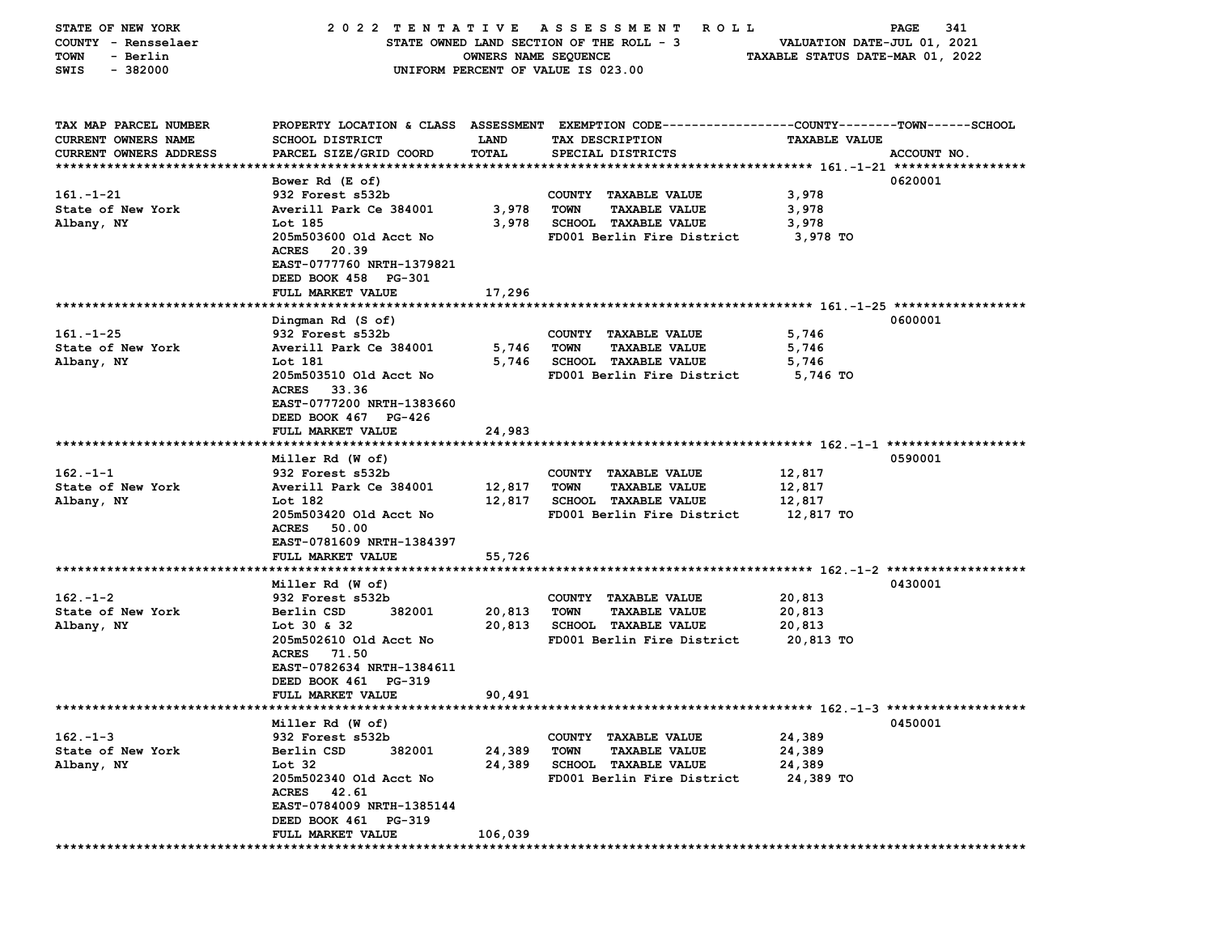| STATE OF NEW YORK      |                                          |                                  | 2022 TENTATIVE ASSESSMENT<br><b>ROLL</b>                                                       |                             | 341<br>PAGE |
|------------------------|------------------------------------------|----------------------------------|------------------------------------------------------------------------------------------------|-----------------------------|-------------|
| COUNTY - Rensselaer    |                                          |                                  | STATE OWNED LAND SECTION OF THE ROLL - 3                                                       | VALUATION DATE-JUL 01, 2021 |             |
| - Berlin<br>TOWN       | OWNERS NAME SEQUENCE                     | TAXABLE STATUS DATE-MAR 01, 2022 |                                                                                                |                             |             |
| SWIS<br>$-382000$      |                                          |                                  | UNIFORM PERCENT OF VALUE IS 023.00                                                             |                             |             |
|                        |                                          |                                  |                                                                                                |                             |             |
|                        |                                          |                                  |                                                                                                |                             |             |
| TAX MAP PARCEL NUMBER  |                                          |                                  | PROPERTY LOCATION & CLASS ASSESSMENT EXEMPTION CODE---------------COUNTY-------TOWN-----SCHOOL |                             |             |
| CURRENT OWNERS NAME    | <b>SCHOOL DISTRICT</b>                   | LAND                             | TAX DESCRIPTION                                                                                | <b>TAXABLE VALUE</b>        |             |
| CURRENT OWNERS ADDRESS | PARCEL SIZE/GRID COORD                   | TOTAL                            | SPECIAL DISTRICTS                                                                              |                             | ACCOUNT NO. |
|                        |                                          |                                  |                                                                                                |                             |             |
|                        | Bower Rd (E of)                          |                                  |                                                                                                |                             | 0620001     |
| $161 - 1 - 21$         | 932 Forest s532b                         |                                  | COUNTY TAXABLE VALUE                                                                           | 3,978                       |             |
| State of New York      | Averill Park Ce 384001                   | 3,978                            | <b>TOWN</b><br><b>TAXABLE VALUE</b>                                                            | 3,978                       |             |
| Albany, NY             | Lot 185                                  | 3,978                            | SCHOOL TAXABLE VALUE                                                                           | 3,978                       |             |
|                        | 205m503600 Old Acct No                   |                                  | FD001 Berlin Fire District                                                                     | 3,978 TO                    |             |
|                        | <b>ACRES</b><br>20.39                    |                                  |                                                                                                |                             |             |
|                        | EAST-0777760 NRTH-1379821                |                                  |                                                                                                |                             |             |
|                        | DEED BOOK 458 PG-301                     |                                  |                                                                                                |                             |             |
|                        | FULL MARKET VALUE                        | 17,296                           |                                                                                                |                             |             |
|                        |                                          |                                  |                                                                                                |                             |             |
|                        | Dingman Rd (S of)                        |                                  |                                                                                                |                             | 0600001     |
| $161. - 1 - 25$        | 932 Forest s532b                         |                                  | COUNTY TAXABLE VALUE                                                                           | 5,746                       |             |
| State of New York      | Averill Park Ce 384001                   | 5,746                            | <b>TOWN</b><br><b>TAXABLE VALUE</b>                                                            | 5,746                       |             |
| Albany, NY             | Lot 181                                  | 5,746                            | <b>SCHOOL TAXABLE VALUE</b>                                                                    | 5,746                       |             |
|                        | 205m503510 Old Acct No                   |                                  | FD001 Berlin Fire District                                                                     | 5,746 TO                    |             |
|                        | <b>ACRES</b><br>33.36                    |                                  |                                                                                                |                             |             |
|                        | EAST-0777200 NRTH-1383660                |                                  |                                                                                                |                             |             |
|                        | DEED BOOK 467 PG-426                     |                                  |                                                                                                |                             |             |
|                        | FULL MARKET VALUE                        | 24,983                           |                                                                                                |                             |             |
|                        |                                          |                                  |                                                                                                |                             |             |
|                        | Miller Rd (W of)                         |                                  |                                                                                                |                             | 0590001     |
| $162 - 1 - 1$          | 932 Forest s532b                         |                                  | COUNTY TAXABLE VALUE                                                                           | 12,817                      |             |
| State of New York      | Averill Park Ce 384001                   | 12,817                           | TOWN<br><b>TAXABLE VALUE</b>                                                                   | 12,817                      |             |
| Albany, NY             | Lot 182                                  | 12,817                           | <b>SCHOOL TAXABLE VALUE</b>                                                                    | 12,817                      |             |
|                        | 205m503420 Old Acct No                   |                                  | FD001 Berlin Fire District                                                                     | 12,817 TO                   |             |
|                        | ACRES 50.00                              |                                  |                                                                                                |                             |             |
|                        | EAST-0781609 NRTH-1384397                |                                  |                                                                                                |                             |             |
|                        | FULL MARKET VALUE                        | 55,726                           |                                                                                                |                             |             |
|                        |                                          |                                  |                                                                                                |                             |             |
|                        | Miller Rd (W of)                         |                                  |                                                                                                |                             | 0430001     |
| $162 - 1 - 2$          | 932 Forest s532b                         |                                  | COUNTY TAXABLE VALUE                                                                           | 20,813                      |             |
| State of New York      | Berlin CSD<br>382001                     | 20,813                           | <b>TOWN</b><br><b>TAXABLE VALUE</b>                                                            | 20,813                      |             |
| Albany, NY             | Lot 30 & 32                              | 20,813                           | <b>SCHOOL TAXABLE VALUE</b>                                                                    | 20,813                      |             |
|                        | 205m502610 Old Acct No                   |                                  | FD001 Berlin Fire District                                                                     | 20,813 TO                   |             |
|                        | ACRES 71.50<br>EAST-0782634 NRTH-1384611 |                                  |                                                                                                |                             |             |
|                        | DEED BOOK 461 PG-319                     |                                  |                                                                                                |                             |             |
|                        | <b>FULL MARKET VALUE</b>                 | 90,491                           |                                                                                                |                             |             |
|                        |                                          |                                  |                                                                                                |                             |             |
|                        | Miller Rd (W of)                         |                                  |                                                                                                |                             | 0450001     |
| $162 - 1 - 3$          | 932 Forest s532b                         |                                  | COUNTY TAXABLE VALUE                                                                           | 24,389                      |             |
| State of New York      | Berlin CSD<br>382001                     | 24,389                           | <b>TOWN</b><br><b>TAXABLE VALUE</b>                                                            | 24,389                      |             |
| Albany, NY             | Lot 32                                   | 24,389                           | <b>SCHOOL TAXABLE VALUE</b>                                                                    | 24,389                      |             |
|                        | 205m502340 Old Acct No                   |                                  | FD001 Berlin Fire District                                                                     | 24,389 TO                   |             |
|                        | <b>ACRES</b><br>42.61                    |                                  |                                                                                                |                             |             |
|                        | EAST-0784009 NRTH-1385144                |                                  |                                                                                                |                             |             |
|                        | DEED BOOK 461 PG-319                     |                                  |                                                                                                |                             |             |
|                        | FULL MARKET VALUE                        | 106,039                          |                                                                                                |                             |             |
|                        |                                          |                                  |                                                                                                |                             |             |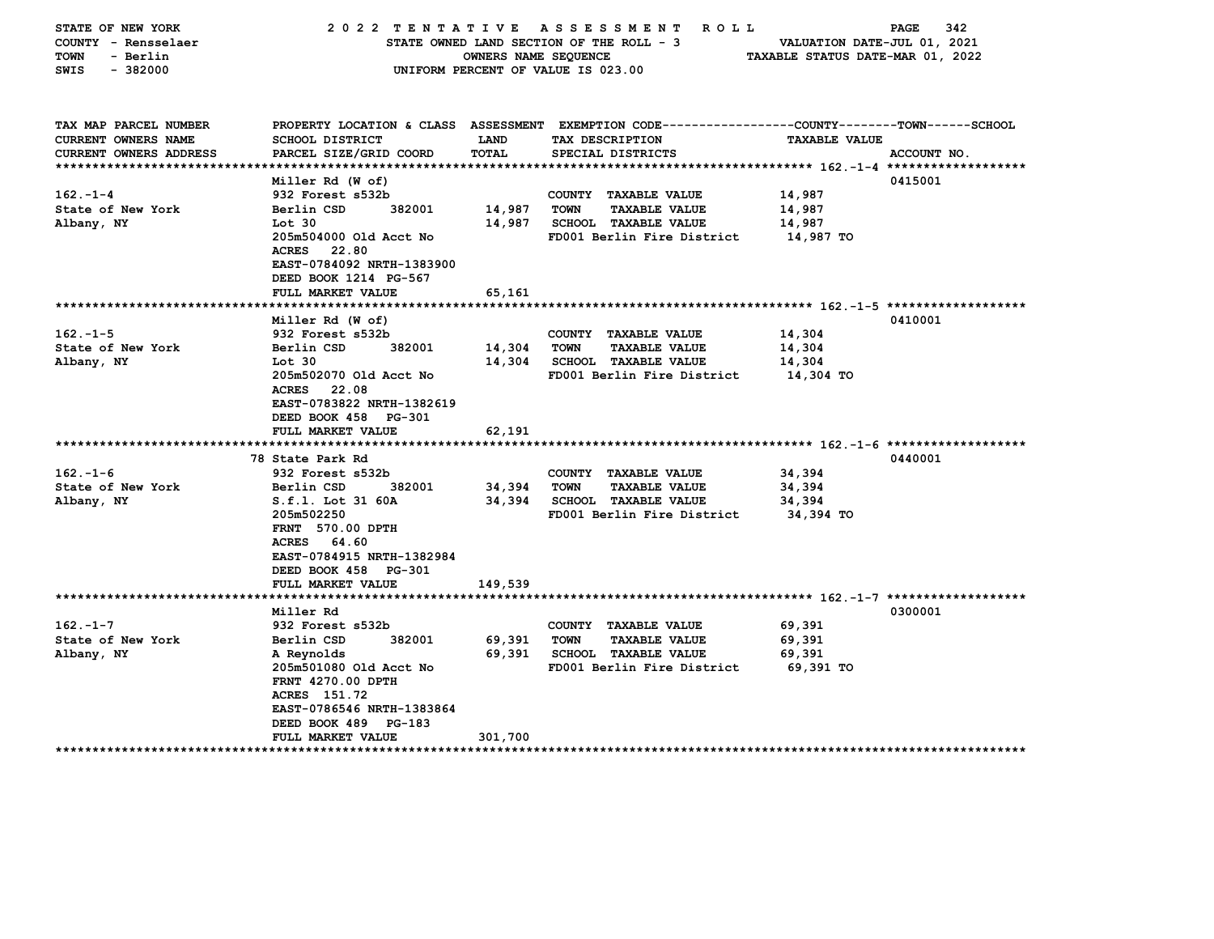| STATE OF NEW YORK<br>COUNTY - Rensselaer<br><b>TOWN</b><br>- Berlin<br>$-382000$<br>SWIS | 2022 TENTATIVE<br>STATE OWNED LAND SECTION OF THE ROLL - 3<br>OWNERS NAME SEQUENCE<br>UNIFORM PERCENT OF VALUE IS 023.00 | 342<br>PAGE<br>VALUATION DATE-JUL 01, 2021<br>TAXABLE STATUS DATE-MAR 01, 2022 |                                                                                                                   |                      |             |
|------------------------------------------------------------------------------------------|--------------------------------------------------------------------------------------------------------------------------|--------------------------------------------------------------------------------|-------------------------------------------------------------------------------------------------------------------|----------------------|-------------|
| TAX MAP PARCEL NUMBER<br>CURRENT OWNERS NAME                                             | <b>SCHOOL DISTRICT</b>                                                                                                   | LAND                                                                           | PROPERTY LOCATION & CLASS ASSESSMENT EXEMPTION CODE---------------COUNTY-------TOWN-----SCHOOL<br>TAX DESCRIPTION | <b>TAXABLE VALUE</b> |             |
| CURRENT OWNERS ADDRESS<br>*****************************                                  | PARCEL SIZE/GRID COORD                                                                                                   | TOTAL                                                                          | SPECIAL DISTRICTS                                                                                                 |                      | ACCOUNT NO. |
|                                                                                          | Miller Rd (W of)                                                                                                         |                                                                                |                                                                                                                   |                      | 0415001     |
| $162 - 1 - 4$                                                                            | 932 Forest s532b                                                                                                         |                                                                                | COUNTY TAXABLE VALUE                                                                                              | 14,987               |             |
| State of New York                                                                        | Berlin CSD<br>382001                                                                                                     | 14,987                                                                         | <b>TOWN</b><br><b>TAXABLE VALUE</b>                                                                               | 14,987               |             |
| Albany, NY                                                                               | Lot 30                                                                                                                   | 14,987                                                                         | SCHOOL TAXABLE VALUE                                                                                              | 14,987               |             |
|                                                                                          | 205m504000 Old Acct No                                                                                                   |                                                                                | FD001 Berlin Fire District                                                                                        | 14,987 TO            |             |
|                                                                                          | 22.80<br><b>ACRES</b>                                                                                                    |                                                                                |                                                                                                                   |                      |             |
|                                                                                          | EAST-0784092 NRTH-1383900                                                                                                |                                                                                |                                                                                                                   |                      |             |
|                                                                                          | DEED BOOK 1214 PG-567                                                                                                    |                                                                                |                                                                                                                   |                      |             |
|                                                                                          | FULL MARKET VALUE                                                                                                        | 65,161                                                                         |                                                                                                                   |                      |             |
| **************************                                                               |                                                                                                                          |                                                                                |                                                                                                                   |                      | 0410001     |
| $162 - 1 - 5$                                                                            | Miller Rd (W of)<br>932 Forest s532b                                                                                     |                                                                                | COUNTY TAXABLE VALUE                                                                                              | 14,304               |             |
| State of New York                                                                        | Berlin CSD<br>382001                                                                                                     | 14,304                                                                         | <b>TOWN</b><br><b>TAXABLE VALUE</b>                                                                               | 14,304               |             |
| Albany, NY                                                                               | $Tot$ 30                                                                                                                 | 14,304                                                                         | SCHOOL TAXABLE VALUE                                                                                              | 14,304               |             |
|                                                                                          | 205m502070 Old Acct No                                                                                                   |                                                                                | FD001 Berlin Fire District                                                                                        | 14,304 TO            |             |
|                                                                                          | <b>ACRES</b><br>22.08                                                                                                    |                                                                                |                                                                                                                   |                      |             |
|                                                                                          | EAST-0783822 NRTH-1382619                                                                                                |                                                                                |                                                                                                                   |                      |             |
|                                                                                          | DEED BOOK 458 PG-301                                                                                                     |                                                                                |                                                                                                                   |                      |             |
|                                                                                          | FULL MARKET VALUE                                                                                                        | 62,191                                                                         |                                                                                                                   |                      |             |
|                                                                                          |                                                                                                                          |                                                                                |                                                                                                                   |                      |             |
|                                                                                          | 78 State Park Rd                                                                                                         |                                                                                |                                                                                                                   |                      | 0440001     |
| $162 - 1 - 6$<br>State of New York                                                       | 932 Forest s532b<br>Berlin CSD<br>382001                                                                                 | 34,394                                                                         | COUNTY TAXABLE VALUE<br><b>TOWN</b><br><b>TAXABLE VALUE</b>                                                       | 34,394<br>34,394     |             |
| Albany, NY                                                                               | S.f.l. Lot 31 60A                                                                                                        | 34,394                                                                         | SCHOOL TAXABLE VALUE                                                                                              | 34,394               |             |
|                                                                                          | 205m502250                                                                                                               |                                                                                | FD001 Berlin Fire District                                                                                        | 34,394 TO            |             |
|                                                                                          | FRNT 570.00 DPTH                                                                                                         |                                                                                |                                                                                                                   |                      |             |
|                                                                                          | ACRES 64.60                                                                                                              |                                                                                |                                                                                                                   |                      |             |
|                                                                                          | EAST-0784915 NRTH-1382984                                                                                                |                                                                                |                                                                                                                   |                      |             |
|                                                                                          | DEED BOOK 458 PG-301                                                                                                     |                                                                                |                                                                                                                   |                      |             |
|                                                                                          | FULL MARKET VALUE                                                                                                        | 149,539                                                                        |                                                                                                                   |                      |             |
|                                                                                          |                                                                                                                          |                                                                                |                                                                                                                   |                      |             |
|                                                                                          | Miller Rd                                                                                                                |                                                                                |                                                                                                                   |                      | 0300001     |
| $162. - 1 - 7$                                                                           | 932 Forest s532b                                                                                                         |                                                                                | COUNTY TAXABLE VALUE                                                                                              | 69,391               |             |
| State of New York                                                                        | Berlin CSD<br>382001                                                                                                     | 69,391<br>69,391                                                               | <b>TOWN</b><br><b>TAXABLE VALUE</b><br><b>SCHOOL TAXABLE VALUE</b>                                                | 69,391<br>69,391     |             |
| Albany, NY                                                                               | A Reynolds<br>205m501080 Old Acct No                                                                                     |                                                                                | FD001 Berlin Fire District                                                                                        | 69,391 TO            |             |
|                                                                                          | FRNT 4270.00 DPTH                                                                                                        |                                                                                |                                                                                                                   |                      |             |
|                                                                                          | ACRES 151.72                                                                                                             |                                                                                |                                                                                                                   |                      |             |
|                                                                                          | EAST-0786546 NRTH-1383864                                                                                                |                                                                                |                                                                                                                   |                      |             |
|                                                                                          | DEED BOOK 489 PG-183                                                                                                     |                                                                                |                                                                                                                   |                      |             |
|                                                                                          | FULL MARKET VALUE                                                                                                        | 301,700                                                                        |                                                                                                                   |                      |             |
|                                                                                          | ***************                                                                                                          |                                                                                |                                                                                                                   |                      |             |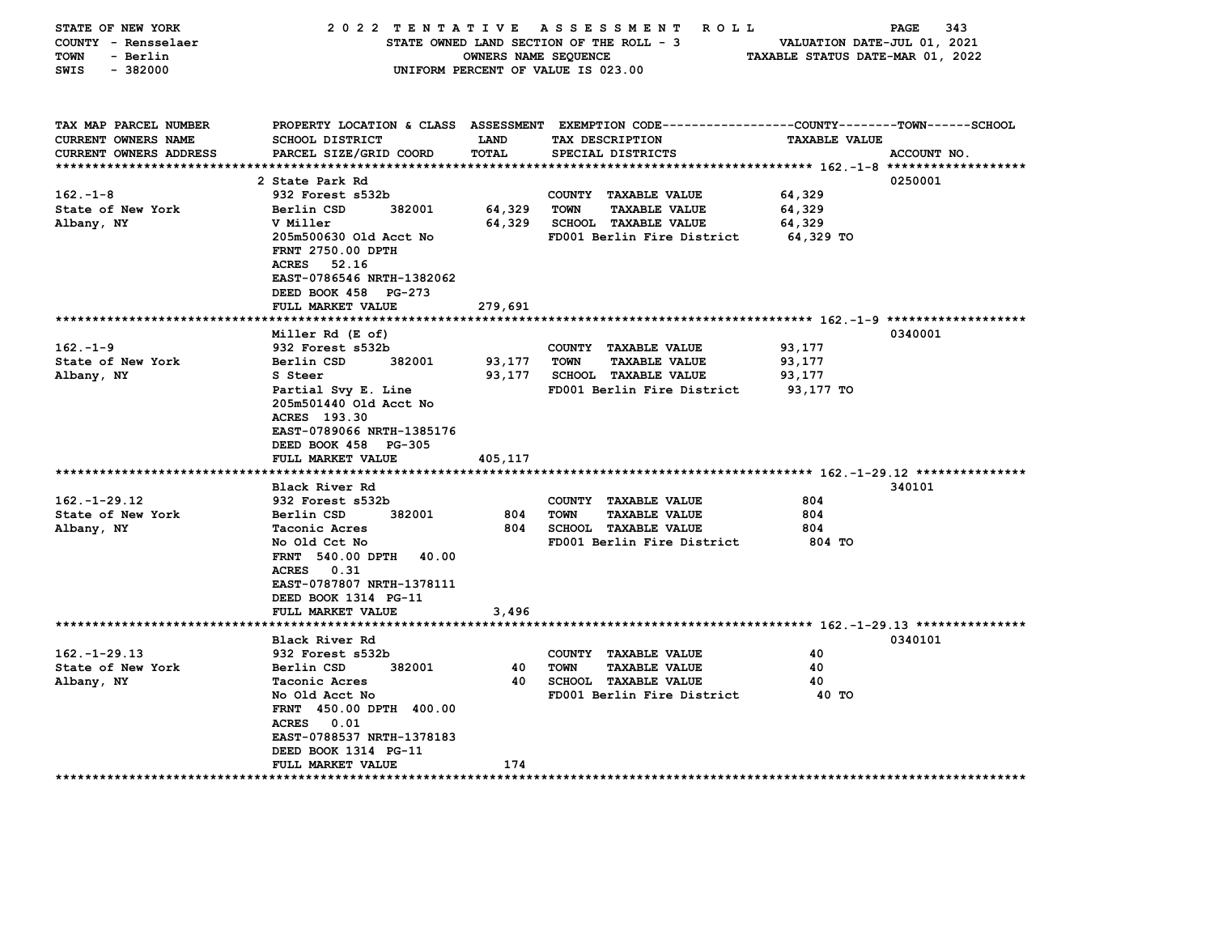| STATE OF NEW YORK             |                           |                      | 2022 TENTATIVE ASSESSMENT<br>ROLL ROLL                                                         |                                  | PAGE<br>343 |
|-------------------------------|---------------------------|----------------------|------------------------------------------------------------------------------------------------|----------------------------------|-------------|
| COUNTY - Rensselaer           |                           |                      | STATE OWNED LAND SECTION OF THE ROLL - 3                                                       | VALUATION DATE-JUL 01, 2021      |             |
| TOWN<br>- Berlin              |                           | OWNERS NAME SEQUENCE |                                                                                                | TAXABLE STATUS DATE-MAR 01, 2022 |             |
| $-382000$<br>SWIS             |                           |                      | UNIFORM PERCENT OF VALUE IS 023.00                                                             |                                  |             |
|                               |                           |                      |                                                                                                |                                  |             |
|                               |                           |                      |                                                                                                |                                  |             |
| TAX MAP PARCEL NUMBER         |                           |                      | PROPERTY LOCATION & CLASS ASSESSMENT EXEMPTION CODE---------------COUNTY-------TOWN-----SCHOOL |                                  |             |
| CURRENT OWNERS NAME           | <b>SCHOOL DISTRICT</b>    | <b>LAND</b>          | TAX DESCRIPTION                                                                                | <b>TAXABLE VALUE</b>             |             |
| <b>CURRENT OWNERS ADDRESS</b> | PARCEL SIZE/GRID COORD    | TOTAL                | SPECIAL DISTRICTS                                                                              |                                  | ACCOUNT NO. |
|                               |                           |                      |                                                                                                |                                  |             |
|                               | 2 State Park Rd           |                      |                                                                                                |                                  | 0250001     |
| $162. - 1 - 8$                | 932 Forest s532b          |                      | COUNTY TAXABLE VALUE                                                                           | 64,329                           |             |
| State of New York             | Berlin CSD<br>382001      | 64,329               | TOWN<br><b>TAXABLE VALUE</b>                                                                   | 64,329                           |             |
| Albany, NY                    | V Miller                  | 64,329               | <b>SCHOOL TAXABLE VALUE</b>                                                                    | 64,329                           |             |
|                               | 205m500630 Old Acct No    |                      | FD001 Berlin Fire District                                                                     | 64,329 TO                        |             |
|                               | FRNT 2750.00 DPTH         |                      |                                                                                                |                                  |             |
|                               | ACRES<br>52.16            |                      |                                                                                                |                                  |             |
|                               | EAST-0786546 NRTH-1382062 |                      |                                                                                                |                                  |             |
|                               | DEED BOOK 458 PG-273      |                      |                                                                                                |                                  |             |
|                               | FULL MARKET VALUE         | 279,691              |                                                                                                |                                  |             |
|                               | Miller Rd (E of)          |                      |                                                                                                |                                  | 0340001     |
| $162 - 1 - 9$                 | 932 Forest s532b          |                      | COUNTY TAXABLE VALUE                                                                           | 93,177                           |             |
| State of New York             | Berlin CSD<br>382001      | 93,177               | TOWN<br><b>TAXABLE VALUE</b>                                                                   | 93,177                           |             |
| Albany, NY                    | S Steer                   | 93,177               | <b>SCHOOL TAXABLE VALUE</b>                                                                    | 93,177                           |             |
|                               | Partial Svy E. Line       |                      | FD001 Berlin Fire District                                                                     | 93,177 TO                        |             |
|                               | 205m501440 Old Acct No    |                      |                                                                                                |                                  |             |
|                               | ACRES 193.30              |                      |                                                                                                |                                  |             |
|                               | EAST-0789066 NRTH-1385176 |                      |                                                                                                |                                  |             |
|                               | DEED BOOK 458 PG-305      |                      |                                                                                                |                                  |             |
|                               | FULL MARKET VALUE         | 405,117              |                                                                                                |                                  |             |
|                               |                           |                      |                                                                                                |                                  |             |
|                               | Black River Rd            |                      |                                                                                                |                                  | 340101      |
| $162. - 1 - 29.12$            | 932 Forest s532b          |                      | COUNTY TAXABLE VALUE                                                                           | 804                              |             |
| State of New York             | 382001<br>Berlin CSD      | 804                  | <b>TOWN</b><br><b>TAXABLE VALUE</b>                                                            | 804                              |             |
| Albany, NY                    | Taconic Acres             | 804                  | <b>SCHOOL TAXABLE VALUE</b>                                                                    | 804                              |             |
|                               | No Old Cct No             |                      | FD001 Berlin Fire District                                                                     | 804 TO                           |             |
|                               | FRNT 540.00 DPTH 40.00    |                      |                                                                                                |                                  |             |
|                               | ACRES 0.31                |                      |                                                                                                |                                  |             |
|                               | EAST-0787807 NRTH-1378111 |                      |                                                                                                |                                  |             |
|                               | DEED BOOK 1314 PG-11      |                      |                                                                                                |                                  |             |
|                               | FULL MARKET VALUE         | 3,496                |                                                                                                |                                  |             |
|                               |                           |                      |                                                                                                |                                  |             |
|                               | Black River Rd            |                      |                                                                                                |                                  | 0340101     |
| $162. - 1 - 29.13$            | 932 Forest s532b          |                      | COUNTY TAXABLE VALUE                                                                           | 40                               |             |
| State of New York             | Berlin CSD<br>382001      | 40                   | TOWN<br><b>TAXABLE VALUE</b>                                                                   | 40                               |             |
| Albany, NY                    | Taconic Acres             | 40                   | <b>SCHOOL TAXABLE VALUE</b>                                                                    | 40                               |             |
|                               | No Old Acct No            |                      | FD001 Berlin Fire District                                                                     | 40 TO                            |             |
|                               | FRNT 450.00 DPTH 400.00   |                      |                                                                                                |                                  |             |
|                               | ACRES 0.01                |                      |                                                                                                |                                  |             |
|                               | EAST-0788537 NRTH-1378183 |                      |                                                                                                |                                  |             |
|                               | DEED BOOK 1314 PG-11      |                      |                                                                                                |                                  |             |
|                               | <b>FULL MARKET VALUE</b>  | 174                  |                                                                                                |                                  |             |
|                               |                           |                      |                                                                                                |                                  |             |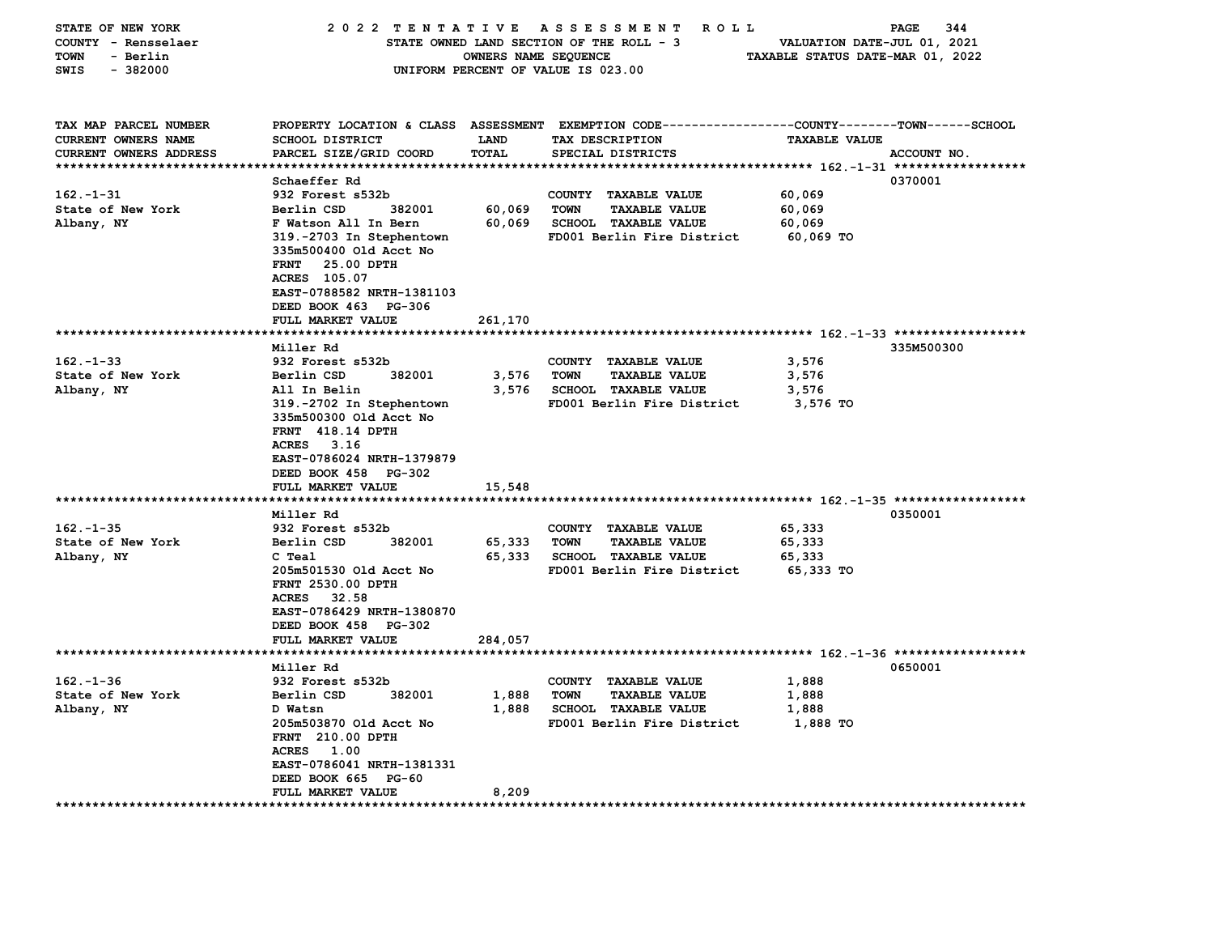| STATE OF NEW YORK          | 2022 TENTATIVE ASSESSMENT            |                      | <b>ROLL</b>                                                  |                                  | 344<br>PAGE |
|----------------------------|--------------------------------------|----------------------|--------------------------------------------------------------|----------------------------------|-------------|
| COUNTY - Rensselaer        |                                      |                      | STATE OWNED LAND SECTION OF THE ROLL - 3                     | VALUATION DATE-JUL 01, 2021      |             |
| <b>TOWN</b><br>- Berlin    |                                      | OWNERS NAME SEQUENCE |                                                              | TAXABLE STATUS DATE-MAR 01, 2022 |             |
| SWIS<br>$-382000$          |                                      |                      | UNIFORM PERCENT OF VALUE IS 023.00                           |                                  |             |
|                            |                                      |                      |                                                              |                                  |             |
|                            |                                      |                      |                                                              |                                  |             |
|                            |                                      |                      |                                                              |                                  |             |
| TAX MAP PARCEL NUMBER      | PROPERTY LOCATION & CLASS ASSESSMENT |                      | EXEMPTION CODE-----------------COUNTY-------TOWN------SCHOOL |                                  |             |
| <b>CURRENT OWNERS NAME</b> | SCHOOL DISTRICT                      | LAND                 | TAX DESCRIPTION                                              | <b>TAXABLE VALUE</b>             |             |
| CURRENT OWNERS ADDRESS     | PARCEL SIZE/GRID COORD               | TOTAL                | SPECIAL DISTRICTS                                            |                                  | ACCOUNT NO. |
|                            |                                      |                      |                                                              |                                  |             |
|                            | Schaeffer Rd                         |                      |                                                              |                                  | 0370001     |
| $162 - 1 - 31$             | 932 Forest s532b                     |                      | COUNTY TAXABLE VALUE                                         | 60,069                           |             |
| State of New York          | Berlin CSD<br>382001                 | 60,069               | <b>TOWN</b><br><b>TAXABLE VALUE</b>                          | 60,069                           |             |
| Albany, NY                 | F Watson All In Bern                 | 60,069               | <b>SCHOOL TAXABLE VALUE</b>                                  | 60,069                           |             |
|                            | 319.-2703 In Stephentown             |                      | FD001 Berlin Fire District                                   | $60,069$ TO                      |             |
|                            | 335m500400 Old Acct No               |                      |                                                              |                                  |             |
|                            | <b>FRNT</b><br>25.00 DPTH            |                      |                                                              |                                  |             |
|                            | ACRES 105.07                         |                      |                                                              |                                  |             |
|                            | EAST-0788582 NRTH-1381103            |                      |                                                              |                                  |             |
|                            | DEED BOOK 463 PG-306                 |                      |                                                              |                                  |             |
|                            | FULL MARKET VALUE                    | 261,170              |                                                              |                                  |             |
|                            |                                      |                      |                                                              |                                  |             |
|                            | Miller Rd                            |                      |                                                              |                                  | 335M500300  |
| $162 - 1 - 33$             | 932 Forest s532b                     |                      | COUNTY TAXABLE VALUE                                         | 3,576                            |             |
| State of New York          | 382001<br>Berlin CSD                 | 3,576                | <b>TOWN</b><br><b>TAXABLE VALUE</b>                          | 3,576                            |             |
| Albany, NY                 | All In Belin                         | 3,576                | <b>SCHOOL TAXABLE VALUE</b>                                  | 3,576                            |             |
|                            | 319.-2702 In Stephentown             |                      | FD001 Berlin Fire District                                   | 3,576 TO                         |             |
|                            | 335m500300 Old Acct No               |                      |                                                              |                                  |             |
|                            | FRNT 418.14 DPTH                     |                      |                                                              |                                  |             |
|                            | ACRES 3.16                           |                      |                                                              |                                  |             |
|                            | EAST-0786024 NRTH-1379879            |                      |                                                              |                                  |             |
|                            | DEED BOOK 458 PG-302                 |                      |                                                              |                                  |             |
|                            | FULL MARKET VALUE                    | 15,548               |                                                              |                                  |             |
|                            |                                      |                      |                                                              |                                  |             |
|                            | Miller Rd                            |                      |                                                              |                                  | 0350001     |
| $162. -1 - 35$             | 932 Forest s532b                     |                      | COUNTY TAXABLE VALUE                                         | 65,333                           |             |
| State of New York          | Berlin CSD<br>382001                 | 65,333               | <b>TOWN</b><br><b>TAXABLE VALUE</b>                          | 65,333                           |             |
| Albany, NY                 | C Teal                               | 65,333               | <b>SCHOOL TAXABLE VALUE</b>                                  | 65,333                           |             |
|                            | 205m501530 Old Acct No               |                      | FD001 Berlin Fire District                                   | 65,333 TO                        |             |
|                            | FRNT 2530.00 DPTH                    |                      |                                                              |                                  |             |
|                            | <b>ACRES</b><br>32.58                |                      |                                                              |                                  |             |
|                            | EAST-0786429 NRTH-1380870            |                      |                                                              |                                  |             |
|                            | DEED BOOK 458 PG-302                 |                      |                                                              |                                  |             |
|                            | FULL MARKET VALUE                    | 284,057              |                                                              |                                  |             |
|                            |                                      |                      |                                                              |                                  |             |
|                            | Miller Rd                            |                      |                                                              |                                  | 0650001     |
| $162 - 1 - 36$             | 932 Forest s532b                     |                      | COUNTY TAXABLE VALUE                                         | 1,888                            |             |
| State of New York          | Berlin CSD<br>382001                 | 1,888                | <b>TOWN</b><br><b>TAXABLE VALUE</b>                          | 1,888                            |             |
| Albany, NY                 | D Watsn                              | 1,888                | <b>SCHOOL TAXABLE VALUE</b>                                  | 1,888                            |             |
|                            | 205m503870 Old Acct No               |                      | FD001 Berlin Fire District                                   | 1,888 TO                         |             |
|                            | FRNT 210.00 DPTH                     |                      |                                                              |                                  |             |
|                            | <b>ACRES</b><br>1.00                 |                      |                                                              |                                  |             |
|                            | EAST-0786041 NRTH-1381331            |                      |                                                              |                                  |             |
|                            | DEED BOOK 665 PG-60                  |                      |                                                              |                                  |             |
|                            | FULL MARKET VALUE                    | 8,209                |                                                              |                                  |             |
|                            |                                      |                      |                                                              |                                  |             |
|                            |                                      |                      |                                                              |                                  |             |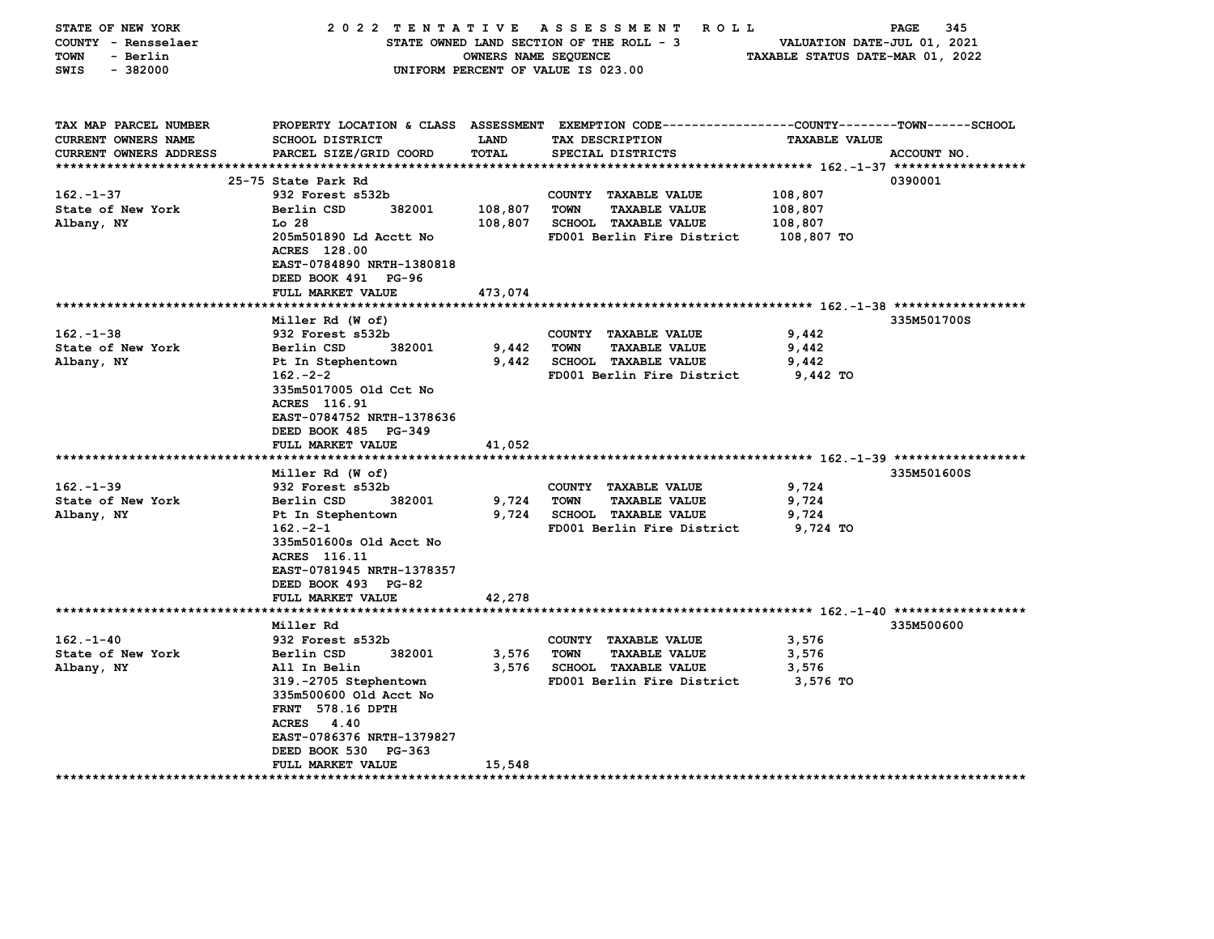| PROPERTY LOCATION & CLASS ASSESSMENT EXEMPTION CODE----------------COUNTY-------TOWN------SCHOOL<br>TAX MAP PARCEL NUMBER<br><b>CURRENT OWNERS NAME</b><br><b>SCHOOL DISTRICT</b><br><b>LAND</b><br>TAX DESCRIPTION<br><b>TAXABLE VALUE</b><br>PARCEL SIZE/GRID COORD<br>TOTAL<br>CURRENT OWNERS ADDRESS<br>SPECIAL DISTRICTS<br>ACCOUNT NO.<br>************************************* 162 . -1-37 ******************<br>25-75 State Park Rd<br>0390001<br>$162. - 1 - 37$<br>932 Forest s532b<br>COUNTY TAXABLE VALUE<br>108,807<br>State of New York<br>Berlin CSD<br>382001<br>108,807<br><b>TAXABLE VALUE</b><br>TOWN<br>108,807<br><b>SCHOOL TAXABLE VALUE</b><br>Albany, NY<br>Lo <sub>28</sub><br>108,807<br>108,807<br>205m501890 Ld Acctt No<br>FD001 Berlin Fire District<br>108,807 TO<br><b>ACRES</b> 128.00<br>EAST-0784890 NRTH-1380818<br>DEED BOOK 491 PG-96<br>FULL MARKET VALUE<br>473,074<br>Miller Rd (W of)<br>335M501700S<br>$162 - 1 - 38$<br>932 Forest s532b<br>COUNTY TAXABLE VALUE<br>9,442<br>State of New York<br>Berlin CSD<br>382001<br>9,442<br><b>TOWN</b><br><b>TAXABLE VALUE</b><br>9,442<br>Albany, NY<br>9,442<br><b>SCHOOL TAXABLE VALUE</b><br>9,442<br>Pt In Stephentown<br>FD001 Berlin Fire District<br>$162 - 2 - 2$<br>9,442 TO<br>335m5017005 Old Cct No<br>ACRES 116.91<br>EAST-0784752 NRTH-1378636<br>DEED BOOK 485 PG-349<br>FULL MARKET VALUE<br>41,052<br>335M501600S<br>Miller Rd (W of)<br>$162. - 1 - 39$<br>932 Forest s532b<br>COUNTY TAXABLE VALUE<br>9,724<br>State of New York<br>9,724<br><b>TOWN</b><br><b>TAXABLE VALUE</b><br>9,724<br>Berlin CSD<br>382001<br>Albany, NY<br>9,724<br>Pt In Stephentown<br><b>SCHOOL TAXABLE VALUE</b><br>9,724<br>$162 - 2 - 1$<br>FD001 Berlin Fire District<br>9,724 TO<br>335m501600s Old Acct No<br>ACRES 116.11<br>EAST-0781945 NRTH-1378357<br>DEED BOOK 493 PG-82<br>42,278<br>FULL MARKET VALUE<br>****************************<br>Miller Rd<br>335M500600<br>$162. - 1 - 40$<br>932 Forest s532b<br>COUNTY TAXABLE VALUE<br>3,576<br>382001<br>State of New York<br>Berlin CSD<br>3,576<br><b>TOWN</b><br><b>TAXABLE VALUE</b><br>3,576<br>Albany, NY<br>All In Belin<br>3,576<br><b>SCHOOL TAXABLE VALUE</b><br>3,576<br>319.-2705 Stephentown<br>FD001 Berlin Fire District<br>3,576 TO<br>335m500600 Old Acct No<br><b>FRNT</b> 578.16 DPTH<br>ACRES 4.40<br>EAST-0786376 NRTH-1379827<br>DEED BOOK 530<br>PG-363<br>FULL MARKET VALUE<br>15,548<br>***************** | STATE OF NEW YORK<br>COUNTY - Rensselaer<br><b>TOWN</b><br>- Berlin<br>SWIS<br>$-382000$ | 2022 TENTATIVE ASSESSMENT | OWNERS NAME SEQUENCE | <b>ROLL</b><br>STATE OWNED LAND SECTION OF THE ROLL - 3<br>UNIFORM PERCENT OF VALUE IS 023.00 | VALUATION DATE-JUL 01, 2021<br>TAXABLE STATUS DATE-MAR 01, 2022 | 345<br>PAGE |
|----------------------------------------------------------------------------------------------------------------------------------------------------------------------------------------------------------------------------------------------------------------------------------------------------------------------------------------------------------------------------------------------------------------------------------------------------------------------------------------------------------------------------------------------------------------------------------------------------------------------------------------------------------------------------------------------------------------------------------------------------------------------------------------------------------------------------------------------------------------------------------------------------------------------------------------------------------------------------------------------------------------------------------------------------------------------------------------------------------------------------------------------------------------------------------------------------------------------------------------------------------------------------------------------------------------------------------------------------------------------------------------------------------------------------------------------------------------------------------------------------------------------------------------------------------------------------------------------------------------------------------------------------------------------------------------------------------------------------------------------------------------------------------------------------------------------------------------------------------------------------------------------------------------------------------------------------------------------------------------------------------------------------------------------------------------------------------------------------------------------------------------------------------------------------------------------------------------------------------------------------------------------------------------------------------------------------------------------------------------------------------------------------------------------------------------------------------------------------------|------------------------------------------------------------------------------------------|---------------------------|----------------------|-----------------------------------------------------------------------------------------------|-----------------------------------------------------------------|-------------|
|                                                                                                                                                                                                                                                                                                                                                                                                                                                                                                                                                                                                                                                                                                                                                                                                                                                                                                                                                                                                                                                                                                                                                                                                                                                                                                                                                                                                                                                                                                                                                                                                                                                                                                                                                                                                                                                                                                                                                                                                                                                                                                                                                                                                                                                                                                                                                                                                                                                                                  |                                                                                          |                           |                      |                                                                                               |                                                                 |             |
|                                                                                                                                                                                                                                                                                                                                                                                                                                                                                                                                                                                                                                                                                                                                                                                                                                                                                                                                                                                                                                                                                                                                                                                                                                                                                                                                                                                                                                                                                                                                                                                                                                                                                                                                                                                                                                                                                                                                                                                                                                                                                                                                                                                                                                                                                                                                                                                                                                                                                  |                                                                                          |                           |                      |                                                                                               |                                                                 |             |
|                                                                                                                                                                                                                                                                                                                                                                                                                                                                                                                                                                                                                                                                                                                                                                                                                                                                                                                                                                                                                                                                                                                                                                                                                                                                                                                                                                                                                                                                                                                                                                                                                                                                                                                                                                                                                                                                                                                                                                                                                                                                                                                                                                                                                                                                                                                                                                                                                                                                                  |                                                                                          |                           |                      |                                                                                               |                                                                 |             |
|                                                                                                                                                                                                                                                                                                                                                                                                                                                                                                                                                                                                                                                                                                                                                                                                                                                                                                                                                                                                                                                                                                                                                                                                                                                                                                                                                                                                                                                                                                                                                                                                                                                                                                                                                                                                                                                                                                                                                                                                                                                                                                                                                                                                                                                                                                                                                                                                                                                                                  |                                                                                          |                           |                      |                                                                                               |                                                                 |             |
|                                                                                                                                                                                                                                                                                                                                                                                                                                                                                                                                                                                                                                                                                                                                                                                                                                                                                                                                                                                                                                                                                                                                                                                                                                                                                                                                                                                                                                                                                                                                                                                                                                                                                                                                                                                                                                                                                                                                                                                                                                                                                                                                                                                                                                                                                                                                                                                                                                                                                  |                                                                                          |                           |                      |                                                                                               |                                                                 |             |
|                                                                                                                                                                                                                                                                                                                                                                                                                                                                                                                                                                                                                                                                                                                                                                                                                                                                                                                                                                                                                                                                                                                                                                                                                                                                                                                                                                                                                                                                                                                                                                                                                                                                                                                                                                                                                                                                                                                                                                                                                                                                                                                                                                                                                                                                                                                                                                                                                                                                                  |                                                                                          |                           |                      |                                                                                               |                                                                 |             |
|                                                                                                                                                                                                                                                                                                                                                                                                                                                                                                                                                                                                                                                                                                                                                                                                                                                                                                                                                                                                                                                                                                                                                                                                                                                                                                                                                                                                                                                                                                                                                                                                                                                                                                                                                                                                                                                                                                                                                                                                                                                                                                                                                                                                                                                                                                                                                                                                                                                                                  |                                                                                          |                           |                      |                                                                                               |                                                                 |             |
|                                                                                                                                                                                                                                                                                                                                                                                                                                                                                                                                                                                                                                                                                                                                                                                                                                                                                                                                                                                                                                                                                                                                                                                                                                                                                                                                                                                                                                                                                                                                                                                                                                                                                                                                                                                                                                                                                                                                                                                                                                                                                                                                                                                                                                                                                                                                                                                                                                                                                  |                                                                                          |                           |                      |                                                                                               |                                                                 |             |
|                                                                                                                                                                                                                                                                                                                                                                                                                                                                                                                                                                                                                                                                                                                                                                                                                                                                                                                                                                                                                                                                                                                                                                                                                                                                                                                                                                                                                                                                                                                                                                                                                                                                                                                                                                                                                                                                                                                                                                                                                                                                                                                                                                                                                                                                                                                                                                                                                                                                                  |                                                                                          |                           |                      |                                                                                               |                                                                 |             |
|                                                                                                                                                                                                                                                                                                                                                                                                                                                                                                                                                                                                                                                                                                                                                                                                                                                                                                                                                                                                                                                                                                                                                                                                                                                                                                                                                                                                                                                                                                                                                                                                                                                                                                                                                                                                                                                                                                                                                                                                                                                                                                                                                                                                                                                                                                                                                                                                                                                                                  |                                                                                          |                           |                      |                                                                                               |                                                                 |             |
|                                                                                                                                                                                                                                                                                                                                                                                                                                                                                                                                                                                                                                                                                                                                                                                                                                                                                                                                                                                                                                                                                                                                                                                                                                                                                                                                                                                                                                                                                                                                                                                                                                                                                                                                                                                                                                                                                                                                                                                                                                                                                                                                                                                                                                                                                                                                                                                                                                                                                  |                                                                                          |                           |                      |                                                                                               |                                                                 |             |
|                                                                                                                                                                                                                                                                                                                                                                                                                                                                                                                                                                                                                                                                                                                                                                                                                                                                                                                                                                                                                                                                                                                                                                                                                                                                                                                                                                                                                                                                                                                                                                                                                                                                                                                                                                                                                                                                                                                                                                                                                                                                                                                                                                                                                                                                                                                                                                                                                                                                                  |                                                                                          |                           |                      |                                                                                               |                                                                 |             |
|                                                                                                                                                                                                                                                                                                                                                                                                                                                                                                                                                                                                                                                                                                                                                                                                                                                                                                                                                                                                                                                                                                                                                                                                                                                                                                                                                                                                                                                                                                                                                                                                                                                                                                                                                                                                                                                                                                                                                                                                                                                                                                                                                                                                                                                                                                                                                                                                                                                                                  |                                                                                          |                           |                      |                                                                                               |                                                                 |             |
|                                                                                                                                                                                                                                                                                                                                                                                                                                                                                                                                                                                                                                                                                                                                                                                                                                                                                                                                                                                                                                                                                                                                                                                                                                                                                                                                                                                                                                                                                                                                                                                                                                                                                                                                                                                                                                                                                                                                                                                                                                                                                                                                                                                                                                                                                                                                                                                                                                                                                  |                                                                                          |                           |                      |                                                                                               |                                                                 |             |
|                                                                                                                                                                                                                                                                                                                                                                                                                                                                                                                                                                                                                                                                                                                                                                                                                                                                                                                                                                                                                                                                                                                                                                                                                                                                                                                                                                                                                                                                                                                                                                                                                                                                                                                                                                                                                                                                                                                                                                                                                                                                                                                                                                                                                                                                                                                                                                                                                                                                                  |                                                                                          |                           |                      |                                                                                               |                                                                 |             |
|                                                                                                                                                                                                                                                                                                                                                                                                                                                                                                                                                                                                                                                                                                                                                                                                                                                                                                                                                                                                                                                                                                                                                                                                                                                                                                                                                                                                                                                                                                                                                                                                                                                                                                                                                                                                                                                                                                                                                                                                                                                                                                                                                                                                                                                                                                                                                                                                                                                                                  |                                                                                          |                           |                      |                                                                                               |                                                                 |             |
|                                                                                                                                                                                                                                                                                                                                                                                                                                                                                                                                                                                                                                                                                                                                                                                                                                                                                                                                                                                                                                                                                                                                                                                                                                                                                                                                                                                                                                                                                                                                                                                                                                                                                                                                                                                                                                                                                                                                                                                                                                                                                                                                                                                                                                                                                                                                                                                                                                                                                  |                                                                                          |                           |                      |                                                                                               |                                                                 |             |
|                                                                                                                                                                                                                                                                                                                                                                                                                                                                                                                                                                                                                                                                                                                                                                                                                                                                                                                                                                                                                                                                                                                                                                                                                                                                                                                                                                                                                                                                                                                                                                                                                                                                                                                                                                                                                                                                                                                                                                                                                                                                                                                                                                                                                                                                                                                                                                                                                                                                                  |                                                                                          |                           |                      |                                                                                               |                                                                 |             |
|                                                                                                                                                                                                                                                                                                                                                                                                                                                                                                                                                                                                                                                                                                                                                                                                                                                                                                                                                                                                                                                                                                                                                                                                                                                                                                                                                                                                                                                                                                                                                                                                                                                                                                                                                                                                                                                                                                                                                                                                                                                                                                                                                                                                                                                                                                                                                                                                                                                                                  |                                                                                          |                           |                      |                                                                                               |                                                                 |             |
|                                                                                                                                                                                                                                                                                                                                                                                                                                                                                                                                                                                                                                                                                                                                                                                                                                                                                                                                                                                                                                                                                                                                                                                                                                                                                                                                                                                                                                                                                                                                                                                                                                                                                                                                                                                                                                                                                                                                                                                                                                                                                                                                                                                                                                                                                                                                                                                                                                                                                  |                                                                                          |                           |                      |                                                                                               |                                                                 |             |
|                                                                                                                                                                                                                                                                                                                                                                                                                                                                                                                                                                                                                                                                                                                                                                                                                                                                                                                                                                                                                                                                                                                                                                                                                                                                                                                                                                                                                                                                                                                                                                                                                                                                                                                                                                                                                                                                                                                                                                                                                                                                                                                                                                                                                                                                                                                                                                                                                                                                                  |                                                                                          |                           |                      |                                                                                               |                                                                 |             |
|                                                                                                                                                                                                                                                                                                                                                                                                                                                                                                                                                                                                                                                                                                                                                                                                                                                                                                                                                                                                                                                                                                                                                                                                                                                                                                                                                                                                                                                                                                                                                                                                                                                                                                                                                                                                                                                                                                                                                                                                                                                                                                                                                                                                                                                                                                                                                                                                                                                                                  |                                                                                          |                           |                      |                                                                                               |                                                                 |             |
|                                                                                                                                                                                                                                                                                                                                                                                                                                                                                                                                                                                                                                                                                                                                                                                                                                                                                                                                                                                                                                                                                                                                                                                                                                                                                                                                                                                                                                                                                                                                                                                                                                                                                                                                                                                                                                                                                                                                                                                                                                                                                                                                                                                                                                                                                                                                                                                                                                                                                  |                                                                                          |                           |                      |                                                                                               |                                                                 |             |
|                                                                                                                                                                                                                                                                                                                                                                                                                                                                                                                                                                                                                                                                                                                                                                                                                                                                                                                                                                                                                                                                                                                                                                                                                                                                                                                                                                                                                                                                                                                                                                                                                                                                                                                                                                                                                                                                                                                                                                                                                                                                                                                                                                                                                                                                                                                                                                                                                                                                                  |                                                                                          |                           |                      |                                                                                               |                                                                 |             |
|                                                                                                                                                                                                                                                                                                                                                                                                                                                                                                                                                                                                                                                                                                                                                                                                                                                                                                                                                                                                                                                                                                                                                                                                                                                                                                                                                                                                                                                                                                                                                                                                                                                                                                                                                                                                                                                                                                                                                                                                                                                                                                                                                                                                                                                                                                                                                                                                                                                                                  |                                                                                          |                           |                      |                                                                                               |                                                                 |             |
|                                                                                                                                                                                                                                                                                                                                                                                                                                                                                                                                                                                                                                                                                                                                                                                                                                                                                                                                                                                                                                                                                                                                                                                                                                                                                                                                                                                                                                                                                                                                                                                                                                                                                                                                                                                                                                                                                                                                                                                                                                                                                                                                                                                                                                                                                                                                                                                                                                                                                  |                                                                                          |                           |                      |                                                                                               |                                                                 |             |
|                                                                                                                                                                                                                                                                                                                                                                                                                                                                                                                                                                                                                                                                                                                                                                                                                                                                                                                                                                                                                                                                                                                                                                                                                                                                                                                                                                                                                                                                                                                                                                                                                                                                                                                                                                                                                                                                                                                                                                                                                                                                                                                                                                                                                                                                                                                                                                                                                                                                                  |                                                                                          |                           |                      |                                                                                               |                                                                 |             |
|                                                                                                                                                                                                                                                                                                                                                                                                                                                                                                                                                                                                                                                                                                                                                                                                                                                                                                                                                                                                                                                                                                                                                                                                                                                                                                                                                                                                                                                                                                                                                                                                                                                                                                                                                                                                                                                                                                                                                                                                                                                                                                                                                                                                                                                                                                                                                                                                                                                                                  |                                                                                          |                           |                      |                                                                                               |                                                                 |             |
|                                                                                                                                                                                                                                                                                                                                                                                                                                                                                                                                                                                                                                                                                                                                                                                                                                                                                                                                                                                                                                                                                                                                                                                                                                                                                                                                                                                                                                                                                                                                                                                                                                                                                                                                                                                                                                                                                                                                                                                                                                                                                                                                                                                                                                                                                                                                                                                                                                                                                  |                                                                                          |                           |                      |                                                                                               |                                                                 |             |
|                                                                                                                                                                                                                                                                                                                                                                                                                                                                                                                                                                                                                                                                                                                                                                                                                                                                                                                                                                                                                                                                                                                                                                                                                                                                                                                                                                                                                                                                                                                                                                                                                                                                                                                                                                                                                                                                                                                                                                                                                                                                                                                                                                                                                                                                                                                                                                                                                                                                                  |                                                                                          |                           |                      |                                                                                               |                                                                 |             |
|                                                                                                                                                                                                                                                                                                                                                                                                                                                                                                                                                                                                                                                                                                                                                                                                                                                                                                                                                                                                                                                                                                                                                                                                                                                                                                                                                                                                                                                                                                                                                                                                                                                                                                                                                                                                                                                                                                                                                                                                                                                                                                                                                                                                                                                                                                                                                                                                                                                                                  |                                                                                          |                           |                      |                                                                                               |                                                                 |             |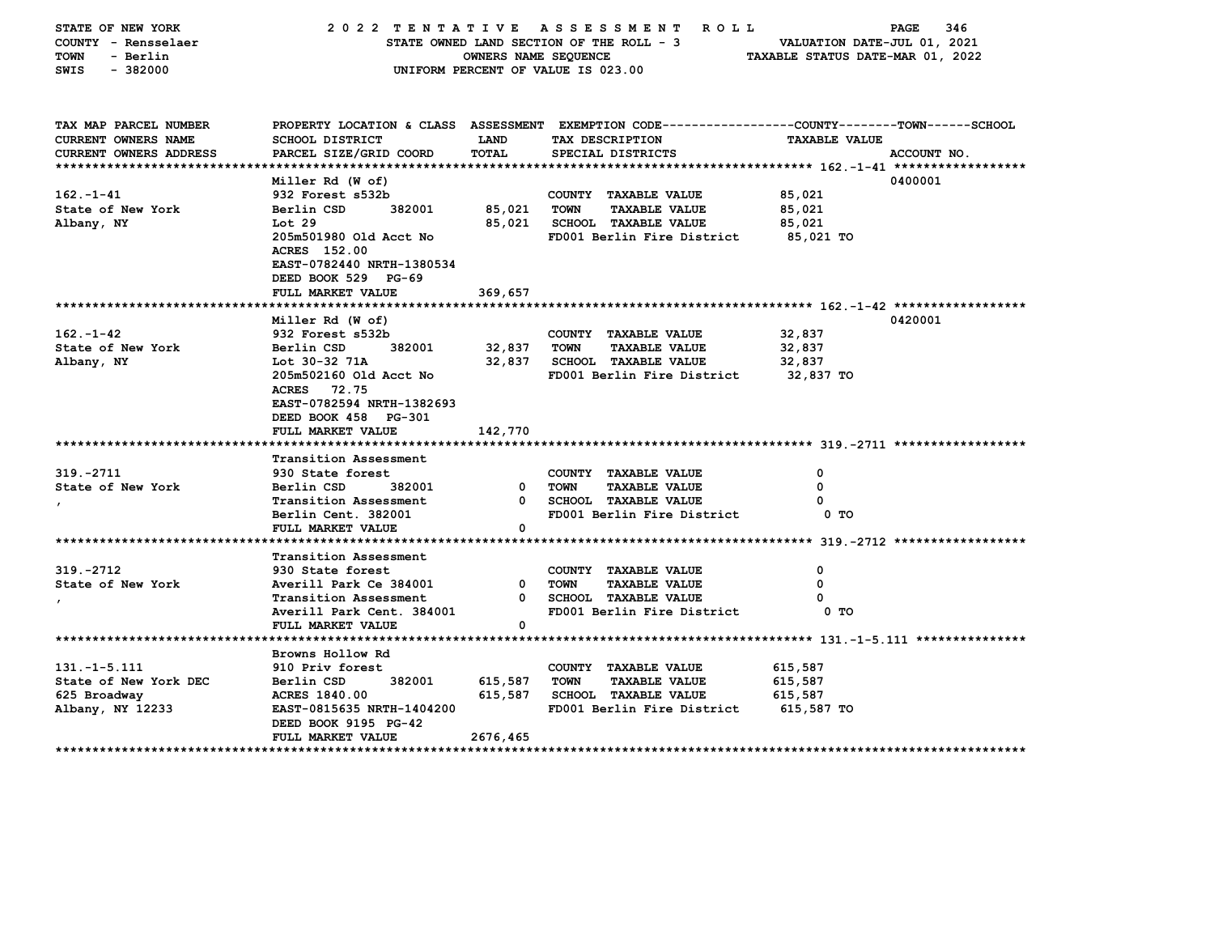| STATE OF NEW YORK<br>COUNTY - Rensselaer<br><b>TOWN</b><br>- Berlin<br>$-382000$<br>SWIS |                                                  | OWNERS NAME SEQUENCE        | 2022 TENTATIVE ASSESSMENT<br><b>ROLL</b><br>STATE OWNED LAND SECTION OF THE ROLL - 3<br>UNIFORM PERCENT OF VALUE IS 023.00             | 346<br>PAGE<br>VALUATION DATE-JUL 01, 2021<br>TAXABLE STATUS DATE-MAR 01, 2022 |             |  |  |  |  |  |
|------------------------------------------------------------------------------------------|--------------------------------------------------|-----------------------------|----------------------------------------------------------------------------------------------------------------------------------------|--------------------------------------------------------------------------------|-------------|--|--|--|--|--|
| TAX MAP PARCEL NUMBER<br><b>CURRENT OWNERS NAME</b><br><b>CURRENT OWNERS ADDRESS</b>     | <b>SCHOOL DISTRICT</b><br>PARCEL SIZE/GRID COORD | <b>LAND</b><br><b>TOTAL</b> | PROPERTY LOCATION & CLASS ASSESSMENT EXEMPTION CODE---------------COUNTY-------TOWN-----SCHOOL<br>TAX DESCRIPTION<br>SPECIAL DISTRICTS | <b>TAXABLE VALUE</b>                                                           | ACCOUNT NO. |  |  |  |  |  |
|                                                                                          |                                                  |                             |                                                                                                                                        |                                                                                |             |  |  |  |  |  |
|                                                                                          | Miller Rd (W of)                                 |                             |                                                                                                                                        |                                                                                | 0400001     |  |  |  |  |  |
| $162. - 1 - 41$                                                                          | 932 Forest s532b                                 |                             | COUNTY TAXABLE VALUE                                                                                                                   | 85,021                                                                         |             |  |  |  |  |  |
| State of New York                                                                        | Berlin CSD<br>382001                             | 85,021                      | TOWN<br><b>TAXABLE VALUE</b>                                                                                                           | 85,021                                                                         |             |  |  |  |  |  |
| Albany, NY                                                                               | Lot 29                                           | 85,021                      | SCHOOL TAXABLE VALUE                                                                                                                   | 85,021                                                                         |             |  |  |  |  |  |
|                                                                                          | 205m501980 Old Acct No<br>ACRES 152.00           |                             | FD001 Berlin Fire District                                                                                                             | 85,021 TO                                                                      |             |  |  |  |  |  |
|                                                                                          | EAST-0782440 NRTH-1380534                        |                             |                                                                                                                                        |                                                                                |             |  |  |  |  |  |
|                                                                                          | DEED BOOK 529 PG-69                              |                             |                                                                                                                                        |                                                                                |             |  |  |  |  |  |
|                                                                                          | FULL MARKET VALUE                                | 369,657                     |                                                                                                                                        |                                                                                |             |  |  |  |  |  |
|                                                                                          |                                                  |                             |                                                                                                                                        |                                                                                |             |  |  |  |  |  |
|                                                                                          | Miller Rd (W of)                                 |                             |                                                                                                                                        |                                                                                | 0420001     |  |  |  |  |  |
| $162 - 1 - 42$<br>State of New York                                                      | 932 Forest s532b<br>Berlin CSD<br>382001         | 32,837                      | COUNTY TAXABLE VALUE<br><b>TOWN</b><br><b>TAXABLE VALUE</b>                                                                            | 32,837<br>32,837                                                               |             |  |  |  |  |  |
| Albany, NY                                                                               | Lot 30-32 71A                                    | 32,837                      | <b>SCHOOL TAXABLE VALUE</b>                                                                                                            | 32,837                                                                         |             |  |  |  |  |  |
|                                                                                          | 205m502160 Old Acct No                           |                             | FD001 Berlin Fire District                                                                                                             | 32,837 TO                                                                      |             |  |  |  |  |  |
|                                                                                          | ACRES 72.75                                      |                             |                                                                                                                                        |                                                                                |             |  |  |  |  |  |
|                                                                                          | EAST-0782594 NRTH-1382693                        |                             |                                                                                                                                        |                                                                                |             |  |  |  |  |  |
|                                                                                          | DEED BOOK 458 PG-301                             |                             |                                                                                                                                        |                                                                                |             |  |  |  |  |  |
|                                                                                          | FULL MARKET VALUE                                | 142,770                     |                                                                                                                                        |                                                                                |             |  |  |  |  |  |
| **************************                                                               | ********************                             |                             |                                                                                                                                        |                                                                                |             |  |  |  |  |  |
|                                                                                          | Transition Assessment                            |                             |                                                                                                                                        |                                                                                |             |  |  |  |  |  |
| 319. - 2711                                                                              | 930 State forest                                 |                             | COUNTY TAXABLE VALUE                                                                                                                   | 0                                                                              |             |  |  |  |  |  |
| State of New York                                                                        | Berlin CSD<br>382001<br>Transition Assessment    | $\mathbf{0}$<br>0           | <b>TAXABLE VALUE</b><br>TOWN<br><b>SCHOOL TAXABLE VALUE</b>                                                                            | 0<br>o                                                                         |             |  |  |  |  |  |
|                                                                                          | Berlin Cent. 382001                              |                             | FD001 Berlin Fire District                                                                                                             | 0 TO                                                                           |             |  |  |  |  |  |
|                                                                                          | FULL MARKET VALUE                                | 0                           |                                                                                                                                        |                                                                                |             |  |  |  |  |  |
|                                                                                          |                                                  |                             |                                                                                                                                        |                                                                                |             |  |  |  |  |  |
|                                                                                          | Transition Assessment                            |                             |                                                                                                                                        |                                                                                |             |  |  |  |  |  |
| 319. - 2712                                                                              | 930 State forest                                 |                             | COUNTY TAXABLE VALUE                                                                                                                   | 0                                                                              |             |  |  |  |  |  |
| State of New York                                                                        | Averill Park Ce 384001                           | 0                           | <b>TOWN</b><br><b>TAXABLE VALUE</b>                                                                                                    | 0                                                                              |             |  |  |  |  |  |
|                                                                                          | Transition Assessment                            | 0                           | <b>SCHOOL TAXABLE VALUE</b>                                                                                                            | 0                                                                              |             |  |  |  |  |  |
|                                                                                          | Averill Park Cent. 384001                        |                             | FD001 Berlin Fire District                                                                                                             | 0 TO                                                                           |             |  |  |  |  |  |
|                                                                                          | FULL MARKET VALUE                                | 0                           |                                                                                                                                        |                                                                                |             |  |  |  |  |  |
|                                                                                          | Browns Hollow Rd                                 |                             |                                                                                                                                        |                                                                                |             |  |  |  |  |  |
| $131. - 1 - 5.111$                                                                       | 910 Priv forest                                  |                             | COUNTY TAXABLE VALUE                                                                                                                   | 615,587                                                                        |             |  |  |  |  |  |
| State of New York DEC                                                                    | Berlin CSD<br>382001                             | 615,587                     | <b>TOWN</b><br><b>TAXABLE VALUE</b>                                                                                                    | 615,587                                                                        |             |  |  |  |  |  |
| 625 Broadway                                                                             | <b>ACRES 1840.00</b>                             | 615,587                     | <b>SCHOOL TAXABLE VALUE</b>                                                                                                            | 615,587                                                                        |             |  |  |  |  |  |
| Albany, NY 12233                                                                         | EAST-0815635 NRTH-1404200                        |                             | FD001 Berlin Fire District                                                                                                             | 615,587 TO                                                                     |             |  |  |  |  |  |
|                                                                                          | DEED BOOK 9195 PG-42                             |                             |                                                                                                                                        |                                                                                |             |  |  |  |  |  |
|                                                                                          | FULL MARKET VALUE                                | 2676,465                    |                                                                                                                                        |                                                                                |             |  |  |  |  |  |
|                                                                                          |                                                  |                             |                                                                                                                                        |                                                                                |             |  |  |  |  |  |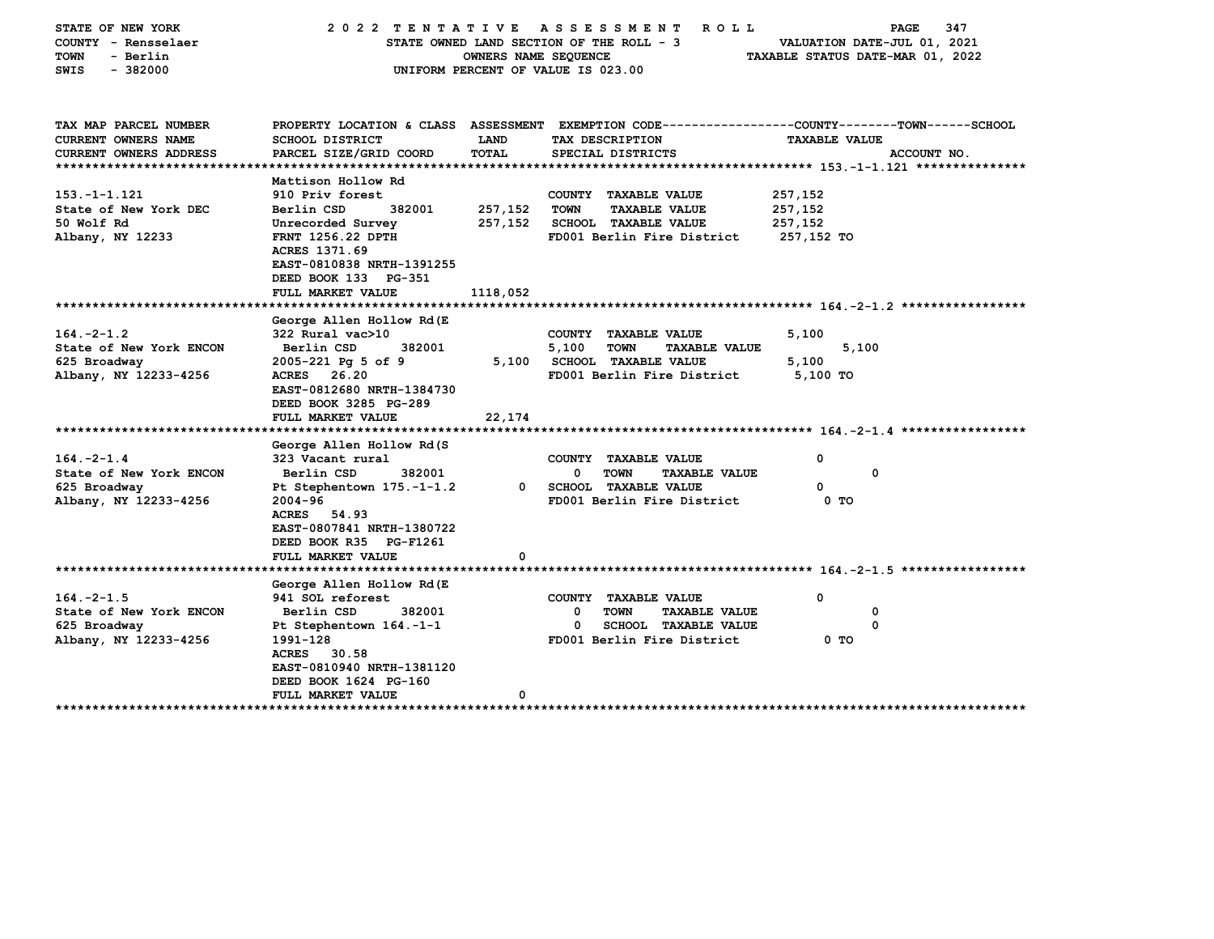| STATE OF NEW YORK<br>COUNTY - Rensselaer<br>- Berlin<br>TOWN<br>$-382000$<br>SWIS                                    | 2022 TENTATIVE                                                                                                                                                                                                                         | OWNERS NAME SEQUENCE           | A S S E S S M E N T<br><b>ROLL</b><br>STATE OWNED LAND SECTION OF THE ROLL - 3<br>UNIFORM PERCENT OF VALUE IS 023.00                     | 347<br>PAGE<br>VALUATION DATE-JUL 01, 2021<br>TAXABLE STATUS DATE-MAR 01, 2022                                                         |
|----------------------------------------------------------------------------------------------------------------------|----------------------------------------------------------------------------------------------------------------------------------------------------------------------------------------------------------------------------------------|--------------------------------|------------------------------------------------------------------------------------------------------------------------------------------|----------------------------------------------------------------------------------------------------------------------------------------|
| TAX MAP PARCEL NUMBER<br><b>CURRENT OWNERS NAME</b><br>CURRENT OWNERS ADDRESS                                        | <b>SCHOOL DISTRICT</b><br>PARCEL SIZE/GRID COORD                                                                                                                                                                                       | <b>LAND</b><br>TOTAL           | TAX DESCRIPTION<br>SPECIAL DISTRICTS                                                                                                     | PROPERTY LOCATION & CLASS ASSESSMENT EXEMPTION CODE---------------COUNTY-------TOWN------SCHOOL<br><b>TAXABLE VALUE</b><br>ACCOUNT NO. |
| $153. - 1 - 1.121$<br>State of New York DEC<br>50 Wolf Rd<br>Albany, NY 12233                                        | Mattison Hollow Rd<br>910 Priv forest<br>Berlin CSD<br>382001<br>Unrecorded Survey<br>FRNT 1256.22 DPTH<br><b>ACRES 1371.69</b><br>EAST-0810838 NRTH-1391255<br>DEED BOOK 133 PG-351<br>FULL MARKET VALUE                              | 257,152<br>257,152<br>1118,052 | COUNTY TAXABLE VALUE<br>TOWN<br><b>TAXABLE VALUE</b><br><b>SCHOOL TAXABLE VALUE</b><br>FD001 Berlin Fire District                        | 257,152<br>257,152<br>257,152<br>257,152 TO                                                                                            |
| $164. -2 - 1.2$<br>State of New York ENCON<br>625 Broadway<br>Albany, NY 12233-4256<br>***************************** | George Allen Hollow Rd(E<br>322 Rural vac>10<br>382001<br>Berlin CSD<br>2005-221 Pg 5 of 9<br>ACRES 26.20<br>EAST-0812680 NRTH-1384730<br>DEED BOOK 3285 PG-289<br>FULL MARKET VALUE                                                   | 5,100<br>22,174                | COUNTY TAXABLE VALUE<br>5,100<br><b>TOWN</b><br><b>TAXABLE VALUE</b><br><b>SCHOOL TAXABLE VALUE</b><br>FD001 Berlin Fire District        | 5,100<br>5,100<br>5,100<br>5,100 TO                                                                                                    |
| $164. -2 - 1.4$<br>State of New York ENCON<br>625 Broadway<br>Albany, NY 12233-4256                                  | George Allen Hollow Rd(S<br>323 Vacant rural<br>Berlin CSD<br>382001<br>Pt Stephentown 175.-1-1.2<br>$2004 - 96$<br>ACRES 54.93<br>EAST-0807841 NRTH-1380722<br>DEED BOOK R35 PG-F1261<br>FULL MARKET VALUE                            | 0<br>O                         | COUNTY TAXABLE VALUE<br>$\mathbf{0}$<br><b>TOWN</b><br><b>TAXABLE VALUE</b><br><b>SCHOOL TAXABLE VALUE</b><br>FD001 Berlin Fire District | O<br>0<br>0<br>0 TO                                                                                                                    |
| $164. -2 - 1.5$<br>State of New York ENCON<br>625 Broadway<br>Albany, NY 12233-4256                                  | George Allen Hollow Rd(E<br>941 SOL reforest<br>Berlin CSD<br>382001<br>Pt Stephentown 164.-1-1<br>1991-128<br>ACRES 30.58<br>EAST-0810940 NRTH-1381120<br>DEED BOOK 1624 PG-160<br><b>FULL MARKET VALUE</b><br>********************** | 0                              | COUNTY TAXABLE VALUE<br>0<br>TOWN<br><b>TAXABLE VALUE</b><br>0<br><b>SCHOOL TAXABLE VALUE</b><br>FD001 Berlin Fire District              | 0<br>0<br>0<br>0 TO                                                                                                                    |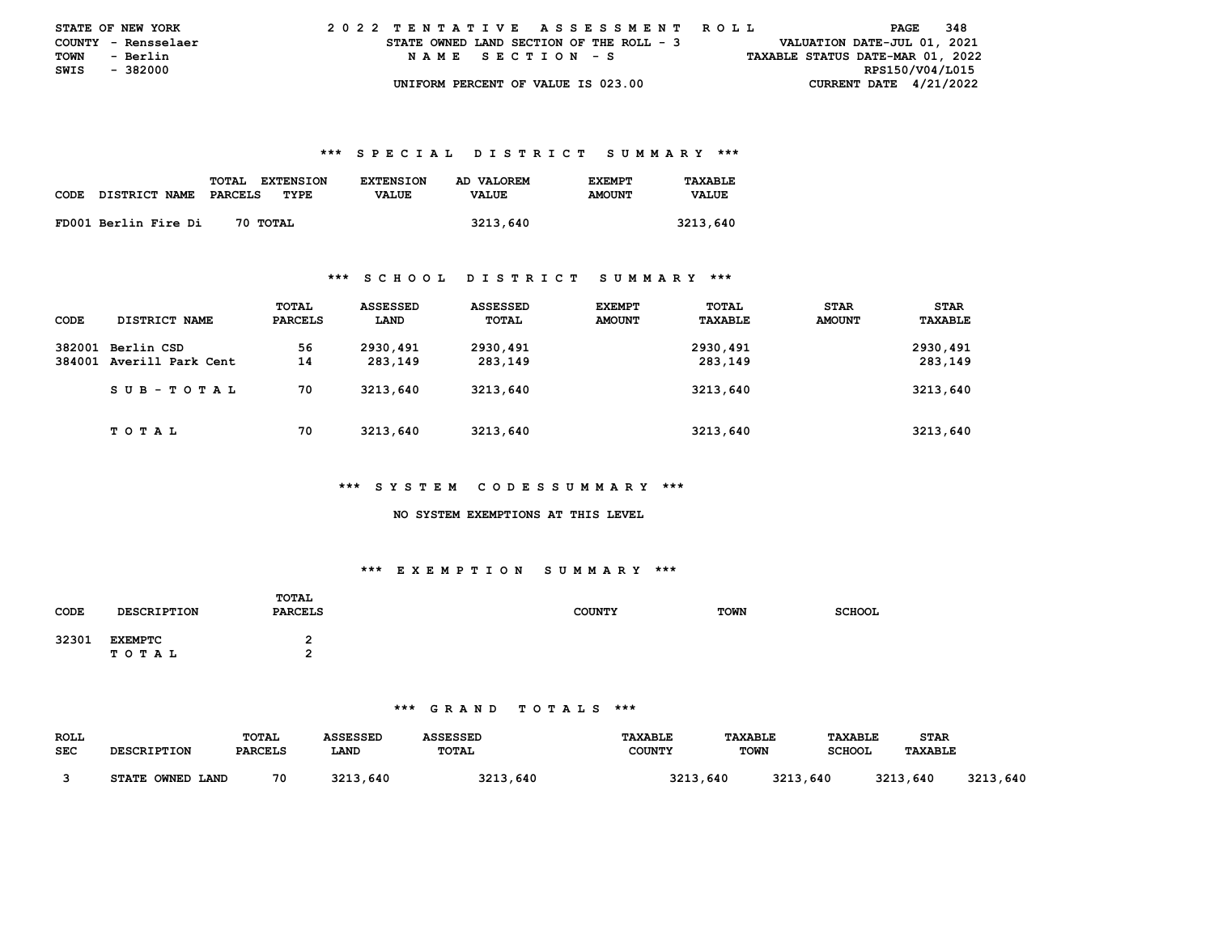| <b>STATE OF NEW YORK</b> |                     |  | 2022 TENTATIVE ASSESSMENT ROLL           |                  |  |  |  |  |  |  |  |  |                                  |  |  | PAGE                        | 348 |  |
|--------------------------|---------------------|--|------------------------------------------|------------------|--|--|--|--|--|--|--|--|----------------------------------|--|--|-----------------------------|-----|--|
|                          | COUNTY - Rensselaer |  | STATE OWNED LAND SECTION OF THE ROLL - 3 |                  |  |  |  |  |  |  |  |  |                                  |  |  | VALUATION DATE-JUL 01, 2021 |     |  |
| <b>TOWN</b>              | - Berlin            |  |                                          | NAME SECTION - S |  |  |  |  |  |  |  |  | TAXABLE STATUS DATE-MAR 01, 2022 |  |  |                             |     |  |
| SWIS - 382000            |                     |  |                                          |                  |  |  |  |  |  |  |  |  |                                  |  |  | RPS150/V04/L015             |     |  |
|                          |                     |  | UNIFORM PERCENT OF VALUE IS 023.00       |                  |  |  |  |  |  |  |  |  |                                  |  |  | CURRENT DATE $4/21/2022$    |     |  |

|             |                      | TOTAL<br><b>EXTENSION</b> | <b>EXTENSION</b> | AD VALOREM   | <b>EXEMPT</b> | TAXABLE      |
|-------------|----------------------|---------------------------|------------------|--------------|---------------|--------------|
| <b>CODE</b> | <b>DISTRICT NAME</b> | PARCELS<br>TYPE           | <b>VALUE</b>     | <b>VALUE</b> | <b>AMOUNT</b> | <b>VALUE</b> |
|             |                      |                           |                  |              |               |              |
|             | FD001 Berlin Fire Di | 70 TOTAL                  |                  | 3213,640     |               | 3213,640     |

#### **\*\*\* S C H O O L D I S T R I C T S U M M A R Y \*\*\***

| CODE | DISTRICT NAME                                 | TOTAL<br><b>PARCELS</b> | <b>ASSESSED</b><br>LAND | <b>ASSESSED</b><br><b>TOTAL</b> | <b>EXEMPT</b><br><b>AMOUNT</b> | TOTAL<br>TAXABLE    | <b>STAR</b><br><b>AMOUNT</b> | <b>STAR</b><br>TAXABLE |
|------|-----------------------------------------------|-------------------------|-------------------------|---------------------------------|--------------------------------|---------------------|------------------------------|------------------------|
|      | 382001 Berlin CSD<br>384001 Averill Park Cent | 56<br>14                | 2930,491<br>283,149     | 2930,491<br>283,149             |                                | 2930,491<br>283,149 |                              | 2930,491<br>283,149    |
|      | SUB-TOTAL                                     | 70                      | 3213,640                | 3213,640                        |                                | 3213,640            |                              | 3213,640               |
|      | T O T A L                                     | 70                      | 3213,640                | 3213,640                        |                                | 3213,640            |                              | 3213,640               |

#### **\*\*\* S Y S T E M C O D E S S U M M A R Y \*\*\***

#### **NO SYSTEM EXEMPTIONS AT THIS LEVEL**

## **\*\*\* E X E M P T I O N S U M M A R Y \*\*\***

| <b>CODE</b> | <b>DESCRIPTION</b>          | <b>TOTAL</b><br><b>PARCELS</b> | <b>COUNTY</b> | <b>TOWN</b> | <b>SCHOOL</b> |
|-------------|-----------------------------|--------------------------------|---------------|-------------|---------------|
| 32301       | <b>EXEMPTC</b><br>T O T A L | -                              |               |             |               |

| <b>ROLL</b> |                                      | TOTAL          | ASSESSED | <b>ASSESSED</b> | <b>TAXABLE</b> | <b>TAXABLE</b>   | <b>TAXABLE</b> | STAR           |              |
|-------------|--------------------------------------|----------------|----------|-----------------|----------------|------------------|----------------|----------------|--------------|
| <b>SEC</b>  | <b>DESCRIPTION</b>                   | <b>PARCELS</b> | LAND     | TOTAL           | <b>COUNTY</b>  | <b>TOWN</b>      | <b>SCHOOL</b>  | <b>TAXABLE</b> |              |
|             |                                      |                |          |                 |                |                  |                |                |              |
|             | <b>OWNED</b><br><b>STATE</b><br>LAND | 70             | 3213,640 | 3213,640        |                | 3213<br>3213,640 | .640           | 3213,640       | 3213<br>,640 |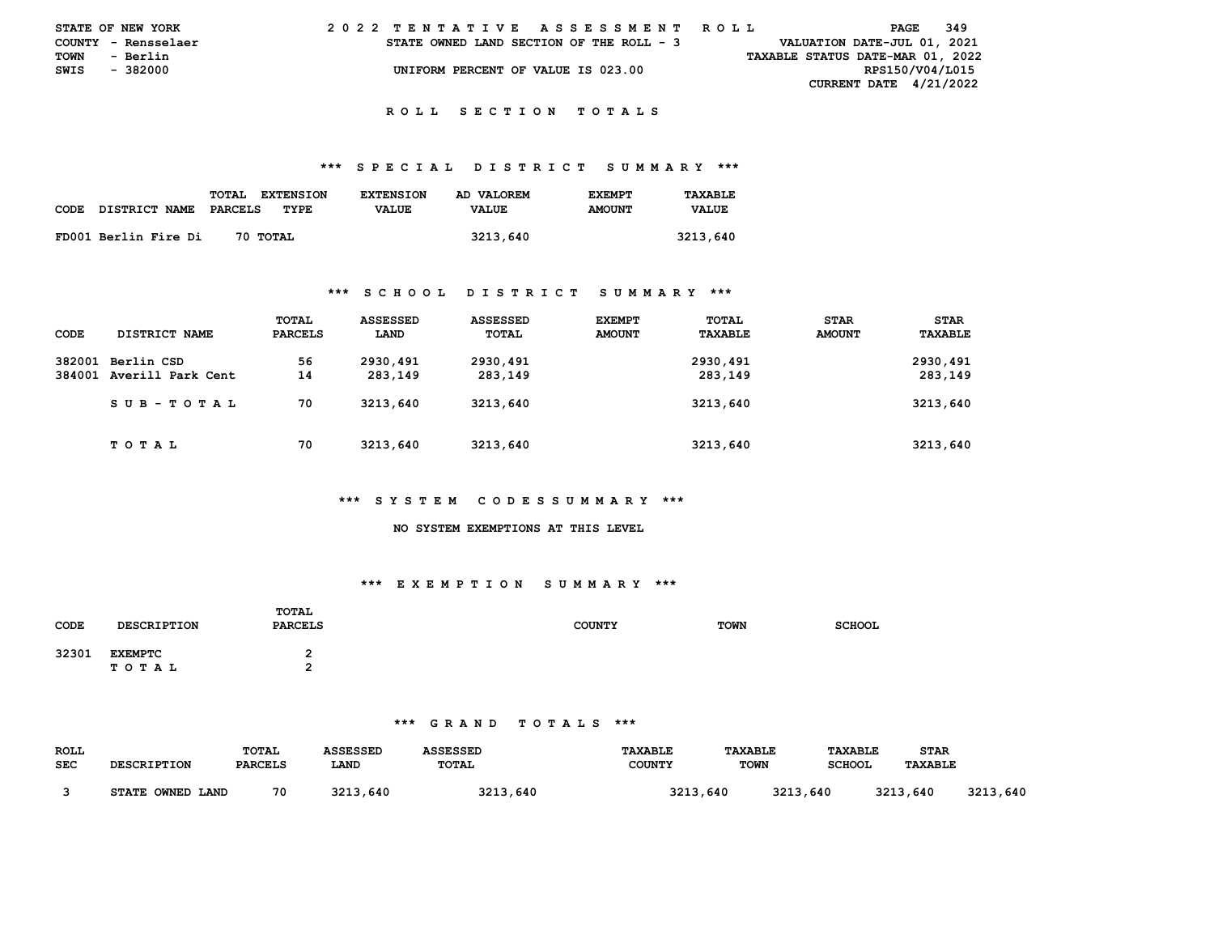|      | STATE OF NEW YORK   |  |  | 2022 TENTATIVE ASSESSMENT ROLL           |  |  |  |  |  |  |  |  |  |  |  |                                  |                 | PAGE | - 349 |  |
|------|---------------------|--|--|------------------------------------------|--|--|--|--|--|--|--|--|--|--|--|----------------------------------|-----------------|------|-------|--|
|      | COUNTY - Rensselaer |  |  | STATE OWNED LAND SECTION OF THE ROLL - 3 |  |  |  |  |  |  |  |  |  |  |  | VALUATION DATE-JUL 01, 2021      |                 |      |       |  |
| TOWN | - Berlin            |  |  |                                          |  |  |  |  |  |  |  |  |  |  |  | TAXABLE STATUS DATE-MAR 01, 2022 |                 |      |       |  |
| SWIS | - 382000            |  |  | UNIFORM PERCENT OF VALUE IS 023.00       |  |  |  |  |  |  |  |  |  |  |  |                                  | RPS150/V04/L015 |      |       |  |
|      |                     |  |  |                                          |  |  |  |  |  |  |  |  |  |  |  | <b>CURRENT DATE 4/21/2022</b>    |                 |      |       |  |

#### **\*\*\* S P E C I A L D I S T R I C T S U M M A R Y \*\*\***

| <b>CODE</b> | DISTRICT NAME        | TOTAL<br><b>EXTENSION</b><br>TYPE<br>PARCELS | <b>EXTENSTON</b><br><b>VALUE</b> | AD VALOREM<br><b>VALUE</b> | <b>EXEMPT</b><br><b>AMOUNT</b> | TAXABLE<br><b>VALUE</b> |
|-------------|----------------------|----------------------------------------------|----------------------------------|----------------------------|--------------------------------|-------------------------|
|             | FD001 Berlin Fire Di | 70 TOTAL                                     |                                  | 3213,640                   |                                | 3213,640                |

#### **\*\*\* S C H O O L D I S T R I C T S U M M A R Y \*\*\***

|        |                          | TOTAL          | ASSESSED | ASSESSED | <b>EXEMPT</b> | TOTAL    | <b>STAR</b>   | <b>STAR</b> |
|--------|--------------------------|----------------|----------|----------|---------------|----------|---------------|-------------|
| CODE   | <b>DISTRICT NAME</b>     | <b>PARCELS</b> | LAND     | TOTAL    | <b>AMOUNT</b> | TAXABLE  | <b>AMOUNT</b> | TAXABLE     |
| 382001 | Berlin CSD               | 56             | 2930,491 | 2930,491 |               | 2930,491 |               | 2930,491    |
|        | 384001 Averill Park Cent | 14             | 283,149  | 283,149  |               | 283,149  |               | 283,149     |
|        | SUB-TOTAL                | 70             | 3213,640 | 3213,640 |               | 3213,640 |               | 3213,640    |
|        | T O T A L                | 70             | 3213,640 | 3213,640 |               | 3213,640 |               | 3213,640    |

## **\*\*\* S Y S T E M C O D E S S U M M A R Y \*\*\***

#### **NO SYSTEM EXEMPTIONS AT THIS LEVEL**

# **\*\*\* E X E M P T I O N S U M M A R Y \*\*\***

| CODE  | <b>DESCRIPTION</b>      | TOTAL<br><b>PARCELS</b> | <b>COUNTY</b> | <b>TOWN</b> | <b>SCHOOL</b> |
|-------|-------------------------|-------------------------|---------------|-------------|---------------|
| 32301 | <b>EXEMPTC</b><br>TOTAL |                         |               |             |               |

| <b>ROLL</b> |                            | TOTAL          | ASSESSED     | <b>ASSESSED</b> | <b>TAXABLE</b> | <b>TAXABLE</b> | <b>TAXABLE</b> | <b>STAR</b>    |               |
|-------------|----------------------------|----------------|--------------|-----------------|----------------|----------------|----------------|----------------|---------------|
| <b>SEC</b>  | <b>DESCRIPTION</b>         | <b>PARCELS</b> | LAND         | TOTAL           | <b>COUNTY</b>  | <b>TOWN</b>    | <b>SCHOOL</b>  | <b>TAXABLE</b> |               |
|             | OWNED LAND<br><b>STATE</b> | 70             | 3213<br>.640 | 3213,640        | 3213,640       | 3213.          | .640           | 3213,640       | 3213<br>, 640 |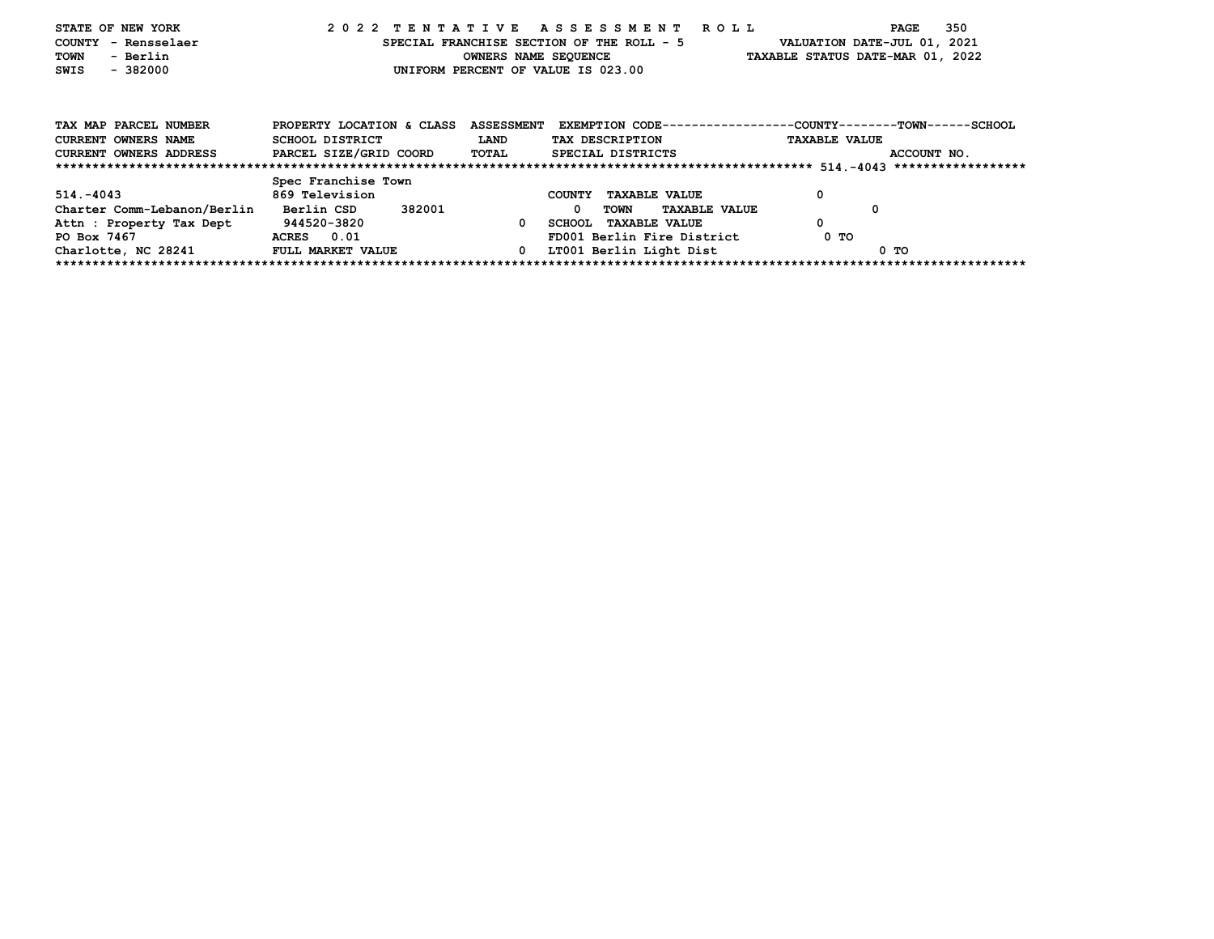| STATE OF NEW YORK           |                           |                   | 2022 TENTATIVE ASSESSMENT ROLL            |                                                              | 350<br>PAGE |
|-----------------------------|---------------------------|-------------------|-------------------------------------------|--------------------------------------------------------------|-------------|
| COUNTY<br>- Rensselaer      |                           |                   | SPECIAL FRANCHISE SECTION OF THE ROLL - 5 | VALUATION DATE-JUL 01, 2021                                  |             |
| TOWN<br>- Berlin            |                           |                   | OWNERS NAME SEQUENCE                      | TAXABLE STATUS DATE-MAR 01, 2022                             |             |
| SWIS<br>$-382000$           |                           |                   | UNIFORM PERCENT OF VALUE IS 023.00        |                                                              |             |
|                             |                           |                   |                                           |                                                              |             |
|                             |                           |                   |                                           |                                                              |             |
|                             |                           |                   |                                           |                                                              |             |
| TAX MAP PARCEL NUMBER       | PROPERTY LOCATION & CLASS | <b>ASSESSMENT</b> |                                           | EXEMPTION CODE-----------------COUNTY-------TOWN------SCHOOL |             |
| <b>CURRENT OWNERS NAME</b>  | SCHOOL DISTRICT           | <b>LAND</b>       | TAX DESCRIPTION                           | <b>TAXABLE VALUE</b>                                         |             |
| CURRENT OWNERS ADDRESS      | PARCEL SIZE/GRID COORD    | TOTAL             | SPECIAL DISTRICTS                         |                                                              | ACCOUNT NO. |
|                             |                           |                   |                                           |                                                              |             |
|                             | Spec Franchise Town       |                   |                                           |                                                              |             |
| $514. - 4043$               | 869 Television            |                   | <b>COUNTY</b><br><b>TAXABLE VALUE</b>     | 0                                                            |             |
| Charter Comm-Lebanon/Berlin | 382001<br>Berlin CSD      |                   | 0<br>TOWN<br><b>TAXABLE VALUE</b>         | 0                                                            |             |
| Attn : Property Tax Dept    | 944520-3820               | $^{\circ}$        | SCHOOL TAXABLE VALUE                      | 0                                                            |             |
| PO Box 7467                 | ACRES 0.01                |                   | FD001 Berlin Fire District                | 0 TO                                                         |             |
| Charlotte, NC 28241         | FULL MARKET VALUE         | $\mathbf{0}$      | LT001 Berlin Light Dist                   |                                                              | 0 TO        |
|                             |                           |                   |                                           |                                                              |             |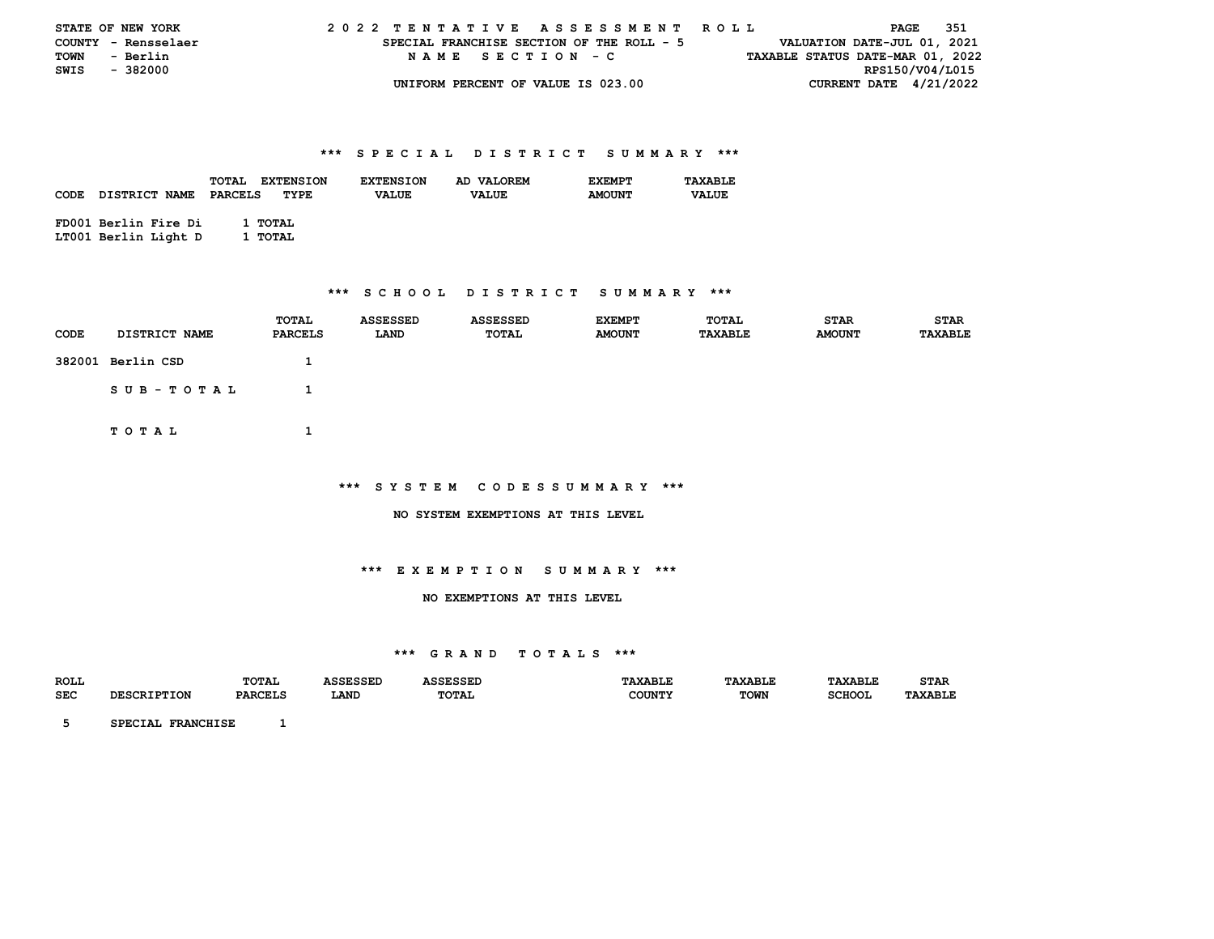|               | <b>STATE OF NEW YORK</b> |  | 2022 TENTATIVE ASSESSMENT ROLL |  |  |  |                                           |  |  |  |  |  |  |  |  |                                  |  |                 | PAGE | - 351 |  |
|---------------|--------------------------|--|--------------------------------|--|--|--|-------------------------------------------|--|--|--|--|--|--|--|--|----------------------------------|--|-----------------|------|-------|--|
|               | COUNTY - Rensselaer      |  |                                |  |  |  | SPECIAL FRANCHISE SECTION OF THE ROLL - 5 |  |  |  |  |  |  |  |  | VALUATION DATE-JUL 01, 2021      |  |                 |      |       |  |
| <b>TOWN</b>   | - Berlin                 |  |                                |  |  |  | NAME SECTION - C                          |  |  |  |  |  |  |  |  | TAXABLE STATUS DATE-MAR 01, 2022 |  |                 |      |       |  |
| SWIS - 382000 |                          |  |                                |  |  |  |                                           |  |  |  |  |  |  |  |  |                                  |  | RPS150/V04/L015 |      |       |  |
|               |                          |  |                                |  |  |  | UNIFORM PERCENT OF VALUE IS 023.00        |  |  |  |  |  |  |  |  | CURRENT DATE $4/21/2022$         |  |                 |      |       |  |

|      |                      | TOTAL<br><b>EXTENSION</b> | <b>EXTENSION</b> | AD VALOREM   | <b>EXEMPT</b> | TAXABLE      |
|------|----------------------|---------------------------|------------------|--------------|---------------|--------------|
| CODE | DISTRICT NAME        | PARCELS<br>TYPE           | <b>VALUE</b>     | <b>VALUE</b> | <b>AMOUNT</b> | <b>VALUE</b> |
|      |                      |                           |                  |              |               |              |
|      | FD001 Berlin Fire Di | 1 TOTAL                   |                  |              |               |              |
|      | LT001 Berlin Light D | 1 TOTAL                   |                  |              |               |              |

#### **\*\*\* S C H O O L D I S T R I C T S U M M A R Y \*\*\***

| CODE | <b>DISTRICT NAME</b> | TOTAL<br><b>PARCELS</b> | ASSESSED<br>LAND | ASSESSED<br>TOTAL | <b>EXEMPT</b><br><b>AMOUNT</b> | TOTAL<br><b>TAXABLE</b> | <b>STAR</b><br><b>AMOUNT</b> | <b>STAR</b><br><b>TAXABLE</b> |
|------|----------------------|-------------------------|------------------|-------------------|--------------------------------|-------------------------|------------------------------|-------------------------------|
|      | 382001 Berlin CSD    |                         |                  |                   |                                |                         |                              |                               |
|      | SUB-TOTAL            |                         |                  |                   |                                |                         |                              |                               |
|      | TOTAL                |                         |                  |                   |                                |                         |                              |                               |

#### **\*\*\* S Y S T E M C O D E S S U M M A R Y \*\*\***

 **NO SYSTEM EXEMPTIONS AT THIS LEVEL** 

## **\*\*\* E X E M P T I O N S U M M A R Y \*\*\***

#### **NO EXEMPTIONS AT THIS LEVEL**

## **\*\*\* G R A N D T O T A L S \*\*\***

| <b>ROLL</b> | ๛๛<br>.    |      |       | יים          |      |         | ----<br>. |
|-------------|------------|------|-------|--------------|------|---------|-----------|
| <b>SEC</b>  | <b>DAR</b> | LANI | 中八甲人" | <b>NINTY</b> | TOWN | ירים בי | . .       |

 **5 SPECIAL FRANCHISE 1**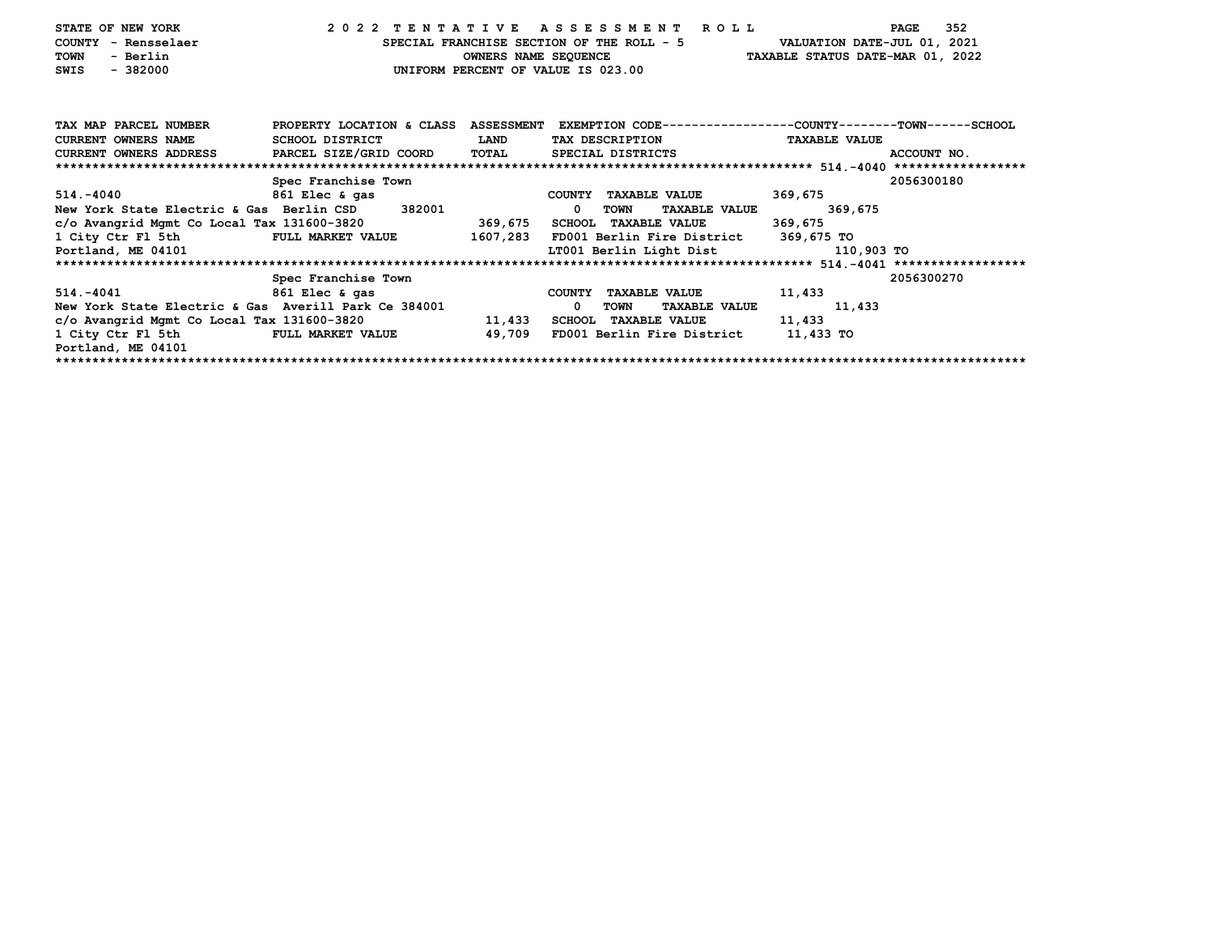| STATE OF NEW YORK<br>COUNTY - Rensselaer<br><b>TOWN</b><br>- Berlin<br>$-382000$<br>SWIS                             | 2022 TENTATIVE ASSESSMENT ROLL |             | UNIFORM PERCENT OF VALUE IS 023.00 |                                      | SPECIAL FRANCHISE SECTION OF THE ROLL - 5 VALUATION DATE-JUL 01, 2021<br>OWNERS NAME SEQUENCE TAXABLE STATUS DATE-MAR 01, 2022 | 352<br>PAGE |  |  |  |  |  |  |  |
|----------------------------------------------------------------------------------------------------------------------|--------------------------------|-------------|------------------------------------|--------------------------------------|--------------------------------------------------------------------------------------------------------------------------------|-------------|--|--|--|--|--|--|--|
| TAX MAP PARCEL NUMBER PROPERTY LOCATION & CLASS ASSESSMENT EXEMPTION CODE--------------COUNTY-------TOWN------SCHOOL |                                |             |                                    |                                      |                                                                                                                                |             |  |  |  |  |  |  |  |
| <b>CURRENT OWNERS NAME</b>                                                                                           | SCHOOL DISTRICT                | <b>LAND</b> |                                    | TAX DESCRIPTION                      | <b>TAXABLE VALUE</b>                                                                                                           |             |  |  |  |  |  |  |  |
| CURRENT OWNERS ADDRESS     PARCEL SIZE/GRID COORD   TOTAL     SPECIAL DISTRICTS                                      |                                |             |                                    |                                      |                                                                                                                                | ACCOUNT NO. |  |  |  |  |  |  |  |
|                                                                                                                      |                                |             |                                    |                                      |                                                                                                                                |             |  |  |  |  |  |  |  |
|                                                                                                                      | Spec Franchise Town            |             |                                    |                                      |                                                                                                                                | 2056300180  |  |  |  |  |  |  |  |
| 514.-4040 861 Elec & gas                                                                                             |                                |             |                                    | COUNTY TAXABLE VALUE                 | 369,675                                                                                                                        |             |  |  |  |  |  |  |  |
| New York State Electric & Gas Berlin CSD 382001                                                                      |                                |             | $\mathbf 0$<br>TOWN                | <b>TAXABLE VALUE</b>                 | 369,675                                                                                                                        |             |  |  |  |  |  |  |  |
| c/o Avangrid Mgmt Co Local Tax 131600-3820 369,675 SCHOOL TAXABLE VALUE                                              |                                |             |                                    |                                      | 369,675                                                                                                                        |             |  |  |  |  |  |  |  |
| 1 City Ctr Fl 5th FULL MARKET VALUE 1607,283 FD001 Berlin Fire District 369,675 TO                                   |                                |             |                                    |                                      |                                                                                                                                |             |  |  |  |  |  |  |  |
| Portland, ME 04101                                                                                                   |                                |             |                                    |                                      | LT001 Berlin Light Dist 110,903 TO                                                                                             |             |  |  |  |  |  |  |  |
|                                                                                                                      |                                |             |                                    |                                      |                                                                                                                                |             |  |  |  |  |  |  |  |
|                                                                                                                      | Spec Franchise Town            |             |                                    |                                      |                                                                                                                                | 2056300270  |  |  |  |  |  |  |  |
| 514.-4041                                                                                                            | 861 Elec & gas                 |             |                                    | COUNTY TAXABLE VALUE                 | 11,433                                                                                                                         |             |  |  |  |  |  |  |  |
| New York State Electric & Gas Averill Park Ce 384001                                                                 |                                |             | $\mathbf 0$<br>TOWN                | <b>TAXABLE VALUE</b>                 | 11,433                                                                                                                         |             |  |  |  |  |  |  |  |
| $c/o$ Avangrid Mgmt Co Local Tax 131600-3820 $11,433$                                                                |                                |             | SCHOOL TAXABLE VALUE               |                                      | 11,433                                                                                                                         |             |  |  |  |  |  |  |  |
| 1 City Ctr Fl 5th FULL MARKET VALUE 49,709                                                                           |                                |             |                                    | FD001 Berlin Fire District 11,433 TO |                                                                                                                                |             |  |  |  |  |  |  |  |
| Portland, ME 04101                                                                                                   |                                |             |                                    |                                      |                                                                                                                                |             |  |  |  |  |  |  |  |
|                                                                                                                      |                                |             |                                    |                                      |                                                                                                                                |             |  |  |  |  |  |  |  |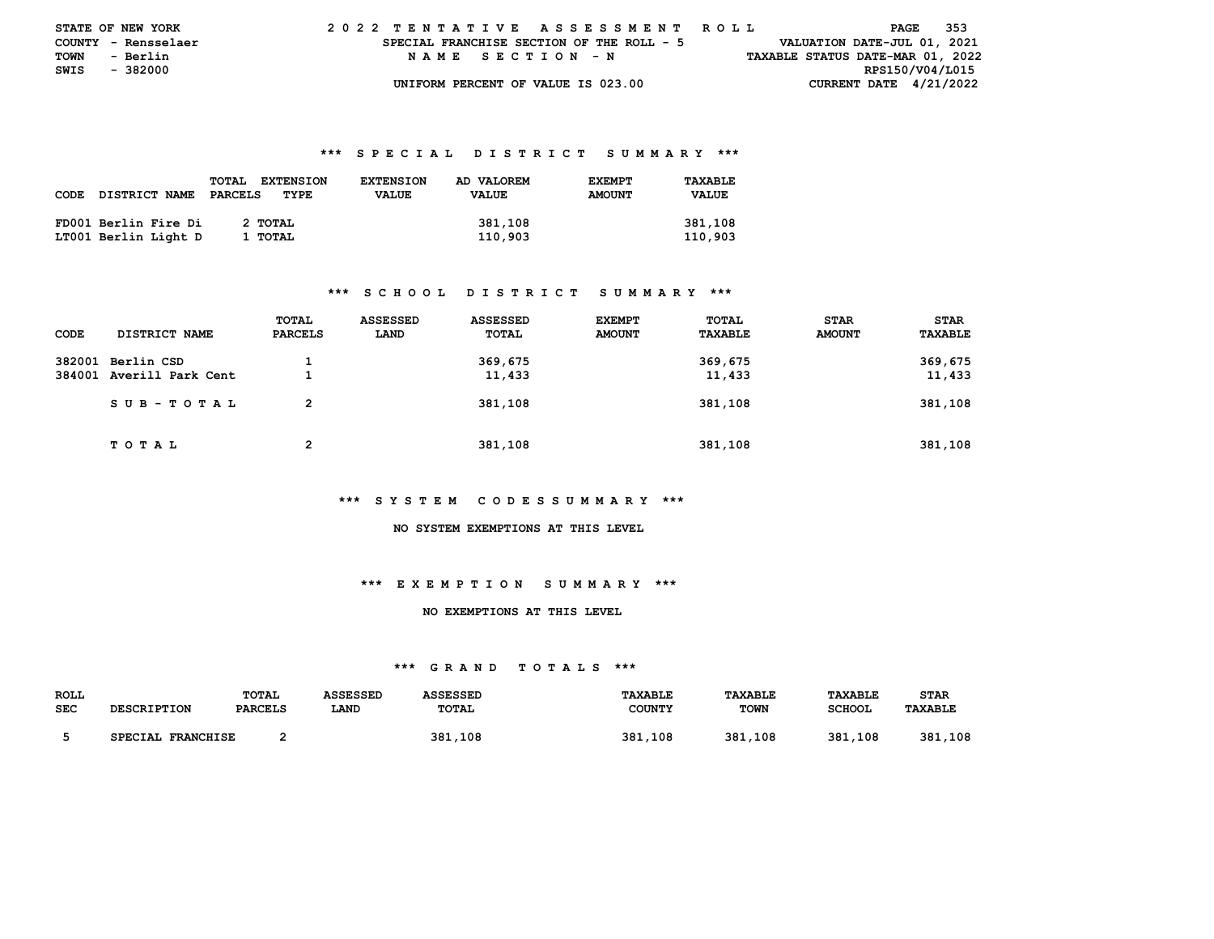| <b>STATE OF NEW YORK</b> |          |  |  | 2022 TENTATIVE ASSESSMENT ROLL            |  |  |                  |  |  |  |  |  |  |                                  |                             |                 | PAGE | - 353 |  |
|--------------------------|----------|--|--|-------------------------------------------|--|--|------------------|--|--|--|--|--|--|----------------------------------|-----------------------------|-----------------|------|-------|--|
| COUNTY - Rensselaer      |          |  |  | SPECIAL FRANCHISE SECTION OF THE ROLL - 5 |  |  |                  |  |  |  |  |  |  |                                  | VALUATION DATE-JUL 01, 2021 |                 |      |       |  |
| TOWN                     | - Berlin |  |  |                                           |  |  | NAME SECTION - N |  |  |  |  |  |  | TAXABLE STATUS DATE-MAR 01, 2022 |                             |                 |      |       |  |
| SWIS                     | - 382000 |  |  |                                           |  |  |                  |  |  |  |  |  |  |                                  |                             | RPS150/V04/L015 |      |       |  |
|                          |          |  |  | UNIFORM PERCENT OF VALUE IS 023.00        |  |  |                  |  |  |  |  |  |  |                                  | CURRENT DATE $4/21/2022$    |                 |      |       |  |

|      |                      | <b>EXTENSION</b><br><b>TOTAL</b> | <b>EXTENSION</b> | AD VALOREM | <b>EXEMPT</b> | TAXABLE      |
|------|----------------------|----------------------------------|------------------|------------|---------------|--------------|
| CODE | <b>DISTRICT NAME</b> | PARCELS<br>TYPE                  | <b>VALUE</b>     | VALUE      | <b>AMOUNT</b> | <b>VALUE</b> |
|      |                      |                                  |                  |            |               |              |
|      | FD001 Berlin Fire Di | 2 TOTAL                          |                  | 381,108    |               | 381,108      |
|      | LT001 Berlin Light D | 1 TOTAL                          |                  | 110,903    |               | 110,903      |

#### **\*\*\* S C H O O L D I S T R I C T S U M M A R Y \*\*\***

| CODE | <b>DISTRICT NAME</b>                          | TOTAL<br><b>PARCELS</b> | ASSESSED<br>LAND | ASSESSED<br>TOTAL | <b>EXEMPT</b><br><b>AMOUNT</b> | TOTAL<br>TAXABLE  | <b>STAR</b><br><b>AMOUNT</b> | <b>STAR</b><br>TAXABLE |
|------|-----------------------------------------------|-------------------------|------------------|-------------------|--------------------------------|-------------------|------------------------------|------------------------|
|      | 382001 Berlin CSD<br>384001 Averill Park Cent |                         |                  | 369,675<br>11,433 |                                | 369,675<br>11,433 |                              | 369,675<br>11,433      |
|      | SUB-TOTAL                                     | 2                       |                  | 381,108           |                                | 381,108           |                              | 381,108                |
|      | T O T A L                                     | $\overline{2}$          |                  | 381,108           |                                | 381,108           |                              | 381,108                |

#### **\*\*\* S Y S T E M C O D E S S U M M A R Y \*\*\***

 **NO SYSTEM EXEMPTIONS AT THIS LEVEL** 

# **\*\*\* E X E M P T I O N S U M M A R Y \*\*\***

#### **NO EXEMPTIONS AT THIS LEVEL**

| <b>ROLL</b> |                    | TOTAL   | ASSESSED | ASSESSED | <b>TAXABLE</b> | <b>TAXABLE</b> | TAXABLE       | STAR           |
|-------------|--------------------|---------|----------|----------|----------------|----------------|---------------|----------------|
| <b>SEC</b>  | <b>DESCRIPTION</b> | PARCELS | LAND     | TOTAL    | <b>COUNTY</b>  | <b>TOWN</b>    | <b>SCHOOL</b> | <b>TAXABLE</b> |
|             | SPECIAL FRANCHISE  |         |          | 381,108  | 381,108        | 381,108        | 381,108       | 381.<br>,108   |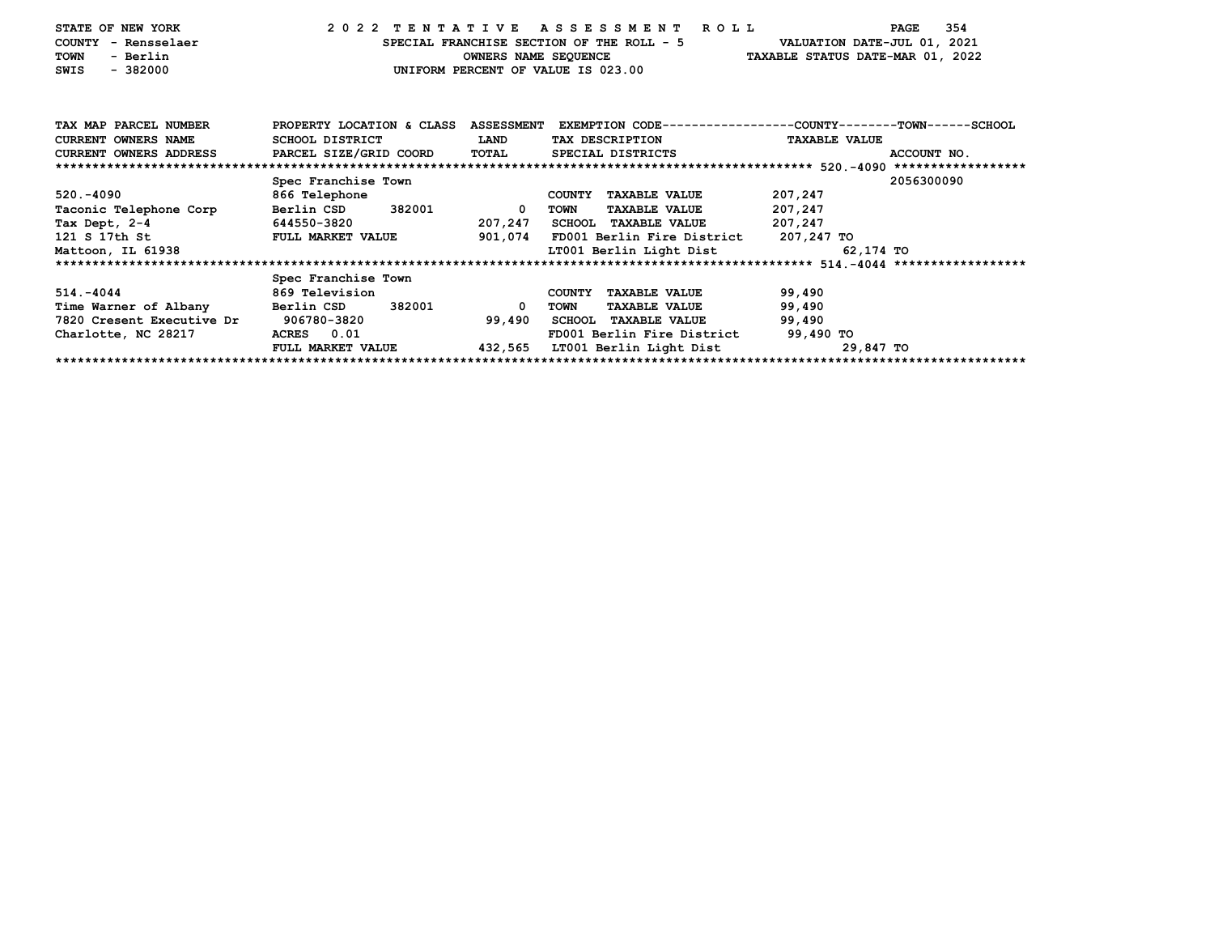| STATE OF NEW YORK<br>- Rensselaer<br><b>COUNTY</b><br><b>TOWN</b><br>- Berlin<br>$-382000$<br>SWIS |                          | OWNERS NAME SEQUENCE | 2022 TENTATIVE ASSESSMENT<br>R O L L<br>SPECIAL FRANCHISE SECTION OF THE ROLL - 5<br>TAXABLE STATUS DATE-MAR 01, 2022<br>UNIFORM PERCENT OF VALUE IS 023.00 | VALUATION DATE-JUL 01, 2021 | 354<br>PAGE |
|----------------------------------------------------------------------------------------------------|--------------------------|----------------------|-------------------------------------------------------------------------------------------------------------------------------------------------------------|-----------------------------|-------------|
| TAX MAP PARCEL NUMBER                                                                              |                          |                      | PROPERTY LOCATION & CLASS ASSESSMENT EXEMPTION CODE---------------COUNTY-------TOWN------SCHOOL                                                             |                             |             |
| <b>CURRENT OWNERS NAME</b>                                                                         | SCHOOL DISTRICT          | LAND                 | TAX DESCRIPTION                                                                                                                                             | <b>TAXABLE VALUE</b>        |             |
| <b>CURRENT OWNERS ADDRESS</b>                                                                      | PARCEL SIZE/GRID COORD   | TOTAL                | SPECIAL DISTRICTS                                                                                                                                           |                             | ACCOUNT NO. |
|                                                                                                    |                          |                      |                                                                                                                                                             |                             |             |
|                                                                                                    | Spec Franchise Town      |                      |                                                                                                                                                             |                             | 2056300090  |
| 520. - 4090                                                                                        | 866 Telephone            |                      | <b>COUNTY</b><br><b>TAXABLE VALUE</b>                                                                                                                       | 207,247                     |             |
| Taconic Telephone Corp                                                                             | Berlin CSD 382001        | $\mathbf{0}$         | TOWN<br><b>TAXABLE VALUE</b>                                                                                                                                | 207,247                     |             |
| Tax Dept, 2-4                                                                                      | 644550-3820              | 207,247              | <b>SCHOOL TAXABLE VALUE</b>                                                                                                                                 | 207,247                     |             |
| 121 S 17th St                                                                                      | <b>FULL MARKET VALUE</b> | 901,074              | FD001 Berlin Fire District 207,247 TO                                                                                                                       |                             |             |
| Mattoon, IL 61938                                                                                  |                          |                      | LT001 Berlin Light Dist                                                                                                                                     | 62,174 TO                   |             |
|                                                                                                    |                          |                      |                                                                                                                                                             |                             |             |
|                                                                                                    | Spec Franchise Town      |                      |                                                                                                                                                             |                             |             |
| 514. - 4044                                                                                        | 869 Television           |                      | <b>TAXABLE VALUE</b><br>COUNTY                                                                                                                              | 99,490                      |             |
| Time Warner of Albany                                                                              | 382001<br>Berlin CSD     | 0                    | <b>TOWN</b><br><b>TAXABLE VALUE</b>                                                                                                                         | 99,490                      |             |
| 7820 Cresent Executive Dr                                                                          | 906780-3820              | 99,490               | <b>SCHOOL TAXABLE VALUE</b>                                                                                                                                 | 99,490                      |             |
| Charlotte, NC 28217                                                                                | ACRES 0.01               |                      | FD001 Berlin Fire District                                                                                                                                  | 99,490 TO                   |             |
|                                                                                                    | FULL MARKET VALUE        | 432,565              | LT001 Berlin Light Dist                                                                                                                                     | 29,847 TO                   |             |
|                                                                                                    |                          |                      |                                                                                                                                                             |                             |             |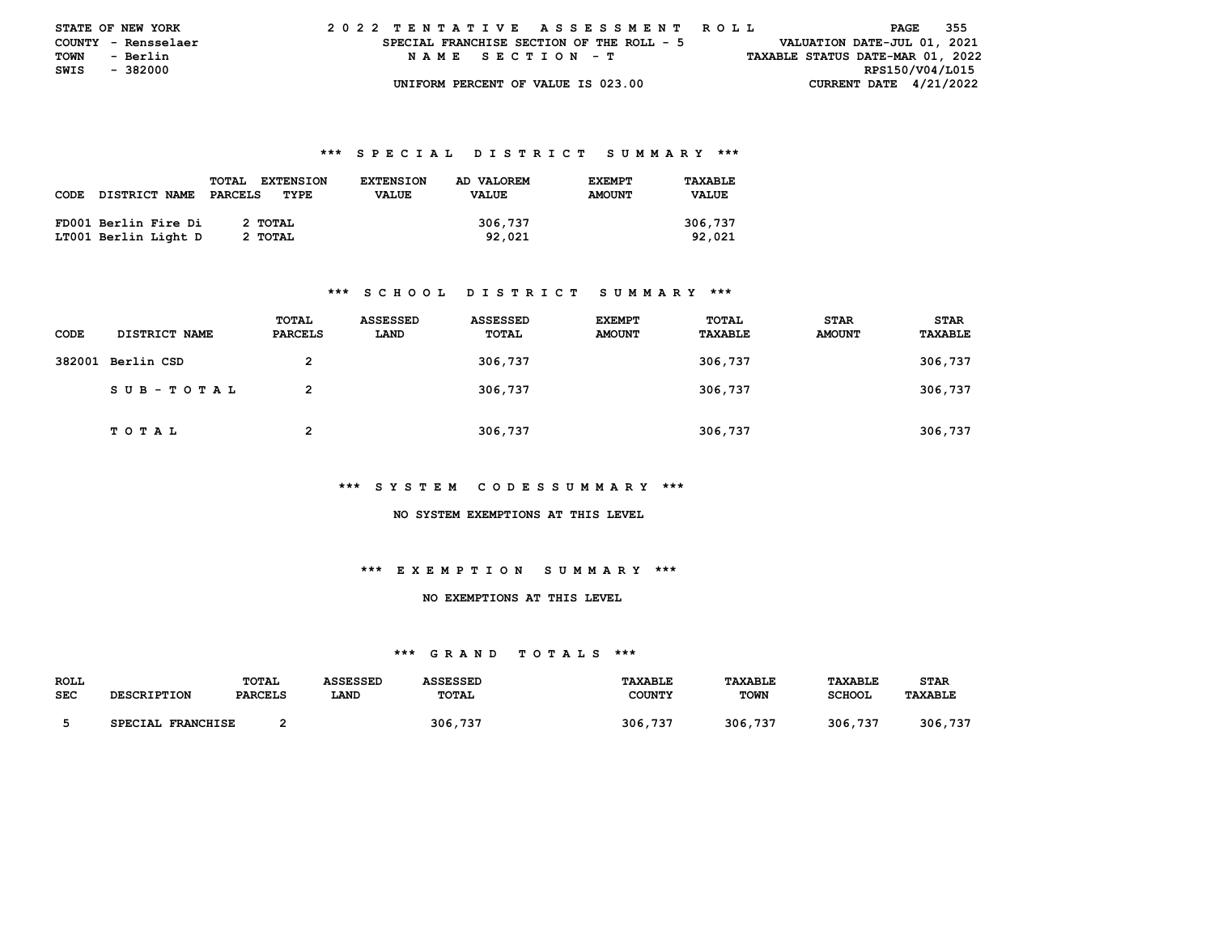| <b>STATE OF NEW YORK</b> |                     |  | 2022 TENTATIVE ASSESSMENT ROLL            |  |  |                  |  |  |  |  |  |  |                                  |  |                             | PAGE | - 355 |  |
|--------------------------|---------------------|--|-------------------------------------------|--|--|------------------|--|--|--|--|--|--|----------------------------------|--|-----------------------------|------|-------|--|
|                          | COUNTY - Rensselaer |  | SPECIAL FRANCHISE SECTION OF THE ROLL - 5 |  |  |                  |  |  |  |  |  |  |                                  |  | VALUATION DATE-JUL 01, 2021 |      |       |  |
| <b>TOWN</b>              | - Berlin            |  |                                           |  |  | NAME SECTION - T |  |  |  |  |  |  | TAXABLE STATUS DATE-MAR 01, 2022 |  |                             |      |       |  |
| SWIS                     | - 382000            |  |                                           |  |  |                  |  |  |  |  |  |  |                                  |  | RPS150/V04/L015             |      |       |  |
|                          |                     |  | UNIFORM PERCENT OF VALUE IS 023.00        |  |  |                  |  |  |  |  |  |  |                                  |  | CURRENT DATE $4/21/2022$    |      |       |  |

|      |                      | <b>EXTENSION</b><br><b>TOTAL</b> | <b>EXTENSION</b> | AD VALOREM | <b>EXEMPT</b> | TAXABLE      |
|------|----------------------|----------------------------------|------------------|------------|---------------|--------------|
| CODE | <b>DISTRICT NAME</b> | PARCELS<br>TYPE                  | <b>VALUE</b>     | VALUE      | <b>AMOUNT</b> | <b>VALUE</b> |
|      |                      |                                  |                  |            |               |              |
|      | FD001 Berlin Fire Di | 2 TOTAL                          |                  | 306,737    |               | 306,737      |
|      | LT001 Berlin Light D | 2 TOTAL                          |                  | 92,021     |               | 92,021       |

#### **\*\*\* S C H O O L D I S T R I C T S U M M A R Y \*\*\***

| CODE | <b>DISTRICT NAME</b> | TOTAL<br>PARCELS | <b>ASSESSED</b><br>LAND | ASSESSED<br>TOTAL | <b>EXEMPT</b><br><b>AMOUNT</b> | TOTAL<br>TAXABLE | <b>STAR</b><br><b>AMOUNT</b> | <b>STAR</b><br>TAXABLE |
|------|----------------------|------------------|-------------------------|-------------------|--------------------------------|------------------|------------------------------|------------------------|
|      | 382001 Berlin CSD    | 2                |                         | 306,737           |                                | 306,737          |                              | 306,737                |
|      | SUB-TOTAL            | 2                |                         | 306,737           |                                | 306,737          |                              | 306,737                |
|      | T O T A L            | າ                |                         | 306,737           |                                | 306,737          |                              | 306,737                |

#### **\*\*\* S Y S T E M C O D E S S U M M A R Y \*\*\***

#### **NO SYSTEM EXEMPTIONS AT THIS LEVEL**

## **\*\*\* E X E M P T I O N S U M M A R Y \*\*\***

#### **NO EXEMPTIONS AT THIS LEVEL**

| ROLL       |                    | TOTAL          | ASSESSED | ASSESSED | <b>TAXABLE</b> | <b>TAXABLE</b> | TAXABLE       | <b>STAR</b>    |
|------------|--------------------|----------------|----------|----------|----------------|----------------|---------------|----------------|
| <b>SEC</b> | <b>DESCRIPTION</b> | <b>PARCELS</b> | LAND     | TOTAL    | <b>COUNTY</b>  | <b>TOWN</b>    | <b>SCHOOL</b> | <b>TAXABLE</b> |
|            |                    |                |          |          |                |                |               |                |
|            | SPECIAL FRANCHISE  |                |          | 306,737  | 306,737        | 306,737        | 306,737       | 306,737        |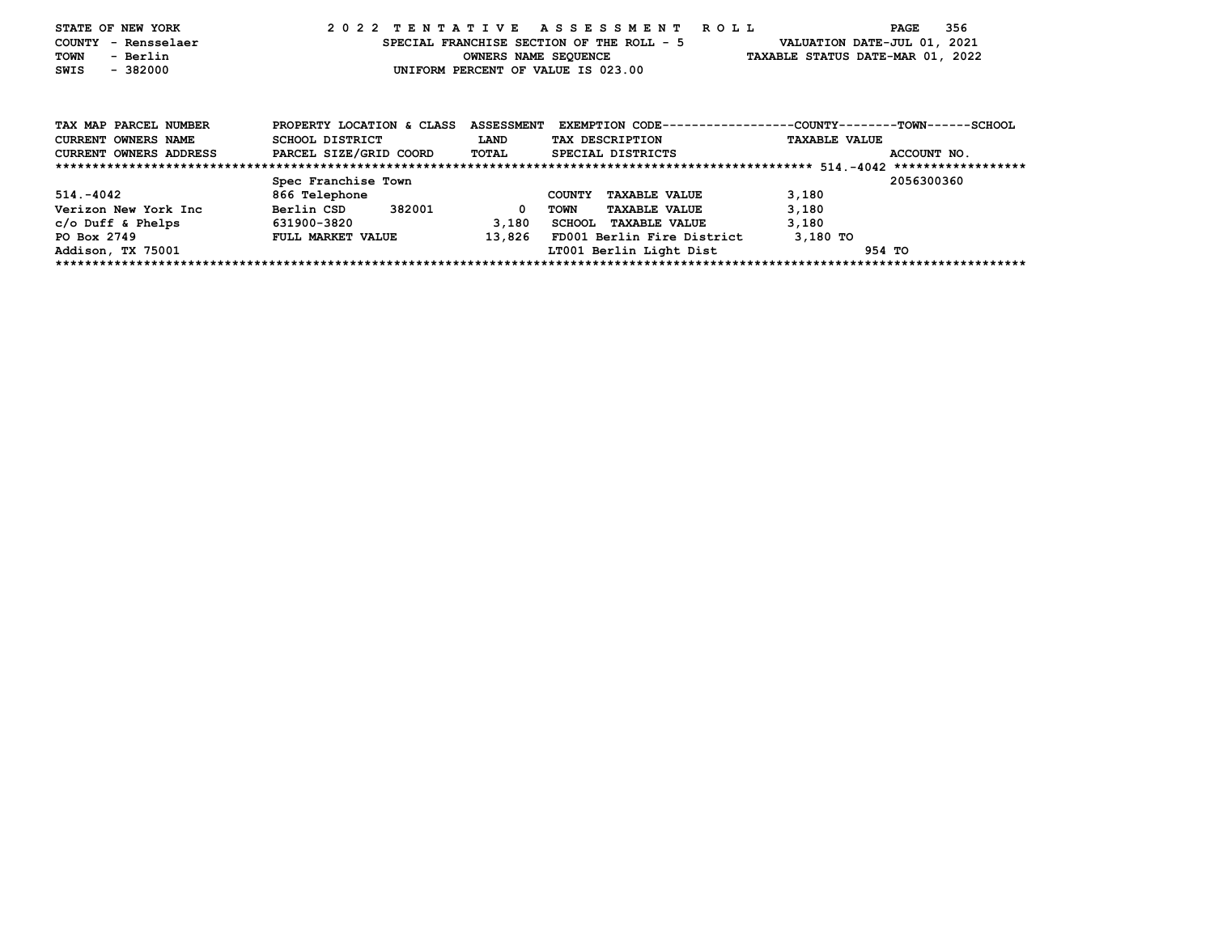| STATE OF NEW YORK<br>- Rensselaer<br>COUNTY<br>- Berlin<br><b>TOWN</b><br>$-382000$<br>SWIS |                              |                   | 2022 TENTATIVE ASSESSMENT ROLL<br>SPECIAL FRANCHISE SECTION OF THE ROLL - 5<br>OWNERS NAME SEQUENCE<br>UNIFORM PERCENT OF VALUE IS 023.00 | 356<br>PAGE<br>VALUATION DATE-JUL 01, 2021<br>TAXABLE STATUS DATE-MAR 01, 2022 |
|---------------------------------------------------------------------------------------------|------------------------------|-------------------|-------------------------------------------------------------------------------------------------------------------------------------------|--------------------------------------------------------------------------------|
| TAX MAP PARCEL NUMBER                                                                       | PROPERTY LOCATION & CLASS    | <b>ASSESSMENT</b> |                                                                                                                                           | EXEMPTION CODE-----------------COUNTY-------TOWN------SCHOOL                   |
| <b>CURRENT OWNERS NAME</b>                                                                  | SCHOOL DISTRICT              | <b>LAND</b>       | TAX DESCRIPTION                                                                                                                           | <b>TAXABLE VALUE</b>                                                           |
| CURRENT OWNERS ADDRESS                                                                      | PARCEL SIZE/GRID COORD TOTAL |                   | SPECIAL DISTRICTS                                                                                                                         | ACCOUNT NO.                                                                    |
|                                                                                             |                              |                   |                                                                                                                                           |                                                                                |
|                                                                                             | Spec Franchise Town          |                   |                                                                                                                                           | 2056300360                                                                     |
| 514.-4042                                                                                   | 866 Telephone                |                   | <b>COUNTY</b><br><b>TAXABLE VALUE</b>                                                                                                     | 3,180                                                                          |
| Verizon New York Inc                                                                        | 382001<br>Berlin CSD         |                   | <b>TAXABLE VALUE</b><br>TOWN                                                                                                              | 3,180                                                                          |
| $c$ /o Duff & Phelps                                                                        | 631900-3820                  | 3,180             | SCHOOL TAXABLE VALUE                                                                                                                      | 3,180                                                                          |
| PO Box 2749                                                                                 | FULL MARKET VALUE            | 13,826            | FD001 Berlin Fire District                                                                                                                | 3,180 TO                                                                       |
| Addison, TX 75001                                                                           |                              |                   | LT001 Berlin Light Dist                                                                                                                   | 954 TO                                                                         |
|                                                                                             |                              |                   |                                                                                                                                           |                                                                                |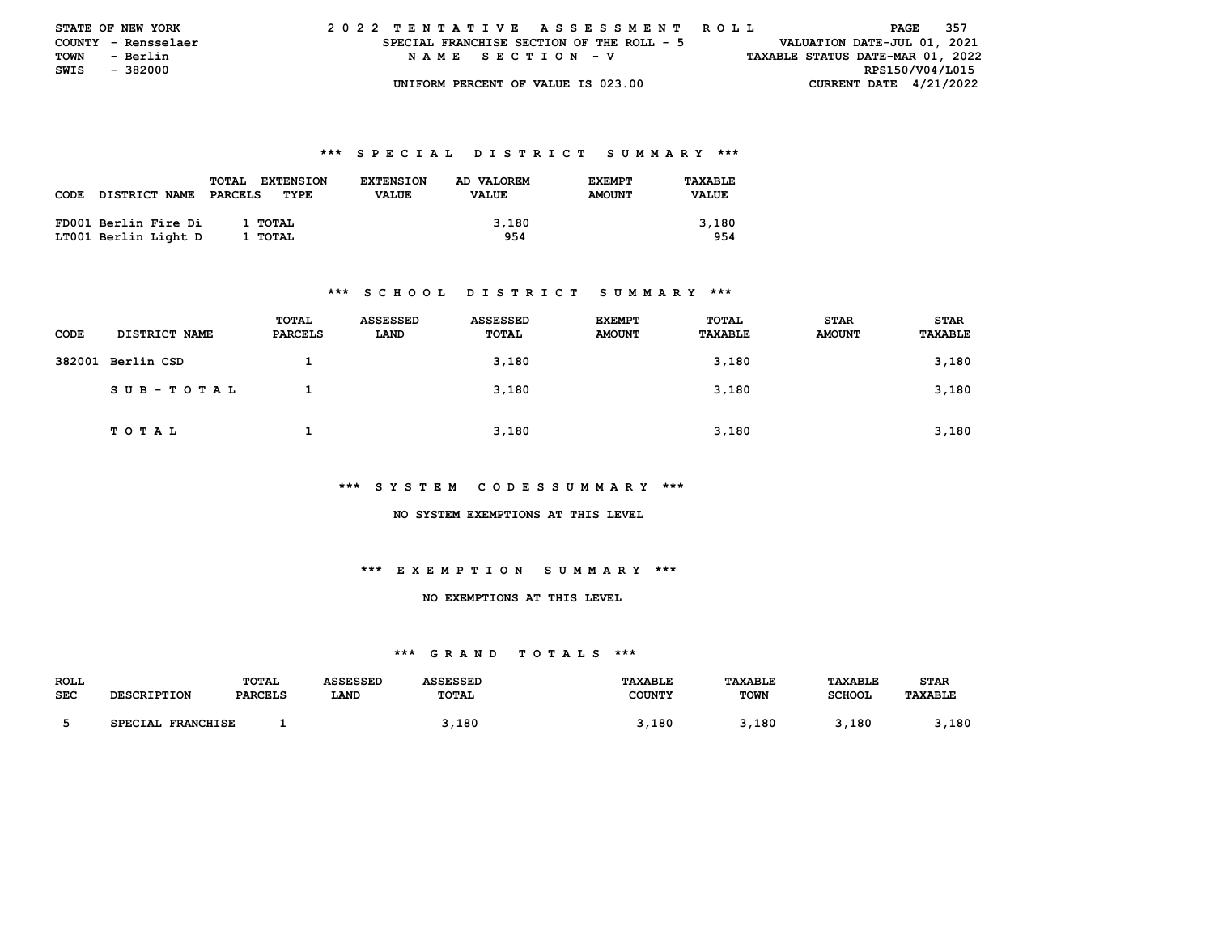| <b>STATE OF NEW YORK</b> |                     |  | 2022 TENTATIVE ASSESSMENT ROLL            |  |  |                                    |  |  |  |  |  |                                  |                             | PAGE | - 357 |  |
|--------------------------|---------------------|--|-------------------------------------------|--|--|------------------------------------|--|--|--|--|--|----------------------------------|-----------------------------|------|-------|--|
|                          | COUNTY - Rensselaer |  | SPECIAL FRANCHISE SECTION OF THE ROLL - 5 |  |  |                                    |  |  |  |  |  |                                  | VALUATION DATE-JUL 01, 2021 |      |       |  |
| TOWN                     | - Berlin            |  |                                           |  |  | NAME SECTION - V                   |  |  |  |  |  | TAXABLE STATUS DATE-MAR 01, 2022 |                             |      |       |  |
| SWIS                     | - 382000            |  |                                           |  |  |                                    |  |  |  |  |  |                                  | RPS150/V04/L015             |      |       |  |
|                          |                     |  |                                           |  |  | UNIFORM PERCENT OF VALUE IS 023.00 |  |  |  |  |  |                                  | CURRENT DATE $4/21/2022$    |      |       |  |

|      |                      | <b>EXTENSION</b><br><b>TOTAL</b> | <b>EXTENSION</b> | AD VALOREM   | <b>EXEMPT</b> | TAXABLE      |
|------|----------------------|----------------------------------|------------------|--------------|---------------|--------------|
| CODE | <b>DISTRICT NAME</b> | PARCELS<br>TYPE                  | <b>VALUE</b>     | <b>VALUE</b> | <b>AMOUNT</b> | <b>VALUE</b> |
|      |                      |                                  |                  |              |               |              |
|      | FD001 Berlin Fire Di | 1 TOTAL                          |                  | 3,180        |               | 3,180        |
|      | LT001 Berlin Light D | 1 TOTAL                          |                  | 954          |               | 954          |

#### **\*\*\* S C H O O L D I S T R I C T S U M M A R Y \*\*\***

| CODE | <b>DISTRICT NAME</b> | TOTAL<br>PARCELS | ASSESSED<br>LAND | ASSESSED<br>TOTAL | <b>EXEMPT</b><br><b>AMOUNT</b> | TOTAL<br>TAXABLE | <b>STAR</b><br><b>AMOUNT</b> | <b>STAR</b><br>TAXABLE |
|------|----------------------|------------------|------------------|-------------------|--------------------------------|------------------|------------------------------|------------------------|
|      | 382001 Berlin CSD    |                  |                  | 3,180             |                                | 3,180            |                              | 3,180                  |
|      | SUB-TOTAL            |                  |                  | 3,180             |                                | 3,180            |                              | 3,180                  |
|      | T O T A L            |                  |                  | 3,180             |                                | 3,180            |                              | 3,180                  |

#### **\*\*\* S Y S T E M C O D E S S U M M A R Y \*\*\***

#### **NO SYSTEM EXEMPTIONS AT THIS LEVEL**

## **\*\*\* E X E M P T I O N S U M M A R Y \*\*\***

#### **NO EXEMPTIONS AT THIS LEVEL**

| <b>ROLL</b> |                    | TOTAL          | ASSESSED | <b>ASSESSED</b> | <b>TAXABLE</b> | TAXABLE     | <b>TAXABLE</b> | <b>STAR</b>    |
|-------------|--------------------|----------------|----------|-----------------|----------------|-------------|----------------|----------------|
| <b>SEC</b>  | <b>DESCRIPTION</b> | <b>PARCELS</b> | LAND     | TOTAL           | <b>COUNTY</b>  | <b>TOWN</b> | SCHOOL         | <b>TAXABLE</b> |
|             |                    |                |          |                 |                |             |                |                |
|             | SPECIAL FRANCHISE  |                |          | ,180            | ,180           | ,180        | 180            | 180            |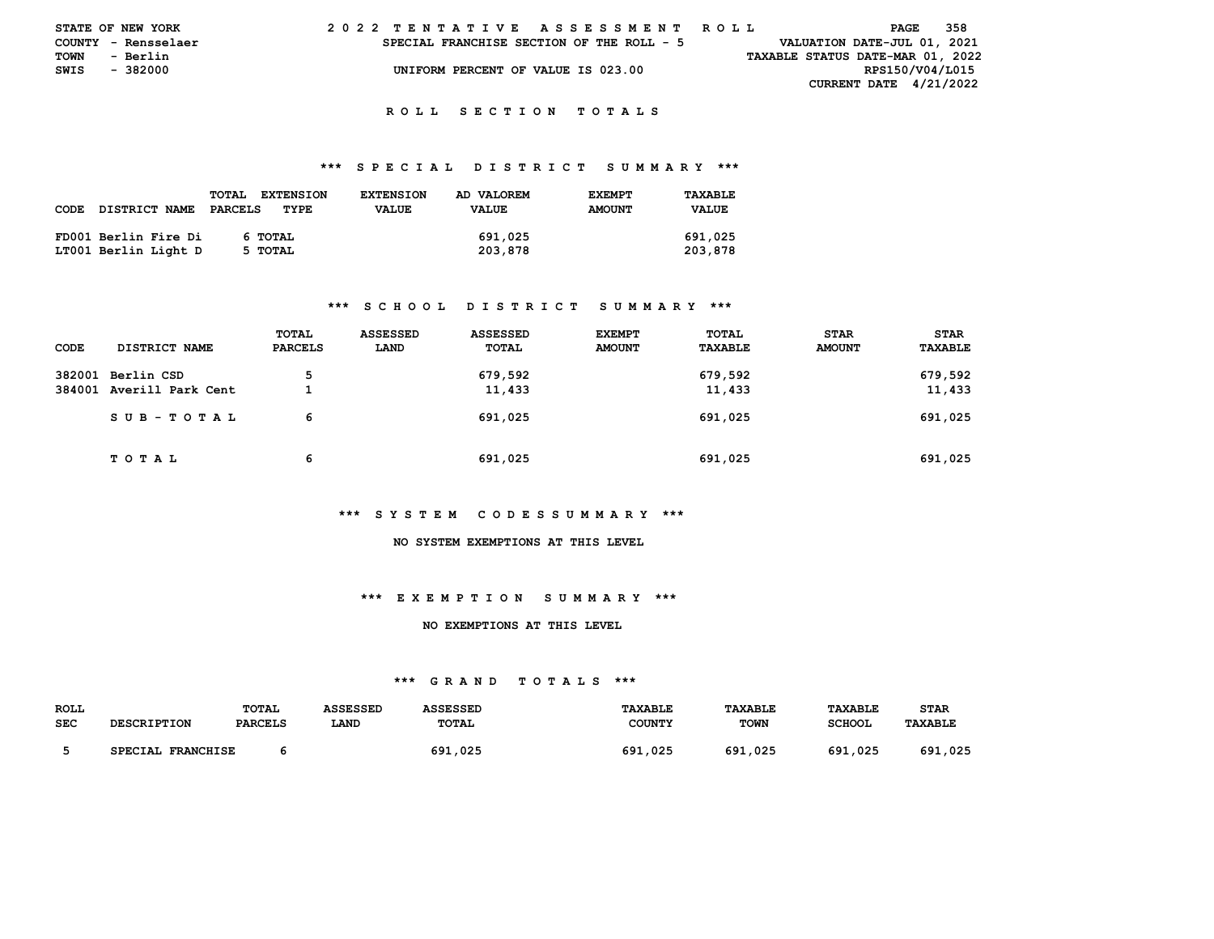|      | STATE OF NEW YORK   |  |  | 2022 TENTATIVE ASSESSMENT ROLL            |  |  |                                    |  |  |  |  |  |  |  |  |                                  | PAGE | 358 |  |
|------|---------------------|--|--|-------------------------------------------|--|--|------------------------------------|--|--|--|--|--|--|--|--|----------------------------------|------|-----|--|
|      | COUNTY - Rensselaer |  |  | SPECIAL FRANCHISE SECTION OF THE ROLL - 5 |  |  |                                    |  |  |  |  |  |  |  |  | VALUATION DATE-JUL 01, 2021      |      |     |  |
| TOWN | - Berlin            |  |  |                                           |  |  |                                    |  |  |  |  |  |  |  |  | TAXABLE STATUS DATE-MAR 01, 2022 |      |     |  |
| SWIS | - 382000            |  |  |                                           |  |  | UNIFORM PERCENT OF VALUE IS 023.00 |  |  |  |  |  |  |  |  | RPS150/V04/L015                  |      |     |  |
|      |                     |  |  |                                           |  |  |                                    |  |  |  |  |  |  |  |  | <b>CURRENT DATE 4/21/2022</b>    |      |     |  |

#### **\*\*\* S P E C I A L D I S T R I C T S U M M A R Y \*\*\***

| <b>CODE</b><br><b>DISTRICT NAME</b>          | <b>EXTENSION</b><br><b>TOTAL</b><br>PARCELS<br>TYPE | <b>EXTENSION</b><br><b>VALUE</b> | AD VALOREM<br><b>VALUE</b> | <b>EXEMPT</b><br><b>AMOUNT</b> | TAXABLE<br><b>VALUE</b> |
|----------------------------------------------|-----------------------------------------------------|----------------------------------|----------------------------|--------------------------------|-------------------------|
| FD001 Berlin Fire Di<br>LT001 Berlin Light D | 6 TOTAL<br>5 TOTAL                                  |                                  | 691,025<br>203,878         |                                | 691,025<br>203,878      |

## **\*\*\* S C H O O L D I S T R I C T S U M M A R Y \*\*\***

| CODE | DISTRICT NAME                                 | TOTAL<br>PARCELS | <b>ASSESSED</b><br>LAND | ASSESSED<br>TOTAL | <b>EXEMPT</b><br><b>AMOUNT</b> | TOTAL<br>TAXABLE  | <b>STAR</b><br><b>AMOUNT</b> | <b>STAR</b><br><b>TAXABLE</b> |
|------|-----------------------------------------------|------------------|-------------------------|-------------------|--------------------------------|-------------------|------------------------------|-------------------------------|
|      | 382001 Berlin CSD<br>384001 Averill Park Cent | 5                |                         | 679,592<br>11,433 |                                | 679,592<br>11,433 |                              | 679,592<br>11,433             |
|      | SUB-TOTAL                                     | 6                |                         | 691,025           |                                | 691,025           |                              | 691,025                       |
|      | T O T A L                                     | 6                |                         | 691,025           |                                | 691,025           |                              | 691,025                       |

#### **\*\*\* S Y S T E M C O D E S S U M M A R Y \*\*\***

# **NO SYSTEM EXEMPTIONS AT THIS LEVEL**

#### **\*\*\* E X E M P T I O N S U M M A R Y \*\*\***

#### **NO EXEMPTIONS AT THIS LEVEL**

| <b>ROLL</b> |                             | <b>TOTAL</b>   | <b>ASSESSED</b> | <b>ASSESSED</b> | <b>TAXABLE</b> | TAXABLE     | TAXABLE       | <b>STAR</b>    |
|-------------|-----------------------------|----------------|-----------------|-----------------|----------------|-------------|---------------|----------------|
| <b>SEC</b>  | <b>DESCRIPTION</b>          | <b>PARCELS</b> | LAND            | <b>TOTAL</b>    | COUNTY         | <b>TOWN</b> | <b>SCHOOL</b> | <b>TAXABLE</b> |
|             |                             |                |                 |                 |                |             |               |                |
|             | <b>FRANCHISE</b><br>SPECIAL |                |                 | 691,025         | 691,025        | 691<br>.025 | 691,025       | .025<br>691    |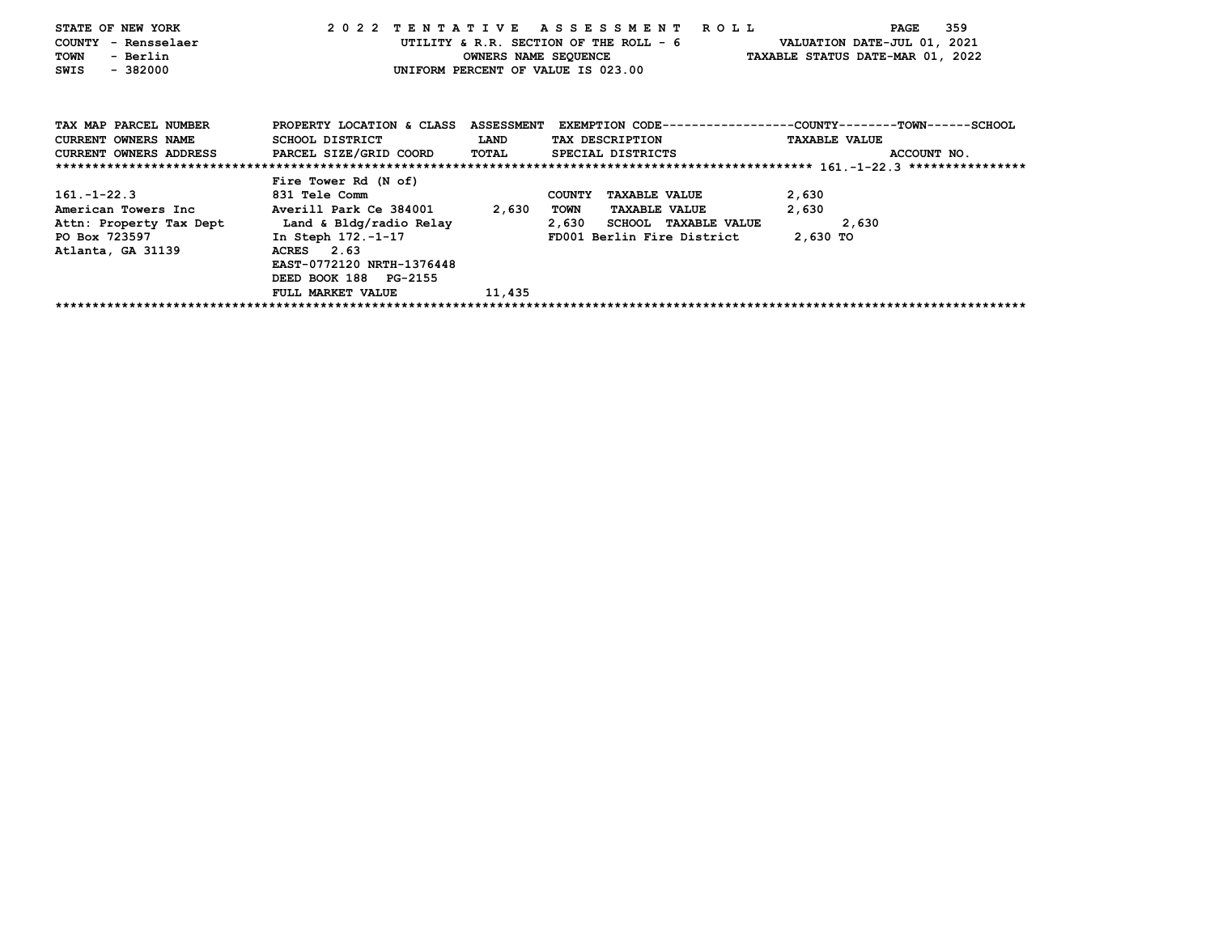| STATE OF NEW YORK          |                                                               |        | 2022 TENTATIVE ASSESSMENT ROLL                                        | 359<br>PAGE                                                                                    |
|----------------------------|---------------------------------------------------------------|--------|-----------------------------------------------------------------------|------------------------------------------------------------------------------------------------|
| COUNTY - Rensselaer        |                                                               |        |                                                                       | UTILITY & R.R. SECTION OF THE ROLL - 6 WALUATION DATE-JUL 01, 2021                             |
| - Berlin<br><b>TOWN</b>    |                                                               |        |                                                                       | OWNERS NAME SEQUENCE TAXABLE STATUS DATE-MAR 01, 2022                                          |
| $-382000$<br>SWIS          |                                                               |        | UNIFORM PERCENT OF VALUE IS 023.00                                    |                                                                                                |
|                            |                                                               |        |                                                                       |                                                                                                |
|                            |                                                               |        |                                                                       |                                                                                                |
| TAX MAP PARCEL NUMBER      |                                                               |        |                                                                       | PROPERTY LOCATION & CLASS ASSESSMENT EXEMPTION CODE---------------COUNTY-------TOWN-----SCHOOL |
| <b>CURRENT OWNERS NAME</b> | SCHOOL DISTRICT<br><b>EXAMPLE THE STATE OF STATE OF STATE</b> |        | TAX DESCRIPTION                                                       | <b>TAXABLE VALUE</b>                                                                           |
|                            |                                                               |        | CURRENT OWNERS ADDRESS PARCEL SIZE/GRID COORD TOTAL SPECIAL DISTRICTS | ACCOUNT NO.                                                                                    |
|                            |                                                               |        |                                                                       |                                                                                                |
|                            | Fire Tower Rd (N of)                                          |        |                                                                       |                                                                                                |
| $161. -1 - 22.3$           | 831 Tele Comm                                                 |        | COUNTY TAXABLE VALUE                                                  | 2,630                                                                                          |
|                            | American Towers Inc Morrill Park Ce 384001 2,630              |        | TOWN<br><b>TAXABLE VALUE</b>                                          | 2,630                                                                                          |
| Attn: Property Tax Dept    | Land & Bldg/radio Relay                                       |        | 2,630 SCHOOL TAXABLE VALUE                                            | 2,630                                                                                          |
| PO Box 723597              | In Steph 172.-1-17                                            |        | FD001 Berlin Fire District 2,630 TO                                   |                                                                                                |
| Atlanta, GA 31139          | ACRES 2.63                                                    |        |                                                                       |                                                                                                |
|                            | EAST-0772120 NRTH-1376448                                     |        |                                                                       |                                                                                                |
|                            | DEED BOOK 188 PG-2155                                         |        |                                                                       |                                                                                                |
|                            | FULL MARKET VALUE                                             | 11,435 |                                                                       |                                                                                                |
|                            |                                                               |        |                                                                       |                                                                                                |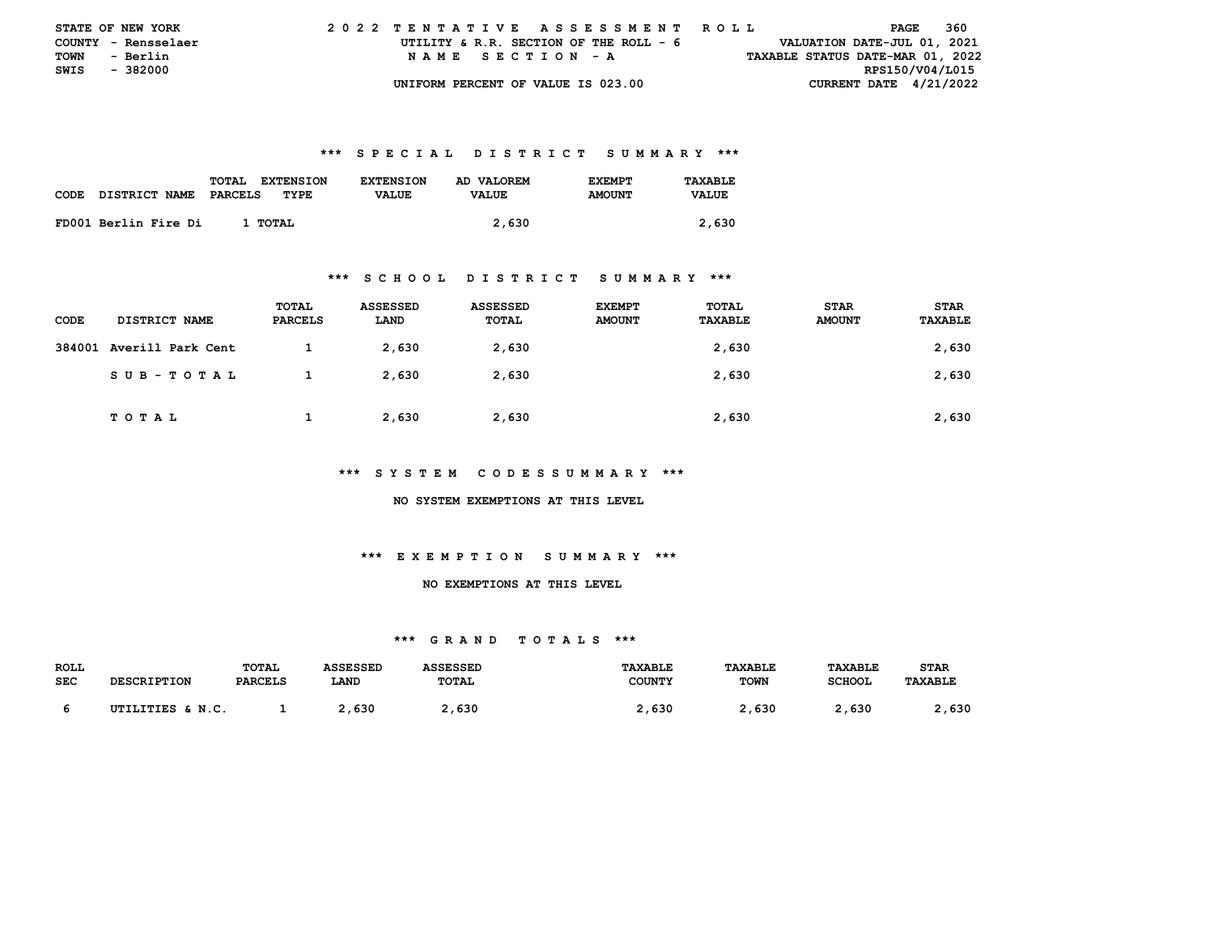|             | <b>STATE OF NEW YORK</b> | 2022 TENTATIVE ASSESSMENT ROLL         | 360<br>PAGE                      |
|-------------|--------------------------|----------------------------------------|----------------------------------|
|             | COUNTY - Rensselaer      | UTILITY & R.R. SECTION OF THE ROLL - 6 | VALUATION DATE-JUL 01, 2021      |
| <b>TOWN</b> | - Berlin                 | NAME SECTION - A                       | TAXABLE STATUS DATE-MAR 01, 2022 |
|             | SWIS - 382000            |                                        | RPS150/V04/L015                  |
|             |                          | UNIFORM PERCENT OF VALUE IS 023.00     | CURRENT DATE $4/21/2022$         |

|      |                      | TOTAL<br><b>EXTENSION</b> | <b>EXTENSION</b> | AD VALOREM   | <b>F.XFMPT</b> | TAXABLE      |
|------|----------------------|---------------------------|------------------|--------------|----------------|--------------|
| CODE | DISTRICT NAME        | PARCELS<br>TYPE           | <b>VALUE</b>     | <b>VALUE</b> | <b>AMOUNT</b>  | <b>VALUE</b> |
|      |                      |                           |                  |              |                |              |
|      | FD001 Berlin Fire Di | 1 TOTAL                   |                  | 2,630        |                | 2,630        |

#### **\*\*\* S C H O O L D I S T R I C T S U M M A R Y \*\*\***

| CODE | <b>DISTRICT NAME</b>     | TOTAL<br><b>PARCELS</b> | ASSESSED<br>LAND | <b>ASSESSED</b><br>TOTAL | <b>EXEMPT</b><br><b>AMOUNT</b> | TOTAL<br><b>TAXABLE</b> | <b>STAR</b><br><b>AMOUNT</b> | <b>STAR</b><br>TAXABLE |
|------|--------------------------|-------------------------|------------------|--------------------------|--------------------------------|-------------------------|------------------------------|------------------------|
|      | 384001 Averill Park Cent |                         | 2,630            | 2,630                    |                                | 2,630                   |                              | 2,630                  |
|      | SUB-TOTAL                |                         | 2,630            | 2,630                    |                                | 2,630                   |                              | 2,630                  |
|      | T O T A L                |                         | 2,630            | 2,630                    |                                | 2,630                   |                              | 2,630                  |

## **\*\*\* S Y S T E M C O D E S S U M M A R Y \*\*\***

 **NO SYSTEM EXEMPTIONS AT THIS LEVEL** 

# **\*\*\* E X E M P T I O N S U M M A R Y \*\*\***

## **NO EXEMPTIONS AT THIS LEVEL**

| <b>ROLL</b> |                    | <b>TOTAL</b>   | <b>ASSESSED</b> | <b>ASSESSED</b> | <b>TAXABLE</b> | TAXABLE     | TAXABLE       | <b>STAR</b>    |
|-------------|--------------------|----------------|-----------------|-----------------|----------------|-------------|---------------|----------------|
| <b>SEC</b>  | <b>DESCRIPTION</b> | <b>PARCELS</b> | LAND            | <b>TOTAL</b>    | <b>COUNTY</b>  | <b>TOWN</b> | <b>SCHOOL</b> | <b>TAXABLE</b> |
|             |                    |                |                 |                 |                |             |               |                |
|             | UTILITIES & N.C.   |                | .,630           | 1,630           | ∠, 630         | , 630       | 2,630         | , 630          |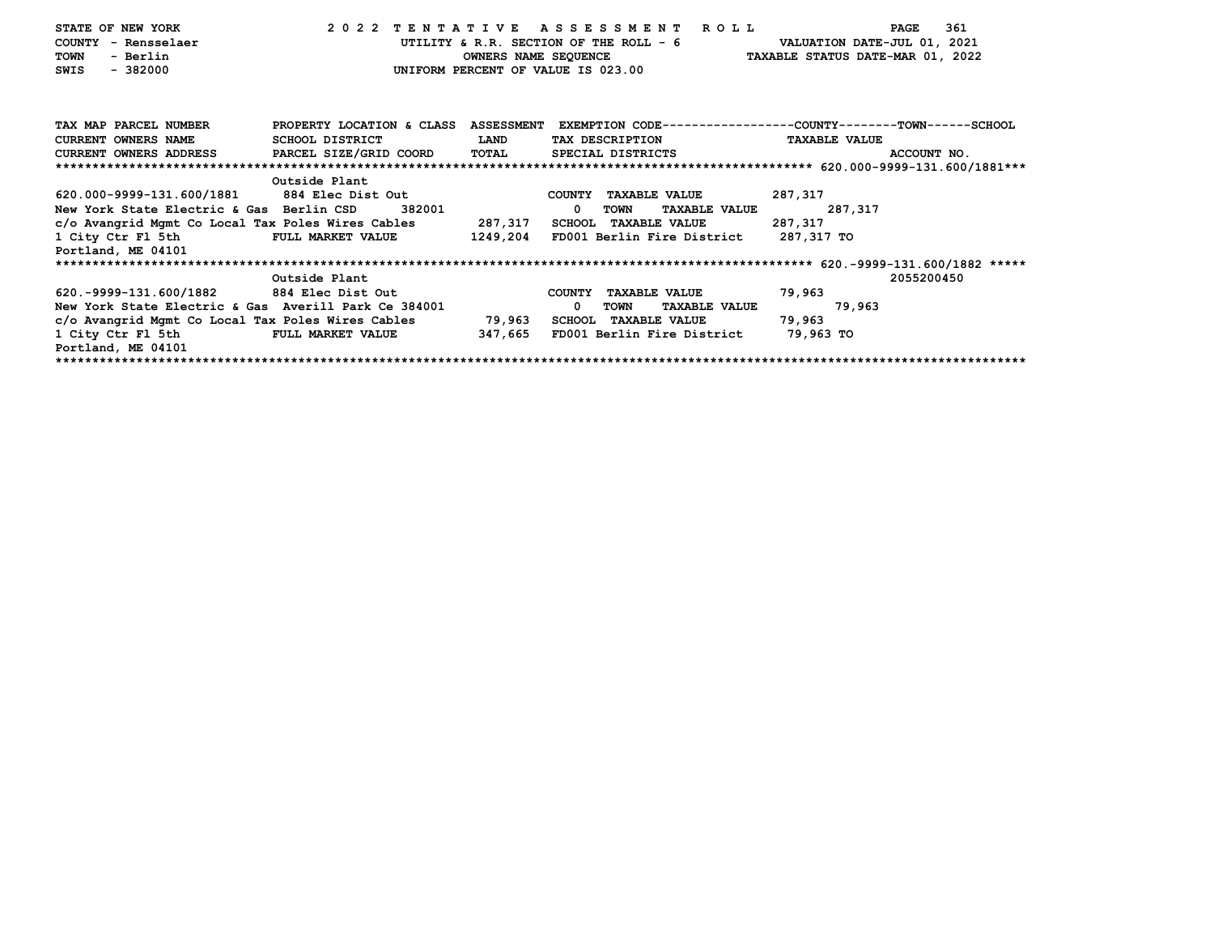| STATE OF NEW YORK                        | 2022 TENTATIVE ASSESSMENT ROLL                                                                  |             |                                       |                      | PAGE                                                               | 361 |
|------------------------------------------|-------------------------------------------------------------------------------------------------|-------------|---------------------------------------|----------------------|--------------------------------------------------------------------|-----|
| COUNTY - Rensselaer                      |                                                                                                 |             |                                       |                      | UTILITY & R.R. SECTION OF THE ROLL - 6 VALUATION DATE-JUL 01, 2021 |     |
| - Berlin<br>TOWN                         |                                                                                                 |             |                                       |                      | OWNERS NAME SEQUENCE TAXABLE STATUS DATE-MAR 01, 2022              |     |
| $-382000$<br>SWIS                        |                                                                                                 |             | UNIFORM PERCENT OF VALUE IS 023.00    |                      |                                                                    |     |
|                                          |                                                                                                 |             |                                       |                      |                                                                    |     |
|                                          |                                                                                                 |             |                                       |                      |                                                                    |     |
| TAX MAP PARCEL NUMBER                    | PROPERTY LOCATION & CLASS ASSESSMENT EXEMPTION CODE---------------COUNTY-------TOWN------SCHOOL |             |                                       |                      |                                                                    |     |
| <b>CURRENT OWNERS NAME</b>               | SCHOOL DISTRICT                                                                                 | <b>LAND</b> | TAX DESCRIPTION                       |                      | <b>TAXABLE VALUE</b>                                               |     |
|                                          | CURRENT OWNERS ADDRESS PARCEL SIZE/GRID COORD TOTAL                                             |             | SPECIAL DISTRICTS SPECIAL STRICTS     |                      | ACCOUNT NO.                                                        |     |
|                                          |                                                                                                 |             |                                       |                      |                                                                    |     |
|                                          | Outside Plant                                                                                   |             |                                       |                      |                                                                    |     |
|                                          | 620.000-9999-131.600/1881 884 Elec Dist Out                                                     |             | COUNTY TAXABLE VALUE                  |                      | 287,317                                                            |     |
| New York State Electric & Gas Berlin CSD | 382001                                                                                          |             | TOWN<br>$\mathbf 0$                   | <b>TAXABLE VALUE</b> | 287,317                                                            |     |
|                                          | c/o Avangrid Mgmt Co Local Tax Poles Wires Cables 287,317                                       |             | SCHOOL TAXABLE VALUE                  |                      | 287,317                                                            |     |
|                                          | 1 City Ctr Fl 5th FULL MARKET VALUE 1249,204                                                    |             | FD001 Berlin Fire District 287,317 TO |                      |                                                                    |     |
| Portland, ME 04101                       |                                                                                                 |             |                                       |                      |                                                                    |     |
|                                          |                                                                                                 |             |                                       |                      |                                                                    |     |
|                                          | Outside Plant                                                                                   |             |                                       |                      | 2055200450                                                         |     |
| 620.-9999-131.600/1882 884 Elec Dist Out |                                                                                                 |             | COUNTY TAXABLE VALUE                  |                      | 79,963                                                             |     |
|                                          | New York State Electric & Gas Averill Park Ce 384001                                            |             | $^{\circ}$<br>TOWN                    | <b>TAXABLE VALUE</b> | 79,963                                                             |     |
|                                          | c/o Avangrid Mgmt Co Local Tax Poles Wires Cables 39,963                                        |             | SCHOOL TAXABLE VALUE                  |                      | 79,963                                                             |     |
| 1 City Ctr Fl 5th                        | <b>FULL MARKET VALUE</b>                                                                        | 347,665     | FD001 Berlin Fire District            |                      | 79,963 TO                                                          |     |
| Portland, ME 04101                       |                                                                                                 |             |                                       |                      |                                                                    |     |
|                                          |                                                                                                 |             |                                       |                      |                                                                    |     |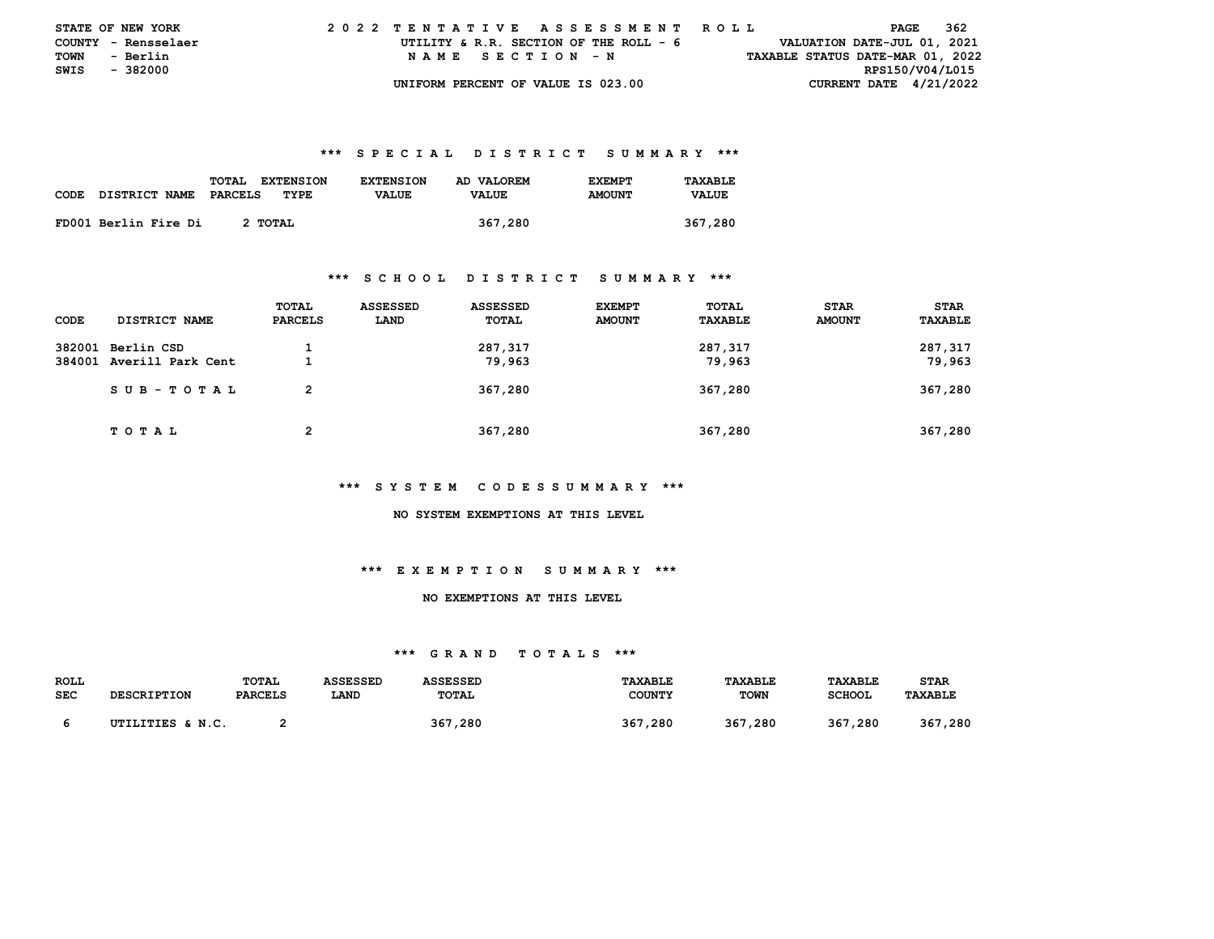|      | <b>STATE OF NEW YORK</b> | 2022 TENTATIVE ASSESSMENT ROLL         |                                  | PAGE            | - 362 |
|------|--------------------------|----------------------------------------|----------------------------------|-----------------|-------|
|      | COUNTY - Rensselaer      | UTILITY & R.R. SECTION OF THE ROLL - 6 | VALUATION DATE-JUL 01, 2021      |                 |       |
| TOWN | - Berlin                 | NAME SECTION - N                       | TAXABLE STATUS DATE-MAR 01, 2022 |                 |       |
|      | SWIS - 382000            |                                        |                                  | RPS150/V04/L015 |       |
|      |                          | UNIFORM PERCENT OF VALUE IS 023.00     | CURRENT DATE $4/21/2022$         |                 |       |

|             |                      | TOTAL<br><b>EXTENSION</b> | <b>EXTENSION</b> | AD VALOREM   | <b>F.XFMPT</b> | TAXABLE      |
|-------------|----------------------|---------------------------|------------------|--------------|----------------|--------------|
| <b>CODE</b> | <b>DISTRICT NAME</b> | PARCELS<br>TYPE           | <b>VALUE</b>     | <b>VALUE</b> | <b>AMOUNT</b>  | <b>VALUE</b> |
|             |                      |                           |                  |              |                |              |
|             | FD001 Berlin Fire Di | 2 TOTAL                   |                  | 367,280      |                | 367,280      |

#### **\*\*\* S C H O O L D I S T R I C T S U M M A R Y \*\*\***

| CODE | <b>DISTRICT NAME</b>                          | TOTAL<br><b>PARCELS</b> | ASSESSED<br>LAND | <b>ASSESSED</b><br>TOTAL | <b>EXEMPT</b><br><b>AMOUNT</b> | TOTAL<br><b>TAXABLE</b> | <b>STAR</b><br><b>AMOUNT</b> | <b>STAR</b><br>TAXABLE |
|------|-----------------------------------------------|-------------------------|------------------|--------------------------|--------------------------------|-------------------------|------------------------------|------------------------|
|      | 382001 Berlin CSD<br>384001 Averill Park Cent |                         |                  | 287,317<br>79,963        |                                | 287,317<br>79,963       |                              | 287,317<br>79,963      |
|      | SUB-TOTAL                                     | $\overline{2}$          |                  | 367,280                  |                                | 367,280                 |                              | 367,280                |
|      | T O T A L                                     | 2                       |                  | 367,280                  |                                | 367,280                 |                              | 367,280                |

#### **\*\*\* S Y S T E M C O D E S S U M M A R Y \*\*\***

#### **NO SYSTEM EXEMPTIONS AT THIS LEVEL**

## **\*\*\* E X E M P T I O N S U M M A R Y \*\*\***

## **NO EXEMPTIONS AT THIS LEVEL**

| <b>ROLL</b> |                    | TOTAL          | ASSESSED | ASSESSED | <b>TAXABLE</b> | <b>TAXABLE</b> | TAXABLE       | STAR           |
|-------------|--------------------|----------------|----------|----------|----------------|----------------|---------------|----------------|
| <b>SEC</b>  | <b>DESCRIPTION</b> | <b>PARCELS</b> | LAND     | TOTAL    | <b>COUNTY</b>  | TOWN           | <b>SCHOOL</b> | <b>TAXABLE</b> |
|             | UTILITIES & N.C.   |                |          | 367,280  | 367,280        | 367,280        | 367,280       | 367,280        |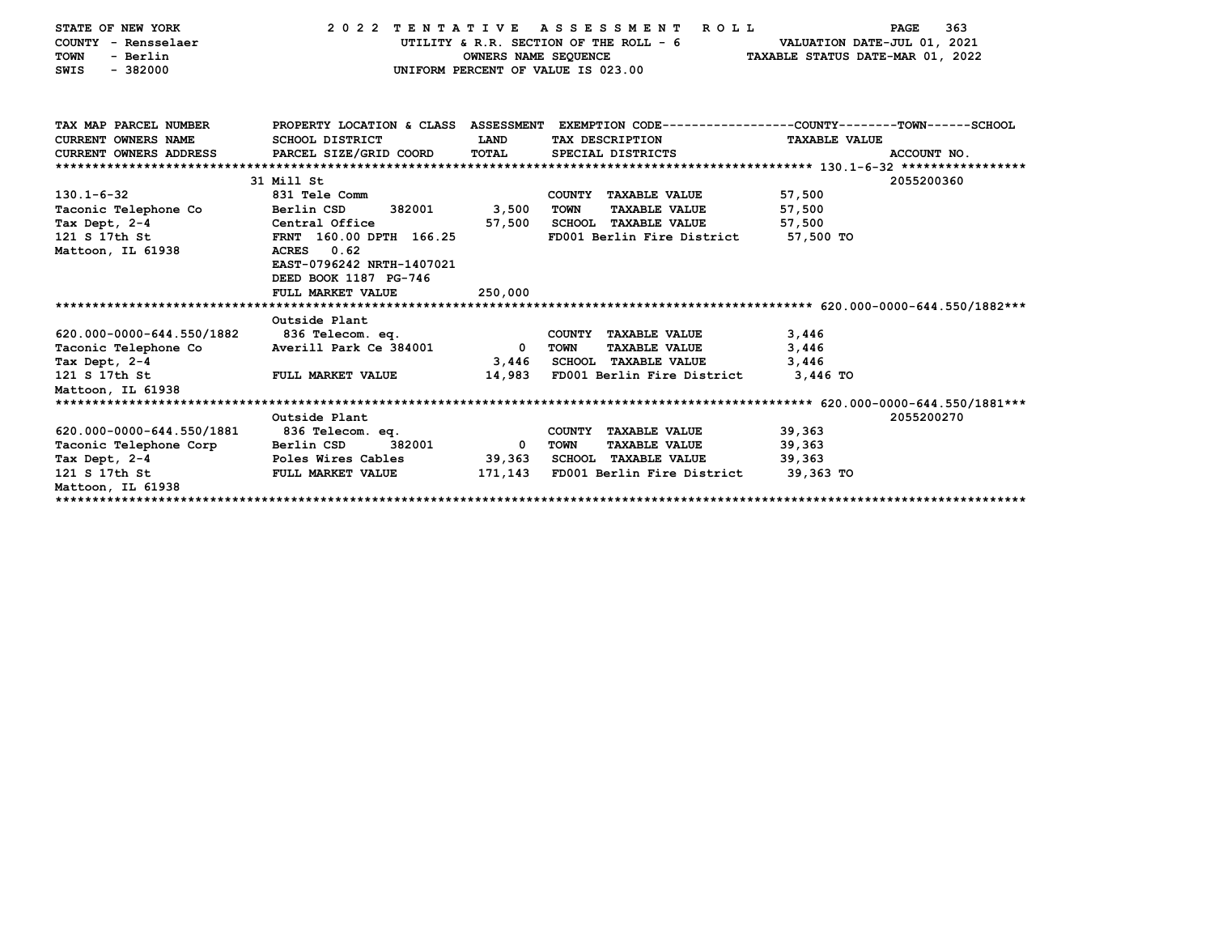| STATE OF NEW YORK<br>COUNTY - Rensselaer<br><b>TOWN</b><br>- Berlin<br>$-382000$<br>SWIS | 2022 TENTATIVE ASSESSMENT<br>UTILITY & R.R. SECTION OF THE ROLL - 6<br>OWNERS NAME SEQUENCE<br>UNIFORM PERCENT OF VALUE IS 023.00 | 363<br><b>PAGE</b><br>VALUATION DATE-JUL 01, 2021<br>TAXABLE STATUS DATE-MAR 01, 2022 |                                                      |                                                                                                |
|------------------------------------------------------------------------------------------|-----------------------------------------------------------------------------------------------------------------------------------|---------------------------------------------------------------------------------------|------------------------------------------------------|------------------------------------------------------------------------------------------------|
| TAX MAP PARCEL NUMBER                                                                    |                                                                                                                                   |                                                                                       |                                                      | PROPERTY LOCATION & CLASS ASSESSMENT EXEMPTION CODE--------------COUNTY-------TOWN------SCHOOL |
| <b>CURRENT OWNERS NAME</b>                                                               | SCHOOL DISTRICT                                                                                                                   | LAND                                                                                  | TAX DESCRIPTION                                      | <b>TAXABLE VALUE</b>                                                                           |
| CURRENT OWNERS ADDRESS PARCEL SIZE/GRID COORD                                            |                                                                                                                                   | TOTAL                                                                                 | SPECIAL DISTRICTS                                    | ACCOUNT NO.                                                                                    |
|                                                                                          |                                                                                                                                   |                                                                                       |                                                      |                                                                                                |
|                                                                                          | 31 Mill St                                                                                                                        |                                                                                       |                                                      | 2055200360                                                                                     |
| $130.1 - 6 - 32$                                                                         | 831 Tele Comm                                                                                                                     |                                                                                       | COUNTY TAXABLE VALUE<br>TOWN<br><b>TAXABLE VALUE</b> | 57,500                                                                                         |
| Taconic Telephone Co                                                                     | Berlin CSD<br>382001 3,500<br>Central Office                                                                                      |                                                                                       | SCHOOL TAXABLE VALUE                                 | 57,500                                                                                         |
| Tax Dept, 2-4<br>121 S 17th St                                                           | FRNT 160.00 DPTH 166.25                                                                                                           | 57,500                                                                                | FD001 Berlin Fire District 57,500 TO                 | 57,500                                                                                         |
| Mattoon, IL 61938                                                                        | ACRES 0.62<br>EAST-0796242 NRTH-1407021<br>DEED BOOK 1187 PG-746<br>FULL MARKET VALUE                                             | 250,000                                                                               |                                                      |                                                                                                |
|                                                                                          | Outside Plant                                                                                                                     |                                                                                       |                                                      |                                                                                                |
| 620.000-0000-644.550/1882                                                                | 836 Telecom. eq.                                                                                                                  |                                                                                       | COUNTY TAXABLE VALUE                                 | 3,446                                                                                          |
| Taconic Telephone Co    Averill Park Ce 384001                                           |                                                                                                                                   | $\mathbf{0}$                                                                          | TOWN<br><b>TAXABLE VALUE</b>                         | 3,446                                                                                          |
| Tax Dept, 2-4                                                                            |                                                                                                                                   |                                                                                       | 3,446 SCHOOL TAXABLE VALUE                           | 3,446                                                                                          |
| 121 S 17th St                                                                            | FULL MARKET VALUE                                                                                                                 |                                                                                       | 14,983 FD001 Berlin Fire District 3,446 TO           |                                                                                                |
| Mattoon, IL 61938                                                                        |                                                                                                                                   |                                                                                       |                                                      |                                                                                                |
|                                                                                          |                                                                                                                                   |                                                                                       |                                                      |                                                                                                |
|                                                                                          | Outside Plant                                                                                                                     |                                                                                       |                                                      | 2055200270                                                                                     |
| 620.000-0000-644.550/1881                                                                | 836 Telecom. eq.                                                                                                                  |                                                                                       | COUNTY TAXABLE VALUE                                 | 39,363                                                                                         |
| Taconic Telephone Corp Berlin CSD                                                        | 382001                                                                                                                            | $\mathbf{0}$                                                                          | TOWN<br><b>TAXABLE VALUE</b>                         | 39,363                                                                                         |
| Tax Dept, 2-4                                                                            | Poles Wires Cables                                                                                                                | 39,363                                                                                | SCHOOL TAXABLE VALUE                                 | 39,363                                                                                         |
| 121 S 17th St<br>Mattoon, IL 61938                                                       | <b>FULL MARKET VALUE</b>                                                                                                          | 171,143                                                                               | FD001 Berlin Fire District 39,363 TO                 |                                                                                                |
|                                                                                          |                                                                                                                                   |                                                                                       |                                                      |                                                                                                |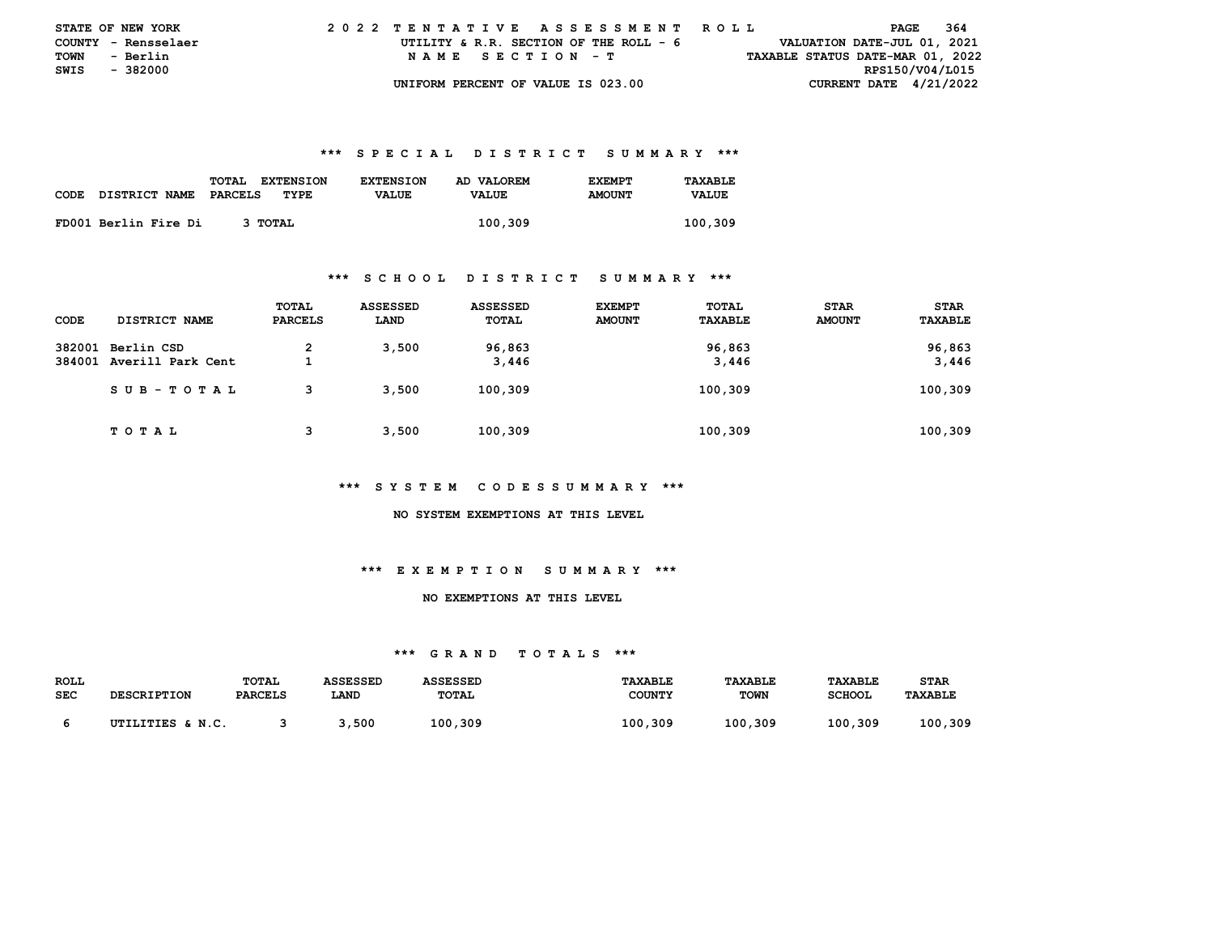|             | <b>STATE OF NEW YORK</b> |                                    | 2022 TENTATIVE ASSESSMENT ROLL         |                                  | PAGE                     | 364 |
|-------------|--------------------------|------------------------------------|----------------------------------------|----------------------------------|--------------------------|-----|
|             | COUNTY - Rensselaer      |                                    | UTILITY & R.R. SECTION OF THE ROLL - 6 | VALUATION DATE-JUL 01, 2021      |                          |     |
| <b>TOWN</b> | - Berlin                 | NAME SECTION - T                   |                                        | TAXABLE STATUS DATE-MAR 01, 2022 |                          |     |
|             | SWIS - 382000            |                                    |                                        |                                  | RPS150/V04/L015          |     |
|             |                          | UNIFORM PERCENT OF VALUE IS 023.00 |                                        |                                  | CURRENT DATE $4/21/2022$ |     |

|             |                      | TOTAL<br><b>EXTENSION</b> | <b>EXTENSION</b> | AD VALOREM   | <b>EXEMPT</b> | TAXABLE      |
|-------------|----------------------|---------------------------|------------------|--------------|---------------|--------------|
| <b>CODE</b> | <b>DISTRICT NAME</b> | PARCELS<br>TYPE           | <b>VALUE</b>     | <b>VALUE</b> | <b>AMOUNT</b> | <b>VALUE</b> |
|             |                      |                           |                  |              |               |              |
|             | FD001 Berlin Fire Di | 3 TOTAL                   |                  | 100,309      |               | 100,309      |

#### **\*\*\* S C H O O L D I S T R I C T S U M M A R Y \*\*\***

| CODE | DISTRICT NAME                                 | TOTAL<br><b>PARCELS</b> | ASSESSED<br>LAND | <b>ASSESSED</b><br>TOTAL | <b>EXEMPT</b><br><b>AMOUNT</b> | TOTAL<br>TAXABLE | <b>STAR</b><br><b>AMOUNT</b> | <b>STAR</b><br>TAXABLE |
|------|-----------------------------------------------|-------------------------|------------------|--------------------------|--------------------------------|------------------|------------------------------|------------------------|
|      | 382001 Berlin CSD<br>384001 Averill Park Cent | $\mathbf{2}$            | 3,500            | 96,863<br>3,446          |                                | 96,863<br>3,446  |                              | 96,863<br>3,446        |
|      | SUB-TOTAL                                     | з                       | 3.500            | 100,309                  |                                | 100,309          |                              | 100,309                |
|      | T O T A L                                     |                         | 3,500            | 100,309                  |                                | 100,309          |                              | 100,309                |

#### **\*\*\* S Y S T E M C O D E S S U M M A R Y \*\*\***

#### **NO SYSTEM EXEMPTIONS AT THIS LEVEL**

## **\*\*\* E X E M P T I O N S U M M A R Y \*\*\***

## **NO EXEMPTIONS AT THIS LEVEL**

| <b>ROLL</b> |                    | TOTAL          | <b>ASSESSED</b><br><b>ASSESSED</b> |         | TAXABLE       | TAXABLE     | TAXABLE       | STAR           |
|-------------|--------------------|----------------|------------------------------------|---------|---------------|-------------|---------------|----------------|
| <b>SEC</b>  | <b>DESCRIPTION</b> | <b>PARCELS</b> | LAND                               | TOTAL   | <b>COUNTY</b> | <b>TOWN</b> | <b>SCHOOL</b> | <b>TAXABLE</b> |
|             | UTILITIES & N.C.   |                | ,500                               | 100,309 | 100.309       | 100,309     | 100,309       | 100,309        |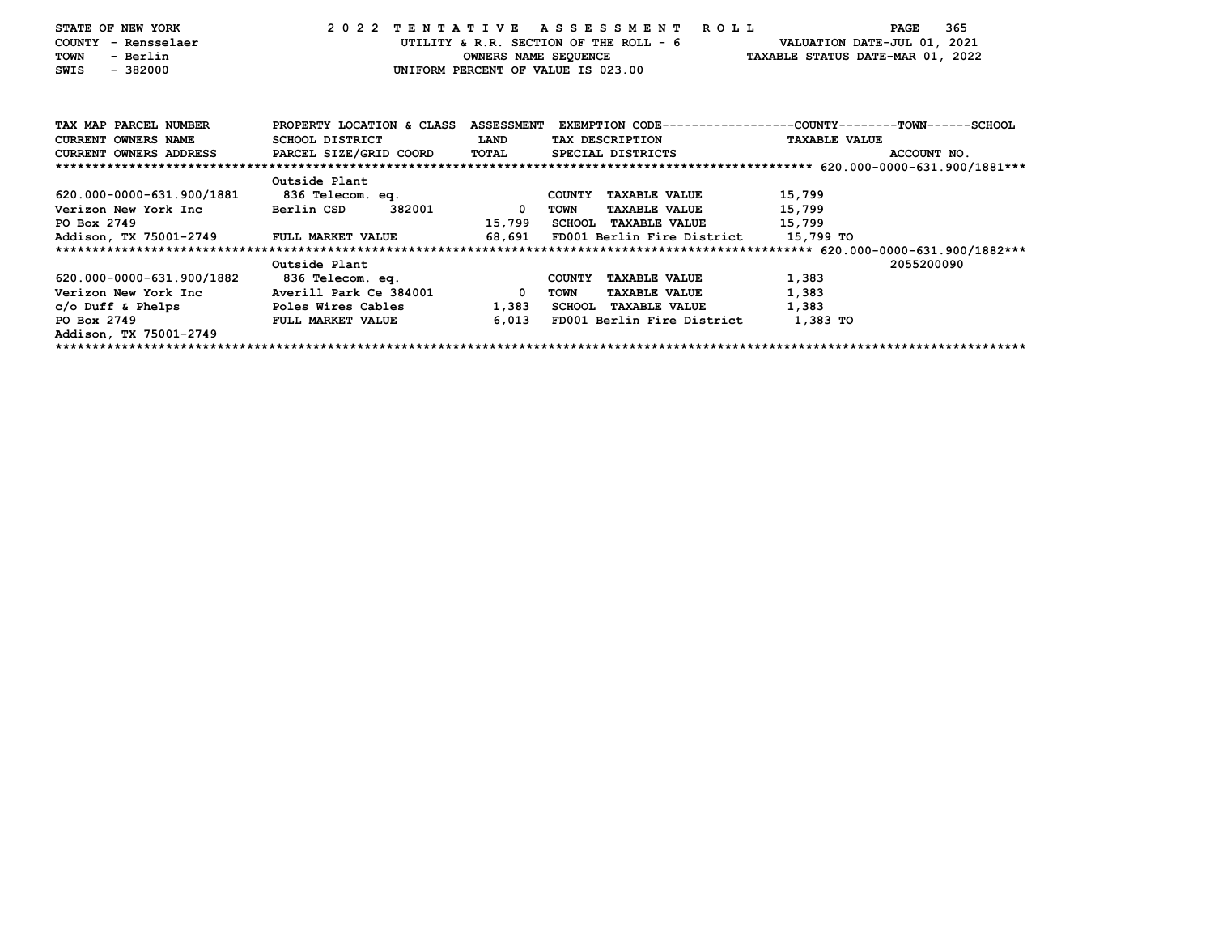| STATE OF NEW YORK                                       |                      |          | 2022 TENTATIVE ASSESSMENT ROLL              | PAGE                                                                                             | 365 |
|---------------------------------------------------------|----------------------|----------|---------------------------------------------|--------------------------------------------------------------------------------------------------|-----|
| COUNTY - Rensselaer                                     |                      |          |                                             | UTILITY & R.R. SECTION OF THE ROLL - 6 VALUATION DATE-JUL 01, 2021                               |     |
| - Berlin<br>TOWN                                        |                      |          |                                             | OWNERS NAME SEQUENCE TAXABLE STATUS DATE-MAR 01, 2022                                            |     |
| $-382000$<br>SWIS                                       |                      |          | UNIFORM PERCENT OF VALUE IS 023.00          |                                                                                                  |     |
|                                                         |                      |          |                                             |                                                                                                  |     |
|                                                         |                      |          |                                             |                                                                                                  |     |
| TAX MAP PARCEL NUMBER                                   |                      |          |                                             | PROPERTY LOCATION & CLASS ASSESSMENT EXEMPTION CODE----------------COUNTY-------TOWN------SCHOOL |     |
| <b>CURRENT OWNERS NAME</b>                              | SCHOOL DISTRICT      | LAND     | TAX DESCRIPTION                             | <b>TAXABLE VALUE</b>                                                                             |     |
| CURRENT OWNERS ADDRESS PARCEL SIZE/GRID COORD TOTAL     |                      |          | SPECIAL DISTRICTS                           | ACCOUNT NO.                                                                                      |     |
|                                                         |                      |          |                                             |                                                                                                  |     |
|                                                         | Outside Plant        |          |                                             |                                                                                                  |     |
| 620.000-0000-631.900/1881                               | 836 Telecom. eq.     |          | COUNTY TAXABLE VALUE                        | 15,799                                                                                           |     |
| Verizon New York Inc                                    | 382001<br>Berlin CSD | $\Omega$ | <b>TAXABLE VALUE</b><br>TOWN                | 15,799                                                                                           |     |
| PO Box 2749                                             |                      | 15,799   | SCHOOL TAXABLE VALUE 15,799                 |                                                                                                  |     |
| PO Box 2749<br>Addison, TX 75001-2749 FULL MARKET VALUE |                      |          | 68,691 FD001 Berlin Fire District 15,799 TO |                                                                                                  |     |
|                                                         |                      |          |                                             |                                                                                                  |     |
|                                                         | Outside Plant        |          |                                             | 2055200090                                                                                       |     |
| 620.000-0000-631.900/1882                               | 836 Telecom. eq.     |          | <b>COUNTY</b><br><b>TAXABLE VALUE</b>       | 1,383                                                                                            |     |
|                                                         |                      |          | TOWN<br><b>TAXABLE VALUE</b>                | 1,383                                                                                            |     |
| c/o Duff & Phelps Toles Wires Cables                    |                      | 1,383    | SCHOOL TAXABLE VALUE                        | 1,383                                                                                            |     |
| PO Box 2749                                             | FULL MARKET VALUE    | 6,013    | FD001 Berlin Fire District 1,383 TO         |                                                                                                  |     |
| Addison, TX 75001-2749                                  |                      |          |                                             |                                                                                                  |     |
|                                                         |                      |          |                                             |                                                                                                  |     |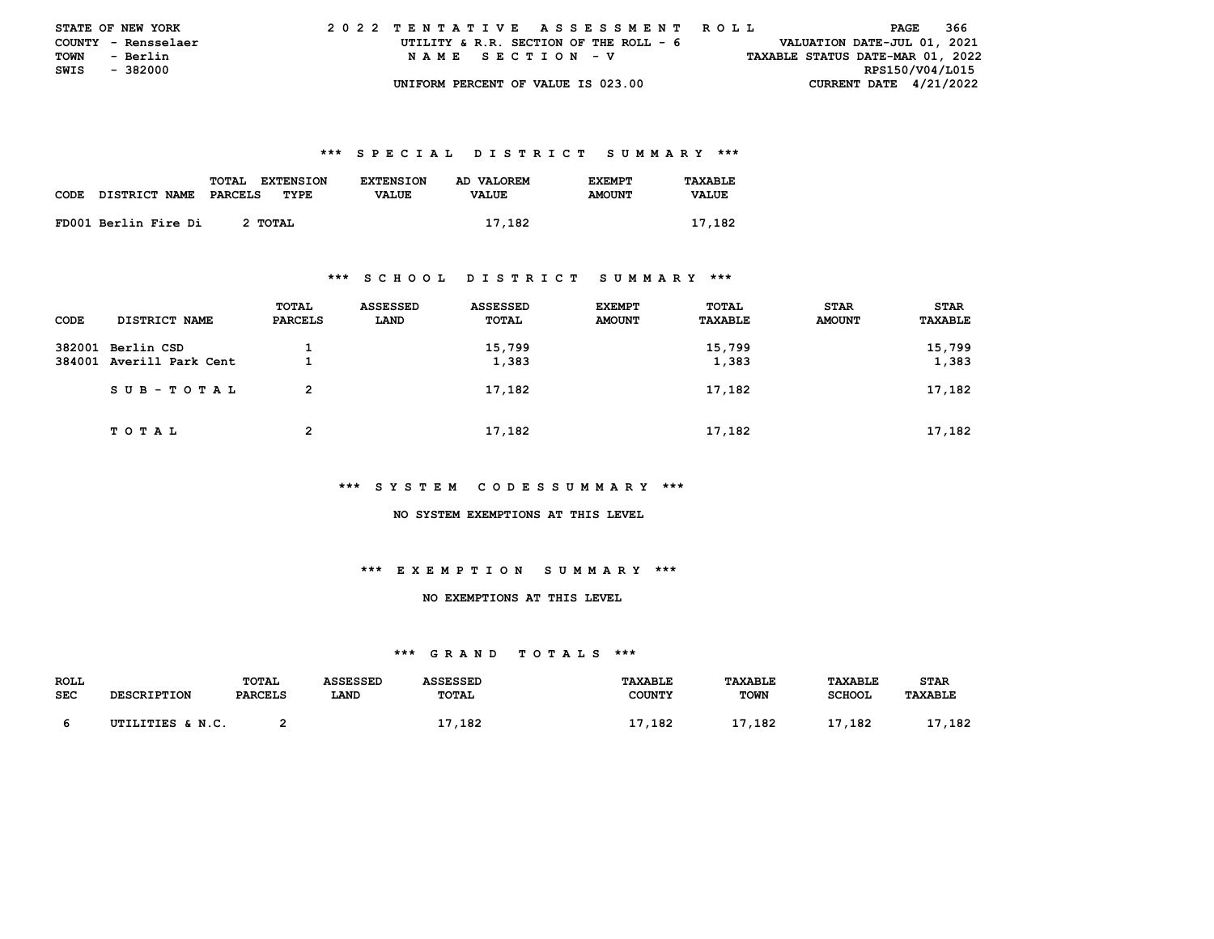|               | <b>STATE OF NEW YORK</b> | 2022 TENTATIVE ASSESSMENT ROLL |  |  |  |  |                                        |  |  |  |  |  |  |  |  |                                  |                 | PAGE | 366 |  |
|---------------|--------------------------|--------------------------------|--|--|--|--|----------------------------------------|--|--|--|--|--|--|--|--|----------------------------------|-----------------|------|-----|--|
|               | COUNTY - Rensselaer      |                                |  |  |  |  | UTILITY & R.R. SECTION OF THE ROLL - 6 |  |  |  |  |  |  |  |  | VALUATION DATE-JUL 01, 2021      |                 |      |     |  |
| <b>TOWN</b>   | - Berlin                 |                                |  |  |  |  | NAME SECTION - V                       |  |  |  |  |  |  |  |  | TAXABLE STATUS DATE-MAR 01, 2022 |                 |      |     |  |
| SWIS - 382000 |                          |                                |  |  |  |  |                                        |  |  |  |  |  |  |  |  |                                  | RPS150/V04/L015 |      |     |  |
|               |                          |                                |  |  |  |  | UNIFORM PERCENT OF VALUE IS 023.00     |  |  |  |  |  |  |  |  | CURRENT DATE $4/21/2022$         |                 |      |     |  |

|             |                      | TOTAL<br><b>EXTENSION</b> | <b>EXTENSION</b> | AD VALOREM   | <b>F.XFMPT</b> | TAXABLE      |
|-------------|----------------------|---------------------------|------------------|--------------|----------------|--------------|
| <b>CODE</b> | <b>DISTRICT NAME</b> | PARCELS<br>TYPE           | <b>VALUE</b>     | <b>VALUE</b> | <b>AMOUNT</b>  | <b>VALUE</b> |
|             |                      |                           |                  |              |                |              |
|             | FD001 Berlin Fire Di | 2 TOTAL                   |                  | 17,182       |                | 17,182       |

#### **\*\*\* S C H O O L D I S T R I C T S U M M A R Y \*\*\***

| CODE | <b>DISTRICT NAME</b>                          | TOTAL<br><b>PARCELS</b> | <b>ASSESSED</b><br>LAND | <b>ASSESSED</b><br><b>TOTAL</b> | <b>EXEMPT</b><br><b>AMOUNT</b> | TOTAL<br>TAXABLE | <b>STAR</b><br><b>AMOUNT</b> | <b>STAR</b><br>TAXABLE |
|------|-----------------------------------------------|-------------------------|-------------------------|---------------------------------|--------------------------------|------------------|------------------------------|------------------------|
|      | 382001 Berlin CSD<br>384001 Averill Park Cent | л.                      |                         | 15,799<br>1,383                 |                                | 15,799<br>1,383  |                              | 15,799<br>1,383        |
|      | SUB-TOTAL                                     | $\overline{2}$          |                         | 17,182                          |                                | 17,182           |                              | 17,182                 |
|      | TOTAL                                         | 2                       |                         | 17,182                          |                                | 17,182           |                              | 17,182                 |

#### **\*\*\* S Y S T E M C O D E S S U M M A R Y \*\*\***

#### **NO SYSTEM EXEMPTIONS AT THIS LEVEL**

## **\*\*\* E X E M P T I O N S U M M A R Y \*\*\***

## **NO EXEMPTIONS AT THIS LEVEL**

| ROLL       |                    | <b>TOTAL</b>   | <b>ASSESSED</b> | <b>ASSESSED</b> | <b>TAXABLE</b> | TAXABLE     | <b>TAXABLE</b> | <b>STAR</b>    |
|------------|--------------------|----------------|-----------------|-----------------|----------------|-------------|----------------|----------------|
| <b>SEC</b> | <b>DESCRIPTION</b> | <b>PARCELS</b> | LAND            | <b>TOTAL</b>    | <b>COUNTY</b>  | <b>TOWN</b> | <b>SCHOOL</b>  | <b>TAXABLE</b> |
|            |                    |                |                 |                 |                |             |                |                |
|            | UTILITIES & N.C.   |                |                 | 17,182          | 17,182         | 17<br>.182  | . 182          | 17,182         |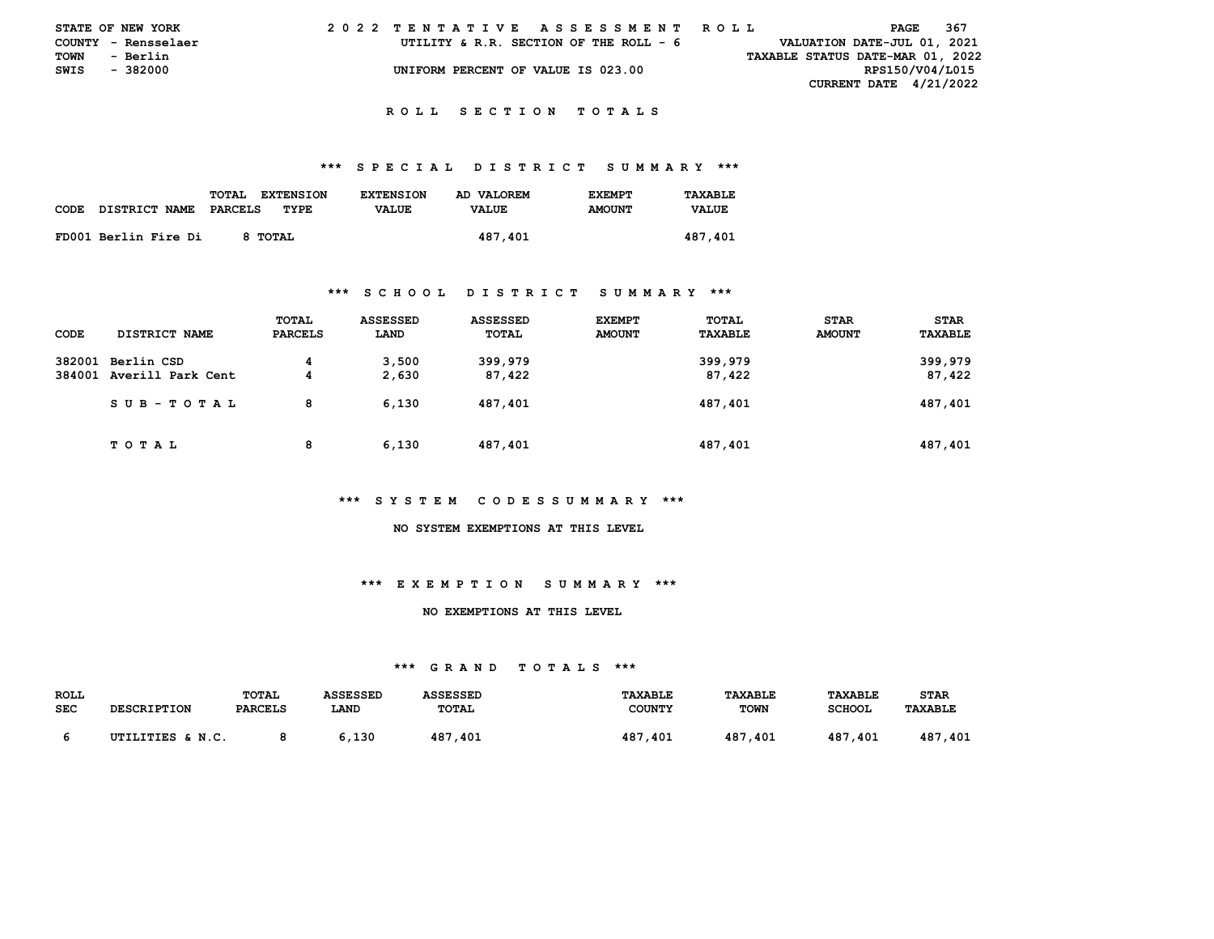|             | STATE OF NEW YORK   |  | 2022 TENTATIVE ASSESSMENT ROLL         |  |  |                                  | PAGE                          | -367 |
|-------------|---------------------|--|----------------------------------------|--|--|----------------------------------|-------------------------------|------|
|             | COUNTY - Rensselaer |  | UTILITY & R.R. SECTION OF THE ROLL - 6 |  |  |                                  | VALUATION DATE-JUL 01, 2021   |      |
| <b>TOWN</b> | - Berlin            |  |                                        |  |  | TAXABLE STATUS DATE-MAR 01, 2022 |                               |      |
| SWIS        | - 382000            |  | UNIFORM PERCENT OF VALUE IS 023.00     |  |  |                                  | RPS150/V04/L015               |      |
|             |                     |  |                                        |  |  |                                  | <b>CURRENT DATE 4/21/2022</b> |      |

#### **R O L L S E C T I O N T O T A L S**

#### **\*\*\* S P E C I A L D I S T R I C T S U M M A R Y \*\*\***

| <b>CODE</b> | DISTRICT NAME        | <b>TOTAL</b><br><b>EXTENSION</b><br>TYPE.<br>PARCELS | <b>EXTENSION</b><br><b>VALUE</b> | AD VALOREM<br><b>VALUE</b> | <b>EXEMPT</b><br><b>AMOUNT</b> | TAXABLE<br><b>VALUE</b> |
|-------------|----------------------|------------------------------------------------------|----------------------------------|----------------------------|--------------------------------|-------------------------|
|             | FD001 Berlin Fire Di | 8 TOTAL                                              |                                  | 487,401                    |                                | 487,401                 |

## **\*\*\* S C H O O L D I S T R I C T S U M M A R Y \*\*\***

| CODE             | DISTRICT NAME                   | TOTAL<br><b>PARCELS</b> | <b>ASSESSED</b><br>LAND | <b>ASSESSED</b><br>TOTAL | <b>EXEMPT</b><br><b>AMOUNT</b> | TOTAL<br>TAXABLE  | <b>STAR</b><br><b>AMOUNT</b> | <b>STAR</b><br>TAXABLE |
|------------------|---------------------------------|-------------------------|-------------------------|--------------------------|--------------------------------|-------------------|------------------------------|------------------------|
| 382001<br>384001 | Berlin CSD<br>Averill Park Cent | 4<br>4                  | 3,500<br>2,630          | 399,979<br>87,422        |                                | 399,979<br>87,422 |                              | 399,979<br>87,422      |
|                  | SUB-TOTAL                       | 8                       | 6.130                   | 487,401                  |                                | 487,401           |                              | 487,401                |
|                  | TOTAL                           | 8                       | 6.130                   | 487,401                  |                                | 487,401           |                              | 487,401                |

## **\*\*\* S Y S T E M C O D E S S U M M A R Y \*\*\***

 **NO SYSTEM EXEMPTIONS AT THIS LEVEL** 

# **\*\*\* E X E M P T I O N S U M M A R Y \*\*\***

#### **NO EXEMPTIONS AT THIS LEVEL**

| <b>ROLL</b> |                    | <b>TOTAL</b>   | ASSESSED | ASSESSED     | <b>TAXABLE</b> | <b>TAXABLE</b> | <b>TAXABLE</b> | <b>STAR</b>    |
|-------------|--------------------|----------------|----------|--------------|----------------|----------------|----------------|----------------|
| SEC         | <b>DESCRIPTION</b> | <b>PARCELS</b> | LAND     | <b>TOTAL</b> | COUNTY         | <b>TOWN</b>    | <b>SCHOOL</b>  | <b>TAXABLE</b> |
|             |                    |                |          |              |                |                |                |                |
|             | UTILITIES & N.C.   |                | .130     | 487,401      | 487<br>-401    | 487<br>.401    | 487<br>.401    | 487<br>.401    |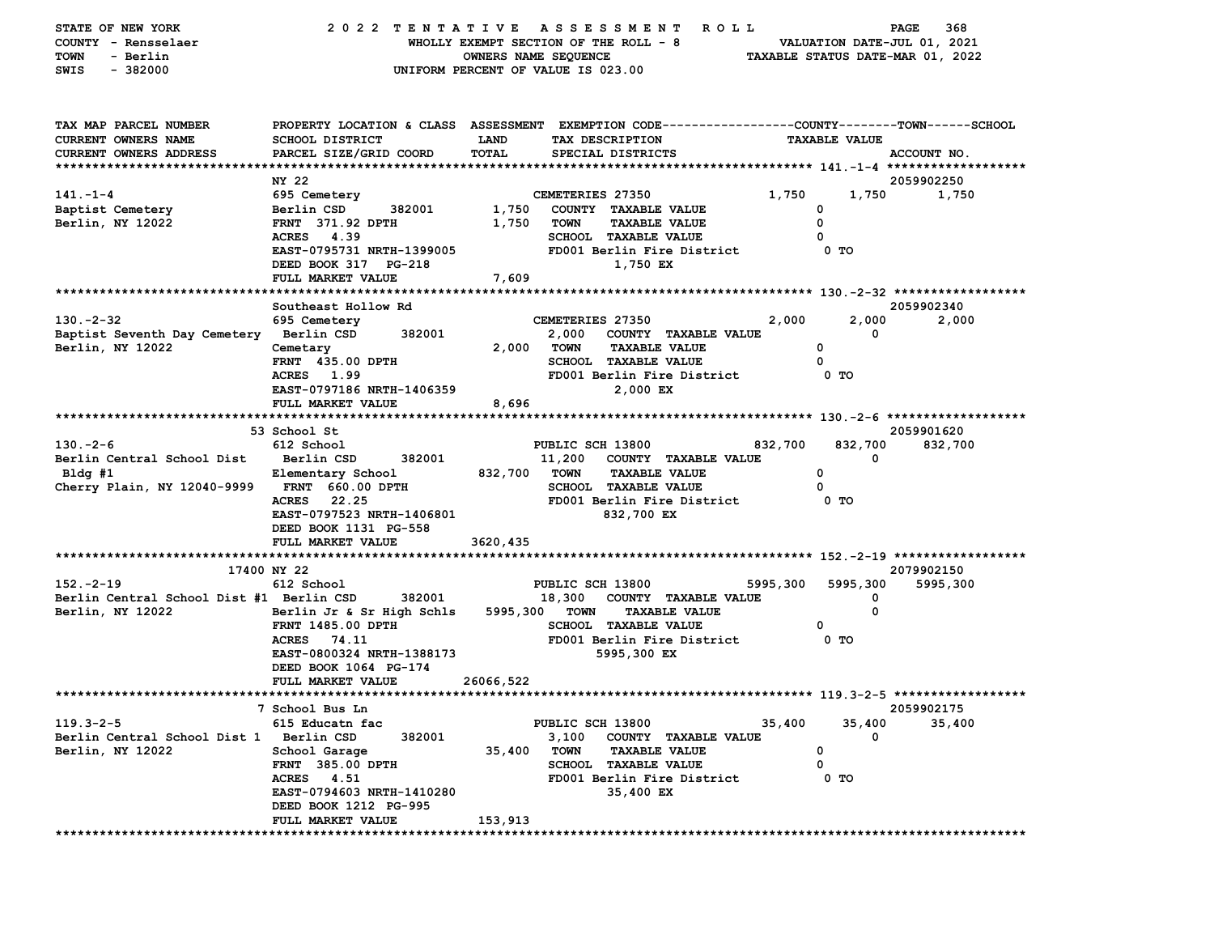| STATE OF NEW YORK<br>COUNTY - Rensselaer<br><b>TOWN</b><br>- Berlin<br>$-382000$<br>SWIS | 2022 TENTATIVE ASSESSMENT                          | OWNERS NAME SEQUENCE | <b>ROLL</b><br>WHOLLY EXEMPT SECTION OF THE ROLL - 8<br>UNIFORM PERCENT OF VALUE IS 023.00                                             |                      | PAGE<br>368<br>VALUATION DATE-JUL 01, 2021<br>TAXABLE STATUS DATE-MAR 01, 2022 |
|------------------------------------------------------------------------------------------|----------------------------------------------------|----------------------|----------------------------------------------------------------------------------------------------------------------------------------|----------------------|--------------------------------------------------------------------------------|
| TAX MAP PARCEL NUMBER<br><b>CURRENT OWNERS NAME</b><br>CURRENT OWNERS ADDRESS            | SCHOOL DISTRICT<br>PARCEL SIZE/GRID COORD          | LAND<br>TOTAL        | PROPERTY LOCATION & CLASS ASSESSMENT EXEMPTION CODE---------------COUNTY-------TOWN-----SCHOOL<br>TAX DESCRIPTION<br>SPECIAL DISTRICTS | <b>TAXABLE VALUE</b> | ACCOUNT NO.                                                                    |
|                                                                                          | NY 22                                              |                      |                                                                                                                                        |                      | 2059902250                                                                     |
| $141. - 1 - 4$                                                                           | 695 Cemetery                                       |                      | CEMETERIES 27350                                                                                                                       | 1,750                | 1,750<br>1,750                                                                 |
| Baptist Cemetery                                                                         | Berlin CSD<br>382001                               | 1,750                | COUNTY TAXABLE VALUE                                                                                                                   | 0                    |                                                                                |
| Berlin, NY 12022                                                                         | <b>FRNT 371.92 DPTH</b>                            | 1,750                | <b>TOWN</b><br><b>TAXABLE VALUE</b>                                                                                                    | 0                    |                                                                                |
|                                                                                          | ACRES 4.39                                         |                      | SCHOOL TAXABLE VALUE                                                                                                                   | 0                    |                                                                                |
|                                                                                          | EAST-0795731 NRTH-1399005                          |                      | FD001 Berlin Fire District<br>1,750 EX                                                                                                 | 0 TO                 |                                                                                |
|                                                                                          | DEED BOOK 317 PG-218<br>FULL MARKET VALUE          | 7,609                |                                                                                                                                        |                      |                                                                                |
|                                                                                          |                                                    |                      |                                                                                                                                        |                      |                                                                                |
|                                                                                          | Southeast Hollow Rd                                |                      |                                                                                                                                        |                      | 2059902340                                                                     |
| $130 - 2 - 32$                                                                           | 695 Cemetery                                       |                      | CEMETERIES 27350                                                                                                                       | 2,000                | 2,000<br>2,000                                                                 |
| Baptist Seventh Day Cemetery Berlin CSD                                                  | 382001                                             |                      | 2,000 COUNTY TAXABLE VALUE                                                                                                             |                      | 0                                                                              |
| Berlin, NY 12022                                                                         | Cemetary                                           | 2,000 TOWN           | <b>TAXABLE VALUE</b>                                                                                                                   | 0                    |                                                                                |
|                                                                                          | FRNT 435.00 DPTH                                   |                      | <b>SCHOOL TAXABLE VALUE</b>                                                                                                            | 0                    |                                                                                |
|                                                                                          | ACRES 1.99                                         |                      | FD001 Berlin Fire District                                                                                                             | 0 TO                 |                                                                                |
|                                                                                          | EAST-0797186 NRTH-1406359<br>FULL MARKET VALUE     | 8,696                | 2,000 EX                                                                                                                               |                      |                                                                                |
|                                                                                          |                                                    |                      |                                                                                                                                        |                      |                                                                                |
|                                                                                          | 53 School St                                       |                      |                                                                                                                                        |                      | 2059901620                                                                     |
| $130. -2 - 6$                                                                            | 612 School                                         |                      | PUBLIC SCH 13800                                                                                                                       | 832,700              | 832,700<br>832,700                                                             |
| Berlin Central School Dist Berlin CSD                                                    | 382001                                             |                      | 11,200<br>COUNTY TAXABLE VALUE                                                                                                         |                      | 0                                                                              |
| Bldg #1                                                                                  | Elementary School                                  | 832,700 TOWN         | <b>TAXABLE VALUE</b>                                                                                                                   | 0                    |                                                                                |
| Cherry Plain, NY 12040-9999 FRNT 660.00 DPTH                                             |                                                    |                      | <b>SCHOOL TAXABLE VALUE</b>                                                                                                            | 0                    |                                                                                |
|                                                                                          | 22.25<br><b>ACRES</b>                              |                      | FD001 Berlin Fire District                                                                                                             | 0 TO                 |                                                                                |
|                                                                                          | EAST-0797523 NRTH-1406801<br>DEED BOOK 1131 PG-558 |                      | 832,700 EX                                                                                                                             |                      |                                                                                |
|                                                                                          | FULL MARKET VALUE                                  | 3620,435             |                                                                                                                                        |                      |                                                                                |
|                                                                                          |                                                    |                      |                                                                                                                                        |                      |                                                                                |
|                                                                                          | 17400 NY 22                                        |                      |                                                                                                                                        |                      | 2079902150                                                                     |
| $152 - 2 - 19$                                                                           | 612 School                                         |                      | PUBLIC SCH 13800                                                                                                                       | 5995,300             | 5995,300<br>5995,300                                                           |
| Berlin Central School Dist #1 Berlin CSD                                                 | 382001                                             |                      | 18,300<br>COUNTY TAXABLE VALUE                                                                                                         |                      | 0                                                                              |
| Berlin, NY 12022                                                                         | Berlin Jr & Sr High Schls                          | 5995,300 TOWN        | <b>TAXABLE VALUE</b>                                                                                                                   |                      | 0                                                                              |
|                                                                                          | <b>FRNT 1485.00 DPTH</b>                           |                      | <b>SCHOOL TAXABLE VALUE</b>                                                                                                            | 0                    |                                                                                |
|                                                                                          | <b>ACRES</b><br>74.11<br>EAST-0800324 NRTH-1388173 |                      | FD001 Berlin Fire District<br>5995,300 EX                                                                                              | 0 TO                 |                                                                                |
|                                                                                          | DEED BOOK 1064 PG-174                              |                      |                                                                                                                                        |                      |                                                                                |
|                                                                                          | FULL MARKET VALUE                                  | 26066,522            |                                                                                                                                        |                      |                                                                                |
|                                                                                          |                                                    |                      |                                                                                                                                        |                      |                                                                                |
|                                                                                          | 7 School Bus Ln                                    |                      |                                                                                                                                        |                      | 2059902175                                                                     |
| $119.3 - 2 - 5$                                                                          | 615 Educatn fac                                    |                      | PUBLIC SCH 13800                                                                                                                       | 35,400               | 35,400<br>35,400                                                               |
| Berlin Central School Dist 1 Berlin CSD                                                  | 382001                                             |                      | 3,100<br>COUNTY TAXABLE VALUE                                                                                                          |                      | 0                                                                              |
| Berlin, NY 12022                                                                         | School Garage                                      | 35,400               | <b>TOWN</b><br><b>TAXABLE VALUE</b>                                                                                                    | 0                    |                                                                                |
|                                                                                          | FRNT 385.00 DPTH                                   |                      | <b>SCHOOL</b><br><b>TAXABLE VALUE</b>                                                                                                  | 0<br>$0$ TO          |                                                                                |
|                                                                                          | ACRES 4.51<br>EAST-0794603 NRTH-1410280            |                      | FD001 Berlin Fire District<br>35,400 EX                                                                                                |                      |                                                                                |
|                                                                                          | DEED BOOK 1212 PG-995                              |                      |                                                                                                                                        |                      |                                                                                |
|                                                                                          | FULL MARKET VALUE                                  | 153,913              |                                                                                                                                        |                      |                                                                                |
|                                                                                          |                                                    |                      |                                                                                                                                        |                      |                                                                                |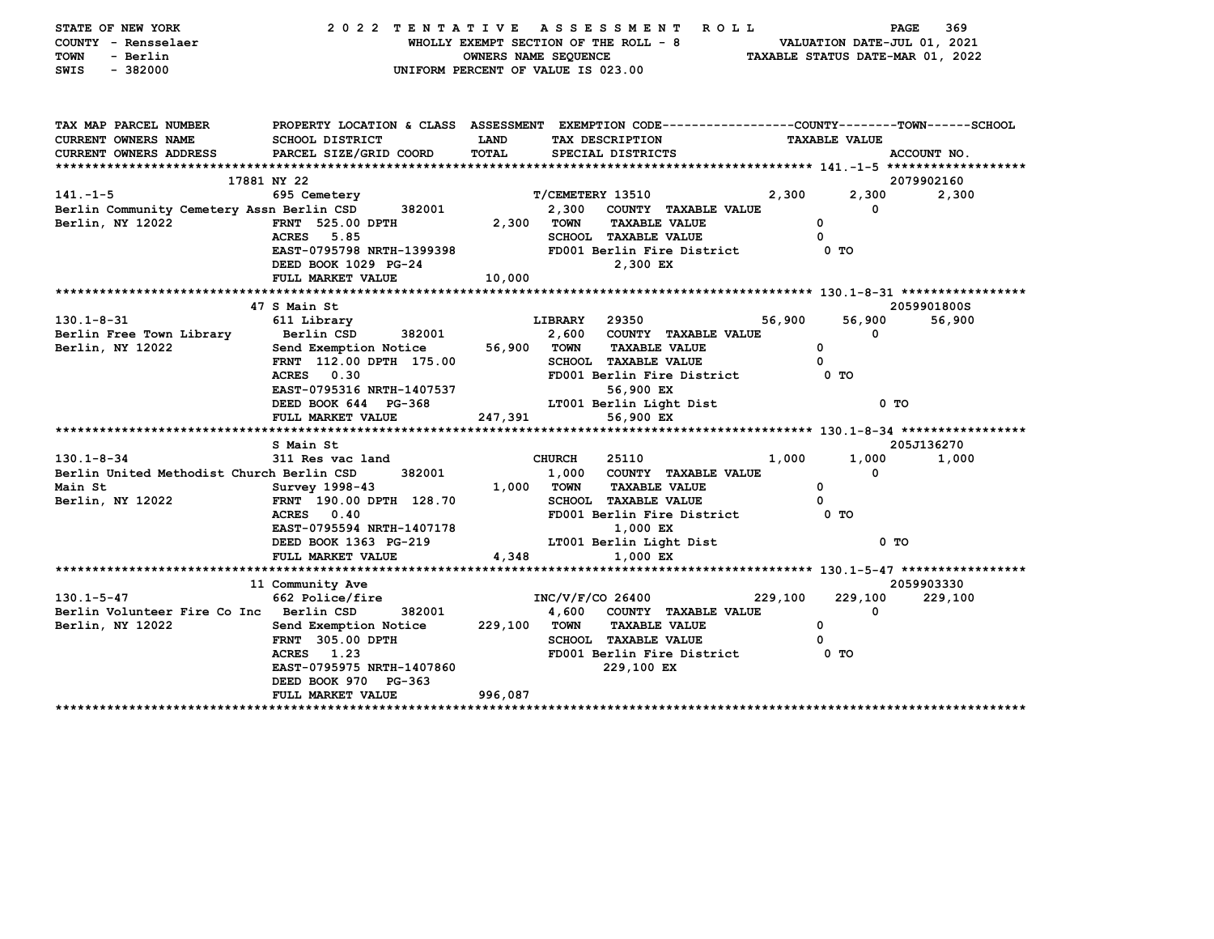| STATE OF NEW YORK<br>COUNTY - Rensselaer<br><b>TOWN</b><br>- Berlin<br>$-382000$<br>SWIS | 2022 TENTATIVE                                                                                   | WHOLLY EXEMPT SECTION OF THE ROLL - 8<br>OWNERS NAME SEQUENCE<br>UNIFORM PERCENT OF VALUE IS 023.00 | A S S E S S M E N T     |                             | R O L L                         |         | VALUATION DATE-JUL 01, 2021 | 369<br>PAGE<br>TAXABLE STATUS DATE-MAR 01, 2022 |
|------------------------------------------------------------------------------------------|--------------------------------------------------------------------------------------------------|-----------------------------------------------------------------------------------------------------|-------------------------|-----------------------------|---------------------------------|---------|-----------------------------|-------------------------------------------------|
| TAX MAP PARCEL NUMBER                                                                    | PROPERTY LOCATION & CLASS ASSESSMENT EXEMPTION CODE----------------COUNTY-------TOWN------SCHOOL |                                                                                                     |                         |                             |                                 |         |                             |                                                 |
| CURRENT OWNERS NAME                                                                      | <b>SCHOOL DISTRICT</b>                                                                           | LAND                                                                                                |                         | TAX DESCRIPTION             |                                 |         | <b>TAXABLE VALUE</b>        |                                                 |
| CURRENT OWNERS ADDRESS                                                                   | PARCEL SIZE/GRID COORD                                                                           | TOTAL                                                                                               |                         | SPECIAL DISTRICTS           |                                 |         |                             | ACCOUNT NO.                                     |
|                                                                                          | 17881 NY 22                                                                                      |                                                                                                     |                         |                             |                                 |         |                             | 2079902160                                      |
| $141. - 1 - 5$                                                                           | 695 Cemetery                                                                                     |                                                                                                     | T/CEMETERY 13510        |                             |                                 | 2,300   | 2,300                       | 2,300                                           |
| Berlin Community Cemetery Assn Berlin CSD 382001                                         |                                                                                                  |                                                                                                     |                         |                             | 2,300 COUNTY TAXABLE VALUE      |         | 0                           |                                                 |
| Berlin, NY 12022                                                                         | FRNT 525.00 DPTH                                                                                 | 2,300 TOWN                                                                                          |                         | <b>TAXABLE VALUE</b>        |                                 |         | $^{\circ}$                  |                                                 |
|                                                                                          | ACRES 5.85                                                                                       |                                                                                                     |                         | SCHOOL TAXABLE VALUE        |                                 |         | $\Omega$                    |                                                 |
|                                                                                          | EAST-0795798 NRTH-1399398                                                                        |                                                                                                     |                         |                             | FD001 Berlin Fire District      |         | 0 TO                        |                                                 |
|                                                                                          | DEED BOOK 1029 PG-24                                                                             |                                                                                                     |                         | 2,300 EX                    |                                 |         |                             |                                                 |
|                                                                                          | FULL MARKET VALUE                                                                                | 10,000                                                                                              |                         |                             |                                 |         |                             |                                                 |
|                                                                                          |                                                                                                  |                                                                                                     |                         |                             |                                 |         |                             |                                                 |
|                                                                                          | 47 S Main St                                                                                     |                                                                                                     |                         |                             |                                 |         |                             | 2059901800S                                     |
| $130.1 - 8 - 31$                                                                         | 611 Library<br>Berlin CSD<br>382001                                                              |                                                                                                     | <b>LIBRARY</b><br>2,600 | 29350                       | COUNTY TAXABLE VALUE            | 56,900  | 56,900<br>0                 | 56,900                                          |
| Berlin Free Town Library<br>Berlin, NY 12022                                             | Send Exemption Notice                                                                            | 56,900 TOWN                                                                                         |                         | <b>TAXABLE VALUE</b>        |                                 |         | $\mathbf{o}$                |                                                 |
|                                                                                          | FRNT 112.00 DPTH 175.00                                                                          |                                                                                                     |                         | <b>SCHOOL TAXABLE VALUE</b> |                                 |         | $^{\circ}$                  |                                                 |
|                                                                                          | ACRES 0.30                                                                                       |                                                                                                     |                         |                             | FD001 Berlin Fire District 0 TO |         |                             |                                                 |
|                                                                                          | EAST-0795316 NRTH-1407537                                                                        |                                                                                                     |                         | 56,900 EX                   |                                 |         |                             |                                                 |
|                                                                                          | DEED BOOK 644 PG-368                                                                             |                                                                                                     |                         | LT001 Berlin Light Dist     |                                 |         | $0$ TO                      |                                                 |
|                                                                                          | FULL MARKET VALUE                                                                                | 247,391                                                                                             |                         | 56,900 EX                   |                                 |         |                             |                                                 |
|                                                                                          |                                                                                                  |                                                                                                     |                         |                             |                                 |         |                             |                                                 |
|                                                                                          | S Main St                                                                                        |                                                                                                     |                         |                             |                                 |         |                             | 205J136270                                      |
| $130.1 - 8 - 34$                                                                         | 311 Res vac land                                                                                 |                                                                                                     | <b>CHURCH</b>           | 25110                       |                                 | 1,000   | 1,000                       | 1,000                                           |
| Berlin United Methodist Church Berlin CSD                                                | 382001                                                                                           |                                                                                                     |                         |                             | 1,000 COUNTY TAXABLE VALUE      |         | $\Omega$                    |                                                 |
| Main St                                                                                  | Survey 1998-43                                                                                   | 1,000 TOWN                                                                                          |                         | <b>TAXABLE VALUE</b>        |                                 |         | $\mathbf{o}$                |                                                 |
| Berlin, NY 12022                                                                         | FRNT 190.00 DPTH 128.70                                                                          |                                                                                                     |                         | <b>SCHOOL TAXABLE VALUE</b> |                                 |         | 0                           |                                                 |
|                                                                                          | ACRES 0.40                                                                                       |                                                                                                     |                         |                             | FD001 Berlin Fire District 0 TO |         |                             |                                                 |
|                                                                                          | EAST-0795594 NRTH-1407178                                                                        |                                                                                                     |                         | 1,000 EX                    |                                 |         | $0$ TO                      |                                                 |
|                                                                                          | DEED BOOK 1363 PG-219<br>FULL MARKET VALUE                                                       | 4,348                                                                                               |                         | 1,000 EX                    | LT001 Berlin Light Dist         |         |                             |                                                 |
|                                                                                          |                                                                                                  |                                                                                                     |                         |                             |                                 |         |                             |                                                 |
|                                                                                          | 11 Community Ave                                                                                 |                                                                                                     |                         |                             |                                 |         |                             | 2059903330                                      |
| $130.1 - 5 - 47$                                                                         | 662 Police/fire                                                                                  |                                                                                                     | INC/V/F/CO 26400        |                             |                                 | 229,100 | 229,100                     | 229,100                                         |
| Berlin Volunteer Fire Co Inc Berlin CSD                                                  | 382001                                                                                           |                                                                                                     |                         |                             | 4,600 COUNTY TAXABLE VALUE      |         | 0                           |                                                 |
| Berlin, NY 12022                                                                         | Send Exemption Notice                                                                            | 229,100 TOWN                                                                                        |                         | <b>TAXABLE VALUE</b>        |                                 |         | 0                           |                                                 |
|                                                                                          | FRNT 305.00 DPTH                                                                                 |                                                                                                     |                         | <b>SCHOOL TAXABLE VALUE</b> |                                 |         | 0                           |                                                 |
|                                                                                          | ACRES 1.23                                                                                       |                                                                                                     |                         |                             | FD001 Berlin Fire District      |         | 0 TO                        |                                                 |
|                                                                                          | EAST-0795975 NRTH-1407860                                                                        |                                                                                                     |                         | 229,100 EX                  |                                 |         |                             |                                                 |
|                                                                                          | DEED BOOK 970 PG-363                                                                             |                                                                                                     |                         |                             |                                 |         |                             |                                                 |
|                                                                                          | FULL MARKET VALUE                                                                                | 996,087                                                                                             |                         |                             |                                 |         |                             |                                                 |
|                                                                                          |                                                                                                  |                                                                                                     |                         |                             |                                 |         |                             |                                                 |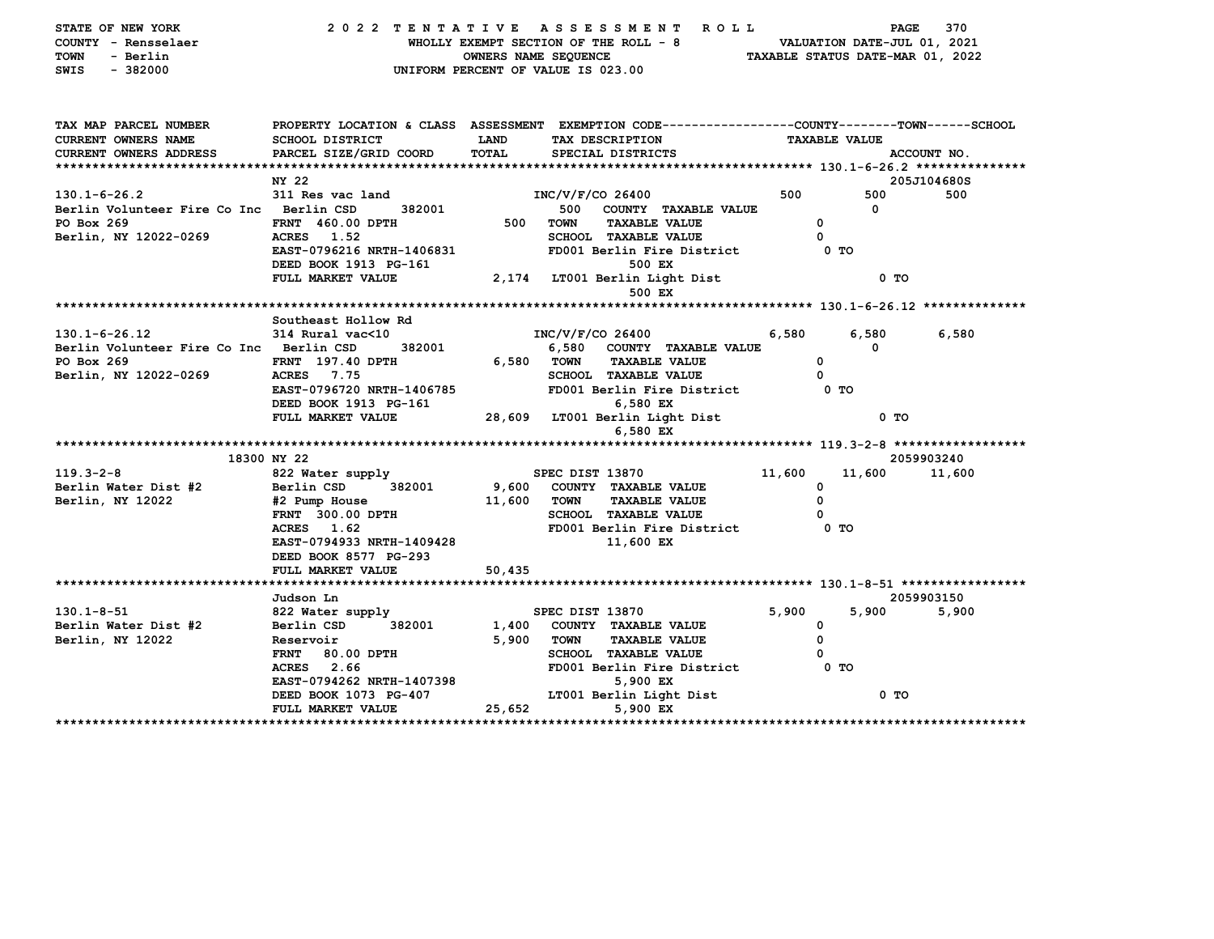| STATE OF NEW YORK<br>COUNTY - Rensselaer<br>TOWN<br>- Berlin |                                                                                                | OWNERS NAME SEQUENCE |                    | 2022 TENTATIVE ASSESSMENT ROLL<br>WHOLLY EXEMPT SECTION OF THE ROLL - 8 |        | PAGE<br>VALUATION DATE-JUL 01, 2021<br>TAXABLE STATUS DATE-MAR 01, 2022 | 370         |
|--------------------------------------------------------------|------------------------------------------------------------------------------------------------|----------------------|--------------------|-------------------------------------------------------------------------|--------|-------------------------------------------------------------------------|-------------|
| $-382000$<br>SWIS                                            | UNIFORM PERCENT OF VALUE IS 023.00                                                             |                      |                    |                                                                         |        |                                                                         |             |
| TAX MAP PARCEL NUMBER                                        | PROPERTY LOCATION & CLASS ASSESSMENT EXEMPTION CODE---------------COUNTY-------TOWN-----SCHOOL |                      |                    |                                                                         |        |                                                                         |             |
| CURRENT OWNERS NAME                                          | SCHOOL DISTRICT                                                                                | LAND                 |                    | TAX DESCRIPTION                                                         |        | <b>TAXABLE VALUE</b>                                                    |             |
| CURRENT OWNERS ADDRESS                                       | PARCEL SIZE/GRID COORD                                                                         | TOTAL                |                    | SPECIAL DISTRICTS                                                       |        |                                                                         | ACCOUNT NO. |
|                                                              |                                                                                                |                      |                    |                                                                         |        |                                                                         |             |
|                                                              | NY 22                                                                                          |                      |                    |                                                                         |        |                                                                         | 205J104680S |
| $130.1 - 6 - 26.2$                                           | 311 Res vac land                                                                               |                      | $INC/V/F/CO$ 26400 |                                                                         | 500    | 500                                                                     | 500         |
| Berlin Volunteer Fire Co Inc Berlin CSD                      | 382001                                                                                         |                      |                    | 500 COUNTY TAXABLE VALUE                                                |        | $\Omega$                                                                |             |
| PO Box 269                                                   | FRNT 460.00 DPTH                                                                               |                      | 500 TOWN           | <b>TAXABLE VALUE</b>                                                    |        | $\mathbf 0$                                                             |             |
| Berlin, NY 12022-0269                                        | ACRES 1.52                                                                                     |                      |                    | SCHOOL TAXABLE VALUE                                                    |        | 0                                                                       |             |
|                                                              | EAST-0796216 NRTH-1406831<br>DEED BOOK 1913 PG-161                                             |                      |                    | FD001 Berlin Fire District 0 TO<br>500 EX                               |        |                                                                         |             |
|                                                              | FULL MARKET VALUE                                                                              |                      |                    | 2,174 LT001 Berlin Light Dist<br>500 EX                                 |        | 0 <sub>T</sub>                                                          |             |
|                                                              |                                                                                                |                      |                    |                                                                         |        |                                                                         |             |
|                                                              | Southeast Hollow Rd                                                                            |                      |                    |                                                                         |        |                                                                         |             |
| $130.1 - 6 - 26.12$                                          | 314 Rural vac<10                                                                               |                      | $INC/V/F/CO$ 26400 |                                                                         | 6,580  | 6,580                                                                   | 6,580       |
| Berlin Volunteer Fire Co Inc Berlin CSD                      | 382001                                                                                         |                      |                    | 6,580 COUNTY TAXABLE VALUE                                              |        | 0                                                                       |             |
| PO Box 269                                                   | <b>FRNT</b> 197.40 DPTH                                                                        |                      | 6,580 TOWN         | <b>TAXABLE VALUE</b>                                                    |        | 0                                                                       |             |
| Berlin, NY 12022-0269                                        | ACRES 7.75                                                                                     |                      |                    | SCHOOL TAXABLE VALUE                                                    |        | $\mathbf{0}$                                                            |             |
|                                                              | EAST-0796720 NRTH-1406785                                                                      |                      |                    | FD001 Berlin Fire District                                              |        | 0 <sub>T</sub>                                                          |             |
|                                                              | DEED BOOK 1913 PG-161                                                                          |                      |                    | 6,580 EX                                                                |        |                                                                         |             |
|                                                              | FULL MARKET VALUE                                                                              |                      |                    | 28,609 LT001 Berlin Light Dist<br>6,580 EX                              |        | 0 TO                                                                    |             |
|                                                              |                                                                                                |                      |                    |                                                                         |        |                                                                         |             |
|                                                              | 18300 NY 22                                                                                    |                      |                    |                                                                         |        |                                                                         | 2059903240  |
| $119.3 - 2 - 8$                                              | 822 Water supply                                                                               |                      | SPEC DIST 13870    |                                                                         | 11,600 | 11,600                                                                  | 11,600      |
| Berlin Water Dist #2                                         | Berlin CSD<br>382001                                                                           | 9,600                |                    | COUNTY TAXABLE VALUE                                                    |        | $\mathbf 0$                                                             |             |
| Berlin, NY 12022                                             | #2 Pump House                                                                                  | 11,600               | <b>TOWN</b>        | <b>TAXABLE VALUE</b>                                                    |        | 0                                                                       |             |
|                                                              | <b>FRNT 300.00 DPTH</b>                                                                        |                      |                    | <b>SCHOOL TAXABLE VALUE</b>                                             |        | 0                                                                       |             |
|                                                              | ACRES 1.62                                                                                     |                      |                    | FD001 Berlin Fire District                                              |        | 0 TO                                                                    |             |
|                                                              | EAST-0794933 NRTH-1409428                                                                      |                      |                    | 11,600 EX                                                               |        |                                                                         |             |
|                                                              | DEED BOOK 8577 PG-293                                                                          |                      |                    |                                                                         |        |                                                                         |             |
|                                                              | FULL MARKET VALUE                                                                              | 50,435               |                    |                                                                         |        |                                                                         |             |
|                                                              |                                                                                                |                      |                    |                                                                         |        |                                                                         |             |
|                                                              | Judson Ln                                                                                      |                      |                    |                                                                         |        |                                                                         | 2059903150  |
| $130.1 - 8 - 51$                                             | 822 Water supply                                                                               |                      | SPEC DIST 13870    |                                                                         | 5,900  | 5,900                                                                   | 5,900       |
| Berlin Water Dist #2                                         | 382001<br>Berlin CSD                                                                           |                      |                    | 1,400 COUNTY TAXABLE VALUE                                              |        | $\mathbf 0$                                                             |             |
| Berlin, NY 12022                                             | Reservoir                                                                                      | 5,900 TOWN           |                    | <b>TAXABLE VALUE</b>                                                    |        | $\mathbf 0$                                                             |             |
|                                                              | FRNT 80.00 DPTH                                                                                |                      |                    | <b>SCHOOL TAXABLE VALUE</b>                                             |        | 0                                                                       |             |
|                                                              | ACRES 2.66                                                                                     |                      |                    | FD001 Berlin Fire District                                              |        | 0 <sub>T</sub>                                                          |             |
|                                                              | EAST-0794262 NRTH-1407398                                                                      |                      |                    | 5,900 EX                                                                |        | 0 <sub>T</sub>                                                          |             |
|                                                              | DEED BOOK 1073 PG-407<br>FULL MARKET VALUE                                                     | 25,652               |                    | LT001 Berlin Light Dist<br>5,900 EX                                     |        |                                                                         |             |
|                                                              |                                                                                                |                      |                    |                                                                         |        |                                                                         |             |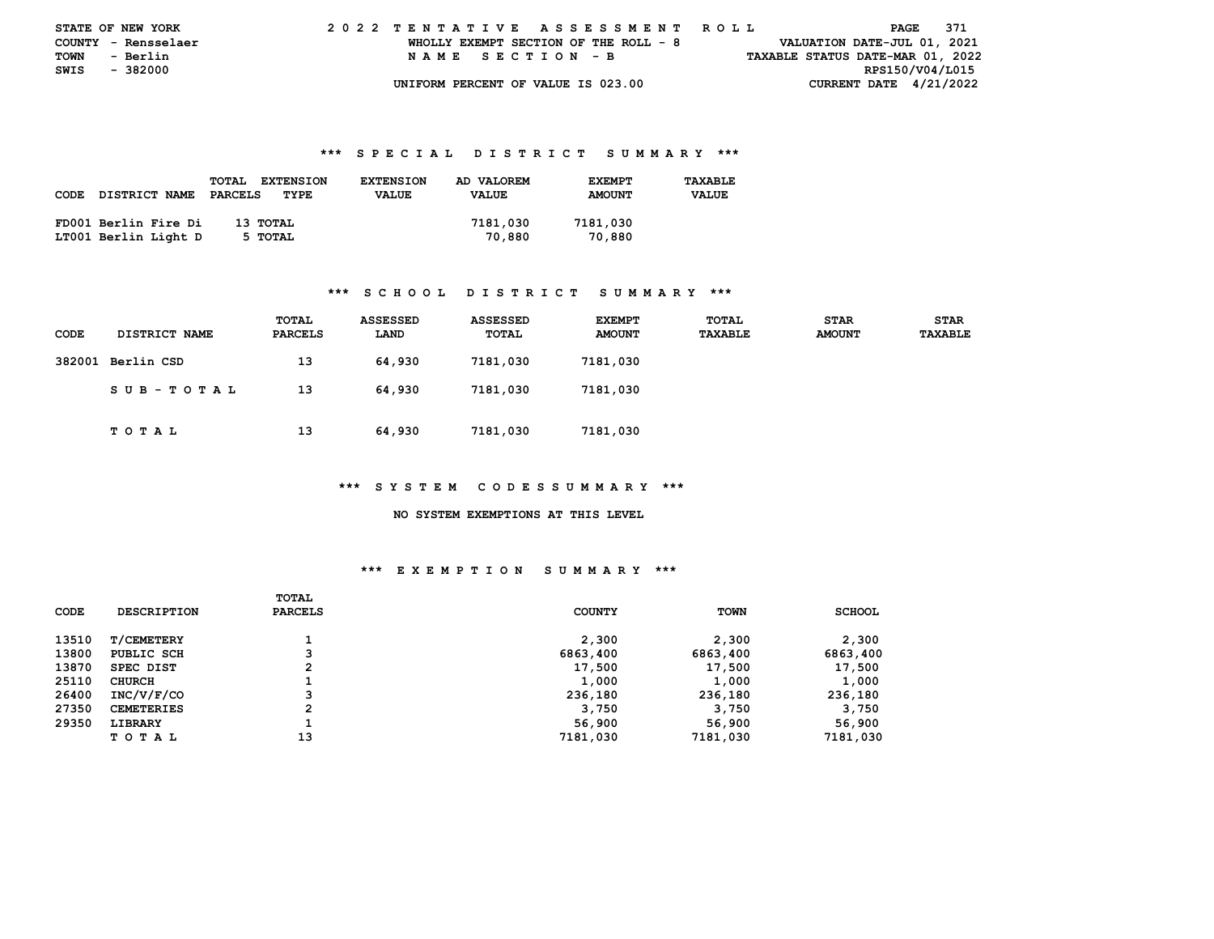| <b>STATE OF NEW YORK</b> |                     |  | 2022 TENTATIVE ASSESSMENT ROLL |  |  |  |                                       |  |  |  |  |  |  |  |  |                                  | PAGE            | 371 |  |
|--------------------------|---------------------|--|--------------------------------|--|--|--|---------------------------------------|--|--|--|--|--|--|--|--|----------------------------------|-----------------|-----|--|
|                          | COUNTY - Rensselaer |  |                                |  |  |  | WHOLLY EXEMPT SECTION OF THE ROLL - 8 |  |  |  |  |  |  |  |  | VALUATION DATE-JUL 01, 2021      |                 |     |  |
| <b>TOWN</b>              | - Berlin            |  |                                |  |  |  | NAME SECTION - B                      |  |  |  |  |  |  |  |  | TAXABLE STATUS DATE-MAR 01, 2022 |                 |     |  |
| SWIS - 382000            |                     |  |                                |  |  |  |                                       |  |  |  |  |  |  |  |  |                                  | RPS150/V04/L015 |     |  |
|                          |                     |  |                                |  |  |  | UNIFORM PERCENT OF VALUE IS 023.00    |  |  |  |  |  |  |  |  | CURRENT DATE $4/21/2022$         |                 |     |  |

|             |                      | <b>TOTAL</b><br><b>EXTENSION</b> | <b>EXTENSION</b> | AD VALOREM   | <b>EXEMPT</b> | TAXABLE      |
|-------------|----------------------|----------------------------------|------------------|--------------|---------------|--------------|
| <b>CODE</b> | DISTRICT NAME        | PARCELS<br>TYPE                  | <b>VALUE</b>     | <b>VALUE</b> | <b>AMOUNT</b> | <b>VALUE</b> |
|             |                      |                                  |                  |              |               |              |
|             | FD001 Berlin Fire Di | 13 тотаг                         |                  | 7181,030     | 7181,030      |              |
|             | LT001 Berlin Light D | 5 TOTAL                          |                  | 70,880       | 70,880        |              |

## **\*\*\* S C H O O L D I S T R I C T S U M M A R Y \*\*\***

| <b>CODE</b> | <b>DISTRICT NAME</b> | TOTAL<br><b>PARCELS</b> | ASSESSED<br>LAND | ASSESSED<br>TOTAL | <b>EXEMPT</b><br><b>AMOUNT</b> | <b>TOTAL</b><br>TAXABLE | <b>STAR</b><br><b>AMOUNT</b> | <b>STAR</b><br>TAXABLE |
|-------------|----------------------|-------------------------|------------------|-------------------|--------------------------------|-------------------------|------------------------------|------------------------|
|             | 382001 Berlin CSD    | 13                      | 64,930           | 7181,030          | 7181,030                       |                         |                              |                        |
|             | SUB-TOTAL            | 13                      | 64,930           | 7181,030          | 7181,030                       |                         |                              |                        |
|             | TOTAL                | 13                      | 64,930           | 7181,030          | 7181,030                       |                         |                              |                        |

#### **\*\*\* S Y S T E M C O D E S S U M M A R Y \*\*\***

 **NO SYSTEM EXEMPTIONS AT THIS LEVEL** 

| CODE  | <b>DESCRIPTION</b> | TOTAL<br><b>PARCELS</b> | <b>COUNTY</b> | <b>TOWN</b> | <b>SCHOOL</b> |
|-------|--------------------|-------------------------|---------------|-------------|---------------|
| 13510 | <b>T/CEMETERY</b>  |                         | 2,300         | 2,300       | 2,300         |
| 13800 | PUBLIC SCH         | 3                       | 6863,400      | 6863,400    | 6863,400      |
| 13870 | SPEC DIST          | 2                       | 17,500        | 17,500      | 17,500        |
| 25110 | <b>CHURCH</b>      |                         | 1,000         | 1,000       | 1,000         |
| 26400 | INC/V/F/CO         | 3                       | 236,180       | 236,180     | 236,180       |
| 27350 | <b>CEMETERIES</b>  | $\mathbf{2}$            | 3,750         | 3,750       | 3,750         |
| 29350 | LIBRARY            | д.                      | 56,900        | 56,900      | 56,900        |
|       | TOTAL              | 13                      | 7181,030      | 7181,030    | 7181,030      |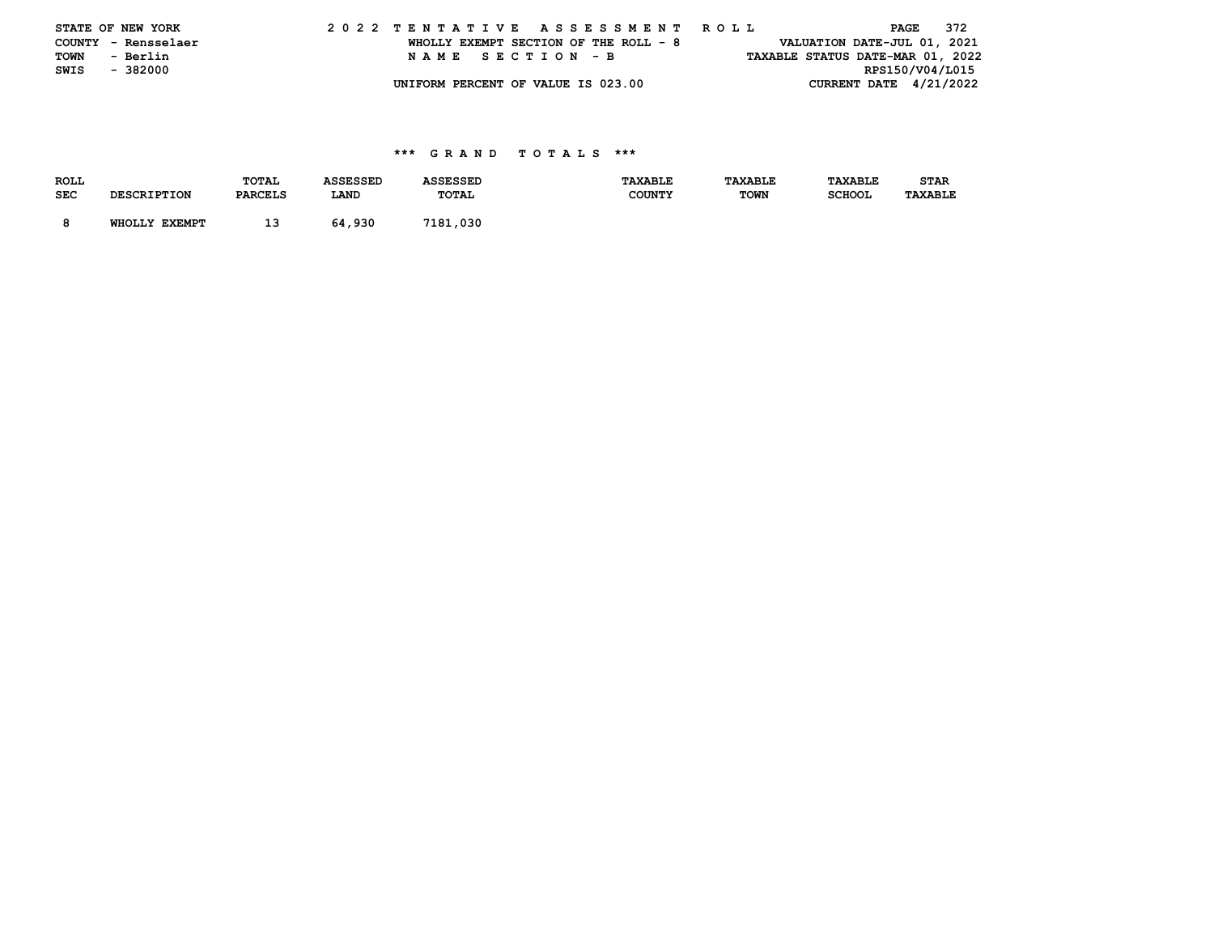|  | STATE OF NEW YORK   |                  |  | 2022 TENTATIVE ASSESSMENT ROLL        |                                  |                               | PAGE 372 |                 |  |
|--|---------------------|------------------|--|---------------------------------------|----------------------------------|-------------------------------|----------|-----------------|--|
|  | COUNTY - Rensselaer |                  |  | WHOLLY EXEMPT SECTION OF THE ROLL - 8 |                                  | VALUATION DATE-JUL 01, 2021   |          |                 |  |
|  | TOWN - Berlin       | NAME SECTION - B |  |                                       | TAXABLE STATUS DATE-MAR 01, 2022 |                               |          |                 |  |
|  | SWIS - 382000       |                  |  |                                       |                                  |                               |          | RPS150/V04/L015 |  |
|  |                     |                  |  | UNIFORM PERCENT OF VALUE IS 023.00    |                                  | <b>CURRENT DATE 4/21/2022</b> |          |                 |  |

| <b>ROLL</b> |                    | TOTAL          | ASSESSED | <b>ASSESSED</b> | <b>TAXABLE</b> | TAXABLE     | TAXABLE       | <b>STAR</b>    |
|-------------|--------------------|----------------|----------|-----------------|----------------|-------------|---------------|----------------|
| <b>SEC</b>  | <b>DESCRIPTION</b> | <b>PARCELS</b> | LAND     | TOTAL           | <b>COUNTY</b>  | <b>TOWN</b> | <b>SCHOOL</b> | <b>TAXABLE</b> |
|             |                    |                |          |                 |                |             |               |                |
|             | WHOLLY EXEMPT      | 13             | 64,930   | 7181,030        |                |             |               |                |
|             |                    |                |          |                 |                |             |               |                |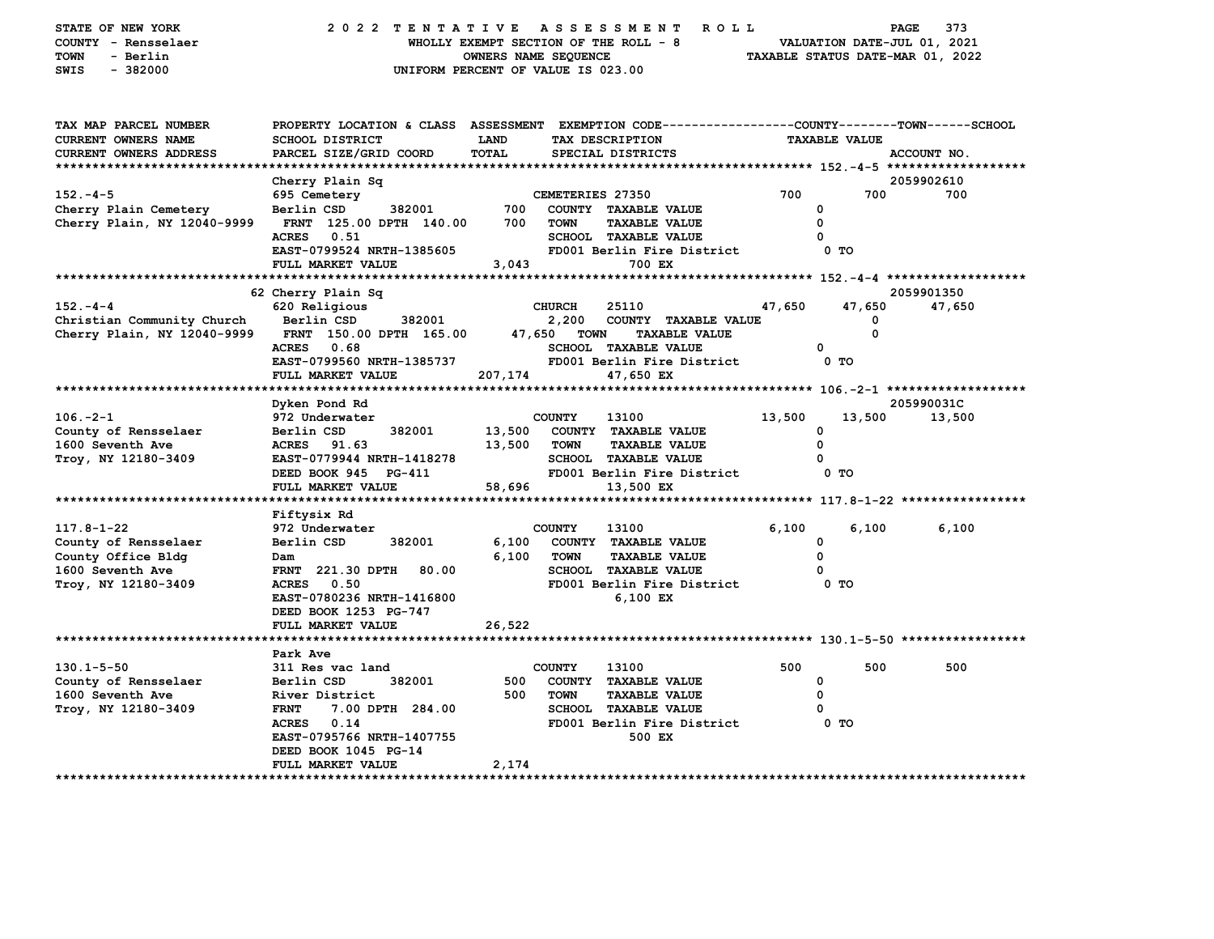| STATE OF NEW YORK<br>COUNTY - Rensselaer<br>- Berlin<br>TOWN<br>$-382000$<br>SWIS                    | 2022 TENTATIVE                                                                                                                               | OWNERS NAME SEQUENCE | <b>ASSESSMENT</b><br>WHOLLY EXEMPT SECTION OF THE ROLL - 8<br>UNIFORM PERCENT OF VALUE IS 023.00 | ROLL   | VALUATION DATE-JUL 01, 2021<br>TAXABLE STATUS DATE-MAR 01, 2022 | 373<br>PAGE |
|------------------------------------------------------------------------------------------------------|----------------------------------------------------------------------------------------------------------------------------------------------|----------------------|--------------------------------------------------------------------------------------------------|--------|-----------------------------------------------------------------|-------------|
| TAX MAP PARCEL NUMBER<br>CURRENT OWNERS NAME<br>CURRENT OWNERS ADDRESS<br>************************** | PROPERTY LOCATION & CLASS ASSESSMENT EXEMPTION CODE---------------COUNTY-------TOWN------SCHOOL<br>SCHOOL DISTRICT<br>PARCEL SIZE/GRID COORD | LAND<br>TOTAL        | TAX DESCRIPTION<br>SPECIAL DISTRICTS                                                             |        | <b>TAXABLE VALUE</b>                                            | ACCOUNT NO. |
|                                                                                                      | Cherry Plain Sq                                                                                                                              |                      |                                                                                                  |        |                                                                 | 2059902610  |
| $152. - 4 - 5$                                                                                       | 695 Cemetery                                                                                                                                 |                      | CEMETERIES 27350                                                                                 | 700    | 700                                                             | 700         |
| Cherry Plain Cemetery                                                                                | 382001<br>Berlin CSD                                                                                                                         | 700                  | COUNTY TAXABLE VALUE                                                                             |        | 0                                                               |             |
| Cherry Plain, NY 12040-9999                                                                          | FRNT 125.00 DPTH 140.00                                                                                                                      | 700                  | <b>TOWN</b><br><b>TAXABLE VALUE</b>                                                              |        | 0                                                               |             |
|                                                                                                      | <b>ACRES</b>                                                                                                                                 |                      |                                                                                                  |        | 0                                                               |             |
|                                                                                                      | 0.51                                                                                                                                         |                      | SCHOOL TAXABLE VALUE                                                                             |        |                                                                 |             |
|                                                                                                      | EAST-0799524 NRTH-1385605                                                                                                                    |                      | FD001 Berlin Fire District                                                                       |        | 0 TO                                                            |             |
| ************************                                                                             | FULL MARKET VALUE                                                                                                                            | 3,043                | 700 EX                                                                                           |        |                                                                 |             |
|                                                                                                      |                                                                                                                                              |                      |                                                                                                  |        |                                                                 |             |
|                                                                                                      | 62 Cherry Plain Sq                                                                                                                           |                      |                                                                                                  |        |                                                                 | 2059901350  |
| $152. -4 -4$                                                                                         | 620 Religious                                                                                                                                |                      | <b>CHURCH</b><br>25110                                                                           | 47,650 | 47,650                                                          | 47,650      |
| Christian Community Church                                                                           | Berlin CSD<br>382001                                                                                                                         |                      | 2,200<br>COUNTY TAXABLE VALUE                                                                    |        | 0                                                               |             |
| Cherry Plain, NY 12040-9999                                                                          | FRNT 150.00 DPTH 165.00                                                                                                                      | 47,650               | TOWN<br><b>TAXABLE VALUE</b>                                                                     |        | 0                                                               |             |
|                                                                                                      | <b>ACRES</b><br>0.68                                                                                                                         |                      | SCHOOL TAXABLE VALUE                                                                             |        | 0                                                               |             |
|                                                                                                      | EAST-0799560 NRTH-1385737                                                                                                                    |                      | FD001 Berlin Fire District                                                                       |        | 0 TO                                                            |             |
|                                                                                                      | FULL MARKET VALUE                                                                                                                            | 207,174              | 47,650 EX                                                                                        |        |                                                                 |             |
|                                                                                                      |                                                                                                                                              |                      |                                                                                                  |        |                                                                 |             |
|                                                                                                      | Dyken Pond Rd                                                                                                                                |                      |                                                                                                  |        |                                                                 | 205990031C  |
| $106. -2 - 1$                                                                                        | 972 Underwater                                                                                                                               |                      | <b>COUNTY</b><br>13100                                                                           | 13,500 | 13,500                                                          | 13,500      |
| County of Rensselaer                                                                                 | Berlin CSD<br>382001                                                                                                                         | 13,500               | COUNTY TAXABLE VALUE                                                                             |        | 0                                                               |             |
| 1600 Seventh Ave                                                                                     | ACRES 91.63                                                                                                                                  | 13,500               | <b>TOWN</b><br><b>TAXABLE VALUE</b>                                                              |        | 0                                                               |             |
| Troy, NY 12180-3409                                                                                  | EAST-0779944 NRTH-1418278                                                                                                                    |                      | <b>SCHOOL TAXABLE VALUE</b>                                                                      |        | O                                                               |             |
|                                                                                                      | DEED BOOK 945 PG-411                                                                                                                         |                      | FD001 Berlin Fire District                                                                       |        | 0 TO                                                            |             |
|                                                                                                      | FULL MARKET VALUE                                                                                                                            | 58,696               | 13,500 EX                                                                                        |        |                                                                 |             |
|                                                                                                      | ******************                                                                                                                           | *********            | ********************************** 117.8-1-22 *****************                                  |        |                                                                 |             |
|                                                                                                      | Fiftysix Rd                                                                                                                                  |                      |                                                                                                  |        |                                                                 |             |
| $117.8 - 1 - 22$                                                                                     | 972 Underwater                                                                                                                               |                      | <b>COUNTY</b><br>13100                                                                           | 6,100  | 6,100                                                           | 6,100       |
| County of Rensselaer                                                                                 | Berlin CSD<br>382001                                                                                                                         | 6,100                | COUNTY TAXABLE VALUE                                                                             |        | 0                                                               |             |
| County Office Bldg                                                                                   | Dam                                                                                                                                          | 6,100                | <b>TOWN</b><br><b>TAXABLE VALUE</b>                                                              |        | 0                                                               |             |
| 1600 Seventh Ave                                                                                     | <b>FRNT</b> 221.30 DPTH<br>80.00                                                                                                             |                      | <b>SCHOOL TAXABLE VALUE</b>                                                                      |        | 0                                                               |             |
|                                                                                                      | 0.50<br><b>ACRES</b>                                                                                                                         |                      | FD001 Berlin Fire District                                                                       |        | 0 TO                                                            |             |
| Troy, NY 12180-3409                                                                                  |                                                                                                                                              |                      | 6,100 EX                                                                                         |        |                                                                 |             |
|                                                                                                      | EAST-0780236 NRTH-1416800                                                                                                                    |                      |                                                                                                  |        |                                                                 |             |
|                                                                                                      | DEED BOOK 1253 PG-747                                                                                                                        |                      |                                                                                                  |        |                                                                 |             |
|                                                                                                      | FULL MARKET VALUE                                                                                                                            | 26,522               |                                                                                                  |        |                                                                 |             |
|                                                                                                      |                                                                                                                                              |                      |                                                                                                  |        |                                                                 |             |
|                                                                                                      | Park Ave                                                                                                                                     |                      |                                                                                                  |        |                                                                 |             |
| $130.1 - 5 - 50$                                                                                     | 311 Res vac land                                                                                                                             |                      | <b>COUNTY</b><br>13100                                                                           | 500    | 500                                                             | 500         |
| County of Rensselaer                                                                                 | 382001<br>Berlin CSD                                                                                                                         | 500                  | COUNTY TAXABLE VALUE                                                                             |        | 0                                                               |             |
| 1600 Seventh Ave                                                                                     | River District                                                                                                                               | 500                  | <b>TOWN</b><br><b>TAXABLE VALUE</b>                                                              |        | 0                                                               |             |
| Troy, NY 12180-3409                                                                                  | <b>FRNT</b><br>7.00 DPTH 284.00                                                                                                              |                      | <b>SCHOOL TAXABLE VALUE</b>                                                                      |        | 0                                                               |             |
|                                                                                                      | <b>ACRES</b><br>0.14                                                                                                                         |                      | FD001 Berlin Fire District                                                                       |        | 0 <sub>T</sub>                                                  |             |
|                                                                                                      | EAST-0795766 NRTH-1407755                                                                                                                    |                      | 500 EX                                                                                           |        |                                                                 |             |
|                                                                                                      | DEED BOOK 1045 PG-14                                                                                                                         |                      |                                                                                                  |        |                                                                 |             |
|                                                                                                      | FULL MARKET VALUE                                                                                                                            | 2,174                |                                                                                                  |        |                                                                 |             |
| ********************                                                                                 |                                                                                                                                              |                      |                                                                                                  |        |                                                                 |             |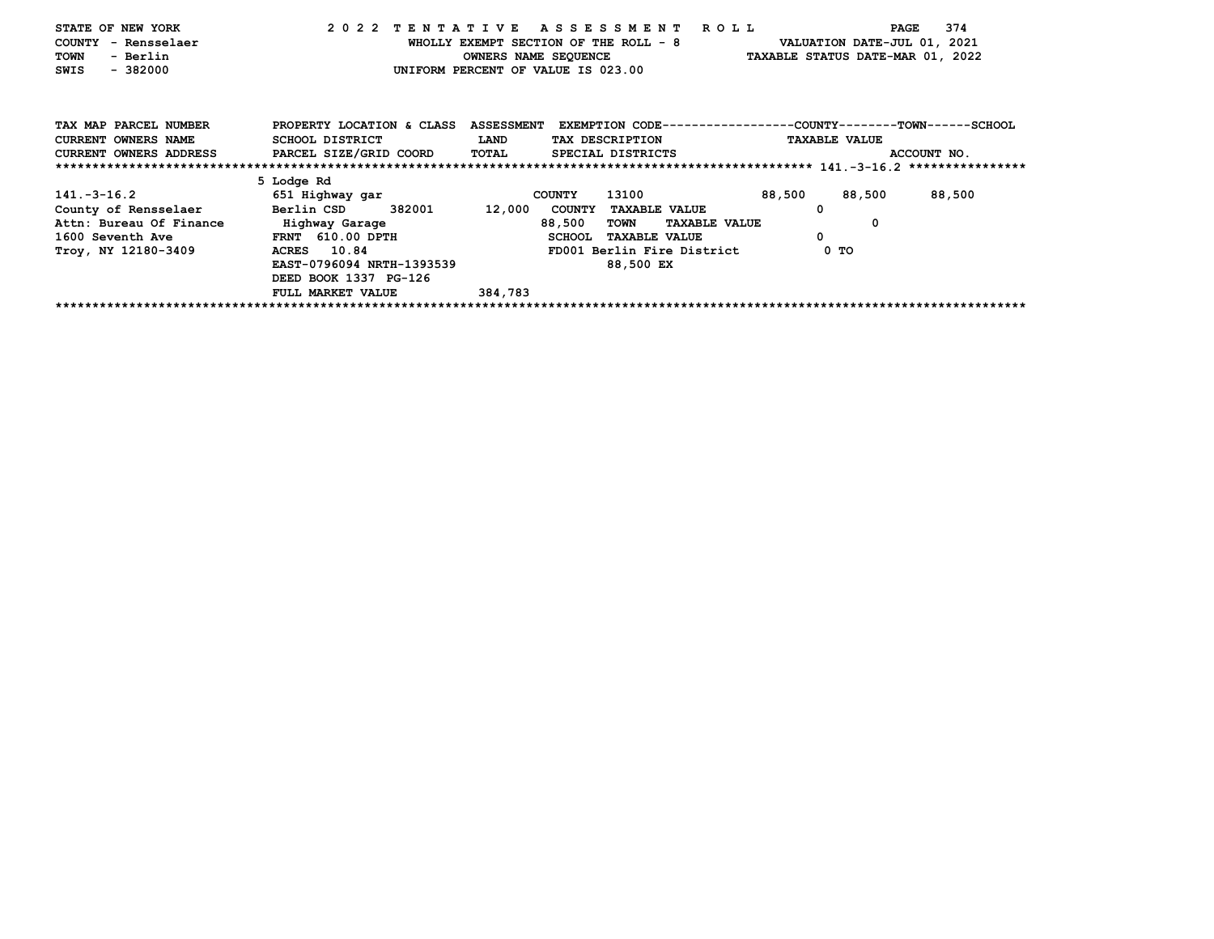| STATE OF NEW YORK                      |                                               | 2022 TENTATIVE ASSESSMENT ROLL         | 374<br>PAGE                                                             |
|----------------------------------------|-----------------------------------------------|----------------------------------------|-------------------------------------------------------------------------|
| COUNTY - Rensselaer                    |                                               | WHOLLY EXEMPT SECTION OF THE ROLL - 8  | VALUATION DATE-JUL 01, 2021                                             |
| - Berlin<br>TOWN                       |                                               | <b>OWNERS NAME SEQUENCE</b>            | TAXABLE STATUS DATE-MAR 01, 2022                                        |
| $-382000$<br>SWIS                      |                                               | UNIFORM PERCENT OF VALUE IS 023.00     |                                                                         |
| TAX MAP PARCEL NUMBER                  | PROPERTY LOCATION & CLASS                     |                                        | ASSESSMENT EXEMPTION CODE-----------------COUNTY-------TOWN------SCHOOL |
| <b>CURRENT OWNERS NAME</b>             | SCHOOL DISTRICT                               | <b>LAND</b><br>TAX DESCRIPTION         | <b>TAXABLE VALUE</b>                                                    |
|                                        | CURRENT OWNERS ADDRESS PARCEL SIZE/GRID COORD | TOTAL<br>SPECIAL DISTRICTS             | ACCOUNT NO.                                                             |
|                                        |                                               |                                        |                                                                         |
|                                        | 5 Lodge Rd                                    |                                        |                                                                         |
| $141.-3-16.2$                          | 651 Highway gar                               | 13100<br><b>COUNTY</b>                 | 88,500<br>88,500<br>88,500                                              |
| County of Rensselaer Berlin CSD 382001 |                                               | 12,000<br>COUNTY TAXABLE VALUE         | 0                                                                       |
| Attn: Bureau Of Finance                | Highway Garage                                | 88,500<br>TOWN<br><b>TAXABLE VALUE</b> | 0                                                                       |
| 1600 Seventh Ave                       | FRNT 610.00 DPTH                              | <b>SCHOOL</b><br><b>TAXABLE VALUE</b>  | 0                                                                       |
| Troy, NY 12180-3409                    | ACRES 10.84                                   | FD001 Berlin Fire District             | 0 TO                                                                    |
|                                        | EAST-0796094 NRTH-1393539                     | 88,500 EX                              |                                                                         |
|                                        | DEED BOOK 1337 PG-126                         |                                        |                                                                         |
|                                        | FULL MARKET VALUE                             | 384,783                                |                                                                         |
|                                        |                                               |                                        |                                                                         |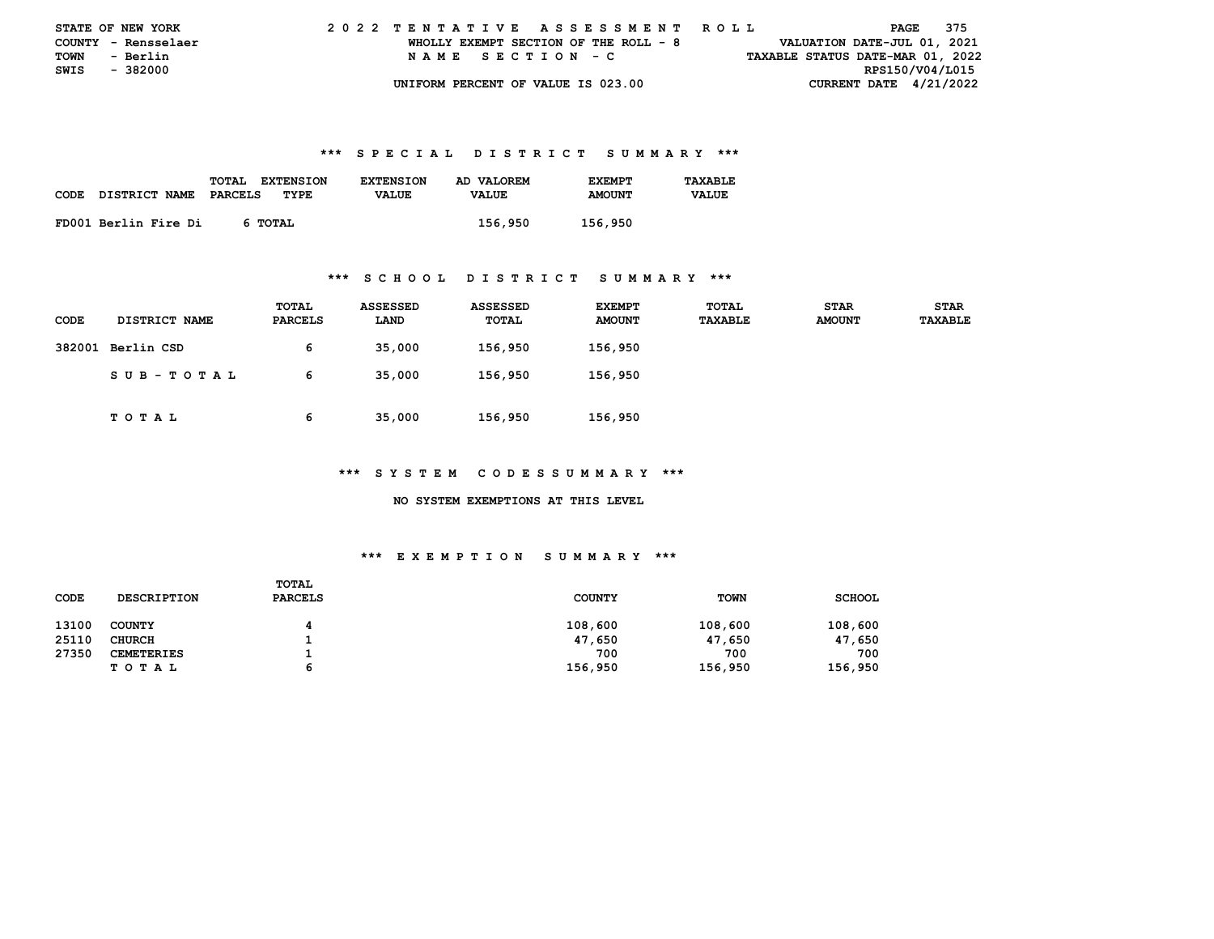| <b>STATE OF NEW YORK</b> |                     |  | 2022 TENTATIVE ASSESSMENT ROLL |  |  |  |                                       |  |  |  |  |  |  |  |  |                                  |                 | PAGE | 375 |  |
|--------------------------|---------------------|--|--------------------------------|--|--|--|---------------------------------------|--|--|--|--|--|--|--|--|----------------------------------|-----------------|------|-----|--|
|                          | COUNTY - Rensselaer |  |                                |  |  |  | WHOLLY EXEMPT SECTION OF THE ROLL - 8 |  |  |  |  |  |  |  |  | VALUATION DATE-JUL 01, 2021      |                 |      |     |  |
| TOWN                     | - Berlin            |  |                                |  |  |  | NAME SECTION - C                      |  |  |  |  |  |  |  |  | TAXABLE STATUS DATE-MAR 01, 2022 |                 |      |     |  |
| SWIS - 382000            |                     |  |                                |  |  |  |                                       |  |  |  |  |  |  |  |  |                                  | RPS150/V04/L015 |      |     |  |
|                          |                     |  |                                |  |  |  | UNIFORM PERCENT OF VALUE IS 023.00    |  |  |  |  |  |  |  |  | CURRENT DATE $4/21/2022$         |                 |      |     |  |

| CODE | DISTRICT NAME        | TOTAL<br><b>EXTENSION</b><br>PARCELS<br>TYPE | <b>EXTENSION</b><br><b>VALUE</b> | AD VALOREM<br><b>VALUE</b> | <b>F.XFMPT</b><br><b>AMOUNT</b> | TAXABLE<br><b>VALUE</b> |
|------|----------------------|----------------------------------------------|----------------------------------|----------------------------|---------------------------------|-------------------------|
|      | FD001 Berlin Fire Di | 6 TOTAL                                      |                                  | 156,950                    | 156,950                         |                         |

#### **\*\*\* S C H O O L D I S T R I C T S U M M A R Y \*\*\***

| CODE | <b>DISTRICT NAME</b> | <b>TOTAL</b><br>PARCELS | <b>ASSESSED</b><br>LAND | <b>ASSESSED</b><br>TOTAL | <b>EXEMPT</b><br><b>AMOUNT</b> | TOTAL<br>TAXABLE | <b>STAR</b><br><b>AMOUNT</b> | <b>STAR</b><br><b>TAXABLE</b> |
|------|----------------------|-------------------------|-------------------------|--------------------------|--------------------------------|------------------|------------------------------|-------------------------------|
|      | 382001 Berlin CSD    | 6                       | 35,000                  | 156,950                  | 156,950                        |                  |                              |                               |
|      | SUB-TOTAL            | 6                       | 35,000                  | 156,950                  | 156,950                        |                  |                              |                               |
|      | тотаь                | 6                       | 35,000                  | 156,950                  | 156,950                        |                  |                              |                               |

#### **\*\*\* S Y S T E M C O D E S S U M M A R Y \*\*\***

 **NO SYSTEM EXEMPTIONS AT THIS LEVEL** 

| CODE  | <b>DESCRIPTION</b> | TOTAL<br>PARCELS | <b>COUNTY</b> | <b>TOWN</b> | <b>SCHOOL</b> |
|-------|--------------------|------------------|---------------|-------------|---------------|
| 13100 | <b>COUNTY</b>      |                  | 108,600       | 108,600     | 108,600       |
| 25110 | <b>CHURCH</b>      |                  | 47,650        | 47,650      | 47,650        |
| 27350 | <b>CEMETERIES</b>  |                  | 700           | 700         | 700           |
|       | T O T A L          |                  | 156,950       | 156,950     | 156,950       |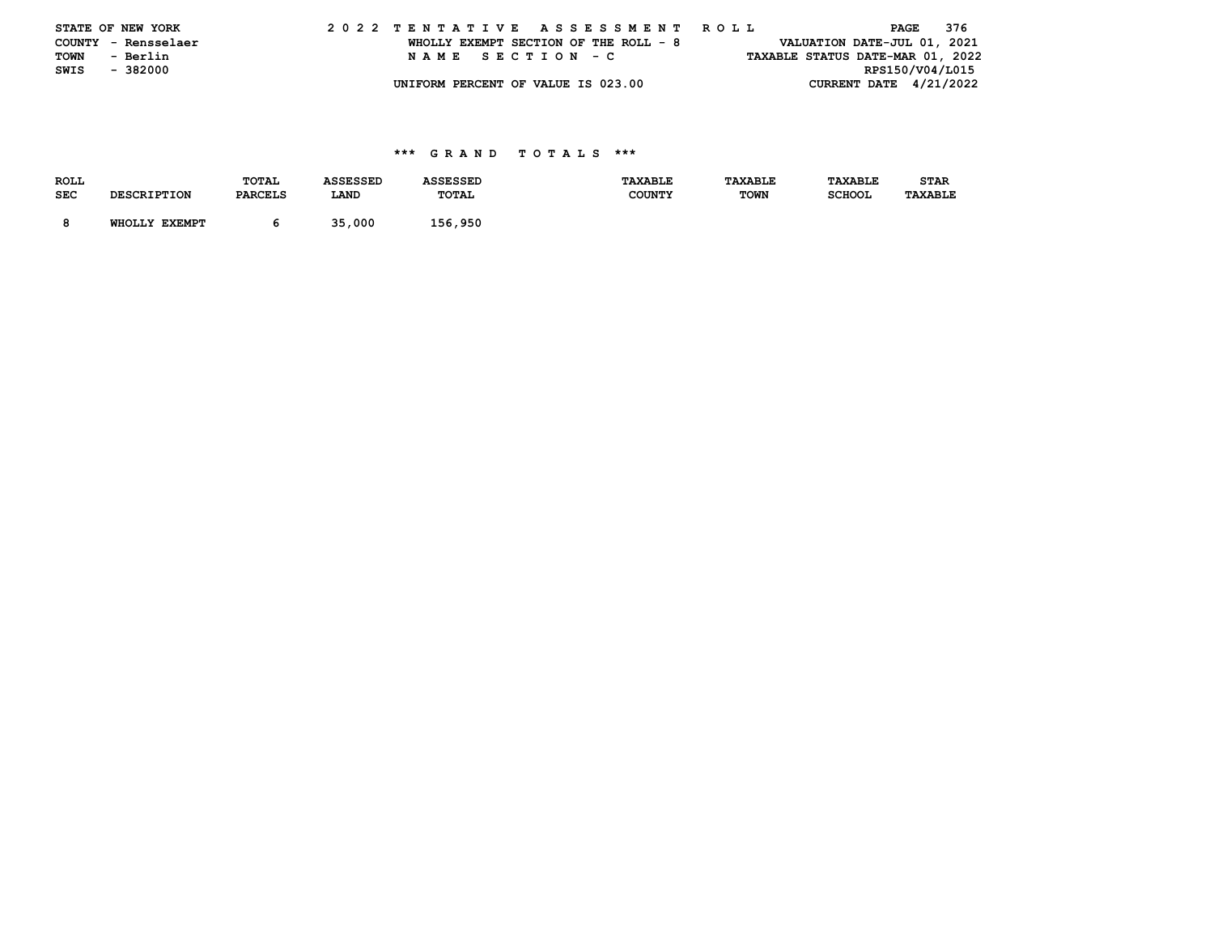| STATE OF NEW YORK   |          |  |  |                                    |  |  |  |  |  |  | 2022 TENTATIVE ASSESSMENT ROLL        |  |  |  |  |                                  | PAGE | 376 |  |
|---------------------|----------|--|--|------------------------------------|--|--|--|--|--|--|---------------------------------------|--|--|--|--|----------------------------------|------|-----|--|
| COUNTY - Rensselaer |          |  |  |                                    |  |  |  |  |  |  | WHOLLY EXEMPT SECTION OF THE ROLL - 8 |  |  |  |  | VALUATION DATE-JUL 01, 2021      |      |     |  |
| TOWN                | - Berlin |  |  | NAME SECTION - C                   |  |  |  |  |  |  |                                       |  |  |  |  | TAXABLE STATUS DATE-MAR 01, 2022 |      |     |  |
| SWIS                | - 382000 |  |  |                                    |  |  |  |  |  |  |                                       |  |  |  |  | RPS150/V04/L015                  |      |     |  |
|                     |          |  |  | UNIFORM PERCENT OF VALUE IS 023.00 |  |  |  |  |  |  |                                       |  |  |  |  | CURRENT DATE $4/21/2022$         |      |     |  |

| <b>ROLL</b> |                    | TOTAL          | <b>ASSESSED</b> | <b>ASSESSED</b> | <b>TAXABLE</b> | TAXABLE     | TAXABLE       | <b>STAR</b>    |
|-------------|--------------------|----------------|-----------------|-----------------|----------------|-------------|---------------|----------------|
| <b>SEC</b>  | <b>DESCRIPTION</b> | <b>PARCELS</b> | LAND            | TOTAL           | <b>COUNTY</b>  | <b>TOWN</b> | <b>SCHOOL</b> | <b>TAXABLE</b> |
|             |                    |                |                 |                 |                |             |               |                |
|             | WHOLLY EXEMPT      |                | 35,000          | 156,950         |                |             |               |                |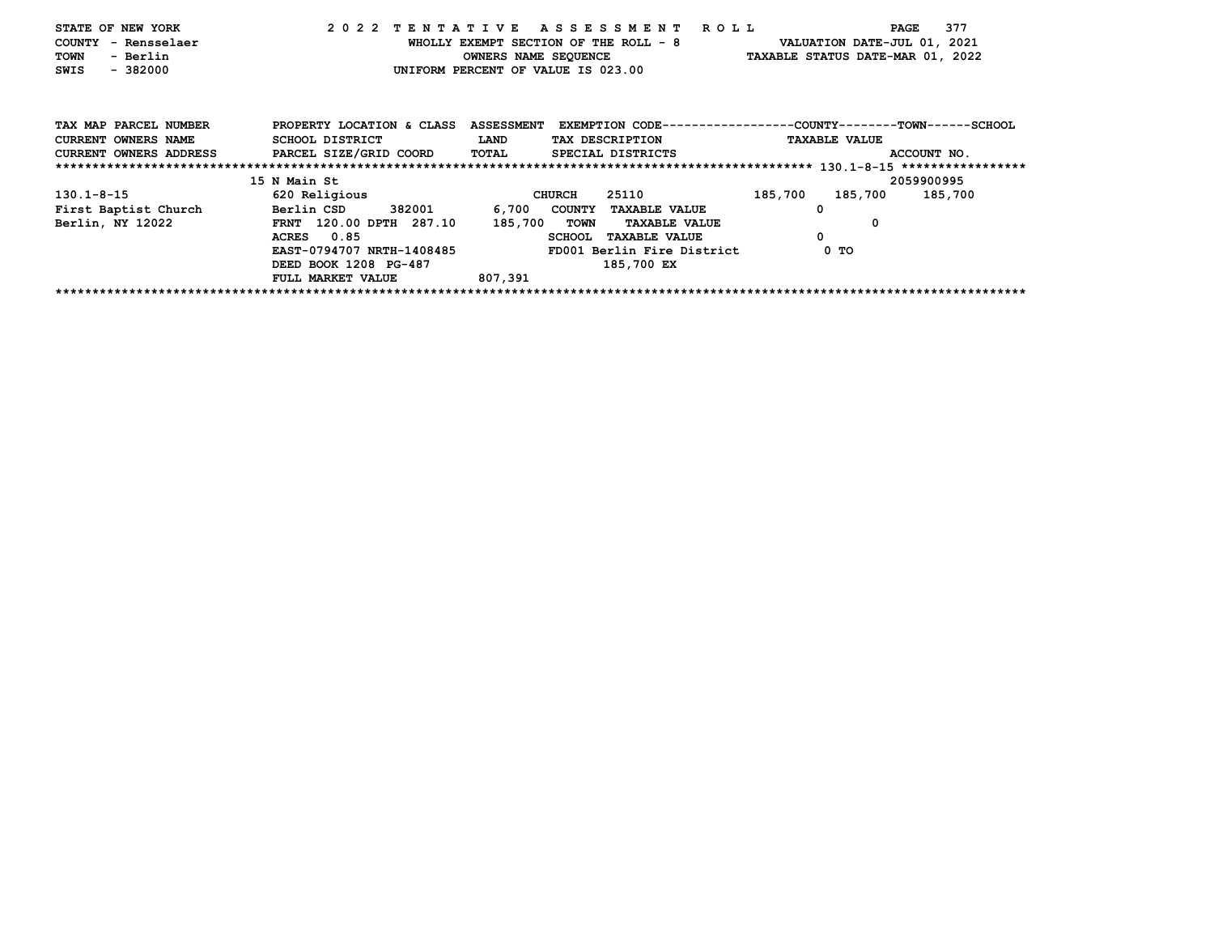| STATE OF NEW YORK<br>COUNTY - Rensselaer<br>TOWN<br>- Berlin<br>$-382000$<br>SWIS             |                                                                                                                                                        |                             | 2022 TENTATIVE ASSESSMENT ROLL<br>WHOLLY EXEMPT SECTION OF THE ROLL - 8<br>UNIFORM PERCENT OF VALUE IS 023.00                                              | 377<br>PAGE<br>VALUATION DATE-JUL 01, 2021<br>OWNERS NAME SEQUENCE TAXABLE STATUS DATE-MAR 01, 2022           |  |
|-----------------------------------------------------------------------------------------------|--------------------------------------------------------------------------------------------------------------------------------------------------------|-----------------------------|------------------------------------------------------------------------------------------------------------------------------------------------------------|---------------------------------------------------------------------------------------------------------------|--|
| TAX MAP PARCEL NUMBER<br>CURRENT OWNERS NAME<br>CURRENT OWNERS ADDRESS PARCEL SIZE/GRID COORD | PROPERTY LOCATION & CLASS<br>SCHOOL DISTRICT                                                                                                           | <b>LAND</b><br><b>TOTAL</b> | TAX DESCRIPTION<br>SPECIAL DISTRICTS                                                                                                                       | ASSESSMENT EXEMPTION CODE----------------COUNTY-------TOWN------SCHOOL<br><b>TAXABLE VALUE</b><br>ACCOUNT NO. |  |
|                                                                                               |                                                                                                                                                        |                             |                                                                                                                                                            |                                                                                                               |  |
|                                                                                               | 15 N Main St                                                                                                                                           |                             |                                                                                                                                                            | 2059900995                                                                                                    |  |
| $130.1 - 8 - 15$<br>First Baptist Church Berlin CSD<br>Berlin, NY 12022                       | 620 Religious<br>382001 200<br>FRNT 120.00 DPTH 287.10<br>ACRES 0.85<br>EAST-0794707 NRTH-1408485<br>DEED BOOK 1208 PG-487<br><b>FULL MARKET VALUE</b> | 185,700 TOWN<br>807,391     | 25110<br>CHURCH<br>6,700 COUNTY TAXABLE VALUE<br><b>TAXABLE VALUE</b><br><b>SCHOOL</b><br><b>TAXABLE VALUE</b><br>FD001 Berlin Fire District<br>185,700 EX | 185,700<br>185,700<br>185,700<br>$\Omega$<br>0<br>0<br>0 TO                                                   |  |
|                                                                                               |                                                                                                                                                        |                             |                                                                                                                                                            |                                                                                                               |  |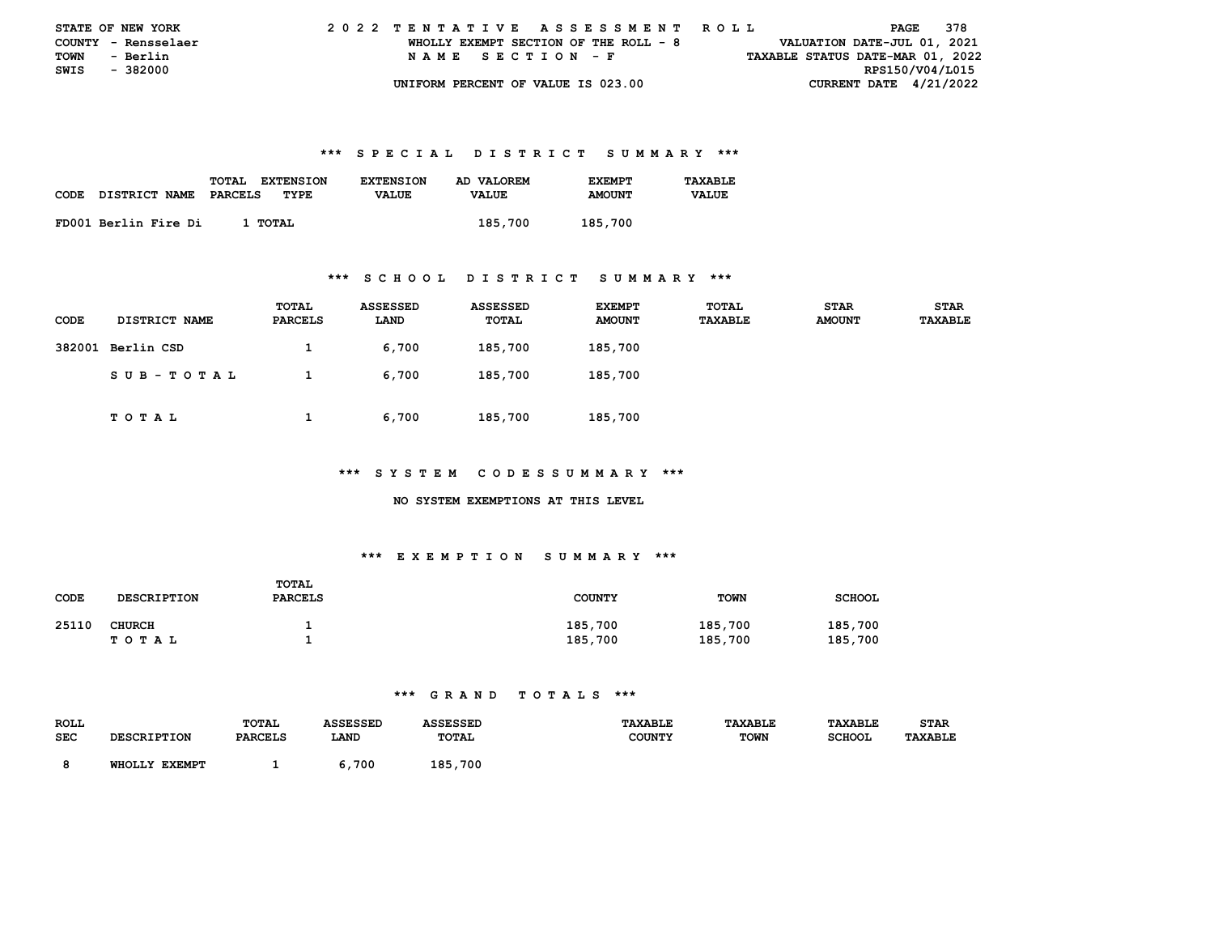| <b>STATE OF NEW YORK</b> |                     |  | 2022 TENTATIVE ASSESSMENT ROLL |  |  |  |                                       |  |  |  |  |  |  |  |  |                                  |                 | PAGE | 378 |  |
|--------------------------|---------------------|--|--------------------------------|--|--|--|---------------------------------------|--|--|--|--|--|--|--|--|----------------------------------|-----------------|------|-----|--|
|                          | COUNTY - Rensselaer |  |                                |  |  |  | WHOLLY EXEMPT SECTION OF THE ROLL - 8 |  |  |  |  |  |  |  |  | VALUATION DATE-JUL 01, 2021      |                 |      |     |  |
| TOWN                     | - Berlin            |  |                                |  |  |  | NAME SECTION - F                      |  |  |  |  |  |  |  |  | TAXABLE STATUS DATE-MAR 01, 2022 |                 |      |     |  |
| SWIS - 382000            |                     |  |                                |  |  |  |                                       |  |  |  |  |  |  |  |  |                                  | RPS150/V04/L015 |      |     |  |
|                          |                     |  |                                |  |  |  | UNIFORM PERCENT OF VALUE IS 023.00    |  |  |  |  |  |  |  |  | CURRENT DATE $4/21/2022$         |                 |      |     |  |

|      |                      | <b>TOTAL</b><br><b>EXTENSION</b> | <b>EXTENSION</b> | AD VALOREM   | <b>EXEMPT</b> | TAXABLE      |
|------|----------------------|----------------------------------|------------------|--------------|---------------|--------------|
| CODE | <b>DISTRICT NAME</b> | PARCELS<br>TYPE                  | <b>VALUE</b>     | <b>VALUE</b> | <b>AMOUNT</b> | <b>VALUE</b> |
|      | FD001 Berlin Fire Di | 1 TOTAL                          |                  | 185,700      | 185,700       |              |

#### **\*\*\* S C H O O L D I S T R I C T S U M M A R Y \*\*\***

| <b>CODE</b> | DISTRICT NAME | TOTAL<br><b>PARCELS</b> | ASSESSED<br>LAND | ASSESSED<br>TOTAL | <b>EXEMPT</b><br><b>AMOUNT</b> | <b>TOTAL</b><br><b>TAXABLE</b> | <b>STAR</b><br><b>AMOUNT</b> | <b>STAR</b><br><b>TAXABLE</b> |
|-------------|---------------|-------------------------|------------------|-------------------|--------------------------------|--------------------------------|------------------------------|-------------------------------|
| 382001      | Berlin CSD    | л.                      | 6,700            | 185,700           | 185,700                        |                                |                              |                               |
|             | SUB-TOTAL     |                         | 6,700            | 185,700           | 185,700                        |                                |                              |                               |
|             | TOTAL         | л.                      | 6,700            | 185,700           | 185,700                        |                                |                              |                               |

#### **\*\*\* S Y S T E M C O D E S S U M M A R Y \*\*\***

#### **NO SYSTEM EXEMPTIONS AT THIS LEVEL**

## **\*\*\* E X E M P T I O N S U M M A R Y \*\*\***

| CODE  | <b>DESCRIPTION</b>         | TOTAL<br><b>PARCELS</b> | <b>COUNTY</b>      | <b>TOWN</b>        | <b>SCHOOL</b>      |
|-------|----------------------------|-------------------------|--------------------|--------------------|--------------------|
| 25110 | <b>CHURCH</b><br>T O T A L |                         | 185,700<br>185,700 | 185,700<br>185,700 | 185,700<br>185,700 |

| <b>ROLL</b> |                                  | <b>TOTAL</b>   | SSESSED |              | <b><i>TAXABLE</i></b> | <b>TAXABLE</b> | TAXABLE       | STAR    |
|-------------|----------------------------------|----------------|---------|--------------|-----------------------|----------------|---------------|---------|
| SEC         | אמדייים דם מספח                  | <b>PARCELS</b> | LANI    | TOTAL        | <b>COUNTY</b>         | <b>TOWN</b>    | <b>SCHOOI</b> | TAXABLE |
|             | <b>EXEMPT</b><br><b>WHOT.T.Y</b> |                | 700     | 185<br>. 700 |                       |                |               |         |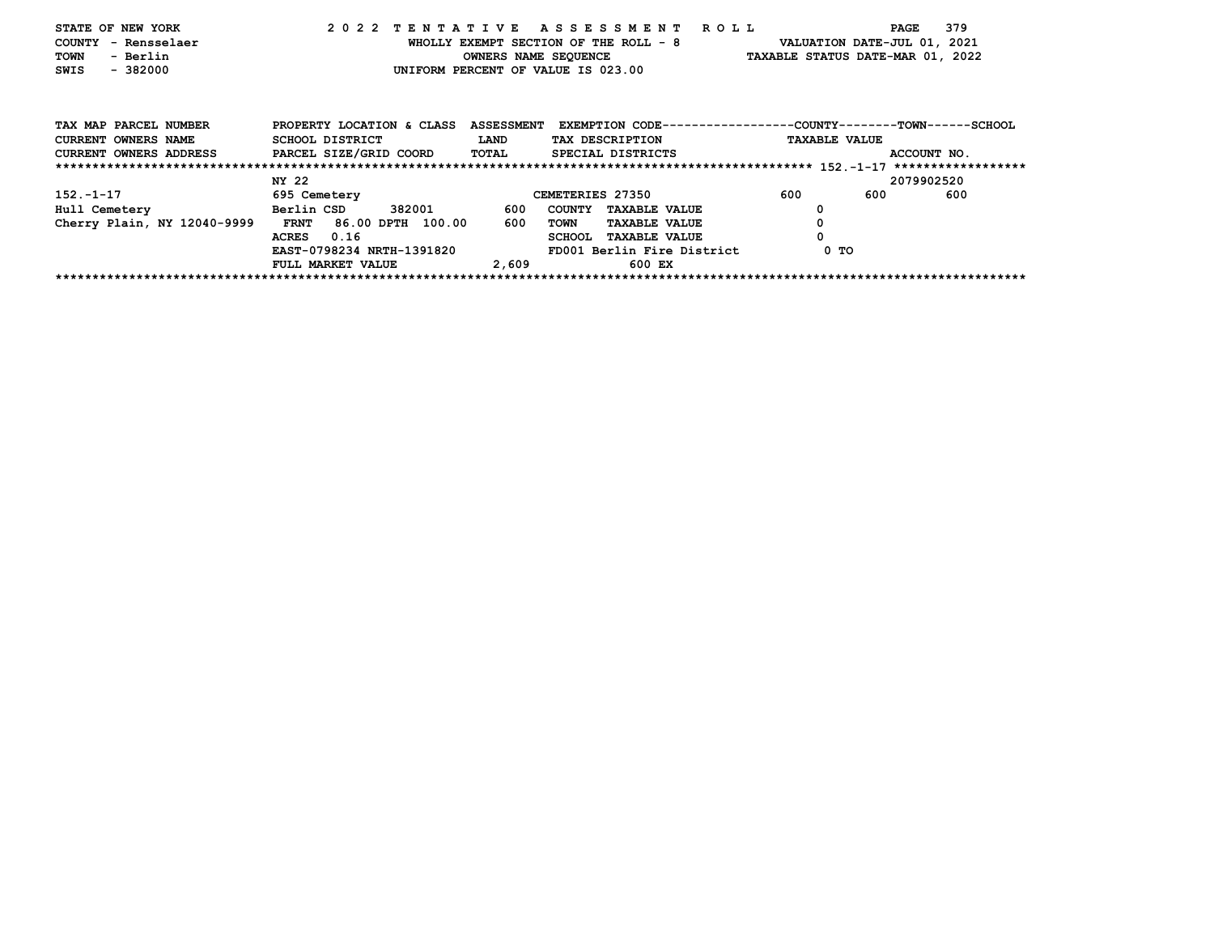| STATE OF NEW YORK<br><b>COUNTY</b><br>– Rensselaer<br>- Berlin<br>TOWN<br>$-382000$<br>SWIS                |                                              | 2022 TENTATIVE ASSESSMENT ROLL<br>WHOLLY EXEMPT SECTION OF THE ROLL - 8<br>UNIFORM PERCENT OF VALUE IS 023.00 | 379<br>PAGE<br>VALUATION DATE-JUL 01, 2021<br>OWNERS NAME SEQUENCE TAXABLE STATUS DATE-MAR 01, 2022           |
|------------------------------------------------------------------------------------------------------------|----------------------------------------------|---------------------------------------------------------------------------------------------------------------|---------------------------------------------------------------------------------------------------------------|
| TAX MAP PARCEL NUMBER<br><b>CURRENT OWNERS NAME</b><br>CURRENT OWNERS ADDRESS PARCEL SIZE/GRID COORD TOTAL | PROPERTY LOCATION & CLASS<br>SCHOOL DISTRICT | <b>LAND</b><br>TAX DESCRIPTION<br>SPECIAL DISTRICTS                                                           | ASSESSMENT EXEMPTION CODE----------------COUNTY-------TOWN------SCHOOL<br><b>TAXABLE VALUE</b><br>ACCOUNT NO. |
|                                                                                                            |                                              |                                                                                                               |                                                                                                               |
|                                                                                                            | NY 22                                        |                                                                                                               | 2079902520                                                                                                    |
| $152 - 1 - 17$                                                                                             | <b>695 Cemetery</b>                          | CEMETERIES 27350                                                                                              | 600<br>600<br>600                                                                                             |
| Hull Cemetery                                                                                              | Berlin CSD<br>382001 200                     | 600<br><b>COUNTY</b><br><b>TAXABLE VALUE</b>                                                                  | 0                                                                                                             |
| Cherry Plain, NY 12040-9999                                                                                | <b>FRNT</b><br>86.00 DPTH 100.00             | 600<br>TOWN<br><b>TAXABLE VALUE</b>                                                                           | 0                                                                                                             |
|                                                                                                            | 0.16<br><b>ACRES</b>                         | <b>TAXABLE VALUE</b><br><b>SCHOOL</b>                                                                         |                                                                                                               |
|                                                                                                            | EAST-0798234 NRTH-1391820                    | FD001 Berlin Fire District                                                                                    | 0 TO                                                                                                          |
|                                                                                                            | FULL MARKET VALUE                            | 2,609<br>600 EX                                                                                               |                                                                                                               |
|                                                                                                            |                                              |                                                                                                               |                                                                                                               |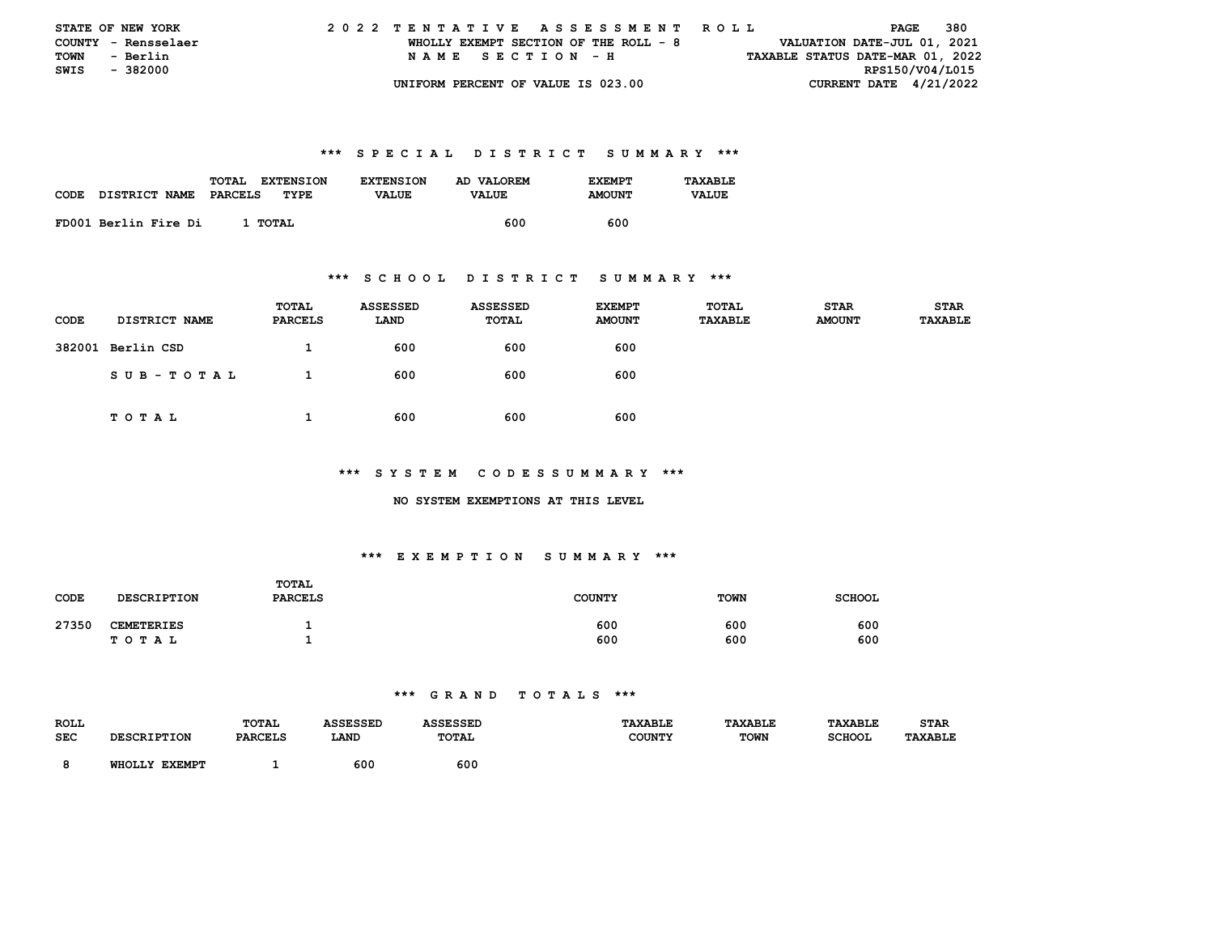| <b>STATE OF NEW YORK</b> |                     |  | 2022 TENTATIVE ASSESSMENT ROLL |  |  |  |                                       |  |  |  |  |  |  |  |  |                                  |                 | PAGE | 380 |  |
|--------------------------|---------------------|--|--------------------------------|--|--|--|---------------------------------------|--|--|--|--|--|--|--|--|----------------------------------|-----------------|------|-----|--|
|                          | COUNTY - Rensselaer |  |                                |  |  |  | WHOLLY EXEMPT SECTION OF THE ROLL - 8 |  |  |  |  |  |  |  |  | VALUATION DATE-JUL 01, 2021      |                 |      |     |  |
| TOWN                     | - Berlin            |  |                                |  |  |  | NAME SECTION - H                      |  |  |  |  |  |  |  |  | TAXABLE STATUS DATE-MAR 01, 2022 |                 |      |     |  |
| SWIS - 382000            |                     |  |                                |  |  |  |                                       |  |  |  |  |  |  |  |  |                                  | RPS150/V04/L015 |      |     |  |
|                          |                     |  |                                |  |  |  | UNIFORM PERCENT OF VALUE IS 023.00    |  |  |  |  |  |  |  |  | CURRENT DATE $4/21/2022$         |                 |      |     |  |

| <b>CODE</b> | <b>DISTRICT NAME</b> | TOTAL<br><b>EXTENSION</b><br>PARCELS<br>TYPE | <b>EXTENSION</b><br><b>VALUE</b> | AD VALOREM<br><b>VALUE</b> | <b>EXEMPT</b><br><b>AMOUNT</b> | TAXARLE.<br><b>VALUE</b> |
|-------------|----------------------|----------------------------------------------|----------------------------------|----------------------------|--------------------------------|--------------------------|
|             | FD001 Berlin Fire Di | 1 тотаг                                      |                                  | 600                        | 600                            |                          |

#### **\*\*\* S C H O O L D I S T R I C T S U M M A R Y \*\*\***

| CODE   | DISTRICT NAME | TOTAL<br><b>PARCELS</b> | <b>ASSESSED</b><br>LAND | <b>ASSESSED</b><br>TOTAL | <b>EXEMPT</b><br><b>AMOUNT</b> | <b>TOTAL</b><br><b>TAXABLE</b> | <b>STAR</b><br><b>AMOUNT</b> | <b>STAR</b><br>TAXABLE |
|--------|---------------|-------------------------|-------------------------|--------------------------|--------------------------------|--------------------------------|------------------------------|------------------------|
| 382001 | Berlin CSD    |                         | 600                     | 600                      | 600                            |                                |                              |                        |
|        | SUB-TOTAL     |                         | 600                     | 600                      | 600                            |                                |                              |                        |
|        | T O T A L     | <b>I</b>                | 600                     | 600                      | 600                            |                                |                              |                        |

#### **\*\*\* S Y S T E M C O D E S S U M M A R Y \*\*\***

#### **NO SYSTEM EXEMPTIONS AT THIS LEVEL**

## **\*\*\* E X E M P T I O N S U M M A R Y \*\*\***

| CODE  | <b>DESCRIPTION</b> | <b>TOTAL</b><br><b>PARCELS</b> | <b>COUNTY</b> | <b>TOWN</b> | <b>SCHOOL</b> |
|-------|--------------------|--------------------------------|---------------|-------------|---------------|
| 27350 | <b>CEMETERIES</b>  |                                | 600           | 600         | 600           |
|       | TOTAL              |                                | 600           | 600         | 600           |

| <b>ROLL</b> |                | <b>TOTAL</b>    |      |     | <b>TAXABLE</b> |             |               | STAR |
|-------------|----------------|-----------------|------|-----|----------------|-------------|---------------|------|
| <b>SEC</b>  |                | <b>DADCET.C</b> | LAND | ๛๛  |                | <b>TOWN</b> | <b>SCHOOI</b> |      |
|             | ---------<br>. |                 | 600  | 600 |                |             |               |      |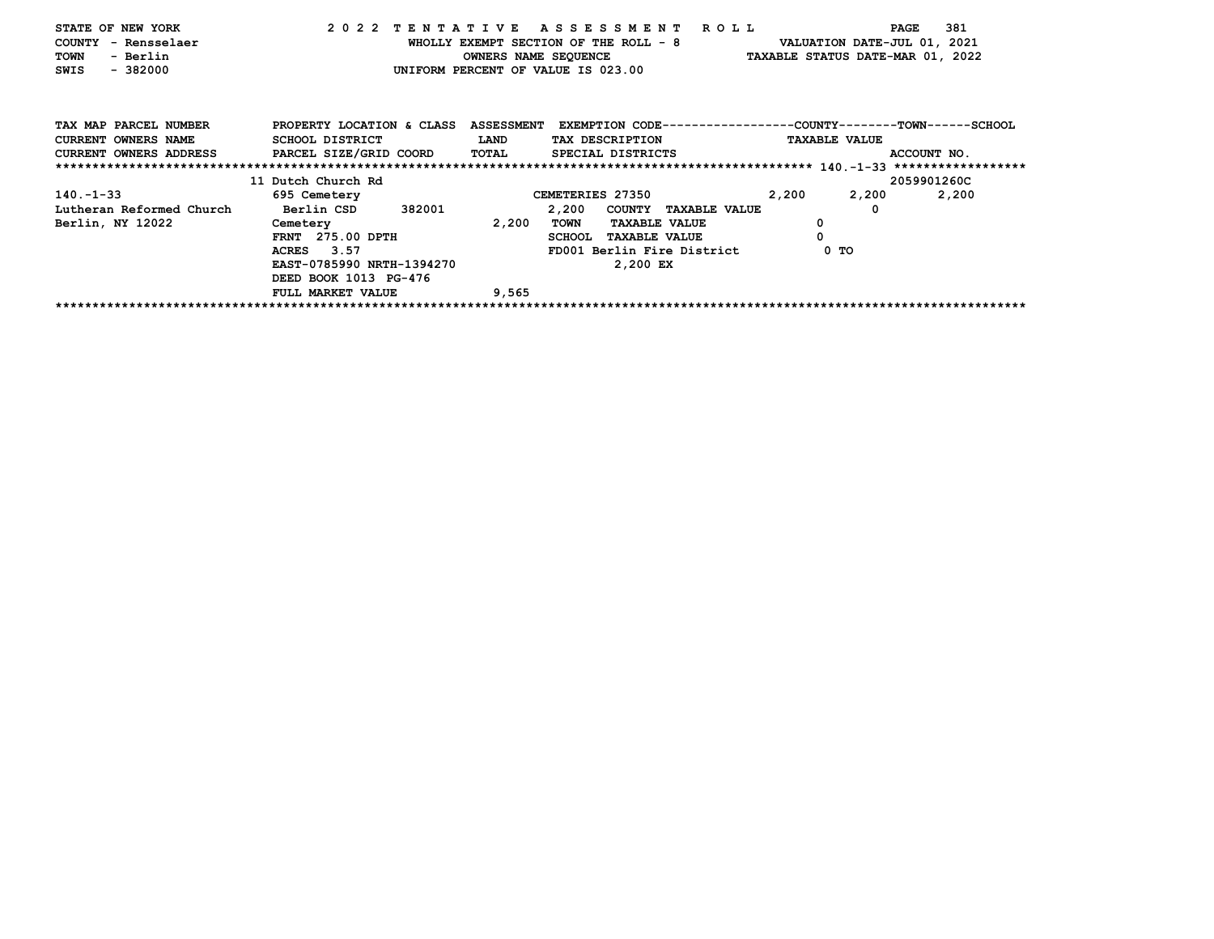| STATE OF NEW YORK<br>COUNTY - Rensselaer<br>- Berlin<br>TOWN<br>$-382000$<br>SWIS |                                                     |       | 2022 TENTATIVE ASSESSMENT ROLL<br>WHOLLY EXEMPT SECTION OF THE ROLL - 8<br>OWNERS NAME SEQUENCE TAXABLE STATUS DATE-MAR 01, 2022<br>UNIFORM PERCENT OF VALUE IS 023.00 | PAGE<br>VALUATION DATE-JUL 01, 2021 | 381         |
|-----------------------------------------------------------------------------------|-----------------------------------------------------|-------|------------------------------------------------------------------------------------------------------------------------------------------------------------------------|-------------------------------------|-------------|
| TAX MAP PARCEL NUMBER                                                             |                                                     |       | PROPERTY LOCATION & CLASS ASSESSMENT EXEMPTION CODE----------------COUNTY-------TOWN------SCHOOL                                                                       |                                     |             |
| <b>CURRENT OWNERS NAME</b>                                                        | SCHOOL DISTRICT<br><b>Example 12</b> LAND           |       | TAX DESCRIPTION                                                                                                                                                        | <b>TAXABLE VALUE</b>                |             |
|                                                                                   | CURRENT OWNERS ADDRESS PARCEL SIZE/GRID COORD TOTAL |       | SPECIAL DISTRICTS                                                                                                                                                      |                                     | ACCOUNT NO. |
|                                                                                   |                                                     |       |                                                                                                                                                                        |                                     |             |
|                                                                                   | 11 Dutch Church Rd                                  |       |                                                                                                                                                                        |                                     | 2059901260C |
| $140. -1 - 33$                                                                    | <b>695 Cemetery</b>                                 |       | CEMETERIES 27350                                                                                                                                                       | 2,200<br>2,200                      | 2,200       |
| Lutheran Reformed Church                                                          | Berlin CSD 382001                                   |       | 2,200<br>COUNTY TAXABLE VALUE                                                                                                                                          | $\Omega$                            |             |
| Berlin, NY 12022                                                                  | Cemetery                                            | 2,200 | <b>TAXABLE VALUE</b><br>TOWN                                                                                                                                           | 0                                   |             |
|                                                                                   | FRNT 275.00 DPTH                                    |       | <b>SCHOOL</b><br><b>TAXABLE VALUE</b>                                                                                                                                  | 0                                   |             |
|                                                                                   | ACRES 3.57                                          |       | FD001 Berlin Fire District                                                                                                                                             | 0 TO                                |             |
|                                                                                   | EAST-0785990 NRTH-1394270                           |       | 2,200 EX                                                                                                                                                               |                                     |             |
|                                                                                   | DEED BOOK 1013 PG-476                               |       |                                                                                                                                                                        |                                     |             |
|                                                                                   | FULL MARKET VALUE                                   | 9,565 |                                                                                                                                                                        |                                     |             |
|                                                                                   |                                                     |       |                                                                                                                                                                        |                                     |             |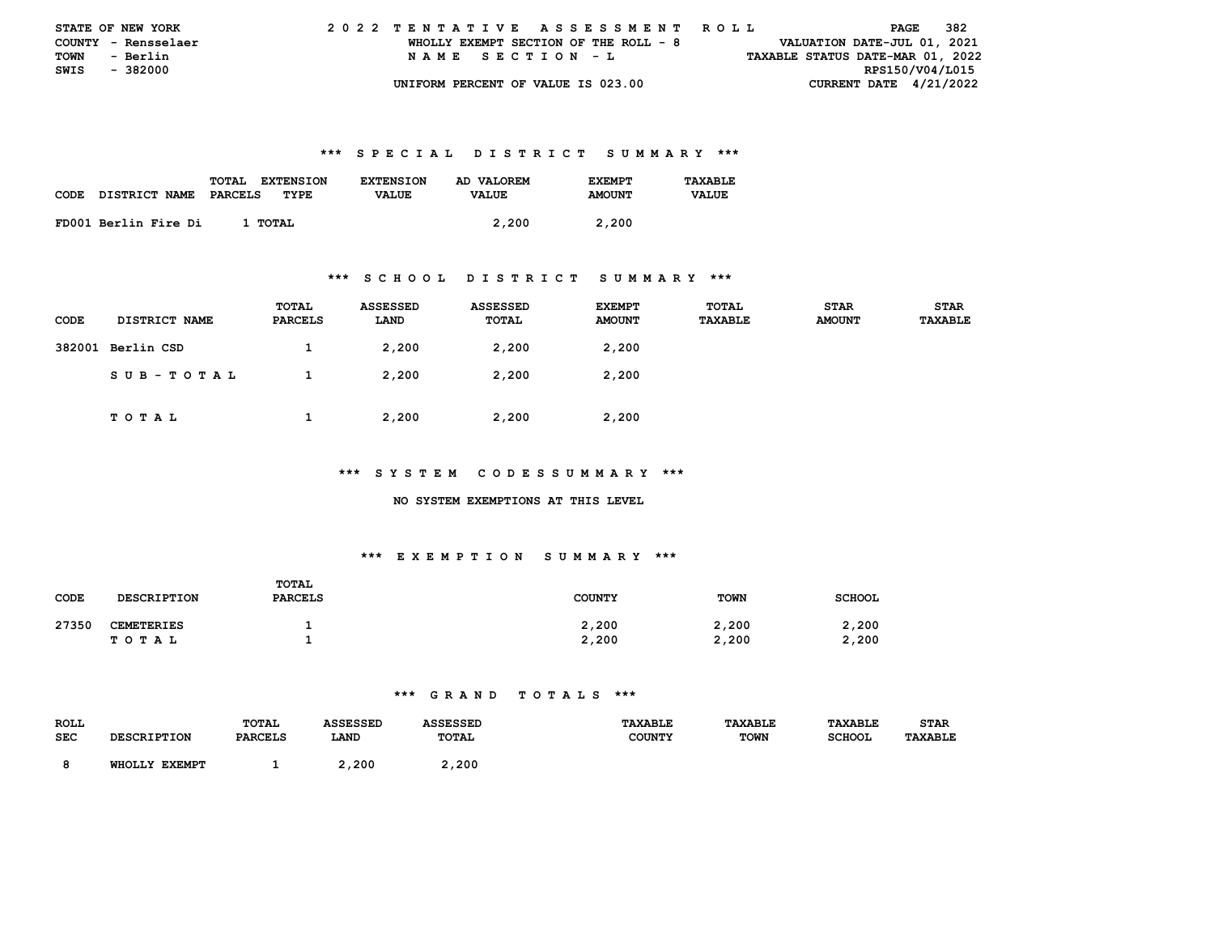| <b>STATE OF NEW YORK</b> |                     |  | 2022 TENTATIVE ASSESSMENT ROLL |  |  |  |                                       |  |  |  |  |  |  |  |  |                                  |                 | PAGE | - 382 |  |
|--------------------------|---------------------|--|--------------------------------|--|--|--|---------------------------------------|--|--|--|--|--|--|--|--|----------------------------------|-----------------|------|-------|--|
|                          | COUNTY - Rensselaer |  |                                |  |  |  | WHOLLY EXEMPT SECTION OF THE ROLL - 8 |  |  |  |  |  |  |  |  | VALUATION DATE-JUL 01, 2021      |                 |      |       |  |
| TOWN                     | - Berlin            |  |                                |  |  |  | NAME SECTION - L                      |  |  |  |  |  |  |  |  | TAXABLE STATUS DATE-MAR 01, 2022 |                 |      |       |  |
| SWIS - 382000            |                     |  |                                |  |  |  |                                       |  |  |  |  |  |  |  |  |                                  | RPS150/V04/L015 |      |       |  |
|                          |                     |  |                                |  |  |  | UNIFORM PERCENT OF VALUE IS 023.00    |  |  |  |  |  |  |  |  | CURRENT DATE $4/21/2022$         |                 |      |       |  |

|             |                      | TOTAL<br><b>EXTENSION</b> | <b>EXTENSION</b> | AD VALOREM   | <b>F.XFMPT</b> | TAXABLE      |
|-------------|----------------------|---------------------------|------------------|--------------|----------------|--------------|
| <b>CODE</b> | <b>DISTRICT NAME</b> | PARCELS<br>TYPE           | <b>VALUE</b>     | <b>VALUE</b> | <b>AMOUNT</b>  | <b>VALUE</b> |
|             |                      |                           |                  |              |                |              |
|             | FD001 Berlin Fire Di | 1 TOTAL                   |                  | 2,200        | 2,200          |              |

#### **\*\*\* S C H O O L D I S T R I C T S U M M A R Y \*\*\***

| CODE | <b>DISTRICT NAME</b> | TOTAL<br>PARCELS | <b>ASSESSED</b><br>LAND | <b>ASSESSED</b><br>TOTAL | <b>EXEMPT</b><br><b>AMOUNT</b> | TOTAL<br><b>TAXABLE</b> | <b>STAR</b><br><b>AMOUNT</b> | <b>STAR</b><br>TAXABLE |
|------|----------------------|------------------|-------------------------|--------------------------|--------------------------------|-------------------------|------------------------------|------------------------|
|      | 382001 Berlin CSD    | л.               | 2,200                   | 2,200                    | 2,200                          |                         |                              |                        |
|      | SUB-TOTAL            |                  | 2,200                   | 2,200                    | 2,200                          |                         |                              |                        |
|      | <b>TOTAL</b>         |                  | 2,200                   | 2,200                    | 2,200                          |                         |                              |                        |

#### **\*\*\* S Y S T E M C O D E S S U M M A R Y \*\*\***

#### **NO SYSTEM EXEMPTIONS AT THIS LEVEL**

## **\*\*\* E X E M P T I O N S U M M A R Y \*\*\***

| CODE  | <b>DESCRIPTION</b>         | TOTAL<br><b>PARCELS</b> | <b>COUNTY</b>  | <b>TOWN</b>    | <b>SCHOOL</b>  |
|-------|----------------------------|-------------------------|----------------|----------------|----------------|
| 27350 | <b>CEMETERIES</b><br>TOTAL |                         | 2,200<br>2,200 | 2,200<br>2,200 | 2,200<br>2,200 |

| <b>ROLL</b> |               | <b>TOTAL</b>    | <b><i>\SSESSED</i></b> |              | <b>TAXABLE</b> | <b>TAVART.P</b> |               | <b>STAR</b> |
|-------------|---------------|-----------------|------------------------|--------------|----------------|-----------------|---------------|-------------|
| SEC         |               | <b>DADCET C</b> | LAND                   | <b>TOTAL</b> | COUNTY         | <b>TOWN</b>     | <b>SCHOOL</b> | TAXABLE     |
|             | <b>EXEMP1</b> |                 | 2,200                  | 2,200        |                |                 |               |             |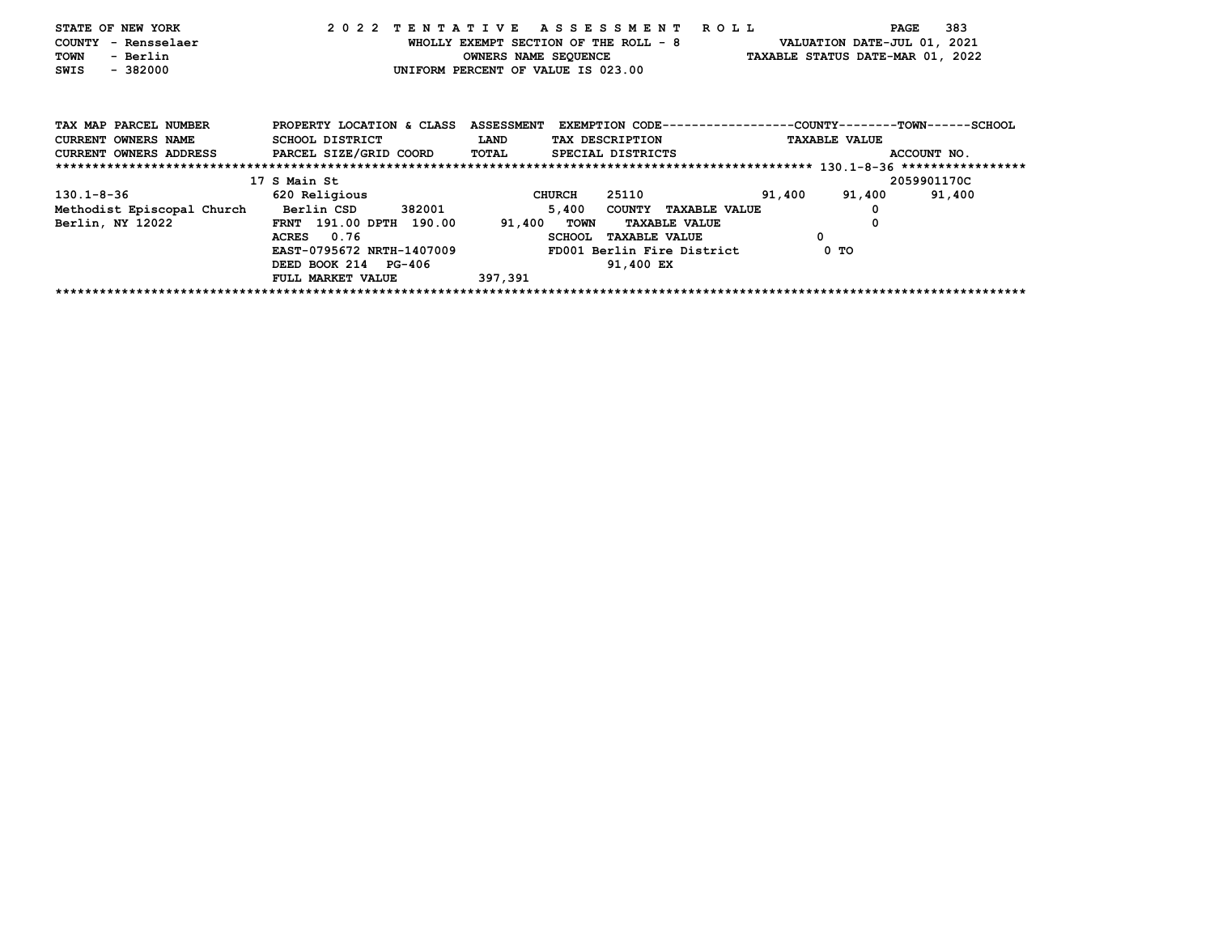| STATE OF NEW YORK<br>COUNTY - Rensselaer<br>TOWN<br>- Berlin<br>$-382000$<br>SWIS |                                              | WHOLLY EXEMPT SECTION OF THE ROLL - 8<br>OWNERS NAME SEQUENCE<br>UNIFORM PERCENT OF VALUE IS 023.00 | 2022 TENTATIVE ASSESSMENT ROLL                                                  | VALUATION DATE-JUL 01, 2021<br>TAXABLE STATUS DATE-MAR 01, 2022 | 383<br>PAGE |
|-----------------------------------------------------------------------------------|----------------------------------------------|-----------------------------------------------------------------------------------------------------|---------------------------------------------------------------------------------|-----------------------------------------------------------------|-------------|
| TAX MAP PARCEL NUMBER<br><b>CURRENT OWNERS NAME</b>                               | PROPERTY LOCATION & CLASS<br>SCHOOL DISTRICT | <b>ASSESSMENT</b><br>LAND                                                                           | EXEMPTION CODE-----------------COUNTY-------TOWN------SCHOOL<br>TAX DESCRIPTION | <b>TAXABLE VALUE</b>                                            |             |
| <b>CURRENT OWNERS ADDRESS</b>                                                     | PARCEL SIZE/GRID COORD                       | <b>TOTAL</b>                                                                                        | SPECIAL DISTRICTS                                                               |                                                                 | ACCOUNT NO. |
|                                                                                   |                                              |                                                                                                     |                                                                                 |                                                                 |             |
|                                                                                   | 17 S Main St                                 |                                                                                                     |                                                                                 |                                                                 | 2059901170C |
| 130.1-8-36                                                                        | 620 Religious                                | CHURCH                                                                                              | 25110                                                                           | 91,400<br>91,400                                                | 91,400      |
| Methodist Episcopal Church                                                        | Berlin CSD 382001                            | 5,400                                                                                               | COUNTY TAXABLE VALUE                                                            |                                                                 |             |
| Berlin, NY 12022                                                                  | FRNT 191.00 DPTH 190.00                      | 91,400 TOWN                                                                                         | <b>TAXABLE VALUE</b>                                                            |                                                                 |             |
|                                                                                   | ACRES 0.76                                   | <b>SCHOOL</b>                                                                                       | <b>TAXABLE VALUE</b>                                                            | 0                                                               |             |
|                                                                                   | EAST-0795672 NRTH-1407009                    |                                                                                                     | FD001 Berlin Fire District                                                      | 0 TO                                                            |             |
|                                                                                   | DEED BOOK 214 PG-406                         |                                                                                                     | 91,400 EX                                                                       |                                                                 |             |
|                                                                                   | FULL MARKET VALUE                            | 397,391                                                                                             |                                                                                 |                                                                 |             |
|                                                                                   |                                              |                                                                                                     |                                                                                 |                                                                 |             |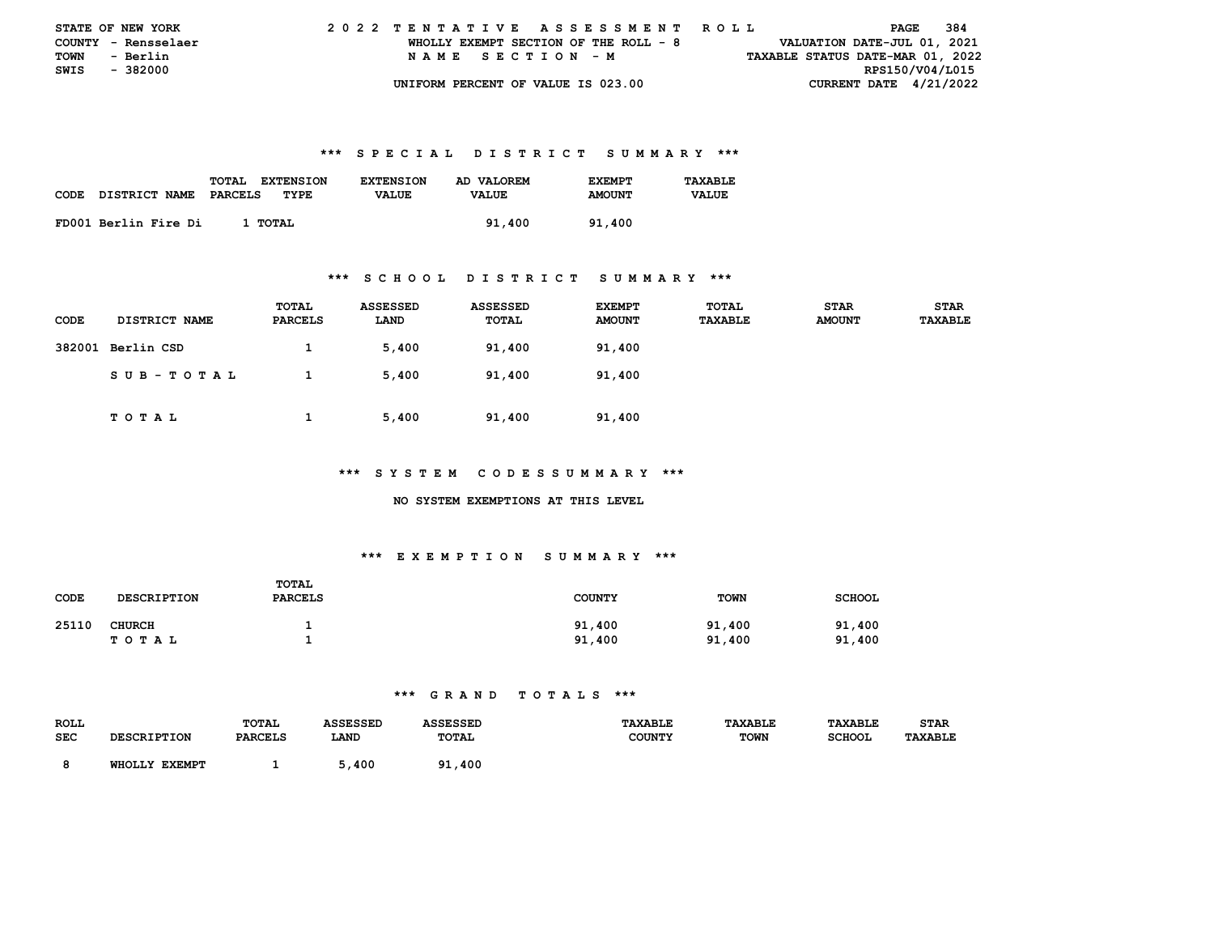|               | <b>STATE OF NEW YORK</b> |  |  |  |  |  |                                       |  |  |  |  |  | 2022 TENTATIVE ASSESSMENT ROLL |  |  |  |                                  | PAGE | 384 |  |
|---------------|--------------------------|--|--|--|--|--|---------------------------------------|--|--|--|--|--|--------------------------------|--|--|--|----------------------------------|------|-----|--|
|               | COUNTY - Rensselaer      |  |  |  |  |  | WHOLLY EXEMPT SECTION OF THE ROLL - 8 |  |  |  |  |  |                                |  |  |  | VALUATION DATE-JUL 01, 2021      |      |     |  |
| <b>TOWN</b>   | - Berlin                 |  |  |  |  |  | NAME SECTION - M                      |  |  |  |  |  |                                |  |  |  | TAXABLE STATUS DATE-MAR 01, 2022 |      |     |  |
| SWIS - 382000 |                          |  |  |  |  |  |                                       |  |  |  |  |  |                                |  |  |  | RPS150/V04/L015                  |      |     |  |
|               |                          |  |  |  |  |  | UNIFORM PERCENT OF VALUE IS 023.00    |  |  |  |  |  |                                |  |  |  | CURRENT DATE $4/21/2022$         |      |     |  |

|             |                      | TOTAL<br><b>EXTENSION</b> | <b>EXTENSION</b> | AD VALOREM   | <b>F.XFMPT</b> | TAXABLE      |
|-------------|----------------------|---------------------------|------------------|--------------|----------------|--------------|
| <b>CODE</b> | DISTRICT NAME        | PARCELS<br>TYPE           | <b>VALUE</b>     | <b>VALUE</b> | <b>AMOUNT</b>  | <b>VALUE</b> |
|             |                      |                           |                  |              |                |              |
|             | FD001 Berlin Fire Di | 1 тотаг                   |                  | 91,400       | 91.400         |              |

#### **\*\*\* S C H O O L D I S T R I C T S U M M A R Y \*\*\***

| <b>CODE</b> | <b>DISTRICT NAME</b> | TOTAL<br>PARCELS | <b>ASSESSED</b><br>LAND | <b>ASSESSED</b><br>TOTAL | <b>EXEMPT</b><br><b>AMOUNT</b> | TOTAL<br><b>TAXABLE</b> | <b>STAR</b><br><b>AMOUNT</b> | <b>STAR</b><br>TAXABLE |
|-------------|----------------------|------------------|-------------------------|--------------------------|--------------------------------|-------------------------|------------------------------|------------------------|
|             | 382001 Berlin CSD    | л.               | 5,400                   | 91,400                   | 91,400                         |                         |                              |                        |
|             | SUB-TOTAL            |                  | 5,400                   | 91,400                   | 91,400                         |                         |                              |                        |
|             | тотаь                |                  | 5,400                   | 91,400                   | 91,400                         |                         |                              |                        |

#### **\*\*\* S Y S T E M C O D E S S U M M A R Y \*\*\***

#### **NO SYSTEM EXEMPTIONS AT THIS LEVEL**

## **\*\*\* E X E M P T I O N S U M M A R Y \*\*\***

| CODE  | <b>DESCRIPTION</b>         | TOTAL<br><b>PARCELS</b> | <b>COUNTY</b>    | <b>TOWN</b>      | <b>SCHOOL</b>    |
|-------|----------------------------|-------------------------|------------------|------------------|------------------|
| 25110 | <b>CHURCH</b><br>T O T A L |                         | 91,400<br>91,400 | 91,400<br>91,400 | 91,400<br>91,400 |

| <b>ROLL</b> |                                  | <b>TOTAL</b>   | <b>SSESSED</b> |              | <b><i>TAXABLE</i></b> | <b>TAXABLE</b> | TAXABLE       | STAR    |
|-------------|----------------------------------|----------------|----------------|--------------|-----------------------|----------------|---------------|---------|
| SEC         | וגמדייים דם מספח                 | <b>PARCELS</b> | LAND           | TOTAL        | <b>COUNTY</b>         | <b>TOWN</b>    | <b>SCHOOI</b> | TAXABLE |
|             | <b>EXEMPT</b><br><b>WHOT.T.Y</b> |                | 400            | 91,400<br>۵1 |                       |                |               |         |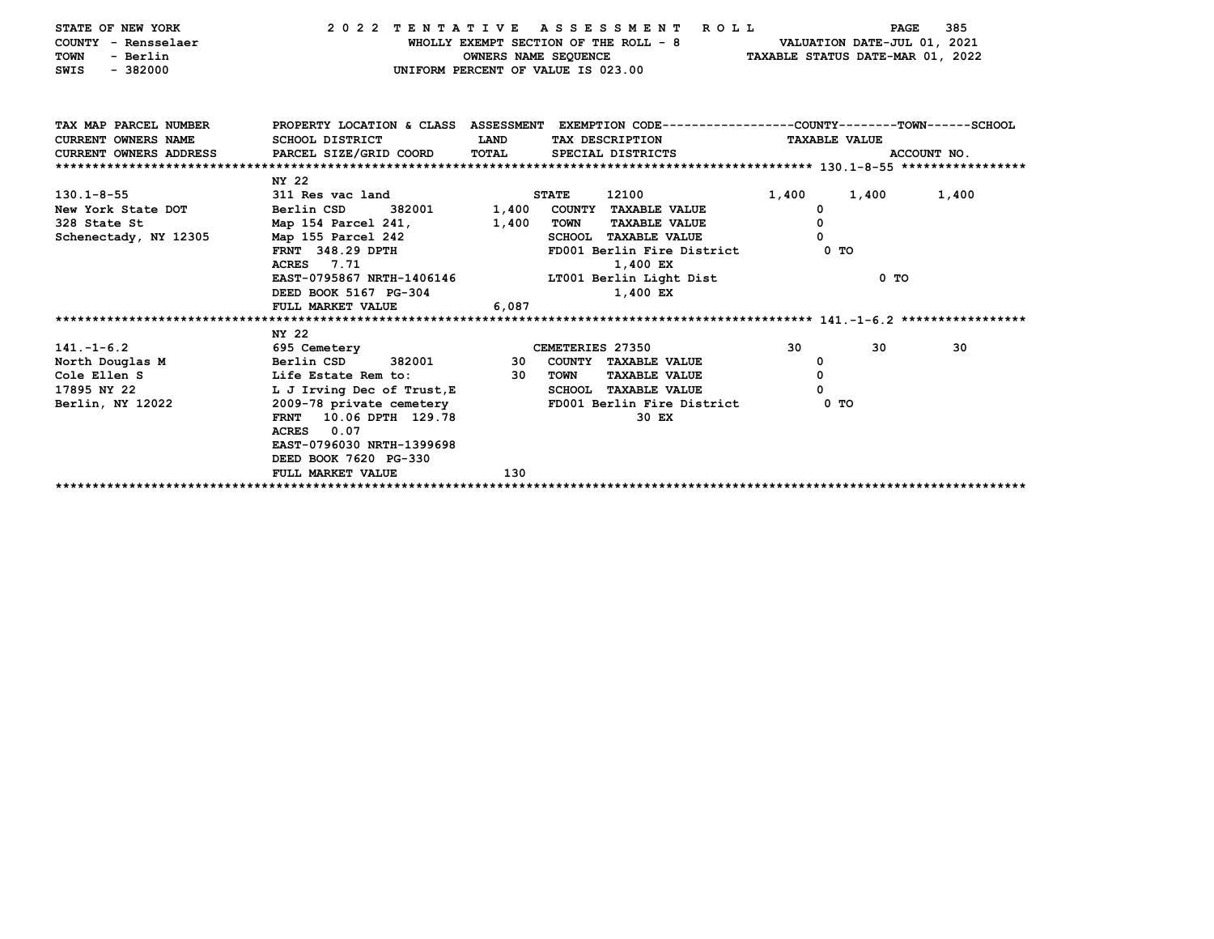| STATE OF NEW YORK<br>COUNTY - Rensselaer<br><b>TOWN</b><br>- Berlin<br>$-382000$<br>SWIS | 2022 TENTATIVE ASSESSMENT ROLL                                                                  | OWNERS NAME SEQUENCE<br>UNIFORM PERCENT OF VALUE IS 023.00 |              | WHOLLY EXEMPT SECTION OF THE ROLL - 8 VALUATION DATE-JUL 01, 2021 | TAXABLE STATUS DATE-MAR 01, 2022 | PAGE                 | 385         |
|------------------------------------------------------------------------------------------|-------------------------------------------------------------------------------------------------|------------------------------------------------------------|--------------|-------------------------------------------------------------------|----------------------------------|----------------------|-------------|
|                                                                                          |                                                                                                 |                                                            |              |                                                                   |                                  |                      |             |
| TAX MAP PARCEL NUMBER                                                                    | PROPERTY LOCATION & CLASS ASSESSMENT EXEMPTION CODE---------------COUNTY-------TOWN------SCHOOL |                                                            |              |                                                                   |                                  |                      |             |
| <b>CURRENT OWNERS NAME</b>                                                               | SCHOOL DISTRICT                                                                                 | <b>LAND</b>                                                |              | TAX DESCRIPTION                                                   |                                  | <b>TAXABLE VALUE</b> |             |
| CURRENT OWNERS ADDRESS PARCEL SIZE/GRID COORD                                            |                                                                                                 | <b>TOTAL</b>                                               |              | SPECIAL DISTRICTS                                                 |                                  |                      | ACCOUNT NO. |
|                                                                                          |                                                                                                 |                                                            |              |                                                                   |                                  |                      |             |
|                                                                                          | NY 22                                                                                           |                                                            |              |                                                                   |                                  |                      |             |
| $130.1 - 8 - 55$                                                                         | 311 Res vac land                                                                                |                                                            | <b>STATE</b> | 12100 72100                                                       | 1,400                            | 1,400                | 1,400       |
| New York State DOT Berlin CSD                                                            | 382001 1,400 COUNTY TAXABLE VALUE                                                               |                                                            |              |                                                                   | $^{\circ}$                       |                      |             |
| 328 State St                                                                             | Map 154 Parcel 241, 1,400 TOWN                                                                  |                                                            |              | <b>TAXABLE VALUE</b>                                              | 0                                |                      |             |
| Schenectady, NY 12305                                                                    | Map 155 Parcel 242                                                                              |                                                            |              | SCHOOL TAXABLE VALUE                                              | $\Omega$                         |                      |             |
|                                                                                          | FRNT 348.29 DPTH<br>ACRES 7.71                                                                  |                                                            |              | FD001 Berlin Fire District 0 TO                                   |                                  |                      |             |
|                                                                                          |                                                                                                 |                                                            |              | 1,400 EX                                                          |                                  |                      |             |
|                                                                                          | EAST-0795867 NRTH-1406146 LT001 Berlin Light Dist                                               |                                                            |              |                                                                   |                                  | 0 TO                 |             |
|                                                                                          | DEED BOOK 5167 PG-304                                                                           |                                                            |              | 1,400 EX                                                          |                                  |                      |             |
|                                                                                          | FULL MARKET VALUE                                                                               | 6,087                                                      |              |                                                                   |                                  |                      |             |
|                                                                                          | NY 22                                                                                           |                                                            |              |                                                                   |                                  |                      |             |
| $141. -1 - 6.2$                                                                          | 695 Cemetery <b>Example 2018</b> CEMETERIES 27350                                               |                                                            |              |                                                                   | 30                               | 30                   | 30          |
| North Douglas M Berlin CSD                                                               |                                                                                                 |                                                            |              | 382001 30 COUNTY TAXABLE VALUE                                    | $^{\circ}$                       |                      |             |
| Cole Ellen S                                                                             | Life Estate Rem to:                                                                             | 30                                                         | TOWN         | <b>TAXABLE VALUE</b>                                              | 0                                |                      |             |
| 17895 NY 22                                                                              | L J Irving Dec of Trust, E                                                                      |                                                            |              | SCHOOL TAXABLE VALUE                                              | 0                                |                      |             |
| Berlin, NY 12022                                                                         | 2009-78 private cemetery                                                                        |                                                            |              | FD001 Berlin Fire District                                        |                                  | 0 TO                 |             |
|                                                                                          | 10.06 DPTH 129.78<br><b>FRNT</b>                                                                |                                                            |              | 30 EX                                                             |                                  |                      |             |
|                                                                                          | ACRES 0.07                                                                                      |                                                            |              |                                                                   |                                  |                      |             |
|                                                                                          | EAST-0796030 NRTH-1399698                                                                       |                                                            |              |                                                                   |                                  |                      |             |
|                                                                                          | DEED BOOK 7620 PG-330                                                                           |                                                            |              |                                                                   |                                  |                      |             |
|                                                                                          | FULL MARKET VALUE                                                                               | 130                                                        |              |                                                                   |                                  |                      |             |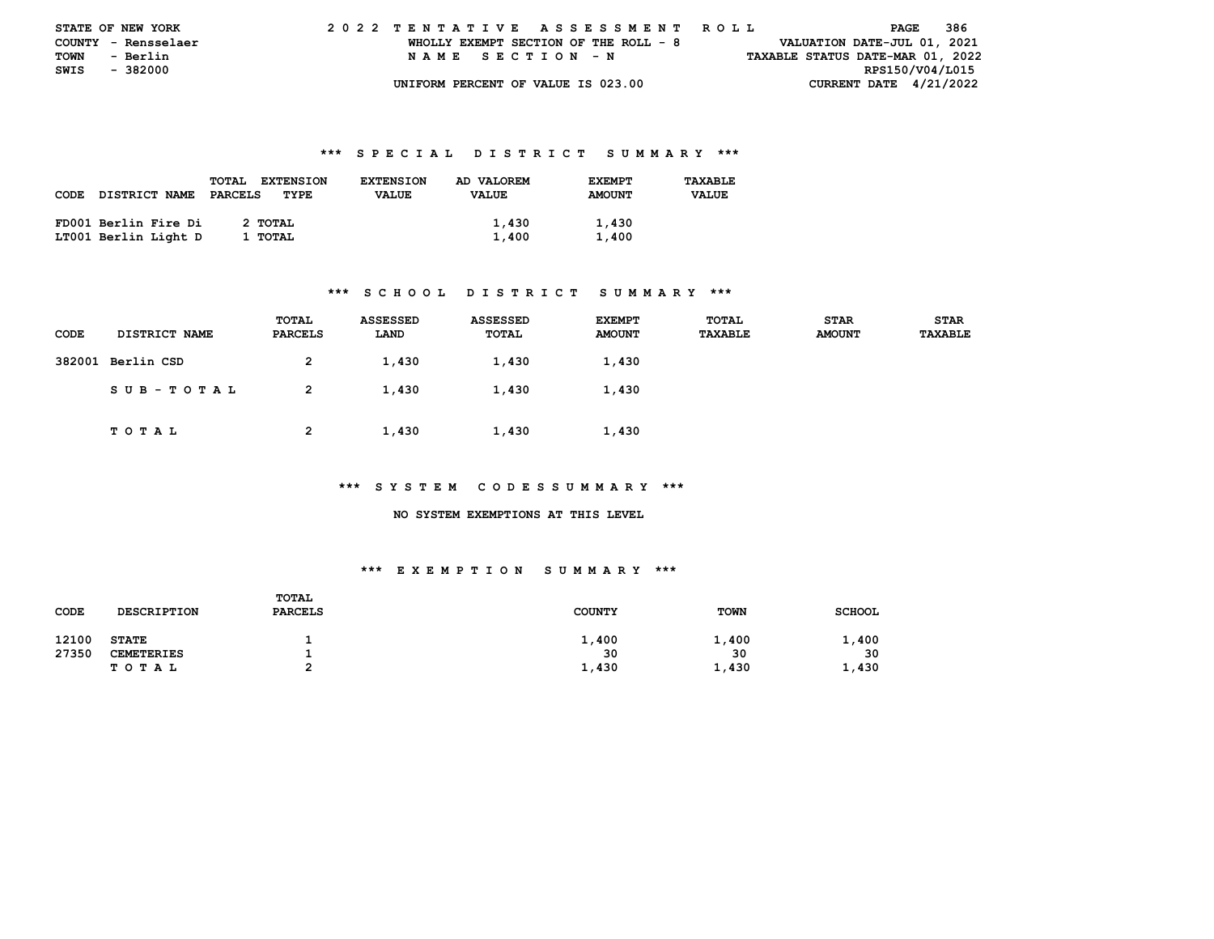| <b>STATE OF NEW YORK</b> |          |  | 2022 TENTATIVE ASSESSMENT ROLL |  |  |  |                                       |  |  |  |  |  |  |  |  |  |                                  | PAGE | 386 |  |
|--------------------------|----------|--|--------------------------------|--|--|--|---------------------------------------|--|--|--|--|--|--|--|--|--|----------------------------------|------|-----|--|
| COUNTY - Rensselaer      |          |  |                                |  |  |  | WHOLLY EXEMPT SECTION OF THE ROLL - 8 |  |  |  |  |  |  |  |  |  | VALUATION DATE-JUL 01, 2021      |      |     |  |
| TOWN                     | - Berlin |  |                                |  |  |  | NAME SECTION - N                      |  |  |  |  |  |  |  |  |  | TAXABLE STATUS DATE-MAR 01, 2022 |      |     |  |
| SWIS                     | - 382000 |  |                                |  |  |  |                                       |  |  |  |  |  |  |  |  |  | RPS150/V04/L015                  |      |     |  |
|                          |          |  |                                |  |  |  | UNIFORM PERCENT OF VALUE IS 023.00    |  |  |  |  |  |  |  |  |  | CURRENT DATE $4/21/2022$         |      |     |  |

|             |                      | <b>TOTAL</b><br><b>EXTENSION</b> | <b>EXTENSION</b> | AD VALOREM   | <b>EXEMPT</b> | TAXABLE      |
|-------------|----------------------|----------------------------------|------------------|--------------|---------------|--------------|
| <b>CODE</b> | DISTRICT NAME        | PARCELS<br>TYPE                  | <b>VALUE</b>     | <b>VALUE</b> | <b>AMOUNT</b> | <b>VALUE</b> |
|             |                      |                                  |                  |              |               |              |
|             | FD001 Berlin Fire Di | 2 TOTAL                          |                  | 1,430        | 1,430         |              |
|             | LT001 Berlin Light D | 1 TOTAL                          |                  | 1,400        | 1,400         |              |

#### **\*\*\* S C H O O L D I S T R I C T S U M M A R Y \*\*\***

| CODE | <b>DISTRICT NAME</b> | TOTAL<br>PARCELS | <b>ASSESSED</b><br>LAND | <b>ASSESSED</b><br>TOTAL | <b>EXEMPT</b><br><b>AMOUNT</b> | TOTAL<br><b>TAXABLE</b> | <b>STAR</b><br><b>AMOUNT</b> | <b>STAR</b><br><b>TAXABLE</b> |
|------|----------------------|------------------|-------------------------|--------------------------|--------------------------------|-------------------------|------------------------------|-------------------------------|
|      | 382001 Berlin CSD    | 2                | 1,430                   | 1,430                    | 1,430                          |                         |                              |                               |
|      | SUB-TOTAL            | 2                | 1,430                   | 1,430                    | 1,430                          |                         |                              |                               |
|      | T O T A L            | 2                | 1,430                   | 1,430                    | 1,430                          |                         |                              |                               |

#### **\*\*\* S Y S T E M C O D E S S U M M A R Y \*\*\***

 **NO SYSTEM EXEMPTIONS AT THIS LEVEL** 

| CODE  | <b>DESCRIPTION</b> | TOTAL<br><b>PARCELS</b> | <b>COUNTY</b> | <b>TOWN</b> | <b>SCHOOL</b> |
|-------|--------------------|-------------------------|---------------|-------------|---------------|
| 12100 | <b>STATE</b>       | -                       | 1,400         | 1,400       | 1,400         |
| 27350 | <b>CEMETERIES</b>  |                         | 30            | 30          | 30            |
|       | T O T A L          |                         | 1,430         | 1,430       | 1,430         |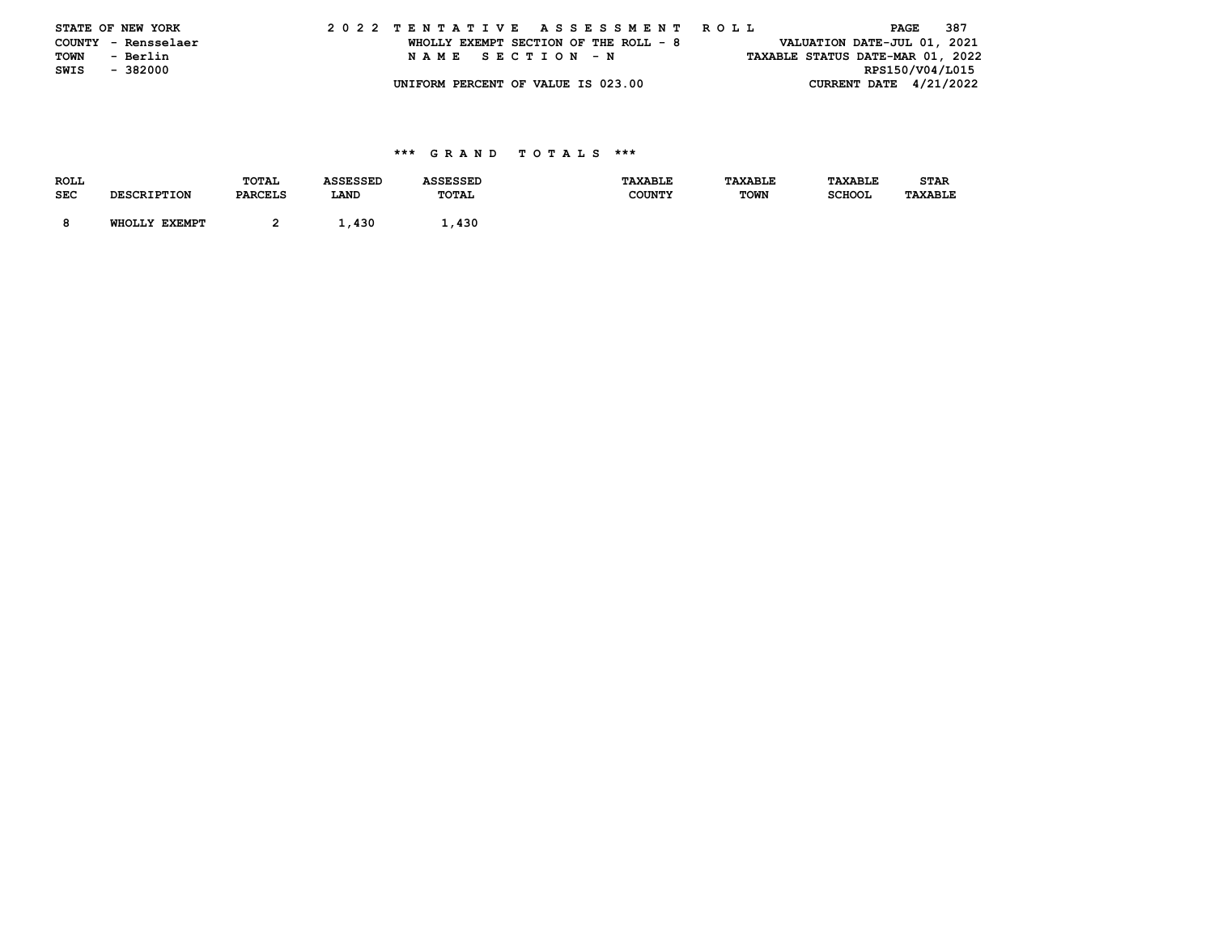|      | STATE OF NEW YORK   |  |  |  |  |  |                                       |  |  |  |  | 2022 TENTATIVE ASSESSMENT ROLL |  |  |                                  |                 | PAGE | - 387 |  |
|------|---------------------|--|--|--|--|--|---------------------------------------|--|--|--|--|--------------------------------|--|--|----------------------------------|-----------------|------|-------|--|
|      | COUNTY - Rensselaer |  |  |  |  |  | WHOLLY EXEMPT SECTION OF THE ROLL - 8 |  |  |  |  |                                |  |  | VALUATION DATE-JUL 01, 2021      |                 |      |       |  |
| TOWN | - Berlin            |  |  |  |  |  | NAME SECTION -N                       |  |  |  |  |                                |  |  | TAXABLE STATUS DATE-MAR 01, 2022 |                 |      |       |  |
| SWIS | - 382000            |  |  |  |  |  |                                       |  |  |  |  |                                |  |  |                                  | RPS150/V04/L015 |      |       |  |
|      |                     |  |  |  |  |  | UNIFORM PERCENT OF VALUE IS 023.00    |  |  |  |  |                                |  |  | CURRENT DATE 4/21/2022           |                 |      |       |  |

| <b>ROLL</b> |                    | TOTAL          | ASSESSED | <b>ASSESSED</b> | <b>TAXABLE</b> | TAXABLE     | <b>TAXABLE</b> | <b>STAR</b>    |
|-------------|--------------------|----------------|----------|-----------------|----------------|-------------|----------------|----------------|
| SEC         | <b>DESCRIPTION</b> | <b>PARCELS</b> | LAND     | TOTAL           | <b>COUNTY</b>  | <b>TOWN</b> | <b>SCHOOL</b>  | <b>TAXABLE</b> |
|             |                    |                |          |                 |                |             |                |                |
|             | WHOLLY EXEMPT      |                | ⊥.430    | 1,430           |                |             |                |                |
|             |                    |                |          |                 |                |             |                |                |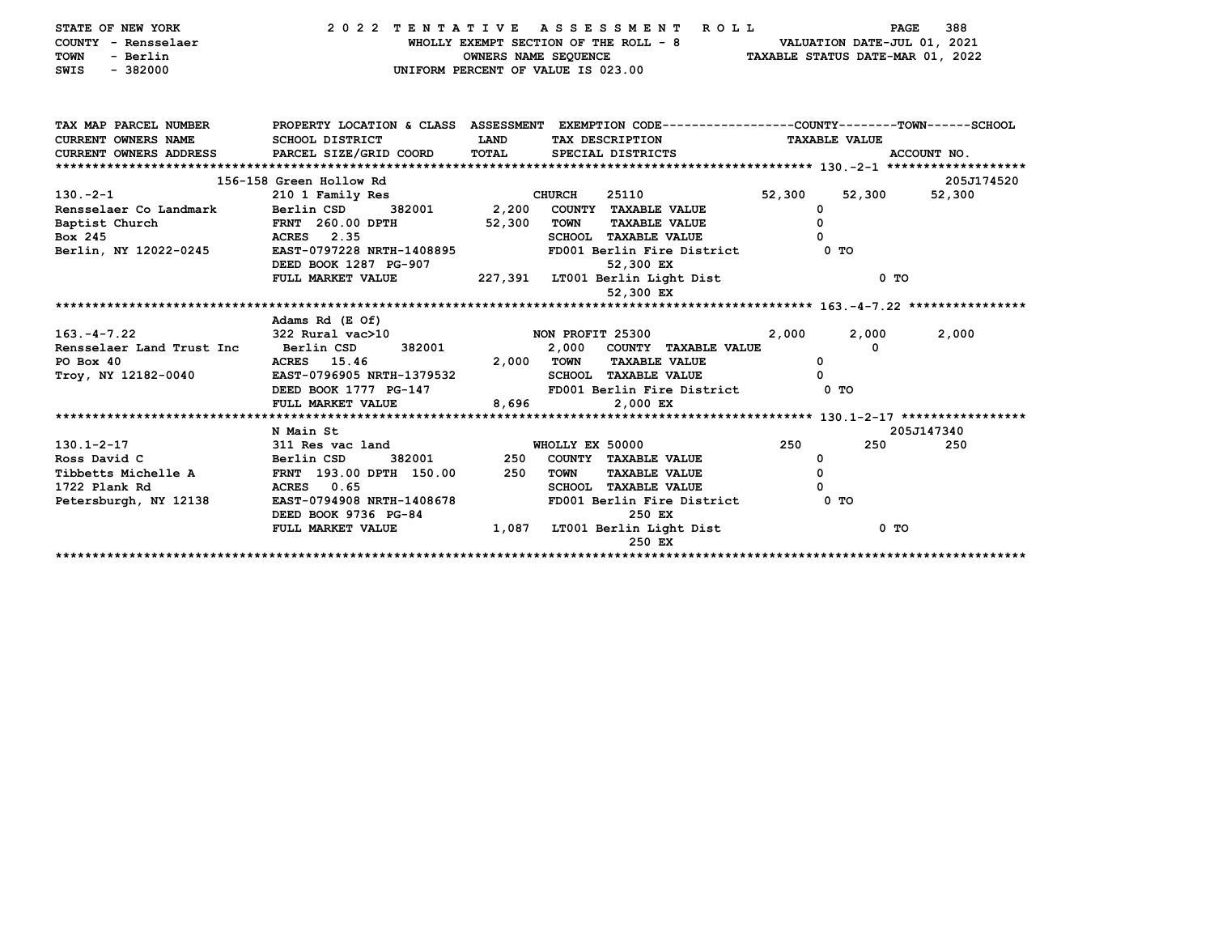| STATE OF NEW YORK<br>COUNTY - Rensselaer<br>- Berlin<br><b>TOWN</b><br>$-382000$<br>SWIS |                                                    | OWNERS NAME SEQUENCE | 2022 TENTATIVE ASSESSMENT ROLL<br>WHOLLY EXEMPT SECTION OF THE ROLL - 8<br>UNIFORM PERCENT OF VALUE IS 023.00 |                      | 388<br><b>PAGE</b><br>VALUATION DATE-JUL 01, 2021<br>TAXABLE STATUS DATE-MAR 01, 2022 |
|------------------------------------------------------------------------------------------|----------------------------------------------------|----------------------|---------------------------------------------------------------------------------------------------------------|----------------------|---------------------------------------------------------------------------------------|
| TAX MAP PARCEL NUMBER                                                                    |                                                    |                      | PROPERTY LOCATION & CLASS ASSESSMENT EXEMPTION CODE---------------COUNTY-------TOWN-----SCHOOL                |                      |                                                                                       |
| <b>CURRENT OWNERS NAME</b>                                                               | SCHOOL DISTRICT                                    | LAND                 | TAX DESCRIPTION                                                                                               | <b>TAXABLE VALUE</b> |                                                                                       |
| CURRENT OWNERS ADDRESS PARCEL SIZE/GRID COORD                                            |                                                    | TOTAL                | SPECIAL DISTRICTS                                                                                             |                      | ACCOUNT NO.                                                                           |
|                                                                                          |                                                    |                      |                                                                                                               |                      |                                                                                       |
|                                                                                          | 156-158 Green Hollow Rd                            |                      |                                                                                                               |                      | 205J174520                                                                            |
| 130.-2-1                                                                                 | 210 1 Family Res                                   |                      | <b>CHURCH</b><br>25110                                                                                        | 52,300               | 52,300<br>52,300                                                                      |
| Rensselaer Co Landmark Berlin CSD                                                        | 382001                                             | 2,200                | COUNTY TAXABLE VALUE                                                                                          | 0                    |                                                                                       |
| Baptist Church                                                                           | <b>FRNT 260.00 DPTH</b>                            | 52,300               | <b>TOWN</b><br><b>TAXABLE VALUE</b>                                                                           | $\Omega$             |                                                                                       |
| Box 245                                                                                  | <b>ACRES</b> 2.35                                  |                      | <b>SCHOOL TAXABLE VALUE</b>                                                                                   | 0                    |                                                                                       |
| Berlin, NY 12022-0245                                                                    | EAST-0797228 NRTH-1408895<br>DEED BOOK 1287 PG-907 |                      | FD001 Berlin Fire District<br>52,300 EX                                                                       | 0 TO                 |                                                                                       |
|                                                                                          | FULL MARKET VALUE                                  |                      | 227,391 LT001 Berlin Light Dist                                                                               |                      | 0 <sub>T</sub>                                                                        |
|                                                                                          |                                                    |                      | 52,300 EX                                                                                                     |                      |                                                                                       |
|                                                                                          |                                                    |                      |                                                                                                               |                      |                                                                                       |
|                                                                                          | Adams Rd (E Of)                                    |                      |                                                                                                               |                      |                                                                                       |
| $163. - 4 - 7.22$                                                                        | 322 Rural vac>10                                   |                      | NON PROFIT 25300                                                                                              | 2,000                | 2,000<br>2,000                                                                        |
| Rensselaer Land Trust Inc Berlin CSD                                                     | 382001                                             |                      | 2,000 COUNTY TAXABLE VALUE                                                                                    |                      | 0                                                                                     |
| PO Box 40                                                                                | ACRES 15.46                                        | 2,000 TOWN           | <b>TAXABLE VALUE</b>                                                                                          | 0                    |                                                                                       |
| Troy, NY 12182-0040                                                                      | EAST-0796905 NRTH-1379532                          |                      | <b>SCHOOL TAXABLE VALUE</b>                                                                                   | 0                    |                                                                                       |
|                                                                                          | DEED BOOK 1777 PG-147                              |                      | FD001 Berlin Fire District                                                                                    | 0 TO                 |                                                                                       |
|                                                                                          | FULL MARKET VALUE                                  | 8,696                | 2,000 EX                                                                                                      |                      |                                                                                       |
|                                                                                          |                                                    |                      |                                                                                                               |                      |                                                                                       |
|                                                                                          | N Main St                                          |                      |                                                                                                               |                      | 205J147340                                                                            |
| $130.1 - 2 - 17$                                                                         | 311 Res vac land                                   |                      | WHOLLY EX 50000                                                                                               | 250                  | 250<br>250                                                                            |
| Ross David C                                                                             | 382001<br>Berlin CSD                               | 250                  | COUNTY TAXABLE VALUE                                                                                          | 0                    |                                                                                       |
| Tibbetts Michelle A                                                                      | FRNT 193.00 DPTH 150.00                            | 250                  | <b>TAXABLE VALUE</b><br><b>TOWN</b>                                                                           | 0                    |                                                                                       |
| 1722 Plank Rd                                                                            | ACRES 0.65                                         |                      | <b>SCHOOL TAXABLE VALUE</b>                                                                                   | 0                    |                                                                                       |
| Petersburgh, NY 12138                                                                    | EAST-0794908 NRTH-1408678<br>DEED BOOK 9736 PG-84  |                      | FD001 Berlin Fire District<br>250 EX                                                                          | $0$ TO               |                                                                                       |
|                                                                                          | FULL MARKET VALUE                                  | 1,087                | LT001 Berlin Light Dist                                                                                       |                      | $0$ TO                                                                                |
|                                                                                          |                                                    |                      | 250 EX                                                                                                        |                      |                                                                                       |
|                                                                                          |                                                    |                      |                                                                                                               |                      |                                                                                       |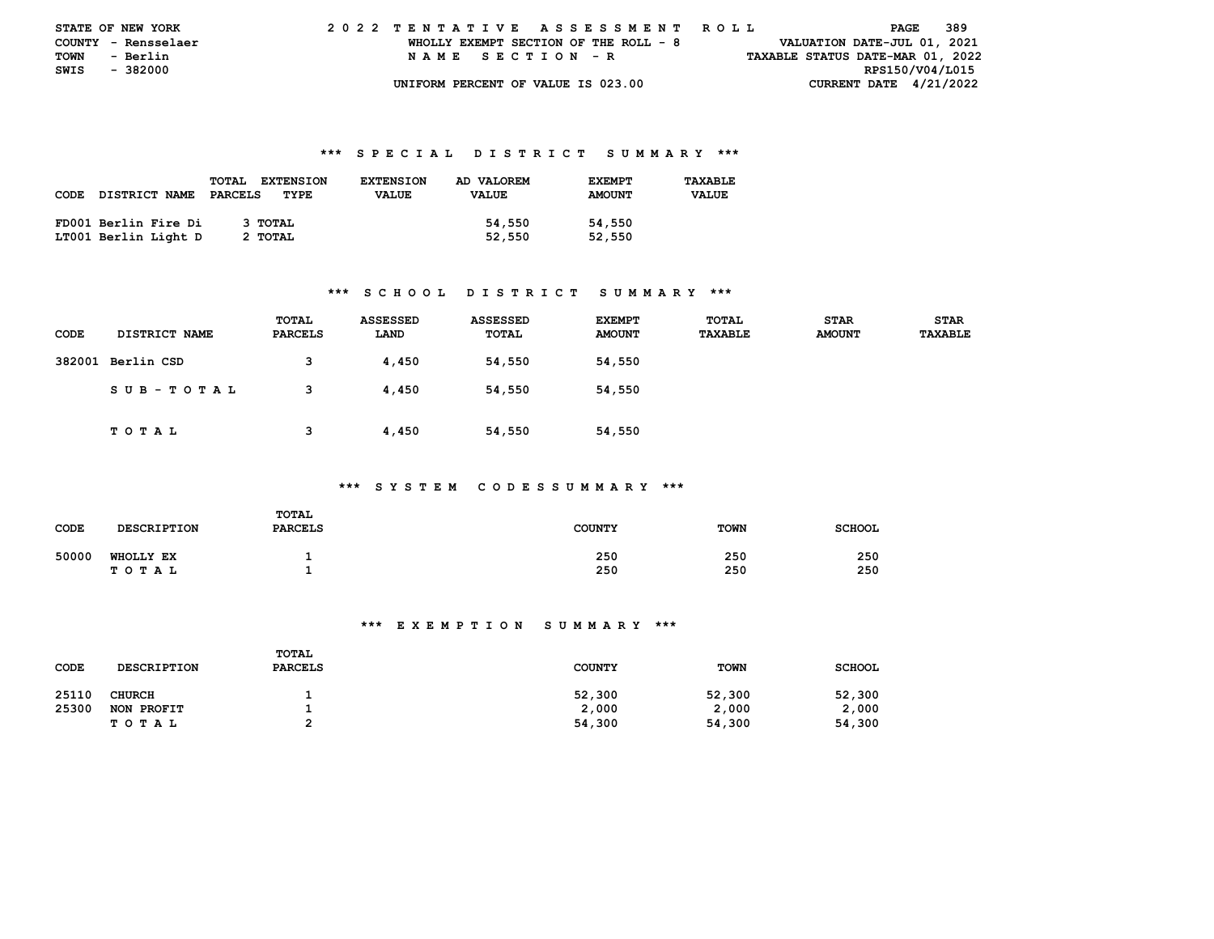| <b>STATE OF NEW YORK</b> |                     |  | 2022 TENTATIVE ASSESSMENT ROLL |  |  |  |                                       |  |  |  |  |  |  |  |  |  |                                  | PAGE | 389 |  |
|--------------------------|---------------------|--|--------------------------------|--|--|--|---------------------------------------|--|--|--|--|--|--|--|--|--|----------------------------------|------|-----|--|
|                          | COUNTY - Rensselaer |  |                                |  |  |  | WHOLLY EXEMPT SECTION OF THE ROLL - 8 |  |  |  |  |  |  |  |  |  | VALUATION DATE-JUL 01, 2021      |      |     |  |
| <b>TOWN</b>              | - Berlin            |  |                                |  |  |  | NAME SECTION - R                      |  |  |  |  |  |  |  |  |  | TAXABLE STATUS DATE-MAR 01, 2022 |      |     |  |
| SWIS - 382000            |                     |  |                                |  |  |  |                                       |  |  |  |  |  |  |  |  |  | RPS150/V04/L015                  |      |     |  |
|                          |                     |  |                                |  |  |  | UNIFORM PERCENT OF VALUE IS 023.00    |  |  |  |  |  |  |  |  |  | CURRENT DATE $4/21/2022$         |      |     |  |

|      |                      | <b>TOTAL</b><br><b>EXTENSION</b> | <b>EXTENSION</b> | AD VALOREM   | <b>EXEMPT</b> | TAXABLE      |
|------|----------------------|----------------------------------|------------------|--------------|---------------|--------------|
| CODE | DISTRICT NAME        | PARCELS<br>TYPE                  | <b>VALUE</b>     | <b>VALUE</b> | <b>AMOUNT</b> | <b>VALUE</b> |
|      |                      |                                  |                  |              |               |              |
|      | FD001 Berlin Fire Di | З ТОТАЬ                          |                  | 54,550       | 54,550        |              |
|      | LT001 Berlin Light D | 2 TOTAL                          |                  | 52,550       | 52,550        |              |

## **\*\*\* S C H O O L D I S T R I C T S U M M A R Y \*\*\***

| CODE | <b>DISTRICT NAME</b> | TOTAL<br>PARCELS | ASSESSED<br>LAND | <b>ASSESSED</b><br>TOTAL | <b>EXEMPT</b><br><b>AMOUNT</b> | TOTAL<br><b>TAXABLE</b> | <b>STAR</b><br><b>AMOUNT</b> | <b>STAR</b><br><b>TAXABLE</b> |
|------|----------------------|------------------|------------------|--------------------------|--------------------------------|-------------------------|------------------------------|-------------------------------|
|      | 382001 Berlin CSD    | 3                | 4,450            | 54,550                   | 54,550                         |                         |                              |                               |
|      | SUB-TOTAL            | 3                | 4,450            | 54,550                   | 54,550                         |                         |                              |                               |
|      | T O T A L            | 3                | 4,450            | 54,550                   | 54,550                         |                         |                              |                               |

#### **\*\*\* S Y S T E M C O D E S S U M M A R Y \*\*\***

| CODE  | <b>DESCRIPTION</b>        | TOTAL<br><b>PARCELS</b> | <b>COUNTY</b> | <b>TOWN</b> | <b>SCHOOL</b> |
|-------|---------------------------|-------------------------|---------------|-------------|---------------|
| 50000 | <b>WHOLLY EX</b><br>TOTAL |                         | 250<br>250    | 250<br>250  | 250<br>250    |

| CODE  | <b>DESCRIPTION</b> | TOTAL<br><b>PARCELS</b> | <b>COUNTY</b> | <b>TOWN</b> | <b>SCHOOL</b> |
|-------|--------------------|-------------------------|---------------|-------------|---------------|
| 25110 | <b>CHURCH</b>      |                         | 52,300        | 52,300      | 52,300        |
| 25300 | NON PROFIT         |                         | 2,000         | 2,000       | 2,000         |
|       | TOTAL              | ີ                       | 54,300        | 54,300      | 54,300        |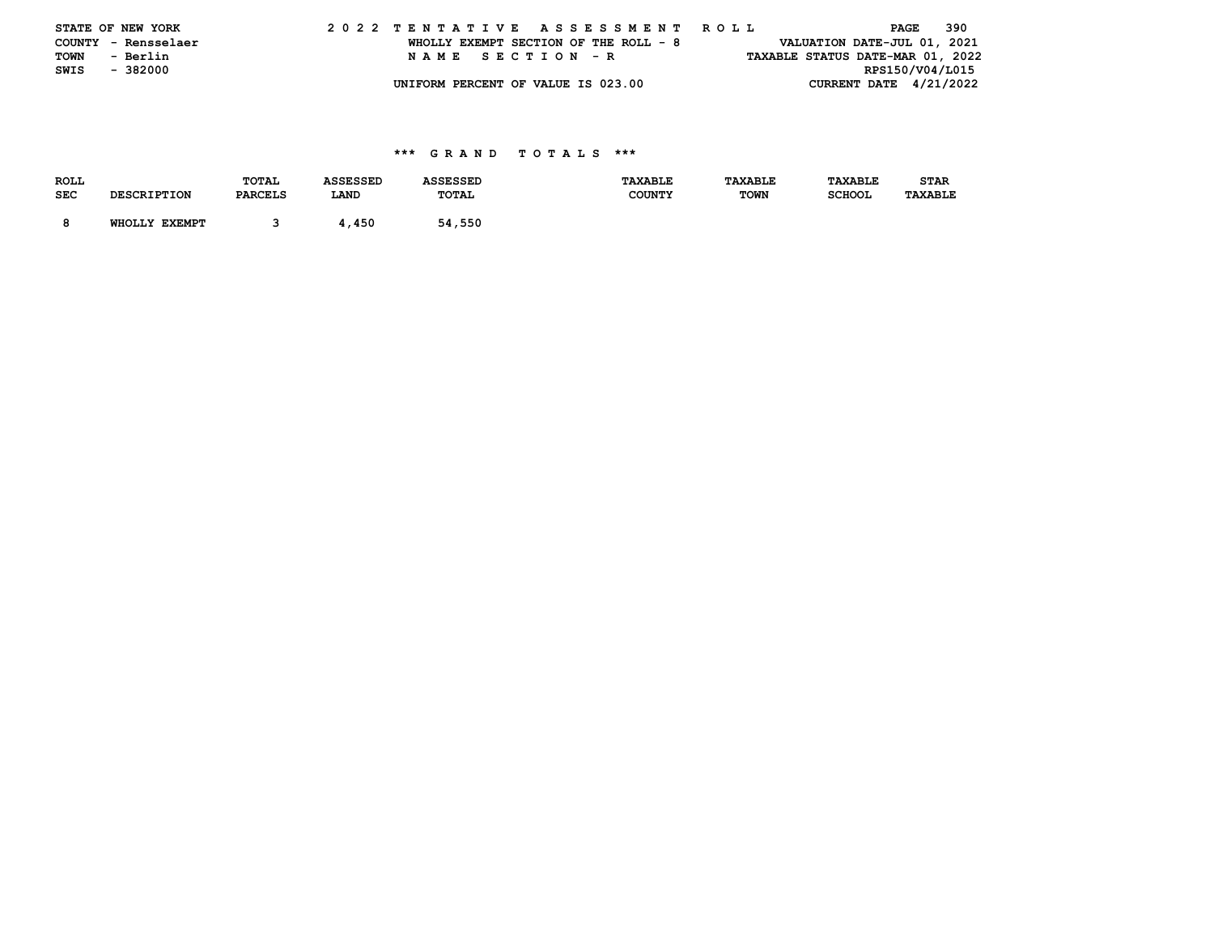|      | STATE OF NEW YORK   |  |  |  |  |  |                                       |  |  |  |  | 2022 TENTATIVE ASSESSMENT ROLL |  |  |  | PAGE                             | - 390 |  |
|------|---------------------|--|--|--|--|--|---------------------------------------|--|--|--|--|--------------------------------|--|--|--|----------------------------------|-------|--|
|      | COUNTY - Rensselaer |  |  |  |  |  | WHOLLY EXEMPT SECTION OF THE ROLL - 8 |  |  |  |  |                                |  |  |  | VALUATION DATE-JUL 01, 2021      |       |  |
| TOWN | - Berlin            |  |  |  |  |  | NAME SECTION - R                      |  |  |  |  |                                |  |  |  | TAXABLE STATUS DATE-MAR 01, 2022 |       |  |
| SWIS | - 382000            |  |  |  |  |  |                                       |  |  |  |  |                                |  |  |  | RPS150/V04/L015                  |       |  |
|      |                     |  |  |  |  |  | UNIFORM PERCENT OF VALUE IS 023.00    |  |  |  |  |                                |  |  |  | CURRENT DATE 4/21/2022           |       |  |

| <b>ROLL</b> |                    | TOTAL          | <b>ASSESSED</b> | <b>ASSESSED</b> | <b>TAXABLE</b> | <b>TAXABLE</b> | TAXABLE       | <b>STAR</b>    |
|-------------|--------------------|----------------|-----------------|-----------------|----------------|----------------|---------------|----------------|
| <b>SEC</b>  | <b>DESCRIPTION</b> | <b>PARCELS</b> | LAND            | TOTAL           | <b>COUNTY</b>  | <b>TOWN</b>    | <b>SCHOOL</b> | <b>TAXABLE</b> |
|             |                    |                |                 |                 |                |                |               |                |
|             | WHOLLY EXEMPT      |                | 4,450           | 54,550          |                |                |               |                |
|             |                    |                |                 |                 |                |                |               |                |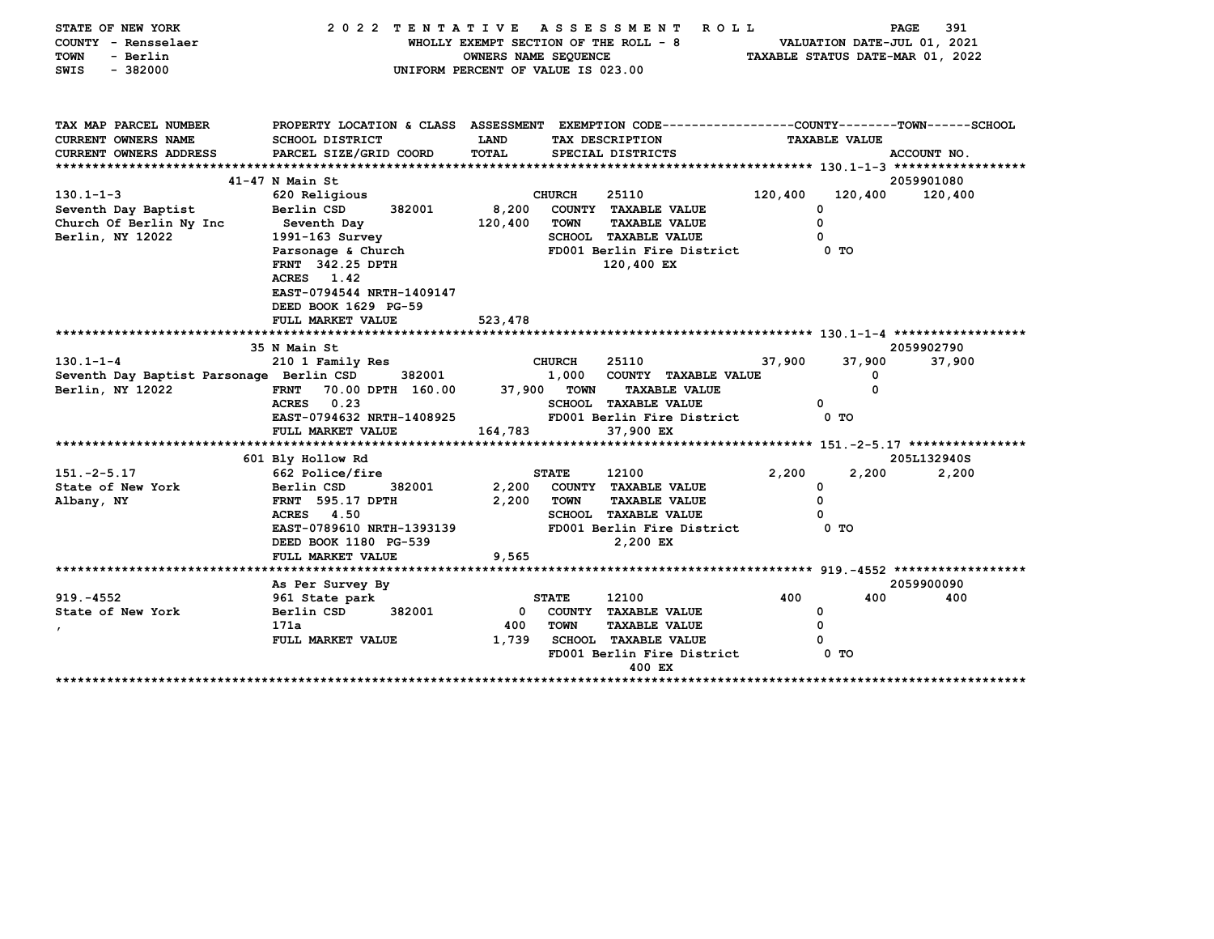| STATE OF NEW YORK<br>COUNTY - Rensselaer<br><b>TOWN</b><br>- Berlin<br>$-382000$<br>SWIS | 2022 TENTATIVE                                                                                                   | OWNERS NAME SEQUENCE<br>UNIFORM PERCENT OF VALUE IS 023.00 |               | ASSESSMENT<br><b>ROLL</b><br>WHOLLY EXEMPT SECTION OF THE ROLL - 8 |         |                      | PAGE<br>391<br>VALUATION DATE-JUL 01, 2021<br>TAXABLE STATUS DATE-MAR 01, 2022 |
|------------------------------------------------------------------------------------------|------------------------------------------------------------------------------------------------------------------|------------------------------------------------------------|---------------|--------------------------------------------------------------------|---------|----------------------|--------------------------------------------------------------------------------|
| TAX MAP PARCEL NUMBER                                                                    | PROPERTY LOCATION & CLASS ASSESSMENT EXEMPTION CODE---------------COUNTY-------TOWN------SCHOOL                  |                                                            |               |                                                                    |         |                      |                                                                                |
| CURRENT OWNERS NAME                                                                      | <b>SCHOOL DISTRICT</b>                                                                                           | LAND                                                       |               | TAX DESCRIPTION                                                    |         | <b>TAXABLE VALUE</b> |                                                                                |
| <b>CURRENT OWNERS ADDRESS</b>                                                            | PARCEL SIZE/GRID COORD                                                                                           | <b>TOTAL</b>                                               |               | SPECIAL DISTRICTS                                                  |         |                      | ACCOUNT NO.                                                                    |
|                                                                                          | $41-47$ N Main St                                                                                                |                                                            |               |                                                                    |         |                      | 2059901080                                                                     |
| $130.1 - 1 - 3$                                                                          | 620 Religious                                                                                                    |                                                            | <b>CHURCH</b> | 25110                                                              | 120,400 | 120,400              | 120,400                                                                        |
| Seventh Day Baptist                                                                      | Berlin CSD<br>382001                                                                                             | 8,200                                                      |               | COUNTY TAXABLE VALUE                                               |         | 0                    |                                                                                |
| Church Of Berlin Ny Inc                                                                  | Seventh Day                                                                                                      | 120,400                                                    | <b>TOWN</b>   | <b>TAXABLE VALUE</b>                                               |         | 0                    |                                                                                |
| Berlin, NY 12022                                                                         | 1991-163 Survey                                                                                                  |                                                            |               | <b>SCHOOL TAXABLE VALUE</b>                                        |         | 0                    |                                                                                |
|                                                                                          | Parsonage & Church<br><b>FRNT 342.25 DPTH</b><br>ACRES 1.42<br>EAST-0794544 NRTH-1409147<br>DEED BOOK 1629 PG-59 |                                                            |               | FD001 Berlin Fire District<br>120,400 EX                           |         | 0 TO                 |                                                                                |
|                                                                                          | FULL MARKET VALUE                                                                                                | 523,478                                                    |               |                                                                    |         |                      |                                                                                |
|                                                                                          | 35 N Main St                                                                                                     |                                                            |               |                                                                    |         |                      | 2059902790                                                                     |
| $130.1 - 1 - 4$                                                                          | 210 1 Family Res                                                                                                 |                                                            | <b>CHURCH</b> | 25110                                                              | 37,900  | 37,900               | 37,900                                                                         |
| Seventh Day Baptist Parsonage Berlin CSD                                                 | 382001                                                                                                           |                                                            | 1,000         | COUNTY TAXABLE VALUE                                               |         | 0                    |                                                                                |
| Berlin, NY 12022                                                                         | <b>FRNT</b><br>70.00 DPTH 160.00                                                                                 |                                                            | 37,900 TOWN   | <b>TAXABLE VALUE</b>                                               |         | $\Omega$             |                                                                                |
|                                                                                          | 0.23<br><b>ACRES</b>                                                                                             |                                                            |               | <b>SCHOOL TAXABLE VALUE</b>                                        |         | 0                    |                                                                                |
|                                                                                          | EAST-0794632 NRTH-1408925                                                                                        |                                                            |               | FD001 Berlin Fire District                                         |         | 0 TO                 |                                                                                |
|                                                                                          | FULL MARKET VALUE                                                                                                | 164,783                                                    |               | 37,900 EX                                                          |         |                      |                                                                                |
|                                                                                          | 601 Bly Hollow Rd                                                                                                |                                                            |               |                                                                    |         |                      | 205L132940S                                                                    |
| $151. -2 - 5.17$                                                                         | 662 Police/fire                                                                                                  |                                                            | <b>STATE</b>  | 12100                                                              | 2,200   | 2,200                | 2,200                                                                          |
| State of New York                                                                        | Berlin CSD<br>382001                                                                                             | 2,200                                                      |               | COUNTY TAXABLE VALUE                                               |         | 0                    |                                                                                |
| Albany, NY                                                                               | <b>FRNT</b> 595.17 DPTH                                                                                          | 2,200                                                      | <b>TOWN</b>   | <b>TAXABLE VALUE</b>                                               |         | 0                    |                                                                                |
|                                                                                          | <b>ACRES</b> 4.50                                                                                                |                                                            |               | <b>SCHOOL TAXABLE VALUE</b>                                        |         | 0                    |                                                                                |
|                                                                                          | EAST-0789610 NRTH-1393139                                                                                        |                                                            |               | FD001 Berlin Fire District                                         |         | 0 <sub>T</sub>       |                                                                                |
|                                                                                          | DEED BOOK 1180 PG-539                                                                                            |                                                            |               | 2,200 EX                                                           |         |                      |                                                                                |
|                                                                                          | FULL MARKET VALUE                                                                                                | 9,565                                                      |               |                                                                    |         |                      |                                                                                |
|                                                                                          |                                                                                                                  |                                                            |               |                                                                    |         |                      |                                                                                |
| 919. - 4552                                                                              | As Per Survey By                                                                                                 |                                                            | <b>STATE</b>  | 12100                                                              | 400     | 400                  | 2059900090<br>400                                                              |
| State of New York                                                                        | 961 State park<br>382001<br>Berlin CSD                                                                           | 0                                                          |               | COUNTY TAXABLE VALUE                                               |         | 0                    |                                                                                |
|                                                                                          | 171a                                                                                                             | 400                                                        | <b>TOWN</b>   | <b>TAXABLE VALUE</b>                                               |         | 0                    |                                                                                |
|                                                                                          | FULL MARKET VALUE                                                                                                | 1,739                                                      |               | <b>SCHOOL TAXABLE VALUE</b>                                        |         |                      |                                                                                |
|                                                                                          |                                                                                                                  |                                                            |               | FD001 Berlin Fire District<br>400 EX                               |         | 0 TO                 |                                                                                |
|                                                                                          |                                                                                                                  |                                                            |               |                                                                    |         |                      |                                                                                |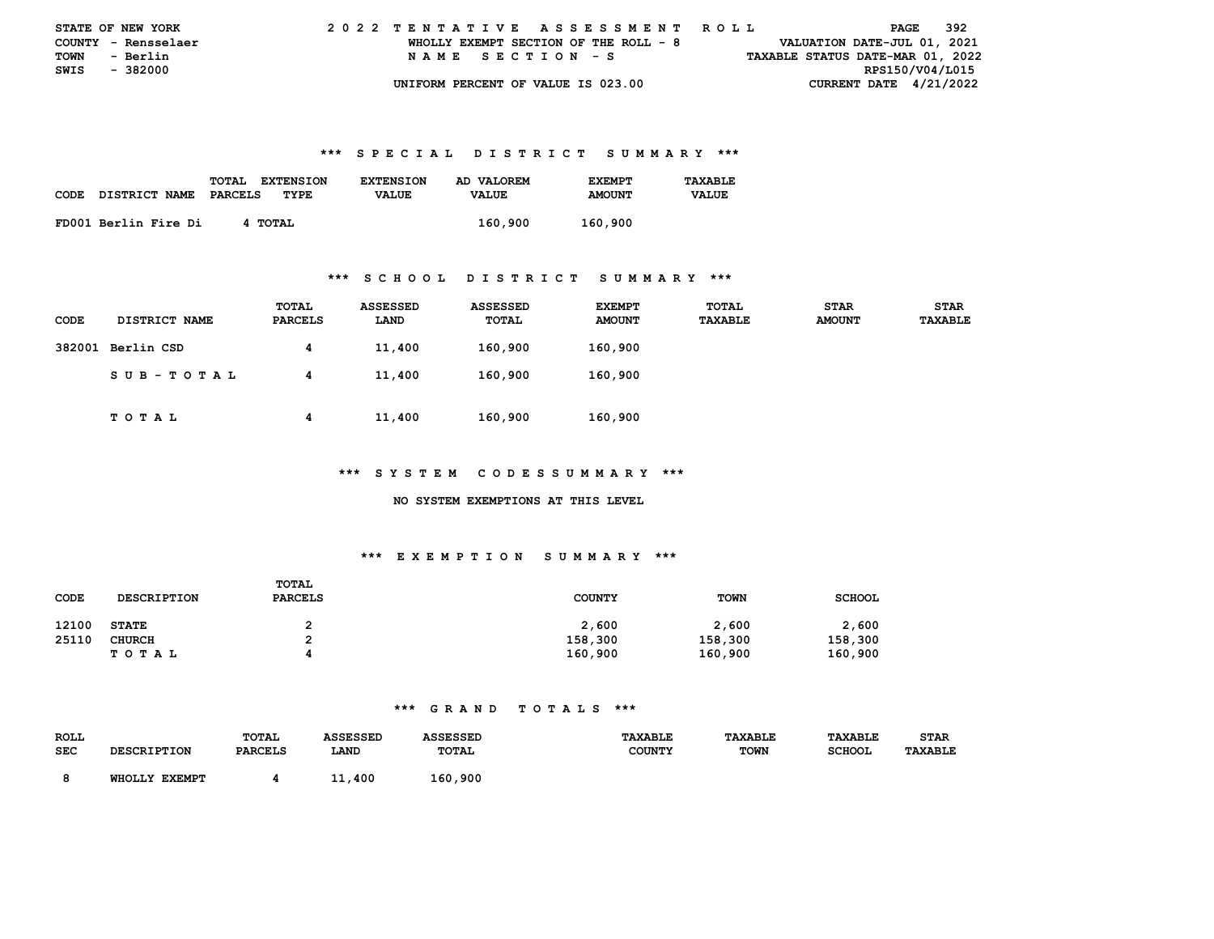| <b>STATE OF NEW YORK</b> |                     |  | 2022 TENTATIVE ASSESSMENT ROLL |  |  |  |                                       |  |  |  |  |  |  |  |  |                                  |                 | PAGE | - 392 |  |
|--------------------------|---------------------|--|--------------------------------|--|--|--|---------------------------------------|--|--|--|--|--|--|--|--|----------------------------------|-----------------|------|-------|--|
|                          | COUNTY - Rensselaer |  |                                |  |  |  | WHOLLY EXEMPT SECTION OF THE ROLL - 8 |  |  |  |  |  |  |  |  | VALUATION DATE-JUL 01, 2021      |                 |      |       |  |
| TOWN                     | - Berlin            |  |                                |  |  |  | NAME SECTION - S                      |  |  |  |  |  |  |  |  | TAXABLE STATUS DATE-MAR 01, 2022 |                 |      |       |  |
| SWIS - 382000            |                     |  |                                |  |  |  |                                       |  |  |  |  |  |  |  |  |                                  | RPS150/V04/L015 |      |       |  |
|                          |                     |  |                                |  |  |  | UNIFORM PERCENT OF VALUE IS 023.00    |  |  |  |  |  |  |  |  | CURRENT DATE $4/21/2022$         |                 |      |       |  |

|             |                      | TOTAL<br><b>EXTENSION</b> | <b>EXTENSION</b> | AD VALOREM   | <b>EXEMPT</b> | TAXABLE      |
|-------------|----------------------|---------------------------|------------------|--------------|---------------|--------------|
| <b>CODE</b> | <b>DISTRICT NAME</b> | PARCELS<br>TYPE           | <b>VALUE</b>     | <b>VALUE</b> | <b>AMOUNT</b> | <b>VALUE</b> |
|             | FD001 Berlin Fire Di | 4 TOTAL                   |                  | 160,900      | 160,900       |              |

#### **\*\*\* S C H O O L D I S T R I C T S U M M A R Y \*\*\***

| <b>CODE</b> | <b>DISTRICT NAME</b> | TOTAL<br>PARCELS | <b>ASSESSED</b><br>LAND | <b>ASSESSED</b><br>TOTAL | <b>EXEMPT</b><br><b>AMOUNT</b> | <b>TOTAL</b><br>TAXABLE | <b>STAR</b><br><b>AMOUNT</b> | <b>STAR</b><br>TAXABLE |
|-------------|----------------------|------------------|-------------------------|--------------------------|--------------------------------|-------------------------|------------------------------|------------------------|
|             | 382001 Berlin CSD    | 4                | 11,400                  | 160,900                  | 160,900                        |                         |                              |                        |
|             | SUB-TOTAL            | 4                | 11,400                  | 160,900                  | 160,900                        |                         |                              |                        |
|             | тотаь                | 4                | 11,400                  | 160,900                  | 160,900                        |                         |                              |                        |

#### **\*\*\* S Y S T E M C O D E S S U M M A R Y \*\*\***

#### **NO SYSTEM EXEMPTIONS AT THIS LEVEL**

## **\*\*\* E X E M P T I O N S U M M A R Y \*\*\***

| CODE  | <b>DESCRIPTION</b> | TOTAL<br><b>PARCELS</b> | <b>COUNTY</b> | <b>TOWN</b> | <b>SCHOOL</b> |
|-------|--------------------|-------------------------|---------------|-------------|---------------|
| 12100 | <b>STATE</b>       |                         | 2,600         | 2,600       | 2,600         |
| 25110 | CHURCH             |                         | 158,300       | 158,300     | 158,300       |
|       | T O T A L          |                         | 160,900       | 160,900     | 160,900       |

| <b>ROLL</b> |                                  | TOTAL          | <b>\SSESSED</b> |              | <b><i>TAXABLE</i></b> | <b><i>TAXABLE</i></b> | TAXABLE       | <b>STAR</b>    |
|-------------|----------------------------------|----------------|-----------------|--------------|-----------------------|-----------------------|---------------|----------------|
| <b>SEC</b>  | <b>CDTDTTOM</b>                  | <b>PARCELS</b> | LAND            | <b>TOTAL</b> | <b>COUNTY</b>         | <b>TOWN</b>           | <b>SCHOOL</b> | <b>TAXABLE</b> |
|             |                                  |                |                 |              |                       |                       |               |                |
|             | <b>EXEMPT</b><br><b>WHOT.T.Y</b> |                | 400             | 160,900      |                       |                       |               |                |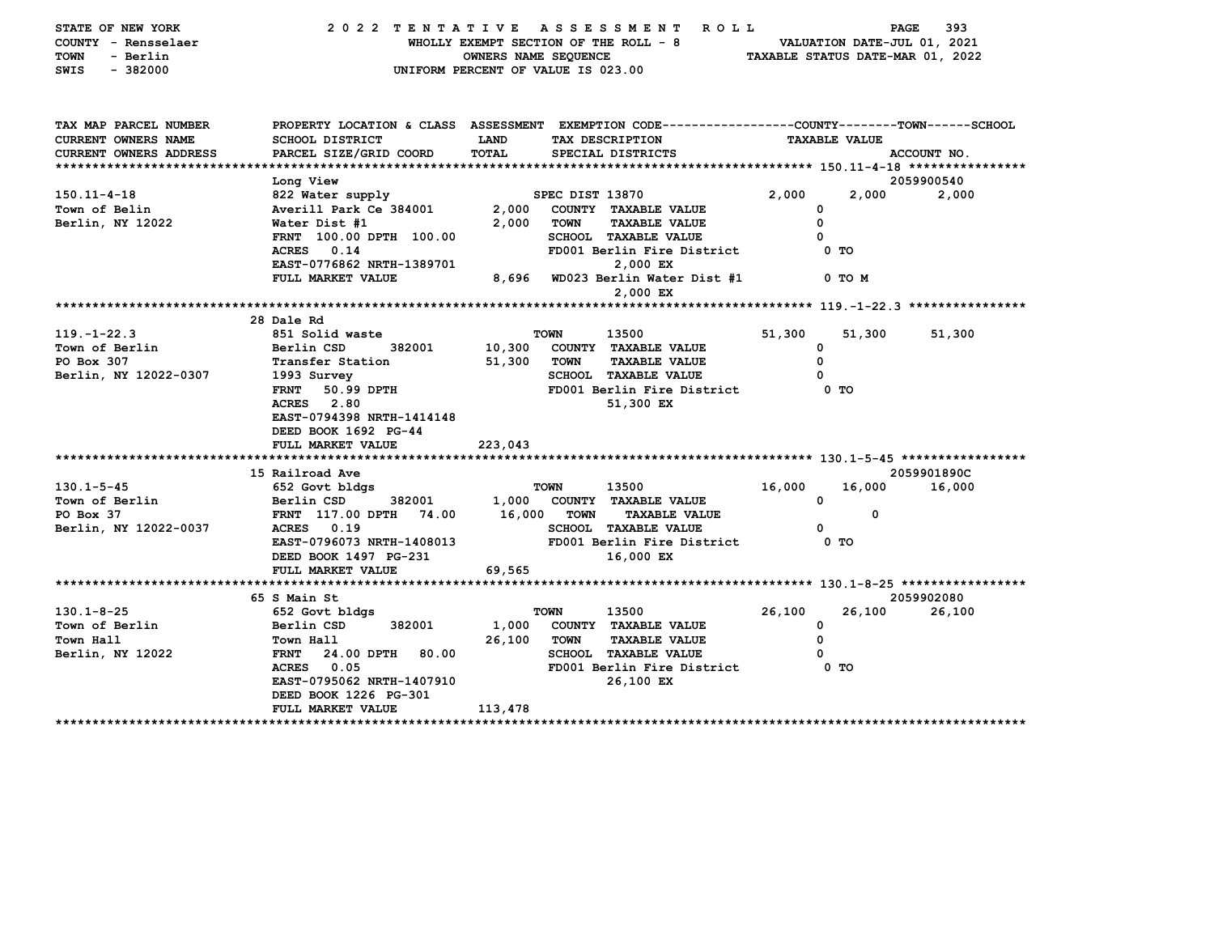| STATE OF NEW YORK<br>COUNTY - Rensselaer<br><b>TOWN</b><br>- Berlin<br>SWIS<br>$-382000$ |                                                                                                 | OWNERS NAME SEQUENCE<br>UNIFORM PERCENT OF VALUE IS 023.00 |                 | 2022 TENTATIVE ASSESSMENT ROLL<br>WHOLLY EXEMPT SECTION OF THE ROLL - 8 |        | VALUATION DATE-JUL 01, 2021<br>TAXABLE STATUS DATE-MAR 01, 2022 | PAGE<br>393 |
|------------------------------------------------------------------------------------------|-------------------------------------------------------------------------------------------------|------------------------------------------------------------|-----------------|-------------------------------------------------------------------------|--------|-----------------------------------------------------------------|-------------|
| TAX MAP PARCEL NUMBER                                                                    | PROPERTY LOCATION & CLASS ASSESSMENT EXEMPTION CODE---------------COUNTY-------TOWN------SCHOOL |                                                            |                 |                                                                         |        |                                                                 |             |
| <b>CURRENT OWNERS NAME</b>                                                               | <b>SCHOOL DISTRICT</b>                                                                          | LAND                                                       |                 | TAX DESCRIPTION                                                         |        | <b>TAXABLE VALUE</b>                                            |             |
| CURRENT OWNERS ADDRESS                                                                   | PARCEL SIZE/GRID COORD                                                                          | <b>TOTAL</b>                                               |                 | SPECIAL DISTRICTS                                                       |        |                                                                 | ACCOUNT NO. |
|                                                                                          |                                                                                                 |                                                            |                 |                                                                         |        |                                                                 |             |
|                                                                                          | Long View                                                                                       |                                                            |                 |                                                                         |        |                                                                 | 2059900540  |
| $150.11 - 4 - 18$<br>Town of Belin                                                       | 822 Water supply                                                                                |                                                            | SPEC DIST 13870 |                                                                         | 2,000  | 2,000<br>0                                                      | 2,000       |
| Berlin, NY 12022                                                                         | Averill Park Ce 384001<br>Water Dist #1                                                         | 2,000<br>2,000                                             | <b>TOWN</b>     | COUNTY TAXABLE VALUE<br><b>TAXABLE VALUE</b>                            |        | 0                                                               |             |
|                                                                                          | FRNT 100.00 DPTH 100.00                                                                         |                                                            |                 | <b>SCHOOL TAXABLE VALUE</b>                                             |        | $\Omega$                                                        |             |
|                                                                                          | ACRES 0.14                                                                                      |                                                            |                 | FD001 Berlin Fire District                                              |        | 0 TO                                                            |             |
|                                                                                          | EAST-0776862 NRTH-1389701                                                                       |                                                            |                 | 2,000 EX                                                                |        |                                                                 |             |
|                                                                                          | FULL MARKET VALUE                                                                               | 8,696                                                      |                 | WD023 Berlin Water Dist #1<br>2,000 EX                                  |        | 0 TO M                                                          |             |
|                                                                                          |                                                                                                 |                                                            |                 |                                                                         |        |                                                                 |             |
|                                                                                          | 28 Dale Rd                                                                                      |                                                            |                 |                                                                         |        |                                                                 |             |
| $119. - 1 - 22.3$                                                                        | 851 Solid waste                                                                                 |                                                            | <b>TOWN</b>     | 13500                                                                   | 51,300 | 51,300                                                          | 51,300      |
| Town of Berlin                                                                           | Berlin CSD<br>382001                                                                            | 10,300                                                     |                 | COUNTY TAXABLE VALUE                                                    |        | 0                                                               |             |
| PO Box 307                                                                               | Transfer Station                                                                                | 51,300                                                     | TOWN            | <b>TAXABLE VALUE</b>                                                    |        | 0                                                               |             |
| Berlin, NY 12022-0307                                                                    | 1993 Survey                                                                                     |                                                            |                 | <b>SCHOOL TAXABLE VALUE</b>                                             |        | 0                                                               |             |
|                                                                                          | 50.99 DPTH<br><b>FRNT</b>                                                                       |                                                            |                 | FD001 Berlin Fire District                                              |        | 0 TO                                                            |             |
|                                                                                          | ACRES 2.80<br>EAST-0794398 NRTH-1414148                                                         |                                                            |                 | 51,300 EX                                                               |        |                                                                 |             |
|                                                                                          | DEED BOOK 1692 PG-44                                                                            |                                                            |                 |                                                                         |        |                                                                 |             |
|                                                                                          | FULL MARKET VALUE                                                                               | 223,043                                                    |                 |                                                                         |        |                                                                 |             |
|                                                                                          |                                                                                                 |                                                            |                 |                                                                         |        |                                                                 |             |
|                                                                                          | 15 Railroad Ave                                                                                 |                                                            |                 |                                                                         |        |                                                                 | 2059901890C |
| $130.1 - 5 - 45$                                                                         | 652 Govt bldgs                                                                                  |                                                            | TOWN            | 13500                                                                   | 16,000 | 16,000                                                          | 16,000      |
| Town of Berlin                                                                           | Berlin CSD<br>382001                                                                            |                                                            |                 | 1,000 COUNTY TAXABLE VALUE                                              |        | $\mathbf 0$                                                     |             |
| PO Box 37                                                                                | FRNT 117.00 DPTH 74.00                                                                          | 16,000                                                     | <b>TOWN</b>     | <b>TAXABLE VALUE</b>                                                    |        | $\Omega$                                                        |             |
| Berlin, NY 12022-0037                                                                    | ACRES 0.19                                                                                      |                                                            |                 | <b>SCHOOL TAXABLE VALUE</b>                                             |        | 0                                                               |             |
|                                                                                          | EAST-0796073 NRTH-1408013                                                                       |                                                            |                 | FD001 Berlin Fire District                                              |        | 0 <sub>T</sub>                                                  |             |
|                                                                                          | DEED BOOK 1497 PG-231                                                                           |                                                            |                 | 16,000 EX                                                               |        |                                                                 |             |
|                                                                                          | FULL MARKET VALUE                                                                               | 69,565                                                     |                 |                                                                         |        |                                                                 |             |
|                                                                                          | 65 S Main St                                                                                    |                                                            |                 |                                                                         |        |                                                                 | 2059902080  |
| $130.1 - 8 - 25$                                                                         | 652 Govt bldgs                                                                                  |                                                            | <b>TOWN</b>     | 13500                                                                   | 26,100 | 26,100                                                          | 26,100      |
| Town of Berlin                                                                           | 382001<br>Berlin CSD                                                                            | 1,000                                                      |                 | COUNTY TAXABLE VALUE                                                    |        | $\mathbf 0$                                                     |             |
| Town Hall                                                                                | Town Hall                                                                                       | 26,100                                                     | <b>TOWN</b>     | <b>TAXABLE VALUE</b>                                                    |        | 0                                                               |             |
| Berlin, NY 12022                                                                         | <b>FRNT</b><br>24.00 DPTH<br>80.00                                                              |                                                            |                 | <b>SCHOOL TAXABLE VALUE</b>                                             |        | 0                                                               |             |
|                                                                                          | 0.05<br>ACRES                                                                                   |                                                            |                 | FD001 Berlin Fire District                                              |        | 0 TO                                                            |             |
|                                                                                          | EAST-0795062 NRTH-1407910                                                                       |                                                            |                 | 26,100 EX                                                               |        |                                                                 |             |
|                                                                                          | DEED BOOK 1226 PG-301                                                                           |                                                            |                 |                                                                         |        |                                                                 |             |
|                                                                                          | FULL MARKET VALUE                                                                               | 113,478                                                    |                 |                                                                         |        |                                                                 |             |
| *****************************                                                            |                                                                                                 |                                                            |                 |                                                                         |        |                                                                 |             |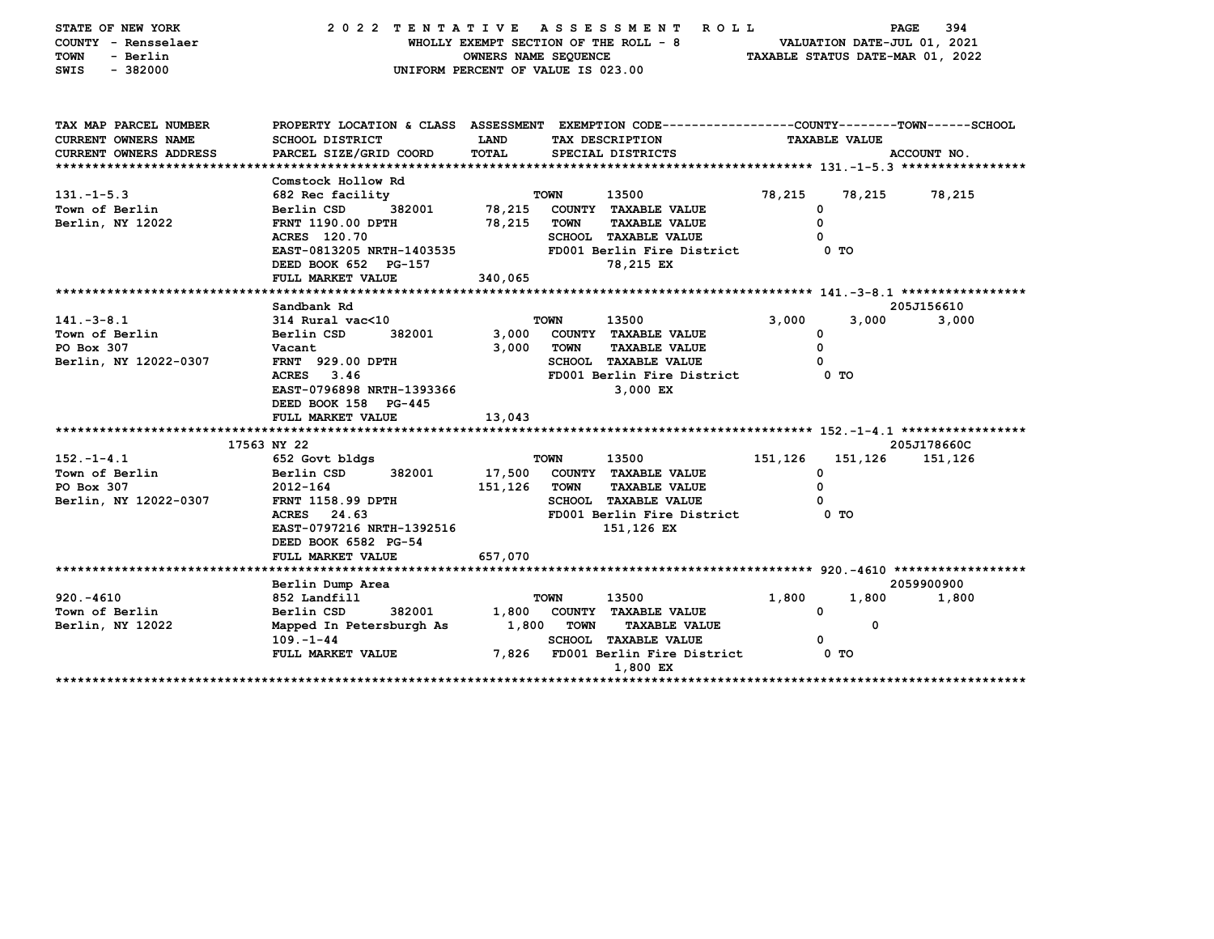| STATE OF NEW YORK<br>COUNTY - Rensselaer<br>- Berlin<br>TOWN<br>$-382000$<br>SWIS    | 2022 TENTATIVE ASSESSMENT                                                                                                                                                              | WHOLLY EXEMPT SECTION OF THE ROLL - 8<br><b>OWNERS NAME SEQUENCE</b><br>UNIFORM PERCENT OF VALUE IS 023.00 |                            | <b>ROLL</b>                                                                                                                      |         | VALUATION DATE-JUL 01, 2021                       | 394<br>PAGE<br>TAXABLE STATUS DATE-MAR 01, 2022 |
|--------------------------------------------------------------------------------------|----------------------------------------------------------------------------------------------------------------------------------------------------------------------------------------|------------------------------------------------------------------------------------------------------------|----------------------------|----------------------------------------------------------------------------------------------------------------------------------|---------|---------------------------------------------------|-------------------------------------------------|
| TAX MAP PARCEL NUMBER<br><b>CURRENT OWNERS NAME</b><br><b>CURRENT OWNERS ADDRESS</b> | PROPERTY LOCATION & CLASS ASSESSMENT EXEMPTION CODE---------------COUNTY-------TOWN------SCHOOL<br>SCHOOL DISTRICT<br>PARCEL SIZE/GRID COORD                                           | LAND<br>TOTAL                                                                                              |                            | TAX DESCRIPTION<br>SPECIAL DISTRICTS                                                                                             |         | <b>TAXABLE VALUE</b>                              | ACCOUNT NO.                                     |
| $131. -1 - 5.3$<br>Town of Berlin<br>Berlin, NY 12022                                | Comstock Hollow Rd<br>682 Rec facility<br>Berlin CSD<br>382001<br>FRNT 1190.00 DPTH<br>ACRES 120.70<br>EAST-0813205 NRTH-1403535<br>DEED BOOK 652 PG-157<br>FULL MARKET VALUE          | 78,215<br>78,215<br>340,065                                                                                | <b>TOWN</b><br><b>TOWN</b> | 13500<br>COUNTY TAXABLE VALUE<br><b>TAXABLE VALUE</b><br><b>SCHOOL TAXABLE VALUE</b><br>FD001 Berlin Fire District<br>78,215 EX  | 78,215  | 78,215<br>0<br>0<br>$\Omega$<br>0 TO              | 78,215                                          |
| $141. - 3 - 8.1$<br>Town of Berlin<br>PO Box 307<br>Berlin, NY 12022-0307            | Sandbank Rd<br>$314$ Rural vac<10<br>Berlin CSD<br>382001<br>Vacant<br><b>FRNT</b> 929.00 DPTH<br>ACRES 3.46<br>EAST-0796898 NRTH-1393366<br>DEED BOOK 158 PG-445<br>FULL MARKET VALUE | 3,000<br>3,000<br>13,043                                                                                   | <b>TOWN</b><br><b>TOWN</b> | 13500<br>COUNTY TAXABLE VALUE<br><b>TAXABLE VALUE</b><br><b>SCHOOL TAXABLE VALUE</b><br>FD001 Berlin Fire District<br>3,000 EX   | 3,000   | 3,000<br>0<br>0<br>0<br>0 TO                      | 205J156610<br>3,000                             |
| $152. - 1 - 4.1$<br>Town of Berlin<br>PO Box 307<br>Berlin, NY 12022-0307            | 17563 NY 22<br>652 Govt bldgs<br>Berlin CSD<br>382001<br>2012-164<br><b>FRNT 1158.99 DPTH</b><br>ACRES 24.63<br>EAST-0797216 NRTH-1392516<br>DEED BOOK 6582 PG-54<br>FULL MARKET VALUE | 17,500<br>151,126<br>657,070                                                                               | <b>TOWN</b><br><b>TOWN</b> | 13500<br>COUNTY TAXABLE VALUE<br><b>TAXABLE VALUE</b><br><b>SCHOOL TAXABLE VALUE</b><br>FD001 Berlin Fire District<br>151,126 EX | 151,126 | 151,126<br>0<br>0<br>O<br>0 <sub>T</sub>          | 205J178660C<br>151,126                          |
| $920. - 4610$<br>Town of Berlin<br>Berlin, NY 12022                                  | Berlin Dump Area<br>852 Landfill<br>Berlin CSD<br>382001<br>Mapped In Petersburgh As<br>$109. - 1 - 44$<br>FULL MARKET VALUE                                                           | 1,800<br>1,800<br>7,826                                                                                    | <b>TOWN</b><br>TOWN        | 13500<br>COUNTY TAXABLE VALUE<br><b>TAXABLE VALUE</b><br><b>SCHOOL TAXABLE VALUE</b><br>FD001 Berlin Fire District<br>1,800 EX   | 1,800   | 1,800<br>$\mathbf{o}$<br>0<br>0<br>0 <sub>T</sub> | 2059900900<br>1,800                             |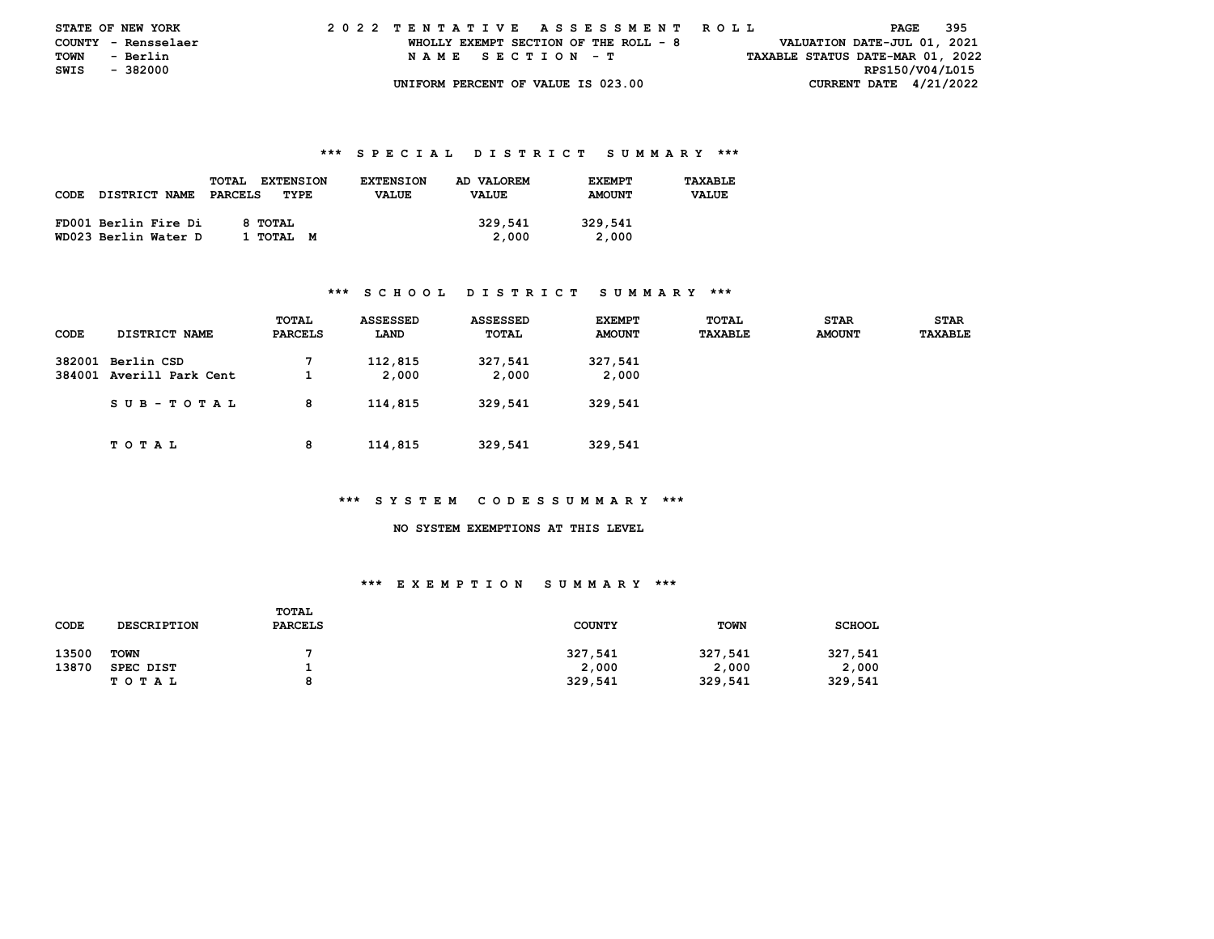| <b>STATE OF NEW YORK</b> |                     |  | 2022 TENTATIVE ASSESSMENT ROLL |  |  |  |                                       |  |  |  |  |  |  |  |  |                                  | PAGE | 395 |  |
|--------------------------|---------------------|--|--------------------------------|--|--|--|---------------------------------------|--|--|--|--|--|--|--|--|----------------------------------|------|-----|--|
|                          | COUNTY - Rensselaer |  |                                |  |  |  | WHOLLY EXEMPT SECTION OF THE ROLL - 8 |  |  |  |  |  |  |  |  | VALUATION DATE-JUL 01, 2021      |      |     |  |
| <b>TOWN</b>              | - Berlin            |  |                                |  |  |  | NAME SECTION - T                      |  |  |  |  |  |  |  |  | TAXABLE STATUS DATE-MAR 01, 2022 |      |     |  |
| SWIS - 382000            |                     |  |                                |  |  |  |                                       |  |  |  |  |  |  |  |  | RPS150/V04/L015                  |      |     |  |
|                          |                     |  |                                |  |  |  | UNIFORM PERCENT OF VALUE IS 023.00    |  |  |  |  |  |  |  |  | CURRENT DATE $4/21/2022$         |      |     |  |

|      |                      | <b>TOTAL</b><br><b>EXTENSION</b> | <b>EXTENSION</b> | AD VALOREM   | <b>EXEMPT</b> | TAXABLE      |
|------|----------------------|----------------------------------|------------------|--------------|---------------|--------------|
| CODE | <b>DISTRICT NAME</b> | PARCELS<br>TYPE                  | <b>VALUE</b>     | <b>VALUE</b> | <b>AMOUNT</b> | <b>VALUE</b> |
|      |                      |                                  |                  |              |               |              |
|      | FD001 Berlin Fire Di | 8 TOTAL                          |                  | 329,541      | 329,541       |              |
|      | WD023 Berlin Water D | 1 TOTAL M                        |                  | 2,000        | 2,000         |              |

#### **\*\*\* S C H O O L D I S T R I C T S U M M A R Y \*\*\***

| CODE | DISTRICT NAME                                 | TOTAL<br>PARCELS | <b>ASSESSED</b><br>LAND | <b>ASSESSED</b><br>TOTAL | <b>EXEMPT</b><br><b>AMOUNT</b> | TOTAL<br>TAXABLE | <b>STAR</b><br><b>AMOUNT</b> | <b>STAR</b><br>TAXABLE |
|------|-----------------------------------------------|------------------|-------------------------|--------------------------|--------------------------------|------------------|------------------------------|------------------------|
|      | 382001 Berlin CSD<br>384001 Averill Park Cent |                  | 112,815<br>2,000        | 327,541<br>2,000         | 327,541<br>2,000               |                  |                              |                        |
|      | SUB-TOTAL                                     | 8                | 114,815                 | 329,541                  | 329,541                        |                  |                              |                        |
|      | TOTAL                                         | 8                | 114,815                 | 329,541                  | 329,541                        |                  |                              |                        |

#### **\*\*\* S Y S T E M C O D E S S U M M A R Y \*\*\***

 **NO SYSTEM EXEMPTIONS AT THIS LEVEL** 

| CODE  | <b>DESCRIPTION</b> | TOTAL<br><b>PARCELS</b> | <b>COUNTY</b> | <b>TOWN</b> | <b>SCHOOL</b> |
|-------|--------------------|-------------------------|---------------|-------------|---------------|
| 13500 | <b>TOWN</b>        |                         | 327,541       | 327,541     | 327,541       |
| 13870 | SPEC DIST          |                         | 2,000         | 2,000       | 2,000         |
|       | T O T A L          | ۰                       | 329,541       | 329,541     | 329,541       |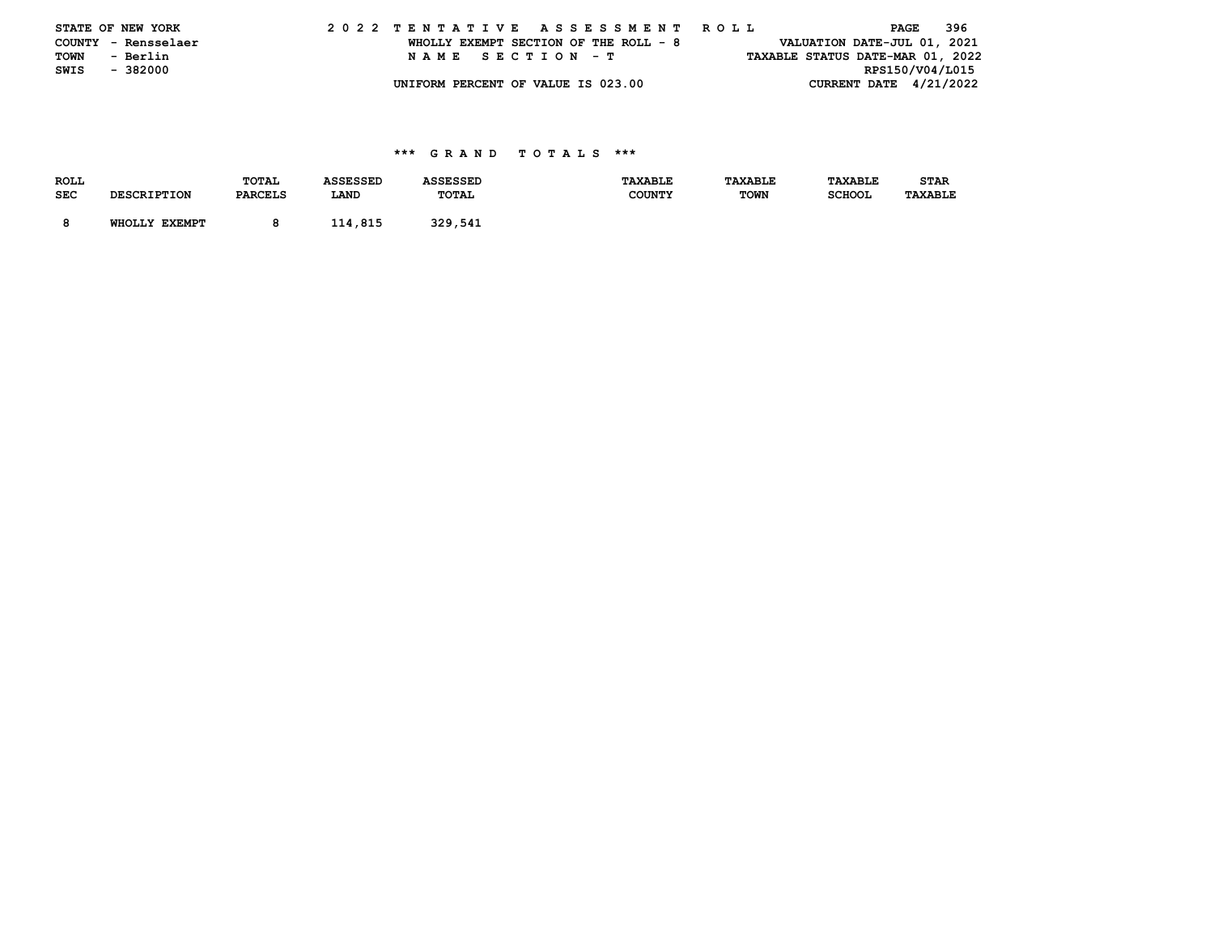|      | STATE OF NEW YORK   |  |  |  |  |  |                                       |  |  |  |  | 2022 TENTATIVE ASSESSMENT ROLL |  |  |                                  | PAGE | - 396 |  |
|------|---------------------|--|--|--|--|--|---------------------------------------|--|--|--|--|--------------------------------|--|--|----------------------------------|------|-------|--|
|      | COUNTY - Rensselaer |  |  |  |  |  | WHOLLY EXEMPT SECTION OF THE ROLL - 8 |  |  |  |  |                                |  |  | VALUATION DATE-JUL 01, 2021      |      |       |  |
| TOWN | - Berlin            |  |  |  |  |  | NAME SECTION - T                      |  |  |  |  |                                |  |  | TAXABLE STATUS DATE-MAR 01, 2022 |      |       |  |
| SWIS | - 382000            |  |  |  |  |  |                                       |  |  |  |  |                                |  |  | RPS150/V04/L015                  |      |       |  |
|      |                     |  |  |  |  |  | UNIFORM PERCENT OF VALUE IS 023.00    |  |  |  |  |                                |  |  | CURRENT DATE 4/21/2022           |      |       |  |

| TAXABLE<br><b>STAR</b> |
|------------------------|
| <b>TAXABLE</b>         |
|                        |
|                        |
| <b>SCHOOL</b>          |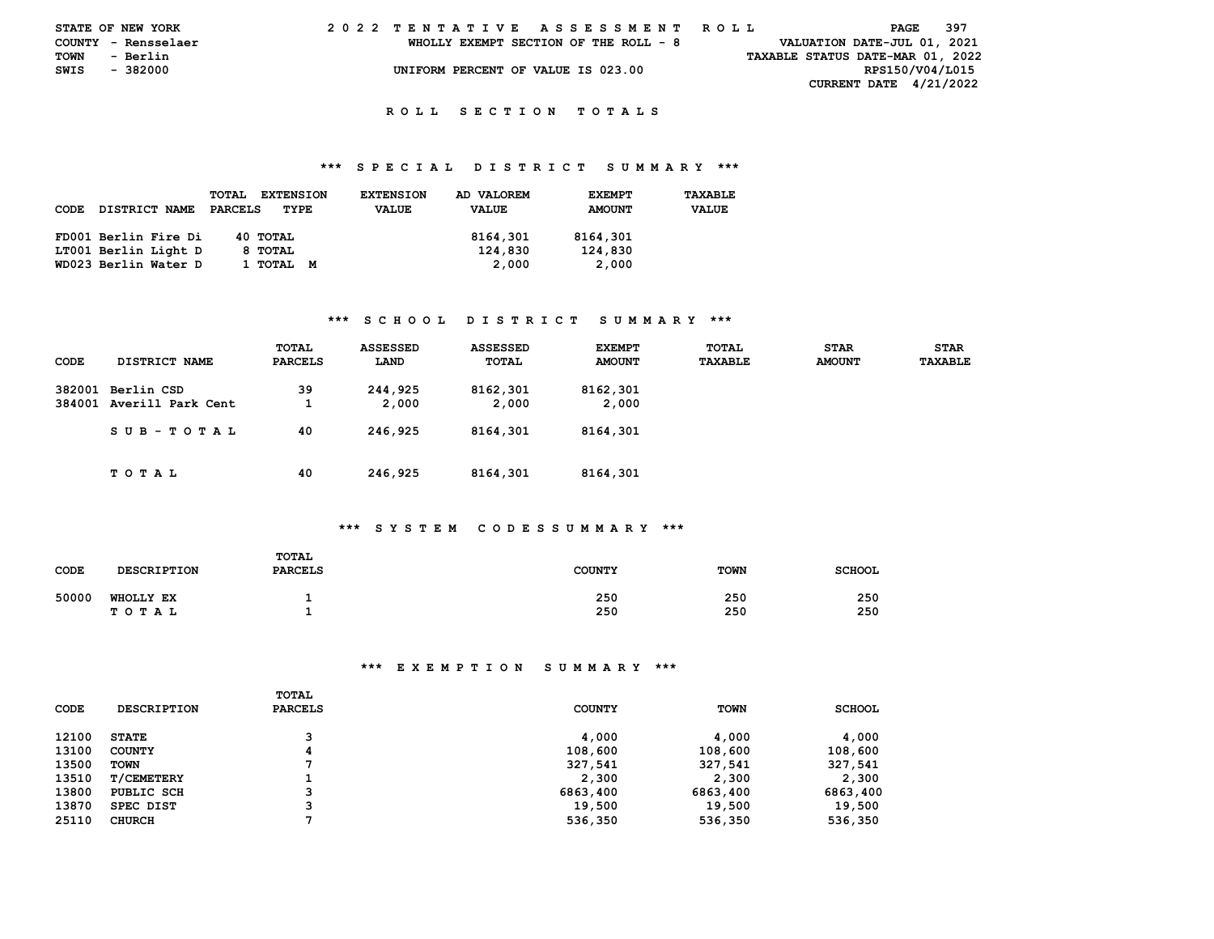|      | STATE OF NEW YORK   |  |  |  |  |  | 2022 TENTATIVE ASSESSMENT ROLL        |  |  |  |  |  |  |  |  |  |                                  | PAGE | - 397 |  |
|------|---------------------|--|--|--|--|--|---------------------------------------|--|--|--|--|--|--|--|--|--|----------------------------------|------|-------|--|
|      | COUNTY - Rensselaer |  |  |  |  |  | WHOLLY EXEMPT SECTION OF THE ROLL - 8 |  |  |  |  |  |  |  |  |  | VALUATION DATE-JUL 01, 2021      |      |       |  |
| TOWN | - Berlin            |  |  |  |  |  |                                       |  |  |  |  |  |  |  |  |  | TAXABLE STATUS DATE-MAR 01, 2022 |      |       |  |
| SWIS | - 382000            |  |  |  |  |  | UNIFORM PERCENT OF VALUE IS 023.00    |  |  |  |  |  |  |  |  |  | RPS150/V04/L015                  |      |       |  |
|      |                     |  |  |  |  |  |                                       |  |  |  |  |  |  |  |  |  | <b>CURRENT DATE 4/21/2022</b>    |      |       |  |

### **R O L L S E C T I O N T O T A L S**

### **\*\*\* S P E C I A L D I S T R I C T S U M M A R Y \*\*\***

| CODE | <b>DISTRICT NAME</b> | <b>EXTENSION</b><br>TOTAL<br>PARCELS<br>TYPE | <b>EXTENSION</b><br><b>VALUE</b> | AD VALOREM<br><b>VALUE</b> | <b>EXEMPT</b><br><b>AMOUNT</b> | TAXABLE<br><b>VALUE</b> |
|------|----------------------|----------------------------------------------|----------------------------------|----------------------------|--------------------------------|-------------------------|
|      | FD001 Berlin Fire Di | 40 TOTAL                                     |                                  | 8164,301                   | 8164,301                       |                         |
|      | LT001 Berlin Light D | 8 TOTAL                                      |                                  | 124,830                    | 124,830                        |                         |
|      | WD023 Berlin Water D | 1 ТОТАL<br>м                                 |                                  | 2,000                      | 2,000                          |                         |

### **\*\*\* S C H O O L D I S T R I C T S U M M A R Y \*\*\***

| CODE   | DISTRICT NAME                          | TOTAL<br>PARCELS | <b>ASSESSED</b><br>LAND | <b>ASSESSED</b><br>TOTAL | <b>EXEMPT</b><br><b>AMOUNT</b> | TOTAL<br>TAXABLE | <b>STAR</b><br><b>AMOUNT</b> | <b>STAR</b><br>TAXABLE |
|--------|----------------------------------------|------------------|-------------------------|--------------------------|--------------------------------|------------------|------------------------------|------------------------|
| 382001 | Berlin CSD<br>384001 Averill Park Cent | 39               | 244,925<br>2,000        | 8162,301<br>2,000        | 8162,301<br>2,000              |                  |                              |                        |
|        | SUB-TOTAL                              | 40               | 246,925                 | 8164,301                 | 8164,301                       |                  |                              |                        |
|        | TOTAL                                  | 40               | 246,925                 | 8164,301                 | 8164,301                       |                  |                              |                        |

### **\*\*\* S Y S T E M C O D E S S U M M A R Y \*\*\***

| CODE  | <b>DESCRIPTION</b>        | TOTAL<br><b>PARCELS</b> | <b>COUNTY</b> | <b>TOWN</b> | <b>SCHOOL</b> |
|-------|---------------------------|-------------------------|---------------|-------------|---------------|
| 50000 | <b>WHOLLY EX</b><br>TOTAL |                         | 250<br>250    | 250<br>250  | 250<br>250    |

| <b>CODE</b> | <b>DESCRIPTION</b> | TOTAL<br><b>PARCELS</b> | <b>COUNTY</b> | <b>TOWN</b> | <b>SCHOOL</b> |
|-------------|--------------------|-------------------------|---------------|-------------|---------------|
| 12100       | <b>STATE</b>       | 3                       | 4,000         | 4,000       | 4,000         |
| 13100       | <b>COUNTY</b>      | 4                       | 108,600       | 108,600     | 108,600       |
| 13500       | <b>TOWN</b>        |                         | 327,541       | 327,541     | 327,541       |
| 13510       | <b>T/CEMETERY</b>  | ┻                       | 2,300         | 2,300       | 2,300         |
| 13800       | PUBLIC SCH         | 3                       | 6863,400      | 6863,400    | 6863,400      |
| 13870       | SPEC DIST          | 3                       | 19,500        | 19,500      | 19,500        |
| 25110       | <b>CHURCH</b>      |                         | 536,350       | 536,350     | 536,350       |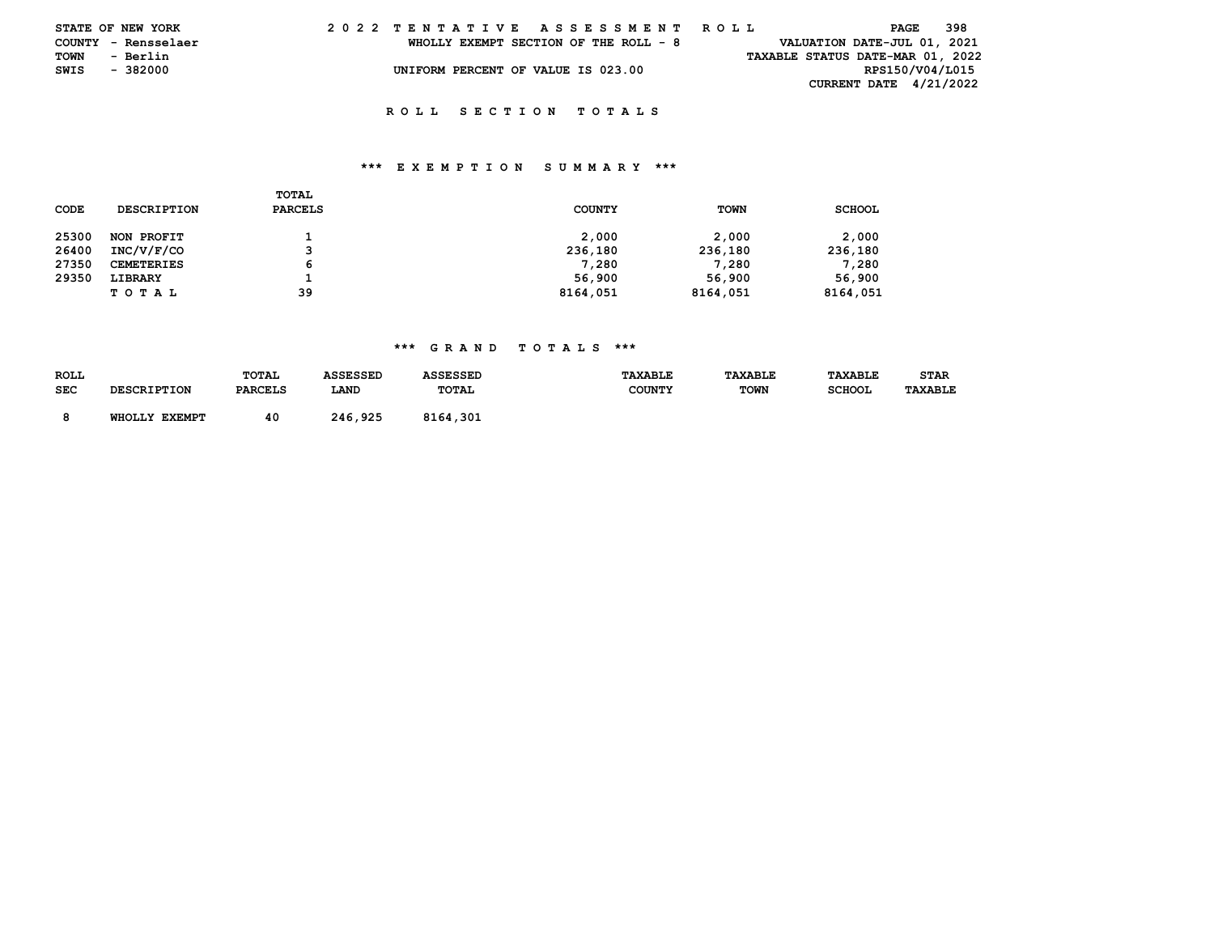|      | STATE OF NEW YORK   |  |  |  |  |  | 2022 TENTATIVE ASSESSMENT ROLL        |  |  |  |  |  |  |  |  |  |                             | PAGE | - 398 |                                  |  |
|------|---------------------|--|--|--|--|--|---------------------------------------|--|--|--|--|--|--|--|--|--|-----------------------------|------|-------|----------------------------------|--|
|      | COUNTY - Rensselaer |  |  |  |  |  | WHOLLY EXEMPT SECTION OF THE ROLL - 8 |  |  |  |  |  |  |  |  |  | VALUATION DATE-JUL 01, 2021 |      |       |                                  |  |
| TOWN | - Berlin            |  |  |  |  |  |                                       |  |  |  |  |  |  |  |  |  |                             |      |       | TAXABLE STATUS DATE-MAR 01, 2022 |  |
| SWIS | - 382000            |  |  |  |  |  | UNIFORM PERCENT OF VALUE IS 023.00    |  |  |  |  |  |  |  |  |  | RPS150/V04/L015             |      |       |                                  |  |
|      |                     |  |  |  |  |  |                                       |  |  |  |  |  |  |  |  |  | CURRENT DATE 4/21/2022      |      |       |                                  |  |

### **R O L L S E C T I O N T O T A L S**

### **\*\*\* E X E M P T I O N S U M M A R Y \*\*\***

| CODE  | <b>DESCRIPTION</b> | TOTAL<br>PARCELS | <b>COUNTY</b> | <b>TOWN</b> | <b>SCHOOL</b> |
|-------|--------------------|------------------|---------------|-------------|---------------|
| 25300 | NON PROFIT         |                  | 2,000         | 2,000       | 2,000         |
| 26400 | INC/V/F/CO         | 3                | 236,180       | 236,180     | 236,180       |
| 27350 | <b>CEMETERIES</b>  | 6                | 7,280         | 7,280       | 7,280         |
| 29350 | LIBRARY            |                  | 56,900        | 56,900      | 56,900        |
|       | <b>TOTAL</b>       | 39               | 8164,051      | 8164,051    | 8164,051      |

## **\*\*\* G R A N D T O T A L S \*\*\***

| <b>ROLL</b> | <b>DESCRIPTION</b> | TOTAL          | <b>ASSESSED</b> | <b>ASSESSED</b> | <b>TAXABLE</b> | <b>TAXABLE</b> | <b>TAXABLE</b> | STAR    |
|-------------|--------------------|----------------|-----------------|-----------------|----------------|----------------|----------------|---------|
| <b>SEC</b>  |                    | <b>PARCELS</b> | LAND            | TOTAL           | <b>COUNTY</b>  | <b>TOWN</b>    | <b>SCHOOL</b>  | TAXABLE |
|             | WHOLLY EXEMPT      | 40             | 246,925         | 8164,301        |                |                |                |         |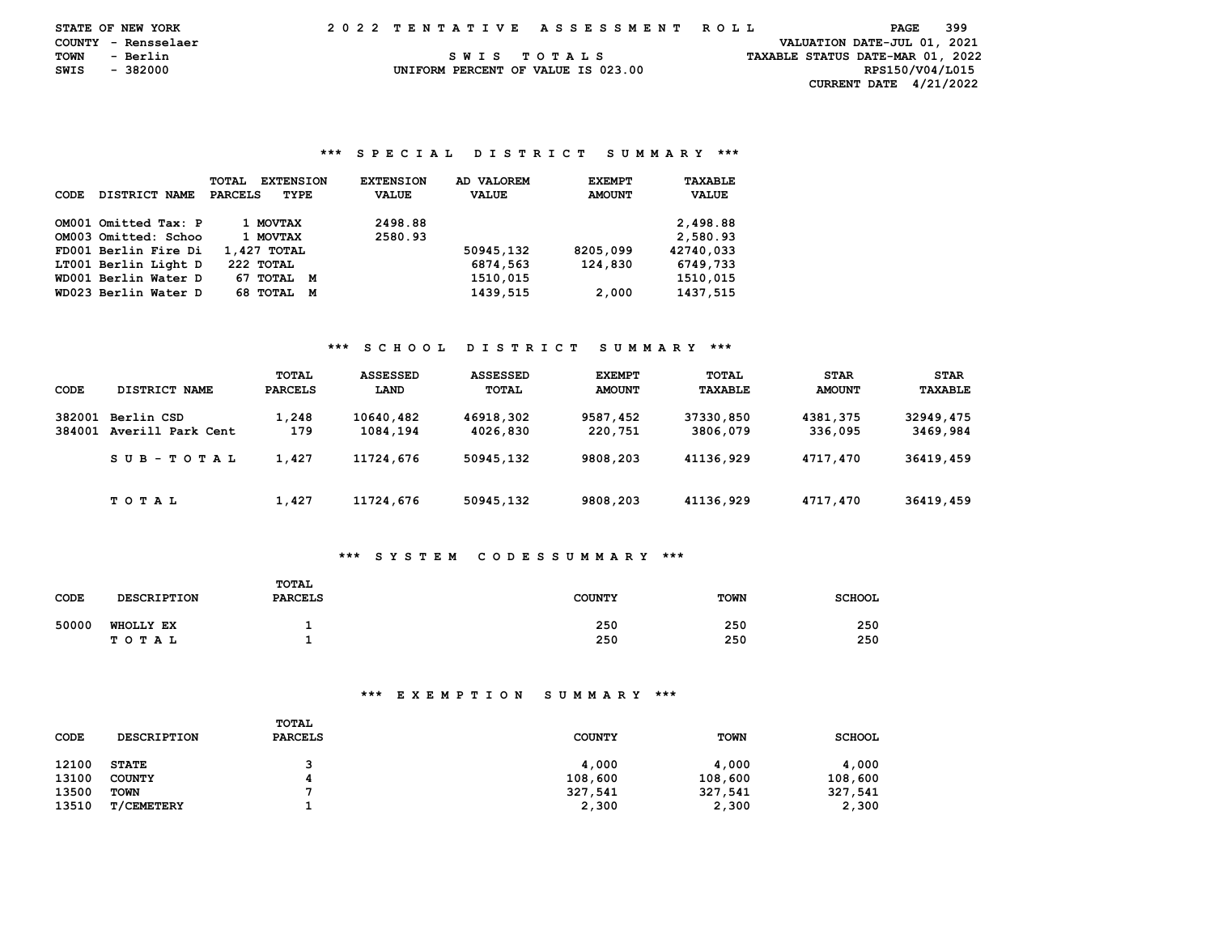|      | <b>STATE OF NEW YORK</b> |  | 2022 TENTATIVE ASSESSMENT ROLL |  |  |  |  |                                    |  |  |  |  |  |  |  |  |  |  |                                  | PAGE |  | 399 |  |
|------|--------------------------|--|--------------------------------|--|--|--|--|------------------------------------|--|--|--|--|--|--|--|--|--|--|----------------------------------|------|--|-----|--|
|      | COUNTY - Rensselaer      |  |                                |  |  |  |  |                                    |  |  |  |  |  |  |  |  |  |  | VALUATION DATE-JUL 01, 2021      |      |  |     |  |
|      | TOWN - Berlin            |  |                                |  |  |  |  | SWIS TOTALS                        |  |  |  |  |  |  |  |  |  |  | TAXABLE STATUS DATE-MAR 01, 2022 |      |  |     |  |
| SWIS | - 382000                 |  |                                |  |  |  |  | UNIFORM PERCENT OF VALUE IS 023.00 |  |  |  |  |  |  |  |  |  |  | RPS150/V04/L015                  |      |  |     |  |
|      |                          |  |                                |  |  |  |  |                                    |  |  |  |  |  |  |  |  |  |  | CURRENT DATE $4/21/2022$         |      |  |     |  |

### **\*\*\* S P E C I A L D I S T R I C T S U M M A R Y \*\*\***

| CODE | DISTRICT NAME        | <b>TOTAL</b><br><b>EXTENSION</b><br><b>PARCELS</b><br>TYPE | <b>EXTENSION</b><br><b>VALUE</b> | AD VALOREM<br><b>VALUE</b> | <b>EXEMPT</b><br><b>AMOUNT</b> | TAXABLE<br><b>VALUE</b> |
|------|----------------------|------------------------------------------------------------|----------------------------------|----------------------------|--------------------------------|-------------------------|
|      | OM001 Omitted Tax: P | 1 MOVTAX                                                   | 2498.88                          |                            |                                | 2,498.88                |
|      | OM003 Omitted: Schoo | 1 MOVTAX                                                   | 2580.93                          |                            |                                | 2,580.93                |
|      | FD001 Berlin Fire Di | 1,427 TOTAL                                                |                                  | 50945,132                  | 8205,099                       | 42740.033               |
|      | LT001 Berlin Light D | 222 TOTAL                                                  |                                  | 6874,563                   | 124,830                        | 6749,733                |
|      | WD001 Berlin Water D | 67 TOTAL M                                                 |                                  | 1510,015                   |                                | 1510.015                |
|      | WD023 Berlin Water D | 68 TOTAL<br>М                                              |                                  | 1439,515                   | 2,000                          | 1437,515                |

### **\*\*\* S C H O O L D I S T R I C T S U M M A R Y \*\*\***

|                  |                                 | TOTAL        | <b>ASSESSED</b>       | ASSESSED              | <b>EXEMPT</b>       | <b>TOTAL</b>          | <b>STAR</b>         | <b>STAR</b>           |
|------------------|---------------------------------|--------------|-----------------------|-----------------------|---------------------|-----------------------|---------------------|-----------------------|
| CODE             | DISTRICT NAME                   | PARCELS      | LAND                  | TOTAL                 | <b>AMOUNT</b>       | TAXABLE               | <b>AMOUNT</b>       | TAXABLE               |
| 382001<br>384001 | Berlin CSD<br>Averill Park Cent | 1,248<br>179 | 10640.482<br>1084,194 | 46918,302<br>4026,830 | 9587,452<br>220,751 | 37330,850<br>3806,079 | 4381,375<br>336,095 | 32949,475<br>3469,984 |
|                  | SUB-TOTAL                       | 1,427        | 11724,676             | 50945,132             | 9808,203            | 41136,929             | 4717,470            | 36419,459             |
|                  | T O T A L                       | 1,427        | 11724,676             | 50945,132             | 9808,203            | 41136,929             | 4717,470            | 36419,459             |

# **\*\*\* S Y S T E M C O D E S S U M M A R Y \*\*\***

| CODE  | <b>DESCRIPTION</b>        | TOTAL<br><b>PARCELS</b> | <b>COUNTY</b> | <b>TOWN</b> | <b>SCHOOL</b> |
|-------|---------------------------|-------------------------|---------------|-------------|---------------|
| 50000 | <b>WHOLLY EX</b><br>TOTAL |                         | 250<br>250    | 250<br>250  | 250<br>250    |

| CODE  | <b>DESCRIPTION</b> | <b>TOTAL</b><br><b>PARCELS</b> | <b>COUNTY</b> | <b>TOWN</b> | <b>SCHOOL</b> |
|-------|--------------------|--------------------------------|---------------|-------------|---------------|
| 12100 | <b>STATE</b>       |                                | 4,000         | 4,000       | 4,000         |
| 13100 | <b>COUNTY</b>      |                                | 108,600       | 108,600     | 108,600       |
| 13500 | <b>TOWN</b>        |                                | 327,541       | 327,541     | 327,541       |
| 13510 | <b>T/CEMETERY</b>  |                                | 2,300         | 2,300       | 2,300         |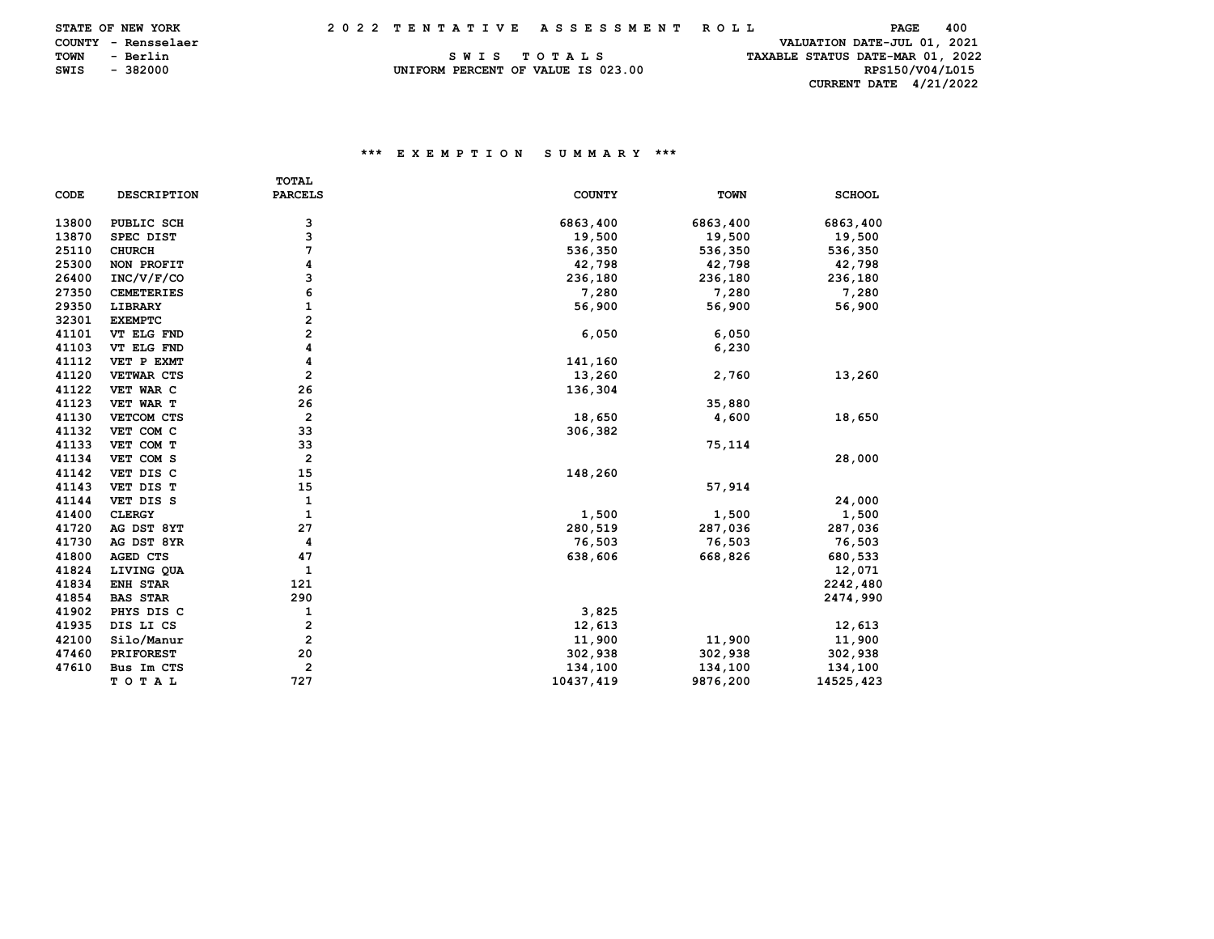|      | <b>STATE OF NEW YORK</b> |  |  |  |  |  |  | 2022 TENTATIVE ASSESSMENT ROLL     |  |  |  |  |  |  |  |  |  |                                  |  |                 | PAGE | 400 |  |
|------|--------------------------|--|--|--|--|--|--|------------------------------------|--|--|--|--|--|--|--|--|--|----------------------------------|--|-----------------|------|-----|--|
|      | COUNTY - Rensselaer      |  |  |  |  |  |  |                                    |  |  |  |  |  |  |  |  |  | VALUATION DATE-JUL 01, 2021      |  |                 |      |     |  |
| TOWN | - Berlin                 |  |  |  |  |  |  | SWIS TOTALS                        |  |  |  |  |  |  |  |  |  | TAXABLE STATUS DATE-MAR 01, 2022 |  |                 |      |     |  |
|      | SWIS - 382000            |  |  |  |  |  |  | UNIFORM PERCENT OF VALUE IS 023.00 |  |  |  |  |  |  |  |  |  |                                  |  | RPS150/V04/L015 |      |     |  |
|      |                          |  |  |  |  |  |  |                                    |  |  |  |  |  |  |  |  |  | CURRENT DATE $4/21/2022$         |  |                 |      |     |  |

|       |                    | <b>TOTAL</b>            |               |             |               |
|-------|--------------------|-------------------------|---------------|-------------|---------------|
| CODE  | <b>DESCRIPTION</b> | <b>PARCELS</b>          | <b>COUNTY</b> | <b>TOWN</b> | <b>SCHOOL</b> |
| 13800 | PUBLIC SCH         | з                       | 6863,400      | 6863,400    | 6863,400      |
| 13870 | SPEC DIST          | 3                       | 19,500        | 19,500      | 19,500        |
| 25110 | <b>CHURCH</b>      | 7                       | 536,350       | 536,350     | 536,350       |
| 25300 | NON PROFIT         | 4                       | 42,798        | 42,798      | 42,798        |
| 26400 | INC/V/F/CO         | з                       | 236,180       | 236,180     | 236,180       |
| 27350 | <b>CEMETERIES</b>  | 6                       | 7,280         | 7,280       | 7,280         |
| 29350 | LIBRARY            | 1                       | 56,900        | 56,900      | 56,900        |
| 32301 | <b>EXEMPTC</b>     | 2                       |               |             |               |
| 41101 | VT ELG FND         | 2                       | 6,050         | 6,050       |               |
| 41103 | VT ELG FND         | 4                       |               | 6,230       |               |
| 41112 | VET P EXMT         | 4                       | 141,160       |             |               |
| 41120 | VETWAR CTS         | $\overline{2}$          | 13,260        | 2,760       | 13,260        |
| 41122 | VET WAR C          | 26                      | 136,304       |             |               |
| 41123 | VET WAR T          | 26                      |               | 35,880      |               |
| 41130 | VETCOM CTS         | $\overline{\mathbf{2}}$ | 18,650        | 4,600       | 18,650        |
| 41132 | VET COM C          | 33                      | 306,382       |             |               |
| 41133 | VET COM T          | 33                      |               | 75,114      |               |
| 41134 | VET COM S          | $\overline{\mathbf{2}}$ |               |             | 28,000        |
| 41142 | VET DIS C          | 15                      | 148,260       |             |               |
| 41143 | VET DIS T          | 15                      |               | 57,914      |               |
| 41144 | VET DIS S          | 1                       |               |             | 24,000        |
| 41400 | <b>CLERGY</b>      | $\mathbf{1}$            | 1,500         | 1,500       | 1,500         |
| 41720 | AG DST 8YT         | 27                      | 280,519       | 287,036     | 287,036       |
| 41730 | AG DST 8YR         | 4                       | 76,503        | 76,503      | 76,503        |
| 41800 | AGED CTS           | 47                      | 638,606       | 668,826     | 680,533       |
| 41824 | LIVING QUA         | 1                       |               |             | 12,071        |
| 41834 | <b>ENH STAR</b>    | 121                     |               |             | 2242,480      |
| 41854 | <b>BAS STAR</b>    | 290                     |               |             | 2474,990      |
| 41902 | PHYS DIS C         | 1                       | 3,825         |             |               |
| 41935 | DIS LI CS          | 2                       | 12,613        |             | 12,613        |
| 42100 | Silo/Manur         | $\overline{2}$          | 11,900        | 11,900      | 11,900        |
| 47460 | <b>PRIFOREST</b>   | 20                      | 302,938       | 302,938     | 302,938       |
| 47610 | Bus Im CTS         | $\overline{\mathbf{2}}$ | 134,100       | 134,100     | 134,100       |
|       | TOTAL              | 727                     | 10437,419     | 9876,200    | 14525,423     |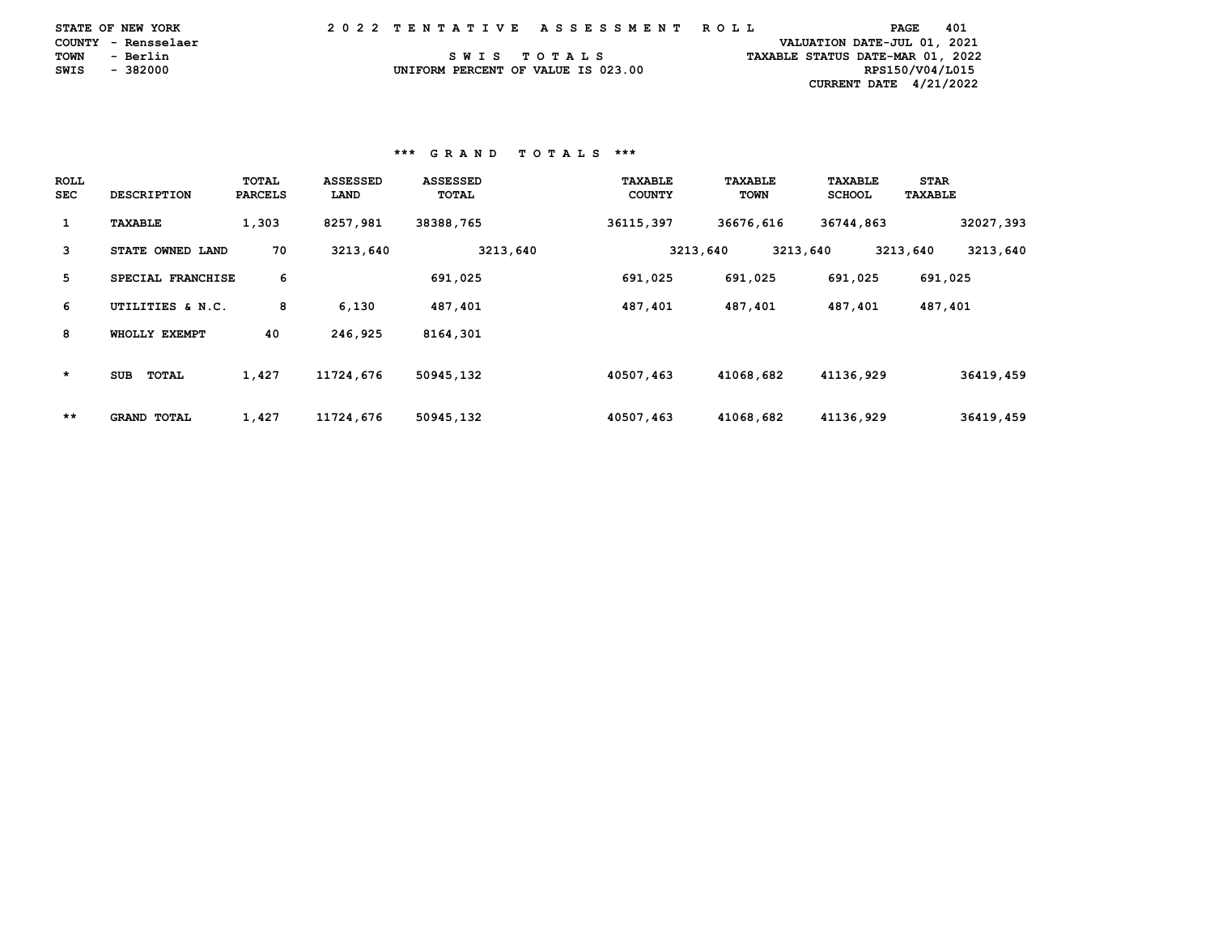|               | <b>STATE OF NEW YORK</b> |  |  |  |  |  | 2022 TENTATIVE ASSESSMENT ROLL     |  |  |  |  |  |  |  |  |  |  |                                  | PAGE | 401 |  |
|---------------|--------------------------|--|--|--|--|--|------------------------------------|--|--|--|--|--|--|--|--|--|--|----------------------------------|------|-----|--|
|               | COUNTY - Rensselaer      |  |  |  |  |  |                                    |  |  |  |  |  |  |  |  |  |  | VALUATION DATE-JUL 01, 2021      |      |     |  |
| TOWN          | - Berlin                 |  |  |  |  |  | SWIS TOTALS                        |  |  |  |  |  |  |  |  |  |  | TAXABLE STATUS DATE-MAR 01, 2022 |      |     |  |
| SWIS - 382000 |                          |  |  |  |  |  | UNIFORM PERCENT OF VALUE IS 023.00 |  |  |  |  |  |  |  |  |  |  | RPS150/V04/L015                  |      |     |  |
|               |                          |  |  |  |  |  |                                    |  |  |  |  |  |  |  |  |  |  | CURRENT DATE $4/21/2022$         |      |     |  |

# **\*\*\* G R A N D T O T A L S \*\*\***

| <b>ROLL</b><br><b>SEC</b> | <b>DESCRIPTION</b>         | TOTAL<br><b>PARCELS</b> | <b>ASSESSED</b><br>LAND | <b>ASSESSED</b><br>TOTAL | TAXABLE<br><b>COUNTY</b> | TAXABLE<br><b>TOWN</b> | <b>TAXABLE</b><br><b>SCHOOL</b> | <b>STAR</b><br><b>TAXABLE</b> |
|---------------------------|----------------------------|-------------------------|-------------------------|--------------------------|--------------------------|------------------------|---------------------------------|-------------------------------|
| $\mathbf{1}$              | TAXABLE                    | 1,303                   | 8257,981                | 38388,765                | 36115,397                | 36676.616              | 36744,863                       | 32027,393                     |
| 3                         | STATE OWNED LAND           | 70                      | 3213,640                | 3213,640                 | 3213,640                 | 3213,640               |                                 | 3213,640<br>3213,640          |
| 5                         | SPECIAL FRANCHISE          | 6                       |                         | 691,025                  | 691,025                  | 691,025                | 691,025                         | 691,025                       |
| 6                         | UTILITIES & N.C.           | 8                       | 6,130                   | 487,401                  | 487,401                  | 487,401                | 487,401                         | 487,401                       |
| 8                         | WHOLLY EXEMPT              | 40                      | 246,925                 | 8164,301                 |                          |                        |                                 |                               |
| $\star$                   | <b>TOTAL</b><br><b>SUB</b> | 1,427                   | 11724,676               | 50945,132                | 40507,463                | 41068,682              | 41136,929                       | 36419,459                     |
| $***$                     | <b>GRAND TOTAL</b>         | 1,427                   | 11724,676               | 50945,132                | 40507,463                | 41068,682              | 41136,929                       | 36419,459                     |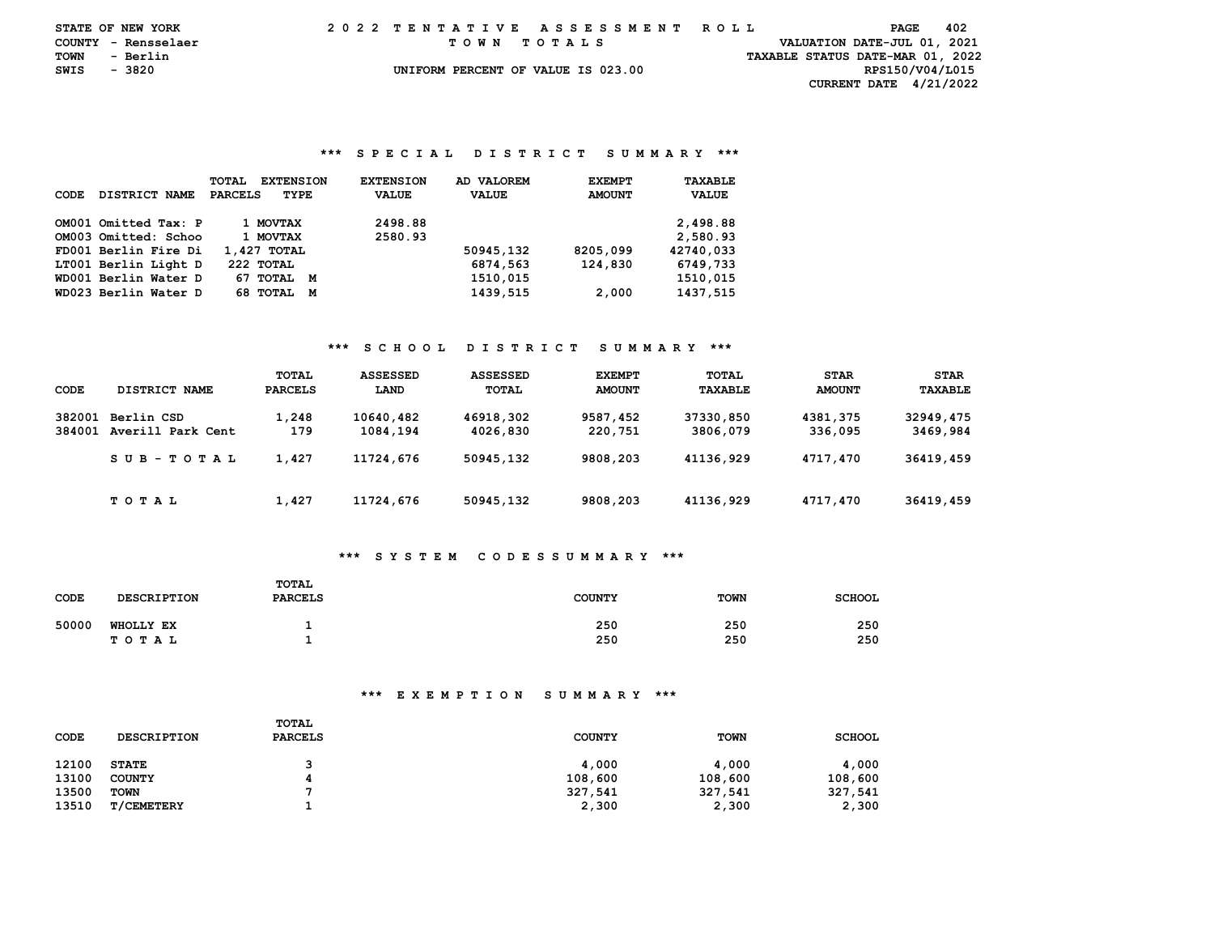|             | STATE OF NEW YORK   | 2022 TENTATIVE ASSESSMENT ROLL |  |  |  |  |                                    |  |  |  |  |  |  |  |  |  |  | PAGE                             | - 402 |  |
|-------------|---------------------|--------------------------------|--|--|--|--|------------------------------------|--|--|--|--|--|--|--|--|--|--|----------------------------------|-------|--|
|             | COUNTY - Rensselaer |                                |  |  |  |  | TOWN TOTALS                        |  |  |  |  |  |  |  |  |  |  | VALUATION DATE-JUL 01, 2021      |       |  |
| <b>TOWN</b> | - Berlin            |                                |  |  |  |  |                                    |  |  |  |  |  |  |  |  |  |  | TAXABLE STATUS DATE-MAR 01, 2022 |       |  |
| SWIS        | - 3820              |                                |  |  |  |  | UNIFORM PERCENT OF VALUE IS 023.00 |  |  |  |  |  |  |  |  |  |  | RPS150/V04/L015                  |       |  |
|             |                     |                                |  |  |  |  |                                    |  |  |  |  |  |  |  |  |  |  | CURRENT DATE $4/21/2022$         |       |  |

### **\*\*\* S P E C I A L D I S T R I C T S U M M A R Y \*\*\***

|                       | <b>TOTAL</b><br><b>EXTENSION</b> | <b>EXTENSION</b> | AD VALOREM   | <b>EXEMPT</b> | <b>TAXABLE</b> |
|-----------------------|----------------------------------|------------------|--------------|---------------|----------------|
| DISTRICT NAME<br>CODE | <b>PARCELS</b><br>TYPE           | <b>VALUE</b>     | <b>VALUE</b> | <b>AMOUNT</b> | <b>VALUE</b>   |
|                       |                                  |                  |              |               |                |
| OM001 Omitted Tax: P  | 1 MOVTAX                         | 2498.88          |              |               | 2,498.88       |
| OM003 Omitted: Schoo  | 1 MOVTAX                         | 2580.93          |              |               | 2,580.93       |
| FD001 Berlin Fire Di  | 1,427 TOTAL                      |                  | 50945,132    | 8205,099      | 42740.033      |
| LT001 Berlin Light D  | 222 TOTAL                        |                  | 6874,563     | 124,830       | 6749,733       |
| WD001 Berlin Water D  | 67 TOTAL<br>M                    |                  | 1510,015     |               | 1510,015       |
| WD023 Berlin Water D  | 68 TOTAL<br>М                    |                  | 1439,515     | 2,000         | 1437,515       |

### **\*\*\* S C H O O L D I S T R I C T S U M M A R Y \*\*\***

| CODE   | DISTRICT NAME     | TOTAL<br>PARCELS | <b>ASSESSED</b><br>LAND | <b>ASSESSED</b><br>TOTAL | <b>EXEMPT</b><br><b>AMOUNT</b> | <b>TOTAL</b><br>TAXABLE | <b>STAR</b><br><b>AMOUNT</b> | <b>STAR</b><br>TAXABLE |
|--------|-------------------|------------------|-------------------------|--------------------------|--------------------------------|-------------------------|------------------------------|------------------------|
|        |                   |                  |                         |                          |                                |                         |                              |                        |
| 382001 | Berlin CSD        | 1,248            | 10640,482               | 46918,302                | 9587,452                       | 37330,850               | 4381,375                     | 32949,475              |
| 384001 | Averill Park Cent | 179              | 1084,194                | 4026,830                 | 220,751                        | 3806,079                | 336,095                      | 3469,984               |
|        | SUB-TOTAL         | 1,427            | 11724,676               | 50945,132                | 9808,203                       | 41136,929               | 4717,470                     | 36419,459              |
|        | T O T A L         | 1,427            | 11724,676               | 50945,132                | 9808,203                       | 41136,929               | 4717,470                     | 36419,459              |

# **\*\*\* S Y S T E M C O D E S S U M M A R Y \*\*\***

| <b>CODE</b> | <b>DESCRIPTION</b>            | <b>TOTAL</b><br><b>PARCELS</b> | <b>COUNTY</b> | <b>TOWN</b> | <b>SCHOOL</b> |
|-------------|-------------------------------|--------------------------------|---------------|-------------|---------------|
| 50000       | <b>WHOLLY EX</b><br>T O T A L |                                | 250<br>250    | 250<br>250  | 250<br>250    |

| CODE  | <b>DESCRIPTION</b> | <b>TOTAL</b><br><b>PARCELS</b> | <b>COUNTY</b> | <b>TOWN</b> | <b>SCHOOL</b> |
|-------|--------------------|--------------------------------|---------------|-------------|---------------|
| 12100 | <b>STATE</b>       |                                | 4,000         | 4,000       | 4,000         |
| 13100 | <b>COUNTY</b>      |                                | 108,600       | 108,600     | 108,600       |
| 13500 | <b>TOWN</b>        |                                | 327,541       | 327,541     | 327,541       |
| 13510 | <b>T/CEMETERY</b>  |                                | 2,300         | 2,300       | 2,300         |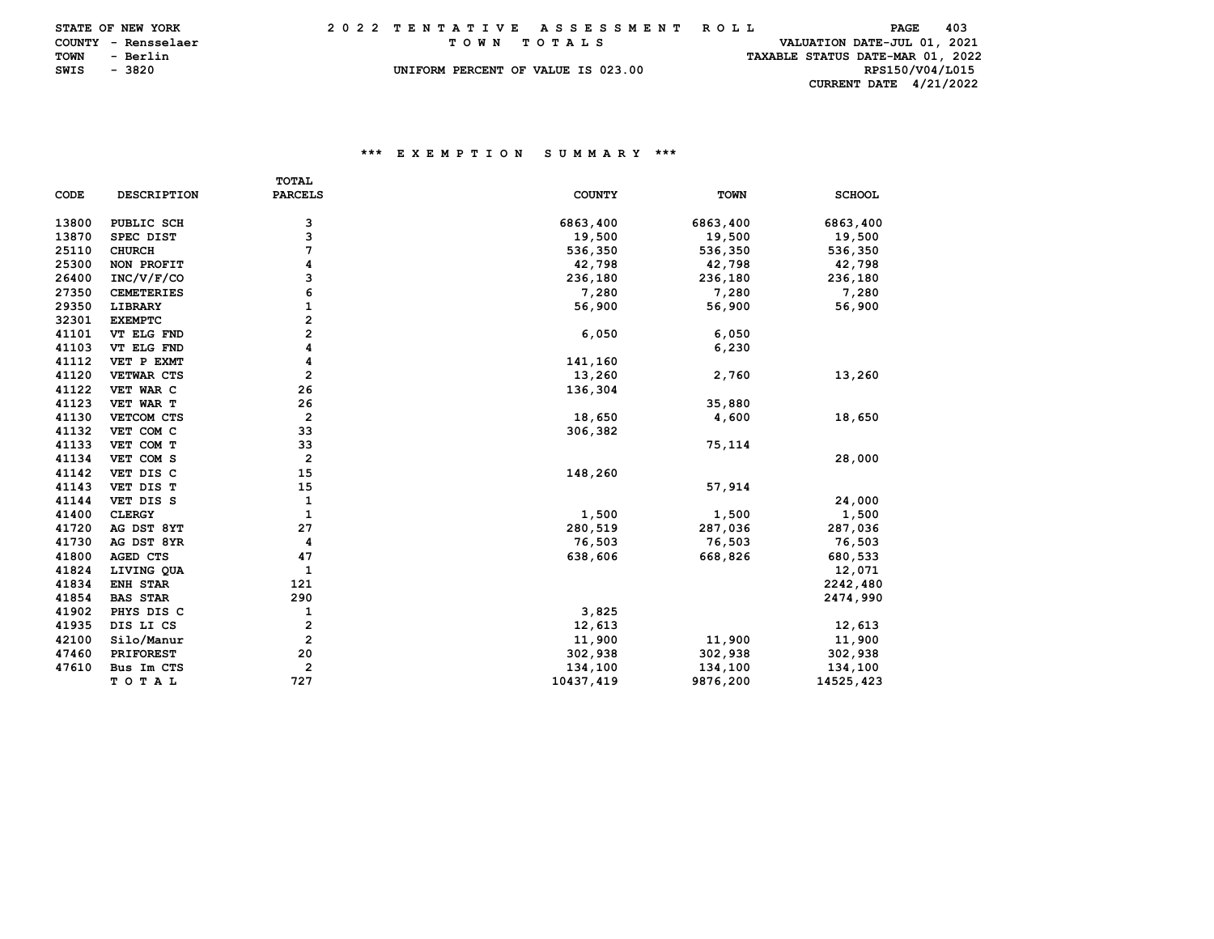|      | STATE OF NEW YORK   | 2022 TENTATIVE ASSESSMENT ROLL |  |  |  |  |  |                                    |  |  |  |  |  |  |  |  |  |  | PAGE                             | 403 |  |
|------|---------------------|--------------------------------|--|--|--|--|--|------------------------------------|--|--|--|--|--|--|--|--|--|--|----------------------------------|-----|--|
|      | COUNTY - Rensselaer |                                |  |  |  |  |  | TOWN TOTALS                        |  |  |  |  |  |  |  |  |  |  | VALUATION DATE-JUL 01, 2021      |     |  |
| TOWN | - Berlin            |                                |  |  |  |  |  |                                    |  |  |  |  |  |  |  |  |  |  | TAXABLE STATUS DATE-MAR 01, 2022 |     |  |
| SWIS | - 3820              |                                |  |  |  |  |  | UNIFORM PERCENT OF VALUE IS 023.00 |  |  |  |  |  |  |  |  |  |  | RPS150/V04/L015                  |     |  |
|      |                     |                                |  |  |  |  |  |                                    |  |  |  |  |  |  |  |  |  |  | CURRENT DATE $4/21/2022$         |     |  |

|             |                    | <b>TOTAL</b>            |               |             |               |
|-------------|--------------------|-------------------------|---------------|-------------|---------------|
| <b>CODE</b> | <b>DESCRIPTION</b> | <b>PARCELS</b>          | <b>COUNTY</b> | <b>TOWN</b> | <b>SCHOOL</b> |
| 13800       | PUBLIC SCH         | 3                       | 6863,400      | 6863,400    | 6863,400      |
| 13870       | SPEC DIST          | 3                       | 19,500        | 19,500      | 19,500        |
| 25110       | <b>CHURCH</b>      | 7                       | 536,350       | 536,350     | 536,350       |
| 25300       | NON PROFIT         | 4                       | 42,798        | 42,798      | 42,798        |
| 26400       | INC/V/F/CO         | 3                       | 236,180       | 236,180     | 236,180       |
| 27350       | <b>CEMETERIES</b>  | 6                       | 7,280         | 7,280       | 7,280         |
| 29350       | LIBRARY            | 1                       | 56,900        | 56,900      | 56,900        |
| 32301       | <b>EXEMPTC</b>     | 2                       |               |             |               |
| 41101       | VT ELG FND         | 2                       | 6,050         | 6,050       |               |
| 41103       | VT ELG FND         | 4                       |               | 6,230       |               |
| 41112       | VET P EXMT         | 4                       | 141,160       |             |               |
| 41120       | VETWAR CTS         | $\overline{\mathbf{2}}$ | 13,260        | 2,760       | 13,260        |
| 41122       | VET WAR C          | 26                      | 136,304       |             |               |
| 41123       | VET WAR T          | 26                      |               | 35,880      |               |
| 41130       | VETCOM CTS         | $\overline{2}$          | 18,650        | 4,600       | 18,650        |
| 41132       | VET COM C          | 33                      | 306,382       |             |               |
| 41133       | VET COM T          | 33                      |               | 75,114      |               |
| 41134       | VET COM S          | $\overline{2}$          |               |             | 28,000        |
| 41142       | VET DIS C          | 15                      | 148,260       |             |               |
| 41143       | VET DIS T          | 15                      |               | 57,914      |               |
| 41144       | VET DIS S          | 1                       |               |             | 24,000        |
| 41400       | <b>CLERGY</b>      | 1                       | 1,500         | 1,500       | 1,500         |
| 41720       | AG DST 8YT         | 27                      | 280,519       | 287,036     | 287,036       |
| 41730       | AG DST 8YR         | 4                       | 76,503        | 76,503      | 76,503        |
| 41800       | AGED CTS           | 47                      | 638,606       | 668,826     | 680,533       |
| 41824       | LIVING QUA         | 1                       |               |             | 12,071        |
| 41834       | ENH STAR           | 121                     |               |             | 2242,480      |
| 41854       | <b>BAS STAR</b>    | 290                     |               |             | 2474,990      |
| 41902       | PHYS DIS C         | 1                       | 3,825         |             |               |
| 41935       | DIS LI CS          | $\overline{\mathbf{2}}$ | 12,613        |             | 12,613        |
| 42100       | Silo/Manur         | $\overline{\mathbf{2}}$ | 11,900        | 11,900      | 11,900        |
| 47460       | <b>PRIFOREST</b>   | 20                      | 302,938       | 302,938     | 302,938       |
| 47610       | Bus Im CTS         | $\mathbf{2}$            | 134,100       | 134,100     | 134,100       |
|             | TOTAL              | 727                     | 10437,419     | 9876,200    | 14525,423     |